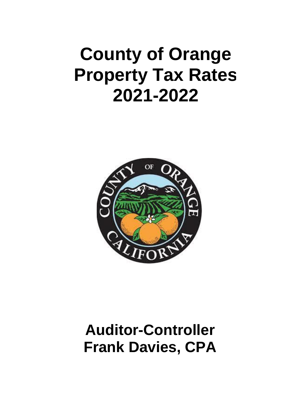## **County of Orange Property Tax Rates 2021-2022**



### **Auditor-Controller Frank Davies, CPA**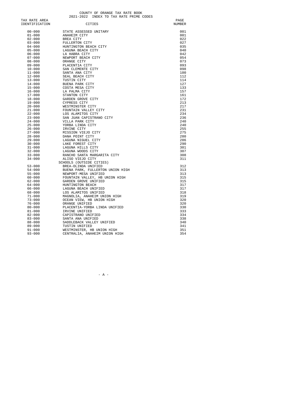COUNTY OF ORANGE TAX RATE BOOK<br>2021-2022 INDEX TO TAX RATE PRIME CODES

| TAX RATE AREA  |                                  | PAGE   |
|----------------|----------------------------------|--------|
| IDENTIFICATION | CITIES                           | NUMBER |
|                |                                  |        |
| $00 - 000$     | STATE ASSESSED UNITARY           | 001    |
| $01 - 000$     | ANAHEIM CITY                     | 001    |
| $02 - 000$     | BREA CITY                        | 022    |
| $03 - 000$     | FULLERTON CITY                   | 027    |
| $04 - 000$     | HUNTINGTON BEACH CITY            | 035    |
| $05 - 000$     | LAGUNA BEACH CITY                | 040    |
| $06 - 000$     | LA HABRA CITY                    | 042    |
| $07 - 000$     | NEWPORT BEACH CITY               | 054    |
| $08 - 000$     | ORANGE CITY                      | 073    |
| $09 - 000$     | PLACENTIA CITY                   | 093    |
| $10 - 000$     | SAN CLEMENTE CITY                | 098    |
| $11 - 000$     | SANTA ANA CITY                   | 100    |
| $12 - 000$     | SEAL BEACH CITY                  | 112    |
| $13 - 000$     | TUSTIN CITY                      | 114    |
| $14 - 000$     | BUENA PARK CITY                  | 127    |
| $15 - 000$     | COSTA MESA CITY                  | 133    |
| $16 - 000$     | LA PALMA CITY                    | 157    |
| $17 - 000$     | STANTON CITY                     | 161    |
| $18 - 000$     | GARDEN GROVE CITY                | 172    |
| $19 - 000$     | CYPRESS CITY                     | 213    |
| $20 - 000$     | WESTMINSTER CITY                 | 217    |
| $21 - 000$     | FOUNTAIN VALLEY CITY             | 231    |
| $22 - 000$     | LOS ALAMITOS CITY                | 234    |
| $23 - 000$     | SAN JUAN CAPISTRANO CITY         | 236    |
| $24 - 000$     | VILLA PARK CITY                  | 240    |
| $25 - 000$     | YORBA LINDA CITY                 | 240    |
| $26 - 000$     | IRVINE CITY                      | 255    |
| $27 - 000$     | MISSION VIEJO CITY               | 275    |
| $28 - 000$     | DANA POINT CITY                  | 280    |
| $29 - 000$     | LAGUNA NIGUEL CITY               | 286    |
| $30 - 000$     | LAKE FOREST CITY                 | 290    |
| $31 - 000$     | LAGUNA HILLS CITY                | 301    |
| $32 - 000$     | LAGUNA WOODS CITY                | 307    |
| $33 - 000$     | RANCHO SANTA MARGARITA CITY      | 308    |
| $34 - 000$     | ALISO VIEJO CITY                 | 311    |
|                | SCHOOLS (OUTSIDE CITIES)         |        |
| $53 - 000$     | BREA-OLINDA UNIFIED              | 312    |
| $54 - 000$     | BUENA PARK, FULLERTON UNION HIGH | 313    |
| $55 - 000$     | NEWPORT-MESA UNIFIED             | 313    |
| $60 - 000$     | FOUNTAIN VALLEY, HB UNION HIGH   | 315    |
| $62 - 000$     | GARDEN GROVE UNIFIED             | 315    |
| $64 - 000$     | HUNTINGTON BEACH                 | 317    |
| 66-000         | LAGUNA BEACH UNIFIED             | 317    |
| $68 - 000$     | LOS ALAMITOS UNIFIED             | 318    |
| $71 - 000$     | MAGNOLIA, ANAHEIM UNION HIGH     | 319    |
| $73 - 000$     | OCEAN VIEW, HB UNION HIGH        | 320    |
| $76 - 000$     | ORANGE UNIFIED                   | 320    |
| $80 - 000$     | PLACENTIA-YORBA LINDA UNIFIED    | 330    |
| $81 - 000$     | IRVINE UNIFIED                   | 333    |
| $82 - 000$     | CAPISTRANO UNIFIED               | 334    |
| $83 - 000$     | SANTA ANA UNIFIED                | 338    |
| $88 - 000$     | SADDLEBACK VALLEY UNIFIED        | 340    |
| $89 - 000$     | TUSTIN UNIFIED                   | 341    |
| $91 - 000$     | WESTMINSTER, HB UNION HIGH       | 351    |
| $93 - 000$     | CENTRALIA, ANAHEIM UNION HIGH    | 354    |
|                |                                  |        |

 $-$  A  $-$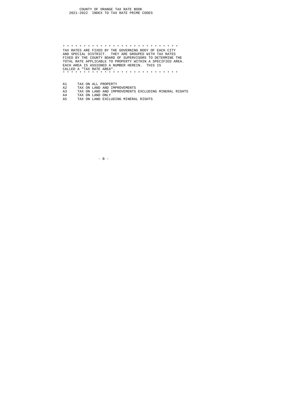#### COUNTY OF ORANGE TAX RATE BOOK<br>2021-2022 INDEX TO TAX RATE PRIME CODES

 \* \* \* \* \* \* \* \* \* \* \* \* \* \* \* \* \* \* \* \* \* \* \* \* \* \* \* \* TAX RATES ARE FIXED BY THE GOVERNING BODY OF EACH CITY AND SPECIAL DISTRICT. THEY ARE GROUPED WITH TAX RATES FIXED BY THE COUNTY BOARD OF SUPERVISORS TO DETERMINE THE TOTAL RATE APPLICABLE TO PROPERTY WITHIN A SPECIFIED AREA. EACH AREA IS ASSIGNED A NUMBER HEREIN. THIS IS CALLED A "TAX RATE AREA". \* \* \* \* \* \* \* \* \* \* \* \* \* \* \* \* \* \* \* \* \* \* \* \* \* \* \* \*

- 
- 
- A2 TAX ON LAND AND IMPROVEMENTS<br>A3 TAX ON LAND AND IMPROVEMENTS EXCLUDING MINERAL RIGHTS<br>A4 TAX ON LAND EXCLUDING MINERAL RIGHTS<br>A5 TAX ON LAND EXCLUDING MINERAL RIGHTS
- A1 TAX ON ALL PROPERTY A2 TAX ON LAND AND IMPERTY TAX ON LAND ADD IMPERTY AS TAX ON LAND ONLY A5 TAX ON LAND EXCLUDIN

 $-$  B  $-$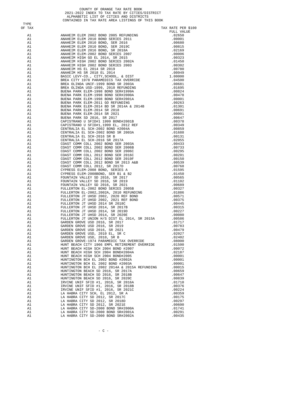COUNTY OF ORANGE TAX RATE BOOK<br>2021-2022 INDEX TO TAX RATE BY CITIES/DISTRICT<br>ALPHABETIC LIST OF CITIES AND DISTRICTS<br>CONTAINED IN TAX RATE AREA LISTINGS OF THIS BOOK

TYPE<br>OF TAX

| OF TAX   |                                                                     | TAX RATE PER \$100 |
|----------|---------------------------------------------------------------------|--------------------|
|          |                                                                     |                    |
|          |                                                                     |                    |
|          |                                                                     |                    |
|          |                                                                     |                    |
|          |                                                                     |                    |
|          |                                                                     |                    |
|          |                                                                     |                    |
|          |                                                                     |                    |
|          |                                                                     |                    |
|          |                                                                     |                    |
|          |                                                                     |                    |
|          |                                                                     |                    |
|          |                                                                     |                    |
|          |                                                                     |                    |
|          |                                                                     |                    |
|          |                                                                     |                    |
|          |                                                                     |                    |
|          |                                                                     |                    |
|          |                                                                     |                    |
|          |                                                                     |                    |
|          |                                                                     |                    |
|          |                                                                     |                    |
|          |                                                                     |                    |
|          |                                                                     |                    |
|          |                                                                     |                    |
|          |                                                                     |                    |
|          |                                                                     |                    |
|          |                                                                     |                    |
|          |                                                                     |                    |
|          |                                                                     |                    |
|          |                                                                     |                    |
|          |                                                                     |                    |
|          |                                                                     |                    |
|          |                                                                     |                    |
|          |                                                                     |                    |
|          |                                                                     |                    |
|          |                                                                     |                    |
|          |                                                                     |                    |
|          |                                                                     |                    |
|          |                                                                     |                    |
|          |                                                                     |                    |
|          |                                                                     |                    |
|          |                                                                     |                    |
|          |                                                                     |                    |
|          |                                                                     |                    |
|          |                                                                     |                    |
|          |                                                                     |                    |
|          |                                                                     |                    |
|          |                                                                     |                    |
|          |                                                                     |                    |
|          |                                                                     |                    |
|          |                                                                     |                    |
| A1       |                                                                     | .02187             |
| A1       |                                                                     | .00001             |
| A1<br>A1 | HUNTINGTON BCH EL 2002 BOND #2003A                                  | .00001<br>.00001   |
| A1       | HUNTINGTON BCH EL 2002 2014A & 2015A REFUNDING                      | .00015             |
| A1       | HUNTINGTON BEACH SD 2016, SR 2017A                                  | .00659             |
| A1       | HUNTINGTON BEACH SD 2016, SR 2018B                                  | .00647             |
| A1       | HUNTINGTON BEACH SD 2016, SR 2020C                                  | .00839             |
| A1       | IRVINE UNIF SFID #1, 2016, SR 2016A                                 | .01710             |
| A1       | IRVINE UNIF SFID #1, 2016, SR 2018B                                 | .00376             |
| A1       | IRVINE UNIF SFID #1, 2016, SR 2021C                                 | .00224             |
| A1<br>A1 | LA HABRA CITY SCH, EL 2012, SR A<br>LA HABRA CITY SD 2012, SR 2017C | .00359<br>.00175   |
| A1       | LA HABRA CITY SD 2012, SR 2018D                                     | .00297             |
| A1       | LA HABRA CITY SD 2012, SR 2021E                                     | .00600             |
| A1       | LA HABRA CITY SD-2000 BOND SR#2000A                                 | .01741             |
| A1       | LA HABRA CITY SD-2000 BOND SR#2001A                                 | .00291             |
| A1       | LA HABRA CITY SD-2000 BOND SR#2002A                                 | .00435             |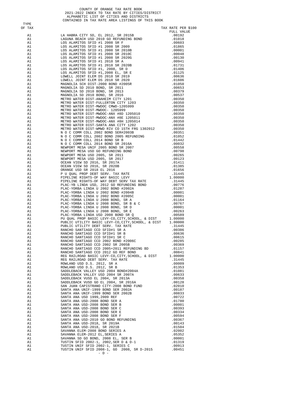COUNTY OF ORANGE TAX RATE BOOK 2021-2022 INDEX TO TAX RATE BY CITIES/DISTRICT ALPHABETIC LIST OF CITIES AND DISTRICTS CONTAINED IN TAX RATE AREA LISTINGS OF THIS BOOK TAX RATE PER \$100  $\begin{tabular}{lllllllllll} \multicolumn{2}{c}{\textbf{A1}} & \multicolumn{2}{c}{\textbf{FUL}} & \multicolumn{2}{c}{\textbf{WALUE}}\\ & \multicolumn{2}{c}{\textbf{L1}} & \multicolumn{2}{c}{\textbf{L2}} & \multicolumn{2}{c}{\textbf{SPL}} & \multicolumn{2}{c}{\textbf{SPL}} & \multicolumn{2}{c}{\textbf{SPL}} & \multicolumn{2}{c}{\textbf{SPL}} & \multicolumn{2}{c}{\textbf{SPL}} & \multicolumn{2}{c}{\textbf{SPL}} & \multicolumn{2}{c}{\textbf{SPL}} & \$  A1 LA HABRA CITY SD, EL 2012, SR 2015B .00192 A1  $LAGUNA$  BEACH USD 2010 GO REFUNDING BOND .01018<br>A1  $LOS$  ALAMITOS SFID #1 2008 SR F A1 LOS ALAMITOS SFID #1 2008 SR F .00603 A1 LOS ALAMITOS SFID #1 2008 SR 2009 .01865 A1 LOS ALAMITOS SFID #1 2008 SR 2010B .00001 A1 LOS ALAMITOS SFID #1 2008 SR 2010C .00048 A1 LOS ALAMITOS SFID #1 2008 SR 2010C .00048 A1 LOS ALAMITOS SFID #1 2008 SR 2020G .00130 .00130 .00130 A1 LOS ALAMITOS SFID #1 2018 SR A .00941 A1 LOS ALAMITOS SFID #1 2018 SR 2020B .01731 A1 LOS ALAMITOS SFID #1, 2008, SR D .01406 A1 LOS ALAMITOS SFID #1,2008 EL, SR E .01125 A1 LOWELL JOINT ELEM DS 2018 SR 2019 .00636 A1 LOWELL JOINT ELEM DS 2018 SR 2020 .01606<br>A1 MAGNOLIA SCH DIST-2000 BOND #2005R .01050 A1 MAGNOLIA SCH DIST-2000 BOND #2005R .01050<br>A1 MAGNOLIA SD 2010 BOND, SR 2011 .00653 A1 MAGNOLIA SD 2010 BOND, SR 2011 .00653<br>A1 MAGNOLIA SD 2010 BOND, SR 2013 .00379 A1 MAGNOLIA SD 2010 BOND, SR 2013 .00379 A1 MAGNOLIA SD 2010 BOND, SR 2016 .00537 A1 METRO WATER DIST-ANAHEIM CITY 1201 .00350 A1 METRO WATER DIST-FULLERTON CITY 1203<br>A1 METRO WATER DIST-MWDOC CMWD-1205999 .00350 A1 METRO WATER DIST-MWDOC CMWD-1205999 .00350<br>A1 METRO WATER DIST-MWDOC- 1205999 .00350 A1 METRO WATER DIST-MWDOC- 1205999 .00350 A1 METRO WATER DIST-MWDOC-ANX #8D 1205010 .00350 A1 METRO WATER DIST-MWDOC-ANX #8E 1205011 .00350 A1 METRO WATER DIST-MWDOC-ANX #8H 1205014 .00350<br>A1 METRO WATER DIST-SANTA ANA CITY 1202 .00350 A1 METRO WATER DIST-SANTA ANA CITY 1202 .00350 00350<br>A1 METRO WATER DIST-WMWD RIV CO 15TH FRG 1302012 .00350 A1 METRO WATER DIST-WMWD RIV CO 15TH FRG 1302012 .00350<br>A1 0 C COMM COLL 2002 BOND SER#2003B .00351 A1 AN O C COMM COLL 2002 BOND SER#2003B .00351<br>A1 N O C COMM COLL 2002 BOND 2005 REFUNDING .01052 A1 N O C COMM COLL 2002 BOND 2005 REFUNDING .01052 A1 N O C COMM COLL 2014 BOND SR B .01442 A1 N O C COMM COLL 2014 BOND SR 2016A .00032 A1 NEWPORT MESA UNIF 2005 BOND SR 2007 .00558 A1 NEWPORT MESA USD GO REFUNDING BOND .00798<br>A1 NEWPORT MESA USD 2005, SR 2011 .00265 A1 NEWPORT MESA USD 2005, SR 2011 .00265 A1 NEWPORT MESA USD 2005, SR 2017 .00123 .00123 .00123 A1 OCEAN VIEW SD 2016, SR 2017A .01411<br>
A1 OCEAN VIEW SD 2016, SR 2020B .01385<br>
A1 ORANGE USD SR 2018 EL 2016 .01656

 A1 P U QUAL PROP DEBT SERV. TAX RATE .31445 A1 PIPELINE RIGHTS-OF WAY BASIC LEVY 1.00000 11 PIPELINE RIGHTS-OF WAY DEBT SERV TAX RATE A1 PIPELINE RIGHTS-OF WAY DEBT SERV TAX RATE .31445<br>A1 PLAC-YB LINDA USD, 2012 GO REFUNDING BOND .00776 A1 PLAC-YB LINDA USD, 2012 GO REFUNDING BOND .00776 A1 PLAC-YORBA LINDA U 2002 BOND #2002A .01287 A1 PLAC-YORBA LINDA U 2002 BOND #2002A .01287<br>A1 PLAC-YORBA LINDA U 2002 BOND #2004B .00001 A1 PLAC-YORBA LINDA U 2002 BOND #2004B .00001<br>A1 PLAC-YORBA LINDA U 2002 BOND #2004B .00001 A1 PLAC-YORBA LINDA U 2002 BOND #2005C .00001<br>A1 PLAC-YORBA LINDA U 2008 BOND, SR A .01164 A1 PLAC-YORBA LINDA U 2008 BOND, SR A .01164 A1 PLAC-YORBA LINDA U 2008 BOND, SR B & C .00767 A1 PLAC-YORBA LINDA U 2008 BOND, SR B & C .00767 A1 PLAC-YORBA LINDA U 2008 BOND, SR D .00001 A1 PLAC-YORBA LINDA U 2008 BOND, SR D .00001 A1 PLAC-YORBA LINDA U 2008 BOND, SR E .00263<br>A1 PLAC-YORBA LINDA USD 2008 BOND SR O .00589 A1 PLAC-YORBA LINDA USD 2008 BOND SR Q .00589<br>A1 PU OUAL PROP BASIC LEVY-CO,CITY,SCHOOL, & DIST 1.00000 A1 PU QUAL PROP BASIC LEVY-CO, CITY, SCHOOL, & DIST 1.00000<br>A1 PUBLIC UTILITY BASIC LEVY-CO, CITY, SCHOOL, & DIST 1.00000 A1 PUBLIC UTILITY BASIC LEVY-CO, CITY, SCHOOL, & DIST 1.00000<br>A1 PUBLIC UTILITY DEBT SERV. TAX RATE 1.31445 A1 PUBLIC UTILITY DEBT SERV. TAX RATE .31445 A1 RANCHO SANTIAGO CCD SFID#1 SR A .00386 .00386 .00386 RANCHO SANTIAGO CCD SFID#1 SR B A1 RANCHO SANTIAGO CCD SFID#1 SR B .00636<br>A1 RANCHO SANTIAGO CCD SFID#1 SR C .00615 A1 RANCHO SANTIAGO CCD SFID#1 SR C .00615<br>A1 RANCHO SANTIAGO CCD 2002 BOND #2006C .00285 A1 RANCHO SANTIAGO CCD 2002 BOND #2006C .00285 A1 RANCHO SANTIAGO CCD 2002 SR 2005B .00369<br>A1 RANCHO SANTIAGO CCD 2005+2011 REFUNDING BD .01157 A1 RANCHO SANTIAGO CCD 2005+2011 REFUNDING BD .01157<br>RANCHO SANTIAGO CCD 2012 GO REF BOND .00841

A1 RANCHO SANTIAGO CCD 2012 GO REF BOND .00841 A1 REG RAILROAD BASIC LEVY-CO,CITY,SCHOOL, & DIST 1.00000

A1 ROWLAND USD D.S. 2012, SR A .00009 A1 ROWLAND USD D.S. 2012, SR B .01353

A1 TUSTIN UNIF SFID 2002-1, SERIES C .00913 A1 TUSTIN UNIF SFID 2008-1, GO 2008, SR D-2015 .00451

 $-$  D  $-$ 

A1 REG RAILROAD DEBT SERV. TAX RATE .31445

A1 SADDLEBACK VALLEY USD 2004 BOND#2004A .01081 .01081 .01081 .00633 A1 SADDLEBACK VALLEY USD 2004 SR 2007A .00633 .00633 .00538 .00538 .00358 A1 SADDLEBACK VUSD EL 2004, SR 2013A .00358<br>A1 SADDLEBACK VUSD GO EL 2004, SR 2016A .00128 A1 SADDLEBACK VUSD GO EL 2004, SR 2016A  $\,$  .00128 A1  $\,$  SAN JUAN CAPISTRANO CITY–2008 BOND FUND .02010 A1 SAN JUAN CAPISTRANO CITY-2008 BOND FUND .02010<br>A1 SANTA ANA UNIF-1999 BOND SER 2002A .00187 A1 SANTA ANA UNIF-1999 BOND SER 2002A .00187 A1 SANTA ANA UNIF-1999 BOND SER 2002B .00833 .00833 A1 SANTA ANA USD 1999,2009 REF .00722 .00722 .00722 A1 SANTA ANA USD-2008 BOND SER A .01780 .01780 .01780 SANTA ANA USD-2008 BOND SER B A1 SANTA ANA USD-2008 BOND SER B .00001 .00001 SANTA ANA USD-2008 BOND SER C A1 SANTA ANA USD-2008 BOND SER C .00393 A1 SANTA ANA USD-2008 BOND SER E .00334 A1 SANTA ANA USD-2008 BOND SER E .00334 A1 SANTA ANA USD-2008 BOND SER F .00594 .00594 A1 SANTA ANA USD-2010 GO BOND REFUNDING .00367 .00367 SANTA ANA USD-2018, SR 2019A A1 SANTA ANA USD-2018, SR 2019A .00143 .00143 A1 SANTA ANA USD-2018, SR 2021B .01504<br>A1 SAVANNA ELEM-2008 BOND SERTES A .02002 A1 SAVANNA ELEM-2008 BOND SERIES A .02002<br>A1 SAVANNA ELEM-2012 EL,SERIES A .05352 A1 SAVANNA ELEM-2012 EL,SERIES A .05352<br>A1 SAVANNA SD GO BOND, 2008 EL, SER B .00001 A1 SAVANNA SD GO BOND, 2008 EL, SER B .00001 A1 TUSTIN SFID 2002-1, 2002,SER D & D-1 .01319<br>A1 TUSTIN UNIF SFID 2002-1, SERIES C .00913

TYPE<br>OF TAX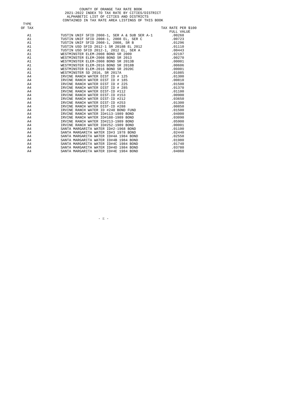|        | COUNTY OF ORANGE TAX RATE BOOK                   |                    |
|--------|--------------------------------------------------|--------------------|
|        | 2021-2022 INDEX TO TAX RATE BY CITIES/DISTRICT   |                    |
|        | ALPHABETIC LIST OF CITIES AND DISTRICTS          |                    |
|        | CONTAINED IN TAX RATE AREA LISTINGS OF THIS BOOK |                    |
| TYPE   |                                                  |                    |
| OF TAX |                                                  | TAX RATE PER \$100 |
|        |                                                  | FULL VALUE         |
| A1     |                                                  |                    |
| A1     |                                                  |                    |
| A1     |                                                  |                    |
| A1     |                                                  |                    |
| A1     |                                                  |                    |
| A1     |                                                  |                    |
| A1     |                                                  |                    |
| A1     |                                                  |                    |
| A1     |                                                  |                    |
| A1     |                                                  |                    |
| A1     |                                                  |                    |
| A4     |                                                  |                    |
| A4     |                                                  |                    |
| A4     |                                                  |                    |
| A4     |                                                  |                    |
| A4     |                                                  |                    |
| A4     |                                                  |                    |
| A4     |                                                  |                    |
| A4     |                                                  |                    |
| A4     |                                                  |                    |
| A4     |                                                  |                    |
| A4     |                                                  |                    |
| A4     |                                                  |                    |
| A4     |                                                  |                    |
| A4     |                                                  |                    |
| A4     |                                                  |                    |
| A4     |                                                  |                    |
| A4     | SANTA MARGARITA WATER ID#4A 1984 BOND .02550     |                    |
| A4     | SANTA MARGARITA WATER ID#4B 1984 BOND .01980     |                    |
| A4     | SANTA MARGARITA WATER ID#4C 1984 BOND .01740     |                    |
| A4     | SANTA MARGARITA WATER ID#4D 1984 BOND            | .03780             |
| A4     | SANTA MARGARITA WATER ID#4E 1984 BOND            | .04060             |
|        |                                                  |                    |

 $-$  E  $-$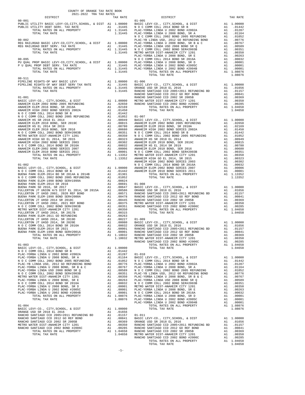| 2021-2022 TRA TAX RATES<br>DISTRICT | TAX RATE | DISTRICT | TAX RATE |
|-------------------------------------|----------|----------|----------|
|                                     |          |          |          |
|                                     |          |          |          |
|                                     |          |          |          |
|                                     |          |          |          |
|                                     |          |          |          |
|                                     |          |          |          |
|                                     |          |          |          |
|                                     |          |          |          |
|                                     |          |          |          |
|                                     |          |          |          |
|                                     |          |          |          |
|                                     |          |          |          |
|                                     |          |          |          |
|                                     |          |          |          |
|                                     |          |          |          |
|                                     |          |          |          |
|                                     |          |          |          |
|                                     |          |          |          |
|                                     |          |          |          |
|                                     |          |          |          |
|                                     |          |          |          |
|                                     |          |          |          |
|                                     |          |          |          |
|                                     |          |          |          |
|                                     |          |          |          |
|                                     |          |          |          |
|                                     |          |          |          |
|                                     |          |          |          |
|                                     |          |          |          |
|                                     |          |          |          |
|                                     |          |          |          |
|                                     |          |          |          |
|                                     |          |          |          |
|                                     |          |          |          |
|                                     |          |          |          |
|                                     |          |          |          |
|                                     |          |          |          |
|                                     |          |          |          |
|                                     |          |          |          |
|                                     |          |          |          |
|                                     |          |          |          |
|                                     |          |          |          |
|                                     |          |          |          |
|                                     |          |          |          |
|                                     |          |          |          |
|                                     |          |          |          |
|                                     |          |          |          |
|                                     |          |          |          |
|                                     |          |          |          |
|                                     |          |          |          |
|                                     |          |          |          |
|                                     |          |          |          |
|                                     |          |          |          |
|                                     |          |          |          |
|                                     |          |          |          |
|                                     |          |          |          |
|                                     |          |          |          |
|                                     |          |          |          |
|                                     |          |          |          |
|                                     |          |          |          |
|                                     |          |          |          |
|                                     |          |          |          |
|                                     |          |          |          |
|                                     |          |          |          |
|                                     |          |          |          |
|                                     |          |          |          |
|                                     |          |          |          |
|                                     |          |          |          |
|                                     |          |          |          |

COUNTY OF ORANGE TAX RATE BOOK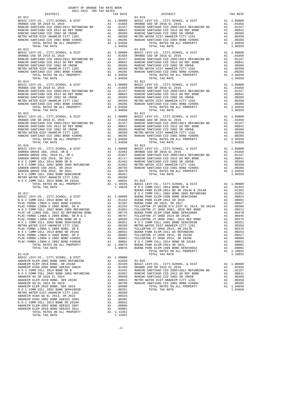| COUNTY OF ORANGE TAX RATE BOOK<br>$\begin{minipage}{.4\linewidth} \begin{tabular}{lcccccc} \textbf{1-A} & \textbf{1-A} & \textbf{RATE} & \textbf{B} \\ \textbf{2021--2022} & \textbf{TRA} & \textbf{TAX RATES} \\ \end{tabular} \end{minipage}$ |          |                                                                                                                                                                                                                                                                                  |          |
|-------------------------------------------------------------------------------------------------------------------------------------------------------------------------------------------------------------------------------------------------|----------|----------------------------------------------------------------------------------------------------------------------------------------------------------------------------------------------------------------------------------------------------------------------------------|----------|
|                                                                                                                                                                                                                                                 | TAX RATE | DISTRICT                                                                                                                                                                                                                                                                         | TAX RATE |
| $01 - 012$                                                                                                                                                                                                                                      |          | $01 - 019$                                                                                                                                                                                                                                                                       |          |
|                                                                                                                                                                                                                                                 |          |                                                                                                                                                                                                                                                                                  |          |
|                                                                                                                                                                                                                                                 |          |                                                                                                                                                                                                                                                                                  |          |
| $01 - 015$                                                                                                                                                                                                                                      |          | $01 - 022$                                                                                                                                                                                                                                                                       |          |
|                                                                                                                                                                                                                                                 |          |                                                                                                                                                                                                                                                                                  |          |
|                                                                                                                                                                                                                                                 |          | $\begin{array}{cccccccc} 01 & 011 & 0114 & 0114 & 0114 & 0114 & 0114 & 0114 & 0114 & 0114 & 0114 & 0114 & 0114 & 0114 & 0114 & 0114 & 0114 & 0114 & 0114 & 0114 & 0114 & 0114 & 0114 & 0114 & 0114 & 0114 & 0114 & 0114 & 0114 & 0114 & 0114 & 0114 & 0114 & 0114 & 0114 & 0114$ |          |
|                                                                                                                                                                                                                                                 |          |                                                                                                                                                                                                                                                                                  |          |

|  | . 00000 |  |  |
|--|---------|--|--|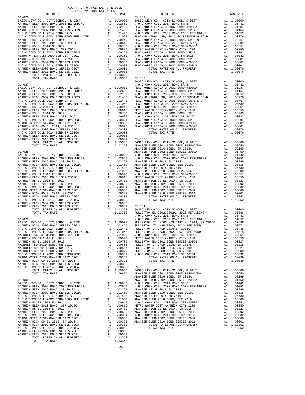| N O C COMM COLL 2014 BOND SR 2016A       | A1 | .00032     |
|------------------------------------------|----|------------|
| TOTAL RATES ON ALL PROPERTY              |    | A1 1.09650 |
| TOTAL TAX RATE                           |    | 1.09650    |
|                                          |    |            |
| $01 - 030$                               |    |            |
| BASIC LEVY-CO., CITY, SCHOOL, & DIST     | A1 | 1,00000    |
| ANAHEIM ELEM 2002 BOND 2005 REFUNDING    | A1 | .02650     |
| ANAHEIM ELEM 2016 BOND, SR 2018A         | A1 | .02169     |
| ANAHEIM HIGH 2002 BOND SERIES 2002A      | A1 | .01450     |
| N O C COMM COLL 2014 BOND SR B           | A1 | .01442     |
| N O C COMM COLL 2002 BOND 2005 REFUNDING | A1 | .01052     |
| ANAHEIM HS SR 2018 EL 2014               | A1 | .00949     |
| ANAHEIM ELEM 2010 BOND, SER 2019C        | A1 | .00815     |
| ANAHEIM HS EL 2014 SR 2019               | A1 | .00780     |
| ANAHEIM ELEM 2010 BOND, SER 2016         | A1 | .00680     |
| N O C COMM COLL 2002 BOND SER#2003B      | A1 | .00351     |
| METRO WATER DIST-ANAHEIM CITY 1201       | A1 | .00350     |
| ANAHEIM HIGH GO EL 2014. SR 2015         | A1 | .00323     |
| ANAHEIM HIGH 2002 BOND SERIES 2003       | A1 | .00302     |
| N O C COMM COLL 2014 BOND SR 2016A       | A1 | .00032     |
| ANAHEIM ELEM-2002 BOND SERIES 2007       | A1 | .00006     |
| ANAHEIM ELEM 2010 BOND SERIES 2011       | A1 | .00001     |
| TOTAL RATES ON ALL PROPERTY              | A1 | 1.13352    |
| TOTAL TAX RATE                           |    | 1.13352    |
|                                          |    |            |
|                                          |    |            |

-3-

# COUNTY OF ORANGE TAX RATE BOOK 2021-2022 TRA TAX RATES DISTRICT TAX RATE DISTRICT TAX RATE

| $01 - 026$ |  | $01 - 031$ |  |
|------------|--|------------|--|
|            |  |            |  |
|            |  |            |  |
|            |  |            |  |
|            |  |            |  |
|            |  |            |  |
|            |  |            |  |
|            |  |            |  |
|            |  |            |  |
|            |  |            |  |
|            |  |            |  |
|            |  |            |  |
|            |  |            |  |
|            |  |            |  |
|            |  |            |  |
|            |  |            |  |
|            |  |            |  |
|            |  |            |  |
|            |  |            |  |
|            |  |            |  |
|            |  |            |  |
|            |  |            |  |
|            |  |            |  |
|            |  |            |  |
|            |  |            |  |
|            |  |            |  |
|            |  |            |  |
|            |  |            |  |
|            |  |            |  |
|            |  |            |  |
|            |  |            |  |
|            |  |            |  |
|            |  |            |  |
|            |  |            |  |
|            |  |            |  |
|            |  |            |  |
|            |  |            |  |
|            |  |            |  |
|            |  |            |  |
|            |  |            |  |
|            |  |            |  |
|            |  |            |  |
|            |  |            |  |
|            |  |            |  |
|            |  |            |  |
|            |  |            |  |
|            |  |            |  |
|            |  |            |  |
|            |  |            |  |
|            |  |            |  |
|            |  |            |  |
|            |  |            |  |
|            |  |            |  |
|            |  |            |  |
|            |  |            |  |
|            |  |            |  |
|            |  |            |  |
|            |  |            |  |
|            |  |            |  |
|            |  |            |  |
|            |  |            |  |
|            |  |            |  |
|            |  |            |  |
|            |  |            |  |
|            |  |            |  |
|            |  |            |  |
|            |  |            |  |
|            |  |            |  |
|            |  |            |  |
|            |  |            |  |
|            |  |            |  |
|            |  |            |  |
|            |  |            |  |
|            |  |            |  |
|            |  |            |  |
|            |  |            |  |
|            |  |            |  |
|            |  |            |  |
|            |  |            |  |
|            |  |            |  |
|            |  |            |  |
|            |  |            |  |
|            |  |            |  |
|            |  |            |  |
|            |  |            |  |
|            |  |            |  |
|            |  |            |  |
|            |  |            |  |
|            |  |            |  |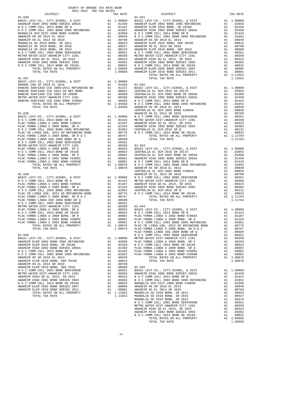| $01 - 037$                                                               |          |                  |                           |
|--------------------------------------------------------------------------|----------|------------------|---------------------------|
| BASIC LEVY-CO., CITY, SCHOOL, & DIST                                     |          | A1 1.00000       |                           |
|                                                                          |          |                  |                           |
|                                                                          |          |                  |                           |
|                                                                          |          |                  |                           |
|                                                                          |          |                  |                           |
|                                                                          |          |                  |                           |
|                                                                          |          |                  |                           |
|                                                                          |          |                  | <b>CENTRAL</b>            |
| $01 - 038$                                                               |          |                  | ANAHEIM                   |
|                                                                          |          |                  |                           |
|                                                                          |          |                  |                           |
|                                                                          |          |                  |                           |
|                                                                          |          |                  |                           |
|                                                                          |          |                  |                           |
|                                                                          |          |                  |                           |
|                                                                          |          |                  |                           |
|                                                                          |          |                  |                           |
|                                                                          |          |                  |                           |
|                                                                          |          |                  |                           |
|                                                                          |          |                  |                           |
|                                                                          |          |                  |                           |
|                                                                          |          |                  |                           |
|                                                                          |          |                  |                           |
| $01 - 039$                                                               |          |                  | CENTRAL<br><b>ANAHEIM</b> |
|                                                                          |          |                  |                           |
|                                                                          |          |                  |                           |
|                                                                          |          |                  |                           |
|                                                                          |          |                  |                           |
|                                                                          |          |                  |                           |
|                                                                          |          |                  |                           |
|                                                                          |          |                  |                           |
|                                                                          |          |                  |                           |
|                                                                          |          |                  |                           |
|                                                                          |          |                  |                           |
|                                                                          |          |                  |                           |
|                                                                          |          |                  |                           |
|                                                                          |          |                  |                           |
|                                                                          |          |                  |                           |
|                                                                          |          |                  | PLAC-YO                   |
|                                                                          |          |                  |                           |
|                                                                          |          |                  |                           |
|                                                                          |          |                  |                           |
|                                                                          |          |                  |                           |
|                                                                          |          |                  |                           |
| N O C COMM COLL 2002 BOND 2005 REFUNDING                                 | Al       | .01052           | PLAC-YO                   |
| ANAHEIM HS SR 2018 EL 2014                                               | A1       | .00949           |                           |
| ANAHEIM ELEM 2010 BOND, SER 2019C                                        | A1       | .00815           |                           |
| ANAHEIM HS EL 2014 SR 2019<br>ANAHEIM ELEM 2010 BOND, SER 2016           | A1<br>A1 | .00780<br>.00680 | $01 - 045$                |
| N O C COMM COLL 2002 BOND SER#2003B                                      | A1       | .00351           | BASIC L                   |
| METRO WATER DIST-ANAHEIM CITY 1201                                       | A1       | .00350           | <b>ANAHEIM</b>            |
| ANAHEIM HIGH GO EL 2014, SR 2015                                         | A1       | .00323           | NOCC                      |
| ANAHEIM HIGH 2002 BOND SERIES 2003                                       | A1       | .00302           | N O C C                   |
| N O C COMM COLL 2014 BOND SR 2016A<br>ANAHEIM ELEM-2002 BOND SERIES 2007 | A1<br>A1 | .00032<br>.00006 | MAGNOLI<br>ANAHEIM        |
| ANAHEIM ELEM 2010 BOND SERIES 2011                                       | A1       | .00001           | ANAHEIM                   |
| TOTAL RATES ON ALL PROPERTY                                              |          | A1 1.13352       | MAGNOLI                   |
| TOTAL TAY RATE                                                           |          | 1 13352          | MACMOT T                  |

| COUNTY OF ORANGE TAX RATE BOOK<br>$\begin{minipage}{.4\linewidth} \begin{tabular}{lcccc} \textbf{1-AX RATE} & \textbf{1-X} & \textbf{1-X} & \textbf{RATE} & \textbf{1-X} & \textbf{1-X} & \textbf{1-X} & \textbf{1-X} & \textbf{1-X} & \textbf{1-X} & \textbf{1-X} & \textbf{1-X} & \textbf{1-X} & \textbf{1-X} & \textbf{1-X} & \textbf{1-X} & \textbf{1-X} & \textbf{1-X} & \textbf{1-X} & \textbf{1-X} & \textbf{1-X} & \textbf{1-X} & \textbf{1-X} & \textbf{1-X} & \textbf{$ |          |            |          |
|-----------------------------------------------------------------------------------------------------------------------------------------------------------------------------------------------------------------------------------------------------------------------------------------------------------------------------------------------------------------------------------------------------------------------------------------------------------------------------------|----------|------------|----------|
|                                                                                                                                                                                                                                                                                                                                                                                                                                                                                   | TAX RATE | DISTRICT   | TAX RATE |
| $01 - 036$                                                                                                                                                                                                                                                                                                                                                                                                                                                                        |          | $01 - 041$ |          |
|                                                                                                                                                                                                                                                                                                                                                                                                                                                                                   |          |            |          |
|                                                                                                                                                                                                                                                                                                                                                                                                                                                                                   |          |            |          |
|                                                                                                                                                                                                                                                                                                                                                                                                                                                                                   |          |            |          |
|                                                                                                                                                                                                                                                                                                                                                                                                                                                                                   |          |            |          |
|                                                                                                                                                                                                                                                                                                                                                                                                                                                                                   |          |            |          |
|                                                                                                                                                                                                                                                                                                                                                                                                                                                                                   |          |            |          |
|                                                                                                                                                                                                                                                                                                                                                                                                                                                                                   |          |            |          |
|                                                                                                                                                                                                                                                                                                                                                                                                                                                                                   |          |            |          |
| The arts of ALE (1997) 22 $\mu$ 1.1992) and a state in the state of the state of the state of the state of the state of the state of the state of the state of the state of the state of the state of the state of the state o                                                                                                                                                                                                                                                    |          |            |          |
|                                                                                                                                                                                                                                                                                                                                                                                                                                                                                   |          |            |          |
|                                                                                                                                                                                                                                                                                                                                                                                                                                                                                   |          |            |          |
|                                                                                                                                                                                                                                                                                                                                                                                                                                                                                   |          |            |          |
|                                                                                                                                                                                                                                                                                                                                                                                                                                                                                   |          |            |          |
|                                                                                                                                                                                                                                                                                                                                                                                                                                                                                   |          |            |          |
|                                                                                                                                                                                                                                                                                                                                                                                                                                                                                   |          |            |          |
|                                                                                                                                                                                                                                                                                                                                                                                                                                                                                   |          |            |          |
|                                                                                                                                                                                                                                                                                                                                                                                                                                                                                   |          |            |          |
|                                                                                                                                                                                                                                                                                                                                                                                                                                                                                   |          |            |          |
|                                                                                                                                                                                                                                                                                                                                                                                                                                                                                   |          |            |          |
|                                                                                                                                                                                                                                                                                                                                                                                                                                                                                   |          |            |          |
|                                                                                                                                                                                                                                                                                                                                                                                                                                                                                   |          |            |          |
|                                                                                                                                                                                                                                                                                                                                                                                                                                                                                   |          |            |          |
|                                                                                                                                                                                                                                                                                                                                                                                                                                                                                   |          |            |          |
|                                                                                                                                                                                                                                                                                                                                                                                                                                                                                   |          |            |          |
|                                                                                                                                                                                                                                                                                                                                                                                                                                                                                   |          |            |          |
|                                                                                                                                                                                                                                                                                                                                                                                                                                                                                   |          |            |          |
|                                                                                                                                                                                                                                                                                                                                                                                                                                                                                   |          |            |          |
|                                                                                                                                                                                                                                                                                                                                                                                                                                                                                   |          |            |          |
|                                                                                                                                                                                                                                                                                                                                                                                                                                                                                   |          |            |          |
|                                                                                                                                                                                                                                                                                                                                                                                                                                                                                   |          |            |          |
|                                                                                                                                                                                                                                                                                                                                                                                                                                                                                   |          |            |          |
|                                                                                                                                                                                                                                                                                                                                                                                                                                                                                   |          |            |          |
|                                                                                                                                                                                                                                                                                                                                                                                                                                                                                   |          |            |          |
|                                                                                                                                                                                                                                                                                                                                                                                                                                                                                   |          |            |          |
|                                                                                                                                                                                                                                                                                                                                                                                                                                                                                   |          |            |          |
|                                                                                                                                                                                                                                                                                                                                                                                                                                                                                   |          |            |          |
|                                                                                                                                                                                                                                                                                                                                                                                                                                                                                   |          |            |          |
|                                                                                                                                                                                                                                                                                                                                                                                                                                                                                   |          |            |          |
|                                                                                                                                                                                                                                                                                                                                                                                                                                                                                   |          |            |          |
|                                                                                                                                                                                                                                                                                                                                                                                                                                                                                   |          |            |          |
|                                                                                                                                                                                                                                                                                                                                                                                                                                                                                   |          |            |          |
|                                                                                                                                                                                                                                                                                                                                                                                                                                                                                   |          |            |          |
|                                                                                                                                                                                                                                                                                                                                                                                                                                                                                   |          |            |          |
|                                                                                                                                                                                                                                                                                                                                                                                                                                                                                   |          |            |          |
|                                                                                                                                                                                                                                                                                                                                                                                                                                                                                   |          |            |          |
|                                                                                                                                                                                                                                                                                                                                                                                                                                                                                   |          |            |          |
|                                                                                                                                                                                                                                                                                                                                                                                                                                                                                   |          |            |          |
|                                                                                                                                                                                                                                                                                                                                                                                                                                                                                   |          |            |          |
|                                                                                                                                                                                                                                                                                                                                                                                                                                                                                   |          |            |          |
|                                                                                                                                                                                                                                                                                                                                                                                                                                                                                   |          |            |          |
|                                                                                                                                                                                                                                                                                                                                                                                                                                                                                   |          |            |          |
|                                                                                                                                                                                                                                                                                                                                                                                                                                                                                   |          |            |          |
|                                                                                                                                                                                                                                                                                                                                                                                                                                                                                   |          |            |          |
|                                                                                                                                                                                                                                                                                                                                                                                                                                                                                   |          |            |          |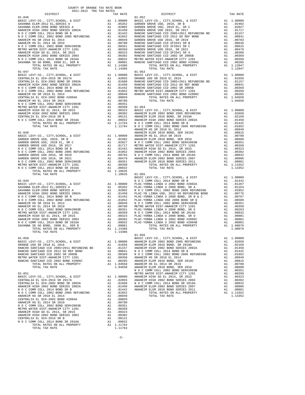| TOTAL TAX RATE                                                                                                                |          | 1.14386                                                                                                             |                    |
|-------------------------------------------------------------------------------------------------------------------------------|----------|---------------------------------------------------------------------------------------------------------------------|--------------------|
| $01 - 047$                                                                                                                    |          |                                                                                                                     | $01 - 053$         |
|                                                                                                                               |          |                                                                                                                     |                    |
|                                                                                                                               |          |                                                                                                                     |                    |
|                                                                                                                               |          |                                                                                                                     |                    |
|                                                                                                                               |          |                                                                                                                     |                    |
|                                                                                                                               |          |                                                                                                                     |                    |
|                                                                                                                               |          |                                                                                                                     |                    |
|                                                                                                                               |          |                                                                                                                     |                    |
|                                                                                                                               |          |                                                                                                                     |                    |
|                                                                                                                               |          |                                                                                                                     |                    |
|                                                                                                                               |          |                                                                                                                     |                    |
|                                                                                                                               |          |                                                                                                                     |                    |
|                                                                                                                               |          |                                                                                                                     |                    |
|                                                                                                                               |          |                                                                                                                     |                    |
|                                                                                                                               |          |                                                                                                                     |                    |
|                                                                                                                               |          |                                                                                                                     | <b>ANAHEIM</b>     |
| 01-048<br>BASIC LEVY-CO., CITY, SCHOOL, & DISA<br>GARDEN GROVE USD, 2010, SR B<br>HADDEN GROVE USD, 2010 EL, SR C             |          |                                                                                                                     | ANAHEIM            |
|                                                                                                                               |          |                                                                                                                     |                    |
|                                                                                                                               |          |                                                                                                                     |                    |
|                                                                                                                               |          |                                                                                                                     |                    |
|                                                                                                                               |          |                                                                                                                     |                    |
|                                                                                                                               |          |                                                                                                                     |                    |
|                                                                                                                               |          |                                                                                                                     |                    |
|                                                                                                                               |          |                                                                                                                     |                    |
|                                                                                                                               |          |                                                                                                                     |                    |
|                                                                                                                               |          |                                                                                                                     |                    |
|                                                                                                                               |          |                                                                                                                     |                    |
| TOTAL TAX RATE                                                                                                                |          | 1.10635 01-055                                                                                                      | BASIC L            |
| $01 - 049$                                                                                                                    |          |                                                                                                                     | NOCC               |
|                                                                                                                               |          |                                                                                                                     |                    |
|                                                                                                                               |          |                                                                                                                     |                    |
|                                                                                                                               |          |                                                                                                                     |                    |
|                                                                                                                               |          |                                                                                                                     |                    |
|                                                                                                                               |          |                                                                                                                     |                    |
|                                                                                                                               |          |                                                                                                                     |                    |
|                                                                                                                               |          |                                                                                                                     |                    |
|                                                                                                                               |          |                                                                                                                     |                    |
|                                                                                                                               |          |                                                                                                                     |                    |
|                                                                                                                               |          |                                                                                                                     |                    |
|                                                                                                                               |          |                                                                                                                     |                    |
|                                                                                                                               |          |                                                                                                                     |                    |
|                                                                                                                               |          |                                                                                                                     |                    |
|                                                                                                                               |          |                                                                                                                     | $01 - 056$         |
| $01 - 050$                                                                                                                    |          |                                                                                                                     | BASIC <sup>L</sup> |
| BASIC LEVY-CO., CITY, SCHOOL, & DIST                                                                                          |          | A1 1.00000 ANAHEIM                                                                                                  |                    |
| ORANGE USD SR 2018 EL 2016                                                                                                    |          | A1 .01656 ANAHEIM<br>.01157                                                                                         | ANAHEIM            |
| RANCHO SANTIAGO CCD 2005+2011 REFUNDING BD A1<br>RANCHO SANTIAGO CCD 2012 GO REF BOND A1<br>RANCHO SANTIAGO CCD 2002 SP 2005P |          | .00841                                                                                                              | NOCC               |
| RANCHO SANTIAGO CCD 2002 SR 2005B                                                                                             |          |                                                                                                                     |                    |
| METRO WATER DIST-ANAHEIM CITY 1201                                                                                            |          | AL .00841 NOCC<br>Al .00369 NOCC<br>Al .00350 ANAHEIM<br>Al .00285 ANAHEIM<br>Al 1.04658 ANAHEIM<br>1.04658 ANAHEIM |                    |
| RANCHO SANTIAGO CCD 2002 BOND #2006C<br>TOTAL RATES ON ALL PROPERTY                                                           |          |                                                                                                                     |                    |
| TOTAL TAX RATE                                                                                                                |          |                                                                                                                     |                    |
|                                                                                                                               |          |                                                                                                                     | NOCC               |
| $01 - 051$                                                                                                                    |          |                                                                                                                     | METRO W            |
| BASIC LEVY-CO., CITY, SCHOOL, & DIST                                                                                          |          |                                                                                                                     |                    |
| CENTRALIA EL SCH-2016 SR 2017A<br>CENTRALIA EL SCH-2002 BOND SR 2003A                                                         |          | A1 1.00000 ANAHEIM<br>A1 .02055 ANAHEIM<br>A1 .01688 N O C C<br>A1 .01442 ANAHEIM<br>A1 .01442 ANAHEIM              |                    |
| ANAHEIM HIGH 2002 BOND SERIES 2002A                                                                                           |          |                                                                                                                     |                    |
| N O C COMM COLL 2014 BOND SR B                                                                                                |          |                                                                                                                     |                    |
| N O C COMM COLL 2002 BOND 2005 REFUNDING                                                                                      | A1       | .01052                                                                                                              |                    |
| ANAHEIM HS SR 2018 EL 2014<br>CENTRALIA EL SCH-2002 BOND #2004A                                                               | A1<br>A1 | .00949<br>.00859                                                                                                    |                    |
| ANAHEIM HS EL 2014 SR 2019                                                                                                    | A1       | .00780                                                                                                              |                    |
| N O C COMM COLL 2002 BOND SER#2003B                                                                                           |          | A1 .00351                                                                                                           |                    |
| METRO WATER DIST-ANAHEIM CITY 1201                                                                                            |          | A1 .00350                                                                                                           |                    |
| ANAHEIM HIGH GO EL 2014, SR 2015                                                                                              |          | A1.00323                                                                                                            |                    |
| ANAHEIM HIGH 2002 BOND SERIES 2003<br>CENTRALIA EL SCH-2016 SR B                                                              | A1<br>A1 | .00302<br>.00131                                                                                                    |                    |
| N O C COMM COLL 2014 BOND SR 2016A                                                                                            | A1       | .00032                                                                                                              |                    |
| TOTAL RATES ON ALL PROPERTY                                                                                                   |          | A1 1.11764                                                                                                          |                    |
| TOTAL TAX RATE                                                                                                                |          | 1.11764                                                                                                             |                    |

| COUNTY OF ORANGE TAX RATE BOOK<br>$\begin{minipage}{.4\linewidth} \begin{tabular}{lcccccc} \textbf{1-AX RATE} & \textbf{1-X} & \textbf{1-X} & \textbf{RATE} & \textbf{1-X} & \textbf{1-X} & \textbf{1-X} & \textbf{1-X} & \textbf{1-X} & \textbf{1-X} & \textbf{1-X} & \textbf{1-X} & \textbf{1-X} & \textbf{1-X} & \textbf{1-X} & \textbf{1-X} & \textbf{1-X} & \textbf{1-X} & \textbf{1-X} & \textbf{1-X} & \textbf{1-X} & \textbf{1-X} & \textbf{1-X} & \textbf{1-X} & \textbf$ |          |                          |          |  |  |
|------------------------------------------------------------------------------------------------------------------------------------------------------------------------------------------------------------------------------------------------------------------------------------------------------------------------------------------------------------------------------------------------------------------------------------------------------------------------------------|----------|--------------------------|----------|--|--|
|                                                                                                                                                                                                                                                                                                                                                                                                                                                                                    | TAX RATE | DISTRICT                 | TAX RATE |  |  |
| $01 - 046$<br>$01 - 047$                                                                                                                                                                                                                                                                                                                                                                                                                                                           |          | $01 - 052$<br>$01 - 053$ |          |  |  |
|                                                                                                                                                                                                                                                                                                                                                                                                                                                                                    |          |                          |          |  |  |
|                                                                                                                                                                                                                                                                                                                                                                                                                                                                                    |          |                          |          |  |  |
|                                                                                                                                                                                                                                                                                                                                                                                                                                                                                    |          |                          |          |  |  |
| TOTAL TAX RATE                                                                                                                                                                                                                                                                                                                                                                                                                                                                     | 1.14386  | $01 - 056$               |          |  |  |
|                                                                                                                                                                                                                                                                                                                                                                                                                                                                                    |          |                          |          |  |  |
|                                                                                                                                                                                                                                                                                                                                                                                                                                                                                    |          |                          |          |  |  |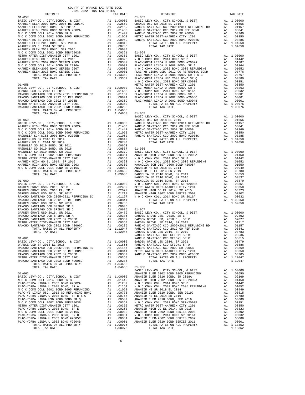| $01 - 058$                                                          |                                 |                      | N O C C<br>METRO W |
|---------------------------------------------------------------------|---------------------------------|----------------------|--------------------|
|                                                                     |                                 |                      |                    |
|                                                                     |                                 |                      |                    |
|                                                                     |                                 |                      |                    |
|                                                                     |                                 |                      |                    |
|                                                                     |                                 |                      |                    |
|                                                                     |                                 |                      |                    |
| TOTAL TAX RATE                                                      |                                 | $1.04658$ $01-065$   |                    |
|                                                                     |                                 |                      | BASIC L            |
|                                                                     |                                 |                      |                    |
|                                                                     |                                 |                      |                    |
|                                                                     |                                 |                      |                    |
|                                                                     |                                 |                      |                    |
|                                                                     |                                 |                      |                    |
|                                                                     |                                 |                      |                    |
|                                                                     |                                 |                      |                    |
|                                                                     |                                 |                      |                    |
|                                                                     |                                 |                      |                    |
|                                                                     |                                 |                      |                    |
|                                                                     |                                 |                      |                    |
|                                                                     |                                 |                      |                    |
|                                                                     |                                 |                      |                    |
|                                                                     |                                 |                      | MAGNOLI            |
| $01 - 060$                                                          |                                 |                      | MAGNOLI            |
|                                                                     |                                 |                      |                    |
|                                                                     |                                 |                      |                    |
|                                                                     |                                 |                      |                    |
|                                                                     |                                 |                      |                    |
|                                                                     |                                 |                      |                    |
|                                                                     |                                 |                      |                    |
|                                                                     |                                 |                      |                    |
|                                                                     |                                 |                      |                    |
|                                                                     |                                 |                      |                    |
|                                                                     |                                 |                      |                    |
|                                                                     |                                 |                      |                    |
|                                                                     |                                 |                      |                    |
| $01 - 061$                                                          |                                 |                      | RANCHO<br>RANCHO   |
|                                                                     |                                 |                      |                    |
|                                                                     |                                 |                      |                    |
|                                                                     |                                 |                      |                    |
|                                                                     |                                 |                      |                    |
| METRO WATER DIST-ANAHEIM CITY 1201                                  |                                 | A1.00350             |                    |
| RANCHO SANTIAGO CCD 2002 BOND #2006C<br>TOTAL RATES ON ALL PROPERTY | $A1$ <sub><math>R1</math></sub> | .00285<br>A1 1.04658 |                    |
| TOTAL TAX RATE                                                      |                                 | 1.04658              | $01 - 068$         |
|                                                                     |                                 |                      | BASIC L            |
| $01 - 062$                                                          |                                 |                      | ANAHEIM            |
|                                                                     |                                 |                      |                    |
|                                                                     |                                 |                      |                    |
|                                                                     |                                 |                      |                    |
|                                                                     |                                 |                      |                    |
|                                                                     |                                 |                      |                    |
|                                                                     |                                 |                      |                    |
|                                                                     |                                 |                      |                    |
|                                                                     |                                 |                      |                    |
|                                                                     |                                 |                      |                    |
|                                                                     |                                 |                      |                    |
|                                                                     |                                 |                      |                    |
| TOTAL RATES ON ALL PROPERTY                                         |                                 | A1 1.08076           |                    |

| COUNTY OF ORANGE TAX RATE BOOK<br>$2021-2022 \quad \text{TRA TAX RATES}$ DISTRICT                                                                                                                                                                                                                                                                                                                                                                                    |          |            |          |
|----------------------------------------------------------------------------------------------------------------------------------------------------------------------------------------------------------------------------------------------------------------------------------------------------------------------------------------------------------------------------------------------------------------------------------------------------------------------|----------|------------|----------|
|                                                                                                                                                                                                                                                                                                                                                                                                                                                                      | TAX RATE | DISTRICT   | TAX RATE |
| $01 - 057$                                                                                                                                                                                                                                                                                                                                                                                                                                                           |          | $01 - 063$ |          |
|                                                                                                                                                                                                                                                                                                                                                                                                                                                                      |          |            |          |
|                                                                                                                                                                                                                                                                                                                                                                                                                                                                      |          |            |          |
|                                                                                                                                                                                                                                                                                                                                                                                                                                                                      |          |            |          |
|                                                                                                                                                                                                                                                                                                                                                                                                                                                                      |          |            |          |
|                                                                                                                                                                                                                                                                                                                                                                                                                                                                      |          |            |          |
|                                                                                                                                                                                                                                                                                                                                                                                                                                                                      |          |            |          |
|                                                                                                                                                                                                                                                                                                                                                                                                                                                                      |          |            |          |
|                                                                                                                                                                                                                                                                                                                                                                                                                                                                      |          |            |          |
|                                                                                                                                                                                                                                                                                                                                                                                                                                                                      |          |            |          |
|                                                                                                                                                                                                                                                                                                                                                                                                                                                                      |          |            |          |
|                                                                                                                                                                                                                                                                                                                                                                                                                                                                      |          |            |          |
|                                                                                                                                                                                                                                                                                                                                                                                                                                                                      |          |            |          |
|                                                                                                                                                                                                                                                                                                                                                                                                                                                                      |          |            |          |
|                                                                                                                                                                                                                                                                                                                                                                                                                                                                      |          |            |          |
|                                                                                                                                                                                                                                                                                                                                                                                                                                                                      |          |            |          |
|                                                                                                                                                                                                                                                                                                                                                                                                                                                                      |          |            |          |
|                                                                                                                                                                                                                                                                                                                                                                                                                                                                      |          |            |          |
|                                                                                                                                                                                                                                                                                                                                                                                                                                                                      |          |            |          |
|                                                                                                                                                                                                                                                                                                                                                                                                                                                                      |          |            |          |
|                                                                                                                                                                                                                                                                                                                                                                                                                                                                      |          |            |          |
|                                                                                                                                                                                                                                                                                                                                                                                                                                                                      |          |            |          |
|                                                                                                                                                                                                                                                                                                                                                                                                                                                                      |          |            |          |
|                                                                                                                                                                                                                                                                                                                                                                                                                                                                      |          |            |          |
|                                                                                                                                                                                                                                                                                                                                                                                                                                                                      |          |            |          |
|                                                                                                                                                                                                                                                                                                                                                                                                                                                                      |          |            |          |
|                                                                                                                                                                                                                                                                                                                                                                                                                                                                      |          |            |          |
|                                                                                                                                                                                                                                                                                                                                                                                                                                                                      |          |            |          |
|                                                                                                                                                                                                                                                                                                                                                                                                                                                                      |          |            |          |
|                                                                                                                                                                                                                                                                                                                                                                                                                                                                      |          |            |          |
|                                                                                                                                                                                                                                                                                                                                                                                                                                                                      |          |            |          |
|                                                                                                                                                                                                                                                                                                                                                                                                                                                                      |          |            |          |
|                                                                                                                                                                                                                                                                                                                                                                                                                                                                      |          |            |          |
|                                                                                                                                                                                                                                                                                                                                                                                                                                                                      |          |            |          |
|                                                                                                                                                                                                                                                                                                                                                                                                                                                                      |          |            |          |
|                                                                                                                                                                                                                                                                                                                                                                                                                                                                      |          |            |          |
|                                                                                                                                                                                                                                                                                                                                                                                                                                                                      |          |            |          |
|                                                                                                                                                                                                                                                                                                                                                                                                                                                                      |          |            |          |
|                                                                                                                                                                                                                                                                                                                                                                                                                                                                      |          |            |          |
|                                                                                                                                                                                                                                                                                                                                                                                                                                                                      |          |            |          |
|                                                                                                                                                                                                                                                                                                                                                                                                                                                                      |          |            |          |
|                                                                                                                                                                                                                                                                                                                                                                                                                                                                      |          |            |          |
|                                                                                                                                                                                                                                                                                                                                                                                                                                                                      |          |            |          |
|                                                                                                                                                                                                                                                                                                                                                                                                                                                                      |          |            |          |
|                                                                                                                                                                                                                                                                                                                                                                                                                                                                      |          |            |          |
|                                                                                                                                                                                                                                                                                                                                                                                                                                                                      |          |            |          |
|                                                                                                                                                                                                                                                                                                                                                                                                                                                                      |          |            |          |
|                                                                                                                                                                                                                                                                                                                                                                                                                                                                      |          |            |          |
|                                                                                                                                                                                                                                                                                                                                                                                                                                                                      |          |            |          |
|                                                                                                                                                                                                                                                                                                                                                                                                                                                                      |          |            |          |
| $\begin{tabular}{c c c c} \multicolumn{4}{c c c} \multicolumn{4}{c c} \multicolumn{4}{c c} \multicolumn{4}{c} \multicolumn{4}{c} \multicolumn{4}{c} \multicolumn{4}{c} \multicolumn{4}{c} \multicolumn{4}{c} \multicolumn{4}{c} \multicolumn{4}{c} \multicolumn{4}{c} \multicolumn{4}{c} \multicolumn{4}{c} \multicolumn{4}{c} \multicolumn{4}{c} \multicolumn{4}{c} \multicolumn{4}{c} \multicolumn{4}{c} \multicolumn{4}{c} \multicolumn{4}{c} \multicolumn{4}{c}$ |          |            |          |
|                                                                                                                                                                                                                                                                                                                                                                                                                                                                      |          |            |          |
|                                                                                                                                                                                                                                                                                                                                                                                                                                                                      |          |            |          |
|                                                                                                                                                                                                                                                                                                                                                                                                                                                                      |          |            |          |
|                                                                                                                                                                                                                                                                                                                                                                                                                                                                      |          |            |          |
|                                                                                                                                                                                                                                                                                                                                                                                                                                                                      |          |            |          |
|                                                                                                                                                                                                                                                                                                                                                                                                                                                                      |          |            |          |
|                                                                                                                                                                                                                                                                                                                                                                                                                                                                      |          |            |          |
|                                                                                                                                                                                                                                                                                                                                                                                                                                                                      |          |            |          |
|                                                                                                                                                                                                                                                                                                                                                                                                                                                                      |          |            |          |
|                                                                                                                                                                                                                                                                                                                                                                                                                                                                      |          |            |          |
|                                                                                                                                                                                                                                                                                                                                                                                                                                                                      |          |            |          |
|                                                                                                                                                                                                                                                                                                                                                                                                                                                                      |          |            |          |
|                                                                                                                                                                                                                                                                                                                                                                                                                                                                      |          |            |          |
|                                                                                                                                                                                                                                                                                                                                                                                                                                                                      |          |            |          |
|                                                                                                                                                                                                                                                                                                                                                                                                                                                                      |          |            |          |
|                                                                                                                                                                                                                                                                                                                                                                                                                                                                      |          |            |          |
|                                                                                                                                                                                                                                                                                                                                                                                                                                                                      |          |            |          |
|                                                                                                                                                                                                                                                                                                                                                                                                                                                                      |          |            |          |
|                                                                                                                                                                                                                                                                                                                                                                                                                                                                      |          |            |          |
|                                                                                                                                                                                                                                                                                                                                                                                                                                                                      |          |            |          |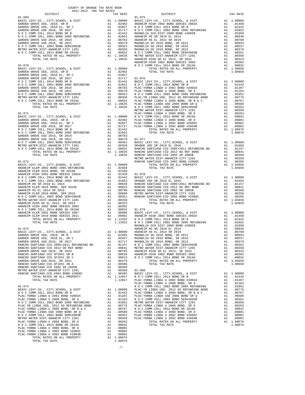|                                                                                                                                                                                                                                                                                                                                                                                                          |               |                                                                                                | ANAHEIM            |
|----------------------------------------------------------------------------------------------------------------------------------------------------------------------------------------------------------------------------------------------------------------------------------------------------------------------------------------------------------------------------------------------------------|---------------|------------------------------------------------------------------------------------------------|--------------------|
| $01 - 070$                                                                                                                                                                                                                                                                                                                                                                                               |               |                                                                                                | NOCC               |
| BASIC LEVY-CO., CITY, SCHOOL, & DIST                                                                                                                                                                                                                                                                                                                                                                     |               | A1 1.00000                                                                                     |                    |
| GARDEN GROVE USD, 2010, SR B<br>GARDEN GROVE USD, 2010 EL, SR C                                                                                                                                                                                                                                                                                                                                          |               | A1 .02402<br>A1 .02027                                                                         |                    |
|                                                                                                                                                                                                                                                                                                                                                                                                          |               |                                                                                                |                    |
|                                                                                                                                                                                                                                                                                                                                                                                                          |               |                                                                                                |                    |
|                                                                                                                                                                                                                                                                                                                                                                                                          |               |                                                                                                |                    |
|                                                                                                                                                                                                                                                                                                                                                                                                          |               |                                                                                                |                    |
|                                                                                                                                                                                                                                                                                                                                                                                                          |               |                                                                                                |                    |
|                                                                                                                                                                                                                                                                                                                                                                                                          |               |                                                                                                |                    |
|                                                                                                                                                                                                                                                                                                                                                                                                          |               |                                                                                                |                    |
|                                                                                                                                                                                                                                                                                                                                                                                                          |               |                                                                                                |                    |
| $01 - 071$                                                                                                                                                                                                                                                                                                                                                                                               |               | - 1.00000<br>A1 1.00000 N 0 C C<br>A1 .02402 PLAC-YO<br>A1 .02027 PLAC-YO<br>A1 .01717 PLAC-YO |                    |
| BASIC LEVY-CO., CITY, SCHOOL, & DIST<br>BASIC LEVY-CO., CITI, DOMEST, GARDEN GROVE USD, 2010, SR B                                                                                                                                                                                                                                                                                                       |               |                                                                                                |                    |
|                                                                                                                                                                                                                                                                                                                                                                                                          |               |                                                                                                |                    |
| GARDEN GROVE USD 2016, SR 2017                                                                                                                                                                                                                                                                                                                                                                           |               |                                                                                                |                    |
|                                                                                                                                                                                                                                                                                                                                                                                                          |               |                                                                                                |                    |
|                                                                                                                                                                                                                                                                                                                                                                                                          |               |                                                                                                |                    |
|                                                                                                                                                                                                                                                                                                                                                                                                          |               |                                                                                                |                    |
|                                                                                                                                                                                                                                                                                                                                                                                                          |               |                                                                                                |                    |
|                                                                                                                                                                                                                                                                                                                                                                                                          |               |                                                                                                |                    |
|                                                                                                                                                                                                                                                                                                                                                                                                          |               |                                                                                                |                    |
|                                                                                                                                                                                                                                                                                                                                                                                                          |               |                                                                                                | METRO W            |
| $01 - 072$                                                                                                                                                                                                                                                                                                                                                                                               |               |                                                                                                | RANCHO             |
|                                                                                                                                                                                                                                                                                                                                                                                                          |               |                                                                                                |                    |
|                                                                                                                                                                                                                                                                                                                                                                                                          |               |                                                                                                |                    |
| ANAHEIM HIGH 2002 BOND SERIES 2002A<br>N O C COMM COLL 2014 BOND OF P                                                                                                                                                                                                                                                                                                                                    |               |                                                                                                |                    |
|                                                                                                                                                                                                                                                                                                                                                                                                          |               |                                                                                                |                    |
| $\begin{tabular}{l c c c c} \multicolumn{1}{c}{\textbf{AMHEIM ELEM 2016 BOND 50R15 K012015}} & \multicolumn{1}{c}{\textbf{AMHEIM EEM 2016 BOND 5R12018A}} & \multicolumn{1}{c}{\textbf{A1}} & .02169 \\ \multicolumn{1}{c}{\textbf{ANHEIM HCH 2002 BOND 5R182 2002A}} & \multicolumn{1}{c}{\textbf{A1}} & .01442 & \multicolumn{1}{c}{\textbf{BASIC L}} \\ \multicolumn{1}{c}{\textbf{N O C COMM COLL 2$ |               |                                                                                                |                    |
|                                                                                                                                                                                                                                                                                                                                                                                                          |               |                                                                                                |                    |
|                                                                                                                                                                                                                                                                                                                                                                                                          |               |                                                                                                |                    |
|                                                                                                                                                                                                                                                                                                                                                                                                          |               |                                                                                                |                    |
|                                                                                                                                                                                                                                                                                                                                                                                                          |               |                                                                                                |                    |
|                                                                                                                                                                                                                                                                                                                                                                                                          |               |                                                                                                |                    |
|                                                                                                                                                                                                                                                                                                                                                                                                          |               |                                                                                                |                    |
|                                                                                                                                                                                                                                                                                                                                                                                                          |               |                                                                                                |                    |
|                                                                                                                                                                                                                                                                                                                                                                                                          |               |                                                                                                |                    |
|                                                                                                                                                                                                                                                                                                                                                                                                          |               |                                                                                                |                    |
| $01 - 073$                                                                                                                                                                                                                                                                                                                                                                                               |               |                                                                                                | MAGNOLI<br>ANAHEIM |
|                                                                                                                                                                                                                                                                                                                                                                                                          |               |                                                                                                |                    |
|                                                                                                                                                                                                                                                                                                                                                                                                          |               |                                                                                                |                    |
|                                                                                                                                                                                                                                                                                                                                                                                                          |               |                                                                                                |                    |
|                                                                                                                                                                                                                                                                                                                                                                                                          |               |                                                                                                |                    |
|                                                                                                                                                                                                                                                                                                                                                                                                          |               |                                                                                                |                    |
|                                                                                                                                                                                                                                                                                                                                                                                                          |               |                                                                                                |                    |
| RANCHO SANTIAGO CCD SFID#1 SR C                                                                                                                                                                                                                                                                                                                                                                          |               | A1 .00615 NOCC                                                                                 |                    |
| GARDEN GROVE USD 2016, SR 2021                                                                                                                                                                                                                                                                                                                                                                           |               | A1 .00479<br>.00386                                                                            |                    |
| RANCHO SANTIAGO CCD SFID#1 SR A<br>RANCHO SANTIAGO CCD 2002 SR 2005B                                                                                                                                                                                                                                                                                                                                     | A1<br>A1      | .00369                                                                                         |                    |
| METRO WATER DIST-ANAHEIM CITY 1201                                                                                                                                                                                                                                                                                                                                                                       |               | A1 .00350                                                                                      | $01 - 080$         |
| RANCHO SANTIAGO CCD 2002 BOND #2006C<br>TOTAL RATES ON ALL PROPERTY                                                                                                                                                                                                                                                                                                                                      | $\mathtt{Al}$ | A1 .00285<br>A1 1.12047<br>1.12047                                                             | BASIC L            |
| TOTAL TAX RATE                                                                                                                                                                                                                                                                                                                                                                                           |               |                                                                                                | N O C C<br>PLAC-YO |
|                                                                                                                                                                                                                                                                                                                                                                                                          |               |                                                                                                | PLAC-YO            |
| $01 - 074$                                                                                                                                                                                                                                                                                                                                                                                               |               |                                                                                                | NOCC               |
|                                                                                                                                                                                                                                                                                                                                                                                                          |               |                                                                                                |                    |
|                                                                                                                                                                                                                                                                                                                                                                                                          |               |                                                                                                |                    |
|                                                                                                                                                                                                                                                                                                                                                                                                          |               |                                                                                                |                    |
|                                                                                                                                                                                                                                                                                                                                                                                                          |               |                                                                                                |                    |
|                                                                                                                                                                                                                                                                                                                                                                                                          |               |                                                                                                |                    |
| N O C COMM COLL 2002 BOND SER#2003B                                                                                                                                                                                                                                                                                                                                                                      |               | A1 .00589 PLAC-YO<br>A1 .00589 PLAC-YO<br>A1 .00350 PLAC-YO                                    |                    |
| METRO WATER DIST-ANAHEIM CITY 1201                                                                                                                                                                                                                                                                                                                                                                       |               |                                                                                                |                    |
| PLAC-YORBA LINDA U 2008 BOND, SR E                                                                                                                                                                                                                                                                                                                                                                       |               | A1 .00263                                                                                      |                    |
| N O C COMM COLL 2014 BOND SR 2016A<br>PLAC-YORBA LINDA U 2008 BOND, SR D                                                                                                                                                                                                                                                                                                                                 |               | A1 .00032<br>A1 .00001                                                                         |                    |
| PLAC-YORBA LINDA U 2002 BOND #2005C                                                                                                                                                                                                                                                                                                                                                                      | A1            | .00001                                                                                         |                    |
| PLAC-YORBA LINDA U 2002 BOND #2004B                                                                                                                                                                                                                                                                                                                                                                      | A1            | .00001                                                                                         |                    |
| TOTAL RATES ON ALL PROPERTY<br>TOTAL TAX RATE                                                                                                                                                                                                                                                                                                                                                            |               | A1 1.08076<br>1.08076                                                                          |                    |
|                                                                                                                                                                                                                                                                                                                                                                                                          |               |                                                                                                |                    |

| COUNTY OF ORANGE TAX RATE BOOK<br>$2021-2022 \quad \text{TRA TAX RATES}$ DISTRICT $\hspace{2.5cm}$ |          |          |          |
|----------------------------------------------------------------------------------------------------|----------|----------|----------|
|                                                                                                    | TAX RATE | DISTRICT | TAX RATE |
|                                                                                                    |          |          |          |
|                                                                                                    |          |          |          |
|                                                                                                    |          |          |          |
|                                                                                                    |          |          |          |
|                                                                                                    |          |          |          |
|                                                                                                    |          |          |          |
|                                                                                                    |          |          |          |
|                                                                                                    |          |          |          |
|                                                                                                    |          |          |          |
|                                                                                                    |          |          |          |
|                                                                                                    |          |          |          |
|                                                                                                    |          |          |          |
|                                                                                                    |          |          |          |
|                                                                                                    |          |          |          |
|                                                                                                    |          |          |          |
|                                                                                                    |          |          |          |
|                                                                                                    |          |          |          |
|                                                                                                    |          |          |          |
|                                                                                                    |          |          |          |
|                                                                                                    |          |          |          |
|                                                                                                    |          |          |          |
|                                                                                                    |          |          |          |
|                                                                                                    |          |          |          |
|                                                                                                    |          |          |          |
|                                                                                                    |          |          |          |
|                                                                                                    |          |          |          |
|                                                                                                    |          |          |          |
|                                                                                                    |          |          |          |
|                                                                                                    |          |          |          |
|                                                                                                    |          |          |          |
|                                                                                                    |          |          |          |
|                                                                                                    |          |          |          |
|                                                                                                    |          |          |          |
|                                                                                                    |          |          |          |
|                                                                                                    |          |          |          |
|                                                                                                    |          |          |          |
|                                                                                                    |          |          |          |
|                                                                                                    |          |          |          |
|                                                                                                    |          |          |          |
|                                                                                                    |          |          |          |
|                                                                                                    |          |          |          |
|                                                                                                    |          |          |          |
|                                                                                                    |          |          |          |
|                                                                                                    |          |          |          |
|                                                                                                    |          |          |          |
|                                                                                                    |          |          |          |
|                                                                                                    |          |          |          |
|                                                                                                    |          |          |          |
|                                                                                                    |          |          |          |
|                                                                                                    |          |          |          |
|                                                                                                    |          |          |          |
|                                                                                                    |          |          |          |
|                                                                                                    |          |          |          |
|                                                                                                    |          |          |          |
|                                                                                                    |          |          |          |
|                                                                                                    |          |          |          |
|                                                                                                    |          |          |          |
|                                                                                                    |          |          |          |
|                                                                                                    |          |          |          |
|                                                                                                    |          |          |          |
|                                                                                                    |          |          |          |
|                                                                                                    |          |          |          |
|                                                                                                    |          |          |          |
|                                                                                                    |          |          |          |
|                                                                                                    |          |          |          |
|                                                                                                    |          |          |          |
|                                                                                                    |          |          |          |
|                                                                                                    |          |          |          |
|                                                                                                    |          |          |          |
|                                                                                                    |          |          |          |
|                                                                                                    |          |          |          |
|                                                                                                    |          |          |          |
|                                                                                                    |          |          |          |
|                                                                                                    |          |          |          |
|                                                                                                    |          |          |          |
|                                                                                                    |          |          |          |

-7-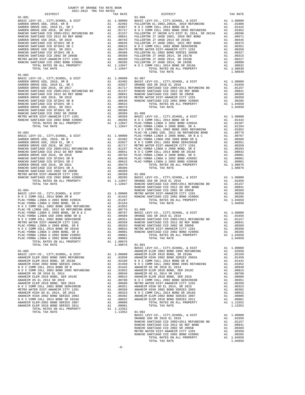| COUNTY OF ORANGE TAX RATE BOOK<br>2021-2022 TRA TAX RATES |                                                    |          |
|-----------------------------------------------------------|----------------------------------------------------|----------|
| DISTRICT<br>$01 - 081$                                    | A TAX KATES<br>TAX RATE TAX DISTRICT<br>$01 - 086$ | TAX RATE |
|                                                           |                                                    |          |
|                                                           |                                                    |          |
|                                                           |                                                    |          |
|                                                           |                                                    |          |
|                                                           |                                                    |          |
|                                                           |                                                    |          |
|                                                           |                                                    |          |
|                                                           |                                                    |          |
|                                                           |                                                    |          |
|                                                           |                                                    |          |
|                                                           |                                                    |          |
|                                                           |                                                    |          |
|                                                           |                                                    |          |
| $01 - 082$                                                | TOTAL TAX RATE                                     |          |
|                                                           |                                                    |          |
|                                                           |                                                    |          |
|                                                           |                                                    |          |
|                                                           |                                                    |          |
|                                                           |                                                    |          |
|                                                           |                                                    |          |
|                                                           |                                                    |          |
|                                                           |                                                    |          |
|                                                           |                                                    |          |
|                                                           |                                                    |          |
|                                                           |                                                    |          |
|                                                           |                                                    |          |
|                                                           |                                                    |          |
|                                                           |                                                    |          |
|                                                           |                                                    |          |
|                                                           |                                                    |          |
|                                                           |                                                    |          |
|                                                           |                                                    |          |
|                                                           |                                                    |          |
|                                                           |                                                    |          |
|                                                           |                                                    |          |
|                                                           |                                                    |          |
|                                                           |                                                    |          |
|                                                           |                                                    |          |
|                                                           |                                                    |          |
|                                                           |                                                    |          |
|                                                           |                                                    |          |
|                                                           |                                                    |          |
|                                                           |                                                    |          |
|                                                           |                                                    |          |
|                                                           |                                                    |          |
|                                                           |                                                    |          |
|                                                           |                                                    |          |
|                                                           |                                                    |          |
|                                                           |                                                    |          |
|                                                           |                                                    |          |
|                                                           |                                                    |          |
|                                                           |                                                    |          |
|                                                           |                                                    |          |
|                                                           |                                                    |          |
|                                                           |                                                    |          |
|                                                           |                                                    |          |
|                                                           |                                                    |          |
|                                                           |                                                    |          |
|                                                           |                                                    |          |
|                                                           |                                                    |          |
|                                                           |                                                    |          |
|                                                           |                                                    |          |
|                                                           |                                                    |          |
|                                                           |                                                    |          |
|                                                           |                                                    |          |
|                                                           |                                                    |          |
|                                                           |                                                    |          |
|                                                           |                                                    |          |
|                                                           |                                                    |          |
|                                                           |                                                    |          |
|                                                           |                                                    |          |
|                                                           |                                                    |          |
|                                                           |                                                    |          |
|                                                           |                                                    |          |
|                                                           |                                                    |          |
|                                                           |                                                    |          |
|                                                           |                                                    |          |
|                                                           |                                                    |          |
|                                                           |                                                    |          |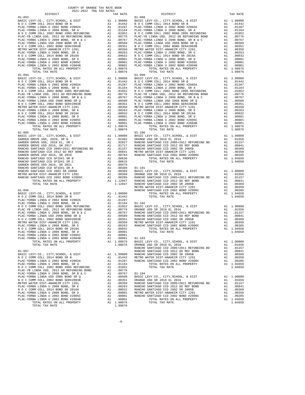| COUNTY OF ORANGE TAX RATE BOOK<br>2021-2022 TRA TAX RATES |          |            |          |
|-----------------------------------------------------------|----------|------------|----------|
| DISTRICT                                                  | TAX RATE | DISTRICT   | TAX RATE |
| $01 - 093$                                                |          | $01 - 098$ |          |
|                                                           |          |            |          |
|                                                           |          |            |          |
|                                                           |          |            |          |
|                                                           |          |            |          |
|                                                           |          |            |          |
|                                                           |          |            |          |
| $01 - 094$                                                |          | $01 - 099$ |          |
|                                                           |          |            |          |
|                                                           |          |            |          |
|                                                           |          |            |          |
|                                                           |          |            |          |
|                                                           |          |            |          |
|                                                           |          |            |          |
|                                                           |          |            |          |
|                                                           |          |            |          |
|                                                           |          |            |          |
|                                                           |          |            |          |
|                                                           |          |            |          |
|                                                           |          | $01 - 100$ |          |
|                                                           |          |            |          |
|                                                           |          |            |          |
|                                                           |          |            |          |
|                                                           |          |            |          |
|                                                           |          |            |          |
|                                                           |          |            |          |
|                                                           |          |            |          |
|                                                           |          |            |          |
|                                                           |          |            |          |
|                                                           |          |            |          |
|                                                           |          |            |          |
|                                                           |          |            |          |
|                                                           |          |            |          |
|                                                           |          |            |          |
|                                                           |          |            |          |
|                                                           |          |            |          |
|                                                           |          |            |          |
|                                                           |          |            |          |
|                                                           |          |            |          |
|                                                           |          |            |          |
|                                                           |          |            |          |
|                                                           |          |            |          |
|                                                           |          |            |          |
|                                                           |          |            |          |
|                                                           |          |            |          |
|                                                           |          |            |          |
|                                                           |          |            |          |
|                                                           |          |            |          |
|                                                           |          |            |          |
|                                                           |          |            |          |
|                                                           |          |            |          |
|                                                           |          |            |          |
|                                                           |          |            |          |
|                                                           |          |            |          |
|                                                           |          |            |          |
|                                                           |          |            |          |
|                                                           |          |            |          |
|                                                           |          |            |          |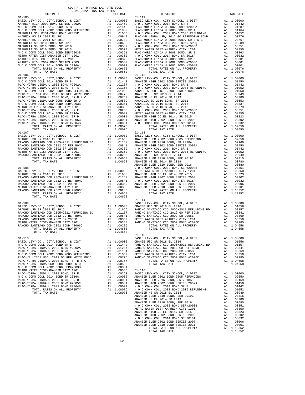| COUNTY OF ORANGE TAX RATE BOOK<br>$2021-2022 \quad \text{TRA TAX RATES}$ DISTRICT $2021-2022 \quad \text{TRA TAX RATES}$ | TAX RATE | DISTRICT   | TAX RATE |
|--------------------------------------------------------------------------------------------------------------------------|----------|------------|----------|
|                                                                                                                          |          |            |          |
|                                                                                                                          |          |            |          |
|                                                                                                                          |          |            |          |
|                                                                                                                          |          |            |          |
|                                                                                                                          |          |            |          |
|                                                                                                                          |          |            |          |
|                                                                                                                          |          |            |          |
|                                                                                                                          |          |            |          |
|                                                                                                                          |          |            |          |
|                                                                                                                          |          |            |          |
|                                                                                                                          |          |            |          |
|                                                                                                                          |          |            |          |
|                                                                                                                          |          |            |          |
|                                                                                                                          |          |            |          |
|                                                                                                                          |          |            |          |
|                                                                                                                          |          |            |          |
|                                                                                                                          |          |            |          |
|                                                                                                                          |          |            |          |
|                                                                                                                          |          |            |          |
|                                                                                                                          |          |            |          |
|                                                                                                                          |          |            |          |
|                                                                                                                          |          |            |          |
|                                                                                                                          |          |            |          |
|                                                                                                                          |          |            |          |
|                                                                                                                          |          |            |          |
|                                                                                                                          |          |            |          |
|                                                                                                                          |          |            |          |
|                                                                                                                          |          |            |          |
|                                                                                                                          |          |            |          |
|                                                                                                                          |          |            |          |
|                                                                                                                          |          |            |          |
|                                                                                                                          |          |            |          |
|                                                                                                                          |          |            |          |
|                                                                                                                          |          |            |          |
|                                                                                                                          |          |            |          |
|                                                                                                                          |          |            |          |
|                                                                                                                          |          |            |          |
|                                                                                                                          |          |            |          |
|                                                                                                                          |          |            |          |
|                                                                                                                          |          |            |          |
|                                                                                                                          |          |            |          |
|                                                                                                                          |          |            |          |
|                                                                                                                          |          |            |          |
|                                                                                                                          |          |            |          |
| TOTAL TAX RATE                                                                                                           | 1.04658  |            |          |
|                                                                                                                          |          | $01 - 114$ |          |
|                                                                                                                          |          |            |          |
|                                                                                                                          |          |            |          |
|                                                                                                                          |          |            |          |
|                                                                                                                          |          |            |          |
|                                                                                                                          |          |            |          |
|                                                                                                                          |          |            |          |
|                                                                                                                          |          |            |          |
| $\frac{1}{2}$<br>TOTAL TAX RATE                                                                                          | 1.04658  | $01 - 115$ |          |
|                                                                                                                          |          |            |          |
|                                                                                                                          |          |            |          |
|                                                                                                                          |          |            |          |
|                                                                                                                          |          |            |          |
|                                                                                                                          |          |            |          |
|                                                                                                                          |          |            |          |
|                                                                                                                          |          |            |          |
|                                                                                                                          |          |            |          |
|                                                                                                                          |          |            |          |
|                                                                                                                          |          |            |          |
|                                                                                                                          |          |            |          |
|                                                                                                                          |          |            |          |
|                                                                                                                          |          |            |          |
|                                                                                                                          |          |            |          |
|                                                                                                                          |          |            |          |
|                                                                                                                          |          |            |          |
|                                                                                                                          |          |            |          |
|                                                                                                                          |          |            |          |
|                                                                                                                          |          |            |          |
|                                                                                                                          |          |            |          |
|                                                                                                                          |          |            |          |
|                                                                                                                          |          |            |          |
|                                                                                                                          |          |            |          |
|                                                                                                                          |          |            |          |
|                                                                                                                          |          |            |          |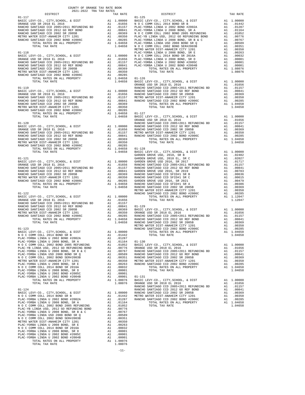| TOTAL TAX RATE | 1.08076 |  |  |
|----------------|---------|--|--|
|                |         |  |  |

COUNTY OF ORANGE TAX RATE BOOK 2021-2022 TRA TAX RATES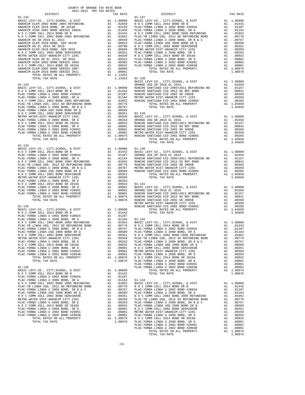| DISTRICT<br>TAX RATE<br>BASIC L<br>ORANGE<br>$01 - 133$<br>TOTAL TAX RATE<br>1.08076<br>$01 - 134$<br>METRO W<br>RANCHO<br>$01 - 135$<br>PLAC-YORBA LINDA USD 2008 BOND SR Q<br>.00589 PLAC-YO<br>A1<br>N O C COMM COLL 2002 BOND SER#2003B<br>A1<br>.00351<br>N O C C<br>METRO WATER DIST-ANAHEIM CITY 1201<br>.00350<br>PLAC-YB<br>A1<br>PLAC-YORBA LINDA U 2008 BOND, SR E<br>A1 .00263<br>PLAC-YO<br>N O C COMM COLL 2014 BOND SR 2016A<br>A1 .00032<br>PLAC-YO<br>N O C C<br>PLAC-YORBA LINDA U 2008 BOND, SR D<br>A1<br>.00001<br>PLAC-YORBA LINDA U 2002 BOND #2005C<br>A1<br>.00001<br>METRO W<br>PLAC-YORBA LINDA U 2002 BOND #2004B<br>A1<br>.00001<br>PLAC-YO<br>A1 1.08076<br>1.08076<br>1.08076<br>TOTAL RATES ON ALL PROPERTY<br>NOCC<br>TOTAL TAX RATE<br>PLAC-YO<br>PLAC-YO<br>PLAC-YO<br>$01 - 136$<br>1.00000<br>BASIC LEVY-CO., CITY, SCHOOL, & DIST<br>A1<br>NOCCOMM COLL 2014 BOND SR B<br>A1.01442<br>PLAC-YORBA LINDA U 2002 BOND #2002A<br>A1<br>.01287<br>PLAC-YORBA LINDA U 2008 BOND, SR A<br>A1<br>.01164<br>$01 - 143$<br>N O C COMM COLL 2002 BOND 2005 REFUNDING<br>A1 .01052<br>BASIC L<br>A1 .00776 NOCC<br>A1 .00767 PLAC-YO<br>PLAC-YB LINDA USD, 2012 GO REFUNDING BOND<br>PLAC-YORBA LINDA U 2008 BOND, SR B & C<br>PLAC-YORBA LINDA USD 2008 BOND SR Q<br>A1 .00589<br>PLAC-YO<br>N O C COMM COLL 2002 BOND SER#2003B<br>A1<br>.00351<br>N O C C<br>.00350<br>METRO WATER DIST-ANAHEIM CITY 1201<br>A1<br>PLAC-YB<br>PLAC-YORBA LINDA U 2008 BOND, SR E<br>.00263<br>PLAC-YO<br>A1<br>N O C COMM COLL 2014 BOND SR 2016A<br>A1 .00032 PLAC-YO<br>A1 .00031 BLAC-YO<br>A1 .00001 N O C C<br>A1 .00001 BLAC-YO<br>A1 1.08076 N O C C<br>A1<br>PLAC-YORBA LINDA U 2008 BOND, SR D<br>PLAC-YORBA LINDA U 2002 BOND #2005C<br>PLAC-YORBA LINDA U 2002 BOND #2004B<br>TOTAL RATES ON ALL PROPERTY<br>$1.08076$ PLAC-YO | COUNTY OF ORANGE TAX RATE BOOK<br>2021-2022 TRA TAX RATES |  |  |
|--------------------------------------------------------------------------------------------------------------------------------------------------------------------------------------------------------------------------------------------------------------------------------------------------------------------------------------------------------------------------------------------------------------------------------------------------------------------------------------------------------------------------------------------------------------------------------------------------------------------------------------------------------------------------------------------------------------------------------------------------------------------------------------------------------------------------------------------------------------------------------------------------------------------------------------------------------------------------------------------------------------------------------------------------------------------------------------------------------------------------------------------------------------------------------------------------------------------------------------------------------------------------------------------------------------------------------------------------------------------------------------------------------------------------------------------------------------------------------------------------------------------------------------------------------------------------------------------------------------------------------------------------------------------------------------------------------------------------------------------------------------------------------------------------------------------------------------------------------|-----------------------------------------------------------|--|--|
|                                                                                                                                                                                                                                                                                                                                                                                                                                                                                                                                                                                                                                                                                                                                                                                                                                                                                                                                                                                                                                                                                                                                                                                                                                                                                                                                                                                                                                                                                                                                                                                                                                                                                                                                                                                                                                                        |                                                           |  |  |
|                                                                                                                                                                                                                                                                                                                                                                                                                                                                                                                                                                                                                                                                                                                                                                                                                                                                                                                                                                                                                                                                                                                                                                                                                                                                                                                                                                                                                                                                                                                                                                                                                                                                                                                                                                                                                                                        |                                                           |  |  |
|                                                                                                                                                                                                                                                                                                                                                                                                                                                                                                                                                                                                                                                                                                                                                                                                                                                                                                                                                                                                                                                                                                                                                                                                                                                                                                                                                                                                                                                                                                                                                                                                                                                                                                                                                                                                                                                        |                                                           |  |  |
|                                                                                                                                                                                                                                                                                                                                                                                                                                                                                                                                                                                                                                                                                                                                                                                                                                                                                                                                                                                                                                                                                                                                                                                                                                                                                                                                                                                                                                                                                                                                                                                                                                                                                                                                                                                                                                                        |                                                           |  |  |
|                                                                                                                                                                                                                                                                                                                                                                                                                                                                                                                                                                                                                                                                                                                                                                                                                                                                                                                                                                                                                                                                                                                                                                                                                                                                                                                                                                                                                                                                                                                                                                                                                                                                                                                                                                                                                                                        |                                                           |  |  |
|                                                                                                                                                                                                                                                                                                                                                                                                                                                                                                                                                                                                                                                                                                                                                                                                                                                                                                                                                                                                                                                                                                                                                                                                                                                                                                                                                                                                                                                                                                                                                                                                                                                                                                                                                                                                                                                        |                                                           |  |  |
|                                                                                                                                                                                                                                                                                                                                                                                                                                                                                                                                                                                                                                                                                                                                                                                                                                                                                                                                                                                                                                                                                                                                                                                                                                                                                                                                                                                                                                                                                                                                                                                                                                                                                                                                                                                                                                                        |                                                           |  |  |
|                                                                                                                                                                                                                                                                                                                                                                                                                                                                                                                                                                                                                                                                                                                                                                                                                                                                                                                                                                                                                                                                                                                                                                                                                                                                                                                                                                                                                                                                                                                                                                                                                                                                                                                                                                                                                                                        |                                                           |  |  |
|                                                                                                                                                                                                                                                                                                                                                                                                                                                                                                                                                                                                                                                                                                                                                                                                                                                                                                                                                                                                                                                                                                                                                                                                                                                                                                                                                                                                                                                                                                                                                                                                                                                                                                                                                                                                                                                        |                                                           |  |  |
|                                                                                                                                                                                                                                                                                                                                                                                                                                                                                                                                                                                                                                                                                                                                                                                                                                                                                                                                                                                                                                                                                                                                                                                                                                                                                                                                                                                                                                                                                                                                                                                                                                                                                                                                                                                                                                                        |                                                           |  |  |
|                                                                                                                                                                                                                                                                                                                                                                                                                                                                                                                                                                                                                                                                                                                                                                                                                                                                                                                                                                                                                                                                                                                                                                                                                                                                                                                                                                                                                                                                                                                                                                                                                                                                                                                                                                                                                                                        |                                                           |  |  |
|                                                                                                                                                                                                                                                                                                                                                                                                                                                                                                                                                                                                                                                                                                                                                                                                                                                                                                                                                                                                                                                                                                                                                                                                                                                                                                                                                                                                                                                                                                                                                                                                                                                                                                                                                                                                                                                        |                                                           |  |  |
|                                                                                                                                                                                                                                                                                                                                                                                                                                                                                                                                                                                                                                                                                                                                                                                                                                                                                                                                                                                                                                                                                                                                                                                                                                                                                                                                                                                                                                                                                                                                                                                                                                                                                                                                                                                                                                                        |                                                           |  |  |
|                                                                                                                                                                                                                                                                                                                                                                                                                                                                                                                                                                                                                                                                                                                                                                                                                                                                                                                                                                                                                                                                                                                                                                                                                                                                                                                                                                                                                                                                                                                                                                                                                                                                                                                                                                                                                                                        |                                                           |  |  |
|                                                                                                                                                                                                                                                                                                                                                                                                                                                                                                                                                                                                                                                                                                                                                                                                                                                                                                                                                                                                                                                                                                                                                                                                                                                                                                                                                                                                                                                                                                                                                                                                                                                                                                                                                                                                                                                        |                                                           |  |  |
|                                                                                                                                                                                                                                                                                                                                                                                                                                                                                                                                                                                                                                                                                                                                                                                                                                                                                                                                                                                                                                                                                                                                                                                                                                                                                                                                                                                                                                                                                                                                                                                                                                                                                                                                                                                                                                                        |                                                           |  |  |
|                                                                                                                                                                                                                                                                                                                                                                                                                                                                                                                                                                                                                                                                                                                                                                                                                                                                                                                                                                                                                                                                                                                                                                                                                                                                                                                                                                                                                                                                                                                                                                                                                                                                                                                                                                                                                                                        |                                                           |  |  |
|                                                                                                                                                                                                                                                                                                                                                                                                                                                                                                                                                                                                                                                                                                                                                                                                                                                                                                                                                                                                                                                                                                                                                                                                                                                                                                                                                                                                                                                                                                                                                                                                                                                                                                                                                                                                                                                        |                                                           |  |  |
|                                                                                                                                                                                                                                                                                                                                                                                                                                                                                                                                                                                                                                                                                                                                                                                                                                                                                                                                                                                                                                                                                                                                                                                                                                                                                                                                                                                                                                                                                                                                                                                                                                                                                                                                                                                                                                                        |                                                           |  |  |
|                                                                                                                                                                                                                                                                                                                                                                                                                                                                                                                                                                                                                                                                                                                                                                                                                                                                                                                                                                                                                                                                                                                                                                                                                                                                                                                                                                                                                                                                                                                                                                                                                                                                                                                                                                                                                                                        |                                                           |  |  |
|                                                                                                                                                                                                                                                                                                                                                                                                                                                                                                                                                                                                                                                                                                                                                                                                                                                                                                                                                                                                                                                                                                                                                                                                                                                                                                                                                                                                                                                                                                                                                                                                                                                                                                                                                                                                                                                        |                                                           |  |  |
|                                                                                                                                                                                                                                                                                                                                                                                                                                                                                                                                                                                                                                                                                                                                                                                                                                                                                                                                                                                                                                                                                                                                                                                                                                                                                                                                                                                                                                                                                                                                                                                                                                                                                                                                                                                                                                                        |                                                           |  |  |
|                                                                                                                                                                                                                                                                                                                                                                                                                                                                                                                                                                                                                                                                                                                                                                                                                                                                                                                                                                                                                                                                                                                                                                                                                                                                                                                                                                                                                                                                                                                                                                                                                                                                                                                                                                                                                                                        |                                                           |  |  |
|                                                                                                                                                                                                                                                                                                                                                                                                                                                                                                                                                                                                                                                                                                                                                                                                                                                                                                                                                                                                                                                                                                                                                                                                                                                                                                                                                                                                                                                                                                                                                                                                                                                                                                                                                                                                                                                        |                                                           |  |  |
|                                                                                                                                                                                                                                                                                                                                                                                                                                                                                                                                                                                                                                                                                                                                                                                                                                                                                                                                                                                                                                                                                                                                                                                                                                                                                                                                                                                                                                                                                                                                                                                                                                                                                                                                                                                                                                                        |                                                           |  |  |
|                                                                                                                                                                                                                                                                                                                                                                                                                                                                                                                                                                                                                                                                                                                                                                                                                                                                                                                                                                                                                                                                                                                                                                                                                                                                                                                                                                                                                                                                                                                                                                                                                                                                                                                                                                                                                                                        |                                                           |  |  |
|                                                                                                                                                                                                                                                                                                                                                                                                                                                                                                                                                                                                                                                                                                                                                                                                                                                                                                                                                                                                                                                                                                                                                                                                                                                                                                                                                                                                                                                                                                                                                                                                                                                                                                                                                                                                                                                        |                                                           |  |  |
|                                                                                                                                                                                                                                                                                                                                                                                                                                                                                                                                                                                                                                                                                                                                                                                                                                                                                                                                                                                                                                                                                                                                                                                                                                                                                                                                                                                                                                                                                                                                                                                                                                                                                                                                                                                                                                                        |                                                           |  |  |
|                                                                                                                                                                                                                                                                                                                                                                                                                                                                                                                                                                                                                                                                                                                                                                                                                                                                                                                                                                                                                                                                                                                                                                                                                                                                                                                                                                                                                                                                                                                                                                                                                                                                                                                                                                                                                                                        |                                                           |  |  |
|                                                                                                                                                                                                                                                                                                                                                                                                                                                                                                                                                                                                                                                                                                                                                                                                                                                                                                                                                                                                                                                                                                                                                                                                                                                                                                                                                                                                                                                                                                                                                                                                                                                                                                                                                                                                                                                        |                                                           |  |  |
|                                                                                                                                                                                                                                                                                                                                                                                                                                                                                                                                                                                                                                                                                                                                                                                                                                                                                                                                                                                                                                                                                                                                                                                                                                                                                                                                                                                                                                                                                                                                                                                                                                                                                                                                                                                                                                                        |                                                           |  |  |
|                                                                                                                                                                                                                                                                                                                                                                                                                                                                                                                                                                                                                                                                                                                                                                                                                                                                                                                                                                                                                                                                                                                                                                                                                                                                                                                                                                                                                                                                                                                                                                                                                                                                                                                                                                                                                                                        |                                                           |  |  |
|                                                                                                                                                                                                                                                                                                                                                                                                                                                                                                                                                                                                                                                                                                                                                                                                                                                                                                                                                                                                                                                                                                                                                                                                                                                                                                                                                                                                                                                                                                                                                                                                                                                                                                                                                                                                                                                        |                                                           |  |  |
|                                                                                                                                                                                                                                                                                                                                                                                                                                                                                                                                                                                                                                                                                                                                                                                                                                                                                                                                                                                                                                                                                                                                                                                                                                                                                                                                                                                                                                                                                                                                                                                                                                                                                                                                                                                                                                                        |                                                           |  |  |
|                                                                                                                                                                                                                                                                                                                                                                                                                                                                                                                                                                                                                                                                                                                                                                                                                                                                                                                                                                                                                                                                                                                                                                                                                                                                                                                                                                                                                                                                                                                                                                                                                                                                                                                                                                                                                                                        |                                                           |  |  |
|                                                                                                                                                                                                                                                                                                                                                                                                                                                                                                                                                                                                                                                                                                                                                                                                                                                                                                                                                                                                                                                                                                                                                                                                                                                                                                                                                                                                                                                                                                                                                                                                                                                                                                                                                                                                                                                        |                                                           |  |  |
|                                                                                                                                                                                                                                                                                                                                                                                                                                                                                                                                                                                                                                                                                                                                                                                                                                                                                                                                                                                                                                                                                                                                                                                                                                                                                                                                                                                                                                                                                                                                                                                                                                                                                                                                                                                                                                                        |                                                           |  |  |
|                                                                                                                                                                                                                                                                                                                                                                                                                                                                                                                                                                                                                                                                                                                                                                                                                                                                                                                                                                                                                                                                                                                                                                                                                                                                                                                                                                                                                                                                                                                                                                                                                                                                                                                                                                                                                                                        |                                                           |  |  |
|                                                                                                                                                                                                                                                                                                                                                                                                                                                                                                                                                                                                                                                                                                                                                                                                                                                                                                                                                                                                                                                                                                                                                                                                                                                                                                                                                                                                                                                                                                                                                                                                                                                                                                                                                                                                                                                        |                                                           |  |  |
|                                                                                                                                                                                                                                                                                                                                                                                                                                                                                                                                                                                                                                                                                                                                                                                                                                                                                                                                                                                                                                                                                                                                                                                                                                                                                                                                                                                                                                                                                                                                                                                                                                                                                                                                                                                                                                                        |                                                           |  |  |
|                                                                                                                                                                                                                                                                                                                                                                                                                                                                                                                                                                                                                                                                                                                                                                                                                                                                                                                                                                                                                                                                                                                                                                                                                                                                                                                                                                                                                                                                                                                                                                                                                                                                                                                                                                                                                                                        |                                                           |  |  |
|                                                                                                                                                                                                                                                                                                                                                                                                                                                                                                                                                                                                                                                                                                                                                                                                                                                                                                                                                                                                                                                                                                                                                                                                                                                                                                                                                                                                                                                                                                                                                                                                                                                                                                                                                                                                                                                        |                                                           |  |  |
|                                                                                                                                                                                                                                                                                                                                                                                                                                                                                                                                                                                                                                                                                                                                                                                                                                                                                                                                                                                                                                                                                                                                                                                                                                                                                                                                                                                                                                                                                                                                                                                                                                                                                                                                                                                                                                                        |                                                           |  |  |
|                                                                                                                                                                                                                                                                                                                                                                                                                                                                                                                                                                                                                                                                                                                                                                                                                                                                                                                                                                                                                                                                                                                                                                                                                                                                                                                                                                                                                                                                                                                                                                                                                                                                                                                                                                                                                                                        |                                                           |  |  |
|                                                                                                                                                                                                                                                                                                                                                                                                                                                                                                                                                                                                                                                                                                                                                                                                                                                                                                                                                                                                                                                                                                                                                                                                                                                                                                                                                                                                                                                                                                                                                                                                                                                                                                                                                                                                                                                        |                                                           |  |  |
|                                                                                                                                                                                                                                                                                                                                                                                                                                                                                                                                                                                                                                                                                                                                                                                                                                                                                                                                                                                                                                                                                                                                                                                                                                                                                                                                                                                                                                                                                                                                                                                                                                                                                                                                                                                                                                                        |                                                           |  |  |
|                                                                                                                                                                                                                                                                                                                                                                                                                                                                                                                                                                                                                                                                                                                                                                                                                                                                                                                                                                                                                                                                                                                                                                                                                                                                                                                                                                                                                                                                                                                                                                                                                                                                                                                                                                                                                                                        |                                                           |  |  |
|                                                                                                                                                                                                                                                                                                                                                                                                                                                                                                                                                                                                                                                                                                                                                                                                                                                                                                                                                                                                                                                                                                                                                                                                                                                                                                                                                                                                                                                                                                                                                                                                                                                                                                                                                                                                                                                        |                                                           |  |  |
|                                                                                                                                                                                                                                                                                                                                                                                                                                                                                                                                                                                                                                                                                                                                                                                                                                                                                                                                                                                                                                                                                                                                                                                                                                                                                                                                                                                                                                                                                                                                                                                                                                                                                                                                                                                                                                                        |                                                           |  |  |
|                                                                                                                                                                                                                                                                                                                                                                                                                                                                                                                                                                                                                                                                                                                                                                                                                                                                                                                                                                                                                                                                                                                                                                                                                                                                                                                                                                                                                                                                                                                                                                                                                                                                                                                                                                                                                                                        |                                                           |  |  |
|                                                                                                                                                                                                                                                                                                                                                                                                                                                                                                                                                                                                                                                                                                                                                                                                                                                                                                                                                                                                                                                                                                                                                                                                                                                                                                                                                                                                                                                                                                                                                                                                                                                                                                                                                                                                                                                        |                                                           |  |  |
|                                                                                                                                                                                                                                                                                                                                                                                                                                                                                                                                                                                                                                                                                                                                                                                                                                                                                                                                                                                                                                                                                                                                                                                                                                                                                                                                                                                                                                                                                                                                                                                                                                                                                                                                                                                                                                                        |                                                           |  |  |
|                                                                                                                                                                                                                                                                                                                                                                                                                                                                                                                                                                                                                                                                                                                                                                                                                                                                                                                                                                                                                                                                                                                                                                                                                                                                                                                                                                                                                                                                                                                                                                                                                                                                                                                                                                                                                                                        |                                                           |  |  |
|                                                                                                                                                                                                                                                                                                                                                                                                                                                                                                                                                                                                                                                                                                                                                                                                                                                                                                                                                                                                                                                                                                                                                                                                                                                                                                                                                                                                                                                                                                                                                                                                                                                                                                                                                                                                                                                        |                                                           |  |  |
|                                                                                                                                                                                                                                                                                                                                                                                                                                                                                                                                                                                                                                                                                                                                                                                                                                                                                                                                                                                                                                                                                                                                                                                                                                                                                                                                                                                                                                                                                                                                                                                                                                                                                                                                                                                                                                                        |                                                           |  |  |
|                                                                                                                                                                                                                                                                                                                                                                                                                                                                                                                                                                                                                                                                                                                                                                                                                                                                                                                                                                                                                                                                                                                                                                                                                                                                                                                                                                                                                                                                                                                                                                                                                                                                                                                                                                                                                                                        |                                                           |  |  |
|                                                                                                                                                                                                                                                                                                                                                                                                                                                                                                                                                                                                                                                                                                                                                                                                                                                                                                                                                                                                                                                                                                                                                                                                                                                                                                                                                                                                                                                                                                                                                                                                                                                                                                                                                                                                                                                        |                                                           |  |  |
|                                                                                                                                                                                                                                                                                                                                                                                                                                                                                                                                                                                                                                                                                                                                                                                                                                                                                                                                                                                                                                                                                                                                                                                                                                                                                                                                                                                                                                                                                                                                                                                                                                                                                                                                                                                                                                                        |                                                           |  |  |
|                                                                                                                                                                                                                                                                                                                                                                                                                                                                                                                                                                                                                                                                                                                                                                                                                                                                                                                                                                                                                                                                                                                                                                                                                                                                                                                                                                                                                                                                                                                                                                                                                                                                                                                                                                                                                                                        |                                                           |  |  |
|                                                                                                                                                                                                                                                                                                                                                                                                                                                                                                                                                                                                                                                                                                                                                                                                                                                                                                                                                                                                                                                                                                                                                                                                                                                                                                                                                                                                                                                                                                                                                                                                                                                                                                                                                                                                                                                        |                                                           |  |  |
|                                                                                                                                                                                                                                                                                                                                                                                                                                                                                                                                                                                                                                                                                                                                                                                                                                                                                                                                                                                                                                                                                                                                                                                                                                                                                                                                                                                                                                                                                                                                                                                                                                                                                                                                                                                                                                                        |                                                           |  |  |
|                                                                                                                                                                                                                                                                                                                                                                                                                                                                                                                                                                                                                                                                                                                                                                                                                                                                                                                                                                                                                                                                                                                                                                                                                                                                                                                                                                                                                                                                                                                                                                                                                                                                                                                                                                                                                                                        |                                                           |  |  |
|                                                                                                                                                                                                                                                                                                                                                                                                                                                                                                                                                                                                                                                                                                                                                                                                                                                                                                                                                                                                                                                                                                                                                                                                                                                                                                                                                                                                                                                                                                                                                                                                                                                                                                                                                                                                                                                        |                                                           |  |  |
|                                                                                                                                                                                                                                                                                                                                                                                                                                                                                                                                                                                                                                                                                                                                                                                                                                                                                                                                                                                                                                                                                                                                                                                                                                                                                                                                                                                                                                                                                                                                                                                                                                                                                                                                                                                                                                                        |                                                           |  |  |
|                                                                                                                                                                                                                                                                                                                                                                                                                                                                                                                                                                                                                                                                                                                                                                                                                                                                                                                                                                                                                                                                                                                                                                                                                                                                                                                                                                                                                                                                                                                                                                                                                                                                                                                                                                                                                                                        |                                                           |  |  |
|                                                                                                                                                                                                                                                                                                                                                                                                                                                                                                                                                                                                                                                                                                                                                                                                                                                                                                                                                                                                                                                                                                                                                                                                                                                                                                                                                                                                                                                                                                                                                                                                                                                                                                                                                                                                                                                        |                                                           |  |  |
|                                                                                                                                                                                                                                                                                                                                                                                                                                                                                                                                                                                                                                                                                                                                                                                                                                                                                                                                                                                                                                                                                                                                                                                                                                                                                                                                                                                                                                                                                                                                                                                                                                                                                                                                                                                                                                                        |                                                           |  |  |
|                                                                                                                                                                                                                                                                                                                                                                                                                                                                                                                                                                                                                                                                                                                                                                                                                                                                                                                                                                                                                                                                                                                                                                                                                                                                                                                                                                                                                                                                                                                                                                                                                                                                                                                                                                                                                                                        |                                                           |  |  |
|                                                                                                                                                                                                                                                                                                                                                                                                                                                                                                                                                                                                                                                                                                                                                                                                                                                                                                                                                                                                                                                                                                                                                                                                                                                                                                                                                                                                                                                                                                                                                                                                                                                                                                                                                                                                                                                        |                                                           |  |  |
|                                                                                                                                                                                                                                                                                                                                                                                                                                                                                                                                                                                                                                                                                                                                                                                                                                                                                                                                                                                                                                                                                                                                                                                                                                                                                                                                                                                                                                                                                                                                                                                                                                                                                                                                                                                                                                                        |                                                           |  |  |
|                                                                                                                                                                                                                                                                                                                                                                                                                                                                                                                                                                                                                                                                                                                                                                                                                                                                                                                                                                                                                                                                                                                                                                                                                                                                                                                                                                                                                                                                                                                                                                                                                                                                                                                                                                                                                                                        |                                                           |  |  |
|                                                                                                                                                                                                                                                                                                                                                                                                                                                                                                                                                                                                                                                                                                                                                                                                                                                                                                                                                                                                                                                                                                                                                                                                                                                                                                                                                                                                                                                                                                                                                                                                                                                                                                                                                                                                                                                        |                                                           |  |  |
|                                                                                                                                                                                                                                                                                                                                                                                                                                                                                                                                                                                                                                                                                                                                                                                                                                                                                                                                                                                                                                                                                                                                                                                                                                                                                                                                                                                                                                                                                                                                                                                                                                                                                                                                                                                                                                                        |                                                           |  |  |
|                                                                                                                                                                                                                                                                                                                                                                                                                                                                                                                                                                                                                                                                                                                                                                                                                                                                                                                                                                                                                                                                                                                                                                                                                                                                                                                                                                                                                                                                                                                                                                                                                                                                                                                                                                                                                                                        | TOTAL TAX RATE                                            |  |  |

|                                                                                                                                                                                                                                                                                                                                                                                                                             | $\begin{tabular}{cccc} \multicolumn{4}{c}{\textbf{0.1--132}} & \multicolumn{4}{c}{\textbf{D1--132}} & \multicolumn{4}{c}{\textbf{D1--132}} & \multicolumn{4}{c}{\textbf{D1--132}} & \multicolumn{4}{c}{\textbf{D1--132}} & \multicolumn{4}{c}{\textbf{D1--132}} & \multicolumn{4}{c}{\textbf{D1--133}} & \multicolumn{4}{c}{\textbf{D1--133}} & \multicolumn{4}{c}{\textbf{D1--133}} & \multicolumn{4}{c}{\textbf{D1--133}} & \$ |  |
|-----------------------------------------------------------------------------------------------------------------------------------------------------------------------------------------------------------------------------------------------------------------------------------------------------------------------------------------------------------------------------------------------------------------------------|----------------------------------------------------------------------------------------------------------------------------------------------------------------------------------------------------------------------------------------------------------------------------------------------------------------------------------------------------------------------------------------------------------------------------------|--|
|                                                                                                                                                                                                                                                                                                                                                                                                                             |                                                                                                                                                                                                                                                                                                                                                                                                                                  |  |
|                                                                                                                                                                                                                                                                                                                                                                                                                             |                                                                                                                                                                                                                                                                                                                                                                                                                                  |  |
|                                                                                                                                                                                                                                                                                                                                                                                                                             |                                                                                                                                                                                                                                                                                                                                                                                                                                  |  |
|                                                                                                                                                                                                                                                                                                                                                                                                                             |                                                                                                                                                                                                                                                                                                                                                                                                                                  |  |
|                                                                                                                                                                                                                                                                                                                                                                                                                             |                                                                                                                                                                                                                                                                                                                                                                                                                                  |  |
|                                                                                                                                                                                                                                                                                                                                                                                                                             |                                                                                                                                                                                                                                                                                                                                                                                                                                  |  |
|                                                                                                                                                                                                                                                                                                                                                                                                                             |                                                                                                                                                                                                                                                                                                                                                                                                                                  |  |
|                                                                                                                                                                                                                                                                                                                                                                                                                             |                                                                                                                                                                                                                                                                                                                                                                                                                                  |  |
|                                                                                                                                                                                                                                                                                                                                                                                                                             |                                                                                                                                                                                                                                                                                                                                                                                                                                  |  |
|                                                                                                                                                                                                                                                                                                                                                                                                                             |                                                                                                                                                                                                                                                                                                                                                                                                                                  |  |
|                                                                                                                                                                                                                                                                                                                                                                                                                             |                                                                                                                                                                                                                                                                                                                                                                                                                                  |  |
|                                                                                                                                                                                                                                                                                                                                                                                                                             |                                                                                                                                                                                                                                                                                                                                                                                                                                  |  |
|                                                                                                                                                                                                                                                                                                                                                                                                                             |                                                                                                                                                                                                                                                                                                                                                                                                                                  |  |
|                                                                                                                                                                                                                                                                                                                                                                                                                             |                                                                                                                                                                                                                                                                                                                                                                                                                                  |  |
|                                                                                                                                                                                                                                                                                                                                                                                                                             |                                                                                                                                                                                                                                                                                                                                                                                                                                  |  |
|                                                                                                                                                                                                                                                                                                                                                                                                                             |                                                                                                                                                                                                                                                                                                                                                                                                                                  |  |
|                                                                                                                                                                                                                                                                                                                                                                                                                             |                                                                                                                                                                                                                                                                                                                                                                                                                                  |  |
|                                                                                                                                                                                                                                                                                                                                                                                                                             | $\begin{tabular}{cccccccc} {\bf 1.1 & 33152 & 01-138 & 01-138 & 01-138 & 01-138 & 01-138 & 01-138 & 01-138 & 01-138 & 01-138 & 01-138 & 01-138 & 01-138 & 01-138 & 01-138 & 01-138 & 01-138 & 01-138 & 01-138 & 01-138 & 01-138 & 01-138 & 01-138 & 01-138 & 01-138 & 01-1$                                                                                                                                                      |  |
|                                                                                                                                                                                                                                                                                                                                                                                                                             |                                                                                                                                                                                                                                                                                                                                                                                                                                  |  |
|                                                                                                                                                                                                                                                                                                                                                                                                                             |                                                                                                                                                                                                                                                                                                                                                                                                                                  |  |
|                                                                                                                                                                                                                                                                                                                                                                                                                             |                                                                                                                                                                                                                                                                                                                                                                                                                                  |  |
|                                                                                                                                                                                                                                                                                                                                                                                                                             |                                                                                                                                                                                                                                                                                                                                                                                                                                  |  |
|                                                                                                                                                                                                                                                                                                                                                                                                                             |                                                                                                                                                                                                                                                                                                                                                                                                                                  |  |
|                                                                                                                                                                                                                                                                                                                                                                                                                             |                                                                                                                                                                                                                                                                                                                                                                                                                                  |  |
|                                                                                                                                                                                                                                                                                                                                                                                                                             |                                                                                                                                                                                                                                                                                                                                                                                                                                  |  |
|                                                                                                                                                                                                                                                                                                                                                                                                                             |                                                                                                                                                                                                                                                                                                                                                                                                                                  |  |
|                                                                                                                                                                                                                                                                                                                                                                                                                             |                                                                                                                                                                                                                                                                                                                                                                                                                                  |  |
|                                                                                                                                                                                                                                                                                                                                                                                                                             |                                                                                                                                                                                                                                                                                                                                                                                                                                  |  |
|                                                                                                                                                                                                                                                                                                                                                                                                                             |                                                                                                                                                                                                                                                                                                                                                                                                                                  |  |
|                                                                                                                                                                                                                                                                                                                                                                                                                             |                                                                                                                                                                                                                                                                                                                                                                                                                                  |  |
|                                                                                                                                                                                                                                                                                                                                                                                                                             |                                                                                                                                                                                                                                                                                                                                                                                                                                  |  |
|                                                                                                                                                                                                                                                                                                                                                                                                                             |                                                                                                                                                                                                                                                                                                                                                                                                                                  |  |
|                                                                                                                                                                                                                                                                                                                                                                                                                             |                                                                                                                                                                                                                                                                                                                                                                                                                                  |  |
|                                                                                                                                                                                                                                                                                                                                                                                                                             |                                                                                                                                                                                                                                                                                                                                                                                                                                  |  |
|                                                                                                                                                                                                                                                                                                                                                                                                                             |                                                                                                                                                                                                                                                                                                                                                                                                                                  |  |
| $01 - 134$                                                                                                                                                                                                                                                                                                                                                                                                                  |                                                                                                                                                                                                                                                                                                                                                                                                                                  |  |
|                                                                                                                                                                                                                                                                                                                                                                                                                             |                                                                                                                                                                                                                                                                                                                                                                                                                                  |  |
|                                                                                                                                                                                                                                                                                                                                                                                                                             |                                                                                                                                                                                                                                                                                                                                                                                                                                  |  |
|                                                                                                                                                                                                                                                                                                                                                                                                                             |                                                                                                                                                                                                                                                                                                                                                                                                                                  |  |
|                                                                                                                                                                                                                                                                                                                                                                                                                             |                                                                                                                                                                                                                                                                                                                                                                                                                                  |  |
|                                                                                                                                                                                                                                                                                                                                                                                                                             |                                                                                                                                                                                                                                                                                                                                                                                                                                  |  |
|                                                                                                                                                                                                                                                                                                                                                                                                                             |                                                                                                                                                                                                                                                                                                                                                                                                                                  |  |
|                                                                                                                                                                                                                                                                                                                                                                                                                             |                                                                                                                                                                                                                                                                                                                                                                                                                                  |  |
|                                                                                                                                                                                                                                                                                                                                                                                                                             |                                                                                                                                                                                                                                                                                                                                                                                                                                  |  |
|                                                                                                                                                                                                                                                                                                                                                                                                                             |                                                                                                                                                                                                                                                                                                                                                                                                                                  |  |
|                                                                                                                                                                                                                                                                                                                                                                                                                             |                                                                                                                                                                                                                                                                                                                                                                                                                                  |  |
|                                                                                                                                                                                                                                                                                                                                                                                                                             |                                                                                                                                                                                                                                                                                                                                                                                                                                  |  |
|                                                                                                                                                                                                                                                                                                                                                                                                                             |                                                                                                                                                                                                                                                                                                                                                                                                                                  |  |
|                                                                                                                                                                                                                                                                                                                                                                                                                             |                                                                                                                                                                                                                                                                                                                                                                                                                                  |  |
|                                                                                                                                                                                                                                                                                                                                                                                                                             |                                                                                                                                                                                                                                                                                                                                                                                                                                  |  |
|                                                                                                                                                                                                                                                                                                                                                                                                                             |                                                                                                                                                                                                                                                                                                                                                                                                                                  |  |
|                                                                                                                                                                                                                                                                                                                                                                                                                             |                                                                                                                                                                                                                                                                                                                                                                                                                                  |  |
|                                                                                                                                                                                                                                                                                                                                                                                                                             |                                                                                                                                                                                                                                                                                                                                                                                                                                  |  |
|                                                                                                                                                                                                                                                                                                                                                                                                                             |                                                                                                                                                                                                                                                                                                                                                                                                                                  |  |
|                                                                                                                                                                                                                                                                                                                                                                                                                             |                                                                                                                                                                                                                                                                                                                                                                                                                                  |  |
|                                                                                                                                                                                                                                                                                                                                                                                                                             |                                                                                                                                                                                                                                                                                                                                                                                                                                  |  |
|                                                                                                                                                                                                                                                                                                                                                                                                                             |                                                                                                                                                                                                                                                                                                                                                                                                                                  |  |
|                                                                                                                                                                                                                                                                                                                                                                                                                             |                                                                                                                                                                                                                                                                                                                                                                                                                                  |  |
|                                                                                                                                                                                                                                                                                                                                                                                                                             |                                                                                                                                                                                                                                                                                                                                                                                                                                  |  |
|                                                                                                                                                                                                                                                                                                                                                                                                                             |                                                                                                                                                                                                                                                                                                                                                                                                                                  |  |
|                                                                                                                                                                                                                                                                                                                                                                                                                             |                                                                                                                                                                                                                                                                                                                                                                                                                                  |  |
|                                                                                                                                                                                                                                                                                                                                                                                                                             |                                                                                                                                                                                                                                                                                                                                                                                                                                  |  |
|                                                                                                                                                                                                                                                                                                                                                                                                                             |                                                                                                                                                                                                                                                                                                                                                                                                                                  |  |
|                                                                                                                                                                                                                                                                                                                                                                                                                             |                                                                                                                                                                                                                                                                                                                                                                                                                                  |  |
|                                                                                                                                                                                                                                                                                                                                                                                                                             |                                                                                                                                                                                                                                                                                                                                                                                                                                  |  |
|                                                                                                                                                                                                                                                                                                                                                                                                                             |                                                                                                                                                                                                                                                                                                                                                                                                                                  |  |
|                                                                                                                                                                                                                                                                                                                                                                                                                             |                                                                                                                                                                                                                                                                                                                                                                                                                                  |  |
|                                                                                                                                                                                                                                                                                                                                                                                                                             |                                                                                                                                                                                                                                                                                                                                                                                                                                  |  |
|                                                                                                                                                                                                                                                                                                                                                                                                                             |                                                                                                                                                                                                                                                                                                                                                                                                                                  |  |
|                                                                                                                                                                                                                                                                                                                                                                                                                             |                                                                                                                                                                                                                                                                                                                                                                                                                                  |  |
|                                                                                                                                                                                                                                                                                                                                                                                                                             |                                                                                                                                                                                                                                                                                                                                                                                                                                  |  |
|                                                                                                                                                                                                                                                                                                                                                                                                                             |                                                                                                                                                                                                                                                                                                                                                                                                                                  |  |
|                                                                                                                                                                                                                                                                                                                                                                                                                             |                                                                                                                                                                                                                                                                                                                                                                                                                                  |  |
|                                                                                                                                                                                                                                                                                                                                                                                                                             |                                                                                                                                                                                                                                                                                                                                                                                                                                  |  |
|                                                                                                                                                                                                                                                                                                                                                                                                                             |                                                                                                                                                                                                                                                                                                                                                                                                                                  |  |
|                                                                                                                                                                                                                                                                                                                                                                                                                             |                                                                                                                                                                                                                                                                                                                                                                                                                                  |  |
|                                                                                                                                                                                                                                                                                                                                                                                                                             |                                                                                                                                                                                                                                                                                                                                                                                                                                  |  |
|                                                                                                                                                                                                                                                                                                                                                                                                                             |                                                                                                                                                                                                                                                                                                                                                                                                                                  |  |
|                                                                                                                                                                                                                                                                                                                                                                                                                             |                                                                                                                                                                                                                                                                                                                                                                                                                                  |  |
|                                                                                                                                                                                                                                                                                                                                                                                                                             |                                                                                                                                                                                                                                                                                                                                                                                                                                  |  |
|                                                                                                                                                                                                                                                                                                                                                                                                                             |                                                                                                                                                                                                                                                                                                                                                                                                                                  |  |
|                                                                                                                                                                                                                                                                                                                                                                                                                             |                                                                                                                                                                                                                                                                                                                                                                                                                                  |  |
|                                                                                                                                                                                                                                                                                                                                                                                                                             |                                                                                                                                                                                                                                                                                                                                                                                                                                  |  |
|                                                                                                                                                                                                                                                                                                                                                                                                                             |                                                                                                                                                                                                                                                                                                                                                                                                                                  |  |
| $\begin{tabular}{l ll} \multicolumn{4}{c}{\textbf{FLAC-YORRA LIMA-NS ON ALI FAVPAM-}} & \multicolumn{4}{c}{\textbf{FIAC-YORRA LIMA-NS ON ALI FAVPAM-}} \\ \multicolumn{4}{c}{\textbf{D1-186}} & \multicolumn{4}{c}{\textbf{D1-186}} & \multicolumn{4}{c}{\textbf{D1-186}} & \multicolumn{4}{c}{\textbf{D1-186}} & \multicolumn{4}{c}{\textbf{D1-186}} & \multicolumn{4}{c}{\textbf{D1-186}} & \multicolumn{4}{c}{\textbf{D$ |                                                                                                                                                                                                                                                                                                                                                                                                                                  |  |
|                                                                                                                                                                                                                                                                                                                                                                                                                             |                                                                                                                                                                                                                                                                                                                                                                                                                                  |  |
|                                                                                                                                                                                                                                                                                                                                                                                                                             |                                                                                                                                                                                                                                                                                                                                                                                                                                  |  |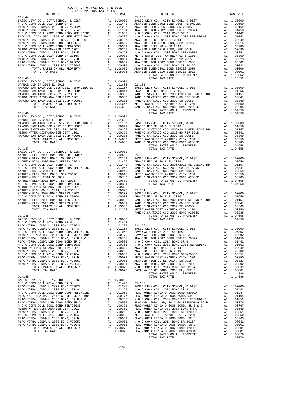| COUNTY OF ORANGE TAX RATE BOOK<br>2021-2022 TRA TAX RATES |  |                                |          |
|-----------------------------------------------------------|--|--------------------------------|----------|
| DISTRICT                                                  |  | IAA KAILS<br>TAX RATE DISTRICT | TAX RATE |
| $01 - 144$                                                |  | $01 - 150$                     |          |
|                                                           |  |                                |          |
|                                                           |  |                                |          |
|                                                           |  |                                |          |
|                                                           |  |                                |          |
|                                                           |  |                                |          |
|                                                           |  |                                |          |
|                                                           |  |                                |          |
|                                                           |  |                                |          |
|                                                           |  |                                |          |
|                                                           |  |                                |          |
|                                                           |  |                                |          |
|                                                           |  |                                |          |
|                                                           |  |                                |          |
|                                                           |  |                                |          |
|                                                           |  |                                |          |
|                                                           |  |                                |          |
|                                                           |  |                                |          |
|                                                           |  |                                |          |
|                                                           |  |                                |          |
|                                                           |  |                                |          |
|                                                           |  |                                |          |
|                                                           |  |                                |          |
|                                                           |  |                                |          |
|                                                           |  |                                |          |
|                                                           |  |                                |          |
|                                                           |  |                                |          |
|                                                           |  |                                |          |
|                                                           |  |                                |          |
|                                                           |  |                                |          |
|                                                           |  |                                |          |
|                                                           |  |                                |          |
|                                                           |  |                                |          |
|                                                           |  |                                |          |
|                                                           |  |                                |          |
|                                                           |  |                                |          |
|                                                           |  |                                |          |
|                                                           |  |                                |          |
|                                                           |  |                                |          |
|                                                           |  |                                |          |
|                                                           |  |                                |          |
|                                                           |  |                                |          |
|                                                           |  |                                |          |
|                                                           |  |                                |          |
|                                                           |  |                                |          |
|                                                           |  |                                |          |
|                                                           |  |                                |          |
|                                                           |  |                                |          |
|                                                           |  |                                |          |
|                                                           |  |                                |          |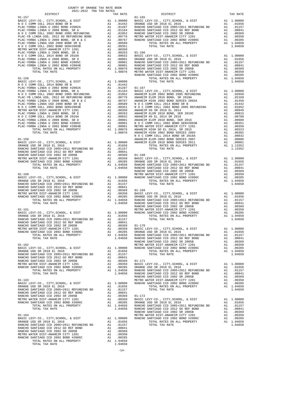| COUNTY OF ORANGE TAX RATE BOOK<br>2021-2022 TRA TAX RATES<br>$\begin{minipage}{.4\linewidth} \begin{tabular}{lcccccc} \textbf{1-AX RATE} & \textbf{1-AX RATE} & \textbf{1-AX RATE} & \textbf{2021--2022} & \textbf{TRA TAX RATES} \\ \end{tabular} \end{minipage}$ |          |          |          |
|--------------------------------------------------------------------------------------------------------------------------------------------------------------------------------------------------------------------------------------------------------------------|----------|----------|----------|
|                                                                                                                                                                                                                                                                    | TAX RATE | DISTRICT | TAX RATE |
|                                                                                                                                                                                                                                                                    |          |          |          |
|                                                                                                                                                                                                                                                                    |          |          |          |
|                                                                                                                                                                                                                                                                    |          |          |          |
|                                                                                                                                                                                                                                                                    |          |          |          |
|                                                                                                                                                                                                                                                                    |          |          |          |
|                                                                                                                                                                                                                                                                    |          |          |          |
|                                                                                                                                                                                                                                                                    |          |          |          |
|                                                                                                                                                                                                                                                                    |          |          |          |
|                                                                                                                                                                                                                                                                    |          |          |          |
|                                                                                                                                                                                                                                                                    |          |          |          |
|                                                                                                                                                                                                                                                                    |          |          |          |
|                                                                                                                                                                                                                                                                    |          |          |          |
|                                                                                                                                                                                                                                                                    |          |          |          |
|                                                                                                                                                                                                                                                                    |          |          |          |
|                                                                                                                                                                                                                                                                    |          |          |          |
|                                                                                                                                                                                                                                                                    |          |          |          |
|                                                                                                                                                                                                                                                                    |          |          |          |
|                                                                                                                                                                                                                                                                    |          |          |          |
|                                                                                                                                                                                                                                                                    |          |          |          |
|                                                                                                                                                                                                                                                                    |          |          |          |
|                                                                                                                                                                                                                                                                    |          |          |          |
|                                                                                                                                                                                                                                                                    |          |          |          |
|                                                                                                                                                                                                                                                                    |          |          |          |
|                                                                                                                                                                                                                                                                    |          |          |          |
|                                                                                                                                                                                                                                                                    |          |          |          |
|                                                                                                                                                                                                                                                                    |          |          |          |
|                                                                                                                                                                                                                                                                    |          |          |          |
|                                                                                                                                                                                                                                                                    |          |          |          |
|                                                                                                                                                                                                                                                                    |          |          |          |
|                                                                                                                                                                                                                                                                    |          |          |          |
|                                                                                                                                                                                                                                                                    |          |          |          |
|                                                                                                                                                                                                                                                                    |          |          |          |
|                                                                                                                                                                                                                                                                    |          |          |          |
|                                                                                                                                                                                                                                                                    |          |          |          |
|                                                                                                                                                                                                                                                                    |          |          |          |
|                                                                                                                                                                                                                                                                    |          |          |          |
|                                                                                                                                                                                                                                                                    |          |          |          |
|                                                                                                                                                                                                                                                                    |          |          |          |
|                                                                                                                                                                                                                                                                    |          |          |          |
|                                                                                                                                                                                                                                                                    |          |          |          |
|                                                                                                                                                                                                                                                                    |          |          |          |
|                                                                                                                                                                                                                                                                    |          |          |          |
|                                                                                                                                                                                                                                                                    |          |          |          |
|                                                                                                                                                                                                                                                                    |          |          |          |
|                                                                                                                                                                                                                                                                    |          |          |          |
|                                                                                                                                                                                                                                                                    |          |          |          |
|                                                                                                                                                                                                                                                                    |          |          |          |
|                                                                                                                                                                                                                                                                    |          |          |          |
|                                                                                                                                                                                                                                                                    |          |          |          |
|                                                                                                                                                                                                                                                                    |          |          |          |
|                                                                                                                                                                                                                                                                    |          |          |          |
|                                                                                                                                                                                                                                                                    |          |          |          |
|                                                                                                                                                                                                                                                                    |          |          |          |
|                                                                                                                                                                                                                                                                    |          |          |          |
|                                                                                                                                                                                                                                                                    |          |          |          |
|                                                                                                                                                                                                                                                                    |          |          |          |
|                                                                                                                                                                                                                                                                    |          |          |          |
|                                                                                                                                                                                                                                                                    |          |          |          |
|                                                                                                                                                                                                                                                                    |          |          |          |
|                                                                                                                                                                                                                                                                    |          |          |          |
|                                                                                                                                                                                                                                                                    |          |          |          |
|                                                                                                                                                                                                                                                                    |          |          |          |
|                                                                                                                                                                                                                                                                    |          |          |          |
|                                                                                                                                                                                                                                                                    |          |          |          |
|                                                                                                                                                                                                                                                                    |          |          |          |
|                                                                                                                                                                                                                                                                    |          |          |          |
|                                                                                                                                                                                                                                                                    |          |          |          |
|                                                                                                                                                                                                                                                                    |          |          |          |
|                                                                                                                                                                                                                                                                    |          |          |          |
|                                                                                                                                                                                                                                                                    |          |          |          |
|                                                                                                                                                                                                                                                                    |          |          |          |
|                                                                                                                                                                                                                                                                    |          |          |          |
|                                                                                                                                                                                                                                                                    |          |          |          |
|                                                                                                                                                                                                                                                                    |          |          |          |
|                                                                                                                                                                                                                                                                    |          |          |          |
|                                                                                                                                                                                                                                                                    |          |          |          |
|                                                                                                                                                                                                                                                                    |          |          |          |
|                                                                                                                                                                                                                                                                    |          |          |          |

-14-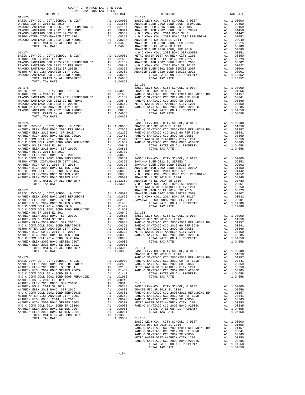| COUNTY OF ORANGE TAX RATE BOOK                                                                                                                                                                                              |          |                        |          |
|-----------------------------------------------------------------------------------------------------------------------------------------------------------------------------------------------------------------------------|----------|------------------------|----------|
| $\begin{minipage}{.4\linewidth} \begin{tabular}{lcccccc} \textbf{1-A} & \textbf{1-A} & \textbf{RATE} & \textbf{B} \\ \textbf{2021--2022} & \textbf{TRA} & \textbf{TAX RATES} \\ \end{tabular} \end{minipage}$<br>$01 - 173$ | TAX RATE | DISTRICT<br>$01 - 179$ | TAX RATE |
|                                                                                                                                                                                                                             |          |                        |          |
|                                                                                                                                                                                                                             |          |                        |          |
|                                                                                                                                                                                                                             |          |                        |          |
|                                                                                                                                                                                                                             |          |                        |          |
|                                                                                                                                                                                                                             |          |                        |          |
|                                                                                                                                                                                                                             |          |                        |          |
|                                                                                                                                                                                                                             |          |                        |          |
|                                                                                                                                                                                                                             |          |                        |          |
|                                                                                                                                                                                                                             |          |                        |          |
|                                                                                                                                                                                                                             |          |                        |          |
|                                                                                                                                                                                                                             |          |                        |          |
|                                                                                                                                                                                                                             |          |                        |          |
|                                                                                                                                                                                                                             |          |                        |          |
|                                                                                                                                                                                                                             |          |                        |          |
|                                                                                                                                                                                                                             |          |                        |          |
|                                                                                                                                                                                                                             |          |                        |          |
|                                                                                                                                                                                                                             |          |                        |          |
|                                                                                                                                                                                                                             |          |                        |          |
|                                                                                                                                                                                                                             |          |                        |          |
|                                                                                                                                                                                                                             |          |                        |          |
|                                                                                                                                                                                                                             |          |                        |          |
|                                                                                                                                                                                                                             |          |                        |          |
|                                                                                                                                                                                                                             |          |                        |          |
|                                                                                                                                                                                                                             |          | $01 - 181$             |          |
|                                                                                                                                                                                                                             |          |                        |          |
|                                                                                                                                                                                                                             |          |                        |          |
|                                                                                                                                                                                                                             |          |                        |          |
|                                                                                                                                                                                                                             |          |                        |          |
|                                                                                                                                                                                                                             |          |                        |          |
|                                                                                                                                                                                                                             |          |                        |          |
|                                                                                                                                                                                                                             |          |                        |          |
|                                                                                                                                                                                                                             |          |                        |          |
|                                                                                                                                                                                                                             |          |                        |          |
|                                                                                                                                                                                                                             |          |                        |          |
|                                                                                                                                                                                                                             |          |                        |          |
|                                                                                                                                                                                                                             |          |                        |          |
|                                                                                                                                                                                                                             |          |                        |          |
|                                                                                                                                                                                                                             |          |                        |          |
|                                                                                                                                                                                                                             |          |                        |          |
|                                                                                                                                                                                                                             |          |                        |          |
|                                                                                                                                                                                                                             |          |                        |          |
|                                                                                                                                                                                                                             |          |                        |          |
|                                                                                                                                                                                                                             |          |                        |          |
|                                                                                                                                                                                                                             |          |                        |          |
|                                                                                                                                                                                                                             |          |                        |          |
|                                                                                                                                                                                                                             |          |                        |          |
|                                                                                                                                                                                                                             |          |                        |          |
|                                                                                                                                                                                                                             |          |                        |          |
|                                                                                                                                                                                                                             |          |                        |          |
|                                                                                                                                                                                                                             |          |                        |          |
|                                                                                                                                                                                                                             |          |                        |          |
|                                                                                                                                                                                                                             |          |                        |          |
|                                                                                                                                                                                                                             |          |                        |          |
|                                                                                                                                                                                                                             |          |                        |          |
|                                                                                                                                                                                                                             |          |                        |          |
|                                                                                                                                                                                                                             |          |                        |          |
|                                                                                                                                                                                                                             |          |                        |          |
|                                                                                                                                                                                                                             |          |                        |          |
|                                                                                                                                                                                                                             |          |                        |          |
|                                                                                                                                                                                                                             |          |                        |          |
|                                                                                                                                                                                                                             |          |                        |          |
|                                                                                                                                                                                                                             |          |                        |          |
|                                                                                                                                                                                                                             |          |                        |          |
|                                                                                                                                                                                                                             |          |                        |          |
|                                                                                                                                                                                                                             |          |                        |          |
|                                                                                                                                                                                                                             |          |                        |          |
|                                                                                                                                                                                                                             |          |                        |          |
|                                                                                                                                                                                                                             |          |                        |          |
|                                                                                                                                                                                                                             |          |                        |          |
|                                                                                                                                                                                                                             |          |                        |          |
|                                                                                                                                                                                                                             |          |                        |          |
|                                                                                                                                                                                                                             |          |                        |          |
|                                                                                                                                                                                                                             |          |                        |          |
|                                                                                                                                                                                                                             |          |                        |          |
|                                                                                                                                                                                                                             |          |                        |          |
|                                                                                                                                                                                                                             |          |                        |          |
|                                                                                                                                                                                                                             |          |                        |          |
|                                                                                                                                                                                                                             |          |                        |          |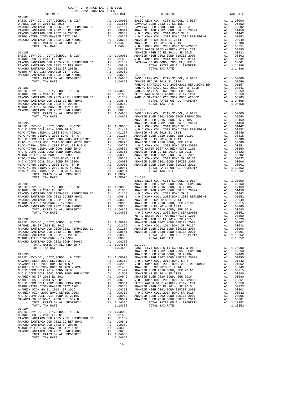| COUNTY OF ORANGE TAX RATE BOOK<br>$2021-2022 \quad \text{TRA TAX RATES}$ DISTRICT $\hspace{2.5cm}$ |          |          |          |
|----------------------------------------------------------------------------------------------------|----------|----------|----------|
|                                                                                                    | TAX RATE | DISTRICT | TAX RATE |
|                                                                                                    |          |          |          |
|                                                                                                    |          |          |          |
|                                                                                                    |          |          |          |
|                                                                                                    |          |          |          |
|                                                                                                    |          |          |          |
|                                                                                                    |          |          |          |
|                                                                                                    |          |          |          |
|                                                                                                    |          |          |          |
|                                                                                                    |          |          |          |
|                                                                                                    |          |          |          |
|                                                                                                    |          |          |          |
|                                                                                                    |          |          |          |
|                                                                                                    |          |          |          |
|                                                                                                    |          |          |          |
|                                                                                                    |          |          |          |
|                                                                                                    |          |          |          |
|                                                                                                    |          |          |          |
|                                                                                                    |          |          |          |
|                                                                                                    |          |          |          |
|                                                                                                    |          |          |          |
|                                                                                                    |          |          |          |
|                                                                                                    |          |          |          |
|                                                                                                    |          |          |          |
|                                                                                                    |          |          |          |
|                                                                                                    |          |          |          |
|                                                                                                    |          |          |          |
|                                                                                                    |          |          |          |
|                                                                                                    |          |          |          |
|                                                                                                    |          |          |          |
|                                                                                                    |          |          |          |
|                                                                                                    |          |          |          |
|                                                                                                    |          |          |          |
|                                                                                                    |          |          |          |
|                                                                                                    |          |          |          |
|                                                                                                    |          |          |          |
|                                                                                                    |          |          |          |
|                                                                                                    |          |          |          |
|                                                                                                    |          |          |          |
|                                                                                                    |          |          |          |
|                                                                                                    |          |          |          |
|                                                                                                    |          |          |          |
|                                                                                                    |          |          |          |
|                                                                                                    |          |          |          |
|                                                                                                    |          |          |          |
|                                                                                                    |          |          |          |
|                                                                                                    |          |          |          |
|                                                                                                    |          |          |          |
|                                                                                                    |          |          |          |
|                                                                                                    |          |          |          |
|                                                                                                    |          |          |          |
|                                                                                                    |          |          |          |
|                                                                                                    |          |          |          |
|                                                                                                    |          |          |          |
|                                                                                                    |          |          |          |
|                                                                                                    |          |          |          |
|                                                                                                    |          |          |          |
|                                                                                                    |          |          |          |
|                                                                                                    |          |          |          |
|                                                                                                    |          |          |          |
|                                                                                                    |          |          |          |
| $01 - 194$                                                                                         |          |          |          |
|                                                                                                    |          |          |          |
|                                                                                                    |          |          |          |
|                                                                                                    |          |          |          |
|                                                                                                    |          |          |          |
|                                                                                                    |          |          |          |
|                                                                                                    |          |          |          |
|                                                                                                    |          |          |          |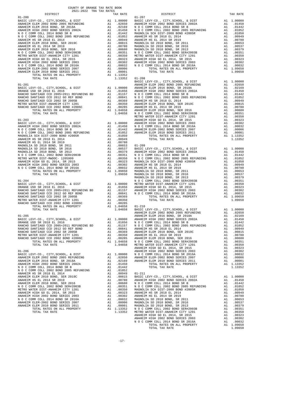| $01 - 201$                                                                |    |                                                                                                                                                                                                                                                   | BASIC L<br>ANAHEIM |
|---------------------------------------------------------------------------|----|---------------------------------------------------------------------------------------------------------------------------------------------------------------------------------------------------------------------------------------------------|--------------------|
|                                                                           |    |                                                                                                                                                                                                                                                   |                    |
|                                                                           |    |                                                                                                                                                                                                                                                   |                    |
|                                                                           |    |                                                                                                                                                                                                                                                   |                    |
|                                                                           |    |                                                                                                                                                                                                                                                   |                    |
|                                                                           |    |                                                                                                                                                                                                                                                   |                    |
|                                                                           |    |                                                                                                                                                                                                                                                   |                    |
|                                                                           |    |                                                                                                                                                                                                                                                   |                    |
|                                                                           |    |                                                                                                                                                                                                                                                   | METRO W            |
|                                                                           |    |                                                                                                                                                                                                                                                   |                    |
|                                                                           |    |                                                                                                                                                                                                                                                   |                    |
|                                                                           |    |                                                                                                                                                                                                                                                   |                    |
|                                                                           |    |                                                                                                                                                                                                                                                   |                    |
|                                                                           |    |                                                                                                                                                                                                                                                   |                    |
|                                                                           |    |                                                                                                                                                                                                                                                   |                    |
|                                                                           |    |                                                                                                                                                                                                                                                   |                    |
|                                                                           |    |                                                                                                                                                                                                                                                   |                    |
|                                                                           |    |                                                                                                                                                                                                                                                   |                    |
|                                                                           |    |                                                                                                                                                                                                                                                   |                    |
|                                                                           |    |                                                                                                                                                                                                                                                   |                    |
|                                                                           |    |                                                                                                                                                                                                                                                   |                    |
|                                                                           |    |                                                                                                                                                                                                                                                   |                    |
|                                                                           |    |                                                                                                                                                                                                                                                   |                    |
|                                                                           |    |                                                                                                                                                                                                                                                   |                    |
| $01 - 204$                                                                |    |                                                                                                                                                                                                                                                   | MAGNOLI<br>NOCC    |
|                                                                           |    |                                                                                                                                                                                                                                                   |                    |
|                                                                           |    |                                                                                                                                                                                                                                                   |                    |
|                                                                           |    |                                                                                                                                                                                                                                                   |                    |
|                                                                           |    |                                                                                                                                                                                                                                                   |                    |
|                                                                           |    |                                                                                                                                                                                                                                                   |                    |
|                                                                           |    |                                                                                                                                                                                                                                                   |                    |
|                                                                           |    |                                                                                                                                                                                                                                                   |                    |
|                                                                           |    |                                                                                                                                                                                                                                                   | ANAHEIM            |
|                                                                           |    |                                                                                                                                                                                                                                                   |                    |
|                                                                           |    |                                                                                                                                                                                                                                                   |                    |
|                                                                           |    |                                                                                                                                                                                                                                                   |                    |
|                                                                           |    |                                                                                                                                                                                                                                                   |                    |
|                                                                           |    |                                                                                                                                                                                                                                                   |                    |
|                                                                           |    |                                                                                                                                                                                                                                                   |                    |
|                                                                           |    |                                                                                                                                                                                                                                                   |                    |
| TOTAL RATES ON ALL PROPERTY<br>TOTAL TAX RATE                             |    | A1 1.04658<br>1.04658                                                                                                                                                                                                                             | NOCC<br>METRO W    |
|                                                                           |    |                                                                                                                                                                                                                                                   | <b>ANAHEIM</b>     |
| $01 - 206$                                                                |    |                                                                                                                                                                                                                                                   | ANAHEIM            |
| BASIC LEVY-CO., CITY, SCHOOL, & DIST                                      |    |                                                                                                                                                                                                                                                   |                    |
| ANAHEIM ELEM 2002 BOND 2005 REFUNDING<br>ANAHEIM ELEM 2016 BOND. SR 2018A | A1 | A1 1.00000 NOCC<br>A1 .02650 ANAHEIM<br>A1 .02650<br>.02169                                                                                                                                                                                       | ANAHEIM            |
| ANAHEIM HIGH 2002 BOND SERIES 2002A                                       | A1 | .01450                                                                                                                                                                                                                                            |                    |
| N O C COMM COLL 2014 BOND SR B                                            | A1 | .01442                                                                                                                                                                                                                                            |                    |
| N O C COMM COLL 2002 BOND 2005 REFUNDING                                  | A1 | .01052                                                                                                                                                                                                                                            |                    |
| ANAHEIM HS SR 2018 EL 2014<br>ANAHEIM ELEM 2010 BOND, SER 2019C           |    |                                                                                                                                                                                                                                                   |                    |
| ANAHEIM HS EL 2014 SR 2019                                                |    |                                                                                                                                                                                                                                                   |                    |
| ANAHEIM ELEM 2010 BOND, SER 2016                                          |    |                                                                                                                                                                                                                                                   |                    |
| N O C COMM COLL 2002 BOND SER#2003B                                       |    |                                                                                                                                                                                                                                                   |                    |
| METRO WATER DIST-ANAHEIM CITY 1201<br>ANAHEIM HIGH GO EL 2014, SR 2015    |    |                                                                                                                                                                                                                                                   |                    |
| ANAHEIM HIGH 2002 BOND SERIES 2003                                        |    |                                                                                                                                                                                                                                                   |                    |
| N O C COMM COLL 2014 BOND SR 2016A                                        |    |                                                                                                                                                                                                                                                   |                    |
| ANAHEIM ELEM-2002 BOND SERIES 2007                                        |    |                                                                                                                                                                                                                                                   |                    |
| ANAHEIM ELEM 2010 BOND SERIES 2011<br>TOTAL RATES ON ALL PROPERTY         |    |                                                                                                                                                                                                                                                   |                    |
| TOTAL TAX RATE                                                            |    | A1 .01052<br>A1 .00949 01–211<br>A1 .00815 BASIC L<br>A1 .00815 BASIC L<br>A1 .00815 NOCC A1 .00551 NOCC<br>A1 .00351 NOCC OCC A1 .00323 ANAHEIM<br>A1 .00302 ANAHEIM<br>A1 .00302 MAGNOLI<br>A1 .00003 MAGNOLI<br>A1 .00001 MAGNOLI<br>A1 .00001 |                    |
|                                                                           |    |                                                                                                                                                                                                                                                   |                    |

| COUNTY OF ORANGE TAX RATE BOOK<br>$\begin{minipage}{.4\linewidth} \begin{tabular}{lcccc} \textbf{1-AX RATE} & \textbf{1-X} & \textbf{1-X} & \textbf{RATE} & \textbf{1-X} & \textbf{1-X} & \textbf{1-X} & \textbf{1-X} & \textbf{1-X} & \textbf{1-X} & \textbf{1-X} & \textbf{1-X} & \textbf{1-X} & \textbf{1-X} & \textbf{1-X} & \textbf{1-X} & \textbf{1-X} & \textbf{1-X} & \textbf{1-X} & \textbf{1-X} & \textbf{1-X} & \textbf{1-X} & \textbf{1-X} & \textbf{1-X} & \textbf{$ |          |                        |          |
|-----------------------------------------------------------------------------------------------------------------------------------------------------------------------------------------------------------------------------------------------------------------------------------------------------------------------------------------------------------------------------------------------------------------------------------------------------------------------------------|----------|------------------------|----------|
| $01 - 200$                                                                                                                                                                                                                                                                                                                                                                                                                                                                        | TAX RATE | DISTRICT<br>$01 - 207$ | TAX RATE |
|                                                                                                                                                                                                                                                                                                                                                                                                                                                                                   |          |                        |          |
|                                                                                                                                                                                                                                                                                                                                                                                                                                                                                   |          |                        |          |
|                                                                                                                                                                                                                                                                                                                                                                                                                                                                                   |          |                        |          |
|                                                                                                                                                                                                                                                                                                                                                                                                                                                                                   |          |                        |          |
|                                                                                                                                                                                                                                                                                                                                                                                                                                                                                   |          |                        |          |
|                                                                                                                                                                                                                                                                                                                                                                                                                                                                                   |          |                        |          |
|                                                                                                                                                                                                                                                                                                                                                                                                                                                                                   |          |                        |          |
|                                                                                                                                                                                                                                                                                                                                                                                                                                                                                   |          |                        |          |
|                                                                                                                                                                                                                                                                                                                                                                                                                                                                                   |          |                        |          |
|                                                                                                                                                                                                                                                                                                                                                                                                                                                                                   |          |                        |          |
|                                                                                                                                                                                                                                                                                                                                                                                                                                                                                   |          |                        |          |
|                                                                                                                                                                                                                                                                                                                                                                                                                                                                                   |          |                        |          |
|                                                                                                                                                                                                                                                                                                                                                                                                                                                                                   |          |                        |          |
|                                                                                                                                                                                                                                                                                                                                                                                                                                                                                   |          |                        |          |
|                                                                                                                                                                                                                                                                                                                                                                                                                                                                                   |          |                        |          |
|                                                                                                                                                                                                                                                                                                                                                                                                                                                                                   |          |                        |          |
|                                                                                                                                                                                                                                                                                                                                                                                                                                                                                   |          |                        |          |
|                                                                                                                                                                                                                                                                                                                                                                                                                                                                                   |          |                        |          |
|                                                                                                                                                                                                                                                                                                                                                                                                                                                                                   |          |                        |          |
|                                                                                                                                                                                                                                                                                                                                                                                                                                                                                   |          |                        |          |
|                                                                                                                                                                                                                                                                                                                                                                                                                                                                                   |          |                        |          |
|                                                                                                                                                                                                                                                                                                                                                                                                                                                                                   |          |                        |          |
|                                                                                                                                                                                                                                                                                                                                                                                                                                                                                   |          |                        |          |
|                                                                                                                                                                                                                                                                                                                                                                                                                                                                                   |          |                        |          |
|                                                                                                                                                                                                                                                                                                                                                                                                                                                                                   |          |                        |          |
|                                                                                                                                                                                                                                                                                                                                                                                                                                                                                   |          |                        |          |
|                                                                                                                                                                                                                                                                                                                                                                                                                                                                                   |          |                        |          |
| ARAMEMA LAND CAPER DELET 2011 12. 199914<br>2014 - LAND REVENUE (1911 - 1912 - 1912 - 1912 - 1912 - 1912 - 1912 - 1912 - 1912 - 1912 - 1912 - 1912 - 1912 - 1912 - 1912 - 1912 - 1912 - 1912 - 1912 - 1912 - 1912 - 1912 - 1912                                                                                                                                                                                                                                                   |          |                        |          |
|                                                                                                                                                                                                                                                                                                                                                                                                                                                                                   |          |                        |          |
|                                                                                                                                                                                                                                                                                                                                                                                                                                                                                   |          |                        |          |
|                                                                                                                                                                                                                                                                                                                                                                                                                                                                                   |          |                        |          |
|                                                                                                                                                                                                                                                                                                                                                                                                                                                                                   |          |                        |          |
|                                                                                                                                                                                                                                                                                                                                                                                                                                                                                   |          |                        |          |
|                                                                                                                                                                                                                                                                                                                                                                                                                                                                                   |          |                        |          |
|                                                                                                                                                                                                                                                                                                                                                                                                                                                                                   |          |                        |          |
|                                                                                                                                                                                                                                                                                                                                                                                                                                                                                   |          |                        |          |
|                                                                                                                                                                                                                                                                                                                                                                                                                                                                                   |          |                        |          |
|                                                                                                                                                                                                                                                                                                                                                                                                                                                                                   |          |                        |          |
|                                                                                                                                                                                                                                                                                                                                                                                                                                                                                   |          |                        |          |
|                                                                                                                                                                                                                                                                                                                                                                                                                                                                                   |          |                        |          |
|                                                                                                                                                                                                                                                                                                                                                                                                                                                                                   |          |                        |          |
|                                                                                                                                                                                                                                                                                                                                                                                                                                                                                   |          |                        |          |
|                                                                                                                                                                                                                                                                                                                                                                                                                                                                                   |          |                        |          |
|                                                                                                                                                                                                                                                                                                                                                                                                                                                                                   |          |                        |          |
|                                                                                                                                                                                                                                                                                                                                                                                                                                                                                   |          |                        |          |
|                                                                                                                                                                                                                                                                                                                                                                                                                                                                                   |          |                        |          |
|                                                                                                                                                                                                                                                                                                                                                                                                                                                                                   |          |                        |          |
|                                                                                                                                                                                                                                                                                                                                                                                                                                                                                   |          |                        |          |
|                                                                                                                                                                                                                                                                                                                                                                                                                                                                                   |          |                        |          |
| ARTHO ARTIS 2014 MEN CHANNEL AND 1992 MANUEL TO THE MANUEL MOTHER CONTINUES. AND 1992 MANUEL AND ARTIS 2014 MEN CHANNEL AND 1992 MANUEL AND 1993 MANUEL AND 1993 MANUEL AND 1993 MANUEL AND 1993 MANUEL AND 1993 MANUEL AND 1                                                                                                                                                                                                                                                     |          |                        |          |
|                                                                                                                                                                                                                                                                                                                                                                                                                                                                                   |          |                        |          |
|                                                                                                                                                                                                                                                                                                                                                                                                                                                                                   |          |                        |          |
|                                                                                                                                                                                                                                                                                                                                                                                                                                                                                   |          |                        |          |
|                                                                                                                                                                                                                                                                                                                                                                                                                                                                                   |          |                        |          |
|                                                                                                                                                                                                                                                                                                                                                                                                                                                                                   |          |                        |          |
|                                                                                                                                                                                                                                                                                                                                                                                                                                                                                   |          |                        | 1.09650  |
|                                                                                                                                                                                                                                                                                                                                                                                                                                                                                   |          |                        |          |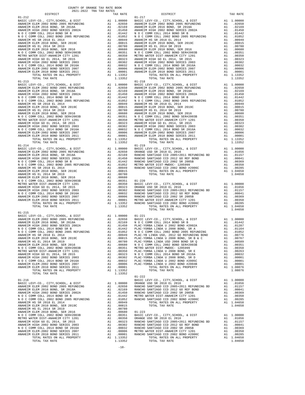-18-

| DISTRICT                                                                                                                                                                                                                                                                  | TAX RATE | DISTRICT   | TAX RATE |
|---------------------------------------------------------------------------------------------------------------------------------------------------------------------------------------------------------------------------------------------------------------------------|----------|------------|----------|
| $01 - 212$                                                                                                                                                                                                                                                                |          | $01 - 217$ |          |
|                                                                                                                                                                                                                                                                           |          |            |          |
|                                                                                                                                                                                                                                                                           |          |            |          |
|                                                                                                                                                                                                                                                                           |          |            |          |
|                                                                                                                                                                                                                                                                           |          |            |          |
|                                                                                                                                                                                                                                                                           |          |            |          |
|                                                                                                                                                                                                                                                                           |          |            |          |
|                                                                                                                                                                                                                                                                           |          |            |          |
|                                                                                                                                                                                                                                                                           |          |            |          |
|                                                                                                                                                                                                                                                                           |          |            |          |
|                                                                                                                                                                                                                                                                           |          |            |          |
|                                                                                                                                                                                                                                                                           |          |            |          |
|                                                                                                                                                                                                                                                                           |          |            |          |
|                                                                                                                                                                                                                                                                           |          |            |          |
|                                                                                                                                                                                                                                                                           |          |            |          |
|                                                                                                                                                                                                                                                                           |          |            |          |
|                                                                                                                                                                                                                                                                           |          |            |          |
|                                                                                                                                                                                                                                                                           |          |            |          |
|                                                                                                                                                                                                                                                                           |          |            |          |
|                                                                                                                                                                                                                                                                           |          |            |          |
|                                                                                                                                                                                                                                                                           |          |            |          |
|                                                                                                                                                                                                                                                                           |          |            |          |
|                                                                                                                                                                                                                                                                           |          |            |          |
|                                                                                                                                                                                                                                                                           |          |            |          |
|                                                                                                                                                                                                                                                                           |          |            |          |
|                                                                                                                                                                                                                                                                           |          |            |          |
|                                                                                                                                                                                                                                                                           |          |            |          |
|                                                                                                                                                                                                                                                                           |          |            |          |
| $\begin{tabular}{cccccccc} 01-213 & 1707AL-TAX KATR & 1.13352 & 1.13352 & 1.13352 & 1.13352 & 1.13352 & 1.13352 & 1.13352 & 1.13352 & 1.13352 & 1.13352 & 1.13352 & 1.13352 & 1.13352 & 1.13352 & 1.13352 & 1.13352 & 1.13352 & 1.13352 & 1.13352 & 1.13352 & 1.13352 & $ |          |            |          |
|                                                                                                                                                                                                                                                                           |          |            |          |
|                                                                                                                                                                                                                                                                           |          |            |          |
|                                                                                                                                                                                                                                                                           |          |            |          |
| $01 - 214$                                                                                                                                                                                                                                                                |          | $01 - 219$ |          |
|                                                                                                                                                                                                                                                                           |          |            |          |
|                                                                                                                                                                                                                                                                           |          |            |          |
|                                                                                                                                                                                                                                                                           |          |            |          |
|                                                                                                                                                                                                                                                                           |          |            |          |
|                                                                                                                                                                                                                                                                           |          |            |          |
|                                                                                                                                                                                                                                                                           |          |            |          |
|                                                                                                                                                                                                                                                                           |          |            |          |
|                                                                                                                                                                                                                                                                           |          |            |          |
|                                                                                                                                                                                                                                                                           |          |            |          |
|                                                                                                                                                                                                                                                                           |          |            |          |
|                                                                                                                                                                                                                                                                           |          |            |          |
|                                                                                                                                                                                                                                                                           |          |            |          |
|                                                                                                                                                                                                                                                                           |          |            |          |
|                                                                                                                                                                                                                                                                           |          |            |          |
|                                                                                                                                                                                                                                                                           |          |            |          |
|                                                                                                                                                                                                                                                                           |          |            |          |
|                                                                                                                                                                                                                                                                           |          |            |          |
| $01 - 215$                                                                                                                                                                                                                                                                |          |            |          |
|                                                                                                                                                                                                                                                                           |          |            |          |
|                                                                                                                                                                                                                                                                           |          |            |          |
|                                                                                                                                                                                                                                                                           |          |            |          |
|                                                                                                                                                                                                                                                                           |          |            |          |
|                                                                                                                                                                                                                                                                           |          |            |          |
|                                                                                                                                                                                                                                                                           |          |            |          |
|                                                                                                                                                                                                                                                                           |          |            |          |
|                                                                                                                                                                                                                                                                           |          |            |          |
|                                                                                                                                                                                                                                                                           |          |            |          |
|                                                                                                                                                                                                                                                                           |          |            |          |
|                                                                                                                                                                                                                                                                           |          |            |          |
|                                                                                                                                                                                                                                                                           |          |            |          |
|                                                                                                                                                                                                                                                                           |          |            |          |
|                                                                                                                                                                                                                                                                           |          |            |          |
|                                                                                                                                                                                                                                                                           |          |            |          |
|                                                                                                                                                                                                                                                                           |          | $01 - 222$ |          |
|                                                                                                                                                                                                                                                                           |          |            |          |
|                                                                                                                                                                                                                                                                           |          |            |          |
|                                                                                                                                                                                                                                                                           |          |            |          |
|                                                                                                                                                                                                                                                                           |          |            |          |
|                                                                                                                                                                                                                                                                           |          |            |          |
|                                                                                                                                                                                                                                                                           |          |            |          |
|                                                                                                                                                                                                                                                                           |          |            |          |
|                                                                                                                                                                                                                                                                           |          |            |          |
|                                                                                                                                                                                                                                                                           |          |            |          |
|                                                                                                                                                                                                                                                                           |          |            |          |
|                                                                                                                                                                                                                                                                           |          |            |          |
|                                                                                                                                                                                                                                                                           |          |            |          |
|                                                                                                                                                                                                                                                                           |          |            |          |
|                                                                                                                                                                                                                                                                           |          |            |          |
|                                                                                                                                                                                                                                                                           |          |            |          |
|                                                                                                                                                                                                                                                                           |          |            |          |
|                                                                                                                                                                                                                                                                           |          |            |          |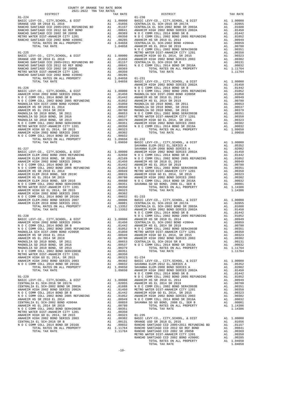| COUNTY OF ORANGE TAX RATE BOOK<br>2021-2022 TRA TAX RATES |          |                                                                                                                                                                                                                               |          |
|-----------------------------------------------------------|----------|-------------------------------------------------------------------------------------------------------------------------------------------------------------------------------------------------------------------------------|----------|
| $2021-2022\quad\text{TRA TAX RATES}$ DISTRICT             | TAX RATE | DISTRICT                                                                                                                                                                                                                      | TAX RATE |
|                                                           |          |                                                                                                                                                                                                                               |          |
|                                                           |          |                                                                                                                                                                                                                               |          |
|                                                           |          |                                                                                                                                                                                                                               |          |
|                                                           |          |                                                                                                                                                                                                                               |          |
|                                                           |          |                                                                                                                                                                                                                               |          |
|                                                           |          |                                                                                                                                                                                                                               |          |
|                                                           |          |                                                                                                                                                                                                                               |          |
|                                                           |          |                                                                                                                                                                                                                               |          |
|                                                           |          |                                                                                                                                                                                                                               |          |
|                                                           |          |                                                                                                                                                                                                                               |          |
|                                                           |          |                                                                                                                                                                                                                               |          |
|                                                           |          |                                                                                                                                                                                                                               |          |
|                                                           |          |                                                                                                                                                                                                                               |          |
|                                                           |          |                                                                                                                                                                                                                               |          |
|                                                           |          |                                                                                                                                                                                                                               |          |
|                                                           |          |                                                                                                                                                                                                                               |          |
|                                                           |          |                                                                                                                                                                                                                               |          |
|                                                           |          |                                                                                                                                                                                                                               |          |
|                                                           |          |                                                                                                                                                                                                                               |          |
|                                                           |          |                                                                                                                                                                                                                               |          |
|                                                           |          |                                                                                                                                                                                                                               |          |
|                                                           |          |                                                                                                                                                                                                                               |          |
|                                                           |          |                                                                                                                                                                                                                               |          |
|                                                           |          |                                                                                                                                                                                                                               |          |
|                                                           |          |                                                                                                                                                                                                                               |          |
|                                                           |          |                                                                                                                                                                                                                               |          |
|                                                           |          |                                                                                                                                                                                                                               |          |
|                                                           |          |                                                                                                                                                                                                                               |          |
|                                                           |          |                                                                                                                                                                                                                               |          |
|                                                           |          |                                                                                                                                                                                                                               |          |
|                                                           |          |                                                                                                                                                                                                                               |          |
|                                                           |          |                                                                                                                                                                                                                               |          |
|                                                           |          |                                                                                                                                                                                                                               |          |
|                                                           |          |                                                                                                                                                                                                                               |          |
|                                                           |          |                                                                                                                                                                                                                               |          |
|                                                           |          |                                                                                                                                                                                                                               |          |
|                                                           |          |                                                                                                                                                                                                                               |          |
|                                                           |          |                                                                                                                                                                                                                               |          |
|                                                           |          |                                                                                                                                                                                                                               |          |
|                                                           |          |                                                                                                                                                                                                                               |          |
|                                                           |          |                                                                                                                                                                                                                               |          |
|                                                           |          |                                                                                                                                                                                                                               |          |
|                                                           |          |                                                                                                                                                                                                                               |          |
|                                                           |          |                                                                                                                                                                                                                               |          |
|                                                           |          |                                                                                                                                                                                                                               |          |
|                                                           |          |                                                                                                                                                                                                                               |          |
|                                                           |          |                                                                                                                                                                                                                               |          |
|                                                           |          |                                                                                                                                                                                                                               |          |
|                                                           |          |                                                                                                                                                                                                                               |          |
|                                                           |          |                                                                                                                                                                                                                               |          |
|                                                           |          |                                                                                                                                                                                                                               |          |
|                                                           |          |                                                                                                                                                                                                                               |          |
|                                                           |          |                                                                                                                                                                                                                               |          |
|                                                           |          |                                                                                                                                                                                                                               |          |
|                                                           |          |                                                                                                                                                                                                                               |          |
|                                                           |          |                                                                                                                                                                                                                               |          |
|                                                           |          |                                                                                                                                                                                                                               |          |
|                                                           |          | ARABEM REGI (2013 MARIEM REGI 2013 MARIEM REGISSOR DESIGNATION DE COMPORTER DE CORPORTER DE CORPORTER DE 2013 MARIEM REGI 2013 MARIEM REGI 2013 MARIEM REGI 2013 MARIEM REGI 2013 MARIEM REGI 2013 MARIEM REGI 2013 MARIEM RE |          |
|                                                           |          |                                                                                                                                                                                                                               |          |
|                                                           |          |                                                                                                                                                                                                                               |          |
|                                                           |          |                                                                                                                                                                                                                               |          |
|                                                           |          |                                                                                                                                                                                                                               |          |
|                                                           |          |                                                                                                                                                                                                                               |          |
|                                                           |          |                                                                                                                                                                                                                               |          |
|                                                           |          |                                                                                                                                                                                                                               |          |
|                                                           |          |                                                                                                                                                                                                                               |          |
|                                                           |          |                                                                                                                                                                                                                               |          |
|                                                           |          |                                                                                                                                                                                                                               |          |
|                                                           |          |                                                                                                                                                                                                                               |          |
|                                                           |          |                                                                                                                                                                                                                               |          |
|                                                           |          |                                                                                                                                                                                                                               |          |
|                                                           |          |                                                                                                                                                                                                                               |          |
|                                                           |          |                                                                                                                                                                                                                               |          |
|                                                           |          |                                                                                                                                                                                                                               |          |
|                                                           |          |                                                                                                                                                                                                                               |          |
|                                                           |          |                                                                                                                                                                                                                               |          |
|                                                           |          |                                                                                                                                                                                                                               |          |
|                                                           |          |                                                                                                                                                                                                                               |          |
|                                                           |          |                                                                                                                                                                                                                               |          |
|                                                           |          |                                                                                                                                                                                                                               |          |
|                                                           |          |                                                                                                                                                                                                                               |          |
|                                                           |          | TOTAL TAX RATE                                                                                                                                                                                                                |          |
|                                                           |          |                                                                                                                                                                                                                               |          |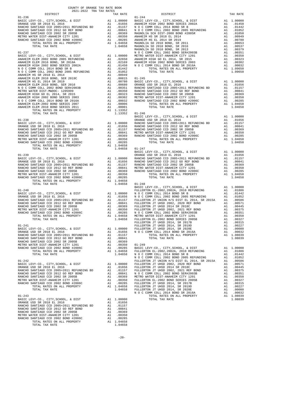| COUNTY OF ORANGE TAX RATE BOOK<br>2021-2022 TRA TAX RATES<br>$2021-2022 \quad \text{TRA TAX RATES}$ DISTRICT $\hspace{2.5cm}$ | TAX RATE | DISTRICT   | TAX RATE |
|-------------------------------------------------------------------------------------------------------------------------------|----------|------------|----------|
| $01 - 236$                                                                                                                    |          | $01 - 244$ |          |
|                                                                                                                               |          |            |          |
|                                                                                                                               |          |            |          |
|                                                                                                                               |          |            |          |
|                                                                                                                               |          |            |          |
|                                                                                                                               |          |            |          |
|                                                                                                                               |          |            |          |
|                                                                                                                               |          |            |          |
|                                                                                                                               |          |            |          |
|                                                                                                                               |          |            |          |
|                                                                                                                               |          |            |          |
|                                                                                                                               |          |            |          |
|                                                                                                                               |          |            |          |
|                                                                                                                               |          |            |          |
|                                                                                                                               |          |            |          |
|                                                                                                                               |          |            |          |
|                                                                                                                               |          |            |          |
|                                                                                                                               |          |            |          |
|                                                                                                                               |          |            |          |
|                                                                                                                               |          |            |          |
|                                                                                                                               |          |            |          |
|                                                                                                                               |          |            |          |
|                                                                                                                               |          |            |          |
|                                                                                                                               |          |            |          |
|                                                                                                                               |          |            |          |
|                                                                                                                               |          |            |          |
|                                                                                                                               |          |            |          |
|                                                                                                                               |          |            |          |
|                                                                                                                               |          |            |          |
|                                                                                                                               |          |            |          |
|                                                                                                                               |          |            |          |
|                                                                                                                               |          |            |          |
|                                                                                                                               |          |            |          |
|                                                                                                                               |          |            |          |
|                                                                                                                               |          |            |          |
|                                                                                                                               |          |            |          |
|                                                                                                                               |          |            |          |
|                                                                                                                               |          |            |          |
|                                                                                                                               |          |            |          |
|                                                                                                                               |          |            |          |
|                                                                                                                               |          |            |          |
|                                                                                                                               |          |            |          |
|                                                                                                                               |          |            |          |
|                                                                                                                               |          |            |          |
|                                                                                                                               |          |            |          |
|                                                                                                                               |          |            |          |
|                                                                                                                               |          |            |          |
|                                                                                                                               |          |            |          |
|                                                                                                                               |          |            |          |
|                                                                                                                               |          |            |          |
|                                                                                                                               |          |            |          |
|                                                                                                                               |          |            |          |
|                                                                                                                               |          |            |          |
|                                                                                                                               |          |            |          |
|                                                                                                                               |          |            |          |
|                                                                                                                               |          |            |          |
|                                                                                                                               |          |            |          |
|                                                                                                                               |          |            |          |
|                                                                                                                               |          |            |          |
|                                                                                                                               |          |            |          |
|                                                                                                                               |          |            |          |
|                                                                                                                               |          |            |          |
|                                                                                                                               |          |            |          |
|                                                                                                                               |          |            |          |
|                                                                                                                               |          |            |          |
|                                                                                                                               |          |            |          |
|                                                                                                                               |          |            |          |
|                                                                                                                               |          |            |          |
|                                                                                                                               |          |            |          |
|                                                                                                                               |          |            |          |
|                                                                                                                               |          |            |          |
|                                                                                                                               |          |            |          |
|                                                                                                                               |          |            |          |
|                                                                                                                               |          |            |          |
|                                                                                                                               |          |            |          |
|                                                                                                                               |          |            |          |
|                                                                                                                               |          |            |          |
|                                                                                                                               |          |            |          |
|                                                                                                                               |          |            |          |
|                                                                                                                               |          |            |          |
|                                                                                                                               |          |            |          |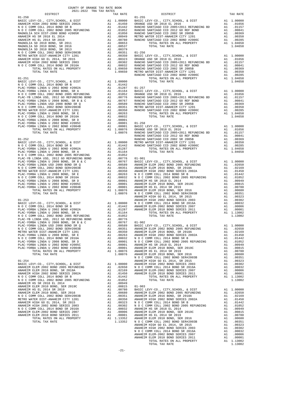| <b>DISIRICI</b>                                                                                                     |    | IAA KAIB                                                                                                                                                                                                                                               |            |
|---------------------------------------------------------------------------------------------------------------------|----|--------------------------------------------------------------------------------------------------------------------------------------------------------------------------------------------------------------------------------------------------------|------------|
| $01 - 250$                                                                                                          |    |                                                                                                                                                                                                                                                        | $01 - 255$ |
|                                                                                                                     |    |                                                                                                                                                                                                                                                        |            |
|                                                                                                                     |    |                                                                                                                                                                                                                                                        |            |
|                                                                                                                     |    |                                                                                                                                                                                                                                                        |            |
|                                                                                                                     |    |                                                                                                                                                                                                                                                        |            |
|                                                                                                                     |    |                                                                                                                                                                                                                                                        |            |
|                                                                                                                     |    |                                                                                                                                                                                                                                                        |            |
|                                                                                                                     |    |                                                                                                                                                                                                                                                        |            |
|                                                                                                                     |    |                                                                                                                                                                                                                                                        |            |
|                                                                                                                     |    |                                                                                                                                                                                                                                                        |            |
|                                                                                                                     |    |                                                                                                                                                                                                                                                        |            |
|                                                                                                                     |    |                                                                                                                                                                                                                                                        |            |
|                                                                                                                     |    |                                                                                                                                                                                                                                                        |            |
|                                                                                                                     |    |                                                                                                                                                                                                                                                        |            |
|                                                                                                                     |    |                                                                                                                                                                                                                                                        |            |
|                                                                                                                     |    |                                                                                                                                                                                                                                                        |            |
|                                                                                                                     |    |                                                                                                                                                                                                                                                        |            |
|                                                                                                                     |    |                                                                                                                                                                                                                                                        |            |
|                                                                                                                     |    |                                                                                                                                                                                                                                                        |            |
|                                                                                                                     |    |                                                                                                                                                                                                                                                        | RANCHO     |
| $01 - 251$                                                                                                          |    |                                                                                                                                                                                                                                                        |            |
| ${\tt BASIC~LEVY-CO.} \ , \ {\tt CITY} \ , {\tt SCHOOL} \ , \ {\tt & \tt DIST} \hspace{2cm} {\tt A1} \quad 1.00000$ |    |                                                                                                                                                                                                                                                        |            |
|                                                                                                                     |    |                                                                                                                                                                                                                                                        |            |
|                                                                                                                     |    |                                                                                                                                                                                                                                                        |            |
|                                                                                                                     |    |                                                                                                                                                                                                                                                        |            |
|                                                                                                                     |    |                                                                                                                                                                                                                                                        |            |
|                                                                                                                     |    |                                                                                                                                                                                                                                                        |            |
|                                                                                                                     |    |                                                                                                                                                                                                                                                        |            |
|                                                                                                                     |    |                                                                                                                                                                                                                                                        |            |
|                                                                                                                     |    |                                                                                                                                                                                                                                                        |            |
|                                                                                                                     |    |                                                                                                                                                                                                                                                        |            |
|                                                                                                                     |    |                                                                                                                                                                                                                                                        |            |
|                                                                                                                     |    |                                                                                                                                                                                                                                                        |            |
|                                                                                                                     |    |                                                                                                                                                                                                                                                        |            |
|                                                                                                                     |    |                                                                                                                                                                                                                                                        |            |
|                                                                                                                     |    |                                                                                                                                                                                                                                                        |            |
|                                                                                                                     |    |                                                                                                                                                                                                                                                        |            |
|                                                                                                                     |    |                                                                                                                                                                                                                                                        |            |
|                                                                                                                     |    |                                                                                                                                                                                                                                                        |            |
|                                                                                                                     |    |                                                                                                                                                                                                                                                        |            |
|                                                                                                                     |    |                                                                                                                                                                                                                                                        | RANCHO     |
| $01 - 252$                                                                                                          |    |                                                                                                                                                                                                                                                        | RANCHO     |
|                                                                                                                     |    |                                                                                                                                                                                                                                                        |            |
|                                                                                                                     |    |                                                                                                                                                                                                                                                        |            |
|                                                                                                                     |    |                                                                                                                                                                                                                                                        |            |
|                                                                                                                     |    |                                                                                                                                                                                                                                                        |            |
|                                                                                                                     |    |                                                                                                                                                                                                                                                        |            |
|                                                                                                                     |    |                                                                                                                                                                                                                                                        |            |
|                                                                                                                     |    |                                                                                                                                                                                                                                                        |            |
|                                                                                                                     |    |                                                                                                                                                                                                                                                        |            |
|                                                                                                                     |    |                                                                                                                                                                                                                                                        |            |
|                                                                                                                     |    |                                                                                                                                                                                                                                                        |            |
|                                                                                                                     |    |                                                                                                                                                                                                                                                        |            |
|                                                                                                                     |    |                                                                                                                                                                                                                                                        |            |
|                                                                                                                     |    |                                                                                                                                                                                                                                                        |            |
|                                                                                                                     |    |                                                                                                                                                                                                                                                        |            |
|                                                                                                                     |    |                                                                                                                                                                                                                                                        |            |
|                                                                                                                     |    |                                                                                                                                                                                                                                                        |            |
|                                                                                                                     |    |                                                                                                                                                                                                                                                        |            |
|                                                                                                                     |    |                                                                                                                                                                                                                                                        |            |
|                                                                                                                     |    |                                                                                                                                                                                                                                                        | ANAHEIM    |
|                                                                                                                     |    |                                                                                                                                                                                                                                                        |            |
| $01 - 253$                                                                                                          |    |                                                                                                                                                                                                                                                        | ANAHEIM    |
|                                                                                                                     |    |                                                                                                                                                                                                                                                        |            |
|                                                                                                                     |    |                                                                                                                                                                                                                                                        |            |
|                                                                                                                     |    |                                                                                                                                                                                                                                                        |            |
|                                                                                                                     |    |                                                                                                                                                                                                                                                        |            |
|                                                                                                                     |    |                                                                                                                                                                                                                                                        |            |
|                                                                                                                     |    |                                                                                                                                                                                                                                                        |            |
|                                                                                                                     |    |                                                                                                                                                                                                                                                        |            |
|                                                                                                                     |    |                                                                                                                                                                                                                                                        |            |
|                                                                                                                     |    |                                                                                                                                                                                                                                                        |            |
|                                                                                                                     |    |                                                                                                                                                                                                                                                        |            |
|                                                                                                                     |    |                                                                                                                                                                                                                                                        |            |
| N O C COMM COLL 2014 BOND SR 2016A                                                                                  |    |                                                                                                                                                                                                                                                        |            |
|                                                                                                                     |    |                                                                                                                                                                                                                                                        |            |
| PLAC-YORBA LINDA U 2008 BOND, SR D                                                                                  |    | A1 .00032 NOCC<br>A1 .00032 NOCC<br>A1 .00001 NOCC<br>A1 .00001 ANAHEIM<br>A1 .00001 ANAHEIM<br>A1 1.08076 ANAHEIM<br>1.08076 ANAHEIM                                                                                                                  |            |
| PLAC-YORBA LINDA U 2002 BOND #2005C                                                                                 |    |                                                                                                                                                                                                                                                        |            |
| PLAC-YORBA LINDA U 2002 BOND #2004B                                                                                 |    |                                                                                                                                                                                                                                                        |            |
| TOTAL RATES ON ALL PROPERTY                                                                                         |    |                                                                                                                                                                                                                                                        |            |
| TOTAL TAX RATE                                                                                                      |    |                                                                                                                                                                                                                                                        |            |
|                                                                                                                     |    |                                                                                                                                                                                                                                                        | NOCC       |
| $01 - 254$                                                                                                          |    |                                                                                                                                                                                                                                                        | ANAHEIM    |
| BASIC LEVY-CO., CITY, SCHOOL, & DIST                                                                                |    |                                                                                                                                                                                                                                                        |            |
| ANAHEIM ELEM 2002 BOND 2005 REFUNDING                                                                               |    |                                                                                                                                                                                                                                                        |            |
| ANAHEIM ELEM 2016 BOND, SR 2018A                                                                                    |    | A1 1.00000<br>A1 .02650 NOCC<br>A1 .02169 ANAHEIM<br>A1 .01450 ANAHEIM                                                                                                                                                                                 |            |
| ANAHEIM HIGH 2002 BOND SERIES 2002A                                                                                 |    |                                                                                                                                                                                                                                                        |            |
| N O C COMM COLL 2014 BOND SR B                                                                                      | A1 | .01442                                                                                                                                                                                                                                                 |            |
| N O C COMM COLL 2002 BOND 2005 REFUNDING                                                                            | A1 | .01052                                                                                                                                                                                                                                                 |            |
|                                                                                                                     |    |                                                                                                                                                                                                                                                        |            |
| ANAHEIM HS SR 2018 EL 2014                                                                                          |    | A1 .00949                                                                                                                                                                                                                                              |            |
| ANAHEIM ELEM 2010 BOND, SER 2019C                                                                                   |    |                                                                                                                                                                                                                                                        |            |
| ANAHEIM HS EL 2014 SR 2019                                                                                          |    |                                                                                                                                                                                                                                                        |            |
| ANAHEIM ELEM 2010 BOND, SER 2016                                                                                    |    |                                                                                                                                                                                                                                                        |            |
| N O C COMM COLL 2002 BOND SER#2003B                                                                                 |    |                                                                                                                                                                                                                                                        |            |
| METRO WATER DIST-ANAHEIM CITY 1201                                                                                  |    |                                                                                                                                                                                                                                                        |            |
| ANAHEIM HIGH GO EL 2014, SR 2015                                                                                    |    |                                                                                                                                                                                                                                                        |            |
| ANAHEIM HIGH 2002 BOND SERIES 2003                                                                                  |    |                                                                                                                                                                                                                                                        |            |
| N O C COMM COLL 2014 BOND SR 2016A                                                                                  |    |                                                                                                                                                                                                                                                        |            |
| ANAHEIM ELEM-2002 BOND SERIES 2007                                                                                  |    |                                                                                                                                                                                                                                                        |            |
|                                                                                                                     |    |                                                                                                                                                                                                                                                        |            |
| ANAHEIM ELEM 2010 BOND SERIES 2011                                                                                  |    |                                                                                                                                                                                                                                                        |            |
| TOTAL RATES ON ALL PROPERTY                                                                                         |    | AL 00945 01-903<br>Al 00815 01-903<br>Al 00780 BASIC L<br>Al 00780 ANAHEIM<br>Al 00351 ANAHEIM<br>Al 00323 N O C C<br>Al 00323 N O C C<br>Al 00032 ANAHEIM<br>Al 00032 ANAHEIM<br>Al 00001 ANAHEIM<br>Al 1.13352 ANAHEIM<br>Al 1.13352 ANAHEIM<br>Al 1 |            |
| TOTAL TAX RATE                                                                                                      |    | 1.13352                                                                                                                                                                                                                                                | N O C C    |
|                                                                                                                     |    |                                                                                                                                                                                                                                                        | ANAHEIM    |

| COUNTY OF ORANGE TAX RATE BOOK<br>$\begin{minipage}{.03\textwidth} \begin{tabular}{l} \multicolumn{2}{c} {\textwidth} \end{tabular} \hline \multicolumn{2}{c} {\textwidth} \begin{tabular}{l} \multicolumn{2}{c} {\textwidth} \end{tabular} \hline \multicolumn{2}{c} {\textwidth} \begin{tabular}{l} \multicolumn{2}{c} {\textwidth} \end{tabular} \hline \multicolumn{2}{c} {\textwidth} \begin{tabular}{l} \multicolumn{2}{c} {\textwidth} \end{tabular} \hline \multicolumn{2}{c} {\textwidth} \begin{tabular}{l} \multicolumn{2}{c} {\textwidth} \end{tabular} \hline \multicolumn$ |          |          |          |
|------------------------------------------------------------------------------------------------------------------------------------------------------------------------------------------------------------------------------------------------------------------------------------------------------------------------------------------------------------------------------------------------------------------------------------------------------------------------------------------------------------------------------------------------------------------------------------------|----------|----------|----------|
|                                                                                                                                                                                                                                                                                                                                                                                                                                                                                                                                                                                          | TAX RATE | DISTRICT | TAX RATE |
|                                                                                                                                                                                                                                                                                                                                                                                                                                                                                                                                                                                          |          |          |          |
|                                                                                                                                                                                                                                                                                                                                                                                                                                                                                                                                                                                          |          |          |          |
|                                                                                                                                                                                                                                                                                                                                                                                                                                                                                                                                                                                          |          |          |          |
|                                                                                                                                                                                                                                                                                                                                                                                                                                                                                                                                                                                          |          |          |          |
|                                                                                                                                                                                                                                                                                                                                                                                                                                                                                                                                                                                          |          |          |          |
|                                                                                                                                                                                                                                                                                                                                                                                                                                                                                                                                                                                          |          |          |          |
|                                                                                                                                                                                                                                                                                                                                                                                                                                                                                                                                                                                          |          |          |          |
|                                                                                                                                                                                                                                                                                                                                                                                                                                                                                                                                                                                          |          |          |          |
|                                                                                                                                                                                                                                                                                                                                                                                                                                                                                                                                                                                          |          |          |          |
|                                                                                                                                                                                                                                                                                                                                                                                                                                                                                                                                                                                          |          |          |          |
|                                                                                                                                                                                                                                                                                                                                                                                                                                                                                                                                                                                          |          |          |          |
|                                                                                                                                                                                                                                                                                                                                                                                                                                                                                                                                                                                          |          |          |          |
|                                                                                                                                                                                                                                                                                                                                                                                                                                                                                                                                                                                          |          |          |          |
|                                                                                                                                                                                                                                                                                                                                                                                                                                                                                                                                                                                          |          |          |          |
|                                                                                                                                                                                                                                                                                                                                                                                                                                                                                                                                                                                          |          |          |          |
|                                                                                                                                                                                                                                                                                                                                                                                                                                                                                                                                                                                          |          |          |          |
|                                                                                                                                                                                                                                                                                                                                                                                                                                                                                                                                                                                          |          |          |          |
|                                                                                                                                                                                                                                                                                                                                                                                                                                                                                                                                                                                          |          |          |          |
|                                                                                                                                                                                                                                                                                                                                                                                                                                                                                                                                                                                          |          |          |          |
|                                                                                                                                                                                                                                                                                                                                                                                                                                                                                                                                                                                          |          |          |          |
|                                                                                                                                                                                                                                                                                                                                                                                                                                                                                                                                                                                          |          |          |          |
|                                                                                                                                                                                                                                                                                                                                                                                                                                                                                                                                                                                          |          |          |          |
|                                                                                                                                                                                                                                                                                                                                                                                                                                                                                                                                                                                          |          |          |          |
|                                                                                                                                                                                                                                                                                                                                                                                                                                                                                                                                                                                          |          |          |          |
|                                                                                                                                                                                                                                                                                                                                                                                                                                                                                                                                                                                          |          |          |          |
|                                                                                                                                                                                                                                                                                                                                                                                                                                                                                                                                                                                          |          |          |          |
|                                                                                                                                                                                                                                                                                                                                                                                                                                                                                                                                                                                          |          |          |          |
|                                                                                                                                                                                                                                                                                                                                                                                                                                                                                                                                                                                          |          |          |          |
|                                                                                                                                                                                                                                                                                                                                                                                                                                                                                                                                                                                          |          |          |          |
|                                                                                                                                                                                                                                                                                                                                                                                                                                                                                                                                                                                          |          |          |          |
|                                                                                                                                                                                                                                                                                                                                                                                                                                                                                                                                                                                          |          |          |          |
|                                                                                                                                                                                                                                                                                                                                                                                                                                                                                                                                                                                          |          |          |          |
|                                                                                                                                                                                                                                                                                                                                                                                                                                                                                                                                                                                          |          |          |          |
|                                                                                                                                                                                                                                                                                                                                                                                                                                                                                                                                                                                          |          |          |          |
|                                                                                                                                                                                                                                                                                                                                                                                                                                                                                                                                                                                          |          |          |          |
|                                                                                                                                                                                                                                                                                                                                                                                                                                                                                                                                                                                          |          |          |          |
|                                                                                                                                                                                                                                                                                                                                                                                                                                                                                                                                                                                          |          |          |          |
|                                                                                                                                                                                                                                                                                                                                                                                                                                                                                                                                                                                          |          |          |          |
|                                                                                                                                                                                                                                                                                                                                                                                                                                                                                                                                                                                          |          |          |          |
|                                                                                                                                                                                                                                                                                                                                                                                                                                                                                                                                                                                          |          |          |          |
|                                                                                                                                                                                                                                                                                                                                                                                                                                                                                                                                                                                          |          |          |          |
|                                                                                                                                                                                                                                                                                                                                                                                                                                                                                                                                                                                          |          |          |          |
|                                                                                                                                                                                                                                                                                                                                                                                                                                                                                                                                                                                          |          |          |          |
|                                                                                                                                                                                                                                                                                                                                                                                                                                                                                                                                                                                          |          |          |          |
|                                                                                                                                                                                                                                                                                                                                                                                                                                                                                                                                                                                          |          |          |          |
|                                                                                                                                                                                                                                                                                                                                                                                                                                                                                                                                                                                          |          |          |          |
|                                                                                                                                                                                                                                                                                                                                                                                                                                                                                                                                                                                          |          |          |          |
|                                                                                                                                                                                                                                                                                                                                                                                                                                                                                                                                                                                          |          |          |          |
|                                                                                                                                                                                                                                                                                                                                                                                                                                                                                                                                                                                          |          |          |          |
|                                                                                                                                                                                                                                                                                                                                                                                                                                                                                                                                                                                          |          |          |          |
|                                                                                                                                                                                                                                                                                                                                                                                                                                                                                                                                                                                          |          |          |          |
|                                                                                                                                                                                                                                                                                                                                                                                                                                                                                                                                                                                          |          |          |          |
|                                                                                                                                                                                                                                                                                                                                                                                                                                                                                                                                                                                          |          |          |          |
|                                                                                                                                                                                                                                                                                                                                                                                                                                                                                                                                                                                          |          |          |          |
|                                                                                                                                                                                                                                                                                                                                                                                                                                                                                                                                                                                          |          |          |          |
|                                                                                                                                                                                                                                                                                                                                                                                                                                                                                                                                                                                          |          |          |          |
|                                                                                                                                                                                                                                                                                                                                                                                                                                                                                                                                                                                          |          |          |          |
|                                                                                                                                                                                                                                                                                                                                                                                                                                                                                                                                                                                          |          |          |          |
|                                                                                                                                                                                                                                                                                                                                                                                                                                                                                                                                                                                          |          |          |          |
|                                                                                                                                                                                                                                                                                                                                                                                                                                                                                                                                                                                          |          |          |          |
|                                                                                                                                                                                                                                                                                                                                                                                                                                                                                                                                                                                          |          |          |          |
|                                                                                                                                                                                                                                                                                                                                                                                                                                                                                                                                                                                          |          |          |          |
|                                                                                                                                                                                                                                                                                                                                                                                                                                                                                                                                                                                          |          |          |          |
|                                                                                                                                                                                                                                                                                                                                                                                                                                                                                                                                                                                          |          |          |          |
|                                                                                                                                                                                                                                                                                                                                                                                                                                                                                                                                                                                          |          |          |          |
|                                                                                                                                                                                                                                                                                                                                                                                                                                                                                                                                                                                          |          |          |          |
|                                                                                                                                                                                                                                                                                                                                                                                                                                                                                                                                                                                          |          |          |          |
|                                                                                                                                                                                                                                                                                                                                                                                                                                                                                                                                                                                          |          |          |          |
|                                                                                                                                                                                                                                                                                                                                                                                                                                                                                                                                                                                          |          |          |          |
|                                                                                                                                                                                                                                                                                                                                                                                                                                                                                                                                                                                          |          |          |          |
|                                                                                                                                                                                                                                                                                                                                                                                                                                                                                                                                                                                          |          |          |          |
|                                                                                                                                                                                                                                                                                                                                                                                                                                                                                                                                                                                          |          |          |          |
|                                                                                                                                                                                                                                                                                                                                                                                                                                                                                                                                                                                          |          |          |          |
|                                                                                                                                                                                                                                                                                                                                                                                                                                                                                                                                                                                          |          |          |          |
|                                                                                                                                                                                                                                                                                                                                                                                                                                                                                                                                                                                          |          |          |          |
|                                                                                                                                                                                                                                                                                                                                                                                                                                                                                                                                                                                          |          |          |          |
|                                                                                                                                                                                                                                                                                                                                                                                                                                                                                                                                                                                          |          |          |          |
|                                                                                                                                                                                                                                                                                                                                                                                                                                                                                                                                                                                          |          |          |          |
|                                                                                                                                                                                                                                                                                                                                                                                                                                                                                                                                                                                          |          |          |          |
|                                                                                                                                                                                                                                                                                                                                                                                                                                                                                                                                                                                          |          |          |          |
|                                                                                                                                                                                                                                                                                                                                                                                                                                                                                                                                                                                          |          |          |          |
|                                                                                                                                                                                                                                                                                                                                                                                                                                                                                                                                                                                          |          |          |          |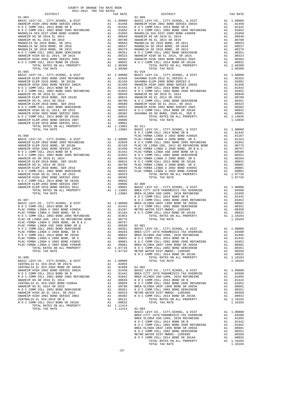|                                                                            |          |                                                                                                                                                                                                             | $01 - 909$                                                                                                                                                |
|----------------------------------------------------------------------------|----------|-------------------------------------------------------------------------------------------------------------------------------------------------------------------------------------------------------------|-----------------------------------------------------------------------------------------------------------------------------------------------------------|
|                                                                            |          |                                                                                                                                                                                                             |                                                                                                                                                           |
|                                                                            |          |                                                                                                                                                                                                             |                                                                                                                                                           |
|                                                                            |          |                                                                                                                                                                                                             |                                                                                                                                                           |
|                                                                            |          |                                                                                                                                                                                                             |                                                                                                                                                           |
|                                                                            |          |                                                                                                                                                                                                             |                                                                                                                                                           |
|                                                                            |          |                                                                                                                                                                                                             |                                                                                                                                                           |
|                                                                            |          |                                                                                                                                                                                                             |                                                                                                                                                           |
|                                                                            |          |                                                                                                                                                                                                             |                                                                                                                                                           |
| TOTAL TAX RATE                                                             |          | 1.09300                                                                                                                                                                                                     |                                                                                                                                                           |
|                                                                            |          |                                                                                                                                                                                                             |                                                                                                                                                           |
|                                                                            |          |                                                                                                                                                                                                             |                                                                                                                                                           |
|                                                                            |          |                                                                                                                                                                                                             |                                                                                                                                                           |
|                                                                            |          |                                                                                                                                                                                                             |                                                                                                                                                           |
|                                                                            |          |                                                                                                                                                                                                             |                                                                                                                                                           |
|                                                                            |          |                                                                                                                                                                                                             |                                                                                                                                                           |
|                                                                            |          |                                                                                                                                                                                                             |                                                                                                                                                           |
|                                                                            |          |                                                                                                                                                                                                             |                                                                                                                                                           |
|                                                                            |          |                                                                                                                                                                                                             |                                                                                                                                                           |
|                                                                            |          |                                                                                                                                                                                                             |                                                                                                                                                           |
|                                                                            |          |                                                                                                                                                                                                             |                                                                                                                                                           |
|                                                                            |          |                                                                                                                                                                                                             |                                                                                                                                                           |
|                                                                            |          |                                                                                                                                                                                                             |                                                                                                                                                           |
| $01 - 906$                                                                 |          |                                                                                                                                                                                                             | PLAC-YO                                                                                                                                                   |
|                                                                            |          |                                                                                                                                                                                                             |                                                                                                                                                           |
|                                                                            |          |                                                                                                                                                                                                             |                                                                                                                                                           |
|                                                                            |          |                                                                                                                                                                                                             |                                                                                                                                                           |
|                                                                            |          |                                                                                                                                                                                                             |                                                                                                                                                           |
|                                                                            |          |                                                                                                                                                                                                             |                                                                                                                                                           |
|                                                                            |          |                                                                                                                                                                                                             |                                                                                                                                                           |
|                                                                            |          |                                                                                                                                                                                                             |                                                                                                                                                           |
|                                                                            |          |                                                                                                                                                                                                             |                                                                                                                                                           |
|                                                                            |          |                                                                                                                                                                                                             |                                                                                                                                                           |
|                                                                            |          |                                                                                                                                                                                                             |                                                                                                                                                           |
|                                                                            |          |                                                                                                                                                                                                             |                                                                                                                                                           |
|                                                                            |          |                                                                                                                                                                                                             | NOCC                                                                                                                                                      |
| $01 - 907$                                                                 |          |                                                                                                                                                                                                             | NOCC                                                                                                                                                      |
|                                                                            |          |                                                                                                                                                                                                             |                                                                                                                                                           |
|                                                                            |          |                                                                                                                                                                                                             |                                                                                                                                                           |
|                                                                            |          |                                                                                                                                                                                                             |                                                                                                                                                           |
|                                                                            |          |                                                                                                                                                                                                             |                                                                                                                                                           |
|                                                                            |          |                                                                                                                                                                                                             |                                                                                                                                                           |
|                                                                            |          |                                                                                                                                                                                                             |                                                                                                                                                           |
|                                                                            |          |                                                                                                                                                                                                             |                                                                                                                                                           |
|                                                                            |          |                                                                                                                                                                                                             |                                                                                                                                                           |
| PLAC-YORBA LINDA U 2002 BOND #2005C<br>PLAC-YORBA LINDA U 2002 BOND #2004B | A1<br>A1 |                                                                                                                                                                                                             | .00001 NOCC<br>.00001 NOCC<br>.00001 BREA OL                                                                                                              |
| TOTAL RATES ON ALL PROPERTY                                                |          | A1 1.07726                                                                                                                                                                                                  | $\begin{array}{c}\n\text{N} & \text{O} & \text{C} \\ \text{N} & \text{O} & \text{C} & \text{C} \\ \text{N} & \text{O} & \text{O} & \text{N}\n\end{array}$ |
| TOTAL TAX RATE                                                             |          | 1.07726                                                                                                                                                                                                     | METRO W<br>NOCC                                                                                                                                           |
| $01 - 908$<br>BASIC LEVY-CO., CITY, SCHOOL, & DIST                         |          | A1 1.00000                                                                                                                                                                                                  |                                                                                                                                                           |
| CENTRALIA EL SCH-2016 SR 2017A<br>CENTRALIA EL SCH-2002 BOND SR 2003A      | A1       | A1.02055<br>.01688                                                                                                                                                                                          | $02 - 002$                                                                                                                                                |
| ANAHEIM HIGH 2002 BOND SERIES 2002A                                        | A1       | .01450                                                                                                                                                                                                      | BASIC L                                                                                                                                                   |
| N O C COMM COLL 2014 BOND SR B<br>N O C COMM COLL 2002 BOND 2005 REFUNDING |          | A1 .01442 BREA CI<br>A1 .01652 BREA CI<br>A1 .01052 BREA CI<br>A1 .00780 BREA CI<br>A1 .00780 BREA CI<br>A1 .00780 BREA CI<br>A1 .00323 METRO W<br>A1 .00323 METRO W<br>A1 .00323 METRO W<br>A1 .00323 MC C |                                                                                                                                                           |
| ANAHEIM HS SR 2018 EL 2014                                                 |          |                                                                                                                                                                                                             |                                                                                                                                                           |
| CENTRALIA EL SCH-2002 BOND #2004A<br>ANAHEIM HS EL 2014 SR 2019            |          |                                                                                                                                                                                                             |                                                                                                                                                           |
| N O C COMM COLL 2002 BOND SER#2003B                                        |          |                                                                                                                                                                                                             |                                                                                                                                                           |
| ANAHEIM HIGH GO EL 2014, SR 2015<br>ANAHEIM HIGH 2002 BOND SERIES 2003     |          |                                                                                                                                                                                                             |                                                                                                                                                           |
| CENTRALIA EL SCH-2016 SR B                                                 |          | A1 .00131                                                                                                                                                                                                   |                                                                                                                                                           |
| N O C COMM COLL 2014 BOND SR 2016A                                         | A1       | .00032<br>A1 1.11414                                                                                                                                                                                        |                                                                                                                                                           |
| TOTAL RATES ON ALL PROPERTY<br>TOTAL TAX RATE                              |          | 1.11414                                                                                                                                                                                                     | $02 - 003$                                                                                                                                                |
|                                                                            |          |                                                                                                                                                                                                             | BASIC L                                                                                                                                                   |

|            | COUNTY OF ORANGE TAX RATE BOOK |                                                                                                                                                                                                                                                                                                                                                                 |          |
|------------|--------------------------------|-----------------------------------------------------------------------------------------------------------------------------------------------------------------------------------------------------------------------------------------------------------------------------------------------------------------------------------------------------------------|----------|
|            | TAX RATE                       | DISTRICT                                                                                                                                                                                                                                                                                                                                                        | TAX RATE |
| $01 - 904$ |                                | $01 - 909$                                                                                                                                                                                                                                                                                                                                                      |          |
|            |                                |                                                                                                                                                                                                                                                                                                                                                                 |          |
|            |                                |                                                                                                                                                                                                                                                                                                                                                                 |          |
|            |                                |                                                                                                                                                                                                                                                                                                                                                                 |          |
|            |                                |                                                                                                                                                                                                                                                                                                                                                                 |          |
|            |                                |                                                                                                                                                                                                                                                                                                                                                                 |          |
|            |                                |                                                                                                                                                                                                                                                                                                                                                                 |          |
|            |                                |                                                                                                                                                                                                                                                                                                                                                                 |          |
|            |                                |                                                                                                                                                                                                                                                                                                                                                                 |          |
|            |                                |                                                                                                                                                                                                                                                                                                                                                                 |          |
|            |                                |                                                                                                                                                                                                                                                                                                                                                                 |          |
|            |                                |                                                                                                                                                                                                                                                                                                                                                                 |          |
|            |                                |                                                                                                                                                                                                                                                                                                                                                                 |          |
|            |                                |                                                                                                                                                                                                                                                                                                                                                                 |          |
|            |                                |                                                                                                                                                                                                                                                                                                                                                                 |          |
|            |                                |                                                                                                                                                                                                                                                                                                                                                                 |          |
|            |                                |                                                                                                                                                                                                                                                                                                                                                                 |          |
|            |                                |                                                                                                                                                                                                                                                                                                                                                                 |          |
|            |                                |                                                                                                                                                                                                                                                                                                                                                                 |          |
|            |                                |                                                                                                                                                                                                                                                                                                                                                                 |          |
|            |                                |                                                                                                                                                                                                                                                                                                                                                                 |          |
|            |                                |                                                                                                                                                                                                                                                                                                                                                                 |          |
|            |                                |                                                                                                                                                                                                                                                                                                                                                                 |          |
|            |                                |                                                                                                                                                                                                                                                                                                                                                                 |          |
|            |                                |                                                                                                                                                                                                                                                                                                                                                                 |          |
|            |                                |                                                                                                                                                                                                                                                                                                                                                                 |          |
|            |                                |                                                                                                                                                                                                                                                                                                                                                                 |          |
|            |                                |                                                                                                                                                                                                                                                                                                                                                                 |          |
|            |                                |                                                                                                                                                                                                                                                                                                                                                                 |          |
|            |                                |                                                                                                                                                                                                                                                                                                                                                                 |          |
|            |                                |                                                                                                                                                                                                                                                                                                                                                                 |          |
|            |                                |                                                                                                                                                                                                                                                                                                                                                                 |          |
|            |                                |                                                                                                                                                                                                                                                                                                                                                                 |          |
|            |                                |                                                                                                                                                                                                                                                                                                                                                                 |          |
|            |                                |                                                                                                                                                                                                                                                                                                                                                                 |          |
|            |                                |                                                                                                                                                                                                                                                                                                                                                                 |          |
|            |                                |                                                                                                                                                                                                                                                                                                                                                                 |          |
|            |                                |                                                                                                                                                                                                                                                                                                                                                                 |          |
|            |                                |                                                                                                                                                                                                                                                                                                                                                                 |          |
|            |                                |                                                                                                                                                                                                                                                                                                                                                                 |          |
|            |                                |                                                                                                                                                                                                                                                                                                                                                                 |          |
|            |                                |                                                                                                                                                                                                                                                                                                                                                                 |          |
|            |                                |                                                                                                                                                                                                                                                                                                                                                                 |          |
|            |                                |                                                                                                                                                                                                                                                                                                                                                                 |          |
|            |                                |                                                                                                                                                                                                                                                                                                                                                                 |          |
|            |                                |                                                                                                                                                                                                                                                                                                                                                                 |          |
|            |                                |                                                                                                                                                                                                                                                                                                                                                                 |          |
|            |                                |                                                                                                                                                                                                                                                                                                                                                                 |          |
|            |                                |                                                                                                                                                                                                                                                                                                                                                                 |          |
|            |                                |                                                                                                                                                                                                                                                                                                                                                                 |          |
|            |                                |                                                                                                                                                                                                                                                                                                                                                                 |          |
|            |                                | <b>2.</b> The main control of the street of the street of the street of the street of the street of the street of the street of the street of the street of the street of the street of the street of the street of the street of                                                                                                                               |          |
|            |                                |                                                                                                                                                                                                                                                                                                                                                                 |          |
|            |                                |                                                                                                                                                                                                                                                                                                                                                                 |          |
|            |                                |                                                                                                                                                                                                                                                                                                                                                                 |          |
|            |                                |                                                                                                                                                                                                                                                                                                                                                                 |          |
|            |                                |                                                                                                                                                                                                                                                                                                                                                                 |          |
|            |                                | $\begin{tabular}{0.95cm} \hline N\ 0\  \  \, \text{C}\ \text{COMM\hspace{0.1cm}COL 2002\hspace{0.1cm}BND SER#2003B \end{tabular} \hline \hline \hline PLAC-YORBA LINDA U 2008\hspace{0.1cm}BOND SE R E 1.0268\hspace{0.1cm}BND SE R E 1.0268\hspace{0.1cm}DAD SRE 2014\hspace{0.1cm}BND SE R E 1.0268\hspace{0.1cm}DAD SRE 2014\hspace{0.1cm}BND SE R E 1.0268$ |          |
|            |                                |                                                                                                                                                                                                                                                                                                                                                                 |          |
|            |                                |                                                                                                                                                                                                                                                                                                                                                                 |          |
|            |                                |                                                                                                                                                                                                                                                                                                                                                                 |          |
|            |                                |                                                                                                                                                                                                                                                                                                                                                                 |          |
|            |                                |                                                                                                                                                                                                                                                                                                                                                                 |          |
|            |                                |                                                                                                                                                                                                                                                                                                                                                                 |          |
|            |                                |                                                                                                                                                                                                                                                                                                                                                                 |          |
|            |                                |                                                                                                                                                                                                                                                                                                                                                                 |          |
|            |                                |                                                                                                                                                                                                                                                                                                                                                                 |          |
|            |                                |                                                                                                                                                                                                                                                                                                                                                                 |          |
|            |                                |                                                                                                                                                                                                                                                                                                                                                                 |          |
|            |                                |                                                                                                                                                                                                                                                                                                                                                                 |          |
|            |                                |                                                                                                                                                                                                                                                                                                                                                                 |          |
|            |                                |                                                                                                                                                                                                                                                                                                                                                                 |          |
|            |                                |                                                                                                                                                                                                                                                                                                                                                                 |          |
|            |                                |                                                                                                                                                                                                                                                                                                                                                                 |          |
|            |                                |                                                                                                                                                                                                                                                                                                                                                                 |          |
|            |                                |                                                                                                                                                                                                                                                                                                                                                                 |          |
|            |                                |                                                                                                                                                                                                                                                                                                                                                                 |          |
|            |                                |                                                                                                                                                                                                                                                                                                                                                                 |          |
|            |                                | TOTAL TAX RATE                                                                                                                                                                                                                                                                                                                                                  | 1.10103  |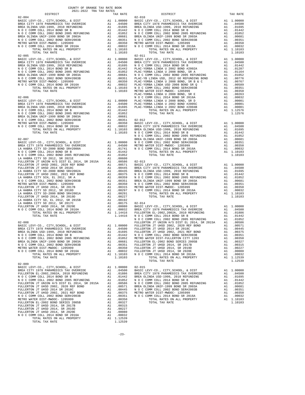|            |                                                                                                                                                                                                            | COUNTY OF ORANGE TAX RATE BOOK<br>2021-2022 TRA TAX RATES |                            |                       |                 |
|------------|------------------------------------------------------------------------------------------------------------------------------------------------------------------------------------------------------------|-----------------------------------------------------------|----------------------------|-----------------------|-----------------|
| $02 - 004$ | DISTRICT                                                                                                                                                                                                   |                                                           |                            | TAX RATE              | $02 - 010$      |
|            |                                                                                                                                                                                                            |                                                           |                            |                       |                 |
|            |                                                                                                                                                                                                            |                                                           |                            |                       |                 |
|            |                                                                                                                                                                                                            |                                                           |                            |                       |                 |
|            |                                                                                                                                                                                                            |                                                           |                            |                       |                 |
|            |                                                                                                                                                                                                            |                                                           |                            |                       |                 |
|            |                                                                                                                                                                                                            |                                                           |                            |                       |                 |
|            |                                                                                                                                                                                                            |                                                           |                            |                       |                 |
|            |                                                                                                                                                                                                            |                                                           |                            |                       |                 |
| $02 - 005$ |                                                                                                                                                                                                            |                                                           |                            |                       | $02 - 011$      |
|            |                                                                                                                                                                                                            |                                                           |                            |                       |                 |
|            |                                                                                                                                                                                                            |                                                           |                            |                       |                 |
|            |                                                                                                                                                                                                            |                                                           |                            |                       |                 |
|            |                                                                                                                                                                                                            |                                                           |                            |                       |                 |
|            |                                                                                                                                                                                                            |                                                           |                            |                       |                 |
|            |                                                                                                                                                                                                            |                                                           |                            |                       |                 |
|            |                                                                                                                                                                                                            |                                                           |                            |                       |                 |
|            |                                                                                                                                                                                                            |                                                           |                            |                       |                 |
| $02 - 006$ |                                                                                                                                                                                                            |                                                           |                            |                       | PLAC-YO<br>NOCC |
|            |                                                                                                                                                                                                            |                                                           |                            |                       |                 |
|            |                                                                                                                                                                                                            |                                                           |                            |                       |                 |
|            |                                                                                                                                                                                                            |                                                           |                            |                       |                 |
|            |                                                                                                                                                                                                            |                                                           |                            |                       |                 |
|            |                                                                                                                                                                                                            |                                                           |                            |                       |                 |
|            |                                                                                                                                                                                                            |                                                           |                            |                       |                 |
|            |                                                                                                                                                                                                            |                                                           |                            |                       |                 |
|            |                                                                                                                                                                                                            |                                                           |                            |                       |                 |
|            |                                                                                                                                                                                                            |                                                           |                            |                       |                 |
| $02 - 007$ |                                                                                                                                                                                                            |                                                           |                            |                       | NOCC<br>BREA OL |
|            | BASIC LEVY-CO., CITY, SCHOOL, & DIST<br>BREA CITY 1978 PARAMEDICS TAX OVERRIDE A1 .04500 MOCC<br>LA HABRA CITY SD-2000 BOND SR#2000A A1 .04500 METRO W<br>NOCC COMM COLL 2014 BOND SR#2000A A1 .01741 NOCC |                                                           |                            |                       |                 |
|            |                                                                                                                                                                                                            |                                                           |                            |                       |                 |
|            |                                                                                                                                                                                                            |                                                           |                            |                       |                 |
|            |                                                                                                                                                                                                            |                                                           |                            |                       |                 |
|            |                                                                                                                                                                                                            |                                                           |                            |                       |                 |
|            |                                                                                                                                                                                                            |                                                           |                            |                       |                 |
|            |                                                                                                                                                                                                            |                                                           |                            |                       |                 |
|            |                                                                                                                                                                                                            |                                                           |                            |                       |                 |
|            |                                                                                                                                                                                                            |                                                           |                            |                       |                 |
|            |                                                                                                                                                                                                            |                                                           |                            |                       |                 |
|            |                                                                                                                                                                                                            |                                                           |                            |                       |                 |
|            |                                                                                                                                                                                                            |                                                           |                            |                       |                 |
|            |                                                                                                                                                                                                            |                                                           |                            |                       |                 |
|            |                                                                                                                                                                                                            |                                                           |                            |                       |                 |
|            | LA HABRA CITY SD, EL 2012, SR 2015B                                                                                                                                                                        |                                                           |                            | A1 .00192             |                 |
|            |                                                                                                                                                                                                            |                                                           |                            |                       |                 |
|            |                                                                                                                                                                                                            |                                                           |                            |                       |                 |
|            |                                                                                                                                                                                                            |                                                           |                            |                       |                 |
|            |                                                                                                                                                                                                            |                                                           |                            |                       | NOCC            |
| $02 - 008$ |                                                                                                                                                                                                            |                                                           |                            |                       | FULLERT         |
|            |                                                                                                                                                                                                            |                                                           |                            |                       |                 |
|            |                                                                                                                                                                                                            |                                                           |                            |                       |                 |
|            |                                                                                                                                                                                                            |                                                           |                            |                       |                 |
|            |                                                                                                                                                                                                            |                                                           |                            |                       |                 |
|            |                                                                                                                                                                                                            |                                                           |                            |                       |                 |
|            |                                                                                                                                                                                                            |                                                           |                            |                       |                 |
|            |                                                                                                                                                                                                            |                                                           |                            |                       |                 |
|            | TOTAL TAX RATE                                                                                                                                                                                             |                                                           |                            | 1.10103               |                 |
| $02 - 009$ |                                                                                                                                                                                                            |                                                           |                            |                       |                 |
|            |                                                                                                                                                                                                            |                                                           |                            |                       |                 |
|            |                                                                                                                                                                                                            |                                                           |                            |                       |                 |
|            |                                                                                                                                                                                                            |                                                           |                            |                       |                 |
|            |                                                                                                                                                                                                            |                                                           |                            |                       |                 |
|            |                                                                                                                                                                                                            |                                                           |                            |                       |                 |
|            | FULLERTON JT UHSD 2002, 2020 REF BOND<br>FULLERTON JT UHSD 2014 SR 2011 REF BOND<br>NULLERTON JT UHSD 2002, 2021 REF BOND<br>N O COOMM COLL 2002 BOND SERH2003B<br>MFTPO MATER BILGE MEDICAL ACCESS        |                                                           |                            |                       |                 |
|            |                                                                                                                                                                                                            |                                                           |                            |                       |                 |
|            |                                                                                                                                                                                                            |                                                           |                            |                       |                 |
|            | METRO WATER DIST-MWDOC- 1205999<br>METRO WATER DIST-MWDOC- 1205999<br>FULLERTON EL-2002 BOND SERIES 2005B                                                                                                  |                                                           | A1                         | .00350<br>.00327      |                 |
|            | FULLERTON JT UHSD 2014, SR 2017B                                                                                                                                                                           |                                                           | A1<br>A1<br>A1<br>A1<br>.1 | .00315                |                 |
|            | FULLERTON JT UHSD 2014, SR 2019D                                                                                                                                                                           |                                                           |                            | A1 .00227             |                 |
|            | FULLERTON JT UHSD 2014, SR 2020E<br>N O C COMM COLL 2014 BOND SR 2016A                                                                                                                                     |                                                           |                            | A1 .00080<br>A1.00032 |                 |
|            | TOTAL RATES ON ALL PROPERTY                                                                                                                                                                                |                                                           |                            | A1 1.12539            |                 |
|            | TOTAL TAX RATE                                                                                                                                                                                             |                                                           |                            | 1.12539               |                 |

| CULL-2022 IRA IAA RAILO<br>DISTRICT | TAX RATE | DISTRICT                                                                                                                                                                                                                                                                                                                                         | TAX RATE |
|-------------------------------------|----------|--------------------------------------------------------------------------------------------------------------------------------------------------------------------------------------------------------------------------------------------------------------------------------------------------------------------------------------------------|----------|
|                                     |          |                                                                                                                                                                                                                                                                                                                                                  |          |
|                                     |          |                                                                                                                                                                                                                                                                                                                                                  |          |
|                                     |          |                                                                                                                                                                                                                                                                                                                                                  |          |
|                                     |          |                                                                                                                                                                                                                                                                                                                                                  |          |
|                                     |          |                                                                                                                                                                                                                                                                                                                                                  |          |
|                                     |          |                                                                                                                                                                                                                                                                                                                                                  |          |
|                                     |          |                                                                                                                                                                                                                                                                                                                                                  |          |
|                                     |          |                                                                                                                                                                                                                                                                                                                                                  |          |
|                                     |          |                                                                                                                                                                                                                                                                                                                                                  |          |
|                                     |          |                                                                                                                                                                                                                                                                                                                                                  |          |
|                                     |          |                                                                                                                                                                                                                                                                                                                                                  |          |
|                                     |          |                                                                                                                                                                                                                                                                                                                                                  |          |
|                                     |          |                                                                                                                                                                                                                                                                                                                                                  |          |
|                                     |          |                                                                                                                                                                                                                                                                                                                                                  |          |
|                                     |          |                                                                                                                                                                                                                                                                                                                                                  |          |
|                                     |          |                                                                                                                                                                                                                                                                                                                                                  |          |
|                                     |          |                                                                                                                                                                                                                                                                                                                                                  |          |
|                                     |          |                                                                                                                                                                                                                                                                                                                                                  |          |
|                                     |          |                                                                                                                                                                                                                                                                                                                                                  |          |
|                                     |          |                                                                                                                                                                                                                                                                                                                                                  |          |
|                                     |          |                                                                                                                                                                                                                                                                                                                                                  |          |
|                                     |          |                                                                                                                                                                                                                                                                                                                                                  |          |
|                                     |          |                                                                                                                                                                                                                                                                                                                                                  |          |
|                                     |          |                                                                                                                                                                                                                                                                                                                                                  |          |
|                                     |          |                                                                                                                                                                                                                                                                                                                                                  |          |
|                                     |          |                                                                                                                                                                                                                                                                                                                                                  |          |
|                                     |          |                                                                                                                                                                                                                                                                                                                                                  |          |
|                                     |          |                                                                                                                                                                                                                                                                                                                                                  |          |
|                                     |          |                                                                                                                                                                                                                                                                                                                                                  |          |
|                                     |          |                                                                                                                                                                                                                                                                                                                                                  |          |
|                                     |          |                                                                                                                                                                                                                                                                                                                                                  |          |
|                                     |          |                                                                                                                                                                                                                                                                                                                                                  |          |
|                                     |          |                                                                                                                                                                                                                                                                                                                                                  |          |
|                                     |          |                                                                                                                                                                                                                                                                                                                                                  |          |
|                                     |          |                                                                                                                                                                                                                                                                                                                                                  |          |
|                                     |          |                                                                                                                                                                                                                                                                                                                                                  |          |
|                                     |          |                                                                                                                                                                                                                                                                                                                                                  |          |
|                                     |          |                                                                                                                                                                                                                                                                                                                                                  |          |
|                                     |          |                                                                                                                                                                                                                                                                                                                                                  |          |
|                                     |          |                                                                                                                                                                                                                                                                                                                                                  |          |
|                                     |          |                                                                                                                                                                                                                                                                                                                                                  |          |
|                                     |          |                                                                                                                                                                                                                                                                                                                                                  |          |
|                                     |          |                                                                                                                                                                                                                                                                                                                                                  |          |
|                                     |          |                                                                                                                                                                                                                                                                                                                                                  |          |
|                                     |          |                                                                                                                                                                                                                                                                                                                                                  |          |
|                                     |          |                                                                                                                                                                                                                                                                                                                                                  |          |
|                                     |          |                                                                                                                                                                                                                                                                                                                                                  |          |
|                                     |          |                                                                                                                                                                                                                                                                                                                                                  |          |
|                                     |          |                                                                                                                                                                                                                                                                                                                                                  |          |
|                                     |          |                                                                                                                                                                                                                                                                                                                                                  |          |
|                                     |          |                                                                                                                                                                                                                                                                                                                                                  |          |
|                                     |          |                                                                                                                                                                                                                                                                                                                                                  |          |
|                                     |          |                                                                                                                                                                                                                                                                                                                                                  |          |
|                                     |          |                                                                                                                                                                                                                                                                                                                                                  |          |
|                                     |          |                                                                                                                                                                                                                                                                                                                                                  |          |
|                                     |          |                                                                                                                                                                                                                                                                                                                                                  |          |
|                                     |          |                                                                                                                                                                                                                                                                                                                                                  |          |
|                                     |          |                                                                                                                                                                                                                                                                                                                                                  |          |
|                                     |          |                                                                                                                                                                                                                                                                                                                                                  |          |
|                                     |          |                                                                                                                                                                                                                                                                                                                                                  |          |
|                                     |          |                                                                                                                                                                                                                                                                                                                                                  |          |
|                                     |          |                                                                                                                                                                                                                                                                                                                                                  |          |
|                                     |          |                                                                                                                                                                                                                                                                                                                                                  |          |
|                                     |          |                                                                                                                                                                                                                                                                                                                                                  |          |
|                                     |          |                                                                                                                                                                                                                                                                                                                                                  |          |
|                                     |          | $\begin{tabular}{l c c c c c c c} \multicolumn{4}{c}{\textbf{BERA} & \textbf{OLINDA} & \textbf{USD-1999, $2010 REFUNDING} & \textbf{A1} & .01695 & \textbf{FULLERTON JT UHSD 2002, 2021 REF WNDH} & \textbf{A1} & .00351 & \textbf{A2} & .0048 & .0058 & .00000 & .00000 & .00000 & .00000 & .00000 & .00000 & .00000 & .00000 & .00000 & .0000$ |          |
|                                     |          | TOTAL TAX RATE                                                                                                                                                                                                                                                                                                                                   | 1.12539  |
| $02 - 009$                          |          |                                                                                                                                                                                                                                                                                                                                                  |          |
|                                     |          |                                                                                                                                                                                                                                                                                                                                                  |          |
|                                     |          |                                                                                                                                                                                                                                                                                                                                                  |          |
|                                     |          |                                                                                                                                                                                                                                                                                                                                                  |          |
|                                     |          |                                                                                                                                                                                                                                                                                                                                                  |          |
|                                     |          |                                                                                                                                                                                                                                                                                                                                                  |          |
|                                     |          |                                                                                                                                                                                                                                                                                                                                                  |          |
|                                     |          |                                                                                                                                                                                                                                                                                                                                                  |          |
|                                     |          |                                                                                                                                                                                                                                                                                                                                                  |          |
|                                     |          |                                                                                                                                                                                                                                                                                                                                                  |          |
|                                     |          |                                                                                                                                                                                                                                                                                                                                                  |          |
|                                     |          |                                                                                                                                                                                                                                                                                                                                                  |          |
|                                     |          |                                                                                                                                                                                                                                                                                                                                                  |          |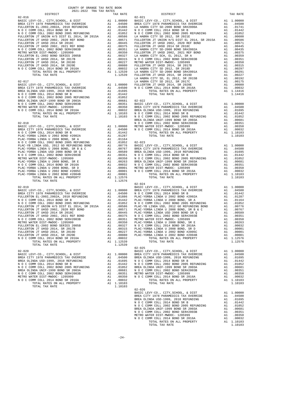| COUNTY OF ORANGE TAX RATE BOOK<br>$2021-2022 \quad \text{TRA TAX RATES}$ DISTRICT $2021-2022 \quad \text{TRA TAX RATES}$ |          |                                                                                                                                                                                                                                                                                      |          |
|--------------------------------------------------------------------------------------------------------------------------|----------|--------------------------------------------------------------------------------------------------------------------------------------------------------------------------------------------------------------------------------------------------------------------------------------|----------|
|                                                                                                                          | TAX RATE | DISTRICT                                                                                                                                                                                                                                                                             | TAX RATE |
|                                                                                                                          |          | $\begin{tabular}{ c  c  c } \hline \textbf{15} & 0.04 & 0.04 & 0.04 & 0.04 & 0.04 & 0.04 & 0.04 & 0.04 & 0.04 & 0.04 & 0.04 & 0.04 & 0.04 & 0.04 & 0.04 & 0.04 & 0.04 & 0.04 & 0.04 & 0.04 & 0.04 & 0.04 & 0.04 & 0.04 & 0.04 & 0.04 & 0.04 & 0.04 & 0.04 & 0.04 & 0.04 & 0.04 & 0.$ |          |
|                                                                                                                          |          |                                                                                                                                                                                                                                                                                      |          |
|                                                                                                                          |          |                                                                                                                                                                                                                                                                                      |          |
|                                                                                                                          |          |                                                                                                                                                                                                                                                                                      |          |
|                                                                                                                          |          |                                                                                                                                                                                                                                                                                      |          |
|                                                                                                                          |          |                                                                                                                                                                                                                                                                                      |          |
|                                                                                                                          |          |                                                                                                                                                                                                                                                                                      |          |
|                                                                                                                          |          |                                                                                                                                                                                                                                                                                      |          |
|                                                                                                                          |          |                                                                                                                                                                                                                                                                                      |          |
|                                                                                                                          |          |                                                                                                                                                                                                                                                                                      |          |
|                                                                                                                          |          |                                                                                                                                                                                                                                                                                      |          |
|                                                                                                                          |          |                                                                                                                                                                                                                                                                                      |          |
|                                                                                                                          |          |                                                                                                                                                                                                                                                                                      |          |
|                                                                                                                          |          |                                                                                                                                                                                                                                                                                      |          |
|                                                                                                                          |          |                                                                                                                                                                                                                                                                                      |          |
|                                                                                                                          |          |                                                                                                                                                                                                                                                                                      |          |
|                                                                                                                          |          |                                                                                                                                                                                                                                                                                      |          |
|                                                                                                                          |          |                                                                                                                                                                                                                                                                                      |          |
|                                                                                                                          |          |                                                                                                                                                                                                                                                                                      |          |
|                                                                                                                          |          |                                                                                                                                                                                                                                                                                      |          |
|                                                                                                                          |          |                                                                                                                                                                                                                                                                                      |          |
|                                                                                                                          |          |                                                                                                                                                                                                                                                                                      |          |
|                                                                                                                          |          |                                                                                                                                                                                                                                                                                      |          |
|                                                                                                                          |          |                                                                                                                                                                                                                                                                                      |          |
|                                                                                                                          |          |                                                                                                                                                                                                                                                                                      |          |
|                                                                                                                          |          |                                                                                                                                                                                                                                                                                      |          |
|                                                                                                                          |          |                                                                                                                                                                                                                                                                                      |          |
|                                                                                                                          |          |                                                                                                                                                                                                                                                                                      |          |
|                                                                                                                          |          |                                                                                                                                                                                                                                                                                      |          |
|                                                                                                                          |          |                                                                                                                                                                                                                                                                                      |          |
|                                                                                                                          |          |                                                                                                                                                                                                                                                                                      |          |
|                                                                                                                          |          |                                                                                                                                                                                                                                                                                      |          |
|                                                                                                                          |          |                                                                                                                                                                                                                                                                                      |          |
|                                                                                                                          |          |                                                                                                                                                                                                                                                                                      |          |
|                                                                                                                          |          |                                                                                                                                                                                                                                                                                      |          |
|                                                                                                                          |          |                                                                                                                                                                                                                                                                                      |          |
|                                                                                                                          |          |                                                                                                                                                                                                                                                                                      |          |
|                                                                                                                          |          |                                                                                                                                                                                                                                                                                      |          |
|                                                                                                                          |          |                                                                                                                                                                                                                                                                                      |          |
|                                                                                                                          |          |                                                                                                                                                                                                                                                                                      |          |
|                                                                                                                          |          |                                                                                                                                                                                                                                                                                      |          |
|                                                                                                                          |          |                                                                                                                                                                                                                                                                                      |          |
|                                                                                                                          |          |                                                                                                                                                                                                                                                                                      |          |
|                                                                                                                          |          |                                                                                                                                                                                                                                                                                      |          |
|                                                                                                                          |          |                                                                                                                                                                                                                                                                                      |          |
|                                                                                                                          |          |                                                                                                                                                                                                                                                                                      |          |
|                                                                                                                          |          |                                                                                                                                                                                                                                                                                      |          |
|                                                                                                                          |          |                                                                                                                                                                                                                                                                                      |          |
|                                                                                                                          |          |                                                                                                                                                                                                                                                                                      |          |
|                                                                                                                          |          |                                                                                                                                                                                                                                                                                      |          |
|                                                                                                                          |          |                                                                                                                                                                                                                                                                                      |          |
|                                                                                                                          |          |                                                                                                                                                                                                                                                                                      |          |
|                                                                                                                          |          |                                                                                                                                                                                                                                                                                      |          |
|                                                                                                                          |          |                                                                                                                                                                                                                                                                                      |          |
|                                                                                                                          |          |                                                                                                                                                                                                                                                                                      |          |
|                                                                                                                          |          |                                                                                                                                                                                                                                                                                      |          |
|                                                                                                                          |          | $02 - 026$                                                                                                                                                                                                                                                                           |          |
|                                                                                                                          |          |                                                                                                                                                                                                                                                                                      |          |
|                                                                                                                          |          |                                                                                                                                                                                                                                                                                      |          |
|                                                                                                                          |          |                                                                                                                                                                                                                                                                                      |          |
|                                                                                                                          |          |                                                                                                                                                                                                                                                                                      |          |
|                                                                                                                          |          |                                                                                                                                                                                                                                                                                      |          |
|                                                                                                                          |          |                                                                                                                                                                                                                                                                                      |          |
|                                                                                                                          |          |                                                                                                                                                                                                                                                                                      |          |
|                                                                                                                          |          |                                                                                                                                                                                                                                                                                      |          |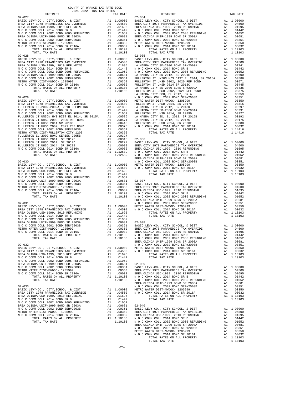| TOTAL TAX RATE                                                                  |          | 1.10103                                                                  |                       |
|---------------------------------------------------------------------------------|----------|--------------------------------------------------------------------------|-----------------------|
| $02 - 028$                                                                      |          |                                                                          | $02 - 035$            |
|                                                                                 |          |                                                                          |                       |
|                                                                                 |          |                                                                          |                       |
|                                                                                 |          |                                                                          |                       |
|                                                                                 |          |                                                                          |                       |
|                                                                                 |          |                                                                          |                       |
|                                                                                 |          |                                                                          |                       |
|                                                                                 |          |                                                                          |                       |
|                                                                                 |          |                                                                          | LA HABR               |
| $02 - 029$                                                                      |          |                                                                          | NOCC                  |
|                                                                                 |          |                                                                          |                       |
|                                                                                 |          |                                                                          |                       |
|                                                                                 |          |                                                                          |                       |
|                                                                                 |          |                                                                          |                       |
|                                                                                 |          |                                                                          |                       |
|                                                                                 |          |                                                                          |                       |
|                                                                                 |          |                                                                          |                       |
|                                                                                 |          |                                                                          |                       |
|                                                                                 |          |                                                                          |                       |
|                                                                                 |          |                                                                          |                       |
|                                                                                 |          |                                                                          |                       |
|                                                                                 |          |                                                                          | BREA OL               |
|                                                                                 |          |                                                                          |                       |
|                                                                                 |          |                                                                          |                       |
|                                                                                 |          |                                                                          |                       |
|                                                                                 |          |                                                                          |                       |
|                                                                                 |          |                                                                          |                       |
|                                                                                 |          |                                                                          |                       |
|                                                                                 |          |                                                                          |                       |
|                                                                                 |          |                                                                          |                       |
|                                                                                 |          |                                                                          | BREA OL               |
|                                                                                 |          |                                                                          |                       |
|                                                                                 |          |                                                                          |                       |
|                                                                                 |          |                                                                          |                       |
|                                                                                 |          |                                                                          |                       |
|                                                                                 |          |                                                                          |                       |
|                                                                                 |          |                                                                          |                       |
|                                                                                 |          |                                                                          |                       |
|                                                                                 |          |                                                                          |                       |
|                                                                                 |          |                                                                          | BREA OL               |
| $02 - 032$<br>BASIC LEVY-CO., CITY, SCHOOL, & DIST                              |          |                                                                          | NOCC                  |
| BREA CITY 1978 PARAMEDICS TAX OVERRIDE                                          |          | A1 1.00000 METROW<br>A1 .04500 NOCC                                      |                       |
| BREA OLINDA USD-1999, 2010 REFUNDING<br>N O C COMM COLL 2014 BOND SR B          | A1       | .01695<br>A1 .01442                                                      |                       |
| N O C COMM COLL 2002 BOND 2005 REFUNDING                                        | A1       | .01052                                                                   |                       |
| BREA OLINDA UNIF-1999 BOND SR 2003A<br>N O C COMM COLL 2002 BOND SER#2003B      | A1<br>A1 | .00681<br>.00351                                                         | $02 - 039$<br>BASIC L |
| METRO WATER DIST-MWDOC- 1205999                                                 |          |                                                                          |                       |
| N O C COMM COLL 2014 BOND SR 2016A<br>TOTAL RATES ON ALL PROPERTY               |          |                                                                          |                       |
| TOTAL TAX RATE                                                                  |          | A1 .00350 BREA CI<br>A1 .00350 BREA CI<br>A1 .10103 NOCC<br>1.10103 NOCC |                       |
| $02 - 033$                                                                      |          |                                                                          | BREA OL<br>NOCC       |
| BASIC LEVY-CO., CITY, SCHOOL, & DIST                                            |          |                                                                          |                       |
| BREA CITY 1978 PARAMEDICS TAX OVERRIDE<br>BREA OLINDA USD-1999, 2010 REFUNDING  |          | A1 1.00000 METRO W<br>A1 .04500 NOCC<br>A1 .01695                        |                       |
| N O C COMM COLL 2014 BOND SR B                                                  |          | A1 .01442                                                                |                       |
| N O C COMM COLL 2002 BOND 2005 REFUNDING<br>BREA OLINDA UNIF-1999 BOND SR 2003A |          | A1 .01052<br>A1 .00681 02-040                                            |                       |
| N O C COMM COLL 2002 BOND SER#2003B                                             |          | A1 .00351                                                                | BASIC L               |
| METRO WATER DIST-MWDOC- 1205999<br>N O C COMM COLL 2014 BOND SR 2016A           |          | A1 .00350 BREACI<br>A1 .00032 BREAOL<br>A1 1.10103 NOCC                  |                       |
| TOTAL RATES ON ALL PROPERTY                                                     |          |                                                                          |                       |

| COUNTY OF ORANGE TAX RATE BOOK<br>2021-2022 TRA TAX RATES<br>$\begin{minipage}{0.5\textwidth} \begin{tabular}{lcccccc} \textbf{1} & \textbf{1} & \textbf{1} & \textbf{1} & \textbf{1} & \textbf{1} & \textbf{1} & \textbf{1} & \textbf{1} & \textbf{1} & \textbf{1} & \textbf{1} & \textbf{1} & \textbf{1} & \textbf{1} & \textbf{1} & \textbf{1} & \textbf{1} & \textbf{1} & \textbf{1} & \textbf{1} & \textbf{1} & \textbf{1} & \textbf{1} & \textbf{1} & \textbf{1} & \textbf{1} & \textbf{1} &$ |          |                                                                                                                                                                                                                                     |          |
|-----------------------------------------------------------------------------------------------------------------------------------------------------------------------------------------------------------------------------------------------------------------------------------------------------------------------------------------------------------------------------------------------------------------------------------------------------------------------------------------------------|----------|-------------------------------------------------------------------------------------------------------------------------------------------------------------------------------------------------------------------------------------|----------|
|                                                                                                                                                                                                                                                                                                                                                                                                                                                                                                     | TAX RATE | DISTRICT                                                                                                                                                                                                                            | TAX RATE |
| $02 - 027$                                                                                                                                                                                                                                                                                                                                                                                                                                                                                          |          | $02 - 034$                                                                                                                                                                                                                          |          |
|                                                                                                                                                                                                                                                                                                                                                                                                                                                                                                     |          |                                                                                                                                                                                                                                     |          |
|                                                                                                                                                                                                                                                                                                                                                                                                                                                                                                     |          |                                                                                                                                                                                                                                     |          |
|                                                                                                                                                                                                                                                                                                                                                                                                                                                                                                     |          |                                                                                                                                                                                                                                     |          |
|                                                                                                                                                                                                                                                                                                                                                                                                                                                                                                     |          |                                                                                                                                                                                                                                     |          |
|                                                                                                                                                                                                                                                                                                                                                                                                                                                                                                     |          |                                                                                                                                                                                                                                     |          |
|                                                                                                                                                                                                                                                                                                                                                                                                                                                                                                     |          |                                                                                                                                                                                                                                     |          |
|                                                                                                                                                                                                                                                                                                                                                                                                                                                                                                     |          |                                                                                                                                                                                                                                     |          |
|                                                                                                                                                                                                                                                                                                                                                                                                                                                                                                     |          |                                                                                                                                                                                                                                     |          |
|                                                                                                                                                                                                                                                                                                                                                                                                                                                                                                     |          | <b>FOR ONE CONFIDENTIAL AND A CONFIDENTIAL CONFIDENTIAL AND A CONFIDENTIAL CONFIDENTIAL AND A CONFIDENTIAL CONFIDENTIAL AND A CONFIDENTIAL CONFIDENTIAL AND CONFIDENTIAL CONFIDENTIAL AND CONFIDENTIAL CONFIDENTIAL CONFIDENTIA</b> |          |
|                                                                                                                                                                                                                                                                                                                                                                                                                                                                                                     |          |                                                                                                                                                                                                                                     |          |
|                                                                                                                                                                                                                                                                                                                                                                                                                                                                                                     |          |                                                                                                                                                                                                                                     |          |
|                                                                                                                                                                                                                                                                                                                                                                                                                                                                                                     |          |                                                                                                                                                                                                                                     |          |
|                                                                                                                                                                                                                                                                                                                                                                                                                                                                                                     |          |                                                                                                                                                                                                                                     |          |
|                                                                                                                                                                                                                                                                                                                                                                                                                                                                                                     |          |                                                                                                                                                                                                                                     |          |
|                                                                                                                                                                                                                                                                                                                                                                                                                                                                                                     |          |                                                                                                                                                                                                                                     |          |
|                                                                                                                                                                                                                                                                                                                                                                                                                                                                                                     |          |                                                                                                                                                                                                                                     |          |
|                                                                                                                                                                                                                                                                                                                                                                                                                                                                                                     |          |                                                                                                                                                                                                                                     |          |
|                                                                                                                                                                                                                                                                                                                                                                                                                                                                                                     |          |                                                                                                                                                                                                                                     |          |
|                                                                                                                                                                                                                                                                                                                                                                                                                                                                                                     |          |                                                                                                                                                                                                                                     |          |
|                                                                                                                                                                                                                                                                                                                                                                                                                                                                                                     |          |                                                                                                                                                                                                                                     |          |
|                                                                                                                                                                                                                                                                                                                                                                                                                                                                                                     |          |                                                                                                                                                                                                                                     |          |
|                                                                                                                                                                                                                                                                                                                                                                                                                                                                                                     |          |                                                                                                                                                                                                                                     |          |
|                                                                                                                                                                                                                                                                                                                                                                                                                                                                                                     |          |                                                                                                                                                                                                                                     |          |
|                                                                                                                                                                                                                                                                                                                                                                                                                                                                                                     |          |                                                                                                                                                                                                                                     |          |
|                                                                                                                                                                                                                                                                                                                                                                                                                                                                                                     |          |                                                                                                                                                                                                                                     |          |
|                                                                                                                                                                                                                                                                                                                                                                                                                                                                                                     |          |                                                                                                                                                                                                                                     |          |
|                                                                                                                                                                                                                                                                                                                                                                                                                                                                                                     |          |                                                                                                                                                                                                                                     |          |
|                                                                                                                                                                                                                                                                                                                                                                                                                                                                                                     |          |                                                                                                                                                                                                                                     |          |
|                                                                                                                                                                                                                                                                                                                                                                                                                                                                                                     |          |                                                                                                                                                                                                                                     |          |
|                                                                                                                                                                                                                                                                                                                                                                                                                                                                                                     |          |                                                                                                                                                                                                                                     |          |
|                                                                                                                                                                                                                                                                                                                                                                                                                                                                                                     |          |                                                                                                                                                                                                                                     |          |
|                                                                                                                                                                                                                                                                                                                                                                                                                                                                                                     |          |                                                                                                                                                                                                                                     |          |
|                                                                                                                                                                                                                                                                                                                                                                                                                                                                                                     |          |                                                                                                                                                                                                                                     |          |
|                                                                                                                                                                                                                                                                                                                                                                                                                                                                                                     |          |                                                                                                                                                                                                                                     |          |
|                                                                                                                                                                                                                                                                                                                                                                                                                                                                                                     |          |                                                                                                                                                                                                                                     |          |
|                                                                                                                                                                                                                                                                                                                                                                                                                                                                                                     |          |                                                                                                                                                                                                                                     |          |
|                                                                                                                                                                                                                                                                                                                                                                                                                                                                                                     |          |                                                                                                                                                                                                                                     |          |
|                                                                                                                                                                                                                                                                                                                                                                                                                                                                                                     |          |                                                                                                                                                                                                                                     |          |
|                                                                                                                                                                                                                                                                                                                                                                                                                                                                                                     |          |                                                                                                                                                                                                                                     |          |
|                                                                                                                                                                                                                                                                                                                                                                                                                                                                                                     |          |                                                                                                                                                                                                                                     |          |
|                                                                                                                                                                                                                                                                                                                                                                                                                                                                                                     |          |                                                                                                                                                                                                                                     |          |
|                                                                                                                                                                                                                                                                                                                                                                                                                                                                                                     |          |                                                                                                                                                                                                                                     |          |
|                                                                                                                                                                                                                                                                                                                                                                                                                                                                                                     |          |                                                                                                                                                                                                                                     |          |
|                                                                                                                                                                                                                                                                                                                                                                                                                                                                                                     |          |                                                                                                                                                                                                                                     |          |
|                                                                                                                                                                                                                                                                                                                                                                                                                                                                                                     |          |                                                                                                                                                                                                                                     |          |
|                                                                                                                                                                                                                                                                                                                                                                                                                                                                                                     |          |                                                                                                                                                                                                                                     |          |
|                                                                                                                                                                                                                                                                                                                                                                                                                                                                                                     |          |                                                                                                                                                                                                                                     |          |
|                                                                                                                                                                                                                                                                                                                                                                                                                                                                                                     |          |                                                                                                                                                                                                                                     |          |
|                                                                                                                                                                                                                                                                                                                                                                                                                                                                                                     |          |                                                                                                                                                                                                                                     |          |
|                                                                                                                                                                                                                                                                                                                                                                                                                                                                                                     |          |                                                                                                                                                                                                                                     |          |
|                                                                                                                                                                                                                                                                                                                                                                                                                                                                                                     |          |                                                                                                                                                                                                                                     |          |
|                                                                                                                                                                                                                                                                                                                                                                                                                                                                                                     |          |                                                                                                                                                                                                                                     |          |
|                                                                                                                                                                                                                                                                                                                                                                                                                                                                                                     |          |                                                                                                                                                                                                                                     |          |
|                                                                                                                                                                                                                                                                                                                                                                                                                                                                                                     |          |                                                                                                                                                                                                                                     |          |
|                                                                                                                                                                                                                                                                                                                                                                                                                                                                                                     |          |                                                                                                                                                                                                                                     |          |
|                                                                                                                                                                                                                                                                                                                                                                                                                                                                                                     |          |                                                                                                                                                                                                                                     |          |
|                                                                                                                                                                                                                                                                                                                                                                                                                                                                                                     |          |                                                                                                                                                                                                                                     |          |
|                                                                                                                                                                                                                                                                                                                                                                                                                                                                                                     |          |                                                                                                                                                                                                                                     |          |
|                                                                                                                                                                                                                                                                                                                                                                                                                                                                                                     |          |                                                                                                                                                                                                                                     |          |
|                                                                                                                                                                                                                                                                                                                                                                                                                                                                                                     |          |                                                                                                                                                                                                                                     |          |
|                                                                                                                                                                                                                                                                                                                                                                                                                                                                                                     |          |                                                                                                                                                                                                                                     |          |
|                                                                                                                                                                                                                                                                                                                                                                                                                                                                                                     |          |                                                                                                                                                                                                                                     |          |
|                                                                                                                                                                                                                                                                                                                                                                                                                                                                                                     |          |                                                                                                                                                                                                                                     |          |
|                                                                                                                                                                                                                                                                                                                                                                                                                                                                                                     |          |                                                                                                                                                                                                                                     |          |
|                                                                                                                                                                                                                                                                                                                                                                                                                                                                                                     |          |                                                                                                                                                                                                                                     |          |
|                                                                                                                                                                                                                                                                                                                                                                                                                                                                                                     |          |                                                                                                                                                                                                                                     |          |
|                                                                                                                                                                                                                                                                                                                                                                                                                                                                                                     |          |                                                                                                                                                                                                                                     |          |
|                                                                                                                                                                                                                                                                                                                                                                                                                                                                                                     |          |                                                                                                                                                                                                                                     |          |
|                                                                                                                                                                                                                                                                                                                                                                                                                                                                                                     |          |                                                                                                                                                                                                                                     |          |
|                                                                                                                                                                                                                                                                                                                                                                                                                                                                                                     |          |                                                                                                                                                                                                                                     |          |
|                                                                                                                                                                                                                                                                                                                                                                                                                                                                                                     |          |                                                                                                                                                                                                                                     |          |
|                                                                                                                                                                                                                                                                                                                                                                                                                                                                                                     |          |                                                                                                                                                                                                                                     |          |
|                                                                                                                                                                                                                                                                                                                                                                                                                                                                                                     |          |                                                                                                                                                                                                                                     |          |
|                                                                                                                                                                                                                                                                                                                                                                                                                                                                                                     |          |                                                                                                                                                                                                                                     |          |
|                                                                                                                                                                                                                                                                                                                                                                                                                                                                                                     |          |                                                                                                                                                                                                                                     |          |
|                                                                                                                                                                                                                                                                                                                                                                                                                                                                                                     |          |                                                                                                                                                                                                                                     |          |
|                                                                                                                                                                                                                                                                                                                                                                                                                                                                                                     |          |                                                                                                                                                                                                                                     |          |
|                                                                                                                                                                                                                                                                                                                                                                                                                                                                                                     |          |                                                                                                                                                                                                                                     |          |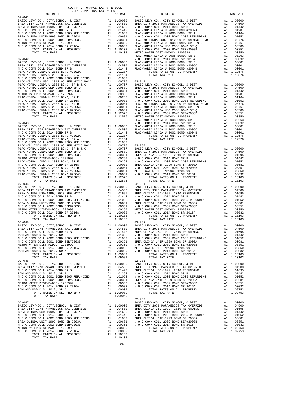| ZUZI-ZUZZ IRA IAA RAILS<br>DISTRICT | TAX RATE | DISTRICT                                                                                                                                                                                                                                                                                                                                                                                                                       | TAX RATE |
|-------------------------------------|----------|--------------------------------------------------------------------------------------------------------------------------------------------------------------------------------------------------------------------------------------------------------------------------------------------------------------------------------------------------------------------------------------------------------------------------------|----------|
|                                     |          |                                                                                                                                                                                                                                                                                                                                                                                                                                |          |
|                                     |          |                                                                                                                                                                                                                                                                                                                                                                                                                                |          |
|                                     |          |                                                                                                                                                                                                                                                                                                                                                                                                                                |          |
|                                     |          |                                                                                                                                                                                                                                                                                                                                                                                                                                |          |
|                                     |          |                                                                                                                                                                                                                                                                                                                                                                                                                                |          |
|                                     |          |                                                                                                                                                                                                                                                                                                                                                                                                                                |          |
|                                     |          |                                                                                                                                                                                                                                                                                                                                                                                                                                |          |
|                                     |          |                                                                                                                                                                                                                                                                                                                                                                                                                                |          |
|                                     |          |                                                                                                                                                                                                                                                                                                                                                                                                                                |          |
|                                     |          |                                                                                                                                                                                                                                                                                                                                                                                                                                |          |
|                                     |          |                                                                                                                                                                                                                                                                                                                                                                                                                                |          |
|                                     |          |                                                                                                                                                                                                                                                                                                                                                                                                                                |          |
|                                     |          |                                                                                                                                                                                                                                                                                                                                                                                                                                |          |
|                                     |          |                                                                                                                                                                                                                                                                                                                                                                                                                                |          |
|                                     |          |                                                                                                                                                                                                                                                                                                                                                                                                                                |          |
|                                     |          |                                                                                                                                                                                                                                                                                                                                                                                                                                |          |
|                                     |          |                                                                                                                                                                                                                                                                                                                                                                                                                                |          |
|                                     |          |                                                                                                                                                                                                                                                                                                                                                                                                                                |          |
|                                     |          |                                                                                                                                                                                                                                                                                                                                                                                                                                |          |
|                                     |          |                                                                                                                                                                                                                                                                                                                                                                                                                                |          |
|                                     |          |                                                                                                                                                                                                                                                                                                                                                                                                                                |          |
|                                     |          |                                                                                                                                                                                                                                                                                                                                                                                                                                |          |
|                                     |          |                                                                                                                                                                                                                                                                                                                                                                                                                                |          |
|                                     |          |                                                                                                                                                                                                                                                                                                                                                                                                                                |          |
|                                     |          |                                                                                                                                                                                                                                                                                                                                                                                                                                |          |
|                                     |          |                                                                                                                                                                                                                                                                                                                                                                                                                                |          |
|                                     |          |                                                                                                                                                                                                                                                                                                                                                                                                                                |          |
|                                     |          |                                                                                                                                                                                                                                                                                                                                                                                                                                |          |
|                                     |          |                                                                                                                                                                                                                                                                                                                                                                                                                                |          |
|                                     |          |                                                                                                                                                                                                                                                                                                                                                                                                                                |          |
|                                     |          |                                                                                                                                                                                                                                                                                                                                                                                                                                |          |
|                                     |          |                                                                                                                                                                                                                                                                                                                                                                                                                                |          |
|                                     |          |                                                                                                                                                                                                                                                                                                                                                                                                                                |          |
|                                     |          |                                                                                                                                                                                                                                                                                                                                                                                                                                |          |
|                                     |          |                                                                                                                                                                                                                                                                                                                                                                                                                                |          |
|                                     |          |                                                                                                                                                                                                                                                                                                                                                                                                                                |          |
|                                     |          |                                                                                                                                                                                                                                                                                                                                                                                                                                |          |
|                                     |          |                                                                                                                                                                                                                                                                                                                                                                                                                                |          |
|                                     |          |                                                                                                                                                                                                                                                                                                                                                                                                                                |          |
|                                     |          |                                                                                                                                                                                                                                                                                                                                                                                                                                |          |
|                                     |          |                                                                                                                                                                                                                                                                                                                                                                                                                                |          |
|                                     |          |                                                                                                                                                                                                                                                                                                                                                                                                                                |          |
|                                     |          |                                                                                                                                                                                                                                                                                                                                                                                                                                |          |
|                                     |          |                                                                                                                                                                                                                                                                                                                                                                                                                                |          |
|                                     |          |                                                                                                                                                                                                                                                                                                                                                                                                                                |          |
|                                     |          |                                                                                                                                                                                                                                                                                                                                                                                                                                |          |
|                                     |          |                                                                                                                                                                                                                                                                                                                                                                                                                                |          |
|                                     |          |                                                                                                                                                                                                                                                                                                                                                                                                                                |          |
|                                     |          |                                                                                                                                                                                                                                                                                                                                                                                                                                |          |
| $02 - 045$                          |          | $02 - 052$                                                                                                                                                                                                                                                                                                                                                                                                                     |          |
|                                     |          | $\begin{array}{ccccccccc} 02-045 & & & & & & & 02-052 \\ \texttt{BASC LEVY-CO.} & , & \texttt{CITY, SCHOOL} & , & \texttt{EUTY, SCHOOL} & , & \texttt{CITY, SCHOOL} & , & \texttt{DIST} & & \texttt{A1} & 1.00000 \\ \texttt{BRRIC LEVY-CO.} & , & \texttt{CITY, SCHOOL} & , & \texttt{DIST} & & \texttt{A1} & 1.00000 & & \texttt{BRRA MEDICS TAX OVERLDE} & & \texttt{A1} & .04500 \\ \texttt{BREA CITY 197$                 |          |
|                                     |          |                                                                                                                                                                                                                                                                                                                                                                                                                                |          |
|                                     |          |                                                                                                                                                                                                                                                                                                                                                                                                                                |          |
|                                     |          | $\begin{tabular}{l c c c c c c c c} \multicolumn{4}{c}{\textbf{R.0.135\textwidth} & \multicolumn{4}{c}{\textbf{R.0.135\textwidth}} & \multicolumn{4}{c}{\textbf{R.0.135\textwidth}} & \multicolumn{4}{c}{\textbf{R.0.135\textwidth}} & \multicolumn{4}{c}{\textbf{R.0.135\textwidth}} & \multicolumn{4}{c}{\textbf{R.0.135\textwidth}} & \multicolumn{4}{c}{\textbf{R.0.135\textwidth}} & \multicolumn{4}{c}{\textbf{R.0.135\$ |          |
|                                     |          |                                                                                                                                                                                                                                                                                                                                                                                                                                |          |
|                                     |          |                                                                                                                                                                                                                                                                                                                                                                                                                                |          |
|                                     |          |                                                                                                                                                                                                                                                                                                                                                                                                                                |          |
|                                     |          |                                                                                                                                                                                                                                                                                                                                                                                                                                |          |
|                                     |          |                                                                                                                                                                                                                                                                                                                                                                                                                                |          |
|                                     |          |                                                                                                                                                                                                                                                                                                                                                                                                                                |          |
|                                     |          |                                                                                                                                                                                                                                                                                                                                                                                                                                |          |
|                                     |          |                                                                                                                                                                                                                                                                                                                                                                                                                                |          |
|                                     |          |                                                                                                                                                                                                                                                                                                                                                                                                                                |          |
|                                     |          |                                                                                                                                                                                                                                                                                                                                                                                                                                |          |
|                                     |          |                                                                                                                                                                                                                                                                                                                                                                                                                                |          |
|                                     |          |                                                                                                                                                                                                                                                                                                                                                                                                                                |          |
|                                     |          |                                                                                                                                                                                                                                                                                                                                                                                                                                |          |
|                                     |          | $02 - 902$                                                                                                                                                                                                                                                                                                                                                                                                                     |          |
|                                     |          |                                                                                                                                                                                                                                                                                                                                                                                                                                |          |
|                                     |          |                                                                                                                                                                                                                                                                                                                                                                                                                                |          |
|                                     |          |                                                                                                                                                                                                                                                                                                                                                                                                                                |          |
|                                     |          |                                                                                                                                                                                                                                                                                                                                                                                                                                |          |
|                                     |          |                                                                                                                                                                                                                                                                                                                                                                                                                                |          |
|                                     |          |                                                                                                                                                                                                                                                                                                                                                                                                                                |          |
|                                     |          |                                                                                                                                                                                                                                                                                                                                                                                                                                |          |
|                                     |          |                                                                                                                                                                                                                                                                                                                                                                                                                                |          |
|                                     |          |                                                                                                                                                                                                                                                                                                                                                                                                                                |          |

-26-

#### COUNTY OF ORANGE TAX RATE BOOK 2021-2022 TRA TAX RATES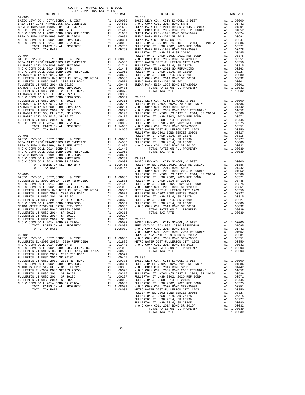| COUNTY OF ORANGE TAX RATE BOOK<br>2021-2022 TRA TAX RATES |  |                                                                                                                                                                                                                                                                                 |          |
|-----------------------------------------------------------|--|---------------------------------------------------------------------------------------------------------------------------------------------------------------------------------------------------------------------------------------------------------------------------------|----------|
| DISTRICT                                                  |  | IAX RAILS<br>TAX RATE<br>03-002<br>DISTRICT                                                                                                                                                                                                                                     | TAX RATE |
|                                                           |  |                                                                                                                                                                                                                                                                                 |          |
|                                                           |  |                                                                                                                                                                                                                                                                                 |          |
|                                                           |  |                                                                                                                                                                                                                                                                                 |          |
|                                                           |  |                                                                                                                                                                                                                                                                                 |          |
|                                                           |  |                                                                                                                                                                                                                                                                                 |          |
|                                                           |  |                                                                                                                                                                                                                                                                                 |          |
|                                                           |  |                                                                                                                                                                                                                                                                                 |          |
|                                                           |  |                                                                                                                                                                                                                                                                                 |          |
|                                                           |  |                                                                                                                                                                                                                                                                                 |          |
|                                                           |  |                                                                                                                                                                                                                                                                                 |          |
|                                                           |  |                                                                                                                                                                                                                                                                                 |          |
|                                                           |  |                                                                                                                                                                                                                                                                                 |          |
|                                                           |  |                                                                                                                                                                                                                                                                                 |          |
|                                                           |  |                                                                                                                                                                                                                                                                                 |          |
|                                                           |  |                                                                                                                                                                                                                                                                                 |          |
|                                                           |  |                                                                                                                                                                                                                                                                                 |          |
|                                                           |  |                                                                                                                                                                                                                                                                                 |          |
|                                                           |  |                                                                                                                                                                                                                                                                                 |          |
|                                                           |  |                                                                                                                                                                                                                                                                                 |          |
|                                                           |  |                                                                                                                                                                                                                                                                                 |          |
|                                                           |  |                                                                                                                                                                                                                                                                                 |          |
|                                                           |  |                                                                                                                                                                                                                                                                                 |          |
|                                                           |  |                                                                                                                                                                                                                                                                                 |          |
|                                                           |  |                                                                                                                                                                                                                                                                                 |          |
|                                                           |  |                                                                                                                                                                                                                                                                                 |          |
|                                                           |  |                                                                                                                                                                                                                                                                                 |          |
|                                                           |  |                                                                                                                                                                                                                                                                                 |          |
|                                                           |  |                                                                                                                                                                                                                                                                                 |          |
|                                                           |  |                                                                                                                                                                                                                                                                                 |          |
|                                                           |  |                                                                                                                                                                                                                                                                                 |          |
|                                                           |  |                                                                                                                                                                                                                                                                                 |          |
|                                                           |  |                                                                                                                                                                                                                                                                                 |          |
|                                                           |  |                                                                                                                                                                                                                                                                                 |          |
|                                                           |  |                                                                                                                                                                                                                                                                                 |          |
|                                                           |  |                                                                                                                                                                                                                                                                                 |          |
|                                                           |  |                                                                                                                                                                                                                                                                                 |          |
|                                                           |  |                                                                                                                                                                                                                                                                                 |          |
|                                                           |  |                                                                                                                                                                                                                                                                                 |          |
|                                                           |  |                                                                                                                                                                                                                                                                                 |          |
|                                                           |  |                                                                                                                                                                                                                                                                                 |          |
|                                                           |  |                                                                                                                                                                                                                                                                                 |          |
|                                                           |  |                                                                                                                                                                                                                                                                                 |          |
|                                                           |  |                                                                                                                                                                                                                                                                                 |          |
|                                                           |  |                                                                                                                                                                                                                                                                                 |          |
|                                                           |  |                                                                                                                                                                                                                                                                                 |          |
|                                                           |  |                                                                                                                                                                                                                                                                                 |          |
|                                                           |  |                                                                                                                                                                                                                                                                                 |          |
|                                                           |  | NOCCOMM COLL 2002 BOND 2005 REFUNDING A1 .01052                                                                                                                                                                                                                                 |          |
|                                                           |  |                                                                                                                                                                                                                                                                                 |          |
|                                                           |  | ${\begin{array}{cccccccccccc} 03-001 & 0000 & 00000 & 00000 & 00000 & 00000 & 00000 & 00000 & 00000 & 00000 & 00000 & 00000 & 00000 & 00000 & 00000 & 00000 & 00000 & 00000 & 00000 & 00000 & 00000 & 00000 & 00000 & 00000 & 00000 & 00000 & 00000 & 00000 & 00000 & 00000 & $ |          |
|                                                           |  |                                                                                                                                                                                                                                                                                 |          |
|                                                           |  |                                                                                                                                                                                                                                                                                 |          |
|                                                           |  |                                                                                                                                                                                                                                                                                 |          |
|                                                           |  |                                                                                                                                                                                                                                                                                 |          |
|                                                           |  |                                                                                                                                                                                                                                                                                 |          |
|                                                           |  |                                                                                                                                                                                                                                                                                 |          |
|                                                           |  |                                                                                                                                                                                                                                                                                 |          |
|                                                           |  |                                                                                                                                                                                                                                                                                 |          |
|                                                           |  | NO C COMM COLL 2012 BOND 2015 ERFUNDING PULLERTON IT UNIVERSED AT UNIVERSION TO THE TREE RELATION OF UNIVERSED AND COLL 2012 BOND 2015 ENGL 2012 AT UNIVERSED AT UNIVERSE AND COLL 2012 AT UNIVERSED AND COLL 2014 SEVEL AND                                                    |          |
|                                                           |  |                                                                                                                                                                                                                                                                                 |          |
|                                                           |  |                                                                                                                                                                                                                                                                                 |          |
|                                                           |  |                                                                                                                                                                                                                                                                                 |          |
|                                                           |  |                                                                                                                                                                                                                                                                                 |          |
|                                                           |  |                                                                                                                                                                                                                                                                                 |          |
|                                                           |  |                                                                                                                                                                                                                                                                                 |          |
|                                                           |  |                                                                                                                                                                                                                                                                                 |          |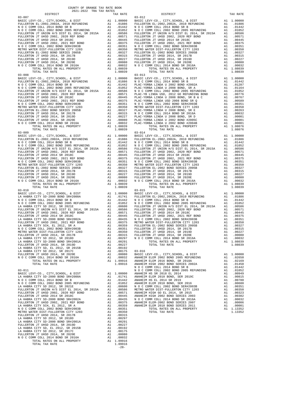FULLERTON JT UNION H/S DIST EL 2014, SR 2015A ...<br>FULLERTON JT UHSD 2002, 2020 REF BOND ... A1<br>FULLERTON JT UHSD 2014 SR 2018C TOTAL TAX RATE 1.03-008 FULLERTON JT UHSD 2014, SR 2017B A1 .00315 FULLERTON JT UHSD 2014, SR 2017B A1 .00315 TOTAL TAX RATE 1.03-010 FULLERTON JT UHSD 2014, SR 2019D A1 .00227 TOTAL TAX RATE 1.08039 LA HABRA CITY SD-2000 BOND SR#2002A A1 .00435 N O C COMM COLL 2014 BOND SR 2016A A1 .00032 METRO WATER DIST-FULLERTON CITY 1203 A1 .00350 TOTAL TAX RATE FULLERTON TITSD 2014, SR 2017B A1 .00350 TOTAL TAX RATE 1.13352 1.13352<br>FULLERTON JT UHSD 2014, SR 2017B A1 .00291 A1 .00297 A1 .00291 A1 .00291 A1 .00291 FULLERTON JT UHSD 2014, SR 2019D<br>
LA HABRA CITY SD, EL 2012, SR 2015B<br>
LA HABRA CITY SD 2012, SR 2017C<br>
FULLERTON JT UHSD 2014, SR 2020E<br>
N O C COMM COLL 2014 BOND SR 2016A<br>
N O C COMM COLL 2014 BOND SR 2016A<br>
A1 .00032

 TOTAL RATES ON ALL PROPERTY A1 1.09916 TOTAL TAX RATE 1.09916 -28-

| 2021-2022 TRA TAX RATES<br>DISTRICT | TAX RATE | DISTRICT                                                                                                                                                                                                                                                       | TAX RATE |
|-------------------------------------|----------|----------------------------------------------------------------------------------------------------------------------------------------------------------------------------------------------------------------------------------------------------------------|----------|
| $03 - 007$                          |          | $03 - 012$                                                                                                                                                                                                                                                     |          |
|                                     |          |                                                                                                                                                                                                                                                                |          |
|                                     |          |                                                                                                                                                                                                                                                                |          |
|                                     |          |                                                                                                                                                                                                                                                                |          |
|                                     |          |                                                                                                                                                                                                                                                                |          |
|                                     |          |                                                                                                                                                                                                                                                                |          |
|                                     |          |                                                                                                                                                                                                                                                                |          |
|                                     |          |                                                                                                                                                                                                                                                                |          |
|                                     |          |                                                                                                                                                                                                                                                                |          |
|                                     |          |                                                                                                                                                                                                                                                                |          |
|                                     |          |                                                                                                                                                                                                                                                                |          |
|                                     |          |                                                                                                                                                                                                                                                                |          |
|                                     |          |                                                                                                                                                                                                                                                                |          |
|                                     |          |                                                                                                                                                                                                                                                                |          |
|                                     |          |                                                                                                                                                                                                                                                                |          |
| $03 - 008$                          |          |                                                                                                                                                                                                                                                                |          |
|                                     |          |                                                                                                                                                                                                                                                                |          |
|                                     |          |                                                                                                                                                                                                                                                                |          |
|                                     |          |                                                                                                                                                                                                                                                                |          |
|                                     |          |                                                                                                                                                                                                                                                                |          |
|                                     |          |                                                                                                                                                                                                                                                                |          |
|                                     |          |                                                                                                                                                                                                                                                                |          |
|                                     |          |                                                                                                                                                                                                                                                                |          |
|                                     |          |                                                                                                                                                                                                                                                                |          |
|                                     |          |                                                                                                                                                                                                                                                                |          |
|                                     |          |                                                                                                                                                                                                                                                                |          |
|                                     |          |                                                                                                                                                                                                                                                                |          |
|                                     |          |                                                                                                                                                                                                                                                                |          |
|                                     |          |                                                                                                                                                                                                                                                                |          |
|                                     |          |                                                                                                                                                                                                                                                                |          |
|                                     |          | $\begin{array}{cccccc} 0.1-0.08 & 0.01-0.04 & 0.01-0.04 & 0.01-0.04 & 0.01-0.04 & 0.01-0.04 & 0.01-0.04 & 0.01-0.04 & 0.01-0.04 & 0.01-0.04 & 0.01-0.04 & 0.01-0.04 & 0.01-0.04 & 0.01-0.04 & 0.01-0.04 & 0.01-0.04 & 0.01-0.04 & 0.01-0.04 & 0.01-0.04 & 0.0$ |          |
|                                     |          |                                                                                                                                                                                                                                                                |          |
|                                     |          |                                                                                                                                                                                                                                                                |          |
|                                     |          |                                                                                                                                                                                                                                                                |          |
|                                     |          |                                                                                                                                                                                                                                                                |          |
|                                     |          |                                                                                                                                                                                                                                                                |          |
|                                     |          |                                                                                                                                                                                                                                                                |          |
|                                     |          |                                                                                                                                                                                                                                                                |          |
|                                     |          |                                                                                                                                                                                                                                                                |          |
|                                     |          |                                                                                                                                                                                                                                                                |          |
|                                     |          |                                                                                                                                                                                                                                                                |          |
|                                     |          |                                                                                                                                                                                                                                                                |          |
|                                     |          |                                                                                                                                                                                                                                                                |          |
|                                     |          |                                                                                                                                                                                                                                                                |          |
|                                     |          |                                                                                                                                                                                                                                                                |          |
|                                     |          |                                                                                                                                                                                                                                                                |          |
| $03 - 010$                          |          | $03 - 015$                                                                                                                                                                                                                                                     |          |
|                                     |          |                                                                                                                                                                                                                                                                |          |
|                                     |          |                                                                                                                                                                                                                                                                |          |
|                                     |          |                                                                                                                                                                                                                                                                |          |
|                                     |          |                                                                                                                                                                                                                                                                |          |
|                                     |          |                                                                                                                                                                                                                                                                |          |
|                                     |          |                                                                                                                                                                                                                                                                |          |
|                                     |          |                                                                                                                                                                                                                                                                |          |
|                                     |          |                                                                                                                                                                                                                                                                |          |
|                                     |          |                                                                                                                                                                                                                                                                |          |
|                                     |          |                                                                                                                                                                                                                                                                |          |
|                                     |          |                                                                                                                                                                                                                                                                |          |
|                                     |          |                                                                                                                                                                                                                                                                |          |
|                                     |          |                                                                                                                                                                                                                                                                |          |
|                                     |          |                                                                                                                                                                                                                                                                |          |
|                                     |          |                                                                                                                                                                                                                                                                |          |
|                                     |          |                                                                                                                                                                                                                                                                |          |
|                                     |          |                                                                                                                                                                                                                                                                |          |
|                                     |          | NETRO WATER THE SEPARA CIT 2003 DESIGN TREPAINER IN A 100351 PULLERYNG TURE WISE 2001 ARE 2019 AN 100313 PULLERYNG TO THE SEPARA CITY SEPARA CITY SEPARA CITY SEPARA CITY SEPARA CITY SEPARA CITY SEPARA CITY SEPARA CITY SEP                                  |          |
|                                     |          |                                                                                                                                                                                                                                                                |          |
|                                     |          |                                                                                                                                                                                                                                                                |          |
|                                     |          |                                                                                                                                                                                                                                                                |          |
|                                     |          |                                                                                                                                                                                                                                                                |          |
|                                     |          |                                                                                                                                                                                                                                                                |          |
|                                     |          |                                                                                                                                                                                                                                                                |          |
|                                     |          |                                                                                                                                                                                                                                                                |          |
|                                     |          |                                                                                                                                                                                                                                                                |          |
|                                     |          |                                                                                                                                                                                                                                                                |          |
|                                     |          |                                                                                                                                                                                                                                                                |          |
|                                     |          |                                                                                                                                                                                                                                                                |          |
|                                     |          |                                                                                                                                                                                                                                                                |          |
|                                     |          |                                                                                                                                                                                                                                                                |          |
|                                     |          |                                                                                                                                                                                                                                                                |          |
|                                     |          |                                                                                                                                                                                                                                                                |          |
|                                     |          |                                                                                                                                                                                                                                                                |          |
|                                     |          |                                                                                                                                                                                                                                                                |          |

COUNTY OF ORANGE TAX RATE BOOK 2021-2022 TRA TAX RATES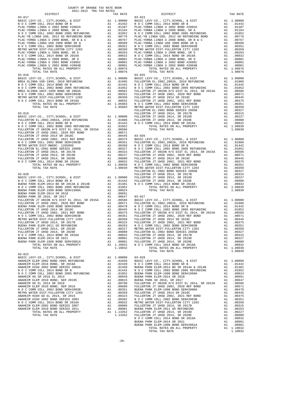| 2021-2022 TRA TAX RATES<br>DISTRICT<br>$03 - 017$                                                                                                                                                                                                                                                              | TAX RATE | DISTRICT<br>$03 - 023$                                                                                                                                                                                                                                                                                                             | TAX RATE |
|----------------------------------------------------------------------------------------------------------------------------------------------------------------------------------------------------------------------------------------------------------------------------------------------------------------|----------|------------------------------------------------------------------------------------------------------------------------------------------------------------------------------------------------------------------------------------------------------------------------------------------------------------------------------------|----------|
|                                                                                                                                                                                                                                                                                                                |          |                                                                                                                                                                                                                                                                                                                                    |          |
| $03 - 018$                                                                                                                                                                                                                                                                                                     |          | $03 - 025$                                                                                                                                                                                                                                                                                                                         |          |
| $\begin{tabular}{ c  c  c } \hline & $10011 & $0011 & $1111 & $10010 & $1111 & $10010 & $1111 & $10010 & $1111 & $10010 & $1111 & $10010 & $1111 & $10010 & $1111 & $10010 & $1111 & $10010 & $1111 & $10010 & $1111 & $10010 & $1111 & $10010 & $1111 & $1111 & $1111 & $1111 & $1111 & $1111 & $1111 & $111$ |          |                                                                                                                                                                                                                                                                                                                                    |          |
|                                                                                                                                                                                                                                                                                                                |          | $\begin{tabular}{l c c c c c} \multicolumn{1}{c}{\textbf{N O C COMN COLL 2014, S}\kimeq 2014, S\kimeq 2014, S\kimeq 2014, S\kimeq 2014, S\kimeq 2014, S\kimeq 2014, S\kimeq 2014, S\kimeq 2014, S\kimeq 2014, S\kimeq 2014, S\kimeq 2014, S\kimeq 2014, S\kimeq 2014, S\kimeq 2014, S\kimeq 2014, S\kimeq 2014,$<br>TOTAL TAX RATE | 1.08039  |
|                                                                                                                                                                                                                                                                                                                |          |                                                                                                                                                                                                                                                                                                                                    |          |

COUNTY OF ORANGE TAX RATE BOOK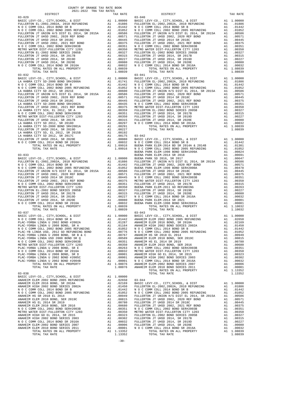| 2021-2022 TRA TAX RATES | COUNTY OF ORANGE TAX RATE BOOK |          |          |
|-------------------------|--------------------------------|----------|----------|
| DISTRICT                | TAX RATE                       | DISTRICT | TAX RATE |
|                         |                                |          |          |
|                         |                                |          |          |
|                         |                                |          |          |
|                         |                                |          |          |
|                         |                                |          |          |
|                         |                                |          |          |
|                         |                                |          |          |
|                         |                                |          |          |
|                         |                                |          |          |
|                         |                                |          |          |
|                         |                                |          |          |
|                         |                                |          |          |
|                         |                                |          |          |
|                         |                                |          |          |
|                         |                                |          |          |
|                         |                                |          |          |
|                         |                                |          |          |
|                         |                                |          |          |
|                         |                                |          |          |
|                         |                                |          |          |
|                         |                                |          |          |
|                         |                                |          |          |
|                         |                                |          |          |
|                         |                                |          |          |
|                         |                                |          |          |
|                         |                                |          |          |
|                         |                                |          |          |
|                         |                                |          |          |
|                         |                                |          |          |
|                         |                                |          |          |
|                         |                                |          |          |
|                         |                                |          |          |
|                         |                                |          |          |
|                         |                                |          |          |
|                         |                                |          |          |
|                         |                                |          |          |
|                         |                                |          |          |
|                         |                                |          |          |
|                         |                                |          |          |
|                         |                                |          |          |
|                         |                                |          |          |
|                         |                                |          |          |
|                         |                                |          |          |
|                         |                                |          |          |
|                         |                                |          |          |
|                         |                                |          |          |

| nteigter<br>$03 - 029$ | TWV WHIP | <b>DISIRICI</b><br>$03 - 040$ | TWV WHIP |
|------------------------|----------|-------------------------------|----------|
|                        |          |                               |          |
|                        |          |                               |          |
|                        |          |                               |          |
|                        |          |                               |          |
|                        |          |                               |          |
|                        |          |                               |          |
|                        |          |                               |          |
|                        |          |                               |          |
|                        |          |                               |          |
|                        |          |                               |          |
|                        |          |                               |          |
|                        |          |                               |          |
|                        |          |                               |          |
|                        |          |                               |          |
|                        |          |                               |          |
|                        |          |                               |          |
|                        |          |                               |          |
|                        |          |                               |          |
|                        |          |                               |          |
|                        |          |                               |          |
|                        |          |                               |          |
|                        |          |                               |          |
|                        |          |                               |          |
|                        |          |                               |          |
|                        |          |                               |          |
|                        |          |                               |          |
|                        |          |                               |          |
|                        |          |                               |          |
|                        |          |                               |          |
|                        |          |                               |          |
|                        |          |                               |          |
|                        |          |                               |          |
|                        |          |                               |          |
|                        |          |                               |          |
|                        |          |                               |          |
|                        |          |                               |          |
|                        |          |                               |          |
|                        |          |                               |          |
|                        |          |                               |          |
|                        |          |                               |          |
|                        |          |                               |          |
|                        |          |                               |          |
|                        |          |                               |          |
|                        |          |                               |          |
|                        |          |                               |          |
|                        |          |                               |          |
|                        |          |                               |          |
|                        |          |                               |          |
|                        |          |                               |          |
|                        |          |                               |          |
|                        |          |                               |          |
|                        |          |                               |          |
|                        |          |                               |          |
|                        |          |                               |          |
|                        |          |                               |          |
|                        |          |                               |          |
|                        |          |                               |          |
| $03 - 037$             |          | $03 - 043$                    |          |
|                        |          |                               |          |
|                        |          |                               |          |
|                        |          |                               |          |
|                        |          |                               |          |
|                        |          |                               |          |
|                        |          |                               |          |
|                        |          |                               |          |
|                        |          |                               |          |
|                        |          |                               |          |
|                        |          |                               |          |
|                        |          |                               |          |
|                        |          |                               |          |
|                        |          |                               |          |
|                        |          |                               |          |
|                        |          |                               |          |
|                        |          |                               |          |
|                        |          |                               |          |
|                        |          |                               |          |
|                        |          |                               |          |
|                        |          |                               |          |
|                        |          |                               |          |
|                        |          |                               |          |
|                        |          |                               |          |
|                        |          |                               |          |
|                        |          |                               |          |
|                        |          |                               |          |
|                        |          |                               |          |
|                        |          |                               |          |
|                        |          |                               |          |
|                        |          |                               |          |
|                        |          |                               |          |
|                        |          |                               |          |
|                        |          |                               |          |
|                        |          |                               |          |
|                        |          |                               |          |
|                        |          |                               |          |
|                        |          |                               |          |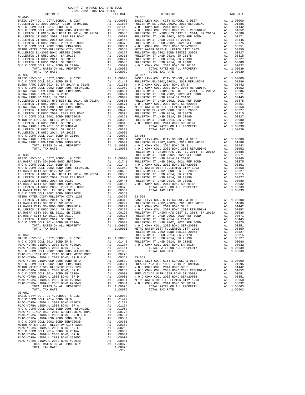| COUNTY OF ORANGE TAX RATE BOOK<br>2021-2022 TRA TAX RATES |          |                                                                                                                                                                                                                                                                                                                    |          |
|-----------------------------------------------------------|----------|--------------------------------------------------------------------------------------------------------------------------------------------------------------------------------------------------------------------------------------------------------------------------------------------------------------------|----------|
| DISTRICT                                                  | TAX RATE | DISTRICT                                                                                                                                                                                                                                                                                                           | TAX RATE |
| $03 - 045$                                                |          | $03 - 055$                                                                                                                                                                                                                                                                                                         |          |
|                                                           |          |                                                                                                                                                                                                                                                                                                                    |          |
|                                                           |          |                                                                                                                                                                                                                                                                                                                    |          |
|                                                           |          |                                                                                                                                                                                                                                                                                                                    |          |
|                                                           |          |                                                                                                                                                                                                                                                                                                                    |          |
|                                                           |          |                                                                                                                                                                                                                                                                                                                    |          |
|                                                           |          |                                                                                                                                                                                                                                                                                                                    |          |
|                                                           |          |                                                                                                                                                                                                                                                                                                                    |          |
|                                                           |          |                                                                                                                                                                                                                                                                                                                    |          |
|                                                           |          |                                                                                                                                                                                                                                                                                                                    |          |
|                                                           |          |                                                                                                                                                                                                                                                                                                                    |          |
|                                                           |          |                                                                                                                                                                                                                                                                                                                    |          |
|                                                           |          |                                                                                                                                                                                                                                                                                                                    |          |
|                                                           |          |                                                                                                                                                                                                                                                                                                                    |          |
|                                                           |          |                                                                                                                                                                                                                                                                                                                    |          |
|                                                           |          |                                                                                                                                                                                                                                                                                                                    |          |
|                                                           |          |                                                                                                                                                                                                                                                                                                                    |          |
|                                                           |          |                                                                                                                                                                                                                                                                                                                    |          |
|                                                           |          |                                                                                                                                                                                                                                                                                                                    |          |
|                                                           |          |                                                                                                                                                                                                                                                                                                                    |          |
|                                                           |          |                                                                                                                                                                                                                                                                                                                    |          |
|                                                           |          |                                                                                                                                                                                                                                                                                                                    |          |
|                                                           |          |                                                                                                                                                                                                                                                                                                                    |          |
|                                                           |          |                                                                                                                                                                                                                                                                                                                    |          |
|                                                           |          |                                                                                                                                                                                                                                                                                                                    |          |
|                                                           |          |                                                                                                                                                                                                                                                                                                                    |          |
|                                                           |          |                                                                                                                                                                                                                                                                                                                    |          |
|                                                           |          |                                                                                                                                                                                                                                                                                                                    |          |
|                                                           |          |                                                                                                                                                                                                                                                                                                                    |          |
|                                                           |          |                                                                                                                                                                                                                                                                                                                    |          |
|                                                           |          |                                                                                                                                                                                                                                                                                                                    |          |
|                                                           |          |                                                                                                                                                                                                                                                                                                                    |          |
|                                                           |          |                                                                                                                                                                                                                                                                                                                    |          |
|                                                           |          |                                                                                                                                                                                                                                                                                                                    |          |
|                                                           |          |                                                                                                                                                                                                                                                                                                                    |          |
|                                                           |          |                                                                                                                                                                                                                                                                                                                    |          |
|                                                           |          |                                                                                                                                                                                                                                                                                                                    |          |
|                                                           |          |                                                                                                                                                                                                                                                                                                                    |          |
|                                                           |          |                                                                                                                                                                                                                                                                                                                    |          |
|                                                           |          |                                                                                                                                                                                                                                                                                                                    |          |
|                                                           |          |                                                                                                                                                                                                                                                                                                                    |          |
|                                                           |          |                                                                                                                                                                                                                                                                                                                    |          |
|                                                           |          |                                                                                                                                                                                                                                                                                                                    |          |
|                                                           |          |                                                                                                                                                                                                                                                                                                                    |          |
|                                                           |          |                                                                                                                                                                                                                                                                                                                    |          |
|                                                           |          |                                                                                                                                                                                                                                                                                                                    |          |
|                                                           |          |                                                                                                                                                                                                                                                                                                                    |          |
|                                                           |          |                                                                                                                                                                                                                                                                                                                    |          |
|                                                           |          |                                                                                                                                                                                                                                                                                                                    |          |
|                                                           |          |                                                                                                                                                                                                                                                                                                                    |          |
|                                                           |          |                                                                                                                                                                                                                                                                                                                    |          |
|                                                           |          |                                                                                                                                                                                                                                                                                                                    |          |
|                                                           |          |                                                                                                                                                                                                                                                                                                                    |          |
|                                                           |          |                                                                                                                                                                                                                                                                                                                    |          |
|                                                           |          |                                                                                                                                                                                                                                                                                                                    |          |
|                                                           |          |                                                                                                                                                                                                                                                                                                                    |          |
|                                                           |          |                                                                                                                                                                                                                                                                                                                    |          |
|                                                           |          |                                                                                                                                                                                                                                                                                                                    |          |
|                                                           |          |                                                                                                                                                                                                                                                                                                                    |          |
|                                                           |          |                                                                                                                                                                                                                                                                                                                    |          |
|                                                           |          | $\begin{tabular}{cccc} {\bf 1.00351} & {\bf 1.00356} & {\bf 1.00351} & {\bf 1.00351} & {\bf 1.00352} & {\bf 1.00356} & {\bf 1.00357} & {\bf 1.00358} & {\bf 1.00359} & {\bf 1.00350} & {\bf 1.00350} & {\bf 1.00350} & {\bf 1.00350} & {\bf 1.00350} & {\bf 1.00350} & {\bf 1.00350} & {\bf 1.00350} & {\bf 1.003$ |          |
|                                                           |          |                                                                                                                                                                                                                                                                                                                    |          |
|                                                           |          |                                                                                                                                                                                                                                                                                                                    |          |
|                                                           |          |                                                                                                                                                                                                                                                                                                                    |          |
|                                                           |          |                                                                                                                                                                                                                                                                                                                    |          |
|                                                           |          |                                                                                                                                                                                                                                                                                                                    |          |
|                                                           |          |                                                                                                                                                                                                                                                                                                                    |          |
|                                                           |          |                                                                                                                                                                                                                                                                                                                    |          |
|                                                           |          |                                                                                                                                                                                                                                                                                                                    |          |
|                                                           |          |                                                                                                                                                                                                                                                                                                                    |          |
|                                                           |          |                                                                                                                                                                                                                                                                                                                    |          |
|                                                           |          |                                                                                                                                                                                                                                                                                                                    |          |
|                                                           |          |                                                                                                                                                                                                                                                                                                                    |          |
|                                                           |          |                                                                                                                                                                                                                                                                                                                    |          |

TOTAL TAX RATE

 $1.08076$ <br>-31-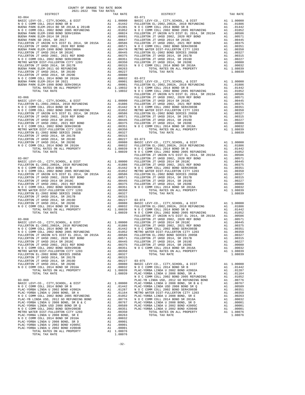| COUNTY OF ORANGE TAX RATE BOOK<br>2021-2022 TRA TAX RATES |  |                             |          |
|-----------------------------------------------------------|--|-----------------------------|----------|
| DISTRICT                                                  |  | TAX RATES TAX RATE DISTRICT | TAX RATE |
|                                                           |  |                             |          |
|                                                           |  |                             |          |
|                                                           |  |                             |          |
|                                                           |  |                             |          |
|                                                           |  |                             |          |
|                                                           |  |                             |          |
|                                                           |  |                             |          |
|                                                           |  |                             |          |
|                                                           |  |                             |          |
|                                                           |  |                             |          |
|                                                           |  |                             |          |
|                                                           |  |                             |          |
|                                                           |  |                             |          |
|                                                           |  |                             |          |
|                                                           |  |                             |          |
|                                                           |  |                             |          |
|                                                           |  |                             |          |
|                                                           |  |                             |          |
|                                                           |  |                             |          |
|                                                           |  |                             |          |
|                                                           |  |                             |          |
|                                                           |  |                             |          |
|                                                           |  |                             |          |
|                                                           |  |                             |          |
|                                                           |  |                             |          |
|                                                           |  |                             |          |
|                                                           |  |                             |          |
|                                                           |  |                             |          |
|                                                           |  |                             |          |
|                                                           |  |                             |          |
|                                                           |  |                             |          |
|                                                           |  |                             |          |
|                                                           |  |                             |          |
|                                                           |  |                             |          |
|                                                           |  |                             |          |
|                                                           |  |                             |          |
|                                                           |  |                             |          |
|                                                           |  |                             |          |
|                                                           |  |                             |          |
|                                                           |  |                             |          |
|                                                           |  |                             |          |
|                                                           |  |                             |          |
|                                                           |  |                             |          |
|                                                           |  |                             |          |
|                                                           |  |                             |          |
|                                                           |  |                             |          |
|                                                           |  |                             |          |
|                                                           |  |                             |          |
|                                                           |  |                             |          |
|                                                           |  |                             |          |
|                                                           |  |                             |          |
|                                                           |  |                             |          |
|                                                           |  |                             |          |
|                                                           |  |                             |          |
|                                                           |  |                             |          |
|                                                           |  |                             |          |
|                                                           |  |                             |          |
|                                                           |  |                             |          |
|                                                           |  |                             |          |
|                                                           |  |                             |          |
|                                                           |  |                             |          |
|                                                           |  |                             |          |
|                                                           |  |                             |          |
|                                                           |  |                             |          |
|                                                           |  |                             |          |
|                                                           |  |                             |          |
|                                                           |  |                             |          |
|                                                           |  |                             |          |
|                                                           |  |                             |          |
|                                                           |  |                             |          |
|                                                           |  |                             |          |
|                                                           |  |                             |          |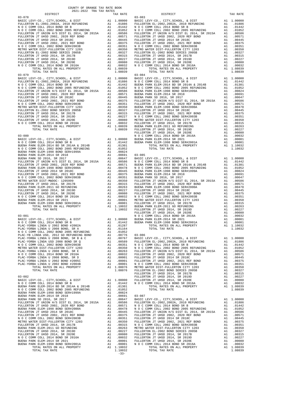| COUNTY OF ORANGE TAX RATE BOOK<br>2021-2022 TRA TAX RATES                                                                                                 |    |                  |            |
|-----------------------------------------------------------------------------------------------------------------------------------------------------------|----|------------------|------------|
| DISTRICT                                                                                                                                                  |    | TAX RATE         |            |
| $03 - 078$                                                                                                                                                |    |                  | $03 - 083$ |
|                                                                                                                                                           |    |                  |            |
|                                                                                                                                                           |    |                  |            |
|                                                                                                                                                           |    |                  |            |
|                                                                                                                                                           |    |                  |            |
|                                                                                                                                                           |    |                  |            |
|                                                                                                                                                           |    |                  |            |
|                                                                                                                                                           |    |                  |            |
|                                                                                                                                                           |    |                  |            |
|                                                                                                                                                           |    |                  |            |
|                                                                                                                                                           |    |                  |            |
|                                                                                                                                                           |    |                  |            |
|                                                                                                                                                           |    |                  |            |
|                                                                                                                                                           |    |                  |            |
| TOTAL TAX RATE                                                                                                                                            |    | 1.08039          |            |
|                                                                                                                                                           |    |                  |            |
|                                                                                                                                                           |    |                  |            |
|                                                                                                                                                           |    |                  |            |
|                                                                                                                                                           |    |                  |            |
|                                                                                                                                                           |    |                  |            |
|                                                                                                                                                           |    |                  |            |
|                                                                                                                                                           |    |                  |            |
|                                                                                                                                                           |    |                  |            |
|                                                                                                                                                           |    |                  |            |
|                                                                                                                                                           |    |                  |            |
|                                                                                                                                                           |    |                  |            |
|                                                                                                                                                           |    |                  |            |
|                                                                                                                                                           |    |                  |            |
|                                                                                                                                                           |    |                  |            |
|                                                                                                                                                           |    |                  |            |
|                                                                                                                                                           |    |                  | FULLERT    |
| $03 - 080$                                                                                                                                                |    |                  | NOCC       |
|                                                                                                                                                           |    |                  |            |
|                                                                                                                                                           |    |                  |            |
|                                                                                                                                                           |    |                  |            |
|                                                                                                                                                           |    |                  |            |
|                                                                                                                                                           |    |                  |            |
|                                                                                                                                                           |    |                  |            |
|                                                                                                                                                           |    |                  |            |
|                                                                                                                                                           |    |                  |            |
|                                                                                                                                                           |    |                  |            |
|                                                                                                                                                           |    |                  |            |
|                                                                                                                                                           |    |                  |            |
|                                                                                                                                                           |    |                  |            |
|                                                                                                                                                           |    |                  |            |
|                                                                                                                                                           |    |                  |            |
|                                                                                                                                                           |    |                  |            |
|                                                                                                                                                           |    |                  |            |
|                                                                                                                                                           |    |                  |            |
|                                                                                                                                                           |    |                  |            |
|                                                                                                                                                           |    |                  |            |
|                                                                                                                                                           |    |                  | FULLERT    |
| $03 - 081$                                                                                                                                                |    |                  | N O C C    |
|                                                                                                                                                           |    |                  |            |
|                                                                                                                                                           |    |                  |            |
|                                                                                                                                                           |    |                  |            |
|                                                                                                                                                           |    |                  |            |
|                                                                                                                                                           |    |                  |            |
|                                                                                                                                                           |    |                  |            |
|                                                                                                                                                           |    |                  |            |
|                                                                                                                                                           |    |                  |            |
|                                                                                                                                                           |    |                  |            |
|                                                                                                                                                           |    |                  |            |
|                                                                                                                                                           |    |                  |            |
|                                                                                                                                                           |    |                  |            |
|                                                                                                                                                           |    |                  |            |
|                                                                                                                                                           |    |                  |            |
|                                                                                                                                                           |    |                  | FULLERT    |
| $03 - 082$                                                                                                                                                |    |                  | FULLERT    |
| A1 1.00000 FULLERT<br>A1 .01442 NOCC<br>BASIC LEVY-CO., CITY, SCHOOL, & DIST                                                                              |    |                  |            |
| N O C COMM COLL 2014 BOND SR B                                                                                                                            |    |                  |            |
| NUENA PARK ELEM-2014 BD SR 2014A & 2014B A1 .01301<br>N O C COMM COLL 2002 BOND 2005 REFUNDING A1 .01052<br>BUENA PARK ELEM-1998 BOND SER#1999A A1 .00824 |    |                  |            |
|                                                                                                                                                           |    |                  |            |
| BUENA PARK ELEM-2014 SR 2018                                                                                                                              |    | A1 .00691 03-087 |            |
| BUENA PARK SD 2016, SR 2017                                                                                                                               | A1 | .00647           | BASIC L    |
|                                                                                                                                                           |    |                  |            |
|                                                                                                                                                           |    |                  |            |
|                                                                                                                                                           |    |                  |            |
|                                                                                                                                                           |    |                  |            |
|                                                                                                                                                           |    |                  |            |
|                                                                                                                                                           |    |                  |            |
|                                                                                                                                                           |    |                  |            |
|                                                                                                                                                           |    |                  |            |
|                                                                                                                                                           |    |                  |            |
|                                                                                                                                                           |    |                  |            |
|                                                                                                                                                           |    |                  |            |
|                                                                                                                                                           |    |                  |            |
|                                                                                                                                                           |    |                  |            |

| 2021 2022 This This Kripp<br>DISTRICT | TAX RATE | $\begin{bmatrix} 1 & 0 & 0 \\ 0 & 3 & -0 & 8 \\ 0 & 0 & 0 & 0 \\ 0 & 0 & 0 & 0 \\ 0 & 0 & 0 & 0 \\ 0 & 0 & 0 & 0 \\ 0 & 0 & 0 & 0 \\ 0 & 0 & 0 & 0 \\ 0 & 0 & 0 & 0 \\ 0 & 0 & 0 & 0 \\ 0 & 0 & 0 & 0 \\ 0 & 0 & 0 & 0 \\ 0 & 0 & 0 & 0 & 0 \\ 0 & 0 & 0 & 0 & 0 \\ 0 & 0 & 0 & 0 & 0 \\ 0 & 0 & 0 & 0 & 0 \\ 0 & 0 & 0 & 0 & $<br>DISTRICT                                                                                           | TAX RATE |
|---------------------------------------|----------|---------------------------------------------------------------------------------------------------------------------------------------------------------------------------------------------------------------------------------------------------------------------------------------------------------------------------------------------------------------------------------------------------------------------------------------|----------|
| $03 - 078$                            |          |                                                                                                                                                                                                                                                                                                                                                                                                                                       |          |
|                                       |          |                                                                                                                                                                                                                                                                                                                                                                                                                                       |          |
|                                       |          |                                                                                                                                                                                                                                                                                                                                                                                                                                       |          |
|                                       |          |                                                                                                                                                                                                                                                                                                                                                                                                                                       |          |
|                                       |          |                                                                                                                                                                                                                                                                                                                                                                                                                                       |          |
|                                       |          |                                                                                                                                                                                                                                                                                                                                                                                                                                       |          |
|                                       |          |                                                                                                                                                                                                                                                                                                                                                                                                                                       |          |
|                                       |          |                                                                                                                                                                                                                                                                                                                                                                                                                                       |          |
|                                       |          |                                                                                                                                                                                                                                                                                                                                                                                                                                       |          |
|                                       |          |                                                                                                                                                                                                                                                                                                                                                                                                                                       |          |
|                                       |          |                                                                                                                                                                                                                                                                                                                                                                                                                                       |          |
|                                       |          |                                                                                                                                                                                                                                                                                                                                                                                                                                       |          |
|                                       |          |                                                                                                                                                                                                                                                                                                                                                                                                                                       |          |
|                                       |          |                                                                                                                                                                                                                                                                                                                                                                                                                                       |          |
|                                       |          |                                                                                                                                                                                                                                                                                                                                                                                                                                       |          |
|                                       |          |                                                                                                                                                                                                                                                                                                                                                                                                                                       |          |
|                                       |          |                                                                                                                                                                                                                                                                                                                                                                                                                                       |          |
|                                       |          |                                                                                                                                                                                                                                                                                                                                                                                                                                       |          |
|                                       |          |                                                                                                                                                                                                                                                                                                                                                                                                                                       |          |
|                                       |          |                                                                                                                                                                                                                                                                                                                                                                                                                                       |          |
|                                       |          |                                                                                                                                                                                                                                                                                                                                                                                                                                       |          |
|                                       |          |                                                                                                                                                                                                                                                                                                                                                                                                                                       |          |
|                                       |          |                                                                                                                                                                                                                                                                                                                                                                                                                                       |          |
|                                       |          |                                                                                                                                                                                                                                                                                                                                                                                                                                       |          |
|                                       |          |                                                                                                                                                                                                                                                                                                                                                                                                                                       |          |
|                                       |          |                                                                                                                                                                                                                                                                                                                                                                                                                                       |          |
|                                       |          |                                                                                                                                                                                                                                                                                                                                                                                                                                       |          |
|                                       |          |                                                                                                                                                                                                                                                                                                                                                                                                                                       |          |
|                                       |          |                                                                                                                                                                                                                                                                                                                                                                                                                                       |          |
|                                       |          |                                                                                                                                                                                                                                                                                                                                                                                                                                       |          |
|                                       |          |                                                                                                                                                                                                                                                                                                                                                                                                                                       |          |
|                                       |          |                                                                                                                                                                                                                                                                                                                                                                                                                                       |          |
|                                       |          |                                                                                                                                                                                                                                                                                                                                                                                                                                       |          |
|                                       |          |                                                                                                                                                                                                                                                                                                                                                                                                                                       |          |
|                                       |          |                                                                                                                                                                                                                                                                                                                                                                                                                                       |          |
|                                       |          |                                                                                                                                                                                                                                                                                                                                                                                                                                       |          |
|                                       |          |                                                                                                                                                                                                                                                                                                                                                                                                                                       |          |
|                                       |          |                                                                                                                                                                                                                                                                                                                                                                                                                                       |          |
|                                       |          |                                                                                                                                                                                                                                                                                                                                                                                                                                       |          |
|                                       |          |                                                                                                                                                                                                                                                                                                                                                                                                                                       |          |
|                                       |          |                                                                                                                                                                                                                                                                                                                                                                                                                                       |          |
|                                       |          |                                                                                                                                                                                                                                                                                                                                                                                                                                       |          |
|                                       |          |                                                                                                                                                                                                                                                                                                                                                                                                                                       |          |
|                                       |          |                                                                                                                                                                                                                                                                                                                                                                                                                                       |          |
|                                       |          |                                                                                                                                                                                                                                                                                                                                                                                                                                       |          |
|                                       |          |                                                                                                                                                                                                                                                                                                                                                                                                                                       |          |
|                                       |          |                                                                                                                                                                                                                                                                                                                                                                                                                                       |          |
|                                       |          |                                                                                                                                                                                                                                                                                                                                                                                                                                       |          |
|                                       |          |                                                                                                                                                                                                                                                                                                                                                                                                                                       |          |
|                                       |          |                                                                                                                                                                                                                                                                                                                                                                                                                                       |          |
|                                       |          |                                                                                                                                                                                                                                                                                                                                                                                                                                       |          |
|                                       |          |                                                                                                                                                                                                                                                                                                                                                                                                                                       |          |
|                                       |          |                                                                                                                                                                                                                                                                                                                                                                                                                                       |          |
|                                       |          |                                                                                                                                                                                                                                                                                                                                                                                                                                       |          |
|                                       |          |                                                                                                                                                                                                                                                                                                                                                                                                                                       |          |
|                                       |          |                                                                                                                                                                                                                                                                                                                                                                                                                                       |          |
|                                       |          |                                                                                                                                                                                                                                                                                                                                                                                                                                       |          |
|                                       |          |                                                                                                                                                                                                                                                                                                                                                                                                                                       |          |
|                                       |          |                                                                                                                                                                                                                                                                                                                                                                                                                                       |          |
|                                       |          |                                                                                                                                                                                                                                                                                                                                                                                                                                       |          |
|                                       |          |                                                                                                                                                                                                                                                                                                                                                                                                                                       |          |
|                                       |          |                                                                                                                                                                                                                                                                                                                                                                                                                                       |          |
|                                       |          |                                                                                                                                                                                                                                                                                                                                                                                                                                       |          |
|                                       |          |                                                                                                                                                                                                                                                                                                                                                                                                                                       |          |
|                                       |          |                                                                                                                                                                                                                                                                                                                                                                                                                                       |          |
|                                       |          |                                                                                                                                                                                                                                                                                                                                                                                                                                       |          |
|                                       |          |                                                                                                                                                                                                                                                                                                                                                                                                                                       |          |
|                                       |          |                                                                                                                                                                                                                                                                                                                                                                                                                                       |          |
|                                       |          |                                                                                                                                                                                                                                                                                                                                                                                                                                       |          |
|                                       |          |                                                                                                                                                                                                                                                                                                                                                                                                                                       |          |
|                                       |          |                                                                                                                                                                                                                                                                                                                                                                                                                                       |          |
|                                       |          |                                                                                                                                                                                                                                                                                                                                                                                                                                       |          |
|                                       |          |                                                                                                                                                                                                                                                                                                                                                                                                                                       |          |
|                                       |          |                                                                                                                                                                                                                                                                                                                                                                                                                                       |          |
|                                       |          |                                                                                                                                                                                                                                                                                                                                                                                                                                       |          |
|                                       |          |                                                                                                                                                                                                                                                                                                                                                                                                                                       |          |
|                                       |          |                                                                                                                                                                                                                                                                                                                                                                                                                                       |          |
|                                       |          |                                                                                                                                                                                                                                                                                                                                                                                                                                       |          |
|                                       |          |                                                                                                                                                                                                                                                                                                                                                                                                                                       |          |
|                                       | $-33-$   | $\begin{array}{cccccccccccc} \textbf{R} & \textbf{R} & \textbf{R} & \textbf{R} & \textbf{R} & \textbf{R} & \textbf{R} & \textbf{R} & \textbf{R} & \textbf{R} & \textbf{R} & \textbf{R} & \textbf{R} & \textbf{R} & \textbf{R} & \textbf{R} & \textbf{R} & \textbf{R} & \textbf{R} & \textbf{R} & \textbf{R} & \textbf{R} & \textbf{R} & \textbf{R} & \textbf{R} & \textbf{R} & \textbf{R} & \textbf{R} & \textbf{R} & \textbf{R} & \$ |          |
|                                       |          |                                                                                                                                                                                                                                                                                                                                                                                                                                       |          |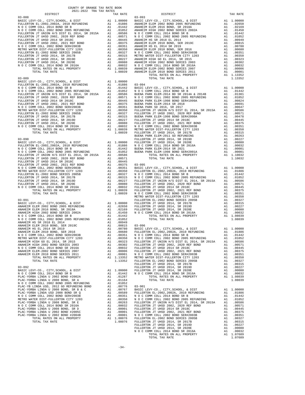| 2021-2022 TRA TAX RATES<br>DISTRICT | TAX RATE | DISTRICT   | TAX RATE |
|-------------------------------------|----------|------------|----------|
| $03 - 088$                          |          | $03 - 093$ |          |
|                                     |          |            |          |
|                                     |          |            |          |
|                                     |          |            |          |
|                                     |          |            |          |
|                                     |          |            |          |
|                                     |          |            |          |
|                                     |          |            |          |
|                                     |          |            |          |
|                                     |          |            |          |
|                                     |          |            |          |
|                                     |          |            |          |
|                                     |          |            |          |
|                                     |          |            |          |
|                                     |          |            |          |
|                                     |          |            |          |
|                                     |          |            |          |
|                                     |          |            |          |
|                                     |          |            |          |
|                                     |          |            |          |
|                                     |          |            |          |
|                                     |          |            |          |
|                                     |          |            |          |
|                                     |          |            |          |
|                                     |          |            |          |
|                                     |          |            |          |
|                                     |          |            |          |
|                                     |          |            |          |
|                                     |          |            |          |
|                                     |          |            |          |
|                                     |          |            |          |
|                                     |          |            |          |
|                                     |          |            |          |
|                                     |          |            |          |
|                                     |          |            |          |
|                                     |          |            |          |
|                                     |          |            |          |
|                                     |          |            |          |
|                                     |          |            |          |
|                                     |          |            |          |
|                                     |          |            |          |
|                                     |          |            |          |
|                                     |          |            |          |
|                                     |          |            |          |
|                                     |          |            |          |
|                                     |          |            |          |
|                                     |          |            |          |
|                                     |          |            |          |
|                                     |          |            |          |
|                                     |          |            |          |
|                                     |          |            |          |
|                                     |          |            |          |
|                                     |          |            |          |
|                                     |          |            |          |
|                                     |          |            |          |
|                                     |          |            |          |
|                                     |          |            |          |
|                                     |          |            |          |
|                                     |          |            |          |
|                                     |          |            |          |
|                                     |          |            |          |
|                                     |          |            |          |
|                                     |          |            |          |
|                                     |          |            |          |
|                                     |          |            |          |
|                                     |          |            |          |
|                                     |          |            |          |
|                                     |          |            |          |
|                                     |          |            |          |
|                                     |          |            |          |
|                                     |          |            |          |
|                                     |          |            |          |
|                                     |          |            |          |
|                                     |          |            |          |

COUNTY OF ORANGE TAX RATE BOOK

| PLAC-YORBA LINDA USD 2008 BOND SR Q  | A1 | .00589     | FULLERTON EL-2002, 2002A, 2010 REFUNDING      | A1 | .01886     |
|--------------------------------------|----|------------|-----------------------------------------------|----|------------|
| N O C COMM COLL 2002 BOND SER#2003B  |    | A1 .00351  | N O C COMM COLL 2014 BOND SR B                |    | A1 .01442  |
| METRO WATER DIST-FULLERTON CITY 1203 |    | A1 .00350  | N O C COMM COLL 2002 BOND 2005 REFUNDING      |    | A1 .01052  |
| PLAC-YORBA LINDA U 2008 BOND, SR E   |    | A1 .00263  | FULLERTON JT UNION H/S DIST EL 2014, SR 2015A |    | A1 .00586  |
| N O C COMM COLL 2014 BOND SR 2016A   |    | A1 .00032  | FULLERTON JT UHSD 2002, 2020 REF BOND         | A1 | .00571     |
| PLAC-YORBA LINDA U 2008 BOND, SR D   |    | A1 .00001  | FULLERTON JT UHSD 2014 SR 2018C               | A1 | .00445     |
| PLAC-YORBA LINDA U 2002 BOND #2005C  |    | A1 .00001  | FULLERTON JT UHSD 2002, 2021 REF BOND         | A1 | .00375     |
| PLAC-YORBA LINDA U 2002 BOND #2004B  |    | A1 .00001  | N O C COMM COLL 2002 BOND SER#2003B           |    | A1 .00351  |
| TOTAL RATES ON ALL PROPERTY          |    | A1 1.08076 | FULLERTON EL-2002 BOND SERIES 2005B           |    | A1 .00327  |
| TOTAL TAX RATE                       |    | 1.08076    | FULLERTON JT UHSD 2014, SR 2017B              |    | A1 .00315  |
|                                      |    |            | FULLERTON JT UHSD 2014, SR 2019D              |    | A1 .00227  |
|                                      |    |            | FULLERTON JT UHSD 2014, SR 2020E              | A1 | .00080     |
|                                      |    |            | N O C COMM COLL 2014 BOND SR 2016A            |    | A1 .00032  |
|                                      |    |            | TOTAL RATES ON ALL PROPERTY                   |    | A1 1.07689 |
|                                      |    |            | TOTAL TAX RATE                                |    | 1.07689    |
|                                      |    |            |                                               |    |            |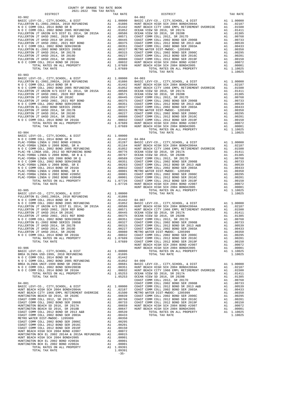| TAX RATE<br>DISTRICT                                                                                                                                                                                                                                                                                                                                                                                                                                                                                                                                            |  | DISTRICT | TAX RATE |
|-----------------------------------------------------------------------------------------------------------------------------------------------------------------------------------------------------------------------------------------------------------------------------------------------------------------------------------------------------------------------------------------------------------------------------------------------------------------------------------------------------------------------------------------------------------------|--|----------|----------|
|                                                                                                                                                                                                                                                                                                                                                                                                                                                                                                                                                                 |  |          |          |
|                                                                                                                                                                                                                                                                                                                                                                                                                                                                                                                                                                 |  |          |          |
|                                                                                                                                                                                                                                                                                                                                                                                                                                                                                                                                                                 |  |          |          |
|                                                                                                                                                                                                                                                                                                                                                                                                                                                                                                                                                                 |  |          |          |
|                                                                                                                                                                                                                                                                                                                                                                                                                                                                                                                                                                 |  |          |          |
|                                                                                                                                                                                                                                                                                                                                                                                                                                                                                                                                                                 |  |          |          |
|                                                                                                                                                                                                                                                                                                                                                                                                                                                                                                                                                                 |  |          |          |
|                                                                                                                                                                                                                                                                                                                                                                                                                                                                                                                                                                 |  |          |          |
|                                                                                                                                                                                                                                                                                                                                                                                                                                                                                                                                                                 |  |          |          |
|                                                                                                                                                                                                                                                                                                                                                                                                                                                                                                                                                                 |  |          |          |
|                                                                                                                                                                                                                                                                                                                                                                                                                                                                                                                                                                 |  |          |          |
|                                                                                                                                                                                                                                                                                                                                                                                                                                                                                                                                                                 |  |          |          |
|                                                                                                                                                                                                                                                                                                                                                                                                                                                                                                                                                                 |  |          |          |
|                                                                                                                                                                                                                                                                                                                                                                                                                                                                                                                                                                 |  |          |          |
|                                                                                                                                                                                                                                                                                                                                                                                                                                                                                                                                                                 |  |          |          |
| $03 - 903$                                                                                                                                                                                                                                                                                                                                                                                                                                                                                                                                                      |  |          |          |
|                                                                                                                                                                                                                                                                                                                                                                                                                                                                                                                                                                 |  |          |          |
|                                                                                                                                                                                                                                                                                                                                                                                                                                                                                                                                                                 |  |          |          |
|                                                                                                                                                                                                                                                                                                                                                                                                                                                                                                                                                                 |  |          |          |
|                                                                                                                                                                                                                                                                                                                                                                                                                                                                                                                                                                 |  |          |          |
|                                                                                                                                                                                                                                                                                                                                                                                                                                                                                                                                                                 |  |          |          |
|                                                                                                                                                                                                                                                                                                                                                                                                                                                                                                                                                                 |  |          |          |
|                                                                                                                                                                                                                                                                                                                                                                                                                                                                                                                                                                 |  |          |          |
|                                                                                                                                                                                                                                                                                                                                                                                                                                                                                                                                                                 |  |          |          |
|                                                                                                                                                                                                                                                                                                                                                                                                                                                                                                                                                                 |  |          |          |
|                                                                                                                                                                                                                                                                                                                                                                                                                                                                                                                                                                 |  |          |          |
|                                                                                                                                                                                                                                                                                                                                                                                                                                                                                                                                                                 |  |          |          |
|                                                                                                                                                                                                                                                                                                                                                                                                                                                                                                                                                                 |  |          |          |
|                                                                                                                                                                                                                                                                                                                                                                                                                                                                                                                                                                 |  |          |          |
|                                                                                                                                                                                                                                                                                                                                                                                                                                                                                                                                                                 |  |          |          |
|                                                                                                                                                                                                                                                                                                                                                                                                                                                                                                                                                                 |  |          |          |
|                                                                                                                                                                                                                                                                                                                                                                                                                                                                                                                                                                 |  |          |          |
|                                                                                                                                                                                                                                                                                                                                                                                                                                                                                                                                                                 |  |          |          |
|                                                                                                                                                                                                                                                                                                                                                                                                                                                                                                                                                                 |  |          |          |
|                                                                                                                                                                                                                                                                                                                                                                                                                                                                                                                                                                 |  |          |          |
|                                                                                                                                                                                                                                                                                                                                                                                                                                                                                                                                                                 |  |          |          |
|                                                                                                                                                                                                                                                                                                                                                                                                                                                                                                                                                                 |  |          |          |
|                                                                                                                                                                                                                                                                                                                                                                                                                                                                                                                                                                 |  |          |          |
|                                                                                                                                                                                                                                                                                                                                                                                                                                                                                                                                                                 |  |          |          |
|                                                                                                                                                                                                                                                                                                                                                                                                                                                                                                                                                                 |  |          |          |
|                                                                                                                                                                                                                                                                                                                                                                                                                                                                                                                                                                 |  |          |          |
|                                                                                                                                                                                                                                                                                                                                                                                                                                                                                                                                                                 |  |          |          |
|                                                                                                                                                                                                                                                                                                                                                                                                                                                                                                                                                                 |  |          |          |
|                                                                                                                                                                                                                                                                                                                                                                                                                                                                                                                                                                 |  |          |          |
|                                                                                                                                                                                                                                                                                                                                                                                                                                                                                                                                                                 |  |          |          |
|                                                                                                                                                                                                                                                                                                                                                                                                                                                                                                                                                                 |  |          |          |
|                                                                                                                                                                                                                                                                                                                                                                                                                                                                                                                                                                 |  |          |          |
|                                                                                                                                                                                                                                                                                                                                                                                                                                                                                                                                                                 |  |          |          |
|                                                                                                                                                                                                                                                                                                                                                                                                                                                                                                                                                                 |  |          |          |
|                                                                                                                                                                                                                                                                                                                                                                                                                                                                                                                                                                 |  |          |          |
|                                                                                                                                                                                                                                                                                                                                                                                                                                                                                                                                                                 |  |          |          |
|                                                                                                                                                                                                                                                                                                                                                                                                                                                                                                                                                                 |  |          |          |
|                                                                                                                                                                                                                                                                                                                                                                                                                                                                                                                                                                 |  |          |          |
|                                                                                                                                                                                                                                                                                                                                                                                                                                                                                                                                                                 |  |          |          |
|                                                                                                                                                                                                                                                                                                                                                                                                                                                                                                                                                                 |  |          |          |
|                                                                                                                                                                                                                                                                                                                                                                                                                                                                                                                                                                 |  |          |          |
|                                                                                                                                                                                                                                                                                                                                                                                                                                                                                                                                                                 |  |          |          |
|                                                                                                                                                                                                                                                                                                                                                                                                                                                                                                                                                                 |  |          |          |
|                                                                                                                                                                                                                                                                                                                                                                                                                                                                                                                                                                 |  |          |          |
|                                                                                                                                                                                                                                                                                                                                                                                                                                                                                                                                                                 |  |          |          |
|                                                                                                                                                                                                                                                                                                                                                                                                                                                                                                                                                                 |  |          |          |
|                                                                                                                                                                                                                                                                                                                                                                                                                                                                                                                                                                 |  |          |          |
|                                                                                                                                                                                                                                                                                                                                                                                                                                                                                                                                                                 |  |          |          |
|                                                                                                                                                                                                                                                                                                                                                                                                                                                                                                                                                                 |  |          |          |
|                                                                                                                                                                                                                                                                                                                                                                                                                                                                                                                                                                 |  |          |          |
|                                                                                                                                                                                                                                                                                                                                                                                                                                                                                                                                                                 |  |          |          |
|                                                                                                                                                                                                                                                                                                                                                                                                                                                                                                                                                                 |  |          |          |
|                                                                                                                                                                                                                                                                                                                                                                                                                                                                                                                                                                 |  |          |          |
|                                                                                                                                                                                                                                                                                                                                                                                                                                                                                                                                                                 |  |          |          |
|                                                                                                                                                                                                                                                                                                                                                                                                                                                                                                                                                                 |  |          |          |
|                                                                                                                                                                                                                                                                                                                                                                                                                                                                                                                                                                 |  |          |          |
|                                                                                                                                                                                                                                                                                                                                                                                                                                                                                                                                                                 |  |          |          |
|                                                                                                                                                                                                                                                                                                                                                                                                                                                                                                                                                                 |  |          |          |
|                                                                                                                                                                                                                                                                                                                                                                                                                                                                                                                                                                 |  |          |          |
|                                                                                                                                                                                                                                                                                                                                                                                                                                                                                                                                                                 |  |          |          |
|                                                                                                                                                                                                                                                                                                                                                                                                                                                                                                                                                                 |  |          |          |
|                                                                                                                                                                                                                                                                                                                                                                                                                                                                                                                                                                 |  |          |          |
|                                                                                                                                                                                                                                                                                                                                                                                                                                                                                                                                                                 |  |          |          |
|                                                                                                                                                                                                                                                                                                                                                                                                                                                                                                                                                                 |  |          |          |
|                                                                                                                                                                                                                                                                                                                                                                                                                                                                                                                                                                 |  |          |          |
|                                                                                                                                                                                                                                                                                                                                                                                                                                                                                                                                                                 |  |          |          |
|                                                                                                                                                                                                                                                                                                                                                                                                                                                                                                                                                                 |  |          |          |
|                                                                                                                                                                                                                                                                                                                                                                                                                                                                                                                                                                 |  |          |          |
|                                                                                                                                                                                                                                                                                                                                                                                                                                                                                                                                                                 |  |          |          |
|                                                                                                                                                                                                                                                                                                                                                                                                                                                                                                                                                                 |  |          |          |
|                                                                                                                                                                                                                                                                                                                                                                                                                                                                                                                                                                 |  |          |          |
|                                                                                                                                                                                                                                                                                                                                                                                                                                                                                                                                                                 |  |          |          |
|                                                                                                                                                                                                                                                                                                                                                                                                                                                                                                                                                                 |  |          |          |
|                                                                                                                                                                                                                                                                                                                                                                                                                                                                                                                                                                 |  |          |          |
|                                                                                                                                                                                                                                                                                                                                                                                                                                                                                                                                                                 |  |          |          |
|                                                                                                                                                                                                                                                                                                                                                                                                                                                                                                                                                                 |  |          |          |
|                                                                                                                                                                                                                                                                                                                                                                                                                                                                                                                                                                 |  |          |          |
| $\begin{tabular}{l c c c c c} {\small HUNITION TINGTON} & {\small HCH} & {\small HURITION TORGAL} & {\small HCH} & {\small HCH} & {\small HCH} & {\small HCH} & {\small HCH} & {\small HCH} & {\small HCH} & {\small HCH} & {\small HCH} & {\small HCH} & {\small HCH} & {\small HCH} & {\small HCH} & {\small HCH} & {\small HCH} & {\small HCH} & {\small HCH} & {\small HCH} & {\small HCH} & {\small HCH} & {\small HCH} & {\small HCH} & {\small HCH} & {\small HCH} & {\small HCH} & {\small HCH} & {\small HCH} & {\small HCH} & {\small HCH} & {\small$ |  |          |          |
|                                                                                                                                                                                                                                                                                                                                                                                                                                                                                                                                                                 |  |          |          |

COUNTY OF ORANGE TAX RATE BOOK 2021-2022 TRA TAX RATES

 $1.09391$ <br>-35-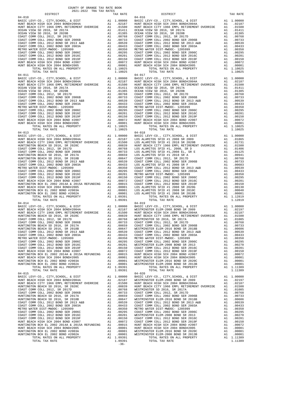| COUNTY OF ORANGE TAX RATE BOOK<br>2021-2022 TRA TAX RATES                                                                                                                                                                                                                                                                                                                                                                |          |            |          |
|--------------------------------------------------------------------------------------------------------------------------------------------------------------------------------------------------------------------------------------------------------------------------------------------------------------------------------------------------------------------------------------------------------------------------|----------|------------|----------|
| DISTRICT                                                                                                                                                                                                                                                                                                                                                                                                                 | TAX RATE | DISTRICT   | TAX RATE |
| $04 - 010$                                                                                                                                                                                                                                                                                                                                                                                                               |          | $04 - 016$ |          |
|                                                                                                                                                                                                                                                                                                                                                                                                                          |          |            |          |
|                                                                                                                                                                                                                                                                                                                                                                                                                          |          |            |          |
|                                                                                                                                                                                                                                                                                                                                                                                                                          |          |            |          |
|                                                                                                                                                                                                                                                                                                                                                                                                                          |          |            |          |
|                                                                                                                                                                                                                                                                                                                                                                                                                          |          |            |          |
|                                                                                                                                                                                                                                                                                                                                                                                                                          |          |            |          |
|                                                                                                                                                                                                                                                                                                                                                                                                                          |          |            |          |
|                                                                                                                                                                                                                                                                                                                                                                                                                          |          |            |          |
|                                                                                                                                                                                                                                                                                                                                                                                                                          |          |            |          |
|                                                                                                                                                                                                                                                                                                                                                                                                                          |          |            |          |
|                                                                                                                                                                                                                                                                                                                                                                                                                          |          |            |          |
|                                                                                                                                                                                                                                                                                                                                                                                                                          |          |            |          |
|                                                                                                                                                                                                                                                                                                                                                                                                                          |          |            |          |
|                                                                                                                                                                                                                                                                                                                                                                                                                          |          |            |          |
|                                                                                                                                                                                                                                                                                                                                                                                                                          |          |            |          |
|                                                                                                                                                                                                                                                                                                                                                                                                                          |          |            |          |
|                                                                                                                                                                                                                                                                                                                                                                                                                          |          |            |          |
|                                                                                                                                                                                                                                                                                                                                                                                                                          |          |            |          |
|                                                                                                                                                                                                                                                                                                                                                                                                                          |          |            |          |
|                                                                                                                                                                                                                                                                                                                                                                                                                          |          |            |          |
|                                                                                                                                                                                                                                                                                                                                                                                                                          |          |            |          |
|                                                                                                                                                                                                                                                                                                                                                                                                                          |          |            |          |
|                                                                                                                                                                                                                                                                                                                                                                                                                          |          |            |          |
|                                                                                                                                                                                                                                                                                                                                                                                                                          |          |            |          |
|                                                                                                                                                                                                                                                                                                                                                                                                                          |          |            |          |
|                                                                                                                                                                                                                                                                                                                                                                                                                          |          |            |          |
|                                                                                                                                                                                                                                                                                                                                                                                                                          |          |            |          |
| $\begin{tabular}{cccccccc} $64-010$ & $108\text{ FV} & $04-010$ & $04-018$ & $108\text{ m}^2$ & $108\text{ m}^2$ & $108\text{ m}^2$ & $108\text{ m}^2$ & $108\text{ m}^2$ & $108\text{ m}^2$ & $108\text{ m}^2$ & $108\text{ m}^2$ & $108\text{ m}^2$ & $108\text{ m}^2$ & $108\text{ m}^2$ & $108\text{ m}^2$ & $108\text{ m}^2$ & $108$                                                                                |          |            |          |
|                                                                                                                                                                                                                                                                                                                                                                                                                          |          |            |          |
|                                                                                                                                                                                                                                                                                                                                                                                                                          |          |            |          |
|                                                                                                                                                                                                                                                                                                                                                                                                                          |          |            |          |
|                                                                                                                                                                                                                                                                                                                                                                                                                          |          |            |          |
|                                                                                                                                                                                                                                                                                                                                                                                                                          |          |            |          |
|                                                                                                                                                                                                                                                                                                                                                                                                                          |          |            |          |
|                                                                                                                                                                                                                                                                                                                                                                                                                          |          |            |          |
|                                                                                                                                                                                                                                                                                                                                                                                                                          |          |            |          |
|                                                                                                                                                                                                                                                                                                                                                                                                                          |          |            |          |
|                                                                                                                                                                                                                                                                                                                                                                                                                          |          |            |          |
|                                                                                                                                                                                                                                                                                                                                                                                                                          |          |            |          |
|                                                                                                                                                                                                                                                                                                                                                                                                                          |          |            |          |
|                                                                                                                                                                                                                                                                                                                                                                                                                          |          |            |          |
|                                                                                                                                                                                                                                                                                                                                                                                                                          |          |            |          |
|                                                                                                                                                                                                                                                                                                                                                                                                                          |          |            |          |
|                                                                                                                                                                                                                                                                                                                                                                                                                          |          |            |          |
| $04 - 014$                                                                                                                                                                                                                                                                                                                                                                                                               |          | $04 - 019$ |          |
|                                                                                                                                                                                                                                                                                                                                                                                                                          |          |            |          |
|                                                                                                                                                                                                                                                                                                                                                                                                                          |          |            |          |
|                                                                                                                                                                                                                                                                                                                                                                                                                          |          |            |          |
|                                                                                                                                                                                                                                                                                                                                                                                                                          |          |            |          |
|                                                                                                                                                                                                                                                                                                                                                                                                                          |          |            |          |
|                                                                                                                                                                                                                                                                                                                                                                                                                          |          |            |          |
|                                                                                                                                                                                                                                                                                                                                                                                                                          |          |            |          |
|                                                                                                                                                                                                                                                                                                                                                                                                                          |          |            |          |
|                                                                                                                                                                                                                                                                                                                                                                                                                          |          |            |          |
|                                                                                                                                                                                                                                                                                                                                                                                                                          |          |            |          |
|                                                                                                                                                                                                                                                                                                                                                                                                                          |          |            |          |
|                                                                                                                                                                                                                                                                                                                                                                                                                          |          |            |          |
|                                                                                                                                                                                                                                                                                                                                                                                                                          |          |            |          |
|                                                                                                                                                                                                                                                                                                                                                                                                                          |          |            |          |
|                                                                                                                                                                                                                                                                                                                                                                                                                          |          |            |          |
|                                                                                                                                                                                                                                                                                                                                                                                                                          |          |            |          |
|                                                                                                                                                                                                                                                                                                                                                                                                                          |          |            |          |
|                                                                                                                                                                                                                                                                                                                                                                                                                          |          |            |          |
|                                                                                                                                                                                                                                                                                                                                                                                                                          |          |            |          |
|                                                                                                                                                                                                                                                                                                                                                                                                                          |          |            |          |
|                                                                                                                                                                                                                                                                                                                                                                                                                          |          |            |          |
|                                                                                                                                                                                                                                                                                                                                                                                                                          |          |            |          |
|                                                                                                                                                                                                                                                                                                                                                                                                                          |          |            |          |
|                                                                                                                                                                                                                                                                                                                                                                                                                          |          |            |          |
|                                                                                                                                                                                                                                                                                                                                                                                                                          |          |            |          |
|                                                                                                                                                                                                                                                                                                                                                                                                                          |          |            |          |
|                                                                                                                                                                                                                                                                                                                                                                                                                          |          |            |          |
|                                                                                                                                                                                                                                                                                                                                                                                                                          |          |            |          |
|                                                                                                                                                                                                                                                                                                                                                                                                                          |          |            |          |
|                                                                                                                                                                                                                                                                                                                                                                                                                          |          |            |          |
|                                                                                                                                                                                                                                                                                                                                                                                                                          |          |            |          |
|                                                                                                                                                                                                                                                                                                                                                                                                                          |          |            |          |
|                                                                                                                                                                                                                                                                                                                                                                                                                          |          |            |          |
| $\begin{tabular}{0.95\textwidth} {\bf 0.4-015 & $7074$ NRTN RATE}\\ \hline \texttt{BAG1} \texttt{EWY} - \texttt{CO}, \texttt{CTTY}, \texttt{SCHOOL}, \texttt{6. DIST} \\ \hline \texttt{BAG1} \texttt{EWY} - \texttt{CO}, \texttt{CTTY}, \texttt{SCHOOL}, \texttt{6. DIST} \\ \hline \texttt{HUPT BWG1W} \texttt{RPEA} \texttt{CUY} \texttt{SCHOOL}, \texttt{6. DIST} \\ \hline \texttt{HUPT BWG1W} \texttt{RPEA} \text$ | $-36-$   |            |          |
|                                                                                                                                                                                                                                                                                                                                                                                                                          |          |            |          |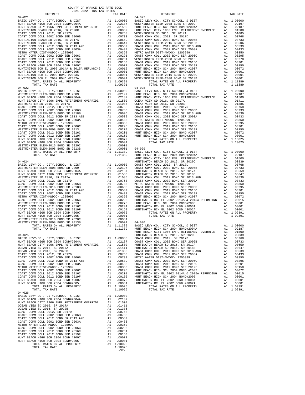| COUNTY OF ORANGE TAX RATE BOOK<br>$2021-2022 \quad \text{TRA RATE B}$ DISTRICT $$\tt 2021-2022$$ |          |                                                                                                                                                                                                                                                                                          |          |
|--------------------------------------------------------------------------------------------------|----------|------------------------------------------------------------------------------------------------------------------------------------------------------------------------------------------------------------------------------------------------------------------------------------------|----------|
|                                                                                                  | TAX RATE | DISTRICT                                                                                                                                                                                                                                                                                 | TAX RATE |
| $04 - 021$                                                                                       |          | $04 - 027$                                                                                                                                                                                                                                                                               |          |
|                                                                                                  |          |                                                                                                                                                                                                                                                                                          |          |
|                                                                                                  |          |                                                                                                                                                                                                                                                                                          |          |
|                                                                                                  |          |                                                                                                                                                                                                                                                                                          |          |
|                                                                                                  |          |                                                                                                                                                                                                                                                                                          |          |
|                                                                                                  |          |                                                                                                                                                                                                                                                                                          |          |
|                                                                                                  |          |                                                                                                                                                                                                                                                                                          |          |
|                                                                                                  |          |                                                                                                                                                                                                                                                                                          |          |
|                                                                                                  |          |                                                                                                                                                                                                                                                                                          |          |
|                                                                                                  |          |                                                                                                                                                                                                                                                                                          |          |
|                                                                                                  |          |                                                                                                                                                                                                                                                                                          |          |
|                                                                                                  |          |                                                                                                                                                                                                                                                                                          |          |
|                                                                                                  |          |                                                                                                                                                                                                                                                                                          |          |
|                                                                                                  |          |                                                                                                                                                                                                                                                                                          |          |
|                                                                                                  |          |                                                                                                                                                                                                                                                                                          |          |
|                                                                                                  |          |                                                                                                                                                                                                                                                                                          |          |
|                                                                                                  |          |                                                                                                                                                                                                                                                                                          |          |
|                                                                                                  |          |                                                                                                                                                                                                                                                                                          |          |
|                                                                                                  |          |                                                                                                                                                                                                                                                                                          |          |
|                                                                                                  |          |                                                                                                                                                                                                                                                                                          |          |
|                                                                                                  |          |                                                                                                                                                                                                                                                                                          |          |
|                                                                                                  |          |                                                                                                                                                                                                                                                                                          |          |
|                                                                                                  |          |                                                                                                                                                                                                                                                                                          |          |
|                                                                                                  |          |                                                                                                                                                                                                                                                                                          |          |
|                                                                                                  |          |                                                                                                                                                                                                                                                                                          |          |
|                                                                                                  |          |                                                                                                                                                                                                                                                                                          |          |
|                                                                                                  |          |                                                                                                                                                                                                                                                                                          |          |
|                                                                                                  |          |                                                                                                                                                                                                                                                                                          |          |
|                                                                                                  |          |                                                                                                                                                                                                                                                                                          |          |
|                                                                                                  |          |                                                                                                                                                                                                                                                                                          |          |
|                                                                                                  |          |                                                                                                                                                                                                                                                                                          |          |
|                                                                                                  |          |                                                                                                                                                                                                                                                                                          |          |
|                                                                                                  |          |                                                                                                                                                                                                                                                                                          |          |
|                                                                                                  |          |                                                                                                                                                                                                                                                                                          |          |
|                                                                                                  |          |                                                                                                                                                                                                                                                                                          |          |
|                                                                                                  |          |                                                                                                                                                                                                                                                                                          |          |
|                                                                                                  |          |                                                                                                                                                                                                                                                                                          |          |
|                                                                                                  |          |                                                                                                                                                                                                                                                                                          |          |
|                                                                                                  |          |                                                                                                                                                                                                                                                                                          |          |
|                                                                                                  |          |                                                                                                                                                                                                                                                                                          |          |
|                                                                                                  |          |                                                                                                                                                                                                                                                                                          |          |
|                                                                                                  |          |                                                                                                                                                                                                                                                                                          |          |
|                                                                                                  |          |                                                                                                                                                                                                                                                                                          |          |
|                                                                                                  |          |                                                                                                                                                                                                                                                                                          |          |
|                                                                                                  |          |                                                                                                                                                                                                                                                                                          |          |
|                                                                                                  |          |                                                                                                                                                                                                                                                                                          |          |
|                                                                                                  |          |                                                                                                                                                                                                                                                                                          |          |
|                                                                                                  |          |                                                                                                                                                                                                                                                                                          |          |
|                                                                                                  |          |                                                                                                                                                                                                                                                                                          |          |
|                                                                                                  |          |                                                                                                                                                                                                                                                                                          |          |
|                                                                                                  |          |                                                                                                                                                                                                                                                                                          |          |
|                                                                                                  |          |                                                                                                                                                                                                                                                                                          |          |
|                                                                                                  |          |                                                                                                                                                                                                                                                                                          |          |
|                                                                                                  |          |                                                                                                                                                                                                                                                                                          |          |
|                                                                                                  |          | TOTAIL TAX ENTERTAINS ON A LIMISPY (METAIL 2002) AND THE SACH LIMISPY (METAIL 2002) AND TOTAIL TAX EATE (METAIL 2002) AND TOTAIL TAX EATE (METAIL 2002) AND THE SACH LIMIT BEACH INTERTAINS ELECT AND A LODGED AND STREET AND<br>HUNT BEACH CITY 1966 EMPL RETIREMENT OVERRIDE A1 .01500 |          |
|                                                                                                  |          |                                                                                                                                                                                                                                                                                          |          |
|                                                                                                  |          |                                                                                                                                                                                                                                                                                          |          |
|                                                                                                  |          |                                                                                                                                                                                                                                                                                          |          |
|                                                                                                  |          |                                                                                                                                                                                                                                                                                          |          |
|                                                                                                  |          |                                                                                                                                                                                                                                                                                          |          |
|                                                                                                  |          |                                                                                                                                                                                                                                                                                          |          |
|                                                                                                  |          |                                                                                                                                                                                                                                                                                          |          |
|                                                                                                  |          |                                                                                                                                                                                                                                                                                          |          |
|                                                                                                  |          |                                                                                                                                                                                                                                                                                          |          |
|                                                                                                  |          |                                                                                                                                                                                                                                                                                          |          |
|                                                                                                  |          |                                                                                                                                                                                                                                                                                          |          |
|                                                                                                  |          |                                                                                                                                                                                                                                                                                          |          |
|                                                                                                  |          |                                                                                                                                                                                                                                                                                          |          |
|                                                                                                  |          |                                                                                                                                                                                                                                                                                          |          |
| $04 - 026$                                                                                       |          |                                                                                                                                                                                                                                                                                          |          |
|                                                                                                  |          |                                                                                                                                                                                                                                                                                          |          |
|                                                                                                  |          |                                                                                                                                                                                                                                                                                          |          |
|                                                                                                  |          |                                                                                                                                                                                                                                                                                          |          |
|                                                                                                  |          |                                                                                                                                                                                                                                                                                          |          |
|                                                                                                  |          |                                                                                                                                                                                                                                                                                          |          |
|                                                                                                  |          |                                                                                                                                                                                                                                                                                          |          |
|                                                                                                  |          |                                                                                                                                                                                                                                                                                          |          |
|                                                                                                  |          |                                                                                                                                                                                                                                                                                          |          |
|                                                                                                  |          |                                                                                                                                                                                                                                                                                          |          |
|                                                                                                  |          |                                                                                                                                                                                                                                                                                          |          |
|                                                                                                  |          |                                                                                                                                                                                                                                                                                          |          |
|                                                                                                  |          |                                                                                                                                                                                                                                                                                          |          |
|                                                                                                  |          |                                                                                                                                                                                                                                                                                          |          |
|                                                                                                  |          |                                                                                                                                                                                                                                                                                          |          |
|                                                                                                  | $-37-$   |                                                                                                                                                                                                                                                                                          |          |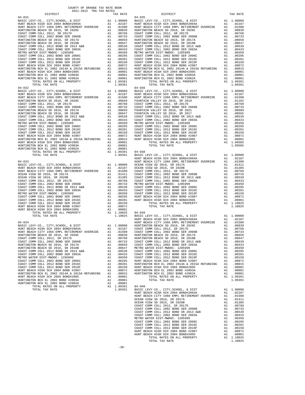| COUNTY OF ORANGE TAX RATE BOOK<br>2021–2022 יום קוד מסור |          |                                                                                                                                                                                                                                                                                                                                                       |          |
|----------------------------------------------------------|----------|-------------------------------------------------------------------------------------------------------------------------------------------------------------------------------------------------------------------------------------------------------------------------------------------------------------------------------------------------------|----------|
|                                                          | TAX RATE | DISTRICT                                                                                                                                                                                                                                                                                                                                              | TAX RATE |
| $04 - 031$                                               |          | $04 - 035$                                                                                                                                                                                                                                                                                                                                            |          |
|                                                          |          |                                                                                                                                                                                                                                                                                                                                                       |          |
|                                                          |          |                                                                                                                                                                                                                                                                                                                                                       |          |
|                                                          |          |                                                                                                                                                                                                                                                                                                                                                       |          |
|                                                          |          |                                                                                                                                                                                                                                                                                                                                                       |          |
|                                                          |          |                                                                                                                                                                                                                                                                                                                                                       |          |
|                                                          |          |                                                                                                                                                                                                                                                                                                                                                       |          |
|                                                          |          |                                                                                                                                                                                                                                                                                                                                                       |          |
|                                                          |          |                                                                                                                                                                                                                                                                                                                                                       |          |
|                                                          |          |                                                                                                                                                                                                                                                                                                                                                       |          |
|                                                          |          |                                                                                                                                                                                                                                                                                                                                                       |          |
|                                                          |          |                                                                                                                                                                                                                                                                                                                                                       |          |
|                                                          |          |                                                                                                                                                                                                                                                                                                                                                       |          |
|                                                          |          |                                                                                                                                                                                                                                                                                                                                                       |          |
|                                                          |          |                                                                                                                                                                                                                                                                                                                                                       |          |
|                                                          |          |                                                                                                                                                                                                                                                                                                                                                       |          |
|                                                          |          |                                                                                                                                                                                                                                                                                                                                                       |          |
|                                                          |          |                                                                                                                                                                                                                                                                                                                                                       |          |
|                                                          |          |                                                                                                                                                                                                                                                                                                                                                       |          |
|                                                          |          |                                                                                                                                                                                                                                                                                                                                                       |          |
|                                                          |          |                                                                                                                                                                                                                                                                                                                                                       |          |
|                                                          |          |                                                                                                                                                                                                                                                                                                                                                       |          |
|                                                          |          |                                                                                                                                                                                                                                                                                                                                                       |          |
|                                                          |          |                                                                                                                                                                                                                                                                                                                                                       |          |
|                                                          |          |                                                                                                                                                                                                                                                                                                                                                       |          |
|                                                          |          |                                                                                                                                                                                                                                                                                                                                                       |          |
|                                                          |          |                                                                                                                                                                                                                                                                                                                                                       |          |
|                                                          |          |                                                                                                                                                                                                                                                                                                                                                       |          |
|                                                          |          |                                                                                                                                                                                                                                                                                                                                                       |          |
|                                                          |          |                                                                                                                                                                                                                                                                                                                                                       |          |
|                                                          |          | $\begin{tabular}{cccc} \textbf{1.6071116013} & \textbf{1.6131} & \textbf{1.6132} & \textbf{1.6133} & \textbf{1.6134} & \textbf{1.6134} & \textbf{1.6134} & \textbf{1.6134} & \textbf{1.6134} & \textbf{1.6134} & \textbf{1.6134} & \textbf{1.6134} & \textbf{1.6134} & \textbf{1.6134} & \textbf{1.6134} & \textbf{1.6134} & \textbf{1.6134} & \text$ |          |
|                                                          |          |                                                                                                                                                                                                                                                                                                                                                       |          |
|                                                          |          |                                                                                                                                                                                                                                                                                                                                                       |          |
|                                                          |          |                                                                                                                                                                                                                                                                                                                                                       |          |
|                                                          |          |                                                                                                                                                                                                                                                                                                                                                       |          |
|                                                          |          |                                                                                                                                                                                                                                                                                                                                                       |          |
|                                                          |          |                                                                                                                                                                                                                                                                                                                                                       |          |
|                                                          |          |                                                                                                                                                                                                                                                                                                                                                       |          |
|                                                          |          |                                                                                                                                                                                                                                                                                                                                                       |          |
|                                                          |          |                                                                                                                                                                                                                                                                                                                                                       |          |
|                                                          |          |                                                                                                                                                                                                                                                                                                                                                       |          |
|                                                          |          |                                                                                                                                                                                                                                                                                                                                                       |          |
|                                                          |          |                                                                                                                                                                                                                                                                                                                                                       |          |
|                                                          |          |                                                                                                                                                                                                                                                                                                                                                       |          |
|                                                          |          |                                                                                                                                                                                                                                                                                                                                                       |          |
|                                                          |          |                                                                                                                                                                                                                                                                                                                                                       |          |
|                                                          |          |                                                                                                                                                                                                                                                                                                                                                       |          |
|                                                          |          |                                                                                                                                                                                                                                                                                                                                                       |          |
|                                                          |          |                                                                                                                                                                                                                                                                                                                                                       |          |
|                                                          |          |                                                                                                                                                                                                                                                                                                                                                       |          |
|                                                          |          |                                                                                                                                                                                                                                                                                                                                                       |          |
|                                                          |          |                                                                                                                                                                                                                                                                                                                                                       |          |
|                                                          |          |                                                                                                                                                                                                                                                                                                                                                       |          |
|                                                          |          |                                                                                                                                                                                                                                                                                                                                                       |          |
|                                                          |          |                                                                                                                                                                                                                                                                                                                                                       |          |
|                                                          |          |                                                                                                                                                                                                                                                                                                                                                       |          |
|                                                          |          |                                                                                                                                                                                                                                                                                                                                                       |          |
|                                                          |          |                                                                                                                                                                                                                                                                                                                                                       |          |
|                                                          |          |                                                                                                                                                                                                                                                                                                                                                       |          |
|                                                          |          |                                                                                                                                                                                                                                                                                                                                                       |          |
|                                                          |          |                                                                                                                                                                                                                                                                                                                                                       |          |
|                                                          |          |                                                                                                                                                                                                                                                                                                                                                       |          |
|                                                          |          |                                                                                                                                                                                                                                                                                                                                                       |          |
|                                                          |          | HUNT BEACH CITY 1966 EMPL RETIREMENT OVERRIDE A1 .01500                                                                                                                                                                                                                                                                                               |          |
|                                                          |          |                                                                                                                                                                                                                                                                                                                                                       |          |
|                                                          |          |                                                                                                                                                                                                                                                                                                                                                       |          |
|                                                          |          |                                                                                                                                                                                                                                                                                                                                                       |          |
|                                                          |          |                                                                                                                                                                                                                                                                                                                                                       |          |
|                                                          |          |                                                                                                                                                                                                                                                                                                                                                       |          |
|                                                          |          |                                                                                                                                                                                                                                                                                                                                                       |          |
|                                                          |          |                                                                                                                                                                                                                                                                                                                                                       |          |
|                                                          |          |                                                                                                                                                                                                                                                                                                                                                       |          |
|                                                          |          |                                                                                                                                                                                                                                                                                                                                                       |          |
|                                                          |          |                                                                                                                                                                                                                                                                                                                                                       |          |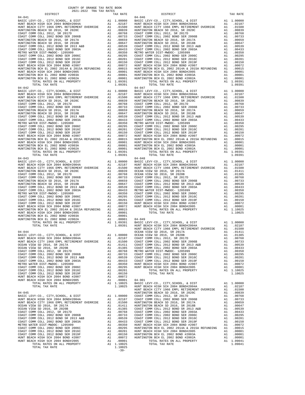| DISTRICT                                                                                                                                               | TAX RATE | DISTRICT                                                                                                                                                                                                                              | TAX RATE |
|--------------------------------------------------------------------------------------------------------------------------------------------------------|----------|---------------------------------------------------------------------------------------------------------------------------------------------------------------------------------------------------------------------------------------|----------|
|                                                                                                                                                        |          |                                                                                                                                                                                                                                       |          |
|                                                                                                                                                        |          |                                                                                                                                                                                                                                       |          |
|                                                                                                                                                        |          |                                                                                                                                                                                                                                       |          |
|                                                                                                                                                        |          |                                                                                                                                                                                                                                       |          |
|                                                                                                                                                        |          |                                                                                                                                                                                                                                       |          |
|                                                                                                                                                        |          |                                                                                                                                                                                                                                       |          |
|                                                                                                                                                        |          |                                                                                                                                                                                                                                       |          |
|                                                                                                                                                        |          |                                                                                                                                                                                                                                       |          |
|                                                                                                                                                        |          |                                                                                                                                                                                                                                       |          |
|                                                                                                                                                        |          |                                                                                                                                                                                                                                       |          |
|                                                                                                                                                        |          |                                                                                                                                                                                                                                       |          |
|                                                                                                                                                        |          |                                                                                                                                                                                                                                       |          |
|                                                                                                                                                        |          |                                                                                                                                                                                                                                       |          |
|                                                                                                                                                        |          |                                                                                                                                                                                                                                       |          |
|                                                                                                                                                        |          |                                                                                                                                                                                                                                       |          |
|                                                                                                                                                        |          |                                                                                                                                                                                                                                       |          |
|                                                                                                                                                        |          |                                                                                                                                                                                                                                       |          |
|                                                                                                                                                        |          |                                                                                                                                                                                                                                       |          |
|                                                                                                                                                        |          |                                                                                                                                                                                                                                       |          |
|                                                                                                                                                        |          |                                                                                                                                                                                                                                       |          |
|                                                                                                                                                        |          |                                                                                                                                                                                                                                       |          |
|                                                                                                                                                        |          |                                                                                                                                                                                                                                       |          |
|                                                                                                                                                        |          |                                                                                                                                                                                                                                       |          |
|                                                                                                                                                        |          |                                                                                                                                                                                                                                       |          |
|                                                                                                                                                        |          |                                                                                                                                                                                                                                       |          |
|                                                                                                                                                        |          |                                                                                                                                                                                                                                       |          |
|                                                                                                                                                        |          |                                                                                                                                                                                                                                       |          |
|                                                                                                                                                        |          |                                                                                                                                                                                                                                       |          |
|                                                                                                                                                        |          |                                                                                                                                                                                                                                       |          |
|                                                                                                                                                        |          |                                                                                                                                                                                                                                       |          |
|                                                                                                                                                        |          |                                                                                                                                                                                                                                       |          |
|                                                                                                                                                        |          |                                                                                                                                                                                                                                       |          |
|                                                                                                                                                        |          |                                                                                                                                                                                                                                       |          |
|                                                                                                                                                        |          | 04-101<br>04010 22341XCT = 2010 22341 22341 22342 22342 22342 22352 22352 22352 22352 22352 22352 22352 22352 22352 22352 22352 22352 22352 22352 22352 22352 22352 22352 22352 22352 22352 22352 22352 22352 22352 22352 22352       |          |
|                                                                                                                                                        |          |                                                                                                                                                                                                                                       |          |
|                                                                                                                                                        |          |                                                                                                                                                                                                                                       |          |
|                                                                                                                                                        |          |                                                                                                                                                                                                                                       |          |
|                                                                                                                                                        |          |                                                                                                                                                                                                                                       |          |
|                                                                                                                                                        |          |                                                                                                                                                                                                                                       |          |
|                                                                                                                                                        |          |                                                                                                                                                                                                                                       |          |
|                                                                                                                                                        |          |                                                                                                                                                                                                                                       |          |
|                                                                                                                                                        |          |                                                                                                                                                                                                                                       |          |
|                                                                                                                                                        |          |                                                                                                                                                                                                                                       |          |
|                                                                                                                                                        |          |                                                                                                                                                                                                                                       |          |
|                                                                                                                                                        |          |                                                                                                                                                                                                                                       |          |
|                                                                                                                                                        |          |                                                                                                                                                                                                                                       |          |
|                                                                                                                                                        |          |                                                                                                                                                                                                                                       |          |
|                                                                                                                                                        |          |                                                                                                                                                                                                                                       |          |
|                                                                                                                                                        |          |                                                                                                                                                                                                                                       |          |
|                                                                                                                                                        |          |                                                                                                                                                                                                                                       |          |
|                                                                                                                                                        |          |                                                                                                                                                                                                                                       |          |
|                                                                                                                                                        |          |                                                                                                                                                                                                                                       |          |
|                                                                                                                                                        |          |                                                                                                                                                                                                                                       |          |
|                                                                                                                                                        |          |                                                                                                                                                                                                                                       |          |
|                                                                                                                                                        |          |                                                                                                                                                                                                                                       |          |
|                                                                                                                                                        |          |                                                                                                                                                                                                                                       |          |
|                                                                                                                                                        |          |                                                                                                                                                                                                                                       |          |
|                                                                                                                                                        |          |                                                                                                                                                                                                                                       |          |
|                                                                                                                                                        |          |                                                                                                                                                                                                                                       |          |
|                                                                                                                                                        |          |                                                                                                                                                                                                                                       |          |
|                                                                                                                                                        |          |                                                                                                                                                                                                                                       |          |
|                                                                                                                                                        |          |                                                                                                                                                                                                                                       |          |
|                                                                                                                                                        |          |                                                                                                                                                                                                                                       |          |
|                                                                                                                                                        |          |                                                                                                                                                                                                                                       |          |
|                                                                                                                                                        |          |                                                                                                                                                                                                                                       |          |
|                                                                                                                                                        |          |                                                                                                                                                                                                                                       |          |
| $04-044 \hspace{1.5cm} OCEAN VIEW SD 2016, SR 2017A \\ BASIC LEVY-CO., CITY, SCHOOL, & DIST A1 1.00000 \hspace{1.5cm} OCEAN VIEW SD 2016, SR 2020B \\$ |          | OCEAN VIEW SD 2016, SR 2017A<br>A1 .01411<br>A1 .01385                                                                                                                                                                                |          |
|                                                                                                                                                        |          |                                                                                                                                                                                                                                       |          |
|                                                                                                                                                        |          |                                                                                                                                                                                                                                       |          |
|                                                                                                                                                        |          |                                                                                                                                                                                                                                       |          |
|                                                                                                                                                        |          |                                                                                                                                                                                                                                       |          |
|                                                                                                                                                        |          |                                                                                                                                                                                                                                       |          |
|                                                                                                                                                        |          |                                                                                                                                                                                                                                       |          |
|                                                                                                                                                        |          |                                                                                                                                                                                                                                       |          |
|                                                                                                                                                        |          |                                                                                                                                                                                                                                       |          |
|                                                                                                                                                        |          |                                                                                                                                                                                                                                       |          |
|                                                                                                                                                        |          |                                                                                                                                                                                                                                       |          |
|                                                                                                                                                        |          |                                                                                                                                                                                                                                       |          |
|                                                                                                                                                        |          |                                                                                                                                                                                                                                       |          |
|                                                                                                                                                        |          |                                                                                                                                                                                                                                       |          |
|                                                                                                                                                        |          |                                                                                                                                                                                                                                       |          |
|                                                                                                                                                        |          |                                                                                                                                                                                                                                       |          |
|                                                                                                                                                        |          |                                                                                                                                                                                                                                       |          |
|                                                                                                                                                        |          |                                                                                                                                                                                                                                       |          |
|                                                                                                                                                        |          |                                                                                                                                                                                                                                       |          |
|                                                                                                                                                        |          |                                                                                                                                                                                                                                       |          |
|                                                                                                                                                        |          |                                                                                                                                                                                                                                       |          |
|                                                                                                                                                        |          |                                                                                                                                                                                                                                       |          |
|                                                                                                                                                        |          |                                                                                                                                                                                                                                       |          |
|                                                                                                                                                        |          |                                                                                                                                                                                                                                       |          |
|                                                                                                                                                        |          |                                                                                                                                                                                                                                       |          |
|                                                                                                                                                        |          |                                                                                                                                                                                                                                       |          |
|                                                                                                                                                        |          |                                                                                                                                                                                                                                       |          |
|                                                                                                                                                        |          |                                                                                                                                                                                                                                       |          |
|                                                                                                                                                        |          |                                                                                                                                                                                                                                       |          |
|                                                                                                                                                        |          |                                                                                                                                                                                                                                       |          |
|                                                                                                                                                        |          |                                                                                                                                                                                                                                       |          |
|                                                                                                                                                        |          |                                                                                                                                                                                                                                       |          |
|                                                                                                                                                        |          |                                                                                                                                                                                                                                       |          |
|                                                                                                                                                        |          |                                                                                                                                                                                                                                       |          |
|                                                                                                                                                        |          | 0.4-944<br>4.4 (0.0000 CEAR VIEW CHOROL A DIST<br>4.4 1.00000 CEAR VIEW CHOROL AND CEAR VIEW CHOROL AND CORRESPOND CREAT VIEW COLL 2012, SR 20208<br>4.4 1.00000 CEAR VIEW CHOROL 2012, SR 2010<br>4.4 1.00000 CEAR VIEW CHOROL 2012, |          |
|                                                                                                                                                        |          |                                                                                                                                                                                                                                       |          |

COUNTY OF ORANGE TAX RATE BOOK 2021-2022 TRA TAX RATES

-39-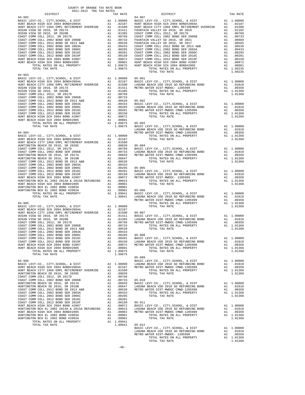| COUNTY OF ORANGE TAX RATE BOOK<br>2021-2022 TRA TAX RATES<br>$2021-2022 \quad \text{TRA TAX RATES}$ DISTRICT 2021-2022 TRA TAX RATES                                                                                                                                                |          |                                                                                                                                                                                                                              |          |
|-------------------------------------------------------------------------------------------------------------------------------------------------------------------------------------------------------------------------------------------------------------------------------------|----------|------------------------------------------------------------------------------------------------------------------------------------------------------------------------------------------------------------------------------|----------|
|                                                                                                                                                                                                                                                                                     | TAX RATE | DISTRICT                                                                                                                                                                                                                     | TAX RATE |
| $04 - 902$                                                                                                                                                                                                                                                                          |          | $04 - 907$                                                                                                                                                                                                                   |          |
|                                                                                                                                                                                                                                                                                     |          |                                                                                                                                                                                                                              |          |
|                                                                                                                                                                                                                                                                                     |          |                                                                                                                                                                                                                              |          |
|                                                                                                                                                                                                                                                                                     |          |                                                                                                                                                                                                                              |          |
|                                                                                                                                                                                                                                                                                     |          |                                                                                                                                                                                                                              |          |
|                                                                                                                                                                                                                                                                                     |          |                                                                                                                                                                                                                              |          |
|                                                                                                                                                                                                                                                                                     |          |                                                                                                                                                                                                                              |          |
|                                                                                                                                                                                                                                                                                     |          |                                                                                                                                                                                                                              |          |
|                                                                                                                                                                                                                                                                                     |          |                                                                                                                                                                                                                              |          |
|                                                                                                                                                                                                                                                                                     |          |                                                                                                                                                                                                                              |          |
|                                                                                                                                                                                                                                                                                     |          |                                                                                                                                                                                                                              |          |
|                                                                                                                                                                                                                                                                                     |          |                                                                                                                                                                                                                              |          |
|                                                                                                                                                                                                                                                                                     |          |                                                                                                                                                                                                                              |          |
| 1.3879<br>2.2020<br>2.2020<br>2.2020<br>2.2020<br>2.2020<br>2.2020<br>2.2020<br>2.2020<br>2.2020<br>2.2020<br>2.2020<br>2.2020<br>2.2020<br>2.2020<br>2.2020<br>2.2020<br>2.2020<br>2.2020<br>2.2020<br>2.2020<br>2.2020<br>2.2020<br>2.2020<br>2.2020<br>2.2020<br>2.2020<br>2.202 |          | TOTAL TAX RATE                                                                                                                                                                                                               | 1,09235  |
|                                                                                                                                                                                                                                                                                     |          |                                                                                                                                                                                                                              |          |
|                                                                                                                                                                                                                                                                                     |          |                                                                                                                                                                                                                              |          |
|                                                                                                                                                                                                                                                                                     |          |                                                                                                                                                                                                                              |          |
|                                                                                                                                                                                                                                                                                     |          |                                                                                                                                                                                                                              |          |
|                                                                                                                                                                                                                                                                                     |          |                                                                                                                                                                                                                              |          |
|                                                                                                                                                                                                                                                                                     |          |                                                                                                                                                                                                                              |          |
|                                                                                                                                                                                                                                                                                     |          |                                                                                                                                                                                                                              |          |
|                                                                                                                                                                                                                                                                                     |          |                                                                                                                                                                                                                              |          |
|                                                                                                                                                                                                                                                                                     |          |                                                                                                                                                                                                                              |          |
|                                                                                                                                                                                                                                                                                     |          |                                                                                                                                                                                                                              |          |
|                                                                                                                                                                                                                                                                                     |          |                                                                                                                                                                                                                              |          |
|                                                                                                                                                                                                                                                                                     |          |                                                                                                                                                                                                                              |          |
|                                                                                                                                                                                                                                                                                     |          |                                                                                                                                                                                                                              |          |
|                                                                                                                                                                                                                                                                                     |          |                                                                                                                                                                                                                              |          |
|                                                                                                                                                                                                                                                                                     |          |                                                                                                                                                                                                                              |          |
|                                                                                                                                                                                                                                                                                     |          |                                                                                                                                                                                                                              |          |
|                                                                                                                                                                                                                                                                                     |          |                                                                                                                                                                                                                              |          |
|                                                                                                                                                                                                                                                                                     |          |                                                                                                                                                                                                                              |          |
|                                                                                                                                                                                                                                                                                     |          |                                                                                                                                                                                                                              |          |
|                                                                                                                                                                                                                                                                                     |          |                                                                                                                                                                                                                              |          |
|                                                                                                                                                                                                                                                                                     |          |                                                                                                                                                                                                                              |          |
|                                                                                                                                                                                                                                                                                     |          |                                                                                                                                                                                                                              |          |
|                                                                                                                                                                                                                                                                                     |          |                                                                                                                                                                                                                              |          |
|                                                                                                                                                                                                                                                                                     |          |                                                                                                                                                                                                                              |          |
|                                                                                                                                                                                                                                                                                     |          |                                                                                                                                                                                                                              |          |
|                                                                                                                                                                                                                                                                                     |          |                                                                                                                                                                                                                              |          |
|                                                                                                                                                                                                                                                                                     |          |                                                                                                                                                                                                                              |          |
|                                                                                                                                                                                                                                                                                     |          |                                                                                                                                                                                                                              |          |
|                                                                                                                                                                                                                                                                                     |          |                                                                                                                                                                                                                              |          |
|                                                                                                                                                                                                                                                                                     |          |                                                                                                                                                                                                                              |          |
|                                                                                                                                                                                                                                                                                     |          |                                                                                                                                                                                                                              |          |
|                                                                                                                                                                                                                                                                                     |          |                                                                                                                                                                                                                              |          |
|                                                                                                                                                                                                                                                                                     |          |                                                                                                                                                                                                                              |          |
|                                                                                                                                                                                                                                                                                     |          |                                                                                                                                                                                                                              |          |
|                                                                                                                                                                                                                                                                                     |          |                                                                                                                                                                                                                              |          |
|                                                                                                                                                                                                                                                                                     |          |                                                                                                                                                                                                                              |          |
|                                                                                                                                                                                                                                                                                     |          |                                                                                                                                                                                                                              |          |
|                                                                                                                                                                                                                                                                                     |          |                                                                                                                                                                                                                              |          |
|                                                                                                                                                                                                                                                                                     |          |                                                                                                                                                                                                                              |          |
|                                                                                                                                                                                                                                                                                     |          |                                                                                                                                                                                                                              |          |
|                                                                                                                                                                                                                                                                                     |          |                                                                                                                                                                                                                              |          |
|                                                                                                                                                                                                                                                                                     |          |                                                                                                                                                                                                                              |          |
|                                                                                                                                                                                                                                                                                     |          |                                                                                                                                                                                                                              |          |
|                                                                                                                                                                                                                                                                                     |          |                                                                                                                                                                                                                              |          |
|                                                                                                                                                                                                                                                                                     |          |                                                                                                                                                                                                                              |          |
|                                                                                                                                                                                                                                                                                     |          |                                                                                                                                                                                                                              |          |
|                                                                                                                                                                                                                                                                                     |          |                                                                                                                                                                                                                              |          |
|                                                                                                                                                                                                                                                                                     |          |                                                                                                                                                                                                                              |          |
|                                                                                                                                                                                                                                                                                     |          |                                                                                                                                                                                                                              |          |
|                                                                                                                                                                                                                                                                                     |          |                                                                                                                                                                                                                              |          |
|                                                                                                                                                                                                                                                                                     |          |                                                                                                                                                                                                                              |          |
|                                                                                                                                                                                                                                                                                     |          |                                                                                                                                                                                                                              |          |
|                                                                                                                                                                                                                                                                                     |          |                                                                                                                                                                                                                              |          |
|                                                                                                                                                                                                                                                                                     |          |                                                                                                                                                                                                                              |          |
|                                                                                                                                                                                                                                                                                     |          |                                                                                                                                                                                                                              |          |
|                                                                                                                                                                                                                                                                                     |          |                                                                                                                                                                                                                              |          |
|                                                                                                                                                                                                                                                                                     |          |                                                                                                                                                                                                                              |          |
|                                                                                                                                                                                                                                                                                     |          |                                                                                                                                                                                                                              |          |
|                                                                                                                                                                                                                                                                                     |          |                                                                                                                                                                                                                              |          |
|                                                                                                                                                                                                                                                                                     |          |                                                                                                                                                                                                                              |          |
|                                                                                                                                                                                                                                                                                     |          |                                                                                                                                                                                                                              |          |
|                                                                                                                                                                                                                                                                                     |          |                                                                                                                                                                                                                              |          |
|                                                                                                                                                                                                                                                                                     |          |                                                                                                                                                                                                                              |          |
|                                                                                                                                                                                                                                                                                     |          | US-ULZ BASIC LEVY-CO., CITY, SCHOOL, & DIST A1 1.00000<br>LAGUNA BEACH USD 2010 GO REFUNDING BOND A1 .01018<br>METRO WATER DIST-MWDOC- 1205999 A1 .00350<br>TOTAL RATES ON ALL PROPERTY A1 1.01368<br>TOTAL TAX RATE 1.01368 |          |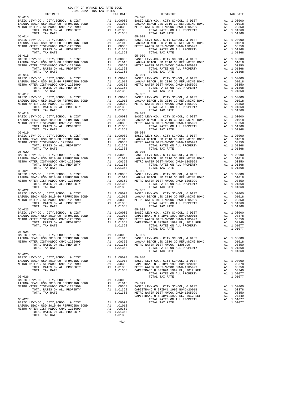| $\begin{minipage}{0.03\textwidth} \begin{tabular}{c} \textbf{0.03}\end{tabular} \begin{tabular}{c} \textbf{0.04}\end{tabular} \begin{tabular}{c} \textbf{0.05}\end{tabular} \end{minipage}$ $\begin{tabular}{c} \textbf{0.06}\end{tabular} \begin{tabular}{c} \textbf{0.07}\end{tabular} \end{minipage}$ |                       | TAX RATE DISTRICT                                                                                                                                                                                                                                                                                                                                          |                         | TAX RATE |
|----------------------------------------------------------------------------------------------------------------------------------------------------------------------------------------------------------------------------------------------------------------------------------------------------------|-----------------------|------------------------------------------------------------------------------------------------------------------------------------------------------------------------------------------------------------------------------------------------------------------------------------------------------------------------------------------------------------|-------------------------|----------|
|                                                                                                                                                                                                                                                                                                          |                       |                                                                                                                                                                                                                                                                                                                                                            |                         |          |
|                                                                                                                                                                                                                                                                                                          |                       |                                                                                                                                                                                                                                                                                                                                                            |                         |          |
|                                                                                                                                                                                                                                                                                                          |                       |                                                                                                                                                                                                                                                                                                                                                            |                         |          |
|                                                                                                                                                                                                                                                                                                          |                       |                                                                                                                                                                                                                                                                                                                                                            |                         |          |
|                                                                                                                                                                                                                                                                                                          |                       |                                                                                                                                                                                                                                                                                                                                                            |                         |          |
|                                                                                                                                                                                                                                                                                                          |                       |                                                                                                                                                                                                                                                                                                                                                            |                         |          |
|                                                                                                                                                                                                                                                                                                          |                       |                                                                                                                                                                                                                                                                                                                                                            |                         |          |
|                                                                                                                                                                                                                                                                                                          |                       |                                                                                                                                                                                                                                                                                                                                                            |                         |          |
|                                                                                                                                                                                                                                                                                                          |                       |                                                                                                                                                                                                                                                                                                                                                            |                         |          |
|                                                                                                                                                                                                                                                                                                          |                       |                                                                                                                                                                                                                                                                                                                                                            |                         |          |
|                                                                                                                                                                                                                                                                                                          |                       |                                                                                                                                                                                                                                                                                                                                                            |                         |          |
|                                                                                                                                                                                                                                                                                                          |                       |                                                                                                                                                                                                                                                                                                                                                            |                         |          |
|                                                                                                                                                                                                                                                                                                          |                       |                                                                                                                                                                                                                                                                                                                                                            |                         |          |
|                                                                                                                                                                                                                                                                                                          |                       |                                                                                                                                                                                                                                                                                                                                                            |                         |          |
|                                                                                                                                                                                                                                                                                                          |                       |                                                                                                                                                                                                                                                                                                                                                            |                         |          |
|                                                                                                                                                                                                                                                                                                          |                       |                                                                                                                                                                                                                                                                                                                                                            |                         |          |
|                                                                                                                                                                                                                                                                                                          |                       |                                                                                                                                                                                                                                                                                                                                                            |                         |          |
|                                                                                                                                                                                                                                                                                                          |                       |                                                                                                                                                                                                                                                                                                                                                            |                         |          |
|                                                                                                                                                                                                                                                                                                          |                       |                                                                                                                                                                                                                                                                                                                                                            |                         |          |
|                                                                                                                                                                                                                                                                                                          |                       |                                                                                                                                                                                                                                                                                                                                                            |                         |          |
|                                                                                                                                                                                                                                                                                                          |                       |                                                                                                                                                                                                                                                                                                                                                            |                         |          |
|                                                                                                                                                                                                                                                                                                          |                       |                                                                                                                                                                                                                                                                                                                                                            |                         |          |
|                                                                                                                                                                                                                                                                                                          |                       |                                                                                                                                                                                                                                                                                                                                                            |                         |          |
|                                                                                                                                                                                                                                                                                                          |                       |                                                                                                                                                                                                                                                                                                                                                            |                         |          |
|                                                                                                                                                                                                                                                                                                          |                       |                                                                                                                                                                                                                                                                                                                                                            |                         |          |
|                                                                                                                                                                                                                                                                                                          |                       |                                                                                                                                                                                                                                                                                                                                                            |                         |          |
|                                                                                                                                                                                                                                                                                                          |                       |                                                                                                                                                                                                                                                                                                                                                            |                         |          |
|                                                                                                                                                                                                                                                                                                          |                       |                                                                                                                                                                                                                                                                                                                                                            |                         |          |
|                                                                                                                                                                                                                                                                                                          |                       |                                                                                                                                                                                                                                                                                                                                                            |                         |          |
|                                                                                                                                                                                                                                                                                                          |                       |                                                                                                                                                                                                                                                                                                                                                            |                         |          |
|                                                                                                                                                                                                                                                                                                          |                       |                                                                                                                                                                                                                                                                                                                                                            |                         |          |
|                                                                                                                                                                                                                                                                                                          |                       |                                                                                                                                                                                                                                                                                                                                                            |                         |          |
|                                                                                                                                                                                                                                                                                                          |                       |                                                                                                                                                                                                                                                                                                                                                            |                         |          |
|                                                                                                                                                                                                                                                                                                          |                       |                                                                                                                                                                                                                                                                                                                                                            |                         |          |
|                                                                                                                                                                                                                                                                                                          |                       |                                                                                                                                                                                                                                                                                                                                                            |                         |          |
|                                                                                                                                                                                                                                                                                                          |                       |                                                                                                                                                                                                                                                                                                                                                            |                         |          |
|                                                                                                                                                                                                                                                                                                          |                       |                                                                                                                                                                                                                                                                                                                                                            |                         |          |
|                                                                                                                                                                                                                                                                                                          |                       |                                                                                                                                                                                                                                                                                                                                                            |                         |          |
|                                                                                                                                                                                                                                                                                                          |                       |                                                                                                                                                                                                                                                                                                                                                            |                         |          |
|                                                                                                                                                                                                                                                                                                          |                       |                                                                                                                                                                                                                                                                                                                                                            |                         |          |
|                                                                                                                                                                                                                                                                                                          |                       |                                                                                                                                                                                                                                                                                                                                                            |                         |          |
|                                                                                                                                                                                                                                                                                                          |                       |                                                                                                                                                                                                                                                                                                                                                            |                         |          |
|                                                                                                                                                                                                                                                                                                          |                       |                                                                                                                                                                                                                                                                                                                                                            |                         |          |
|                                                                                                                                                                                                                                                                                                          |                       |                                                                                                                                                                                                                                                                                                                                                            |                         |          |
|                                                                                                                                                                                                                                                                                                          |                       |                                                                                                                                                                                                                                                                                                                                                            |                         |          |
|                                                                                                                                                                                                                                                                                                          |                       |                                                                                                                                                                                                                                                                                                                                                            |                         |          |
|                                                                                                                                                                                                                                                                                                          |                       |                                                                                                                                                                                                                                                                                                                                                            |                         |          |
|                                                                                                                                                                                                                                                                                                          |                       |                                                                                                                                                                                                                                                                                                                                                            |                         |          |
|                                                                                                                                                                                                                                                                                                          |                       |                                                                                                                                                                                                                                                                                                                                                            |                         |          |
|                                                                                                                                                                                                                                                                                                          |                       |                                                                                                                                                                                                                                                                                                                                                            |                         |          |
|                                                                                                                                                                                                                                                                                                          |                       |                                                                                                                                                                                                                                                                                                                                                            |                         |          |
| 05-024                                                                                                                                                                                                                                                                                                   |                       |                                                                                                                                                                                                                                                                                                                                                            |                         |          |
|                                                                                                                                                                                                                                                                                                          |                       |                                                                                                                                                                                                                                                                                                                                                            |                         |          |
|                                                                                                                                                                                                                                                                                                          |                       | BASIC LEVY-CO., CITY, SCHOOL, & DIST<br>LAGUNA BEACH USD (2010 EXECT) DO AL 1.00000 05-039<br>LAGUNA BEACH USD 2010 GO REFUNDING BOND A1 .00350 LAGUNA BEACH USD 2010 GO REFUNDING BOND<br>METRO WATER DIST-MWDOC CMWD-1205999 A1 .0                                                                                                                       |                         |          |
| TOTAL TAX RATE                                                                                                                                                                                                                                                                                           | 1.01368               | TOTAL RATES ON ALL PROPERTY                                                                                                                                                                                                                                                                                                                                | A1 .00350<br>A1 1.01368 |          |
|                                                                                                                                                                                                                                                                                                          |                       | TOTAL TAX RATE                                                                                                                                                                                                                                                                                                                                             |                         | 1.01368  |
|                                                                                                                                                                                                                                                                                                          |                       | $\begin{tabular}{lllllllllllllllllllll} \textsc{0.01018} & & & & & & \textsc{0.01018} & & & \textsc{0.01018} & & \textsc{0.01018} & & \textsc{0.01018} & & \textsc{0.01018} & & \textsc{0.01018} & & \textsc{0.01018} & & \textsc{0.01018} & & \textsc{0.01018} & & \textsc{0.01018} & & \textsc{0.01018} & & \textsc{0.01018} & & \textsc{0.01018} & & \$ |                         |          |
|                                                                                                                                                                                                                                                                                                          |                       |                                                                                                                                                                                                                                                                                                                                                            |                         |          |
|                                                                                                                                                                                                                                                                                                          |                       |                                                                                                                                                                                                                                                                                                                                                            |                         |          |
|                                                                                                                                                                                                                                                                                                          |                       |                                                                                                                                                                                                                                                                                                                                                            |                         |          |
|                                                                                                                                                                                                                                                                                                          |                       |                                                                                                                                                                                                                                                                                                                                                            |                         |          |
|                                                                                                                                                                                                                                                                                                          |                       |                                                                                                                                                                                                                                                                                                                                                            |                         |          |
|                                                                                                                                                                                                                                                                                                          |                       |                                                                                                                                                                                                                                                                                                                                                            |                         |          |
| BASIC LEVY-CO., CITY, SCHOOL, & DIST A1 1.00000<br>LAGUMA BEACH USD 2010 GO REFUNDING BOND A1 .01018<br>METRO WATER DISTINGHOOC CMWD-1205999 A1 .00350                                                                                                                                                   |                       | $05 - 041$                                                                                                                                                                                                                                                                                                                                                 |                         |          |
| METRO WATER DIST-MWDOC CMWD-1205999<br>TOTAL RATES ON ALL PROPERTY                                                                                                                                                                                                                                       |                       | A1 .01018 05-041<br>A1 .00350 BASIC LEVY-CO., CITY, SCHOOL, & DIST<br>A1 .00350 CAPISTRANO U SFID#1 1999 BOND#2001B<br>1.01368 METRO WATER DIST-MWDOC CMWD-1205999 A1 .00350<br>CAPISTRANO U SFID#1,1999 EL, 2012 REF<br>TOTAL RATES ON                                                                                                                    |                         |          |
| TOTAL TAX RATE                                                                                                                                                                                                                                                                                           |                       |                                                                                                                                                                                                                                                                                                                                                            |                         |          |
|                                                                                                                                                                                                                                                                                                          |                       |                                                                                                                                                                                                                                                                                                                                                            |                         |          |
| $05 - 027$                                                                                                                                                                                                                                                                                               |                       | TOTAL TAX RATE                                                                                                                                                                                                                                                                                                                                             |                         | 1.01077  |
| BASIC LEVY-CO., CITY, SCHOOL, & DIST A1 1.00000<br>LAGUNA BEACH USD 2010 GO REFUNDING BOND A1 .01018<br>METRO WATER DIST-MWDOC CMWD-1205999 A1 .00350                                                                                                                                                    |                       |                                                                                                                                                                                                                                                                                                                                                            |                         |          |
|                                                                                                                                                                                                                                                                                                          |                       |                                                                                                                                                                                                                                                                                                                                                            |                         |          |
| TOTAL RATES ON ALL PROPERTY<br>TOTAL TAX RATE                                                                                                                                                                                                                                                            | A1 1.01368<br>1 01368 |                                                                                                                                                                                                                                                                                                                                                            |                         |          |

-41-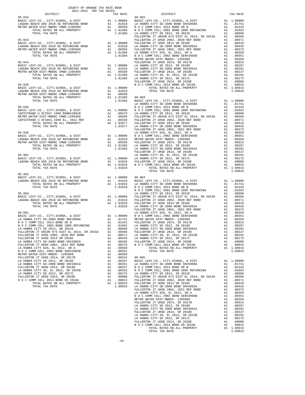| $2021-2022 \quad \text{TRA TAX RATES}$ DISTRICT                                                                                                                                                                               |  |  |
|-------------------------------------------------------------------------------------------------------------------------------------------------------------------------------------------------------------------------------|--|--|
|                                                                                                                                                                                                                               |  |  |
|                                                                                                                                                                                                                               |  |  |
|                                                                                                                                                                                                                               |  |  |
|                                                                                                                                                                                                                               |  |  |
|                                                                                                                                                                                                                               |  |  |
|                                                                                                                                                                                                                               |  |  |
|                                                                                                                                                                                                                               |  |  |
|                                                                                                                                                                                                                               |  |  |
|                                                                                                                                                                                                                               |  |  |
|                                                                                                                                                                                                                               |  |  |
|                                                                                                                                                                                                                               |  |  |
|                                                                                                                                                                                                                               |  |  |
|                                                                                                                                                                                                                               |  |  |
|                                                                                                                                                                                                                               |  |  |
|                                                                                                                                                                                                                               |  |  |
|                                                                                                                                                                                                                               |  |  |
|                                                                                                                                                                                                                               |  |  |
|                                                                                                                                                                                                                               |  |  |
|                                                                                                                                                                                                                               |  |  |
|                                                                                                                                                                                                                               |  |  |
|                                                                                                                                                                                                                               |  |  |
|                                                                                                                                                                                                                               |  |  |
|                                                                                                                                                                                                                               |  |  |
|                                                                                                                                                                                                                               |  |  |
|                                                                                                                                                                                                                               |  |  |
|                                                                                                                                                                                                                               |  |  |
|                                                                                                                                                                                                                               |  |  |
|                                                                                                                                                                                                                               |  |  |
|                                                                                                                                                                                                                               |  |  |
|                                                                                                                                                                                                                               |  |  |
|                                                                                                                                                                                                                               |  |  |
|                                                                                                                                                                                                                               |  |  |
|                                                                                                                                                                                                                               |  |  |
|                                                                                                                                                                                                                               |  |  |
|                                                                                                                                                                                                                               |  |  |
|                                                                                                                                                                                                                               |  |  |
|                                                                                                                                                                                                                               |  |  |
|                                                                                                                                                                                                                               |  |  |
|                                                                                                                                                                                                                               |  |  |
|                                                                                                                                                                                                                               |  |  |
| $05 - 902$                                                                                                                                                                                                                    |  |  |
|                                                                                                                                                                                                                               |  |  |
|                                                                                                                                                                                                                               |  |  |
|                                                                                                                                                                                                                               |  |  |
|                                                                                                                                                                                                                               |  |  |
|                                                                                                                                                                                                                               |  |  |
|                                                                                                                                                                                                                               |  |  |
|                                                                                                                                                                                                                               |  |  |
|                                                                                                                                                                                                                               |  |  |
|                                                                                                                                                                                                                               |  |  |
|                                                                                                                                                                                                                               |  |  |
|                                                                                                                                                                                                                               |  |  |
|                                                                                                                                                                                                                               |  |  |
|                                                                                                                                                                                                                               |  |  |
|                                                                                                                                                                                                                               |  |  |
|                                                                                                                                                                                                                               |  |  |
|                                                                                                                                                                                                                               |  |  |
|                                                                                                                                                                                                                               |  |  |
|                                                                                                                                                                                                                               |  |  |
|                                                                                                                                                                                                                               |  |  |
|                                                                                                                                                                                                                               |  |  |
|                                                                                                                                                                                                                               |  |  |
|                                                                                                                                                                                                                               |  |  |
|                                                                                                                                                                                                                               |  |  |
|                                                                                                                                                                                                                               |  |  |
|                                                                                                                                                                                                                               |  |  |
|                                                                                                                                                                                                                               |  |  |
|                                                                                                                                                                                                                               |  |  |
|                                                                                                                                                                                                                               |  |  |
|                                                                                                                                                                                                                               |  |  |
|                                                                                                                                                                                                                               |  |  |
|                                                                                                                                                                                                                               |  |  |
|                                                                                                                                                                                                                               |  |  |
|                                                                                                                                                                                                                               |  |  |
|                                                                                                                                                                                                                               |  |  |
|                                                                                                                                                                                                                               |  |  |
|                                                                                                                                                                                                                               |  |  |
|                                                                                                                                                                                                                               |  |  |
|                                                                                                                                                                                                                               |  |  |
|                                                                                                                                                                                                                               |  |  |
|                                                                                                                                                                                                                               |  |  |
| NE CONSIDERATION (1990) 2003 EXPERIMENTAL ALGORING THE SECTION OF A MAIN CONSIDERATION OF THE SECTION OF A MAIN CONSIDERATION (1991) AND CONSIDERATION (1991) AND CONSIDERATION (1991) AND CONSIDERATION (1991) AND CONSIDERA |  |  |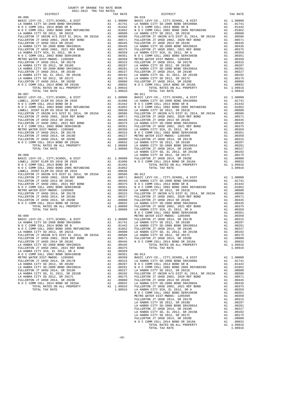|                                                                              | COUNTY OF ORANGE TAX RATE BOOK |  |          |                  |                    |
|------------------------------------------------------------------------------|--------------------------------|--|----------|------------------|--------------------|
| DISTRICT                                                                     | 2021-2022 TRA TAX RATES        |  |          | TAX RATE         |                    |
| $06 - 006$                                                                   |                                |  |          |                  | $06 - 010$         |
|                                                                              |                                |  |          |                  |                    |
|                                                                              |                                |  |          |                  |                    |
|                                                                              |                                |  |          |                  |                    |
|                                                                              |                                |  |          |                  |                    |
|                                                                              |                                |  |          |                  |                    |
|                                                                              |                                |  |          |                  |                    |
|                                                                              |                                |  |          |                  |                    |
|                                                                              |                                |  |          |                  |                    |
|                                                                              |                                |  |          |                  |                    |
|                                                                              |                                |  |          |                  |                    |
|                                                                              |                                |  |          |                  |                    |
|                                                                              |                                |  |          |                  |                    |
|                                                                              |                                |  |          |                  |                    |
|                                                                              |                                |  |          |                  |                    |
|                                                                              |                                |  |          |                  |                    |
|                                                                              |                                |  |          |                  |                    |
|                                                                              |                                |  |          |                  |                    |
|                                                                              |                                |  |          |                  |                    |
|                                                                              |                                |  |          |                  |                    |
| TOTAL TAX RATE                                                               |                                |  |          | 1.09916          |                    |
| $06 - 007$                                                                   |                                |  |          |                  | $06 - 011$         |
|                                                                              |                                |  |          |                  |                    |
|                                                                              |                                |  |          |                  |                    |
|                                                                              |                                |  |          |                  |                    |
|                                                                              |                                |  |          |                  |                    |
|                                                                              |                                |  |          |                  |                    |
|                                                                              |                                |  |          |                  |                    |
|                                                                              |                                |  |          |                  |                    |
|                                                                              |                                |  |          |                  |                    |
|                                                                              |                                |  |          |                  |                    |
|                                                                              |                                |  |          |                  |                    |
|                                                                              |                                |  |          |                  |                    |
|                                                                              |                                |  |          |                  |                    |
|                                                                              |                                |  |          |                  |                    |
|                                                                              |                                |  |          |                  |                    |
|                                                                              |                                |  |          |                  | LA HABR            |
| $06 - 008$                                                                   |                                |  |          |                  | LA HABR            |
|                                                                              |                                |  |          |                  |                    |
|                                                                              |                                |  |          |                  |                    |
|                                                                              |                                |  |          |                  |                    |
|                                                                              |                                |  |          |                  |                    |
|                                                                              |                                |  |          |                  |                    |
|                                                                              |                                |  |          |                  |                    |
|                                                                              |                                |  |          |                  |                    |
|                                                                              |                                |  |          |                  |                    |
|                                                                              |                                |  |          |                  |                    |
|                                                                              |                                |  |          |                  |                    |
|                                                                              |                                |  |          |                  |                    |
|                                                                              |                                |  |          |                  |                    |
|                                                                              |                                |  |          |                  |                    |
|                                                                              |                                |  |          |                  |                    |
|                                                                              |                                |  |          |                  |                    |
|                                                                              |                                |  |          |                  | NOCC               |
|                                                                              |                                |  |          |                  |                    |
|                                                                              |                                |  |          |                  |                    |
|                                                                              |                                |  |          |                  |                    |
|                                                                              |                                |  |          |                  |                    |
| LA HABRA CITY SD 2012, SR 2021E                                              |                                |  | A1       | .00600           | LA HABR            |
| FULLERTON JT UNION H/S DIST EL 2014, SR 2015A                                |                                |  |          | A1 .00586        | LA HABR            |
| FULLERTON JT UHSD 2002, 2020 REF BOND                                        |                                |  |          | A1 .00571        | FULLERT            |
| FULLERTON JT UHSD 2014 SR 2018C                                              |                                |  | A1       | .00445           | NOCC               |
| LA HABRA CITY SD-2000 BOND SR#2002A<br>FULLERTON JT UHSD 2002, 2021 REF BOND |                                |  | A1<br>A1 | .00435<br>.00375 |                    |
| LA HABRA CITY SCH, EL 2012, SR A                                             |                                |  | A1       | .00359           |                    |
| N O C COMM COLL 2002 BOND SER#2003B                                          |                                |  | A1       | .00351           | 06-013             |
| METRO WATER DIST-MWDOC- 1205999                                              |                                |  | A1       | .00350           | BASIC L            |
| FULLERTON JT UHSD 2014, SR 2017B                                             |                                |  |          | A1 .00315        | LA HABR            |
| LA HABRA CITY SD 2012, SR 2018D                                              |                                |  |          | A1.00297         | N O C C            |
| LA HABRA CITY SD-2000 BOND SR#2001A                                          |                                |  |          | A1.00291         | N O C C            |
| FULLERTON JT UHSD 2014, SR 2019D<br>LA HABRA CITY SD, EL 2012, SR 2015B      |                                |  | A1<br>A1 | .00227<br>.00192 | LA HABR<br>FULLERT |
| LA HABRA CITY SD 2012, SR 2017C                                              |                                |  | A1       | .00175           | FULLERT            |
| FULLERTON JT UHSD 2014, SR 2020E                                             |                                |  | A1       | .00080           | FULLERT            |
| N O C COMM COLL 2014 BOND SR 2016A                                           |                                |  | A1       | .00032           | LA HABR            |
| TOTAL RATES ON ALL PROPERTY                                                  |                                |  |          | A1 1.09916       | FULLERT            |
| TOTAL TAX RATE                                                               |                                |  |          | 1.09916          | LA HABR            |
|                                                                              |                                |  |          |                  | NOCC<br>METRO W    |

| 2021-2022 TRA TAX RATES<br>DISTRICT | TAX RATE | DISTRICT                                                                                                                                                                                                                                                                                                                                                                  | TAX RATE |
|-------------------------------------|----------|---------------------------------------------------------------------------------------------------------------------------------------------------------------------------------------------------------------------------------------------------------------------------------------------------------------------------------------------------------------------------|----------|
| $06 - 006$                          |          | $06 - 010$<br>$\begin{tabular}{0.85-0.6\hline 0.6-0.6\hline 0.6-0.6\hline 0.6-0.6\hline 0.7718-0.7187-0.7177, 83000, 6.9177-0.7177, 83000, 6.9177-0.7177, 83000, 6.9187-0.7177, 83000, 8000, 8000, 8000, 8000, 8000, 8000, 8000, 8000, 8000, 8000, 8000, 8000, 80$                                                                                                        |          |
|                                     |          |                                                                                                                                                                                                                                                                                                                                                                           |          |
|                                     |          |                                                                                                                                                                                                                                                                                                                                                                           |          |
|                                     |          |                                                                                                                                                                                                                                                                                                                                                                           |          |
|                                     |          |                                                                                                                                                                                                                                                                                                                                                                           |          |
|                                     |          |                                                                                                                                                                                                                                                                                                                                                                           |          |
|                                     |          |                                                                                                                                                                                                                                                                                                                                                                           |          |
|                                     |          |                                                                                                                                                                                                                                                                                                                                                                           |          |
|                                     |          |                                                                                                                                                                                                                                                                                                                                                                           |          |
|                                     |          |                                                                                                                                                                                                                                                                                                                                                                           |          |
|                                     |          |                                                                                                                                                                                                                                                                                                                                                                           |          |
|                                     |          |                                                                                                                                                                                                                                                                                                                                                                           |          |
|                                     |          |                                                                                                                                                                                                                                                                                                                                                                           |          |
|                                     |          |                                                                                                                                                                                                                                                                                                                                                                           |          |
|                                     |          |                                                                                                                                                                                                                                                                                                                                                                           |          |
|                                     |          |                                                                                                                                                                                                                                                                                                                                                                           |          |
|                                     |          |                                                                                                                                                                                                                                                                                                                                                                           |          |
|                                     |          |                                                                                                                                                                                                                                                                                                                                                                           |          |
|                                     |          |                                                                                                                                                                                                                                                                                                                                                                           |          |
|                                     |          |                                                                                                                                                                                                                                                                                                                                                                           |          |
|                                     |          |                                                                                                                                                                                                                                                                                                                                                                           |          |
|                                     |          |                                                                                                                                                                                                                                                                                                                                                                           |          |
|                                     |          |                                                                                                                                                                                                                                                                                                                                                                           |          |
|                                     |          |                                                                                                                                                                                                                                                                                                                                                                           |          |
|                                     |          |                                                                                                                                                                                                                                                                                                                                                                           |          |
|                                     |          |                                                                                                                                                                                                                                                                                                                                                                           |          |
|                                     |          |                                                                                                                                                                                                                                                                                                                                                                           |          |
|                                     |          |                                                                                                                                                                                                                                                                                                                                                                           |          |
|                                     |          |                                                                                                                                                                                                                                                                                                                                                                           |          |
|                                     |          |                                                                                                                                                                                                                                                                                                                                                                           |          |
|                                     |          |                                                                                                                                                                                                                                                                                                                                                                           |          |
|                                     |          |                                                                                                                                                                                                                                                                                                                                                                           |          |
|                                     |          |                                                                                                                                                                                                                                                                                                                                                                           |          |
|                                     |          |                                                                                                                                                                                                                                                                                                                                                                           |          |
|                                     |          |                                                                                                                                                                                                                                                                                                                                                                           |          |
|                                     |          |                                                                                                                                                                                                                                                                                                                                                                           |          |
|                                     |          |                                                                                                                                                                                                                                                                                                                                                                           |          |
|                                     |          |                                                                                                                                                                                                                                                                                                                                                                           |          |
|                                     |          |                                                                                                                                                                                                                                                                                                                                                                           |          |
|                                     |          |                                                                                                                                                                                                                                                                                                                                                                           |          |
|                                     |          |                                                                                                                                                                                                                                                                                                                                                                           |          |
|                                     |          |                                                                                                                                                                                                                                                                                                                                                                           |          |
|                                     |          |                                                                                                                                                                                                                                                                                                                                                                           |          |
|                                     |          |                                                                                                                                                                                                                                                                                                                                                                           |          |
|                                     |          |                                                                                                                                                                                                                                                                                                                                                                           |          |
|                                     |          |                                                                                                                                                                                                                                                                                                                                                                           |          |
|                                     |          |                                                                                                                                                                                                                                                                                                                                                                           |          |
|                                     |          |                                                                                                                                                                                                                                                                                                                                                                           |          |
|                                     |          |                                                                                                                                                                                                                                                                                                                                                                           |          |
|                                     |          |                                                                                                                                                                                                                                                                                                                                                                           |          |
|                                     |          |                                                                                                                                                                                                                                                                                                                                                                           |          |
|                                     |          |                                                                                                                                                                                                                                                                                                                                                                           |          |
|                                     |          |                                                                                                                                                                                                                                                                                                                                                                           |          |
|                                     |          |                                                                                                                                                                                                                                                                                                                                                                           |          |
|                                     |          |                                                                                                                                                                                                                                                                                                                                                                           |          |
|                                     |          |                                                                                                                                                                                                                                                                                                                                                                           |          |
|                                     |          |                                                                                                                                                                                                                                                                                                                                                                           |          |
|                                     |          | $\begin{tabular}{l ll} \textbf{M} & 0 & 0.00000 \text{COL} & 0.00000 \text{RREV} \\ \textbf{FULLRETWN T T T S R 10 & 0.00000 \text{RREV} \\ \textbf{FULLRETWN T T T S R 10 & 0.00000 \text{RREV} \\ \textbf{FULLRETWN T T T S R 10 & 0.00000 \text{RREV} \\ \textbf{FULLRETWN T T T S P 20010 \text{DRW} \\ \textbf{FULR S C C C C C C C C C C C C C C C C C C C C C C C$ |          |
|                                     |          |                                                                                                                                                                                                                                                                                                                                                                           |          |
|                                     |          |                                                                                                                                                                                                                                                                                                                                                                           |          |
|                                     |          |                                                                                                                                                                                                                                                                                                                                                                           |          |
|                                     |          |                                                                                                                                                                                                                                                                                                                                                                           |          |
|                                     |          |                                                                                                                                                                                                                                                                                                                                                                           |          |
|                                     |          |                                                                                                                                                                                                                                                                                                                                                                           |          |
|                                     |          |                                                                                                                                                                                                                                                                                                                                                                           |          |
|                                     |          |                                                                                                                                                                                                                                                                                                                                                                           |          |
|                                     |          |                                                                                                                                                                                                                                                                                                                                                                           |          |
|                                     |          |                                                                                                                                                                                                                                                                                                                                                                           |          |
|                                     |          |                                                                                                                                                                                                                                                                                                                                                                           |          |
|                                     |          |                                                                                                                                                                                                                                                                                                                                                                           |          |
|                                     |          |                                                                                                                                                                                                                                                                                                                                                                           |          |
|                                     |          |                                                                                                                                                                                                                                                                                                                                                                           |          |
|                                     |          |                                                                                                                                                                                                                                                                                                                                                                           |          |
|                                     |          |                                                                                                                                                                                                                                                                                                                                                                           |          |
|                                     |          |                                                                                                                                                                                                                                                                                                                                                                           |          |
|                                     |          |                                                                                                                                                                                                                                                                                                                                                                           |          |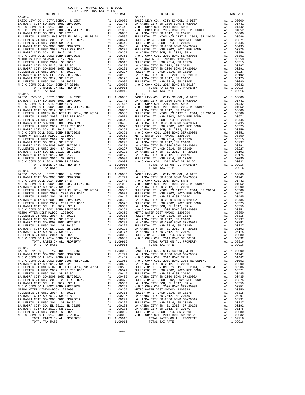| DISTRICT                                                               |          | TAX RATE                                                 |            |
|------------------------------------------------------------------------|----------|----------------------------------------------------------|------------|
| 06-014                                                                 |          |                                                          | $06 - 018$ |
|                                                                        |          |                                                          |            |
|                                                                        |          |                                                          |            |
|                                                                        |          |                                                          |            |
|                                                                        |          |                                                          |            |
|                                                                        |          |                                                          |            |
|                                                                        |          |                                                          |            |
|                                                                        |          |                                                          |            |
|                                                                        |          |                                                          |            |
|                                                                        |          |                                                          |            |
|                                                                        |          |                                                          |            |
|                                                                        |          |                                                          |            |
|                                                                        |          |                                                          |            |
|                                                                        |          |                                                          |            |
|                                                                        |          |                                                          |            |
|                                                                        |          |                                                          |            |
|                                                                        |          |                                                          |            |
|                                                                        |          |                                                          |            |
|                                                                        |          |                                                          |            |
|                                                                        |          |                                                          |            |
|                                                                        |          |                                                          |            |
|                                                                        |          |                                                          |            |
| TOTAL TAX RATE                                                         |          | 1.09916                                                  |            |
| $06 - 015$                                                             |          |                                                          | 06-019     |
|                                                                        |          |                                                          |            |
|                                                                        |          |                                                          |            |
|                                                                        |          |                                                          |            |
|                                                                        |          |                                                          |            |
|                                                                        |          |                                                          |            |
|                                                                        |          |                                                          |            |
|                                                                        |          |                                                          |            |
|                                                                        |          |                                                          |            |
|                                                                        |          |                                                          |            |
|                                                                        |          |                                                          |            |
|                                                                        |          |                                                          |            |
|                                                                        |          |                                                          |            |
|                                                                        |          |                                                          |            |
|                                                                        |          |                                                          |            |
|                                                                        |          |                                                          |            |
|                                                                        |          |                                                          |            |
|                                                                        |          |                                                          |            |
|                                                                        |          |                                                          |            |
|                                                                        |          |                                                          |            |
|                                                                        |          |                                                          |            |
|                                                                        |          |                                                          |            |
| TOTAL TAX RATE                                                         |          | 1.09916                                                  |            |
|                                                                        |          |                                                          |            |
|                                                                        |          |                                                          |            |
|                                                                        |          |                                                          |            |
|                                                                        |          |                                                          |            |
|                                                                        |          |                                                          |            |
|                                                                        |          |                                                          |            |
|                                                                        |          |                                                          |            |
|                                                                        |          |                                                          |            |
|                                                                        |          |                                                          |            |
|                                                                        |          |                                                          |            |
|                                                                        |          |                                                          |            |
|                                                                        |          |                                                          |            |
|                                                                        |          |                                                          |            |
|                                                                        |          |                                                          |            |
|                                                                        |          |                                                          |            |
|                                                                        |          |                                                          |            |
|                                                                        |          |                                                          |            |
|                                                                        |          |                                                          |            |
|                                                                        |          |                                                          |            |
|                                                                        |          |                                                          |            |
|                                                                        |          |                                                          |            |
| N O C COMM COLL 2014 BOND SR 2016A                                     |          | A1 .00032                                                | NOCC       |
| TOTAL RATES ON ALL PROPERTY                                            | A1       | 1.09916                                                  |            |
| TOTAL TAX RATE                                                         |          | 1.09916                                                  |            |
| $06 - 017$                                                             |          |                                                          | $06 - 021$ |
| BASIC LEVY-CO., CITY, SCHOOL, & DIST                                   |          | A1 1.00000                                               | BASIC L    |
| LA HABRA CITY SD-2000 BOND SR#2000A                                    |          | A1.01741                                                 | LA HABR    |
| N O C COMM COLL 2014 BOND SR B                                         | A1       | .01442                                                   | NOCC       |
|                                                                        |          |                                                          |            |
|                                                                        |          |                                                          |            |
|                                                                        |          |                                                          |            |
|                                                                        |          |                                                          |            |
|                                                                        |          |                                                          |            |
|                                                                        |          |                                                          |            |
|                                                                        |          |                                                          |            |
|                                                                        |          |                                                          |            |
|                                                                        |          |                                                          |            |
|                                                                        |          |                                                          |            |
|                                                                        |          |                                                          |            |
| LA HABRA CITY SD 2012, SR 2018D<br>LA HABRA CITY SD-2000 BOND SR#2001A |          | A1.00297<br>A1 .00291 LA HABR                            | LA HABR    |
|                                                                        |          |                                                          |            |
| FULLERTON JT UHSD 2014, SR 2019D                                       | A1       | .00227                                                   | FULLERT    |
| LA HABRA CITY SD, EL 2012, SR 2015B<br>LA HABRA CITY SD 2012, SR 2017C | A1<br>A1 | .00192                                                   | LA HABR    |
| FULLERTON JT UHSD 2014, SR 2020E                                       |          | A1 .00175 LA HABR<br>A1 .00080 FULLERT<br>A1 .00032 NOCC |            |
|                                                                        |          |                                                          |            |
| N O C COMM COLL 2014 BOND SR 2016A<br>TOTAL RATES ON ALL PROPERTY      |          | A1 1.09916                                               |            |
| TOTAL TAX RATE                                                         |          | 1.09916                                                  |            |
|                                                                        |          |                                                          |            |

| COUNTY OF ORANGE TAX RATE BOOK<br>$\begin{minipage}{.0.5\textwidth} \begin{tabular}{l} \multicolumn{2}{c} {\textwidth} \end{tabular} \hline \multicolumn{2}{c} {\textwidth} \begin{tabular}{l} \multicolumn{2}{c} {\textwidth} \end{tabular} \hline \multicolumn{2}{c} {\textwidth} \begin{tabular}{l} \multicolumn{2}{c} {\textwidth} \end{tabular} \hline \multicolumn{2}{c} {\textwidth} \begin{tabular}{l} \multicolumn{2}{c} {\textwidth} \end{tabular} \hline \multicolumn{2}{c} {\textwidth} \begin{tabular}{l} \multicolumn{2}{c} {\textwidth} \end{tabular} \hline \multic$ |          |            |          |
|--------------------------------------------------------------------------------------------------------------------------------------------------------------------------------------------------------------------------------------------------------------------------------------------------------------------------------------------------------------------------------------------------------------------------------------------------------------------------------------------------------------------------------------------------------------------------------------|----------|------------|----------|
|                                                                                                                                                                                                                                                                                                                                                                                                                                                                                                                                                                                      | TAX RATE | DISTRICT   | TAX RATE |
| $06 - 014$                                                                                                                                                                                                                                                                                                                                                                                                                                                                                                                                                                           |          | $06 - 018$ |          |
|                                                                                                                                                                                                                                                                                                                                                                                                                                                                                                                                                                                      |          |            |          |
|                                                                                                                                                                                                                                                                                                                                                                                                                                                                                                                                                                                      |          |            |          |
|                                                                                                                                                                                                                                                                                                                                                                                                                                                                                                                                                                                      |          |            |          |
|                                                                                                                                                                                                                                                                                                                                                                                                                                                                                                                                                                                      |          |            |          |
|                                                                                                                                                                                                                                                                                                                                                                                                                                                                                                                                                                                      |          |            |          |
|                                                                                                                                                                                                                                                                                                                                                                                                                                                                                                                                                                                      |          |            |          |
|                                                                                                                                                                                                                                                                                                                                                                                                                                                                                                                                                                                      |          |            |          |
|                                                                                                                                                                                                                                                                                                                                                                                                                                                                                                                                                                                      |          |            |          |
|                                                                                                                                                                                                                                                                                                                                                                                                                                                                                                                                                                                      |          |            |          |
|                                                                                                                                                                                                                                                                                                                                                                                                                                                                                                                                                                                      |          |            |          |
|                                                                                                                                                                                                                                                                                                                                                                                                                                                                                                                                                                                      |          |            |          |
|                                                                                                                                                                                                                                                                                                                                                                                                                                                                                                                                                                                      |          |            |          |
|                                                                                                                                                                                                                                                                                                                                                                                                                                                                                                                                                                                      |          |            |          |
|                                                                                                                                                                                                                                                                                                                                                                                                                                                                                                                                                                                      |          |            |          |
|                                                                                                                                                                                                                                                                                                                                                                                                                                                                                                                                                                                      |          |            |          |
|                                                                                                                                                                                                                                                                                                                                                                                                                                                                                                                                                                                      |          |            |          |
|                                                                                                                                                                                                                                                                                                                                                                                                                                                                                                                                                                                      |          |            |          |
| $06 - 015$                                                                                                                                                                                                                                                                                                                                                                                                                                                                                                                                                                           |          | $06 - 019$ |          |
|                                                                                                                                                                                                                                                                                                                                                                                                                                                                                                                                                                                      |          |            |          |
|                                                                                                                                                                                                                                                                                                                                                                                                                                                                                                                                                                                      |          |            |          |
|                                                                                                                                                                                                                                                                                                                                                                                                                                                                                                                                                                                      |          |            |          |
|                                                                                                                                                                                                                                                                                                                                                                                                                                                                                                                                                                                      |          |            |          |
|                                                                                                                                                                                                                                                                                                                                                                                                                                                                                                                                                                                      |          |            |          |
|                                                                                                                                                                                                                                                                                                                                                                                                                                                                                                                                                                                      |          |            |          |
|                                                                                                                                                                                                                                                                                                                                                                                                                                                                                                                                                                                      |          |            |          |
|                                                                                                                                                                                                                                                                                                                                                                                                                                                                                                                                                                                      |          |            |          |
|                                                                                                                                                                                                                                                                                                                                                                                                                                                                                                                                                                                      |          |            |          |
|                                                                                                                                                                                                                                                                                                                                                                                                                                                                                                                                                                                      |          |            |          |
|                                                                                                                                                                                                                                                                                                                                                                                                                                                                                                                                                                                      |          |            |          |
|                                                                                                                                                                                                                                                                                                                                                                                                                                                                                                                                                                                      |          |            |          |
|                                                                                                                                                                                                                                                                                                                                                                                                                                                                                                                                                                                      |          |            |          |
|                                                                                                                                                                                                                                                                                                                                                                                                                                                                                                                                                                                      |          |            |          |
|                                                                                                                                                                                                                                                                                                                                                                                                                                                                                                                                                                                      |          |            |          |
|                                                                                                                                                                                                                                                                                                                                                                                                                                                                                                                                                                                      |          |            |          |
|                                                                                                                                                                                                                                                                                                                                                                                                                                                                                                                                                                                      |          |            |          |
|                                                                                                                                                                                                                                                                                                                                                                                                                                                                                                                                                                                      |          |            |          |
|                                                                                                                                                                                                                                                                                                                                                                                                                                                                                                                                                                                      |          |            |          |
|                                                                                                                                                                                                                                                                                                                                                                                                                                                                                                                                                                                      |          |            |          |
|                                                                                                                                                                                                                                                                                                                                                                                                                                                                                                                                                                                      |          |            |          |
|                                                                                                                                                                                                                                                                                                                                                                                                                                                                                                                                                                                      |          |            |          |
|                                                                                                                                                                                                                                                                                                                                                                                                                                                                                                                                                                                      |          |            |          |
|                                                                                                                                                                                                                                                                                                                                                                                                                                                                                                                                                                                      |          |            |          |
|                                                                                                                                                                                                                                                                                                                                                                                                                                                                                                                                                                                      |          |            |          |
|                                                                                                                                                                                                                                                                                                                                                                                                                                                                                                                                                                                      |          |            |          |
|                                                                                                                                                                                                                                                                                                                                                                                                                                                                                                                                                                                      |          |            |          |
|                                                                                                                                                                                                                                                                                                                                                                                                                                                                                                                                                                                      |          |            |          |
|                                                                                                                                                                                                                                                                                                                                                                                                                                                                                                                                                                                      |          |            |          |
|                                                                                                                                                                                                                                                                                                                                                                                                                                                                                                                                                                                      |          |            |          |
|                                                                                                                                                                                                                                                                                                                                                                                                                                                                                                                                                                                      |          |            |          |
|                                                                                                                                                                                                                                                                                                                                                                                                                                                                                                                                                                                      |          |            |          |
|                                                                                                                                                                                                                                                                                                                                                                                                                                                                                                                                                                                      |          |            |          |
|                                                                                                                                                                                                                                                                                                                                                                                                                                                                                                                                                                                      |          |            |          |
| $06 - 017$                                                                                                                                                                                                                                                                                                                                                                                                                                                                                                                                                                           |          | $06 - 021$ |          |
|                                                                                                                                                                                                                                                                                                                                                                                                                                                                                                                                                                                      |          |            |          |
|                                                                                                                                                                                                                                                                                                                                                                                                                                                                                                                                                                                      |          |            |          |
|                                                                                                                                                                                                                                                                                                                                                                                                                                                                                                                                                                                      |          |            |          |
|                                                                                                                                                                                                                                                                                                                                                                                                                                                                                                                                                                                      |          |            |          |
|                                                                                                                                                                                                                                                                                                                                                                                                                                                                                                                                                                                      |          |            |          |
|                                                                                                                                                                                                                                                                                                                                                                                                                                                                                                                                                                                      |          |            |          |
|                                                                                                                                                                                                                                                                                                                                                                                                                                                                                                                                                                                      |          |            |          |
|                                                                                                                                                                                                                                                                                                                                                                                                                                                                                                                                                                                      |          |            |          |
|                                                                                                                                                                                                                                                                                                                                                                                                                                                                                                                                                                                      |          |            |          |
|                                                                                                                                                                                                                                                                                                                                                                                                                                                                                                                                                                                      |          |            |          |
|                                                                                                                                                                                                                                                                                                                                                                                                                                                                                                                                                                                      |          |            |          |
|                                                                                                                                                                                                                                                                                                                                                                                                                                                                                                                                                                                      |          |            |          |
|                                                                                                                                                                                                                                                                                                                                                                                                                                                                                                                                                                                      |          |            |          |
|                                                                                                                                                                                                                                                                                                                                                                                                                                                                                                                                                                                      |          |            |          |
|                                                                                                                                                                                                                                                                                                                                                                                                                                                                                                                                                                                      |          |            |          |
|                                                                                                                                                                                                                                                                                                                                                                                                                                                                                                                                                                                      |          |            |          |
|                                                                                                                                                                                                                                                                                                                                                                                                                                                                                                                                                                                      |          |            |          |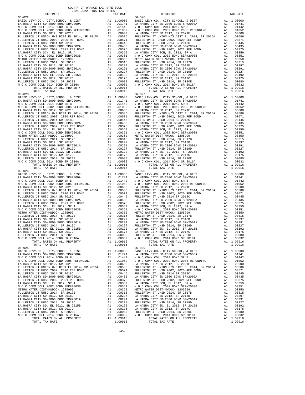| DISTRICT                                                               |    | TAX RATE                                                 |            |
|------------------------------------------------------------------------|----|----------------------------------------------------------|------------|
| $06 - 022$                                                             |    |                                                          | $06 - 026$ |
|                                                                        |    |                                                          |            |
|                                                                        |    |                                                          |            |
|                                                                        |    |                                                          |            |
|                                                                        |    |                                                          |            |
|                                                                        |    |                                                          |            |
|                                                                        |    |                                                          |            |
|                                                                        |    |                                                          |            |
|                                                                        |    |                                                          |            |
|                                                                        |    |                                                          |            |
|                                                                        |    |                                                          |            |
|                                                                        |    |                                                          |            |
|                                                                        |    |                                                          |            |
|                                                                        |    |                                                          |            |
|                                                                        |    |                                                          |            |
|                                                                        |    |                                                          |            |
|                                                                        |    |                                                          |            |
|                                                                        |    |                                                          |            |
|                                                                        |    |                                                          |            |
|                                                                        |    |                                                          |            |
|                                                                        |    |                                                          |            |
| TOTAL TAX RATE                                                         |    | 1.09916                                                  |            |
| $06 - 023$                                                             |    |                                                          | 06-027     |
|                                                                        |    |                                                          |            |
|                                                                        |    |                                                          |            |
|                                                                        |    |                                                          |            |
|                                                                        |    |                                                          |            |
|                                                                        |    |                                                          |            |
|                                                                        |    |                                                          |            |
|                                                                        |    |                                                          |            |
|                                                                        |    |                                                          |            |
|                                                                        |    |                                                          |            |
|                                                                        |    |                                                          |            |
|                                                                        |    |                                                          |            |
|                                                                        |    |                                                          |            |
|                                                                        |    |                                                          |            |
|                                                                        |    |                                                          |            |
|                                                                        |    |                                                          |            |
|                                                                        |    |                                                          |            |
|                                                                        |    |                                                          |            |
|                                                                        |    |                                                          |            |
|                                                                        |    |                                                          |            |
|                                                                        |    |                                                          |            |
| TOTAL TAX RATE                                                         |    | 1.09916                                                  |            |
|                                                                        |    |                                                          |            |
|                                                                        |    |                                                          |            |
|                                                                        |    |                                                          |            |
|                                                                        |    |                                                          |            |
|                                                                        |    |                                                          |            |
|                                                                        |    |                                                          |            |
|                                                                        |    |                                                          |            |
|                                                                        |    |                                                          |            |
|                                                                        |    |                                                          |            |
|                                                                        |    |                                                          |            |
|                                                                        |    |                                                          |            |
|                                                                        |    |                                                          |            |
|                                                                        |    |                                                          |            |
|                                                                        |    |                                                          |            |
|                                                                        |    |                                                          |            |
|                                                                        |    |                                                          |            |
|                                                                        |    |                                                          |            |
|                                                                        |    |                                                          |            |
|                                                                        |    |                                                          |            |
| N O C COMM COLL 2014 BOND SR 2016A                                     |    | A1 .00032                                                | NOCC       |
| TOTAL RATES ON ALL PROPERTY                                            | A1 | 1.09916                                                  |            |
| TOTAL TAX RATE                                                         |    | 1.09916                                                  |            |
| $06 - 025$                                                             |    |                                                          | $06 - 029$ |
| BASIC LEVY-CO., CITY, SCHOOL, & DIST                                   |    | A1 1.00000                                               | BASIC L    |
| LA HABRA CITY SD-2000 BOND SR#2000A                                    |    | A1.01741                                                 | LA HABR    |
|                                                                        |    |                                                          |            |
|                                                                        |    |                                                          |            |
|                                                                        |    |                                                          |            |
|                                                                        |    |                                                          |            |
|                                                                        |    |                                                          |            |
|                                                                        |    |                                                          |            |
|                                                                        |    |                                                          |            |
|                                                                        |    |                                                          |            |
|                                                                        |    |                                                          |            |
|                                                                        |    |                                                          |            |
|                                                                        |    |                                                          |            |
| LA HABRA CITY SD 2012, SR 2018D<br>LA HABRA CITY SD-2000 BOND SR#2001A |    | A1.00297<br>A1 .00291 LA HABR                            | LA HABR    |
| FULLERTON JT UHSD 2014, SR 2019D                                       | A1 | .00227                                                   | FULLERT    |
| LA HABRA CITY SD, EL 2012, SR 2015B                                    | A1 | .00192                                                   | LA HABR    |
| LA HABRA CITY SD 2012, SR 2017C                                        | A1 |                                                          |            |
| FULLERTON JT UHSD 2014, SR 2020E                                       |    |                                                          |            |
| N O C COMM COLL 2014 BOND SR 2016A                                     |    | A1 .00175 LA HABR<br>A1 .00080 FULLERT<br>A1 .00032 NOCC |            |
| TOTAL RATES ON ALL PROPERTY                                            |    | A1 1.09916                                               |            |
| TOTAL TAX RATE                                                         |    | 1.09916                                                  |            |

| COUNTY OF ORANGE TAX RATE BOOK |          |                                                                                                                                                                                                                                                                                                                                                                                                                                               |          |
|--------------------------------|----------|-----------------------------------------------------------------------------------------------------------------------------------------------------------------------------------------------------------------------------------------------------------------------------------------------------------------------------------------------------------------------------------------------------------------------------------------------|----------|
|                                | TAX RATE | DISTRICT                                                                                                                                                                                                                                                                                                                                                                                                                                      | TAX RATE |
| $06 - 022$                     |          | $06 - 026$<br>$\begin{tabular}{cccccc} 0.6-022 & \text{DISTRIT} & \text{TA K RATE} & \text{TA K RATE} & \text{TA RATE} \\ \text{BAIC LEV} & \text{CO, CITY, SCHOOL, & \text{A DISTR} & \text{A.1.00010} & \text{BASE LEVV-CO.}, \text{CITY, SCHOOL, & \text{A DISTR} & \text{A.1.00000} \\ \text{NA} & \text{NA} & \text{NA} & \text{NA} & \text{NA} & \text{NA} \\ \text{NA} & \text{NA} & \text{NA} & \text{NA} & \text{NA} \\ \text{NA} &$ |          |
|                                |          |                                                                                                                                                                                                                                                                                                                                                                                                                                               |          |
|                                |          |                                                                                                                                                                                                                                                                                                                                                                                                                                               |          |
|                                |          |                                                                                                                                                                                                                                                                                                                                                                                                                                               |          |
|                                |          |                                                                                                                                                                                                                                                                                                                                                                                                                                               |          |
|                                |          |                                                                                                                                                                                                                                                                                                                                                                                                                                               |          |
|                                |          |                                                                                                                                                                                                                                                                                                                                                                                                                                               |          |
|                                |          |                                                                                                                                                                                                                                                                                                                                                                                                                                               |          |
|                                |          |                                                                                                                                                                                                                                                                                                                                                                                                                                               |          |
|                                |          |                                                                                                                                                                                                                                                                                                                                                                                                                                               |          |
|                                |          |                                                                                                                                                                                                                                                                                                                                                                                                                                               |          |
|                                |          |                                                                                                                                                                                                                                                                                                                                                                                                                                               |          |
|                                |          |                                                                                                                                                                                                                                                                                                                                                                                                                                               |          |
|                                |          |                                                                                                                                                                                                                                                                                                                                                                                                                                               |          |
|                                |          |                                                                                                                                                                                                                                                                                                                                                                                                                                               |          |
|                                |          |                                                                                                                                                                                                                                                                                                                                                                                                                                               |          |
|                                |          |                                                                                                                                                                                                                                                                                                                                                                                                                                               |          |
|                                |          |                                                                                                                                                                                                                                                                                                                                                                                                                                               |          |
|                                |          |                                                                                                                                                                                                                                                                                                                                                                                                                                               |          |
|                                |          |                                                                                                                                                                                                                                                                                                                                                                                                                                               |          |
|                                |          |                                                                                                                                                                                                                                                                                                                                                                                                                                               |          |
|                                |          |                                                                                                                                                                                                                                                                                                                                                                                                                                               |          |
|                                |          |                                                                                                                                                                                                                                                                                                                                                                                                                                               |          |
|                                |          |                                                                                                                                                                                                                                                                                                                                                                                                                                               |          |
|                                |          |                                                                                                                                                                                                                                                                                                                                                                                                                                               |          |
|                                |          |                                                                                                                                                                                                                                                                                                                                                                                                                                               |          |
|                                |          |                                                                                                                                                                                                                                                                                                                                                                                                                                               |          |
|                                |          |                                                                                                                                                                                                                                                                                                                                                                                                                                               |          |
|                                |          |                                                                                                                                                                                                                                                                                                                                                                                                                                               |          |
|                                |          |                                                                                                                                                                                                                                                                                                                                                                                                                                               |          |
|                                |          |                                                                                                                                                                                                                                                                                                                                                                                                                                               |          |
|                                |          |                                                                                                                                                                                                                                                                                                                                                                                                                                               |          |
|                                |          |                                                                                                                                                                                                                                                                                                                                                                                                                                               |          |
|                                |          |                                                                                                                                                                                                                                                                                                                                                                                                                                               |          |
|                                |          |                                                                                                                                                                                                                                                                                                                                                                                                                                               |          |
|                                |          |                                                                                                                                                                                                                                                                                                                                                                                                                                               |          |
|                                |          |                                                                                                                                                                                                                                                                                                                                                                                                                                               |          |
|                                |          |                                                                                                                                                                                                                                                                                                                                                                                                                                               |          |
|                                |          |                                                                                                                                                                                                                                                                                                                                                                                                                                               |          |
|                                |          |                                                                                                                                                                                                                                                                                                                                                                                                                                               |          |
|                                |          |                                                                                                                                                                                                                                                                                                                                                                                                                                               |          |
|                                |          |                                                                                                                                                                                                                                                                                                                                                                                                                                               |          |
|                                |          |                                                                                                                                                                                                                                                                                                                                                                                                                                               |          |
|                                |          |                                                                                                                                                                                                                                                                                                                                                                                                                                               |          |
|                                |          |                                                                                                                                                                                                                                                                                                                                                                                                                                               |          |
|                                |          |                                                                                                                                                                                                                                                                                                                                                                                                                                               |          |
|                                |          |                                                                                                                                                                                                                                                                                                                                                                                                                                               |          |
|                                |          |                                                                                                                                                                                                                                                                                                                                                                                                                                               |          |
|                                |          |                                                                                                                                                                                                                                                                                                                                                                                                                                               |          |
|                                |          |                                                                                                                                                                                                                                                                                                                                                                                                                                               |          |
|                                |          |                                                                                                                                                                                                                                                                                                                                                                                                                                               |          |
|                                |          |                                                                                                                                                                                                                                                                                                                                                                                                                                               |          |
|                                |          |                                                                                                                                                                                                                                                                                                                                                                                                                                               |          |
|                                |          |                                                                                                                                                                                                                                                                                                                                                                                                                                               |          |
|                                |          |                                                                                                                                                                                                                                                                                                                                                                                                                                               |          |
|                                |          |                                                                                                                                                                                                                                                                                                                                                                                                                                               |          |
|                                |          |                                                                                                                                                                                                                                                                                                                                                                                                                                               |          |
|                                |          |                                                                                                                                                                                                                                                                                                                                                                                                                                               |          |
| $06 - 025$                     |          | $06 - 029$                                                                                                                                                                                                                                                                                                                                                                                                                                    |          |
|                                |          |                                                                                                                                                                                                                                                                                                                                                                                                                                               |          |
|                                |          |                                                                                                                                                                                                                                                                                                                                                                                                                                               |          |
|                                |          |                                                                                                                                                                                                                                                                                                                                                                                                                                               |          |
|                                |          |                                                                                                                                                                                                                                                                                                                                                                                                                                               |          |
|                                |          |                                                                                                                                                                                                                                                                                                                                                                                                                                               |          |
|                                |          |                                                                                                                                                                                                                                                                                                                                                                                                                                               |          |
|                                |          |                                                                                                                                                                                                                                                                                                                                                                                                                                               |          |
|                                |          |                                                                                                                                                                                                                                                                                                                                                                                                                                               |          |
|                                |          |                                                                                                                                                                                                                                                                                                                                                                                                                                               |          |
|                                |          |                                                                                                                                                                                                                                                                                                                                                                                                                                               |          |
|                                |          |                                                                                                                                                                                                                                                                                                                                                                                                                                               |          |
|                                |          |                                                                                                                                                                                                                                                                                                                                                                                                                                               |          |
|                                |          |                                                                                                                                                                                                                                                                                                                                                                                                                                               |          |
|                                |          |                                                                                                                                                                                                                                                                                                                                                                                                                                               |          |
|                                |          |                                                                                                                                                                                                                                                                                                                                                                                                                                               |          |
|                                |          |                                                                                                                                                                                                                                                                                                                                                                                                                                               |          |
|                                |          |                                                                                                                                                                                                                                                                                                                                                                                                                                               |          |
|                                |          |                                                                                                                                                                                                                                                                                                                                                                                                                                               |          |
|                                |          |                                                                                                                                                                                                                                                                                                                                                                                                                                               |          |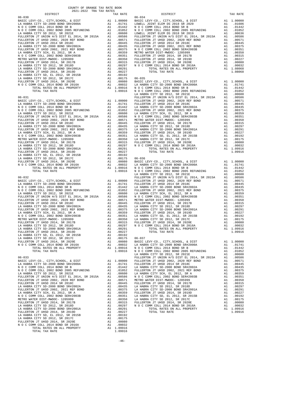| NO C COMM COLL 2014 BOND SR B<br>FULLERTON TURING (MAP ON C COMM COLL 2002 BOND 2005 REFUNDING (MAP A 100500 LOWELL FIND REPULERTON TT UNION H/S DIST ELL 20114, SR 2015A (MAP SPITTLERT PULLERTON TT UNION H/S DIST ELL 20114 S |          |                                                                                                                                                                                                                                                      |         |
|----------------------------------------------------------------------------------------------------------------------------------------------------------------------------------------------------------------------------------|----------|------------------------------------------------------------------------------------------------------------------------------------------------------------------------------------------------------------------------------------------------------|---------|
|                                                                                                                                                                                                                                  |          |                                                                                                                                                                                                                                                      |         |
|                                                                                                                                                                                                                                  |          |                                                                                                                                                                                                                                                      |         |
|                                                                                                                                                                                                                                  |          |                                                                                                                                                                                                                                                      |         |
|                                                                                                                                                                                                                                  |          |                                                                                                                                                                                                                                                      |         |
|                                                                                                                                                                                                                                  |          |                                                                                                                                                                                                                                                      |         |
|                                                                                                                                                                                                                                  |          |                                                                                                                                                                                                                                                      |         |
|                                                                                                                                                                                                                                  |          |                                                                                                                                                                                                                                                      |         |
|                                                                                                                                                                                                                                  |          |                                                                                                                                                                                                                                                      |         |
|                                                                                                                                                                                                                                  |          |                                                                                                                                                                                                                                                      |         |
|                                                                                                                                                                                                                                  |          |                                                                                                                                                                                                                                                      |         |
|                                                                                                                                                                                                                                  |          |                                                                                                                                                                                                                                                      |         |
|                                                                                                                                                                                                                                  |          |                                                                                                                                                                                                                                                      |         |
|                                                                                                                                                                                                                                  |          |                                                                                                                                                                                                                                                      |         |
|                                                                                                                                                                                                                                  |          |                                                                                                                                                                                                                                                      |         |
|                                                                                                                                                                                                                                  |          |                                                                                                                                                                                                                                                      |         |
|                                                                                                                                                                                                                                  |          |                                                                                                                                                                                                                                                      | LA HABR |
| $06 - 031$                                                                                                                                                                                                                       |          |                                                                                                                                                                                                                                                      | FULLERT |
|                                                                                                                                                                                                                                  |          |                                                                                                                                                                                                                                                      |         |
|                                                                                                                                                                                                                                  |          |                                                                                                                                                                                                                                                      |         |
|                                                                                                                                                                                                                                  |          |                                                                                                                                                                                                                                                      |         |
|                                                                                                                                                                                                                                  |          |                                                                                                                                                                                                                                                      |         |
|                                                                                                                                                                                                                                  |          |                                                                                                                                                                                                                                                      |         |
|                                                                                                                                                                                                                                  |          |                                                                                                                                                                                                                                                      |         |
|                                                                                                                                                                                                                                  |          |                                                                                                                                                                                                                                                      |         |
|                                                                                                                                                                                                                                  |          |                                                                                                                                                                                                                                                      |         |
|                                                                                                                                                                                                                                  |          |                                                                                                                                                                                                                                                      |         |
|                                                                                                                                                                                                                                  |          |                                                                                                                                                                                                                                                      |         |
|                                                                                                                                                                                                                                  |          |                                                                                                                                                                                                                                                      |         |
|                                                                                                                                                                                                                                  |          |                                                                                                                                                                                                                                                      |         |
|                                                                                                                                                                                                                                  |          |                                                                                                                                                                                                                                                      |         |
|                                                                                                                                                                                                                                  |          |                                                                                                                                                                                                                                                      |         |
|                                                                                                                                                                                                                                  |          |                                                                                                                                                                                                                                                      |         |
|                                                                                                                                                                                                                                  |          |                                                                                                                                                                                                                                                      |         |
|                                                                                                                                                                                                                                  |          |                                                                                                                                                                                                                                                      |         |
|                                                                                                                                                                                                                                  |          |                                                                                                                                                                                                                                                      | LA HABR |
| $06 - 032$                                                                                                                                                                                                                       |          |                                                                                                                                                                                                                                                      | FULLERT |
|                                                                                                                                                                                                                                  |          |                                                                                                                                                                                                                                                      |         |
|                                                                                                                                                                                                                                  |          |                                                                                                                                                                                                                                                      |         |
|                                                                                                                                                                                                                                  |          |                                                                                                                                                                                                                                                      |         |
|                                                                                                                                                                                                                                  |          |                                                                                                                                                                                                                                                      |         |
|                                                                                                                                                                                                                                  |          |                                                                                                                                                                                                                                                      |         |
|                                                                                                                                                                                                                                  |          |                                                                                                                                                                                                                                                      |         |
|                                                                                                                                                                                                                                  |          |                                                                                                                                                                                                                                                      |         |
|                                                                                                                                                                                                                                  |          |                                                                                                                                                                                                                                                      |         |
|                                                                                                                                                                                                                                  |          |                                                                                                                                                                                                                                                      |         |
|                                                                                                                                                                                                                                  |          |                                                                                                                                                                                                                                                      |         |
|                                                                                                                                                                                                                                  |          |                                                                                                                                                                                                                                                      |         |
|                                                                                                                                                                                                                                  |          |                                                                                                                                                                                                                                                      |         |
|                                                                                                                                                                                                                                  |          |                                                                                                                                                                                                                                                      |         |
|                                                                                                                                                                                                                                  |          |                                                                                                                                                                                                                                                      |         |
|                                                                                                                                                                                                                                  |          |                                                                                                                                                                                                                                                      |         |
|                                                                                                                                                                                                                                  |          |                                                                                                                                                                                                                                                      |         |
|                                                                                                                                                                                                                                  |          |                                                                                                                                                                                                                                                      |         |
| TOTAL TAX RATE                                                                                                                                                                                                                   |          | 1.09916                                                                                                                                                                                                                                              | NOCC    |
|                                                                                                                                                                                                                                  |          |                                                                                                                                                                                                                                                      | LA HABR |
| $06 - 033$                                                                                                                                                                                                                       |          |                                                                                                                                                                                                                                                      | FULLERT |
| BASIC LEVY-CO., CITY, SCHOOL, & DIST<br>LA HABRA CITY SD-2000 BOND SR#2000A                                                                                                                                                      |          | A1 1.00000 FULLERT<br>A1 .01741 FULLERT<br>A1.01741                                                                                                                                                                                                  |         |
| N O C COMM COLL 2014 BOND SR B                                                                                                                                                                                                   | A1       | .01442                                                                                                                                                                                                                                               | LA HABR |
| N O C COMM COLL 2002 BOND 2005 REFUNDING                                                                                                                                                                                         | A1       | .01052                                                                                                                                                                                                                                               | FULLERT |
| LA HABRA CITY SD 2012, SR 2021E                                                                                                                                                                                                  | A1       | .00600                                                                                                                                                                                                                                               | LA HABR |
| FULLERTON JT UNION H/S DIST EL 2014, SR 2015A Al FULLERTON JT UHSD 2002, 2020 REF BOND Al                                                                                                                                        |          |                                                                                                                                                                                                                                                      |         |
| FULLERTON JT UHSD 2014 SR 2018C                                                                                                                                                                                                  |          |                                                                                                                                                                                                                                                      |         |
| LA HABRA CITY SD-2000 BOND SR#2002A                                                                                                                                                                                              |          |                                                                                                                                                                                                                                                      |         |
| FULLERTON JT UHSD 2002, 2021 REF BOND<br>LA HABRA CITY SCH. EL 2012. SR A                                                                                                                                                        |          | A1 .00600 LA HABR<br>A1 .00586 N O C C C<br>A1 .00571 METRO W<br>A1 .00445 FULLERT<br>A1 .00445 FULLERT<br>A1 .00375 LA HABR<br>A1 .00359 FULLERT<br>A1 .00350 LA HABR<br>A1 .00350 LA HABR<br>A1 .00315 FULLERT<br>A1 .00315 FULLERT<br>A1 .00315 F |         |
| N O C COMM COLL 2002 BOND SER#2003B                                                                                                                                                                                              |          |                                                                                                                                                                                                                                                      |         |
| METRO WATER DIST-MWDOC- 1205999                                                                                                                                                                                                  |          |                                                                                                                                                                                                                                                      |         |
| FULLERTON JT UHSD 2014, SR 2017B                                                                                                                                                                                                 |          |                                                                                                                                                                                                                                                      |         |
| LA HABRA CITY SD 2012, SR 2018D<br>LA HABRA CITY SD-2000 BOND SR#2001A                                                                                                                                                           |          | A1.00291                                                                                                                                                                                                                                             |         |
| FULLERTON JT UHSD 2014, SR 2019D                                                                                                                                                                                                 |          | A1.00227                                                                                                                                                                                                                                             |         |
| LA HABRA CITY SD, EL 2012, SR 2015B                                                                                                                                                                                              | A1       | .00192                                                                                                                                                                                                                                               |         |
| LA HABRA CITY SD 2012, SR 2017C                                                                                                                                                                                                  | A1       | .00175                                                                                                                                                                                                                                               |         |
| FULLERTON JT UHSD 2014, SR 2020E<br>N O C COMM COLL 2014 BOND SR 2016A                                                                                                                                                           | A1<br>A1 | .00080<br>.00032                                                                                                                                                                                                                                     |         |
| TOTAL RATES ON ALL PROPERTY                                                                                                                                                                                                      |          | A1 1.09916                                                                                                                                                                                                                                           |         |
| TOTAL TAX RATE                                                                                                                                                                                                                   |          | 1.09916                                                                                                                                                                                                                                              |         |

| COUNTY OF ORANGE TAX RATE BOOK<br>$2021-2022 \quad \text{TRA RATE} \label{eq:Q021-2022}$ DISTRICT $$\tt 2021-2022$$ |          |          |          |
|---------------------------------------------------------------------------------------------------------------------|----------|----------|----------|
|                                                                                                                     | TAX RATE | DISTRICT | TAX RATE |
|                                                                                                                     |          |          |          |
|                                                                                                                     |          |          |          |
|                                                                                                                     |          |          |          |
|                                                                                                                     |          |          |          |
|                                                                                                                     |          |          |          |
|                                                                                                                     |          |          |          |
|                                                                                                                     |          |          |          |
|                                                                                                                     |          |          |          |
|                                                                                                                     |          |          |          |
|                                                                                                                     |          |          |          |
|                                                                                                                     |          |          |          |
|                                                                                                                     |          |          |          |
|                                                                                                                     |          |          |          |
|                                                                                                                     |          |          |          |
|                                                                                                                     |          |          |          |
|                                                                                                                     |          |          |          |
|                                                                                                                     |          |          |          |
|                                                                                                                     |          |          |          |
|                                                                                                                     |          |          |          |
|                                                                                                                     |          |          |          |
|                                                                                                                     |          |          |          |
|                                                                                                                     |          |          |          |
|                                                                                                                     |          |          |          |
|                                                                                                                     |          |          |          |
|                                                                                                                     |          |          |          |
|                                                                                                                     |          |          |          |
|                                                                                                                     |          |          |          |
|                                                                                                                     |          |          |          |
|                                                                                                                     |          |          |          |
|                                                                                                                     |          |          |          |
|                                                                                                                     |          |          |          |
|                                                                                                                     |          |          |          |
|                                                                                                                     |          |          |          |
|                                                                                                                     |          |          |          |
|                                                                                                                     |          |          |          |
|                                                                                                                     |          |          |          |
|                                                                                                                     |          |          |          |
|                                                                                                                     |          |          |          |
|                                                                                                                     |          |          |          |
|                                                                                                                     |          |          |          |
|                                                                                                                     |          |          |          |
|                                                                                                                     |          |          |          |
|                                                                                                                     |          |          |          |
|                                                                                                                     |          |          |          |
|                                                                                                                     |          |          |          |
|                                                                                                                     |          |          |          |
|                                                                                                                     |          |          |          |
|                                                                                                                     |          |          |          |
|                                                                                                                     |          |          |          |
|                                                                                                                     |          |          |          |
|                                                                                                                     |          |          |          |
|                                                                                                                     |          |          |          |
|                                                                                                                     |          |          |          |
|                                                                                                                     |          |          |          |
|                                                                                                                     |          |          |          |
|                                                                                                                     |          |          |          |
|                                                                                                                     |          |          |          |
|                                                                                                                     |          |          |          |
|                                                                                                                     |          |          |          |
|                                                                                                                     |          |          |          |
|                                                                                                                     |          |          |          |
|                                                                                                                     |          |          |          |
|                                                                                                                     |          |          |          |
|                                                                                                                     |          |          |          |
|                                                                                                                     |          |          |          |
|                                                                                                                     |          |          |          |
|                                                                                                                     |          |          |          |
|                                                                                                                     |          |          |          |
|                                                                                                                     |          |          |          |
|                                                                                                                     |          |          |          |
|                                                                                                                     |          |          |          |
|                                                                                                                     |          |          |          |
|                                                                                                                     |          |          |          |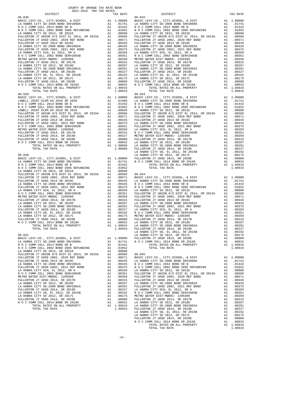| COUNTY OF ORANGE TAX RATE BOOK       |    |            |                                         |
|--------------------------------------|----|------------|-----------------------------------------|
| 2021-2022 TRA TAX RATES<br>DISTRICT  |    | TAX RATE   |                                         |
| $06 - 038$                           |    |            | $06 - 042$                              |
|                                      |    |            |                                         |
|                                      |    |            |                                         |
|                                      |    |            |                                         |
|                                      |    |            |                                         |
|                                      |    |            |                                         |
|                                      |    |            |                                         |
|                                      |    |            |                                         |
|                                      |    |            |                                         |
|                                      |    |            |                                         |
|                                      |    |            |                                         |
|                                      |    |            |                                         |
|                                      |    |            |                                         |
|                                      |    |            |                                         |
|                                      |    |            |                                         |
|                                      |    |            |                                         |
|                                      |    |            |                                         |
|                                      |    |            |                                         |
|                                      |    |            |                                         |
|                                      |    |            |                                         |
|                                      |    |            |                                         |
|                                      |    |            |                                         |
| TOTAL TAX RATE                       |    | 1.09916    |                                         |
| $06 - 039$                           |    |            | $06 - 043$                              |
|                                      |    |            |                                         |
|                                      |    |            |                                         |
|                                      |    |            |                                         |
|                                      |    |            |                                         |
|                                      |    |            |                                         |
|                                      |    |            |                                         |
|                                      |    |            |                                         |
|                                      |    |            |                                         |
|                                      |    |            |                                         |
|                                      |    |            |                                         |
|                                      |    |            |                                         |
|                                      |    |            |                                         |
|                                      |    |            |                                         |
|                                      |    |            |                                         |
|                                      |    |            |                                         |
|                                      |    |            |                                         |
|                                      |    |            |                                         |
|                                      |    |            | LA HABR                                 |
| $06 - 040$                           |    |            | LA HABR                                 |
|                                      |    |            |                                         |
|                                      |    |            |                                         |
|                                      |    |            |                                         |
|                                      |    |            |                                         |
|                                      |    |            |                                         |
|                                      |    |            |                                         |
|                                      |    |            |                                         |
|                                      |    |            |                                         |
|                                      |    |            |                                         |
|                                      |    |            |                                         |
|                                      |    |            |                                         |
|                                      |    |            |                                         |
|                                      |    |            |                                         |
|                                      |    |            |                                         |
|                                      |    |            |                                         |
|                                      |    |            |                                         |
|                                      |    |            |                                         |
|                                      |    |            |                                         |
|                                      |    |            |                                         |
|                                      |    |            |                                         |
|                                      |    |            |                                         |
| TOTAL TAX RATE                       |    |            | 1.09916 FULLERT                         |
|                                      |    |            | LA HABR                                 |
| $06 - 041$                           |    |            | LA HABR                                 |
| BASIC LEVY-CO., CITY, SCHOOL, & DIST |    | A1 1.00000 | FULLERT                                 |
| LA HABRA CITY SD-2000 BOND SR#2000A  |    | A1 .01741  | NOCC                                    |
| N O C COMM COLL 2014 BOND SR B       |    | A1 .01442  |                                         |
|                                      |    |            |                                         |
|                                      |    |            |                                         |
|                                      |    |            |                                         |
|                                      |    |            |                                         |
|                                      |    |            |                                         |
|                                      |    |            |                                         |
|                                      |    |            |                                         |
| LA HABRA CITY SCH, EL 2012, SR A     | A1 | .00359     | LA HABR                                 |
| N O C COMM COLL 2002 BOND SER#2003B  |    |            |                                         |
| METRO WATER DIST-MWDOC- 1205999      |    |            |                                         |
| FULLERTON JT UHSD 2014, SR 2017B     |    |            |                                         |
| LA HABRA CITY SD 2012, SR 2018D      |    |            |                                         |
| LA HABRA CITY SD-2000 BOND SR#2001A  |    |            |                                         |
| FULLERTON JT UHSD 2014, SR 2019D     |    |            |                                         |
| LA HABRA CITY SD, EL 2012, SR 2015B  |    |            |                                         |
| LA HABRA CITY SD 2012, SR 2017C      |    |            |                                         |
| FULLERTON JT UHSD 2014, SR 2020E     |    |            |                                         |
| N O C COMM COLL 2014 BOND SR 2016A   |    |            | A1 .00032 LA HABR<br>A1 1.09916 LA HABR |
| TOTAL RATES ON ALL PROPERTY          |    |            |                                         |
| TOTAL TAX RATE                       |    | 1.09916    | FULLERT                                 |
|                                      |    |            | T.A HARR                                |

| COUNTI OF ORNHOL THE RAID BOOK<br>2021-2022 TRA TAX RATES |  |                               |          |
|-----------------------------------------------------------|--|-------------------------------|----------|
| DISTRICT<br>$06 - 038$                                    |  | TAX RATE $06-042$<br>DISTRICT | TAX RATE |
|                                                           |  |                               |          |
|                                                           |  |                               |          |
|                                                           |  |                               |          |
|                                                           |  |                               |          |
|                                                           |  |                               |          |
|                                                           |  |                               |          |
|                                                           |  |                               |          |
|                                                           |  |                               |          |
|                                                           |  |                               |          |
|                                                           |  |                               |          |
|                                                           |  |                               |          |
|                                                           |  |                               |          |
|                                                           |  |                               |          |
|                                                           |  |                               |          |
|                                                           |  |                               |          |
|                                                           |  |                               |          |
|                                                           |  |                               |          |
|                                                           |  |                               |          |
|                                                           |  |                               |          |
|                                                           |  |                               |          |
|                                                           |  |                               |          |
|                                                           |  |                               |          |
|                                                           |  |                               |          |
|                                                           |  |                               |          |
|                                                           |  |                               |          |
|                                                           |  |                               |          |
|                                                           |  |                               |          |
|                                                           |  |                               |          |
|                                                           |  |                               |          |
|                                                           |  |                               |          |
|                                                           |  |                               |          |
|                                                           |  |                               |          |
|                                                           |  |                               |          |
|                                                           |  |                               |          |
|                                                           |  |                               |          |
|                                                           |  |                               |          |
|                                                           |  |                               |          |
|                                                           |  |                               |          |
|                                                           |  |                               |          |
|                                                           |  |                               |          |
|                                                           |  |                               |          |
|                                                           |  |                               |          |
|                                                           |  |                               |          |
|                                                           |  |                               |          |
|                                                           |  |                               |          |
|                                                           |  |                               |          |
|                                                           |  |                               |          |
|                                                           |  |                               |          |
|                                                           |  |                               |          |
|                                                           |  |                               |          |
|                                                           |  |                               |          |
|                                                           |  |                               |          |
|                                                           |  |                               |          |
|                                                           |  |                               |          |
|                                                           |  |                               |          |
|                                                           |  |                               |          |
|                                                           |  |                               |          |
|                                                           |  |                               |          |
|                                                           |  |                               |          |
|                                                           |  |                               |          |
|                                                           |  |                               |          |
|                                                           |  |                               |          |
|                                                           |  |                               |          |
|                                                           |  |                               |          |
|                                                           |  |                               |          |
|                                                           |  |                               |          |
|                                                           |  |                               |          |
|                                                           |  |                               |          |
|                                                           |  |                               |          |
|                                                           |  |                               |          |
|                                                           |  |                               |          |
|                                                           |  |                               |          |
|                                                           |  |                               |          |
|                                                           |  |                               |          |
|                                                           |  |                               |          |
|                                                           |  |                               |          |
|                                                           |  |                               |          |
|                                                           |  |                               |          |
|                                                           |  |                               |          |
|                                                           |  |                               |          |
|                                                           |  |                               |          |
|                                                           |  |                               |          |
|                                                           |  |                               |          |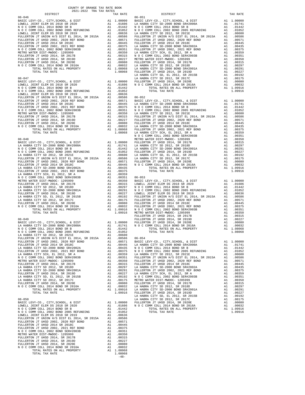06-050 LA HABRA CITY SD 2012, SR 2017C A1 .00175 BASIC LEVY-CO., CITY,SCHOOL, & DIST A1 1.00000 FULLERTON JT UHSD 2014, SR 2020E A1 .00080 LOWELL JOINT ELEM DS 2018 SR 2020 A1 .01606 N O C COMM COLL 2014 BOND SR 2016A A1 .00032 N O C COMM COLL 2014 BOND SR B A1 .01442 TOTAL RATES ON ALL PROPERTY A1 1.09916 N O C COMM COLL 2002 BOND 2005 REFUNDING A1 .01052 TOTAL TAX RATE 1.09916 LOWELL JOINT ELEM DS 2018 SR 2019 A1 .00636 FULLERTON JT UNION H/S DIST EL 2014, SR 2015A A1 .00586 FULLERTON JT UHSD 2002, 2020 REF BOND A1 .00571 FULLERTON JT UHSD 2014 SR 2018C A1 .00445 FULLERTON JT UHSD 2002, 2021 REF BOND A1 .00375 N O C COMM COLL 2002 BOND SER#2003B A1 .00351 METRO WATER DIST-MWDOC- 1205999 A1 .00350 FULLERTON JT UHSD 2014, SR 2017B A1 .00315 FULLERTON JT UHSD 2014, SR 2019D A1 .00227 FULLERTON JT UHSD 2014, SR 2020E A1 .00080 N O C COMM COLL 2014 BOND SR 2016A A1 .00032 TOTAL RATES ON ALL PROPERTY A1 1.08068 TOTAL TAX RATE 1.08068 -48-

COUNTY OF ORANGE TAX RATE BOOK 2021-2022 TRA TAX RATES

 DISTRICT TAX RATE DISTRICT TAX RATE 06-046 06-051 BASIC LEVY-CO., CITY,SCHOOL, & DIST A1 1.00000 BASIC LEVY-CO., CITY,SCHOOL, & DIST A1 1.00000 LOWELL JOINT ELEM DS 2018 SR 2020 A1 .01606 LA HABRA CITY SD-2000 BOND SR#2000A A1 .01741 N O C COMM COLL 2014 BOND SR B A1 .01442 N O C COMM COLL 2014 BOND SR B A1 .01442 N O C COMM COLL 2002 BOND 2005 REFUNDING A1 .01052 N O C COMM COLL 2002 BOND 2005 REFUNDING A1 .01052 LOWELL JOINT ELEM DS 2018 SR 2019 A1 .00636 LA HABRA CITY SD 2012, SR 2021E A1 .00600 FULLERTON JT UNION H/S DIST EL 2014, SR 2015A A1 .00586 FULLERTON JT UNION H/S DIST EL 2014, SR 2015A A1 .00586 FULLERTON JT UHSD 2002, 2020 REF BOND A1 .00571 FULLERTON JT UHSD 2002, 2020 REF BOND A1 .00571 FULLERTON JT UHSD 2014 SR 2018C A1 .00445 FULLERTON JT UHSD 2014 SR 2018C A1 .00445 FULLERTON JT UHSD 2002, 2021 REF BOND A1 .00375 LA HABRA CITY SD-2000 BOND SR#2002A A1 .00435 N O C COMM COLL 2002 BOND SER#2003B A1 .00351 FULLERTON JT UHSD 2002, 2021 REF BOND A1 .00375 METRO WATER DIST-MWDOC- 1205999 A1 .00350 LA HABRA CITY SCH, EL 2012, SR A A1 .00359 FULLERTON JT UHSD 2014, SR 2017B A1 .00315 N O C COMM COLL 2002 BOND SER#2003B A1 .00351 FULLERTON JT UHSD 2014, SR 2019D A1 .00227 METRO WATER DIST-MWDOC- 1205999 A1 .00350 FULLERTON JT UHSD 2014, SR 2020E A1 .00080 FULLERTON JT UHSD 2014, SR 2017B A1 .00315 N O C COMM COLL 2014 BOND SR 2016A A1 .00032 LA HABRA CITY SD 2012, SR 2018D A1 .00297 TOTAL RATES ON ALL PROPERTY A1 1.08068 LA HABRA CITY SD-2000 BOND SR#2001A A1 .00291 TOTAL TAX RATE 1.08068 FULLERTON JT UHSD 2014, SR 2019D A1 .00227 LA HABRA CITY SD, EL 2012, SR 2015B A1 .00192 06-047 LA HABRA CITY SD 2012, SR 2017C A1 .00175 BASIC LEVY-CO., CITY,SCHOOL, & DIST A1 1.00000 FULLERTON JT UHSD 2014, SR 2020E A1 .00080 LOWELL JOINT ELEM DS 2018 SR 2020 A1 .01606 N O C COMM COLL 2014 BOND SR 2016A A1 .00032 N O C COMM COLL 2014 BOND SR B A1 .01442 TOTAL RATES ON ALL PROPERTY A1 1.09916 N O C COMM COLL 2002 BOND 2005 REFUNDING A1 .01052 TOTAL TAX RATE 1.09916  ${\tt LOWELL\ JOINT\ ELEM\ DS\ 2018\ SR\ 2019}\ {\tt A1\quad .00636}\label{thm:llb}$  FULLERTON JT UNION H/S DIST EL 2014, SR 2015A A1 .00586 FULLERTON JT UNION H/S DIST EL 2014, SR 2015A A1 .00586 06-052 FULLERTON JT UHSD 2002, 2020 REF BOND A1 .00571 BASIC LEVY-CO., CITY,SCHOOL, & DIST A1 1.00000 FULLERTON JT UHSD 2014 SR 2018C A1 .00445 LA HABRA CITY SD-2000 BOND SR#2000A A1 .01741 FULLERTON JT UHSD 2002, 2021 REF BOND A1 .00375 N O C COMM COLL 2014 BOND SR B A1 .01442 N O C COMM COLL 2002 BOND SER#2003B A1 .00351 N O C COMM COLL 2002 BOND 2005 REFUNDING A1 .01052 METRO WATER DIST-MWDOC- 1205999 A1 .00350 LA HABRA CITY SD 2012, SR 2021E A1 .00600 FULLERTON JT UHSD 2014, SR 2017B A1 .00315 FULLERTON JT UNION H/S DIST EL 2014, SR 2015A A1 .00586 FULLERTON JT UHSD 2014, SR 2019D A1 .00227 FULLERTON JT UHSD 2002, 2020 REF BOND A1 .00571 FULLERTON JT UHSD 2014, SR 2020E A1 .00080 FULLERTON JT UHSD 2014 SR 2018C A1 .00445 N O C COMM COLL 2014 BOND SR 2016A A1 .00032 LA HABRA CITY SD-2000 BOND SR#2002A A1 .00435 TOTAL RATES ON ALL PROPERTY A1 1.08068 FULLERTON JT UHSD 2002, 2021 REF BOND A1 .00375 TOTAL TAX RATE 1.08068 LA HABRA CITY SCH, EL 2012, SR A A1 .00359 N O C COMM COLL 2002 BOND SER#2003B A1 .00351 METRO WATER DIST-MWDOC-1205999<br>
BASIC LEVY-CO., CITY, SCHOOL, & DIST<br>
LA HABRA CITY SD-2000 BOND SR#2000A<br>
LA HABRA CITY SD-2000 BOND SR#2000A<br>
MOC COMM COLL 2014 BOND SR B<br>
NOC COMM COLL 2002 SOND SRB<br>
NOC COMM COLL 2002 FULLERTON JT UNION H/S DIST EL 2014, SR 2015A A1 .00586 LA HABRA CITY SD 2012, SR 2017C A1 .00175 FULLERTON JT UHSD 2002, 2020 REF BOND A1 .00571 FULLERTON JT UHSD 2014, SR 2020E A1 .00080 FULERTON JT UHSD 2014 SR 2010<br>
FULERTON JT USD 20, 2021 REF BOND STREP (MAD AND TOTAL RATES ON ALL PROPERTY A1 0.0032<br>
LA BABRA CITY SCH, EL 2012, REF BOND<br>
IA BABRA CITY SCH, EL 2012, RER BOND<br>
NO C COMM COLL 2002 BOND ST 06–049 M PULLERTON JT UHSD 2014, SR 2020E<br>BASIC LEVY-CO., CITY, SCHOOL, & DIST MALLERTON TUHSD 2014, SR 2020E<br>LA HABRA CITY SD-2000 BOND SR#2000A A1 .00000 M A1 .00000 M O COMM COLL 2014 BOND SR 2020E A1 .00032<br>NO C COMM LA HABRA CITY SD 2012, SR 2021E A1 .00600 FULLERTON JT UNION H/S DIST EL 2014, SR 2015A A1 .00586 06-054<br>FULLERTON JT UHSD 2002, 2020 REF BOND A1 .00571 BASIC LEVY-CO., CITY,SCHOOL, & DIST FULLERTON JT UHSD 2014 SR 2018C A1 .00445 LA HABRA CITY SD-2000 BOND SR#2000A A1 .01741 LA HABRA CITY SD-2000 BOND SR#2002A A1 .00435 N O C COMM COLL 2014 BOND SR B A1 .01442 FULLERTON JT UHSD 2002, 2021 REF BOND A1 .00375 N O C COMM COLL 2002 BOND 2005 REFUNDING A1 .01052 LA HABRA CITY SCH, EL 2012, SR A A1 .00359 LA HABRA CITY SD 2012, SR 2021E A1 .00600 N O C COMM COLL 2002 BOND SER#2003B A1 .00351 FULLERTON JT UNION H/S DIST EL 2014, SR 2015A A1 .00586 METRO WATER DIST-MWDOC- 1205999 A1 .00350 FULLERTON JT UHSD 2002, 2020 REF BOND A1 .00571 FULLERTON JT UHSD 2014, SR 2017B A1 .00315 FULLERTON JT UHSD 2014 SR 2018C A1 .00445 LA HABRA CITY SD 2012, SR 2018D A1 .00297 LA HABRA CITY SD-2000 BOND SR#2002A A1 .00435 LA HABRA CITY SD-2000 BOND SR#2001A A1 .00291 FULLERTON JT UHSD 2002, 2021 REF BOND A1 .00375 FULLERTON JT UHSD 2014, SR 2019D A1 .00227 LA HABRA CITY SCH, EL 2012, SR A A1 .00359 LA HABRA CITY SD, EL 2012, SR 2015B A1 .00192 N O C COMM COLL 2002 BOND SER#2003B A1 .00351 LA HABRA CITY SD 2012, SR 2017C A1 .00175 METRO WATER DIST-MWDOC- 1205999 A1 .00350 FULLERTON JT UHSD 2014, SR 2020E A1 .00080 FULLERTON JT UHSD 2014, SR 2017B A1 .00315 N O C COMM COLL 2014 BOND SR 2016A A1 .00032 LA HABRA CITY SD 2012, SR 2018D A1 .00297 TOTAL RATES ON ALL PROPERTY A1 1.09916 LA HABRA CITY SD-2000 BOND SR#2001A A1 .00291 TOTAL TAX RATE 1.09916 FULLERTON JT UHSD 2014, SR 2019D A1 .00227 LA HABRA CITY SD, EL 2012, SR 2015B A1 .00192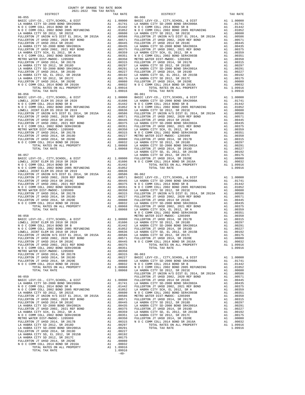| DISTRICT       | TAX RATE |                    |
|----------------|----------|--------------------|
| $06 - 055$     |          | $06 - 060$         |
|                |          |                    |
|                |          |                    |
|                |          |                    |
|                |          |                    |
|                |          |                    |
|                |          |                    |
|                |          |                    |
|                |          |                    |
|                |          |                    |
|                |          |                    |
|                |          |                    |
|                |          |                    |
|                |          |                    |
|                |          |                    |
|                |          |                    |
|                |          |                    |
|                |          |                    |
| TOTAL TAX RATE | 1.09916  |                    |
| $06 - 056$     |          | $06 - 061$         |
|                |          |                    |
|                |          |                    |
|                |          |                    |
|                |          |                    |
|                |          |                    |
|                |          |                    |
|                |          |                    |
|                |          |                    |
|                |          |                    |
|                |          |                    |
|                |          |                    |
|                |          |                    |
|                |          |                    |
|                |          | LA HABR            |
|                |          |                    |
|                |          |                    |
|                |          |                    |
|                |          |                    |
|                |          |                    |
|                |          |                    |
|                |          |                    |
|                |          |                    |
|                |          |                    |
|                |          |                    |
|                |          |                    |
|                |          |                    |
|                |          |                    |
|                |          |                    |
|                |          | NOCC               |
| $06 - 058$     |          | METRO W            |
|                |          |                    |
|                |          |                    |
|                |          |                    |
|                |          |                    |
|                |          |                    |
|                |          |                    |
|                |          |                    |
|                |          |                    |
|                |          |                    |
|                |          |                    |
|                |          |                    |
|                |          |                    |
|                |          |                    |
|                |          |                    |
| $06 - 059$     |          | FULLERT<br>FULLERT |
|                |          |                    |
|                |          |                    |
|                |          |                    |
|                |          |                    |
|                |          |                    |
|                |          |                    |
|                |          |                    |
|                |          |                    |
|                |          |                    |
|                |          |                    |
|                |          |                    |
|                |          |                    |
|                |          |                    |
|                |          |                    |
|                |          |                    |
|                |          |                    |
|                |          |                    |
|                |          |                    |
| TOTAL TAX RATE | 1.09916  |                    |

 $-49-$ 

| COUNTY OF ORANGE TAX RATE BOOK |          |            |          |
|--------------------------------|----------|------------|----------|
|                                | TAX RATE | DISTRICT   | TAX RATE |
|                                |          | $06 - 060$ |          |
|                                |          |            |          |
|                                |          |            |          |
|                                |          |            |          |
|                                |          |            |          |
|                                |          |            |          |
|                                |          |            |          |
|                                |          |            |          |
|                                |          |            |          |
|                                |          |            |          |
|                                |          |            |          |
|                                |          |            |          |
|                                |          |            |          |
|                                |          |            |          |
|                                |          |            |          |
|                                |          |            |          |
|                                |          |            |          |
|                                |          |            |          |
|                                |          |            |          |
|                                |          |            |          |
|                                |          |            |          |
|                                |          |            |          |
|                                |          |            |          |
|                                |          |            |          |
|                                |          |            |          |
|                                |          |            |          |
|                                |          |            |          |
|                                |          |            |          |
|                                |          |            |          |
|                                |          |            |          |
|                                |          |            |          |
|                                |          |            |          |
|                                |          |            |          |
|                                |          |            |          |
|                                |          |            |          |
|                                |          |            |          |
|                                |          |            |          |
|                                |          |            |          |
|                                |          |            |          |
|                                |          |            |          |
|                                |          |            |          |
|                                |          |            |          |
|                                |          |            |          |
|                                |          |            |          |
|                                |          |            |          |
|                                |          |            |          |
|                                |          |            |          |
|                                |          |            |          |
|                                |          |            |          |
|                                |          |            |          |
|                                |          |            |          |
|                                |          |            |          |
|                                |          |            |          |
|                                |          |            |          |
|                                |          |            |          |
|                                |          |            |          |
|                                |          |            |          |
|                                |          |            |          |
|                                |          |            |          |
|                                |          |            |          |
|                                |          |            |          |
|                                |          |            |          |
|                                |          |            |          |
|                                |          |            |          |
|                                |          |            |          |
|                                |          |            |          |
|                                |          |            |          |
|                                |          |            |          |
|                                |          |            |          |
|                                |          |            |          |
|                                |          |            |          |
|                                |          |            |          |
|                                |          |            |          |
|                                |          |            |          |
|                                |          |            |          |
|                                |          |            |          |
|                                |          |            |          |
|                                |          |            |          |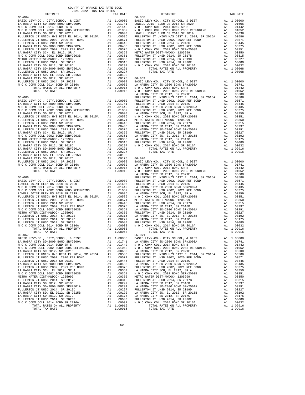|                                                                                                                                                               |          |                  | LA HABR                      |
|---------------------------------------------------------------------------------------------------------------------------------------------------------------|----------|------------------|------------------------------|
| $06 - 065$                                                                                                                                                    |          |                  | FULLERT                      |
|                                                                                                                                                               |          |                  |                              |
|                                                                                                                                                               |          |                  |                              |
|                                                                                                                                                               |          |                  |                              |
|                                                                                                                                                               |          |                  |                              |
|                                                                                                                                                               |          |                  |                              |
|                                                                                                                                                               |          |                  |                              |
|                                                                                                                                                               |          |                  |                              |
|                                                                                                                                                               |          |                  |                              |
|                                                                                                                                                               |          |                  |                              |
|                                                                                                                                                               |          |                  |                              |
|                                                                                                                                                               |          |                  |                              |
|                                                                                                                                                               |          |                  |                              |
|                                                                                                                                                               |          |                  |                              |
|                                                                                                                                                               |          |                  |                              |
|                                                                                                                                                               |          |                  |                              |
|                                                                                                                                                               |          |                  |                              |
|                                                                                                                                                               |          |                  |                              |
|                                                                                                                                                               |          |                  | LA HABR                      |
|                                                                                                                                                               |          |                  |                              |
|                                                                                                                                                               |          |                  |                              |
|                                                                                                                                                               |          |                  |                              |
|                                                                                                                                                               |          |                  |                              |
|                                                                                                                                                               |          |                  |                              |
|                                                                                                                                                               |          |                  |                              |
|                                                                                                                                                               |          |                  |                              |
|                                                                                                                                                               |          |                  |                              |
|                                                                                                                                                               |          |                  |                              |
|                                                                                                                                                               |          |                  |                              |
|                                                                                                                                                               |          |                  |                              |
|                                                                                                                                                               |          |                  |                              |
|                                                                                                                                                               |          |                  |                              |
|                                                                                                                                                               |          |                  |                              |
| $06-067 \hspace{1.5cm} 06-071 \hspace{1.5cm} 06-071$ BASIC LEVY-CO., CITY, SCHOOL, & DIST $\hspace{1.5cm}$ A1 $\hspace{1.5cm} 1.00000 \hspace{1.5cm}$ BASIC L |          |                  |                              |
| LA HABRA CITY SD-2000 BOND SR#2000A<br>N O C COMM COLL 2014 BOND SR B                                                                                         | A1       | .01741           | LA HABR<br>NOCC              |
| N O C COMM COLL 2002 BOND 2005 REFUNDING                                                                                                                      | A1<br>A1 | .01442<br>.01052 | NOCC                         |
| LA HABRA CITY SD 2012, SR 2021E                                                                                                                               | A1       | .00600           | LA HABR                      |
| FULLERTON JT UNION H/S DIST EL 2014, SR 2015A                                                                                                                 |          | A1.00586         | FULLERT                      |
| FULLERTON JT UHSD 2002, 2020 REF BOND<br>FULLERTON JT UHSD 2014 SR 2018C                                                                                      | A1<br>A1 | .00571<br>.00445 | FULLERT<br>FULLERT           |
| LA HABRA CITY SD-2000 BOND SR#2002A                                                                                                                           | A1       | .00435           | LA HABR                      |
| FULLERTON JT UHSD 2002, 2021 REF BOND                                                                                                                         | A1       | .00375           | FULLERT                      |
| LA HABRA CITY SCH, EL 2012, SR A<br>N O C COMM COLL 2002 BOND SER#2003B                                                                                       | A1<br>A1 | .00359           | LA HABR                      |
| METRO WATER DIST-MWDOC- 1205999                                                                                                                               | A1       |                  | .00351 NOCC<br>.00350 METROW |
| FULLERTON JT UHSD 2014, SR 2017B                                                                                                                              | A1       | .00315           | FULLERT                      |
| LA HABRA CITY SD 2012, SR 2018D<br>LA HABRA CITY SD-2000 BOND SR#2001A                                                                                        | A1<br>A1 | .00297<br>.00291 | LA HABR<br>LA HABR           |
| FULLERTON JT UHSD 2014, SR 2019D                                                                                                                              | A1       | .00227           | FULLERT                      |
| LA HABRA CITY SD, EL 2012, SR 2015B                                                                                                                           | A1       | .00192           | LA HABR                      |
| LA HABRA CITY SD 2012, SR 2017C<br>FULLERTON JT UHSD 2014, SR 2020E                                                                                           | A1<br>A1 | .00175<br>.00080 | LA HABR<br>FULLERT           |
| N O C COMM COLL 2014 BOND SR 2016A                                                                                                                            | A1       | .00032           | NOCC                         |
| TOTAL RATES ON ALL PROPERTY                                                                                                                                   |          | A1 1.09916       |                              |
| TOTAL TAX RATE                                                                                                                                                |          | 1.09916          |                              |

| COUNTY OF ORANGE TAX RATE BOOK<br>$\begin{minipage}{0.5\textwidth} \begin{tabular}{@{}c@{}} \multicolumn{2}{c}{\textwidth} \end{tabular} & \multicolumn{2}{c}{\textwidth} \end{minipage} \begin{minipage}{0.5\textwidth} \begin{tabular}{@{}c@{}} \multicolumn{2}{c}{\textwidth} \end{tabular} & \multicolumn{2}{c}{\textwidth} \end{minipage} \begin{minipage}{0.5\textwidth} \begin{tabular}{@{}c@{}} \multicolumn{2}{c}{\textwidth} \end{tabular} & \multicolumn{2}{c}{\textwidth} \end{minipage} \begin{minipage}{0.5\textwidth} \begin{tabular}{@{}$ |          |                |          |
|-----------------------------------------------------------------------------------------------------------------------------------------------------------------------------------------------------------------------------------------------------------------------------------------------------------------------------------------------------------------------------------------------------------------------------------------------------------------------------------------------------------------------------------------------------------|----------|----------------|----------|
|                                                                                                                                                                                                                                                                                                                                                                                                                                                                                                                                                           | TAX RATE | DISTRICT       | TAX RATE |
|                                                                                                                                                                                                                                                                                                                                                                                                                                                                                                                                                           |          |                |          |
|                                                                                                                                                                                                                                                                                                                                                                                                                                                                                                                                                           |          |                |          |
|                                                                                                                                                                                                                                                                                                                                                                                                                                                                                                                                                           |          |                |          |
|                                                                                                                                                                                                                                                                                                                                                                                                                                                                                                                                                           |          |                |          |
|                                                                                                                                                                                                                                                                                                                                                                                                                                                                                                                                                           |          |                |          |
|                                                                                                                                                                                                                                                                                                                                                                                                                                                                                                                                                           |          |                |          |
|                                                                                                                                                                                                                                                                                                                                                                                                                                                                                                                                                           |          |                |          |
|                                                                                                                                                                                                                                                                                                                                                                                                                                                                                                                                                           |          |                |          |
|                                                                                                                                                                                                                                                                                                                                                                                                                                                                                                                                                           |          |                |          |
|                                                                                                                                                                                                                                                                                                                                                                                                                                                                                                                                                           |          |                |          |
|                                                                                                                                                                                                                                                                                                                                                                                                                                                                                                                                                           |          |                |          |
|                                                                                                                                                                                                                                                                                                                                                                                                                                                                                                                                                           |          |                |          |
|                                                                                                                                                                                                                                                                                                                                                                                                                                                                                                                                                           |          |                |          |
|                                                                                                                                                                                                                                                                                                                                                                                                                                                                                                                                                           |          |                |          |
|                                                                                                                                                                                                                                                                                                                                                                                                                                                                                                                                                           |          |                |          |
|                                                                                                                                                                                                                                                                                                                                                                                                                                                                                                                                                           |          |                |          |
|                                                                                                                                                                                                                                                                                                                                                                                                                                                                                                                                                           |          |                |          |
|                                                                                                                                                                                                                                                                                                                                                                                                                                                                                                                                                           |          |                |          |
|                                                                                                                                                                                                                                                                                                                                                                                                                                                                                                                                                           |          |                |          |
|                                                                                                                                                                                                                                                                                                                                                                                                                                                                                                                                                           |          |                |          |
|                                                                                                                                                                                                                                                                                                                                                                                                                                                                                                                                                           |          |                |          |
|                                                                                                                                                                                                                                                                                                                                                                                                                                                                                                                                                           |          |                |          |
|                                                                                                                                                                                                                                                                                                                                                                                                                                                                                                                                                           |          |                |          |
|                                                                                                                                                                                                                                                                                                                                                                                                                                                                                                                                                           |          |                |          |
|                                                                                                                                                                                                                                                                                                                                                                                                                                                                                                                                                           |          |                |          |
|                                                                                                                                                                                                                                                                                                                                                                                                                                                                                                                                                           |          |                |          |
|                                                                                                                                                                                                                                                                                                                                                                                                                                                                                                                                                           |          |                |          |
| TOTAL TAX RATE                                                                                                                                                                                                                                                                                                                                                                                                                                                                                                                                            | 1.08068  | TOTAL TAX RATE | 1.09916  |
| 06-067                                                                                                                                                                                                                                                                                                                                                                                                                                                                                                                                                    |          | 06-071         |          |
|                                                                                                                                                                                                                                                                                                                                                                                                                                                                                                                                                           |          |                |          |
|                                                                                                                                                                                                                                                                                                                                                                                                                                                                                                                                                           |          |                |          |
|                                                                                                                                                                                                                                                                                                                                                                                                                                                                                                                                                           |          |                |          |
|                                                                                                                                                                                                                                                                                                                                                                                                                                                                                                                                                           |          |                |          |
|                                                                                                                                                                                                                                                                                                                                                                                                                                                                                                                                                           |          |                |          |
|                                                                                                                                                                                                                                                                                                                                                                                                                                                                                                                                                           |          |                |          |
|                                                                                                                                                                                                                                                                                                                                                                                                                                                                                                                                                           |          |                |          |
|                                                                                                                                                                                                                                                                                                                                                                                                                                                                                                                                                           |          |                |          |
|                                                                                                                                                                                                                                                                                                                                                                                                                                                                                                                                                           |          |                |          |
|                                                                                                                                                                                                                                                                                                                                                                                                                                                                                                                                                           |          |                |          |
|                                                                                                                                                                                                                                                                                                                                                                                                                                                                                                                                                           |          |                |          |
|                                                                                                                                                                                                                                                                                                                                                                                                                                                                                                                                                           |          |                |          |
|                                                                                                                                                                                                                                                                                                                                                                                                                                                                                                                                                           |          |                |          |
|                                                                                                                                                                                                                                                                                                                                                                                                                                                                                                                                                           |          |                |          |
|                                                                                                                                                                                                                                                                                                                                                                                                                                                                                                                                                           |          |                |          |
|                                                                                                                                                                                                                                                                                                                                                                                                                                                                                                                                                           |          |                |          |
|                                                                                                                                                                                                                                                                                                                                                                                                                                                                                                                                                           |          |                |          |

-50-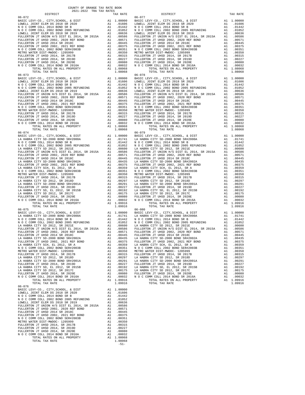| AVAI-AVAA INA IAA KAIBO<br>DISTRICT | TAX RATE | DISTRICT                                  | TAX RATE  |
|-------------------------------------|----------|-------------------------------------------|-----------|
| $06 - 072$                          |          | $06 - 077$                                |           |
|                                     |          |                                           |           |
|                                     |          |                                           |           |
|                                     |          |                                           |           |
|                                     |          |                                           |           |
|                                     |          |                                           |           |
|                                     |          |                                           |           |
|                                     |          |                                           |           |
|                                     |          |                                           |           |
|                                     |          |                                           |           |
|                                     |          |                                           |           |
|                                     |          |                                           |           |
|                                     |          |                                           |           |
|                                     |          |                                           |           |
|                                     |          |                                           |           |
|                                     |          |                                           |           |
|                                     |          |                                           |           |
|                                     |          |                                           |           |
|                                     |          |                                           |           |
|                                     |          |                                           |           |
|                                     |          |                                           |           |
|                                     |          |                                           |           |
|                                     |          |                                           |           |
|                                     |          |                                           |           |
|                                     |          |                                           |           |
|                                     |          |                                           |           |
|                                     |          |                                           |           |
|                                     |          |                                           |           |
|                                     |          |                                           |           |
|                                     |          |                                           |           |
|                                     |          |                                           |           |
| $06 - 074$                          |          | $06 - 079$                                |           |
|                                     |          |                                           |           |
|                                     |          |                                           |           |
|                                     |          |                                           |           |
|                                     |          |                                           |           |
|                                     |          |                                           |           |
|                                     |          |                                           |           |
|                                     |          |                                           |           |
|                                     |          |                                           |           |
|                                     |          |                                           |           |
|                                     |          |                                           |           |
|                                     |          |                                           |           |
|                                     |          |                                           |           |
|                                     |          |                                           |           |
|                                     |          |                                           |           |
|                                     |          |                                           |           |
|                                     |          |                                           |           |
|                                     |          |                                           |           |
|                                     |          |                                           |           |
|                                     |          |                                           |           |
|                                     |          |                                           |           |
| $06 - 075$                          |          | $06 - 080$                                |           |
|                                     |          |                                           |           |
|                                     |          |                                           |           |
|                                     |          |                                           |           |
|                                     |          |                                           |           |
|                                     |          |                                           |           |
|                                     |          |                                           |           |
| FULLERTON JT UHSD 2014 SR 2018C     |          | A1 .00445 FULLERTON JT UHSD 2014 SR 2018C | A1 .00445 |
|                                     |          |                                           |           |
|                                     |          |                                           |           |
|                                     |          |                                           |           |
|                                     |          |                                           |           |
|                                     |          |                                           |           |
|                                     |          |                                           |           |
|                                     |          |                                           |           |
|                                     |          |                                           |           |
|                                     |          |                                           |           |
|                                     |          |                                           |           |
|                                     |          |                                           |           |
|                                     |          |                                           |           |
|                                     |          |                                           |           |
| $06 - 076$                          |          |                                           |           |
|                                     |          |                                           |           |
|                                     |          |                                           |           |
|                                     |          |                                           |           |
|                                     |          |                                           |           |
|                                     |          |                                           |           |
|                                     |          |                                           |           |
|                                     |          |                                           |           |
|                                     |          |                                           |           |
|                                     |          |                                           |           |
|                                     |          |                                           |           |
|                                     |          |                                           |           |
|                                     |          |                                           |           |
|                                     |          |                                           |           |
|                                     |          |                                           |           |
| TOTAL TAX RATE                      | 1.08068  |                                           |           |
|                                     | $-51-$   |                                           |           |

-51-

| TAX RATE<br>DISTRICT |  | DISTRICT   | TAX RATE |
|----------------------|--|------------|----------|
|                      |  |            |          |
|                      |  |            |          |
|                      |  |            |          |
|                      |  |            |          |
|                      |  |            |          |
|                      |  |            |          |
|                      |  |            |          |
|                      |  |            |          |
|                      |  |            |          |
|                      |  |            |          |
|                      |  |            |          |
|                      |  |            |          |
|                      |  |            |          |
|                      |  |            |          |
|                      |  |            |          |
|                      |  |            |          |
|                      |  |            |          |
|                      |  |            |          |
|                      |  |            |          |
| $06 - 073$           |  | $06 - 078$ |          |
|                      |  |            |          |
|                      |  |            |          |
|                      |  |            |          |
|                      |  |            |          |
|                      |  |            |          |
|                      |  |            |          |
|                      |  |            |          |
|                      |  |            |          |
|                      |  |            |          |
|                      |  |            |          |
|                      |  |            |          |
|                      |  |            |          |
|                      |  |            |          |
|                      |  |            |          |
|                      |  |            |          |
|                      |  |            |          |
|                      |  |            |          |
|                      |  |            |          |
| $06 - 074$           |  | $06 - 079$ |          |
|                      |  |            |          |
|                      |  |            |          |
|                      |  |            |          |
|                      |  |            |          |
|                      |  |            |          |
|                      |  |            |          |
|                      |  |            |          |
|                      |  |            |          |
|                      |  |            |          |
|                      |  |            |          |
|                      |  |            |          |
|                      |  |            |          |
|                      |  |            |          |
|                      |  |            |          |
|                      |  |            |          |
|                      |  |            |          |
|                      |  |            |          |
|                      |  |            |          |
|                      |  |            |          |
|                      |  |            |          |
|                      |  |            |          |
|                      |  |            |          |
|                      |  |            |          |
|                      |  |            |          |
|                      |  |            |          |
| $06 - 075$           |  | $06 - 080$ |          |
|                      |  |            |          |
|                      |  |            |          |

COUNTY OF ORANGE TAX RATE BOOK 2021-2022 TRA TAX RATES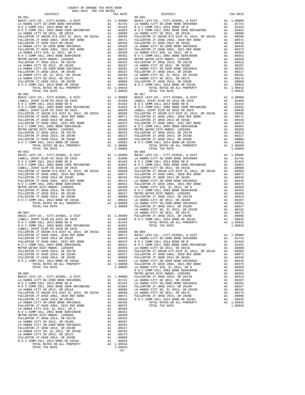| TAX RATE<br>DISTRICT |        |                        | TAX RATE |
|----------------------|--------|------------------------|----------|
| $06 - 082$           |        | DISTRICT<br>$06 - 087$ |          |
|                      |        |                        |          |
|                      |        |                        |          |
|                      |        |                        |          |
|                      | $-52-$ |                        |          |

| レエウエルエニエ                        | tuv vute | レエウエルエクエ                                                                                                                                                                                                                                                                       | tuv vute |
|---------------------------------|----------|--------------------------------------------------------------------------------------------------------------------------------------------------------------------------------------------------------------------------------------------------------------------------------|----------|
| $06 - 081$                      |          | $06 - 086$                                                                                                                                                                                                                                                                     |          |
|                                 |          |                                                                                                                                                                                                                                                                                |          |
|                                 |          |                                                                                                                                                                                                                                                                                |          |
|                                 |          |                                                                                                                                                                                                                                                                                |          |
|                                 |          |                                                                                                                                                                                                                                                                                |          |
|                                 |          |                                                                                                                                                                                                                                                                                |          |
|                                 |          |                                                                                                                                                                                                                                                                                |          |
|                                 |          |                                                                                                                                                                                                                                                                                |          |
|                                 |          |                                                                                                                                                                                                                                                                                |          |
|                                 |          |                                                                                                                                                                                                                                                                                |          |
|                                 |          |                                                                                                                                                                                                                                                                                |          |
|                                 |          |                                                                                                                                                                                                                                                                                |          |
|                                 |          |                                                                                                                                                                                                                                                                                |          |
|                                 |          |                                                                                                                                                                                                                                                                                |          |
|                                 |          |                                                                                                                                                                                                                                                                                |          |
|                                 |          |                                                                                                                                                                                                                                                                                |          |
|                                 |          |                                                                                                                                                                                                                                                                                |          |
|                                 |          |                                                                                                                                                                                                                                                                                |          |
|                                 |          |                                                                                                                                                                                                                                                                                |          |
|                                 |          |                                                                                                                                                                                                                                                                                |          |
|                                 |          |                                                                                                                                                                                                                                                                                |          |
|                                 |          |                                                                                                                                                                                                                                                                                |          |
|                                 |          |                                                                                                                                                                                                                                                                                |          |
|                                 |          |                                                                                                                                                                                                                                                                                |          |
|                                 |          |                                                                                                                                                                                                                                                                                |          |
|                                 |          |                                                                                                                                                                                                                                                                                |          |
|                                 |          |                                                                                                                                                                                                                                                                                |          |
|                                 |          |                                                                                                                                                                                                                                                                                |          |
|                                 |          |                                                                                                                                                                                                                                                                                |          |
|                                 |          |                                                                                                                                                                                                                                                                                |          |
|                                 |          |                                                                                                                                                                                                                                                                                |          |
|                                 |          |                                                                                                                                                                                                                                                                                |          |
|                                 |          |                                                                                                                                                                                                                                                                                |          |
|                                 |          |                                                                                                                                                                                                                                                                                |          |
|                                 |          |                                                                                                                                                                                                                                                                                |          |
|                                 |          |                                                                                                                                                                                                                                                                                |          |
|                                 |          |                                                                                                                                                                                                                                                                                |          |
|                                 |          |                                                                                                                                                                                                                                                                                |          |
|                                 |          |                                                                                                                                                                                                                                                                                |          |
|                                 |          |                                                                                                                                                                                                                                                                                |          |
|                                 |          |                                                                                                                                                                                                                                                                                |          |
|                                 |          |                                                                                                                                                                                                                                                                                |          |
|                                 |          |                                                                                                                                                                                                                                                                                |          |
|                                 |          |                                                                                                                                                                                                                                                                                |          |
|                                 |          |                                                                                                                                                                                                                                                                                |          |
|                                 |          |                                                                                                                                                                                                                                                                                |          |
|                                 |          |                                                                                                                                                                                                                                                                                |          |
|                                 |          |                                                                                                                                                                                                                                                                                |          |
|                                 |          |                                                                                                                                                                                                                                                                                |          |
|                                 |          |                                                                                                                                                                                                                                                                                |          |
|                                 |          |                                                                                                                                                                                                                                                                                |          |
|                                 |          |                                                                                                                                                                                                                                                                                |          |
|                                 |          |                                                                                                                                                                                                                                                                                |          |
|                                 |          |                                                                                                                                                                                                                                                                                |          |
|                                 |          |                                                                                                                                                                                                                                                                                |          |
|                                 |          |                                                                                                                                                                                                                                                                                |          |
|                                 |          |                                                                                                                                                                                                                                                                                |          |
|                                 |          |                                                                                                                                                                                                                                                                                |          |
|                                 |          |                                                                                                                                                                                                                                                                                |          |
|                                 |          |                                                                                                                                                                                                                                                                                |          |
|                                 |          |                                                                                                                                                                                                                                                                                |          |
|                                 |          |                                                                                                                                                                                                                                                                                |          |
|                                 |          |                                                                                                                                                                                                                                                                                |          |
|                                 |          |                                                                                                                                                                                                                                                                                |          |
|                                 |          |                                                                                                                                                                                                                                                                                |          |
|                                 |          |                                                                                                                                                                                                                                                                                |          |
|                                 |          |                                                                                                                                                                                                                                                                                |          |
|                                 |          |                                                                                                                                                                                                                                                                                |          |
|                                 |          |                                                                                                                                                                                                                                                                                |          |
|                                 |          |                                                                                                                                                                                                                                                                                |          |
|                                 |          |                                                                                                                                                                                                                                                                                |          |
|                                 |          |                                                                                                                                                                                                                                                                                |          |
|                                 |          |                                                                                                                                                                                                                                                                                |          |
| FULLERTON JT UHSD 2014 SR 2018C |          |                                                                                                                                                                                                                                                                                |          |
|                                 |          |                                                                                                                                                                                                                                                                                |          |
|                                 |          | $\begin{smallmatrix} 10-0.01 & 0.01 & 0.01 & 0.01 & 0.01 & 0.01 & 0.01 & 0.01 & 0.01 & 0.01 & 0.01 & 0.01 & 0.01 & 0.01 & 0.01 & 0.01 & 0.01 & 0.01 & 0.01 & 0.01 & 0.01 & 0.01 & 0.01 & 0.01 & 0.01 & 0.01 & 0.01 & 0.01 & 0.01 & 0.01 & 0.01 & 0.01 & 0.01 & 0.01 & 0.01 & $ |          |
|                                 |          |                                                                                                                                                                                                                                                                                |          |
|                                 |          |                                                                                                                                                                                                                                                                                |          |
|                                 |          |                                                                                                                                                                                                                                                                                |          |
|                                 |          |                                                                                                                                                                                                                                                                                |          |
|                                 |          |                                                                                                                                                                                                                                                                                |          |
|                                 |          |                                                                                                                                                                                                                                                                                |          |
|                                 |          |                                                                                                                                                                                                                                                                                |          |
|                                 |          |                                                                                                                                                                                                                                                                                |          |
|                                 |          |                                                                                                                                                                                                                                                                                |          |
|                                 |          |                                                                                                                                                                                                                                                                                |          |
|                                 |          |                                                                                                                                                                                                                                                                                |          |
|                                 |          |                                                                                                                                                                                                                                                                                |          |
|                                 |          |                                                                                                                                                                                                                                                                                |          |
|                                 |          |                                                                                                                                                                                                                                                                                |          |
|                                 |          |                                                                                                                                                                                                                                                                                |          |
|                                 |          |                                                                                                                                                                                                                                                                                |          |
|                                 |          |                                                                                                                                                                                                                                                                                |          |
|                                 |          |                                                                                                                                                                                                                                                                                |          |
|                                 |          |                                                                                                                                                                                                                                                                                |          |
|                                 |          |                                                                                                                                                                                                                                                                                |          |
|                                 |          |                                                                                                                                                                                                                                                                                |          |
|                                 |          |                                                                                                                                                                                                                                                                                |          |
|                                 |          |                                                                                                                                                                                                                                                                                |          |

## COUNTY OF ORANGE TAX RATE BOOK 2021-2022 TRA TAX RATES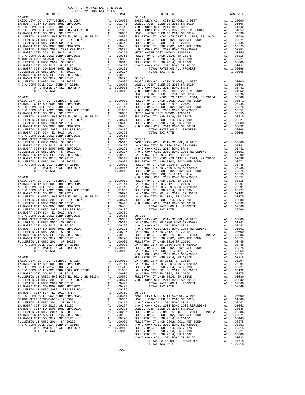|                                                                                                                                                                                                                                                                                                                                                                              |          |                                                                                                                                                                                                                                               | LOWELL                |
|------------------------------------------------------------------------------------------------------------------------------------------------------------------------------------------------------------------------------------------------------------------------------------------------------------------------------------------------------------------------------|----------|-----------------------------------------------------------------------------------------------------------------------------------------------------------------------------------------------------------------------------------------------|-----------------------|
|                                                                                                                                                                                                                                                                                                                                                                              |          |                                                                                                                                                                                                                                               |                       |
|                                                                                                                                                                                                                                                                                                                                                                              |          |                                                                                                                                                                                                                                               |                       |
|                                                                                                                                                                                                                                                                                                                                                                              |          |                                                                                                                                                                                                                                               |                       |
|                                                                                                                                                                                                                                                                                                                                                                              |          |                                                                                                                                                                                                                                               |                       |
|                                                                                                                                                                                                                                                                                                                                                                              |          |                                                                                                                                                                                                                                               |                       |
|                                                                                                                                                                                                                                                                                                                                                                              |          |                                                                                                                                                                                                                                               |                       |
|                                                                                                                                                                                                                                                                                                                                                                              |          |                                                                                                                                                                                                                                               |                       |
|                                                                                                                                                                                                                                                                                                                                                                              |          |                                                                                                                                                                                                                                               |                       |
|                                                                                                                                                                                                                                                                                                                                                                              |          |                                                                                                                                                                                                                                               |                       |
|                                                                                                                                                                                                                                                                                                                                                                              |          |                                                                                                                                                                                                                                               |                       |
|                                                                                                                                                                                                                                                                                                                                                                              |          |                                                                                                                                                                                                                                               |                       |
|                                                                                                                                                                                                                                                                                                                                                                              |          |                                                                                                                                                                                                                                               |                       |
|                                                                                                                                                                                                                                                                                                                                                                              |          |                                                                                                                                                                                                                                               |                       |
|                                                                                                                                                                                                                                                                                                                                                                              |          |                                                                                                                                                                                                                                               |                       |
|                                                                                                                                                                                                                                                                                                                                                                              |          |                                                                                                                                                                                                                                               |                       |
|                                                                                                                                                                                                                                                                                                                                                                              |          |                                                                                                                                                                                                                                               |                       |
|                                                                                                                                                                                                                                                                                                                                                                              |          |                                                                                                                                                                                                                                               |                       |
| $\begin{tabular}{c c c c} \multicolumn{4}{c}{\textbf{1.09916}} & $\mathbf{0.6-091}$ & $1.09916$ & $\mathbf{0.6-091}$ \\ \hline \textbf{0.6-091} & $\mathbf{E} \textbf{0.71} & $\mathbf{0.74} \textbf{0.7} & $\mathbf{0.74} \textbf{0.7} \textbf{0.7} \textbf{0.7} \textbf{0.7} \textbf{0.7} \textbf{0.7} \textbf{0.7} \textbf{0.7} \textbf{0.7} \textbf{0.7} \textbf{0.7} \$ |          |                                                                                                                                                                                                                                               | LA HABR               |
| $06 - 092$                                                                                                                                                                                                                                                                                                                                                                   |          |                                                                                                                                                                                                                                               | NOCC                  |
|                                                                                                                                                                                                                                                                                                                                                                              |          |                                                                                                                                                                                                                                               |                       |
|                                                                                                                                                                                                                                                                                                                                                                              |          |                                                                                                                                                                                                                                               |                       |
|                                                                                                                                                                                                                                                                                                                                                                              |          |                                                                                                                                                                                                                                               |                       |
|                                                                                                                                                                                                                                                                                                                                                                              |          |                                                                                                                                                                                                                                               |                       |
|                                                                                                                                                                                                                                                                                                                                                                              |          |                                                                                                                                                                                                                                               |                       |
|                                                                                                                                                                                                                                                                                                                                                                              |          |                                                                                                                                                                                                                                               |                       |
|                                                                                                                                                                                                                                                                                                                                                                              |          |                                                                                                                                                                                                                                               |                       |
|                                                                                                                                                                                                                                                                                                                                                                              |          |                                                                                                                                                                                                                                               |                       |
|                                                                                                                                                                                                                                                                                                                                                                              |          |                                                                                                                                                                                                                                               |                       |
|                                                                                                                                                                                                                                                                                                                                                                              |          |                                                                                                                                                                                                                                               |                       |
|                                                                                                                                                                                                                                                                                                                                                                              |          |                                                                                                                                                                                                                                               |                       |
|                                                                                                                                                                                                                                                                                                                                                                              |          |                                                                                                                                                                                                                                               |                       |
|                                                                                                                                                                                                                                                                                                                                                                              |          |                                                                                                                                                                                                                                               |                       |
|                                                                                                                                                                                                                                                                                                                                                                              |          |                                                                                                                                                                                                                                               |                       |
|                                                                                                                                                                                                                                                                                                                                                                              |          |                                                                                                                                                                                                                                               |                       |
| TOTAL RATES ON ALL PROPERTY<br>TOTAL TAX RATE                                                                                                                                                                                                                                                                                                                                |          | A1 1.09916<br>1.09916                                                                                                                                                                                                                         | FULLERT<br>LA HABR    |
|                                                                                                                                                                                                                                                                                                                                                                              |          |                                                                                                                                                                                                                                               | NOCC                  |
| $06 - 093$                                                                                                                                                                                                                                                                                                                                                                   |          |                                                                                                                                                                                                                                               | FULLERT               |
|                                                                                                                                                                                                                                                                                                                                                                              |          |                                                                                                                                                                                                                                               |                       |
|                                                                                                                                                                                                                                                                                                                                                                              |          |                                                                                                                                                                                                                                               |                       |
|                                                                                                                                                                                                                                                                                                                                                                              |          |                                                                                                                                                                                                                                               |                       |
|                                                                                                                                                                                                                                                                                                                                                                              |          |                                                                                                                                                                                                                                               |                       |
| FULLERTON JT UNION $H/S$ Dist by $2002$ , $2020$ REF BOND<br>FULLERTON JT UHSD 2002, 2020 REF BOND                                                                                                                                                                                                                                                                           |          |                                                                                                                                                                                                                                               |                       |
| LA HABRA CITY SD-2000 BOND SR#2002A                                                                                                                                                                                                                                                                                                                                          |          | A1.00445<br>A1 .00435                                                                                                                                                                                                                         |                       |
| FULLERTON JT UHSD 2002, 2021 REF BOND                                                                                                                                                                                                                                                                                                                                        | A1       | .00375                                                                                                                                                                                                                                        |                       |
| LA HABRA CITY SCH, EL 2012, SR A<br>N O C COMM COLL 2002 BOND SER#2003B                                                                                                                                                                                                                                                                                                      | A1<br>A1 | .00359<br>.00351                                                                                                                                                                                                                              | $06 - 903$<br>BASIC L |
| METRO WATER DIST-MWDOC- 1205999                                                                                                                                                                                                                                                                                                                                              |          |                                                                                                                                                                                                                                               |                       |
| FULLERTON JT UHSD 2014, SR 2017B                                                                                                                                                                                                                                                                                                                                             |          |                                                                                                                                                                                                                                               |                       |
| LA HABRA CITY SD 2012, SR 2018D<br>LA HABRA CITY SD-2000 BOND SR#2001A                                                                                                                                                                                                                                                                                                       |          |                                                                                                                                                                                                                                               |                       |
| FULLERTON JT UHSD 2014, SR 2019D                                                                                                                                                                                                                                                                                                                                             |          |                                                                                                                                                                                                                                               |                       |
| LA HABRA CITY SD, EL 2012, SR 2015B                                                                                                                                                                                                                                                                                                                                          |          |                                                                                                                                                                                                                                               |                       |
| LA HABRA CITY SD 2012, SR 2017C<br>FULLERTON JT UHSD 2014, SR 2020E                                                                                                                                                                                                                                                                                                          |          |                                                                                                                                                                                                                                               |                       |
| N O C COMM COLL 2014 BOND SR 2016A                                                                                                                                                                                                                                                                                                                                           |          |                                                                                                                                                                                                                                               |                       |
| TOTAL RATES ON ALL PROPERTY<br>TOTAL TAX RATE                                                                                                                                                                                                                                                                                                                                |          | A1 .00351 BASIC L<br>A1 .00351 LOWELL A1 .00315 NOCC<br>A1 .00297 NOCC<br>A1 .00297 NOCC<br>A1 .00297 NOCC<br>A1 .00227 FULLERT<br>A1 .00192 FULLERT<br>A1 .00030 FULLERT<br>A1 .00032 NOCC<br>A1 .00032 NOCC<br>A1 .00936 FULLERT<br>1.09916 | FULLERT               |
|                                                                                                                                                                                                                                                                                                                                                                              |          |                                                                                                                                                                                                                                               |                       |

| COUNTY OF ORANGE TAX RATE BOOK                                                                                                                                                                                                                                                                                                                                                                                                                                                                                          |          |          |          |
|-------------------------------------------------------------------------------------------------------------------------------------------------------------------------------------------------------------------------------------------------------------------------------------------------------------------------------------------------------------------------------------------------------------------------------------------------------------------------------------------------------------------------|----------|----------|----------|
| $\begin{minipage}{0.5\textwidth} \begin{tabular}{@{}c@{}} \multicolumn{2}{c}{\textwidth} \end{tabular} & \multicolumn{2}{c}{\textwidth} \end{minipage} \begin{minipage}{0.5\textwidth} \begin{tabular}{@{}c@{}} \multicolumn{2}{c}{\textwidth} \end{tabular} & \multicolumn{2}{c}{\textwidth} \end{minipage} \begin{minipage}{0.5\textwidth} \begin{tabular}{@{}c@{}} \multicolumn{2}{c}{\textwidth} \end{tabular} & \multicolumn{2}{c}{\textwidth} \end{minipage} \begin{minipage}{0.5\textwidth} \begin{tabular}{@{}$ | TAX RATE | DISTRICT | TAX RATE |
|                                                                                                                                                                                                                                                                                                                                                                                                                                                                                                                         |          |          |          |
|                                                                                                                                                                                                                                                                                                                                                                                                                                                                                                                         |          |          |          |
|                                                                                                                                                                                                                                                                                                                                                                                                                                                                                                                         |          |          |          |
|                                                                                                                                                                                                                                                                                                                                                                                                                                                                                                                         |          |          |          |
|                                                                                                                                                                                                                                                                                                                                                                                                                                                                                                                         |          |          |          |
|                                                                                                                                                                                                                                                                                                                                                                                                                                                                                                                         |          |          |          |
|                                                                                                                                                                                                                                                                                                                                                                                                                                                                                                                         |          |          |          |
|                                                                                                                                                                                                                                                                                                                                                                                                                                                                                                                         |          |          |          |
|                                                                                                                                                                                                                                                                                                                                                                                                                                                                                                                         |          |          |          |
|                                                                                                                                                                                                                                                                                                                                                                                                                                                                                                                         |          |          |          |
|                                                                                                                                                                                                                                                                                                                                                                                                                                                                                                                         |          |          |          |
|                                                                                                                                                                                                                                                                                                                                                                                                                                                                                                                         |          |          |          |
|                                                                                                                                                                                                                                                                                                                                                                                                                                                                                                                         |          |          |          |
|                                                                                                                                                                                                                                                                                                                                                                                                                                                                                                                         |          |          |          |
|                                                                                                                                                                                                                                                                                                                                                                                                                                                                                                                         |          |          |          |
|                                                                                                                                                                                                                                                                                                                                                                                                                                                                                                                         |          |          |          |
|                                                                                                                                                                                                                                                                                                                                                                                                                                                                                                                         |          |          |          |
|                                                                                                                                                                                                                                                                                                                                                                                                                                                                                                                         |          |          |          |
|                                                                                                                                                                                                                                                                                                                                                                                                                                                                                                                         |          |          |          |
|                                                                                                                                                                                                                                                                                                                                                                                                                                                                                                                         |          |          |          |
|                                                                                                                                                                                                                                                                                                                                                                                                                                                                                                                         |          |          |          |
|                                                                                                                                                                                                                                                                                                                                                                                                                                                                                                                         |          |          |          |
|                                                                                                                                                                                                                                                                                                                                                                                                                                                                                                                         |          |          |          |
|                                                                                                                                                                                                                                                                                                                                                                                                                                                                                                                         |          |          |          |
|                                                                                                                                                                                                                                                                                                                                                                                                                                                                                                                         |          |          |          |
|                                                                                                                                                                                                                                                                                                                                                                                                                                                                                                                         |          |          |          |
|                                                                                                                                                                                                                                                                                                                                                                                                                                                                                                                         |          |          |          |
|                                                                                                                                                                                                                                                                                                                                                                                                                                                                                                                         |          |          |          |
|                                                                                                                                                                                                                                                                                                                                                                                                                                                                                                                         |          |          |          |
|                                                                                                                                                                                                                                                                                                                                                                                                                                                                                                                         |          |          |          |
|                                                                                                                                                                                                                                                                                                                                                                                                                                                                                                                         |          |          |          |
|                                                                                                                                                                                                                                                                                                                                                                                                                                                                                                                         |          |          |          |
|                                                                                                                                                                                                                                                                                                                                                                                                                                                                                                                         |          |          |          |
|                                                                                                                                                                                                                                                                                                                                                                                                                                                                                                                         |          |          |          |
|                                                                                                                                                                                                                                                                                                                                                                                                                                                                                                                         |          |          |          |
|                                                                                                                                                                                                                                                                                                                                                                                                                                                                                                                         |          |          |          |
|                                                                                                                                                                                                                                                                                                                                                                                                                                                                                                                         |          |          |          |
|                                                                                                                                                                                                                                                                                                                                                                                                                                                                                                                         |          |          |          |
|                                                                                                                                                                                                                                                                                                                                                                                                                                                                                                                         |          |          |          |
|                                                                                                                                                                                                                                                                                                                                                                                                                                                                                                                         |          |          |          |
|                                                                                                                                                                                                                                                                                                                                                                                                                                                                                                                         |          |          |          |
|                                                                                                                                                                                                                                                                                                                                                                                                                                                                                                                         |          |          |          |
|                                                                                                                                                                                                                                                                                                                                                                                                                                                                                                                         |          |          |          |
|                                                                                                                                                                                                                                                                                                                                                                                                                                                                                                                         |          |          |          |
|                                                                                                                                                                                                                                                                                                                                                                                                                                                                                                                         |          |          |          |
|                                                                                                                                                                                                                                                                                                                                                                                                                                                                                                                         |          |          |          |
|                                                                                                                                                                                                                                                                                                                                                                                                                                                                                                                         |          |          |          |
|                                                                                                                                                                                                                                                                                                                                                                                                                                                                                                                         |          |          |          |
|                                                                                                                                                                                                                                                                                                                                                                                                                                                                                                                         |          |          |          |
|                                                                                                                                                                                                                                                                                                                                                                                                                                                                                                                         |          |          |          |
|                                                                                                                                                                                                                                                                                                                                                                                                                                                                                                                         |          |          |          |
|                                                                                                                                                                                                                                                                                                                                                                                                                                                                                                                         |          |          |          |
|                                                                                                                                                                                                                                                                                                                                                                                                                                                                                                                         |          |          |          |
|                                                                                                                                                                                                                                                                                                                                                                                                                                                                                                                         |          |          |          |
|                                                                                                                                                                                                                                                                                                                                                                                                                                                                                                                         |          |          |          |
|                                                                                                                                                                                                                                                                                                                                                                                                                                                                                                                         |          |          |          |
|                                                                                                                                                                                                                                                                                                                                                                                                                                                                                                                         |          |          |          |
|                                                                                                                                                                                                                                                                                                                                                                                                                                                                                                                         |          |          |          |
|                                                                                                                                                                                                                                                                                                                                                                                                                                                                                                                         |          |          |          |
|                                                                                                                                                                                                                                                                                                                                                                                                                                                                                                                         |          |          |          |
|                                                                                                                                                                                                                                                                                                                                                                                                                                                                                                                         |          |          |          |
|                                                                                                                                                                                                                                                                                                                                                                                                                                                                                                                         |          |          |          |
|                                                                                                                                                                                                                                                                                                                                                                                                                                                                                                                         |          |          |          |
|                                                                                                                                                                                                                                                                                                                                                                                                                                                                                                                         |          |          |          |
|                                                                                                                                                                                                                                                                                                                                                                                                                                                                                                                         |          |          |          |
|                                                                                                                                                                                                                                                                                                                                                                                                                                                                                                                         |          |          |          |
|                                                                                                                                                                                                                                                                                                                                                                                                                                                                                                                         |          |          |          |
|                                                                                                                                                                                                                                                                                                                                                                                                                                                                                                                         |          |          |          |
|                                                                                                                                                                                                                                                                                                                                                                                                                                                                                                                         |          |          |          |
|                                                                                                                                                                                                                                                                                                                                                                                                                                                                                                                         |          |          |          |
|                                                                                                                                                                                                                                                                                                                                                                                                                                                                                                                         |          |          |          |
|                                                                                                                                                                                                                                                                                                                                                                                                                                                                                                                         |          |          |          |
|                                                                                                                                                                                                                                                                                                                                                                                                                                                                                                                         |          |          |          |
|                                                                                                                                                                                                                                                                                                                                                                                                                                                                                                                         |          |          |          |
|                                                                                                                                                                                                                                                                                                                                                                                                                                                                                                                         |          |          |          |
|                                                                                                                                                                                                                                                                                                                                                                                                                                                                                                                         |          |          |          |
|                                                                                                                                                                                                                                                                                                                                                                                                                                                                                                                         |          |          |          |
|                                                                                                                                                                                                                                                                                                                                                                                                                                                                                                                         |          |          |          |
|                                                                                                                                                                                                                                                                                                                                                                                                                                                                                                                         |          |          |          |
|                                                                                                                                                                                                                                                                                                                                                                                                                                                                                                                         |          |          |          |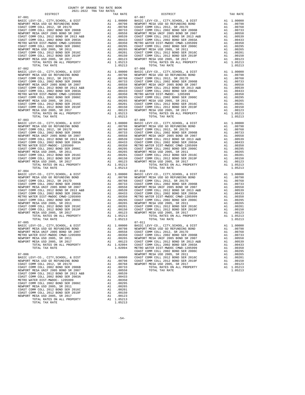| <b>DTOIKTCI</b>                                                            |    | IAA RAIL                                                                                                                                                                                                                                                                                                                                                                                     |                    |
|----------------------------------------------------------------------------|----|----------------------------------------------------------------------------------------------------------------------------------------------------------------------------------------------------------------------------------------------------------------------------------------------------------------------------------------------------------------------------------------------|--------------------|
| $07 - 001$                                                                 |    | $\begin{tabular}{cc} $07$-007$ & $07$-007$ \\ \texttt{A1} & 0.0000 & \texttt{BASIC L} \\ \texttt{A1} & 0.0798 & \texttt{NEWPCOT} \\ \texttt{A1} & 0.0768 & \texttt{COAST C} \\ \texttt{A1} & 0.0733 & \texttt{COAST C} \\ \texttt{A1} & 0.00558 & \texttt{NEWPCRT} \\ \texttt{A1} & 0.00539 & \texttt{COAST C} \\ \texttt{A1} & 0.0433 & \texttt{COAST C} \\ \texttt{A1} & 0.0$              | $07 - 007$         |
| BASIC LEVY-CO., CITY, SCHOOL, & DIST                                       |    |                                                                                                                                                                                                                                                                                                                                                                                              |                    |
| NEWPORT MESA USD GO REFUNDING BOND                                         |    |                                                                                                                                                                                                                                                                                                                                                                                              |                    |
| COAST COMM COLL 2012, SR 2017D                                             |    |                                                                                                                                                                                                                                                                                                                                                                                              |                    |
| COAST COMM COLL 2002 BOND SER 2006B                                        |    |                                                                                                                                                                                                                                                                                                                                                                                              |                    |
| NEWPORT MESA UNIF 2005 BOND SR 2007                                        |    |                                                                                                                                                                                                                                                                                                                                                                                              |                    |
| COAST COMM COLL 2012 BOND SR 2013 A&B                                      |    |                                                                                                                                                                                                                                                                                                                                                                                              |                    |
| COAST COMM COLL 2002 BOND SER 2003A                                        |    |                                                                                                                                                                                                                                                                                                                                                                                              |                    |
| METRO WATER DIST-MWDOC CMWD-1205999                                        |    |                                                                                                                                                                                                                                                                                                                                                                                              |                    |
| COAST COMM COLL 2002 BOND SER 2006C                                        |    |                                                                                                                                                                                                                                                                                                                                                                                              |                    |
| NEWPORT MESA USD 2005, SR 2011                                             |    |                                                                                                                                                                                                                                                                                                                                                                                              |                    |
| COAST COMM COLL 2012 BOND SER 2016C                                        |    |                                                                                                                                                                                                                                                                                                                                                                                              |                    |
| COAST COMM COLL 2012 BOND SER 2019F                                        |    |                                                                                                                                                                                                                                                                                                                                                                                              |                    |
| NEWPORT MESA USD 2005, SR 2017                                             |    |                                                                                                                                                                                                                                                                                                                                                                                              |                    |
| TOTAL RATES ON ALL PROPERTY                                                |    |                                                                                                                                                                                                                                                                                                                                                                                              |                    |
| TOTAL TAX RATE                                                             |    | 1.05213                                                                                                                                                                                                                                                                                                                                                                                      |                    |
| $07 - 002$                                                                 |    |                                                                                                                                                                                                                                                                                                                                                                                              | $07 - 008$         |
| BASIC LEVY-CO., CITY, SCHOOL, & DIST                                       |    | $\begin{tabular}{cc} & 07-008 \\ \text{A1} & 1.00000 & \text{BASIC L} \\ \text{A1} & .00798 & \text{NEWPORT C} \\ \text{A1} & .00768 & \text{COAST C} \\ \text{A1} & .00763 & \text{COAST C} \\ \text{A1} & .00553 & \text{NEWPORT C} \\ \text{A1} & .00539 & \text{COAST C} \\ \text{A1} & .00433 & \text{OAST C} \\ \text{A1} & .00350 & \text{MEWPORT C} \\ \text{A1} & .00295 & \text{O$ |                    |
| NEWPORT MESA USD GO REFUNDING BOND                                         |    |                                                                                                                                                                                                                                                                                                                                                                                              |                    |
| COAST COMM COLL 2012, SR 2017D                                             |    |                                                                                                                                                                                                                                                                                                                                                                                              |                    |
| COAST COMM COLL 2002 BOND SER 2006B                                        |    |                                                                                                                                                                                                                                                                                                                                                                                              |                    |
| NEWPORT MESA UNIF 2005 BOND SR 2007                                        |    |                                                                                                                                                                                                                                                                                                                                                                                              |                    |
|                                                                            |    |                                                                                                                                                                                                                                                                                                                                                                                              |                    |
| COAST COMM COLL 2012 BOND SR 2013 A&B                                      |    |                                                                                                                                                                                                                                                                                                                                                                                              |                    |
| COAST COMM COLL 2002 BOND SER 2003A                                        |    |                                                                                                                                                                                                                                                                                                                                                                                              |                    |
| METRO WATER DIST-MWDOC CMWD-1205999                                        |    |                                                                                                                                                                                                                                                                                                                                                                                              |                    |
| COAST COMM COLL 2002 BOND SER 2006C                                        |    |                                                                                                                                                                                                                                                                                                                                                                                              |                    |
| NEWPORT MESA USD 2005, SR 2011                                             |    |                                                                                                                                                                                                                                                                                                                                                                                              |                    |
| COAST COMM COLL 2012 BOND SER 2016C<br>COAST COMM COLL 2012 BOND SER 2019F |    |                                                                                                                                                                                                                                                                                                                                                                                              |                    |
|                                                                            |    |                                                                                                                                                                                                                                                                                                                                                                                              |                    |
| NEWPORT MESA USD 2005, SR 2017                                             |    |                                                                                                                                                                                                                                                                                                                                                                                              |                    |
| TOTAL RATES ON ALL PROPERTY                                                |    | A1 1.05213                                                                                                                                                                                                                                                                                                                                                                                   |                    |
| TOTAL TAX RATE                                                             |    | 1.05213                                                                                                                                                                                                                                                                                                                                                                                      |                    |
| $07 - 003$                                                                 |    |                                                                                                                                                                                                                                                                                                                                                                                              |                    |
|                                                                            |    | $\begin{tabular}{cc} & 07-009 \\ \text{A1} & 1.00000 & \text{BASIC L} \\ \text{A1} & 00798 & \text{NENPORT} \\ \text{A1} & 00768 & \text{COAST C} \\ \text{A1} & 00763 & \text{COAST C} \\ \text{A1} & 00553 & \text{NENPORT} \\ \text{A1} & 00558 & \text{NENPORT} \\ \text{A1} & 00433 & \text{COAST C} \\ \text{A1} & 00350 & \text{METRO W} \\ \text{A1} & 00265 & \text{NENPO$          | $07 - 009$         |
| BASIC LEVY-CO., CITY, SCHOOL, & DIST                                       |    |                                                                                                                                                                                                                                                                                                                                                                                              |                    |
| NEWPORT MESA USD GO REFUNDING BOND                                         |    |                                                                                                                                                                                                                                                                                                                                                                                              |                    |
| COAST COMM COLL 2012, SR 2017D                                             |    |                                                                                                                                                                                                                                                                                                                                                                                              |                    |
| COAST COMM COLL 2002 BOND SER 2006B                                        |    |                                                                                                                                                                                                                                                                                                                                                                                              |                    |
| NEWPORT MESA UNIF 2005 BOND SR 2007                                        |    |                                                                                                                                                                                                                                                                                                                                                                                              |                    |
| COAST COMM COLL 2012 BOND SR 2013 A&B                                      |    |                                                                                                                                                                                                                                                                                                                                                                                              |                    |
| COAST COMM COLL 2002 BOND SER 2003A                                        |    |                                                                                                                                                                                                                                                                                                                                                                                              |                    |
| METRO WATER DIST-MWDOC- 1205999                                            |    |                                                                                                                                                                                                                                                                                                                                                                                              |                    |
| COAST COMM COLL 2002 BOND SER 2006C                                        |    |                                                                                                                                                                                                                                                                                                                                                                                              |                    |
| NEWPORT MESA USD 2005, SR 2011                                             |    |                                                                                                                                                                                                                                                                                                                                                                                              |                    |
| COAST COMM COLL 2012 BOND SER 2016C                                        |    |                                                                                                                                                                                                                                                                                                                                                                                              |                    |
| COAST COMM COLL 2012 BOND SER 2016C<br>COAST COMM COLL 2012 BOND SER 2019F |    |                                                                                                                                                                                                                                                                                                                                                                                              |                    |
|                                                                            |    |                                                                                                                                                                                                                                                                                                                                                                                              |                    |
| NEWPORT MESA USD 2005, SR 2017                                             |    |                                                                                                                                                                                                                                                                                                                                                                                              |                    |
| TOTAL RATES ON ALL PROPERTY                                                |    | A1 1.05213                                                                                                                                                                                                                                                                                                                                                                                   |                    |
| TOTAL TAX RATE                                                             |    | 1.05213                                                                                                                                                                                                                                                                                                                                                                                      |                    |
| $07 - 004$                                                                 |    |                                                                                                                                                                                                                                                                                                                                                                                              | $07 - 010$         |
| BASIC LEVY-CO., CITY, SCHOOL, & DIST                                       |    |                                                                                                                                                                                                                                                                                                                                                                                              |                    |
| NEWPORT MESA USD GO REFUNDING BOND                                         |    |                                                                                                                                                                                                                                                                                                                                                                                              |                    |
| COAST COMM COLL 2012, SR 2017D                                             |    |                                                                                                                                                                                                                                                                                                                                                                                              |                    |
| COAST COMM COLL 2002 BOND SER 2006B                                        |    |                                                                                                                                                                                                                                                                                                                                                                                              |                    |
| NEWPORT MESA UNIF 2005 BOND SR 2007                                        |    |                                                                                                                                                                                                                                                                                                                                                                                              |                    |
| COAST COMM COLL 2012 BOND SR 2013 A&B                                      |    |                                                                                                                                                                                                                                                                                                                                                                                              |                    |
| COAST COMM COLL 2002 BOND SER 2003A                                        |    |                                                                                                                                                                                                                                                                                                                                                                                              |                    |
| METRO WATER DIST-MWDOC CMWD-1205999                                        |    |                                                                                                                                                                                                                                                                                                                                                                                              |                    |
| COAST COMM COLL 2002 BOND SER 2006C                                        |    |                                                                                                                                                                                                                                                                                                                                                                                              |                    |
|                                                                            |    |                                                                                                                                                                                                                                                                                                                                                                                              |                    |
| NEWPORT MESA USD 2005, SR 2011                                             |    |                                                                                                                                                                                                                                                                                                                                                                                              |                    |
| COAST COMM COLL 2012 BOND SER 2019F<br>NEWPORT MESA USD 2005, SR 2017      |    | $\begin{tabular}{cc} & 07-010 \\ \text{A1} & 1.00000 \\ \text{A1} & .00798 \\ \text{A1} & .00768 \\ \text{A1} & .00768 \\ \text{A1} & .00763 \\ \text{A1} & .00553 \\ \text{A1} & .00553 \\ \text{A1} & .00553 \\ \text{A1} & .00539 \\ \text{A1} & .00343 \\ \text{A1} & .00343 \\ \text{A1} & .00350 \\ \text{A1} & .00295 \\ \text{A1} & .00295 \\ \text{A1$                              |                    |
|                                                                            |    |                                                                                                                                                                                                                                                                                                                                                                                              |                    |
|                                                                            |    |                                                                                                                                                                                                                                                                                                                                                                                              |                    |
| TOTAL RATES ON ALL PROPERTY                                                |    | A1 1.05213                                                                                                                                                                                                                                                                                                                                                                                   |                    |
| TOTAL TAX RATE                                                             |    | 1.05213                                                                                                                                                                                                                                                                                                                                                                                      |                    |
| $07 - 005$                                                                 |    |                                                                                                                                                                                                                                                                                                                                                                                              | $07 - 011$         |
| BASIC LEVY-CO., CITY, SCHOOL, & DIST                                       |    | A1 1.00000 BASIC L<br>A1 .00798 NEWPORT<br>A1 .00558 COAST C<br>A1 .00350 COAST C                                                                                                                                                                                                                                                                                                            |                    |
| NEWPORT MESA USD GO REFUNDING BOND                                         |    |                                                                                                                                                                                                                                                                                                                                                                                              |                    |
| NEWPORT MESA UNIF 2005 BOND SR 2007                                        |    |                                                                                                                                                                                                                                                                                                                                                                                              |                    |
| METRO WATER DIST-MWDOC CMWD-1205999                                        |    |                                                                                                                                                                                                                                                                                                                                                                                              |                    |
| NEWPORT MESA USD 2005, SR 2011                                             | A1 |                                                                                                                                                                                                                                                                                                                                                                                              |                    |
| NEWPORT MESA USD 2005, SR 2017                                             |    | A1 .00265 NEWPORT<br>A1 .00123 COAST C<br>A1 1.02094 COAST C                                                                                                                                                                                                                                                                                                                                 |                    |
|                                                                            |    |                                                                                                                                                                                                                                                                                                                                                                                              |                    |
| TOTAL RATES ON ALL PROPERTY                                                |    |                                                                                                                                                                                                                                                                                                                                                                                              |                    |
| TOTAL TAX RATE                                                             |    | 1.02094                                                                                                                                                                                                                                                                                                                                                                                      | METRO W            |
|                                                                            |    |                                                                                                                                                                                                                                                                                                                                                                                              | COAST C            |
| $07 - 006$                                                                 |    |                                                                                                                                                                                                                                                                                                                                                                                              | NEWPORT            |
| BASIC LEVY-CO., CITY, SCHOOL, & DIST                                       |    | A1 1.00000                                                                                                                                                                                                                                                                                                                                                                                   | COAST C<br>COAST C |
| NEWPORT MESA USD GO REFUNDING BOND                                         |    |                                                                                                                                                                                                                                                                                                                                                                                              |                    |
| COAST COMM COLL 2012, SR 2017D                                             |    | A1 .00798<br>A1 .00768                                                                                                                                                                                                                                                                                                                                                                       | NEWPORT            |
| COAST COMM COLL 2002 BOND SER 2006B                                        |    | A1.00733                                                                                                                                                                                                                                                                                                                                                                                     |                    |
| NEWPORT MESA UNIF 2005 BOND SR 2007                                        |    | A1 .00558                                                                                                                                                                                                                                                                                                                                                                                    |                    |
| COAST COMM COLL 2012 BOND SR 2013 A&B                                      |    | A1 .00539                                                                                                                                                                                                                                                                                                                                                                                    |                    |
| COAST COMM COLL 2002 BOND SER 2003A                                        | A1 | .00433                                                                                                                                                                                                                                                                                                                                                                                       |                    |
| METRO WATER DIST-MWDOC- 1205999                                            | A1 | .00350                                                                                                                                                                                                                                                                                                                                                                                       |                    |
| COAST COMM COLL 2002 BOND SER 2006C                                        |    |                                                                                                                                                                                                                                                                                                                                                                                              |                    |
|                                                                            | A1 | .00295                                                                                                                                                                                                                                                                                                                                                                                       |                    |
| NEWPORT MESA USD 2005, SR 2011                                             | A1 | .00265                                                                                                                                                                                                                                                                                                                                                                                       |                    |
| COAST COMM COLL 2012 BOND SER 2016C                                        |    | A1 .00201                                                                                                                                                                                                                                                                                                                                                                                    |                    |
| COAST COMM COLL 2012 BOND SER 2019F                                        | A1 | .00150                                                                                                                                                                                                                                                                                                                                                                                       |                    |
| NEWPORT MESA USD 2005, SR 2017                                             |    | A1 .00123                                                                                                                                                                                                                                                                                                                                                                                    |                    |

| NEWPORT MESA USD 2005, SR 2011      | A1. | .00265     |
|-------------------------------------|-----|------------|
| COAST COMM COLL 2012 BOND SER 2016C | A1  | .00201     |
| COAST COMM COLL 2012 BOND SER 2019F | A1  | .00150     |
| NEWPORT MESA USD 2005, SR 2017      | A1. | .00123     |
| TOTAL RATES ON ALL PROPERTY         |     | A1 1.05213 |
| TOTAL TAX RATE                      |     | 1.05213    |

 DISTRICT TAX RATE DISTRICT TAX RATE BASIC LEVY-CO., CITY,SCHOOL, & DIST A1 1.00000 BASIC LEVY-CO., CITY,SCHOOL, & DIST A1 1.00000 NEWPORT MESA USD GO REFUNDING BOND A1 .00798 NEWPORT MESA USD GO REFUNDING BOND A1 .00798 COAST COMM COLL 2012, SR 2017D A1 .00768 COAST COMM COLL 2012, SR 2017D A1 .00768 COAST COMM COLL 2002 BOND SER 2006B A1 .00733 COAST COMM COLL 2002 BOND SER 2006B A1 .00733 NEWPORT MESA UNIF 2005 BOND SR 2007 A1 .00558 NEWPORT MESA UNIF 2005 BOND SR 2007 A1 .00558 COAST COMM COLL 2012 BOND SR 2013 A&B A1 .00539 COAST COMM COLL 2012 BOND SR 2013 A&B A1 .00539<br>COAST COMM COLL 2002 BOND SER 2003A A1 .00433 COAST COMM COLL 2002 BOND SER 2003A A1 .00433 METRO WATER DIST-MWDOC CMWD-1205999 A1 .00350 METRO WATER DIST-MWDOC CMWD-1205999 A1 .00350 COAST COMM COLL 2002 BOND SER 2006C A1 .00295 COAST COMM COLL 2002 BOND SER 2006C A1 .00295 00265 NEWPORT MESA USD 2005, SR 2011 (10265 A1 .00265 NEWPORT MESA USD 2005, SR 2011 (10265 NEWPORT MESA USD 20<br>COAST COMM COLL 2012 BOND SER 2016C (2010 COAST COAST COMM COLL 2012 BOND SER 2016C (2012 BOND SER 2010C)<br>COAS NEWPORT MESA USD 2005, SR 2017 A1 .00123 NEWPORT MESA USD 2005, SR 2017 A1 .00123 TOTAL RATES ON ALL PROPERTY A1 1.05213 TOTAL RATES ON ALL PROPERTY A1 1.05213 TOTAL TAX RATE 1.05213 TOTAL TAX RATE 1.05213 BASIC LEVY-CO., CITY,SCHOOL, & DIST A1 1.00000 BASIC LEVY-CO., CITY,SCHOOL, & DIST A1 1.00000 NEWPORT MESA USD GO REFUNDING BOND A1 .00798 NEWPORT MESA USD GO REFUNDING BOND A1 .00798 COAST COMM COLL 2012, SR 2017D A1 .00768 COAST COMM COLL 2012, SR 2017D A1 .00768 COAST COMM COLL 2002 BOND SER 2006B A1 .00733 COAST COMM COLL 2002 BOND SER 2006B A1 .00733 NEWPORT MESA UNIF 2005 BOND SR 2007 A1 .00558 NEWPORT MESA UNIF 2005 BOND SR 2007 A1 .00558 COAST COMM COLL 2012 BOND SR 2013 A&B A1 .00539 COAST COMM COLL 2012 BOND SR 2013 A&B A1 .00539<br>COAST COMM COLL 2002 BOND SER 2003A A1 .00433 COAST COMM COLL 2002 BOND SER 2003A A1 .00433 METRO WATER DIST-MWDOC CMWD-1205999 A1 .00350 METRO WATER DIST-MWDOC- 1205999 A1 .00350 COAST COMM COLL 2002 BOND SER 2006C A1 .00295 COAST COMM COLL 2002 BOND SER 2006C A1 .00295 00265. NEWPORT MESAUSD 2005, SR 2011 (10265 AI 00265 NEWPORT MESAUSD 2005, SR 2011 (10265 NEWPORT MESAUSD 2005<br>COAST COMM COLL 2012 BOND SER 2016C (2019 COAST COAST COMM COLL 2012 BOND SER 2016C (2012 BOND SER 2019C)<br>COAST NEWPORT MESA USD 2005, SR 2017 A1 .00123 NEWPORT MESA USD 2005, SR 2017 A1 .00123<br>TOTAL RATES ON ALL PROPERTY A1 1.05213 TOTAL TAX RATES ON ALL PROPERTY<br>1.05213 1.05213 TOTAL TAX RATE BASIC LEVY-CO., CITY,SCHOOL, & DIST A1 1.00000 BASIC LEVY-CO., CITY,SCHOOL, & DIST A1 1.00000 NEWPORT MESA USD GO REFUNDING BOND A1 .00798 NEWPORT MESA USD GO REFUNDING BOND A1 .00798 COAST COMM COLL 2012, SR 2017D A1 .00768 COAST COMM COLL 2012, SR 2017D A1 .00768 COAST COMM COLL 2002 BOND SER 2006B A1 .00733 COAST COMM COLL 2002 BOND SER 2006B A1 .00733 NEWPORT MESA UNIF 2005 BOND SR 2007 A1 .00558 NEWPORT MESA UNIF 2005 BOND SR 2007 A1 .00558 COAST COMM COLL 2012 BOND SR 2013 A&B A1 .00539 COAST COMM COLL 2012 BOND SR 2013 A&B A1 .00539<br>COAST COMM COLL 2002 BOND SER 2003A A1 .00433 COAST COMM COLL 2002 BOND SER 2003A A1 .00433 METRO WATER DIST-MWDOC- 1205999 A1 .00350 METRO WATER DIST-MWDOC CMWD-1205999 A1 .00350 COAST COMM COLL 2002 BOND SER 2006C A1 .00295 COAST COMM COLL 2002 BOND SER 2006C A1 .00295 A1 .00350 METRO WATER DIST-MWDOC CMWD-1205999 A1 .00295 00067 COAST COMM COLL 2002 BOND SER 2006C A1 .00295<br>A1 .00265 NEWPORT MESA USD 2005, SR 2011 00265 NEWPORT MESA USD 2005<br>A1 .00265 NEWPORT COMM COLL 2012 ROND SER 201 COAST COMM COLL 2012 BOND SER 2016C<br>COAST COMM COLL 2012 BOND SER 2019F A1 .00201 COAST COMM COLL 2012 BOND SER 2019F A1 .00201<br>NEWPORT MESA USD 2005, SR 2017 A1 .00123 NEWPORT MESA USD 2005, SR 2019F A1 .00123<br>NEWPORT MES  $\begin{tabular}{lllllllllll} \textbf{1.05213} & \textbf{1.05213} & \textbf{1.05213} & \textbf{1.05213} & \textbf{1.05213} & \textbf{1.05213} & \textbf{1.05213} & \textbf{1.05213} & \textbf{1.05213} & \textbf{1.05213} & \textbf{1.05213} & \textbf{1.05213} & \textbf{1.05213} & \textbf{1.05213} & \textbf{1.05213} & \textbf{1.05213}$  BASIC LEVY-CO., CITY,SCHOOL, & DIST A1 1.00000 BASIC LEVY-CO., CITY,SCHOOL, & DIST A1 1.00000 NEWPORT MESAUSD GO REFUNDING BOND (10798 AI 00798 NEWPORT MESAUSD GO REFUNDING BOND (10798<br>COAST COMM COLL 2002 BOND SER 2006B (10.0768 COAST COMM COLL 2002 BOND SER 2006B (201768 COAST COMM COLL 2002<br>COAST COMM COLL 2002 COAST COMM COLL 2012 BOND SR 2013 A&B A1 .00539 COAST COMM COLL 2012 BOND SR 2013 A&B A1 .00539<br>COAST COMM COLL 2002 BOND SER 2003A A1 .00433 COAST COMM COLL 2002 BOND SER 2003A A1 .00433  $\begin{tabular}{l|c|c|c|c|c} \hline \texttt{METR} \texttt{WATE} \texttt{DIST-MWDOC} \texttt{CMM} \texttt{COLF} \texttt{MID} \texttt{1.00250} & \texttt{A1} & .00350 & \texttt{METR} \texttt{MWDCC} \texttt{MWD} \texttt{1205999} & \texttt{A1} & .00350 \\ \hline \texttt{COAST COMM} \texttt{COLF} \texttt{MESA} \texttt{USD} \texttt{2005}, \texttt{SR} \texttt{2015} & \texttt{A1} & .0025$  BASIC LEVY-CO., CITY,SCHOOL, & DIST A1 1.00000 BASIC LEVY-CO., CITY,SCHOOL, & DIST A1 1.00000 NEWPORT MESAUSD GO REFUNDING BOND MOVE A1 .00798 NEWPORT MESAUSD GO REFUNDING BOND A1 .00798<br>Al .00768 DONE 2005 BOND SR 2007 A1 .00558 COAST COMM COLL 2012, SR 2017D D<br>METRO WATER DIST-MWDOC CMWD-1205999 A1 .00350 COAST C NEWPORT MESA USD 2005, SR 2011 A1 .00265 NEWPORT MESA UNIF 2005 BOND SR 2007 A1 .00558 NEWPORT MESA USD 2005, SR 2017 A1 .00123 COAST COMM COLL 2012 BOND SR 2013 A&B A1 .00539 TOTAL RATES ON ALL PROPERTY AND TOTAL RATES ON ALL PROPERTY AND LOSS ON ALL PROPERTY AND ALL PROPERTY AND LOSS ON ALL PROPERTY AND ALL PROPERTY AND ALL PROPERTY AND ALL PROPERTY AND ALL PROPERTY AND ALL PROPERTY AND ALL PR TOTAL TAX RATE 1.02094 METRO WATER DIST-MWDOC CMWD-1205999 A1 .00350 COAST COMM COLL 2002 BOND SER 2006C A1 .00295 07-006 NEWPORT MESA USD 2005, SR 2011 A1 .00265 BASIC LEVY-CO., CITY,SCHOOL, & DIST A1 1.00000 COAST COMM COLL 2012 BOND SER 2016C A1 .00201 NEWPORT MESA USD GO REFUNDING BOND A1 .00798 COAST COMM COLL 2012 BOND SER 2019F A1 .00150 COAST COMM COLL 2012, SR 2017D A1 .00768 NEWPORT MESA USD 2005, SR 2017 A1 .00123 COAST COMM COLL 2002 BOND SER 2006B A1 .00733 TOTAL RATES ON ALL PROPERTY A1 1.05213 NEWPORT MESA UNIF 2005 BOND SR 2007 A1 .00558 TOTAL TAX RATE 1.05213

COUNTY OF ORANGE TAX RATE BOOK 2021-2022 TRA TAX RATES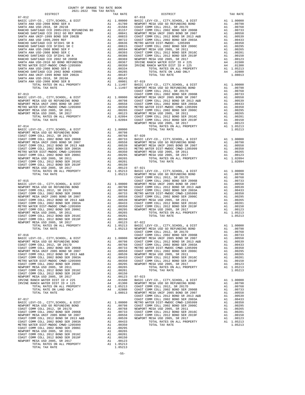NEWPORT MESA USD 2005, SR 2011 A1 .00265 COAST COMM COLL 2012 BOND SER 2016C A1 .00201 COAST COMM COLL 2012 BOND SER 2019F A1 .00150 NEWPORT MESA USD 2005, SR 2017 A1 .00123 TOTAL RATES ON ALL PROPERTY A1 1.05213 TOTAL TAX RATE 1.05213

-55-

| COUNTY OF ORANGE TAX RATE BOOK<br>$2021-2022 \quad \text{TRA RATES}$ DISTRICT $\hspace{2.5cm}$ |          |          |          |
|------------------------------------------------------------------------------------------------|----------|----------|----------|
|                                                                                                | TAX RATE | DISTRICT | TAX RATE |
|                                                                                                |          |          |          |
|                                                                                                |          |          |          |
|                                                                                                |          |          |          |
|                                                                                                |          |          |          |
|                                                                                                |          |          |          |
|                                                                                                |          |          |          |
|                                                                                                |          |          |          |
|                                                                                                |          |          |          |
|                                                                                                |          |          |          |
|                                                                                                |          |          |          |
|                                                                                                |          |          |          |
|                                                                                                |          |          |          |
|                                                                                                |          |          |          |
|                                                                                                |          |          |          |
|                                                                                                |          |          |          |
|                                                                                                |          |          |          |
|                                                                                                |          |          |          |
|                                                                                                |          |          |          |
|                                                                                                |          |          |          |
|                                                                                                |          |          |          |
|                                                                                                |          |          |          |
|                                                                                                |          |          |          |
|                                                                                                |          |          |          |
|                                                                                                |          |          |          |
|                                                                                                |          |          |          |
|                                                                                                |          |          |          |
|                                                                                                |          |          |          |
|                                                                                                |          |          |          |
|                                                                                                |          |          |          |
|                                                                                                |          |          |          |
|                                                                                                |          |          |          |
|                                                                                                |          |          |          |
|                                                                                                |          |          |          |
|                                                                                                |          |          |          |
|                                                                                                |          |          |          |
|                                                                                                |          |          |          |
|                                                                                                |          |          |          |
|                                                                                                |          |          |          |
|                                                                                                |          |          |          |
|                                                                                                |          |          |          |
|                                                                                                |          |          |          |
|                                                                                                |          |          |          |
|                                                                                                |          |          |          |
|                                                                                                |          |          |          |
|                                                                                                |          |          |          |
|                                                                                                |          |          |          |
|                                                                                                |          |          |          |
|                                                                                                |          |          |          |
|                                                                                                |          |          |          |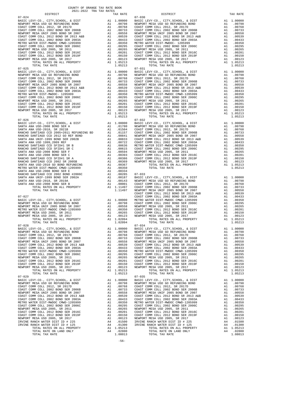| COUNTY OF ORANGE TAX RATE BOOK |          |                                                                                      |            |
|--------------------------------|----------|--------------------------------------------------------------------------------------|------------|
|                                | TAX RATE | DISTRICT                                                                             | TAX RATE   |
| $07 - 024$                     |          | $07 - 030$                                                                           |            |
|                                |          |                                                                                      |            |
|                                |          |                                                                                      |            |
|                                |          |                                                                                      |            |
|                                |          |                                                                                      |            |
|                                |          |                                                                                      |            |
|                                |          |                                                                                      |            |
|                                |          |                                                                                      |            |
|                                |          |                                                                                      |            |
|                                |          |                                                                                      |            |
|                                |          |                                                                                      |            |
|                                |          |                                                                                      |            |
| $07 - 025$                     |          | $07 - 031$                                                                           |            |
|                                |          |                                                                                      |            |
|                                |          |                                                                                      |            |
|                                |          |                                                                                      |            |
|                                |          |                                                                                      |            |
|                                |          |                                                                                      |            |
|                                |          |                                                                                      |            |
|                                |          |                                                                                      |            |
|                                |          |                                                                                      |            |
|                                |          |                                                                                      |            |
|                                |          |                                                                                      |            |
|                                |          |                                                                                      |            |
|                                |          |                                                                                      |            |
|                                |          |                                                                                      |            |
|                                |          |                                                                                      |            |
|                                |          |                                                                                      |            |
|                                |          |                                                                                      |            |
|                                |          |                                                                                      |            |
|                                |          |                                                                                      |            |
|                                |          |                                                                                      |            |
|                                |          |                                                                                      |            |
|                                |          |                                                                                      |            |
|                                |          |                                                                                      |            |
|                                |          |                                                                                      |            |
|                                |          |                                                                                      |            |
|                                |          |                                                                                      |            |
|                                |          |                                                                                      |            |
|                                |          |                                                                                      |            |
|                                |          |                                                                                      |            |
|                                |          |                                                                                      |            |
|                                |          |                                                                                      |            |
|                                |          |                                                                                      |            |
|                                |          |                                                                                      |            |
|                                |          |                                                                                      |            |
|                                |          |                                                                                      |            |
|                                |          |                                                                                      |            |
|                                |          |                                                                                      |            |
|                                |          |                                                                                      |            |
|                                |          | BASIC LEVY-CO., CITY, SCHOOL, & DIST Al 1.00000 BASIC LEVY-CO., CITY, SCHOOL, & DIST | A1 1,00000 |
|                                |          |                                                                                      |            |
|                                |          |                                                                                      |            |
|                                |          |                                                                                      |            |
|                                |          |                                                                                      |            |
|                                |          |                                                                                      |            |
|                                |          |                                                                                      |            |
|                                |          |                                                                                      |            |
|                                |          |                                                                                      |            |
|                                |          |                                                                                      |            |
|                                |          |                                                                                      |            |
|                                |          | $07 - 035$                                                                           |            |
| $07 - 029$                     |          |                                                                                      |            |
|                                |          |                                                                                      |            |
|                                |          |                                                                                      |            |
|                                |          |                                                                                      |            |
|                                |          |                                                                                      |            |
|                                |          |                                                                                      |            |
|                                |          |                                                                                      |            |
|                                |          |                                                                                      |            |
|                                |          |                                                                                      |            |
|                                |          |                                                                                      |            |
|                                |          |                                                                                      |            |
|                                |          |                                                                                      |            |
|                                |          |                                                                                      |            |
|                                |          |                                                                                      |            |
|                                |          |                                                                                      |            |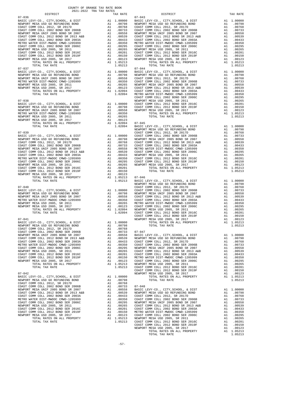| TOTAL TAX RATE<br>$07 - 037$                                                                      |                                                                                                                                        | 1.05213                                                                                               | $07 - 044$                    |
|---------------------------------------------------------------------------------------------------|----------------------------------------------------------------------------------------------------------------------------------------|-------------------------------------------------------------------------------------------------------|-------------------------------|
| BASIC LEVY-CO., CITY, SCHOOL, & DIST                                                              |                                                                                                                                        |                                                                                                       |                               |
| NEWPORT MESA USD GO REFUNDING BOND                                                                |                                                                                                                                        |                                                                                                       |                               |
| NEWPORT MESA UNIF 2005 BOND SR 2007<br>METRO WATER DIST-MWDOC CMWD-1205999                        |                                                                                                                                        |                                                                                                       |                               |
| NEWPORT MESA USD 2005, SR 2011                                                                    |                                                                                                                                        |                                                                                                       |                               |
| NEWPORT MESA USD 2005, SR 2017                                                                    |                                                                                                                                        |                                                                                                       |                               |
|                                                                                                   |                                                                                                                                        |                                                                                                       |                               |
|                                                                                                   |                                                                                                                                        |                                                                                                       | COAST C                       |
| $07 - 038$                                                                                        |                                                                                                                                        |                                                                                                       | NEWPORT                       |
| BASIC LEVY-CO., CITY, SCHOOL, & DIST                                                              | Al 1.00000 COAST C<br>Al .00798 COAST C<br>Al .00558 NEWPORT<br>Al .00358 NEWPORT<br>Al .00265<br>Al .00123                            |                                                                                                       |                               |
| NEWPORT MESA USD GO REFUNDING BOND<br>NEWPORT MESA UNIF 2005 BOND SR 2007                         |                                                                                                                                        |                                                                                                       |                               |
| ELL CALL AND BUND SR 2007<br>METRO WATER DIST-MWDOC CMWD-1205999<br>NEWPORT MESA HSD 2005 SP 2015 |                                                                                                                                        |                                                                                                       |                               |
| NEWPORT MESA USD 2005, SR 2011                                                                    |                                                                                                                                        |                                                                                                       |                               |
| NEWPORT MESA USD 2005, SR 2017                                                                    |                                                                                                                                        |                                                                                                       |                               |
| TOTAL RATES ON ALL PROPERTY<br>TOTAL TAX RATE                                                     |                                                                                                                                        | A1 1.02094 07-045<br>1.02094 BASIC L                                                                  |                               |
|                                                                                                   |                                                                                                                                        |                                                                                                       | NEWPORT                       |
|                                                                                                   |                                                                                                                                        |                                                                                                       |                               |
|                                                                                                   |                                                                                                                                        |                                                                                                       |                               |
|                                                                                                   |                                                                                                                                        |                                                                                                       |                               |
|                                                                                                   |                                                                                                                                        |                                                                                                       |                               |
|                                                                                                   |                                                                                                                                        |                                                                                                       |                               |
|                                                                                                   |                                                                                                                                        |                                                                                                       |                               |
|                                                                                                   |                                                                                                                                        |                                                                                                       |                               |
|                                                                                                   |                                                                                                                                        |                                                                                                       |                               |
|                                                                                                   |                                                                                                                                        |                                                                                                       |                               |
|                                                                                                   |                                                                                                                                        |                                                                                                       |                               |
|                                                                                                   |                                                                                                                                        |                                                                                                       |                               |
|                                                                                                   |                                                                                                                                        |                                                                                                       |                               |
|                                                                                                   |                                                                                                                                        |                                                                                                       |                               |
| $07 - 040$                                                                                        |                                                                                                                                        |                                                                                                       | NEWPORT                       |
| BASIC LEVY-CO., CITY, SCHOOL, & DIST                                                              |                                                                                                                                        |                                                                                                       |                               |
| NEWPORT MESA USD GO REFUNDING BOND                                                                |                                                                                                                                        |                                                                                                       |                               |
| NEWPORT MESA UNIF 2005 BOND SR 2007<br>METRO WATER DIST-MWDOC CMWD-1205999                        |                                                                                                                                        |                                                                                                       |                               |
| NEWPORT MESA USD 2005, SR 2011                                                                    |                                                                                                                                        |                                                                                                       |                               |
| NEWPORT MESA USD 2005, SR 2017                                                                    |                                                                                                                                        |                                                                                                       |                               |
|                                                                                                   |                                                                                                                                        |                                                                                                       |                               |
|                                                                                                   |                                                                                                                                        |                                                                                                       | COAST C                       |
| $07 - 041$                                                                                        |                                                                                                                                        |                                                                                                       | NEWPORT                       |
| BASIC LEVY-CO., CITY, SCHOOL, & DIST                                                              |                                                                                                                                        | A1 1.00000                                                                                            |                               |
| NEWPORT MESA USD GO REFUNDING BOND<br>COAST COMM COLL 2012, SR 2017D                              |                                                                                                                                        | A1.00798<br>A1.00768                                                                                  |                               |
| COAST COMM COLL 2002 BOND SER 2006B                                                               | A1 .00768<br>A1 .00733 07-047<br>A1 .00558 BASIC L<br>A1 .00558 NEWPORT<br>A1 .00433 COAST C<br>A1 .00350 COAST C<br>A1 .00396 NEWPORT |                                                                                                       |                               |
| NEWPORT MESA UNIF 2005 BOND SR 2007                                                               |                                                                                                                                        |                                                                                                       |                               |
| NEWPORT MESA UNIL 2002 BOND SR 2013 A&B<br>COAST COMM COLL 2012 BOND SR 2013 A&B                  |                                                                                                                                        |                                                                                                       |                               |
| COAST COMM COLL 2002 BOND SER 2003A<br>METRO WATER DIST-MWDOC CMWD-1205999                        |                                                                                                                                        |                                                                                                       |                               |
| COAST COMM COLL 2002 BOND SER 2006C                                                               | A1                                                                                                                                     | .00295                                                                                                |                               |
| NEWPORT MESA USD 2005, SR 2011                                                                    |                                                                                                                                        | A1.00265                                                                                              | NEWPORT<br>COAST C<br>COAST C |
| COAST COMM COLL 2012 BOND SER 2016C                                                               | A1                                                                                                                                     | .00201                                                                                                |                               |
| COAST COMM COLL 2012 BOND SER 2019F<br>NEWPORT MESA USD 2005, SR 2017                             | A1<br>A1                                                                                                                               | .00150<br>.00123                                                                                      | METRO W<br>COAST C            |
| TOTAL RATES ON ALL PROPERTY                                                                       |                                                                                                                                        | A1 1.05213                                                                                            | NEWPORT                       |
| TOTAL TAX RATE                                                                                    |                                                                                                                                        | 1.05213                                                                                               | COAST C                       |
|                                                                                                   |                                                                                                                                        |                                                                                                       | COAST C                       |
| $07 - 042$<br>BASIC LEVY-CO., CITY, SCHOOL, & DIST                                                | A1                                                                                                                                     | 1.00000                                                                                               | NEWPORT                       |
| NEWPORT MESA USD GO REFUNDING BOND                                                                | A1                                                                                                                                     | .00798                                                                                                |                               |
| COAST COMM COLL 2012, SR 2017D                                                                    | A1                                                                                                                                     | .00768                                                                                                |                               |
| COAST COMM COLL 2002 BOND SER 2006B                                                               | A1                                                                                                                                     | .00733                                                                                                | $07 - 048$                    |
| NEWPORT MESA UNIF 2005 BOND SR 2007<br>COAST COMM COLL 2012 BOND SR 2013 A&B                      | A1                                                                                                                                     | .00558<br>A1.00539                                                                                    | BASIC L<br>NEWPORT            |
| COAST COMM COLL 2002 BOND SER 2003A                                                               |                                                                                                                                        |                                                                                                       |                               |
| METRO WATER DIST-MWDOC CMWD-1205999                                                               |                                                                                                                                        | A1 .00433 COAST C<br>A1 .00350 COAST C<br>A1 .00295 NEWPORT                                           |                               |
| COAST COMM COLL 2002 BOND SER 2006C<br>NEWPORT MESA USD 2005, SR 2011                             |                                                                                                                                        |                                                                                                       |                               |
| COAST COMM COLL 2012 BOND SER 2016C                                                               |                                                                                                                                        | A1 .00265 COAST C<br>A1 .00201 COAST C<br>A1 .00201 COAST C<br>A1 .00150 METRO W<br>A1 .00123 COAST C |                               |
| COAST COMM COLL 2012 BOND SER 2019F                                                               |                                                                                                                                        |                                                                                                       |                               |
| NEWPORT MESA USD 2005, SR 2017                                                                    |                                                                                                                                        |                                                                                                       |                               |
| TOTAL RATES ON ALL PROPERTY                                                                       |                                                                                                                                        | A1 1.05213                                                                                            | NEWPORT                       |

| COUNTY OF ORANGE TAX RATE BOOK<br>2021-2022 TRA TAX RATES<br>$2021-2022 \quad \text{TRA TAX RATES}$ DISTRICT $\hspace{2.5cm}$ |          |            |          |
|-------------------------------------------------------------------------------------------------------------------------------|----------|------------|----------|
|                                                                                                                               | TAX RATE | DISTRICT   | TAX RATE |
| $07 - 036$                                                                                                                    |          | $07 - 043$ |          |
|                                                                                                                               |          |            |          |
|                                                                                                                               |          |            |          |
|                                                                                                                               |          |            |          |
|                                                                                                                               |          |            |          |
|                                                                                                                               |          |            |          |
|                                                                                                                               |          |            |          |
|                                                                                                                               |          |            |          |
|                                                                                                                               |          |            |          |
|                                                                                                                               |          |            |          |
|                                                                                                                               |          |            |          |
|                                                                                                                               |          |            |          |
|                                                                                                                               |          | $07 - 044$ |          |
|                                                                                                                               |          |            |          |
|                                                                                                                               |          |            |          |
|                                                                                                                               |          |            |          |
|                                                                                                                               |          |            |          |
|                                                                                                                               |          |            |          |
|                                                                                                                               |          |            |          |
|                                                                                                                               |          |            |          |
|                                                                                                                               |          |            |          |
|                                                                                                                               |          |            |          |
|                                                                                                                               |          |            |          |
|                                                                                                                               |          |            |          |
|                                                                                                                               |          |            |          |
|                                                                                                                               |          |            |          |
|                                                                                                                               |          |            |          |
|                                                                                                                               |          |            |          |
|                                                                                                                               |          |            |          |
|                                                                                                                               |          |            |          |
|                                                                                                                               |          |            |          |
|                                                                                                                               |          |            |          |
|                                                                                                                               |          |            |          |
|                                                                                                                               |          |            |          |
|                                                                                                                               |          |            |          |
|                                                                                                                               |          |            |          |
|                                                                                                                               |          |            |          |
|                                                                                                                               |          |            |          |
|                                                                                                                               |          |            |          |
|                                                                                                                               |          |            |          |
|                                                                                                                               |          |            |          |
|                                                                                                                               |          |            |          |
|                                                                                                                               |          |            |          |
|                                                                                                                               |          |            |          |
|                                                                                                                               |          |            |          |
|                                                                                                                               |          |            |          |
|                                                                                                                               |          |            |          |
|                                                                                                                               |          |            |          |
|                                                                                                                               |          |            |          |
|                                                                                                                               |          |            |          |
|                                                                                                                               |          |            |          |
|                                                                                                                               |          |            |          |
|                                                                                                                               |          |            |          |
|                                                                                                                               |          |            |          |
|                                                                                                                               |          |            |          |
|                                                                                                                               |          |            |          |
|                                                                                                                               |          |            |          |
|                                                                                                                               |          |            |          |
|                                                                                                                               |          |            |          |
|                                                                                                                               |          |            |          |
|                                                                                                                               |          |            |          |
|                                                                                                                               |          |            |          |
|                                                                                                                               |          |            |          |
|                                                                                                                               |          |            |          |
|                                                                                                                               |          |            |          |
|                                                                                                                               |          |            |          |
|                                                                                                                               |          |            |          |
|                                                                                                                               |          |            |          |
|                                                                                                                               |          |            |          |
|                                                                                                                               |          |            |          |
|                                                                                                                               |          |            |          |
|                                                                                                                               |          |            |          |
|                                                                                                                               |          |            |          |
|                                                                                                                               |          |            |          |
|                                                                                                                               |          |            |          |
|                                                                                                                               |          |            |          |
|                                                                                                                               |          |            |          |
|                                                                                                                               |          |            |          |
|                                                                                                                               |          |            |          |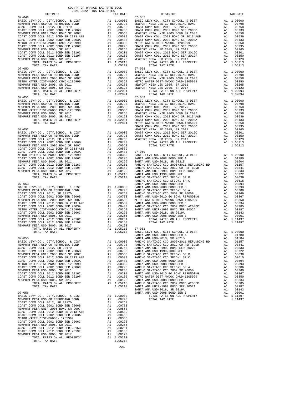| $07 - 049$                                                                                                                                                                                                                                                                                                                                                                                                                                                   |                                                                                                                                                                                                                                                        |                                                                                                                                                                                                                                                        | $07 - 057$         |
|--------------------------------------------------------------------------------------------------------------------------------------------------------------------------------------------------------------------------------------------------------------------------------------------------------------------------------------------------------------------------------------------------------------------------------------------------------------|--------------------------------------------------------------------------------------------------------------------------------------------------------------------------------------------------------------------------------------------------------|--------------------------------------------------------------------------------------------------------------------------------------------------------------------------------------------------------------------------------------------------------|--------------------|
|                                                                                                                                                                                                                                                                                                                                                                                                                                                              |                                                                                                                                                                                                                                                        |                                                                                                                                                                                                                                                        |                    |
|                                                                                                                                                                                                                                                                                                                                                                                                                                                              |                                                                                                                                                                                                                                                        |                                                                                                                                                                                                                                                        |                    |
|                                                                                                                                                                                                                                                                                                                                                                                                                                                              |                                                                                                                                                                                                                                                        |                                                                                                                                                                                                                                                        |                    |
|                                                                                                                                                                                                                                                                                                                                                                                                                                                              |                                                                                                                                                                                                                                                        |                                                                                                                                                                                                                                                        |                    |
|                                                                                                                                                                                                                                                                                                                                                                                                                                                              |                                                                                                                                                                                                                                                        |                                                                                                                                                                                                                                                        |                    |
|                                                                                                                                                                                                                                                                                                                                                                                                                                                              |                                                                                                                                                                                                                                                        |                                                                                                                                                                                                                                                        |                    |
|                                                                                                                                                                                                                                                                                                                                                                                                                                                              |                                                                                                                                                                                                                                                        |                                                                                                                                                                                                                                                        |                    |
|                                                                                                                                                                                                                                                                                                                                                                                                                                                              |                                                                                                                                                                                                                                                        |                                                                                                                                                                                                                                                        |                    |
|                                                                                                                                                                                                                                                                                                                                                                                                                                                              |                                                                                                                                                                                                                                                        |                                                                                                                                                                                                                                                        |                    |
|                                                                                                                                                                                                                                                                                                                                                                                                                                                              |                                                                                                                                                                                                                                                        |                                                                                                                                                                                                                                                        |                    |
| TOTAL RATES ON ALL PROPERTY                                                                                                                                                                                                                                                                                                                                                                                                                                  |                                                                                                                                                                                                                                                        | A1 1.05213                                                                                                                                                                                                                                             |                    |
| TOTAL TAX RATE                                                                                                                                                                                                                                                                                                                                                                                                                                               |                                                                                                                                                                                                                                                        | 1.05213                                                                                                                                                                                                                                                |                    |
| $07 - 050$                                                                                                                                                                                                                                                                                                                                                                                                                                                   |                                                                                                                                                                                                                                                        |                                                                                                                                                                                                                                                        | $07 - 058$         |
| BASIC LEVY-CO., CITY, SCHOOL, & DIST<br>NEWPORT MESA USD GO REFUNDING BOND                                                                                                                                                                                                                                                                                                                                                                                   | A1 1.00000 BASIC L<br>A1 .00798 NEWPORT<br>A1 .0058 NEWPORT<br>A1 .00350 METRO W<br>A1 .00265 NEWPORT<br>A1 .00123 NEWPORT<br>A1 .00123 NEWPORT                                                                                                        |                                                                                                                                                                                                                                                        |                    |
| NEWPORT MESA UNIF 2005 BOND SR 2007                                                                                                                                                                                                                                                                                                                                                                                                                          |                                                                                                                                                                                                                                                        |                                                                                                                                                                                                                                                        |                    |
| METRO WATER DIST-MWDOC CMWD-1205999<br>NEWPORT MESA USD 2005 CMWD-1205999                                                                                                                                                                                                                                                                                                                                                                                    |                                                                                                                                                                                                                                                        |                                                                                                                                                                                                                                                        |                    |
|                                                                                                                                                                                                                                                                                                                                                                                                                                                              |                                                                                                                                                                                                                                                        |                                                                                                                                                                                                                                                        |                    |
| NEWPORT MESA USD 2005, SR 2017<br>TOTAL RATES ON ALL PROPERTY                                                                                                                                                                                                                                                                                                                                                                                                |                                                                                                                                                                                                                                                        | A1 1.02094                                                                                                                                                                                                                                             |                    |
| TOTAL TAX RATE                                                                                                                                                                                                                                                                                                                                                                                                                                               |                                                                                                                                                                                                                                                        | 1.02094                                                                                                                                                                                                                                                |                    |
| $07 - 051$                                                                                                                                                                                                                                                                                                                                                                                                                                                   |                                                                                                                                                                                                                                                        |                                                                                                                                                                                                                                                        | $07 - 059$         |
| BASIC LEVY-CO., CITY, SCHOOL, & DIST                                                                                                                                                                                                                                                                                                                                                                                                                         |                                                                                                                                                                                                                                                        |                                                                                                                                                                                                                                                        |                    |
| NEWPORT MESA USD GO REFUNDING BOND                                                                                                                                                                                                                                                                                                                                                                                                                           |                                                                                                                                                                                                                                                        |                                                                                                                                                                                                                                                        |                    |
| NEWPORT MESA UNIF 2005 BOND SR 2007<br>METRO WATER DIST-MWDOC CMWD-1205999                                                                                                                                                                                                                                                                                                                                                                                   |                                                                                                                                                                                                                                                        |                                                                                                                                                                                                                                                        |                    |
| NEWPORT MESA USD 2005, SR 2011                                                                                                                                                                                                                                                                                                                                                                                                                               |                                                                                                                                                                                                                                                        |                                                                                                                                                                                                                                                        |                    |
| NEWPORT MESA USD 2005, SR 2017                                                                                                                                                                                                                                                                                                                                                                                                                               |                                                                                                                                                                                                                                                        |                                                                                                                                                                                                                                                        |                    |
|                                                                                                                                                                                                                                                                                                                                                                                                                                                              |                                                                                                                                                                                                                                                        |                                                                                                                                                                                                                                                        |                    |
|                                                                                                                                                                                                                                                                                                                                                                                                                                                              |                                                                                                                                                                                                                                                        |                                                                                                                                                                                                                                                        |                    |
| $07 - 052$                                                                                                                                                                                                                                                                                                                                                                                                                                                   |                                                                                                                                                                                                                                                        |                                                                                                                                                                                                                                                        | COAST C<br>NEWPORT |
| BASIC LEVY-CO., CITY, SCHOOL, & DIST                                                                                                                                                                                                                                                                                                                                                                                                                         |                                                                                                                                                                                                                                                        | A1 1.00000 COAST C<br>A1 .00798 COAST C<br>A1 .00798 COAST C<br>A1 .00733<br>A1 .00558<br>A1 .00558<br>A1 .00539<br>A1 .00539                                                                                                                          |                    |
| NEWPORT MESA USD GO REFUNDING BOND<br>COAST COMM COLL 2012 SP 2017D                                                                                                                                                                                                                                                                                                                                                                                          |                                                                                                                                                                                                                                                        |                                                                                                                                                                                                                                                        |                    |
| COAST COMM COLL 2012, SR 2017D                                                                                                                                                                                                                                                                                                                                                                                                                               |                                                                                                                                                                                                                                                        |                                                                                                                                                                                                                                                        |                    |
| COAST COMM COLL 2002 BOND SER 2006B<br>NEWPORT MESA UNIF 2005 BOND SR 2007                                                                                                                                                                                                                                                                                                                                                                                   |                                                                                                                                                                                                                                                        |                                                                                                                                                                                                                                                        |                    |
| COAST COMM COLL 2012 BOND SR 2013 A&B                                                                                                                                                                                                                                                                                                                                                                                                                        |                                                                                                                                                                                                                                                        |                                                                                                                                                                                                                                                        |                    |
| COAST COMM COLL 2002 BOND SER 2003A                                                                                                                                                                                                                                                                                                                                                                                                                          |                                                                                                                                                                                                                                                        |                                                                                                                                                                                                                                                        |                    |
| METRO WATER DIST-MWDOC CMWD-1205999                                                                                                                                                                                                                                                                                                                                                                                                                          |                                                                                                                                                                                                                                                        |                                                                                                                                                                                                                                                        |                    |
| COAST COMM COLL 2002 BOND SER 2006C                                                                                                                                                                                                                                                                                                                                                                                                                          |                                                                                                                                                                                                                                                        | A1 .00533<br>A1 .00330 07-060<br>A1 .00350 BASIC L<br>A1 .00350 BASIC L<br>A1 .00295 SANTA A<br>A1 .00265 SANTA A<br>A1 .00261 RANCHO<br>A1 .00123 SANTA A<br>A1 .00123 SANTA A<br>A1 1.05213 SANTA A<br>1.05213 RANCHO                                |                    |
| NEWPORT MESA USD 2005, SR 2011                                                                                                                                                                                                                                                                                                                                                                                                                               |                                                                                                                                                                                                                                                        |                                                                                                                                                                                                                                                        |                    |
| $\begin{tabular}{lllllllllll} \multicolumn{2}{l}{{\small\textrm{COMS T COM U UUL U UUD SER 2016C}}} & & & & & & & & & & & & & \\ \multicolumn{2}{l}{\small\textrm{COAM COM UOLL 2012 BOND SER 2019F}} & & & & & & & & \\ \multicolumn{2}{l}{\small\textrm{NEWPORT MESA USD 2005}} & & & & & & & & \\ \multicolumn{2}{l}{\small\textrm{NEWPORT MESA USD 2005}} & & & & & & & & \\ \multicolumn{2}{l}{\small\textrm{NEWPORT MESA USD 2005}} & & & & & & & & &$ |                                                                                                                                                                                                                                                        |                                                                                                                                                                                                                                                        |                    |
|                                                                                                                                                                                                                                                                                                                                                                                                                                                              |                                                                                                                                                                                                                                                        |                                                                                                                                                                                                                                                        |                    |
| TOTAL RATES ON ALL PROPERTY                                                                                                                                                                                                                                                                                                                                                                                                                                  |                                                                                                                                                                                                                                                        |                                                                                                                                                                                                                                                        |                    |
| TOTAL TAX RATE                                                                                                                                                                                                                                                                                                                                                                                                                                               |                                                                                                                                                                                                                                                        |                                                                                                                                                                                                                                                        |                    |
| $07 - 053$                                                                                                                                                                                                                                                                                                                                                                                                                                                   |                                                                                                                                                                                                                                                        |                                                                                                                                                                                                                                                        | RANCHO<br>SANTA A  |
| BASIC LEVY-CO., CITY, SCHOOL, & DIST                                                                                                                                                                                                                                                                                                                                                                                                                         |                                                                                                                                                                                                                                                        | SANTA A<br>Al 1.00000 SANTA A<br>Al .00798 RANCHO<br>Al .00798 RANCHO<br>Al .00763 SANTA A<br>Al .00539 SANTA A<br>Al .00539 SANTA A<br>Al .00539 SANTA A<br>Al .00350 SANTA A<br>Al .00265 SANTA A<br>Al .00265 SANTA A<br>Al .00265 SANTA A<br>Al .0 |                    |
| NEWPORT MESA USD GO REFUNDING BOND<br>COAST COMM COLL 2012 SP 2013                                                                                                                                                                                                                                                                                                                                                                                           |                                                                                                                                                                                                                                                        |                                                                                                                                                                                                                                                        |                    |
| COAST COMM COLL 2012, SR 2017D                                                                                                                                                                                                                                                                                                                                                                                                                               |                                                                                                                                                                                                                                                        |                                                                                                                                                                                                                                                        |                    |
| COAST COMM COLL 2002 BOND SER 2006B<br>NEWPORT MESA UNIF 2005 BOND SR 2007                                                                                                                                                                                                                                                                                                                                                                                   |                                                                                                                                                                                                                                                        |                                                                                                                                                                                                                                                        |                    |
| COAST COMM COLL 2012 BOND SR 2013 A&B                                                                                                                                                                                                                                                                                                                                                                                                                        |                                                                                                                                                                                                                                                        |                                                                                                                                                                                                                                                        |                    |
| COAST COMM COLL 2002 BOND SER 2003A                                                                                                                                                                                                                                                                                                                                                                                                                          |                                                                                                                                                                                                                                                        |                                                                                                                                                                                                                                                        |                    |
| COAST COMM COLL 2002 BOND SER 2003A<br>METRO WATER DIST-MWDOC CMWD-1205999<br>COAST COMM COLL 2002 BOND SER 2006C<br>NEWPORT MESA USD 2005, SR 2011<br>COAST COMM COLL 2012 BOND SER 2016C<br>NEWPORT MESA USD 2005, SR 2017<br>NEWPORT MESA USD                                                                                                                                                                                                             |                                                                                                                                                                                                                                                        |                                                                                                                                                                                                                                                        |                    |
|                                                                                                                                                                                                                                                                                                                                                                                                                                                              |                                                                                                                                                                                                                                                        |                                                                                                                                                                                                                                                        |                    |
|                                                                                                                                                                                                                                                                                                                                                                                                                                                              |                                                                                                                                                                                                                                                        |                                                                                                                                                                                                                                                        |                    |
|                                                                                                                                                                                                                                                                                                                                                                                                                                                              |                                                                                                                                                                                                                                                        |                                                                                                                                                                                                                                                        |                    |
|                                                                                                                                                                                                                                                                                                                                                                                                                                                              |                                                                                                                                                                                                                                                        |                                                                                                                                                                                                                                                        |                    |
| TOTAL RATES ON ALL PROPERTY                                                                                                                                                                                                                                                                                                                                                                                                                                  |                                                                                                                                                                                                                                                        | A1 1.05213 07-061<br>1.05213 BASIC L                                                                                                                                                                                                                   |                    |
| TOTAL TAX RATE                                                                                                                                                                                                                                                                                                                                                                                                                                               |                                                                                                                                                                                                                                                        |                                                                                                                                                                                                                                                        |                    |
| $07 - 055$                                                                                                                                                                                                                                                                                                                                                                                                                                                   |                                                                                                                                                                                                                                                        |                                                                                                                                                                                                                                                        | SANTA A<br>SANTA A |
| BASIC LEVY-CO., CITY, SCHOOL, & DIST                                                                                                                                                                                                                                                                                                                                                                                                                         | SANTA A<br>A1 1.00000 RANCHO<br>A1 .00798 RANCHO<br>A1 .00768 SANTA A<br>A1 .00763 SANTA A<br>A1 .00553 RANCHO<br>A1 .00539 RANCHO<br>A1 .00433 SANTA A<br>A1 .00395 RANCHO<br>A1 .00295 RANCHO<br>A1 .00295 RANCHO<br>A1 .00205 RANCHO<br>A1 .00150 M |                                                                                                                                                                                                                                                        |                    |
| NEWPORT MESA USD GO REFUNDING BOND                                                                                                                                                                                                                                                                                                                                                                                                                           |                                                                                                                                                                                                                                                        |                                                                                                                                                                                                                                                        |                    |
| COAST COMM COLL 2012, SR 2017D                                                                                                                                                                                                                                                                                                                                                                                                                               |                                                                                                                                                                                                                                                        |                                                                                                                                                                                                                                                        |                    |
| COAST COMM COLL 2002 BOND SER 2006B<br>NEWPORT MESA UNIF 2005 BOND SR 2007                                                                                                                                                                                                                                                                                                                                                                                   |                                                                                                                                                                                                                                                        |                                                                                                                                                                                                                                                        |                    |
| COAST COMM COLL 2012 BOND SR 2013 A&B                                                                                                                                                                                                                                                                                                                                                                                                                        |                                                                                                                                                                                                                                                        |                                                                                                                                                                                                                                                        |                    |
| COAST COMM COLL 2002 BOND SER 2003A                                                                                                                                                                                                                                                                                                                                                                                                                          |                                                                                                                                                                                                                                                        |                                                                                                                                                                                                                                                        |                    |
| METRO WATER DIST-MWDOC CMWD-1205999                                                                                                                                                                                                                                                                                                                                                                                                                          |                                                                                                                                                                                                                                                        |                                                                                                                                                                                                                                                        |                    |
| COAST COMM COLL 2002 BOND SER 2006C                                                                                                                                                                                                                                                                                                                                                                                                                          |                                                                                                                                                                                                                                                        |                                                                                                                                                                                                                                                        |                    |
| NEWPORT MESA USD 2005, SR 2011<br>COAST COMM COLL 2012 BOND SER 2016C                                                                                                                                                                                                                                                                                                                                                                                        |                                                                                                                                                                                                                                                        |                                                                                                                                                                                                                                                        |                    |
| COAST COMM COLL 2012 BOND SER 2019F                                                                                                                                                                                                                                                                                                                                                                                                                          |                                                                                                                                                                                                                                                        |                                                                                                                                                                                                                                                        |                    |
| NEWPORT MESA USD 2005, SR 2017                                                                                                                                                                                                                                                                                                                                                                                                                               |                                                                                                                                                                                                                                                        |                                                                                                                                                                                                                                                        |                    |
| TOTAL RATES ON ALL PROPERTY                                                                                                                                                                                                                                                                                                                                                                                                                                  |                                                                                                                                                                                                                                                        |                                                                                                                                                                                                                                                        |                    |
| TOTAL TAX RATE                                                                                                                                                                                                                                                                                                                                                                                                                                               |                                                                                                                                                                                                                                                        | 1.05213                                                                                                                                                                                                                                                | SANTA A            |
| $07 - 056$                                                                                                                                                                                                                                                                                                                                                                                                                                                   |                                                                                                                                                                                                                                                        |                                                                                                                                                                                                                                                        | SANTA A<br>SANTA A |
| BASIC LEVY-CO., CITY, SCHOOL, & DIST                                                                                                                                                                                                                                                                                                                                                                                                                         |                                                                                                                                                                                                                                                        | A1 1.00000                                                                                                                                                                                                                                             |                    |
| NEWPORT MESA USD GO REFUNDING BOND                                                                                                                                                                                                                                                                                                                                                                                                                           |                                                                                                                                                                                                                                                        | A1 .00798                                                                                                                                                                                                                                              |                    |
| COAST COMM COLL 2012, SR 2017D                                                                                                                                                                                                                                                                                                                                                                                                                               | A1                                                                                                                                                                                                                                                     | .00768                                                                                                                                                                                                                                                 |                    |
| COAST COMM COLL 2002 BOND SER 2006B                                                                                                                                                                                                                                                                                                                                                                                                                          | $\begin{array}{c} \text{A1} \\ \text{A1} \\ \text{A1} \\ \text{A1} \\ \text{A2} \end{array}$                                                                                                                                                           | .00733                                                                                                                                                                                                                                                 |                    |
| NEWPORT MESA UNIF 2005 BOND SR 2007                                                                                                                                                                                                                                                                                                                                                                                                                          |                                                                                                                                                                                                                                                        | .00558<br>.00539                                                                                                                                                                                                                                       |                    |
| COAST COMM COLL 2012 BOND SR 2013 A&B<br>COAST COMM COLL 2002 BOND SER 2003A                                                                                                                                                                                                                                                                                                                                                                                 |                                                                                                                                                                                                                                                        | .00433                                                                                                                                                                                                                                                 |                    |
| METRO WATER DIST-MWDOC- 1205999                                                                                                                                                                                                                                                                                                                                                                                                                              | A1                                                                                                                                                                                                                                                     | .00350                                                                                                                                                                                                                                                 |                    |
| COAST COMM COLL 2002 BOND SER 2006C                                                                                                                                                                                                                                                                                                                                                                                                                          | A1                                                                                                                                                                                                                                                     | .00295                                                                                                                                                                                                                                                 |                    |
| NEWPORT MESA USD 2005, SR 2011                                                                                                                                                                                                                                                                                                                                                                                                                               | A1                                                                                                                                                                                                                                                     | .00265                                                                                                                                                                                                                                                 |                    |
| COAST COMM COLL 2012 BOND SER 2016C<br>COAST COMM COLL 2012 BOND SER 2019F                                                                                                                                                                                                                                                                                                                                                                                   | A1<br>A1                                                                                                                                                                                                                                               | .00201<br>.00150                                                                                                                                                                                                                                       |                    |
| NEWPORT MESA USD 2005, SR 2017                                                                                                                                                                                                                                                                                                                                                                                                                               | A1                                                                                                                                                                                                                                                     | .00123                                                                                                                                                                                                                                                 |                    |
| TOTAL RATES ON ALL PROPERTY                                                                                                                                                                                                                                                                                                                                                                                                                                  |                                                                                                                                                                                                                                                        | A1 1.05213                                                                                                                                                                                                                                             |                    |
| TOTAL TAX RATE                                                                                                                                                                                                                                                                                                                                                                                                                                               |                                                                                                                                                                                                                                                        | 1.05213                                                                                                                                                                                                                                                |                    |

-58-

|          | 2021-2022 TRA TAX RATES |                        |          |
|----------|-------------------------|------------------------|----------|
| DISTRICT | TAX RATE                | $07 - 057$<br>DISTRICT | TAX RATE |
|          |                         |                        |          |
|          |                         |                        |          |
|          |                         |                        |          |
|          |                         |                        |          |
|          |                         |                        |          |
|          |                         |                        |          |
|          |                         |                        |          |
|          |                         |                        |          |
|          |                         |                        |          |
|          |                         |                        |          |
|          |                         |                        |          |
|          |                         |                        |          |
|          |                         |                        |          |
|          |                         |                        |          |
|          |                         |                        |          |
|          |                         |                        |          |
|          |                         |                        |          |
|          |                         |                        |          |
|          |                         |                        |          |
|          |                         |                        |          |
|          |                         |                        |          |
|          |                         |                        |          |
|          |                         |                        |          |
|          |                         |                        |          |
|          |                         |                        |          |
|          |                         |                        |          |
|          |                         |                        |          |
|          |                         |                        |          |
|          |                         |                        |          |
|          |                         |                        |          |
|          |                         |                        |          |
|          |                         |                        |          |
|          |                         |                        |          |
|          |                         |                        |          |
|          |                         |                        |          |
|          |                         |                        |          |
|          |                         |                        |          |
|          |                         |                        |          |
|          |                         |                        |          |
|          |                         |                        |          |
|          |                         |                        |          |
|          |                         |                        |          |
|          |                         |                        |          |
|          |                         |                        |          |
|          |                         |                        |          |
|          |                         |                        |          |
|          |                         |                        |          |
|          |                         |                        |          |
|          |                         |                        |          |
|          |                         |                        |          |
|          |                         |                        |          |
|          |                         |                        |          |
|          |                         |                        |          |
|          |                         |                        |          |
|          |                         |                        |          |
|          |                         |                        |          |
|          |                         |                        |          |
|          |                         |                        |          |
|          |                         |                        |          |
|          |                         |                        |          |
|          |                         |                        |          |
|          |                         |                        |          |
|          |                         |                        |          |
|          |                         |                        |          |
|          |                         |                        |          |
|          |                         |                        |          |
|          |                         |                        |          |
|          |                         |                        |          |
|          |                         |                        |          |
|          |                         |                        |          |
|          |                         |                        |          |
|          |                         |                        |          |
|          |                         |                        |          |
|          |                         |                        |          |
|          |                         |                        |          |
|          |                         |                        |          |
|          |                         |                        |          |
|          |                         |                        |          |
|          |                         |                        |          |
|          |                         |                        |          |
|          |                         |                        |          |
|          |                         |                        |          |
|          |                         |                        |          |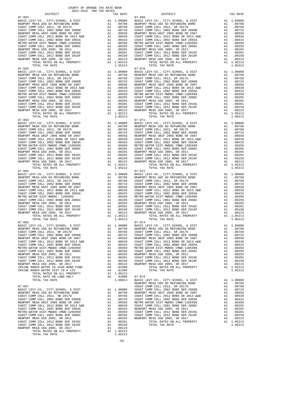| TOTAL RATE ON LAND ONLY               | A4. | .02800  |
|---------------------------------------|-----|---------|
| TOTAL TAX RATE                        |     | 1,08013 |
|                                       |     |         |
| $07 - 067$                            |     |         |
| BASIC LEVY-CO., CITY, SCHOOL, & DIST  | A1  | 1,00000 |
| NEWPORT MESA USD GO REFUNDING BOND    | A1  | .00798  |
| COAST COMM COLL 2012, SR 2017D        | A1  | .00768  |
| COAST COMM COLL 2002 BOND SER 2006B   | A1  | .00733  |
| NEWPORT MESA UNIF 2005 BOND SR 2007   | A1  | .00558  |
| COAST COMM COLL 2012 BOND SR 2013 A&B | A1  | .00539  |
| COAST COMM COLL 2002 BOND SER 2003A   | A1  | .00433  |
| METRO WATER DIST-MWDOC CMWD-1205999   | A1  | .00350  |
| COAST COMM COLL 2002 BOND SER 2006C   | A1  | .00295  |
| NEWPORT MESA USD 2005, SR 2011        | A1  | .00265  |
| COAST COMM COLL 2012 BOND SER 2016C   | A1  | .00201  |
| COAST COMM COLL 2012 BOND SER 2019F   | A1  | .00150  |
| NEWPORT MESA USD 2005, SR 2017        | A1  | .00123  |
| TOTAL RATES ON ALL PROPERTY           | A1  | 1.05213 |
| TOTAL TAX RATE                        |     | 1.05213 |
|                                       |     |         |

-59-

 $07-065 \hspace{1.5cm} 07-072 \hspace{1.5cm} 07-072$  BASIC LEVY-CO., CITY, SCHOOL, & DIST Al $1.00000 \hspace{1.5cm}$  BASIC L 07-066 07-073 TOTAL RATE ON LAND ONLY A4 .02800 07-074

 $\begin{tabular}{lllllllllllllllllllll} \hline 07-064 & 07-071 & 07-071 \\ \hline \texttt{NENPCD} & \texttt{KEY-CO.}, & \texttt{CITY}, \texttt{SCHODL}, & \& \texttt{DIST} & \texttt{A1} & 1.00000 & \texttt{BASE} & \texttt{01} \\ \texttt{NEWD} & \texttt{NENPORT} & \texttt{MESA} & \texttt{USD} & \texttt{GO} & \texttt{RSTD} & \texttt{A1} & 0.0798 & \texttt{NENPORT} \\ \texttt{COAST COMM COLL} & 2012$ 

U-U-U<br>BASIC LEVY-CO., CITY, SCHOOL, & DIST A1 1.00000<br>NEWPORT MESA USD GO REFUNDING BOND A1 .00798

07-062 07-068

 DISTRICT TAX RATE DISTRICT TAX RATE BASIC LEVY-CO., CITY,SCHOOL, & DIST A1 1.00000 BASIC LEVY-CO., CITY,SCHOOL, & DIST A1 1.00000 NEWPORT MESA USD GO REFUNDING BOND A1 .00798 NEWPORT MESA USD GO REFUNDING BOND A1 .00798 COAST COMM COLL 2012, SR 2017D A1 .00768 COAST COMM COLL 2012, SR 2017D A1 .00768 COAST COMM COLL 2002 BOND SER 2006B A1 .00733 COAST COMM COLL 2002 BOND SER 2006B A1 .00733 NEWPORT MESA UNIF 2005 BOND SR 2007 A1 .00558 NEWPORT MESA UNIF 2005 BOND SR 2007 A1 .00558 COAST COMM COLL 2012 BOND SR 2013 A&B A1 .00539 COAST COMM COLL 2012 BOND SR 2013 A&B A1 .00539<br>COAST COMM COLL 2002 BOND SER 2003A A1 .00433 COAST COMM COLL 2002 BOND SER 2003A A1 .00433 METRO WATER DIST-MWDOC CMWD-1205999 A1 .00350 METRO WATER DIST-MWDOC CMWD-1205999 A1 .00350 COAST COMM COLL 2002 BOND SER 2006C A1 .00295 COAST COMM COLL 2002 BOND SER 2006C A1 .00295 NEWPORT MESA USD 2005, SR 2011 A1 .00265 NEWPORT MESA USD 2005, SR 2011 A1 .00265 COAST COMM COLL 2012 BOND SER 2016C A1 .00201 COAST COMM COLL 2012 BOND SER 2016C A1 .00201 COAST COMM COLL 2012 BOND SER 2010<br>
COAST COMM COLL 2012 BOND SER 2010<br>
COAST COMM COLL 2012 BOND SER 2010<br>
COAST COMM COLL 2012 BOND SER 2010<br>
COAST COMM COLL 2012 BOND SER 2010<br>
COAST COMM COLL 2012 BOND SER 2010<br>
A1 .00 NEWPORT MESA USD 2005, SR 2017 A1 .00123 NEWPORT MESA USD 2005, SR 2017 A1 .00123 TOTAL RATES ON ALL PROPERTY A1 1.05213 TOTAL RATES ON ALL PROPERTY A1 1.05213 TOTAL TAX RATE  $1.05213$  TOTAL TAX RATE  $1.05213$  BASIC LEVY-CO., CITY,SCHOOL, & DIST A1 1.00000 BASIC LEVY-CO., CITY,SCHOOL, & DIST A1 1.00000 NEWPORT MESA USD GO REFUNDING BOND A1 .00798 NEWPORT MESA USD GO REFUNDING BOND A1 .00798 00768 COAST COMM COLL 2012, SR 2017D A1 .00768 COAST COMM COLL 2012, SR 2017D A1 .00768<br>COAST COMM COLL 2002 BOO2 A21 .00733 COAST COMM COLL 2002 BOO2 BORD SR 2006B<br>NEWPORT MESA UNIF 2005 BOND SR 2007 COAST COMM COLL 2012 BOND SR 2013 A&B A1 .00539 COAST COMM COLL 2012 BOND SR 2013 A&B A1 .00539<br>COAST COMM COLL 2002 BOND SER 2003A A1 .00433 COAST COMM COLL 2002 BOND SER 2003A A1 .00433 METRO WATER DIST-MWDOC CMWD-1205999 A1 .00350 METRO WATER DIST-MWDOC CMWD-1205999 A1 .00350<br>COAST COMM COLL 2002 BOND SER 2006C A1 .00295 COAST COMM COLL 2006 2006 COAST COMM 00265. NEWPORT MESAUSD 2005, SR 2011 (10265 AI 00265 NEWPORT MESAUSD 2005, SR 2011 (10265 NEWPORT MESAUSD 2005<br>COAST COMM COLL 2012 BOND SER 2016C (2019 COAST COAST COMM COLL 2012 BOND SER 2016C (2012 BOND SER 2019C)<br>COAST NEWPORT MESA USD 2005, SR 2017 A1 .00123 NEWPORT MESA USD 2005, SR 2017 A1 .00123<br>TOTAL RATES ON ALL PROPERTY A1 1.05213 TOTAL TAX RATES ON ALL PROPERTY<br>1.05213 1.05213 TOTAL TAX RATE BASIC LEVY-CO., CITY,SCHOOL, & DIST A1 1.00000 BASIC LEVY-CO., CITY,SCHOOL, & DIST A1 1.00000 NEWPORT MESA USD GO REFUNDING BOND A1 .00798 NEWPORT MESA USD GO REFUNDING BOND A1 .00798 COAST COMM COLL 2012, SR 2017D A1 .00768 COAST COMM COLL 2012, SR 2017D A1 .00768 COAST COMM COLL 2002 BOND SER 2006B A1 .00733 COAST COMM COLL 2002 BOND SER 2006B A1 .00733 NEWPORT MESA UNIF 2005 BOND SR 2007 A1 .00558 NEWPORT MESA UNIF 2005 BOND SR 2007 A1 .00558 COAST COMM COLL 2012 BOND SR 2013 A&B A1 .00539 COAST COMM COLL 2012 BOND SR 2013 A&B A1 .00539<br>COAST COMM COLL 2002 BOND SER 2003A A1 .00433 COAST COMM COLL 2002 BOND SER 2003A A1 .00433 METRO WATER DIST-MWDOC CMWD-1205999 A1 .00350 METRO WATER DIST-MWDOC CMWD-1205999 A1 .00350<br>COAST COMM COLL 2002 BOND SER 2006C A1 .00295 COAST COMM COLL 2006C A1 NEWPORT MESA USD 2005, SR 2011 and 00265 MEWPORT MESA USD 2005, SR 2011 and 20265 COAST COMM COLL 2012 BOND SER 2016C CAST COMM COLL 2012 BOND SER 2016C AND COAST COMM COLL 2012 BOND SER 2019F and 00201 COAST COMM COLL 201 BASIC LEVY-CO., CITY,SCHOOL, & DIST A1 1.00000 BASIC LEVY-CO., CITY,SCHOOL, & DIST A1 1.00000 NEWPORT MESAUSD GO REFUNDING BOND (10798 AI 00798 NEWPORT MESAUSD GO REFUNDING BOND (10798<br>COAST COMM COLL 2002 BOND SER 2006B (10.0768 COAST COMM COLL 2002 BOND SER 2006B (201768 COAST COMM COLL 2002<br>COAST COMM COLL 2002 COAST COMM COLL 2012 BOND SR 2013 A&B A1 .00539 COAST COMM COLL 2012 BOND SR 2013 A&B A1 .00539<br>COAST COMM COLL 2002 BOND SER 2003A A1 .00433 COAST COMM COLL 2002 BOND SER 2003A A1 .00433 METRO WATER DIST-MWDOC- 1205999 A1 .004350 METRO WATER DIST-MWDOC- 1205999 A1 .004350 METRO WATER DIST-MWDOC- 12002 BOND SER 2006C<br>
METRO WATER DIST-MWDOC- 12002 BOND SER 2006C<br>
COAST COMM COLL 2002 BOND SER 2010 A1 .00295 COAST COMM COLL 2002 BOND SER 2006C A1 .00295 COAST COMM COLL 2002 BOND SER 2006C A1 .00295 NEWPORT MESA USD 2005, SR 2011 A1 .00265 NEWPORT MESA USD 2005, SR 2011 A1 .00265 COAST COMM COLL 2012 BOND SER 2016C A1 .00201 COAST COMM COLL 2012 BOND SER 2016C A1 .00201 COAST COMM COLL 2012 BOND SER 2019F A1 .00150 COAST COMM COLL 2012 BOND SER 2019F A1 .00150 NEWPORT MESA USD 2005, SR 2017 A1 .00123 NEWPORT MESA USD 2005, SR 2017 A1 .00123 TOTAL RATES ON ALL PROPERTY A1 1.05213 TOTAL RATES ON ALL PROPERTY A1 1.05213 TOTAL TAX RATE 1.05213 TOTAL TAX RATE 1.05213 BASIC LEVY-CO., CITY,SCHOOL, & DIST A1 1.00000 BASIC LEVY-CO., CITY,SCHOOL, & DIST A1 1.00000 100798 NEWPORT MESA USD GO REFUNDING BOND<br>COAST COMM COLL 2012, SR 201768 (200768 100768 COAST COAST COMM COLL 2012, SR 20170<br>COAST COMM COLL 2002 BOND SER 2006B 20067 1.1 .00733 COAST COMM COLL 2002 BOND SER 2006B 2006B NEWPORT MESA UNIF 2005 BOND SR 2007 A1 .00558 NEWPORT MESA UNIF 2005 BOND SR 2007 A1 .00558<br>NEWPORT MESA UNIF 2005 BOND SR 2013 A&B A1 .00558 NEWPORT MESA UNIF 2005 BOND SR 2007 A1 .00558<br>COAST COMM COLL 2012 BOND SR 2013 COAST COMM COLL 2012 BOND SR 2013 A&B A1 .00539 COAST COMM COLL 2012 BOND SR 2013 A&B A1 .00539 COAST COMM COLL 2002 BOND SER 2003A A1 .00433 COAST COMM COLL 2002 BOND SER 2003A A1 .00433<br>COAST COMM COLL 2002 BOND SER 2003A A1 .00350 METRO WATER DIST-MWDOC CMWD-1205999 A1 .00350 METRO WATER DIST-MWDOC CMWD-1205999 A1 .00350 METRO WATER DIST-MWDOC CMWD-1205999 A1 .00350<br>COAST COMM COLL 2002 BOND SER 2006C A1 .00295 COAST COMM COLL 2012 BOND SER 2006C AT .00295<br>COAST COMM COLL 2012 BOND SER 2016C A1 COAST COMM COLL 2002 BOND SER 2006C A1 .00295 COAST COMM COLL 2002 BOND SER 2006C A1 .00295 NEWPORT MESA USD 2005, SR 2011 A1 .00265 NEWPORT MESA USD 2005, SR 2011 A1 .00265 COAST COMM COLL 2012 BOND SER 2016C A1 .00201 COAST COMM COLL 2012 BOND SER 2016C A1 .00201 COAST COMM COLL 2012 BOND SER 2019F A1 .00150 COAST COMM COLL 2012 BOND SER 2019F A1 .00150 NEWPORT MESA USD 2005, SR 2017 A1 .00123 NEWPORT MESA USD 2005, SR 2017 A1 .00123 IRVINE RANCH WATER ID #240 BOND FUND A4 .01500 TOTAL RATES ON ALL PROPERTY A1 1.05213 IRVINE RANCH WATER DIST ID # 125 A4 .01300 TOTAL TAX RATE 1.05213 TOTAL RATES ON ALL PROPERTY A1 1.05213 07-074 (07-074 PM).<br>1.08013 BASIC LEVY-CO., CITY, SCHOOL, & DIST A1<br>1.00798 NEWPORT MESAUSD GO REFUNDING BOND A1. NEWPORT MESA USD GO REFUNDING BOND A1 .00798<br>COAST COMM COLL 2012. SR 2017D A1 .00768 0768 COAST COMM COLL 2012, SR 2017D<br>1.00000 COAST COMM COLL 2002 BOND SER 2006B<br>1.00798 NEWPORT MESA UNIF 2005 BOND SR 2007 A1 .00798 BASIC LEVY-CO., CITY,SCHOOL, & DIST A1 1.00000 COAST COMM COLL 2002 BOND SER 2006B A1 .00733 NEWPORT MESA USD GO REFUNDING BOND A1 .00798 NEWPORT MESA UNIF 2005 BOND SR 2007 A1 .00558 COAST COMM COLL 2012, SR 2017D A1 .00768 COAST COMM COLL 2012 BOND SR 2013 A&B A1 .00539 COAST COMM COLL 2002 BOND SER 2006B A1 .00733 COAST COMM COLL 2002 BOND SER 2003A A1 .00433 NEWPORT MESA UNIF 2005 BOND SR 2007 A1 .00558 METRO WATER DIST-MWDOC CMWD-1205999 A1 .00350 COAST COMM COLL 2012 BOND SR 2013 A&B A1 .00539 COAST COMM COLL 2002 BOND SER 2006C A1 .00295 COAST COMM COLL 2002 BOND SER 2003A A1 .00433 NEWPORT MESA USD 2005, SR 2011 A1 .00265 METRO WATER DIST-MWDOC CMWD-1205999 A1 .00350 COAST COMM COLL 2012 BOND SER 2016C A1 .00201 COAST COMM COLL 2002 BOND SER 2006C A1 .00295 COAST COMM COLL 2012 BOND SER 2019F A1 .00150 NEWPORT MESA USD 2005, SR 2011 A1 .00265 NEWPORT MESA USD 2005, SR 2017 A1 .00123 COAST COMM COLL 2012 BOND SER 2016C A1 .00201 TOTAL RATES ON ALL PROPERTY A1 1.05213 COAST COMM COLL 2012 BOND SER 2019F A1 .00150 TOTAL TAX RATE 1.05213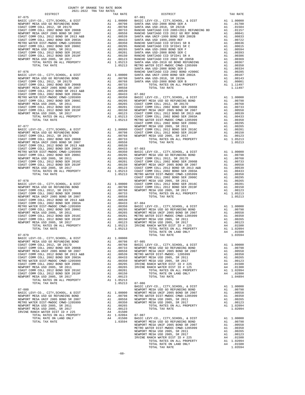| $\begin{tabular}{l c c c c} \multicolumn{1}{c}{\textbf{MIM P. CONIST COM M COLL 2002 BOND SER 2006}} & \multicolumn{1}{c}{\textbf{A1}} & .00538 & \multicolumn{1}{c}{\textbf{RANCHO}} \\ \multicolumn{1}{c}{\textbf{NENPORT COM M COLL 2012 BOND SR 2007}} & \multicolumn{1}{c}{\textbf{A1}} & .00558 & \multicolumn{1}{c}{\textbf{RANCHO}} \\ \multicolumn{1}{c}{\textbf{COAST COMM COLL 2012 BOND SR 2013 AER}} & \multicolumn{1}{c$ |                                                                                               |                                                                         |                                  |
|----------------------------------------------------------------------------------------------------------------------------------------------------------------------------------------------------------------------------------------------------------------------------------------------------------------------------------------------------------------------------------------------------------------------------------------|-----------------------------------------------------------------------------------------------|-------------------------------------------------------------------------|----------------------------------|
|                                                                                                                                                                                                                                                                                                                                                                                                                                        |                                                                                               |                                                                         |                                  |
|                                                                                                                                                                                                                                                                                                                                                                                                                                        |                                                                                               |                                                                         |                                  |
|                                                                                                                                                                                                                                                                                                                                                                                                                                        |                                                                                               |                                                                         |                                  |
|                                                                                                                                                                                                                                                                                                                                                                                                                                        |                                                                                               |                                                                         |                                  |
|                                                                                                                                                                                                                                                                                                                                                                                                                                        |                                                                                               |                                                                         |                                  |
|                                                                                                                                                                                                                                                                                                                                                                                                                                        |                                                                                               |                                                                         |                                  |
|                                                                                                                                                                                                                                                                                                                                                                                                                                        |                                                                                               |                                                                         |                                  |
|                                                                                                                                                                                                                                                                                                                                                                                                                                        |                                                                                               |                                                                         | SANTA A                          |
| $07 - 076$                                                                                                                                                                                                                                                                                                                                                                                                                             |                                                                                               |                                                                         | RANCHO                           |
|                                                                                                                                                                                                                                                                                                                                                                                                                                        |                                                                                               |                                                                         |                                  |
|                                                                                                                                                                                                                                                                                                                                                                                                                                        |                                                                                               |                                                                         |                                  |
|                                                                                                                                                                                                                                                                                                                                                                                                                                        |                                                                                               |                                                                         |                                  |
|                                                                                                                                                                                                                                                                                                                                                                                                                                        |                                                                                               |                                                                         |                                  |
|                                                                                                                                                                                                                                                                                                                                                                                                                                        |                                                                                               |                                                                         |                                  |
|                                                                                                                                                                                                                                                                                                                                                                                                                                        |                                                                                               |                                                                         |                                  |
|                                                                                                                                                                                                                                                                                                                                                                                                                                        |                                                                                               |                                                                         |                                  |
|                                                                                                                                                                                                                                                                                                                                                                                                                                        |                                                                                               |                                                                         |                                  |
|                                                                                                                                                                                                                                                                                                                                                                                                                                        |                                                                                               |                                                                         |                                  |
|                                                                                                                                                                                                                                                                                                                                                                                                                                        |                                                                                               |                                                                         |                                  |
|                                                                                                                                                                                                                                                                                                                                                                                                                                        |                                                                                               |                                                                         |                                  |
| $07 - 077$<br>BASIC LEVY-CO., CITY, SCHOOL, & DIST                                                                                                                                                                                                                                                                                                                                                                                     |                                                                                               | NEWPORT<br>A1 1.00000 COAST C<br>A1 .00798 COAST C<br>A1 .00768 NEWPORT |                                  |
| NEWPORT MESA USD GO REFUNDING BOND<br>COAST COMM COLL 2012 SP 2017D                                                                                                                                                                                                                                                                                                                                                                    |                                                                                               |                                                                         |                                  |
| COAST COMM COLL 2012, SR 2017D                                                                                                                                                                                                                                                                                                                                                                                                         |                                                                                               |                                                                         |                                  |
|                                                                                                                                                                                                                                                                                                                                                                                                                                        |                                                                                               |                                                                         |                                  |
|                                                                                                                                                                                                                                                                                                                                                                                                                                        |                                                                                               |                                                                         |                                  |
|                                                                                                                                                                                                                                                                                                                                                                                                                                        |                                                                                               |                                                                         |                                  |
|                                                                                                                                                                                                                                                                                                                                                                                                                                        |                                                                                               |                                                                         |                                  |
|                                                                                                                                                                                                                                                                                                                                                                                                                                        |                                                                                               |                                                                         |                                  |
|                                                                                                                                                                                                                                                                                                                                                                                                                                        |                                                                                               |                                                                         |                                  |
|                                                                                                                                                                                                                                                                                                                                                                                                                                        |                                                                                               |                                                                         |                                  |
|                                                                                                                                                                                                                                                                                                                                                                                                                                        |                                                                                               |                                                                         |                                  |
| $07 - 078$                                                                                                                                                                                                                                                                                                                                                                                                                             |                                                                                               |                                                                         | COAST C                          |
| BASIC LEVY-CO., CITY, SCHOOL, & DIST                                                                                                                                                                                                                                                                                                                                                                                                   | NEWPORT<br>A1 1.00000 COAST C<br>A1 .00798 COAST C<br>A1 .00768 NEWPORT                       |                                                                         |                                  |
| NEWPORT MESA USD GO REFUNDING BOND<br>COAST COMM COLL 2012, SR 2017D                                                                                                                                                                                                                                                                                                                                                                   |                                                                                               |                                                                         |                                  |
| COAST COMM COLL 2002 BOND SER 2006B                                                                                                                                                                                                                                                                                                                                                                                                    | $\mathbbm{A}1$                                                                                | .00733                                                                  |                                  |
|                                                                                                                                                                                                                                                                                                                                                                                                                                        |                                                                                               |                                                                         |                                  |
|                                                                                                                                                                                                                                                                                                                                                                                                                                        |                                                                                               |                                                                         |                                  |
|                                                                                                                                                                                                                                                                                                                                                                                                                                        |                                                                                               |                                                                         |                                  |
|                                                                                                                                                                                                                                                                                                                                                                                                                                        |                                                                                               |                                                                         |                                  |
|                                                                                                                                                                                                                                                                                                                                                                                                                                        |                                                                                               |                                                                         |                                  |
|                                                                                                                                                                                                                                                                                                                                                                                                                                        |                                                                                               |                                                                         |                                  |
|                                                                                                                                                                                                                                                                                                                                                                                                                                        |                                                                                               |                                                                         |                                  |
| TOTAL TAX RATE                                                                                                                                                                                                                                                                                                                                                                                                                         |                                                                                               | 1.05213                                                                 |                                  |
| $07 - 079$                                                                                                                                                                                                                                                                                                                                                                                                                             |                                                                                               |                                                                         |                                  |
| BASIC LEVY-CO., CITY, SCHOOL, & DIST                                                                                                                                                                                                                                                                                                                                                                                                   | A1 1.00000<br>A1 .00798 07-085<br>A1 .00768 BASIC L<br>A1 .00733 NEWPORT<br>A1 .00558 NEWPORT |                                                                         |                                  |
| NEWPORT MESA USD GO REFUNDING BOND<br>COAST COMM COLL 2012, SR 2017D                                                                                                                                                                                                                                                                                                                                                                   |                                                                                               |                                                                         |                                  |
| COAST COMM COLL 2002 BOND SER 2006B                                                                                                                                                                                                                                                                                                                                                                                                    |                                                                                               |                                                                         |                                  |
| NEWPORT MESA UNIF 2005 BOND SR 2007<br>COAST COMM COLL 2012 BOND SR 2013 A&B                                                                                                                                                                                                                                                                                                                                                           | A1                                                                                            | .00539                                                                  | METRO W                          |
| COAST COMM COLL 2002 BOND SER 2003A                                                                                                                                                                                                                                                                                                                                                                                                    | A1                                                                                            | .00433                                                                  | NEWPORT                          |
| METRO WATER DIST-MWDOC CMWD-1205999<br>COAST COMM COLL 2002 BOND SER 2006C                                                                                                                                                                                                                                                                                                                                                             | A1<br>A1                                                                                      | .00350<br>.00295                                                        | NEWPORT<br>IRVINE                |
| NEWPORT MESA USD 2005, SR 2011                                                                                                                                                                                                                                                                                                                                                                                                         | A1                                                                                            | .00265                                                                  | IRVINE                           |
| COAST COMM COLL 2012 BOND SER 2016C<br>COAST COMM COLL 2012 BOND SER 2019F                                                                                                                                                                                                                                                                                                                                                             | A1                                                                                            | A1 .00201                                                               |                                  |
| NEWPORT MESA USD 2005, SR 2017                                                                                                                                                                                                                                                                                                                                                                                                         | A1                                                                                            | .00150<br>.00123                                                        |                                  |
| TOTAL RATES ON ALL PROPERTY                                                                                                                                                                                                                                                                                                                                                                                                            |                                                                                               | A1 1.05213                                                              |                                  |
| TOTAL TAX RATE                                                                                                                                                                                                                                                                                                                                                                                                                         |                                                                                               | 1.05213                                                                 | $07 - 086$<br>BASIC L            |
| $07 - 080$                                                                                                                                                                                                                                                                                                                                                                                                                             |                                                                                               |                                                                         | NEWPORT                          |
| BASIC LEVY-CO., CITY, SCHOOL, & DIST<br>NEWPORT MESA USD GO REFUNDING BOND                                                                                                                                                                                                                                                                                                                                                             |                                                                                               | A1 1.00000<br>A1.00798                                                  | NEWPORT<br>METRO W               |
| NEWPORT MESA UNIF 2005 BOND SR 2007                                                                                                                                                                                                                                                                                                                                                                                                    | A1                                                                                            |                                                                         | .00558 NEWPORT<br>.00350 NEWPORT |
| METRO WATER DIST-MWDOC CMWD-1205999<br>NEWPORT MESA USD 2005, SR 2011                                                                                                                                                                                                                                                                                                                                                                  | A1<br>A1                                                                                      | .00265                                                                  |                                  |
| NEWPORT MESA USD 2005, SR 2017                                                                                                                                                                                                                                                                                                                                                                                                         | A1                                                                                            | .00123                                                                  |                                  |
| IRVINE RANCH WATER DIST ID # 225                                                                                                                                                                                                                                                                                                                                                                                                       | A4                                                                                            | .01500                                                                  |                                  |
| TOTAL RATES ON ALL PROPERTY<br>TOTAL RATE ON LAND ONLY                                                                                                                                                                                                                                                                                                                                                                                 |                                                                                               | A1 1.02094<br>A4 .01500                                                 | $07 - 087$<br>BASIC L            |
| TOTAL TAX RATE                                                                                                                                                                                                                                                                                                                                                                                                                         |                                                                                               | 1.03594 NEWPORT                                                         |                                  |

| DISTRICT                                                                                                                                                                                                                      | TAX RATE | DISTRICT | TAX RATE |
|-------------------------------------------------------------------------------------------------------------------------------------------------------------------------------------------------------------------------------|----------|----------|----------|
|                                                                                                                                                                                                                               |          |          |          |
|                                                                                                                                                                                                                               |          |          |          |
|                                                                                                                                                                                                                               |          |          |          |
|                                                                                                                                                                                                                               |          |          |          |
|                                                                                                                                                                                                                               |          |          |          |
|                                                                                                                                                                                                                               |          |          |          |
|                                                                                                                                                                                                                               |          |          |          |
|                                                                                                                                                                                                                               |          |          |          |
|                                                                                                                                                                                                                               |          |          |          |
|                                                                                                                                                                                                                               |          |          |          |
|                                                                                                                                                                                                                               |          |          |          |
|                                                                                                                                                                                                                               |          |          |          |
|                                                                                                                                                                                                                               |          |          |          |
|                                                                                                                                                                                                                               |          |          |          |
|                                                                                                                                                                                                                               |          |          |          |
|                                                                                                                                                                                                                               |          |          |          |
|                                                                                                                                                                                                                               |          |          |          |
|                                                                                                                                                                                                                               |          |          |          |
|                                                                                                                                                                                                                               |          |          |          |
|                                                                                                                                                                                                                               |          |          |          |
|                                                                                                                                                                                                                               |          |          |          |
|                                                                                                                                                                                                                               |          |          |          |
|                                                                                                                                                                                                                               |          |          |          |
|                                                                                                                                                                                                                               |          |          |          |
|                                                                                                                                                                                                                               |          |          |          |
|                                                                                                                                                                                                                               |          |          |          |
|                                                                                                                                                                                                                               |          |          |          |
|                                                                                                                                                                                                                               |          |          |          |
|                                                                                                                                                                                                                               |          |          |          |
|                                                                                                                                                                                                                               |          |          |          |
|                                                                                                                                                                                                                               |          |          |          |
|                                                                                                                                                                                                                               |          |          |          |
|                                                                                                                                                                                                                               |          |          |          |
|                                                                                                                                                                                                                               |          |          |          |
|                                                                                                                                                                                                                               |          |          |          |
|                                                                                                                                                                                                                               |          |          |          |
|                                                                                                                                                                                                                               |          |          |          |
|                                                                                                                                                                                                                               |          |          |          |
|                                                                                                                                                                                                                               |          |          |          |
|                                                                                                                                                                                                                               |          |          |          |
|                                                                                                                                                                                                                               |          |          |          |
|                                                                                                                                                                                                                               |          |          |          |
|                                                                                                                                                                                                                               |          |          |          |
|                                                                                                                                                                                                                               |          |          |          |
|                                                                                                                                                                                                                               |          |          |          |
|                                                                                                                                                                                                                               |          |          |          |
|                                                                                                                                                                                                                               |          |          |          |
|                                                                                                                                                                                                                               |          |          |          |
|                                                                                                                                                                                                                               |          |          |          |
|                                                                                                                                                                                                                               |          |          |          |
|                                                                                                                                                                                                                               |          |          |          |
|                                                                                                                                                                                                                               |          |          |          |
|                                                                                                                                                                                                                               |          |          |          |
|                                                                                                                                                                                                                               |          |          |          |
|                                                                                                                                                                                                                               |          |          |          |
|                                                                                                                                                                                                                               |          |          |          |
|                                                                                                                                                                                                                               |          |          |          |
|                                                                                                                                                                                                                               |          |          |          |
|                                                                                                                                                                                                                               |          |          |          |
|                                                                                                                                                                                                                               |          |          |          |
|                                                                                                                                                                                                                               |          |          |          |
|                                                                                                                                                                                                                               |          |          |          |
|                                                                                                                                                                                                                               |          |          |          |
|                                                                                                                                                                                                                               |          |          |          |
|                                                                                                                                                                                                                               |          |          |          |
|                                                                                                                                                                                                                               |          |          |          |
|                                                                                                                                                                                                                               |          |          |          |
|                                                                                                                                                                                                                               |          |          |          |
|                                                                                                                                                                                                                               |          |          |          |
| TOTAL RATE ON ALL PROPERTY AT 1.00000 METRO ARTISTS OF A 100000 METRO ARTISTS OF A 11,00000 METRO ARTISTS AND RESPORT MESA USD CONDUCTED AND DESCRIPTED AND DESCRIPTED AND DESCRIPTED AND DESCRIPTED AND METRO WITH A 1000000 |          |          |          |
|                                                                                                                                                                                                                               |          |          |          |
|                                                                                                                                                                                                                               |          |          |          |
|                                                                                                                                                                                                                               |          |          |          |
|                                                                                                                                                                                                                               |          |          |          |
|                                                                                                                                                                                                                               |          |          |          |
|                                                                                                                                                                                                                               |          |          |          |
|                                                                                                                                                                                                                               |          |          |          |
|                                                                                                                                                                                                                               |          |          |          |
|                                                                                                                                                                                                                               |          |          |          |
|                                                                                                                                                                                                                               |          |          |          |
|                                                                                                                                                                                                                               |          |          |          |
|                                                                                                                                                                                                                               |          |          |          |
|                                                                                                                                                                                                                               |          |          |          |
|                                                                                                                                                                                                                               |          |          |          |
|                                                                                                                                                                                                                               |          |          |          |
|                                                                                                                                                                                                                               |          |          |          |

-60-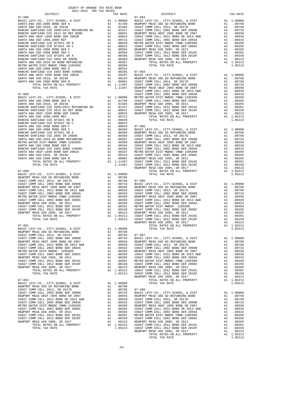NEWPORT MESA USD GO REFUNDING BOND A1 .00798

NEWPORT MESA USD GO REFUNDING BOND A1 .00798 COAST COMM COLL 2012, SR 2017D A1 .00768 07-096

COUNTY OF ORANGE TAX RATE BOOK 2021-2022 TRA TAX RATES

 DISTRICT TAX RATE DISTRICT TAX RATE 07-088 07-093 BASIC LEVY-CO., CITY,SCHOOL, & DIST A1 1.00000 BASIC LEVY-CO., CITY,SCHOOL, & DIST A1 1.00000 SANTA ANA USD-2008 BOND SER A A1 .01780 NEWPORT MESA USD GO REFUNDING BOND A1 .00798 SANTA ANA USD-2018, SR 2021B A1 .01504 COAST COMM COLL 2012, SR 2017D A1 .00768 RANCHO SANTIAGO CCD 2005+2011 REFUNDING BD A1 .01157 COAST COMM COLL 2002 BOND SER 2006B A1 .00733 RANCHO SANTIAGO CCD 2012 GO REF BOND A1 .00841 NEWPORT MESA UNIF 2005 BOND SR 2007 A1 .00558 SANTA ANA UNIF-1999 BOND SER 2002B A1 .00833 COAST COMM COLL 2012 BOND SR 2013 A&B A1 .00539 SANTA ANA USD 1999,2009 REF A1 .00722 COAST COMM COLL 2002 BOND SER 2003A A1 .00433 RANCHO SANTIAGO CCD SFID#1 SR B A1 .00636 METRO WATER DIST-MWDOC CMWD-1205999 A1 .00350 RANCHO SANTIAGO CCD SFID#1 SR C A1 .00615 COAST COMM COLL 2002 BOND SER 2006C A1 .00295 SANTA ANA USD-2008 BOND SER F A1 .00594 NEWPORT MESA USD 2005, SR 2011 A1 .00265 SANTA ANA USD-2008 BOND SER C A1 .00393 COAST COMM COLL 2012 BOND SER 2016C A1 .00201 RANCHO SANTIAGO CCD SFID#1 SR A A1 .00386 COAST COMM COLL 2012 BOND SER 2019F A1 .00150 RANCHO SANTIAGO CCD 2002 SR 2005B A1 .00369 NEWPORT MESA USD 2005, SR 2017 A1 .00123 SANTA ANA USD-2010 GO BOND REFUNDING A1 .00367 TOTAL RATES ON ALL PROPERTY A1 1.05213 METRO WATER DIST-MWDOC CMWD-1205999 A1 .00350 TOTAL TAX RATE 1.05213 SANTA ANA USD-2008 BOND SER E A1 .00334 RANCHO SANTIAGO CCD 2002 BOND #2006C A1 .00285 07-094 SANTA ANA UNIF-1999 BOND SER 2002A A1 .00187 BASIC LEVY-CO., CITY,SCHOOL, & DIST A1 1.00000 SANTA ANA USD-2018, SR 2019A A1 .00143 NEWPORT MESA USD GO REFUNDING BOND A1 .00798 SANTA ANA USD-2008 BOND SER B A1 .00001 COAST COMM COLL 2012, SR 2017D A1 .00768 TOTAL RATES ON ALL PROPERTY A1 1.11497 COAST COMM COLL 2002 BOND SER 2006B A1 .00733 TOTAL TAX RATE 1.11497 NEWPORT MESA UNIF 2005 BOND SR 2007 A1 .00558 COAST COMM COLL 2012 BOND SR 2013 A&B A1 .00539 07-089 COAST COMM COLL 2002 BOND SER 2003A A1 .00433 BASIC LEVY-CO., CITY,SCHOOL, & DIST A1 1.00000 METRO WATER DIST-MWDOC CMWD-1205999 A1 .00350 SANTA ANA USD-2008 BOND SER A A1 .01780 COAST COMM COLL 2002 BOND SER 2006C A1 .00295 SANTA ANA USD-2018, SR 2021B A1 .01504 NEWPORT MESA USD 2005, SR 2011 A1 .00265 RANCHO SANTIAGO CCD 2005+2011 REFUNDING BD A1 .01157 COAST COMM COLL 2012 BOND SER 2016C A1 .00201 RANCHO SANTIAGO CCD 2012 GO REF BOND A1 .00841 COAST COMM COLL 2012 BOND SER 2019F A1 .00150 SANTA ANA UNIF-1999 BOND SER 2002B A1 .00833 NEWPORT MESA USD 2005, SR 2017 A1 .00123 SANTA ANA USD 1999,2009 REF A1 .00722 TOTAL RATES ON ALL PROPERTY A1 1.05213 RANCHO SANTIAGO CCD SFID#1 SR B A1 .00636 TOTAL TAX RATE 1.05213 RANCHO SANTIAGO CCD SFID#1 SR C A1 .00615 SANTA ANA USD-2008 BOND SER F A1 .00594 07-095 SANTA ANA USD-2008 BOND SER C A1 .00393 BASIC LEVY-CO., CITY,SCHOOL, & DIST A1 1.00000 RANCHO SANTIAGO CCD SFID#1 SR A A1 .00386 NEWPORT MESA USD GO REFUNDING BOND A1 .00798 RANCHO SANTIAGO CCD 2002 SR 2005B A1 .00369 COAST COMM COLL 2012, SR 2017D A1 .00768 SANTA ANA USD-2010 GO BOND REFUNDING A1 .00367 COAST COMM COLL 2002 BOND SER 2006B A1 .00733 METRO WATER DIST-MWDOC CMWD-1205999 A1 .00350 NEWPORT MESA UNIF 2005 BOND SR 2007 A1 .00558 SANTA ANA USD-2008 BOND SER E A1 .00334 COAST COMM COLL 2012 BOND SR 2013 A&B A1 .00539 RANCHO SANTIAGO CCD 2002 BOND #2006C A1 .00285 COAST COMM COLL 2002 BOND SER 2003A A1 .00433 SANTA ANA UNIF-1999 BOND SER 2002A A1 .00187 METRO WATER DIST-MWDOC CMWD-1205999 A1 .00350 SANTA ANA USD-2018, SR 2019A A1 .00143 COAST COMM COLL 2002 BOND SER 2006C A1 .00295 SANTA ANA USD-2008 BOND SER B A1 .00001 NEWPORT MESA USD 2005, SR 2011 A1 .00265 TOTAL RATES ON ALL PROPERTY A1 1.11497 COAST COMM COLL 2012 BOND SER 2016C A1 .00201 TOTAL TAX RATE 1.11497 COAST COMM COLL 2012 BOND SER 2019F A1 .00150 NEWPORT MESA USD 2005, SR 2017 A1 .00123 07-090 TOTAL RATES ON ALL PROPERTY A1 1.05213 BASIC LEVY-CO., CITY, SCHOOL, & DIST  $\begin{array}{ccc} 1.00000 & \text{TORL TAX RATE} \end{array}$  1.05213  $\begin{tabular}{l|c|c|c|c|c|c|c} \hline \texttt{COAST COM OCL} & 2002 & 20ND SER 2006 & 201 & 1.00700 \\ \hline \texttt{NEWPORT MESA UNIF 2005 BOND SER 2006 & 1.00733 & 1.00700 \\ \hline \texttt{COAST COMM COLL} & 2012 & 20ND SER 2013 & 2.017 & 1.00708 \\ \hline \texttt{COAST COMM COLL} & 2012 & 20ND SER 2013 & 2.017 & 1.00738 & 1.007$  COAST COMM COLL 2012 BOND SER 2019F A1 .00150 COAST COMM COLL 2002 BOND SER 2006C A1 .00295 NEWPORT MESA USD 2005, SR 2017 A1 .00123 NEWPORT MESA USD 2005, SR 2011 A1 .00265 TOTAL RATES ON ALL PROPERTY A1 1.05213 COAST COMM COLL 2012 BOND SER 2016C A1 .00201 TOTAL TAX RATE 1.05213 COAST COMM COLL 2012 BOND SER 2019F A1 .00150 NEWPORT MESA USD 2005, SR 2017 A1 .00123 07-091 TOTAL RATES ON ALL PROPERTY A1 1.05213 BASIC LEVY-CO., CITY, SCHOOL, & DIST<br>NEWPORT MESA USD CO REFUNDING BOND AT 1.00000 A 1 00798<br>COAST COMM COLL 2002 BOND SER 2006B A 1 .00798 07-097<br>COAST COMM COLL 2002 BOND SER 2006B A 1 .00733 BASIC LEVY-CO., CITY, SCHOOL COAST COMM COLL 2002 BOND SER 2006B A1 .00733 BASIC LEVY-CO., CITY, SCHOOL, & DIST A1 1.00000<br>
NEWPORT MESA UNIF 2005 BOND SR 2007 A1 .00558 NEWPORT MESA USD GO REFUNDING BOND A1 .00798<br>
COAST COMM COLL 2002 BOND SR 2003A COAST COMM COLL 2002 BOND SER 2003A A1 .00433 COAST COMM COLL 2002 BOND SER 2006B A1 .00733<br>METRO WATER DIST-MWDOC-1205999 A1 .00350 NEWPORT MESA UNIF 2005 BOND SR 2007 A1 .00558<br>COAST COMM COLL 2002 BOND SER 2006C A1 .002 METRO WATER DIST-MWDOC- 1205999 A1 .00350 NEWPORT MESA UNIF 2005 BOND SR 2007 A1 .00558 COAST COMM COLL 2002 BOND SER 2006C A1 .00295 COAST COMM COLL 2012 BOND SR 2013 A&B A1 .00539 NEWPORT MESA USD 2005, SR 2011 A1 .00265 COAST COMM COLL 2002 BOND SER 2003A A1 .00433 COAST COMM COLL 2012 BOND SER 2016C A1 .00201 METRO WATER DIST-MWDOC CMWD-1205999 A1 .00350 COAST COMM COLL 2012 BOND SER 2019F A1 .00150 COAST COMM COLL 2002 BOND SER 2006C A1 .00295 NEWPORT MESA USD 2005, SR 2017 and 00123 NEWPORT MESA USD 2005, SR 2017 and 00233 COAST COMM COLL 2012 BOND SER 2016C TOTAL RATES ON ALL PROPERTY and 1.05213 COAST COMM COLL 2012 BOND SER 2019F and 00150 107-092 and 00150 COAST COMM COLL 2012, SR 2017D<br>
COAST COMM COLL 2012, SR 2017D<br>
COAST COMM COLL 2002 BOND SER 2006B<br>
A1 .00733 BASIC LEVY-CO., CITY, SCHOOL, & DIST  $\begin{tabular}{ c| c| c|c|c|c|c|c} \hline \texttt{COAST COMM COLL 2002 BOND SER 2006B} & \texttt{A1} & .00733 & \texttt{BASIC LEVY-CO.}, \texttt{CTTY}, \texttt{SCHODL}, & \texttt{cDIST} & \texttt{A1} & 1.00000 \\ \hline \texttt{NEWORT MESA UNF 2005 BOND SR 2017} & \texttt{A1} & .00558 & \texttt{NNENORT MESA U3D} & \texttt{A1} & .00798 \\ \hline \texttt{COAST COMM COLL 2012 BOND SR R 2$ COAST COMM COLL 2012 BOND SER 2016C A1 .00201 METRO WATER DIST-MWDOC CMWD-1205999 A1 .00350 COAST COMM COLL 2012 BOND SER 2019F A1 .00150 COAST COMM COLL 2002 BOND SER 2006C A1 .00295 NEWPORT MESA USD 2005, SR 2017 A1 .00123 NEWPORT MESA USD 2005, SR 2011 A1 .00265 TOTAL RATES ON ALL PROPERTY A1 1.05213 COAST COMM COLL 2012 BOND SER 2016C A1 .00201 TOTAL TAX RATE 1.05213 COAST COMM COLL 2012 BOND SER 2019F A1 .00150 NEWPORT MESA USD 2005, SR 2017 A1 .00123 TOTAL RATES ON ALL PROPERTY A1 1.05213 TOTAL TAX RATE 1.05213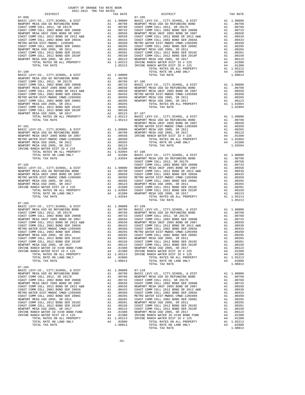| COUNTY OF ORANGE TAX RATE BOOK<br>2021-2022 TRA TAX RATES                                                                                                                                                                        |    |                                                                                                                                                                                           |            |
|----------------------------------------------------------------------------------------------------------------------------------------------------------------------------------------------------------------------------------|----|-------------------------------------------------------------------------------------------------------------------------------------------------------------------------------------------|------------|
| DISTRICT                                                                                                                                                                                                                         |    | TAX RATE                                                                                                                                                                                  |            |
| $07 - 099$                                                                                                                                                                                                                       |    |                                                                                                                                                                                           | $07 - 105$ |
|                                                                                                                                                                                                                                  |    |                                                                                                                                                                                           |            |
|                                                                                                                                                                                                                                  |    |                                                                                                                                                                                           |            |
|                                                                                                                                                                                                                                  |    |                                                                                                                                                                                           |            |
|                                                                                                                                                                                                                                  |    |                                                                                                                                                                                           |            |
|                                                                                                                                                                                                                                  |    |                                                                                                                                                                                           |            |
|                                                                                                                                                                                                                                  |    |                                                                                                                                                                                           |            |
|                                                                                                                                                                                                                                  |    |                                                                                                                                                                                           |            |
|                                                                                                                                                                                                                                  |    |                                                                                                                                                                                           |            |
|                                                                                                                                                                                                                                  |    |                                                                                                                                                                                           |            |
|                                                                                                                                                                                                                                  |    |                                                                                                                                                                                           |            |
|                                                                                                                                                                                                                                  |    |                                                                                                                                                                                           |            |
|                                                                                                                                                                                                                                  |    |                                                                                                                                                                                           |            |
|                                                                                                                                                                                                                                  |    |                                                                                                                                                                                           |            |
|                                                                                                                                                                                                                                  |    |                                                                                                                                                                                           |            |
| $07 - 100$                                                                                                                                                                                                                       |    |                                                                                                                                                                                           |            |
|                                                                                                                                                                                                                                  |    |                                                                                                                                                                                           |            |
|                                                                                                                                                                                                                                  |    |                                                                                                                                                                                           |            |
|                                                                                                                                                                                                                                  |    |                                                                                                                                                                                           |            |
|                                                                                                                                                                                                                                  |    |                                                                                                                                                                                           |            |
|                                                                                                                                                                                                                                  |    |                                                                                                                                                                                           |            |
|                                                                                                                                                                                                                                  |    |                                                                                                                                                                                           |            |
|                                                                                                                                                                                                                                  |    |                                                                                                                                                                                           |            |
|                                                                                                                                                                                                                                  |    |                                                                                                                                                                                           |            |
|                                                                                                                                                                                                                                  |    |                                                                                                                                                                                           |            |
|                                                                                                                                                                                                                                  |    |                                                                                                                                                                                           |            |
|                                                                                                                                                                                                                                  |    |                                                                                                                                                                                           |            |
|                                                                                                                                                                                                                                  |    |                                                                                                                                                                                           |            |
|                                                                                                                                                                                                                                  |    |                                                                                                                                                                                           |            |
|                                                                                                                                                                                                                                  |    |                                                                                                                                                                                           |            |
| TOTAL TAX RATE                                                                                                                                                                                                                   |    | $1.05213$ NEWPORT<br>$NEWPORT$<br>$NEWPORT$                                                                                                                                               |            |
|                                                                                                                                                                                                                                  |    |                                                                                                                                                                                           |            |
| $07 - 101$                                                                                                                                                                                                                       |    |                                                                                                                                                                                           | METRO W    |
| BASIC LEVY-CO., CITY, SCHOOL, & DIST                                                                                                                                                                                             |    |                                                                                                                                                                                           |            |
|                                                                                                                                                                                                                                  |    |                                                                                                                                                                                           |            |
|                                                                                                                                                                                                                                  |    |                                                                                                                                                                                           |            |
| METRO WATER DIST-MWDOC CMWD-1203722<br>NEWPORT MESA USD 2005, SR 2011<br>NEWPORT MESA USD 2005, SR 2017<br>IRVINE RANCH WATER DIST ID # 225<br>TOTAL RATES ON ALL PROPERTY<br>ATTER ANTIS ON ALL PROPERTY<br>----- ON TAMP AND V |    | A1 1.00000 MEWPORT<br>A1 .00798 NEWPORT<br>A1 .00798 NEWPORT<br>A1 .00350<br>A1 .00265<br>A1 .00205                                                                                       |            |
|                                                                                                                                                                                                                                  |    |                                                                                                                                                                                           |            |
|                                                                                                                                                                                                                                  |    | A1 .00123<br>A4 .01500                                                                                                                                                                    |            |
|                                                                                                                                                                                                                                  |    |                                                                                                                                                                                           |            |
|                                                                                                                                                                                                                                  |    | A1 1.02094 07-108<br>A4 .01500 BASIC L<br>1.03594 NEWPORT                                                                                                                                 |            |
| TOTAL RATE ON LAND ONLY<br>TOTAL TAX RATE                                                                                                                                                                                        |    |                                                                                                                                                                                           |            |
|                                                                                                                                                                                                                                  |    |                                                                                                                                                                                           | COAST C    |
| $07 - 102$                                                                                                                                                                                                                       |    |                                                                                                                                                                                           | COAST C    |
|                                                                                                                                                                                                                                  |    |                                                                                                                                                                                           |            |
|                                                                                                                                                                                                                                  |    |                                                                                                                                                                                           |            |
|                                                                                                                                                                                                                                  |    |                                                                                                                                                                                           |            |
|                                                                                                                                                                                                                                  |    |                                                                                                                                                                                           |            |
|                                                                                                                                                                                                                                  |    |                                                                                                                                                                                           |            |
|                                                                                                                                                                                                                                  |    |                                                                                                                                                                                           |            |
|                                                                                                                                                                                                                                  |    |                                                                                                                                                                                           |            |
|                                                                                                                                                                                                                                  |    |                                                                                                                                                                                           |            |
|                                                                                                                                                                                                                                  |    |                                                                                                                                                                                           |            |
| TOTAL TAX RATE                                                                                                                                                                                                                   |    | 1.03594                                                                                                                                                                                   |            |
|                                                                                                                                                                                                                                  |    |                                                                                                                                                                                           |            |
| $07 - 103$<br>BASIC LEVY-CO., CITY, SCHOOL, & DIST                                                                                                                                                                               |    | A1 1.00000 07-109<br>A1 .00798 BASIC L<br>A1 .00768 NEWPORT<br>A1 .00733 COAST C<br>A1 .00558 COAST C<br>A1 .00559 NEWPORT<br>A1 .00350 COAST C<br>A1 .00350 COAST C<br>A1 .00350 COAST C |            |
| BASIC LEVY-CO., CITY, SCHOOL, & DIST<br>NEWPORT MESA USD GO REFUNDING BOND                                                                                                                                                       |    |                                                                                                                                                                                           |            |
| COAST COMM COLL 2012, SR 2017D                                                                                                                                                                                                   |    |                                                                                                                                                                                           |            |
| COAST COMM COLL 2002 BOND SER 2006B                                                                                                                                                                                              |    |                                                                                                                                                                                           |            |
| NEWPORT MESA UNIF 2005 BOND SR 2007                                                                                                                                                                                              |    |                                                                                                                                                                                           |            |
|                                                                                                                                                                                                                                  |    |                                                                                                                                                                                           |            |
| COAST COMM COLL 2012 BOND SR 2013 A&B<br>COAST COMM COLL 2002 BOND SER 2003A<br>METRO WATER DIST-MWDOC CMWD-1205999                                                                                                              |    |                                                                                                                                                                                           |            |
| METRO WATER DIST-MWDOC CMWD-1205999                                                                                                                                                                                              |    |                                                                                                                                                                                           |            |
| COAST COMM COLL 2002 BOND SER 2006C                                                                                                                                                                                              | A1 | .00295                                                                                                                                                                                    | METRO W    |
| NEWPORT MESA USD 2005, SR 2011                                                                                                                                                                                                   | A1 | .00265                                                                                                                                                                                    | COAST C    |
| COAST COMM COLL 2012 BOND SER 2016C                                                                                                                                                                                              | A1 | .00201                                                                                                                                                                                    | NEWPORT    |
| COAST COMM COLL 2012 BOND SER 2019F                                                                                                                                                                                              | A1 | .00150                                                                                                                                                                                    | COAST C    |
| NEWPORT MESA USD 2005, SR 2017                                                                                                                                                                                                   | A1 | .00123                                                                                                                                                                                    | COAST C    |
| IRVINE RANCH WATER ID #240 BOND FUND                                                                                                                                                                                             | A4 | .01500                                                                                                                                                                                    | NEWPORT    |
| IRVINE RANCH WATER DIST ID # 125                                                                                                                                                                                                 | A4 | .01300                                                                                                                                                                                    | IRVINE     |
| TOTAL RATES ON ALL PROPERTY                                                                                                                                                                                                      |    | A1 1.05213                                                                                                                                                                                | IRVINE     |
| TOTAL RATE ON LAND ONLY                                                                                                                                                                                                          | A4 | .02800                                                                                                                                                                                    |            |
| TOTAL TAX RATE                                                                                                                                                                                                                   |    | 1.08013                                                                                                                                                                                   |            |
| $07 - 104$                                                                                                                                                                                                                       |    |                                                                                                                                                                                           |            |
| BASIC LEVY-CO., CITY, SCHOOL, & DIST                                                                                                                                                                                             | A1 | 1.00000                                                                                                                                                                                   | 07-110     |
| NEWPORT MESA USD GO REFUNDING BOND                                                                                                                                                                                               | A1 | .00798                                                                                                                                                                                    | BASIC L    |
| COAST COMM COLL 2012, SR 2017D                                                                                                                                                                                                   | A1 | .00768                                                                                                                                                                                    | NEWPORT    |
| COAST COMM COLL 2002 BOND SER 2006B<br>NEWPORT MESA UNIF 2005 BOND SR 2007                                                                                                                                                       | A1 | .00733                                                                                                                                                                                    | COAST C    |
|                                                                                                                                                                                                                                  | A1 | .00558                                                                                                                                                                                    | COAST C    |
| COAST COMM COLL 2012 BOND SR 2013 A&B<br>COAST COMM COLL 2002 BOND SER 2003A                                                                                                                                                     | A1 | .00539                                                                                                                                                                                    | NEWPORT    |
|                                                                                                                                                                                                                                  |    | A1 .00433                                                                                                                                                                                 | COAST C    |

 DISTRICT TAX RATE DISTRICT TAX RATE BASIC LEVY-CO., CITY,SCHOOL, & DIST A1 1.00000 BASIC LEVY-CO., CITY,SCHOOL, & DIST A1 1.00000 NEWPORT MESA USD GO REFUNDING BOND A1 .00798 NEWPORT MESA USD GO REFUNDING BOND A1 .00798 COAST COMM COLL 2012, SR 2017D A1 .00768 COAST COMM COLL 2012, SR 2017D A1 .00768 COAST COMM COLL 2002 BOND SER 2006B A1 .00733 COAST COMM COLL 2002 BOND SER 2006B A1 .00733 NEWPORT MESA UNIF 2005 BOND SR 2007 A1 .00558 NEWPORT MESA UNIF 2005 BOND SR 2007 A1 .00558 COAST COMM COLL 2012 BOND SR 2013 A&B A1 .00539 COAST COMM COLL 2012 BOND SR 2013 A&B A1 .00539 COAST COMM COLL 2002 BOND SER 2003A A1 .00433 COAST COMM COLL 2002 BOND SER 2003A A1 .00433 METRO WATER DIST-MWDOC- 1205999 A1 .00350 METRO WATER DIST-MWDOC CMWD-1205999 A1 .00350 COAST COMM COLL 2002 BOND SER 2006C A1 .00295 COAST COMM COLL 2002 BOND SER 2006C A1 .00295 00265 NEWPORT MESA USD 2005, SR 2011 (10265 A1 .00265 NEWPORT MESA USD 2005, SR 2011 (10265 NEWPORT MESA USD 20<br>COAST COMM COLL 2012 BOND SER 2016C (2010 COAST COMM COLL 2012 BOND SER 2016C (2012 BOND SER 2010 COAST COMM<br>C 100123 NEWPORT MESA USD 2005, SR 2017 11 00123 NEWPORT MESA USD 2005, SR 2017<br>100123 107AL RATES ON ALL PROPERTY 11.05213 IRVINE RANCH WATER DIST ID # 225 107AL RATES ON ALL PROPERTY<br>1.05213 IRVINE RANCH WATER DIST ID # 12 07-100 TOTAL RATE ON LAND ONLY A4 .02800 BASIC LEVY-CO., CITY,SCHOOL, & DIST A1 1.00000 TOTAL TAX RATE 1.08013 A1 .00798<br>A1 .00768 THE 100768 07–106<br>
A1 .00753 BASIC LEVY-CO., CITY, SCHOOL, & DIST A1 1.00000<br>
A1 .00558 NEWPORT MESA UNIF 2005 BOND SR 2007 A1 .00558<br>
A1 .00539 NEWPORT MESA UNIF 2005 BOND SR 2007 A1 .00558 NEWPORT MESA UNIF 2005 BOND SR 2007 A1 .00558 NEWPORT MESA USD GO REFUNDING BOND A1 .00798 COAST COMM COLL 2012 BOND SR 2013 A&B A1 .00539 NEWPORT MESA UNIF 2005 BOND SR 2007 A1 .00558 COAST COMM COLL 2002 BOND SER 2003A A1 .00433 METRO WATER DIST-MWDOC CMWD-1205999 A1 .00350<br>METRO WATER DIST -MWDOC CMWD-1205999 A1 .00350 NEWPORT MESA USD 2005, SR 2011 A1 .00366<br>COAST COMM COLL 2002 GOND SER 2006C A1 .00 NEWPORT MESA USD 2005, SR 2017 100000 107313 PASIC LEVY-CO., CITY, SCHOOL, & DIST TOTAL RATES ON ALL PROPERTY A1 1.05213 PASIC LEVY-CO., CITY, SCHOOL, & DIST TOTAL TAX RATE 105213 NEWPORT MESA USD GO REFUNDING BOND A1 .007 TOTAL RATES ON ALL PROPERTY A1 1.02094 07-108 TOTAL RATE ON LAND ONLY A4 .01500 BASIC LEVY-CO., CITY,SCHOOL, & DIST A1 1.00000 TOTAL TAX RATE 1.03594 NEWPORT MESA USD GO REFUNDING BOND A1 .00798 COAST COMM COLL 2012, SR 2017D A1 .00768 07-102 COAST COMM COLL 2002 BOND SER 2006B A1 .00733 BASIC LEVY-CO., CITY,SCHOOL, & DIST A1 1.00000 NEWPORT MESA UNIF 2005 BOND SR 2007 A1 .00558 NEWPORT MESA USD GO REFUNDING BOND A1 .00798 COAST COMM COLL 2012 BOND SR 2013 A&B A1 .00539 NEWPORT MESA UNIF 2005 BOND SR 2007 A1 .00558 COAST COMM COLL 2002 BOND SER 2003A A1 .00433 METRO WATER DIST-MWDOC CMWD-1205999 A1 .00350 METRO WATER DIST-MWDOC CMWD-1205999 A1 .00350 NEWPORT MESA USD 2005, SR 2011 A1 .00265 COAST COMM COLL 2002 BOND SER 2006C A1 .00295 NEWPORT MESA USD 2005, SR 2017 A1 .00123 NEWPORT MESA USD 2005, SR 2011 A1 .00265 IRVINE RANCH WATER DIST ID # 225 A4 .01500 COAST COMM COLL 2012 BOND SER 2016C A1 .00201 TOTAL RATES ON ALL PROPERTY A1 1.02094 COAST COMM COLL 2012 BOND SER 2019F A1 .00150 TOTAL RATE ON LAND ONLY A4 .01500 NEWPORT MESA USD 2005, SR 2017 A1 .00123 TOTAL TAX RATE 1.03594 TOTAL RATES ON ALL PROPERTY A1 1.05213 TOTAL TAX RATE 1.05213  $\begin{tabular}{l|ll} \textbf{BAST C LWY-CO, CITY, SCHOOL, & DISTT (M) D1100000 & 07-109 & 07-109 & 08-0.5213 & 0.0778 & 0.0778 & 0.0778 & 0.0778 & 0.0778 & 0.0778 & 0.0778 & 0.0778 & 0.0778 & 0.0778 & 0.0778 & 0.0778 & 0.0778 & 0.0778 & 0.0778 & 0.0778 & 0.0778 & 0.0778 & 0$ A1 1.00000<br>A1 .00798 NEWPORT MESA USD GO REFUNDING BOND A1 .00798 BASIC LEVY-CO., CITY,SCHOOL, & DIST A1 1.00000 COAST COMM COLL 2012, SR 2017D A1 .00768 NEWPORT MESA USD GO REFUNDING BOND A1 .00798 COAST COMM COLL 2002 BOND SER 2006B A1 .00733 COAST COMM COLL 2012, SR 2017D A1 .00768 NEWPORT MESA UNIF 2005 BOND SR 2007 A1 .00558 COAST COMM COLL 2002 BOND SER 2006B A1 .00733 COAST COMM COLL 2012 BOND SR 2013 A&B A1 .00539 NEWPORT MESA UNIF 2005 BOND SR 2007 A1 .00558 COAST COMM COLL 2002 BOND SER 2003A A1 .00433 COAST COMM COLL 2012 BOND SR 2013 A&B A1 .00539 METRO WATER DIST-MWDOC CMWD-1205999 A1 .00350 COAST COMM COLL 2002 BOND SER 2003A A1 .00433 COAST COMM COLL 2002 BOND SER 2006C A1 .00295 METRO WATER DIST-MWDOC CMWD-1205999 A1 .00350 NEWPORT MESA USD 2005, SR 2011 A1 .00265 COAST COMM COLL 2002 BOND SER 2006C A1 .00295 COAST COMM COLL 2012 BOND SER 2016C A1 .00201 NEWPORT MESA USD 2005, SR 2011 A1 .00265 COAST COMM COLL 2012 BOND SER 2019F A1 .00150 COAST COMM COLL 2012 BOND SER 2016C A1 .00201 NEWPORT MESA USD 2005, SR 2017 A1 .00123 COAST COMM COLL 2012 BOND SER 2019F A1 .00150 IRVINE RANCH WATER ID #240 BOND FUND A4 .01500 NEWPORT MESA USD 2005, SR 2017 A1 .00123 IRVINE RANCH WATER DIST ID # 125 A4 .01300 IRVINE RANCH WATER ID #240 BOND FUND A4 .01500 TOTAL RATES ON ALL PROPERTY A1 1.05213 IRVINE RANCH WATER DIST ID # 125 A4 .01300 TOTAL RATE ON LAND ONLY A4 .02800 TOTAL RATES ON ALL PROPERTY A1 1.05213 TOTAL TAX RATE 1.08013 TOTAL RATE ON LAND ONLY A4 .02800 TOTAL TAX RATE 1.08013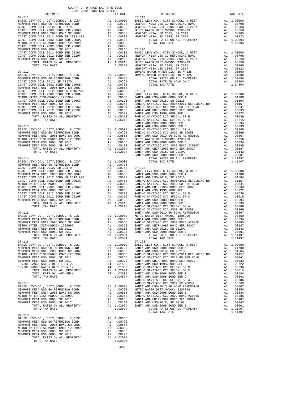| COUNTY OF ORANGE TAX RATE BOOK<br>2021-2022 TRA TAX RATES                  |    |                                                                                                                                                                                                                                                                                                                                                    |                  |
|----------------------------------------------------------------------------|----|----------------------------------------------------------------------------------------------------------------------------------------------------------------------------------------------------------------------------------------------------------------------------------------------------------------------------------------------------|------------------|
| DISTRICT<br>$07 - 111$                                                     |    | TAX RATE                                                                                                                                                                                                                                                                                                                                           | $07 - 119$       |
|                                                                            |    |                                                                                                                                                                                                                                                                                                                                                    |                  |
|                                                                            |    |                                                                                                                                                                                                                                                                                                                                                    |                  |
|                                                                            |    |                                                                                                                                                                                                                                                                                                                                                    |                  |
|                                                                            |    |                                                                                                                                                                                                                                                                                                                                                    |                  |
|                                                                            |    |                                                                                                                                                                                                                                                                                                                                                    |                  |
|                                                                            |    |                                                                                                                                                                                                                                                                                                                                                    |                  |
|                                                                            |    |                                                                                                                                                                                                                                                                                                                                                    |                  |
|                                                                            |    |                                                                                                                                                                                                                                                                                                                                                    |                  |
|                                                                            |    |                                                                                                                                                                                                                                                                                                                                                    |                  |
|                                                                            |    |                                                                                                                                                                                                                                                                                                                                                    |                  |
|                                                                            |    |                                                                                                                                                                                                                                                                                                                                                    |                  |
|                                                                            |    |                                                                                                                                                                                                                                                                                                                                                    |                  |
|                                                                            |    |                                                                                                                                                                                                                                                                                                                                                    | NEWPORT          |
| $07 - 112$                                                                 |    |                                                                                                                                                                                                                                                                                                                                                    | IRVINE           |
|                                                                            |    |                                                                                                                                                                                                                                                                                                                                                    |                  |
|                                                                            |    |                                                                                                                                                                                                                                                                                                                                                    |                  |
|                                                                            |    |                                                                                                                                                                                                                                                                                                                                                    |                  |
|                                                                            |    |                                                                                                                                                                                                                                                                                                                                                    |                  |
|                                                                            |    |                                                                                                                                                                                                                                                                                                                                                    |                  |
|                                                                            |    |                                                                                                                                                                                                                                                                                                                                                    |                  |
|                                                                            |    |                                                                                                                                                                                                                                                                                                                                                    |                  |
|                                                                            |    |                                                                                                                                                                                                                                                                                                                                                    |                  |
|                                                                            |    |                                                                                                                                                                                                                                                                                                                                                    |                  |
|                                                                            |    |                                                                                                                                                                                                                                                                                                                                                    |                  |
|                                                                            |    |                                                                                                                                                                                                                                                                                                                                                    |                  |
|                                                                            |    |                                                                                                                                                                                                                                                                                                                                                    |                  |
|                                                                            |    |                                                                                                                                                                                                                                                                                                                                                    |                  |
| $07 - 113$                                                                 |    |                                                                                                                                                                                                                                                                                                                                                    | SANTA A          |
| BASIC LEVY-CO., CITY, SCHOOL, & DIST                                       |    | A1 1.00000 SANCHO<br>A1 .00798 RANCHO<br>A1 .00798 SANCHO<br>A1 .00358 SANTA A<br>A1 .00265 SANTA A<br>A1 .00265 SANTA A<br>A1 .002094 SANTA A<br>1.02094 SANTA A<br>1.02094 SANTA A<br>1.02094 SANTA A                                                                                                                                            |                  |
|                                                                            |    |                                                                                                                                                                                                                                                                                                                                                    |                  |
|                                                                            |    |                                                                                                                                                                                                                                                                                                                                                    |                  |
|                                                                            |    |                                                                                                                                                                                                                                                                                                                                                    |                  |
| NEWPORT MESA USD 2005, SR 2017                                             |    |                                                                                                                                                                                                                                                                                                                                                    |                  |
| MESA USD 2005, SR 2017<br>TOTAL RATES ON ALL PROPERTY                      |    |                                                                                                                                                                                                                                                                                                                                                    |                  |
| TOTAL TAX RATE                                                             |    |                                                                                                                                                                                                                                                                                                                                                    |                  |
| $07 - 114$                                                                 |    |                                                                                                                                                                                                                                                                                                                                                    | SANTA A          |
|                                                                            |    |                                                                                                                                                                                                                                                                                                                                                    |                  |
|                                                                            |    |                                                                                                                                                                                                                                                                                                                                                    |                  |
|                                                                            |    |                                                                                                                                                                                                                                                                                                                                                    |                  |
|                                                                            |    |                                                                                                                                                                                                                                                                                                                                                    |                  |
|                                                                            |    |                                                                                                                                                                                                                                                                                                                                                    |                  |
|                                                                            |    |                                                                                                                                                                                                                                                                                                                                                    |                  |
|                                                                            |    |                                                                                                                                                                                                                                                                                                                                                    |                  |
|                                                                            |    |                                                                                                                                                                                                                                                                                                                                                    |                  |
|                                                                            |    |                                                                                                                                                                                                                                                                                                                                                    |                  |
|                                                                            |    |                                                                                                                                                                                                                                                                                                                                                    |                  |
|                                                                            |    |                                                                                                                                                                                                                                                                                                                                                    |                  |
|                                                                            |    |                                                                                                                                                                                                                                                                                                                                                    |                  |
|                                                                            |    |                                                                                                                                                                                                                                                                                                                                                    | RANCHO           |
| $07 - 115$                                                                 |    |                                                                                                                                                                                                                                                                                                                                                    | SANTA A          |
| BASIC LEVY-CO., CITY, SCHOOL, & DIST                                       |    | A1 1.00000 METRO W<br>A1 .00798 SANTA A<br>A1 .00558 RANCHO<br>A1 .00350 SANTA A<br>A1 .00265 SANTA A                                                                                                                                                                                                                                              |                  |
| NEWPORT MESA USD GO REFUNDING BOND                                         |    |                                                                                                                                                                                                                                                                                                                                                    |                  |
| NEWPORT MESA UNIF 2005 BOND SR 2007<br>METRO WATER DIST-MWDOC- 1205999     |    |                                                                                                                                                                                                                                                                                                                                                    |                  |
| NEWPORT MESA USD 2005, SR 2011                                             |    |                                                                                                                                                                                                                                                                                                                                                    |                  |
| NEWPORT MESA USD 2005, SR 2017                                             |    | A1 .00123 SANTA A                                                                                                                                                                                                                                                                                                                                  |                  |
| TOTAL RATES ON ALL PROPERTY                                                | A1 | 1.02094                                                                                                                                                                                                                                                                                                                                            |                  |
| TOTAL TAX RATE                                                             |    | 1.02094                                                                                                                                                                                                                                                                                                                                            |                  |
| $07 - 116$                                                                 |    | $\begin{tabular}{ll} $A1$ & $1,00000$ & $B7-123$ \\ A1 & $1,00000$ & $BAS1C$ & L\\ A1 & $00798$ & $SANTRA$ A\\ A1 & $00558$ & $SANTRA$ A\\ A1 & $00350$ & $RANCHO\\ A1 & $00123$ & $SANTRA$ A\\ A4 & $01500$ & $SANTRA$ A\\ A4 & $01300$ & $RANCHO\\ A1 & $1,02094$ & $RANCHO\\ A1 & $1,02094$ & $SANTRA$ A\\ A4 & $1,04894$ & $SANTRA$ A\\ & $1,$ | $07 - 123$       |
| BASIC LEVY-CO., CITY, SCHOOL, & DIST<br>NEWPORT MESA USD GO REFUNDING BOND |    |                                                                                                                                                                                                                                                                                                                                                    |                  |
| NEWPORT MESA UNIF 2005 BOND SR 2007                                        |    |                                                                                                                                                                                                                                                                                                                                                    |                  |
| METRO WATER DIST-MWDOC CMWD-1205999                                        |    |                                                                                                                                                                                                                                                                                                                                                    |                  |
| NEWPORT MESA USD 2005, SR 2011                                             |    |                                                                                                                                                                                                                                                                                                                                                    |                  |
| NEWPORT MESA USD 2005, SR 2017<br>IRVINE RANCH WATER DIST ID # 225         |    |                                                                                                                                                                                                                                                                                                                                                    |                  |
| IRVINE RANCH WATER DIST ID # 125                                           |    |                                                                                                                                                                                                                                                                                                                                                    |                  |
| TOTAL RATES ON ALL PROPERTY                                                |    |                                                                                                                                                                                                                                                                                                                                                    |                  |
| TOTAL RATE ON LAND ONLY                                                    |    |                                                                                                                                                                                                                                                                                                                                                    |                  |
| TOTAL TAX RATE                                                             |    |                                                                                                                                                                                                                                                                                                                                                    |                  |
| $07 - 117$                                                                 |    |                                                                                                                                                                                                                                                                                                                                                    | RANCHO<br>RANCHO |
| BASIC LEVY-CO., CITY, SCHOOL, & DIST                                       |    |                                                                                                                                                                                                                                                                                                                                                    |                  |
| NEWPORT MESA USD GO REFUNDING BOND                                         |    |                                                                                                                                                                                                                                                                                                                                                    |                  |
| NEWPORT MESA UNIF 2005 BOND SR 2007                                        |    |                                                                                                                                                                                                                                                                                                                                                    |                  |
| METRO WATER DIST-MWDOC- 1205999<br>NEWPORT MESA USD 2005, SR 2011          |    |                                                                                                                                                                                                                                                                                                                                                    |                  |
| NEWPORT MESA USD 2005, SR 2017                                             |    |                                                                                                                                                                                                                                                                                                                                                    |                  |
| TOTAL RATES ON ALL PROPERTY                                                |    |                                                                                                                                                                                                                                                                                                                                                    |                  |
| TOTAL TAX RATE                                                             |    | RANCHO<br>A1 1.00000 SANTA A<br>A1 .00798 METRO W<br>A1 .00558 SANTA A<br>A1 .00350 RANCHO<br>A1 .00265 SANTA A<br>A1 .00126 SANTA A<br>A1 .00123 SANTA A<br>A1 1.02094 SANTA A<br>1.02094                                                                                                                                                         |                  |
|                                                                            |    |                                                                                                                                                                                                                                                                                                                                                    |                  |
| $07 - 118$<br>BASIC LEVY-CO., CITY, SCHOOL, & DIST                         |    | A1 1.00000                                                                                                                                                                                                                                                                                                                                         |                  |
| NEWPORT MESA USD GO REFUNDING BOND                                         |    | A1 .00798                                                                                                                                                                                                                                                                                                                                          |                  |
| NEWPORT MESA UNIF 2005 BOND SR 2007                                        | A1 | .00558                                                                                                                                                                                                                                                                                                                                             |                  |
| METRO WATER DIST-MWDOC CMWD-1205999                                        | A1 | .00350                                                                                                                                                                                                                                                                                                                                             |                  |
| NEWPORT MESA USD 2005, SR 2011                                             | A1 | .00265                                                                                                                                                                                                                                                                                                                                             |                  |
| NEWPORT MESA USD 2005, SR 2017<br>TOTAL RATES ON ALL PROPERTY              | A1 | .00123<br>A1 1.02094                                                                                                                                                                                                                                                                                                                               |                  |
| TOTAL TAX RATE                                                             |    | 1.02094                                                                                                                                                                                                                                                                                                                                            |                  |

-63-

|                                                                                                                                                                 | 2021-2022 TRA TAX RATES |  |          |                                                                                                                                                                                                               |          |
|-----------------------------------------------------------------------------------------------------------------------------------------------------------------|-------------------------|--|----------|---------------------------------------------------------------------------------------------------------------------------------------------------------------------------------------------------------------|----------|
| DISTRICT                                                                                                                                                        |                         |  | TAX RATE | DISTRICT                                                                                                                                                                                                      | TAX RATE |
|                                                                                                                                                                 |                         |  |          | $07 - 119$                                                                                                                                                                                                    |          |
|                                                                                                                                                                 |                         |  |          |                                                                                                                                                                                                               |          |
|                                                                                                                                                                 |                         |  |          |                                                                                                                                                                                                               |          |
|                                                                                                                                                                 |                         |  |          |                                                                                                                                                                                                               |          |
|                                                                                                                                                                 |                         |  |          |                                                                                                                                                                                                               |          |
|                                                                                                                                                                 |                         |  |          |                                                                                                                                                                                                               |          |
|                                                                                                                                                                 |                         |  |          |                                                                                                                                                                                                               |          |
|                                                                                                                                                                 |                         |  |          |                                                                                                                                                                                                               |          |
|                                                                                                                                                                 |                         |  |          |                                                                                                                                                                                                               |          |
|                                                                                                                                                                 |                         |  |          |                                                                                                                                                                                                               |          |
|                                                                                                                                                                 |                         |  |          |                                                                                                                                                                                                               |          |
|                                                                                                                                                                 |                         |  |          |                                                                                                                                                                                                               |          |
|                                                                                                                                                                 |                         |  |          |                                                                                                                                                                                                               |          |
|                                                                                                                                                                 |                         |  |          |                                                                                                                                                                                                               |          |
|                                                                                                                                                                 |                         |  |          |                                                                                                                                                                                                               |          |
|                                                                                                                                                                 |                         |  |          |                                                                                                                                                                                                               |          |
|                                                                                                                                                                 |                         |  |          |                                                                                                                                                                                                               |          |
|                                                                                                                                                                 |                         |  |          |                                                                                                                                                                                                               |          |
|                                                                                                                                                                 |                         |  |          |                                                                                                                                                                                                               |          |
|                                                                                                                                                                 |                         |  |          |                                                                                                                                                                                                               |          |
|                                                                                                                                                                 |                         |  |          |                                                                                                                                                                                                               |          |
|                                                                                                                                                                 |                         |  |          |                                                                                                                                                                                                               |          |
|                                                                                                                                                                 |                         |  |          |                                                                                                                                                                                                               |          |
|                                                                                                                                                                 |                         |  |          |                                                                                                                                                                                                               |          |
|                                                                                                                                                                 |                         |  |          |                                                                                                                                                                                                               |          |
|                                                                                                                                                                 |                         |  |          |                                                                                                                                                                                                               |          |
|                                                                                                                                                                 |                         |  |          |                                                                                                                                                                                                               |          |
|                                                                                                                                                                 |                         |  |          |                                                                                                                                                                                                               |          |
|                                                                                                                                                                 |                         |  |          |                                                                                                                                                                                                               |          |
|                                                                                                                                                                 |                         |  |          |                                                                                                                                                                                                               |          |
|                                                                                                                                                                 |                         |  |          |                                                                                                                                                                                                               |          |
|                                                                                                                                                                 |                         |  |          |                                                                                                                                                                                                               |          |
|                                                                                                                                                                 |                         |  |          |                                                                                                                                                                                                               |          |
|                                                                                                                                                                 |                         |  |          |                                                                                                                                                                                                               |          |
|                                                                                                                                                                 |                         |  |          |                                                                                                                                                                                                               |          |
|                                                                                                                                                                 |                         |  |          |                                                                                                                                                                                                               |          |
|                                                                                                                                                                 |                         |  |          |                                                                                                                                                                                                               |          |
|                                                                                                                                                                 |                         |  |          |                                                                                                                                                                                                               |          |
|                                                                                                                                                                 |                         |  |          |                                                                                                                                                                                                               |          |
|                                                                                                                                                                 |                         |  |          |                                                                                                                                                                                                               |          |
|                                                                                                                                                                 |                         |  |          |                                                                                                                                                                                                               |          |
|                                                                                                                                                                 |                         |  |          |                                                                                                                                                                                                               |          |
|                                                                                                                                                                 |                         |  |          |                                                                                                                                                                                                               |          |
|                                                                                                                                                                 |                         |  |          |                                                                                                                                                                                                               |          |
|                                                                                                                                                                 |                         |  |          |                                                                                                                                                                                                               |          |
|                                                                                                                                                                 |                         |  |          |                                                                                                                                                                                                               |          |
|                                                                                                                                                                 |                         |  |          |                                                                                                                                                                                                               |          |
|                                                                                                                                                                 |                         |  |          |                                                                                                                                                                                                               |          |
|                                                                                                                                                                 |                         |  |          |                                                                                                                                                                                                               |          |
|                                                                                                                                                                 |                         |  |          |                                                                                                                                                                                                               |          |
|                                                                                                                                                                 |                         |  |          |                                                                                                                                                                                                               |          |
|                                                                                                                                                                 |                         |  |          |                                                                                                                                                                                                               |          |
|                                                                                                                                                                 |                         |  |          |                                                                                                                                                                                                               |          |
|                                                                                                                                                                 |                         |  |          |                                                                                                                                                                                                               |          |
|                                                                                                                                                                 |                         |  |          |                                                                                                                                                                                                               |          |
|                                                                                                                                                                 |                         |  |          |                                                                                                                                                                                                               |          |
|                                                                                                                                                                 |                         |  |          |                                                                                                                                                                                                               |          |
|                                                                                                                                                                 |                         |  |          |                                                                                                                                                                                                               |          |
|                                                                                                                                                                 |                         |  |          |                                                                                                                                                                                                               |          |
|                                                                                                                                                                 |                         |  |          |                                                                                                                                                                                                               |          |
|                                                                                                                                                                 |                         |  |          |                                                                                                                                                                                                               |          |
|                                                                                                                                                                 |                         |  |          |                                                                                                                                                                                                               |          |
|                                                                                                                                                                 |                         |  |          |                                                                                                                                                                                                               |          |
|                                                                                                                                                                 |                         |  |          |                                                                                                                                                                                                               |          |
|                                                                                                                                                                 |                         |  |          |                                                                                                                                                                                                               |          |
|                                                                                                                                                                 |                         |  |          | NEWPORT MESA USD 2005, SR 2017<br>TOTAL RATES ON ALL PROPERTY A1 .00023 SANTA ANA USD-2008 BOND SER B A1 .00001<br>TOTAL RATES ON ALL PROPERTY A1 1.11497<br>TOTAL TAX RATE 1.11497<br>TOTAL TAX RATE 1.11497 |          |
|                                                                                                                                                                 |                         |  |          |                                                                                                                                                                                                               |          |
|                                                                                                                                                                 |                         |  |          |                                                                                                                                                                                                               |          |
|                                                                                                                                                                 |                         |  |          |                                                                                                                                                                                                               |          |
|                                                                                                                                                                 |                         |  |          |                                                                                                                                                                                                               |          |
|                                                                                                                                                                 |                         |  |          |                                                                                                                                                                                                               |          |
|                                                                                                                                                                 |                         |  |          |                                                                                                                                                                                                               |          |
|                                                                                                                                                                 |                         |  |          |                                                                                                                                                                                                               |          |
|                                                                                                                                                                 |                         |  |          |                                                                                                                                                                                                               |          |
|                                                                                                                                                                 |                         |  |          |                                                                                                                                                                                                               |          |
|                                                                                                                                                                 |                         |  |          |                                                                                                                                                                                                               |          |
|                                                                                                                                                                 |                         |  |          |                                                                                                                                                                                                               |          |
|                                                                                                                                                                 |                         |  |          |                                                                                                                                                                                                               |          |
|                                                                                                                                                                 |                         |  |          |                                                                                                                                                                                                               |          |
|                                                                                                                                                                 |                         |  |          |                                                                                                                                                                                                               |          |
|                                                                                                                                                                 |                         |  |          |                                                                                                                                                                                                               |          |
|                                                                                                                                                                 |                         |  |          |                                                                                                                                                                                                               |          |
|                                                                                                                                                                 |                         |  |          |                                                                                                                                                                                                               |          |
|                                                                                                                                                                 |                         |  |          |                                                                                                                                                                                                               |          |
|                                                                                                                                                                 |                         |  |          |                                                                                                                                                                                                               |          |
|                                                                                                                                                                 |                         |  |          |                                                                                                                                                                                                               |          |
|                                                                                                                                                                 |                         |  |          |                                                                                                                                                                                                               |          |
|                                                                                                                                                                 |                         |  |          |                                                                                                                                                                                                               |          |
|                                                                                                                                                                 |                         |  |          |                                                                                                                                                                                                               |          |
|                                                                                                                                                                 |                         |  |          |                                                                                                                                                                                                               |          |
| $07 - 118$                                                                                                                                                      |                         |  |          |                                                                                                                                                                                                               |          |
| ${\small\texttt{BASIC LEVY-CO.},CITY,SCH0OL, &DIST} \begin{tabular}{lcccc} A1 & 1.00000 \\ NEWPORT MESA USD & GO REFUNDING BOND & A1 & .00798 \\ \end{tabular}$ |                         |  |          |                                                                                                                                                                                                               |          |
|                                                                                                                                                                 |                         |  |          |                                                                                                                                                                                                               |          |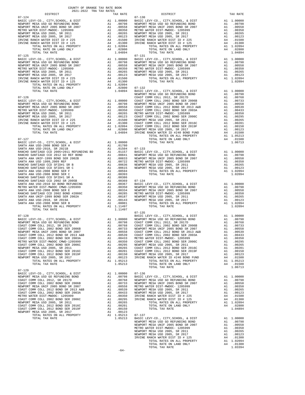| COUNTY OF ORANGE TAX RATE BOOK<br>2021-2022 TRA TAX RATES<br>2021-2022 TRA TAX RATES |          |                                                                                                                                                                                                                                                                                                                                                                                                                                                                                                                                   |          |
|--------------------------------------------------------------------------------------|----------|-----------------------------------------------------------------------------------------------------------------------------------------------------------------------------------------------------------------------------------------------------------------------------------------------------------------------------------------------------------------------------------------------------------------------------------------------------------------------------------------------------------------------------------|----------|
| DISTRICT                                                                             | TAX RATE | DISTRICT<br>$07 - 130$                                                                                                                                                                                                                                                                                                                                                                                                                                                                                                            | TAX RATE |
| $07 - 124$                                                                           |          |                                                                                                                                                                                                                                                                                                                                                                                                                                                                                                                                   |          |
|                                                                                      |          |                                                                                                                                                                                                                                                                                                                                                                                                                                                                                                                                   |          |
|                                                                                      |          |                                                                                                                                                                                                                                                                                                                                                                                                                                                                                                                                   |          |
|                                                                                      |          |                                                                                                                                                                                                                                                                                                                                                                                                                                                                                                                                   |          |
|                                                                                      |          |                                                                                                                                                                                                                                                                                                                                                                                                                                                                                                                                   |          |
|                                                                                      |          |                                                                                                                                                                                                                                                                                                                                                                                                                                                                                                                                   |          |
|                                                                                      |          |                                                                                                                                                                                                                                                                                                                                                                                                                                                                                                                                   |          |
|                                                                                      |          |                                                                                                                                                                                                                                                                                                                                                                                                                                                                                                                                   |          |
|                                                                                      |          | $\begin{tabular}{@{}c@{\thinspace}c@{\thinspace}c@{\thinspace}c@{\thinspace}c@{\thinspace}c@{\thinspace}c@{\thinspace}c@{\thinspace}c@{\thinspace}c@{\thinspace}c@{\thinspace}c@{\thinspace}c@{\thinspace}c@{\thinspace}c@{\thinspace}c@{\thinspace}c@{\thinspace}c@{\thinspace}c@{\thinspace}c@{\thinspace}c@{\thinspace}c@{\thinspace}c@{\thinspace}c@{\thinspace}c@{\thinspace}c@{\thinspace}c@{\thinspace}c@{\thinspace}c@{\thinspace}c@{\thinspace}c@{\thinspace}c@{\thinspace}c@{\thinspace}c@{\thinspace}c@{\thinspace}c@$ |          |
| $07 - 125$                                                                           |          | $07 - 131$                                                                                                                                                                                                                                                                                                                                                                                                                                                                                                                        |          |
|                                                                                      |          |                                                                                                                                                                                                                                                                                                                                                                                                                                                                                                                                   |          |
|                                                                                      |          |                                                                                                                                                                                                                                                                                                                                                                                                                                                                                                                                   |          |
|                                                                                      |          |                                                                                                                                                                                                                                                                                                                                                                                                                                                                                                                                   |          |
|                                                                                      |          |                                                                                                                                                                                                                                                                                                                                                                                                                                                                                                                                   |          |
|                                                                                      |          |                                                                                                                                                                                                                                                                                                                                                                                                                                                                                                                                   |          |
|                                                                                      |          |                                                                                                                                                                                                                                                                                                                                                                                                                                                                                                                                   |          |
|                                                                                      |          |                                                                                                                                                                                                                                                                                                                                                                                                                                                                                                                                   |          |
|                                                                                      |          |                                                                                                                                                                                                                                                                                                                                                                                                                                                                                                                                   |          |
|                                                                                      |          |                                                                                                                                                                                                                                                                                                                                                                                                                                                                                                                                   |          |
|                                                                                      |          |                                                                                                                                                                                                                                                                                                                                                                                                                                                                                                                                   |          |
|                                                                                      |          |                                                                                                                                                                                                                                                                                                                                                                                                                                                                                                                                   |          |
|                                                                                      |          |                                                                                                                                                                                                                                                                                                                                                                                                                                                                                                                                   |          |
|                                                                                      |          |                                                                                                                                                                                                                                                                                                                                                                                                                                                                                                                                   |          |
|                                                                                      |          |                                                                                                                                                                                                                                                                                                                                                                                                                                                                                                                                   |          |
|                                                                                      |          |                                                                                                                                                                                                                                                                                                                                                                                                                                                                                                                                   |          |
|                                                                                      |          |                                                                                                                                                                                                                                                                                                                                                                                                                                                                                                                                   |          |
|                                                                                      |          |                                                                                                                                                                                                                                                                                                                                                                                                                                                                                                                                   |          |
|                                                                                      |          |                                                                                                                                                                                                                                                                                                                                                                                                                                                                                                                                   |          |
|                                                                                      |          |                                                                                                                                                                                                                                                                                                                                                                                                                                                                                                                                   |          |
|                                                                                      |          |                                                                                                                                                                                                                                                                                                                                                                                                                                                                                                                                   |          |
|                                                                                      |          |                                                                                                                                                                                                                                                                                                                                                                                                                                                                                                                                   |          |
|                                                                                      |          |                                                                                                                                                                                                                                                                                                                                                                                                                                                                                                                                   |          |
|                                                                                      |          |                                                                                                                                                                                                                                                                                                                                                                                                                                                                                                                                   |          |
|                                                                                      |          |                                                                                                                                                                                                                                                                                                                                                                                                                                                                                                                                   |          |
|                                                                                      |          |                                                                                                                                                                                                                                                                                                                                                                                                                                                                                                                                   |          |
|                                                                                      |          |                                                                                                                                                                                                                                                                                                                                                                                                                                                                                                                                   |          |
|                                                                                      |          |                                                                                                                                                                                                                                                                                                                                                                                                                                                                                                                                   |          |
|                                                                                      |          |                                                                                                                                                                                                                                                                                                                                                                                                                                                                                                                                   |          |
|                                                                                      |          |                                                                                                                                                                                                                                                                                                                                                                                                                                                                                                                                   |          |
|                                                                                      |          |                                                                                                                                                                                                                                                                                                                                                                                                                                                                                                                                   |          |
|                                                                                      |          |                                                                                                                                                                                                                                                                                                                                                                                                                                                                                                                                   |          |
|                                                                                      |          |                                                                                                                                                                                                                                                                                                                                                                                                                                                                                                                                   |          |
|                                                                                      |          |                                                                                                                                                                                                                                                                                                                                                                                                                                                                                                                                   |          |
|                                                                                      |          |                                                                                                                                                                                                                                                                                                                                                                                                                                                                                                                                   |          |
|                                                                                      |          |                                                                                                                                                                                                                                                                                                                                                                                                                                                                                                                                   |          |
|                                                                                      |          |                                                                                                                                                                                                                                                                                                                                                                                                                                                                                                                                   |          |
|                                                                                      |          |                                                                                                                                                                                                                                                                                                                                                                                                                                                                                                                                   |          |
|                                                                                      |          |                                                                                                                                                                                                                                                                                                                                                                                                                                                                                                                                   |          |
|                                                                                      |          |                                                                                                                                                                                                                                                                                                                                                                                                                                                                                                                                   |          |
|                                                                                      |          |                                                                                                                                                                                                                                                                                                                                                                                                                                                                                                                                   |          |
|                                                                                      |          |                                                                                                                                                                                                                                                                                                                                                                                                                                                                                                                                   |          |
|                                                                                      |          |                                                                                                                                                                                                                                                                                                                                                                                                                                                                                                                                   |          |
|                                                                                      |          |                                                                                                                                                                                                                                                                                                                                                                                                                                                                                                                                   |          |
|                                                                                      |          |                                                                                                                                                                                                                                                                                                                                                                                                                                                                                                                                   |          |
|                                                                                      |          |                                                                                                                                                                                                                                                                                                                                                                                                                                                                                                                                   |          |
|                                                                                      |          |                                                                                                                                                                                                                                                                                                                                                                                                                                                                                                                                   |          |
|                                                                                      |          |                                                                                                                                                                                                                                                                                                                                                                                                                                                                                                                                   |          |
|                                                                                      |          |                                                                                                                                                                                                                                                                                                                                                                                                                                                                                                                                   |          |
|                                                                                      |          |                                                                                                                                                                                                                                                                                                                                                                                                                                                                                                                                   |          |
|                                                                                      |          |                                                                                                                                                                                                                                                                                                                                                                                                                                                                                                                                   |          |
|                                                                                      |          |                                                                                                                                                                                                                                                                                                                                                                                                                                                                                                                                   |          |
|                                                                                      |          |                                                                                                                                                                                                                                                                                                                                                                                                                                                                                                                                   |          |
| $07 - 129$                                                                           |          |                                                                                                                                                                                                                                                                                                                                                                                                                                                                                                                                   |          |
|                                                                                      |          |                                                                                                                                                                                                                                                                                                                                                                                                                                                                                                                                   |          |
|                                                                                      |          |                                                                                                                                                                                                                                                                                                                                                                                                                                                                                                                                   |          |
|                                                                                      |          |                                                                                                                                                                                                                                                                                                                                                                                                                                                                                                                                   |          |
|                                                                                      |          |                                                                                                                                                                                                                                                                                                                                                                                                                                                                                                                                   |          |
|                                                                                      |          |                                                                                                                                                                                                                                                                                                                                                                                                                                                                                                                                   |          |
|                                                                                      |          |                                                                                                                                                                                                                                                                                                                                                                                                                                                                                                                                   |          |
|                                                                                      |          |                                                                                                                                                                                                                                                                                                                                                                                                                                                                                                                                   |          |
|                                                                                      |          |                                                                                                                                                                                                                                                                                                                                                                                                                                                                                                                                   |          |
|                                                                                      |          |                                                                                                                                                                                                                                                                                                                                                                                                                                                                                                                                   |          |
|                                                                                      |          |                                                                                                                                                                                                                                                                                                                                                                                                                                                                                                                                   |          |
|                                                                                      |          |                                                                                                                                                                                                                                                                                                                                                                                                                                                                                                                                   |          |
|                                                                                      |          | $\begin{tabular}{c c c} \multicolumn{4}{c}{\textbf{A1}} & 1.05213 & 07-137 \\ 1.05213 & \textbf{BASTC LEVY-C0.}, & \text{CITY}, & \text{SCHOD.}, & \& \text{ DIST} & \text{A1} & 1.00000 \\ & \text{NEWPORT MESA USD GO REFUNDING BOND} & \text{A1} & .00798 \\ & \text{NEWPORT MESA UNSD GO REFUNDING BOND} & \text{A1} & .00798 \\ & \text{METRO WATER DIST-MIDOC-} & 12055999 & \text{A1} & .00350 \\ & \text$                                                                                                                 |          |
|                                                                                      |          |                                                                                                                                                                                                                                                                                                                                                                                                                                                                                                                                   |          |
|                                                                                      |          |                                                                                                                                                                                                                                                                                                                                                                                                                                                                                                                                   |          |
|                                                                                      |          |                                                                                                                                                                                                                                                                                                                                                                                                                                                                                                                                   |          |
|                                                                                      |          |                                                                                                                                                                                                                                                                                                                                                                                                                                                                                                                                   |          |
|                                                                                      |          |                                                                                                                                                                                                                                                                                                                                                                                                                                                                                                                                   |          |
|                                                                                      |          |                                                                                                                                                                                                                                                                                                                                                                                                                                                                                                                                   |          |
|                                                                                      |          |                                                                                                                                                                                                                                                                                                                                                                                                                                                                                                                                   |          |
|                                                                                      |          |                                                                                                                                                                                                                                                                                                                                                                                                                                                                                                                                   |          |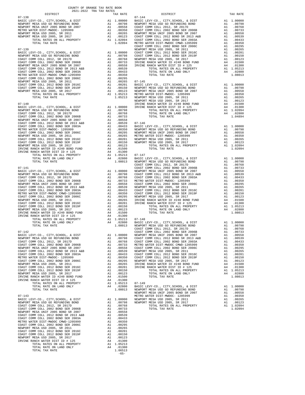| <b>1999</b><br>BASIC LEVY-CO., CITY, SCHOOL, & DIST<br>NEWPORT MESA USD GO REFUNDING BOND<br>NEWPORT MESA UNIF 2005 BOND SR 2007<br>METRO WATER DIST-MWDOC- 1205999<br>NEWPORT MESA USD 2005, SR 2011<br>NEWPORT MESA USD 2005, SR 2017<br>TOTAL RATES ON ALL PROPERTY<br>TOTAL TAX RATE                                                                                                                                                                           | A1 1.00000 BASIC L<br>A1 .00798 NEWPORT<br>A1 .00758 COAST C<br>A1 .00358 COAST C<br>A1 .00255 NEWPORT<br>A1 .00265 NEWPORT<br>A1 .00123 COAST C<br>A1 1.02094 COAST C<br>COAST C                                                                                                                                                                                                                                                      |                                                                                                                                                      |                                                        |
|--------------------------------------------------------------------------------------------------------------------------------------------------------------------------------------------------------------------------------------------------------------------------------------------------------------------------------------------------------------------------------------------------------------------------------------------------------------------|----------------------------------------------------------------------------------------------------------------------------------------------------------------------------------------------------------------------------------------------------------------------------------------------------------------------------------------------------------------------------------------------------------------------------------------|------------------------------------------------------------------------------------------------------------------------------------------------------|--------------------------------------------------------|
| $07 - 139$<br>BASIC LEVY-CO., CITY, SCHOOL, & DIST<br>NEWPORT MESA USD GO REFUNDING BOND<br>COAST COMM COLL 2012, SR 2017D<br>COAST COMM COLL 2002 BOND SER 2006B<br>NEWPORT MESA UNIF 2005 BOND SR 2007<br>COAST COMM COLL 2012 BOND SR 2013 A&B<br>COAST COMM COLL 2002 BOND SER 2003A<br>METRO WATER DIST-MWDOC CMWD-1205999                                                                                                                                    |                                                                                                                                                                                                                                                                                                                                                                                                                                        |                                                                                                                                                      | COAST C                                                |
| COAST COMM COLL 2002 BOND SER 2006C<br>NEWPORT MESA USD 2005, SR 2011<br>COAST COMM COLL 2012 BOND SER 2016C<br>COAST COMM COLL 2012 BOND SER 2019F<br>WENDOW MED MOLL 2006 GE SCAL<br>NEWPORT MESA USD 2005, SR 2017<br>TOTAL RATES ON ALL PROPERTY<br>TOTAL TAX RATE                                                                                                                                                                                             |                                                                                                                                                                                                                                                                                                                                                                                                                                        |                                                                                                                                                      | NEWPORT                                                |
| $07 - 140$<br>BASIC LEVY-CO., CITY, SCHOOL, & DIST<br>NEWPORT MESA USD GO REFUNDING BOND<br>COAST COMM COLL 2012, SR 2017D<br>COAST COMM COLL 2002 BOND SER 2006B<br>NEWPORT MESA UNIF 2005 BOND SR 2007                                                                                                                                                                                                                                                           |                                                                                                                                                                                                                                                                                                                                                                                                                                        |                                                                                                                                                      | IRVINE                                                 |
| COAST COMM COLL 2012 BOND SR 2013 A&B<br>COAST COMM COLL 2002 BOND SER 2003A<br>METRO WATER DIST-MWDOC- 1205999<br>COAST COMM COLL 2002 BOND SER 2006C<br>NEWPORT MESA USD 2005, SR 2011<br>COAST COMM COLL 2012 BOND SER 2016C<br>COAST COMM COLL 2012 BOND SER 2019F<br>NEWPORT MESA USD 2005, SR 2017<br>NEWPORT MESA USD 2005, SR 2017<br>IRVINE RANCH WATER ID #240 BOND FUND                                                                                 | IRVINE<br>A1 1.00000 IRVINE<br>A1 .00798<br>A1 .00798<br>A1 .00763<br>A1 .00558<br>A1 .00558<br>A1 .00559 07-146<br>A1 .00350 NEWPORT<br>A1 .00295 NEWPORT<br>A1 .00265 NEWPORT<br>A1 .00201 NEWPORT<br>A1 .00201 NEWPORT<br>A1 .00201 NEWPORT<br>A1 .0020                                                                                                                                                                             |                                                                                                                                                      |                                                        |
| IRVINE RANCH WATER DIST ID # 125<br>$07 - 141$                                                                                                                                                                                                                                                                                                                                                                                                                     |                                                                                                                                                                                                                                                                                                                                                                                                                                        |                                                                                                                                                      | COAST C                                                |
| BASIC LEVY-CO., CITY, SCHOOL, & DIST<br>NEWPORT MESA USD GO REFUNDING BOND<br>COAST COMM COLL 2012, SR 2017D<br>COAST COMM COLL 2002 BOND SER 2006B<br>NEWPORT MESA UNIF 2005 BOND SR 2007<br>COAST COMM COLL 2002 BOND SR 2013 A&B<br>COAST COMM COLL 2002 BOND SR 2003A<br>METRO WATER DIST-MWDOC CMWD-1205999<br>COAST COMM COLL 2002 BOND SRR 2006C<br>COAST COMM COLL 2002 BOND SER 2006C<br>NEWPORT MESA USD 2005, SR 2011                                   | $\begin{tabular}{cc} & COAST & COAST & COAST \\ \Lambda1 & 0.0798 & COMST C \\ \Lambda1 & 0.0798 & COAST C \\ \Lambda1 & 0.0768 & COAST C \\ \Lambda1 & 0.0758 & METR \\ \Lambda1 & 0.0558 & COAST C \\ \Lambda1 & 0.0558 & COAST C \\ \Lambda1 & 0.0433 & COAST C \\ \Lambda1 & 0.0433 & COAST C \\ \Lambda1 & 0.0250 & NEWINR \\ \Lambda1 & 0.0201 & TRVINR \\ \Lambda1 & 0.0201 & TRVINR \\ \Lambda1 & 0.0150 \\ \Lambda4 & 0.1500$ |                                                                                                                                                      |                                                        |
| COAST COMM COLL 2012 BOND SER 2016C<br>COAST COMM COLL 2012 BOND SER 2019F<br>NEWPORT MESA YOLL 2012 BOND SER 2019F<br>NEWPORT MESA USD 2005, SR 2017<br>IRVINE RANCH WATER ID #240 BOND FUND<br>IRVINE RANCH WATER DIST ID # 125                                                                                                                                                                                                                                  |                                                                                                                                                                                                                                                                                                                                                                                                                                        |                                                                                                                                                      |                                                        |
| COAST COMM COLL 2002 BOND SER 2006B<br>NEWPORT MESA UNIF 2005 BOND SR 2007<br>COAST COMM COLL 2012 BOND SR 2013 A&B<br>COAST COMM COLL 2002 BOND SER 2003A<br>METRO WATER DIST-MWDOC- 1205999<br>COAST COMM COLL 2002 BOND SER 2006C<br>NEWPORT MESA USD 2005, SR 2011<br>COAST COMM COLL 2012 BOND SER 2016C<br>COAST COMM COLL 2012 BOND SER 2019F<br>NEWPORT MESA USD 2005, SR 2017<br>IRVINE RANCH WATER ID #240 BOND FUND<br>IRVINE RANCH WATER DIST ID # 125 | A1 .00798 COAST C<br>A1 .00768 COAST C<br>A1 .00733 METRO W<br>A1 .00558 COAST C<br>A1 .00558 NEWPORT C<br>A1 .00539 NEWPORT<br>A1 .00433 COAST C<br>A1 .00265 NEWPORT<br>A1 .00265 NEWPORT<br>A1 .00201 IRVINE<br>A1 .00201 IRVINE<br>A1 .00201 IRV<br>A1<br>A4<br>A4                                                                                                                                                                 | .00123<br>.01500<br>.01300                                                                                                                           | COAST C                                                |
| TOTAL RATES ON ALL PROPERTY<br>TOTAL RATE ON LAND ONLY<br>TOTAL TAX RATE<br>$07 - 143$                                                                                                                                                                                                                                                                                                                                                                             |                                                                                                                                                                                                                                                                                                                                                                                                                                        | A1 1.05213<br>A4 .02800<br>1.08013                                                                                                                   | $07 - 149$<br>BASIC L<br>NEWPORT<br>NEWPORT<br>METRO W |
| BASIC LEVY-CO., CITY, SCHOOL, & DIST<br>BASIC LEVY-CO., CITY,SCHOOL, & DIST<br>NEWPORT MESA USD GO REFUNDING BOND<br>COAST COMM COLL 2012 SR 2017D<br>COAST COMM COLL 2012, SR 2017D<br>COAST COMM COLL 2002 BOND SER 2006B<br>TOTAL TAX RATE                                                                                                                                                                                                                      | A1<br>A1<br>A1<br>A1<br>A4                                                                                                                                                                                                                                                                                                                                                                                                             | A1 1.00000 NEWPORT<br>A1 .00798 NEWPORT<br>.00768<br>.00733<br>A1 .00201<br>.00150<br>.00123<br>.01300<br>$A1 \quad 1.05213$<br>A4 .01300<br>1.06513 |                                                        |

| DISTRICT | 2021-2022 TRA TAX RATES | TAX RATE | DISTRICT | TAX RATE |
|----------|-------------------------|----------|----------|----------|
|          |                         |          |          |          |
|          |                         |          |          |          |
|          |                         |          |          |          |
|          |                         |          |          |          |
|          |                         |          |          |          |
|          |                         |          |          |          |
|          |                         |          |          |          |
|          |                         |          |          |          |
|          |                         |          |          |          |
|          |                         |          |          |          |
|          |                         |          |          |          |
|          |                         |          |          |          |
|          |                         |          |          |          |
|          |                         |          |          |          |
|          |                         |          |          |          |
|          |                         |          |          |          |
|          |                         |          |          |          |
|          |                         |          |          |          |
|          |                         |          |          |          |
|          |                         |          |          |          |
|          |                         |          |          |          |
|          |                         |          |          |          |
|          |                         |          |          |          |
|          |                         |          |          |          |
|          |                         |          |          |          |
|          |                         |          |          |          |
|          |                         |          |          |          |
|          |                         |          |          |          |
|          |                         |          |          |          |
|          |                         |          |          |          |
|          |                         |          |          |          |
|          |                         |          |          |          |
|          |                         |          |          |          |
|          |                         |          |          |          |
|          |                         |          |          |          |
|          |                         |          |          |          |
|          |                         |          |          |          |
|          |                         |          |          |          |
|          |                         |          |          |          |
|          |                         |          |          |          |
|          |                         |          |          |          |
|          |                         |          |          |          |
|          |                         |          |          |          |
|          |                         |          |          |          |
|          |                         |          |          |          |
|          |                         |          |          |          |
|          |                         |          |          |          |
|          |                         |          |          |          |
|          |                         |          |          |          |
|          |                         |          |          |          |
|          |                         |          |          |          |
|          |                         |          |          |          |
|          |                         |          |          |          |
|          |                         |          |          |          |
|          |                         |          |          |          |
|          |                         |          |          |          |
|          |                         |          |          |          |
|          |                         |          |          |          |
|          |                         |          |          |          |
|          |                         |          |          |          |
|          |                         |          |          |          |
|          |                         |          |          |          |
|          |                         |          |          |          |
|          |                         |          |          |          |
|          |                         |          |          |          |
|          |                         |          |          |          |
|          |                         |          |          |          |
|          |                         |          |          |          |
|          |                         |          |          |          |
|          |                         |          |          |          |
|          |                         |          |          |          |
|          |                         |          |          |          |
|          |                         |          |          |          |
|          |                         |          |          |          |
|          |                         |          |          |          |
|          |                         |          |          |          |

 $.01300$ <br> $1.06513$ <br> $-65-$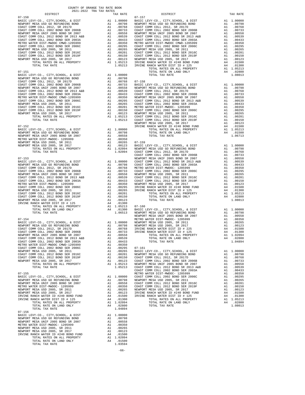| COUNTY OF ORANGE TAX RATE BOOK<br>2021-2022 TRA TAX RATES                                                                                 |                      |                                                                                                                                                |            |
|-------------------------------------------------------------------------------------------------------------------------------------------|----------------------|------------------------------------------------------------------------------------------------------------------------------------------------|------------|
| DISTRICT<br>$07 - 150$                                                                                                                    |                      | TAX RATE                                                                                                                                       | $07 - 157$ |
|                                                                                                                                           |                      |                                                                                                                                                |            |
|                                                                                                                                           |                      |                                                                                                                                                |            |
|                                                                                                                                           |                      |                                                                                                                                                |            |
|                                                                                                                                           |                      |                                                                                                                                                |            |
|                                                                                                                                           |                      |                                                                                                                                                |            |
|                                                                                                                                           |                      |                                                                                                                                                |            |
|                                                                                                                                           |                      |                                                                                                                                                |            |
|                                                                                                                                           |                      |                                                                                                                                                |            |
|                                                                                                                                           |                      |                                                                                                                                                |            |
|                                                                                                                                           |                      |                                                                                                                                                |            |
|                                                                                                                                           |                      |                                                                                                                                                |            |
|                                                                                                                                           |                      |                                                                                                                                                |            |
|                                                                                                                                           |                      |                                                                                                                                                |            |
| $07 - 151$                                                                                                                                |                      |                                                                                                                                                |            |
|                                                                                                                                           |                      |                                                                                                                                                |            |
|                                                                                                                                           |                      |                                                                                                                                                |            |
|                                                                                                                                           |                      |                                                                                                                                                |            |
|                                                                                                                                           |                      |                                                                                                                                                |            |
|                                                                                                                                           |                      |                                                                                                                                                |            |
|                                                                                                                                           |                      |                                                                                                                                                |            |
|                                                                                                                                           |                      |                                                                                                                                                |            |
|                                                                                                                                           |                      |                                                                                                                                                |            |
|                                                                                                                                           |                      |                                                                                                                                                |            |
|                                                                                                                                           |                      |                                                                                                                                                |            |
|                                                                                                                                           |                      |                                                                                                                                                |            |
|                                                                                                                                           |                      |                                                                                                                                                |            |
|                                                                                                                                           |                      |                                                                                                                                                |            |
| $07 - 152$                                                                                                                                |                      |                                                                                                                                                | IRVINE     |
|                                                                                                                                           |                      |                                                                                                                                                |            |
|                                                                                                                                           |                      |                                                                                                                                                |            |
|                                                                                                                                           |                      |                                                                                                                                                |            |
|                                                                                                                                           |                      |                                                                                                                                                |            |
|                                                                                                                                           |                      |                                                                                                                                                |            |
|                                                                                                                                           |                      |                                                                                                                                                |            |
|                                                                                                                                           |                      |                                                                                                                                                | COAST C    |
|                                                                                                                                           |                      |                                                                                                                                                |            |
|                                                                                                                                           |                      |                                                                                                                                                |            |
|                                                                                                                                           |                      |                                                                                                                                                |            |
|                                                                                                                                           |                      |                                                                                                                                                |            |
|                                                                                                                                           |                      |                                                                                                                                                |            |
|                                                                                                                                           |                      |                                                                                                                                                |            |
|                                                                                                                                           |                      |                                                                                                                                                |            |
|                                                                                                                                           |                      |                                                                                                                                                |            |
|                                                                                                                                           |                      |                                                                                                                                                |            |
|                                                                                                                                           |                      |                                                                                                                                                |            |
|                                                                                                                                           |                      |                                                                                                                                                |            |
|                                                                                                                                           |                      |                                                                                                                                                |            |
|                                                                                                                                           |                      |                                                                                                                                                |            |
|                                                                                                                                           |                      |                                                                                                                                                |            |
|                                                                                                                                           |                      |                                                                                                                                                |            |
|                                                                                                                                           |                      |                                                                                                                                                |            |
| $07 - 154$                                                                                                                                |                      |                                                                                                                                                | METRO W    |
|                                                                                                                                           |                      |                                                                                                                                                |            |
|                                                                                                                                           |                      |                                                                                                                                                |            |
|                                                                                                                                           |                      |                                                                                                                                                |            |
| 1.00733<br>COAST COMM COLL 2002 BOND SER 2006B                                                                                            |                      |                                                                                                                                                | IRVINE     |
| NEWPORT MESA UNIF 2005 BOND SR 2007                                                                                                       |                      |                                                                                                                                                |            |
| COAST COMM COLL 2012 BOND SR 2013 A&B                                                                                                     |                      |                                                                                                                                                |            |
| 00558<br>A1 .00539<br>A1 .00539<br>A1 .00350<br>A1 .00295<br>COAST COMM COLL 2002 BOND SER 2003A<br>METRO WATER DIST-MWDOC CMWD-1205999   |                      |                                                                                                                                                |            |
| COAST COMM COLL 2002 BOND SER 2006C                                                                                                       |                      | A1 .00295                                                                                                                                      | $07 - 161$ |
| NEWPORT MESA USD 2005, SR 2011                                                                                                            | A1                   | .00265                                                                                                                                         | BASIC L    |
| COAST COMM COLL 2012 BOND SER 2016C                                                                                                       | A1                   | .00201                                                                                                                                         | NEWPORT    |
| COAST COMM COLL 2012 BOND SER 2019F                                                                                                       | Al<br>Al<br>Al<br>Al | A1 .00150 COAST C<br>A1 .00150 COAST C<br>A1 .00123 COAST C<br>A1 1.05213 NEWPORT<br>1.05213 COAST C                                           |            |
| NEWPORT MESA USD 2005, SR 2017                                                                                                            |                      |                                                                                                                                                |            |
| TOTAL RATES ON ALL PROPERTY                                                                                                               |                      |                                                                                                                                                |            |
| TOTAL TAX RATE                                                                                                                            |                      |                                                                                                                                                | COAST C    |
| $07 - 155$                                                                                                                                |                      |                                                                                                                                                | METRO W    |
| BASIC LEVY-CO., CITY, SCHOOL, & DIST                                                                                                      |                      | M1 1.00000 MALINUM<br>A1 .00798 NEWPORT<br>A1 .00558 COAST C<br>A1 .00350 COAST C<br>A1 .00265 NEWPORT<br>A1 .00123 IRVINE<br>A4 .01500 IRVINE |            |
| NEWPORT MESA USD GO REFUNDING BOND                                                                                                        |                      |                                                                                                                                                |            |
| NEWPORT MESA UNIF 2005 BOND SR 2007                                                                                                       |                      |                                                                                                                                                |            |
| METRO WATER DIST-MWDOC- 1205999<br>NEWPORT MESA USD 2005, SR 2011                                                                         |                      |                                                                                                                                                |            |
| NEWPORT MESA USD 2005, SR 2017                                                                                                            |                      |                                                                                                                                                |            |
|                                                                                                                                           |                      |                                                                                                                                                |            |
|                                                                                                                                           | A4                   | .01300                                                                                                                                         |            |
| NEWPORT MESA USD 2005, SR 2017<br>IRVINE RANCH WATER ID #240 BOND FUND<br>IRVINE RANCH WATER DIST ID # 125<br>TOTAL RATES ON ALL PROPERTY |                      | A1 1.02094<br>A4 .02800                                                                                                                        |            |
| TOTAL RATE ON LAND ONLY                                                                                                                   |                      |                                                                                                                                                |            |
| TOTAL TAX RATE<br>$07 - 156$                                                                                                              |                      | 1.04894                                                                                                                                        |            |
| BASIC LEVY-CO., CITY, SCHOOL, & DIST Al 1.00000<br>NEWPORT MESA USD GO REFUNDING BOND AL 00798                                            |                      |                                                                                                                                                |            |
| NEWPORT MESA USD GO REFUNDING BOND                                                                                                        |                      | A1 .00798                                                                                                                                      |            |
| NEWPORT MESA UNIF 2005 BOND SR 2007                                                                                                       | A1                   | .00558                                                                                                                                         |            |
| METRO WATER DIST-MWDOC- 1205999<br>NEWPORT MESA USD 2005, SR 2011                                                                         | A1                   | .00350                                                                                                                                         |            |
| NEWPORT MESA USD 2005, SR 2017                                                                                                            | A1<br>A1             | .00265<br>.00123                                                                                                                               |            |
| IRVINE RANCH WATER ID #240 BOND FUND                                                                                                      | A4                   | .01500                                                                                                                                         |            |
| TOTAL RATES ON ALL PROPERTY                                                                                                               |                      |                                                                                                                                                |            |
| TOTAL RATE ON LAND ONLY                                                                                                                   |                      | A1 1.02094<br>A4 .01500                                                                                                                        |            |
| TOTAL TAX RATE                                                                                                                            |                      | 1.03594                                                                                                                                        |            |

| DISTRICT                                        | 2021-2022 TRA TAX RATES | TAX RATE | DISTRICT | TAX RATE |
|-------------------------------------------------|-------------------------|----------|----------|----------|
|                                                 |                         |          |          |          |
|                                                 |                         |          |          |          |
|                                                 |                         |          |          |          |
|                                                 |                         |          |          |          |
|                                                 |                         |          |          |          |
|                                                 |                         |          |          |          |
|                                                 |                         |          |          |          |
|                                                 |                         |          |          |          |
|                                                 |                         |          |          |          |
|                                                 |                         |          |          |          |
|                                                 |                         |          |          |          |
|                                                 |                         |          |          |          |
|                                                 |                         |          |          |          |
|                                                 |                         |          |          |          |
|                                                 |                         |          |          |          |
|                                                 |                         |          |          |          |
|                                                 |                         |          |          |          |
|                                                 |                         |          |          |          |
|                                                 |                         |          |          |          |
|                                                 |                         |          |          |          |
|                                                 |                         |          |          |          |
|                                                 |                         |          |          |          |
|                                                 |                         |          |          |          |
|                                                 |                         |          |          |          |
|                                                 |                         |          |          |          |
|                                                 |                         |          |          |          |
|                                                 |                         |          |          |          |
|                                                 |                         |          |          |          |
|                                                 |                         |          |          |          |
|                                                 |                         |          |          |          |
|                                                 |                         |          |          |          |
|                                                 |                         |          |          |          |
|                                                 |                         |          |          |          |
|                                                 |                         |          |          |          |
|                                                 |                         |          |          |          |
|                                                 |                         |          |          |          |
|                                                 |                         |          |          |          |
|                                                 |                         |          |          |          |
|                                                 |                         |          |          |          |
|                                                 |                         |          |          |          |
|                                                 |                         |          |          |          |
|                                                 |                         |          |          |          |
|                                                 |                         |          |          |          |
|                                                 |                         |          |          |          |
|                                                 |                         |          |          |          |
|                                                 |                         |          |          |          |
|                                                 |                         |          |          |          |
|                                                 |                         |          |          |          |
|                                                 |                         |          |          |          |
|                                                 |                         |          |          |          |
|                                                 |                         |          |          |          |
|                                                 |                         |          |          |          |
|                                                 |                         |          |          |          |
|                                                 |                         |          |          |          |
|                                                 |                         |          |          |          |
|                                                 |                         |          |          |          |
|                                                 |                         |          |          |          |
|                                                 |                         |          |          |          |
|                                                 |                         |          |          |          |
|                                                 |                         |          |          |          |
|                                                 |                         |          |          |          |
|                                                 |                         |          |          |          |
|                                                 |                         |          |          |          |
|                                                 |                         |          |          |          |
|                                                 |                         |          |          |          |
|                                                 |                         |          |          |          |
|                                                 |                         |          |          |          |
|                                                 |                         |          |          |          |
|                                                 |                         |          |          |          |
|                                                 |                         |          |          |          |
|                                                 |                         |          |          |          |
|                                                 |                         |          |          |          |
|                                                 |                         |          |          |          |
|                                                 |                         |          |          |          |
| $07 - 156$                                      |                         |          |          |          |
| BASIC LEVY-CO., CITY, SCHOOL, & DIST A1 1.00000 |                         |          |          |          |

-66-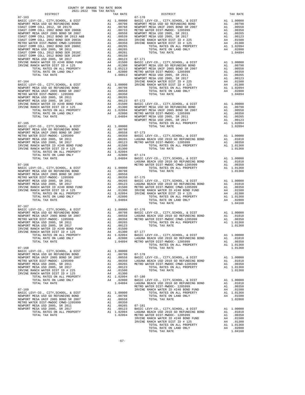| COUNTY OF ORANGE TAX RATE BOOK<br>2021-2022 TRA TAX RATES                  |    |                                                                                                                          |            |
|----------------------------------------------------------------------------|----|--------------------------------------------------------------------------------------------------------------------------|------------|
| DISTRICT                                                                   |    | TAX RATE                                                                                                                 |            |
|                                                                            |    |                                                                                                                          |            |
|                                                                            |    |                                                                                                                          |            |
|                                                                            |    |                                                                                                                          |            |
|                                                                            |    |                                                                                                                          |            |
|                                                                            |    |                                                                                                                          |            |
|                                                                            |    |                                                                                                                          |            |
|                                                                            |    |                                                                                                                          |            |
|                                                                            |    |                                                                                                                          |            |
|                                                                            |    |                                                                                                                          |            |
|                                                                            |    |                                                                                                                          |            |
|                                                                            |    |                                                                                                                          |            |
|                                                                            |    |                                                                                                                          |            |
|                                                                            |    |                                                                                                                          |            |
|                                                                            |    |                                                                                                                          |            |
|                                                                            |    |                                                                                                                          |            |
|                                                                            |    |                                                                                                                          |            |
|                                                                            |    |                                                                                                                          | NEWPORT    |
|                                                                            |    |                                                                                                                          |            |
|                                                                            |    |                                                                                                                          |            |
|                                                                            |    |                                                                                                                          |            |
|                                                                            |    |                                                                                                                          |            |
|                                                                            |    |                                                                                                                          |            |
|                                                                            |    |                                                                                                                          |            |
|                                                                            |    |                                                                                                                          |            |
|                                                                            |    |                                                                                                                          |            |
|                                                                            |    |                                                                                                                          |            |
|                                                                            |    |                                                                                                                          |            |
|                                                                            |    |                                                                                                                          |            |
|                                                                            |    |                                                                                                                          |            |
|                                                                            |    |                                                                                                                          |            |
|                                                                            |    |                                                                                                                          |            |
|                                                                            |    |                                                                                                                          |            |
|                                                                            |    |                                                                                                                          |            |
|                                                                            |    |                                                                                                                          |            |
|                                                                            |    |                                                                                                                          |            |
|                                                                            |    |                                                                                                                          |            |
|                                                                            |    |                                                                                                                          |            |
|                                                                            |    |                                                                                                                          |            |
|                                                                            |    |                                                                                                                          |            |
|                                                                            |    |                                                                                                                          | LAGUNA     |
| $07 - 166$                                                                 |    |                                                                                                                          | METRO W    |
|                                                                            |    |                                                                                                                          |            |
|                                                                            |    |                                                                                                                          |            |
|                                                                            |    |                                                                                                                          |            |
|                                                                            |    |                                                                                                                          |            |
|                                                                            |    |                                                                                                                          |            |
|                                                                            |    |                                                                                                                          |            |
|                                                                            |    |                                                                                                                          |            |
|                                                                            |    |                                                                                                                          |            |
|                                                                            |    |                                                                                                                          |            |
| TOTAL TAX RATE                                                             |    | 1.04894                                                                                                                  |            |
|                                                                            |    |                                                                                                                          |            |
| $07 - 167$                                                                 |    |                                                                                                                          |            |
|                                                                            |    |                                                                                                                          |            |
|                                                                            |    |                                                                                                                          |            |
|                                                                            |    |                                                                                                                          |            |
|                                                                            |    |                                                                                                                          |            |
|                                                                            |    |                                                                                                                          |            |
|                                                                            |    |                                                                                                                          |            |
| IRVINE RANCH WATER DIST ID # 125                                           |    | A4 .01300                                                                                                                | $07 - 177$ |
| TOTAL RATES ON ALL PROPERTY<br>TOTAL RATE ON LAND ONLY                     | A4 | A1 1.02094                                                                                                               |            |
| TOTAL TAX RATE                                                             |    | $\begin{tabular}{cc} 1.02094 & \texttt{BASIC L} \\ .02800 & \texttt{LAGUNA} \\ 1.04894 & \texttt{METRO W} \end{tabular}$ |            |
|                                                                            |    |                                                                                                                          |            |
| $07 - 168$                                                                 |    |                                                                                                                          |            |
| BASIC LEVY-CO., CITY, SCHOOL, & DIST                                       |    | A1 1.00000                                                                                                               |            |
| NEWPORT MESA USD GO REFUNDING BOND                                         |    | A1.00798                                                                                                                 | $07 - 178$ |
| NEWPORT MESA UNIF 2005 BOND SR 2007                                        | A1 | .00558                                                                                                                   | BASIC L    |
| METRO WATER DIST-MWDOC- 1205999<br>NEWPORT MESA USD 2005, SR 2011          |    | A1 .00350 LAGUNA<br>A1 .00265 METRO W                                                                                    |            |
| NEWPORT MESA USD 2005, SR 2017                                             |    | A1 .00123                                                                                                                |            |
| IRVINE RANCH WATER DIST ID # 225                                           |    | A4 .01500                                                                                                                |            |
| IRVINE RANCH WATER DIST ID # 125                                           | A4 | .01300                                                                                                                   |            |
| TOTAL RATES ON ALL PROPERTY                                                |    | A1 1.02094                                                                                                               | $07 - 180$ |
| TOTAL RATE ON LAND ONLY                                                    |    | A4 .02800                                                                                                                | BASIC L    |
| TOTAL TAX RATE                                                             |    | 1.04894                                                                                                                  | LAGUNA     |
|                                                                            |    |                                                                                                                          | METRO W    |
| $07 - 169$                                                                 |    | A1 1.00000                                                                                                               | IRVINE     |
| BASIC LEVY-CO., CITY, SCHOOL, & DIST<br>NEWPORT MESA USD GO REFUNDING BOND |    | A1 .00798                                                                                                                |            |
| NEWPORT MESA UNIF 2005 BOND SR 2007                                        | A1 | .00558                                                                                                                   |            |
| METRO WATER DIST-MWDOC CMWD-1205999                                        | A1 | .00350                                                                                                                   |            |
| NEWPORT MESA USD 2005, SR 2011                                             | A1 | .00265                                                                                                                   | $07 - 181$ |
| NEWPORT MESA USD 2005, SR 2017                                             | A1 | .00123                                                                                                                   | BASIC L    |
| TOTAL RATES ON ALL PROPERTY                                                |    | A1 1.02094                                                                                                               | LAGUNA     |
| TOTAL TAX RATE                                                             |    | 1.02094 METRO W                                                                                                          |            |

| $-1$       |  |                                                                                                                                                                                                                                                                                                                                                                                                                                                     |  |
|------------|--|-----------------------------------------------------------------------------------------------------------------------------------------------------------------------------------------------------------------------------------------------------------------------------------------------------------------------------------------------------------------------------------------------------------------------------------------------------|--|
|            |  |                                                                                                                                                                                                                                                                                                                                                                                                                                                     |  |
|            |  |                                                                                                                                                                                                                                                                                                                                                                                                                                                     |  |
|            |  |                                                                                                                                                                                                                                                                                                                                                                                                                                                     |  |
|            |  |                                                                                                                                                                                                                                                                                                                                                                                                                                                     |  |
|            |  |                                                                                                                                                                                                                                                                                                                                                                                                                                                     |  |
|            |  |                                                                                                                                                                                                                                                                                                                                                                                                                                                     |  |
|            |  |                                                                                                                                                                                                                                                                                                                                                                                                                                                     |  |
|            |  |                                                                                                                                                                                                                                                                                                                                                                                                                                                     |  |
|            |  |                                                                                                                                                                                                                                                                                                                                                                                                                                                     |  |
|            |  |                                                                                                                                                                                                                                                                                                                                                                                                                                                     |  |
|            |  |                                                                                                                                                                                                                                                                                                                                                                                                                                                     |  |
|            |  |                                                                                                                                                                                                                                                                                                                                                                                                                                                     |  |
|            |  |                                                                                                                                                                                                                                                                                                                                                                                                                                                     |  |
|            |  |                                                                                                                                                                                                                                                                                                                                                                                                                                                     |  |
|            |  |                                                                                                                                                                                                                                                                                                                                                                                                                                                     |  |
|            |  |                                                                                                                                                                                                                                                                                                                                                                                                                                                     |  |
|            |  |                                                                                                                                                                                                                                                                                                                                                                                                                                                     |  |
|            |  |                                                                                                                                                                                                                                                                                                                                                                                                                                                     |  |
|            |  |                                                                                                                                                                                                                                                                                                                                                                                                                                                     |  |
|            |  |                                                                                                                                                                                                                                                                                                                                                                                                                                                     |  |
|            |  |                                                                                                                                                                                                                                                                                                                                                                                                                                                     |  |
|            |  |                                                                                                                                                                                                                                                                                                                                                                                                                                                     |  |
|            |  |                                                                                                                                                                                                                                                                                                                                                                                                                                                     |  |
|            |  |                                                                                                                                                                                                                                                                                                                                                                                                                                                     |  |
|            |  |                                                                                                                                                                                                                                                                                                                                                                                                                                                     |  |
|            |  |                                                                                                                                                                                                                                                                                                                                                                                                                                                     |  |
|            |  |                                                                                                                                                                                                                                                                                                                                                                                                                                                     |  |
|            |  |                                                                                                                                                                                                                                                                                                                                                                                                                                                     |  |
|            |  |                                                                                                                                                                                                                                                                                                                                                                                                                                                     |  |
|            |  |                                                                                                                                                                                                                                                                                                                                                                                                                                                     |  |
|            |  |                                                                                                                                                                                                                                                                                                                                                                                                                                                     |  |
|            |  |                                                                                                                                                                                                                                                                                                                                                                                                                                                     |  |
|            |  |                                                                                                                                                                                                                                                                                                                                                                                                                                                     |  |
|            |  |                                                                                                                                                                                                                                                                                                                                                                                                                                                     |  |
|            |  |                                                                                                                                                                                                                                                                                                                                                                                                                                                     |  |
|            |  |                                                                                                                                                                                                                                                                                                                                                                                                                                                     |  |
|            |  |                                                                                                                                                                                                                                                                                                                                                                                                                                                     |  |
|            |  |                                                                                                                                                                                                                                                                                                                                                                                                                                                     |  |
|            |  |                                                                                                                                                                                                                                                                                                                                                                                                                                                     |  |
|            |  |                                                                                                                                                                                                                                                                                                                                                                                                                                                     |  |
|            |  |                                                                                                                                                                                                                                                                                                                                                                                                                                                     |  |
|            |  |                                                                                                                                                                                                                                                                                                                                                                                                                                                     |  |
|            |  |                                                                                                                                                                                                                                                                                                                                                                                                                                                     |  |
|            |  |                                                                                                                                                                                                                                                                                                                                                                                                                                                     |  |
|            |  |                                                                                                                                                                                                                                                                                                                                                                                                                                                     |  |
|            |  |                                                                                                                                                                                                                                                                                                                                                                                                                                                     |  |
|            |  |                                                                                                                                                                                                                                                                                                                                                                                                                                                     |  |
|            |  |                                                                                                                                                                                                                                                                                                                                                                                                                                                     |  |
|            |  |                                                                                                                                                                                                                                                                                                                                                                                                                                                     |  |
| $07 - 167$ |  |                                                                                                                                                                                                                                                                                                                                                                                                                                                     |  |
|            |  |                                                                                                                                                                                                                                                                                                                                                                                                                                                     |  |
|            |  | $\begin{tabular}{l c c c c c c} \hline $0$-1$-6$ & $B$-SC LEVY-C0., CITY, SCHOOL, & $b$ DIST & $A1$ & $1.00000 & $07-176$ \\ \hline NEWPORT MESA USD GO REFUNDING BOND & $A1$ & $00798 & $B\textrm{ASIC LEVY-C0., CITY, SCHOOL, & $b$ DIST & $A1$ & $1.00000 & $1.0000 & $1.0000 & $1.0000 & $1.0000 & $1.0000 & $1.0000 & $1.0000 & $1.0000 & $1.0$                                                                                                |  |
|            |  |                                                                                                                                                                                                                                                                                                                                                                                                                                                     |  |
|            |  |                                                                                                                                                                                                                                                                                                                                                                                                                                                     |  |
|            |  |                                                                                                                                                                                                                                                                                                                                                                                                                                                     |  |
|            |  |                                                                                                                                                                                                                                                                                                                                                                                                                                                     |  |
|            |  |                                                                                                                                                                                                                                                                                                                                                                                                                                                     |  |
|            |  | $\begin{tabular}{l c c c c c c} {\bf NEWPCORT} {\bf MSE} {\bf RNIRE} {\bf UNER} {\bf NENPCRT} {\bf MSE} {\bf NENPCRT} {\bf NENPCRT} {\bf NENPCRT} {\bf NENPCRT} {\bf NENPCRT} {\bf NENPCRT} {\bf NENPCRT} {\bf NENPCRT} {\bf NENPCRT} {\bf NENPCRT} {\bf NENPCRT} {\bf NENPCRT} {\bf NENPCRT} {\bf NENPCRT} {\bf NENPCRT} {\bf NENPCRT} {\bf NENPCRT} {\bf NENPCRT} {\bf NENPCRT} {\bf NENPCRT} {\bf NENPCRT} {\bf NENPCRT} {\bf NINPCRT} {\bf NIN$ |  |
|            |  |                                                                                                                                                                                                                                                                                                                                                                                                                                                     |  |
|            |  |                                                                                                                                                                                                                                                                                                                                                                                                                                                     |  |
|            |  |                                                                                                                                                                                                                                                                                                                                                                                                                                                     |  |
|            |  |                                                                                                                                                                                                                                                                                                                                                                                                                                                     |  |
|            |  |                                                                                                                                                                                                                                                                                                                                                                                                                                                     |  |
|            |  |                                                                                                                                                                                                                                                                                                                                                                                                                                                     |  |
|            |  |                                                                                                                                                                                                                                                                                                                                                                                                                                                     |  |
|            |  |                                                                                                                                                                                                                                                                                                                                                                                                                                                     |  |
|            |  |                                                                                                                                                                                                                                                                                                                                                                                                                                                     |  |
|            |  |                                                                                                                                                                                                                                                                                                                                                                                                                                                     |  |
|            |  |                                                                                                                                                                                                                                                                                                                                                                                                                                                     |  |
|            |  |                                                                                                                                                                                                                                                                                                                                                                                                                                                     |  |
|            |  |                                                                                                                                                                                                                                                                                                                                                                                                                                                     |  |
|            |  |                                                                                                                                                                                                                                                                                                                                                                                                                                                     |  |
|            |  |                                                                                                                                                                                                                                                                                                                                                                                                                                                     |  |
|            |  |                                                                                                                                                                                                                                                                                                                                                                                                                                                     |  |
|            |  |                                                                                                                                                                                                                                                                                                                                                                                                                                                     |  |
|            |  |                                                                                                                                                                                                                                                                                                                                                                                                                                                     |  |
|            |  |                                                                                                                                                                                                                                                                                                                                                                                                                                                     |  |
|            |  |                                                                                                                                                                                                                                                                                                                                                                                                                                                     |  |
|            |  |                                                                                                                                                                                                                                                                                                                                                                                                                                                     |  |
|            |  |                                                                                                                                                                                                                                                                                                                                                                                                                                                     |  |
|            |  |                                                                                                                                                                                                                                                                                                                                                                                                                                                     |  |
|            |  |                                                                                                                                                                                                                                                                                                                                                                                                                                                     |  |
|            |  |                                                                                                                                                                                                                                                                                                                                                                                                                                                     |  |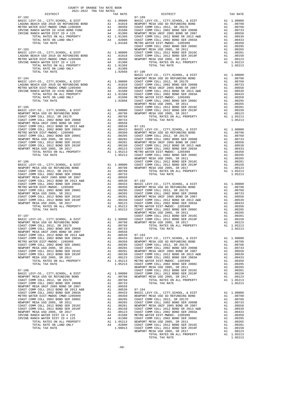| $2021-2022 \quad \text{TRA RATES}$ DISTRICT $\hspace{2.5cm}$ |            | TAX RATE | DISTRICT   | TAX RATE |
|--------------------------------------------------------------|------------|----------|------------|----------|
|                                                              | $07 - 182$ |          | $07 - 189$ |          |
|                                                              |            |          |            |          |
|                                                              |            |          |            |          |
|                                                              |            |          |            |          |
|                                                              |            |          |            |          |
|                                                              |            |          |            |          |
|                                                              |            |          |            |          |
|                                                              |            |          |            |          |
|                                                              |            |          |            |          |
|                                                              |            |          |            |          |
|                                                              |            |          |            |          |
|                                                              |            |          |            |          |
|                                                              |            |          |            |          |
|                                                              |            |          |            |          |
|                                                              |            |          |            |          |
|                                                              |            |          |            |          |
|                                                              |            |          |            |          |
|                                                              |            |          |            |          |
|                                                              |            |          |            |          |
|                                                              |            |          |            |          |
|                                                              |            |          |            |          |
|                                                              |            |          |            |          |
|                                                              |            |          |            |          |
|                                                              |            |          |            |          |
|                                                              |            |          |            |          |
|                                                              |            |          |            |          |
|                                                              |            |          |            |          |
|                                                              |            |          |            |          |
|                                                              |            |          |            |          |
|                                                              |            |          |            |          |
|                                                              |            |          |            |          |
|                                                              |            |          |            |          |
|                                                              |            |          |            |          |
|                                                              |            |          |            |          |
|                                                              |            |          |            |          |
|                                                              |            |          |            |          |
|                                                              |            |          |            |          |
|                                                              |            |          |            |          |
|                                                              |            |          |            |          |
|                                                              |            |          |            |          |
|                                                              |            |          |            |          |
|                                                              |            |          |            |          |
|                                                              |            |          |            |          |
|                                                              |            |          |            |          |
|                                                              |            |          |            |          |
|                                                              |            |          |            |          |
|                                                              |            |          |            |          |
|                                                              |            |          |            |          |
|                                                              |            |          |            |          |
|                                                              |            |          |            |          |
|                                                              |            |          |            |          |
|                                                              |            |          |            |          |
|                                                              |            |          |            |          |
|                                                              |            |          |            |          |
|                                                              |            |          |            |          |
|                                                              |            |          |            |          |
|                                                              |            |          |            |          |
|                                                              |            |          |            |          |
|                                                              |            |          |            |          |
|                                                              |            |          |            |          |
|                                                              |            |          |            |          |
|                                                              |            |          |            |          |
|                                                              |            |          |            |          |
|                                                              |            |          |            |          |
|                                                              |            |          |            |          |
|                                                              |            |          |            |          |
|                                                              |            |          |            |          |
|                                                              |            |          |            |          |
|                                                              |            |          |            |          |
|                                                              |            |          |            |          |
|                                                              |            |          |            |          |
|                                                              |            |          |            |          |
|                                                              |            |          |            |          |
|                                                              |            |          |            |          |
|                                                              |            |          |            |          |
|                                                              |            |          |            |          |
|                                                              |            |          |            |          |
|                                                              |            |          |            |          |
|                                                              |            |          |            |          |
|                                                              |            |          |            |          |
|                                                              |            |          |            |          |
|                                                              |            |          |            |          |

TOTAL TAX RATE  $1.05213$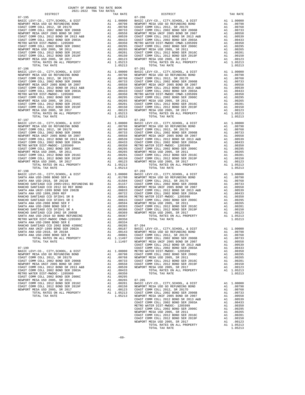07-195 07-200  $07-196 \hspace{1.5cm} \mbox{DTAL TAX RATE} \hspace{1.5cm} 07-196 \hspace{1.5cm} 1.05213 \hspace{1.5cm} 07-201 \hspace{1.5cm} 1.05213 \hspace{1.5cm} 07-201 \hspace{1.5cm} 07-201 \hspace{1.5cm} 07-201 \hspace{1.5cm} 07-201 \hspace{1.5cm} 07-201 \hspace{1.5cm} 07-201 \hspace{1.5cm} 07-201 \hspace{1.5cm} 07-201$ 07-197 07-202

 COUNTY OF ORANGE TAX RATE BOOK 2021-2022 TRA TAX RATES DISTRICT TAX RATE DISTRICT TAX RATE BASIC LEVY-CO., CITY,SCHOOL, & DIST A1 1.00000 BASIC LEVY-CO., CITY,SCHOOL, & DIST A1 1.00000 NEWPORT MESA USD GO REFUNDING BOND A1 .00798 NEWPORT MESA USD GO REFUNDING BOND A1 .00798 COAST COMM COLL 2012, SR 2017D A1 .00768 COAST COMM COLL 2012, SR 2017D A1 .00768 COAST COMM COLL 2002 BOND SER 2006B A1 .00733 COAST COMM COLL 2002 BOND SER 2006B A1 .00733 NEWPORT MESA UNIF 2005 BOND SR 2007 A1 .00558 NEWPORT MESA UNIF 2005 BOND SR 2007 A1 .00558 COAST COMM COLL 2012 BOND SR 2013 A&B A1 .00539 COAST COMM COLL 2012 BOND SR 2013 A&B A1 .00539 COAST COMM COLL 2002 BOND SER 2003A A1 .00433 COAST COMM COLL 2002 BOND SER 2003A A1 .00433 METRO WATER DIST-MWDOC- 1205999 A1 .00350 METRO WATER DIST-MWDOC CMWD-1205999 A1 .00350 COAST COMM COLL 2002 BOND SER 2006C A1 .00295 COAST COMM COLL 2002 BOND SER 2006C A1 .00295 NEWPORT MESA USD 2005, SR 2011 A1 .00265 NEWPORT MESA USD 2005, SR 2011 A1 .00265 COAST COMM COLL 2012 BOND SER 2016C A1 .00201 COAST COMM COLL 2012 BOND SER 2016C A1 .00201 COAST COMM COLL 2012 BOND SER 2019F A1 .00150 COAST COMM COLL 2012 BOND SER 2019F A1 .00150 NEWPORT MESA USD 2005, SR 2017 A1 .00123 NEWPORT MESA USD 2005, SR 2017 A1 .00123 TOTAL RATES ON ALL PROPERTY A1 1.05213 TOTAL RATES ON ALL PROPERTY A1 1.05213 TOTAL TAX RATE 1.05213 TOTAL TAX RATE 1.05213 BASIC LEVY-CO., CITY,SCHOOL, & DIST A1 1.00000 BASIC LEVY-CO., CITY,SCHOOL, & DIST A1 1.00000 NEWPORT MESA USD GO REFUNDING BOND A1 .00798 NEWPORT MESA USD GO REFUNDING BOND A1 .00798 00768 COAST COMM COLL 2012, SR 2017D A1 .00768 COAST COMM COLL 2012, SR 2017D A1 .00768<br>COAST COMM COLL 2002 BOO2 A21 .00733 COAST COMM COLL 2002 BOO2 BORD SR 2006B<br>NEWPORT MESA UNIF 2005 BOND SR 2007 COAST COMM COLL 2012 BOND SR 2013 A&B A1 .00539 COAST COMM COLL 2012 BOND SR 2013 A&B A1 .00539 COAST COMM COLL 2002 BOND SER 2003A A1 .00433 COAST COMM COLL 2002 BOND SER 2003A A1 .00433 METRO WATER DIST-MWDOC- 1205999 A1 .00350 METRO WATER DIST-MWDOC CMWD-1205999 A1 .00350 COAST COMM COLL 2002 BOND SER 2006C A1 .00295 COAST COMM COLL 2002 BOND SER 2006C A1 .00295 00265. NEWPORT MESAUSD 2005, SR 2011 (10265 AI 00265 NEWPORT MESAUSD 2005, SR 2011 (10265 NEWPORT MESAUSD 2005<br>COAST COMM COLL 2012 BOND SER 2016C (2019 COAST COAST COMM COLL 2012 BOND SER 2016C (2012 BOND SER 2019C)<br>COAST NEWPORT MESA USD 2005, SR 2017 A1 .00123 NEWPORT MESA USD 2005, SR 2017 A1 .00123<br>TOTAL RATES ON ALL PROPERTY A1 1.05213 TOTAL TAX RATES ON ALL PROPERTY<br>1.05213 1.05213 TOTAL TAX RATE BASIC LEVY-CO., CITY,SCHOOL, & DIST A1 1.00000 BASIC LEVY-CO., CITY,SCHOOL, & DIST A1 1.00000 NEWPORT MESA USD GO REFUNDING BOND A1 .00798 NEWPORT MESA USD GO REFUNDING BOND A1 .00798 COAST COMM COLL 2012, SR 2017D A1 .00768 COAST COMM COLL 2012, SR 2017D A1 .00768 COAST COMM COLL 2002 BOND SER 2006B A1 .00733 COAST COMM COLL 2002 BOND SER 2006B A1 .00733 NEWPORT MESA UNIF 2005 BOND SR 2007 A1 .00558 NEWPORT MESA UNIF 2005 BOND SR 2007 A1 .00558 COAST COMM COLL 2012 BOND SR 2013 A&B A1 .00539 COAST COMM COLL 2012 BOND SR 2013 A&B A1 .00539<br>COAST COMM COLL 2002 BOND SER 2003A A1 .00433 COAST COMM COLL 2002 BOND SER 2003A A1 .00433 METRO WATER DIST-MWDOC- 1205999 A1 .00350 METRO WATER DIST-MWDOC- 1205999 A1 .00350 COAST COMM COLL 2002 BOND SER 2006C A1 .00295 COAST COMM COLL 2002 BOND SER 2006C A1 .00295 NEWPORT MESA USD 2005, SR 2011 and 00265 MEWPORT MESA USD 2005, SR 2011 and 20265 COAST COMM COLL 2012 BOND SER 2016C CAST COMM COLL 2012 BOND SER 2016C AND COAST COMM COLL 2012 BOND SER 2019F and 00201 COAST COMM COLL 201 07-198 07-203 BASIC LEVY-CO., CITY,SCHOOL, & DIST A1 1.00000 BASIC LEVY-CO., CITY,SCHOOL, & DIST A1 1.00000 SANTA ANA USD-2008 BOND SER A A1 .01780 NEWPORT MESA USD GO REFUNDING BOND A1 .00798 SANTA ANA USD-2018, SR 2021B A1 .01504 COAST COMM COLL 2012, SR 2017D A1 .00768 RANCHO SANTIAGO CCD 2005+2011 REFUNDING BD A1 .01157 COAST COMM COLL 2002 BOND SER 2006B A1 .00733 100558 RANCHO SANTIAGO CCD 2012 GO REF BOND (A1 100841 NEWPORT MESA UNIF 2005 BOND SR 2007 (A1 100558<br>SANTA ANA UNIF-1999 BOND SER 2002B (A1 100833 COAST COMM COLL 2012 BOND SR 2013 A&B (2015-999 BOND SR 200239<br>SANTA ANA U RANCHO SANTIAGO CCD SFID#1 SR B A1 .00636 METRO WATER DIST-MWDOC- 1205999 A1 .00350<br>RANCHO SANTIAGO CCD SFID#1 SR C A1 .00615 COAST COMM COLL 2002 BOND SER 2006C A1 .00295 RANCHO SANTIAGO CCD SFID#1 SR C<br>SANTA ANA USD-2008 BOND SER F (A COLL ALL OCHO 1990 A1 100515 COAST COMM COLL 2002 BOND SER 2006C<br>SANTA ANA USD-2008 BOND SER C (A 1 00393 COAST COMM COLL 2012 BOND SER 2016C (A1 .00265<br>SANT RANCHO SANTIAGO CCD 2002 SR 2005B A1 .00369 NEWPORT MESA USD 2005, SR 2017 A1 .00123 SANTA ANA USD-2010 GO BOND REFUNDING A1 .00367 TOTAL RATES ON ALL PROPERTY A1 1.05213<br>METRO WATER DIST-MWDOC CMWD-1205999 A1 .00350 TOTAL TAX RATE 1.05213<br>SANTA ANA USD-2008 BOND SER E A1 .00334 METRO WATER DIST-MWDOC CMWD-1205999 A1 .00350 TOTAL TAX RATE ANA ISD-2008 BOND SER E Al .00334 AN .00334 RANCHO SANTIAGO CCD 2002 BOND #2006C A1 .00285 07-204 SANTA ANA UNIF-1999 BOND SER 2002A A1 .00187 BASIC LEVY-CO., CITY,SCHOOL, & DIST A1 1.00000 SANTA ANA USD-2018, SR 2019A A1 .00143 NEWPORT MESA USD GO REFUNDING BOND A1 .00798 SANTA ANA USD-2008 BOND SER B A1 .00001 COAST COMM COLL 2012, SR 2017D A1 .00768 TOTAL RATES ON ALL PROPERTY A1 1.11497 COAST COMM COLL 2002 BOND SER 2006B A1 .00733 TOTAL TAX RATE 1.11497 NEWPORT MESA UNIF 2005 BOND SR 2007 A1 .00558 COAST COMM COLL 2012 BOND SR 2013 A&B A1 .00539 07-199 COAST COMM COLL 2002 BOND SER 2003A A1 .00433 BASIC LEVY-CO., CITY, SCHOOL, & DIST<br>NEWPORT MESA USD GO RETWORK ON THE RESORT CONDUCT MESA USD ON DETRO WATER DIST-MWDOC- 1205999 A1 .00350<br>COAST COMM COLL 2002 SN DER 2006B A1 .00768 NEWPORT MESA USD 2005, SR 2011 A1 .00 NEWPORT MESA UNIT AU SOUS COAST COMM COLL 2012 BOND SR 2013<br>COAST COMM COLL 2012 BOND SR 2013 A&B A1 .00539 NEWPORT MESA USD 2005, SR 2017 A1 .00123<br>COAST COMM COLL 2012 BOND SRR 2003A A1 .00433 TOTAL RATES ON ALL PROPERTY COAST COMM COLL 2002 BOND SER 2003A A1 .00433 TOTAL RATES ON ALL PROPERTY A1 1.05213 METRO WATER DIST-MWDOC- 1205999 A1 .00350 TOTAL TAX RATE 1.05213 COAST COMM COLL 2002 BOND SER 2006C A1 .00295 NEWPORT MESA USD 2005, SR 2011 A1 .00265 07-205 COAST COMM COLL 2012 BOND SER 2016C A1 .00201 BASIC LEVY-CO., CITY,SCHOOL, & DIST A1 1.00000 COAST COMM COLL 2012 BOND SER 2019F A1 .00150 NEWPORT MESA USD GO REFUNDING BOND A1 .00798 NEWPORT MESA USD 2005, SR 2017<br>10.0768 A1 1.05213 COAST COMM COLL 2002 BOND SER 2006B TOTAL RATES ON ALL PROPERTY TOTAL TAX RATE 1.05213 NEWPORT MESA UNIF 2005 BOND SR 2007 A1 .00558<br>1.0553 0.1.1 0558 0.0558 COAST COMM COLL 2012 BOND SR 2013 A&B A1 .00539 COAST COMM COLL 2012 BOND SR 2013 A&B A1 .00539 COAST COMM COLL 2002 BOND SER 2003A A1 .00433 METRO WATER DIST-MWDOC- 1205999 A1 .00350 COAST COMM COLL 2002 BOND SER 2006C A1 .00295 NEWPORT MESA USD 2005, SR 2011 A1 .00265 COAST COMM COLL 2012 BOND SER 2016C A1 .00201 COAST COMM COLL 2012 BOND SER 2019F A1 .00150<br>
NEWPORT MESA USD 2005, SR 2017 A1 .00123<br>
TOTAL RATES ON ALL PROPERTY A1 1.05213<br>
TOTAL TAX RATE 1.05213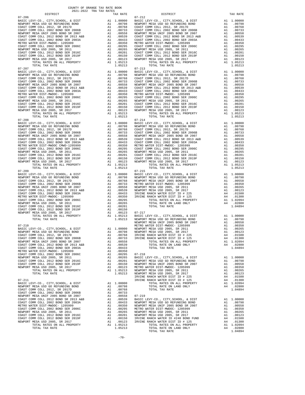| METRO WATER DIST-MWDOC- 1205999       | A1 | .00350     |                |
|---------------------------------------|----|------------|----------------|
| COAST COMM COLL 2002 BOND SER 2006C   | A1 | .00295     | 07-218         |
| NEWPORT MESA USD 2005, SR 2011        | A1 | .00265     | <b>BASIC L</b> |
| COAST COMM COLL 2012 BOND SER 2016C   |    | A1 .00201  | NEWPORT        |
| COAST COMM COLL 2012 BOND SER 2019F   |    | A1 .00150  | NEWPORT        |
| NEWPORT MESA USD 2005, SR 2017        |    | A1 .00123  | METRO W        |
| TOTAL RATES ON ALL PROPERTY           |    | A1 1.05213 | NEWPORT        |
| TOTAL TAX RATE                        |    | 1.05213    | NEWPORT        |
|                                       |    |            | IRVINE         |
| $07 - 211$                            |    |            | IRVINE         |
| BASIC LEVY-CO., CITY, SCHOOL, & DIST  |    | A1 1.00000 |                |
| NEWPORT MESA USD GO REFUNDING BOND    |    | A1 .00798  |                |
| COAST COMM COLL 2012. SR 2017D        |    | A1.00768   |                |
| COAST COMM COLL 2002 BOND SER 2006B   |    | A1 .00733  |                |
| NEWPORT MESA UNIF 2005 BOND SR 2007   | A1 | .00558     | 07-219         |
| COAST COMM COLL 2012 BOND SR 2013 A&B |    | A1 .00539  | <b>BASIC L</b> |
| COAST COMM COLL 2002 BOND SER 2003A   | A1 | .00433     | NEWPORT        |
| METRO WATER DIST-MWDOC- 1205999       | A1 | .00350     | NEWPORT        |
| COAST COMM COLL 2002 BOND SER 2006C   | A1 | .00295     | METRO W        |
| NEWPORT MESA USD 2005, SR 2011        | A1 | .00265     | NEWPORT        |
| COAST COMM COLL 2012 BOND SER 2016C   | A1 | .00201     | NEWPORT        |
| COAST COMM COLL 2012 BOND SER 2019F   | A1 | .00150     | IRVINE         |
| NEWPORT MESA USD 2005, SR 2017        | A1 | .00123     | IRVINE         |
| TOTAL RATES ON ALL PROPERTY           | A1 | 1.05213    |                |
| TOTAL TAX RATE                        |    | 1.05213    |                |

| DISTRICT   | TAX RATE | DISTRICT   | TAX RATE |
|------------|----------|------------|----------|
| $07 - 206$ |          | $07 - 212$ |          |
|            |          |            |          |
|            |          |            |          |
|            |          |            |          |
|            |          |            |          |
|            |          |            |          |
|            |          |            |          |
|            |          |            |          |
|            |          |            |          |
|            |          |            |          |
|            |          |            |          |
|            |          |            |          |
|            |          |            |          |
| $07 - 207$ |          | $07 - 213$ |          |
|            |          |            |          |
|            |          |            |          |
|            |          |            |          |
|            |          |            |          |
|            |          |            |          |
|            |          |            |          |
|            |          |            |          |
|            |          |            |          |
|            |          |            |          |
|            |          |            |          |
|            |          |            |          |
|            |          |            |          |
|            |          |            |          |
|            |          |            |          |
|            |          |            |          |
|            |          |            |          |
|            |          |            |          |
|            |          |            |          |
|            |          |            |          |
|            |          |            |          |
|            |          |            |          |
|            |          |            |          |
|            |          |            |          |
|            |          |            |          |
|            |          |            |          |
|            |          |            |          |
|            |          |            |          |
|            |          |            |          |
|            |          |            |          |
|            |          |            |          |
|            |          |            |          |
|            |          |            |          |
|            |          |            |          |
|            |          |            |          |
|            |          |            |          |
|            |          |            |          |
|            |          |            |          |
|            |          |            |          |
|            |          |            |          |
|            |          |            |          |
|            |          |            |          |
|            |          |            |          |
|            |          |            |          |
|            |          |            |          |
|            |          |            |          |
|            |          |            |          |
|            |          |            |          |
|            |          |            |          |
|            |          |            |          |
|            |          |            |          |
|            |          |            |          |
|            |          |            |          |
|            |          |            |          |
|            |          |            |          |
|            |          |            |          |
|            |          |            |          |
|            |          |            |          |
|            |          |            |          |
|            |          |            |          |
|            |          |            |          |
|            |          |            |          |
|            |          |            |          |
|            |          |            |          |
|            |          |            |          |
|            |          |            |          |
|            |          |            |          |
|            |          |            |          |
|            |          |            |          |
|            |          |            |          |
|            |          |            |          |
|            |          |            |          |
|            |          |            |          |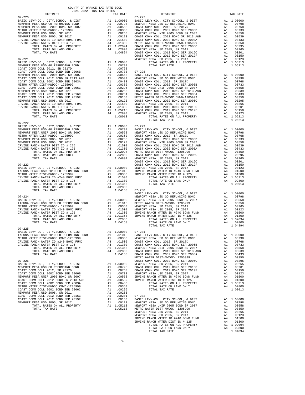| DISTRICT                                                             | 2021-2022 TRA TAX RATES<br>TAX RATE | $07 - 227$<br>DISTRICT | TAX RATE |
|----------------------------------------------------------------------|-------------------------------------|------------------------|----------|
| $07 - 220$                                                           |                                     |                        |          |
|                                                                      |                                     |                        |          |
|                                                                      |                                     |                        |          |
|                                                                      |                                     |                        |          |
|                                                                      |                                     |                        |          |
|                                                                      |                                     |                        |          |
|                                                                      |                                     |                        |          |
|                                                                      |                                     |                        |          |
|                                                                      |                                     |                        |          |
|                                                                      |                                     |                        |          |
|                                                                      |                                     |                        |          |
|                                                                      |                                     |                        |          |
|                                                                      |                                     |                        |          |
|                                                                      |                                     |                        |          |
|                                                                      |                                     |                        |          |
|                                                                      |                                     |                        |          |
|                                                                      |                                     |                        |          |
|                                                                      |                                     |                        |          |
|                                                                      |                                     |                        |          |
|                                                                      |                                     |                        |          |
|                                                                      |                                     |                        |          |
|                                                                      |                                     |                        |          |
|                                                                      |                                     |                        |          |
|                                                                      |                                     |                        |          |
|                                                                      |                                     |                        |          |
| $07 - 222$                                                           |                                     |                        |          |
|                                                                      |                                     |                        |          |
|                                                                      |                                     |                        |          |
|                                                                      |                                     |                        |          |
|                                                                      |                                     |                        |          |
|                                                                      |                                     |                        |          |
|                                                                      |                                     |                        |          |
|                                                                      |                                     |                        |          |
|                                                                      |                                     |                        |          |
|                                                                      |                                     |                        |          |
|                                                                      |                                     |                        |          |
|                                                                      |                                     |                        |          |
|                                                                      |                                     |                        |          |
|                                                                      |                                     |                        |          |
|                                                                      |                                     |                        |          |
|                                                                      |                                     |                        |          |
|                                                                      |                                     |                        |          |
|                                                                      |                                     |                        |          |
|                                                                      |                                     |                        |          |
|                                                                      |                                     |                        |          |
|                                                                      |                                     |                        |          |
|                                                                      |                                     |                        |          |
|                                                                      |                                     |                        |          |
|                                                                      |                                     |                        |          |
|                                                                      |                                     |                        |          |
| $07 - 225$<br>BASIC LEVY-CO., CITY, SCHOOL, & DIST A1 1.00000 07-231 |                                     |                        |          |
|                                                                      |                                     |                        |          |
|                                                                      |                                     |                        |          |
|                                                                      |                                     |                        |          |
|                                                                      |                                     |                        |          |
|                                                                      |                                     |                        |          |
|                                                                      |                                     |                        |          |
|                                                                      |                                     |                        |          |
|                                                                      |                                     |                        |          |
|                                                                      |                                     |                        |          |
|                                                                      |                                     |                        |          |
|                                                                      |                                     |                        |          |
|                                                                      |                                     |                        |          |
|                                                                      |                                     |                        |          |
|                                                                      |                                     |                        |          |
|                                                                      |                                     |                        |          |
|                                                                      |                                     |                        |          |
|                                                                      |                                     |                        |          |
|                                                                      |                                     |                        |          |
|                                                                      |                                     |                        |          |
|                                                                      |                                     |                        |          |
|                                                                      |                                     |                        |          |
|                                                                      |                                     |                        |          |
|                                                                      |                                     |                        |          |
|                                                                      |                                     |                        |          |
|                                                                      |                                     |                        |          |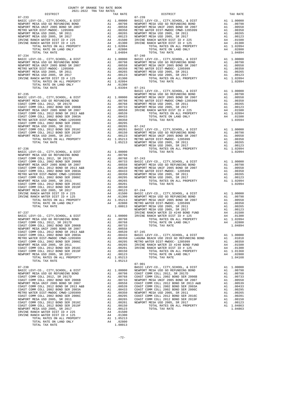|                                                                                                                                                                                                                                                                                                                                                                                                                                                | COUNTY OF ORANGE TAX RATE BOOK<br>2021-2022 TRA TAX RATES |    |                                                                                                                                                                                                                                                      |                                |
|------------------------------------------------------------------------------------------------------------------------------------------------------------------------------------------------------------------------------------------------------------------------------------------------------------------------------------------------------------------------------------------------------------------------------------------------|-----------------------------------------------------------|----|------------------------------------------------------------------------------------------------------------------------------------------------------------------------------------------------------------------------------------------------------|--------------------------------|
| DISTRICT                                                                                                                                                                                                                                                                                                                                                                                                                                       |                                                           |    | TAX RATE                                                                                                                                                                                                                                             |                                |
| $07 - 233$<br>BASIC LEVY-CO., CITY, SCHOOL, & DIST                                                                                                                                                                                                                                                                                                                                                                                             |                                                           |    |                                                                                                                                                                                                                                                      | $07 - 239$                     |
| NEWPORT MESA USD GO REFUNDING BOND                                                                                                                                                                                                                                                                                                                                                                                                             |                                                           |    |                                                                                                                                                                                                                                                      |                                |
|                                                                                                                                                                                                                                                                                                                                                                                                                                                |                                                           |    |                                                                                                                                                                                                                                                      |                                |
|                                                                                                                                                                                                                                                                                                                                                                                                                                                |                                                           |    |                                                                                                                                                                                                                                                      |                                |
|                                                                                                                                                                                                                                                                                                                                                                                                                                                |                                                           |    |                                                                                                                                                                                                                                                      |                                |
| NEWPORT MESA USD 2005, SR 2017<br>IRVINE RANCH WATER DIST ID # 225                                                                                                                                                                                                                                                                                                                                                                             |                                                           |    |                                                                                                                                                                                                                                                      |                                |
| IRVINE RANCH WATER DIST ID # 225                                                                                                                                                                                                                                                                                                                                                                                                               |                                                           |    |                                                                                                                                                                                                                                                      |                                |
|                                                                                                                                                                                                                                                                                                                                                                                                                                                |                                                           |    |                                                                                                                                                                                                                                                      |                                |
|                                                                                                                                                                                                                                                                                                                                                                                                                                                |                                                           |    |                                                                                                                                                                                                                                                      |                                |
| TOTAL TAX RATE<br>$07 - 234$                                                                                                                                                                                                                                                                                                                                                                                                                   |                                                           |    | 1.04894                                                                                                                                                                                                                                              | $07 - 240$                     |
| $\begin{tabular}{l c c c c} \multicolumn{1}{c}{\textbf{RASTC }} \multicolumn{1}{c}{\textbf{BASIC }} \multicolumn{1}{c}{\textbf{LEVY-C0.}} & $\mathcal{C}TTY$, $\mathcal{SC}40$ \\ \multicolumn{1}{c}{\textbf{NEWPORT}} & \textbf{MESY} & $\mathcal{C}0$ & $\mathcal{C}1$ & $\mathcal{C}1$ & $\mathcal{C}1$ & $\mathcal{C}1$ & $\mathcal{C}1$ \\ \multicolumn{1}{c}{\textbf{NEWPORT}} & \textbf{MESY} & $\mathcal{C}01$ & $\mathcal{C}10$ & $\$ |                                                           |    |                                                                                                                                                                                                                                                      |                                |
|                                                                                                                                                                                                                                                                                                                                                                                                                                                |                                                           |    |                                                                                                                                                                                                                                                      |                                |
|                                                                                                                                                                                                                                                                                                                                                                                                                                                |                                                           |    |                                                                                                                                                                                                                                                      |                                |
|                                                                                                                                                                                                                                                                                                                                                                                                                                                |                                                           |    |                                                                                                                                                                                                                                                      |                                |
|                                                                                                                                                                                                                                                                                                                                                                                                                                                |                                                           |    |                                                                                                                                                                                                                                                      |                                |
|                                                                                                                                                                                                                                                                                                                                                                                                                                                |                                                           |    |                                                                                                                                                                                                                                                      |                                |
|                                                                                                                                                                                                                                                                                                                                                                                                                                                |                                                           |    |                                                                                                                                                                                                                                                      |                                |
|                                                                                                                                                                                                                                                                                                                                                                                                                                                |                                                           |    |                                                                                                                                                                                                                                                      |                                |
| TOTAL TAX RATE                                                                                                                                                                                                                                                                                                                                                                                                                                 |                                                           |    | 1.03394 07-241                                                                                                                                                                                                                                       | BASIC L                        |
| $07 - 235$                                                                                                                                                                                                                                                                                                                                                                                                                                     |                                                           |    |                                                                                                                                                                                                                                                      | NEWPORT                        |
|                                                                                                                                                                                                                                                                                                                                                                                                                                                |                                                           |    |                                                                                                                                                                                                                                                      |                                |
|                                                                                                                                                                                                                                                                                                                                                                                                                                                |                                                           |    |                                                                                                                                                                                                                                                      |                                |
|                                                                                                                                                                                                                                                                                                                                                                                                                                                |                                                           |    |                                                                                                                                                                                                                                                      |                                |
|                                                                                                                                                                                                                                                                                                                                                                                                                                                |                                                           |    |                                                                                                                                                                                                                                                      |                                |
|                                                                                                                                                                                                                                                                                                                                                                                                                                                |                                                           |    |                                                                                                                                                                                                                                                      |                                |
|                                                                                                                                                                                                                                                                                                                                                                                                                                                |                                                           |    |                                                                                                                                                                                                                                                      |                                |
|                                                                                                                                                                                                                                                                                                                                                                                                                                                |                                                           |    |                                                                                                                                                                                                                                                      |                                |
|                                                                                                                                                                                                                                                                                                                                                                                                                                                |                                                           |    |                                                                                                                                                                                                                                                      |                                |
|                                                                                                                                                                                                                                                                                                                                                                                                                                                |                                                           |    |                                                                                                                                                                                                                                                      |                                |
|                                                                                                                                                                                                                                                                                                                                                                                                                                                |                                                           |    |                                                                                                                                                                                                                                                      |                                |
|                                                                                                                                                                                                                                                                                                                                                                                                                                                |                                                           |    |                                                                                                                                                                                                                                                      |                                |
|                                                                                                                                                                                                                                                                                                                                                                                                                                                |                                                           |    |                                                                                                                                                                                                                                                      |                                |
|                                                                                                                                                                                                                                                                                                                                                                                                                                                |                                                           |    |                                                                                                                                                                                                                                                      | NEWPORT                        |
| $07 - 236$                                                                                                                                                                                                                                                                                                                                                                                                                                     |                                                           |    |                                                                                                                                                                                                                                                      |                                |
| BASIC LEVY-CO., CITY, SCHOOL, & DIST<br>NEWPORT MESA USD GO REFUNDING BOND                                                                                                                                                                                                                                                                                                                                                                     |                                                           |    | A1 1.00000                                                                                                                                                                                                                                           |                                |
|                                                                                                                                                                                                                                                                                                                                                                                                                                                |                                                           |    |                                                                                                                                                                                                                                                      |                                |
|                                                                                                                                                                                                                                                                                                                                                                                                                                                |                                                           |    |                                                                                                                                                                                                                                                      |                                |
|                                                                                                                                                                                                                                                                                                                                                                                                                                                |                                                           |    |                                                                                                                                                                                                                                                      |                                |
|                                                                                                                                                                                                                                                                                                                                                                                                                                                |                                                           |    |                                                                                                                                                                                                                                                      |                                |
|                                                                                                                                                                                                                                                                                                                                                                                                                                                |                                                           |    |                                                                                                                                                                                                                                                      |                                |
|                                                                                                                                                                                                                                                                                                                                                                                                                                                |                                                           |    |                                                                                                                                                                                                                                                      |                                |
|                                                                                                                                                                                                                                                                                                                                                                                                                                                |                                                           |    |                                                                                                                                                                                                                                                      |                                |
|                                                                                                                                                                                                                                                                                                                                                                                                                                                |                                                           |    |                                                                                                                                                                                                                                                      |                                |
|                                                                                                                                                                                                                                                                                                                                                                                                                                                |                                                           |    |                                                                                                                                                                                                                                                      |                                |
|                                                                                                                                                                                                                                                                                                                                                                                                                                                |                                                           |    |                                                                                                                                                                                                                                                      |                                |
|                                                                                                                                                                                                                                                                                                                                                                                                                                                |                                                           |    |                                                                                                                                                                                                                                                      |                                |
|                                                                                                                                                                                                                                                                                                                                                                                                                                                |                                                           |    |                                                                                                                                                                                                                                                      |                                |
|                                                                                                                                                                                                                                                                                                                                                                                                                                                |                                                           |    |                                                                                                                                                                                                                                                      |                                |
|                                                                                                                                                                                                                                                                                                                                                                                                                                                |                                                           |    |                                                                                                                                                                                                                                                      | NEWPORT                        |
| $07 - 237$                                                                                                                                                                                                                                                                                                                                                                                                                                     |                                                           |    |                                                                                                                                                                                                                                                      | IRVINE                         |
|                                                                                                                                                                                                                                                                                                                                                                                                                                                |                                                           |    |                                                                                                                                                                                                                                                      |                                |
|                                                                                                                                                                                                                                                                                                                                                                                                                                                |                                                           |    |                                                                                                                                                                                                                                                      |                                |
|                                                                                                                                                                                                                                                                                                                                                                                                                                                |                                                           |    |                                                                                                                                                                                                                                                      |                                |
|                                                                                                                                                                                                                                                                                                                                                                                                                                                |                                                           |    |                                                                                                                                                                                                                                                      |                                |
| COAST COMM COLL 2012 BOND SR 2013 A&B                                                                                                                                                                                                                                                                                                                                                                                                          |                                                           | A1 | .00539                                                                                                                                                                                                                                               | $07 - 245$                     |
| COAST COMM COLL 2002 BOND SER 2003A                                                                                                                                                                                                                                                                                                                                                                                                            |                                                           | A1 | .00433                                                                                                                                                                                                                                               | BASIC L<br>LAGUNA              |
| METRO WATER DIST-MWDOC CMWD-1205999<br>COAST COMM COLL 2002 BOND SER 2006C                                                                                                                                                                                                                                                                                                                                                                     |                                                           | A1 | .00350                                                                                                                                                                                                                                               |                                |
| NEWPORT MESA USD 2005, SR 2011                                                                                                                                                                                                                                                                                                                                                                                                                 |                                                           |    | A1.00295<br>A1.00265                                                                                                                                                                                                                                 | METRO W<br>IRVINE <sup>"</sup> |
| COAST COMM COLL 2012 BOND SER 2016C                                                                                                                                                                                                                                                                                                                                                                                                            |                                                           |    | A1 .00201                                                                                                                                                                                                                                            | IRVINE                         |
| COAST COMM COLL 2012 BOND SER 2019F                                                                                                                                                                                                                                                                                                                                                                                                            |                                                           | A1 | .00150                                                                                                                                                                                                                                               |                                |
| NEWPORT MESA USD 2005, SR 2017                                                                                                                                                                                                                                                                                                                                                                                                                 |                                                           | A1 | .00123                                                                                                                                                                                                                                               |                                |
| TOTAL RATES ON ALL PROPERTY<br>TOTAL TAX RATE                                                                                                                                                                                                                                                                                                                                                                                                  |                                                           |    | A1 1.05213<br>1.05213                                                                                                                                                                                                                                |                                |
|                                                                                                                                                                                                                                                                                                                                                                                                                                                |                                                           |    |                                                                                                                                                                                                                                                      | $07 - 901$                     |
| $07 - 238$                                                                                                                                                                                                                                                                                                                                                                                                                                     |                                                           |    |                                                                                                                                                                                                                                                      | BASIC L                        |
| BASIC LEVY-CO., CITY, SCHOOL, & DIST                                                                                                                                                                                                                                                                                                                                                                                                           |                                                           | A1 | 1.00000                                                                                                                                                                                                                                              | NEWPORT                        |
| NEWPORT MESA USD GO REFUNDING BOND<br>COAST COMM COLL 2012, SR 2017D                                                                                                                                                                                                                                                                                                                                                                           |                                                           |    |                                                                                                                                                                                                                                                      |                                |
| COAST COMM COLL 2002 BOND SER 2006B                                                                                                                                                                                                                                                                                                                                                                                                            |                                                           |    |                                                                                                                                                                                                                                                      |                                |
| NEWPORT MESA UNIF 2005 BOND SR 2007                                                                                                                                                                                                                                                                                                                                                                                                            |                                                           |    | AL 1.00000 NEWFORT<br>Al 0.0798 COAST C<br>Al 0.0768 COAST C<br>Al 0.0763 NEWFORT<br>Al 0.0558 COAST C<br>Al 0.0559 COAST C<br>Al 0.0350 NEWFORT<br>Al 0.0295 COAST C<br>Al 0.0295 COAST C<br>Al 0.0295 COAST C<br>Al 0.0295 COAST C<br>Al 0.0295 CO |                                |
| COAST COMM COLL 2012 BOND SR 2013 A&B                                                                                                                                                                                                                                                                                                                                                                                                          |                                                           |    |                                                                                                                                                                                                                                                      |                                |
| COAST COMM COLL 2002 BOND SER 2003A                                                                                                                                                                                                                                                                                                                                                                                                            |                                                           |    |                                                                                                                                                                                                                                                      |                                |
| METRO WATER DIST-MWDOC CMWD-1205999<br>COAST COMM COLL 2002 BOND SER 2006C                                                                                                                                                                                                                                                                                                                                                                     |                                                           |    |                                                                                                                                                                                                                                                      |                                |
| NEWPORT MESA USD 2005, SR 2011                                                                                                                                                                                                                                                                                                                                                                                                                 |                                                           |    |                                                                                                                                                                                                                                                      |                                |
| COAST COMM COLL 2012 BOND SER 2016C                                                                                                                                                                                                                                                                                                                                                                                                            |                                                           | A1 | .00201                                                                                                                                                                                                                                               | NEWPORT                        |
| COAST COMM COLL 2012 BOND SER 2019F                                                                                                                                                                                                                                                                                                                                                                                                            |                                                           | A1 | .00150                                                                                                                                                                                                                                               |                                |
| NEWPORT MESA USD 2005, SR 2017                                                                                                                                                                                                                                                                                                                                                                                                                 |                                                           | A1 | .00123                                                                                                                                                                                                                                               |                                |
| IRVINE RANCH WATER DIST ID # 225<br>IRVINE RANCH WATER DIST ID # 125                                                                                                                                                                                                                                                                                                                                                                           |                                                           | A4 | A4 .01500<br>.01300                                                                                                                                                                                                                                  |                                |
| TOTAL RATES ON ALL PROPERTY                                                                                                                                                                                                                                                                                                                                                                                                                    |                                                           |    | A1 1.05213                                                                                                                                                                                                                                           |                                |
| TOTAL RATE ON LAND ONLY                                                                                                                                                                                                                                                                                                                                                                                                                        |                                                           | A4 | .02800                                                                                                                                                                                                                                               |                                |
| TOTAL TAX RATE                                                                                                                                                                                                                                                                                                                                                                                                                                 |                                                           |    | 1.08013                                                                                                                                                                                                                                              |                                |

| DISTRICT   | ZUZI-ZUZZ IRA IAA RAILD | TAX RATE | DISTRICT                                                                                                                                                                                                                                                                       | TAX RATE |
|------------|-------------------------|----------|--------------------------------------------------------------------------------------------------------------------------------------------------------------------------------------------------------------------------------------------------------------------------------|----------|
| $07 - 233$ |                         |          | $07 - 239$<br>$\begin{array}{ccccccccc} 0.7-234 & 0.14-0.14 & 0.14-0.14 & 0.14-0.14 & 0.14-0.14 & 0.14-0.14 & 0.14-0.14 & 0.14-0.14 & 0.14-0.14 & 0.14-0.14 & 0.14-0.14 & 0.14-0.14 & 0.14-0.14 & 0.14-0.14 & 0.14-0.14 & 0.14-0.14 & 0.14-0.14 & 0.14-0.14 & 0.14-0.14 & 0.1$ |          |
|            |                         |          |                                                                                                                                                                                                                                                                                |          |
|            |                         |          |                                                                                                                                                                                                                                                                                |          |
|            |                         |          |                                                                                                                                                                                                                                                                                |          |
|            |                         |          |                                                                                                                                                                                                                                                                                |          |
|            |                         |          |                                                                                                                                                                                                                                                                                |          |
|            |                         |          |                                                                                                                                                                                                                                                                                |          |
|            |                         |          |                                                                                                                                                                                                                                                                                |          |
|            |                         |          |                                                                                                                                                                                                                                                                                |          |
|            |                         |          |                                                                                                                                                                                                                                                                                |          |
|            |                         |          |                                                                                                                                                                                                                                                                                |          |
|            |                         |          |                                                                                                                                                                                                                                                                                |          |
|            |                         |          |                                                                                                                                                                                                                                                                                |          |
|            |                         |          |                                                                                                                                                                                                                                                                                |          |
|            |                         |          |                                                                                                                                                                                                                                                                                |          |
|            |                         |          |                                                                                                                                                                                                                                                                                |          |
|            |                         |          |                                                                                                                                                                                                                                                                                |          |
|            |                         |          |                                                                                                                                                                                                                                                                                |          |
|            |                         |          |                                                                                                                                                                                                                                                                                |          |
|            |                         |          |                                                                                                                                                                                                                                                                                |          |
|            |                         |          |                                                                                                                                                                                                                                                                                |          |
|            |                         |          |                                                                                                                                                                                                                                                                                |          |
|            |                         |          |                                                                                                                                                                                                                                                                                |          |
|            |                         |          |                                                                                                                                                                                                                                                                                |          |
|            |                         |          |                                                                                                                                                                                                                                                                                |          |
|            |                         |          |                                                                                                                                                                                                                                                                                |          |
|            |                         |          |                                                                                                                                                                                                                                                                                |          |
|            |                         |          |                                                                                                                                                                                                                                                                                |          |
|            |                         |          |                                                                                                                                                                                                                                                                                |          |
|            |                         |          |                                                                                                                                                                                                                                                                                |          |
|            |                         |          |                                                                                                                                                                                                                                                                                |          |
|            |                         |          |                                                                                                                                                                                                                                                                                |          |
|            |                         |          |                                                                                                                                                                                                                                                                                |          |
|            |                         |          |                                                                                                                                                                                                                                                                                |          |
|            |                         |          |                                                                                                                                                                                                                                                                                |          |
|            |                         |          |                                                                                                                                                                                                                                                                                |          |
|            |                         |          |                                                                                                                                                                                                                                                                                |          |
|            |                         |          |                                                                                                                                                                                                                                                                                |          |
|            |                         |          |                                                                                                                                                                                                                                                                                |          |
|            |                         |          |                                                                                                                                                                                                                                                                                |          |
|            |                         |          |                                                                                                                                                                                                                                                                                |          |
|            |                         |          |                                                                                                                                                                                                                                                                                |          |
|            |                         |          |                                                                                                                                                                                                                                                                                |          |
|            |                         |          |                                                                                                                                                                                                                                                                                |          |
|            |                         |          |                                                                                                                                                                                                                                                                                |          |
|            |                         |          |                                                                                                                                                                                                                                                                                |          |
|            |                         |          |                                                                                                                                                                                                                                                                                |          |
|            |                         |          | The state of Mathematics and Atlantach Conserver and the state of the state of the state of the state of the state of the state of the state of the state of the state of the state of the state of the state of the state of                                                  |          |
|            |                         |          |                                                                                                                                                                                                                                                                                |          |
|            |                         |          |                                                                                                                                                                                                                                                                                |          |
|            |                         |          |                                                                                                                                                                                                                                                                                |          |
|            |                         |          |                                                                                                                                                                                                                                                                                |          |
|            |                         |          |                                                                                                                                                                                                                                                                                |          |
|            |                         |          |                                                                                                                                                                                                                                                                                |          |
|            |                         |          |                                                                                                                                                                                                                                                                                |          |
|            |                         |          |                                                                                                                                                                                                                                                                                |          |
|            |                         |          |                                                                                                                                                                                                                                                                                |          |
|            |                         |          |                                                                                                                                                                                                                                                                                |          |
|            |                         |          |                                                                                                                                                                                                                                                                                |          |
|            |                         |          |                                                                                                                                                                                                                                                                                |          |
|            |                         |          |                                                                                                                                                                                                                                                                                |          |
|            |                         |          |                                                                                                                                                                                                                                                                                |          |
|            |                         |          |                                                                                                                                                                                                                                                                                |          |
|            |                         |          |                                                                                                                                                                                                                                                                                |          |
|            |                         |          |                                                                                                                                                                                                                                                                                |          |
|            |                         |          |                                                                                                                                                                                                                                                                                |          |
|            |                         |          |                                                                                                                                                                                                                                                                                |          |
|            |                         |          |                                                                                                                                                                                                                                                                                |          |
|            |                         |          |                                                                                                                                                                                                                                                                                |          |
|            |                         |          |                                                                                                                                                                                                                                                                                |          |
|            |                         |          |                                                                                                                                                                                                                                                                                |          |
|            |                         |          |                                                                                                                                                                                                                                                                                |          |
|            |                         |          |                                                                                                                                                                                                                                                                                |          |
|            |                         |          |                                                                                                                                                                                                                                                                                |          |
|            |                         |          |                                                                                                                                                                                                                                                                                |          |
|            |                         |          |                                                                                                                                                                                                                                                                                |          |
|            |                         |          |                                                                                                                                                                                                                                                                                |          |
|            |                         |          |                                                                                                                                                                                                                                                                                |          |
|            |                         |          |                                                                                                                                                                                                                                                                                |          |
|            |                         |          |                                                                                                                                                                                                                                                                                |          |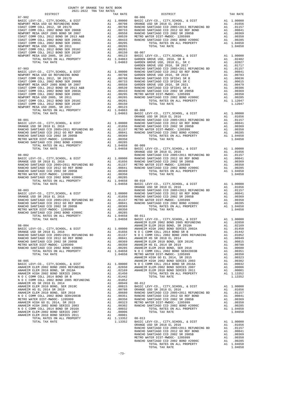| 2021-2022 TRA TAX RATES<br>DISTRICT | TAX RATE | DISTRICT | TAX RATE |
|-------------------------------------|----------|----------|----------|
|                                     |          |          |          |
|                                     |          |          |          |
|                                     |          |          |          |
|                                     |          |          |          |
|                                     |          |          |          |
|                                     |          |          |          |
|                                     |          |          |          |
|                                     |          |          |          |
|                                     |          |          |          |
|                                     |          |          |          |
|                                     |          |          |          |
|                                     |          |          |          |
|                                     |          |          |          |
|                                     |          |          |          |
|                                     |          |          |          |
|                                     |          |          |          |
|                                     |          |          |          |
|                                     |          |          |          |
|                                     |          |          |          |
|                                     |          |          |          |
|                                     |          |          |          |
|                                     |          |          |          |
|                                     |          |          |          |
|                                     |          |          |          |
|                                     |          |          |          |
|                                     |          |          |          |
|                                     |          |          |          |
|                                     |          |          |          |
|                                     |          |          |          |
|                                     |          |          |          |
|                                     |          |          |          |
|                                     |          |          |          |
|                                     |          |          |          |
|                                     |          |          |          |
|                                     |          |          |          |
|                                     |          |          |          |
|                                     |          |          |          |
|                                     |          |          |          |
|                                     |          |          |          |
|                                     |          |          |          |
|                                     |          |          |          |
|                                     |          |          |          |
|                                     |          |          |          |
|                                     |          |          |          |
|                                     |          |          |          |
|                                     |          |          |          |
|                                     |          |          |          |
|                                     |          |          |          |
|                                     |          |          |          |
|                                     |          |          |          |
|                                     |          |          |          |
|                                     |          |          |          |
|                                     |          |          |          |
|                                     |          |          |          |
|                                     |          |          |          |
|                                     |          |          |          |
|                                     |          |          |          |
|                                     |          |          |          |
|                                     |          |          |          |
|                                     |          |          |          |
|                                     |          |          |          |
|                                     |          |          |          |
|                                     |          |          |          |
|                                     |          |          |          |
|                                     |          |          |          |
|                                     |          |          |          |
|                                     |          |          |          |
|                                     |          |          |          |
|                                     |          |          |          |
|                                     |          |          |          |
|                                     |          |          |          |
|                                     |          |          |          |
|                                     |          |          |          |
|                                     |          |          |          |
|                                     |          |          |          |
|                                     |          |          |          |

-73-

TOTAL TAX RATE 1.04658

COUNTY OF ORANGE TAX RATE BOOK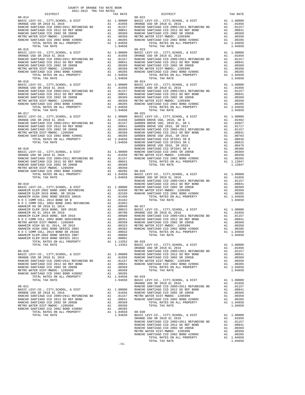| COUNTY OF ORANGE TAX RATE BOOK<br>$2021-2022 \quad \text{TRA TAX RATES}$ DISTRICT $2021-2022 \quad \text{TRA TAX RATES}$                                                                                                                                                                                                                                                           |          |                        |          |
|------------------------------------------------------------------------------------------------------------------------------------------------------------------------------------------------------------------------------------------------------------------------------------------------------------------------------------------------------------------------------------|----------|------------------------|----------|
| $08 - 014$                                                                                                                                                                                                                                                                                                                                                                         | TAX RATE | DISTRICT<br>$08 - 022$ | TAX RATE |
|                                                                                                                                                                                                                                                                                                                                                                                    |          |                        |          |
|                                                                                                                                                                                                                                                                                                                                                                                    |          |                        |          |
| $08 - 017$                                                                                                                                                                                                                                                                                                                                                                         |          | $08 - 025$             |          |
|                                                                                                                                                                                                                                                                                                                                                                                    |          |                        |          |
|                                                                                                                                                                                                                                                                                                                                                                                    |          |                        |          |
|                                                                                                                                                                                                                                                                                                                                                                                    |          |                        |          |
| $\begin{tabular}{l c c c c c} \multicolumn{4}{c}{AMAEEM} & HIGH 60 EL & 2014 \; , SR & 2015 \\ \multicolumn{4}{c}{AMAEEM} & HIGH & 2002 BOND SERIES & 2003 & \multicolumn{4}{c}{A1} & .00302 & \multicolumn{4}{c}{\no1014} & 00001 & \multicolumn{4}{c}{\no1014} & 00000 & \multicolumn{4}{c}{\no1014} & 00000 & \multicolumn{4}{c}{\no1014} & 00000 & \multicolumn{4}{c}{\no1014$ |          |                        |          |
|                                                                                                                                                                                                                                                                                                                                                                                    |          |                        |          |
|                                                                                                                                                                                                                                                                                                                                                                                    |          |                        |          |
|                                                                                                                                                                                                                                                                                                                                                                                    | $-74-$   |                        |          |
|                                                                                                                                                                                                                                                                                                                                                                                    |          |                        |          |

-74-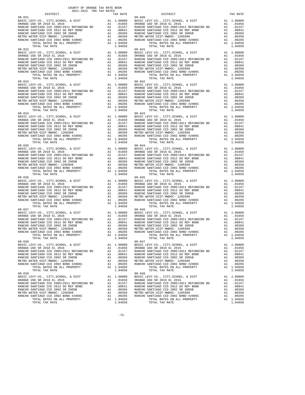| 2021-2022 TRA TAX RATES                                           |          |                                                                                                                                                                                                                                                                                                                     |          |
|-------------------------------------------------------------------|----------|---------------------------------------------------------------------------------------------------------------------------------------------------------------------------------------------------------------------------------------------------------------------------------------------------------------------|----------|
| DISTRICT<br>$08 - 031$                                            | TAX RATE | DISTRICT<br>$08 - 040$                                                                                                                                                                                                                                                                                              | TAX RATE |
|                                                                   |          |                                                                                                                                                                                                                                                                                                                     |          |
|                                                                   |          |                                                                                                                                                                                                                                                                                                                     |          |
|                                                                   |          |                                                                                                                                                                                                                                                                                                                     |          |
|                                                                   |          |                                                                                                                                                                                                                                                                                                                     |          |
|                                                                   |          |                                                                                                                                                                                                                                                                                                                     |          |
|                                                                   |          |                                                                                                                                                                                                                                                                                                                     |          |
|                                                                   |          |                                                                                                                                                                                                                                                                                                                     |          |
|                                                                   |          |                                                                                                                                                                                                                                                                                                                     |          |
| $08 - 032$                                                        |          | $08 - 041$                                                                                                                                                                                                                                                                                                          |          |
|                                                                   |          |                                                                                                                                                                                                                                                                                                                     |          |
|                                                                   |          |                                                                                                                                                                                                                                                                                                                     |          |
|                                                                   |          |                                                                                                                                                                                                                                                                                                                     |          |
|                                                                   |          |                                                                                                                                                                                                                                                                                                                     |          |
|                                                                   |          |                                                                                                                                                                                                                                                                                                                     |          |
|                                                                   |          |                                                                                                                                                                                                                                                                                                                     |          |
|                                                                   |          |                                                                                                                                                                                                                                                                                                                     |          |
|                                                                   |          |                                                                                                                                                                                                                                                                                                                     |          |
|                                                                   |          | $\begin{tabular}{0.933\textwidth} \hline 0.932\text{ $101$} $100000$ & 0.941\text{ $100000}$ & 0.941\text{ $100000}$ & 0.941\text{ $100000}$ & 0.941\text{ $100000}$ & 0.941\text{ $100000}$ & 0.941\text{ $100000}$ & 0.941\text{ $100000}$ & 0.941\text{ $100000}$ & 0.941\text{ $100000}$ & 0.941\text{ $100000$ |          |
|                                                                   |          |                                                                                                                                                                                                                                                                                                                     |          |
|                                                                   |          |                                                                                                                                                                                                                                                                                                                     |          |
|                                                                   |          |                                                                                                                                                                                                                                                                                                                     |          |
|                                                                   |          |                                                                                                                                                                                                                                                                                                                     |          |
|                                                                   |          |                                                                                                                                                                                                                                                                                                                     |          |
|                                                                   |          |                                                                                                                                                                                                                                                                                                                     |          |
|                                                                   |          |                                                                                                                                                                                                                                                                                                                     |          |
|                                                                   |          |                                                                                                                                                                                                                                                                                                                     |          |
| $08 - 034$                                                        |          | $08 - 043$                                                                                                                                                                                                                                                                                                          |          |
|                                                                   |          |                                                                                                                                                                                                                                                                                                                     |          |
|                                                                   |          |                                                                                                                                                                                                                                                                                                                     |          |
|                                                                   |          |                                                                                                                                                                                                                                                                                                                     |          |
|                                                                   |          |                                                                                                                                                                                                                                                                                                                     |          |
|                                                                   |          |                                                                                                                                                                                                                                                                                                                     |          |
|                                                                   |          |                                                                                                                                                                                                                                                                                                                     |          |
|                                                                   |          |                                                                                                                                                                                                                                                                                                                     |          |
|                                                                   |          |                                                                                                                                                                                                                                                                                                                     |          |
| $08 - 035$                                                        |          | $08 - 044$                                                                                                                                                                                                                                                                                                          |          |
|                                                                   |          |                                                                                                                                                                                                                                                                                                                     |          |
|                                                                   |          |                                                                                                                                                                                                                                                                                                                     |          |
|                                                                   |          |                                                                                                                                                                                                                                                                                                                     |          |
|                                                                   |          |                                                                                                                                                                                                                                                                                                                     |          |
|                                                                   |          |                                                                                                                                                                                                                                                                                                                     |          |
|                                                                   |          |                                                                                                                                                                                                                                                                                                                     |          |
|                                                                   |          |                                                                                                                                                                                                                                                                                                                     |          |
|                                                                   |          |                                                                                                                                                                                                                                                                                                                     |          |
|                                                                   |          |                                                                                                                                                                                                                                                                                                                     |          |
|                                                                   |          |                                                                                                                                                                                                                                                                                                                     |          |
|                                                                   |          |                                                                                                                                                                                                                                                                                                                     |          |
|                                                                   |          |                                                                                                                                                                                                                                                                                                                     |          |
|                                                                   |          |                                                                                                                                                                                                                                                                                                                     |          |
|                                                                   |          |                                                                                                                                                                                                                                                                                                                     |          |
|                                                                   |          |                                                                                                                                                                                                                                                                                                                     |          |
|                                                                   |          |                                                                                                                                                                                                                                                                                                                     |          |
|                                                                   |          |                                                                                                                                                                                                                                                                                                                     |          |
| TOTAL TAX RATE                                                    | 1.04658  | TOTAL TAX RATE                                                                                                                                                                                                                                                                                                      | 1.04658  |
| $08 - 037$                                                        |          | $08 - 046$                                                                                                                                                                                                                                                                                                          |          |
|                                                                   |          |                                                                                                                                                                                                                                                                                                                     |          |
|                                                                   |          |                                                                                                                                                                                                                                                                                                                     |          |
|                                                                   |          |                                                                                                                                                                                                                                                                                                                     |          |
|                                                                   |          |                                                                                                                                                                                                                                                                                                                     |          |
|                                                                   |          |                                                                                                                                                                                                                                                                                                                     |          |
|                                                                   |          |                                                                                                                                                                                                                                                                                                                     |          |
| $\overline{A1}$ 1.04658<br>1.04658<br>TOTAL RATES ON ALL PROPERTY |          | A1 1.04658<br>1 04658<br>$$\tt TOTAL$ RATES ON $$\tt TOTAL$$ TAX RATE $08-047$<br>TOTAL RATES ON ALL PROPERTY                                                                                                                                                                                                       |          |
| TOTAL TAX RATE<br>$08 - 038$                                      | 1.04658  |                                                                                                                                                                                                                                                                                                                     | 1.04658  |
|                                                                   |          |                                                                                                                                                                                                                                                                                                                     |          |
|                                                                   |          |                                                                                                                                                                                                                                                                                                                     |          |
|                                                                   |          |                                                                                                                                                                                                                                                                                                                     |          |
|                                                                   |          |                                                                                                                                                                                                                                                                                                                     |          |
|                                                                   |          |                                                                                                                                                                                                                                                                                                                     |          |
|                                                                   |          |                                                                                                                                                                                                                                                                                                                     |          |
|                                                                   |          |                                                                                                                                                                                                                                                                                                                     |          |
|                                                                   |          |                                                                                                                                                                                                                                                                                                                     |          |
| $08 - 039$                                                        |          | $08 - 048$                                                                                                                                                                                                                                                                                                          |          |
|                                                                   |          |                                                                                                                                                                                                                                                                                                                     |          |
|                                                                   |          |                                                                                                                                                                                                                                                                                                                     |          |
|                                                                   |          |                                                                                                                                                                                                                                                                                                                     |          |
|                                                                   |          |                                                                                                                                                                                                                                                                                                                     |          |
|                                                                   |          |                                                                                                                                                                                                                                                                                                                     |          |
|                                                                   |          |                                                                                                                                                                                                                                                                                                                     |          |
|                                                                   |          |                                                                                                                                                                                                                                                                                                                     |          |
|                                                                   |          |                                                                                                                                                                                                                                                                                                                     |          |
|                                                                   |          |                                                                                                                                                                                                                                                                                                                     |          |

-75-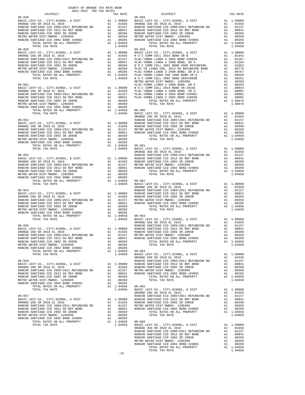| COUNTY OF ORANGE TAX RATE BOOK<br>2021-2022 TRA TAX RATES<br>$2021-2022 \quad \text{TRA TAX RATES}$ DISTRICT |          |                                                                                                                                                                                                                                                                                                                                                                                                                                                                                                                        |          |
|--------------------------------------------------------------------------------------------------------------|----------|------------------------------------------------------------------------------------------------------------------------------------------------------------------------------------------------------------------------------------------------------------------------------------------------------------------------------------------------------------------------------------------------------------------------------------------------------------------------------------------------------------------------|----------|
|                                                                                                              | TAX RATE | DISTRICT                                                                                                                                                                                                                                                                                                                                                                                                                                                                                                               | TAX RATE |
| $08 - 049$                                                                                                   |          | $08 - 058$                                                                                                                                                                                                                                                                                                                                                                                                                                                                                                             |          |
|                                                                                                              |          |                                                                                                                                                                                                                                                                                                                                                                                                                                                                                                                        |          |
|                                                                                                              |          |                                                                                                                                                                                                                                                                                                                                                                                                                                                                                                                        |          |
|                                                                                                              |          |                                                                                                                                                                                                                                                                                                                                                                                                                                                                                                                        |          |
|                                                                                                              |          |                                                                                                                                                                                                                                                                                                                                                                                                                                                                                                                        |          |
|                                                                                                              |          |                                                                                                                                                                                                                                                                                                                                                                                                                                                                                                                        |          |
|                                                                                                              |          |                                                                                                                                                                                                                                                                                                                                                                                                                                                                                                                        |          |
|                                                                                                              |          | $\begin{tabular}{0.85\textwidth} \begin{tabular}{0.85\textwidth} \begin{tabular}{0.85\textwidth} \begin{tabular}{0.85\textwidth} \begin{tabular}{0.85\textwidth} \begin{tabular}{0.85\textwidth} \begin{tabular}{0.85\textwidth} \begin{tabular}{0.85\textwidth} \begin{tabular}{0.85\textwidth} \begin{tabular}{0.85\textwidth} \begin{tabular}{0.85\textwidth} \begin{tabular}{0.85\textwidth} \begin{tabular}{0.85\textwidth} \begin{tabular}{0.85\textwidth} \begin{tabular}{0.85\textwidth} \begin{tabular}{0.85$ |          |
|                                                                                                              |          |                                                                                                                                                                                                                                                                                                                                                                                                                                                                                                                        |          |
|                                                                                                              |          |                                                                                                                                                                                                                                                                                                                                                                                                                                                                                                                        |          |
|                                                                                                              |          |                                                                                                                                                                                                                                                                                                                                                                                                                                                                                                                        |          |
|                                                                                                              |          |                                                                                                                                                                                                                                                                                                                                                                                                                                                                                                                        |          |
|                                                                                                              |          |                                                                                                                                                                                                                                                                                                                                                                                                                                                                                                                        |          |
|                                                                                                              |          |                                                                                                                                                                                                                                                                                                                                                                                                                                                                                                                        |          |
|                                                                                                              |          |                                                                                                                                                                                                                                                                                                                                                                                                                                                                                                                        |          |
|                                                                                                              |          |                                                                                                                                                                                                                                                                                                                                                                                                                                                                                                                        |          |
|                                                                                                              |          |                                                                                                                                                                                                                                                                                                                                                                                                                                                                                                                        |          |
|                                                                                                              |          |                                                                                                                                                                                                                                                                                                                                                                                                                                                                                                                        |          |
|                                                                                                              |          |                                                                                                                                                                                                                                                                                                                                                                                                                                                                                                                        |          |
|                                                                                                              |          |                                                                                                                                                                                                                                                                                                                                                                                                                                                                                                                        |          |
|                                                                                                              |          |                                                                                                                                                                                                                                                                                                                                                                                                                                                                                                                        |          |
|                                                                                                              |          |                                                                                                                                                                                                                                                                                                                                                                                                                                                                                                                        |          |
|                                                                                                              |          |                                                                                                                                                                                                                                                                                                                                                                                                                                                                                                                        |          |
|                                                                                                              |          |                                                                                                                                                                                                                                                                                                                                                                                                                                                                                                                        |          |
|                                                                                                              |          | $\begin{tabular}{cccccccc} \textbf{R1} & 0.0444480 \quad \textbf{C1} & 0.04689 & 0.0444480 \quad \textbf{1.00000} & 0.046930 \quad \textbf{1.00000} & 0.046930 \quad \textbf{1.00000} & 0.046930 \quad \textbf{1.00000} & 0.046930 \quad \textbf{1.00000} & 0.046930 \quad \textbf{1.00000} & 0.046930 \quad \textbf{1.00000} & 0.04$                                                                                                                                                                                  |          |
|                                                                                                              |          |                                                                                                                                                                                                                                                                                                                                                                                                                                                                                                                        |          |
|                                                                                                              |          |                                                                                                                                                                                                                                                                                                                                                                                                                                                                                                                        |          |
|                                                                                                              |          |                                                                                                                                                                                                                                                                                                                                                                                                                                                                                                                        |          |
|                                                                                                              |          |                                                                                                                                                                                                                                                                                                                                                                                                                                                                                                                        |          |
|                                                                                                              |          |                                                                                                                                                                                                                                                                                                                                                                                                                                                                                                                        |          |
|                                                                                                              |          |                                                                                                                                                                                                                                                                                                                                                                                                                                                                                                                        |          |
|                                                                                                              |          |                                                                                                                                                                                                                                                                                                                                                                                                                                                                                                                        |          |
|                                                                                                              |          |                                                                                                                                                                                                                                                                                                                                                                                                                                                                                                                        |          |
|                                                                                                              |          |                                                                                                                                                                                                                                                                                                                                                                                                                                                                                                                        |          |
|                                                                                                              |          |                                                                                                                                                                                                                                                                                                                                                                                                                                                                                                                        |          |
|                                                                                                              |          |                                                                                                                                                                                                                                                                                                                                                                                                                                                                                                                        |          |
|                                                                                                              |          |                                                                                                                                                                                                                                                                                                                                                                                                                                                                                                                        |          |
|                                                                                                              |          |                                                                                                                                                                                                                                                                                                                                                                                                                                                                                                                        |          |
|                                                                                                              |          |                                                                                                                                                                                                                                                                                                                                                                                                                                                                                                                        |          |
|                                                                                                              |          |                                                                                                                                                                                                                                                                                                                                                                                                                                                                                                                        |          |
|                                                                                                              |          |                                                                                                                                                                                                                                                                                                                                                                                                                                                                                                                        |          |
|                                                                                                              |          |                                                                                                                                                                                                                                                                                                                                                                                                                                                                                                                        |          |
|                                                                                                              |          |                                                                                                                                                                                                                                                                                                                                                                                                                                                                                                                        |          |
|                                                                                                              |          |                                                                                                                                                                                                                                                                                                                                                                                                                                                                                                                        |          |
|                                                                                                              |          |                                                                                                                                                                                                                                                                                                                                                                                                                                                                                                                        |          |
|                                                                                                              |          |                                                                                                                                                                                                                                                                                                                                                                                                                                                                                                                        |          |
|                                                                                                              |          |                                                                                                                                                                                                                                                                                                                                                                                                                                                                                                                        |          |
|                                                                                                              |          |                                                                                                                                                                                                                                                                                                                                                                                                                                                                                                                        |          |
|                                                                                                              |          |                                                                                                                                                                                                                                                                                                                                                                                                                                                                                                                        |          |
|                                                                                                              |          |                                                                                                                                                                                                                                                                                                                                                                                                                                                                                                                        |          |
|                                                                                                              |          |                                                                                                                                                                                                                                                                                                                                                                                                                                                                                                                        |          |
|                                                                                                              |          |                                                                                                                                                                                                                                                                                                                                                                                                                                                                                                                        |          |
|                                                                                                              |          |                                                                                                                                                                                                                                                                                                                                                                                                                                                                                                                        |          |
|                                                                                                              |          |                                                                                                                                                                                                                                                                                                                                                                                                                                                                                                                        |          |
|                                                                                                              |          |                                                                                                                                                                                                                                                                                                                                                                                                                                                                                                                        |          |
|                                                                                                              |          |                                                                                                                                                                                                                                                                                                                                                                                                                                                                                                                        |          |
|                                                                                                              |          |                                                                                                                                                                                                                                                                                                                                                                                                                                                                                                                        |          |
|                                                                                                              |          |                                                                                                                                                                                                                                                                                                                                                                                                                                                                                                                        |          |
|                                                                                                              |          |                                                                                                                                                                                                                                                                                                                                                                                                                                                                                                                        |          |
|                                                                                                              |          |                                                                                                                                                                                                                                                                                                                                                                                                                                                                                                                        |          |
|                                                                                                              |          |                                                                                                                                                                                                                                                                                                                                                                                                                                                                                                                        |          |
|                                                                                                              |          |                                                                                                                                                                                                                                                                                                                                                                                                                                                                                                                        |          |
|                                                                                                              |          |                                                                                                                                                                                                                                                                                                                                                                                                                                                                                                                        |          |
|                                                                                                              |          |                                                                                                                                                                                                                                                                                                                                                                                                                                                                                                                        |          |
|                                                                                                              |          |                                                                                                                                                                                                                                                                                                                                                                                                                                                                                                                        |          |
|                                                                                                              |          |                                                                                                                                                                                                                                                                                                                                                                                                                                                                                                                        |          |
|                                                                                                              |          |                                                                                                                                                                                                                                                                                                                                                                                                                                                                                                                        |          |
|                                                                                                              |          |                                                                                                                                                                                                                                                                                                                                                                                                                                                                                                                        |          |
|                                                                                                              |          |                                                                                                                                                                                                                                                                                                                                                                                                                                                                                                                        |          |
|                                                                                                              |          |                                                                                                                                                                                                                                                                                                                                                                                                                                                                                                                        |          |
|                                                                                                              |          |                                                                                                                                                                                                                                                                                                                                                                                                                                                                                                                        |          |
|                                                                                                              | $-76-$   |                                                                                                                                                                                                                                                                                                                                                                                                                                                                                                                        |          |

-76-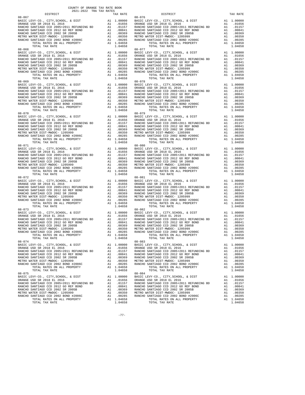| 2021-2022 TRA TAX RATES      |            |                                                                                                                                                                                                                                                                     |                       |          |
|------------------------------|------------|---------------------------------------------------------------------------------------------------------------------------------------------------------------------------------------------------------------------------------------------------------------------|-----------------------|----------|
| DISTRICT                     | TAX RATE   | DISTRICT                                                                                                                                                                                                                                                            |                       | TAX RATE |
| $08 - 067$                   |            | $08 - 076$                                                                                                                                                                                                                                                          |                       |          |
|                              |            |                                                                                                                                                                                                                                                                     |                       |          |
|                              |            |                                                                                                                                                                                                                                                                     |                       |          |
|                              |            |                                                                                                                                                                                                                                                                     |                       |          |
|                              |            |                                                                                                                                                                                                                                                                     |                       |          |
|                              |            |                                                                                                                                                                                                                                                                     |                       |          |
|                              |            |                                                                                                                                                                                                                                                                     |                       |          |
|                              |            |                                                                                                                                                                                                                                                                     |                       |          |
|                              |            |                                                                                                                                                                                                                                                                     |                       |          |
| $08 - 068$                   |            | $08 - 077$                                                                                                                                                                                                                                                          |                       |          |
|                              |            |                                                                                                                                                                                                                                                                     |                       |          |
|                              |            |                                                                                                                                                                                                                                                                     |                       |          |
|                              |            |                                                                                                                                                                                                                                                                     |                       |          |
|                              |            |                                                                                                                                                                                                                                                                     |                       |          |
|                              |            |                                                                                                                                                                                                                                                                     |                       |          |
|                              |            |                                                                                                                                                                                                                                                                     |                       |          |
|                              |            |                                                                                                                                                                                                                                                                     |                       |          |
|                              |            |                                                                                                                                                                                                                                                                     |                       |          |
|                              |            | $\begin{tabular}{0.85\textwidth} 0.9-0.6 & 0.9-0.77 & 0.9-0.77 & 0.9-0.77 & 0.9-0.77 & 0.9-0.77 & 0.9-0.77 & 0.9-0.77 & 0.9-0.77 & 0.9-0.77 & 0.9-0.77 & 0.9-0.77 & 0.9-0.97 & 0.9-0.97 & 0.9-0.97 & 0.9-0.97 & 0.9-0.97 & 0.9-0.97 & 0.9-0.97 & 0.9-0.97 & 0.9-0.$ |                       |          |
|                              |            |                                                                                                                                                                                                                                                                     |                       |          |
|                              |            |                                                                                                                                                                                                                                                                     |                       |          |
|                              |            |                                                                                                                                                                                                                                                                     |                       |          |
|                              |            |                                                                                                                                                                                                                                                                     |                       |          |
|                              |            |                                                                                                                                                                                                                                                                     |                       |          |
|                              |            |                                                                                                                                                                                                                                                                     |                       |          |
|                              |            |                                                                                                                                                                                                                                                                     |                       |          |
|                              |            |                                                                                                                                                                                                                                                                     |                       |          |
|                              |            |                                                                                                                                                                                                                                                                     |                       |          |
| $08 - 070$                   |            | $08 - 079$                                                                                                                                                                                                                                                          |                       |          |
|                              |            |                                                                                                                                                                                                                                                                     |                       |          |
|                              |            |                                                                                                                                                                                                                                                                     |                       |          |
|                              |            |                                                                                                                                                                                                                                                                     |                       |          |
|                              |            |                                                                                                                                                                                                                                                                     |                       |          |
|                              |            |                                                                                                                                                                                                                                                                     |                       |          |
|                              |            |                                                                                                                                                                                                                                                                     |                       |          |
|                              |            |                                                                                                                                                                                                                                                                     |                       |          |
|                              |            |                                                                                                                                                                                                                                                                     |                       |          |
|                              |            |                                                                                                                                                                                                                                                                     |                       |          |
| $08 - 071$                   |            | $08 - 080$                                                                                                                                                                                                                                                          |                       |          |
|                              |            |                                                                                                                                                                                                                                                                     |                       |          |
|                              |            |                                                                                                                                                                                                                                                                     |                       |          |
|                              |            |                                                                                                                                                                                                                                                                     |                       |          |
|                              |            |                                                                                                                                                                                                                                                                     |                       |          |
|                              |            |                                                                                                                                                                                                                                                                     |                       |          |
|                              |            |                                                                                                                                                                                                                                                                     |                       |          |
|                              |            |                                                                                                                                                                                                                                                                     |                       |          |
|                              |            |                                                                                                                                                                                                                                                                     |                       |          |
|                              |            |                                                                                                                                                                                                                                                                     |                       |          |
|                              |            |                                                                                                                                                                                                                                                                     |                       |          |
|                              |            |                                                                                                                                                                                                                                                                     |                       |          |
|                              |            |                                                                                                                                                                                                                                                                     |                       |          |
|                              |            |                                                                                                                                                                                                                                                                     |                       |          |
|                              |            |                                                                                                                                                                                                                                                                     |                       |          |
|                              |            |                                                                                                                                                                                                                                                                     |                       |          |
|                              |            |                                                                                                                                                                                                                                                                     |                       |          |
|                              |            |                                                                                                                                                                                                                                                                     |                       |          |
|                              |            | TOTAL TAX RATE                                                                                                                                                                                                                                                      |                       | 1.04658  |
| TOTAL TAX RATE<br>$08 - 073$ | 1.04658    | $08 - 082$                                                                                                                                                                                                                                                          |                       |          |
|                              |            |                                                                                                                                                                                                                                                                     |                       |          |
|                              |            |                                                                                                                                                                                                                                                                     |                       |          |
|                              |            |                                                                                                                                                                                                                                                                     |                       |          |
|                              |            |                                                                                                                                                                                                                                                                     |                       |          |
|                              |            |                                                                                                                                                                                                                                                                     |                       |          |
|                              |            |                                                                                                                                                                                                                                                                     |                       |          |
|                              |            |                                                                                                                                                                                                                                                                     |                       |          |
| TOTAL RATES ON ALL PROPERTY  | A1 1.04658 | TOTAL RATES ON ALL PROPERTY                                                                                                                                                                                                                                         | A1 1.04658<br>1 04658 |          |
| TOTAL TAX RATE               | 1.04658    | TOTAL RATES ON TOTAL TAX RATE 08-083                                                                                                                                                                                                                                |                       | 1.04658  |
| $08 - 074$                   |            |                                                                                                                                                                                                                                                                     |                       |          |
|                              |            |                                                                                                                                                                                                                                                                     |                       |          |
|                              |            |                                                                                                                                                                                                                                                                     |                       |          |
|                              |            |                                                                                                                                                                                                                                                                     |                       |          |
|                              |            |                                                                                                                                                                                                                                                                     |                       |          |
|                              |            |                                                                                                                                                                                                                                                                     |                       |          |
|                              |            |                                                                                                                                                                                                                                                                     |                       |          |
|                              |            |                                                                                                                                                                                                                                                                     |                       |          |
|                              |            |                                                                                                                                                                                                                                                                     |                       |          |
| $08 - 075$                   |            | $08 - 084$                                                                                                                                                                                                                                                          |                       |          |
|                              |            |                                                                                                                                                                                                                                                                     |                       |          |
|                              |            |                                                                                                                                                                                                                                                                     |                       |          |
|                              |            |                                                                                                                                                                                                                                                                     |                       |          |
|                              |            |                                                                                                                                                                                                                                                                     |                       |          |
|                              |            |                                                                                                                                                                                                                                                                     |                       |          |
|                              |            |                                                                                                                                                                                                                                                                     |                       |          |
|                              |            |                                                                                                                                                                                                                                                                     |                       |          |
|                              |            |                                                                                                                                                                                                                                                                     |                       |          |
|                              |            |                                                                                                                                                                                                                                                                     |                       |          |

-77-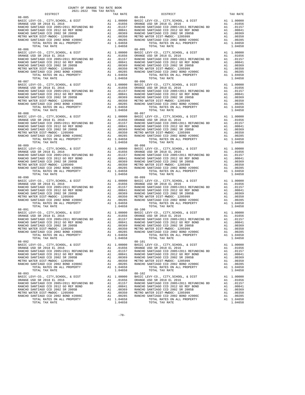| DISTRICT                                                                                                                   | 2021-2022 TRA TAX RATES | TAX RATE | DISTRICT                                                                                                                                                                                                                                                                                | TAX RATE |
|----------------------------------------------------------------------------------------------------------------------------|-------------------------|----------|-----------------------------------------------------------------------------------------------------------------------------------------------------------------------------------------------------------------------------------------------------------------------------------------|----------|
| $08 - 085$<br>$08 - 086$                                                                                                   |                         |          | $08 - 094$<br>$08 - 095$                                                                                                                                                                                                                                                                |          |
|                                                                                                                            |                         |          |                                                                                                                                                                                                                                                                                         |          |
| $08 - 088$                                                                                                                 |                         |          | $\begin{array}{cccccccc} 0.96 & 0.96 & 0.015 & 0.016 & 0.0000 & 0.017 & 0.0000 & 0.017 & 0.0000 & 0.017 & 0.0000 & 0.017 & 0.0000 & 0.017 & 0.0000 & 0.017 & 0.0000 & 0.017 & 0.0000 & 0.017 & 0.0000 & 0.017 & 0.0000 & 0.017 & 0.0000 & 0.017 & 0.0000 & 0.017 & 0.000$<br>$08 - 097$ |          |
|                                                                                                                            |                         |          |                                                                                                                                                                                                                                                                                         |          |
|                                                                                                                            |                         |          |                                                                                                                                                                                                                                                                                         |          |
|                                                                                                                            |                         |          |                                                                                                                                                                                                                                                                                         |          |
| $08 - 091$<br>TOTAL RATES ON ALL PROPERTY A1 1.04658<br>TOTAL RATES ON ALL PROPERTY A1 1.04658<br>TOTAL TAX RATE<br>08-092 |                         | 1.04658  | $08 - 100$<br>TOTAL RATES ON ALL PROPERTY A1 1.04658<br>TOTAL RATES ON ALL PROPERTY A1 1.04658<br>TOTAL TAX RATE<br>$08 - 101$                                                                                                                                                          | 1.04658  |
|                                                                                                                            |                         |          |                                                                                                                                                                                                                                                                                         |          |
|                                                                                                                            |                         |          |                                                                                                                                                                                                                                                                                         |          |

-78-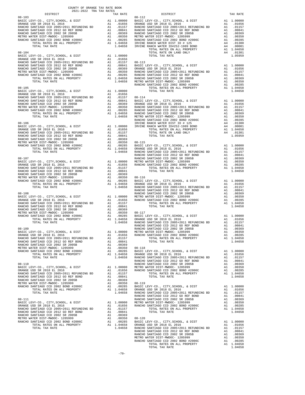| DISTRICT   | TAX RATE | DISTRICT   | TAX RATE |
|------------|----------|------------|----------|
| $08 - 103$ |          | $08 - 112$ |          |
|            |          |            |          |
|            |          |            |          |
|            |          |            |          |
|            |          |            |          |
|            |          |            |          |
|            |          |            |          |
|            |          |            |          |
|            |          |            |          |
|            |          |            |          |
|            |          |            |          |
|            |          |            |          |
|            |          |            |          |
|            |          |            |          |
|            |          |            |          |
|            |          |            |          |
|            |          |            |          |
|            |          |            |          |
|            |          |            |          |
|            |          |            |          |
|            |          |            |          |
|            |          |            |          |
|            |          |            |          |
|            |          |            |          |
|            |          |            |          |
|            |          |            |          |
|            |          |            |          |
|            |          |            |          |
|            |          |            |          |
|            |          |            |          |
|            |          |            |          |
|            |          |            |          |
|            |          |            |          |
|            |          |            |          |
|            |          |            |          |
|            |          |            |          |
|            |          |            |          |
|            |          |            |          |
|            |          |            |          |
|            |          |            |          |
|            |          |            |          |
|            |          |            |          |
|            |          |            |          |
|            |          |            |          |
|            |          |            |          |
|            |          |            |          |
|            |          |            |          |
|            |          |            |          |
|            |          |            |          |
|            |          |            |          |
|            |          |            |          |
|            |          |            |          |
|            |          |            |          |
|            |          |            |          |
|            |          |            |          |
|            |          |            |          |
|            |          |            |          |
|            |          |            |          |
|            |          |            |          |
|            |          |            |          |
|            |          |            |          |
|            |          |            |          |
|            |          |            |          |
|            |          |            |          |
|            |          |            |          |
|            |          |            |          |
|            |          |            |          |
|            |          |            |          |
|            |          |            |          |
|            |          |            |          |
|            |          |            |          |
|            |          |            |          |
|            |          |            |          |
|            |          |            |          |
|            |          |            |          |
|            |          |            |          |
|            |          |            |          |
|            |          |            |          |
|            |          |            |          |
|            |          |            |          |
|            |          |            |          |
|            |          |            |          |
|            |          |            |          |
|            |          |            |          |
|            |          |            |          |
|            |          |            |          |
|            |          |            |          |
|            |          |            |          |
|            |          |            |          |
|            |          |            |          |
|            |          |            |          |
|            |          |            |          |
|            |          |            |          |
|            |          |            |          |
|            |          |            |          |
|            |          |            |          |
|            |          |            |          |
|            |          |            |          |
|            |          |            |          |
|            |          |            |          |
|            |          |            |          |
|            |          |            |          |
|            |          |            |          |
|            |          |            |          |
|            |          |            |          |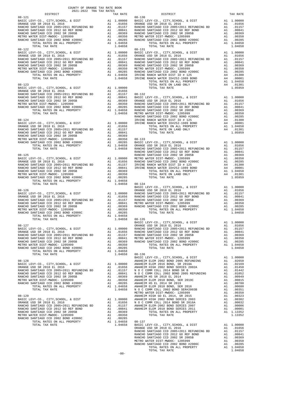| COUNTY OF ORANGE TAX RATE BOOK<br>2021-2022 TRA TAX RATES                                    |          |                                                                                                                                                                                    |          |
|----------------------------------------------------------------------------------------------|----------|------------------------------------------------------------------------------------------------------------------------------------------------------------------------------------|----------|
| $2021-2022 \quad \text{TRA} \quad \text{RATE B} \label{eq:2021-2022}$ DISTRICT<br>$08 - 121$ | TAX RATE | DISTRICT<br>$08 - 130$                                                                                                                                                             | TAX RATE |
|                                                                                              |          |                                                                                                                                                                                    |          |
|                                                                                              |          |                                                                                                                                                                                    |          |
|                                                                                              |          |                                                                                                                                                                                    |          |
|                                                                                              |          |                                                                                                                                                                                    |          |
|                                                                                              |          |                                                                                                                                                                                    |          |
|                                                                                              |          |                                                                                                                                                                                    |          |
|                                                                                              |          |                                                                                                                                                                                    |          |
|                                                                                              |          |                                                                                                                                                                                    |          |
|                                                                                              |          |                                                                                                                                                                                    |          |
|                                                                                              |          |                                                                                                                                                                                    |          |
|                                                                                              |          |                                                                                                                                                                                    |          |
|                                                                                              |          |                                                                                                                                                                                    |          |
|                                                                                              |          |                                                                                                                                                                                    |          |
|                                                                                              |          |                                                                                                                                                                                    |          |
|                                                                                              |          |                                                                                                                                                                                    |          |
|                                                                                              |          |                                                                                                                                                                                    |          |
|                                                                                              |          |                                                                                                                                                                                    |          |
|                                                                                              |          |                                                                                                                                                                                    |          |
|                                                                                              |          |                                                                                                                                                                                    |          |
|                                                                                              |          |                                                                                                                                                                                    |          |
|                                                                                              |          |                                                                                                                                                                                    |          |
|                                                                                              |          |                                                                                                                                                                                    |          |
|                                                                                              |          |                                                                                                                                                                                    |          |
|                                                                                              |          |                                                                                                                                                                                    |          |
|                                                                                              |          |                                                                                                                                                                                    |          |
|                                                                                              |          |                                                                                                                                                                                    |          |
|                                                                                              |          |                                                                                                                                                                                    |          |
|                                                                                              |          |                                                                                                                                                                                    |          |
|                                                                                              |          |                                                                                                                                                                                    |          |
|                                                                                              |          |                                                                                                                                                                                    |          |
|                                                                                              |          |                                                                                                                                                                                    |          |
|                                                                                              |          |                                                                                                                                                                                    |          |
|                                                                                              |          |                                                                                                                                                                                    |          |
|                                                                                              |          |                                                                                                                                                                                    |          |
|                                                                                              |          |                                                                                                                                                                                    |          |
|                                                                                              |          |                                                                                                                                                                                    |          |
|                                                                                              |          |                                                                                                                                                                                    |          |
|                                                                                              |          |                                                                                                                                                                                    |          |
|                                                                                              |          |                                                                                                                                                                                    |          |
|                                                                                              |          |                                                                                                                                                                                    |          |
|                                                                                              |          |                                                                                                                                                                                    |          |
|                                                                                              |          |                                                                                                                                                                                    |          |
|                                                                                              |          |                                                                                                                                                                                    |          |
|                                                                                              |          | 1.00000 BASIC LEVY-CO., CITY, SCHOOL, & DIST Al 1.00000<br>BASIC LEVY-CO., CITY, SCHOOL, & DIST DISSE<br>BASIC LEVY-CO., CITY, SCHOOL, & DIST Al 1.00000 RANGE USD SR 2018 EL 2016 |          |
|                                                                                              |          |                                                                                                                                                                                    |          |
|                                                                                              |          |                                                                                                                                                                                    |          |
|                                                                                              |          |                                                                                                                                                                                    |          |
|                                                                                              |          |                                                                                                                                                                                    |          |
|                                                                                              |          |                                                                                                                                                                                    |          |
|                                                                                              |          |                                                                                                                                                                                    |          |
|                                                                                              |          | 1.04658 08-136                                                                                                                                                                     |          |
|                                                                                              |          |                                                                                                                                                                                    |          |
|                                                                                              |          |                                                                                                                                                                                    |          |
|                                                                                              |          |                                                                                                                                                                                    |          |
|                                                                                              |          |                                                                                                                                                                                    |          |
|                                                                                              |          |                                                                                                                                                                                    |          |
|                                                                                              |          |                                                                                                                                                                                    |          |
|                                                                                              |          |                                                                                                                                                                                    |          |
|                                                                                              |          |                                                                                                                                                                                    |          |
|                                                                                              |          |                                                                                                                                                                                    |          |
|                                                                                              |          |                                                                                                                                                                                    |          |
|                                                                                              |          |                                                                                                                                                                                    |          |
|                                                                                              |          |                                                                                                                                                                                    |          |
|                                                                                              |          |                                                                                                                                                                                    |          |
|                                                                                              |          |                                                                                                                                                                                    |          |
|                                                                                              |          |                                                                                                                                                                                    |          |
|                                                                                              |          |                                                                                                                                                                                    |          |
|                                                                                              |          |                                                                                                                                                                                    |          |
|                                                                                              |          |                                                                                                                                                                                    |          |
|                                                                                              |          |                                                                                                                                                                                    |          |
|                                                                                              |          |                                                                                                                                                                                    |          |
|                                                                                              |          |                                                                                                                                                                                    |          |

-80-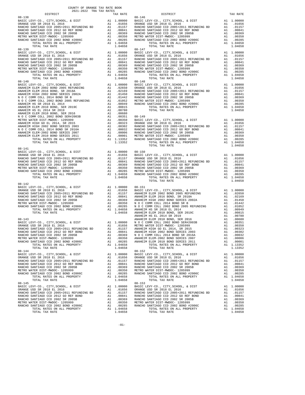| COUNTY OF ORANGE TAX RATE BOOK<br>2021-2022 TRA TAX RATES |          |            |          |
|-----------------------------------------------------------|----------|------------|----------|
| DISTRICT                                                  | TAX RATE | DISTRICT   | TAX RATE |
| $08 - 138$                                                |          | $08 - 146$ |          |
| $08 - 140$                                                |          | $08 - 148$ |          |
|                                                           |          |            |          |
|                                                           |          |            |          |
|                                                           |          |            |          |
| $08 - 142$                                                |          |            |          |
|                                                           |          |            |          |
|                                                           |          |            |          |
|                                                           |          |            |          |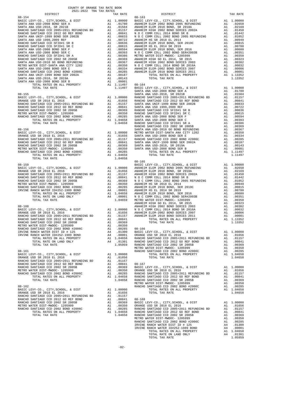| COUNTY OF ORANGE TAX RATE BOOK |          |            |          |
|--------------------------------|----------|------------|----------|
| $08 - 154$                     | TAX RATE | DISTRICT   | TAX RATE |
|                                |          |            |          |
|                                |          |            |          |
|                                |          |            |          |
|                                |          |            |          |
|                                |          |            |          |
|                                |          |            |          |
|                                |          |            |          |
|                                |          |            |          |
|                                |          |            |          |
|                                |          |            |          |
|                                |          |            |          |
|                                |          |            |          |
|                                |          |            |          |
|                                |          |            |          |
|                                |          |            |          |
|                                |          |            |          |
|                                |          |            |          |
|                                |          |            |          |
|                                |          |            |          |
|                                |          |            |          |
|                                |          |            |          |
|                                |          |            |          |
|                                |          |            |          |
|                                |          |            |          |
|                                |          |            |          |
|                                |          |            |          |
|                                |          |            |          |
|                                |          |            |          |
|                                |          |            |          |
|                                |          |            |          |
|                                |          | $08 - 165$ |          |
|                                |          |            |          |
|                                |          |            |          |
|                                |          |            |          |
|                                |          |            |          |
|                                |          |            |          |
|                                |          |            |          |
|                                |          |            |          |
|                                |          |            |          |
|                                |          |            |          |
|                                |          |            |          |
|                                |          |            |          |
|                                |          |            |          |
|                                |          |            |          |
|                                |          |            |          |
|                                |          |            |          |
|                                |          |            |          |
|                                |          |            |          |
|                                |          |            |          |
|                                |          |            |          |
|                                |          |            |          |
|                                |          |            |          |
|                                |          |            |          |
|                                |          |            |          |
|                                |          |            |          |
|                                |          |            |          |
|                                |          |            |          |
|                                |          |            |          |
|                                |          |            |          |
|                                |          |            |          |
|                                |          |            |          |
|                                |          |            |          |
|                                |          |            |          |
|                                |          |            |          |
|                                |          |            |          |
|                                |          |            |          |
|                                |          |            |          |
|                                |          |            |          |
|                                |          |            |          |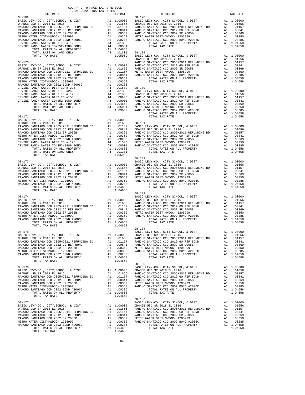|                |         | $08 - 182$ |  |
|----------------|---------|------------|--|
|                |         |            |  |
|                |         |            |  |
|                |         |            |  |
|                |         |            |  |
|                |         |            |  |
|                |         |            |  |
|                |         |            |  |
|                |         |            |  |
| TOTAL TAX RATE | 1.04658 |            |  |
|                |         | $08 - 183$ |  |
|                |         |            |  |
|                |         |            |  |
|                |         |            |  |
|                |         |            |  |
|                |         |            |  |
|                |         |            |  |
|                |         |            |  |
|                |         |            |  |
|                |         |            |  |
|                |         |            |  |
|                |         |            |  |
|                |         |            |  |
|                |         |            |  |
|                |         |            |  |
|                |         |            |  |
|                |         |            |  |
|                |         |            |  |
|                |         |            |  |
|                |         |            |  |
|                |         |            |  |
|                |         |            |  |
|                |         |            |  |
|                |         |            |  |
|                |         |            |  |
|                |         |            |  |
|                |         |            |  |
|                |         |            |  |
|                |         |            |  |
|                |         |            |  |
|                |         |            |  |
|                |         |            |  |
|                |         |            |  |
|                |         |            |  |
|                |         |            |  |
|                |         |            |  |
|                |         |            |  |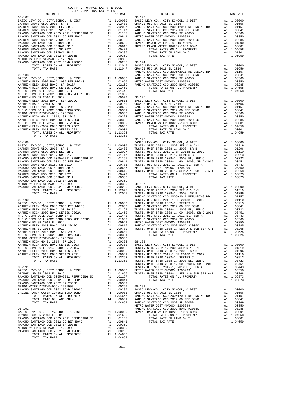| COUNTY OF ORANGE TAX RATE BOOK<br>2021-2022 TRA TAX RATES |          |                                                                                                                                                                                                                                                 |          |
|-----------------------------------------------------------|----------|-------------------------------------------------------------------------------------------------------------------------------------------------------------------------------------------------------------------------------------------------|----------|
| DISTRICT                                                  | TAX RATE | DISTRICT                                                                                                                                                                                                                                        | TAX RATE |
|                                                           |          | $08 - 193$                                                                                                                                                                                                                                      |          |
|                                                           |          |                                                                                                                                                                                                                                                 |          |
|                                                           |          |                                                                                                                                                                                                                                                 |          |
|                                                           |          |                                                                                                                                                                                                                                                 |          |
|                                                           |          |                                                                                                                                                                                                                                                 |          |
|                                                           |          |                                                                                                                                                                                                                                                 |          |
|                                                           |          |                                                                                                                                                                                                                                                 |          |
|                                                           |          |                                                                                                                                                                                                                                                 |          |
|                                                           |          |                                                                                                                                                                                                                                                 |          |
|                                                           |          |                                                                                                                                                                                                                                                 |          |
|                                                           |          |                                                                                                                                                                                                                                                 |          |
|                                                           |          |                                                                                                                                                                                                                                                 |          |
|                                                           |          |                                                                                                                                                                                                                                                 |          |
|                                                           |          |                                                                                                                                                                                                                                                 |          |
|                                                           |          |                                                                                                                                                                                                                                                 |          |
|                                                           |          |                                                                                                                                                                                                                                                 |          |
|                                                           |          |                                                                                                                                                                                                                                                 |          |
|                                                           |          |                                                                                                                                                                                                                                                 |          |
|                                                           |          |                                                                                                                                                                                                                                                 |          |
|                                                           |          |                                                                                                                                                                                                                                                 |          |
|                                                           |          |                                                                                                                                                                                                                                                 |          |
|                                                           |          |                                                                                                                                                                                                                                                 |          |
|                                                           |          |                                                                                                                                                                                                                                                 |          |
|                                                           |          |                                                                                                                                                                                                                                                 |          |
|                                                           |          |                                                                                                                                                                                                                                                 |          |
|                                                           |          |                                                                                                                                                                                                                                                 |          |
|                                                           |          |                                                                                                                                                                                                                                                 |          |
|                                                           |          |                                                                                                                                                                                                                                                 |          |
|                                                           |          |                                                                                                                                                                                                                                                 |          |
|                                                           |          | $08 - 196$                                                                                                                                                                                                                                      |          |
|                                                           |          |                                                                                                                                                                                                                                                 |          |
|                                                           |          |                                                                                                                                                                                                                                                 |          |
|                                                           |          |                                                                                                                                                                                                                                                 |          |
|                                                           |          |                                                                                                                                                                                                                                                 |          |
|                                                           |          |                                                                                                                                                                                                                                                 |          |
|                                                           |          |                                                                                                                                                                                                                                                 |          |
|                                                           |          |                                                                                                                                                                                                                                                 |          |
|                                                           |          |                                                                                                                                                                                                                                                 |          |
|                                                           |          |                                                                                                                                                                                                                                                 |          |
|                                                           |          |                                                                                                                                                                                                                                                 |          |
|                                                           |          |                                                                                                                                                                                                                                                 |          |
|                                                           |          |                                                                                                                                                                                                                                                 |          |
|                                                           |          |                                                                                                                                                                                                                                                 |          |
|                                                           |          |                                                                                                                                                                                                                                                 |          |
|                                                           |          |                                                                                                                                                                                                                                                 |          |
|                                                           |          |                                                                                                                                                                                                                                                 |          |
|                                                           |          |                                                                                                                                                                                                                                                 |          |
|                                                           |          |                                                                                                                                                                                                                                                 |          |
|                                                           |          |                                                                                                                                                                                                                                                 |          |
|                                                           |          |                                                                                                                                                                                                                                                 |          |
|                                                           |          |                                                                                                                                                                                                                                                 |          |
|                                                           |          |                                                                                                                                                                                                                                                 |          |
|                                                           |          |                                                                                                                                                                                                                                                 |          |
|                                                           |          |                                                                                                                                                                                                                                                 |          |
|                                                           |          |                                                                                                                                                                                                                                                 |          |
|                                                           |          |                                                                                                                                                                                                                                                 |          |
|                                                           |          |                                                                                                                                                                                                                                                 |          |
|                                                           |          |                                                                                                                                                                                                                                                 |          |
|                                                           |          |                                                                                                                                                                                                                                                 |          |
|                                                           |          |                                                                                                                                                                                                                                                 |          |
|                                                           |          |                                                                                                                                                                                                                                                 |          |
|                                                           |          |                                                                                                                                                                                                                                                 |          |
|                                                           |          |                                                                                                                                                                                                                                                 |          |
|                                                           |          |                                                                                                                                                                                                                                                 |          |
|                                                           |          |                                                                                                                                                                                                                                                 |          |
|                                                           |          |                                                                                                                                                                                                                                                 |          |
|                                                           |          |                                                                                                                                                                                                                                                 |          |
|                                                           |          |                                                                                                                                                                                                                                                 |          |
|                                                           |          |                                                                                                                                                                                                                                                 |          |
|                                                           |          |                                                                                                                                                                                                                                                 |          |
|                                                           |          |                                                                                                                                                                                                                                                 |          |
|                                                           |          |                                                                                                                                                                                                                                                 |          |
|                                                           |          |                                                                                                                                                                                                                                                 |          |
|                                                           |          |                                                                                                                                                                                                                                                 |          |
|                                                           |          |                                                                                                                                                                                                                                                 |          |
|                                                           |          |                                                                                                                                                                                                                                                 |          |
|                                                           |          | ANAMEEM RELEAS 2010 END 1388 2012<br>ANAMEEM RELEAS 2012<br>ANAMEEM RELEAS 2012<br>ANAMEEM RELEAS 2012<br>ANAMEEM RELEAS 2012<br>ANAMEEM RELEAS 2012<br>ANAMEEM RELEAS 2012<br>ANAMEEM RELEAS 2012<br>ANAMEEM RELEAS 2012<br>ANAMEEM RELEAS 201 |          |
|                                                           |          |                                                                                                                                                                                                                                                 |          |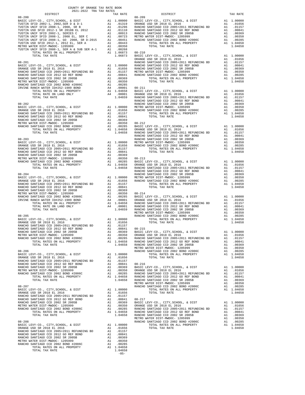-85-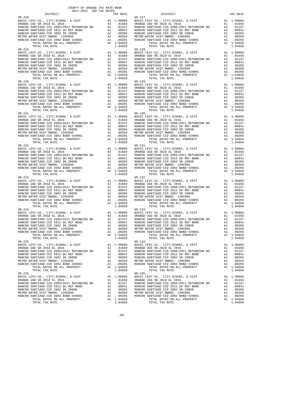| 2021-2022 TRA TAX RATES<br>DISTRICT                                                                                            | TAX RATE | DISTRICT                                                                                                                       | TAX RATE |
|--------------------------------------------------------------------------------------------------------------------------------|----------|--------------------------------------------------------------------------------------------------------------------------------|----------|
| $08 - 218$<br>$08 - 219$                                                                                                       |          | $08 - 227$<br>$08 - 228$                                                                                                       |          |
|                                                                                                                                |          |                                                                                                                                |          |
| $08 - 221$                                                                                                                     |          | $08 - 230$                                                                                                                     |          |
| $08 - 222$                                                                                                                     |          | $08 - 231$                                                                                                                     |          |
|                                                                                                                                |          |                                                                                                                                |          |
|                                                                                                                                |          |                                                                                                                                |          |
| $08 - 224$<br>TOTAL RATES ON ALL PROPERTY A1 1.04658<br>TOTAL RATES ON ALL PROPERTY A1 1.04658<br>TOTAL TAX RATE<br>$08 - 225$ | 1.04658  | $08 - 233$<br>TOTAL RATES ON ALL PROPERTY A1 1.04658<br>TOTAL RATES ON ALL PROPERTY A1 1.04658<br>TOTAL TAX RATE<br>$08 - 234$ | 1.04658  |
|                                                                                                                                |          |                                                                                                                                |          |
|                                                                                                                                |          |                                                                                                                                |          |

-86-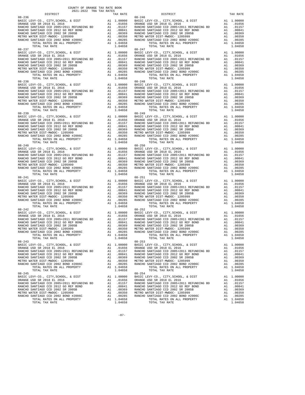| 2021-2022 TRA TAX RATES<br>DISTRICT                                                                                        | TAX RATE | DISTRICT                                                                                                                       | TAX RATE |
|----------------------------------------------------------------------------------------------------------------------------|----------|--------------------------------------------------------------------------------------------------------------------------------|----------|
| $08 - 236$<br>$08 - 237$                                                                                                   |          | $08 - 246$<br>$08 - 247$                                                                                                       |          |
|                                                                                                                            |          |                                                                                                                                |          |
| $08 - 239$                                                                                                                 |          | $08 - 249$                                                                                                                     |          |
|                                                                                                                            |          |                                                                                                                                |          |
|                                                                                                                            |          |                                                                                                                                |          |
|                                                                                                                            |          |                                                                                                                                |          |
| $08 - 242$<br>TOTAL RATES ON ALL PROPERTY A1 1.04658<br>TOTAL TAX RATE PROPERTY A1 1.04658<br>TOTAL TAX RATE<br>$08 - 243$ | 1.04658  | $08 - 252$<br>TOTAL RATES ON ALL PROPERTY A1 1.04658<br>TOTAL RATES ON ALL PROPERTY A1 1.04658<br>TOTAL TAX RATE<br>$08 - 253$ | 1.04658  |
|                                                                                                                            |          |                                                                                                                                |          |
|                                                                                                                            |          |                                                                                                                                |          |

-87-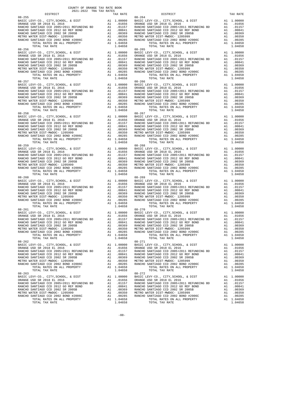| DISTRICT                                                                                                         | 2021-2022 TRA TAX RATES | TAX RATE | DISTRICT                                                                                                                       | TAX RATE |
|------------------------------------------------------------------------------------------------------------------|-------------------------|----------|--------------------------------------------------------------------------------------------------------------------------------|----------|
| $08 - 255$<br>$08 - 256$                                                                                         |                         |          | $08 - 264$<br>$08 - 265$                                                                                                       |          |
|                                                                                                                  |                         |          |                                                                                                                                |          |
| $08 - 258$                                                                                                       |                         |          | $08 - 267$                                                                                                                     |          |
| $08 - 259$                                                                                                       |                         |          | $08 - 268$                                                                                                                     |          |
|                                                                                                                  |                         |          |                                                                                                                                |          |
|                                                                                                                  |                         |          |                                                                                                                                |          |
| $08 - 261$<br>TOTAL RATES ON ALL PROPERTY A1 1.04658<br>TOTAL RATES ON ALL PROPERTY A1 1.04658<br>TOTAL TAX RATE |                         | 1.04658  | $08 - 270$<br>TOTAL RATES ON ALL PROPERTY A1 1.04658<br>TOTAL RATES ON ALL PROPERTY A1 1.04658<br>TOTAL TAX RATE<br>$08 - 271$ | 1.04658  |
| $08 - 262$                                                                                                       |                         |          |                                                                                                                                |          |
|                                                                                                                  |                         |          |                                                                                                                                |          |

-88-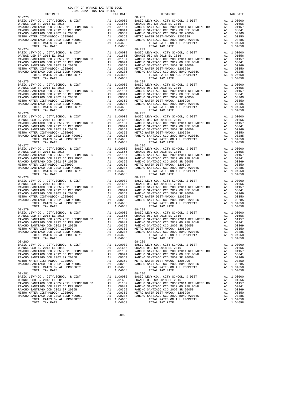| 2021-2022 TRA TAX RATES                                           |          |                                                      |          |
|-------------------------------------------------------------------|----------|------------------------------------------------------|----------|
| DISTRICT<br>$08 - 273$                                            | TAX RATE | DISTRICT<br>$08 - 282$                               | TAX RATE |
|                                                                   |          |                                                      |          |
|                                                                   |          |                                                      |          |
|                                                                   |          |                                                      |          |
|                                                                   |          |                                                      |          |
|                                                                   |          |                                                      |          |
|                                                                   |          |                                                      |          |
|                                                                   |          |                                                      |          |
|                                                                   |          |                                                      |          |
| $08 - 274$                                                        |          | $08 - 283$                                           |          |
|                                                                   |          |                                                      |          |
|                                                                   |          |                                                      |          |
|                                                                   |          |                                                      |          |
|                                                                   |          |                                                      |          |
|                                                                   |          |                                                      |          |
|                                                                   |          |                                                      |          |
|                                                                   |          |                                                      |          |
|                                                                   |          |                                                      |          |
|                                                                   |          |                                                      |          |
|                                                                   |          |                                                      |          |
|                                                                   |          |                                                      |          |
|                                                                   |          |                                                      |          |
|                                                                   |          |                                                      |          |
|                                                                   |          |                                                      |          |
|                                                                   |          |                                                      |          |
|                                                                   |          |                                                      |          |
|                                                                   |          |                                                      |          |
| $08 - 276$                                                        |          | $08 - 285$                                           |          |
|                                                                   |          |                                                      |          |
|                                                                   |          |                                                      |          |
|                                                                   |          |                                                      |          |
|                                                                   |          |                                                      |          |
|                                                                   |          |                                                      |          |
|                                                                   |          |                                                      |          |
|                                                                   |          |                                                      |          |
|                                                                   |          |                                                      |          |
| $08 - 277$                                                        |          | $08 - 286$                                           |          |
|                                                                   |          |                                                      |          |
|                                                                   |          |                                                      |          |
|                                                                   |          |                                                      |          |
|                                                                   |          |                                                      |          |
|                                                                   |          |                                                      |          |
|                                                                   |          |                                                      |          |
|                                                                   |          |                                                      |          |
|                                                                   |          |                                                      |          |
|                                                                   |          |                                                      |          |
|                                                                   |          |                                                      |          |
|                                                                   |          |                                                      |          |
|                                                                   |          |                                                      |          |
|                                                                   |          |                                                      |          |
|                                                                   |          |                                                      |          |
|                                                                   |          |                                                      |          |
|                                                                   |          |                                                      |          |
| TOTAL TAX RATE<br>$08 - 279$                                      | 1.04658  | TOTAL TAX RATE<br>$08 - 288$                         | 1.04658  |
|                                                                   |          |                                                      |          |
|                                                                   |          |                                                      |          |
|                                                                   |          |                                                      |          |
|                                                                   |          |                                                      |          |
|                                                                   |          |                                                      |          |
|                                                                   |          |                                                      |          |
| $\overline{A1}$ 1.04658<br>1.04658<br>TOTAL RATES ON ALL PROPERTY |          | A1 1.04658<br>1 04658<br>TOTAL RATES ON ALL PROPERTY |          |
| TOTAL TAX RATE                                                    | 1.04658  | $08 - 289$<br>TOTAL TAX RATE                         | 1.04658  |
| $08 - 280$                                                        |          |                                                      |          |
|                                                                   |          |                                                      |          |
|                                                                   |          |                                                      |          |
|                                                                   |          |                                                      |          |
|                                                                   |          |                                                      |          |
|                                                                   |          |                                                      |          |
|                                                                   |          |                                                      |          |
|                                                                   |          |                                                      |          |
|                                                                   |          |                                                      |          |
| $08 - 281$                                                        |          | $08 - 290$                                           |          |
|                                                                   |          |                                                      |          |
|                                                                   |          |                                                      |          |
|                                                                   |          |                                                      |          |
|                                                                   |          |                                                      |          |
|                                                                   |          |                                                      |          |
|                                                                   |          |                                                      |          |
|                                                                   |          |                                                      |          |
|                                                                   |          |                                                      |          |

-89-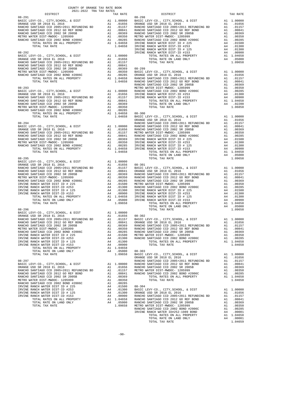| COUNTY OF ORANGE TAX RATE BOOK<br>2021-2022 TRA TAX RATES<br>$2021-2022 \quad \text{TRA TAX RATES}$ DISTRICT |          |          |          |
|--------------------------------------------------------------------------------------------------------------|----------|----------|----------|
|                                                                                                              | TAX RATE | DISTRICT | TAX RATE |
|                                                                                                              |          |          |          |
|                                                                                                              |          |          |          |
|                                                                                                              |          |          |          |
|                                                                                                              |          |          |          |
|                                                                                                              |          |          |          |
|                                                                                                              |          |          |          |
|                                                                                                              |          |          |          |
|                                                                                                              |          |          |          |
|                                                                                                              |          |          |          |
|                                                                                                              |          |          |          |
|                                                                                                              |          |          |          |
|                                                                                                              |          |          |          |
|                                                                                                              |          |          |          |
|                                                                                                              |          |          |          |
|                                                                                                              |          |          |          |
|                                                                                                              |          |          |          |
|                                                                                                              |          |          |          |
|                                                                                                              |          |          |          |
|                                                                                                              |          |          |          |
|                                                                                                              |          |          |          |
|                                                                                                              |          |          |          |
|                                                                                                              |          |          |          |
|                                                                                                              |          |          |          |
|                                                                                                              |          |          |          |
|                                                                                                              |          |          |          |
|                                                                                                              |          |          |          |
|                                                                                                              |          |          |          |
|                                                                                                              |          |          |          |
|                                                                                                              |          |          |          |
|                                                                                                              |          |          |          |
|                                                                                                              |          |          |          |
|                                                                                                              |          |          |          |
|                                                                                                              |          |          |          |
|                                                                                                              |          |          |          |
|                                                                                                              |          |          |          |
|                                                                                                              |          |          |          |
|                                                                                                              |          |          |          |
|                                                                                                              |          |          |          |
|                                                                                                              |          |          |          |
|                                                                                                              |          |          |          |
|                                                                                                              |          |          |          |
|                                                                                                              |          |          |          |
|                                                                                                              |          |          |          |
|                                                                                                              |          |          |          |
|                                                                                                              |          |          |          |
|                                                                                                              |          |          |          |
|                                                                                                              |          |          |          |
|                                                                                                              |          |          |          |
|                                                                                                              |          |          |          |
|                                                                                                              |          |          |          |
|                                                                                                              |          |          |          |
|                                                                                                              |          |          |          |
|                                                                                                              |          |          |          |
|                                                                                                              |          |          |          |
|                                                                                                              |          |          |          |
|                                                                                                              |          |          |          |
|                                                                                                              |          |          |          |
|                                                                                                              |          |          |          |
|                                                                                                              |          |          |          |
|                                                                                                              |          |          |          |
|                                                                                                              |          |          |          |
|                                                                                                              |          |          |          |
|                                                                                                              |          |          |          |
|                                                                                                              |          |          |          |
|                                                                                                              |          |          |          |
|                                                                                                              |          |          |          |
|                                                                                                              |          |          |          |
|                                                                                                              |          |          |          |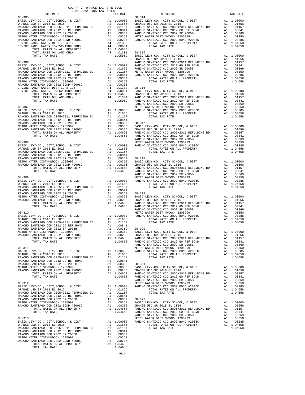| COUNTY OF ORANGE TAX RATE BOOK<br>2021-2022 TRA TAX RATES                  |          |          |          |
|----------------------------------------------------------------------------|----------|----------|----------|
| $2021-2022 \quad \text{TRA} \quad \text{RATE B}$ DISTRICT $\hspace{2.5cm}$ | TAX RATE | DISTRICT | TAX RATE |
|                                                                            |          |          |          |
|                                                                            |          |          |          |
|                                                                            |          |          |          |
|                                                                            |          |          |          |
|                                                                            |          |          |          |
|                                                                            |          |          |          |
|                                                                            |          |          |          |
|                                                                            |          |          |          |
|                                                                            |          |          |          |
|                                                                            |          |          |          |
|                                                                            |          |          |          |
|                                                                            |          |          |          |
|                                                                            |          |          |          |
|                                                                            |          |          |          |
|                                                                            |          |          |          |
|                                                                            |          |          |          |
|                                                                            |          |          |          |
|                                                                            |          |          |          |
|                                                                            |          |          |          |
|                                                                            |          |          |          |
|                                                                            |          |          |          |
|                                                                            |          |          |          |
|                                                                            |          |          |          |
|                                                                            |          |          |          |
|                                                                            |          |          |          |
|                                                                            |          |          |          |
|                                                                            |          |          |          |
|                                                                            |          |          |          |
|                                                                            |          |          |          |
|                                                                            |          |          |          |
|                                                                            |          |          |          |
|                                                                            |          |          |          |
|                                                                            |          |          |          |
|                                                                            |          |          |          |
|                                                                            |          |          |          |
|                                                                            |          |          |          |
|                                                                            |          |          |          |
|                                                                            |          |          |          |
|                                                                            |          |          |          |
|                                                                            |          |          |          |
|                                                                            |          |          |          |
|                                                                            |          |          |          |
|                                                                            |          |          |          |
|                                                                            |          |          |          |
|                                                                            |          |          |          |
|                                                                            |          |          |          |
|                                                                            |          |          |          |
|                                                                            |          |          |          |
|                                                                            |          |          |          |
|                                                                            |          |          |          |
|                                                                            |          |          |          |
|                                                                            |          |          |          |
|                                                                            |          |          |          |
|                                                                            |          |          |          |
|                                                                            |          |          |          |
|                                                                            |          |          |          |
|                                                                            |          |          |          |
|                                                                            |          |          |          |
|                                                                            |          |          |          |
|                                                                            |          |          |          |
|                                                                            |          |          |          |
|                                                                            |          |          |          |
|                                                                            |          |          |          |
|                                                                            |          |          |          |
|                                                                            |          |          |          |
|                                                                            |          |          |          |
|                                                                            |          |          |          |
|                                                                            |          |          |          |
|                                                                            |          |          |          |
|                                                                            |          |          |          |
|                                                                            |          |          |          |
|                                                                            |          |          |          |
|                                                                            |          |          |          |
|                                                                            |          |          |          |
|                                                                            |          |          |          |
|                                                                            |          |          |          |
|                                                                            |          |          |          |
|                                                                            |          |          |          |
|                                                                            |          |          |          |
|                                                                            |          |          |          |
|                                                                            |          |          |          |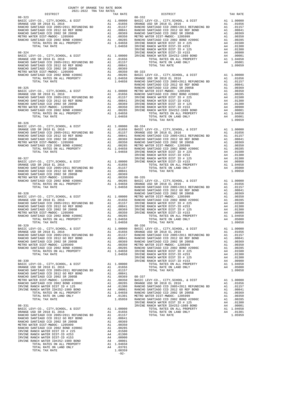| COUNTY OF ORANGE TAX RATE BOOK<br>2021-2022 TRA TAX RATES<br>$2021-2022 \quad \text{TRA TAX RATES}$ DISTRICT $2021-2022 \quad \text{TRA TAX RATES}$ |          |          |          |
|-----------------------------------------------------------------------------------------------------------------------------------------------------|----------|----------|----------|
|                                                                                                                                                     | TAX RATE | DISTRICT | TAX RATE |
|                                                                                                                                                     |          |          |          |
|                                                                                                                                                     |          |          |          |
|                                                                                                                                                     |          |          |          |
|                                                                                                                                                     |          |          |          |
|                                                                                                                                                     |          |          |          |
|                                                                                                                                                     |          |          |          |
|                                                                                                                                                     |          |          |          |
|                                                                                                                                                     |          |          |          |
|                                                                                                                                                     |          |          |          |
|                                                                                                                                                     |          |          |          |
|                                                                                                                                                     |          |          |          |
|                                                                                                                                                     |          |          |          |
|                                                                                                                                                     |          |          |          |
|                                                                                                                                                     |          |          |          |
|                                                                                                                                                     |          |          |          |
|                                                                                                                                                     |          |          |          |
|                                                                                                                                                     |          |          |          |
|                                                                                                                                                     |          |          |          |
|                                                                                                                                                     |          |          |          |
|                                                                                                                                                     |          |          |          |
|                                                                                                                                                     |          |          |          |
|                                                                                                                                                     |          |          |          |
|                                                                                                                                                     |          |          |          |
|                                                                                                                                                     |          |          |          |
|                                                                                                                                                     |          |          |          |
| $08 - 326$                                                                                                                                          |          |          |          |
|                                                                                                                                                     |          |          |          |
|                                                                                                                                                     |          |          |          |
|                                                                                                                                                     |          |          |          |
|                                                                                                                                                     |          |          |          |
|                                                                                                                                                     |          |          |          |
|                                                                                                                                                     |          |          |          |
|                                                                                                                                                     |          |          |          |
|                                                                                                                                                     |          |          |          |
|                                                                                                                                                     |          |          |          |
|                                                                                                                                                     |          |          |          |
|                                                                                                                                                     |          |          |          |
|                                                                                                                                                     |          |          |          |
|                                                                                                                                                     |          |          |          |
|                                                                                                                                                     |          |          |          |
|                                                                                                                                                     |          |          |          |
|                                                                                                                                                     |          |          |          |
|                                                                                                                                                     |          |          |          |
|                                                                                                                                                     |          |          |          |
|                                                                                                                                                     |          |          |          |
|                                                                                                                                                     |          |          |          |
|                                                                                                                                                     |          |          |          |
|                                                                                                                                                     |          |          |          |
|                                                                                                                                                     |          |          |          |
|                                                                                                                                                     |          |          |          |
|                                                                                                                                                     |          |          |          |
|                                                                                                                                                     |          |          |          |
|                                                                                                                                                     |          |          |          |
|                                                                                                                                                     |          |          |          |
|                                                                                                                                                     |          |          |          |
|                                                                                                                                                     |          |          |          |
|                                                                                                                                                     |          |          |          |
|                                                                                                                                                     |          |          |          |
|                                                                                                                                                     |          |          |          |
|                                                                                                                                                     |          |          |          |
|                                                                                                                                                     |          |          |          |
|                                                                                                                                                     |          |          |          |
|                                                                                                                                                     |          |          |          |
|                                                                                                                                                     |          |          |          |
|                                                                                                                                                     |          |          |          |
|                                                                                                                                                     |          |          |          |
|                                                                                                                                                     |          |          |          |
|                                                                                                                                                     |          |          |          |
|                                                                                                                                                     |          |          |          |
|                                                                                                                                                     |          |          |          |
|                                                                                                                                                     |          |          |          |
|                                                                                                                                                     |          |          |          |
|                                                                                                                                                     |          |          |          |
|                                                                                                                                                     |          |          |          |
|                                                                                                                                                     |          |          |          |
|                                                                                                                                                     |          |          |          |
|                                                                                                                                                     |          |          |          |
|                                                                                                                                                     |          |          |          |
|                                                                                                                                                     |          |          |          |
|                                                                                                                                                     | $-92-$   |          |          |
|                                                                                                                                                     |          |          |          |

- 
-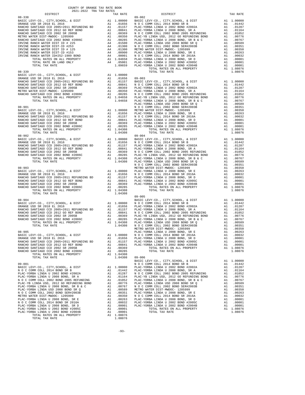| COUNTY OF ORANGE TAX RATE BOOK<br>2021-2022 TRA TAX RATES<br>$2021-2022 \quad \text{TRA RATE B}$ DISTRICT 2021-2022 TRA TAX RATES                                                                                                                                                                                                                                                              |          |                                                                                                                                                                                                                                                                                                                                                                                                                                      |          |
|------------------------------------------------------------------------------------------------------------------------------------------------------------------------------------------------------------------------------------------------------------------------------------------------------------------------------------------------------------------------------------------------|----------|--------------------------------------------------------------------------------------------------------------------------------------------------------------------------------------------------------------------------------------------------------------------------------------------------------------------------------------------------------------------------------------------------------------------------------------|----------|
|                                                                                                                                                                                                                                                                                                                                                                                                | TAX RATE | DISTRICT                                                                                                                                                                                                                                                                                                                                                                                                                             | TAX RATE |
| $08 - 338$<br>$\begin{tabular}{cccccc} 08–338\\ \hline \textbf{D08-338}\\ \textbf{D08-338}\\ \textbf{D08-338}\\ \textbf{D08-338}\\ \textbf{D08-338}\\ \textbf{D08-338}\\ \textbf{D08-338}\\ \textbf{D08-338}\\ \textbf{D08-338}\\ \textbf{D08-338}\\ \textbf{D10000}\\ \textbf{D2000}\\ \textbf{D3000}\\ \textbf{D4000}\\ \textbf{D5000}\\ \textbf{D68-339}\\ \textbf{D707AL RATE}\\ \textbf{$ |          | $09 - 002$                                                                                                                                                                                                                                                                                                                                                                                                                           |          |
|                                                                                                                                                                                                                                                                                                                                                                                                |          |                                                                                                                                                                                                                                                                                                                                                                                                                                      |          |
|                                                                                                                                                                                                                                                                                                                                                                                                |          |                                                                                                                                                                                                                                                                                                                                                                                                                                      |          |
|                                                                                                                                                                                                                                                                                                                                                                                                |          |                                                                                                                                                                                                                                                                                                                                                                                                                                      |          |
|                                                                                                                                                                                                                                                                                                                                                                                                |          |                                                                                                                                                                                                                                                                                                                                                                                                                                      |          |
|                                                                                                                                                                                                                                                                                                                                                                                                |          |                                                                                                                                                                                                                                                                                                                                                                                                                                      |          |
|                                                                                                                                                                                                                                                                                                                                                                                                |          |                                                                                                                                                                                                                                                                                                                                                                                                                                      |          |
|                                                                                                                                                                                                                                                                                                                                                                                                |          |                                                                                                                                                                                                                                                                                                                                                                                                                                      |          |
|                                                                                                                                                                                                                                                                                                                                                                                                |          |                                                                                                                                                                                                                                                                                                                                                                                                                                      |          |
|                                                                                                                                                                                                                                                                                                                                                                                                |          |                                                                                                                                                                                                                                                                                                                                                                                                                                      |          |
|                                                                                                                                                                                                                                                                                                                                                                                                |          |                                                                                                                                                                                                                                                                                                                                                                                                                                      |          |
|                                                                                                                                                                                                                                                                                                                                                                                                |          |                                                                                                                                                                                                                                                                                                                                                                                                                                      |          |
|                                                                                                                                                                                                                                                                                                                                                                                                |          |                                                                                                                                                                                                                                                                                                                                                                                                                                      |          |
|                                                                                                                                                                                                                                                                                                                                                                                                |          |                                                                                                                                                                                                                                                                                                                                                                                                                                      |          |
|                                                                                                                                                                                                                                                                                                                                                                                                |          |                                                                                                                                                                                                                                                                                                                                                                                                                                      |          |
|                                                                                                                                                                                                                                                                                                                                                                                                |          |                                                                                                                                                                                                                                                                                                                                                                                                                                      |          |
|                                                                                                                                                                                                                                                                                                                                                                                                |          |                                                                                                                                                                                                                                                                                                                                                                                                                                      |          |
|                                                                                                                                                                                                                                                                                                                                                                                                |          |                                                                                                                                                                                                                                                                                                                                                                                                                                      |          |
|                                                                                                                                                                                                                                                                                                                                                                                                |          |                                                                                                                                                                                                                                                                                                                                                                                                                                      |          |
|                                                                                                                                                                                                                                                                                                                                                                                                |          |                                                                                                                                                                                                                                                                                                                                                                                                                                      |          |
|                                                                                                                                                                                                                                                                                                                                                                                                |          |                                                                                                                                                                                                                                                                                                                                                                                                                                      |          |
|                                                                                                                                                                                                                                                                                                                                                                                                |          |                                                                                                                                                                                                                                                                                                                                                                                                                                      |          |
|                                                                                                                                                                                                                                                                                                                                                                                                |          |                                                                                                                                                                                                                                                                                                                                                                                                                                      |          |
|                                                                                                                                                                                                                                                                                                                                                                                                |          |                                                                                                                                                                                                                                                                                                                                                                                                                                      |          |
|                                                                                                                                                                                                                                                                                                                                                                                                |          |                                                                                                                                                                                                                                                                                                                                                                                                                                      |          |
|                                                                                                                                                                                                                                                                                                                                                                                                |          |                                                                                                                                                                                                                                                                                                                                                                                                                                      |          |
|                                                                                                                                                                                                                                                                                                                                                                                                |          |                                                                                                                                                                                                                                                                                                                                                                                                                                      |          |
|                                                                                                                                                                                                                                                                                                                                                                                                |          |                                                                                                                                                                                                                                                                                                                                                                                                                                      |          |
|                                                                                                                                                                                                                                                                                                                                                                                                |          |                                                                                                                                                                                                                                                                                                                                                                                                                                      |          |
|                                                                                                                                                                                                                                                                                                                                                                                                |          |                                                                                                                                                                                                                                                                                                                                                                                                                                      |          |
|                                                                                                                                                                                                                                                                                                                                                                                                |          |                                                                                                                                                                                                                                                                                                                                                                                                                                      |          |
|                                                                                                                                                                                                                                                                                                                                                                                                |          |                                                                                                                                                                                                                                                                                                                                                                                                                                      |          |
|                                                                                                                                                                                                                                                                                                                                                                                                |          |                                                                                                                                                                                                                                                                                                                                                                                                                                      |          |
|                                                                                                                                                                                                                                                                                                                                                                                                |          |                                                                                                                                                                                                                                                                                                                                                                                                                                      |          |
|                                                                                                                                                                                                                                                                                                                                                                                                |          |                                                                                                                                                                                                                                                                                                                                                                                                                                      |          |
|                                                                                                                                                                                                                                                                                                                                                                                                |          |                                                                                                                                                                                                                                                                                                                                                                                                                                      |          |
|                                                                                                                                                                                                                                                                                                                                                                                                |          |                                                                                                                                                                                                                                                                                                                                                                                                                                      |          |
|                                                                                                                                                                                                                                                                                                                                                                                                |          |                                                                                                                                                                                                                                                                                                                                                                                                                                      |          |
|                                                                                                                                                                                                                                                                                                                                                                                                |          |                                                                                                                                                                                                                                                                                                                                                                                                                                      |          |
|                                                                                                                                                                                                                                                                                                                                                                                                |          |                                                                                                                                                                                                                                                                                                                                                                                                                                      |          |
|                                                                                                                                                                                                                                                                                                                                                                                                |          |                                                                                                                                                                                                                                                                                                                                                                                                                                      |          |
|                                                                                                                                                                                                                                                                                                                                                                                                | 1.04308  | $\begin{tabular}{@{}c@{}}\begin{tabular}{@{}c@{}}\begin{tabular}{@{}c@{}}\begin{tabular}{@{}c@{}}\begin{tabular}{@{}c@{}}\begin{tabular}{@{}c@{}}\begin{tabular}{@{}c@{}}\begin{tabular}{@{}c@{}}\end{tabular}\\ \hline \textbf{0.8-902}\end{tabular} & \textbf{0.8-902}\end{tabular} & \textbf{0.8-902}\end{tabular} & \textbf{0.8-903}\end{tabular} & \textbf{0.8-904}\end{tabular} & \textbf{0.8-904}\end{tabular} & \textbf{0.8$ |          |
|                                                                                                                                                                                                                                                                                                                                                                                                |          | $09 - 005$                                                                                                                                                                                                                                                                                                                                                                                                                           |          |
|                                                                                                                                                                                                                                                                                                                                                                                                |          |                                                                                                                                                                                                                                                                                                                                                                                                                                      |          |
|                                                                                                                                                                                                                                                                                                                                                                                                |          |                                                                                                                                                                                                                                                                                                                                                                                                                                      |          |
|                                                                                                                                                                                                                                                                                                                                                                                                |          |                                                                                                                                                                                                                                                                                                                                                                                                                                      |          |
|                                                                                                                                                                                                                                                                                                                                                                                                |          |                                                                                                                                                                                                                                                                                                                                                                                                                                      |          |
|                                                                                                                                                                                                                                                                                                                                                                                                |          |                                                                                                                                                                                                                                                                                                                                                                                                                                      |          |
|                                                                                                                                                                                                                                                                                                                                                                                                |          |                                                                                                                                                                                                                                                                                                                                                                                                                                      |          |
|                                                                                                                                                                                                                                                                                                                                                                                                |          |                                                                                                                                                                                                                                                                                                                                                                                                                                      |          |
|                                                                                                                                                                                                                                                                                                                                                                                                |          |                                                                                                                                                                                                                                                                                                                                                                                                                                      |          |
|                                                                                                                                                                                                                                                                                                                                                                                                |          |                                                                                                                                                                                                                                                                                                                                                                                                                                      |          |
|                                                                                                                                                                                                                                                                                                                                                                                                |          |                                                                                                                                                                                                                                                                                                                                                                                                                                      |          |
|                                                                                                                                                                                                                                                                                                                                                                                                |          |                                                                                                                                                                                                                                                                                                                                                                                                                                      |          |
|                                                                                                                                                                                                                                                                                                                                                                                                |          |                                                                                                                                                                                                                                                                                                                                                                                                                                      |          |
|                                                                                                                                                                                                                                                                                                                                                                                                |          |                                                                                                                                                                                                                                                                                                                                                                                                                                      |          |
|                                                                                                                                                                                                                                                                                                                                                                                                |          |                                                                                                                                                                                                                                                                                                                                                                                                                                      |          |
|                                                                                                                                                                                                                                                                                                                                                                                                |          |                                                                                                                                                                                                                                                                                                                                                                                                                                      |          |
|                                                                                                                                                                                                                                                                                                                                                                                                |          |                                                                                                                                                                                                                                                                                                                                                                                                                                      |          |
|                                                                                                                                                                                                                                                                                                                                                                                                |          |                                                                                                                                                                                                                                                                                                                                                                                                                                      |          |
|                                                                                                                                                                                                                                                                                                                                                                                                |          |                                                                                                                                                                                                                                                                                                                                                                                                                                      |          |
|                                                                                                                                                                                                                                                                                                                                                                                                |          |                                                                                                                                                                                                                                                                                                                                                                                                                                      |          |
|                                                                                                                                                                                                                                                                                                                                                                                                |          |                                                                                                                                                                                                                                                                                                                                                                                                                                      |          |
|                                                                                                                                                                                                                                                                                                                                                                                                |          |                                                                                                                                                                                                                                                                                                                                                                                                                                      |          |
|                                                                                                                                                                                                                                                                                                                                                                                                |          |                                                                                                                                                                                                                                                                                                                                                                                                                                      |          |
|                                                                                                                                                                                                                                                                                                                                                                                                |          |                                                                                                                                                                                                                                                                                                                                                                                                                                      |          |
|                                                                                                                                                                                                                                                                                                                                                                                                |          |                                                                                                                                                                                                                                                                                                                                                                                                                                      |          |
|                                                                                                                                                                                                                                                                                                                                                                                                |          |                                                                                                                                                                                                                                                                                                                                                                                                                                      |          |
|                                                                                                                                                                                                                                                                                                                                                                                                |          |                                                                                                                                                                                                                                                                                                                                                                                                                                      |          |
|                                                                                                                                                                                                                                                                                                                                                                                                |          |                                                                                                                                                                                                                                                                                                                                                                                                                                      |          |
|                                                                                                                                                                                                                                                                                                                                                                                                |          |                                                                                                                                                                                                                                                                                                                                                                                                                                      |          |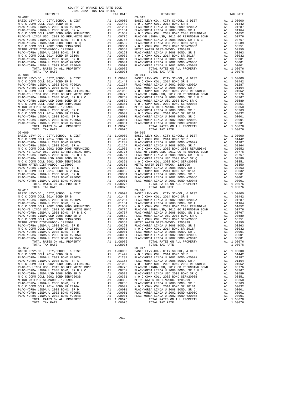| COUNTY OF ORANGE TAX RATE BOOK<br>$2021-2022 \quad \text{TRA RATE} \label{eq:2021-2022}$ DISTRICT $$\tt 2021-2022$$ |          |                                                                                                                                                                                                                                                                                                                   |          |
|---------------------------------------------------------------------------------------------------------------------|----------|-------------------------------------------------------------------------------------------------------------------------------------------------------------------------------------------------------------------------------------------------------------------------------------------------------------------|----------|
|                                                                                                                     | TAX RATE | DISTRICT                                                                                                                                                                                                                                                                                                          | TAX RATE |
| $09 - 007$                                                                                                          |          | $09 - 013$                                                                                                                                                                                                                                                                                                        |          |
|                                                                                                                     |          |                                                                                                                                                                                                                                                                                                                   |          |
|                                                                                                                     |          |                                                                                                                                                                                                                                                                                                                   |          |
|                                                                                                                     |          |                                                                                                                                                                                                                                                                                                                   |          |
|                                                                                                                     |          |                                                                                                                                                                                                                                                                                                                   |          |
|                                                                                                                     |          |                                                                                                                                                                                                                                                                                                                   |          |
|                                                                                                                     |          |                                                                                                                                                                                                                                                                                                                   |          |
|                                                                                                                     |          |                                                                                                                                                                                                                                                                                                                   |          |
|                                                                                                                     |          |                                                                                                                                                                                                                                                                                                                   |          |
|                                                                                                                     |          |                                                                                                                                                                                                                                                                                                                   |          |
|                                                                                                                     |          |                                                                                                                                                                                                                                                                                                                   |          |
|                                                                                                                     |          |                                                                                                                                                                                                                                                                                                                   |          |
|                                                                                                                     |          |                                                                                                                                                                                                                                                                                                                   |          |
|                                                                                                                     |          |                                                                                                                                                                                                                                                                                                                   |          |
|                                                                                                                     |          |                                                                                                                                                                                                                                                                                                                   |          |
|                                                                                                                     |          |                                                                                                                                                                                                                                                                                                                   |          |
|                                                                                                                     |          |                                                                                                                                                                                                                                                                                                                   |          |
|                                                                                                                     |          |                                                                                                                                                                                                                                                                                                                   |          |
|                                                                                                                     |          |                                                                                                                                                                                                                                                                                                                   |          |
|                                                                                                                     |          |                                                                                                                                                                                                                                                                                                                   |          |
|                                                                                                                     |          |                                                                                                                                                                                                                                                                                                                   |          |
|                                                                                                                     |          |                                                                                                                                                                                                                                                                                                                   |          |
|                                                                                                                     |          |                                                                                                                                                                                                                                                                                                                   |          |
| $09 - 009$                                                                                                          |          | $09 - 015$                                                                                                                                                                                                                                                                                                        |          |
|                                                                                                                     |          |                                                                                                                                                                                                                                                                                                                   |          |
|                                                                                                                     |          |                                                                                                                                                                                                                                                                                                                   |          |
|                                                                                                                     |          |                                                                                                                                                                                                                                                                                                                   |          |
|                                                                                                                     |          |                                                                                                                                                                                                                                                                                                                   |          |
|                                                                                                                     |          |                                                                                                                                                                                                                                                                                                                   |          |
|                                                                                                                     |          |                                                                                                                                                                                                                                                                                                                   |          |
|                                                                                                                     |          |                                                                                                                                                                                                                                                                                                                   |          |
|                                                                                                                     |          |                                                                                                                                                                                                                                                                                                                   |          |
|                                                                                                                     |          |                                                                                                                                                                                                                                                                                                                   |          |
|                                                                                                                     |          |                                                                                                                                                                                                                                                                                                                   |          |
|                                                                                                                     |          |                                                                                                                                                                                                                                                                                                                   |          |
|                                                                                                                     |          |                                                                                                                                                                                                                                                                                                                   |          |
| $09 - 011$                                                                                                          |          | $09 - 016$<br>$\begin{tabular}{cccccc} 09-011 & 10444 & 1448 & 1448 & 100076 & 10444 & 100076 & 10444 & 100000 & 10444 & 100000 & 10444 & 1000000 \\ \hline \text{PIAC--YORBA LIMDA U 2002 BOND 42002A & 11 & 0104000 & 10445 & 1000000 & 10400000 & 104000000 \\ \text{PIAC--YORBA LIMDA U 2002 BOND 2003 & 104$ |          |
|                                                                                                                     |          |                                                                                                                                                                                                                                                                                                                   |          |
|                                                                                                                     |          |                                                                                                                                                                                                                                                                                                                   |          |
|                                                                                                                     |          |                                                                                                                                                                                                                                                                                                                   |          |
|                                                                                                                     |          |                                                                                                                                                                                                                                                                                                                   |          |
|                                                                                                                     |          |                                                                                                                                                                                                                                                                                                                   |          |
|                                                                                                                     |          |                                                                                                                                                                                                                                                                                                                   |          |
|                                                                                                                     |          |                                                                                                                                                                                                                                                                                                                   |          |
|                                                                                                                     |          |                                                                                                                                                                                                                                                                                                                   |          |
|                                                                                                                     |          |                                                                                                                                                                                                                                                                                                                   |          |
|                                                                                                                     |          |                                                                                                                                                                                                                                                                                                                   |          |
|                                                                                                                     |          |                                                                                                                                                                                                                                                                                                                   |          |
| TOTAL TAX RATE                                                                                                      | 1.08076  | TOTAL TAX RATE                                                                                                                                                                                                                                                                                                    | 1.08076  |
| $09 - 012$                                                                                                          |          | $09 - 017$                                                                                                                                                                                                                                                                                                        |          |
|                                                                                                                     |          |                                                                                                                                                                                                                                                                                                                   |          |
|                                                                                                                     |          |                                                                                                                                                                                                                                                                                                                   |          |
|                                                                                                                     |          |                                                                                                                                                                                                                                                                                                                   |          |
|                                                                                                                     |          |                                                                                                                                                                                                                                                                                                                   |          |
|                                                                                                                     |          |                                                                                                                                                                                                                                                                                                                   |          |
|                                                                                                                     |          |                                                                                                                                                                                                                                                                                                                   |          |
|                                                                                                                     |          |                                                                                                                                                                                                                                                                                                                   |          |
|                                                                                                                     |          |                                                                                                                                                                                                                                                                                                                   |          |
|                                                                                                                     |          |                                                                                                                                                                                                                                                                                                                   |          |
|                                                                                                                     |          |                                                                                                                                                                                                                                                                                                                   |          |
| TOTAL TAX RATE                                                                                                      | 1.08076  | TOTAL TAX RATE                                                                                                                                                                                                                                                                                                    | 1.08076  |
|                                                                                                                     |          |                                                                                                                                                                                                                                                                                                                   |          |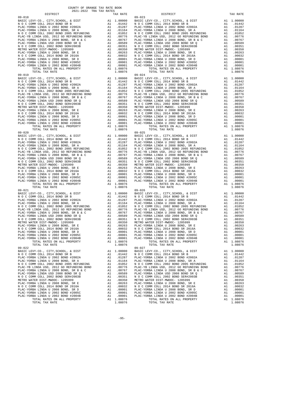| TAX RATE<br>DISTRICT<br>$\begin{tabular}{cccc} 09-018\\ 09-018\\ \hline \texttt{N=O.}\begin{tabular}{0.99-0.018}\\ \texttt{N=O.}\begin{tabular}{0.99-0.02}\\ \texttt{N=O.}\begin{tabular}{0.99-0.02}\\ \texttt{N=O.}\begin{tabular}{0.99-0.02}\\ \texttt{N=O.}\begin{tabular}{0.99-0.02}\\ \texttt{N=O.}\begin{tabular}{0.99-0.02}\\ \texttt{N=O.}\begin{tabular}{0.99-0.02}\\ \texttt{N=O.}\begin{tabular}{0.99-0.02}\\$ |         | DISTRICT       | TAX RATE |
|---------------------------------------------------------------------------------------------------------------------------------------------------------------------------------------------------------------------------------------------------------------------------------------------------------------------------------------------------------------------------------------------------------------------------|---------|----------------|----------|
|                                                                                                                                                                                                                                                                                                                                                                                                                           |         |                |          |
|                                                                                                                                                                                                                                                                                                                                                                                                                           |         |                |          |
|                                                                                                                                                                                                                                                                                                                                                                                                                           |         |                |          |
|                                                                                                                                                                                                                                                                                                                                                                                                                           |         |                |          |
|                                                                                                                                                                                                                                                                                                                                                                                                                           |         |                |          |
|                                                                                                                                                                                                                                                                                                                                                                                                                           |         |                |          |
|                                                                                                                                                                                                                                                                                                                                                                                                                           |         |                |          |
|                                                                                                                                                                                                                                                                                                                                                                                                                           |         |                |          |
|                                                                                                                                                                                                                                                                                                                                                                                                                           |         |                |          |
|                                                                                                                                                                                                                                                                                                                                                                                                                           |         |                |          |
|                                                                                                                                                                                                                                                                                                                                                                                                                           |         |                |          |
|                                                                                                                                                                                                                                                                                                                                                                                                                           |         |                |          |
|                                                                                                                                                                                                                                                                                                                                                                                                                           |         |                |          |
|                                                                                                                                                                                                                                                                                                                                                                                                                           |         |                |          |
|                                                                                                                                                                                                                                                                                                                                                                                                                           |         |                |          |
|                                                                                                                                                                                                                                                                                                                                                                                                                           |         |                |          |
|                                                                                                                                                                                                                                                                                                                                                                                                                           |         |                |          |
|                                                                                                                                                                                                                                                                                                                                                                                                                           |         |                |          |
|                                                                                                                                                                                                                                                                                                                                                                                                                           |         |                |          |
|                                                                                                                                                                                                                                                                                                                                                                                                                           |         |                |          |
|                                                                                                                                                                                                                                                                                                                                                                                                                           |         |                |          |
|                                                                                                                                                                                                                                                                                                                                                                                                                           |         |                |          |
|                                                                                                                                                                                                                                                                                                                                                                                                                           |         |                |          |
|                                                                                                                                                                                                                                                                                                                                                                                                                           |         |                |          |
|                                                                                                                                                                                                                                                                                                                                                                                                                           |         |                |          |
|                                                                                                                                                                                                                                                                                                                                                                                                                           |         |                |          |
|                                                                                                                                                                                                                                                                                                                                                                                                                           |         |                |          |
|                                                                                                                                                                                                                                                                                                                                                                                                                           |         |                |          |
|                                                                                                                                                                                                                                                                                                                                                                                                                           |         |                |          |
| $\begin{tabular}{cccccccc} 19 & 10741. & 3744. & 10874 & 10874 & 10874 & 10874 & 10874 & 10874 & 10874 & 10874 & 10874 & 10874 & 10874 & 10874 & 10874 & 10874 & 10874 & 10874 & 10874 & 10874 & 10874 & 10874 & 10874 & 10874 & 10874 & 10874 & 10874 & 10874 & 10874 & 10$                                                                                                                                              |         |                |          |
|                                                                                                                                                                                                                                                                                                                                                                                                                           |         |                |          |
|                                                                                                                                                                                                                                                                                                                                                                                                                           |         |                |          |
|                                                                                                                                                                                                                                                                                                                                                                                                                           |         |                |          |
|                                                                                                                                                                                                                                                                                                                                                                                                                           |         |                |          |
|                                                                                                                                                                                                                                                                                                                                                                                                                           |         |                |          |
|                                                                                                                                                                                                                                                                                                                                                                                                                           |         |                |          |
|                                                                                                                                                                                                                                                                                                                                                                                                                           |         |                |          |
|                                                                                                                                                                                                                                                                                                                                                                                                                           |         |                |          |
|                                                                                                                                                                                                                                                                                                                                                                                                                           |         |                |          |
|                                                                                                                                                                                                                                                                                                                                                                                                                           |         |                |          |
|                                                                                                                                                                                                                                                                                                                                                                                                                           |         |                |          |
|                                                                                                                                                                                                                                                                                                                                                                                                                           |         |                |          |
|                                                                                                                                                                                                                                                                                                                                                                                                                           |         |                |          |
|                                                                                                                                                                                                                                                                                                                                                                                                                           |         |                |          |
|                                                                                                                                                                                                                                                                                                                                                                                                                           |         |                |          |
|                                                                                                                                                                                                                                                                                                                                                                                                                           |         |                |          |
|                                                                                                                                                                                                                                                                                                                                                                                                                           |         |                |          |
|                                                                                                                                                                                                                                                                                                                                                                                                                           |         |                |          |
|                                                                                                                                                                                                                                                                                                                                                                                                                           |         |                |          |
|                                                                                                                                                                                                                                                                                                                                                                                                                           |         |                |          |
|                                                                                                                                                                                                                                                                                                                                                                                                                           |         |                |          |
|                                                                                                                                                                                                                                                                                                                                                                                                                           |         |                |          |
|                                                                                                                                                                                                                                                                                                                                                                                                                           |         |                |          |
|                                                                                                                                                                                                                                                                                                                                                                                                                           |         |                |          |
|                                                                                                                                                                                                                                                                                                                                                                                                                           |         |                |          |
|                                                                                                                                                                                                                                                                                                                                                                                                                           |         |                |          |
|                                                                                                                                                                                                                                                                                                                                                                                                                           |         |                |          |
|                                                                                                                                                                                                                                                                                                                                                                                                                           |         |                |          |
|                                                                                                                                                                                                                                                                                                                                                                                                                           |         |                |          |
|                                                                                                                                                                                                                                                                                                                                                                                                                           |         |                |          |
|                                                                                                                                                                                                                                                                                                                                                                                                                           |         |                |          |
|                                                                                                                                                                                                                                                                                                                                                                                                                           |         |                |          |
|                                                                                                                                                                                                                                                                                                                                                                                                                           |         |                |          |
|                                                                                                                                                                                                                                                                                                                                                                                                                           |         |                |          |
|                                                                                                                                                                                                                                                                                                                                                                                                                           |         |                |          |
|                                                                                                                                                                                                                                                                                                                                                                                                                           |         |                |          |
|                                                                                                                                                                                                                                                                                                                                                                                                                           |         |                |          |
|                                                                                                                                                                                                                                                                                                                                                                                                                           |         |                |          |
|                                                                                                                                                                                                                                                                                                                                                                                                                           |         |                |          |
|                                                                                                                                                                                                                                                                                                                                                                                                                           |         |                |          |
|                                                                                                                                                                                                                                                                                                                                                                                                                           |         |                |          |
| $09 - 022$<br>$\begin{tabular}{cccccc} 09-022 & 04.74 & 04.84 & 04.84 & 04.84 & 04.84 & 04.84 & 04.84 & 04.84 & 04.84 & 04.84 & 04.84 & 04.84 & 04.84 & 04.84 & 04.84 & 04.84 & 04.84 & 04.84 & 04.84 & 04.84 & 04.84 & 04.84 & 04.84 & 04.84 & 04.84 & 04.84 & 04.84 & 04.84 & 04.84 &$                                                                                                                                  |         | $09 - 027$     |          |
|                                                                                                                                                                                                                                                                                                                                                                                                                           |         |                |          |
|                                                                                                                                                                                                                                                                                                                                                                                                                           |         |                |          |
|                                                                                                                                                                                                                                                                                                                                                                                                                           |         |                |          |
|                                                                                                                                                                                                                                                                                                                                                                                                                           |         |                |          |
|                                                                                                                                                                                                                                                                                                                                                                                                                           |         |                |          |
|                                                                                                                                                                                                                                                                                                                                                                                                                           |         |                |          |
|                                                                                                                                                                                                                                                                                                                                                                                                                           |         |                |          |
|                                                                                                                                                                                                                                                                                                                                                                                                                           |         |                |          |
|                                                                                                                                                                                                                                                                                                                                                                                                                           |         |                |          |
|                                                                                                                                                                                                                                                                                                                                                                                                                           |         |                |          |
|                                                                                                                                                                                                                                                                                                                                                                                                                           |         |                |          |
|                                                                                                                                                                                                                                                                                                                                                                                                                           |         |                |          |
|                                                                                                                                                                                                                                                                                                                                                                                                                           |         |                |          |
|                                                                                                                                                                                                                                                                                                                                                                                                                           |         |                |          |
|                                                                                                                                                                                                                                                                                                                                                                                                                           |         |                |          |
|                                                                                                                                                                                                                                                                                                                                                                                                                           |         |                |          |
| TOTAL TAX RATE                                                                                                                                                                                                                                                                                                                                                                                                            | 1.08076 | TOTAL TAX RATE | 1.08076  |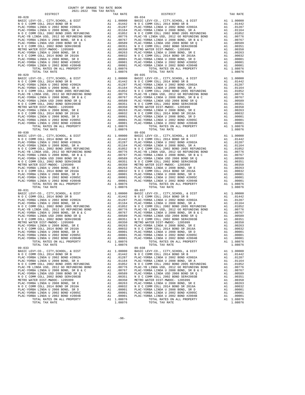| TAX RATE<br>DISTRICT<br>$\begin{tabular}{cccc} 09-028 & DISTRICT & TAX RATE \\ \hline \texttt{BAS-UCL WY-CO, L (2174) SCHOMO, L (2014) BOND R B & 11.000001 & BASTC L (2174) SCHOMO, L (2174) SONO, L (2174) SONO, L (2174) SONO, L (2174) SONO, L (2174) SONO, L (2174) SONO, L (2174) SONO, L (2174) SONO, L (2174) SONO, L (2174) SONO, L (2174) SONO, L (2174) SONO, L (2174)$ |         | DISTRICT       | TAX RATE |
|------------------------------------------------------------------------------------------------------------------------------------------------------------------------------------------------------------------------------------------------------------------------------------------------------------------------------------------------------------------------------------|---------|----------------|----------|
|                                                                                                                                                                                                                                                                                                                                                                                    |         |                |          |
|                                                                                                                                                                                                                                                                                                                                                                                    |         |                |          |
|                                                                                                                                                                                                                                                                                                                                                                                    |         |                |          |
|                                                                                                                                                                                                                                                                                                                                                                                    |         |                |          |
|                                                                                                                                                                                                                                                                                                                                                                                    |         |                |          |
|                                                                                                                                                                                                                                                                                                                                                                                    |         |                |          |
|                                                                                                                                                                                                                                                                                                                                                                                    |         |                |          |
|                                                                                                                                                                                                                                                                                                                                                                                    |         |                |          |
|                                                                                                                                                                                                                                                                                                                                                                                    |         |                |          |
|                                                                                                                                                                                                                                                                                                                                                                                    |         |                |          |
|                                                                                                                                                                                                                                                                                                                                                                                    |         |                |          |
|                                                                                                                                                                                                                                                                                                                                                                                    |         |                |          |
|                                                                                                                                                                                                                                                                                                                                                                                    |         |                |          |
|                                                                                                                                                                                                                                                                                                                                                                                    |         |                |          |
|                                                                                                                                                                                                                                                                                                                                                                                    |         |                |          |
|                                                                                                                                                                                                                                                                                                                                                                                    |         |                |          |
|                                                                                                                                                                                                                                                                                                                                                                                    |         |                |          |
|                                                                                                                                                                                                                                                                                                                                                                                    |         |                |          |
|                                                                                                                                                                                                                                                                                                                                                                                    |         |                |          |
|                                                                                                                                                                                                                                                                                                                                                                                    |         |                |          |
|                                                                                                                                                                                                                                                                                                                                                                                    |         |                |          |
|                                                                                                                                                                                                                                                                                                                                                                                    |         |                |          |
|                                                                                                                                                                                                                                                                                                                                                                                    |         |                |          |
|                                                                                                                                                                                                                                                                                                                                                                                    |         |                |          |
|                                                                                                                                                                                                                                                                                                                                                                                    |         |                |          |
|                                                                                                                                                                                                                                                                                                                                                                                    |         |                |          |
|                                                                                                                                                                                                                                                                                                                                                                                    |         |                |          |
|                                                                                                                                                                                                                                                                                                                                                                                    |         |                |          |
|                                                                                                                                                                                                                                                                                                                                                                                    |         |                |          |
|                                                                                                                                                                                                                                                                                                                                                                                    |         |                |          |
|                                                                                                                                                                                                                                                                                                                                                                                    |         |                |          |
|                                                                                                                                                                                                                                                                                                                                                                                    |         |                |          |
|                                                                                                                                                                                                                                                                                                                                                                                    |         |                |          |
|                                                                                                                                                                                                                                                                                                                                                                                    |         |                |          |
|                                                                                                                                                                                                                                                                                                                                                                                    |         |                |          |
|                                                                                                                                                                                                                                                                                                                                                                                    |         |                |          |
|                                                                                                                                                                                                                                                                                                                                                                                    |         |                |          |
|                                                                                                                                                                                                                                                                                                                                                                                    |         |                |          |
|                                                                                                                                                                                                                                                                                                                                                                                    |         |                |          |
|                                                                                                                                                                                                                                                                                                                                                                                    |         |                |          |
|                                                                                                                                                                                                                                                                                                                                                                                    |         |                |          |
|                                                                                                                                                                                                                                                                                                                                                                                    |         |                |          |
|                                                                                                                                                                                                                                                                                                                                                                                    |         |                |          |
|                                                                                                                                                                                                                                                                                                                                                                                    |         |                |          |
|                                                                                                                                                                                                                                                                                                                                                                                    |         |                |          |
|                                                                                                                                                                                                                                                                                                                                                                                    |         |                |          |
|                                                                                                                                                                                                                                                                                                                                                                                    |         |                |          |
|                                                                                                                                                                                                                                                                                                                                                                                    |         |                |          |
|                                                                                                                                                                                                                                                                                                                                                                                    |         |                |          |
|                                                                                                                                                                                                                                                                                                                                                                                    |         |                |          |
|                                                                                                                                                                                                                                                                                                                                                                                    |         |                |          |
|                                                                                                                                                                                                                                                                                                                                                                                    |         |                |          |
|                                                                                                                                                                                                                                                                                                                                                                                    |         |                |          |
|                                                                                                                                                                                                                                                                                                                                                                                    |         |                |          |
|                                                                                                                                                                                                                                                                                                                                                                                    |         |                |          |
|                                                                                                                                                                                                                                                                                                                                                                                    |         |                |          |
|                                                                                                                                                                                                                                                                                                                                                                                    |         |                |          |
|                                                                                                                                                                                                                                                                                                                                                                                    |         |                |          |
|                                                                                                                                                                                                                                                                                                                                                                                    |         |                |          |
|                                                                                                                                                                                                                                                                                                                                                                                    |         |                |          |
|                                                                                                                                                                                                                                                                                                                                                                                    |         |                |          |
|                                                                                                                                                                                                                                                                                                                                                                                    |         |                |          |
|                                                                                                                                                                                                                                                                                                                                                                                    |         |                |          |
|                                                                                                                                                                                                                                                                                                                                                                                    |         |                |          |
|                                                                                                                                                                                                                                                                                                                                                                                    |         |                |          |
|                                                                                                                                                                                                                                                                                                                                                                                    |         |                |          |
|                                                                                                                                                                                                                                                                                                                                                                                    |         |                |          |
|                                                                                                                                                                                                                                                                                                                                                                                    |         |                |          |
|                                                                                                                                                                                                                                                                                                                                                                                    |         |                |          |
|                                                                                                                                                                                                                                                                                                                                                                                    |         |                |          |
|                                                                                                                                                                                                                                                                                                                                                                                    |         |                |          |
|                                                                                                                                                                                                                                                                                                                                                                                    |         |                |          |
|                                                                                                                                                                                                                                                                                                                                                                                    |         |                |          |
|                                                                                                                                                                                                                                                                                                                                                                                    |         |                |          |
|                                                                                                                                                                                                                                                                                                                                                                                    |         |                |          |
|                                                                                                                                                                                                                                                                                                                                                                                    |         |                |          |
| $09 - 033$<br>$\begin{tabular}{cccccc} 09-033 & 04.744 & 04.844 & 04.944 & 04.944 & 04.944 & 04.944 & 04.944 & 04.944 & 04.944 & 04.944 & 04.944 & 04.944 & 04.944 & 04.944 & 04.944 & 04.944 & 04.944 & 04.944 & 04.944 & 04.944 & 04.944 & 04.944 & 04.944 & 04.944 & 04.944 & 04$                                                                                               |         | $09 - 038$     |          |
|                                                                                                                                                                                                                                                                                                                                                                                    |         |                |          |
|                                                                                                                                                                                                                                                                                                                                                                                    |         |                |          |
|                                                                                                                                                                                                                                                                                                                                                                                    |         |                |          |
|                                                                                                                                                                                                                                                                                                                                                                                    |         |                |          |
|                                                                                                                                                                                                                                                                                                                                                                                    |         |                |          |
|                                                                                                                                                                                                                                                                                                                                                                                    |         |                |          |
|                                                                                                                                                                                                                                                                                                                                                                                    |         |                |          |
|                                                                                                                                                                                                                                                                                                                                                                                    |         |                |          |
|                                                                                                                                                                                                                                                                                                                                                                                    |         |                |          |
|                                                                                                                                                                                                                                                                                                                                                                                    |         |                |          |
|                                                                                                                                                                                                                                                                                                                                                                                    |         |                |          |
|                                                                                                                                                                                                                                                                                                                                                                                    |         |                |          |
|                                                                                                                                                                                                                                                                                                                                                                                    |         |                |          |
|                                                                                                                                                                                                                                                                                                                                                                                    |         |                |          |
|                                                                                                                                                                                                                                                                                                                                                                                    |         |                |          |
|                                                                                                                                                                                                                                                                                                                                                                                    |         |                |          |
|                                                                                                                                                                                                                                                                                                                                                                                    |         |                |          |
|                                                                                                                                                                                                                                                                                                                                                                                    |         |                |          |
| TOTAL TAX RATE                                                                                                                                                                                                                                                                                                                                                                     | 1.08076 | TOTAL TAX RATE | 1.08076  |

-96-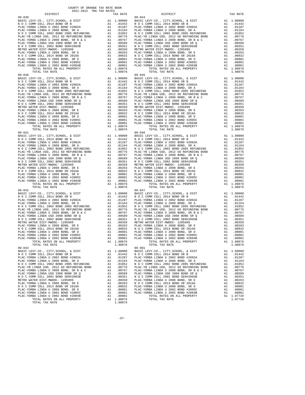| TAX RATE<br>DISTRICT<br>$\begin{tabular}{cccc} 09-039 & DISTRICT & TAX RATE \\ \hline BASIC LEVY-CO, L (2174) SCHOMO, L (2014) BONDS R B & 11.000001 & BASTC LEVY-CO, C, CITY, SCHOMO, L (2014) BONDS R B & 11.000001 \\ \hline PLAC-YORBA LIMDA U 2002 BONDH 2002B & 11.000001 & 11.000001 \\ \hline M O C COMM COLL 2014 BONDS R B & 11.01247 & 11.000001 \\ \hline N O C COMMCO, L ($ |         | DISTRICT | TAX RATE |
|------------------------------------------------------------------------------------------------------------------------------------------------------------------------------------------------------------------------------------------------------------------------------------------------------------------------------------------------------------------------------------------|---------|----------|----------|
|                                                                                                                                                                                                                                                                                                                                                                                          |         |          |          |
|                                                                                                                                                                                                                                                                                                                                                                                          |         |          |          |
|                                                                                                                                                                                                                                                                                                                                                                                          |         |          |          |
|                                                                                                                                                                                                                                                                                                                                                                                          |         |          |          |
|                                                                                                                                                                                                                                                                                                                                                                                          |         |          |          |
|                                                                                                                                                                                                                                                                                                                                                                                          |         |          |          |
|                                                                                                                                                                                                                                                                                                                                                                                          |         |          |          |
|                                                                                                                                                                                                                                                                                                                                                                                          |         |          |          |
|                                                                                                                                                                                                                                                                                                                                                                                          |         |          |          |
|                                                                                                                                                                                                                                                                                                                                                                                          |         |          |          |
|                                                                                                                                                                                                                                                                                                                                                                                          |         |          |          |
|                                                                                                                                                                                                                                                                                                                                                                                          |         |          |          |
|                                                                                                                                                                                                                                                                                                                                                                                          |         |          |          |
|                                                                                                                                                                                                                                                                                                                                                                                          |         |          |          |
|                                                                                                                                                                                                                                                                                                                                                                                          |         |          |          |
|                                                                                                                                                                                                                                                                                                                                                                                          |         |          |          |
|                                                                                                                                                                                                                                                                                                                                                                                          |         |          |          |
|                                                                                                                                                                                                                                                                                                                                                                                          |         |          |          |
|                                                                                                                                                                                                                                                                                                                                                                                          |         |          |          |
|                                                                                                                                                                                                                                                                                                                                                                                          |         |          |          |
|                                                                                                                                                                                                                                                                                                                                                                                          |         |          |          |
|                                                                                                                                                                                                                                                                                                                                                                                          |         |          |          |
|                                                                                                                                                                                                                                                                                                                                                                                          |         |          |          |
|                                                                                                                                                                                                                                                                                                                                                                                          |         |          |          |
|                                                                                                                                                                                                                                                                                                                                                                                          |         |          |          |
|                                                                                                                                                                                                                                                                                                                                                                                          |         |          |          |
|                                                                                                                                                                                                                                                                                                                                                                                          |         |          |          |
|                                                                                                                                                                                                                                                                                                                                                                                          |         |          |          |
|                                                                                                                                                                                                                                                                                                                                                                                          |         |          |          |
|                                                                                                                                                                                                                                                                                                                                                                                          |         |          |          |
|                                                                                                                                                                                                                                                                                                                                                                                          |         |          |          |
|                                                                                                                                                                                                                                                                                                                                                                                          |         |          |          |
|                                                                                                                                                                                                                                                                                                                                                                                          |         |          |          |
|                                                                                                                                                                                                                                                                                                                                                                                          |         |          |          |
|                                                                                                                                                                                                                                                                                                                                                                                          |         |          |          |
|                                                                                                                                                                                                                                                                                                                                                                                          |         |          |          |
|                                                                                                                                                                                                                                                                                                                                                                                          |         |          |          |
|                                                                                                                                                                                                                                                                                                                                                                                          |         |          |          |
|                                                                                                                                                                                                                                                                                                                                                                                          |         |          |          |
|                                                                                                                                                                                                                                                                                                                                                                                          |         |          |          |
|                                                                                                                                                                                                                                                                                                                                                                                          |         |          |          |
|                                                                                                                                                                                                                                                                                                                                                                                          |         |          |          |
|                                                                                                                                                                                                                                                                                                                                                                                          |         |          |          |
|                                                                                                                                                                                                                                                                                                                                                                                          |         |          |          |
|                                                                                                                                                                                                                                                                                                                                                                                          |         |          |          |
|                                                                                                                                                                                                                                                                                                                                                                                          |         |          |          |
|                                                                                                                                                                                                                                                                                                                                                                                          |         |          |          |
|                                                                                                                                                                                                                                                                                                                                                                                          |         |          |          |
|                                                                                                                                                                                                                                                                                                                                                                                          |         |          |          |
|                                                                                                                                                                                                                                                                                                                                                                                          |         |          |          |
|                                                                                                                                                                                                                                                                                                                                                                                          |         |          |          |
|                                                                                                                                                                                                                                                                                                                                                                                          |         |          |          |
|                                                                                                                                                                                                                                                                                                                                                                                          |         |          |          |
|                                                                                                                                                                                                                                                                                                                                                                                          |         |          |          |
|                                                                                                                                                                                                                                                                                                                                                                                          |         |          |          |
|                                                                                                                                                                                                                                                                                                                                                                                          |         |          |          |
|                                                                                                                                                                                                                                                                                                                                                                                          |         |          |          |
|                                                                                                                                                                                                                                                                                                                                                                                          |         |          |          |
|                                                                                                                                                                                                                                                                                                                                                                                          |         |          |          |
|                                                                                                                                                                                                                                                                                                                                                                                          |         |          |          |
|                                                                                                                                                                                                                                                                                                                                                                                          |         |          |          |
|                                                                                                                                                                                                                                                                                                                                                                                          |         |          |          |
|                                                                                                                                                                                                                                                                                                                                                                                          |         |          |          |
|                                                                                                                                                                                                                                                                                                                                                                                          |         |          |          |
|                                                                                                                                                                                                                                                                                                                                                                                          |         |          |          |
|                                                                                                                                                                                                                                                                                                                                                                                          |         |          |          |
|                                                                                                                                                                                                                                                                                                                                                                                          |         |          |          |
|                                                                                                                                                                                                                                                                                                                                                                                          |         |          |          |
|                                                                                                                                                                                                                                                                                                                                                                                          |         |          |          |
|                                                                                                                                                                                                                                                                                                                                                                                          |         |          |          |
|                                                                                                                                                                                                                                                                                                                                                                                          |         |          |          |
|                                                                                                                                                                                                                                                                                                                                                                                          |         |          |          |
|                                                                                                                                                                                                                                                                                                                                                                                          |         |          |          |
|                                                                                                                                                                                                                                                                                                                                                                                          |         |          |          |
|                                                                                                                                                                                                                                                                                                                                                                                          |         |          |          |
|                                                                                                                                                                                                                                                                                                                                                                                          |         |          |          |
| $\begin{tabular}{cccc} 09-042 & 104444. KARTE & 1.08076 & 107444. KARTB & 1.08076 \\ 09-042 & 10444. KARTB & 1.080000 & 1084311.000000 & 1084311.01442 & N.O C COMM COLL 2014 BOND SR B & 11.000000 \\ 104AC-YORBA LIMDA U 2002 BOND P 2002 BOND P 2002 BOND P 2002 BOND P 2002 BOND P 2002 BOND P 2002 BOND P 2002 B$                                                                   |         |          |          |
| $09 - 043$                                                                                                                                                                                                                                                                                                                                                                               |         | 09-901   |          |
|                                                                                                                                                                                                                                                                                                                                                                                          |         |          |          |
|                                                                                                                                                                                                                                                                                                                                                                                          |         |          |          |
|                                                                                                                                                                                                                                                                                                                                                                                          |         |          |          |
|                                                                                                                                                                                                                                                                                                                                                                                          |         |          |          |
|                                                                                                                                                                                                                                                                                                                                                                                          |         |          |          |
|                                                                                                                                                                                                                                                                                                                                                                                          |         |          |          |
|                                                                                                                                                                                                                                                                                                                                                                                          |         |          |          |
|                                                                                                                                                                                                                                                                                                                                                                                          |         |          |          |
|                                                                                                                                                                                                                                                                                                                                                                                          |         |          |          |
|                                                                                                                                                                                                                                                                                                                                                                                          |         |          |          |
|                                                                                                                                                                                                                                                                                                                                                                                          |         |          |          |
|                                                                                                                                                                                                                                                                                                                                                                                          |         |          |          |
|                                                                                                                                                                                                                                                                                                                                                                                          |         |          |          |
|                                                                                                                                                                                                                                                                                                                                                                                          |         |          |          |
|                                                                                                                                                                                                                                                                                                                                                                                          |         |          |          |
|                                                                                                                                                                                                                                                                                                                                                                                          |         |          |          |
|                                                                                                                                                                                                                                                                                                                                                                                          |         |          |          |
| TOTAL TAX RATE                                                                                                                                                                                                                                                                                                                                                                           | 1.08076 |          |          |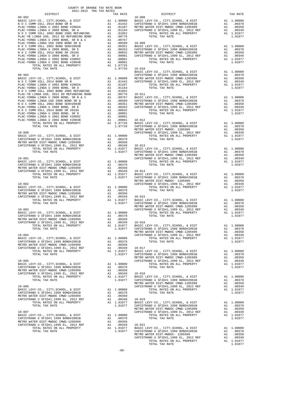| COUNTY OF ORANGE TAX RATE BOOK<br>2021-2022 TRA TAX RATES |          |                                                                                                                                                                                                                             |          |
|-----------------------------------------------------------|----------|-----------------------------------------------------------------------------------------------------------------------------------------------------------------------------------------------------------------------------|----------|
|                                                           | TAX RATE | DISTRICT                                                                                                                                                                                                                    | TAX RATE |
| $09 - 902$                                                |          | $10 - 008$                                                                                                                                                                                                                  |          |
|                                                           |          |                                                                                                                                                                                                                             |          |
|                                                           |          |                                                                                                                                                                                                                             |          |
|                                                           |          |                                                                                                                                                                                                                             |          |
|                                                           |          |                                                                                                                                                                                                                             |          |
|                                                           |          |                                                                                                                                                                                                                             |          |
|                                                           |          |                                                                                                                                                                                                                             |          |
|                                                           |          |                                                                                                                                                                                                                             |          |
|                                                           |          |                                                                                                                                                                                                                             |          |
|                                                           |          |                                                                                                                                                                                                                             |          |
|                                                           |          |                                                                                                                                                                                                                             |          |
|                                                           |          |                                                                                                                                                                                                                             |          |
|                                                           |          |                                                                                                                                                                                                                             |          |
|                                                           |          |                                                                                                                                                                                                                             |          |
|                                                           |          |                                                                                                                                                                                                                             |          |
|                                                           |          |                                                                                                                                                                                                                             |          |
|                                                           |          |                                                                                                                                                                                                                             |          |
|                                                           |          |                                                                                                                                                                                                                             |          |
|                                                           |          |                                                                                                                                                                                                                             |          |
|                                                           |          |                                                                                                                                                                                                                             |          |
|                                                           |          |                                                                                                                                                                                                                             |          |
|                                                           |          |                                                                                                                                                                                                                             |          |
|                                                           |          |                                                                                                                                                                                                                             |          |
|                                                           |          |                                                                                                                                                                                                                             |          |
|                                                           |          |                                                                                                                                                                                                                             |          |
|                                                           |          |                                                                                                                                                                                                                             |          |
|                                                           |          |                                                                                                                                                                                                                             |          |
|                                                           |          |                                                                                                                                                                                                                             |          |
|                                                           |          |                                                                                                                                                                                                                             |          |
|                                                           |          | 1972, "The company of 2018 here is a company of the company of the company of the company of the company of the company of the company of the company of the company of the company of the company of the company of the co |          |
|                                                           |          |                                                                                                                                                                                                                             |          |
|                                                           |          |                                                                                                                                                                                                                             |          |
|                                                           |          |                                                                                                                                                                                                                             |          |
|                                                           |          |                                                                                                                                                                                                                             |          |
|                                                           |          |                                                                                                                                                                                                                             |          |
|                                                           |          |                                                                                                                                                                                                                             |          |
|                                                           |          |                                                                                                                                                                                                                             |          |
|                                                           |          |                                                                                                                                                                                                                             |          |
|                                                           |          |                                                                                                                                                                                                                             |          |
|                                                           |          |                                                                                                                                                                                                                             |          |
|                                                           |          |                                                                                                                                                                                                                             |          |
|                                                           |          |                                                                                                                                                                                                                             |          |
|                                                           |          |                                                                                                                                                                                                                             |          |
|                                                           |          |                                                                                                                                                                                                                             |          |
|                                                           |          |                                                                                                                                                                                                                             |          |
|                                                           |          |                                                                                                                                                                                                                             |          |
|                                                           |          |                                                                                                                                                                                                                             |          |
|                                                           |          |                                                                                                                                                                                                                             |          |
|                                                           |          |                                                                                                                                                                                                                             |          |
|                                                           |          |                                                                                                                                                                                                                             |          |
|                                                           |          |                                                                                                                                                                                                                             |          |
|                                                           |          |                                                                                                                                                                                                                             |          |
|                                                           |          |                                                                                                                                                                                                                             |          |
|                                                           |          |                                                                                                                                                                                                                             |          |
|                                                           |          |                                                                                                                                                                                                                             |          |
|                                                           |          |                                                                                                                                                                                                                             |          |
|                                                           |          |                                                                                                                                                                                                                             |          |
|                                                           |          |                                                                                                                                                                                                                             |          |
|                                                           |          |                                                                                                                                                                                                                             |          |
|                                                           |          |                                                                                                                                                                                                                             |          |
|                                                           |          |                                                                                                                                                                                                                             |          |
|                                                           |          |                                                                                                                                                                                                                             |          |
|                                                           |          |                                                                                                                                                                                                                             |          |
|                                                           |          |                                                                                                                                                                                                                             |          |
|                                                           |          |                                                                                                                                                                                                                             |          |
|                                                           |          |                                                                                                                                                                                                                             |          |
|                                                           |          |                                                                                                                                                                                                                             |          |
|                                                           |          |                                                                                                                                                                                                                             |          |
|                                                           |          |                                                                                                                                                                                                                             |          |
|                                                           |          |                                                                                                                                                                                                                             |          |
|                                                           |          |                                                                                                                                                                                                                             |          |
|                                                           |          |                                                                                                                                                                                                                             |          |
|                                                           |          |                                                                                                                                                                                                                             |          |
|                                                           |          |                                                                                                                                                                                                                             |          |
|                                                           |          |                                                                                                                                                                                                                             |          |
|                                                           |          |                                                                                                                                                                                                                             |          |
|                                                           |          |                                                                                                                                                                                                                             |          |
|                                                           |          |                                                                                                                                                                                                                             |          |
|                                                           |          |                                                                                                                                                                                                                             |          |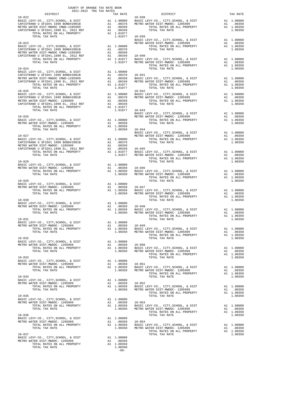| COUNTY OF ORANGE TAX RATE BOOK<br>2021-2022 TRA TAX RATES<br>DISTRICT TAX RJ                                                                                                                                                                                                                                                                                                                                                                                                    |                                                               |                        |            |
|---------------------------------------------------------------------------------------------------------------------------------------------------------------------------------------------------------------------------------------------------------------------------------------------------------------------------------------------------------------------------------------------------------------------------------------------------------------------------------|---------------------------------------------------------------|------------------------|------------|
| $10 - 022$                                                                                                                                                                                                                                                                                                                                                                                                                                                                      | TAX RATE                                                      | DISTRICT<br>$10 - 038$ | TAX RATE   |
|                                                                                                                                                                                                                                                                                                                                                                                                                                                                                 |                                                               |                        |            |
| $\begin{tabular}{c c c c c} TOTAL TAX RATE & 1.01077 & 10-039 & 0.01077 & 10-039 & 0.01077 & 0.01077 & 0.01077 & 0.00000 & 0.00000 & 0.00000 & 0.00000 & 0.00000 & 0.00000 & 0.00000 & 0.00000 & 0.00000 & 0.00000 & 0.00000 & 0.00000 & 0.00000 & 0.00000 & 0.00000 &$                                                                                                                                                                                                         |                                                               |                        |            |
| $10 - 024$                                                                                                                                                                                                                                                                                                                                                                                                                                                                      |                                                               | TOTAL TAX RATE         | 1.00350    |
|                                                                                                                                                                                                                                                                                                                                                                                                                                                                                 |                                                               |                        |            |
|                                                                                                                                                                                                                                                                                                                                                                                                                                                                                 |                                                               |                        |            |
| 10–025 EMPI CHARGE ERREPT MANUSING CAPISTRANO U SFID#11999 BOND#2001B<br>CAPISTRANO U SFID#11999 BOND#2001B A1 .00000 BASIC LEVY-CO., CITY, SCHOOL, & DIST<br>METRO WATER DIST<br>METRO WATER DIST-MWDOC-1205999 A1 .00350<br>METRO WA                                                                                                                                                                                                                                          |                                                               |                        |            |
|                                                                                                                                                                                                                                                                                                                                                                                                                                                                                 |                                                               |                        |            |
|                                                                                                                                                                                                                                                                                                                                                                                                                                                                                 |                                                               |                        |            |
|                                                                                                                                                                                                                                                                                                                                                                                                                                                                                 |                                                               |                        |            |
|                                                                                                                                                                                                                                                                                                                                                                                                                                                                                 |                                                               |                        |            |
|                                                                                                                                                                                                                                                                                                                                                                                                                                                                                 |                                                               |                        |            |
|                                                                                                                                                                                                                                                                                                                                                                                                                                                                                 |                                                               |                        |            |
|                                                                                                                                                                                                                                                                                                                                                                                                                                                                                 |                                                               |                        |            |
|                                                                                                                                                                                                                                                                                                                                                                                                                                                                                 |                                                               |                        |            |
|                                                                                                                                                                                                                                                                                                                                                                                                                                                                                 |                                                               |                        |            |
|                                                                                                                                                                                                                                                                                                                                                                                                                                                                                 |                                                               |                        |            |
|                                                                                                                                                                                                                                                                                                                                                                                                                                                                                 |                                                               |                        |            |
|                                                                                                                                                                                                                                                                                                                                                                                                                                                                                 |                                                               |                        |            |
|                                                                                                                                                                                                                                                                                                                                                                                                                                                                                 |                                                               | TOTAL TAX RATE         |            |
|                                                                                                                                                                                                                                                                                                                                                                                                                                                                                 |                                                               |                        |            |
|                                                                                                                                                                                                                                                                                                                                                                                                                                                                                 |                                                               |                        |            |
|                                                                                                                                                                                                                                                                                                                                                                                                                                                                                 |                                                               |                        |            |
|                                                                                                                                                                                                                                                                                                                                                                                                                                                                                 |                                                               |                        |            |
| METRO WATER DIST<br>BASIC LEVY-CO., CITY, SCHOOL, & DIST<br>METRO WATER DIST-MWDOC- 1205999<br>TOTAL RATES ON ALL PROPERTY A1 1.00350 BASIC LEVY-CO., CITY, SCHOOL, & DIST                                                                                                                                                                                                                                                                                                      |                                                               |                        |            |
| TOTAL TAX RATE                                                                                                                                                                                                                                                                                                                                                                                                                                                                  | $\frac{1}{2}$ , $\frac{1}{2}$ , $\frac{1}{2}$ , $\frac{1}{2}$ |                        | A1 1,00000 |
|                                                                                                                                                                                                                                                                                                                                                                                                                                                                                 |                                                               |                        |            |
| $\begin{tabular}{lllllllllll} \multicolumn{4}{l}{} & \multicolumn{4}{l}{} & \multicolumn{4}{l}{} & \multicolumn{4}{l}{} & \multicolumn{4}{l}{} & \multicolumn{4}{l}{} & \multicolumn{4}{l}{} & \multicolumn{4}{l}{} & \multicolumn{4}{l}{} & \multicolumn{4}{l}{} & \multicolumn{4}{l}{} & \multicolumn{4}{l}{} & \multicolumn{4}{l}{} & \multicolumn{4}{l}{} & \multicolumn{4}{l}{} & \multicolumn{4}{l}{} & \multicolumn{4}{l}{} & \multicolumn{4}{l}{} & \multicolumn{4}{l}$ |                                                               |                        |            |
|                                                                                                                                                                                                                                                                                                                                                                                                                                                                                 |                                                               |                        |            |
|                                                                                                                                                                                                                                                                                                                                                                                                                                                                                 |                                                               |                        |            |
|                                                                                                                                                                                                                                                                                                                                                                                                                                                                                 |                                                               |                        |            |
|                                                                                                                                                                                                                                                                                                                                                                                                                                                                                 |                                                               |                        |            |
|                                                                                                                                                                                                                                                                                                                                                                                                                                                                                 |                                                               |                        |            |
| TOTAL TAX RATE<br>10–035 TOTAL TAX RATE<br>10–035 TOTAL TAX RATE<br>NETRO WATER DIST-MWDOC- 120599<br>TOTAL RATES ON ALL PROPERTY AI 1.00000 10–053<br>TOTAL RATES ON ALL PROPERTY AI 1.00350 BASIC LEVY-CO., CITY, SCHOOL, & DIST<br>TOT                                                                                                                                                                                                                                       |                                                               |                        |            |
|                                                                                                                                                                                                                                                                                                                                                                                                                                                                                 |                                                               |                        |            |
| $\begin{tabular}{lllllllllllllllllll} \textbf{10-036} & & & & & & \\ \textbf{BASIC LEVY-CO.}, & & & & & & \\ \textbf{METRO WATER DIST-MNDOC-1205999} & & & & & \\ \textbf{METRO WATER DIST-MNDOC-1205999} & & & & & \\ \textbf{TOTAL RATES ON ALL PROBERTY} & & & & & \\ \textbf{METRO WATER DIST-MNDOC-1205999} & & & & \\ \textbf{MSTR} & & & & & & \\ \textbf{MSTR} & & & & & & \\ \textbf{MSTR} & & & & & & \\ \textbf{MSTR} & & & & &$                                     |                                                               |                        |            |
|                                                                                                                                                                                                                                                                                                                                                                                                                                                                                 |                                                               |                        |            |
|                                                                                                                                                                                                                                                                                                                                                                                                                                                                                 | $-99-$                                                        |                        |            |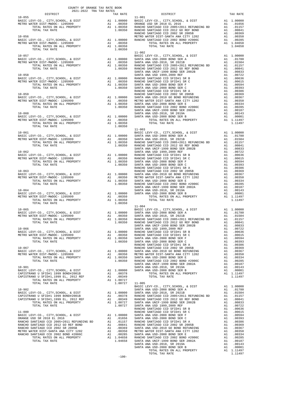| $10 - 055$                                                                                                                                                                                                                                                                                                                                                                                                              |         | TRA TAX RATES $\begin{tabular}{ll} \bf{TRA} & \bf{TAX} & \bf{RATE} \\ \bf{TAX} & \bf{RATE} \\ & \bf{11-001} \end{tabular}$ | TAX RATE |
|-------------------------------------------------------------------------------------------------------------------------------------------------------------------------------------------------------------------------------------------------------------------------------------------------------------------------------------------------------------------------------------------------------------------------|---------|----------------------------------------------------------------------------------------------------------------------------|----------|
|                                                                                                                                                                                                                                                                                                                                                                                                                         |         |                                                                                                                            |          |
|                                                                                                                                                                                                                                                                                                                                                                                                                         |         |                                                                                                                            |          |
|                                                                                                                                                                                                                                                                                                                                                                                                                         |         |                                                                                                                            |          |
|                                                                                                                                                                                                                                                                                                                                                                                                                         |         |                                                                                                                            |          |
|                                                                                                                                                                                                                                                                                                                                                                                                                         |         |                                                                                                                            |          |
|                                                                                                                                                                                                                                                                                                                                                                                                                         |         |                                                                                                                            |          |
|                                                                                                                                                                                                                                                                                                                                                                                                                         |         |                                                                                                                            |          |
|                                                                                                                                                                                                                                                                                                                                                                                                                         |         |                                                                                                                            |          |
|                                                                                                                                                                                                                                                                                                                                                                                                                         |         |                                                                                                                            |          |
| $\begin{tabular}{cccccc} \multicolumn{4}{c}{\textbf{1.0030}} & \multicolumn{4}{c}{\textbf{1.0030}} & \multicolumn{4}{c}{\textbf{1.0030}} & \multicolumn{4}{c}{\textbf{1.0030}} & \multicolumn{4}{c}{\textbf{1.0030}} & \multicolumn{4}{c}{\textbf{1.0030}} & \multicolumn{4}{c}{\textbf{1.0030}} & \multicolumn{4}{c}{\textbf{1.0030}} & \multicolumn{4}{c}{\textbf{1.0030}} & \multicolumn{4}{c}{\textbf{1.0030}} & \$ |         |                                                                                                                            |          |
|                                                                                                                                                                                                                                                                                                                                                                                                                         |         |                                                                                                                            |          |
|                                                                                                                                                                                                                                                                                                                                                                                                                         |         |                                                                                                                            |          |
|                                                                                                                                                                                                                                                                                                                                                                                                                         |         |                                                                                                                            |          |
|                                                                                                                                                                                                                                                                                                                                                                                                                         |         |                                                                                                                            |          |
|                                                                                                                                                                                                                                                                                                                                                                                                                         |         |                                                                                                                            |          |
|                                                                                                                                                                                                                                                                                                                                                                                                                         |         |                                                                                                                            |          |
|                                                                                                                                                                                                                                                                                                                                                                                                                         |         |                                                                                                                            |          |
|                                                                                                                                                                                                                                                                                                                                                                                                                         | $-100-$ |                                                                                                                            |          |
|                                                                                                                                                                                                                                                                                                                                                                                                                         |         |                                                                                                                            |          |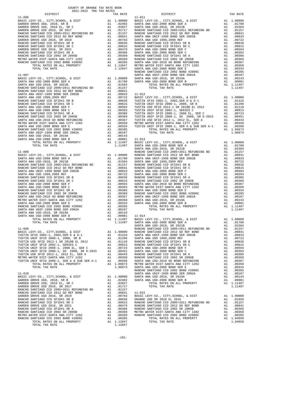| COUNTY OF ORANGE TAX RATE BOOK<br>2021-2022 TRA TAX RATES |          |          |          |
|-----------------------------------------------------------|----------|----------|----------|
|                                                           | TAX RATE | DISTRICT | TAX RATE |
|                                                           |          |          |          |
|                                                           |          |          |          |
|                                                           |          |          |          |
|                                                           |          |          |          |
|                                                           |          |          |          |
|                                                           |          |          |          |
|                                                           |          |          |          |
|                                                           |          |          |          |
|                                                           |          |          |          |
|                                                           |          |          |          |
|                                                           |          |          |          |
|                                                           |          |          |          |
|                                                           |          |          |          |
|                                                           |          |          |          |
|                                                           |          |          |          |
|                                                           |          |          |          |
|                                                           |          |          |          |
|                                                           |          |          |          |
|                                                           |          |          |          |
|                                                           |          |          |          |
|                                                           |          |          |          |
|                                                           |          |          |          |
|                                                           |          |          |          |
|                                                           |          |          |          |
|                                                           |          |          |          |
|                                                           |          |          |          |
|                                                           |          |          |          |
|                                                           |          |          |          |
|                                                           |          |          |          |
|                                                           |          |          |          |
|                                                           |          |          |          |
|                                                           |          |          |          |
|                                                           |          |          |          |
|                                                           |          |          |          |
|                                                           |          |          |          |
|                                                           |          |          |          |
|                                                           |          |          |          |
|                                                           |          |          |          |
|                                                           |          |          |          |
|                                                           |          |          |          |
|                                                           |          |          |          |
|                                                           |          |          |          |
|                                                           |          |          |          |
|                                                           |          |          |          |
|                                                           |          |          |          |
|                                                           |          |          |          |
|                                                           |          |          |          |
|                                                           |          |          |          |
|                                                           |          |          |          |
|                                                           |          |          |          |
|                                                           |          |          |          |
|                                                           |          |          |          |
|                                                           |          |          |          |
|                                                           |          |          |          |
|                                                           |          |          |          |
|                                                           |          |          |          |
|                                                           |          |          |          |
|                                                           |          |          |          |
|                                                           |          |          |          |
|                                                           |          |          |          |
|                                                           |          |          |          |
|                                                           |          |          |          |
|                                                           |          |          |          |
|                                                           |          |          |          |
|                                                           |          |          |          |
|                                                           |          |          |          |
|                                                           |          |          |          |
|                                                           |          |          |          |
|                                                           |          |          |          |
|                                                           |          |          |          |
|                                                           |          |          |          |
|                                                           |          |          |          |
|                                                           |          |          |          |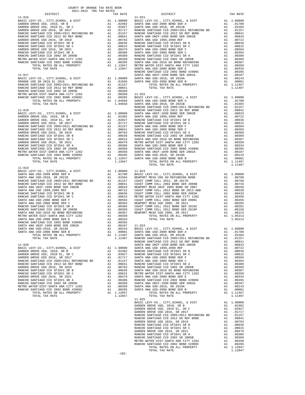| DISTRICT   | TAX RATE | DISTRICT                                                                                                                                                                                                                      | TAX RATE |
|------------|----------|-------------------------------------------------------------------------------------------------------------------------------------------------------------------------------------------------------------------------------|----------|
|            |          |                                                                                                                                                                                                                               |          |
|            |          |                                                                                                                                                                                                                               |          |
|            |          |                                                                                                                                                                                                                               |          |
|            |          |                                                                                                                                                                                                                               |          |
|            |          |                                                                                                                                                                                                                               |          |
|            |          |                                                                                                                                                                                                                               |          |
|            |          |                                                                                                                                                                                                                               |          |
|            |          |                                                                                                                                                                                                                               |          |
|            |          |                                                                                                                                                                                                                               |          |
|            |          |                                                                                                                                                                                                                               |          |
|            |          |                                                                                                                                                                                                                               |          |
|            |          |                                                                                                                                                                                                                               |          |
|            |          |                                                                                                                                                                                                                               |          |
|            |          |                                                                                                                                                                                                                               |          |
|            |          |                                                                                                                                                                                                                               |          |
|            |          |                                                                                                                                                                                                                               |          |
|            |          |                                                                                                                                                                                                                               |          |
|            |          |                                                                                                                                                                                                                               |          |
|            |          |                                                                                                                                                                                                                               |          |
|            |          |                                                                                                                                                                                                                               |          |
|            |          |                                                                                                                                                                                                                               |          |
|            |          |                                                                                                                                                                                                                               |          |
|            |          |                                                                                                                                                                                                                               |          |
|            |          |                                                                                                                                                                                                                               |          |
|            |          |                                                                                                                                                                                                                               |          |
|            |          |                                                                                                                                                                                                                               |          |
|            |          |                                                                                                                                                                                                                               |          |
|            |          |                                                                                                                                                                                                                               |          |
|            |          |                                                                                                                                                                                                                               |          |
|            |          |                                                                                                                                                                                                                               |          |
|            |          |                                                                                                                                                                                                                               |          |
|            |          | 1.1.1 (1) 1.1.1 (1) 1.1.1 (1) 1.1.1 (1) 1.1.1 (1) 1.1.1 (1) 1.1.1 (1) 1.1.1 (1) 1.1.1 (1) 1.1.1 (1) 1.1.1 (1) 1.1.1 (1) 1.1.1 (1) 1.1.1 (1) 1.1.1 (1) 1.1.1 (1) 1.1.1 (1) 1.1.1 (1) 1.1.1 (1) 1.1.1 (1) 1.1.1 (1) 1.1.1 (1) 1 |          |
|            |          |                                                                                                                                                                                                                               |          |
|            |          |                                                                                                                                                                                                                               |          |
|            |          |                                                                                                                                                                                                                               |          |
|            |          |                                                                                                                                                                                                                               |          |
|            |          |                                                                                                                                                                                                                               |          |
|            |          |                                                                                                                                                                                                                               |          |
|            |          |                                                                                                                                                                                                                               |          |
|            |          |                                                                                                                                                                                                                               |          |
|            |          |                                                                                                                                                                                                                               |          |
|            |          |                                                                                                                                                                                                                               |          |
| $11 - 019$ |          |                                                                                                                                                                                                                               |          |
|            |          |                                                                                                                                                                                                                               |          |
|            |          |                                                                                                                                                                                                                               |          |
|            |          |                                                                                                                                                                                                                               |          |
|            |          |                                                                                                                                                                                                                               |          |
|            |          |                                                                                                                                                                                                                               |          |
|            |          |                                                                                                                                                                                                                               |          |
|            |          |                                                                                                                                                                                                                               |          |
|            |          |                                                                                                                                                                                                                               |          |
|            |          |                                                                                                                                                                                                                               |          |
|            |          |                                                                                                                                                                                                                               |          |
|            |          |                                                                                                                                                                                                                               |          |
|            |          |                                                                                                                                                                                                                               |          |
|            |          |                                                                                                                                                                                                                               |          |
|            |          |                                                                                                                                                                                                                               |          |
|            |          |                                                                                                                                                                                                                               |          |
|            |          |                                                                                                                                                                                                                               |          |
|            |          |                                                                                                                                                                                                                               |          |
|            |          |                                                                                                                                                                                                                               |          |
|            |          |                                                                                                                                                                                                                               |          |
|            |          |                                                                                                                                                                                                                               |          |
|            |          |                                                                                                                                                                                                                               |          |
|            |          |                                                                                                                                                                                                                               |          |
|            |          |                                                                                                                                                                                                                               |          |
|            |          |                                                                                                                                                                                                                               |          |
|            |          |                                                                                                                                                                                                                               |          |
|            |          |                                                                                                                                                                                                                               |          |
|            |          |                                                                                                                                                                                                                               |          |
|            |          |                                                                                                                                                                                                                               |          |
|            |          |                                                                                                                                                                                                                               |          |
|            |          |                                                                                                                                                                                                                               |          |
|            |          |                                                                                                                                                                                                                               |          |
|            |          |                                                                                                                                                                                                                               |          |
|            |          |                                                                                                                                                                                                                               |          |
|            |          |                                                                                                                                                                                                                               |          |
|            |          |                                                                                                                                                                                                                               |          |
|            |          |                                                                                                                                                                                                                               |          |
|            |          |                                                                                                                                                                                                                               |          |
|            |          | $11 - 025$                                                                                                                                                                                                                    |          |
|            |          |                                                                                                                                                                                                                               |          |
|            |          |                                                                                                                                                                                                                               |          |
|            |          |                                                                                                                                                                                                                               |          |
|            |          |                                                                                                                                                                                                                               |          |
|            |          |                                                                                                                                                                                                                               |          |
|            |          |                                                                                                                                                                                                                               |          |
|            |          |                                                                                                                                                                                                                               |          |
|            |          |                                                                                                                                                                                                                               |          |
|            |          |                                                                                                                                                                                                                               |          |
|            |          |                                                                                                                                                                                                                               |          |
|            |          |                                                                                                                                                                                                                               |          |
|            |          |                                                                                                                                                                                                                               |          |
|            |          |                                                                                                                                                                                                                               |          |
|            |          |                                                                                                                                                                                                                               |          |
|            |          |                                                                                                                                                                                                                               |          |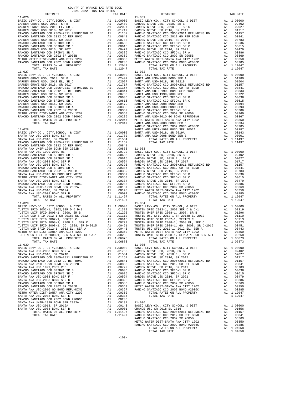| COUNTY OF ORANGE TAX RATE BOOK<br>2021-2022 TRA TAX RATES                            |          |                                                                                                                      |                   |
|--------------------------------------------------------------------------------------|----------|----------------------------------------------------------------------------------------------------------------------|-------------------|
| DISTRICT                                                                             |          | TAX RATE                                                                                                             |                   |
| $11 - 026$                                                                           |          |                                                                                                                      | $11 - 031$        |
|                                                                                      |          |                                                                                                                      |                   |
|                                                                                      |          |                                                                                                                      |                   |
|                                                                                      |          |                                                                                                                      |                   |
|                                                                                      |          |                                                                                                                      |                   |
|                                                                                      |          |                                                                                                                      |                   |
|                                                                                      |          |                                                                                                                      |                   |
|                                                                                      |          |                                                                                                                      |                   |
|                                                                                      |          |                                                                                                                      |                   |
|                                                                                      |          |                                                                                                                      |                   |
|                                                                                      |          |                                                                                                                      |                   |
|                                                                                      |          |                                                                                                                      |                   |
|                                                                                      |          |                                                                                                                      |                   |
|                                                                                      |          |                                                                                                                      |                   |
| TOTAL TAX RATE                                                                       |          | 1.12047                                                                                                              |                   |
|                                                                                      |          |                                                                                                                      |                   |
| $11 - 027$                                                                           |          |                                                                                                                      | $11 - 032$        |
|                                                                                      |          |                                                                                                                      |                   |
|                                                                                      |          |                                                                                                                      |                   |
|                                                                                      |          |                                                                                                                      |                   |
|                                                                                      |          |                                                                                                                      |                   |
|                                                                                      |          |                                                                                                                      |                   |
|                                                                                      |          |                                                                                                                      |                   |
|                                                                                      |          |                                                                                                                      |                   |
|                                                                                      |          |                                                                                                                      |                   |
|                                                                                      |          |                                                                                                                      |                   |
|                                                                                      |          |                                                                                                                      |                   |
|                                                                                      |          |                                                                                                                      |                   |
|                                                                                      |          |                                                                                                                      |                   |
|                                                                                      |          |                                                                                                                      |                   |
|                                                                                      |          |                                                                                                                      |                   |
|                                                                                      |          |                                                                                                                      |                   |
|                                                                                      |          |                                                                                                                      | RANCHO            |
| $11 - 028$                                                                           |          |                                                                                                                      | SANTA A           |
|                                                                                      |          |                                                                                                                      |                   |
|                                                                                      |          |                                                                                                                      |                   |
|                                                                                      |          |                                                                                                                      |                   |
|                                                                                      |          |                                                                                                                      |                   |
|                                                                                      |          |                                                                                                                      |                   |
|                                                                                      |          |                                                                                                                      |                   |
|                                                                                      |          |                                                                                                                      |                   |
|                                                                                      |          |                                                                                                                      |                   |
|                                                                                      |          |                                                                                                                      |                   |
|                                                                                      |          |                                                                                                                      |                   |
|                                                                                      |          |                                                                                                                      |                   |
|                                                                                      |          |                                                                                                                      |                   |
|                                                                                      |          |                                                                                                                      |                   |
|                                                                                      |          |                                                                                                                      |                   |
|                                                                                      |          |                                                                                                                      |                   |
|                                                                                      |          |                                                                                                                      |                   |
|                                                                                      |          |                                                                                                                      |                   |
|                                                                                      |          |                                                                                                                      |                   |
|                                                                                      |          |                                                                                                                      |                   |
|                                                                                      |          |                                                                                                                      |                   |
| TOTAL TAX RATE                                                                       |          | 1.11497                                                                                                              |                   |
| $11 - 029$                                                                           |          |                                                                                                                      | $11 - 034$        |
|                                                                                      |          |                                                                                                                      |                   |
|                                                                                      |          |                                                                                                                      |                   |
|                                                                                      |          |                                                                                                                      |                   |
|                                                                                      |          |                                                                                                                      |                   |
|                                                                                      |          |                                                                                                                      |                   |
|                                                                                      |          |                                                                                                                      |                   |
|                                                                                      |          |                                                                                                                      |                   |
|                                                                                      |          |                                                                                                                      |                   |
| METRO WATER DIST-SANTA ANA CITY 1202<br>TUSTIN UNIF SFID 2008-1, SER A & SUB SER A-1 | A1<br>A1 | .00350<br>.00268                                                                                                     | METRO W<br>TUSTIN |
| TOTAL RATES ON ALL PROPERTY                                                          |          | A1 1.06873                                                                                                           |                   |
| TOTAL TAX RATE                                                                       |          | 1.06873                                                                                                              |                   |
| $11 - 030$                                                                           |          |                                                                                                                      | $11 - 035$        |
| BASIC LEVY-CO., CITY, SCHOOL, & DIST                                                 |          | A1 1.00000                                                                                                           | BASIC L           |
| SANTA ANA USD-2008 BOND SER A                                                        |          | A1 .01780                                                                                                            | GARDEN            |
| SANTA ANA USD-2018, SR 2021B                                                         | A1       | .01504                                                                                                               | GARDEN            |
| RANCHO SANTIAGO CCD 2005+2011 REFUNDING BD                                           |          |                                                                                                                      |                   |
| RANCHO SANTIAGO CCD 2012 GO REF BOND                                                 |          | A1 .01157 GARDEN<br>A1 .01157 GARDEN<br>A1 .00833 RANCHO<br>A1 .00722 GARDEN<br>A1 .00636 RANCHO<br>A1 .00615 RANCHO |                   |
| SANTA ANA UNIF-1999 BOND SER 2002B                                                   |          |                                                                                                                      |                   |
| SANTA ANA USD 1999, 2009 REF                                                         |          |                                                                                                                      |                   |
| RANCHO SANTIAGO CCD SFID#1 SR B                                                      |          |                                                                                                                      |                   |
| RANCHO SANTIAGO CCD SFID#1 SR C                                                      |          | A1 .00615                                                                                                            |                   |
| SANTA ANA USD-2008 BOND SER F                                                        |          |                                                                                                                      |                   |
| SANTA ANA USD-2008 BOND SER C                                                        |          | A1 .00594 GARDEN<br>A1 .00594 GARDEN<br>A1 .00393 RANCHO<br>A1 .00369 METRO W<br>A1 .00367 RANCHO                    |                   |
| RANCHO SANTIAGO CCD SFID#1 SR A                                                      |          |                                                                                                                      |                   |
| RANCHO SANTIAGO CCD 2002 SR 2005B                                                    |          |                                                                                                                      |                   |
| SANTA ANA USD-2010 GO BOND REFUNDING                                                 |          |                                                                                                                      |                   |
| METRO WATER DIST-SANTA ANA CITY 1202                                                 | A1       | .00350                                                                                                               |                   |
| SANTA ANA USD-2008 BOND SER E                                                        | A1       | .00334                                                                                                               |                   |
| RANCHO SANTIAGO CCD 2002 BOND #2006C                                                 | A1       | .00285                                                                                                               |                   |
| SANTA ANA UNIF-1999 BOND SER 2002A                                                   | A1       | .00187                                                                                                               | $11 - 036$        |
| SANTA ANA USD-2018, SR 2019A                                                         | A1       | .00143                                                                                                               | BASIC L           |
| SANTA ANA USD-2008 BOND SER B                                                        | A1       | .00001                                                                                                               | ORANGE            |
| TOTAL RATES ON ALL PROPERTY<br><b>TOTAL TAY DATE</b>                                 |          | A1 1.11497 RANCHO<br><u>חוויותם</u> 11/107                                                                           |                   |

| 2021-2022 TRA TAX RATES<br>DISTRICT | TAX RATE | DISTRICT                                                                                                                                      | TAX RATE |
|-------------------------------------|----------|-----------------------------------------------------------------------------------------------------------------------------------------------|----------|
| $11 - 026$                          |          | $11 - 031$                                                                                                                                    |          |
|                                     |          |                                                                                                                                               |          |
|                                     |          |                                                                                                                                               |          |
|                                     |          |                                                                                                                                               |          |
|                                     |          |                                                                                                                                               |          |
|                                     |          |                                                                                                                                               |          |
|                                     |          |                                                                                                                                               |          |
|                                     |          |                                                                                                                                               |          |
|                                     |          |                                                                                                                                               |          |
|                                     |          |                                                                                                                                               |          |
|                                     |          |                                                                                                                                               |          |
|                                     |          |                                                                                                                                               |          |
| $11 - 027$                          |          | $11 - 032$                                                                                                                                    |          |
|                                     |          |                                                                                                                                               |          |
|                                     |          |                                                                                                                                               |          |
|                                     |          |                                                                                                                                               |          |
|                                     |          |                                                                                                                                               |          |
|                                     |          |                                                                                                                                               |          |
|                                     |          |                                                                                                                                               |          |
|                                     |          |                                                                                                                                               |          |
|                                     |          |                                                                                                                                               |          |
|                                     |          |                                                                                                                                               |          |
|                                     |          |                                                                                                                                               |          |
|                                     |          |                                                                                                                                               |          |
|                                     |          |                                                                                                                                               |          |
|                                     |          |                                                                                                                                               |          |
|                                     |          |                                                                                                                                               |          |
|                                     |          |                                                                                                                                               |          |
|                                     |          |                                                                                                                                               |          |
|                                     |          |                                                                                                                                               |          |
|                                     |          |                                                                                                                                               |          |
|                                     |          |                                                                                                                                               |          |
|                                     |          |                                                                                                                                               |          |
|                                     |          |                                                                                                                                               |          |
|                                     |          |                                                                                                                                               |          |
|                                     |          |                                                                                                                                               |          |
|                                     |          |                                                                                                                                               |          |
|                                     |          |                                                                                                                                               |          |
|                                     |          |                                                                                                                                               |          |
|                                     |          |                                                                                                                                               |          |
|                                     |          |                                                                                                                                               |          |
|                                     |          |                                                                                                                                               |          |
|                                     |          |                                                                                                                                               |          |
| $11 - 029$                          |          | $11 - 034$                                                                                                                                    |          |
|                                     |          |                                                                                                                                               |          |
|                                     |          |                                                                                                                                               |          |
|                                     |          |                                                                                                                                               |          |
|                                     |          |                                                                                                                                               |          |
|                                     |          |                                                                                                                                               |          |
|                                     |          |                                                                                                                                               |          |
|                                     |          |                                                                                                                                               |          |
|                                     |          | TOTAL RATES ON ALL PROPERTY A1 1.06873 TOTAL RATES ON ALL PROPERTY A1 1.06873<br>TOTAL TAX RATE 1.06873 TOTAL TAX RATE 1.06873 TOTAL TAX RATE |          |
|                                     |          |                                                                                                                                               |          |
|                                     |          |                                                                                                                                               |          |
|                                     |          |                                                                                                                                               |          |
|                                     |          |                                                                                                                                               |          |
|                                     |          |                                                                                                                                               |          |
|                                     |          |                                                                                                                                               |          |
|                                     |          |                                                                                                                                               |          |
|                                     |          |                                                                                                                                               |          |
|                                     |          |                                                                                                                                               |          |
|                                     |          |                                                                                                                                               |          |
|                                     |          |                                                                                                                                               |          |
|                                     |          |                                                                                                                                               |          |
|                                     |          |                                                                                                                                               |          |
|                                     |          |                                                                                                                                               |          |
|                                     |          |                                                                                                                                               |          |
|                                     |          |                                                                                                                                               |          |
|                                     |          |                                                                                                                                               |          |
|                                     |          |                                                                                                                                               |          |
|                                     |          |                                                                                                                                               |          |
|                                     |          |                                                                                                                                               |          |
|                                     |          |                                                                                                                                               |          |
|                                     |          |                                                                                                                                               |          |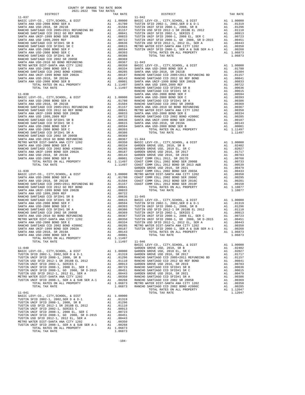| $11 - 037$                                                                                                   |            | $11 - 042$        |
|--------------------------------------------------------------------------------------------------------------|------------|-------------------|
|                                                                                                              |            |                   |
|                                                                                                              |            |                   |
|                                                                                                              |            |                   |
|                                                                                                              |            |                   |
|                                                                                                              |            |                   |
|                                                                                                              |            |                   |
|                                                                                                              |            |                   |
|                                                                                                              |            |                   |
|                                                                                                              |            |                   |
|                                                                                                              |            |                   |
|                                                                                                              |            |                   |
|                                                                                                              |            |                   |
|                                                                                                              |            |                   |
|                                                                                                              |            |                   |
|                                                                                                              |            |                   |
| $11 - 038$                                                                                                   |            | SANTA A           |
|                                                                                                              |            |                   |
|                                                                                                              |            |                   |
|                                                                                                              |            |                   |
|                                                                                                              |            |                   |
|                                                                                                              |            |                   |
|                                                                                                              |            |                   |
|                                                                                                              |            |                   |
|                                                                                                              |            |                   |
|                                                                                                              |            |                   |
|                                                                                                              |            |                   |
|                                                                                                              |            |                   |
|                                                                                                              |            |                   |
|                                                                                                              |            |                   |
|                                                                                                              |            |                   |
|                                                                                                              |            |                   |
|                                                                                                              |            |                   |
|                                                                                                              |            | GARDEN            |
|                                                                                                              |            |                   |
|                                                                                                              |            |                   |
|                                                                                                              |            |                   |
|                                                                                                              |            |                   |
|                                                                                                              |            |                   |
|                                                                                                              |            |                   |
|                                                                                                              |            |                   |
|                                                                                                              |            |                   |
|                                                                                                              |            |                   |
|                                                                                                              |            |                   |
|                                                                                                              |            |                   |
|                                                                                                              |            |                   |
|                                                                                                              |            |                   |
|                                                                                                              |            |                   |
|                                                                                                              |            |                   |
| TOTAL TAX RATE                                                                                               | 1.11497    | $11 - 046$        |
| $11 - 040$                                                                                                   |            | BASIC L<br>GARDEN |
|                                                                                                              |            |                   |
|                                                                                                              |            |                   |
|                                                                                                              |            |                   |
|                                                                                                              |            |                   |
|                                                                                                              |            |                   |
|                                                                                                              |            |                   |
|                                                                                                              |            |                   |
|                                                                                                              |            |                   |
|                                                                                                              |            |                   |
| $11 - 041$                                                                                                   |            |                   |
|                                                                                                              |            |                   |
|                                                                                                              |            |                   |
|                                                                                                              |            |                   |
|                                                                                                              |            |                   |
|                                                                                                              |            |                   |
|                                                                                                              |            |                   |
| TUSTIN UNIF SFID 2008–1, SER A & SUB SER A-1 $\overline{A1}$ all total rates on all property $\overline{A1}$ | .00268     |                   |
|                                                                                                              | A1 1.06873 |                   |
| TOTAL TAX RATE                                                                                               | 1.06873    |                   |

-104-

| COUNTY OF ORANGE TAX RATE BOOK<br>2021-2022 TRA TAX RATES |          |                                                 |          |
|-----------------------------------------------------------|----------|-------------------------------------------------|----------|
| DISTRICT                                                  | TAX RATE | DISTRICT                                        | TAX RATE |
|                                                           |          |                                                 |          |
|                                                           |          |                                                 |          |
|                                                           |          |                                                 |          |
|                                                           |          |                                                 |          |
|                                                           |          |                                                 |          |
|                                                           |          |                                                 |          |
|                                                           |          |                                                 |          |
|                                                           |          |                                                 |          |
|                                                           |          |                                                 |          |
|                                                           |          |                                                 |          |
|                                                           |          |                                                 |          |
|                                                           |          |                                                 |          |
|                                                           |          |                                                 |          |
|                                                           |          |                                                 |          |
|                                                           |          |                                                 |          |
|                                                           |          |                                                 |          |
|                                                           |          |                                                 |          |
|                                                           |          |                                                 |          |
|                                                           |          |                                                 |          |
|                                                           |          |                                                 |          |
|                                                           |          |                                                 |          |
|                                                           |          |                                                 |          |
|                                                           |          |                                                 |          |
|                                                           |          |                                                 |          |
|                                                           |          |                                                 |          |
|                                                           |          |                                                 |          |
|                                                           |          |                                                 |          |
|                                                           |          |                                                 |          |
|                                                           |          |                                                 |          |
|                                                           |          |                                                 |          |
|                                                           |          |                                                 |          |
|                                                           |          |                                                 |          |
|                                                           |          |                                                 |          |
|                                                           |          |                                                 |          |
|                                                           |          |                                                 |          |
|                                                           |          |                                                 |          |
|                                                           |          |                                                 |          |
|                                                           |          |                                                 |          |
|                                                           |          |                                                 |          |
|                                                           |          |                                                 |          |
|                                                           |          |                                                 |          |
|                                                           |          |                                                 |          |
|                                                           |          |                                                 |          |
|                                                           |          |                                                 |          |
|                                                           |          |                                                 |          |
|                                                           |          |                                                 |          |
|                                                           |          |                                                 |          |
|                                                           |          |                                                 |          |
|                                                           |          |                                                 |          |
|                                                           |          |                                                 |          |
|                                                           |          |                                                 |          |
|                                                           |          |                                                 |          |
|                                                           |          |                                                 |          |
|                                                           |          |                                                 |          |
|                                                           |          |                                                 |          |
|                                                           |          | BASIC LEVY-CO., CITY, SCHOOL, & DIST A1 1.00000 |          |
|                                                           |          |                                                 |          |
|                                                           |          |                                                 |          |
|                                                           |          |                                                 |          |
|                                                           |          |                                                 |          |
|                                                           |          |                                                 |          |
|                                                           |          |                                                 |          |
|                                                           |          |                                                 |          |
|                                                           |          |                                                 |          |
|                                                           |          |                                                 |          |
|                                                           |          |                                                 |          |
|                                                           |          |                                                 |          |
| $11 - 041$                                                |          | TOTAL TAX RATE                                  | 1.12047  |
|                                                           |          |                                                 |          |
|                                                           |          |                                                 |          |
|                                                           |          |                                                 |          |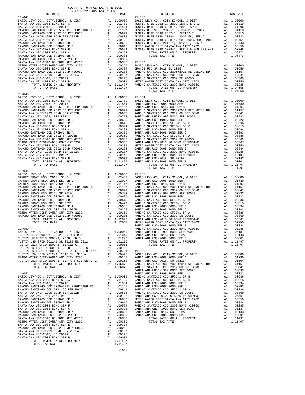| DISTRICT       | TAX RATE                                                                        |                   |
|----------------|---------------------------------------------------------------------------------|-------------------|
| $11 - 047$     |                                                                                 | $11 - 052$        |
|                |                                                                                 |                   |
|                |                                                                                 |                   |
|                |                                                                                 |                   |
|                |                                                                                 |                   |
|                |                                                                                 |                   |
|                |                                                                                 |                   |
|                |                                                                                 |                   |
|                |                                                                                 |                   |
|                |                                                                                 |                   |
|                |                                                                                 |                   |
|                |                                                                                 |                   |
|                |                                                                                 |                   |
|                |                                                                                 |                   |
|                |                                                                                 |                   |
|                |                                                                                 |                   |
|                |                                                                                 |                   |
|                |                                                                                 |                   |
|                |                                                                                 |                   |
| $11 - 048$     |                                                                                 |                   |
|                |                                                                                 |                   |
|                |                                                                                 |                   |
|                |                                                                                 |                   |
|                |                                                                                 |                   |
|                |                                                                                 |                   |
|                |                                                                                 |                   |
|                |                                                                                 |                   |
|                |                                                                                 |                   |
|                |                                                                                 |                   |
|                |                                                                                 |                   |
|                |                                                                                 |                   |
|                |                                                                                 |                   |
|                |                                                                                 |                   |
|                |                                                                                 |                   |
|                |                                                                                 |                   |
|                |                                                                                 |                   |
|                |                                                                                 |                   |
| TOTAL TAX RATE | 1.11497                                                                         |                   |
|                |                                                                                 |                   |
| $11 - 049$     |                                                                                 |                   |
|                |                                                                                 |                   |
|                |                                                                                 |                   |
|                |                                                                                 |                   |
|                |                                                                                 |                   |
|                |                                                                                 |                   |
|                |                                                                                 |                   |
|                |                                                                                 |                   |
|                |                                                                                 |                   |
|                |                                                                                 |                   |
|                |                                                                                 |                   |
|                |                                                                                 |                   |
|                |                                                                                 |                   |
|                |                                                                                 |                   |
| $11 - 050$     |                                                                                 | SANTA A<br>RANCHO |
|                |                                                                                 |                   |
|                |                                                                                 |                   |
|                |                                                                                 |                   |
|                |                                                                                 |                   |
|                |                                                                                 |                   |
|                |                                                                                 |                   |
|                |                                                                                 |                   |
|                |                                                                                 |                   |
|                |                                                                                 |                   |
|                |                                                                                 |                   |
|                |                                                                                 |                   |
| $11 - 051$     |                                                                                 | SANTA A           |
|                |                                                                                 |                   |
|                |                                                                                 |                   |
|                |                                                                                 |                   |
|                |                                                                                 |                   |
|                |                                                                                 |                   |
|                |                                                                                 |                   |
|                |                                                                                 |                   |
|                | .00594                                                                          | RANCHO            |
|                | AI .00594 RANCHO<br>AI .00393 SANTA A<br>AI .00386 SANTA A<br>AI .00369 SANTA A |                   |
|                |                                                                                 |                   |
|                |                                                                                 |                   |
|                |                                                                                 |                   |
|                |                                                                                 |                   |
|                |                                                                                 |                   |
|                |                                                                                 |                   |
|                |                                                                                 |                   |
|                |                                                                                 |                   |
|                |                                                                                 |                   |

| COUNTY OF ORANGE TAX RATE BOOK<br>$2021-2022 \quad \text{TRA RATES}$ DISTRICT |          |                |          |
|-------------------------------------------------------------------------------|----------|----------------|----------|
|                                                                               | TAX RATE | DISTRICT       | TAX RATE |
| $11 - 047$                                                                    |          | $11 - 052$     |          |
|                                                                               |          |                |          |
|                                                                               |          |                |          |
|                                                                               |          |                |          |
|                                                                               |          |                |          |
|                                                                               |          |                |          |
|                                                                               |          |                |          |
|                                                                               |          |                |          |
|                                                                               |          |                |          |
|                                                                               |          |                |          |
|                                                                               |          |                |          |
|                                                                               |          |                |          |
|                                                                               |          |                |          |
|                                                                               |          |                |          |
|                                                                               |          |                |          |
|                                                                               |          |                |          |
|                                                                               |          |                |          |
|                                                                               |          |                |          |
| $11 - 048$                                                                    |          |                |          |
|                                                                               |          |                |          |
|                                                                               |          |                |          |
|                                                                               |          |                |          |
|                                                                               |          |                |          |
|                                                                               |          |                |          |
|                                                                               |          |                |          |
|                                                                               |          |                |          |
|                                                                               |          |                |          |
|                                                                               |          |                |          |
|                                                                               |          |                |          |
|                                                                               |          |                |          |
|                                                                               |          |                |          |
|                                                                               |          |                |          |
|                                                                               |          |                |          |
|                                                                               |          |                |          |
|                                                                               |          |                |          |
|                                                                               |          |                |          |
|                                                                               |          |                |          |
|                                                                               |          | TOTAL TAX RATE | 1.11497  |
|                                                                               |          |                |          |
|                                                                               |          |                |          |
|                                                                               |          |                |          |
|                                                                               |          |                |          |
|                                                                               |          |                |          |
|                                                                               |          |                |          |
|                                                                               |          |                |          |
|                                                                               |          |                |          |
|                                                                               |          |                |          |
|                                                                               |          |                |          |
|                                                                               |          |                |          |
|                                                                               |          |                |          |
|                                                                               |          |                |          |
|                                                                               |          |                |          |
|                                                                               |          |                |          |
|                                                                               |          |                |          |
|                                                                               |          |                |          |
|                                                                               |          |                |          |
|                                                                               |          |                |          |
|                                                                               |          |                |          |
|                                                                               |          |                |          |
|                                                                               |          |                |          |
|                                                                               |          |                |          |
|                                                                               |          |                |          |
|                                                                               |          |                |          |
|                                                                               |          |                |          |
|                                                                               |          |                |          |
|                                                                               |          |                |          |
|                                                                               |          |                |          |
|                                                                               |          |                |          |
|                                                                               |          |                |          |
|                                                                               |          |                |          |
|                                                                               |          |                |          |
|                                                                               |          |                |          |
|                                                                               |          |                |          |
|                                                                               |          |                |          |
|                                                                               |          |                |          |
|                                                                               |          |                |          |
|                                                                               |          |                |          |
|                                                                               |          |                |          |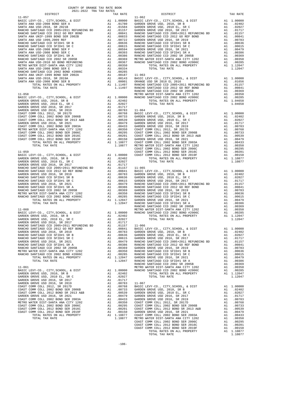| COUNTY OF ORANGE TAX RATE BOOK      |          |            |          |
|-------------------------------------|----------|------------|----------|
| 2021-2022 TRA TAX RATES<br>DISTRICT | TAX RATE | DISTRICT   | TAX RATE |
| $11 - 057$                          |          | $11 - 062$ |          |
|                                     |          |            |          |
|                                     |          |            |          |
|                                     |          |            |          |
|                                     |          |            |          |
|                                     |          |            |          |
|                                     |          |            |          |
|                                     |          |            |          |
|                                     |          |            |          |
|                                     |          |            |          |
|                                     |          |            |          |
|                                     |          |            |          |
|                                     |          |            |          |
|                                     |          |            |          |
|                                     |          |            |          |
|                                     |          |            |          |
|                                     |          |            |          |
|                                     |          |            |          |
|                                     |          |            |          |
|                                     |          |            |          |
|                                     |          |            |          |
|                                     |          |            |          |
|                                     |          |            |          |
|                                     |          |            |          |
|                                     |          |            |          |
|                                     |          |            |          |
|                                     |          |            |          |
|                                     |          |            |          |
|                                     |          |            |          |
|                                     |          |            |          |
|                                     |          |            |          |
|                                     |          |            |          |
|                                     |          |            |          |
|                                     |          |            |          |
|                                     |          |            |          |
|                                     |          |            |          |
|                                     |          |            |          |
|                                     |          |            |          |
|                                     |          |            |          |
|                                     |          |            |          |
|                                     |          |            |          |
|                                     |          |            |          |
|                                     |          |            |          |
|                                     |          |            |          |
|                                     |          |            |          |
|                                     |          |            |          |
|                                     |          |            |          |
|                                     |          |            |          |
|                                     |          |            |          |
|                                     |          |            |          |
|                                     |          |            |          |
|                                     |          |            |          |
|                                     |          |            |          |
|                                     |          |            |          |
|                                     |          |            |          |
|                                     |          |            |          |
|                                     |          |            |          |
|                                     |          |            |          |
|                                     |          |            |          |
|                                     |          |            |          |
|                                     |          |            |          |
|                                     |          |            |          |
|                                     |          |            |          |
|                                     |          |            |          |
|                                     |          |            |          |
|                                     |          |            |          |
|                                     |          |            |          |
|                                     |          |            |          |
|                                     |          |            |          |
|                                     |          |            |          |
|                                     |          |            |          |
|                                     |          |            |          |
|                                     |          |            |          |
|                                     |          |            |          |
|                                     |          |            |          |
|                                     |          |            |          |
|                                     |          |            |          |

-106-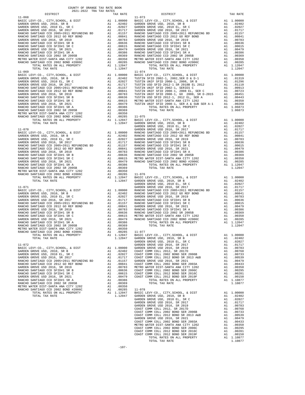| COUNTY OF ORANGE TAX RATE BOOK<br>2021-2022 TRA TAX RATES          |    |                                                                                                                                                                                                                                                                                                                                                                                        |                  |
|--------------------------------------------------------------------|----|----------------------------------------------------------------------------------------------------------------------------------------------------------------------------------------------------------------------------------------------------------------------------------------------------------------------------------------------------------------------------------------|------------------|
| DISTRICT                                                           |    | TAX RATE                                                                                                                                                                                                                                                                                                                                                                               |                  |
| $11 - 068$                                                         |    |                                                                                                                                                                                                                                                                                                                                                                                        | $11 - 073$       |
|                                                                    |    |                                                                                                                                                                                                                                                                                                                                                                                        |                  |
|                                                                    |    |                                                                                                                                                                                                                                                                                                                                                                                        |                  |
|                                                                    |    |                                                                                                                                                                                                                                                                                                                                                                                        |                  |
|                                                                    |    |                                                                                                                                                                                                                                                                                                                                                                                        |                  |
|                                                                    |    |                                                                                                                                                                                                                                                                                                                                                                                        |                  |
|                                                                    |    |                                                                                                                                                                                                                                                                                                                                                                                        |                  |
|                                                                    |    |                                                                                                                                                                                                                                                                                                                                                                                        |                  |
|                                                                    |    |                                                                                                                                                                                                                                                                                                                                                                                        |                  |
|                                                                    |    |                                                                                                                                                                                                                                                                                                                                                                                        |                  |
|                                                                    |    |                                                                                                                                                                                                                                                                                                                                                                                        |                  |
|                                                                    |    |                                                                                                                                                                                                                                                                                                                                                                                        |                  |
|                                                                    |    |                                                                                                                                                                                                                                                                                                                                                                                        |                  |
| TOTAL TAX RATE                                                     |    | 1.12047                                                                                                                                                                                                                                                                                                                                                                                |                  |
| $11 - 069$                                                         |    |                                                                                                                                                                                                                                                                                                                                                                                        | $11 - 074$       |
|                                                                    |    |                                                                                                                                                                                                                                                                                                                                                                                        |                  |
|                                                                    |    |                                                                                                                                                                                                                                                                                                                                                                                        |                  |
|                                                                    |    |                                                                                                                                                                                                                                                                                                                                                                                        |                  |
|                                                                    |    |                                                                                                                                                                                                                                                                                                                                                                                        |                  |
|                                                                    |    |                                                                                                                                                                                                                                                                                                                                                                                        |                  |
|                                                                    |    |                                                                                                                                                                                                                                                                                                                                                                                        |                  |
|                                                                    |    |                                                                                                                                                                                                                                                                                                                                                                                        |                  |
|                                                                    |    |                                                                                                                                                                                                                                                                                                                                                                                        |                  |
|                                                                    |    |                                                                                                                                                                                                                                                                                                                                                                                        |                  |
|                                                                    |    |                                                                                                                                                                                                                                                                                                                                                                                        |                  |
|                                                                    |    |                                                                                                                                                                                                                                                                                                                                                                                        |                  |
|                                                                    |    |                                                                                                                                                                                                                                                                                                                                                                                        |                  |
|                                                                    |    |                                                                                                                                                                                                                                                                                                                                                                                        |                  |
|                                                                    |    |                                                                                                                                                                                                                                                                                                                                                                                        |                  |
|                                                                    |    |                                                                                                                                                                                                                                                                                                                                                                                        | GARDEN           |
| $11 - 070$                                                         |    |                                                                                                                                                                                                                                                                                                                                                                                        | GARDEN           |
|                                                                    |    |                                                                                                                                                                                                                                                                                                                                                                                        |                  |
|                                                                    |    |                                                                                                                                                                                                                                                                                                                                                                                        |                  |
|                                                                    |    |                                                                                                                                                                                                                                                                                                                                                                                        |                  |
|                                                                    |    |                                                                                                                                                                                                                                                                                                                                                                                        |                  |
|                                                                    |    |                                                                                                                                                                                                                                                                                                                                                                                        |                  |
|                                                                    |    |                                                                                                                                                                                                                                                                                                                                                                                        |                  |
|                                                                    |    |                                                                                                                                                                                                                                                                                                                                                                                        |                  |
|                                                                    |    |                                                                                                                                                                                                                                                                                                                                                                                        |                  |
|                                                                    |    |                                                                                                                                                                                                                                                                                                                                                                                        |                  |
|                                                                    |    |                                                                                                                                                                                                                                                                                                                                                                                        |                  |
|                                                                    |    |                                                                                                                                                                                                                                                                                                                                                                                        |                  |
|                                                                    |    |                                                                                                                                                                                                                                                                                                                                                                                        |                  |
|                                                                    |    |                                                                                                                                                                                                                                                                                                                                                                                        |                  |
|                                                                    |    |                                                                                                                                                                                                                                                                                                                                                                                        |                  |
|                                                                    |    |                                                                                                                                                                                                                                                                                                                                                                                        |                  |
| 11-071                                                             |    |                                                                                                                                                                                                                                                                                                                                                                                        | GARDEN           |
|                                                                    |    |                                                                                                                                                                                                                                                                                                                                                                                        |                  |
|                                                                    |    |                                                                                                                                                                                                                                                                                                                                                                                        |                  |
|                                                                    |    |                                                                                                                                                                                                                                                                                                                                                                                        |                  |
|                                                                    |    |                                                                                                                                                                                                                                                                                                                                                                                        |                  |
|                                                                    |    |                                                                                                                                                                                                                                                                                                                                                                                        |                  |
|                                                                    |    |                                                                                                                                                                                                                                                                                                                                                                                        |                  |
|                                                                    |    |                                                                                                                                                                                                                                                                                                                                                                                        |                  |
|                                                                    |    |                                                                                                                                                                                                                                                                                                                                                                                        |                  |
|                                                                    |    |                                                                                                                                                                                                                                                                                                                                                                                        |                  |
|                                                                    |    |                                                                                                                                                                                                                                                                                                                                                                                        |                  |
|                                                                    |    |                                                                                                                                                                                                                                                                                                                                                                                        |                  |
|                                                                    |    |                                                                                                                                                                                                                                                                                                                                                                                        |                  |
| RANCHO SANTIAGO CCD 2002 BOND #2006C                               |    | A1 .00285                                                                                                                                                                                                                                                                                                                                                                              | $11 - 077$       |
| TOTAL RATES ON ALL PROPERTY                                        | A1 | 1.12047                                                                                                                                                                                                                                                                                                                                                                                | BASIC L          |
| TOTAL TAX RATE                                                     |    | 1.12047                                                                                                                                                                                                                                                                                                                                                                                | GARDEN<br>GARDEN |
| $11 - 072$                                                         |    |                                                                                                                                                                                                                                                                                                                                                                                        | GARDEN           |
| BASIC LEVY-CO., CITY, SCHOOL, & DIST                               | A1 |                                                                                                                                                                                                                                                                                                                                                                                        |                  |
| GARDEN GROVE USD, 2010, SR B                                       |    | 1.00000 GARDEN<br>02402 COAST C.<br>02027 COAST C.<br>A1 .02402                                                                                                                                                                                                                                                                                                                        |                  |
| GARDEN GROVE USD, 2010 EL, SR C                                    |    | $\begin{tabular}{llllll} $\mathbb{Z}$ & $\mathbb{0}24027$ & CoAST C\\ \hline Al & $01177$ & CoAST C\\ \hline Al & $01157$ & GABTCT\\ \hline Al & $01641$ & CoAST C\\ \hline Al & $00783$ & METRO W\\ \hline Al & $00615$ & CoAST C\\ \hline Al & $00615$ & CoAST C\\ \hline Al & $00479$ & CoAST C\\ \hline Al & $00386$ & $0.377$\\ \hline Al & $00386$ & $1$\\ \hline \end{tabular}$ |                  |
| GARDEN GROVE USD 2016, SR 2017                                     |    |                                                                                                                                                                                                                                                                                                                                                                                        |                  |
| RANCHO SANTIAGO CCD 2005+2011 REFUNDING BD                         |    |                                                                                                                                                                                                                                                                                                                                                                                        |                  |
| RANCHO SANTIAGO CCD 2012 GO REF BOND                               |    |                                                                                                                                                                                                                                                                                                                                                                                        |                  |
| GARDEN GROVE USD 2016, SR 2019                                     |    |                                                                                                                                                                                                                                                                                                                                                                                        |                  |
| RANCHO SANTIAGO CCD SFID#1 SR B<br>RANCHO SANTIAGO CCD SFID#1 SR C |    |                                                                                                                                                                                                                                                                                                                                                                                        |                  |
| GARDEN GROVE USD 2016, SR 2021                                     |    |                                                                                                                                                                                                                                                                                                                                                                                        |                  |
| RANCHO SANTIAGO CCD SFID#1 SR A                                    |    |                                                                                                                                                                                                                                                                                                                                                                                        |                  |
| RANCHO SANTIAGO CCD 2002 SR 2005B                                  |    | A1 .00369                                                                                                                                                                                                                                                                                                                                                                              |                  |
| METRO WATER DIST-SANTA ANA CITY 1202                               |    | A1 .00350                                                                                                                                                                                                                                                                                                                                                                              |                  |
| RANCHO SANTIAGO CCD 2002 BOND #2006C                               | A1 | .00285                                                                                                                                                                                                                                                                                                                                                                                 | $11 - 078$       |
| TOTAL RATES ON ALL PROPERTY                                        |    | A1 1.12047                                                                                                                                                                                                                                                                                                                                                                             | BASIC L          |
| TOTAL TAX RATE                                                     |    | 1.12047                                                                                                                                                                                                                                                                                                                                                                                | GARDEN           |

| 2021-2022 TRA TAX RATES |  |            |  |
|-------------------------|--|------------|--|
|                         |  |            |  |
|                         |  |            |  |
|                         |  |            |  |
|                         |  |            |  |
|                         |  |            |  |
|                         |  |            |  |
|                         |  |            |  |
|                         |  |            |  |
|                         |  |            |  |
|                         |  |            |  |
|                         |  |            |  |
|                         |  |            |  |
|                         |  |            |  |
|                         |  |            |  |
| $11 - 069$              |  | $11 - 074$ |  |
|                         |  |            |  |
|                         |  |            |  |
|                         |  |            |  |
|                         |  |            |  |
|                         |  |            |  |
|                         |  |            |  |
|                         |  |            |  |
|                         |  |            |  |
|                         |  |            |  |
|                         |  |            |  |
|                         |  |            |  |
|                         |  |            |  |
|                         |  |            |  |
|                         |  |            |  |
|                         |  |            |  |
|                         |  |            |  |
|                         |  |            |  |
|                         |  |            |  |
|                         |  |            |  |
|                         |  |            |  |
|                         |  |            |  |
|                         |  |            |  |
|                         |  |            |  |
|                         |  |            |  |
|                         |  |            |  |
|                         |  |            |  |
|                         |  |            |  |
|                         |  |            |  |
|                         |  |            |  |
|                         |  |            |  |
|                         |  |            |  |
|                         |  |            |  |
|                         |  |            |  |
|                         |  |            |  |
|                         |  |            |  |
|                         |  |            |  |
|                         |  |            |  |
|                         |  |            |  |
|                         |  |            |  |
|                         |  |            |  |
|                         |  |            |  |
|                         |  |            |  |
|                         |  |            |  |
|                         |  |            |  |
|                         |  |            |  |
|                         |  |            |  |
|                         |  |            |  |
|                         |  |            |  |
|                         |  |            |  |
|                         |  |            |  |
|                         |  |            |  |
|                         |  |            |  |
|                         |  |            |  |
|                         |  |            |  |
|                         |  |            |  |
|                         |  |            |  |
|                         |  |            |  |
|                         |  |            |  |
|                         |  |            |  |
|                         |  |            |  |
|                         |  |            |  |
|                         |  |            |  |
|                         |  |            |  |
|                         |  |            |  |
|                         |  |            |  |
|                         |  |            |  |
|                         |  |            |  |
|                         |  |            |  |
|                         |  |            |  |
|                         |  |            |  |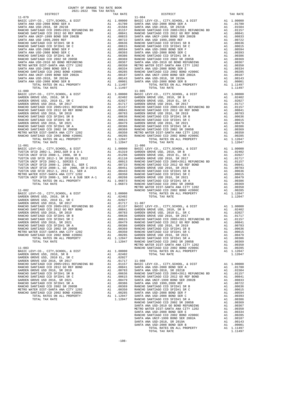| COUNTY OF ORANGE TAX RATE BOOK<br>2021-2022 TRA TAX RATES |          |                        |          |
|-----------------------------------------------------------|----------|------------------------|----------|
| DISTRICT<br>$11 - 079$                                    | TAX RATE | DISTRICT<br>$11 - 084$ | TAX RATE |
|                                                           |          |                        |          |
|                                                           |          |                        |          |
|                                                           |          |                        |          |
|                                                           |          |                        |          |
|                                                           |          |                        |          |
|                                                           |          |                        |          |
|                                                           |          |                        |          |
|                                                           |          |                        |          |
|                                                           |          |                        |          |
|                                                           |          |                        |          |
|                                                           |          |                        |          |
|                                                           |          |                        |          |
|                                                           |          |                        |          |
|                                                           |          |                        |          |
|                                                           |          |                        |          |
|                                                           |          |                        |          |
|                                                           |          |                        |          |
|                                                           |          |                        |          |
|                                                           |          |                        |          |
| $11 - 080$                                                |          | $11 - 085$             |          |
|                                                           |          |                        |          |
|                                                           |          |                        |          |
|                                                           |          |                        |          |
|                                                           |          |                        |          |
|                                                           |          |                        |          |
|                                                           |          |                        |          |
|                                                           |          |                        |          |
|                                                           |          |                        |          |
|                                                           |          |                        |          |
|                                                           |          |                        |          |
|                                                           |          |                        |          |
|                                                           |          |                        |          |
|                                                           |          |                        |          |
| $11 - 081$                                                |          | $11 - 086$             |          |
|                                                           |          |                        |          |
|                                                           |          |                        |          |
|                                                           |          |                        |          |
|                                                           |          |                        |          |
|                                                           |          |                        |          |
|                                                           |          |                        |          |
|                                                           |          |                        |          |
|                                                           |          |                        |          |
|                                                           |          |                        |          |
|                                                           |          |                        |          |
|                                                           |          |                        |          |
|                                                           |          |                        |          |
|                                                           |          |                        |          |
|                                                           |          |                        |          |
|                                                           |          |                        |          |
|                                                           |          |                        |          |
|                                                           |          |                        |          |
|                                                           |          |                        |          |
|                                                           |          |                        |          |
|                                                           |          |                        |          |
|                                                           |          |                        |          |
|                                                           |          |                        |          |
|                                                           |          |                        |          |
|                                                           |          |                        |          |
|                                                           |          |                        |          |
|                                                           |          |                        |          |
|                                                           |          |                        |          |
|                                                           |          |                        |          |
|                                                           |          |                        |          |
|                                                           |          |                        |          |
|                                                           |          |                        |          |
|                                                           |          |                        |          |
|                                                           |          |                        |          |
|                                                           |          |                        |          |
|                                                           |          |                        |          |
|                                                           |          |                        |          |
|                                                           |          |                        |          |
|                                                           |          |                        |          |
|                                                           |          |                        |          |
|                                                           |          |                        |          |
|                                                           |          |                        |          |
|                                                           |          |                        |          |
|                                                           |          |                        |          |
|                                                           |          |                        |          |
|                                                           |          |                        |          |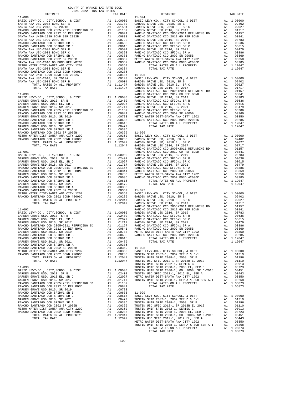| 2021-2022 TRA TAX RATES<br>TAX RATE<br>DISTRICT<br>DISTRICT<br>TAX RATE<br>$11 - 089$<br>$11 - 094$ | COUNTY OF ORANGE TAX RATE BOOK |  |  |  |
|-----------------------------------------------------------------------------------------------------|--------------------------------|--|--|--|
|                                                                                                     |                                |  |  |  |
|                                                                                                     |                                |  |  |  |
|                                                                                                     |                                |  |  |  |
|                                                                                                     |                                |  |  |  |
|                                                                                                     |                                |  |  |  |
|                                                                                                     |                                |  |  |  |
|                                                                                                     |                                |  |  |  |
|                                                                                                     |                                |  |  |  |
|                                                                                                     |                                |  |  |  |
|                                                                                                     |                                |  |  |  |
|                                                                                                     |                                |  |  |  |
|                                                                                                     |                                |  |  |  |
|                                                                                                     |                                |  |  |  |
|                                                                                                     |                                |  |  |  |
|                                                                                                     |                                |  |  |  |
|                                                                                                     |                                |  |  |  |
|                                                                                                     |                                |  |  |  |
|                                                                                                     |                                |  |  |  |
|                                                                                                     |                                |  |  |  |
|                                                                                                     |                                |  |  |  |
|                                                                                                     |                                |  |  |  |
|                                                                                                     |                                |  |  |  |
|                                                                                                     |                                |  |  |  |
|                                                                                                     |                                |  |  |  |
|                                                                                                     |                                |  |  |  |
|                                                                                                     |                                |  |  |  |
|                                                                                                     |                                |  |  |  |
|                                                                                                     |                                |  |  |  |
|                                                                                                     |                                |  |  |  |
|                                                                                                     |                                |  |  |  |
|                                                                                                     |                                |  |  |  |
|                                                                                                     |                                |  |  |  |
|                                                                                                     |                                |  |  |  |
|                                                                                                     |                                |  |  |  |
|                                                                                                     |                                |  |  |  |
|                                                                                                     |                                |  |  |  |
|                                                                                                     |                                |  |  |  |
|                                                                                                     |                                |  |  |  |
|                                                                                                     |                                |  |  |  |
|                                                                                                     |                                |  |  |  |
|                                                                                                     |                                |  |  |  |
|                                                                                                     |                                |  |  |  |
|                                                                                                     |                                |  |  |  |
|                                                                                                     |                                |  |  |  |
|                                                                                                     |                                |  |  |  |
|                                                                                                     |                                |  |  |  |
|                                                                                                     |                                |  |  |  |
|                                                                                                     |                                |  |  |  |
|                                                                                                     |                                |  |  |  |
|                                                                                                     |                                |  |  |  |
|                                                                                                     |                                |  |  |  |
|                                                                                                     |                                |  |  |  |
|                                                                                                     |                                |  |  |  |
|                                                                                                     |                                |  |  |  |
|                                                                                                     |                                |  |  |  |
|                                                                                                     |                                |  |  |  |
|                                                                                                     |                                |  |  |  |
|                                                                                                     |                                |  |  |  |
|                                                                                                     |                                |  |  |  |
|                                                                                                     |                                |  |  |  |
|                                                                                                     |                                |  |  |  |
|                                                                                                     |                                |  |  |  |
|                                                                                                     |                                |  |  |  |
|                                                                                                     |                                |  |  |  |
|                                                                                                     |                                |  |  |  |
|                                                                                                     |                                |  |  |  |
|                                                                                                     |                                |  |  |  |
|                                                                                                     |                                |  |  |  |
|                                                                                                     |                                |  |  |  |
|                                                                                                     |                                |  |  |  |
|                                                                                                     |                                |  |  |  |
|                                                                                                     |                                |  |  |  |
|                                                                                                     |                                |  |  |  |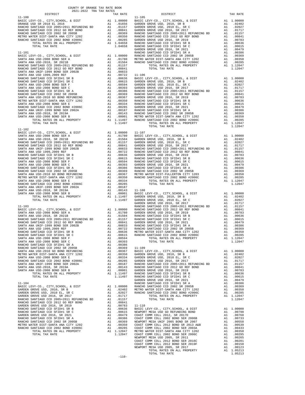| COUNTY OF ORANGE TAX RATE BOOK<br>2021-2022 TRA TAX RATES<br>$\begin{minipage}{.4\linewidth} \begin{tabular}{lcccccc} \multicolumn{2}{c}{\textbf{1-AX} RATE} & \multicolumn{2}{c}{\textbf{1-AX} RATE} \\ \multicolumn{2}{c}{\textbf{2021--2022} } & \multicolumn{2}{c}{\textbf{TRA} RATES} \end{tabular} \end{minipage}$ |          |                                                                                                                                                                                                                                                                                                                                                                    |          |
|--------------------------------------------------------------------------------------------------------------------------------------------------------------------------------------------------------------------------------------------------------------------------------------------------------------------------|----------|--------------------------------------------------------------------------------------------------------------------------------------------------------------------------------------------------------------------------------------------------------------------------------------------------------------------------------------------------------------------|----------|
|                                                                                                                                                                                                                                                                                                                          | TAX RATE | DISTRICT<br>$\begin{tabular}{cccccccc} 11-100 & \text{DEITACC} & 2044-9048 & \text{ADAM-20000}, 4 & \text{DEITAC C} & 7548 & \text{MACC} & 7548 & \text{MACC} & 7548 & \text{MACC} & 7548 & \text{MACC} & 7548 & \text{MACC} & 7548 & \text{MACC} & 7548 & \text{MACC} & 7548 & \text{MACC} & 7548 & \text{MACC} & 7548 & \text{MACC} & 7548 & \text{MACC} & 7548$ | TAX RATE |
|                                                                                                                                                                                                                                                                                                                          |          | $11 - 105$                                                                                                                                                                                                                                                                                                                                                         |          |
|                                                                                                                                                                                                                                                                                                                          |          |                                                                                                                                                                                                                                                                                                                                                                    |          |
|                                                                                                                                                                                                                                                                                                                          |          |                                                                                                                                                                                                                                                                                                                                                                    |          |
|                                                                                                                                                                                                                                                                                                                          |          |                                                                                                                                                                                                                                                                                                                                                                    |          |
|                                                                                                                                                                                                                                                                                                                          |          |                                                                                                                                                                                                                                                                                                                                                                    |          |
|                                                                                                                                                                                                                                                                                                                          |          |                                                                                                                                                                                                                                                                                                                                                                    |          |
|                                                                                                                                                                                                                                                                                                                          |          |                                                                                                                                                                                                                                                                                                                                                                    |          |
|                                                                                                                                                                                                                                                                                                                          |          |                                                                                                                                                                                                                                                                                                                                                                    |          |
|                                                                                                                                                                                                                                                                                                                          |          |                                                                                                                                                                                                                                                                                                                                                                    |          |
|                                                                                                                                                                                                                                                                                                                          |          |                                                                                                                                                                                                                                                                                                                                                                    |          |
|                                                                                                                                                                                                                                                                                                                          |          |                                                                                                                                                                                                                                                                                                                                                                    |          |
|                                                                                                                                                                                                                                                                                                                          |          |                                                                                                                                                                                                                                                                                                                                                                    |          |
|                                                                                                                                                                                                                                                                                                                          |          |                                                                                                                                                                                                                                                                                                                                                                    |          |
|                                                                                                                                                                                                                                                                                                                          |          |                                                                                                                                                                                                                                                                                                                                                                    |          |
|                                                                                                                                                                                                                                                                                                                          |          |                                                                                                                                                                                                                                                                                                                                                                    |          |
|                                                                                                                                                                                                                                                                                                                          |          |                                                                                                                                                                                                                                                                                                                                                                    |          |
|                                                                                                                                                                                                                                                                                                                          |          |                                                                                                                                                                                                                                                                                                                                                                    |          |
|                                                                                                                                                                                                                                                                                                                          |          |                                                                                                                                                                                                                                                                                                                                                                    |          |
|                                                                                                                                                                                                                                                                                                                          |          |                                                                                                                                                                                                                                                                                                                                                                    |          |
|                                                                                                                                                                                                                                                                                                                          |          |                                                                                                                                                                                                                                                                                                                                                                    |          |
|                                                                                                                                                                                                                                                                                                                          |          |                                                                                                                                                                                                                                                                                                                                                                    |          |
|                                                                                                                                                                                                                                                                                                                          |          |                                                                                                                                                                                                                                                                                                                                                                    |          |
|                                                                                                                                                                                                                                                                                                                          |          |                                                                                                                                                                                                                                                                                                                                                                    |          |
|                                                                                                                                                                                                                                                                                                                          |          |                                                                                                                                                                                                                                                                                                                                                                    |          |
|                                                                                                                                                                                                                                                                                                                          |          |                                                                                                                                                                                                                                                                                                                                                                    |          |
|                                                                                                                                                                                                                                                                                                                          |          |                                                                                                                                                                                                                                                                                                                                                                    |          |
|                                                                                                                                                                                                                                                                                                                          |          |                                                                                                                                                                                                                                                                                                                                                                    |          |
| $11 - 102$                                                                                                                                                                                                                                                                                                               |          |                                                                                                                                                                                                                                                                                                                                                                    |          |
|                                                                                                                                                                                                                                                                                                                          |          |                                                                                                                                                                                                                                                                                                                                                                    |          |
|                                                                                                                                                                                                                                                                                                                          |          |                                                                                                                                                                                                                                                                                                                                                                    |          |
|                                                                                                                                                                                                                                                                                                                          |          |                                                                                                                                                                                                                                                                                                                                                                    |          |
|                                                                                                                                                                                                                                                                                                                          |          |                                                                                                                                                                                                                                                                                                                                                                    |          |
|                                                                                                                                                                                                                                                                                                                          |          |                                                                                                                                                                                                                                                                                                                                                                    |          |
|                                                                                                                                                                                                                                                                                                                          |          |                                                                                                                                                                                                                                                                                                                                                                    |          |
|                                                                                                                                                                                                                                                                                                                          |          |                                                                                                                                                                                                                                                                                                                                                                    |          |
|                                                                                                                                                                                                                                                                                                                          |          |                                                                                                                                                                                                                                                                                                                                                                    |          |
|                                                                                                                                                                                                                                                                                                                          |          |                                                                                                                                                                                                                                                                                                                                                                    |          |
|                                                                                                                                                                                                                                                                                                                          |          |                                                                                                                                                                                                                                                                                                                                                                    |          |
|                                                                                                                                                                                                                                                                                                                          |          |                                                                                                                                                                                                                                                                                                                                                                    |          |
|                                                                                                                                                                                                                                                                                                                          |          |                                                                                                                                                                                                                                                                                                                                                                    |          |
|                                                                                                                                                                                                                                                                                                                          |          |                                                                                                                                                                                                                                                                                                                                                                    |          |
|                                                                                                                                                                                                                                                                                                                          |          |                                                                                                                                                                                                                                                                                                                                                                    |          |
|                                                                                                                                                                                                                                                                                                                          |          |                                                                                                                                                                                                                                                                                                                                                                    |          |
|                                                                                                                                                                                                                                                                                                                          |          |                                                                                                                                                                                                                                                                                                                                                                    |          |
|                                                                                                                                                                                                                                                                                                                          |          |                                                                                                                                                                                                                                                                                                                                                                    |          |
|                                                                                                                                                                                                                                                                                                                          |          |                                                                                                                                                                                                                                                                                                                                                                    |          |
|                                                                                                                                                                                                                                                                                                                          |          |                                                                                                                                                                                                                                                                                                                                                                    |          |
|                                                                                                                                                                                                                                                                                                                          |          |                                                                                                                                                                                                                                                                                                                                                                    |          |
|                                                                                                                                                                                                                                                                                                                          |          |                                                                                                                                                                                                                                                                                                                                                                    |          |
|                                                                                                                                                                                                                                                                                                                          |          |                                                                                                                                                                                                                                                                                                                                                                    |          |
|                                                                                                                                                                                                                                                                                                                          |          |                                                                                                                                                                                                                                                                                                                                                                    |          |
|                                                                                                                                                                                                                                                                                                                          |          |                                                                                                                                                                                                                                                                                                                                                                    |          |
|                                                                                                                                                                                                                                                                                                                          |          |                                                                                                                                                                                                                                                                                                                                                                    |          |
|                                                                                                                                                                                                                                                                                                                          |          |                                                                                                                                                                                                                                                                                                                                                                    |          |
|                                                                                                                                                                                                                                                                                                                          |          |                                                                                                                                                                                                                                                                                                                                                                    |          |
|                                                                                                                                                                                                                                                                                                                          |          |                                                                                                                                                                                                                                                                                                                                                                    |          |
|                                                                                                                                                                                                                                                                                                                          |          |                                                                                                                                                                                                                                                                                                                                                                    |          |
|                                                                                                                                                                                                                                                                                                                          |          |                                                                                                                                                                                                                                                                                                                                                                    |          |
|                                                                                                                                                                                                                                                                                                                          |          |                                                                                                                                                                                                                                                                                                                                                                    |          |
|                                                                                                                                                                                                                                                                                                                          |          |                                                                                                                                                                                                                                                                                                                                                                    |          |
|                                                                                                                                                                                                                                                                                                                          |          |                                                                                                                                                                                                                                                                                                                                                                    |          |
|                                                                                                                                                                                                                                                                                                                          |          |                                                                                                                                                                                                                                                                                                                                                                    |          |
|                                                                                                                                                                                                                                                                                                                          |          |                                                                                                                                                                                                                                                                                                                                                                    |          |
|                                                                                                                                                                                                                                                                                                                          |          |                                                                                                                                                                                                                                                                                                                                                                    |          |
|                                                                                                                                                                                                                                                                                                                          |          |                                                                                                                                                                                                                                                                                                                                                                    |          |
|                                                                                                                                                                                                                                                                                                                          |          |                                                                                                                                                                                                                                                                                                                                                                    |          |
|                                                                                                                                                                                                                                                                                                                          |          |                                                                                                                                                                                                                                                                                                                                                                    |          |
|                                                                                                                                                                                                                                                                                                                          |          |                                                                                                                                                                                                                                                                                                                                                                    |          |
|                                                                                                                                                                                                                                                                                                                          |          |                                                                                                                                                                                                                                                                                                                                                                    |          |
|                                                                                                                                                                                                                                                                                                                          |          |                                                                                                                                                                                                                                                                                                                                                                    |          |
|                                                                                                                                                                                                                                                                                                                          |          |                                                                                                                                                                                                                                                                                                                                                                    |          |
|                                                                                                                                                                                                                                                                                                                          |          |                                                                                                                                                                                                                                                                                                                                                                    |          |
|                                                                                                                                                                                                                                                                                                                          |          |                                                                                                                                                                                                                                                                                                                                                                    |          |
|                                                                                                                                                                                                                                                                                                                          |          |                                                                                                                                                                                                                                                                                                                                                                    |          |
|                                                                                                                                                                                                                                                                                                                          |          |                                                                                                                                                                                                                                                                                                                                                                    |          |
|                                                                                                                                                                                                                                                                                                                          |          |                                                                                                                                                                                                                                                                                                                                                                    |          |
|                                                                                                                                                                                                                                                                                                                          |          |                                                                                                                                                                                                                                                                                                                                                                    |          |
|                                                                                                                                                                                                                                                                                                                          |          |                                                                                                                                                                                                                                                                                                                                                                    |          |
|                                                                                                                                                                                                                                                                                                                          |          |                                                                                                                                                                                                                                                                                                                                                                    |          |
|                                                                                                                                                                                                                                                                                                                          |          |                                                                                                                                                                                                                                                                                                                                                                    |          |
|                                                                                                                                                                                                                                                                                                                          |          |                                                                                                                                                                                                                                                                                                                                                                    |          |
|                                                                                                                                                                                                                                                                                                                          |          |                                                                                                                                                                                                                                                                                                                                                                    |          |
|                                                                                                                                                                                                                                                                                                                          |          |                                                                                                                                                                                                                                                                                                                                                                    |          |
|                                                                                                                                                                                                                                                                                                                          | $-110-$  |                                                                                                                                                                                                                                                                                                                                                                    |          |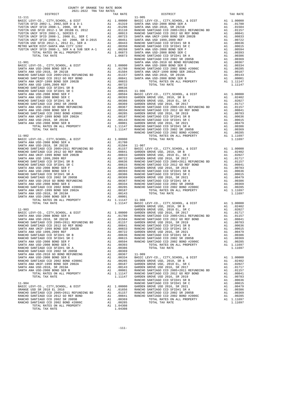| COUNTY OF ORANGE TAX RATE BOOK<br>2021-2022 יום קומר המוכן<br>$2021-2022 \quad \text{TRA RATES}$ DISTRICT $2021-2022 \quad \text{TRA TAX RATES}$ |          |                                                                                                                                                                                                                                                                                                                                                                                                                                                                                                                  |          |
|--------------------------------------------------------------------------------------------------------------------------------------------------|----------|------------------------------------------------------------------------------------------------------------------------------------------------------------------------------------------------------------------------------------------------------------------------------------------------------------------------------------------------------------------------------------------------------------------------------------------------------------------------------------------------------------------|----------|
|                                                                                                                                                  | TAX RATE | DISTRICT                                                                                                                                                                                                                                                                                                                                                                                                                                                                                                         | TAX RATE |
|                                                                                                                                                  |          |                                                                                                                                                                                                                                                                                                                                                                                                                                                                                                                  |          |
|                                                                                                                                                  |          |                                                                                                                                                                                                                                                                                                                                                                                                                                                                                                                  |          |
|                                                                                                                                                  |          |                                                                                                                                                                                                                                                                                                                                                                                                                                                                                                                  |          |
|                                                                                                                                                  |          |                                                                                                                                                                                                                                                                                                                                                                                                                                                                                                                  |          |
|                                                                                                                                                  |          |                                                                                                                                                                                                                                                                                                                                                                                                                                                                                                                  |          |
|                                                                                                                                                  |          |                                                                                                                                                                                                                                                                                                                                                                                                                                                                                                                  |          |
|                                                                                                                                                  |          |                                                                                                                                                                                                                                                                                                                                                                                                                                                                                                                  |          |
|                                                                                                                                                  |          |                                                                                                                                                                                                                                                                                                                                                                                                                                                                                                                  |          |
|                                                                                                                                                  |          |                                                                                                                                                                                                                                                                                                                                                                                                                                                                                                                  |          |
|                                                                                                                                                  |          |                                                                                                                                                                                                                                                                                                                                                                                                                                                                                                                  |          |
|                                                                                                                                                  |          |                                                                                                                                                                                                                                                                                                                                                                                                                                                                                                                  |          |
|                                                                                                                                                  |          |                                                                                                                                                                                                                                                                                                                                                                                                                                                                                                                  |          |
|                                                                                                                                                  |          |                                                                                                                                                                                                                                                                                                                                                                                                                                                                                                                  |          |
|                                                                                                                                                  |          |                                                                                                                                                                                                                                                                                                                                                                                                                                                                                                                  |          |
|                                                                                                                                                  |          |                                                                                                                                                                                                                                                                                                                                                                                                                                                                                                                  |          |
|                                                                                                                                                  |          |                                                                                                                                                                                                                                                                                                                                                                                                                                                                                                                  |          |
|                                                                                                                                                  |          |                                                                                                                                                                                                                                                                                                                                                                                                                                                                                                                  |          |
|                                                                                                                                                  |          |                                                                                                                                                                                                                                                                                                                                                                                                                                                                                                                  |          |
|                                                                                                                                                  |          |                                                                                                                                                                                                                                                                                                                                                                                                                                                                                                                  |          |
|                                                                                                                                                  |          |                                                                                                                                                                                                                                                                                                                                                                                                                                                                                                                  |          |
|                                                                                                                                                  |          |                                                                                                                                                                                                                                                                                                                                                                                                                                                                                                                  |          |
|                                                                                                                                                  |          |                                                                                                                                                                                                                                                                                                                                                                                                                                                                                                                  |          |
|                                                                                                                                                  |          |                                                                                                                                                                                                                                                                                                                                                                                                                                                                                                                  |          |
|                                                                                                                                                  |          |                                                                                                                                                                                                                                                                                                                                                                                                                                                                                                                  |          |
|                                                                                                                                                  |          |                                                                                                                                                                                                                                                                                                                                                                                                                                                                                                                  |          |
|                                                                                                                                                  |          |                                                                                                                                                                                                                                                                                                                                                                                                                                                                                                                  |          |
|                                                                                                                                                  |          |                                                                                                                                                                                                                                                                                                                                                                                                                                                                                                                  |          |
|                                                                                                                                                  |          |                                                                                                                                                                                                                                                                                                                                                                                                                                                                                                                  |          |
|                                                                                                                                                  |          |                                                                                                                                                                                                                                                                                                                                                                                                                                                                                                                  |          |
|                                                                                                                                                  |          |                                                                                                                                                                                                                                                                                                                                                                                                                                                                                                                  |          |
|                                                                                                                                                  |          |                                                                                                                                                                                                                                                                                                                                                                                                                                                                                                                  |          |
|                                                                                                                                                  |          |                                                                                                                                                                                                                                                                                                                                                                                                                                                                                                                  |          |
|                                                                                                                                                  |          |                                                                                                                                                                                                                                                                                                                                                                                                                                                                                                                  |          |
|                                                                                                                                                  |          |                                                                                                                                                                                                                                                                                                                                                                                                                                                                                                                  |          |
|                                                                                                                                                  |          |                                                                                                                                                                                                                                                                                                                                                                                                                                                                                                                  |          |
|                                                                                                                                                  |          |                                                                                                                                                                                                                                                                                                                                                                                                                                                                                                                  |          |
|                                                                                                                                                  |          |                                                                                                                                                                                                                                                                                                                                                                                                                                                                                                                  |          |
|                                                                                                                                                  |          |                                                                                                                                                                                                                                                                                                                                                                                                                                                                                                                  |          |
|                                                                                                                                                  |          |                                                                                                                                                                                                                                                                                                                                                                                                                                                                                                                  |          |
|                                                                                                                                                  |          |                                                                                                                                                                                                                                                                                                                                                                                                                                                                                                                  |          |
|                                                                                                                                                  |          |                                                                                                                                                                                                                                                                                                                                                                                                                                                                                                                  |          |
|                                                                                                                                                  |          |                                                                                                                                                                                                                                                                                                                                                                                                                                                                                                                  |          |
|                                                                                                                                                  |          |                                                                                                                                                                                                                                                                                                                                                                                                                                                                                                                  |          |
|                                                                                                                                                  |          |                                                                                                                                                                                                                                                                                                                                                                                                                                                                                                                  |          |
|                                                                                                                                                  |          |                                                                                                                                                                                                                                                                                                                                                                                                                                                                                                                  |          |
|                                                                                                                                                  |          |                                                                                                                                                                                                                                                                                                                                                                                                                                                                                                                  |          |
|                                                                                                                                                  |          |                                                                                                                                                                                                                                                                                                                                                                                                                                                                                                                  |          |
|                                                                                                                                                  |          |                                                                                                                                                                                                                                                                                                                                                                                                                                                                                                                  |          |
|                                                                                                                                                  |          |                                                                                                                                                                                                                                                                                                                                                                                                                                                                                                                  |          |
|                                                                                                                                                  |          |                                                                                                                                                                                                                                                                                                                                                                                                                                                                                                                  |          |
|                                                                                                                                                  |          |                                                                                                                                                                                                                                                                                                                                                                                                                                                                                                                  |          |
|                                                                                                                                                  |          |                                                                                                                                                                                                                                                                                                                                                                                                                                                                                                                  |          |
|                                                                                                                                                  |          |                                                                                                                                                                                                                                                                                                                                                                                                                                                                                                                  |          |
|                                                                                                                                                  |          |                                                                                                                                                                                                                                                                                                                                                                                                                                                                                                                  |          |
|                                                                                                                                                  |          |                                                                                                                                                                                                                                                                                                                                                                                                                                                                                                                  |          |
|                                                                                                                                                  |          |                                                                                                                                                                                                                                                                                                                                                                                                                                                                                                                  |          |
|                                                                                                                                                  |          |                                                                                                                                                                                                                                                                                                                                                                                                                                                                                                                  |          |
|                                                                                                                                                  |          | $\begin{tabular}{c cccc} \multicolumn{4}{c}{\begin{tabular}{c} \multicolumn{4}{c}{\begin{tabular}{c} \multicolumn{4}{c}{\begin{tabular}{c} \multicolumn{4}{c}{\begin{tabular}{c} \multicolumn{4}{c}{\begin{tabular}{c} \multicolumn{4}{c}{\begin{tabular}{c} \multicolumn{4}{c}{\begin{tabular}{c} \multicolumn{4}{c}{\begin{tabular}{c} \multicolumn{4}{c}{\begin{tabular}{c} \multicolumn{4}{c}{\begin{tabular}{c} \multicolumn{4}{c}{\begin{tabular}{c} \multicolumn{4}{c}{\begin{tabular}{c} \multicolumn{4$ |          |
|                                                                                                                                                  |          |                                                                                                                                                                                                                                                                                                                                                                                                                                                                                                                  |          |
|                                                                                                                                                  |          |                                                                                                                                                                                                                                                                                                                                                                                                                                                                                                                  |          |
|                                                                                                                                                  |          |                                                                                                                                                                                                                                                                                                                                                                                                                                                                                                                  |          |
|                                                                                                                                                  |          |                                                                                                                                                                                                                                                                                                                                                                                                                                                                                                                  |          |
|                                                                                                                                                  |          |                                                                                                                                                                                                                                                                                                                                                                                                                                                                                                                  |          |
|                                                                                                                                                  |          |                                                                                                                                                                                                                                                                                                                                                                                                                                                                                                                  |          |
|                                                                                                                                                  |          |                                                                                                                                                                                                                                                                                                                                                                                                                                                                                                                  |          |
|                                                                                                                                                  |          |                                                                                                                                                                                                                                                                                                                                                                                                                                                                                                                  |          |
|                                                                                                                                                  |          |                                                                                                                                                                                                                                                                                                                                                                                                                                                                                                                  |          |
|                                                                                                                                                  |          |                                                                                                                                                                                                                                                                                                                                                                                                                                                                                                                  |          |
|                                                                                                                                                  |          |                                                                                                                                                                                                                                                                                                                                                                                                                                                                                                                  |          |
|                                                                                                                                                  |          |                                                                                                                                                                                                                                                                                                                                                                                                                                                                                                                  |          |
|                                                                                                                                                  |          |                                                                                                                                                                                                                                                                                                                                                                                                                                                                                                                  |          |
|                                                                                                                                                  |          |                                                                                                                                                                                                                                                                                                                                                                                                                                                                                                                  |          |
|                                                                                                                                                  |          |                                                                                                                                                                                                                                                                                                                                                                                                                                                                                                                  |          |
|                                                                                                                                                  |          |                                                                                                                                                                                                                                                                                                                                                                                                                                                                                                                  |          |
|                                                                                                                                                  |          |                                                                                                                                                                                                                                                                                                                                                                                                                                                                                                                  |          |
|                                                                                                                                                  |          |                                                                                                                                                                                                                                                                                                                                                                                                                                                                                                                  |          |
|                                                                                                                                                  |          |                                                                                                                                                                                                                                                                                                                                                                                                                                                                                                                  |          |
|                                                                                                                                                  |          |                                                                                                                                                                                                                                                                                                                                                                                                                                                                                                                  |          |
|                                                                                                                                                  |          |                                                                                                                                                                                                                                                                                                                                                                                                                                                                                                                  |          |
|                                                                                                                                                  |          |                                                                                                                                                                                                                                                                                                                                                                                                                                                                                                                  |          |
|                                                                                                                                                  |          |                                                                                                                                                                                                                                                                                                                                                                                                                                                                                                                  |          |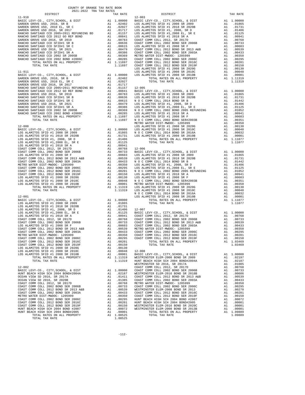| COUNTY OF ORANGE TAX RATE BOOK<br>2021-2022 TRA TAX RATES                   |                             |                       |            |
|-----------------------------------------------------------------------------|-----------------------------|-----------------------|------------|
| DISTRICT                                                                    |                             | TAX RATE              |            |
| $11 - 910$                                                                  |                             |                       | $12 - 003$ |
|                                                                             |                             |                       |            |
|                                                                             |                             |                       |            |
|                                                                             |                             |                       |            |
|                                                                             |                             |                       |            |
|                                                                             |                             |                       |            |
|                                                                             |                             |                       |            |
|                                                                             |                             |                       |            |
|                                                                             |                             |                       |            |
|                                                                             |                             |                       |            |
|                                                                             |                             |                       |            |
|                                                                             |                             |                       |            |
|                                                                             |                             |                       |            |
|                                                                             |                             |                       | LOS ALA    |
| $11 - 911$                                                                  |                             |                       | LOS ALA    |
|                                                                             |                             |                       |            |
|                                                                             |                             |                       |            |
|                                                                             |                             |                       |            |
|                                                                             |                             |                       |            |
|                                                                             |                             |                       |            |
|                                                                             |                             |                       |            |
|                                                                             |                             |                       |            |
|                                                                             |                             |                       |            |
|                                                                             |                             |                       |            |
|                                                                             |                             |                       |            |
|                                                                             |                             |                       |            |
|                                                                             |                             |                       |            |
|                                                                             |                             |                       | METRO W    |
| $12 - 000$                                                                  |                             |                       | LOS ALA    |
|                                                                             |                             |                       |            |
|                                                                             |                             |                       |            |
|                                                                             |                             |                       |            |
|                                                                             |                             |                       |            |
|                                                                             |                             |                       |            |
|                                                                             |                             |                       |            |
|                                                                             |                             |                       |            |
|                                                                             |                             |                       |            |
|                                                                             |                             |                       |            |
|                                                                             |                             |                       |            |
|                                                                             |                             |                       |            |
|                                                                             |                             |                       |            |
|                                                                             |                             |                       |            |
|                                                                             |                             |                       |            |
|                                                                             |                             |                       |            |
|                                                                             |                             |                       |            |
|                                                                             |                             |                       |            |
|                                                                             |                             |                       | NOCC       |
| $12 - 001$                                                                  |                             |                       | LOS ALA    |
| BASIC LEVY-CO., CITY, SCHOOL, & DIST                                        |                             | A1 1.00000            |            |
|                                                                             |                             |                       |            |
|                                                                             |                             |                       |            |
|                                                                             |                             |                       |            |
|                                                                             |                             |                       |            |
|                                                                             |                             |                       |            |
|                                                                             |                             |                       |            |
|                                                                             |                             |                       |            |
| COAST COMM COLL 2002 BOND SER 2003A                                         |                             | A1 .00433             | COAST C    |
| METRO WATER DIST-MWDOC- 1205999                                             | A1                          | .00350                | COAST C    |
| COAST COMM COLL 2002 BOND SER 2006C                                         | A1                          | .00295                | COAST C    |
| COAST COMM COLL 2012 BOND SER 2016C                                         |                             | A1 .00201             |            |
| COAST COMM COLL 2012 BOND SER 2019F                                         |                             | A1 .00150             |            |
| LOS ALAMITOS SFID #1 2008 SR 2020G<br>LOS ALAMITOS SFID #1 2008 SR 2010C    | A1<br>A1                    | .00130<br>.00048      | $12 - 008$ |
| LOS ALAMITOS SFID #1 2008 SR 2010B                                          | A1                          | .00001                | BASIC L    |
| TOTAL RATES ON ALL PROPERTY                                                 |                             | A1 1.11319            | WESTMIN    |
| TOTAL TAX RATE                                                              |                             | 1.11319               | HUNT BE    |
|                                                                             |                             |                       | WESTMIN    |
| $12 - 002$                                                                  |                             |                       | COAST C    |
| BASIC LEVY-CO., CITY, SCHOOL, & DIST<br>HUNT BEACH HIGH SCH 2004 BOND#2004A |                             |                       |            |
| OCEAN VIEW SD 2016, SR 2017A                                                |                             |                       |            |
| OCEAN VIEW SD 2016, SR 2020B                                                |                             |                       |            |
| COAST COMM COLL 2012, SR 2017D                                              |                             |                       |            |
| COAST COMM COLL 2002 BOND SER 2006B                                         |                             |                       |            |
| COAST COMM COLL 2012 BOND SR 2013 A&B                                       |                             |                       |            |
| COAST COMM COLL 2002 BOND SER 2003A<br>METRO WATER DIST-MWDOC- 1205999      |                             |                       |            |
| COAST COMM COLL 2002 BOND SER 2006C                                         |                             |                       |            |
| COAST COMM COLL 2012 BOND SER 2016C                                         |                             |                       |            |
| COAST COMM COLL 2012 BOND SER 2019F                                         | ---<br>A1<br>A1<br>A1<br>A1 |                       |            |
| HUNT BEACH HIGH SCH 2004 BOND #2007                                         |                             |                       |            |
| HUNT BEACH HIGH SCH 2004 BOND#2005                                          | A1                          | .00001                |            |
| TOTAL RATES ON ALL PROPERTY<br>TOTAL TAX RATE                               |                             | A1 1.08525<br>1.08525 |            |
|                                                                             |                             |                       |            |

| 2021-2022 TRA TAX RATES<br>DISTRICT | TAX RATE | DISTRICT | TAX RATE |
|-------------------------------------|----------|----------|----------|
|                                     |          |          |          |
|                                     |          |          |          |
|                                     |          |          |          |
|                                     |          |          |          |
|                                     |          |          |          |
|                                     |          |          |          |
|                                     |          |          |          |
|                                     |          |          |          |
|                                     |          |          |          |
|                                     |          |          |          |
|                                     |          |          |          |
|                                     |          |          |          |
|                                     |          |          |          |
|                                     |          |          |          |
|                                     |          |          |          |
|                                     |          |          |          |
|                                     |          |          |          |
|                                     |          |          |          |
|                                     |          |          |          |
|                                     |          |          |          |
|                                     |          |          |          |
|                                     |          |          |          |
|                                     |          |          |          |
|                                     |          |          |          |
|                                     |          |          |          |
|                                     |          |          |          |
|                                     |          |          |          |
|                                     |          |          |          |
|                                     |          |          |          |
|                                     |          |          |          |
|                                     |          |          |          |
|                                     |          |          |          |
|                                     |          |          |          |
|                                     |          |          |          |
|                                     |          |          |          |
|                                     |          |          |          |
|                                     |          |          |          |
|                                     |          |          |          |
|                                     |          |          |          |
|                                     |          |          |          |
|                                     |          |          |          |
|                                     |          |          |          |
|                                     |          |          |          |
|                                     |          |          |          |
|                                     |          |          |          |
|                                     |          |          |          |
|                                     |          |          |          |
|                                     |          |          |          |
|                                     |          |          |          |
|                                     |          |          |          |
|                                     |          |          |          |
|                                     |          |          |          |
|                                     |          |          |          |
|                                     |          |          |          |
|                                     |          |          |          |
|                                     |          |          |          |
|                                     |          |          |          |
|                                     |          |          |          |
|                                     |          |          |          |
|                                     |          |          |          |
|                                     |          |          |          |
|                                     |          |          |          |
|                                     |          |          |          |
|                                     |          |          |          |
|                                     |          |          |          |
|                                     |          |          |          |
|                                     |          |          |          |
|                                     |          |          |          |
|                                     |          |          |          |
|                                     |          |          |          |
|                                     |          |          |          |
|                                     |          |          |          |
|                                     |          |          |          |
|                                     |          |          |          |
|                                     |          |          |          |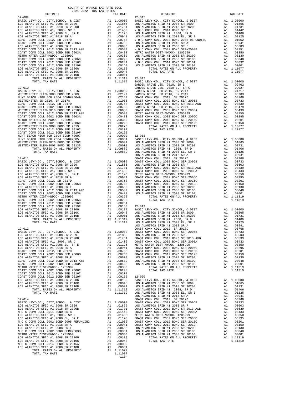| $-113-$ |  |
|---------|--|

| COUNTY OF ORANGE TAX RATE BOOK<br>2021-2022 TRA TAX RATES |          |          |          |
|-----------------------------------------------------------|----------|----------|----------|
| DISTRICT                                                  | TAX RATE | DISTRICT | TAX RATE |
|                                                           |          |          |          |
|                                                           |          |          |          |
|                                                           |          |          |          |
|                                                           |          |          |          |
|                                                           |          |          |          |
|                                                           |          |          |          |
|                                                           |          |          |          |
|                                                           |          |          |          |
|                                                           |          |          |          |
|                                                           |          |          |          |
|                                                           |          |          |          |
|                                                           |          |          |          |
|                                                           |          |          |          |
|                                                           |          |          |          |
|                                                           |          |          |          |
|                                                           |          |          |          |
|                                                           |          |          |          |
|                                                           |          |          |          |
|                                                           |          |          |          |
|                                                           |          |          |          |
|                                                           |          |          |          |
|                                                           |          |          |          |
|                                                           |          |          |          |
|                                                           |          |          |          |
|                                                           |          |          |          |
|                                                           |          |          |          |
|                                                           |          |          |          |
|                                                           |          |          |          |
|                                                           |          |          |          |
|                                                           |          |          |          |
|                                                           |          |          |          |
|                                                           |          |          |          |
|                                                           |          |          |          |
|                                                           |          |          |          |
|                                                           |          |          |          |
|                                                           |          |          |          |
|                                                           |          |          |          |
|                                                           |          |          |          |
|                                                           |          |          |          |
|                                                           |          |          |          |
|                                                           |          |          |          |
|                                                           |          |          |          |
|                                                           |          |          |          |
|                                                           |          |          |          |
|                                                           |          |          |          |
|                                                           |          |          |          |
|                                                           |          |          |          |
|                                                           |          |          |          |
|                                                           |          |          |          |
|                                                           |          |          |          |
|                                                           |          |          |          |
|                                                           |          |          |          |
|                                                           |          |          |          |
|                                                           |          |          |          |
|                                                           |          |          |          |
|                                                           |          |          |          |
|                                                           |          |          |          |
|                                                           |          |          |          |
|                                                           |          |          |          |
|                                                           |          |          |          |
|                                                           |          |          |          |
|                                                           |          |          |          |
|                                                           |          |          |          |
|                                                           |          |          |          |
|                                                           |          |          |          |
|                                                           |          |          |          |
|                                                           |          |          |          |
|                                                           |          |          |          |
|                                                           |          |          |          |
|                                                           |          |          |          |
|                                                           |          |          |          |
|                                                           |          |          |          |
|                                                           |          |          |          |
|                                                           |          |          |          |
|                                                           |          |          |          |
|                                                           |          |          |          |
|                                                           |          |          |          |
|                                                           |          |          |          |
|                                                           |          |          |          |
|                                                           |          |          |          |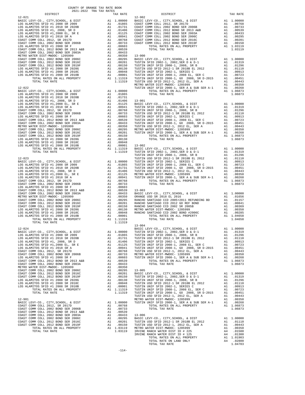| TAX RATE<br>DISTRICT |  | DISTRICT | TAX RATE |
|----------------------|--|----------|----------|
|                      |  |          |          |
|                      |  |          |          |
|                      |  |          |          |
|                      |  |          |          |
|                      |  |          |          |
|                      |  |          |          |
|                      |  |          |          |
|                      |  |          |          |
|                      |  |          |          |
|                      |  |          |          |
|                      |  |          |          |
|                      |  |          |          |
|                      |  |          |          |
|                      |  |          |          |
|                      |  |          |          |
|                      |  |          |          |
|                      |  |          |          |
|                      |  |          |          |
|                      |  |          |          |
|                      |  |          |          |
|                      |  |          |          |
|                      |  |          |          |
|                      |  |          |          |
|                      |  |          |          |
|                      |  |          |          |
|                      |  |          |          |
|                      |  |          |          |
|                      |  |          |          |
|                      |  |          |          |
|                      |  |          |          |
|                      |  |          |          |
|                      |  |          |          |
|                      |  |          |          |
|                      |  |          |          |
|                      |  |          |          |
|                      |  |          |          |
|                      |  |          |          |
|                      |  |          |          |
|                      |  |          |          |
|                      |  |          |          |
|                      |  |          |          |
|                      |  |          |          |
|                      |  |          |          |
|                      |  |          |          |
|                      |  |          |          |
|                      |  |          |          |
|                      |  |          |          |
|                      |  |          |          |
|                      |  |          |          |
|                      |  |          |          |
|                      |  |          |          |
|                      |  |          |          |
|                      |  |          |          |
|                      |  |          |          |
|                      |  |          |          |
|                      |  |          |          |
|                      |  |          |          |
|                      |  |          |          |
|                      |  |          |          |
|                      |  |          |          |
|                      |  |          |          |
|                      |  |          |          |
|                      |  |          |          |
|                      |  |          |          |
|                      |  |          |          |
|                      |  |          |          |
|                      |  |          |          |
|                      |  |          |          |
|                      |  |          |          |
|                      |  |          |          |
|                      |  |          |          |
|                      |  |          |          |
|                      |  |          |          |
|                      |  |          |          |
|                      |  |          |          |
|                      |  |          |          |
|                      |  |          |          |
|                      |  |          |          |
|                      |  |          |          |
|                      |  |          |          |
|                      |  |          |          |
|                      |  |          |          |
|                      |  |          |          |
|                      |  |          |          |
|                      |  |          |          |
|                      |  |          |          |
|                      |  |          |          |

| --------- | aran sunaw | ---------  | TLTT TAITH |
|-----------|------------|------------|------------|
|           |            |            |            |
|           |            |            |            |
|           |            |            |            |
|           |            |            |            |
|           |            |            |            |
|           |            |            |            |
|           |            |            |            |
|           |            |            |            |
|           |            |            |            |
|           |            |            |            |
|           |            |            |            |
|           |            |            |            |
|           |            |            |            |
|           |            |            |            |
|           |            |            |            |
|           |            |            |            |
|           |            |            |            |
|           |            |            |            |
|           |            |            |            |
|           |            |            |            |
|           |            |            |            |
|           |            |            |            |
|           |            |            |            |
|           |            |            |            |
|           |            |            |            |
|           |            |            |            |
|           |            |            |            |
|           |            |            |            |
|           |            |            |            |
|           |            |            |            |
|           |            |            |            |
|           |            |            |            |
|           |            |            |            |
|           |            |            |            |
|           |            |            |            |
|           |            |            |            |
|           |            |            |            |
|           |            |            |            |
|           |            |            |            |
|           |            |            |            |
|           |            |            |            |
|           |            |            |            |
|           |            |            |            |
|           |            |            |            |
|           |            |            |            |
|           |            |            |            |
|           |            |            |            |
|           |            |            |            |
|           |            |            |            |
|           |            |            |            |
|           |            |            |            |
|           |            |            |            |
|           |            |            |            |
|           |            |            |            |
|           |            |            |            |
|           |            |            |            |
|           |            |            |            |
|           |            |            |            |
|           |            |            |            |
|           |            |            |            |
|           |            |            |            |
|           |            |            |            |
|           |            |            |            |
|           |            | $13 - 004$ |            |
|           |            |            |            |
|           |            |            |            |
|           |            |            |            |
|           |            |            |            |
|           |            |            |            |
|           |            |            |            |
|           |            |            |            |
|           |            |            |            |
|           |            |            |            |
|           |            |            |            |
|           |            |            |            |
|           |            |            |            |
|           |            |            |            |
|           |            |            |            |
|           |            |            |            |
|           |            |            |            |
|           |            |            |            |
|           |            |            |            |
|           |            |            |            |
|           |            |            |            |
|           |            |            |            |
|           |            |            |            |
|           |            |            |            |
|           |            |            |            |
|           |            |            |            |
|           |            |            |            |
|           |            |            |            |
|           |            |            |            |
|           |            |            |            |
|           |            |            |            |
|           |            |            |            |
|           |            |            |            |
|           |            |            |            |
|           |            |            |            |
|           |            |            |            |
|           |            |            |            |
|           |            |            |            |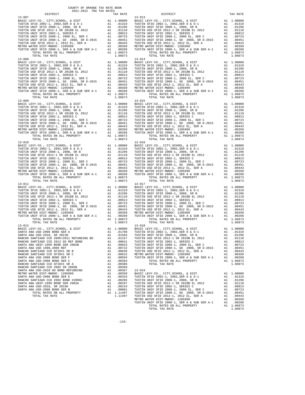| 2021-2022 TRA TAX RATES<br>DISTRICT | TAX RATE | DISTRICT   | TAX RATE |
|-------------------------------------|----------|------------|----------|
| $13 - 007$                          |          | $13 - 013$ |          |
|                                     |          |            |          |
|                                     |          |            |          |
|                                     |          | $13 - 017$ |          |
| $13 - 011$                          |          |            |          |
|                                     |          |            |          |
|                                     |          |            |          |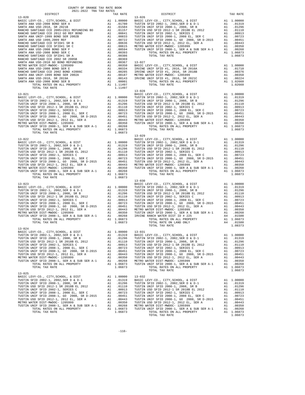| COUNTY OF ORANGE TAX RATE BOOK<br>2021-2022 TRA TAX RATES |          |                        |          |
|-----------------------------------------------------------|----------|------------------------|----------|
| DISTRICT                                                  | TAX RATE | $13 - 026$<br>DISTRICT | TAX RATE |
| $13 - 020$                                                |          |                        |          |
|                                                           |          |                        |          |
|                                                           |          |                        |          |
| TOTAL TAX RATE                                            |          |                        |          |
|                                                           |          | $13 - 030$             |          |
|                                                           |          |                        |          |
| $13 - 025$                                                |          |                        |          |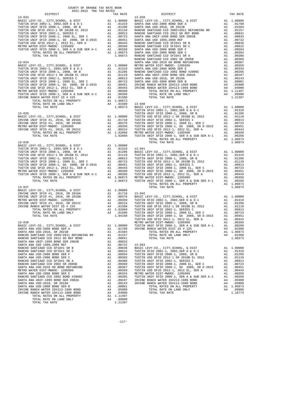| COUNTY OF ORANGE TAX RATE BOOK<br>2021-2022 TRA TAX RATES<br>$2021-2022 \quad \text{TRA TAX RATES}$ DISTRICT $\hspace{2.5cm}$ |          |                                                                                                                                                                                                                                                                                                   |          |
|-------------------------------------------------------------------------------------------------------------------------------|----------|---------------------------------------------------------------------------------------------------------------------------------------------------------------------------------------------------------------------------------------------------------------------------------------------------|----------|
|                                                                                                                               | TAX RATE | DISTRICT                                                                                                                                                                                                                                                                                          | TAX RATE |
|                                                                                                                               |          | $13 - 039$<br>13-033<br>13-033<br>13-033<br>13-033<br>13-033<br>13-033<br>13-033<br>13-033<br>13-033<br>13-033<br>13-033<br>13-033<br>13-033<br>13-033<br>13-033<br>13-033<br>13-033<br>13-033<br>13-033<br>13-033<br>13-033<br>13-033<br>13-033<br>13-033<br>13-033<br>13-033<br>13-033<br>13-03 |          |
|                                                                                                                               |          |                                                                                                                                                                                                                                                                                                   |          |
|                                                                                                                               |          |                                                                                                                                                                                                                                                                                                   |          |
|                                                                                                                               |          |                                                                                                                                                                                                                                                                                                   |          |
|                                                                                                                               |          |                                                                                                                                                                                                                                                                                                   |          |
|                                                                                                                               |          |                                                                                                                                                                                                                                                                                                   |          |
|                                                                                                                               |          |                                                                                                                                                                                                                                                                                                   |          |
|                                                                                                                               |          |                                                                                                                                                                                                                                                                                                   |          |
|                                                                                                                               |          |                                                                                                                                                                                                                                                                                                   |          |
|                                                                                                                               |          |                                                                                                                                                                                                                                                                                                   |          |
|                                                                                                                               |          |                                                                                                                                                                                                                                                                                                   |          |
|                                                                                                                               |          |                                                                                                                                                                                                                                                                                                   |          |
|                                                                                                                               |          |                                                                                                                                                                                                                                                                                                   |          |
|                                                                                                                               |          |                                                                                                                                                                                                                                                                                                   |          |
|                                                                                                                               |          |                                                                                                                                                                                                                                                                                                   |          |
|                                                                                                                               |          |                                                                                                                                                                                                                                                                                                   |          |
|                                                                                                                               |          |                                                                                                                                                                                                                                                                                                   |          |
|                                                                                                                               |          |                                                                                                                                                                                                                                                                                                   |          |
|                                                                                                                               |          |                                                                                                                                                                                                                                                                                                   |          |
|                                                                                                                               |          |                                                                                                                                                                                                                                                                                                   |          |
|                                                                                                                               |          |                                                                                                                                                                                                                                                                                                   |          |
|                                                                                                                               |          |                                                                                                                                                                                                                                                                                                   |          |
|                                                                                                                               |          |                                                                                                                                                                                                                                                                                                   |          |
|                                                                                                                               |          |                                                                                                                                                                                                                                                                                                   |          |
|                                                                                                                               |          |                                                                                                                                                                                                                                                                                                   |          |
|                                                                                                                               |          |                                                                                                                                                                                                                                                                                                   |          |
|                                                                                                                               |          |                                                                                                                                                                                                                                                                                                   |          |
|                                                                                                                               |          |                                                                                                                                                                                                                                                                                                   |          |
|                                                                                                                               |          |                                                                                                                                                                                                                                                                                                   |          |
|                                                                                                                               |          |                                                                                                                                                                                                                                                                                                   |          |
|                                                                                                                               |          |                                                                                                                                                                                                                                                                                                   |          |
|                                                                                                                               |          |                                                                                                                                                                                                                                                                                                   |          |
|                                                                                                                               |          |                                                                                                                                                                                                                                                                                                   |          |
|                                                                                                                               |          |                                                                                                                                                                                                                                                                                                   |          |
|                                                                                                                               |          |                                                                                                                                                                                                                                                                                                   |          |
|                                                                                                                               |          |                                                                                                                                                                                                                                                                                                   |          |
|                                                                                                                               |          |                                                                                                                                                                                                                                                                                                   |          |
|                                                                                                                               |          |                                                                                                                                                                                                                                                                                                   |          |
|                                                                                                                               |          |                                                                                                                                                                                                                                                                                                   |          |
|                                                                                                                               |          |                                                                                                                                                                                                                                                                                                   |          |
|                                                                                                                               |          |                                                                                                                                                                                                                                                                                                   |          |
|                                                                                                                               |          |                                                                                                                                                                                                                                                                                                   |          |
|                                                                                                                               |          |                                                                                                                                                                                                                                                                                                   |          |
|                                                                                                                               |          |                                                                                                                                                                                                                                                                                                   |          |
|                                                                                                                               |          |                                                                                                                                                                                                                                                                                                   |          |
|                                                                                                                               |          |                                                                                                                                                                                                                                                                                                   |          |
|                                                                                                                               |          |                                                                                                                                                                                                                                                                                                   |          |
|                                                                                                                               |          |                                                                                                                                                                                                                                                                                                   |          |
|                                                                                                                               |          |                                                                                                                                                                                                                                                                                                   |          |
|                                                                                                                               |          |                                                                                                                                                                                                                                                                                                   |          |
|                                                                                                                               |          |                                                                                                                                                                                                                                                                                                   |          |
|                                                                                                                               |          |                                                                                                                                                                                                                                                                                                   |          |
|                                                                                                                               |          |                                                                                                                                                                                                                                                                                                   |          |
|                                                                                                                               |          |                                                                                                                                                                                                                                                                                                   |          |
|                                                                                                                               |          |                                                                                                                                                                                                                                                                                                   |          |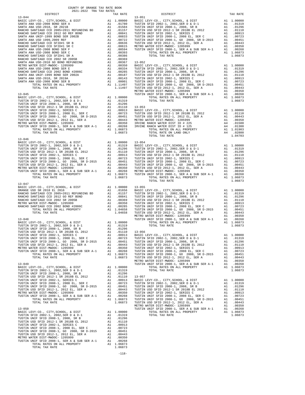| 1.4-044<br>1.2000 DARTE LATY-CO., CITY, SCHOOL A DISTRICTION CITY, SCHOOL A DISTRICTION CONTRIBUTE SONO DARTE LATY-CO., CITY, SCHOOL A DISTRICTION CONTRIBUTE SONO AND 1.0000 DARTE LATY-CO., CITY, SCHOOL AND INTELLECTION CON |  |  |  |
|---------------------------------------------------------------------------------------------------------------------------------------------------------------------------------------------------------------------------------|--|--|--|
|                                                                                                                                                                                                                                 |  |  |  |
|                                                                                                                                                                                                                                 |  |  |  |
|                                                                                                                                                                                                                                 |  |  |  |
|                                                                                                                                                                                                                                 |  |  |  |
|                                                                                                                                                                                                                                 |  |  |  |
|                                                                                                                                                                                                                                 |  |  |  |
|                                                                                                                                                                                                                                 |  |  |  |
|                                                                                                                                                                                                                                 |  |  |  |
|                                                                                                                                                                                                                                 |  |  |  |
| $13 - 047$                                                                                                                                                                                                                      |  |  |  |
|                                                                                                                                                                                                                                 |  |  |  |
|                                                                                                                                                                                                                                 |  |  |  |
|                                                                                                                                                                                                                                 |  |  |  |
|                                                                                                                                                                                                                                 |  |  |  |
|                                                                                                                                                                                                                                 |  |  |  |
|                                                                                                                                                                                                                                 |  |  |  |
|                                                                                                                                                                                                                                 |  |  |  |
|                                                                                                                                                                                                                                 |  |  |  |
|                                                                                                                                                                                                                                 |  |  |  |
|                                                                                                                                                                                                                                 |  |  |  |
|                                                                                                                                                                                                                                 |  |  |  |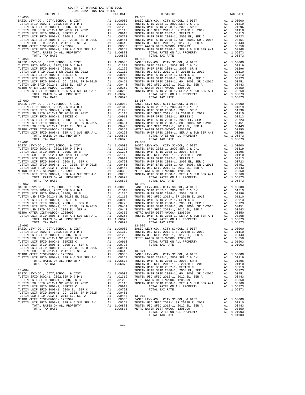| COUNTY OF ORANGE TAX RATE BOOK<br>2021-2022 TRA TAX RATES |          |                                                                                                                                                                                                                                                                                |            |
|-----------------------------------------------------------|----------|--------------------------------------------------------------------------------------------------------------------------------------------------------------------------------------------------------------------------------------------------------------------------------|------------|
| DISTRICT                                                  | TAX RATE | DISTRICT                                                                                                                                                                                                                                                                       | TAX RATE   |
|                                                           |          | $\begin{smallmatrix} 1.18 & 0.98 & 0.98 & 0.98 & 0.98 & 0.98 & 0.98 & 0.98 & 0.98 & 0.98 & 0.98 & 0.98 & 0.98 & 0.98 & 0.98 & 0.98 & 0.98 & 0.98 & 0.98 & 0.98 & 0.98 & 0.98 & 0.98 & 0.98 & 0.98 & 0.98 & 0.98 & 0.98 & 0.98 & 0.98 & 0.98 & 0.98 & 0.98 & 0.98 & 0.98 & 0.9$ |            |
|                                                           |          |                                                                                                                                                                                                                                                                                |            |
|                                                           |          |                                                                                                                                                                                                                                                                                |            |
|                                                           |          |                                                                                                                                                                                                                                                                                |            |
|                                                           |          |                                                                                                                                                                                                                                                                                |            |
|                                                           |          |                                                                                                                                                                                                                                                                                |            |
|                                                           |          |                                                                                                                                                                                                                                                                                |            |
|                                                           |          |                                                                                                                                                                                                                                                                                |            |
|                                                           |          |                                                                                                                                                                                                                                                                                |            |
|                                                           |          |                                                                                                                                                                                                                                                                                |            |
|                                                           |          |                                                                                                                                                                                                                                                                                |            |
|                                                           |          |                                                                                                                                                                                                                                                                                |            |
|                                                           |          |                                                                                                                                                                                                                                                                                |            |
|                                                           |          |                                                                                                                                                                                                                                                                                |            |
|                                                           |          |                                                                                                                                                                                                                                                                                |            |
|                                                           |          |                                                                                                                                                                                                                                                                                |            |
|                                                           |          |                                                                                                                                                                                                                                                                                |            |
|                                                           |          |                                                                                                                                                                                                                                                                                |            |
|                                                           |          |                                                                                                                                                                                                                                                                                |            |
|                                                           |          |                                                                                                                                                                                                                                                                                |            |
|                                                           |          |                                                                                                                                                                                                                                                                                |            |
|                                                           |          |                                                                                                                                                                                                                                                                                |            |
|                                                           |          |                                                                                                                                                                                                                                                                                |            |
|                                                           |          |                                                                                                                                                                                                                                                                                |            |
|                                                           |          |                                                                                                                                                                                                                                                                                |            |
|                                                           |          |                                                                                                                                                                                                                                                                                |            |
|                                                           |          |                                                                                                                                                                                                                                                                                |            |
|                                                           |          |                                                                                                                                                                                                                                                                                |            |
|                                                           |          |                                                                                                                                                                                                                                                                                |            |
|                                                           |          |                                                                                                                                                                                                                                                                                |            |
|                                                           |          |                                                                                                                                                                                                                                                                                |            |
|                                                           |          |                                                                                                                                                                                                                                                                                |            |
|                                                           |          |                                                                                                                                                                                                                                                                                |            |
|                                                           |          |                                                                                                                                                                                                                                                                                |            |
|                                                           |          |                                                                                                                                                                                                                                                                                |            |
|                                                           |          |                                                                                                                                                                                                                                                                                |            |
|                                                           |          |                                                                                                                                                                                                                                                                                |            |
|                                                           |          |                                                                                                                                                                                                                                                                                |            |
|                                                           |          |                                                                                                                                                                                                                                                                                |            |
|                                                           |          |                                                                                                                                                                                                                                                                                |            |
|                                                           |          |                                                                                                                                                                                                                                                                                |            |
|                                                           |          | EXECUTEVY-CO., CITY, SCHOOL, & DIST A1 1.00000 BASIC LEVY-CO., CITY, SCHOOL, & DIST                                                                                                                                                                                            | A1 1.00000 |
|                                                           |          |                                                                                                                                                                                                                                                                                |            |
|                                                           |          |                                                                                                                                                                                                                                                                                |            |
|                                                           |          |                                                                                                                                                                                                                                                                                |            |
|                                                           |          |                                                                                                                                                                                                                                                                                |            |
|                                                           |          |                                                                                                                                                                                                                                                                                |            |
|                                                           |          |                                                                                                                                                                                                                                                                                |            |
|                                                           |          |                                                                                                                                                                                                                                                                                |            |
|                                                           |          |                                                                                                                                                                                                                                                                                |            |
|                                                           |          |                                                                                                                                                                                                                                                                                |            |
|                                                           |          |                                                                                                                                                                                                                                                                                |            |
|                                                           |          |                                                                                                                                                                                                                                                                                |            |
|                                                           |          |                                                                                                                                                                                                                                                                                |            |
|                                                           |          |                                                                                                                                                                                                                                                                                |            |
|                                                           |          |                                                                                                                                                                                                                                                                                |            |
|                                                           |          |                                                                                                                                                                                                                                                                                |            |
|                                                           |          |                                                                                                                                                                                                                                                                                |            |

| $13 - 059$ | $13 - 066$ |  |
|------------|------------|--|
| $13 - 060$ | $13 - 067$ |  |
|            |            |  |
|            | $13 - 069$ |  |
| $13 - 062$ |            |  |
| $13 - 063$ | $13 - 070$ |  |
|            |            |  |
|            |            |  |
|            |            |  |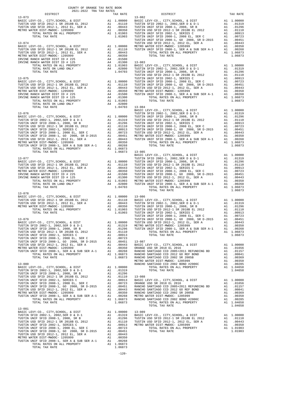| COUNTY OF ORANGE TAX RATE BOOK                                               |          |                                                                                                                                                                                                                                                                                                                           |          |
|------------------------------------------------------------------------------|----------|---------------------------------------------------------------------------------------------------------------------------------------------------------------------------------------------------------------------------------------------------------------------------------------------------------------------------|----------|
| $2021-2022 \quad \text{TRA RATE B}$ DISTRICT $$\tt 2021-2022$$<br>$13 - 073$ | TAX RATE | DISTRICT<br>$13 - 082$                                                                                                                                                                                                                                                                                                    | TAX RATE |
|                                                                              |          |                                                                                                                                                                                                                                                                                                                           |          |
|                                                                              |          |                                                                                                                                                                                                                                                                                                                           |          |
|                                                                              |          |                                                                                                                                                                                                                                                                                                                           |          |
|                                                                              |          |                                                                                                                                                                                                                                                                                                                           |          |
|                                                                              |          |                                                                                                                                                                                                                                                                                                                           |          |
|                                                                              |          |                                                                                                                                                                                                                                                                                                                           |          |
|                                                                              |          |                                                                                                                                                                                                                                                                                                                           |          |
|                                                                              |          |                                                                                                                                                                                                                                                                                                                           |          |
|                                                                              |          |                                                                                                                                                                                                                                                                                                                           |          |
|                                                                              |          |                                                                                                                                                                                                                                                                                                                           |          |
|                                                                              |          |                                                                                                                                                                                                                                                                                                                           |          |
|                                                                              |          |                                                                                                                                                                                                                                                                                                                           |          |
|                                                                              |          |                                                                                                                                                                                                                                                                                                                           |          |
|                                                                              |          |                                                                                                                                                                                                                                                                                                                           |          |
|                                                                              |          |                                                                                                                                                                                                                                                                                                                           |          |
|                                                                              |          |                                                                                                                                                                                                                                                                                                                           |          |
|                                                                              |          |                                                                                                                                                                                                                                                                                                                           |          |
|                                                                              |          |                                                                                                                                                                                                                                                                                                                           |          |
|                                                                              |          |                                                                                                                                                                                                                                                                                                                           |          |
|                                                                              |          |                                                                                                                                                                                                                                                                                                                           |          |
|                                                                              |          |                                                                                                                                                                                                                                                                                                                           |          |
|                                                                              |          |                                                                                                                                                                                                                                                                                                                           |          |
|                                                                              |          |                                                                                                                                                                                                                                                                                                                           |          |
|                                                                              |          |                                                                                                                                                                                                                                                                                                                           |          |
|                                                                              |          |                                                                                                                                                                                                                                                                                                                           |          |
|                                                                              |          |                                                                                                                                                                                                                                                                                                                           |          |
|                                                                              |          |                                                                                                                                                                                                                                                                                                                           |          |
|                                                                              |          | $[1.04703 \newline 13-076 \newline 13-076 \newline 13-077 \newline 13-077 \newline 13-077 \newline 13-077 \newline 13-088, 10-0.012, 1000, 10000 \newline 13-088, 10000, 10000 \newline 13-088, 10000, 10000 \newline 13-088, 10000, 10000 \newline 13-088, 10000, 10000 \newline 13-088, 10000, 10000 \newline 13-088, $ |          |
|                                                                              |          |                                                                                                                                                                                                                                                                                                                           |          |
|                                                                              |          |                                                                                                                                                                                                                                                                                                                           |          |
|                                                                              |          |                                                                                                                                                                                                                                                                                                                           |          |
|                                                                              |          |                                                                                                                                                                                                                                                                                                                           |          |
|                                                                              |          |                                                                                                                                                                                                                                                                                                                           |          |
|                                                                              |          |                                                                                                                                                                                                                                                                                                                           |          |
|                                                                              |          |                                                                                                                                                                                                                                                                                                                           |          |
|                                                                              |          |                                                                                                                                                                                                                                                                                                                           |          |
|                                                                              |          |                                                                                                                                                                                                                                                                                                                           |          |
|                                                                              |          |                                                                                                                                                                                                                                                                                                                           |          |
|                                                                              |          |                                                                                                                                                                                                                                                                                                                           |          |
|                                                                              |          |                                                                                                                                                                                                                                                                                                                           |          |
| $13 - 078$                                                                   |          | TOTAL TAX RATE                                                                                                                                                                                                                                                                                                            | 1.06873  |
|                                                                              |          |                                                                                                                                                                                                                                                                                                                           |          |
|                                                                              |          |                                                                                                                                                                                                                                                                                                                           |          |
|                                                                              |          |                                                                                                                                                                                                                                                                                                                           |          |
|                                                                              |          |                                                                                                                                                                                                                                                                                                                           |          |
|                                                                              |          |                                                                                                                                                                                                                                                                                                                           |          |
|                                                                              |          |                                                                                                                                                                                                                                                                                                                           |          |
|                                                                              |          |                                                                                                                                                                                                                                                                                                                           |          |
|                                                                              |          |                                                                                                                                                                                                                                                                                                                           |          |
|                                                                              |          |                                                                                                                                                                                                                                                                                                                           |          |
|                                                                              |          |                                                                                                                                                                                                                                                                                                                           |          |
|                                                                              |          |                                                                                                                                                                                                                                                                                                                           |          |
|                                                                              |          |                                                                                                                                                                                                                                                                                                                           |          |
|                                                                              |          |                                                                                                                                                                                                                                                                                                                           |          |
|                                                                              |          |                                                                                                                                                                                                                                                                                                                           |          |
|                                                                              |          |                                                                                                                                                                                                                                                                                                                           |          |
|                                                                              |          |                                                                                                                                                                                                                                                                                                                           |          |
|                                                                              |          |                                                                                                                                                                                                                                                                                                                           |          |
|                                                                              |          |                                                                                                                                                                                                                                                                                                                           |          |
|                                                                              |          |                                                                                                                                                                                                                                                                                                                           |          |
|                                                                              |          |                                                                                                                                                                                                                                                                                                                           |          |
|                                                                              |          |                                                                                                                                                                                                                                                                                                                           |          |
|                                                                              |          |                                                                                                                                                                                                                                                                                                                           |          |
|                                                                              |          |                                                                                                                                                                                                                                                                                                                           |          |
|                                                                              |          |                                                                                                                                                                                                                                                                                                                           |          |
|                                                                              |          |                                                                                                                                                                                                                                                                                                                           |          |
|                                                                              |          |                                                                                                                                                                                                                                                                                                                           |          |
| $13 - 081$                                                                   |          |                                                                                                                                                                                                                                                                                                                           |          |
|                                                                              |          |                                                                                                                                                                                                                                                                                                                           |          |
|                                                                              |          |                                                                                                                                                                                                                                                                                                                           |          |
|                                                                              |          |                                                                                                                                                                                                                                                                                                                           |          |
|                                                                              |          |                                                                                                                                                                                                                                                                                                                           |          |
|                                                                              |          |                                                                                                                                                                                                                                                                                                                           |          |
|                                                                              |          |                                                                                                                                                                                                                                                                                                                           |          |
|                                                                              |          |                                                                                                                                                                                                                                                                                                                           |          |
|                                                                              |          |                                                                                                                                                                                                                                                                                                                           |          |
|                                                                              |          |                                                                                                                                                                                                                                                                                                                           |          |
|                                                                              |          |                                                                                                                                                                                                                                                                                                                           |          |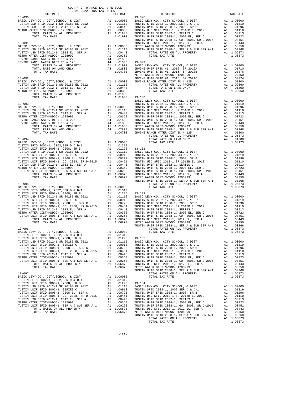| 2021-2022 TRA TAX RATES |          |                                                                                                                                                                                                                               |          |
|-------------------------|----------|-------------------------------------------------------------------------------------------------------------------------------------------------------------------------------------------------------------------------------|----------|
| DISTRICT                | TAX RATE | DISTRICT                                                                                                                                                                                                                      | TAX RATE |
|                         |          |                                                                                                                                                                                                                               |          |
|                         |          |                                                                                                                                                                                                                               |          |
|                         |          |                                                                                                                                                                                                                               |          |
|                         |          |                                                                                                                                                                                                                               |          |
|                         |          |                                                                                                                                                                                                                               |          |
|                         |          |                                                                                                                                                                                                                               |          |
|                         |          |                                                                                                                                                                                                                               |          |
|                         |          |                                                                                                                                                                                                                               |          |
|                         |          |                                                                                                                                                                                                                               |          |
|                         |          |                                                                                                                                                                                                                               |          |
|                         |          |                                                                                                                                                                                                                               |          |
|                         |          |                                                                                                                                                                                                                               |          |
|                         |          |                                                                                                                                                                                                                               |          |
|                         |          |                                                                                                                                                                                                                               |          |
|                         |          |                                                                                                                                                                                                                               |          |
|                         |          |                                                                                                                                                                                                                               |          |
|                         |          |                                                                                                                                                                                                                               |          |
|                         |          |                                                                                                                                                                                                                               |          |
|                         |          |                                                                                                                                                                                                                               |          |
|                         |          |                                                                                                                                                                                                                               |          |
|                         |          |                                                                                                                                                                                                                               |          |
|                         |          |                                                                                                                                                                                                                               |          |
|                         |          |                                                                                                                                                                                                                               |          |
|                         |          |                                                                                                                                                                                                                               |          |
|                         |          | 20130 Mark Christopher Christopher Mark 20130 Mark 20130 Mark 20130 Mark 20130 Mark 20130 Mark 20130 Mark 20130 Mark 20130 Mark 20130 Mark 20130 Mark 20130 Mark 20130 Mark 20130 Mark 20130 Mark 20130 Mark 20130 Mark 20130 |          |
|                         |          |                                                                                                                                                                                                                               |          |
|                         |          |                                                                                                                                                                                                                               |          |
|                         |          |                                                                                                                                                                                                                               |          |
|                         |          |                                                                                                                                                                                                                               |          |
|                         |          |                                                                                                                                                                                                                               |          |
|                         |          |                                                                                                                                                                                                                               |          |
|                         |          |                                                                                                                                                                                                                               |          |
|                         |          |                                                                                                                                                                                                                               |          |
|                         |          |                                                                                                                                                                                                                               |          |
|                         |          |                                                                                                                                                                                                                               |          |
|                         |          |                                                                                                                                                                                                                               |          |
|                         |          |                                                                                                                                                                                                                               |          |
|                         |          |                                                                                                                                                                                                                               |          |
|                         |          |                                                                                                                                                                                                                               |          |
|                         |          |                                                                                                                                                                                                                               |          |
|                         |          |                                                                                                                                                                                                                               |          |
|                         |          |                                                                                                                                                                                                                               |          |
|                         |          |                                                                                                                                                                                                                               |          |
|                         |          |                                                                                                                                                                                                                               |          |
|                         |          |                                                                                                                                                                                                                               |          |
|                         |          |                                                                                                                                                                                                                               |          |
|                         |          |                                                                                                                                                                                                                               |          |
|                         |          |                                                                                                                                                                                                                               |          |
|                         |          |                                                                                                                                                                                                                               |          |
|                         |          |                                                                                                                                                                                                                               |          |
|                         |          |                                                                                                                                                                                                                               |          |
|                         |          |                                                                                                                                                                                                                               |          |
|                         |          |                                                                                                                                                                                                                               |          |
|                         |          |                                                                                                                                                                                                                               |          |
|                         |          |                                                                                                                                                                                                                               |          |
|                         |          |                                                                                                                                                                                                                               |          |
|                         |          |                                                                                                                                                                                                                               |          |
|                         |          |                                                                                                                                                                                                                               |          |
|                         |          |                                                                                                                                                                                                                               |          |
|                         |          |                                                                                                                                                                                                                               |          |
|                         |          |                                                                                                                                                                                                                               |          |
|                         |          |                                                                                                                                                                                                                               |          |
|                         |          |                                                                                                                                                                                                                               |          |
|                         |          |                                                                                                                                                                                                                               |          |
|                         |          |                                                                                                                                                                                                                               |          |
|                         |          |                                                                                                                                                                                                                               |          |
|                         |          |                                                                                                                                                                                                                               |          |
|                         |          |                                                                                                                                                                                                                               |          |
|                         |          |                                                                                                                                                                                                                               |          |
|                         |          |                                                                                                                                                                                                                               |          |
|                         |          |                                                                                                                                                                                                                               |          |
|                         |          |                                                                                                                                                                                                                               |          |
|                         |          |                                                                                                                                                                                                                               |          |
|                         |          |                                                                                                                                                                                                                               |          |
|                         |          |                                                                                                                                                                                                                               |          |
|                         |          |                                                                                                                                                                                                                               |          |
|                         |          |                                                                                                                                                                                                                               |          |
|                         |          |                                                                                                                                                                                                                               |          |
|                         |          |                                                                                                                                                                                                                               |          |
|                         |          |                                                                                                                                                                                                                               |          |
|                         |          |                                                                                                                                                                                                                               |          |
|                         |          |                                                                                                                                                                                                                               |          |
|                         |          |                                                                                                                                                                                                                               |          |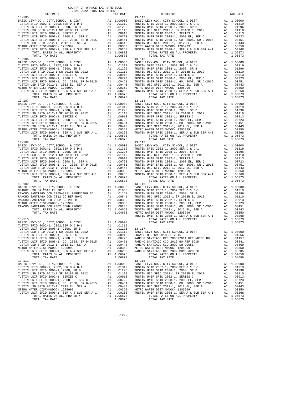| COUNTY OF ORANGE TAX RATE BOOK<br>$\begin{minipage}{.4\linewidth} \begin{tabular}{lcccccc} \multicolumn{2}{c}{\textbf{1.41}\textbf{1.5}} & \multicolumn{2}{c}{\textbf{1.62}\textbf{1.5}} & \multicolumn{2}{c}{\textbf{1.63}\textbf{1.5}} & \multicolumn{2}{c}{\textbf{1.64}\textbf{1.5}} & \multicolumn{2}{c}{\textbf{1.65}\textbf{1.5}} & \multicolumn{2}{c}{\textbf{1.66}\textbf{1.5}} & \multicolumn{2}{c}{\textbf{1.67}\textbf{1.5}} & \multicolumn{2}{c}{\textbf{1.6$ |  |                                                                               |          |
|----------------------------------------------------------------------------------------------------------------------------------------------------------------------------------------------------------------------------------------------------------------------------------------------------------------------------------------------------------------------------------------------------------------------------------------------------------------------------|--|-------------------------------------------------------------------------------|----------|
|                                                                                                                                                                                                                                                                                                                                                                                                                                                                            |  | DISTRICT<br>$\begin{tabular}{cc} \texttt{TAX RATE} \\ & 13-112 \end{tabular}$ | TAX RATE |
|                                                                                                                                                                                                                                                                                                                                                                                                                                                                            |  |                                                                               |          |
|                                                                                                                                                                                                                                                                                                                                                                                                                                                                            |  |                                                                               |          |
|                                                                                                                                                                                                                                                                                                                                                                                                                                                                            |  |                                                                               |          |
|                                                                                                                                                                                                                                                                                                                                                                                                                                                                            |  |                                                                               |          |
|                                                                                                                                                                                                                                                                                                                                                                                                                                                                            |  |                                                                               |          |
|                                                                                                                                                                                                                                                                                                                                                                                                                                                                            |  |                                                                               |          |
|                                                                                                                                                                                                                                                                                                                                                                                                                                                                            |  |                                                                               |          |
|                                                                                                                                                                                                                                                                                                                                                                                                                                                                            |  |                                                                               |          |
|                                                                                                                                                                                                                                                                                                                                                                                                                                                                            |  |                                                                               |          |
|                                                                                                                                                                                                                                                                                                                                                                                                                                                                            |  |                                                                               |          |
|                                                                                                                                                                                                                                                                                                                                                                                                                                                                            |  |                                                                               |          |
|                                                                                                                                                                                                                                                                                                                                                                                                                                                                            |  |                                                                               |          |
|                                                                                                                                                                                                                                                                                                                                                                                                                                                                            |  |                                                                               |          |
|                                                                                                                                                                                                                                                                                                                                                                                                                                                                            |  |                                                                               |          |
|                                                                                                                                                                                                                                                                                                                                                                                                                                                                            |  |                                                                               |          |
|                                                                                                                                                                                                                                                                                                                                                                                                                                                                            |  |                                                                               |          |
|                                                                                                                                                                                                                                                                                                                                                                                                                                                                            |  |                                                                               |          |
|                                                                                                                                                                                                                                                                                                                                                                                                                                                                            |  |                                                                               |          |
|                                                                                                                                                                                                                                                                                                                                                                                                                                                                            |  |                                                                               |          |
|                                                                                                                                                                                                                                                                                                                                                                                                                                                                            |  |                                                                               |          |
|                                                                                                                                                                                                                                                                                                                                                                                                                                                                            |  |                                                                               |          |
|                                                                                                                                                                                                                                                                                                                                                                                                                                                                            |  |                                                                               |          |
|                                                                                                                                                                                                                                                                                                                                                                                                                                                                            |  |                                                                               |          |
|                                                                                                                                                                                                                                                                                                                                                                                                                                                                            |  |                                                                               |          |
|                                                                                                                                                                                                                                                                                                                                                                                                                                                                            |  |                                                                               |          |
|                                                                                                                                                                                                                                                                                                                                                                                                                                                                            |  |                                                                               |          |
|                                                                                                                                                                                                                                                                                                                                                                                                                                                                            |  |                                                                               |          |
|                                                                                                                                                                                                                                                                                                                                                                                                                                                                            |  |                                                                               |          |
|                                                                                                                                                                                                                                                                                                                                                                                                                                                                            |  |                                                                               |          |
|                                                                                                                                                                                                                                                                                                                                                                                                                                                                            |  |                                                                               |          |
|                                                                                                                                                                                                                                                                                                                                                                                                                                                                            |  |                                                                               |          |
|                                                                                                                                                                                                                                                                                                                                                                                                                                                                            |  |                                                                               |          |
|                                                                                                                                                                                                                                                                                                                                                                                                                                                                            |  |                                                                               |          |
|                                                                                                                                                                                                                                                                                                                                                                                                                                                                            |  |                                                                               |          |
|                                                                                                                                                                                                                                                                                                                                                                                                                                                                            |  |                                                                               |          |
|                                                                                                                                                                                                                                                                                                                                                                                                                                                                            |  |                                                                               |          |
|                                                                                                                                                                                                                                                                                                                                                                                                                                                                            |  |                                                                               |          |
|                                                                                                                                                                                                                                                                                                                                                                                                                                                                            |  |                                                                               |          |
|                                                                                                                                                                                                                                                                                                                                                                                                                                                                            |  |                                                                               |          |
|                                                                                                                                                                                                                                                                                                                                                                                                                                                                            |  |                                                                               |          |
|                                                                                                                                                                                                                                                                                                                                                                                                                                                                            |  |                                                                               |          |
|                                                                                                                                                                                                                                                                                                                                                                                                                                                                            |  |                                                                               |          |
|                                                                                                                                                                                                                                                                                                                                                                                                                                                                            |  |                                                                               |          |
|                                                                                                                                                                                                                                                                                                                                                                                                                                                                            |  |                                                                               |          |
|                                                                                                                                                                                                                                                                                                                                                                                                                                                                            |  |                                                                               |          |
|                                                                                                                                                                                                                                                                                                                                                                                                                                                                            |  |                                                                               |          |
|                                                                                                                                                                                                                                                                                                                                                                                                                                                                            |  |                                                                               |          |
|                                                                                                                                                                                                                                                                                                                                                                                                                                                                            |  |                                                                               |          |
|                                                                                                                                                                                                                                                                                                                                                                                                                                                                            |  |                                                                               |          |
|                                                                                                                                                                                                                                                                                                                                                                                                                                                                            |  |                                                                               |          |
|                                                                                                                                                                                                                                                                                                                                                                                                                                                                            |  |                                                                               |          |
|                                                                                                                                                                                                                                                                                                                                                                                                                                                                            |  |                                                                               |          |
|                                                                                                                                                                                                                                                                                                                                                                                                                                                                            |  |                                                                               |          |
|                                                                                                                                                                                                                                                                                                                                                                                                                                                                            |  |                                                                               |          |
|                                                                                                                                                                                                                                                                                                                                                                                                                                                                            |  |                                                                               |          |
|                                                                                                                                                                                                                                                                                                                                                                                                                                                                            |  |                                                                               |          |
|                                                                                                                                                                                                                                                                                                                                                                                                                                                                            |  |                                                                               |          |
|                                                                                                                                                                                                                                                                                                                                                                                                                                                                            |  |                                                                               |          |
|                                                                                                                                                                                                                                                                                                                                                                                                                                                                            |  |                                                                               |          |
|                                                                                                                                                                                                                                                                                                                                                                                                                                                                            |  |                                                                               |          |
|                                                                                                                                                                                                                                                                                                                                                                                                                                                                            |  |                                                                               |          |
|                                                                                                                                                                                                                                                                                                                                                                                                                                                                            |  |                                                                               |          |
|                                                                                                                                                                                                                                                                                                                                                                                                                                                                            |  |                                                                               |          |
|                                                                                                                                                                                                                                                                                                                                                                                                                                                                            |  |                                                                               |          |
|                                                                                                                                                                                                                                                                                                                                                                                                                                                                            |  |                                                                               |          |
|                                                                                                                                                                                                                                                                                                                                                                                                                                                                            |  |                                                                               |          |

-122-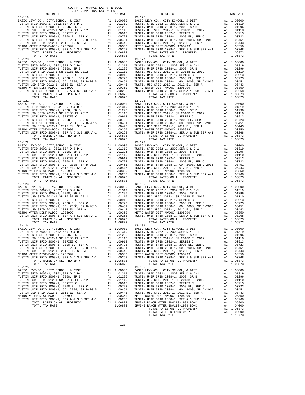| COUNTY OF ORANGE TAX RATE BOOK<br>2021-2022 TRA TAX RATES |          |                                                                                      |            |
|-----------------------------------------------------------|----------|--------------------------------------------------------------------------------------|------------|
| DISTRICT                                                  | TAX RATE | DISTRICT                                                                             | TAX RATE   |
|                                                           |          |                                                                                      |            |
|                                                           |          |                                                                                      |            |
|                                                           |          |                                                                                      |            |
|                                                           |          |                                                                                      |            |
|                                                           |          |                                                                                      |            |
|                                                           |          | 1.00000 BASIC LEVY-CO., CITY, SCHOOL, & DIST<br>BASIC LEVY-CO., CITY, SCHOOL, & DIST | A1 1.00000 |
| $13 - 125$                                                |          | $13 - 132$                                                                           |            |

-123-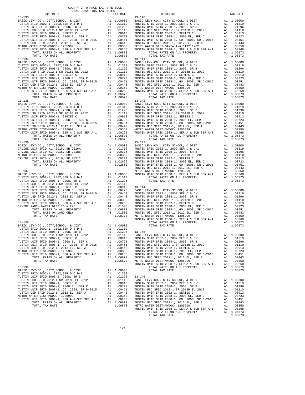| 2021-2022 TRA TAX RATES<br>DISTRICT | TAX RATE | DISTRICT                                                                                                                                                                                                                                                                                                                                                                      | TAX RATE |
|-------------------------------------|----------|-------------------------------------------------------------------------------------------------------------------------------------------------------------------------------------------------------------------------------------------------------------------------------------------------------------------------------------------------------------------------------|----------|
| $13 - 133$                          |          | $13 - 140$                                                                                                                                                                                                                                                                                                                                                                    |          |
|                                     |          |                                                                                                                                                                                                                                                                                                                                                                               |          |
|                                     |          |                                                                                                                                                                                                                                                                                                                                                                               |          |
|                                     |          |                                                                                                                                                                                                                                                                                                                                                                               |          |
|                                     |          |                                                                                                                                                                                                                                                                                                                                                                               |          |
|                                     |          |                                                                                                                                                                                                                                                                                                                                                                               |          |
|                                     |          |                                                                                                                                                                                                                                                                                                                                                                               |          |
|                                     |          |                                                                                                                                                                                                                                                                                                                                                                               |          |
|                                     |          |                                                                                                                                                                                                                                                                                                                                                                               |          |
|                                     |          |                                                                                                                                                                                                                                                                                                                                                                               |          |
|                                     |          |                                                                                                                                                                                                                                                                                                                                                                               |          |
|                                     |          |                                                                                                                                                                                                                                                                                                                                                                               |          |
|                                     |          |                                                                                                                                                                                                                                                                                                                                                                               |          |
|                                     |          |                                                                                                                                                                                                                                                                                                                                                                               |          |
|                                     |          |                                                                                                                                                                                                                                                                                                                                                                               |          |
|                                     |          |                                                                                                                                                                                                                                                                                                                                                                               |          |
|                                     |          |                                                                                                                                                                                                                                                                                                                                                                               |          |
|                                     |          |                                                                                                                                                                                                                                                                                                                                                                               |          |
|                                     |          |                                                                                                                                                                                                                                                                                                                                                                               |          |
|                                     |          |                                                                                                                                                                                                                                                                                                                                                                               |          |
|                                     |          |                                                                                                                                                                                                                                                                                                                                                                               |          |
|                                     |          |                                                                                                                                                                                                                                                                                                                                                                               |          |
|                                     |          |                                                                                                                                                                                                                                                                                                                                                                               |          |
|                                     |          |                                                                                                                                                                                                                                                                                                                                                                               |          |
|                                     |          |                                                                                                                                                                                                                                                                                                                                                                               |          |
|                                     |          |                                                                                                                                                                                                                                                                                                                                                                               |          |
|                                     |          |                                                                                                                                                                                                                                                                                                                                                                               |          |
|                                     |          |                                                                                                                                                                                                                                                                                                                                                                               |          |
|                                     |          |                                                                                                                                                                                                                                                                                                                                                                               |          |
|                                     |          |                                                                                                                                                                                                                                                                                                                                                                               |          |
|                                     |          |                                                                                                                                                                                                                                                                                                                                                                               |          |
|                                     |          |                                                                                                                                                                                                                                                                                                                                                                               |          |
|                                     |          |                                                                                                                                                                                                                                                                                                                                                                               |          |
|                                     |          |                                                                                                                                                                                                                                                                                                                                                                               |          |
|                                     |          |                                                                                                                                                                                                                                                                                                                                                                               |          |
|                                     |          |                                                                                                                                                                                                                                                                                                                                                                               |          |
|                                     |          |                                                                                                                                                                                                                                                                                                                                                                               |          |
|                                     |          |                                                                                                                                                                                                                                                                                                                                                                               |          |
|                                     |          |                                                                                                                                                                                                                                                                                                                                                                               |          |
|                                     |          |                                                                                                                                                                                                                                                                                                                                                                               |          |
|                                     |          |                                                                                                                                                                                                                                                                                                                                                                               |          |
|                                     |          |                                                                                                                                                                                                                                                                                                                                                                               |          |
|                                     |          |                                                                                                                                                                                                                                                                                                                                                                               |          |
|                                     |          |                                                                                                                                                                                                                                                                                                                                                                               |          |
|                                     |          |                                                                                                                                                                                                                                                                                                                                                                               |          |
|                                     |          |                                                                                                                                                                                                                                                                                                                                                                               |          |
|                                     |          |                                                                                                                                                                                                                                                                                                                                                                               |          |
|                                     |          |                                                                                                                                                                                                                                                                                                                                                                               |          |
|                                     |          |                                                                                                                                                                                                                                                                                                                                                                               |          |
|                                     |          |                                                                                                                                                                                                                                                                                                                                                                               |          |
|                                     |          |                                                                                                                                                                                                                                                                                                                                                                               |          |
|                                     |          |                                                                                                                                                                                                                                                                                                                                                                               |          |
|                                     |          |                                                                                                                                                                                                                                                                                                                                                                               |          |
|                                     |          |                                                                                                                                                                                                                                                                                                                                                                               |          |
|                                     |          |                                                                                                                                                                                                                                                                                                                                                                               |          |
|                                     |          |                                                                                                                                                                                                                                                                                                                                                                               |          |
|                                     |          |                                                                                                                                                                                                                                                                                                                                                                               |          |
|                                     |          |                                                                                                                                                                                                                                                                                                                                                                               |          |
|                                     |          |                                                                                                                                                                                                                                                                                                                                                                               |          |
|                                     |          |                                                                                                                                                                                                                                                                                                                                                                               |          |
|                                     |          |                                                                                                                                                                                                                                                                                                                                                                               |          |
|                                     |          |                                                                                                                                                                                                                                                                                                                                                                               |          |
|                                     |          |                                                                                                                                                                                                                                                                                                                                                                               |          |
|                                     |          | $\begin{tabular}{c cccc} $1044$ & $1044$ & $100000$ & $1044$ & $100000$ \\ \hline \texttt{TOTM} \hspace{0.08cm} \texttt{TMS} \hspace{0.08cm} \texttt{RMS} \hspace{0.08cm} \texttt{RMS} \hspace{0.08cm} \texttt{RMS} \hspace{0.08cm} \texttt{RMS} \hspace{0.08cm} \texttt{TUSTM} \hspace{0.08cm} \texttt{WIF} \hspace{0.08cm} \texttt{FID} \hspace{0.08cm} \texttt{2008-1, 20$ |          |
|                                     |          |                                                                                                                                                                                                                                                                                                                                                                               |          |
|                                     |          |                                                                                                                                                                                                                                                                                                                                                                               |          |
|                                     |          |                                                                                                                                                                                                                                                                                                                                                                               |          |
|                                     |          |                                                                                                                                                                                                                                                                                                                                                                               |          |
|                                     |          |                                                                                                                                                                                                                                                                                                                                                                               |          |
|                                     |          |                                                                                                                                                                                                                                                                                                                                                                               |          |
|                                     |          |                                                                                                                                                                                                                                                                                                                                                                               |          |
|                                     |          |                                                                                                                                                                                                                                                                                                                                                                               |          |
|                                     |          |                                                                                                                                                                                                                                                                                                                                                                               |          |
|                                     |          |                                                                                                                                                                                                                                                                                                                                                                               |          |
|                                     |          |                                                                                                                                                                                                                                                                                                                                                                               |          |
|                                     |          |                                                                                                                                                                                                                                                                                                                                                                               |          |

-124-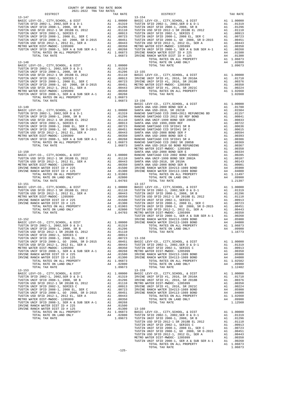| TAX RATE<br>DISTRICT |         | DISTRICT | TAX RATE |
|----------------------|---------|----------|----------|
|                      |         |          |          |
|                      |         |          |          |
|                      |         |          |          |
|                      |         |          |          |
|                      |         |          |          |
|                      |         |          |          |
|                      |         |          |          |
|                      |         |          |          |
|                      |         |          |          |
|                      |         |          |          |
|                      |         |          |          |
|                      |         |          |          |
|                      |         |          |          |
|                      |         |          |          |
|                      |         |          |          |
|                      |         |          |          |
|                      |         |          |          |
|                      |         |          |          |
|                      |         |          |          |
|                      |         |          |          |
|                      |         |          |          |
|                      |         |          |          |
|                      |         |          |          |
|                      |         |          |          |
|                      |         |          |          |
|                      |         |          |          |
|                      |         |          |          |
|                      |         |          |          |
|                      |         |          |          |
|                      |         |          |          |
|                      |         |          |          |
|                      |         |          |          |
|                      |         |          |          |
|                      |         |          |          |
|                      |         |          |          |
|                      |         |          |          |
|                      |         |          |          |
|                      |         |          |          |
|                      |         |          |          |
|                      |         |          |          |
|                      |         |          |          |
|                      |         |          |          |
|                      |         |          |          |
|                      |         |          |          |
|                      |         |          |          |
|                      |         |          |          |
|                      |         |          |          |
|                      |         |          |          |
|                      |         |          |          |
|                      |         |          |          |
|                      |         |          |          |
|                      |         |          |          |
|                      |         |          |          |
|                      |         |          |          |
|                      |         |          |          |
|                      |         |          |          |
|                      |         |          |          |
|                      |         |          |          |
|                      |         |          |          |
|                      |         |          |          |
|                      |         |          |          |
|                      |         |          |          |
|                      |         |          |          |
|                      |         |          |          |
|                      |         |          |          |
|                      |         |          |          |
|                      |         |          |          |
|                      |         |          |          |
|                      |         |          |          |
|                      |         |          |          |
|                      |         |          |          |
|                      |         |          |          |
|                      |         |          |          |
|                      |         |          |          |
|                      |         |          |          |
|                      |         |          |          |
|                      |         |          |          |
|                      |         |          |          |
|                      |         |          |          |
|                      |         |          |          |
|                      |         |          |          |
|                      |         |          |          |
|                      |         |          |          |
|                      |         |          |          |
|                      |         |          |          |
|                      |         |          |          |
|                      |         |          |          |
|                      |         |          |          |
|                      |         |          |          |
|                      |         |          |          |
|                      |         |          |          |
|                      |         |          |          |
|                      |         |          |          |
|                      |         |          |          |
|                      |         |          |          |
|                      |         |          |          |
|                      |         |          |          |
|                      |         |          |          |
|                      |         |          |          |
|                      |         |          |          |
|                      |         |          |          |
|                      | $-125-$ |          |          |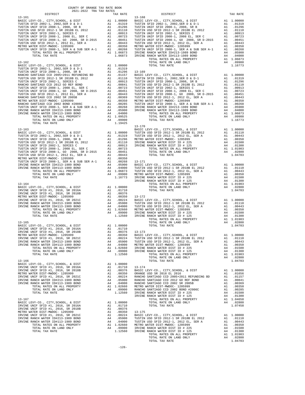| COUNTY OF ORANGE TAX RATE BOOK<br>2021-2022 TRA TAX RATES<br>2021-2022 TRA TAX RATES |          |                        |          |
|--------------------------------------------------------------------------------------|----------|------------------------|----------|
| DISTRICT<br>$13 - 161$                                                               | TAX RATE | DISTRICT<br>$13 - 168$ | TAX RATE |
|                                                                                      |          |                        |          |
|                                                                                      |          |                        |          |
|                                                                                      |          |                        |          |
|                                                                                      |          |                        |          |
|                                                                                      |          |                        |          |
|                                                                                      |          |                        |          |
|                                                                                      |          |                        |          |
|                                                                                      |          |                        |          |
|                                                                                      |          |                        |          |
|                                                                                      |          |                        |          |
|                                                                                      |          |                        |          |
|                                                                                      |          |                        |          |
|                                                                                      |          |                        |          |
|                                                                                      |          |                        |          |
|                                                                                      |          |                        |          |
|                                                                                      |          |                        |          |
|                                                                                      |          |                        |          |
|                                                                                      |          |                        |          |
|                                                                                      |          |                        |          |
|                                                                                      |          |                        |          |
|                                                                                      |          |                        |          |
|                                                                                      |          |                        |          |
|                                                                                      |          |                        |          |
|                                                                                      |          |                        |          |
|                                                                                      |          | $13 - 170$             |          |
|                                                                                      |          |                        |          |
|                                                                                      |          |                        |          |
|                                                                                      |          |                        |          |
|                                                                                      |          |                        |          |
|                                                                                      |          |                        |          |
|                                                                                      |          |                        |          |
|                                                                                      |          |                        |          |
|                                                                                      |          |                        |          |
|                                                                                      |          |                        |          |
|                                                                                      |          |                        |          |
|                                                                                      |          |                        |          |
|                                                                                      |          |                        |          |
|                                                                                      |          |                        |          |
|                                                                                      |          |                        |          |
|                                                                                      |          |                        |          |
|                                                                                      |          |                        |          |
|                                                                                      |          |                        |          |
|                                                                                      |          |                        |          |
|                                                                                      |          |                        |          |
|                                                                                      |          |                        |          |
|                                                                                      |          |                        |          |
|                                                                                      |          |                        |          |
|                                                                                      |          |                        |          |
|                                                                                      |          |                        |          |
|                                                                                      |          |                        |          |
|                                                                                      |          |                        |          |
|                                                                                      |          |                        |          |
|                                                                                      |          |                        |          |
|                                                                                      |          |                        |          |
|                                                                                      |          |                        |          |
|                                                                                      |          |                        |          |
|                                                                                      |          |                        |          |
|                                                                                      |          |                        |          |
|                                                                                      |          |                        |          |
|                                                                                      |          |                        |          |
|                                                                                      |          |                        |          |
|                                                                                      |          |                        |          |
|                                                                                      |          |                        |          |
|                                                                                      |          |                        |          |
|                                                                                      |          |                        |          |
|                                                                                      |          |                        |          |
|                                                                                      |          |                        |          |
|                                                                                      |          |                        |          |
|                                                                                      |          |                        |          |
|                                                                                      |          |                        |          |
|                                                                                      |          |                        |          |
|                                                                                      |          |                        |          |
|                                                                                      |          |                        |          |
|                                                                                      |          |                        |          |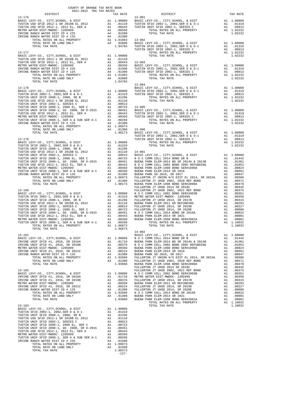| 2021-2022 TRA TAX RATES |                    |                                                                                                                                                                                                                                                                        |          |
|-------------------------|--------------------|------------------------------------------------------------------------------------------------------------------------------------------------------------------------------------------------------------------------------------------------------------------------|----------|
| DISTRICT<br>$13 - 176$  |                    | $13 - 901$                                                                                                                                                                                                                                                             | TAX RATE |
|                         |                    | $\begin{tabular}{cccccc} 13-176 & 198.1871 & 198.01 & 198.01 & 198.01 & 198.01 & 198.01 & 198.01 & 198.01 & 198.01 & 198.01 & 198.01 & 198.01 & 198.01 & 198.01 & 198.01 & 198.01 & 198.01 & 198.01 & 198.01 & 198.01 & 198.01 & 198.01 & 198.01 & 198.01 & 198.01 & $ |          |
|                         |                    |                                                                                                                                                                                                                                                                        |          |
|                         |                    |                                                                                                                                                                                                                                                                        |          |
|                         |                    |                                                                                                                                                                                                                                                                        |          |
|                         |                    |                                                                                                                                                                                                                                                                        |          |
|                         |                    | $13 - 904$                                                                                                                                                                                                                                                             |          |
|                         |                    |                                                                                                                                                                                                                                                                        |          |
|                         |                    |                                                                                                                                                                                                                                                                        |          |
|                         |                    |                                                                                                                                                                                                                                                                        |          |
|                         |                    |                                                                                                                                                                                                                                                                        |          |
|                         |                    |                                                                                                                                                                                                                                                                        |          |
|                         |                    |                                                                                                                                                                                                                                                                        |          |
|                         |                    |                                                                                                                                                                                                                                                                        |          |
|                         |                    |                                                                                                                                                                                                                                                                        |          |
|                         |                    |                                                                                                                                                                                                                                                                        |          |
|                         |                    | 770741. Marine of Labo de II (1992)<br>1717 - 7706. Marine of Labo de IVan Marine of Labo de IVan Marine of Labo de IVan Marine of Labo de IVan Marine of Labo de IVan Marine of Labo de IVan Marine of Labo de IVan Marine of                                         |          |
|                         |                    |                                                                                                                                                                                                                                                                        |          |
|                         |                    |                                                                                                                                                                                                                                                                        |          |
|                         |                    |                                                                                                                                                                                                                                                                        |          |
|                         |                    |                                                                                                                                                                                                                                                                        |          |
|                         | 1.06873            | $14 - 002$                                                                                                                                                                                                                                                             |          |
|                         |                    |                                                                                                                                                                                                                                                                        |          |
|                         |                    |                                                                                                                                                                                                                                                                        |          |
|                         |                    |                                                                                                                                                                                                                                                                        |          |
|                         |                    |                                                                                                                                                                                                                                                                        |          |
|                         |                    |                                                                                                                                                                                                                                                                        |          |
|                         |                    |                                                                                                                                                                                                                                                                        |          |
|                         |                    |                                                                                                                                                                                                                                                                        |          |
|                         |                    |                                                                                                                                                                                                                                                                        |          |
|                         |                    |                                                                                                                                                                                                                                                                        |          |
|                         |                    |                                                                                                                                                                                                                                                                        |          |
|                         | 1.08373<br>$-127-$ |                                                                                                                                                                                                                                                                        |          |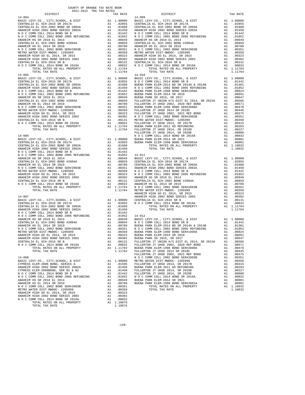| TOTAL TAX RATE                                                           |    | 1.11764                                                                                                                                                              |                |
|--------------------------------------------------------------------------|----|----------------------------------------------------------------------------------------------------------------------------------------------------------------------|----------------|
| $14 - 005$                                                               |    |                                                                                                                                                                      | 14-010         |
|                                                                          |    |                                                                                                                                                                      |                |
|                                                                          |    |                                                                                                                                                                      |                |
|                                                                          |    |                                                                                                                                                                      |                |
|                                                                          |    |                                                                                                                                                                      |                |
|                                                                          |    |                                                                                                                                                                      |                |
|                                                                          |    |                                                                                                                                                                      |                |
|                                                                          |    |                                                                                                                                                                      |                |
|                                                                          |    |                                                                                                                                                                      |                |
|                                                                          |    |                                                                                                                                                                      |                |
|                                                                          |    |                                                                                                                                                                      |                |
|                                                                          |    |                                                                                                                                                                      |                |
|                                                                          |    |                                                                                                                                                                      |                |
|                                                                          |    |                                                                                                                                                                      |                |
|                                                                          |    |                                                                                                                                                                      |                |
|                                                                          |    |                                                                                                                                                                      | FULLERT        |
|                                                                          |    |                                                                                                                                                                      |                |
|                                                                          |    |                                                                                                                                                                      |                |
|                                                                          |    |                                                                                                                                                                      |                |
|                                                                          |    |                                                                                                                                                                      |                |
|                                                                          |    |                                                                                                                                                                      |                |
|                                                                          |    |                                                                                                                                                                      |                |
|                                                                          |    |                                                                                                                                                                      |                |
|                                                                          |    |                                                                                                                                                                      |                |
|                                                                          |    |                                                                                                                                                                      |                |
|                                                                          |    |                                                                                                                                                                      |                |
|                                                                          |    |                                                                                                                                                                      |                |
|                                                                          |    |                                                                                                                                                                      |                |
|                                                                          |    |                                                                                                                                                                      |                |
|                                                                          |    |                                                                                                                                                                      |                |
|                                                                          |    |                                                                                                                                                                      |                |
| $14 - 007$                                                               |    |                                                                                                                                                                      | ANAHEIM        |
|                                                                          |    |                                                                                                                                                                      |                |
|                                                                          |    |                                                                                                                                                                      |                |
|                                                                          |    |                                                                                                                                                                      |                |
|                                                                          |    |                                                                                                                                                                      |                |
|                                                                          |    |                                                                                                                                                                      |                |
|                                                                          |    |                                                                                                                                                                      |                |
|                                                                          |    |                                                                                                                                                                      |                |
|                                                                          |    |                                                                                                                                                                      |                |
|                                                                          |    |                                                                                                                                                                      |                |
|                                                                          |    |                                                                                                                                                                      |                |
|                                                                          |    |                                                                                                                                                                      |                |
| CENTRALIA EL SCH-2016 SR B                                               |    |                                                                                                                                                                      | .00131 FULLERT |
| N O C COMM COLL 2014 BOND SR 2016A                                       | A1 |                                                                                                                                                                      | .00032 FULLERT |
| TOTAL RATES ON ALL PROPERTY                                              |    | A1 1.11764                                                                                                                                                           | BUENA P        |
| TOTAL TAX RATE                                                           |    | 1.11764                                                                                                                                                              | FULLERT        |
|                                                                          |    |                                                                                                                                                                      | FULLERT        |
| $14 - 008$<br>BASIC LEVY-CO., CITY, SCHOOL, & DIST                       |    |                                                                                                                                                                      | NOCC           |
| CYPRESS ELEM-2008 BOND, SERIES A                                         |    |                                                                                                                                                                      |                |
| ANAHEIM HIGH 2002 BOND SERIES 2002A                                      |    |                                                                                                                                                                      |                |
| CYPRESS ELEM-2008BOND, SER B1 & B2                                       |    | A1 1.00000 NETRO W<br>A1 .01595 FULLERT<br>A1 .01450 BUENA P<br>A1 .01450 BUENA P<br>A1 .01450 FULLERT<br>A1 .0052 N O C C<br>A1 .00529 BUENA P<br>A1 .00949 BUENA P |                |
| N O C COMM COLL 2014 BOND SR B                                           |    |                                                                                                                                                                      |                |
| N O C COMM COLL 2002 BOND 2005 REFUNDING<br>ANAHEIM HS SR 2018 EL 2014   |    |                                                                                                                                                                      |                |
| ANAHEIM HS EL 2014 SR 2019                                               |    | A1 .00780                                                                                                                                                            | BUENA P        |
| N O C COMM COLL 2002 BOND SER#2003B                                      | A1 | .00351                                                                                                                                                               |                |
| METRO WATER DIST-MWDOC- 1205999                                          | A1 | .00350                                                                                                                                                               |                |
| ANAHEIM HIGH GO EL 2014, SR 2015                                         | A1 | .00323                                                                                                                                                               |                |
| ANAHEIM HIGH 2002 BOND SERIES 2003<br>N O C COMM COLL 2014 BOND SR 2016A | A1 | A1 .00302<br>.00032                                                                                                                                                  |                |
| TOTAL RATES ON ALL PROPERTY A1 1.10076                                   |    |                                                                                                                                                                      |                |

TOTAL TAX RATE

| COUNTY OF ORANGE TAX RATE BOOK<br>$\begin{minipage}{.4\linewidth} \begin{tabular}{lcccccc} \textbf{1-AX RATE} & \textbf{1-X} & \textbf{1-X} & \textbf{RATE} & \textbf{1-X} & \textbf{1-X} & \textbf{1-X} & \textbf{1-X} & \textbf{1-X} & \textbf{1-X} & \textbf{1-X} & \textbf{1-X} & \textbf{1-X} & \textbf{1-X} & \textbf{1-X} & \textbf{1-X} & \textbf{1-X} & \textbf{1-X} & \textbf{1-X} & \textbf{1-X} & \textbf{1-X} & \textbf{1-X} & \textbf{1-X} & \textbf{1-X} & \textbf$ |          |                                                                                                                                                                                                                                                                                                                                                                                                                                |          |
|------------------------------------------------------------------------------------------------------------------------------------------------------------------------------------------------------------------------------------------------------------------------------------------------------------------------------------------------------------------------------------------------------------------------------------------------------------------------------------|----------|--------------------------------------------------------------------------------------------------------------------------------------------------------------------------------------------------------------------------------------------------------------------------------------------------------------------------------------------------------------------------------------------------------------------------------|----------|
|                                                                                                                                                                                                                                                                                                                                                                                                                                                                                    | TAX RATE | DISTRICT                                                                                                                                                                                                                                                                                                                                                                                                                       | TAX RATE |
|                                                                                                                                                                                                                                                                                                                                                                                                                                                                                    |          |                                                                                                                                                                                                                                                                                                                                                                                                                                |          |
|                                                                                                                                                                                                                                                                                                                                                                                                                                                                                    |          |                                                                                                                                                                                                                                                                                                                                                                                                                                |          |
|                                                                                                                                                                                                                                                                                                                                                                                                                                                                                    |          |                                                                                                                                                                                                                                                                                                                                                                                                                                |          |
|                                                                                                                                                                                                                                                                                                                                                                                                                                                                                    |          |                                                                                                                                                                                                                                                                                                                                                                                                                                |          |
|                                                                                                                                                                                                                                                                                                                                                                                                                                                                                    |          |                                                                                                                                                                                                                                                                                                                                                                                                                                |          |
|                                                                                                                                                                                                                                                                                                                                                                                                                                                                                    |          |                                                                                                                                                                                                                                                                                                                                                                                                                                |          |
|                                                                                                                                                                                                                                                                                                                                                                                                                                                                                    |          |                                                                                                                                                                                                                                                                                                                                                                                                                                |          |
|                                                                                                                                                                                                                                                                                                                                                                                                                                                                                    |          |                                                                                                                                                                                                                                                                                                                                                                                                                                |          |
|                                                                                                                                                                                                                                                                                                                                                                                                                                                                                    |          |                                                                                                                                                                                                                                                                                                                                                                                                                                |          |
|                                                                                                                                                                                                                                                                                                                                                                                                                                                                                    |          |                                                                                                                                                                                                                                                                                                                                                                                                                                |          |
|                                                                                                                                                                                                                                                                                                                                                                                                                                                                                    |          |                                                                                                                                                                                                                                                                                                                                                                                                                                |          |
|                                                                                                                                                                                                                                                                                                                                                                                                                                                                                    |          |                                                                                                                                                                                                                                                                                                                                                                                                                                |          |
|                                                                                                                                                                                                                                                                                                                                                                                                                                                                                    |          |                                                                                                                                                                                                                                                                                                                                                                                                                                |          |
|                                                                                                                                                                                                                                                                                                                                                                                                                                                                                    |          |                                                                                                                                                                                                                                                                                                                                                                                                                                |          |
|                                                                                                                                                                                                                                                                                                                                                                                                                                                                                    |          |                                                                                                                                                                                                                                                                                                                                                                                                                                |          |
|                                                                                                                                                                                                                                                                                                                                                                                                                                                                                    |          |                                                                                                                                                                                                                                                                                                                                                                                                                                |          |
|                                                                                                                                                                                                                                                                                                                                                                                                                                                                                    |          |                                                                                                                                                                                                                                                                                                                                                                                                                                |          |
|                                                                                                                                                                                                                                                                                                                                                                                                                                                                                    |          |                                                                                                                                                                                                                                                                                                                                                                                                                                |          |
|                                                                                                                                                                                                                                                                                                                                                                                                                                                                                    |          |                                                                                                                                                                                                                                                                                                                                                                                                                                |          |
|                                                                                                                                                                                                                                                                                                                                                                                                                                                                                    |          |                                                                                                                                                                                                                                                                                                                                                                                                                                |          |
|                                                                                                                                                                                                                                                                                                                                                                                                                                                                                    |          |                                                                                                                                                                                                                                                                                                                                                                                                                                |          |
|                                                                                                                                                                                                                                                                                                                                                                                                                                                                                    |          |                                                                                                                                                                                                                                                                                                                                                                                                                                |          |
|                                                                                                                                                                                                                                                                                                                                                                                                                                                                                    |          |                                                                                                                                                                                                                                                                                                                                                                                                                                |          |
|                                                                                                                                                                                                                                                                                                                                                                                                                                                                                    |          |                                                                                                                                                                                                                                                                                                                                                                                                                                |          |
|                                                                                                                                                                                                                                                                                                                                                                                                                                                                                    |          |                                                                                                                                                                                                                                                                                                                                                                                                                                |          |
|                                                                                                                                                                                                                                                                                                                                                                                                                                                                                    |          |                                                                                                                                                                                                                                                                                                                                                                                                                                |          |
|                                                                                                                                                                                                                                                                                                                                                                                                                                                                                    |          |                                                                                                                                                                                                                                                                                                                                                                                                                                |          |
|                                                                                                                                                                                                                                                                                                                                                                                                                                                                                    |          |                                                                                                                                                                                                                                                                                                                                                                                                                                |          |
|                                                                                                                                                                                                                                                                                                                                                                                                                                                                                    |          |                                                                                                                                                                                                                                                                                                                                                                                                                                |          |
|                                                                                                                                                                                                                                                                                                                                                                                                                                                                                    |          |                                                                                                                                                                                                                                                                                                                                                                                                                                |          |
|                                                                                                                                                                                                                                                                                                                                                                                                                                                                                    |          |                                                                                                                                                                                                                                                                                                                                                                                                                                |          |
|                                                                                                                                                                                                                                                                                                                                                                                                                                                                                    |          |                                                                                                                                                                                                                                                                                                                                                                                                                                |          |
|                                                                                                                                                                                                                                                                                                                                                                                                                                                                                    |          |                                                                                                                                                                                                                                                                                                                                                                                                                                |          |
|                                                                                                                                                                                                                                                                                                                                                                                                                                                                                    |          |                                                                                                                                                                                                                                                                                                                                                                                                                                |          |
|                                                                                                                                                                                                                                                                                                                                                                                                                                                                                    |          |                                                                                                                                                                                                                                                                                                                                                                                                                                |          |
|                                                                                                                                                                                                                                                                                                                                                                                                                                                                                    |          |                                                                                                                                                                                                                                                                                                                                                                                                                                |          |
|                                                                                                                                                                                                                                                                                                                                                                                                                                                                                    |          |                                                                                                                                                                                                                                                                                                                                                                                                                                |          |
|                                                                                                                                                                                                                                                                                                                                                                                                                                                                                    |          |                                                                                                                                                                                                                                                                                                                                                                                                                                |          |
|                                                                                                                                                                                                                                                                                                                                                                                                                                                                                    |          |                                                                                                                                                                                                                                                                                                                                                                                                                                |          |
|                                                                                                                                                                                                                                                                                                                                                                                                                                                                                    |          |                                                                                                                                                                                                                                                                                                                                                                                                                                |          |
|                                                                                                                                                                                                                                                                                                                                                                                                                                                                                    |          |                                                                                                                                                                                                                                                                                                                                                                                                                                |          |
|                                                                                                                                                                                                                                                                                                                                                                                                                                                                                    |          |                                                                                                                                                                                                                                                                                                                                                                                                                                |          |
|                                                                                                                                                                                                                                                                                                                                                                                                                                                                                    |          |                                                                                                                                                                                                                                                                                                                                                                                                                                |          |
|                                                                                                                                                                                                                                                                                                                                                                                                                                                                                    |          |                                                                                                                                                                                                                                                                                                                                                                                                                                |          |
|                                                                                                                                                                                                                                                                                                                                                                                                                                                                                    |          |                                                                                                                                                                                                                                                                                                                                                                                                                                |          |
|                                                                                                                                                                                                                                                                                                                                                                                                                                                                                    |          |                                                                                                                                                                                                                                                                                                                                                                                                                                |          |
|                                                                                                                                                                                                                                                                                                                                                                                                                                                                                    |          |                                                                                                                                                                                                                                                                                                                                                                                                                                |          |
|                                                                                                                                                                                                                                                                                                                                                                                                                                                                                    |          |                                                                                                                                                                                                                                                                                                                                                                                                                                |          |
|                                                                                                                                                                                                                                                                                                                                                                                                                                                                                    |          |                                                                                                                                                                                                                                                                                                                                                                                                                                |          |
|                                                                                                                                                                                                                                                                                                                                                                                                                                                                                    |          |                                                                                                                                                                                                                                                                                                                                                                                                                                |          |
|                                                                                                                                                                                                                                                                                                                                                                                                                                                                                    |          |                                                                                                                                                                                                                                                                                                                                                                                                                                |          |
|                                                                                                                                                                                                                                                                                                                                                                                                                                                                                    |          |                                                                                                                                                                                                                                                                                                                                                                                                                                |          |
|                                                                                                                                                                                                                                                                                                                                                                                                                                                                                    |          |                                                                                                                                                                                                                                                                                                                                                                                                                                |          |
|                                                                                                                                                                                                                                                                                                                                                                                                                                                                                    |          |                                                                                                                                                                                                                                                                                                                                                                                                                                |          |
|                                                                                                                                                                                                                                                                                                                                                                                                                                                                                    |          |                                                                                                                                                                                                                                                                                                                                                                                                                                |          |
|                                                                                                                                                                                                                                                                                                                                                                                                                                                                                    |          |                                                                                                                                                                                                                                                                                                                                                                                                                                |          |
|                                                                                                                                                                                                                                                                                                                                                                                                                                                                                    |          |                                                                                                                                                                                                                                                                                                                                                                                                                                |          |
|                                                                                                                                                                                                                                                                                                                                                                                                                                                                                    |          |                                                                                                                                                                                                                                                                                                                                                                                                                                |          |
|                                                                                                                                                                                                                                                                                                                                                                                                                                                                                    |          |                                                                                                                                                                                                                                                                                                                                                                                                                                |          |
|                                                                                                                                                                                                                                                                                                                                                                                                                                                                                    |          |                                                                                                                                                                                                                                                                                                                                                                                                                                |          |
|                                                                                                                                                                                                                                                                                                                                                                                                                                                                                    |          | $\begin{tabular}{c c c c} \multicolumn{4}{c}{\textbf{1.11764}} & \multicolumn{4}{c}{\textbf{FULERTON T U HSD 2014 SR BOND SERF4200A}} & \multicolumn{4}{c}{\textbf{0.034 SR B} & \multicolumn{4}{c}{\textbf{0.034 SR B}} \\ \multicolumn{4}{c}{\textbf{0.044 SR BND} & \multicolumn{4}{c}{\textbf{0.044 SR BND} & \multicolumn{4}{c}{\textbf{0.044 SR BND} \\ \multicolumn{4}{c}{\textbf{0.044 SR BND} & \multicolumn{4}{c}{\$ |          |
|                                                                                                                                                                                                                                                                                                                                                                                                                                                                                    |          |                                                                                                                                                                                                                                                                                                                                                                                                                                |          |
|                                                                                                                                                                                                                                                                                                                                                                                                                                                                                    |          |                                                                                                                                                                                                                                                                                                                                                                                                                                |          |
|                                                                                                                                                                                                                                                                                                                                                                                                                                                                                    |          |                                                                                                                                                                                                                                                                                                                                                                                                                                |          |
|                                                                                                                                                                                                                                                                                                                                                                                                                                                                                    |          |                                                                                                                                                                                                                                                                                                                                                                                                                                |          |
|                                                                                                                                                                                                                                                                                                                                                                                                                                                                                    |          |                                                                                                                                                                                                                                                                                                                                                                                                                                |          |
|                                                                                                                                                                                                                                                                                                                                                                                                                                                                                    |          |                                                                                                                                                                                                                                                                                                                                                                                                                                |          |
|                                                                                                                                                                                                                                                                                                                                                                                                                                                                                    |          |                                                                                                                                                                                                                                                                                                                                                                                                                                |          |
|                                                                                                                                                                                                                                                                                                                                                                                                                                                                                    |          |                                                                                                                                                                                                                                                                                                                                                                                                                                |          |
|                                                                                                                                                                                                                                                                                                                                                                                                                                                                                    |          |                                                                                                                                                                                                                                                                                                                                                                                                                                |          |
|                                                                                                                                                                                                                                                                                                                                                                                                                                                                                    |          |                                                                                                                                                                                                                                                                                                                                                                                                                                |          |

-128-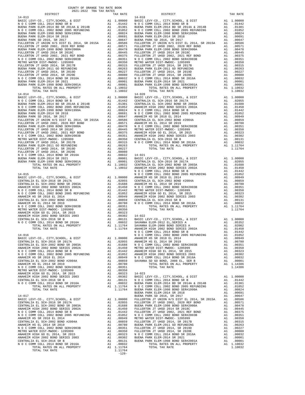| TOTAL TAX RATE                                                         |               | 1.10032                                                                                                                                                                  |            |
|------------------------------------------------------------------------|---------------|--------------------------------------------------------------------------------------------------------------------------------------------------------------------------|------------|
| $14 - 014$                                                             |               |                                                                                                                                                                          | $14 - 020$ |
|                                                                        |               |                                                                                                                                                                          |            |
|                                                                        |               |                                                                                                                                                                          |            |
|                                                                        |               |                                                                                                                                                                          |            |
|                                                                        |               |                                                                                                                                                                          |            |
|                                                                        |               |                                                                                                                                                                          |            |
|                                                                        |               |                                                                                                                                                                          |            |
|                                                                        |               |                                                                                                                                                                          |            |
|                                                                        |               |                                                                                                                                                                          |            |
|                                                                        |               |                                                                                                                                                                          |            |
|                                                                        |               |                                                                                                                                                                          |            |
|                                                                        |               |                                                                                                                                                                          |            |
|                                                                        |               |                                                                                                                                                                          |            |
|                                                                        |               |                                                                                                                                                                          |            |
|                                                                        |               |                                                                                                                                                                          |            |
|                                                                        |               |                                                                                                                                                                          |            |
|                                                                        |               |                                                                                                                                                                          |            |
|                                                                        |               |                                                                                                                                                                          |            |
|                                                                        |               |                                                                                                                                                                          |            |
|                                                                        |               |                                                                                                                                                                          | NOCC       |
|                                                                        |               |                                                                                                                                                                          |            |
|                                                                        |               |                                                                                                                                                                          |            |
|                                                                        |               |                                                                                                                                                                          |            |
|                                                                        |               |                                                                                                                                                                          |            |
|                                                                        |               |                                                                                                                                                                          |            |
|                                                                        |               |                                                                                                                                                                          |            |
|                                                                        |               |                                                                                                                                                                          |            |
|                                                                        |               |                                                                                                                                                                          |            |
|                                                                        |               |                                                                                                                                                                          |            |
|                                                                        |               |                                                                                                                                                                          |            |
|                                                                        |               |                                                                                                                                                                          |            |
|                                                                        |               |                                                                                                                                                                          |            |
|                                                                        |               |                                                                                                                                                                          |            |
|                                                                        |               |                                                                                                                                                                          |            |
|                                                                        |               |                                                                                                                                                                          | NOCC       |
| $14 - 016$                                                             |               |                                                                                                                                                                          | NOCC       |
|                                                                        |               |                                                                                                                                                                          |            |
|                                                                        |               |                                                                                                                                                                          |            |
|                                                                        |               |                                                                                                                                                                          |            |
|                                                                        |               |                                                                                                                                                                          |            |
|                                                                        |               |                                                                                                                                                                          |            |
| CENTRALIA EL SCH-2002 BOND #2004A                                      | A1            | .00859                                                                                                                                                                   | SAVANNA    |
| ANAHEIM HS EL 2014 SR 2019                                             | A1            | .00780                                                                                                                                                                   |            |
| N O C COMM COLL 2002 BOND SER#2003B                                    | A1            | .00351                                                                                                                                                                   |            |
| METRO WATER DIST-MWDOC- 1205999<br>ANAHEIM HIGH GO EL 2014, SR 2015    | A1<br>A1      | .00350<br>.00323                                                                                                                                                         | $14 - 023$ |
| ANAHEIM HIGH 2002 BOND SERIES 2003                                     | A1            | .00302                                                                                                                                                                   | BASIC L    |
| CENTRALIA EL SCH-2016 SR B                                             |               |                                                                                                                                                                          |            |
| N O C COMM COLL 2014 BOND SR 2016A                                     |               | A1 .00131 NOCC<br>A1 .00131 NOCC<br>A1 .10032 BUENA P<br>A1 1.11764 NOCC<br>1.11764 BUENA P                                                                              |            |
| TOTAL RATES ON ALL PROPERTY<br>TOTAL TAX RATE                          |               |                                                                                                                                                                          |            |
|                                                                        |               |                                                                                                                                                                          | BUENA P    |
| $14 - 017$                                                             |               |                                                                                                                                                                          | BUENA P    |
| BASIC LEVY-CO., CITY, SCHOOL, & DIST                                   |               | A1 1.00000 BUEARA PLACES<br>A1 .02055 FULLERT<br>A1 .01688 BUEARA PLACES<br>A1 .01450 FULLERT<br>A1 .01452 FULLERT<br>A1 .01052 N O C C<br>A1 .00949 METRO M             |            |
| CENTRALIA EL SCH-2016 SR 2017A<br>CENTRALIA EL SCH-2002 BOND SR 2003A  |               |                                                                                                                                                                          |            |
| ANAHEIM HIGH 2002 BOND SERIES 2002A                                    |               |                                                                                                                                                                          |            |
| N O C COMM COLL 2014 BOND SR B                                         |               |                                                                                                                                                                          |            |
| N O C COMM COLL 2002 BOND 2005 REFUNDING                               |               |                                                                                                                                                                          |            |
| ANAHEIM HS SR 2018 EL 2014<br>CENTRALIA EL SCH-2002 BOND #2004A        |               |                                                                                                                                                                          |            |
| ANAHEIM HS EL 2014 SR 2019                                             |               |                                                                                                                                                                          |            |
| N O C COMM COLL 2002 BOND SER#2003B                                    |               |                                                                                                                                                                          |            |
| METRO WATER DIST-MWDOC- 1205999                                        |               |                                                                                                                                                                          |            |
| ANAHEIM HIGH GO EL 2014, SR 2015<br>ANAHEIM HIGH 2002 BOND SERIES 2003 |               |                                                                                                                                                                          |            |
| CENTRALIA EL SCH-2016 SR B                                             |               | A1 .00859 METROM FILERT<br>A1 .00859 FULLERT<br>A1 .00350 FULLERT<br>A1 .00350 FULLERT<br>A1 .00323 N OCC<br>A1 .00323 BUENA P<br>A1 .00302 BUENA P<br>A1 .00131 BUENA P |            |
| N O C COMM COLL 2014 BOND SR 2016A                                     | $\mathtt{Al}$ | .00032                                                                                                                                                                   |            |
| TOTAL RATES ON ALL PROPERTY                                            |               | A1 1.11764                                                                                                                                                               |            |
| TOTAL TAX RATE                                                         |               | 1.11764<br>$-129-$                                                                                                                                                       |            |
|                                                                        |               |                                                                                                                                                                          |            |

| TAX RATE<br>DISTRICT                                                                                                                                                                                                             |  | DISTRICT                                                                                                                                                                                                                                                                                           | TAX RATE |
|----------------------------------------------------------------------------------------------------------------------------------------------------------------------------------------------------------------------------------|--|----------------------------------------------------------------------------------------------------------------------------------------------------------------------------------------------------------------------------------------------------------------------------------------------------|----------|
| $14 - 013$                                                                                                                                                                                                                       |  | $14 - 018$<br>$\begin{tabular}{l cccc} 14-013 & 1357\text{RCT} & 138\text{PGC L. GWT}, SCHOOL, & 6. DISTR & 131.00010 & 18A11.00020 & 14-018 & 14-018 & 14-018 & 14-018 & 14-018 & 14-018 & 14-018 & 14-018 & 14-018 & 14-018 & 14-018 & 14-018 & 14-018 & 14-018 & 14-018 & 14-018 & 14-018 & 14$ |          |
|                                                                                                                                                                                                                                  |  |                                                                                                                                                                                                                                                                                                    |          |
|                                                                                                                                                                                                                                  |  |                                                                                                                                                                                                                                                                                                    |          |
|                                                                                                                                                                                                                                  |  |                                                                                                                                                                                                                                                                                                    |          |
|                                                                                                                                                                                                                                  |  |                                                                                                                                                                                                                                                                                                    |          |
|                                                                                                                                                                                                                                  |  |                                                                                                                                                                                                                                                                                                    |          |
|                                                                                                                                                                                                                                  |  |                                                                                                                                                                                                                                                                                                    |          |
|                                                                                                                                                                                                                                  |  |                                                                                                                                                                                                                                                                                                    |          |
|                                                                                                                                                                                                                                  |  |                                                                                                                                                                                                                                                                                                    |          |
|                                                                                                                                                                                                                                  |  |                                                                                                                                                                                                                                                                                                    |          |
|                                                                                                                                                                                                                                  |  |                                                                                                                                                                                                                                                                                                    |          |
|                                                                                                                                                                                                                                  |  |                                                                                                                                                                                                                                                                                                    |          |
|                                                                                                                                                                                                                                  |  |                                                                                                                                                                                                                                                                                                    |          |
|                                                                                                                                                                                                                                  |  |                                                                                                                                                                                                                                                                                                    |          |
|                                                                                                                                                                                                                                  |  |                                                                                                                                                                                                                                                                                                    |          |
|                                                                                                                                                                                                                                  |  |                                                                                                                                                                                                                                                                                                    |          |
|                                                                                                                                                                                                                                  |  |                                                                                                                                                                                                                                                                                                    |          |
|                                                                                                                                                                                                                                  |  |                                                                                                                                                                                                                                                                                                    |          |
|                                                                                                                                                                                                                                  |  |                                                                                                                                                                                                                                                                                                    |          |
|                                                                                                                                                                                                                                  |  |                                                                                                                                                                                                                                                                                                    |          |
|                                                                                                                                                                                                                                  |  |                                                                                                                                                                                                                                                                                                    |          |
|                                                                                                                                                                                                                                  |  |                                                                                                                                                                                                                                                                                                    |          |
|                                                                                                                                                                                                                                  |  |                                                                                                                                                                                                                                                                                                    |          |
|                                                                                                                                                                                                                                  |  |                                                                                                                                                                                                                                                                                                    |          |
|                                                                                                                                                                                                                                  |  |                                                                                                                                                                                                                                                                                                    |          |
|                                                                                                                                                                                                                                  |  |                                                                                                                                                                                                                                                                                                    |          |
|                                                                                                                                                                                                                                  |  |                                                                                                                                                                                                                                                                                                    |          |
|                                                                                                                                                                                                                                  |  |                                                                                                                                                                                                                                                                                                    |          |
|                                                                                                                                                                                                                                  |  |                                                                                                                                                                                                                                                                                                    |          |
|                                                                                                                                                                                                                                  |  |                                                                                                                                                                                                                                                                                                    |          |
|                                                                                                                                                                                                                                  |  |                                                                                                                                                                                                                                                                                                    |          |
|                                                                                                                                                                                                                                  |  |                                                                                                                                                                                                                                                                                                    |          |
|                                                                                                                                                                                                                                  |  |                                                                                                                                                                                                                                                                                                    |          |
|                                                                                                                                                                                                                                  |  |                                                                                                                                                                                                                                                                                                    |          |
|                                                                                                                                                                                                                                  |  |                                                                                                                                                                                                                                                                                                    |          |
|                                                                                                                                                                                                                                  |  |                                                                                                                                                                                                                                                                                                    |          |
|                                                                                                                                                                                                                                  |  |                                                                                                                                                                                                                                                                                                    |          |
|                                                                                                                                                                                                                                  |  |                                                                                                                                                                                                                                                                                                    |          |
|                                                                                                                                                                                                                                  |  |                                                                                                                                                                                                                                                                                                    |          |
|                                                                                                                                                                                                                                  |  |                                                                                                                                                                                                                                                                                                    |          |
|                                                                                                                                                                                                                                  |  |                                                                                                                                                                                                                                                                                                    |          |
|                                                                                                                                                                                                                                  |  |                                                                                                                                                                                                                                                                                                    |          |
|                                                                                                                                                                                                                                  |  |                                                                                                                                                                                                                                                                                                    |          |
|                                                                                                                                                                                                                                  |  |                                                                                                                                                                                                                                                                                                    |          |
|                                                                                                                                                                                                                                  |  |                                                                                                                                                                                                                                                                                                    |          |
|                                                                                                                                                                                                                                  |  |                                                                                                                                                                                                                                                                                                    |          |
|                                                                                                                                                                                                                                  |  |                                                                                                                                                                                                                                                                                                    |          |
|                                                                                                                                                                                                                                  |  |                                                                                                                                                                                                                                                                                                    |          |
|                                                                                                                                                                                                                                  |  |                                                                                                                                                                                                                                                                                                    |          |
|                                                                                                                                                                                                                                  |  |                                                                                                                                                                                                                                                                                                    |          |
|                                                                                                                                                                                                                                  |  |                                                                                                                                                                                                                                                                                                    |          |
|                                                                                                                                                                                                                                  |  |                                                                                                                                                                                                                                                                                                    |          |
|                                                                                                                                                                                                                                  |  |                                                                                                                                                                                                                                                                                                    |          |
|                                                                                                                                                                                                                                  |  |                                                                                                                                                                                                                                                                                                    |          |
|                                                                                                                                                                                                                                  |  |                                                                                                                                                                                                                                                                                                    |          |
|                                                                                                                                                                                                                                  |  |                                                                                                                                                                                                                                                                                                    |          |
|                                                                                                                                                                                                                                  |  |                                                                                                                                                                                                                                                                                                    |          |
|                                                                                                                                                                                                                                  |  |                                                                                                                                                                                                                                                                                                    |          |
|                                                                                                                                                                                                                                  |  |                                                                                                                                                                                                                                                                                                    |          |
|                                                                                                                                                                                                                                  |  |                                                                                                                                                                                                                                                                                                    |          |
|                                                                                                                                                                                                                                  |  |                                                                                                                                                                                                                                                                                                    |          |
| 221 - 27702 a barra of Mil Property (A) 11,0032<br>14-032 - 27702 a barra of Mil Property (A) 11,0032<br>14-032 - 27776 - 2786 - 2787 - 2787 - 2797 - 2797 - 2797 - 2797 - 2797 - 2797 - 2797 - 2797 - 2797 - 2797 - 2797 - 2797 |  |                                                                                                                                                                                                                                                                                                    |          |
|                                                                                                                                                                                                                                  |  |                                                                                                                                                                                                                                                                                                    |          |
|                                                                                                                                                                                                                                  |  |                                                                                                                                                                                                                                                                                                    |          |
|                                                                                                                                                                                                                                  |  |                                                                                                                                                                                                                                                                                                    |          |
|                                                                                                                                                                                                                                  |  |                                                                                                                                                                                                                                                                                                    |          |
|                                                                                                                                                                                                                                  |  |                                                                                                                                                                                                                                                                                                    |          |
|                                                                                                                                                                                                                                  |  |                                                                                                                                                                                                                                                                                                    |          |
|                                                                                                                                                                                                                                  |  |                                                                                                                                                                                                                                                                                                    |          |
|                                                                                                                                                                                                                                  |  |                                                                                                                                                                                                                                                                                                    |          |
|                                                                                                                                                                                                                                  |  |                                                                                                                                                                                                                                                                                                    |          |
|                                                                                                                                                                                                                                  |  |                                                                                                                                                                                                                                                                                                    |          |
|                                                                                                                                                                                                                                  |  |                                                                                                                                                                                                                                                                                                    |          |
|                                                                                                                                                                                                                                  |  |                                                                                                                                                                                                                                                                                                    |          |
|                                                                                                                                                                                                                                  |  |                                                                                                                                                                                                                                                                                                    |          |
|                                                                                                                                                                                                                                  |  |                                                                                                                                                                                                                                                                                                    |          |
|                                                                                                                                                                                                                                  |  |                                                                                                                                                                                                                                                                                                    |          |
|                                                                                                                                                                                                                                  |  |                                                                                                                                                                                                                                                                                                    |          |
|                                                                                                                                                                                                                                  |  |                                                                                                                                                                                                                                                                                                    |          |
|                                                                                                                                                                                                                                  |  |                                                                                                                                                                                                                                                                                                    |          |
|                                                                                                                                                                                                                                  |  |                                                                                                                                                                                                                                                                                                    |          |
|                                                                                                                                                                                                                                  |  |                                                                                                                                                                                                                                                                                                    |          |
|                                                                                                                                                                                                                                  |  |                                                                                                                                                                                                                                                                                                    |          |
|                                                                                                                                                                                                                                  |  |                                                                                                                                                                                                                                                                                                    |          |
|                                                                                                                                                                                                                                  |  |                                                                                                                                                                                                                                                                                                    |          |
|                                                                                                                                                                                                                                  |  |                                                                                                                                                                                                                                                                                                    |          |
|                                                                                                                                                                                                                                  |  |                                                                                                                                                                                                                                                                                                    |          |
|                                                                                                                                                                                                                                  |  |                                                                                                                                                                                                                                                                                                    |          |
|                                                                                                                                                                                                                                  |  |                                                                                                                                                                                                                                                                                                    |          |
|                                                                                                                                                                                                                                  |  |                                                                                                                                                                                                                                                                                                    |          |
|                                                                                                                                                                                                                                  |  |                                                                                                                                                                                                                                                                                                    |          |
|                                                                                                                                                                                                                                  |  |                                                                                                                                                                                                                                                                                                    |          |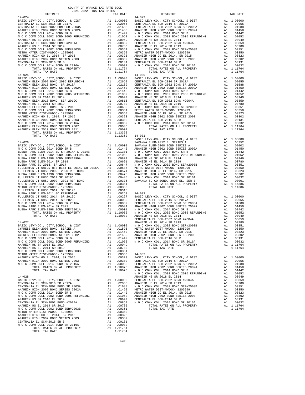| $14 - 024$                                                                 |                       |                                                                                                                                                                                           | 14-029             |
|----------------------------------------------------------------------------|-----------------------|-------------------------------------------------------------------------------------------------------------------------------------------------------------------------------------------|--------------------|
|                                                                            |                       |                                                                                                                                                                                           |                    |
|                                                                            |                       |                                                                                                                                                                                           |                    |
|                                                                            |                       |                                                                                                                                                                                           |                    |
|                                                                            |                       |                                                                                                                                                                                           |                    |
|                                                                            |                       |                                                                                                                                                                                           |                    |
|                                                                            |                       |                                                                                                                                                                                           |                    |
|                                                                            |                       |                                                                                                                                                                                           |                    |
|                                                                            |                       |                                                                                                                                                                                           |                    |
|                                                                            |                       |                                                                                                                                                                                           |                    |
|                                                                            |                       |                                                                                                                                                                                           |                    |
|                                                                            |                       |                                                                                                                                                                                           |                    |
|                                                                            |                       |                                                                                                                                                                                           |                    |
| TOTAL TAX RATE                                                             |                       | 1.11764                                                                                                                                                                                   |                    |
| $14 - 025$                                                                 |                       |                                                                                                                                                                                           | $14 - 030$         |
|                                                                            |                       |                                                                                                                                                                                           |                    |
|                                                                            |                       |                                                                                                                                                                                           |                    |
|                                                                            |                       |                                                                                                                                                                                           |                    |
|                                                                            |                       |                                                                                                                                                                                           |                    |
|                                                                            |                       |                                                                                                                                                                                           |                    |
|                                                                            |                       |                                                                                                                                                                                           |                    |
|                                                                            |                       |                                                                                                                                                                                           |                    |
|                                                                            |                       |                                                                                                                                                                                           |                    |
|                                                                            |                       |                                                                                                                                                                                           |                    |
|                                                                            |                       |                                                                                                                                                                                           |                    |
|                                                                            |                       |                                                                                                                                                                                           |                    |
|                                                                            |                       |                                                                                                                                                                                           |                    |
|                                                                            |                       |                                                                                                                                                                                           |                    |
|                                                                            |                       |                                                                                                                                                                                           |                    |
| TOTAL TAX RATE                                                             |                       | 1.13352 14-031                                                                                                                                                                            |                    |
|                                                                            |                       |                                                                                                                                                                                           | BASIC L            |
| $14 - 026$                                                                 |                       |                                                                                                                                                                                           | SAVANNA            |
|                                                                            |                       |                                                                                                                                                                                           |                    |
|                                                                            |                       |                                                                                                                                                                                           |                    |
|                                                                            |                       |                                                                                                                                                                                           |                    |
|                                                                            |                       |                                                                                                                                                                                           |                    |
|                                                                            |                       |                                                                                                                                                                                           |                    |
|                                                                            |                       |                                                                                                                                                                                           |                    |
|                                                                            |                       |                                                                                                                                                                                           |                    |
|                                                                            |                       |                                                                                                                                                                                           |                    |
|                                                                            |                       |                                                                                                                                                                                           |                    |
|                                                                            |                       |                                                                                                                                                                                           |                    |
|                                                                            |                       |                                                                                                                                                                                           |                    |
|                                                                            |                       |                                                                                                                                                                                           |                    |
|                                                                            |                       |                                                                                                                                                                                           |                    |
|                                                                            |                       |                                                                                                                                                                                           |                    |
|                                                                            |                       |                                                                                                                                                                                           |                    |
|                                                                            |                       |                                                                                                                                                                                           |                    |
|                                                                            |                       |                                                                                                                                                                                           |                    |
|                                                                            |                       |                                                                                                                                                                                           |                    |
|                                                                            |                       |                                                                                                                                                                                           |                    |
| 14-027                                                                     |                       |                                                                                                                                                                                           | CENTRAL<br>ANAHEIM |
|                                                                            |                       |                                                                                                                                                                                           |                    |
|                                                                            |                       |                                                                                                                                                                                           |                    |
|                                                                            |                       |                                                                                                                                                                                           |                    |
| N O C COMM COLL 2014 BOND SR B<br>A1 .01442 CENTRAL                        |                       |                                                                                                                                                                                           |                    |
| N O C COMM COLL 2002 BOND 2005 REFUNDING                                   |                       | A1 .01052 NOCC                                                                                                                                                                            |                    |
| ANAHEIM HS SR 2018 EL 2014                                                 | A1                    | .00949                                                                                                                                                                                    |                    |
| ANAHEIM HS EL 2014 SR 2019                                                 | A1                    | .00780                                                                                                                                                                                    |                    |
| N O C COMM COLL 2002 BOND SER#2003B<br>METRO WATER DIST-MWDOC- 1205999     | A1<br>A1              | .00351                                                                                                                                                                                    | $14 - 033$         |
| ANAHEIM HIGH GO EL 2014, SR 2015                                           | A1                    | .00350<br>.00323                                                                                                                                                                          | BASIC L            |
| ANAHEIM HIGH 2002 BOND SERIES 2003                                         |                       |                                                                                                                                                                                           |                    |
| N O C COMM COLL 2014 BOND SR 2016A                                         |                       |                                                                                                                                                                                           |                    |
| TOTAL RATES ON ALL PROPERTY                                                |                       | A1 .00302 CENTRAL<br>A1 .00302 CENTRAL<br>A1 .1.10076 ANAHEIM<br>1.10076 N O C C                                                                                                          |                    |
| TOTAL TAX RATE                                                             |                       |                                                                                                                                                                                           | NOCC               |
| $14 - 028$                                                                 |                       |                                                                                                                                                                                           | ANAHEIM            |
| BASIC LEVY-CO., CITY, SCHOOL, & DIST                                       |                       | A1 1.00000 ANAHELM<br>A1 .02055 ANAHELM<br>A1 .01688 N O C C<br>A1 .01442 ANAHELM<br>A1 .01442 ANAHELM<br>A1 .0059 ANAHELM<br>A1 .00949 CENTRAL<br>A1 .00949 CENTRAL<br>A1 .00859 N O C C |                    |
| CENTRALIA EL SCH-2016 SR 2017A                                             |                       |                                                                                                                                                                                           |                    |
| CENTRALIA EL SCH-2002 BOND SR 2003A<br>ANAHEIM HIGH 2002 BOND SERIES 2002A |                       |                                                                                                                                                                                           |                    |
| N O C COMM COLL 2014 BOND SR B                                             |                       |                                                                                                                                                                                           |                    |
| N O C COMM COLL 2002 BOND 2005 REFUNDING                                   |                       |                                                                                                                                                                                           |                    |
| ANAHEIM HS SR 2018 EL 2014                                                 |                       |                                                                                                                                                                                           |                    |
| CENTRALIA EL SCH-2002 BOND #2004A<br>ANAHEIM HS EL 2014 SR 2019            |                       |                                                                                                                                                                                           |                    |
| N O C COMM COLL 2002 BOND SER#2003B                                        |                       | A1 .00780<br>A1 .00351                                                                                                                                                                    |                    |
| METRO WATER DIST-MWDOC- 1205999                                            |                       | A1 .00350                                                                                                                                                                                 |                    |
| ANAHEIM HIGH GO EL 2014, SR 2015                                           |                       | A1 .00323                                                                                                                                                                                 |                    |
| ANAHEIM HIGH 2002 BOND SERIES 2003                                         | A1                    | .00302                                                                                                                                                                                    |                    |
| CENTRALIA EL SCH-2016 SR B<br>N O C COMM COLL 2014 BOND SR 2016A           | A1<br>$\overline{A1}$ | .00131<br>.00032                                                                                                                                                                          |                    |
| TOTAL RATES ON ALL PROPERTY                                                |                       | A1 1.11764                                                                                                                                                                                |                    |
| TOTAL TAX RATE                                                             |                       | 1.11764                                                                                                                                                                                   |                    |

| COMM COLL 2014 BOND SR 2016A |                |  |  |  |                             |  |
|------------------------------|----------------|--|--|--|-----------------------------|--|
|                              |                |  |  |  | TOTAL RATES ON ALL PROPERTY |  |
|                              | TOTAL TAX RATE |  |  |  |                             |  |

| COUNTY OF ORANGE TAX RATE BOOK                                                                                                                                                                                                                                                                                                                                            |          |          |          |
|---------------------------------------------------------------------------------------------------------------------------------------------------------------------------------------------------------------------------------------------------------------------------------------------------------------------------------------------------------------------------|----------|----------|----------|
|                                                                                                                                                                                                                                                                                                                                                                           | TAX RATE | DISTRICT | TAX RATE |
|                                                                                                                                                                                                                                                                                                                                                                           |          |          |          |
|                                                                                                                                                                                                                                                                                                                                                                           |          |          |          |
|                                                                                                                                                                                                                                                                                                                                                                           |          |          |          |
|                                                                                                                                                                                                                                                                                                                                                                           |          |          |          |
|                                                                                                                                                                                                                                                                                                                                                                           |          |          |          |
|                                                                                                                                                                                                                                                                                                                                                                           |          |          |          |
|                                                                                                                                                                                                                                                                                                                                                                           |          |          |          |
|                                                                                                                                                                                                                                                                                                                                                                           |          |          |          |
|                                                                                                                                                                                                                                                                                                                                                                           |          |          |          |
|                                                                                                                                                                                                                                                                                                                                                                           |          |          |          |
|                                                                                                                                                                                                                                                                                                                                                                           |          |          |          |
|                                                                                                                                                                                                                                                                                                                                                                           |          |          |          |
|                                                                                                                                                                                                                                                                                                                                                                           |          |          |          |
|                                                                                                                                                                                                                                                                                                                                                                           |          |          |          |
|                                                                                                                                                                                                                                                                                                                                                                           |          |          |          |
|                                                                                                                                                                                                                                                                                                                                                                           |          |          |          |
|                                                                                                                                                                                                                                                                                                                                                                           |          |          |          |
|                                                                                                                                                                                                                                                                                                                                                                           |          |          |          |
|                                                                                                                                                                                                                                                                                                                                                                           |          |          |          |
|                                                                                                                                                                                                                                                                                                                                                                           |          |          |          |
|                                                                                                                                                                                                                                                                                                                                                                           |          |          |          |
|                                                                                                                                                                                                                                                                                                                                                                           |          |          |          |
|                                                                                                                                                                                                                                                                                                                                                                           |          |          |          |
|                                                                                                                                                                                                                                                                                                                                                                           |          |          |          |
|                                                                                                                                                                                                                                                                                                                                                                           |          |          |          |
|                                                                                                                                                                                                                                                                                                                                                                           |          |          |          |
|                                                                                                                                                                                                                                                                                                                                                                           |          |          |          |
|                                                                                                                                                                                                                                                                                                                                                                           |          |          |          |
|                                                                                                                                                                                                                                                                                                                                                                           |          |          |          |
|                                                                                                                                                                                                                                                                                                                                                                           |          |          |          |
|                                                                                                                                                                                                                                                                                                                                                                           |          |          |          |
|                                                                                                                                                                                                                                                                                                                                                                           |          |          |          |
|                                                                                                                                                                                                                                                                                                                                                                           |          |          |          |
|                                                                                                                                                                                                                                                                                                                                                                           |          |          |          |
|                                                                                                                                                                                                                                                                                                                                                                           |          |          |          |
|                                                                                                                                                                                                                                                                                                                                                                           |          |          |          |
|                                                                                                                                                                                                                                                                                                                                                                           |          |          |          |
|                                                                                                                                                                                                                                                                                                                                                                           |          |          |          |
|                                                                                                                                                                                                                                                                                                                                                                           |          |          |          |
|                                                                                                                                                                                                                                                                                                                                                                           |          |          |          |
|                                                                                                                                                                                                                                                                                                                                                                           |          |          |          |
|                                                                                                                                                                                                                                                                                                                                                                           |          |          |          |
|                                                                                                                                                                                                                                                                                                                                                                           |          |          |          |
|                                                                                                                                                                                                                                                                                                                                                                           |          |          |          |
|                                                                                                                                                                                                                                                                                                                                                                           |          |          |          |
|                                                                                                                                                                                                                                                                                                                                                                           |          |          |          |
|                                                                                                                                                                                                                                                                                                                                                                           |          |          |          |
|                                                                                                                                                                                                                                                                                                                                                                           |          |          |          |
|                                                                                                                                                                                                                                                                                                                                                                           |          |          |          |
|                                                                                                                                                                                                                                                                                                                                                                           |          |          |          |
|                                                                                                                                                                                                                                                                                                                                                                           |          |          |          |
|                                                                                                                                                                                                                                                                                                                                                                           |          |          |          |
|                                                                                                                                                                                                                                                                                                                                                                           |          |          |          |
|                                                                                                                                                                                                                                                                                                                                                                           |          |          |          |
|                                                                                                                                                                                                                                                                                                                                                                           |          |          |          |
|                                                                                                                                                                                                                                                                                                                                                                           |          |          |          |
|                                                                                                                                                                                                                                                                                                                                                                           |          |          |          |
|                                                                                                                                                                                                                                                                                                                                                                           |          |          |          |
|                                                                                                                                                                                                                                                                                                                                                                           |          |          |          |
|                                                                                                                                                                                                                                                                                                                                                                           |          |          |          |
| $\begin{small} \textbf{1111} & \textbf{1212} & \textbf{1313} & \textbf{1414} & \textbf{1514} & \textbf{1514} & \textbf{1514} & \textbf{1514} & \textbf{1514} & \textbf{1514} & \textbf{1514} & \textbf{1514} & \textbf{1514} & \textbf{1514} & \textbf{1514} & \textbf{1514} & \textbf{1514} & \textbf{1514} & \textbf{1514} & \textbf{1514} & \textbf{1514} & \textbf{1$ |          |          |          |
|                                                                                                                                                                                                                                                                                                                                                                           |          |          |          |
|                                                                                                                                                                                                                                                                                                                                                                           |          |          |          |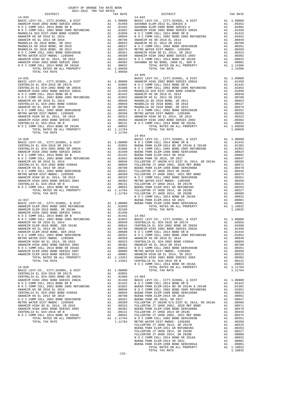| TOTAL TAX RATE                                                           |          | 1.09650                                                                                                                                                                                                                                            |                           |
|--------------------------------------------------------------------------|----------|----------------------------------------------------------------------------------------------------------------------------------------------------------------------------------------------------------------------------------------------------|---------------------------|
| $14 - 035$                                                               |          |                                                                                                                                                                                                                                                    | $14 - 046$<br>BASIC L     |
|                                                                          |          |                                                                                                                                                                                                                                                    |                           |
|                                                                          |          |                                                                                                                                                                                                                                                    |                           |
|                                                                          |          |                                                                                                                                                                                                                                                    |                           |
|                                                                          |          |                                                                                                                                                                                                                                                    |                           |
|                                                                          |          |                                                                                                                                                                                                                                                    |                           |
|                                                                          |          |                                                                                                                                                                                                                                                    |                           |
|                                                                          |          |                                                                                                                                                                                                                                                    |                           |
|                                                                          |          |                                                                                                                                                                                                                                                    |                           |
|                                                                          |          |                                                                                                                                                                                                                                                    |                           |
|                                                                          |          |                                                                                                                                                                                                                                                    |                           |
|                                                                          |          |                                                                                                                                                                                                                                                    |                           |
|                                                                          |          |                                                                                                                                                                                                                                                    |                           |
|                                                                          |          |                                                                                                                                                                                                                                                    |                           |
| TOTAL TAX RATE                                                           |          | 1.11764                                                                                                                                                                                                                                            |                           |
|                                                                          |          |                                                                                                                                                                                                                                                    | $14 - 054$                |
|                                                                          |          |                                                                                                                                                                                                                                                    |                           |
|                                                                          |          |                                                                                                                                                                                                                                                    |                           |
|                                                                          |          |                                                                                                                                                                                                                                                    |                           |
|                                                                          |          |                                                                                                                                                                                                                                                    |                           |
|                                                                          |          |                                                                                                                                                                                                                                                    |                           |
|                                                                          |          |                                                                                                                                                                                                                                                    |                           |
|                                                                          |          |                                                                                                                                                                                                                                                    |                           |
|                                                                          |          |                                                                                                                                                                                                                                                    |                           |
|                                                                          |          |                                                                                                                                                                                                                                                    |                           |
|                                                                          |          |                                                                                                                                                                                                                                                    |                           |
|                                                                          |          |                                                                                                                                                                                                                                                    |                           |
|                                                                          |          |                                                                                                                                                                                                                                                    |                           |
|                                                                          |          |                                                                                                                                                                                                                                                    |                           |
|                                                                          |          |                                                                                                                                                                                                                                                    |                           |
|                                                                          |          |                                                                                                                                                                                                                                                    |                           |
| $14 - 037$                                                               |          |                                                                                                                                                                                                                                                    | N O C C<br>BUENA P        |
|                                                                          |          |                                                                                                                                                                                                                                                    |                           |
|                                                                          |          |                                                                                                                                                                                                                                                    |                           |
|                                                                          |          |                                                                                                                                                                                                                                                    |                           |
|                                                                          |          |                                                                                                                                                                                                                                                    |                           |
|                                                                          |          |                                                                                                                                                                                                                                                    |                           |
|                                                                          |          |                                                                                                                                                                                                                                                    |                           |
|                                                                          |          |                                                                                                                                                                                                                                                    |                           |
|                                                                          |          |                                                                                                                                                                                                                                                    |                           |
|                                                                          |          |                                                                                                                                                                                                                                                    |                           |
|                                                                          |          |                                                                                                                                                                                                                                                    |                           |
|                                                                          |          |                                                                                                                                                                                                                                                    |                           |
|                                                                          |          |                                                                                                                                                                                                                                                    |                           |
|                                                                          |          |                                                                                                                                                                                                                                                    |                           |
| ANAHEIM ELEM-2002 BOND SERIES 2007<br>ANAHEIM ELEM 2010 BOND SERIES 2011 | A1<br>A1 | .00001                                                                                                                                                                                                                                             | .00006 METRO W<br>ANAHEIM |
| TOTAL RATES ON ALL PROPERTY                                              |          | A1 1.13352                                                                                                                                                                                                                                         | ANAHEIM                   |
| TOTAL TAX RATE                                                           |          | 1.13352 CENTRAL                                                                                                                                                                                                                                    |                           |
|                                                                          |          |                                                                                                                                                                                                                                                    | NOCC                      |
| $14 - 038$                                                               |          |                                                                                                                                                                                                                                                    |                           |
| BASIC LEVY-CO., CITY, SCHOOL, & DIST<br>CENTRALIA EL SCH-2016 SR 2017A   |          | A1 1.00000                                                                                                                                                                                                                                         |                           |
| CENTRALIA EL SCH-2002 BOND SR 2003A                                      |          | A1 .02055<br>A1 .01688<br>A1 .01450                                                                                                                                                                                                                |                           |
| ANAHEIM HIGH 2002 BOND SERIES 2002A                                      |          | A1 .01450 BASIC L<br>A1 .01450 BASIC L<br>A1 .01652 BUENA P OCC C<br>A1 .00949 N OCC C<br>A1 .00959 BUENA P N OCC BUENA P A1 .00350 BUENA P<br>A1 .00303 FULLERT<br>A1 .00302 BUENA P A1 .00312 BUENA P A1 .00032 FULLERT<br>A1 .00032 BUENA P OCC | 14-064<br>BASIC L         |
| N O C COMM COLL 2014 BOND SR B                                           |          |                                                                                                                                                                                                                                                    |                           |
| N O C COMM COLL 2002 BOND 2005 REFUNDING<br>ANAHEIM HS SR 2018 EL 2014   |          |                                                                                                                                                                                                                                                    |                           |
| CENTRALIA EL SCH-2002 BOND #2004A                                        |          |                                                                                                                                                                                                                                                    |                           |
| ANAHEIM HS EL 2014 SR 2019                                               |          |                                                                                                                                                                                                                                                    |                           |
| N O C COMM COLL 2002 BOND SER#2003B                                      |          |                                                                                                                                                                                                                                                    |                           |
| METRO WATER DIST-MWDOC- 1205999                                          |          |                                                                                                                                                                                                                                                    |                           |
| ANAHEIM HIGH GO EL 2014, SR 2015<br>ANAHEIM HIGH 2002 BOND SERIES 2003   |          |                                                                                                                                                                                                                                                    |                           |
| CENTRALIA EL SCH-2016 SR B                                               |          |                                                                                                                                                                                                                                                    |                           |
| N O C COMM COLL 2014 BOND SR 2016A                                       |          |                                                                                                                                                                                                                                                    |                           |
| TOTAL RATES ON ALL PROPERTY                                              |          |                                                                                                                                                                                                                                                    |                           |
| TOTAL TAX RATE                                                           |          |                                                                                                                                                                                                                                                    |                           |

| COUNTY OF ORANGE TAX RATE BOOK<br>$\begin{minipage}{.4\linewidth} \begin{tabular}{lcccccc} . & . & . & . & . & . & . & . & . & . & . & . & . & . \\ & & & & & & & & . & . & . & . \\ \text{DISTRICT} & & & & & & & & . & . & . & . & . & . & . \\ \end{tabular}$ |          |                                                                                                                                                                                                                                                                                                                                                                                                                 |          |
|------------------------------------------------------------------------------------------------------------------------------------------------------------------------------------------------------------------------------------------------------------------|----------|-----------------------------------------------------------------------------------------------------------------------------------------------------------------------------------------------------------------------------------------------------------------------------------------------------------------------------------------------------------------------------------------------------------------|----------|
|                                                                                                                                                                                                                                                                  | TAX RATE | DISTRICT                                                                                                                                                                                                                                                                                                                                                                                                        | TAX RATE |
| $14 - 034$                                                                                                                                                                                                                                                       |          | $14 - 042$                                                                                                                                                                                                                                                                                                                                                                                                      |          |
|                                                                                                                                                                                                                                                                  |          |                                                                                                                                                                                                                                                                                                                                                                                                                 |          |
|                                                                                                                                                                                                                                                                  |          |                                                                                                                                                                                                                                                                                                                                                                                                                 |          |
|                                                                                                                                                                                                                                                                  |          |                                                                                                                                                                                                                                                                                                                                                                                                                 |          |
|                                                                                                                                                                                                                                                                  |          |                                                                                                                                                                                                                                                                                                                                                                                                                 |          |
|                                                                                                                                                                                                                                                                  |          |                                                                                                                                                                                                                                                                                                                                                                                                                 |          |
|                                                                                                                                                                                                                                                                  |          |                                                                                                                                                                                                                                                                                                                                                                                                                 |          |
|                                                                                                                                                                                                                                                                  |          |                                                                                                                                                                                                                                                                                                                                                                                                                 |          |
|                                                                                                                                                                                                                                                                  |          |                                                                                                                                                                                                                                                                                                                                                                                                                 |          |
|                                                                                                                                                                                                                                                                  |          |                                                                                                                                                                                                                                                                                                                                                                                                                 |          |
|                                                                                                                                                                                                                                                                  |          |                                                                                                                                                                                                                                                                                                                                                                                                                 |          |
|                                                                                                                                                                                                                                                                  |          |                                                                                                                                                                                                                                                                                                                                                                                                                 |          |
|                                                                                                                                                                                                                                                                  |          |                                                                                                                                                                                                                                                                                                                                                                                                                 |          |
|                                                                                                                                                                                                                                                                  |          |                                                                                                                                                                                                                                                                                                                                                                                                                 |          |
|                                                                                                                                                                                                                                                                  |          |                                                                                                                                                                                                                                                                                                                                                                                                                 |          |
|                                                                                                                                                                                                                                                                  |          |                                                                                                                                                                                                                                                                                                                                                                                                                 |          |
|                                                                                                                                                                                                                                                                  |          |                                                                                                                                                                                                                                                                                                                                                                                                                 |          |
|                                                                                                                                                                                                                                                                  |          |                                                                                                                                                                                                                                                                                                                                                                                                                 |          |
|                                                                                                                                                                                                                                                                  |          |                                                                                                                                                                                                                                                                                                                                                                                                                 |          |
|                                                                                                                                                                                                                                                                  |          |                                                                                                                                                                                                                                                                                                                                                                                                                 |          |
|                                                                                                                                                                                                                                                                  |          |                                                                                                                                                                                                                                                                                                                                                                                                                 |          |
|                                                                                                                                                                                                                                                                  |          |                                                                                                                                                                                                                                                                                                                                                                                                                 |          |
|                                                                                                                                                                                                                                                                  |          |                                                                                                                                                                                                                                                                                                                                                                                                                 |          |
|                                                                                                                                                                                                                                                                  |          |                                                                                                                                                                                                                                                                                                                                                                                                                 |          |
|                                                                                                                                                                                                                                                                  |          |                                                                                                                                                                                                                                                                                                                                                                                                                 |          |
|                                                                                                                                                                                                                                                                  |          |                                                                                                                                                                                                                                                                                                                                                                                                                 |          |
|                                                                                                                                                                                                                                                                  |          |                                                                                                                                                                                                                                                                                                                                                                                                                 |          |
|                                                                                                                                                                                                                                                                  |          |                                                                                                                                                                                                                                                                                                                                                                                                                 |          |
|                                                                                                                                                                                                                                                                  |          |                                                                                                                                                                                                                                                                                                                                                                                                                 |          |
|                                                                                                                                                                                                                                                                  |          |                                                                                                                                                                                                                                                                                                                                                                                                                 |          |
|                                                                                                                                                                                                                                                                  |          |                                                                                                                                                                                                                                                                                                                                                                                                                 |          |
|                                                                                                                                                                                                                                                                  |          |                                                                                                                                                                                                                                                                                                                                                                                                                 |          |
|                                                                                                                                                                                                                                                                  |          |                                                                                                                                                                                                                                                                                                                                                                                                                 |          |
|                                                                                                                                                                                                                                                                  |          |                                                                                                                                                                                                                                                                                                                                                                                                                 |          |
|                                                                                                                                                                                                                                                                  |          |                                                                                                                                                                                                                                                                                                                                                                                                                 |          |
|                                                                                                                                                                                                                                                                  |          |                                                                                                                                                                                                                                                                                                                                                                                                                 |          |
|                                                                                                                                                                                                                                                                  |          |                                                                                                                                                                                                                                                                                                                                                                                                                 |          |
|                                                                                                                                                                                                                                                                  |          |                                                                                                                                                                                                                                                                                                                                                                                                                 |          |
|                                                                                                                                                                                                                                                                  |          |                                                                                                                                                                                                                                                                                                                                                                                                                 |          |
|                                                                                                                                                                                                                                                                  |          |                                                                                                                                                                                                                                                                                                                                                                                                                 |          |
|                                                                                                                                                                                                                                                                  |          |                                                                                                                                                                                                                                                                                                                                                                                                                 |          |
|                                                                                                                                                                                                                                                                  |          |                                                                                                                                                                                                                                                                                                                                                                                                                 |          |
|                                                                                                                                                                                                                                                                  |          |                                                                                                                                                                                                                                                                                                                                                                                                                 |          |
|                                                                                                                                                                                                                                                                  |          |                                                                                                                                                                                                                                                                                                                                                                                                                 |          |
|                                                                                                                                                                                                                                                                  |          |                                                                                                                                                                                                                                                                                                                                                                                                                 |          |
|                                                                                                                                                                                                                                                                  |          |                                                                                                                                                                                                                                                                                                                                                                                                                 |          |
|                                                                                                                                                                                                                                                                  |          |                                                                                                                                                                                                                                                                                                                                                                                                                 |          |
|                                                                                                                                                                                                                                                                  |          |                                                                                                                                                                                                                                                                                                                                                                                                                 |          |
|                                                                                                                                                                                                                                                                  |          |                                                                                                                                                                                                                                                                                                                                                                                                                 |          |
|                                                                                                                                                                                                                                                                  |          |                                                                                                                                                                                                                                                                                                                                                                                                                 |          |
|                                                                                                                                                                                                                                                                  |          |                                                                                                                                                                                                                                                                                                                                                                                                                 |          |
|                                                                                                                                                                                                                                                                  |          |                                                                                                                                                                                                                                                                                                                                                                                                                 |          |
|                                                                                                                                                                                                                                                                  |          |                                                                                                                                                                                                                                                                                                                                                                                                                 |          |
|                                                                                                                                                                                                                                                                  |          |                                                                                                                                                                                                                                                                                                                                                                                                                 |          |
|                                                                                                                                                                                                                                                                  |          |                                                                                                                                                                                                                                                                                                                                                                                                                 |          |
|                                                                                                                                                                                                                                                                  |          |                                                                                                                                                                                                                                                                                                                                                                                                                 |          |
|                                                                                                                                                                                                                                                                  |          |                                                                                                                                                                                                                                                                                                                                                                                                                 |          |
|                                                                                                                                                                                                                                                                  |          |                                                                                                                                                                                                                                                                                                                                                                                                                 |          |
|                                                                                                                                                                                                                                                                  |          |                                                                                                                                                                                                                                                                                                                                                                                                                 |          |
|                                                                                                                                                                                                                                                                  |          | $\begin{tabular}{l c c c c c} \multicolumn{4}{c}{AMAEEM HCHZ} \hline \multicolumn{4}{c}{MAMHEIM HCHZ} \hline \multicolumn{4}{c}{MAMHEIM HCHZ} \hline \multicolumn{4}{c}{MAMHEIM HCHZ} \hline \multicolumn{4}{c}{MOMOGLL Z01 BOND SERES 2002A} & \multicolumn{4}{c}{A1} & .01450 & \multicolumn{4}{c}{A1} & .01450 & \multicolumn{4}{c}{A1} & .01460 & \multicolumn{4}{c}{A1} & .01460 & \multicolumn{4}{c}{A1}$ |          |
|                                                                                                                                                                                                                                                                  |          |                                                                                                                                                                                                                                                                                                                                                                                                                 |          |
|                                                                                                                                                                                                                                                                  |          |                                                                                                                                                                                                                                                                                                                                                                                                                 |          |
|                                                                                                                                                                                                                                                                  |          |                                                                                                                                                                                                                                                                                                                                                                                                                 |          |
|                                                                                                                                                                                                                                                                  |          |                                                                                                                                                                                                                                                                                                                                                                                                                 |          |
|                                                                                                                                                                                                                                                                  |          |                                                                                                                                                                                                                                                                                                                                                                                                                 |          |
|                                                                                                                                                                                                                                                                  |          |                                                                                                                                                                                                                                                                                                                                                                                                                 |          |
|                                                                                                                                                                                                                                                                  |          |                                                                                                                                                                                                                                                                                                                                                                                                                 |          |
|                                                                                                                                                                                                                                                                  |          |                                                                                                                                                                                                                                                                                                                                                                                                                 |          |
|                                                                                                                                                                                                                                                                  |          |                                                                                                                                                                                                                                                                                                                                                                                                                 |          |
|                                                                                                                                                                                                                                                                  |          |                                                                                                                                                                                                                                                                                                                                                                                                                 |          |
|                                                                                                                                                                                                                                                                  |          |                                                                                                                                                                                                                                                                                                                                                                                                                 |          |
|                                                                                                                                                                                                                                                                  |          |                                                                                                                                                                                                                                                                                                                                                                                                                 |          |
|                                                                                                                                                                                                                                                                  |          |                                                                                                                                                                                                                                                                                                                                                                                                                 |          |
|                                                                                                                                                                                                                                                                  |          |                                                                                                                                                                                                                                                                                                                                                                                                                 |          |
|                                                                                                                                                                                                                                                                  |          |                                                                                                                                                                                                                                                                                                                                                                                                                 |          |
|                                                                                                                                                                                                                                                                  |          |                                                                                                                                                                                                                                                                                                                                                                                                                 |          |
|                                                                                                                                                                                                                                                                  |          |                                                                                                                                                                                                                                                                                                                                                                                                                 |          |
|                                                                                                                                                                                                                                                                  |          |                                                                                                                                                                                                                                                                                                                                                                                                                 |          |
|                                                                                                                                                                                                                                                                  |          |                                                                                                                                                                                                                                                                                                                                                                                                                 |          |
|                                                                                                                                                                                                                                                                  |          |                                                                                                                                                                                                                                                                                                                                                                                                                 |          |
|                                                                                                                                                                                                                                                                  |          |                                                                                                                                                                                                                                                                                                                                                                                                                 |          |
|                                                                                                                                                                                                                                                                  |          |                                                                                                                                                                                                                                                                                                                                                                                                                 |          |
|                                                                                                                                                                                                                                                                  |          |                                                                                                                                                                                                                                                                                                                                                                                                                 |          |
|                                                                                                                                                                                                                                                                  |          |                                                                                                                                                                                                                                                                                                                                                                                                                 |          |
|                                                                                                                                                                                                                                                                  |          |                                                                                                                                                                                                                                                                                                                                                                                                                 |          |
|                                                                                                                                                                                                                                                                  |          |                                                                                                                                                                                                                                                                                                                                                                                                                 |          |
|                                                                                                                                                                                                                                                                  | $-131-$  |                                                                                                                                                                                                                                                                                                                                                                                                                 |          |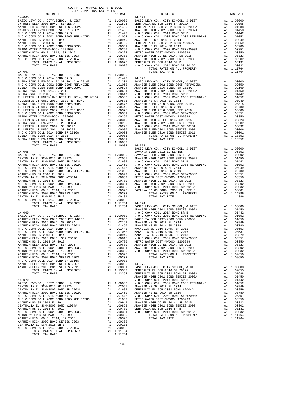| 2021-2022 TRA TAX RATES<br>DISTRICT                                                                                                                                                                                                                                                                                                                                                                           | TAX RATE | DISTRICT                                                                                                                                                                                                                              | TAX RATE |
|---------------------------------------------------------------------------------------------------------------------------------------------------------------------------------------------------------------------------------------------------------------------------------------------------------------------------------------------------------------------------------------------------------------|----------|---------------------------------------------------------------------------------------------------------------------------------------------------------------------------------------------------------------------------------------|----------|
| $14 - 065$                                                                                                                                                                                                                                                                                                                                                                                                    |          | $14 - 071$                                                                                                                                                                                                                            |          |
|                                                                                                                                                                                                                                                                                                                                                                                                               |          |                                                                                                                                                                                                                                       |          |
|                                                                                                                                                                                                                                                                                                                                                                                                               |          |                                                                                                                                                                                                                                       |          |
|                                                                                                                                                                                                                                                                                                                                                                                                               |          |                                                                                                                                                                                                                                       |          |
|                                                                                                                                                                                                                                                                                                                                                                                                               |          |                                                                                                                                                                                                                                       |          |
|                                                                                                                                                                                                                                                                                                                                                                                                               |          |                                                                                                                                                                                                                                       |          |
|                                                                                                                                                                                                                                                                                                                                                                                                               |          |                                                                                                                                                                                                                                       |          |
|                                                                                                                                                                                                                                                                                                                                                                                                               |          |                                                                                                                                                                                                                                       |          |
|                                                                                                                                                                                                                                                                                                                                                                                                               |          |                                                                                                                                                                                                                                       |          |
|                                                                                                                                                                                                                                                                                                                                                                                                               |          |                                                                                                                                                                                                                                       |          |
|                                                                                                                                                                                                                                                                                                                                                                                                               |          |                                                                                                                                                                                                                                       |          |
|                                                                                                                                                                                                                                                                                                                                                                                                               |          |                                                                                                                                                                                                                                       |          |
|                                                                                                                                                                                                                                                                                                                                                                                                               |          |                                                                                                                                                                                                                                       |          |
|                                                                                                                                                                                                                                                                                                                                                                                                               |          |                                                                                                                                                                                                                                       |          |
|                                                                                                                                                                                                                                                                                                                                                                                                               |          |                                                                                                                                                                                                                                       |          |
|                                                                                                                                                                                                                                                                                                                                                                                                               |          |                                                                                                                                                                                                                                       |          |
|                                                                                                                                                                                                                                                                                                                                                                                                               |          |                                                                                                                                                                                                                                       |          |
|                                                                                                                                                                                                                                                                                                                                                                                                               |          |                                                                                                                                                                                                                                       |          |
|                                                                                                                                                                                                                                                                                                                                                                                                               |          |                                                                                                                                                                                                                                       |          |
|                                                                                                                                                                                                                                                                                                                                                                                                               |          |                                                                                                                                                                                                                                       |          |
|                                                                                                                                                                                                                                                                                                                                                                                                               |          |                                                                                                                                                                                                                                       |          |
|                                                                                                                                                                                                                                                                                                                                                                                                               |          |                                                                                                                                                                                                                                       |          |
|                                                                                                                                                                                                                                                                                                                                                                                                               |          |                                                                                                                                                                                                                                       |          |
|                                                                                                                                                                                                                                                                                                                                                                                                               |          |                                                                                                                                                                                                                                       |          |
|                                                                                                                                                                                                                                                                                                                                                                                                               |          |                                                                                                                                                                                                                                       |          |
|                                                                                                                                                                                                                                                                                                                                                                                                               |          |                                                                                                                                                                                                                                       |          |
|                                                                                                                                                                                                                                                                                                                                                                                                               |          |                                                                                                                                                                                                                                       |          |
|                                                                                                                                                                                                                                                                                                                                                                                                               |          |                                                                                                                                                                                                                                       |          |
|                                                                                                                                                                                                                                                                                                                                                                                                               |          |                                                                                                                                                                                                                                       |          |
| $\begin{tabular}{l ll} $1-667\\ \hline 14-067\\ \hline \textbf{RACE LEW}^{\textbf{X}-\textbf{CO}, CRT} , \textbf{SCH0OL}, & \textbf{D13T} & \textbf{N1.100001}\\ \hline \textbf{RACE LEW}^{\textbf{X}-\textbf{CO}, CRT} , \textbf{SCH0OL}, & \textbf{D13T} & \textbf{N1.100001}\\ \hline \textbf{RUC BOW}^{\textbf{X}-\textbf{CO}, CRT} , \textbf{SCH0OL}, & \textbf{D14T}^{\textbf{X}-\textbf{CO}, CRT} , \$ |          |                                                                                                                                                                                                                                       |          |
|                                                                                                                                                                                                                                                                                                                                                                                                               |          |                                                                                                                                                                                                                                       |          |
|                                                                                                                                                                                                                                                                                                                                                                                                               |          |                                                                                                                                                                                                                                       |          |
|                                                                                                                                                                                                                                                                                                                                                                                                               |          |                                                                                                                                                                                                                                       |          |
|                                                                                                                                                                                                                                                                                                                                                                                                               |          |                                                                                                                                                                                                                                       |          |
|                                                                                                                                                                                                                                                                                                                                                                                                               |          |                                                                                                                                                                                                                                       |          |
|                                                                                                                                                                                                                                                                                                                                                                                                               |          |                                                                                                                                                                                                                                       |          |
|                                                                                                                                                                                                                                                                                                                                                                                                               |          |                                                                                                                                                                                                                                       |          |
|                                                                                                                                                                                                                                                                                                                                                                                                               |          |                                                                                                                                                                                                                                       |          |
|                                                                                                                                                                                                                                                                                                                                                                                                               |          |                                                                                                                                                                                                                                       |          |
|                                                                                                                                                                                                                                                                                                                                                                                                               |          |                                                                                                                                                                                                                                       |          |
|                                                                                                                                                                                                                                                                                                                                                                                                               |          |                                                                                                                                                                                                                                       |          |
|                                                                                                                                                                                                                                                                                                                                                                                                               |          |                                                                                                                                                                                                                                       |          |
|                                                                                                                                                                                                                                                                                                                                                                                                               |          |                                                                                                                                                                                                                                       |          |
|                                                                                                                                                                                                                                                                                                                                                                                                               |          |                                                                                                                                                                                                                                       |          |
|                                                                                                                                                                                                                                                                                                                                                                                                               |          |                                                                                                                                                                                                                                       |          |
|                                                                                                                                                                                                                                                                                                                                                                                                               |          |                                                                                                                                                                                                                                       |          |
|                                                                                                                                                                                                                                                                                                                                                                                                               |          |                                                                                                                                                                                                                                       |          |
|                                                                                                                                                                                                                                                                                                                                                                                                               |          |                                                                                                                                                                                                                                       |          |
|                                                                                                                                                                                                                                                                                                                                                                                                               |          |                                                                                                                                                                                                                                       |          |
|                                                                                                                                                                                                                                                                                                                                                                                                               |          |                                                                                                                                                                                                                                       |          |
|                                                                                                                                                                                                                                                                                                                                                                                                               |          |                                                                                                                                                                                                                                       |          |
|                                                                                                                                                                                                                                                                                                                                                                                                               |          |                                                                                                                                                                                                                                       |          |
|                                                                                                                                                                                                                                                                                                                                                                                                               |          |                                                                                                                                                                                                                                       |          |
|                                                                                                                                                                                                                                                                                                                                                                                                               |          |                                                                                                                                                                                                                                       |          |
|                                                                                                                                                                                                                                                                                                                                                                                                               |          |                                                                                                                                                                                                                                       |          |
|                                                                                                                                                                                                                                                                                                                                                                                                               |          |                                                                                                                                                                                                                                       |          |
|                                                                                                                                                                                                                                                                                                                                                                                                               |          |                                                                                                                                                                                                                                       |          |
|                                                                                                                                                                                                                                                                                                                                                                                                               |          |                                                                                                                                                                                                                                       |          |
|                                                                                                                                                                                                                                                                                                                                                                                                               |          |                                                                                                                                                                                                                                       |          |
|                                                                                                                                                                                                                                                                                                                                                                                                               |          |                                                                                                                                                                                                                                       |          |
|                                                                                                                                                                                                                                                                                                                                                                                                               |          |                                                                                                                                                                                                                                       |          |
|                                                                                                                                                                                                                                                                                                                                                                                                               |          |                                                                                                                                                                                                                                       |          |
|                                                                                                                                                                                                                                                                                                                                                                                                               |          |                                                                                                                                                                                                                                       |          |
|                                                                                                                                                                                                                                                                                                                                                                                                               |          |                                                                                                                                                                                                                                       |          |
|                                                                                                                                                                                                                                                                                                                                                                                                               |          |                                                                                                                                                                                                                                       |          |
|                                                                                                                                                                                                                                                                                                                                                                                                               |          |                                                                                                                                                                                                                                       |          |
|                                                                                                                                                                                                                                                                                                                                                                                                               |          |                                                                                                                                                                                                                                       |          |
|                                                                                                                                                                                                                                                                                                                                                                                                               |          |                                                                                                                                                                                                                                       |          |
|                                                                                                                                                                                                                                                                                                                                                                                                               |          |                                                                                                                                                                                                                                       |          |
|                                                                                                                                                                                                                                                                                                                                                                                                               |          |                                                                                                                                                                                                                                       |          |
|                                                                                                                                                                                                                                                                                                                                                                                                               |          |                                                                                                                                                                                                                                       |          |
|                                                                                                                                                                                                                                                                                                                                                                                                               |          |                                                                                                                                                                                                                                       |          |
|                                                                                                                                                                                                                                                                                                                                                                                                               |          |                                                                                                                                                                                                                                       |          |
|                                                                                                                                                                                                                                                                                                                                                                                                               |          |                                                                                                                                                                                                                                       |          |
|                                                                                                                                                                                                                                                                                                                                                                                                               |          |                                                                                                                                                                                                                                       |          |
|                                                                                                                                                                                                                                                                                                                                                                                                               |          |                                                                                                                                                                                                                                       |          |
|                                                                                                                                                                                                                                                                                                                                                                                                               |          |                                                                                                                                                                                                                                       |          |
|                                                                                                                                                                                                                                                                                                                                                                                                               |          |                                                                                                                                                                                                                                       |          |
|                                                                                                                                                                                                                                                                                                                                                                                                               |          |                                                                                                                                                                                                                                       |          |
|                                                                                                                                                                                                                                                                                                                                                                                                               |          | NO C COOM COLL 2010 ROBE 2019<br>NO C COOM COLL 2010 ROBE 2010 STRETHING ALL 010522<br>ARMEIN RESP. 2010 ROBE 2010 ROBE 2010 ROBE 2010 ROBE 2010 ROBE 2012 ROBE 2013<br>ARMEIN RESP. 2010 BOB 2015 2015 2013<br>ARMEIN RESP. 2010 BOB |          |

TOTAL RATES ON ALL PROPERTY A1 1.11764 TOTAL TAX RATE 1.11764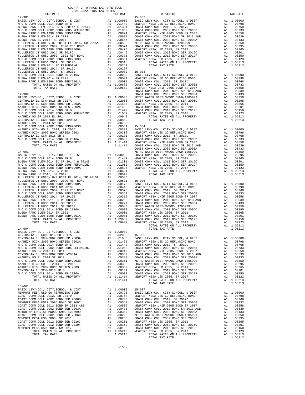| COUNTY OF ORANGE TAX RATE BOOK<br>$\begin{minipage}{.4\linewidth} \begin{tabular}{lcccccc} \multicolumn{2}{c}{\textbf{1-AX} RATE} & \multicolumn{2}{c}{\textbf{1-AY} RATE} & \multicolumn{2}{c}{\textbf{1-AY} RATE} & \multicolumn{2}{c}{\textbf{1-AY} RATE} & \multicolumn{2}{c}{\textbf{1-AY} RATE} & \multicolumn{2}{c}{\textbf{1-AY} RATE} & \multicolumn{2}{c}{\textbf{1-AY} RATE} & \multicolumn{2}{c}{\textbf{1-AY} RATE} & \multicolumn{2}{c}{\textbf{1-AY} RATE} & \multicolumn{2}{c}{$ |          |          |          |
|--------------------------------------------------------------------------------------------------------------------------------------------------------------------------------------------------------------------------------------------------------------------------------------------------------------------------------------------------------------------------------------------------------------------------------------------------------------------------------------------------|----------|----------|----------|
|                                                                                                                                                                                                                                                                                                                                                                                                                                                                                                  | TAX RATE | DISTRICT | TAX RATE |
|                                                                                                                                                                                                                                                                                                                                                                                                                                                                                                  |          |          |          |
|                                                                                                                                                                                                                                                                                                                                                                                                                                                                                                  |          |          |          |
|                                                                                                                                                                                                                                                                                                                                                                                                                                                                                                  |          |          |          |
|                                                                                                                                                                                                                                                                                                                                                                                                                                                                                                  |          |          |          |
|                                                                                                                                                                                                                                                                                                                                                                                                                                                                                                  |          |          |          |
|                                                                                                                                                                                                                                                                                                                                                                                                                                                                                                  |          |          |          |
|                                                                                                                                                                                                                                                                                                                                                                                                                                                                                                  |          |          |          |
|                                                                                                                                                                                                                                                                                                                                                                                                                                                                                                  |          |          |          |
|                                                                                                                                                                                                                                                                                                                                                                                                                                                                                                  |          |          |          |
|                                                                                                                                                                                                                                                                                                                                                                                                                                                                                                  |          |          |          |
|                                                                                                                                                                                                                                                                                                                                                                                                                                                                                                  |          |          |          |
|                                                                                                                                                                                                                                                                                                                                                                                                                                                                                                  |          |          |          |
|                                                                                                                                                                                                                                                                                                                                                                                                                                                                                                  |          |          |          |
|                                                                                                                                                                                                                                                                                                                                                                                                                                                                                                  |          |          |          |
|                                                                                                                                                                                                                                                                                                                                                                                                                                                                                                  |          |          |          |
|                                                                                                                                                                                                                                                                                                                                                                                                                                                                                                  |          |          |          |
|                                                                                                                                                                                                                                                                                                                                                                                                                                                                                                  |          |          |          |
|                                                                                                                                                                                                                                                                                                                                                                                                                                                                                                  |          |          |          |
|                                                                                                                                                                                                                                                                                                                                                                                                                                                                                                  |          |          |          |
|                                                                                                                                                                                                                                                                                                                                                                                                                                                                                                  |          |          |          |
|                                                                                                                                                                                                                                                                                                                                                                                                                                                                                                  |          |          |          |
|                                                                                                                                                                                                                                                                                                                                                                                                                                                                                                  |          |          |          |
|                                                                                                                                                                                                                                                                                                                                                                                                                                                                                                  |          |          |          |
|                                                                                                                                                                                                                                                                                                                                                                                                                                                                                                  |          |          |          |
|                                                                                                                                                                                                                                                                                                                                                                                                                                                                                                  |          |          |          |
|                                                                                                                                                                                                                                                                                                                                                                                                                                                                                                  |          |          |          |
|                                                                                                                                                                                                                                                                                                                                                                                                                                                                                                  |          |          |          |
|                                                                                                                                                                                                                                                                                                                                                                                                                                                                                                  |          |          |          |
|                                                                                                                                                                                                                                                                                                                                                                                                                                                                                                  |          |          |          |
|                                                                                                                                                                                                                                                                                                                                                                                                                                                                                                  |          |          |          |
|                                                                                                                                                                                                                                                                                                                                                                                                                                                                                                  |          |          |          |
|                                                                                                                                                                                                                                                                                                                                                                                                                                                                                                  |          |          |          |
|                                                                                                                                                                                                                                                                                                                                                                                                                                                                                                  |          |          |          |
|                                                                                                                                                                                                                                                                                                                                                                                                                                                                                                  |          |          |          |
|                                                                                                                                                                                                                                                                                                                                                                                                                                                                                                  |          |          |          |
|                                                                                                                                                                                                                                                                                                                                                                                                                                                                                                  |          |          |          |
|                                                                                                                                                                                                                                                                                                                                                                                                                                                                                                  |          |          |          |
|                                                                                                                                                                                                                                                                                                                                                                                                                                                                                                  |          |          |          |
|                                                                                                                                                                                                                                                                                                                                                                                                                                                                                                  |          |          |          |
|                                                                                                                                                                                                                                                                                                                                                                                                                                                                                                  |          |          |          |
|                                                                                                                                                                                                                                                                                                                                                                                                                                                                                                  |          |          |          |
|                                                                                                                                                                                                                                                                                                                                                                                                                                                                                                  |          |          |          |
|                                                                                                                                                                                                                                                                                                                                                                                                                                                                                                  |          |          |          |
|                                                                                                                                                                                                                                                                                                                                                                                                                                                                                                  |          |          |          |
|                                                                                                                                                                                                                                                                                                                                                                                                                                                                                                  |          |          |          |
|                                                                                                                                                                                                                                                                                                                                                                                                                                                                                                  |          |          |          |
|                                                                                                                                                                                                                                                                                                                                                                                                                                                                                                  |          |          |          |
|                                                                                                                                                                                                                                                                                                                                                                                                                                                                                                  |          |          |          |
|                                                                                                                                                                                                                                                                                                                                                                                                                                                                                                  |          |          |          |
|                                                                                                                                                                                                                                                                                                                                                                                                                                                                                                  |          |          |          |
|                                                                                                                                                                                                                                                                                                                                                                                                                                                                                                  |          |          |          |
|                                                                                                                                                                                                                                                                                                                                                                                                                                                                                                  |          |          |          |
|                                                                                                                                                                                                                                                                                                                                                                                                                                                                                                  |          |          |          |
|                                                                                                                                                                                                                                                                                                                                                                                                                                                                                                  |          |          |          |
|                                                                                                                                                                                                                                                                                                                                                                                                                                                                                                  |          |          |          |
|                                                                                                                                                                                                                                                                                                                                                                                                                                                                                                  |          |          |          |
|                                                                                                                                                                                                                                                                                                                                                                                                                                                                                                  |          |          |          |
|                                                                                                                                                                                                                                                                                                                                                                                                                                                                                                  |          |          |          |
|                                                                                                                                                                                                                                                                                                                                                                                                                                                                                                  |          |          |          |
|                                                                                                                                                                                                                                                                                                                                                                                                                                                                                                  |          |          |          |
|                                                                                                                                                                                                                                                                                                                                                                                                                                                                                                  |          |          |          |
|                                                                                                                                                                                                                                                                                                                                                                                                                                                                                                  |          |          |          |
|                                                                                                                                                                                                                                                                                                                                                                                                                                                                                                  |          |          |          |
|                                                                                                                                                                                                                                                                                                                                                                                                                                                                                                  |          |          |          |
|                                                                                                                                                                                                                                                                                                                                                                                                                                                                                                  |          |          |          |
|                                                                                                                                                                                                                                                                                                                                                                                                                                                                                                  |          |          |          |
|                                                                                                                                                                                                                                                                                                                                                                                                                                                                                                  |          |          |          |
|                                                                                                                                                                                                                                                                                                                                                                                                                                                                                                  |          |          |          |
|                                                                                                                                                                                                                                                                                                                                                                                                                                                                                                  |          |          |          |
|                                                                                                                                                                                                                                                                                                                                                                                                                                                                                                  |          |          |          |
|                                                                                                                                                                                                                                                                                                                                                                                                                                                                                                  |          |          |          |
|                                                                                                                                                                                                                                                                                                                                                                                                                                                                                                  |          |          |          |
|                                                                                                                                                                                                                                                                                                                                                                                                                                                                                                  |          |          |          |
|                                                                                                                                                                                                                                                                                                                                                                                                                                                                                                  |          |          |          |
|                                                                                                                                                                                                                                                                                                                                                                                                                                                                                                  |          |          |          |
|                                                                                                                                                                                                                                                                                                                                                                                                                                                                                                  |          |          |          |
|                                                                                                                                                                                                                                                                                                                                                                                                                                                                                                  |          |          |          |
|                                                                                                                                                                                                                                                                                                                                                                                                                                                                                                  |          |          |          |
|                                                                                                                                                                                                                                                                                                                                                                                                                                                                                                  |          |          |          |
|                                                                                                                                                                                                                                                                                                                                                                                                                                                                                                  |          |          |          |
|                                                                                                                                                                                                                                                                                                                                                                                                                                                                                                  |          |          |          |
|                                                                                                                                                                                                                                                                                                                                                                                                                                                                                                  |          |          |          |
|                                                                                                                                                                                                                                                                                                                                                                                                                                                                                                  |          |          |          |
|                                                                                                                                                                                                                                                                                                                                                                                                                                                                                                  |          |          |          |
|                                                                                                                                                                                                                                                                                                                                                                                                                                                                                                  |          |          |          |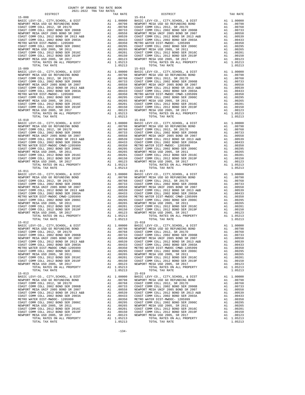| TOTAL RATES ON ALL PROPERTY                                                  |    | A1 1.05213                                                                                                                                                                                                                                             |                                                               |
|------------------------------------------------------------------------------|----|--------------------------------------------------------------------------------------------------------------------------------------------------------------------------------------------------------------------------------------------------------|---------------------------------------------------------------|
| TOTAL TAX RATE                                                               |    | 1.05213                                                                                                                                                                                                                                                |                                                               |
| $15 - 009$                                                                   |    |                                                                                                                                                                                                                                                        | $15 - 015$                                                    |
| BASIC LEVY-CO., CITY, SCHOOL, & DIST                                         |    |                                                                                                                                                                                                                                                        |                                                               |
| NEWPORT MESA USD GO REFUNDING BOND                                           |    |                                                                                                                                                                                                                                                        |                                                               |
| COAST COMM COLL 2012, SR 2017D                                               |    |                                                                                                                                                                                                                                                        |                                                               |
| COAST COMM COLL 2002 BOND SER 2006B                                          |    |                                                                                                                                                                                                                                                        |                                                               |
| NEWPORT MESA UNIF 2005 BOND SR 2007<br>COAST COMM COLL 2012 BOND SR 2013 A&B |    |                                                                                                                                                                                                                                                        |                                                               |
| COAST COMM COLL 2002 BOND SER 2003A                                          |    |                                                                                                                                                                                                                                                        |                                                               |
| METRO WATER DIST-MWDOC- 1205999                                              |    |                                                                                                                                                                                                                                                        |                                                               |
| COAST COMM COLL 2002 BOND SER 2006C                                          |    |                                                                                                                                                                                                                                                        |                                                               |
| NEWPORT MESA USD 2005, SR 2011                                               |    |                                                                                                                                                                                                                                                        |                                                               |
| COAST COMM COLL 2012 BOND SER 2016C                                          |    |                                                                                                                                                                                                                                                        |                                                               |
| COAST COMM COLL 2012 BOND SER 2019F                                          |    |                                                                                                                                                                                                                                                        |                                                               |
| NEWPORT MESA USD 2005, SR 2017                                               |    |                                                                                                                                                                                                                                                        |                                                               |
| TOTAL RATES ON ALL PROPERTY                                                  |    |                                                                                                                                                                                                                                                        |                                                               |
| TOTAL TAX RATE<br>$15 - 010$                                                 |    | 1.05213                                                                                                                                                                                                                                                | $15 - 016$                                                    |
| BASIC LEVY-CO., CITY, SCHOOL, & DIST                                         |    | 15-016<br>A1 1.00000 BASIC L<br>A1 .00798 NEWPORT<br>A1 .00798 NEWPORT C<br>A1 .00763 COAST C<br>A1 .00558 NEWPORT<br>A1 .00539 COAST C<br>A1 .00433 COAST C<br>A1 .00295 COAST C<br>A1 .00295 NEWPORT<br>A1 .00205 NEWPORT<br>A1 .00205 NEWPORT<br>A1 |                                                               |
| NEWPORT MESA USD GO REFUNDING BOND<br>COAST COMM COLL 2012 CD REVIDING BOND  |    |                                                                                                                                                                                                                                                        |                                                               |
| COAST COMM COLL 2012, SR 2017D                                               |    |                                                                                                                                                                                                                                                        |                                                               |
| COAST COMM COLL 2002 BOND SER 2006B                                          |    |                                                                                                                                                                                                                                                        |                                                               |
| NEWPORT MESA UNIF 2005 BOND SR 2007                                          |    |                                                                                                                                                                                                                                                        |                                                               |
| COAST COMM COLL 2012 BOND SR 2013 A&B                                        |    |                                                                                                                                                                                                                                                        |                                                               |
| COAST COMM COLL 2002 BOND SER 2003A                                          |    |                                                                                                                                                                                                                                                        |                                                               |
| METRO WATER DIST-MWDOC CMWD-1205999                                          |    |                                                                                                                                                                                                                                                        |                                                               |
| COAST COMM COLL 2002 BOND SER 2006C                                          |    |                                                                                                                                                                                                                                                        |                                                               |
| NEWPORT MESA USD 2005, SR 2011                                               |    |                                                                                                                                                                                                                                                        |                                                               |
| COAST COMM COLL 2012 BOND SER 2016C<br>COAST COMM COLL 2012 BOND SER 2019F   |    |                                                                                                                                                                                                                                                        |                                                               |
| NEWPORT MESA USD 2005, SR 2017                                               |    |                                                                                                                                                                                                                                                        |                                                               |
| TOTAL RATES ON ALL PROPERTY                                                  |    | A1 1.05213                                                                                                                                                                                                                                             |                                                               |
| TOTAL TAX RATE                                                               |    | 1.05213                                                                                                                                                                                                                                                |                                                               |
| $15 - 011$                                                                   |    | 15-017<br>A1 1.0000 BASIC L<br>A1 .00798 NEWPORT<br>A1 .00798 NEWPORT<br>A1 .00798 COAST C<br>A1 .00758 COAST C<br>A1 .00558 NEWPORT<br>A1 .00350 NEWPORT<br>A1 .00350 NETRO W<br>A1 .00265 NEWPORT<br>A1 .00265 NEWPORT<br>A1 .00265 NEWPORT<br>A1 .0 | $15 - 017$                                                    |
| BASIC LEVY-CO., CITY, SCHOOL, & DIST                                         |    |                                                                                                                                                                                                                                                        |                                                               |
| NEWPORT MESA USD GO REFUNDING BOND                                           |    |                                                                                                                                                                                                                                                        |                                                               |
| COAST COMM COLL 2012, SR 2017D                                               |    |                                                                                                                                                                                                                                                        |                                                               |
| COAST COMM COLL 2002 BOND SER 2006B                                          |    |                                                                                                                                                                                                                                                        |                                                               |
| NEWPORT MESA UNIF 2005 BOND SR 2007                                          |    |                                                                                                                                                                                                                                                        |                                                               |
| COAST COMM COLL 2012 BOND SR 2013 A&B<br>COAST COMM COLL 2002 BOND SER 2003A |    |                                                                                                                                                                                                                                                        |                                                               |
| METRO WATER DIST-MWDOC CMWD-1205999                                          |    |                                                                                                                                                                                                                                                        |                                                               |
| COAST COMM COLL 2002 BOND SER 2006C                                          |    |                                                                                                                                                                                                                                                        |                                                               |
| NEWPORT MESA USD 2005, SR 2011                                               |    |                                                                                                                                                                                                                                                        |                                                               |
| COAST COMM COLL 2012 BOND SER 2016C                                          |    |                                                                                                                                                                                                                                                        |                                                               |
| COAST COMM COLL 2012 BOND SER 2019F                                          |    |                                                                                                                                                                                                                                                        |                                                               |
| NEWPORT MESA USD 2005, SR 2017                                               |    |                                                                                                                                                                                                                                                        |                                                               |
| TOTAL RATES ON ALL PROPERTY                                                  |    |                                                                                                                                                                                                                                                        |                                                               |
| TOTAL TAX RATE                                                               |    | 1.05213                                                                                                                                                                                                                                                |                                                               |
| $15 - 012$                                                                   |    |                                                                                                                                                                                                                                                        | $15 - 018$                                                    |
|                                                                              |    |                                                                                                                                                                                                                                                        |                                                               |
|                                                                              |    |                                                                                                                                                                                                                                                        |                                                               |
|                                                                              |    |                                                                                                                                                                                                                                                        |                                                               |
|                                                                              |    |                                                                                                                                                                                                                                                        |                                                               |
|                                                                              |    |                                                                                                                                                                                                                                                        |                                                               |
|                                                                              |    |                                                                                                                                                                                                                                                        |                                                               |
| METRO WATER DIST-MWDOC CMWD-1205999                                          | A1 | .00350                                                                                                                                                                                                                                                 | METRO W                                                       |
| COAST COMM COLL 2002 BOND SER 2006C                                          | A1 | .00295                                                                                                                                                                                                                                                 | COAST C                                                       |
| NEWPORT MESA USD 2005, SR 2011                                               |    | A1 .00265                                                                                                                                                                                                                                              | NEWPORT                                                       |
| COAST COMM COLL 2012 BOND SER 2016C                                          | A1 | .00201                                                                                                                                                                                                                                                 | COAST C<br>COAST C<br>COAST C COAST C<br>COAST NEWST<br>LOFST |
| COAST COMM COLL 2012 BOND SER 2019F                                          | A1 | .00150                                                                                                                                                                                                                                                 |                                                               |
| NEWPORT MESA USD 2005, SR 2017<br>TOTAL RATES ON ALL PROPERTY                | A1 | A1 1.05213                                                                                                                                                                                                                                             |                                                               |
| TOTAL TAX RATE                                                               |    | 1.05213                                                                                                                                                                                                                                                |                                                               |
| $15 - 013$                                                                   |    |                                                                                                                                                                                                                                                        | $15 - 019$                                                    |
| BASIC LEVY-CO., CITY, SCHOOL, & DIST                                         | A1 | 1.00000 BASIC L                                                                                                                                                                                                                                        |                                                               |
| NEWPORT MESA USD GO REFUNDING BOND                                           |    | A1 .00798                                                                                                                                                                                                                                              | NEWPORT                                                       |
| COAST COMM COLL 2012, SR 2017D                                               | A1 | .00768                                                                                                                                                                                                                                                 | COAST C                                                       |
| COAST COMM COLL 2002 BOND SER 2006B                                          | A1 | .00733                                                                                                                                                                                                                                                 | COAST C                                                       |
| NEWPORT MESA UNIF 2005 BOND SR 2007                                          | A1 | .00558                                                                                                                                                                                                                                                 | NEWPORT                                                       |
| COAST COMM COLL 2012 BOND SR 2013 A&B                                        |    |                                                                                                                                                                                                                                                        |                                                               |
| COAST COMM COLL 2002 BOND SER 2003A                                          |    | COAST COAST COAST COAST COAST COAST COAST COAST COAST COAST COAST COAST COAST COAST COAST COAST COAST COAST CO<br>A1 .00259 COAST COAST COAST COAST COAST COAST COAST COAST PRESENT                                                                    |                                                               |
| METRO WATER DIST-MWDOC- 1205999                                              |    |                                                                                                                                                                                                                                                        |                                                               |
| COAST COMM COLL 2002 BOND SER 2006C<br>NEWPORT MESA USD 2005, SR 2011        |    | A1.00265                                                                                                                                                                                                                                               | NEWPORT                                                       |
| COAST COMM COLL 2012 BOND SER 2016C                                          | A1 | .00201                                                                                                                                                                                                                                                 | COAST C                                                       |
| COAST COMM COLL 2012 BOND SER 2019F                                          | A1 |                                                                                                                                                                                                                                                        | .00150 COAST C                                                |
| NEWPORT MESA USD 2005, SR 2017                                               | A1 | A1 .00123                                                                                                                                                                                                                                              | NEWPORT                                                       |
| POPAI DAPPO ON AII DRODPRTY                                                  |    |                                                                                                                                                                                                                                                        |                                                               |

| DISTRICT   | TAX RATE | DISTRICT                                                                                                                                                                                                                       | TAX RATE |
|------------|----------|--------------------------------------------------------------------------------------------------------------------------------------------------------------------------------------------------------------------------------|----------|
| $15 - 008$ |          | $15 - 014$                                                                                                                                                                                                                     |          |
|            |          |                                                                                                                                                                                                                                |          |
|            |          |                                                                                                                                                                                                                                |          |
|            |          |                                                                                                                                                                                                                                |          |
|            |          |                                                                                                                                                                                                                                |          |
|            |          |                                                                                                                                                                                                                                |          |
|            |          |                                                                                                                                                                                                                                |          |
|            |          |                                                                                                                                                                                                                                |          |
|            |          |                                                                                                                                                                                                                                |          |
|            |          |                                                                                                                                                                                                                                |          |
|            |          |                                                                                                                                                                                                                                |          |
|            |          |                                                                                                                                                                                                                                |          |
|            |          |                                                                                                                                                                                                                                |          |
|            |          |                                                                                                                                                                                                                                |          |
|            |          |                                                                                                                                                                                                                                |          |
|            |          |                                                                                                                                                                                                                                |          |
|            |          |                                                                                                                                                                                                                                |          |
|            |          |                                                                                                                                                                                                                                |          |
|            |          |                                                                                                                                                                                                                                |          |
|            |          |                                                                                                                                                                                                                                |          |
|            |          |                                                                                                                                                                                                                                |          |
|            |          |                                                                                                                                                                                                                                |          |
|            |          |                                                                                                                                                                                                                                |          |
|            |          |                                                                                                                                                                                                                                |          |
|            |          |                                                                                                                                                                                                                                |          |
|            |          |                                                                                                                                                                                                                                |          |
|            |          |                                                                                                                                                                                                                                |          |
|            |          |                                                                                                                                                                                                                                |          |
|            |          |                                                                                                                                                                                                                                |          |
|            |          |                                                                                                                                                                                                                                |          |
|            |          |                                                                                                                                                                                                                                |          |
|            |          |                                                                                                                                                                                                                                |          |
|            |          |                                                                                                                                                                                                                                |          |
|            |          |                                                                                                                                                                                                                                |          |
|            |          |                                                                                                                                                                                                                                |          |
|            |          |                                                                                                                                                                                                                                |          |
|            |          |                                                                                                                                                                                                                                |          |
|            |          |                                                                                                                                                                                                                                |          |
|            |          |                                                                                                                                                                                                                                |          |
|            |          |                                                                                                                                                                                                                                |          |
|            |          |                                                                                                                                                                                                                                |          |
|            |          |                                                                                                                                                                                                                                |          |
|            |          |                                                                                                                                                                                                                                |          |
|            |          |                                                                                                                                                                                                                                |          |
|            |          |                                                                                                                                                                                                                                |          |
|            |          |                                                                                                                                                                                                                                |          |
|            |          |                                                                                                                                                                                                                                |          |
|            |          |                                                                                                                                                                                                                                |          |
|            |          |                                                                                                                                                                                                                                |          |
|            |          |                                                                                                                                                                                                                                |          |
|            |          |                                                                                                                                                                                                                                |          |
|            |          |                                                                                                                                                                                                                                |          |
|            |          |                                                                                                                                                                                                                                |          |
|            |          |                                                                                                                                                                                                                                |          |
|            |          |                                                                                                                                                                                                                                |          |
|            |          |                                                                                                                                                                                                                                |          |
| 15-012     |          | $15 - 018$                                                                                                                                                                                                                     |          |
|            |          |                                                                                                                                                                                                                                |          |
|            |          | A 1.00000 BASIC LEVY-CO., CITY, SCHOOL, & DIST A 1.00000 BASIC LEVY-CO., CITY, SCHOOL, & DIST A 1.00000 BASIC LEVY-CO., CITY, SCHOOL, & DIST A 1.00000 BASIC LEVY-CO., CITY, SCHOOL, & DIST A 1.00000 A 201798 NEWPORT MESA US |          |
|            |          |                                                                                                                                                                                                                                |          |
|            |          |                                                                                                                                                                                                                                |          |
|            |          |                                                                                                                                                                                                                                |          |
|            |          |                                                                                                                                                                                                                                |          |
|            |          |                                                                                                                                                                                                                                |          |
|            |          |                                                                                                                                                                                                                                |          |
|            |          |                                                                                                                                                                                                                                |          |
|            |          |                                                                                                                                                                                                                                |          |
|            |          |                                                                                                                                                                                                                                |          |
|            |          |                                                                                                                                                                                                                                |          |
|            |          |                                                                                                                                                                                                                                |          |
|            |          |                                                                                                                                                                                                                                |          |
|            |          |                                                                                                                                                                                                                                |          |
|            |          |                                                                                                                                                                                                                                |          |
|            |          |                                                                                                                                                                                                                                |          |
|            |          |                                                                                                                                                                                                                                |          |
|            |          |                                                                                                                                                                                                                                |          |
|            |          |                                                                                                                                                                                                                                |          |
|            |          |                                                                                                                                                                                                                                |          |
|            |          |                                                                                                                                                                                                                                |          |
|            |          |                                                                                                                                                                                                                                |          |
|            |          |                                                                                                                                                                                                                                |          |
|            |          |                                                                                                                                                                                                                                |          |
|            |          |                                                                                                                                                                                                                                |          |
|            |          |                                                                                                                                                                                                                                |          |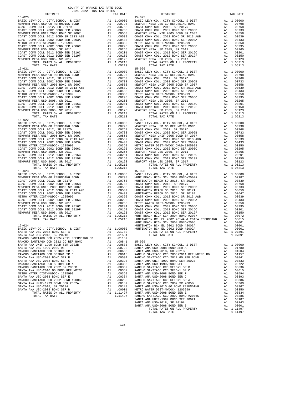| TOTAL TAX RATE                                                                                                                                                                                                                                                                                                                                                                                                                                                    |          | 1.05213            |                   |
|-------------------------------------------------------------------------------------------------------------------------------------------------------------------------------------------------------------------------------------------------------------------------------------------------------------------------------------------------------------------------------------------------------------------------------------------------------------------|----------|--------------------|-------------------|
| $15 - 021$<br>$\begin{tabular}{l c c c} 15-021 & 15-026 \\ \hline BASIC LEVY-CO., CITY, SCHOOL, & DIST & A1 1.00000 & BASTCL \\ \hline COAST COMM COLL 2012, SR 2017D & A1 .00798 & NENPORT \\ \hline COAST COMM COLL 2012, SR 2017D & A1 .00768 & COASTCL \\ \hline COAST COMM COLL 2012, SRR 2006B & X1.00753 & COASTCL \\ \hline NENPORT MESA UNIF 2005 BOND SR 2006B & A1 .00539 & NENPORT$                                                                   |          |                    | $15 - 026$        |
|                                                                                                                                                                                                                                                                                                                                                                                                                                                                   |          |                    |                   |
|                                                                                                                                                                                                                                                                                                                                                                                                                                                                   |          |                    |                   |
|                                                                                                                                                                                                                                                                                                                                                                                                                                                                   |          |                    |                   |
|                                                                                                                                                                                                                                                                                                                                                                                                                                                                   |          |                    |                   |
|                                                                                                                                                                                                                                                                                                                                                                                                                                                                   |          |                    |                   |
|                                                                                                                                                                                                                                                                                                                                                                                                                                                                   |          |                    |                   |
|                                                                                                                                                                                                                                                                                                                                                                                                                                                                   |          |                    |                   |
|                                                                                                                                                                                                                                                                                                                                                                                                                                                                   |          |                    |                   |
|                                                                                                                                                                                                                                                                                                                                                                                                                                                                   |          |                    |                   |
|                                                                                                                                                                                                                                                                                                                                                                                                                                                                   |          |                    |                   |
|                                                                                                                                                                                                                                                                                                                                                                                                                                                                   |          |                    |                   |
|                                                                                                                                                                                                                                                                                                                                                                                                                                                                   |          |                    |                   |
| TOTAL TAX RATE                                                                                                                                                                                                                                                                                                                                                                                                                                                    |          | 1.05213            |                   |
| $15 - 022$                                                                                                                                                                                                                                                                                                                                                                                                                                                        |          |                    | $15 - 027$        |
|                                                                                                                                                                                                                                                                                                                                                                                                                                                                   |          |                    |                   |
|                                                                                                                                                                                                                                                                                                                                                                                                                                                                   |          |                    |                   |
|                                                                                                                                                                                                                                                                                                                                                                                                                                                                   |          |                    |                   |
|                                                                                                                                                                                                                                                                                                                                                                                                                                                                   |          |                    |                   |
|                                                                                                                                                                                                                                                                                                                                                                                                                                                                   |          |                    |                   |
|                                                                                                                                                                                                                                                                                                                                                                                                                                                                   |          |                    |                   |
|                                                                                                                                                                                                                                                                                                                                                                                                                                                                   |          |                    |                   |
|                                                                                                                                                                                                                                                                                                                                                                                                                                                                   |          |                    |                   |
|                                                                                                                                                                                                                                                                                                                                                                                                                                                                   |          |                    |                   |
|                                                                                                                                                                                                                                                                                                                                                                                                                                                                   |          |                    |                   |
|                                                                                                                                                                                                                                                                                                                                                                                                                                                                   |          |                    |                   |
| $\begin{tabular}{l c c c} \multicolumn{1}{c}{\textbf{15--022}} & \multicolumn{1}{c}{15--027} \\ \multicolumn{1}{c}{\textbf{RNSIC DENT} \textbf{MEST C}} & \multicolumn{1}{c}{\textbf{MEST C}} & \multicolumn{1}{c}{\textbf{MEST C}} & \multicolumn{1}{c}{\textbf{MEST C}} & \multicolumn{1}{c}{\textbf{MEST C}} & \multicolumn{1}{c}{\textbf{MEST C}} & \multicolumn{1}{c}{\textbf{MEST C}} & \multicolumn{1}{c}{\textbf{MEST C}} & \multicolumn{1}{c}{\textbf{M$ |          | A1 1.05213         |                   |
| TOTAL TAX RATE                                                                                                                                                                                                                                                                                                                                                                                                                                                    |          | 1.05213            |                   |
|                                                                                                                                                                                                                                                                                                                                                                                                                                                                   |          |                    |                   |
|                                                                                                                                                                                                                                                                                                                                                                                                                                                                   |          |                    |                   |
|                                                                                                                                                                                                                                                                                                                                                                                                                                                                   |          |                    |                   |
|                                                                                                                                                                                                                                                                                                                                                                                                                                                                   |          |                    |                   |
|                                                                                                                                                                                                                                                                                                                                                                                                                                                                   |          |                    |                   |
|                                                                                                                                                                                                                                                                                                                                                                                                                                                                   |          |                    |                   |
|                                                                                                                                                                                                                                                                                                                                                                                                                                                                   |          |                    |                   |
|                                                                                                                                                                                                                                                                                                                                                                                                                                                                   |          |                    |                   |
|                                                                                                                                                                                                                                                                                                                                                                                                                                                                   |          |                    |                   |
|                                                                                                                                                                                                                                                                                                                                                                                                                                                                   |          |                    |                   |
|                                                                                                                                                                                                                                                                                                                                                                                                                                                                   |          |                    |                   |
|                                                                                                                                                                                                                                                                                                                                                                                                                                                                   |          |                    |                   |
|                                                                                                                                                                                                                                                                                                                                                                                                                                                                   |          |                    |                   |
|                                                                                                                                                                                                                                                                                                                                                                                                                                                                   |          |                    | HUNT BE           |
| $15 - 024$                                                                                                                                                                                                                                                                                                                                                                                                                                                        |          |                    | HUNTING           |
| BASIC LEVY-CO., CITY, SCHOOL, & DIST                                                                                                                                                                                                                                                                                                                                                                                                                              |          | A1 1.00000 HUNTING |                   |
| SANTA ANA USD-2008 BOND SER A                                                                                                                                                                                                                                                                                                                                                                                                                                     |          | A1 .01780          |                   |
|                                                                                                                                                                                                                                                                                                                                                                                                                                                                   |          |                    |                   |
|                                                                                                                                                                                                                                                                                                                                                                                                                                                                   |          |                    |                   |
|                                                                                                                                                                                                                                                                                                                                                                                                                                                                   |          |                    |                   |
| SANTA ANA USD 1999,2009 REF                                                                                                                                                                                                                                                                                                                                                                                                                                       | A1       | .00722             | SANTA A           |
| RANCHO SANTIAGO CCD SFID#1 SR B                                                                                                                                                                                                                                                                                                                                                                                                                                   | A1       | .00636             | SANTA A           |
| RANCHO SANTIAGO CCD SFID#1 SR C                                                                                                                                                                                                                                                                                                                                                                                                                                   | A1       | .00615             | RANCHO            |
| SANTA ANA USD-2008 BOND SER F                                                                                                                                                                                                                                                                                                                                                                                                                                     | A1       | .00594             | RANCHO            |
| SANTA ANA USD-2008 BOND SER C                                                                                                                                                                                                                                                                                                                                                                                                                                     | A1       | .00393             | SANTA A           |
| RANCHO SANTIAGO CCD SFID#1 SR A                                                                                                                                                                                                                                                                                                                                                                                                                                   | A1       | .00386             | SANTA A           |
| RANCHO SANTIAGO CCD 2002 SR 2005B<br>SANTA ANA USD-2010 GO BOND REFUNDING                                                                                                                                                                                                                                                                                                                                                                                         | A1<br>A1 | .00369<br>.00367   | RANCHO            |
| METRO WATER DIST-MWDOC- 1205999                                                                                                                                                                                                                                                                                                                                                                                                                                   | A1       | .00350             | RANCHO<br>SANTA A |
| SANTA ANA USD-2008 BOND SER E                                                                                                                                                                                                                                                                                                                                                                                                                                     |          | A1 .00334          | SANTA A           |
| RANCHO SANTIAGO CCD 2002 BOND #2006C                                                                                                                                                                                                                                                                                                                                                                                                                              |          | A1.00285           | RANCHO            |
| SANTA ANA UNIF-1999 BOND SER 2002A                                                                                                                                                                                                                                                                                                                                                                                                                                | A1       | .00187             | RANCHO            |
| SANTA ANA USD-2018, SR 2019A                                                                                                                                                                                                                                                                                                                                                                                                                                      | A1       | .00143             | SANTA A           |
| SANTA ANA USD-2008 BOND SER B                                                                                                                                                                                                                                                                                                                                                                                                                                     | A1       | .00001             | METRO W           |
| TOTAL RATES ON ALL PROPERTY                                                                                                                                                                                                                                                                                                                                                                                                                                       |          | A1 1.11497         | SANTA A           |
| TOTAL TAX RATE                                                                                                                                                                                                                                                                                                                                                                                                                                                    |          | 1.11497 RANCHO     |                   |

| COUNTY OF ORANGE TAX RATE BOOK<br>2021-2022 TRA TAX RATES |          |                                                                                                                                                                                                                                                                                                                                                                                                  |          |  |  |  |
|-----------------------------------------------------------|----------|--------------------------------------------------------------------------------------------------------------------------------------------------------------------------------------------------------------------------------------------------------------------------------------------------------------------------------------------------------------------------------------------------|----------|--|--|--|
| DISTRICT<br>$15 - 020$                                    | TAX RATE | DISTRICT<br>$15 - 025$                                                                                                                                                                                                                                                                                                                                                                           | TAX RATE |  |  |  |
| $15 - 021$                                                |          | $\begin{tabular}{l c c c} \hline 15-020 & 15-020 & 15-020 & 15-025 \\ \hline \texttt{BAR5CC LEVY-CO}, C17Y, SCHOOL, & DIST \\ \hline \texttt{NENPORT} \texttt{MESA USD O} \texttt{CADST} \texttt{COMD} \texttt{M} & 1.00000 & \texttt{BARIC LEVY-CO}, C17Y, SCHOOL, & DIST \\ \hline \texttt{NENPORT} \texttt{MESA USD O} \texttt{M} & 1.00000 & 10-025 & 0.00000 \\ \hline \text$<br>$15 - 026$ |          |  |  |  |
|                                                           |          |                                                                                                                                                                                                                                                                                                                                                                                                  |          |  |  |  |
|                                                           |          |                                                                                                                                                                                                                                                                                                                                                                                                  |          |  |  |  |
|                                                           |          | 15-024<br>100001 15-024 EUNT BEACH HIGH SCH 2002 BOND#2005 2005<br>100001 1.00001 1.00001 HUNTINGTON BCH EL 2002 BOND #2003A<br>100001 1.00001 1.00001 HUNTINGTON BCH EL 2002 BOND #2002A                                                                                                                                                                                                        |          |  |  |  |
|                                                           |          |                                                                                                                                                                                                                                                                                                                                                                                                  |          |  |  |  |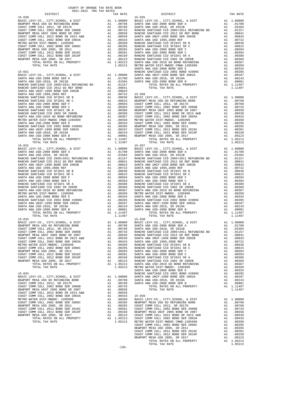| COUNTY OF ORANGE TAX RATE BOOK<br>$\begin{minipage}{.4\linewidth} \begin{tabular}{lcccccc} \textbf{1-A} & \textbf{1-A} & \textbf{RATE} & \textbf{B} \\ \textbf{2021--2022} & \textbf{TRA} & \textbf{TAX RATES} \\ \end{tabular} \end{minipage}$ |          |                        |          |
|-------------------------------------------------------------------------------------------------------------------------------------------------------------------------------------------------------------------------------------------------|----------|------------------------|----------|
|                                                                                                                                                                                                                                                 | TAX RATE | DISTRICT<br>$15 - 035$ | TAX RATE |
|                                                                                                                                                                                                                                                 |          |                        |          |
|                                                                                                                                                                                                                                                 |          |                        |          |
|                                                                                                                                                                                                                                                 |          |                        |          |
|                                                                                                                                                                                                                                                 |          |                        |          |
|                                                                                                                                                                                                                                                 |          |                        |          |
|                                                                                                                                                                                                                                                 |          |                        |          |
|                                                                                                                                                                                                                                                 |          |                        |          |
|                                                                                                                                                                                                                                                 |          |                        |          |
|                                                                                                                                                                                                                                                 |          |                        |          |
|                                                                                                                                                                                                                                                 |          |                        |          |
|                                                                                                                                                                                                                                                 |          |                        |          |
|                                                                                                                                                                                                                                                 |          |                        |          |
|                                                                                                                                                                                                                                                 |          |                        |          |
|                                                                                                                                                                                                                                                 |          |                        |          |
|                                                                                                                                                                                                                                                 |          |                        |          |
|                                                                                                                                                                                                                                                 |          |                        |          |
|                                                                                                                                                                                                                                                 |          |                        |          |
|                                                                                                                                                                                                                                                 |          |                        |          |
|                                                                                                                                                                                                                                                 |          |                        |          |
|                                                                                                                                                                                                                                                 |          |                        |          |
|                                                                                                                                                                                                                                                 |          |                        |          |
|                                                                                                                                                                                                                                                 |          |                        |          |
|                                                                                                                                                                                                                                                 |          |                        |          |
|                                                                                                                                                                                                                                                 |          |                        |          |
|                                                                                                                                                                                                                                                 |          |                        |          |
|                                                                                                                                                                                                                                                 |          |                        |          |
|                                                                                                                                                                                                                                                 |          |                        |          |
|                                                                                                                                                                                                                                                 |          |                        |          |
|                                                                                                                                                                                                                                                 |          |                        |          |
|                                                                                                                                                                                                                                                 |          |                        |          |
|                                                                                                                                                                                                                                                 |          |                        |          |
|                                                                                                                                                                                                                                                 |          |                        |          |
|                                                                                                                                                                                                                                                 |          |                        |          |
|                                                                                                                                                                                                                                                 |          |                        |          |
|                                                                                                                                                                                                                                                 |          |                        |          |
|                                                                                                                                                                                                                                                 |          |                        |          |
|                                                                                                                                                                                                                                                 |          |                        |          |
|                                                                                                                                                                                                                                                 |          |                        |          |
|                                                                                                                                                                                                                                                 |          |                        |          |
|                                                                                                                                                                                                                                                 |          |                        |          |
|                                                                                                                                                                                                                                                 |          |                        |          |
|                                                                                                                                                                                                                                                 |          |                        |          |
|                                                                                                                                                                                                                                                 |          |                        |          |
|                                                                                                                                                                                                                                                 |          |                        |          |
|                                                                                                                                                                                                                                                 |          |                        |          |
|                                                                                                                                                                                                                                                 |          |                        |          |
|                                                                                                                                                                                                                                                 |          |                        |          |
|                                                                                                                                                                                                                                                 |          |                        |          |
|                                                                                                                                                                                                                                                 |          |                        |          |
|                                                                                                                                                                                                                                                 |          |                        |          |
|                                                                                                                                                                                                                                                 |          |                        |          |
|                                                                                                                                                                                                                                                 |          |                        |          |
|                                                                                                                                                                                                                                                 |          |                        |          |
|                                                                                                                                                                                                                                                 |          |                        |          |
|                                                                                                                                                                                                                                                 |          |                        |          |
|                                                                                                                                                                                                                                                 |          |                        |          |
|                                                                                                                                                                                                                                                 |          |                        |          |
|                                                                                                                                                                                                                                                 |          |                        |          |
|                                                                                                                                                                                                                                                 |          |                        |          |
|                                                                                                                                                                                                                                                 |          |                        |          |
|                                                                                                                                                                                                                                                 |          |                        |          |
|                                                                                                                                                                                                                                                 |          |                        |          |
|                                                                                                                                                                                                                                                 |          |                        |          |
|                                                                                                                                                                                                                                                 |          |                        |          |
|                                                                                                                                                                                                                                                 |          |                        |          |
|                                                                                                                                                                                                                                                 |          |                        |          |
|                                                                                                                                                                                                                                                 |          |                        |          |
|                                                                                                                                                                                                                                                 |          |                        |          |
|                                                                                                                                                                                                                                                 |          |                        |          |
|                                                                                                                                                                                                                                                 |          |                        |          |
|                                                                                                                                                                                                                                                 |          |                        |          |
|                                                                                                                                                                                                                                                 |          |                        |          |
|                                                                                                                                                                                                                                                 |          |                        |          |
|                                                                                                                                                                                                                                                 |          |                        |          |
|                                                                                                                                                                                                                                                 |          |                        |          |
|                                                                                                                                                                                                                                                 |          |                        |          |
|                                                                                                                                                                                                                                                 |          |                        |          |
|                                                                                                                                                                                                                                                 |          |                        |          |
|                                                                                                                                                                                                                                                 |          |                        |          |
|                                                                                                                                                                                                                                                 |          |                        |          |
|                                                                                                                                                                                                                                                 |          |                        |          |
|                                                                                                                                                                                                                                                 |          |                        |          |

| DISTRICT                                                                                                                                                                                                                        | TAX RATE | DISTRICT   | TAX RATE |
|---------------------------------------------------------------------------------------------------------------------------------------------------------------------------------------------------------------------------------|----------|------------|----------|
| 18-070<br>NASTO LEWING TO DETRICO, A DISTRIBITION CONTROL AND 19-01 INCOLLEGE TRANSPORT COME CONTROL A STRIBUTE AND CONTROL AND CONTROL AND CONTROL AND CONTROL AND CONTROL AND CONTROL AND CONTROL AND CONTROL AND CONTROL AND |          | $15 - 035$ |          |
|                                                                                                                                                                                                                                 |          |            |          |
|                                                                                                                                                                                                                                 |          |            |          |
|                                                                                                                                                                                                                                 |          |            |          |
|                                                                                                                                                                                                                                 |          |            |          |
|                                                                                                                                                                                                                                 |          |            |          |
|                                                                                                                                                                                                                                 |          |            |          |
|                                                                                                                                                                                                                                 |          |            |          |
|                                                                                                                                                                                                                                 |          |            |          |
|                                                                                                                                                                                                                                 |          |            |          |
|                                                                                                                                                                                                                                 |          |            |          |
|                                                                                                                                                                                                                                 |          |            |          |
|                                                                                                                                                                                                                                 |          |            |          |
|                                                                                                                                                                                                                                 |          |            |          |
|                                                                                                                                                                                                                                 |          |            |          |
|                                                                                                                                                                                                                                 |          |            |          |
|                                                                                                                                                                                                                                 |          |            |          |
|                                                                                                                                                                                                                                 |          |            |          |
|                                                                                                                                                                                                                                 |          |            |          |
|                                                                                                                                                                                                                                 |          |            |          |
|                                                                                                                                                                                                                                 |          |            |          |
|                                                                                                                                                                                                                                 |          |            |          |
|                                                                                                                                                                                                                                 |          |            |          |
|                                                                                                                                                                                                                                 |          |            |          |
|                                                                                                                                                                                                                                 |          |            |          |
|                                                                                                                                                                                                                                 |          |            |          |
|                                                                                                                                                                                                                                 |          |            |          |
|                                                                                                                                                                                                                                 |          |            |          |
|                                                                                                                                                                                                                                 |          |            |          |
|                                                                                                                                                                                                                                 |          |            |          |
|                                                                                                                                                                                                                                 |          |            |          |
|                                                                                                                                                                                                                                 |          |            |          |
|                                                                                                                                                                                                                                 |          |            |          |
|                                                                                                                                                                                                                                 |          |            |          |
|                                                                                                                                                                                                                                 |          |            |          |
|                                                                                                                                                                                                                                 |          |            |          |
|                                                                                                                                                                                                                                 |          |            |          |
|                                                                                                                                                                                                                                 |          |            |          |
|                                                                                                                                                                                                                                 |          |            |          |
|                                                                                                                                                                                                                                 |          |            |          |
|                                                                                                                                                                                                                                 |          |            |          |
|                                                                                                                                                                                                                                 |          |            |          |
|                                                                                                                                                                                                                                 |          |            |          |
|                                                                                                                                                                                                                                 |          |            |          |
|                                                                                                                                                                                                                                 |          |            |          |
|                                                                                                                                                                                                                                 |          |            |          |
|                                                                                                                                                                                                                                 |          |            |          |
|                                                                                                                                                                                                                                 |          |            |          |
|                                                                                                                                                                                                                                 |          |            |          |
|                                                                                                                                                                                                                                 |          |            |          |
|                                                                                                                                                                                                                                 |          |            |          |
|                                                                                                                                                                                                                                 |          |            |          |
|                                                                                                                                                                                                                                 |          |            |          |
|                                                                                                                                                                                                                                 |          |            |          |
|                                                                                                                                                                                                                                 |          |            |          |
|                                                                                                                                                                                                                                 |          |            |          |
|                                                                                                                                                                                                                                 |          |            |          |
|                                                                                                                                                                                                                                 |          |            |          |
|                                                                                                                                                                                                                                 |          |            |          |
|                                                                                                                                                                                                                                 |          | $15 - 038$ |          |
|                                                                                                                                                                                                                                 |          |            |          |
|                                                                                                                                                                                                                                 |          |            |          |
|                                                                                                                                                                                                                                 |          |            |          |
|                                                                                                                                                                                                                                 |          |            |          |
|                                                                                                                                                                                                                                 |          |            |          |
|                                                                                                                                                                                                                                 |          |            |          |
|                                                                                                                                                                                                                                 |          |            |          |
|                                                                                                                                                                                                                                 |          |            |          |
|                                                                                                                                                                                                                                 |          |            |          |
|                                                                                                                                                                                                                                 |          |            |          |
|                                                                                                                                                                                                                                 |          |            |          |
|                                                                                                                                                                                                                                 |          |            |          |
|                                                                                                                                                                                                                                 |          |            |          |
|                                                                                                                                                                                                                                 |          |            |          |
|                                                                                                                                                                                                                                 |          |            |          |
|                                                                                                                                                                                                                                 |          |            |          |
|                                                                                                                                                                                                                                 |          |            |          |
|                                                                                                                                                                                                                                 |          |            |          |
|                                                                                                                                                                                                                                 |          |            |          |
|                                                                                                                                                                                                                                 |          |            |          |
|                                                                                                                                                                                                                                 |          |            |          |
|                                                                                                                                                                                                                                 |          |            |          |
|                                                                                                                                                                                                                                 |          |            |          |
|                                                                                                                                                                                                                                 |          |            |          |
|                                                                                                                                                                                                                                 |          |            |          |
|                                                                                                                                                                                                                                 |          |            |          |
|                                                                                                                                                                                                                                 |          |            |          |
|                                                                                                                                                                                                                                 |          |            |          |
|                                                                                                                                                                                                                                 |          |            |          |
|                                                                                                                                                                                                                                 |          |            |          |
|                                                                                                                                                                                                                                 |          |            |          |
|                                                                                                                                                                                                                                 |          |            |          |
|                                                                                                                                                                                                                                 |          |            |          |
|                                                                                                                                                                                                                                 |          |            |          |
|                                                                                                                                                                                                                                 |          |            |          |
|                                                                                                                                                                                                                                 |          |            |          |
|                                                                                                                                                                                                                                 |          |            |          |

-136-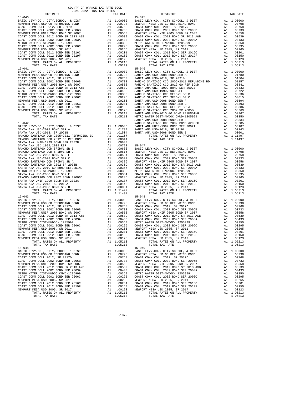| 2021-2022 TRA TAX RATES |                       |                                                                                                                                                                                                                                                                                  |          |
|-------------------------|-----------------------|----------------------------------------------------------------------------------------------------------------------------------------------------------------------------------------------------------------------------------------------------------------------------------|----------|
| DISTRICT                | TAX RATE              | DISTRICT                                                                                                                                                                                                                                                                         | TAX RATE |
|                         |                       |                                                                                                                                                                                                                                                                                  |          |
|                         |                       |                                                                                                                                                                                                                                                                                  |          |
|                         |                       |                                                                                                                                                                                                                                                                                  |          |
|                         |                       |                                                                                                                                                                                                                                                                                  |          |
|                         |                       |                                                                                                                                                                                                                                                                                  |          |
|                         |                       |                                                                                                                                                                                                                                                                                  |          |
|                         |                       |                                                                                                                                                                                                                                                                                  |          |
|                         |                       |                                                                                                                                                                                                                                                                                  |          |
|                         |                       |                                                                                                                                                                                                                                                                                  |          |
|                         |                       |                                                                                                                                                                                                                                                                                  |          |
|                         |                       |                                                                                                                                                                                                                                                                                  |          |
|                         |                       |                                                                                                                                                                                                                                                                                  |          |
|                         |                       |                                                                                                                                                                                                                                                                                  |          |
|                         |                       |                                                                                                                                                                                                                                                                                  |          |
|                         |                       |                                                                                                                                                                                                                                                                                  |          |
|                         |                       |                                                                                                                                                                                                                                                                                  |          |
|                         |                       |                                                                                                                                                                                                                                                                                  |          |
|                         |                       |                                                                                                                                                                                                                                                                                  |          |
|                         |                       |                                                                                                                                                                                                                                                                                  |          |
|                         |                       |                                                                                                                                                                                                                                                                                  |          |
|                         |                       |                                                                                                                                                                                                                                                                                  |          |
|                         |                       |                                                                                                                                                                                                                                                                                  |          |
|                         |                       |                                                                                                                                                                                                                                                                                  |          |
|                         |                       |                                                                                                                                                                                                                                                                                  |          |
|                         |                       |                                                                                                                                                                                                                                                                                  |          |
|                         |                       |                                                                                                                                                                                                                                                                                  |          |
|                         |                       |                                                                                                                                                                                                                                                                                  |          |
|                         |                       |                                                                                                                                                                                                                                                                                  |          |
|                         |                       |                                                                                                                                                                                                                                                                                  |          |
|                         |                       |                                                                                                                                                                                                                                                                                  |          |
|                         |                       |                                                                                                                                                                                                                                                                                  |          |
|                         |                       |                                                                                                                                                                                                                                                                                  |          |
|                         |                       |                                                                                                                                                                                                                                                                                  |          |
|                         |                       |                                                                                                                                                                                                                                                                                  |          |
|                         |                       |                                                                                                                                                                                                                                                                                  |          |
|                         |                       |                                                                                                                                                                                                                                                                                  |          |
|                         |                       |                                                                                                                                                                                                                                                                                  |          |
|                         |                       |                                                                                                                                                                                                                                                                                  |          |
|                         |                       |                                                                                                                                                                                                                                                                                  |          |
|                         |                       |                                                                                                                                                                                                                                                                                  |          |
|                         |                       |                                                                                                                                                                                                                                                                                  |          |
|                         |                       |                                                                                                                                                                                                                                                                                  |          |
|                         |                       |                                                                                                                                                                                                                                                                                  |          |
|                         |                       |                                                                                                                                                                                                                                                                                  |          |
|                         |                       |                                                                                                                                                                                                                                                                                  |          |
|                         |                       |                                                                                                                                                                                                                                                                                  |          |
|                         |                       |                                                                                                                                                                                                                                                                                  |          |
|                         |                       |                                                                                                                                                                                                                                                                                  |          |
|                         |                       |                                                                                                                                                                                                                                                                                  |          |
|                         |                       |                                                                                                                                                                                                                                                                                  |          |
|                         |                       |                                                                                                                                                                                                                                                                                  |          |
|                         |                       |                                                                                                                                                                                                                                                                                  |          |
|                         |                       |                                                                                                                                                                                                                                                                                  |          |
|                         |                       |                                                                                                                                                                                                                                                                                  |          |
|                         |                       |                                                                                                                                                                                                                                                                                  |          |
| $15 - 043$              |                       | $\begin{bmatrix} 15-40 & 10704 & 20848 & 00044 & 140241 & 140241 & 140241 & 140241 & 140241 & 140241 & 140241 & 140241 & 140241 & 140241 & 140241 & 140241 & 140241 & 140241 & 140241 & 140241 & 140241 & 140241 & 140241 & 140241 & 140241 & 140241 & 140241 & 1$<br>$15 - 048$ |          |
|                         |                       |                                                                                                                                                                                                                                                                                  |          |
|                         |                       |                                                                                                                                                                                                                                                                                  |          |
|                         |                       |                                                                                                                                                                                                                                                                                  |          |
|                         |                       |                                                                                                                                                                                                                                                                                  |          |
|                         |                       |                                                                                                                                                                                                                                                                                  |          |
|                         |                       |                                                                                                                                                                                                                                                                                  |          |
|                         |                       |                                                                                                                                                                                                                                                                                  |          |
|                         |                       |                                                                                                                                                                                                                                                                                  |          |
|                         |                       |                                                                                                                                                                                                                                                                                  |          |
|                         |                       |                                                                                                                                                                                                                                                                                  |          |
|                         |                       |                                                                                                                                                                                                                                                                                  |          |
|                         |                       |                                                                                                                                                                                                                                                                                  |          |
|                         |                       |                                                                                                                                                                                                                                                                                  |          |
| TOTAL TAX RATE          | Al 1.05213<br>1.05213 |                                                                                                                                                                                                                                                                                  |          |
| $15 - 044$              |                       | $15 - 049$                                                                                                                                                                                                                                                                       |          |
|                         |                       |                                                                                                                                                                                                                                                                                  |          |
|                         |                       |                                                                                                                                                                                                                                                                                  |          |
|                         |                       |                                                                                                                                                                                                                                                                                  |          |
|                         |                       |                                                                                                                                                                                                                                                                                  |          |
|                         |                       |                                                                                                                                                                                                                                                                                  |          |
|                         |                       |                                                                                                                                                                                                                                                                                  |          |
|                         |                       |                                                                                                                                                                                                                                                                                  |          |
|                         |                       |                                                                                                                                                                                                                                                                                  |          |
|                         |                       |                                                                                                                                                                                                                                                                                  |          |
|                         |                       |                                                                                                                                                                                                                                                                                  |          |
|                         |                       |                                                                                                                                                                                                                                                                                  |          |
|                         |                       |                                                                                                                                                                                                                                                                                  |          |
|                         |                       |                                                                                                                                                                                                                                                                                  |          |
|                         |                       |                                                                                                                                                                                                                                                                                  |          |
|                         |                       |                                                                                                                                                                                                                                                                                  |          |

-137-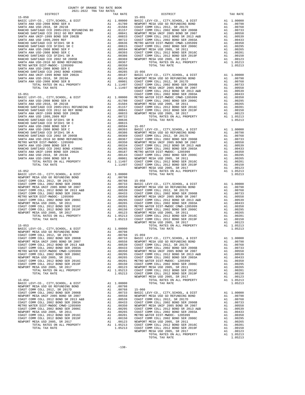| COAST COMM COLL 2002 BOND SER 2006B A1 .00733                                                                                                                                                                                      |                               |                        | BASIC L        |
|------------------------------------------------------------------------------------------------------------------------------------------------------------------------------------------------------------------------------------|-------------------------------|------------------------|----------------|
| NEWPORT MESA UNIF 2005 BOND SR 2007                                                                                                                                                                                                |                               | A1 .00558              | NEWPORT        |
|                                                                                                                                                                                                                                    |                               |                        | COAST C        |
|                                                                                                                                                                                                                                    |                               |                        | COAST C        |
|                                                                                                                                                                                                                                    |                               |                        | NEWPORT        |
|                                                                                                                                                                                                                                    |                               |                        |                |
|                                                                                                                                                                                                                                    |                               |                        |                |
|                                                                                                                                                                                                                                    |                               |                        |                |
|                                                                                                                                                                                                                                    |                               |                        |                |
|                                                                                                                                                                                                                                    |                               |                        |                |
| MEXICALLY USE COAST COMM COLL 2012 BOND SER 2016C<br>NEWPORT MESA USD 2005, SR 2011 and 0.0295 COAST COAST COAST COMM COLL 2012 BOND SER 2016C<br>NEWPORT MESA USD 2005, SR 2011 and 0.0265 COAST COAST COAST COAST COMM COLL 2012 |                               |                        |                |
| TOTAL TAX RATE                                                                                                                                                                                                                     |                               | 1.05213                | COAST C        |
|                                                                                                                                                                                                                                    |                               |                        | NEWPORT        |
| $15 - 053$                                                                                                                                                                                                                         |                               |                        |                |
| BASIC LEVY-CO., CITY, SCHOOL, & DIST $A1 \t1.00000$                                                                                                                                                                                |                               |                        |                |
|                                                                                                                                                                                                                                    |                               |                        |                |
|                                                                                                                                                                                                                                    |                               | A1.00798<br>A1.00768   | $15 - 059$     |
|                                                                                                                                                                                                                                    |                               |                        | BASIC L        |
|                                                                                                                                                                                                                                    |                               |                        | NEWPORT        |
| COAST COMM COLL 2012 BOND SR 2013 A&B A1 .00539                                                                                                                                                                                    |                               |                        | COAST C        |
| COAST COMM COLL 2002 BOND SER 2003A<br>METRO WATER DIST-MWDOC CMWD-1205999                                                                                                                                                         |                               | A1 .00433              | COAST C        |
|                                                                                                                                                                                                                                    |                               | A1 .00350              | NEWPORT        |
|                                                                                                                                                                                                                                    |                               |                        | COAST C        |
| PIERRO WALLER 2002 BOND SER 2006C<br>NEWPORT MESA USD 2005, SR 2011 and 00265<br>COAST COMM COLL 2012 BOND SER 2016C<br>A1 .00261<br>A1 .00201                                                                                     |                               |                        | COAST C        |
|                                                                                                                                                                                                                                    |                               |                        | METRO W        |
| COAST COMM COLL 2012 BOND SER 2019F A1 .00150<br>NEWPORT MESA USD 2005, SR 2017 A1 .00123<br>TOTAL RATES ON ALL PROPERTY A1 1.05213                                                                                                |                               | A1 .00150<br>A1 .00123 | COAST C        |
|                                                                                                                                                                                                                                    |                               |                        | NEWPORT        |
|                                                                                                                                                                                                                                    |                               |                        | COAST C        |
| TOTAL TAX RATE                                                                                                                                                                                                                     |                               | 1.05213                | COAST C        |
|                                                                                                                                                                                                                                    |                               |                        | NEWPORT        |
| $15 - 054$                                                                                                                                                                                                                         |                               |                        |                |
| BASIC LEVY-CO., CITY, SCHOOL, & DIST A1 1.00000                                                                                                                                                                                    |                               |                        |                |
|                                                                                                                                                                                                                                    |                               |                        |                |
|                                                                                                                                                                                                                                    |                               |                        | $15 - 060$     |
|                                                                                                                                                                                                                                    |                               |                        | <b>BASIC L</b> |
| NEWPORT MESA UNIF 2005 BOND SR 2007                                                                                                                                                                                                |                               | A1.00558<br>A1.00539   | NEWPORT        |
| NEWS COMM COLL 2012 BOND SR 2013 A&B<br>COAST COMM COLL 2002 BOND SR 2013 A&B<br>COAST COMM COLL 2002 BOND SER 2003A                                                                                                               |                               |                        | COAST C        |
|                                                                                                                                                                                                                                    | $\frac{\text{Al}}{\text{Al}}$ | .00433                 | COAST C        |
| METRO WATER DIST-MWDOC CMWD-1205999                                                                                                                                                                                                |                               | .00350                 | NEWPORT        |
| COAST COMM COLL 2002 BOND SER 2006C A1 .00295                                                                                                                                                                                      |                               |                        | COAST C        |
| NEWPORT MESA USD 2005, SR 2011                                                                                                                                                                                                     |                               |                        | COAST C        |
| COAST COMM COLL 2012 BOND SER 2016C                                                                                                                                                                                                |                               | A1 .00265<br>A1 .00201 | METRO W        |
| COAST COMM COLL 2012 BOND SER 2019F                                                                                                                                                                                                |                               |                        | COAST C        |
| NEWPORT MESA USD 2005, SR 2017<br>TOTAL RATES ON ALL PROPERTY                                                                                                                                                                      |                               | A1 .00150<br>A1 .00123 | NEWPORT        |
|                                                                                                                                                                                                                                    |                               | A1 1.05213 COAST C     |                |
| TOTAL TAX RATE                                                                                                                                                                                                                     |                               | 1.05213                | COAST C        |
|                                                                                                                                                                                                                                    |                               |                        | <b>NFWDOPT</b> |

RANCHO SANTIAGO CCD SFID#1 SR C A1 .00615 SANTA ANA USD-2008 BOND SER F A1 .00594 15-057

 COUNTY OF ORANGE TAX RATE BOOK 2021-2022 TRA TAX RATES DISTRICT TAX RATE DISTRICT TAX RATE 15-050 15-055 BASIC LEVY-CO., CITY,SCHOOL, & DIST A1 1.00000 BASIC LEVY-CO., CITY,SCHOOL, & DIST A1 1.00000 SANTA ANA USD-2008 BOND SER A A1 .01780 NEWPORT MESA USD GO REFUNDING BOND A1 .00798 SANTA ANA USD-2018, SR 2021B A1 .01504 COAST COMM COLL 2012, SR 2017D A1 .00768 RANCHO SANTIAGO CCD 2005+2011 REFUNDING BD A1 .01157 COAST COMM COLL 2002 BOND SER 2006B A1 .00733 RANCHO SANTIAGO CCD 2012 GO REF BOND A1 .00841 NEWPORT MESA UNIF 2005 BOND SR 2007 A1 .00558 SANTA ANA UNIF-1999 BOND SER 2002B A1 .00833 COAST COMM COLL 2012 BOND SR 2013 A&B A1 .00539 SANTA ANA USD 1999,2009 REF A1 .00722 COAST COMM COLL 2002 BOND SER 2003A A1 .00433 RANCHO SANTIAGO CCD SFID#1 SR B A1 .00636 METRO WATER DIST-MWDOC CMWD-1205999 A1 .00350 RANCHO SANTIAGO CCD SFID#1 SR C A1 .00615 COAST COMM COLL 2002 BOND SER 2006C A1 .00295 SANTA ANA USD-2008 BOND SER F A1 .00594 NEWPORT MESA USD 2005, SR 2011 A1 .00265 SANTA ANA USD-2008 BOND SER C A1 .00393 COAST COMM COLL 2012 BOND SER 2016C A1 .00201 RANCHO SANTIAGO CCD SFID#1 SR A A1 .00386 COAST COMM COLL 2012 BOND SER 2019F A1 .00150 RANCHO SANTIAGO CCD 2002 SR 2005B A1 .00369 NEWPORT MESA USD 2005, SR 2017 A1 .00123 SANTA ANA USD-2010 GO BOND REFUNDING A1 .00367 TOTAL RATES ON ALL PROPERTY A1 1.05213 METRO WATER DIST-MWDOC- 1205999<br>
SANTA ANA USD-2008 BOND SER E<br>
SANTA ANA USD-2008 BOND SER 2002A<br>
SANTA ANA UNIF-1999 BOND SER 2002A<br>
SANTA ANA UNIF-1999 BOND SER 2002A<br>
SANTA ANA USD-2018, SR 2019A<br>
SANTA ANA USD-2018, S TOTAL TAX RATE 1.11497 NEWPORT MESA UNIF 2005 BOND SR 2007 A1 .00558<br>COAST COMM COLL 2012 BOND SR 2013 A&B A1 .00539 15-00433 COAST COMM COLL 2002 BOND SER 2003A A1 1.00000 METRO WATER DIST-MWDOC CMWD-1205999 BASIC LEVY-CO., CITY,SCHOOL, & DIST A1 1.00000 METRO WATER DIST-MWDOC CMWD-1205999 A1 .00350 SANTA ANA USD-2008 BOND SER A A1 .01780 COAST COMM COLL 2002 BOND SER 2006C A1 .00295 SANTA ANA USD-2018, SR 2021B A1 .01504 NEWPORT MESA USD 2005, SR 2011 A1 .00265 RANCHO SANTIAGO CCD 2005+2011 REFUNDING BD A1 .01157 COAST COMM COLL 2012 BOND SER 2016C A1 .00201 RANCHO SANTIAGO CCD 2012 GO REF BOND A1 .00841 COAST COMM COLL 2012 BOND SER 2019F A1 .00150 SANTA ANA UNIF-1999 BOND SER 2002B A1 .00833 NEWPORT MESA USD 2005, SR 2017 A1 .00123 SANTA ANA USD 1999,2009 REF A1 .00722 TOTAL RATES ON ALL PROPERTY A1 1.05213 RANCHO SANTIAGO CCD SFID#1 SR B A1 .00636 TOTAL TAX RATE 1.05213 SANTA ANA USD-2008 BOND SER C A1 .00393 BASIC LEVY-CO., CITY,SCHOOL, & DIST A1 1.00000 RANCHO SANTIAGO CCD SFID#1 SR A A1 .00386 NEWPORT MESA USD GO REFUNDING BOND A1 .00798 RANCHO SANTIAGO CCD 2002 SR 2005B A1 .00369 COAST COMM COLL 2012, SR 2017D A1 .00768 SANTA ANA USD-2010 GO BOND REFUNDING A1 .00367 COAST COMM COLL 2002 BOND SER 2006B A1 .00733 METRO WATER DIST-MWDOC- 1205999 A1 .00350 NEWPORT MESA UNIF 2005 BOND SR 2007 A1 .00558 SANTA ANA USD-2008 BOND SER E A1 .00334 COAST COMM COLL 2012 BOND SR 2013 A&B A1 .00539 RANCHO SANTIAGO CCD 2002 BOND #2006C A1 .00285 COAST COMM COLL 2002 BOND SER 2003A A1 .00433 SANTA ANA UNIF-1999 BOND SER 2002A A1 .00187 METRO WATER DIST-MWDOC- 1205999 A1 .00350 SANTA ANA USD-2018, SR 2019A A1 .00143 COAST COMM COLL 2002 BOND SER 2006C A1 .00295 SANTA ANA USD-2008 BOND SER B A1 .00001 NEWPORT MESA USD 2005, SR 2011 A1 .00265 TOTAL RATES ON ALL PROPERTY A1 1.11497 COAST COMM COLL 2012 BOND SER 2016C A1 .00201 TOTAL TAX RATE 1.11497 COAST COMM COLL 2012 BOND SER 2019F A1 .00150 NEWPORT MESA USD 2005, SR 2017 A1 .00123<br>TOTAL RATES ON ALL PROPERTY A1 1.05213 A1 1.05213 BASIC LEVY-CO., CITY, SCHOOL, & DIST A1 1.00000 TOTAL TAX RATE (1.05213 )<br>NEWPORT MESA USD GO REFUNDING BOND A1 .00798 15-058<br>COAST COMM COLL 2012, SR 2017D A1 .00768 15-058 15-058 15-058 15-0.00768 15-058 15-058 1 A1 .00768 15–058<br>A1 .00733 BASIC LEVY-CO., CITY,SCHOOL, & DIST A1 1.00000<br>A1 .00558 NEWPORT MESAUSD GO REFUNDING BOND A1 .00798 NEWPORT MESA USD GO REFUNDING BOND A1 .00558 NEWPORT MESA USD GO REFUNDING BOND A1 .00798<br>A1 .00539 COAST COMM COLL 2012, SR 2017D A1 .00768<br>A1 .00433 COAST COMM COLL 2002 BOND SER 2006B A1 .00733 OOAST COMM COLL 2012 BOND SR 2013 A&B A1 .00539 COAST COMM COLL 2012, SR 2017D A1 .00768<br>COAST COMM COLL 2002 BOND SER 2003A A1 .00433 COAST COMM COLL 2002 BOND SER 2006B A1 .00733  $\begin{array}{lllllllll} \text{A1} & .00350 & \text{NEWPORT MESA UNIF 2005 BOND SR 2007} & \text{A1} & .00558 \\ \text{A1} & .00295 & \text{COAST COMM COLL 2012 BOND SR 2013 A&B} & \text{A1} & .00539 \\ \end{array}$  COAST COMM COLL 2002 BOND SER 2006C A1 .00295 COAST COMM COLL 2012 BOND SR 2013 A&B A1 .00539 NEWPORT MESA USD 2005, SR 2011 A1 .00265 COAST COMM COLL 2002 BOND SER 2003A A1 .00433 COAST COMM COLL 2012 BOND SER 2016C A1 .00201 METRO WATER DIST-MWDOC CMWD-1205999 A1 .00350 COAST COMM COLL 2012 BOND SER 2019F A1 .00150 COAST COMM COLL 2002 BOND SER 2006C A1 .00295 NEWPORT MESA USD 2005, SR 2017 A1 .00123 NEWPORT MESA USD 2005, SR 2011 A1 .00265 TOTAL RATES ON ALL PROPERTY AND THE RATES ON ALL PROPERTY AND ALL PROPERTY AND LOST COMM COLL 2012 BOND SER 2016C AND 1.05213 TOTAL TAX RATE 1.05213 COAST COMM COLL 2012 BOND SER 2019F A1 .00150<br>00123 OOM NEWPORT MESA USD 2005, SR 2017<br>1.05213 1.05213 TOTAL RATES ON ALL PROPERTY A1 1.05213 BASIC LEVY-CO., CITY, SCHOOL, & DIST A1 1.00000 TOTAL TAX RATE 1.05213 A1 1.00000<br>A1 .00798<br>A1 00768 COAST COMM COLL 2002 BOND SER 2006B A1 .00733 BASIC LEVY-CO., CITY,SCHOOL, & DIST A1 1.00000 NEWPORT MESA UNIF 2005 BOND SR 2007 A1 .00558 NEWPORT MESA USD GO REFUNDING BOND A1 .00798 AL 200733 BASIC LEVY-CO., CITY, SCHOOL, & DIST A1 1.00000<br>Al .00558 NEWPORT MESAUSD GOREFUNDING BOND A1 .00798<br>Al .00539 COAST COMM COLL 2002, SR 2017D A1 .00768<br>A1 .00433 COAST COMM COLL 2002 BOND SER 2006B A1 .00733  $\begin{array}{cccc} \text{A1} & .00433 & \text{COAST COM COLL 2002 BOND SER 2006B} & \text{A1} & .00733 \\ \text{A1} & .00350 & \text{NEWDORT MESA UNIF 2005 BOND SR 2007} & \text{A1} & .00558 \end{array}$ METRO WATER DIST-MWDOC CMWD-1205999 A1 .00350 NEWPORT MESA UNIF 2005 BOND SR 2007 A1 .00558<br>COAST COMM COLL 2002 BOND SR 20106C A1 .00295 COAST COMM COLL 2012 BOND SR 2013 A&B A1 .00539<br>NEWPORT MESA US 2003 AS 2010 COAST C NEWPORT MESA USD 2005, SR 2017 and 00123 NEWPORT MESA USD 2005, SR 2017 and 00233 COAST COMM COLL 2012 BOND SER 2016C TOTAL RATES ON ALL PROPERTY and 1.05213 COAST COMM COLL 2012 BOND SER 2019F and 00150 105213 COAST COMM A1 .00768 15-060<br>
A1 .00733 BASIC LEVY-CO., CITY, SCHOOL, & DIST A1 1.00000<br>
A1 .00558 NEWPORT MESAUSD GO REFUNDING BOND A1 .00798 NEWPORT MESAUNIF 2005 BOND SR 2007 AS AL 00558 NEWPORT MESAUSD GO REFUNDING BOND AL 00798<br>COAST COMM COLL 2002 BOND SR 2003 AL 00539 COAST COMM COLL 2002 BOND SR 20076 AL 00768<br>COAST COMM COLL 2002 BOND SER 2003A AL 00433 COAST COMM COLL 2002 BOND SER 2006C A1 .00295 COAST COMM COLL 2012 BOND SR 2013 A&B A1 .00539 NEWPORT MESA USD 2005, SR 2011 A1 .00265 COAST COMM COLL 2002 BOND SER 2003A A1 .00433 COAST COMM COLL 2012 BOND SER 2016C A1 .00201 METRO WATER DIST-MWDOC- 1205999 A1 .00350 COAST COMM COLL 2012 BOND SER 2019F A1 .00150 COAST COMM COLL 2002 BOND SER 2006C A1 .00295 NEWPORT MESA USD 2005, SR 2017 A1 .00123 NEWPORT MESA USD 2005, SR 2011 A1 .00265 TOTAL RATES ON ALL PROPERTY A1 1.05213 COAST COMM COLL 2012 BOND SER 2016C A1 .00201 TOTAL TAX RATE 1.05213 COAST COMM COLL 2012 BOND SER 2019F A1 .00150 NEWPORT MESA USD 2005, SR 2017 A1 .00123 TOTAL RATES ON ALL PROPERTY A1 1.05213 TOTAL TAX RATE 1.05213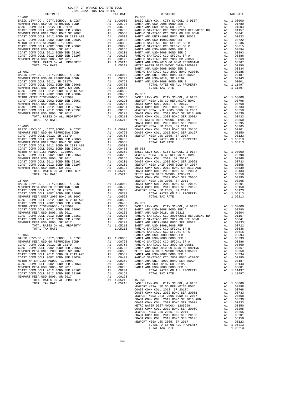|                                                                                                                                                                                                                                                                                                                                                                                                                                                                          |                             | 2021-2022 TRA TAX RATES |    |            |         |
|--------------------------------------------------------------------------------------------------------------------------------------------------------------------------------------------------------------------------------------------------------------------------------------------------------------------------------------------------------------------------------------------------------------------------------------------------------------------------|-----------------------------|-------------------------|----|------------|---------|
|                                                                                                                                                                                                                                                                                                                                                                                                                                                                          | DISTRICT                    |                         |    | TAX RATE   |         |
|                                                                                                                                                                                                                                                                                                                                                                                                                                                                          |                             |                         |    |            |         |
|                                                                                                                                                                                                                                                                                                                                                                                                                                                                          |                             |                         |    |            |         |
|                                                                                                                                                                                                                                                                                                                                                                                                                                                                          |                             |                         |    |            |         |
|                                                                                                                                                                                                                                                                                                                                                                                                                                                                          |                             |                         |    |            |         |
|                                                                                                                                                                                                                                                                                                                                                                                                                                                                          |                             |                         |    |            |         |
|                                                                                                                                                                                                                                                                                                                                                                                                                                                                          |                             |                         |    |            |         |
|                                                                                                                                                                                                                                                                                                                                                                                                                                                                          |                             |                         |    |            |         |
|                                                                                                                                                                                                                                                                                                                                                                                                                                                                          |                             |                         |    |            |         |
|                                                                                                                                                                                                                                                                                                                                                                                                                                                                          |                             |                         |    |            |         |
|                                                                                                                                                                                                                                                                                                                                                                                                                                                                          |                             |                         |    |            |         |
|                                                                                                                                                                                                                                                                                                                                                                                                                                                                          |                             |                         |    |            |         |
|                                                                                                                                                                                                                                                                                                                                                                                                                                                                          |                             |                         |    |            |         |
|                                                                                                                                                                                                                                                                                                                                                                                                                                                                          |                             |                         |    |            |         |
|                                                                                                                                                                                                                                                                                                                                                                                                                                                                          |                             |                         |    |            |         |
|                                                                                                                                                                                                                                                                                                                                                                                                                                                                          |                             |                         |    |            |         |
|                                                                                                                                                                                                                                                                                                                                                                                                                                                                          |                             |                         |    |            |         |
|                                                                                                                                                                                                                                                                                                                                                                                                                                                                          |                             |                         |    |            | SANTA A |
|                                                                                                                                                                                                                                                                                                                                                                                                                                                                          |                             |                         |    |            |         |
|                                                                                                                                                                                                                                                                                                                                                                                                                                                                          |                             |                         |    |            |         |
|                                                                                                                                                                                                                                                                                                                                                                                                                                                                          |                             |                         |    |            |         |
|                                                                                                                                                                                                                                                                                                                                                                                                                                                                          |                             |                         |    |            |         |
|                                                                                                                                                                                                                                                                                                                                                                                                                                                                          |                             |                         |    |            |         |
|                                                                                                                                                                                                                                                                                                                                                                                                                                                                          |                             |                         |    |            |         |
|                                                                                                                                                                                                                                                                                                                                                                                                                                                                          |                             |                         |    |            |         |
|                                                                                                                                                                                                                                                                                                                                                                                                                                                                          |                             |                         |    |            |         |
|                                                                                                                                                                                                                                                                                                                                                                                                                                                                          |                             |                         |    |            |         |
|                                                                                                                                                                                                                                                                                                                                                                                                                                                                          |                             |                         |    |            |         |
|                                                                                                                                                                                                                                                                                                                                                                                                                                                                          |                             |                         |    |            |         |
|                                                                                                                                                                                                                                                                                                                                                                                                                                                                          |                             |                         |    |            |         |
|                                                                                                                                                                                                                                                                                                                                                                                                                                                                          |                             |                         |    |            |         |
|                                                                                                                                                                                                                                                                                                                                                                                                                                                                          |                             |                         |    |            |         |
|                                                                                                                                                                                                                                                                                                                                                                                                                                                                          |                             |                         |    |            |         |
|                                                                                                                                                                                                                                                                                                                                                                                                                                                                          |                             |                         |    |            |         |
|                                                                                                                                                                                                                                                                                                                                                                                                                                                                          |                             |                         |    |            | COAST C |
| $15 - 063$<br>$\begin{tabular}{l c c c} 15-063 & NEMPORTM SUSD QO, CUTY, SCHOOL, & DIST\\ \hline BASIC LEVY-CO., CITY, SCHOOL, & DIST & A1 1.00000 & COAST C\nNENDORT MESA USD GO REFUNDING BOND & A1 00798 & COAST C\nCOAST COMM COLL 2002 BOND SR 2006B & A1 00763 & NEMPORT\\ NEWPORT MESA UNTF 2005 BOND SR 2007 & A1 00733 \\ NEWPORT MESA UNTF 2005 BOND SR 2017 & A1 00558 \\ COAST COMM COLL 200$                                                                |                             |                         |    |            | NEWPORT |
|                                                                                                                                                                                                                                                                                                                                                                                                                                                                          |                             |                         |    |            |         |
|                                                                                                                                                                                                                                                                                                                                                                                                                                                                          |                             |                         |    |            |         |
|                                                                                                                                                                                                                                                                                                                                                                                                                                                                          |                             |                         |    |            |         |
|                                                                                                                                                                                                                                                                                                                                                                                                                                                                          |                             |                         |    |            |         |
|                                                                                                                                                                                                                                                                                                                                                                                                                                                                          |                             |                         |    |            |         |
|                                                                                                                                                                                                                                                                                                                                                                                                                                                                          |                             |                         |    |            |         |
|                                                                                                                                                                                                                                                                                                                                                                                                                                                                          |                             |                         |    |            |         |
|                                                                                                                                                                                                                                                                                                                                                                                                                                                                          |                             |                         |    |            |         |
|                                                                                                                                                                                                                                                                                                                                                                                                                                                                          |                             |                         |    |            |         |
|                                                                                                                                                                                                                                                                                                                                                                                                                                                                          |                             |                         |    |            |         |
|                                                                                                                                                                                                                                                                                                                                                                                                                                                                          |                             |                         |    |            |         |
|                                                                                                                                                                                                                                                                                                                                                                                                                                                                          |                             |                         |    |            |         |
|                                                                                                                                                                                                                                                                                                                                                                                                                                                                          |                             |                         |    |            |         |
|                                                                                                                                                                                                                                                                                                                                                                                                                                                                          |                             |                         |    |            |         |
|                                                                                                                                                                                                                                                                                                                                                                                                                                                                          |                             |                         |    |            |         |
|                                                                                                                                                                                                                                                                                                                                                                                                                                                                          |                             |                         |    |            | COAST C |
| $15 - 064$                                                                                                                                                                                                                                                                                                                                                                                                                                                               |                             |                         |    |            | NEWPORT |
|                                                                                                                                                                                                                                                                                                                                                                                                                                                                          |                             |                         |    |            |         |
|                                                                                                                                                                                                                                                                                                                                                                                                                                                                          |                             |                         |    |            |         |
|                                                                                                                                                                                                                                                                                                                                                                                                                                                                          |                             |                         |    |            |         |
|                                                                                                                                                                                                                                                                                                                                                                                                                                                                          |                             |                         |    |            |         |
|                                                                                                                                                                                                                                                                                                                                                                                                                                                                          |                             |                         |    |            |         |
| $\begin{tabular}{l c c c} \hline 15-064 & \multicolumn{3}{l}{\multicolumn{3}{l}{\multicolumn{3}{l}{\multicolumn{3}{l}{\multicolumn{3}{l}{\multicolumn{3}{l}{\multicolumn{3}{l}{\multicolumn{3}{l}{\multicolumn{3}{l}{\multicolumn{3}{l}{\multicolumn{3}{l}{\multicolumn{3}{l}{\multicolumn{3}{l}{\multicolumn{3}{l}{\multicolumn{3}{l}{\multicolumn{3}{l}{\multicolumn{3}{l}{\multicolumn{3}{l}{\multicolumn{3}{l}{\multicolumn{3}{l}{\multicolumn{3}{l}{\multicolumn{3$ |                             |                         |    |            |         |
|                                                                                                                                                                                                                                                                                                                                                                                                                                                                          |                             |                         |    |            |         |
|                                                                                                                                                                                                                                                                                                                                                                                                                                                                          |                             |                         |    |            |         |
|                                                                                                                                                                                                                                                                                                                                                                                                                                                                          |                             |                         |    |            |         |
|                                                                                                                                                                                                                                                                                                                                                                                                                                                                          |                             |                         |    |            |         |
|                                                                                                                                                                                                                                                                                                                                                                                                                                                                          |                             |                         |    |            |         |
|                                                                                                                                                                                                                                                                                                                                                                                                                                                                          |                             |                         |    |            |         |
|                                                                                                                                                                                                                                                                                                                                                                                                                                                                          |                             |                         |    |            |         |
|                                                                                                                                                                                                                                                                                                                                                                                                                                                                          |                             |                         |    |            |         |
|                                                                                                                                                                                                                                                                                                                                                                                                                                                                          |                             |                         |    |            |         |
|                                                                                                                                                                                                                                                                                                                                                                                                                                                                          |                             |                         |    |            | RANCHO  |
| $15 - 065$                                                                                                                                                                                                                                                                                                                                                                                                                                                               |                             |                         |    |            | SANTA A |
| BASIC LEVY-CO., CITY, SCHOOL, & DIST                                                                                                                                                                                                                                                                                                                                                                                                                                     |                             |                         | A1 | 1.00000    | SANTA A |
| NEWPORT MESA USD GO REFUNDING BOND                                                                                                                                                                                                                                                                                                                                                                                                                                       |                             |                         | A1 | .00798     | RANCHO  |
| COAST COMM COLL 2012, SR 2017D                                                                                                                                                                                                                                                                                                                                                                                                                                           |                             |                         | A1 | .00768     | RANCHO  |
| COAST COMM COLL 2002 BOND SER 2006B                                                                                                                                                                                                                                                                                                                                                                                                                                      |                             |                         | A1 | .00733     | SANTA A |
| NEWPORT MESA UNIF 2005 BOND SR 2007                                                                                                                                                                                                                                                                                                                                                                                                                                      |                             |                         | A1 | .00558     | METRO W |
| COAST COMM COLL 2012 BOND SR 2013 A&B                                                                                                                                                                                                                                                                                                                                                                                                                                    |                             |                         |    | A1.00539   | SANTA A |
| COAST COMM COLL 2002 BOND SER 2003A                                                                                                                                                                                                                                                                                                                                                                                                                                      |                             |                         | A1 | .00433     | RANCHO  |
| METRO WATER DIST-MWDOC- 1205999                                                                                                                                                                                                                                                                                                                                                                                                                                          |                             |                         | A1 | .00350     | SANTA A |
| COAST COMM COLL 2002 BOND SER 2006C                                                                                                                                                                                                                                                                                                                                                                                                                                      |                             |                         | A1 | .00295     | SANTA A |
| NEWPORT MESA USD 2005, SR 2011                                                                                                                                                                                                                                                                                                                                                                                                                                           |                             |                         | A1 | .00265     | SANTA A |
| COAST COMM COLL 2012 BOND SER 2016C                                                                                                                                                                                                                                                                                                                                                                                                                                      |                             |                         | A1 | .00201     |         |
| COAST COMM COLL 2012 BOND SER 2019F                                                                                                                                                                                                                                                                                                                                                                                                                                      |                             |                         | A1 | .00150     |         |
| NEWPORT MESA USD 2005, SR 2017                                                                                                                                                                                                                                                                                                                                                                                                                                           |                             |                         | A1 | .00123     |         |
|                                                                                                                                                                                                                                                                                                                                                                                                                                                                          | TOTAL RATES ON ALL PROPERTY |                         |    | A1 1.05213 | 15-070  |
| TOTAL TAX RATE                                                                                                                                                                                                                                                                                                                                                                                                                                                           |                             |                         |    | 1.05213    | BASIC L |

| COUNTY OF ORANGE TAX RATE BOOK<br>$\begin{minipage}{.4\linewidth} \begin{tabular}{lcccccc} \multicolumn{2}{c}{\textbf{1-AX} }\end{tabular} & \multicolumn{2}{c}{\textbf{AA} \textbf{R} } \end{tabular} \begin{tabular}{lcccccc} \multicolumn{2}{c}{\textbf{1-AX} }\end{tabular} & \multicolumn{2}{c}{\textbf{1-AY} }\end{tabular} \begin{tabular}{lcccccc} \multicolumn{2}{c}{\textbf{1-AY} }\end{tabular} & \multicolumn{2}{c}{\textbf{1-AY} }\end{tabular} \begin{tabular}{lcccccc} \multicolumn{2}{c}{\textbf{1-AY} }\end{tabular$ |          |                 |          |
|---------------------------------------------------------------------------------------------------------------------------------------------------------------------------------------------------------------------------------------------------------------------------------------------------------------------------------------------------------------------------------------------------------------------------------------------------------------------------------------------------------------------------------------|----------|-----------------|----------|
|                                                                                                                                                                                                                                                                                                                                                                                                                                                                                                                                       | TAX RATE | <b>DISTRICT</b> | TAX RATE |
|                                                                                                                                                                                                                                                                                                                                                                                                                                                                                                                                       |          |                 |          |
|                                                                                                                                                                                                                                                                                                                                                                                                                                                                                                                                       |          |                 |          |
|                                                                                                                                                                                                                                                                                                                                                                                                                                                                                                                                       |          |                 |          |
|                                                                                                                                                                                                                                                                                                                                                                                                                                                                                                                                       |          |                 |          |
|                                                                                                                                                                                                                                                                                                                                                                                                                                                                                                                                       |          |                 |          |
|                                                                                                                                                                                                                                                                                                                                                                                                                                                                                                                                       |          |                 |          |
|                                                                                                                                                                                                                                                                                                                                                                                                                                                                                                                                       |          |                 |          |
|                                                                                                                                                                                                                                                                                                                                                                                                                                                                                                                                       |          |                 |          |
|                                                                                                                                                                                                                                                                                                                                                                                                                                                                                                                                       |          |                 |          |
|                                                                                                                                                                                                                                                                                                                                                                                                                                                                                                                                       |          |                 |          |
|                                                                                                                                                                                                                                                                                                                                                                                                                                                                                                                                       |          |                 |          |
|                                                                                                                                                                                                                                                                                                                                                                                                                                                                                                                                       |          |                 |          |
|                                                                                                                                                                                                                                                                                                                                                                                                                                                                                                                                       |          |                 |          |
|                                                                                                                                                                                                                                                                                                                                                                                                                                                                                                                                       |          |                 |          |
|                                                                                                                                                                                                                                                                                                                                                                                                                                                                                                                                       |          |                 |          |
|                                                                                                                                                                                                                                                                                                                                                                                                                                                                                                                                       |          |                 |          |
|                                                                                                                                                                                                                                                                                                                                                                                                                                                                                                                                       |          |                 |          |
|                                                                                                                                                                                                                                                                                                                                                                                                                                                                                                                                       |          |                 |          |
|                                                                                                                                                                                                                                                                                                                                                                                                                                                                                                                                       |          |                 |          |
|                                                                                                                                                                                                                                                                                                                                                                                                                                                                                                                                       |          |                 |          |
|                                                                                                                                                                                                                                                                                                                                                                                                                                                                                                                                       |          |                 |          |
|                                                                                                                                                                                                                                                                                                                                                                                                                                                                                                                                       |          |                 |          |
|                                                                                                                                                                                                                                                                                                                                                                                                                                                                                                                                       |          |                 |          |
|                                                                                                                                                                                                                                                                                                                                                                                                                                                                                                                                       |          |                 |          |
|                                                                                                                                                                                                                                                                                                                                                                                                                                                                                                                                       |          |                 |          |
|                                                                                                                                                                                                                                                                                                                                                                                                                                                                                                                                       |          |                 |          |
|                                                                                                                                                                                                                                                                                                                                                                                                                                                                                                                                       |          |                 |          |
|                                                                                                                                                                                                                                                                                                                                                                                                                                                                                                                                       |          |                 |          |
|                                                                                                                                                                                                                                                                                                                                                                                                                                                                                                                                       |          |                 |          |
|                                                                                                                                                                                                                                                                                                                                                                                                                                                                                                                                       |          |                 |          |
|                                                                                                                                                                                                                                                                                                                                                                                                                                                                                                                                       |          |                 |          |
|                                                                                                                                                                                                                                                                                                                                                                                                                                                                                                                                       |          |                 |          |
|                                                                                                                                                                                                                                                                                                                                                                                                                                                                                                                                       |          |                 |          |
|                                                                                                                                                                                                                                                                                                                                                                                                                                                                                                                                       |          |                 |          |
|                                                                                                                                                                                                                                                                                                                                                                                                                                                                                                                                       |          |                 |          |
|                                                                                                                                                                                                                                                                                                                                                                                                                                                                                                                                       |          |                 |          |
|                                                                                                                                                                                                                                                                                                                                                                                                                                                                                                                                       |          |                 |          |
|                                                                                                                                                                                                                                                                                                                                                                                                                                                                                                                                       |          |                 |          |
|                                                                                                                                                                                                                                                                                                                                                                                                                                                                                                                                       |          |                 |          |
|                                                                                                                                                                                                                                                                                                                                                                                                                                                                                                                                       |          |                 |          |
|                                                                                                                                                                                                                                                                                                                                                                                                                                                                                                                                       |          |                 |          |
|                                                                                                                                                                                                                                                                                                                                                                                                                                                                                                                                       |          |                 |          |
|                                                                                                                                                                                                                                                                                                                                                                                                                                                                                                                                       |          |                 |          |
|                                                                                                                                                                                                                                                                                                                                                                                                                                                                                                                                       |          |                 |          |
|                                                                                                                                                                                                                                                                                                                                                                                                                                                                                                                                       |          |                 |          |
|                                                                                                                                                                                                                                                                                                                                                                                                                                                                                                                                       |          |                 |          |
|                                                                                                                                                                                                                                                                                                                                                                                                                                                                                                                                       |          |                 |          |
|                                                                                                                                                                                                                                                                                                                                                                                                                                                                                                                                       |          |                 |          |
|                                                                                                                                                                                                                                                                                                                                                                                                                                                                                                                                       |          |                 |          |
|                                                                                                                                                                                                                                                                                                                                                                                                                                                                                                                                       |          |                 |          |
|                                                                                                                                                                                                                                                                                                                                                                                                                                                                                                                                       |          |                 |          |
|                                                                                                                                                                                                                                                                                                                                                                                                                                                                                                                                       |          |                 |          |
|                                                                                                                                                                                                                                                                                                                                                                                                                                                                                                                                       |          |                 |          |
|                                                                                                                                                                                                                                                                                                                                                                                                                                                                                                                                       |          |                 |          |
|                                                                                                                                                                                                                                                                                                                                                                                                                                                                                                                                       |          |                 |          |
|                                                                                                                                                                                                                                                                                                                                                                                                                                                                                                                                       |          |                 |          |
|                                                                                                                                                                                                                                                                                                                                                                                                                                                                                                                                       |          |                 |          |
|                                                                                                                                                                                                                                                                                                                                                                                                                                                                                                                                       |          |                 |          |
|                                                                                                                                                                                                                                                                                                                                                                                                                                                                                                                                       |          |                 |          |
|                                                                                                                                                                                                                                                                                                                                                                                                                                                                                                                                       |          |                 |          |
|                                                                                                                                                                                                                                                                                                                                                                                                                                                                                                                                       |          |                 |          |
|                                                                                                                                                                                                                                                                                                                                                                                                                                                                                                                                       |          |                 |          |
|                                                                                                                                                                                                                                                                                                                                                                                                                                                                                                                                       |          |                 |          |
|                                                                                                                                                                                                                                                                                                                                                                                                                                                                                                                                       |          |                 |          |
|                                                                                                                                                                                                                                                                                                                                                                                                                                                                                                                                       |          |                 |          |
|                                                                                                                                                                                                                                                                                                                                                                                                                                                                                                                                       |          |                 |          |
|                                                                                                                                                                                                                                                                                                                                                                                                                                                                                                                                       |          |                 |          |
|                                                                                                                                                                                                                                                                                                                                                                                                                                                                                                                                       |          | TOTAL TAX RATE  | 1.05213  |
|                                                                                                                                                                                                                                                                                                                                                                                                                                                                                                                                       |          |                 |          |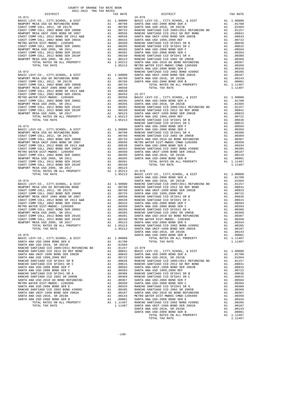| COASI COMM COLL ZUIZ BOND SK ZUIS A&B                                  | $A\perp$                                                                                                                                                                                                                       | .uussy     | <b>RANCHO</b>  |
|------------------------------------------------------------------------|--------------------------------------------------------------------------------------------------------------------------------------------------------------------------------------------------------------------------------|------------|----------------|
| COAST COMM COLL 2002 BOND SER 2003A                                    | A1                                                                                                                                                                                                                             | .00433     | SANTA A        |
| METRO WATER DIST-MWDOC- 1205999                                        | and the state and the state and the state of the state of the state of the state of the state of the state of the state of the state of the state of the state of the state of the state of the state of the state of the stat | .00350     | SANTA A        |
|                                                                        | A1                                                                                                                                                                                                                             | .00295     | RANCHO         |
| COAST COMM COLL 2002 BOND SER 2006C<br>NEWPORT MESA USD 2005, SR 2011  | A1                                                                                                                                                                                                                             | .00265     | RANCHO         |
| COAST COMM COLL 2012 BOND SER 2016C                                    |                                                                                                                                                                                                                                | A1 .00201  | SANTA A        |
| COAST COMM COLL 2012 BOND SER 2019F A1                                 |                                                                                                                                                                                                                                | .00150     | METRO W        |
| NEWPORT MESA USD 2005, SR 2017                                         |                                                                                                                                                                                                                                | A1 .00123  | SANTA A        |
| TOTAL RATES ON ALL PROPERTY A1 1.05213                                 |                                                                                                                                                                                                                                |            | RANCHO         |
| TOTAL TAX RATE                                                         |                                                                                                                                                                                                                                | 1.05213    | SANTA A        |
|                                                                        |                                                                                                                                                                                                                                |            | SANTA A        |
| $15 - 075$                                                             |                                                                                                                                                                                                                                |            | SANTA A        |
| BASIC LEVY-CO., CITY, SCHOOL, & DIST A1 1.00000                        |                                                                                                                                                                                                                                |            |                |
| SANTA ANA USD-2008 BOND SER A                                          |                                                                                                                                                                                                                                | A1 .01780  |                |
| SANTA ANA USD-2018, SR 2021B                                           |                                                                                                                                                                                                                                | A1 .01504  |                |
| RANCHO SANTIAGO CCD 2005+2011 REFUNDING BD $A1$ .01157                 |                                                                                                                                                                                                                                |            | $15 - 079$     |
| RANCHO SANTIAGO CCD 2012 GO REF BOND                                   | A1                                                                                                                                                                                                                             | .00841     | <b>BASIC L</b> |
| SANTA ANA UNIF-1999 BOND SER 2002B                                     | A1                                                                                                                                                                                                                             | .00833     | SANTA A        |
| SANTA ANA USD 1999, 2009 REF                                           | A1                                                                                                                                                                                                                             | .00722     | SANTA A        |
| RANCHO SANTIAGO CCD SFID#1 SR B                                        |                                                                                                                                                                                                                                | A1 .00636  | RANCHO         |
| RANCHO SANTIAGO CCD SFID#1 SR C                                        |                                                                                                                                                                                                                                | A1 .00615  | RANCHO         |
| SANTA ANA USD-2008 BOND SER F                                          |                                                                                                                                                                                                                                | A1 .00594  | SANTA A        |
| SANTA ANA USD-2008 BOND SER C                                          | A1                                                                                                                                                                                                                             | .00393     | SANTA A        |
| RANCHO SANTIAGO CCD SFID#1 SR A                                        | A1                                                                                                                                                                                                                             | .00386     | RANCHO         |
| RANCHO SANTIAGO CCD 2002 SR 2005B                                      | A1                                                                                                                                                                                                                             | .00369     | RANCHO         |
| SANTA ANA USD-2010 GO BOND REFUNDING A1                                |                                                                                                                                                                                                                                | .00367     | SANTA A        |
| METRO WATER DIST-MWDOC- 1205999<br>SANTA ANA HSD-2008 POND SEP F<br>A1 |                                                                                                                                                                                                                                | .00350     | SANTA A        |
| SANTA ANA USD-2008 BOND SER E                                          | A1                                                                                                                                                                                                                             | .00334     | RANCHO         |
| RANCHO SANTIAGO CCD 2002 BOND #2006C A1                                |                                                                                                                                                                                                                                | .00285     | RANCHO         |
| SANTA ANA UNIF-1999 BOND SER 2002A A1                                  |                                                                                                                                                                                                                                | .00187     | SANTA A        |
| SANTA ANA USD-2018, SR 2019A                                           |                                                                                                                                                                                                                                | A1 .00143  | METRO W        |
| SANTA ANA USD-2008 BOND SER B                                          |                                                                                                                                                                                                                                | A1 .00001  | SANTA A        |
| TOTAL RATES ON ALL PROPERTY                                            |                                                                                                                                                                                                                                | A1 1.11497 | RANCHO         |
| TOTAL TAX RATE                                                         |                                                                                                                                                                                                                                | 1.11497    | SANTA A        |
|                                                                        |                                                                                                                                                                                                                                |            | SANTA A        |

NEWPORT MESA USD 2005, SR 2017 A1 .00123 TOTAL RATES ON ALL PROPERTY A1 1.05213 15-078

COAST COMM COLL 2012 BOND SR 2013 A&B A1 .00539

 DISTRICT TAX RATE DISTRICT TAX RATE  $\begin{tabular}{ c| c| c|c|c|c|c} \hline 15-071 & 11.00000 & 15-076 & 11.00000 & 18-076 & 10.0717, SCHOOL, & 6 DST \\ \hline RENPORT MESA UISD QOR EFWONR SUSD-2008 BOND SER AUSD-2008 BOND SER AUSD-2008 BOND SER AUSD-2008 BOND SER AUSD-2008 BOND SER BUSD-2008 BOND SER BUSD-2008 BOND SER BUSD-2008 BUNDSEA-2008 BUNDSEA$  $\begin{tabular}{l|c|c|c|c|c} \hline 15-072 & \multicolumn{3}{c}{\textbf{RNC}} \\\hline \texttt{BASTC LEVY-CO} \,, & \texttt{CITY}, \texttt{SCHODOL}, & \texttt{DIST} & \texttt{A1} & 1.00000 & \texttt{SANTI AON} & \texttt{RINCHO} & \texttt{SANTI AON} & \texttt{COD} & \texttt{2002} & \texttt{BOND} & \texttt{2002A} & \texttt{A1} & .00285 \\ \hline \texttt{NENPORT} \texttt{MESA} \texttt{USD} \texttt$  COAST COMM COLL 2002 BOND SER 2003A A1 .00433 15-077 METRO WATER DIST-MWDOC- 1205999 A1 .00350 BASIC LEVY-CO., CITY,SCHOOL, & DIST A1 1.00000 COAST COMM COLL 2002 BOND SER 2006C A1 .00295 SANTA ANA USD-2008 BOND SER A A1 .01780 NEWPORT MESA USD 2005, SR 2011 A1 .00265 SANTA ANA USD-2018, SR 2021B A1 .01504 COAST COMM COLL 2012 BOND SER 2016C A1 .00201 RANCHO SANTIAGO CCD 2005+2011 REFUNDING BD A1 .01157 COAST COMM COLL 2012 BOND SER 2019F A1 .00150 RANCHO SANTIAGO CCD 2012 GO REF BOND A1 .00841 NEWPORT MESA USD 2005, SR 2017 A1 .00123 SANTA ANA UNIF-1999 BOND SER 2002B A1 .00833 TOTAL RATES ON ALL PROPERTY A1 1.05213 SANTA ANA USD 1999,2009 REF A1 .00722 TOTAL TAX RATE 1.05213 RANCHO SANTIAGO CCD SFID#1 SR B A1 .00636 RANCHO SANTIAGO CCD SFID#1 SR C A1 .00615 15-073 SANTA ANA USD-2008 BOND SER F A1 .00594 BASIC LEVY-CO., CITY,SCHOOL, & DIST A1 1.00000 SANTA ANA USD-2008 BOND SER C A1 .00393 NEWPORT MESA USD GO REFUNDING BOND A1 .00798 RANCHO SANTIAGO CCD SFID#1 SR A A1 .00386 COAST COMM COLL 2012, SR 2017D A1 .00768 RANCHO SANTIAGO CCD 2002 SR 2005B A1 .00369 COAST COMM COLL 2002 BOND SER 2006B A1 .00733 SANTA ANA USD-2010 GO BOND REFUNDING A1 .00367 NEWPORT MESA UNIF 2005 BOND SR 2007 A1 .00558 METRO WATER DIST-MWDOC CMWD-1205999 A1 .00350 COAST COMM COLL 2012 BOND SR 2013 A&B A1 .00539 SANTA ANA USD-2008 BOND SER E A1 .00334 COAST COMM COLL 2002 BOND SER 2003A A1 .00433 RANCHO SANTIAGO CCD 2002 BOND #2006C A1 .00285 METRO WATER DIST-MWDOC- 1205999 A1 .00350 SANTA ANA UNIF-1999 BOND SER 2002A A1 .00187 COAST COMM COLL 2002 BOND SER 2006C A1 .00295 SANTA ANA USD-2018, SR 2019A A1 .00143 NEW 100295 SANTA ANA USD-2018 BR 2019<br>A1 .00295 SANTA ANA USD-2008 BOND SER B A1 .00143<br>A1 .00265 SANTA ANA USD-2008 BOND SER B A1 .00001<br>A1 .00201 TOTAL RATES ON ALL PROPERTY A1 1.11497 COAST COMM COLL 2012 BOND SER 2016C A1 .00201 TOTAL RATES ON ALL PROPERTY A1 1.11497 COAST COMM COLL 2012 BOND SER 2019F A1 .00150 TOTAL TAX RATE 1.11497  $\begin{tabular}{c|c|c|c|c|c} TOTAL TAX RATE & 1.00000 & BASIC LEVY-CO., CITY, SCHOOL, & DIST & A1 & 1.00000 \\ & SANTA ANA USD-2008 BOND ISR & SANTA ANA USD-2008 BOND SER A & A1 & .01504 \\ BASIC LEVY-CO., CITY, SCHOOL, & DIST & SANTA ANA USD-2008 BOND SER A & 0.0157 \\ NEWQORT MESA USD & RINCHO SANTIAGO CCD 2005+2011 REFUNDING BD & A1 & .0157 \\ CORST COMM COLL 2002 BOND SER 20$  NEWPORT MESA UNIF 2005 BOND SR 2007 A1 .00558 RANCHO SANTIAGO CCD SFID#1 SR B A1 .00636 COAST COMM COLL 2012 BOND SR 2013 A&B A1 .00539 RANCHO SANTIAGO CCD SFID#1 SR C A1 .00615 COAST COMM COLL 2002 BOND SER 2003A A1 .00433 SANTA ANA USD-2008 BOND SER F A1 .00594 METRO WATER DIST-MWDOC- 1205999 A1 .00350 SANTA ANA USD-2008 BOND SER C A1 .00393 COAST COMM COLL 2002 BOND SER 2006C A1 .00295 RANCHO SANTIAGO CCD SFID#1 SR A A1 .00386 NEWPORT MESA USD 2005, SR 2011 A1 .00265 RANCHO SANTIAGO CCD 2002 SR 2005B A1 .00369 COAST COMM COLL 2012 BOND SER 2016C A1 .00201 SANTA ANA USD-2010 GO BOND REFUNDING A1 .00367 COAST COMM COLL 2012 BOND SER 2019F A1 .00150 METRO WATER DIST-MWDOC- 1205999 A1 .00350 NEWPORT MESA USD 2005, SR 2017 A1 .00123 SANTA ANA USD-2008 BOND SER E A1 .00334 TOTAL RATES ON ALL PROPERTY A1 1.05213 RANCHO SANTIAGO CCD 2002 BOND #2006C A1 .00285 TOTAL TAX RATE 1.05213 SANTA ANA UNIF-1999 BOND SER 2002A A1 .00187 SANTA ANA USD-2018, SR 2019A A1 .00143 15-075 SANTA ANA USD-2008 BOND SER B A1 .00001 BASIC LEVY-CO., CITY,SCHOOL, & DIST A1 1.00000 TOTAL RATES ON ALL PROPERTY A1 1.11497 SANTA ANA USD-2008 BOND SER A A1 .01780 TOTAL TAX RATE 1.11497  $\begin{tabular}{l|c|c|c|c|c|c} \multicolumn{4}{c}{\textbf{RANCHO}} \multicolumn{4}{c}{\textbf{SANTA}} $\mathtt{NA}$ & $\mathtt{10000}$ & $\mathtt{A1}$ & $.00841$ & $\mathtt{RASIC LEVY-CO$}, $\mathtt{CITY},\mathtt{SCHOOL}, $\mathtt{\&}\mathtt{DIST}$ & $\mathtt{A1}$ & $1.00000$ \\ \multicolumn{4}{c}{\textbf{SANTA}} $\mathtt{ANUSD} = 1999$ & $\mathtt{SANTB}$ & $\mathtt{2002B}$ & $\mathtt{A1}$ & $.00841$ & $\mat$ SANTA ANA USD-2008 BOND SER C A1 .00393 SANTA ANA USD 1999,2009 REF A1 .00722 RANCHO SANTIAGO CCD SFID#1 SR A A1 .00386 RANCHO SANTIAGO CCD SFID#1 SR B A1 .00636 RANCHO SANTIAGO CCD 2002 SR 2005B A1 .00369 RANCHO SANTIAGO CCD SFID#1 SR C A1 .00615 SANTA ANA USD-2010 GO BOND REFUNDING A1 .00367 SANTA ANA USD-2008 BOND SER F A1 .00594 METRO WATER DIST-MWDOC- 1205999 A1 .00350 SANTA ANA USD-2008 BOND SER C A1 .00393 SANTA ANA USD-2008 BOND SER E A1 .00334 RANCHO SANTIAGO CCD SFID#1 SR A A1 .00386 RANCHO SANTIAGO CCD 2002 BOND #2006C A1 .00285 RANCHO SANTIAGO CCD 2002 SR 2005B A1 .00369 SANTA ANA UNIF-1999 BOND SER 2002A A1 .00187 SANTA ANA USD-2010 GO BOND REFUNDING A1 .00367 SANTA ANA USD-2018, SR 2019A A1 .00143 METRO WATER DIST-MWDOC CMWD-1205999 A1 .00350 SANTA ANA USD-2008 BOND SER B A1 .00001 SANTA ANA USD-2008 BOND SER E A1 .00334 TOTAL RATES ON ALL PROPERTY A1 1.11497 RANCHO SANTIAGO CCD 2002 BOND #2006C A1 .00285 TOTAL TAX RATE 1.11497 SANTA ANA UNIF-1999 BOND SER 2002A A1 .00187 SANTA ANA USD-2018, SR 2019A A1 .00143 SANTA ANA USD-2008 BOND SER B A1 .00001 TOTAL RATES ON ALL PROPERTY A1 1.11497 TOTAL TAX RATE 1.11497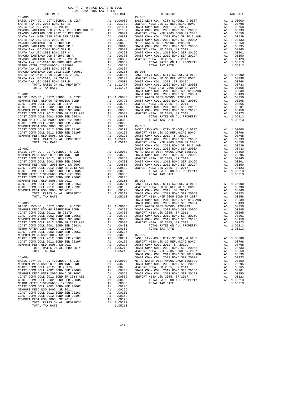| $15 - 081$<br>$\begin{tabular}{cc} CoAST C \\ \hline \texttt{AA} & 1.00000 & \texttt{METO W} \\ \texttt{A1} & .00798 & \texttt{COASTC} \\ \texttt{A1} & .00798 & \texttt{COASTC} \\ \texttt{A1} & .00733 & \texttt{COASTC} \\ \texttt{A1} & .00733 & \texttt{COSTC} \\ \texttt{A1} & .00558 & \texttt{COASTC} \\ \texttt{A1} & .00359 & \texttt{NEWPORT} \\ \texttt{A1} & .00359 \\ \texttt{A1} & .00295 \\ \texttt{$<br>BASIC LEVY-CO., CITY, SCHOOL, & DIST<br>NASIC LEVI-CO., CIII, SCHOOL, & DISI<br>NEWPORT MESA USD GO REFUNDING BOND<br>COACT COMM COLL 2012 SP 2017P<br>COAST COMM COLL 2012, SR 2017D<br>COAST COMM COLL 2002 BOND SER 2006B<br>NEWPORT MESA UNIF 2005 BOND SR 2007<br>COAST COMM COLL 2002 BOND SR 2003 A&B<br>COAST COMM COLL 2002 BOND SER 2003A<br>METRO WATER DICT-MWIDOC CMETR 100500 | COAST C            |
|----------------------------------------------------------------------------------------------------------------------------------------------------------------------------------------------------------------------------------------------------------------------------------------------------------------------------------------------------------------------------------------------------------------------------------------------------------------------------------------------------------------------------------------------------------------------------------------------------------------------------------------------------------------------------------------------------------------------------------------------------------------------------------------------------------------------|--------------------|
|                                                                                                                                                                                                                                                                                                                                                                                                                                                                                                                                                                                                                                                                                                                                                                                                                      |                    |
|                                                                                                                                                                                                                                                                                                                                                                                                                                                                                                                                                                                                                                                                                                                                                                                                                      |                    |
|                                                                                                                                                                                                                                                                                                                                                                                                                                                                                                                                                                                                                                                                                                                                                                                                                      |                    |
|                                                                                                                                                                                                                                                                                                                                                                                                                                                                                                                                                                                                                                                                                                                                                                                                                      |                    |
|                                                                                                                                                                                                                                                                                                                                                                                                                                                                                                                                                                                                                                                                                                                                                                                                                      |                    |
|                                                                                                                                                                                                                                                                                                                                                                                                                                                                                                                                                                                                                                                                                                                                                                                                                      |                    |
|                                                                                                                                                                                                                                                                                                                                                                                                                                                                                                                                                                                                                                                                                                                                                                                                                      |                    |
|                                                                                                                                                                                                                                                                                                                                                                                                                                                                                                                                                                                                                                                                                                                                                                                                                      |                    |
|                                                                                                                                                                                                                                                                                                                                                                                                                                                                                                                                                                                                                                                                                                                                                                                                                      |                    |
|                                                                                                                                                                                                                                                                                                                                                                                                                                                                                                                                                                                                                                                                                                                                                                                                                      |                    |
|                                                                                                                                                                                                                                                                                                                                                                                                                                                                                                                                                                                                                                                                                                                                                                                                                      |                    |
|                                                                                                                                                                                                                                                                                                                                                                                                                                                                                                                                                                                                                                                                                                                                                                                                                      |                    |
|                                                                                                                                                                                                                                                                                                                                                                                                                                                                                                                                                                                                                                                                                                                                                                                                                      |                    |
|                                                                                                                                                                                                                                                                                                                                                                                                                                                                                                                                                                                                                                                                                                                                                                                                                      |                    |
|                                                                                                                                                                                                                                                                                                                                                                                                                                                                                                                                                                                                                                                                                                                                                                                                                      |                    |
|                                                                                                                                                                                                                                                                                                                                                                                                                                                                                                                                                                                                                                                                                                                                                                                                                      |                    |
|                                                                                                                                                                                                                                                                                                                                                                                                                                                                                                                                                                                                                                                                                                                                                                                                                      |                    |
|                                                                                                                                                                                                                                                                                                                                                                                                                                                                                                                                                                                                                                                                                                                                                                                                                      |                    |
|                                                                                                                                                                                                                                                                                                                                                                                                                                                                                                                                                                                                                                                                                                                                                                                                                      |                    |
|                                                                                                                                                                                                                                                                                                                                                                                                                                                                                                                                                                                                                                                                                                                                                                                                                      |                    |
|                                                                                                                                                                                                                                                                                                                                                                                                                                                                                                                                                                                                                                                                                                                                                                                                                      |                    |
|                                                                                                                                                                                                                                                                                                                                                                                                                                                                                                                                                                                                                                                                                                                                                                                                                      |                    |
|                                                                                                                                                                                                                                                                                                                                                                                                                                                                                                                                                                                                                                                                                                                                                                                                                      |                    |
| METRO WATER DIST-MWDOC CMWD-1205999<br>COAST COMM COLL 2002 BOND SER 2006C                                                                                                                                                                                                                                                                                                                                                                                                                                                                                                                                                                                                                                                                                                                                           |                    |
| NEWPORT MESA USD 2005, SR 2011                                                                                                                                                                                                                                                                                                                                                                                                                                                                                                                                                                                                                                                                                                                                                                                       |                    |
| NEWPORT MESA USD 2005, SR 2011<br>COAST COMM COLL 2012 BOND SER 2016C<br>COAST COMM COLL 2012 BOND SER 2019F<br>NEWPORT MESA USD 2005, SR 2017<br>----- ----- ----- 0.05, SR 2017                                                                                                                                                                                                                                                                                                                                                                                                                                                                                                                                                                                                                                    |                    |
|                                                                                                                                                                                                                                                                                                                                                                                                                                                                                                                                                                                                                                                                                                                                                                                                                      |                    |
| TOTAL RATES ON ALL PROPERTY                                                                                                                                                                                                                                                                                                                                                                                                                                                                                                                                                                                                                                                                                                                                                                                          |                    |
| TOTAL TAX RATE                                                                                                                                                                                                                                                                                                                                                                                                                                                                                                                                                                                                                                                                                                                                                                                                       |                    |
| $15 - 082$                                                                                                                                                                                                                                                                                                                                                                                                                                                                                                                                                                                                                                                                                                                                                                                                           | COAST C<br>COAST C |
| $\begin{tabular}{ll} & COAST & COAST & COAST \\ \text{A1} & 1.00000 & METRO W \\ \text{A1} & .00798 & COAST & C \\ \text{A1} & .00768 & NEWPORT \\ \text{A1} & .00733 & COAST & C \\ \text{A1} & .00559 & NEWPORT \\ \text{A1} & .00433 & NEWPORT \\ \text{A1} & .00433 & \\ \text{A1} & .00350 & \\ \text{A1} & .00350 & \\ \text{A1} & .00795 & \\ \end{tabular}$<br>BASIC LEVY-CO., CITY, SCHOOL, & DIST                                                                                                                                                                                                                                                                                                                                                                                                          |                    |
|                                                                                                                                                                                                                                                                                                                                                                                                                                                                                                                                                                                                                                                                                                                                                                                                                      |                    |
| COAST COMM COLL 2012, SR 2017D                                                                                                                                                                                                                                                                                                                                                                                                                                                                                                                                                                                                                                                                                                                                                                                       |                    |
| COAST COMM COLL 2002 BOND SER 2006B<br>NEWPORT MESA UNIF 2005 BOND SR 2007                                                                                                                                                                                                                                                                                                                                                                                                                                                                                                                                                                                                                                                                                                                                           |                    |
| COAST COMM COLL 2012 BOND SR 2007                                                                                                                                                                                                                                                                                                                                                                                                                                                                                                                                                                                                                                                                                                                                                                                    |                    |
| COAST COMM COLL 2002 BOND SER 2003A                                                                                                                                                                                                                                                                                                                                                                                                                                                                                                                                                                                                                                                                                                                                                                                  |                    |
| METRO WATER DIST-MWDOC CMWD-1205999<br>COAST COMM COLL 2002 BOND SER 2006C                                                                                                                                                                                                                                                                                                                                                                                                                                                                                                                                                                                                                                                                                                                                           |                    |
| NEWPORT MESA USD 2005, SR 2011                                                                                                                                                                                                                                                                                                                                                                                                                                                                                                                                                                                                                                                                                                                                                                                       |                    |
| NEWPORT MESA USD 2005, SR 2011<br>COAST COMM COLL 2012 BOND SER 2016C<br>COAST COMM COLL 2012 BOND SER 2019F<br>NEWPORT MESA HSD 2005 SR 2017                                                                                                                                                                                                                                                                                                                                                                                                                                                                                                                                                                                                                                                                        |                    |
| NEWPORT MESA USD 2005, SR 2017                                                                                                                                                                                                                                                                                                                                                                                                                                                                                                                                                                                                                                                                                                                                                                                       |                    |
| TOTAL RATES ON ALL PROPERTY                                                                                                                                                                                                                                                                                                                                                                                                                                                                                                                                                                                                                                                                                                                                                                                          |                    |
| A1 .0035<br>A1 .00265 15-088<br>A1 .00265 15-088<br>A1 .00201 BASIC L<br>A1 .00150 NEWPORT<br>A1 .00123 COAST C<br>A1 1.05213 COAST C<br>1.05213 NEWPORT<br>COAST C<br>TOTAL TAX RATE                                                                                                                                                                                                                                                                                                                                                                                                                                                                                                                                                                                                                                | COAST C            |
|                                                                                                                                                                                                                                                                                                                                                                                                                                                                                                                                                                                                                                                                                                                                                                                                                      |                    |
|                                                                                                                                                                                                                                                                                                                                                                                                                                                                                                                                                                                                                                                                                                                                                                                                                      |                    |
|                                                                                                                                                                                                                                                                                                                                                                                                                                                                                                                                                                                                                                                                                                                                                                                                                      |                    |
|                                                                                                                                                                                                                                                                                                                                                                                                                                                                                                                                                                                                                                                                                                                                                                                                                      |                    |
|                                                                                                                                                                                                                                                                                                                                                                                                                                                                                                                                                                                                                                                                                                                                                                                                                      |                    |
|                                                                                                                                                                                                                                                                                                                                                                                                                                                                                                                                                                                                                                                                                                                                                                                                                      |                    |
|                                                                                                                                                                                                                                                                                                                                                                                                                                                                                                                                                                                                                                                                                                                                                                                                                      |                    |
|                                                                                                                                                                                                                                                                                                                                                                                                                                                                                                                                                                                                                                                                                                                                                                                                                      |                    |
|                                                                                                                                                                                                                                                                                                                                                                                                                                                                                                                                                                                                                                                                                                                                                                                                                      |                    |
| COAST COMM COLL 2012 BOND SER 2019F                                                                                                                                                                                                                                                                                                                                                                                                                                                                                                                                                                                                                                                                                                                                                                                  | NEWPORT            |
| A1 .00150<br>A1 .00123<br>NEWPORT MESA USD 2005, SR 2017                                                                                                                                                                                                                                                                                                                                                                                                                                                                                                                                                                                                                                                                                                                                                             | COAST C            |
| A1 1.05213<br>TOTAL RATES ON ALL PROPERTY                                                                                                                                                                                                                                                                                                                                                                                                                                                                                                                                                                                                                                                                                                                                                                            | COAST C            |
| TOTAL TAX RATE<br>1.05213                                                                                                                                                                                                                                                                                                                                                                                                                                                                                                                                                                                                                                                                                                                                                                                            | NEWPORT<br>COAST C |
| $15 - 084$                                                                                                                                                                                                                                                                                                                                                                                                                                                                                                                                                                                                                                                                                                                                                                                                           | COAST C            |
| BASIC LEVY-CO., CITY, SCHOOL, & DIST<br>A1 1.00000                                                                                                                                                                                                                                                                                                                                                                                                                                                                                                                                                                                                                                                                                                                                                                   | METRO W            |
| NEWPORT MESA USD GO REFUNDING BOND<br>A1 .00798<br>COAST COMM COLL 2012, SR 2017D                                                                                                                                                                                                                                                                                                                                                                                                                                                                                                                                                                                                                                                                                                                                    | COAST C<br>NEWPORT |
| .00768<br>A1<br>COAST COMM COLL 2002 BOND SER 2006B<br>A1<br>.00733                                                                                                                                                                                                                                                                                                                                                                                                                                                                                                                                                                                                                                                                                                                                                  | COAST C            |
| A1 .00558 COAST C<br>A1 .00539 NEWPORT<br>NEWPORT MESA UNIF 2005 BOND SR 2007                                                                                                                                                                                                                                                                                                                                                                                                                                                                                                                                                                                                                                                                                                                                        |                    |
| COAST COMM COLL 2012 BOND SR 2013 A&B                                                                                                                                                                                                                                                                                                                                                                                                                                                                                                                                                                                                                                                                                                                                                                                |                    |
| COAST COMM COLL 2002 BOND SER 2003A<br>A1.00433<br>METRO WATER DIST-MWDOC- 1205999<br>A1<br>.00350                                                                                                                                                                                                                                                                                                                                                                                                                                                                                                                                                                                                                                                                                                                   |                    |
| COAST COMM COLL 2002 BOND SER 2006C<br>A1<br>.00295                                                                                                                                                                                                                                                                                                                                                                                                                                                                                                                                                                                                                                                                                                                                                                  |                    |
| NEWPORT MESA USD 2005, SR 2011<br>A1<br>.00265                                                                                                                                                                                                                                                                                                                                                                                                                                                                                                                                                                                                                                                                                                                                                                       |                    |
| COAST COMM COLL 2012 BOND SER 2016C<br>A1 .00201<br>COAST COMM COLL 2012 BOND SER 2019F<br>.00150<br>A1                                                                                                                                                                                                                                                                                                                                                                                                                                                                                                                                                                                                                                                                                                              |                    |
| NEWPORT MESA USD 2005, SR 2017<br>A1 .00123                                                                                                                                                                                                                                                                                                                                                                                                                                                                                                                                                                                                                                                                                                                                                                          |                    |

TOTAL RATES ON ALL PROPERTY A1 1.05213<br>
TOTAL TAX RATE 1.05213 TOTAL TAX RATE

 COUNTY OF ORANGE TAX RATE BOOK 2021-2022 TRA TAX RATES DISTRICT TAX RATE DISTRICT TAX RATE BASIC LEVY-CO., CITY,SCHOOL, & DIST A1 1.00000 BASIC LEVY-CO., CITY,SCHOOL, & DIST A1 1.00000 SANTA ANA USD-2008 BOND SER A A1 .01780 NEWPORT MESA USD GO REFUNDING BOND A1 .00798 SANTA ANA USD-2018, SR 2021B A1 .01504 COAST COMM COLL 2012, SR 2017D A1 .00768 RANCHO SANTIAGO CCD 2005+2011 REFUNDING BD A1 .01157 COAST COMM COLL 2002 BOND SER 2006B A1 .00733 100558 RANCHO SANTIAGO CCD 2012 GO REF BOND (A1 100841 NEWPORT MESA UNIF 2005 BOND SR 2007 (A1 100558<br>SANTA ANA UNIF-1999 BOND SER 2002B (A1 100833 COAST COMM COLL 2012 BOND SR 2013 A&B (2015-999 BOND SR 200239<br>SANTA ANA U RANCHO SANTIAGO CCD SFID#1 SR B A1 .00636 METRO WATER DIST-MWDOC- 1205999 A1 .00350<br>RANCHO SANTIAGO CCD SFID#1 SR C A1 .00615 COAST COMM COLL 2002 BOND SER 2006C SANTA ANA USD-2008 BOND SER F A1 .00594 NEWPORT MESA USD 2005, SR 2011 A1 .00265 SANTA ANA USD-2008 BOND SER C A1 .00393 COAST COMM COLL 2012 BOND SER 2016C A1 .00201 RANCHO SANTIAGO CCD SFID#1 SR A A1 .00386 COAST COMM COLL 2012 BOND SER 2019F A1 .00150 RANCHO SANTIAGO CCD 2002 SR 2005B A1 .00369 NEWPORT MESA USD 2005, SR 2017 A1 .00123 SANTA ANA USD-2010 GO BOND REFUNDING A1 .00367 TOTAL RATES ON ALL PROPERTY A1 1.05213 METRO WATER DISTRIBUTION OF THE RATE AND TOTAL RATES ON ALL PROPERTY AND 1.05213<br>A1 .00350 TOTAL TAX RATE 1.05213<br>A1 .00334 ANA 1999 15–086<br>ANA UNIF-1999 BASIC LEVY-CO., CITY, SCHOOL, & DIST ANA 1.00000<br>ANA UNIF-1990 DESA UNIF-1999 BOND ANA 1999 100198<br>ANA 1990 100001 COAST COMM COLL, 2012. SR 2017D A1 .00143 NEWPORT MESA USD-GO REFUNDING BOND A1 .00001 COAST COMM COLL 2012. SR 2017D ORANTA ANA USD-2008 BOND SER B A1 .00001 COAST COMM COLL 2012, SR 2017D A1 .00768<br>10733 00733 TOTAL RATES ON ALL PROPERTY A1 1.11497 COAST COMM COLL 2002 BOND SER 2006B TOTAL TAX RATE 1.11497 NEWPORT MESA UNIF 2005 BOND SR 2007 A1 .00558<br>COAST COMM COLL 2012 BOND SR 2013 A&B A1 .00539  $\begin{array}{cccccccc} \texttt{15-081} & \texttt{COAST COM OOLL 2002 BOND SER 2003A} & \texttt{A1} & .00433 \\ \texttt{BAST CENT MESA USD GO. CITY, SCHOOL, & DIST & \texttt{A1} & 1.00000 & \texttt{METR N WDOC- 120599} & \texttt{A1} & .00355 \\ \texttt{NEWDCRT MESA USD GO. REFTUNDING BOND & & \texttt{A1} & .00798 & \texttt{CORST COM M COLL 2012 BOND SER 2006C} & \texttt{A1} & .002$ NEWPORT MESAUNIF 2005 BOND SR 2007 AL 200558 COAST COMM COLL 2012 BOND SER 2019F AL 20150<br>COAST COMM COLL 2002 BOND SR 2013 AEB AL 200539 NEWPORT MESAUSD 2005, SR 2017 AL 2002 DALL PROPERTY AL 2002 BOND SER 2003A<br>COAST COM ... . .00265 15-087<br>
A1 .00265 15-087<br>
A1 .00201 BASIC LEVY-CO., CITY, SCHOOL, & DIST . A1 1.00000<br>
A1 .00150 NEWPORT MESAUSD GO REFUNDING BOND . A1 .00798 COAST COMM COLL 2012 BOND SER 2019F A1 .00150 NEWPORT MESA USD GO REFUNDING BOND A1 .00798<br>NEWPORT MESA USD 2005, SR 2017 A1 .00123 COAST COMM COLL 2012, SR 2017D A1 .00768 TOTAL RATES ON ALL PROPERTY A1 1.05213 COAST COMM COLL 2002 BOND SER 2006B A1 .00733 TOTAL TAX RATE 1.05213 NEWPORT MESA UNIF 2005 BOND SR 2007 A1 .00558 COAST COMM COLL 2012 BOND SR 2013 A&B A1 .00539<br>COAST COMM COLL 2002 BOND SER 2002 STOMM COLL 2002 COAST COMMO-12059<br>100350 A1 .00350 A1 1.00000 METRO WATER DIST-MWDOC CMWD-1205999 NEWPORT MESAUSD GO REFUNDING BOND (00198 A1 .00798 COAST COMM COLL 2002 BOND SER 2006C<br>COAST COMM COLL 2002 BOND SER 2006B (00168 NEWPORT MESAUSD 2005, SR 2011) (0265 A1 .00265 A1<br>COAST COMM COLL 2002 BOND SER 2006B (00133 COAST COMM COLL 2012 BOND SR 2013 A&B A1 .00539 NEWPORT MESA USD 2005, SR 2017 A1 .00123 COAST COMM COLL 2002 BOND SER 2003A A1 .00433 TOTAL RATES ON ALL PROPERTY A1 1.05213 METRO WATER DIST-MWDOC CMWD-1205999 A1 .00350 TOTAL TAX RATE 1.05213 A1 .00265 15-088<br>A1 .00265 BASIC LEVY-CO., CITY,SCHOOL, & DIST A1 1.00000<br>A1 .00150 NEWPORT MESAUSD GOREFUNDING BOND A1 .00798 A1 .00150 NEWPORT MESA USD GO REFUNDING BOND . A1 .00798<br>A1 .00123 COAST COMM COLL 2012, SR 2017D . A1 .00798<br>A1 .05213 COAST COMM COLL 2012 BOND SER 2006B . A1 .00733 NEWPORT MESA USD 2005, SR 2017<br>10.0768 A1 1.05213 COAST COMM COLL 2002 BOND SER 2006B TOTAL RATES ON ALL PROPERTY  $\begin{array}{llll} \text{1.05213} & \text{NEWPORT MESA UNIF } 2005 \text{ BOND SR } 2007 & \text{A1} & .00558 \\ \text{COAST COMM COLL } 2012 \text{ BOND SR } 2013 \text{ A\&B} & \text{A1} & .00539 \end{array}$  COAST COMM COLL 2012 BOND SR 2013 A&B A1 .00539 15-083 COAST COMM COLL 2002 BOND SER 2003A A1 .00433 BASIC LEVY-CO., CITY,SCHOOL, & DIST A1 1.00000 METRO WATER DIST-MWDOC- 1205999 A1 .00350 NEWPORT MESA USD GO REFUNDING BOND A1 .00798 COAST COMM COLL 2002 BOND SER 2006C A1 .00295 COAST COMM COLL 2012, SR 2017D A1 .00768 NEWPORT MESA USD 2005, SR 2011 A1 .00265 A1 .00733 COAST COMM COLL 2012 BOND SER 2016C A1 .00201<br>A1 .00558 COAST COMM COLL 2012 BOND SER 2019F A1 .00150<br>A1 .00539 NEWPORT MESA USD 2005, SR 2017 A1 .00123 NEWPORT MESA UNIF 2005 BOND SR 2007 A1 .00558 COAST COMM COLL 2012 BOND SER 2019F A1 .00150 COAST COMM COLL 2012 BOND SR 2013 A&B A1 .00539 NEWPORT MESA USD 2005, SR 2017 A1 .00123 COAST COMM COLL 2002 BOND SER 2003A A1 .00433 TOTAL RATES ON ALL PROPERTY A1 1.05213 METRO WATER DIST-MWDOC- 1205999 A1 .00350 TOTAL TAX RATE 1.05213 COAST COMM COLL 2012 BOND SER 2016C A1 .00201 BASIC LEVY-CO., CITY,SCHOOL, & DIST A1 1.00000 COAST COMM COLL 2012 BOND SER 2019F A1 .00150 NEWPORT MESA USD GO REFUNDING BOND A1 .00798 AN  $.00201$  BASIC LEVY-CO., CITY, SCHOOL, & DIST and  $.00150$  NEWPORT MESA USD GO REFUNDING BOND A1 .00798<br>A1 .00123 COAST COMM COLL 2012, SR 2017D and  $.00768$ <br>A1 .00733 COAST COMM COLL 2012, SR 2017D BER 2006B A1 .00763 TO THAL RATES ON ALL 2002 BOND SER 2006B AN 1.00733<br>1.05213 NEWPORT MESA UNIF 2005 BOND SR 2007 A1 .00558 OTAL TAX RATE 1.05213 NEWPORT MESA UNIF 2005 BOND SR 2007 A1 .00558<br>OOAST COMM COLL 2012 BOND SR 2013 A&B<br>00433 00433 00458 COAST COMM COLL 2012 BOND SR 2003A 2014 15-0849 BASIC LEVY-CO., CITY,SCHOOL, & DIST A1 1.00000 METRO WATER DIST-MWDOC CMWD-1205999 A1 .00350 NEWPORT MESA USD GO REFUNDING BOND A1 .00798 COAST COMM COLL 2002 BOND SER 2006C A1 .00295 COAST COMM COLL 2012, SR 2017D A1 .00768 NEWPORT MESA USD 2005, SR 2011 A1 .00265 COAST COMM COLL 2012 BOND SER 2016C AT ALL 2012 BOND SER 2016C AT ALL 2002 BOND SER 2016C AT ACCLL 2012 BOND SER<br>COAST COMM COLL 2012 BOND SR 2013 A&B ALL 200539 COAST COMM COLL 2012 BOND SER 2019F A1 .00150<br>COAST COMM COL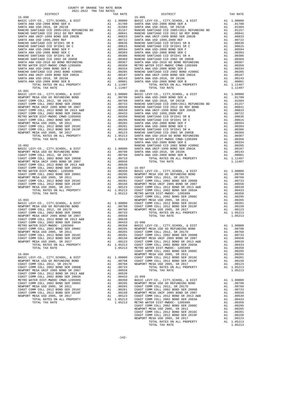|                                                                                                                                                                                                                                                                                                                                                                                                                            |          | 1.11497                                                |                    |
|----------------------------------------------------------------------------------------------------------------------------------------------------------------------------------------------------------------------------------------------------------------------------------------------------------------------------------------------------------------------------------------------------------------------------|----------|--------------------------------------------------------|--------------------|
|                                                                                                                                                                                                                                                                                                                                                                                                                            |          |                                                        |                    |
|                                                                                                                                                                                                                                                                                                                                                                                                                            |          |                                                        |                    |
|                                                                                                                                                                                                                                                                                                                                                                                                                            |          |                                                        |                    |
|                                                                                                                                                                                                                                                                                                                                                                                                                            |          |                                                        |                    |
|                                                                                                                                                                                                                                                                                                                                                                                                                            |          |                                                        |                    |
|                                                                                                                                                                                                                                                                                                                                                                                                                            |          |                                                        |                    |
|                                                                                                                                                                                                                                                                                                                                                                                                                            |          |                                                        |                    |
|                                                                                                                                                                                                                                                                                                                                                                                                                            |          |                                                        |                    |
|                                                                                                                                                                                                                                                                                                                                                                                                                            |          |                                                        |                    |
|                                                                                                                                                                                                                                                                                                                                                                                                                            |          |                                                        |                    |
|                                                                                                                                                                                                                                                                                                                                                                                                                            |          |                                                        |                    |
|                                                                                                                                                                                                                                                                                                                                                                                                                            |          |                                                        |                    |
|                                                                                                                                                                                                                                                                                                                                                                                                                            |          |                                                        |                    |
|                                                                                                                                                                                                                                                                                                                                                                                                                            |          |                                                        | SANTA A            |
| $15 - 092$<br>$\begin{tabular}{l c c c c} \hline 15-092 & \text{RANCCHO} & \text{RANCCHO} \\ \hline \text{RISRIC LEVY-CO.}, & \text{CITY, SCHOOL}, & \text{c DIST} & \text{A1 } 1.00000 & \text{SANTA A} \\ \text{NEWPORT MESA USD GO REFUNDING BOND & \text{A1 } 0.0798 & \text{SANTA A} \\ \text{COAST COMM COLL 2002 BOND SER 2006B} & \text{A1 } 0.0768 & \text{SANTA A} \\ \text{NEWPORT MESA UNIF 2005 BOND SER 200$ |          |                                                        | RANCHO             |
|                                                                                                                                                                                                                                                                                                                                                                                                                            |          |                                                        |                    |
|                                                                                                                                                                                                                                                                                                                                                                                                                            |          |                                                        |                    |
|                                                                                                                                                                                                                                                                                                                                                                                                                            |          |                                                        |                    |
|                                                                                                                                                                                                                                                                                                                                                                                                                            |          |                                                        |                    |
|                                                                                                                                                                                                                                                                                                                                                                                                                            |          |                                                        |                    |
|                                                                                                                                                                                                                                                                                                                                                                                                                            |          |                                                        |                    |
|                                                                                                                                                                                                                                                                                                                                                                                                                            |          |                                                        |                    |
|                                                                                                                                                                                                                                                                                                                                                                                                                            |          |                                                        |                    |
|                                                                                                                                                                                                                                                                                                                                                                                                                            |          |                                                        |                    |
|                                                                                                                                                                                                                                                                                                                                                                                                                            |          |                                                        |                    |
|                                                                                                                                                                                                                                                                                                                                                                                                                            |          |                                                        |                    |
|                                                                                                                                                                                                                                                                                                                                                                                                                            |          |                                                        |                    |
|                                                                                                                                                                                                                                                                                                                                                                                                                            |          |                                                        | COAST C            |
| $15 - 093$<br>BASIC LEVY-CO., CITY, SCHOOL, & DIST                                                                                                                                                                                                                                                                                                                                                                         |          |                                                        | NEWPORT            |
| NEWPORT MESA USD GO REFUNDING BOND<br>COAST COMM COLL 2012 SP 2017                                                                                                                                                                                                                                                                                                                                                         |          | 2006<br>200798 COAST<br>200798 COAST<br>200768 NEWPORT |                    |
|                                                                                                                                                                                                                                                                                                                                                                                                                            |          |                                                        |                    |
|                                                                                                                                                                                                                                                                                                                                                                                                                            |          |                                                        |                    |
|                                                                                                                                                                                                                                                                                                                                                                                                                            |          |                                                        |                    |
|                                                                                                                                                                                                                                                                                                                                                                                                                            |          |                                                        |                    |
|                                                                                                                                                                                                                                                                                                                                                                                                                            |          |                                                        |                    |
|                                                                                                                                                                                                                                                                                                                                                                                                                            |          |                                                        |                    |
|                                                                                                                                                                                                                                                                                                                                                                                                                            |          |                                                        |                    |
|                                                                                                                                                                                                                                                                                                                                                                                                                            |          |                                                        |                    |
| NEWPORT MESA USD 2005, SR 2017                                                                                                                                                                                                                                                                                                                                                                                             |          | A1 .00123                                              | COAST C            |
| TOTAL RATES ON ALL PROPERTY                                                                                                                                                                                                                                                                                                                                                                                                | A1       | 1.05213                                                | COAST C            |
| TOTAL TAX RATE                                                                                                                                                                                                                                                                                                                                                                                                             |          | 1.05213                                                | METRO W            |
| $15 - 094$                                                                                                                                                                                                                                                                                                                                                                                                                 |          |                                                        | COAST C<br>NEWPORT |
| BASIC LEVY-CO., CITY, SCHOOL, & DIST                                                                                                                                                                                                                                                                                                                                                                                       | A1       | 1,00000                                                | COAST C            |
| NEWPORT MESA USD GO REFUNDING BOND                                                                                                                                                                                                                                                                                                                                                                                         |          | A1 .00798                                              | COAST C            |
| COAST COMM COLL 2012, SR 2017D                                                                                                                                                                                                                                                                                                                                                                                             | A1       | .00768                                                 | NEWPORT            |
| COAST COMM COLL 2002 BOND SER 2006B                                                                                                                                                                                                                                                                                                                                                                                        | A1       | .00733                                                 |                    |
| NEWPORT MESA UNIF 2005 BOND SR 2007<br>COAST COMM COLL 2012 BOND SR 2013 A&B                                                                                                                                                                                                                                                                                                                                               | A1       | .00558<br>.00539                                       |                    |
| COAST COMM COLL 2002 BOND SER 2003A                                                                                                                                                                                                                                                                                                                                                                                        | A1       | A1.00433                                               | $15 - 099$         |
| METRO WATER DIST-MWDOC CMWD-1205999                                                                                                                                                                                                                                                                                                                                                                                        | A1       | .00350                                                 | BASIC L            |
| COAST COMM COLL 2002 BOND SER 2006C                                                                                                                                                                                                                                                                                                                                                                                        |          | A1.00295                                               | NEWPORT            |
| NEWPORT MESA USD 2005, SR 2011                                                                                                                                                                                                                                                                                                                                                                                             | A1       | .00265                                                 | COAST C            |
| COAST COMM COLL 2012 BOND SER 2016C<br>COAST COMM COLL 2012 BOND SER 2019F                                                                                                                                                                                                                                                                                                                                                 | A1<br>A1 | .00201<br>.00150                                       | COAST C<br>NEWPORT |
| NEWPORT MESA USD 2005, SR 2017                                                                                                                                                                                                                                                                                                                                                                                             | A1       | .00123                                                 | COAST C            |
| TOTAL RATES ON ALL PROPERTY                                                                                                                                                                                                                                                                                                                                                                                                |          | A1 1.05213 COAST C                                     |                    |

| AUAL-AUAA IRA IRA RAIBO<br>DISTRICT | TAX RATE | DISTRICT                                                                                                                                                                                                                                                                          | TAX RATE |
|-------------------------------------|----------|-----------------------------------------------------------------------------------------------------------------------------------------------------------------------------------------------------------------------------------------------------------------------------------|----------|
| $15 - 090$                          |          | $15 - 095$<br>$\begin{array}{cccccccc} 15-090 & 124.114 & 14.0000 & 104.114 & 15-095 & 14.14 & 10.0000 & 104.114 & 15-0.114 & 15-0.114 & 15-0.114 & 15-0.114 & 15-0.114 & 15-0.114 & 15-0.114 & 15-0.114 & 15-0.114 & 15-0.114 & 15-0.114 & 15-0.114 & 15-0.114 & 15-0.114 & 15-$ |          |
|                                     |          |                                                                                                                                                                                                                                                                                   |          |
|                                     |          |                                                                                                                                                                                                                                                                                   |          |
|                                     |          |                                                                                                                                                                                                                                                                                   |          |
|                                     |          |                                                                                                                                                                                                                                                                                   |          |
|                                     |          |                                                                                                                                                                                                                                                                                   |          |
|                                     |          |                                                                                                                                                                                                                                                                                   |          |
|                                     |          |                                                                                                                                                                                                                                                                                   |          |
|                                     |          |                                                                                                                                                                                                                                                                                   |          |
|                                     |          |                                                                                                                                                                                                                                                                                   |          |
|                                     |          |                                                                                                                                                                                                                                                                                   |          |
|                                     |          |                                                                                                                                                                                                                                                                                   |          |
|                                     |          |                                                                                                                                                                                                                                                                                   |          |
|                                     |          |                                                                                                                                                                                                                                                                                   |          |
|                                     |          |                                                                                                                                                                                                                                                                                   |          |
|                                     |          |                                                                                                                                                                                                                                                                                   |          |
|                                     |          |                                                                                                                                                                                                                                                                                   |          |
|                                     |          |                                                                                                                                                                                                                                                                                   |          |
| $15 - 091$                          |          | $15 - 096$                                                                                                                                                                                                                                                                        |          |
|                                     |          |                                                                                                                                                                                                                                                                                   |          |
|                                     |          |                                                                                                                                                                                                                                                                                   |          |
|                                     |          |                                                                                                                                                                                                                                                                                   |          |
|                                     |          |                                                                                                                                                                                                                                                                                   |          |
|                                     |          |                                                                                                                                                                                                                                                                                   |          |
|                                     |          |                                                                                                                                                                                                                                                                                   |          |
|                                     |          |                                                                                                                                                                                                                                                                                   |          |
|                                     |          |                                                                                                                                                                                                                                                                                   |          |
|                                     |          |                                                                                                                                                                                                                                                                                   |          |
|                                     |          |                                                                                                                                                                                                                                                                                   |          |
|                                     |          |                                                                                                                                                                                                                                                                                   |          |
|                                     |          |                                                                                                                                                                                                                                                                                   |          |
|                                     |          |                                                                                                                                                                                                                                                                                   |          |
|                                     |          |                                                                                                                                                                                                                                                                                   |          |
|                                     |          |                                                                                                                                                                                                                                                                                   |          |
|                                     |          |                                                                                                                                                                                                                                                                                   |          |
|                                     |          |                                                                                                                                                                                                                                                                                   |          |
|                                     |          |                                                                                                                                                                                                                                                                                   |          |
|                                     |          |                                                                                                                                                                                                                                                                                   |          |
|                                     |          |                                                                                                                                                                                                                                                                                   |          |
|                                     |          |                                                                                                                                                                                                                                                                                   |          |
|                                     |          |                                                                                                                                                                                                                                                                                   |          |
|                                     |          |                                                                                                                                                                                                                                                                                   |          |
|                                     |          |                                                                                                                                                                                                                                                                                   |          |
|                                     |          |                                                                                                                                                                                                                                                                                   |          |
|                                     |          |                                                                                                                                                                                                                                                                                   |          |
|                                     |          |                                                                                                                                                                                                                                                                                   |          |
|                                     |          |                                                                                                                                                                                                                                                                                   |          |
|                                     |          |                                                                                                                                                                                                                                                                                   |          |
|                                     |          |                                                                                                                                                                                                                                                                                   |          |
|                                     |          |                                                                                                                                                                                                                                                                                   |          |
|                                     |          |                                                                                                                                                                                                                                                                                   |          |
|                                     |          |                                                                                                                                                                                                                                                                                   |          |
|                                     |          |                                                                                                                                                                                                                                                                                   |          |
|                                     |          |                                                                                                                                                                                                                                                                                   |          |
|                                     |          |                                                                                                                                                                                                                                                                                   |          |
|                                     |          |                                                                                                                                                                                                                                                                                   |          |
|                                     |          |                                                                                                                                                                                                                                                                                   |          |
|                                     |          |                                                                                                                                                                                                                                                                                   |          |
|                                     |          |                                                                                                                                                                                                                                                                                   |          |
|                                     |          |                                                                                                                                                                                                                                                                                   |          |
|                                     |          |                                                                                                                                                                                                                                                                                   |          |
|                                     |          |                                                                                                                                                                                                                                                                                   |          |
|                                     |          |                                                                                                                                                                                                                                                                                   |          |
|                                     |          |                                                                                                                                                                                                                                                                                   |          |
|                                     |          |                                                                                                                                                                                                                                                                                   |          |
|                                     |          |                                                                                                                                                                                                                                                                                   |          |
|                                     |          |                                                                                                                                                                                                                                                                                   |          |
|                                     |          |                                                                                                                                                                                                                                                                                   |          |
|                                     |          |                                                                                                                                                                                                                                                                                   |          |
|                                     |          |                                                                                                                                                                                                                                                                                   |          |
|                                     |          |                                                                                                                                                                                                                                                                                   |          |
|                                     |          |                                                                                                                                                                                                                                                                                   |          |
|                                     |          |                                                                                                                                                                                                                                                                                   |          |
|                                     |          |                                                                                                                                                                                                                                                                                   |          |
|                                     |          |                                                                                                                                                                                                                                                                                   |          |
|                                     |          | COAST COME COLL 2012 BOWD SER 2016<br>EXPRESS AN A 1.00295<br>COAST COME COLL 2012 BR 2017<br>COAST COME CONFORT MESA USD 2015 S. SER 2017<br>COAST COME COLL 2012 BR 2017<br>COAST COME COLL 2012 BR 2017<br>COAST COME COLL 2012 BOWD S                                         |          |
|                                     |          |                                                                                                                                                                                                                                                                                   |          |
|                                     |          | TOTAL TAX RATE                                                                                                                                                                                                                                                                    | 1.05213  |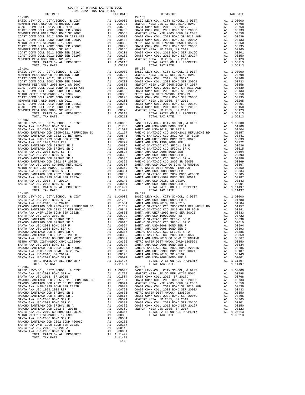15-101<br>
15-106<br>
BASIC LEVY-CO., CITY, SCHOOL, & DIST<br>
15-100<br>
16-10000 BASIC LEVY-CO., CITY, SCHOOL, & DIST<br>
16-10000 BASIC LEVENDERT MESA USD GO REFUNDING BOND<br>
21 00798 NEWPORT SANTA ANA USD-2008 BOND SER E A1 .00334 RANCHO SANTIAGO CCD 2002 BOND #2006C A1 .00285 SANTA ANA UNIF-1999 BOND SER 2002A A1 .00187 SANTA ANA USD-2018, SR 2019A A1 .00143 SANTA ANA USD-2008 BOND SER B A1 .00001 TOTAL RATES ON ALL PROPERTY A1 1.11497 TOTAL TAX RATE 1.11497

 $-143-$ 

 DISTRICT TAX RATE DISTRICT TAX RATE 15-100<br>
15-100<br>
BASIC LEVY-CO., CITY, SCHOOL, & DIST<br>
NEWPORT MESA USD GO REFUNDING BOND<br>
100798 NEWPORT MESA USD GO REFUNDING BOND<br>
200798 NEWPORT MESA USD GO REFUNDING BOND BASIC LEVY-CO., CITY,SCHOOL, & DIST A1 1.00000 BASIC LEVY-CO., CITY,SCHOOL, & DIST A1 1.00000 NEWPORT MESA USD GO REFUNDING BOND A1 .00798 NEWPORT MESA USD GO REFUNDING BOND A1 .00798 COAST COMM COLL 2012, SR 2017D A1 .00768 COAST COMM COLL 2012, SR 2017D A1 .00768 COAST COMM COLL 2002 BOND SER 2006B A1 .00733 COAST COMM COLL 2002 BOND SER 2006B A1 .00733 NEWPORT MESA UNIF 2005 BOND SR 2007 A1 .00558 NEWPORT MESA UNIF 2005 BOND SR 2007 A1 .00558 COAST COMM COLL 2012 BOND SR 2013 A&B A1 .00539 COAST COMM COLL 2012 BOND SR 2013 A&B A1 .00539 COAST COMM COLL 2002 BOND SER 2003A A1 .00433 COAST COMM COLL 2002 BOND SER 2003A A1 .00433 METRO WATER DIST-MWDOC- 1205999 A1 .00350 METRO WATER DIST-MWDOC CMWD-1205999 A1 .00350 COAST COMM COLL 2002 BOND SER 2006C A1 .00295 COAST COMM COLL 2002 BOND SER 2006C A1 .00295 NEWPORT MESA USD 2005, SR 2011 A1 .00265 NEWPORT MESA USD 2005, SR 2011 A1 .00265 COAST COMM COLL 2012 BOND SER 2016C A1 .00201 COAST COMM COLL 2012 BOND SER 2016C A1 .00201 COAST COMM COLL 2012 BOND SER 2019F A1 .00150 COAST COMM COLL 2012 BOND SER 2019F A1 .00150 NEWPORT MESA USD 2005, SR 2017 A1 .00123 NEWPORT MESA USD 2005, SR 2017 A1 .00123 TOTAL RATES ON ALL PROPERTY A1 1.05213 TOTAL RATES ON ALL PROPERTY A1 1.05213 TOTAL TAX RATE 1.05213 TOTAL TAX RATE 1.05213 BASIC LEVY-CO., CITY,SCHOOL, & DIST A1 1.00000 BASIC LEVY-CO., CITY,SCHOOL, & DIST A1 1.00000 NEWPORT MESA USD GO REFUNDING BOND A1 .00798 NEWPORT MESA USD GO REFUNDING BOND A1 .00798 COAST COMM COLL 2012, SR 2017D A1 .00768 COAST COMM COLL 2012, SR 2017D A1 .00768 COAST COMM COLL 2002 BOND SER 2006B A1 .00733 COAST COMM COLL 2002 BOND SER 2006B A1 .00733 NEWPORT MESA UNIF 2005 BOND SR 2007 A1 .00558 NEWPORT MESA UNIF 2005 BOND SR 2007 A1 .00558 COAST COMM COLL 2012 BOND SR 2013 A&B A1 .00539 COAST COMM COLL 2012 BOND SR 2013 A&B A1 .00539 COAST COMM COLL 2002 BOND SER 2003A A1 .00433 COAST COMM COLL 2002 BOND SER 2003A A1 .00433 METRO WATER DIST-MWDOC- 1205999 A1 .00350 METRO WATER DIST-MWDOC- 1205999 A1 .00350 COAST COMM COLL 2002 BOND SER 2006C A1 .00295 COAST COMM COLL 2002 BOND SER 2006C A1 .00295 NEWPORT MESA USD 2005, SR 2011 A1 .00265 NEWPORT MESA USD 2005, SR 2011 A1 .00265 COAST COMM COLL 2012 BOND SER 2016C A1 .00201 COAST COMM COLL 2012 BOND SER 2016C A1 .00201 COAST COMM COLL 2012 BOND SER 2019F A1 .00150 COAST COMM COLL 2012 BOND SER 2019F A1 .00150 NEWPORT MESA USD 2005, SR 2017 A1 .00123 NEWPORT MESA USD 2005, SR 2017 A1 .00123 TOTAL RATES ON ALL PROPERTY A1 1.05213 TOTAL RATES ON ALL PROPERTY A1 1.05213 TOTAL TAX RATE 1.05213 TOTAL TAX RATE 1.05213 15-102 15-107 BASIC LEVY-CO., CITY,SCHOOL, & DIST A1 1.00000 BASIC LEVY-CO., CITY,SCHOOL, & DIST A1 1.00000 SANTA ANA USD-2008 BOND SER A A1 .01780 SANTA ANA USD-2008 BOND SER A A1 .01780 SANTA ANA USD-2018, SR 2021B A1 .01504 SANTA ANA USD-2018, SR 2021B A1 .01504 RANCHO SANTIAGO CCD 2005+2011 REFUNDING BD A1 .01157 RANCHO SANTIAGO CCD 2005+2011 REFUNDING BD A1 .01157 RANCHO SANTIAGO CCD 2012 GO REF BOND A1 .00841 RANCHO SANTIAGO CCD 2012 GO REF BOND A1 .00841 SANTA ANA UNIF-1999 BOND SER 2002B A1 .00833 SANTA ANA UNIF-1999 BOND SER 2002B A1 .00833 910. SANTA ANA USD 1999,2009 REF (1997) A1 00722 SANTA ANA USD 1999,2009 REF (1997)<br>RANCHO SANTIAGO CCD SFID⊭1 SR B (1906) A1 00636 RANCHO SANTIAGO CCD SFID#1 SR B (190836 PANCHO SANTIAGO CCD S<br>RANCHO SANTIAGO CCD SFID#1 SANTA ANA USD-2008 BOND SER F A1 .00594 SANTA ANA USD-2008 BOND SER F A1 .00594 SANTA ANA USD-2008 BOND SER C A1 .00393 SANTA ANA USD-2008 BOND SER C A1 .00393 RANCHO SANTIAGO CCD SFID#1 SR A A1 .00386 RANCHO SANTIAGO CCD SFID#1 SR A A1 .00386 10369 RANCHO SANTIAGO CCD 2002 SR 2005B (A1 00369 RANCHO SANTIAGO CCD 2002 SR 2005B (A1 00369<br>SANTA ANA USD-2010 GO BOND REFUNDING (A1 00367 SANTA ANA USD-2010 GO BOND REFUNDING (A1 00367<br>METRO WATER DIST-MWDOC-120599 A1 ( SANTA ANA USD-2008 BOND SER E A1 .00334 SANTA ANA USD-2008 BOND SER E A1 .00334 RANCHO SANTIAGO CCD 2002 BOND #2006C A1 .00285 RANCHO SANTIAGO CCD 2002 BOND #2006C A1 .00285 SANTA ANA UNIF-1999 BOND SER 2002A A1 .00187 SANTA ANA UNIF-1999 BOND SER 2002A A1 .00187 SANTA ANA USD-2018, SR 2019A A1 .00143 SANTA ANA USD-2018, SR 2019A A1 .00143 SANTA ANA USD-2008 BOND SER B A1 .00001 SANTA ANA USD-2008 BOND SER B A1 .00001 TOTAL RATES ON ALL PROPERTY A1 1.11497 TOTAL RATES ON ALL PROPERTY A1 1.11497 TOTAL TAX RATE 1.11497 TOTAL TAX RATE 1.11497 15-103 15-108 BASIC LEVY-CO., CITY,SCHOOL, & DIST A1 1.00000 BASIC LEVY-CO., CITY,SCHOOL, & DIST A1 1.00000 SANTA ANA USD-2008 BOND SER A A1 .01780 SANTA ANA USD-2008 BOND SER A A1 .01780 SANTA ANA USD-2018, SR 2021B A1 .01504 SANTA ANA USD-2018, SR 2021B A1 .01504 RANCHO SANTIAGO CCD 2005+2011 REFUNDING BD A1 .01157 RANCHO SANTIAGO CCD 2005+2011 REFUNDING BD A1 .01157 RANCHO SANTIAGO CCD 2012 GO REF BOND A1 .00841 RANCHO SANTIAGO CCD 2012 GO REF BOND A1 .00841 SANTA ANA UNIF-1999 BOND SER 2002B A1 .00833 SANTA ANA UNIF-1999 BOND SER 2002B A1 .00833 910. SANTA ANA USD 1999,2009 REF (1997) A1 00722 SANTA ANA USD 1999,2009 REF (1997)<br>RANCHO SANTIAGO CCD SFID⊭1 SR B (1906) A1 00636 RANCHO SANTIAGO CCD SFID#1 SR B (190836 PANCHO SANTIAGO CCD S<br>RANCHO SANTIAGO CCD SFID#1 SANTA ANA USD-2008 BOND SER F A1 .00594 SANTA ANA USD-2008 BOND SER F A1 .00594 SANTA ANA USD-2008 BOND SER C A1 .00393 SANTA ANA USD-2008 BOND SER C A1 .00393 RANCHO SANTIAGO CCD SFID#1 SR A A1 .00386 RANCHO SANTIAGO CCD SFID#1 SR A A1 .00386 RANCHO SANTIAGO CCD 2002 SR 2005B A1 .00369 RANCHO SANTIAGO CCD 2002 SR 2005B A1 .00369 SANTA ANA USD-2010 GO BOND REFUNDING A1 .00367 SANTA ANA USD-2010 GO BOND REFUNDING A1 .00367 METRO WATER DIST-MWDOC CMWD-1205999 A1 .00350 METRO WATER DIST-MWDOC CMWD-1205999 A1 .00350 SANTA ANA USD-2008 BOND SER E BANCHO AL 100334 SANTA ANA USD-2008 BOND SER E BANCHO SANTIAGO CCD 2002 BOND H2006C<br>SANTA ANA UNIF-1999 BOND SER 2002A Al .00285 RANCHO SANTIAGO CCD 2002 BOND #2006C<br>SANTA ANA UNIF-1999 BOND S TOTAL RATES ON ALL PROPERTY A1 1.11497 TOTAL RATES ON ALL PROPERTY A1 1.11497 TOTAL TAX RATE 1.11497 TOTAL TAX RATE 1.11497 15-104 15-109 BASIC LEVY-CO., CITY,SCHOOL, & DIST A1 1.00000 BASIC LEVY-CO., CITY,SCHOOL, & DIST A1 1.00000 SANTA ANA USD-2008 BOND SER A A1 .01780 NEWPORT MESA USD GO REFUNDING BOND A1 .00798 SANTA ANA USD-2018, SR 2021B A1 .01504 COAST COMM COLL 2012, SR 2017D A1 .00768 RANCHO SANTIAGO CCD 2005+2011 REFUNDING BD A1 .01157 COAST COMM COLL 2002 BOND SER 2006B A1 .00733 RANCHO SANTIAGO CCD 2012 GO REF BOND A1 .00841 NEWPORT MESA UNIF 2005 BOND SR 2007 A1 .00558 SANTA ANA UNIF-1999 BOND SER 2002B A1 .00833 COAST COMM COLL 2012 BOND SR 2013 A&B A1 .00539 SANTA ANA USD 1999,2009 REF A1 .00722 COAST COMM COLL 2002 BOND SER 2003A A1 .00433 RANCHO SANTIAGO CCD SFID#1 SR B A1 .00636 METRO WATER DIST-MWDOC- 1205999 A1 .00350 RANCHO SANTIAGO CCD SFID#1 SR C A1 .00615 COAST COMM COLL 2002 BOND SER 2006C A1 .00295  $\begin{tabular}{l|c|c|c|c|c} \multicolumn{1}{c}{\textbf{SANTA MA I SD}-2008 BOND SER F} & \multicolumn{1}{c}{\textbf{A1}} & .00594 & \multicolumn{1}{c}{\textbf{NENPORT MESA ISD 2005, SR 2011}} & \multicolumn{1}{c}{\textbf{A1}} & .00265 \\ \multicolumn{1}{c}{\textbf{SANTANA I SD}-2008 BOND SER C} & \multicolumn{1}{c}{\textbf{A1}} & .00283 & \multicolumn{1}{c}{\textbf{COAST COM M COLL 2012 BOND SER 2016C}}$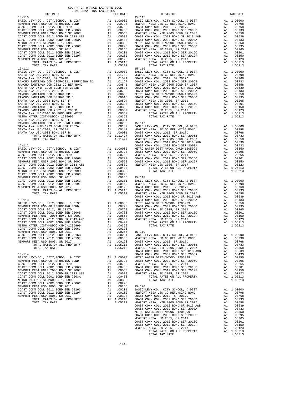| 15-110     |                                                                            |          |                      | $15 - 115$           |
|------------|----------------------------------------------------------------------------|----------|----------------------|----------------------|
|            |                                                                            |          |                      |                      |
|            |                                                                            |          |                      |                      |
|            |                                                                            |          |                      |                      |
|            |                                                                            |          |                      |                      |
|            |                                                                            |          |                      |                      |
|            |                                                                            |          |                      |                      |
|            |                                                                            |          |                      |                      |
|            |                                                                            |          |                      |                      |
|            |                                                                            |          |                      |                      |
|            |                                                                            |          |                      |                      |
|            |                                                                            |          |                      |                      |
|            | TOTAL TAX RATE                                                             |          | 1.05213              |                      |
| $15 - 111$ |                                                                            |          |                      | $15 - 116$           |
|            |                                                                            |          |                      |                      |
|            |                                                                            |          |                      |                      |
|            |                                                                            |          |                      |                      |
|            |                                                                            |          |                      |                      |
|            |                                                                            |          |                      |                      |
|            |                                                                            |          |                      |                      |
|            |                                                                            |          |                      |                      |
|            |                                                                            |          |                      |                      |
|            |                                                                            |          |                      |                      |
|            |                                                                            |          |                      |                      |
|            |                                                                            |          |                      |                      |
|            |                                                                            |          |                      |                      |
|            |                                                                            |          |                      |                      |
|            |                                                                            |          |                      |                      |
|            |                                                                            |          |                      |                      |
|            |                                                                            |          |                      |                      |
|            |                                                                            |          |                      |                      |
|            |                                                                            |          |                      |                      |
|            |                                                                            |          |                      | COAST C              |
|            |                                                                            |          |                      |                      |
|            |                                                                            |          |                      |                      |
|            |                                                                            |          |                      |                      |
|            |                                                                            |          |                      |                      |
|            |                                                                            |          |                      |                      |
|            |                                                                            |          |                      |                      |
|            |                                                                            |          |                      |                      |
|            |                                                                            |          |                      |                      |
|            |                                                                            |          |                      |                      |
|            |                                                                            |          |                      |                      |
|            |                                                                            |          |                      |                      |
|            |                                                                            |          |                      |                      |
|            |                                                                            |          |                      |                      |
|            |                                                                            |          |                      |                      |
|            |                                                                            |          |                      |                      |
|            |                                                                            |          |                      |                      |
|            |                                                                            |          |                      |                      |
|            |                                                                            |          |                      |                      |
|            |                                                                            |          |                      |                      |
|            |                                                                            |          |                      |                      |
|            |                                                                            |          |                      |                      |
|            |                                                                            |          |                      |                      |
|            |                                                                            |          |                      |                      |
|            |                                                                            |          |                      |                      |
|            | NEWPORT MESA USD 2005, SR 2017                                             |          | A1 .00123            | COAST C              |
|            | TOTAL RATES ON ALL PROPERTY                                                | A1       | 1.05213              | COAST C              |
|            | TOTAL TAX RATE                                                             |          | 1.05213              | NEWPORT<br>COAST C   |
| $15 - 114$ |                                                                            |          |                      | COAST C              |
|            | BASIC LEVY-CO., CITY, SCHOOL, & DIST                                       | A1       | 1.00000              | METRO W              |
|            | NEWPORT MESA USD GO REFUNDING BOND                                         |          | A1 .00798            | COAST C              |
|            | COAST COMM COLL 2012, SR 2017D                                             | A1       | .00768               | NEWPORT              |
|            | COAST COMM COLL 2002 BOND SER 2006B<br>NEWPORT MESA UNIF 2005 BOND SR 2007 | A1<br>A1 | .00733<br>.00558     | COAST C<br>COAST C   |
|            | COAST COMM COLL 2012 BOND SR 2013 A&B                                      | A1       | .00539               | NEWPORT              |
|            | COAST COMM COLL 2002 BOND SER 2003A                                        | A1       | .00433               |                      |
|            | METRO WATER DIST-MWDOC- 1205999                                            | A1       | .00350               |                      |
|            | COAST COMM COLL 2002 BOND SER 2006C                                        | A1<br>A1 | .00295               | $15 - 120$           |
|            | NEWPORT MESA USD 2005, SR 2011<br>COAST COMM COLL 2012 BOND SER 2016C      | A1       | .00265<br>.00201     | BASIC L              |
|            | COAST COMM COLL 2012 BOND SER 2019F                                        | A1       | .00150               | NEWPORT              |
|            | NEWPORT MESA USD 2005, SR 2017                                             | A1       | .00123               | COAST C              |
|            | TOTAL RATES ON ALL PROPERTY<br>$m \wedge m \wedge r$<br>$m = 10$           |          | A1 1.05213<br>0.5012 | COAST C<br>$\ddotsc$ |

| COUNTY OF ORANGE TAX RATE BOOK<br>2021-2022 TRA TAX RATES |          |                        |          |
|-----------------------------------------------------------|----------|------------------------|----------|
| DISTRICT<br>$15 - 110$                                    | TAX RATE | DISTRICT<br>$15 - 115$ | TAX RATE |
|                                                           |          |                        |          |
|                                                           |          |                        |          |
|                                                           |          |                        |          |
|                                                           |          |                        |          |
|                                                           |          |                        |          |
|                                                           |          |                        |          |
|                                                           |          |                        |          |
|                                                           |          |                        |          |
|                                                           |          |                        |          |
|                                                           |          |                        |          |
|                                                           |          |                        |          |
|                                                           |          |                        |          |
|                                                           |          |                        |          |
|                                                           |          |                        |          |
|                                                           |          |                        |          |
|                                                           |          |                        |          |
|                                                           |          |                        |          |
|                                                           |          |                        |          |
|                                                           |          |                        |          |
|                                                           |          |                        |          |
|                                                           |          |                        |          |
|                                                           |          |                        |          |
|                                                           |          |                        |          |
|                                                           |          |                        |          |
|                                                           |          |                        |          |
|                                                           |          |                        |          |
|                                                           |          |                        |          |
|                                                           |          |                        |          |
|                                                           |          |                        |          |
|                                                           |          |                        |          |
|                                                           |          |                        |          |
|                                                           |          |                        |          |
|                                                           |          |                        |          |
|                                                           |          |                        |          |
|                                                           |          |                        |          |
|                                                           |          |                        |          |
|                                                           |          |                        |          |
|                                                           |          |                        |          |
|                                                           |          |                        |          |
|                                                           |          |                        |          |
|                                                           |          |                        |          |
|                                                           |          |                        |          |
|                                                           |          |                        |          |
|                                                           |          |                        |          |
|                                                           |          |                        |          |
|                                                           |          |                        |          |
|                                                           |          |                        |          |
|                                                           |          |                        |          |
|                                                           |          |                        |          |
|                                                           |          |                        |          |
|                                                           |          |                        |          |
|                                                           |          |                        |          |
|                                                           |          |                        |          |
|                                                           |          |                        |          |
|                                                           |          |                        |          |
|                                                           |          |                        |          |
|                                                           |          |                        |          |
|                                                           |          |                        |          |
|                                                           |          |                        |          |
|                                                           |          |                        |          |
|                                                           |          |                        |          |
|                                                           |          |                        |          |
|                                                           |          |                        |          |
|                                                           |          |                        |          |
|                                                           |          |                        |          |
|                                                           |          |                        |          |
|                                                           |          |                        |          |
|                                                           |          |                        |          |
|                                                           |          |                        |          |
|                                                           |          |                        |          |
|                                                           |          |                        |          |
|                                                           |          |                        |          |
|                                                           |          |                        |          |
|                                                           |          |                        |          |
|                                                           |          |                        |          |
|                                                           |          |                        |          |
|                                                           |          |                        |          |
|                                                           |          |                        |          |
|                                                           |          |                        |          |
|                                                           |          |                        |          |
|                                                           |          |                        |          |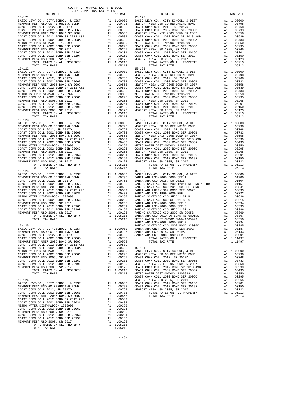| TOTAL TAX RATE                        |     | 1.05213    |
|---------------------------------------|-----|------------|
| $15 - 126$                            |     |            |
| BASIC LEVY-CO., CITY, SCHOOL, & DIST  | A1  | 1.00000    |
| NEWPORT MESA USD GO REFUNDING BOND    | A1  | .00798     |
| COAST COMM COLL 2012, SR 2017D        | A1  | .00768     |
| COAST COMM COLL 2002 BOND SER 2006B   | A1  | .00733     |
| NEWPORT MESA UNIF 2005 BOND SR 2007   | A1  | .00558     |
| COAST COMM COLL 2012 BOND SR 2013 A&B | A1  | .00539     |
| COAST COMM COLL 2002 BOND SER 2003A   | A1  | .00433     |
| METRO WATER DIST-MWDOC- 1205999       | A1  | .00350     |
| COAST COMM COLL 2002 BOND SER 2006C   | A1  | .00295     |
| NEWPORT MESA USD 2005, SR 2011        | A1  | .00265     |
| COAST COMM COLL 2012 BOND SER 2016C   | A1. | .00201     |
| COAST COMM COLL 2012 BOND SER 2019F   | A1  | .00150     |
| NEWPORT MESA USD 2005, SR 2017        | A1  | .00123     |
| TOTAL RATES ON ALL PROPERTY           |     | A1 1.05213 |
| TOTAL TAX RATE                        |     | 1.05213    |
|                                       |     |            |

| 15-121 |  | 15-127 |  |
|--------|--|--------|--|
|        |  |        |  |
|        |  |        |  |
|        |  |        |  |
|        |  |        |  |
|        |  |        |  |
|        |  |        |  |
|        |  |        |  |
|        |  |        |  |
|        |  |        |  |
|        |  |        |  |
|        |  |        |  |
|        |  |        |  |
|        |  |        |  |
|        |  |        |  |
|        |  |        |  |
|        |  |        |  |
|        |  |        |  |
|        |  |        |  |
|        |  |        |  |
|        |  |        |  |
|        |  |        |  |
|        |  |        |  |
|        |  |        |  |
|        |  |        |  |
|        |  |        |  |
|        |  |        |  |
|        |  |        |  |
|        |  |        |  |
|        |  |        |  |
|        |  |        |  |
|        |  |        |  |
|        |  |        |  |
|        |  |        |  |
|        |  |        |  |
|        |  |        |  |
|        |  |        |  |
|        |  |        |  |
|        |  |        |  |
|        |  |        |  |
|        |  |        |  |
|        |  |        |  |
|        |  |        |  |
|        |  |        |  |
|        |  |        |  |
|        |  |        |  |
|        |  |        |  |
|        |  |        |  |
|        |  |        |  |
|        |  |        |  |
|        |  |        |  |
|        |  |        |  |
|        |  |        |  |
|        |  |        |  |
|        |  |        |  |
|        |  |        |  |
|        |  |        |  |
|        |  |        |  |
|        |  |        |  |
|        |  |        |  |
|        |  |        |  |
|        |  |        |  |
|        |  |        |  |
|        |  |        |  |
|        |  |        |  |
|        |  |        |  |
|        |  |        |  |
|        |  |        |  |
|        |  |        |  |
|        |  |        |  |
|        |  |        |  |
|        |  |        |  |
|        |  |        |  |
|        |  |        |  |
|        |  |        |  |
|        |  |        |  |
|        |  |        |  |
|        |  |        |  |
|        |  |        |  |
|        |  |        |  |
|        |  |        |  |
|        |  |        |  |
|        |  |        |  |
|        |  |        |  |
|        |  |        |  |
|        |  |        |  |
|        |  |        |  |
|        |  |        |  |
|        |  |        |  |
|        |  |        |  |
|        |  |        |  |
|        |  |        |  |
|        |  |        |  |
|        |  |        |  |
|        |  |        |  |
|        |  |        |  |
|        |  |        |  |
|        |  |        |  |
|        |  |        |  |
|        |  |        |  |
|        |  |        |  |
|        |  |        |  |
|        |  |        |  |
|        |  |        |  |
|        |  |        |  |

 $-145-$ 

COUNTY OF ORANGE TAX RATE BOOK 2021-2022 TRA TAX RATES

DISTRICT TAX RATE DISTRICT TAX RATE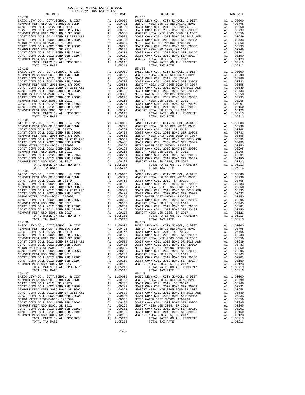| NEWFORT MEDIA OUD GO REPONDING BOND<br>COAST COMM COLL 2012, SR 2017D        | A1 .00768 COAST C<br>A1 .00768 COAST C<br>A1 .00733 COAST C<br>A1 .00539 NEWPORT<br>A1 .00539 COAST C<br>A1 .00433 COAST C<br>A1 .00295 NEWPORT<br>A1 .00265 NEWPORT<br>A1 .00265 NEWPORT<br>A1 .00265 NEWPORT<br>A1 .00160 COAST C<br>A1 .00123 NEW   |                                                                                                                                                                                                                                                                                                                                                                    |                             |
|------------------------------------------------------------------------------|--------------------------------------------------------------------------------------------------------------------------------------------------------------------------------------------------------------------------------------------------------|--------------------------------------------------------------------------------------------------------------------------------------------------------------------------------------------------------------------------------------------------------------------------------------------------------------------------------------------------------------------|-----------------------------|
| COAST COMM COLL 2002 BOND SER 2006B                                          |                                                                                                                                                                                                                                                        |                                                                                                                                                                                                                                                                                                                                                                    |                             |
| NEWPORT MESA UNIF 2005 BOND SR 2007                                          |                                                                                                                                                                                                                                                        |                                                                                                                                                                                                                                                                                                                                                                    |                             |
| COAST COMM COLL 2012 BOND SR 2013 A&B<br>COAST COMM COLL 2002 BOND SER 2003A |                                                                                                                                                                                                                                                        |                                                                                                                                                                                                                                                                                                                                                                    |                             |
| METRO WATER DIST-MWDOC- 1205999                                              |                                                                                                                                                                                                                                                        |                                                                                                                                                                                                                                                                                                                                                                    |                             |
| COAST COMM COLL 2002 BOND SER 2006C                                          |                                                                                                                                                                                                                                                        |                                                                                                                                                                                                                                                                                                                                                                    |                             |
| NEWPORT MESA USD 2005, SR 2011                                               |                                                                                                                                                                                                                                                        |                                                                                                                                                                                                                                                                                                                                                                    |                             |
| COAST COMM COLL 2012 BOND SER 2016C<br>COAST COMM COLL 2012 BOND SER 2019F   |                                                                                                                                                                                                                                                        |                                                                                                                                                                                                                                                                                                                                                                    |                             |
| NEWPORT MESA USD 2005, SR 2017                                               |                                                                                                                                                                                                                                                        |                                                                                                                                                                                                                                                                                                                                                                    |                             |
| TOTAL RATES ON ALL PROPERTY                                                  |                                                                                                                                                                                                                                                        |                                                                                                                                                                                                                                                                                                                                                                    |                             |
| TOTAL TAX RATE                                                               |                                                                                                                                                                                                                                                        | 1.05213                                                                                                                                                                                                                                                                                                                                                            |                             |
| $15 - 133$                                                                   | 15–139<br>A1 1.00000 BASIC L<br>A1 .00798 NEWPORT<br>A1 .00798 COAST C<br>A1 .00780 COAST C<br>A1 .00539 NEWPORT<br>A1 .00558 NEWPORT<br>A1 .00433 COAST C<br>A1 .00350 NETRO W<br>A1 .00265 NEWPORT<br>A1 .00201 NEWPORT<br>A1 .00201 COAST C<br>A1 . |                                                                                                                                                                                                                                                                                                                                                                    | $15 - 139$                  |
| BASIC LEVY-CO., CITY, SCHOOL, & DIST<br>NEWPORT MESA USD GO REFUNDING BOND   |                                                                                                                                                                                                                                                        |                                                                                                                                                                                                                                                                                                                                                                    |                             |
| COAST COMM COLL 2012, SR 2017D                                               |                                                                                                                                                                                                                                                        |                                                                                                                                                                                                                                                                                                                                                                    |                             |
| COAST COMM COLL 2002 BOND SER 2006B                                          |                                                                                                                                                                                                                                                        |                                                                                                                                                                                                                                                                                                                                                                    |                             |
| NEWPORT MESA UNIF 2005 BOND SR 2007                                          |                                                                                                                                                                                                                                                        |                                                                                                                                                                                                                                                                                                                                                                    |                             |
| COAST COMM COLL 2012 BOND SR 2013 A&B<br>COAST COMM COLL 2002 BOND SER 2003A |                                                                                                                                                                                                                                                        |                                                                                                                                                                                                                                                                                                                                                                    |                             |
| METRO WATER DIST-MWDOC- 1205999                                              |                                                                                                                                                                                                                                                        |                                                                                                                                                                                                                                                                                                                                                                    |                             |
| COAST COMM COLL 2002 BOND SER 2006C                                          |                                                                                                                                                                                                                                                        |                                                                                                                                                                                                                                                                                                                                                                    |                             |
| NEWPORT MESA USD 2005, SR 2011                                               |                                                                                                                                                                                                                                                        |                                                                                                                                                                                                                                                                                                                                                                    |                             |
| COAST COMM COLL 2012 BOND SER 2016C                                          |                                                                                                                                                                                                                                                        |                                                                                                                                                                                                                                                                                                                                                                    |                             |
| COAST COMM COLL 2012 BOND SER 2019F<br>NEWPORT MESA USD 2005, SR 2017        |                                                                                                                                                                                                                                                        |                                                                                                                                                                                                                                                                                                                                                                    |                             |
| TOTAL RATES ON ALL PROPERTY                                                  |                                                                                                                                                                                                                                                        | A1 1.05213                                                                                                                                                                                                                                                                                                                                                         |                             |
| TOTAL TAX RATE                                                               |                                                                                                                                                                                                                                                        | 1.05213                                                                                                                                                                                                                                                                                                                                                            |                             |
| $15 - 134$                                                                   |                                                                                                                                                                                                                                                        | $\begin{tabular}{cc} & 15-140 \\ \text{A1} & 0.0000 \\ \text{A1} & 0.0798 \\ \text{A1} & 0.0798 \\ \text{A1} & 0.0798 \\ \text{A1} & 0.0768 \\ \text{A1} & 0.0733 \\ \text{A1} & 0.0558 \\ \text{A1} & 0.0558 \\ \text{A1} & 0.04433 \\ \text{A2} & 0.00837 \\ \text{A1} & 0.04433 \\ \text{A2} & 0.08477 \\ \text{A1} & 0.02965 \\ \text{$                        | $15 - 140$                  |
| BASIC LEVY-CO., CITY, SCHOOL, & DIST                                         |                                                                                                                                                                                                                                                        |                                                                                                                                                                                                                                                                                                                                                                    |                             |
| NEWPORT MESA USD GO REFUNDING BOND<br>COAST COMM COLL 2012, SR 2017D         |                                                                                                                                                                                                                                                        |                                                                                                                                                                                                                                                                                                                                                                    |                             |
| COAST COMM COLL 2002 BOND SER 2006B                                          |                                                                                                                                                                                                                                                        |                                                                                                                                                                                                                                                                                                                                                                    |                             |
| NEWPORT MESA UNIF 2005 BOND SR 2007                                          |                                                                                                                                                                                                                                                        |                                                                                                                                                                                                                                                                                                                                                                    |                             |
| COAST COMM COLL 2012 BOND SR 2013 A&B                                        |                                                                                                                                                                                                                                                        |                                                                                                                                                                                                                                                                                                                                                                    |                             |
| COAST COMM COLL 2002 BOND SER 2003A<br>METRO WATER DIST-MWDOC- 1205999       |                                                                                                                                                                                                                                                        |                                                                                                                                                                                                                                                                                                                                                                    |                             |
| COAST COMM COLL 2002 BOND SER 2006C                                          |                                                                                                                                                                                                                                                        |                                                                                                                                                                                                                                                                                                                                                                    |                             |
| NEWPORT MESA USD 2005, SR 2011                                               |                                                                                                                                                                                                                                                        |                                                                                                                                                                                                                                                                                                                                                                    |                             |
| COAST COMM COLL 2012 BOND SER 2016C                                          |                                                                                                                                                                                                                                                        |                                                                                                                                                                                                                                                                                                                                                                    |                             |
| COAST COMM COLL 2012 BOND SER 2019F<br>NEWPORT MESA USD 2005, SR 2017        |                                                                                                                                                                                                                                                        |                                                                                                                                                                                                                                                                                                                                                                    |                             |
| TOTAL RATES ON ALL PROPERTY                                                  |                                                                                                                                                                                                                                                        |                                                                                                                                                                                                                                                                                                                                                                    |                             |
| TOTAL TAX RATE                                                               |                                                                                                                                                                                                                                                        | 1.05213                                                                                                                                                                                                                                                                                                                                                            |                             |
| $15 - 135$                                                                   |                                                                                                                                                                                                                                                        | $\begin{tabular}{cc} \bf 15-141 \\ \bf A1 & .00000 \\ \bf A1 & .00798 \\ \bf A1 & .00798 \\ \bf A1 & .00798 \\ \bf A1 & .00758 \\ \bf A1 & .00558 \\ \bf A1 & .00558 \\ \bf A1 & .00558 \\ \bf A1 & .00359 \\ \bf A1 & .00433 \\ \bf A1 & .00433 \\ \bf A1 & .00295 \\ \bf A1 & .00265 \\ \bf A1 & .00265 \\ \bf A1 & .00265 \\ \bf A1 & .00201 \\ \bf A1 & .0012$ | $15 - 141$                  |
| BASIC LEVY-CO., CITY, SCHOOL, & DIST                                         |                                                                                                                                                                                                                                                        |                                                                                                                                                                                                                                                                                                                                                                    |                             |
| NEWPORT MESA USD GO REFUNDING BOND<br>COAST COMM COLL 2012, SR 2017D         |                                                                                                                                                                                                                                                        |                                                                                                                                                                                                                                                                                                                                                                    |                             |
| COAST COMM COLL 2002 BOND SER 2006B                                          |                                                                                                                                                                                                                                                        |                                                                                                                                                                                                                                                                                                                                                                    |                             |
| NEWPORT MESA UNIF 2005 BOND SR 2007                                          |                                                                                                                                                                                                                                                        |                                                                                                                                                                                                                                                                                                                                                                    |                             |
| COAST COMM COLL 2012 BOND SR 2013 A&B<br>COAST COMM COLL 2002 BOND SER 2003A |                                                                                                                                                                                                                                                        |                                                                                                                                                                                                                                                                                                                                                                    |                             |
| METRO WATER DIST-MWDOC- 1205999                                              |                                                                                                                                                                                                                                                        |                                                                                                                                                                                                                                                                                                                                                                    |                             |
| COAST COMM COLL 2002 BOND SER 2006C                                          |                                                                                                                                                                                                                                                        |                                                                                                                                                                                                                                                                                                                                                                    |                             |
| NEWPORT MESA USD 2005, SR 2011                                               |                                                                                                                                                                                                                                                        |                                                                                                                                                                                                                                                                                                                                                                    |                             |
| COAST COMM COLL 2012 BOND SER 2016C                                          |                                                                                                                                                                                                                                                        |                                                                                                                                                                                                                                                                                                                                                                    |                             |
| COAST COMM COLL 2012 BOND SER 2019F<br>NEWPORT MESA USD 2005, SR 2017        |                                                                                                                                                                                                                                                        |                                                                                                                                                                                                                                                                                                                                                                    |                             |
| TOTAL RATES ON ALL PROPERTY                                                  |                                                                                                                                                                                                                                                        |                                                                                                                                                                                                                                                                                                                                                                    |                             |
| TOTAL TAX RATE                                                               |                                                                                                                                                                                                                                                        | 1.05213                                                                                                                                                                                                                                                                                                                                                            |                             |
| $15 - 136$                                                                   |                                                                                                                                                                                                                                                        |                                                                                                                                                                                                                                                                                                                                                                    | $15 - 142$                  |
|                                                                              |                                                                                                                                                                                                                                                        |                                                                                                                                                                                                                                                                                                                                                                    |                             |
|                                                                              |                                                                                                                                                                                                                                                        |                                                                                                                                                                                                                                                                                                                                                                    |                             |
|                                                                              |                                                                                                                                                                                                                                                        |                                                                                                                                                                                                                                                                                                                                                                    |                             |
|                                                                              |                                                                                                                                                                                                                                                        |                                                                                                                                                                                                                                                                                                                                                                    |                             |
|                                                                              |                                                                                                                                                                                                                                                        |                                                                                                                                                                                                                                                                                                                                                                    |                             |
| METRO WATER DIST-MWDOC- 1205999                                              | A1                                                                                                                                                                                                                                                     |                                                                                                                                                                                                                                                                                                                                                                    | .00350 METRO W              |
| COAST COMM COLL 2002 BOND SER 2006C                                          | A1                                                                                                                                                                                                                                                     | .00295                                                                                                                                                                                                                                                                                                                                                             | COAST C                     |
| NEWPORT MESA USD 2005, SR 2011                                               | A1                                                                                                                                                                                                                                                     | .00265                                                                                                                                                                                                                                                                                                                                                             | NEWPORT                     |
| COAST COMM COLL 2012 BOND SER 2016C                                          | A1                                                                                                                                                                                                                                                     | .00201                                                                                                                                                                                                                                                                                                                                                             | COAST C                     |
| COAST COMM COLL 2012 BOND SER 2019F<br>NEWPORT MESA USD 2005, SR 2017        | A1<br>A1                                                                                                                                                                                                                                               | .00123                                                                                                                                                                                                                                                                                                                                                             | $.00150$ COAST C<br>NEWPORT |
| TOTAL RATES ON ALL PROPERTY                                                  |                                                                                                                                                                                                                                                        | A1 1.05213                                                                                                                                                                                                                                                                                                                                                         |                             |
| TOTAL TAX RATE                                                               |                                                                                                                                                                                                                                                        | 1.05213                                                                                                                                                                                                                                                                                                                                                            |                             |
| $15 - 137$                                                                   |                                                                                                                                                                                                                                                        |                                                                                                                                                                                                                                                                                                                                                                    | $15 - 143$                  |
| BASIC LEVY-CO., CITY, SCHOOL, & DIST<br>NEWPORT MESA USD GO REFUNDING BOND   | A1<br>A1                                                                                                                                                                                                                                               | 1.00000<br>.00798                                                                                                                                                                                                                                                                                                                                                  | BASIC L<br>NEWPORT          |
| COAST COMM COLL 2012, SR 2017D                                               | A1                                                                                                                                                                                                                                                     | .00768                                                                                                                                                                                                                                                                                                                                                             | COAST C                     |
| COAST COMM COLL 2002 BOND SER 2006B                                          | A1                                                                                                                                                                                                                                                     | .00733                                                                                                                                                                                                                                                                                                                                                             | COAST C                     |
| NEWPORT MESA UNIF 2005 BOND SR 2007                                          | A1                                                                                                                                                                                                                                                     | .00558                                                                                                                                                                                                                                                                                                                                                             | NEWPORT                     |
| COAST COMM COLL 2012 BOND SR 2013 A&B                                        | A1                                                                                                                                                                                                                                                     | .00539                                                                                                                                                                                                                                                                                                                                                             | COAST C                     |
| COAST COMM COLL 2002 BOND SER 2003A<br>METRO WATER DIST-MWDOC- 1205999       | A1<br>A1                                                                                                                                                                                                                                               | .00433<br>.00350                                                                                                                                                                                                                                                                                                                                                   | COAST C                     |
| COAST COMM COLL 2002 BOND SER 2006C                                          | A1                                                                                                                                                                                                                                                     | .00295                                                                                                                                                                                                                                                                                                                                                             | METRO W<br>COAST C          |
| NEWPORT MESA USD 2005, SR 2011                                               | A1                                                                                                                                                                                                                                                     | .00265                                                                                                                                                                                                                                                                                                                                                             | NEWPORT                     |
| COAST COMM COLL 2012 BOND SER 2016C                                          | A1                                                                                                                                                                                                                                                     | .00201                                                                                                                                                                                                                                                                                                                                                             | COAST C                     |
| COAST COMM COLL 2012 BOND SER 2019F<br>NEWPORT MESA USD 2005, SR 2017        | A1<br>A1                                                                                                                                                                                                                                               | .00150<br>.00123                                                                                                                                                                                                                                                                                                                                                   | COAST C<br>NEWPORT          |
| POPAI DAPPO ON AII DRODPRTY                                                  |                                                                                                                                                                                                                                                        | 31 1 05212                                                                                                                                                                                                                                                                                                                                                         |                             |

| DISTRICT   | <u>nont none</u> this time noises<br>TAX RATE | DISTRICT   | TAX RATE |
|------------|-----------------------------------------------|------------|----------|
|            |                                               |            |          |
|            |                                               |            |          |
|            |                                               |            |          |
|            |                                               |            |          |
|            |                                               |            |          |
| $15 - 137$ |                                               | $15 - 143$ |          |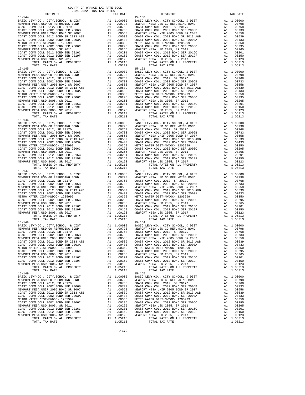| NEWPORT MESA USD GO REFUNDING BOND<br>COAST COMM COLL 2012, SR 2017D          | A1 .00798 NEWPORT<br>A1 .00763 COAST C<br>A1 .00733 COAST C<br>A1 .00539 NEWPORT<br>A1 .00539 COAST C<br>A1 .00539 COAST C<br>A1 .00433 COAST C<br>A1 .00265 COAST C<br>A1 .00265 NEWPORT<br>A1 .00265 NEWPORT<br>A1 .00150 COAST C<br>A1 .00150 COA   |                                                                                                                                                                                                                                |                                  |
|-------------------------------------------------------------------------------|--------------------------------------------------------------------------------------------------------------------------------------------------------------------------------------------------------------------------------------------------------|--------------------------------------------------------------------------------------------------------------------------------------------------------------------------------------------------------------------------------|----------------------------------|
| COAST COMM COLL 2002 BOND SER 2006B                                           |                                                                                                                                                                                                                                                        |                                                                                                                                                                                                                                |                                  |
| NEWPORT MESA UNIF 2005 BOND SR 2007                                           |                                                                                                                                                                                                                                                        |                                                                                                                                                                                                                                |                                  |
| COAST COMM COLL 2012 BOND SR 2013 A&B                                         |                                                                                                                                                                                                                                                        |                                                                                                                                                                                                                                |                                  |
| COAST COMM COLL 2002 BOND SER 2003A                                           |                                                                                                                                                                                                                                                        |                                                                                                                                                                                                                                |                                  |
| METRO WATER DIST-MWDOC- 1205999<br>COAST COMM COLL 2002 BOND SER 2006C        |                                                                                                                                                                                                                                                        |                                                                                                                                                                                                                                |                                  |
| NEWPORT MESA USD 2005, SR 2011                                                |                                                                                                                                                                                                                                                        |                                                                                                                                                                                                                                |                                  |
| COAST COMM COLL 2012 BOND SER 2016C                                           |                                                                                                                                                                                                                                                        |                                                                                                                                                                                                                                |                                  |
| COAST COMM COLL 2012 BOND SER 2016C<br>COAST COMM COLL 2012 BOND SER 2019F    |                                                                                                                                                                                                                                                        |                                                                                                                                                                                                                                |                                  |
| NEWPORT MESA USD 2005, SR 2017                                                |                                                                                                                                                                                                                                                        |                                                                                                                                                                                                                                |                                  |
| TOTAL RATES ON ALL PROPERTY                                                   |                                                                                                                                                                                                                                                        | A1 1.05213<br>1.05213                                                                                                                                                                                                          |                                  |
| TOTAL TAX RATE<br>$15 - 145$                                                  |                                                                                                                                                                                                                                                        |                                                                                                                                                                                                                                | $15 - 151$                       |
| BASIC LEVY-CO., CITY, SCHOOL, & DIST                                          | 15-151<br>A1 1.00000 BASIC L<br>A1 .00798 NEWPORT<br>A1 .00798 NEWPORT<br>A1 .00768 COAST C<br>A1 .00558 NEWPORT<br>A1 .00558 NEWPORT<br>A1 .00433 COAST C<br>A1 .00295 METRO W<br>A1 .00295 METRO N<br>A1 .00295 COAST C<br>A1 .00295 COAST C<br>A1 . |                                                                                                                                                                                                                                |                                  |
| NEWPORT MESA USD GO REFUNDING BOND                                            |                                                                                                                                                                                                                                                        |                                                                                                                                                                                                                                |                                  |
| COAST COMM COLL 2012, SR 2017D                                                |                                                                                                                                                                                                                                                        |                                                                                                                                                                                                                                |                                  |
| COAST COMM COLL 2002 BOND SER 2006B                                           |                                                                                                                                                                                                                                                        |                                                                                                                                                                                                                                |                                  |
| NEWPORT MESA UNIF 2005 BOND SR 2007                                           |                                                                                                                                                                                                                                                        |                                                                                                                                                                                                                                |                                  |
| COAST COMM COLL 2012 BOND SR 2013 A&B<br>COAST COMM COLL 2002 BOND SER 2003A  |                                                                                                                                                                                                                                                        |                                                                                                                                                                                                                                |                                  |
| METRO WATER DIST-MWDOC- 1205999                                               |                                                                                                                                                                                                                                                        |                                                                                                                                                                                                                                |                                  |
| COAST COMM COLL 2002 BOND SER 2006C                                           |                                                                                                                                                                                                                                                        |                                                                                                                                                                                                                                |                                  |
| NEWPORT MESA USD 2005, SR 2011                                                |                                                                                                                                                                                                                                                        |                                                                                                                                                                                                                                |                                  |
| NEWPORT MESA ISLA 2012 BOND SER 2019F<br>NEWPORT MESA ISD 2002 BOND SER 2019F |                                                                                                                                                                                                                                                        |                                                                                                                                                                                                                                |                                  |
|                                                                               |                                                                                                                                                                                                                                                        |                                                                                                                                                                                                                                |                                  |
| NEWPORT MESA USD 2005, SR 2017                                                |                                                                                                                                                                                                                                                        |                                                                                                                                                                                                                                |                                  |
| TOTAL RATES ON ALL PROPERTY                                                   |                                                                                                                                                                                                                                                        |                                                                                                                                                                                                                                |                                  |
| TOTAL TAX RATE<br>$15 - 146$                                                  |                                                                                                                                                                                                                                                        | 1.05213                                                                                                                                                                                                                        | $15 - 152$                       |
|                                                                               |                                                                                                                                                                                                                                                        |                                                                                                                                                                                                                                |                                  |
|                                                                               |                                                                                                                                                                                                                                                        |                                                                                                                                                                                                                                |                                  |
|                                                                               |                                                                                                                                                                                                                                                        |                                                                                                                                                                                                                                |                                  |
|                                                                               |                                                                                                                                                                                                                                                        |                                                                                                                                                                                                                                |                                  |
|                                                                               |                                                                                                                                                                                                                                                        |                                                                                                                                                                                                                                |                                  |
|                                                                               |                                                                                                                                                                                                                                                        |                                                                                                                                                                                                                                |                                  |
|                                                                               |                                                                                                                                                                                                                                                        |                                                                                                                                                                                                                                |                                  |
|                                                                               |                                                                                                                                                                                                                                                        |                                                                                                                                                                                                                                |                                  |
|                                                                               |                                                                                                                                                                                                                                                        |                                                                                                                                                                                                                                |                                  |
|                                                                               |                                                                                                                                                                                                                                                        |                                                                                                                                                                                                                                |                                  |
|                                                                               |                                                                                                                                                                                                                                                        |                                                                                                                                                                                                                                |                                  |
|                                                                               |                                                                                                                                                                                                                                                        |                                                                                                                                                                                                                                |                                  |
| TOTAL RATES ON ALL PROPERTY                                                   |                                                                                                                                                                                                                                                        | A1 1.05213                                                                                                                                                                                                                     |                                  |
| TOTAL TAX RATE<br>$15 - 147$                                                  |                                                                                                                                                                                                                                                        | 1.05213                                                                                                                                                                                                                        | $15 - 153$                       |
| BASIC LEVY-CO., CITY, SCHOOL, & DIST                                          | 15-153<br>A1 1.00000 BASTC L<br>A1 .00798 NEWPORT<br>A1 .00798 COAST C<br>A1 .00768 COAST C<br>A1 .00558 NEWPORT<br>A1 .00558 NEWPORT<br>A1 .00435 COAST C<br>A1 .00295 COAST C<br>A1 .00265 NEWPORT<br>A1 .00201 COAST C<br>A1 .00201 COAST C<br>A1 . |                                                                                                                                                                                                                                |                                  |
| NEWPORT MESA USD GO REFUNDING BOND                                            |                                                                                                                                                                                                                                                        |                                                                                                                                                                                                                                |                                  |
| COAST COMM COLL 2012, SR 2017D                                                |                                                                                                                                                                                                                                                        |                                                                                                                                                                                                                                |                                  |
| COAST COMM COLL 2002 BOND SER 2006B                                           |                                                                                                                                                                                                                                                        |                                                                                                                                                                                                                                |                                  |
| NEWPORT MESA UNIF 2005 BOND SR 2007                                           |                                                                                                                                                                                                                                                        |                                                                                                                                                                                                                                |                                  |
| COAST COMM COLL 2012 BOND SR 2013 A&B                                         |                                                                                                                                                                                                                                                        |                                                                                                                                                                                                                                |                                  |
| COAST COMM COLL 2002 BOND SER 2003A<br>METRO WATER DIST-MWDOC- 1205999        |                                                                                                                                                                                                                                                        |                                                                                                                                                                                                                                |                                  |
| COAST COMM COLL 2002 BOND SER 2006C                                           |                                                                                                                                                                                                                                                        |                                                                                                                                                                                                                                |                                  |
| NEWPORT MESA USD 2005, SR 2011                                                |                                                                                                                                                                                                                                                        |                                                                                                                                                                                                                                |                                  |
| COAST COMM COLL 2012 BOND SER 2016C                                           |                                                                                                                                                                                                                                                        |                                                                                                                                                                                                                                |                                  |
| COAST COMM COLL 2012 BOND SER 2019F                                           |                                                                                                                                                                                                                                                        |                                                                                                                                                                                                                                |                                  |
| NEWPORT MESA USD 2005, SR 2017                                                |                                                                                                                                                                                                                                                        |                                                                                                                                                                                                                                |                                  |
| TOTAL RATES ON ALL PROPERTY                                                   |                                                                                                                                                                                                                                                        | A1 1.05213                                                                                                                                                                                                                     |                                  |
| TOTAL TAX RATE                                                                |                                                                                                                                                                                                                                                        | 1.05213                                                                                                                                                                                                                        |                                  |
| $15 - 148$                                                                    |                                                                                                                                                                                                                                                        |                                                                                                                                                                                                                                | $15 - 154$                       |
|                                                                               |                                                                                                                                                                                                                                                        |                                                                                                                                                                                                                                |                                  |
|                                                                               |                                                                                                                                                                                                                                                        |                                                                                                                                                                                                                                |                                  |
|                                                                               |                                                                                                                                                                                                                                                        |                                                                                                                                                                                                                                |                                  |
|                                                                               |                                                                                                                                                                                                                                                        |                                                                                                                                                                                                                                |                                  |
|                                                                               |                                                                                                                                                                                                                                                        |                                                                                                                                                                                                                                |                                  |
|                                                                               |                                                                                                                                                                                                                                                        |                                                                                                                                                                                                                                |                                  |
|                                                                               | A1                                                                                                                                                                                                                                                     | ONDER OWNER ON METRO W                                                                                                                                                                                                         |                                  |
| COAST COMM COLL 2002 BOND SER 2006C<br>NEWPORT MESA USD 2005, SR 2011         |                                                                                                                                                                                                                                                        | .00295<br>A1 .00265                                                                                                                                                                                                            | COAST C<br>NEWPORT               |
| COAST COMM COLL 2012 BOND SER 2016C                                           |                                                                                                                                                                                                                                                        | A1 .00201                                                                                                                                                                                                                      | COAST C                          |
| COAST COMM COLL 2012 BOND SER 2019F                                           | A1                                                                                                                                                                                                                                                     | .00150                                                                                                                                                                                                                         | COAST C                          |
| NEWPORT MESA USD 2005, SR 2017                                                | A1                                                                                                                                                                                                                                                     | .00123                                                                                                                                                                                                                         | NEWPORT                          |
| TOTAL RATES ON ALL PROPERTY                                                   |                                                                                                                                                                                                                                                        | A1 1.05213                                                                                                                                                                                                                     |                                  |
| TOTAL TAX RATE                                                                |                                                                                                                                                                                                                                                        | 1.05213                                                                                                                                                                                                                        |                                  |
| $15 - 149$                                                                    |                                                                                                                                                                                                                                                        |                                                                                                                                                                                                                                | $15 - 155$                       |
| BASIC LEVY-CO., CITY, SCHOOL, & DIST<br>NEWPORT MESA USD GO REFUNDING BOND    |                                                                                                                                                                                                                                                        | $A1 \quad 1.00000$<br>A1.00798                                                                                                                                                                                                 | BASIC L<br>NEWPORT               |
| COAST COMM COLL 2012, SR 2017D                                                |                                                                                                                                                                                                                                                        |                                                                                                                                                                                                                                |                                  |
| COAST COMM COLL 2002 BOND SER 2006B                                           |                                                                                                                                                                                                                                                        |                                                                                                                                                                                                                                |                                  |
| NEWPORT MESA UNIF 2005 BOND SR 2007                                           |                                                                                                                                                                                                                                                        |                                                                                                                                                                                                                                |                                  |
| COAST COMM COLL 2012 BOND SR 2013 A&B                                         |                                                                                                                                                                                                                                                        | A1 .00768 COAST COAST COAST COAST COAST COAST COAST CARR (1973) COAST CARR (1973) COAST COAST COAST COAST COAST COAST COAST COAST COAST COAST COAST COAST COAST COAST COAST COAST COAST COAST COAST COAST COAST COAST COAST CO |                                  |
| COAST COMM COLL 2002 BOND SER 2003A                                           |                                                                                                                                                                                                                                                        |                                                                                                                                                                                                                                |                                  |
| METRO WATER DIST-MWDOC- 1205999                                               |                                                                                                                                                                                                                                                        |                                                                                                                                                                                                                                |                                  |
| COAST COMM COLL 2002 BOND SER 2006C                                           |                                                                                                                                                                                                                                                        |                                                                                                                                                                                                                                |                                  |
| NEWPORT MESA USD 2005, SR 2011                                                |                                                                                                                                                                                                                                                        |                                                                                                                                                                                                                                | COAST C                          |
| COAST COMM COLL 2012 BOND SER 2016C<br>COAST COMM COLL 2012 BOND SER 2019F    | A1<br>A1                                                                                                                                                                                                                                               | .00201                                                                                                                                                                                                                         |                                  |
| NEWPORT MESA USD 2005, SR 2017                                                | A1                                                                                                                                                                                                                                                     |                                                                                                                                                                                                                                | .00150 COAST C<br>.00123 NEWPORT |
| $m \wedge m \wedge n$<br>$n \cdot m \cdot n$                                  |                                                                                                                                                                                                                                                        |                                                                                                                                                                                                                                |                                  |

| DISTRICT                                                                                                                                                                                                                                                          | TAX RATE | DISTRICT   | TAX RATE |
|-------------------------------------------------------------------------------------------------------------------------------------------------------------------------------------------------------------------------------------------------------------------|----------|------------|----------|
| $15 - 144$                                                                                                                                                                                                                                                        |          | $15 - 150$ |          |
|                                                                                                                                                                                                                                                                   |          |            |          |
|                                                                                                                                                                                                                                                                   |          |            |          |
|                                                                                                                                                                                                                                                                   |          |            |          |
|                                                                                                                                                                                                                                                                   |          |            |          |
|                                                                                                                                                                                                                                                                   |          |            |          |
|                                                                                                                                                                                                                                                                   |          |            |          |
|                                                                                                                                                                                                                                                                   |          |            |          |
|                                                                                                                                                                                                                                                                   |          |            |          |
|                                                                                                                                                                                                                                                                   |          |            |          |
|                                                                                                                                                                                                                                                                   |          |            |          |
|                                                                                                                                                                                                                                                                   |          |            |          |
|                                                                                                                                                                                                                                                                   |          |            |          |
|                                                                                                                                                                                                                                                                   |          |            |          |
|                                                                                                                                                                                                                                                                   |          |            |          |
|                                                                                                                                                                                                                                                                   |          |            |          |
|                                                                                                                                                                                                                                                                   |          |            |          |
|                                                                                                                                                                                                                                                                   |          |            |          |
|                                                                                                                                                                                                                                                                   |          |            |          |
|                                                                                                                                                                                                                                                                   |          |            |          |
|                                                                                                                                                                                                                                                                   |          |            |          |
|                                                                                                                                                                                                                                                                   |          |            |          |
|                                                                                                                                                                                                                                                                   |          |            |          |
|                                                                                                                                                                                                                                                                   |          |            |          |
|                                                                                                                                                                                                                                                                   |          |            |          |
|                                                                                                                                                                                                                                                                   |          |            |          |
|                                                                                                                                                                                                                                                                   |          |            |          |
|                                                                                                                                                                                                                                                                   |          |            |          |
|                                                                                                                                                                                                                                                                   |          |            |          |
|                                                                                                                                                                                                                                                                   |          |            |          |
|                                                                                                                                                                                                                                                                   |          |            |          |
|                                                                                                                                                                                                                                                                   |          |            |          |
|                                                                                                                                                                                                                                                                   |          |            |          |
|                                                                                                                                                                                                                                                                   |          |            |          |
|                                                                                                                                                                                                                                                                   |          |            |          |
|                                                                                                                                                                                                                                                                   |          |            |          |
|                                                                                                                                                                                                                                                                   |          |            |          |
|                                                                                                                                                                                                                                                                   |          |            |          |
|                                                                                                                                                                                                                                                                   |          |            |          |
|                                                                                                                                                                                                                                                                   |          |            |          |
|                                                                                                                                                                                                                                                                   |          |            |          |
|                                                                                                                                                                                                                                                                   |          |            |          |
|                                                                                                                                                                                                                                                                   |          |            |          |
|                                                                                                                                                                                                                                                                   |          |            |          |
| $\begin{tabular}{l c c c} \hline 15-147 & 15-131 & 1.00000 & 18-151 & 1.00000 & 18-151 & 1.00000 & 18-151 & 1.000000 & 18-151 & 1.000000 & 1.000000 & 1.000000 & 1.000000 & 1.000000 & 1.000000 & 1.000000 & 1.000000 & 1.000000 & 1.000000 & 1.000000 & 1.00000$ |          |            |          |
|                                                                                                                                                                                                                                                                   |          |            |          |
|                                                                                                                                                                                                                                                                   |          |            |          |
|                                                                                                                                                                                                                                                                   |          |            |          |
|                                                                                                                                                                                                                                                                   |          |            |          |
|                                                                                                                                                                                                                                                                   |          |            |          |
|                                                                                                                                                                                                                                                                   |          |            |          |
|                                                                                                                                                                                                                                                                   |          |            |          |
|                                                                                                                                                                                                                                                                   |          |            |          |
|                                                                                                                                                                                                                                                                   |          |            |          |
|                                                                                                                                                                                                                                                                   |          |            |          |
|                                                                                                                                                                                                                                                                   |          |            |          |
|                                                                                                                                                                                                                                                                   |          |            |          |
|                                                                                                                                                                                                                                                                   |          |            |          |
|                                                                                                                                                                                                                                                                   |          |            |          |
| $15 - 148$                                                                                                                                                                                                                                                        |          | $15 - 154$ |          |
|                                                                                                                                                                                                                                                                   |          |            |          |
|                                                                                                                                                                                                                                                                   |          |            |          |
|                                                                                                                                                                                                                                                                   |          |            |          |
|                                                                                                                                                                                                                                                                   |          |            |          |
|                                                                                                                                                                                                                                                                   |          |            |          |
|                                                                                                                                                                                                                                                                   |          |            |          |
|                                                                                                                                                                                                                                                                   |          |            |          |
|                                                                                                                                                                                                                                                                   |          |            |          |
|                                                                                                                                                                                                                                                                   |          |            |          |
|                                                                                                                                                                                                                                                                   |          |            |          |
|                                                                                                                                                                                                                                                                   |          |            |          |
|                                                                                                                                                                                                                                                                   |          |            |          |
|                                                                                                                                                                                                                                                                   |          |            |          |
|                                                                                                                                                                                                                                                                   |          |            |          |
|                                                                                                                                                                                                                                                                   |          |            |          |
|                                                                                                                                                                                                                                                                   |          |            |          |
|                                                                                                                                                                                                                                                                   |          |            |          |
|                                                                                                                                                                                                                                                                   |          |            |          |
|                                                                                                                                                                                                                                                                   |          |            |          |
|                                                                                                                                                                                                                                                                   |          |            |          |
|                                                                                                                                                                                                                                                                   |          |            |          |
|                                                                                                                                                                                                                                                                   |          |            |          |
|                                                                                                                                                                                                                                                                   |          |            |          |
|                                                                                                                                                                                                                                                                   |          |            |          |
|                                                                                                                                                                                                                                                                   |          |            |          |
|                                                                                                                                                                                                                                                                   |          |            |          |
|                                                                                                                                                                                                                                                                   |          |            |          |
|                                                                                                                                                                                                                                                                   |          |            |          |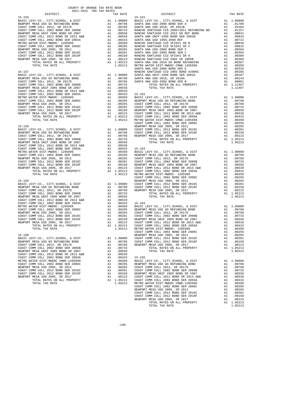| COUNTY OF ORANGE TAX RATE BOOK<br>2021-2022 TRA TAX RATES                                                                                                                                                                                                                                                                                                                                                     |    |                                  |            |
|---------------------------------------------------------------------------------------------------------------------------------------------------------------------------------------------------------------------------------------------------------------------------------------------------------------------------------------------------------------------------------------------------------------|----|----------------------------------|------------|
| DISTRICT                                                                                                                                                                                                                                                                                                                                                                                                      |    | TAX RATE                         |            |
| $15 - 156$                                                                                                                                                                                                                                                                                                                                                                                                    |    |                                  | $15 - 161$ |
|                                                                                                                                                                                                                                                                                                                                                                                                               |    |                                  |            |
|                                                                                                                                                                                                                                                                                                                                                                                                               |    |                                  |            |
|                                                                                                                                                                                                                                                                                                                                                                                                               |    |                                  |            |
|                                                                                                                                                                                                                                                                                                                                                                                                               |    |                                  |            |
|                                                                                                                                                                                                                                                                                                                                                                                                               |    |                                  |            |
|                                                                                                                                                                                                                                                                                                                                                                                                               |    |                                  |            |
|                                                                                                                                                                                                                                                                                                                                                                                                               |    |                                  |            |
|                                                                                                                                                                                                                                                                                                                                                                                                               |    |                                  |            |
|                                                                                                                                                                                                                                                                                                                                                                                                               |    |                                  |            |
|                                                                                                                                                                                                                                                                                                                                                                                                               |    |                                  |            |
|                                                                                                                                                                                                                                                                                                                                                                                                               |    |                                  |            |
|                                                                                                                                                                                                                                                                                                                                                                                                               |    |                                  |            |
|                                                                                                                                                                                                                                                                                                                                                                                                               |    |                                  |            |
|                                                                                                                                                                                                                                                                                                                                                                                                               |    |                                  |            |
|                                                                                                                                                                                                                                                                                                                                                                                                               |    |                                  | SANTA A    |
| $15 - 157$                                                                                                                                                                                                                                                                                                                                                                                                    |    |                                  | RANCHO     |
| BASIC LEVY-CO., CITY, SCHOOL, & DIST                                                                                                                                                                                                                                                                                                                                                                          |    |                                  |            |
| BASIC LEVY-CO., CITY, SCHOOL, & DIST<br>NEWPORT MESA USD GO REFUNDING BOND<br>COAST COMM COLL 2012, SR 2017D                                                                                                                                                                                                                                                                                                  |    |                                  |            |
| COAST COMM COLL 2012, SR 2017D                                                                                                                                                                                                                                                                                                                                                                                |    |                                  |            |
| COAST COMM COLL 2002 BOND SER 2006B                                                                                                                                                                                                                                                                                                                                                                           |    |                                  |            |
| NEWPORT MESA UNIF 2005 BOND SR 2007                                                                                                                                                                                                                                                                                                                                                                           |    |                                  |            |
| COAST COMM COLL 2012 BOND SR 2013 A&B<br>COAST COMM COLL 2002 BOND SER 2003A                                                                                                                                                                                                                                                                                                                                  |    |                                  |            |
|                                                                                                                                                                                                                                                                                                                                                                                                               |    |                                  |            |
| METRO WATER DIST-MWDOC- 1205999<br>COAST COMM COLL 2002 BOND SER 2006C                                                                                                                                                                                                                                                                                                                                        |    |                                  |            |
|                                                                                                                                                                                                                                                                                                                                                                                                               |    |                                  |            |
| NEWPORT MESA USD 2005, SR 2011                                                                                                                                                                                                                                                                                                                                                                                |    |                                  |            |
| NEWPORT MESA USD 2005, SR 2011<br>COAST COMM COLL 2012 BOND SER 2016C<br>COAST COMM COLL 2012 BOND SER 2019F                                                                                                                                                                                                                                                                                                  |    |                                  |            |
| NEWPORT MESA USD 2005, SR 2017                                                                                                                                                                                                                                                                                                                                                                                |    |                                  |            |
|                                                                                                                                                                                                                                                                                                                                                                                                               |    |                                  |            |
|                                                                                                                                                                                                                                                                                                                                                                                                               |    |                                  |            |
|                                                                                                                                                                                                                                                                                                                                                                                                               |    |                                  |            |
| $15 - 158$                                                                                                                                                                                                                                                                                                                                                                                                    |    |                                  | NEWPORT    |
| $\begin{tabular}{l c c c c} \hline 15-158 \\ \hline BASIC LEVY-CO., CITY, SCHOOL, & DIST \\ \hline CADAT COMM COLL 2012, SR 2017D \\ \hline CONST COMM COLL 2002 BOND SER 2006B & A1 & .00798 & COAST C \\ \hline COAST COMM COLL 2002 BOND SER 2006B & A1 & .00786 & NEWPORT \\ \hline NENDORT MESA UNIF 2005 BOND SR 2007 & A1 & .00789 & NEMPORT\\ \hline CDAST COMM COLL 2012 BOND SR 2017 & A1 & .00558$ |    |                                  |            |
|                                                                                                                                                                                                                                                                                                                                                                                                               |    |                                  |            |
|                                                                                                                                                                                                                                                                                                                                                                                                               |    |                                  |            |
|                                                                                                                                                                                                                                                                                                                                                                                                               |    |                                  |            |
|                                                                                                                                                                                                                                                                                                                                                                                                               |    |                                  |            |
|                                                                                                                                                                                                                                                                                                                                                                                                               |    |                                  |            |
|                                                                                                                                                                                                                                                                                                                                                                                                               |    |                                  |            |
|                                                                                                                                                                                                                                                                                                                                                                                                               |    |                                  |            |
|                                                                                                                                                                                                                                                                                                                                                                                                               |    |                                  |            |
|                                                                                                                                                                                                                                                                                                                                                                                                               |    |                                  |            |
|                                                                                                                                                                                                                                                                                                                                                                                                               |    |                                  |            |
|                                                                                                                                                                                                                                                                                                                                                                                                               |    |                                  |            |
|                                                                                                                                                                                                                                                                                                                                                                                                               |    |                                  |            |
|                                                                                                                                                                                                                                                                                                                                                                                                               |    |                                  |            |
|                                                                                                                                                                                                                                                                                                                                                                                                               |    |                                  |            |
|                                                                                                                                                                                                                                                                                                                                                                                                               |    |                                  | COAST C    |
| $15 - 159$                                                                                                                                                                                                                                                                                                                                                                                                    |    |                                  | NEWPORT    |
|                                                                                                                                                                                                                                                                                                                                                                                                               |    |                                  |            |
|                                                                                                                                                                                                                                                                                                                                                                                                               |    |                                  |            |
|                                                                                                                                                                                                                                                                                                                                                                                                               |    |                                  |            |
|                                                                                                                                                                                                                                                                                                                                                                                                               |    |                                  |            |
| NEWPORT MESA UNIF 2005 BOND SR 2007                                                                                                                                                                                                                                                                                                                                                                           |    | A1 .00558                        |            |
| COAST COMM COLL 2012 BOND SR 2013 A&B<br>COAST COMM COLL 2002 BOND SER 2003A                                                                                                                                                                                                                                                                                                                                  |    | A1 .00539                        |            |
|                                                                                                                                                                                                                                                                                                                                                                                                               |    | $A1 \qquad .00433 \qquad 15-164$ |            |
| METRO WATER DIST-MWDOC- 1205999<br>METRO WATER DIST-MWDOC- 1205999<br>COAST COMM COLL 2002 BOND SER 2006C                                                                                                                                                                                                                                                                                                     | A1 | .00350                           | BASIC L    |
|                                                                                                                                                                                                                                                                                                                                                                                                               |    |                                  |            |
|                                                                                                                                                                                                                                                                                                                                                                                                               |    |                                  |            |
|                                                                                                                                                                                                                                                                                                                                                                                                               |    |                                  |            |
|                                                                                                                                                                                                                                                                                                                                                                                                               |    |                                  |            |
|                                                                                                                                                                                                                                                                                                                                                                                                               |    |                                  |            |
|                                                                                                                                                                                                                                                                                                                                                                                                               |    |                                  |            |
|                                                                                                                                                                                                                                                                                                                                                                                                               |    |                                  | COAST C    |
| $15 - 160$                                                                                                                                                                                                                                                                                                                                                                                                    |    |                                  | NEWPORT    |
| BASIC LEVY-CO., CITY, SCHOOL, & DIST                                                                                                                                                                                                                                                                                                                                                                          | A1 | 1.00000                          | COAST C    |
| NEWPORT MESA USD GO REFUNDING BOND                                                                                                                                                                                                                                                                                                                                                                            | A1 | .00798                           | COAST C    |
| COAST COMM COLL 2012, SR 2017D                                                                                                                                                                                                                                                                                                                                                                                | A1 | .00768                           | NEWPORT    |
| COAST COMM COLL 2002 BOND SER 2006B                                                                                                                                                                                                                                                                                                                                                                           | A1 | .00733                           |            |
| NEWPORT MESA UNIF 2005 BOND SR 2007                                                                                                                                                                                                                                                                                                                                                                           | A1 | .00558                           |            |
| COAST COMM COLL 2012 BOND SR 2013 A&B                                                                                                                                                                                                                                                                                                                                                                         | A1 | .00539                           |            |
| COAST COMM COLL 2002 BOND SER 2003A                                                                                                                                                                                                                                                                                                                                                                           | A1 | .00433                           | $15 - 165$ |
| METRO WATER DIST-MWDOC CMWD-1205999                                                                                                                                                                                                                                                                                                                                                                           | A1 | .00350                           | BASIC L    |
| COAST COMM COLL 2002 BOND SER 2006C                                                                                                                                                                                                                                                                                                                                                                           | A1 | .00295                           | NEWPORT    |
| NEWPORT MESA USD 2005, SR 2011                                                                                                                                                                                                                                                                                                                                                                                | A1 | .00265                           | COAST C    |
| COAST COMM COLL 2012 BOND SER 2016C                                                                                                                                                                                                                                                                                                                                                                           | A1 | .00201                           | COAST C    |
| COAST COMM COLL 2012 BOND SER 2019F                                                                                                                                                                                                                                                                                                                                                                           | A1 | .00150                           | NEWPORT    |
| NEWPORT MESA USD 2005, SR 2017                                                                                                                                                                                                                                                                                                                                                                                | A1 | .00123                           | COAST C    |
| TOTAL RATES ON ALL PROPERTY                                                                                                                                                                                                                                                                                                                                                                                   |    | A1 1.05213                       | COAST C    |
| TOTAL TAX RATE                                                                                                                                                                                                                                                                                                                                                                                                |    | 1.05213                          | METRO W    |

| DISTRICT | 2021-2022 TRA TAX RATES | TAX RATE | DISTRICT                                                                                                                                                                                                                                        | TAX RATE |
|----------|-------------------------|----------|-------------------------------------------------------------------------------------------------------------------------------------------------------------------------------------------------------------------------------------------------|----------|
|          |                         |          | $15 - 161$                                                                                                                                                                                                                                      |          |
|          |                         |          |                                                                                                                                                                                                                                                 |          |
|          |                         |          |                                                                                                                                                                                                                                                 |          |
|          |                         |          |                                                                                                                                                                                                                                                 |          |
|          |                         |          |                                                                                                                                                                                                                                                 |          |
|          |                         |          |                                                                                                                                                                                                                                                 |          |
|          |                         |          |                                                                                                                                                                                                                                                 |          |
|          |                         |          |                                                                                                                                                                                                                                                 |          |
|          |                         |          |                                                                                                                                                                                                                                                 |          |
|          |                         |          |                                                                                                                                                                                                                                                 |          |
|          |                         |          |                                                                                                                                                                                                                                                 |          |
|          |                         |          |                                                                                                                                                                                                                                                 |          |
|          |                         |          |                                                                                                                                                                                                                                                 |          |
|          |                         |          |                                                                                                                                                                                                                                                 |          |
|          |                         |          |                                                                                                                                                                                                                                                 |          |
|          |                         |          |                                                                                                                                                                                                                                                 |          |
|          |                         |          |                                                                                                                                                                                                                                                 |          |
|          |                         |          |                                                                                                                                                                                                                                                 |          |
|          |                         |          |                                                                                                                                                                                                                                                 |          |
|          |                         |          |                                                                                                                                                                                                                                                 |          |
|          |                         |          |                                                                                                                                                                                                                                                 |          |
|          |                         |          |                                                                                                                                                                                                                                                 |          |
|          |                         |          |                                                                                                                                                                                                                                                 |          |
|          |                         |          |                                                                                                                                                                                                                                                 |          |
|          |                         |          |                                                                                                                                                                                                                                                 |          |
|          |                         |          |                                                                                                                                                                                                                                                 |          |
|          |                         |          |                                                                                                                                                                                                                                                 |          |
|          |                         |          |                                                                                                                                                                                                                                                 |          |
|          |                         |          |                                                                                                                                                                                                                                                 |          |
|          |                         |          |                                                                                                                                                                                                                                                 |          |
|          |                         |          |                                                                                                                                                                                                                                                 |          |
|          |                         |          |                                                                                                                                                                                                                                                 |          |
|          |                         |          |                                                                                                                                                                                                                                                 |          |
|          |                         |          |                                                                                                                                                                                                                                                 |          |
|          |                         |          |                                                                                                                                                                                                                                                 |          |
|          |                         |          |                                                                                                                                                                                                                                                 |          |
|          |                         |          |                                                                                                                                                                                                                                                 |          |
|          |                         |          |                                                                                                                                                                                                                                                 |          |
|          |                         |          |                                                                                                                                                                                                                                                 |          |
|          |                         |          |                                                                                                                                                                                                                                                 |          |
|          |                         |          |                                                                                                                                                                                                                                                 |          |
|          |                         |          |                                                                                                                                                                                                                                                 |          |
|          |                         |          |                                                                                                                                                                                                                                                 |          |
|          |                         |          |                                                                                                                                                                                                                                                 |          |
|          |                         |          |                                                                                                                                                                                                                                                 |          |
|          |                         |          |                                                                                                                                                                                                                                                 |          |
|          |                         |          |                                                                                                                                                                                                                                                 |          |
|          |                         |          |                                                                                                                                                                                                                                                 |          |
|          |                         |          |                                                                                                                                                                                                                                                 |          |
|          |                         |          |                                                                                                                                                                                                                                                 |          |
|          |                         |          |                                                                                                                                                                                                                                                 |          |
|          |                         |          |                                                                                                                                                                                                                                                 |          |
|          |                         |          |                                                                                                                                                                                                                                                 |          |
|          |                         |          |                                                                                                                                                                                                                                                 |          |
|          |                         |          |                                                                                                                                                                                                                                                 |          |
|          |                         |          |                                                                                                                                                                                                                                                 |          |
|          |                         |          |                                                                                                                                                                                                                                                 |          |
|          |                         |          |                                                                                                                                                                                                                                                 |          |
|          |                         |          |                                                                                                                                                                                                                                                 |          |
|          |                         |          |                                                                                                                                                                                                                                                 |          |
|          |                         |          |                                                                                                                                                                                                                                                 |          |
|          |                         |          |                                                                                                                                                                                                                                                 |          |
|          |                         |          |                                                                                                                                                                                                                                                 |          |
|          |                         |          |                                                                                                                                                                                                                                                 |          |
|          |                         |          |                                                                                                                                                                                                                                                 |          |
|          |                         |          |                                                                                                                                                                                                                                                 |          |
|          |                         |          |                                                                                                                                                                                                                                                 |          |
|          |                         |          |                                                                                                                                                                                                                                                 |          |
|          |                         |          |                                                                                                                                                                                                                                                 |          |
|          |                         |          |                                                                                                                                                                                                                                                 |          |
|          |                         |          |                                                                                                                                                                                                                                                 |          |
|          |                         |          |                                                                                                                                                                                                                                                 |          |
|          |                         |          |                                                                                                                                                                                                                                                 |          |
|          |                         |          |                                                                                                                                                                                                                                                 |          |
|          |                         |          |                                                                                                                                                                                                                                                 |          |
|          |                         |          |                                                                                                                                                                                                                                                 |          |
|          |                         |          | TOTAL TAX RATE<br>19.105213 METRO WATER DEST-MANOC - 1205999<br>19.160<br>19.16216<br>19.160<br>19.16216<br>19.160<br>19.00225 MEMODIA 6 DEST<br>20028 TOWN COLL 2013 MEWORT MESA USD COAST COMM COLL 2012 BOND SER 2019<br>COAST COMM COLL 201 |          |
|          |                         |          | TOTAL TAX RATE                                                                                                                                                                                                                                  | 1.05213  |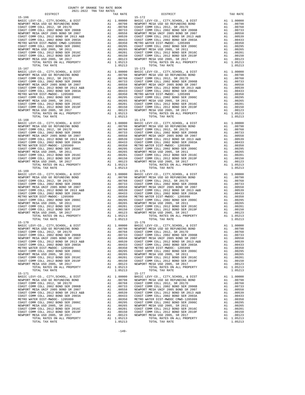| TOTAL RATES ON ALL PROPERTY<br>TOTAL TAX RATE                                |                                                                                                                                                                                                                                                      | A1 1.05213<br>1.05213                                                                                                                                                                                                                                                                                                                               |                                                    |
|------------------------------------------------------------------------------|------------------------------------------------------------------------------------------------------------------------------------------------------------------------------------------------------------------------------------------------------|-----------------------------------------------------------------------------------------------------------------------------------------------------------------------------------------------------------------------------------------------------------------------------------------------------------------------------------------------------|----------------------------------------------------|
| $15 - 167$                                                                   |                                                                                                                                                                                                                                                      |                                                                                                                                                                                                                                                                                                                                                     | $15 - 173$                                         |
| BASIC LEVY-CO., CITY, SCHOOL, & DIST                                         |                                                                                                                                                                                                                                                      | $\begin{tabular}{cc} & 15-173 \\ \text{A1} & 1.00000 \\ \text{A1} & 00798 \\ \text{A1} & 00798 \\ \text{A1} & 00798 \\ \text{A1} & 00733 \\ \text{A1} & 00733 \\ \text{A1} & 00558 \\ \text{A1} & 00558 \\ \text{A1} & 00558 \\ \text{A1} & 00433 \\ \text{A1} & 00433 \\ \text{A2} & 00387 \text{ C} \\ \text{A1} & 00350 \\ \text{A1} & 00296 \\$ |                                                    |
| NEWPORT MESA USD GO REFUNDING BOND                                           |                                                                                                                                                                                                                                                      |                                                                                                                                                                                                                                                                                                                                                     |                                                    |
| COAST COMM COLL 2012, SR 2017D                                               |                                                                                                                                                                                                                                                      |                                                                                                                                                                                                                                                                                                                                                     |                                                    |
| COAST COMM COLL 2002 BOND SER 2006B<br>NEWPORT MESA UNIF 2005 BOND SR 2007   |                                                                                                                                                                                                                                                      |                                                                                                                                                                                                                                                                                                                                                     |                                                    |
| COAST COMM COLL 2012 BOND SR 2013 A&B                                        |                                                                                                                                                                                                                                                      |                                                                                                                                                                                                                                                                                                                                                     |                                                    |
| COAST COMM COLL 2002 BOND SER 2003A                                          |                                                                                                                                                                                                                                                      |                                                                                                                                                                                                                                                                                                                                                     |                                                    |
| METRO WATER DIST-MWDOC- 1205999                                              |                                                                                                                                                                                                                                                      |                                                                                                                                                                                                                                                                                                                                                     |                                                    |
| COAST COMM COLL 2002 BOND SER 2006C                                          |                                                                                                                                                                                                                                                      |                                                                                                                                                                                                                                                                                                                                                     |                                                    |
| NEWPORT MESA USD 2005, SR 2011<br>COAST COMM COLL 2012 BOND SER 2016C        |                                                                                                                                                                                                                                                      |                                                                                                                                                                                                                                                                                                                                                     |                                                    |
| COAST COMM COLL 2012 BOND SER 2016C<br>COAST COMM COLL 2012 BOND SER 2019F   |                                                                                                                                                                                                                                                      |                                                                                                                                                                                                                                                                                                                                                     |                                                    |
| NEWPORT MESA USD 2005, SR 2017                                               |                                                                                                                                                                                                                                                      |                                                                                                                                                                                                                                                                                                                                                     |                                                    |
| TOTAL RATES ON ALL PROPERTY                                                  |                                                                                                                                                                                                                                                      |                                                                                                                                                                                                                                                                                                                                                     |                                                    |
| TOTAL TAX RATE                                                               |                                                                                                                                                                                                                                                      | 1.05213                                                                                                                                                                                                                                                                                                                                             |                                                    |
| $15 - 168$                                                                   |                                                                                                                                                                                                                                                      |                                                                                                                                                                                                                                                                                                                                                     | $15 - 174$                                         |
|                                                                              |                                                                                                                                                                                                                                                      |                                                                                                                                                                                                                                                                                                                                                     |                                                    |
|                                                                              |                                                                                                                                                                                                                                                      |                                                                                                                                                                                                                                                                                                                                                     |                                                    |
|                                                                              |                                                                                                                                                                                                                                                      |                                                                                                                                                                                                                                                                                                                                                     |                                                    |
|                                                                              |                                                                                                                                                                                                                                                      |                                                                                                                                                                                                                                                                                                                                                     |                                                    |
|                                                                              |                                                                                                                                                                                                                                                      |                                                                                                                                                                                                                                                                                                                                                     |                                                    |
|                                                                              |                                                                                                                                                                                                                                                      |                                                                                                                                                                                                                                                                                                                                                     |                                                    |
|                                                                              |                                                                                                                                                                                                                                                      |                                                                                                                                                                                                                                                                                                                                                     |                                                    |
|                                                                              |                                                                                                                                                                                                                                                      |                                                                                                                                                                                                                                                                                                                                                     |                                                    |
|                                                                              |                                                                                                                                                                                                                                                      |                                                                                                                                                                                                                                                                                                                                                     |                                                    |
|                                                                              |                                                                                                                                                                                                                                                      |                                                                                                                                                                                                                                                                                                                                                     |                                                    |
| TOTAL RATES ON ALL PROPERTY                                                  |                                                                                                                                                                                                                                                      | A1 1.05213                                                                                                                                                                                                                                                                                                                                          |                                                    |
| TOTAL TAX RATE                                                               |                                                                                                                                                                                                                                                      | 1.05213                                                                                                                                                                                                                                                                                                                                             |                                                    |
| $15 - 169$                                                                   | 15-175<br>Al 1.00000 BASIC L<br>Al 1.00798 NEWPORT C<br>Al 1.00768 OCAST C<br>Al 1.00768 COAST C<br>Al 1.00733 COAST C<br>Al 1.00539 COAST C<br>Al 1.00433 COAST C<br>Al 1.00295 METRO W<br>Al 1.00295 METRO W<br>Al 1.00295 COAST C<br>Al 1.00201 C |                                                                                                                                                                                                                                                                                                                                                     | $15 - 175$                                         |
| BASIC LEVY-CO., CITY, SCHOOL, & DIST                                         |                                                                                                                                                                                                                                                      |                                                                                                                                                                                                                                                                                                                                                     |                                                    |
| NEWPORT MESA USD GO REFUNDING BOND<br>COAST COMM COLL 2012, SR 2017D         |                                                                                                                                                                                                                                                      |                                                                                                                                                                                                                                                                                                                                                     |                                                    |
| COAST COMM COLL 2002 BOND SER 2006B                                          |                                                                                                                                                                                                                                                      |                                                                                                                                                                                                                                                                                                                                                     |                                                    |
| NEWPORT MESA UNIF 2005 BOND SR 2007                                          |                                                                                                                                                                                                                                                      |                                                                                                                                                                                                                                                                                                                                                     |                                                    |
| COAST COMM COLL 2012 BOND SR 2013 A&B                                        |                                                                                                                                                                                                                                                      |                                                                                                                                                                                                                                                                                                                                                     |                                                    |
| COAST COMM COLL 2002 BOND SER 2003A                                          |                                                                                                                                                                                                                                                      |                                                                                                                                                                                                                                                                                                                                                     |                                                    |
| METRO WATER DIST-MWDOC- 1205999<br>COAST COMM COLL 2002 BOND SER 2006C       |                                                                                                                                                                                                                                                      |                                                                                                                                                                                                                                                                                                                                                     |                                                    |
| NEWPORT MESA USD 2005, SR 2011                                               |                                                                                                                                                                                                                                                      |                                                                                                                                                                                                                                                                                                                                                     |                                                    |
| COAST COMM COLL 2012 BOND SER 2016C                                          |                                                                                                                                                                                                                                                      |                                                                                                                                                                                                                                                                                                                                                     |                                                    |
| COAST COMM COLL 2012 BOND SER 2019F                                          |                                                                                                                                                                                                                                                      |                                                                                                                                                                                                                                                                                                                                                     |                                                    |
| NEWPORT MESA USD 2005, SR 2017                                               |                                                                                                                                                                                                                                                      |                                                                                                                                                                                                                                                                                                                                                     |                                                    |
| TOTAL RATES ON ALL PROPERTY<br>TOTAL TAX RATE                                |                                                                                                                                                                                                                                                      | 1.05213                                                                                                                                                                                                                                                                                                                                             |                                                    |
| $15 - 170$                                                                   |                                                                                                                                                                                                                                                      |                                                                                                                                                                                                                                                                                                                                                     | $15 - 176$                                         |
|                                                                              |                                                                                                                                                                                                                                                      |                                                                                                                                                                                                                                                                                                                                                     |                                                    |
|                                                                              |                                                                                                                                                                                                                                                      |                                                                                                                                                                                                                                                                                                                                                     |                                                    |
|                                                                              |                                                                                                                                                                                                                                                      |                                                                                                                                                                                                                                                                                                                                                     |                                                    |
|                                                                              |                                                                                                                                                                                                                                                      |                                                                                                                                                                                                                                                                                                                                                     |                                                    |
|                                                                              |                                                                                                                                                                                                                                                      |                                                                                                                                                                                                                                                                                                                                                     |                                                    |
|                                                                              |                                                                                                                                                                                                                                                      |                                                                                                                                                                                                                                                                                                                                                     |                                                    |
|                                                                              |                                                                                                                                                                                                                                                      |                                                                                                                                                                                                                                                                                                                                                     |                                                    |
|                                                                              |                                                                                                                                                                                                                                                      |                                                                                                                                                                                                                                                                                                                                                     |                                                    |
| NEWPORT MESA USD 2005, SR 2011<br>COAST COMM COLL 2012 BOND SER 2016C        | A1<br>A1                                                                                                                                                                                                                                             | .00265<br>.00201                                                                                                                                                                                                                                                                                                                                    | NEWPORT<br>COAST C                                 |
| COAST COMM COLL 2012 BOND SER 2019F                                          | A1                                                                                                                                                                                                                                                   | .00150                                                                                                                                                                                                                                                                                                                                              | COAST C                                            |
| NEWPORT MESA USD 2005, SR 2017                                               | A1                                                                                                                                                                                                                                                   | .00123                                                                                                                                                                                                                                                                                                                                              | NEWPORT                                            |
| TOTAL RATES ON ALL PROPERTY                                                  |                                                                                                                                                                                                                                                      | A1 1.05213                                                                                                                                                                                                                                                                                                                                          |                                                    |
| TOTAL TAX RATE                                                               |                                                                                                                                                                                                                                                      | 1.05213                                                                                                                                                                                                                                                                                                                                             |                                                    |
| $15 - 171$<br>BASIC LEVY-CO., CITY, SCHOOL, & DIST                           | A1                                                                                                                                                                                                                                                   | 1.00000                                                                                                                                                                                                                                                                                                                                             | 15-177<br>BASIC L                                  |
| NEWPORT MESA USD GO REFUNDING BOND                                           | A1                                                                                                                                                                                                                                                   | .00798                                                                                                                                                                                                                                                                                                                                              | NEWPORT                                            |
| COAST COMM COLL 2012, SR 2017D                                               | A1                                                                                                                                                                                                                                                   |                                                                                                                                                                                                                                                                                                                                                     |                                                    |
| COAST COMM COLL 2002 BOND SER 2006B                                          | A1                                                                                                                                                                                                                                                   |                                                                                                                                                                                                                                                                                                                                                     | .00768 COAST C<br>.00733 COAST C<br>.00558 NEWPORT |
| NEWPORT MESA UNIF 2005 BOND SR 2007<br>COAST COMM COLL 2012 BOND SR 2013 A&B | A1                                                                                                                                                                                                                                                   | .00539                                                                                                                                                                                                                                                                                                                                              | COAST C                                            |
| COAST COMM COLL 2002 BOND SER 2003A                                          | A1<br>A1                                                                                                                                                                                                                                             |                                                                                                                                                                                                                                                                                                                                                     |                                                    |
| METRO WATER DIST-MWDOC- 1205999                                              | A1                                                                                                                                                                                                                                                   |                                                                                                                                                                                                                                                                                                                                                     |                                                    |
| COAST COMM COLL 2002 BOND SER 2006C                                          | A1                                                                                                                                                                                                                                                   |                                                                                                                                                                                                                                                                                                                                                     |                                                    |
| NEWPORT MESA USD 2005, SR 2011                                               | A1                                                                                                                                                                                                                                                   | $0.00539$<br>$0.00433$<br>$0.0350$<br>$0.0295$<br>$0.0265$<br>$0.0265$<br>$0.0267$<br>$0.027$<br>$0.087$                                                                                                                                                                                                                                            |                                                    |
| COAST COMM COLL 2012 BOND SER 2016C                                          |                                                                                                                                                                                                                                                      | A1 .00201                                                                                                                                                                                                                                                                                                                                           | COAST C<br>COAST C                                 |
| COAST COMM COLL 2012 BOND SER 2019F<br>NEWPORT MESA USD 2005, SR 2017        | A1                                                                                                                                                                                                                                                   | A1 .00150<br>.00123                                                                                                                                                                                                                                                                                                                                 | NEWPORT                                            |
| POPAI DAPPO ON AII DRODPRTY                                                  | 7.1                                                                                                                                                                                                                                                  | 1.05212                                                                                                                                                                                                                                                                                                                                             |                                                    |

| DISTRICT                            | 2021 2022 IRA IAN RAIDO<br>TAX RATE | DISTRICT                                                | TAX RATE |
|-------------------------------------|-------------------------------------|---------------------------------------------------------|----------|
|                                     |                                     |                                                         |          |
|                                     |                                     |                                                         |          |
|                                     |                                     |                                                         |          |
|                                     |                                     |                                                         |          |
|                                     |                                     |                                                         |          |
|                                     |                                     |                                                         |          |
|                                     |                                     |                                                         |          |
|                                     |                                     |                                                         |          |
|                                     |                                     |                                                         |          |
|                                     |                                     |                                                         |          |
|                                     |                                     |                                                         |          |
|                                     |                                     |                                                         |          |
|                                     |                                     |                                                         |          |
|                                     |                                     |                                                         |          |
|                                     |                                     |                                                         |          |
|                                     |                                     |                                                         |          |
|                                     |                                     |                                                         |          |
|                                     |                                     |                                                         |          |
|                                     |                                     |                                                         |          |
|                                     |                                     |                                                         |          |
|                                     |                                     |                                                         |          |
|                                     |                                     |                                                         |          |
|                                     |                                     |                                                         |          |
|                                     |                                     |                                                         |          |
|                                     |                                     |                                                         |          |
|                                     |                                     |                                                         |          |
|                                     |                                     |                                                         |          |
|                                     |                                     |                                                         |          |
|                                     |                                     |                                                         |          |
|                                     |                                     |                                                         |          |
|                                     |                                     |                                                         |          |
|                                     |                                     |                                                         |          |
|                                     |                                     |                                                         |          |
|                                     |                                     |                                                         |          |
|                                     |                                     |                                                         |          |
|                                     |                                     |                                                         |          |
|                                     |                                     |                                                         |          |
|                                     |                                     |                                                         |          |
|                                     |                                     |                                                         |          |
|                                     |                                     |                                                         |          |
|                                     |                                     |                                                         |          |
|                                     |                                     |                                                         |          |
|                                     |                                     |                                                         |          |
|                                     |                                     |                                                         |          |
|                                     |                                     |                                                         |          |
|                                     |                                     |                                                         |          |
|                                     |                                     |                                                         |          |
|                                     |                                     |                                                         |          |
|                                     |                                     |                                                         |          |
|                                     |                                     |                                                         |          |
|                                     |                                     |                                                         |          |
|                                     |                                     |                                                         |          |
|                                     |                                     |                                                         |          |
|                                     |                                     |                                                         |          |
|                                     |                                     |                                                         |          |
|                                     |                                     |                                                         |          |
|                                     |                                     |                                                         |          |
|                                     |                                     |                                                         |          |
|                                     |                                     |                                                         |          |
|                                     |                                     |                                                         |          |
|                                     |                                     |                                                         |          |
|                                     |                                     |                                                         |          |
|                                     |                                     |                                                         |          |
| COAST COMM COLL 2002 BOND SER 2006B |                                     | A1 .00733 COAST COMM COLL 2002 BOND SER 2006B A1 .00733 |          |
|                                     |                                     |                                                         |          |
|                                     |                                     |                                                         |          |
|                                     |                                     |                                                         |          |
|                                     |                                     |                                                         |          |
|                                     |                                     |                                                         |          |
|                                     |                                     |                                                         |          |
|                                     |                                     |                                                         |          |
|                                     |                                     |                                                         |          |
|                                     |                                     |                                                         |          |
|                                     |                                     |                                                         |          |
| $15 - 171$                          |                                     | $15 - 177$                                              |          |
|                                     |                                     |                                                         |          |
|                                     |                                     |                                                         |          |
|                                     |                                     |                                                         |          |
|                                     |                                     |                                                         |          |
|                                     |                                     |                                                         |          |
|                                     |                                     |                                                         |          |
|                                     |                                     |                                                         |          |
|                                     |                                     |                                                         |          |
|                                     |                                     |                                                         |          |
|                                     |                                     |                                                         |          |
|                                     |                                     |                                                         |          |
|                                     |                                     |                                                         |          |
|                                     |                                     |                                                         |          |
|                                     |                                     |                                                         |          |
|                                     |                                     |                                                         |          |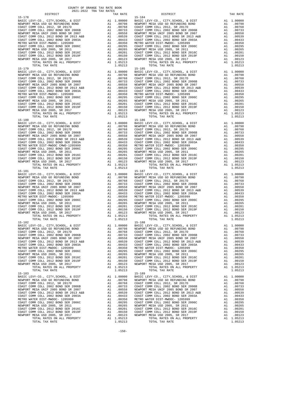| COAST COMM COLL 2012, SR 2017D                                               | AI .00768 COAST C<br>AI .00768 COAST C<br>AI .00753 COAST C<br>AI .00559 NEWPORT<br>AI .00539 COAST C<br>AI .00433 COAST C<br>AI .00295 COAST C<br>AI .00295 NEWPORT<br>AI .00201 COAST C<br>AI .00150 COAST C<br>AI .00150 COAST C<br>AI .00150 COA |                                                                                                                                                                                                                                                        |                                  |
|------------------------------------------------------------------------------|------------------------------------------------------------------------------------------------------------------------------------------------------------------------------------------------------------------------------------------------------|--------------------------------------------------------------------------------------------------------------------------------------------------------------------------------------------------------------------------------------------------------|----------------------------------|
| COAST COMM COLL 2002 BOND SER 2006B                                          |                                                                                                                                                                                                                                                      |                                                                                                                                                                                                                                                        |                                  |
| NEWPORT MESA UNIF 2005 BOND SR 2007<br>COAST COMM COLL 2012 BOND SR 2013 A&B |                                                                                                                                                                                                                                                      |                                                                                                                                                                                                                                                        |                                  |
| COAST COMM COLL 2002 BOND SER 2003A                                          |                                                                                                                                                                                                                                                      |                                                                                                                                                                                                                                                        |                                  |
| METRO WATER DIST-MWDOC- 1205999                                              |                                                                                                                                                                                                                                                      |                                                                                                                                                                                                                                                        |                                  |
| COAST COMM COLL 2002 BOND SER 2006C<br>NEWPORT MESA USD 2005, SR 2011        |                                                                                                                                                                                                                                                      |                                                                                                                                                                                                                                                        |                                  |
| COAST COMM COLL 2012 BOND SER 2016C                                          |                                                                                                                                                                                                                                                      |                                                                                                                                                                                                                                                        |                                  |
| COAST COMM COLL 2012 BOND SER 2019F                                          |                                                                                                                                                                                                                                                      |                                                                                                                                                                                                                                                        |                                  |
| NEWPORT MESA USD 2005, SR 2017                                               |                                                                                                                                                                                                                                                      |                                                                                                                                                                                                                                                        |                                  |
| TOTAL RATES ON ALL PROPERTY<br>TOTAL TAX RATE                                |                                                                                                                                                                                                                                                      | A1 1.05213<br>1.05213                                                                                                                                                                                                                                  |                                  |
| $15 - 179$                                                                   |                                                                                                                                                                                                                                                      |                                                                                                                                                                                                                                                        | 15-185                           |
| BASIC LEVY-CO., CITY, SCHOOL, & DIST                                         |                                                                                                                                                                                                                                                      | 15-185<br>A1 1.00000 BASIC L<br>A1 .00798 NEWPORT<br>A1 .00798 COAST C<br>A1 .00768 COAST C<br>A1 .00558 NEWPORT<br>A1 .00558 NEWPORT<br>A1 .00330 COAST C<br>A1 .00295 COAST C<br>A1 .00295 NEWPORT<br>A1 .00295 NEWPORT<br>A1 .00205 NEWPORT<br>A1 . |                                  |
| NEWPORT MESA USD GO REFUNDING BOND                                           |                                                                                                                                                                                                                                                      |                                                                                                                                                                                                                                                        |                                  |
| COAST COMM COLL 2012, SR 2017D<br>COAST COMM COLL 2002 BOND SER 2006B        |                                                                                                                                                                                                                                                      |                                                                                                                                                                                                                                                        |                                  |
| NEWPORT MESA UNIF 2005 BOND SR 2007                                          |                                                                                                                                                                                                                                                      |                                                                                                                                                                                                                                                        |                                  |
| COAST COMM COLL 2012 BOND SR 2013 A&B                                        |                                                                                                                                                                                                                                                      |                                                                                                                                                                                                                                                        |                                  |
| COAST COMM COLL 2002 BOND SER 2003A                                          |                                                                                                                                                                                                                                                      |                                                                                                                                                                                                                                                        |                                  |
| METRO WATER DIST-MWDOC- 1205999<br>COAST COMM COLL 2002 BOND SER 2006C       |                                                                                                                                                                                                                                                      |                                                                                                                                                                                                                                                        |                                  |
| NEWPORT MESA USD 2005, SR 2011                                               |                                                                                                                                                                                                                                                      |                                                                                                                                                                                                                                                        |                                  |
| COAST COMM COLL 2012 BOND SER 2016C                                          |                                                                                                                                                                                                                                                      |                                                                                                                                                                                                                                                        |                                  |
| COAST COMM COLL 2012 BOND SER 2019F                                          |                                                                                                                                                                                                                                                      |                                                                                                                                                                                                                                                        |                                  |
| NEWPORT MESA USD 2005, SR 2017<br>TOTAL RATES ON ALL PROPERTY                |                                                                                                                                                                                                                                                      | A1 1.05213                                                                                                                                                                                                                                             |                                  |
| TOTAL TAX RATE                                                               |                                                                                                                                                                                                                                                      | 1.05213                                                                                                                                                                                                                                                |                                  |
| $15 - 180$                                                                   |                                                                                                                                                                                                                                                      |                                                                                                                                                                                                                                                        | $15 - 186$                       |
| BASIC LEVY-CO., CITY, SCHOOL, & DIST                                         |                                                                                                                                                                                                                                                      |                                                                                                                                                                                                                                                        |                                  |
| NEWPORT MESA USD GO REFUNDING BOND<br>COAST COMM COLL 2012, SR 2017D         |                                                                                                                                                                                                                                                      |                                                                                                                                                                                                                                                        |                                  |
| COAST COMM COLL 2002 BOND SER 2006B                                          |                                                                                                                                                                                                                                                      |                                                                                                                                                                                                                                                        |                                  |
| NEWPORT MESA UNIF 2005 BOND SR 2007                                          |                                                                                                                                                                                                                                                      |                                                                                                                                                                                                                                                        |                                  |
| COAST COMM COLL 2012 BOND SR 2013 A&B                                        |                                                                                                                                                                                                                                                      |                                                                                                                                                                                                                                                        |                                  |
| COAST COMM COLL 2002 BOND SER 2003A<br>METRO WATER DIST-MWDOC CMWD-1205999   |                                                                                                                                                                                                                                                      |                                                                                                                                                                                                                                                        |                                  |
| COAST COMM COLL 2002 BOND SER 2006C                                          |                                                                                                                                                                                                                                                      |                                                                                                                                                                                                                                                        |                                  |
| NEWPORT MESA USD 2005, SR 2011                                               |                                                                                                                                                                                                                                                      |                                                                                                                                                                                                                                                        |                                  |
| COAST COMM COLL 2012 BOND SER 2016C<br>COAST COMM COLL 2012 BOND SER 2019E   |                                                                                                                                                                                                                                                      |                                                                                                                                                                                                                                                        |                                  |
| COAST COMM COLL 2012 BOND SER 2019F<br>NEWPORT MESA USD 2005, SR 2017        |                                                                                                                                                                                                                                                      |                                                                                                                                                                                                                                                        |                                  |
| TOTAL RATES ON ALL PROPERTY                                                  |                                                                                                                                                                                                                                                      | A1 1.05213                                                                                                                                                                                                                                             |                                  |
| TOTAL TAX RATE                                                               |                                                                                                                                                                                                                                                      | 1.05213                                                                                                                                                                                                                                                |                                  |
| $15 - 181$                                                                   |                                                                                                                                                                                                                                                      | 15-187<br>A1 1.00000 BASIC L<br>A1 .00798 NEWPORT<br>A1 .00768 COAST C<br>A1 .00768 COAST C<br>A1 .00753 COAST C<br>A1 .00539 NEWPORT<br>A1 .00433 COAST C<br>A1 .00433 COAST C<br>A1 .00295 COAST C<br>A1 .00295 NEWPORT<br>A1 .00295 NEWPORT<br>A1 . |                                  |
| BASIC LEVY-CO., CITY, SCHOOL, & DIST<br>NEWPORT MESA USD GO REFUNDING BOND   |                                                                                                                                                                                                                                                      |                                                                                                                                                                                                                                                        |                                  |
| COAST COMM COLL 2012, SR 2017D                                               |                                                                                                                                                                                                                                                      |                                                                                                                                                                                                                                                        |                                  |
| COAST COMM COLL 2002 BOND SER 2006B                                          |                                                                                                                                                                                                                                                      |                                                                                                                                                                                                                                                        |                                  |
| NEWPORT MESA UNIF 2005 BOND SR 2007                                          |                                                                                                                                                                                                                                                      |                                                                                                                                                                                                                                                        |                                  |
| COAST COMM COLL 2012 BOND SR 2013 A&B<br>COAST COMM COLL 2002 BOND SER 2003A |                                                                                                                                                                                                                                                      |                                                                                                                                                                                                                                                        |                                  |
| METRO WATER DIST-MWDOC- 1205999                                              |                                                                                                                                                                                                                                                      |                                                                                                                                                                                                                                                        |                                  |
| COAST COMM COLL 2002 BOND SER 2006C                                          |                                                                                                                                                                                                                                                      |                                                                                                                                                                                                                                                        |                                  |
| NEWPORT MESA USD 2005, SR 2011                                               |                                                                                                                                                                                                                                                      |                                                                                                                                                                                                                                                        |                                  |
| COAST COMM COLL 2012 BOND SER 2016C<br>COAST COMM COLL 2012 BOND SER 2019F   |                                                                                                                                                                                                                                                      |                                                                                                                                                                                                                                                        |                                  |
| NEWPORT MESA USD 2005, SR 2017                                               |                                                                                                                                                                                                                                                      |                                                                                                                                                                                                                                                        |                                  |
| TOTAL RATES ON ALL PROPERTY                                                  |                                                                                                                                                                                                                                                      | A1 1.05213                                                                                                                                                                                                                                             |                                  |
| TOTAL TAX RATE<br>$15 - 182$                                                 |                                                                                                                                                                                                                                                      | 1.05213                                                                                                                                                                                                                                                | $15 - 188$                       |
|                                                                              |                                                                                                                                                                                                                                                      |                                                                                                                                                                                                                                                        |                                  |
|                                                                              |                                                                                                                                                                                                                                                      |                                                                                                                                                                                                                                                        |                                  |
|                                                                              |                                                                                                                                                                                                                                                      |                                                                                                                                                                                                                                                        |                                  |
|                                                                              |                                                                                                                                                                                                                                                      |                                                                                                                                                                                                                                                        |                                  |
|                                                                              |                                                                                                                                                                                                                                                      |                                                                                                                                                                                                                                                        |                                  |
|                                                                              |                                                                                                                                                                                                                                                      |                                                                                                                                                                                                                                                        |                                  |
|                                                                              |                                                                                                                                                                                                                                                      |                                                                                                                                                                                                                                                        |                                  |
| COAST COMM COLL 2002 BOND SER 2006C                                          | A1                                                                                                                                                                                                                                                   | .00295                                                                                                                                                                                                                                                 | COAST C<br>NEWPORT               |
| NEWPORT MESA USD 2005, SR 2011<br>COAST COMM COLL 2012 BOND SER 2016C        | A1<br>A1                                                                                                                                                                                                                                             | .00265<br>.00201                                                                                                                                                                                                                                       | COAST C                          |
| COAST COMM COLL 2012 BOND SER 2019F                                          | A1                                                                                                                                                                                                                                                   | .00150                                                                                                                                                                                                                                                 | COAST C                          |
| NEWPORT MESA USD 2005, SR 2017                                               | A1                                                                                                                                                                                                                                                   | .00123                                                                                                                                                                                                                                                 | NEWPORT                          |
| TOTAL RATES ON ALL PROPERTY<br>TOTAL TAX RATE                                |                                                                                                                                                                                                                                                      | A1 1.05213<br>1.05213                                                                                                                                                                                                                                  |                                  |
| $15 - 183$                                                                   |                                                                                                                                                                                                                                                      |                                                                                                                                                                                                                                                        | $15 - 189$                       |
| BASIC LEVY-CO., CITY, SCHOOL, & DIST                                         | A1                                                                                                                                                                                                                                                   | 1.00000                                                                                                                                                                                                                                                | BASIC L                          |
| NEWPORT MESA USD GO REFUNDING BOND                                           | A1                                                                                                                                                                                                                                                   | .00798                                                                                                                                                                                                                                                 | NEWPORT                          |
| COAST COMM COLL 2012, SR 2017D<br>COAST COMM COLL 2002 BOND SER 2006B        | A1<br>A1                                                                                                                                                                                                                                             | .00768<br>.00733                                                                                                                                                                                                                                       | COAST C<br>COAST C               |
| NEWPORT MESA UNIF 2005 BOND SR 2007                                          | A1                                                                                                                                                                                                                                                   | .00558                                                                                                                                                                                                                                                 | NEWPORT                          |
| COAST COMM COLL 2012 BOND SR 2013 A&B                                        | A1                                                                                                                                                                                                                                                   | .00539                                                                                                                                                                                                                                                 | COAST C                          |
| COAST COMM COLL 2002 BOND SER 2003A                                          | A1                                                                                                                                                                                                                                                   | .00433                                                                                                                                                                                                                                                 | COAST C                          |
| METRO WATER DIST-MWDOC- 1205999<br>COAST COMM COLL 2002 BOND SER 2006C       | A1<br>A1                                                                                                                                                                                                                                             | .00350<br>.00295                                                                                                                                                                                                                                       | METRO W<br>COAST C               |
| NEWPORT MESA USD 2005, SR 2011                                               | A1                                                                                                                                                                                                                                                   | .00265                                                                                                                                                                                                                                                 | NEWPORT                          |
| COAST COMM COLL 2012 BOND SER 2016C                                          |                                                                                                                                                                                                                                                      |                                                                                                                                                                                                                                                        |                                  |
|                                                                              | A1                                                                                                                                                                                                                                                   | .00201                                                                                                                                                                                                                                                 | COAST C                          |
| COAST COMM COLL 2012 BOND SER 2019F<br>NEWPORT MESA USD 2005, SR 2017        | A1<br>A1                                                                                                                                                                                                                                             |                                                                                                                                                                                                                                                        | .00150 COAST C<br>.00123 NEWPORT |

| DISTRICT                                                                                                                                                                                                                                                                                                                                                                            | TAX RATE | DISTRICT   | TAX RATE |
|-------------------------------------------------------------------------------------------------------------------------------------------------------------------------------------------------------------------------------------------------------------------------------------------------------------------------------------------------------------------------------------|----------|------------|----------|
| $15 - 178$                                                                                                                                                                                                                                                                                                                                                                          |          | $15 - 184$ |          |
|                                                                                                                                                                                                                                                                                                                                                                                     |          |            |          |
|                                                                                                                                                                                                                                                                                                                                                                                     |          |            |          |
|                                                                                                                                                                                                                                                                                                                                                                                     |          |            |          |
|                                                                                                                                                                                                                                                                                                                                                                                     |          |            |          |
|                                                                                                                                                                                                                                                                                                                                                                                     |          |            |          |
|                                                                                                                                                                                                                                                                                                                                                                                     |          |            |          |
|                                                                                                                                                                                                                                                                                                                                                                                     |          |            |          |
|                                                                                                                                                                                                                                                                                                                                                                                     |          |            |          |
|                                                                                                                                                                                                                                                                                                                                                                                     |          |            |          |
|                                                                                                                                                                                                                                                                                                                                                                                     |          |            |          |
|                                                                                                                                                                                                                                                                                                                                                                                     |          |            |          |
|                                                                                                                                                                                                                                                                                                                                                                                     |          |            |          |
|                                                                                                                                                                                                                                                                                                                                                                                     |          |            |          |
|                                                                                                                                                                                                                                                                                                                                                                                     |          |            |          |
|                                                                                                                                                                                                                                                                                                                                                                                     |          |            |          |
|                                                                                                                                                                                                                                                                                                                                                                                     |          |            |          |
|                                                                                                                                                                                                                                                                                                                                                                                     |          |            |          |
|                                                                                                                                                                                                                                                                                                                                                                                     |          |            |          |
|                                                                                                                                                                                                                                                                                                                                                                                     |          |            |          |
|                                                                                                                                                                                                                                                                                                                                                                                     |          |            |          |
|                                                                                                                                                                                                                                                                                                                                                                                     |          |            |          |
|                                                                                                                                                                                                                                                                                                                                                                                     |          |            |          |
|                                                                                                                                                                                                                                                                                                                                                                                     |          |            |          |
|                                                                                                                                                                                                                                                                                                                                                                                     |          |            |          |
|                                                                                                                                                                                                                                                                                                                                                                                     |          |            |          |
|                                                                                                                                                                                                                                                                                                                                                                                     |          |            |          |
|                                                                                                                                                                                                                                                                                                                                                                                     |          |            |          |
|                                                                                                                                                                                                                                                                                                                                                                                     |          |            |          |
|                                                                                                                                                                                                                                                                                                                                                                                     |          |            |          |
|                                                                                                                                                                                                                                                                                                                                                                                     |          |            |          |
|                                                                                                                                                                                                                                                                                                                                                                                     |          |            |          |
|                                                                                                                                                                                                                                                                                                                                                                                     |          |            |          |
|                                                                                                                                                                                                                                                                                                                                                                                     |          |            |          |
|                                                                                                                                                                                                                                                                                                                                                                                     |          |            |          |
|                                                                                                                                                                                                                                                                                                                                                                                     |          |            |          |
|                                                                                                                                                                                                                                                                                                                                                                                     |          |            |          |
|                                                                                                                                                                                                                                                                                                                                                                                     |          |            |          |
|                                                                                                                                                                                                                                                                                                                                                                                     |          |            |          |
|                                                                                                                                                                                                                                                                                                                                                                                     |          |            |          |
|                                                                                                                                                                                                                                                                                                                                                                                     |          |            |          |
|                                                                                                                                                                                                                                                                                                                                                                                     |          |            |          |
|                                                                                                                                                                                                                                                                                                                                                                                     |          |            |          |
|                                                                                                                                                                                                                                                                                                                                                                                     |          |            |          |
|                                                                                                                                                                                                                                                                                                                                                                                     |          |            |          |
|                                                                                                                                                                                                                                                                                                                                                                                     |          |            |          |
| $\begin{tabular}{l c c c c} \hline 15-181 & 15-101 & 15-107 & 15-107 \\ \hline \hline R=RPC LEVY-CO,, CITY, SCHOOL, & DIST \\ \hline CAST COMM COMOCL 2012, SR 2017D & A1 & .00798 & NENE'DCT MESA USD CO. & CITY, SCHOOL, & DIST \\ \hline COSAT COMM COMOCL 2012, SR 2017D & A1 & .00798 & NENE'DCT MESA USD CO. & CITY, SCHOOL, & DIST \\ \hline COSAT COMM COMOCL 2012, SR 201$ |          |            |          |
|                                                                                                                                                                                                                                                                                                                                                                                     |          |            |          |
|                                                                                                                                                                                                                                                                                                                                                                                     |          |            |          |
|                                                                                                                                                                                                                                                                                                                                                                                     |          |            |          |
|                                                                                                                                                                                                                                                                                                                                                                                     |          |            |          |
|                                                                                                                                                                                                                                                                                                                                                                                     |          |            |          |
|                                                                                                                                                                                                                                                                                                                                                                                     |          |            |          |
|                                                                                                                                                                                                                                                                                                                                                                                     |          |            |          |
|                                                                                                                                                                                                                                                                                                                                                                                     |          |            |          |
|                                                                                                                                                                                                                                                                                                                                                                                     |          |            |          |
|                                                                                                                                                                                                                                                                                                                                                                                     |          |            |          |
|                                                                                                                                                                                                                                                                                                                                                                                     |          |            |          |
|                                                                                                                                                                                                                                                                                                                                                                                     |          |            |          |
|                                                                                                                                                                                                                                                                                                                                                                                     |          |            |          |
|                                                                                                                                                                                                                                                                                                                                                                                     |          |            |          |
| $15 - 182$                                                                                                                                                                                                                                                                                                                                                                          |          | $15 - 188$ |          |
|                                                                                                                                                                                                                                                                                                                                                                                     |          |            |          |
|                                                                                                                                                                                                                                                                                                                                                                                     |          |            |          |
|                                                                                                                                                                                                                                                                                                                                                                                     |          |            |          |
|                                                                                                                                                                                                                                                                                                                                                                                     |          |            |          |
|                                                                                                                                                                                                                                                                                                                                                                                     |          |            |          |
|                                                                                                                                                                                                                                                                                                                                                                                     |          |            |          |
|                                                                                                                                                                                                                                                                                                                                                                                     |          |            |          |
|                                                                                                                                                                                                                                                                                                                                                                                     |          |            |          |
|                                                                                                                                                                                                                                                                                                                                                                                     |          |            |          |
|                                                                                                                                                                                                                                                                                                                                                                                     |          |            |          |
|                                                                                                                                                                                                                                                                                                                                                                                     |          |            |          |
|                                                                                                                                                                                                                                                                                                                                                                                     |          |            |          |
|                                                                                                                                                                                                                                                                                                                                                                                     |          |            |          |
|                                                                                                                                                                                                                                                                                                                                                                                     |          |            |          |
|                                                                                                                                                                                                                                                                                                                                                                                     |          |            |          |
|                                                                                                                                                                                                                                                                                                                                                                                     |          |            |          |
|                                                                                                                                                                                                                                                                                                                                                                                     |          |            |          |
|                                                                                                                                                                                                                                                                                                                                                                                     |          |            |          |
|                                                                                                                                                                                                                                                                                                                                                                                     |          |            |          |
|                                                                                                                                                                                                                                                                                                                                                                                     |          |            |          |
|                                                                                                                                                                                                                                                                                                                                                                                     |          |            |          |
|                                                                                                                                                                                                                                                                                                                                                                                     |          |            |          |
|                                                                                                                                                                                                                                                                                                                                                                                     |          |            |          |
|                                                                                                                                                                                                                                                                                                                                                                                     |          |            |          |
|                                                                                                                                                                                                                                                                                                                                                                                     |          |            |          |
|                                                                                                                                                                                                                                                                                                                                                                                     |          |            |          |
|                                                                                                                                                                                                                                                                                                                                                                                     |          |            |          |
|                                                                                                                                                                                                                                                                                                                                                                                     |          |            |          |
|                                                                                                                                                                                                                                                                                                                                                                                     |          |            |          |
| TOTAL TAX RATE                                                                                                                                                                                                                                                                                                                                                                      |          |            | 1.05213  |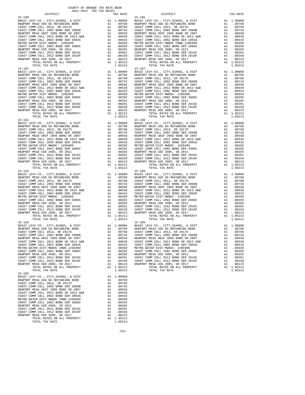| TOTAL RATES ON ALL PROPERTY                                                                                 |          | A1 1.05213                                                                                                                                                                                                                                             |                                      |
|-------------------------------------------------------------------------------------------------------------|----------|--------------------------------------------------------------------------------------------------------------------------------------------------------------------------------------------------------------------------------------------------------|--------------------------------------|
| TOTAL TAX RATE                                                                                              |          | 1.05213                                                                                                                                                                                                                                                |                                      |
| $15 - 191$                                                                                                  |          |                                                                                                                                                                                                                                                        | 15-197                               |
| BASIC LEVY-CO., CITY, SCHOOL, & DIST<br>NEWPORT MESA USD GO REFUNDING BOND                                  |          |                                                                                                                                                                                                                                                        |                                      |
| COAST COMM COLL 2012, SR 2017D                                                                              |          |                                                                                                                                                                                                                                                        |                                      |
| COAST COMM COLL 2002 BOND SER 2006B                                                                         |          |                                                                                                                                                                                                                                                        |                                      |
| NEWPORT MESA UNIF 2005 BOND SR 2007                                                                         |          |                                                                                                                                                                                                                                                        |                                      |
| COAST COMM COLL 2012 BOND SR 2013 A&B<br>COAST COMM COLL 2002 BOND SER 2003A                                |          |                                                                                                                                                                                                                                                        |                                      |
| METRO WATER DIST-MWDOC- 1205999                                                                             |          |                                                                                                                                                                                                                                                        |                                      |
| COAST COMM COLL 2002 BOND SER 2006C                                                                         |          |                                                                                                                                                                                                                                                        |                                      |
| NEWPORT MESA USD 2005, SR 2011                                                                              |          |                                                                                                                                                                                                                                                        |                                      |
| COAST COMM COLL 2012 BOND SER 2016C                                                                         |          |                                                                                                                                                                                                                                                        |                                      |
| COAST COMM COLL 2012 BOND SER 2019F<br>NEWPORT MESA USD 2005, SR 2017                                       |          |                                                                                                                                                                                                                                                        |                                      |
| TOTAL RATES ON ALL PROPERTY                                                                                 |          |                                                                                                                                                                                                                                                        |                                      |
| TOTAL TAX RATE                                                                                              |          | 1.05213                                                                                                                                                                                                                                                |                                      |
| $15 - 192$                                                                                                  |          | 15–198<br>A1 1.00000 BASIC L<br>A1 .00798 NEWPORT<br>A1 .00798 NEWPORT C<br>A1 .00763 COAST C<br>A1 .00558 NEWPORT<br>A1 .00539 COAST C<br>A1 .00433 OAST C<br>A1 .00295 COAST C<br>A1 .00295 NEWPORT<br>A1 .00205 NEWPORT<br>A1 .00205 NEWPORT<br>A1  | $15 - 198$                           |
| BASIC LEVY-CO., CITY, SCHOOL, & DIST                                                                        |          |                                                                                                                                                                                                                                                        |                                      |
| NEWPORT MESA USD GO REFUNDING BOND<br>COAST COMM COLL 2012 REFUNDING BOND<br>COAST COMM COLL 2012, SR 2017D |          |                                                                                                                                                                                                                                                        |                                      |
| COAST COMM COLL 2002 BOND SER 2006B                                                                         |          |                                                                                                                                                                                                                                                        |                                      |
| NEWPORT MESA UNIF 2005 BOND SR 2007                                                                         |          |                                                                                                                                                                                                                                                        |                                      |
| COAST COMM COLL 2012 BOND SR 2013 A&B<br>COAST COMM COLL 2002 BOND SER 2003A                                |          |                                                                                                                                                                                                                                                        |                                      |
| METRO WATER DIST-MWDOC- 1205999                                                                             |          |                                                                                                                                                                                                                                                        |                                      |
| COAST COMM COLL 2002 BOND SER 2006C                                                                         |          |                                                                                                                                                                                                                                                        |                                      |
| NEWPORT MESA USD 2005, SR 2011                                                                              |          |                                                                                                                                                                                                                                                        |                                      |
| COAST COMM COLL 2012 BOND SER 2016C                                                                         |          |                                                                                                                                                                                                                                                        |                                      |
| COAST COMM COLL 2012 BOND SER 2019F<br>NEWPORT MESA USD 2005, SR 2017                                       |          |                                                                                                                                                                                                                                                        |                                      |
| TOTAL RATES ON ALL PROPERTY                                                                                 |          | A1 1.05213                                                                                                                                                                                                                                             |                                      |
| TOTAL TAX RATE                                                                                              |          | 1.05213                                                                                                                                                                                                                                                |                                      |
| $15 - 193$<br>BASIC LEVY-CO., CITY, SCHOOL, & DIST                                                          |          | 15-199<br>A1 1.0000 BASIC L<br>A1 .00798 NEWPORT<br>A1 .00798 NEWPORT<br>A1 .00798 COAST C<br>A1 .00758 COAST C<br>A1 .00558 NEWPORT<br>A1 .00433 COAST C<br>A1 .00350 METRO W<br>A1 .00265 NEWPORT<br>A1 .00265 NEWPORT<br>A1 .00265 NEWPORT<br>A1 .0 | $15 - 199$                           |
| NEWPORT MESA USD GO REFUNDING BOND                                                                          |          |                                                                                                                                                                                                                                                        |                                      |
| COAST COMM COLL 2012, SR 2017D                                                                              |          |                                                                                                                                                                                                                                                        |                                      |
| COAST COMM COLL 2002 BOND SER 2006B                                                                         |          |                                                                                                                                                                                                                                                        |                                      |
| NEWPORT MESA UNIF 2005 BOND SR 2007                                                                         |          |                                                                                                                                                                                                                                                        |                                      |
| COAST COMM COLL 2012 BOND SR 2013 A&B<br>COAST COMM COLL 2002 BOND SER 2003A                                |          |                                                                                                                                                                                                                                                        |                                      |
| METRO WATER DIST-MWDOC- 1205999                                                                             |          |                                                                                                                                                                                                                                                        |                                      |
| COAST COMM COLL 2002 BOND SER 2006C                                                                         |          |                                                                                                                                                                                                                                                        |                                      |
| NEWPORT MESA USD 2005, SR 2011                                                                              |          |                                                                                                                                                                                                                                                        |                                      |
| COAST COMM COLL 2012 BOND SER 2016C<br>COAST COMM COLL 2012 BOND SER 2019F                                  |          |                                                                                                                                                                                                                                                        |                                      |
| NEWPORT MESA USD 2005, SR 2017                                                                              |          |                                                                                                                                                                                                                                                        |                                      |
| TOTAL RATES ON ALL PROPERTY                                                                                 |          |                                                                                                                                                                                                                                                        |                                      |
| TOTAL TAX RATE                                                                                              |          | 1.05213                                                                                                                                                                                                                                                |                                      |
| $15 - 194$                                                                                                  |          |                                                                                                                                                                                                                                                        | $15 - 200$                           |
|                                                                                                             |          |                                                                                                                                                                                                                                                        |                                      |
|                                                                                                             |          |                                                                                                                                                                                                                                                        |                                      |
|                                                                                                             |          |                                                                                                                                                                                                                                                        |                                      |
|                                                                                                             |          |                                                                                                                                                                                                                                                        |                                      |
|                                                                                                             |          |                                                                                                                                                                                                                                                        |                                      |
| METRO WATER DIST-MWDOC CMWD-1205999                                                                         | A1       | .00350                                                                                                                                                                                                                                                 | METRO W                              |
| COAST COMM COLL 2002 BOND SER 2006C                                                                         |          | MEIROW<br>A1 .00295 COAST<br>A1 .00265 NEWPORT                                                                                                                                                                                                         |                                      |
| NEWPORT MESA USD 2005, SR 2011                                                                              |          |                                                                                                                                                                                                                                                        |                                      |
| COAST COMM COLL 2012 BOND SER 2016C<br>COAST COMM COLL 2012 BOND SER 2019F                                  | A1<br>A1 | .00201                                                                                                                                                                                                                                                 | COAST C                              |
| NEWPORT MESA USD 2005, SR 2017                                                                              | A1       |                                                                                                                                                                                                                                                        | .00150 COAST COAST<br>.00150 COAST C |
| TOTAL RATES ON ALL PROPERTY                                                                                 |          | A1 1.05213                                                                                                                                                                                                                                             |                                      |
| TOTAL TAX RATE                                                                                              |          | 1.05213                                                                                                                                                                                                                                                |                                      |
| $15 - 195$<br>BASIC LEVY-CO., CITY, SCHOOL, & DIST                                                          | A1       | 1.00000                                                                                                                                                                                                                                                |                                      |
| NEWPORT MESA USD GO REFUNDING BOND                                                                          |          | A1 .00798                                                                                                                                                                                                                                              |                                      |
| COAST COMM COLL 2012, SR 2017D                                                                              | A1       | .00768                                                                                                                                                                                                                                                 |                                      |
| COAST COMM COLL 2002 BOND SER 2006B                                                                         | A1       | .00733                                                                                                                                                                                                                                                 |                                      |
| NEWPORT MESA UNIF 2005 BOND SR 2007<br>COAST COMM COLL 2012 BOND SR 2013 A&B                                | A1<br>A1 | .00558<br>.00539                                                                                                                                                                                                                                       |                                      |
| COAST COMM COLL 2002 BOND SER 2003A                                                                         | A1       | .00433                                                                                                                                                                                                                                                 |                                      |
| METRO WATER DIST-MWDOC CMWD-1205999                                                                         | A1       | .00350                                                                                                                                                                                                                                                 |                                      |
| COAST COMM COLL 2002 BOND SER 2006C                                                                         | A1       | .00295                                                                                                                                                                                                                                                 |                                      |
| NEWPORT MESA USD 2005, SR 2011<br>COAST COMM COLL 2012 BOND SER 2016C                                       | A1<br>A1 | .00265<br>.00201                                                                                                                                                                                                                                       |                                      |
| COAST COMM COLL 2012 BOND SER 2019F                                                                         | A1       | .00150                                                                                                                                                                                                                                                 |                                      |
| NEWPORT MESA USD 2005, SR 2017                                                                              | A1       | .00123                                                                                                                                                                                                                                                 |                                      |
| TOTAL RATES ON ALL PROPERTY                                                                                 |          | A1 1.05213                                                                                                                                                                                                                                             |                                      |
| TOTAL TAX RATE                                                                                              |          | 1.05213                                                                                                                                                                                                                                                |                                      |

| DISTRICT                                                                    |     | TAX RATE               | DISTRICT                                                              | TAX RATE                  |
|-----------------------------------------------------------------------------|-----|------------------------|-----------------------------------------------------------------------|---------------------------|
| $15 - 190$                                                                  |     |                        | $15 - 196$                                                            |                           |
|                                                                             |     |                        |                                                                       |                           |
|                                                                             |     |                        |                                                                       |                           |
|                                                                             |     |                        |                                                                       |                           |
|                                                                             |     |                        |                                                                       |                           |
|                                                                             |     |                        |                                                                       |                           |
|                                                                             |     |                        |                                                                       |                           |
|                                                                             |     |                        |                                                                       |                           |
|                                                                             |     |                        |                                                                       |                           |
|                                                                             |     |                        |                                                                       |                           |
|                                                                             |     |                        |                                                                       |                           |
|                                                                             |     |                        |                                                                       |                           |
|                                                                             |     |                        |                                                                       |                           |
|                                                                             |     |                        |                                                                       |                           |
|                                                                             |     |                        |                                                                       |                           |
| $15 - 191$                                                                  |     |                        | $15 - 197$                                                            |                           |
|                                                                             |     |                        |                                                                       |                           |
|                                                                             |     |                        |                                                                       |                           |
|                                                                             |     |                        |                                                                       |                           |
|                                                                             |     |                        |                                                                       |                           |
|                                                                             |     |                        |                                                                       |                           |
|                                                                             |     |                        |                                                                       |                           |
|                                                                             |     |                        |                                                                       |                           |
|                                                                             |     |                        |                                                                       |                           |
|                                                                             |     |                        |                                                                       |                           |
|                                                                             |     |                        |                                                                       |                           |
|                                                                             |     |                        |                                                                       |                           |
|                                                                             |     |                        |                                                                       |                           |
|                                                                             |     |                        |                                                                       |                           |
|                                                                             |     |                        |                                                                       |                           |
|                                                                             |     |                        |                                                                       |                           |
|                                                                             |     |                        |                                                                       |                           |
|                                                                             |     |                        |                                                                       |                           |
|                                                                             |     |                        |                                                                       |                           |
|                                                                             |     |                        |                                                                       |                           |
|                                                                             |     |                        |                                                                       |                           |
|                                                                             |     |                        |                                                                       |                           |
|                                                                             |     |                        |                                                                       |                           |
|                                                                             |     |                        |                                                                       |                           |
|                                                                             |     |                        |                                                                       |                           |
|                                                                             |     |                        |                                                                       |                           |
|                                                                             |     |                        |                                                                       |                           |
|                                                                             |     |                        |                                                                       |                           |
|                                                                             |     |                        |                                                                       |                           |
|                                                                             |     |                        |                                                                       |                           |
|                                                                             |     |                        |                                                                       |                           |
|                                                                             |     |                        |                                                                       |                           |
|                                                                             |     |                        |                                                                       |                           |
|                                                                             |     |                        |                                                                       |                           |
|                                                                             |     |                        |                                                                       |                           |
|                                                                             |     |                        |                                                                       |                           |
|                                                                             |     |                        |                                                                       |                           |
|                                                                             |     |                        |                                                                       |                           |
|                                                                             |     |                        |                                                                       |                           |
|                                                                             |     |                        |                                                                       |                           |
|                                                                             |     |                        |                                                                       |                           |
|                                                                             |     |                        |                                                                       |                           |
|                                                                             |     |                        |                                                                       |                           |
|                                                                             |     |                        |                                                                       |                           |
|                                                                             |     |                        |                                                                       |                           |
|                                                                             |     |                        |                                                                       |                           |
| $15 - 194$                                                                  |     |                        | $15 - 200$                                                            |                           |
|                                                                             |     |                        |                                                                       |                           |
|                                                                             |     |                        |                                                                       |                           |
|                                                                             |     |                        |                                                                       |                           |
|                                                                             |     |                        |                                                                       |                           |
| NEWPORT MESA UNIF 2005 BOND SR 2007                                         | A1  | .00558                 | NEWPORT MESA UNIF 2005 BOND SR 2007                                   | .00558<br>A1              |
| COAST COMM COLL 2012 BOND SR 2013 A&B                                       |     | A1.00539               | COAST COMM COLL 2012 BOND SR 2013 A&B                                 | A1<br>.00539              |
| COAST COMM COLL 2002 BOND SER 2003A                                         |     | A1 .00433              | COAST COMM COLL 2002 BOND SER 2003A                                   | A1<br>.00433              |
| METRO WATER DIST-MWDOC CMWD-1205999                                         |     | A1 .00350              | METRO WATER DIST-MWDOC- 1205999                                       | A1 .00350                 |
| COAST COMM COLL 2002 BOND SER 2006C                                         |     | A1 .00295              | COAST COMM COLL 2002 BOND SER 2006C                                   | A1 .00295                 |
| NEWPORT MESA USD 2005, SR 2011                                              |     | A1 .00265              | NEWPORT MESA USD 2005, SR 2011                                        | A1 .00265                 |
| COAST COMM COLL 2012 BOND SER 2016C                                         |     | A1 .00201              | COAST COMM COLL 2012 BOND SER 2016C                                   | A1 .00201                 |
| COAST COMM COLL 2012 BOND SER 2019F<br>NEWPORT MESA USD 2005, SR 2017       |     | A1 .00150<br>A1 .00123 | COAST COMM COLL 2012 BOND SER 2019F<br>NEWPORT MESA USD 2005, SR 2017 | A1<br>.00150<br>A1 .00123 |
| TOTAL RATES ON ALL PROPERTY                                                 |     | A1 1.05213             | TOTAL RATES ON ALL PROPERTY                                           | A1 1.05213                |
| TOTAL TAX RATE                                                              |     | 1.05213                | TOTAL TAX RATE                                                        | 1.05213                   |
| $15 - 195$                                                                  |     |                        |                                                                       |                           |
| BASIC LEVY-CO., CITY, SCHOOL, & DIST                                        |     | A1 1.00000             |                                                                       |                           |
| NEWPORT MESA USD GO REFUNDING BOND                                          | A1  | .00798                 |                                                                       |                           |
| $0.207 \text{ cm}$ $0.0000 \text{ cm}$ $0.017 \text{ cm}$ $0.017 \text{ m}$ | 7.1 | 00760                  |                                                                       |                           |

-151-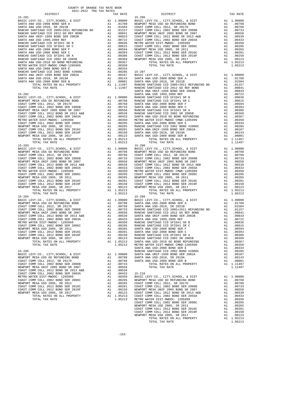| DIPIKICI                                                                                                                                                                                                                                                                                                                                                  |    | IAA KAIL                               |            |
|-----------------------------------------------------------------------------------------------------------------------------------------------------------------------------------------------------------------------------------------------------------------------------------------------------------------------------------------------------------|----|----------------------------------------|------------|
| $15 - 201$                                                                                                                                                                                                                                                                                                                                                |    |                                        | $15 - 206$ |
|                                                                                                                                                                                                                                                                                                                                                           |    |                                        |            |
|                                                                                                                                                                                                                                                                                                                                                           |    |                                        |            |
|                                                                                                                                                                                                                                                                                                                                                           |    |                                        |            |
|                                                                                                                                                                                                                                                                                                                                                           |    |                                        |            |
|                                                                                                                                                                                                                                                                                                                                                           |    |                                        |            |
|                                                                                                                                                                                                                                                                                                                                                           |    |                                        |            |
|                                                                                                                                                                                                                                                                                                                                                           |    |                                        |            |
|                                                                                                                                                                                                                                                                                                                                                           |    |                                        |            |
|                                                                                                                                                                                                                                                                                                                                                           |    |                                        |            |
|                                                                                                                                                                                                                                                                                                                                                           |    |                                        |            |
|                                                                                                                                                                                                                                                                                                                                                           |    |                                        |            |
|                                                                                                                                                                                                                                                                                                                                                           |    |                                        |            |
|                                                                                                                                                                                                                                                                                                                                                           |    |                                        |            |
|                                                                                                                                                                                                                                                                                                                                                           |    |                                        |            |
|                                                                                                                                                                                                                                                                                                                                                           |    |                                        |            |
|                                                                                                                                                                                                                                                                                                                                                           |    |                                        |            |
|                                                                                                                                                                                                                                                                                                                                                           |    |                                        |            |
|                                                                                                                                                                                                                                                                                                                                                           |    |                                        |            |
|                                                                                                                                                                                                                                                                                                                                                           |    |                                        |            |
|                                                                                                                                                                                                                                                                                                                                                           |    |                                        |            |
|                                                                                                                                                                                                                                                                                                                                                           |    |                                        |            |
|                                                                                                                                                                                                                                                                                                                                                           |    |                                        |            |
|                                                                                                                                                                                                                                                                                                                                                           |    |                                        | SANTA A    |
| $15 - 202$                                                                                                                                                                                                                                                                                                                                                |    |                                        | SANTA A    |
|                                                                                                                                                                                                                                                                                                                                                           |    |                                        |            |
|                                                                                                                                                                                                                                                                                                                                                           |    |                                        |            |
|                                                                                                                                                                                                                                                                                                                                                           |    |                                        |            |
|                                                                                                                                                                                                                                                                                                                                                           |    |                                        |            |
|                                                                                                                                                                                                                                                                                                                                                           |    |                                        |            |
|                                                                                                                                                                                                                                                                                                                                                           |    |                                        |            |
|                                                                                                                                                                                                                                                                                                                                                           |    |                                        |            |
|                                                                                                                                                                                                                                                                                                                                                           |    |                                        |            |
|                                                                                                                                                                                                                                                                                                                                                           |    |                                        |            |
|                                                                                                                                                                                                                                                                                                                                                           |    |                                        |            |
|                                                                                                                                                                                                                                                                                                                                                           |    |                                        |            |
|                                                                                                                                                                                                                                                                                                                                                           |    |                                        |            |
|                                                                                                                                                                                                                                                                                                                                                           |    |                                        |            |
|                                                                                                                                                                                                                                                                                                                                                           |    |                                        |            |
|                                                                                                                                                                                                                                                                                                                                                           |    | 1.05213                                |            |
| TOTAL TAX RATE<br>$15 - 203$                                                                                                                                                                                                                                                                                                                              |    |                                        | $15 - 208$ |
| $\begin{tabular}{cc} & 15-208 \\ \text{A1} & 0.0000 \\ \text{A1} & 0.0798 \\ \text{A1} & 0.0798 \\ \text{A1} & 0.0768 \\ \text{A1} & 0.0763 \\ \text{A1} & 0.0753 \\ \text{A1} & 0.0553 \\ \text{A1} & 0.0553 \\ \text{A1} & 0.0539 \\ \text{A1} & 0.0539 \\ \text{A1} & 0.0353 \\ \text{A1} & 0.0350 \\ \text{METRO W \\ \text{A1} & 0.0295 \\$          |    |                                        |            |
| BASIC LEVY-CO., CITY, SCHOOL, & DIST                                                                                                                                                                                                                                                                                                                      |    |                                        |            |
| NEWPORT MESA USD GO REFUNDING BOND                                                                                                                                                                                                                                                                                                                        |    |                                        |            |
| COAST COMM COLL 2012, SR 2017D                                                                                                                                                                                                                                                                                                                            |    |                                        |            |
| COAST COMM COLL 2002 BOND SER 2006B                                                                                                                                                                                                                                                                                                                       |    |                                        |            |
| NEWPORT MESA UNIF 2005 BOND SR 2007                                                                                                                                                                                                                                                                                                                       |    |                                        |            |
| COAST COMM COLL 2012 BOND SR 2013 A&B<br>COAST COMM COLL 2002 BOND SER 2003A                                                                                                                                                                                                                                                                              |    |                                        |            |
|                                                                                                                                                                                                                                                                                                                                                           |    |                                        |            |
| METRO WATER DIST-MWDOC- 1205999<br>COAST COMM COLL 2002 BOND SER 2006C                                                                                                                                                                                                                                                                                    |    |                                        |            |
|                                                                                                                                                                                                                                                                                                                                                           |    |                                        |            |
| NEWPORT MESA USD 2005, SR 2011                                                                                                                                                                                                                                                                                                                            |    |                                        |            |
| COAST COMM COLL 2012 BOND SER 2016C                                                                                                                                                                                                                                                                                                                       |    |                                        |            |
| COAST COMM COLL 2012 BOND SER 2019F                                                                                                                                                                                                                                                                                                                       |    |                                        |            |
| NEWPORT MESA USD 2005, SR 2017                                                                                                                                                                                                                                                                                                                            |    |                                        |            |
| TOTAL RATES ON ALL PROPERTY                                                                                                                                                                                                                                                                                                                               |    | A1 1.05213                             |            |
| TOTAL TAX RATE                                                                                                                                                                                                                                                                                                                                            |    | 1.05213                                |            |
| $15 - 204$<br>$\begin{tabular}{cc} \bf 15-209 \\ \bf A1 & 0.0000 \\ \bf A1 & 0.0798 \\ \bf A1 & 0.0798 \\ \bf A1 & 0.0768 \\ \bf A1 & 0.0768 \\ \bf A1 & 0.0753 \\ \bf A1 & 0.0558 \\ \bf A1 & 0.0558 \\ \bf A1 & 0.0558 \\ \bf A1 & 0.0399 \\ \bf A1 & 0.0433 \\ \bf A1 & 0.0433 \\ \bf A1 & 0.0295 \\ \bf A1 & 0.0295 \\ \bf A1 & 0.0295 \\ \bf A1 & 0$ |    |                                        | $15 - 209$ |
| BASIC LEVY-CO., CITY, SCHOOL, & DIST                                                                                                                                                                                                                                                                                                                      |    |                                        |            |
| NEWPORT MESA USD GO REFUNDING BOND                                                                                                                                                                                                                                                                                                                        |    |                                        |            |
| COAST COMM COLL 2012, SR 2017D                                                                                                                                                                                                                                                                                                                            |    |                                        |            |
| COAST COMM COLL 2002 BOND SER 2006B                                                                                                                                                                                                                                                                                                                       |    |                                        |            |
| NEWPORT MESA UNIF 2005 BOND SR 2007<br>COAST COMM COLL 2002 BOND SR 2013 A&B<br>COAST COMM COLL 2002 BOND SER 2003A                                                                                                                                                                                                                                       |    |                                        |            |
|                                                                                                                                                                                                                                                                                                                                                           |    |                                        |            |
|                                                                                                                                                                                                                                                                                                                                                           |    |                                        |            |
| METRO WATER DIST-MWDOC- 1205999                                                                                                                                                                                                                                                                                                                           |    |                                        |            |
| COAST COMM COLL 2002 BOND SER 2006C                                                                                                                                                                                                                                                                                                                       |    |                                        |            |
| NEWPORT MESA USD 2005, SR 2011                                                                                                                                                                                                                                                                                                                            |    |                                        |            |
| COAST COMM COLL 2012 BOND SER 2016C                                                                                                                                                                                                                                                                                                                       |    |                                        |            |
| COAST COMM COLL 2012 BOND SER 2019F                                                                                                                                                                                                                                                                                                                       |    |                                        |            |
| NEWPORT MESA USD 2005, SR 2017                                                                                                                                                                                                                                                                                                                            | A1 | .00123                                 | RANCHO     |
| TOTAL RATES ON ALL PROPERTY                                                                                                                                                                                                                                                                                                                               |    | A1 1.05213                             | SANTA A    |
| TOTAL TAX RATE                                                                                                                                                                                                                                                                                                                                            |    | 1.05213                                | METRO W    |
|                                                                                                                                                                                                                                                                                                                                                           |    |                                        | SANTA A    |
| $15 - 205$                                                                                                                                                                                                                                                                                                                                                |    |                                        | RANCHO     |
| BASIC LEVY-CO., CITY, SCHOOL, & DIST                                                                                                                                                                                                                                                                                                                      | A1 | 1.00000                                | SANTA A    |
| NEWPORT MESA USD GO REFUNDING BOND                                                                                                                                                                                                                                                                                                                        | A1 | .00798                                 | SANTA A    |
| COAST COMM COLL 2012, SR 2017D                                                                                                                                                                                                                                                                                                                            | A1 | .00768                                 | SANTA A    |
| COAST COMM COLL 2002 BOND SER 2006B                                                                                                                                                                                                                                                                                                                       |    | A1 .00733                              |            |
| NEWPORT MESA UNIF 2005 BOND SR 2007                                                                                                                                                                                                                                                                                                                       |    | A1 .00558                              |            |
| COAST COMM COLL 2012 BOND SR 2013 A&B                                                                                                                                                                                                                                                                                                                     | A1 | .00539                                 |            |
| COAST COMM COLL 2002 BOND SER 2003A                                                                                                                                                                                                                                                                                                                       | A1 | .00433                                 | $15 - 210$ |
| METRO WATER DIST-MWDOC- 1205999                                                                                                                                                                                                                                                                                                                           | A1 | .00350                                 | BASIC L    |
| COAST COMM COLL 2002 BOND SER 2006C                                                                                                                                                                                                                                                                                                                       | A1 | .00295                                 | NEWPORT    |
| NEWPORT MESA USD 2005, SR 2011                                                                                                                                                                                                                                                                                                                            |    |                                        |            |
| COAST COMM COLL 2012 BOND SER 2016C                                                                                                                                                                                                                                                                                                                       |    | A1 .00265 COAST C<br>A1 .00201 COAST C |            |
| COAST COMM COLL 2012 BOND SER 2019F                                                                                                                                                                                                                                                                                                                       |    | A1 .00150 NEWPORT                      |            |

| COUNTY OF ORANGE TAX RATE BOOK<br>$2021-2022 \quad \text{TRA TAX RATES}$ DISTRICT |          |            |          |
|-----------------------------------------------------------------------------------|----------|------------|----------|
|                                                                                   | TAX RATE | DISTRICT   | TAX RATE |
| $15 - 201$                                                                        |          | $15 - 206$ |          |
|                                                                                   |          |            |          |
|                                                                                   |          |            |          |
|                                                                                   |          |            |          |
|                                                                                   |          |            |          |
|                                                                                   |          |            |          |
|                                                                                   |          |            |          |
|                                                                                   |          |            |          |
|                                                                                   |          |            |          |
|                                                                                   |          |            |          |
|                                                                                   |          |            |          |
|                                                                                   |          |            |          |
|                                                                                   |          |            |          |
|                                                                                   |          |            |          |
|                                                                                   |          |            |          |
|                                                                                   |          |            |          |
|                                                                                   |          |            |          |
|                                                                                   |          |            |          |
|                                                                                   |          |            |          |
|                                                                                   |          |            |          |
|                                                                                   |          |            |          |
|                                                                                   |          |            |          |
|                                                                                   |          |            |          |
|                                                                                   |          |            |          |
|                                                                                   |          |            |          |
|                                                                                   |          |            |          |
|                                                                                   |          |            |          |
|                                                                                   |          |            |          |
|                                                                                   |          |            |          |
|                                                                                   |          |            |          |
|                                                                                   |          |            |          |
|                                                                                   |          |            |          |
|                                                                                   |          |            |          |
|                                                                                   |          |            |          |
|                                                                                   |          |            |          |
|                                                                                   |          |            |          |
|                                                                                   |          |            |          |
|                                                                                   |          |            |          |
|                                                                                   |          |            |          |
|                                                                                   |          |            |          |
|                                                                                   |          |            |          |
|                                                                                   |          |            |          |
|                                                                                   |          |            |          |
|                                                                                   |          |            |          |
|                                                                                   |          |            |          |
|                                                                                   |          |            |          |
|                                                                                   |          |            |          |
|                                                                                   |          |            |          |
|                                                                                   |          |            |          |
|                                                                                   |          |            |          |
|                                                                                   |          |            |          |
|                                                                                   |          |            |          |
|                                                                                   |          |            |          |
|                                                                                   |          |            |          |
|                                                                                   |          |            |          |
|                                                                                   |          |            |          |
|                                                                                   |          |            |          |
|                                                                                   |          |            |          |
|                                                                                   |          |            |          |
|                                                                                   |          |            |          |
|                                                                                   |          |            |          |
|                                                                                   |          |            |          |
|                                                                                   |          |            |          |
|                                                                                   |          |            |          |
|                                                                                   |          |            |          |
|                                                                                   |          |            |          |
|                                                                                   |          |            |          |
|                                                                                   |          |            |          |
|                                                                                   |          |            |          |
|                                                                                   |          |            |          |
|                                                                                   |          |            |          |
|                                                                                   |          |            |          |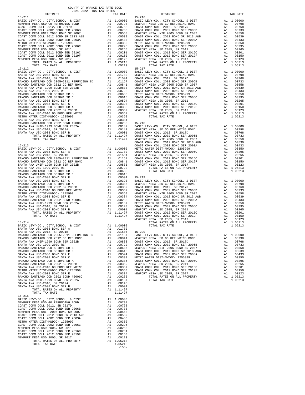| 15-211                                                                                                       |          |                                                                                                                                                 | $15 - 216$ |
|--------------------------------------------------------------------------------------------------------------|----------|-------------------------------------------------------------------------------------------------------------------------------------------------|------------|
|                                                                                                              |          |                                                                                                                                                 |            |
|                                                                                                              |          |                                                                                                                                                 |            |
|                                                                                                              |          |                                                                                                                                                 |            |
|                                                                                                              |          |                                                                                                                                                 |            |
|                                                                                                              |          |                                                                                                                                                 |            |
|                                                                                                              |          |                                                                                                                                                 |            |
|                                                                                                              |          |                                                                                                                                                 |            |
|                                                                                                              |          |                                                                                                                                                 |            |
|                                                                                                              |          |                                                                                                                                                 |            |
| TOTAL TAX RATE                                                                                               |          | 1.05213                                                                                                                                         |            |
| $15 - 212$                                                                                                   |          |                                                                                                                                                 | $15 - 217$ |
|                                                                                                              |          |                                                                                                                                                 |            |
|                                                                                                              |          |                                                                                                                                                 |            |
|                                                                                                              |          |                                                                                                                                                 |            |
|                                                                                                              |          |                                                                                                                                                 |            |
|                                                                                                              |          |                                                                                                                                                 |            |
|                                                                                                              |          |                                                                                                                                                 |            |
|                                                                                                              |          |                                                                                                                                                 |            |
|                                                                                                              |          |                                                                                                                                                 |            |
|                                                                                                              |          |                                                                                                                                                 |            |
|                                                                                                              |          |                                                                                                                                                 |            |
|                                                                                                              |          |                                                                                                                                                 |            |
|                                                                                                              |          |                                                                                                                                                 |            |
|                                                                                                              |          |                                                                                                                                                 |            |
|                                                                                                              |          |                                                                                                                                                 |            |
|                                                                                                              |          |                                                                                                                                                 |            |
|                                                                                                              |          |                                                                                                                                                 | COAST C    |
|                                                                                                              |          |                                                                                                                                                 |            |
|                                                                                                              |          |                                                                                                                                                 |            |
|                                                                                                              |          |                                                                                                                                                 |            |
|                                                                                                              |          |                                                                                                                                                 |            |
|                                                                                                              |          |                                                                                                                                                 |            |
|                                                                                                              |          |                                                                                                                                                 |            |
|                                                                                                              |          |                                                                                                                                                 |            |
|                                                                                                              |          |                                                                                                                                                 |            |
|                                                                                                              |          |                                                                                                                                                 |            |
|                                                                                                              |          |                                                                                                                                                 |            |
|                                                                                                              |          |                                                                                                                                                 |            |
|                                                                                                              |          |                                                                                                                                                 |            |
|                                                                                                              |          |                                                                                                                                                 |            |
|                                                                                                              |          |                                                                                                                                                 |            |
|                                                                                                              |          |                                                                                                                                                 |            |
|                                                                                                              |          |                                                                                                                                                 |            |
|                                                                                                              |          |                                                                                                                                                 |            |
| $15 - 214$                                                                                                   |          |                                                                                                                                                 |            |
| BASIC LEVY-CO., CITY, SCHOOL, & DIST<br>SANTA ANA USD-2008 BOND SER A                                        |          | A1 1.00000<br>A1 .01780                                                                                                                         |            |
|                                                                                                              |          |                                                                                                                                                 |            |
|                                                                                                              |          |                                                                                                                                                 |            |
|                                                                                                              |          |                                                                                                                                                 |            |
|                                                                                                              |          |                                                                                                                                                 |            |
| RANCHO SANTIAGO CCD SFID#1 SR B<br>RANCHO SANTIAGO CCD SFID#1 SR C                                           |          | A1 .00636 NEWPORT<br>A1 .00615 COAST C<br>A1 .00594 COAST C                                                                                     |            |
| SANTA ANA USD-2008 BOND SER F                                                                                |          |                                                                                                                                                 |            |
| SANTA ANA USD-2008 BOND SER C                                                                                |          | A1 .00393 METRO W<br>A1 .00393 METRO W<br>A1 .00366 COAST C<br>A1 .00369 COAST C<br>A1 .00350 COAST C<br>A1 .00334 NEWPORT<br>A1 .00334 NEWPORT |            |
| RANCHO SANTIAGO CCD SFID#1 SR A<br>RANCHO SANTIAGO CCD 2002 SR 2005B                                         |          |                                                                                                                                                 |            |
| RANCHO SANTIANO CO 2010 -<br>SANTA ANA USD-2010 GO BOND REFUNDING                                            |          |                                                                                                                                                 |            |
| METRO WATER DIST-MWDOC CMWD-1205999                                                                          |          |                                                                                                                                                 |            |
| SANTA ANA USD-2008 BOND SER E<br>RANCHO SANTIAGO CCD 2002 BOND #2006C                                        |          | A1 .00285                                                                                                                                       |            |
| SANTA ANA UNIF-1999 BOND SER 2002A                                                                           | A1       | .00187                                                                                                                                          |            |
| SANTA ANA USD-2018, SR 2019A<br>SANTA ANA USD-2008 BOND SER B                                                | A1<br>A1 | .00143<br>.00001                                                                                                                                |            |
| TOTAL RATES ON ALL PROPERTY                                                                                  |          | A1 1.11497                                                                                                                                      |            |
| TOTAL TAX RATE<br>$15 - 215$                                                                                 |          | 1.11497                                                                                                                                         |            |
| BASIC LEVY-CO., CITY, SCHOOL, & DIST                                                                         |          | A1 1,00000                                                                                                                                      |            |
| NEWPORT MESA USD GO REFUNDING BOND                                                                           |          | A1 .00798                                                                                                                                       |            |
| COAST COMM COLL 2012, SR 2017D<br>COAST COMM COLL 2002 BOND SER 2006B<br>NEWDORT MESA INIE 2005 BOND SE 2007 | A1<br>A1 | .00768<br>.00733                                                                                                                                |            |
|                                                                                                              |          | .00558                                                                                                                                          |            |
|                                                                                                              |          | .00539<br>.00433                                                                                                                                |            |
|                                                                                                              |          | .00350                                                                                                                                          |            |
|                                                                                                              |          | .00295                                                                                                                                          |            |
|                                                                                                              |          | .00265<br>.00201                                                                                                                                |            |
|                                                                                                              |          | .00150                                                                                                                                          |            |
|                                                                                                              |          | .00123<br>A1 1.05213                                                                                                                            |            |
|                                                                                                              |          | 1.05213                                                                                                                                         |            |

-153-

| 2021-2022 TRA TAX RATES<br>DISTRICT |         |  |
|-------------------------------------|---------|--|
|                                     |         |  |
|                                     |         |  |
|                                     |         |  |
|                                     |         |  |
|                                     |         |  |
|                                     |         |  |
|                                     |         |  |
|                                     |         |  |
|                                     |         |  |
|                                     |         |  |
|                                     |         |  |
|                                     |         |  |
|                                     |         |  |
|                                     |         |  |
|                                     |         |  |
|                                     |         |  |
|                                     |         |  |
|                                     |         |  |
|                                     |         |  |
|                                     |         |  |
|                                     |         |  |
|                                     |         |  |
|                                     |         |  |
|                                     |         |  |
|                                     |         |  |
|                                     |         |  |
|                                     |         |  |
|                                     |         |  |
|                                     |         |  |
|                                     |         |  |
|                                     |         |  |
|                                     |         |  |
|                                     |         |  |
|                                     |         |  |
|                                     |         |  |
|                                     |         |  |
|                                     |         |  |
|                                     |         |  |
|                                     |         |  |
|                                     |         |  |
|                                     |         |  |
|                                     |         |  |
|                                     |         |  |
|                                     |         |  |
|                                     |         |  |
|                                     |         |  |
|                                     |         |  |
|                                     |         |  |
|                                     |         |  |
|                                     |         |  |
|                                     |         |  |
|                                     |         |  |
|                                     |         |  |
|                                     |         |  |
|                                     |         |  |
|                                     |         |  |
|                                     |         |  |
|                                     |         |  |
|                                     |         |  |
|                                     |         |  |
|                                     |         |  |
|                                     |         |  |
|                                     |         |  |
|                                     |         |  |
|                                     |         |  |
|                                     |         |  |
|                                     |         |  |
|                                     |         |  |
|                                     |         |  |
|                                     |         |  |
|                                     |         |  |
| TOTAL TAX RATE                      | 1.11497 |  |
| $15 - 215$                          |         |  |
|                                     |         |  |
|                                     |         |  |
|                                     |         |  |
|                                     |         |  |
|                                     |         |  |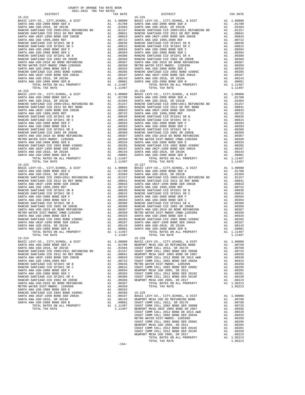| DISTRICT                                   |    | TAX RATE                                                                                                                                                                                                        |                                            |
|--------------------------------------------|----|-----------------------------------------------------------------------------------------------------------------------------------------------------------------------------------------------------------------|--------------------------------------------|
| 15-221                                     |    |                                                                                                                                                                                                                 | $15 - 225$                                 |
|                                            |    |                                                                                                                                                                                                                 |                                            |
|                                            |    |                                                                                                                                                                                                                 |                                            |
|                                            |    |                                                                                                                                                                                                                 |                                            |
|                                            |    |                                                                                                                                                                                                                 |                                            |
|                                            |    |                                                                                                                                                                                                                 |                                            |
|                                            |    |                                                                                                                                                                                                                 |                                            |
|                                            |    |                                                                                                                                                                                                                 |                                            |
|                                            |    |                                                                                                                                                                                                                 |                                            |
|                                            |    |                                                                                                                                                                                                                 |                                            |
|                                            |    |                                                                                                                                                                                                                 |                                            |
|                                            |    |                                                                                                                                                                                                                 |                                            |
|                                            |    |                                                                                                                                                                                                                 |                                            |
|                                            |    |                                                                                                                                                                                                                 |                                            |
|                                            |    |                                                                                                                                                                                                                 |                                            |
|                                            |    |                                                                                                                                                                                                                 |                                            |
|                                            |    |                                                                                                                                                                                                                 |                                            |
|                                            |    |                                                                                                                                                                                                                 |                                            |
|                                            |    |                                                                                                                                                                                                                 |                                            |
|                                            |    |                                                                                                                                                                                                                 |                                            |
|                                            |    |                                                                                                                                                                                                                 |                                            |
|                                            |    |                                                                                                                                                                                                                 |                                            |
|                                            |    |                                                                                                                                                                                                                 |                                            |
| TOTAL RATES ON ALL PROPERTY                |    | A1 1.11497                                                                                                                                                                                                      |                                            |
| TOTAL TAX RATE                             |    | 1.11497                                                                                                                                                                                                         |                                            |
| $15 - 222$                                 |    |                                                                                                                                                                                                                 | $15 - 226$                                 |
|                                            |    |                                                                                                                                                                                                                 |                                            |
|                                            |    |                                                                                                                                                                                                                 |                                            |
|                                            |    |                                                                                                                                                                                                                 |                                            |
|                                            |    |                                                                                                                                                                                                                 |                                            |
|                                            |    |                                                                                                                                                                                                                 |                                            |
|                                            |    |                                                                                                                                                                                                                 |                                            |
|                                            |    |                                                                                                                                                                                                                 |                                            |
|                                            |    |                                                                                                                                                                                                                 |                                            |
|                                            |    |                                                                                                                                                                                                                 |                                            |
|                                            |    |                                                                                                                                                                                                                 |                                            |
|                                            |    |                                                                                                                                                                                                                 |                                            |
|                                            |    |                                                                                                                                                                                                                 |                                            |
|                                            |    |                                                                                                                                                                                                                 |                                            |
|                                            |    |                                                                                                                                                                                                                 |                                            |
|                                            |    |                                                                                                                                                                                                                 |                                            |
|                                            |    |                                                                                                                                                                                                                 |                                            |
|                                            |    |                                                                                                                                                                                                                 |                                            |
|                                            |    |                                                                                                                                                                                                                 |                                            |
|                                            |    |                                                                                                                                                                                                                 |                                            |
|                                            |    |                                                                                                                                                                                                                 |                                            |
|                                            |    |                                                                                                                                                                                                                 |                                            |
|                                            |    |                                                                                                                                                                                                                 |                                            |
|                                            |    |                                                                                                                                                                                                                 |                                            |
|                                            |    |                                                                                                                                                                                                                 |                                            |
| TOTAL TAX RATE                             |    | 1.11497                                                                                                                                                                                                         |                                            |
|                                            |    |                                                                                                                                                                                                                 | $15 - 227$                                 |
|                                            |    |                                                                                                                                                                                                                 |                                            |
|                                            |    |                                                                                                                                                                                                                 |                                            |
|                                            |    |                                                                                                                                                                                                                 |                                            |
|                                            |    |                                                                                                                                                                                                                 |                                            |
|                                            |    |                                                                                                                                                                                                                 |                                            |
|                                            |    |                                                                                                                                                                                                                 |                                            |
|                                            |    |                                                                                                                                                                                                                 |                                            |
|                                            |    |                                                                                                                                                                                                                 |                                            |
|                                            |    |                                                                                                                                                                                                                 |                                            |
|                                            |    |                                                                                                                                                                                                                 |                                            |
|                                            |    |                                                                                                                                                                                                                 |                                            |
|                                            |    |                                                                                                                                                                                                                 |                                            |
|                                            |    |                                                                                                                                                                                                                 |                                            |
|                                            |    |                                                                                                                                                                                                                 |                                            |
|                                            |    |                                                                                                                                                                                                                 |                                            |
|                                            |    |                                                                                                                                                                                                                 |                                            |
|                                            |    |                                                                                                                                                                                                                 |                                            |
|                                            |    |                                                                                                                                                                                                                 |                                            |
|                                            |    |                                                                                                                                                                                                                 |                                            |
|                                            |    |                                                                                                                                                                                                                 |                                            |
|                                            |    |                                                                                                                                                                                                                 |                                            |
|                                            |    |                                                                                                                                                                                                                 |                                            |
|                                            |    |                                                                                                                                                                                                                 |                                            |
|                                            |    |                                                                                                                                                                                                                 |                                            |
|                                            |    |                                                                                                                                                                                                                 |                                            |
| $15 - 224$                                 |    |                                                                                                                                                                                                                 | $15 - 228$                                 |
| BASIC LEVY-CO., CITY, SCHOOL, & DIST       | A1 | 1.00000                                                                                                                                                                                                         | BASIC L                                    |
| SANTA ANA USD-2008 BOND SER A              |    |                                                                                                                                                                                                                 |                                            |
| SANTA ANA USD-2018, SR 2021B               |    |                                                                                                                                                                                                                 |                                            |
| RANCHO SANTIAGO CCD 2005+2011 REFUNDING BD |    |                                                                                                                                                                                                                 |                                            |
| RANCHO SANTIAGO CCD 2012 GO REF BOND       |    |                                                                                                                                                                                                                 |                                            |
| SANTA ANA UNIF-1999 BOND SER 2002B         |    |                                                                                                                                                                                                                 |                                            |
| SANTA ANA USD 1999, 2009 REF               |    | A1 1.00000 BASIC L<br>A1 .01780 NEWPORT<br>A1 .01504 COAST C<br>A1 .01504 COAST C<br>A1 .00841 NEWPORT<br>A1 .00833 COAST C<br>A1 .00722 COAST C<br>A1 .00615 METRO W<br>A1 .00615 COAST C<br>A1 .00615 NEWPORT |                                            |
|                                            |    |                                                                                                                                                                                                                 |                                            |
| RANCHO SANTIAGO CCD SFID#1 SR B            |    |                                                                                                                                                                                                                 |                                            |
| RANCHO SANTIAGO CCD SFID#1 SR C            |    |                                                                                                                                                                                                                 |                                            |
| SANTA ANA USD-2008 BOND SER F              | A1 | .00594                                                                                                                                                                                                          | NEWPORT                                    |
| SANTA ANA USD-2008 BOND SER C              | A1 | .00393                                                                                                                                                                                                          | COAST C                                    |
| RANCHO SANTIAGO CCD SFID#1 SR A            | A1 |                                                                                                                                                                                                                 | .00386 COAST C<br>.00369 NEWPORT<br>.00367 |
| RANCHO SANTIAGO CCD 2002 SR 2005B          | A1 |                                                                                                                                                                                                                 |                                            |
| SANTA ANA USD-2010 GO BOND REFUNDING       |    | A1 .00367                                                                                                                                                                                                       |                                            |
| METRO WATER DIST-MWDOC- 1205999            |    | A1 .00350                                                                                                                                                                                                       |                                            |
| SANTA ANA USD-2008 BOND SER E              |    | A1 .00334                                                                                                                                                                                                       |                                            |
|                                            |    |                                                                                                                                                                                                                 |                                            |
| RANCHO SANTIAGO CCD 2002 BOND #2006C       | A1 | .00285                                                                                                                                                                                                          | 15-229<br>BASIC L                          |
| SANTA ANA UNIF-1999 BOND SER 2002A         | A1 | .00187                                                                                                                                                                                                          |                                            |
| SANTA ANA USD-2018, SR 2019A               | A1 |                                                                                                                                                                                                                 |                                            |
| SANTA ANA USD-2008 BOND SER B              |    |                                                                                                                                                                                                                 |                                            |
| TOTAL RATES ON ALL PROPERTY                |    | A1 .00143 NEWPORT<br>A1 .00143 NEWPORT<br>A1 .00001 COAST C<br>A1 1.11497 COAST C<br>1.11497 NEWPORT                                                                                                            |                                            |
| TOTAL TAX RATE                             |    |                                                                                                                                                                                                                 |                                            |
|                                            |    |                                                                                                                                                                                                                 |                                            |

| COUNTY OF ORANGE TAX RATE BOOK<br>2021-2022 TRA TAX RATES |          |                                                                                                                                                                                                                                                                                 |          |
|-----------------------------------------------------------|----------|---------------------------------------------------------------------------------------------------------------------------------------------------------------------------------------------------------------------------------------------------------------------------------|----------|
| DISTRICT                                                  | TAX RATE | DISTRICT                                                                                                                                                                                                                                                                        | TAX RATE |
| $15 - 221$                                                |          | $15 - 225$                                                                                                                                                                                                                                                                      |          |
|                                                           |          |                                                                                                                                                                                                                                                                                 |          |
|                                                           |          |                                                                                                                                                                                                                                                                                 |          |
|                                                           |          |                                                                                                                                                                                                                                                                                 |          |
|                                                           |          |                                                                                                                                                                                                                                                                                 |          |
|                                                           |          |                                                                                                                                                                                                                                                                                 |          |
|                                                           |          |                                                                                                                                                                                                                                                                                 |          |
|                                                           |          |                                                                                                                                                                                                                                                                                 |          |
|                                                           |          |                                                                                                                                                                                                                                                                                 |          |
|                                                           |          |                                                                                                                                                                                                                                                                                 |          |
|                                                           |          |                                                                                                                                                                                                                                                                                 |          |
|                                                           |          |                                                                                                                                                                                                                                                                                 |          |
|                                                           |          |                                                                                                                                                                                                                                                                                 |          |
|                                                           |          |                                                                                                                                                                                                                                                                                 |          |
|                                                           |          |                                                                                                                                                                                                                                                                                 |          |
|                                                           |          |                                                                                                                                                                                                                                                                                 |          |
|                                                           |          |                                                                                                                                                                                                                                                                                 |          |
|                                                           |          |                                                                                                                                                                                                                                                                                 |          |
|                                                           |          |                                                                                                                                                                                                                                                                                 |          |
|                                                           |          |                                                                                                                                                                                                                                                                                 |          |
|                                                           |          |                                                                                                                                                                                                                                                                                 |          |
|                                                           |          |                                                                                                                                                                                                                                                                                 |          |
|                                                           |          |                                                                                                                                                                                                                                                                                 |          |
|                                                           |          |                                                                                                                                                                                                                                                                                 |          |
|                                                           |          |                                                                                                                                                                                                                                                                                 |          |
|                                                           |          |                                                                                                                                                                                                                                                                                 |          |
|                                                           |          |                                                                                                                                                                                                                                                                                 |          |
|                                                           |          |                                                                                                                                                                                                                                                                                 |          |
|                                                           |          |                                                                                                                                                                                                                                                                                 |          |
|                                                           |          |                                                                                                                                                                                                                                                                                 |          |
|                                                           |          |                                                                                                                                                                                                                                                                                 |          |
|                                                           |          |                                                                                                                                                                                                                                                                                 |          |
|                                                           |          |                                                                                                                                                                                                                                                                                 |          |
|                                                           |          |                                                                                                                                                                                                                                                                                 |          |
|                                                           |          |                                                                                                                                                                                                                                                                                 |          |
|                                                           |          |                                                                                                                                                                                                                                                                                 |          |
|                                                           |          | $\begin{array}{cccccccc} 15-222 & 10444 & 1448 & 1448 & 1448 & 1448 & 1448 & 1448 & 1448 & 1448 & 1448 & 1448 & 1448 & 1448 & 1448 & 1448 & 1448 & 1448 & 1448 & 1448 & 1448 & 1448 & 1448 & 1448 & 1448 & 1448 & 1448 & 1448 & 1448 & 1448 & 1448 & 1448 & 1448 & 1448 & 1448$ |          |
| $15 - 223$                                                |          | $15 - 227$                                                                                                                                                                                                                                                                      |          |
|                                                           |          |                                                                                                                                                                                                                                                                                 |          |
|                                                           |          |                                                                                                                                                                                                                                                                                 |          |
|                                                           |          |                                                                                                                                                                                                                                                                                 |          |
|                                                           |          |                                                                                                                                                                                                                                                                                 |          |
|                                                           |          |                                                                                                                                                                                                                                                                                 |          |
|                                                           |          |                                                                                                                                                                                                                                                                                 |          |
|                                                           |          |                                                                                                                                                                                                                                                                                 |          |
|                                                           |          |                                                                                                                                                                                                                                                                                 |          |
|                                                           |          |                                                                                                                                                                                                                                                                                 |          |
|                                                           |          |                                                                                                                                                                                                                                                                                 |          |
|                                                           |          |                                                                                                                                                                                                                                                                                 |          |
|                                                           |          |                                                                                                                                                                                                                                                                                 |          |
|                                                           |          |                                                                                                                                                                                                                                                                                 |          |
|                                                           |          |                                                                                                                                                                                                                                                                                 |          |
|                                                           |          |                                                                                                                                                                                                                                                                                 |          |
|                                                           |          |                                                                                                                                                                                                                                                                                 |          |
| TOTAL RATES ON ALL PROPERTY                               |          |                                                                                                                                                                                                                                                                                 |          |
| TOTAL TAX RATE                                            |          | TOTAL RATES ON ALL PROPERTY A1 1.11497<br>TOTAL TAX RATE 1.11497                                                                                                                                                                                                                |          |
|                                                           |          |                                                                                                                                                                                                                                                                                 |          |
|                                                           |          |                                                                                                                                                                                                                                                                                 |          |
|                                                           |          |                                                                                                                                                                                                                                                                                 |          |
|                                                           |          |                                                                                                                                                                                                                                                                                 |          |
|                                                           |          |                                                                                                                                                                                                                                                                                 |          |
|                                                           |          |                                                                                                                                                                                                                                                                                 |          |
|                                                           |          |                                                                                                                                                                                                                                                                                 |          |
|                                                           |          |                                                                                                                                                                                                                                                                                 |          |
|                                                           |          |                                                                                                                                                                                                                                                                                 |          |
|                                                           |          |                                                                                                                                                                                                                                                                                 |          |
|                                                           |          |                                                                                                                                                                                                                                                                                 |          |
|                                                           |          |                                                                                                                                                                                                                                                                                 |          |
|                                                           |          |                                                                                                                                                                                                                                                                                 |          |
|                                                           |          |                                                                                                                                                                                                                                                                                 |          |
|                                                           |          |                                                                                                                                                                                                                                                                                 |          |
|                                                           |          |                                                                                                                                                                                                                                                                                 |          |
|                                                           |          |                                                                                                                                                                                                                                                                                 |          |
|                                                           |          |                                                                                                                                                                                                                                                                                 |          |
|                                                           |          |                                                                                                                                                                                                                                                                                 |          |
|                                                           |          |                                                                                                                                                                                                                                                                                 |          |
|                                                           |          |                                                                                                                                                                                                                                                                                 |          |
|                                                           |          |                                                                                                                                                                                                                                                                                 |          |
|                                                           |          |                                                                                                                                                                                                                                                                                 |          |
|                                                           |          |                                                                                                                                                                                                                                                                                 |          |
|                                                           |          |                                                                                                                                                                                                                                                                                 |          |
|                                                           |          |                                                                                                                                                                                                                                                                                 |          |
|                                                           | $1 - A$  |                                                                                                                                                                                                                                                                                 |          |

-154-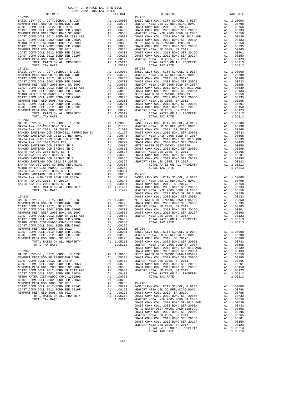15-230 115-1.11-1.12<br>
BASIC LEVY-CO., CITY, SCHOOL, & DIST 1.00000 BASIC I<br>
NEWPORT MESA USD GO REFUNDING BOND A1 .00798 NEWPORT 15-231 15-236 COAST COMM COLL 2002 BOND SER 2006C A1 .00295

 DISTRICT TAX RATE DISTRICT TAX RATE BASIC LEVY-CO., CITY,SCHOOL, & DIST A1 1.00000 BASIC LEVY-CO., CITY,SCHOOL, & DIST A1 1.00000 NEWPORT MESA USD GO REFUNDING BOND A1 .00798 NEWPORT MESA USD GO REFUNDING BOND A1 .00798 COAST COMM COLL 2012, SR 2017D A1 .00768 COAST COMM COLL 2012, SR 2017D A1 .00768 COAST COMM COLL 2002 BOND SER 2006B A1 .00733 COAST COMM COLL 2002 BOND SER 2006B A1 .00733 NEWPORT MESA UNIF 2005 BOND SR 2007 A1 .00558 NEWPORT MESA UNIF 2005 BOND SR 2007 A1 .00558 COAST COMM COLL 2012 BOND SR 2013 A&B A1 .00539 COAST COMM COLL 2012 BOND SR 2013 A&B A1 .00539 COAST COMM COLL 2002 BOND SER 2003A A1 .00433 COAST COMM COLL 2002 BOND SER 2003A A1 .00433 METRO WATER DIST-MWDOC CMWD-1205999 A1 .00350 METRO WATER DIST-MWDOC- 1205999 A1 .00350 COAST COMM COLL 2002 BOND SER 2006C A1 .00295 COAST COMM COLL 2002 BOND SER 2006C A1 .00295 00265 NEWPORT MESA USD 2005, SR 2011 (10265 A1 .00265 NEWPORT MESA USD 2005, SR 2011 (10265 NEWPORT MESA USD 20<br>COAST COMM COLL 2012 BOND SER 2016C (2010 COAST COAST COMM COLL 2012 BOND SER 2016C (2012 BOND SER 2010C)<br>COAS NEWPORT MESA USD 2005, SR 2017 A1 .00123 NEWPORT MESA USD 2005, SR 2017 A1 .00123 TOTAL RATES ON ALL PROPERTY A1 1.05213 TOTAL RATES ON ALL PROPERTY A1 1.05213 TOTAL TAX RATE  $1.05213$  TOTAL TAX RATE  $1.05213$  BASIC LEVY-CO., CITY,SCHOOL, & DIST A1 1.00000 BASIC LEVY-CO., CITY,SCHOOL, & DIST A1 1.00000 NEWPORT MESA USD GO REFUNDING BOND A1 .00798 NEWPORT MESA USD GO REFUNDING BOND A1 .00798 COAST COMM COLL 2012, SR 2017D A1 .00768 COAST COMM COLL 2012, SR 2017D A1 .00768 COAST COMM COLL 2002 BOND SER 2006B A1 .00733 COAST COMM COLL 2002 BOND SER 2006B A1 .00733 NEWPORT MESA UNIF 2005 BOND SR 2007 A1 .00558 NEWPORT MESA UNIF 2005 BOND SR 2007 A1 .00558 COAST COMM COLL 2012 BOND SR 2013 A&B A1 .00539 COAST COMM COLL 2012 BOND SR 2013 A&B A1 .00539<br>COAST COMM COLL 2002 BOND SER 2003A A1 .00433 COAST COMM COLL 2002 BOND SER 2003A A1 .00433 METRO WATER DIST-MWDOC- 1205999 A1 .00350 METRO WATER DIST-MWDOC- 1205999 A1 .00350 COAST COMM COLL 2002 BOND SER 2006C A1 .00295 COAST COMM COLL 2002 BOND SER 2006C A1 .00295 00265. NEWPORT MESAUSD 2005, SR 2011 (10265 AI 00265 NEWPORT MESAUSD 2005, SR 2011 (10265 NEWPORT MESAUSD 2005<br>COAST COMM COLL 2012 BOND SER 2016C (2019 COAST COAST COMM COLL 2012 BOND SER 2016C (2012 BOND SER 2019C)<br>COAST NEWPORT MESA USD 2005, SR 2017 A1 .00123 NEWPORT MESA USD 2005, SR 2017 A1 .00123<br>TOTAL RATES ON ALL PROPERTY A1 1.05213 TOTAL TAX RATES ON ALL PROPERTY<br>1.05213 1.05213 TOTAL TAX RATE 15-232 15-237 BASIC LEVY-CO., CITY,SCHOOL, & DIST A1 1.00000 BASIC LEVY-CO., CITY,SCHOOL, & DIST A1 1.00000 SANTA ANA USD-2008 BOND SER A A1 .01780 NEWPORT MESA USD GO REFUNDING BOND A1 .00798 SANTA ANA USD-2018, SR 2021B A1 .01504 COAST COMM COLL 2012, SR 2017D A1 .00768 RANCHO SANTIAGO CCD 2005+2011 REFUNDING BD A1 .01157 COAST COMM COLL 2002 BOND SER 2006B A1 .00733 RANCHO SANTIAGO CCD 2012 GO REF BOND A1 .00841 NEWPORT MESA UNIF 2005 BOND SR 2007 A1 .00558 SANTA ANA UNIF-1999 BOND SER 2002B A1 .00833 COAST COMM COLL 2012 BOND SR 2013 A&B A1 .00539 AN 100833 COAST COMM COLL 2012 BOND SR 2013 A&B A1 .00732 COAST COMM COLL 2012 BOND SR 2013 A&B A1 .00639<br>
A1 .00722 COAST COMM COLL 2002 BOND SER 2003A A1 .00636 METRO WATER DIST-MWDOC – 120599 A1 .00433<br>
A1 .00645 COAST RANCHO SANTIAGO CCD SFID#1 SR B A1 .00636 METRO WATER DIST-MWDOC- 1205999 A1 .00350 RANCHO SANTIAGO CCD SFID#1 SR C A1 .00615 COAST COMM COLL 2002 BOND SER 2006C A1 .00295 SANTA ANA USD-2008 BOND SER F A1 .00594 NEWPORT MESA USD 2005, SR 2011 A1 .00265 SANTA ANA USD-2008 BOND SER C A1 .00393 COAST COMM COLL 2012 BOND SER 2016C A1 .00201 RANCHO SANTIAGO CCD SFID#1 SR A A1 .00386 COAST COMM COLL 2012 BOND SER 2019F A1 .00150 RANCHO SANTIAGO CCD 2002 SR 2005B A1 .00369 NEWPORT MESA USD 2005, SR 2017 A1 .00123 SANTA ANA USD-2010 GO BOND REFUNDING A1 .00367 TOTAL RATES ON ALL PROPERTY A1 1.05213 METRO WATER DIST-MWDOC- 1205999 A1 .00350 TOTAL TAX RATE 1.05213 AT 1.05213 SANTA ANA USD-2008 BOND SER E<br>RANCHO SANTIAGO CCD 2002 BOND #2006C A1 .00285 15-238<br>SANTA ANA UNIF-1999 BOND SER 2002A A1 .00187 BASIC LEVY-CO., CITY,SCHOOL, & D SANTA ANA USD-2018, SR 2019A A1 .00143 NEWPORT MESA USD GO REFUNDING BOND A1 .00798 ORANTA ANA USD-2008 BOND SER B A1 .00001 COAST COMM COLL 2012, SR 2017D A1 .00768<br>10733 00733 TOTAL RATES ON ALL PROPERTY A1 1.11497 COAST COMM COLL 2002 BOND SER 2006B TOTAL TAX RATE 1.11497 NEWPORT MESA UNIF 2005 BOND SR 2007 A1 .00558<br>COAST COMM COLL 2012 BOND SR 2013 A&B A1 .00539  $\begin{tabular}{l|c|c|c|c|c|c|c} \hline 15-233 & \multicolumn{4}{c}{COSFT}\mbox{COMM COLL 2002 BOND SER 2003A} & \multicolumn{4}{c}{\textbf{A1}} & .00433 \\ \hline \hline \texttt{BASTC LEVY-CO.}\mbox{, CTTY, SCHOOL}\mbox{, & \& DIST} & \multicolumn{4}{c}{\textbf{A1}} & .00000 & \multicolumn{4}{c}{\textbf{METRON METR}} & \multicolumn{4}{c}{\textbf{MST-MIDC}} & \multicolumn{4}{c}{\textbf{MIST-MIDC$ COAST COMM COLL 2012 BOND SR 2013 A&B A1 .00539 NEWPORT MESA USD 2005, SR 2017 A1 .00123<br>COAST COMM COLL 2002 BOND SR 2013 A&B A1 .00433 TOTAL RATES ON ALL PROPERTY A1 1.05213<br>METRO WATER DIST-MWDOC CMWD-1205999 A1 .00350 COAST COMM COLL 2002 BOND SER 2003A A1 .00433 TOTAL RATES ON ALL PROPERTY A1 1.05213<br>METRO WATER DIST-MWDOC CMWD-1205999 A1 .00350 TOTAL TAX RATE NEWPORT MESA USD 2005, SR 2011 A1 .00265 15-239 COAST COMM COLL 2012 BOND SER 2016C A1 .00201 BASIC LEVY-CO., CITY,SCHOOL, & DIST A1 1.00000 COAST COMM COLL 2012 BOND SER 2019F A1 .00150 NEWPORT MESA USD GO REFUNDING BOND A1 .00798 NEWPORT MESA USD 2005, SR 2017<br>10.0768 A1 1.05213 COAST COMM COLL 2002 BOND SER 2006B TOTAL RATES ON ALL PROPERTY TOTAL TAX RATE 1.05213 NEWPORT MESA UNIF 2005 BOND SR 2007 A1 .00558<br>1.0553 0.1.1 0558 0.0558 COAST COMM COLL 2012 BOND SR 2013 A&B A1 .00539 COAST COMM COLL 2012 BOND SR 2013 A&B A1 .00539 15-234 COAST COMM COLL 2002 BOND SER 2003A A1 .00433 BASIC LEVY-CO., CITY,SCHOOL, & DIST A1 1.00000 METRO WATER DIST-MWDOC CMWD-1205999 A1 .00350 NEWPORT MESA USD GO REFUNDING BOND A1 .00798 COAST COMM COLL 2002 BOND SER 2006C A1 .00295 COAST COMM COLL 2012, SR 2017D A1 .00768 NEWPORT MESA USD 2005, SR 2011 A1 .00265 COAST COMM COLL 2002 BOND SER 2006B A1 .00733 COAST COMM COLL 2012 BOND SER 2016C A1 .00201 NEWPORT MESA UNIF 2005 BOND SR 2007 A1 .00558 COAST COMM COLL 2012 BOND SER 2019F A1 .00150<br>COAST COMM COLL 2012 BOND SR 2013 A&B A1 .00539 NEWPORT MESA USD 2005, SR 2017 A1 .00123 COAST COMM COLL 2012 BOND SR 2013 A&B A1 .00539 NEWPORT MESA USD 2005, SR 2017 A1 .00123 COAST COMM COLL 2002 BOND SER 2003A A1 .00433 TOTAL RATES ON ALL PROPERTY A1 1.05213 METRO WATER DIST-MWDOC CMWD-1205999 A1 .00350 TOTAL TAX RATE 1.05213 COAST COMM COLL 2002 BOND SER 2006C A1 .00295 NEWPORT MESA USD 2005, SR 2011 A1 .00265 15-240 COAST COMM COLL 2012 BOND SER 2016C A1 .00201 BASIC LEVY-CO., CITY,SCHOOL, & DIST A1 1.00000 COAST COMM COLL 2012 BOND SER 2019F A1 .00150 NEWPORT MESA USD GO REFUNDING BOND A1 .00798 NEWPORT MESA USD 2005, SR 2017 A1 .00123 COAST COMM COLL 2012, SR 2017D A1 .00768 TOTAL RATES ON ALL PROPERTY A1 1.05213 COAST COMM COLL 2002 BOND SER 2006B A1 .00733 TOTAL TAX RATE 1.05213 NEWPORT MESA UNIF 2005 BOND SR 2007 A1 .00558 COAST COMM COLL 2012 BOND SR 2013 A&B A1 .00539 COAST COMM COLL 2002 BOND SER 2003A A1 .00433 METRO WATER DIST-MWDOC CMWD-1205999 A1 .00350<br>COAST COMM COLL 2002 BOND SER 2006C A1 .00295 COAST COMM COLL 2002 BOND SER 2006C A1 .00295 NEWPORT MESA USD 2005, SR 2011 A1 .00265 COAST COMM COLL 2012 BOND SER 2016C A1 .00201 COAST COMM COLL 2012 BOND SER 2019F A1 .00150 NEWPORT MESA USD 2005, SR 2017 (A1 .00123<br>TOTAL RATES ON ALL PROPERTY (A1 1.05213<br>TOTAL TAX RATE (AT LOS213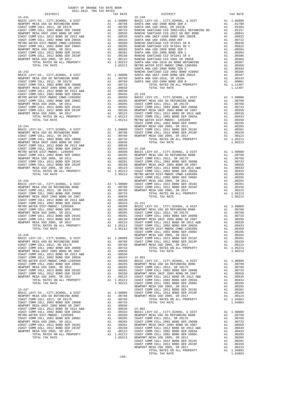| COAST COMM COLL 2002 BOND SER 2003A                                                                                                                                                                                           | A1 .00433               |                        | $15 - 251$     |
|-------------------------------------------------------------------------------------------------------------------------------------------------------------------------------------------------------------------------------|-------------------------|------------------------|----------------|
| METRO WATER DIST-MWDOC- 1205999                                                                                                                                                                                               | A1                      | .00350                 | <b>BASIC L</b> |
| COAST COMM COLL 2002 BOND SER 2006C A1 .00295                                                                                                                                                                                 |                         |                        | NEWPORT        |
|                                                                                                                                                                                                                               |                         |                        | COAST C        |
|                                                                                                                                                                                                                               |                         |                        | COAST C        |
|                                                                                                                                                                                                                               |                         |                        | NEWPORT        |
| NEWPORT MESA USD 2005, SR 2011 1999 100265 COAST COMM COLL 2012 BOND SER 2016C 2012 100201 2012 100201 100201 100201 100201 100201 100201 100201 100201 100201 100201 100201 100201 100201 100201 100201 100201 100201 100201 |                         |                        | COAST C        |
| TOTAL RATES ON ALL PROPERTY A1 1.05213                                                                                                                                                                                        |                         |                        | COAST C        |
| TOTAL TAX RATE                                                                                                                                                                                                                |                         | 1.05213                | METRO W        |
|                                                                                                                                                                                                                               |                         |                        | COAST C        |
| $15 - 246$                                                                                                                                                                                                                    |                         |                        | NEWPORT        |
| BASIC LEVY-CO., CITY, SCHOOL, & DIST A1 1.00000                                                                                                                                                                               |                         |                        | COAST C        |
| NEWPORT MESA USD GO REFUNDING BOND<br>NEWPORT MESA USD GO REFUNDING BOND                                                                                                                                                      |                         | A1.00798<br>A1.00768   | COAST C        |
| COAST COMM COLL 2012, SR 2017D                                                                                                                                                                                                |                         |                        | NEWPORT        |
|                                                                                                                                                                                                                               |                         |                        |                |
| NEWPORT MESA UNIF 2005 BOND SR 2007 A1 .00558                                                                                                                                                                                 |                         |                        |                |
| COAST COMM COLL 2012 BOND SR 2013 A&B                                                                                                                                                                                         | Al<br>Al                | .00539                 |                |
| COAST COMM COLL 2002 BOND SER 2003A                                                                                                                                                                                           |                         | .00433                 | $15 - 901$     |
| METRO WATER DIST-MWDOC CMWD-1205999 A1                                                                                                                                                                                        |                         | .00350                 | <b>BASIC L</b> |
| COAST COMM COLL 2002 BOND SER 2006C A1                                                                                                                                                                                        |                         | .00295                 | NEWPORT        |
| NEWPORT MESA USD 2005, SR 2011<br>COAST COMM COLL 2012 BOND SER 2016C                                                                                                                                                         |                         | A1 .00265<br>A1 .00201 | COAST C        |
|                                                                                                                                                                                                                               |                         |                        | COAST C        |
|                                                                                                                                                                                                                               |                         |                        | NEWPORT        |
|                                                                                                                                                                                                                               |                         |                        | COAST C        |
| TOTAL RATES ON ALL PROPERTY                                                                                                                                                                                                   |                         | A1 1.05213             | COAST C        |
| TOTAL TAX RATE                                                                                                                                                                                                                |                         | 1.05213                | COAST C        |
|                                                                                                                                                                                                                               |                         |                        | NEWPORT        |
| $15 - 247$                                                                                                                                                                                                                    |                         |                        | COAST C        |
|                                                                                                                                                                                                                               | A1 1.00000<br>A1 .00798 |                        | COAST C        |
|                                                                                                                                                                                                                               |                         |                        | NEWPORT        |
|                                                                                                                                                                                                                               |                         |                        |                |
|                                                                                                                                                                                                                               |                         |                        |                |
| NEWPORT MESA UNIF 2005 BOND SR 2007                                                                                                                                                                                           | Al<br>Al                | .00558                 |                |
| COAST COMM COLL 2012 BOND SR 2013 A&B                                                                                                                                                                                         |                         | .00539                 | $15 - 902$     |
| COAST COMM COLL 2002 BOND SER 2003A A1                                                                                                                                                                                        |                         | .00433                 | <b>BASIC L</b> |
| METRO WATER DIST-MWDOC- 1205999                                                                                                                                                                                               | A1                      | .00350                 | NEWPORT        |
| COAST COMM COLL 2002 BOND SER 2006C                                                                                                                                                                                           | $\frac{A1}{A1}$         | .00295                 | COAST C        |
| NEWPORT MESA USD 2005, SR 2011                                                                                                                                                                                                |                         | .00265                 | COAST C        |
| COAST COMM COLL 2012 BOND SER 2016C A1 .00201                                                                                                                                                                                 |                         |                        | NEWPORT        |
| COAST COMM COLL 2012 BOND SER 2019F A1 .00150                                                                                                                                                                                 |                         |                        | COAST C        |
| NEWPORT MESA USD 2005, SR 2017                                                                                                                                                                                                |                         | A1 .00123              | COAST C        |
| TOTAL RATES ON ALL PROPERTY                                                                                                                                                                                                   |                         | A1 1.05213             | COAST C        |
| TOTAL TAX RATE                                                                                                                                                                                                                | 1 05213 NEWPORT         |                        |                |

-156-

DISTRICT TAX RATE DISTRICT TAX RATE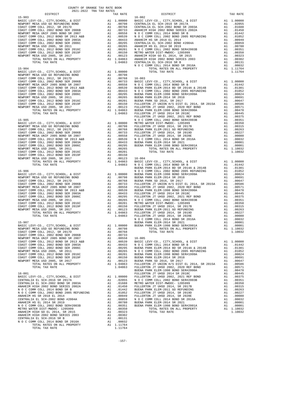| COAST COMM COLL 2012 BOND SER 2016C                                        | A1 .00265 NOCC<br>A1 .00201 METROW<br>A1 .00150 FULLERT |                         |                                         |
|----------------------------------------------------------------------------|---------------------------------------------------------|-------------------------|-----------------------------------------|
| COAST COMM COLL 2012 BOND SER 2019F                                        |                                                         |                         |                                         |
|                                                                            |                                                         |                         |                                         |
| NEWPORT MESA USD 2005, SR 2017<br>TOTAL RATES ON ALL PROPERTY              |                                                         |                         | A1 .00123 BUENA P<br>A1 1.04863 FULLERT |
| TOTAL TAX RATE                                                             |                                                         | 1.04863                 | FULLERT                                 |
|                                                                            |                                                         |                         | NOCC                                    |
| $15 - 907$                                                                 |                                                         |                         | BUENA P                                 |
|                                                                            |                                                         |                         | A1 1.00000 BUENA P<br>A1 .00798         |
| BASIC LEVY-CO., CITY, SCHOOL, & DIST<br>NEWPORT MESA USD GO REFUNDING BOND |                                                         |                         |                                         |
|                                                                            |                                                         |                         |                                         |
| COAST COMM COLL 2012, SR 2017D<br>COAST COMM COLL 2002 BOND SER 2006B      |                                                         |                         |                                         |
| NEWPORT MESA UNIF 2005 BOND SR 2007                                        | A1 .00768<br>A1 .00733<br>A1 .00558 16-005              |                         |                                         |
|                                                                            |                                                         |                         |                                         |
|                                                                            |                                                         |                         |                                         |
| COAST COMM COLL 2002 BOND SER 2006C                                        |                                                         |                         |                                         |
| NEWPORT MESA USD 2005, SR 2011                                             |                                                         |                         | A1 .00295 BUENA P<br>A1 .00265 NOCC     |
| COAST COMM COLL 2012 BOND SER 2016C                                        |                                                         |                         | A1 .00201 BUENA P                       |
|                                                                            |                                                         |                         |                                         |
|                                                                            |                                                         |                         |                                         |
|                                                                            |                                                         |                         |                                         |
| TOTAL TAX RATE                                                             |                                                         | 1.04863                 | FULLERT                                 |
|                                                                            |                                                         |                         | BUENA P                                 |
| $16 - 001$                                                                 |                                                         |                         | FULLERT                                 |
|                                                                            | A1 1.00000 FULLERT                                      |                         |                                         |
| BASIC LEVY-CO., CITY, SCHOOL, & DIST<br>CENTRALIA EL SCH-2016 SR 2017A     |                                                         |                         |                                         |
| CENTRALIA EL SCA-2010 SR 2017A<br>CENTRALIA EL SCH-2002 BOND SR 2003A      |                                                         |                         |                                         |
| ANAHEIM HIGH 2002 BOND SERIES 2002A                                        | A1 .02055 NOCC<br>A1 .01688 METROW<br>A1 .01450 FULLERT |                         |                                         |
|                                                                            |                                                         |                         |                                         |
|                                                                            |                                                         |                         |                                         |
| ANAHEIM HS SR 2018 EL 2014                                                 |                                                         |                         |                                         |
| CENTRALIA EL SCH-2002 BOND #2004A                                          |                                                         |                         | A1 .00949 FULLERT<br>A1 .00859 NOCC     |
| ANAHEIM HS EL 2014 SR 2019                                                 |                                                         |                         | A1 .00780 BUENA P                       |
|                                                                            |                                                         | .00351                  | BUENA P                                 |
|                                                                            |                                                         |                         |                                         |
|                                                                            |                                                         |                         |                                         |
|                                                                            | A1 .00323<br>A1 .00302                                  |                         |                                         |
| ANAHEIM HIGH 2002 BOND SERIES 2003<br>CENTRALIA EL SCH-2016 SR B           |                                                         | A1 .00131               |                                         |
|                                                                            |                                                         |                         |                                         |
| N O C COMM COLL 2014 BOND SR 2016A<br>TOTAL RATES ON ALL PROPERTY          |                                                         | A1 .00032<br>A1 1.11764 |                                         |
| TOTAL TAX RATE                                                             |                                                         | 1.11764                 |                                         |
|                                                                            |                                                         |                         |                                         |
|                                                                            |                                                         |                         |                                         |

|  |  | $\begin{tabular}{@{}c@{\hspace{0.2cm}}c@{\hspace{0.2cm}}c@{\hspace{0.2cm}}c@{\hspace{0.2cm}}c@{\hspace{0.2cm}}c@{\hspace{0.2cm}}c@{\hspace{0.2cm}}c@{\hspace{0.2cm}}c@{\hspace{0.2cm}}c@{\hspace{0.2cm}}c@{\hspace{0.2cm}}c@{\hspace{0.2cm}}c@{\hspace{0.2cm}}c@{\hspace{0.2cm}}c@{\hspace{0.2cm}}c@{\hspace{0.2cm}}c@{\hspace{0.2cm}}c@{\hspace{0.2cm}}c@{\hspace{0.2cm}}c@{\$ |  |
|--|--|---------------------------------------------------------------------------------------------------------------------------------------------------------------------------------------------------------------------------------------------------------------------------------------------------------------------------------------------------------------------------------|--|
|  |  |                                                                                                                                                                                                                                                                                                                                                                                 |  |
|  |  |                                                                                                                                                                                                                                                                                                                                                                                 |  |
|  |  |                                                                                                                                                                                                                                                                                                                                                                                 |  |

-157-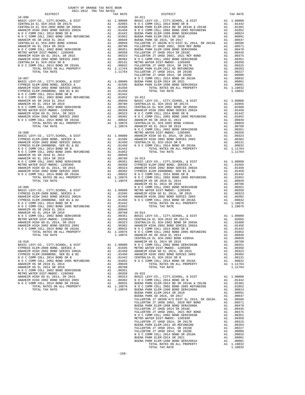| $16 - 007$                                                                                                                                                                                                                                                                                                                                                                                                                  |          |                           | FULLERT<br>NOCC      |
|-----------------------------------------------------------------------------------------------------------------------------------------------------------------------------------------------------------------------------------------------------------------------------------------------------------------------------------------------------------------------------------------------------------------------------|----------|---------------------------|----------------------|
| $\begin{tabular}{l c c c c} \hline 16-007 & N & 0 & C & 0 \\ \hline \texttt{BASTC LEVY-C0} , & CITY, SCHOOL, & & DIST & & & 11 & 0.0000 & \texttt{BUERA P} \\ \hline \texttt{CYPRESS ELEM-2008 BONDS, SERIES A & & & & 1 & .01595 & \texttt{BUERA P} \\ \hline \texttt{CYPRESS ELEM-2008 BONDS SREIES 2002A & & & 1 & .01450 & \texttt{10000} \\ \texttt{N} & O & C & COMM & COLL & 2014 & BOND$                            |          |                           |                      |
|                                                                                                                                                                                                                                                                                                                                                                                                                             |          |                           |                      |
|                                                                                                                                                                                                                                                                                                                                                                                                                             |          |                           |                      |
|                                                                                                                                                                                                                                                                                                                                                                                                                             |          |                           |                      |
|                                                                                                                                                                                                                                                                                                                                                                                                                             |          |                           |                      |
|                                                                                                                                                                                                                                                                                                                                                                                                                             |          |                           |                      |
|                                                                                                                                                                                                                                                                                                                                                                                                                             |          |                           |                      |
|                                                                                                                                                                                                                                                                                                                                                                                                                             |          |                           |                      |
|                                                                                                                                                                                                                                                                                                                                                                                                                             |          |                           |                      |
|                                                                                                                                                                                                                                                                                                                                                                                                                             |          |                           |                      |
|                                                                                                                                                                                                                                                                                                                                                                                                                             |          |                           |                      |
|                                                                                                                                                                                                                                                                                                                                                                                                                             |          |                           |                      |
|                                                                                                                                                                                                                                                                                                                                                                                                                             |          |                           |                      |
|                                                                                                                                                                                                                                                                                                                                                                                                                             |          |                           | NOCC                 |
| $16 - 008$<br>$\begin{tabular}{l c c c c} \hline 16-008 & \text{METRO} & \text{METRO} & \text{METRO} \\ \hline \text{BASTC LEVY-CO.}, & \text{CITY}, \text{SCHOOL}, & \text{$\&$ DIST}$ & \text{$\&$ A1$} & 1.00000 & \text{MNETRO} \\ \hline \text{CYPRESS ELEM-2008 BOND, SERIES 2002A & \text{$\&$ A1$} & .01595 & \text{ANAEHEIM} \\ \hline \text{CYPRESS ELEM-2008 BOND} & \text{SER IS} & \text{$\&$ B2$} & \text{$\$ |          |                           | METRO W              |
|                                                                                                                                                                                                                                                                                                                                                                                                                             |          |                           |                      |
|                                                                                                                                                                                                                                                                                                                                                                                                                             |          |                           |                      |
|                                                                                                                                                                                                                                                                                                                                                                                                                             |          |                           |                      |
|                                                                                                                                                                                                                                                                                                                                                                                                                             |          |                           |                      |
|                                                                                                                                                                                                                                                                                                                                                                                                                             |          |                           |                      |
|                                                                                                                                                                                                                                                                                                                                                                                                                             |          |                           |                      |
|                                                                                                                                                                                                                                                                                                                                                                                                                             |          |                           |                      |
|                                                                                                                                                                                                                                                                                                                                                                                                                             |          |                           |                      |
|                                                                                                                                                                                                                                                                                                                                                                                                                             |          |                           |                      |
|                                                                                                                                                                                                                                                                                                                                                                                                                             |          |                           |                      |
|                                                                                                                                                                                                                                                                                                                                                                                                                             |          |                           |                      |
|                                                                                                                                                                                                                                                                                                                                                                                                                             |          |                           |                      |
|                                                                                                                                                                                                                                                                                                                                                                                                                             |          |                           |                      |
|                                                                                                                                                                                                                                                                                                                                                                                                                             |          |                           | ANAHEIM              |
|                                                                                                                                                                                                                                                                                                                                                                                                                             |          |                           |                      |
|                                                                                                                                                                                                                                                                                                                                                                                                                             |          |                           |                      |
|                                                                                                                                                                                                                                                                                                                                                                                                                             |          |                           |                      |
|                                                                                                                                                                                                                                                                                                                                                                                                                             |          |                           |                      |
|                                                                                                                                                                                                                                                                                                                                                                                                                             |          |                           |                      |
|                                                                                                                                                                                                                                                                                                                                                                                                                             |          |                           |                      |
|                                                                                                                                                                                                                                                                                                                                                                                                                             |          |                           |                      |
|                                                                                                                                                                                                                                                                                                                                                                                                                             |          |                           |                      |
|                                                                                                                                                                                                                                                                                                                                                                                                                             |          |                           |                      |
|                                                                                                                                                                                                                                                                                                                                                                                                                             |          |                           |                      |
|                                                                                                                                                                                                                                                                                                                                                                                                                             |          |                           |                      |
|                                                                                                                                                                                                                                                                                                                                                                                                                             |          |                           |                      |
|                                                                                                                                                                                                                                                                                                                                                                                                                             |          |                           |                      |
|                                                                                                                                                                                                                                                                                                                                                                                                                             |          |                           |                      |
|                                                                                                                                                                                                                                                                                                                                                                                                                             |          |                           | CENTRAL              |
| $16 - 010$                                                                                                                                                                                                                                                                                                                                                                                                                  |          |                           | N O C C              |
| BASIC LEVY-CO., CITY, SCHOOL, & DIST<br>CYPRESS ELEM-2008 BOND, SERIES A                                                                                                                                                                                                                                                                                                                                                    |          | A1 1.00000 NOCC<br>.01595 | METRO W              |
| ANAHEIM HIGH 2002 BOND SERIES 2002A                                                                                                                                                                                                                                                                                                                                                                                         | A1<br>A1 | .01450                    | ANAHEIM              |
| CYPRESS ELEM-2008BOND, SER B1 & B2                                                                                                                                                                                                                                                                                                                                                                                          | A1       | .01450                    | ANAHEIM              |
| N O C COMM COLL 2014 BOND SR B                                                                                                                                                                                                                                                                                                                                                                                              | A1       | .01442                    | <b>CENTRAL</b>       |
| N O C COMM COLL 2002 BOND 2005 REFUNDING                                                                                                                                                                                                                                                                                                                                                                                    | A1       | .01052                    | NOCC                 |
| ANAHEIM HS SR 2018 EL 2014                                                                                                                                                                                                                                                                                                                                                                                                  | A1       | .00949                    |                      |
| ANAHEIM HS EL 2014 SR 2019                                                                                                                                                                                                                                                                                                                                                                                                  | A1       | .00780                    |                      |
| N O C COMM COLL 2002 BOND SER#2003B<br>METRO WATER DIST-MWDOC- 1205999                                                                                                                                                                                                                                                                                                                                                      | A1<br>A1 | .00351<br>.00350          | $16 - 015$           |
| ANAHEIM HIGH GO EL 2014, SR 2015                                                                                                                                                                                                                                                                                                                                                                                            | A1       | .00323                    | <b>BASIC L</b>       |
| ANAHEIM HIGH 2002 BOND SERIES 2003                                                                                                                                                                                                                                                                                                                                                                                          | A1       | .00302                    | NOCC                 |
| N O C COMM COLL 2014 BOND SR 2016A                                                                                                                                                                                                                                                                                                                                                                                          | A1       | .00032                    | BUENA P              |
| TOTAL RATES ON ALL PROPERTY                                                                                                                                                                                                                                                                                                                                                                                                 |          | A1 1.10076                | N O C C              |
| TOTAL TAX RATE                                                                                                                                                                                                                                                                                                                                                                                                              |          | 1.10076                   | BUENA P<br>DIUPNIA D |
|                                                                                                                                                                                                                                                                                                                                                                                                                             |          |                           |                      |

| COUNTY OF ORANGE TAX RATE BOOK<br>$\begin{minipage}{.4\linewidth} \begin{tabular}{l} \multicolumn{2}{c}{\textbf{1.A. RATE}}\\ \multicolumn{2}{c}{\textbf{1.A. RATE}}\\ \multicolumn{2}{c}{\textbf{0.21-2022}} \end{tabular} \end{minipage} \begin{minipage}{.4\linewidth} \begin{tabular}{l} \multicolumn{2}{c}{\textbf{1.A. RATES}}\\ \multicolumn{2}{c}{\textbf{1.A. RATES}} \end{tabular} \end{minipage}$ |          |          |          |
|--------------------------------------------------------------------------------------------------------------------------------------------------------------------------------------------------------------------------------------------------------------------------------------------------------------------------------------------------------------------------------------------------------------|----------|----------|----------|
|                                                                                                                                                                                                                                                                                                                                                                                                              | TAX RATE | DISTRICT | TAX RATE |
|                                                                                                                                                                                                                                                                                                                                                                                                              |          |          |          |
|                                                                                                                                                                                                                                                                                                                                                                                                              |          |          |          |
|                                                                                                                                                                                                                                                                                                                                                                                                              |          |          |          |
|                                                                                                                                                                                                                                                                                                                                                                                                              |          |          |          |
|                                                                                                                                                                                                                                                                                                                                                                                                              |          |          |          |
|                                                                                                                                                                                                                                                                                                                                                                                                              |          |          |          |
|                                                                                                                                                                                                                                                                                                                                                                                                              |          |          |          |
|                                                                                                                                                                                                                                                                                                                                                                                                              |          |          |          |
|                                                                                                                                                                                                                                                                                                                                                                                                              |          |          |          |
|                                                                                                                                                                                                                                                                                                                                                                                                              |          |          |          |
|                                                                                                                                                                                                                                                                                                                                                                                                              |          |          |          |
|                                                                                                                                                                                                                                                                                                                                                                                                              |          |          |          |
|                                                                                                                                                                                                                                                                                                                                                                                                              |          |          |          |
|                                                                                                                                                                                                                                                                                                                                                                                                              |          |          |          |
|                                                                                                                                                                                                                                                                                                                                                                                                              |          |          |          |
|                                                                                                                                                                                                                                                                                                                                                                                                              |          |          |          |
|                                                                                                                                                                                                                                                                                                                                                                                                              |          |          |          |
|                                                                                                                                                                                                                                                                                                                                                                                                              |          |          |          |
|                                                                                                                                                                                                                                                                                                                                                                                                              |          |          |          |
|                                                                                                                                                                                                                                                                                                                                                                                                              |          |          |          |
|                                                                                                                                                                                                                                                                                                                                                                                                              |          |          |          |
|                                                                                                                                                                                                                                                                                                                                                                                                              |          |          |          |
|                                                                                                                                                                                                                                                                                                                                                                                                              |          |          |          |
|                                                                                                                                                                                                                                                                                                                                                                                                              |          |          |          |
|                                                                                                                                                                                                                                                                                                                                                                                                              |          |          |          |
|                                                                                                                                                                                                                                                                                                                                                                                                              |          |          |          |
|                                                                                                                                                                                                                                                                                                                                                                                                              |          |          |          |
|                                                                                                                                                                                                                                                                                                                                                                                                              |          |          |          |
|                                                                                                                                                                                                                                                                                                                                                                                                              |          |          |          |
|                                                                                                                                                                                                                                                                                                                                                                                                              |          |          |          |
|                                                                                                                                                                                                                                                                                                                                                                                                              |          |          |          |
|                                                                                                                                                                                                                                                                                                                                                                                                              |          |          |          |
|                                                                                                                                                                                                                                                                                                                                                                                                              |          |          |          |
|                                                                                                                                                                                                                                                                                                                                                                                                              |          |          |          |
|                                                                                                                                                                                                                                                                                                                                                                                                              |          |          |          |
|                                                                                                                                                                                                                                                                                                                                                                                                              |          |          |          |
|                                                                                                                                                                                                                                                                                                                                                                                                              |          |          |          |
|                                                                                                                                                                                                                                                                                                                                                                                                              |          |          |          |
|                                                                                                                                                                                                                                                                                                                                                                                                              |          |          |          |
|                                                                                                                                                                                                                                                                                                                                                                                                              |          |          |          |
|                                                                                                                                                                                                                                                                                                                                                                                                              |          |          |          |
|                                                                                                                                                                                                                                                                                                                                                                                                              |          |          |          |
|                                                                                                                                                                                                                                                                                                                                                                                                              |          |          |          |
|                                                                                                                                                                                                                                                                                                                                                                                                              |          |          |          |
|                                                                                                                                                                                                                                                                                                                                                                                                              |          |          |          |
|                                                                                                                                                                                                                                                                                                                                                                                                              |          |          |          |
|                                                                                                                                                                                                                                                                                                                                                                                                              |          |          |          |
|                                                                                                                                                                                                                                                                                                                                                                                                              |          |          |          |
|                                                                                                                                                                                                                                                                                                                                                                                                              |          |          |          |
|                                                                                                                                                                                                                                                                                                                                                                                                              |          |          |          |
|                                                                                                                                                                                                                                                                                                                                                                                                              |          |          |          |
|                                                                                                                                                                                                                                                                                                                                                                                                              |          |          |          |
|                                                                                                                                                                                                                                                                                                                                                                                                              |          |          |          |
|                                                                                                                                                                                                                                                                                                                                                                                                              |          |          |          |
|                                                                                                                                                                                                                                                                                                                                                                                                              |          |          |          |
|                                                                                                                                                                                                                                                                                                                                                                                                              |          |          |          |
|                                                                                                                                                                                                                                                                                                                                                                                                              |          |          |          |
|                                                                                                                                                                                                                                                                                                                                                                                                              |          |          |          |
|                                                                                                                                                                                                                                                                                                                                                                                                              |          |          |          |
|                                                                                                                                                                                                                                                                                                                                                                                                              |          |          |          |
|                                                                                                                                                                                                                                                                                                                                                                                                              |          |          |          |
|                                                                                                                                                                                                                                                                                                                                                                                                              |          |          |          |
|                                                                                                                                                                                                                                                                                                                                                                                                              |          |          |          |
|                                                                                                                                                                                                                                                                                                                                                                                                              |          |          |          |
|                                                                                                                                                                                                                                                                                                                                                                                                              |          |          |          |
|                                                                                                                                                                                                                                                                                                                                                                                                              |          |          |          |
|                                                                                                                                                                                                                                                                                                                                                                                                              |          |          |          |
|                                                                                                                                                                                                                                                                                                                                                                                                              |          |          |          |
|                                                                                                                                                                                                                                                                                                                                                                                                              |          |          |          |
|                                                                                                                                                                                                                                                                                                                                                                                                              |          |          |          |
|                                                                                                                                                                                                                                                                                                                                                                                                              |          |          |          |
|                                                                                                                                                                                                                                                                                                                                                                                                              |          |          |          |
|                                                                                                                                                                                                                                                                                                                                                                                                              |          |          |          |
|                                                                                                                                                                                                                                                                                                                                                                                                              |          |          |          |
|                                                                                                                                                                                                                                                                                                                                                                                                              |          |          |          |
|                                                                                                                                                                                                                                                                                                                                                                                                              |          |          |          |
|                                                                                                                                                                                                                                                                                                                                                                                                              |          |          |          |
|                                                                                                                                                                                                                                                                                                                                                                                                              |          |          |          |
|                                                                                                                                                                                                                                                                                                                                                                                                              |          |          |          |
|                                                                                                                                                                                                                                                                                                                                                                                                              |          |          |          |
|                                                                                                                                                                                                                                                                                                                                                                                                              |          |          |          |
|                                                                                                                                                                                                                                                                                                                                                                                                              |          |          |          |
|                                                                                                                                                                                                                                                                                                                                                                                                              |          |          |          |
|                                                                                                                                                                                                                                                                                                                                                                                                              |          |          |          |
|                                                                                                                                                                                                                                                                                                                                                                                                              |          |          |          |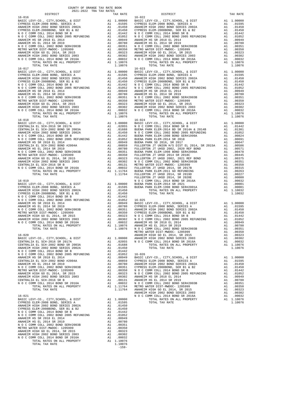| $16 - 016$                   |         | $16 - 022$ |
|------------------------------|---------|------------|
|                              |         |            |
|                              |         |            |
|                              |         |            |
|                              |         |            |
|                              |         |            |
|                              |         |            |
|                              |         |            |
|                              |         |            |
|                              |         |            |
|                              |         |            |
| TOTAL TAX RATE<br>$16 - 017$ | 1.10076 | $16 - 023$ |
|                              |         |            |
|                              |         |            |
|                              |         |            |
|                              |         |            |
|                              |         |            |
|                              |         |            |
|                              |         |            |
|                              |         |            |
|                              |         |            |
|                              |         |            |
| TOTAL TAX RATE               | 1.10076 |            |
| $16 - 018$                   |         | $16 - 024$ |
|                              |         |            |
|                              |         |            |
|                              |         |            |
|                              |         |            |
|                              |         |            |
|                              |         |            |
|                              |         |            |
|                              |         |            |
|                              |         |            |
|                              |         |            |
|                              |         |            |
|                              |         |            |
|                              |         | FULLERT    |
|                              |         |            |
|                              |         |            |
|                              |         |            |
|                              |         |            |
|                              |         |            |
|                              |         |            |
|                              |         |            |
|                              |         |            |
|                              |         |            |
|                              |         |            |
|                              |         |            |
|                              |         | METRO W    |
|                              |         |            |
|                              |         |            |
|                              |         |            |
|                              |         |            |
|                              |         |            |
|                              |         |            |
|                              |         |            |
|                              |         |            |
|                              |         |            |
|                              |         |            |
|                              |         |            |
|                              |         |            |
|                              |         |            |
| $16 - 021$                   |         | NOCC       |
|                              |         |            |
|                              |         |            |
|                              |         |            |
|                              |         |            |
|                              |         |            |
|                              |         |            |
|                              |         |            |
|                              |         |            |
|                              |         |            |
|                              |         |            |
| TOTAL TAX RATE               | 1.10076 |            |

-159-

| COUNTY OF ORANGE TAX RATE BOOK<br>$2021-2022 \quad \text{TRA} \quad \text{RATE} \quad \text{DISTRICT}$ DISTRICT |          |            |          |  |  |  |  |
|-----------------------------------------------------------------------------------------------------------------|----------|------------|----------|--|--|--|--|
|                                                                                                                 | TAX RATE | DISTRICT   | TAX RATE |  |  |  |  |
| $16 - 016$                                                                                                      |          | $16 - 022$ |          |  |  |  |  |
| $16 - 017$                                                                                                      |          | $16 - 023$ |          |  |  |  |  |
|                                                                                                                 |          |            |          |  |  |  |  |
|                                                                                                                 |          |            |          |  |  |  |  |
|                                                                                                                 |          |            |          |  |  |  |  |
|                                                                                                                 |          |            |          |  |  |  |  |
|                                                                                                                 |          |            |          |  |  |  |  |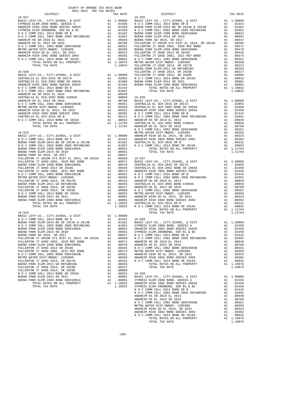| COUNTY OF ORANGE TAX RATE BOOK<br>2021-2022 TRA TAX RATES                                                                                                                                                                                                                                                                                                                                                                                                                                                               |    |            |                |
|-------------------------------------------------------------------------------------------------------------------------------------------------------------------------------------------------------------------------------------------------------------------------------------------------------------------------------------------------------------------------------------------------------------------------------------------------------------------------------------------------------------------------|----|------------|----------------|
| DISTRICT                                                                                                                                                                                                                                                                                                                                                                                                                                                                                                                |    | TAX RATE   |                |
| $16 - 027$                                                                                                                                                                                                                                                                                                                                                                                                                                                                                                              |    |            | $16 - 035$     |
|                                                                                                                                                                                                                                                                                                                                                                                                                                                                                                                         |    |            |                |
|                                                                                                                                                                                                                                                                                                                                                                                                                                                                                                                         |    |            |                |
|                                                                                                                                                                                                                                                                                                                                                                                                                                                                                                                         |    |            |                |
|                                                                                                                                                                                                                                                                                                                                                                                                                                                                                                                         |    |            |                |
|                                                                                                                                                                                                                                                                                                                                                                                                                                                                                                                         |    |            |                |
|                                                                                                                                                                                                                                                                                                                                                                                                                                                                                                                         |    |            |                |
|                                                                                                                                                                                                                                                                                                                                                                                                                                                                                                                         |    |            |                |
|                                                                                                                                                                                                                                                                                                                                                                                                                                                                                                                         |    |            |                |
|                                                                                                                                                                                                                                                                                                                                                                                                                                                                                                                         |    |            |                |
|                                                                                                                                                                                                                                                                                                                                                                                                                                                                                                                         |    |            |                |
|                                                                                                                                                                                                                                                                                                                                                                                                                                                                                                                         |    |            |                |
|                                                                                                                                                                                                                                                                                                                                                                                                                                                                                                                         |    |            |                |
|                                                                                                                                                                                                                                                                                                                                                                                                                                                                                                                         |    |            |                |
|                                                                                                                                                                                                                                                                                                                                                                                                                                                                                                                         |    |            |                |
|                                                                                                                                                                                                                                                                                                                                                                                                                                                                                                                         |    |            | BUENA P        |
|                                                                                                                                                                                                                                                                                                                                                                                                                                                                                                                         |    |            | FULLERT        |
|                                                                                                                                                                                                                                                                                                                                                                                                                                                                                                                         |    |            |                |
|                                                                                                                                                                                                                                                                                                                                                                                                                                                                                                                         |    |            |                |
|                                                                                                                                                                                                                                                                                                                                                                                                                                                                                                                         |    |            |                |
|                                                                                                                                                                                                                                                                                                                                                                                                                                                                                                                         |    |            |                |
|                                                                                                                                                                                                                                                                                                                                                                                                                                                                                                                         |    |            |                |
|                                                                                                                                                                                                                                                                                                                                                                                                                                                                                                                         |    |            |                |
|                                                                                                                                                                                                                                                                                                                                                                                                                                                                                                                         |    |            |                |
|                                                                                                                                                                                                                                                                                                                                                                                                                                                                                                                         |    |            |                |
|                                                                                                                                                                                                                                                                                                                                                                                                                                                                                                                         |    |            |                |
|                                                                                                                                                                                                                                                                                                                                                                                                                                                                                                                         |    |            |                |
|                                                                                                                                                                                                                                                                                                                                                                                                                                                                                                                         |    |            |                |
|                                                                                                                                                                                                                                                                                                                                                                                                                                                                                                                         |    |            |                |
|                                                                                                                                                                                                                                                                                                                                                                                                                                                                                                                         |    |            |                |
|                                                                                                                                                                                                                                                                                                                                                                                                                                                                                                                         |    |            |                |
|                                                                                                                                                                                                                                                                                                                                                                                                                                                                                                                         |    |            |                |
|                                                                                                                                                                                                                                                                                                                                                                                                                                                                                                                         |    |            |                |
|                                                                                                                                                                                                                                                                                                                                                                                                                                                                                                                         |    |            |                |
|                                                                                                                                                                                                                                                                                                                                                                                                                                                                                                                         |    |            | NOCC           |
| $16 - 033$<br>$\begin{tabular}{l c c c} \hline 16-033 & $\mathsf{W}\,\mathrm{OT}\,\mathrm{C}$ & $\mathsf{M}\,\mathrm{OT}\,\mathrm{C}$ \\ BUS1 & $\mathsf{D}\,\mathrm{C}$ & $\mathsf{C}\,\mathrm{DT}\,\mathrm{C}$ & $\mathsf{C}\,\mathrm{DT}\,\mathrm{C}$ & $\mathsf{M}\,\mathrm{C}$ & $\mathsf{M}\,\mathrm{C}$ & $\mathsf{M}\,\mathrm{C}$ & $\mathsf{M}\,\mathrm{C}$ \\ \hline \texttt{N}\,\mathrm{O}\,\mathrm{C}\,\mathrm{COMM}\,\mathrm{COLL}\,\mathrm{2014}\, & $\mathsf{BD}\,\mathrm{SR}\,\mathrm{B}$ & $\mathsf{A$ |    |            | METRO W        |
|                                                                                                                                                                                                                                                                                                                                                                                                                                                                                                                         |    |            |                |
|                                                                                                                                                                                                                                                                                                                                                                                                                                                                                                                         |    |            |                |
|                                                                                                                                                                                                                                                                                                                                                                                                                                                                                                                         |    |            |                |
|                                                                                                                                                                                                                                                                                                                                                                                                                                                                                                                         |    |            |                |
|                                                                                                                                                                                                                                                                                                                                                                                                                                                                                                                         |    |            |                |
|                                                                                                                                                                                                                                                                                                                                                                                                                                                                                                                         |    |            |                |
|                                                                                                                                                                                                                                                                                                                                                                                                                                                                                                                         |    |            |                |
|                                                                                                                                                                                                                                                                                                                                                                                                                                                                                                                         |    |            |                |
|                                                                                                                                                                                                                                                                                                                                                                                                                                                                                                                         |    |            |                |
|                                                                                                                                                                                                                                                                                                                                                                                                                                                                                                                         |    |            |                |
|                                                                                                                                                                                                                                                                                                                                                                                                                                                                                                                         |    |            |                |
|                                                                                                                                                                                                                                                                                                                                                                                                                                                                                                                         |    |            |                |
|                                                                                                                                                                                                                                                                                                                                                                                                                                                                                                                         |    |            |                |
|                                                                                                                                                                                                                                                                                                                                                                                                                                                                                                                         |    |            |                |
|                                                                                                                                                                                                                                                                                                                                                                                                                                                                                                                         |    |            |                |
|                                                                                                                                                                                                                                                                                                                                                                                                                                                                                                                         |    |            |                |
|                                                                                                                                                                                                                                                                                                                                                                                                                                                                                                                         |    |            |                |
|                                                                                                                                                                                                                                                                                                                                                                                                                                                                                                                         |    |            |                |
|                                                                                                                                                                                                                                                                                                                                                                                                                                                                                                                         |    |            |                |
|                                                                                                                                                                                                                                                                                                                                                                                                                                                                                                                         |    |            |                |
|                                                                                                                                                                                                                                                                                                                                                                                                                                                                                                                         |    |            |                |
|                                                                                                                                                                                                                                                                                                                                                                                                                                                                                                                         |    |            |                |
|                                                                                                                                                                                                                                                                                                                                                                                                                                                                                                                         |    |            |                |
| $16 - 034$                                                                                                                                                                                                                                                                                                                                                                                                                                                                                                              |    |            |                |
|                                                                                                                                                                                                                                                                                                                                                                                                                                                                                                                         |    |            |                |
|                                                                                                                                                                                                                                                                                                                                                                                                                                                                                                                         |    |            |                |
|                                                                                                                                                                                                                                                                                                                                                                                                                                                                                                                         |    |            |                |
|                                                                                                                                                                                                                                                                                                                                                                                                                                                                                                                         |    |            |                |
| BUENA PARK ELEM-1998 BOND SER#1999A                                                                                                                                                                                                                                                                                                                                                                                                                                                                                     | A1 | .00824     | ANAHEIM        |
| BUENA PARK ELEM-2014 SR 2018                                                                                                                                                                                                                                                                                                                                                                                                                                                                                            | A1 | .00691     | <b>CYPRESS</b> |
| BUENA PARK SD 2016, SR 2017                                                                                                                                                                                                                                                                                                                                                                                                                                                                                             | A1 | .00647     | NOCC           |
| FULLERTON JT UNION H/S DIST EL 2014, SR 2015A                                                                                                                                                                                                                                                                                                                                                                                                                                                                           | A1 | .00586     | NOCC           |
| FULLERTON JT UHSD 2002, 2020 REF BOND                                                                                                                                                                                                                                                                                                                                                                                                                                                                                   | A1 | .00571     | ANAHEIM        |
| BUENA PARK ELEM-1998 BOND SER#2000A                                                                                                                                                                                                                                                                                                                                                                                                                                                                                     | A1 | .00478     | ANAHEIM        |
| FULLERTON JT UHSD 2014 SR 2018C                                                                                                                                                                                                                                                                                                                                                                                                                                                                                         | A1 | .00445     | NOCC           |
| FULLERTON JT UHSD 2002, 2021 REF BOND                                                                                                                                                                                                                                                                                                                                                                                                                                                                                   | A1 | .00375     | METRO W        |
| N O C COMM COLL 2002 BOND SER#2003B                                                                                                                                                                                                                                                                                                                                                                                                                                                                                     | A1 | .00351     | ANAHEIM        |
| METRO WATER DIST-MWDOC- 1205999                                                                                                                                                                                                                                                                                                                                                                                                                                                                                         | A1 | .00350     | ANAHEIM        |
| FULLERTON JT UHSD 2014, SR 2017B                                                                                                                                                                                                                                                                                                                                                                                                                                                                                        | A1 | .00315     | NOCC           |
| BUENA PARK ELEM-2011 GO REFUNDING                                                                                                                                                                                                                                                                                                                                                                                                                                                                                       | A1 | .00263     |                |
| FULLERTON JT UHSD 2014, SR 2019D                                                                                                                                                                                                                                                                                                                                                                                                                                                                                        | A1 | .00227     |                |
| FULLERTON JT UHSD 2014, SR 2020E                                                                                                                                                                                                                                                                                                                                                                                                                                                                                        | A1 | .00080     |                |
| N O C COMM COLL 2014 BOND SR 2016A                                                                                                                                                                                                                                                                                                                                                                                                                                                                                      | A1 | .00032     | $16 - 039$     |
| BUENA PARK ELEM-2014 SR 2021                                                                                                                                                                                                                                                                                                                                                                                                                                                                                            | A1 | .00001     | BASIC L        |
| BUENA PARK ELEM-1998 BOND SER#2001A                                                                                                                                                                                                                                                                                                                                                                                                                                                                                     | A1 | .00001     | CYPRESS        |
| TOTAL RATES ON ALL PROPERTY                                                                                                                                                                                                                                                                                                                                                                                                                                                                                             |    | A1 1.10032 | ANAHEIM        |
| POPAI PAY DAPP                                                                                                                                                                                                                                                                                                                                                                                                                                                                                                          |    | 1 10022    | aynnee         |

| 2021-2022 TRA TAX RATES |          |                                                                                                                                                                                                                                     |          |
|-------------------------|----------|-------------------------------------------------------------------------------------------------------------------------------------------------------------------------------------------------------------------------------------|----------|
| DISTRICT                | TAX RATE | DISTRICT                                                                                                                                                                                                                            | TAX RATE |
|                         |          |                                                                                                                                                                                                                                     |          |
|                         |          |                                                                                                                                                                                                                                     |          |
|                         |          |                                                                                                                                                                                                                                     |          |
|                         |          |                                                                                                                                                                                                                                     |          |
|                         |          |                                                                                                                                                                                                                                     |          |
|                         |          |                                                                                                                                                                                                                                     |          |
|                         |          |                                                                                                                                                                                                                                     |          |
|                         |          |                                                                                                                                                                                                                                     |          |
|                         |          |                                                                                                                                                                                                                                     |          |
|                         |          |                                                                                                                                                                                                                                     |          |
|                         |          |                                                                                                                                                                                                                                     |          |
|                         |          |                                                                                                                                                                                                                                     |          |
|                         |          |                                                                                                                                                                                                                                     |          |
|                         |          |                                                                                                                                                                                                                                     |          |
|                         |          |                                                                                                                                                                                                                                     |          |
|                         |          |                                                                                                                                                                                                                                     |          |
|                         |          |                                                                                                                                                                                                                                     |          |
|                         |          |                                                                                                                                                                                                                                     |          |
|                         |          |                                                                                                                                                                                                                                     |          |
|                         |          |                                                                                                                                                                                                                                     |          |
|                         |          |                                                                                                                                                                                                                                     |          |
|                         |          |                                                                                                                                                                                                                                     |          |
|                         |          |                                                                                                                                                                                                                                     |          |
|                         |          |                                                                                                                                                                                                                                     |          |
|                         |          |                                                                                                                                                                                                                                     |          |
|                         |          |                                                                                                                                                                                                                                     |          |
|                         |          |                                                                                                                                                                                                                                     |          |
|                         |          |                                                                                                                                                                                                                                     |          |
|                         |          |                                                                                                                                                                                                                                     |          |
|                         |          |                                                                                                                                                                                                                                     |          |
|                         |          |                                                                                                                                                                                                                                     |          |
|                         |          |                                                                                                                                                                                                                                     |          |
|                         |          |                                                                                                                                                                                                                                     |          |
|                         |          |                                                                                                                                                                                                                                     |          |
|                         |          |                                                                                                                                                                                                                                     |          |
|                         |          |                                                                                                                                                                                                                                     |          |
|                         |          |                                                                                                                                                                                                                                     |          |
|                         |          |                                                                                                                                                                                                                                     |          |
|                         |          |                                                                                                                                                                                                                                     |          |
|                         |          |                                                                                                                                                                                                                                     |          |
|                         |          |                                                                                                                                                                                                                                     |          |
|                         |          |                                                                                                                                                                                                                                     |          |
|                         |          |                                                                                                                                                                                                                                     |          |
|                         |          |                                                                                                                                                                                                                                     |          |
|                         |          |                                                                                                                                                                                                                                     |          |
|                         |          |                                                                                                                                                                                                                                     |          |
|                         |          |                                                                                                                                                                                                                                     |          |
|                         |          |                                                                                                                                                                                                                                     |          |
|                         |          |                                                                                                                                                                                                                                     |          |
|                         |          |                                                                                                                                                                                                                                     |          |
|                         |          |                                                                                                                                                                                                                                     |          |
|                         |          |                                                                                                                                                                                                                                     |          |
|                         |          |                                                                                                                                                                                                                                     |          |
|                         |          |                                                                                                                                                                                                                                     |          |
|                         |          |                                                                                                                                                                                                                                     |          |
|                         |          |                                                                                                                                                                                                                                     |          |
|                         |          |                                                                                                                                                                                                                                     |          |
|                         |          |                                                                                                                                                                                                                                     |          |
|                         |          |                                                                                                                                                                                                                                     |          |
|                         |          |                                                                                                                                                                                                                                     |          |
|                         |          |                                                                                                                                                                                                                                     |          |
|                         |          |                                                                                                                                                                                                                                     |          |
|                         |          |                                                                                                                                                                                                                                     |          |
|                         |          |                                                                                                                                                                                                                                     |          |
|                         |          |                                                                                                                                                                                                                                     |          |
|                         |          |                                                                                                                                                                                                                                     |          |
|                         |          |                                                                                                                                                                                                                                     |          |
|                         |          |                                                                                                                                                                                                                                     |          |
|                         |          |                                                                                                                                                                                                                                     |          |
|                         |          |                                                                                                                                                                                                                                     |          |
|                         |          |                                                                                                                                                                                                                                     |          |
|                         |          |                                                                                                                                                                                                                                     |          |
|                         |          |                                                                                                                                                                                                                                     |          |
|                         |          |                                                                                                                                                                                                                                     |          |
|                         |          |                                                                                                                                                                                                                                     |          |
|                         |          |                                                                                                                                                                                                                                     |          |
|                         |          |                                                                                                                                                                                                                                     |          |
|                         |          |                                                                                                                                                                                                                                     |          |
|                         |          |                                                                                                                                                                                                                                     |          |
|                         |          |                                                                                                                                                                                                                                     |          |
|                         |          |                                                                                                                                                                                                                                     |          |
|                         |          |                                                                                                                                                                                                                                     |          |
|                         |          |                                                                                                                                                                                                                                     |          |
|                         |          | NO C COMM COLL 2002 BOXD EXERT (1993)<br>NO COMMO 2003 BOXD EXERT (1993) AND COMMO 2002 ANAMEEM HEGH 2002 BOXD EXERTS 2002<br>NOWARK ELEN-1998 BOXD EXERT (1993), 2002 ANAMEEM HEGH 2003 BOXD EXERTS 2002<br>NO COMMO ANAWENCHI (19 |          |
|                         |          | TOTAL TAX RATE                                                                                                                                                                                                                      | 1.10076  |
|                         |          |                                                                                                                                                                                                                                     |          |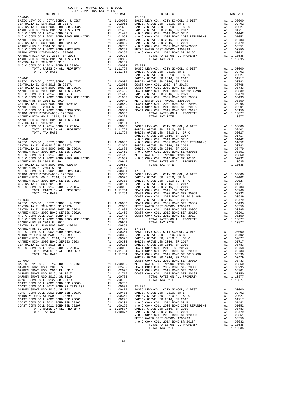| CENTRALIA EL SCH-2016 SR B                                              |          |                                                                                             |                       |
|-------------------------------------------------------------------------|----------|---------------------------------------------------------------------------------------------|-----------------------|
| N O C COMM COLL 2014 BOND SR 2016A<br>TOTAL RATES ON ALL PROPERTY       |          |                                                                                             |                       |
| TOTAL TAX RATE<br>$16 - 041$                                            |          | A1 .00302<br>A1 .00131<br>A1 .00032 17-002<br>A1 1.11764 GARDEN<br>1.11764 GARDEN<br>GARDEN | GARDEN                |
|                                                                         |          |                                                                                             |                       |
|                                                                         |          |                                                                                             |                       |
|                                                                         |          |                                                                                             |                       |
|                                                                         |          |                                                                                             |                       |
|                                                                         |          |                                                                                             |                       |
|                                                                         |          |                                                                                             |                       |
|                                                                         |          |                                                                                             |                       |
|                                                                         |          |                                                                                             |                       |
|                                                                         |          |                                                                                             |                       |
|                                                                         |          |                                                                                             |                       |
|                                                                         |          |                                                                                             |                       |
|                                                                         |          |                                                                                             |                       |
|                                                                         |          |                                                                                             | GARDEN                |
|                                                                         |          |                                                                                             |                       |
|                                                                         |          |                                                                                             |                       |
|                                                                         |          |                                                                                             |                       |
|                                                                         |          |                                                                                             |                       |
|                                                                         |          |                                                                                             |                       |
|                                                                         |          |                                                                                             |                       |
|                                                                         |          |                                                                                             |                       |
|                                                                         |          |                                                                                             |                       |
|                                                                         |          |                                                                                             |                       |
|                                                                         |          |                                                                                             |                       |
|                                                                         |          |                                                                                             |                       |
| $16 - 043$                                                              |          |                                                                                             | COAST C<br>GARDEN     |
|                                                                         |          |                                                                                             |                       |
|                                                                         |          |                                                                                             |                       |
|                                                                         |          |                                                                                             |                       |
|                                                                         |          |                                                                                             |                       |
|                                                                         |          |                                                                                             |                       |
|                                                                         |          |                                                                                             |                       |
|                                                                         |          |                                                                                             |                       |
|                                                                         |          |                                                                                             |                       |
|                                                                         |          |                                                                                             |                       |
| CENTRALIA EL SCH-2016 SR B                                              | A1       |                                                                                             | $.00131$ GARDEN       |
| N O C COMM COLL 2014 BOND SR 2016A                                      | A1       | .00032                                                                                      | COAST C               |
| TOTAL RATES ON ALL PROPERTY<br>TOTAL TAX RATE                           |          | A1 1.11764<br>1.11764                                                                       | COAST C<br>COAST C    |
|                                                                         |          |                                                                                             | GARDEN                |
| $17 - 000$                                                              |          |                                                                                             | COAST C               |
| BASIC LEVY-CO., CITY, SCHOOL, & DIST<br>GARDEN GROVE USD, 2010, SR B    | A1<br>A1 | 1.00000<br>.02402                                                                           | METRO W<br>COAST C    |
| GARDEN GROVE USD, 2010 EL, SR C                                         | A1       | .02027                                                                                      | COAST C               |
| GARDEN GROVE USD 2016, SR 2017<br>GARDEN GROVE USD 2016, SR 2019        | A1<br>A1 | .01717<br>.00783                                                                            | COAST C               |
| COAST COMM COLL 2012, SR 2017D                                          |          | A1 .00768                                                                                   |                       |
| COAST COMM COLL 2002 BOND SER 2006B                                     |          | A1 .00733                                                                                   |                       |
| COAST COMM COLL 2012 BOND SR 2013 A&B<br>GARDEN GROVE USD 2016, SR 2021 | A1<br>A1 | .00539<br>.00479                                                                            | $17 - 006$<br>BASIC L |
| COAST COMM COLL 2002 BOND SER 2003A                                     | A1       | .00433                                                                                      | GARDEN                |
| METRO WATER DIST-MWDOC- 1205999<br>COAST COMM COLL 2002 BOND SER 2006C  | A1       | .00350                                                                                      | GARDEN                |
| COAST COMM COLL 2012 BOND SER 2016C                                     |          |                                                                                             |                       |
| COAST COMM COLL 2012 BOND SER 2019F                                     |          |                                                                                             |                       |
| TOTAL RATES ON ALL PROPERTY<br>TOTAL TAX RATE                           |          | A1 1.10877<br>1.10877                                                                       | GARDEN<br>GARDEN      |
|                                                                         |          |                                                                                             |                       |

| COUNTY OF ORANGE TAX RATE BOOK                                                                                                                                                                                                                                                                                                                                                                                                              |          |          |          |
|---------------------------------------------------------------------------------------------------------------------------------------------------------------------------------------------------------------------------------------------------------------------------------------------------------------------------------------------------------------------------------------------------------------------------------------------|----------|----------|----------|
|                                                                                                                                                                                                                                                                                                                                                                                                                                             | TAX RATE | DISTRICT | TAX RATE |
|                                                                                                                                                                                                                                                                                                                                                                                                                                             |          |          |          |
|                                                                                                                                                                                                                                                                                                                                                                                                                                             |          |          |          |
|                                                                                                                                                                                                                                                                                                                                                                                                                                             |          |          |          |
|                                                                                                                                                                                                                                                                                                                                                                                                                                             |          |          |          |
|                                                                                                                                                                                                                                                                                                                                                                                                                                             |          |          |          |
|                                                                                                                                                                                                                                                                                                                                                                                                                                             |          |          |          |
|                                                                                                                                                                                                                                                                                                                                                                                                                                             |          |          |          |
|                                                                                                                                                                                                                                                                                                                                                                                                                                             |          |          |          |
|                                                                                                                                                                                                                                                                                                                                                                                                                                             |          |          |          |
|                                                                                                                                                                                                                                                                                                                                                                                                                                             |          |          |          |
|                                                                                                                                                                                                                                                                                                                                                                                                                                             |          |          |          |
|                                                                                                                                                                                                                                                                                                                                                                                                                                             |          |          |          |
|                                                                                                                                                                                                                                                                                                                                                                                                                                             |          |          |          |
|                                                                                                                                                                                                                                                                                                                                                                                                                                             |          |          |          |
|                                                                                                                                                                                                                                                                                                                                                                                                                                             |          |          |          |
|                                                                                                                                                                                                                                                                                                                                                                                                                                             |          |          |          |
|                                                                                                                                                                                                                                                                                                                                                                                                                                             |          |          |          |
|                                                                                                                                                                                                                                                                                                                                                                                                                                             |          |          |          |
|                                                                                                                                                                                                                                                                                                                                                                                                                                             |          |          |          |
|                                                                                                                                                                                                                                                                                                                                                                                                                                             |          |          |          |
|                                                                                                                                                                                                                                                                                                                                                                                                                                             |          |          |          |
|                                                                                                                                                                                                                                                                                                                                                                                                                                             |          |          |          |
|                                                                                                                                                                                                                                                                                                                                                                                                                                             |          |          |          |
|                                                                                                                                                                                                                                                                                                                                                                                                                                             |          |          |          |
|                                                                                                                                                                                                                                                                                                                                                                                                                                             |          |          |          |
|                                                                                                                                                                                                                                                                                                                                                                                                                                             |          |          |          |
|                                                                                                                                                                                                                                                                                                                                                                                                                                             |          |          |          |
|                                                                                                                                                                                                                                                                                                                                                                                                                                             |          |          |          |
|                                                                                                                                                                                                                                                                                                                                                                                                                                             |          |          |          |
|                                                                                                                                                                                                                                                                                                                                                                                                                                             |          |          |          |
|                                                                                                                                                                                                                                                                                                                                                                                                                                             |          |          |          |
|                                                                                                                                                                                                                                                                                                                                                                                                                                             |          |          |          |
|                                                                                                                                                                                                                                                                                                                                                                                                                                             |          |          |          |
|                                                                                                                                                                                                                                                                                                                                                                                                                                             |          |          |          |
|                                                                                                                                                                                                                                                                                                                                                                                                                                             |          |          |          |
|                                                                                                                                                                                                                                                                                                                                                                                                                                             |          |          |          |
|                                                                                                                                                                                                                                                                                                                                                                                                                                             |          |          |          |
|                                                                                                                                                                                                                                                                                                                                                                                                                                             |          |          |          |
|                                                                                                                                                                                                                                                                                                                                                                                                                                             |          |          |          |
|                                                                                                                                                                                                                                                                                                                                                                                                                                             |          |          |          |
|                                                                                                                                                                                                                                                                                                                                                                                                                                             |          |          |          |
|                                                                                                                                                                                                                                                                                                                                                                                                                                             |          |          |          |
|                                                                                                                                                                                                                                                                                                                                                                                                                                             |          |          |          |
|                                                                                                                                                                                                                                                                                                                                                                                                                                             |          |          |          |
|                                                                                                                                                                                                                                                                                                                                                                                                                                             |          |          |          |
|                                                                                                                                                                                                                                                                                                                                                                                                                                             |          |          |          |
|                                                                                                                                                                                                                                                                                                                                                                                                                                             |          |          |          |
|                                                                                                                                                                                                                                                                                                                                                                                                                                             |          |          |          |
|                                                                                                                                                                                                                                                                                                                                                                                                                                             |          |          |          |
|                                                                                                                                                                                                                                                                                                                                                                                                                                             |          |          |          |
|                                                                                                                                                                                                                                                                                                                                                                                                                                             |          |          |          |
|                                                                                                                                                                                                                                                                                                                                                                                                                                             |          |          |          |
|                                                                                                                                                                                                                                                                                                                                                                                                                                             |          |          |          |
|                                                                                                                                                                                                                                                                                                                                                                                                                                             |          |          |          |
|                                                                                                                                                                                                                                                                                                                                                                                                                                             |          |          |          |
|                                                                                                                                                                                                                                                                                                                                                                                                                                             |          |          |          |
|                                                                                                                                                                                                                                                                                                                                                                                                                                             |          |          |          |
|                                                                                                                                                                                                                                                                                                                                                                                                                                             |          |          |          |
|                                                                                                                                                                                                                                                                                                                                                                                                                                             |          |          |          |
|                                                                                                                                                                                                                                                                                                                                                                                                                                             |          |          |          |
|                                                                                                                                                                                                                                                                                                                                                                                                                                             |          |          |          |
|                                                                                                                                                                                                                                                                                                                                                                                                                                             |          |          |          |
| $\begin{array}{cccccccccccc} \textbf{MMS} & \textbf{MMS} & \textbf{MMS} & \textbf{MMS} & \textbf{MMS} & \textbf{MMS} & \textbf{MMS} & \textbf{MMS} & \textbf{MMS} & \textbf{MMS} & \textbf{MMS} & \textbf{MMS} & \textbf{MMS} & \textbf{MMS} & \textbf{MMS} & \textbf{MMS} & \textbf{MMS} & \textbf{MMS} & \textbf{MMS} & \textbf{MMS} & \textbf{MMS} & \textbf{MMS} & \textbf{MMS} & \textbf{MMS} & \textbf{MMS} & \textbf{MMS} & \textbf$ |          |          |          |
|                                                                                                                                                                                                                                                                                                                                                                                                                                             |          |          |          |
|                                                                                                                                                                                                                                                                                                                                                                                                                                             |          |          |          |
|                                                                                                                                                                                                                                                                                                                                                                                                                                             |          |          |          |
|                                                                                                                                                                                                                                                                                                                                                                                                                                             |          |          |          |
|                                                                                                                                                                                                                                                                                                                                                                                                                                             |          |          |          |
|                                                                                                                                                                                                                                                                                                                                                                                                                                             |          |          |          |
|                                                                                                                                                                                                                                                                                                                                                                                                                                             |          |          |          |
|                                                                                                                                                                                                                                                                                                                                                                                                                                             |          |          |          |
|                                                                                                                                                                                                                                                                                                                                                                                                                                             |          |          |          |
|                                                                                                                                                                                                                                                                                                                                                                                                                                             |          |          |          |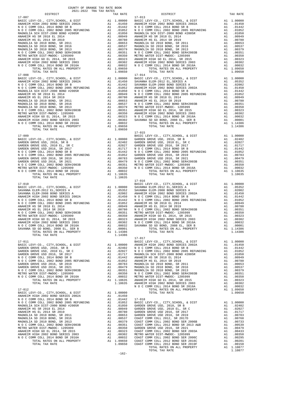| TOTAL TAX RATE                                                                                                                                                                                                                |    | 1.09650                              |                       |
|-------------------------------------------------------------------------------------------------------------------------------------------------------------------------------------------------------------------------------|----|--------------------------------------|-----------------------|
|                                                                                                                                                                                                                               |    |                                      |                       |
|                                                                                                                                                                                                                               |    |                                      |                       |
|                                                                                                                                                                                                                               |    |                                      |                       |
|                                                                                                                                                                                                                               |    |                                      |                       |
|                                                                                                                                                                                                                               |    |                                      |                       |
|                                                                                                                                                                                                                               |    |                                      |                       |
|                                                                                                                                                                                                                               |    |                                      |                       |
|                                                                                                                                                                                                                               |    |                                      |                       |
|                                                                                                                                                                                                                               |    |                                      |                       |
|                                                                                                                                                                                                                               |    |                                      |                       |
|                                                                                                                                                                                                                               |    |                                      |                       |
|                                                                                                                                                                                                                               |    |                                      |                       |
|                                                                                                                                                                                                                               |    |                                      |                       |
| TOTAL TAX RATE                                                                                                                                                                                                                |    | 1.09650                              |                       |
| $17 - 009$                                                                                                                                                                                                                    |    |                                      | $17 - 015$<br>BASIC L |
|                                                                                                                                                                                                                               |    |                                      |                       |
|                                                                                                                                                                                                                               |    |                                      |                       |
|                                                                                                                                                                                                                               |    |                                      |                       |
|                                                                                                                                                                                                                               |    |                                      |                       |
|                                                                                                                                                                                                                               |    |                                      |                       |
|                                                                                                                                                                                                                               |    |                                      |                       |
|                                                                                                                                                                                                                               |    |                                      |                       |
|                                                                                                                                                                                                                               |    |                                      |                       |
|                                                                                                                                                                                                                               |    |                                      |                       |
| TOTAL TAX RATE                                                                                                                                                                                                                |    | 1.10635                              |                       |
|                                                                                                                                                                                                                               |    |                                      | $17 - 016$            |
| $17 - 010$                                                                                                                                                                                                                    |    |                                      | BASIC L               |
|                                                                                                                                                                                                                               |    |                                      |                       |
|                                                                                                                                                                                                                               |    |                                      |                       |
|                                                                                                                                                                                                                               |    |                                      |                       |
|                                                                                                                                                                                                                               |    |                                      |                       |
|                                                                                                                                                                                                                               |    |                                      |                       |
|                                                                                                                                                                                                                               |    |                                      |                       |
|                                                                                                                                                                                                                               |    |                                      |                       |
|                                                                                                                                                                                                                               |    |                                      |                       |
|                                                                                                                                                                                                                               |    |                                      |                       |
|                                                                                                                                                                                                                               |    |                                      |                       |
|                                                                                                                                                                                                                               |    |                                      |                       |
| TOTAL TAX RATE                                                                                                                                                                                                                |    | 1.14386                              |                       |
|                                                                                                                                                                                                                               |    |                                      | $17 - 017$            |
| $17 - 011$                                                                                                                                                                                                                    |    |                                      | BASIC L               |
|                                                                                                                                                                                                                               |    |                                      |                       |
|                                                                                                                                                                                                                               |    |                                      |                       |
|                                                                                                                                                                                                                               |    |                                      |                       |
|                                                                                                                                                                                                                               |    |                                      |                       |
|                                                                                                                                                                                                                               |    |                                      |                       |
|                                                                                                                                                                                                                               |    |                                      |                       |
|                                                                                                                                                                                                                               |    |                                      |                       |
|                                                                                                                                                                                                                               |    |                                      |                       |
|                                                                                                                                                                                                                               |    |                                      |                       |
|                                                                                                                                                                                                                               |    |                                      |                       |
| $17 - 012$                                                                                                                                                                                                                    |    |                                      | NOCC                  |
| BASIC LEVY-CO., CITY, SCHOOL, & DIST                                                                                                                                                                                          |    |                                      |                       |
| ANAHEIM HIGH 2002 BOND SERIES 2002A                                                                                                                                                                                           |    | A1 1.00000<br>A1 .01450              |                       |
| N O C COMM COLL 2014 BOND SR B<br>N O C COMM COLL 2002 BOND 2005 REFUNDING A1 .01052                                                                                                                                          | A1 | .01442 17-018                        | BASIC L               |
| MAGNOLIA SCH DIST-2000 BOND #2005R                                                                                                                                                                                            |    |                                      |                       |
| ANAHEIM HS SR 2018 EL 2014                                                                                                                                                                                                    |    | A1 .01050 GARDEN<br>A1 .00949 GARDEN |                       |
| ANAHEIM HS EL 2014 SR 2019                                                                                                                                                                                                    |    |                                      |                       |
| MAGNOLIA SD 2010 BOND, SR 2011<br>MAGNOLIA SD 2010 BOND, SR 2016                                                                                                                                                              |    |                                      |                       |
| MAGNOLIA SD 2010 BOND, SR 2013                                                                                                                                                                                                |    |                                      |                       |
|                                                                                                                                                                                                                               |    |                                      |                       |
|                                                                                                                                                                                                                               |    |                                      |                       |
| NO C COMM COLL 2002 BOND SER#2003B<br>METRO WATER DIST-MWDOC- 1205999<br>ANAHEIM HIGH GO EL 2014, SR 2015<br>ANAHEIM HIGH 2002 BOND SERIES 2003<br>ANAHEIM HIGH 2002 BOND SERIES 2003<br>NO C COMM COLL 2014 POND SERIES 2003 |    |                                      |                       |
| N O C COMM COLL 2014 BOND SR 2016A                                                                                                                                                                                            |    |                                      |                       |
| TOTAL RATES ON ALL PROPERTY                                                                                                                                                                                                   |    |                                      |                       |
| TOTAL TAX RATE                                                                                                                                                                                                                |    |                                      |                       |

| $1011$ $1011$ $1011$ $1011$ $10111$<br>DISTRICT | TAX RATE | DISTRICT   | TAX RATE |
|-------------------------------------------------|----------|------------|----------|
|                                                 |          |            |          |
|                                                 |          |            |          |
|                                                 |          |            |          |
|                                                 |          |            |          |
|                                                 |          |            |          |
|                                                 |          |            |          |
|                                                 |          |            |          |
|                                                 |          |            |          |
|                                                 |          |            |          |
|                                                 |          |            |          |
|                                                 |          |            |          |
|                                                 |          |            |          |
|                                                 |          |            |          |
|                                                 |          |            |          |
|                                                 |          |            |          |
|                                                 |          |            |          |
|                                                 |          |            |          |
|                                                 |          |            |          |
|                                                 |          |            |          |
|                                                 |          |            |          |
|                                                 |          |            |          |
|                                                 |          |            |          |
|                                                 |          |            |          |
|                                                 |          |            |          |
|                                                 |          |            |          |
|                                                 |          |            |          |
|                                                 |          |            |          |
|                                                 |          |            |          |
|                                                 |          |            |          |
|                                                 |          |            |          |
|                                                 |          |            |          |
|                                                 |          |            |          |
|                                                 | 1.14386  | $17 - 017$ |          |
|                                                 |          |            |          |
|                                                 |          |            |          |
|                                                 |          |            |          |
|                                                 |          |            |          |
|                                                 |          |            |          |
|                                                 |          |            |          |
|                                                 |          |            |          |
|                                                 |          |            |          |
|                                                 |          |            |          |
|                                                 |          |            |          |
|                                                 |          |            |          |
|                                                 |          |            |          |
|                                                 |          |            |          |
|                                                 |          |            |          |
|                                                 |          |            |          |
|                                                 |          |            |          |
|                                                 |          |            |          |
|                                                 | $-162-$  |            |          |
|                                                 |          |            |          |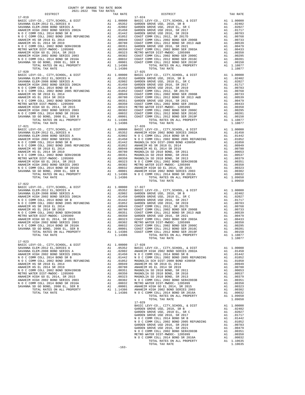| COUNTY OF ORANGE TAX RATE BOOK<br>$2021-2022 \quad \text{TRA TAX RATES}$ DISTRICT                                                                                                                                                                                                             |          |                                                                                                                                                            |          |
|-----------------------------------------------------------------------------------------------------------------------------------------------------------------------------------------------------------------------------------------------------------------------------------------------|----------|------------------------------------------------------------------------------------------------------------------------------------------------------------|----------|
| $17 - 019$                                                                                                                                                                                                                                                                                    | TAX RATE | DISTRICT<br>$17 - 024$                                                                                                                                     | TAX RATE |
|                                                                                                                                                                                                                                                                                               |          |                                                                                                                                                            |          |
|                                                                                                                                                                                                                                                                                               |          |                                                                                                                                                            |          |
| $17 - 022$                                                                                                                                                                                                                                                                                    |          |                                                                                                                                                            |          |
|                                                                                                                                                                                                                                                                                               |          | COAST COMM COLL 2012 BOND SER 2019F A1 .00150<br>COAST COMM COLL 2012 BOND SER 2019F A1 .00150<br>TOTAL RATES ON ALL PROPERTY A1 1.10877<br>TOTAL TAX RATE |          |
| $\begin{tabular}{l ll} \hline & $101A\mu$ & $4A\kappa$ & $1100000$ & $17-028$ & $1100000$ & $17-028$ & $1100000$ & $17-028$ & $1100000$ & $17-028$ & $1100000$ & $17-028$ & $1100000$ & $17-028$ & $1100000$ & $17-028$ & $1100000$ & $17-028$ & $1100000$ & $17-028$ & $1100000$ & $17-028$$ |          |                                                                                                                                                            |          |
|                                                                                                                                                                                                                                                                                               |          |                                                                                                                                                            |          |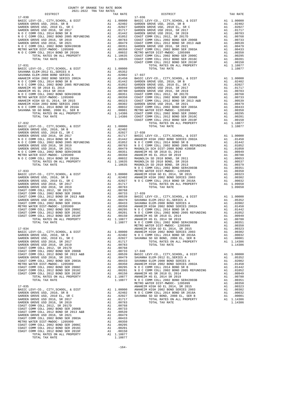| DISTRICT | TAX RATE | DISTRICT | TAX RATE |
|----------|----------|----------|----------|
|          |          |          |          |
|          |          |          |          |
|          |          |          |          |
|          |          |          |          |
|          |          |          |          |
|          |          |          |          |
|          |          |          |          |
|          |          |          |          |
|          |          |          |          |
|          |          |          |          |
|          |          |          |          |
|          |          |          |          |
|          |          |          |          |
|          |          |          |          |
|          |          |          |          |
|          |          |          |          |
|          |          |          |          |
|          |          |          |          |
|          |          |          |          |
|          |          |          |          |
|          |          |          |          |
|          |          |          |          |
|          |          |          |          |
|          |          |          |          |
|          |          |          |          |
|          |          |          |          |
|          |          |          |          |
|          |          |          |          |
|          |          |          |          |
|          |          |          |          |
|          |          |          |          |
|          |          |          |          |
|          |          |          |          |
|          |          |          |          |
|          |          |          |          |
|          |          |          |          |
|          |          |          |          |
|          |          |          |          |
|          |          |          |          |
|          |          |          |          |
|          |          |          |          |
|          |          |          |          |
|          |          |          |          |
|          |          |          |          |
|          |          |          |          |
|          |          |          |          |
|          |          |          |          |
|          |          |          |          |
|          |          |          |          |
|          |          |          |          |
|          |          |          |          |
|          |          |          |          |
|          |          |          |          |
|          |          |          |          |
|          |          |          |          |
|          |          |          |          |
|          |          |          |          |
|          |          |          |          |
|          |          |          |          |
|          |          |          |          |
|          |          |          |          |
|          |          |          |          |
|          |          |          |          |
|          |          |          |          |
|          |          |          |          |
|          |          |          |          |
|          |          |          |          |
|          |          |          |          |
|          |          |          |          |
|          |          |          |          |
|          |          |          |          |
|          |          |          |          |
|          |          |          |          |
|          |          |          |          |
|          |          |          |          |
|          |          |          |          |
|          |          |          |          |
|          |          |          |          |
|          |          |          |          |
|          |          |          |          |
|          |          |          |          |
|          |          |          |          |
|          |          |          |          |
|          |          |          |          |
|          |          |          |          |
|          |          |          |          |
|          |          |          |          |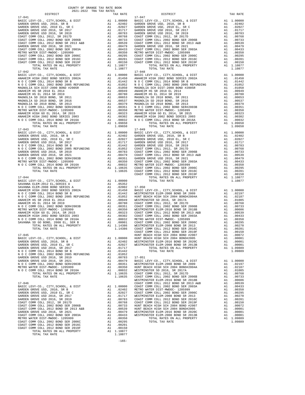| GARDEN GROWE USD 2002 BOND SER 2003<br>AL 00433 COAST COMM COLL 2002 BOND SER 2003A<br>METRO WATER DIST-MWDOC- 1205999<br>COAST COMM COLL 2002 BOND SER 2006C<br>COAST COMM COLL 2012 BOND SER 2016C<br>COAST COMM COLL 2012 BOND SER 2                                                                                                                                                                           |          |                                                     |                    |
|-------------------------------------------------------------------------------------------------------------------------------------------------------------------------------------------------------------------------------------------------------------------------------------------------------------------------------------------------------------------------------------------------------------------|----------|-----------------------------------------------------|--------------------|
|                                                                                                                                                                                                                                                                                                                                                                                                                   |          |                                                     |                    |
|                                                                                                                                                                                                                                                                                                                                                                                                                   |          |                                                     |                    |
|                                                                                                                                                                                                                                                                                                                                                                                                                   |          |                                                     |                    |
|                                                                                                                                                                                                                                                                                                                                                                                                                   |          |                                                     |                    |
| TOTAL TAX RATE                                                                                                                                                                                                                                                                                                                                                                                                    |          | 1.10877                                             |                    |
| $17 - 042$                                                                                                                                                                                                                                                                                                                                                                                                        |          |                                                     | $17 - 048$         |
|                                                                                                                                                                                                                                                                                                                                                                                                                   |          |                                                     |                    |
|                                                                                                                                                                                                                                                                                                                                                                                                                   |          |                                                     |                    |
|                                                                                                                                                                                                                                                                                                                                                                                                                   |          |                                                     |                    |
|                                                                                                                                                                                                                                                                                                                                                                                                                   |          |                                                     |                    |
|                                                                                                                                                                                                                                                                                                                                                                                                                   |          |                                                     |                    |
|                                                                                                                                                                                                                                                                                                                                                                                                                   |          |                                                     |                    |
|                                                                                                                                                                                                                                                                                                                                                                                                                   |          |                                                     |                    |
|                                                                                                                                                                                                                                                                                                                                                                                                                   |          |                                                     |                    |
|                                                                                                                                                                                                                                                                                                                                                                                                                   |          |                                                     |                    |
|                                                                                                                                                                                                                                                                                                                                                                                                                   |          |                                                     |                    |
|                                                                                                                                                                                                                                                                                                                                                                                                                   |          |                                                     |                    |
|                                                                                                                                                                                                                                                                                                                                                                                                                   |          |                                                     |                    |
|                                                                                                                                                                                                                                                                                                                                                                                                                   |          |                                                     |                    |
| TOTAL TAX RATE                                                                                                                                                                                                                                                                                                                                                                                                    |          | 1.09650                                             |                    |
| $17 - 043$                                                                                                                                                                                                                                                                                                                                                                                                        |          |                                                     | $17 - 049$         |
|                                                                                                                                                                                                                                                                                                                                                                                                                   |          |                                                     |                    |
|                                                                                                                                                                                                                                                                                                                                                                                                                   |          |                                                     |                    |
|                                                                                                                                                                                                                                                                                                                                                                                                                   |          |                                                     |                    |
|                                                                                                                                                                                                                                                                                                                                                                                                                   |          |                                                     |                    |
|                                                                                                                                                                                                                                                                                                                                                                                                                   |          |                                                     |                    |
|                                                                                                                                                                                                                                                                                                                                                                                                                   |          |                                                     |                    |
|                                                                                                                                                                                                                                                                                                                                                                                                                   |          |                                                     |                    |
|                                                                                                                                                                                                                                                                                                                                                                                                                   |          |                                                     |                    |
|                                                                                                                                                                                                                                                                                                                                                                                                                   |          |                                                     |                    |
|                                                                                                                                                                                                                                                                                                                                                                                                                   |          |                                                     |                    |
|                                                                                                                                                                                                                                                                                                                                                                                                                   |          |                                                     |                    |
|                                                                                                                                                                                                                                                                                                                                                                                                                   |          |                                                     |                    |
| $\begin{tabular}{l c c c} \hline 17-044 & \multicolumn{4}{c}{\textbf{BASTC }} \textbf{LEVY-CO.}, \text{ CITY}, \text{SCHOOL}, \text{ & \textbf{DISTT}} & \textbf{A1} & 1.00000 \\ \hline \textbf{SAVANNA } \textbf{ELEM-2012 } \textbf{EL}, \textbf{SERIES A} & \textbf{A1} & .05352 \\ \textbf{SAVANNA } \textbf{ELEM-2008 } \textbf{BND} \textbf{SERES A} & \textbf{A1} & .02002 & 17-050 \\ \textbf{ANAHEIM H$ |          |                                                     |                    |
|                                                                                                                                                                                                                                                                                                                                                                                                                   |          |                                                     |                    |
|                                                                                                                                                                                                                                                                                                                                                                                                                   |          |                                                     |                    |
|                                                                                                                                                                                                                                                                                                                                                                                                                   |          |                                                     |                    |
|                                                                                                                                                                                                                                                                                                                                                                                                                   |          |                                                     |                    |
|                                                                                                                                                                                                                                                                                                                                                                                                                   |          |                                                     |                    |
|                                                                                                                                                                                                                                                                                                                                                                                                                   |          |                                                     |                    |
|                                                                                                                                                                                                                                                                                                                                                                                                                   |          |                                                     |                    |
|                                                                                                                                                                                                                                                                                                                                                                                                                   |          |                                                     |                    |
|                                                                                                                                                                                                                                                                                                                                                                                                                   |          |                                                     |                    |
|                                                                                                                                                                                                                                                                                                                                                                                                                   |          |                                                     |                    |
|                                                                                                                                                                                                                                                                                                                                                                                                                   |          |                                                     |                    |
|                                                                                                                                                                                                                                                                                                                                                                                                                   |          |                                                     |                    |
|                                                                                                                                                                                                                                                                                                                                                                                                                   |          |                                                     |                    |
|                                                                                                                                                                                                                                                                                                                                                                                                                   |          |                                                     |                    |
| $17 - 045$                                                                                                                                                                                                                                                                                                                                                                                                        |          |                                                     | COAST C            |
|                                                                                                                                                                                                                                                                                                                                                                                                                   |          |                                                     | HUNT BE            |
|                                                                                                                                                                                                                                                                                                                                                                                                                   |          |                                                     |                    |
|                                                                                                                                                                                                                                                                                                                                                                                                                   |          |                                                     |                    |
|                                                                                                                                                                                                                                                                                                                                                                                                                   |          |                                                     |                    |
|                                                                                                                                                                                                                                                                                                                                                                                                                   |          |                                                     |                    |
|                                                                                                                                                                                                                                                                                                                                                                                                                   |          |                                                     |                    |
|                                                                                                                                                                                                                                                                                                                                                                                                                   |          |                                                     |                    |
|                                                                                                                                                                                                                                                                                                                                                                                                                   |          |                                                     |                    |
|                                                                                                                                                                                                                                                                                                                                                                                                                   |          |                                                     |                    |
| N O C COMM COLL 2014 BOND SR 2016A                                                                                                                                                                                                                                                                                                                                                                                | A1       | .00032                                              | WESTMIN            |
| TOTAL RATES ON ALL PROPERTY                                                                                                                                                                                                                                                                                                                                                                                       |          | A1 1.10635                                          | COAST C            |
| TOTAL TAX RATE                                                                                                                                                                                                                                                                                                                                                                                                    |          | 1.10635                                             | COAST C            |
| $17 - 046$                                                                                                                                                                                                                                                                                                                                                                                                        |          |                                                     | WESTMIN<br>COAST C |
| BASIC LEVY-CO., CITY, SCHOOL, & DIST                                                                                                                                                                                                                                                                                                                                                                              | A1       |                                                     |                    |
| GARDEN GROVE USD, 2010, SR B                                                                                                                                                                                                                                                                                                                                                                                      | A1       |                                                     |                    |
| GARDEN GROVE USD, 2010 EL, SR C                                                                                                                                                                                                                                                                                                                                                                                   | A1       | 1.00000 COAST C<br>.02402 METRO W<br>.02027 COAST C |                    |
| GARDEN GROVE USD 2016, SR 2017                                                                                                                                                                                                                                                                                                                                                                                    | A1       | .01717                                              | WESTMIN            |
| GARDEN GROVE USD 2016, SR 2019                                                                                                                                                                                                                                                                                                                                                                                    | A1       | .00783                                              | COAST C            |
| COAST COMM COLL 2012, SR 2017D                                                                                                                                                                                                                                                                                                                                                                                    | A1       | .00768<br>.00733                                    | COAST C            |
| COAST COMM COLL 2002 BOND SER 2006B<br>COAST COMM COLL 2012 BOND SR 2013 A&B                                                                                                                                                                                                                                                                                                                                      | A1<br>A1 | .00539                                              | HUNT BE<br>HUNT BE |
| GARDEN GROVE USD 2016, SR 2021                                                                                                                                                                                                                                                                                                                                                                                    |          |                                                     |                    |
| COAST COMM COLL 2002 BOND SER 2003A                                                                                                                                                                                                                                                                                                                                                                               |          | A1 .00479 WESTMIN<br>A1 .00433 WESTMIN              |                    |
| METRO WATER DIST-MWDOC- 1205999                                                                                                                                                                                                                                                                                                                                                                                   |          | A1.00350                                            |                    |
| COAST COMM COLL 2002 BOND SER 2006C                                                                                                                                                                                                                                                                                                                                                                               | A1       | .00295                                              |                    |
| COAST COMM COLL 2012 BOND SER 2016C                                                                                                                                                                                                                                                                                                                                                                               | A1       | .00201                                              |                    |
| COAST COMM COLL 2012 BOND SER 2019F<br>TOTAL RATES ON ALL PROPERTY                                                                                                                                                                                                                                                                                                                                                | A1       | .00150<br>A1 1.10877                                |                    |
| TOTAL TAX RATE                                                                                                                                                                                                                                                                                                                                                                                                    |          | 1.10877                                             |                    |
|                                                                                                                                                                                                                                                                                                                                                                                                                   |          |                                                     |                    |

| TAX RATE<br>DISTRICT |  | DISTRICT   | TAX RATE |
|----------------------|--|------------|----------|
| $17 - 041$           |  | $17 - 047$ |          |
|                      |  |            |          |
|                      |  |            |          |
|                      |  |            |          |
|                      |  |            |          |
|                      |  |            |          |
|                      |  |            |          |
|                      |  |            |          |
|                      |  |            |          |
|                      |  |            |          |
|                      |  |            |          |
|                      |  |            |          |
|                      |  |            |          |
|                      |  |            |          |
|                      |  |            |          |
|                      |  |            |          |
|                      |  |            |          |
|                      |  |            |          |
|                      |  |            |          |
|                      |  |            |          |
|                      |  |            |          |
|                      |  |            |          |
|                      |  |            |          |
|                      |  |            |          |
|                      |  |            |          |
|                      |  |            |          |
|                      |  |            |          |
|                      |  |            |          |
|                      |  |            |          |
|                      |  |            |          |
|                      |  |            |          |
|                      |  |            |          |
|                      |  |            |          |
|                      |  |            |          |
|                      |  |            |          |
|                      |  |            |          |
|                      |  |            |          |
|                      |  |            |          |
|                      |  |            |          |
|                      |  |            |          |
|                      |  |            |          |
|                      |  |            |          |
|                      |  |            |          |
|                      |  |            |          |
|                      |  |            |          |
|                      |  |            |          |
|                      |  |            |          |
|                      |  |            |          |
|                      |  |            |          |
|                      |  |            |          |
|                      |  |            |          |
|                      |  |            |          |
|                      |  |            |          |
|                      |  |            |          |
|                      |  |            |          |
|                      |  |            |          |
|                      |  |            |          |
|                      |  |            |          |
|                      |  |            |          |
|                      |  |            |          |
|                      |  |            |          |
|                      |  |            |          |
|                      |  |            |          |
|                      |  |            |          |
|                      |  |            |          |
|                      |  |            |          |
|                      |  |            |          |
|                      |  |            |          |
|                      |  |            |          |
|                      |  |            |          |
|                      |  |            |          |
|                      |  |            |          |
|                      |  |            |          |
|                      |  |            |          |
|                      |  |            |          |
|                      |  |            |          |
|                      |  |            |          |
|                      |  |            |          |
|                      |  |            |          |

-165-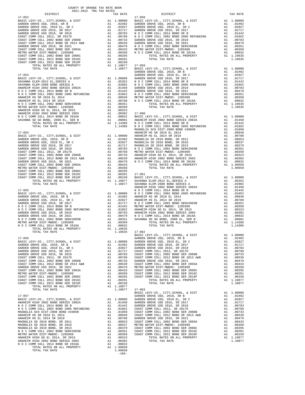| TAX RATE<br>DISTRICT |  | DISTRICT                             | TAX RATE   |
|----------------------|--|--------------------------------------|------------|
|                      |  |                                      |            |
|                      |  |                                      |            |
|                      |  |                                      |            |
|                      |  |                                      |            |
|                      |  |                                      |            |
|                      |  |                                      |            |
|                      |  |                                      |            |
|                      |  |                                      |            |
|                      |  |                                      |            |
|                      |  |                                      |            |
|                      |  |                                      |            |
|                      |  |                                      |            |
|                      |  |                                      |            |
|                      |  |                                      |            |
|                      |  |                                      |            |
|                      |  |                                      |            |
|                      |  |                                      |            |
|                      |  |                                      |            |
|                      |  |                                      |            |
|                      |  |                                      |            |
|                      |  |                                      |            |
|                      |  |                                      |            |
|                      |  |                                      |            |
|                      |  |                                      |            |
|                      |  |                                      |            |
|                      |  |                                      |            |
|                      |  |                                      |            |
|                      |  |                                      |            |
|                      |  |                                      |            |
|                      |  |                                      |            |
|                      |  |                                      |            |
|                      |  |                                      |            |
|                      |  |                                      |            |
|                      |  |                                      |            |
|                      |  |                                      |            |
|                      |  |                                      |            |
|                      |  |                                      |            |
|                      |  |                                      |            |
|                      |  |                                      |            |
|                      |  |                                      |            |
|                      |  |                                      |            |
|                      |  |                                      |            |
|                      |  |                                      |            |
|                      |  |                                      |            |
|                      |  |                                      |            |
|                      |  |                                      |            |
|                      |  |                                      |            |
|                      |  |                                      |            |
|                      |  |                                      |            |
|                      |  |                                      |            |
|                      |  |                                      |            |
|                      |  |                                      |            |
|                      |  |                                      |            |
|                      |  |                                      |            |
|                      |  |                                      |            |
|                      |  |                                      |            |
|                      |  |                                      |            |
|                      |  |                                      |            |
|                      |  |                                      |            |
|                      |  |                                      |            |
|                      |  |                                      |            |
|                      |  |                                      |            |
|                      |  | BASIC LEVY-CO., CITY, SCHOOL, & DIST | A1 1.00000 |
|                      |  |                                      |            |
|                      |  |                                      |            |
|                      |  |                                      |            |
|                      |  |                                      |            |
|                      |  |                                      |            |
|                      |  |                                      |            |
|                      |  |                                      |            |
|                      |  |                                      |            |
|                      |  |                                      |            |
|                      |  |                                      |            |
|                      |  |                                      |            |
|                      |  |                                      |            |
|                      |  |                                      |            |
|                      |  |                                      |            |
|                      |  |                                      |            |
|                      |  |                                      |            |
|                      |  |                                      |            |
|                      |  |                                      |            |
|                      |  |                                      |            |
|                      |  |                                      |            |
|                      |  |                                      |            |
|                      |  |                                      |            |
|                      |  |                                      |            |
|                      |  |                                      |            |
|                      |  |                                      |            |
|                      |  |                                      |            |
|                      |  |                                      |            |
|                      |  |                                      |            |
|                      |  |                                      |            |
|                      |  |                                      |            |
|                      |  |                                      |            |
|                      |  |                                      |            |
|                      |  |                                      |            |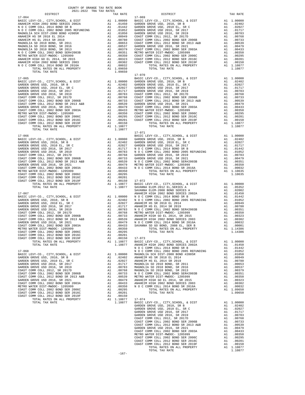| DISTRICT                                                                                                                                                                                                                                                                                                                                                                                             |               | TAX RATE                                                                                                                                                                                                                                               |                 |
|------------------------------------------------------------------------------------------------------------------------------------------------------------------------------------------------------------------------------------------------------------------------------------------------------------------------------------------------------------------------------------------------------|---------------|--------------------------------------------------------------------------------------------------------------------------------------------------------------------------------------------------------------------------------------------------------|-----------------|
| $17 - 064$                                                                                                                                                                                                                                                                                                                                                                                           |               |                                                                                                                                                                                                                                                        | $17 - 069$      |
|                                                                                                                                                                                                                                                                                                                                                                                                      |               |                                                                                                                                                                                                                                                        |                 |
|                                                                                                                                                                                                                                                                                                                                                                                                      |               |                                                                                                                                                                                                                                                        |                 |
|                                                                                                                                                                                                                                                                                                                                                                                                      |               |                                                                                                                                                                                                                                                        |                 |
|                                                                                                                                                                                                                                                                                                                                                                                                      |               |                                                                                                                                                                                                                                                        |                 |
|                                                                                                                                                                                                                                                                                                                                                                                                      |               |                                                                                                                                                                                                                                                        |                 |
|                                                                                                                                                                                                                                                                                                                                                                                                      |               |                                                                                                                                                                                                                                                        |                 |
|                                                                                                                                                                                                                                                                                                                                                                                                      |               |                                                                                                                                                                                                                                                        |                 |
|                                                                                                                                                                                                                                                                                                                                                                                                      |               |                                                                                                                                                                                                                                                        |                 |
|                                                                                                                                                                                                                                                                                                                                                                                                      |               |                                                                                                                                                                                                                                                        |                 |
|                                                                                                                                                                                                                                                                                                                                                                                                      |               |                                                                                                                                                                                                                                                        |                 |
|                                                                                                                                                                                                                                                                                                                                                                                                      |               |                                                                                                                                                                                                                                                        |                 |
|                                                                                                                                                                                                                                                                                                                                                                                                      |               |                                                                                                                                                                                                                                                        |                 |
|                                                                                                                                                                                                                                                                                                                                                                                                      |               |                                                                                                                                                                                                                                                        |                 |
|                                                                                                                                                                                                                                                                                                                                                                                                      |               |                                                                                                                                                                                                                                                        |                 |
|                                                                                                                                                                                                                                                                                                                                                                                                      |               |                                                                                                                                                                                                                                                        |                 |
|                                                                                                                                                                                                                                                                                                                                                                                                      |               |                                                                                                                                                                                                                                                        |                 |
| $\begin{tabular}{l c c c} \hline 17-064 & \hline & 17-064 & \hline & 17-064 & \hline & 17-069 \\ \hline {RANHEIM HIGH 2002 BOND SERIES 2002A & \hline & 11.00000 & BASTC L 10000 \\ \hline N & O C COMM COLL 2014 BOND SR B & \hline & 1.01442 & GARDEN \\ N & O C COMM COLL 2002 BOND 2005 RREUNDING & \hline & 1.01450 & GARDEN \\ MAGNOLIA SCH DIST-2000 BOND 42005 R & \hline$<br>TOTAL TAX RATE |               | 1.09650                                                                                                                                                                                                                                                |                 |
|                                                                                                                                                                                                                                                                                                                                                                                                      |               |                                                                                                                                                                                                                                                        | $17 - 070$      |
|                                                                                                                                                                                                                                                                                                                                                                                                      |               |                                                                                                                                                                                                                                                        |                 |
|                                                                                                                                                                                                                                                                                                                                                                                                      |               |                                                                                                                                                                                                                                                        |                 |
|                                                                                                                                                                                                                                                                                                                                                                                                      |               |                                                                                                                                                                                                                                                        |                 |
|                                                                                                                                                                                                                                                                                                                                                                                                      |               |                                                                                                                                                                                                                                                        |                 |
|                                                                                                                                                                                                                                                                                                                                                                                                      |               |                                                                                                                                                                                                                                                        |                 |
|                                                                                                                                                                                                                                                                                                                                                                                                      |               |                                                                                                                                                                                                                                                        |                 |
|                                                                                                                                                                                                                                                                                                                                                                                                      |               |                                                                                                                                                                                                                                                        |                 |
|                                                                                                                                                                                                                                                                                                                                                                                                      |               |                                                                                                                                                                                                                                                        |                 |
|                                                                                                                                                                                                                                                                                                                                                                                                      |               |                                                                                                                                                                                                                                                        |                 |
|                                                                                                                                                                                                                                                                                                                                                                                                      |               |                                                                                                                                                                                                                                                        |                 |
|                                                                                                                                                                                                                                                                                                                                                                                                      |               |                                                                                                                                                                                                                                                        |                 |
|                                                                                                                                                                                                                                                                                                                                                                                                      |               |                                                                                                                                                                                                                                                        |                 |
|                                                                                                                                                                                                                                                                                                                                                                                                      |               |                                                                                                                                                                                                                                                        |                 |
|                                                                                                                                                                                                                                                                                                                                                                                                      |               |                                                                                                                                                                                                                                                        |                 |
|                                                                                                                                                                                                                                                                                                                                                                                                      |               |                                                                                                                                                                                                                                                        |                 |
|                                                                                                                                                                                                                                                                                                                                                                                                      |               |                                                                                                                                                                                                                                                        |                 |
|                                                                                                                                                                                                                                                                                                                                                                                                      |               |                                                                                                                                                                                                                                                        |                 |
|                                                                                                                                                                                                                                                                                                                                                                                                      |               |                                                                                                                                                                                                                                                        |                 |
|                                                                                                                                                                                                                                                                                                                                                                                                      |               |                                                                                                                                                                                                                                                        |                 |
|                                                                                                                                                                                                                                                                                                                                                                                                      |               |                                                                                                                                                                                                                                                        |                 |
|                                                                                                                                                                                                                                                                                                                                                                                                      |               |                                                                                                                                                                                                                                                        |                 |
|                                                                                                                                                                                                                                                                                                                                                                                                      |               |                                                                                                                                                                                                                                                        |                 |
|                                                                                                                                                                                                                                                                                                                                                                                                      |               |                                                                                                                                                                                                                                                        |                 |
|                                                                                                                                                                                                                                                                                                                                                                                                      |               |                                                                                                                                                                                                                                                        |                 |
|                                                                                                                                                                                                                                                                                                                                                                                                      |               |                                                                                                                                                                                                                                                        |                 |
|                                                                                                                                                                                                                                                                                                                                                                                                      |               |                                                                                                                                                                                                                                                        |                 |
|                                                                                                                                                                                                                                                                                                                                                                                                      |               |                                                                                                                                                                                                                                                        |                 |
|                                                                                                                                                                                                                                                                                                                                                                                                      |               |                                                                                                                                                                                                                                                        |                 |
|                                                                                                                                                                                                                                                                                                                                                                                                      |               |                                                                                                                                                                                                                                                        |                 |
|                                                                                                                                                                                                                                                                                                                                                                                                      |               |                                                                                                                                                                                                                                                        |                 |
|                                                                                                                                                                                                                                                                                                                                                                                                      |               |                                                                                                                                                                                                                                                        |                 |
| COAST COMM COLL 2002 BOND SER 2006C                                                                                                                                                                                                                                                                                                                                                                  |               |                                                                                                                                                                                                                                                        |                 |
| A1 .00295<br>A1 .00295<br>A1 .00150<br>A1 .10877<br>11.0877<br>COAST COMM COLL 2012 BOND SER 2016C                                                                                                                                                                                                                                                                                                   |               |                                                                                                                                                                                                                                                        |                 |
| COAST COMM COLL 2012 BOND SER 2019F                                                                                                                                                                                                                                                                                                                                                                  |               | .00150 17-072<br>1.10877 BASIC L<br>1.10877 SAVANNA                                                                                                                                                                                                    |                 |
| TOTAL RATES ON ALL PROPERTY                                                                                                                                                                                                                                                                                                                                                                          |               |                                                                                                                                                                                                                                                        |                 |
| TOTAL TAX RATE                                                                                                                                                                                                                                                                                                                                                                                       |               |                                                                                                                                                                                                                                                        |                 |
|                                                                                                                                                                                                                                                                                                                                                                                                      |               |                                                                                                                                                                                                                                                        | SAVANNA         |
| 17-067                                                                                                                                                                                                                                                                                                                                                                                               |               |                                                                                                                                                                                                                                                        | ANAHEIM         |
| BASIC LEVY-CO., CITY, SCHOOL, & DIST                                                                                                                                                                                                                                                                                                                                                                 |               |                                                                                                                                                                                                                                                        |                 |
| GARDEN GROVE USD, 2010, SR B                                                                                                                                                                                                                                                                                                                                                                         |               |                                                                                                                                                                                                                                                        |                 |
| GARDEN GROVE USD, 2010 EL, SR C                                                                                                                                                                                                                                                                                                                                                                      |               |                                                                                                                                                                                                                                                        |                 |
| GARDEN GROVE USD 2016, SR 2017                                                                                                                                                                                                                                                                                                                                                                       |               |                                                                                                                                                                                                                                                        |                 |
| GARDEN GROVE USD 2016, SR 2019                                                                                                                                                                                                                                                                                                                                                                       |               |                                                                                                                                                                                                                                                        |                 |
| COAST COMM COLL 2012, SR 2017D                                                                                                                                                                                                                                                                                                                                                                       |               |                                                                                                                                                                                                                                                        |                 |
| COAST COMM COLL 2012, SR 2017D<br>COAST COMM COLL 2002 BOND SER 2006B<br>COAST COMM COLL 2012 BOND SR 2013 A&B                                                                                                                                                                                                                                                                                       |               |                                                                                                                                                                                                                                                        |                 |
|                                                                                                                                                                                                                                                                                                                                                                                                      |               |                                                                                                                                                                                                                                                        |                 |
| GARDEN GROVE USD 2016, SR 2021                                                                                                                                                                                                                                                                                                                                                                       |               |                                                                                                                                                                                                                                                        |                 |
| COAST COMM COLL 2002 BOND SER 2003A                                                                                                                                                                                                                                                                                                                                                                  |               |                                                                                                                                                                                                                                                        |                 |
| METRO WATER DIST-MWDOC- 1205999                                                                                                                                                                                                                                                                                                                                                                      |               |                                                                                                                                                                                                                                                        |                 |
| COAST COMM COLL 2002 BOND SER 2006C                                                                                                                                                                                                                                                                                                                                                                  |               | AN 1.00000 NNAHEIM<br>A1 .02402 N O C C<br>A1 .02207 ANAHEIM<br>A1 .02027 ANAHEIM<br>A1 .00763 N O C C<br>A1 .00763 N O C C<br>A1 .00763 ANAHEIM<br>A1 .00539 ANAHEIM<br>A1 .00479 N O C C<br>A1 .00479 N O C C<br>A1 .00479 N O C C<br>A1 .00295<br>A |                 |
|                                                                                                                                                                                                                                                                                                                                                                                                      |               |                                                                                                                                                                                                                                                        |                 |
| COAST COMM COLL 2012 BOND SER 2016C<br>COAST COMM COLL 2012 BOND SER 2019F                                                                                                                                                                                                                                                                                                                           |               |                                                                                                                                                                                                                                                        |                 |
|                                                                                                                                                                                                                                                                                                                                                                                                      | Al -          | .00150                                                                                                                                                                                                                                                 | $17 - 073$      |
| TOTAL RATES ON ALL PROPERTY                                                                                                                                                                                                                                                                                                                                                                          |               | A1 1.10877<br>1.10877                                                                                                                                                                                                                                  | BASIC L         |
| TOTAL TAX RATE                                                                                                                                                                                                                                                                                                                                                                                       |               |                                                                                                                                                                                                                                                        | ANAHEIM<br>NOCC |
|                                                                                                                                                                                                                                                                                                                                                                                                      |               |                                                                                                                                                                                                                                                        |                 |
| $17 - 068$                                                                                                                                                                                                                                                                                                                                                                                           |               |                                                                                                                                                                                                                                                        | NOCC            |
| BASIC LEVY-CO., CITY, SCHOOL, & DIST                                                                                                                                                                                                                                                                                                                                                                 | A1            |                                                                                                                                                                                                                                                        |                 |
| GARDEN GROVE USD, 2010, SR B                                                                                                                                                                                                                                                                                                                                                                         | A1            |                                                                                                                                                                                                                                                        |                 |
| GARDEN GROVE USD, 2010 EL, SR C                                                                                                                                                                                                                                                                                                                                                                      | A1            |                                                                                                                                                                                                                                                        |                 |
| GARDEN GROVE USD 2016, SR 2017                                                                                                                                                                                                                                                                                                                                                                       | A1            | 1.00000 MAGNOLI<br>02402 ANAHEIM<br>02027 ANAHEIM<br>01717 MAGNOLI<br>00783 MAGNOLI                                                                                                                                                                    |                 |
| GARDEN GROVE USD 2016, SR 2019                                                                                                                                                                                                                                                                                                                                                                       | A1            |                                                                                                                                                                                                                                                        |                 |
| COAST COMM COLL 2012, SR 2017D                                                                                                                                                                                                                                                                                                                                                                       | A1            | .00768                                                                                                                                                                                                                                                 | MAGNOLI         |
| COAST COMM COLL 2002 BOND SER 2006B                                                                                                                                                                                                                                                                                                                                                                  | A1            | .00733                                                                                                                                                                                                                                                 | NOCC            |
| COAST COMM COLL 2012 BOND SR 2013 A&B                                                                                                                                                                                                                                                                                                                                                                |               | A1 .00539 METRO W<br>A1 .00479 ANAHEIM<br>A1 .00433 ANAHEIM<br>A1 .00350 NOCC                                                                                                                                                                          |                 |
| GARDEN GROVE USD 2016, SR 2021                                                                                                                                                                                                                                                                                                                                                                       |               |                                                                                                                                                                                                                                                        |                 |
| COAST COMM COLL 2002 BOND SER 2003A                                                                                                                                                                                                                                                                                                                                                                  |               |                                                                                                                                                                                                                                                        |                 |
| METRO WATER DIST-MWDOC- 1205999                                                                                                                                                                                                                                                                                                                                                                      |               |                                                                                                                                                                                                                                                        |                 |
| COAST COMM COLL 2002 BOND SER 2006C                                                                                                                                                                                                                                                                                                                                                                  |               | A1.00295                                                                                                                                                                                                                                               |                 |
| COAST COMM COLL 2012 BOND SER 2016C                                                                                                                                                                                                                                                                                                                                                                  | A1            | .00201                                                                                                                                                                                                                                                 |                 |
| COAST COMM COLL 2012 BOND SER 2019F                                                                                                                                                                                                                                                                                                                                                                  | $\mathtt{Al}$ | .00150                                                                                                                                                                                                                                                 |                 |
| TOTAL RATES ON ALL PROPERTY                                                                                                                                                                                                                                                                                                                                                                          |               | A1 1.10877                                                                                                                                                                                                                                             | $17 - 074$      |
| TOTAL TAX RATE                                                                                                                                                                                                                                                                                                                                                                                       |               | 1.10877                                                                                                                                                                                                                                                | BASIC L         |
|                                                                                                                                                                                                                                                                                                                                                                                                      |               |                                                                                                                                                                                                                                                        | GARDEN          |
|                                                                                                                                                                                                                                                                                                                                                                                                      |               |                                                                                                                                                                                                                                                        | GARDEN          |

| COUNTY OF ORANGE TAX RATE BOOK<br>2021-2022 TRA TAX RATES |          |            |          |
|-----------------------------------------------------------|----------|------------|----------|
| DISTRICT                                                  | TAX RATE | DISTRICT   | TAX RATE |
| $17 - 064$                                                |          | $17 - 069$ |          |
|                                                           |          |            |          |
|                                                           |          |            |          |
|                                                           |          |            |          |
|                                                           |          |            |          |
|                                                           |          |            |          |
|                                                           |          |            |          |
|                                                           |          |            |          |
|                                                           |          |            |          |
|                                                           |          |            |          |
|                                                           |          |            |          |
|                                                           |          |            |          |
|                                                           |          |            |          |
|                                                           |          |            |          |
|                                                           |          | $17 - 070$ |          |
|                                                           |          |            |          |
|                                                           |          |            |          |
|                                                           |          |            |          |
|                                                           |          |            |          |
|                                                           |          |            |          |
|                                                           |          |            |          |
|                                                           |          |            |          |
|                                                           |          |            |          |
|                                                           |          |            |          |
|                                                           |          |            |          |
|                                                           |          |            |          |
|                                                           |          |            |          |
|                                                           |          |            |          |
|                                                           |          | $17 - 071$ |          |
|                                                           |          |            |          |
|                                                           |          |            |          |
|                                                           |          |            |          |
|                                                           |          |            |          |
|                                                           |          |            |          |
|                                                           |          |            |          |
|                                                           |          |            |          |
|                                                           |          |            |          |
|                                                           |          |            |          |
|                                                           |          |            |          |
|                                                           |          |            |          |
|                                                           |          |            |          |
|                                                           |          |            |          |
|                                                           |          |            |          |
|                                                           |          |            |          |
|                                                           |          |            |          |
|                                                           |          |            |          |
|                                                           |          |            |          |
|                                                           |          |            |          |
|                                                           |          |            |          |
|                                                           |          |            |          |
|                                                           |          |            |          |
|                                                           |          |            |          |
|                                                           |          |            |          |
|                                                           |          |            |          |
|                                                           |          |            |          |
|                                                           |          |            |          |
|                                                           |          |            |          |
|                                                           |          |            |          |
|                                                           |          |            |          |
|                                                           |          |            |          |
|                                                           |          |            |          |
|                                                           |          |            |          |
|                                                           |          |            |          |
|                                                           |          |            |          |
|                                                           |          |            |          |
|                                                           |          |            |          |
|                                                           |          |            |          |
|                                                           |          |            |          |
|                                                           |          |            |          |
|                                                           |          |            |          |
|                                                           |          |            |          |
|                                                           |          |            |          |
|                                                           |          |            |          |
|                                                           |          |            |          |
|                                                           |          |            |          |
|                                                           |          |            |          |
|                                                           |          |            |          |
|                                                           |          |            |          |
|                                                           |          |            |          |
|                                                           |          |            |          |
|                                                           |          |            |          |
|                                                           |          |            |          |
|                                                           |          |            |          |
|                                                           | $-167-$  |            |          |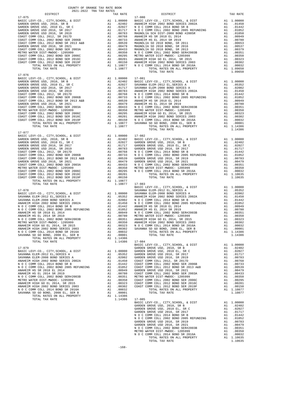| COUNTY OF ORANGE TAX RATE BOOK      |          |                                                                                                                                                                                                                                            |          |
|-------------------------------------|----------|--------------------------------------------------------------------------------------------------------------------------------------------------------------------------------------------------------------------------------------------|----------|
| 2021-2022 TRA TAX RATES<br>DISTRICT | TAX RATE | $17 - 080$<br>DISTRICT                                                                                                                                                                                                                     | TAX RATE |
| $17 - 075$                          |          |                                                                                                                                                                                                                                            |          |
|                                     |          |                                                                                                                                                                                                                                            |          |
|                                     |          |                                                                                                                                                                                                                                            |          |
|                                     |          |                                                                                                                                                                                                                                            |          |
|                                     |          |                                                                                                                                                                                                                                            |          |
|                                     |          |                                                                                                                                                                                                                                            |          |
|                                     |          |                                                                                                                                                                                                                                            |          |
|                                     |          |                                                                                                                                                                                                                                            |          |
|                                     |          |                                                                                                                                                                                                                                            |          |
|                                     |          |                                                                                                                                                                                                                                            |          |
|                                     |          |                                                                                                                                                                                                                                            |          |
|                                     |          |                                                                                                                                                                                                                                            |          |
|                                     |          |                                                                                                                                                                                                                                            |          |
| $17 - 076$                          |          |                                                                                                                                                                                                                                            |          |
|                                     |          |                                                                                                                                                                                                                                            |          |
|                                     |          |                                                                                                                                                                                                                                            |          |
|                                     |          |                                                                                                                                                                                                                                            |          |
|                                     |          |                                                                                                                                                                                                                                            |          |
|                                     |          |                                                                                                                                                                                                                                            |          |
|                                     |          |                                                                                                                                                                                                                                            |          |
|                                     |          |                                                                                                                                                                                                                                            |          |
|                                     |          |                                                                                                                                                                                                                                            |          |
|                                     |          |                                                                                                                                                                                                                                            |          |
|                                     |          |                                                                                                                                                                                                                                            |          |
|                                     |          |                                                                                                                                                                                                                                            |          |
|                                     |          |                                                                                                                                                                                                                                            |          |
| $17 - 077$                          |          |                                                                                                                                                                                                                                            |          |
|                                     |          |                                                                                                                                                                                                                                            |          |
|                                     |          |                                                                                                                                                                                                                                            |          |
|                                     |          |                                                                                                                                                                                                                                            |          |
|                                     |          |                                                                                                                                                                                                                                            |          |
|                                     |          |                                                                                                                                                                                                                                            |          |
|                                     |          |                                                                                                                                                                                                                                            |          |
|                                     |          |                                                                                                                                                                                                                                            |          |
|                                     |          |                                                                                                                                                                                                                                            |          |
|                                     |          |                                                                                                                                                                                                                                            |          |
|                                     |          |                                                                                                                                                                                                                                            |          |
|                                     |          |                                                                                                                                                                                                                                            |          |
| TOTAL TAX RATE                      |          | 1.10877 17-083                                                                                                                                                                                                                             |          |
|                                     |          |                                                                                                                                                                                                                                            |          |
|                                     |          |                                                                                                                                                                                                                                            |          |
|                                     |          |                                                                                                                                                                                                                                            |          |
|                                     |          |                                                                                                                                                                                                                                            |          |
|                                     |          |                                                                                                                                                                                                                                            |          |
|                                     |          |                                                                                                                                                                                                                                            |          |
|                                     |          |                                                                                                                                                                                                                                            |          |
|                                     |          |                                                                                                                                                                                                                                            |          |
|                                     |          |                                                                                                                                                                                                                                            |          |
|                                     |          |                                                                                                                                                                                                                                            |          |
|                                     |          |                                                                                                                                                                                                                                            |          |
|                                     |          |                                                                                                                                                                                                                                            |          |
|                                     |          | ANAHEIM HIGH 2002 BOND SERIES 2003<br>NO C COMM COLL 2014 BOND SERIES 2003<br>NO C COMM COLL 2014 BOND SERIES 2003<br>NO C COMMO COLL 2014 BOND SERIES 2003<br>NO C COMMO COLL 2014 BOND SERIES 2003<br>NO C COMMO COLL 2012<br>NO C COMMO |          |
|                                     |          |                                                                                                                                                                                                                                            |          |
|                                     |          |                                                                                                                                                                                                                                            |          |
|                                     |          |                                                                                                                                                                                                                                            |          |
|                                     |          |                                                                                                                                                                                                                                            |          |
|                                     |          |                                                                                                                                                                                                                                            |          |
|                                     |          |                                                                                                                                                                                                                                            |          |
|                                     |          |                                                                                                                                                                                                                                            |          |
|                                     |          |                                                                                                                                                                                                                                            |          |
|                                     |          |                                                                                                                                                                                                                                            |          |
|                                     |          |                                                                                                                                                                                                                                            |          |
|                                     |          |                                                                                                                                                                                                                                            |          |
|                                     |          |                                                                                                                                                                                                                                            |          |
|                                     |          |                                                                                                                                                                                                                                            |          |
|                                     |          |                                                                                                                                                                                                                                            |          |
|                                     |          |                                                                                                                                                                                                                                            |          |
|                                     |          |                                                                                                                                                                                                                                            |          |
|                                     |          |                                                                                                                                                                                                                                            |          |
|                                     |          |                                                                                                                                                                                                                                            |          |
|                                     |          |                                                                                                                                                                                                                                            |          |
|                                     |          |                                                                                                                                                                                                                                            |          |
|                                     |          |                                                                                                                                                                                                                                            |          |
|                                     |          |                                                                                                                                                                                                                                            |          |

-168-

N O C COMM COLL 2014 BOND SR 2016A A1 .00032<br>TOTAL RATES ON ALL PROPERTY A1 1.10635<br>TOTAL TAX RATE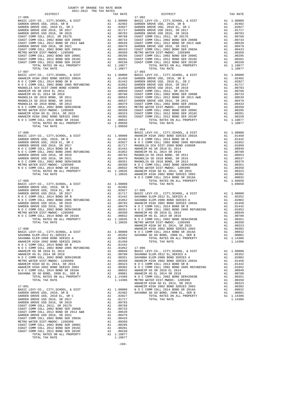17-094 17-088<br>BASIC LEVY-CO., CITY, SCHOOL, & DIST A1<br>CARDEN CROWE HSD. 2010. SE B COAST COMM COLL 2012 BOND SR 2013 A&B A1 .00539 GARDEN GROVE USD 2016, SR 2021 A1 .00479 COAST COMM COLL 2002 BOND SER 2003A A1 .00433 METRO WATER DIST-MWDOC- 1205999 A1 .00350 COAST COMM COLL 2002 BOND SER 2006C A1 .00295 COAST COMM COLL 2012 BOND SER 2016C A1 .00201 COAST COMM COLL 2012 BOND SER 2019F A1 .00150

COUNTY OF ORANGE TAX RATE BOOK 2021-2022 TRA TAX RATES

TOTAL RATES ON ALL PROPERTY A1 1.10877 TOTAL TAX RATE 1.10877

| TAX RATE<br>DISTRICT |  | DISTRICT | TAX RATE |
|----------------------|--|----------|----------|
|                      |  |          |          |
|                      |  |          |          |
|                      |  |          |          |
|                      |  |          |          |
|                      |  |          |          |
|                      |  |          |          |
|                      |  |          |          |
|                      |  |          |          |
|                      |  |          |          |
|                      |  |          |          |
|                      |  |          |          |
|                      |  |          |          |
|                      |  |          |          |
|                      |  |          |          |
|                      |  |          |          |
|                      |  |          |          |
|                      |  |          |          |
|                      |  |          |          |
|                      |  |          |          |
|                      |  |          |          |
|                      |  |          |          |
|                      |  |          |          |
|                      |  |          |          |
|                      |  |          |          |
|                      |  |          |          |
|                      |  |          |          |
|                      |  |          |          |
|                      |  |          |          |
|                      |  |          |          |
|                      |  |          |          |
|                      |  |          |          |
|                      |  |          |          |
|                      |  |          |          |
|                      |  |          |          |
|                      |  |          |          |
|                      |  |          |          |
|                      |  |          |          |
|                      |  |          |          |
|                      |  |          |          |
|                      |  |          |          |
|                      |  |          |          |
|                      |  |          |          |
|                      |  |          |          |
|                      |  |          |          |
|                      |  |          |          |
|                      |  |          |          |
|                      |  |          |          |
|                      |  |          |          |
|                      |  |          |          |
|                      |  |          |          |
|                      |  |          |          |
|                      |  |          |          |
|                      |  |          |          |
|                      |  |          |          |
|                      |  |          |          |
|                      |  |          |          |
|                      |  |          |          |
|                      |  |          |          |
|                      |  |          |          |
|                      |  |          |          |
|                      |  |          |          |
|                      |  |          |          |
|                      |  |          |          |
|                      |  |          |          |
|                      |  |          |          |
|                      |  |          |          |
|                      |  |          |          |
|                      |  |          |          |
|                      |  |          |          |
|                      |  |          |          |
|                      |  |          |          |
|                      |  |          |          |
|                      |  |          |          |
|                      |  |          |          |
|                      |  |          |          |
|                      |  |          |          |
|                      |  |          |          |
|                      |  |          |          |
|                      |  |          |          |
|                      |  |          |          |
|                      |  |          |          |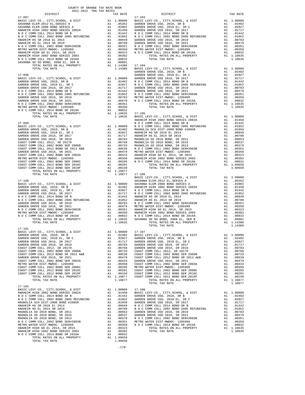| COUNTY OF ORANGE TAX RATE BOOK<br>$2021-2022 \quad \text{TRA RATES}$ DISTRICT $2021-2022 \quad \text{TRA TAX RATES}$ |          |                                                                                                                                                                                                                                     |          |
|----------------------------------------------------------------------------------------------------------------------|----------|-------------------------------------------------------------------------------------------------------------------------------------------------------------------------------------------------------------------------------------|----------|
|                                                                                                                      | TAX RATE | DISTRICT                                                                                                                                                                                                                            | TAX RATE |
| $17 - 097$                                                                                                           |          | $17 - 103$                                                                                                                                                                                                                          |          |
|                                                                                                                      |          |                                                                                                                                                                                                                                     |          |
|                                                                                                                      |          |                                                                                                                                                                                                                                     |          |
|                                                                                                                      |          |                                                                                                                                                                                                                                     |          |
|                                                                                                                      |          |                                                                                                                                                                                                                                     |          |
|                                                                                                                      |          |                                                                                                                                                                                                                                     |          |
|                                                                                                                      |          |                                                                                                                                                                                                                                     |          |
|                                                                                                                      |          |                                                                                                                                                                                                                                     |          |
|                                                                                                                      |          |                                                                                                                                                                                                                                     |          |
|                                                                                                                      |          |                                                                                                                                                                                                                                     |          |
|                                                                                                                      |          |                                                                                                                                                                                                                                     |          |
|                                                                                                                      |          |                                                                                                                                                                                                                                     |          |
|                                                                                                                      |          |                                                                                                                                                                                                                                     |          |
|                                                                                                                      |          |                                                                                                                                                                                                                                     |          |
|                                                                                                                      |          |                                                                                                                                                                                                                                     |          |
|                                                                                                                      |          |                                                                                                                                                                                                                                     |          |
|                                                                                                                      |          |                                                                                                                                                                                                                                     |          |
|                                                                                                                      |          |                                                                                                                                                                                                                                     |          |
|                                                                                                                      |          |                                                                                                                                                                                                                                     |          |
|                                                                                                                      |          |                                                                                                                                                                                                                                     |          |
|                                                                                                                      |          |                                                                                                                                                                                                                                     |          |
|                                                                                                                      |          |                                                                                                                                                                                                                                     |          |
|                                                                                                                      |          |                                                                                                                                                                                                                                     |          |
|                                                                                                                      |          |                                                                                                                                                                                                                                     |          |
|                                                                                                                      |          |                                                                                                                                                                                                                                     |          |
|                                                                                                                      |          |                                                                                                                                                                                                                                     |          |
|                                                                                                                      |          |                                                                                                                                                                                                                                     |          |
|                                                                                                                      |          |                                                                                                                                                                                                                                     |          |
|                                                                                                                      |          |                                                                                                                                                                                                                                     |          |
|                                                                                                                      |          |                                                                                                                                                                                                                                     |          |
|                                                                                                                      |          |                                                                                                                                                                                                                                     |          |
|                                                                                                                      |          |                                                                                                                                                                                                                                     |          |
|                                                                                                                      |          |                                                                                                                                                                                                                                     |          |
|                                                                                                                      |          |                                                                                                                                                                                                                                     |          |
|                                                                                                                      |          |                                                                                                                                                                                                                                     |          |
|                                                                                                                      |          |                                                                                                                                                                                                                                     |          |
|                                                                                                                      |          | TOTAL ANTES ON ALL FROPETTY (ALL 1936 17-104<br>17.1938 12:1936 12:20 1577-00, CTTr , SCHOOL & DIST<br>17.1938 18.2012 1797-00, CTTr , SCHOOL & DIST<br>17.1939 18.2012 1797-00, 2013 18.202 18.202 18.202 18.202 18.202 18.202 18. |          |
|                                                                                                                      |          |                                                                                                                                                                                                                                     |          |
|                                                                                                                      |          |                                                                                                                                                                                                                                     |          |
|                                                                                                                      |          |                                                                                                                                                                                                                                     |          |
|                                                                                                                      |          |                                                                                                                                                                                                                                     |          |
|                                                                                                                      |          |                                                                                                                                                                                                                                     |          |
|                                                                                                                      |          |                                                                                                                                                                                                                                     |          |
|                                                                                                                      |          |                                                                                                                                                                                                                                     |          |
|                                                                                                                      |          |                                                                                                                                                                                                                                     |          |
|                                                                                                                      |          |                                                                                                                                                                                                                                     |          |
|                                                                                                                      |          |                                                                                                                                                                                                                                     |          |
|                                                                                                                      |          | TOTAL TAX RATE                                                                                                                                                                                                                      | 1.14386  |
| $17 - 101$                                                                                                           |          |                                                                                                                                                                                                                                     |          |
|                                                                                                                      |          |                                                                                                                                                                                                                                     |          |
|                                                                                                                      |          |                                                                                                                                                                                                                                     |          |
|                                                                                                                      |          |                                                                                                                                                                                                                                     |          |
|                                                                                                                      |          |                                                                                                                                                                                                                                     |          |
|                                                                                                                      |          |                                                                                                                                                                                                                                     |          |
|                                                                                                                      |          |                                                                                                                                                                                                                                     |          |
|                                                                                                                      |          |                                                                                                                                                                                                                                     |          |
|                                                                                                                      |          |                                                                                                                                                                                                                                     |          |
|                                                                                                                      |          |                                                                                                                                                                                                                                     |          |
|                                                                                                                      |          |                                                                                                                                                                                                                                     |          |
|                                                                                                                      |          |                                                                                                                                                                                                                                     |          |
|                                                                                                                      |          |                                                                                                                                                                                                                                     |          |
| $17 - 102$                                                                                                           |          |                                                                                                                                                                                                                                     |          |
|                                                                                                                      |          |                                                                                                                                                                                                                                     |          |
|                                                                                                                      |          |                                                                                                                                                                                                                                     |          |
|                                                                                                                      |          |                                                                                                                                                                                                                                     |          |
|                                                                                                                      |          |                                                                                                                                                                                                                                     |          |
|                                                                                                                      |          |                                                                                                                                                                                                                                     |          |
|                                                                                                                      |          |                                                                                                                                                                                                                                     |          |
|                                                                                                                      |          |                                                                                                                                                                                                                                     |          |
|                                                                                                                      |          |                                                                                                                                                                                                                                     |          |
|                                                                                                                      |          |                                                                                                                                                                                                                                     |          |
|                                                                                                                      |          |                                                                                                                                                                                                                                     |          |
|                                                                                                                      |          |                                                                                                                                                                                                                                     |          |

-170-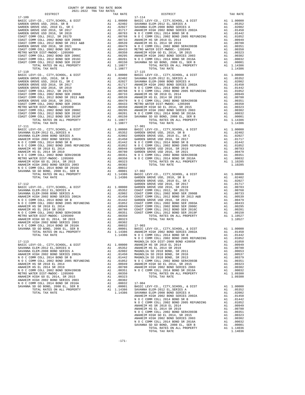| 17-109<br>$\begin{tabular}{l c c c c} \hline 17-109 \\ \hline \texttt{BAREDEN GROVE USD} & 17-114 \\ \hline \texttt{BARDEN GROVE USD} & 2010, SR B & \texttt{A1} & 1.00000 \\ \hline \texttt{GARDEN GROVE USD} & 2010 EL, SR C & \texttt{A1} & 0.20402 \\ \hline \texttt{GARDEN GROVE USD} & 2010 EL, SR C & \texttt{A1} & 0.02027 \\ \hline \texttt{GARDEN GROVE USD} & 2016, SR 2019 \\ \hline \text$ |          |                  | 17-114             |
|---------------------------------------------------------------------------------------------------------------------------------------------------------------------------------------------------------------------------------------------------------------------------------------------------------------------------------------------------------------------------------------------------------|----------|------------------|--------------------|
|                                                                                                                                                                                                                                                                                                                                                                                                         |          |                  |                    |
|                                                                                                                                                                                                                                                                                                                                                                                                         |          |                  |                    |
|                                                                                                                                                                                                                                                                                                                                                                                                         |          |                  |                    |
|                                                                                                                                                                                                                                                                                                                                                                                                         |          |                  |                    |
|                                                                                                                                                                                                                                                                                                                                                                                                         |          |                  |                    |
|                                                                                                                                                                                                                                                                                                                                                                                                         |          |                  |                    |
|                                                                                                                                                                                                                                                                                                                                                                                                         |          |                  |                    |
|                                                                                                                                                                                                                                                                                                                                                                                                         |          |                  |                    |
|                                                                                                                                                                                                                                                                                                                                                                                                         |          |                  |                    |
|                                                                                                                                                                                                                                                                                                                                                                                                         |          |                  |                    |
|                                                                                                                                                                                                                                                                                                                                                                                                         |          |                  |                    |
|                                                                                                                                                                                                                                                                                                                                                                                                         |          |                  |                    |
|                                                                                                                                                                                                                                                                                                                                                                                                         |          |                  |                    |
|                                                                                                                                                                                                                                                                                                                                                                                                         |          |                  |                    |
|                                                                                                                                                                                                                                                                                                                                                                                                         |          |                  |                    |
|                                                                                                                                                                                                                                                                                                                                                                                                         |          |                  |                    |
|                                                                                                                                                                                                                                                                                                                                                                                                         |          |                  |                    |
|                                                                                                                                                                                                                                                                                                                                                                                                         |          |                  |                    |
|                                                                                                                                                                                                                                                                                                                                                                                                         |          |                  |                    |
|                                                                                                                                                                                                                                                                                                                                                                                                         |          |                  |                    |
|                                                                                                                                                                                                                                                                                                                                                                                                         |          |                  |                    |
|                                                                                                                                                                                                                                                                                                                                                                                                         |          |                  |                    |
|                                                                                                                                                                                                                                                                                                                                                                                                         |          |                  |                    |
|                                                                                                                                                                                                                                                                                                                                                                                                         |          |                  |                    |
|                                                                                                                                                                                                                                                                                                                                                                                                         |          |                  |                    |
|                                                                                                                                                                                                                                                                                                                                                                                                         |          |                  |                    |
|                                                                                                                                                                                                                                                                                                                                                                                                         |          |                  |                    |
|                                                                                                                                                                                                                                                                                                                                                                                                         |          |                  |                    |
|                                                                                                                                                                                                                                                                                                                                                                                                         |          |                  |                    |
|                                                                                                                                                                                                                                                                                                                                                                                                         |          |                  |                    |
|                                                                                                                                                                                                                                                                                                                                                                                                         |          |                  |                    |
|                                                                                                                                                                                                                                                                                                                                                                                                         |          |                  |                    |
|                                                                                                                                                                                                                                                                                                                                                                                                         |          |                  |                    |
|                                                                                                                                                                                                                                                                                                                                                                                                         |          |                  |                    |
|                                                                                                                                                                                                                                                                                                                                                                                                         |          |                  |                    |
|                                                                                                                                                                                                                                                                                                                                                                                                         |          |                  |                    |
|                                                                                                                                                                                                                                                                                                                                                                                                         |          |                  |                    |
|                                                                                                                                                                                                                                                                                                                                                                                                         |          |                  |                    |
|                                                                                                                                                                                                                                                                                                                                                                                                         |          |                  |                    |
|                                                                                                                                                                                                                                                                                                                                                                                                         |          |                  |                    |
|                                                                                                                                                                                                                                                                                                                                                                                                         |          |                  |                    |
|                                                                                                                                                                                                                                                                                                                                                                                                         |          |                  |                    |
|                                                                                                                                                                                                                                                                                                                                                                                                         |          |                  |                    |
|                                                                                                                                                                                                                                                                                                                                                                                                         |          |                  |                    |
|                                                                                                                                                                                                                                                                                                                                                                                                         |          |                  |                    |
|                                                                                                                                                                                                                                                                                                                                                                                                         |          |                  |                    |
|                                                                                                                                                                                                                                                                                                                                                                                                         |          |                  |                    |
|                                                                                                                                                                                                                                                                                                                                                                                                         |          |                  |                    |
|                                                                                                                                                                                                                                                                                                                                                                                                         |          |                  |                    |
|                                                                                                                                                                                                                                                                                                                                                                                                         |          |                  |                    |
|                                                                                                                                                                                                                                                                                                                                                                                                         |          |                  |                    |
|                                                                                                                                                                                                                                                                                                                                                                                                         |          |                  |                    |
|                                                                                                                                                                                                                                                                                                                                                                                                         |          |                  |                    |
|                                                                                                                                                                                                                                                                                                                                                                                                         |          |                  |                    |
|                                                                                                                                                                                                                                                                                                                                                                                                         |          |                  |                    |
|                                                                                                                                                                                                                                                                                                                                                                                                         |          |                  |                    |
|                                                                                                                                                                                                                                                                                                                                                                                                         |          |                  |                    |
|                                                                                                                                                                                                                                                                                                                                                                                                         |          |                  |                    |
|                                                                                                                                                                                                                                                                                                                                                                                                         |          |                  | NOCC               |
| $17 - 113$                                                                                                                                                                                                                                                                                                                                                                                              |          |                  | MAGNOLI            |
| BASIC LEVY-CO., CITY, SCHOOL, & DIST                                                                                                                                                                                                                                                                                                                                                                    | A1       | 1.00000          | ANAHEIM            |
| SAVANNA ELEM-2012 EL, SERIES A                                                                                                                                                                                                                                                                                                                                                                          | A1       | .05352           | ANAHEIM            |
| SAVANNA ELEM-2008 BOND SERIES A                                                                                                                                                                                                                                                                                                                                                                         | A1       | .02002           | MAGNOLI            |
| ANAHEIM HIGH 2002 BOND SERIES 2002A                                                                                                                                                                                                                                                                                                                                                                     | A1       | A1 .01450        | MAGNOLI            |
| N O C COMM COLL 2014 BOND SR B<br>N O C COMM COLL 2002 BOND 2005 REFUNDING                                                                                                                                                                                                                                                                                                                              | A1       | .01442<br>.01052 | MAGNOLI<br>N O C C |
| ANAHEIM HS SR 2018 EL 2014                                                                                                                                                                                                                                                                                                                                                                              | A1       | .00949           | ANAHEIM            |
| ANAHEIM HS EL 2014 SR 2019                                                                                                                                                                                                                                                                                                                                                                              | A1       | .00780           | <b>ANAHEIM</b>     |
| N O C COMM COLL 2002 BOND SER#2003B                                                                                                                                                                                                                                                                                                                                                                     | A1       | .00351           | NOCC               |
| METRO WATER DIST-MWDOC- 1205999                                                                                                                                                                                                                                                                                                                                                                         | A1       | .00350           |                    |
| ANAHEIM HIGH GO EL 2014, SR 2015                                                                                                                                                                                                                                                                                                                                                                        |          | A1 .00323        |                    |
| ANAHEIM HIGH 2002 BOND SERIES 2003<br>N O C COMM COLL 2014 BOND SR 2016A                                                                                                                                                                                                                                                                                                                                | A1<br>A1 | .00302<br>.00032 | $17 - 904$         |
| SAVANNA SD GO BOND, 2008 EL, SER B                                                                                                                                                                                                                                                                                                                                                                      | A1       | .00001           | BASIC L            |
| TOTAL RATES ON ALL PROPERTY                                                                                                                                                                                                                                                                                                                                                                             |          | A1 1.14386       | SAVANNA            |
| TOTAL TAX RATE                                                                                                                                                                                                                                                                                                                                                                                          |          | 1.14386          | SAVANNA            |
|                                                                                                                                                                                                                                                                                                                                                                                                         |          |                  | <b>ANAHRIM</b>     |

| $17 - 109$ | $17 - 114$ |  |
|------------|------------|--|
|            |            |  |
|            |            |  |
|            |            |  |
|            |            |  |
|            |            |  |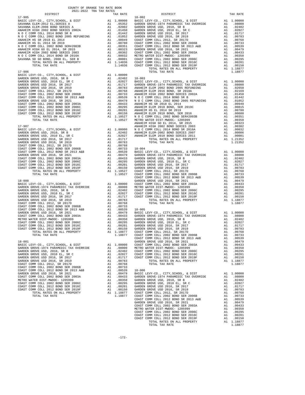| COUNTY OF ORANGE TAX RATE BOOK<br>2021-2022 TRA TAX RATES |          |                |          |
|-----------------------------------------------------------|----------|----------------|----------|
| DISTRICT                                                  | TAX RATE | DISTRICT       | TAX RATE |
| $17 - 905$                                                |          | $18 - 002$     |          |
|                                                           |          |                |          |
|                                                           |          |                |          |
|                                                           |          |                |          |
|                                                           |          |                |          |
|                                                           |          |                |          |
|                                                           |          |                |          |
|                                                           |          |                |          |
|                                                           |          |                |          |
|                                                           |          |                |          |
|                                                           |          |                |          |
|                                                           |          |                |          |
|                                                           |          |                |          |
|                                                           |          |                |          |
|                                                           |          |                |          |
| $17 - 906$                                                |          | TOTAL TAX RATE | 1.18877  |
|                                                           |          |                |          |
|                                                           |          |                |          |
|                                                           |          |                |          |
|                                                           |          |                |          |
|                                                           |          |                |          |
|                                                           |          |                |          |
|                                                           |          |                |          |
|                                                           |          |                |          |
|                                                           |          |                |          |
|                                                           |          |                |          |
|                                                           |          |                |          |
|                                                           |          |                |          |
|                                                           |          |                |          |
|                                                           |          |                |          |
|                                                           |          |                |          |
|                                                           |          |                |          |
|                                                           |          |                |          |
|                                                           |          |                |          |
|                                                           |          |                |          |
|                                                           |          |                |          |
|                                                           |          |                |          |
|                                                           |          |                |          |
|                                                           |          |                |          |
|                                                           |          |                |          |
|                                                           |          |                |          |
|                                                           |          |                |          |
|                                                           |          |                |          |
|                                                           |          |                |          |
|                                                           |          |                |          |
|                                                           |          |                |          |
|                                                           |          |                |          |
|                                                           |          |                |          |
|                                                           |          |                |          |
|                                                           |          |                |          |
|                                                           |          |                |          |
|                                                           |          |                |          |
|                                                           |          |                |          |
|                                                           |          |                |          |
|                                                           |          |                |          |
|                                                           |          |                |          |
|                                                           |          |                |          |
|                                                           |          |                |          |
|                                                           |          |                |          |
|                                                           |          |                |          |
|                                                           |          |                |          |
|                                                           |          |                |          |
|                                                           |          |                |          |
|                                                           |          |                |          |
|                                                           |          |                |          |
|                                                           |          |                |          |
|                                                           |          |                |          |
|                                                           |          |                |          |
|                                                           |          |                |          |
|                                                           |          |                |          |
|                                                           |          |                |          |
|                                                           |          |                |          |
|                                                           |          |                |          |
|                                                           |          |                |          |
|                                                           |          |                |          |
|                                                           |          |                |          |
|                                                           |          |                |          |
|                                                           |          |                |          |
|                                                           |          |                |          |
|                                                           |          |                |          |
|                                                           |          |                |          |
|                                                           |          |                |          |
|                                                           |          |                |          |
|                                                           |          |                |          |
|                                                           |          |                |          |
|                                                           |          |                |          |
|                                                           |          |                |          |
|                                                           |          |                |          |
|                                                           |          |                |          |
|                                                           |          |                |          |
|                                                           |          |                |          |
|                                                           |          |                |          |
|                                                           |          |                |          |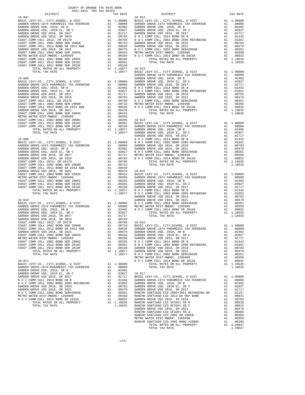| COUNTY OF ORANGE TAX RATE BOOK<br>2021-2022 TRA TAX RATES |          |          |          |
|-----------------------------------------------------------|----------|----------|----------|
| DISTRICT                                                  | TAX RATE | DISTRICT | TAX RATE |
|                                                           |          |          |          |
|                                                           |          |          |          |
|                                                           |          |          |          |
|                                                           |          |          |          |
|                                                           |          |          |          |
|                                                           |          |          |          |
|                                                           |          |          |          |
|                                                           |          |          |          |
|                                                           |          |          |          |
|                                                           |          |          |          |
|                                                           |          |          |          |
|                                                           |          |          |          |
|                                                           |          |          |          |
|                                                           |          |          |          |
|                                                           |          |          |          |
|                                                           |          |          |          |
|                                                           |          |          |          |
|                                                           |          |          |          |
|                                                           |          |          |          |
|                                                           |          |          |          |
|                                                           |          |          |          |
|                                                           |          |          |          |
|                                                           |          |          |          |
|                                                           |          |          |          |
|                                                           |          |          |          |
|                                                           |          |          |          |
|                                                           |          |          |          |
|                                                           |          |          |          |
|                                                           |          |          |          |
|                                                           |          |          |          |
|                                                           |          |          |          |
|                                                           |          |          |          |
|                                                           |          |          |          |
|                                                           |          |          |          |
|                                                           |          |          |          |
|                                                           |          |          |          |
|                                                           |          |          |          |
|                                                           |          |          |          |
|                                                           |          |          |          |
|                                                           |          |          |          |
|                                                           |          |          |          |
|                                                           |          |          |          |
|                                                           |          |          |          |
|                                                           |          |          |          |
|                                                           |          |          |          |
|                                                           |          |          |          |
|                                                           |          |          |          |
|                                                           |          |          |          |
|                                                           |          |          |          |
|                                                           |          |          |          |
|                                                           |          |          |          |
|                                                           |          |          |          |
|                                                           |          |          |          |
|                                                           |          |          |          |
|                                                           |          |          |          |
|                                                           |          |          |          |
|                                                           |          |          |          |
|                                                           |          |          |          |
|                                                           |          |          |          |
|                                                           |          |          |          |
|                                                           |          |          |          |
|                                                           |          |          |          |
|                                                           |          |          |          |
|                                                           |          |          |          |
|                                                           |          |          |          |
|                                                           |          |          |          |
|                                                           |          |          |          |
|                                                           |          |          |          |
|                                                           |          |          |          |
|                                                           |          |          |          |
|                                                           |          |          |          |
|                                                           |          |          |          |
|                                                           |          |          |          |
|                                                           |          |          |          |
|                                                           |          |          |          |
|                                                           |          |          |          |
|                                                           |          |          |          |
|                                                           |          |          |          |

TOTAL TAX RATE  $1.20047$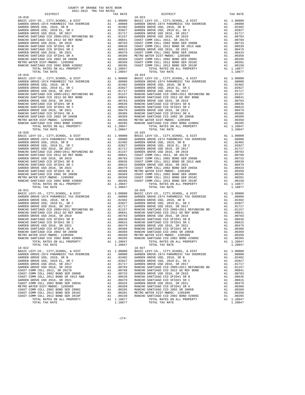| 2021-2022 TRA TAX RATES<br>DISTRICT | TAX RATE | DISTRICT                                                                                                                                                                                                                      | TAX RATE |
|-------------------------------------|----------|-------------------------------------------------------------------------------------------------------------------------------------------------------------------------------------------------------------------------------|----------|
| $18 - 018$                          |          | $18 - 023$                                                                                                                                                                                                                    |          |
|                                     |          |                                                                                                                                                                                                                               |          |
|                                     |          |                                                                                                                                                                                                                               |          |
|                                     |          |                                                                                                                                                                                                                               |          |
|                                     |          |                                                                                                                                                                                                                               |          |
|                                     |          |                                                                                                                                                                                                                               |          |
|                                     |          |                                                                                                                                                                                                                               |          |
|                                     |          |                                                                                                                                                                                                                               |          |
|                                     |          |                                                                                                                                                                                                                               |          |
|                                     |          |                                                                                                                                                                                                                               |          |
|                                     |          |                                                                                                                                                                                                                               |          |
|                                     |          |                                                                                                                                                                                                                               |          |
|                                     |          |                                                                                                                                                                                                                               |          |
|                                     |          |                                                                                                                                                                                                                               |          |
|                                     |          |                                                                                                                                                                                                                               |          |
|                                     |          |                                                                                                                                                                                                                               |          |
|                                     |          |                                                                                                                                                                                                                               |          |
|                                     |          |                                                                                                                                                                                                                               |          |
|                                     |          |                                                                                                                                                                                                                               |          |
|                                     |          |                                                                                                                                                                                                                               |          |
|                                     |          |                                                                                                                                                                                                                               |          |
|                                     |          |                                                                                                                                                                                                                               |          |
|                                     |          |                                                                                                                                                                                                                               |          |
|                                     |          |                                                                                                                                                                                                                               |          |
|                                     |          |                                                                                                                                                                                                                               |          |
|                                     |          |                                                                                                                                                                                                                               |          |
|                                     |          |                                                                                                                                                                                                                               |          |
|                                     |          |                                                                                                                                                                                                                               |          |
|                                     |          |                                                                                                                                                                                                                               |          |
|                                     |          |                                                                                                                                                                                                                               |          |
|                                     |          |                                                                                                                                                                                                                               |          |
|                                     |          |                                                                                                                                                                                                                               |          |
|                                     |          |                                                                                                                                                                                                                               |          |
|                                     |          |                                                                                                                                                                                                                               |          |
|                                     |          |                                                                                                                                                                                                                               |          |
|                                     |          |                                                                                                                                                                                                                               |          |
|                                     |          |                                                                                                                                                                                                                               |          |
|                                     |          |                                                                                                                                                                                                                               |          |
|                                     |          |                                                                                                                                                                                                                               |          |
|                                     |          |                                                                                                                                                                                                                               |          |
|                                     |          |                                                                                                                                                                                                                               |          |
|                                     |          |                                                                                                                                                                                                                               |          |
|                                     |          |                                                                                                                                                                                                                               |          |
|                                     |          |                                                                                                                                                                                                                               |          |
|                                     |          |                                                                                                                                                                                                                               |          |
|                                     |          |                                                                                                                                                                                                                               |          |
|                                     |          |                                                                                                                                                                                                                               |          |
|                                     |          |                                                                                                                                                                                                                               |          |
| $18 - 021$                          |          | $18 - 026$                                                                                                                                                                                                                    |          |
|                                     |          |                                                                                                                                                                                                                               |          |
|                                     |          |                                                                                                                                                                                                                               |          |
|                                     |          |                                                                                                                                                                                                                               |          |
|                                     |          |                                                                                                                                                                                                                               |          |
|                                     |          |                                                                                                                                                                                                                               |          |
|                                     |          |                                                                                                                                                                                                                               |          |
|                                     |          |                                                                                                                                                                                                                               |          |
|                                     |          |                                                                                                                                                                                                                               |          |
|                                     |          |                                                                                                                                                                                                                               |          |
|                                     |          |                                                                                                                                                                                                                               |          |
|                                     |          |                                                                                                                                                                                                                               |          |
|                                     |          |                                                                                                                                                                                                                               |          |
|                                     |          |                                                                                                                                                                                                                               |          |
|                                     |          |                                                                                                                                                                                                                               |          |
|                                     |          |                                                                                                                                                                                                                               |          |
|                                     |          | RANCHO SANTIAGO CCD 2002 ER 2013 A 1.00366 RANCHO SANTIAGO CCD 2002 ER 2005 RANCHO SANTIAGO CCD 2002 ER 2005 A 1.00369 RANCHO SANTIAGO CCD 2002 ER 2005 AL 1.00369 RANCHO SANTIAGO CCD 2002 ER 2013 A 1.00359 RANCHO SANTIAGO |          |
|                                     |          |                                                                                                                                                                                                                               |          |
|                                     |          |                                                                                                                                                                                                                               |          |
|                                     |          |                                                                                                                                                                                                                               |          |
|                                     |          |                                                                                                                                                                                                                               |          |
|                                     |          |                                                                                                                                                                                                                               |          |
|                                     |          |                                                                                                                                                                                                                               |          |
|                                     |          |                                                                                                                                                                                                                               |          |
|                                     |          |                                                                                                                                                                                                                               |          |
|                                     |          |                                                                                                                                                                                                                               |          |
|                                     |          |                                                                                                                                                                                                                               |          |
|                                     |          |                                                                                                                                                                                                                               |          |
|                                     |          |                                                                                                                                                                                                                               |          |
|                                     |          |                                                                                                                                                                                                                               |          |
|                                     |          |                                                                                                                                                                                                                               |          |
|                                     |          |                                                                                                                                                                                                                               |          |
|                                     |          |                                                                                                                                                                                                                               |          |
|                                     |          |                                                                                                                                                                                                                               |          |

COUNTY OF ORANGE TAX RATE BOOK

-174-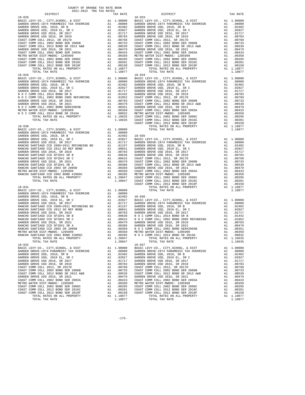| COUNTY OF ORANGE TAX RATE BOOK<br>2021-2022 TRA TAX RATES                                                                                                                                                                                  |  |                                   |          |
|--------------------------------------------------------------------------------------------------------------------------------------------------------------------------------------------------------------------------------------------|--|-----------------------------------|----------|
| DISTRICT                                                                                                                                                                                                                                   |  | IAA RAILY<br>TAX RATE<br>DISTRICT | TAX RATE |
|                                                                                                                                                                                                                                            |  |                                   |          |
|                                                                                                                                                                                                                                            |  |                                   |          |
|                                                                                                                                                                                                                                            |  |                                   |          |
|                                                                                                                                                                                                                                            |  |                                   |          |
|                                                                                                                                                                                                                                            |  |                                   |          |
| RANCHO SANTIAGO CCD 2002 SR 2005B<br>RANCHO SANTIAGO CCD 2002 SR 2005B<br>METRO WATER DIST – MWDOC – 120599<br>METRO WATER DIST – MWDOC – 120599<br>METRO WATER DIST – MWDOC – 120599<br>METRO WATER DIST – MWDOC – 2012 BOND SR 2016A<br> |  |                                   |          |
|                                                                                                                                                                                                                                            |  | $18 - 037$                        |          |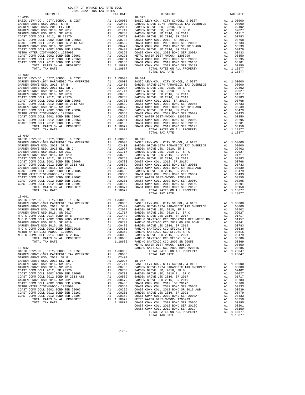| COUNTY OF ORANGE TAX RATE BOOK<br>2021-2022 TRA TAX RATES |          |                |          |
|-----------------------------------------------------------|----------|----------------|----------|
| DISTRICT                                                  | TAX RATE | DISTRICT       | TAX RATE |
| $18 - 038$                                                |          | $18 - 043$     |          |
|                                                           |          |                |          |
|                                                           |          |                |          |
|                                                           |          |                |          |
|                                                           |          |                |          |
|                                                           |          |                |          |
|                                                           |          |                |          |
|                                                           |          |                |          |
|                                                           |          |                |          |
|                                                           |          |                |          |
|                                                           |          |                |          |
|                                                           |          |                |          |
|                                                           |          | TOTAL TAX RATE | 1.18877  |
|                                                           |          |                |          |
|                                                           |          |                |          |
|                                                           |          |                |          |
|                                                           |          |                |          |
|                                                           |          |                |          |
|                                                           |          |                |          |
|                                                           |          |                |          |
|                                                           |          |                |          |
|                                                           |          |                |          |
|                                                           |          |                |          |
|                                                           |          |                |          |
|                                                           |          |                |          |
|                                                           |          |                |          |
|                                                           |          |                |          |
|                                                           |          |                |          |
|                                                           |          |                |          |
|                                                           |          |                |          |
|                                                           |          |                |          |
|                                                           |          |                |          |
|                                                           |          |                |          |
|                                                           |          |                |          |
|                                                           |          |                |          |
|                                                           |          |                |          |
|                                                           |          |                |          |
|                                                           |          |                |          |
|                                                           |          |                |          |
|                                                           |          |                |          |
|                                                           |          |                |          |
|                                                           |          |                |          |
|                                                           |          |                |          |
|                                                           |          |                |          |
|                                                           |          |                |          |
|                                                           |          |                |          |
|                                                           |          |                |          |
|                                                           |          |                |          |
|                                                           |          |                |          |
|                                                           |          |                |          |
|                                                           |          |                |          |
|                                                           |          |                |          |
|                                                           |          |                |          |
|                                                           |          |                |          |
|                                                           |          |                |          |
|                                                           |          |                |          |
|                                                           |          |                |          |
|                                                           |          |                |          |
|                                                           |          |                |          |
|                                                           |          |                |          |
|                                                           |          |                |          |
|                                                           |          |                |          |
|                                                           |          |                |          |
|                                                           |          |                |          |
|                                                           |          |                |          |
|                                                           |          |                |          |
|                                                           |          |                |          |
|                                                           |          |                |          |
|                                                           |          |                |          |
|                                                           |          |                |          |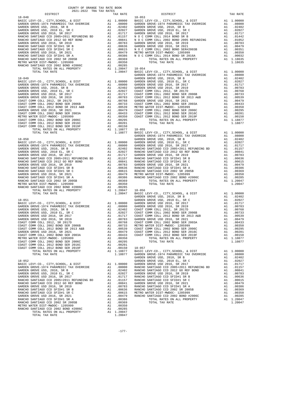| COUNTY OF ORANGE TAX RATE BOOK<br>2021-2022 TRA TAX RATES<br>$\begin{minipage}{.0.5\textwidth} \begin{tabular}{l} \multicolumn{2}{c} {\textwidth} \end{tabular} \hline \multicolumn{2}{c} {\textwidth} \begin{tabular}{l} \multicolumn{2}{c} {\textwidth} \end{tabular} \hline \multicolumn{2}{c} {\textwidth} \begin{tabular}{l} \multicolumn{2}{c} {\textwidth} \end{tabular} \hline \multicolumn{2}{c} {\textwidth} \begin{tabular}{l} \multicolumn{2}{c} {\textwidth} \end{tabular} \hline \multicolumn{2}{c} {\textwidth} \begin{tabular}{l} \multicolumn{2}{c} {\textwidth} \end{tabular} \hline \multic$ |          |                                                                                                                                                                                                                                                                                                                                                                                                                                                     |          |
|-----------------------------------------------------------------------------------------------------------------------------------------------------------------------------------------------------------------------------------------------------------------------------------------------------------------------------------------------------------------------------------------------------------------------------------------------------------------------------------------------------------------------------------------------------------------------------------------------------------------|----------|-----------------------------------------------------------------------------------------------------------------------------------------------------------------------------------------------------------------------------------------------------------------------------------------------------------------------------------------------------------------------------------------------------------------------------------------------------|----------|
|                                                                                                                                                                                                                                                                                                                                                                                                                                                                                                                                                                                                                 | TAX RATE | DISTRICT                                                                                                                                                                                                                                                                                                                                                                                                                                            | TAX RATE |
| $18 - 048$                                                                                                                                                                                                                                                                                                                                                                                                                                                                                                                                                                                                      |          | $18 - 053$                                                                                                                                                                                                                                                                                                                                                                                                                                          |          |
|                                                                                                                                                                                                                                                                                                                                                                                                                                                                                                                                                                                                                 |          |                                                                                                                                                                                                                                                                                                                                                                                                                                                     |          |
|                                                                                                                                                                                                                                                                                                                                                                                                                                                                                                                                                                                                                 |          |                                                                                                                                                                                                                                                                                                                                                                                                                                                     |          |
|                                                                                                                                                                                                                                                                                                                                                                                                                                                                                                                                                                                                                 |          |                                                                                                                                                                                                                                                                                                                                                                                                                                                     |          |
|                                                                                                                                                                                                                                                                                                                                                                                                                                                                                                                                                                                                                 |          |                                                                                                                                                                                                                                                                                                                                                                                                                                                     |          |
|                                                                                                                                                                                                                                                                                                                                                                                                                                                                                                                                                                                                                 |          |                                                                                                                                                                                                                                                                                                                                                                                                                                                     |          |
|                                                                                                                                                                                                                                                                                                                                                                                                                                                                                                                                                                                                                 |          |                                                                                                                                                                                                                                                                                                                                                                                                                                                     |          |
|                                                                                                                                                                                                                                                                                                                                                                                                                                                                                                                                                                                                                 |          |                                                                                                                                                                                                                                                                                                                                                                                                                                                     |          |
|                                                                                                                                                                                                                                                                                                                                                                                                                                                                                                                                                                                                                 |          |                                                                                                                                                                                                                                                                                                                                                                                                                                                     |          |
|                                                                                                                                                                                                                                                                                                                                                                                                                                                                                                                                                                                                                 |          |                                                                                                                                                                                                                                                                                                                                                                                                                                                     |          |
|                                                                                                                                                                                                                                                                                                                                                                                                                                                                                                                                                                                                                 |          |                                                                                                                                                                                                                                                                                                                                                                                                                                                     |          |
|                                                                                                                                                                                                                                                                                                                                                                                                                                                                                                                                                                                                                 |          |                                                                                                                                                                                                                                                                                                                                                                                                                                                     |          |
|                                                                                                                                                                                                                                                                                                                                                                                                                                                                                                                                                                                                                 |          |                                                                                                                                                                                                                                                                                                                                                                                                                                                     |          |
|                                                                                                                                                                                                                                                                                                                                                                                                                                                                                                                                                                                                                 |          |                                                                                                                                                                                                                                                                                                                                                                                                                                                     |          |
|                                                                                                                                                                                                                                                                                                                                                                                                                                                                                                                                                                                                                 |          |                                                                                                                                                                                                                                                                                                                                                                                                                                                     |          |
|                                                                                                                                                                                                                                                                                                                                                                                                                                                                                                                                                                                                                 |          |                                                                                                                                                                                                                                                                                                                                                                                                                                                     |          |
|                                                                                                                                                                                                                                                                                                                                                                                                                                                                                                                                                                                                                 |          |                                                                                                                                                                                                                                                                                                                                                                                                                                                     |          |
|                                                                                                                                                                                                                                                                                                                                                                                                                                                                                                                                                                                                                 |          |                                                                                                                                                                                                                                                                                                                                                                                                                                                     |          |
|                                                                                                                                                                                                                                                                                                                                                                                                                                                                                                                                                                                                                 |          |                                                                                                                                                                                                                                                                                                                                                                                                                                                     |          |
|                                                                                                                                                                                                                                                                                                                                                                                                                                                                                                                                                                                                                 |          |                                                                                                                                                                                                                                                                                                                                                                                                                                                     |          |
|                                                                                                                                                                                                                                                                                                                                                                                                                                                                                                                                                                                                                 |          |                                                                                                                                                                                                                                                                                                                                                                                                                                                     |          |
|                                                                                                                                                                                                                                                                                                                                                                                                                                                                                                                                                                                                                 |          |                                                                                                                                                                                                                                                                                                                                                                                                                                                     |          |
|                                                                                                                                                                                                                                                                                                                                                                                                                                                                                                                                                                                                                 |          |                                                                                                                                                                                                                                                                                                                                                                                                                                                     |          |
|                                                                                                                                                                                                                                                                                                                                                                                                                                                                                                                                                                                                                 |          |                                                                                                                                                                                                                                                                                                                                                                                                                                                     |          |
|                                                                                                                                                                                                                                                                                                                                                                                                                                                                                                                                                                                                                 |          |                                                                                                                                                                                                                                                                                                                                                                                                                                                     |          |
|                                                                                                                                                                                                                                                                                                                                                                                                                                                                                                                                                                                                                 |          |                                                                                                                                                                                                                                                                                                                                                                                                                                                     |          |
|                                                                                                                                                                                                                                                                                                                                                                                                                                                                                                                                                                                                                 |          |                                                                                                                                                                                                                                                                                                                                                                                                                                                     |          |
|                                                                                                                                                                                                                                                                                                                                                                                                                                                                                                                                                                                                                 |          |                                                                                                                                                                                                                                                                                                                                                                                                                                                     |          |
|                                                                                                                                                                                                                                                                                                                                                                                                                                                                                                                                                                                                                 |          |                                                                                                                                                                                                                                                                                                                                                                                                                                                     |          |
|                                                                                                                                                                                                                                                                                                                                                                                                                                                                                                                                                                                                                 |          |                                                                                                                                                                                                                                                                                                                                                                                                                                                     |          |
|                                                                                                                                                                                                                                                                                                                                                                                                                                                                                                                                                                                                                 |          |                                                                                                                                                                                                                                                                                                                                                                                                                                                     |          |
|                                                                                                                                                                                                                                                                                                                                                                                                                                                                                                                                                                                                                 |          |                                                                                                                                                                                                                                                                                                                                                                                                                                                     |          |
|                                                                                                                                                                                                                                                                                                                                                                                                                                                                                                                                                                                                                 |          |                                                                                                                                                                                                                                                                                                                                                                                                                                                     |          |
|                                                                                                                                                                                                                                                                                                                                                                                                                                                                                                                                                                                                                 |          |                                                                                                                                                                                                                                                                                                                                                                                                                                                     |          |
|                                                                                                                                                                                                                                                                                                                                                                                                                                                                                                                                                                                                                 |          |                                                                                                                                                                                                                                                                                                                                                                                                                                                     |          |
|                                                                                                                                                                                                                                                                                                                                                                                                                                                                                                                                                                                                                 |          |                                                                                                                                                                                                                                                                                                                                                                                                                                                     |          |
|                                                                                                                                                                                                                                                                                                                                                                                                                                                                                                                                                                                                                 |          |                                                                                                                                                                                                                                                                                                                                                                                                                                                     |          |
|                                                                                                                                                                                                                                                                                                                                                                                                                                                                                                                                                                                                                 |          |                                                                                                                                                                                                                                                                                                                                                                                                                                                     |          |
|                                                                                                                                                                                                                                                                                                                                                                                                                                                                                                                                                                                                                 |          |                                                                                                                                                                                                                                                                                                                                                                                                                                                     |          |
|                                                                                                                                                                                                                                                                                                                                                                                                                                                                                                                                                                                                                 |          |                                                                                                                                                                                                                                                                                                                                                                                                                                                     |          |
|                                                                                                                                                                                                                                                                                                                                                                                                                                                                                                                                                                                                                 |          |                                                                                                                                                                                                                                                                                                                                                                                                                                                     |          |
|                                                                                                                                                                                                                                                                                                                                                                                                                                                                                                                                                                                                                 |          |                                                                                                                                                                                                                                                                                                                                                                                                                                                     |          |
|                                                                                                                                                                                                                                                                                                                                                                                                                                                                                                                                                                                                                 |          |                                                                                                                                                                                                                                                                                                                                                                                                                                                     |          |
|                                                                                                                                                                                                                                                                                                                                                                                                                                                                                                                                                                                                                 |          |                                                                                                                                                                                                                                                                                                                                                                                                                                                     |          |
|                                                                                                                                                                                                                                                                                                                                                                                                                                                                                                                                                                                                                 |          | $\begin{tabular}{l c c c c c} \multicolumn{4}{c}{\textbf{RINCHO}} \begin{tabular}{l c c c} \multicolumn{4}{c}{\textbf{RINCHO}} \begin{tabular}{l c c c} \multicolumn{4}{c}{\textbf{RINCHO}} \begin{tabular}{l c c} \multicolumn{4}{c}{\textbf{RINCHO}} \begin{tabular}{l c} \multicolumn{4}{c}{\textbf{RINCHO}} \begin{tabular}{l c} \multicolumn{4}{c}{\textbf{RINCHO}} \begin{tabular}{l c} \multicolumn{4}{c}{\textbf{RINCHO}} \begin{tabular}{$ |          |
|                                                                                                                                                                                                                                                                                                                                                                                                                                                                                                                                                                                                                 |          |                                                                                                                                                                                                                                                                                                                                                                                                                                                     |          |
|                                                                                                                                                                                                                                                                                                                                                                                                                                                                                                                                                                                                                 |          |                                                                                                                                                                                                                                                                                                                                                                                                                                                     |          |
|                                                                                                                                                                                                                                                                                                                                                                                                                                                                                                                                                                                                                 |          |                                                                                                                                                                                                                                                                                                                                                                                                                                                     |          |
|                                                                                                                                                                                                                                                                                                                                                                                                                                                                                                                                                                                                                 |          |                                                                                                                                                                                                                                                                                                                                                                                                                                                     |          |
|                                                                                                                                                                                                                                                                                                                                                                                                                                                                                                                                                                                                                 |          |                                                                                                                                                                                                                                                                                                                                                                                                                                                     |          |
|                                                                                                                                                                                                                                                                                                                                                                                                                                                                                                                                                                                                                 |          |                                                                                                                                                                                                                                                                                                                                                                                                                                                     |          |
|                                                                                                                                                                                                                                                                                                                                                                                                                                                                                                                                                                                                                 |          |                                                                                                                                                                                                                                                                                                                                                                                                                                                     |          |
|                                                                                                                                                                                                                                                                                                                                                                                                                                                                                                                                                                                                                 |          |                                                                                                                                                                                                                                                                                                                                                                                                                                                     |          |
|                                                                                                                                                                                                                                                                                                                                                                                                                                                                                                                                                                                                                 |          |                                                                                                                                                                                                                                                                                                                                                                                                                                                     |          |
|                                                                                                                                                                                                                                                                                                                                                                                                                                                                                                                                                                                                                 |          |                                                                                                                                                                                                                                                                                                                                                                                                                                                     |          |
|                                                                                                                                                                                                                                                                                                                                                                                                                                                                                                                                                                                                                 |          |                                                                                                                                                                                                                                                                                                                                                                                                                                                     |          |
|                                                                                                                                                                                                                                                                                                                                                                                                                                                                                                                                                                                                                 |          |                                                                                                                                                                                                                                                                                                                                                                                                                                                     |          |
|                                                                                                                                                                                                                                                                                                                                                                                                                                                                                                                                                                                                                 |          |                                                                                                                                                                                                                                                                                                                                                                                                                                                     |          |
|                                                                                                                                                                                                                                                                                                                                                                                                                                                                                                                                                                                                                 |          |                                                                                                                                                                                                                                                                                                                                                                                                                                                     |          |
|                                                                                                                                                                                                                                                                                                                                                                                                                                                                                                                                                                                                                 |          |                                                                                                                                                                                                                                                                                                                                                                                                                                                     |          |
|                                                                                                                                                                                                                                                                                                                                                                                                                                                                                                                                                                                                                 |          |                                                                                                                                                                                                                                                                                                                                                                                                                                                     |          |
|                                                                                                                                                                                                                                                                                                                                                                                                                                                                                                                                                                                                                 |          |                                                                                                                                                                                                                                                                                                                                                                                                                                                     |          |
|                                                                                                                                                                                                                                                                                                                                                                                                                                                                                                                                                                                                                 |          |                                                                                                                                                                                                                                                                                                                                                                                                                                                     |          |
|                                                                                                                                                                                                                                                                                                                                                                                                                                                                                                                                                                                                                 |          |                                                                                                                                                                                                                                                                                                                                                                                                                                                     |          |
|                                                                                                                                                                                                                                                                                                                                                                                                                                                                                                                                                                                                                 |          |                                                                                                                                                                                                                                                                                                                                                                                                                                                     |          |
|                                                                                                                                                                                                                                                                                                                                                                                                                                                                                                                                                                                                                 |          |                                                                                                                                                                                                                                                                                                                                                                                                                                                     |          |
|                                                                                                                                                                                                                                                                                                                                                                                                                                                                                                                                                                                                                 |          |                                                                                                                                                                                                                                                                                                                                                                                                                                                     |          |
|                                                                                                                                                                                                                                                                                                                                                                                                                                                                                                                                                                                                                 |          |                                                                                                                                                                                                                                                                                                                                                                                                                                                     |          |
|                                                                                                                                                                                                                                                                                                                                                                                                                                                                                                                                                                                                                 |          |                                                                                                                                                                                                                                                                                                                                                                                                                                                     |          |
|                                                                                                                                                                                                                                                                                                                                                                                                                                                                                                                                                                                                                 |          |                                                                                                                                                                                                                                                                                                                                                                                                                                                     |          |
|                                                                                                                                                                                                                                                                                                                                                                                                                                                                                                                                                                                                                 |          |                                                                                                                                                                                                                                                                                                                                                                                                                                                     |          |
|                                                                                                                                                                                                                                                                                                                                                                                                                                                                                                                                                                                                                 |          |                                                                                                                                                                                                                                                                                                                                                                                                                                                     |          |
|                                                                                                                                                                                                                                                                                                                                                                                                                                                                                                                                                                                                                 |          |                                                                                                                                                                                                                                                                                                                                                                                                                                                     |          |
|                                                                                                                                                                                                                                                                                                                                                                                                                                                                                                                                                                                                                 |          |                                                                                                                                                                                                                                                                                                                                                                                                                                                     |          |
|                                                                                                                                                                                                                                                                                                                                                                                                                                                                                                                                                                                                                 |          |                                                                                                                                                                                                                                                                                                                                                                                                                                                     |          |
|                                                                                                                                                                                                                                                                                                                                                                                                                                                                                                                                                                                                                 |          |                                                                                                                                                                                                                                                                                                                                                                                                                                                     |          |
|                                                                                                                                                                                                                                                                                                                                                                                                                                                                                                                                                                                                                 |          |                                                                                                                                                                                                                                                                                                                                                                                                                                                     |          |
|                                                                                                                                                                                                                                                                                                                                                                                                                                                                                                                                                                                                                 |          |                                                                                                                                                                                                                                                                                                                                                                                                                                                     |          |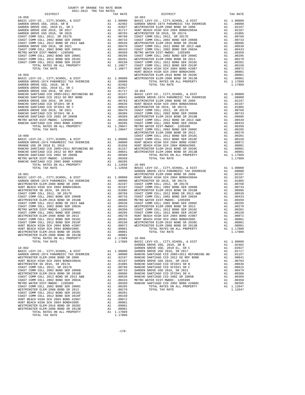| $18 - 058$                                                                   |    |                                                                                                  | $18 - 063$ |
|------------------------------------------------------------------------------|----|--------------------------------------------------------------------------------------------------|------------|
|                                                                              |    |                                                                                                  |            |
|                                                                              |    |                                                                                                  |            |
|                                                                              |    |                                                                                                  |            |
|                                                                              |    |                                                                                                  |            |
|                                                                              |    |                                                                                                  |            |
|                                                                              |    |                                                                                                  |            |
|                                                                              |    |                                                                                                  |            |
|                                                                              |    |                                                                                                  |            |
|                                                                              |    |                                                                                                  |            |
|                                                                              |    |                                                                                                  |            |
|                                                                              |    |                                                                                                  |            |
|                                                                              |    |                                                                                                  |            |
|                                                                              |    |                                                                                                  |            |
|                                                                              |    |                                                                                                  |            |
|                                                                              |    |                                                                                                  | HUNT BE    |
|                                                                              |    |                                                                                                  |            |
|                                                                              |    |                                                                                                  |            |
|                                                                              |    |                                                                                                  |            |
|                                                                              |    |                                                                                                  |            |
|                                                                              |    |                                                                                                  |            |
|                                                                              |    |                                                                                                  |            |
|                                                                              |    |                                                                                                  |            |
|                                                                              |    |                                                                                                  |            |
|                                                                              |    |                                                                                                  |            |
|                                                                              |    |                                                                                                  |            |
|                                                                              |    |                                                                                                  |            |
|                                                                              |    |                                                                                                  |            |
|                                                                              |    |                                                                                                  |            |
|                                                                              |    |                                                                                                  |            |
|                                                                              |    |                                                                                                  |            |
|                                                                              |    |                                                                                                  |            |
|                                                                              |    |                                                                                                  |            |
|                                                                              |    |                                                                                                  |            |
|                                                                              |    |                                                                                                  |            |
|                                                                              |    |                                                                                                  |            |
|                                                                              |    |                                                                                                  |            |
|                                                                              |    |                                                                                                  |            |
|                                                                              |    |                                                                                                  |            |
|                                                                              |    |                                                                                                  |            |
|                                                                              |    |                                                                                                  |            |
|                                                                              |    |                                                                                                  |            |
|                                                                              |    |                                                                                                  |            |
|                                                                              |    |                                                                                                  | GARDEN     |
| $18 - 061$                                                                   |    |                                                                                                  | WESTMIN    |
|                                                                              |    |                                                                                                  |            |
|                                                                              |    |                                                                                                  |            |
|                                                                              |    |                                                                                                  |            |
|                                                                              |    |                                                                                                  |            |
|                                                                              |    |                                                                                                  |            |
|                                                                              |    |                                                                                                  |            |
|                                                                              |    |                                                                                                  |            |
|                                                                              |    |                                                                                                  |            |
|                                                                              |    |                                                                                                  |            |
|                                                                              |    |                                                                                                  |            |
|                                                                              |    |                                                                                                  |            |
|                                                                              |    |                                                                                                  |            |
|                                                                              |    |                                                                                                  |            |
|                                                                              |    |                                                                                                  |            |
|                                                                              |    |                                                                                                  |            |
|                                                                              |    |                                                                                                  |            |
|                                                                              |    |                                                                                                  |            |
|                                                                              |    |                                                                                                  | BASIC L    |
| TOTAL TAX RATE                                                               |    | 1.17889                                                                                          | GARDEN     |
| $18 - 062$                                                                   |    |                                                                                                  | GARDEN     |
| BASIC LEVY-CO., CITY, SCHOOL, & DIST                                         |    |                                                                                                  |            |
| GARDEN GROVE-1974 PARAMEDIC TAX OVERRIDE                                     |    |                                                                                                  |            |
| WESTMINSTER ELEM-2008 BOND SR 2009                                           |    | A1 1.00000 GARDEN<br>A1 .08000 RANCHO<br>A1 .02197 RANCHO                                        |            |
| HUNT BEACH HIGH SCH 2004 BOND#2004A                                          | A1 | .02187                                                                                           | GARDEN     |
| WESTMINSTER SD 2016, SR 2017A                                                | A1 | .01085                                                                                           | RANCHO     |
| COAST COMM COLL 2012, SR 2017D                                               | A1 | .00768                                                                                           | RANCHO     |
| COAST COMM COLL 2002 BOND SER 2006B                                          |    |                                                                                                  |            |
| WESTMINSTER ELEM-2016 BOND SR 2018B                                          |    |                                                                                                  |            |
| COAST COMM COLL 2012 BOND SR 2013 A&B<br>COAST COMM COLL 2002 BOND SER 2003A |    |                                                                                                  |            |
| METRO WATER DIST-MWDOC- 1205999                                              |    | A1 .00733 GARDEN<br>A1 .00606 RANCHO<br>A1 .00606 RANCHO<br>A1 .00339 RANCHO<br>A1 .00350 RANCHO |            |
| COAST COMM COLL 2002 BOND SER 2006C                                          | A1 | .00295                                                                                           |            |
| WESTMINSTER ELEM-2008 BOND SR 2013                                           | A1 | .00270                                                                                           |            |
| COAST COMM COLL 2012 BOND SER 2016C                                          |    |                                                                                                  |            |
| COAST COMM COLL 2012 BOND SER 2019F                                          |    | A1 .00201<br>A1 .00150                                                                           |            |
| HUNT BEACH HIGH SCH 2004 BOND #2007                                          |    | A1 .00072                                                                                        |            |
| HUNT BEACH HIGH SCH 2004 BOND#2005                                           |    | A1 .00001                                                                                        |            |
| WESTMINSTER ELEM-2016 BOND SR 2020C                                          |    | A1 .00001                                                                                        |            |
| WESTMINSTER ELEM-2008 BOND SR 2013B                                          | A1 | .00001                                                                                           |            |
| TOTAL RATES ON ALL PROPERTY                                                  |    | A1 1.17889                                                                                       |            |
| TOTAL TAX RATE                                                               |    | 1.17889                                                                                          |            |

| COUNTY OF ORANGE TAX RATE BOOK                                         |          |                                                                                                                                                                                                                                                                                                                                                                                                                                                                                                                                                                                                                                                                       |          |
|------------------------------------------------------------------------|----------|-----------------------------------------------------------------------------------------------------------------------------------------------------------------------------------------------------------------------------------------------------------------------------------------------------------------------------------------------------------------------------------------------------------------------------------------------------------------------------------------------------------------------------------------------------------------------------------------------------------------------------------------------------------------------|----------|
| $2021-2022\quad \, \text{TRA} \quad \text{RATE} \quad \text{DISTRICT}$ | TAX RATE | DISTRICT                                                                                                                                                                                                                                                                                                                                                                                                                                                                                                                                                                                                                                                              | TAX RATE |
|                                                                        |          |                                                                                                                                                                                                                                                                                                                                                                                                                                                                                                                                                                                                                                                                       |          |
|                                                                        |          |                                                                                                                                                                                                                                                                                                                                                                                                                                                                                                                                                                                                                                                                       |          |
|                                                                        |          |                                                                                                                                                                                                                                                                                                                                                                                                                                                                                                                                                                                                                                                                       |          |
|                                                                        |          |                                                                                                                                                                                                                                                                                                                                                                                                                                                                                                                                                                                                                                                                       |          |
|                                                                        |          |                                                                                                                                                                                                                                                                                                                                                                                                                                                                                                                                                                                                                                                                       |          |
|                                                                        |          |                                                                                                                                                                                                                                                                                                                                                                                                                                                                                                                                                                                                                                                                       |          |
|                                                                        |          |                                                                                                                                                                                                                                                                                                                                                                                                                                                                                                                                                                                                                                                                       |          |
|                                                                        |          |                                                                                                                                                                                                                                                                                                                                                                                                                                                                                                                                                                                                                                                                       |          |
|                                                                        |          |                                                                                                                                                                                                                                                                                                                                                                                                                                                                                                                                                                                                                                                                       |          |
|                                                                        |          |                                                                                                                                                                                                                                                                                                                                                                                                                                                                                                                                                                                                                                                                       |          |
|                                                                        |          |                                                                                                                                                                                                                                                                                                                                                                                                                                                                                                                                                                                                                                                                       |          |
|                                                                        |          |                                                                                                                                                                                                                                                                                                                                                                                                                                                                                                                                                                                                                                                                       |          |
|                                                                        |          |                                                                                                                                                                                                                                                                                                                                                                                                                                                                                                                                                                                                                                                                       |          |
|                                                                        |          |                                                                                                                                                                                                                                                                                                                                                                                                                                                                                                                                                                                                                                                                       |          |
|                                                                        |          |                                                                                                                                                                                                                                                                                                                                                                                                                                                                                                                                                                                                                                                                       |          |
|                                                                        |          |                                                                                                                                                                                                                                                                                                                                                                                                                                                                                                                                                                                                                                                                       |          |
|                                                                        |          |                                                                                                                                                                                                                                                                                                                                                                                                                                                                                                                                                                                                                                                                       |          |
|                                                                        |          |                                                                                                                                                                                                                                                                                                                                                                                                                                                                                                                                                                                                                                                                       |          |
|                                                                        |          |                                                                                                                                                                                                                                                                                                                                                                                                                                                                                                                                                                                                                                                                       |          |
|                                                                        |          |                                                                                                                                                                                                                                                                                                                                                                                                                                                                                                                                                                                                                                                                       |          |
|                                                                        |          |                                                                                                                                                                                                                                                                                                                                                                                                                                                                                                                                                                                                                                                                       |          |
|                                                                        |          |                                                                                                                                                                                                                                                                                                                                                                                                                                                                                                                                                                                                                                                                       |          |
|                                                                        |          |                                                                                                                                                                                                                                                                                                                                                                                                                                                                                                                                                                                                                                                                       |          |
|                                                                        |          |                                                                                                                                                                                                                                                                                                                                                                                                                                                                                                                                                                                                                                                                       |          |
|                                                                        |          |                                                                                                                                                                                                                                                                                                                                                                                                                                                                                                                                                                                                                                                                       |          |
|                                                                        |          |                                                                                                                                                                                                                                                                                                                                                                                                                                                                                                                                                                                                                                                                       |          |
|                                                                        |          |                                                                                                                                                                                                                                                                                                                                                                                                                                                                                                                                                                                                                                                                       |          |
|                                                                        |          |                                                                                                                                                                                                                                                                                                                                                                                                                                                                                                                                                                                                                                                                       |          |
|                                                                        |          |                                                                                                                                                                                                                                                                                                                                                                                                                                                                                                                                                                                                                                                                       |          |
|                                                                        |          |                                                                                                                                                                                                                                                                                                                                                                                                                                                                                                                                                                                                                                                                       |          |
|                                                                        |          |                                                                                                                                                                                                                                                                                                                                                                                                                                                                                                                                                                                                                                                                       |          |
|                                                                        |          |                                                                                                                                                                                                                                                                                                                                                                                                                                                                                                                                                                                                                                                                       |          |
|                                                                        |          |                                                                                                                                                                                                                                                                                                                                                                                                                                                                                                                                                                                                                                                                       |          |
|                                                                        |          |                                                                                                                                                                                                                                                                                                                                                                                                                                                                                                                                                                                                                                                                       |          |
|                                                                        |          |                                                                                                                                                                                                                                                                                                                                                                                                                                                                                                                                                                                                                                                                       |          |
|                                                                        |          |                                                                                                                                                                                                                                                                                                                                                                                                                                                                                                                                                                                                                                                                       |          |
|                                                                        |          |                                                                                                                                                                                                                                                                                                                                                                                                                                                                                                                                                                                                                                                                       |          |
|                                                                        |          |                                                                                                                                                                                                                                                                                                                                                                                                                                                                                                                                                                                                                                                                       |          |
|                                                                        |          |                                                                                                                                                                                                                                                                                                                                                                                                                                                                                                                                                                                                                                                                       |          |
|                                                                        |          |                                                                                                                                                                                                                                                                                                                                                                                                                                                                                                                                                                                                                                                                       |          |
|                                                                        |          |                                                                                                                                                                                                                                                                                                                                                                                                                                                                                                                                                                                                                                                                       |          |
|                                                                        |          |                                                                                                                                                                                                                                                                                                                                                                                                                                                                                                                                                                                                                                                                       |          |
|                                                                        |          |                                                                                                                                                                                                                                                                                                                                                                                                                                                                                                                                                                                                                                                                       |          |
|                                                                        |          |                                                                                                                                                                                                                                                                                                                                                                                                                                                                                                                                                                                                                                                                       |          |
|                                                                        |          |                                                                                                                                                                                                                                                                                                                                                                                                                                                                                                                                                                                                                                                                       |          |
|                                                                        |          |                                                                                                                                                                                                                                                                                                                                                                                                                                                                                                                                                                                                                                                                       |          |
|                                                                        |          |                                                                                                                                                                                                                                                                                                                                                                                                                                                                                                                                                                                                                                                                       |          |
|                                                                        |          |                                                                                                                                                                                                                                                                                                                                                                                                                                                                                                                                                                                                                                                                       |          |
|                                                                        |          |                                                                                                                                                                                                                                                                                                                                                                                                                                                                                                                                                                                                                                                                       |          |
|                                                                        |          |                                                                                                                                                                                                                                                                                                                                                                                                                                                                                                                                                                                                                                                                       |          |
|                                                                        |          |                                                                                                                                                                                                                                                                                                                                                                                                                                                                                                                                                                                                                                                                       |          |
|                                                                        |          |                                                                                                                                                                                                                                                                                                                                                                                                                                                                                                                                                                                                                                                                       |          |
|                                                                        |          |                                                                                                                                                                                                                                                                                                                                                                                                                                                                                                                                                                                                                                                                       |          |
|                                                                        |          |                                                                                                                                                                                                                                                                                                                                                                                                                                                                                                                                                                                                                                                                       |          |
|                                                                        |          |                                                                                                                                                                                                                                                                                                                                                                                                                                                                                                                                                                                                                                                                       |          |
|                                                                        |          | $\begin{tabular}{cccccccc} \textit{RALC-ID} & \textit{TQTL} & \textit{RALC} & \textit{RALC} & \textit{RALC} & \textit{RALC} & \textit{RALC} & \textit{RALC} & \textit{RALC} & \textit{RALC} & \textit{RALC} & \textit{RALC} & \textit{RALC} & \textit{RALC} & \textit{RALC} & \textit{RALC} & \textit{RALC} & \textit{RALC} & \textit{RALC} & \textit{RALC} & \textit{RALC} & \textit{RALC} & \textit{RALC} & \text$<br>HUW BRACH HIGH SCH (1976) $\mu$ 1. (1977)<br>HUW BRACH HIGH SCH (1976) $\mu$ 1. (1977) $\mu$ 1. (1978)<br>WESTNINSTER ELLE-2008 BOND SR 2012<br>WESTNINSTER ELLE-2008 BOND SR 2012<br>WESTNINSTER ELLE-2008 BOND SR 2012<br>NATIONAL TAX RATE |          |
|                                                                        |          |                                                                                                                                                                                                                                                                                                                                                                                                                                                                                                                                                                                                                                                                       |          |
|                                                                        |          |                                                                                                                                                                                                                                                                                                                                                                                                                                                                                                                                                                                                                                                                       |          |
|                                                                        |          |                                                                                                                                                                                                                                                                                                                                                                                                                                                                                                                                                                                                                                                                       |          |
|                                                                        |          |                                                                                                                                                                                                                                                                                                                                                                                                                                                                                                                                                                                                                                                                       |          |
|                                                                        |          |                                                                                                                                                                                                                                                                                                                                                                                                                                                                                                                                                                                                                                                                       |          |
|                                                                        |          |                                                                                                                                                                                                                                                                                                                                                                                                                                                                                                                                                                                                                                                                       |          |
|                                                                        |          |                                                                                                                                                                                                                                                                                                                                                                                                                                                                                                                                                                                                                                                                       |          |
|                                                                        |          |                                                                                                                                                                                                                                                                                                                                                                                                                                                                                                                                                                                                                                                                       |          |
|                                                                        |          |                                                                                                                                                                                                                                                                                                                                                                                                                                                                                                                                                                                                                                                                       |          |
|                                                                        |          |                                                                                                                                                                                                                                                                                                                                                                                                                                                                                                                                                                                                                                                                       |          |
|                                                                        |          |                                                                                                                                                                                                                                                                                                                                                                                                                                                                                                                                                                                                                                                                       |          |
|                                                                        |          |                                                                                                                                                                                                                                                                                                                                                                                                                                                                                                                                                                                                                                                                       |          |
|                                                                        |          |                                                                                                                                                                                                                                                                                                                                                                                                                                                                                                                                                                                                                                                                       |          |
|                                                                        |          |                                                                                                                                                                                                                                                                                                                                                                                                                                                                                                                                                                                                                                                                       |          |
|                                                                        |          |                                                                                                                                                                                                                                                                                                                                                                                                                                                                                                                                                                                                                                                                       |          |
|                                                                        |          |                                                                                                                                                                                                                                                                                                                                                                                                                                                                                                                                                                                                                                                                       |          |
|                                                                        |          |                                                                                                                                                                                                                                                                                                                                                                                                                                                                                                                                                                                                                                                                       |          |
|                                                                        |          |                                                                                                                                                                                                                                                                                                                                                                                                                                                                                                                                                                                                                                                                       |          |
|                                                                        |          |                                                                                                                                                                                                                                                                                                                                                                                                                                                                                                                                                                                                                                                                       |          |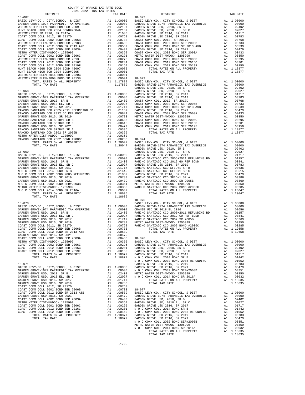| COUNTY OF ORANGE TAX RATE BOOK<br>2021-2022 TRA TAX RATES |          |            |          |
|-----------------------------------------------------------|----------|------------|----------|
| DISTRICT                                                  | TAX RATE | DISTRICT   | TAX RATE |
|                                                           |          |            |          |
|                                                           |          |            |          |
|                                                           |          |            |          |
|                                                           |          |            |          |
|                                                           |          |            |          |
|                                                           |          |            |          |
|                                                           |          |            |          |
|                                                           |          |            |          |
|                                                           |          |            |          |
|                                                           |          |            |          |
|                                                           |          |            |          |
|                                                           |          |            |          |
|                                                           |          |            |          |
|                                                           |          |            |          |
|                                                           |          |            |          |
|                                                           |          |            |          |
|                                                           |          |            |          |
|                                                           |          |            |          |
|                                                           |          |            |          |
|                                                           |          |            |          |
|                                                           |          |            |          |
|                                                           |          |            |          |
|                                                           |          |            |          |
|                                                           |          |            |          |
|                                                           |          |            |          |
|                                                           |          |            |          |
|                                                           |          |            |          |
|                                                           |          |            |          |
|                                                           |          |            |          |
|                                                           |          |            |          |
|                                                           |          |            |          |
|                                                           |          |            |          |
|                                                           |          |            |          |
|                                                           |          |            |          |
|                                                           |          |            |          |
|                                                           |          |            |          |
|                                                           |          |            |          |
|                                                           |          |            |          |
|                                                           |          |            |          |
|                                                           |          |            |          |
|                                                           |          | $18 - 075$ |          |
|                                                           |          |            |          |
|                                                           |          |            |          |
|                                                           |          |            |          |
|                                                           |          |            |          |
|                                                           |          |            |          |
|                                                           |          |            |          |
|                                                           |          |            |          |
|                                                           |          |            |          |
|                                                           |          |            |          |
|                                                           |          |            |          |
|                                                           |          |            |          |
|                                                           |          |            |          |
|                                                           |          |            |          |
|                                                           |          |            |          |
|                                                           |          |            |          |
|                                                           |          |            |          |
|                                                           |          |            |          |
|                                                           |          |            |          |
|                                                           |          |            |          |
|                                                           |          |            |          |
|                                                           |          |            |          |
|                                                           |          |            |          |
|                                                           |          |            |          |
|                                                           |          |            |          |
|                                                           |          |            |          |
|                                                           |          |            |          |
|                                                           |          |            |          |
|                                                           |          |            |          |
|                                                           |          |            |          |
|                                                           |          |            |          |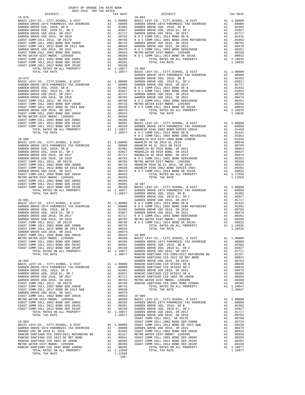| COUNTY OF ORANGE TAX RATE BOOK<br>2021-2022 TRA TAX RATES |          |                  |
|-----------------------------------------------------------|----------|------------------|
| DISTRICT<br>$18 - 078$                                    | TAX RATE | $18 - 084$       |
|                                                           |          |                  |
|                                                           |          |                  |
|                                                           |          |                  |
|                                                           |          |                  |
|                                                           |          |                  |
|                                                           |          |                  |
|                                                           |          |                  |
|                                                           |          |                  |
|                                                           |          |                  |
|                                                           |          |                  |
|                                                           |          |                  |
|                                                           |          |                  |
|                                                           |          |                  |
|                                                           |          |                  |
|                                                           |          | GARDEN           |
|                                                           |          |                  |
|                                                           |          |                  |
|                                                           |          |                  |
|                                                           |          |                  |
|                                                           |          |                  |
|                                                           |          |                  |
|                                                           |          |                  |
|                                                           |          |                  |
|                                                           |          |                  |
|                                                           |          |                  |
|                                                           |          |                  |
|                                                           |          |                  |
|                                                           |          |                  |
|                                                           |          |                  |
|                                                           |          |                  |
|                                                           |          | NOCC             |
| $18 - 080$                                                |          | MAGNOLI          |
|                                                           |          |                  |
|                                                           |          |                  |
|                                                           |          |                  |
|                                                           |          |                  |
|                                                           |          |                  |
|                                                           |          |                  |
|                                                           |          |                  |
|                                                           |          |                  |
|                                                           |          |                  |
|                                                           |          |                  |
| COAST COMM COLL 2002 BOND SER 2006C                       |          |                  |
| COAST COMM COLL 2012 BOND SER 2016C                       |          |                  |
| COAST COMM COLL 2012 BOND SER 2019F                       |          |                  |
|                                                           |          |                  |
|                                                           |          |                  |
| 18-081                                                    |          | GARDEN<br>GARDEN |
|                                                           |          |                  |
|                                                           |          |                  |
|                                                           |          |                  |
|                                                           |          |                  |
|                                                           |          |                  |
|                                                           |          |                  |
|                                                           |          |                  |
|                                                           |          |                  |
|                                                           |          |                  |
|                                                           |          |                  |
|                                                           |          |                  |
|                                                           |          |                  |
|                                                           |          |                  |
|                                                           |          |                  |
|                                                           |          |                  |
|                                                           |          | RANCHO           |
|                                                           |          |                  |
|                                                           |          |                  |
|                                                           |          |                  |
|                                                           |          |                  |
|                                                           |          |                  |
|                                                           |          |                  |
|                                                           |          |                  |
|                                                           |          |                  |
|                                                           |          |                  |
|                                                           |          |                  |
|                                                           |          |                  |
|                                                           |          |                  |
|                                                           |          |                  |
|                                                           |          |                  |
|                                                           |          |                  |
|                                                           |          | COAST C          |
| $18 - 083$                                                |          | COAST C          |
|                                                           |          |                  |
|                                                           |          |                  |
|                                                           |          |                  |
|                                                           |          |                  |
|                                                           |          |                  |
|                                                           |          |                  |
|                                                           |          |                  |
|                                                           |          |                  |

-180-

| 2021-2022 TRA TAX RATES<br>DISTRICT | TAX RATE | DISTRICT   | TAX RATE |
|-------------------------------------|----------|------------|----------|
|                                     |          | $18 - 084$ |          |
|                                     |          |            |          |
|                                     |          |            |          |
|                                     |          |            |          |
|                                     |          |            |          |
|                                     |          |            |          |
|                                     |          |            |          |
|                                     |          |            |          |
|                                     |          |            |          |
|                                     |          |            |          |
|                                     |          |            |          |
|                                     |          |            |          |
|                                     |          |            |          |
|                                     |          |            |          |
|                                     |          |            |          |
|                                     |          |            |          |
|                                     |          |            |          |
|                                     |          |            |          |
|                                     |          |            |          |
|                                     |          |            |          |
|                                     |          |            |          |
|                                     |          |            |          |
|                                     |          |            |          |
|                                     |          |            |          |
|                                     |          |            |          |
|                                     |          |            |          |
|                                     |          |            |          |
|                                     |          |            |          |
|                                     |          |            |          |
|                                     |          |            |          |
|                                     |          |            |          |
|                                     |          |            |          |
|                                     |          |            |          |
|                                     |          |            |          |
|                                     |          |            |          |
|                                     |          |            |          |
|                                     |          |            |          |
|                                     |          |            |          |
|                                     |          |            |          |
|                                     |          |            |          |
|                                     |          |            |          |
|                                     |          |            |          |
|                                     |          |            |          |
|                                     |          |            |          |
|                                     |          |            |          |
|                                     |          |            |          |
|                                     |          |            |          |
|                                     |          |            |          |
|                                     |          |            |          |
|                                     |          |            |          |
|                                     |          |            |          |
|                                     |          |            |          |
|                                     |          |            |          |
|                                     |          |            |          |
|                                     |          |            |          |
|                                     |          |            |          |
|                                     |          |            |          |
|                                     |          |            |          |
|                                     |          |            |          |
|                                     |          |            |          |
|                                     |          |            |          |
|                                     |          |            |          |
|                                     |          |            |          |
|                                     |          |            |          |
|                                     |          |            |          |
|                                     |          |            |          |
|                                     |          |            |          |
|                                     |          |            |          |
|                                     |          |            |          |
|                                     |          |            |          |
|                                     |          |            |          |
|                                     |          |            |          |
|                                     |          |            |          |
|                                     |          |            |          |
|                                     |          |            |          |
|                                     |          |            |          |
|                                     |          |            |          |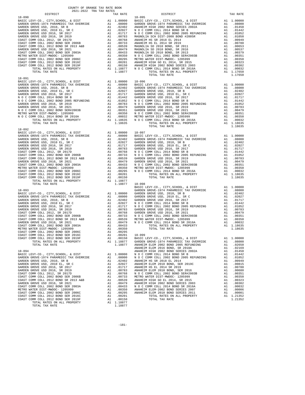| COUNTY OF ORANGE TAX RATE BOOK<br>2021-2022 TRA TAX RATES |                |          |          |
|-----------------------------------------------------------|----------------|----------|----------|
| DISTRICT                                                  | TAX RATE       | DISTRICT | TAX RATE |
| $18 - 090$                                                |                | 18-095   |          |
|                                                           |                |          |          |
|                                                           |                |          |          |
|                                                           |                |          |          |
|                                                           |                |          |          |
|                                                           |                |          |          |
|                                                           |                |          |          |
|                                                           |                |          |          |
|                                                           |                |          |          |
|                                                           |                |          |          |
|                                                           |                |          |          |
|                                                           |                |          |          |
|                                                           |                |          |          |
|                                                           |                |          |          |
|                                                           |                |          |          |
| $18 - 091$                                                |                |          |          |
|                                                           |                |          |          |
|                                                           |                |          |          |
|                                                           |                |          |          |
|                                                           |                |          |          |
|                                                           |                |          |          |
|                                                           |                |          |          |
|                                                           |                |          |          |
|                                                           |                |          |          |
|                                                           |                |          |          |
|                                                           |                |          |          |
|                                                           |                |          |          |
|                                                           |                |          |          |
| $18 - 092$                                                |                |          |          |
|                                                           |                |          |          |
|                                                           |                |          |          |
|                                                           |                |          |          |
|                                                           |                |          |          |
|                                                           |                |          |          |
|                                                           |                |          |          |
|                                                           |                |          |          |
|                                                           |                |          |          |
|                                                           |                |          |          |
|                                                           |                |          |          |
|                                                           |                |          |          |
|                                                           |                |          |          |
| TOTAL TAX RATE                                            | 1.18877 18-098 |          |          |
|                                                           |                |          |          |
|                                                           |                |          |          |
|                                                           |                |          |          |
|                                                           |                |          |          |
|                                                           |                |          |          |
|                                                           |                |          |          |
|                                                           |                |          |          |
|                                                           |                |          |          |
|                                                           |                |          |          |
|                                                           |                |          |          |
|                                                           |                |          |          |
|                                                           |                |          |          |
|                                                           |                |          |          |
|                                                           |                |          |          |
|                                                           |                |          |          |
|                                                           |                |          |          |
|                                                           |                |          |          |
|                                                           |                |          |          |
|                                                           |                |          |          |
|                                                           |                |          |          |
|                                                           |                |          |          |
|                                                           |                |          |          |
|                                                           |                |          |          |
|                                                           |                |          |          |
|                                                           |                |          |          |
|                                                           |                |          |          |
|                                                           |                |          |          |
|                                                           |                |          |          |
|                                                           |                |          |          |
|                                                           |                |          |          |
|                                                           |                |          |          |
|                                                           |                |          |          |
|                                                           |                |          |          |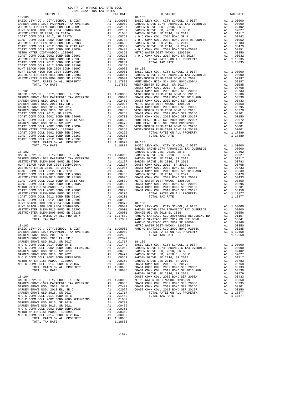| COUNTY OF ORANGE TAX RATE BOOK<br>2021-2022 TRA TAX RATES                                                                                                                                                                                                                                                                                                                                                    |    |                                                                                           |            |
|--------------------------------------------------------------------------------------------------------------------------------------------------------------------------------------------------------------------------------------------------------------------------------------------------------------------------------------------------------------------------------------------------------------|----|-------------------------------------------------------------------------------------------|------------|
| DISTRICT                                                                                                                                                                                                                                                                                                                                                                                                     |    | TAX RATE                                                                                  |            |
| $18 - 100$                                                                                                                                                                                                                                                                                                                                                                                                   |    |                                                                                           | $18 - 105$ |
|                                                                                                                                                                                                                                                                                                                                                                                                              |    |                                                                                           |            |
|                                                                                                                                                                                                                                                                                                                                                                                                              |    |                                                                                           |            |
|                                                                                                                                                                                                                                                                                                                                                                                                              |    |                                                                                           |            |
|                                                                                                                                                                                                                                                                                                                                                                                                              |    |                                                                                           |            |
|                                                                                                                                                                                                                                                                                                                                                                                                              |    |                                                                                           |            |
|                                                                                                                                                                                                                                                                                                                                                                                                              |    |                                                                                           |            |
|                                                                                                                                                                                                                                                                                                                                                                                                              |    |                                                                                           |            |
|                                                                                                                                                                                                                                                                                                                                                                                                              |    |                                                                                           |            |
|                                                                                                                                                                                                                                                                                                                                                                                                              |    |                                                                                           |            |
|                                                                                                                                                                                                                                                                                                                                                                                                              |    |                                                                                           |            |
|                                                                                                                                                                                                                                                                                                                                                                                                              |    |                                                                                           |            |
|                                                                                                                                                                                                                                                                                                                                                                                                              |    |                                                                                           |            |
|                                                                                                                                                                                                                                                                                                                                                                                                              |    |                                                                                           |            |
|                                                                                                                                                                                                                                                                                                                                                                                                              |    |                                                                                           |            |
|                                                                                                                                                                                                                                                                                                                                                                                                              |    |                                                                                           |            |
|                                                                                                                                                                                                                                                                                                                                                                                                              |    |                                                                                           |            |
|                                                                                                                                                                                                                                                                                                                                                                                                              |    |                                                                                           | COAST C    |
| 18-101                                                                                                                                                                                                                                                                                                                                                                                                       |    |                                                                                           | COAST C    |
|                                                                                                                                                                                                                                                                                                                                                                                                              |    |                                                                                           |            |
|                                                                                                                                                                                                                                                                                                                                                                                                              |    |                                                                                           |            |
|                                                                                                                                                                                                                                                                                                                                                                                                              |    |                                                                                           |            |
|                                                                                                                                                                                                                                                                                                                                                                                                              |    |                                                                                           |            |
|                                                                                                                                                                                                                                                                                                                                                                                                              |    |                                                                                           |            |
|                                                                                                                                                                                                                                                                                                                                                                                                              |    |                                                                                           |            |
|                                                                                                                                                                                                                                                                                                                                                                                                              |    |                                                                                           |            |
|                                                                                                                                                                                                                                                                                                                                                                                                              |    |                                                                                           |            |
|                                                                                                                                                                                                                                                                                                                                                                                                              |    |                                                                                           |            |
|                                                                                                                                                                                                                                                                                                                                                                                                              |    |                                                                                           |            |
|                                                                                                                                                                                                                                                                                                                                                                                                              |    |                                                                                           |            |
|                                                                                                                                                                                                                                                                                                                                                                                                              |    |                                                                                           |            |
|                                                                                                                                                                                                                                                                                                                                                                                                              |    |                                                                                           |            |
|                                                                                                                                                                                                                                                                                                                                                                                                              |    |                                                                                           | GARDEN     |
|                                                                                                                                                                                                                                                                                                                                                                                                              |    |                                                                                           |            |
|                                                                                                                                                                                                                                                                                                                                                                                                              |    |                                                                                           |            |
|                                                                                                                                                                                                                                                                                                                                                                                                              |    |                                                                                           |            |
|                                                                                                                                                                                                                                                                                                                                                                                                              |    |                                                                                           |            |
|                                                                                                                                                                                                                                                                                                                                                                                                              |    |                                                                                           |            |
|                                                                                                                                                                                                                                                                                                                                                                                                              |    |                                                                                           |            |
|                                                                                                                                                                                                                                                                                                                                                                                                              |    |                                                                                           |            |
|                                                                                                                                                                                                                                                                                                                                                                                                              |    |                                                                                           |            |
|                                                                                                                                                                                                                                                                                                                                                                                                              |    |                                                                                           |            |
|                                                                                                                                                                                                                                                                                                                                                                                                              |    |                                                                                           |            |
|                                                                                                                                                                                                                                                                                                                                                                                                              |    |                                                                                           |            |
|                                                                                                                                                                                                                                                                                                                                                                                                              |    |                                                                                           |            |
|                                                                                                                                                                                                                                                                                                                                                                                                              |    |                                                                                           |            |
|                                                                                                                                                                                                                                                                                                                                                                                                              |    |                                                                                           |            |
|                                                                                                                                                                                                                                                                                                                                                                                                              |    |                                                                                           |            |
|                                                                                                                                                                                                                                                                                                                                                                                                              |    |                                                                                           |            |
|                                                                                                                                                                                                                                                                                                                                                                                                              |    |                                                                                           |            |
|                                                                                                                                                                                                                                                                                                                                                                                                              |    |                                                                                           |            |
|                                                                                                                                                                                                                                                                                                                                                                                                              |    |                                                                                           | RANCHO     |
| 10-103<br>BASIC LEVY-CO., CITY, SCHOOL, & DIST<br>CARDEN CROWN 1974 PRESSURES -- WALLET ALL 1.00000 RANCHO                                                                                                                                                                                                                                                                                                   |    |                                                                                           |            |
| GARDEN GROVE-1974 PARAMEDIC TAX OVERRIDE                                                                                                                                                                                                                                                                                                                                                                     |    | A1 .08000<br>A1 .08000<br>A1 .02402<br>A1 .02027<br>A1 .01142 BASIC L<br>** 01442 BASIC L |            |
|                                                                                                                                                                                                                                                                                                                                                                                                              |    |                                                                                           |            |
| GARDEN GROVE USD, 2010, SR B<br>GARDEN GROVE USD, 2010 EL, SR C<br>GARDEN GROVE USD 2016, SR 2017                                                                                                                                                                                                                                                                                                            |    |                                                                                           |            |
|                                                                                                                                                                                                                                                                                                                                                                                                              |    |                                                                                           |            |
|                                                                                                                                                                                                                                                                                                                                                                                                              |    |                                                                                           |            |
|                                                                                                                                                                                                                                                                                                                                                                                                              |    |                                                                                           |            |
|                                                                                                                                                                                                                                                                                                                                                                                                              |    |                                                                                           |            |
|                                                                                                                                                                                                                                                                                                                                                                                                              |    |                                                                                           |            |
|                                                                                                                                                                                                                                                                                                                                                                                                              |    |                                                                                           |            |
|                                                                                                                                                                                                                                                                                                                                                                                                              |    |                                                                                           |            |
| $\begin{tabular}{l c c c c} \multicolumn{1}{c}{A1} & $0$ & $2010$ & $2010$ & $8$ & $2011$ & $1$ & $0117$ & $16$ & $109$ \\ \hline \multicolumn{1}{c}{\textbf{N}} & 0 & C & COMM & COLL & 2014 & BOND & SR & SR \\ \multicolumn{1}{c}{\textbf{N}} & 0 & C & COMM & COLL & 2012 & BOND & 2005 & REFUNDING & \multicolumn{1}{c}{\textbf{A1}} & .01052 & GRDBEN \\ \multicolumn{1}{c}{\textbf{GARDEN RGVE US D $ |    |                                                                                           | GARDEN     |
| $18 - 104$                                                                                                                                                                                                                                                                                                                                                                                                   |    |                                                                                           | COAST C    |
|                                                                                                                                                                                                                                                                                                                                                                                                              |    |                                                                                           |            |
|                                                                                                                                                                                                                                                                                                                                                                                                              |    |                                                                                           |            |
|                                                                                                                                                                                                                                                                                                                                                                                                              |    |                                                                                           |            |
| GARDEN GROVE USD 2016, SR 2017                                                                                                                                                                                                                                                                                                                                                                               |    | A1.01717                                                                                  |            |
| N O C COMM COLL 2014 BOND SR B                                                                                                                                                                                                                                                                                                                                                                               | A1 | .01442                                                                                    |            |
| N 0 C COMM COLL 2014 BOND SR B<br>N 0 C COMM COLL 2002 BOND 2005 REFUNDING Al<br>GARDEN GROVE USD 2016. SR 2019                                                                                                                                                                                                                                                                                              |    | .01052                                                                                    |            |
| GARDEN GROVE USD 2016, SR 2019                                                                                                                                                                                                                                                                                                                                                                               | A1 | .00783                                                                                    |            |
| GARDEN GROVE USD 2016, SR 2021                                                                                                                                                                                                                                                                                                                                                                               | A1 | .00479<br>A1 .00351                                                                       |            |
| NO C COMM COLL 2002 BOND SER#2003B<br>METRO WATER DIST-MWDOC- 1205999<br>NO C COMM COLL 2002 BOND 1205999                                                                                                                                                                                                                                                                                                    |    | A1 .00350                                                                                 |            |
| N O C COMM COLL 2014 BOND SR 2016A                                                                                                                                                                                                                                                                                                                                                                           |    | A1 .00032                                                                                 |            |
| TOTAL RATES ON ALL PROPERTY                                                                                                                                                                                                                                                                                                                                                                                  |    | A1 1.18635                                                                                |            |
| TOTAL TAX RATE                                                                                                                                                                                                                                                                                                                                                                                               |    | 1.18635                                                                                   |            |

| DISTRICT | AUAI-AUAA IRA IAA RAIBO | TAX RATE | DISTRICT | TAX RATE |
|----------|-------------------------|----------|----------|----------|
|          |                         |          |          |          |
|          |                         |          |          |          |
|          |                         |          |          |          |
|          |                         |          |          |          |
|          |                         |          |          |          |
|          |                         |          |          |          |
|          |                         |          |          |          |
|          |                         |          |          |          |
|          |                         |          |          |          |
|          |                         |          |          |          |
|          |                         |          |          |          |
|          |                         |          |          |          |
|          |                         |          |          |          |
|          |                         |          |          |          |
|          |                         |          |          |          |
|          |                         |          |          |          |
|          |                         |          |          |          |
|          |                         |          |          |          |
|          |                         |          |          |          |
|          |                         |          |          |          |
|          |                         |          |          |          |
|          |                         |          |          |          |
|          |                         |          |          |          |
|          |                         |          |          |          |
|          |                         |          |          |          |
|          |                         |          |          |          |
|          |                         |          |          |          |
|          |                         |          |          |          |
|          |                         |          |          |          |
|          |                         |          |          |          |
|          |                         |          |          |          |
|          |                         |          |          |          |
|          |                         |          |          |          |
|          |                         |          |          |          |
|          |                         |          |          |          |
|          |                         |          |          |          |
|          |                         |          |          |          |
|          |                         |          |          |          |
|          |                         |          |          |          |
|          |                         |          |          |          |
|          |                         |          |          |          |
|          |                         |          |          |          |
|          |                         |          |          |          |
|          |                         |          |          |          |
|          |                         |          |          |          |
|          |                         |          |          |          |
|          |                         |          |          |          |
|          |                         |          |          |          |
|          |                         |          |          |          |
|          |                         |          |          |          |
|          |                         |          |          |          |
|          |                         |          |          |          |
|          |                         |          |          |          |
|          |                         |          |          |          |
|          |                         |          |          |          |
|          |                         |          |          |          |
|          |                         |          |          |          |
|          |                         |          |          |          |
|          |                         |          |          |          |
|          |                         |          |          |          |
|          |                         |          |          |          |
|          |                         |          |          |          |
|          |                         |          |          |          |
|          |                         |          |          |          |
|          |                         |          |          |          |
|          |                         |          |          |          |
|          |                         |          |          |          |
|          |                         |          |          |          |
|          |                         |          |          |          |
|          |                         |          |          |          |
|          |                         |          |          |          |
|          |                         |          |          |          |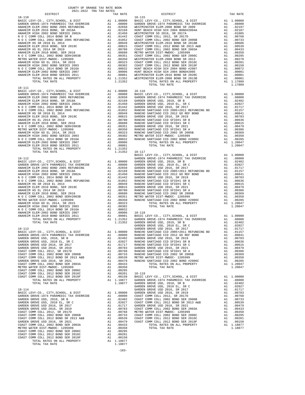| COUNTY OF ORANGE TAX RATE BOOK<br>2021-2022 TRA TAX RATES |          |                |
|-----------------------------------------------------------|----------|----------------|
| DISTRICT<br>$18 - 110$                                    | TAX RATE | $18 - 115$     |
|                                                           |          |                |
|                                                           |          |                |
|                                                           |          |                |
|                                                           |          |                |
|                                                           |          |                |
|                                                           |          |                |
|                                                           |          |                |
|                                                           |          |                |
|                                                           |          |                |
|                                                           |          |                |
|                                                           |          |                |
|                                                           |          |                |
|                                                           |          |                |
|                                                           |          |                |
|                                                           |          |                |
|                                                           |          |                |
| TOTAL TAX RATE                                            | 1.21352  |                |
| $18 - 111$                                                |          |                |
|                                                           |          |                |
|                                                           |          |                |
|                                                           |          |                |
|                                                           |          |                |
|                                                           |          |                |
|                                                           |          |                |
|                                                           |          |                |
|                                                           |          |                |
|                                                           |          |                |
|                                                           |          |                |
|                                                           |          |                |
|                                                           |          |                |
|                                                           |          |                |
|                                                           |          |                |
|                                                           |          |                |
|                                                           |          |                |
| TOTAL TAX RATE                                            |          | 1.21352 18-117 |
|                                                           |          | BASIC L        |
|                                                           |          |                |
|                                                           |          |                |
|                                                           |          |                |
|                                                           |          |                |
|                                                           |          |                |
|                                                           |          |                |
|                                                           |          |                |
|                                                           |          |                |
|                                                           |          |                |
|                                                           |          |                |
|                                                           |          |                |
|                                                           |          |                |
|                                                           |          |                |
|                                                           |          |                |
|                                                           |          |                |
|                                                           |          |                |
|                                                           |          |                |
|                                                           |          |                |
| $18 - 113$                                                |          | GARDEN         |
|                                                           |          |                |
|                                                           |          |                |
|                                                           |          |                |
|                                                           |          |                |
|                                                           |          |                |
|                                                           |          |                |
|                                                           |          |                |
|                                                           |          |                |
|                                                           |          |                |
|                                                           |          |                |
|                                                           |          |                |
|                                                           |          |                |
|                                                           |          |                |
|                                                           |          |                |
|                                                           |          |                |
|                                                           |          | GARDEN         |
|                                                           |          |                |
|                                                           |          |                |
|                                                           |          |                |
|                                                           |          |                |
|                                                           |          |                |
|                                                           |          |                |
|                                                           |          |                |
|                                                           |          |                |
|                                                           |          |                |
|                                                           |          |                |
|                                                           |          |                |
|                                                           |          |                |
|                                                           |          |                |
|                                                           |          |                |
|                                                           |          |                |

| DISTRICT   | CULL-SULL IRA IAA RAILD | TAX RATE | DISTRICT                                                                                                                                                                                                                              | TAX RATE |
|------------|-------------------------|----------|---------------------------------------------------------------------------------------------------------------------------------------------------------------------------------------------------------------------------------------|----------|
| $18 - 110$ |                         |          | $18 - 115$                                                                                                                                                                                                                            |          |
|            |                         |          |                                                                                                                                                                                                                                       |          |
|            |                         |          |                                                                                                                                                                                                                                       |          |
|            |                         |          |                                                                                                                                                                                                                                       |          |
|            |                         |          |                                                                                                                                                                                                                                       |          |
|            |                         |          |                                                                                                                                                                                                                                       |          |
|            |                         |          |                                                                                                                                                                                                                                       |          |
|            |                         |          |                                                                                                                                                                                                                                       |          |
|            |                         |          |                                                                                                                                                                                                                                       |          |
|            |                         |          |                                                                                                                                                                                                                                       |          |
|            |                         |          |                                                                                                                                                                                                                                       |          |
|            |                         |          |                                                                                                                                                                                                                                       |          |
|            |                         |          |                                                                                                                                                                                                                                       |          |
|            |                         |          |                                                                                                                                                                                                                                       |          |
|            |                         |          |                                                                                                                                                                                                                                       |          |
|            |                         |          |                                                                                                                                                                                                                                       |          |
| $18 - 111$ |                         |          |                                                                                                                                                                                                                                       |          |
|            |                         |          |                                                                                                                                                                                                                                       |          |
|            |                         |          |                                                                                                                                                                                                                                       |          |
|            |                         |          |                                                                                                                                                                                                                                       |          |
|            |                         |          |                                                                                                                                                                                                                                       |          |
|            |                         |          |                                                                                                                                                                                                                                       |          |
|            |                         |          |                                                                                                                                                                                                                                       |          |
|            |                         |          |                                                                                                                                                                                                                                       |          |
|            |                         |          |                                                                                                                                                                                                                                       |          |
|            |                         |          |                                                                                                                                                                                                                                       |          |
|            |                         |          |                                                                                                                                                                                                                                       |          |
|            |                         |          |                                                                                                                                                                                                                                       |          |
|            |                         |          |                                                                                                                                                                                                                                       |          |
|            |                         |          |                                                                                                                                                                                                                                       |          |
|            |                         |          |                                                                                                                                                                                                                                       |          |
|            |                         |          |                                                                                                                                                                                                                                       |          |
|            |                         |          |                                                                                                                                                                                                                                       |          |
|            |                         |          |                                                                                                                                                                                                                                       |          |
|            |                         |          |                                                                                                                                                                                                                                       |          |
|            |                         |          |                                                                                                                                                                                                                                       |          |
|            |                         |          |                                                                                                                                                                                                                                       |          |
|            |                         |          |                                                                                                                                                                                                                                       |          |
|            |                         |          |                                                                                                                                                                                                                                       |          |
|            |                         |          |                                                                                                                                                                                                                                       |          |
|            |                         |          |                                                                                                                                                                                                                                       |          |
|            |                         |          |                                                                                                                                                                                                                                       |          |
|            |                         |          |                                                                                                                                                                                                                                       |          |
|            |                         |          |                                                                                                                                                                                                                                       |          |
|            |                         |          |                                                                                                                                                                                                                                       |          |
|            |                         |          |                                                                                                                                                                                                                                       |          |
|            |                         |          |                                                                                                                                                                                                                                       |          |
|            |                         |          |                                                                                                                                                                                                                                       |          |
|            |                         |          |                                                                                                                                                                                                                                       |          |
|            |                         |          |                                                                                                                                                                                                                                       |          |
|            |                         |          |                                                                                                                                                                                                                                       |          |
|            |                         |          |                                                                                                                                                                                                                                       |          |
|            |                         |          |                                                                                                                                                                                                                                       |          |
|            |                         |          |                                                                                                                                                                                                                                       |          |
|            |                         |          |                                                                                                                                                                                                                                       |          |
|            |                         |          |                                                                                                                                                                                                                                       |          |
|            |                         |          |                                                                                                                                                                                                                                       |          |
|            |                         |          |                                                                                                                                                                                                                                       |          |
|            |                         |          |                                                                                                                                                                                                                                       |          |
|            |                         |          |                                                                                                                                                                                                                                       |          |
|            |                         |          |                                                                                                                                                                                                                                       |          |
|            |                         |          |                                                                                                                                                                                                                                       |          |
|            |                         |          |                                                                                                                                                                                                                                       |          |
|            |                         |          |                                                                                                                                                                                                                                       |          |
|            |                         |          |                                                                                                                                                                                                                                       |          |
|            |                         |          |                                                                                                                                                                                                                                       |          |
|            |                         |          |                                                                                                                                                                                                                                       |          |
|            |                         |          |                                                                                                                                                                                                                                       |          |
|            |                         |          |                                                                                                                                                                                                                                       |          |
|            |                         |          |                                                                                                                                                                                                                                       |          |
|            |                         |          |                                                                                                                                                                                                                                       |          |
|            |                         |          |                                                                                                                                                                                                                                       |          |
|            |                         |          |                                                                                                                                                                                                                                       |          |
|            |                         |          |                                                                                                                                                                                                                                       |          |
|            |                         |          |                                                                                                                                                                                                                                       |          |
|            |                         |          |                                                                                                                                                                                                                                       |          |
|            |                         |          |                                                                                                                                                                                                                                       |          |
|            |                         |          |                                                                                                                                                                                                                                       |          |
|            |                         |          |                                                                                                                                                                                                                                       |          |
|            |                         |          | 14.113 (1972)<br>14.113 (1977) (1977), CTTY, SCHOOL, & DIST<br>14.213 (1977), CTTY, SCHOOL, & DIST<br>0.82021 (2077), CTTY, SCHOOL, & DIST<br>0.82023 (2007) (2007) (2007) 2008) 2008 (2008) 2008 (2008) 2008 (2008) 2008 (2008) 2008 |          |

- 
-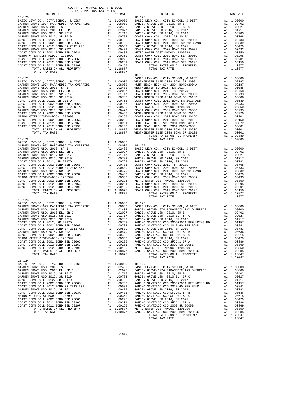| COUNTY OF ORANGE TAX RATE BOOK<br>2021–2022, TPA TAY PATES<br>2021-2022 TRA TAX RATES |          |                                                                                                                                                                                                                                                                                                                |          |
|---------------------------------------------------------------------------------------|----------|----------------------------------------------------------------------------------------------------------------------------------------------------------------------------------------------------------------------------------------------------------------------------------------------------------------|----------|
| <b>DISTRICT</b>                                                                       | TAX RATE | DISTRICT                                                                                                                                                                                                                                                                                                       | TAX RATE |
| $18 - 120$                                                                            |          | $18 - 125$<br>$18 - 126$                                                                                                                                                                                                                                                                                       |          |
|                                                                                       |          | $\begin{tabular}{cccccccc} 18-121 & 18-124 & 18-125 & 18-126 & 18-126 & 18-126 & 18-126 & 18-126 & 18-126 & 18-126 & 18-126 & 18-126 & 18-126 & 18-126 & 18-126 & 18-126 & 18-126 & 18-126 & 18-126 & 18-126 & 18-126 & 18-126 & 18-126 & 18-126 & 18-126 & 18-126 & 18$<br>TOTAL RATES ON .<br>TOTAL TAX RATE |          |
|                                                                                       |          | TOTAL TAX RATE                                                                                                                                                                                                                                                                                                 | 1.10877  |
| $18 - 123$                                                                            |          |                                                                                                                                                                                                                                                                                                                |          |
|                                                                                       |          | $\begin{tabular}{cccc} $18-124$ & $1.00000$ & $18-129$ & $1.00000$ & $18-129$ & $1.00000$ & $18-129$ & $1.00000$ & $18-129$ & $1.00000$ & $18-129$ & $1.00000$ & $18-129$ & $1.00000$ & $18-129$ & $1.00000$ & $18-129$ & $1.00000$ & $18-129$ & $1.00000$ & $18-129$ & $1.00000$ & $18$                       |          |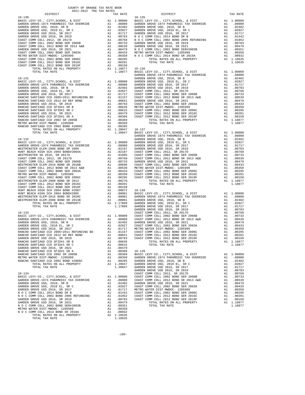| COUNTY OF ORANGE TAX RATE BOOK<br>2021-2022 TRA TAX RATES |          |            |          |  |
|-----------------------------------------------------------|----------|------------|----------|--|
| DISTRICT                                                  | TAX RATE | DISTRICT   | TAX RATE |  |
| $18 - 130$                                                |          | $18 - 135$ |          |  |
|                                                           |          |            |          |  |
|                                                           |          |            |          |  |
|                                                           |          |            |          |  |
|                                                           |          |            |          |  |
|                                                           |          |            |          |  |
|                                                           |          |            |          |  |
|                                                           |          |            |          |  |
|                                                           |          |            |          |  |
|                                                           |          |            |          |  |
|                                                           |          |            |          |  |
|                                                           |          |            |          |  |
|                                                           |          |            |          |  |
|                                                           |          |            |          |  |
|                                                           |          |            |          |  |
|                                                           |          |            |          |  |
|                                                           |          |            |          |  |
|                                                           |          |            |          |  |
|                                                           |          |            |          |  |
|                                                           |          |            |          |  |
|                                                           |          |            |          |  |
|                                                           |          |            |          |  |
|                                                           |          |            |          |  |
|                                                           |          |            |          |  |
|                                                           |          |            |          |  |
|                                                           |          |            |          |  |
|                                                           |          |            |          |  |
|                                                           |          |            |          |  |
|                                                           |          |            |          |  |
|                                                           |          |            |          |  |
|                                                           |          |            |          |  |
|                                                           |          |            |          |  |
|                                                           |          |            |          |  |
|                                                           |          |            |          |  |
|                                                           |          |            |          |  |
|                                                           |          |            |          |  |
|                                                           |          |            |          |  |
|                                                           |          |            |          |  |
|                                                           |          |            |          |  |
|                                                           |          |            |          |  |
|                                                           |          |            |          |  |
|                                                           |          |            |          |  |
|                                                           |          |            |          |  |
|                                                           |          |            |          |  |
|                                                           |          |            |          |  |
|                                                           |          |            |          |  |
|                                                           |          |            |          |  |
|                                                           |          |            |          |  |
|                                                           |          |            |          |  |
|                                                           |          |            |          |  |
|                                                           |          |            |          |  |
|                                                           |          |            |          |  |
|                                                           |          |            |          |  |
|                                                           |          |            |          |  |
|                                                           |          |            |          |  |
|                                                           |          |            |          |  |
|                                                           |          |            |          |  |
|                                                           |          |            |          |  |
|                                                           |          |            |          |  |
|                                                           |          |            |          |  |
|                                                           |          |            |          |  |
|                                                           |          |            |          |  |
|                                                           |          |            |          |  |
|                                                           |          |            |          |  |
|                                                           |          |            |          |  |
|                                                           |          |            |          |  |
|                                                           |          |            |          |  |
|                                                           |          |            |          |  |
|                                                           |          |            |          |  |
|                                                           |          |            |          |  |
|                                                           |          |            |          |  |
|                                                           |          |            |          |  |
|                                                           |          |            |          |  |
|                                                           |          |            |          |  |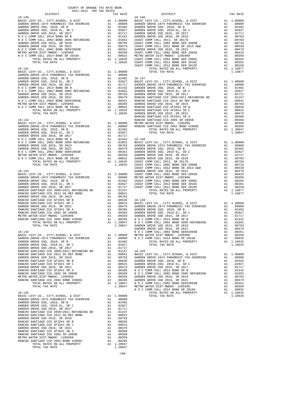| COUNTY OF ORANGE TAX RATE BOOK<br>2021-2022 TRA TAX RATES |          |          |          |
|-----------------------------------------------------------|----------|----------|----------|
| DISTRICT                                                  | TAX RATE | DISTRICT | TAX RATE |
|                                                           |          |          |          |
|                                                           |          |          |          |
|                                                           |          |          |          |
|                                                           |          |          |          |
|                                                           |          |          |          |
|                                                           |          |          |          |
|                                                           |          |          |          |
|                                                           |          |          |          |
|                                                           |          |          |          |
|                                                           |          |          |          |
|                                                           |          |          |          |
|                                                           |          |          |          |
|                                                           |          |          |          |
|                                                           |          |          |          |
|                                                           |          |          |          |
|                                                           |          |          |          |
|                                                           |          |          |          |
|                                                           |          |          |          |
|                                                           |          |          |          |
|                                                           |          |          |          |
|                                                           |          |          |          |
|                                                           |          |          |          |
|                                                           |          |          |          |
|                                                           |          |          |          |
|                                                           |          |          |          |
|                                                           |          |          |          |
|                                                           |          |          |          |
|                                                           |          |          |          |
|                                                           |          |          |          |
|                                                           |          |          |          |
|                                                           |          |          |          |
|                                                           |          |          |          |
|                                                           |          |          |          |
|                                                           |          |          |          |
|                                                           |          |          |          |
|                                                           |          |          |          |
|                                                           |          |          |          |
|                                                           |          |          |          |
|                                                           |          |          |          |
|                                                           |          |          |          |
|                                                           |          |          |          |
|                                                           |          |          |          |
|                                                           |          |          |          |
|                                                           |          |          |          |
|                                                           |          |          |          |
|                                                           |          |          |          |
|                                                           |          |          |          |
|                                                           |          |          |          |
|                                                           |          |          |          |
|                                                           |          |          |          |
|                                                           |          |          |          |
|                                                           |          |          |          |
|                                                           |          |          |          |
|                                                           |          |          |          |
|                                                           |          |          |          |
|                                                           |          |          |          |
|                                                           |          |          |          |
|                                                           |          |          |          |
|                                                           |          |          |          |
|                                                           |          |          |          |
|                                                           |          |          |          |
|                                                           |          |          |          |
|                                                           |          |          |          |
|                                                           |          |          |          |
|                                                           |          |          |          |
|                                                           |          |          |          |
|                                                           |          |          |          |
|                                                           |          |          |          |
|                                                           |          |          |          |
|                                                           |          |          |          |
|                                                           |          |          |          |
|                                                           |          |          |          |
|                                                           |          |          |          |
|                                                           |          |          |          |
|                                                           |          |          |          |
|                                                           |          |          |          |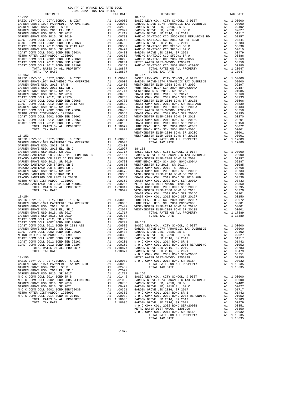| COUNTY OF ORANGE TAX RATE BOOK           |    |                                                                                                                                                              |            |
|------------------------------------------|----|--------------------------------------------------------------------------------------------------------------------------------------------------------------|------------|
| 2021-2022 TRA TAX RATES<br>DISTRICT      |    | TAX RATE                                                                                                                                                     |            |
| $18 - 151$                               |    |                                                                                                                                                              | $18 - 156$ |
|                                          |    |                                                                                                                                                              |            |
|                                          |    |                                                                                                                                                              |            |
|                                          |    |                                                                                                                                                              |            |
|                                          |    |                                                                                                                                                              |            |
|                                          |    |                                                                                                                                                              |            |
|                                          |    |                                                                                                                                                              |            |
|                                          |    |                                                                                                                                                              |            |
|                                          |    |                                                                                                                                                              |            |
|                                          |    |                                                                                                                                                              |            |
|                                          |    |                                                                                                                                                              |            |
|                                          |    |                                                                                                                                                              |            |
|                                          |    |                                                                                                                                                              |            |
|                                          |    |                                                                                                                                                              |            |
|                                          |    |                                                                                                                                                              |            |
|                                          |    |                                                                                                                                                              |            |
|                                          |    |                                                                                                                                                              |            |
|                                          |    |                                                                                                                                                              |            |
| TOTAL TAX RATE                           |    | 1.18877                                                                                                                                                      |            |
| $18 - 152$                               |    |                                                                                                                                                              | $18 - 157$ |
|                                          |    |                                                                                                                                                              |            |
|                                          |    |                                                                                                                                                              |            |
|                                          |    |                                                                                                                                                              |            |
|                                          |    |                                                                                                                                                              |            |
|                                          |    |                                                                                                                                                              |            |
|                                          |    |                                                                                                                                                              |            |
|                                          |    |                                                                                                                                                              |            |
|                                          |    |                                                                                                                                                              |            |
|                                          |    |                                                                                                                                                              |            |
|                                          |    |                                                                                                                                                              |            |
|                                          |    |                                                                                                                                                              |            |
|                                          |    |                                                                                                                                                              |            |
|                                          |    |                                                                                                                                                              |            |
|                                          |    |                                                                                                                                                              |            |
|                                          |    |                                                                                                                                                              |            |
|                                          |    |                                                                                                                                                              |            |
|                                          |    |                                                                                                                                                              |            |
|                                          |    |                                                                                                                                                              |            |
|                                          |    |                                                                                                                                                              |            |
|                                          |    |                                                                                                                                                              | WESTMIN    |
|                                          |    |                                                                                                                                                              | WESTMIN    |
|                                          |    |                                                                                                                                                              |            |
|                                          |    |                                                                                                                                                              |            |
|                                          |    |                                                                                                                                                              |            |
|                                          |    |                                                                                                                                                              |            |
|                                          |    |                                                                                                                                                              |            |
|                                          |    |                                                                                                                                                              |            |
|                                          |    |                                                                                                                                                              |            |
|                                          |    |                                                                                                                                                              |            |
|                                          |    |                                                                                                                                                              |            |
|                                          |    |                                                                                                                                                              |            |
|                                          |    |                                                                                                                                                              |            |
|                                          |    |                                                                                                                                                              |            |
|                                          |    |                                                                                                                                                              |            |
|                                          |    |                                                                                                                                                              |            |
|                                          |    |                                                                                                                                                              |            |
|                                          |    |                                                                                                                                                              |            |
|                                          |    |                                                                                                                                                              |            |
|                                          |    |                                                                                                                                                              |            |
|                                          |    |                                                                                                                                                              | COAST C    |
| $18 - 154$                               |    |                                                                                                                                                              | COAST C    |
|                                          |    |                                                                                                                                                              |            |
|                                          |    |                                                                                                                                                              |            |
|                                          |    |                                                                                                                                                              |            |
|                                          |    |                                                                                                                                                              |            |
|                                          |    |                                                                                                                                                              |            |
|                                          |    |                                                                                                                                                              |            |
|                                          |    |                                                                                                                                                              |            |
|                                          |    |                                                                                                                                                              |            |
|                                          |    |                                                                                                                                                              |            |
|                                          |    |                                                                                                                                                              |            |
|                                          |    |                                                                                                                                                              |            |
| COAST COMM COLL 2002 BOND SER 2003A      | A1 | $.00433$ GARDEN                                                                                                                                              |            |
| METRO WATER DIST-MWDOC- 1205999          |    |                                                                                                                                                              |            |
|                                          |    |                                                                                                                                                              |            |
| COAST COMM COLL 2002 BOND SER 2006C      |    |                                                                                                                                                              |            |
| COAST COMM COLL 2012 BOND SER 2016C      |    |                                                                                                                                                              |            |
| COAST COMM COLL 2012 BOND SER 2019F      |    |                                                                                                                                                              |            |
| TOTAL RATES ON ALL PROPERTY              |    |                                                                                                                                                              |            |
| TOTAL TAX RATE                           |    | A1 .00350 GARDEN<br>A1 .00350 GARDEN<br>A1 .00295 GARDEN<br>A1 .00150 N O C C<br>A1 .00150 N O C C<br>A1 1.18877 GARDEN<br>1.18877 GARDEN                    |            |
|                                          |    |                                                                                                                                                              | NOCC       |
| $18 - 155$                               |    |                                                                                                                                                              | METRO W    |
| BASIC LEVY-CO., CITY, SCHOOL, & DIST     |    | A1 1.00000 NOCC                                                                                                                                              |            |
| GARDEN GROVE-1974 PARAMEDIC TAX OVERRIDE |    | A1 .08000                                                                                                                                                    |            |
| GARDEN GROVE USD, 2010, SR B             | A1 | .02402                                                                                                                                                       |            |
|                                          |    |                                                                                                                                                              |            |
| GARDEN GROVE USD, 2010 EL, SR C          | A1 | .02027                                                                                                                                                       |            |
| GARDEN GROVE USD 2016, SR 2017           | A1 | .01717                                                                                                                                                       | $18 - 160$ |
| N O C COMM COLL 2014 BOND SR B           | A1 | .01442                                                                                                                                                       | BASIC L    |
| N O C COMM COLL 2002 BOND 2005 REFUNDING |    |                                                                                                                                                              |            |
| GARDEN GROVE USD 2016, SR 2019           |    |                                                                                                                                                              |            |
| GARDEN GROVE USD 2016, SR 2021           |    |                                                                                                                                                              |            |
| N O C COMM COLL 2002 BOND SER#2003B      |    |                                                                                                                                                              |            |
| METRO WATER DIST-MWDOC- 1205999          |    |                                                                                                                                                              |            |
| N O C COMM COLL 2014 BOND SR 2016A       |    |                                                                                                                                                              |            |
| TOTAL RATES ON ALL PROPERTY              |    | A1 .01952 BARDEN<br>A1 .01052 GARDEN<br>A1 .00783 GARDEN<br>A1 .00783 GARDEN<br>A1 .00351 GARDEN<br>A1 .00350 NOCC<br>A1 1.18635 GARDEN<br>A1 1.18635 GARDEN |            |
| TOTAL TAX RATE                           |    | 1.18635 GARDEN                                                                                                                                               |            |

| DISTRICT   | 2021-2022 TRA TAX RATES |  |          |                        |          |
|------------|-------------------------|--|----------|------------------------|----------|
| $18 - 151$ |                         |  | TAX RATE | DISTRICT<br>$18 - 156$ | TAX RATE |
|            |                         |  |          |                        |          |
|            |                         |  |          |                        |          |
|            |                         |  |          |                        |          |
|            |                         |  |          |                        |          |
|            |                         |  |          |                        |          |
|            |                         |  |          |                        |          |
|            |                         |  |          |                        |          |
|            |                         |  |          |                        |          |
|            |                         |  |          |                        |          |
|            |                         |  |          |                        |          |
|            |                         |  |          |                        |          |
|            |                         |  |          |                        |          |
|            |                         |  |          |                        |          |
|            |                         |  |          |                        |          |
|            |                         |  |          |                        |          |
|            |                         |  |          |                        |          |
|            |                         |  |          |                        |          |
|            |                         |  |          |                        |          |
|            |                         |  |          |                        |          |
|            |                         |  |          |                        |          |
|            |                         |  |          |                        |          |
|            |                         |  |          |                        |          |
|            |                         |  |          |                        |          |
|            |                         |  |          |                        |          |
|            |                         |  |          |                        |          |
|            |                         |  |          |                        |          |
|            |                         |  |          |                        |          |
|            |                         |  |          |                        |          |
|            |                         |  |          |                        |          |
|            |                         |  |          |                        |          |
|            |                         |  |          |                        |          |
|            |                         |  |          |                        |          |
|            |                         |  |          |                        |          |
|            |                         |  |          |                        |          |
|            |                         |  |          |                        |          |
|            |                         |  |          |                        |          |
|            |                         |  |          |                        |          |
|            |                         |  |          |                        |          |
|            |                         |  |          |                        |          |
|            |                         |  |          |                        |          |
|            |                         |  |          |                        |          |
|            |                         |  |          |                        |          |
|            |                         |  |          |                        |          |
|            |                         |  |          |                        |          |
|            |                         |  |          |                        |          |
|            |                         |  |          |                        |          |
|            |                         |  |          |                        |          |
|            |                         |  |          |                        |          |
|            |                         |  |          |                        |          |
|            |                         |  |          |                        |          |
|            |                         |  |          |                        |          |
|            |                         |  |          |                        |          |
|            |                         |  |          |                        |          |
|            |                         |  |          |                        |          |
|            |                         |  |          |                        |          |
|            |                         |  |          |                        |          |
|            |                         |  |          |                        |          |
|            |                         |  |          |                        |          |
|            |                         |  |          |                        |          |
|            |                         |  |          |                        |          |
|            |                         |  |          |                        |          |
|            |                         |  |          |                        |          |
|            |                         |  |          |                        |          |
|            |                         |  |          |                        |          |
|            |                         |  |          |                        |          |
|            |                         |  |          |                        |          |
|            |                         |  |          |                        |          |
|            |                         |  |          |                        |          |
|            |                         |  |          |                        |          |
|            |                         |  |          |                        |          |
|            |                         |  |          |                        |          |
|            |                         |  |          |                        |          |
|            |                         |  |          |                        |          |
|            |                         |  |          |                        |          |
|            |                         |  |          |                        |          |
|            |                         |  |          |                        |          |
|            |                         |  |          |                        |          |
|            |                         |  |          |                        |          |
|            |                         |  |          |                        |          |
|            |                         |  |          |                        |          |
|            |                         |  |          |                        |          |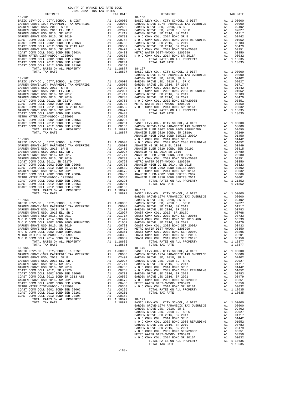| COUNTY OF ORANGE TAX RATE BOOK<br>2021-2022 TRA TAX RATES |  |                                                                                                                                                                                                                                                                                                                                                                                                      |          |
|-----------------------------------------------------------|--|------------------------------------------------------------------------------------------------------------------------------------------------------------------------------------------------------------------------------------------------------------------------------------------------------------------------------------------------------------------------------------------------------|----------|
| DISTRICT                                                  |  | RATES<br>TAX RATE 18-166<br>19-166<br>19-166<br>19-20 CLEV.SCI                                                                                                                                                                                                                                                                                                                                       | TAX RATE |
|                                                           |  |                                                                                                                                                                                                                                                                                                                                                                                                      |          |
|                                                           |  |                                                                                                                                                                                                                                                                                                                                                                                                      |          |
|                                                           |  |                                                                                                                                                                                                                                                                                                                                                                                                      |          |
|                                                           |  |                                                                                                                                                                                                                                                                                                                                                                                                      |          |
|                                                           |  |                                                                                                                                                                                                                                                                                                                                                                                                      |          |
|                                                           |  |                                                                                                                                                                                                                                                                                                                                                                                                      |          |
|                                                           |  |                                                                                                                                                                                                                                                                                                                                                                                                      |          |
|                                                           |  |                                                                                                                                                                                                                                                                                                                                                                                                      |          |
|                                                           |  |                                                                                                                                                                                                                                                                                                                                                                                                      |          |
|                                                           |  |                                                                                                                                                                                                                                                                                                                                                                                                      |          |
|                                                           |  |                                                                                                                                                                                                                                                                                                                                                                                                      |          |
|                                                           |  |                                                                                                                                                                                                                                                                                                                                                                                                      |          |
|                                                           |  |                                                                                                                                                                                                                                                                                                                                                                                                      |          |
|                                                           |  |                                                                                                                                                                                                                                                                                                                                                                                                      |          |
|                                                           |  |                                                                                                                                                                                                                                                                                                                                                                                                      |          |
|                                                           |  |                                                                                                                                                                                                                                                                                                                                                                                                      |          |
|                                                           |  |                                                                                                                                                                                                                                                                                                                                                                                                      |          |
|                                                           |  |                                                                                                                                                                                                                                                                                                                                                                                                      |          |
|                                                           |  |                                                                                                                                                                                                                                                                                                                                                                                                      |          |
|                                                           |  |                                                                                                                                                                                                                                                                                                                                                                                                      |          |
|                                                           |  |                                                                                                                                                                                                                                                                                                                                                                                                      |          |
|                                                           |  |                                                                                                                                                                                                                                                                                                                                                                                                      |          |
|                                                           |  |                                                                                                                                                                                                                                                                                                                                                                                                      |          |
|                                                           |  |                                                                                                                                                                                                                                                                                                                                                                                                      |          |
|                                                           |  |                                                                                                                                                                                                                                                                                                                                                                                                      |          |
|                                                           |  |                                                                                                                                                                                                                                                                                                                                                                                                      |          |
|                                                           |  |                                                                                                                                                                                                                                                                                                                                                                                                      |          |
|                                                           |  |                                                                                                                                                                                                                                                                                                                                                                                                      |          |
|                                                           |  |                                                                                                                                                                                                                                                                                                                                                                                                      |          |
|                                                           |  |                                                                                                                                                                                                                                                                                                                                                                                                      |          |
|                                                           |  |                                                                                                                                                                                                                                                                                                                                                                                                      |          |
|                                                           |  |                                                                                                                                                                                                                                                                                                                                                                                                      |          |
|                                                           |  |                                                                                                                                                                                                                                                                                                                                                                                                      |          |
|                                                           |  |                                                                                                                                                                                                                                                                                                                                                                                                      |          |
|                                                           |  |                                                                                                                                                                                                                                                                                                                                                                                                      |          |
|                                                           |  |                                                                                                                                                                                                                                                                                                                                                                                                      |          |
|                                                           |  |                                                                                                                                                                                                                                                                                                                                                                                                      |          |
|                                                           |  |                                                                                                                                                                                                                                                                                                                                                                                                      |          |
|                                                           |  |                                                                                                                                                                                                                                                                                                                                                                                                      |          |
|                                                           |  |                                                                                                                                                                                                                                                                                                                                                                                                      |          |
|                                                           |  |                                                                                                                                                                                                                                                                                                                                                                                                      |          |
|                                                           |  |                                                                                                                                                                                                                                                                                                                                                                                                      |          |
|                                                           |  |                                                                                                                                                                                                                                                                                                                                                                                                      |          |
|                                                           |  |                                                                                                                                                                                                                                                                                                                                                                                                      |          |
|                                                           |  |                                                                                                                                                                                                                                                                                                                                                                                                      |          |
|                                                           |  |                                                                                                                                                                                                                                                                                                                                                                                                      |          |
|                                                           |  |                                                                                                                                                                                                                                                                                                                                                                                                      |          |
|                                                           |  |                                                                                                                                                                                                                                                                                                                                                                                                      |          |
|                                                           |  |                                                                                                                                                                                                                                                                                                                                                                                                      |          |
|                                                           |  |                                                                                                                                                                                                                                                                                                                                                                                                      |          |
|                                                           |  | $\begin{tabular}{l c c c c c c c c} \multicolumn{1}{c}{\textbf{GARDEN GROVE USD 2016, SE 2012}} & \multicolumn{1}{c}{\textbf{A1}} & .00479 & \multicolumn{1}{c}{\textbf{METRO WATEE DIST-MWDOC-120599}} & \multicolumn{1}{c}{\textbf{A1}} & .00479 & \multicolumn{1}{c}{\textbf{METRO WATE DIST-MWDOC-120599}} & \multicolumn{1}{c}{\textbf{A1}} & .00350 & \multicolumn{1}{c}{\textbf{A2}} & .0047$ |          |
|                                                           |  |                                                                                                                                                                                                                                                                                                                                                                                                      |          |
|                                                           |  |                                                                                                                                                                                                                                                                                                                                                                                                      |          |
|                                                           |  |                                                                                                                                                                                                                                                                                                                                                                                                      |          |
|                                                           |  |                                                                                                                                                                                                                                                                                                                                                                                                      |          |
|                                                           |  |                                                                                                                                                                                                                                                                                                                                                                                                      |          |
|                                                           |  |                                                                                                                                                                                                                                                                                                                                                                                                      |          |
|                                                           |  |                                                                                                                                                                                                                                                                                                                                                                                                      |          |
|                                                           |  |                                                                                                                                                                                                                                                                                                                                                                                                      |          |
|                                                           |  |                                                                                                                                                                                                                                                                                                                                                                                                      |          |
|                                                           |  |                                                                                                                                                                                                                                                                                                                                                                                                      |          |
|                                                           |  |                                                                                                                                                                                                                                                                                                                                                                                                      |          |
|                                                           |  |                                                                                                                                                                                                                                                                                                                                                                                                      |          |
|                                                           |  |                                                                                                                                                                                                                                                                                                                                                                                                      |          |
|                                                           |  |                                                                                                                                                                                                                                                                                                                                                                                                      |          |
|                                                           |  |                                                                                                                                                                                                                                                                                                                                                                                                      |          |
|                                                           |  |                                                                                                                                                                                                                                                                                                                                                                                                      |          |
|                                                           |  | $\begin{tabular}{cccc} TCTAL TAX RATE & T11.8635 & T07AL TAX RATE & 1.18675 & T07AL TAX RATE & 1.18677 \\ \hline \texttt{BASIC LBYC-C, CITY, SCHODL, & D111 & 0.00000 & BASEC LBYA RAYEDIC TAX OVERRIDE & M1.00000 \\ \texttt{QADEBM GROVE} & 0.01 & 0.01 & 0.00000 \\ \texttt{QADEBM GROVE} & 0.01 & 0.00000 \\ \texttt{QADEBM GROVE} & 0.01 & 0.00000 \\ \text$                                    |          |
|                                                           |  |                                                                                                                                                                                                                                                                                                                                                                                                      |          |
|                                                           |  |                                                                                                                                                                                                                                                                                                                                                                                                      |          |
|                                                           |  |                                                                                                                                                                                                                                                                                                                                                                                                      |          |
|                                                           |  |                                                                                                                                                                                                                                                                                                                                                                                                      |          |
|                                                           |  |                                                                                                                                                                                                                                                                                                                                                                                                      |          |

|  |  | GARDEN GROVE USD, 2010, SR B                                                                                 |                                  | A1 .02402 |
|--|--|--------------------------------------------------------------------------------------------------------------|----------------------------------|-----------|
|  |  | GARDEN GROVE USD, 2010 EL, SR C                                                                              |                                  | A1 .02027 |
|  |  | GARDEN GROVE USD 2016, SR 2017                                                                               |                                  | A1 .01717 |
|  |  |                                                                                                              |                                  |           |
|  |  |                                                                                                              |                                  |           |
|  |  |                                                                                                              | A1.00351<br>A1.00350<br>A1.00032 |           |
|  |  | N O C COMM COLL 2002 BOND SER#2003B<br>METRO WATER DIST-MWDOC- 1205999<br>N O C COMM COLL 2014 BOND SR 2016A |                                  |           |
|  |  | MM COLL 2014 BOND SR 2016A<br>TOTAL RATES ON ALL PROPERTY<br>TOTAL TAY PATE                                  |                                  |           |
|  |  | TOTAL TAX RATE                                                                                               |                                  | 1.18635   |
|  |  |                                                                                                              |                                  |           |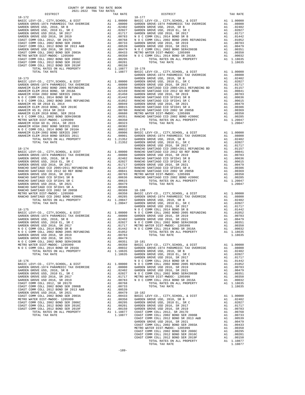| 2021-2022 TRA TAX RATES<br>DISTRICT | TAX RATE | DISTRICT   | TAX RATE |
|-------------------------------------|----------|------------|----------|
| $18 - 172$                          |          | $18 - 177$ |          |
|                                     |          |            |          |
|                                     |          |            |          |
|                                     |          |            |          |
|                                     |          |            |          |
|                                     |          |            |          |
|                                     |          |            |          |
|                                     |          |            |          |
|                                     |          |            |          |
|                                     |          |            |          |
|                                     |          |            |          |
|                                     |          |            |          |
|                                     |          |            |          |
|                                     |          |            |          |
|                                     |          |            |          |
|                                     |          |            |          |
|                                     |          |            |          |
|                                     |          |            |          |
|                                     |          |            |          |
|                                     |          |            |          |
|                                     |          |            |          |
|                                     |          |            |          |
|                                     |          |            |          |
|                                     |          |            |          |
|                                     |          |            |          |
|                                     |          |            |          |
|                                     |          |            |          |
|                                     |          |            |          |
|                                     |          |            |          |
|                                     |          |            |          |
|                                     |          |            |          |
|                                     |          |            |          |
|                                     |          |            |          |
|                                     |          |            |          |
|                                     |          |            |          |
|                                     |          |            |          |
|                                     |          |            |          |
|                                     |          |            |          |
|                                     |          |            |          |
|                                     |          |            |          |
|                                     |          |            |          |
|                                     |          |            |          |
|                                     |          |            |          |
|                                     |          |            |          |
|                                     |          |            |          |
|                                     |          |            |          |
|                                     |          |            |          |
|                                     |          |            |          |
|                                     |          |            |          |
|                                     |          |            |          |
|                                     |          |            |          |
|                                     |          |            |          |
|                                     |          |            |          |
|                                     |          |            |          |
|                                     |          |            |          |
|                                     |          |            |          |
|                                     |          |            |          |
|                                     |          |            |          |
|                                     |          |            |          |
|                                     |          |            |          |
|                                     |          |            |          |
|                                     |          |            |          |
|                                     |          |            |          |
|                                     |          |            |          |
|                                     |          |            |          |
|                                     |          |            |          |
|                                     |          |            |          |
|                                     |          |            |          |
|                                     |          |            |          |
|                                     |          |            |          |
|                                     |          |            |          |
|                                     |          |            |          |
|                                     |          |            |          |
|                                     |          |            |          |
|                                     |          |            |          |
|                                     |          |            |          |
|                                     |          |            |          |
|                                     |          |            |          |
|                                     |          |            |          |
|                                     |          |            |          |
|                                     |          |            |          |

COUNTY OF ORANGE TAX RATE BOOK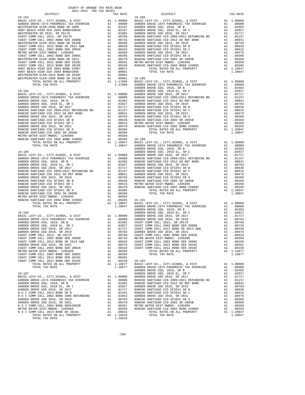| COUNTY OF ORANGE TAX RATE BOOK<br>2021-2022 TRA TAX RATES |          |          |          |
|-----------------------------------------------------------|----------|----------|----------|
| DISTRICT                                                  | TAX RATE | DISTRICT | TAX RATE |
|                                                           |          |          |          |
|                                                           |          |          |          |
|                                                           |          |          |          |
|                                                           |          |          |          |
|                                                           |          |          |          |
|                                                           |          |          |          |
|                                                           |          |          |          |
|                                                           |          |          |          |
|                                                           |          |          |          |
|                                                           |          |          |          |
|                                                           |          |          |          |
|                                                           |          |          |          |
|                                                           |          |          |          |
|                                                           |          |          |          |
|                                                           |          |          |          |
|                                                           |          |          |          |
|                                                           |          |          |          |
|                                                           |          |          |          |
|                                                           |          |          |          |
|                                                           |          |          |          |
|                                                           |          |          |          |
|                                                           |          |          |          |
|                                                           |          |          |          |
|                                                           |          |          |          |
|                                                           |          |          |          |
|                                                           |          |          |          |
|                                                           |          |          |          |
|                                                           |          |          |          |
|                                                           |          |          |          |
|                                                           |          |          |          |
|                                                           |          |          |          |
|                                                           |          |          |          |
|                                                           |          |          |          |
|                                                           |          |          |          |
|                                                           |          |          |          |
|                                                           |          |          |          |
|                                                           |          |          |          |
|                                                           |          |          |          |
|                                                           |          |          |          |
|                                                           |          |          |          |
|                                                           |          |          |          |
|                                                           |          |          |          |
|                                                           |          |          |          |
|                                                           |          |          |          |
|                                                           |          |          |          |
|                                                           |          |          |          |
|                                                           |          |          |          |
|                                                           |          |          |          |
|                                                           |          |          |          |
|                                                           |          |          |          |
|                                                           |          |          |          |
|                                                           |          |          |          |
|                                                           |          |          |          |
|                                                           |          |          |          |
|                                                           |          |          |          |
|                                                           |          |          |          |
|                                                           |          |          |          |
|                                                           |          |          |          |
|                                                           |          |          |          |
|                                                           |          |          |          |
| TOTAL TAX RATE                                            | 1.18635  |          |          |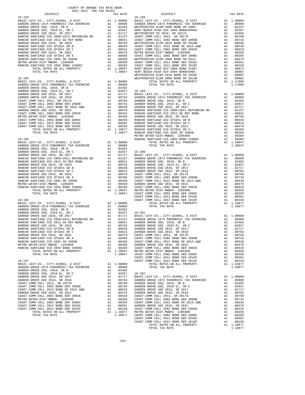| COUNTY OF ORANGE TAX RATE BOOK<br>2021-2022 TRA TAX RATES |          |          |          |
|-----------------------------------------------------------|----------|----------|----------|
| DISTRICT                                                  | TAX RATE | DISTRICT | TAX RATE |
|                                                           |          |          |          |
|                                                           |          |          |          |
|                                                           |          |          |          |
|                                                           |          |          |          |
|                                                           |          |          |          |
|                                                           |          |          |          |
|                                                           |          |          |          |
|                                                           |          |          |          |
|                                                           |          |          |          |
|                                                           |          |          |          |
|                                                           |          |          |          |
|                                                           |          |          |          |
|                                                           |          |          |          |
|                                                           |          |          |          |
|                                                           |          |          |          |
|                                                           |          |          |          |
|                                                           |          |          |          |
|                                                           |          |          |          |
|                                                           |          |          |          |
|                                                           |          |          |          |
|                                                           |          |          |          |
|                                                           |          |          |          |
|                                                           |          |          |          |
|                                                           |          |          |          |
|                                                           |          |          |          |
|                                                           |          |          |          |
|                                                           |          |          |          |
|                                                           |          |          |          |
|                                                           |          |          |          |
|                                                           |          |          |          |
|                                                           |          |          |          |
|                                                           |          |          |          |
|                                                           |          |          |          |
|                                                           |          |          |          |
|                                                           |          |          |          |
|                                                           |          |          |          |
|                                                           |          |          |          |
|                                                           |          |          |          |
|                                                           |          |          |          |
|                                                           |          |          |          |
|                                                           |          |          |          |
|                                                           |          |          |          |
|                                                           |          |          |          |
|                                                           |          |          |          |
|                                                           |          |          |          |
|                                                           |          |          |          |
|                                                           |          |          |          |
|                                                           |          |          |          |
|                                                           |          |          |          |
|                                                           |          |          |          |
|                                                           |          |          |          |
|                                                           |          |          |          |
|                                                           |          |          |          |
|                                                           |          |          |          |
|                                                           |          |          |          |
|                                                           |          |          |          |
|                                                           |          |          |          |
|                                                           |          |          |          |
|                                                           |          |          |          |
|                                                           |          |          |          |
|                                                           |          |          |          |
|                                                           |          |          |          |
|                                                           |          |          |          |
|                                                           |          |          |          |
|                                                           |          |          |          |
|                                                           |          |          |          |
|                                                           |          |          |          |
|                                                           |          |          |          |
|                                                           |          |          |          |
|                                                           |          |          |          |
|                                                           |          |          |          |
|                                                           |          |          |          |
|                                                           |          |          |          |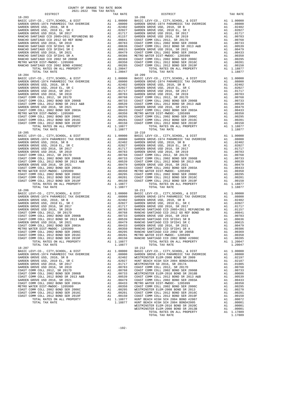| $18 - 203$                                                                       |        |                                                                                                                                                                                                                                | $18 - 208$        |
|----------------------------------------------------------------------------------|--------|--------------------------------------------------------------------------------------------------------------------------------------------------------------------------------------------------------------------------------|-------------------|
|                                                                                  |        |                                                                                                                                                                                                                                |                   |
|                                                                                  |        |                                                                                                                                                                                                                                |                   |
|                                                                                  |        |                                                                                                                                                                                                                                |                   |
|                                                                                  |        |                                                                                                                                                                                                                                |                   |
|                                                                                  |        |                                                                                                                                                                                                                                |                   |
|                                                                                  |        |                                                                                                                                                                                                                                |                   |
|                                                                                  |        |                                                                                                                                                                                                                                |                   |
|                                                                                  |        |                                                                                                                                                                                                                                |                   |
|                                                                                  |        |                                                                                                                                                                                                                                |                   |
|                                                                                  |        |                                                                                                                                                                                                                                |                   |
|                                                                                  |        |                                                                                                                                                                                                                                |                   |
|                                                                                  |        |                                                                                                                                                                                                                                |                   |
| TOTAL TAX RATE                                                                   |        | 1.20047                                                                                                                                                                                                                        |                   |
| $18 - 204$                                                                       |        |                                                                                                                                                                                                                                | $18 - 209$        |
|                                                                                  |        |                                                                                                                                                                                                                                |                   |
|                                                                                  |        |                                                                                                                                                                                                                                |                   |
|                                                                                  |        |                                                                                                                                                                                                                                |                   |
|                                                                                  |        |                                                                                                                                                                                                                                |                   |
|                                                                                  |        |                                                                                                                                                                                                                                |                   |
|                                                                                  |        |                                                                                                                                                                                                                                |                   |
|                                                                                  |        |                                                                                                                                                                                                                                |                   |
|                                                                                  |        |                                                                                                                                                                                                                                |                   |
|                                                                                  |        |                                                                                                                                                                                                                                |                   |
|                                                                                  |        |                                                                                                                                                                                                                                |                   |
|                                                                                  |        |                                                                                                                                                                                                                                |                   |
|                                                                                  |        |                                                                                                                                                                                                                                |                   |
|                                                                                  |        | 1.18877                                                                                                                                                                                                                        |                   |
|                                                                                  |        |                                                                                                                                                                                                                                |                   |
|                                                                                  |        |                                                                                                                                                                                                                                |                   |
|                                                                                  |        |                                                                                                                                                                                                                                |                   |
|                                                                                  |        |                                                                                                                                                                                                                                |                   |
|                                                                                  |        |                                                                                                                                                                                                                                |                   |
|                                                                                  |        |                                                                                                                                                                                                                                |                   |
|                                                                                  |        |                                                                                                                                                                                                                                |                   |
|                                                                                  |        |                                                                                                                                                                                                                                |                   |
|                                                                                  |        |                                                                                                                                                                                                                                |                   |
|                                                                                  |        |                                                                                                                                                                                                                                |                   |
|                                                                                  |        |                                                                                                                                                                                                                                |                   |
|                                                                                  |        |                                                                                                                                                                                                                                |                   |
|                                                                                  |        |                                                                                                                                                                                                                                |                   |
|                                                                                  |        |                                                                                                                                                                                                                                |                   |
|                                                                                  |        |                                                                                                                                                                                                                                |                   |
|                                                                                  |        |                                                                                                                                                                                                                                |                   |
|                                                                                  |        |                                                                                                                                                                                                                                |                   |
|                                                                                  |        |                                                                                                                                                                                                                                |                   |
|                                                                                  |        |                                                                                                                                                                                                                                |                   |
|                                                                                  |        |                                                                                                                                                                                                                                |                   |
|                                                                                  |        |                                                                                                                                                                                                                                |                   |
|                                                                                  |        |                                                                                                                                                                                                                                |                   |
|                                                                                  |        |                                                                                                                                                                                                                                |                   |
|                                                                                  |        |                                                                                                                                                                                                                                |                   |
|                                                                                  |        |                                                                                                                                                                                                                                |                   |
|                                                                                  |        |                                                                                                                                                                                                                                |                   |
|                                                                                  |        |                                                                                                                                                                                                                                |                   |
| TOTAL RATES ON ALL PROPERTY<br>TOTAL TAX RATE                                    | $A1$ 1 | 1.18877<br>1.18877                                                                                                                                                                                                             |                   |
| $18 - 207$                                                                       |        |                                                                                                                                                                                                                                | $18 - 212$        |
| BASIC LEVY-CO., CITY, SCHOOL, & DIST<br>GARDEN GROVE-1974 PARAMEDIC TAX OVERRIDE | A1     | 1.00000<br>A1 .08000                                                                                                                                                                                                           | BASIC L<br>GARDEN |
| GARDEN GROVE USD, 2010, SR B                                                     | A1     | .02402                                                                                                                                                                                                                         | WESTMIN           |
| GARDEN GROVE USD, 2010 EL, SR C                                                  | A1     | .02027                                                                                                                                                                                                                         | HUNT BE           |
| GARDEN GROVE USD 2016, SR 2017                                                   | A1     | .01717                                                                                                                                                                                                                         | WESTMIN           |
| GARDEN GROVE USD 2016, SR 2019                                                   |        |                                                                                                                                                                                                                                |                   |
| COAST COMM COLL 2012, SR 2017D<br>COAST COMM COLL 2002 BOND SER 2006B            |        | A1 .00783 COAST CONTRACTER AND .00783 COAST COAST COAST COAST COAST COAST COAST COAST COAST COAST COAST COAST COAST COAST COAST COAST COAST COAST COAST COAST COAST COAST COAST COAST COAST COAST COAST COAST COAST COAST COAS |                   |
| COAST COMM COLL 2012 BOND SR 2013 A&B                                            |        |                                                                                                                                                                                                                                |                   |
| GARDEN GROVE USD 2016, SR 2021                                                   |        |                                                                                                                                                                                                                                |                   |
| COAST COMM COLL 2002 BOND SER 2003A                                              |        |                                                                                                                                                                                                                                |                   |
| METRO WATER DIST-MWDOC- 1205999<br>COAST COMM COLL 2002 BOND SER 2006C           |        |                                                                                                                                                                                                                                |                   |
| COAST COMM COLL 2012 BOND SER 2016C                                              | A1     | .00201                                                                                                                                                                                                                         | COAST C           |
| COAST COMM COLL 2012 BOND SER 2019F                                              | A1     | .00150                                                                                                                                                                                                                         | COAST C           |
| TOTAL RATES ON ALL PROPERTY                                                      |        | A1 1.18877                                                                                                                                                                                                                     | HUNT BE           |
| TOTAL TAX RATE                                                                   |        | 1.18877                                                                                                                                                                                                                        | HUNT BE           |

| COUNTY OF ORANGE TAX RATE BOOK<br>2021-2022 TRA TAX RATES |          |                                                                                                                                                                                                                                                     |          |
|-----------------------------------------------------------|----------|-----------------------------------------------------------------------------------------------------------------------------------------------------------------------------------------------------------------------------------------------------|----------|
| DISTRICT                                                  | TAX RATE | DISTRICT                                                                                                                                                                                                                                            | TAX RATE |
|                                                           |          |                                                                                                                                                                                                                                                     |          |
|                                                           |          |                                                                                                                                                                                                                                                     |          |
|                                                           |          |                                                                                                                                                                                                                                                     |          |
|                                                           |          |                                                                                                                                                                                                                                                     |          |
|                                                           |          |                                                                                                                                                                                                                                                     |          |
|                                                           |          |                                                                                                                                                                                                                                                     |          |
|                                                           |          |                                                                                                                                                                                                                                                     |          |
|                                                           |          |                                                                                                                                                                                                                                                     |          |
|                                                           |          |                                                                                                                                                                                                                                                     |          |
|                                                           |          |                                                                                                                                                                                                                                                     |          |
|                                                           |          |                                                                                                                                                                                                                                                     |          |
|                                                           |          |                                                                                                                                                                                                                                                     |          |
|                                                           |          |                                                                                                                                                                                                                                                     |          |
|                                                           |          |                                                                                                                                                                                                                                                     |          |
|                                                           |          |                                                                                                                                                                                                                                                     |          |
|                                                           |          | METRO WATER DIST (NOTE) 1999 MANCHO SANTIAGO CCD 2002 SR 2005E<br>2004 COAST COMM COLL 2012 BOND SER 2016C<br>2004 COAST COMM COLL 2012 BOND SER 2016C<br>2005 COAST COMM COLL 2012 BOND SER 2016C<br>2006 MALL PROPERTY ALL PROPERTY<br>$18 - 212$ |          |
|                                                           |          |                                                                                                                                                                                                                                                     |          |
|                                                           |          |                                                                                                                                                                                                                                                     |          |
|                                                           |          |                                                                                                                                                                                                                                                     |          |
|                                                           |          |                                                                                                                                                                                                                                                     |          |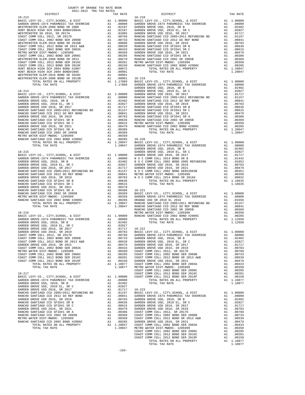| COUNTY OF ORANGE TAX RATE BOOK<br>$\begin{minipage}{.4\textwidth} \begin{tabular}{lcccccc} & $\textsc{0.000}\label{fig:0.00} \end{tabular} \vspace{-.3cm} \begin{tabular}{lcccccc} \multicolumn{2}{c}{\textbf{0.00}} & $\textsc{0.000}\label{fig:0.00} \end{tabular} \vspace{-.3cm} \begin{tabular}{lcccccc} \multicolumn{2}{c}{\textbf{0.00}} & $\textsc{0.000}\label{fig:0.00} \end{tabular} \vspace{-.3cm} \begin{tabular}{lcccccc} \multicolumn{2}{c}{\textbf{0.00}} & $\textsc{0.000}\$ |  |                                                 |          |
|----------------------------------------------------------------------------------------------------------------------------------------------------------------------------------------------------------------------------------------------------------------------------------------------------------------------------------------------------------------------------------------------------------------------------------------------------------------------------------------------|--|-------------------------------------------------|----------|
|                                                                                                                                                                                                                                                                                                                                                                                                                                                                                              |  | EA TAX RAILS<br>TAX RATE DISTRICT<br>$18 - 218$ | TAX RATE |
|                                                                                                                                                                                                                                                                                                                                                                                                                                                                                              |  |                                                 |          |
|                                                                                                                                                                                                                                                                                                                                                                                                                                                                                              |  |                                                 |          |
|                                                                                                                                                                                                                                                                                                                                                                                                                                                                                              |  |                                                 |          |
|                                                                                                                                                                                                                                                                                                                                                                                                                                                                                              |  |                                                 |          |
|                                                                                                                                                                                                                                                                                                                                                                                                                                                                                              |  |                                                 |          |
|                                                                                                                                                                                                                                                                                                                                                                                                                                                                                              |  |                                                 |          |
|                                                                                                                                                                                                                                                                                                                                                                                                                                                                                              |  |                                                 |          |
|                                                                                                                                                                                                                                                                                                                                                                                                                                                                                              |  |                                                 |          |
|                                                                                                                                                                                                                                                                                                                                                                                                                                                                                              |  |                                                 |          |
|                                                                                                                                                                                                                                                                                                                                                                                                                                                                                              |  |                                                 |          |
|                                                                                                                                                                                                                                                                                                                                                                                                                                                                                              |  |                                                 |          |
|                                                                                                                                                                                                                                                                                                                                                                                                                                                                                              |  |                                                 |          |
|                                                                                                                                                                                                                                                                                                                                                                                                                                                                                              |  |                                                 |          |
|                                                                                                                                                                                                                                                                                                                                                                                                                                                                                              |  |                                                 |          |
|                                                                                                                                                                                                                                                                                                                                                                                                                                                                                              |  |                                                 |          |
|                                                                                                                                                                                                                                                                                                                                                                                                                                                                                              |  |                                                 |          |
|                                                                                                                                                                                                                                                                                                                                                                                                                                                                                              |  |                                                 |          |
|                                                                                                                                                                                                                                                                                                                                                                                                                                                                                              |  |                                                 |          |
|                                                                                                                                                                                                                                                                                                                                                                                                                                                                                              |  |                                                 |          |
|                                                                                                                                                                                                                                                                                                                                                                                                                                                                                              |  |                                                 |          |
|                                                                                                                                                                                                                                                                                                                                                                                                                                                                                              |  |                                                 |          |
|                                                                                                                                                                                                                                                                                                                                                                                                                                                                                              |  |                                                 |          |
|                                                                                                                                                                                                                                                                                                                                                                                                                                                                                              |  |                                                 |          |
|                                                                                                                                                                                                                                                                                                                                                                                                                                                                                              |  |                                                 |          |
|                                                                                                                                                                                                                                                                                                                                                                                                                                                                                              |  |                                                 |          |
|                                                                                                                                                                                                                                                                                                                                                                                                                                                                                              |  |                                                 |          |
|                                                                                                                                                                                                                                                                                                                                                                                                                                                                                              |  |                                                 |          |
|                                                                                                                                                                                                                                                                                                                                                                                                                                                                                              |  |                                                 |          |
|                                                                                                                                                                                                                                                                                                                                                                                                                                                                                              |  |                                                 |          |
|                                                                                                                                                                                                                                                                                                                                                                                                                                                                                              |  |                                                 |          |
|                                                                                                                                                                                                                                                                                                                                                                                                                                                                                              |  |                                                 |          |
|                                                                                                                                                                                                                                                                                                                                                                                                                                                                                              |  |                                                 |          |
|                                                                                                                                                                                                                                                                                                                                                                                                                                                                                              |  |                                                 |          |
|                                                                                                                                                                                                                                                                                                                                                                                                                                                                                              |  |                                                 |          |
|                                                                                                                                                                                                                                                                                                                                                                                                                                                                                              |  |                                                 |          |
|                                                                                                                                                                                                                                                                                                                                                                                                                                                                                              |  |                                                 |          |
|                                                                                                                                                                                                                                                                                                                                                                                                                                                                                              |  |                                                 |          |
|                                                                                                                                                                                                                                                                                                                                                                                                                                                                                              |  |                                                 |          |
|                                                                                                                                                                                                                                                                                                                                                                                                                                                                                              |  |                                                 |          |
|                                                                                                                                                                                                                                                                                                                                                                                                                                                                                              |  |                                                 |          |
|                                                                                                                                                                                                                                                                                                                                                                                                                                                                                              |  |                                                 |          |
|                                                                                                                                                                                                                                                                                                                                                                                                                                                                                              |  |                                                 |          |
|                                                                                                                                                                                                                                                                                                                                                                                                                                                                                              |  |                                                 |          |
|                                                                                                                                                                                                                                                                                                                                                                                                                                                                                              |  |                                                 |          |
|                                                                                                                                                                                                                                                                                                                                                                                                                                                                                              |  |                                                 |          |
|                                                                                                                                                                                                                                                                                                                                                                                                                                                                                              |  |                                                 |          |
|                                                                                                                                                                                                                                                                                                                                                                                                                                                                                              |  |                                                 |          |
|                                                                                                                                                                                                                                                                                                                                                                                                                                                                                              |  |                                                 |          |
|                                                                                                                                                                                                                                                                                                                                                                                                                                                                                              |  |                                                 |          |
|                                                                                                                                                                                                                                                                                                                                                                                                                                                                                              |  |                                                 |          |
|                                                                                                                                                                                                                                                                                                                                                                                                                                                                                              |  |                                                 |          |
|                                                                                                                                                                                                                                                                                                                                                                                                                                                                                              |  |                                                 |          |
|                                                                                                                                                                                                                                                                                                                                                                                                                                                                                              |  |                                                 |          |
|                                                                                                                                                                                                                                                                                                                                                                                                                                                                                              |  |                                                 |          |
|                                                                                                                                                                                                                                                                                                                                                                                                                                                                                              |  |                                                 |          |
|                                                                                                                                                                                                                                                                                                                                                                                                                                                                                              |  |                                                 |          |
|                                                                                                                                                                                                                                                                                                                                                                                                                                                                                              |  |                                                 |          |
|                                                                                                                                                                                                                                                                                                                                                                                                                                                                                              |  |                                                 |          |
|                                                                                                                                                                                                                                                                                                                                                                                                                                                                                              |  |                                                 |          |
|                                                                                                                                                                                                                                                                                                                                                                                                                                                                                              |  |                                                 |          |
|                                                                                                                                                                                                                                                                                                                                                                                                                                                                                              |  |                                                 |          |
|                                                                                                                                                                                                                                                                                                                                                                                                                                                                                              |  |                                                 |          |
|                                                                                                                                                                                                                                                                                                                                                                                                                                                                                              |  |                                                 |          |
|                                                                                                                                                                                                                                                                                                                                                                                                                                                                                              |  |                                                 |          |
|                                                                                                                                                                                                                                                                                                                                                                                                                                                                                              |  |                                                 |          |
|                                                                                                                                                                                                                                                                                                                                                                                                                                                                                              |  |                                                 |          |
|                                                                                                                                                                                                                                                                                                                                                                                                                                                                                              |  |                                                 |          |
|                                                                                                                                                                                                                                                                                                                                                                                                                                                                                              |  |                                                 |          |
|                                                                                                                                                                                                                                                                                                                                                                                                                                                                                              |  |                                                 |          |
|                                                                                                                                                                                                                                                                                                                                                                                                                                                                                              |  |                                                 |          |
|                                                                                                                                                                                                                                                                                                                                                                                                                                                                                              |  |                                                 |          |
|                                                                                                                                                                                                                                                                                                                                                                                                                                                                                              |  |                                                 |          |
|                                                                                                                                                                                                                                                                                                                                                                                                                                                                                              |  |                                                 |          |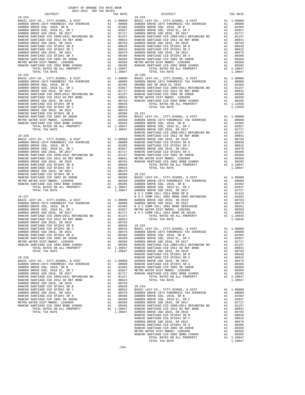| COUNTI OF ORNHOL THE RAID BOOK<br>2021-2022 TRA TAX RATES<br>DISTRICT | TAX RATE | DISTRICT   | TAX RATE |
|-----------------------------------------------------------------------|----------|------------|----------|
| $18 - 224$                                                            |          | $18 - 229$ |          |
|                                                                       |          |            |          |
|                                                                       |          |            |          |
|                                                                       |          |            |          |
|                                                                       |          |            |          |
|                                                                       |          |            |          |
|                                                                       |          |            |          |
|                                                                       |          |            |          |
|                                                                       |          |            |          |
|                                                                       |          |            |          |
|                                                                       |          |            |          |
|                                                                       |          |            |          |
|                                                                       |          |            |          |
|                                                                       |          |            |          |
|                                                                       |          |            |          |
|                                                                       |          |            |          |
|                                                                       |          |            |          |
|                                                                       |          |            |          |
|                                                                       |          |            |          |
|                                                                       |          |            |          |
|                                                                       |          |            |          |
|                                                                       |          |            |          |
|                                                                       |          |            |          |
|                                                                       |          |            |          |
|                                                                       |          |            |          |
|                                                                       |          |            |          |
|                                                                       |          |            |          |
|                                                                       |          |            |          |
|                                                                       |          |            |          |
|                                                                       |          |            |          |
|                                                                       |          |            |          |
|                                                                       |          |            |          |
|                                                                       |          |            |          |
|                                                                       |          |            |          |
|                                                                       |          |            |          |
|                                                                       |          |            |          |
|                                                                       |          |            |          |
|                                                                       |          |            |          |
|                                                                       |          |            |          |
|                                                                       |          |            |          |
|                                                                       |          |            |          |
|                                                                       |          |            |          |
|                                                                       |          |            |          |
|                                                                       |          |            |          |
|                                                                       |          |            |          |
|                                                                       |          |            |          |
|                                                                       |          |            |          |
|                                                                       |          |            |          |
|                                                                       |          |            |          |
|                                                                       |          |            |          |
|                                                                       |          |            |          |
|                                                                       |          |            |          |
|                                                                       |          |            |          |
|                                                                       |          |            |          |
|                                                                       |          |            |          |
|                                                                       |          |            |          |
|                                                                       |          |            |          |
|                                                                       |          |            |          |
|                                                                       |          |            |          |
|                                                                       |          |            |          |
|                                                                       |          |            |          |
|                                                                       |          |            |          |
|                                                                       |          |            |          |
|                                                                       |          |            |          |
|                                                                       |          |            |          |
|                                                                       |          |            |          |
|                                                                       |          |            |          |
|                                                                       |          |            |          |
|                                                                       |          |            |          |
|                                                                       |          |            |          |
|                                                                       |          |            |          |
|                                                                       |          |            |          |
|                                                                       |          |            |          |
|                                                                       |          |            |          |
|                                                                       |          |            |          |
|                                                                       |          |            |          |
|                                                                       |          |            |          |
|                                                                       |          |            |          |
|                                                                       |          |            |          |
|                                                                       |          |            |          |
|                                                                       |          |            |          |
|                                                                       |          |            |          |
|                                                                       |          |            |          |
|                                                                       |          |            |          |
|                                                                       |          |            |          |

COUNTY OF ORANGE TAX RATE BOOK

-194-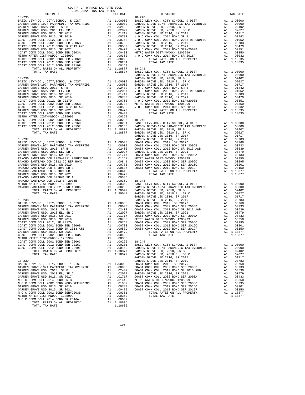| COUNTY OF ORANGE TAX RATE BOOK<br>2021-2022 TRA TAX RATES |          |            |          |
|-----------------------------------------------------------|----------|------------|----------|
| DISTRICT                                                  | TAX RATE | DISTRICT   | TAX RATE |
| $18 - 235$                                                |          | $18 - 240$ |          |
|                                                           |          |            |          |
|                                                           |          |            |          |
|                                                           |          |            |          |
|                                                           |          |            |          |
|                                                           |          |            |          |
|                                                           |          |            |          |
|                                                           |          |            |          |
|                                                           |          |            |          |

-195-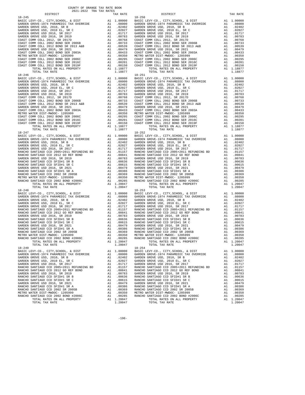|            | 2021-2022 TRA TAX RATES |          |                                                                                                                                                                                                                                          |          |
|------------|-------------------------|----------|------------------------------------------------------------------------------------------------------------------------------------------------------------------------------------------------------------------------------------------|----------|
| DISTRICT   |                         | TAX RATE | DISTRICT                                                                                                                                                                                                                                 | TAX RATE |
| $18 - 245$ |                         |          | $18 - 250$                                                                                                                                                                                                                               |          |
|            |                         |          |                                                                                                                                                                                                                                          |          |
|            |                         |          |                                                                                                                                                                                                                                          |          |
|            |                         |          |                                                                                                                                                                                                                                          |          |
|            |                         |          |                                                                                                                                                                                                                                          |          |
|            |                         |          |                                                                                                                                                                                                                                          |          |
|            |                         |          |                                                                                                                                                                                                                                          |          |
|            |                         |          |                                                                                                                                                                                                                                          |          |
|            |                         |          |                                                                                                                                                                                                                                          |          |
|            |                         |          |                                                                                                                                                                                                                                          |          |
|            |                         |          |                                                                                                                                                                                                                                          |          |
|            |                         |          |                                                                                                                                                                                                                                          |          |
|            |                         |          |                                                                                                                                                                                                                                          |          |
|            |                         |          |                                                                                                                                                                                                                                          |          |
|            |                         |          |                                                                                                                                                                                                                                          |          |
|            |                         |          |                                                                                                                                                                                                                                          |          |
|            |                         |          |                                                                                                                                                                                                                                          |          |
|            |                         |          |                                                                                                                                                                                                                                          |          |
|            |                         |          |                                                                                                                                                                                                                                          |          |
|            |                         |          |                                                                                                                                                                                                                                          |          |
|            |                         |          |                                                                                                                                                                                                                                          |          |
|            |                         |          |                                                                                                                                                                                                                                          |          |
|            |                         |          |                                                                                                                                                                                                                                          |          |
|            |                         |          |                                                                                                                                                                                                                                          |          |
|            |                         |          |                                                                                                                                                                                                                                          |          |
|            |                         |          |                                                                                                                                                                                                                                          |          |
|            |                         |          |                                                                                                                                                                                                                                          |          |
|            |                         |          |                                                                                                                                                                                                                                          |          |
|            |                         |          |                                                                                                                                                                                                                                          |          |
|            |                         |          |                                                                                                                                                                                                                                          |          |
|            |                         |          |                                                                                                                                                                                                                                          |          |
|            |                         |          |                                                                                                                                                                                                                                          |          |
|            |                         |          |                                                                                                                                                                                                                                          |          |
|            |                         |          |                                                                                                                                                                                                                                          |          |
|            |                         |          |                                                                                                                                                                                                                                          |          |
|            |                         |          |                                                                                                                                                                                                                                          |          |
|            |                         |          |                                                                                                                                                                                                                                          |          |
|            |                         |          |                                                                                                                                                                                                                                          |          |
|            |                         |          |                                                                                                                                                                                                                                          |          |
|            |                         |          |                                                                                                                                                                                                                                          |          |
|            |                         |          |                                                                                                                                                                                                                                          |          |
|            |                         |          |                                                                                                                                                                                                                                          |          |
|            |                         |          |                                                                                                                                                                                                                                          |          |
|            |                         |          |                                                                                                                                                                                                                                          |          |
|            |                         |          |                                                                                                                                                                                                                                          |          |
|            |                         |          |                                                                                                                                                                                                                                          |          |
|            |                         |          |                                                                                                                                                                                                                                          |          |
|            |                         |          |                                                                                                                                                                                                                                          |          |
|            |                         |          |                                                                                                                                                                                                                                          |          |
|            |                         |          |                                                                                                                                                                                                                                          |          |
|            |                         |          |                                                                                                                                                                                                                                          |          |
|            |                         |          |                                                                                                                                                                                                                                          |          |
|            |                         |          |                                                                                                                                                                                                                                          |          |
|            |                         |          |                                                                                                                                                                                                                                          |          |
|            |                         |          |                                                                                                                                                                                                                                          |          |
|            |                         |          |                                                                                                                                                                                                                                          |          |
|            |                         |          |                                                                                                                                                                                                                                          |          |
|            |                         |          |                                                                                                                                                                                                                                          |          |
|            |                         |          |                                                                                                                                                                                                                                          |          |
|            |                         |          |                                                                                                                                                                                                                                          |          |
|            |                         |          |                                                                                                                                                                                                                                          |          |
|            |                         |          |                                                                                                                                                                                                                                          |          |
|            |                         |          |                                                                                                                                                                                                                                          |          |
|            |                         |          |                                                                                                                                                                                                                                          |          |
|            |                         |          |                                                                                                                                                                                                                                          |          |
|            |                         |          |                                                                                                                                                                                                                                          |          |
|            |                         |          |                                                                                                                                                                                                                                          |          |
|            |                         |          |                                                                                                                                                                                                                                          |          |
|            |                         |          |                                                                                                                                                                                                                                          |          |
|            |                         |          |                                                                                                                                                                                                                                          |          |
|            |                         |          | METRO WATER DISTURNO COD 2002 BOND #20060<br>METRO WATER DISTURNO COD 2002 BOND #20060<br>METRO WATER DISTURNO COD 2002 BOND #20060<br>METRO WATER DISTURNO COD 2002 BOND #20060<br>TOTAL RATES ON ALL PROPERTY<br>TOTAL TAX RATE 1.2004 |          |
|            |                         |          |                                                                                                                                                                                                                                          |          |
|            |                         |          |                                                                                                                                                                                                                                          |          |
|            |                         |          |                                                                                                                                                                                                                                          |          |
|            |                         |          |                                                                                                                                                                                                                                          |          |
|            |                         |          |                                                                                                                                                                                                                                          |          |
|            |                         |          |                                                                                                                                                                                                                                          |          |
|            |                         |          |                                                                                                                                                                                                                                          |          |
|            |                         |          |                                                                                                                                                                                                                                          |          |
|            |                         |          |                                                                                                                                                                                                                                          |          |
|            |                         |          |                                                                                                                                                                                                                                          |          |
|            |                         |          |                                                                                                                                                                                                                                          |          |
|            |                         |          |                                                                                                                                                                                                                                          |          |
|            |                         |          |                                                                                                                                                                                                                                          |          |
|            |                         |          |                                                                                                                                                                                                                                          |          |
|            |                         |          |                                                                                                                                                                                                                                          |          |
|            |                         |          |                                                                                                                                                                                                                                          |          |
|            |                         |          |                                                                                                                                                                                                                                          |          |
|            |                         |          |                                                                                                                                                                                                                                          |          |
|            |                         |          |                                                                                                                                                                                                                                          |          |

COUNTY OF ORANGE TAX RATE BOOK

-196-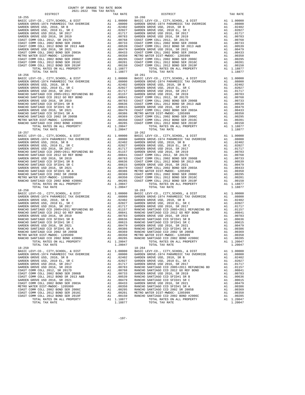| COUNTY OF ORANGE TAX RATE BOOK<br>2021-2022 TRA TAX RATES |          |            |          |
|-----------------------------------------------------------|----------|------------|----------|
| DISTRICT                                                  | TAX RATE | DISTRICT   | TAX RATE |
|                                                           |          |            |          |
|                                                           |          |            |          |
|                                                           |          |            |          |
|                                                           |          |            |          |
|                                                           |          |            |          |
|                                                           |          |            |          |
|                                                           |          |            |          |
|                                                           |          |            |          |
|                                                           |          |            |          |
|                                                           |          |            |          |
|                                                           |          |            |          |
|                                                           |          |            |          |
|                                                           |          |            |          |
|                                                           |          |            |          |
|                                                           |          |            |          |
|                                                           |          |            |          |
|                                                           |          |            |          |
|                                                           |          |            |          |
|                                                           |          |            |          |
|                                                           |          |            |          |
|                                                           |          |            |          |
|                                                           |          |            |          |
|                                                           |          |            |          |
|                                                           |          |            |          |
|                                                           |          |            |          |
|                                                           |          |            |          |
|                                                           |          |            |          |
|                                                           |          |            |          |
|                                                           |          |            |          |
|                                                           |          |            |          |
|                                                           |          |            |          |
|                                                           |          |            |          |
|                                                           |          |            |          |
|                                                           |          |            |          |
|                                                           |          |            |          |
|                                                           |          |            |          |
|                                                           |          |            |          |
|                                                           |          |            |          |
|                                                           |          |            |          |
|                                                           |          |            |          |
|                                                           |          |            |          |
| $18 - 259$                                                |          | $18 - 264$ |          |
|                                                           |          |            |          |
|                                                           |          |            |          |
|                                                           |          |            |          |
|                                                           |          |            |          |
|                                                           |          |            |          |
|                                                           |          |            |          |
|                                                           |          |            |          |
|                                                           |          |            |          |
|                                                           |          |            |          |
|                                                           |          |            |          |
|                                                           |          |            |          |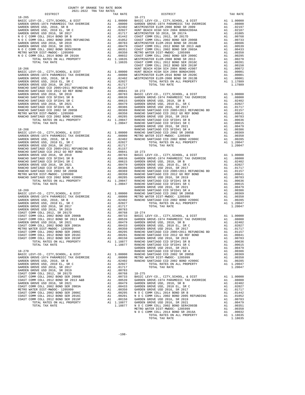| COUNTY OF ORANGE TAX RATE BOOK      |  |                                   |          |
|-------------------------------------|--|-----------------------------------|----------|
| 2021-2022 TRA TAX RATES<br>DISTRICT |  | TAX RATES<br>TAX RATE<br>DISTRICT | TAX RATE |
|                                     |  |                                   |          |
|                                     |  |                                   |          |
|                                     |  |                                   |          |
|                                     |  |                                   |          |
|                                     |  |                                   |          |
|                                     |  |                                   |          |
|                                     |  |                                   |          |
|                                     |  |                                   |          |
|                                     |  |                                   |          |
|                                     |  |                                   |          |
|                                     |  |                                   |          |
|                                     |  |                                   |          |
|                                     |  |                                   |          |
|                                     |  |                                   |          |
|                                     |  |                                   |          |
|                                     |  |                                   |          |
|                                     |  |                                   |          |
|                                     |  |                                   |          |
|                                     |  |                                   |          |
|                                     |  |                                   |          |
|                                     |  |                                   |          |
|                                     |  |                                   |          |
|                                     |  |                                   |          |
|                                     |  |                                   |          |
|                                     |  |                                   |          |
|                                     |  |                                   |          |
|                                     |  |                                   |          |
|                                     |  |                                   |          |
|                                     |  |                                   |          |
|                                     |  |                                   |          |
|                                     |  |                                   |          |
|                                     |  |                                   |          |
|                                     |  |                                   |          |
|                                     |  |                                   |          |
|                                     |  |                                   |          |
|                                     |  |                                   |          |
|                                     |  |                                   |          |
|                                     |  |                                   |          |
|                                     |  |                                   |          |
|                                     |  |                                   |          |
|                                     |  |                                   |          |
|                                     |  |                                   |          |
|                                     |  |                                   |          |
|                                     |  |                                   |          |
|                                     |  |                                   |          |
|                                     |  |                                   |          |
|                                     |  |                                   |          |
|                                     |  |                                   |          |
|                                     |  |                                   |          |
|                                     |  |                                   |          |
|                                     |  |                                   |          |
|                                     |  |                                   |          |
|                                     |  |                                   |          |
|                                     |  |                                   |          |
|                                     |  |                                   |          |
|                                     |  |                                   |          |
|                                     |  |                                   |          |
|                                     |  |                                   |          |
|                                     |  |                                   |          |
|                                     |  |                                   |          |
|                                     |  |                                   |          |
|                                     |  |                                   |          |

-198-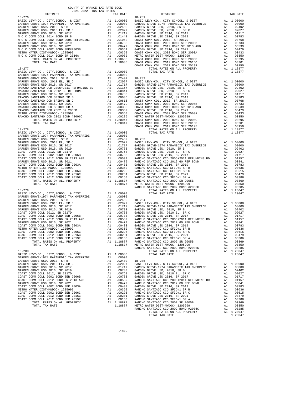| COUNTY OF ORANGE TAX RATE BOOK<br>2021-2022 TRA TAX RATES |          |            |          |
|-----------------------------------------------------------|----------|------------|----------|
| DISTRICT                                                  | TAX RATE | DISTRICT   | TAX RATE |
| $18 - 276$                                                |          | $18 - 281$ |          |
|                                                           |          |            |          |
|                                                           |          |            |          |
|                                                           |          |            |          |
|                                                           |          |            |          |
|                                                           |          |            |          |
|                                                           |          |            |          |
|                                                           |          |            |          |
|                                                           |          |            |          |
|                                                           |          |            |          |
|                                                           |          |            |          |
|                                                           |          |            |          |
|                                                           |          |            |          |
|                                                           |          |            |          |
|                                                           |          |            |          |
|                                                           |          |            |          |
|                                                           |          |            |          |
|                                                           |          |            |          |
|                                                           |          |            |          |
|                                                           |          |            |          |
|                                                           |          |            |          |
|                                                           |          |            |          |
|                                                           |          |            |          |
|                                                           |          |            |          |
|                                                           |          |            |          |
|                                                           |          |            |          |
|                                                           |          |            |          |
|                                                           |          |            |          |
|                                                           |          |            |          |
|                                                           |          |            |          |
|                                                           |          |            |          |
|                                                           |          |            |          |
|                                                           |          |            |          |
|                                                           |          |            |          |
|                                                           |          |            |          |
|                                                           |          |            |          |
|                                                           |          |            |          |
|                                                           |          |            |          |
|                                                           |          |            |          |
|                                                           |          |            |          |
|                                                           |          |            |          |
|                                                           |          |            |          |
|                                                           |          |            |          |
|                                                           |          |            |          |
|                                                           |          |            |          |
|                                                           |          |            |          |
|                                                           |          |            |          |
|                                                           |          |            |          |
|                                                           |          |            |          |
|                                                           |          |            |          |
|                                                           |          |            |          |
|                                                           |          |            |          |
|                                                           |          |            |          |
|                                                           |          |            |          |
|                                                           |          |            |          |
|                                                           |          |            |          |
|                                                           |          |            |          |
|                                                           |          |            |          |
|                                                           |          |            |          |
|                                                           |          |            |          |
|                                                           |          |            |          |
|                                                           |          |            |          |
|                                                           |          |            |          |
|                                                           |          |            |          |
|                                                           |          |            |          |
|                                                           |          |            |          |
|                                                           |          |            |          |
|                                                           |          |            |          |
|                                                           |          |            |          |
|                                                           |          |            |          |
|                                                           |          |            |          |
|                                                           |          |            |          |
|                                                           |          |            |          |
|                                                           |          |            |          |
|                                                           |          |            |          |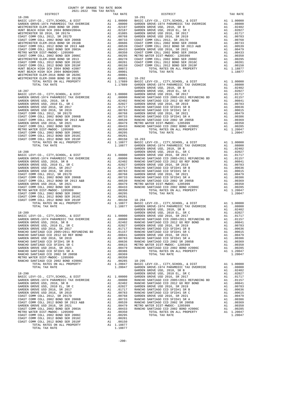|            | DISTRICT                                                                     | 2021-2022 TRA TAX RATES |    | TAX RATE                                                                                                                                                                                                                                                                                                                                                |                       |
|------------|------------------------------------------------------------------------------|-------------------------|----|---------------------------------------------------------------------------------------------------------------------------------------------------------------------------------------------------------------------------------------------------------------------------------------------------------------------------------------------------------|-----------------------|
|            |                                                                              |                         |    |                                                                                                                                                                                                                                                                                                                                                         |                       |
|            |                                                                              |                         |    |                                                                                                                                                                                                                                                                                                                                                         |                       |
|            |                                                                              |                         |    |                                                                                                                                                                                                                                                                                                                                                         |                       |
|            |                                                                              |                         |    |                                                                                                                                                                                                                                                                                                                                                         |                       |
|            |                                                                              |                         |    |                                                                                                                                                                                                                                                                                                                                                         |                       |
|            |                                                                              |                         |    |                                                                                                                                                                                                                                                                                                                                                         |                       |
|            |                                                                              |                         |    |                                                                                                                                                                                                                                                                                                                                                         |                       |
|            |                                                                              |                         |    |                                                                                                                                                                                                                                                                                                                                                         |                       |
|            |                                                                              |                         |    |                                                                                                                                                                                                                                                                                                                                                         |                       |
|            |                                                                              |                         |    |                                                                                                                                                                                                                                                                                                                                                         |                       |
|            |                                                                              |                         |    |                                                                                                                                                                                                                                                                                                                                                         |                       |
|            |                                                                              |                         |    |                                                                                                                                                                                                                                                                                                                                                         |                       |
|            |                                                                              |                         |    |                                                                                                                                                                                                                                                                                                                                                         |                       |
|            |                                                                              |                         |    |                                                                                                                                                                                                                                                                                                                                                         |                       |
|            |                                                                              |                         |    |                                                                                                                                                                                                                                                                                                                                                         | GARDEN                |
|            |                                                                              |                         |    |                                                                                                                                                                                                                                                                                                                                                         |                       |
|            |                                                                              |                         |    |                                                                                                                                                                                                                                                                                                                                                         |                       |
|            |                                                                              |                         |    |                                                                                                                                                                                                                                                                                                                                                         |                       |
|            |                                                                              |                         |    |                                                                                                                                                                                                                                                                                                                                                         |                       |
|            |                                                                              |                         |    |                                                                                                                                                                                                                                                                                                                                                         |                       |
|            |                                                                              |                         |    |                                                                                                                                                                                                                                                                                                                                                         |                       |
|            |                                                                              |                         |    |                                                                                                                                                                                                                                                                                                                                                         |                       |
|            |                                                                              |                         |    |                                                                                                                                                                                                                                                                                                                                                         |                       |
|            |                                                                              |                         |    |                                                                                                                                                                                                                                                                                                                                                         |                       |
|            |                                                                              |                         |    |                                                                                                                                                                                                                                                                                                                                                         |                       |
|            |                                                                              |                         |    |                                                                                                                                                                                                                                                                                                                                                         |                       |
|            |                                                                              |                         |    |                                                                                                                                                                                                                                                                                                                                                         |                       |
|            |                                                                              |                         |    |                                                                                                                                                                                                                                                                                                                                                         |                       |
|            |                                                                              |                         |    |                                                                                                                                                                                                                                                                                                                                                         |                       |
|            |                                                                              |                         |    |                                                                                                                                                                                                                                                                                                                                                         |                       |
|            |                                                                              |                         |    |                                                                                                                                                                                                                                                                                                                                                         |                       |
|            |                                                                              |                         |    |                                                                                                                                                                                                                                                                                                                                                         |                       |
|            |                                                                              |                         |    |                                                                                                                                                                                                                                                                                                                                                         |                       |
|            |                                                                              |                         |    |                                                                                                                                                                                                                                                                                                                                                         |                       |
|            |                                                                              |                         |    |                                                                                                                                                                                                                                                                                                                                                         |                       |
|            |                                                                              |                         |    |                                                                                                                                                                                                                                                                                                                                                         |                       |
|            |                                                                              |                         |    |                                                                                                                                                                                                                                                                                                                                                         |                       |
|            |                                                                              |                         |    |                                                                                                                                                                                                                                                                                                                                                         |                       |
|            |                                                                              |                         |    |                                                                                                                                                                                                                                                                                                                                                         |                       |
|            |                                                                              |                         |    |                                                                                                                                                                                                                                                                                                                                                         |                       |
|            |                                                                              |                         |    |                                                                                                                                                                                                                                                                                                                                                         |                       |
|            |                                                                              |                         |    |                                                                                                                                                                                                                                                                                                                                                         |                       |
|            |                                                                              |                         |    |                                                                                                                                                                                                                                                                                                                                                         |                       |
|            |                                                                              |                         |    |                                                                                                                                                                                                                                                                                                                                                         |                       |
|            |                                                                              |                         |    |                                                                                                                                                                                                                                                                                                                                                         |                       |
|            | RANCHO SANTIAGO CCD 2012 GO REF BOND                                         |                         |    | A1 .00841 GARDEN                                                                                                                                                                                                                                                                                                                                        |                       |
|            | GARDEN GROVE USD 2016, SR 2019<br>RANCHO SANTIAGO CCD SFID#1 SR B            |                         |    | A1 .00783<br>A1 .00636                                                                                                                                                                                                                                                                                                                                  | RANCHO<br>RANCHO      |
|            | RANCHO SANTIAGO CCD SFID#1 SR C                                              |                         |    | A1 .00615 METRO W<br>A1 .00479 RANCHO                                                                                                                                                                                                                                                                                                                   |                       |
|            | GARDEN GROVE USD 2016, SR 2021<br>RANCHO SANTIAGO CCD SFID#1 SR A            |                         |    |                                                                                                                                                                                                                                                                                                                                                         |                       |
|            | RANCHO SANTIAGO CCD 2002 SR 2005B                                            |                         | A1 | A1.00386<br>.00369                                                                                                                                                                                                                                                                                                                                      |                       |
|            | METRO WATER DIST-MWDOC- 1205999                                              |                         |    | A1 .00350<br>A1 .00285                                                                                                                                                                                                                                                                                                                                  |                       |
|            | RANCHO SANTIAGO CCD 2002 BOND #2006C<br>TOTAL RATES ON ALL PROPERTY          |                         |    |                                                                                                                                                                                                                                                                                                                                                         | $18 - 295$<br>BASIC L |
|            | TOTAL TAX RATE                                                               |                         |    | A1 1.20047<br>1.20047                                                                                                                                                                                                                                                                                                                                   | GARDEN                |
| $18 - 290$ |                                                                              |                         |    |                                                                                                                                                                                                                                                                                                                                                         | GARDEN<br>GARDEN      |
|            | BASIC LEVY-CO., CITY, SCHOOL, & DIST                                         |                         |    |                                                                                                                                                                                                                                                                                                                                                         |                       |
|            | GARDEN GROVE-1974 PARAMEDIC TAX OVERRIDE<br>GARDEN GROVE USD, 2010, SR B     |                         |    |                                                                                                                                                                                                                                                                                                                                                         |                       |
|            | GARDEN GROVE USD, 2010 EL, SR C                                              |                         |    |                                                                                                                                                                                                                                                                                                                                                         |                       |
|            | GARDEN GROVE USD 2016, SR 2017<br>GARDEN GROVE USD 2016, SR 2019             |                         |    |                                                                                                                                                                                                                                                                                                                                                         |                       |
|            | COAST COMM COLL 2012, SR 2017D                                               |                         |    |                                                                                                                                                                                                                                                                                                                                                         |                       |
|            | COAST COMM COLL 2002 BOND SER 2006B<br>COAST COMM COLL 2012 BOND SR 2013 A&B |                         |    |                                                                                                                                                                                                                                                                                                                                                         |                       |
|            | GARDEN GROVE USD 2016, SR 2021                                               |                         |    | $\begin{tabular}{ll} \bf{A1} & 1.00000 & \tt{GARDEN} \\ \bf{A1} & .08000 & \tt{RANCHO} \\ \bf{A1} & .02402 & \tt{RANCHO} \\ \bf{A1} & .02027 & \tt{GARDEN} \\ \bf{A1} & .01717 & \tt{RANCHO} \\ \bf{A1} & .00768 & \tt{RANCHO} \\ \bf{A1} & .00768 & \tt{RANCHO} \\ \bf{A1} & .00753 & \tt{RANCHO} \\ \bf{A1} & .00479 & \tt{METRO} \\ \bf{A1} & .0043$ |                       |
|            | COAST COMM COLL 2002 BOND SER 2003A<br>METRO WATER DIST-MWDOC- 1205999       |                         |    |                                                                                                                                                                                                                                                                                                                                                         |                       |
|            | COAST COMM COLL 2002 BOND SER 2006C                                          |                         |    | A1.00350<br>A1 .00295                                                                                                                                                                                                                                                                                                                                   |                       |

| COUNTY OF ORANGE TAX RATE BOOK<br>2021-2022 TRA TAX RATES |  |                                   |          |
|-----------------------------------------------------------|--|-----------------------------------|----------|
| DISTRICT                                                  |  | TAX RATES<br>TAX RATE<br>DISTRICT | TAX RATE |
|                                                           |  |                                   |          |
|                                                           |  |                                   |          |
|                                                           |  |                                   |          |
|                                                           |  |                                   |          |
|                                                           |  |                                   |          |
|                                                           |  |                                   |          |
|                                                           |  |                                   |          |
|                                                           |  |                                   |          |
|                                                           |  |                                   |          |
|                                                           |  |                                   |          |
|                                                           |  |                                   |          |
|                                                           |  |                                   |          |
|                                                           |  |                                   |          |
|                                                           |  |                                   |          |
|                                                           |  |                                   |          |
|                                                           |  |                                   |          |
|                                                           |  |                                   |          |
|                                                           |  |                                   |          |
|                                                           |  |                                   |          |
|                                                           |  |                                   |          |
|                                                           |  |                                   |          |
|                                                           |  |                                   |          |
|                                                           |  |                                   |          |
|                                                           |  |                                   |          |
|                                                           |  |                                   |          |
|                                                           |  |                                   |          |
|                                                           |  |                                   |          |
|                                                           |  |                                   |          |
|                                                           |  |                                   |          |
|                                                           |  |                                   |          |
|                                                           |  |                                   |          |
|                                                           |  |                                   |          |
|                                                           |  |                                   |          |
|                                                           |  |                                   |          |
|                                                           |  |                                   |          |
|                                                           |  |                                   |          |
|                                                           |  |                                   |          |
|                                                           |  |                                   |          |
|                                                           |  |                                   |          |
|                                                           |  |                                   |          |
|                                                           |  |                                   |          |
|                                                           |  |                                   |          |
|                                                           |  |                                   |          |
|                                                           |  |                                   |          |
|                                                           |  |                                   |          |
|                                                           |  |                                   |          |
|                                                           |  |                                   |          |
|                                                           |  |                                   |          |
|                                                           |  |                                   |          |
|                                                           |  |                                   |          |
|                                                           |  |                                   |          |
|                                                           |  |                                   |          |
|                                                           |  |                                   |          |
|                                                           |  |                                   |          |

-200-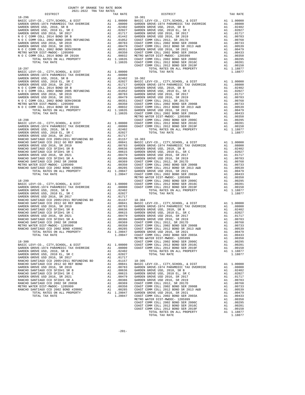| COUNTY OF ORANGE TAX RATE BOOK<br>$2021-2022 \quad \text{TRA TAX RATES}$ DISTRICT                                                                                                                                                                                                                                                                                   | TAX RATE | DISTRICT   | TAX RATE |  |
|---------------------------------------------------------------------------------------------------------------------------------------------------------------------------------------------------------------------------------------------------------------------------------------------------------------------------------------------------------------------|----------|------------|----------|--|
| $18 - 296$                                                                                                                                                                                                                                                                                                                                                          |          | $18 - 301$ |          |  |
|                                                                                                                                                                                                                                                                                                                                                                     |          |            |          |  |
|                                                                                                                                                                                                                                                                                                                                                                     |          |            |          |  |
|                                                                                                                                                                                                                                                                                                                                                                     |          |            |          |  |
|                                                                                                                                                                                                                                                                                                                                                                     |          |            |          |  |
|                                                                                                                                                                                                                                                                                                                                                                     |          |            |          |  |
|                                                                                                                                                                                                                                                                                                                                                                     |          |            |          |  |
|                                                                                                                                                                                                                                                                                                                                                                     |          |            |          |  |
|                                                                                                                                                                                                                                                                                                                                                                     |          |            |          |  |
|                                                                                                                                                                                                                                                                                                                                                                     |          |            |          |  |
|                                                                                                                                                                                                                                                                                                                                                                     |          |            |          |  |
|                                                                                                                                                                                                                                                                                                                                                                     |          |            |          |  |
|                                                                                                                                                                                                                                                                                                                                                                     |          |            |          |  |
|                                                                                                                                                                                                                                                                                                                                                                     |          |            |          |  |
|                                                                                                                                                                                                                                                                                                                                                                     |          |            |          |  |
|                                                                                                                                                                                                                                                                                                                                                                     |          |            |          |  |
|                                                                                                                                                                                                                                                                                                                                                                     |          |            |          |  |
|                                                                                                                                                                                                                                                                                                                                                                     |          |            |          |  |
|                                                                                                                                                                                                                                                                                                                                                                     |          |            |          |  |
|                                                                                                                                                                                                                                                                                                                                                                     |          |            |          |  |
|                                                                                                                                                                                                                                                                                                                                                                     |          |            |          |  |
|                                                                                                                                                                                                                                                                                                                                                                     |          |            |          |  |
|                                                                                                                                                                                                                                                                                                                                                                     |          |            |          |  |
|                                                                                                                                                                                                                                                                                                                                                                     |          |            |          |  |
|                                                                                                                                                                                                                                                                                                                                                                     |          |            |          |  |
|                                                                                                                                                                                                                                                                                                                                                                     |          |            |          |  |
|                                                                                                                                                                                                                                                                                                                                                                     |          |            |          |  |
|                                                                                                                                                                                                                                                                                                                                                                     |          |            |          |  |
|                                                                                                                                                                                                                                                                                                                                                                     |          |            |          |  |
| <b>PORTLANTS ON ALL FROMERY AS A 1999 PER PROPERTY AND A 1999 PER PROPERTY AND LODGED TO A 1999 PER PROPERTY AND A 1999 PER PROPERTY AND A 1999 PER PROPERTY AND A 1999 PER PROPERTY AND A 1999 PER PROPERTY AND INTERFERENCE I</b>                                                                                                                                 |          |            |          |  |
|                                                                                                                                                                                                                                                                                                                                                                     |          |            |          |  |
|                                                                                                                                                                                                                                                                                                                                                                     |          |            |          |  |
|                                                                                                                                                                                                                                                                                                                                                                     |          |            |          |  |
|                                                                                                                                                                                                                                                                                                                                                                     |          |            |          |  |
|                                                                                                                                                                                                                                                                                                                                                                     |          |            |          |  |
|                                                                                                                                                                                                                                                                                                                                                                     |          |            |          |  |
|                                                                                                                                                                                                                                                                                                                                                                     |          |            |          |  |
|                                                                                                                                                                                                                                                                                                                                                                     |          |            |          |  |
|                                                                                                                                                                                                                                                                                                                                                                     |          |            |          |  |
|                                                                                                                                                                                                                                                                                                                                                                     |          |            |          |  |
|                                                                                                                                                                                                                                                                                                                                                                     |          |            |          |  |
|                                                                                                                                                                                                                                                                                                                                                                     |          |            |          |  |
|                                                                                                                                                                                                                                                                                                                                                                     |          |            |          |  |
|                                                                                                                                                                                                                                                                                                                                                                     |          |            |          |  |
|                                                                                                                                                                                                                                                                                                                                                                     |          |            |          |  |
|                                                                                                                                                                                                                                                                                                                                                                     |          |            |          |  |
|                                                                                                                                                                                                                                                                                                                                                                     |          |            |          |  |
|                                                                                                                                                                                                                                                                                                                                                                     |          |            |          |  |
|                                                                                                                                                                                                                                                                                                                                                                     |          |            |          |  |
|                                                                                                                                                                                                                                                                                                                                                                     |          |            |          |  |
|                                                                                                                                                                                                                                                                                                                                                                     |          |            |          |  |
|                                                                                                                                                                                                                                                                                                                                                                     |          |            |          |  |
|                                                                                                                                                                                                                                                                                                                                                                     |          |            |          |  |
|                                                                                                                                                                                                                                                                                                                                                                     |          |            |          |  |
|                                                                                                                                                                                                                                                                                                                                                                     |          |            |          |  |
|                                                                                                                                                                                                                                                                                                                                                                     |          |            |          |  |
|                                                                                                                                                                                                                                                                                                                                                                     |          |            |          |  |
|                                                                                                                                                                                                                                                                                                                                                                     |          |            |          |  |
|                                                                                                                                                                                                                                                                                                                                                                     |          |            |          |  |
|                                                                                                                                                                                                                                                                                                                                                                     |          |            |          |  |
|                                                                                                                                                                                                                                                                                                                                                                     |          |            |          |  |
|                                                                                                                                                                                                                                                                                                                                                                     |          |            |          |  |
|                                                                                                                                                                                                                                                                                                                                                                     |          |            |          |  |
|                                                                                                                                                                                                                                                                                                                                                                     |          |            |          |  |
|                                                                                                                                                                                                                                                                                                                                                                     |          |            |          |  |
|                                                                                                                                                                                                                                                                                                                                                                     |          |            |          |  |
|                                                                                                                                                                                                                                                                                                                                                                     |          |            |          |  |
|                                                                                                                                                                                                                                                                                                                                                                     |          |            |          |  |
|                                                                                                                                                                                                                                                                                                                                                                     |          |            |          |  |
|                                                                                                                                                                                                                                                                                                                                                                     |          |            |          |  |
|                                                                                                                                                                                                                                                                                                                                                                     |          |            |          |  |
|                                                                                                                                                                                                                                                                                                                                                                     |          |            |          |  |
|                                                                                                                                                                                                                                                                                                                                                                     |          |            |          |  |
|                                                                                                                                                                                                                                                                                                                                                                     |          |            |          |  |
| $\begin{tabular}{l cccc cccc cccc cccc} \texttt{REINR} & \texttt{NATE} & \texttt{D1201} & \texttt{A1.00359} & \texttt{A1.00350} & \texttt{C014} & \texttt{A201} & \texttt{B018} & \texttt{A1.00350} & \texttt{C11.0000} & \texttt{A1.00350} & \texttt{C014} & \texttt{C101} & \texttt{B11} & \texttt{A1.0000} & \texttt{S11.0000} & \texttt{S11.0000} & \texttt{S1$ |          |            |          |  |
|                                                                                                                                                                                                                                                                                                                                                                     |          |            |          |  |
|                                                                                                                                                                                                                                                                                                                                                                     |          |            |          |  |
|                                                                                                                                                                                                                                                                                                                                                                     |          |            |          |  |
|                                                                                                                                                                                                                                                                                                                                                                     |          |            |          |  |
|                                                                                                                                                                                                                                                                                                                                                                     |          |            |          |  |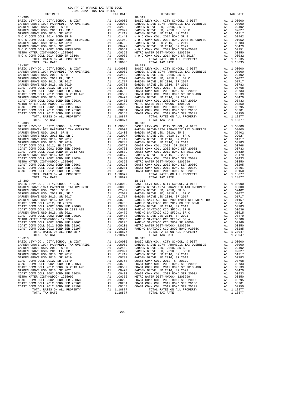| 18-306     |                                                                            |          |                     | $18 - 311$           |
|------------|----------------------------------------------------------------------------|----------|---------------------|----------------------|
|            |                                                                            |          |                     |                      |
|            |                                                                            |          |                     |                      |
|            |                                                                            |          |                     |                      |
|            |                                                                            |          |                     |                      |
|            |                                                                            |          |                     |                      |
|            |                                                                            |          |                     |                      |
|            |                                                                            |          |                     |                      |
|            |                                                                            |          |                     |                      |
|            |                                                                            |          |                     |                      |
|            |                                                                            |          |                     |                      |
|            |                                                                            |          |                     |                      |
|            | TOTAL TAX RATE                                                             |          | 1.18635             |                      |
| $18 - 307$ |                                                                            |          |                     | $18 - 312$           |
|            |                                                                            |          |                     |                      |
|            |                                                                            |          |                     |                      |
|            |                                                                            |          |                     |                      |
|            |                                                                            |          |                     |                      |
|            |                                                                            |          |                     |                      |
|            |                                                                            |          |                     |                      |
|            |                                                                            |          |                     |                      |
|            |                                                                            |          |                     |                      |
|            |                                                                            |          |                     |                      |
|            |                                                                            |          |                     |                      |
|            |                                                                            |          |                     |                      |
|            |                                                                            |          |                     |                      |
|            |                                                                            |          |                     |                      |
|            |                                                                            |          |                     |                      |
|            |                                                                            |          |                     |                      |
|            |                                                                            |          |                     |                      |
|            |                                                                            |          |                     |                      |
|            |                                                                            |          |                     |                      |
|            |                                                                            |          |                     |                      |
|            |                                                                            |          |                     |                      |
|            |                                                                            |          |                     |                      |
|            |                                                                            |          |                     |                      |
|            |                                                                            |          |                     |                      |
|            |                                                                            |          |                     |                      |
|            |                                                                            |          |                     |                      |
|            |                                                                            |          |                     |                      |
|            |                                                                            |          |                     |                      |
|            |                                                                            |          |                     |                      |
|            |                                                                            |          |                     |                      |
|            |                                                                            |          |                     |                      |
|            |                                                                            |          |                     |                      |
|            |                                                                            |          |                     |                      |
|            |                                                                            |          |                     |                      |
|            |                                                                            |          |                     |                      |
|            |                                                                            |          |                     |                      |
|            |                                                                            |          |                     |                      |
|            |                                                                            |          |                     |                      |
|            |                                                                            |          |                     |                      |
|            |                                                                            |          |                     |                      |
|            |                                                                            |          |                     |                      |
|            |                                                                            |          |                     |                      |
|            |                                                                            |          |                     |                      |
|            |                                                                            |          |                     |                      |
|            |                                                                            |          |                     |                      |
|            |                                                                            |          |                     |                      |
|            |                                                                            |          |                     |                      |
|            |                                                                            |          |                     |                      |
|            | BASIC LEVY-CO., CITY, SCHOOL, & DIST                                       | A1       | 1.00000             | BASIC L              |
|            | GARDEN GROVE-1974 PARAMEDIC TAX OVERRIDE                                   | A1       | .08000              | GARDEN               |
|            | GARDEN GROVE USD, 2010, SR B<br>GARDEN GROVE USD, 2010 EL, SR C            | A1       | .02402              | GARDEN               |
|            | GARDEN GROVE USD 2016, SR 2017                                             | A1       | .02027<br>A1 .01717 | GARDEN<br>GARDEN     |
|            | GARDEN GROVE USD 2016, SR 2019                                             |          | A1 .00783           | GARDEN               |
|            | COAST COMM COLL 2012, SR 2017D                                             | A1       | .00768              | COAST C              |
|            | COAST COMM COLL 2002 BOND SER 2006B                                        | A1       | .00733              | COAST C              |
|            | COAST COMM COLL 2012 BOND SR 2013 A&B                                      | A1       | .00539              | COAST C              |
|            | GARDEN GROVE USD 2016, SR 2021                                             | A1       | .00479              | GARDEN               |
|            | COAST COMM COLL 2002 BOND SER 2003A                                        | A1       | .00433              | COAST <sup>"</sup> C |
|            | METRO WATER DIST-MWDOC- 1205999                                            | A1       | .00350              | METRO W              |
|            | COAST COMM COLL 2002 BOND SER 2006C<br>COAST COMM COLL 2012 BOND SER 2016C | A1<br>A1 | .00295<br>.00201    | COAST C<br>COAST C   |
|            | COAST COMM COLL 2012 BOND SER 2019F                                        | A1       | .00150              | COAST C              |
|            | TOTAL RATES ON ALL PROPERTY                                                |          | A1 1.18877          |                      |
|            | TOTAL TAX RATE                                                             |          | 1.18877             |                      |

| COUNTY OF ORANGE TAX RATE BOOK<br>2021-2022 TRA TAX RATES |          |                                                                          |          |
|-----------------------------------------------------------|----------|--------------------------------------------------------------------------|----------|
| DISTRICT                                                  | TAX RATE | DISTRICT                                                                 | TAX RATE |
| $18 - 306$                                                |          | $18 - 311$                                                               |          |
|                                                           |          |                                                                          |          |
|                                                           |          |                                                                          |          |
|                                                           |          |                                                                          |          |
|                                                           |          |                                                                          |          |
|                                                           |          |                                                                          |          |
|                                                           |          |                                                                          |          |
|                                                           |          |                                                                          |          |
|                                                           |          |                                                                          |          |
|                                                           |          |                                                                          |          |
|                                                           |          |                                                                          |          |
|                                                           |          |                                                                          |          |
|                                                           |          |                                                                          |          |
| $18 - 307$                                                |          | $18 - 312$                                                               |          |
|                                                           |          |                                                                          |          |
|                                                           |          |                                                                          |          |
|                                                           |          |                                                                          |          |
|                                                           |          |                                                                          |          |
|                                                           |          |                                                                          |          |
|                                                           |          |                                                                          |          |
|                                                           |          |                                                                          |          |
|                                                           |          |                                                                          |          |
|                                                           |          |                                                                          |          |
|                                                           |          |                                                                          |          |
|                                                           |          |                                                                          |          |
|                                                           |          |                                                                          |          |
|                                                           |          |                                                                          |          |
|                                                           |          |                                                                          |          |
|                                                           |          |                                                                          |          |
|                                                           |          |                                                                          |          |
|                                                           |          |                                                                          |          |
|                                                           |          |                                                                          |          |
|                                                           |          |                                                                          |          |
|                                                           |          |                                                                          |          |
|                                                           |          |                                                                          |          |
|                                                           |          |                                                                          |          |
|                                                           |          |                                                                          |          |
|                                                           |          |                                                                          |          |
|                                                           |          |                                                                          |          |
|                                                           |          |                                                                          |          |
|                                                           |          |                                                                          |          |
|                                                           |          |                                                                          |          |
|                                                           |          |                                                                          |          |
|                                                           |          |                                                                          |          |
|                                                           |          |                                                                          |          |
|                                                           |          |                                                                          |          |
|                                                           |          |                                                                          |          |
|                                                           |          |                                                                          |          |
|                                                           |          |                                                                          |          |
|                                                           |          |                                                                          |          |
|                                                           |          |                                                                          |          |
|                                                           |          |                                                                          |          |
|                                                           |          |                                                                          |          |
|                                                           |          |                                                                          |          |
|                                                           |          |                                                                          |          |
|                                                           |          |                                                                          |          |
|                                                           |          |                                                                          |          |
|                                                           |          |                                                                          |          |
|                                                           |          |                                                                          |          |
|                                                           |          |                                                                          |          |
|                                                           |          |                                                                          |          |
|                                                           |          | $\begin{array}{cc}\n 24 & 1.20047 \\  1.20047 \\  1.20047\n \end{array}$ |          |
|                                                           |          |                                                                          |          |
|                                                           |          |                                                                          |          |
|                                                           |          |                                                                          |          |
|                                                           |          |                                                                          |          |
|                                                           |          |                                                                          |          |
|                                                           |          |                                                                          |          |
|                                                           |          |                                                                          |          |
|                                                           |          |                                                                          |          |
|                                                           |          |                                                                          |          |
|                                                           |          |                                                                          |          |
|                                                           |          |                                                                          |          |
|                                                           |          |                                                                          |          |
|                                                           |          |                                                                          |          |
|                                                           |          |                                                                          |          |
|                                                           |          |                                                                          |          |
|                                                           |          |                                                                          |          |
|                                                           |          |                                                                          |          |

-202-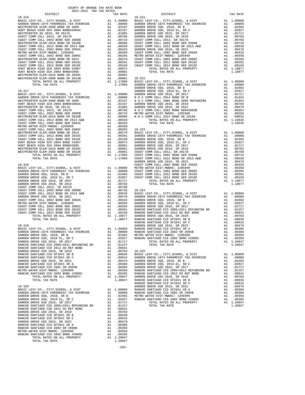| COUNTY OF ORANGE TAX RATE BOOK<br>2021-2022 TRA TAX RATES |          |                                                                                                                                                                                                                                       |          |
|-----------------------------------------------------------|----------|---------------------------------------------------------------------------------------------------------------------------------------------------------------------------------------------------------------------------------------|----------|
| DISTRICT                                                  | TAX RATE | DISTRICT                                                                                                                                                                                                                              | TAX RATE |
|                                                           |          |                                                                                                                                                                                                                                       |          |
|                                                           |          |                                                                                                                                                                                                                                       |          |
|                                                           |          |                                                                                                                                                                                                                                       |          |
|                                                           |          |                                                                                                                                                                                                                                       |          |
|                                                           |          |                                                                                                                                                                                                                                       |          |
|                                                           |          |                                                                                                                                                                                                                                       |          |
|                                                           |          |                                                                                                                                                                                                                                       |          |
|                                                           |          |                                                                                                                                                                                                                                       |          |
|                                                           |          |                                                                                                                                                                                                                                       |          |
|                                                           |          |                                                                                                                                                                                                                                       |          |
|                                                           |          |                                                                                                                                                                                                                                       |          |
|                                                           |          |                                                                                                                                                                                                                                       |          |
|                                                           |          |                                                                                                                                                                                                                                       |          |
|                                                           |          |                                                                                                                                                                                                                                       |          |
|                                                           |          |                                                                                                                                                                                                                                       |          |
|                                                           |          |                                                                                                                                                                                                                                       |          |
|                                                           |          |                                                                                                                                                                                                                                       |          |
|                                                           |          |                                                                                                                                                                                                                                       |          |
|                                                           |          |                                                                                                                                                                                                                                       |          |
|                                                           |          |                                                                                                                                                                                                                                       |          |
|                                                           |          |                                                                                                                                                                                                                                       |          |
|                                                           |          |                                                                                                                                                                                                                                       |          |
|                                                           |          |                                                                                                                                                                                                                                       |          |
|                                                           |          |                                                                                                                                                                                                                                       |          |
|                                                           |          |                                                                                                                                                                                                                                       |          |
|                                                           |          |                                                                                                                                                                                                                                       |          |
|                                                           |          |                                                                                                                                                                                                                                       |          |
|                                                           |          |                                                                                                                                                                                                                                       |          |
|                                                           |          |                                                                                                                                                                                                                                       |          |
|                                                           |          |                                                                                                                                                                                                                                       |          |
|                                                           |          |                                                                                                                                                                                                                                       |          |
|                                                           |          |                                                                                                                                                                                                                                       |          |
|                                                           |          |                                                                                                                                                                                                                                       |          |
|                                                           |          |                                                                                                                                                                                                                                       |          |
|                                                           |          |                                                                                                                                                                                                                                       |          |
|                                                           |          |                                                                                                                                                                                                                                       |          |
|                                                           |          |                                                                                                                                                                                                                                       |          |
|                                                           |          |                                                                                                                                                                                                                                       |          |
|                                                           |          |                                                                                                                                                                                                                                       |          |
|                                                           |          |                                                                                                                                                                                                                                       |          |
|                                                           |          |                                                                                                                                                                                                                                       |          |
|                                                           |          |                                                                                                                                                                                                                                       |          |
|                                                           |          |                                                                                                                                                                                                                                       |          |
|                                                           |          |                                                                                                                                                                                                                                       |          |
|                                                           |          |                                                                                                                                                                                                                                       |          |
|                                                           |          |                                                                                                                                                                                                                                       |          |
|                                                           |          |                                                                                                                                                                                                                                       |          |
|                                                           |          |                                                                                                                                                                                                                                       |          |
|                                                           |          |                                                                                                                                                                                                                                       |          |
|                                                           |          |                                                                                                                                                                                                                                       |          |
|                                                           |          |                                                                                                                                                                                                                                       |          |
|                                                           |          |                                                                                                                                                                                                                                       |          |
|                                                           |          |                                                                                                                                                                                                                                       |          |
|                                                           |          |                                                                                                                                                                                                                                       |          |
|                                                           |          |                                                                                                                                                                                                                                       |          |
|                                                           |          |                                                                                                                                                                                                                                       |          |
|                                                           |          |                                                                                                                                                                                                                                       |          |
|                                                           |          |                                                                                                                                                                                                                                       |          |
|                                                           |          |                                                                                                                                                                                                                                       |          |
|                                                           |          |                                                                                                                                                                                                                                       |          |
|                                                           |          |                                                                                                                                                                                                                                       |          |
|                                                           |          |                                                                                                                                                                                                                                       |          |
|                                                           |          |                                                                                                                                                                                                                                       |          |
|                                                           |          |                                                                                                                                                                                                                                       |          |
|                                                           |          |                                                                                                                                                                                                                                       |          |
|                                                           |          |                                                                                                                                                                                                                                       |          |
|                                                           |          |                                                                                                                                                                                                                                       |          |
|                                                           |          |                                                                                                                                                                                                                                       |          |
|                                                           |          |                                                                                                                                                                                                                                       |          |
|                                                           |          |                                                                                                                                                                                                                                       |          |
|                                                           |          |                                                                                                                                                                                                                                       |          |
|                                                           |          |                                                                                                                                                                                                                                       |          |
|                                                           |          |                                                                                                                                                                                                                                       |          |
|                                                           |          |                                                                                                                                                                                                                                       |          |
|                                                           |          |                                                                                                                                                                                                                                       |          |
|                                                           |          |                                                                                                                                                                                                                                       |          |
|                                                           |          |                                                                                                                                                                                                                                       |          |
|                                                           |          | 18 - 319<br>18-310 LEVY-CO., CITY, SCROOL, 4 DIST (1990) RANCHO SEMITADO COD STATE BA A 100130<br>CARDER GEOVE (1991 PARAMED CTA 2003) RANCHO SEMITADO COD STATE BA A 100130<br>CARDER GEOVE USE 20012<br>CARDER GEORETIC TAX OVERELL |          |

-203-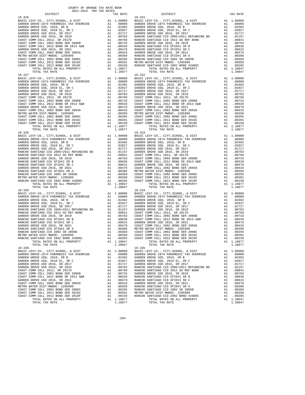| DISTRICT                                                                                                                                                                                                                                        | TAX RATE | DISTRICT | TAX RATE |
|-------------------------------------------------------------------------------------------------------------------------------------------------------------------------------------------------------------------------------------------------|----------|----------|----------|
|                                                                                                                                                                                                                                                 |          |          |          |
|                                                                                                                                                                                                                                                 |          |          |          |
|                                                                                                                                                                                                                                                 |          |          |          |
|                                                                                                                                                                                                                                                 |          |          |          |
|                                                                                                                                                                                                                                                 |          |          |          |
|                                                                                                                                                                                                                                                 |          |          |          |
|                                                                                                                                                                                                                                                 |          |          |          |
|                                                                                                                                                                                                                                                 |          |          |          |
|                                                                                                                                                                                                                                                 |          |          |          |
|                                                                                                                                                                                                                                                 |          |          |          |
|                                                                                                                                                                                                                                                 |          |          |          |
|                                                                                                                                                                                                                                                 |          |          |          |
|                                                                                                                                                                                                                                                 |          |          |          |
|                                                                                                                                                                                                                                                 |          |          |          |
|                                                                                                                                                                                                                                                 |          |          |          |
|                                                                                                                                                                                                                                                 |          |          |          |
|                                                                                                                                                                                                                                                 |          |          |          |
|                                                                                                                                                                                                                                                 |          |          |          |
|                                                                                                                                                                                                                                                 |          |          |          |
|                                                                                                                                                                                                                                                 |          |          |          |
|                                                                                                                                                                                                                                                 |          |          |          |
|                                                                                                                                                                                                                                                 |          |          |          |
|                                                                                                                                                                                                                                                 |          |          |          |
|                                                                                                                                                                                                                                                 |          |          |          |
|                                                                                                                                                                                                                                                 |          |          |          |
|                                                                                                                                                                                                                                                 |          |          |          |
|                                                                                                                                                                                                                                                 |          |          |          |
|                                                                                                                                                                                                                                                 |          |          |          |
|                                                                                                                                                                                                                                                 |          |          |          |
|                                                                                                                                                                                                                                                 |          |          |          |
|                                                                                                                                                                                                                                                 |          |          |          |
|                                                                                                                                                                                                                                                 |          |          |          |
|                                                                                                                                                                                                                                                 |          |          |          |
|                                                                                                                                                                                                                                                 |          |          |          |
|                                                                                                                                                                                                                                                 |          |          |          |
|                                                                                                                                                                                                                                                 |          |          |          |
|                                                                                                                                                                                                                                                 |          |          |          |
|                                                                                                                                                                                                                                                 |          |          |          |
|                                                                                                                                                                                                                                                 |          |          |          |
|                                                                                                                                                                                                                                                 |          |          |          |
|                                                                                                                                                                                                                                                 |          |          |          |
|                                                                                                                                                                                                                                                 |          |          |          |
|                                                                                                                                                                                                                                                 |          |          |          |
|                                                                                                                                                                                                                                                 |          |          |          |
|                                                                                                                                                                                                                                                 |          |          |          |
|                                                                                                                                                                                                                                                 |          |          |          |
|                                                                                                                                                                                                                                                 |          |          |          |
|                                                                                                                                                                                                                                                 |          |          |          |
|                                                                                                                                                                                                                                                 |          |          |          |
|                                                                                                                                                                                                                                                 |          |          |          |
|                                                                                                                                                                                                                                                 |          |          |          |
|                                                                                                                                                                                                                                                 |          |          |          |
|                                                                                                                                                                                                                                                 |          |          |          |
|                                                                                                                                                                                                                                                 |          |          |          |
|                                                                                                                                                                                                                                                 |          |          |          |
|                                                                                                                                                                                                                                                 |          |          |          |
|                                                                                                                                                                                                                                                 |          |          |          |
|                                                                                                                                                                                                                                                 |          |          |          |
|                                                                                                                                                                                                                                                 |          |          |          |
|                                                                                                                                                                                                                                                 |          |          |          |
|                                                                                                                                                                                                                                                 |          |          |          |
|                                                                                                                                                                                                                                                 |          |          |          |
|                                                                                                                                                                                                                                                 |          |          |          |
|                                                                                                                                                                                                                                                 |          |          |          |
|                                                                                                                                                                                                                                                 |          |          |          |
|                                                                                                                                                                                                                                                 |          |          |          |
|                                                                                                                                                                                                                                                 |          |          |          |
|                                                                                                                                                                                                                                                 |          |          |          |
| RARCHO SARVINGO COL 20102 SR 2010<br>RARCHO SARVINGO COL 2010 2010 2012 AND STROME COL 2012 BOND SER 2016<br>RARCHO SARVINGO COL 2012 BOND SER 2016<br>TOTAL TAX RATES ON ALL PROPERTY<br>1.1.19877<br>1.1997<br>1.1997<br>1.1997<br>1.1997<br> |          |          |          |
|                                                                                                                                                                                                                                                 |          |          |          |
|                                                                                                                                                                                                                                                 |          |          |          |
|                                                                                                                                                                                                                                                 |          |          |          |
|                                                                                                                                                                                                                                                 |          |          |          |
|                                                                                                                                                                                                                                                 |          |          |          |
|                                                                                                                                                                                                                                                 |          |          |          |
|                                                                                                                                                                                                                                                 |          |          |          |
|                                                                                                                                                                                                                                                 |          |          |          |
|                                                                                                                                                                                                                                                 |          |          |          |
|                                                                                                                                                                                                                                                 |          |          |          |
|                                                                                                                                                                                                                                                 |          |          |          |
|                                                                                                                                                                                                                                                 |          |          |          |
|                                                                                                                                                                                                                                                 |          |          |          |
|                                                                                                                                                                                                                                                 |          |          |          |
|                                                                                                                                                                                                                                                 |          |          |          |
|                                                                                                                                                                                                                                                 |          |          |          |
|                                                                                                                                                                                                                                                 |          |          |          |

-204-

COUNTY OF ORANGE TAX RATE BOOK 2021-2022 TRA TAX RATES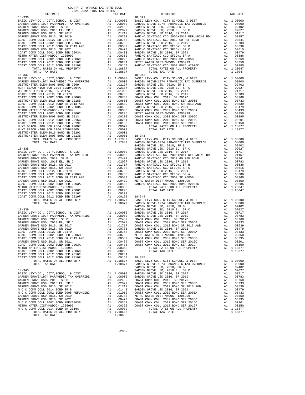| DISTRICT<br>TAX RATE<br>DISTRICT<br>TAX RATE | COUNTY OF ORANGE TAX RATE BOOK<br>2021-2022 TRA TAX RATES |  |  |  |
|----------------------------------------------|-----------------------------------------------------------|--|--|--|
|                                              |                                                           |  |  |  |
|                                              |                                                           |  |  |  |
|                                              |                                                           |  |  |  |
|                                              |                                                           |  |  |  |
|                                              |                                                           |  |  |  |
|                                              |                                                           |  |  |  |
|                                              |                                                           |  |  |  |
|                                              |                                                           |  |  |  |
|                                              |                                                           |  |  |  |
|                                              |                                                           |  |  |  |
|                                              |                                                           |  |  |  |
|                                              |                                                           |  |  |  |
|                                              |                                                           |  |  |  |
|                                              |                                                           |  |  |  |
|                                              |                                                           |  |  |  |
|                                              |                                                           |  |  |  |
|                                              |                                                           |  |  |  |
|                                              |                                                           |  |  |  |
|                                              |                                                           |  |  |  |
|                                              |                                                           |  |  |  |
|                                              |                                                           |  |  |  |
|                                              |                                                           |  |  |  |
|                                              |                                                           |  |  |  |
|                                              |                                                           |  |  |  |
|                                              |                                                           |  |  |  |
|                                              |                                                           |  |  |  |
|                                              |                                                           |  |  |  |
|                                              |                                                           |  |  |  |
|                                              |                                                           |  |  |  |
|                                              |                                                           |  |  |  |
|                                              |                                                           |  |  |  |
|                                              |                                                           |  |  |  |
|                                              |                                                           |  |  |  |
|                                              |                                                           |  |  |  |
|                                              |                                                           |  |  |  |
|                                              |                                                           |  |  |  |
|                                              |                                                           |  |  |  |
|                                              |                                                           |  |  |  |
|                                              |                                                           |  |  |  |
|                                              |                                                           |  |  |  |
|                                              |                                                           |  |  |  |
|                                              |                                                           |  |  |  |
|                                              |                                                           |  |  |  |
|                                              |                                                           |  |  |  |
|                                              |                                                           |  |  |  |
|                                              |                                                           |  |  |  |
|                                              |                                                           |  |  |  |
|                                              |                                                           |  |  |  |
|                                              |                                                           |  |  |  |
|                                              |                                                           |  |  |  |
|                                              |                                                           |  |  |  |
|                                              |                                                           |  |  |  |
|                                              |                                                           |  |  |  |
|                                              |                                                           |  |  |  |
|                                              |                                                           |  |  |  |
|                                              |                                                           |  |  |  |
|                                              |                                                           |  |  |  |
|                                              |                                                           |  |  |  |
|                                              |                                                           |  |  |  |
|                                              |                                                           |  |  |  |
|                                              |                                                           |  |  |  |
|                                              |                                                           |  |  |  |
|                                              |                                                           |  |  |  |
|                                              |                                                           |  |  |  |
|                                              |                                                           |  |  |  |
|                                              |                                                           |  |  |  |
|                                              |                                                           |  |  |  |

| DISTRICT       | TAX RATE | DISTRICT | TAX RATE |
|----------------|----------|----------|----------|
| $18 - 336$     |          | 18-341   |          |
|                |          |          |          |
|                |          |          |          |
|                |          |          |          |
|                |          |          |          |
|                |          |          |          |
|                |          |          |          |
|                |          |          |          |
|                |          |          |          |
|                |          |          |          |
|                |          |          |          |
|                |          |          |          |
|                |          |          |          |
|                |          |          |          |
|                |          |          |          |
|                |          |          |          |
|                |          |          |          |
|                |          |          |          |
|                |          |          |          |
|                |          |          |          |
|                |          |          |          |
|                |          |          |          |
|                |          |          |          |
|                |          |          |          |
|                |          |          |          |
|                |          |          |          |
|                |          |          |          |
|                |          |          |          |
|                |          |          |          |
|                |          |          |          |
|                |          |          |          |
|                |          |          |          |
|                |          |          |          |
|                |          |          |          |
|                |          |          |          |
|                |          |          |          |
|                |          |          |          |
|                |          |          |          |
|                |          |          |          |
|                |          |          |          |
|                |          |          |          |
|                |          |          |          |
|                |          |          |          |
|                |          |          |          |
|                |          |          |          |
|                |          |          |          |
|                |          |          |          |
|                |          |          |          |
|                |          |          |          |
|                |          |          |          |
|                |          |          |          |
|                |          |          |          |
|                |          |          |          |
|                |          |          |          |
|                |          |          |          |
|                |          |          |          |
|                |          |          |          |
|                |          |          |          |
|                |          |          |          |
|                |          |          |          |
|                |          |          |          |
|                |          |          |          |
|                |          |          |          |
|                |          |          |          |
|                |          |          |          |
|                |          |          |          |
|                |          |          |          |
|                |          |          |          |
|                |          |          |          |
|                |          |          |          |
|                |          |          |          |
|                |          |          |          |
|                |          |          |          |
|                |          |          |          |
|                |          |          |          |
|                |          |          |          |
|                |          |          |          |
|                |          |          |          |
|                |          |          |          |
|                |          |          |          |
|                |          |          |          |
|                |          |          |          |
|                |          |          |          |
|                |          |          |          |
|                |          |          |          |
|                |          |          |          |
|                |          |          |          |
|                |          |          |          |
|                |          |          |          |
|                |          |          |          |
|                |          |          |          |
|                |          |          |          |
|                |          |          |          |
|                |          |          |          |
| POPAI PAV DAPP | 1 19625  |          |          |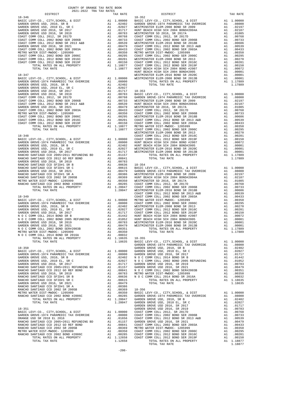| COUNTY OF ORANGE TAX RATE BOOK<br>2021-2022 TRA TAX RATES                                                                                                                           |          |            |
|-------------------------------------------------------------------------------------------------------------------------------------------------------------------------------------|----------|------------|
| DISTRICT<br>$18 - 346$                                                                                                                                                              | TAX RATE | $18 - 352$ |
|                                                                                                                                                                                     |          |            |
|                                                                                                                                                                                     |          |            |
|                                                                                                                                                                                     |          |            |
|                                                                                                                                                                                     |          |            |
|                                                                                                                                                                                     |          |            |
|                                                                                                                                                                                     |          |            |
|                                                                                                                                                                                     |          |            |
|                                                                                                                                                                                     |          |            |
|                                                                                                                                                                                     |          |            |
|                                                                                                                                                                                     |          |            |
|                                                                                                                                                                                     |          |            |
|                                                                                                                                                                                     |          |            |
|                                                                                                                                                                                     |          |            |
|                                                                                                                                                                                     |          |            |
|                                                                                                                                                                                     |          | HUNT BE    |
| $18 - 347$                                                                                                                                                                          |          | WESTMIN    |
|                                                                                                                                                                                     |          |            |
|                                                                                                                                                                                     |          |            |
|                                                                                                                                                                                     |          |            |
|                                                                                                                                                                                     |          |            |
|                                                                                                                                                                                     |          |            |
|                                                                                                                                                                                     |          |            |
|                                                                                                                                                                                     |          |            |
|                                                                                                                                                                                     |          |            |
|                                                                                                                                                                                     |          |            |
|                                                                                                                                                                                     |          |            |
|                                                                                                                                                                                     |          |            |
|                                                                                                                                                                                     |          |            |
|                                                                                                                                                                                     |          |            |
|                                                                                                                                                                                     |          |            |
|                                                                                                                                                                                     |          | WESTMIN    |
| $18 - 348$                                                                                                                                                                          |          | COAST C    |
|                                                                                                                                                                                     |          |            |
|                                                                                                                                                                                     |          |            |
|                                                                                                                                                                                     |          |            |
|                                                                                                                                                                                     |          |            |
|                                                                                                                                                                                     |          |            |
|                                                                                                                                                                                     |          |            |
|                                                                                                                                                                                     |          |            |
|                                                                                                                                                                                     |          |            |
|                                                                                                                                                                                     |          |            |
|                                                                                                                                                                                     |          |            |
|                                                                                                                                                                                     |          |            |
|                                                                                                                                                                                     |          |            |
|                                                                                                                                                                                     |          |            |
|                                                                                                                                                                                     |          |            |
|                                                                                                                                                                                     |          |            |
|                                                                                                                                                                                     |          | COAST C    |
|                                                                                                                                                                                     |          |            |
|                                                                                                                                                                                     |          |            |
|                                                                                                                                                                                     |          |            |
|                                                                                                                                                                                     |          |            |
|                                                                                                                                                                                     |          |            |
|                                                                                                                                                                                     |          |            |
|                                                                                                                                                                                     |          |            |
|                                                                                                                                                                                     |          |            |
|                                                                                                                                                                                     |          |            |
| MM COLL 2002 BUND SEKTAUDED<br>TRE DIST-MADOC-1205999<br>MM COLL 2014 BOND SR 2016A<br>TOTAL RATES ON ALL PROPERTY A1 1.18635 18-355<br>TOTAL RATES ON ALL PROPERTY A1 118635 PROJC |          |            |
|                                                                                                                                                                                     |          |            |
|                                                                                                                                                                                     |          |            |
| TOTAL TAX RATE                                                                                                                                                                      | 1.18635  | BASIC L    |
|                                                                                                                                                                                     |          | GARDEN     |
|                                                                                                                                                                                     |          |            |
|                                                                                                                                                                                     |          |            |
|                                                                                                                                                                                     |          |            |
|                                                                                                                                                                                     |          |            |
|                                                                                                                                                                                     |          |            |
|                                                                                                                                                                                     |          |            |
|                                                                                                                                                                                     |          |            |
|                                                                                                                                                                                     |          |            |
|                                                                                                                                                                                     |          |            |
|                                                                                                                                                                                     |          |            |
|                                                                                                                                                                                     |          |            |
|                                                                                                                                                                                     |          |            |
|                                                                                                                                                                                     |          |            |
|                                                                                                                                                                                     |          |            |
|                                                                                                                                                                                     |          |            |
|                                                                                                                                                                                     |          | GARDEN     |
| $18 - 351$                                                                                                                                                                          |          | GARDEN     |
|                                                                                                                                                                                     |          |            |
|                                                                                                                                                                                     |          |            |
|                                                                                                                                                                                     |          |            |
|                                                                                                                                                                                     |          |            |
|                                                                                                                                                                                     |          |            |
|                                                                                                                                                                                     |          |            |
|                                                                                                                                                                                     |          |            |

| AUAL-AUAA INA IAA KAIBU<br>DISTRICT | TAX RATE | DISTRICT | TAX RATE |
|-------------------------------------|----------|----------|----------|
|                                     |          |          |          |
|                                     |          |          |          |
|                                     |          |          |          |
|                                     |          |          |          |
|                                     |          |          |          |
|                                     |          |          |          |
|                                     |          |          |          |
|                                     |          |          |          |
|                                     |          |          |          |
|                                     |          |          |          |
|                                     |          |          |          |
|                                     |          |          |          |
|                                     |          |          |          |
|                                     |          |          |          |
|                                     |          |          |          |
|                                     |          |          |          |
|                                     |          |          |          |
|                                     |          |          |          |
|                                     |          |          |          |
|                                     |          |          |          |
|                                     |          |          |          |
|                                     |          |          |          |
|                                     |          |          |          |
|                                     |          |          |          |
|                                     |          |          |          |
|                                     |          |          |          |
|                                     |          |          |          |
|                                     |          |          |          |
|                                     |          |          |          |
|                                     |          |          |          |
|                                     |          |          |          |
|                                     |          |          |          |
|                                     |          |          |          |
|                                     |          |          |          |
|                                     |          |          |          |
|                                     |          |          |          |
|                                     |          |          |          |
|                                     |          |          |          |
|                                     |          |          |          |
|                                     |          |          |          |
|                                     |          |          |          |
|                                     |          |          |          |
|                                     |          |          |          |
|                                     |          |          |          |
|                                     |          |          |          |
|                                     |          |          |          |
|                                     |          |          |          |
|                                     |          |          |          |
|                                     |          |          |          |
|                                     |          |          |          |
|                                     |          |          |          |
|                                     |          |          |          |
|                                     |          |          |          |
|                                     |          |          |          |
|                                     |          |          |          |
|                                     |          |          |          |
|                                     |          |          |          |
|                                     |          |          |          |
|                                     |          |          |          |
|                                     |          |          |          |
|                                     |          |          |          |
|                                     |          |          |          |
|                                     |          |          |          |
|                                     |          |          |          |
|                                     |          |          |          |
|                                     |          |          |          |
|                                     |          |          |          |
|                                     |          |          |          |
|                                     |          |          |          |
|                                     |          |          |          |
|                                     |          |          |          |
|                                     |          |          |          |
|                                     |          |          |          |
|                                     |          |          |          |
|                                     |          |          |          |
|                                     |          |          |          |
|                                     |          |          |          |
|                                     |          |          |          |
|                                     |          |          |          |
|                                     |          |          |          |
|                                     |          |          |          |
|                                     |          |          |          |
|                                     |          |          |          |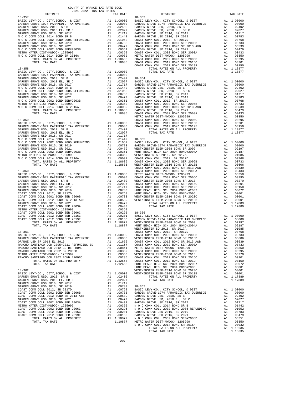| COUNTY OF ORANGE TAX RATE BOOK                                                                                                                                                                                                |  |                                   |          |
|-------------------------------------------------------------------------------------------------------------------------------------------------------------------------------------------------------------------------------|--|-----------------------------------|----------|
| 2021-2022 TRA TAX RATES<br>DISTRICT                                                                                                                                                                                           |  | TAX RATES<br>TAX RATE<br>DISTRICT | TAX RATE |
| $18 - 357$                                                                                                                                                                                                                    |  | $18 - 363$                        |          |
|                                                                                                                                                                                                                               |  |                                   |          |
|                                                                                                                                                                                                                               |  |                                   |          |
|                                                                                                                                                                                                                               |  |                                   |          |
|                                                                                                                                                                                                                               |  |                                   |          |
|                                                                                                                                                                                                                               |  |                                   |          |
|                                                                                                                                                                                                                               |  |                                   |          |
|                                                                                                                                                                                                                               |  |                                   |          |
|                                                                                                                                                                                                                               |  |                                   |          |
|                                                                                                                                                                                                                               |  |                                   |          |
|                                                                                                                                                                                                                               |  |                                   |          |
|                                                                                                                                                                                                                               |  |                                   |          |
|                                                                                                                                                                                                                               |  |                                   |          |
|                                                                                                                                                                                                                               |  |                                   |          |
|                                                                                                                                                                                                                               |  |                                   |          |
|                                                                                                                                                                                                                               |  |                                   |          |
|                                                                                                                                                                                                                               |  |                                   |          |
|                                                                                                                                                                                                                               |  |                                   |          |
|                                                                                                                                                                                                                               |  |                                   |          |
|                                                                                                                                                                                                                               |  |                                   |          |
|                                                                                                                                                                                                                               |  |                                   |          |
|                                                                                                                                                                                                                               |  |                                   |          |
|                                                                                                                                                                                                                               |  |                                   |          |
|                                                                                                                                                                                                                               |  |                                   |          |
|                                                                                                                                                                                                                               |  |                                   |          |
|                                                                                                                                                                                                                               |  |                                   |          |
|                                                                                                                                                                                                                               |  |                                   |          |
|                                                                                                                                                                                                                               |  |                                   |          |
|                                                                                                                                                                                                                               |  |                                   |          |
|                                                                                                                                                                                                                               |  |                                   |          |
|                                                                                                                                                                                                                               |  |                                   |          |
|                                                                                                                                                                                                                               |  |                                   |          |
|                                                                                                                                                                                                                               |  |                                   |          |
|                                                                                                                                                                                                                               |  |                                   |          |
|                                                                                                                                                                                                                               |  |                                   |          |
|                                                                                                                                                                                                                               |  |                                   |          |
|                                                                                                                                                                                                                               |  |                                   |          |
|                                                                                                                                                                                                                               |  |                                   |          |
|                                                                                                                                                                                                                               |  |                                   |          |
|                                                                                                                                                                                                                               |  |                                   |          |
|                                                                                                                                                                                                                               |  |                                   |          |
|                                                                                                                                                                                                                               |  |                                   |          |
|                                                                                                                                                                                                                               |  |                                   |          |
|                                                                                                                                                                                                                               |  |                                   |          |
|                                                                                                                                                                                                                               |  |                                   |          |
|                                                                                                                                                                                                                               |  |                                   |          |
|                                                                                                                                                                                                                               |  |                                   |          |
|                                                                                                                                                                                                                               |  |                                   |          |
|                                                                                                                                                                                                                               |  |                                   |          |
|                                                                                                                                                                                                                               |  |                                   |          |
|                                                                                                                                                                                                                               |  |                                   |          |
|                                                                                                                                                                                                                               |  |                                   |          |
| THE RESPACE ON A MAIN PROPERTY AND THE SECTION ON THE CONFIDENTIAL MANUEL PROPERTY AND A STRUCTURE ON A STRUCTURE ON A STRUCTURE ON A STRUCTURE ON A STRUCTURE ON A STRUCTURE ON A STRUCTURE ON A STRUCTURE ON A STRUCTURE ON |  |                                   |          |
|                                                                                                                                                                                                                               |  |                                   |          |
|                                                                                                                                                                                                                               |  |                                   |          |
|                                                                                                                                                                                                                               |  |                                   |          |
|                                                                                                                                                                                                                               |  |                                   |          |
|                                                                                                                                                                                                                               |  |                                   |          |
|                                                                                                                                                                                                                               |  |                                   |          |
|                                                                                                                                                                                                                               |  |                                   |          |
|                                                                                                                                                                                                                               |  |                                   |          |
|                                                                                                                                                                                                                               |  |                                   |          |
|                                                                                                                                                                                                                               |  |                                   |          |
|                                                                                                                                                                                                                               |  |                                   |          |
|                                                                                                                                                                                                                               |  |                                   |          |
|                                                                                                                                                                                                                               |  |                                   |          |
|                                                                                                                                                                                                                               |  |                                   |          |
|                                                                                                                                                                                                                               |  |                                   |          |
|                                                                                                                                                                                                                               |  |                                   |          |
|                                                                                                                                                                                                                               |  |                                   |          |
|                                                                                                                                                                                                                               |  |                                   |          |
|                                                                                                                                                                                                                               |  |                                   |          |
|                                                                                                                                                                                                                               |  |                                   |          |
|                                                                                                                                                                                                                               |  |                                   |          |
|                                                                                                                                                                                                                               |  |                                   |          |
|                                                                                                                                                                                                                               |  |                                   |          |
|                                                                                                                                                                                                                               |  |                                   |          |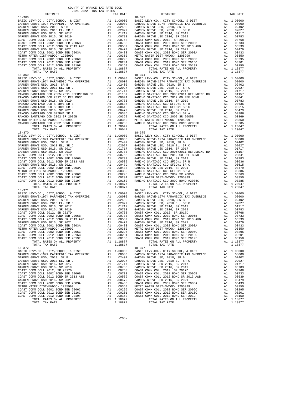| COUNTY OF ORANGE TAX RATE BOOK<br>2021-2022 TRA TAX RATES |          |                                                                                                                                                                                                                                         |          |
|-----------------------------------------------------------|----------|-----------------------------------------------------------------------------------------------------------------------------------------------------------------------------------------------------------------------------------------|----------|
| DISTRICT                                                  | TAX RATE | DISTRICT                                                                                                                                                                                                                                | TAX RATE |
|                                                           |          |                                                                                                                                                                                                                                         |          |
|                                                           |          |                                                                                                                                                                                                                                         |          |
|                                                           |          |                                                                                                                                                                                                                                         |          |
|                                                           |          |                                                                                                                                                                                                                                         |          |
|                                                           |          |                                                                                                                                                                                                                                         |          |
|                                                           |          |                                                                                                                                                                                                                                         |          |
|                                                           |          |                                                                                                                                                                                                                                         |          |
|                                                           |          |                                                                                                                                                                                                                                         |          |
|                                                           |          |                                                                                                                                                                                                                                         |          |
|                                                           |          |                                                                                                                                                                                                                                         |          |
|                                                           |          |                                                                                                                                                                                                                                         |          |
|                                                           |          |                                                                                                                                                                                                                                         |          |
|                                                           |          |                                                                                                                                                                                                                                         |          |
|                                                           |          |                                                                                                                                                                                                                                         |          |
|                                                           |          |                                                                                                                                                                                                                                         |          |
|                                                           |          |                                                                                                                                                                                                                                         |          |
|                                                           |          |                                                                                                                                                                                                                                         |          |
|                                                           |          |                                                                                                                                                                                                                                         |          |
|                                                           |          |                                                                                                                                                                                                                                         |          |
|                                                           |          |                                                                                                                                                                                                                                         |          |
|                                                           |          |                                                                                                                                                                                                                                         |          |
|                                                           |          |                                                                                                                                                                                                                                         |          |
|                                                           |          |                                                                                                                                                                                                                                         |          |
|                                                           |          |                                                                                                                                                                                                                                         |          |
|                                                           |          |                                                                                                                                                                                                                                         |          |
|                                                           |          |                                                                                                                                                                                                                                         |          |
|                                                           |          |                                                                                                                                                                                                                                         |          |
|                                                           |          |                                                                                                                                                                                                                                         |          |
|                                                           |          |                                                                                                                                                                                                                                         |          |
|                                                           |          |                                                                                                                                                                                                                                         |          |
|                                                           |          |                                                                                                                                                                                                                                         |          |
|                                                           |          |                                                                                                                                                                                                                                         |          |
|                                                           |          |                                                                                                                                                                                                                                         |          |
|                                                           |          |                                                                                                                                                                                                                                         |          |
|                                                           |          |                                                                                                                                                                                                                                         |          |
|                                                           |          |                                                                                                                                                                                                                                         |          |
|                                                           |          |                                                                                                                                                                                                                                         |          |
|                                                           |          |                                                                                                                                                                                                                                         |          |
|                                                           |          |                                                                                                                                                                                                                                         |          |
|                                                           |          |                                                                                                                                                                                                                                         |          |
|                                                           |          |                                                                                                                                                                                                                                         |          |
|                                                           |          |                                                                                                                                                                                                                                         |          |
|                                                           |          |                                                                                                                                                                                                                                         |          |
|                                                           |          |                                                                                                                                                                                                                                         |          |
|                                                           |          |                                                                                                                                                                                                                                         |          |
|                                                           |          |                                                                                                                                                                                                                                         |          |
|                                                           |          |                                                                                                                                                                                                                                         |          |
|                                                           |          |                                                                                                                                                                                                                                         |          |
|                                                           |          |                                                                                                                                                                                                                                         |          |
|                                                           |          |                                                                                                                                                                                                                                         |          |
|                                                           |          | METRO WATER DIST --MWDOC-1 2012 BOND SER 2016C<br>COAST COMM COLL 2012 BOND SER 2016C<br>COAST COMM COLL 2012 BOND SER 2016C<br>COAST COMM COLL 2012 BOND SER 2016C<br>COAST COMM COLL 2012 BOND SER 2016C<br>COAST COMM COLL 2012 BOND |          |
| $18 - 372$                                                |          | $18 - 377$                                                                                                                                                                                                                              |          |
|                                                           |          |                                                                                                                                                                                                                                         |          |
|                                                           |          |                                                                                                                                                                                                                                         |          |
|                                                           |          |                                                                                                                                                                                                                                         |          |
|                                                           |          |                                                                                                                                                                                                                                         |          |
|                                                           |          |                                                                                                                                                                                                                                         |          |
|                                                           |          |                                                                                                                                                                                                                                         |          |
|                                                           |          |                                                                                                                                                                                                                                         |          |
|                                                           |          |                                                                                                                                                                                                                                         |          |
|                                                           |          |                                                                                                                                                                                                                                         |          |
|                                                           |          |                                                                                                                                                                                                                                         |          |
|                                                           |          |                                                                                                                                                                                                                                         |          |
|                                                           |          |                                                                                                                                                                                                                                         |          |
|                                                           |          |                                                                                                                                                                                                                                         |          |

| nont none this time milled<br>DISTRICT | TAX RATE | DISTRICT   | TAX RATE |
|----------------------------------------|----------|------------|----------|
|                                        |          |            |          |
|                                        |          |            |          |
|                                        |          |            |          |
|                                        |          |            |          |
|                                        |          |            |          |
|                                        |          |            |          |
|                                        |          |            |          |
|                                        |          |            |          |
|                                        |          |            |          |
|                                        |          |            |          |
|                                        |          |            |          |
|                                        |          |            |          |
|                                        |          |            |          |
|                                        |          |            |          |
|                                        |          |            |          |
|                                        |          |            |          |
|                                        |          |            |          |
|                                        |          |            |          |
|                                        |          |            |          |
|                                        |          |            |          |
|                                        |          |            |          |
|                                        |          |            |          |
|                                        |          |            |          |
|                                        |          |            |          |
|                                        |          |            |          |
|                                        |          |            |          |
|                                        |          |            |          |
|                                        |          |            |          |
|                                        |          |            |          |
|                                        |          |            |          |
|                                        |          |            |          |
|                                        |          |            |          |
|                                        |          |            |          |
|                                        |          |            |          |
|                                        |          |            |          |
|                                        |          |            |          |
|                                        |          |            |          |
|                                        |          |            |          |
|                                        |          |            |          |
|                                        |          |            |          |
|                                        |          |            |          |
|                                        |          |            |          |
|                                        |          |            |          |
|                                        |          |            |          |
|                                        |          |            |          |
|                                        |          |            |          |
|                                        |          |            |          |
|                                        |          |            |          |
|                                        |          |            |          |
|                                        |          |            |          |
|                                        |          |            |          |
|                                        |          |            |          |
|                                        |          |            |          |
|                                        |          |            |          |
|                                        |          |            |          |
| $18 - 371$                             |          | $18 - 376$ |          |
|                                        |          |            |          |
|                                        |          |            |          |
|                                        |          |            |          |
|                                        |          |            |          |
|                                        |          |            |          |
|                                        |          |            |          |
|                                        |          |            |          |
|                                        |          |            |          |
|                                        |          |            |          |
|                                        |          |            |          |
|                                        |          |            |          |
|                                        |          |            |          |
|                                        |          |            |          |
|                                        |          |            |          |
|                                        |          |            |          |
|                                        |          |            |          |
|                                        |          |            |          |
|                                        |          |            |          |
|                                        |          |            |          |
|                                        |          |            |          |
|                                        |          |            |          |
|                                        |          |            |          |
|                                        |          |            |          |
|                                        |          |            |          |
|                                        |          |            |          |
|                                        |          |            |          |
|                                        |          |            |          |
|                                        |          |            |          |
|                                        |          |            |          |
|                                        |          |            |          |
|                                        |          |            |          |
|                                        |          |            |          |
|                                        |          |            |          |
|                                        |          |            |          |
|                                        |          |            |          |
|                                        |          |            |          |
|                                        |          |            |          |

-208-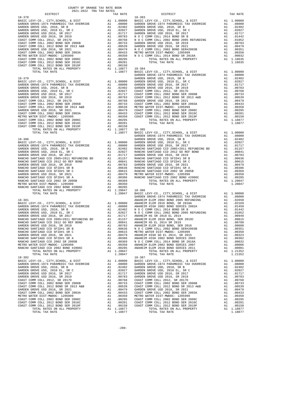| COUNTY OF ORANGE TAX RATE BOOK<br>2021-2022 TRA TAX RATES |                                                                                                                                                                                                                                                                                                                                                                                                                                    |  |
|-----------------------------------------------------------|------------------------------------------------------------------------------------------------------------------------------------------------------------------------------------------------------------------------------------------------------------------------------------------------------------------------------------------------------------------------------------------------------------------------------------|--|
|                                                           |                                                                                                                                                                                                                                                                                                                                                                                                                                    |  |
|                                                           | $\begin{tabular}{cccccccc} 18-378 & \rule{ \textbf{18.5cm} & \textbf{18.51C LEVY-CO} \end{tabular} \begin{tabular}{cccccccc} 18-378 & \rule{ \textbf{18.5cm} & \textbf{18.51C LEVY-CO} \end{tabular} \begin{tabular}{cccccccc} 18-378 & \rule{ \textbf{18.5cm} & \textbf{18.51C LEVY-CO} \end{tabular} \begin{tabular}{cccccccc} 18-378 & \rule{ \textbf{18.5cm} & \textbf{18.51C LEVY-CO} \end{tabular} \begin{tabular}{cccccccc$ |  |
|                                                           |                                                                                                                                                                                                                                                                                                                                                                                                                                    |  |
|                                                           |                                                                                                                                                                                                                                                                                                                                                                                                                                    |  |
|                                                           | $\begin{tabular}{l c c c c c} \hline \texttt{TCTAL RATES ON ALL PROPERTIES} & \texttt{ADEN R同} & \texttt{ADEN GROLE} & \texttt{ADEN GROLE} & \texttt{DST} & \texttt{ADEN GROLE} \\ \hline \texttt{TOTAL TAX RATE} & 1.20047 & 18-386 & \texttt{LOVY-CO.}, \texttt{CITY}, \texttt{SCHOOL}, & \texttt{DIST} & \texttt{A1} & 1.00000 & \texttt{QARDEN GROVE-1974 PARKMEDIC TAX OVERRIDE} & \texttt{A1} & .08000 & \texttt{$           |  |
|                                                           |                                                                                                                                                                                                                                                                                                                                                                                                                                    |  |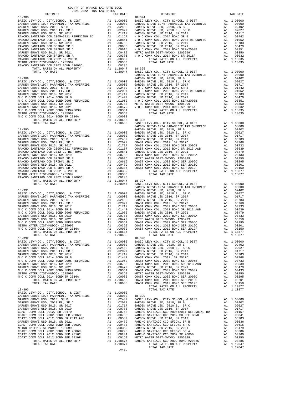| AUAL-AUAA INA IAA KAIBU<br>DISTRICT | TAX RATE | DISTRICT       | TAX RATE |
|-------------------------------------|----------|----------------|----------|
| $18 - 388$                          |          | $18 - 394$     |          |
|                                     |          |                |          |
|                                     |          |                |          |
|                                     |          |                |          |
|                                     |          |                |          |
|                                     |          |                |          |
|                                     |          |                |          |
|                                     |          |                |          |
|                                     |          |                |          |
|                                     |          |                |          |
|                                     |          |                |          |
|                                     |          |                |          |
|                                     |          |                |          |
|                                     |          |                |          |
|                                     |          |                |          |
|                                     |          |                |          |
|                                     |          |                |          |
|                                     |          |                |          |
|                                     |          |                |          |
|                                     |          |                |          |
|                                     |          |                |          |
|                                     |          |                |          |
|                                     |          |                |          |
|                                     |          |                |          |
|                                     |          |                |          |
|                                     |          |                |          |
|                                     |          |                |          |
|                                     |          |                |          |
|                                     |          |                |          |
|                                     |          |                |          |
|                                     |          |                |          |
|                                     |          |                |          |
|                                     |          |                |          |
|                                     |          |                |          |
|                                     |          |                |          |
|                                     |          |                |          |
|                                     |          |                |          |
|                                     |          |                |          |
|                                     |          |                |          |
|                                     |          |                |          |
|                                     |          |                |          |
|                                     |          |                |          |
|                                     |          |                |          |
|                                     |          |                |          |
|                                     |          |                |          |
|                                     |          |                |          |
|                                     |          |                |          |
|                                     |          |                |          |
|                                     |          |                |          |
|                                     |          |                |          |
|                                     |          |                |          |
|                                     |          |                |          |
| TOTAL TAX RATE                      | 1.18635  | TOTAL TAX RATE | 1.18877  |
|                                     |          | $18 - 398$     |          |
|                                     |          |                |          |
|                                     |          |                |          |
|                                     |          |                |          |
|                                     |          |                |          |
|                                     |          |                |          |
|                                     |          |                |          |
|                                     |          |                |          |
|                                     |          |                |          |
|                                     |          |                |          |
|                                     |          |                |          |
|                                     |          |                |          |
|                                     |          |                |          |
|                                     |          |                |          |
|                                     |          |                |          |
|                                     |          |                |          |
|                                     |          |                |          |
|                                     |          |                |          |
|                                     |          |                |          |
|                                     |          |                |          |
|                                     |          |                |          |
|                                     |          |                |          |
|                                     |          |                |          |
|                                     |          |                |          |
|                                     |          |                |          |
|                                     |          |                |          |
|                                     |          |                |          |
|                                     | $-210-$  |                |          |
|                                     |          |                |          |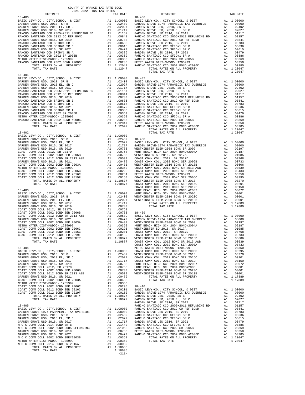| DISTRICT   | TAX RATE | DISTRICT       | TAX RATE |
|------------|----------|----------------|----------|
| $18 - 400$ |          | 18-406         |          |
|            |          |                |          |
|            |          |                |          |
|            |          |                |          |
|            |          |                |          |
|            |          |                |          |
|            |          |                |          |
|            |          |                |          |
|            |          |                |          |
|            |          |                |          |
|            |          |                |          |
|            |          |                |          |
|            |          |                |          |
|            |          |                |          |
|            |          |                |          |
|            |          | TOTAL TAX RATE | 1.20047  |
| $18 - 401$ |          |                |          |
|            |          |                |          |
|            |          |                |          |
|            |          |                |          |
|            |          |                |          |
|            |          |                |          |
|            |          |                |          |
|            |          |                |          |
|            |          |                |          |
|            |          |                |          |
|            |          |                |          |
|            |          |                |          |
|            |          |                |          |
|            |          |                |          |
|            |          |                |          |
|            |          |                |          |
|            |          |                |          |
| $18 - 402$ |          | TOTAL TAX RATE |          |
|            |          |                |          |
|            |          |                |          |
|            |          |                |          |
|            |          |                |          |
|            |          |                |          |
|            |          |                |          |
|            |          |                |          |
|            |          |                |          |
|            |          |                |          |
|            |          |                |          |
|            |          |                |          |
|            |          |                |          |
|            |          |                |          |
|            |          |                |          |
|            |          |                |          |
|            |          |                |          |
|            |          |                |          |
|            |          |                |          |
|            |          |                |          |
|            |          |                |          |
|            |          |                |          |
|            |          |                |          |
|            |          |                |          |
|            |          |                |          |
|            |          |                |          |
|            |          |                |          |
|            |          |                |          |
|            |          |                |          |
|            |          |                |          |
|            |          |                |          |
|            |          |                |          |
|            |          |                |          |
|            |          |                |          |
|            |          |                |          |
|            |          |                |          |
|            |          |                |          |
|            |          |                |          |
|            |          |                |          |
|            |          |                |          |
|            |          |                |          |
|            |          |                |          |
|            |          |                |          |
|            |          |                |          |
|            |          |                |          |
|            |          |                |          |
|            |          |                |          |
|            |          |                |          |
|            |          |                |          |
|            |          |                |          |
|            |          |                |          |
|            |          |                |          |
|            |          |                |          |
|            |          |                |          |
|            |          |                |          |
|            |          |                |          |
|            |          |                |          |
|            |          |                |          |
|            |          |                |          |
|            |          |                |          |
|            |          |                |          |
|            |          |                |          |
|            |          |                |          |
|            |          |                |          |
|            | $-211-$  |                |          |
|            |          |                |          |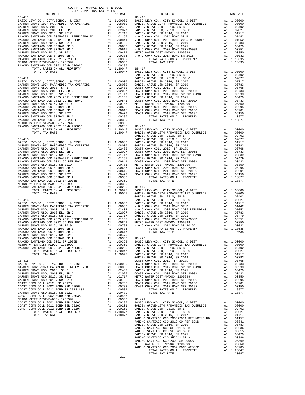| COUNTY OF ORANGE TAX RATE BOOK<br>2021-2022 TRA TAX RATES<br>2021-2022 TRA TAX RATES                                                                                                                                          |  |                                                                                                                                                                                                                                               |  |
|-------------------------------------------------------------------------------------------------------------------------------------------------------------------------------------------------------------------------------|--|-----------------------------------------------------------------------------------------------------------------------------------------------------------------------------------------------------------------------------------------------|--|
|                                                                                                                                                                                                                               |  |                                                                                                                                                                                                                                               |  |
|                                                                                                                                                                                                                               |  |                                                                                                                                                                                                                                               |  |
|                                                                                                                                                                                                                               |  |                                                                                                                                                                                                                                               |  |
|                                                                                                                                                                                                                               |  |                                                                                                                                                                                                                                               |  |
|                                                                                                                                                                                                                               |  |                                                                                                                                                                                                                                               |  |
|                                                                                                                                                                                                                               |  |                                                                                                                                                                                                                                               |  |
|                                                                                                                                                                                                                               |  |                                                                                                                                                                                                                                               |  |
|                                                                                                                                                                                                                               |  |                                                                                                                                                                                                                                               |  |
|                                                                                                                                                                                                                               |  |                                                                                                                                                                                                                                               |  |
|                                                                                                                                                                                                                               |  |                                                                                                                                                                                                                                               |  |
|                                                                                                                                                                                                                               |  |                                                                                                                                                                                                                                               |  |
|                                                                                                                                                                                                                               |  |                                                                                                                                                                                                                                               |  |
|                                                                                                                                                                                                                               |  |                                                                                                                                                                                                                                               |  |
|                                                                                                                                                                                                                               |  |                                                                                                                                                                                                                                               |  |
|                                                                                                                                                                                                                               |  |                                                                                                                                                                                                                                               |  |
|                                                                                                                                                                                                                               |  |                                                                                                                                                                                                                                               |  |
|                                                                                                                                                                                                                               |  |                                                                                                                                                                                                                                               |  |
|                                                                                                                                                                                                                               |  |                                                                                                                                                                                                                                               |  |
|                                                                                                                                                                                                                               |  |                                                                                                                                                                                                                                               |  |
|                                                                                                                                                                                                                               |  |                                                                                                                                                                                                                                               |  |
|                                                                                                                                                                                                                               |  |                                                                                                                                                                                                                                               |  |
|                                                                                                                                                                                                                               |  |                                                                                                                                                                                                                                               |  |
|                                                                                                                                                                                                                               |  |                                                                                                                                                                                                                                               |  |
|                                                                                                                                                                                                                               |  |                                                                                                                                                                                                                                               |  |
|                                                                                                                                                                                                                               |  |                                                                                                                                                                                                                                               |  |
|                                                                                                                                                                                                                               |  |                                                                                                                                                                                                                                               |  |
|                                                                                                                                                                                                                               |  |                                                                                                                                                                                                                                               |  |
|                                                                                                                                                                                                                               |  |                                                                                                                                                                                                                                               |  |
|                                                                                                                                                                                                                               |  | <b>1976:</b> STRIP (1976-2002), 1976-1981<br>1976: STRIP (1976-2003), 1977-1980; 1978-1981<br>1977-1981 (1977-2003), 1978-1981<br>1977-1981 (1978-2003), 1978-1981<br>1977-1981 (1978-2003), 1978-1982<br>1978-2003), 1978-1982<br>1978-2003, |  |
|                                                                                                                                                                                                                               |  |                                                                                                                                                                                                                                               |  |
|                                                                                                                                                                                                                               |  |                                                                                                                                                                                                                                               |  |
|                                                                                                                                                                                                                               |  |                                                                                                                                                                                                                                               |  |
|                                                                                                                                                                                                                               |  |                                                                                                                                                                                                                                               |  |
|                                                                                                                                                                                                                               |  |                                                                                                                                                                                                                                               |  |
|                                                                                                                                                                                                                               |  |                                                                                                                                                                                                                                               |  |
|                                                                                                                                                                                                                               |  |                                                                                                                                                                                                                                               |  |
|                                                                                                                                                                                                                               |  |                                                                                                                                                                                                                                               |  |
|                                                                                                                                                                                                                               |  |                                                                                                                                                                                                                                               |  |
|                                                                                                                                                                                                                               |  |                                                                                                                                                                                                                                               |  |
|                                                                                                                                                                                                                               |  |                                                                                                                                                                                                                                               |  |
|                                                                                                                                                                                                                               |  |                                                                                                                                                                                                                                               |  |
|                                                                                                                                                                                                                               |  |                                                                                                                                                                                                                                               |  |
|                                                                                                                                                                                                                               |  |                                                                                                                                                                                                                                               |  |
|                                                                                                                                                                                                                               |  |                                                                                                                                                                                                                                               |  |
|                                                                                                                                                                                                                               |  |                                                                                                                                                                                                                                               |  |
|                                                                                                                                                                                                                               |  |                                                                                                                                                                                                                                               |  |
|                                                                                                                                                                                                                               |  |                                                                                                                                                                                                                                               |  |
|                                                                                                                                                                                                                               |  |                                                                                                                                                                                                                                               |  |
|                                                                                                                                                                                                                               |  |                                                                                                                                                                                                                                               |  |
|                                                                                                                                                                                                                               |  |                                                                                                                                                                                                                                               |  |
|                                                                                                                                                                                                                               |  |                                                                                                                                                                                                                                               |  |
|                                                                                                                                                                                                                               |  |                                                                                                                                                                                                                                               |  |
|                                                                                                                                                                                                                               |  |                                                                                                                                                                                                                                               |  |
|                                                                                                                                                                                                                               |  |                                                                                                                                                                                                                                               |  |
|                                                                                                                                                                                                                               |  |                                                                                                                                                                                                                                               |  |
|                                                                                                                                                                                                                               |  |                                                                                                                                                                                                                                               |  |
|                                                                                                                                                                                                                               |  |                                                                                                                                                                                                                                               |  |
|                                                                                                                                                                                                                               |  |                                                                                                                                                                                                                                               |  |
|                                                                                                                                                                                                                               |  |                                                                                                                                                                                                                                               |  |
|                                                                                                                                                                                                                               |  |                                                                                                                                                                                                                                               |  |
|                                                                                                                                                                                                                               |  |                                                                                                                                                                                                                                               |  |
|                                                                                                                                                                                                                               |  |                                                                                                                                                                                                                                               |  |
|                                                                                                                                                                                                                               |  |                                                                                                                                                                                                                                               |  |
|                                                                                                                                                                                                                               |  |                                                                                                                                                                                                                                               |  |
|                                                                                                                                                                                                                               |  |                                                                                                                                                                                                                                               |  |
|                                                                                                                                                                                                                               |  |                                                                                                                                                                                                                                               |  |
|                                                                                                                                                                                                                               |  |                                                                                                                                                                                                                                               |  |
|                                                                                                                                                                                                                               |  |                                                                                                                                                                                                                                               |  |
|                                                                                                                                                                                                                               |  |                                                                                                                                                                                                                                               |  |
|                                                                                                                                                                                                                               |  |                                                                                                                                                                                                                                               |  |
|                                                                                                                                                                                                                               |  |                                                                                                                                                                                                                                               |  |
|                                                                                                                                                                                                                               |  |                                                                                                                                                                                                                                               |  |
|                                                                                                                                                                                                                               |  |                                                                                                                                                                                                                                               |  |
|                                                                                                                                                                                                                               |  |                                                                                                                                                                                                                                               |  |
|                                                                                                                                                                                                                               |  |                                                                                                                                                                                                                                               |  |
|                                                                                                                                                                                                                               |  |                                                                                                                                                                                                                                               |  |
|                                                                                                                                                                                                                               |  |                                                                                                                                                                                                                                               |  |
|                                                                                                                                                                                                                               |  |                                                                                                                                                                                                                                               |  |
|                                                                                                                                                                                                                               |  |                                                                                                                                                                                                                                               |  |
|                                                                                                                                                                                                                               |  |                                                                                                                                                                                                                                               |  |
|                                                                                                                                                                                                                               |  |                                                                                                                                                                                                                                               |  |
|                                                                                                                                                                                                                               |  |                                                                                                                                                                                                                                               |  |
|                                                                                                                                                                                                                               |  |                                                                                                                                                                                                                                               |  |
|                                                                                                                                                                                                                               |  |                                                                                                                                                                                                                                               |  |
|                                                                                                                                                                                                                               |  |                                                                                                                                                                                                                                               |  |
|                                                                                                                                                                                                                               |  |                                                                                                                                                                                                                                               |  |
|                                                                                                                                                                                                                               |  |                                                                                                                                                                                                                                               |  |
| NARROS ARCHIVADO COD 2012 DO NEW EGIPA DE 1998 1999 (1998) ANNO 2012 DO NEW EGIPA DE 2012 DO NEW ARCHIVAD COD 2012 DO NEW ARCHIVADO CONTENER (1999) 2013 DO NEW ARCHIVADO CONTENER (1999) 2013 DO NEW ARCHIVADO CONTENER (199 |  |                                                                                                                                                                                                                                               |  |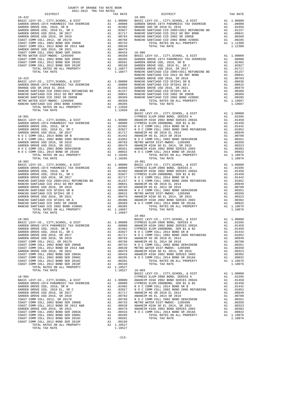| COUNTY OF ORANGE TAX RATE BOOK<br>$\begin{minipage}{.4\linewidth} \begin{tabular}{lcccccc} \multicolumn{2}{c}{\textbf{1.41}\textbf{1.42} & \textbf{1.43} & \textbf{RATE} & \textbf{B}} \\ \multicolumn{2}{c}{\textbf{2.021-2022} & \textbf{TRA} & \textbf{TAX} & \textbf{RATES} \\ \multicolumn{2}{c}{\textbf{DISTRICT}} & & & & & \\ \end{tabular} \end{minipage}$ |          |                                                                                                                                                                                                                                                                                                                                                                                                                                                               |          |
|---------------------------------------------------------------------------------------------------------------------------------------------------------------------------------------------------------------------------------------------------------------------------------------------------------------------------------------------------------------------|----------|---------------------------------------------------------------------------------------------------------------------------------------------------------------------------------------------------------------------------------------------------------------------------------------------------------------------------------------------------------------------------------------------------------------------------------------------------------------|----------|
|                                                                                                                                                                                                                                                                                                                                                                     | TAX RATE | DISTRICT                                                                                                                                                                                                                                                                                                                                                                                                                                                      | TAX RATE |
|                                                                                                                                                                                                                                                                                                                                                                     |          | $18 - 905$                                                                                                                                                                                                                                                                                                                                                                                                                                                    |          |
|                                                                                                                                                                                                                                                                                                                                                                     |          |                                                                                                                                                                                                                                                                                                                                                                                                                                                               |          |
|                                                                                                                                                                                                                                                                                                                                                                     |          |                                                                                                                                                                                                                                                                                                                                                                                                                                                               |          |
|                                                                                                                                                                                                                                                                                                                                                                     |          |                                                                                                                                                                                                                                                                                                                                                                                                                                                               |          |
| $18 - 902$                                                                                                                                                                                                                                                                                                                                                          |          | $19 - 001$                                                                                                                                                                                                                                                                                                                                                                                                                                                    |          |
|                                                                                                                                                                                                                                                                                                                                                                     |          | $19 - 002$<br>$\begin{array}{cccccc} & & & & & & & & & \\ 18-903 & & & & & & & & & \\ \text{BASC LEVY-CO.} & & & & & & & & \\ \text{BASC LEVY-CO.} & & & & & & & & \\ \text{BASC LEVY-CO.} & & & & & & & & \\ \text{BASC LEVY-CO.} & & & & & & & & \\ \text{GAPDEN GROVE-1974 PARAREDIC TAX OVERIDE} & & & & & & & \\ \text{GRONE ROWE-1974 PARAREDIC TAX OVERIDE} & & & & & & & \\ \text{GARDEN GROVE USD, 2010, SR R B} & & & & & & & \\ \text{GADEN GROVE$ |          |
|                                                                                                                                                                                                                                                                                                                                                                     |          |                                                                                                                                                                                                                                                                                                                                                                                                                                                               |          |

-213-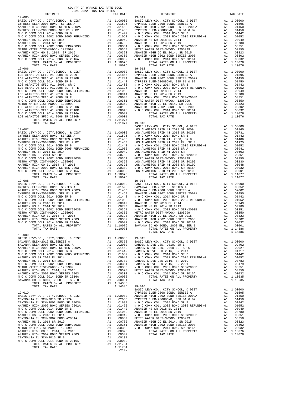| DISTRICT                                                            |                                                                                                                                                                                                                                                                 | TAX RATE                             |                    |
|---------------------------------------------------------------------|-----------------------------------------------------------------------------------------------------------------------------------------------------------------------------------------------------------------------------------------------------------------|--------------------------------------|--------------------|
| $19 - 005$                                                          |                                                                                                                                                                                                                                                                 |                                      | 19-011             |
|                                                                     |                                                                                                                                                                                                                                                                 |                                      |                    |
|                                                                     |                                                                                                                                                                                                                                                                 |                                      |                    |
|                                                                     |                                                                                                                                                                                                                                                                 |                                      |                    |
|                                                                     |                                                                                                                                                                                                                                                                 |                                      |                    |
|                                                                     |                                                                                                                                                                                                                                                                 |                                      |                    |
|                                                                     |                                                                                                                                                                                                                                                                 |                                      |                    |
|                                                                     |                                                                                                                                                                                                                                                                 |                                      |                    |
|                                                                     |                                                                                                                                                                                                                                                                 |                                      |                    |
|                                                                     |                                                                                                                                                                                                                                                                 |                                      |                    |
|                                                                     |                                                                                                                                                                                                                                                                 |                                      |                    |
|                                                                     |                                                                                                                                                                                                                                                                 |                                      |                    |
|                                                                     |                                                                                                                                                                                                                                                                 |                                      |                    |
| TOTAL TAX RATE                                                      |                                                                                                                                                                                                                                                                 | 1.10076                              |                    |
| $19 - 006$                                                          |                                                                                                                                                                                                                                                                 |                                      | $19 - 012$         |
|                                                                     |                                                                                                                                                                                                                                                                 |                                      |                    |
|                                                                     |                                                                                                                                                                                                                                                                 |                                      |                    |
|                                                                     |                                                                                                                                                                                                                                                                 |                                      |                    |
|                                                                     |                                                                                                                                                                                                                                                                 |                                      |                    |
|                                                                     |                                                                                                                                                                                                                                                                 |                                      |                    |
|                                                                     |                                                                                                                                                                                                                                                                 |                                      |                    |
|                                                                     |                                                                                                                                                                                                                                                                 |                                      |                    |
|                                                                     |                                                                                                                                                                                                                                                                 |                                      |                    |
|                                                                     |                                                                                                                                                                                                                                                                 |                                      |                    |
|                                                                     |                                                                                                                                                                                                                                                                 |                                      |                    |
|                                                                     |                                                                                                                                                                                                                                                                 |                                      |                    |
|                                                                     |                                                                                                                                                                                                                                                                 |                                      |                    |
|                                                                     |                                                                                                                                                                                                                                                                 |                                      |                    |
|                                                                     |                                                                                                                                                                                                                                                                 |                                      |                    |
|                                                                     |                                                                                                                                                                                                                                                                 |                                      |                    |
|                                                                     |                                                                                                                                                                                                                                                                 |                                      | BASIC L            |
| $19 - 007$                                                          |                                                                                                                                                                                                                                                                 |                                      | LOS ALA            |
|                                                                     |                                                                                                                                                                                                                                                                 |                                      |                    |
|                                                                     |                                                                                                                                                                                                                                                                 |                                      |                    |
|                                                                     |                                                                                                                                                                                                                                                                 |                                      |                    |
|                                                                     |                                                                                                                                                                                                                                                                 |                                      |                    |
|                                                                     |                                                                                                                                                                                                                                                                 |                                      |                    |
|                                                                     |                                                                                                                                                                                                                                                                 |                                      |                    |
|                                                                     |                                                                                                                                                                                                                                                                 |                                      |                    |
|                                                                     |                                                                                                                                                                                                                                                                 |                                      |                    |
|                                                                     |                                                                                                                                                                                                                                                                 |                                      |                    |
|                                                                     |                                                                                                                                                                                                                                                                 |                                      |                    |
|                                                                     |                                                                                                                                                                                                                                                                 |                                      |                    |
|                                                                     |                                                                                                                                                                                                                                                                 |                                      |                    |
| TOTAL TAX RATE                                                      |                                                                                                                                                                                                                                                                 | 1.10076                              |                    |
| $19 - 008$                                                          |                                                                                                                                                                                                                                                                 |                                      | $19 - 014$         |
|                                                                     |                                                                                                                                                                                                                                                                 |                                      |                    |
|                                                                     |                                                                                                                                                                                                                                                                 |                                      |                    |
|                                                                     |                                                                                                                                                                                                                                                                 |                                      |                    |
|                                                                     |                                                                                                                                                                                                                                                                 |                                      |                    |
|                                                                     |                                                                                                                                                                                                                                                                 |                                      |                    |
|                                                                     |                                                                                                                                                                                                                                                                 |                                      |                    |
|                                                                     |                                                                                                                                                                                                                                                                 |                                      |                    |
|                                                                     |                                                                                                                                                                                                                                                                 |                                      |                    |
|                                                                     |                                                                                                                                                                                                                                                                 |                                      |                    |
|                                                                     |                                                                                                                                                                                                                                                                 |                                      |                    |
|                                                                     |                                                                                                                                                                                                                                                                 |                                      |                    |
|                                                                     |                                                                                                                                                                                                                                                                 |                                      |                    |
| TOTAL TAX RATE                                                      |                                                                                                                                                                                                                                                                 | 1.10076                              |                    |
|                                                                     |                                                                                                                                                                                                                                                                 |                                      |                    |
| $19 - 009$                                                          |                                                                                                                                                                                                                                                                 |                                      |                    |
|                                                                     |                                                                                                                                                                                                                                                                 |                                      |                    |
|                                                                     |                                                                                                                                                                                                                                                                 |                                      |                    |
|                                                                     |                                                                                                                                                                                                                                                                 |                                      |                    |
|                                                                     |                                                                                                                                                                                                                                                                 |                                      |                    |
|                                                                     |                                                                                                                                                                                                                                                                 |                                      |                    |
|                                                                     |                                                                                                                                                                                                                                                                 |                                      |                    |
|                                                                     |                                                                                                                                                                                                                                                                 |                                      |                    |
|                                                                     |                                                                                                                                                                                                                                                                 |                                      |                    |
|                                                                     |                                                                                                                                                                                                                                                                 |                                      |                    |
|                                                                     |                                                                                                                                                                                                                                                                 |                                      |                    |
| N O C COMM COLL 2014 BOND SR 2016A                                  |                                                                                                                                                                                                                                                                 |                                      |                    |
| SAVANNA SD GO BOND, 2008 EL, SER B                                  | A1 .00032<br>A1 .00001<br>A1 1 14396                                                                                                                                                                                                                            |                                      |                    |
| TOTAL RATES ON ALL PROPERTY                                         |                                                                                                                                                                                                                                                                 | A1 1.14386                           |                    |
| TOTAL TAX RATE                                                      |                                                                                                                                                                                                                                                                 | 1.14386                              | $19 - 016$         |
| $19 - 010$                                                          |                                                                                                                                                                                                                                                                 |                                      | BASIC L<br>CYPRESS |
| BASIC LEVY-CO., CITY, SCHOOL, & DIST                                |                                                                                                                                                                                                                                                                 |                                      |                    |
| CENTRALIA EL SCH-2016 SR 2017A                                      |                                                                                                                                                                                                                                                                 |                                      |                    |
| CENTRALIA EL SCH-2002 BOND SR 2003A                                 |                                                                                                                                                                                                                                                                 |                                      |                    |
| ANAHEIM HIGH 2002 BOND SERIES 2002A                                 |                                                                                                                                                                                                                                                                 |                                      |                    |
| N O C COMM COLL 2014 BOND SR B                                      |                                                                                                                                                                                                                                                                 |                                      |                    |
| N O C COMM COLL 2002 BOND 2005 REFUNDING                            |                                                                                                                                                                                                                                                                 |                                      |                    |
| ANAHEIM HS SR 2018 EL 2014                                          |                                                                                                                                                                                                                                                                 |                                      |                    |
| CENTRALIA EL SCH-2002 BOND #2004A<br>ANAHEIM HS EL 2014 SR 2019     |                                                                                                                                                                                                                                                                 |                                      |                    |
|                                                                     |                                                                                                                                                                                                                                                                 |                                      |                    |
|                                                                     |                                                                                                                                                                                                                                                                 |                                      |                    |
| N O C COMM COLL 2002 BOND SER#2003B                                 |                                                                                                                                                                                                                                                                 |                                      |                    |
| METRO WATER DIST-MWDOC- 1205999<br>ANAHEIM HIGH GO EL 2014, SR 2015 | A1 1.00000 CYPRESS<br>A1 .02055 CYPRESS<br>A1 .01688 NOCC<br>A1 .01450 NOCC<br>A1 .01442 ANAHEIM<br>A1 .01949 NOCC<br>A1 .00949 NOCC<br>A1 .00859 METRO N<br>A1 .00350 ANAHEIM<br>A1 .00350 ANAHEIM<br>A1 .00350 ANAHEIM<br>A1 .00350 ANAHEIM<br>A1 .00350 NOCC |                                      |                    |
| ANAHEIM HIGH 2002 BOND SERIES 2003                                  |                                                                                                                                                                                                                                                                 | A1.00323<br>A1 .00302                |                    |
| CENTRALIA EL SCH-2016 SR B                                          |                                                                                                                                                                                                                                                                 |                                      |                    |
| N O C COMM COLL 2014 BOND SR 2016A<br>TOTAL RATES ON ALL PROPERTY   |                                                                                                                                                                                                                                                                 | $A1$ .00131<br>A1 .000<br>A1 1.11764 |                    |

| COUNTY OF ORANGE TAX RATE BOOK<br>$2021-2022 \quad \text{TRA TAX RATES}$ DISTRICT                                                                                                                                                                                                                                                                      |          |                                 |          |
|--------------------------------------------------------------------------------------------------------------------------------------------------------------------------------------------------------------------------------------------------------------------------------------------------------------------------------------------------------|----------|---------------------------------|----------|
|                                                                                                                                                                                                                                                                                                                                                        | TAX RATE | DISTRICT                        | TAX RATE |
| $19 - 005$                                                                                                                                                                                                                                                                                                                                             |          | $19 - 011$                      |          |
|                                                                                                                                                                                                                                                                                                                                                        |          |                                 |          |
|                                                                                                                                                                                                                                                                                                                                                        |          |                                 |          |
|                                                                                                                                                                                                                                                                                                                                                        |          |                                 |          |
|                                                                                                                                                                                                                                                                                                                                                        |          |                                 |          |
|                                                                                                                                                                                                                                                                                                                                                        |          |                                 |          |
|                                                                                                                                                                                                                                                                                                                                                        |          |                                 |          |
|                                                                                                                                                                                                                                                                                                                                                        |          |                                 |          |
| $19 - 006$<br>$\begin{tabular}{cccc} 19-006 & 1014L & 14A K R41E & 110076 & 1014L & 14A K R41E & 110076 & 1014L & 14A K R41E & 110076 \\ \hline \end{tabular} \begin{tabular}{cccc} 19-016 & 1014L & 14A K R41E & 110076 & 1014L & 14A K R41E & 100000 & 18A5C & 1587T & 110076 \\ \hline \end{tabular} \end{tabular} \begin{tabular}{cccc} 19-016 & $ |          | $19 - 012$                      |          |
|                                                                                                                                                                                                                                                                                                                                                        |          |                                 |          |
|                                                                                                                                                                                                                                                                                                                                                        |          |                                 |          |
|                                                                                                                                                                                                                                                                                                                                                        |          |                                 |          |
|                                                                                                                                                                                                                                                                                                                                                        |          |                                 |          |
|                                                                                                                                                                                                                                                                                                                                                        |          |                                 |          |
|                                                                                                                                                                                                                                                                                                                                                        |          |                                 |          |
|                                                                                                                                                                                                                                                                                                                                                        |          |                                 |          |
|                                                                                                                                                                                                                                                                                                                                                        |          |                                 |          |
|                                                                                                                                                                                                                                                                                                                                                        |          |                                 |          |
|                                                                                                                                                                                                                                                                                                                                                        |          |                                 |          |
|                                                                                                                                                                                                                                                                                                                                                        |          |                                 |          |
|                                                                                                                                                                                                                                                                                                                                                        |          |                                 |          |
|                                                                                                                                                                                                                                                                                                                                                        |          |                                 |          |
|                                                                                                                                                                                                                                                                                                                                                        |          |                                 |          |
|                                                                                                                                                                                                                                                                                                                                                        |          |                                 |          |
|                                                                                                                                                                                                                                                                                                                                                        |          |                                 |          |
|                                                                                                                                                                                                                                                                                                                                                        |          |                                 |          |
| $19 - 008$                                                                                                                                                                                                                                                                                                                                             |          | $19 - 014$                      |          |
|                                                                                                                                                                                                                                                                                                                                                        |          |                                 |          |
|                                                                                                                                                                                                                                                                                                                                                        |          |                                 |          |
|                                                                                                                                                                                                                                                                                                                                                        |          |                                 |          |
|                                                                                                                                                                                                                                                                                                                                                        |          |                                 |          |
|                                                                                                                                                                                                                                                                                                                                                        |          |                                 |          |
|                                                                                                                                                                                                                                                                                                                                                        |          |                                 |          |
|                                                                                                                                                                                                                                                                                                                                                        |          |                                 |          |
| $\begin{tabular}{l c c c c} 19-0.08 & 19-0.14 & 11-0.000 & 19-0.14 & 11-0.0000 & 19-0.14 & 11-0.0000 & 19-0.14 & 11-0.0000 & 11-0.00000 & 11-0.00000 & 11-0.00000 & 11-0.00000 & 11-0.00000 & 11-0.00000 & 11-0.00000 & 11-0.00000 & 11-0.00000 & 11-0.00$                                                                                             |          |                                 |          |
| $19 - 009$                                                                                                                                                                                                                                                                                                                                             |          | $\frac{1}{2}$<br>TOTAL TAX RATE | 1.14386  |
|                                                                                                                                                                                                                                                                                                                                                        |          |                                 |          |
|                                                                                                                                                                                                                                                                                                                                                        |          |                                 |          |
|                                                                                                                                                                                                                                                                                                                                                        |          |                                 |          |
|                                                                                                                                                                                                                                                                                                                                                        |          |                                 |          |
|                                                                                                                                                                                                                                                                                                                                                        |          |                                 |          |
|                                                                                                                                                                                                                                                                                                                                                        |          |                                 |          |
|                                                                                                                                                                                                                                                                                                                                                        |          |                                 |          |
|                                                                                                                                                                                                                                                                                                                                                        |          |                                 |          |
|                                                                                                                                                                                                                                                                                                                                                        |          |                                 |          |
|                                                                                                                                                                                                                                                                                                                                                        |          |                                 |          |
|                                                                                                                                                                                                                                                                                                                                                        |          |                                 |          |
|                                                                                                                                                                                                                                                                                                                                                        |          |                                 |          |
|                                                                                                                                                                                                                                                                                                                                                        |          |                                 |          |
|                                                                                                                                                                                                                                                                                                                                                        |          |                                 |          |
|                                                                                                                                                                                                                                                                                                                                                        |          |                                 |          |
|                                                                                                                                                                                                                                                                                                                                                        |          |                                 |          |
|                                                                                                                                                                                                                                                                                                                                                        |          |                                 |          |
|                                                                                                                                                                                                                                                                                                                                                        |          |                                 |          |
|                                                                                                                                                                                                                                                                                                                                                        |          |                                 |          |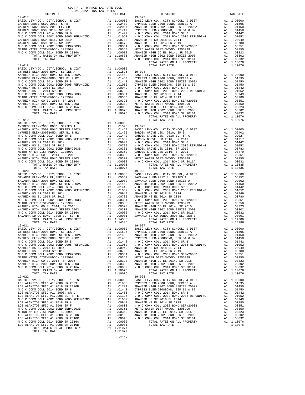| ---------<br>$19 - 017$                                           |    | TITT TAITH                                                                                                                                                                                        | $19 - 023$    |
|-------------------------------------------------------------------|----|---------------------------------------------------------------------------------------------------------------------------------------------------------------------------------------------------|---------------|
|                                                                   |    |                                                                                                                                                                                                   |               |
|                                                                   |    |                                                                                                                                                                                                   |               |
|                                                                   |    |                                                                                                                                                                                                   |               |
|                                                                   |    |                                                                                                                                                                                                   |               |
|                                                                   |    |                                                                                                                                                                                                   |               |
|                                                                   |    |                                                                                                                                                                                                   |               |
|                                                                   |    |                                                                                                                                                                                                   |               |
|                                                                   |    |                                                                                                                                                                                                   |               |
|                                                                   |    |                                                                                                                                                                                                   |               |
|                                                                   |    |                                                                                                                                                                                                   |               |
|                                                                   |    |                                                                                                                                                                                                   |               |
|                                                                   |    |                                                                                                                                                                                                   |               |
|                                                                   |    |                                                                                                                                                                                                   |               |
| $19 - 018$                                                        |    |                                                                                                                                                                                                   |               |
|                                                                   |    |                                                                                                                                                                                                   |               |
|                                                                   |    |                                                                                                                                                                                                   |               |
|                                                                   |    |                                                                                                                                                                                                   |               |
|                                                                   |    |                                                                                                                                                                                                   |               |
|                                                                   |    |                                                                                                                                                                                                   |               |
|                                                                   |    |                                                                                                                                                                                                   |               |
|                                                                   |    |                                                                                                                                                                                                   |               |
|                                                                   |    |                                                                                                                                                                                                   |               |
|                                                                   |    |                                                                                                                                                                                                   |               |
|                                                                   |    |                                                                                                                                                                                                   |               |
|                                                                   |    |                                                                                                                                                                                                   |               |
|                                                                   |    |                                                                                                                                                                                                   |               |
|                                                                   |    |                                                                                                                                                                                                   |               |
|                                                                   |    |                                                                                                                                                                                                   |               |
| $19 - 019$                                                        |    |                                                                                                                                                                                                   |               |
|                                                                   |    |                                                                                                                                                                                                   |               |
|                                                                   |    |                                                                                                                                                                                                   |               |
|                                                                   |    |                                                                                                                                                                                                   |               |
|                                                                   |    |                                                                                                                                                                                                   |               |
|                                                                   |    |                                                                                                                                                                                                   |               |
|                                                                   |    |                                                                                                                                                                                                   |               |
|                                                                   |    |                                                                                                                                                                                                   |               |
|                                                                   |    |                                                                                                                                                                                                   |               |
|                                                                   |    |                                                                                                                                                                                                   |               |
|                                                                   |    |                                                                                                                                                                                                   |               |
|                                                                   |    |                                                                                                                                                                                                   |               |
|                                                                   |    |                                                                                                                                                                                                   |               |
| TOTAL TAX RATE                                                    |    | 1.10076                                                                                                                                                                                           |               |
| $19 - 020$                                                        |    |                                                                                                                                                                                                   | $19 - 026$    |
|                                                                   |    |                                                                                                                                                                                                   |               |
|                                                                   |    |                                                                                                                                                                                                   |               |
|                                                                   |    |                                                                                                                                                                                                   |               |
|                                                                   |    |                                                                                                                                                                                                   |               |
|                                                                   |    |                                                                                                                                                                                                   |               |
|                                                                   |    |                                                                                                                                                                                                   |               |
|                                                                   |    |                                                                                                                                                                                                   |               |
|                                                                   |    |                                                                                                                                                                                                   |               |
|                                                                   |    |                                                                                                                                                                                                   |               |
|                                                                   |    |                                                                                                                                                                                                   |               |
|                                                                   |    |                                                                                                                                                                                                   |               |
|                                                                   |    |                                                                                                                                                                                                   |               |
| TOTAL TAX RATE                                                    |    | 1.14386                                                                                                                                                                                           |               |
|                                                                   |    |                                                                                                                                                                                                   |               |
|                                                                   |    |                                                                                                                                                                                                   |               |
|                                                                   |    |                                                                                                                                                                                                   |               |
|                                                                   |    |                                                                                                                                                                                                   |               |
|                                                                   |    |                                                                                                                                                                                                   | $.01442$ NOCC |
|                                                                   |    |                                                                                                                                                                                                   |               |
|                                                                   |    | A1 .01422 NOCC<br>A1 .01052 NOCC<br>A1 .00949 ANAHEIM<br>A1 .00780 ANAHEIM<br>A1 .00780 ANAHEIM<br>A1 .00350 METRON<br>A1 .00323 ANAHEIM<br>A1 .00302 ANAHEIM<br>A1 .00302 NOCC<br>A1 .00302 NOCC |               |
| ANAHEIM HS EL 2014 SR 2019                                        |    |                                                                                                                                                                                                   |               |
| N O C COMM COLL 2002 BOND SER#2003B                               |    |                                                                                                                                                                                                   |               |
| METRO WATER DIST-MWDOC- 1205999                                   |    |                                                                                                                                                                                                   |               |
| ANAHEIM HIGH GO EL 2014, SR 2015                                  |    |                                                                                                                                                                                                   |               |
| ANAHEIM HIGH 2002 BOND SERIES 2003                                |    |                                                                                                                                                                                                   |               |
| N O C COMM COLL 2014 BOND SR 2016A<br>TOTAL RATES ON ALL PROPERTY |    | A1 1.10076                                                                                                                                                                                        |               |
| TOTAL TAX RATE                                                    |    | 1.10076                                                                                                                                                                                           |               |
| $19 - 022$                                                        |    |                                                                                                                                                                                                   | $19 - 028$    |
|                                                                   |    |                                                                                                                                                                                                   |               |
|                                                                   |    |                                                                                                                                                                                                   |               |
|                                                                   |    |                                                                                                                                                                                                   |               |
|                                                                   |    |                                                                                                                                                                                                   |               |
|                                                                   |    |                                                                                                                                                                                                   |               |
|                                                                   |    |                                                                                                                                                                                                   |               |
|                                                                   |    |                                                                                                                                                                                                   |               |
|                                                                   |    |                                                                                                                                                                                                   |               |
|                                                                   |    |                                                                                                                                                                                                   |               |
|                                                                   |    |                                                                                                                                                                                                   |               |
|                                                                   |    |                                                                                                                                                                                                   |               |
| N O C COMM COLL 2014 BOND SR 2016A                                |    | A1 .00032                                                                                                                                                                                         |               |
| LOS ALAMITOS SFID #1 2008 SR 2010B                                | A1 | .00001                                                                                                                                                                                            |               |
| TOTAL RATES ON ALL PROPERTY                                       |    | A1 1.11077                                                                                                                                                                                        |               |
| TOTAL TAX RATE                                                    |    | 1.11077                                                                                                                                                                                           |               |

| COUNTY OF ORANGE TAX RATE BOOK<br>$\begin{minipage}{.4\linewidth} \begin{tabular}{lcccccc} \textbf{1-A} & \textbf{1-A} & \textbf{RATE} & \textbf{B} \\ \textbf{2021--2022} & \textbf{TRA} & \textbf{TAX RATES} \\ \end{tabular} \end{minipage}$ |          |                                                                                                 |            |
|-------------------------------------------------------------------------------------------------------------------------------------------------------------------------------------------------------------------------------------------------|----------|-------------------------------------------------------------------------------------------------|------------|
| $19 - 017$                                                                                                                                                                                                                                      | TAX RATE | DISTRICT<br>$19 - 023$                                                                          | TAX RATE   |
|                                                                                                                                                                                                                                                 |          |                                                                                                 |            |
|                                                                                                                                                                                                                                                 |          |                                                                                                 |            |
| 179715 MARTS (M. 19702 MART 2001) ALL 197025 MART 2002 MARTIN 2002 MART 2002 MART 2002 MART 2002 MART 2002 MART 2002 MART 2002 MART 2002 MART 2002 MART 2002 MART 2002 MART 2002 MART 2002 MART 2002 MART 2002 MART 2002 MAR                    |          |                                                                                                 |            |
|                                                                                                                                                                                                                                                 |          |                                                                                                 |            |
|                                                                                                                                                                                                                                                 |          |                                                                                                 |            |
|                                                                                                                                                                                                                                                 |          |                                                                                                 |            |
|                                                                                                                                                                                                                                                 |          |                                                                                                 |            |
|                                                                                                                                                                                                                                                 |          |                                                                                                 |            |
|                                                                                                                                                                                                                                                 |          |                                                                                                 |            |
|                                                                                                                                                                                                                                                 |          |                                                                                                 |            |
|                                                                                                                                                                                                                                                 |          |                                                                                                 |            |
|                                                                                                                                                                                                                                                 |          |                                                                                                 |            |
|                                                                                                                                                                                                                                                 |          |                                                                                                 |            |
|                                                                                                                                                                                                                                                 |          |                                                                                                 |            |
|                                                                                                                                                                                                                                                 |          |                                                                                                 |            |
|                                                                                                                                                                                                                                                 |          |                                                                                                 |            |
|                                                                                                                                                                                                                                                 |          |                                                                                                 |            |
|                                                                                                                                                                                                                                                 |          |                                                                                                 |            |
|                                                                                                                                                                                                                                                 |          |                                                                                                 |            |
|                                                                                                                                                                                                                                                 |          |                                                                                                 |            |
|                                                                                                                                                                                                                                                 |          |                                                                                                 |            |
|                                                                                                                                                                                                                                                 |          |                                                                                                 |            |
|                                                                                                                                                                                                                                                 |          |                                                                                                 |            |
|                                                                                                                                                                                                                                                 |          |                                                                                                 |            |
|                                                                                                                                                                                                                                                 |          |                                                                                                 |            |
|                                                                                                                                                                                                                                                 |          |                                                                                                 |            |
|                                                                                                                                                                                                                                                 |          |                                                                                                 |            |
|                                                                                                                                                                                                                                                 |          |                                                                                                 |            |
|                                                                                                                                                                                                                                                 |          |                                                                                                 |            |
|                                                                                                                                                                                                                                                 |          |                                                                                                 |            |
|                                                                                                                                                                                                                                                 |          |                                                                                                 |            |
|                                                                                                                                                                                                                                                 |          | 1,9-021<br>BASIC LEVY-CO., CITY, SCHOOL, & DIST Al 1.00000 BASIC LEVY-CO., CITY, SCHOOL, & DIST | A1 1.00000 |
|                                                                                                                                                                                                                                                 |          |                                                                                                 |            |
|                                                                                                                                                                                                                                                 |          |                                                                                                 |            |
|                                                                                                                                                                                                                                                 |          |                                                                                                 |            |
|                                                                                                                                                                                                                                                 |          |                                                                                                 |            |
|                                                                                                                                                                                                                                                 |          |                                                                                                 |            |
|                                                                                                                                                                                                                                                 |          |                                                                                                 |            |
|                                                                                                                                                                                                                                                 |          |                                                                                                 |            |
|                                                                                                                                                                                                                                                 |          |                                                                                                 |            |
|                                                                                                                                                                                                                                                 |          |                                                                                                 |            |
|                                                                                                                                                                                                                                                 |          |                                                                                                 |            |
|                                                                                                                                                                                                                                                 |          |                                                                                                 |            |
|                                                                                                                                                                                                                                                 |          |                                                                                                 |            |
|                                                                                                                                                                                                                                                 |          |                                                                                                 |            |
|                                                                                                                                                                                                                                                 |          |                                                                                                 |            |
|                                                                                                                                                                                                                                                 |          |                                                                                                 |            |
|                                                                                                                                                                                                                                                 |          |                                                                                                 |            |
|                                                                                                                                                                                                                                                 |          |                                                                                                 |            |
|                                                                                                                                                                                                                                                 |          |                                                                                                 |            |
|                                                                                                                                                                                                                                                 |          |                                                                                                 |            |
| TOTAL TAX RATE                                                                                                                                                                                                                                  |          |                                                                                                 |            |

-215-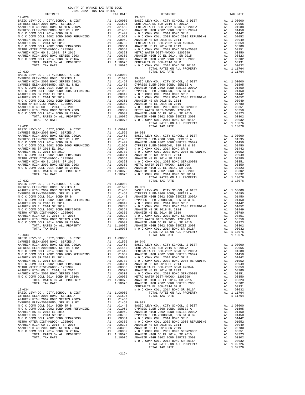| $19 - 030$                                                              |    |                                                                                                                                                                                                                         |                           |
|-------------------------------------------------------------------------|----|-------------------------------------------------------------------------------------------------------------------------------------------------------------------------------------------------------------------------|---------------------------|
|                                                                         |    |                                                                                                                                                                                                                         |                           |
|                                                                         |    |                                                                                                                                                                                                                         |                           |
|                                                                         |    |                                                                                                                                                                                                                         |                           |
|                                                                         |    |                                                                                                                                                                                                                         |                           |
|                                                                         |    |                                                                                                                                                                                                                         |                           |
|                                                                         |    |                                                                                                                                                                                                                         |                           |
|                                                                         |    |                                                                                                                                                                                                                         |                           |
|                                                                         |    |                                                                                                                                                                                                                         |                           |
|                                                                         |    |                                                                                                                                                                                                                         |                           |
|                                                                         |    |                                                                                                                                                                                                                         |                           |
|                                                                         |    |                                                                                                                                                                                                                         |                           |
|                                                                         |    |                                                                                                                                                                                                                         |                           |
| $19 - 031$                                                              |    |                                                                                                                                                                                                                         |                           |
|                                                                         |    |                                                                                                                                                                                                                         |                           |
|                                                                         |    |                                                                                                                                                                                                                         |                           |
|                                                                         |    |                                                                                                                                                                                                                         |                           |
|                                                                         |    |                                                                                                                                                                                                                         |                           |
|                                                                         |    |                                                                                                                                                                                                                         |                           |
|                                                                         |    |                                                                                                                                                                                                                         |                           |
|                                                                         |    |                                                                                                                                                                                                                         |                           |
|                                                                         |    |                                                                                                                                                                                                                         |                           |
|                                                                         |    |                                                                                                                                                                                                                         |                           |
|                                                                         |    |                                                                                                                                                                                                                         |                           |
|                                                                         |    |                                                                                                                                                                                                                         |                           |
|                                                                         |    |                                                                                                                                                                                                                         |                           |
| $19 - 032$                                                              |    |                                                                                                                                                                                                                         |                           |
|                                                                         |    |                                                                                                                                                                                                                         |                           |
|                                                                         |    |                                                                                                                                                                                                                         |                           |
|                                                                         |    |                                                                                                                                                                                                                         |                           |
|                                                                         |    |                                                                                                                                                                                                                         |                           |
|                                                                         |    |                                                                                                                                                                                                                         |                           |
|                                                                         |    |                                                                                                                                                                                                                         |                           |
|                                                                         |    |                                                                                                                                                                                                                         |                           |
|                                                                         |    |                                                                                                                                                                                                                         |                           |
|                                                                         |    |                                                                                                                                                                                                                         |                           |
|                                                                         |    |                                                                                                                                                                                                                         |                           |
|                                                                         |    |                                                                                                                                                                                                                         |                           |
| $19 - 033$                                                              |    |                                                                                                                                                                                                                         |                           |
|                                                                         |    |                                                                                                                                                                                                                         |                           |
|                                                                         |    |                                                                                                                                                                                                                         |                           |
|                                                                         |    |                                                                                                                                                                                                                         |                           |
|                                                                         |    |                                                                                                                                                                                                                         |                           |
|                                                                         |    |                                                                                                                                                                                                                         |                           |
|                                                                         |    |                                                                                                                                                                                                                         |                           |
|                                                                         |    |                                                                                                                                                                                                                         |                           |
|                                                                         |    |                                                                                                                                                                                                                         |                           |
|                                                                         |    |                                                                                                                                                                                                                         |                           |
|                                                                         |    |                                                                                                                                                                                                                         |                           |
| TOTAL RATES ON ALL PROPERTY                                             |    | A1 1.10076                                                                                                                                                                                                              |                           |
| TOTAL TAX RATE                                                          |    | 1.10076                                                                                                                                                                                                                 | ANAHEIM<br>ANAHEIM        |
|                                                                         |    |                                                                                                                                                                                                                         | CENTRAL                   |
| $19 - 034$<br>BASIC LEVY-CO., CITY, SCHOOL, & DIST                      |    | A1 1.00000                                                                                                                                                                                                              | NOCC                      |
| CYPRESS ELEM-2008 BOND, SERIES A                                        |    | A1 .01595                                                                                                                                                                                                               |                           |
| ANAHEIM HIGH 2002 BOND SERIES 2002A                                     |    | A1.01450                                                                                                                                                                                                                |                           |
| CYPRESS ELEM-2008BOND, SER B1 & B2                                      |    | A1 .01450 19-901                                                                                                                                                                                                        |                           |
| NOCCOMM COLL 2014 BOND SR B<br>N O C COMM COLL 2002 BOND 2005 REFUNDING | A1 | A1 .01442<br>.01052                                                                                                                                                                                                     | BASIC L<br><b>CYPRESS</b> |
| ANAHEIM HS SR 2018 EL 2014                                              |    |                                                                                                                                                                                                                         |                           |
| ANAHEIM HS EL 2014 SR 2019                                              |    |                                                                                                                                                                                                                         |                           |
| N O C COMM COLL 2002 BOND SER#2003B                                     |    |                                                                                                                                                                                                                         |                           |
| METRO WATER DIST-MWDOC- 1205999                                         |    |                                                                                                                                                                                                                         |                           |
| ANAHEIM HIGH GO EL 2014, SR 2015<br>ANAHEIM HIGH 2002 BOND SERIES 2003  |    |                                                                                                                                                                                                                         |                           |
| N O C COMM COLL 2014 BOND SR 2016A                                      |    |                                                                                                                                                                                                                         |                           |
| TOTAL RATES ON ALL PROPERTY                                             |    |                                                                                                                                                                                                                         |                           |
| TOTAL TAX RATE                                                          |    | A1 .00949 ANAHEIM<br>A1 .00949 ANAHEIM<br>A1 .00780 CYPRESS<br>A1 .00350 NOCC<br>A1 .00350 NOCC<br>A1 .00323 ANAHEIM<br>A1 .00320 NORTEEM<br>A1 .00032 NOCC<br>A1 .1.0076 ANAHEIM<br>1.10076 ANAHEIM<br>1.10076 ANAHEIM |                           |
|                                                                         |    |                                                                                                                                                                                                                         |                           |

| COUNTY OF ORANGE TAX RATE BOOK |          |                                                                                                                                                                                                                               |          |
|--------------------------------|----------|-------------------------------------------------------------------------------------------------------------------------------------------------------------------------------------------------------------------------------|----------|
|                                | TAX RATE | DISTRICT                                                                                                                                                                                                                      | TAX RATE |
| $19 - 029$                     |          | $19 - 035$                                                                                                                                                                                                                    |          |
|                                |          |                                                                                                                                                                                                                               |          |
|                                |          |                                                                                                                                                                                                                               |          |
|                                |          |                                                                                                                                                                                                                               |          |
|                                |          |                                                                                                                                                                                                                               |          |
|                                |          |                                                                                                                                                                                                                               |          |
|                                |          |                                                                                                                                                                                                                               |          |
|                                |          |                                                                                                                                                                                                                               |          |
|                                |          |                                                                                                                                                                                                                               |          |
|                                |          |                                                                                                                                                                                                                               |          |
|                                |          |                                                                                                                                                                                                                               |          |
|                                |          |                                                                                                                                                                                                                               |          |
|                                |          |                                                                                                                                                                                                                               |          |
|                                |          |                                                                                                                                                                                                                               |          |
|                                |          |                                                                                                                                                                                                                               |          |
|                                |          |                                                                                                                                                                                                                               |          |
|                                |          |                                                                                                                                                                                                                               |          |
|                                |          |                                                                                                                                                                                                                               |          |
|                                |          |                                                                                                                                                                                                                               |          |
|                                |          |                                                                                                                                                                                                                               |          |
|                                |          |                                                                                                                                                                                                                               |          |
|                                |          |                                                                                                                                                                                                                               |          |
|                                |          |                                                                                                                                                                                                                               |          |
|                                |          |                                                                                                                                                                                                                               |          |
|                                |          |                                                                                                                                                                                                                               |          |
|                                |          |                                                                                                                                                                                                                               |          |
|                                |          |                                                                                                                                                                                                                               |          |
|                                |          |                                                                                                                                                                                                                               |          |
|                                |          |                                                                                                                                                                                                                               |          |
|                                |          |                                                                                                                                                                                                                               |          |
|                                |          |                                                                                                                                                                                                                               |          |
|                                |          |                                                                                                                                                                                                                               |          |
|                                |          |                                                                                                                                                                                                                               |          |
|                                |          |                                                                                                                                                                                                                               |          |
|                                |          |                                                                                                                                                                                                                               |          |
|                                |          |                                                                                                                                                                                                                               |          |
|                                |          |                                                                                                                                                                                                                               |          |
|                                |          |                                                                                                                                                                                                                               |          |
|                                |          |                                                                                                                                                                                                                               |          |
|                                |          | 1974. THE REAL PROPERTY OF A 11,0000 SECRE COMPROLUSATION (1975) AND A 11,0000 SECRE COMPROLUSATION (1976) AND A 11,0000 SECRE COMPROLUSATION (1976) AND A 11,0000 SECRE COMPROLUSATION (1976) AND A 11,0000 SECRE COMPROLUSA |          |
|                                |          |                                                                                                                                                                                                                               |          |
|                                |          |                                                                                                                                                                                                                               |          |
|                                |          |                                                                                                                                                                                                                               |          |
|                                |          |                                                                                                                                                                                                                               |          |
|                                |          |                                                                                                                                                                                                                               |          |
|                                |          |                                                                                                                                                                                                                               |          |
|                                |          |                                                                                                                                                                                                                               |          |
|                                |          |                                                                                                                                                                                                                               |          |
|                                |          |                                                                                                                                                                                                                               |          |
|                                |          |                                                                                                                                                                                                                               |          |
|                                |          |                                                                                                                                                                                                                               |          |
| $19 - 033$                     |          |                                                                                                                                                                                                                               |          |
|                                |          |                                                                                                                                                                                                                               |          |
|                                |          |                                                                                                                                                                                                                               |          |
|                                |          |                                                                                                                                                                                                                               |          |
|                                |          |                                                                                                                                                                                                                               |          |
|                                |          |                                                                                                                                                                                                                               |          |
|                                |          |                                                                                                                                                                                                                               |          |
|                                |          |                                                                                                                                                                                                                               |          |
|                                |          |                                                                                                                                                                                                                               |          |
|                                |          |                                                                                                                                                                                                                               |          |
|                                |          |                                                                                                                                                                                                                               |          |
|                                |          |                                                                                                                                                                                                                               |          |
|                                |          |                                                                                                                                                                                                                               |          |
|                                |          |                                                                                                                                                                                                                               |          |
|                                |          |                                                                                                                                                                                                                               |          |
|                                |          |                                                                                                                                                                                                                               |          |
|                                |          |                                                                                                                                                                                                                               |          |
|                                |          |                                                                                                                                                                                                                               |          |
|                                |          |                                                                                                                                                                                                                               |          |
|                                |          |                                                                                                                                                                                                                               |          |
|                                |          |                                                                                                                                                                                                                               |          |
|                                |          |                                                                                                                                                                                                                               |          |
|                                |          |                                                                                                                                                                                                                               |          |
|                                |          |                                                                                                                                                                                                                               |          |
|                                |          |                                                                                                                                                                                                                               |          |
|                                |          |                                                                                                                                                                                                                               |          |
|                                |          |                                                                                                                                                                                                                               |          |
|                                |          |                                                                                                                                                                                                                               |          |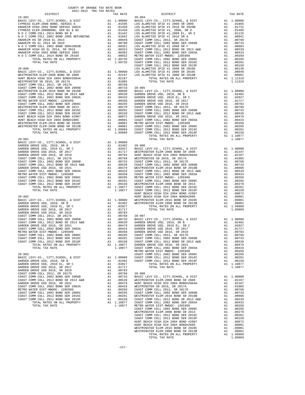| COUNTY OF ORANGE TAX RATE BOOK<br>2021-2022 TRA TAX RATES                  |          |                                                                                                       |                       |
|----------------------------------------------------------------------------|----------|-------------------------------------------------------------------------------------------------------|-----------------------|
| DISTRICT                                                                   |          | TAX RATE                                                                                              |                       |
| $19 - 902$                                                                 |          |                                                                                                       | $20 - 004$            |
|                                                                            |          |                                                                                                       |                       |
|                                                                            |          |                                                                                                       |                       |
|                                                                            |          |                                                                                                       |                       |
|                                                                            |          |                                                                                                       |                       |
|                                                                            |          |                                                                                                       |                       |
|                                                                            |          |                                                                                                       |                       |
|                                                                            |          |                                                                                                       |                       |
|                                                                            |          |                                                                                                       |                       |
|                                                                            |          |                                                                                                       |                       |
|                                                                            |          |                                                                                                       |                       |
|                                                                            |          |                                                                                                       |                       |
| $20 - 000$                                                                 |          |                                                                                                       | COAST C<br>LOS ALA    |
|                                                                            |          |                                                                                                       |                       |
|                                                                            |          |                                                                                                       |                       |
|                                                                            |          |                                                                                                       |                       |
|                                                                            |          |                                                                                                       |                       |
|                                                                            |          |                                                                                                       |                       |
|                                                                            |          |                                                                                                       |                       |
|                                                                            |          |                                                                                                       |                       |
|                                                                            |          |                                                                                                       |                       |
|                                                                            |          |                                                                                                       |                       |
|                                                                            |          |                                                                                                       |                       |
|                                                                            |          |                                                                                                       |                       |
|                                                                            |          |                                                                                                       |                       |
|                                                                            |          |                                                                                                       |                       |
|                                                                            |          |                                                                                                       |                       |
|                                                                            |          |                                                                                                       |                       |
|                                                                            |          |                                                                                                       |                       |
|                                                                            |          |                                                                                                       |                       |
|                                                                            |          |                                                                                                       |                       |
|                                                                            |          |                                                                                                       |                       |
|                                                                            |          |                                                                                                       |                       |
|                                                                            |          |                                                                                                       |                       |
|                                                                            |          |                                                                                                       |                       |
|                                                                            |          |                                                                                                       |                       |
|                                                                            |          |                                                                                                       |                       |
|                                                                            |          |                                                                                                       |                       |
|                                                                            |          |                                                                                                       |                       |
|                                                                            |          |                                                                                                       |                       |
|                                                                            |          |                                                                                                       |                       |
|                                                                            |          |                                                                                                       |                       |
|                                                                            |          |                                                                                                       |                       |
|                                                                            |          |                                                                                                       |                       |
|                                                                            |          |                                                                                                       | HUNT BE               |
| $20 - 002$                                                                 |          | HUNT BE<br>A1 1.00000 WESTMIN<br>A1 .02402 WESTMIN                                                    |                       |
| BASIC LEVY-CO., CITY, SCHOOL, & DIST                                       |          |                                                                                                       |                       |
| GARDEN GROVE USD, 2010, SR B<br>GARDEN GROVE USD, 2010 EL, SR C            | A1       | .02027                                                                                                |                       |
| GARDEN GROVE USD 2016, SR 2017                                             | A1       | .01717                                                                                                |                       |
|                                                                            |          |                                                                                                       |                       |
|                                                                            |          |                                                                                                       |                       |
|                                                                            |          |                                                                                                       |                       |
|                                                                            |          |                                                                                                       |                       |
|                                                                            |          |                                                                                                       |                       |
| METRO WATER DIST-MWDOC- 1205999                                            | A1       | .00350                                                                                                | ${\tt GARDEN}$        |
| COAST COMM COLL 2002 BOND SER 2006C                                        | A1       | .00295                                                                                                | COAST C               |
| COAST COMM COLL 2012 BOND SER 2016C<br>COAST COMM COLL 2012 BOND SER 2019F | A1<br>A1 | .00201<br>.00150                                                                                      | COAST C<br>COAST C    |
| TOTAL RATES ON ALL PROPERTY                                                |          | A1 1.10877                                                                                            | GARDEN                |
| TOTAL TAX RATE                                                             |          | 1.10877                                                                                               | COAST C               |
|                                                                            |          |                                                                                                       | METRO W               |
| $20 - 003$                                                                 |          |                                                                                                       | COAST C               |
| BASIC LEVY-CO., CITY, SCHOOL, & DIST<br>GARDEN GROVE USD, 2010, SR B       | A1<br>A1 | 1.00000<br>.02402                                                                                     | COAST C<br>COAST C    |
| GARDEN GROVE USD, 2010 EL, SR C                                            | A1       | .02027                                                                                                |                       |
| GARDEN GROVE USD 2016, SR 2017                                             | A1       | .01717                                                                                                |                       |
| GARDEN GROVE USD 2016, SR 2019                                             | A1       | .00783                                                                                                |                       |
| COAST COMM COLL 2012, SR 2017D<br>COAST COMM COLL 2002 BOND SER 2006B      | A1<br>A1 | .00768<br>.00733                                                                                      | $20 - 008$<br>BASIC L |
| COAST COMM COLL 2012 BOND SR 2013 A&B                                      |          |                                                                                                       |                       |
| GARDEN GROVE USD 2016, SR 2021                                             |          | A1 .00539 WESTMIN<br>A1 .00479 HUNT BE<br>A1 .00479 HUNT BE<br>A1 .00350 COAST C<br>A1 .00295 COAST C |                       |
| COAST COMM COLL 2002 BOND SER 2003A                                        |          |                                                                                                       |                       |
| METRO WATER DIST-MWDOC- 1205999                                            |          |                                                                                                       |                       |
| COAST COMM COLL 2002 BOND SER 2006C<br>COAST COMM COLL 2012 BOND SER 2016C |          | A1 .00201                                                                                             | WESTMIN               |
| COAST COMM COLL 2012 BOND SER 2019F                                        | A1       | .00150                                                                                                | COAST C               |
| TOTAL RATES ON ALL PROPERTY                                                |          | A1 1.10877 COAST C                                                                                    |                       |

| 2021-2022 TRA TAX RATES<br>DISTRICT | TAX RATE | DISTRICT   | TAX RATE |
|-------------------------------------|----------|------------|----------|
| $19 - 902$                          |          | $20 - 004$ |          |
|                                     |          |            |          |
|                                     |          |            |          |
|                                     |          |            |          |
|                                     |          |            |          |
|                                     |          |            |          |
|                                     |          |            |          |
|                                     |          |            |          |
|                                     |          |            |          |
|                                     |          |            |          |
|                                     |          |            |          |
|                                     |          |            |          |
|                                     |          |            |          |
|                                     |          |            |          |
|                                     |          |            |          |
|                                     |          |            |          |
|                                     |          |            |          |
|                                     |          |            |          |
|                                     |          |            |          |
|                                     |          |            |          |
|                                     |          |            |          |
|                                     |          |            |          |
|                                     |          |            |          |
|                                     |          |            |          |
|                                     |          |            |          |
|                                     |          |            |          |
|                                     |          |            |          |
|                                     |          |            |          |
|                                     |          |            |          |
|                                     |          |            |          |
|                                     |          |            |          |
|                                     |          |            |          |
|                                     |          |            |          |
|                                     |          |            |          |
|                                     |          |            |          |
|                                     |          |            |          |
|                                     |          |            |          |
|                                     |          |            |          |
|                                     |          |            |          |
|                                     |          |            |          |
|                                     |          |            |          |
|                                     |          |            |          |
|                                     |          |            |          |
|                                     |          |            |          |
|                                     |          |            |          |
|                                     |          |            |          |
|                                     |          |            |          |
|                                     |          |            |          |
|                                     |          |            |          |
|                                     |          |            |          |
|                                     |          |            |          |
|                                     |          |            |          |
|                                     |          |            |          |
|                                     |          |            |          |
|                                     |          |            |          |
|                                     |          |            |          |
|                                     |          |            |          |
|                                     |          |            |          |
|                                     |          |            |          |
|                                     |          |            |          |
|                                     |          |            |          |
|                                     |          |            |          |
|                                     |          |            |          |
|                                     |          |            |          |
|                                     |          |            |          |
|                                     |          |            |          |
|                                     |          |            |          |
|                                     |          |            |          |
|                                     |          |            |          |
|                                     |          |            |          |
|                                     |          |            |          |
|                                     |          |            |          |
|                                     |          |            |          |
|                                     |          |            |          |
|                                     |          |            |          |
|                                     |          |            |          |
|                                     |          |            |          |
|                                     |          |            |          |
|                                     |          |            |          |
|                                     |          |            |          |
|                                     |          |            |          |
|                                     |          |            |          |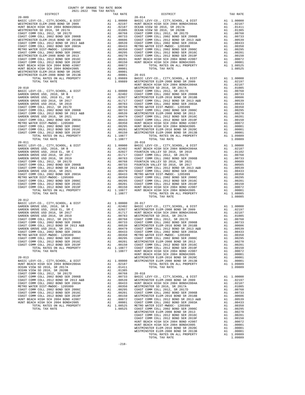| COUNTY OF ORANGE TAX RATE BOOK<br>$2021-2022 \quad \text{TRA TAX RATES}$ DISTRICT $2021-2022 \quad \text{TRA TAX RATES}$ |          |          |          |
|--------------------------------------------------------------------------------------------------------------------------|----------|----------|----------|
|                                                                                                                          | TAX RATE | DISTRICT | TAX RATE |
|                                                                                                                          |          |          |          |
|                                                                                                                          |          |          |          |
|                                                                                                                          |          |          |          |
|                                                                                                                          |          |          |          |
|                                                                                                                          |          |          |          |
|                                                                                                                          |          |          |          |
|                                                                                                                          |          |          |          |
|                                                                                                                          |          |          |          |
|                                                                                                                          |          |          |          |
|                                                                                                                          |          |          |          |
|                                                                                                                          |          |          |          |
|                                                                                                                          |          |          |          |
|                                                                                                                          |          |          |          |
|                                                                                                                          |          |          |          |
|                                                                                                                          |          |          |          |
|                                                                                                                          |          |          |          |
|                                                                                                                          |          |          |          |
|                                                                                                                          |          |          |          |
|                                                                                                                          |          |          |          |
|                                                                                                                          |          |          |          |
|                                                                                                                          |          |          |          |
|                                                                                                                          |          |          |          |
|                                                                                                                          |          |          |          |
|                                                                                                                          |          |          |          |
|                                                                                                                          |          |          |          |
|                                                                                                                          |          |          |          |
|                                                                                                                          |          |          |          |
|                                                                                                                          |          |          |          |
|                                                                                                                          |          |          |          |
|                                                                                                                          |          |          |          |
|                                                                                                                          |          |          |          |
|                                                                                                                          |          |          |          |
|                                                                                                                          |          |          |          |
|                                                                                                                          |          |          |          |
|                                                                                                                          |          |          |          |
|                                                                                                                          |          |          |          |
|                                                                                                                          |          |          |          |
|                                                                                                                          |          |          |          |
|                                                                                                                          |          |          |          |
|                                                                                                                          |          |          |          |
|                                                                                                                          |          |          |          |
| $20 - 012$                                                                                                               |          |          |          |
|                                                                                                                          |          |          |          |
|                                                                                                                          |          |          |          |
|                                                                                                                          |          |          |          |
|                                                                                                                          |          |          |          |
|                                                                                                                          |          |          |          |
|                                                                                                                          |          |          |          |
|                                                                                                                          |          |          |          |
|                                                                                                                          |          |          |          |
|                                                                                                                          |          |          |          |
|                                                                                                                          |          |          |          |
|                                                                                                                          |          |          |          |
|                                                                                                                          |          |          |          |
|                                                                                                                          |          |          |          |
|                                                                                                                          |          |          |          |
|                                                                                                                          |          |          |          |
|                                                                                                                          |          |          |          |
|                                                                                                                          |          |          |          |
|                                                                                                                          |          |          |          |
|                                                                                                                          |          |          |          |
|                                                                                                                          |          |          |          |
|                                                                                                                          |          |          |          |
|                                                                                                                          |          |          |          |
|                                                                                                                          |          |          |          |
|                                                                                                                          |          |          |          |
|                                                                                                                          |          |          |          |
|                                                                                                                          |          |          |          |
|                                                                                                                          |          |          |          |
|                                                                                                                          |          |          |          |
|                                                                                                                          |          |          |          |
|                                                                                                                          |          |          |          |
|                                                                                                                          |          |          |          |

-218-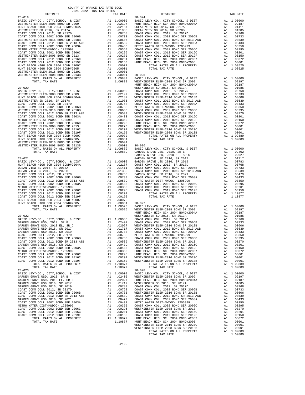|            | COUNTY OF ORANGE TAX RATE BOOK<br>$2021-2022 \quad \text{TRA TAX RATES}$ DISTRICT $2021-2022 \quad \text{TRA TAX RATES}$ |          |            |          |
|------------|--------------------------------------------------------------------------------------------------------------------------|----------|------------|----------|
|            |                                                                                                                          | TAX RATE | DISTRICT   | TAX RATE |
|            |                                                                                                                          |          |            |          |
|            |                                                                                                                          |          |            |          |
|            |                                                                                                                          |          |            |          |
|            |                                                                                                                          |          |            |          |
|            |                                                                                                                          |          |            |          |
|            |                                                                                                                          |          |            |          |
|            |                                                                                                                          |          |            |          |
|            |                                                                                                                          |          |            |          |
|            |                                                                                                                          |          |            |          |
|            |                                                                                                                          |          |            |          |
|            |                                                                                                                          |          |            |          |
|            |                                                                                                                          |          |            |          |
|            |                                                                                                                          |          |            |          |
|            |                                                                                                                          |          |            |          |
|            |                                                                                                                          |          |            |          |
|            |                                                                                                                          |          |            |          |
|            |                                                                                                                          |          |            |          |
|            |                                                                                                                          |          |            |          |
|            |                                                                                                                          |          |            |          |
|            |                                                                                                                          |          |            |          |
|            |                                                                                                                          |          |            |          |
|            |                                                                                                                          |          |            |          |
|            |                                                                                                                          |          |            |          |
|            |                                                                                                                          |          |            |          |
|            |                                                                                                                          |          |            |          |
|            |                                                                                                                          |          |            |          |
|            |                                                                                                                          |          |            |          |
|            |                                                                                                                          |          |            |          |
|            |                                                                                                                          |          |            |          |
|            |                                                                                                                          |          |            |          |
|            |                                                                                                                          |          |            |          |
|            |                                                                                                                          |          |            |          |
|            |                                                                                                                          |          |            |          |
|            |                                                                                                                          |          |            |          |
|            |                                                                                                                          |          |            |          |
|            |                                                                                                                          |          |            |          |
|            |                                                                                                                          |          |            |          |
|            |                                                                                                                          |          |            |          |
|            |                                                                                                                          |          |            |          |
|            |                                                                                                                          |          |            |          |
|            |                                                                                                                          |          |            |          |
|            |                                                                                                                          |          |            |          |
|            |                                                                                                                          |          |            |          |
|            |                                                                                                                          |          |            |          |
|            |                                                                                                                          |          |            |          |
|            |                                                                                                                          |          |            |          |
|            |                                                                                                                          |          |            |          |
|            |                                                                                                                          |          |            |          |
|            |                                                                                                                          |          |            |          |
|            |                                                                                                                          |          |            |          |
|            |                                                                                                                          |          |            |          |
|            |                                                                                                                          |          |            |          |
|            |                                                                                                                          |          |            |          |
|            |                                                                                                                          |          |            |          |
|            |                                                                                                                          |          |            |          |
|            |                                                                                                                          |          |            |          |
|            |                                                                                                                          |          |            |          |
|            |                                                                                                                          |          |            |          |
|            |                                                                                                                          |          |            |          |
| $20 - 023$ |                                                                                                                          |          |            |          |
|            |                                                                                                                          |          | $20 - 028$ |          |
|            |                                                                                                                          |          |            |          |
|            |                                                                                                                          |          |            |          |
|            |                                                                                                                          |          |            |          |
|            |                                                                                                                          |          |            |          |
|            |                                                                                                                          |          |            |          |
|            |                                                                                                                          |          |            |          |
|            |                                                                                                                          |          |            |          |
|            |                                                                                                                          |          |            |          |
|            |                                                                                                                          |          |            |          |
|            |                                                                                                                          |          |            |          |
|            |                                                                                                                          |          |            |          |
|            |                                                                                                                          |          |            |          |
|            |                                                                                                                          |          |            |          |
|            |                                                                                                                          |          |            |          |
|            |                                                                                                                          |          |            |          |

-219-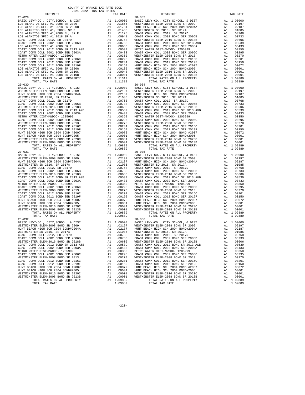| LOS ALAMITOS SFID #1 2018 SR 2020B                                         | A1 .01731 HUNT BE A1 .011406 WESTMIN<br>A1 .01145 WESTMIN<br>A1 .00941 COAST C COAST C<br>A1 .00768 WESTMIN<br>A1 .00768 WESTMIN<br>A1 .00639 COAST C<br>A1 .00639 WETRO WESTMIN<br>A1 .00433 COAST C<br>A1 .00295 COAST C<br>A1 .00295 COAST C<br>A1 .00201 |                                                                                                                                                                                                                                                                                                                                                                                                                                               |            |
|----------------------------------------------------------------------------|--------------------------------------------------------------------------------------------------------------------------------------------------------------------------------------------------------------------------------------------------------------|-----------------------------------------------------------------------------------------------------------------------------------------------------------------------------------------------------------------------------------------------------------------------------------------------------------------------------------------------------------------------------------------------------------------------------------------------|------------|
|                                                                            |                                                                                                                                                                                                                                                              |                                                                                                                                                                                                                                                                                                                                                                                                                                               |            |
| LOS ALAMITOS SFID #1 2018 SR A                                             |                                                                                                                                                                                                                                                              |                                                                                                                                                                                                                                                                                                                                                                                                                                               |            |
| COAST COMM COLL 2012, SR 2017D                                             |                                                                                                                                                                                                                                                              |                                                                                                                                                                                                                                                                                                                                                                                                                                               |            |
| COAST COMM COLL 2002 BOND SER 2006B                                        |                                                                                                                                                                                                                                                              |                                                                                                                                                                                                                                                                                                                                                                                                                                               |            |
| LOS ALAMITOS SFID #1 2008 SR F                                             |                                                                                                                                                                                                                                                              |                                                                                                                                                                                                                                                                                                                                                                                                                                               |            |
| COAST COMM COLL 2012 BOND SR 2013 A&B                                      |                                                                                                                                                                                                                                                              |                                                                                                                                                                                                                                                                                                                                                                                                                                               |            |
| COAST COMM COLL 2002 BOND SER 2003A                                        |                                                                                                                                                                                                                                                              |                                                                                                                                                                                                                                                                                                                                                                                                                                               |            |
| METRO WATER DIST-MWDOC- 1205999                                            |                                                                                                                                                                                                                                                              |                                                                                                                                                                                                                                                                                                                                                                                                                                               |            |
| COAST COMM COLL 2002 BOND SER 2006C                                        |                                                                                                                                                                                                                                                              |                                                                                                                                                                                                                                                                                                                                                                                                                                               |            |
|                                                                            |                                                                                                                                                                                                                                                              |                                                                                                                                                                                                                                                                                                                                                                                                                                               |            |
| LOS ALAMITOS SFID #1 2008 SR 2020G                                         |                                                                                                                                                                                                                                                              |                                                                                                                                                                                                                                                                                                                                                                                                                                               |            |
| LOS ALAMITOS SFID #1 2008 SR 2010C                                         |                                                                                                                                                                                                                                                              |                                                                                                                                                                                                                                                                                                                                                                                                                                               |            |
| LOS ALAMITOS SFID #1 2008 SR 2010B                                         |                                                                                                                                                                                                                                                              |                                                                                                                                                                                                                                                                                                                                                                                                                                               |            |
| TOTAL RATES ON ALL PROPERTY                                                |                                                                                                                                                                                                                                                              | A1 1.11319                                                                                                                                                                                                                                                                                                                                                                                                                                    |            |
| TOTAL TAX RATE                                                             |                                                                                                                                                                                                                                                              | 1.11319                                                                                                                                                                                                                                                                                                                                                                                                                                       |            |
| $20 - 030$                                                                 |                                                                                                                                                                                                                                                              |                                                                                                                                                                                                                                                                                                                                                                                                                                               | $20 - 034$ |
| BASIC LEVY-CO., CITY, SCHOOL, & DIST                                       |                                                                                                                                                                                                                                                              |                                                                                                                                                                                                                                                                                                                                                                                                                                               |            |
| WESTMINSTER ELEM-2008 BOND SR 2009                                         |                                                                                                                                                                                                                                                              |                                                                                                                                                                                                                                                                                                                                                                                                                                               |            |
| HUNT BEACH HIGH SCH 2004 BOND#2004A<br>WESTMINSTER SD 2016, SR 2017A       |                                                                                                                                                                                                                                                              |                                                                                                                                                                                                                                                                                                                                                                                                                                               |            |
| COAST COMM COLL 2012, SR 2017D                                             |                                                                                                                                                                                                                                                              |                                                                                                                                                                                                                                                                                                                                                                                                                                               |            |
| COAST COMM COLL 2002 BOND SER 2006B                                        |                                                                                                                                                                                                                                                              |                                                                                                                                                                                                                                                                                                                                                                                                                                               |            |
| WESTMINSTER ELEM-2016 BOND SR 2018B                                        |                                                                                                                                                                                                                                                              |                                                                                                                                                                                                                                                                                                                                                                                                                                               |            |
| COAST COMM COLL 2012 BOND SR 2013 A&B                                      |                                                                                                                                                                                                                                                              |                                                                                                                                                                                                                                                                                                                                                                                                                                               |            |
| COAST COMM COLL 2002 BOND SER 2003A                                        |                                                                                                                                                                                                                                                              |                                                                                                                                                                                                                                                                                                                                                                                                                                               |            |
| METRO WATER DIST-MWDOC- 1205999                                            |                                                                                                                                                                                                                                                              |                                                                                                                                                                                                                                                                                                                                                                                                                                               |            |
| COAST COMM COLL 2002 BOND SER 2006C                                        |                                                                                                                                                                                                                                                              |                                                                                                                                                                                                                                                                                                                                                                                                                                               |            |
| WESTMINSTER ELEM-2008 BOND SR 2013                                         |                                                                                                                                                                                                                                                              |                                                                                                                                                                                                                                                                                                                                                                                                                                               |            |
| COAST COMM COLL 2012 BOND SER 2016C                                        |                                                                                                                                                                                                                                                              |                                                                                                                                                                                                                                                                                                                                                                                                                                               |            |
| COAST COMM COLL 2012 BOND SER 2019F<br>HUNT BEACH HIGH SCH 2004 BOND #2007 |                                                                                                                                                                                                                                                              |                                                                                                                                                                                                                                                                                                                                                                                                                                               |            |
| HUNT BEACH HIGH SCH 2004 BOND#2005                                         |                                                                                                                                                                                                                                                              |                                                                                                                                                                                                                                                                                                                                                                                                                                               |            |
| WESTMINSTER ELEM-2016 BOND SR 2020C                                        |                                                                                                                                                                                                                                                              |                                                                                                                                                                                                                                                                                                                                                                                                                                               |            |
| WESTMINSTER ELEM-2008 BOND SR 2013B                                        |                                                                                                                                                                                                                                                              |                                                                                                                                                                                                                                                                                                                                                                                                                                               |            |
| TOTAL RATES ON ALL PROPERTY                                                |                                                                                                                                                                                                                                                              |                                                                                                                                                                                                                                                                                                                                                                                                                                               |            |
| TOTAL TAX RATE                                                             |                                                                                                                                                                                                                                                              | $\begin{tabular}{cc} 20-034 \\ \text{A1} & 0.0000 \\ \text{A1} & 0.2197 \\ \text{A1} & 0.2197 \\ \text{NISTMIN} & \text{HINT BE} \\ \text{A1} & 0.01085 \\ \text{A1} & 0.0768 \\ \text{A1} & 0.0768 \\ \text{A1} & 0.00768 \\ \text{A1} & 0.0059 \\ \text{A1} & 0.0659 \\ \text{A1} & 0.0659 \\ \text{A1} & 0.0433 \\ \text{A1} & 0.0350 \\ \text{A1}$<br>1.09889                                                                             |            |
| $20 - 031$                                                                 |                                                                                                                                                                                                                                                              |                                                                                                                                                                                                                                                                                                                                                                                                                                               | $20 - 035$ |
| BASIC LEVY-CO., CITY, SCHOOL, & DIST                                       |                                                                                                                                                                                                                                                              | A1 1.00000<br>$\begin{tabular}{cc} {\bf A1} & 1.00000 & {\bf BASIC\_L} \\ {\bf A1} & 0.2197 & {\bf WESTMINT} \end{tabular} \begin{tabular}{c} {\bf R3IC\_L} \\ {\bf A1} & 0.2187 & {\bf HUSTMINT} \end{tabular} \begin{tabular}{c} {\bf A1} & 0.01085 & {\bf WESTMINT} \end{tabular} \\ {\bf A1} & 0.0768 & {\bf OOST} \end{tabular} \begin{tabular}{c} {\bf A2} & 0.0733 & {\bf COAST T} \\ {\bf A1} & 0.0733 & {\bf COAST T} \end{tabular}$ | BASIC L    |
| WESTMINSTER ELEM-2008 BOND SR 2009<br>HUNT BEACH HIGH SCH 2004 BOND#2004A  |                                                                                                                                                                                                                                                              |                                                                                                                                                                                                                                                                                                                                                                                                                                               |            |
| WESTMINSTER SD 2016, SR 2017A                                              |                                                                                                                                                                                                                                                              |                                                                                                                                                                                                                                                                                                                                                                                                                                               |            |
| COAST COMM COLL 2012, SR 2017D                                             |                                                                                                                                                                                                                                                              |                                                                                                                                                                                                                                                                                                                                                                                                                                               |            |
| COAST COMM COLL 2002 BOND SER 2006B                                        |                                                                                                                                                                                                                                                              |                                                                                                                                                                                                                                                                                                                                                                                                                                               |            |
| WESTMINSTER ELEM-2016 BOND SR 2018B                                        |                                                                                                                                                                                                                                                              |                                                                                                                                                                                                                                                                                                                                                                                                                                               |            |
| COAST COMM COLL 2012 BOND SR 2013 A&B                                      |                                                                                                                                                                                                                                                              |                                                                                                                                                                                                                                                                                                                                                                                                                                               |            |
| COAST COMM COLL 2002 BOND SER 2003A                                        |                                                                                                                                                                                                                                                              |                                                                                                                                                                                                                                                                                                                                                                                                                                               |            |
| METRO WATER DIST-MWDOC- 1205999                                            |                                                                                                                                                                                                                                                              |                                                                                                                                                                                                                                                                                                                                                                                                                                               |            |
| COAST COMM COLL 2002 BOND SER 2006C<br>WESTMINSTER ELEM-2008 BOND SR 2013  |                                                                                                                                                                                                                                                              |                                                                                                                                                                                                                                                                                                                                                                                                                                               |            |
| COAST COMM COLL 2012 BOND SER 2016C                                        |                                                                                                                                                                                                                                                              |                                                                                                                                                                                                                                                                                                                                                                                                                                               |            |
| COAST COMM COLL 2012 BOND SER 2019F                                        |                                                                                                                                                                                                                                                              |                                                                                                                                                                                                                                                                                                                                                                                                                                               |            |
| HUNT BEACH HIGH SCH 2004 BOND #2007                                        |                                                                                                                                                                                                                                                              |                                                                                                                                                                                                                                                                                                                                                                                                                                               |            |
| HUNT BEACH HIGH SCH 2004 BOND#2005                                         |                                                                                                                                                                                                                                                              |                                                                                                                                                                                                                                                                                                                                                                                                                                               |            |
| WESTMINSTER ELEM-2016 BOND SR 2020C                                        |                                                                                                                                                                                                                                                              |                                                                                                                                                                                                                                                                                                                                                                                                                                               |            |
| WESTMINSTER ELEM-2008 BOND SR 2013B                                        | A1                                                                                                                                                                                                                                                           | .00001                                                                                                                                                                                                                                                                                                                                                                                                                                        | WESTMIN    |
| TOTAL RATES ON ALL PROPERTY                                                |                                                                                                                                                                                                                                                              | A1 1.09889                                                                                                                                                                                                                                                                                                                                                                                                                                    |            |
| TOTAL TAX RATE                                                             |                                                                                                                                                                                                                                                              | 1.09889                                                                                                                                                                                                                                                                                                                                                                                                                                       |            |
| $20 - 032$                                                                 |                                                                                                                                                                                                                                                              |                                                                                                                                                                                                                                                                                                                                                                                                                                               | $20 - 036$ |
| BASIC LEVY-CO., CITY, SCHOOL, & DIST<br>WESTMINSTER ELEM-2008 BOND SR 2009 |                                                                                                                                                                                                                                                              |                                                                                                                                                                                                                                                                                                                                                                                                                                               |            |
| HUNT BEACH HIGH SCH 2004 BOND#2004A                                        |                                                                                                                                                                                                                                                              |                                                                                                                                                                                                                                                                                                                                                                                                                                               |            |
| WESTMINSTER SD 2016, SR 2017A                                              |                                                                                                                                                                                                                                                              |                                                                                                                                                                                                                                                                                                                                                                                                                                               |            |
| COAST COMM COLL 2012, SR 2017D                                             |                                                                                                                                                                                                                                                              |                                                                                                                                                                                                                                                                                                                                                                                                                                               |            |
| COAST COMM COLL 2002 BOND SER 2006B                                        |                                                                                                                                                                                                                                                              |                                                                                                                                                                                                                                                                                                                                                                                                                                               |            |
| WESTMINSTER ELEM-2016 BOND SR 2018B                                        |                                                                                                                                                                                                                                                              |                                                                                                                                                                                                                                                                                                                                                                                                                                               |            |
| COAST COMM COLL 2012 BOND SR 2013 A&B                                      |                                                                                                                                                                                                                                                              |                                                                                                                                                                                                                                                                                                                                                                                                                                               |            |
| COAST COMM COLL 2002 BOND SER 2003A                                        |                                                                                                                                                                                                                                                              |                                                                                                                                                                                                                                                                                                                                                                                                                                               |            |
| METRO WATER DIST-MWDOC- 1205999                                            |                                                                                                                                                                                                                                                              |                                                                                                                                                                                                                                                                                                                                                                                                                                               |            |
| COAST COMM COLL 2002 BOND SER 2006C<br>WESTMINSTER ELEM-2008 BOND SR 2013  |                                                                                                                                                                                                                                                              |                                                                                                                                                                                                                                                                                                                                                                                                                                               |            |
| COAST COMM COLL 2012 BOND SER 2016C                                        |                                                                                                                                                                                                                                                              |                                                                                                                                                                                                                                                                                                                                                                                                                                               |            |
| COAST COMM COLL 2012 BOND SER 2019F                                        |                                                                                                                                                                                                                                                              |                                                                                                                                                                                                                                                                                                                                                                                                                                               |            |
| HUNT BEACH HIGH SCH 2004 BOND #2007<br>HUNT BEACH HIGH SCH 2004 BOND#2005  |                                                                                                                                                                                                                                                              |                                                                                                                                                                                                                                                                                                                                                                                                                                               |            |
|                                                                            |                                                                                                                                                                                                                                                              |                                                                                                                                                                                                                                                                                                                                                                                                                                               |            |
| WESTMINSTER ELEM-2016 BOND SR 2020C                                        |                                                                                                                                                                                                                                                              |                                                                                                                                                                                                                                                                                                                                                                                                                                               |            |

| DISTRICT                                                                   | TAX RATE |         | DISTRICT                                                                                                                                                                                                                                                                                                                                                                                                           |    | TAX RATE |
|----------------------------------------------------------------------------|----------|---------|--------------------------------------------------------------------------------------------------------------------------------------------------------------------------------------------------------------------------------------------------------------------------------------------------------------------------------------------------------------------------------------------------------------------|----|----------|
| $20 - 029$                                                                 |          |         | $20 - 033$                                                                                                                                                                                                                                                                                                                                                                                                         |    |          |
|                                                                            |          |         |                                                                                                                                                                                                                                                                                                                                                                                                                    |    |          |
|                                                                            |          |         |                                                                                                                                                                                                                                                                                                                                                                                                                    |    |          |
|                                                                            |          |         |                                                                                                                                                                                                                                                                                                                                                                                                                    |    |          |
|                                                                            |          |         |                                                                                                                                                                                                                                                                                                                                                                                                                    |    |          |
|                                                                            |          |         |                                                                                                                                                                                                                                                                                                                                                                                                                    |    |          |
|                                                                            |          |         |                                                                                                                                                                                                                                                                                                                                                                                                                    |    |          |
|                                                                            |          |         |                                                                                                                                                                                                                                                                                                                                                                                                                    |    |          |
|                                                                            |          |         |                                                                                                                                                                                                                                                                                                                                                                                                                    |    |          |
|                                                                            |          |         |                                                                                                                                                                                                                                                                                                                                                                                                                    |    |          |
|                                                                            |          |         |                                                                                                                                                                                                                                                                                                                                                                                                                    |    |          |
|                                                                            |          |         |                                                                                                                                                                                                                                                                                                                                                                                                                    |    |          |
|                                                                            |          |         |                                                                                                                                                                                                                                                                                                                                                                                                                    |    |          |
|                                                                            |          |         |                                                                                                                                                                                                                                                                                                                                                                                                                    |    |          |
|                                                                            |          |         |                                                                                                                                                                                                                                                                                                                                                                                                                    |    |          |
|                                                                            |          |         |                                                                                                                                                                                                                                                                                                                                                                                                                    |    |          |
|                                                                            |          |         |                                                                                                                                                                                                                                                                                                                                                                                                                    |    |          |
|                                                                            |          |         |                                                                                                                                                                                                                                                                                                                                                                                                                    |    |          |
|                                                                            |          |         |                                                                                                                                                                                                                                                                                                                                                                                                                    |    |          |
|                                                                            |          |         |                                                                                                                                                                                                                                                                                                                                                                                                                    |    |          |
|                                                                            |          |         |                                                                                                                                                                                                                                                                                                                                                                                                                    |    |          |
|                                                                            |          |         |                                                                                                                                                                                                                                                                                                                                                                                                                    |    |          |
|                                                                            |          |         |                                                                                                                                                                                                                                                                                                                                                                                                                    |    |          |
|                                                                            |          |         |                                                                                                                                                                                                                                                                                                                                                                                                                    |    |          |
|                                                                            |          |         |                                                                                                                                                                                                                                                                                                                                                                                                                    |    |          |
|                                                                            |          |         |                                                                                                                                                                                                                                                                                                                                                                                                                    |    |          |
|                                                                            |          |         |                                                                                                                                                                                                                                                                                                                                                                                                                    |    |          |
|                                                                            |          |         |                                                                                                                                                                                                                                                                                                                                                                                                                    |    |          |
|                                                                            |          |         |                                                                                                                                                                                                                                                                                                                                                                                                                    |    |          |
|                                                                            |          |         |                                                                                                                                                                                                                                                                                                                                                                                                                    |    |          |
|                                                                            |          |         |                                                                                                                                                                                                                                                                                                                                                                                                                    |    |          |
|                                                                            |          |         |                                                                                                                                                                                                                                                                                                                                                                                                                    |    |          |
|                                                                            |          |         |                                                                                                                                                                                                                                                                                                                                                                                                                    |    |          |
|                                                                            |          |         |                                                                                                                                                                                                                                                                                                                                                                                                                    |    |          |
|                                                                            |          |         |                                                                                                                                                                                                                                                                                                                                                                                                                    |    |          |
|                                                                            |          |         |                                                                                                                                                                                                                                                                                                                                                                                                                    |    |          |
|                                                                            |          |         |                                                                                                                                                                                                                                                                                                                                                                                                                    |    |          |
|                                                                            |          |         |                                                                                                                                                                                                                                                                                                                                                                                                                    |    |          |
|                                                                            |          |         |                                                                                                                                                                                                                                                                                                                                                                                                                    |    |          |
|                                                                            |          |         |                                                                                                                                                                                                                                                                                                                                                                                                                    |    |          |
|                                                                            |          |         |                                                                                                                                                                                                                                                                                                                                                                                                                    |    |          |
|                                                                            |          |         |                                                                                                                                                                                                                                                                                                                                                                                                                    |    |          |
|                                                                            |          |         |                                                                                                                                                                                                                                                                                                                                                                                                                    |    |          |
|                                                                            |          |         |                                                                                                                                                                                                                                                                                                                                                                                                                    |    |          |
|                                                                            |          |         |                                                                                                                                                                                                                                                                                                                                                                                                                    |    |          |
|                                                                            |          |         |                                                                                                                                                                                                                                                                                                                                                                                                                    |    |          |
|                                                                            |          |         |                                                                                                                                                                                                                                                                                                                                                                                                                    |    |          |
|                                                                            |          |         |                                                                                                                                                                                                                                                                                                                                                                                                                    |    |          |
|                                                                            |          |         |                                                                                                                                                                                                                                                                                                                                                                                                                    |    |          |
|                                                                            |          |         |                                                                                                                                                                                                                                                                                                                                                                                                                    |    |          |
|                                                                            |          |         |                                                                                                                                                                                                                                                                                                                                                                                                                    |    |          |
|                                                                            |          |         |                                                                                                                                                                                                                                                                                                                                                                                                                    |    |          |
|                                                                            |          |         |                                                                                                                                                                                                                                                                                                                                                                                                                    |    |          |
|                                                                            |          |         |                                                                                                                                                                                                                                                                                                                                                                                                                    |    |          |
|                                                                            |          |         |                                                                                                                                                                                                                                                                                                                                                                                                                    |    |          |
|                                                                            |          |         |                                                                                                                                                                                                                                                                                                                                                                                                                    |    |          |
|                                                                            |          |         |                                                                                                                                                                                                                                                                                                                                                                                                                    |    |          |
|                                                                            |          |         |                                                                                                                                                                                                                                                                                                                                                                                                                    |    |          |
|                                                                            |          |         |                                                                                                                                                                                                                                                                                                                                                                                                                    |    |          |
|                                                                            |          |         |                                                                                                                                                                                                                                                                                                                                                                                                                    |    |          |
|                                                                            |          |         |                                                                                                                                                                                                                                                                                                                                                                                                                    |    |          |
|                                                                            |          |         |                                                                                                                                                                                                                                                                                                                                                                                                                    |    |          |
|                                                                            |          |         |                                                                                                                                                                                                                                                                                                                                                                                                                    |    |          |
|                                                                            |          |         |                                                                                                                                                                                                                                                                                                                                                                                                                    |    |          |
|                                                                            |          |         |                                                                                                                                                                                                                                                                                                                                                                                                                    |    |          |
|                                                                            |          |         |                                                                                                                                                                                                                                                                                                                                                                                                                    |    |          |
|                                                                            |          |         |                                                                                                                                                                                                                                                                                                                                                                                                                    |    |          |
|                                                                            |          |         |                                                                                                                                                                                                                                                                                                                                                                                                                    |    |          |
|                                                                            |          |         |                                                                                                                                                                                                                                                                                                                                                                                                                    |    |          |
|                                                                            |          |         | $\begin{tabular}{@{}c@{}}\hline 20-031 & 1.09899 & 20-035 & 10744 & 1.09899 & 20-035 & 10744 & 1.09899 & 20-035 & 10744 & 1.09899 & 20-035 & 1.09989 & 20-035 & 1.09989 & 2.0179 & 2.0200 & 2.0200 & 2.0200 & 2.0200 & 2.0200 & 2.0200 & 2.0200 & 2.0200 & 2.0200 & 2$                                                                                                                                             |    |          |
|                                                                            |          |         |                                                                                                                                                                                                                                                                                                                                                                                                                    |    |          |
| $20 - 032$                                                                 |          |         | $20 - 036$                                                                                                                                                                                                                                                                                                                                                                                                         |    |          |
|                                                                            |          |         |                                                                                                                                                                                                                                                                                                                                                                                                                    |    |          |
| BASIC LEVY-CO., CITY, SCHOOL, & DIST                                       |          |         |                                                                                                                                                                                                                                                                                                                                                                                                                    |    |          |
| WESTMINSTER ELEM-2008 BOND SR 2009                                         |          |         |                                                                                                                                                                                                                                                                                                                                                                                                                    |    |          |
| HUNT BEACH HIGH SCH 2004 BOND#2004A                                        |          |         |                                                                                                                                                                                                                                                                                                                                                                                                                    |    |          |
| WESTMINSTER SD 2016, SR 2017A                                              |          |         |                                                                                                                                                                                                                                                                                                                                                                                                                    |    |          |
| COAST COMM COLL 2012, SR 2017D                                             |          |         |                                                                                                                                                                                                                                                                                                                                                                                                                    |    |          |
| $\overline{AB}$ and $\overline{AB}$<br>COAST COMM COLL 2002 BOND SER 2006B |          | .00733  | COAST COMM COLL 2002 BOND SER 2006B                                                                                                                                                                                                                                                                                                                                                                                | A1 | .00733   |
| WESTMINSTER ELEM-2016 BOND SR 2018B                                        |          |         |                                                                                                                                                                                                                                                                                                                                                                                                                    |    |          |
|                                                                            |          |         |                                                                                                                                                                                                                                                                                                                                                                                                                    |    |          |
| COAST COMM COLL 2012 BOND SR 2013 A&B                                      |          |         |                                                                                                                                                                                                                                                                                                                                                                                                                    |    |          |
| COAST COMM COLL 2002 BOND SER 2003A                                        |          |         |                                                                                                                                                                                                                                                                                                                                                                                                                    |    |          |
| METRO WATER DIST-MWDOC- 1205999                                            |          |         |                                                                                                                                                                                                                                                                                                                                                                                                                    |    |          |
| COAST COMM COLL 2002 BOND SER 2006C                                        |          |         |                                                                                                                                                                                                                                                                                                                                                                                                                    |    |          |
| WESTMINSTER ELEM-2008 BOND SR 2013                                         |          |         |                                                                                                                                                                                                                                                                                                                                                                                                                    |    |          |
| COAST COMM COLL 2012 BOND SER 2016C                                        |          |         |                                                                                                                                                                                                                                                                                                                                                                                                                    |    |          |
| COAST COMM COLL 2012 BOND SER 2019F                                        |          |         |                                                                                                                                                                                                                                                                                                                                                                                                                    |    |          |
| HUNT BEACH HIGH SCH 2004 BOND #2007                                        |          |         |                                                                                                                                                                                                                                                                                                                                                                                                                    |    |          |
|                                                                            |          |         |                                                                                                                                                                                                                                                                                                                                                                                                                    |    |          |
| HUNT BEACH HIGH SCH 2004 BOND#2005                                         |          |         |                                                                                                                                                                                                                                                                                                                                                                                                                    |    |          |
| WESTMINSTER ELEM-2016 BOND SR 2020C                                        |          |         |                                                                                                                                                                                                                                                                                                                                                                                                                    |    |          |
| WESTMINSTER ELEM-2008 BOND SR 2013B                                        |          |         |                                                                                                                                                                                                                                                                                                                                                                                                                    |    |          |
| TOTAL RATES ON ALL PROPERTY                                                |          |         | $\begin{tabular}{cccc} {\bf A1} & .00733 & {\bf COAST COM M COL} & 2002 {\bf BOND SER} & 2006{\bf B} \\ {\bf A1} & .00506 & {\bf WEST MINSTE RELEM-2016 BOND SR & 2018 {\bf B} \\ {\bf A1} & .00659 & {\bf COAST COM M COL} & 2012 {\bf BOND SR & 2013 AkB & 1 & .00606 \\ {\bf A1} & .00433 & {\bf COAST COM M COL} & 2002 {\bf BOND SER} & 2003{\bf A} & 1 & .00433 \\ {\bf A1} & .00433 & {\bf COAST COM M COL$ |    |          |
| TOTAL TAX RATE                                                             |          | 1.09889 | TOTAL TAX RATE                                                                                                                                                                                                                                                                                                                                                                                                     |    | 1.09889  |
|                                                                            |          |         |                                                                                                                                                                                                                                                                                                                                                                                                                    |    |          |

-220-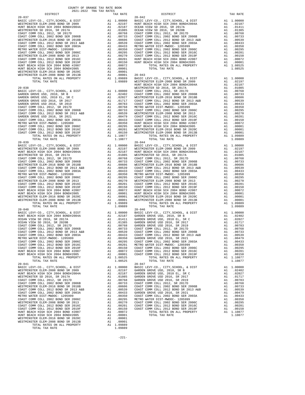| COUNTY OF ORANGE TAX RATE BOOK<br>2021-2022 TRA TAX RATES |          | $\begin{smallmatrix} \textbf{1}_{111} \textbf{1}_{212} \textbf{1}_{313} \textbf{1}_{414} \textbf{1}_{514} \textbf{1}_{615} \textbf{1}_{715} \textbf{1}_{815} \textbf{1}_{915} \textbf{1}_{915} \textbf{1}_{915} \textbf{1}_{915} \textbf{1}_{915} \textbf{1}_{915} \textbf{1}_{915} \textbf{1}_{915} \textbf{1}_{915} \textbf{1}_{915} \textbf{1}_{915} \textbf{1}_{915} \textbf{1}_{915} \textbf{$ |          |
|-----------------------------------------------------------|----------|-----------------------------------------------------------------------------------------------------------------------------------------------------------------------------------------------------------------------------------------------------------------------------------------------------------------------------------------------------------------------------------------------------|----------|
| DISTRICT                                                  | TAX RATE | DISTRICT<br>$20 - 042$                                                                                                                                                                                                                                                                                                                                                                              | TAX RATE |
|                                                           |          |                                                                                                                                                                                                                                                                                                                                                                                                     |          |
|                                                           |          |                                                                                                                                                                                                                                                                                                                                                                                                     |          |
|                                                           |          |                                                                                                                                                                                                                                                                                                                                                                                                     |          |
|                                                           |          |                                                                                                                                                                                                                                                                                                                                                                                                     |          |
|                                                           |          |                                                                                                                                                                                                                                                                                                                                                                                                     |          |
|                                                           |          |                                                                                                                                                                                                                                                                                                                                                                                                     |          |
|                                                           |          |                                                                                                                                                                                                                                                                                                                                                                                                     |          |
|                                                           |          |                                                                                                                                                                                                                                                                                                                                                                                                     |          |
|                                                           |          |                                                                                                                                                                                                                                                                                                                                                                                                     |          |
|                                                           |          |                                                                                                                                                                                                                                                                                                                                                                                                     |          |
|                                                           |          |                                                                                                                                                                                                                                                                                                                                                                                                     |          |
|                                                           |          |                                                                                                                                                                                                                                                                                                                                                                                                     |          |
|                                                           |          |                                                                                                                                                                                                                                                                                                                                                                                                     |          |
|                                                           |          |                                                                                                                                                                                                                                                                                                                                                                                                     |          |
|                                                           |          |                                                                                                                                                                                                                                                                                                                                                                                                     |          |
|                                                           |          |                                                                                                                                                                                                                                                                                                                                                                                                     |          |
|                                                           |          |                                                                                                                                                                                                                                                                                                                                                                                                     |          |
|                                                           |          |                                                                                                                                                                                                                                                                                                                                                                                                     |          |
|                                                           |          |                                                                                                                                                                                                                                                                                                                                                                                                     |          |
|                                                           |          |                                                                                                                                                                                                                                                                                                                                                                                                     |          |
|                                                           |          |                                                                                                                                                                                                                                                                                                                                                                                                     |          |
|                                                           |          |                                                                                                                                                                                                                                                                                                                                                                                                     |          |
|                                                           |          |                                                                                                                                                                                                                                                                                                                                                                                                     |          |
|                                                           |          |                                                                                                                                                                                                                                                                                                                                                                                                     |          |
|                                                           |          |                                                                                                                                                                                                                                                                                                                                                                                                     |          |
|                                                           |          |                                                                                                                                                                                                                                                                                                                                                                                                     |          |
|                                                           |          |                                                                                                                                                                                                                                                                                                                                                                                                     |          |
|                                                           |          |                                                                                                                                                                                                                                                                                                                                                                                                     |          |
|                                                           |          |                                                                                                                                                                                                                                                                                                                                                                                                     |          |
|                                                           |          |                                                                                                                                                                                                                                                                                                                                                                                                     |          |
|                                                           |          |                                                                                                                                                                                                                                                                                                                                                                                                     |          |
|                                                           |          |                                                                                                                                                                                                                                                                                                                                                                                                     |          |
|                                                           |          |                                                                                                                                                                                                                                                                                                                                                                                                     |          |
|                                                           |          |                                                                                                                                                                                                                                                                                                                                                                                                     |          |
|                                                           |          |                                                                                                                                                                                                                                                                                                                                                                                                     |          |
|                                                           |          |                                                                                                                                                                                                                                                                                                                                                                                                     |          |
|                                                           |          |                                                                                                                                                                                                                                                                                                                                                                                                     |          |
|                                                           |          |                                                                                                                                                                                                                                                                                                                                                                                                     |          |
|                                                           |          |                                                                                                                                                                                                                                                                                                                                                                                                     |          |
|                                                           |          |                                                                                                                                                                                                                                                                                                                                                                                                     |          |
|                                                           |          |                                                                                                                                                                                                                                                                                                                                                                                                     |          |
|                                                           |          |                                                                                                                                                                                                                                                                                                                                                                                                     |          |
|                                                           |          |                                                                                                                                                                                                                                                                                                                                                                                                     |          |
|                                                           |          |                                                                                                                                                                                                                                                                                                                                                                                                     |          |
|                                                           |          |                                                                                                                                                                                                                                                                                                                                                                                                     |          |
|                                                           |          |                                                                                                                                                                                                                                                                                                                                                                                                     |          |
|                                                           |          |                                                                                                                                                                                                                                                                                                                                                                                                     |          |
|                                                           |          |                                                                                                                                                                                                                                                                                                                                                                                                     |          |
|                                                           |          |                                                                                                                                                                                                                                                                                                                                                                                                     |          |
|                                                           |          |                                                                                                                                                                                                                                                                                                                                                                                                     |          |
|                                                           |          |                                                                                                                                                                                                                                                                                                                                                                                                     |          |
|                                                           |          |                                                                                                                                                                                                                                                                                                                                                                                                     |          |
|                                                           |          |                                                                                                                                                                                                                                                                                                                                                                                                     |          |
|                                                           |          |                                                                                                                                                                                                                                                                                                                                                                                                     |          |
|                                                           |          |                                                                                                                                                                                                                                                                                                                                                                                                     |          |
|                                                           |          |                                                                                                                                                                                                                                                                                                                                                                                                     |          |
|                                                           |          |                                                                                                                                                                                                                                                                                                                                                                                                     |          |
|                                                           |          |                                                                                                                                                                                                                                                                                                                                                                                                     |          |
|                                                           |          |                                                                                                                                                                                                                                                                                                                                                                                                     |          |
|                                                           |          |                                                                                                                                                                                                                                                                                                                                                                                                     |          |
|                                                           |          |                                                                                                                                                                                                                                                                                                                                                                                                     |          |
|                                                           |          |                                                                                                                                                                                                                                                                                                                                                                                                     |          |
|                                                           |          |                                                                                                                                                                                                                                                                                                                                                                                                     |          |
|                                                           |          |                                                                                                                                                                                                                                                                                                                                                                                                     |          |
|                                                           |          |                                                                                                                                                                                                                                                                                                                                                                                                     |          |
|                                                           |          |                                                                                                                                                                                                                                                                                                                                                                                                     |          |
|                                                           |          |                                                                                                                                                                                                                                                                                                                                                                                                     |          |

-221-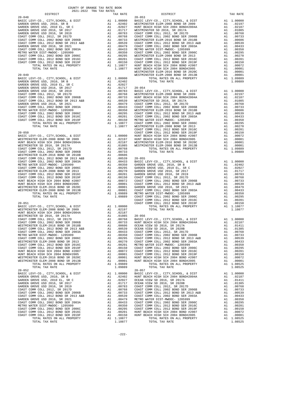|                                                                                                  |                                                                                                                                                                                                                                                       |                                                                                                                                                                                            | WESTMIN                                      |
|--------------------------------------------------------------------------------------------------|-------------------------------------------------------------------------------------------------------------------------------------------------------------------------------------------------------------------------------------------------------|--------------------------------------------------------------------------------------------------------------------------------------------------------------------------------------------|----------------------------------------------|
| $20 - 049$                                                                                       |                                                                                                                                                                                                                                                       |                                                                                                                                                                                            | WESTMIN                                      |
| BASIC LEVY-CO., CITY, SCHOOL, & DIST<br>GARDEN GROVE USD. 2010, SR B                             | A1 1.00000<br>A1 .02402<br>A1 .02027<br>A1 .0257                                                                                                                                                                                                      |                                                                                                                                                                                            |                                              |
| GARDEN GROVE USD, 2010, SR B                                                                     |                                                                                                                                                                                                                                                       |                                                                                                                                                                                            |                                              |
| GARDEN GROVE USD, 2010 EL, SR C                                                                  |                                                                                                                                                                                                                                                       |                                                                                                                                                                                            |                                              |
| GARDEN GROVE USD 2016, SR 2017                                                                   | A1 .02027<br>A1 .01717 20-054<br>A1 .00763 BASIC L<br>A1 .00763 WESTMIN<br>A1 .00763 WESTMIN<br>A1 .00763 WESTMIN<br>A1 .00539 WESTMIN<br>A1 .00479 COAST C<br>A1 .00295 COAST C<br>A1 .00295 COAST C<br>A1 .00295 COAST C<br>A1 .00201 COAST C<br>A1 |                                                                                                                                                                                            |                                              |
| GARDEN GROVE USD 2016, SR 2019                                                                   |                                                                                                                                                                                                                                                       |                                                                                                                                                                                            |                                              |
| COAST COMM COLL 2012, SR 2017D                                                                   |                                                                                                                                                                                                                                                       |                                                                                                                                                                                            |                                              |
|                                                                                                  |                                                                                                                                                                                                                                                       |                                                                                                                                                                                            |                                              |
| COAST COMM COLL 2002 BOND SER 2006B<br>COAST COMM COLL 2012 BOND SR 2013 A&B                     |                                                                                                                                                                                                                                                       |                                                                                                                                                                                            |                                              |
|                                                                                                  |                                                                                                                                                                                                                                                       |                                                                                                                                                                                            |                                              |
| GARDEN GROVE USD 2016, SR 2021                                                                   |                                                                                                                                                                                                                                                       |                                                                                                                                                                                            |                                              |
| COAST COMM COLL 2002 BOND SER 2003A                                                              |                                                                                                                                                                                                                                                       |                                                                                                                                                                                            |                                              |
| METRO WATER DIST-MWDOC- 1205999                                                                  |                                                                                                                                                                                                                                                       |                                                                                                                                                                                            |                                              |
| COAST COMM COLL 2002 BOND SER 2006C                                                              |                                                                                                                                                                                                                                                       |                                                                                                                                                                                            |                                              |
| COAST COMM COLL 2012 BOND SER 2016C                                                              |                                                                                                                                                                                                                                                       |                                                                                                                                                                                            |                                              |
| COAST COMM COLL 2012 BOND SER 2019F                                                              |                                                                                                                                                                                                                                                       |                                                                                                                                                                                            |                                              |
| TOTAL RATES ON ALL PROPERTY                                                                      |                                                                                                                                                                                                                                                       |                                                                                                                                                                                            |                                              |
| TOTAL TAX RATE                                                                                   |                                                                                                                                                                                                                                                       |                                                                                                                                                                                            |                                              |
|                                                                                                  |                                                                                                                                                                                                                                                       |                                                                                                                                                                                            | COAST C                                      |
| $20 - 050$                                                                                       |                                                                                                                                                                                                                                                       |                                                                                                                                                                                            | COAST C                                      |
|                                                                                                  |                                                                                                                                                                                                                                                       | A1 1.00000 HUNT BE<br>A1 .02197 HUNT BE<br>A1 .02197 HUNT BE<br>A1 .01085 WESTMIN<br>A1 .00768<br>A1 .00768                                                                                |                                              |
| BASIC LEVY-CO., CITY, SCHOOL, & DIST                                                             |                                                                                                                                                                                                                                                       |                                                                                                                                                                                            |                                              |
| WESTMINSTER ELEM-2008 BOND SR 2009                                                               |                                                                                                                                                                                                                                                       |                                                                                                                                                                                            |                                              |
| HUNT BEACH HIGH SCH 2004 BOND#2004A                                                              |                                                                                                                                                                                                                                                       |                                                                                                                                                                                            |                                              |
| WESTMINSTER SD 2016, SR 2017A                                                                    |                                                                                                                                                                                                                                                       |                                                                                                                                                                                            |                                              |
| COAST COMM COLL 2012, SR 2017D                                                                   |                                                                                                                                                                                                                                                       |                                                                                                                                                                                            |                                              |
|                                                                                                  |                                                                                                                                                                                                                                                       |                                                                                                                                                                                            |                                              |
|                                                                                                  |                                                                                                                                                                                                                                                       |                                                                                                                                                                                            |                                              |
|                                                                                                  |                                                                                                                                                                                                                                                       |                                                                                                                                                                                            |                                              |
|                                                                                                  |                                                                                                                                                                                                                                                       |                                                                                                                                                                                            |                                              |
|                                                                                                  |                                                                                                                                                                                                                                                       |                                                                                                                                                                                            |                                              |
|                                                                                                  |                                                                                                                                                                                                                                                       |                                                                                                                                                                                            |                                              |
|                                                                                                  |                                                                                                                                                                                                                                                       |                                                                                                                                                                                            |                                              |
|                                                                                                  |                                                                                                                                                                                                                                                       |                                                                                                                                                                                            |                                              |
|                                                                                                  |                                                                                                                                                                                                                                                       |                                                                                                                                                                                            |                                              |
|                                                                                                  |                                                                                                                                                                                                                                                       |                                                                                                                                                                                            |                                              |
|                                                                                                  |                                                                                                                                                                                                                                                       |                                                                                                                                                                                            |                                              |
|                                                                                                  |                                                                                                                                                                                                                                                       |                                                                                                                                                                                            |                                              |
|                                                                                                  |                                                                                                                                                                                                                                                       |                                                                                                                                                                                            |                                              |
|                                                                                                  |                                                                                                                                                                                                                                                       |                                                                                                                                                                                            |                                              |
|                                                                                                  |                                                                                                                                                                                                                                                       |                                                                                                                                                                                            |                                              |
|                                                                                                  |                                                                                                                                                                                                                                                       |                                                                                                                                                                                            |                                              |
|                                                                                                  |                                                                                                                                                                                                                                                       |                                                                                                                                                                                            | COAST C                                      |
| $20 - 051$                                                                                       |                                                                                                                                                                                                                                                       |                                                                                                                                                                                            | COAST C                                      |
| BASIC LEVY-CO., CITY, SCHOOL, & DIST                                                             |                                                                                                                                                                                                                                                       | A1 1.00000<br>A1 .02197<br>A1 .02187                                                                                                                                                       |                                              |
| WESTMINSTER ELEM-2008 BOND SR 2009                                                               |                                                                                                                                                                                                                                                       |                                                                                                                                                                                            |                                              |
| HUNT BEACH HIGH SCH 2004 BOND#2004A                                                              |                                                                                                                                                                                                                                                       |                                                                                                                                                                                            |                                              |
| WESTMINSTER SD 2016, SR 2017A                                                                    |                                                                                                                                                                                                                                                       |                                                                                                                                                                                            |                                              |
| COAST COMM COLL 2012, SR 2017D                                                                   |                                                                                                                                                                                                                                                       |                                                                                                                                                                                            |                                              |
| COAST COMM COLL 2002 BOND SER 2006B                                                              |                                                                                                                                                                                                                                                       |                                                                                                                                                                                            |                                              |
| WESTMINSTER ELEM-2016 BOND SR 2013 A&B<br>COAST COMM COLL 2012 BOND SR 2013 A&B<br>AND SER 2003A |                                                                                                                                                                                                                                                       |                                                                                                                                                                                            |                                              |
|                                                                                                  |                                                                                                                                                                                                                                                       |                                                                                                                                                                                            |                                              |
|                                                                                                  |                                                                                                                                                                                                                                                       |                                                                                                                                                                                            |                                              |
| METRO WATER DIST-MWDOC- 1205999                                                                  | A1 . 02187<br>A1 . 01085<br>A1 . 00768<br>A1 . 00768<br>A1 . 00768<br>A1 . 00606<br>OEAN V<br>A1 . 00539<br>CEAN V<br>A1 . 00433<br>COAST C<br>A1 . 00439<br>COAST C<br>A1 . 00439<br>COAST COAST<br>A1 . 00295<br>COAST C<br>A1 . 00295<br>COAST C   |                                                                                                                                                                                            |                                              |
|                                                                                                  |                                                                                                                                                                                                                                                       |                                                                                                                                                                                            |                                              |
| COAST COMM COLL 2002 BOND SER 2006C                                                              |                                                                                                                                                                                                                                                       |                                                                                                                                                                                            |                                              |
| WESTMINSTER ELEM-2008 BOND SR 2013                                                               | A1 .00270 COAST C                                                                                                                                                                                                                                     |                                                                                                                                                                                            |                                              |
| COAST COMM COLL 2012 BOND SER 2016C                                                              | A1                                                                                                                                                                                                                                                    | .00201 METRO W                                                                                                                                                                             |                                              |
| COAST COMM COLL 2012 BOND SER 2019F                                                              | A1                                                                                                                                                                                                                                                    | .00150                                                                                                                                                                                     | COAST C                                      |
| HUNT BEACH HIGH SCH 2004 BOND #2007                                                              | A1                                                                                                                                                                                                                                                    | .00072                                                                                                                                                                                     | COAST C                                      |
| HUNT BEACH HIGH SCH 2004 BOND#2005                                                               | A1                                                                                                                                                                                                                                                    | .00001                                                                                                                                                                                     | COAST C                                      |
| WESTMINSTER ELEM-2016 BOND SR 2020C                                                              | A1                                                                                                                                                                                                                                                    |                                                                                                                                                                                            |                                              |
| WESTMINSTER ELEM-2008 BOND SR 2013B                                                              | A1                                                                                                                                                                                                                                                    |                                                                                                                                                                                            | $00001$ $00001$ $HUNT BE$ $100000$ $HUNT BE$ |
| TOTAL RATES ON ALL PROPERTY                                                                      |                                                                                                                                                                                                                                                       | A1 1.09889                                                                                                                                                                                 |                                              |
| TOTAL TAX RATE                                                                                   |                                                                                                                                                                                                                                                       | 1.09889                                                                                                                                                                                    |                                              |
| $20 - 052$                                                                                       |                                                                                                                                                                                                                                                       |                                                                                                                                                                                            | $20 - 057$                                   |
| BASIC LEVY-CO., CITY, SCHOOL, & DIST                                                             |                                                                                                                                                                                                                                                       | A1 1.00000 BASIC L<br>A1 .02402 HUNT BE<br>A1 .02027 OCEAN V<br>A1 .01717 OCEAN V<br>A1 .00783 COAST C<br>A1 .00738 COAST C<br>A1 .00733 COAST C<br>A1 .00539 COAST C<br>A1 .00539 COAST C |                                              |
| GARDEN GROVE USD, 2010, SR B                                                                     |                                                                                                                                                                                                                                                       |                                                                                                                                                                                            |                                              |
| GARDEN GROVE USD, 2010 EL, SR C                                                                  |                                                                                                                                                                                                                                                       |                                                                                                                                                                                            |                                              |
| GARDEN GROVE USD 2016, SR 2017                                                                   |                                                                                                                                                                                                                                                       |                                                                                                                                                                                            |                                              |
|                                                                                                  |                                                                                                                                                                                                                                                       |                                                                                                                                                                                            |                                              |
| GARDEN GROVE USD 2016, SR 2019                                                                   |                                                                                                                                                                                                                                                       |                                                                                                                                                                                            |                                              |
| COAST COMM COLL 2012, SR 2017D                                                                   |                                                                                                                                                                                                                                                       |                                                                                                                                                                                            |                                              |
| COAST COMM COLL 2002 BOND SER 2006B                                                              |                                                                                                                                                                                                                                                       |                                                                                                                                                                                            |                                              |
| COAST COMM COLL 2012 BOND SR 2013 A&B                                                            |                                                                                                                                                                                                                                                       |                                                                                                                                                                                            |                                              |
| GARDEN GROVE USD 2016, SR 2021                                                                   | A1                                                                                                                                                                                                                                                    | .00479                                                                                                                                                                                     | METRO W                                      |
| COAST COMM COLL 2002 BOND SER 2003A                                                              | A1                                                                                                                                                                                                                                                    | .00433                                                                                                                                                                                     | COAST C                                      |
| METRO WATER DIST-MWDOC- 1205999                                                                  |                                                                                                                                                                                                                                                       |                                                                                                                                                                                            |                                              |
| COAST COMM COLL 2002 BOND SER 2006C                                                              | COAST C<br>A1 .00355 COAST C<br>A1 .00295 COAST C<br>A1 .00201 HUNT BE<br>A1 .00150 HUNT BE<br>A1 1.10877                                                                                                                                             |                                                                                                                                                                                            |                                              |
| COAST COMM COLL 2012 BOND SER 2016C                                                              |                                                                                                                                                                                                                                                       |                                                                                                                                                                                            |                                              |
| COAST COMM COLL 2012 BOND SER 2019F                                                              |                                                                                                                                                                                                                                                       |                                                                                                                                                                                            |                                              |
| TOTAL RATES ON ALL PROPERTY                                                                      |                                                                                                                                                                                                                                                       |                                                                                                                                                                                            |                                              |

| DISTRICT | sosi soss inn inn nhisc<br>TAX RATE | DISTRICT   | TAX RATE |
|----------|-------------------------------------|------------|----------|
|          |                                     | $20 - 053$ |          |
|          |                                     |            |          |
|          |                                     |            |          |
|          |                                     |            |          |
|          |                                     |            |          |
|          |                                     |            |          |
|          |                                     |            |          |
|          |                                     |            |          |
|          |                                     |            |          |
|          |                                     |            |          |
|          |                                     |            |          |
|          |                                     |            |          |
|          |                                     |            |          |
|          |                                     |            |          |
|          |                                     |            |          |
|          |                                     |            |          |
|          |                                     |            |          |
|          |                                     |            |          |
|          |                                     |            |          |
|          |                                     |            |          |
|          |                                     |            |          |
|          |                                     |            |          |
|          |                                     |            |          |
|          |                                     |            |          |
|          |                                     |            |          |
|          |                                     |            |          |
|          |                                     |            |          |
|          |                                     |            |          |
|          |                                     |            |          |
|          |                                     |            |          |
|          |                                     |            |          |
|          |                                     |            |          |
|          |                                     |            |          |
|          |                                     |            |          |
|          |                                     |            |          |
|          |                                     |            |          |
|          |                                     |            |          |
|          |                                     |            |          |
|          |                                     |            |          |
|          |                                     |            |          |
|          |                                     |            |          |
|          |                                     |            |          |
|          |                                     |            |          |
|          |                                     |            |          |
|          |                                     |            |          |
|          |                                     |            |          |
|          |                                     |            |          |
|          |                                     |            |          |
|          |                                     |            |          |
|          |                                     |            |          |
|          |                                     |            |          |
|          |                                     |            |          |
|          |                                     |            |          |
|          |                                     |            |          |
|          |                                     |            |          |
|          |                                     |            |          |
|          |                                     |            |          |
|          |                                     |            |          |
|          |                                     |            |          |
|          |                                     |            |          |
|          |                                     |            |          |
|          |                                     |            |          |
|          |                                     |            |          |
|          |                                     |            |          |
|          |                                     |            |          |
|          |                                     |            |          |
|          |                                     |            |          |
|          |                                     |            |          |
|          |                                     |            |          |
|          |                                     |            |          |
|          |                                     |            |          |
|          |                                     |            |          |
|          |                                     |            |          |
|          |                                     |            |          |
|          |                                     |            |          |
|          |                                     |            |          |
|          |                                     |            |          |
|          |                                     |            |          |
|          |                                     |            |          |
|          |                                     |            |          |

-222-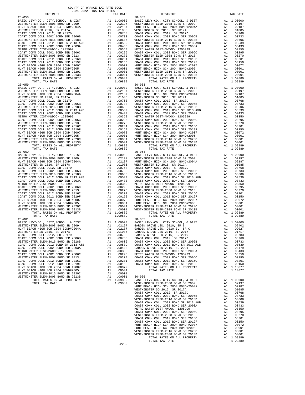| WESTMINSTER ELEM-2008 BOND SR 2009                                                                                                                                                                                                        | A1 02197 WESTMIN<br>A1 02187 WESTMIN<br>A1 01085 WESTMIN<br>A1 00768 COAST C<br>A1 00763 COAST C<br>A1 00763 COAST C<br>A1 00606 WESTMIN<br>A1 00606 WESTMIN<br>A1 00333 COAST C<br>A1 00220 COAST C<br>A1 00220 WESTMIN<br>A1 00220 WESTMIN<br>A1 002                                                                                      |                                                                                                                                                                                                                                                        |            |
|-------------------------------------------------------------------------------------------------------------------------------------------------------------------------------------------------------------------------------------------|---------------------------------------------------------------------------------------------------------------------------------------------------------------------------------------------------------------------------------------------------------------------------------------------------------------------------------------------|--------------------------------------------------------------------------------------------------------------------------------------------------------------------------------------------------------------------------------------------------------|------------|
| HUNT BEACH HIGH SCH 2004 BOND#2004A                                                                                                                                                                                                       |                                                                                                                                                                                                                                                                                                                                             |                                                                                                                                                                                                                                                        |            |
| WESTMINSTER SD 2016, SR 2017A<br>COAST COMM COLL 2012, SR 2017D                                                                                                                                                                           |                                                                                                                                                                                                                                                                                                                                             |                                                                                                                                                                                                                                                        |            |
| COAST COMM COLL 2002 BOND SER 2006B                                                                                                                                                                                                       |                                                                                                                                                                                                                                                                                                                                             |                                                                                                                                                                                                                                                        |            |
| WESTMINSTER ELEM-2016 BOND SR 2018B                                                                                                                                                                                                       |                                                                                                                                                                                                                                                                                                                                             |                                                                                                                                                                                                                                                        |            |
| COAST COMM COLL 2012 BOND SR 2013 A&B                                                                                                                                                                                                     |                                                                                                                                                                                                                                                                                                                                             |                                                                                                                                                                                                                                                        |            |
| COAST COMM COLL 2002 BOND SER 2003A                                                                                                                                                                                                       |                                                                                                                                                                                                                                                                                                                                             |                                                                                                                                                                                                                                                        |            |
| METRO WATER DIST-MWDOC- 1205999                                                                                                                                                                                                           |                                                                                                                                                                                                                                                                                                                                             |                                                                                                                                                                                                                                                        |            |
| COAST COMM COLL 2002 BOND SER 2006C                                                                                                                                                                                                       |                                                                                                                                                                                                                                                                                                                                             |                                                                                                                                                                                                                                                        |            |
| WESTMINSTER ELEM-2008 BOND SR 2013                                                                                                                                                                                                        |                                                                                                                                                                                                                                                                                                                                             |                                                                                                                                                                                                                                                        |            |
| COAST COMM COLL 2012 BOND SER 2016C                                                                                                                                                                                                       |                                                                                                                                                                                                                                                                                                                                             |                                                                                                                                                                                                                                                        |            |
| COAST COMM COLL 2012 BOND SER 2019F                                                                                                                                                                                                       |                                                                                                                                                                                                                                                                                                                                             |                                                                                                                                                                                                                                                        |            |
| HUNT BEACH HIGH SCH 2004 BOND #2007<br>HUNT BEACH HIGH SCH 2004 BOND#2005                                                                                                                                                                 |                                                                                                                                                                                                                                                                                                                                             |                                                                                                                                                                                                                                                        |            |
| WESTMINSTER ELEM-2016 BOND SR 2020C                                                                                                                                                                                                       |                                                                                                                                                                                                                                                                                                                                             |                                                                                                                                                                                                                                                        |            |
| WESTMINSTER ELEM-2008 BOND SR 2013B                                                                                                                                                                                                       |                                                                                                                                                                                                                                                                                                                                             |                                                                                                                                                                                                                                                        |            |
| TOTAL RATES ON ALL PROPERTY                                                                                                                                                                                                               |                                                                                                                                                                                                                                                                                                                                             |                                                                                                                                                                                                                                                        |            |
| TOTAL TAX RATE                                                                                                                                                                                                                            |                                                                                                                                                                                                                                                                                                                                             | 1.09889                                                                                                                                                                                                                                                |            |
| $20 - 059$                                                                                                                                                                                                                                |                                                                                                                                                                                                                                                                                                                                             | 20–063<br>Al. 00000 BASIC L<br>Al. 00109 BASIC L<br>Al. 00187 WESTMIN<br>Al. 00187 WESTMIN<br>Al. 00768 COAST C<br>Al. 00768 COAST C<br>Al. 00659 WESTMIN<br>Al. 00539 COAST C<br>Al. 00335 METRON WESTMIN<br>Al. 00220 WESTMIN<br>Al. 00220 WESTMIN   | $20 - 063$ |
| BASIC LEVY-CO., CITY, SCHOOL, & DIST                                                                                                                                                                                                      |                                                                                                                                                                                                                                                                                                                                             |                                                                                                                                                                                                                                                        |            |
| WESTMINSTER ELEM-2008 BOND SR 2009                                                                                                                                                                                                        |                                                                                                                                                                                                                                                                                                                                             |                                                                                                                                                                                                                                                        |            |
| HUNT BEACH HIGH SCH 2004 BOND#2004A                                                                                                                                                                                                       |                                                                                                                                                                                                                                                                                                                                             |                                                                                                                                                                                                                                                        |            |
| WESTMINSTER SD 2016, SR 2017A                                                                                                                                                                                                             |                                                                                                                                                                                                                                                                                                                                             |                                                                                                                                                                                                                                                        |            |
| COAST COMM COLL 2012, SR 2017D                                                                                                                                                                                                            |                                                                                                                                                                                                                                                                                                                                             |                                                                                                                                                                                                                                                        |            |
| COAST COMM COLL 2002 BOND SER 2006B                                                                                                                                                                                                       |                                                                                                                                                                                                                                                                                                                                             |                                                                                                                                                                                                                                                        |            |
| WESTMINSTER ELEM-2016 BOND SR 2018B<br>COAST COMM COLL 2012 BOND SR 2013 A&B                                                                                                                                                              |                                                                                                                                                                                                                                                                                                                                             |                                                                                                                                                                                                                                                        |            |
| COAST COMM COLL 2002 BOND SER 2003A                                                                                                                                                                                                       |                                                                                                                                                                                                                                                                                                                                             |                                                                                                                                                                                                                                                        |            |
| METRO WATER DIST-MWDOC- 1205999                                                                                                                                                                                                           |                                                                                                                                                                                                                                                                                                                                             |                                                                                                                                                                                                                                                        |            |
| COAST COMM COLL 2002 BOND SER 2006C                                                                                                                                                                                                       |                                                                                                                                                                                                                                                                                                                                             |                                                                                                                                                                                                                                                        |            |
| WESTMINSTER ELEM-2008 BOND SR 2013                                                                                                                                                                                                        |                                                                                                                                                                                                                                                                                                                                             |                                                                                                                                                                                                                                                        |            |
| COAST COMM COLL 2012 BOND SER 2016C                                                                                                                                                                                                       |                                                                                                                                                                                                                                                                                                                                             |                                                                                                                                                                                                                                                        |            |
| COAST COMM COLL 2012 BOND SER 2019F                                                                                                                                                                                                       |                                                                                                                                                                                                                                                                                                                                             |                                                                                                                                                                                                                                                        |            |
| HUNT BEACH HIGH SCH 2004 BOND #2007                                                                                                                                                                                                       |                                                                                                                                                                                                                                                                                                                                             |                                                                                                                                                                                                                                                        |            |
| HUNT BEACH HIGH SCH 2004 BOND#2005                                                                                                                                                                                                        |                                                                                                                                                                                                                                                                                                                                             |                                                                                                                                                                                                                                                        |            |
| WESTMINSTER ELEM-2016 BOND SR 2020C<br>WESTMINSTER ELEM-2008 BOND SR 2013B                                                                                                                                                                |                                                                                                                                                                                                                                                                                                                                             |                                                                                                                                                                                                                                                        |            |
|                                                                                                                                                                                                                                           |                                                                                                                                                                                                                                                                                                                                             |                                                                                                                                                                                                                                                        |            |
| TOTAL RATES ON ALL PROPERTY                                                                                                                                                                                                               |                                                                                                                                                                                                                                                                                                                                             |                                                                                                                                                                                                                                                        |            |
| TOTAL TAX RATE<br>$20 - 060$                                                                                                                                                                                                              |                                                                                                                                                                                                                                                                                                                                             | 1.09889                                                                                                                                                                                                                                                |            |
| BASIC LEVY-CO., CITY, SCHOOL, & DIST                                                                                                                                                                                                      |                                                                                                                                                                                                                                                                                                                                             | 20–064<br>Al 1.00000 BASIC L<br>Al 1.00000 BASIC L<br>Al 02197 WESTMIN<br>Al 02187 HUNT BE<br>Al 00768 COAST C<br>Al 00768 COAST C<br>Al 00066 WESTMIN<br>Al 00659 COAST C<br>Al 00225 COAST C<br>Al 002210 WESTMIN<br>Al 00201 COAST C<br>Al 00001 HU | $20 - 064$ |
| WESTMINSTER ELEM-2008 BOND SR 2009                                                                                                                                                                                                        |                                                                                                                                                                                                                                                                                                                                             |                                                                                                                                                                                                                                                        |            |
| HUNT BEACH HIGH SCH 2004 BOND#2004A                                                                                                                                                                                                       |                                                                                                                                                                                                                                                                                                                                             |                                                                                                                                                                                                                                                        |            |
| WESTMINSTER SD 2016, SR 2017A                                                                                                                                                                                                             |                                                                                                                                                                                                                                                                                                                                             |                                                                                                                                                                                                                                                        |            |
|                                                                                                                                                                                                                                           |                                                                                                                                                                                                                                                                                                                                             |                                                                                                                                                                                                                                                        |            |
|                                                                                                                                                                                                                                           |                                                                                                                                                                                                                                                                                                                                             |                                                                                                                                                                                                                                                        |            |
|                                                                                                                                                                                                                                           |                                                                                                                                                                                                                                                                                                                                             |                                                                                                                                                                                                                                                        |            |
| COAST COMM COLL 2012 BOND SR 2013 A&B                                                                                                                                                                                                     |                                                                                                                                                                                                                                                                                                                                             |                                                                                                                                                                                                                                                        |            |
| COAST COMM COLL 2002 BOND SER 2003A                                                                                                                                                                                                       |                                                                                                                                                                                                                                                                                                                                             |                                                                                                                                                                                                                                                        |            |
| METRO WATER DIST-MWDOC- 1205999                                                                                                                                                                                                           |                                                                                                                                                                                                                                                                                                                                             |                                                                                                                                                                                                                                                        |            |
| COAST COMM COLL 2002 BOND SER 2006C                                                                                                                                                                                                       |                                                                                                                                                                                                                                                                                                                                             |                                                                                                                                                                                                                                                        |            |
| WESTMINSTER ELEM-2008 BOND SR 2013                                                                                                                                                                                                        |                                                                                                                                                                                                                                                                                                                                             |                                                                                                                                                                                                                                                        |            |
| ${\tt COAST\ COMM\ COLL\ 2012\ BOND\ SER\ 2016C}\label{eq:coas}$ COAST COMM COLL 2012 BOND SER 2019F                                                                                                                                      |                                                                                                                                                                                                                                                                                                                                             |                                                                                                                                                                                                                                                        |            |
|                                                                                                                                                                                                                                           |                                                                                                                                                                                                                                                                                                                                             |                                                                                                                                                                                                                                                        |            |
| HUNT BEACH HIGH SCH 2004 BOND #2007<br>HUNT BEACH HIGH SCH 2004 BOND#2005                                                                                                                                                                 |                                                                                                                                                                                                                                                                                                                                             |                                                                                                                                                                                                                                                        |            |
| WESTMINSTER ELEM-2016 BOND SR 2020C                                                                                                                                                                                                       |                                                                                                                                                                                                                                                                                                                                             |                                                                                                                                                                                                                                                        |            |
| WESTMINSTER ELEM-2008 BOND SR 2013B                                                                                                                                                                                                       |                                                                                                                                                                                                                                                                                                                                             |                                                                                                                                                                                                                                                        |            |
| TOTAL RATES ON ALL PROPERTY                                                                                                                                                                                                               |                                                                                                                                                                                                                                                                                                                                             |                                                                                                                                                                                                                                                        |            |
| TOTAL TAX RATE                                                                                                                                                                                                                            |                                                                                                                                                                                                                                                                                                                                             | 1.09889                                                                                                                                                                                                                                                |            |
| $20 - 061$                                                                                                                                                                                                                                |                                                                                                                                                                                                                                                                                                                                             |                                                                                                                                                                                                                                                        | $20 - 065$ |
| BASIC LEVY-CO., CITY, SCHOOL, & DIST                                                                                                                                                                                                      |                                                                                                                                                                                                                                                                                                                                             |                                                                                                                                                                                                                                                        |            |
| WESTMINSTER ELEM-2008 BOND SR 2009                                                                                                                                                                                                        |                                                                                                                                                                                                                                                                                                                                             |                                                                                                                                                                                                                                                        |            |
| HUNT BEACH HIGH SCH 2004 BOND#2004A                                                                                                                                                                                                       |                                                                                                                                                                                                                                                                                                                                             |                                                                                                                                                                                                                                                        |            |
| WESTMINSTER SD 2016, SR 2017A                                                                                                                                                                                                             |                                                                                                                                                                                                                                                                                                                                             |                                                                                                                                                                                                                                                        |            |
| $\begin{tabular}{ll} \textbf{COAST}\ \textbf{COMM}\ \textbf{COLL}\ \textbf{2012},\ \textbf{SR}\ \textbf{2017D} \\ \textbf{COAST}\ \textbf{COMM}\ \textbf{COLL}\ \textbf{2002}\ \textbf{BOND}\ \textbf{SER}\ \textbf{2006B} \end{tabular}$ |                                                                                                                                                                                                                                                                                                                                             |                                                                                                                                                                                                                                                        |            |
|                                                                                                                                                                                                                                           |                                                                                                                                                                                                                                                                                                                                             |                                                                                                                                                                                                                                                        |            |
| WESTMINSTER ELEM-2016 BOND SR 2018B                                                                                                                                                                                                       |                                                                                                                                                                                                                                                                                                                                             |                                                                                                                                                                                                                                                        |            |
| COAST COMM COLL 2012 BOND SR 2013 A&B<br>COAST COMM COLL 2002 BOND SER 2003A                                                                                                                                                              | $\begin{tabular}{cc} 20-065 \\ \text{A1} & 0.0000 \\ \text{A1} & 0.2197 \\ \text{A1} & 0.2197 \\ \text{A1} & 0.2187 \\ \text{A1} & 0.0108 \\ \text{A1} & 0.0108 \\ \text{A1} & 0.0768 \\ \text{A1} & 0.0768 \\ \text{A1} & 0.0733 \\ \text{A1} & 0.0066 \\ \text{A1} & 0.0639 \\ \text{A1} & 0.0039 \\ \text{A1} & 0.0433 \\ \text{A1} & 0$ |                                                                                                                                                                                                                                                        |            |
| METRO WATER DIST-MWDOC- 1205999                                                                                                                                                                                                           |                                                                                                                                                                                                                                                                                                                                             |                                                                                                                                                                                                                                                        |            |
| COAST COMM COLL 2002 BOND SER 2006C                                                                                                                                                                                                       |                                                                                                                                                                                                                                                                                                                                             |                                                                                                                                                                                                                                                        |            |
| WESTMINSTER ELEM-2008 BOND SR 2013                                                                                                                                                                                                        |                                                                                                                                                                                                                                                                                                                                             |                                                                                                                                                                                                                                                        |            |
|                                                                                                                                                                                                                                           |                                                                                                                                                                                                                                                                                                                                             |                                                                                                                                                                                                                                                        |            |
| COAST COMM COLL 2012 BOND SER 2016C<br>COAST COMM COLL 2012 BOND SER 2019F<br>HUNT BEACH HIGH SCH 2004 BOND #2007                                                                                                                         |                                                                                                                                                                                                                                                                                                                                             |                                                                                                                                                                                                                                                        |            |
|                                                                                                                                                                                                                                           |                                                                                                                                                                                                                                                                                                                                             |                                                                                                                                                                                                                                                        |            |
| HUNT BEACH HIGH SCH 2004 BOND#2005                                                                                                                                                                                                        |                                                                                                                                                                                                                                                                                                                                             |                                                                                                                                                                                                                                                        |            |
| WESTMINSTER ELEM-2016 BOND SR 2020C                                                                                                                                                                                                       |                                                                                                                                                                                                                                                                                                                                             | .00001                                                                                                                                                                                                                                                 |            |
|                                                                                                                                                                                                                                           |                                                                                                                                                                                                                                                                                                                                             |                                                                                                                                                                                                                                                        |            |

| $\begin{tabular}{@{}c@{}}\hline & 20-059 & 1074L & 10.47 & 10.9989 & 20-063 & 1074L & 10.47 & 10.9989 & 20-063 & 1074L & 10.47 & 10.9989 & 20-063 & 1074L & 10.47 & 10.9000 \\ \hline & 10.0000 & 10.0000 & 10.0000 & 10.0000 & 10.0000 & 10.0000 & 10.0000 & 10.0000 \\ \hline &$ |         |                |         |
|------------------------------------------------------------------------------------------------------------------------------------------------------------------------------------------------------------------------------------------------------------------------------------|---------|----------------|---------|
|                                                                                                                                                                                                                                                                                    |         |                |         |
|                                                                                                                                                                                                                                                                                    |         |                |         |
|                                                                                                                                                                                                                                                                                    |         |                |         |
|                                                                                                                                                                                                                                                                                    |         |                |         |
|                                                                                                                                                                                                                                                                                    |         |                |         |
|                                                                                                                                                                                                                                                                                    |         |                |         |
|                                                                                                                                                                                                                                                                                    |         |                |         |
|                                                                                                                                                                                                                                                                                    |         |                |         |
|                                                                                                                                                                                                                                                                                    |         |                |         |
|                                                                                                                                                                                                                                                                                    |         |                |         |
|                                                                                                                                                                                                                                                                                    |         |                |         |
|                                                                                                                                                                                                                                                                                    |         |                |         |
|                                                                                                                                                                                                                                                                                    |         |                |         |
|                                                                                                                                                                                                                                                                                    |         |                |         |
|                                                                                                                                                                                                                                                                                    |         |                |         |
|                                                                                                                                                                                                                                                                                    |         |                |         |
|                                                                                                                                                                                                                                                                                    |         |                |         |
|                                                                                                                                                                                                                                                                                    |         |                |         |
|                                                                                                                                                                                                                                                                                    |         |                |         |
| $20 - 060$                                                                                                                                                                                                                                                                         |         | $20 - 064$     |         |
|                                                                                                                                                                                                                                                                                    |         |                |         |
|                                                                                                                                                                                                                                                                                    |         |                |         |
|                                                                                                                                                                                                                                                                                    |         |                |         |
|                                                                                                                                                                                                                                                                                    |         |                |         |
|                                                                                                                                                                                                                                                                                    |         |                |         |
|                                                                                                                                                                                                                                                                                    |         |                |         |
|                                                                                                                                                                                                                                                                                    |         |                |         |
|                                                                                                                                                                                                                                                                                    |         |                |         |
|                                                                                                                                                                                                                                                                                    |         |                |         |
|                                                                                                                                                                                                                                                                                    |         |                |         |
|                                                                                                                                                                                                                                                                                    |         |                |         |
|                                                                                                                                                                                                                                                                                    |         |                |         |
|                                                                                                                                                                                                                                                                                    |         |                |         |
|                                                                                                                                                                                                                                                                                    |         |                |         |
|                                                                                                                                                                                                                                                                                    |         |                |         |
|                                                                                                                                                                                                                                                                                    |         |                |         |
|                                                                                                                                                                                                                                                                                    |         |                |         |
|                                                                                                                                                                                                                                                                                    |         |                |         |
|                                                                                                                                                                                                                                                                                    |         |                |         |
|                                                                                                                                                                                                                                                                                    |         |                |         |
|                                                                                                                                                                                                                                                                                    |         |                |         |
|                                                                                                                                                                                                                                                                                    |         |                |         |
|                                                                                                                                                                                                                                                                                    |         |                |         |
|                                                                                                                                                                                                                                                                                    |         |                |         |
|                                                                                                                                                                                                                                                                                    |         |                |         |
|                                                                                                                                                                                                                                                                                    |         |                |         |
|                                                                                                                                                                                                                                                                                    |         |                |         |
|                                                                                                                                                                                                                                                                                    |         |                |         |
|                                                                                                                                                                                                                                                                                    |         |                |         |
|                                                                                                                                                                                                                                                                                    |         |                |         |
|                                                                                                                                                                                                                                                                                    |         |                |         |
|                                                                                                                                                                                                                                                                                    |         |                |         |
|                                                                                                                                                                                                                                                                                    |         |                |         |
|                                                                                                                                                                                                                                                                                    |         |                |         |
|                                                                                                                                                                                                                                                                                    |         |                |         |
|                                                                                                                                                                                                                                                                                    |         |                |         |
|                                                                                                                                                                                                                                                                                    |         |                |         |
|                                                                                                                                                                                                                                                                                    |         |                |         |
|                                                                                                                                                                                                                                                                                    |         |                |         |
|                                                                                                                                                                                                                                                                                    |         |                |         |
|                                                                                                                                                                                                                                                                                    |         |                |         |
|                                                                                                                                                                                                                                                                                    |         |                |         |
|                                                                                                                                                                                                                                                                                    |         |                |         |
|                                                                                                                                                                                                                                                                                    |         |                |         |
|                                                                                                                                                                                                                                                                                    |         |                |         |
|                                                                                                                                                                                                                                                                                    |         |                |         |
|                                                                                                                                                                                                                                                                                    |         |                |         |
|                                                                                                                                                                                                                                                                                    |         |                |         |
|                                                                                                                                                                                                                                                                                    |         |                |         |
|                                                                                                                                                                                                                                                                                    |         |                |         |
|                                                                                                                                                                                                                                                                                    |         |                |         |
|                                                                                                                                                                                                                                                                                    |         |                |         |
|                                                                                                                                                                                                                                                                                    |         |                |         |
|                                                                                                                                                                                                                                                                                    |         | TOTAL TAX RATE | 1.09889 |
|                                                                                                                                                                                                                                                                                    | $-223-$ |                |         |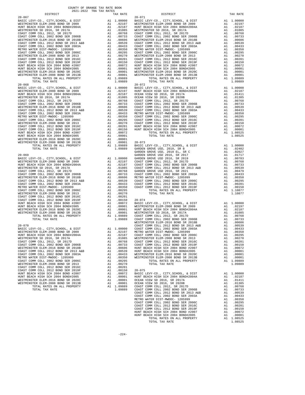| $2021-2022 \quad \text{TRA TAX RATES}$ DISTRICT | TAX RATE | DISTRICT   | TAX RATE |
|-------------------------------------------------|----------|------------|----------|
| $20 - 067$                                      |          | $20 - 071$ |          |
|                                                 |          |            |          |
|                                                 |          |            |          |
|                                                 |          |            |          |
|                                                 |          |            |          |
|                                                 |          |            |          |
|                                                 |          |            |          |
|                                                 |          |            |          |
|                                                 |          |            |          |
|                                                 |          |            |          |
|                                                 |          |            |          |
|                                                 |          |            |          |
|                                                 |          |            |          |
|                                                 |          |            |          |
|                                                 |          |            |          |
|                                                 |          |            |          |
|                                                 |          |            |          |
|                                                 |          |            |          |
|                                                 |          |            |          |
|                                                 |          |            |          |
|                                                 |          |            |          |
|                                                 |          |            |          |
|                                                 |          |            |          |
|                                                 |          |            |          |
|                                                 |          |            |          |
|                                                 |          |            |          |
|                                                 |          |            |          |
|                                                 |          |            |          |
|                                                 |          |            |          |
|                                                 |          |            |          |
|                                                 |          |            |          |
|                                                 |          |            |          |
|                                                 |          |            |          |
|                                                 |          |            |          |
|                                                 |          |            |          |
|                                                 |          |            |          |
|                                                 |          |            |          |
|                                                 |          |            |          |
|                                                 |          |            |          |
|                                                 |          |            |          |
|                                                 |          |            |          |
|                                                 |          |            |          |
|                                                 |          |            |          |
|                                                 |          |            |          |
|                                                 |          |            |          |
|                                                 |          |            |          |
|                                                 |          |            |          |
|                                                 |          |            |          |
|                                                 |          |            |          |
|                                                 |          |            |          |
|                                                 |          |            |          |
|                                                 |          |            |          |
|                                                 |          |            |          |
|                                                 |          |            |          |
|                                                 |          |            |          |
|                                                 |          |            |          |
|                                                 |          |            |          |
|                                                 |          |            |          |
|                                                 |          |            |          |
|                                                 |          |            |          |
|                                                 |          |            |          |
|                                                 |          |            |          |
|                                                 |          |            |          |
|                                                 |          |            |          |
|                                                 |          |            |          |
|                                                 |          |            |          |
|                                                 |          |            |          |
|                                                 |          |            |          |
|                                                 |          |            |          |
|                                                 |          |            |          |
|                                                 |          |            |          |
|                                                 |          |            |          |
|                                                 |          |            |          |
|                                                 |          |            |          |
|                                                 |          |            |          |
|                                                 |          |            |          |
|                                                 |          |            |          |
|                                                 |          |            |          |
|                                                 |          |            |          |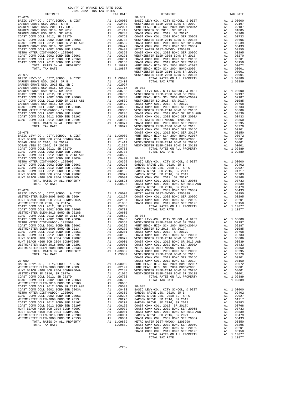|                                                                                                                                                           |                                                                                                                                                                                                                                                                       |                                                                                   | WESTMIN |
|-----------------------------------------------------------------------------------------------------------------------------------------------------------|-----------------------------------------------------------------------------------------------------------------------------------------------------------------------------------------------------------------------------------------------------------------------|-----------------------------------------------------------------------------------|---------|
| $20 - 077$                                                                                                                                                |                                                                                                                                                                                                                                                                       |                                                                                   |         |
|                                                                                                                                                           |                                                                                                                                                                                                                                                                       |                                                                                   |         |
|                                                                                                                                                           |                                                                                                                                                                                                                                                                       |                                                                                   |         |
|                                                                                                                                                           |                                                                                                                                                                                                                                                                       |                                                                                   |         |
|                                                                                                                                                           |                                                                                                                                                                                                                                                                       |                                                                                   |         |
|                                                                                                                                                           |                                                                                                                                                                                                                                                                       |                                                                                   |         |
|                                                                                                                                                           |                                                                                                                                                                                                                                                                       |                                                                                   |         |
|                                                                                                                                                           |                                                                                                                                                                                                                                                                       |                                                                                   |         |
|                                                                                                                                                           |                                                                                                                                                                                                                                                                       |                                                                                   |         |
|                                                                                                                                                           |                                                                                                                                                                                                                                                                       |                                                                                   |         |
|                                                                                                                                                           |                                                                                                                                                                                                                                                                       |                                                                                   |         |
|                                                                                                                                                           |                                                                                                                                                                                                                                                                       |                                                                                   |         |
|                                                                                                                                                           |                                                                                                                                                                                                                                                                       |                                                                                   |         |
|                                                                                                                                                           |                                                                                                                                                                                                                                                                       |                                                                                   |         |
|                                                                                                                                                           |                                                                                                                                                                                                                                                                       |                                                                                   | COAST C |
| $20 - 078$                                                                                                                                                |                                                                                                                                                                                                                                                                       |                                                                                   | COAST C |
|                                                                                                                                                           |                                                                                                                                                                                                                                                                       |                                                                                   |         |
|                                                                                                                                                           |                                                                                                                                                                                                                                                                       |                                                                                   |         |
|                                                                                                                                                           |                                                                                                                                                                                                                                                                       |                                                                                   |         |
|                                                                                                                                                           |                                                                                                                                                                                                                                                                       |                                                                                   |         |
|                                                                                                                                                           |                                                                                                                                                                                                                                                                       |                                                                                   |         |
|                                                                                                                                                           |                                                                                                                                                                                                                                                                       |                                                                                   |         |
|                                                                                                                                                           |                                                                                                                                                                                                                                                                       |                                                                                   |         |
|                                                                                                                                                           |                                                                                                                                                                                                                                                                       |                                                                                   |         |
|                                                                                                                                                           |                                                                                                                                                                                                                                                                       |                                                                                   |         |
|                                                                                                                                                           |                                                                                                                                                                                                                                                                       |                                                                                   |         |
|                                                                                                                                                           |                                                                                                                                                                                                                                                                       |                                                                                   |         |
|                                                                                                                                                           |                                                                                                                                                                                                                                                                       |                                                                                   |         |
|                                                                                                                                                           |                                                                                                                                                                                                                                                                       |                                                                                   |         |
|                                                                                                                                                           |                                                                                                                                                                                                                                                                       |                                                                                   | GARDEN  |
| $20 - 079$<br>BASIC LEVY-CO., CITY, SCHOOL, & DIST                                                                                                        |                                                                                                                                                                                                                                                                       |                                                                                   | COAST C |
| WESTMINSTER ELEM-2008 BOND SR 2009                                                                                                                        | A1 1.00000 METRO WAS CONST CONST CONST CONST CONST CONST CONST CONST CONST CONST CONST CONST CONST CONST CONST CONST CONST CONST CONST CONST CONST CONST CONST CONST CONST CONST CONST CONST CONST CONST CONST CONST CONST CON                                        |                                                                                   |         |
| HUNT BEACH HIGH SCH 2004 BOND#2004A                                                                                                                       |                                                                                                                                                                                                                                                                       |                                                                                   |         |
| WESTMINSTER SD 2016, SR 2017A                                                                                                                             |                                                                                                                                                                                                                                                                       |                                                                                   |         |
| COAST COMM COLL 2012, SR 2017D                                                                                                                            |                                                                                                                                                                                                                                                                       | A1 .00768                                                                         |         |
| COAST COMM COLL 2002 BOND SER 2006B<br>WESTMINSTER ELEM-2016 BOND SR 2018B                                                                                |                                                                                                                                                                                                                                                                       |                                                                                   |         |
| WESTMINSTER ELEM-2016 BOND SR 2016<br>COAST COMM COLL 2012 BOND SR 2013 A&B<br>COAST COMM COLL 2002 BOND SER 2003A                                        |                                                                                                                                                                                                                                                                       |                                                                                   |         |
|                                                                                                                                                           |                                                                                                                                                                                                                                                                       |                                                                                   |         |
| METRO WATER DIST-MWDOC- 1205999                                                                                                                           |                                                                                                                                                                                                                                                                       |                                                                                   |         |
| COAST COMM COLL 2002 BOND SER 2006C                                                                                                                       |                                                                                                                                                                                                                                                                       |                                                                                   |         |
| WESTMINSTER ELEM-2008 BOND SR 2013                                                                                                                        |                                                                                                                                                                                                                                                                       |                                                                                   |         |
|                                                                                                                                                           |                                                                                                                                                                                                                                                                       |                                                                                   |         |
| WESTWINSTER BELL 2012 BOND SER 2016C<br>COAST COMM COLL 2012 BOND SER 2019F<br>HUNT BEACH HIGH SCH 2004 BOND #2007<br>HUNT BEACH HIGH SCH 2004 BOND #2007 | A1 .00768<br>A1 .00733<br>A1 .00606<br>A1 .00639 20-084<br>A1 .00333 BASIC L<br>A1 .00350 WESTMIN<br>A1 .00255 HUNT BE<br>A1 .00201 COAST C<br>A1 .00201 COAST C<br>A1 .00101 COAST C<br>A1 .00010 WESTMIN<br>A1 .00001 COAST C<br>A1 .00001 COAST C<br>A1 .00001 COA |                                                                                   |         |
| HUNT BEACH HIGH SCH 2004 BOND#2005                                                                                                                        |                                                                                                                                                                                                                                                                       |                                                                                   |         |
| WESTMINSTER ELEM-2016 BOND SR 2020C                                                                                                                       |                                                                                                                                                                                                                                                                       |                                                                                   |         |
| WESTMINSTER ELEM-2008 BOND SR 2013B<br>TOTAL RATES ON ALL PROPERTY                                                                                        |                                                                                                                                                                                                                                                                       | A1 .00001 METRO W<br>A1 1.09889                                                   | COAST C |
| TOTAL TAX RATE                                                                                                                                            |                                                                                                                                                                                                                                                                       | 1.09889                                                                           | WESTMIN |
|                                                                                                                                                           |                                                                                                                                                                                                                                                                       |                                                                                   | COAST C |
| $20 - 080$                                                                                                                                                |                                                                                                                                                                                                                                                                       |                                                                                   | COAST C |
| BASIC LEVY-CO., CITY, SCHOOL, & DIST<br>WESTMINSTER ELEM-2008 BOND SR 2009                                                                                |                                                                                                                                                                                                                                                                       | A1 1.00000                                                                        | HUNT BE |
| HUNT BEACH HIGH SCH 2004 BOND#2004A                                                                                                                       | A1                                                                                                                                                                                                                                                                    | A1 1.00000 HONI BE<br>A1 .02197 HUNT BE<br>A1 .02187 WESTMIN<br>A1 .01085 WESTMIN |         |
| WESTMINSTER SD 2016, SR 2017A                                                                                                                             |                                                                                                                                                                                                                                                                       |                                                                                   |         |
| COAST COMM COLL 2012, SR 2017D                                                                                                                            |                                                                                                                                                                                                                                                                       | A1 .00768                                                                         |         |
| COAST COMM COLL 2002 BOND SER 2006B                                                                                                                       |                                                                                                                                                                                                                                                                       | A1 .00733                                                                         |         |
| WESTMINSTER ELEM-2016 BOND SR 2018B<br>COAST COMM COLL 2012 BOND SR 2013 A&B                                                                              |                                                                                                                                                                                                                                                                       | A1 .00606                                                                         |         |
| COAST COMM COLL 2002 BOND SER 2003A                                                                                                                       |                                                                                                                                                                                                                                                                       |                                                                                   |         |
| METRO WATER DIST-MWDOC- 1205999                                                                                                                           |                                                                                                                                                                                                                                                                       |                                                                                   |         |
| COAST COMM COLL 2002 BOND SER 2006C                                                                                                                       |                                                                                                                                                                                                                                                                       |                                                                                   |         |
| WESTMINSTER ELEM-2008 BOND SR 2013                                                                                                                        |                                                                                                                                                                                                                                                                       |                                                                                   |         |
| COAST COMM COLL 2012 BOND SER 2016C<br>COAST COMM COLL 2012 BOND SER 2019F                                                                                |                                                                                                                                                                                                                                                                       |                                                                                   |         |
| HUNT BEACH HIGH SCH 2004 BOND #2007                                                                                                                       |                                                                                                                                                                                                                                                                       |                                                                                   |         |
| HUNT BEACH HIGH SCH 2004 BOND#2005                                                                                                                        |                                                                                                                                                                                                                                                                       |                                                                                   |         |
| WESTMINSTER ELEM-2016 BOND SR 2020C                                                                                                                       |                                                                                                                                                                                                                                                                       |                                                                                   |         |
| WESTMINSTER ELEM-2008 BOND SR 2013B                                                                                                                       |                                                                                                                                                                                                                                                                       |                                                                                   |         |
| TOTAL RATES ON ALL PROPERTY                                                                                                                               |                                                                                                                                                                                                                                                                       |                                                                                   |         |

| DISTRICT | TAX RATE | DISTRICT | TAX RATE |
|----------|----------|----------|----------|
|          |          |          |          |
|          |          |          |          |
|          |          |          |          |
|          |          |          |          |
|          |          |          |          |
|          |          |          |          |
|          |          |          |          |
|          |          |          |          |
|          |          |          |          |
|          |          |          |          |
|          |          |          |          |
|          |          |          |          |
|          |          |          |          |
|          |          |          |          |
|          |          |          |          |
|          |          |          |          |
|          |          |          |          |
|          |          |          |          |
|          |          |          |          |
|          |          |          |          |
|          |          |          |          |
|          |          |          |          |
|          |          |          |          |
|          |          |          |          |
|          |          |          |          |
|          |          |          |          |
|          |          |          |          |
|          |          |          |          |
|          |          |          |          |
|          |          |          |          |
|          |          |          |          |
|          |          |          |          |
|          |          |          |          |
|          |          |          |          |
|          |          |          |          |
|          |          |          |          |
|          |          |          |          |
|          |          |          |          |
|          |          |          |          |
|          |          |          |          |
|          |          |          |          |
|          |          |          |          |
|          |          |          |          |
|          |          |          |          |
|          |          |          |          |
|          |          |          |          |
|          |          |          |          |
|          |          |          |          |
|          |          |          |          |
|          |          |          |          |
|          |          |          |          |
|          |          |          |          |
|          |          |          |          |
|          |          |          |          |
|          |          |          |          |
|          |          |          |          |
|          |          |          |          |
|          |          |          |          |
|          |          |          |          |
|          |          |          |          |
|          |          |          |          |
|          |          |          |          |
|          |          |          |          |
|          |          |          |          |
|          |          |          |          |
|          |          |          |          |
|          |          |          |          |
|          |          |          |          |
|          |          |          |          |
|          |          |          |          |
|          |          |          |          |
|          |          |          |          |
|          |          |          |          |
|          |          |          |          |
|          |          |          |          |
|          |          |          |          |
|          |          |          |          |
|          |          |          |          |
|          |          |          |          |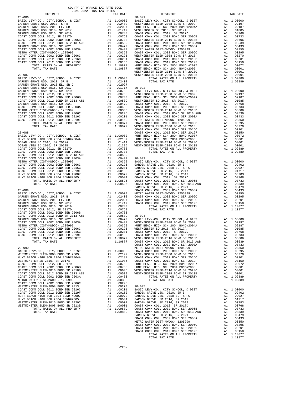| DISTRICT                                                                                                                         |    | TAX RATE                                                                                                                                                                                                                                             |            |
|----------------------------------------------------------------------------------------------------------------------------------|----|------------------------------------------------------------------------------------------------------------------------------------------------------------------------------------------------------------------------------------------------------|------------|
| $20 - 086$                                                                                                                       |    | 20–091<br>A1 1.00000 BASIC L<br>A1 0.02002 WESTMIN<br>A1 0.02027 HUNT BE<br>A1 0.0733 COAST C<br>A1 0.0773 COAST C<br>A1 0.00738 COAST C<br>A1 0.00739 WESTMIN<br>A1 0.00479 COAST C<br>A1 0.0479 COAST C<br>A1 0.00479 COAST C<br>A1 0.0295 WESTMIN | $20 - 091$ |
| BASIC LEVY-CO., CITY, SCHOOL, & DIST                                                                                             |    |                                                                                                                                                                                                                                                      |            |
| GARDEN GROVE USD, 2010, SR B                                                                                                     |    |                                                                                                                                                                                                                                                      |            |
| GARDEN GROVE USD, 2010 EL, SR C                                                                                                  |    |                                                                                                                                                                                                                                                      |            |
| GARDEN GROVE USD 2016, SR 2017                                                                                                   |    |                                                                                                                                                                                                                                                      |            |
| GARDEN GROVE USD 2016, SR 2019                                                                                                   |    |                                                                                                                                                                                                                                                      |            |
| COAST COMM COLL 2012, SR 2017D                                                                                                   |    |                                                                                                                                                                                                                                                      |            |
| COAST COMM COLL 2002 BOND SER 2006B                                                                                              |    |                                                                                                                                                                                                                                                      |            |
| COAST COMM COLL 2012 BOND SR 2000D<br>COAST COMM COLL 2012 BOND SR 2013 A&B                                                      |    |                                                                                                                                                                                                                                                      |            |
| GARDEN GROVE USD 2016, SR 2021                                                                                                   |    |                                                                                                                                                                                                                                                      |            |
| COAST COMM COLL 2002 BOND SER 2003A                                                                                              |    |                                                                                                                                                                                                                                                      |            |
| METRO WATER DIST-MWDOC- 1205999                                                                                                  |    |                                                                                                                                                                                                                                                      |            |
| COAST COMM COLL 2002 BOND SER 2006C                                                                                              |    |                                                                                                                                                                                                                                                      |            |
| COAST COMM COLL 2012 BOND SER 2016C                                                                                              |    |                                                                                                                                                                                                                                                      |            |
|                                                                                                                                  |    |                                                                                                                                                                                                                                                      |            |
|                                                                                                                                  |    |                                                                                                                                                                                                                                                      |            |
|                                                                                                                                  |    |                                                                                                                                                                                                                                                      |            |
|                                                                                                                                  |    |                                                                                                                                                                                                                                                      |            |
|                                                                                                                                  |    |                                                                                                                                                                                                                                                      |            |
|                                                                                                                                  |    |                                                                                                                                                                                                                                                      |            |
|                                                                                                                                  |    |                                                                                                                                                                                                                                                      |            |
|                                                                                                                                  |    |                                                                                                                                                                                                                                                      |            |
|                                                                                                                                  |    |                                                                                                                                                                                                                                                      |            |
|                                                                                                                                  |    |                                                                                                                                                                                                                                                      |            |
|                                                                                                                                  |    |                                                                                                                                                                                                                                                      |            |
|                                                                                                                                  |    |                                                                                                                                                                                                                                                      |            |
|                                                                                                                                  |    |                                                                                                                                                                                                                                                      |            |
|                                                                                                                                  |    |                                                                                                                                                                                                                                                      |            |
|                                                                                                                                  |    |                                                                                                                                                                                                                                                      |            |
|                                                                                                                                  |    |                                                                                                                                                                                                                                                      |            |
|                                                                                                                                  |    |                                                                                                                                                                                                                                                      |            |
|                                                                                                                                  |    |                                                                                                                                                                                                                                                      |            |
|                                                                                                                                  |    |                                                                                                                                                                                                                                                      |            |
|                                                                                                                                  |    |                                                                                                                                                                                                                                                      |            |
|                                                                                                                                  |    |                                                                                                                                                                                                                                                      |            |
|                                                                                                                                  |    |                                                                                                                                                                                                                                                      |            |
|                                                                                                                                  |    |                                                                                                                                                                                                                                                      |            |
|                                                                                                                                  |    |                                                                                                                                                                                                                                                      |            |
|                                                                                                                                  |    |                                                                                                                                                                                                                                                      |            |
|                                                                                                                                  |    |                                                                                                                                                                                                                                                      |            |
|                                                                                                                                  |    |                                                                                                                                                                                                                                                      |            |
|                                                                                                                                  |    |                                                                                                                                                                                                                                                      |            |
|                                                                                                                                  |    |                                                                                                                                                                                                                                                      |            |
|                                                                                                                                  |    |                                                                                                                                                                                                                                                      |            |
|                                                                                                                                  |    |                                                                                                                                                                                                                                                      |            |
|                                                                                                                                  |    |                                                                                                                                                                                                                                                      |            |
|                                                                                                                                  |    |                                                                                                                                                                                                                                                      |            |
|                                                                                                                                  |    |                                                                                                                                                                                                                                                      |            |
|                                                                                                                                  |    |                                                                                                                                                                                                                                                      |            |
|                                                                                                                                  |    |                                                                                                                                                                                                                                                      |            |
|                                                                                                                                  |    |                                                                                                                                                                                                                                                      |            |
|                                                                                                                                  |    |                                                                                                                                                                                                                                                      |            |
|                                                                                                                                  |    |                                                                                                                                                                                                                                                      |            |
|                                                                                                                                  |    |                                                                                                                                                                                                                                                      |            |
|                                                                                                                                  |    |                                                                                                                                                                                                                                                      |            |
|                                                                                                                                  |    |                                                                                                                                                                                                                                                      |            |
|                                                                                                                                  |    |                                                                                                                                                                                                                                                      | GARDEN     |
| $20 - 089$                                                                                                                       |    |                                                                                                                                                                                                                                                      | COAST C    |
|                                                                                                                                  |    |                                                                                                                                                                                                                                                      |            |
|                                                                                                                                  |    |                                                                                                                                                                                                                                                      |            |
|                                                                                                                                  |    |                                                                                                                                                                                                                                                      |            |
|                                                                                                                                  |    |                                                                                                                                                                                                                                                      |            |
| GARDEN GROVE USD 2016, SR 2019                                                                                                   |    | A1 .00783                                                                                                                                                                                                                                            |            |
| COAST COMM COLL 2012, SR 2017D                                                                                                   |    |                                                                                                                                                                                                                                                      |            |
|                                                                                                                                  |    |                                                                                                                                                                                                                                                      |            |
| COAST COMM COLL 2002 BOND SER 2006B<br>COAST COMM COLL 2012 BOND SR 2013 A&B<br>GARDEN GROVE USD 2016, SR 2021<br>COAST COMME TO |    | AI .00788<br>A1 .00783<br>A1 .00733<br>A1 .00539 20-094<br>A1 .00479 BASIC L<br>A1 .00433 WESTMIN<br>A1 .00355 WESTMIN<br>A1 .00201 COAST C<br>A1 .00201 COAST C<br>A1 .00201 COAST C<br>A1 .00201 COAST C<br>A1 .00201 COAST C                      |            |
|                                                                                                                                  |    |                                                                                                                                                                                                                                                      |            |
| COAST COMM COLL 2002 BOND SER 2003A                                                                                              |    |                                                                                                                                                                                                                                                      |            |
| METRO WATER DIST-MWDOC- 1205999                                                                                                  |    |                                                                                                                                                                                                                                                      |            |
| COAST COMM COLL 2002 BOND SER 2006C                                                                                              |    |                                                                                                                                                                                                                                                      |            |
| COAST COMM COLL 2012 BOND SER 2016C                                                                                              |    |                                                                                                                                                                                                                                                      |            |
|                                                                                                                                  |    |                                                                                                                                                                                                                                                      |            |
| COAST COMM COLL 2012 BOND SER 2019F                                                                                              |    |                                                                                                                                                                                                                                                      |            |
| TOTAL RATES ON ALL PROPERTY                                                                                                      |    | A1 1.10877                                                                                                                                                                                                                                           | WESTMIN    |
| TOTAL TAX RATE                                                                                                                   |    | 1.10877                                                                                                                                                                                                                                              | COAST C    |
|                                                                                                                                  |    |                                                                                                                                                                                                                                                      | COAST C    |
| $20 - 090$                                                                                                                       |    |                                                                                                                                                                                                                                                      | METRO W    |
| BASIC LEVY-CO., CITY, SCHOOL, & DIST                                                                                             |    |                                                                                                                                                                                                                                                      |            |
| WESTMINSTER ELEM-2008 BOND SR 2009                                                                                               |    |                                                                                                                                                                                                                                                      |            |
| HUNT BEACH HIGH SCH 2004 BOND#2004A                                                                                              |    |                                                                                                                                                                                                                                                      |            |
| WESTMINSTER SD 2016, SR 2017A                                                                                                    |    | COAST COAST COAST COAST COAST COAST COAST COAST COAST COAST COAST COAST COAST COAST COAST COAST COAST COAST CO                                                                                                                                       |            |
| COAST COMM COLL 2012, SR 2017D                                                                                                   | A1 | .00768                                                                                                                                                                                                                                               | HUNT BE    |
| COAST COMM COLL 2002 BOND SER 2006B                                                                                              |    |                                                                                                                                                                                                                                                      |            |
| WESTMINSTER ELEM-2016 BOND SR 2018B                                                                                              |    | A1 .00733 HUNT BE<br>A1 .00606 WESTMIN<br>A1 .00539 WESTMIN                                                                                                                                                                                          |            |
| COAST COMM COLL 2012 BOND SR 2013 A&B                                                                                            |    |                                                                                                                                                                                                                                                      |            |
| COAST COMM COLL 2002 BOND SER 2003A                                                                                              |    | A1 .00433                                                                                                                                                                                                                                            |            |
| METRO WATER DIST-MWDOC- 1205999                                                                                                  |    |                                                                                                                                                                                                                                                      |            |
|                                                                                                                                  |    | A1 .00350<br>A1 .00295<br>A1 .00295<br>A1 .00270 20-995<br>A1 .00270 BASTC L<br>A1 .00150 GARDEN<br>A1 .00072 GARDEN<br>A1 .00001 GARDEN<br>A1 .00001 GARDEN<br>A1 .00001 GARDEN<br>A1 .00001 GARDEN<br>A1 .00001 GARDEN<br>A1 1.09889 COAST C       |            |
| COAST COMM COLL 2002 BOND SER 2006C                                                                                              |    |                                                                                                                                                                                                                                                      |            |
| WESTMINSTER ELEM-2008 BOND SR 2013                                                                                               |    |                                                                                                                                                                                                                                                      |            |
| COAST COMM COLL 2012 BOND SER 2016C                                                                                              |    |                                                                                                                                                                                                                                                      |            |
| COAST COMM COLL 2012 BOND SER 2019F                                                                                              |    |                                                                                                                                                                                                                                                      |            |
| HUNT BEACH HIGH SCH 2004 BOND #2007                                                                                              |    |                                                                                                                                                                                                                                                      |            |
| HUNT BEACH HIGH SCH 2004 BOND#2005                                                                                               |    |                                                                                                                                                                                                                                                      |            |
| WESTMINSTER ELEM-2016 BOND SR 2020C                                                                                              |    |                                                                                                                                                                                                                                                      |            |
| WESTMINSTER ELEM-2008 BOND SR 2013B                                                                                              |    |                                                                                                                                                                                                                                                      |            |
| TOTAL RATES ON ALL PROPERTY                                                                                                      |    |                                                                                                                                                                                                                                                      |            |
| TOTAL TAX RATE                                                                                                                   |    | $1.09889$ $00857$ $0$                                                                                                                                                                                                                                |            |

| DISTRICT | CULL-2022 IRA IAA RAILO | TAX RATE | DISTRICT | TAX RATE |
|----------|-------------------------|----------|----------|----------|
|          |                         |          |          |          |
|          |                         |          |          |          |
|          |                         |          |          |          |
|          |                         |          |          |          |
|          |                         |          |          |          |
|          |                         |          |          |          |
|          |                         |          |          |          |
|          |                         |          |          |          |
|          |                         |          |          |          |
|          |                         |          |          |          |
|          |                         |          |          |          |
|          |                         |          |          |          |
|          |                         |          |          |          |
|          |                         |          |          |          |
|          |                         |          |          |          |
|          |                         |          |          |          |
|          |                         |          |          |          |
|          |                         |          |          |          |
|          |                         |          |          |          |
|          |                         |          |          |          |
|          |                         |          |          |          |
|          |                         |          |          |          |
|          |                         |          |          |          |
|          |                         |          |          |          |
|          |                         |          |          |          |
|          |                         |          |          |          |
|          |                         |          |          |          |
|          |                         |          |          |          |
|          |                         |          |          |          |
|          |                         |          |          |          |
|          |                         |          |          |          |
|          |                         |          |          |          |
|          |                         |          |          |          |
|          |                         |          |          |          |
|          |                         |          |          |          |
|          |                         |          |          |          |
|          |                         |          |          |          |
|          |                         |          |          |          |
|          |                         |          |          |          |
|          |                         |          |          |          |
|          |                         |          |          |          |
|          |                         |          |          |          |
|          |                         |          |          |          |
|          |                         |          |          |          |
|          |                         |          |          |          |
|          |                         |          |          |          |
|          |                         |          |          |          |
|          |                         |          |          |          |
|          |                         |          |          |          |
|          |                         |          |          |          |
|          |                         |          |          |          |
|          |                         |          |          |          |
|          |                         |          |          |          |
|          |                         |          |          |          |
|          |                         |          |          |          |
|          |                         |          |          |          |
|          |                         |          |          |          |
|          |                         |          |          |          |
|          |                         |          |          |          |
|          |                         |          |          |          |
|          |                         |          |          |          |
|          |                         |          |          |          |
|          |                         |          |          |          |
|          |                         |          |          |          |
|          |                         |          |          |          |
|          |                         |          |          |          |
|          |                         |          |          |          |
|          |                         |          |          |          |
|          |                         |          |          |          |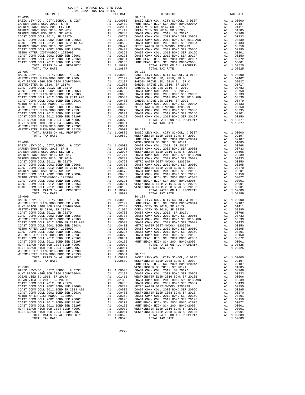| GARDEN GROVE USD 2016, SR 2017                                               | A1 .01717 OCEAN V<br>A1 .00768 COAST C<br>A1 .00768 COAST C<br>A1 .00733 COAST C<br>A1 .00739 COAST C<br>A1 .00479 METRO W<br>A1 .00433 COAST C<br>A1 .00255 COAST C<br>A1 .00255 COAST C<br>A1 .00201 HUNT BE<br>A1 .00150 HUNT BE<br>A1 .00150 HUNT BE<br>A1 .00 | A1 .01717 OCEAN V                                                                                                                                                                                                                                                                                                                                                                 |            |
|------------------------------------------------------------------------------|--------------------------------------------------------------------------------------------------------------------------------------------------------------------------------------------------------------------------------------------------------------------|-----------------------------------------------------------------------------------------------------------------------------------------------------------------------------------------------------------------------------------------------------------------------------------------------------------------------------------------------------------------------------------|------------|
| GARDEN GROVE USD 2016, SR 2019<br>COAST COMM COLL 2012, SR 2017D             |                                                                                                                                                                                                                                                                    |                                                                                                                                                                                                                                                                                                                                                                                   |            |
| COAST COMM COLL 2002 BOND SER 2006B                                          |                                                                                                                                                                                                                                                                    |                                                                                                                                                                                                                                                                                                                                                                                   |            |
| COAST COMM COLL 2012 BOND SR 2013 A&B                                        |                                                                                                                                                                                                                                                                    |                                                                                                                                                                                                                                                                                                                                                                                   |            |
| GARDEN GROVE USD 2016, SR 2021                                               |                                                                                                                                                                                                                                                                    |                                                                                                                                                                                                                                                                                                                                                                                   |            |
| COAST COMM COLL 2002 BOND SER 2003A                                          |                                                                                                                                                                                                                                                                    |                                                                                                                                                                                                                                                                                                                                                                                   |            |
| METRO WATER DIST-MWDOC- 1205999<br>COAST COMM COLL 2002 BOND SER 2006C       |                                                                                                                                                                                                                                                                    |                                                                                                                                                                                                                                                                                                                                                                                   |            |
| COAST COMM COLL 2012 BOND SER 2016C                                          |                                                                                                                                                                                                                                                                    |                                                                                                                                                                                                                                                                                                                                                                                   |            |
| COAST COMM COLL 2012 BOND SER 2019F                                          |                                                                                                                                                                                                                                                                    |                                                                                                                                                                                                                                                                                                                                                                                   |            |
| TOTAL RATES ON ALL PROPERTY                                                  |                                                                                                                                                                                                                                                                    |                                                                                                                                                                                                                                                                                                                                                                                   |            |
| TOTAL TAX RATE                                                               |                                                                                                                                                                                                                                                                    | 1.10877                                                                                                                                                                                                                                                                                                                                                                           |            |
| $20 - 097$<br>BASIC LEVY-CO., CITY, SCHOOL, & DIST                           |                                                                                                                                                                                                                                                                    | $\begin{tabular}{llllllllllll} & & 20-102 \\ \text{A1} & 0.0000 & \text{BASIC L} \\ \text{A1} & 0.2197 & \text{GARDEN} \\ \text{A1} & 0.01085 & \text{GARDEN} \\ \text{A1} & 0.0056 & \text{GARDEN} \\ \text{A1} & 0.0768 & \text{GARDEN} \\ \text{A1} & 0.0768 & \text{COAST C} \\ \text{A1} & 0.0606 & \text{COAST C} \\ \text{A1} & 0.0433 & \text{GAREDEN} \\ \text{A1} & 0.$ | $20 - 102$ |
| WESTMINSTER ELEM-2008 BOND SR 2009                                           |                                                                                                                                                                                                                                                                    |                                                                                                                                                                                                                                                                                                                                                                                   |            |
| HUNT BEACH HIGH SCH 2004 BOND#2004A                                          |                                                                                                                                                                                                                                                                    |                                                                                                                                                                                                                                                                                                                                                                                   |            |
| WESTMINSTER SD 2016, SR 2017A                                                |                                                                                                                                                                                                                                                                    |                                                                                                                                                                                                                                                                                                                                                                                   |            |
| COAST COMM COLL 2012, SR 2017D<br>COAST COMM COLL 2002 BOND SER 2006B        |                                                                                                                                                                                                                                                                    |                                                                                                                                                                                                                                                                                                                                                                                   |            |
| WESTMINSTER ELEM-2016 BOND SR 2018B                                          |                                                                                                                                                                                                                                                                    |                                                                                                                                                                                                                                                                                                                                                                                   |            |
| COAST COMM COLL 2012 BOND SR 2013 A&B                                        |                                                                                                                                                                                                                                                                    |                                                                                                                                                                                                                                                                                                                                                                                   |            |
| COAST COMM COLL 2002 BOND SER 2003A                                          |                                                                                                                                                                                                                                                                    |                                                                                                                                                                                                                                                                                                                                                                                   |            |
| METRO WATER DIST-MWDOC- 1205999                                              |                                                                                                                                                                                                                                                                    |                                                                                                                                                                                                                                                                                                                                                                                   |            |
| COAST COMM COLL 2002 BOND SER 2006C<br>WESTMINSTER ELEM-2008 BOND SR 2013    |                                                                                                                                                                                                                                                                    |                                                                                                                                                                                                                                                                                                                                                                                   |            |
| COAST COMM COLL 2012 BOND SER 2016C                                          |                                                                                                                                                                                                                                                                    |                                                                                                                                                                                                                                                                                                                                                                                   |            |
| COAST COMM COLL 2012 BOND SER 2019F                                          |                                                                                                                                                                                                                                                                    |                                                                                                                                                                                                                                                                                                                                                                                   |            |
| HUNT BEACH HIGH SCH 2004 BOND #2007                                          |                                                                                                                                                                                                                                                                    |                                                                                                                                                                                                                                                                                                                                                                                   |            |
| HUNT BEACH HIGH SCH 2004 BOND#2005                                           |                                                                                                                                                                                                                                                                    | A1 .00001                                                                                                                                                                                                                                                                                                                                                                         |            |
| WESTMINSTER ELEM-2016 BOND SR 2020C<br>WESTMINSTER ELEM-2008 BOND SR 2013B   |                                                                                                                                                                                                                                                                    |                                                                                                                                                                                                                                                                                                                                                                                   |            |
| TOTAL RATES ON ALL PROPERTY                                                  |                                                                                                                                                                                                                                                                    |                                                                                                                                                                                                                                                                                                                                                                                   |            |
| TOTAL TAX RATE                                                               | A1 . 00001<br>A1 . 00001 20-103<br>A1 1.09889 BASIC L<br>A1 1.09889 WESTMIN<br>"                                                                                                                                                                                   |                                                                                                                                                                                                                                                                                                                                                                                   |            |
|                                                                              |                                                                                                                                                                                                                                                                    |                                                                                                                                                                                                                                                                                                                                                                                   | HUNT BE    |
| $20 - 098$                                                                   |                                                                                                                                                                                                                                                                    | WESTMIN WESTMIN WESTMIN<br>A1 .02402 COAST C<br>A1 .02027 WESTMIN<br>A1 .01717 COAST C<br>A1 .00783 COAST C<br>A1 .00783 COAST C<br>A1 .00783 WESTMIN<br>A1 .00539 WESTMIN<br>A1 .00433 COAST C<br>A1 .00433 COAST C<br>A1 .00433 COAST C<br>A1 .002                                                                                                                              | WESTMIN    |
| BASIC LEVY-CO., CITY, SCHOOL, & DIST<br>GARDEN GROVE USD, 2010, SR B         |                                                                                                                                                                                                                                                                    |                                                                                                                                                                                                                                                                                                                                                                                   |            |
| GARDEN GROVE USD, 2010 EL, SR C                                              |                                                                                                                                                                                                                                                                    |                                                                                                                                                                                                                                                                                                                                                                                   |            |
| GARDEN GROVE USD 2016, SR 2017                                               |                                                                                                                                                                                                                                                                    |                                                                                                                                                                                                                                                                                                                                                                                   |            |
| GARDEN GROVE USD 2016, SR 2019                                               |                                                                                                                                                                                                                                                                    |                                                                                                                                                                                                                                                                                                                                                                                   |            |
| COAST COMM COLL 2012, SR 2017D<br>COAST COMM COLL 2002 BOND SER 2006B        |                                                                                                                                                                                                                                                                    |                                                                                                                                                                                                                                                                                                                                                                                   |            |
| COAST COMM COLL 2012 BOND SR 2013 A&B                                        |                                                                                                                                                                                                                                                                    |                                                                                                                                                                                                                                                                                                                                                                                   |            |
| GARDEN GROVE USD 2016, SR 2021                                               |                                                                                                                                                                                                                                                                    |                                                                                                                                                                                                                                                                                                                                                                                   |            |
| COAST COMM COLL 2002 BOND SER 2003A                                          |                                                                                                                                                                                                                                                                    |                                                                                                                                                                                                                                                                                                                                                                                   |            |
| METRO WATER DIST-MWDOC- 1205999                                              |                                                                                                                                                                                                                                                                    |                                                                                                                                                                                                                                                                                                                                                                                   |            |
| COAST COMM COLL 2002 BOND SER 2006C<br>COAST COMM COLL 2012 BOND SER 2016C   |                                                                                                                                                                                                                                                                    |                                                                                                                                                                                                                                                                                                                                                                                   |            |
| COAST COMM COLL 2012 BOND SER 2019F                                          |                                                                                                                                                                                                                                                                    |                                                                                                                                                                                                                                                                                                                                                                                   |            |
| TOTAL RATES ON ALL PROPERTY                                                  |                                                                                                                                                                                                                                                                    |                                                                                                                                                                                                                                                                                                                                                                                   |            |
| TOTAL TAX RATE                                                               |                                                                                                                                                                                                                                                                    | 1.10877                                                                                                                                                                                                                                                                                                                                                                           |            |
| $20 - 099$                                                                   | 20–104<br>A1 1.0000 BASIC L<br>A1 1.00107 BASIC L<br>A1 .02197 HUNT BE<br>A1 .01073 OCEAN V<br>A1 .00768 COAST C<br>A1 .00768 COAST C<br>A1 .00733 COAST C<br>A1 .00539 COAST C<br>A1 .00433 METRO N<br>A1 .00295 COAST C<br>A1 .00295 COAST C<br>A1 .             |                                                                                                                                                                                                                                                                                                                                                                                   | $20 - 104$ |
| BASIC LEVY-CO., CITY, SCHOOL, & DIST<br>WESTMINSTER ELEM-2008 BOND SR 2009   |                                                                                                                                                                                                                                                                    |                                                                                                                                                                                                                                                                                                                                                                                   |            |
| HUNT BEACH HIGH SCH 2004 BOND#2004A                                          |                                                                                                                                                                                                                                                                    |                                                                                                                                                                                                                                                                                                                                                                                   |            |
| WESTMINSTER SD 2016, SR 2017A                                                |                                                                                                                                                                                                                                                                    |                                                                                                                                                                                                                                                                                                                                                                                   |            |
| COAST COMM COLL 2012, SR 2017D                                               |                                                                                                                                                                                                                                                                    |                                                                                                                                                                                                                                                                                                                                                                                   |            |
| COAST COMM COLL 2002 BOND SER 2006B                                          |                                                                                                                                                                                                                                                                    |                                                                                                                                                                                                                                                                                                                                                                                   |            |
| WESTMINSTER ELEM-2016 BOND SR 2018B<br>COAST COMM COLL 2012 BOND SR 2013 A&B |                                                                                                                                                                                                                                                                    |                                                                                                                                                                                                                                                                                                                                                                                   |            |
| COAST COMM COLL 2002 BOND SER 2003A                                          |                                                                                                                                                                                                                                                                    |                                                                                                                                                                                                                                                                                                                                                                                   |            |
| METRO WATER DIST-MWDOC- 1205999                                              |                                                                                                                                                                                                                                                                    |                                                                                                                                                                                                                                                                                                                                                                                   |            |
| COAST COMM COLL 2002 BOND SER 2006C                                          |                                                                                                                                                                                                                                                                    |                                                                                                                                                                                                                                                                                                                                                                                   |            |
| WESTMINSTER ELEM-2008 BOND SR 2013<br>COAST COMM COLL 2012 BOND SER 2016C    |                                                                                                                                                                                                                                                                    |                                                                                                                                                                                                                                                                                                                                                                                   |            |
| COAST COMM COLL 2012 BOND SER 2019F                                          |                                                                                                                                                                                                                                                                    |                                                                                                                                                                                                                                                                                                                                                                                   |            |
| HUNT BEACH HIGH SCH 2004 BOND #2007                                          |                                                                                                                                                                                                                                                                    |                                                                                                                                                                                                                                                                                                                                                                                   |            |
| HUNT BEACH HIGH SCH 2004 BOND#2005                                           |                                                                                                                                                                                                                                                                    |                                                                                                                                                                                                                                                                                                                                                                                   |            |
| WESTMINSTER ELEM-2016 BOND SR 2020C                                          | A1 .00001                                                                                                                                                                                                                                                          |                                                                                                                                                                                                                                                                                                                                                                                   |            |
| WESTMINSTER ELEM-2008 BOND SR 2013B                                          |                                                                                                                                                                                                                                                                    | A1 .00001 20-105                                                                                                                                                                                                                                                                                                                                                                  | BASIC L    |
| TOTAL RATES ON ALL PROPERTY<br>TOTAL TAX RATE                                |                                                                                                                                                                                                                                                                    | A1 1.09889<br>1.09889                                                                                                                                                                                                                                                                                                                                                             | WESTMIN    |
|                                                                              |                                                                                                                                                                                                                                                                    |                                                                                                                                                                                                                                                                                                                                                                                   | HUNT BE    |
| $20 - 100$                                                                   |                                                                                                                                                                                                                                                                    |                                                                                                                                                                                                                                                                                                                                                                                   | WESTMIN    |
| BASIC LEVY-CO., CITY, SCHOOL, & DIST                                         |                                                                                                                                                                                                                                                                    |                                                                                                                                                                                                                                                                                                                                                                                   |            |
| HUNT BEACH HIGH SCH 2004 BOND#2004A<br>OCEAN VIEW SD 2016, SR 2017A          |                                                                                                                                                                                                                                                                    |                                                                                                                                                                                                                                                                                                                                                                                   |            |
| OCEAN VIEW SD 2016, SR 2020B                                                 |                                                                                                                                                                                                                                                                    | WESTMIN WESTMIN WESTMIN<br>A1 .02187 COAST C<br>A1 .01411 WESTMIN<br>A1 .01385 COAST C<br>A1 .00768 COAST C<br>A1 .00733 METRO M<br>A1 .00539 COAST C<br>A1 .00333 WESTMIN<br>A1 .00295 COAST C<br>A1 .00295 COAST C<br>A1 .00201 HUNT BE<br>A1 .002                                                                                                                              |            |
| COAST COMM COLL 2012, SR 2017D                                               |                                                                                                                                                                                                                                                                    |                                                                                                                                                                                                                                                                                                                                                                                   |            |
| COAST COMM COLL 2002 BOND SER 2006B                                          |                                                                                                                                                                                                                                                                    |                                                                                                                                                                                                                                                                                                                                                                                   |            |
| COAST COMM COLL 2012 BOND SR 2013 A&B                                        |                                                                                                                                                                                                                                                                    |                                                                                                                                                                                                                                                                                                                                                                                   |            |
| COAST COMM COLL 2002 BOND SER 2003A<br>METRO WATER DIST-MWDOC- 1205999       |                                                                                                                                                                                                                                                                    |                                                                                                                                                                                                                                                                                                                                                                                   |            |
| COAST COMM COLL 2002 BOND SER 2006C                                          |                                                                                                                                                                                                                                                                    |                                                                                                                                                                                                                                                                                                                                                                                   |            |
| COAST COMM COLL 2012 BOND SER 2016C                                          |                                                                                                                                                                                                                                                                    |                                                                                                                                                                                                                                                                                                                                                                                   |            |
| COAST COMM COLL 2012 BOND SER 2019F                                          |                                                                                                                                                                                                                                                                    |                                                                                                                                                                                                                                                                                                                                                                                   |            |
| HUNT BEACH HIGH SCH 2004 BOND #2007                                          |                                                                                                                                                                                                                                                                    |                                                                                                                                                                                                                                                                                                                                                                                   |            |
| HUNT BEACH HIGH SCH 2004 BOND#2005<br>TOTAL RATES ON ALL PROPERTY            |                                                                                                                                                                                                                                                                    |                                                                                                                                                                                                                                                                                                                                                                                   |            |
| TOTAL TAX RATE                                                               |                                                                                                                                                                                                                                                                    | 1.08525                                                                                                                                                                                                                                                                                                                                                                           |            |

|            | DISTRICT | 2021-2022 TRA TAX RATES | TAX RATE | DISTRICT   | TAX RATE |
|------------|----------|-------------------------|----------|------------|----------|
| $20 - 096$ |          |                         |          | $20 - 101$ |          |
|            |          |                         |          |            |          |
|            |          |                         |          |            |          |
|            |          |                         |          |            |          |
|            |          |                         |          |            |          |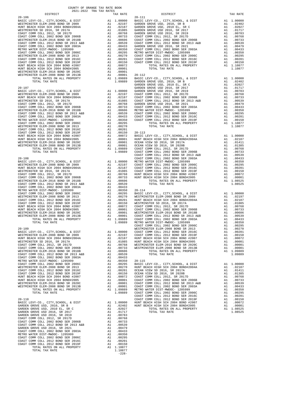|            | COAST COMM COLL 2002 BOND SER 2006B<br>WESTMINSTER ELEM-2016 BOND SR 2018B                                                                                                                   | $\begin{tabular}{cc} \bf A1 & .00733 & {\tt COAST~C} \\ \bf A1 & .00509 & {\tt COAST~C} \\ \bf A1 & .00539 & {\tt COAST~C} \\ \bf A1 & .00433 & {\tt GARDEN} \\ \bf A1 & .00350 & {\tt COAST~C} \\ \bf A1 & .00295 & {\tt METRO~W} \\ \bf A1 & .00295 & {\tt METRO~W} \\ \bf A1 & .00201 & {\tt COAST~C} \\ \bf A1 & .00150 & {\tt COAST~C} \\ \bf A1 & .00101 & {\tt COAST~C} \\ \bf A1 & .00001 & $              |                                         |         |
|------------|----------------------------------------------------------------------------------------------------------------------------------------------------------------------------------------------|--------------------------------------------------------------------------------------------------------------------------------------------------------------------------------------------------------------------------------------------------------------------------------------------------------------------------------------------------------------------------------------------------------------------|-----------------------------------------|---------|
|            | COAST COMM COLL 2012 BOND SR 2013 A&B<br>COAST COMM COLL 2002 BOND SER 2003A                                                                                                                 |                                                                                                                                                                                                                                                                                                                                                                                                                    |                                         |         |
|            |                                                                                                                                                                                              |                                                                                                                                                                                                                                                                                                                                                                                                                    |                                         |         |
|            | METRO WATER DIST-MWDOC- 1205999<br>COAST COMM COLL 2002 BOND SER 2006C                                                                                                                       |                                                                                                                                                                                                                                                                                                                                                                                                                    |                                         |         |
|            | WESTMINSTER ELEM-2008 BOND SR 2013                                                                                                                                                           |                                                                                                                                                                                                                                                                                                                                                                                                                    |                                         |         |
|            | WESTMINSTER ELEMENT 2012 BOND SER 2016C<br>COAST COMM COLL 2012 BOND SER 2019F<br>COAST COMM COLL 2012 BOND SER 2019F<br>HUNT BEACH HIGH SCH 2004 BOND #2007<br>THIGH SER 2014 BOND #2004    |                                                                                                                                                                                                                                                                                                                                                                                                                    |                                         |         |
|            |                                                                                                                                                                                              |                                                                                                                                                                                                                                                                                                                                                                                                                    |                                         |         |
|            | HUNT BEACH HIGH SCH 2004 BOND#2005                                                                                                                                                           |                                                                                                                                                                                                                                                                                                                                                                                                                    |                                         |         |
|            | WESTMINSTER ELEM-2016 BOND SR 2020C                                                                                                                                                          |                                                                                                                                                                                                                                                                                                                                                                                                                    |                                         |         |
|            | WESTMINSTER ELEM-2008 BOND SR 2013B                                                                                                                                                          |                                                                                                                                                                                                                                                                                                                                                                                                                    |                                         |         |
|            | TOTAL RATES ON ALL PROPERTY<br>TOTAL TAX RATE                                                                                                                                                |                                                                                                                                                                                                                                                                                                                                                                                                                    |                                         |         |
|            |                                                                                                                                                                                              |                                                                                                                                                                                                                                                                                                                                                                                                                    |                                         | GARDEN  |
| $20 - 107$ |                                                                                                                                                                                              | AN 1.00000 GARDEN<br>AL 1.00000 GARDEN<br>AL 02197 COAST C<br>AL 0.0105 COAST C<br>AL 0.0105 COAST C<br>AL 0.0768 GARDEN<br>AL 0.0733 COAST C<br>AL 0.0639 COAST C<br>AL 0.0639 COAST C<br>AL 0.0433 COAST C<br>AL 0.0295<br>AL 0.0295<br>AL 0.0295<br>A                                                                                                                                                           |                                         | GARDEN  |
|            | BASIC LEVY-CO., CITY, SCHOOL, & DIST<br>WESTMINSTER ELEM-2008 BOND SR 2009                                                                                                                   |                                                                                                                                                                                                                                                                                                                                                                                                                    |                                         |         |
|            | HUNT BEACH HIGH SCH 2004 BOND#2004A                                                                                                                                                          |                                                                                                                                                                                                                                                                                                                                                                                                                    |                                         |         |
|            | WESTMINSTER SD 2016, SR 2017A                                                                                                                                                                |                                                                                                                                                                                                                                                                                                                                                                                                                    |                                         |         |
|            | COAST COMM COLL 2012, SR 2017D<br>COAST COMM COLL 2002 BOND SER 2006B                                                                                                                        |                                                                                                                                                                                                                                                                                                                                                                                                                    |                                         |         |
|            | WESTMINSTER ELEM-2016 BOND SR 2018B                                                                                                                                                          |                                                                                                                                                                                                                                                                                                                                                                                                                    |                                         |         |
|            | COAST COMM COLL 2012 BOND SR 2013 A&B                                                                                                                                                        |                                                                                                                                                                                                                                                                                                                                                                                                                    |                                         |         |
|            | COAST COMM COLL 2002 BOND SER 2003A<br>METRO WATER DIST-MWDOC- 1205999                                                                                                                       |                                                                                                                                                                                                                                                                                                                                                                                                                    |                                         |         |
|            | COAST COMM COLL 2002 BOND SER 2006C                                                                                                                                                          |                                                                                                                                                                                                                                                                                                                                                                                                                    |                                         |         |
|            | WESTMINSTER ELEM-2008 BOND SR 2013                                                                                                                                                           |                                                                                                                                                                                                                                                                                                                                                                                                                    |                                         |         |
|            | COAST COMM COLL 2012 BOND SER 2016C<br>COAST COMM COLL 2012 BOND SER 2019F                                                                                                                   |                                                                                                                                                                                                                                                                                                                                                                                                                    |                                         |         |
|            |                                                                                                                                                                                              |                                                                                                                                                                                                                                                                                                                                                                                                                    |                                         |         |
|            |                                                                                                                                                                                              |                                                                                                                                                                                                                                                                                                                                                                                                                    |                                         |         |
|            | CONDITIONAL COMP COMP 2012 SOND 350 H2007<br>HUNT BEACH HIGH SCH 2004 BOND#2005<br>WESTMINSTER ELEM-2016 BOND SR 2020C<br>WESTMINSTER ELEM-2016 BOND SR 2013B<br>TOTAL RATES ON ALL PROPERTY |                                                                                                                                                                                                                                                                                                                                                                                                                    |                                         |         |
|            |                                                                                                                                                                                              |                                                                                                                                                                                                                                                                                                                                                                                                                    |                                         |         |
|            | TOTAL TAX RATE                                                                                                                                                                               |                                                                                                                                                                                                                                                                                                                                                                                                                    |                                         |         |
| $20 - 108$ |                                                                                                                                                                                              |                                                                                                                                                                                                                                                                                                                                                                                                                    |                                         | COAST C |
|            | BASIC LEVY-CO., CITY, SCHOOL, & DIST                                                                                                                                                         |                                                                                                                                                                                                                                                                                                                                                                                                                    |                                         |         |
|            | WESTMINSTER ELEM-2008 BOND SR 2009                                                                                                                                                           |                                                                                                                                                                                                                                                                                                                                                                                                                    |                                         |         |
|            | HUNT BEACH HIGH SCH 2004 BOND#2004A<br>WESTMINSTER SD 2016, SR 2017A                                                                                                                         |                                                                                                                                                                                                                                                                                                                                                                                                                    |                                         |         |
|            | COAST COMM COLL 2012, SR 2017D                                                                                                                                                               |                                                                                                                                                                                                                                                                                                                                                                                                                    |                                         |         |
|            | COAST COMM COLL 2002 BOND SER 2006B                                                                                                                                                          |                                                                                                                                                                                                                                                                                                                                                                                                                    |                                         |         |
|            | WESTMINSTER ELEM-2016 BOND SR 2018B<br>COAST COMM COLL 2012 BOND SR 2013 A&B                                                                                                                 |                                                                                                                                                                                                                                                                                                                                                                                                                    |                                         |         |
|            | COAST COMM COLL 2002 BOND SER 2003A                                                                                                                                                          |                                                                                                                                                                                                                                                                                                                                                                                                                    |                                         |         |
|            | METRO WATER DIST-MWDOC- 1205999                                                                                                                                                              | ${\small \begin{tabular}{l} \bf 1.09689 & COAST C \\ \bf COAST C \\ \bf COAST C \\ \bf Al & 1.00000 & METRO\\ \bf Al & .02197 & COAST C \\ \bf Al & .02197 & COAST C \\ \bf Al & .01085 & COAST C \\ \bf Al & .01085 & COAST C \\ \bf Al & .00768 & HUNT BE \\ \bf Al & .00606 & HUNT BE \\ \bf Al & .00606 & A1 & .00350 & 20-114 \\ \bf Al & .00350 & 20-114 & A1 & .00250 & MESTNING \\ \bf Al & .00295 & BAST$ |                                         |         |
|            | COAST COMM COLL 2002 BOND SER 2006C<br>WESTMINSTER ELEM-2008 BOND SR 2013                                                                                                                    |                                                                                                                                                                                                                                                                                                                                                                                                                    |                                         |         |
|            | COAST COMM COLL 2012 BOND SER 2016C                                                                                                                                                          |                                                                                                                                                                                                                                                                                                                                                                                                                    |                                         |         |
|            | COAST COMM COLL 2012 BOND SER 2019F                                                                                                                                                          |                                                                                                                                                                                                                                                                                                                                                                                                                    |                                         |         |
|            | HUNT BEACH HIGH SCH 2004 BOND #2007                                                                                                                                                          |                                                                                                                                                                                                                                                                                                                                                                                                                    |                                         |         |
|            | HUNT BEACH HIGH SCH 2004 BOND#2005<br>WESTMINSTER ELEM-2016 BOND SR 2020C                                                                                                                    |                                                                                                                                                                                                                                                                                                                                                                                                                    |                                         |         |
|            | WESTMINSTER ELEM-2008 BOND SR 2013B                                                                                                                                                          |                                                                                                                                                                                                                                                                                                                                                                                                                    |                                         |         |
|            | TOTAL RATES ON ALL PROPERTY<br>TOTAL TAX RATE                                                                                                                                                |                                                                                                                                                                                                                                                                                                                                                                                                                    |                                         |         |
|            |                                                                                                                                                                                              |                                                                                                                                                                                                                                                                                                                                                                                                                    |                                         | COAST C |
| $20 - 109$ |                                                                                                                                                                                              |                                                                                                                                                                                                                                                                                                                                                                                                                    |                                         | WESTMIN |
|            |                                                                                                                                                                                              |                                                                                                                                                                                                                                                                                                                                                                                                                    |                                         |         |
|            |                                                                                                                                                                                              |                                                                                                                                                                                                                                                                                                                                                                                                                    |                                         |         |
|            |                                                                                                                                                                                              |                                                                                                                                                                                                                                                                                                                                                                                                                    |                                         |         |
|            |                                                                                                                                                                                              |                                                                                                                                                                                                                                                                                                                                                                                                                    |                                         |         |
|            |                                                                                                                                                                                              |                                                                                                                                                                                                                                                                                                                                                                                                                    |                                         |         |
|            |                                                                                                                                                                                              |                                                                                                                                                                                                                                                                                                                                                                                                                    |                                         |         |
|            | COAST COMM COLL 2002 BOND SER 2003A                                                                                                                                                          | A1.00433                                                                                                                                                                                                                                                                                                                                                                                                           |                                         |         |
|            | METRO WATER DIST-MWDOC- 1205999<br>COAST COMM COLL 2002 BOND SER 2006C                                                                                                                       | A1 .00295 BADLL<br>A1 .00295 BADLL<br>A1 .00201 BUNT BE<br>A1 .00201 OCEAN V<br>A1 .00150 OCEAN V<br>A1 .00012 COAST C<br>A1 .00001 COAST C<br>A1 .00001 COAST C<br>A1 .00001 COAST C<br>A1 .00001 COAST C<br>A1 1.09889 METRO W<br>A1 1.09889 COAST                                                                                                                                                               |                                         |         |
|            | WESTMINSTER ELEM-2008 BOND SR 2013                                                                                                                                                           |                                                                                                                                                                                                                                                                                                                                                                                                                    |                                         |         |
|            | COAST COMM COLL 2012 BOND SER 2016C                                                                                                                                                          |                                                                                                                                                                                                                                                                                                                                                                                                                    |                                         |         |
|            | COAST COMM COLL 2012 BOND SER 2019F<br>HUNT BEACH HIGH SCH 2004 BOND #2007                                                                                                                   |                                                                                                                                                                                                                                                                                                                                                                                                                    |                                         |         |
|            | HUNT BEACH HIGH SCH 2004 BOND#2005                                                                                                                                                           |                                                                                                                                                                                                                                                                                                                                                                                                                    |                                         |         |
|            | WESTMINSTER ELEM-2016 BOND SR 2020C                                                                                                                                                          |                                                                                                                                                                                                                                                                                                                                                                                                                    |                                         |         |
|            | WESTMINSTER ELEM-2008 BOND SR 2013B<br>TOTAL RATES ON ALL PROPERTY                                                                                                                           |                                                                                                                                                                                                                                                                                                                                                                                                                    |                                         |         |
|            | TOTAL TAX RATE                                                                                                                                                                               |                                                                                                                                                                                                                                                                                                                                                                                                                    |                                         |         |
|            |                                                                                                                                                                                              |                                                                                                                                                                                                                                                                                                                                                                                                                    |                                         |         |
| $20 - 110$ | BASIC LEVY-CO., CITY, SCHOOL, & DIST                                                                                                                                                         |                                                                                                                                                                                                                                                                                                                                                                                                                    |                                         | COAST C |
|            | GARDEN GROVE USD, 2010, SR B                                                                                                                                                                 |                                                                                                                                                                                                                                                                                                                                                                                                                    | A1 1.00000 HUNT BE<br>A1 .02402 HUNT BE |         |
|            | GARDEN GROVE USD, 2010 EL, SR C                                                                                                                                                              | A1                                                                                                                                                                                                                                                                                                                                                                                                                 | .02027                                  |         |
|            | GARDEN GROVE USD 2016, SR 2017                                                                                                                                                               | A1                                                                                                                                                                                                                                                                                                                                                                                                                 | .01717                                  |         |
|            | GARDEN GROVE USD 2016, SR 2019                                                                                                                                                               | A1                                                                                                                                                                                                                                                                                                                                                                                                                 | .00783                                  |         |
|            |                                                                                                                                                                                              |                                                                                                                                                                                                                                                                                                                                                                                                                    |                                         |         |
|            |                                                                                                                                                                                              |                                                                                                                                                                                                                                                                                                                                                                                                                    |                                         |         |
|            |                                                                                                                                                                                              |                                                                                                                                                                                                                                                                                                                                                                                                                    |                                         |         |
|            | METRO WATER DIST-MWDOC- 1205999                                                                                                                                                              | A1                                                                                                                                                                                                                                                                                                                                                                                                                 | .00350                                  |         |
|            | COAST COMM COLL 2002 BOND SER 2006C                                                                                                                                                          | A1                                                                                                                                                                                                                                                                                                                                                                                                                 | .00295                                  |         |
|            | COAST COMM COLL 2012 BOND SER 2016C<br>COAST COMM COLL 2012 BOND SER 2019F                                                                                                                   |                                                                                                                                                                                                                                                                                                                                                                                                                    |                                         |         |
|            | TOTAL RATES ON ALL PROPERTY                                                                                                                                                                  |                                                                                                                                                                                                                                                                                                                                                                                                                    | A1 1.10877                              |         |
|            | TOTAL TAX RATE                                                                                                                                                                               |                                                                                                                                                                                                                                                                                                                                                                                                                    | 1.10877                                 |         |

-228-

| DISTRICT                       | TAX RATE | DISTRICT | TAX RATE |
|--------------------------------|----------|----------|----------|
|                                |          |          |          |
|                                |          |          |          |
|                                |          |          |          |
|                                |          |          |          |
|                                |          |          |          |
|                                |          |          |          |
|                                |          |          |          |
|                                |          |          |          |
|                                |          |          |          |
|                                |          |          |          |
|                                |          |          |          |
|                                |          |          |          |
|                                |          |          |          |
|                                |          |          |          |
|                                |          |          |          |
|                                |          |          |          |
|                                |          |          |          |
|                                |          |          |          |
|                                |          |          |          |
|                                |          |          |          |
|                                |          |          |          |
|                                |          |          |          |
|                                |          |          |          |
|                                |          |          |          |
|                                |          |          |          |
|                                |          |          |          |
|                                |          |          |          |
|                                |          |          |          |
|                                |          |          |          |
|                                |          |          |          |
|                                |          |          |          |
|                                |          |          |          |
|                                |          |          |          |
|                                |          |          |          |
|                                |          |          |          |
|                                |          |          |          |
|                                |          |          |          |
|                                |          |          |          |
|                                |          |          |          |
|                                |          |          |          |
|                                |          |          |          |
|                                |          |          |          |
|                                |          |          |          |
|                                |          |          |          |
|                                |          |          |          |
|                                |          |          |          |
|                                |          |          |          |
|                                |          |          |          |
|                                |          |          |          |
|                                |          |          |          |
|                                |          |          |          |
|                                |          |          |          |
|                                |          |          |          |
|                                |          |          |          |
|                                |          |          |          |
|                                |          |          |          |
|                                |          |          |          |
|                                |          |          |          |
|                                |          |          |          |
|                                |          |          |          |
|                                |          |          |          |
|                                |          |          |          |
|                                |          |          |          |
|                                |          |          |          |
|                                |          |          |          |
|                                |          |          |          |
|                                |          |          |          |
|                                |          |          |          |
|                                |          |          |          |
|                                |          |          |          |
|                                |          |          |          |
|                                |          |          |          |
|                                |          |          |          |
|                                |          |          |          |
|                                |          |          |          |
|                                |          |          |          |
|                                |          |          |          |
| COAST COMM COLL 2012, SR 2017D |          |          |          |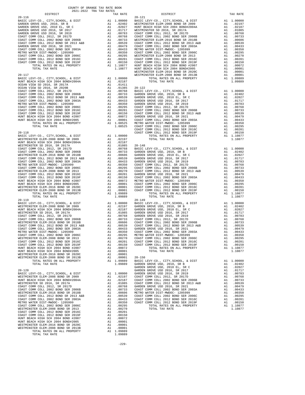| DISTRICT<br>$\begin{smallmatrix} \textbf{11.1} & \textbf{12.1} & \textbf{13.1} & \textbf{14.1} & \textbf{15.1} & \textbf{16.1} & \textbf{17.1} & \textbf{18.1} & \textbf{18.1} & \textbf{18.1} & \textbf{18.1} & \textbf{18.1} & \textbf{18.1} & \textbf{18.1} & \textbf{18.1} & \textbf{18.1} & \textbf{18.1} & \textbf{18.1} & \textbf{18.1} & \textbf{18.1} & \textbf{18.1} & \textbf{$ | TAX RATE | DISTRICT | TAX RATE |
|--------------------------------------------------------------------------------------------------------------------------------------------------------------------------------------------------------------------------------------------------------------------------------------------------------------------------------------------------------------------------------------------|----------|----------|----------|
|                                                                                                                                                                                                                                                                                                                                                                                            |          |          |          |
|                                                                                                                                                                                                                                                                                                                                                                                            |          |          |          |
|                                                                                                                                                                                                                                                                                                                                                                                            |          |          |          |
|                                                                                                                                                                                                                                                                                                                                                                                            |          |          |          |
|                                                                                                                                                                                                                                                                                                                                                                                            |          |          |          |
|                                                                                                                                                                                                                                                                                                                                                                                            |          |          |          |
|                                                                                                                                                                                                                                                                                                                                                                                            |          |          |          |
|                                                                                                                                                                                                                                                                                                                                                                                            |          |          |          |
|                                                                                                                                                                                                                                                                                                                                                                                            |          |          |          |
|                                                                                                                                                                                                                                                                                                                                                                                            |          |          |          |
|                                                                                                                                                                                                                                                                                                                                                                                            |          |          |          |
|                                                                                                                                                                                                                                                                                                                                                                                            |          |          |          |
|                                                                                                                                                                                                                                                                                                                                                                                            |          |          |          |
|                                                                                                                                                                                                                                                                                                                                                                                            |          |          |          |
|                                                                                                                                                                                                                                                                                                                                                                                            |          |          |          |
|                                                                                                                                                                                                                                                                                                                                                                                            |          |          |          |
|                                                                                                                                                                                                                                                                                                                                                                                            |          |          |          |
|                                                                                                                                                                                                                                                                                                                                                                                            |          |          |          |
|                                                                                                                                                                                                                                                                                                                                                                                            |          |          |          |
|                                                                                                                                                                                                                                                                                                                                                                                            |          |          |          |
|                                                                                                                                                                                                                                                                                                                                                                                            |          |          |          |
|                                                                                                                                                                                                                                                                                                                                                                                            |          |          |          |
|                                                                                                                                                                                                                                                                                                                                                                                            |          |          |          |
|                                                                                                                                                                                                                                                                                                                                                                                            |          |          |          |
|                                                                                                                                                                                                                                                                                                                                                                                            |          |          |          |
|                                                                                                                                                                                                                                                                                                                                                                                            |          |          |          |
|                                                                                                                                                                                                                                                                                                                                                                                            |          |          |          |
|                                                                                                                                                                                                                                                                                                                                                                                            |          |          |          |
|                                                                                                                                                                                                                                                                                                                                                                                            |          |          |          |
|                                                                                                                                                                                                                                                                                                                                                                                            |          |          |          |
|                                                                                                                                                                                                                                                                                                                                                                                            |          |          |          |
|                                                                                                                                                                                                                                                                                                                                                                                            |          |          |          |
|                                                                                                                                                                                                                                                                                                                                                                                            |          |          |          |
|                                                                                                                                                                                                                                                                                                                                                                                            |          |          |          |
|                                                                                                                                                                                                                                                                                                                                                                                            |          |          |          |
|                                                                                                                                                                                                                                                                                                                                                                                            |          |          |          |
|                                                                                                                                                                                                                                                                                                                                                                                            |          |          |          |
|                                                                                                                                                                                                                                                                                                                                                                                            |          |          |          |
|                                                                                                                                                                                                                                                                                                                                                                                            |          |          |          |
|                                                                                                                                                                                                                                                                                                                                                                                            |          |          |          |
|                                                                                                                                                                                                                                                                                                                                                                                            |          |          |          |
|                                                                                                                                                                                                                                                                                                                                                                                            |          |          |          |
|                                                                                                                                                                                                                                                                                                                                                                                            |          |          |          |
|                                                                                                                                                                                                                                                                                                                                                                                            |          |          |          |
|                                                                                                                                                                                                                                                                                                                                                                                            |          |          |          |
|                                                                                                                                                                                                                                                                                                                                                                                            |          |          |          |
|                                                                                                                                                                                                                                                                                                                                                                                            |          |          |          |
|                                                                                                                                                                                                                                                                                                                                                                                            |          |          |          |
|                                                                                                                                                                                                                                                                                                                                                                                            |          |          |          |
|                                                                                                                                                                                                                                                                                                                                                                                            |          |          |          |
|                                                                                                                                                                                                                                                                                                                                                                                            |          |          |          |
|                                                                                                                                                                                                                                                                                                                                                                                            |          |          |          |
|                                                                                                                                                                                                                                                                                                                                                                                            |          |          |          |
|                                                                                                                                                                                                                                                                                                                                                                                            |          |          |          |
|                                                                                                                                                                                                                                                                                                                                                                                            |          |          |          |
|                                                                                                                                                                                                                                                                                                                                                                                            |          |          |          |
|                                                                                                                                                                                                                                                                                                                                                                                            |          |          |          |
|                                                                                                                                                                                                                                                                                                                                                                                            |          |          |          |
|                                                                                                                                                                                                                                                                                                                                                                                            |          |          |          |
|                                                                                                                                                                                                                                                                                                                                                                                            |          |          |          |
|                                                                                                                                                                                                                                                                                                                                                                                            |          |          |          |
|                                                                                                                                                                                                                                                                                                                                                                                            |          |          |          |
|                                                                                                                                                                                                                                                                                                                                                                                            |          |          |          |
|                                                                                                                                                                                                                                                                                                                                                                                            |          |          |          |
|                                                                                                                                                                                                                                                                                                                                                                                            |          |          |          |
|                                                                                                                                                                                                                                                                                                                                                                                            |          |          |          |
|                                                                                                                                                                                                                                                                                                                                                                                            |          |          |          |
|                                                                                                                                                                                                                                                                                                                                                                                            |          |          |          |
|                                                                                                                                                                                                                                                                                                                                                                                            |          |          |          |
|                                                                                                                                                                                                                                                                                                                                                                                            |          |          |          |
|                                                                                                                                                                                                                                                                                                                                                                                            |          |          |          |
|                                                                                                                                                                                                                                                                                                                                                                                            |          |          |          |
|                                                                                                                                                                                                                                                                                                                                                                                            |          |          |          |
|                                                                                                                                                                                                                                                                                                                                                                                            |          |          |          |
|                                                                                                                                                                                                                                                                                                                                                                                            |          |          |          |
|                                                                                                                                                                                                                                                                                                                                                                                            |          |          |          |
|                                                                                                                                                                                                                                                                                                                                                                                            |          |          |          |
|                                                                                                                                                                                                                                                                                                                                                                                            |          |          |          |
|                                                                                                                                                                                                                                                                                                                                                                                            |          |          |          |
|                                                                                                                                                                                                                                                                                                                                                                                            |          |          |          |
|                                                                                                                                                                                                                                                                                                                                                                                            |          |          |          |
|                                                                                                                                                                                                                                                                                                                                                                                            |          |          |          |
|                                                                                                                                                                                                                                                                                                                                                                                            |          |          |          |
|                                                                                                                                                                                                                                                                                                                                                                                            |          |          |          |
|                                                                                                                                                                                                                                                                                                                                                                                            |          |          |          |
|                                                                                                                                                                                                                                                                                                                                                                                            |          |          |          |
|                                                                                                                                                                                                                                                                                                                                                                                            |          |          |          |
|                                                                                                                                                                                                                                                                                                                                                                                            |          |          |          |
|                                                                                                                                                                                                                                                                                                                                                                                            |          |          |          |
|                                                                                                                                                                                                                                                                                                                                                                                            |          |          |          |
|                                                                                                                                                                                                                                                                                                                                                                                            |          |          |          |

| 1 בדה א      | A <sub>1</sub> |
|--------------|----------------|
| 2009         | A1             |
| #2004A       | A1             |
|              | A1             |
| C            | A1             |
| 2006B        | A1             |
| 2018B        | A1             |
| 2013 A&B     | A1             |
| 2003A        | A1             |
| 99           | A1             |
| 2006C        | A1             |
| 2013         | A1             |
| 2016C        | A1             |
| 2019F        | A1             |
| #2007        | A1             |
| #2005        | A1             |
| 2020C        | A <sub>1</sub> |
| 2013B        | A1             |
| <b>PERTY</b> | A1             |
|              |                |
|              |                |

-229-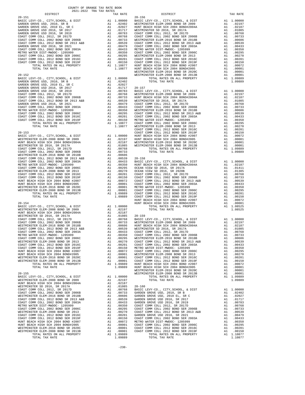| DISTRICT | TAX RATE | DISTRICT | TAX RATE |  |
|----------|----------|----------|----------|--|
|          |          |          |          |  |
|          |          |          |          |  |
|          |          |          |          |  |
|          |          |          |          |  |
|          |          |          |          |  |
|          |          |          |          |  |
|          |          |          |          |  |
|          |          |          |          |  |
|          |          |          |          |  |
|          |          |          |          |  |
|          |          |          |          |  |
|          |          |          |          |  |
|          |          |          |          |  |
|          |          |          |          |  |
|          |          |          |          |  |
|          |          |          |          |  |
|          |          |          |          |  |
|          |          |          |          |  |
|          |          |          |          |  |
|          |          |          |          |  |
|          |          |          |          |  |
|          |          |          |          |  |
|          |          |          |          |  |
|          |          |          |          |  |
|          |          |          |          |  |
|          |          |          |          |  |
|          |          |          |          |  |
|          |          |          |          |  |
|          |          |          |          |  |
|          |          |          |          |  |
|          |          |          |          |  |
|          |          |          |          |  |
|          |          |          |          |  |
|          |          |          |          |  |
|          |          |          |          |  |
|          |          |          |          |  |
|          |          |          |          |  |
|          |          |          |          |  |
|          |          |          |          |  |
|          |          |          |          |  |
|          |          |          |          |  |
|          |          |          |          |  |
|          |          |          |          |  |
|          |          |          |          |  |
|          |          |          |          |  |
|          |          |          |          |  |
|          |          |          |          |  |
|          |          |          |          |  |
|          |          |          |          |  |
|          |          |          |          |  |
|          |          |          |          |  |
|          |          |          |          |  |
|          |          |          |          |  |
|          |          |          |          |  |
|          |          |          |          |  |
|          |          |          |          |  |
|          |          |          |          |  |
|          |          |          |          |  |
|          |          |          |          |  |
|          |          |          |          |  |
|          |          |          |          |  |
|          |          |          |          |  |
|          |          |          |          |  |
|          |          |          |          |  |
|          |          |          |          |  |
|          |          |          |          |  |
|          |          |          |          |  |
|          |          |          |          |  |
|          |          |          |          |  |
|          |          |          |          |  |
|          |          |          |          |  |
|          |          |          |          |  |
|          |          |          |          |  |
|          |          |          |          |  |
|          |          |          |          |  |
|          |          |          |          |  |
|          |          |          |          |  |
|          |          |          |          |  |
|          |          |          |          |  |
|          |          |          |          |  |
|          |          |          |          |  |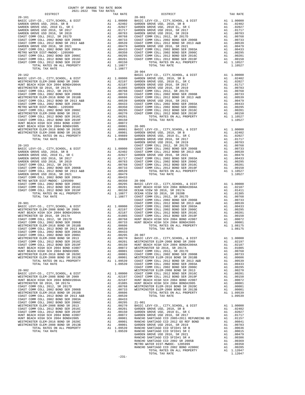| TOTAL TAX RATE<br>1.10877<br>$20 - 904$<br>$20 - 162$<br>BASIC L<br>GARDEN<br>$20 - 163$<br>COAST C<br>COAST C                                                                                                                                                                                                                        |  |
|---------------------------------------------------------------------------------------------------------------------------------------------------------------------------------------------------------------------------------------------------------------------------------------------------------------------------------------|--|
|                                                                                                                                                                                                                                                                                                                                       |  |
|                                                                                                                                                                                                                                                                                                                                       |  |
|                                                                                                                                                                                                                                                                                                                                       |  |
|                                                                                                                                                                                                                                                                                                                                       |  |
|                                                                                                                                                                                                                                                                                                                                       |  |
|                                                                                                                                                                                                                                                                                                                                       |  |
|                                                                                                                                                                                                                                                                                                                                       |  |
|                                                                                                                                                                                                                                                                                                                                       |  |
|                                                                                                                                                                                                                                                                                                                                       |  |
|                                                                                                                                                                                                                                                                                                                                       |  |
|                                                                                                                                                                                                                                                                                                                                       |  |
|                                                                                                                                                                                                                                                                                                                                       |  |
|                                                                                                                                                                                                                                                                                                                                       |  |
|                                                                                                                                                                                                                                                                                                                                       |  |
|                                                                                                                                                                                                                                                                                                                                       |  |
|                                                                                                                                                                                                                                                                                                                                       |  |
|                                                                                                                                                                                                                                                                                                                                       |  |
|                                                                                                                                                                                                                                                                                                                                       |  |
|                                                                                                                                                                                                                                                                                                                                       |  |
|                                                                                                                                                                                                                                                                                                                                       |  |
|                                                                                                                                                                                                                                                                                                                                       |  |
|                                                                                                                                                                                                                                                                                                                                       |  |
|                                                                                                                                                                                                                                                                                                                                       |  |
|                                                                                                                                                                                                                                                                                                                                       |  |
|                                                                                                                                                                                                                                                                                                                                       |  |
|                                                                                                                                                                                                                                                                                                                                       |  |
|                                                                                                                                                                                                                                                                                                                                       |  |
|                                                                                                                                                                                                                                                                                                                                       |  |
|                                                                                                                                                                                                                                                                                                                                       |  |
|                                                                                                                                                                                                                                                                                                                                       |  |
|                                                                                                                                                                                                                                                                                                                                       |  |
|                                                                                                                                                                                                                                                                                                                                       |  |
|                                                                                                                                                                                                                                                                                                                                       |  |
|                                                                                                                                                                                                                                                                                                                                       |  |
|                                                                                                                                                                                                                                                                                                                                       |  |
|                                                                                                                                                                                                                                                                                                                                       |  |
|                                                                                                                                                                                                                                                                                                                                       |  |
|                                                                                                                                                                                                                                                                                                                                       |  |
| $20 - 901$<br>COAST C                                                                                                                                                                                                                                                                                                                 |  |
| BASIC LEVY-CO., CITY, SCHOOL, & DIST<br>WESTMINSTER ELEM-2008 BOND SR 2009                                                                                                                                                                                                                                                            |  |
| HUNT BEACH HIGH SCH 2004 BOND#2004A                                                                                                                                                                                                                                                                                                   |  |
| WESTMINSTER SD 2016, SR 2017A                                                                                                                                                                                                                                                                                                         |  |
| COAST COMM COLL 2012, SR 2017D<br>COAST COMM COLL 2002 BOND SER 2006B                                                                                                                                                                                                                                                                 |  |
| WESTMINSTER ELEM-2016 BOND SR 2018B                                                                                                                                                                                                                                                                                                   |  |
| COAST COMM COLL 2012 BOND SR 2013 A&B                                                                                                                                                                                                                                                                                                 |  |
| COAST COMM COLL 2002 BOND SER 2003A<br>COAST COMM COLL 2002 BOND SER 2006C                                                                                                                                                                                                                                                            |  |
| WESTMINSTER ELEM-2008 BOND SR 2013                                                                                                                                                                                                                                                                                                    |  |
|                                                                                                                                                                                                                                                                                                                                       |  |
|                                                                                                                                                                                                                                                                                                                                       |  |
|                                                                                                                                                                                                                                                                                                                                       |  |
| LOWM COLL 2012 BER 2016C<br>HUNT BEACH HIGH SCH 2004 BOND #2007<br>HUNT BEACH HIGH SCH 2004 BOND #2007<br>WESTMINSTER ELEM-2016 ROND #2005<br>WESTMINSTER ELEM-2016 ROND COLLECTION<br>$100001$<br>Al 00001<br>A1 .00001 COAST C<br>A1 .00001 WESTMIN<br>A1 1.09539 COAST C<br>1.09539 COAST C<br>WESTMINSTER ELEM-2008 BOND SR 2013B |  |
| TOTAL RATES ON ALL PROPERTY                                                                                                                                                                                                                                                                                                           |  |
| TOTAL TAX RATE                                                                                                                                                                                                                                                                                                                        |  |
| COAST C<br>$20 - 902$<br>WESTMIN                                                                                                                                                                                                                                                                                                      |  |
| BASIC LEVY-CO., CITY, SCHOOL, & DIST                                                                                                                                                                                                                                                                                                  |  |
| WESTMINSTER ELEM-2008 BOND SR 2009                                                                                                                                                                                                                                                                                                    |  |
| MESTRIM<br>A1 .00000 COAST COAST<br>A1 .02197 COAST COAST<br>A1 .01085 HUNT BE<br>A1 .00768 WESTMIN<br>A1 .00768 WESTMIN<br>A1 .00768 WESTMIN<br>HUNT BEACH HIGH SCH 2004 BOND#2004A<br>WESTMINSTER SD 2016, SR 2017A                                                                                                                 |  |
| COAST COMM COLL 2012, SR 2017D                                                                                                                                                                                                                                                                                                        |  |
| COAST COMM COLL 2002 BOND SER 2006B                                                                                                                                                                                                                                                                                                   |  |
| WESTMINSTER ELEM-2016 BOND SR 2018B<br>A1 .00606<br>COAST COMM COLL 2012 BOND SR 2013 A&B<br>A1 .00539                                                                                                                                                                                                                                |  |
| COAST COMM COLL 2002 BOND SER 2003A<br>A1.00433                                                                                                                                                                                                                                                                                       |  |
| COAST COMM COLL 2002 BOND SER 2006C<br>WESTMINSTER ELEM-2008 BOND SR 2013                                                                                                                                                                                                                                                             |  |
| COAST COMM COLL 2012 BOND SER 2016C                                                                                                                                                                                                                                                                                                   |  |
| COAST COMM COLL 2012 BOND SER 2019F                                                                                                                                                                                                                                                                                                   |  |
| HUNT BEACH HIGH SCH 2004 BOND #2007<br>HUNT BEACH HIGH SCH 2004 BOND#2005                                                                                                                                                                                                                                                             |  |
| WESTMINSTER ELEM-2016 BOND SR 2020C                                                                                                                                                                                                                                                                                                   |  |
| A1 .00295 21-001<br>A1 .00295 21-001<br>A1 .00201 GARDEN<br>A1 .00201 GARDEN<br>A1 .00072 GARDEN<br>A1 .00001 RANCHO<br>A1 .00001 RANCHO<br>A1 .00001 GARDEN<br>A1 .00001 GARDEN<br>A1 .00001 GARDEN<br>WESTMINSTER ELEM-2008 BOND SR 2013B<br>1.00520<br>POPAI DAPPO ON AII DRODPRTY<br>7.1<br><b>DAMOTIO</b>                        |  |

| ELEM-2016 BOND SR 202 |  |  |  |
|-----------------------|--|--|--|
| ELEM-2008 BOND SR 201 |  |  |  |
| L RATES ON ALL PROPER |  |  |  |
| L TAX RATE            |  |  |  |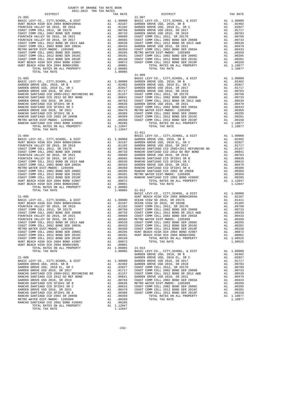| COUNTY OF ORANGE TAX RATE BOOK      |          |            |          |
|-------------------------------------|----------|------------|----------|
| 2021-2022 TRA TAX RATES<br>DISTRICT | TAX RATE | DISTRICT   | TAX RATE |
| $21 - 002$<br>TOTAL TAX RATE        | 1.08085  | $21 - 007$ |          |
|                                     |          |            |          |
|                                     |          |            |          |
|                                     |          |            |          |
|                                     |          |            |          |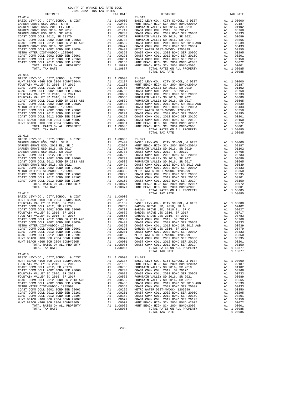| COUNTY OF ORANGE TAX RATE BOOK<br>2021-2022 TRA TAX RATES |          |                        |          |
|-----------------------------------------------------------|----------|------------------------|----------|
| DISTRICT<br>$21 - 014$                                    | TAX RATE | DISTRICT<br>$21 - 019$ | TAX RATE |
|                                                           |          |                        |          |
|                                                           |          |                        |          |
|                                                           |          |                        |          |
|                                                           |          |                        |          |
| $21 - 018$                                                |          |                        |          |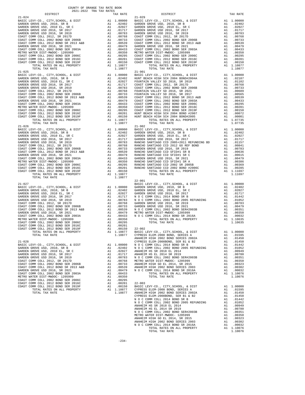| DISTRICT | <u>nant nann inn inn innna</u> | TAX RATE | DISTRICT | TAX RATE |
|----------|--------------------------------|----------|----------|----------|
|          |                                |          |          |          |
|          |                                |          |          |          |
|          |                                |          |          |          |
|          |                                |          |          |          |
|          |                                |          |          |          |
|          |                                |          |          |          |
|          |                                |          |          |          |
|          |                                |          |          |          |
|          |                                |          |          |          |
|          |                                |          |          |          |
|          |                                |          |          |          |
|          |                                |          |          |          |
|          |                                |          |          |          |
|          |                                |          |          |          |
|          |                                |          |          |          |
|          |                                |          |          |          |
|          |                                |          |          |          |
|          |                                |          |          |          |
|          |                                |          |          |          |
|          |                                |          |          |          |
|          |                                |          |          |          |
|          |                                |          |          |          |
|          |                                |          |          |          |
|          |                                |          |          |          |
|          |                                |          |          |          |
|          |                                |          |          |          |
|          |                                |          |          |          |
|          |                                |          |          |          |
|          |                                |          |          |          |
|          |                                |          |          |          |
|          |                                |          |          |          |
|          |                                |          |          |          |
|          |                                |          |          |          |
|          |                                |          |          |          |
|          |                                |          |          |          |
|          |                                |          |          |          |
|          |                                |          |          |          |
|          |                                |          |          |          |
|          |                                |          |          |          |
|          |                                |          |          |          |
|          |                                |          |          |          |
|          |                                |          |          |          |
|          |                                |          |          |          |
|          |                                |          |          |          |
|          |                                |          |          |          |
|          |                                |          |          |          |
|          |                                |          |          |          |
|          |                                |          |          |          |
|          |                                |          |          |          |
|          |                                |          |          |          |
|          |                                |          |          |          |
|          |                                |          |          |          |
|          |                                |          |          |          |
|          |                                |          |          |          |
|          |                                |          |          |          |
|          |                                |          |          |          |
|          |                                |          |          |          |
|          |                                |          |          |          |
|          |                                |          |          |          |
|          |                                |          |          |          |
|          |                                |          |          |          |
|          |                                |          |          |          |
|          |                                |          |          |          |
|          |                                |          |          |          |
|          |                                |          |          |          |
|          |                                |          |          |          |
|          |                                |          |          |          |
|          |                                |          |          |          |
|          |                                |          |          |          |
|          |                                |          |          |          |
|          |                                |          |          |          |
|          |                                |          |          |          |
|          |                                |          |          |          |
|          |                                |          |          |          |
|          |                                |          |          |          |
|          |                                |          |          |          |

| DISTRICT | TAX RATE | DISTRICT   | TAX RATE |
|----------|----------|------------|----------|
|          |          |            |          |
|          |          |            |          |
|          |          | $22 - 001$ |          |
|          |          |            |          |
|          |          |            |          |
|          |          |            |          |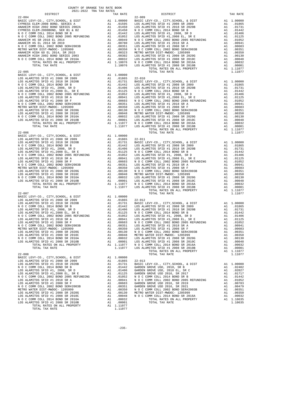|                                                                                                                                                                                                                                                            | COUNTY OF ORANGE TAX RATE BOOK<br>2021-2022 TRA TAX RATES |                                                            |                                                                                                     |                       |
|------------------------------------------------------------------------------------------------------------------------------------------------------------------------------------------------------------------------------------------------------------|-----------------------------------------------------------|------------------------------------------------------------|-----------------------------------------------------------------------------------------------------|-----------------------|
| DISTRICT<br>$22 - 004$                                                                                                                                                                                                                                     |                                                           |                                                            | TAX RATE                                                                                            | $22 - 009$            |
|                                                                                                                                                                                                                                                            |                                                           |                                                            |                                                                                                     |                       |
| $22 - 005$                                                                                                                                                                                                                                                 |                                                           |                                                            |                                                                                                     |                       |
| $22 - 006$                                                                                                                                                                                                                                                 |                                                           |                                                            |                                                                                                     |                       |
| $22 - 007$<br>LOS ALAMITOS SFID #1 2008 SR 2020G<br>LOS ALAMITOS SFID #1 2008 SR 2010C<br>N O C COMM COLL 2014 BOND SR 2016A<br>LOS ALAMITOS SFID #1 2008 SR 2010B<br>TOTAL RATES ON ALL PROPERTY<br>TOTAL TAX RATE                                        |                                                           | A1<br>A1                                                   | .00130<br>.00048<br>A1 .00032 LOS ALA<br>A1 .00001 LOS ALA<br>A1 1.11077 N O C C<br>1.11077 LOS ALA | N O C C<br>METRO W    |
| $22 - 008$<br>BASIC LEVY-CO., CITY, SCHOOL, & DIST<br>LOS ALAMITOS SFID #1 2008 SR 2009<br>LOS ALAMITOS SFID #1 2018 SR 2020B<br>N O C COMM COLL 2014 BOND SR 2016A<br>LOS ALAMITOS SFID #1 2008 SR 2010B<br>TOTAL RATES ON ALL PROPERTY<br>TOTAL TAX RATE |                                                           | A1<br>A1<br>A1<br>A1<br>$\overline{A1}$<br>$\overline{A1}$ | 1.00000<br>.01865<br>.01731<br>.00032<br>.00001<br>A1 1.11077<br>1.11077                            | $22 - 013$<br>BASIC L |

|  | $-1$ |  |                                                                                                                                                                                                                                |  |
|--|------|--|--------------------------------------------------------------------------------------------------------------------------------------------------------------------------------------------------------------------------------|--|
|  |      |  |                                                                                                                                                                                                                                |  |
|  |      |  |                                                                                                                                                                                                                                |  |
|  |      |  |                                                                                                                                                                                                                                |  |
|  |      |  |                                                                                                                                                                                                                                |  |
|  |      |  |                                                                                                                                                                                                                                |  |
|  |      |  |                                                                                                                                                                                                                                |  |
|  |      |  |                                                                                                                                                                                                                                |  |
|  |      |  |                                                                                                                                                                                                                                |  |
|  |      |  |                                                                                                                                                                                                                                |  |
|  |      |  |                                                                                                                                                                                                                                |  |
|  |      |  |                                                                                                                                                                                                                                |  |
|  |      |  |                                                                                                                                                                                                                                |  |
|  |      |  |                                                                                                                                                                                                                                |  |
|  |      |  |                                                                                                                                                                                                                                |  |
|  |      |  |                                                                                                                                                                                                                                |  |
|  |      |  |                                                                                                                                                                                                                                |  |
|  |      |  |                                                                                                                                                                                                                                |  |
|  |      |  |                                                                                                                                                                                                                                |  |
|  |      |  |                                                                                                                                                                                                                                |  |
|  |      |  |                                                                                                                                                                                                                                |  |
|  |      |  |                                                                                                                                                                                                                                |  |
|  |      |  |                                                                                                                                                                                                                                |  |
|  |      |  |                                                                                                                                                                                                                                |  |
|  |      |  |                                                                                                                                                                                                                                |  |
|  |      |  |                                                                                                                                                                                                                                |  |
|  |      |  |                                                                                                                                                                                                                                |  |
|  |      |  |                                                                                                                                                                                                                                |  |
|  |      |  |                                                                                                                                                                                                                                |  |
|  |      |  |                                                                                                                                                                                                                                |  |
|  |      |  |                                                                                                                                                                                                                                |  |
|  |      |  |                                                                                                                                                                                                                                |  |
|  |      |  |                                                                                                                                                                                                                                |  |
|  |      |  |                                                                                                                                                                                                                                |  |
|  |      |  |                                                                                                                                                                                                                                |  |
|  |      |  |                                                                                                                                                                                                                                |  |
|  |      |  |                                                                                                                                                                                                                                |  |
|  |      |  |                                                                                                                                                                                                                                |  |
|  |      |  |                                                                                                                                                                                                                                |  |
|  |      |  |                                                                                                                                                                                                                                |  |
|  |      |  |                                                                                                                                                                                                                                |  |
|  |      |  | METRO WALKE PAIR COMM COLL 2002 BOND SER #20108 ALL PROPERTY ALL PROPERTY ALL PROPERTY ALL PROPERTY ALL PROPERTY ALL PROPERTY ALL PROPERTY ALL PROPERTY ALL PROPERTY ALL PROPERTY ALL PROPERTY ALL PROPERTY ALL PROPERTY ALL P |  |
|  |      |  |                                                                                                                                                                                                                                |  |
|  |      |  |                                                                                                                                                                                                                                |  |
|  |      |  |                                                                                                                                                                                                                                |  |
|  |      |  |                                                                                                                                                                                                                                |  |
|  |      |  |                                                                                                                                                                                                                                |  |
|  |      |  |                                                                                                                                                                                                                                |  |
|  |      |  |                                                                                                                                                                                                                                |  |
|  |      |  |                                                                                                                                                                                                                                |  |
|  |      |  |                                                                                                                                                                                                                                |  |
|  |      |  |                                                                                                                                                                                                                                |  |
|  |      |  |                                                                                                                                                                                                                                |  |
|  |      |  |                                                                                                                                                                                                                                |  |
|  |      |  |                                                                                                                                                                                                                                |  |
|  |      |  |                                                                                                                                                                                                                                |  |
|  |      |  |                                                                                                                                                                                                                                |  |
|  |      |  |                                                                                                                                                                                                                                |  |
|  |      |  |                                                                                                                                                                                                                                |  |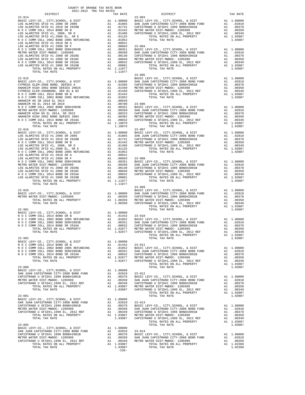| COUNTY OF ORANGE TAX RATE BOOK<br>$2021-2022\quad\text{TRA TAX RATES}$ DISTRICT                                                                                                                                                                                                                                                                                                                                                                                                                |          |            |          |
|------------------------------------------------------------------------------------------------------------------------------------------------------------------------------------------------------------------------------------------------------------------------------------------------------------------------------------------------------------------------------------------------------------------------------------------------------------------------------------------------|----------|------------|----------|
|                                                                                                                                                                                                                                                                                                                                                                                                                                                                                                | TAX RATE | DISTRICT   | TAX RATE |
| $22 - 014$                                                                                                                                                                                                                                                                                                                                                                                                                                                                                     |          | $23 - 003$ |          |
|                                                                                                                                                                                                                                                                                                                                                                                                                                                                                                |          |            |          |
|                                                                                                                                                                                                                                                                                                                                                                                                                                                                                                |          |            |          |
|                                                                                                                                                                                                                                                                                                                                                                                                                                                                                                |          |            |          |
|                                                                                                                                                                                                                                                                                                                                                                                                                                                                                                |          |            |          |
|                                                                                                                                                                                                                                                                                                                                                                                                                                                                                                |          |            |          |
|                                                                                                                                                                                                                                                                                                                                                                                                                                                                                                |          |            |          |
|                                                                                                                                                                                                                                                                                                                                                                                                                                                                                                |          |            |          |
|                                                                                                                                                                                                                                                                                                                                                                                                                                                                                                |          |            |          |
|                                                                                                                                                                                                                                                                                                                                                                                                                                                                                                |          |            |          |
|                                                                                                                                                                                                                                                                                                                                                                                                                                                                                                |          |            |          |
|                                                                                                                                                                                                                                                                                                                                                                                                                                                                                                |          |            |          |
|                                                                                                                                                                                                                                                                                                                                                                                                                                                                                                |          |            |          |
|                                                                                                                                                                                                                                                                                                                                                                                                                                                                                                |          |            |          |
|                                                                                                                                                                                                                                                                                                                                                                                                                                                                                                |          | $23 - 005$ |          |
|                                                                                                                                                                                                                                                                                                                                                                                                                                                                                                |          |            |          |
|                                                                                                                                                                                                                                                                                                                                                                                                                                                                                                |          |            |          |
|                                                                                                                                                                                                                                                                                                                                                                                                                                                                                                |          |            |          |
|                                                                                                                                                                                                                                                                                                                                                                                                                                                                                                |          |            |          |
|                                                                                                                                                                                                                                                                                                                                                                                                                                                                                                |          |            |          |
|                                                                                                                                                                                                                                                                                                                                                                                                                                                                                                |          |            |          |
|                                                                                                                                                                                                                                                                                                                                                                                                                                                                                                |          |            |          |
|                                                                                                                                                                                                                                                                                                                                                                                                                                                                                                |          |            |          |
|                                                                                                                                                                                                                                                                                                                                                                                                                                                                                                |          |            |          |
|                                                                                                                                                                                                                                                                                                                                                                                                                                                                                                |          |            |          |
|                                                                                                                                                                                                                                                                                                                                                                                                                                                                                                |          |            |          |
|                                                                                                                                                                                                                                                                                                                                                                                                                                                                                                |          |            |          |
|                                                                                                                                                                                                                                                                                                                                                                                                                                                                                                |          |            |          |
|                                                                                                                                                                                                                                                                                                                                                                                                                                                                                                |          |            |          |
|                                                                                                                                                                                                                                                                                                                                                                                                                                                                                                |          |            |          |
|                                                                                                                                                                                                                                                                                                                                                                                                                                                                                                |          |            |          |
|                                                                                                                                                                                                                                                                                                                                                                                                                                                                                                |          |            |          |
|                                                                                                                                                                                                                                                                                                                                                                                                                                                                                                |          |            |          |
|                                                                                                                                                                                                                                                                                                                                                                                                                                                                                                |          |            |          |
|                                                                                                                                                                                                                                                                                                                                                                                                                                                                                                |          |            |          |
|                                                                                                                                                                                                                                                                                                                                                                                                                                                                                                |          |            |          |
|                                                                                                                                                                                                                                                                                                                                                                                                                                                                                                |          |            |          |
|                                                                                                                                                                                                                                                                                                                                                                                                                                                                                                |          |            |          |
|                                                                                                                                                                                                                                                                                                                                                                                                                                                                                                |          |            |          |
|                                                                                                                                                                                                                                                                                                                                                                                                                                                                                                |          |            |          |
|                                                                                                                                                                                                                                                                                                                                                                                                                                                                                                |          |            |          |
|                                                                                                                                                                                                                                                                                                                                                                                                                                                                                                |          | $23 - 009$ |          |
| $\begin{tabular}{cccc} 22-026 & 23-009 & 23-009 & 23-009 & 23-009 & 23-009 & 23-009 & 23-009 & 23-009 & 23-009 & 23-009 & 23-009 & 23-009 & 23-009 & 23-009 & 23-009 & 23-009 & 23-009 & 23-009 & 23-009 & 23-009 & 23-009 & 23-009 & 23-009 & 23-009 & 23-009 & 23-$                                                                                                                                                                                                                          |          |            |          |
|                                                                                                                                                                                                                                                                                                                                                                                                                                                                                                |          |            |          |
|                                                                                                                                                                                                                                                                                                                                                                                                                                                                                                |          |            |          |
|                                                                                                                                                                                                                                                                                                                                                                                                                                                                                                |          |            |          |
|                                                                                                                                                                                                                                                                                                                                                                                                                                                                                                |          |            |          |
|                                                                                                                                                                                                                                                                                                                                                                                                                                                                                                |          |            |          |
|                                                                                                                                                                                                                                                                                                                                                                                                                                                                                                |          |            |          |
|                                                                                                                                                                                                                                                                                                                                                                                                                                                                                                |          |            |          |
|                                                                                                                                                                                                                                                                                                                                                                                                                                                                                                |          |            |          |
|                                                                                                                                                                                                                                                                                                                                                                                                                                                                                                |          |            |          |
| TOTAL TAX RATE                                                                                                                                                                                                                                                                                                                                                                                                                                                                                 | 1.02877  |            |          |
| $\frac{1}{2}$                                                                                                                                                                                                                                                                                                                                                                                                                                                                                  |          |            |          |
|                                                                                                                                                                                                                                                                                                                                                                                                                                                                                                |          |            |          |
|                                                                                                                                                                                                                                                                                                                                                                                                                                                                                                |          |            |          |
| $\begin{tabular}{l c c c c c} \multicolumn{4}{c}{\textbf{DTAL TAX KALB}} \hline \multicolumn{4}{c}{\begin{tabular}{c} \multicolumn{4}{c}{\begin{tabular}{c} \multicolumn{4}{c}{\begin{tabular}{c} \multicolumn{4}{c}{\begin{tabular}{c} \multicolumn{4}{c}{\begin{tabular}{c} \multicolumn{4}{c}{\begin{tabular}{c} \multicolumn{4}{c}{\begin{tabular}{c} \multicolumn{4}{c}{\begin{tabular}{c} \multicolumn{4}{c}{\begin{tabular}{c} \multicolumn{4}{c}{\begin{tabular}{c} \multicolumn{4}{c$ |          |            |          |
|                                                                                                                                                                                                                                                                                                                                                                                                                                                                                                |          |            |          |
|                                                                                                                                                                                                                                                                                                                                                                                                                                                                                                |          |            |          |
|                                                                                                                                                                                                                                                                                                                                                                                                                                                                                                |          |            |          |
|                                                                                                                                                                                                                                                                                                                                                                                                                                                                                                |          |            |          |
|                                                                                                                                                                                                                                                                                                                                                                                                                                                                                                |          |            |          |
|                                                                                                                                                                                                                                                                                                                                                                                                                                                                                                |          |            |          |
|                                                                                                                                                                                                                                                                                                                                                                                                                                                                                                |          |            |          |
|                                                                                                                                                                                                                                                                                                                                                                                                                                                                                                |          |            |          |
|                                                                                                                                                                                                                                                                                                                                                                                                                                                                                                |          |            |          |
|                                                                                                                                                                                                                                                                                                                                                                                                                                                                                                |          |            |          |
|                                                                                                                                                                                                                                                                                                                                                                                                                                                                                                |          |            |          |
|                                                                                                                                                                                                                                                                                                                                                                                                                                                                                                |          |            |          |
|                                                                                                                                                                                                                                                                                                                                                                                                                                                                                                |          |            |          |
|                                                                                                                                                                                                                                                                                                                                                                                                                                                                                                |          |            |          |
|                                                                                                                                                                                                                                                                                                                                                                                                                                                                                                |          |            |          |
|                                                                                                                                                                                                                                                                                                                                                                                                                                                                                                |          |            |          |
|                                                                                                                                                                                                                                                                                                                                                                                                                                                                                                |          |            |          |
|                                                                                                                                                                                                                                                                                                                                                                                                                                                                                                |          |            |          |
|                                                                                                                                                                                                                                                                                                                                                                                                                                                                                                |          |            |          |
|                                                                                                                                                                                                                                                                                                                                                                                                                                                                                                |          |            |          |
|                                                                                                                                                                                                                                                                                                                                                                                                                                                                                                |          |            |          |
|                                                                                                                                                                                                                                                                                                                                                                                                                                                                                                |          |            |          |
|                                                                                                                                                                                                                                                                                                                                                                                                                                                                                                |          |            |          |
|                                                                                                                                                                                                                                                                                                                                                                                                                                                                                                |          |            |          |
|                                                                                                                                                                                                                                                                                                                                                                                                                                                                                                |          |            |          |
|                                                                                                                                                                                                                                                                                                                                                                                                                                                                                                |          |            |          |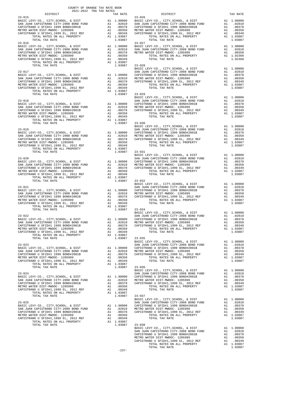| COUNTY OF ORANGE TAX RATE BOOK |          |                                                                                                                                                                                                                                                                                                                                                                                                                                                                                                                |          |
|--------------------------------|----------|----------------------------------------------------------------------------------------------------------------------------------------------------------------------------------------------------------------------------------------------------------------------------------------------------------------------------------------------------------------------------------------------------------------------------------------------------------------------------------------------------------------|----------|
| $23 - 015$                     | TAX RATE | DISTRICT<br>$23 - 026$                                                                                                                                                                                                                                                                                                                                                                                                                                                                                         | TAX RATE |
|                                |          |                                                                                                                                                                                                                                                                                                                                                                                                                                                                                                                |          |
|                                |          |                                                                                                                                                                                                                                                                                                                                                                                                                                                                                                                |          |
|                                |          |                                                                                                                                                                                                                                                                                                                                                                                                                                                                                                                |          |
|                                |          |                                                                                                                                                                                                                                                                                                                                                                                                                                                                                                                |          |
|                                |          |                                                                                                                                                                                                                                                                                                                                                                                                                                                                                                                |          |
|                                |          |                                                                                                                                                                                                                                                                                                                                                                                                                                                                                                                |          |
|                                |          |                                                                                                                                                                                                                                                                                                                                                                                                                                                                                                                |          |
|                                |          |                                                                                                                                                                                                                                                                                                                                                                                                                                                                                                                |          |
|                                |          |                                                                                                                                                                                                                                                                                                                                                                                                                                                                                                                |          |
|                                |          |                                                                                                                                                                                                                                                                                                                                                                                                                                                                                                                |          |
|                                |          |                                                                                                                                                                                                                                                                                                                                                                                                                                                                                                                |          |
|                                |          |                                                                                                                                                                                                                                                                                                                                                                                                                                                                                                                |          |
|                                |          |                                                                                                                                                                                                                                                                                                                                                                                                                                                                                                                |          |
|                                |          |                                                                                                                                                                                                                                                                                                                                                                                                                                                                                                                |          |
|                                |          |                                                                                                                                                                                                                                                                                                                                                                                                                                                                                                                |          |
|                                |          |                                                                                                                                                                                                                                                                                                                                                                                                                                                                                                                |          |
|                                |          |                                                                                                                                                                                                                                                                                                                                                                                                                                                                                                                |          |
|                                |          |                                                                                                                                                                                                                                                                                                                                                                                                                                                                                                                |          |
|                                |          |                                                                                                                                                                                                                                                                                                                                                                                                                                                                                                                |          |
|                                |          |                                                                                                                                                                                                                                                                                                                                                                                                                                                                                                                |          |
|                                |          |                                                                                                                                                                                                                                                                                                                                                                                                                                                                                                                |          |
|                                |          |                                                                                                                                                                                                                                                                                                                                                                                                                                                                                                                |          |
|                                |          |                                                                                                                                                                                                                                                                                                                                                                                                                                                                                                                |          |
|                                |          |                                                                                                                                                                                                                                                                                                                                                                                                                                                                                                                |          |
|                                |          |                                                                                                                                                                                                                                                                                                                                                                                                                                                                                                                |          |
|                                |          |                                                                                                                                                                                                                                                                                                                                                                                                                                                                                                                |          |
|                                |          |                                                                                                                                                                                                                                                                                                                                                                                                                                                                                                                |          |
|                                |          |                                                                                                                                                                                                                                                                                                                                                                                                                                                                                                                |          |
|                                |          |                                                                                                                                                                                                                                                                                                                                                                                                                                                                                                                |          |
|                                |          |                                                                                                                                                                                                                                                                                                                                                                                                                                                                                                                |          |
|                                |          |                                                                                                                                                                                                                                                                                                                                                                                                                                                                                                                |          |
|                                |          |                                                                                                                                                                                                                                                                                                                                                                                                                                                                                                                |          |
|                                |          |                                                                                                                                                                                                                                                                                                                                                                                                                                                                                                                |          |
|                                |          |                                                                                                                                                                                                                                                                                                                                                                                                                                                                                                                |          |
|                                |          |                                                                                                                                                                                                                                                                                                                                                                                                                                                                                                                |          |
|                                |          |                                                                                                                                                                                                                                                                                                                                                                                                                                                                                                                |          |
|                                |          |                                                                                                                                                                                                                                                                                                                                                                                                                                                                                                                |          |
|                                |          |                                                                                                                                                                                                                                                                                                                                                                                                                                                                                                                |          |
|                                |          |                                                                                                                                                                                                                                                                                                                                                                                                                                                                                                                |          |
|                                |          |                                                                                                                                                                                                                                                                                                                                                                                                                                                                                                                |          |
|                                |          |                                                                                                                                                                                                                                                                                                                                                                                                                                                                                                                |          |
|                                |          |                                                                                                                                                                                                                                                                                                                                                                                                                                                                                                                |          |
|                                |          |                                                                                                                                                                                                                                                                                                                                                                                                                                                                                                                |          |
|                                |          |                                                                                                                                                                                                                                                                                                                                                                                                                                                                                                                |          |
|                                |          |                                                                                                                                                                                                                                                                                                                                                                                                                                                                                                                |          |
|                                |          |                                                                                                                                                                                                                                                                                                                                                                                                                                                                                                                |          |
|                                |          |                                                                                                                                                                                                                                                                                                                                                                                                                                                                                                                |          |
|                                |          |                                                                                                                                                                                                                                                                                                                                                                                                                                                                                                                |          |
|                                |          |                                                                                                                                                                                                                                                                                                                                                                                                                                                                                                                |          |
|                                |          |                                                                                                                                                                                                                                                                                                                                                                                                                                                                                                                |          |
|                                |          |                                                                                                                                                                                                                                                                                                                                                                                                                                                                                                                |          |
|                                |          |                                                                                                                                                                                                                                                                                                                                                                                                                                                                                                                |          |
|                                |          |                                                                                                                                                                                                                                                                                                                                                                                                                                                                                                                |          |
|                                |          |                                                                                                                                                                                                                                                                                                                                                                                                                                                                                                                |          |
|                                |          |                                                                                                                                                                                                                                                                                                                                                                                                                                                                                                                |          |
|                                |          |                                                                                                                                                                                                                                                                                                                                                                                                                                                                                                                |          |
|                                |          | TOTAL TAX RATE                                                                                                                                                                                                                                                                                                                                                                                                                                                                                                 | 1.03087  |
|                                |          |                                                                                                                                                                                                                                                                                                                                                                                                                                                                                                                |          |
|                                |          |                                                                                                                                                                                                                                                                                                                                                                                                                                                                                                                |          |
|                                |          |                                                                                                                                                                                                                                                                                                                                                                                                                                                                                                                |          |
|                                |          |                                                                                                                                                                                                                                                                                                                                                                                                                                                                                                                |          |
|                                |          |                                                                                                                                                                                                                                                                                                                                                                                                                                                                                                                |          |
|                                |          |                                                                                                                                                                                                                                                                                                                                                                                                                                                                                                                |          |
|                                |          |                                                                                                                                                                                                                                                                                                                                                                                                                                                                                                                |          |
|                                |          |                                                                                                                                                                                                                                                                                                                                                                                                                                                                                                                |          |
|                                |          | $\begin{tabular}{l c c c c c} \multicolumn{4}{c c c c} \multicolumn{4}{c c c} \multicolumn{4}{c c c} \multicolumn{4}{c c c} \multicolumn{4}{c c c} \multicolumn{4}{c c c} \multicolumn{4}{c c c} \multicolumn{4}{c c c} \multicolumn{4}{c c c} \multicolumn{4}{c c c} \multicolumn{4}{c c c} \multicolumn{4}{c c c} \multicolumn{4}{c c c} \multicolumn{4}{c c c} \multicolumn{4}{c c c} \multicolumn{$                                                                                                        |          |
|                                |          |                                                                                                                                                                                                                                                                                                                                                                                                                                                                                                                |          |
|                                |          |                                                                                                                                                                                                                                                                                                                                                                                                                                                                                                                |          |
|                                |          |                                                                                                                                                                                                                                                                                                                                                                                                                                                                                                                |          |
|                                |          |                                                                                                                                                                                                                                                                                                                                                                                                                                                                                                                |          |
|                                |          |                                                                                                                                                                                                                                                                                                                                                                                                                                                                                                                |          |
|                                |          |                                                                                                                                                                                                                                                                                                                                                                                                                                                                                                                |          |
|                                |          |                                                                                                                                                                                                                                                                                                                                                                                                                                                                                                                |          |
|                                |          |                                                                                                                                                                                                                                                                                                                                                                                                                                                                                                                |          |
|                                |          |                                                                                                                                                                                                                                                                                                                                                                                                                                                                                                                |          |
|                                |          |                                                                                                                                                                                                                                                                                                                                                                                                                                                                                                                |          |
|                                |          |                                                                                                                                                                                                                                                                                                                                                                                                                                                                                                                |          |
|                                |          |                                                                                                                                                                                                                                                                                                                                                                                                                                                                                                                |          |
|                                |          |                                                                                                                                                                                                                                                                                                                                                                                                                                                                                                                |          |
|                                |          |                                                                                                                                                                                                                                                                                                                                                                                                                                                                                                                |          |
|                                |          |                                                                                                                                                                                                                                                                                                                                                                                                                                                                                                                |          |
|                                |          | $\begin{tabular}{lllllllllllllllllllllll} \multicolumn{4}{c}{\begin{tabular}{l} \multicolumn{4}{c}{\begin{tabular}{l} \multicolumn{4}{c}{\begin{tabular}{l} \multicolumn{4}{c}{\begin{tabular}{l} \multicolumn{4}{c}{\begin{tabular}{c} \multicolumn{4}{c}{\begin{tabular}{c} \multicolumn{4}{c}{\begin{tabular}{c} \multicolumn{4}{c}{\begin{tabular}{c} \multicolumn{4}{c}{\begin{tabular}{c} \multicolumn{4}{c}{\begin{tabular}{c} \multicolumn{4}{c}{\begin{tabular}{c} \multicolumn{4}{c}{\begin{tabular$ |          |
|                                |          |                                                                                                                                                                                                                                                                                                                                                                                                                                                                                                                |          |
|                                |          |                                                                                                                                                                                                                                                                                                                                                                                                                                                                                                                |          |
|                                |          |                                                                                                                                                                                                                                                                                                                                                                                                                                                                                                                |          |
|                                |          |                                                                                                                                                                                                                                                                                                                                                                                                                                                                                                                |          |
|                                |          |                                                                                                                                                                                                                                                                                                                                                                                                                                                                                                                |          |

TOTAL TAX RATE THAT A RATE THAT A LOSS OF THE RATE THAT ALLOHOLD FOR A LOSS OF THE RATE OF THE RATE OF THE RATE OF THE RATE OF THE RATE OF THE RATE OF THE RATE OF THE RATE OF THE RATE OF THE RATE OF THE RATE OF THE RATE OF

-237-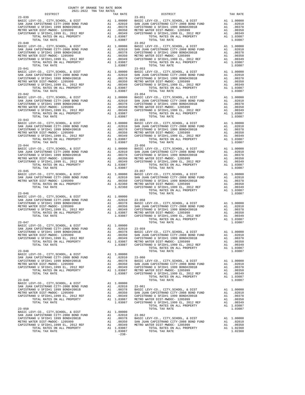| COUNTY OF ORANGE TAX RATE BOOK<br>2021-2022 TRA TAX RATES                                                                                                         |    |                                                                                                                                                                          |                                      |
|-------------------------------------------------------------------------------------------------------------------------------------------------------------------|----|--------------------------------------------------------------------------------------------------------------------------------------------------------------------------|--------------------------------------|
| DISTRICT                                                                                                                                                          |    | TAX RATE                                                                                                                                                                 |                                      |
| $23 - 039$                                                                                                                                                        |    |                                                                                                                                                                          | $23 - 051$                           |
|                                                                                                                                                                   |    |                                                                                                                                                                          |                                      |
|                                                                                                                                                                   |    |                                                                                                                                                                          |                                      |
|                                                                                                                                                                   |    |                                                                                                                                                                          |                                      |
|                                                                                                                                                                   |    |                                                                                                                                                                          |                                      |
|                                                                                                                                                                   |    |                                                                                                                                                                          |                                      |
|                                                                                                                                                                   |    |                                                                                                                                                                          | $23 - 052$                           |
| $23 - 040$                                                                                                                                                        |    |                                                                                                                                                                          |                                      |
|                                                                                                                                                                   |    |                                                                                                                                                                          |                                      |
|                                                                                                                                                                   |    |                                                                                                                                                                          |                                      |
|                                                                                                                                                                   |    |                                                                                                                                                                          |                                      |
|                                                                                                                                                                   |    |                                                                                                                                                                          |                                      |
|                                                                                                                                                                   |    |                                                                                                                                                                          |                                      |
| $23 - 041$                                                                                                                                                        |    |                                                                                                                                                                          | $23 - 053$                           |
|                                                                                                                                                                   |    |                                                                                                                                                                          |                                      |
|                                                                                                                                                                   |    |                                                                                                                                                                          |                                      |
|                                                                                                                                                                   |    |                                                                                                                                                                          |                                      |
|                                                                                                                                                                   |    |                                                                                                                                                                          |                                      |
|                                                                                                                                                                   |    |                                                                                                                                                                          |                                      |
|                                                                                                                                                                   |    |                                                                                                                                                                          |                                      |
| $23 - 042$                                                                                                                                                        |    |                                                                                                                                                                          | $23 - 054$                           |
|                                                                                                                                                                   |    |                                                                                                                                                                          |                                      |
|                                                                                                                                                                   |    |                                                                                                                                                                          |                                      |
|                                                                                                                                                                   |    |                                                                                                                                                                          |                                      |
|                                                                                                                                                                   |    |                                                                                                                                                                          |                                      |
|                                                                                                                                                                   |    |                                                                                                                                                                          |                                      |
|                                                                                                                                                                   |    |                                                                                                                                                                          |                                      |
| $23 - 043$                                                                                                                                                        |    |                                                                                                                                                                          | $23 - 055$                           |
|                                                                                                                                                                   |    |                                                                                                                                                                          |                                      |
|                                                                                                                                                                   |    |                                                                                                                                                                          |                                      |
|                                                                                                                                                                   |    |                                                                                                                                                                          |                                      |
|                                                                                                                                                                   |    |                                                                                                                                                                          |                                      |
|                                                                                                                                                                   |    |                                                                                                                                                                          |                                      |
|                                                                                                                                                                   |    |                                                                                                                                                                          |                                      |
| TOTAL TAX RATE<br>$23 - 044$                                                                                                                                      |    | 1.03087                                                                                                                                                                  | $23 - 056$                           |
|                                                                                                                                                                   |    |                                                                                                                                                                          |                                      |
|                                                                                                                                                                   |    |                                                                                                                                                                          |                                      |
|                                                                                                                                                                   |    |                                                                                                                                                                          |                                      |
|                                                                                                                                                                   |    |                                                                                                                                                                          |                                      |
|                                                                                                                                                                   |    |                                                                                                                                                                          |                                      |
|                                                                                                                                                                   |    |                                                                                                                                                                          |                                      |
|                                                                                                                                                                   |    |                                                                                                                                                                          |                                      |
|                                                                                                                                                                   |    |                                                                                                                                                                          |                                      |
|                                                                                                                                                                   |    |                                                                                                                                                                          |                                      |
|                                                                                                                                                                   |    |                                                                                                                                                                          |                                      |
|                                                                                                                                                                   |    |                                                                                                                                                                          |                                      |
|                                                                                                                                                                   |    |                                                                                                                                                                          |                                      |
| $23 - 046$                                                                                                                                                        |    |                                                                                                                                                                          |                                      |
|                                                                                                                                                                   |    |                                                                                                                                                                          |                                      |
|                                                                                                                                                                   |    |                                                                                                                                                                          |                                      |
|                                                                                                                                                                   |    |                                                                                                                                                                          |                                      |
|                                                                                                                                                                   |    |                                                                                                                                                                          |                                      |
|                                                                                                                                                                   |    |                                                                                                                                                                          |                                      |
|                                                                                                                                                                   |    |                                                                                                                                                                          |                                      |
|                                                                                                                                                                   |    |                                                                                                                                                                          |                                      |
| $23 - 047$                                                                                                                                                        |    |                                                                                                                                                                          |                                      |
|                                                                                                                                                                   |    |                                                                                                                                                                          |                                      |
|                                                                                                                                                                   |    |                                                                                                                                                                          |                                      |
| CAPISTRANO U SFID#1 1999 BOND#2001B                                                                                                                               |    | A1 .00378 BASIC L<br>A1 .00350 SAN JUA                                                                                                                                   |                                      |
| METRO WATER DIST-MWDOC- 1205999                                                                                                                                   |    | A1 .00350 SANJUA<br>A1 .00349 CAPISTR<br>A1 1.03087 METROW<br>1.03087 CAPISTR                                                                                            |                                      |
| CAPISTRANO U SFID#1,1999 EL, 2012 REF<br>TOTAL RATES ON ALL PROPERTY                                                                                              |    |                                                                                                                                                                          |                                      |
| TOTAL TAX RATE                                                                                                                                                    |    |                                                                                                                                                                          |                                      |
|                                                                                                                                                                   |    |                                                                                                                                                                          |                                      |
| $23 - 048$                                                                                                                                                        |    |                                                                                                                                                                          |                                      |
| BASIC LEVY-CO., CITY, SCHOOL, & DIST                                                                                                                              |    | A1 1.00000                                                                                                                                                               |                                      |
| SAN JUAN CAPISTRANO CITY-2008 BOND FUND                                                                                                                           |    | A1 .02010                                                                                                                                                                | $23 - 060$                           |
| CAPISTRANO U SFID#1 1999 BOND#2001B<br>METRO WATER DIST-MWDOC- 1205999                                                                                            |    |                                                                                                                                                                          |                                      |
| CAPISTRANO U SFID#1,1999 EL, 2012 REF                                                                                                                             |    |                                                                                                                                                                          |                                      |
| TOTAL RATES ON ALL PROPERTY                                                                                                                                       |    |                                                                                                                                                                          |                                      |
| TOTAL TAX RATE                                                                                                                                                    |    | A1 .00378 BASIC L<br>A1 .00350 BASIC L<br>A1 .00350 CAPISTR<br>A1 .00349 METRO W<br>1.03087 CAPISTR                                                                      |                                      |
|                                                                                                                                                                   |    |                                                                                                                                                                          |                                      |
| $23 - 049$                                                                                                                                                        |    |                                                                                                                                                                          |                                      |
| BASIC LEVY-CO., CITY, SCHOOL, & DIST                                                                                                                              |    | A1 1.00000                                                                                                                                                               |                                      |
| SAN JUAN CAPISTRANO CITY-2008 BOND FUND                                                                                                                           |    | A1 .02010 23-061                                                                                                                                                         |                                      |
| CAPISTRANO U SFID#1 1999 BOND#2001B<br>METRO WATER DIST-MWDOC- 1205999                                                                                            | A1 | .00378                                                                                                                                                                   | BASIC L                              |
| CAPISTRANO U SFID#1,1999 EL, 2012 REF                                                                                                                             |    | A1 .00350 SAN JUA<br>A1 .00349 CAPISTR                                                                                                                                   |                                      |
| TOTAL RATES ON ALL PROPERTY                                                                                                                                       |    |                                                                                                                                                                          |                                      |
| TOTAL TAX RATE                                                                                                                                                    |    | $\begin{array}{cccc} 1 & .00345 \\ \mathrm{Al} & 1.03087 \\ & 1.03087 \\ & 1.03087 \\ \end{array} \quad \begin{array}{c} \mathtt{METRO} \text{ } \mathsf{W} \end{array}$ |                                      |
|                                                                                                                                                                   |    |                                                                                                                                                                          |                                      |
| $23 - 050$                                                                                                                                                        |    |                                                                                                                                                                          |                                      |
| BASIC LEVY-CO., CITY, SCHOOL, & DIST                                                                                                                              |    | A1 1.00000                                                                                                                                                               |                                      |
| SANT DEN I-COISTRANO CITY-2008 BOND FUND<br>SAN JUAN CAPISTRANO CITY-2008 BOND FUND<br>CAPISTRANO U SFID#1 1999 BOND#2001B<br>CAPISTRANO U SFID#1 1999 BOND#2001B | A1 | A1 .02010                                                                                                                                                                | .02010 23-062<br>.00378 BASIC L      |
| METRO WATER DIST-MWDOC- 1205999                                                                                                                                   | A1 |                                                                                                                                                                          |                                      |
| CAPISTRANO U SFID#1,1999 EL, 2012 REF                                                                                                                             |    | A1.00349<br>A1.103087                                                                                                                                                    | <br>.00350 SAN JUA<br>.00349 METRO W |
| TOTAL PATES ON ALL PROPERTY                                                                                                                                       |    |                                                                                                                                                                          |                                      |

| TAX RATE<br>DISTRICT |         | DISTRICT   | TAX RATE |
|----------------------|---------|------------|----------|
|                      |         |            |          |
|                      |         |            |          |
|                      |         |            |          |
|                      |         |            |          |
|                      |         |            |          |
|                      |         |            |          |
|                      |         |            |          |
|                      |         |            |          |
|                      |         |            |          |
|                      |         |            |          |
|                      |         |            |          |
|                      |         |            |          |
|                      |         |            |          |
| $23 - 041$           |         | $23 - 053$ |          |
|                      |         |            |          |
|                      |         |            |          |
|                      |         |            |          |
|                      |         |            |          |
|                      |         |            |          |
|                      |         |            |          |
|                      |         |            |          |
|                      |         |            |          |
|                      |         |            |          |
|                      |         |            |          |
|                      |         |            |          |
|                      |         |            |          |
|                      |         |            |          |
|                      |         |            |          |
|                      |         |            |          |
|                      |         |            |          |
|                      |         |            |          |
|                      |         |            |          |
|                      |         |            |          |
|                      |         |            |          |
|                      |         |            |          |
|                      |         |            |          |
|                      |         |            |          |
|                      |         |            |          |
|                      |         |            |          |
|                      |         |            |          |
|                      |         |            |          |
|                      |         |            |          |
|                      |         |            |          |
|                      |         |            |          |
|                      |         |            |          |
|                      |         |            |          |
|                      |         |            |          |
|                      |         |            |          |
|                      |         |            |          |
|                      |         |            |          |
|                      |         |            |          |
|                      |         |            |          |
|                      |         |            |          |
|                      |         |            |          |
|                      |         |            |          |
|                      |         |            |          |
|                      |         |            |          |
|                      |         |            |          |
|                      |         |            |          |
|                      |         |            |          |
|                      |         |            |          |
|                      |         |            |          |
|                      |         |            |          |
|                      |         |            |          |
|                      |         |            |          |
|                      |         |            |          |
|                      |         |            |          |
|                      |         |            |          |
|                      |         |            |          |
|                      |         |            |          |
|                      |         |            |          |
|                      |         |            |          |
|                      |         |            |          |
|                      |         |            |          |
|                      |         |            |          |
|                      |         |            |          |
|                      |         |            |          |
|                      |         |            |          |
|                      |         |            |          |
|                      |         |            |          |
|                      |         |            |          |
|                      |         |            |          |
|                      |         |            |          |
|                      | $-238-$ |            |          |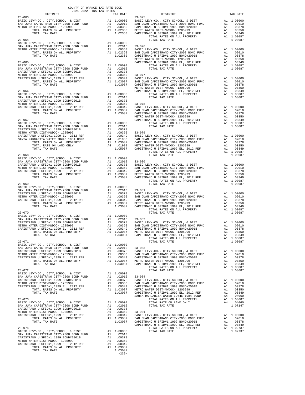| $\begin{minipage}{0.03\textwidth} \begin{tabular}{c} \textbf{0.03}\textbf{0.04}\textbf{0.05}\end{tabular} \end{minipage}$ $\begin{minipage}{0.03\textwidth} \begin{tabular}{c} \textbf{0.04}\textbf{0.06}\end{tabular} \end{minipage}$ |         |                                          |          |
|----------------------------------------------------------------------------------------------------------------------------------------------------------------------------------------------------------------------------------------|---------|------------------------------------------|----------|
| $23 - 063$                                                                                                                                                                                                                             |         | - -------<br>TAX RATE 23-075<br>DISTRICT | TAX RATE |
|                                                                                                                                                                                                                                        |         |                                          |          |
|                                                                                                                                                                                                                                        |         |                                          |          |
|                                                                                                                                                                                                                                        |         |                                          |          |
|                                                                                                                                                                                                                                        |         |                                          |          |
|                                                                                                                                                                                                                                        |         |                                          |          |
|                                                                                                                                                                                                                                        |         |                                          |          |
|                                                                                                                                                                                                                                        |         |                                          |          |
|                                                                                                                                                                                                                                        |         |                                          |          |
|                                                                                                                                                                                                                                        |         |                                          |          |
|                                                                                                                                                                                                                                        |         |                                          |          |
|                                                                                                                                                                                                                                        |         |                                          |          |
|                                                                                                                                                                                                                                        |         |                                          |          |
|                                                                                                                                                                                                                                        |         |                                          |          |
|                                                                                                                                                                                                                                        |         |                                          |          |
|                                                                                                                                                                                                                                        |         |                                          |          |
|                                                                                                                                                                                                                                        |         |                                          |          |
|                                                                                                                                                                                                                                        |         |                                          |          |
|                                                                                                                                                                                                                                        |         |                                          |          |
|                                                                                                                                                                                                                                        |         |                                          |          |
|                                                                                                                                                                                                                                        |         |                                          |          |
|                                                                                                                                                                                                                                        |         |                                          |          |
|                                                                                                                                                                                                                                        |         |                                          |          |
|                                                                                                                                                                                                                                        |         |                                          |          |
|                                                                                                                                                                                                                                        |         |                                          |          |
|                                                                                                                                                                                                                                        |         |                                          |          |
|                                                                                                                                                                                                                                        |         |                                          |          |
|                                                                                                                                                                                                                                        |         |                                          |          |
|                                                                                                                                                                                                                                        |         |                                          |          |
|                                                                                                                                                                                                                                        |         |                                          |          |
|                                                                                                                                                                                                                                        |         |                                          |          |
|                                                                                                                                                                                                                                        |         |                                          |          |
|                                                                                                                                                                                                                                        |         |                                          |          |
|                                                                                                                                                                                                                                        |         |                                          |          |
|                                                                                                                                                                                                                                        |         |                                          |          |
|                                                                                                                                                                                                                                        |         |                                          |          |
|                                                                                                                                                                                                                                        |         |                                          |          |
|                                                                                                                                                                                                                                        |         |                                          |          |
|                                                                                                                                                                                                                                        |         |                                          |          |
|                                                                                                                                                                                                                                        |         |                                          |          |
|                                                                                                                                                                                                                                        |         |                                          |          |
|                                                                                                                                                                                                                                        |         |                                          |          |
|                                                                                                                                                                                                                                        |         |                                          |          |
|                                                                                                                                                                                                                                        |         |                                          |          |
|                                                                                                                                                                                                                                        |         |                                          |          |
|                                                                                                                                                                                                                                        |         |                                          |          |
|                                                                                                                                                                                                                                        |         |                                          |          |
|                                                                                                                                                                                                                                        |         |                                          |          |
|                                                                                                                                                                                                                                        |         |                                          |          |
|                                                                                                                                                                                                                                        |         |                                          |          |
|                                                                                                                                                                                                                                        |         |                                          |          |
|                                                                                                                                                                                                                                        |         |                                          |          |
|                                                                                                                                                                                                                                        |         |                                          |          |
|                                                                                                                                                                                                                                        |         |                                          |          |
|                                                                                                                                                                                                                                        |         |                                          |          |
|                                                                                                                                                                                                                                        |         |                                          |          |
|                                                                                                                                                                                                                                        |         |                                          |          |
|                                                                                                                                                                                                                                        |         |                                          |          |
|                                                                                                                                                                                                                                        |         |                                          |          |
|                                                                                                                                                                                                                                        |         |                                          |          |
|                                                                                                                                                                                                                                        |         |                                          |          |
|                                                                                                                                                                                                                                        |         |                                          |          |
|                                                                                                                                                                                                                                        |         |                                          |          |
|                                                                                                                                                                                                                                        |         |                                          |          |
|                                                                                                                                                                                                                                        |         |                                          |          |
|                                                                                                                                                                                                                                        |         |                                          |          |
|                                                                                                                                                                                                                                        |         |                                          |          |
|                                                                                                                                                                                                                                        |         |                                          |          |
|                                                                                                                                                                                                                                        |         |                                          |          |
|                                                                                                                                                                                                                                        |         |                                          |          |
|                                                                                                                                                                                                                                        |         |                                          |          |
|                                                                                                                                                                                                                                        |         |                                          |          |
|                                                                                                                                                                                                                                        |         |                                          |          |
|                                                                                                                                                                                                                                        |         |                                          |          |
|                                                                                                                                                                                                                                        |         |                                          |          |
|                                                                                                                                                                                                                                        | $-239-$ |                                          |          |
|                                                                                                                                                                                                                                        |         |                                          |          |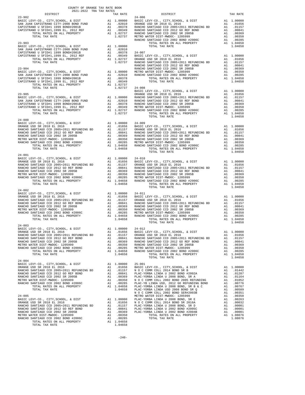| COUNTY OF ORANGE TAX RATE BOOK<br>2021-2022 TRA TAX RATES            |          |                                                                                                                                                                                                                                                                                                                                                                                                                                    |          |
|----------------------------------------------------------------------|----------|------------------------------------------------------------------------------------------------------------------------------------------------------------------------------------------------------------------------------------------------------------------------------------------------------------------------------------------------------------------------------------------------------------------------------------|----------|
|                                                                      | TAX RATE | DISTRICT                                                                                                                                                                                                                                                                                                                                                                                                                           | TAX RATE |
| $23 - 902$                                                           |          | $24 - 006$                                                                                                                                                                                                                                                                                                                                                                                                                         |          |
|                                                                      |          |                                                                                                                                                                                                                                                                                                                                                                                                                                    |          |
|                                                                      |          |                                                                                                                                                                                                                                                                                                                                                                                                                                    |          |
|                                                                      |          |                                                                                                                                                                                                                                                                                                                                                                                                                                    |          |
|                                                                      |          |                                                                                                                                                                                                                                                                                                                                                                                                                                    |          |
|                                                                      |          |                                                                                                                                                                                                                                                                                                                                                                                                                                    |          |
|                                                                      |          |                                                                                                                                                                                                                                                                                                                                                                                                                                    |          |
|                                                                      |          |                                                                                                                                                                                                                                                                                                                                                                                                                                    |          |
|                                                                      |          |                                                                                                                                                                                                                                                                                                                                                                                                                                    |          |
|                                                                      |          |                                                                                                                                                                                                                                                                                                                                                                                                                                    |          |
|                                                                      |          |                                                                                                                                                                                                                                                                                                                                                                                                                                    |          |
|                                                                      |          |                                                                                                                                                                                                                                                                                                                                                                                                                                    |          |
|                                                                      |          |                                                                                                                                                                                                                                                                                                                                                                                                                                    |          |
|                                                                      |          |                                                                                                                                                                                                                                                                                                                                                                                                                                    |          |
|                                                                      |          |                                                                                                                                                                                                                                                                                                                                                                                                                                    |          |
|                                                                      |          |                                                                                                                                                                                                                                                                                                                                                                                                                                    |          |
|                                                                      |          |                                                                                                                                                                                                                                                                                                                                                                                                                                    |          |
|                                                                      |          |                                                                                                                                                                                                                                                                                                                                                                                                                                    |          |
|                                                                      |          |                                                                                                                                                                                                                                                                                                                                                                                                                                    |          |
|                                                                      |          |                                                                                                                                                                                                                                                                                                                                                                                                                                    |          |
|                                                                      |          |                                                                                                                                                                                                                                                                                                                                                                                                                                    |          |
|                                                                      |          |                                                                                                                                                                                                                                                                                                                                                                                                                                    |          |
|                                                                      |          |                                                                                                                                                                                                                                                                                                                                                                                                                                    |          |
|                                                                      |          |                                                                                                                                                                                                                                                                                                                                                                                                                                    |          |
|                                                                      |          |                                                                                                                                                                                                                                                                                                                                                                                                                                    |          |
|                                                                      |          | $\begin{tabular}{c c c c c} \multicolumn{4}{c}{\textbf{23-905}} & \multicolumn{4}{c}{\textbf{24-006}} & \multicolumn{4}{c}{\textbf{24-006}} & \multicolumn{4}{c}{\textbf{24-006}} & \multicolumn{4}{c}{\textbf{24-006}} & \multicolumn{4}{c}{\textbf{24-006}} & \multicolumn{4}{c}{\textbf{24-006}} & \multicolumn{4}{c}{\textbf{24-006}} & \multicolumn{4}{c}{\textbf{24-006}} & \multicolumn{4}{c}{\textbf{24$<br>TOTAL TAX RATE | 1.04658  |
| $24 - 000$                                                           |          |                                                                                                                                                                                                                                                                                                                                                                                                                                    |          |
|                                                                      |          |                                                                                                                                                                                                                                                                                                                                                                                                                                    |          |
|                                                                      |          |                                                                                                                                                                                                                                                                                                                                                                                                                                    |          |
|                                                                      |          |                                                                                                                                                                                                                                                                                                                                                                                                                                    |          |
|                                                                      |          |                                                                                                                                                                                                                                                                                                                                                                                                                                    |          |
|                                                                      |          |                                                                                                                                                                                                                                                                                                                                                                                                                                    |          |
|                                                                      |          |                                                                                                                                                                                                                                                                                                                                                                                                                                    |          |
|                                                                      |          |                                                                                                                                                                                                                                                                                                                                                                                                                                    |          |
|                                                                      |          |                                                                                                                                                                                                                                                                                                                                                                                                                                    | 1.04658  |
| $24 - 001$                                                           |          | TOTAL TAX RATE                                                                                                                                                                                                                                                                                                                                                                                                                     |          |
|                                                                      |          |                                                                                                                                                                                                                                                                                                                                                                                                                                    |          |
|                                                                      |          |                                                                                                                                                                                                                                                                                                                                                                                                                                    |          |
|                                                                      |          |                                                                                                                                                                                                                                                                                                                                                                                                                                    |          |
|                                                                      |          |                                                                                                                                                                                                                                                                                                                                                                                                                                    |          |
|                                                                      |          |                                                                                                                                                                                                                                                                                                                                                                                                                                    |          |
|                                                                      |          |                                                                                                                                                                                                                                                                                                                                                                                                                                    |          |
|                                                                      |          |                                                                                                                                                                                                                                                                                                                                                                                                                                    |          |
|                                                                      |          |                                                                                                                                                                                                                                                                                                                                                                                                                                    |          |
|                                                                      |          |                                                                                                                                                                                                                                                                                                                                                                                                                                    |          |
|                                                                      |          |                                                                                                                                                                                                                                                                                                                                                                                                                                    |          |
|                                                                      |          |                                                                                                                                                                                                                                                                                                                                                                                                                                    |          |
|                                                                      |          |                                                                                                                                                                                                                                                                                                                                                                                                                                    |          |
|                                                                      |          |                                                                                                                                                                                                                                                                                                                                                                                                                                    |          |
|                                                                      |          |                                                                                                                                                                                                                                                                                                                                                                                                                                    |          |
|                                                                      |          |                                                                                                                                                                                                                                                                                                                                                                                                                                    |          |
|                                                                      |          |                                                                                                                                                                                                                                                                                                                                                                                                                                    |          |
|                                                                      |          |                                                                                                                                                                                                                                                                                                                                                                                                                                    |          |
|                                                                      |          |                                                                                                                                                                                                                                                                                                                                                                                                                                    |          |
| $24 - 003$<br>BASIC LEVY-CO., CITY, SCHOOL, & DIST Al 1.00000 24-012 |          |                                                                                                                                                                                                                                                                                                                                                                                                                                    |          |
|                                                                      |          |                                                                                                                                                                                                                                                                                                                                                                                                                                    |          |
|                                                                      |          |                                                                                                                                                                                                                                                                                                                                                                                                                                    |          |
|                                                                      |          |                                                                                                                                                                                                                                                                                                                                                                                                                                    |          |
|                                                                      |          |                                                                                                                                                                                                                                                                                                                                                                                                                                    |          |
|                                                                      |          |                                                                                                                                                                                                                                                                                                                                                                                                                                    |          |
|                                                                      |          |                                                                                                                                                                                                                                                                                                                                                                                                                                    |          |
|                                                                      |          |                                                                                                                                                                                                                                                                                                                                                                                                                                    |          |
|                                                                      |          |                                                                                                                                                                                                                                                                                                                                                                                                                                    |          |
| $24 - 004$                                                           |          |                                                                                                                                                                                                                                                                                                                                                                                                                                    |          |
|                                                                      |          |                                                                                                                                                                                                                                                                                                                                                                                                                                    |          |
|                                                                      |          |                                                                                                                                                                                                                                                                                                                                                                                                                                    |          |
|                                                                      |          |                                                                                                                                                                                                                                                                                                                                                                                                                                    |          |
|                                                                      |          |                                                                                                                                                                                                                                                                                                                                                                                                                                    |          |
|                                                                      |          | $\begin{tabular}{cccccccc} 24-046 & 104000 & 25-001 & 1040000 & 25-001 & 10400000 & 25-001 & 10400000 & 25-001 & 10400000 & 25-001 & 10400000 & 25-001 & 10400000 & 25-001 & 10400000 & 25-001 & 10400000 & 25-001 & 10400000 & 25-001 & 25-001 & 25-001 & 25-01 & 25$                                                                                                                                                             |          |
|                                                                      |          |                                                                                                                                                                                                                                                                                                                                                                                                                                    |          |
|                                                                      |          |                                                                                                                                                                                                                                                                                                                                                                                                                                    |          |
|                                                                      |          |                                                                                                                                                                                                                                                                                                                                                                                                                                    |          |
|                                                                      |          |                                                                                                                                                                                                                                                                                                                                                                                                                                    |          |
|                                                                      |          |                                                                                                                                                                                                                                                                                                                                                                                                                                    |          |
|                                                                      |          |                                                                                                                                                                                                                                                                                                                                                                                                                                    |          |
|                                                                      |          |                                                                                                                                                                                                                                                                                                                                                                                                                                    |          |
|                                                                      |          |                                                                                                                                                                                                                                                                                                                                                                                                                                    |          |
|                                                                      |          |                                                                                                                                                                                                                                                                                                                                                                                                                                    |          |
|                                                                      |          |                                                                                                                                                                                                                                                                                                                                                                                                                                    |          |
|                                                                      |          |                                                                                                                                                                                                                                                                                                                                                                                                                                    |          |
|                                                                      |          |                                                                                                                                                                                                                                                                                                                                                                                                                                    |          |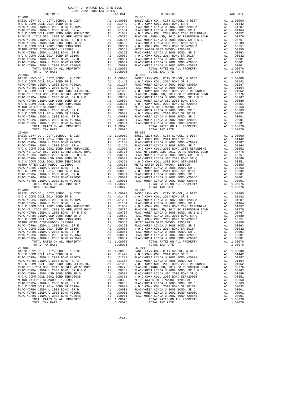| COUNTY OF ORANGE TAX RATE BOOK<br>$2021-2022 \quad \text{TRA TAX RATES}$ DISTRICT $\hspace{2.5cm}$ |          |                                                                                                                                                                                                                                                                                                      |          |
|----------------------------------------------------------------------------------------------------|----------|------------------------------------------------------------------------------------------------------------------------------------------------------------------------------------------------------------------------------------------------------------------------------------------------------|----------|
|                                                                                                    | TAX RATE | DISTRICT                                                                                                                                                                                                                                                                                             | TAX RATE |
| $25 - 002$                                                                                         |          | $25 - 007$<br>$\begin{tabular}{cccccccc} \textbf{15--04}& 0.94 & 0.94 & 0.94 & 0.94 & 0.94 & 0.94 & 0.94 & 0.94 & 0.94 & 0.94 & 0.94 & 0.94 & 0.94 & 0.94 & 0.94 & 0.94 & 0.94 & 0.94 & 0.94 & 0.94 & 0.94 & 0.94 & 0.94 & 0.94 & 0.94 & 0.94 & 0.94 & 0.94 & 0.94 & 0.94 & 0.94 & 0.94 & 0.94 & 0.$ |          |
|                                                                                                    |          |                                                                                                                                                                                                                                                                                                      |          |
|                                                                                                    |          |                                                                                                                                                                                                                                                                                                      |          |
|                                                                                                    |          |                                                                                                                                                                                                                                                                                                      |          |
|                                                                                                    |          |                                                                                                                                                                                                                                                                                                      |          |
|                                                                                                    |          |                                                                                                                                                                                                                                                                                                      |          |
|                                                                                                    |          |                                                                                                                                                                                                                                                                                                      |          |
|                                                                                                    |          |                                                                                                                                                                                                                                                                                                      |          |
|                                                                                                    |          |                                                                                                                                                                                                                                                                                                      |          |
|                                                                                                    |          |                                                                                                                                                                                                                                                                                                      |          |
|                                                                                                    |          |                                                                                                                                                                                                                                                                                                      |          |
|                                                                                                    |          |                                                                                                                                                                                                                                                                                                      |          |
|                                                                                                    |          |                                                                                                                                                                                                                                                                                                      |          |
|                                                                                                    |          |                                                                                                                                                                                                                                                                                                      |          |
|                                                                                                    |          |                                                                                                                                                                                                                                                                                                      |          |
|                                                                                                    |          |                                                                                                                                                                                                                                                                                                      |          |
|                                                                                                    |          |                                                                                                                                                                                                                                                                                                      |          |
|                                                                                                    |          |                                                                                                                                                                                                                                                                                                      |          |
|                                                                                                    |          |                                                                                                                                                                                                                                                                                                      |          |
|                                                                                                    |          |                                                                                                                                                                                                                                                                                                      |          |
|                                                                                                    |          |                                                                                                                                                                                                                                                                                                      |          |
|                                                                                                    |          |                                                                                                                                                                                                                                                                                                      |          |
|                                                                                                    |          |                                                                                                                                                                                                                                                                                                      |          |
|                                                                                                    |          |                                                                                                                                                                                                                                                                                                      |          |
|                                                                                                    |          |                                                                                                                                                                                                                                                                                                      |          |
|                                                                                                    |          |                                                                                                                                                                                                                                                                                                      |          |
|                                                                                                    |          |                                                                                                                                                                                                                                                                                                      |          |
|                                                                                                    |          |                                                                                                                                                                                                                                                                                                      |          |
|                                                                                                    |          |                                                                                                                                                                                                                                                                                                      |          |
|                                                                                                    |          |                                                                                                                                                                                                                                                                                                      |          |
|                                                                                                    |          |                                                                                                                                                                                                                                                                                                      |          |
|                                                                                                    |          |                                                                                                                                                                                                                                                                                                      |          |
|                                                                                                    |          |                                                                                                                                                                                                                                                                                                      |          |
|                                                                                                    |          |                                                                                                                                                                                                                                                                                                      |          |
|                                                                                                    |          |                                                                                                                                                                                                                                                                                                      |          |
|                                                                                                    |          |                                                                                                                                                                                                                                                                                                      |          |
| $25 - 005$                                                                                         |          | $25 - 010$                                                                                                                                                                                                                                                                                           |          |
|                                                                                                    |          |                                                                                                                                                                                                                                                                                                      |          |
|                                                                                                    |          |                                                                                                                                                                                                                                                                                                      |          |
|                                                                                                    |          |                                                                                                                                                                                                                                                                                                      |          |
|                                                                                                    |          |                                                                                                                                                                                                                                                                                                      |          |
|                                                                                                    |          |                                                                                                                                                                                                                                                                                                      |          |
|                                                                                                    |          |                                                                                                                                                                                                                                                                                                      |          |
|                                                                                                    |          |                                                                                                                                                                                                                                                                                                      |          |
|                                                                                                    |          |                                                                                                                                                                                                                                                                                                      |          |
|                                                                                                    |          |                                                                                                                                                                                                                                                                                                      |          |
|                                                                                                    |          |                                                                                                                                                                                                                                                                                                      |          |
| TOTAL TAX RATE                                                                                     | 1.08076  | TOTAL TAX RATE                                                                                                                                                                                                                                                                                       | 1.08076  |
| $25 - 006$                                                                                         |          | $25 - 011$                                                                                                                                                                                                                                                                                           |          |
|                                                                                                    |          |                                                                                                                                                                                                                                                                                                      |          |
|                                                                                                    |          |                                                                                                                                                                                                                                                                                                      |          |
|                                                                                                    |          |                                                                                                                                                                                                                                                                                                      |          |
|                                                                                                    |          |                                                                                                                                                                                                                                                                                                      |          |
|                                                                                                    |          |                                                                                                                                                                                                                                                                                                      |          |
|                                                                                                    |          |                                                                                                                                                                                                                                                                                                      |          |
|                                                                                                    |          |                                                                                                                                                                                                                                                                                                      |          |
|                                                                                                    |          |                                                                                                                                                                                                                                                                                                      |          |
|                                                                                                    |          |                                                                                                                                                                                                                                                                                                      |          |
|                                                                                                    |          |                                                                                                                                                                                                                                                                                                      |          |
| TOTAL TAX RATE                                                                                     | 1.08076  | TOTAL TAX RATE                                                                                                                                                                                                                                                                                       | 1.08076  |
|                                                                                                    |          |                                                                                                                                                                                                                                                                                                      |          |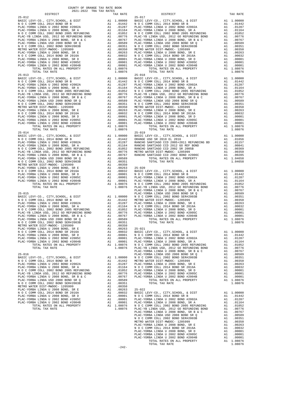| DISTRICT                                                                      |          | TAX RATE                                                                                                                                                                                                                                                                                                                                     |                    |
|-------------------------------------------------------------------------------|----------|----------------------------------------------------------------------------------------------------------------------------------------------------------------------------------------------------------------------------------------------------------------------------------------------------------------------------------------------|--------------------|
| $25 - 012$                                                                    |          |                                                                                                                                                                                                                                                                                                                                              | $25 - 017$         |
|                                                                               |          |                                                                                                                                                                                                                                                                                                                                              |                    |
|                                                                               |          |                                                                                                                                                                                                                                                                                                                                              |                    |
|                                                                               |          |                                                                                                                                                                                                                                                                                                                                              |                    |
|                                                                               |          |                                                                                                                                                                                                                                                                                                                                              |                    |
|                                                                               |          |                                                                                                                                                                                                                                                                                                                                              |                    |
|                                                                               |          |                                                                                                                                                                                                                                                                                                                                              |                    |
|                                                                               |          |                                                                                                                                                                                                                                                                                                                                              |                    |
|                                                                               |          |                                                                                                                                                                                                                                                                                                                                              |                    |
|                                                                               |          |                                                                                                                                                                                                                                                                                                                                              |                    |
|                                                                               |          |                                                                                                                                                                                                                                                                                                                                              |                    |
|                                                                               |          |                                                                                                                                                                                                                                                                                                                                              |                    |
|                                                                               |          |                                                                                                                                                                                                                                                                                                                                              |                    |
| TOTAL TAX RATE                                                                |          | 1.08076                                                                                                                                                                                                                                                                                                                                      |                    |
| $25 - 013$                                                                    |          |                                                                                                                                                                                                                                                                                                                                              | $25 - 018$         |
|                                                                               |          |                                                                                                                                                                                                                                                                                                                                              |                    |
|                                                                               |          |                                                                                                                                                                                                                                                                                                                                              |                    |
|                                                                               |          |                                                                                                                                                                                                                                                                                                                                              |                    |
|                                                                               |          |                                                                                                                                                                                                                                                                                                                                              |                    |
|                                                                               |          |                                                                                                                                                                                                                                                                                                                                              |                    |
|                                                                               |          |                                                                                                                                                                                                                                                                                                                                              |                    |
|                                                                               |          |                                                                                                                                                                                                                                                                                                                                              |                    |
|                                                                               |          |                                                                                                                                                                                                                                                                                                                                              |                    |
|                                                                               |          |                                                                                                                                                                                                                                                                                                                                              |                    |
|                                                                               |          |                                                                                                                                                                                                                                                                                                                                              |                    |
|                                                                               |          |                                                                                                                                                                                                                                                                                                                                              |                    |
|                                                                               |          |                                                                                                                                                                                                                                                                                                                                              |                    |
|                                                                               |          |                                                                                                                                                                                                                                                                                                                                              |                    |
| TOTAL TAX RATE                                                                |          | 1.08076                                                                                                                                                                                                                                                                                                                                      |                    |
| $25 - 014$                                                                    |          |                                                                                                                                                                                                                                                                                                                                              | $25 - 019$         |
|                                                                               |          |                                                                                                                                                                                                                                                                                                                                              |                    |
|                                                                               |          |                                                                                                                                                                                                                                                                                                                                              |                    |
|                                                                               |          |                                                                                                                                                                                                                                                                                                                                              |                    |
|                                                                               |          |                                                                                                                                                                                                                                                                                                                                              |                    |
|                                                                               |          |                                                                                                                                                                                                                                                                                                                                              |                    |
|                                                                               |          |                                                                                                                                                                                                                                                                                                                                              |                    |
|                                                                               |          |                                                                                                                                                                                                                                                                                                                                              |                    |
|                                                                               |          |                                                                                                                                                                                                                                                                                                                                              |                    |
|                                                                               |          |                                                                                                                                                                                                                                                                                                                                              |                    |
|                                                                               |          |                                                                                                                                                                                                                                                                                                                                              |                    |
|                                                                               |          |                                                                                                                                                                                                                                                                                                                                              |                    |
|                                                                               |          |                                                                                                                                                                                                                                                                                                                                              |                    |
|                                                                               |          |                                                                                                                                                                                                                                                                                                                                              |                    |
|                                                                               |          |                                                                                                                                                                                                                                                                                                                                              | PLAC-YO            |
|                                                                               |          |                                                                                                                                                                                                                                                                                                                                              |                    |
|                                                                               |          |                                                                                                                                                                                                                                                                                                                                              |                    |
|                                                                               |          |                                                                                                                                                                                                                                                                                                                                              |                    |
|                                                                               |          |                                                                                                                                                                                                                                                                                                                                              |                    |
|                                                                               |          |                                                                                                                                                                                                                                                                                                                                              |                    |
|                                                                               |          |                                                                                                                                                                                                                                                                                                                                              |                    |
|                                                                               |          |                                                                                                                                                                                                                                                                                                                                              |                    |
|                                                                               |          |                                                                                                                                                                                                                                                                                                                                              |                    |
|                                                                               |          |                                                                                                                                                                                                                                                                                                                                              |                    |
|                                                                               |          |                                                                                                                                                                                                                                                                                                                                              |                    |
|                                                                               |          |                                                                                                                                                                                                                                                                                                                                              |                    |
| PLAC-YORBA LINDA U 2002 BOND #2005C                                           | A1       | .00001 PLAC-YO                                                                                                                                                                                                                                                                                                                               |                    |
| PLAC-YORBA LINDA U 2002 BOND #2004B                                           | A1       | .00001                                                                                                                                                                                                                                                                                                                                       | PLAC-YO            |
| TOTAL RATES ON ALL PROPERTY<br>TOTAL TAX RATE                                 |          | A1 1.08076<br>1.08076                                                                                                                                                                                                                                                                                                                        | N O C C<br>PLAC-YB |
|                                                                               |          |                                                                                                                                                                                                                                                                                                                                              | PLAC-YO            |
| $25 - 016$                                                                    |          |                                                                                                                                                                                                                                                                                                                                              | PLAC-YO            |
| ${\tt BASIC~LEVY-CO.} \ , \ {\tt CITY} \ , {\tt SCHOOL} \ , \ {\tt \&~DIST}$  |          | A1 1.00000                                                                                                                                                                                                                                                                                                                                   |                    |
| N O C COMM COLL 2014 BOND SR B<br>PLAC-YORBA LINDA U 2002 BOND #2002A         | A1<br>A1 |                                                                                                                                                                                                                                                                                                                                              |                    |
| PLAC-YORBA LINDA U 2008 BOND, SR A                                            |          | $\begin{tabular}{cc} 1.00000 & \hspace{.2cm} {\bf N} \hspace{.08cm} {\bf O} \hspace{.08cm} {\bf C} \hspace{.08cm} {\bf C} \\ .01442 & \hspace{.2cm} {\tt METRO} \hspace{.08cm} {\tt W} \\ .01287 & \hspace{.2cm} {\tt PLAC-YO} \\ .01164 & \hspace{.2cm} {\bf N} \hspace{.08cm} {\bf O} \hspace{.08cm} {\bf C} \hspace{.08cm} \end{tabular}$ |                    |
| N O C COMM COLL 2002 BOND 2005 REFUNDING                                      |          | $\begin{tabular}{cc} & $\cdots$104$ & $N$ O $C$ C\\ A1 & .01052 & PLAG-YO\\ A1 & .00776 & PLAG-YO\\ A1 & .00767 & PLAG-YO\\ A1 & .00589 \\ & $\cdots$ & $\cdots$ & $N$\\ A1 & .0089 & & $\cdots$ & $N$\\ \end{tabular}$                                                                                                                      |                    |
| PLAC-YB LINDA USD. 2012 GO REFUNDING BOND                                     | A1       |                                                                                                                                                                                                                                                                                                                                              |                    |
| PLAC-YORBA LINDA U 2008 BOND, SR B & C<br>PLAC-YORBA LINDA USD 2008 BOND SR Q |          |                                                                                                                                                                                                                                                                                                                                              |                    |
| N O C COMM COLL 2002 BOND SER#2003B                                           |          | A1 .00351                                                                                                                                                                                                                                                                                                                                    |                    |
| METRO WATER DIST-MWDOC- 1205999                                               |          | A1.00350                                                                                                                                                                                                                                                                                                                                     |                    |
| PLAC-YORBA LINDA U 2008 BOND, SR E                                            |          | A1.00263                                                                                                                                                                                                                                                                                                                                     | $25 - 022$         |
| N O C COMM COLL 2014 BOND SR 2016A<br>PLAC-YORBA LINDA U 2008 BOND, SR D      | A1       | A1.00032                                                                                                                                                                                                                                                                                                                                     | BASIC L            |
| PLAC-YORBA LINDA U 2002 BOND #2005C                                           | A1       | .00001<br>.00001                                                                                                                                                                                                                                                                                                                             | NOCC<br>PLAC-YO    |
| PLAC-YORBA LINDA U 2002 BOND #2004B                                           | A1       | .00001                                                                                                                                                                                                                                                                                                                                       | PLAC-YO            |
| TOTAL RATES ON ALL PROPERTY                                                   |          | 1.08076<br>1.08076<br>A1 1.08076                                                                                                                                                                                                                                                                                                             | N O C C            |
| TOTAL TAX RATE                                                                |          |                                                                                                                                                                                                                                                                                                                                              | PLAC-YB            |

| COUNTY OF ORANGE TAX RATE BOOK<br>$2021-2022 \quad \text{TRA RATE} \label{eq:Q021-2022}$ DISTRICT 2021–2022   TRA TAX RATES |          |            |          |
|-----------------------------------------------------------------------------------------------------------------------------|----------|------------|----------|
|                                                                                                                             | TAX RATE | DISTRICT   | TAX RATE |
|                                                                                                                             |          | $25 - 017$ |          |
|                                                                                                                             |          |            |          |
|                                                                                                                             |          |            |          |
|                                                                                                                             |          |            |          |
|                                                                                                                             |          |            |          |
|                                                                                                                             |          |            |          |
|                                                                                                                             |          |            |          |
|                                                                                                                             |          |            |          |
|                                                                                                                             |          |            |          |
|                                                                                                                             |          |            |          |
|                                                                                                                             |          |            |          |
|                                                                                                                             |          |            |          |
|                                                                                                                             |          |            |          |
|                                                                                                                             |          |            |          |
|                                                                                                                             |          |            |          |
|                                                                                                                             |          |            |          |
|                                                                                                                             |          |            |          |
|                                                                                                                             |          |            |          |
|                                                                                                                             |          |            |          |
|                                                                                                                             |          |            |          |
|                                                                                                                             |          |            |          |
|                                                                                                                             |          |            |          |
|                                                                                                                             |          |            |          |
|                                                                                                                             |          |            |          |
|                                                                                                                             |          |            |          |
|                                                                                                                             |          |            |          |
|                                                                                                                             |          |            |          |
|                                                                                                                             |          |            |          |
|                                                                                                                             |          |            |          |
|                                                                                                                             |          |            |          |
|                                                                                                                             |          |            |          |
|                                                                                                                             |          |            |          |
|                                                                                                                             |          |            |          |
|                                                                                                                             |          |            |          |
|                                                                                                                             |          |            |          |
|                                                                                                                             |          |            |          |
|                                                                                                                             |          |            |          |
|                                                                                                                             |          |            |          |
|                                                                                                                             |          |            |          |
|                                                                                                                             |          |            |          |
|                                                                                                                             |          |            |          |
|                                                                                                                             |          |            |          |
|                                                                                                                             |          |            |          |
|                                                                                                                             |          |            |          |
|                                                                                                                             |          |            |          |
|                                                                                                                             |          |            |          |
|                                                                                                                             |          |            |          |
|                                                                                                                             |          |            |          |
|                                                                                                                             |          |            |          |
|                                                                                                                             |          |            |          |
|                                                                                                                             |          |            |          |
|                                                                                                                             |          |            |          |
|                                                                                                                             |          |            |          |
|                                                                                                                             |          |            |          |
|                                                                                                                             |          |            |          |
|                                                                                                                             |          |            |          |
|                                                                                                                             |          |            |          |
|                                                                                                                             |          |            |          |
|                                                                                                                             |          |            |          |
|                                                                                                                             |          |            |          |
|                                                                                                                             |          |            |          |
|                                                                                                                             |          |            |          |
|                                                                                                                             |          |            |          |
|                                                                                                                             |          |            |          |
|                                                                                                                             |          |            |          |
|                                                                                                                             |          |            |          |
|                                                                                                                             |          |            |          |
|                                                                                                                             |          |            |          |
|                                                                                                                             |          |            |          |
|                                                                                                                             |          |            |          |
|                                                                                                                             |          |            |          |
|                                                                                                                             |          |            |          |
|                                                                                                                             |          |            |          |
|                                                                                                                             |          |            |          |
|                                                                                                                             |          |            |          |
|                                                                                                                             |          |            |          |
|                                                                                                                             |          |            |          |
|                                                                                                                             |          |            |          |
|                                                                                                                             |          |            |          |
|                                                                                                                             |          |            |          |
|                                                                                                                             | $-242-$  |            |          |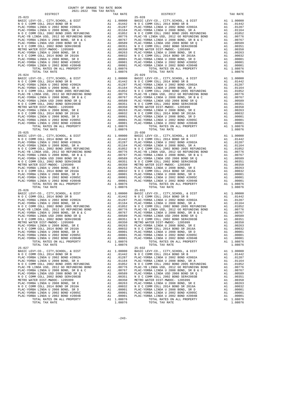|            | COUNTY OF ORANGE TAX RATE BOOK<br>$2021-2022 \quad \text{TRA TAX RATES}$ DISTRICT $\hspace{2.5cm}$ |          |                                                                                                                                                                                                                                                                                        |          |
|------------|----------------------------------------------------------------------------------------------------|----------|----------------------------------------------------------------------------------------------------------------------------------------------------------------------------------------------------------------------------------------------------------------------------------------|----------|
|            |                                                                                                    | TAX RATE | DISTRICT                                                                                                                                                                                                                                                                               | TAX RATE |
| $25 - 023$ |                                                                                                    |          | $25 - 028$<br>$\begin{tabular}{cccccccc} 25-023 & 238-028 & 248-08 & 248-08 & 25-028 & 248-08 & 25-028 & 248-08 & 25-028 & 248-08 & 25-028 & 25-028 & 25-028 & 25-028 & 25-028 & 25-028 & 25-028 & 25-028 & 25-028 & 25-028 & 25-028 & 25-028 & 25-028 & 25-028 & 25-028 & 25-028 & 2$ |          |
|            |                                                                                                    |          |                                                                                                                                                                                                                                                                                        |          |
|            |                                                                                                    |          |                                                                                                                                                                                                                                                                                        |          |
|            |                                                                                                    |          |                                                                                                                                                                                                                                                                                        |          |
|            |                                                                                                    |          |                                                                                                                                                                                                                                                                                        |          |
|            |                                                                                                    |          |                                                                                                                                                                                                                                                                                        |          |
|            |                                                                                                    |          |                                                                                                                                                                                                                                                                                        |          |
|            |                                                                                                    |          |                                                                                                                                                                                                                                                                                        |          |
|            |                                                                                                    |          |                                                                                                                                                                                                                                                                                        |          |
|            |                                                                                                    |          |                                                                                                                                                                                                                                                                                        |          |
|            |                                                                                                    |          |                                                                                                                                                                                                                                                                                        |          |
|            |                                                                                                    |          |                                                                                                                                                                                                                                                                                        |          |
|            |                                                                                                    |          |                                                                                                                                                                                                                                                                                        |          |
|            |                                                                                                    |          |                                                                                                                                                                                                                                                                                        |          |
|            |                                                                                                    |          |                                                                                                                                                                                                                                                                                        |          |
|            |                                                                                                    |          |                                                                                                                                                                                                                                                                                        |          |
|            |                                                                                                    |          |                                                                                                                                                                                                                                                                                        |          |
|            |                                                                                                    |          |                                                                                                                                                                                                                                                                                        |          |
|            |                                                                                                    |          |                                                                                                                                                                                                                                                                                        |          |
|            |                                                                                                    |          |                                                                                                                                                                                                                                                                                        |          |
|            |                                                                                                    |          |                                                                                                                                                                                                                                                                                        |          |
|            |                                                                                                    |          |                                                                                                                                                                                                                                                                                        |          |
|            |                                                                                                    |          |                                                                                                                                                                                                                                                                                        |          |
|            |                                                                                                    |          |                                                                                                                                                                                                                                                                                        |          |
|            |                                                                                                    |          |                                                                                                                                                                                                                                                                                        |          |
|            |                                                                                                    |          |                                                                                                                                                                                                                                                                                        |          |
|            |                                                                                                    |          |                                                                                                                                                                                                                                                                                        |          |
|            |                                                                                                    |          |                                                                                                                                                                                                                                                                                        |          |
|            |                                                                                                    |          |                                                                                                                                                                                                                                                                                        |          |
|            |                                                                                                    |          |                                                                                                                                                                                                                                                                                        |          |
|            |                                                                                                    |          |                                                                                                                                                                                                                                                                                        |          |
|            |                                                                                                    |          |                                                                                                                                                                                                                                                                                        |          |
|            |                                                                                                    |          |                                                                                                                                                                                                                                                                                        |          |
|            |                                                                                                    |          |                                                                                                                                                                                                                                                                                        |          |
|            |                                                                                                    |          |                                                                                                                                                                                                                                                                                        |          |
|            |                                                                                                    |          |                                                                                                                                                                                                                                                                                        |          |
| $25 - 026$ |                                                                                                    |          | $25 - 031$                                                                                                                                                                                                                                                                             |          |
|            |                                                                                                    |          |                                                                                                                                                                                                                                                                                        |          |
|            |                                                                                                    |          |                                                                                                                                                                                                                                                                                        |          |
|            |                                                                                                    |          |                                                                                                                                                                                                                                                                                        |          |
|            |                                                                                                    |          |                                                                                                                                                                                                                                                                                        |          |
|            |                                                                                                    |          |                                                                                                                                                                                                                                                                                        |          |
|            |                                                                                                    |          |                                                                                                                                                                                                                                                                                        |          |
|            |                                                                                                    |          |                                                                                                                                                                                                                                                                                        |          |
|            |                                                                                                    |          |                                                                                                                                                                                                                                                                                        |          |
|            |                                                                                                    |          |                                                                                                                                                                                                                                                                                        |          |
|            |                                                                                                    |          |                                                                                                                                                                                                                                                                                        |          |
|            | TOTAL TAX RATE                                                                                     | 1.08076  | TOTAL TAX RATE                                                                                                                                                                                                                                                                         | 1.08076  |
| $25 - 027$ |                                                                                                    |          | $25 - 032$                                                                                                                                                                                                                                                                             |          |
|            |                                                                                                    |          |                                                                                                                                                                                                                                                                                        |          |
|            |                                                                                                    |          |                                                                                                                                                                                                                                                                                        |          |
|            |                                                                                                    |          |                                                                                                                                                                                                                                                                                        |          |
|            |                                                                                                    |          |                                                                                                                                                                                                                                                                                        |          |
|            |                                                                                                    |          |                                                                                                                                                                                                                                                                                        |          |
|            |                                                                                                    |          |                                                                                                                                                                                                                                                                                        |          |
|            |                                                                                                    |          |                                                                                                                                                                                                                                                                                        |          |
|            |                                                                                                    |          |                                                                                                                                                                                                                                                                                        |          |
|            |                                                                                                    |          |                                                                                                                                                                                                                                                                                        |          |
|            |                                                                                                    |          |                                                                                                                                                                                                                                                                                        |          |
|            | TOTAL TAX RATE                                                                                     | 1.08076  | TOTAL TAX RATE                                                                                                                                                                                                                                                                         | 1.08076  |

 $-243-$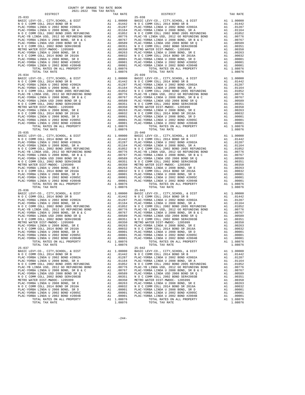| TAX RATE<br>DISTRICT                                                                                                                                                                                                                                                         |         | DISTRICT       | TAX RATE |
|------------------------------------------------------------------------------------------------------------------------------------------------------------------------------------------------------------------------------------------------------------------------------|---------|----------------|----------|
|                                                                                                                                                                                                                                                                              |         |                |          |
|                                                                                                                                                                                                                                                                              |         |                |          |
|                                                                                                                                                                                                                                                                              |         |                |          |
|                                                                                                                                                                                                                                                                              |         |                |          |
|                                                                                                                                                                                                                                                                              |         |                |          |
|                                                                                                                                                                                                                                                                              |         |                |          |
|                                                                                                                                                                                                                                                                              |         |                |          |
|                                                                                                                                                                                                                                                                              |         |                |          |
|                                                                                                                                                                                                                                                                              |         |                |          |
|                                                                                                                                                                                                                                                                              |         |                |          |
|                                                                                                                                                                                                                                                                              |         |                |          |
|                                                                                                                                                                                                                                                                              |         |                |          |
|                                                                                                                                                                                                                                                                              |         |                |          |
|                                                                                                                                                                                                                                                                              |         |                |          |
|                                                                                                                                                                                                                                                                              |         |                |          |
|                                                                                                                                                                                                                                                                              |         |                |          |
|                                                                                                                                                                                                                                                                              |         |                |          |
|                                                                                                                                                                                                                                                                              |         |                |          |
|                                                                                                                                                                                                                                                                              |         |                |          |
|                                                                                                                                                                                                                                                                              |         |                |          |
|                                                                                                                                                                                                                                                                              |         |                |          |
|                                                                                                                                                                                                                                                                              |         |                |          |
|                                                                                                                                                                                                                                                                              |         |                |          |
|                                                                                                                                                                                                                                                                              |         |                |          |
|                                                                                                                                                                                                                                                                              |         |                |          |
|                                                                                                                                                                                                                                                                              |         |                |          |
|                                                                                                                                                                                                                                                                              |         |                |          |
|                                                                                                                                                                                                                                                                              |         |                |          |
|                                                                                                                                                                                                                                                                              |         |                |          |
|                                                                                                                                                                                                                                                                              |         |                |          |
|                                                                                                                                                                                                                                                                              |         |                |          |
|                                                                                                                                                                                                                                                                              |         |                |          |
| $\begin{tabular}{cccccccc} $75,10000, $10014, $10016, $10016, $10016, $10000, $10000, $10000, $10000, $10000, $10000, $10000, $10000, $10000, $10000, $10000, $10000, $10000, $10000, $10000, $10000, $10000, $10000, $10000, $10000, $10000, $10000, $10000, $10000, $1000$ |         |                |          |
|                                                                                                                                                                                                                                                                              |         |                |          |
|                                                                                                                                                                                                                                                                              |         |                |          |
|                                                                                                                                                                                                                                                                              |         |                |          |
|                                                                                                                                                                                                                                                                              |         |                |          |
|                                                                                                                                                                                                                                                                              |         |                |          |
|                                                                                                                                                                                                                                                                              |         |                |          |
|                                                                                                                                                                                                                                                                              |         |                |          |
|                                                                                                                                                                                                                                                                              |         |                |          |
|                                                                                                                                                                                                                                                                              |         |                |          |
|                                                                                                                                                                                                                                                                              |         |                |          |
|                                                                                                                                                                                                                                                                              |         |                |          |
|                                                                                                                                                                                                                                                                              |         |                |          |
|                                                                                                                                                                                                                                                                              |         |                |          |
|                                                                                                                                                                                                                                                                              |         |                |          |
|                                                                                                                                                                                                                                                                              |         |                |          |
|                                                                                                                                                                                                                                                                              |         |                |          |
|                                                                                                                                                                                                                                                                              |         |                |          |
|                                                                                                                                                                                                                                                                              |         |                |          |
|                                                                                                                                                                                                                                                                              |         |                |          |
|                                                                                                                                                                                                                                                                              |         |                |          |
|                                                                                                                                                                                                                                                                              |         |                |          |
|                                                                                                                                                                                                                                                                              |         |                |          |
|                                                                                                                                                                                                                                                                              |         |                |          |
|                                                                                                                                                                                                                                                                              |         |                |          |
|                                                                                                                                                                                                                                                                              |         |                |          |
|                                                                                                                                                                                                                                                                              |         |                |          |
|                                                                                                                                                                                                                                                                              |         |                |          |
|                                                                                                                                                                                                                                                                              |         |                |          |
|                                                                                                                                                                                                                                                                              |         |                |          |
|                                                                                                                                                                                                                                                                              |         |                |          |
|                                                                                                                                                                                                                                                                              |         |                |          |
|                                                                                                                                                                                                                                                                              |         |                |          |
|                                                                                                                                                                                                                                                                              |         |                |          |
|                                                                                                                                                                                                                                                                              |         |                |          |
| $25 - 037$                                                                                                                                                                                                                                                                   |         | $25 - 042$     |          |
|                                                                                                                                                                                                                                                                              |         |                |          |
|                                                                                                                                                                                                                                                                              |         |                |          |
|                                                                                                                                                                                                                                                                              |         |                |          |
|                                                                                                                                                                                                                                                                              |         |                |          |
|                                                                                                                                                                                                                                                                              |         |                |          |
|                                                                                                                                                                                                                                                                              |         |                |          |
|                                                                                                                                                                                                                                                                              |         |                |          |
|                                                                                                                                                                                                                                                                              |         |                |          |
|                                                                                                                                                                                                                                                                              |         |                |          |
|                                                                                                                                                                                                                                                                              |         |                |          |
|                                                                                                                                                                                                                                                                              |         |                |          |
|                                                                                                                                                                                                                                                                              |         |                |          |
|                                                                                                                                                                                                                                                                              |         |                |          |
|                                                                                                                                                                                                                                                                              |         |                |          |
|                                                                                                                                                                                                                                                                              |         |                |          |
| TOTAL TAX RATE                                                                                                                                                                                                                                                               | 1.08076 | TOTAL TAX RATE | 1.08076  |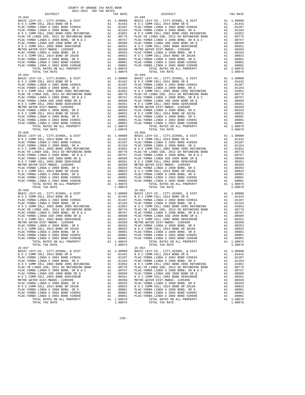| TAX RATE<br>DISTRICT |         | DISTRICT       | TAX RATE |
|----------------------|---------|----------------|----------|
|                      |         |                |          |
|                      |         |                |          |
|                      |         |                |          |
|                      |         |                |          |
|                      |         |                |          |
|                      |         |                |          |
|                      |         |                |          |
|                      |         |                |          |
|                      |         |                |          |
|                      |         |                |          |
|                      |         |                |          |
|                      |         |                |          |
|                      |         |                |          |
|                      |         |                |          |
|                      |         |                |          |
|                      |         |                |          |
|                      |         |                |          |
|                      |         |                |          |
|                      |         |                |          |
|                      |         |                |          |
|                      |         |                |          |
|                      |         |                |          |
|                      |         |                |          |
|                      |         |                |          |
|                      |         |                |          |
|                      |         |                |          |
|                      |         |                |          |
|                      |         |                |          |
|                      |         |                |          |
|                      |         |                |          |
|                      |         |                |          |
|                      |         |                |          |
|                      |         |                |          |
|                      |         |                |          |
|                      |         |                |          |
|                      |         |                |          |
|                      |         |                |          |
|                      |         |                |          |
|                      |         |                |          |
|                      |         |                |          |
|                      |         |                |          |
|                      |         |                |          |
|                      |         |                |          |
|                      |         |                |          |
|                      |         |                |          |
|                      |         |                |          |
|                      |         |                |          |
|                      |         |                |          |
|                      |         |                |          |
|                      |         |                |          |
|                      |         |                |          |
|                      |         |                |          |
|                      |         |                |          |
|                      |         |                |          |
|                      |         |                |          |
|                      |         |                |          |
|                      |         |                |          |
|                      |         |                |          |
|                      |         |                |          |
|                      |         |                |          |
|                      |         |                |          |
|                      |         |                |          |
|                      |         |                |          |
|                      |         |                |          |
|                      |         |                |          |
|                      |         |                |          |
|                      |         |                |          |
| $25 - 047$           |         | $25 - 052$     |          |
|                      |         |                |          |
|                      |         |                |          |
|                      |         |                |          |
|                      |         |                |          |
|                      |         |                |          |
|                      |         |                |          |
|                      |         |                |          |
|                      |         |                |          |
|                      |         |                |          |
|                      |         |                |          |
|                      |         |                |          |
|                      |         |                |          |
|                      |         |                |          |
|                      |         |                |          |
|                      |         |                |          |
| TOTAL TAX RATE       | 1.08076 | TOTAL TAX RATE | 1.08076  |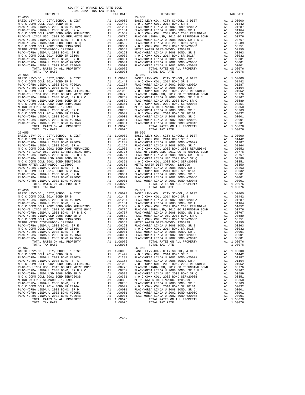| TAX RATE<br>DISTRICT |         | DISTRICT       | TAX RATE |
|----------------------|---------|----------------|----------|
|                      |         |                |          |
|                      |         |                |          |
|                      |         |                |          |
|                      |         |                |          |
|                      |         |                |          |
|                      |         |                |          |
|                      |         |                |          |
|                      |         |                |          |
|                      |         |                |          |
|                      |         |                |          |
|                      |         |                |          |
|                      |         |                |          |
|                      |         |                |          |
|                      |         |                |          |
|                      |         |                |          |
|                      |         |                |          |
|                      |         |                |          |
|                      |         |                |          |
|                      |         |                |          |
|                      |         |                |          |
|                      |         |                |          |
|                      |         |                |          |
|                      |         |                |          |
|                      |         |                |          |
|                      |         |                |          |
|                      |         |                |          |
|                      |         |                |          |
|                      |         |                |          |
|                      |         |                |          |
|                      |         |                |          |
|                      |         |                |          |
|                      |         |                |          |
|                      |         |                |          |
|                      |         |                |          |
|                      |         |                |          |
|                      |         |                |          |
|                      |         |                |          |
|                      |         |                |          |
|                      |         |                |          |
|                      |         |                |          |
|                      |         |                |          |
|                      |         |                |          |
|                      |         |                |          |
|                      |         |                |          |
|                      |         |                |          |
|                      |         |                |          |
|                      |         |                |          |
|                      |         |                |          |
|                      |         |                |          |
|                      |         |                |          |
|                      |         |                |          |
|                      |         |                |          |
|                      |         |                |          |
|                      |         |                |          |
|                      |         |                |          |
|                      |         |                |          |
|                      |         |                |          |
|                      |         |                |          |
|                      |         |                |          |
|                      |         |                |          |
|                      |         |                |          |
|                      |         |                |          |
|                      |         |                |          |
|                      |         |                |          |
|                      |         |                |          |
|                      |         |                |          |
|                      |         |                |          |
|                      |         |                |          |
|                      |         |                |          |
|                      |         |                |          |
| $25 - 057$           |         | $25 - 062$     |          |
|                      |         |                |          |
|                      |         |                |          |
|                      |         |                |          |
|                      |         |                |          |
|                      |         |                |          |
|                      |         |                |          |
|                      |         |                |          |
|                      |         |                |          |
|                      |         |                |          |
|                      |         |                |          |
|                      |         |                |          |
|                      |         |                |          |
|                      |         |                |          |
|                      |         |                |          |
|                      |         |                |          |
| TOTAL TAX RATE       |         |                |          |
|                      | 1.08076 | TOTAL TAX RATE | 1.08076  |

 $-246-$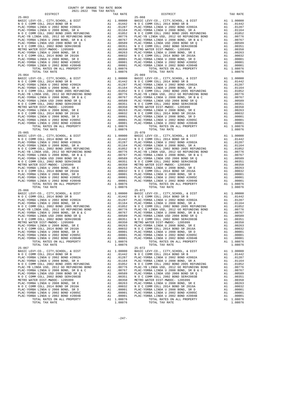| TAX RATE<br>DISTRICT |         | DISTRICT       | TAX RATE |
|----------------------|---------|----------------|----------|
|                      |         |                |          |
|                      |         |                |          |
|                      |         |                |          |
|                      |         |                |          |
|                      |         |                |          |
|                      |         |                |          |
|                      |         |                |          |
|                      |         |                |          |
|                      |         |                |          |
|                      |         |                |          |
|                      |         |                |          |
|                      |         |                |          |
|                      |         |                |          |
|                      |         |                |          |
|                      |         |                |          |
|                      |         |                |          |
|                      |         |                |          |
|                      |         |                |          |
|                      |         |                |          |
|                      |         |                |          |
|                      |         |                |          |
|                      |         |                |          |
|                      |         |                |          |
|                      |         |                |          |
|                      |         |                |          |
|                      |         |                |          |
|                      |         |                |          |
|                      |         |                |          |
|                      |         |                |          |
|                      |         |                |          |
|                      |         |                |          |
|                      |         |                |          |
|                      |         |                |          |
|                      |         |                |          |
|                      |         |                |          |
|                      |         |                |          |
|                      |         |                |          |
|                      |         |                |          |
|                      |         |                |          |
|                      |         |                |          |
|                      |         |                |          |
|                      |         |                |          |
|                      |         |                |          |
|                      |         |                |          |
|                      |         |                |          |
|                      |         |                |          |
|                      |         |                |          |
|                      |         |                |          |
|                      |         |                |          |
|                      |         |                |          |
|                      |         |                |          |
|                      |         |                |          |
|                      |         |                |          |
|                      |         |                |          |
|                      |         |                |          |
|                      |         |                |          |
|                      |         |                |          |
|                      |         |                |          |
|                      |         |                |          |
|                      |         |                |          |
|                      |         |                |          |
|                      |         |                |          |
|                      |         |                |          |
|                      |         |                |          |
|                      |         |                |          |
|                      |         |                |          |
|                      |         |                |          |
| $25 - 067$           |         | $25 - 072$     |          |
|                      |         |                |          |
|                      |         |                |          |
|                      |         |                |          |
|                      |         |                |          |
|                      |         |                |          |
|                      |         |                |          |
|                      |         |                |          |
|                      |         |                |          |
|                      |         |                |          |
|                      |         |                |          |
|                      |         |                |          |
|                      |         |                |          |
|                      |         |                |          |
|                      |         |                |          |
|                      |         |                |          |
| TOTAL TAX RATE       | 1.08076 | TOTAL TAX RATE | 1.08076  |

 $-247-$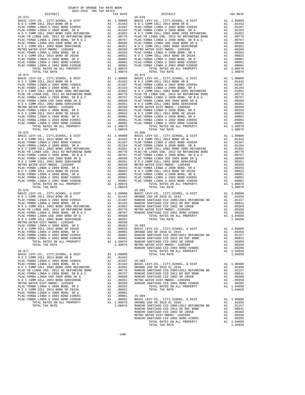| COUNTY OF ORANGE TAX RATE BOOK<br>$\begin{minipage}{0.5\textwidth} \begin{tabular}{lcccccc} \textbf{1} & \textbf{1} & \textbf{1} & \textbf{1} & \textbf{1} & \textbf{1} & \textbf{1} & \textbf{1} & \textbf{1} & \textbf{1} & \textbf{1} & \textbf{1} & \textbf{1} & \textbf{1} & \textbf{1} & \textbf{1} & \textbf{1} & \textbf{1} & \textbf{1} & \textbf{1} & \textbf{1} & \textbf{1} & \textbf{1} & \textbf{1} & \textbf{1} & \textbf{1} & \textbf{1} & \textbf{1} &$ |          |            |          |
|--------------------------------------------------------------------------------------------------------------------------------------------------------------------------------------------------------------------------------------------------------------------------------------------------------------------------------------------------------------------------------------------------------------------------------------------------------------------------|----------|------------|----------|
|                                                                                                                                                                                                                                                                                                                                                                                                                                                                          | TAX RATE | DISTRICT   | TAX RATE |
| $\begin{tabular}{cccccccc} $16-473 & 0.78 & 0.78 & 0.78 & 0.78 & 0.78 & 0.78 & 0.78 & 0.78 & 0.78 & 0.78 & 0.78 & 0.78 & 0.78 & 0.78 & 0.78 & 0.78 & 0.78 & 0.78 & 0.78 & 0.78 & 0.78 & 0.78 & 0.78 & 0.78 & 0.78 & 0.78 & 0.78 & 0.78 & 0.78 & 0.78 & 0.78 & 0.78 & 0.78 & 0.78$                                                                                                                                                                                        |          | $25 - 078$ |          |
|                                                                                                                                                                                                                                                                                                                                                                                                                                                                          |          |            |          |
|                                                                                                                                                                                                                                                                                                                                                                                                                                                                          |          |            |          |
|                                                                                                                                                                                                                                                                                                                                                                                                                                                                          |          |            |          |
|                                                                                                                                                                                                                                                                                                                                                                                                                                                                          |          |            |          |
|                                                                                                                                                                                                                                                                                                                                                                                                                                                                          |          |            |          |
|                                                                                                                                                                                                                                                                                                                                                                                                                                                                          |          |            |          |
|                                                                                                                                                                                                                                                                                                                                                                                                                                                                          |          |            |          |
|                                                                                                                                                                                                                                                                                                                                                                                                                                                                          |          |            |          |
|                                                                                                                                                                                                                                                                                                                                                                                                                                                                          |          |            |          |
|                                                                                                                                                                                                                                                                                                                                                                                                                                                                          |          |            |          |
|                                                                                                                                                                                                                                                                                                                                                                                                                                                                          |          |            |          |
|                                                                                                                                                                                                                                                                                                                                                                                                                                                                          |          |            |          |
|                                                                                                                                                                                                                                                                                                                                                                                                                                                                          |          |            |          |
|                                                                                                                                                                                                                                                                                                                                                                                                                                                                          |          |            |          |
|                                                                                                                                                                                                                                                                                                                                                                                                                                                                          |          |            |          |
|                                                                                                                                                                                                                                                                                                                                                                                                                                                                          |          |            |          |
|                                                                                                                                                                                                                                                                                                                                                                                                                                                                          |          |            |          |
|                                                                                                                                                                                                                                                                                                                                                                                                                                                                          |          |            |          |
|                                                                                                                                                                                                                                                                                                                                                                                                                                                                          |          |            |          |
|                                                                                                                                                                                                                                                                                                                                                                                                                                                                          |          |            |          |
|                                                                                                                                                                                                                                                                                                                                                                                                                                                                          |          |            |          |
|                                                                                                                                                                                                                                                                                                                                                                                                                                                                          |          |            |          |
|                                                                                                                                                                                                                                                                                                                                                                                                                                                                          |          |            |          |
|                                                                                                                                                                                                                                                                                                                                                                                                                                                                          |          |            |          |
|                                                                                                                                                                                                                                                                                                                                                                                                                                                                          |          |            |          |
|                                                                                                                                                                                                                                                                                                                                                                                                                                                                          |          |            |          |
|                                                                                                                                                                                                                                                                                                                                                                                                                                                                          |          |            |          |
|                                                                                                                                                                                                                                                                                                                                                                                                                                                                          |          |            |          |
|                                                                                                                                                                                                                                                                                                                                                                                                                                                                          |          |            |          |
|                                                                                                                                                                                                                                                                                                                                                                                                                                                                          |          |            |          |
|                                                                                                                                                                                                                                                                                                                                                                                                                                                                          |          |            |          |
|                                                                                                                                                                                                                                                                                                                                                                                                                                                                          |          |            |          |
|                                                                                                                                                                                                                                                                                                                                                                                                                                                                          |          |            |          |
|                                                                                                                                                                                                                                                                                                                                                                                                                                                                          |          |            |          |
|                                                                                                                                                                                                                                                                                                                                                                                                                                                                          |          |            |          |
|                                                                                                                                                                                                                                                                                                                                                                                                                                                                          |          |            |          |
|                                                                                                                                                                                                                                                                                                                                                                                                                                                                          |          |            |          |
|                                                                                                                                                                                                                                                                                                                                                                                                                                                                          |          |            |          |
|                                                                                                                                                                                                                                                                                                                                                                                                                                                                          |          |            |          |
|                                                                                                                                                                                                                                                                                                                                                                                                                                                                          |          |            |          |
|                                                                                                                                                                                                                                                                                                                                                                                                                                                                          |          |            |          |
|                                                                                                                                                                                                                                                                                                                                                                                                                                                                          |          |            |          |
|                                                                                                                                                                                                                                                                                                                                                                                                                                                                          |          |            |          |
|                                                                                                                                                                                                                                                                                                                                                                                                                                                                          |          |            |          |
|                                                                                                                                                                                                                                                                                                                                                                                                                                                                          |          |            |          |
|                                                                                                                                                                                                                                                                                                                                                                                                                                                                          |          |            |          |
|                                                                                                                                                                                                                                                                                                                                                                                                                                                                          |          |            |          |
|                                                                                                                                                                                                                                                                                                                                                                                                                                                                          |          |            |          |
|                                                                                                                                                                                                                                                                                                                                                                                                                                                                          |          |            |          |
|                                                                                                                                                                                                                                                                                                                                                                                                                                                                          |          |            |          |
|                                                                                                                                                                                                                                                                                                                                                                                                                                                                          |          |            |          |
|                                                                                                                                                                                                                                                                                                                                                                                                                                                                          |          |            |          |
|                                                                                                                                                                                                                                                                                                                                                                                                                                                                          |          |            |          |
|                                                                                                                                                                                                                                                                                                                                                                                                                                                                          |          |            |          |
|                                                                                                                                                                                                                                                                                                                                                                                                                                                                          |          |            |          |
|                                                                                                                                                                                                                                                                                                                                                                                                                                                                          |          |            |          |
|                                                                                                                                                                                                                                                                                                                                                                                                                                                                          |          |            |          |
|                                                                                                                                                                                                                                                                                                                                                                                                                                                                          |          |            |          |
|                                                                                                                                                                                                                                                                                                                                                                                                                                                                          |          |            |          |
|                                                                                                                                                                                                                                                                                                                                                                                                                                                                          |          |            |          |
|                                                                                                                                                                                                                                                                                                                                                                                                                                                                          |          |            |          |
|                                                                                                                                                                                                                                                                                                                                                                                                                                                                          |          |            |          |
|                                                                                                                                                                                                                                                                                                                                                                                                                                                                          |          |            |          |
|                                                                                                                                                                                                                                                                                                                                                                                                                                                                          |          |            |          |
|                                                                                                                                                                                                                                                                                                                                                                                                                                                                          |          |            |          |
|                                                                                                                                                                                                                                                                                                                                                                                                                                                                          |          |            |          |
|                                                                                                                                                                                                                                                                                                                                                                                                                                                                          |          |            |          |
|                                                                                                                                                                                                                                                                                                                                                                                                                                                                          |          |            |          |
|                                                                                                                                                                                                                                                                                                                                                                                                                                                                          |          |            |          |
|                                                                                                                                                                                                                                                                                                                                                                                                                                                                          |          |            |          |
| $\begin{array}{cccccc} 10704, 04780000, 0414, 90098007 & 011.08078 & 11.08078 & 10704, 104782, 0044, 1049698077 \\ \hline 184.76 & 04084, 04084, 04084, 04084, 04084, 04084, 04084, 04084, 04084, 04084, 04084, 04084, 04084, 04084, 04084, 04084, 0$                                                                                                                                                                                                                    |          |            |          |
|                                                                                                                                                                                                                                                                                                                                                                                                                                                                          |          |            |          |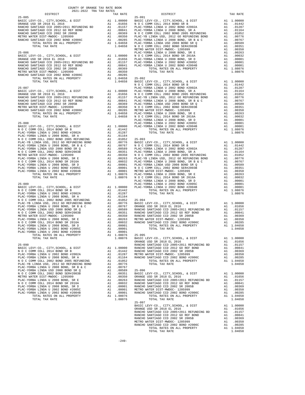| COUNTY OF ORANGE TAX RATE BOOK<br>2021-2022 TRA TAX RATES<br>$\begin{minipage}{.4\linewidth} \begin{tabular}{lcccccc} \multicolumn{2}{c}{\textbf{1-AX} RATE} & \multicolumn{2}{c}{\textbf{1-AX} RATE} & \multicolumn{2}{c}{\textbf{1-AX} RATE} & \multicolumn{2}{c}{\textbf{1-AY} RATE} & \multicolumn{2}{c}{\textbf{2021 - 2022} } & \multicolumn{2}{c}{\textbf{1-AY} RATE} & \multicolumn{2}{c}{\textbf{1-AY} RATE} & \multicolumn{2}{c}{\textbf{2021 - 2022} } & \multicolumn{2}{c}{\textbf{1-AY} RATE}$ | TAX RATE | DISTRICT       | TAX RATE |
|-------------------------------------------------------------------------------------------------------------------------------------------------------------------------------------------------------------------------------------------------------------------------------------------------------------------------------------------------------------------------------------------------------------------------------------------------------------------------------------------------------------|----------|----------------|----------|
|                                                                                                                                                                                                                                                                                                                                                                                                                                                                                                             |          |                |          |
|                                                                                                                                                                                                                                                                                                                                                                                                                                                                                                             |          |                |          |
|                                                                                                                                                                                                                                                                                                                                                                                                                                                                                                             |          |                |          |
|                                                                                                                                                                                                                                                                                                                                                                                                                                                                                                             |          |                |          |
|                                                                                                                                                                                                                                                                                                                                                                                                                                                                                                             |          |                |          |
|                                                                                                                                                                                                                                                                                                                                                                                                                                                                                                             |          |                |          |
|                                                                                                                                                                                                                                                                                                                                                                                                                                                                                                             |          |                |          |
|                                                                                                                                                                                                                                                                                                                                                                                                                                                                                                             |          |                |          |
|                                                                                                                                                                                                                                                                                                                                                                                                                                                                                                             |          |                |          |
|                                                                                                                                                                                                                                                                                                                                                                                                                                                                                                             |          |                |          |
|                                                                                                                                                                                                                                                                                                                                                                                                                                                                                                             |          |                |          |
|                                                                                                                                                                                                                                                                                                                                                                                                                                                                                                             |          |                |          |
|                                                                                                                                                                                                                                                                                                                                                                                                                                                                                                             |          |                |          |
|                                                                                                                                                                                                                                                                                                                                                                                                                                                                                                             |          |                |          |
|                                                                                                                                                                                                                                                                                                                                                                                                                                                                                                             |          |                |          |
|                                                                                                                                                                                                                                                                                                                                                                                                                                                                                                             |          |                |          |
|                                                                                                                                                                                                                                                                                                                                                                                                                                                                                                             |          |                |          |
|                                                                                                                                                                                                                                                                                                                                                                                                                                                                                                             |          |                |          |
|                                                                                                                                                                                                                                                                                                                                                                                                                                                                                                             |          |                |          |
|                                                                                                                                                                                                                                                                                                                                                                                                                                                                                                             |          |                |          |
|                                                                                                                                                                                                                                                                                                                                                                                                                                                                                                             |          |                |          |
|                                                                                                                                                                                                                                                                                                                                                                                                                                                                                                             |          |                |          |
|                                                                                                                                                                                                                                                                                                                                                                                                                                                                                                             |          |                |          |
|                                                                                                                                                                                                                                                                                                                                                                                                                                                                                                             |          |                |          |
|                                                                                                                                                                                                                                                                                                                                                                                                                                                                                                             |          |                |          |
|                                                                                                                                                                                                                                                                                                                                                                                                                                                                                                             |          |                |          |
|                                                                                                                                                                                                                                                                                                                                                                                                                                                                                                             |          |                |          |
|                                                                                                                                                                                                                                                                                                                                                                                                                                                                                                             |          |                |          |
|                                                                                                                                                                                                                                                                                                                                                                                                                                                                                                             |          |                |          |
|                                                                                                                                                                                                                                                                                                                                                                                                                                                                                                             |          |                |          |
|                                                                                                                                                                                                                                                                                                                                                                                                                                                                                                             |          |                |          |
|                                                                                                                                                                                                                                                                                                                                                                                                                                                                                                             |          |                |          |
|                                                                                                                                                                                                                                                                                                                                                                                                                                                                                                             |          |                |          |
|                                                                                                                                                                                                                                                                                                                                                                                                                                                                                                             |          |                |          |
|                                                                                                                                                                                                                                                                                                                                                                                                                                                                                                             |          |                |          |
|                                                                                                                                                                                                                                                                                                                                                                                                                                                                                                             |          |                |          |
|                                                                                                                                                                                                                                                                                                                                                                                                                                                                                                             |          |                |          |
|                                                                                                                                                                                                                                                                                                                                                                                                                                                                                                             |          |                |          |
|                                                                                                                                                                                                                                                                                                                                                                                                                                                                                                             |          |                |          |
|                                                                                                                                                                                                                                                                                                                                                                                                                                                                                                             |          |                |          |
|                                                                                                                                                                                                                                                                                                                                                                                                                                                                                                             |          |                |          |
|                                                                                                                                                                                                                                                                                                                                                                                                                                                                                                             |          |                |          |
|                                                                                                                                                                                                                                                                                                                                                                                                                                                                                                             |          |                |          |
|                                                                                                                                                                                                                                                                                                                                                                                                                                                                                                             |          |                |          |
|                                                                                                                                                                                                                                                                                                                                                                                                                                                                                                             |          |                |          |
|                                                                                                                                                                                                                                                                                                                                                                                                                                                                                                             |          |                |          |
|                                                                                                                                                                                                                                                                                                                                                                                                                                                                                                             |          |                |          |
|                                                                                                                                                                                                                                                                                                                                                                                                                                                                                                             |          |                |          |
|                                                                                                                                                                                                                                                                                                                                                                                                                                                                                                             |          |                |          |
|                                                                                                                                                                                                                                                                                                                                                                                                                                                                                                             |          |                |          |
|                                                                                                                                                                                                                                                                                                                                                                                                                                                                                                             |          |                |          |
|                                                                                                                                                                                                                                                                                                                                                                                                                                                                                                             |          |                |          |
|                                                                                                                                                                                                                                                                                                                                                                                                                                                                                                             |          |                |          |
|                                                                                                                                                                                                                                                                                                                                                                                                                                                                                                             |          |                |          |
|                                                                                                                                                                                                                                                                                                                                                                                                                                                                                                             |          |                |          |
|                                                                                                                                                                                                                                                                                                                                                                                                                                                                                                             |          |                |          |
|                                                                                                                                                                                                                                                                                                                                                                                                                                                                                                             |          |                |          |
|                                                                                                                                                                                                                                                                                                                                                                                                                                                                                                             |          |                |          |
|                                                                                                                                                                                                                                                                                                                                                                                                                                                                                                             |          |                |          |
|                                                                                                                                                                                                                                                                                                                                                                                                                                                                                                             |          |                |          |
|                                                                                                                                                                                                                                                                                                                                                                                                                                                                                                             |          |                |          |
|                                                                                                                                                                                                                                                                                                                                                                                                                                                                                                             |          |                |          |
|                                                                                                                                                                                                                                                                                                                                                                                                                                                                                                             |          |                |          |
|                                                                                                                                                                                                                                                                                                                                                                                                                                                                                                             |          |                |          |
|                                                                                                                                                                                                                                                                                                                                                                                                                                                                                                             |          |                |          |
|                                                                                                                                                                                                                                                                                                                                                                                                                                                                                                             |          |                |          |
|                                                                                                                                                                                                                                                                                                                                                                                                                                                                                                             |          |                |          |
|                                                                                                                                                                                                                                                                                                                                                                                                                                                                                                             |          |                |          |
|                                                                                                                                                                                                                                                                                                                                                                                                                                                                                                             |          |                |          |
|                                                                                                                                                                                                                                                                                                                                                                                                                                                                                                             |          |                |          |
|                                                                                                                                                                                                                                                                                                                                                                                                                                                                                                             |          |                |          |
|                                                                                                                                                                                                                                                                                                                                                                                                                                                                                                             |          |                |          |
|                                                                                                                                                                                                                                                                                                                                                                                                                                                                                                             |          |                |          |
|                                                                                                                                                                                                                                                                                                                                                                                                                                                                                                             |          |                |          |
|                                                                                                                                                                                                                                                                                                                                                                                                                                                                                                             |          | $25 - 097$     |          |
|                                                                                                                                                                                                                                                                                                                                                                                                                                                                                                             |          |                |          |
|                                                                                                                                                                                                                                                                                                                                                                                                                                                                                                             |          |                |          |
|                                                                                                                                                                                                                                                                                                                                                                                                                                                                                                             |          |                |          |
|                                                                                                                                                                                                                                                                                                                                                                                                                                                                                                             |          |                |          |
|                                                                                                                                                                                                                                                                                                                                                                                                                                                                                                             |          |                |          |
|                                                                                                                                                                                                                                                                                                                                                                                                                                                                                                             |          |                |          |
|                                                                                                                                                                                                                                                                                                                                                                                                                                                                                                             |          | TOTAL TAX RATE | 1.04658  |
|                                                                                                                                                                                                                                                                                                                                                                                                                                                                                                             |          |                |          |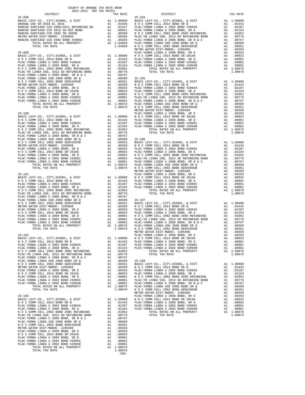| COUNTY OF ORANGE TAX RATE BOOK |          |          |          |
|--------------------------------|----------|----------|----------|
|                                | TAX RATE | DISTRICT | TAX RATE |
|                                |          |          |          |
|                                |          |          |          |
|                                |          |          |          |
|                                |          |          |          |
|                                |          |          |          |
|                                |          |          |          |
|                                |          |          |          |
|                                |          |          |          |
|                                |          |          |          |
|                                |          |          |          |
|                                |          |          |          |
|                                |          |          |          |
|                                |          |          |          |
|                                |          |          |          |
|                                |          |          |          |
|                                |          |          |          |
|                                |          |          |          |
|                                |          |          |          |
|                                |          |          |          |
|                                |          |          |          |
|                                |          |          |          |
|                                |          |          |          |
|                                |          |          |          |
|                                |          |          |          |
|                                |          |          |          |
|                                |          |          |          |
|                                |          |          |          |
|                                |          |          |          |
|                                |          |          |          |
|                                |          |          |          |
|                                |          |          |          |
|                                |          |          |          |
|                                |          |          |          |
|                                |          |          |          |
|                                |          |          |          |
|                                |          |          |          |
|                                |          |          |          |
|                                |          |          |          |
|                                |          |          |          |
|                                |          |          |          |
|                                |          |          |          |
|                                |          |          |          |
|                                |          |          |          |
|                                |          |          |          |
|                                |          |          |          |
|                                |          |          |          |
|                                |          |          |          |
|                                |          |          |          |
|                                |          |          |          |
|                                |          |          |          |
|                                |          |          |          |
|                                |          |          |          |
|                                |          |          |          |
|                                |          |          |          |
|                                |          |          |          |
|                                |          |          |          |
|                                |          |          |          |
|                                |          |          |          |
|                                |          |          |          |
|                                |          |          |          |
|                                |          |          |          |
|                                |          |          |          |
|                                |          |          |          |
|                                |          |          |          |
|                                |          |          |          |
|                                |          |          |          |
|                                |          |          |          |

-250-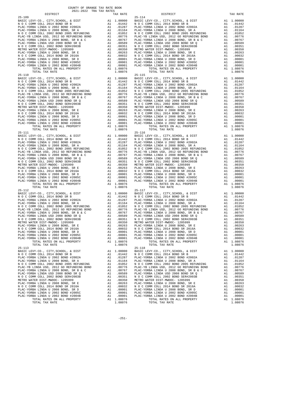| COUNTY OF ORANGE TAX RATE BOOK<br>$2021-2022 \quad \text{TRA TAX RATES}$ DISTRICT $\hspace{2.5cm}$ |          |                |          |
|----------------------------------------------------------------------------------------------------|----------|----------------|----------|
|                                                                                                    | TAX RATE | DISTRICT       | TAX RATE |
|                                                                                                    |          | $25 - 114$     |          |
|                                                                                                    |          |                |          |
|                                                                                                    |          |                |          |
|                                                                                                    |          |                |          |
|                                                                                                    |          |                |          |
|                                                                                                    |          |                |          |
|                                                                                                    |          |                |          |
|                                                                                                    |          |                |          |
|                                                                                                    |          |                |          |
|                                                                                                    |          |                |          |
|                                                                                                    |          |                |          |
|                                                                                                    |          |                |          |
|                                                                                                    |          |                |          |
|                                                                                                    |          |                |          |
|                                                                                                    |          |                |          |
|                                                                                                    |          |                |          |
|                                                                                                    |          |                |          |
|                                                                                                    |          |                |          |
|                                                                                                    |          |                |          |
|                                                                                                    |          |                |          |
|                                                                                                    |          |                |          |
|                                                                                                    |          |                |          |
|                                                                                                    |          |                |          |
|                                                                                                    |          |                |          |
|                                                                                                    |          |                |          |
|                                                                                                    |          |                |          |
|                                                                                                    |          |                |          |
|                                                                                                    |          |                |          |
|                                                                                                    |          |                |          |
|                                                                                                    |          |                |          |
|                                                                                                    |          |                |          |
|                                                                                                    |          |                |          |
|                                                                                                    |          |                |          |
|                                                                                                    |          |                |          |
|                                                                                                    |          |                |          |
|                                                                                                    |          |                |          |
|                                                                                                    |          |                |          |
|                                                                                                    |          |                |          |
|                                                                                                    |          |                |          |
|                                                                                                    |          |                |          |
|                                                                                                    |          |                |          |
|                                                                                                    |          |                |          |
|                                                                                                    |          |                |          |
|                                                                                                    |          |                |          |
|                                                                                                    |          |                |          |
|                                                                                                    |          |                |          |
|                                                                                                    |          |                |          |
| TOTAL TAX RATE                                                                                     | 1.08076  | TOTAL TAX RATE | 1.08076  |
| $25 - 113$                                                                                         |          | $25 - 118$     |          |
|                                                                                                    |          |                |          |
|                                                                                                    |          |                |          |
|                                                                                                    |          |                |          |
|                                                                                                    |          |                |          |
|                                                                                                    |          |                |          |
|                                                                                                    |          |                |          |
|                                                                                                    |          |                |          |
|                                                                                                    |          |                |          |
|                                                                                                    |          |                |          |
|                                                                                                    |          |                |          |
| TOTAL TAX RATE                                                                                     | 1.08076  |                | 1.08076  |
|                                                                                                    |          | TOTAL TAX RATE |          |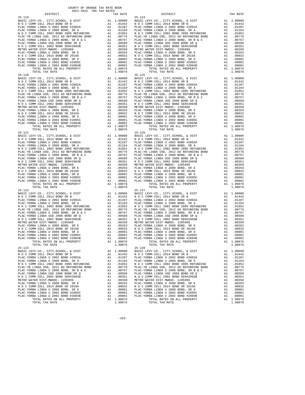| COUNTY OF ORANGE TAX RATE BOOK<br>$2021-2022 \quad \text{TRA TAX RATES}$ DISTRICT $2021-2022 \quad \text{TRA TAX RATES}$ |          |                              |          |
|--------------------------------------------------------------------------------------------------------------------------|----------|------------------------------|----------|
|                                                                                                                          | TAX RATE | DISTRICT                     | TAX RATE |
|                                                                                                                          |          | $25 - 124$                   |          |
|                                                                                                                          |          |                              |          |
|                                                                                                                          |          |                              |          |
|                                                                                                                          |          |                              |          |
|                                                                                                                          |          |                              |          |
|                                                                                                                          |          |                              |          |
|                                                                                                                          |          |                              |          |
|                                                                                                                          |          |                              |          |
|                                                                                                                          |          |                              |          |
|                                                                                                                          |          |                              |          |
|                                                                                                                          |          |                              |          |
|                                                                                                                          |          |                              |          |
|                                                                                                                          |          |                              |          |
|                                                                                                                          |          |                              |          |
|                                                                                                                          |          |                              |          |
|                                                                                                                          |          |                              |          |
|                                                                                                                          |          |                              |          |
|                                                                                                                          |          |                              |          |
|                                                                                                                          |          |                              |          |
|                                                                                                                          |          |                              |          |
|                                                                                                                          |          |                              |          |
|                                                                                                                          |          |                              |          |
|                                                                                                                          |          |                              |          |
|                                                                                                                          |          |                              |          |
|                                                                                                                          |          |                              |          |
|                                                                                                                          |          |                              |          |
|                                                                                                                          |          |                              |          |
|                                                                                                                          |          |                              |          |
|                                                                                                                          |          |                              |          |
|                                                                                                                          |          |                              |          |
|                                                                                                                          |          |                              |          |
|                                                                                                                          |          |                              |          |
|                                                                                                                          |          |                              |          |
|                                                                                                                          |          |                              |          |
|                                                                                                                          |          |                              |          |
|                                                                                                                          |          |                              |          |
|                                                                                                                          |          |                              |          |
|                                                                                                                          |          |                              |          |
|                                                                                                                          |          |                              |          |
|                                                                                                                          |          |                              |          |
|                                                                                                                          |          |                              |          |
|                                                                                                                          |          |                              |          |
|                                                                                                                          |          |                              |          |
| TOTAL TAX RATE<br>$25 - 123$                                                                                             | 1.08076  | TOTAL TAX RATE<br>$25 - 128$ | 1.08076  |
|                                                                                                                          |          |                              |          |
|                                                                                                                          |          |                              |          |
|                                                                                                                          |          |                              |          |
|                                                                                                                          |          |                              |          |
|                                                                                                                          |          |                              |          |
|                                                                                                                          |          |                              |          |
|                                                                                                                          |          |                              |          |
|                                                                                                                          |          |                              |          |
|                                                                                                                          |          |                              |          |
|                                                                                                                          |          |                              |          |
| TOTAL TAX RATE                                                                                                           | 1.08076  | TOTAL TAX RATE               | 1.08076  |
|                                                                                                                          |          |                              |          |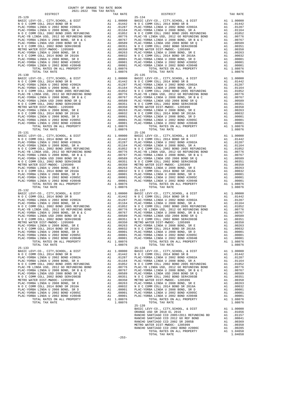| $25 - 129$ |  | $25 - 134$ |  |
|------------|--|------------|--|
|            |  |            |  |
|            |  |            |  |
|            |  |            |  |
|            |  |            |  |
|            |  |            |  |
|            |  |            |  |
|            |  |            |  |
|            |  |            |  |
|            |  |            |  |
|            |  |            |  |
|            |  |            |  |
|            |  |            |  |
|            |  |            |  |
|            |  |            |  |
|            |  |            |  |
|            |  |            |  |
|            |  |            |  |
|            |  |            |  |
|            |  |            |  |
|            |  |            |  |
|            |  |            |  |
|            |  |            |  |

DISTRICT TAX RATE DISTRICT TAX RATE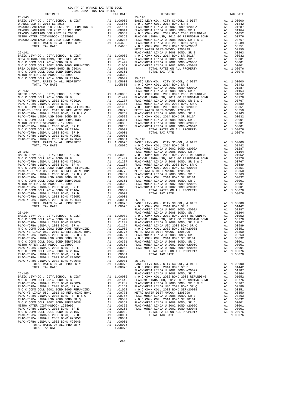| COUNTY OF ORANGE TAX RATE BOOK<br>2021-2022 TRA TAX RATES |                                                                                                                                                                                                                                                                                                                                                                                               |          |
|-----------------------------------------------------------|-----------------------------------------------------------------------------------------------------------------------------------------------------------------------------------------------------------------------------------------------------------------------------------------------------------------------------------------------------------------------------------------------|----------|
| DISTRICT                                                  | RA TAX RATES<br>TAX RATE TAX DISTRICT                                                                                                                                                                                                                                                                                                                                                         | TAX RATE |
|                                                           | $25 - 146$                                                                                                                                                                                                                                                                                                                                                                                    |          |
|                                                           |                                                                                                                                                                                                                                                                                                                                                                                               |          |
|                                                           |                                                                                                                                                                                                                                                                                                                                                                                               |          |
|                                                           |                                                                                                                                                                                                                                                                                                                                                                                               |          |
|                                                           |                                                                                                                                                                                                                                                                                                                                                                                               |          |
|                                                           |                                                                                                                                                                                                                                                                                                                                                                                               |          |
|                                                           |                                                                                                                                                                                                                                                                                                                                                                                               |          |
|                                                           |                                                                                                                                                                                                                                                                                                                                                                                               |          |
|                                                           |                                                                                                                                                                                                                                                                                                                                                                                               |          |
|                                                           |                                                                                                                                                                                                                                                                                                                                                                                               |          |
|                                                           |                                                                                                                                                                                                                                                                                                                                                                                               |          |
|                                                           |                                                                                                                                                                                                                                                                                                                                                                                               |          |
|                                                           |                                                                                                                                                                                                                                                                                                                                                                                               |          |
|                                                           |                                                                                                                                                                                                                                                                                                                                                                                               |          |
|                                                           |                                                                                                                                                                                                                                                                                                                                                                                               |          |
|                                                           |                                                                                                                                                                                                                                                                                                                                                                                               |          |
|                                                           |                                                                                                                                                                                                                                                                                                                                                                                               |          |
|                                                           |                                                                                                                                                                                                                                                                                                                                                                                               |          |
|                                                           |                                                                                                                                                                                                                                                                                                                                                                                               |          |
|                                                           |                                                                                                                                                                                                                                                                                                                                                                                               |          |
|                                                           |                                                                                                                                                                                                                                                                                                                                                                                               |          |
|                                                           |                                                                                                                                                                                                                                                                                                                                                                                               |          |
|                                                           |                                                                                                                                                                                                                                                                                                                                                                                               |          |
|                                                           |                                                                                                                                                                                                                                                                                                                                                                                               |          |
|                                                           |                                                                                                                                                                                                                                                                                                                                                                                               |          |
|                                                           |                                                                                                                                                                                                                                                                                                                                                                                               |          |
|                                                           |                                                                                                                                                                                                                                                                                                                                                                                               |          |
|                                                           |                                                                                                                                                                                                                                                                                                                                                                                               |          |
|                                                           |                                                                                                                                                                                                                                                                                                                                                                                               |          |
|                                                           |                                                                                                                                                                                                                                                                                                                                                                                               |          |
|                                                           |                                                                                                                                                                                                                                                                                                                                                                                               |          |
|                                                           |                                                                                                                                                                                                                                                                                                                                                                                               |          |
|                                                           |                                                                                                                                                                                                                                                                                                                                                                                               |          |
|                                                           |                                                                                                                                                                                                                                                                                                                                                                                               |          |
|                                                           |                                                                                                                                                                                                                                                                                                                                                                                               |          |
|                                                           |                                                                                                                                                                                                                                                                                                                                                                                               |          |
|                                                           |                                                                                                                                                                                                                                                                                                                                                                                               |          |
|                                                           |                                                                                                                                                                                                                                                                                                                                                                                               |          |
|                                                           |                                                                                                                                                                                                                                                                                                                                                                                               |          |
|                                                           |                                                                                                                                                                                                                                                                                                                                                                                               |          |
|                                                           |                                                                                                                                                                                                                                                                                                                                                                                               |          |
|                                                           |                                                                                                                                                                                                                                                                                                                                                                                               |          |
|                                                           |                                                                                                                                                                                                                                                                                                                                                                                               |          |
|                                                           |                                                                                                                                                                                                                                                                                                                                                                                               |          |
|                                                           |                                                                                                                                                                                                                                                                                                                                                                                               |          |
|                                                           |                                                                                                                                                                                                                                                                                                                                                                                               |          |
|                                                           |                                                                                                                                                                                                                                                                                                                                                                                               |          |
|                                                           |                                                                                                                                                                                                                                                                                                                                                                                               |          |
|                                                           |                                                                                                                                                                                                                                                                                                                                                                                               |          |
|                                                           |                                                                                                                                                                                                                                                                                                                                                                                               |          |
|                                                           |                                                                                                                                                                                                                                                                                                                                                                                               |          |
|                                                           |                                                                                                                                                                                                                                                                                                                                                                                               |          |
|                                                           |                                                                                                                                                                                                                                                                                                                                                                                               |          |
|                                                           |                                                                                                                                                                                                                                                                                                                                                                                               |          |
|                                                           |                                                                                                                                                                                                                                                                                                                                                                                               |          |
|                                                           |                                                                                                                                                                                                                                                                                                                                                                                               |          |
|                                                           |                                                                                                                                                                                                                                                                                                                                                                                               |          |
|                                                           | $\begin{tabular}{cccccccc} \multicolumn{4}{c}{25-150} & \multicolumn{4}{c}{1.08076} & \multicolumn{4}{c}{1.08076} & \multicolumn{4}{c}{1.08076} & \multicolumn{4}{c}{1.08076} & \multicolumn{4}{c}{1.08076} & \multicolumn{4}{c}{1.08076} & \multicolumn{4}{c}{1.08076} & \multicolumn{4}{c}{1.08076} & \multicolumn{4}{c}{1.08076} & \multicolumn{4}{c}{1.08076} & \multicolumn{4}{c}{1.080$ |          |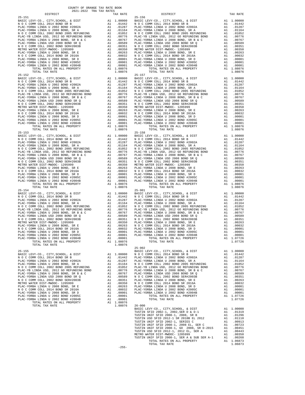|  | $25 - 156$     |         |
|--|----------------|---------|
|  |                |         |
|  |                |         |
|  |                |         |
|  |                |         |
|  |                |         |
|  |                |         |
|  |                |         |
|  |                |         |
|  |                |         |
|  |                |         |
|  |                |         |
|  |                |         |
|  |                |         |
|  |                |         |
|  |                |         |
|  |                |         |
|  |                |         |
|  |                |         |
|  |                |         |
|  |                |         |
|  |                |         |
|  |                |         |
|  |                |         |
|  |                |         |
|  |                |         |
|  |                |         |
|  |                |         |
|  |                |         |
|  |                |         |
|  |                |         |
|  |                |         |
|  |                |         |
|  |                |         |
|  |                |         |
|  |                |         |
|  |                |         |
|  |                |         |
|  |                |         |
|  |                |         |
|  |                |         |
|  |                |         |
|  |                |         |
|  |                |         |
|  |                |         |
|  |                |         |
|  |                |         |
|  |                |         |
|  |                |         |
|  |                |         |
|  |                |         |
|  |                |         |
|  |                |         |
|  |                |         |
|  |                |         |
|  |                |         |
|  |                |         |
|  |                |         |
|  |                |         |
|  |                |         |
|  |                |         |
|  |                |         |
|  |                |         |
|  |                |         |
|  |                |         |
|  |                |         |
|  |                |         |
|  |                |         |
|  |                |         |
|  |                |         |
|  |                |         |
|  |                |         |
|  |                |         |
|  |                |         |
|  |                |         |
|  |                |         |
|  |                |         |
|  |                |         |
|  |                |         |
|  |                |         |
|  |                |         |
|  |                |         |
|  |                |         |
|  |                |         |
|  |                |         |
|  |                |         |
|  |                |         |
|  |                |         |
|  |                |         |
|  |                |         |
|  |                |         |
|  |                |         |
|  |                |         |
|  |                |         |
|  |                |         |
|  |                |         |
|  |                |         |
|  |                |         |
|  |                |         |
|  |                |         |
|  |                |         |
|  |                |         |
|  |                |         |
|  |                |         |
|  |                |         |
|  |                |         |
|  |                |         |
|  |                |         |
|  |                |         |
|  |                |         |
|  |                |         |
|  |                |         |
|  |                |         |
|  |                |         |
|  |                |         |
|  |                |         |
|  |                |         |
|  |                |         |
|  |                |         |
|  |                |         |
|  |                |         |
|  |                |         |
|  |                |         |
|  |                |         |
|  |                |         |
|  |                |         |
|  |                |         |
|  |                |         |
|  |                |         |
|  |                |         |
|  |                |         |
|  |                |         |
|  |                |         |
|  |                |         |
|  | TOTAL TAX RATE | 1.06873 |

 $-255-$ 

COUNTY OF ORANGE TAX RATE BOOK<br>2021-2022 TRA TAX RATES DISTRICT DISTRICT TAX RATE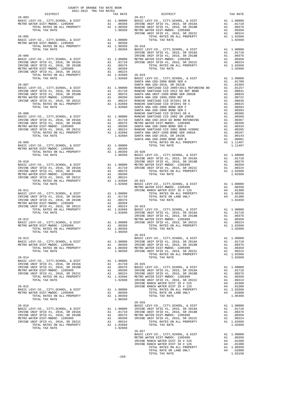| COUNTY OF ORANGE TAX RATE BOOK<br>2021-2022 TRA TAX RATES<br>DISTRICT TAX RJ |          |                                                                                                                                                                                                                                                                                                                                                                                                                  |          |
|------------------------------------------------------------------------------|----------|------------------------------------------------------------------------------------------------------------------------------------------------------------------------------------------------------------------------------------------------------------------------------------------------------------------------------------------------------------------------------------------------------------------|----------|
|                                                                              | TAX RATE | DISTRICT                                                                                                                                                                                                                                                                                                                                                                                                         | TAX RATE |
| $26 - 003$                                                                   |          | $26 - 017$                                                                                                                                                                                                                                                                                                                                                                                                       |          |
|                                                                              |          |                                                                                                                                                                                                                                                                                                                                                                                                                  |          |
|                                                                              |          |                                                                                                                                                                                                                                                                                                                                                                                                                  |          |
|                                                                              |          |                                                                                                                                                                                                                                                                                                                                                                                                                  |          |
|                                                                              |          |                                                                                                                                                                                                                                                                                                                                                                                                                  |          |
|                                                                              |          |                                                                                                                                                                                                                                                                                                                                                                                                                  |          |
|                                                                              |          |                                                                                                                                                                                                                                                                                                                                                                                                                  |          |
|                                                                              |          |                                                                                                                                                                                                                                                                                                                                                                                                                  |          |
|                                                                              |          |                                                                                                                                                                                                                                                                                                                                                                                                                  |          |
|                                                                              |          |                                                                                                                                                                                                                                                                                                                                                                                                                  |          |
|                                                                              |          |                                                                                                                                                                                                                                                                                                                                                                                                                  |          |
|                                                                              |          |                                                                                                                                                                                                                                                                                                                                                                                                                  |          |
|                                                                              |          |                                                                                                                                                                                                                                                                                                                                                                                                                  |          |
|                                                                              |          |                                                                                                                                                                                                                                                                                                                                                                                                                  |          |
|                                                                              |          |                                                                                                                                                                                                                                                                                                                                                                                                                  |          |
|                                                                              |          |                                                                                                                                                                                                                                                                                                                                                                                                                  |          |
|                                                                              |          |                                                                                                                                                                                                                                                                                                                                                                                                                  |          |
|                                                                              |          |                                                                                                                                                                                                                                                                                                                                                                                                                  |          |
|                                                                              |          |                                                                                                                                                                                                                                                                                                                                                                                                                  |          |
|                                                                              |          |                                                                                                                                                                                                                                                                                                                                                                                                                  |          |
|                                                                              |          |                                                                                                                                                                                                                                                                                                                                                                                                                  |          |
|                                                                              |          |                                                                                                                                                                                                                                                                                                                                                                                                                  |          |
|                                                                              |          |                                                                                                                                                                                                                                                                                                                                                                                                                  |          |
|                                                                              |          |                                                                                                                                                                                                                                                                                                                                                                                                                  |          |
|                                                                              |          |                                                                                                                                                                                                                                                                                                                                                                                                                  |          |
|                                                                              |          |                                                                                                                                                                                                                                                                                                                                                                                                                  |          |
|                                                                              |          |                                                                                                                                                                                                                                                                                                                                                                                                                  |          |
|                                                                              |          |                                                                                                                                                                                                                                                                                                                                                                                                                  |          |
|                                                                              |          | WETTO MATER DEPARTMENT (ALL PROPERTY ALL 20130<br>1.00350 26-018<br>2011. TOTAL TAX RATE COMPARTMENT (ALL PROPERTY ALL 20130<br>2014. TOTAL TAX RATE (ALL PROPERTY CONDUCT), CONTROL 20130 26-018<br>2013. THE COMPARTMENT COMPARTMEN                                                                                                                                                                            |          |
|                                                                              |          | $\begin{tabular}{c c c c c} \multicolumn{4}{c}{\textbf{1.11497}} & \multicolumn{4}{c}{\textbf{1.11497}} & \multicolumn{4}{c}{\textbf{1.11497}} & \multicolumn{4}{c}{\textbf{1.11497}} & \multicolumn{4}{c}{\textbf{1.11497}} & \multicolumn{4}{c}{\textbf{1.11497}} & \multicolumn{4}{c}{\textbf{1.11497}} & \multicolumn{4}{c}{\textbf{1.11497}} & \multicolumn{4}{c}{\textbf{1.11497}} & \multicolumn{4$       |          |
|                                                                              |          |                                                                                                                                                                                                                                                                                                                                                                                                                  |          |
|                                                                              |          |                                                                                                                                                                                                                                                                                                                                                                                                                  |          |
|                                                                              |          |                                                                                                                                                                                                                                                                                                                                                                                                                  |          |
|                                                                              |          |                                                                                                                                                                                                                                                                                                                                                                                                                  |          |
|                                                                              |          |                                                                                                                                                                                                                                                                                                                                                                                                                  |          |
|                                                                              |          |                                                                                                                                                                                                                                                                                                                                                                                                                  |          |
|                                                                              |          |                                                                                                                                                                                                                                                                                                                                                                                                                  |          |
|                                                                              |          |                                                                                                                                                                                                                                                                                                                                                                                                                  |          |
|                                                                              |          |                                                                                                                                                                                                                                                                                                                                                                                                                  |          |
|                                                                              |          |                                                                                                                                                                                                                                                                                                                                                                                                                  |          |
|                                                                              |          |                                                                                                                                                                                                                                                                                                                                                                                                                  |          |
|                                                                              |          |                                                                                                                                                                                                                                                                                                                                                                                                                  |          |
|                                                                              |          |                                                                                                                                                                                                                                                                                                                                                                                                                  |          |
|                                                                              |          |                                                                                                                                                                                                                                                                                                                                                                                                                  |          |
|                                                                              |          |                                                                                                                                                                                                                                                                                                                                                                                                                  |          |
|                                                                              |          |                                                                                                                                                                                                                                                                                                                                                                                                                  |          |
|                                                                              |          |                                                                                                                                                                                                                                                                                                                                                                                                                  |          |
|                                                                              |          |                                                                                                                                                                                                                                                                                                                                                                                                                  |          |
|                                                                              |          |                                                                                                                                                                                                                                                                                                                                                                                                                  |          |
| $\mathbb{R}^2$<br>TOTAL TAX RATE                                             | 1.00350  | $26 - 024$                                                                                                                                                                                                                                                                                                                                                                                                       |          |
|                                                                              |          |                                                                                                                                                                                                                                                                                                                                                                                                                  |          |
|                                                                              |          |                                                                                                                                                                                                                                                                                                                                                                                                                  |          |
|                                                                              |          |                                                                                                                                                                                                                                                                                                                                                                                                                  |          |
|                                                                              |          |                                                                                                                                                                                                                                                                                                                                                                                                                  |          |
|                                                                              |          |                                                                                                                                                                                                                                                                                                                                                                                                                  |          |
|                                                                              |          |                                                                                                                                                                                                                                                                                                                                                                                                                  |          |
|                                                                              |          |                                                                                                                                                                                                                                                                                                                                                                                                                  |          |
|                                                                              |          |                                                                                                                                                                                                                                                                                                                                                                                                                  |          |
|                                                                              |          |                                                                                                                                                                                                                                                                                                                                                                                                                  |          |
|                                                                              |          |                                                                                                                                                                                                                                                                                                                                                                                                                  |          |
|                                                                              |          |                                                                                                                                                                                                                                                                                                                                                                                                                  |          |
|                                                                              |          |                                                                                                                                                                                                                                                                                                                                                                                                                  |          |
|                                                                              |          |                                                                                                                                                                                                                                                                                                                                                                                                                  |          |
|                                                                              |          |                                                                                                                                                                                                                                                                                                                                                                                                                  |          |
|                                                                              |          |                                                                                                                                                                                                                                                                                                                                                                                                                  |          |
|                                                                              |          |                                                                                                                                                                                                                                                                                                                                                                                                                  |          |
|                                                                              |          |                                                                                                                                                                                                                                                                                                                                                                                                                  |          |
|                                                                              |          |                                                                                                                                                                                                                                                                                                                                                                                                                  |          |
|                                                                              |          |                                                                                                                                                                                                                                                                                                                                                                                                                  |          |
|                                                                              |          | $\begin{tabular}{l c c c c c} \multicolumn{1}{c}{\textbf{26-026}} & \multicolumn{1}{c}{\textbf{26-026}} & \multicolumn{1}{c}{\textbf{26-026}} & \multicolumn{1}{c}{\textbf{26-026}} & \multicolumn{1}{c}{\textbf{26-026}} & \multicolumn{1}{c}{\textbf{26-026}} & \multicolumn{1}{c}{\textbf{26-026}} & \multicolumn{1}{c}{\textbf{26-026}} & \multicolumn{1}{c}{\textbf{26-026}} & \multicolumn{1}{c}{\textbf{$ |          |
|                                                                              |          |                                                                                                                                                                                                                                                                                                                                                                                                                  |          |
|                                                                              |          |                                                                                                                                                                                                                                                                                                                                                                                                                  |          |
|                                                                              |          |                                                                                                                                                                                                                                                                                                                                                                                                                  |          |
|                                                                              |          |                                                                                                                                                                                                                                                                                                                                                                                                                  |          |
|                                                                              |          |                                                                                                                                                                                                                                                                                                                                                                                                                  |          |
|                                                                              |          |                                                                                                                                                                                                                                                                                                                                                                                                                  |          |
|                                                                              |          |                                                                                                                                                                                                                                                                                                                                                                                                                  |          |
|                                                                              |          |                                                                                                                                                                                                                                                                                                                                                                                                                  |          |
|                                                                              |          |                                                                                                                                                                                                                                                                                                                                                                                                                  |          |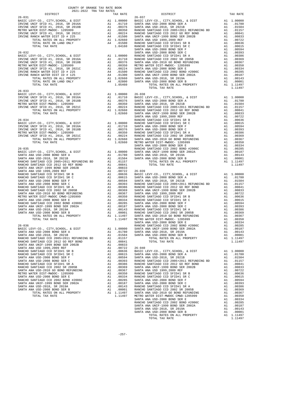| COUNTY OF ORANGE TAX RATE BOOK<br>$2021-2022 \quad \text{TRA} \quad \text{RATE B}$ DISTRICT $\hspace{2.5cm}$ |          |                        |          |
|--------------------------------------------------------------------------------------------------------------|----------|------------------------|----------|
|                                                                                                              | TAX RATE | DISTRICT<br>$26 - 037$ | TAX RATE |
|                                                                                                              |          |                        |          |
|                                                                                                              |          |                        |          |
|                                                                                                              |          |                        |          |
|                                                                                                              |          |                        |          |
|                                                                                                              |          |                        |          |
|                                                                                                              |          |                        |          |
|                                                                                                              |          |                        |          |
|                                                                                                              |          |                        |          |
|                                                                                                              |          |                        |          |
|                                                                                                              |          |                        |          |
|                                                                                                              |          |                        |          |
|                                                                                                              |          |                        |          |
|                                                                                                              |          |                        |          |
|                                                                                                              |          |                        |          |
|                                                                                                              |          |                        |          |
|                                                                                                              |          |                        |          |
|                                                                                                              |          |                        |          |
| $26 - 033$                                                                                                   |          |                        |          |
|                                                                                                              |          |                        |          |
|                                                                                                              |          |                        |          |
|                                                                                                              |          |                        |          |
|                                                                                                              |          |                        |          |
|                                                                                                              |          |                        |          |
|                                                                                                              |          |                        |          |
|                                                                                                              |          |                        |          |
|                                                                                                              |          |                        |          |
|                                                                                                              |          |                        |          |
|                                                                                                              |          |                        |          |
|                                                                                                              |          |                        |          |
|                                                                                                              |          |                        |          |
|                                                                                                              |          |                        |          |
|                                                                                                              |          |                        |          |
|                                                                                                              |          |                        |          |
|                                                                                                              |          |                        |          |
|                                                                                                              |          |                        |          |
|                                                                                                              |          |                        |          |
|                                                                                                              |          |                        |          |
|                                                                                                              |          |                        |          |
|                                                                                                              |          |                        |          |
|                                                                                                              |          |                        |          |
|                                                                                                              |          |                        |          |
|                                                                                                              |          |                        |          |
|                                                                                                              |          |                        |          |
|                                                                                                              |          |                        |          |
|                                                                                                              |          |                        |          |
|                                                                                                              |          |                        |          |
|                                                                                                              |          |                        |          |
|                                                                                                              |          |                        |          |
|                                                                                                              |          |                        |          |
|                                                                                                              |          |                        |          |
|                                                                                                              |          |                        |          |
|                                                                                                              |          |                        |          |
|                                                                                                              |          |                        |          |
|                                                                                                              |          |                        |          |
|                                                                                                              |          |                        |          |
|                                                                                                              |          |                        |          |
|                                                                                                              |          |                        |          |
|                                                                                                              |          |                        |          |
|                                                                                                              |          |                        |          |
|                                                                                                              |          |                        |          |
|                                                                                                              |          |                        |          |
|                                                                                                              |          |                        |          |
|                                                                                                              |          |                        |          |
|                                                                                                              |          |                        |          |
|                                                                                                              |          |                        |          |
|                                                                                                              |          |                        |          |
|                                                                                                              |          |                        |          |
|                                                                                                              |          |                        |          |
|                                                                                                              |          |                        |          |
|                                                                                                              |          |                        |          |
|                                                                                                              |          |                        |          |
|                                                                                                              |          |                        |          |
|                                                                                                              |          |                        |          |
|                                                                                                              |          |                        |          |
|                                                                                                              |          |                        |          |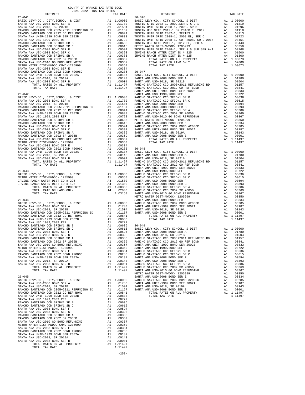| 2021-2022 TRA TAX RATES                                                                                                                                                                                                                                                                    |    |            |                                                                                                                                                                                                                                                      |
|--------------------------------------------------------------------------------------------------------------------------------------------------------------------------------------------------------------------------------------------------------------------------------------------|----|------------|------------------------------------------------------------------------------------------------------------------------------------------------------------------------------------------------------------------------------------------------------|
| DISTRICT                                                                                                                                                                                                                                                                                   |    | TAX RATE   |                                                                                                                                                                                                                                                      |
|                                                                                                                                                                                                                                                                                            |    |            |                                                                                                                                                                                                                                                      |
|                                                                                                                                                                                                                                                                                            |    |            |                                                                                                                                                                                                                                                      |
|                                                                                                                                                                                                                                                                                            |    |            |                                                                                                                                                                                                                                                      |
|                                                                                                                                                                                                                                                                                            |    |            |                                                                                                                                                                                                                                                      |
|                                                                                                                                                                                                                                                                                            |    |            |                                                                                                                                                                                                                                                      |
|                                                                                                                                                                                                                                                                                            |    |            |                                                                                                                                                                                                                                                      |
|                                                                                                                                                                                                                                                                                            |    |            |                                                                                                                                                                                                                                                      |
|                                                                                                                                                                                                                                                                                            |    |            |                                                                                                                                                                                                                                                      |
|                                                                                                                                                                                                                                                                                            |    |            |                                                                                                                                                                                                                                                      |
|                                                                                                                                                                                                                                                                                            |    |            |                                                                                                                                                                                                                                                      |
|                                                                                                                                                                                                                                                                                            |    |            |                                                                                                                                                                                                                                                      |
|                                                                                                                                                                                                                                                                                            |    |            |                                                                                                                                                                                                                                                      |
|                                                                                                                                                                                                                                                                                            |    |            |                                                                                                                                                                                                                                                      |
|                                                                                                                                                                                                                                                                                            |    |            |                                                                                                                                                                                                                                                      |
|                                                                                                                                                                                                                                                                                            |    |            |                                                                                                                                                                                                                                                      |
|                                                                                                                                                                                                                                                                                            |    |            |                                                                                                                                                                                                                                                      |
|                                                                                                                                                                                                                                                                                            |    |            |                                                                                                                                                                                                                                                      |
|                                                                                                                                                                                                                                                                                            |    |            |                                                                                                                                                                                                                                                      |
|                                                                                                                                                                                                                                                                                            |    |            |                                                                                                                                                                                                                                                      |
|                                                                                                                                                                                                                                                                                            |    |            |                                                                                                                                                                                                                                                      |
|                                                                                                                                                                                                                                                                                            |    |            |                                                                                                                                                                                                                                                      |
|                                                                                                                                                                                                                                                                                            |    |            |                                                                                                                                                                                                                                                      |
|                                                                                                                                                                                                                                                                                            |    |            |                                                                                                                                                                                                                                                      |
|                                                                                                                                                                                                                                                                                            |    |            |                                                                                                                                                                                                                                                      |
|                                                                                                                                                                                                                                                                                            |    |            |                                                                                                                                                                                                                                                      |
|                                                                                                                                                                                                                                                                                            |    |            |                                                                                                                                                                                                                                                      |
|                                                                                                                                                                                                                                                                                            |    |            |                                                                                                                                                                                                                                                      |
|                                                                                                                                                                                                                                                                                            |    |            |                                                                                                                                                                                                                                                      |
|                                                                                                                                                                                                                                                                                            |    |            |                                                                                                                                                                                                                                                      |
|                                                                                                                                                                                                                                                                                            |    |            |                                                                                                                                                                                                                                                      |
|                                                                                                                                                                                                                                                                                            |    |            |                                                                                                                                                                                                                                                      |
|                                                                                                                                                                                                                                                                                            |    |            |                                                                                                                                                                                                                                                      |
|                                                                                                                                                                                                                                                                                            |    |            |                                                                                                                                                                                                                                                      |
|                                                                                                                                                                                                                                                                                            |    |            |                                                                                                                                                                                                                                                      |
|                                                                                                                                                                                                                                                                                            |    |            |                                                                                                                                                                                                                                                      |
|                                                                                                                                                                                                                                                                                            |    |            |                                                                                                                                                                                                                                                      |
|                                                                                                                                                                                                                                                                                            |    |            |                                                                                                                                                                                                                                                      |
|                                                                                                                                                                                                                                                                                            |    |            |                                                                                                                                                                                                                                                      |
|                                                                                                                                                                                                                                                                                            |    |            |                                                                                                                                                                                                                                                      |
|                                                                                                                                                                                                                                                                                            |    |            |                                                                                                                                                                                                                                                      |
|                                                                                                                                                                                                                                                                                            |    |            |                                                                                                                                                                                                                                                      |
|                                                                                                                                                                                                                                                                                            |    |            |                                                                                                                                                                                                                                                      |
| $26 - 043$                                                                                                                                                                                                                                                                                 |    |            |                                                                                                                                                                                                                                                      |
| NATH A SANTA A<br>NATH A SANTA A<br>ATER DIST-MWDOC-1205999<br>RANCH WATER DIST ID # 225<br>RANCH WATER DIST ID # 225<br>TOTAL RATES ON ALL PROPERTY<br>TOTAL RATE ON LAND ONLY<br>TOTAL TAX RATE<br>TOTAL TAX RATE<br>TOTAL TAX RATE<br>TOTAL TAX<br>BASIC LEVY-CO., CITY, SCHOOL, & DIST |    |            |                                                                                                                                                                                                                                                      |
| METRO WATER DIST-MWDOC- 1205999                                                                                                                                                                                                                                                            |    |            |                                                                                                                                                                                                                                                      |
| IRVINE RANCH WATER DIST ID # 225<br>IRVINE RANCH WATER DIST ID # 125                                                                                                                                                                                                                       |    |            |                                                                                                                                                                                                                                                      |
|                                                                                                                                                                                                                                                                                            |    |            |                                                                                                                                                                                                                                                      |
|                                                                                                                                                                                                                                                                                            |    |            |                                                                                                                                                                                                                                                      |
|                                                                                                                                                                                                                                                                                            |    |            |                                                                                                                                                                                                                                                      |
|                                                                                                                                                                                                                                                                                            |    |            | METRO W                                                                                                                                                                                                                                              |
|                                                                                                                                                                                                                                                                                            |    |            |                                                                                                                                                                                                                                                      |
|                                                                                                                                                                                                                                                                                            |    |            |                                                                                                                                                                                                                                                      |
|                                                                                                                                                                                                                                                                                            |    |            |                                                                                                                                                                                                                                                      |
|                                                                                                                                                                                                                                                                                            |    |            |                                                                                                                                                                                                                                                      |
|                                                                                                                                                                                                                                                                                            |    |            |                                                                                                                                                                                                                                                      |
|                                                                                                                                                                                                                                                                                            |    |            |                                                                                                                                                                                                                                                      |
|                                                                                                                                                                                                                                                                                            |    |            |                                                                                                                                                                                                                                                      |
|                                                                                                                                                                                                                                                                                            |    |            |                                                                                                                                                                                                                                                      |
|                                                                                                                                                                                                                                                                                            |    |            |                                                                                                                                                                                                                                                      |
| SANTA ANA USD-2008 BOND SER C                                                                                                                                                                                                                                                              |    |            |                                                                                                                                                                                                                                                      |
| RANCHO SANTIAGO CCD SFID#1 SR A                                                                                                                                                                                                                                                            |    |            |                                                                                                                                                                                                                                                      |
| RANCHO SANTIAGO CCD 2002 SR 2005B                                                                                                                                                                                                                                                          |    |            | A1 .00594 SANTA A<br>A1 .00386 SANTA A<br>A1 .00386 RANCHO<br>A1 .00386 RANCHO<br>A1 .00359 SANTA A<br>A1 .00357 SANTA A<br>A1 .00354 RANCHO<br>A1 .00285 RANCHO<br>A1 .00187 SANTA A<br>A1 .00187 SANTA A<br>A1 .00187 SANTA A<br>A1 .00187 SANTA A |
| SANTA ANA USD-2010 GO BOND REFUNDING                                                                                                                                                                                                                                                       |    |            |                                                                                                                                                                                                                                                      |
| METRO WATER DIST-MWDOC- 1205999<br>SANTA ANA USD-2008 BOND SER E                                                                                                                                                                                                                           |    |            |                                                                                                                                                                                                                                                      |
| RANCHO SANTIAGO CCD 2002 BOND #2006C                                                                                                                                                                                                                                                       |    |            |                                                                                                                                                                                                                                                      |
| SANTA ANA UNIF-1999 BOND SER 2002A                                                                                                                                                                                                                                                         |    |            |                                                                                                                                                                                                                                                      |
| SANTA ANA USD-2018, SR 2019A                                                                                                                                                                                                                                                               |    |            |                                                                                                                                                                                                                                                      |
| SANTA ANA USD-2008 BOND SER B                                                                                                                                                                                                                                                              |    |            |                                                                                                                                                                                                                                                      |
| TOTAL RATES ON ALL PROPERTY                                                                                                                                                                                                                                                                |    |            |                                                                                                                                                                                                                                                      |
| TOTAL TAX RATE                                                                                                                                                                                                                                                                             |    |            |                                                                                                                                                                                                                                                      |
|                                                                                                                                                                                                                                                                                            |    |            | METRO W                                                                                                                                                                                                                                              |
| $26 - 045$                                                                                                                                                                                                                                                                                 |    |            | SANTA A                                                                                                                                                                                                                                              |
|                                                                                                                                                                                                                                                                                            |    |            |                                                                                                                                                                                                                                                      |
|                                                                                                                                                                                                                                                                                            |    |            |                                                                                                                                                                                                                                                      |
|                                                                                                                                                                                                                                                                                            |    |            |                                                                                                                                                                                                                                                      |
|                                                                                                                                                                                                                                                                                            |    | A1.00841   |                                                                                                                                                                                                                                                      |
|                                                                                                                                                                                                                                                                                            |    |            |                                                                                                                                                                                                                                                      |
|                                                                                                                                                                                                                                                                                            |    |            |                                                                                                                                                                                                                                                      |
|                                                                                                                                                                                                                                                                                            |    |            |                                                                                                                                                                                                                                                      |
|                                                                                                                                                                                                                                                                                            |    |            |                                                                                                                                                                                                                                                      |
|                                                                                                                                                                                                                                                                                            |    |            |                                                                                                                                                                                                                                                      |
|                                                                                                                                                                                                                                                                                            |    |            |                                                                                                                                                                                                                                                      |
|                                                                                                                                                                                                                                                                                            |    |            |                                                                                                                                                                                                                                                      |
|                                                                                                                                                                                                                                                                                            |    |            |                                                                                                                                                                                                                                                      |
|                                                                                                                                                                                                                                                                                            |    |            |                                                                                                                                                                                                                                                      |
|                                                                                                                                                                                                                                                                                            |    |            |                                                                                                                                                                                                                                                      |
|                                                                                                                                                                                                                                                                                            |    |            |                                                                                                                                                                                                                                                      |
|                                                                                                                                                                                                                                                                                            |    | A1 .00143  |                                                                                                                                                                                                                                                      |
|                                                                                                                                                                                                                                                                                            | A1 | .00001     |                                                                                                                                                                                                                                                      |
| TOTAL RATES ON ALL PROPERTY                                                                                                                                                                                                                                                                |    | A1 1.11497 |                                                                                                                                                                                                                                                      |
| TOTAL TAX RATE                                                                                                                                                                                                                                                                             |    | 1.11497    |                                                                                                                                                                                                                                                      |

| 2021-2022 TRA TAX RATES<br>DISTRICT | TAX RATE | DISTRICT | TAX RATE |
|-------------------------------------|----------|----------|----------|
|                                     |          |          |          |
|                                     |          |          |          |
|                                     |          |          |          |
|                                     |          |          |          |
|                                     |          |          |          |
|                                     |          |          |          |
|                                     |          |          |          |
|                                     |          |          |          |
|                                     |          |          |          |
|                                     |          |          |          |
|                                     |          |          |          |
|                                     |          |          |          |
|                                     |          |          |          |
|                                     |          |          |          |
|                                     |          |          |          |
|                                     |          |          |          |
|                                     |          |          |          |
|                                     |          |          |          |
|                                     |          |          |          |
|                                     |          |          |          |
|                                     |          |          |          |
|                                     |          |          |          |
|                                     |          |          |          |
|                                     |          |          |          |
|                                     |          |          |          |
|                                     |          |          |          |
|                                     |          |          |          |
|                                     |          |          |          |
|                                     |          |          |          |
|                                     |          |          |          |
|                                     |          |          |          |
|                                     |          |          |          |
|                                     |          |          |          |
|                                     |          |          |          |
|                                     |          |          |          |
|                                     |          |          |          |
|                                     |          |          |          |
|                                     |          |          |          |
|                                     |          |          |          |
|                                     |          |          |          |
|                                     |          |          |          |
|                                     |          |          |          |
|                                     |          |          |          |
|                                     |          |          |          |
|                                     |          |          |          |
|                                     |          |          |          |
|                                     |          |          |          |
|                                     |          |          |          |
|                                     |          |          |          |
|                                     |          |          |          |
|                                     |          |          |          |
|                                     |          |          |          |
|                                     |          |          |          |
|                                     |          |          |          |
|                                     |          |          |          |
|                                     |          |          |          |
|                                     |          |          |          |
|                                     |          |          |          |
|                                     |          |          |          |
|                                     |          |          |          |
|                                     |          |          |          |
|                                     |          |          |          |
|                                     |          |          |          |
|                                     |          |          |          |
|                                     |          |          |          |
|                                     |          |          |          |
|                                     |          |          |          |
|                                     |          |          |          |
|                                     |          |          |          |
|                                     |          |          |          |
|                                     |          |          |          |
|                                     |          |          |          |
|                                     |          |          |          |
|                                     |          |          |          |
|                                     |          |          |          |
|                                     |          |          |          |
|                                     |          |          |          |
|                                     |          |          |          |
|                                     |          |          |          |
|                                     |          |          |          |
|                                     |          |          |          |
|                                     |          |          |          |
|                                     |          |          |          |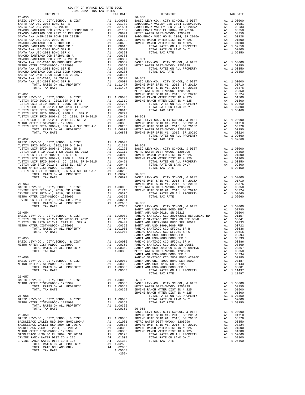|  | $\begin{tabular}{l c c c c c} \hline 26-057 & 017Y, SCHOOL, & 017Y, SCHOOL, & 018Y & 0.0350 & 0.0350 & 0.0350 & 0.0350 & 0.0350 & 0.0350 & 0.0350 & 0.0350 & 0.0350 & 0.0350 & 0.0350 & 0.0350 & 0.0350 & 0.0350 & 0.0350 & 0.0350 & 0.0350 & 0.0350 & 0.0350 & 0.0350 & 0.$ |  |
|--|------------------------------------------------------------------------------------------------------------------------------------------------------------------------------------------------------------------------------------------------------------------------------|--|
|  |                                                                                                                                                                                                                                                                              |  |
|  |                                                                                                                                                                                                                                                                              |  |
|  |                                                                                                                                                                                                                                                                              |  |
|  |                                                                                                                                                                                                                                                                              |  |
|  |                                                                                                                                                                                                                                                                              |  |
|  |                                                                                                                                                                                                                                                                              |  |
|  |                                                                                                                                                                                                                                                                              |  |
|  |                                                                                                                                                                                                                                                                              |  |
|  |                                                                                                                                                                                                                                                                              |  |
|  |                                                                                                                                                                                                                                                                              |  |
|  |                                                                                                                                                                                                                                                                              |  |
|  |                                                                                                                                                                                                                                                                              |  |
|  |                                                                                                                                                                                                                                                                              |  |
|  |                                                                                                                                                                                                                                                                              |  |
|  |                                                                                                                                                                                                                                                                              |  |
|  |                                                                                                                                                                                                                                                                              |  |
|  |                                                                                                                                                                                                                                                                              |  |
|  |                                                                                                                                                                                                                                                                              |  |
|  |                                                                                                                                                                                                                                                                              |  |
|  |                                                                                                                                                                                                                                                                              |  |
|  |                                                                                                                                                                                                                                                                              |  |
|  |                                                                                                                                                                                                                                                                              |  |
|  |                                                                                                                                                                                                                                                                              |  |
|  |                                                                                                                                                                                                                                                                              |  |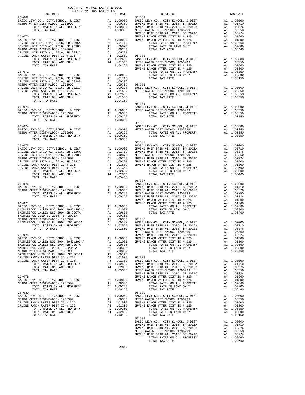| $\begin{minipage}{.4\linewidth} \begin{tabular}{lcccc} \multicolumn{2}{c}{. & . & . & . & . & . & . \\ \multicolumn{2}{c}{. & . & . & . & . & . \\ 2021-2022 & \text{TRA TAX RATES} \end{tabular} \end{minipage}$ |                                                                                                                                                                                                                                                                         | TAX RATE |
|-------------------------------------------------------------------------------------------------------------------------------------------------------------------------------------------------------------------|-------------------------------------------------------------------------------------------------------------------------------------------------------------------------------------------------------------------------------------------------------------------------|----------|
| $26 - 069$                                                                                                                                                                                                        | $26 - 081$                                                                                                                                                                                                                                                              |          |
|                                                                                                                                                                                                                   |                                                                                                                                                                                                                                                                         |          |
|                                                                                                                                                                                                                   |                                                                                                                                                                                                                                                                         |          |
|                                                                                                                                                                                                                   |                                                                                                                                                                                                                                                                         |          |
|                                                                                                                                                                                                                   |                                                                                                                                                                                                                                                                         |          |
|                                                                                                                                                                                                                   |                                                                                                                                                                                                                                                                         |          |
|                                                                                                                                                                                                                   |                                                                                                                                                                                                                                                                         |          |
|                                                                                                                                                                                                                   |                                                                                                                                                                                                                                                                         |          |
|                                                                                                                                                                                                                   |                                                                                                                                                                                                                                                                         |          |
|                                                                                                                                                                                                                   |                                                                                                                                                                                                                                                                         |          |
|                                                                                                                                                                                                                   |                                                                                                                                                                                                                                                                         |          |
|                                                                                                                                                                                                                   |                                                                                                                                                                                                                                                                         |          |
|                                                                                                                                                                                                                   |                                                                                                                                                                                                                                                                         |          |
|                                                                                                                                                                                                                   |                                                                                                                                                                                                                                                                         |          |
|                                                                                                                                                                                                                   |                                                                                                                                                                                                                                                                         |          |
|                                                                                                                                                                                                                   |                                                                                                                                                                                                                                                                         |          |
|                                                                                                                                                                                                                   |                                                                                                                                                                                                                                                                         |          |
|                                                                                                                                                                                                                   |                                                                                                                                                                                                                                                                         |          |
|                                                                                                                                                                                                                   |                                                                                                                                                                                                                                                                         |          |
|                                                                                                                                                                                                                   |                                                                                                                                                                                                                                                                         |          |
|                                                                                                                                                                                                                   |                                                                                                                                                                                                                                                                         |          |
|                                                                                                                                                                                                                   |                                                                                                                                                                                                                                                                         |          |
|                                                                                                                                                                                                                   |                                                                                                                                                                                                                                                                         |          |
|                                                                                                                                                                                                                   |                                                                                                                                                                                                                                                                         |          |
|                                                                                                                                                                                                                   |                                                                                                                                                                                                                                                                         |          |
|                                                                                                                                                                                                                   |                                                                                                                                                                                                                                                                         |          |
|                                                                                                                                                                                                                   |                                                                                                                                                                                                                                                                         |          |
|                                                                                                                                                                                                                   |                                                                                                                                                                                                                                                                         |          |
|                                                                                                                                                                                                                   |                                                                                                                                                                                                                                                                         |          |
|                                                                                                                                                                                                                   | $\begin{array}{cccccccc} 26-074 & 26-085 & 26-085 & 26-085 & 26-085 & 26-085 & 26-085 & 26-085 & 26-085 & 26-085 & 26-085 & 26-085 & 26-085 & 26-085 & 26-085 & 26-085 & 26-085 & 26-085 & 26-085 & 26-085 & 26-085 & 26-085 & 26-085 & 26-085 & 26-085 & 26-085 & 26-$ |          |
|                                                                                                                                                                                                                   |                                                                                                                                                                                                                                                                         |          |
|                                                                                                                                                                                                                   |                                                                                                                                                                                                                                                                         |          |
|                                                                                                                                                                                                                   |                                                                                                                                                                                                                                                                         |          |
|                                                                                                                                                                                                                   |                                                                                                                                                                                                                                                                         |          |
|                                                                                                                                                                                                                   |                                                                                                                                                                                                                                                                         |          |
|                                                                                                                                                                                                                   |                                                                                                                                                                                                                                                                         |          |
|                                                                                                                                                                                                                   |                                                                                                                                                                                                                                                                         |          |
|                                                                                                                                                                                                                   |                                                                                                                                                                                                                                                                         |          |
|                                                                                                                                                                                                                   |                                                                                                                                                                                                                                                                         |          |
|                                                                                                                                                                                                                   |                                                                                                                                                                                                                                                                         |          |
|                                                                                                                                                                                                                   |                                                                                                                                                                                                                                                                         |          |
|                                                                                                                                                                                                                   |                                                                                                                                                                                                                                                                         |          |
|                                                                                                                                                                                                                   |                                                                                                                                                                                                                                                                         |          |
|                                                                                                                                                                                                                   |                                                                                                                                                                                                                                                                         |          |
|                                                                                                                                                                                                                   |                                                                                                                                                                                                                                                                         |          |
|                                                                                                                                                                                                                   |                                                                                                                                                                                                                                                                         |          |
|                                                                                                                                                                                                                   |                                                                                                                                                                                                                                                                         |          |
|                                                                                                                                                                                                                   |                                                                                                                                                                                                                                                                         |          |
|                                                                                                                                                                                                                   |                                                                                                                                                                                                                                                                         |          |
|                                                                                                                                                                                                                   |                                                                                                                                                                                                                                                                         |          |
|                                                                                                                                                                                                                   |                                                                                                                                                                                                                                                                         |          |
|                                                                                                                                                                                                                   |                                                                                                                                                                                                                                                                         |          |
|                                                                                                                                                                                                                   |                                                                                                                                                                                                                                                                         |          |
|                                                                                                                                                                                                                   |                                                                                                                                                                                                                                                                         |          |
|                                                                                                                                                                                                                   |                                                                                                                                                                                                                                                                         |          |
|                                                                                                                                                                                                                   |                                                                                                                                                                                                                                                                         |          |
|                                                                                                                                                                                                                   |                                                                                                                                                                                                                                                                         |          |
|                                                                                                                                                                                                                   |                                                                                                                                                                                                                                                                         |          |
|                                                                                                                                                                                                                   |                                                                                                                                                                                                                                                                         |          |
|                                                                                                                                                                                                                   |                                                                                                                                                                                                                                                                         |          |
|                                                                                                                                                                                                                   |                                                                                                                                                                                                                                                                         |          |
|                                                                                                                                                                                                                   |                                                                                                                                                                                                                                                                         |          |
|                                                                                                                                                                                                                   |                                                                                                                                                                                                                                                                         |          |
|                                                                                                                                                                                                                   |                                                                                                                                                                                                                                                                         |          |
|                                                                                                                                                                                                                   |                                                                                                                                                                                                                                                                         |          |
|                                                                                                                                                                                                                   |                                                                                                                                                                                                                                                                         |          |
|                                                                                                                                                                                                                   |                                                                                                                                                                                                                                                                         |          |
|                                                                                                                                                                                                                   |                                                                                                                                                                                                                                                                         |          |
|                                                                                                                                                                                                                   |                                                                                                                                                                                                                                                                         |          |
|                                                                                                                                                                                                                   |                                                                                                                                                                                                                                                                         |          |
|                                                                                                                                                                                                                   |                                                                                                                                                                                                                                                                         |          |
|                                                                                                                                                                                                                   |                                                                                                                                                                                                                                                                         |          |
|                                                                                                                                                                                                                   |                                                                                                                                                                                                                                                                         |          |
|                                                                                                                                                                                                                   |                                                                                                                                                                                                                                                                         |          |
|                                                                                                                                                                                                                   |                                                                                                                                                                                                                                                                         |          |
|                                                                                                                                                                                                                   |                                                                                                                                                                                                                                                                         |          |
|                                                                                                                                                                                                                   |                                                                                                                                                                                                                                                                         |          |
|                                                                                                                                                                                                                   |                                                                                                                                                                                                                                                                         |          |
|                                                                                                                                                                                                                   |                                                                                                                                                                                                                                                                         |          |
|                                                                                                                                                                                                                   |                                                                                                                                                                                                                                                                         |          |
|                                                                                                                                                                                                                   |                                                                                                                                                                                                                                                                         |          |
|                                                                                                                                                                                                                   |                                                                                                                                                                                                                                                                         |          |
|                                                                                                                                                                                                                   |                                                                                                                                                                                                                                                                         |          |
|                                                                                                                                                                                                                   |                                                                                                                                                                                                                                                                         |          |
|                                                                                                                                                                                                                   |                                                                                                                                                                                                                                                                         |          |
|                                                                                                                                                                                                                   |                                                                                                                                                                                                                                                                         |          |
|                                                                                                                                                                                                                   |                                                                                                                                                                                                                                                                         |          |
|                                                                                                                                                                                                                   |                                                                                                                                                                                                                                                                         |          |
|                                                                                                                                                                                                                   |                                                                                                                                                                                                                                                                         |          |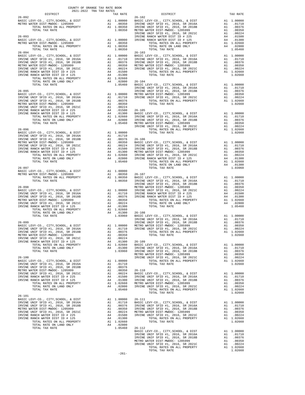|          | COUNTY OF ORANGE TAX RATE BOOK<br>2021-2022 TRA TAX RATES |                 |          |
|----------|-----------------------------------------------------------|-----------------|----------|
| DISTRICT | TAX RATE                                                  | <b>DISTRICT</b> | TAX RATE |
|          |                                                           |                 |          |
|          |                                                           |                 |          |
|          |                                                           |                 |          |
|          |                                                           |                 |          |
|          |                                                           |                 |          |
|          |                                                           |                 |          |
|          |                                                           |                 |          |
|          |                                                           |                 |          |
|          |                                                           |                 |          |
|          |                                                           |                 |          |
|          |                                                           |                 |          |
|          |                                                           |                 |          |
|          |                                                           |                 |          |
|          |                                                           |                 |          |
|          |                                                           |                 |          |
|          |                                                           |                 |          |
|          |                                                           |                 |          |
|          |                                                           |                 |          |
|          |                                                           |                 |          |
|          |                                                           |                 |          |
|          |                                                           |                 |          |
|          |                                                           |                 |          |
|          |                                                           |                 |          |
|          |                                                           |                 |          |
|          |                                                           |                 |          |
|          |                                                           |                 |          |
|          |                                                           |                 |          |
|          |                                                           |                 |          |
|          |                                                           |                 |          |
|          |                                                           |                 |          |
|          |                                                           |                 |          |
|          |                                                           |                 |          |
|          |                                                           |                 |          |
|          |                                                           |                 |          |
|          |                                                           |                 |          |
|          |                                                           |                 |          |
|          |                                                           |                 |          |
|          |                                                           |                 |          |
|          |                                                           |                 |          |
|          |                                                           |                 |          |
|          |                                                           |                 |          |
|          |                                                           |                 |          |
|          |                                                           |                 |          |
|          |                                                           |                 |          |
|          |                                                           |                 |          |
|          | $-261-$                                                   |                 |          |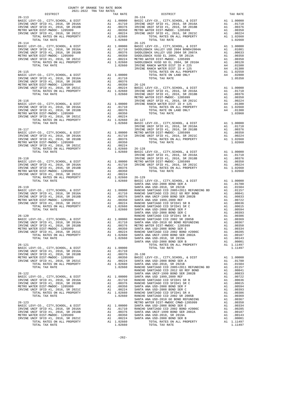| DISTRICT                                                                                                                                                                          |                                                                                                                                                                              | TAX RATE                                                                                                                                                                                                                                                                      |                   |
|-----------------------------------------------------------------------------------------------------------------------------------------------------------------------------------|------------------------------------------------------------------------------------------------------------------------------------------------------------------------------|-------------------------------------------------------------------------------------------------------------------------------------------------------------------------------------------------------------------------------------------------------------------------------|-------------------|
| $26 - 113$<br>26-113<br>BASIC LEVY-CO., CITY, SCHOOL, & DIST<br>IRVINE UNIF SFID #1, 2016, SR 2016A<br>IRVINE UNIF SFID #1, 2016, SR 2018B<br>IRVINE UNIF SFID #1, 2016, SR 2018B | 26-124<br>A1 1.00000 BASIC L<br>A1 .01710 IRVINE<br>A1 .00376 IRVINE<br>A1 .00250 METROW<br>A1 .00224 IRVINE<br>A1 1.02660                                                   |                                                                                                                                                                                                                                                                               | $26 - 124$        |
|                                                                                                                                                                                   |                                                                                                                                                                              |                                                                                                                                                                                                                                                                               |                   |
|                                                                                                                                                                                   |                                                                                                                                                                              |                                                                                                                                                                                                                                                                               |                   |
| METRO WATER DIST-MWDOC- 1205999                                                                                                                                                   |                                                                                                                                                                              |                                                                                                                                                                                                                                                                               |                   |
| IRVINE UNIF SFID #1, 2016, SR 2021C<br>TOTAL RATES ON ALL PROPERTY                                                                                                                |                                                                                                                                                                              |                                                                                                                                                                                                                                                                               |                   |
| TOTAL TAX RATE                                                                                                                                                                    |                                                                                                                                                                              | $1.02660$<br>A1 1.02660<br>1.02660                                                                                                                                                                                                                                            |                   |
| $26 - 114$                                                                                                                                                                        |                                                                                                                                                                              |                                                                                                                                                                                                                                                                               | $26 - 125$        |
| BASIC LEVY-CO., CITY, SCHOOL, & DIST<br>IRVINE UNIF SFID #1, 2016, SR 2016A                                                                                                       |                                                                                                                                                                              |                                                                                                                                                                                                                                                                               |                   |
| IRVINE UNIF SFID #1, 2016, SR 2018B                                                                                                                                               |                                                                                                                                                                              |                                                                                                                                                                                                                                                                               |                   |
| METRO WATER DIST-MWDOC- 1205999                                                                                                                                                   |                                                                                                                                                                              |                                                                                                                                                                                                                                                                               |                   |
| IRVINE UNIF SFID #1, 2016, SR 2021C                                                                                                                                               |                                                                                                                                                                              |                                                                                                                                                                                                                                                                               |                   |
| TOTAL RATES ON ALL PROPERTY<br>TOTAL TAX RATE                                                                                                                                     | 26-125<br>A1 1.00000 BASIC L<br>A1 .01710 SADDLEB<br>A1 .00356 SADDLEB<br>A1 .00356 SADDLEB<br>A1 .00224 METRO W<br>A1 1.02660 SADDLEB<br>1.02660 SADDLEB<br>I1.02660 IRVINE |                                                                                                                                                                                                                                                                               |                   |
|                                                                                                                                                                                   |                                                                                                                                                                              |                                                                                                                                                                                                                                                                               | IRVINE            |
| $26 - 115$                                                                                                                                                                        |                                                                                                                                                                              |                                                                                                                                                                                                                                                                               |                   |
|                                                                                                                                                                                   |                                                                                                                                                                              |                                                                                                                                                                                                                                                                               |                   |
|                                                                                                                                                                                   |                                                                                                                                                                              |                                                                                                                                                                                                                                                                               |                   |
|                                                                                                                                                                                   |                                                                                                                                                                              |                                                                                                                                                                                                                                                                               |                   |
|                                                                                                                                                                                   |                                                                                                                                                                              |                                                                                                                                                                                                                                                                               |                   |
|                                                                                                                                                                                   |                                                                                                                                                                              |                                                                                                                                                                                                                                                                               |                   |
|                                                                                                                                                                                   |                                                                                                                                                                              |                                                                                                                                                                                                                                                                               | METRO W           |
| $26 - 116$                                                                                                                                                                        | EXTINE<br>Al 1.00000 IRVINE<br>Al .01710<br>Al .00376<br>Al .00350<br>Al .00224<br>Al 1.02660 26-127<br>1.02660 RASIC L                                                      |                                                                                                                                                                                                                                                                               |                   |
| BASIC LEVY-CO., CITY, SCHOOL, & DIST<br>IRVINE UNIF SFID #1, 2016, SR 2016A                                                                                                       |                                                                                                                                                                              |                                                                                                                                                                                                                                                                               |                   |
| IRVINE UNIF SFID #1, 2016, SR 2018B                                                                                                                                               |                                                                                                                                                                              |                                                                                                                                                                                                                                                                               |                   |
| METRO WATER DIST-MWDOC- 1205999                                                                                                                                                   |                                                                                                                                                                              |                                                                                                                                                                                                                                                                               |                   |
| IRVINE UNIF SFID #1, 2016, SR 2021C<br>TOTAL RATES ON ALL PROPERTY                                                                                                                |                                                                                                                                                                              |                                                                                                                                                                                                                                                                               |                   |
|                                                                                                                                                                                   |                                                                                                                                                                              |                                                                                                                                                                                                                                                                               |                   |
| TOTAL TAX RATE                                                                                                                                                                    |                                                                                                                                                                              |                                                                                                                                                                                                                                                                               |                   |
|                                                                                                                                                                                   |                                                                                                                                                                              |                                                                                                                                                                                                                                                                               | IRVINE            |
| $26 - 117$                                                                                                                                                                        | A1 1.00000 ANS AT AT A LAVINE<br>A1 .01710 IRVINE<br>A1 .00376<br>A1 .00070                                                                                                  |                                                                                                                                                                                                                                                                               | IRVINE            |
| BASIC LEVY-CO., CITY, SCHOOL, & DIST<br>IRVINE UNIF SFID #1, 2016, SR 2016A<br>IRVINE UNIF SFID #1, 2016, SR 2018B                                                                |                                                                                                                                                                              |                                                                                                                                                                                                                                                                               |                   |
|                                                                                                                                                                                   |                                                                                                                                                                              |                                                                                                                                                                                                                                                                               |                   |
|                                                                                                                                                                                   |                                                                                                                                                                              |                                                                                                                                                                                                                                                                               |                   |
|                                                                                                                                                                                   |                                                                                                                                                                              |                                                                                                                                                                                                                                                                               |                   |
|                                                                                                                                                                                   |                                                                                                                                                                              | 1.02660                                                                                                                                                                                                                                                                       | BASIC L           |
| TOTAL TAX RATE                                                                                                                                                                    |                                                                                                                                                                              |                                                                                                                                                                                                                                                                               | IRVINE            |
| $26 - 118$                                                                                                                                                                        |                                                                                                                                                                              |                                                                                                                                                                                                                                                                               | IRVINE            |
|                                                                                                                                                                                   |                                                                                                                                                                              |                                                                                                                                                                                                                                                                               |                   |
|                                                                                                                                                                                   |                                                                                                                                                                              |                                                                                                                                                                                                                                                                               |                   |
|                                                                                                                                                                                   | IRVINE<br>Al .00000 METROW<br>Al .01710 IRVINE<br>Al .00376<br>Al .00350                                                                                                     |                                                                                                                                                                                                                                                                               |                   |
| IRVINE UNIF SFID #1, 2016, SR 2021C                                                                                                                                               |                                                                                                                                                                              | A1 .00350<br>A1 .00224                                                                                                                                                                                                                                                        |                   |
| TOTAL RATES ON ALL PROPERTY                                                                                                                                                       |                                                                                                                                                                              |                                                                                                                                                                                                                                                                               |                   |
| TOTAL TAX RATE                                                                                                                                                                    |                                                                                                                                                                              | A1 .00227<br>A1 1.02660 26-129<br>1.02660 BASIC                                                                                                                                                                                                                               |                   |
|                                                                                                                                                                                   |                                                                                                                                                                              |                                                                                                                                                                                                                                                                               | SANTA A           |
| $26 - 119$<br>BASIC LEVY-CO., CITY, SCHOOL, & DIST                                                                                                                                | SANTA A<br>A1 1.00000 RANCHO<br>A1 .01710 RANCHO<br>A1 .00376 SANTA A<br>A1 .00350 SANTA A<br>A1 .00224 RANCHO<br>A1 1.02660 RANCHO<br>1.02660 SANTA A                       |                                                                                                                                                                                                                                                                               | SANTA A           |
| IRVINE UNIF SFID #1, 2016, SR 2016A                                                                                                                                               |                                                                                                                                                                              |                                                                                                                                                                                                                                                                               |                   |
| IRVINE UNIF SFID #1, 2016, SR 2018B                                                                                                                                               |                                                                                                                                                                              |                                                                                                                                                                                                                                                                               |                   |
| METRO WATER DIST-MWDOC- 1205999                                                                                                                                                   |                                                                                                                                                                              |                                                                                                                                                                                                                                                                               |                   |
| IRVINE UNIF SFID #1, 2016, SR 2021C                                                                                                                                               |                                                                                                                                                                              |                                                                                                                                                                                                                                                                               |                   |
| TOTAL RATES ON ALL PROPERTY                                                                                                                                                       |                                                                                                                                                                              |                                                                                                                                                                                                                                                                               |                   |
| TOTAL TAX RATE                                                                                                                                                                    |                                                                                                                                                                              |                                                                                                                                                                                                                                                                               | SANTA A           |
| $26 - 120$                                                                                                                                                                        |                                                                                                                                                                              |                                                                                                                                                                                                                                                                               | RANCHO            |
| BASIC LEVY-CO., CITY, SCHOOL, & DIST                                                                                                                                              |                                                                                                                                                                              |                                                                                                                                                                                                                                                                               |                   |
| IRVINE UNIF SFID #1, 2016, SR 2016A                                                                                                                                               |                                                                                                                                                                              |                                                                                                                                                                                                                                                                               |                   |
| IRVINE UNIF SFID #1, 2016, SR 2018B                                                                                                                                               |                                                                                                                                                                              |                                                                                                                                                                                                                                                                               |                   |
| METRO WATER DIST-MWDOC- 1205999<br>IRVINE UNIF SFID #1, 2016, SR 2021C                                                                                                            | EANCHO<br>A1 1.00000 RANCHO<br>A1 .01710 SANTA A<br>A1 .00376 METRO W<br>A1 .00350 SANTA A<br>A1 .00224 RANCHO<br>A1 102640 CANTER                                           |                                                                                                                                                                                                                                                                               |                   |
| TOTAL RATES ON ALL PROPERTY                                                                                                                                                       |                                                                                                                                                                              | A1 1.02660 SANTA A                                                                                                                                                                                                                                                            |                   |
| TOTAL TAX RATE                                                                                                                                                                    |                                                                                                                                                                              | 1.02660                                                                                                                                                                                                                                                                       | SANTA A           |
|                                                                                                                                                                                   |                                                                                                                                                                              |                                                                                                                                                                                                                                                                               | SANTA A           |
| $26 - 121$                                                                                                                                                                        |                                                                                                                                                                              |                                                                                                                                                                                                                                                                               |                   |
| BASIC LEVY-CO., CITY, SCHOOL, & DIST                                                                                                                                              |                                                                                                                                                                              | A1 1.00000<br>A1 .01710                                                                                                                                                                                                                                                       |                   |
| IRVINE UNIF SFID #1, 2016, SR 2016A<br>IRVINE UNIF SFID #1, 2016, SR 2018B                                                                                                        | A1                                                                                                                                                                           | .00376                                                                                                                                                                                                                                                                        | $26 - 130$        |
| METRO WATER DIST-MWDOC- 1205999                                                                                                                                                   |                                                                                                                                                                              | A1 .00350                                                                                                                                                                                                                                                                     | BASIC L           |
| IRVINE UNIF SFID #1, 2016, SR 2021C                                                                                                                                               |                                                                                                                                                                              | A1 .00224<br>A1 .00224 SANTA A<br>A1 1.02660 SANTA A                                                                                                                                                                                                                          |                   |
| TOTAL RATES ON ALL PROPERTY                                                                                                                                                       |                                                                                                                                                                              |                                                                                                                                                                                                                                                                               |                   |
| TOTAL TAX RATE                                                                                                                                                                    |                                                                                                                                                                              | 1.02660                                                                                                                                                                                                                                                                       | RANCHO            |
| $26 - 122$                                                                                                                                                                        |                                                                                                                                                                              |                                                                                                                                                                                                                                                                               | RANCHO<br>SANTA A |
| BASIC LEVY-CO., CITY, SCHOOL, & DIST                                                                                                                                              |                                                                                                                                                                              |                                                                                                                                                                                                                                                                               |                   |
| IRVINE UNIF SFID #1, 2016, SR 2016A                                                                                                                                               |                                                                                                                                                                              | A1  1.00000  SANTA  A<br>A1  .01710  RANCHO<br>A1  .00376  RANCHO                                                                                                                                                                                                             |                   |
| IRVINE UNIF SFID #1, 2016, SR 2018B                                                                                                                                               | A1                                                                                                                                                                           |                                                                                                                                                                                                                                                                               |                   |
| METRO WATER DIST-MWDOC- 1205999                                                                                                                                                   | A1                                                                                                                                                                           | .00350                                                                                                                                                                                                                                                                        | SANTA A           |
| IRVINE UNIF SFID #1, 2016, SR 2021C<br>TOTAL RATES ON ALL PROPERTY                                                                                                                | A1                                                                                                                                                                           | .00224                                                                                                                                                                                                                                                                        | SANTA A<br>RANCHO |
| TOTAL TAX RATE                                                                                                                                                                    |                                                                                                                                                                              | A1 1.02660<br>1.02660                                                                                                                                                                                                                                                         | RANCHO            |
|                                                                                                                                                                                   |                                                                                                                                                                              |                                                                                                                                                                                                                                                                               | SANTA A           |
| $26 - 123$                                                                                                                                                                        |                                                                                                                                                                              |                                                                                                                                                                                                                                                                               | METRO W           |
| BASIC LEVY-CO., CITY, SCHOOL, & DIST                                                                                                                                              |                                                                                                                                                                              |                                                                                                                                                                                                                                                                               |                   |
| IRVINE UNIF SFID #1, 2016, SR 2016A                                                                                                                                               |                                                                                                                                                                              |                                                                                                                                                                                                                                                                               |                   |
| IRVINE UNIF SFID #1, 2016, SR 2018B<br>METRO WATER DIST-MWDOC- 1205999                                                                                                            |                                                                                                                                                                              | $\begin{tabular}{llllll} \text{A1} & 1.00000 & \text{SANTA} & \text{A} \\ \text{A1} & .01710 & \text{RANCHO} \\ \text{A1} & .00376 & \text{SANTA} & \text{A} \\ \text{A1} & .00350 & \text{SANTA} & \text{A} \\ \text{A1} & 00374 & \text{SANTA} & \text{A} \\ \end{tabular}$ |                   |
| IRVINE UNIF SFID #1, 2016, SR 2021C                                                                                                                                               |                                                                                                                                                                              | A1 .00224                                                                                                                                                                                                                                                                     | SANTA A           |
|                                                                                                                                                                                   |                                                                                                                                                                              |                                                                                                                                                                                                                                                                               |                   |

| DISTRICT   | 2021-2022 TRA TAX RATES<br>TAX RATE | DISTRICT   | TAX RATE |
|------------|-------------------------------------|------------|----------|
| $26 - 113$ |                                     | $26 - 124$ |          |
|            |                                     |            |          |
|            |                                     |            |          |
|            |                                     |            |          |
|            |                                     |            |          |
|            |                                     |            |          |
| $26 - 114$ |                                     | $26 - 125$ |          |
|            |                                     |            |          |
|            |                                     |            |          |
|            |                                     |            |          |
|            |                                     |            |          |
|            |                                     |            |          |
|            |                                     |            |          |
|            |                                     |            |          |
|            |                                     |            |          |
|            |                                     |            |          |
|            |                                     |            |          |
|            |                                     |            |          |
|            |                                     |            |          |
|            |                                     |            |          |
|            |                                     |            |          |
|            |                                     |            |          |
|            |                                     |            |          |
|            |                                     |            |          |
|            |                                     |            |          |
|            |                                     |            |          |
|            |                                     |            |          |
|            |                                     |            |          |
|            |                                     |            |          |
|            |                                     |            |          |
|            |                                     |            |          |
|            |                                     |            |          |
|            |                                     |            |          |
|            |                                     |            |          |
|            |                                     |            |          |
|            |                                     |            |          |
|            |                                     |            |          |
|            |                                     |            |          |
|            |                                     |            |          |
|            |                                     |            |          |
|            |                                     |            |          |
|            |                                     |            |          |
|            |                                     |            |          |
|            |                                     |            |          |
|            |                                     |            |          |
|            |                                     |            |          |
|            |                                     |            |          |
|            |                                     |            |          |
|            |                                     |            |          |
|            |                                     |            |          |
|            |                                     |            |          |
|            |                                     |            |          |
|            |                                     |            |          |
|            |                                     |            |          |
|            |                                     |            |          |
|            |                                     |            |          |
|            |                                     |            |          |
|            |                                     |            |          |
|            |                                     |            |          |
|            |                                     |            |          |
|            |                                     |            |          |
|            |                                     |            |          |
|            |                                     |            |          |
|            |                                     |            |          |
|            |                                     |            |          |
|            |                                     |            |          |
|            |                                     |            |          |
|            |                                     |            |          |
|            |                                     |            |          |
|            |                                     |            |          |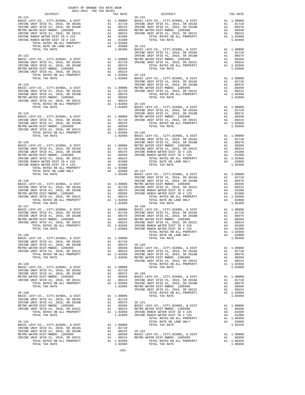| DISTRICT   | 2021-2022 TRA TAX RATES | TAX RATE | $\begin{minipage}{0.9\linewidth} \begin{tabular}{cc} \multicolumn{2}{c} \textbf{0.01} \end{tabular} \end{minipage}$ | TAX RATE |
|------------|-------------------------|----------|---------------------------------------------------------------------------------------------------------------------|----------|
|            |                         |          | $26 - 142$                                                                                                          |          |
|            |                         |          |                                                                                                                     |          |
|            |                         |          |                                                                                                                     |          |
|            |                         |          |                                                                                                                     |          |
|            |                         |          |                                                                                                                     |          |
|            |                         |          |                                                                                                                     |          |
|            |                         |          |                                                                                                                     |          |
|            |                         |          |                                                                                                                     |          |
|            |                         |          |                                                                                                                     |          |
|            |                         |          |                                                                                                                     |          |
|            |                         |          |                                                                                                                     |          |
|            |                         |          |                                                                                                                     |          |
|            |                         |          |                                                                                                                     |          |
|            |                         |          |                                                                                                                     |          |
|            |                         |          |                                                                                                                     |          |
|            |                         |          |                                                                                                                     |          |
|            |                         |          |                                                                                                                     |          |
|            |                         |          |                                                                                                                     |          |
|            |                         |          |                                                                                                                     |          |
|            |                         |          |                                                                                                                     |          |
|            |                         |          |                                                                                                                     |          |
|            |                         |          |                                                                                                                     |          |
|            |                         |          |                                                                                                                     |          |
|            |                         |          |                                                                                                                     |          |
|            |                         |          |                                                                                                                     |          |
|            |                         |          |                                                                                                                     |          |
|            |                         |          |                                                                                                                     |          |
|            |                         |          |                                                                                                                     |          |
|            |                         |          |                                                                                                                     |          |
|            |                         |          |                                                                                                                     |          |
|            |                         |          |                                                                                                                     |          |
|            |                         |          |                                                                                                                     |          |
|            |                         |          |                                                                                                                     |          |
|            |                         |          |                                                                                                                     |          |
|            |                         |          |                                                                                                                     |          |
|            |                         |          |                                                                                                                     |          |
|            |                         |          |                                                                                                                     |          |
|            |                         |          |                                                                                                                     |          |
|            |                         |          |                                                                                                                     |          |
|            |                         |          |                                                                                                                     |          |
|            |                         |          |                                                                                                                     |          |
|            |                         |          |                                                                                                                     |          |
| $26 - 137$ |                         |          | $26 - 148$                                                                                                          |          |
|            |                         |          |                                                                                                                     |          |
|            |                         |          |                                                                                                                     |          |
|            |                         |          |                                                                                                                     |          |
|            |                         |          |                                                                                                                     |          |
|            |                         |          |                                                                                                                     |          |
|            |                         |          |                                                                                                                     |          |
|            |                         |          |                                                                                                                     |          |
|            |                         |          |                                                                                                                     |          |
|            |                         |          |                                                                                                                     |          |
|            |                         |          |                                                                                                                     |          |
|            |                         |          |                                                                                                                     |          |
|            |                         |          |                                                                                                                     |          |
|            |                         |          |                                                                                                                     |          |
|            |                         |          |                                                                                                                     |          |
|            |                         |          |                                                                                                                     |          |
|            |                         |          |                                                                                                                     |          |
|            |                         |          |                                                                                                                     |          |
|            |                         |          |                                                                                                                     |          |
|            |                         |          |                                                                                                                     |          |
|            |                         |          |                                                                                                                     |          |
|            |                         |          |                                                                                                                     |          |
|            |                         |          |                                                                                                                     |          |
|            |                         |          |                                                                                                                     |          |
|            |                         |          |                                                                                                                     |          |
|            |                         |          |                                                                                                                     |          |
|            |                         |          |                                                                                                                     |          |
|            |                         |          |                                                                                                                     |          |
|            |                         |          |                                                                                                                     |          |
|            |                         |          |                                                                                                                     |          |
|            |                         |          |                                                                                                                     |          |
|            |                         |          |                                                                                                                     |          |

|                                                           | TAX RATE                                                              |
|-----------------------------------------------------------|-----------------------------------------------------------------------|
| A <sub>1</sub><br>A <sub>1</sub><br>A 1<br>A1<br>A1<br>A1 | 1,00000<br>.01710<br>.00376<br>.00350<br>.00224<br>1.02660<br>1.02660 |
| A <sub>1</sub><br>A1<br>A1<br>A1<br>A1<br>A1              | 1,00000<br>.01710<br>.00376<br>.00350<br>.00224<br>1.02660<br>1.02660 |
| A1<br>A1<br>A <sub>1</sub>                                | A1 1.00000<br>.01710<br>.00376<br>.00350                              |

|    | 1.02660          | BASIC LEVY-CO., CITY, SCHOOL,                                |
|----|------------------|--------------------------------------------------------------|
|    |                  | IRVINE UNIF SFID #1, 2016, SR                                |
|    |                  | IRVINE UNIF SFID #1, 2016, SR                                |
| A1 | 1.00000          | METRO WATER DIST-MWDOC- 12059                                |
| A1 | .01710           | IRVINE UNIF SFID #1, 2016, SR                                |
| A1 | .00376           | TOTAL RATES ON ALL PR                                        |
| A1 | .00350           | TOTAL TAX RATE                                               |
| A1 | .00224           |                                                              |
| A1 | 1.02660          | $26 - 146$                                                   |
|    | 1.02660          | BASIC LEVY-CO., CITY, SCHOOL,                                |
|    |                  | IRVINE UNIF SFID #1, 2016, SR                                |
|    |                  | IRVINE UNIF SFID #1, 2016, SR                                |
| A1 | 1.00000          | METRO WATER DIST-MWDOC- 12059                                |
| A1 | .01710           | IRVINE UNIF SFID #1, 2016, SR                                |
| A1 | .00376           | IRVINE RANCH WATER DIST ID #                                 |
| A1 | .00350           | IRVINE RANCH WATER DIST ID #                                 |
| A1 | .00224           | TOTAL RATES ON ALL PR                                        |
| A4 | .01500           | TOTAL RATE ON LAND ON                                        |
| A4 | .01300           | TOTAL TAX RATE                                               |
| A1 | 1.02660          |                                                              |
| A4 | .02800           | $26 - 147$                                                   |
|    | 1.05460          | BASIC LEVY-CO., CITY, SCHOOL,                                |
|    |                  | IRVINE UNIF SFID #1, 2016, SR                                |
|    |                  | IRVINE UNIF SFID #1, 2016, SR                                |
| A1 | 1.00000          | METRO WATER DIST-MWDOC- 12059                                |
| A1 | .01710           | IRVINE UNIF SFID #1, 2016, SR                                |
| A1 | .00376           | IRVINE RANCH WATER DIST ID #                                 |
| A1 | .00350           | IRVINE RANCH WATER DIST ID #                                 |
| A1 | .00224           | TOTAL RATES ON ALL PR                                        |
| A1 | 1.02660          | TOTAL RATE ON LAND ON                                        |
|    | 1.02660          | TOTAL TAX RATE                                               |
|    |                  | $26 - 148$                                                   |
| A1 | 1.00000          | BASIC LEVY-CO., CITY, SCHOOL,                                |
| Α1 | .01710           | IRVINE UNIF SFID #1, 2016, SR                                |
| A1 | .00376           | IRVINE UNIF SFID #1, 2016, SR                                |
| A1 |                  | METRO WATER DIST-MWDOC- 12059                                |
| A1 | 00350.<br>00224. | IRVINE UNIF SFID #1, 2016, SR                                |
| A1 | 1.02660          |                                                              |
|    | 1.02660          | IRVINE RANCH WATER DIST ID #<br>IRVINE RANCH WATER DIST ID # |
|    |                  | TOTAL RATES ON ALL PR                                        |
|    |                  | TOTAL RATE ON LAND ON                                        |
| A1 | 1.00000          | TOTAL TAX RATE                                               |
| A1 | .01710           |                                                              |
| A1 | .00376           | $26 - 149$                                                   |
| A1 | .00350           | BASIC LEVY-CO., CITY, SCHOOL,                                |
| A1 | .00224           | IRVINE UNIF SFID #1, 2016, SR                                |
| A1 | 1.02660          | IRVINE UNIF SFID #1, 2016, SR                                |
|    | 1.02660          | METRO WATER DIST-MWDOC- 12059                                |
|    |                  | IRVINE UNIF SFID #1, 2016, SR                                |
|    |                  |                                                              |
| A1 | 1.00000          | TOTAL RATES ON ALL PR<br>TOTAL TAX RATE                      |
|    |                  |                                                              |
| A1 | .01710           |                                                              |
| A1 | .00376           | $26 - 150$                                                   |
| Α1 | .00350           | BASIC LEVY-CO., CITY, SCHOOL,                                |
| A1 | .00224           | IRVINE UNIF SFID #1, 2016, SR                                |
| A1 | 1.02660          | IRVINE UNIF SFID #1, 2016, SR                                |
|    | 1.02660          | METRO WATER DIST-MWDOC- 12059                                |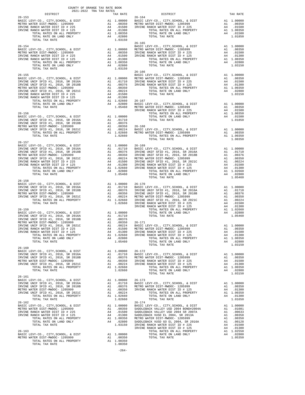| $\begin{tabular}{ccccc} & & & & & & \\ & & & & & & \\ & & & & & & \\ \hline \text{DISTRICT} & & & & & \\ \end{tabular}$ | COUNTY OF ORANGE TAX RATE BOOK |                                                                                                                                                                                                                                                                                      |          |
|-------------------------------------------------------------------------------------------------------------------------|--------------------------------|--------------------------------------------------------------------------------------------------------------------------------------------------------------------------------------------------------------------------------------------------------------------------------------|----------|
|                                                                                                                         |                                | TAX RATE DISTRICT<br>26-164                                                                                                                                                                                                                                                          | TAX RATE |
| $26 - 153$                                                                                                              |                                |                                                                                                                                                                                                                                                                                      |          |
|                                                                                                                         |                                |                                                                                                                                                                                                                                                                                      |          |
|                                                                                                                         |                                |                                                                                                                                                                                                                                                                                      |          |
|                                                                                                                         |                                |                                                                                                                                                                                                                                                                                      |          |
|                                                                                                                         |                                |                                                                                                                                                                                                                                                                                      |          |
|                                                                                                                         |                                | $\begin{tabular}{lllllllllllllllllll} \multicolumn{3}{c}{26-154} & 26-165 & 26-165 & 26-165 & 26-165 & 26-165 & 26-165 & 26-165 & 26-165 & 26-165 & 26-165 & 26-165 & 26-165 & 26-165 & 26-165 & 26-165 & 26-165 & 26-165 & 26-165 & 26-165 & 26-165 & 26-165 & 26-165 & 26-165 & 2$ |          |
|                                                                                                                         |                                |                                                                                                                                                                                                                                                                                      |          |
|                                                                                                                         |                                |                                                                                                                                                                                                                                                                                      |          |
|                                                                                                                         |                                |                                                                                                                                                                                                                                                                                      |          |
|                                                                                                                         |                                |                                                                                                                                                                                                                                                                                      |          |
|                                                                                                                         |                                |                                                                                                                                                                                                                                                                                      |          |
|                                                                                                                         |                                |                                                                                                                                                                                                                                                                                      |          |
|                                                                                                                         |                                |                                                                                                                                                                                                                                                                                      |          |
|                                                                                                                         |                                |                                                                                                                                                                                                                                                                                      |          |
|                                                                                                                         |                                |                                                                                                                                                                                                                                                                                      |          |
|                                                                                                                         |                                |                                                                                                                                                                                                                                                                                      |          |
|                                                                                                                         |                                |                                                                                                                                                                                                                                                                                      |          |
|                                                                                                                         |                                |                                                                                                                                                                                                                                                                                      |          |
|                                                                                                                         |                                |                                                                                                                                                                                                                                                                                      |          |
|                                                                                                                         |                                |                                                                                                                                                                                                                                                                                      |          |
|                                                                                                                         |                                |                                                                                                                                                                                                                                                                                      |          |
|                                                                                                                         |                                |                                                                                                                                                                                                                                                                                      |          |
|                                                                                                                         |                                |                                                                                                                                                                                                                                                                                      |          |
|                                                                                                                         |                                |                                                                                                                                                                                                                                                                                      |          |
|                                                                                                                         |                                |                                                                                                                                                                                                                                                                                      |          |
|                                                                                                                         |                                |                                                                                                                                                                                                                                                                                      |          |
|                                                                                                                         |                                |                                                                                                                                                                                                                                                                                      |          |
|                                                                                                                         |                                |                                                                                                                                                                                                                                                                                      |          |
|                                                                                                                         |                                |                                                                                                                                                                                                                                                                                      |          |
|                                                                                                                         |                                |                                                                                                                                                                                                                                                                                      |          |
|                                                                                                                         |                                |                                                                                                                                                                                                                                                                                      |          |
|                                                                                                                         |                                |                                                                                                                                                                                                                                                                                      |          |
|                                                                                                                         |                                |                                                                                                                                                                                                                                                                                      |          |
|                                                                                                                         |                                |                                                                                                                                                                                                                                                                                      |          |
|                                                                                                                         |                                |                                                                                                                                                                                                                                                                                      |          |
|                                                                                                                         |                                |                                                                                                                                                                                                                                                                                      |          |
|                                                                                                                         |                                |                                                                                                                                                                                                                                                                                      |          |
|                                                                                                                         |                                |                                                                                                                                                                                                                                                                                      |          |
|                                                                                                                         |                                |                                                                                                                                                                                                                                                                                      |          |
|                                                                                                                         |                                |                                                                                                                                                                                                                                                                                      |          |
|                                                                                                                         |                                |                                                                                                                                                                                                                                                                                      |          |
|                                                                                                                         |                                |                                                                                                                                                                                                                                                                                      |          |
|                                                                                                                         |                                |                                                                                                                                                                                                                                                                                      |          |
|                                                                                                                         |                                |                                                                                                                                                                                                                                                                                      |          |
|                                                                                                                         |                                |                                                                                                                                                                                                                                                                                      |          |
|                                                                                                                         |                                |                                                                                                                                                                                                                                                                                      |          |
|                                                                                                                         |                                |                                                                                                                                                                                                                                                                                      |          |
|                                                                                                                         |                                |                                                                                                                                                                                                                                                                                      |          |
|                                                                                                                         |                                |                                                                                                                                                                                                                                                                                      |          |
|                                                                                                                         |                                |                                                                                                                                                                                                                                                                                      |          |
|                                                                                                                         |                                |                                                                                                                                                                                                                                                                                      |          |
|                                                                                                                         |                                |                                                                                                                                                                                                                                                                                      |          |
|                                                                                                                         |                                |                                                                                                                                                                                                                                                                                      |          |
| $26 - 160$                                                                                                              |                                |                                                                                                                                                                                                                                                                                      |          |
|                                                                                                                         |                                |                                                                                                                                                                                                                                                                                      |          |
|                                                                                                                         |                                |                                                                                                                                                                                                                                                                                      |          |
|                                                                                                                         |                                |                                                                                                                                                                                                                                                                                      |          |
|                                                                                                                         |                                |                                                                                                                                                                                                                                                                                      |          |
|                                                                                                                         |                                |                                                                                                                                                                                                                                                                                      |          |
|                                                                                                                         |                                |                                                                                                                                                                                                                                                                                      |          |
| $26 - 161$                                                                                                              |                                |                                                                                                                                                                                                                                                                                      |          |
|                                                                                                                         |                                |                                                                                                                                                                                                                                                                                      |          |
|                                                                                                                         |                                |                                                                                                                                                                                                                                                                                      |          |
|                                                                                                                         |                                |                                                                                                                                                                                                                                                                                      |          |
|                                                                                                                         |                                |                                                                                                                                                                                                                                                                                      |          |
|                                                                                                                         |                                |                                                                                                                                                                                                                                                                                      |          |
|                                                                                                                         |                                |                                                                                                                                                                                                                                                                                      |          |
|                                                                                                                         |                                |                                                                                                                                                                                                                                                                                      |          |
|                                                                                                                         |                                |                                                                                                                                                                                                                                                                                      |          |
|                                                                                                                         |                                |                                                                                                                                                                                                                                                                                      |          |
|                                                                                                                         |                                |                                                                                                                                                                                                                                                                                      |          |
|                                                                                                                         |                                |                                                                                                                                                                                                                                                                                      |          |
|                                                                                                                         |                                |                                                                                                                                                                                                                                                                                      |          |
|                                                                                                                         |                                |                                                                                                                                                                                                                                                                                      |          |
|                                                                                                                         |                                |                                                                                                                                                                                                                                                                                      |          |
|                                                                                                                         |                                |                                                                                                                                                                                                                                                                                      |          |
|                                                                                                                         |                                |                                                                                                                                                                                                                                                                                      |          |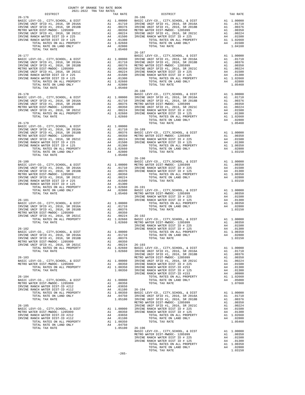| DISTRICT   | 2021-2022 TRA TAX RATES | TAX RATE | DISTRICT   | TAX RATE |
|------------|-------------------------|----------|------------|----------|
| $26 - 176$ |                         |          | $26 - 186$ |          |
|            |                         |          |            |          |
|            |                         |          |            |          |
|            |                         |          |            |          |
|            |                         |          |            |          |
|            |                         |          |            |          |
|            |                         |          |            |          |
|            |                         |          |            |          |
|            |                         |          |            |          |
|            |                         |          |            |          |
|            |                         |          |            |          |
|            |                         |          |            |          |
|            |                         |          |            |          |
|            |                         |          | $26 - 190$ |          |
|            |                         |          |            |          |
|            |                         |          |            |          |
|            |                         |          |            |          |
|            |                         |          |            |          |
|            |                         |          |            |          |
|            |                         |          |            |          |
|            |                         |          |            |          |
|            |                         |          |            |          |
|            |                         |          |            |          |
|            |                         |          |            |          |
|            |                         |          |            |          |
|            |                         |          |            |          |
|            |                         |          |            |          |
|            |                         |          |            |          |
|            |                         |          |            |          |
|            |                         |          |            |          |
|            |                         |          |            |          |
|            |                         |          |            |          |
|            |                         |          |            |          |
|            |                         |          |            |          |
|            |                         |          |            |          |
|            |                         |          |            |          |
|            |                         |          |            |          |
|            |                         |          |            |          |
|            |                         | $-265-$  |            |          |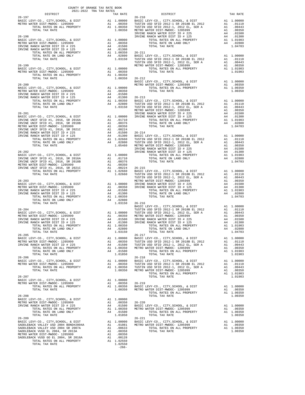| COUNTY OF ORANGE TAX RATE BOOK<br>2021-2022 TRA TAX RATES |          |                                                                                                                                                                                                                                                                                                                                             |          |
|-----------------------------------------------------------|----------|---------------------------------------------------------------------------------------------------------------------------------------------------------------------------------------------------------------------------------------------------------------------------------------------------------------------------------------------|----------|
|                                                           | TAX RATE | DISTRICT                                                                                                                                                                                                                                                                                                                                    | TAX RATE |
|                                                           |          | $26 - 210$                                                                                                                                                                                                                                                                                                                                  |          |
|                                                           |          |                                                                                                                                                                                                                                                                                                                                             |          |
|                                                           |          |                                                                                                                                                                                                                                                                                                                                             |          |
|                                                           |          |                                                                                                                                                                                                                                                                                                                                             |          |
|                                                           |          |                                                                                                                                                                                                                                                                                                                                             |          |
|                                                           |          |                                                                                                                                                                                                                                                                                                                                             |          |
|                                                           |          |                                                                                                                                                                                                                                                                                                                                             |          |
|                                                           |          |                                                                                                                                                                                                                                                                                                                                             |          |
|                                                           |          |                                                                                                                                                                                                                                                                                                                                             |          |
|                                                           |          |                                                                                                                                                                                                                                                                                                                                             |          |
|                                                           |          |                                                                                                                                                                                                                                                                                                                                             |          |
|                                                           |          |                                                                                                                                                                                                                                                                                                                                             |          |
|                                                           |          |                                                                                                                                                                                                                                                                                                                                             |          |
|                                                           |          |                                                                                                                                                                                                                                                                                                                                             |          |
|                                                           |          |                                                                                                                                                                                                                                                                                                                                             |          |
|                                                           |          |                                                                                                                                                                                                                                                                                                                                             |          |
|                                                           |          |                                                                                                                                                                                                                                                                                                                                             |          |
|                                                           |          |                                                                                                                                                                                                                                                                                                                                             |          |
|                                                           |          |                                                                                                                                                                                                                                                                                                                                             |          |
|                                                           |          |                                                                                                                                                                                                                                                                                                                                             |          |
|                                                           |          |                                                                                                                                                                                                                                                                                                                                             |          |
|                                                           |          |                                                                                                                                                                                                                                                                                                                                             |          |
|                                                           |          |                                                                                                                                                                                                                                                                                                                                             |          |
|                                                           |          |                                                                                                                                                                                                                                                                                                                                             |          |
|                                                           |          |                                                                                                                                                                                                                                                                                                                                             |          |
|                                                           |          |                                                                                                                                                                                                                                                                                                                                             |          |
|                                                           |          |                                                                                                                                                                                                                                                                                                                                             |          |
|                                                           |          |                                                                                                                                                                                                                                                                                                                                             |          |
|                                                           |          |                                                                                                                                                                                                                                                                                                                                             |          |
|                                                           |          |                                                                                                                                                                                                                                                                                                                                             |          |
|                                                           |          |                                                                                                                                                                                                                                                                                                                                             |          |
|                                                           |          |                                                                                                                                                                                                                                                                                                                                             |          |
|                                                           |          |                                                                                                                                                                                                                                                                                                                                             |          |
|                                                           |          |                                                                                                                                                                                                                                                                                                                                             |          |
|                                                           |          |                                                                                                                                                                                                                                                                                                                                             |          |
|                                                           |          |                                                                                                                                                                                                                                                                                                                                             |          |
|                                                           |          |                                                                                                                                                                                                                                                                                                                                             |          |
|                                                           |          |                                                                                                                                                                                                                                                                                                                                             |          |
|                                                           |          |                                                                                                                                                                                                                                                                                                                                             |          |
|                                                           |          |                                                                                                                                                                                                                                                                                                                                             |          |
|                                                           |          |                                                                                                                                                                                                                                                                                                                                             |          |
|                                                           |          |                                                                                                                                                                                                                                                                                                                                             |          |
|                                                           |          | $\begin{tabular}{@{}c@{}}\hline 26-205 & $\cdots$ & $10-0000 \\ 26-207 & $\cdots$ & $11$ & $100000 \\ 26-217 & $\cdots$ & $11$ & $100000 \\ 26-217 & $\cdots$ & $11$ & $100000 \\ 26-217 & $\cdots$ & $11$ & $100000 \\ 26-217 & $\cdots$ & $11$ & $100000 \\ 26-217 & $\cdots$ & $11$ & $100000 \\ 26-217 & $\cdots$ & $11$ & $100000 \\ $ |          |
|                                                           |          |                                                                                                                                                                                                                                                                                                                                             |          |
|                                                           |          |                                                                                                                                                                                                                                                                                                                                             |          |
|                                                           |          |                                                                                                                                                                                                                                                                                                                                             |          |
|                                                           |          |                                                                                                                                                                                                                                                                                                                                             |          |
|                                                           |          |                                                                                                                                                                                                                                                                                                                                             |          |
|                                                           |          |                                                                                                                                                                                                                                                                                                                                             |          |
|                                                           |          |                                                                                                                                                                                                                                                                                                                                             |          |
|                                                           |          |                                                                                                                                                                                                                                                                                                                                             |          |
|                                                           |          |                                                                                                                                                                                                                                                                                                                                             |          |
|                                                           |          |                                                                                                                                                                                                                                                                                                                                             |          |
|                                                           |          |                                                                                                                                                                                                                                                                                                                                             |          |
|                                                           |          |                                                                                                                                                                                                                                                                                                                                             |          |
|                                                           |          |                                                                                                                                                                                                                                                                                                                                             |          |
|                                                           |          |                                                                                                                                                                                                                                                                                                                                             |          |
|                                                           |          |                                                                                                                                                                                                                                                                                                                                             |          |
|                                                           |          |                                                                                                                                                                                                                                                                                                                                             |          |
|                                                           |          |                                                                                                                                                                                                                                                                                                                                             |          |
|                                                           |          |                                                                                                                                                                                                                                                                                                                                             |          |
|                                                           | $-266-$  |                                                                                                                                                                                                                                                                                                                                             |          |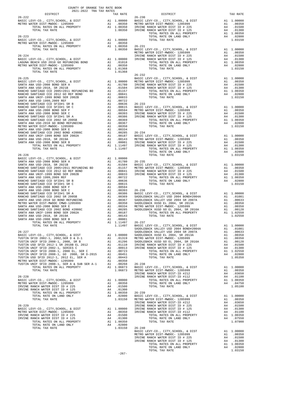| COUNTY OF ORANGE TAX RATE BOOK<br>2021-2022 TRA TAX RATES<br>DISTRICT TAX RJ                                                                                                                                                                                                  |         |         |
|-------------------------------------------------------------------------------------------------------------------------------------------------------------------------------------------------------------------------------------------------------------------------------|---------|---------|
|                                                                                                                                                                                                                                                                               |         |         |
|                                                                                                                                                                                                                                                                               |         |         |
|                                                                                                                                                                                                                                                                               |         |         |
|                                                                                                                                                                                                                                                                               |         |         |
|                                                                                                                                                                                                                                                                               |         |         |
|                                                                                                                                                                                                                                                                               |         |         |
|                                                                                                                                                                                                                                                                               |         |         |
|                                                                                                                                                                                                                                                                               |         |         |
|                                                                                                                                                                                                                                                                               |         |         |
|                                                                                                                                                                                                                                                                               |         |         |
|                                                                                                                                                                                                                                                                               |         |         |
|                                                                                                                                                                                                                                                                               |         |         |
|                                                                                                                                                                                                                                                                               |         |         |
|                                                                                                                                                                                                                                                                               |         |         |
| <b>REGIST AND CONTROL CONTROL 2002</b> (1993) $\frac{1}{2}$ (1993) $\frac{1}{2}$ (1993) $\frac{1}{2}$ (1994) $\frac{1}{2}$ (1994) $\frac{1}{2}$ (1994) $\frac{1}{2}$ (1994) $\frac{1}{2}$ (1994) $\frac{1}{2}$ (1994) $\frac{1}{2}$ (1994) $\frac{1}{2}$ (1994) $\frac{1}{2}$ |         |         |
|                                                                                                                                                                                                                                                                               |         |         |
|                                                                                                                                                                                                                                                                               |         |         |
|                                                                                                                                                                                                                                                                               |         |         |
|                                                                                                                                                                                                                                                                               |         |         |
|                                                                                                                                                                                                                                                                               |         |         |
|                                                                                                                                                                                                                                                                               |         |         |
|                                                                                                                                                                                                                                                                               |         |         |
|                                                                                                                                                                                                                                                                               |         |         |
|                                                                                                                                                                                                                                                                               |         |         |
|                                                                                                                                                                                                                                                                               |         |         |
|                                                                                                                                                                                                                                                                               |         |         |
|                                                                                                                                                                                                                                                                               |         |         |
|                                                                                                                                                                                                                                                                               |         |         |
|                                                                                                                                                                                                                                                                               |         |         |
|                                                                                                                                                                                                                                                                               |         |         |
|                                                                                                                                                                                                                                                                               |         |         |
|                                                                                                                                                                                                                                                                               |         |         |
|                                                                                                                                                                                                                                                                               |         |         |
|                                                                                                                                                                                                                                                                               |         |         |
|                                                                                                                                                                                                                                                                               |         |         |
|                                                                                                                                                                                                                                                                               |         |         |
|                                                                                                                                                                                                                                                                               |         |         |
|                                                                                                                                                                                                                                                                               |         |         |
|                                                                                                                                                                                                                                                                               |         |         |
|                                                                                                                                                                                                                                                                               |         |         |
|                                                                                                                                                                                                                                                                               |         |         |
|                                                                                                                                                                                                                                                                               |         |         |
|                                                                                                                                                                                                                                                                               |         |         |
|                                                                                                                                                                                                                                                                               |         |         |
|                                                                                                                                                                                                                                                                               |         |         |
|                                                                                                                                                                                                                                                                               |         |         |
|                                                                                                                                                                                                                                                                               |         |         |
|                                                                                                                                                                                                                                                                               |         |         |
|                                                                                                                                                                                                                                                                               |         |         |
|                                                                                                                                                                                                                                                                               |         |         |
|                                                                                                                                                                                                                                                                               |         |         |
|                                                                                                                                                                                                                                                                               |         |         |
|                                                                                                                                                                                                                                                                               |         |         |
|                                                                                                                                                                                                                                                                               |         |         |
|                                                                                                                                                                                                                                                                               |         |         |
|                                                                                                                                                                                                                                                                               |         |         |
|                                                                                                                                                                                                                                                                               |         |         |
|                                                                                                                                                                                                                                                                               |         |         |
|                                                                                                                                                                                                                                                                               |         |         |
|                                                                                                                                                                                                                                                                               |         |         |
|                                                                                                                                                                                                                                                                               |         |         |
|                                                                                                                                                                                                                                                                               |         |         |
|                                                                                                                                                                                                                                                                               |         |         |
|                                                                                                                                                                                                                                                                               |         |         |
|                                                                                                                                                                                                                                                                               |         |         |
|                                                                                                                                                                                                                                                                               |         |         |
|                                                                                                                                                                                                                                                                               |         |         |
|                                                                                                                                                                                                                                                                               |         |         |
|                                                                                                                                                                                                                                                                               |         |         |
|                                                                                                                                                                                                                                                                               |         |         |
|                                                                                                                                                                                                                                                                               |         |         |
|                                                                                                                                                                                                                                                                               |         |         |
|                                                                                                                                                                                                                                                                               |         |         |
|                                                                                                                                                                                                                                                                               |         |         |
|                                                                                                                                                                                                                                                                               |         |         |
|                                                                                                                                                                                                                                                                               |         |         |
|                                                                                                                                                                                                                                                                               |         |         |
|                                                                                                                                                                                                                                                                               |         |         |
|                                                                                                                                                                                                                                                                               |         | 1.03150 |
|                                                                                                                                                                                                                                                                               | $-267-$ |         |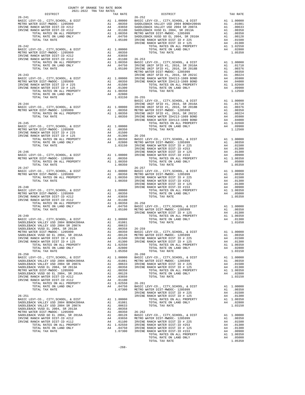| $\begin{minipage}{0.5\textwidth} \begin{tabular}{@{}c@{}} \multicolumn{2}{c}{\textbf{5.5} \put(0,0){\vector(0,-1){20}} \put(1,0){\vector(0,-1){20}} \put(2,0){\vector(0,-1){20}} \put(1,0){\vector(0,-1){20}} \put(2,0){\vector(0,-1){20}} \put(2,0){\vector(0,-1){20}} \put(2,0){\vector(0,-1){20}} \put(2,0){\vector(0,-1){20}} \put(2,0){\vector(0,-1){20}} \put(2,0){\vector(0,-1){20}} \put(2,0){$ |                                                                                                                                                                                                                                                                                 |          |
|---------------------------------------------------------------------------------------------------------------------------------------------------------------------------------------------------------------------------------------------------------------------------------------------------------------------------------------------------------------------------------------------------------|---------------------------------------------------------------------------------------------------------------------------------------------------------------------------------------------------------------------------------------------------------------------------------|----------|
|                                                                                                                                                                                                                                                                                                                                                                                                         | TAX RATE DISTRICT<br>TAX RATE 26-252                                                                                                                                                                                                                                            | TAX RATE |
| $26 - 241$                                                                                                                                                                                                                                                                                                                                                                                              |                                                                                                                                                                                                                                                                                 |          |
|                                                                                                                                                                                                                                                                                                                                                                                                         |                                                                                                                                                                                                                                                                                 |          |
|                                                                                                                                                                                                                                                                                                                                                                                                         |                                                                                                                                                                                                                                                                                 |          |
|                                                                                                                                                                                                                                                                                                                                                                                                         |                                                                                                                                                                                                                                                                                 |          |
|                                                                                                                                                                                                                                                                                                                                                                                                         |                                                                                                                                                                                                                                                                                 |          |
|                                                                                                                                                                                                                                                                                                                                                                                                         |                                                                                                                                                                                                                                                                                 |          |
|                                                                                                                                                                                                                                                                                                                                                                                                         |                                                                                                                                                                                                                                                                                 |          |
|                                                                                                                                                                                                                                                                                                                                                                                                         |                                                                                                                                                                                                                                                                                 |          |
|                                                                                                                                                                                                                                                                                                                                                                                                         |                                                                                                                                                                                                                                                                                 |          |
|                                                                                                                                                                                                                                                                                                                                                                                                         |                                                                                                                                                                                                                                                                                 |          |
|                                                                                                                                                                                                                                                                                                                                                                                                         |                                                                                                                                                                                                                                                                                 |          |
|                                                                                                                                                                                                                                                                                                                                                                                                         |                                                                                                                                                                                                                                                                                 |          |
|                                                                                                                                                                                                                                                                                                                                                                                                         |                                                                                                                                                                                                                                                                                 |          |
|                                                                                                                                                                                                                                                                                                                                                                                                         |                                                                                                                                                                                                                                                                                 |          |
|                                                                                                                                                                                                                                                                                                                                                                                                         |                                                                                                                                                                                                                                                                                 |          |
|                                                                                                                                                                                                                                                                                                                                                                                                         |                                                                                                                                                                                                                                                                                 |          |
|                                                                                                                                                                                                                                                                                                                                                                                                         |                                                                                                                                                                                                                                                                                 |          |
|                                                                                                                                                                                                                                                                                                                                                                                                         |                                                                                                                                                                                                                                                                                 |          |
|                                                                                                                                                                                                                                                                                                                                                                                                         |                                                                                                                                                                                                                                                                                 |          |
|                                                                                                                                                                                                                                                                                                                                                                                                         |                                                                                                                                                                                                                                                                                 |          |
|                                                                                                                                                                                                                                                                                                                                                                                                         |                                                                                                                                                                                                                                                                                 |          |
|                                                                                                                                                                                                                                                                                                                                                                                                         |                                                                                                                                                                                                                                                                                 |          |
|                                                                                                                                                                                                                                                                                                                                                                                                         |                                                                                                                                                                                                                                                                                 |          |
|                                                                                                                                                                                                                                                                                                                                                                                                         |                                                                                                                                                                                                                                                                                 |          |
|                                                                                                                                                                                                                                                                                                                                                                                                         |                                                                                                                                                                                                                                                                                 |          |
|                                                                                                                                                                                                                                                                                                                                                                                                         |                                                                                                                                                                                                                                                                                 |          |
|                                                                                                                                                                                                                                                                                                                                                                                                         |                                                                                                                                                                                                                                                                                 |          |
|                                                                                                                                                                                                                                                                                                                                                                                                         |                                                                                                                                                                                                                                                                                 |          |
|                                                                                                                                                                                                                                                                                                                                                                                                         |                                                                                                                                                                                                                                                                                 |          |
|                                                                                                                                                                                                                                                                                                                                                                                                         |                                                                                                                                                                                                                                                                                 |          |
|                                                                                                                                                                                                                                                                                                                                                                                                         |                                                                                                                                                                                                                                                                                 |          |
|                                                                                                                                                                                                                                                                                                                                                                                                         |                                                                                                                                                                                                                                                                                 |          |
|                                                                                                                                                                                                                                                                                                                                                                                                         |                                                                                                                                                                                                                                                                                 |          |
|                                                                                                                                                                                                                                                                                                                                                                                                         |                                                                                                                                                                                                                                                                                 |          |
|                                                                                                                                                                                                                                                                                                                                                                                                         |                                                                                                                                                                                                                                                                                 |          |
|                                                                                                                                                                                                                                                                                                                                                                                                         |                                                                                                                                                                                                                                                                                 |          |
|                                                                                                                                                                                                                                                                                                                                                                                                         |                                                                                                                                                                                                                                                                                 |          |
|                                                                                                                                                                                                                                                                                                                                                                                                         |                                                                                                                                                                                                                                                                                 |          |
|                                                                                                                                                                                                                                                                                                                                                                                                         |                                                                                                                                                                                                                                                                                 |          |
|                                                                                                                                                                                                                                                                                                                                                                                                         |                                                                                                                                                                                                                                                                                 |          |
|                                                                                                                                                                                                                                                                                                                                                                                                         |                                                                                                                                                                                                                                                                                 |          |
|                                                                                                                                                                                                                                                                                                                                                                                                         |                                                                                                                                                                                                                                                                                 |          |
|                                                                                                                                                                                                                                                                                                                                                                                                         |                                                                                                                                                                                                                                                                                 |          |
|                                                                                                                                                                                                                                                                                                                                                                                                         |                                                                                                                                                                                                                                                                                 |          |
|                                                                                                                                                                                                                                                                                                                                                                                                         |                                                                                                                                                                                                                                                                                 |          |
|                                                                                                                                                                                                                                                                                                                                                                                                         | 279.1441 MPC (MPV) - 0. 2007 MPC (MPV) - 0. 2007 MPC (MPV) - 1970 MPC (MPV) - 1970 MPC (MPV) - 2002<br>279.1441 MPC (MPV) - 0. 2007 AND 2002 MPC (MPV) - 2002 MPC (MPV) - 2002 MPC (MPV) - 2002 MPC (MPV) - 2002 MPC (MPV) - 20                                                 |          |
|                                                                                                                                                                                                                                                                                                                                                                                                         |                                                                                                                                                                                                                                                                                 |          |
|                                                                                                                                                                                                                                                                                                                                                                                                         |                                                                                                                                                                                                                                                                                 |          |
|                                                                                                                                                                                                                                                                                                                                                                                                         |                                                                                                                                                                                                                                                                                 |          |
|                                                                                                                                                                                                                                                                                                                                                                                                         |                                                                                                                                                                                                                                                                                 |          |
|                                                                                                                                                                                                                                                                                                                                                                                                         |                                                                                                                                                                                                                                                                                 |          |
|                                                                                                                                                                                                                                                                                                                                                                                                         |                                                                                                                                                                                                                                                                                 |          |
|                                                                                                                                                                                                                                                                                                                                                                                                         |                                                                                                                                                                                                                                                                                 |          |
|                                                                                                                                                                                                                                                                                                                                                                                                         |                                                                                                                                                                                                                                                                                 |          |
|                                                                                                                                                                                                                                                                                                                                                                                                         |                                                                                                                                                                                                                                                                                 |          |
|                                                                                                                                                                                                                                                                                                                                                                                                         |                                                                                                                                                                                                                                                                                 |          |
|                                                                                                                                                                                                                                                                                                                                                                                                         |                                                                                                                                                                                                                                                                                 |          |
|                                                                                                                                                                                                                                                                                                                                                                                                         |                                                                                                                                                                                                                                                                                 |          |
|                                                                                                                                                                                                                                                                                                                                                                                                         |                                                                                                                                                                                                                                                                                 |          |
|                                                                                                                                                                                                                                                                                                                                                                                                         |                                                                                                                                                                                                                                                                                 |          |
|                                                                                                                                                                                                                                                                                                                                                                                                         |                                                                                                                                                                                                                                                                                 |          |
|                                                                                                                                                                                                                                                                                                                                                                                                         |                                                                                                                                                                                                                                                                                 |          |
|                                                                                                                                                                                                                                                                                                                                                                                                         |                                                                                                                                                                                                                                                                                 |          |
|                                                                                                                                                                                                                                                                                                                                                                                                         |                                                                                                                                                                                                                                                                                 |          |
|                                                                                                                                                                                                                                                                                                                                                                                                         |                                                                                                                                                                                                                                                                                 |          |
|                                                                                                                                                                                                                                                                                                                                                                                                         |                                                                                                                                                                                                                                                                                 |          |
|                                                                                                                                                                                                                                                                                                                                                                                                         |                                                                                                                                                                                                                                                                                 |          |
|                                                                                                                                                                                                                                                                                                                                                                                                         | $\begin{tabular}{@{}c c@{}}\hline & 10111 & 0411 & 0411 & 0411 & 0411 & 0411 & 0411 & 0411 & 0411 & 0411 & 0411 & 0411 & 0411 & 0411 & 0411 & 0411 & 0411 & 0411 & 0411 & 0411 & 0411 & 0411 & 0411 & 0411 & 0411 & 0411 & 0411 & 0411 & 0411 & 0411 & 0411 & 0411 & 0411 & 04$ |          |
|                                                                                                                                                                                                                                                                                                                                                                                                         |                                                                                                                                                                                                                                                                                 |          |
|                                                                                                                                                                                                                                                                                                                                                                                                         |                                                                                                                                                                                                                                                                                 |          |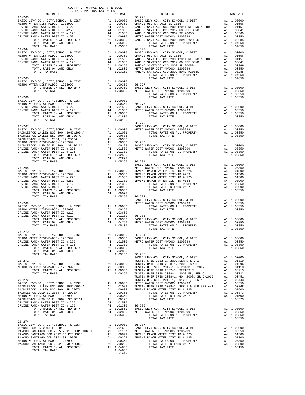| COUNTY OF ORANGE TAX RATE BOOK<br>2021-2022 TRA TAX RATES<br>$\begin{minipage}{0.03\textwidth} \begin{tabular}{c} \multicolumn{2}{c}{\textbf{0.03\textwidth} \begin{tabular}{c} \multicolumn{2}{c}{\textbf{0.03\textwidth} \begin{tabular}{c} \textbf{0.03\textwidth} \begin{tabular}{c} \textbf{0.03\textwidth} \begin{tabular}{c} \textbf{0.03\textwidth} \begin{tabular}{c} \textbf{0.03\textwidth} \begin{tabular}{c} \textbf{0.03\textwidth} \begin{tabular}{c} \textbf{0.03\textwidth} \begin{tabular}{c} \textbf{0.03\textwidth} \begin{tabular}{c$ |          |                                                                                                                                                                                                                                                                                                                                                                                                         |          |
|------------------------------------------------------------------------------------------------------------------------------------------------------------------------------------------------------------------------------------------------------------------------------------------------------------------------------------------------------------------------------------------------------------------------------------------------------------------------------------------------------------------------------------------------------------|----------|---------------------------------------------------------------------------------------------------------------------------------------------------------------------------------------------------------------------------------------------------------------------------------------------------------------------------------------------------------------------------------------------------------|----------|
|                                                                                                                                                                                                                                                                                                                                                                                                                                                                                                                                                            | TAX RATE | DISTRICT                                                                                                                                                                                                                                                                                                                                                                                                | TAX RATE |
| $26 - 263$                                                                                                                                                                                                                                                                                                                                                                                                                                                                                                                                                 |          | $26 - 275$                                                                                                                                                                                                                                                                                                                                                                                              |          |
|                                                                                                                                                                                                                                                                                                                                                                                                                                                                                                                                                            |          |                                                                                                                                                                                                                                                                                                                                                                                                         |          |
|                                                                                                                                                                                                                                                                                                                                                                                                                                                                                                                                                            |          |                                                                                                                                                                                                                                                                                                                                                                                                         |          |
|                                                                                                                                                                                                                                                                                                                                                                                                                                                                                                                                                            |          |                                                                                                                                                                                                                                                                                                                                                                                                         |          |
|                                                                                                                                                                                                                                                                                                                                                                                                                                                                                                                                                            |          |                                                                                                                                                                                                                                                                                                                                                                                                         |          |
|                                                                                                                                                                                                                                                                                                                                                                                                                                                                                                                                                            |          |                                                                                                                                                                                                                                                                                                                                                                                                         |          |
|                                                                                                                                                                                                                                                                                                                                                                                                                                                                                                                                                            |          |                                                                                                                                                                                                                                                                                                                                                                                                         |          |
|                                                                                                                                                                                                                                                                                                                                                                                                                                                                                                                                                            |          |                                                                                                                                                                                                                                                                                                                                                                                                         |          |
|                                                                                                                                                                                                                                                                                                                                                                                                                                                                                                                                                            |          |                                                                                                                                                                                                                                                                                                                                                                                                         |          |
|                                                                                                                                                                                                                                                                                                                                                                                                                                                                                                                                                            |          |                                                                                                                                                                                                                                                                                                                                                                                                         |          |
|                                                                                                                                                                                                                                                                                                                                                                                                                                                                                                                                                            |          |                                                                                                                                                                                                                                                                                                                                                                                                         |          |
|                                                                                                                                                                                                                                                                                                                                                                                                                                                                                                                                                            |          |                                                                                                                                                                                                                                                                                                                                                                                                         |          |
|                                                                                                                                                                                                                                                                                                                                                                                                                                                                                                                                                            |          |                                                                                                                                                                                                                                                                                                                                                                                                         |          |
|                                                                                                                                                                                                                                                                                                                                                                                                                                                                                                                                                            |          |                                                                                                                                                                                                                                                                                                                                                                                                         |          |
|                                                                                                                                                                                                                                                                                                                                                                                                                                                                                                                                                            |          |                                                                                                                                                                                                                                                                                                                                                                                                         |          |
|                                                                                                                                                                                                                                                                                                                                                                                                                                                                                                                                                            |          |                                                                                                                                                                                                                                                                                                                                                                                                         |          |
|                                                                                                                                                                                                                                                                                                                                                                                                                                                                                                                                                            |          |                                                                                                                                                                                                                                                                                                                                                                                                         |          |
|                                                                                                                                                                                                                                                                                                                                                                                                                                                                                                                                                            |          |                                                                                                                                                                                                                                                                                                                                                                                                         |          |
|                                                                                                                                                                                                                                                                                                                                                                                                                                                                                                                                                            |          |                                                                                                                                                                                                                                                                                                                                                                                                         |          |
|                                                                                                                                                                                                                                                                                                                                                                                                                                                                                                                                                            |          |                                                                                                                                                                                                                                                                                                                                                                                                         |          |
|                                                                                                                                                                                                                                                                                                                                                                                                                                                                                                                                                            |          |                                                                                                                                                                                                                                                                                                                                                                                                         |          |
|                                                                                                                                                                                                                                                                                                                                                                                                                                                                                                                                                            |          |                                                                                                                                                                                                                                                                                                                                                                                                         |          |
|                                                                                                                                                                                                                                                                                                                                                                                                                                                                                                                                                            |          |                                                                                                                                                                                                                                                                                                                                                                                                         |          |
|                                                                                                                                                                                                                                                                                                                                                                                                                                                                                                                                                            |          |                                                                                                                                                                                                                                                                                                                                                                                                         |          |
|                                                                                                                                                                                                                                                                                                                                                                                                                                                                                                                                                            |          |                                                                                                                                                                                                                                                                                                                                                                                                         |          |
|                                                                                                                                                                                                                                                                                                                                                                                                                                                                                                                                                            |          |                                                                                                                                                                                                                                                                                                                                                                                                         |          |
|                                                                                                                                                                                                                                                                                                                                                                                                                                                                                                                                                            |          |                                                                                                                                                                                                                                                                                                                                                                                                         |          |
|                                                                                                                                                                                                                                                                                                                                                                                                                                                                                                                                                            |          |                                                                                                                                                                                                                                                                                                                                                                                                         |          |
|                                                                                                                                                                                                                                                                                                                                                                                                                                                                                                                                                            |          |                                                                                                                                                                                                                                                                                                                                                                                                         |          |
|                                                                                                                                                                                                                                                                                                                                                                                                                                                                                                                                                            |          |                                                                                                                                                                                                                                                                                                                                                                                                         |          |
|                                                                                                                                                                                                                                                                                                                                                                                                                                                                                                                                                            |          |                                                                                                                                                                                                                                                                                                                                                                                                         |          |
|                                                                                                                                                                                                                                                                                                                                                                                                                                                                                                                                                            |          |                                                                                                                                                                                                                                                                                                                                                                                                         |          |
|                                                                                                                                                                                                                                                                                                                                                                                                                                                                                                                                                            |          |                                                                                                                                                                                                                                                                                                                                                                                                         |          |
|                                                                                                                                                                                                                                                                                                                                                                                                                                                                                                                                                            |          |                                                                                                                                                                                                                                                                                                                                                                                                         |          |
|                                                                                                                                                                                                                                                                                                                                                                                                                                                                                                                                                            |          |                                                                                                                                                                                                                                                                                                                                                                                                         |          |
|                                                                                                                                                                                                                                                                                                                                                                                                                                                                                                                                                            |          |                                                                                                                                                                                                                                                                                                                                                                                                         |          |
|                                                                                                                                                                                                                                                                                                                                                                                                                                                                                                                                                            |          |                                                                                                                                                                                                                                                                                                                                                                                                         |          |
|                                                                                                                                                                                                                                                                                                                                                                                                                                                                                                                                                            |          |                                                                                                                                                                                                                                                                                                                                                                                                         |          |
|                                                                                                                                                                                                                                                                                                                                                                                                                                                                                                                                                            |          |                                                                                                                                                                                                                                                                                                                                                                                                         |          |
|                                                                                                                                                                                                                                                                                                                                                                                                                                                                                                                                                            |          |                                                                                                                                                                                                                                                                                                                                                                                                         |          |
|                                                                                                                                                                                                                                                                                                                                                                                                                                                                                                                                                            |          |                                                                                                                                                                                                                                                                                                                                                                                                         |          |
|                                                                                                                                                                                                                                                                                                                                                                                                                                                                                                                                                            |          |                                                                                                                                                                                                                                                                                                                                                                                                         |          |
|                                                                                                                                                                                                                                                                                                                                                                                                                                                                                                                                                            |          |                                                                                                                                                                                                                                                                                                                                                                                                         |          |
|                                                                                                                                                                                                                                                                                                                                                                                                                                                                                                                                                            |          |                                                                                                                                                                                                                                                                                                                                                                                                         |          |
|                                                                                                                                                                                                                                                                                                                                                                                                                                                                                                                                                            |          |                                                                                                                                                                                                                                                                                                                                                                                                         |          |
|                                                                                                                                                                                                                                                                                                                                                                                                                                                                                                                                                            |          |                                                                                                                                                                                                                                                                                                                                                                                                         |          |
|                                                                                                                                                                                                                                                                                                                                                                                                                                                                                                                                                            |          |                                                                                                                                                                                                                                                                                                                                                                                                         |          |
|                                                                                                                                                                                                                                                                                                                                                                                                                                                                                                                                                            |          | $\begin{tabular}{l c c c c c} \multicolumn{4}{c c c c} \multicolumn{4}{c c c} \multicolumn{4}{c c c} \multicolumn{4}{c c c} \multicolumn{4}{c c c} \multicolumn{4}{c c c} \multicolumn{4}{c c c} \multicolumn{4}{c c c} \multicolumn{4}{c c c} \multicolumn{4}{c c c} \multicolumn{4}{c c c} \multicolumn{4}{c c c} \multicolumn{4}{c c c} \multicolumn{4}{c c c} \multicolumn{4}{c c c} \multicolumn{$ |          |
| 26-270                                                                                                                                                                                                                                                                                                                                                                                                                                                                                                                                                     |          | 26-270<br>METRO WATER DIST AND 1.00000 26-284<br>METRO WATER DIST -MWDOC- 1205999 A1 .00350 BASIC LEVY-CO., CITY, SCHOOL, & DIST A1 1.00000<br>IRVINE RANCH WATER DIST ID # 225 A4 .01500 METRO WATER DIST-MWDOC- 1205999 A1 .00350<br>                                                                                                                                                                 |          |
|                                                                                                                                                                                                                                                                                                                                                                                                                                                                                                                                                            |          |                                                                                                                                                                                                                                                                                                                                                                                                         |          |
|                                                                                                                                                                                                                                                                                                                                                                                                                                                                                                                                                            |          |                                                                                                                                                                                                                                                                                                                                                                                                         |          |
|                                                                                                                                                                                                                                                                                                                                                                                                                                                                                                                                                            |          |                                                                                                                                                                                                                                                                                                                                                                                                         |          |
|                                                                                                                                                                                                                                                                                                                                                                                                                                                                                                                                                            |          |                                                                                                                                                                                                                                                                                                                                                                                                         |          |
|                                                                                                                                                                                                                                                                                                                                                                                                                                                                                                                                                            |          |                                                                                                                                                                                                                                                                                                                                                                                                         |          |
|                                                                                                                                                                                                                                                                                                                                                                                                                                                                                                                                                            |          |                                                                                                                                                                                                                                                                                                                                                                                                         |          |
|                                                                                                                                                                                                                                                                                                                                                                                                                                                                                                                                                            |          |                                                                                                                                                                                                                                                                                                                                                                                                         |          |
|                                                                                                                                                                                                                                                                                                                                                                                                                                                                                                                                                            |          |                                                                                                                                                                                                                                                                                                                                                                                                         |          |
|                                                                                                                                                                                                                                                                                                                                                                                                                                                                                                                                                            |          |                                                                                                                                                                                                                                                                                                                                                                                                         |          |
|                                                                                                                                                                                                                                                                                                                                                                                                                                                                                                                                                            |          |                                                                                                                                                                                                                                                                                                                                                                                                         |          |
|                                                                                                                                                                                                                                                                                                                                                                                                                                                                                                                                                            |          |                                                                                                                                                                                                                                                                                                                                                                                                         |          |
|                                                                                                                                                                                                                                                                                                                                                                                                                                                                                                                                                            |          |                                                                                                                                                                                                                                                                                                                                                                                                         |          |
|                                                                                                                                                                                                                                                                                                                                                                                                                                                                                                                                                            |          |                                                                                                                                                                                                                                                                                                                                                                                                         |          |
|                                                                                                                                                                                                                                                                                                                                                                                                                                                                                                                                                            |          |                                                                                                                                                                                                                                                                                                                                                                                                         |          |
|                                                                                                                                                                                                                                                                                                                                                                                                                                                                                                                                                            |          |                                                                                                                                                                                                                                                                                                                                                                                                         |          |
|                                                                                                                                                                                                                                                                                                                                                                                                                                                                                                                                                            |          |                                                                                                                                                                                                                                                                                                                                                                                                         |          |
|                                                                                                                                                                                                                                                                                                                                                                                                                                                                                                                                                            |          |                                                                                                                                                                                                                                                                                                                                                                                                         |          |
|                                                                                                                                                                                                                                                                                                                                                                                                                                                                                                                                                            |          |                                                                                                                                                                                                                                                                                                                                                                                                         |          |
|                                                                                                                                                                                                                                                                                                                                                                                                                                                                                                                                                            |          |                                                                                                                                                                                                                                                                                                                                                                                                         |          |
| $26 - 274$                                                                                                                                                                                                                                                                                                                                                                                                                                                                                                                                                 |          |                                                                                                                                                                                                                                                                                                                                                                                                         |          |
|                                                                                                                                                                                                                                                                                                                                                                                                                                                                                                                                                            |          |                                                                                                                                                                                                                                                                                                                                                                                                         |          |
|                                                                                                                                                                                                                                                                                                                                                                                                                                                                                                                                                            |          |                                                                                                                                                                                                                                                                                                                                                                                                         |          |
|                                                                                                                                                                                                                                                                                                                                                                                                                                                                                                                                                            |          |                                                                                                                                                                                                                                                                                                                                                                                                         |          |
|                                                                                                                                                                                                                                                                                                                                                                                                                                                                                                                                                            |          |                                                                                                                                                                                                                                                                                                                                                                                                         |          |
|                                                                                                                                                                                                                                                                                                                                                                                                                                                                                                                                                            |          |                                                                                                                                                                                                                                                                                                                                                                                                         |          |
| TOTAL TAX RATE                                                                                                                                                                                                                                                                                                                                                                                                                                                                                                                                             | 1.04658  |                                                                                                                                                                                                                                                                                                                                                                                                         |          |
|                                                                                                                                                                                                                                                                                                                                                                                                                                                                                                                                                            | $-269-$  |                                                                                                                                                                                                                                                                                                                                                                                                         |          |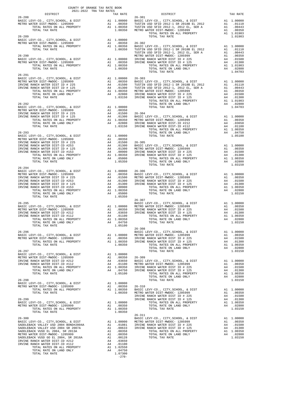| $26 - 288$ | TAX RATE DISTRICT<br>TAX RATE 26-301                                                                                                                                                                                                                               | TAX RATE |
|------------|--------------------------------------------------------------------------------------------------------------------------------------------------------------------------------------------------------------------------------------------------------------------|----------|
|            |                                                                                                                                                                                                                                                                    |          |
|            |                                                                                                                                                                                                                                                                    |          |
|            |                                                                                                                                                                                                                                                                    |          |
|            |                                                                                                                                                                                                                                                                    |          |
|            |                                                                                                                                                                                                                                                                    |          |
|            |                                                                                                                                                                                                                                                                    |          |
|            |                                                                                                                                                                                                                                                                    |          |
|            |                                                                                                                                                                                                                                                                    |          |
|            |                                                                                                                                                                                                                                                                    |          |
|            |                                                                                                                                                                                                                                                                    |          |
|            |                                                                                                                                                                                                                                                                    |          |
|            |                                                                                                                                                                                                                                                                    |          |
|            |                                                                                                                                                                                                                                                                    |          |
|            |                                                                                                                                                                                                                                                                    |          |
|            |                                                                                                                                                                                                                                                                    |          |
|            |                                                                                                                                                                                                                                                                    |          |
|            |                                                                                                                                                                                                                                                                    |          |
|            |                                                                                                                                                                                                                                                                    |          |
|            |                                                                                                                                                                                                                                                                    |          |
| $26 - 294$ |                                                                                                                                                                                                                                                                    |          |
|            |                                                                                                                                                                                                                                                                    |          |
|            |                                                                                                                                                                                                                                                                    |          |
|            |                                                                                                                                                                                                                                                                    |          |
|            |                                                                                                                                                                                                                                                                    |          |
|            |                                                                                                                                                                                                                                                                    |          |
|            |                                                                                                                                                                                                                                                                    |          |
|            |                                                                                                                                                                                                                                                                    |          |
|            |                                                                                                                                                                                                                                                                    |          |
|            |                                                                                                                                                                                                                                                                    |          |
|            |                                                                                                                                                                                                                                                                    |          |
|            |                                                                                                                                                                                                                                                                    |          |
|            |                                                                                                                                                                                                                                                                    |          |
|            |                                                                                                                                                                                                                                                                    |          |
|            |                                                                                                                                                                                                                                                                    |          |
|            |                                                                                                                                                                                                                                                                    |          |
|            |                                                                                                                                                                                                                                                                    |          |
|            |                                                                                                                                                                                                                                                                    |          |
|            |                                                                                                                                                                                                                                                                    |          |
|            |                                                                                                                                                                                                                                                                    |          |
|            |                                                                                                                                                                                                                                                                    |          |
|            |                                                                                                                                                                                                                                                                    |          |
|            | $\begin{tabular}{cccc} 26-300 & 26-310 & 1.00350 & 1.00350 & 1.00350 & 1.00350 & 1.00350 & 1.03150 & 1.03150 & 1.03150 & 1.03150 & 1.03150 & 1.03150 & 1.03150 & 1.03150 & 1.03150 & 1.03150 & 1.03150 & 1.03150 & 1.03150 & 1.03150 & 1.03150 & 1.03150 & 1.0315$ |          |
|            |                                                                                                                                                                                                                                                                    |          |
|            |                                                                                                                                                                                                                                                                    |          |
|            |                                                                                                                                                                                                                                                                    |          |
|            |                                                                                                                                                                                                                                                                    |          |
|            |                                                                                                                                                                                                                                                                    |          |
|            |                                                                                                                                                                                                                                                                    |          |
|            |                                                                                                                                                                                                                                                                    |          |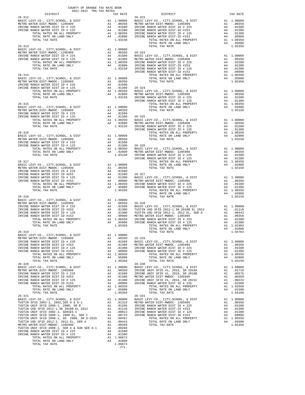| COUNTY OF ORANGE TAX RATE BOOK                               |          |                                                                                                                                                                                                                              |          |
|--------------------------------------------------------------|----------|------------------------------------------------------------------------------------------------------------------------------------------------------------------------------------------------------------------------------|----------|
| $2021-2022 \quad \text{TRA RATES}$ DISTRICT $\hspace{0.5cm}$ | TAX RATE | DISTRICT                                                                                                                                                                                                                     | TAX RATE |
| $26 - 312$                                                   |          | $26 - 322$                                                                                                                                                                                                                   |          |
|                                                              |          |                                                                                                                                                                                                                              |          |
|                                                              |          |                                                                                                                                                                                                                              |          |
|                                                              |          |                                                                                                                                                                                                                              |          |
|                                                              |          |                                                                                                                                                                                                                              |          |
|                                                              |          |                                                                                                                                                                                                                              |          |
|                                                              |          |                                                                                                                                                                                                                              |          |
|                                                              |          |                                                                                                                                                                                                                              |          |
|                                                              |          |                                                                                                                                                                                                                              |          |
|                                                              |          |                                                                                                                                                                                                                              |          |
|                                                              |          |                                                                                                                                                                                                                              |          |
|                                                              |          |                                                                                                                                                                                                                              |          |
|                                                              |          |                                                                                                                                                                                                                              |          |
|                                                              |          |                                                                                                                                                                                                                              |          |
|                                                              |          |                                                                                                                                                                                                                              |          |
|                                                              |          |                                                                                                                                                                                                                              |          |
|                                                              |          |                                                                                                                                                                                                                              |          |
|                                                              |          |                                                                                                                                                                                                                              |          |
|                                                              |          |                                                                                                                                                                                                                              |          |
|                                                              |          |                                                                                                                                                                                                                              |          |
|                                                              |          |                                                                                                                                                                                                                              |          |
|                                                              |          |                                                                                                                                                                                                                              |          |
|                                                              |          |                                                                                                                                                                                                                              |          |
|                                                              |          | 1970, 1972, 117, 2002, 127, 2002, 127, 2002, 127, 2002, 127, 2002, 127, 2002, 127, 2002, 127, 2002, 127, 2002, 127, 2002, 127, 2002, 127, 2002, 127, 2002, 127, 2002, 127, 2002, 127, 2002, 127, 2002, 127, 2002, 127, 2002, |          |
|                                                              |          |                                                                                                                                                                                                                              |          |
|                                                              |          |                                                                                                                                                                                                                              |          |
|                                                              |          |                                                                                                                                                                                                                              |          |
|                                                              |          |                                                                                                                                                                                                                              |          |
|                                                              |          |                                                                                                                                                                                                                              |          |
|                                                              |          |                                                                                                                                                                                                                              |          |
|                                                              |          |                                                                                                                                                                                                                              |          |
|                                                              |          |                                                                                                                                                                                                                              |          |
|                                                              |          |                                                                                                                                                                                                                              |          |
|                                                              |          |                                                                                                                                                                                                                              |          |
|                                                              |          |                                                                                                                                                                                                                              |          |
|                                                              |          |                                                                                                                                                                                                                              |          |
|                                                              |          |                                                                                                                                                                                                                              |          |
|                                                              |          |                                                                                                                                                                                                                              |          |
|                                                              |          |                                                                                                                                                                                                                              |          |
|                                                              |          |                                                                                                                                                                                                                              |          |
|                                                              |          |                                                                                                                                                                                                                              |          |
|                                                              |          |                                                                                                                                                                                                                              |          |
|                                                              |          |                                                                                                                                                                                                                              |          |
|                                                              |          |                                                                                                                                                                                                                              |          |
|                                                              |          |                                                                                                                                                                                                                              |          |
|                                                              |          |                                                                                                                                                                                                                              |          |
|                                                              |          |                                                                                                                                                                                                                              |          |
|                                                              |          |                                                                                                                                                                                                                              |          |
| 26-319                                                       |          | $\frac{1}{2}$<br>TOTAL TAX RATE                                                                                                                                                                                              | 1.04703  |
|                                                              |          |                                                                                                                                                                                                                              |          |
|                                                              |          |                                                                                                                                                                                                                              |          |
|                                                              |          |                                                                                                                                                                                                                              |          |
|                                                              |          |                                                                                                                                                                                                                              |          |
|                                                              |          |                                                                                                                                                                                                                              |          |
|                                                              |          |                                                                                                                                                                                                                              |          |
|                                                              |          |                                                                                                                                                                                                                              |          |
|                                                              |          |                                                                                                                                                                                                                              |          |
|                                                              |          |                                                                                                                                                                                                                              |          |
|                                                              |          |                                                                                                                                                                                                                              |          |
|                                                              |          |                                                                                                                                                                                                                              |          |
|                                                              |          |                                                                                                                                                                                                                              |          |
|                                                              |          |                                                                                                                                                                                                                              |          |
|                                                              |          |                                                                                                                                                                                                                              |          |
|                                                              |          |                                                                                                                                                                                                                              |          |
|                                                              |          |                                                                                                                                                                                                                              |          |
|                                                              |          |                                                                                                                                                                                                                              |          |
|                                                              |          |                                                                                                                                                                                                                              |          |
|                                                              |          |                                                                                                                                                                                                                              |          |
|                                                              |          |                                                                                                                                                                                                                              |          |
|                                                              |          |                                                                                                                                                                                                                              |          |
|                                                              |          |                                                                                                                                                                                                                              |          |
|                                                              |          |                                                                                                                                                                                                                              |          |
|                                                              |          |                                                                                                                                                                                                                              |          |
|                                                              |          |                                                                                                                                                                                                                              |          |
|                                                              |          |                                                                                                                                                                                                                              |          |

-271-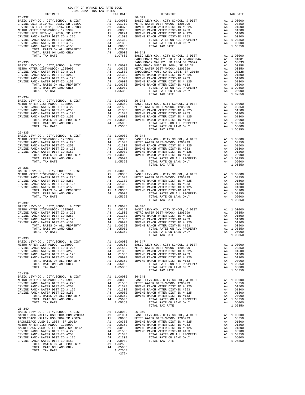| $\begin{minipage}{.4\linewidth} \begin{tabular}{lcccccc} \textbf{0.021} & \textbf{0.021} & \textbf{0.021} & \textbf{0.021} & \textbf{0.021} & \textbf{0.021} & \textbf{0.021} & \textbf{0.021} & \textbf{0.021} & \textbf{0.021} & \textbf{0.021} & \textbf{0.021} & \textbf{0.021} & \textbf{0.021} & \textbf{0.021} & \textbf{0.021} & \textbf{0.021} & \textbf{0.021} &$<br>DISTRICT<br>TAX RATE<br>$26 - 341$<br>$26 - 332$<br>$\begin{tabular}{c c c c} TOTAL RATES ON ALI PROBERT & A1 1.00000 & 26-342 \\ \hline TOTAL RATES ON LAID ONLY & A4 1.05000 & 26-342 \\ \hline \end{tabular} \hline \begin{tabular}{c c c} 20599 & A1 1.00000 & 206-342 \\ \hline \end{tabular} \hline \begin{tabular}{c} 20510 & A1.00000 \\ \hline \end{tabular} \hline \begin{tabular}{c} 20510 & A1.00000 \\ \hline \end{tabular} \hline \begin{tabular}{c}$<br>$26 - 334$ | TAX RATE |  |
|------------------------------------------------------------------------------------------------------------------------------------------------------------------------------------------------------------------------------------------------------------------------------------------------------------------------------------------------------------------------------------------------------------------------------------------------------------------------------------------------------------------------------------------------------------------------------------------------------------------------------------------------------------------------------------------------------------------------------------------------------------------------------------------------------------------------------------------------------------------|----------|--|
|                                                                                                                                                                                                                                                                                                                                                                                                                                                                                                                                                                                                                                                                                                                                                                                                                                                                  |          |  |
|                                                                                                                                                                                                                                                                                                                                                                                                                                                                                                                                                                                                                                                                                                                                                                                                                                                                  |          |  |
|                                                                                                                                                                                                                                                                                                                                                                                                                                                                                                                                                                                                                                                                                                                                                                                                                                                                  |          |  |
|                                                                                                                                                                                                                                                                                                                                                                                                                                                                                                                                                                                                                                                                                                                                                                                                                                                                  |          |  |
|                                                                                                                                                                                                                                                                                                                                                                                                                                                                                                                                                                                                                                                                                                                                                                                                                                                                  |          |  |
|                                                                                                                                                                                                                                                                                                                                                                                                                                                                                                                                                                                                                                                                                                                                                                                                                                                                  |          |  |
|                                                                                                                                                                                                                                                                                                                                                                                                                                                                                                                                                                                                                                                                                                                                                                                                                                                                  |          |  |
|                                                                                                                                                                                                                                                                                                                                                                                                                                                                                                                                                                                                                                                                                                                                                                                                                                                                  |          |  |
|                                                                                                                                                                                                                                                                                                                                                                                                                                                                                                                                                                                                                                                                                                                                                                                                                                                                  |          |  |
|                                                                                                                                                                                                                                                                                                                                                                                                                                                                                                                                                                                                                                                                                                                                                                                                                                                                  |          |  |
|                                                                                                                                                                                                                                                                                                                                                                                                                                                                                                                                                                                                                                                                                                                                                                                                                                                                  |          |  |
|                                                                                                                                                                                                                                                                                                                                                                                                                                                                                                                                                                                                                                                                                                                                                                                                                                                                  |          |  |
|                                                                                                                                                                                                                                                                                                                                                                                                                                                                                                                                                                                                                                                                                                                                                                                                                                                                  |          |  |
|                                                                                                                                                                                                                                                                                                                                                                                                                                                                                                                                                                                                                                                                                                                                                                                                                                                                  |          |  |
|                                                                                                                                                                                                                                                                                                                                                                                                                                                                                                                                                                                                                                                                                                                                                                                                                                                                  |          |  |
|                                                                                                                                                                                                                                                                                                                                                                                                                                                                                                                                                                                                                                                                                                                                                                                                                                                                  |          |  |
|                                                                                                                                                                                                                                                                                                                                                                                                                                                                                                                                                                                                                                                                                                                                                                                                                                                                  |          |  |
|                                                                                                                                                                                                                                                                                                                                                                                                                                                                                                                                                                                                                                                                                                                                                                                                                                                                  |          |  |
|                                                                                                                                                                                                                                                                                                                                                                                                                                                                                                                                                                                                                                                                                                                                                                                                                                                                  |          |  |
|                                                                                                                                                                                                                                                                                                                                                                                                                                                                                                                                                                                                                                                                                                                                                                                                                                                                  |          |  |
|                                                                                                                                                                                                                                                                                                                                                                                                                                                                                                                                                                                                                                                                                                                                                                                                                                                                  |          |  |
|                                                                                                                                                                                                                                                                                                                                                                                                                                                                                                                                                                                                                                                                                                                                                                                                                                                                  |          |  |
|                                                                                                                                                                                                                                                                                                                                                                                                                                                                                                                                                                                                                                                                                                                                                                                                                                                                  |          |  |
|                                                                                                                                                                                                                                                                                                                                                                                                                                                                                                                                                                                                                                                                                                                                                                                                                                                                  |          |  |
|                                                                                                                                                                                                                                                                                                                                                                                                                                                                                                                                                                                                                                                                                                                                                                                                                                                                  |          |  |
|                                                                                                                                                                                                                                                                                                                                                                                                                                                                                                                                                                                                                                                                                                                                                                                                                                                                  |          |  |
|                                                                                                                                                                                                                                                                                                                                                                                                                                                                                                                                                                                                                                                                                                                                                                                                                                                                  |          |  |
|                                                                                                                                                                                                                                                                                                                                                                                                                                                                                                                                                                                                                                                                                                                                                                                                                                                                  |          |  |
|                                                                                                                                                                                                                                                                                                                                                                                                                                                                                                                                                                                                                                                                                                                                                                                                                                                                  |          |  |
|                                                                                                                                                                                                                                                                                                                                                                                                                                                                                                                                                                                                                                                                                                                                                                                                                                                                  |          |  |
|                                                                                                                                                                                                                                                                                                                                                                                                                                                                                                                                                                                                                                                                                                                                                                                                                                                                  |          |  |
|                                                                                                                                                                                                                                                                                                                                                                                                                                                                                                                                                                                                                                                                                                                                                                                                                                                                  |          |  |
|                                                                                                                                                                                                                                                                                                                                                                                                                                                                                                                                                                                                                                                                                                                                                                                                                                                                  |          |  |
|                                                                                                                                                                                                                                                                                                                                                                                                                                                                                                                                                                                                                                                                                                                                                                                                                                                                  |          |  |
|                                                                                                                                                                                                                                                                                                                                                                                                                                                                                                                                                                                                                                                                                                                                                                                                                                                                  |          |  |
|                                                                                                                                                                                                                                                                                                                                                                                                                                                                                                                                                                                                                                                                                                                                                                                                                                                                  |          |  |
|                                                                                                                                                                                                                                                                                                                                                                                                                                                                                                                                                                                                                                                                                                                                                                                                                                                                  |          |  |
|                                                                                                                                                                                                                                                                                                                                                                                                                                                                                                                                                                                                                                                                                                                                                                                                                                                                  |          |  |
|                                                                                                                                                                                                                                                                                                                                                                                                                                                                                                                                                                                                                                                                                                                                                                                                                                                                  |          |  |
|                                                                                                                                                                                                                                                                                                                                                                                                                                                                                                                                                                                                                                                                                                                                                                                                                                                                  |          |  |
|                                                                                                                                                                                                                                                                                                                                                                                                                                                                                                                                                                                                                                                                                                                                                                                                                                                                  |          |  |
|                                                                                                                                                                                                                                                                                                                                                                                                                                                                                                                                                                                                                                                                                                                                                                                                                                                                  |          |  |
|                                                                                                                                                                                                                                                                                                                                                                                                                                                                                                                                                                                                                                                                                                                                                                                                                                                                  |          |  |
|                                                                                                                                                                                                                                                                                                                                                                                                                                                                                                                                                                                                                                                                                                                                                                                                                                                                  |          |  |
|                                                                                                                                                                                                                                                                                                                                                                                                                                                                                                                                                                                                                                                                                                                                                                                                                                                                  |          |  |
|                                                                                                                                                                                                                                                                                                                                                                                                                                                                                                                                                                                                                                                                                                                                                                                                                                                                  |          |  |
|                                                                                                                                                                                                                                                                                                                                                                                                                                                                                                                                                                                                                                                                                                                                                                                                                                                                  |          |  |
|                                                                                                                                                                                                                                                                                                                                                                                                                                                                                                                                                                                                                                                                                                                                                                                                                                                                  |          |  |
|                                                                                                                                                                                                                                                                                                                                                                                                                                                                                                                                                                                                                                                                                                                                                                                                                                                                  |          |  |
|                                                                                                                                                                                                                                                                                                                                                                                                                                                                                                                                                                                                                                                                                                                                                                                                                                                                  |          |  |
| $\mathbf{r}$<br>TOTAL TAX RATE<br>1.05350<br>TOTAL TAX RATE                                                                                                                                                                                                                                                                                                                                                                                                                                                                                                                                                                                                                                                                                                                                                                                                      |          |  |
| $26 - 338$                                                                                                                                                                                                                                                                                                                                                                                                                                                                                                                                                                                                                                                                                                                                                                                                                                                       |          |  |
|                                                                                                                                                                                                                                                                                                                                                                                                                                                                                                                                                                                                                                                                                                                                                                                                                                                                  |          |  |
|                                                                                                                                                                                                                                                                                                                                                                                                                                                                                                                                                                                                                                                                                                                                                                                                                                                                  |          |  |
|                                                                                                                                                                                                                                                                                                                                                                                                                                                                                                                                                                                                                                                                                                                                                                                                                                                                  |          |  |
|                                                                                                                                                                                                                                                                                                                                                                                                                                                                                                                                                                                                                                                                                                                                                                                                                                                                  |          |  |
|                                                                                                                                                                                                                                                                                                                                                                                                                                                                                                                                                                                                                                                                                                                                                                                                                                                                  |          |  |
|                                                                                                                                                                                                                                                                                                                                                                                                                                                                                                                                                                                                                                                                                                                                                                                                                                                                  |          |  |
|                                                                                                                                                                                                                                                                                                                                                                                                                                                                                                                                                                                                                                                                                                                                                                                                                                                                  |          |  |
| $26 - 339$                                                                                                                                                                                                                                                                                                                                                                                                                                                                                                                                                                                                                                                                                                                                                                                                                                                       |          |  |
|                                                                                                                                                                                                                                                                                                                                                                                                                                                                                                                                                                                                                                                                                                                                                                                                                                                                  |          |  |
|                                                                                                                                                                                                                                                                                                                                                                                                                                                                                                                                                                                                                                                                                                                                                                                                                                                                  |          |  |
|                                                                                                                                                                                                                                                                                                                                                                                                                                                                                                                                                                                                                                                                                                                                                                                                                                                                  |          |  |
|                                                                                                                                                                                                                                                                                                                                                                                                                                                                                                                                                                                                                                                                                                                                                                                                                                                                  |          |  |
|                                                                                                                                                                                                                                                                                                                                                                                                                                                                                                                                                                                                                                                                                                                                                                                                                                                                  |          |  |
|                                                                                                                                                                                                                                                                                                                                                                                                                                                                                                                                                                                                                                                                                                                                                                                                                                                                  |          |  |
|                                                                                                                                                                                                                                                                                                                                                                                                                                                                                                                                                                                                                                                                                                                                                                                                                                                                  |          |  |
| $26 - 340$                                                                                                                                                                                                                                                                                                                                                                                                                                                                                                                                                                                                                                                                                                                                                                                                                                                       |          |  |
|                                                                                                                                                                                                                                                                                                                                                                                                                                                                                                                                                                                                                                                                                                                                                                                                                                                                  |          |  |
|                                                                                                                                                                                                                                                                                                                                                                                                                                                                                                                                                                                                                                                                                                                                                                                                                                                                  |          |  |
|                                                                                                                                                                                                                                                                                                                                                                                                                                                                                                                                                                                                                                                                                                                                                                                                                                                                  |          |  |
|                                                                                                                                                                                                                                                                                                                                                                                                                                                                                                                                                                                                                                                                                                                                                                                                                                                                  |          |  |
|                                                                                                                                                                                                                                                                                                                                                                                                                                                                                                                                                                                                                                                                                                                                                                                                                                                                  |          |  |
|                                                                                                                                                                                                                                                                                                                                                                                                                                                                                                                                                                                                                                                                                                                                                                                                                                                                  |          |  |
|                                                                                                                                                                                                                                                                                                                                                                                                                                                                                                                                                                                                                                                                                                                                                                                                                                                                  |          |  |
|                                                                                                                                                                                                                                                                                                                                                                                                                                                                                                                                                                                                                                                                                                                                                                                                                                                                  |          |  |
|                                                                                                                                                                                                                                                                                                                                                                                                                                                                                                                                                                                                                                                                                                                                                                                                                                                                  |          |  |
| $1.07550$<br>-272-                                                                                                                                                                                                                                                                                                                                                                                                                                                                                                                                                                                                                                                                                                                                                                                                                                               |          |  |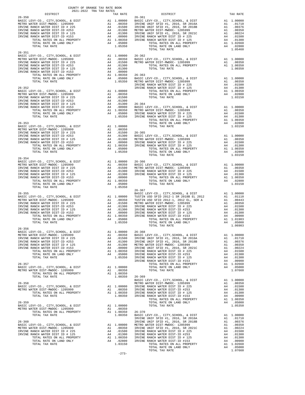| $26 - 350$ |         | TRA TAX RATES TAX RATE DISTRICT $26-361$                                                                                                                                                                                           | TAX RATE |
|------------|---------|------------------------------------------------------------------------------------------------------------------------------------------------------------------------------------------------------------------------------------|----------|
|            |         |                                                                                                                                                                                                                                    |          |
|            |         |                                                                                                                                                                                                                                    |          |
|            |         |                                                                                                                                                                                                                                    |          |
|            |         |                                                                                                                                                                                                                                    |          |
|            |         |                                                                                                                                                                                                                                    |          |
|            |         |                                                                                                                                                                                                                                    |          |
|            |         |                                                                                                                                                                                                                                    |          |
|            |         |                                                                                                                                                                                                                                    |          |
| $26 - 351$ |         |                                                                                                                                                                                                                                    |          |
|            |         |                                                                                                                                                                                                                                    |          |
|            |         |                                                                                                                                                                                                                                    |          |
|            |         |                                                                                                                                                                                                                                    |          |
|            |         |                                                                                                                                                                                                                                    |          |
|            |         |                                                                                                                                                                                                                                    |          |
|            |         |                                                                                                                                                                                                                                    |          |
|            |         |                                                                                                                                                                                                                                    |          |
|            |         |                                                                                                                                                                                                                                    |          |
|            |         |                                                                                                                                                                                                                                    |          |
|            |         |                                                                                                                                                                                                                                    |          |
|            |         |                                                                                                                                                                                                                                    |          |
|            |         |                                                                                                                                                                                                                                    |          |
|            |         |                                                                                                                                                                                                                                    |          |
|            |         |                                                                                                                                                                                                                                    |          |
|            |         |                                                                                                                                                                                                                                    |          |
|            |         |                                                                                                                                                                                                                                    |          |
|            |         |                                                                                                                                                                                                                                    |          |
|            |         |                                                                                                                                                                                                                                    |          |
|            |         |                                                                                                                                                                                                                                    |          |
|            |         |                                                                                                                                                                                                                                    |          |
|            |         |                                                                                                                                                                                                                                    |          |
|            |         |                                                                                                                                                                                                                                    |          |
|            |         |                                                                                                                                                                                                                                    |          |
|            |         |                                                                                                                                                                                                                                    |          |
|            |         |                                                                                                                                                                                                                                    |          |
|            |         |                                                                                                                                                                                                                                    |          |
|            |         |                                                                                                                                                                                                                                    |          |
|            |         |                                                                                                                                                                                                                                    |          |
|            |         |                                                                                                                                                                                                                                    |          |
|            |         |                                                                                                                                                                                                                                    |          |
|            |         |                                                                                                                                                                                                                                    |          |
|            |         |                                                                                                                                                                                                                                    |          |
|            |         |                                                                                                                                                                                                                                    |          |
|            |         |                                                                                                                                                                                                                                    |          |
|            |         |                                                                                                                                                                                                                                    |          |
|            |         |                                                                                                                                                                                                                                    |          |
|            |         |                                                                                                                                                                                                                                    |          |
|            |         |                                                                                                                                                                                                                                    |          |
|            |         |                                                                                                                                                                                                                                    |          |
|            |         |                                                                                                                                                                                                                                    |          |
|            |         |                                                                                                                                                                                                                                    |          |
|            |         |                                                                                                                                                                                                                                    |          |
| $26 - 356$ |         |                                                                                                                                                                                                                                    |          |
|            |         |                                                                                                                                                                                                                                    |          |
|            |         |                                                                                                                                                                                                                                    |          |
|            |         |                                                                                                                                                                                                                                    |          |
|            |         |                                                                                                                                                                                                                                    |          |
|            |         |                                                                                                                                                                                                                                    |          |
|            |         |                                                                                                                                                                                                                                    |          |
|            |         |                                                                                                                                                                                                                                    |          |
|            |         |                                                                                                                                                                                                                                    |          |
|            |         |                                                                                                                                                                                                                                    |          |
|            |         |                                                                                                                                                                                                                                    |          |
|            |         |                                                                                                                                                                                                                                    |          |
|            |         |                                                                                                                                                                                                                                    |          |
|            |         |                                                                                                                                                                                                                                    |          |
|            |         |                                                                                                                                                                                                                                    |          |
|            |         |                                                                                                                                                                                                                                    |          |
|            |         |                                                                                                                                                                                                                                    |          |
|            |         |                                                                                                                                                                                                                                    |          |
|            |         |                                                                                                                                                                                                                                    |          |
|            |         |                                                                                                                                                                                                                                    |          |
|            |         |                                                                                                                                                                                                                                    |          |
|            |         |                                                                                                                                                                                                                                    |          |
|            |         |                                                                                                                                                                                                                                    |          |
|            |         |                                                                                                                                                                                                                                    |          |
|            |         |                                                                                                                                                                                                                                    |          |
|            |         |                                                                                                                                                                                                                                    |          |
|            |         |                                                                                                                                                                                                                                    |          |
|            |         | TOTAL TAX RATES ON ALL PROPERTY ALL 1.00350 26-519<br>200510 200810 200810 200810 200810 200810 200810 200810 200810 200810 200810 200810 200810 200810 200810 200810<br>200810 LEVINE RANCH WATER DIST D $\#$ 235 24 0.0350 20081 |          |
|            |         |                                                                                                                                                                                                                                    |          |
|            |         |                                                                                                                                                                                                                                    |          |
|            |         |                                                                                                                                                                                                                                    |          |
|            | $-273-$ |                                                                                                                                                                                                                                    |          |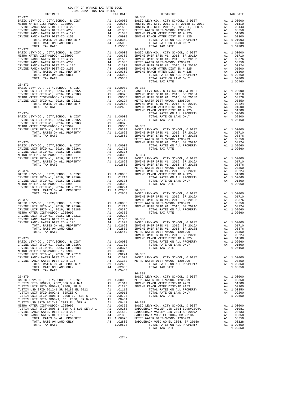| 2021-2022 TRA TAX RATES                                                                                                                                                                                                                                                                                                                                                                                                   |          |            |          |
|---------------------------------------------------------------------------------------------------------------------------------------------------------------------------------------------------------------------------------------------------------------------------------------------------------------------------------------------------------------------------------------------------------------------------|----------|------------|----------|
| DISTRICT                                                                                                                                                                                                                                                                                                                                                                                                                  | TAX RATE | DISTRICT   | TAX RATE |
|                                                                                                                                                                                                                                                                                                                                                                                                                           |          |            |          |
|                                                                                                                                                                                                                                                                                                                                                                                                                           |          |            |          |
|                                                                                                                                                                                                                                                                                                                                                                                                                           |          |            |          |
|                                                                                                                                                                                                                                                                                                                                                                                                                           |          |            |          |
|                                                                                                                                                                                                                                                                                                                                                                                                                           |          |            |          |
|                                                                                                                                                                                                                                                                                                                                                                                                                           |          |            |          |
|                                                                                                                                                                                                                                                                                                                                                                                                                           |          |            |          |
|                                                                                                                                                                                                                                                                                                                                                                                                                           |          |            |          |
|                                                                                                                                                                                                                                                                                                                                                                                                                           |          |            |          |
| $26 - 372$                                                                                                                                                                                                                                                                                                                                                                                                                |          | $26 - 381$ |          |
|                                                                                                                                                                                                                                                                                                                                                                                                                           |          |            |          |
|                                                                                                                                                                                                                                                                                                                                                                                                                           |          |            |          |
|                                                                                                                                                                                                                                                                                                                                                                                                                           |          |            |          |
|                                                                                                                                                                                                                                                                                                                                                                                                                           |          |            |          |
|                                                                                                                                                                                                                                                                                                                                                                                                                           |          |            |          |
|                                                                                                                                                                                                                                                                                                                                                                                                                           |          |            |          |
|                                                                                                                                                                                                                                                                                                                                                                                                                           |          |            |          |
|                                                                                                                                                                                                                                                                                                                                                                                                                           |          |            |          |
|                                                                                                                                                                                                                                                                                                                                                                                                                           |          |            |          |
| $26 - 373$                                                                                                                                                                                                                                                                                                                                                                                                                |          |            |          |
|                                                                                                                                                                                                                                                                                                                                                                                                                           |          |            |          |
|                                                                                                                                                                                                                                                                                                                                                                                                                           |          |            |          |
|                                                                                                                                                                                                                                                                                                                                                                                                                           |          |            |          |
|                                                                                                                                                                                                                                                                                                                                                                                                                           |          |            |          |
|                                                                                                                                                                                                                                                                                                                                                                                                                           |          |            |          |
|                                                                                                                                                                                                                                                                                                                                                                                                                           |          |            |          |
|                                                                                                                                                                                                                                                                                                                                                                                                                           |          |            |          |
|                                                                                                                                                                                                                                                                                                                                                                                                                           |          |            |          |
|                                                                                                                                                                                                                                                                                                                                                                                                                           |          |            |          |
|                                                                                                                                                                                                                                                                                                                                                                                                                           |          |            |          |
|                                                                                                                                                                                                                                                                                                                                                                                                                           |          |            |          |
|                                                                                                                                                                                                                                                                                                                                                                                                                           |          |            |          |
|                                                                                                                                                                                                                                                                                                                                                                                                                           |          |            |          |
|                                                                                                                                                                                                                                                                                                                                                                                                                           |          |            |          |
|                                                                                                                                                                                                                                                                                                                                                                                                                           |          |            |          |
|                                                                                                                                                                                                                                                                                                                                                                                                                           |          |            |          |
|                                                                                                                                                                                                                                                                                                                                                                                                                           |          |            |          |
|                                                                                                                                                                                                                                                                                                                                                                                                                           |          |            |          |
|                                                                                                                                                                                                                                                                                                                                                                                                                           |          |            |          |
|                                                                                                                                                                                                                                                                                                                                                                                                                           |          |            |          |
|                                                                                                                                                                                                                                                                                                                                                                                                                           |          |            |          |
|                                                                                                                                                                                                                                                                                                                                                                                                                           |          |            |          |
|                                                                                                                                                                                                                                                                                                                                                                                                                           |          |            |          |
|                                                                                                                                                                                                                                                                                                                                                                                                                           |          |            |          |
|                                                                                                                                                                                                                                                                                                                                                                                                                           |          |            |          |
|                                                                                                                                                                                                                                                                                                                                                                                                                           |          |            |          |
|                                                                                                                                                                                                                                                                                                                                                                                                                           |          |            |          |
|                                                                                                                                                                                                                                                                                                                                                                                                                           |          |            |          |
|                                                                                                                                                                                                                                                                                                                                                                                                                           |          |            |          |
|                                                                                                                                                                                                                                                                                                                                                                                                                           |          |            |          |
|                                                                                                                                                                                                                                                                                                                                                                                                                           |          |            |          |
|                                                                                                                                                                                                                                                                                                                                                                                                                           |          |            |          |
|                                                                                                                                                                                                                                                                                                                                                                                                                           |          |            |          |
|                                                                                                                                                                                                                                                                                                                                                                                                                           |          |            |          |
|                                                                                                                                                                                                                                                                                                                                                                                                                           |          |            |          |
|                                                                                                                                                                                                                                                                                                                                                                                                                           |          |            |          |
|                                                                                                                                                                                                                                                                                                                                                                                                                           |          |            |          |
|                                                                                                                                                                                                                                                                                                                                                                                                                           |          |            |          |
| $\begin{tabular}{c c c c c} \hline \text{1} & \text{total} & \text{1} & \text{1} & \text{1} & \text{1} & \text{1} & \text{1} & \text{1} & \text{1} & \text{1} & \text{1} & \text{1} & \text{1} & \text{1} & \text{1} & \text{1} & \text{1} & \text{1} & \text{1} & \text{1} & \text{1} & \text{1} & \text{1} & \text{1} & \text{1} & \text{1} & \text{1} & \text{1} & \text{1} & \text{1} & \text{1} & \text{1} & \text{$ |          |            |          |
|                                                                                                                                                                                                                                                                                                                                                                                                                           |          |            |          |
|                                                                                                                                                                                                                                                                                                                                                                                                                           |          |            |          |
|                                                                                                                                                                                                                                                                                                                                                                                                                           |          |            |          |
|                                                                                                                                                                                                                                                                                                                                                                                                                           |          |            |          |
|                                                                                                                                                                                                                                                                                                                                                                                                                           |          |            |          |
|                                                                                                                                                                                                                                                                                                                                                                                                                           |          |            |          |
|                                                                                                                                                                                                                                                                                                                                                                                                                           |          |            |          |
|                                                                                                                                                                                                                                                                                                                                                                                                                           |          |            |          |
|                                                                                                                                                                                                                                                                                                                                                                                                                           |          |            |          |
|                                                                                                                                                                                                                                                                                                                                                                                                                           |          |            |          |
|                                                                                                                                                                                                                                                                                                                                                                                                                           |          |            |          |
|                                                                                                                                                                                                                                                                                                                                                                                                                           |          |            |          |
|                                                                                                                                                                                                                                                                                                                                                                                                                           |          |            |          |
|                                                                                                                                                                                                                                                                                                                                                                                                                           |          |            |          |
|                                                                                                                                                                                                                                                                                                                                                                                                                           |          | $26 - 388$ |          |
|                                                                                                                                                                                                                                                                                                                                                                                                                           |          |            |          |
|                                                                                                                                                                                                                                                                                                                                                                                                                           |          |            |          |
|                                                                                                                                                                                                                                                                                                                                                                                                                           |          |            |          |
|                                                                                                                                                                                                                                                                                                                                                                                                                           |          |            |          |
|                                                                                                                                                                                                                                                                                                                                                                                                                           |          |            |          |
|                                                                                                                                                                                                                                                                                                                                                                                                                           |          |            |          |
|                                                                                                                                                                                                                                                                                                                                                                                                                           |          |            |          |
|                                                                                                                                                                                                                                                                                                                                                                                                                           |          |            |          |
|                                                                                                                                                                                                                                                                                                                                                                                                                           |          |            |          |
|                                                                                                                                                                                                                                                                                                                                                                                                                           |          |            |          |
|                                                                                                                                                                                                                                                                                                                                                                                                                           |          |            |          |
|                                                                                                                                                                                                                                                                                                                                                                                                                           |          |            |          |
|                                                                                                                                                                                                                                                                                                                                                                                                                           |          |            |          |
|                                                                                                                                                                                                                                                                                                                                                                                                                           |          |            |          |
|                                                                                                                                                                                                                                                                                                                                                                                                                           |          |            |          |
|                                                                                                                                                                                                                                                                                                                                                                                                                           |          |            |          |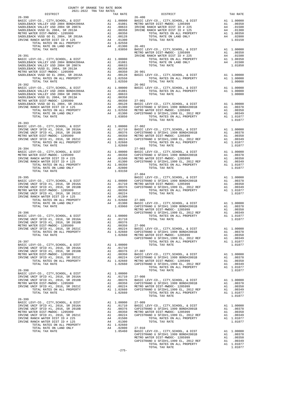| COUNTY OF ORANGE TAX RATE BOOK<br>2021-2022 TRA TAX RATES<br>DISTRICT                                                                                                                                                                                                                                                                                                                             |    | TAX RATE                                                                                              |                    |
|---------------------------------------------------------------------------------------------------------------------------------------------------------------------------------------------------------------------------------------------------------------------------------------------------------------------------------------------------------------------------------------------------|----|-------------------------------------------------------------------------------------------------------|--------------------|
|                                                                                                                                                                                                                                                                                                                                                                                                   |    |                                                                                                       |                    |
|                                                                                                                                                                                                                                                                                                                                                                                                   |    |                                                                                                       |                    |
|                                                                                                                                                                                                                                                                                                                                                                                                   |    |                                                                                                       |                    |
|                                                                                                                                                                                                                                                                                                                                                                                                   |    |                                                                                                       |                    |
|                                                                                                                                                                                                                                                                                                                                                                                                   |    |                                                                                                       |                    |
|                                                                                                                                                                                                                                                                                                                                                                                                   |    |                                                                                                       |                    |
|                                                                                                                                                                                                                                                                                                                                                                                                   |    |                                                                                                       |                    |
|                                                                                                                                                                                                                                                                                                                                                                                                   |    |                                                                                                       |                    |
|                                                                                                                                                                                                                                                                                                                                                                                                   |    |                                                                                                       |                    |
|                                                                                                                                                                                                                                                                                                                                                                                                   |    |                                                                                                       | METRO W            |
| $26 - 391$                                                                                                                                                                                                                                                                                                                                                                                        |    |                                                                                                       | IRVINE             |
|                                                                                                                                                                                                                                                                                                                                                                                                   |    |                                                                                                       |                    |
|                                                                                                                                                                                                                                                                                                                                                                                                   |    |                                                                                                       |                    |
|                                                                                                                                                                                                                                                                                                                                                                                                   |    |                                                                                                       |                    |
|                                                                                                                                                                                                                                                                                                                                                                                                   |    |                                                                                                       |                    |
|                                                                                                                                                                                                                                                                                                                                                                                                   |    |                                                                                                       |                    |
|                                                                                                                                                                                                                                                                                                                                                                                                   |    |                                                                                                       |                    |
|                                                                                                                                                                                                                                                                                                                                                                                                   |    |                                                                                                       |                    |
| $26 - 392$                                                                                                                                                                                                                                                                                                                                                                                        |    |                                                                                                       | $26 - 902$         |
|                                                                                                                                                                                                                                                                                                                                                                                                   |    |                                                                                                       |                    |
|                                                                                                                                                                                                                                                                                                                                                                                                   |    |                                                                                                       |                    |
|                                                                                                                                                                                                                                                                                                                                                                                                   |    |                                                                                                       |                    |
|                                                                                                                                                                                                                                                                                                                                                                                                   |    |                                                                                                       |                    |
|                                                                                                                                                                                                                                                                                                                                                                                                   |    |                                                                                                       |                    |
|                                                                                                                                                                                                                                                                                                                                                                                                   |    |                                                                                                       |                    |
|                                                                                                                                                                                                                                                                                                                                                                                                   |    |                                                                                                       |                    |
| TOTAL TAX RATE                                                                                                                                                                                                                                                                                                                                                                                    |    | 1.03850                                                                                               |                    |
|                                                                                                                                                                                                                                                                                                                                                                                                   |    |                                                                                                       |                    |
| $26 - 393$                                                                                                                                                                                                                                                                                                                                                                                        |    |                                                                                                       |                    |
| 26-393<br>BASIC LEVY-CO., CITY, SCHOOL, & DIST<br>IRVINE UNIF SFID #1, 2016, SR 2016A<br>IRVINE UNIF SFID #1, 2016, SR 2018B<br>IRVINE UNIF SFID #1, 2016, SR 2018B<br>--- PER MAROO- 1205999                                                                                                                                                                                                     |    |                                                                                                       |                    |
|                                                                                                                                                                                                                                                                                                                                                                                                   |    |                                                                                                       |                    |
|                                                                                                                                                                                                                                                                                                                                                                                                   |    |                                                                                                       |                    |
|                                                                                                                                                                                                                                                                                                                                                                                                   |    |                                                                                                       |                    |
|                                                                                                                                                                                                                                                                                                                                                                                                   |    |                                                                                                       |                    |
| TOTAL TAX RATE                                                                                                                                                                                                                                                                                                                                                                                    |    | 1.02660                                                                                               |                    |
| $26 - 394$                                                                                                                                                                                                                                                                                                                                                                                        |    |                                                                                                       | $27 - 003$         |
|                                                                                                                                                                                                                                                                                                                                                                                                   |    |                                                                                                       |                    |
|                                                                                                                                                                                                                                                                                                                                                                                                   |    |                                                                                                       |                    |
|                                                                                                                                                                                                                                                                                                                                                                                                   |    |                                                                                                       |                    |
|                                                                                                                                                                                                                                                                                                                                                                                                   |    |                                                                                                       |                    |
|                                                                                                                                                                                                                                                                                                                                                                                                   |    |                                                                                                       |                    |
| TOTAL TAX RATE                                                                                                                                                                                                                                                                                                                                                                                    |    | 1.03150                                                                                               |                    |
|                                                                                                                                                                                                                                                                                                                                                                                                   |    |                                                                                                       | $27 - 004$         |
| $26 - 395$<br>20-335<br>RASIC LEVY-CO., CITY, SCHOOL, & DIST<br>IRVINE UNIF SFID #1, 2016, SR 2016A<br>IRVINE UNIF SFID #1, 2016, SR 2018B<br>IRVINE UNIF SFID #1, 2016, SR 2018B                                                                                                                                                                                                                 |    |                                                                                                       | BASIC L            |
|                                                                                                                                                                                                                                                                                                                                                                                                   |    |                                                                                                       |                    |
|                                                                                                                                                                                                                                                                                                                                                                                                   |    |                                                                                                       |                    |
|                                                                                                                                                                                                                                                                                                                                                                                                   |    |                                                                                                       |                    |
|                                                                                                                                                                                                                                                                                                                                                                                                   |    |                                                                                                       |                    |
|                                                                                                                                                                                                                                                                                                                                                                                                   |    |                                                                                                       |                    |
|                                                                                                                                                                                                                                                                                                                                                                                                   |    |                                                                                                       |                    |
|                                                                                                                                                                                                                                                                                                                                                                                                   |    |                                                                                                       |                    |
|                                                                                                                                                                                                                                                                                                                                                                                                   |    |                                                                                                       | METRO W            |
| $26 - 396$                                                                                                                                                                                                                                                                                                                                                                                        |    |                                                                                                       | CAPISTR            |
| MASIC LEVY-CO., CITY, SCHOOL, & DIST A1 1.00000<br>IRVINE UNIF SFID #1, 2016, SR 2016A A1 .01710<br>IRVINE UNIF SFID #1, 2016, SR 2018B A1 .00376<br>IRVINE UNIF SFID #1, 2016, SR 2018B A1 .00350<br>METRO WATER DIST-MWDOC-1205999 A<br>THAT IN THE WAY AND THE THE SCHOOL, & DIST<br>IRVINE UNIF SFID #1, 2016, SR 2016B<br>METRO WATER DIST-MWDOC- 1205999<br>NETRO WATER DIST-MWDOC- 1205999 |    |                                                                                                       |                    |
|                                                                                                                                                                                                                                                                                                                                                                                                   |    |                                                                                                       |                    |
|                                                                                                                                                                                                                                                                                                                                                                                                   |    |                                                                                                       |                    |
|                                                                                                                                                                                                                                                                                                                                                                                                   |    |                                                                                                       |                    |
| TOTAL RATES ON ALL PROPERTY                                                                                                                                                                                                                                                                                                                                                                       |    | A1 1.02660 CAPISTR                                                                                    |                    |
| TOTAL TAX RATE                                                                                                                                                                                                                                                                                                                                                                                    |    | 1.02660                                                                                               | METRO W            |
|                                                                                                                                                                                                                                                                                                                                                                                                   |    |                                                                                                       | CAPISTR            |
| $26 - 397$                                                                                                                                                                                                                                                                                                                                                                                        |    | A1 1.00000                                                                                            |                    |
| BASIC LEVY-CO., CITY, SCHOOL, & DIST<br>IRVINE UNIF SFID #1, 2016, SR 2016A                                                                                                                                                                                                                                                                                                                       |    | A1 .01710                                                                                             |                    |
| IRVINE UNIF SFID #1, 2016, SR 2018B                                                                                                                                                                                                                                                                                                                                                               | A1 | .00376                                                                                                | $27 - 007$         |
| METRO WATER DIST-MWDOC- 1205999                                                                                                                                                                                                                                                                                                                                                                   |    |                                                                                                       | BASIC L            |
| IRVINE UNIF SFID #1, 2016, SR 2021C                                                                                                                                                                                                                                                                                                                                                               |    | A1 .00350<br>A1 .00224<br>A1 .00224 CAPISTR<br>A1 1.02660 METROW<br>1.02660 CAPISTR                   |                    |
| TOTAL RATES ON ALL PROPERTY                                                                                                                                                                                                                                                                                                                                                                       |    |                                                                                                       |                    |
| TOTAL TAX RATE                                                                                                                                                                                                                                                                                                                                                                                    |    |                                                                                                       |                    |
| $26 - 398$                                                                                                                                                                                                                                                                                                                                                                                        |    |                                                                                                       |                    |
| BASIC LEVY-CO., CITY, SCHOOL, & DIST                                                                                                                                                                                                                                                                                                                                                              |    | $A1 \quad 1.00000$                                                                                    |                    |
| IRVINE UNIF SFID #1, 2016, SR 2016A                                                                                                                                                                                                                                                                                                                                                               |    |                                                                                                       |                    |
| IRVINE UNIF SFID #1, 2016, SR 2018B                                                                                                                                                                                                                                                                                                                                                               |    |                                                                                                       |                    |
| METRO WATER DIST-MWDOC- 1205999                                                                                                                                                                                                                                                                                                                                                                   |    | A1 .01710 27-008<br>A1 .00376 BASIC L<br>A1 .00350 CAPISTR<br>A1 .00224 METRO W<br>A1 1.02660 CAPISTR |                    |
| IRVINE UNIF SFID #1, 2016, SR 2021C<br>TOTAL RATES ON ALL PROPERTY                                                                                                                                                                                                                                                                                                                                |    |                                                                                                       |                    |
| TOTAL TAX RATE                                                                                                                                                                                                                                                                                                                                                                                    |    | 1.02660                                                                                               |                    |
|                                                                                                                                                                                                                                                                                                                                                                                                   |    |                                                                                                       |                    |
| $26 - 399$                                                                                                                                                                                                                                                                                                                                                                                        |    |                                                                                                       |                    |
| BASIC LEVY-CO., CITY, SCHOOL, & DIST                                                                                                                                                                                                                                                                                                                                                              |    | A1 1.00000                                                                                            | $27 - 009$         |
|                                                                                                                                                                                                                                                                                                                                                                                                   |    |                                                                                                       |                    |
|                                                                                                                                                                                                                                                                                                                                                                                                   |    |                                                                                                       |                    |
| METRO WATER DIST-MWDOC- 1205999<br>IRVINE UNIF SFID #1, 2016, SR 2021C                                                                                                                                                                                                                                                                                                                            |    | A1 .01710 BASIC L<br>A1 .00376 CAPISTR<br>A1 .00350 METRO W<br>A1 .00224 CAPISTR                      |                    |
| IRVINE RANCH WATER DIST ID # 225                                                                                                                                                                                                                                                                                                                                                                  |    | A4 .01500                                                                                             |                    |
| IRVINE RANCH WATER DIST ID # 125                                                                                                                                                                                                                                                                                                                                                                  | A4 | .01300                                                                                                |                    |
| TOTAL RATES ON ALL PROPERTY                                                                                                                                                                                                                                                                                                                                                                       |    | A1 1.02660                                                                                            |                    |
| TOTAL RATE ON LAND ONLY                                                                                                                                                                                                                                                                                                                                                                           |    | A4 .02800 27-010<br>1.05460 BASIC L                                                                   |                    |
| TOTAL TAX RATE                                                                                                                                                                                                                                                                                                                                                                                    |    |                                                                                                       |                    |
|                                                                                                                                                                                                                                                                                                                                                                                                   |    |                                                                                                       | CAPISTR<br>METRO W |

| DISTRICT       | 2021-2022 TRA TAX RATES<br>TAX RATE | DISTRICT                                                                                                                                                                                                                                                                  | TAX RATE |
|----------------|-------------------------------------|---------------------------------------------------------------------------------------------------------------------------------------------------------------------------------------------------------------------------------------------------------------------------|----------|
| $26 - 390$     |                                     | $26 - 400$                                                                                                                                                                                                                                                                |          |
|                |                                     |                                                                                                                                                                                                                                                                           |          |
|                |                                     |                                                                                                                                                                                                                                                                           |          |
|                |                                     |                                                                                                                                                                                                                                                                           |          |
|                |                                     |                                                                                                                                                                                                                                                                           |          |
|                |                                     |                                                                                                                                                                                                                                                                           |          |
|                |                                     |                                                                                                                                                                                                                                                                           |          |
|                |                                     |                                                                                                                                                                                                                                                                           |          |
|                |                                     |                                                                                                                                                                                                                                                                           |          |
|                |                                     |                                                                                                                                                                                                                                                                           |          |
|                |                                     |                                                                                                                                                                                                                                                                           |          |
|                |                                     |                                                                                                                                                                                                                                                                           |          |
|                |                                     |                                                                                                                                                                                                                                                                           |          |
|                |                                     |                                                                                                                                                                                                                                                                           |          |
| $26 - 392$     |                                     | $26 - 902$                                                                                                                                                                                                                                                                |          |
|                |                                     |                                                                                                                                                                                                                                                                           |          |
|                |                                     |                                                                                                                                                                                                                                                                           |          |
|                |                                     |                                                                                                                                                                                                                                                                           |          |
|                |                                     |                                                                                                                                                                                                                                                                           |          |
|                |                                     |                                                                                                                                                                                                                                                                           |          |
|                |                                     |                                                                                                                                                                                                                                                                           |          |
|                |                                     |                                                                                                                                                                                                                                                                           |          |
|                |                                     |                                                                                                                                                                                                                                                                           |          |
| $26 - 393$     |                                     |                                                                                                                                                                                                                                                                           |          |
|                |                                     |                                                                                                                                                                                                                                                                           |          |
|                |                                     |                                                                                                                                                                                                                                                                           |          |
|                |                                     |                                                                                                                                                                                                                                                                           |          |
|                |                                     |                                                                                                                                                                                                                                                                           |          |
|                |                                     |                                                                                                                                                                                                                                                                           |          |
|                |                                     |                                                                                                                                                                                                                                                                           |          |
|                |                                     |                                                                                                                                                                                                                                                                           |          |
|                |                                     |                                                                                                                                                                                                                                                                           |          |
|                |                                     |                                                                                                                                                                                                                                                                           |          |
| TOTAL TAX RATE | 1.03150                             |                                                                                                                                                                                                                                                                           |          |
|                |                                     | $27 - 004$                                                                                                                                                                                                                                                                |          |
|                |                                     |                                                                                                                                                                                                                                                                           |          |
|                |                                     |                                                                                                                                                                                                                                                                           |          |
|                |                                     |                                                                                                                                                                                                                                                                           |          |
|                |                                     |                                                                                                                                                                                                                                                                           |          |
|                |                                     |                                                                                                                                                                                                                                                                           |          |
|                |                                     |                                                                                                                                                                                                                                                                           |          |
|                |                                     |                                                                                                                                                                                                                                                                           |          |
|                |                                     |                                                                                                                                                                                                                                                                           |          |
|                |                                     |                                                                                                                                                                                                                                                                           |          |
|                |                                     |                                                                                                                                                                                                                                                                           |          |
|                |                                     |                                                                                                                                                                                                                                                                           |          |
|                |                                     |                                                                                                                                                                                                                                                                           |          |
|                |                                     |                                                                                                                                                                                                                                                                           |          |
|                |                                     |                                                                                                                                                                                                                                                                           |          |
|                |                                     |                                                                                                                                                                                                                                                                           |          |
|                |                                     |                                                                                                                                                                                                                                                                           |          |
|                |                                     |                                                                                                                                                                                                                                                                           |          |
|                |                                     |                                                                                                                                                                                                                                                                           |          |
|                |                                     |                                                                                                                                                                                                                                                                           |          |
|                |                                     |                                                                                                                                                                                                                                                                           |          |
|                |                                     |                                                                                                                                                                                                                                                                           |          |
|                |                                     |                                                                                                                                                                                                                                                                           |          |
|                |                                     |                                                                                                                                                                                                                                                                           |          |
|                |                                     |                                                                                                                                                                                                                                                                           |          |
|                |                                     |                                                                                                                                                                                                                                                                           |          |
|                |                                     | $\begin{tabular}{l cccc} \hline & 1.044 & 1.04560 & 0.0422 & 0.0422 & 0.0422 & 0.0422 & 0.0422 & 0.0422 & 0.0422 & 0.0422 & 0.0422 & 0.0422 & 0.0422 & 0.0422 & 0.0422 & 0.0422 & 0.0422 & 0.0422 & 0.0422 & 0.0422 & 0.0422 & 0.0422 & 0.0422 & 0.0422 & 0.0422 & 0.042$ |          |
|                |                                     |                                                                                                                                                                                                                                                                           |          |
|                |                                     |                                                                                                                                                                                                                                                                           |          |
|                |                                     |                                                                                                                                                                                                                                                                           |          |
|                |                                     |                                                                                                                                                                                                                                                                           |          |
|                |                                     |                                                                                                                                                                                                                                                                           |          |
|                |                                     |                                                                                                                                                                                                                                                                           |          |
|                |                                     |                                                                                                                                                                                                                                                                           |          |
|                |                                     |                                                                                                                                                                                                                                                                           |          |
|                |                                     |                                                                                                                                                                                                                                                                           |          |
|                |                                     |                                                                                                                                                                                                                                                                           |          |
|                |                                     |                                                                                                                                                                                                                                                                           |          |
|                | $-275-$                             |                                                                                                                                                                                                                                                                           |          |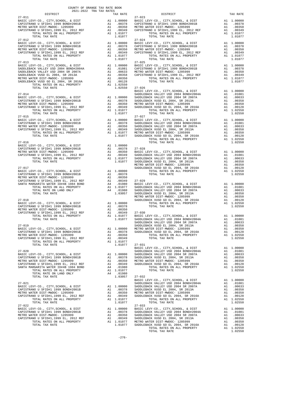|                                                                                                                                                                                                                                                                                                     | COUNTY OF ORANGE TAX RATE BOOK<br>2021-2022 TRA TAX RATES |    |                      |                                                            |
|-----------------------------------------------------------------------------------------------------------------------------------------------------------------------------------------------------------------------------------------------------------------------------------------------------|-----------------------------------------------------------|----|----------------------|------------------------------------------------------------|
| DISTRICT                                                                                                                                                                                                                                                                                            |                                                           |    | TAX RATE             |                                                            |
| $27 - 011$                                                                                                                                                                                                                                                                                          |                                                           |    |                      | $27 - 023$                                                 |
|                                                                                                                                                                                                                                                                                                     |                                                           |    |                      |                                                            |
|                                                                                                                                                                                                                                                                                                     |                                                           |    |                      |                                                            |
|                                                                                                                                                                                                                                                                                                     |                                                           |    |                      |                                                            |
|                                                                                                                                                                                                                                                                                                     |                                                           |    |                      |                                                            |
| $27 - 012$                                                                                                                                                                                                                                                                                          |                                                           |    |                      | $27 - 024$                                                 |
|                                                                                                                                                                                                                                                                                                     |                                                           |    |                      |                                                            |
|                                                                                                                                                                                                                                                                                                     |                                                           |    |                      |                                                            |
|                                                                                                                                                                                                                                                                                                     |                                                           |    |                      |                                                            |
| TOTAL TAX RATE                                                                                                                                                                                                                                                                                      |                                                           |    | 1.01077              |                                                            |
| $27 - 013$                                                                                                                                                                                                                                                                                          |                                                           |    |                      | $27 - 025$                                                 |
|                                                                                                                                                                                                                                                                                                     |                                                           |    |                      |                                                            |
|                                                                                                                                                                                                                                                                                                     |                                                           |    |                      |                                                            |
|                                                                                                                                                                                                                                                                                                     |                                                           |    |                      |                                                            |
|                                                                                                                                                                                                                                                                                                     |                                                           |    |                      |                                                            |
|                                                                                                                                                                                                                                                                                                     |                                                           |    |                      |                                                            |
|                                                                                                                                                                                                                                                                                                     |                                                           |    |                      |                                                            |
|                                                                                                                                                                                                                                                                                                     |                                                           |    |                      | BASIC L                                                    |
| $27 - 014$                                                                                                                                                                                                                                                                                          |                                                           |    |                      | SADDLEB                                                    |
|                                                                                                                                                                                                                                                                                                     |                                                           |    |                      |                                                            |
|                                                                                                                                                                                                                                                                                                     |                                                           |    |                      |                                                            |
|                                                                                                                                                                                                                                                                                                     |                                                           |    |                      |                                                            |
|                                                                                                                                                                                                                                                                                                     |                                                           |    |                      |                                                            |
| TOTAL TAX RATE                                                                                                                                                                                                                                                                                      |                                                           |    | 1.01077              |                                                            |
|                                                                                                                                                                                                                                                                                                     |                                                           |    |                      |                                                            |
|                                                                                                                                                                                                                                                                                                     |                                                           |    |                      |                                                            |
|                                                                                                                                                                                                                                                                                                     |                                                           |    |                      |                                                            |
|                                                                                                                                                                                                                                                                                                     |                                                           |    |                      |                                                            |
|                                                                                                                                                                                                                                                                                                     |                                                           |    |                      |                                                            |
| $27 - 016$                                                                                                                                                                                                                                                                                          |                                                           |    |                      |                                                            |
|                                                                                                                                                                                                                                                                                                     |                                                           |    |                      |                                                            |
| BASIC LEVY-CO., CITY, SCHOOL, & DIST $\begin{array}{ccccccccc}\n\text{A1} & 1.00000 & \text{SFDH1} & 1.00000 & \text{SFDH1} & 1.00000 & \text{SFDH1} & 1.00378 & \text{SFDH1} & 1.00378 & \text{SFDH1} & 0.0000 & \text{SFDH1} & 0.0000 & 0.0000 & 0.0000 & 0.0000 & 0.0000 & 0.0000 & 0.0000 & 0.$ |                                                           |    |                      |                                                            |
|                                                                                                                                                                                                                                                                                                     |                                                           |    |                      |                                                            |
|                                                                                                                                                                                                                                                                                                     |                                                           |    |                      |                                                            |
|                                                                                                                                                                                                                                                                                                     |                                                           |    |                      |                                                            |
|                                                                                                                                                                                                                                                                                                     |                                                           |    |                      | METRO W                                                    |
| 27-017                                                                                                                                                                                                                                                                                              |                                                           |    |                      | SADDLEB                                                    |
|                                                                                                                                                                                                                                                                                                     |                                                           |    |                      |                                                            |
|                                                                                                                                                                                                                                                                                                     |                                                           |    |                      |                                                            |
|                                                                                                                                                                                                                                                                                                     |                                                           |    |                      |                                                            |
|                                                                                                                                                                                                                                                                                                     |                                                           |    |                      |                                                            |
|                                                                                                                                                                                                                                                                                                     |                                                           |    |                      |                                                            |
|                                                                                                                                                                                                                                                                                                     |                                                           |    |                      |                                                            |
| $27 - 018$                                                                                                                                                                                                                                                                                          |                                                           |    |                      | METRO W<br>SADDLEB                                         |
| BASIC LEVY-CO., CITY, SCHOOL, & DIST<br>CAPISTRANO U SFID#1 1999 BOND#2001B                                                                                                                                                                                                                         |                                                           |    | A1 1.00000           |                                                            |
|                                                                                                                                                                                                                                                                                                     |                                                           |    |                      |                                                            |
|                                                                                                                                                                                                                                                                                                     |                                                           |    |                      |                                                            |
|                                                                                                                                                                                                                                                                                                     |                                                           |    |                      |                                                            |
|                                                                                                                                                                                                                                                                                                     |                                                           |    |                      |                                                            |
|                                                                                                                                                                                                                                                                                                     |                                                           |    |                      | SADDLEB                                                    |
| $27 - 019$<br>BASIC LEVY-CO., CITY, SCHOOL, & DIST                                                                                                                                                                                                                                                  |                                                           |    |                      | SADDLEB<br>A1 1.00000 METRO W                              |
| CAPISTRANO U SFID#1 1999 BOND#2001B                                                                                                                                                                                                                                                                 |                                                           |    | A1 .00378            | SADDLEB                                                    |
| METRO WATER DIST-MWDOC- 1205999                                                                                                                                                                                                                                                                     |                                                           |    |                      |                                                            |
| CAPISTRANO U SFID#1,1999 EL, 2012 REF<br>TOTAL RATES ON ALL PROPERTY                                                                                                                                                                                                                                |                                                           |    | A1 1.01077           |                                                            |
| TOTAL TAX RATE                                                                                                                                                                                                                                                                                      |                                                           |    | 1.01077              | $27 - 031$                                                 |
|                                                                                                                                                                                                                                                                                                     |                                                           |    |                      | <b>BASIC L</b>                                             |
| $27 - 020$                                                                                                                                                                                                                                                                                          |                                                           |    |                      | SADDLEB                                                    |
| BASIC LEVY-CO., CITY, SCHOOL, & DIST<br>CAPISTRANO U SFID#1 1999 BOND#2001B                                                                                                                                                                                                                         |                                                           |    | A1 1.00000           | SADDLEB                                                    |
| METRO WATER DIST-MWDOC- 1205999                                                                                                                                                                                                                                                                     |                                                           |    |                      |                                                            |
| CAPISTRANO U SFID#1,1999 EL, 2012 REF                                                                                                                                                                                                                                                               |                                                           |    |                      | A1 .00378 SADDLEB<br>A1 .00350 METROW<br>A1 .00349 SADDLEB |
| SANTA MARGARITA WATER ID#4B 1984 BOND<br>TOTAL RATES ON ALL PROPERTY                                                                                                                                                                                                                                |                                                           | A4 | .01980<br>A1 1.01077 |                                                            |
| TOTAL RATE ON LAND ONLY                                                                                                                                                                                                                                                                             |                                                           |    | A4 .01980            |                                                            |
| TOTAL TAX RATE                                                                                                                                                                                                                                                                                      |                                                           |    | 1.03057              | $27 - 032$                                                 |
|                                                                                                                                                                                                                                                                                                     |                                                           |    |                      | BASIC L                                                    |
| $27 - 021$<br>BASIC LEVY-CO., CITY, SCHOOL, & DIST                                                                                                                                                                                                                                                  |                                                           |    |                      | SADDLEB                                                    |
| CAPISTRANO U SFID#1 1999 BOND#2001B                                                                                                                                                                                                                                                                 |                                                           |    |                      | A1 1.00000 SADDLEB<br>A1 .00378 SADDLEB                    |
| METRO WATER DIST-MWDOC- 1205999                                                                                                                                                                                                                                                                     |                                                           | A1 |                      | .00350 METROW.<br>00349 SADDLEB.                           |
| CAPISTRANO U SFID#1,1999 EL, 2012 REF<br>TOTAL RATES ON ALL PROPERTY                                                                                                                                                                                                                                |                                                           | A1 | A1 1.01077           |                                                            |
| TOTAL TAX RATE                                                                                                                                                                                                                                                                                      |                                                           |    | 1.01077              |                                                            |
| $27 - 022$                                                                                                                                                                                                                                                                                          |                                                           |    |                      | $27 - 033$                                                 |
| BASIC LEVY-CO., CITY, SCHOOL, & DIST                                                                                                                                                                                                                                                                |                                                           |    | A1 1.00000           | BASIC L                                                    |
| CAPISTRANO U SFID#1 1999 BOND#2001B<br>METRO WATER DIST-MWDOC- 1205999                                                                                                                                                                                                                              |                                                           | A1 | A1.00378             | SADDLEB<br>$.00350$ SADDLEB                                |
| CAPISTRANO U SFID#1,1999 EL, 2012 REF                                                                                                                                                                                                                                                               |                                                           | A1 | .00349               | SADDLEB                                                    |
| TOTAL RATES ON ALL PROPERTY                                                                                                                                                                                                                                                                         | A1 1.01077 METRO W                                        |    |                      |                                                            |

| DISTRICT                                                                                                                                                                                              | 2021-2022 TRA TAX RATES | TAX RATE | DISTRICT                                                                                                                                                                                                                                                                                                                                                                                                                            | TAX RATE |
|-------------------------------------------------------------------------------------------------------------------------------------------------------------------------------------------------------|-------------------------|----------|-------------------------------------------------------------------------------------------------------------------------------------------------------------------------------------------------------------------------------------------------------------------------------------------------------------------------------------------------------------------------------------------------------------------------------------|----------|
| $27 - 011$                                                                                                                                                                                            |                         |          | $27 - 023$<br>$\begin{tabular}{c c c c c} \multicolumn{1}{c}{\textbf{Z7--011}} & \multicolumn{1}{c}{\textbf{Z7--023}} \\ \multicolumn{1}{c}{\textbf{BASC LEVY-CO.}, & \textbf{CITY}, \textbf{SCHOOL}, & \textbf{E DIST} & \textbf{A1} & 1.00000 & \textbf{BASIC LEVY-CO.}, & \textbf{CITY}, \textbf{SCHOOL}, & \textbf{E DIST} & \textbf{A1} & 1.00000 \\ \multicolumn{1}{c}{\textbf{CAPISTRANO U SFIDH1 1999 BONDH2001B}} & \text$ |          |
|                                                                                                                                                                                                       |                         |          |                                                                                                                                                                                                                                                                                                                                                                                                                                     |          |
|                                                                                                                                                                                                       |                         |          |                                                                                                                                                                                                                                                                                                                                                                                                                                     |          |
|                                                                                                                                                                                                       |                         |          |                                                                                                                                                                                                                                                                                                                                                                                                                                     |          |
|                                                                                                                                                                                                       |                         |          |                                                                                                                                                                                                                                                                                                                                                                                                                                     |          |
|                                                                                                                                                                                                       |                         |          |                                                                                                                                                                                                                                                                                                                                                                                                                                     |          |
|                                                                                                                                                                                                       |                         |          |                                                                                                                                                                                                                                                                                                                                                                                                                                     |          |
|                                                                                                                                                                                                       |                         |          |                                                                                                                                                                                                                                                                                                                                                                                                                                     |          |
|                                                                                                                                                                                                       |                         |          |                                                                                                                                                                                                                                                                                                                                                                                                                                     |          |
|                                                                                                                                                                                                       |                         |          |                                                                                                                                                                                                                                                                                                                                                                                                                                     |          |
|                                                                                                                                                                                                       |                         |          |                                                                                                                                                                                                                                                                                                                                                                                                                                     |          |
|                                                                                                                                                                                                       |                         |          |                                                                                                                                                                                                                                                                                                                                                                                                                                     |          |
|                                                                                                                                                                                                       |                         |          |                                                                                                                                                                                                                                                                                                                                                                                                                                     |          |
|                                                                                                                                                                                                       |                         |          |                                                                                                                                                                                                                                                                                                                                                                                                                                     |          |
|                                                                                                                                                                                                       |                         |          |                                                                                                                                                                                                                                                                                                                                                                                                                                     |          |
|                                                                                                                                                                                                       |                         |          |                                                                                                                                                                                                                                                                                                                                                                                                                                     |          |
|                                                                                                                                                                                                       |                         |          |                                                                                                                                                                                                                                                                                                                                                                                                                                     |          |
|                                                                                                                                                                                                       |                         |          |                                                                                                                                                                                                                                                                                                                                                                                                                                     |          |
|                                                                                                                                                                                                       |                         |          |                                                                                                                                                                                                                                                                                                                                                                                                                                     |          |
|                                                                                                                                                                                                       |                         |          |                                                                                                                                                                                                                                                                                                                                                                                                                                     |          |
|                                                                                                                                                                                                       |                         |          |                                                                                                                                                                                                                                                                                                                                                                                                                                     |          |
|                                                                                                                                                                                                       |                         |          |                                                                                                                                                                                                                                                                                                                                                                                                                                     |          |
|                                                                                                                                                                                                       |                         |          |                                                                                                                                                                                                                                                                                                                                                                                                                                     |          |
|                                                                                                                                                                                                       |                         |          |                                                                                                                                                                                                                                                                                                                                                                                                                                     |          |
|                                                                                                                                                                                                       |                         |          |                                                                                                                                                                                                                                                                                                                                                                                                                                     |          |
|                                                                                                                                                                                                       |                         |          |                                                                                                                                                                                                                                                                                                                                                                                                                                     |          |
|                                                                                                                                                                                                       |                         |          |                                                                                                                                                                                                                                                                                                                                                                                                                                     |          |
|                                                                                                                                                                                                       |                         |          |                                                                                                                                                                                                                                                                                                                                                                                                                                     |          |
|                                                                                                                                                                                                       |                         |          |                                                                                                                                                                                                                                                                                                                                                                                                                                     |          |
|                                                                                                                                                                                                       |                         |          |                                                                                                                                                                                                                                                                                                                                                                                                                                     |          |
|                                                                                                                                                                                                       |                         |          |                                                                                                                                                                                                                                                                                                                                                                                                                                     |          |
|                                                                                                                                                                                                       |                         |          |                                                                                                                                                                                                                                                                                                                                                                                                                                     |          |
|                                                                                                                                                                                                       |                         |          |                                                                                                                                                                                                                                                                                                                                                                                                                                     |          |
|                                                                                                                                                                                                       |                         |          |                                                                                                                                                                                                                                                                                                                                                                                                                                     |          |
|                                                                                                                                                                                                       |                         |          |                                                                                                                                                                                                                                                                                                                                                                                                                                     |          |
|                                                                                                                                                                                                       |                         |          |                                                                                                                                                                                                                                                                                                                                                                                                                                     |          |
|                                                                                                                                                                                                       |                         |          |                                                                                                                                                                                                                                                                                                                                                                                                                                     |          |
|                                                                                                                                                                                                       |                         |          |                                                                                                                                                                                                                                                                                                                                                                                                                                     |          |
|                                                                                                                                                                                                       |                         |          |                                                                                                                                                                                                                                                                                                                                                                                                                                     |          |
|                                                                                                                                                                                                       |                         |          |                                                                                                                                                                                                                                                                                                                                                                                                                                     |          |
|                                                                                                                                                                                                       |                         |          |                                                                                                                                                                                                                                                                                                                                                                                                                                     |          |
|                                                                                                                                                                                                       |                         |          |                                                                                                                                                                                                                                                                                                                                                                                                                                     |          |
|                                                                                                                                                                                                       |                         |          |                                                                                                                                                                                                                                                                                                                                                                                                                                     |          |
|                                                                                                                                                                                                       |                         |          |                                                                                                                                                                                                                                                                                                                                                                                                                                     |          |
|                                                                                                                                                                                                       |                         |          |                                                                                                                                                                                                                                                                                                                                                                                                                                     |          |
|                                                                                                                                                                                                       |                         |          |                                                                                                                                                                                                                                                                                                                                                                                                                                     |          |
|                                                                                                                                                                                                       |                         |          |                                                                                                                                                                                                                                                                                                                                                                                                                                     |          |
|                                                                                                                                                                                                       |                         |          |                                                                                                                                                                                                                                                                                                                                                                                                                                     |          |
|                                                                                                                                                                                                       |                         |          |                                                                                                                                                                                                                                                                                                                                                                                                                                     |          |
|                                                                                                                                                                                                       |                         |          |                                                                                                                                                                                                                                                                                                                                                                                                                                     |          |
|                                                                                                                                                                                                       |                         |          |                                                                                                                                                                                                                                                                                                                                                                                                                                     |          |
|                                                                                                                                                                                                       |                         |          | TOTAL RATES ON ALL PROPERTY A1 1.02550<br>TOTAL TAX RATE                                                                                                                                                                                                                                                                                                                                                                            | 1.02550  |
| METRO WATER DIST-MWDOC-1205999<br>CAPISTRANO USTIDH 1,1999 EL, 2012 REF<br>CAPISTRANO USTIDH 1,1999 EL, 2012 REF<br>21 1.00350<br>TOTAL RATES ON ALL PROPERTY<br>TOTAL TAX RATE<br>1.001077<br>27-031 |                         |          | $\begin{tabular}{c c c c c} \multicolumn{4}{c }{\textbf{27--020}} & \multicolumn{4}{c }{\textbf{27--021}} & \multicolumn{4}{c }{\textbf{27--021}} & \multicolumn{4}{c }{\textbf{27--021}} & \multicolumn{4}{c }{\textbf{27--021}} & \multicolumn{4}{c }{\textbf{27--021}} & \multicolumn{4}{c }{\textbf{27--021}} & \multicolumn{4}{c }{\textbf{27--021}} & \multicolumn{4}{c }{\textbf{27--021}} & \multicolumn{4$                 |          |
|                                                                                                                                                                                                       |                         |          |                                                                                                                                                                                                                                                                                                                                                                                                                                     |          |
|                                                                                                                                                                                                       |                         |          |                                                                                                                                                                                                                                                                                                                                                                                                                                     |          |
|                                                                                                                                                                                                       |                         |          |                                                                                                                                                                                                                                                                                                                                                                                                                                     |          |
|                                                                                                                                                                                                       |                         |          |                                                                                                                                                                                                                                                                                                                                                                                                                                     |          |
|                                                                                                                                                                                                       |                         |          |                                                                                                                                                                                                                                                                                                                                                                                                                                     |          |
|                                                                                                                                                                                                       |                         |          |                                                                                                                                                                                                                                                                                                                                                                                                                                     |          |
|                                                                                                                                                                                                       |                         |          |                                                                                                                                                                                                                                                                                                                                                                                                                                     |          |
|                                                                                                                                                                                                       |                         |          |                                                                                                                                                                                                                                                                                                                                                                                                                                     |          |
|                                                                                                                                                                                                       |                         |          |                                                                                                                                                                                                                                                                                                                                                                                                                                     |          |
|                                                                                                                                                                                                       |                         |          |                                                                                                                                                                                                                                                                                                                                                                                                                                     |          |
|                                                                                                                                                                                                       |                         |          |                                                                                                                                                                                                                                                                                                                                                                                                                                     |          |
|                                                                                                                                                                                                       |                         |          |                                                                                                                                                                                                                                                                                                                                                                                                                                     |          |
|                                                                                                                                                                                                       |                         |          |                                                                                                                                                                                                                                                                                                                                                                                                                                     |          |
|                                                                                                                                                                                                       |                         |          |                                                                                                                                                                                                                                                                                                                                                                                                                                     |          |
|                                                                                                                                                                                                       |                         |          |                                                                                                                                                                                                                                                                                                                                                                                                                                     |          |
|                                                                                                                                                                                                       |                         |          |                                                                                                                                                                                                                                                                                                                                                                                                                                     |          |
|                                                                                                                                                                                                       |                         |          |                                                                                                                                                                                                                                                                                                                                                                                                                                     |          |
|                                                                                                                                                                                                       |                         |          |                                                                                                                                                                                                                                                                                                                                                                                                                                     |          |
|                                                                                                                                                                                                       |                         |          |                                                                                                                                                                                                                                                                                                                                                                                                                                     |          |
|                                                                                                                                                                                                       |                         |          |                                                                                                                                                                                                                                                                                                                                                                                                                                     |          |
|                                                                                                                                                                                                       |                         |          |                                                                                                                                                                                                                                                                                                                                                                                                                                     |          |
|                                                                                                                                                                                                       |                         |          | TOTAL TAX RATE                                                                                                                                                                                                                                                                                                                                                                                                                      | 1.02550  |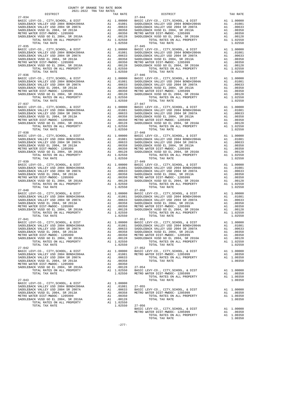| $\begin{tabular}{l c c c c c} \multicolumn{4}{c}{27-034} & \multicolumn{4}{c}{\begin{tabular}{c} \multicolumn{4}{c}{\begin{tabular}{c} \multicolumn{4}{c}{\begin{tabular}{c} \multicolumn{4}{c}{\begin{tabular}{c} \multicolumn{4}{c}{\begin{tabular}{c} \multicolumn{4}{c}{\begin{tabular}{c} \multicolumn{4}{c}{\begin{tabular}{c} \multicolumn{4}{c}{\begin{tabular}{c} \multicolumn{4}{c}{\begin{tabular}{c} \multicolumn{4}{c}{\begin{tabular}{c} \multicolumn{4}{c}{\begin{tabular}{$ |              |                                                   |                                                                                                                                                                                                                                                                                                                                                                                                    |                             |  |
|---------------------------------------------------------------------------------------------------------------------------------------------------------------------------------------------------------------------------------------------------------------------------------------------------------------------------------------------------------------------------------------------------------------------------------------------------------------------------------------------|--------------|---------------------------------------------------|----------------------------------------------------------------------------------------------------------------------------------------------------------------------------------------------------------------------------------------------------------------------------------------------------------------------------------------------------------------------------------------------------|-----------------------------|--|
|                                                                                                                                                                                                                                                                                                                                                                                                                                                                                             |              |                                                   |                                                                                                                                                                                                                                                                                                                                                                                                    |                             |  |
|                                                                                                                                                                                                                                                                                                                                                                                                                                                                                             |              |                                                   |                                                                                                                                                                                                                                                                                                                                                                                                    |                             |  |
|                                                                                                                                                                                                                                                                                                                                                                                                                                                                                             |              |                                                   |                                                                                                                                                                                                                                                                                                                                                                                                    |                             |  |
|                                                                                                                                                                                                                                                                                                                                                                                                                                                                                             |              |                                                   |                                                                                                                                                                                                                                                                                                                                                                                                    |                             |  |
|                                                                                                                                                                                                                                                                                                                                                                                                                                                                                             |              |                                                   |                                                                                                                                                                                                                                                                                                                                                                                                    |                             |  |
|                                                                                                                                                                                                                                                                                                                                                                                                                                                                                             |              |                                                   |                                                                                                                                                                                                                                                                                                                                                                                                    |                             |  |
|                                                                                                                                                                                                                                                                                                                                                                                                                                                                                             |              |                                                   |                                                                                                                                                                                                                                                                                                                                                                                                    |                             |  |
|                                                                                                                                                                                                                                                                                                                                                                                                                                                                                             |              |                                                   |                                                                                                                                                                                                                                                                                                                                                                                                    |                             |  |
|                                                                                                                                                                                                                                                                                                                                                                                                                                                                                             |              |                                                   |                                                                                                                                                                                                                                                                                                                                                                                                    |                             |  |
|                                                                                                                                                                                                                                                                                                                                                                                                                                                                                             |              |                                                   |                                                                                                                                                                                                                                                                                                                                                                                                    |                             |  |
|                                                                                                                                                                                                                                                                                                                                                                                                                                                                                             |              |                                                   | ${\small \begin{tabular}{l c c c c c c} \multicolumn{4}{c}{P-015} \multicolumn{4}{c}{P-015} \multicolumn{4}{c}{P-015} \multicolumn{4}{c}{P-015} \multicolumn{4}{c}{P-015} \multicolumn{4}{c}{P-015} \multicolumn{4}{c}{P-015} \multicolumn{4}{c}{P-015} \multicolumn{4}{c}{P-015} \multicolumn{4}{c}{P-015} \multicolumn{4}{c}{P-015} \multicolumn{4}{c}{P-015} \multicolumn{4}{c}{P-015} \multic$ |                             |  |
|                                                                                                                                                                                                                                                                                                                                                                                                                                                                                             |              |                                                   |                                                                                                                                                                                                                                                                                                                                                                                                    |                             |  |
|                                                                                                                                                                                                                                                                                                                                                                                                                                                                                             |              |                                                   |                                                                                                                                                                                                                                                                                                                                                                                                    |                             |  |
|                                                                                                                                                                                                                                                                                                                                                                                                                                                                                             |              |                                                   |                                                                                                                                                                                                                                                                                                                                                                                                    |                             |  |
|                                                                                                                                                                                                                                                                                                                                                                                                                                                                                             |              |                                                   |                                                                                                                                                                                                                                                                                                                                                                                                    |                             |  |
|                                                                                                                                                                                                                                                                                                                                                                                                                                                                                             |              |                                                   |                                                                                                                                                                                                                                                                                                                                                                                                    |                             |  |
|                                                                                                                                                                                                                                                                                                                                                                                                                                                                                             |              |                                                   |                                                                                                                                                                                                                                                                                                                                                                                                    |                             |  |
|                                                                                                                                                                                                                                                                                                                                                                                                                                                                                             |              |                                                   |                                                                                                                                                                                                                                                                                                                                                                                                    |                             |  |
| $27 - 036$                                                                                                                                                                                                                                                                                                                                                                                                                                                                                  |              |                                                   | $27 - 046$                                                                                                                                                                                                                                                                                                                                                                                         |                             |  |
|                                                                                                                                                                                                                                                                                                                                                                                                                                                                                             |              |                                                   |                                                                                                                                                                                                                                                                                                                                                                                                    |                             |  |
|                                                                                                                                                                                                                                                                                                                                                                                                                                                                                             |              |                                                   |                                                                                                                                                                                                                                                                                                                                                                                                    |                             |  |
|                                                                                                                                                                                                                                                                                                                                                                                                                                                                                             |              |                                                   |                                                                                                                                                                                                                                                                                                                                                                                                    |                             |  |
|                                                                                                                                                                                                                                                                                                                                                                                                                                                                                             |              |                                                   |                                                                                                                                                                                                                                                                                                                                                                                                    |                             |  |
|                                                                                                                                                                                                                                                                                                                                                                                                                                                                                             |              |                                                   |                                                                                                                                                                                                                                                                                                                                                                                                    |                             |  |
|                                                                                                                                                                                                                                                                                                                                                                                                                                                                                             |              |                                                   |                                                                                                                                                                                                                                                                                                                                                                                                    |                             |  |
|                                                                                                                                                                                                                                                                                                                                                                                                                                                                                             |              |                                                   |                                                                                                                                                                                                                                                                                                                                                                                                    |                             |  |
|                                                                                                                                                                                                                                                                                                                                                                                                                                                                                             |              |                                                   |                                                                                                                                                                                                                                                                                                                                                                                                    |                             |  |
| $\begin{tabular}{@{}c@{}} 27-037 & $1.043$ & $1.0000$ & $27-047$ & $1.02930$ \\ \hline BABC LEWY-CO, CITY, SCHOOL, & E DIST & A1 1,00000 & BABCLEACK VALLEY 1SD 2004 & BNOTDLEACK VALLEY 1SD 2004 & BNTDLEACK VALLEY 1SD 2004 & BNTDLEACK VALLEY 1SD 2004 & BNTDLEACK VALLEY 1SD 2004 & BNTDLEACK VALLEY 1SD 2004 & BNTDLEACK VALLEY 1SD 2004 & BNTDLE$                                                                                                                                     |              |                                                   | $\begin{tabular}{@{}c@{}}\hline\textbf{27--036} & \multicolumn{1}{c }{27--046} & \multicolumn{1}{c }{27--046} & \multicolumn{1}{c }{27--046} & \multicolumn{1}{c }{27--046} & \multicolumn{1}{c }{27--046} & \multicolumn{1}{c }{27--046} & \multicolumn{1}{c }{27--046} & \multicolumn{1}{c }{27--046} & \multicolumn{1}{c }{27--046} & \multicolumn{1}{c }{27--046} & \multicolumn{1}{c }{27--$  |                             |  |
|                                                                                                                                                                                                                                                                                                                                                                                                                                                                                             |              |                                                   |                                                                                                                                                                                                                                                                                                                                                                                                    |                             |  |
|                                                                                                                                                                                                                                                                                                                                                                                                                                                                                             |              |                                                   |                                                                                                                                                                                                                                                                                                                                                                                                    |                             |  |
|                                                                                                                                                                                                                                                                                                                                                                                                                                                                                             |              |                                                   |                                                                                                                                                                                                                                                                                                                                                                                                    |                             |  |
|                                                                                                                                                                                                                                                                                                                                                                                                                                                                                             |              |                                                   |                                                                                                                                                                                                                                                                                                                                                                                                    |                             |  |
|                                                                                                                                                                                                                                                                                                                                                                                                                                                                                             |              |                                                   |                                                                                                                                                                                                                                                                                                                                                                                                    |                             |  |
|                                                                                                                                                                                                                                                                                                                                                                                                                                                                                             |              |                                                   |                                                                                                                                                                                                                                                                                                                                                                                                    |                             |  |
|                                                                                                                                                                                                                                                                                                                                                                                                                                                                                             |              |                                                   |                                                                                                                                                                                                                                                                                                                                                                                                    |                             |  |
|                                                                                                                                                                                                                                                                                                                                                                                                                                                                                             |              |                                                   |                                                                                                                                                                                                                                                                                                                                                                                                    |                             |  |
|                                                                                                                                                                                                                                                                                                                                                                                                                                                                                             |              |                                                   |                                                                                                                                                                                                                                                                                                                                                                                                    |                             |  |
|                                                                                                                                                                                                                                                                                                                                                                                                                                                                                             |              |                                                   |                                                                                                                                                                                                                                                                                                                                                                                                    |                             |  |
|                                                                                                                                                                                                                                                                                                                                                                                                                                                                                             |              |                                                   |                                                                                                                                                                                                                                                                                                                                                                                                    |                             |  |
|                                                                                                                                                                                                                                                                                                                                                                                                                                                                                             |              |                                                   |                                                                                                                                                                                                                                                                                                                                                                                                    |                             |  |
|                                                                                                                                                                                                                                                                                                                                                                                                                                                                                             |              |                                                   |                                                                                                                                                                                                                                                                                                                                                                                                    |                             |  |
|                                                                                                                                                                                                                                                                                                                                                                                                                                                                                             |              |                                                   |                                                                                                                                                                                                                                                                                                                                                                                                    |                             |  |
|                                                                                                                                                                                                                                                                                                                                                                                                                                                                                             |              |                                                   |                                                                                                                                                                                                                                                                                                                                                                                                    |                             |  |
|                                                                                                                                                                                                                                                                                                                                                                                                                                                                                             |              |                                                   |                                                                                                                                                                                                                                                                                                                                                                                                    |                             |  |
|                                                                                                                                                                                                                                                                                                                                                                                                                                                                                             |              |                                                   |                                                                                                                                                                                                                                                                                                                                                                                                    |                             |  |
|                                                                                                                                                                                                                                                                                                                                                                                                                                                                                             |              |                                                   |                                                                                                                                                                                                                                                                                                                                                                                                    |                             |  |
| $27 - 039$                                                                                                                                                                                                                                                                                                                                                                                                                                                                                  |              |                                                   | $27 - 049$                                                                                                                                                                                                                                                                                                                                                                                         |                             |  |
|                                                                                                                                                                                                                                                                                                                                                                                                                                                                                             |              |                                                   |                                                                                                                                                                                                                                                                                                                                                                                                    |                             |  |
|                                                                                                                                                                                                                                                                                                                                                                                                                                                                                             |              |                                                   |                                                                                                                                                                                                                                                                                                                                                                                                    |                             |  |
|                                                                                                                                                                                                                                                                                                                                                                                                                                                                                             |              |                                                   |                                                                                                                                                                                                                                                                                                                                                                                                    |                             |  |
|                                                                                                                                                                                                                                                                                                                                                                                                                                                                                             |              |                                                   |                                                                                                                                                                                                                                                                                                                                                                                                    |                             |  |
|                                                                                                                                                                                                                                                                                                                                                                                                                                                                                             |              |                                                   |                                                                                                                                                                                                                                                                                                                                                                                                    |                             |  |
|                                                                                                                                                                                                                                                                                                                                                                                                                                                                                             |              |                                                   |                                                                                                                                                                                                                                                                                                                                                                                                    |                             |  |
|                                                                                                                                                                                                                                                                                                                                                                                                                                                                                             |              |                                                   |                                                                                                                                                                                                                                                                                                                                                                                                    |                             |  |
|                                                                                                                                                                                                                                                                                                                                                                                                                                                                                             |              |                                                   |                                                                                                                                                                                                                                                                                                                                                                                                    |                             |  |
|                                                                                                                                                                                                                                                                                                                                                                                                                                                                                             |              |                                                   |                                                                                                                                                                                                                                                                                                                                                                                                    |                             |  |
|                                                                                                                                                                                                                                                                                                                                                                                                                                                                                             |              |                                                   |                                                                                                                                                                                                                                                                                                                                                                                                    |                             |  |
|                                                                                                                                                                                                                                                                                                                                                                                                                                                                                             |              |                                                   |                                                                                                                                                                                                                                                                                                                                                                                                    |                             |  |
|                                                                                                                                                                                                                                                                                                                                                                                                                                                                                             |              |                                                   |                                                                                                                                                                                                                                                                                                                                                                                                    |                             |  |
|                                                                                                                                                                                                                                                                                                                                                                                                                                                                                             |              |                                                   |                                                                                                                                                                                                                                                                                                                                                                                                    |                             |  |
|                                                                                                                                                                                                                                                                                                                                                                                                                                                                                             |              |                                                   |                                                                                                                                                                                                                                                                                                                                                                                                    |                             |  |
|                                                                                                                                                                                                                                                                                                                                                                                                                                                                                             |              |                                                   |                                                                                                                                                                                                                                                                                                                                                                                                    |                             |  |
|                                                                                                                                                                                                                                                                                                                                                                                                                                                                                             |              |                                                   |                                                                                                                                                                                                                                                                                                                                                                                                    |                             |  |
|                                                                                                                                                                                                                                                                                                                                                                                                                                                                                             |              |                                                   |                                                                                                                                                                                                                                                                                                                                                                                                    |                             |  |
| $27 - 041$                                                                                                                                                                                                                                                                                                                                                                                                                                                                                  |              |                                                   | $27 - 051$                                                                                                                                                                                                                                                                                                                                                                                         |                             |  |
|                                                                                                                                                                                                                                                                                                                                                                                                                                                                                             |              |                                                   |                                                                                                                                                                                                                                                                                                                                                                                                    |                             |  |
|                                                                                                                                                                                                                                                                                                                                                                                                                                                                                             |              |                                                   |                                                                                                                                                                                                                                                                                                                                                                                                    |                             |  |
|                                                                                                                                                                                                                                                                                                                                                                                                                                                                                             |              |                                                   |                                                                                                                                                                                                                                                                                                                                                                                                    |                             |  |
|                                                                                                                                                                                                                                                                                                                                                                                                                                                                                             |              |                                                   |                                                                                                                                                                                                                                                                                                                                                                                                    |                             |  |
|                                                                                                                                                                                                                                                                                                                                                                                                                                                                                             |              |                                                   |                                                                                                                                                                                                                                                                                                                                                                                                    |                             |  |
|                                                                                                                                                                                                                                                                                                                                                                                                                                                                                             |              |                                                   |                                                                                                                                                                                                                                                                                                                                                                                                    |                             |  |
| TOTAL RATES ON ALL PROPERTY                                                                                                                                                                                                                                                                                                                                                                                                                                                                 |              | A1 1.02550                                        | TOTAL RATES ON ALL PROPERTY                                                                                                                                                                                                                                                                                                                                                                        | A1 1.02550                  |  |
| TOTAL TAX RATE                                                                                                                                                                                                                                                                                                                                                                                                                                                                              |              | 1.02550                                           | TOTAL TAX RATE                                                                                                                                                                                                                                                                                                                                                                                     | 1.02550                     |  |
| $27 - 042$                                                                                                                                                                                                                                                                                                                                                                                                                                                                                  |              |                                                   | $27 - 052$                                                                                                                                                                                                                                                                                                                                                                                         |                             |  |
|                                                                                                                                                                                                                                                                                                                                                                                                                                                                                             |              |                                                   | EXAMPLE EXAMPLE EXAMPLE EXAMPLE EXAMPLE EXAMPLE EXAMPLE EXAMPLE EXAMPLE EXAMPLE EXAMPLE EXAMPLE EXAMPLE EXAMPLE SADDLE EXAMPLE SADDLE EXAMPLE SADDLE EXAMPLE SADDLE EXAMPLE SADDLE EXAMPLE SADDLE EXAMPLE SADDLE EXAMPLE SADDL                                                                                                                                                                     | A1 1.00000                  |  |
|                                                                                                                                                                                                                                                                                                                                                                                                                                                                                             |              |                                                   |                                                                                                                                                                                                                                                                                                                                                                                                    | A1 .00350                   |  |
|                                                                                                                                                                                                                                                                                                                                                                                                                                                                                             |              |                                                   |                                                                                                                                                                                                                                                                                                                                                                                                    | A1 1,00350                  |  |
| SADDLEBACK VUSD EL 2004, SR 2013A                                                                                                                                                                                                                                                                                                                                                                                                                                                           |              | A1 .00358                                         | TOTAL TAX RATE                                                                                                                                                                                                                                                                                                                                                                                     | 1.00350                     |  |
| METRO WATER DIST-MWDOC- 1205999                                                                                                                                                                                                                                                                                                                                                                                                                                                             |              |                                                   |                                                                                                                                                                                                                                                                                                                                                                                                    |                             |  |
|                                                                                                                                                                                                                                                                                                                                                                                                                                                                                             |              |                                                   | $27 - 054$                                                                                                                                                                                                                                                                                                                                                                                         |                             |  |
| SADDLEBACK VUSD GO EL 2004, SR 2016A<br>TOTAL RATES ON ALL PROPERTY                                                                                                                                                                                                                                                                                                                                                                                                                         |              | $0.00358$<br>A1 .00350<br>A1 .00128<br>A1 1.02550 |                                                                                                                                                                                                                                                                                                                                                                                                    | A1 1.00000                  |  |
| TOTAL TAX RATE                                                                                                                                                                                                                                                                                                                                                                                                                                                                              |              | 1.02550                                           | BASIC LEVY-CO., CITY, SCHOOL, & DIST<br>METRO WATER DIST-MWDOC- 1205999<br>TOTAL RATES ON ALL PROPERTY                                                                                                                                                                                                                                                                                             | A1 .00350                   |  |
|                                                                                                                                                                                                                                                                                                                                                                                                                                                                                             |              |                                                   |                                                                                                                                                                                                                                                                                                                                                                                                    |                             |  |
| $27 - 043$                                                                                                                                                                                                                                                                                                                                                                                                                                                                                  |              |                                                   | TOTAL TAX RATE                                                                                                                                                                                                                                                                                                                                                                                     | A1 1.00350<br>1,00350       |  |
|                                                                                                                                                                                                                                                                                                                                                                                                                                                                                             |              |                                                   |                                                                                                                                                                                                                                                                                                                                                                                                    |                             |  |
| BASIC LEVY-CO., CITY, SCHOOL, & DIST                                                                                                                                                                                                                                                                                                                                                                                                                                                        |              | A1 1.00000                                        |                                                                                                                                                                                                                                                                                                                                                                                                    |                             |  |
| SADDLEBACK VALLEY USD 2004 BOND#2004A                                                                                                                                                                                                                                                                                                                                                                                                                                                       |              | A1 .01081                                         | $27 - 055$                                                                                                                                                                                                                                                                                                                                                                                         |                             |  |
| SADDLEBACK VALLEY USD 2004 SR 2007A                                                                                                                                                                                                                                                                                                                                                                                                                                                         |              | A1 .00633                                         | BASIC LEVY-CO., CITY, SCHOOL, & DIST                                                                                                                                                                                                                                                                                                                                                               | A1 1.00000                  |  |
| SADDLEBACK VUSD EL 2004, SR 2013A<br>MEEDO MAEDD DIGE MWDOG 1995000                                                                                                                                                                                                                                                                                                                                                                                                                         | $\mathbf{A}$ | A1 .00358<br><b>COOL</b>                          | METRO WATER DIST-MWDOC- 1205999<br>POPAI DAPPO ON AII DRODPDPV                                                                                                                                                                                                                                                                                                                                     | A1 .00350<br>1.00250<br>7.1 |  |
|                                                                                                                                                                                                                                                                                                                                                                                                                                                                                             |              |                                                   |                                                                                                                                                                                                                                                                                                                                                                                                    |                             |  |

TOTAL RATES ON ALL PROPERTY A1 1.02550 TOTAL TAX RATE  $1.02550$ TOTAL TAX RATE 1.02550 27-056

 BASIC LEVY-CO., CITY,SCHOOL, & DIST A1 1.00000 BASIC LEVY-CO., CITY,SCHOOL, & DIST A1 1.00000 SADDLEBACK VALLEY USD 2004 BOND#2004A A1 .01081 SADDLEBACK VALLEY USD 2004 BOND#2004A A1 .01081 SADDLEBACK VALLEY USD 2004 SR 2007A A1 .00633 SADDLEBACK VALLEY USD 2004 SR 2007A A1 .00633 SADDLEBACK VUSD EL 2004, SR 2013A A1 .00358 SADDLEBACK VUSD EL 2004, SR 2013A A1 .00358 METRO WATER DIST-MWDOC- 1205999 A1 .00350 METRO WATER DIST-MWDOC- 1205999 A1 .00350 SADDLEBACK VUSD GO EL 2004, SR 2016A A1 .00128 SADDLEBACK VUSD GO EL 2004, SR 2016A A1 .00128 TOTAL RATES ON ALL PROPERTY A1 1.02550 TOTAL RATES ON ALL PROPERTY A1 1.02550 TOTAL TAX RATE 1.02550 TOTAL TAX RATE 1.02550  $\begin{tabular}{l|c|c|c|c|c} BASTC LEVY-CO., CITY, SCHOOL, & $\&DIST$ & A1 1.00000 & BASTC LEVY-CO., CITY, SCHOOL, & $\&DIST$ & A1 1.00000 \\ SADDLEBACK VALEL EY USD 2004 BNDNH2004A & A1 0.1081 & SADDLEBACK VALEY USD 2004 BNDLEBACK VALEY USD 2004 BNDLEBACK VALEY USD 2004 BNDLEBACK VADEWSD EL 2004, SR 2013A & A1 0.00533 & SADDLEBACK VUSD EL 2004, SR 20$ 1.02550 TOTAL RATES ON ALL PROPERTI  $1.02550$  TOTAL TAX RATE  $1.02550$  1.02550  $\begin{tabular}{l|c|c|c|c|c} BASTC LEVY-CO., CITY, SCHOOL, & $\&DIST$ & A1 1.00000 & BASTC LEVY-CO., CITY, SCHOOL, & $\&DIST$ & A1 1.00000 \\ SADDLEBACK VALEL EY USD 2004 BNDMP2004A & A1 0.1081 & SADDLEBACK VALEY USD 2004 BNDLEBACK VALEY USD 2004 BNDLEBACK VALEY USD 2004 BNDLEBACK VADEWSD EL 2004, SR 2013A & A1 0.00533 & SADDLEBACK VUSD EL 2004, SR 20$  $1.02550$  TOTAL RATES ON ALL PROPERTIAN TO  $1.02550$   $1.02550$   $1.02550$ A1 1.00000 BASIC LEVY-CO., CITY, SCHOOL, & DIST A1 1.00000<br>A1 .01081 SADDLEBACK VALLEY USD 2004 BOND#2004A A1 .01081<br>A1 .00633 SADDLEBACK VALLEY USD 2004 SR 2007A A1 .00633 SADDLEBACK VALLEY USD 2004 BOND#2004A A1 .01081 SADDLEBACK VALLEY USD 2004 BOND#2004A A1 .01081 SADDLEBACK VALLEY USD 2004 SR 2007A A1 .00633 SADDLEBACK VALLEY USD 2004 SR 2007A A1 .00633 SADDLEBACK VUSD EL 2004, SR 2013A A1 .00358 SADDLEBACK VUSD EL 2004, SR 2013A A1 .00358 METRO WATER DIST-MWDOC- 1205999 A1 .00350 METRO WATER DIST-MWDOC- 1205999 A1 .00350 SADDLEBACK VUSD GO EL 2004, SR 2016A A1 .00128 SADDLEBACK VUSD GO EL 2004, SR 2016A A1 .00128 TOTAL RATES ON ALL PROPERTY A1 1.02550 TOTAL RATES ON ALL PROPERTY A1 1.02550 TOTAL RATES ON ALL PROPERTY ALL 1.02550 TOTAL TAX RATE 1.02550 1.02550 A1 1.00000 BASIC LEVY-CO., CITY, SCHOOL, & DIST A1 1.00000<br>A1 .01081 SADDLEBACK VALLEY USD 2004 BOND#2004A A1 .01081<br>A1 .00633 SADDLEBACK VALLEY USD 2004 SR 2007A A1 .00633 SADDLEBACK VALLEY USD 2004 BOND#2004A A1 .01081 SADDLEBACK VALLEY USD 2004 BOND#2004A A1 .01081 SADDLEBACK VALLEY USD 2004 SR 2007A A1 .00633 SADDLEBACK VALLEY USD 2004 SR 2007A A1 .00633 SADDLEBACK VUSD EL 2004, SR 2013A A1 .00358 SADDLEBACK VUSD EL 2004, SR 2013A A1 .00358 METRO WATER DIST-MWDOC- 1205999 A1 .00350 METRO WATER DIST-MWDOC- 1205999 A1 .00350 SADDLEBACK VUSD GO EL 2004, SR 2016A A1 .00128 SADDLEBACK VUSD GO EL 2004, SR 2016A A1 .00128 TOTAL RATES ON ALL PROPERTY A1 1.02550 TOTAL RATES ON ALL PROPERTY A1 1.02550 TOTAL TAX RATE 1.02550 TOTAL TAX RATE 1.02550 A1 1.00000 BASIC LEVY-CO., CITY,SCHOOL, & DIST A1 1.00000<br>A1 .01081 SADDLEBACK VALLEY USD 2004 BOND#2004A A1 .01081<br>A1 .00633 SADDLEBACK VALLEY USD 2004 SR 2007A A1 .00633 SADDLEBACK VALLEY USD 2004 BOND#2004A A1 .01081 SADDLEBACK VALLEY USD 2004 BOND#2004A A1 .01081 SADDLEBACK VALLEY USD 2004 SR 2007A A1 .00633 SADDLEBACK VALLEY USD 2004 SR 2007A A1 .00633 SADDLEBACK VUSD EL 2004, SR 2013A A1 .00358 SADDLEBACK VUSD EL 2004, SR 2013A A1 .00358 METRO WATER DIST-MWDOC- 1205999 A1 .00350 METRO WATER DIST-MWDOC- 1205999 A1 .00350 SADDLEBACK VUSD GO EL 2004, SR 2016A A1 .00128 SADDLEBACK VUSD GO EL 2004, SR 2016A A1 .00128 TOTAL RATES ON ALL PROPERTY A1 1.02550 TOTAL RATES ON ALL PROPERTY A1 1.02550 TOTAL TAX RATE 1.02550 TOTAL TAX RATE 1.02550 A1 1.00000 BASIC LEVY-CO., CITY,SCHOOL, & DIST A1 1.00000<br>BAI .01081 SADDLEBACK VALLEY USD 2004 BOND#2004A A1 .00633 SADDLEBACK VALLEY USD 2004 BR 2007A A1 .00633  ${\small \begin{tabular}{lcccc} SADDLEBACK\ VALLEX\ VSD & 2004\ BONDLEBACK\ VALLEX\ WSD & 2004\ BONDLEBACK\ WALLEX\ WSD & 2004\ BONDLEBACK\ WALEX\ WSD & 2004\ SNDLEBACK\ WALEX\ WSD & 2004\ SNDLEBACK\ WLD & 2004\ SNDLEBACK\ WLD & 2004\ SNDLEBACK\ WLD & 2004\ SNDLEBACK\ WSD & 2004\ SNDLEBACK\ WSD & 2004\ SNDLEBACK\ WSD & 2004\ SNDLEBACK\ WSD & 2004\ SNDLEBACK\ WSD &$ A1 1.00000 BASIC LEVY-CO., CITY,SCHOOL, & DIST A1 1.00000<br>BAI .01081 SADDLEBACK VALLEY USD 2004 BR 2007A A1 .00633 SADDLEBACK VALLEY USD 2004 SR 2007A A1 .00633  $\begin{tabular}{l|c|c|c|c|c|c} \multicolumn{4}{c}{\textbf{SADDLEBACK} \quad \quad & \textbf{A1} & .01081 & .01081 & .01081 & .01081 & .01081 & .01081 & .01081 & .01081 & .01081 & .01081 & .01081 & .01081 & .01081 & .01081 & .01081 & .01081 & .01081 & .01081 & .01081 & .01081 & .01081 & .01081 & .01081 & .01081$  $1.02550$  TOTAL TAX RATE  $1.02550$   $27-052$  TOTAL TAX RATE BASIC LEVY-CO., CITY,SCHOOL, & DIST A1 1.00000 BASIC LEVY-CO., CITY,SCHOOL, & DIST A1 1.00000 SADDLEBACK VALLEY USD 2004 BOND#2004A A1 .01081 METRO WATER DIST-MWDOC- 1205999 A1 .00350 SADDLEBACK VALLEY USD 2004 SR 2007A A1 .00633 TOTAL RATES ON ALL PROPERTY A1 1.00350 SADDRESS TOTAL TAX RATE 1.000358 TOTAL TAX RATE 1.00350 TOTAL RATES ON ALL PROPERTY A1 1.02550 BASIC LEVY-CO., CITY, SCHOOL, & DIST A1 1.00000<br>TOTAL TAX RATE 1.02550 METRO WATER DIST-MINDOC-1205999 A1 1.00350<br>TOTAL TAX RATE 100350 A1 1.00350 TOTAL RATES ON ALL PROPERTY A1 1.003 A1 1.00000<br>A1 .01081 SADDLEBACK VALLEY USD 2004 SR 2007A A1 .00633 BASIC LEVY-CO., CITY,SCHOOL, & DIST A1 1.00000 SADDLEBACK VUSD EL 2004, SR 2013A A1 .00358 METRO WATER DIST-MWDOC- 1205999 A1 .00350 METRO WATER DIST-MWDOC- 1205999 A1 .00350 TOTAL RATES ON ALL PROPERTY A1 1.00350 METRO WATER DISTEMBLOC 1209999 M. AT .00990 M. TOTAL RATES ON ALL PROPERTIT AT 1.00990<br>SADDLEBACK VUSD GO EL 2004, SR 2016A A1 .00128 TOTAL TAX RATE 1.00350<br>TOTAL TATAR RATES ON ALL PROPERTY A1 1.02550 BASIC LEVY-CO., CITY, SCHOOL, & DIST<br>METRO WATER DIST-MWDOC- 1205999<br>A1 1.00350 ALL PROPERTY A1 1.00350 METRO WATER DIST-MWDOC- 1205999 A1 .00350 TOTAL RATES ON ALL PROPERTY A1 1.00350 TOTAL TAX RATE 1.00350

-277-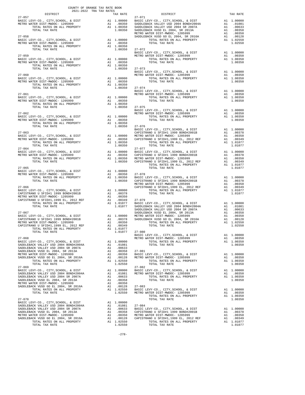|                                                                                                                                                                                                                                                                                                                                                                                                                                                                                         | COUNTY OF ORANGE TAX RATE BOOK<br>2021-2022 TRA TAX RATES |                                                                         |                        |                    |
|-----------------------------------------------------------------------------------------------------------------------------------------------------------------------------------------------------------------------------------------------------------------------------------------------------------------------------------------------------------------------------------------------------------------------------------------------------------------------------------------|-----------------------------------------------------------|-------------------------------------------------------------------------|------------------------|--------------------|
| DISTRICT                                                                                                                                                                                                                                                                                                                                                                                                                                                                                |                                                           |                                                                         | TAX RATE               |                    |
| $27 - 057$<br>BASIC LEVY-CO., CITY, SCHOOL, & DIST                                                                                                                                                                                                                                                                                                                                                                                                                                      |                                                           |                                                                         |                        | 27-071             |
| METRO WATER DIST-MWDOC- 1205999                                                                                                                                                                                                                                                                                                                                                                                                                                                         |                                                           |                                                                         |                        |                    |
| LEVY-CO., CITY, SCHOOL, & DIST Al 1.00000 BASIC LANE DIST-MWDOC-1205999 Al .00350 SADDLEB<br>TOTAL RATES ON ALL PROPERTY Al .00350 SADDLEB<br>TOTAL TAX RATE 1.00350 SADDLEB<br>TOTAL TAX RATE 1.00350 SADDLEB                                                                                                                                                                                                                                                                          |                                                           |                                                                         |                        |                    |
|                                                                                                                                                                                                                                                                                                                                                                                                                                                                                         |                                                           |                                                                         |                        | METRO W            |
| $27 - 058$                                                                                                                                                                                                                                                                                                                                                                                                                                                                              |                                                           |                                                                         |                        | SADDLEB            |
| BASIC LEVY-CO., CITY, SCHOOL, & DIST<br>METRO WATER DIST-MWDOC- 1205999                                                                                                                                                                                                                                                                                                                                                                                                                 |                                                           |                                                                         |                        |                    |
|                                                                                                                                                                                                                                                                                                                                                                                                                                                                                         |                                                           |                                                                         |                        |                    |
|                                                                                                                                                                                                                                                                                                                                                                                                                                                                                         |                                                           |                                                                         | 1.00350 27-072         |                    |
| $27 - 059$                                                                                                                                                                                                                                                                                                                                                                                                                                                                              |                                                           |                                                                         |                        | BASIC L<br>METRO W |
| BASIC LEVY-CO., CITY, SCHOOL, & DIST                                                                                                                                                                                                                                                                                                                                                                                                                                                    |                                                           |                                                                         | A1 1.00000             |                    |
| METRO WATER DIST-MWDOC- 1205999<br>TOTAL RATES ON ALL PROPERTY                                                                                                                                                                                                                                                                                                                                                                                                                          |                                                           |                                                                         | A1.00350<br>A1 1.00350 |                    |
| TOTAL TAX RATE                                                                                                                                                                                                                                                                                                                                                                                                                                                                          |                                                           |                                                                         | 1.00350                | $27 - 073$         |
|                                                                                                                                                                                                                                                                                                                                                                                                                                                                                         |                                                           |                                                                         |                        | BASIC L            |
| $27 - 060$                                                                                                                                                                                                                                                                                                                                                                                                                                                                              |                                                           |                                                                         |                        | METRO W            |
|                                                                                                                                                                                                                                                                                                                                                                                                                                                                                         |                                                           |                                                                         |                        |                    |
| TOTAL TAX RATE                                                                                                                                                                                                                                                                                                                                                                                                                                                                          |                                                           |                                                                         | 1.00350 27-074         |                    |
|                                                                                                                                                                                                                                                                                                                                                                                                                                                                                         |                                                           |                                                                         |                        | BASIC L            |
| $27 - 061$                                                                                                                                                                                                                                                                                                                                                                                                                                                                              |                                                           |                                                                         |                        | METRO W            |
| BASIC LEVY-CO., CITY, SCHOOL, & DIST Al 1.00000<br>METRO WATER DIST-MWDOC- 1205999                                                                                                                                                                                                                                                                                                                                                                                                      |                                                           |                                                                         |                        |                    |
|                                                                                                                                                                                                                                                                                                                                                                                                                                                                                         |                                                           |                                                                         |                        |                    |
| TOTAL TAX RATE                                                                                                                                                                                                                                                                                                                                                                                                                                                                          |                                                           |                                                                         | 1.00350 27-075         |                    |
| $27 - 062$                                                                                                                                                                                                                                                                                                                                                                                                                                                                              |                                                           |                                                                         |                        | BASIC L<br>METRO W |
| BASIC LEVY-CO., CITY, SCHOOL, & DIST                                                                                                                                                                                                                                                                                                                                                                                                                                                    |                                                           | A1 1.00000<br>A1 .00350<br>A1 1.00350                                   |                        |                    |
| METRO WATER DIST-MWDOC- 1205999<br>TOTAL RATES ON ALL PROPERTY                                                                                                                                                                                                                                                                                                                                                                                                                          |                                                           |                                                                         |                        |                    |
| TOTAL TAX RATE                                                                                                                                                                                                                                                                                                                                                                                                                                                                          |                                                           |                                                                         | 1.00350 27-076         |                    |
|                                                                                                                                                                                                                                                                                                                                                                                                                                                                                         |                                                           |                                                                         |                        | BASIC L            |
| $27 - 063$                                                                                                                                                                                                                                                                                                                                                                                                                                                                              |                                                           |                                                                         |                        | CAPISTR            |
| BASIC LEVY-CO., CITY, SCHOOL, & DIST A1 1.00000 METRO W<br>METRO WATER DIST-MWDOC- 1205999 A1 .00350 CAPISTR<br>TOTAL RATES ON ALL PROPERTY A1 1.00350                                                                                                                                                                                                                                                                                                                                  |                                                           |                                                                         |                        |                    |
|                                                                                                                                                                                                                                                                                                                                                                                                                                                                                         |                                                           |                                                                         |                        |                    |
| TOTAL TAX RATE<br>$27 - 064$                                                                                                                                                                                                                                                                                                                                                                                                                                                            |                                                           |                                                                         | 1.00350                | $27 - 077$         |
|                                                                                                                                                                                                                                                                                                                                                                                                                                                                                         |                                                           |                                                                         |                        |                    |
|                                                                                                                                                                                                                                                                                                                                                                                                                                                                                         |                                                           |                                                                         |                        |                    |
|                                                                                                                                                                                                                                                                                                                                                                                                                                                                                         |                                                           |                                                                         |                        |                    |
|                                                                                                                                                                                                                                                                                                                                                                                                                                                                                         |                                                           |                                                                         |                        |                    |
| $27 - 065$<br>BASIC LEVY-CO., CITY, SCHOOL, & DIST                                                                                                                                                                                                                                                                                                                                                                                                                                      |                                                           |                                                                         |                        |                    |
| METRO WATER DIST-MWDOC- 1205999                                                                                                                                                                                                                                                                                                                                                                                                                                                         |                                                           | A1 1.00000<br>A1 .00350 27-078<br>A1 1.00350 BASIC L<br>1.00350 CAPISTR |                        |                    |
| TOTAL RATES ON ALL PROPERTY                                                                                                                                                                                                                                                                                                                                                                                                                                                             |                                                           |                                                                         |                        |                    |
| TOTAL TAX RATE                                                                                                                                                                                                                                                                                                                                                                                                                                                                          |                                                           |                                                                         |                        | METRO W            |
| $27 - 066$                                                                                                                                                                                                                                                                                                                                                                                                                                                                              |                                                           |                                                                         |                        | CAPISTR            |
| $\begin{tabular}{lllllllll} \multicolumn{2}{c}{\begin{tabular}{lcccc} \multicolumn{2}{c}{\multicolumn{2}{c}{\multicolumn{2}{c}{\multicolumn{2}{c}{\multicolumn{2}{c}{\multicolumn{2}{c}{\multicolumn{2}{c}{\multicolumn{2}{c}{\multicolumn{2}{c}{\multicolumn{2}{c}{\multicolumn{2}{c}{\multicolumn{2}{c}{\multicolumn{2}{c}{\multicolumn{2}{c}{\multicolumn{2}{c}{\multicolumn{2}{c}{\multicolumn{2}{c}{\multicolumn{2}{c}{\multicolumn{2}{c}{\multicolumn{2}{c}{\multicolumn{2}{c}{\$ |                                                           |                                                                         |                        |                    |
| METRO WATER DIST-MWDOC- 1205999                                                                                                                                                                                                                                                                                                                                                                                                                                                         |                                                           | A1                                                                      | .00350                 |                    |
| METRO WATER DISTIBUTION 1.1999 EL, 2012 REF A1 .00349<br>CAPISTRANO U SFID#1,1999 EL, 2012 REF A1 .00349<br>TOTAL RATES ON ALL PROPERTY A1 1.01077                                                                                                                                                                                                                                                                                                                                      |                                                           |                                                                         | $.00349$ $27-079$      |                    |
| TOTAL TAX RATE                                                                                                                                                                                                                                                                                                                                                                                                                                                                          |                                                           |                                                                         | 1.01077                | BASIC L<br>SADDLEB |
|                                                                                                                                                                                                                                                                                                                                                                                                                                                                                         |                                                           |                                                                         |                        | SADDLEB            |
| $27 - 067$                                                                                                                                                                                                                                                                                                                                                                                                                                                                              |                                                           |                                                                         |                        | SADDLEB            |
|                                                                                                                                                                                                                                                                                                                                                                                                                                                                                         |                                                           |                                                                         |                        |                    |
|                                                                                                                                                                                                                                                                                                                                                                                                                                                                                         |                                                           |                                                                         |                        |                    |
|                                                                                                                                                                                                                                                                                                                                                                                                                                                                                         |                                                           |                                                                         |                        |                    |
| TOTAL TAX RATE                                                                                                                                                                                                                                                                                                                                                                                                                                                                          |                                                           |                                                                         | 1.01077                | $27 - 080$         |
|                                                                                                                                                                                                                                                                                                                                                                                                                                                                                         |                                                           |                                                                         |                        | <b>BASIC L</b>     |
| $27 - 068$                                                                                                                                                                                                                                                                                                                                                                                                                                                                              |                                                           |                                                                         | A1 1.00000             | METRO W            |
| BASIC LEVY-CO., CITY, SCHOOL, & DIST<br>SADDLEBACK VALLEY USD 2004 BOND#2004A                                                                                                                                                                                                                                                                                                                                                                                                           |                                                           |                                                                         | A1 .01081              |                    |
| SADDLEBACK VALLEY USD 2004 SR 2007A                                                                                                                                                                                                                                                                                                                                                                                                                                                     |                                                           | A1                                                                      | .00633                 |                    |
| SADDLEBACK VUSD EL 2004, SR 2013A<br>METRO WATER DIST-MWDOC- 1205999                                                                                                                                                                                                                                                                                                                                                                                                                    |                                                           | A1<br>A1                                                                | .00358<br>.00350       | 27-081<br>BASIC L  |
| SADDLEBACK VUSD GO EL 2004, SR 2016A                                                                                                                                                                                                                                                                                                                                                                                                                                                    |                                                           | A1                                                                      | .00128                 | METRO W            |
| TOTAL RATES ON ALL PROPERTY                                                                                                                                                                                                                                                                                                                                                                                                                                                             |                                                           |                                                                         | A1 1.02550             |                    |
| TOTAL TAX RATE<br>$27 - 069$                                                                                                                                                                                                                                                                                                                                                                                                                                                            |                                                           |                                                                         | 1.02550                | $27 - 082$         |
| BASIC LEVY-CO., CITY, SCHOOL, & DIST                                                                                                                                                                                                                                                                                                                                                                                                                                                    |                                                           |                                                                         | A1 1.00000             | BASIC L            |
| SADDLEBACK VALLEY USD 2004 BOND#2004A                                                                                                                                                                                                                                                                                                                                                                                                                                                   |                                                           |                                                                         | A1 .01081              | METRO W            |
| SADDLEBACK VALLEY USD 2004 SR 2007A<br>SADDLEBACK VUSD EL 2004, SR 2013A                                                                                                                                                                                                                                                                                                                                                                                                                |                                                           | A1<br>A1                                                                | .00633<br>.00358       |                    |
| METRO WATER DIST-MWDOC- 1205999                                                                                                                                                                                                                                                                                                                                                                                                                                                         |                                                           | A1                                                                      | .00350                 |                    |
| SADDLEBACK VUSD GO EL 2004, SR 2016A                                                                                                                                                                                                                                                                                                                                                                                                                                                    |                                                           |                                                                         | A1 .00128              | $27 - 083$         |
| TOTAL RATES ON ALL PROPERTY<br>TOTAL TAX RATE                                                                                                                                                                                                                                                                                                                                                                                                                                           |                                                           |                                                                         | A1 1.02550<br>1.02550  | BASIC L<br>METRO W |
|                                                                                                                                                                                                                                                                                                                                                                                                                                                                                         |                                                           |                                                                         |                        |                    |
| $27 - 070$                                                                                                                                                                                                                                                                                                                                                                                                                                                                              |                                                           |                                                                         |                        |                    |
| BASIC LEVY-CO., CITY, SCHOOL, & DIST<br>SADDLEBACK VALLEY USD 2004 BOND#2004A                                                                                                                                                                                                                                                                                                                                                                                                           |                                                           | A1                                                                      | A1 1.00000<br>.01081   | $27 - 084$         |
| SADDLEBACK VALLEY USD 2004 SR 2007A                                                                                                                                                                                                                                                                                                                                                                                                                                                     |                                                           | A1                                                                      | .00633                 | BASIC L            |
| SADDLEBACK VUSD EL 2004, SR 2013A<br>METRO WATER DIST-MWDOC- 1205999                                                                                                                                                                                                                                                                                                                                                                                                                    |                                                           | A1<br>A1                                                                | .00358<br>.00350       | CAPISTR<br>METRO W |
| SADDLEBACK VUSD GO EL 2004, SR 2016A                                                                                                                                                                                                                                                                                                                                                                                                                                                    |                                                           | A1                                                                      | .00128                 | CAPISTR            |
| TOTAL RATES ON ALL PROPERTY                                                                                                                                                                                                                                                                                                                                                                                                                                                             |                                                           |                                                                         | A1 1.02550             |                    |

| COUNII OF ORANGE IAA RAIE BOOR<br>2021–2022 TRA TAY RATES |                  | $\begin{tabular}{l c c c c c} \multicolumn{1}{c}{\textbf{7-057}} & \multicolumn{1}{c}{\textbf{7-057}} & \multicolumn{1}{c}{\textbf{7-057}} & \multicolumn{1}{c}{\textbf{7-058}} & \multicolumn{1}{c}{\textbf{7-058}} & \multicolumn{1}{c}{\textbf{7-059}} & \multicolumn{1}{c}{\textbf{7-058}} & \multicolumn{1}{c}{\textbf{7-058}} & \multicolumn{1}{c}{\textbf{7-058}} & \multicolumn{1}{c}{\textbf{7-058}} & \mult$ |         |
|-----------------------------------------------------------|------------------|------------------------------------------------------------------------------------------------------------------------------------------------------------------------------------------------------------------------------------------------------------------------------------------------------------------------------------------------------------------------------------------------------------------------|---------|
|                                                           |                  |                                                                                                                                                                                                                                                                                                                                                                                                                        |         |
|                                                           |                  |                                                                                                                                                                                                                                                                                                                                                                                                                        |         |
|                                                           |                  |                                                                                                                                                                                                                                                                                                                                                                                                                        |         |
|                                                           |                  |                                                                                                                                                                                                                                                                                                                                                                                                                        |         |
|                                                           |                  |                                                                                                                                                                                                                                                                                                                                                                                                                        |         |
|                                                           |                  |                                                                                                                                                                                                                                                                                                                                                                                                                        |         |
|                                                           |                  |                                                                                                                                                                                                                                                                                                                                                                                                                        |         |
|                                                           |                  |                                                                                                                                                                                                                                                                                                                                                                                                                        |         |
|                                                           |                  |                                                                                                                                                                                                                                                                                                                                                                                                                        |         |
|                                                           |                  |                                                                                                                                                                                                                                                                                                                                                                                                                        |         |
|                                                           |                  |                                                                                                                                                                                                                                                                                                                                                                                                                        |         |
|                                                           |                  |                                                                                                                                                                                                                                                                                                                                                                                                                        |         |
|                                                           |                  |                                                                                                                                                                                                                                                                                                                                                                                                                        |         |
|                                                           |                  |                                                                                                                                                                                                                                                                                                                                                                                                                        |         |
|                                                           |                  |                                                                                                                                                                                                                                                                                                                                                                                                                        |         |
|                                                           |                  |                                                                                                                                                                                                                                                                                                                                                                                                                        |         |
|                                                           |                  |                                                                                                                                                                                                                                                                                                                                                                                                                        |         |
|                                                           |                  |                                                                                                                                                                                                                                                                                                                                                                                                                        |         |
|                                                           |                  |                                                                                                                                                                                                                                                                                                                                                                                                                        |         |
|                                                           |                  |                                                                                                                                                                                                                                                                                                                                                                                                                        |         |
|                                                           |                  |                                                                                                                                                                                                                                                                                                                                                                                                                        |         |
|                                                           |                  |                                                                                                                                                                                                                                                                                                                                                                                                                        |         |
|                                                           |                  |                                                                                                                                                                                                                                                                                                                                                                                                                        |         |
|                                                           |                  | $\begin{tabular}{c c c c c} \multicolumn{4}{c }{\textbf{27--062}} & \multicolumn{4}{c }{\textbf{27--075}} & \multicolumn{4}{c }{\textbf{27--075}} & \multicolumn{4}{c }{\textbf{27--075}} & \multicolumn{4}{c }{\textbf{27--075}} & \multicolumn{4}{c }{\textbf{27--075}} & \multicolumn{4}{c }{\textbf{27--075}} & \multicolumn{4}{c }{\textbf{27--075}} & \multicolumn{4}{c }{\textbf{27--075}} & \multicolumn{4$    |         |
|                                                           |                  |                                                                                                                                                                                                                                                                                                                                                                                                                        |         |
|                                                           |                  |                                                                                                                                                                                                                                                                                                                                                                                                                        |         |
|                                                           |                  |                                                                                                                                                                                                                                                                                                                                                                                                                        |         |
|                                                           |                  |                                                                                                                                                                                                                                                                                                                                                                                                                        |         |
|                                                           |                  |                                                                                                                                                                                                                                                                                                                                                                                                                        |         |
|                                                           |                  |                                                                                                                                                                                                                                                                                                                                                                                                                        |         |
|                                                           |                  |                                                                                                                                                                                                                                                                                                                                                                                                                        |         |
| $27 - 065$                                                |                  | TOTAL TAX RATE                                                                                                                                                                                                                                                                                                                                                                                                         | 1.01077 |
|                                                           |                  |                                                                                                                                                                                                                                                                                                                                                                                                                        |         |
|                                                           |                  |                                                                                                                                                                                                                                                                                                                                                                                                                        |         |
|                                                           |                  |                                                                                                                                                                                                                                                                                                                                                                                                                        |         |
|                                                           |                  |                                                                                                                                                                                                                                                                                                                                                                                                                        |         |
|                                                           |                  |                                                                                                                                                                                                                                                                                                                                                                                                                        |         |
|                                                           |                  |                                                                                                                                                                                                                                                                                                                                                                                                                        |         |
|                                                           |                  |                                                                                                                                                                                                                                                                                                                                                                                                                        |         |
|                                                           |                  |                                                                                                                                                                                                                                                                                                                                                                                                                        |         |
|                                                           |                  |                                                                                                                                                                                                                                                                                                                                                                                                                        |         |
|                                                           |                  |                                                                                                                                                                                                                                                                                                                                                                                                                        |         |
|                                                           |                  |                                                                                                                                                                                                                                                                                                                                                                                                                        |         |
|                                                           |                  |                                                                                                                                                                                                                                                                                                                                                                                                                        |         |
| TOTAL TAX RATE                                            |                  |                                                                                                                                                                                                                                                                                                                                                                                                                        |         |
|                                                           | $1.01077 27-080$ | $\begin{tabular}{l c c c c c} \hline \texttt{1.00000} & \texttt{BADLEBACK} & \texttt{AL 1.00000} & \texttt{BABIC LEVY-CO.}, & \texttt{CITY}, \texttt{SCHOOL}, & \texttt{E DIST} & \texttt{A1 1.00000} \\ \hline \texttt{BASIC LEV-CO.}, & \texttt{CITY}, \texttt{SCHOOL}, & \texttt{E DIST} & \texttt{A1 1.00000} & \texttt{METRO WATER DIST-MWDOC-1205999} & \texttt{A1 1.00350} \\ \texttt{SAD$                      |         |
|                                                           |                  |                                                                                                                                                                                                                                                                                                                                                                                                                        |         |
|                                                           |                  |                                                                                                                                                                                                                                                                                                                                                                                                                        |         |
|                                                           |                  |                                                                                                                                                                                                                                                                                                                                                                                                                        |         |
|                                                           |                  |                                                                                                                                                                                                                                                                                                                                                                                                                        |         |
|                                                           |                  |                                                                                                                                                                                                                                                                                                                                                                                                                        |         |
|                                                           |                  |                                                                                                                                                                                                                                                                                                                                                                                                                        |         |
|                                                           |                  |                                                                                                                                                                                                                                                                                                                                                                                                                        |         |
|                                                           |                  |                                                                                                                                                                                                                                                                                                                                                                                                                        |         |
|                                                           |                  |                                                                                                                                                                                                                                                                                                                                                                                                                        |         |
|                                                           |                  |                                                                                                                                                                                                                                                                                                                                                                                                                        |         |
|                                                           |                  |                                                                                                                                                                                                                                                                                                                                                                                                                        |         |
|                                                           |                  |                                                                                                                                                                                                                                                                                                                                                                                                                        |         |
|                                                           |                  |                                                                                                                                                                                                                                                                                                                                                                                                                        |         |
|                                                           |                  |                                                                                                                                                                                                                                                                                                                                                                                                                        |         |
|                                                           |                  |                                                                                                                                                                                                                                                                                                                                                                                                                        |         |
|                                                           |                  |                                                                                                                                                                                                                                                                                                                                                                                                                        |         |
|                                                           |                  |                                                                                                                                                                                                                                                                                                                                                                                                                        |         |
|                                                           |                  |                                                                                                                                                                                                                                                                                                                                                                                                                        |         |
|                                                           |                  |                                                                                                                                                                                                                                                                                                                                                                                                                        |         |
|                                                           |                  |                                                                                                                                                                                                                                                                                                                                                                                                                        |         |
|                                                           |                  |                                                                                                                                                                                                                                                                                                                                                                                                                        |         |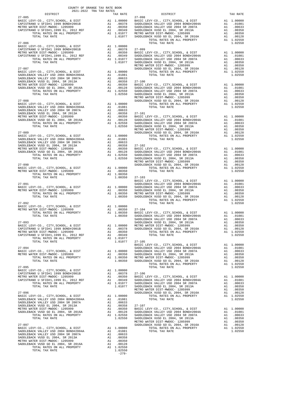|  |         | $\begin{tabular}{c c c c c} \multicolumn{1}{c}{\textbf{27--094}} & \multicolumn{1}{c}{\textbf{27--095}}\\ \multicolumn{1}{c}{\textbf{27--096}} & \multicolumn{1}{c}{\textbf{27--096}} & \multicolumn{1}{c}{\textbf{27--097}}\\ \multicolumn{1}{c}{\textbf{27--098}} & \multicolumn{1}{c}{\textbf{27--098}}\\ \multicolumn{1}{c}{\textbf{27--098}} & \multicolumn{1}{c}{\textbf{27--098}}\\ \multicolumn{1}{c}{\textbf{27$ |  |
|--|---------|---------------------------------------------------------------------------------------------------------------------------------------------------------------------------------------------------------------------------------------------------------------------------------------------------------------------------------------------------------------------------------------------------------------------------|--|
|  |         |                                                                                                                                                                                                                                                                                                                                                                                                                           |  |
|  |         |                                                                                                                                                                                                                                                                                                                                                                                                                           |  |
|  |         |                                                                                                                                                                                                                                                                                                                                                                                                                           |  |
|  |         |                                                                                                                                                                                                                                                                                                                                                                                                                           |  |
|  |         |                                                                                                                                                                                                                                                                                                                                                                                                                           |  |
|  |         |                                                                                                                                                                                                                                                                                                                                                                                                                           |  |
|  |         |                                                                                                                                                                                                                                                                                                                                                                                                                           |  |
|  |         |                                                                                                                                                                                                                                                                                                                                                                                                                           |  |
|  |         |                                                                                                                                                                                                                                                                                                                                                                                                                           |  |
|  |         |                                                                                                                                                                                                                                                                                                                                                                                                                           |  |
|  |         |                                                                                                                                                                                                                                                                                                                                                                                                                           |  |
|  |         |                                                                                                                                                                                                                                                                                                                                                                                                                           |  |
|  |         |                                                                                                                                                                                                                                                                                                                                                                                                                           |  |
|  |         |                                                                                                                                                                                                                                                                                                                                                                                                                           |  |
|  |         |                                                                                                                                                                                                                                                                                                                                                                                                                           |  |
|  |         |                                                                                                                                                                                                                                                                                                                                                                                                                           |  |
|  |         |                                                                                                                                                                                                                                                                                                                                                                                                                           |  |
|  |         |                                                                                                                                                                                                                                                                                                                                                                                                                           |  |
|  |         |                                                                                                                                                                                                                                                                                                                                                                                                                           |  |
|  |         |                                                                                                                                                                                                                                                                                                                                                                                                                           |  |
|  |         |                                                                                                                                                                                                                                                                                                                                                                                                                           |  |
|  |         |                                                                                                                                                                                                                                                                                                                                                                                                                           |  |
|  |         |                                                                                                                                                                                                                                                                                                                                                                                                                           |  |
|  | $-279-$ |                                                                                                                                                                                                                                                                                                                                                                                                                           |  |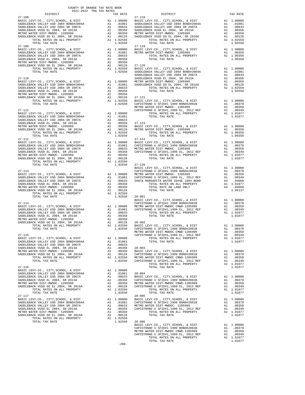|            | DISTRICT                                                                                                                                                                                                                                                                                                                                                                                                           |    | TAX RATE                  |                                  |
|------------|--------------------------------------------------------------------------------------------------------------------------------------------------------------------------------------------------------------------------------------------------------------------------------------------------------------------------------------------------------------------------------------------------------------------|----|---------------------------|----------------------------------|
| $27 - 108$ |                                                                                                                                                                                                                                                                                                                                                                                                                    |    |                           | $27 - 118$                       |
|            |                                                                                                                                                                                                                                                                                                                                                                                                                    |    |                           |                                  |
|            |                                                                                                                                                                                                                                                                                                                                                                                                                    |    |                           |                                  |
|            |                                                                                                                                                                                                                                                                                                                                                                                                                    |    |                           |                                  |
|            |                                                                                                                                                                                                                                                                                                                                                                                                                    |    |                           |                                  |
|            |                                                                                                                                                                                                                                                                                                                                                                                                                    |    |                           |                                  |
|            |                                                                                                                                                                                                                                                                                                                                                                                                                    |    |                           |                                  |
|            |                                                                                                                                                                                                                                                                                                                                                                                                                    |    |                           |                                  |
|            | TOTAL TAX RATE                                                                                                                                                                                                                                                                                                                                                                                                     |    | 1.02550                   |                                  |
| $27 - 109$ |                                                                                                                                                                                                                                                                                                                                                                                                                    |    |                           | 27-119                           |
|            |                                                                                                                                                                                                                                                                                                                                                                                                                    |    |                           |                                  |
|            |                                                                                                                                                                                                                                                                                                                                                                                                                    |    |                           |                                  |
|            |                                                                                                                                                                                                                                                                                                                                                                                                                    |    |                           |                                  |
|            |                                                                                                                                                                                                                                                                                                                                                                                                                    |    |                           |                                  |
|            |                                                                                                                                                                                                                                                                                                                                                                                                                    |    |                           |                                  |
|            |                                                                                                                                                                                                                                                                                                                                                                                                                    |    |                           |                                  |
|            |                                                                                                                                                                                                                                                                                                                                                                                                                    |    |                           |                                  |
|            |                                                                                                                                                                                                                                                                                                                                                                                                                    |    |                           | SADDLEB                          |
| $27 - 110$ |                                                                                                                                                                                                                                                                                                                                                                                                                    |    |                           | SADDLEB                          |
|            |                                                                                                                                                                                                                                                                                                                                                                                                                    |    |                           |                                  |
|            |                                                                                                                                                                                                                                                                                                                                                                                                                    |    |                           |                                  |
|            |                                                                                                                                                                                                                                                                                                                                                                                                                    |    |                           |                                  |
|            |                                                                                                                                                                                                                                                                                                                                                                                                                    |    |                           |                                  |
|            |                                                                                                                                                                                                                                                                                                                                                                                                                    |    |                           |                                  |
|            |                                                                                                                                                                                                                                                                                                                                                                                                                    |    |                           |                                  |
|            |                                                                                                                                                                                                                                                                                                                                                                                                                    |    |                           |                                  |
|            |                                                                                                                                                                                                                                                                                                                                                                                                                    |    |                           |                                  |
|            |                                                                                                                                                                                                                                                                                                                                                                                                                    |    |                           | METRO W                          |
| $27 - 111$ |                                                                                                                                                                                                                                                                                                                                                                                                                    |    |                           | CAPISTR                          |
|            | $\begin{tabular}{l c c c c c} \multicolumn{1}{c}{\textbf{BASIC LEVY-CO.}, & CITY, SCHOOL, & $\&$ DIST$ & \multicolumn{1}{c}{\textbf{A1}}$ & $1.00000$ & \multicolumn{1}{c}{\textbf{CAPISTR}}$ & \multicolumn{1}{c}{\textbf{SADDLEBACK VALLEY USD 2004A}} & $\text{A1}$ & $1.00000$ & \multicolumn{1}{c}{\textbf{SADDLEBACK VALLEY USD 2004B WADO04A}}$ & $\text{A1}$ & $0.0051$ & \multicolumn{1}{c}{\textbf{SADD$ |    |                           |                                  |
|            |                                                                                                                                                                                                                                                                                                                                                                                                                    |    |                           |                                  |
|            |                                                                                                                                                                                                                                                                                                                                                                                                                    |    |                           |                                  |
|            |                                                                                                                                                                                                                                                                                                                                                                                                                    |    |                           |                                  |
|            |                                                                                                                                                                                                                                                                                                                                                                                                                    |    |                           |                                  |
|            |                                                                                                                                                                                                                                                                                                                                                                                                                    |    |                           |                                  |
|            |                                                                                                                                                                                                                                                                                                                                                                                                                    |    |                           |                                  |
|            |                                                                                                                                                                                                                                                                                                                                                                                                                    |    |                           |                                  |
| $27 - 112$ |                                                                                                                                                                                                                                                                                                                                                                                                                    |    |                           | $27 - 124$                       |
|            |                                                                                                                                                                                                                                                                                                                                                                                                                    |    |                           |                                  |
|            |                                                                                                                                                                                                                                                                                                                                                                                                                    |    |                           |                                  |
|            |                                                                                                                                                                                                                                                                                                                                                                                                                    |    |                           |                                  |
|            |                                                                                                                                                                                                                                                                                                                                                                                                                    |    |                           |                                  |
|            |                                                                                                                                                                                                                                                                                                                                                                                                                    |    |                           |                                  |
|            |                                                                                                                                                                                                                                                                                                                                                                                                                    |    |                           |                                  |
|            |                                                                                                                                                                                                                                                                                                                                                                                                                    |    |                           |                                  |
|            | TOTAL TAX RATE                                                                                                                                                                                                                                                                                                                                                                                                     |    | 1.02550                   | $27 - 126$                       |
|            |                                                                                                                                                                                                                                                                                                                                                                                                                    |    |                           | BASIC L                          |
| $27 - 113$ |                                                                                                                                                                                                                                                                                                                                                                                                                    |    |                           | CAPISTR                          |
|            |                                                                                                                                                                                                                                                                                                                                                                                                                    |    |                           |                                  |
|            |                                                                                                                                                                                                                                                                                                                                                                                                                    |    |                           |                                  |
|            |                                                                                                                                                                                                                                                                                                                                                                                                                    |    |                           |                                  |
|            |                                                                                                                                                                                                                                                                                                                                                                                                                    |    |                           |                                  |
|            |                                                                                                                                                                                                                                                                                                                                                                                                                    |    |                           |                                  |
|            |                                                                                                                                                                                                                                                                                                                                                                                                                    |    |                           |                                  |
|            |                                                                                                                                                                                                                                                                                                                                                                                                                    |    |                           |                                  |
|            | TOTAL TAX RATE                                                                                                                                                                                                                                                                                                                                                                                                     |    | $1.02550$ $28-001$        |                                  |
|            |                                                                                                                                                                                                                                                                                                                                                                                                                    |    |                           | BASIC L                          |
|            |                                                                                                                                                                                                                                                                                                                                                                                                                    |    |                           |                                  |
|            |                                                                                                                                                                                                                                                                                                                                                                                                                    |    |                           |                                  |
|            |                                                                                                                                                                                                                                                                                                                                                                                                                    |    |                           |                                  |
|            |                                                                                                                                                                                                                                                                                                                                                                                                                    |    |                           |                                  |
|            |                                                                                                                                                                                                                                                                                                                                                                                                                    |    |                           |                                  |
|            |                                                                                                                                                                                                                                                                                                                                                                                                                    |    |                           |                                  |
|            |                                                                                                                                                                                                                                                                                                                                                                                                                    |    |                           |                                  |
|            |                                                                                                                                                                                                                                                                                                                                                                                                                    |    |                           |                                  |
|            |                                                                                                                                                                                                                                                                                                                                                                                                                    |    |                           | METRO W                          |
| $27 - 115$ |                                                                                                                                                                                                                                                                                                                                                                                                                    |    |                           | CAPISTR                          |
|            | BASIC LEVY-CO., CITY, SCHOOL, & DIST                                                                                                                                                                                                                                                                                                                                                                               |    | A1 1.00000                |                                  |
|            | SADDLEBACK VALLEY USD 2004 BOND#2004A                                                                                                                                                                                                                                                                                                                                                                              | A1 |                           |                                  |
|            | SADDLEBACK VALLEY USD 2004 SR 2007A                                                                                                                                                                                                                                                                                                                                                                                | A1 | 01081.<br>00633<br>.00633 |                                  |
|            | SADDLEBACK VUSD EL 2004, SR 2013A<br>METRO WATER DIST-MWDOC- 1205999                                                                                                                                                                                                                                                                                                                                               | A1 | .00358                    | $28 - 003$                       |
|            |                                                                                                                                                                                                                                                                                                                                                                                                                    |    | A1 .00350                 | BASIC L                          |
|            | SADDLEBACK VUSD GO EL 2004, SR 2016A                                                                                                                                                                                                                                                                                                                                                                               | A1 | .00128                    | CAPISTR                          |
|            | TOTAL RATES ON ALL PROPERTY                                                                                                                                                                                                                                                                                                                                                                                        |    | A1 1.02550                | METRO W                          |
|            | TOTAL TAX RATE                                                                                                                                                                                                                                                                                                                                                                                                     |    | 1.02550                   | CAPISTR                          |
|            |                                                                                                                                                                                                                                                                                                                                                                                                                    |    |                           |                                  |
| 27-116     |                                                                                                                                                                                                                                                                                                                                                                                                                    |    |                           |                                  |
|            | BASIC LEVY-CO., CITY, SCHOOL, & DIST                                                                                                                                                                                                                                                                                                                                                                               |    | A1 1.00000                |                                  |
|            | SADDLEBACK VALLEY USD 2004 BOND#2004A                                                                                                                                                                                                                                                                                                                                                                              | A1 | .01081                    | $28 - 004$                       |
|            | SADDLEBACK VALLEY USD 2004 SR 2007A                                                                                                                                                                                                                                                                                                                                                                                |    | A1 .00633                 | BASIC L                          |
|            | SADDLEBACK VUSD EL 2004, SR 2013A                                                                                                                                                                                                                                                                                                                                                                                  | A1 | .00358                    | CAPISTR                          |
|            | METRO WATER DIST-MWDOC- 1205999                                                                                                                                                                                                                                                                                                                                                                                    | A1 |                           | .00350 METRO W<br>.00128 CAPISTR |
|            | SADDLEBACK VUSD GO EL 2004, SR 2016A                                                                                                                                                                                                                                                                                                                                                                               | A1 |                           |                                  |
|            | TOTAL RATES ON ALL PROPERTY                                                                                                                                                                                                                                                                                                                                                                                        |    | A1 1.02550                |                                  |
|            | TOTAL TAX RATE                                                                                                                                                                                                                                                                                                                                                                                                     |    | 1.02550                   |                                  |
| $27 - 117$ |                                                                                                                                                                                                                                                                                                                                                                                                                    |    |                           | $28 - 005$                       |
|            | BASIC LEVY-CO., CITY, SCHOOL, & DIST                                                                                                                                                                                                                                                                                                                                                                               |    | A1 1.00000                | BASIC L                          |
|            | SADDLEBACK VALLEY USD 2004 BOND#2004A                                                                                                                                                                                                                                                                                                                                                                              |    | A1.01081                  | CAPISTR                          |
|            | SADDLEBACK VALLEY USD 2004 SR 2007A                                                                                                                                                                                                                                                                                                                                                                                | A1 | .00633                    | METRO W                          |
|            | SADDLEBACK VUSD EL 2004, SR 2013A                                                                                                                                                                                                                                                                                                                                                                                  | A1 | .00358                    | CAPISTR                          |
|            | METRO WATER DIST-MWDOC- 1205999                                                                                                                                                                                                                                                                                                                                                                                    | A1 | .00350                    |                                  |
|            | SADDLEBACK VUSD GO EL 2004, SR 2016A                                                                                                                                                                                                                                                                                                                                                                               | A1 | .00128                    |                                  |
|            | TOTAL RATES ON ALL PROPERTY                                                                                                                                                                                                                                                                                                                                                                                        |    | A1 1.02550                |                                  |
|            | TOTAL TAX RATE                                                                                                                                                                                                                                                                                                                                                                                                     |    | 1.02550 28-006            |                                  |

|            |         | $\begin{tabular}{l c c c c c} \multicolumn{1}{c}{27-108} & \multicolumn{1}{c}{\begin{tabular}{l c c c} \multicolumn{1}{c}{\begin{tabular}{l c c c} \multicolumn{1}{c}{\begin{tabular}{l c c} \multicolumn{1}{c}{\begin{tabular}{l c} \multicolumn{1}{c}{\begin{tabular}{l c} \multicolumn{1}{c}{\begin{tabular}{l c} \multicolumn{1}{c}{\begin{tabular}{l c} \multicolumn{1}{c}{\begin{tabular}{c} \multicolumn{1}{c}{\begin{tabular}{c} \multicolumn{1}{c$                                                                                                                                                                                                                            |         |
|------------|---------|----------------------------------------------------------------------------------------------------------------------------------------------------------------------------------------------------------------------------------------------------------------------------------------------------------------------------------------------------------------------------------------------------------------------------------------------------------------------------------------------------------------------------------------------------------------------------------------------------------------------------------------------------------------------------------------|---------|
|            |         |                                                                                                                                                                                                                                                                                                                                                                                                                                                                                                                                                                                                                                                                                        |         |
|            |         |                                                                                                                                                                                                                                                                                                                                                                                                                                                                                                                                                                                                                                                                                        |         |
|            |         |                                                                                                                                                                                                                                                                                                                                                                                                                                                                                                                                                                                                                                                                                        |         |
|            |         |                                                                                                                                                                                                                                                                                                                                                                                                                                                                                                                                                                                                                                                                                        |         |
|            |         |                                                                                                                                                                                                                                                                                                                                                                                                                                                                                                                                                                                                                                                                                        |         |
|            |         |                                                                                                                                                                                                                                                                                                                                                                                                                                                                                                                                                                                                                                                                                        |         |
|            |         |                                                                                                                                                                                                                                                                                                                                                                                                                                                                                                                                                                                                                                                                                        |         |
|            |         |                                                                                                                                                                                                                                                                                                                                                                                                                                                                                                                                                                                                                                                                                        |         |
|            |         |                                                                                                                                                                                                                                                                                                                                                                                                                                                                                                                                                                                                                                                                                        |         |
|            |         |                                                                                                                                                                                                                                                                                                                                                                                                                                                                                                                                                                                                                                                                                        |         |
|            |         |                                                                                                                                                                                                                                                                                                                                                                                                                                                                                                                                                                                                                                                                                        |         |
|            |         |                                                                                                                                                                                                                                                                                                                                                                                                                                                                                                                                                                                                                                                                                        |         |
|            |         |                                                                                                                                                                                                                                                                                                                                                                                                                                                                                                                                                                                                                                                                                        |         |
|            |         |                                                                                                                                                                                                                                                                                                                                                                                                                                                                                                                                                                                                                                                                                        |         |
|            |         |                                                                                                                                                                                                                                                                                                                                                                                                                                                                                                                                                                                                                                                                                        |         |
|            |         |                                                                                                                                                                                                                                                                                                                                                                                                                                                                                                                                                                                                                                                                                        |         |
|            |         |                                                                                                                                                                                                                                                                                                                                                                                                                                                                                                                                                                                                                                                                                        |         |
|            |         |                                                                                                                                                                                                                                                                                                                                                                                                                                                                                                                                                                                                                                                                                        |         |
|            |         |                                                                                                                                                                                                                                                                                                                                                                                                                                                                                                                                                                                                                                                                                        |         |
|            |         |                                                                                                                                                                                                                                                                                                                                                                                                                                                                                                                                                                                                                                                                                        |         |
|            |         |                                                                                                                                                                                                                                                                                                                                                                                                                                                                                                                                                                                                                                                                                        |         |
|            |         |                                                                                                                                                                                                                                                                                                                                                                                                                                                                                                                                                                                                                                                                                        |         |
|            |         |                                                                                                                                                                                                                                                                                                                                                                                                                                                                                                                                                                                                                                                                                        |         |
|            |         |                                                                                                                                                                                                                                                                                                                                                                                                                                                                                                                                                                                                                                                                                        |         |
|            |         |                                                                                                                                                                                                                                                                                                                                                                                                                                                                                                                                                                                                                                                                                        |         |
|            |         |                                                                                                                                                                                                                                                                                                                                                                                                                                                                                                                                                                                                                                                                                        |         |
|            |         |                                                                                                                                                                                                                                                                                                                                                                                                                                                                                                                                                                                                                                                                                        |         |
|            |         |                                                                                                                                                                                                                                                                                                                                                                                                                                                                                                                                                                                                                                                                                        |         |
|            |         |                                                                                                                                                                                                                                                                                                                                                                                                                                                                                                                                                                                                                                                                                        |         |
| $27 - 112$ |         | $27 - 124$                                                                                                                                                                                                                                                                                                                                                                                                                                                                                                                                                                                                                                                                             |         |
|            |         |                                                                                                                                                                                                                                                                                                                                                                                                                                                                                                                                                                                                                                                                                        |         |
|            |         |                                                                                                                                                                                                                                                                                                                                                                                                                                                                                                                                                                                                                                                                                        |         |
|            |         |                                                                                                                                                                                                                                                                                                                                                                                                                                                                                                                                                                                                                                                                                        |         |
|            |         |                                                                                                                                                                                                                                                                                                                                                                                                                                                                                                                                                                                                                                                                                        |         |
|            |         |                                                                                                                                                                                                                                                                                                                                                                                                                                                                                                                                                                                                                                                                                        |         |
|            |         |                                                                                                                                                                                                                                                                                                                                                                                                                                                                                                                                                                                                                                                                                        |         |
|            |         |                                                                                                                                                                                                                                                                                                                                                                                                                                                                                                                                                                                                                                                                                        |         |
|            |         |                                                                                                                                                                                                                                                                                                                                                                                                                                                                                                                                                                                                                                                                                        |         |
|            |         |                                                                                                                                                                                                                                                                                                                                                                                                                                                                                                                                                                                                                                                                                        |         |
|            |         |                                                                                                                                                                                                                                                                                                                                                                                                                                                                                                                                                                                                                                                                                        |         |
|            |         |                                                                                                                                                                                                                                                                                                                                                                                                                                                                                                                                                                                                                                                                                        |         |
|            |         |                                                                                                                                                                                                                                                                                                                                                                                                                                                                                                                                                                                                                                                                                        |         |
|            |         |                                                                                                                                                                                                                                                                                                                                                                                                                                                                                                                                                                                                                                                                                        |         |
|            |         |                                                                                                                                                                                                                                                                                                                                                                                                                                                                                                                                                                                                                                                                                        |         |
|            |         | $\begin{tabular}{c c c c c} \multicolumn{4}{c c c} \multicolumn{4}{c c c} \multicolumn{4}{c c c} \multicolumn{4}{c c c} \multicolumn{4}{c c c} \multicolumn{4}{c c c} \multicolumn{4}{c c c} \multicolumn{4}{c c c} \multicolumn{4}{c c c} \multicolumn{4}{c c c} \multicolumn{4}{c c c} \multicolumn{4}{c c c} \multicolumn{4}{c c c} \multicolumn{4}{c c c} \multicolumn{4}{c c c} \multicolumn{4}{c $<br>$\begin{tabular}{l c c c c c} \hline \text{4.1} & 1.02550 & 28-001 & 28-001 & 28-001 & 28-001 & 28-001 & 28-001 & 28-001 & 28-001 & 28-001 & 28-01 & 28-01 & 28-01 & 28-01 & 28-01 & 28-01 & 28-01 & 28-01 & 28-01 & 28-01 & 28-01 & 28-01 & 28-01 & 28-01 & 28-01 & 28-0$ |         |
|            |         |                                                                                                                                                                                                                                                                                                                                                                                                                                                                                                                                                                                                                                                                                        |         |
|            |         |                                                                                                                                                                                                                                                                                                                                                                                                                                                                                                                                                                                                                                                                                        |         |
|            |         |                                                                                                                                                                                                                                                                                                                                                                                                                                                                                                                                                                                                                                                                                        |         |
|            |         |                                                                                                                                                                                                                                                                                                                                                                                                                                                                                                                                                                                                                                                                                        |         |
|            |         |                                                                                                                                                                                                                                                                                                                                                                                                                                                                                                                                                                                                                                                                                        |         |
|            |         |                                                                                                                                                                                                                                                                                                                                                                                                                                                                                                                                                                                                                                                                                        |         |
|            |         |                                                                                                                                                                                                                                                                                                                                                                                                                                                                                                                                                                                                                                                                                        |         |
|            |         |                                                                                                                                                                                                                                                                                                                                                                                                                                                                                                                                                                                                                                                                                        |         |
|            |         |                                                                                                                                                                                                                                                                                                                                                                                                                                                                                                                                                                                                                                                                                        |         |
|            |         |                                                                                                                                                                                                                                                                                                                                                                                                                                                                                                                                                                                                                                                                                        |         |
|            |         |                                                                                                                                                                                                                                                                                                                                                                                                                                                                                                                                                                                                                                                                                        |         |
|            |         |                                                                                                                                                                                                                                                                                                                                                                                                                                                                                                                                                                                                                                                                                        |         |
|            |         |                                                                                                                                                                                                                                                                                                                                                                                                                                                                                                                                                                                                                                                                                        |         |
|            |         |                                                                                                                                                                                                                                                                                                                                                                                                                                                                                                                                                                                                                                                                                        |         |
|            |         |                                                                                                                                                                                                                                                                                                                                                                                                                                                                                                                                                                                                                                                                                        |         |
|            |         |                                                                                                                                                                                                                                                                                                                                                                                                                                                                                                                                                                                                                                                                                        |         |
|            |         | $\begin{tabular}{l c c c c c} \multicolumn{4}{c c c} \multicolumn{4}{c c c} \multicolumn{4}{c c c} \multicolumn{4}{c c c} \multicolumn{4}{c c c} \multicolumn{4}{c c c} \multicolumn{4}{c c c} \multicolumn{4}{c c c} \multicolumn{4}{c c c} \multicolumn{4}{c c c} \multicolumn{4}{c c c} \multicolumn{4}{c c c} \multicolumn{4}{c c c} \multicolumn{4}{c c c} \multicolumn{4}{c c c} \multicolumn{4}{$                                                                                                                                                                                                                                                                               |         |
|            |         |                                                                                                                                                                                                                                                                                                                                                                                                                                                                                                                                                                                                                                                                                        |         |
|            |         |                                                                                                                                                                                                                                                                                                                                                                                                                                                                                                                                                                                                                                                                                        |         |
|            |         |                                                                                                                                                                                                                                                                                                                                                                                                                                                                                                                                                                                                                                                                                        |         |
|            |         |                                                                                                                                                                                                                                                                                                                                                                                                                                                                                                                                                                                                                                                                                        |         |
|            |         |                                                                                                                                                                                                                                                                                                                                                                                                                                                                                                                                                                                                                                                                                        |         |
|            |         |                                                                                                                                                                                                                                                                                                                                                                                                                                                                                                                                                                                                                                                                                        |         |
|            |         | $\begin{tabular}{l c c c c c c} \multicolumn{1}{c}{28-015} & $\mathbf{28-015}$ & $\mathbf{28-015}$ & $\mathbf{28-015}$ & $\mathbf{28-015}$ & $\mathbf{28-015}$ & $\mathbf{28-015}$ \\ \multicolumn{1}{c}{\textbf{BADLEBACK VALLEY} & $\mathbf{28-015}$ & $\mathbf{28-015}$ & $\mathbf{28-015}$ & $\mathbf{28-015}$ & $\mathbf{28-015}$ \\ \multicolumn{1}{c}{\textbf{SADLEBACK VALLEY} & $\mathbf{2$                                                                                                                                                                                                                                                                                   |         |
|            |         |                                                                                                                                                                                                                                                                                                                                                                                                                                                                                                                                                                                                                                                                                        |         |
|            |         |                                                                                                                                                                                                                                                                                                                                                                                                                                                                                                                                                                                                                                                                                        |         |
|            |         |                                                                                                                                                                                                                                                                                                                                                                                                                                                                                                                                                                                                                                                                                        |         |
|            |         |                                                                                                                                                                                                                                                                                                                                                                                                                                                                                                                                                                                                                                                                                        |         |
|            |         |                                                                                                                                                                                                                                                                                                                                                                                                                                                                                                                                                                                                                                                                                        |         |
|            |         |                                                                                                                                                                                                                                                                                                                                                                                                                                                                                                                                                                                                                                                                                        |         |
|            |         |                                                                                                                                                                                                                                                                                                                                                                                                                                                                                                                                                                                                                                                                                        |         |
|            |         |                                                                                                                                                                                                                                                                                                                                                                                                                                                                                                                                                                                                                                                                                        |         |
|            |         |                                                                                                                                                                                                                                                                                                                                                                                                                                                                                                                                                                                                                                                                                        |         |
|            |         | TOTAL TAX RATE                                                                                                                                                                                                                                                                                                                                                                                                                                                                                                                                                                                                                                                                         | 1.01077 |
|            | $-280-$ |                                                                                                                                                                                                                                                                                                                                                                                                                                                                                                                                                                                                                                                                                        |         |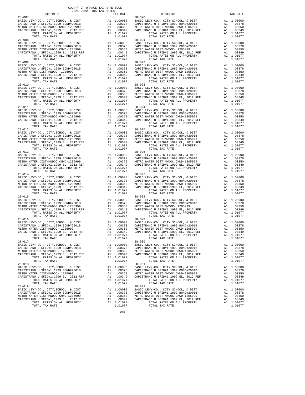| DISTRICT                                                                                                      |                                                                                                                      | TAX RATE                                                                         |            |
|---------------------------------------------------------------------------------------------------------------|----------------------------------------------------------------------------------------------------------------------|----------------------------------------------------------------------------------|------------|
| $28 - 007$                                                                                                    | 28-020<br>Al 1.00000 BASIC L<br>Al .00378 CAPISTR<br>Al .00350 METROW<br>Al 1.00349 CAPISTR<br>Al 1.01077<br>1.01077 |                                                                                  | 28-020     |
| BASIC LEVY-CO., CITY, SCHOOL, & DIST                                                                          |                                                                                                                      |                                                                                  |            |
| CAPISTRANO U SFID#1 1999 BOND#2001B                                                                           |                                                                                                                      |                                                                                  |            |
| METRO WATER DIST-MWDOC CMWD-1205999<br>CAPISTRANO U SFID#1,1999 EL, 2012 REF                                  |                                                                                                                      |                                                                                  |            |
| TOTAL RATES ON ALL PROPERTY                                                                                   |                                                                                                                      |                                                                                  |            |
| TOTAL TAX RATE                                                                                                |                                                                                                                      | 1.01077                                                                          |            |
| $28 - 008$                                                                                                    |                                                                                                                      |                                                                                  | $28 - 021$ |
| BASIC LEVY-CO., CITY, SCHOOL, & DIST                                                                          | 28-021<br>A1 1.00000 BASIC L<br>A1 .00378 CAPISTR<br>A1 .00350 METROW<br>A1 .00349 CAPISTR<br>A1 1.01077             |                                                                                  |            |
| CAPISTRANO U SFID#1 1999 BOND#2001B                                                                           |                                                                                                                      |                                                                                  |            |
| METRO WATER DIST-MWDOC CMWD-1205999                                                                           |                                                                                                                      |                                                                                  |            |
| CAPISTRANO U SFID#1,1999 EL, 2012 REF                                                                         |                                                                                                                      |                                                                                  |            |
| TOTAL RATES ON ALL PROPERTY                                                                                   |                                                                                                                      |                                                                                  |            |
| TOTAL TAX RATE                                                                                                |                                                                                                                      | 1.01077                                                                          |            |
| $28 - 009$                                                                                                    |                                                                                                                      |                                                                                  | $28 - 022$ |
| BASIC LEVY-CO., CITY, SCHOOL, & DIST                                                                          |                                                                                                                      |                                                                                  |            |
| CAPISTRANO U SFID#1 1999 BOND#2001B<br>METRO WATER DIST-MWDOC- 1205999                                        |                                                                                                                      |                                                                                  |            |
| CAPISTRANO U SFID#1,1999 EL, 2012 REF                                                                         |                                                                                                                      | A1 1.00000 BASIC L<br>A1 .00378 CAPISTR<br>A1 .00350 METROW<br>A1 .00349 CAPISTR |            |
| TOTAL RATES ON ALL PROPERTY                                                                                   |                                                                                                                      | A1 1.01077                                                                       |            |
| TOTAL TAX RATE                                                                                                |                                                                                                                      | 1.01077                                                                          |            |
| $28 - 010$                                                                                                    |                                                                                                                      |                                                                                  | $28 - 023$ |
| BASIC LEVY-CO., CITY, SCHOOL, & DIST                                                                          |                                                                                                                      |                                                                                  |            |
| MANIC MAY CO., CITI, SCHOOL, A DIST<br>CAPISTRANO U SFID#1 1999 BOND#2001B<br>METBO WATEB DISTLAMDOC_ 1205899 |                                                                                                                      |                                                                                  |            |
| METRO WATER DIST-MWDOC- 1205999                                                                               | 28-023<br>Al 1,00000 BASIC L<br>Al .00378 CAPISTR<br>Al .00349 CAPISTR<br>Al 1.01077 CAPISTR                         |                                                                                  |            |
|                                                                                                               |                                                                                                                      |                                                                                  |            |
| TOTAL RATES ON ALL PROPERTY                                                                                   |                                                                                                                      | A1 1.01077                                                                       |            |
| TOTAL TAX RATE                                                                                                |                                                                                                                      | 1.01077                                                                          |            |
| $28 - 011$                                                                                                    |                                                                                                                      |                                                                                  | $28 - 024$ |
| BASIC LEVY-CO., CITY, SCHOOL, & DIST                                                                          | A1 1.00000 BASIC L<br>A1 .00378 CAPISTR<br>A1 .00350 METROW<br>A1 .00349 CAPISTR                                     |                                                                                  |            |
| CAPISTRANO U SFID#1 1999 BOND#2001B                                                                           |                                                                                                                      |                                                                                  |            |
| METRO WATER DIST-MWDOC CMWD-1205999                                                                           |                                                                                                                      |                                                                                  |            |
| CAPISTRANO U SFID#1,1999 EL, 2012 REF                                                                         |                                                                                                                      | A1 .00349<br>A1 1.01077                                                          |            |
| TOTAL RATES ON ALL PROPERTY                                                                                   |                                                                                                                      |                                                                                  |            |
| TOTAL TAX RATE<br>$28 - 012$                                                                                  |                                                                                                                      | 1.01077                                                                          | $28 - 025$ |
| BASIC LEVY-CO., CITY, SCHOOL, & DIST                                                                          |                                                                                                                      |                                                                                  |            |
| CAPISTRANO U SFID#1 1999 BOND#2001B                                                                           |                                                                                                                      |                                                                                  |            |
| METRO WATER DIST-MWDOC CMWD-1205999                                                                           | A1 1.00000 BASIC L<br>A1 .00378 CAPISTR<br>A1 .00378 CAPISTR<br>A1 .00350 METRO W<br>R1 .00349 CAPISTR<br>A1 1.01077 |                                                                                  |            |
|                                                                                                               |                                                                                                                      |                                                                                  |            |
| CAPISTRANO U SFID#1,1999 EL, 2012 REF<br>TOTAL RATES ON ALL PROPERTY                                          |                                                                                                                      |                                                                                  |            |
| TOTAL TAX RATE                                                                                                |                                                                                                                      | 1,01077                                                                          |            |
| $28 - 013$                                                                                                    |                                                                                                                      |                                                                                  | $28 - 026$ |
| BASIC LEVY-CO., CITY, SCHOOL, & DIST                                                                          |                                                                                                                      |                                                                                  |            |
| CAPISTRANO U SFID#1 1999 BOND#2001B                                                                           | A1 1.00000 BASIC L<br>A1 .00378 CAPISTR<br>A1 .00350 METROW<br>A1 .00349 CAPISTR                                     |                                                                                  |            |
| METRO WATER DIST-MWDOC CMWD-1205999                                                                           |                                                                                                                      |                                                                                  |            |
| CAPISTRANO U SFID#1,1999 EL, 2012 REF                                                                         |                                                                                                                      |                                                                                  |            |
| TOTAL RATES ON ALL PROPERTY                                                                                   |                                                                                                                      | A1 1.01077                                                                       |            |
| TOTAL TAX RATE                                                                                                |                                                                                                                      | 1.01077                                                                          |            |
| $28 - 014$                                                                                                    |                                                                                                                      |                                                                                  | $28 - 027$ |
| BASIC LEVY-CO., CITY, SCHOOL, & DIST                                                                          | A1 1.00000 BASIC L<br>A1 .00378 CAPISTR<br>A1 .00350 METROW<br>A1 .00349 CAPISTR                                     |                                                                                  |            |
| CAPISTRANO U SFID#1 1999 BOND#2001B                                                                           |                                                                                                                      |                                                                                  |            |
| METRO WATER DIST-MWDOC CMWD-1205999<br>CAPISTRANO U SFID#1,1999 EL, 2012 REF                                  |                                                                                                                      |                                                                                  |            |
| TOTAL RATES ON ALL PROPERTY                                                                                   |                                                                                                                      | A1 1.01077                                                                       |            |
| TOTAL TAX RATE                                                                                                |                                                                                                                      | 1.01077                                                                          |            |
| $28 - 015$                                                                                                    |                                                                                                                      |                                                                                  | 28-028     |
| BASIC LEVY-CO., CITY, SCHOOL, & DIST                                                                          |                                                                                                                      | A1 1.00000 BASIC L<br>A1 .00378 CAPISTR<br>A1 .00350 METROW<br>A1 .00349 CAPISTR |            |
| CAPISTRANO U SFID#1 1999 BOND#2001B                                                                           |                                                                                                                      |                                                                                  |            |
| METRO WATER DIST-MWDOC CMWD-1205999                                                                           |                                                                                                                      |                                                                                  |            |
| CAPISTRANO U SFID#1,1999 EL, 2012 REF                                                                         |                                                                                                                      |                                                                                  |            |
| TOTAL RATES ON ALL PROPERTY                                                                                   | Al<br>Al .00349<br>Al 1.01077<br>1.01077                                                                             |                                                                                  |            |
| TOTAL TAX RATE                                                                                                |                                                                                                                      |                                                                                  |            |
| $28 - 016$                                                                                                    |                                                                                                                      |                                                                                  | $28 - 029$ |
|                                                                                                               |                                                                                                                      |                                                                                  |            |
|                                                                                                               |                                                                                                                      |                                                                                  |            |
|                                                                                                               |                                                                                                                      |                                                                                  |            |
|                                                                                                               |                                                                                                                      |                                                                                  |            |
|                                                                                                               |                                                                                                                      |                                                                                  |            |
| TOTAL TAX RATE                                                                                                |                                                                                                                      | 1.01077                                                                          |            |
| $28 - 017$                                                                                                    |                                                                                                                      |                                                                                  | $28 - 030$ |
| BASIC LEVY-CO., CITY, SCHOOL, & DIST                                                                          | A1                                                                                                                   | 1.00000                                                                          | BASIC L    |
| CAPISTRANO U SFID#1 1999 BOND#2001B                                                                           | A1                                                                                                                   | .00378                                                                           | CAPISTR    |
| METRO WATER DIST-MWDOC- 1205999                                                                               | A1<br>A1                                                                                                             | .00350<br>.00349                                                                 | METRO W    |
| CAPISTRANO U SFID#1,1999 EL, 2012 REF                                                                         |                                                                                                                      |                                                                                  | CAPISTR    |
| TOTAL RATES ON ALL PROPERTY<br>TOTAL TAX RATE                                                                 |                                                                                                                      | A1 1.01077<br>1.01077                                                            |            |
| $28 - 018$                                                                                                    |                                                                                                                      |                                                                                  | $28 - 031$ |
| BASIC LEVY-CO., CITY, SCHOOL, & DIST                                                                          | A1                                                                                                                   | 1.00000                                                                          | BASIC L    |
| CAPISTRANO U SFID#1 1999 BOND#2001B                                                                           | A1                                                                                                                   | .00378                                                                           | CAPISTR    |
| METRO WATER DIST-MWDOC- 1205999                                                                               | A1                                                                                                                   | .00350                                                                           | METRO W    |
| CAPISTRANO U SFID#1,1999 EL, 2012 REF                                                                         | A1                                                                                                                   | .00349                                                                           | CAPISTR    |
| TOTAL RATES ON ALL PROPERTY                                                                                   |                                                                                                                      | A1 1.01077                                                                       |            |
| TOTAL TAX RATE                                                                                                |                                                                                                                      | 1.01077                                                                          |            |
| $28 - 019$                                                                                                    |                                                                                                                      |                                                                                  | $28 - 032$ |
| BASIC LEVY-CO., CITY, SCHOOL, & DIST                                                                          | A1                                                                                                                   | 1.00000                                                                          | BASIC L    |
| CAPISTRANO U SFID#1 1999 BOND#2001B                                                                           | A1                                                                                                                   | .00378                                                                           | CAPISTR    |
| METRO WATER DIST-MWDOC CMWD-1205999                                                                           | A1                                                                                                                   | .00350                                                                           | METRO W    |
| CADISTRANO II SEIDHI 1999 FL. 2012 PER                                                                        | <b>A</b> 1                                                                                                           | 00349                                                                            | CADTOTD    |

|                              | 2021-2022 TRA TAX RATES |          |                                                                                                                                                                                                                                            |            |
|------------------------------|-------------------------|----------|--------------------------------------------------------------------------------------------------------------------------------------------------------------------------------------------------------------------------------------------|------------|
| DISTRICT                     |                         | TAX RATE | DISTRICT                                                                                                                                                                                                                                   | TAX RATE   |
| $28 - 007$                   |                         |          | $28 - 020$                                                                                                                                                                                                                                 |            |
|                              |                         |          |                                                                                                                                                                                                                                            |            |
|                              |                         |          |                                                                                                                                                                                                                                            |            |
|                              |                         |          |                                                                                                                                                                                                                                            |            |
|                              |                         |          |                                                                                                                                                                                                                                            |            |
|                              |                         |          |                                                                                                                                                                                                                                            |            |
|                              |                         |          |                                                                                                                                                                                                                                            |            |
|                              |                         |          |                                                                                                                                                                                                                                            |            |
|                              |                         |          |                                                                                                                                                                                                                                            |            |
|                              |                         |          |                                                                                                                                                                                                                                            |            |
|                              |                         |          |                                                                                                                                                                                                                                            |            |
|                              |                         |          |                                                                                                                                                                                                                                            |            |
|                              |                         |          |                                                                                                                                                                                                                                            |            |
|                              |                         |          |                                                                                                                                                                                                                                            |            |
|                              |                         |          |                                                                                                                                                                                                                                            |            |
|                              |                         |          |                                                                                                                                                                                                                                            |            |
| $28 - 010$                   |                         |          | $28 - 023$                                                                                                                                                                                                                                 |            |
|                              |                         |          |                                                                                                                                                                                                                                            |            |
|                              |                         |          |                                                                                                                                                                                                                                            |            |
|                              |                         |          |                                                                                                                                                                                                                                            |            |
|                              |                         |          |                                                                                                                                                                                                                                            |            |
|                              |                         |          |                                                                                                                                                                                                                                            |            |
|                              |                         |          |                                                                                                                                                                                                                                            |            |
|                              |                         |          |                                                                                                                                                                                                                                            |            |
|                              |                         |          |                                                                                                                                                                                                                                            |            |
|                              |                         |          |                                                                                                                                                                                                                                            |            |
|                              |                         |          |                                                                                                                                                                                                                                            |            |
|                              |                         |          |                                                                                                                                                                                                                                            |            |
| $28 - 012$                   |                         |          | $28 - 025$                                                                                                                                                                                                                                 |            |
|                              |                         |          |                                                                                                                                                                                                                                            |            |
|                              |                         |          |                                                                                                                                                                                                                                            |            |
|                              |                         |          |                                                                                                                                                                                                                                            |            |
|                              |                         |          |                                                                                                                                                                                                                                            |            |
|                              |                         |          |                                                                                                                                                                                                                                            |            |
|                              |                         |          |                                                                                                                                                                                                                                            |            |
|                              |                         |          |                                                                                                                                                                                                                                            |            |
|                              |                         |          |                                                                                                                                                                                                                                            |            |
|                              |                         |          |                                                                                                                                                                                                                                            |            |
|                              |                         |          |                                                                                                                                                                                                                                            |            |
| $28 - 014$                   |                         |          | $28 - 027$                                                                                                                                                                                                                                 |            |
|                              |                         |          |                                                                                                                                                                                                                                            |            |
|                              |                         |          |                                                                                                                                                                                                                                            |            |
|                              |                         |          |                                                                                                                                                                                                                                            |            |
|                              |                         |          |                                                                                                                                                                                                                                            |            |
|                              |                         |          |                                                                                                                                                                                                                                            |            |
| $28 - 015$                   |                         |          | $28 - 028$                                                                                                                                                                                                                                 |            |
|                              |                         |          |                                                                                                                                                                                                                                            |            |
|                              |                         |          |                                                                                                                                                                                                                                            |            |
|                              |                         |          |                                                                                                                                                                                                                                            |            |
|                              |                         |          |                                                                                                                                                                                                                                            |            |
|                              |                         |          |                                                                                                                                                                                                                                            |            |
| $28 - 016$                   |                         |          | $28 - 029$                                                                                                                                                                                                                                 |            |
|                              |                         |          |                                                                                                                                                                                                                                            |            |
|                              |                         |          |                                                                                                                                                                                                                                            |            |
|                              |                         |          | 28-010<br>BASIC LEVY-CO., CITY, SCHOOL, & DIST<br>CAPISTRANO U SFID#1 1999 BOND#2001B<br>METRO WATER DIST-MWDOC-1205999<br>METRO WATER DIST-MWDOC-1205999<br>METRO WATER DIST-MWDOC CMWD-1205999 A1 .00350<br>CAPISTRANO U SFID#1,1999 EL, |            |
| TOTAL RATES ON ALL PROPERTY  | A1 1.01077              |          | TOTAL RATES ON ALL PROPERTY                                                                                                                                                                                                                | A1 1.01077 |
| TOTAL TAX RATE               |                         | 1,01077  | TOTAL TAX RATE                                                                                                                                                                                                                             | 1.01077    |
| $28 - 017$                   |                         |          | $28 - 030$                                                                                                                                                                                                                                 |            |
|                              |                         |          |                                                                                                                                                                                                                                            |            |
|                              |                         |          |                                                                                                                                                                                                                                            |            |
|                              |                         |          |                                                                                                                                                                                                                                            |            |
|                              |                         |          |                                                                                                                                                                                                                                            |            |
| TOTAL TAX RATE               |                         | 1.01077  | TOTAL TAX RATE                                                                                                                                                                                                                             | 1.01077    |
| $28 - 018$                   |                         |          | $28 - 031$                                                                                                                                                                                                                                 |            |
|                              |                         |          |                                                                                                                                                                                                                                            |            |
|                              |                         |          |                                                                                                                                                                                                                                            |            |
|                              |                         |          |                                                                                                                                                                                                                                            |            |
|                              |                         |          |                                                                                                                                                                                                                                            |            |
| TOTAL TAX RATE<br>$28 - 019$ |                         | 1.01077  | TOTAL TAX RATE<br>$28 - 032$                                                                                                                                                                                                               | 1.01077    |
|                              |                         |          |                                                                                                                                                                                                                                            |            |
|                              |                         |          |                                                                                                                                                                                                                                            |            |
|                              |                         |          |                                                                                                                                                                                                                                            |            |
|                              |                         |          |                                                                                                                                                                                                                                            |            |
|                              |                         | 1.01077  |                                                                                                                                                                                                                                            | 1.01077    |
|                              |                         |          | TOTAL TAX RATE                                                                                                                                                                                                                             |            |

-281-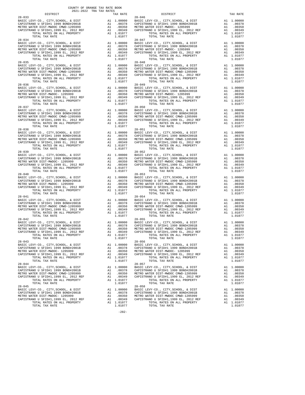| DISTRICT                                                                  |                                                                                                                    | TAX RATE                                                                         |                       |
|---------------------------------------------------------------------------|--------------------------------------------------------------------------------------------------------------------|----------------------------------------------------------------------------------|-----------------------|
| $28 - 033$                                                                |                                                                                                                    |                                                                                  | $28 - 046$            |
| BASIC LEVY-CO., CITY, SCHOOL, & DIST                                      |                                                                                                                    |                                                                                  |                       |
| CAPISTRANO U SFID#1 1999 BOND#2001B                                       |                                                                                                                    |                                                                                  |                       |
| METRO WATER DIST-MWDOC CMWD-1205999                                       | A1 1.00000 BASIC<br>A1 .00378 CAPISTR<br>A1 .00350 METROW<br>A1 .00349 CAPISTR                                     |                                                                                  |                       |
| CAPISTRANO U SFID#1,1999 EL, 2012 REF                                     |                                                                                                                    |                                                                                  |                       |
| TOTAL RATES ON ALL PROPERTY<br>TOTAL TAX RATE                             | A1 .00350<br>A1 .00349<br>A1 1.01077<br>1.01077                                                                    |                                                                                  |                       |
| $28 - 034$                                                                |                                                                                                                    |                                                                                  | $28 - 047$            |
| BASIC LEVY-CO., CITY, SCHOOL, & DIST                                      | 28-047<br>A1 1.00000 BASIC L<br>A1 .00378 CAPISTR<br>A1 .00350 METROW<br>A1 .00349 CAPISTR<br>A1 1.01077           |                                                                                  |                       |
| CAPISTRANO U SFID#1 1999 BOND#2001B                                       |                                                                                                                    |                                                                                  |                       |
| METRO WATER DIST-MWDOC CMWD-1205999                                       |                                                                                                                    |                                                                                  |                       |
| CAPISTRANO U SFID#1,1999 EL, 2012 REF                                     |                                                                                                                    |                                                                                  |                       |
| TOTAL RATES ON ALL PROPERTY                                               |                                                                                                                    |                                                                                  |                       |
| TOTAL TAX RATE                                                            |                                                                                                                    | 1.01077                                                                          |                       |
| $28 - 035$                                                                |                                                                                                                    |                                                                                  | $28 - 048$            |
| BASIC LEVY-CO., CITY, SCHOOL, & DIST                                      |                                                                                                                    | A1 1.00000 BASIC L<br>A1 .00378 CAPISTR<br>A1 .00350 METROW<br>A1 .00349 CAPISTR |                       |
| CAPISTRANO U SFID#1 1999 BOND#2001B                                       |                                                                                                                    |                                                                                  |                       |
| METRO WATER DIST-MWDOC CMWD-1205999                                       |                                                                                                                    |                                                                                  |                       |
| CAPISTRANO U SFID#1,1999 EL, 2012 REF                                     |                                                                                                                    |                                                                                  |                       |
| TOTAL RATES ON ALL PROPERTY                                               |                                                                                                                    | A1 1.01077                                                                       |                       |
| TOTAL TAX RATE                                                            |                                                                                                                    | 1.01077                                                                          |                       |
| $28 - 036$                                                                | A1 1.00000 28-049<br>A1 .00378 CAPISTR<br>A1 .00350 METROW<br>A1 .00349 CAPISTR<br>A1 1.01077                      |                                                                                  | $28 - 049$            |
| BASIC LEVY-CO., CITY, SCHOOL, & DIST                                      |                                                                                                                    |                                                                                  |                       |
| CAPISTRANO U SFID#1 1999 BOND#2001B<br>METRO WATER DIST-MWDOC- 1205999    |                                                                                                                    |                                                                                  |                       |
| CAPISTRANO U SFID#1,1999 EL, 2012 REF                                     |                                                                                                                    |                                                                                  |                       |
| TOTAL RATES ON ALL PROPERTY                                               |                                                                                                                    | A1 1.01077                                                                       |                       |
| TOTAL TAX RATE                                                            |                                                                                                                    | 1.01077                                                                          |                       |
| $28 - 037$                                                                |                                                                                                                    |                                                                                  | $28 - 050$            |
| BASIC LEVY-CO., CITY, SCHOOL, & DIST                                      | A1 1.00000 2881C L<br>A1 .00378 CAPISTR<br>A1 .00379 METRO W<br>A1 .00349 CAPISTR<br>A1 1.01077                    |                                                                                  |                       |
| CAPISTRANO U SFID#1 1999 BOND#2001B                                       |                                                                                                                    |                                                                                  |                       |
| METRO WATER DIST-MWDOC CMWD-1205999                                       |                                                                                                                    |                                                                                  |                       |
| CAPISTRANO U SFID#1,1999 EL, 2012 REF                                     |                                                                                                                    |                                                                                  |                       |
| TOTAL RATES ON ALL PROPERTY                                               |                                                                                                                    |                                                                                  |                       |
| TOTAL TAX RATE                                                            |                                                                                                                    | 1.01077                                                                          |                       |
| $28 - 038$                                                                |                                                                                                                    |                                                                                  | $28 - 051$            |
| BASIC LEVY-CO., CITY, SCHOOL, & DIST                                      |                                                                                                                    |                                                                                  |                       |
| CAPISTRANO U SFID#1 1999 BOND#2001B                                       | A1 1.00000 BASIC L<br>A1 .00378 CAPISTR<br>A1 .00379 CAPISTR<br>A1 .00349 CAPISTR<br>A1 1.01077                    |                                                                                  |                       |
| METRO WATER DIST-MWDOC CMWD-1205999                                       |                                                                                                                    |                                                                                  |                       |
| CAPISTRANO U SFID#1,1999 EL, 2012 REF<br>TOTAL RATES ON ALL PROPERTY      |                                                                                                                    |                                                                                  |                       |
|                                                                           |                                                                                                                    |                                                                                  |                       |
| TOTAL TAX RATE                                                            |                                                                                                                    | 1.01077                                                                          |                       |
| $28 - 039$                                                                |                                                                                                                    |                                                                                  | $28 - 052$            |
| BASIC LEVY-CO., CITY, SCHOOL, & DIST                                      |                                                                                                                    |                                                                                  |                       |
| CAPISTRANO U SFID#1 1999 BOND#2001B<br>METRO WATER DIST-MWDOC- 1205999    |                                                                                                                    |                                                                                  |                       |
| CAPISTRANO U SFID#1,1999 EL, 2012 REF                                     |                                                                                                                    |                                                                                  |                       |
| TOTAL RATES ON ALL PROPERTY                                               |                                                                                                                    | A1 1.01077                                                                       |                       |
| TOTAL TAX RATE                                                            |                                                                                                                    | 1.01077                                                                          |                       |
| $28 - 040$                                                                |                                                                                                                    |                                                                                  | $28 - 053$            |
| BASIC LEVY-CO., CITY, SCHOOL, & DIST                                      | A1 1.00000 BASIC L<br>A1 .00378 CAPISTR<br>A1 .00350 METROW<br>A1 .00349 CAPISTR<br>A1 .00349 CAPISTR<br>A1 101077 |                                                                                  |                       |
| CAPISTRANO U SFID#1 1999 BOND#2001B                                       |                                                                                                                    |                                                                                  |                       |
| METRO WATER DIST-MWDOC- 1205999                                           |                                                                                                                    |                                                                                  |                       |
| MEIRO WALER PIST PHOTO ---------<br>CAPISTRANO U SFID#1,1999 EL, 2012 REF |                                                                                                                    |                                                                                  |                       |
| TOTAL RATES ON ALL PROPERTY                                               |                                                                                                                    | A1 1.01077                                                                       |                       |
| TOTAL TAX RATE                                                            |                                                                                                                    | 1.01077                                                                          |                       |
| $28 - 041$                                                                |                                                                                                                    |                                                                                  | $28 - 054$            |
| BASIC LEVY-CO., CITY, SCHOOL, & DIST                                      |                                                                                                                    |                                                                                  |                       |
| CAPISTRANO U SFID#1 1999 BOND#2001B                                       | A1 1.00000 BASIC L<br>A1 .00378 CAPISTR<br>A1 .00378 CAPISTR<br>A1 .00349 CAPISTR<br>A1 1.01077                    |                                                                                  |                       |
| METRO WATER DIST-MWDOC CMWD-1205999                                       |                                                                                                                    |                                                                                  |                       |
| CAPISTRANO U SFID#1,1999 EL, 2012 REF                                     |                                                                                                                    |                                                                                  |                       |
| TOTAL RATES ON ALL PROPERTY                                               |                                                                                                                    |                                                                                  |                       |
| TOTAL TAX RATE<br>$28 - 042$                                              |                                                                                                                    | 1.01077                                                                          | $28 - 055$            |
|                                                                           |                                                                                                                    |                                                                                  |                       |
|                                                                           |                                                                                                                    |                                                                                  |                       |
|                                                                           |                                                                                                                    |                                                                                  |                       |
|                                                                           |                                                                                                                    |                                                                                  |                       |
|                                                                           |                                                                                                                    |                                                                                  |                       |
| TOTAL TAX RATE                                                            |                                                                                                                    | 1.01077                                                                          |                       |
| $28 - 043$                                                                |                                                                                                                    |                                                                                  | $28 - 056$            |
| BASIC LEVY-CO., CITY, SCHOOL, & DIST                                      | A1                                                                                                                 | 1.00000                                                                          | BASIC L               |
| CAPISTRANO U SFID#1 1999 BOND#2001B                                       | A1                                                                                                                 | .00378                                                                           | CAPISTR               |
| METRO WATER DIST-MWDOC- 1205999                                           | A1                                                                                                                 | .00350                                                                           | METRO W               |
| CAPISTRANO U SFID#1,1999 EL, 2012 REF                                     | A1                                                                                                                 | .00349                                                                           | CAPISTR               |
| TOTAL RATES ON ALL PROPERTY                                               |                                                                                                                    | A1 1.01077                                                                       |                       |
| TOTAL TAX RATE                                                            |                                                                                                                    | 1.01077                                                                          |                       |
| $28 - 044$                                                                |                                                                                                                    |                                                                                  | $28 - 057$            |
| BASIC LEVY-CO., CITY, SCHOOL, & DIST                                      | A1                                                                                                                 | 1.00000                                                                          | BASIC L               |
| CAPISTRANO U SFID#1 1999 BOND#2001B                                       | A1                                                                                                                 | .00378                                                                           | CAPISTR               |
| METRO WATER DIST-MWDOC CMWD-1205999                                       | A1                                                                                                                 | .00350                                                                           | METRO W               |
| CAPISTRANO U SFID#1,1999 EL, 2012 REF                                     | A1                                                                                                                 | .00349                                                                           | CAPISTR               |
| TOTAL RATES ON ALL PROPERTY                                               |                                                                                                                    | A1 1.01077                                                                       |                       |
| TOTAL TAX RATE                                                            |                                                                                                                    | 1.01077                                                                          |                       |
| $28 - 045$<br>BASIC LEVY-CO., CITY, SCHOOL, & DIST                        | A1                                                                                                                 |                                                                                  | $28 - 058$<br>BASIC L |
| CAPISTRANO U SFID#1 1999 BOND#2001B                                       | A1                                                                                                                 | 1.00000<br>.00378                                                                | CAPISTR               |
| METRO MATER DIST-MWDOC- 1205999                                           | <b>A</b> 1                                                                                                         | 00350                                                                            | METRO W               |

| 2021-2022 TRA TAX RATES                       |                       |                                                                                                                                                                                                                                                |                       |
|-----------------------------------------------|-----------------------|------------------------------------------------------------------------------------------------------------------------------------------------------------------------------------------------------------------------------------------------|-----------------------|
| DISTRICT                                      | TAX RATE              | RATE $28-046$ DISTRICT                                                                                                                                                                                                                         | TAX RATE              |
|                                               |                       |                                                                                                                                                                                                                                                |                       |
|                                               |                       |                                                                                                                                                                                                                                                |                       |
|                                               |                       |                                                                                                                                                                                                                                                |                       |
|                                               |                       |                                                                                                                                                                                                                                                |                       |
|                                               |                       |                                                                                                                                                                                                                                                |                       |
|                                               |                       |                                                                                                                                                                                                                                                |                       |
|                                               |                       |                                                                                                                                                                                                                                                |                       |
|                                               |                       |                                                                                                                                                                                                                                                |                       |
|                                               |                       |                                                                                                                                                                                                                                                |                       |
|                                               |                       | 2009<br>EASIC LEVY-CO., CITY, SCHOOL, & DIST<br>CAPISTRANO U SFID#1 1999 BOND#2001B<br>METRO WATER DIST<br>METRO WATER DIST<br>METRO WATER DIST<br>METRO WATER DIST<br>CAPISTRANO U SFID#1,1999 BOND#2001B<br>METRO WATER DISTRANO U SFID#1,19 |                       |
| $28 - 035$                                    |                       | $28 - 048$                                                                                                                                                                                                                                     |                       |
|                                               |                       |                                                                                                                                                                                                                                                |                       |
|                                               |                       |                                                                                                                                                                                                                                                |                       |
|                                               |                       |                                                                                                                                                                                                                                                |                       |
|                                               |                       |                                                                                                                                                                                                                                                |                       |
|                                               |                       |                                                                                                                                                                                                                                                |                       |
|                                               |                       |                                                                                                                                                                                                                                                |                       |
|                                               |                       |                                                                                                                                                                                                                                                |                       |
|                                               |                       |                                                                                                                                                                                                                                                |                       |
|                                               |                       |                                                                                                                                                                                                                                                |                       |
|                                               |                       |                                                                                                                                                                                                                                                |                       |
| $28 - 037$                                    |                       | $28 - 050$                                                                                                                                                                                                                                     |                       |
|                                               |                       |                                                                                                                                                                                                                                                |                       |
|                                               |                       |                                                                                                                                                                                                                                                |                       |
|                                               |                       |                                                                                                                                                                                                                                                |                       |
|                                               |                       |                                                                                                                                                                                                                                                |                       |
|                                               |                       |                                                                                                                                                                                                                                                |                       |
|                                               |                       |                                                                                                                                                                                                                                                |                       |
|                                               |                       |                                                                                                                                                                                                                                                |                       |
|                                               |                       |                                                                                                                                                                                                                                                |                       |
|                                               |                       |                                                                                                                                                                                                                                                |                       |
|                                               |                       | 28–038<br>RASIC LEVY-CO., CITY, SCHOOL, & DIST<br>CAPISTRANO U SFID#1 1999 BOND#2001B<br>METRO WATERO DISTRIPHEND U SFID#1 1999 BOND#2001B<br>METRO WATERO DISTRIPHEND IS TO 2012 REF<br>CAPISTRANO U SFID#1,1999 EU, 2012 REF<br>CAPISTRA     |                       |
| $28 - 039$                                    |                       | $28 - 052$                                                                                                                                                                                                                                     |                       |
|                                               |                       |                                                                                                                                                                                                                                                |                       |
|                                               |                       |                                                                                                                                                                                                                                                |                       |
|                                               |                       |                                                                                                                                                                                                                                                |                       |
|                                               |                       |                                                                                                                                                                                                                                                |                       |
|                                               |                       |                                                                                                                                                                                                                                                |                       |
|                                               |                       |                                                                                                                                                                                                                                                |                       |
|                                               |                       |                                                                                                                                                                                                                                                |                       |
|                                               |                       |                                                                                                                                                                                                                                                |                       |
|                                               |                       |                                                                                                                                                                                                                                                |                       |
| $28 - 041$                                    |                       | $28 - 054$                                                                                                                                                                                                                                     |                       |
|                                               |                       |                                                                                                                                                                                                                                                |                       |
|                                               |                       |                                                                                                                                                                                                                                                |                       |
|                                               |                       |                                                                                                                                                                                                                                                |                       |
|                                               |                       |                                                                                                                                                                                                                                                |                       |
|                                               |                       |                                                                                                                                                                                                                                                |                       |
| $28 - 042$                                    |                       | $28 - 055$                                                                                                                                                                                                                                     |                       |
|                                               |                       |                                                                                                                                                                                                                                                |                       |
|                                               |                       |                                                                                                                                                                                                                                                |                       |
|                                               |                       |                                                                                                                                                                                                                                                |                       |
| TOTAL RATES ON ALL PROPERTY<br>TOTAL TAX RATE | A1 1.01077<br>1.01077 | TOTAL RATES ON ALL PROPERTY<br>TOTAL TAX RATE                                                                                                                                                                                                  | A1 1.01077<br>1.01077 |
| $28 - 043$                                    |                       | $28 - 056$                                                                                                                                                                                                                                     |                       |
|                                               |                       |                                                                                                                                                                                                                                                |                       |
|                                               |                       |                                                                                                                                                                                                                                                |                       |
|                                               |                       |                                                                                                                                                                                                                                                |                       |
|                                               |                       |                                                                                                                                                                                                                                                |                       |
| TOTAL TAX RATE<br>$28 - 044$                  | 1.01077               | TOTAL TAX RATE<br>$28 - 057$                                                                                                                                                                                                                   | 1,01077               |
|                                               |                       |                                                                                                                                                                                                                                                |                       |
|                                               |                       |                                                                                                                                                                                                                                                |                       |
|                                               |                       |                                                                                                                                                                                                                                                | A1 .00349             |
|                                               |                       | CAPISTRANO U SFID#1,1999 EL, 2012 REF<br>TOTAL RATES ON ALL PROPERTY<br>TOTAL TAVE DATE                                                                                                                                                        | A1 1.01077            |
| TOTAL TAX RATE                                | 1.01077               | TOTAL TAX RATE                                                                                                                                                                                                                                 | 1.01077               |
| $28 - 045$                                    |                       | $28 - 058$                                                                                                                                                                                                                                     |                       |
|                                               |                       |                                                                                                                                                                                                                                                |                       |
|                                               |                       |                                                                                                                                                                                                                                                |                       |
|                                               |                       |                                                                                                                                                                                                                                                |                       |
| TOTAL TAX RATE                                | 1.01077               | TOTAL TAX RATE                                                                                                                                                                                                                                 | 1.01077               |

-282-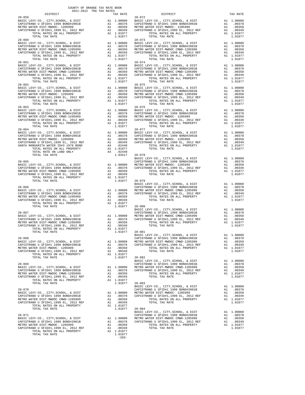| DISTRICT                                                                                                                       |                                                              | TAX RATE                                                                                                 |                       |
|--------------------------------------------------------------------------------------------------------------------------------|--------------------------------------------------------------|----------------------------------------------------------------------------------------------------------|-----------------------|
| $28 - 059$                                                                                                                     |                                                              |                                                                                                          | $28 - 072$            |
|                                                                                                                                |                                                              |                                                                                                          |                       |
|                                                                                                                                |                                                              |                                                                                                          |                       |
|                                                                                                                                |                                                              |                                                                                                          |                       |
| TOTAL TAX RATE                                                                                                                 |                                                              | 1.01077                                                                                                  |                       |
| $28 - 060$                                                                                                                     |                                                              |                                                                                                          | $28 - 073$            |
| BASIC LEVY-CO., CITY, SCHOOL, & DIST<br>CAPISTRANO U SFID#1 1999 BOND#2001B<br>METBO WATER DIST-MWDOC CMWD-1205999             |                                                              | A1 1.00000 BASIC L<br>A1 .00378 CAPISTR<br>A1 .00350 METROW<br>A1 .00349 CAPISTR                         |                       |
|                                                                                                                                |                                                              |                                                                                                          |                       |
| METRO WATER DIST-MWDOC CMWD-1205999<br>CAPISTRANO U SFID#1,1999 EL, 2012 REF                                                   |                                                              | A1 .00350<br>A1 .00349<br>A1 1.01077                                                                     |                       |
| TOTAL RATES ON ALL PROPERTY                                                                                                    |                                                              |                                                                                                          |                       |
| TOTAL TAX RATE                                                                                                                 |                                                              | 1.01077                                                                                                  |                       |
| $28 - 061$                                                                                                                     |                                                              |                                                                                                          | $28 - 074$            |
| BASIC LEVY-CO., CITY, SCHOOL, & DIST<br>CAPISTRANO U SFID#1 1999 BOND#2001B                                                    |                                                              | A1 1.00000 BASIC L<br>A1 .00378 CAPISTR<br>A1 .00379 CAPISTR<br>A1 .00349 CAPISTR<br>A1 1.01077          |                       |
| METRO WATER DIST-MWDOC CMWD-1205999                                                                                            |                                                              |                                                                                                          |                       |
| CAPISTRANO U SFID#1,1999 EL, 2012 REF<br>TOTAL RATES ON ALL PROPERTY                                                           |                                                              |                                                                                                          |                       |
|                                                                                                                                |                                                              |                                                                                                          |                       |
| TOTAL TAX RATE<br>$28 - 062$                                                                                                   |                                                              | 1.01077                                                                                                  | $28 - 075$            |
| BASIC LEVY-CO., CITY, SCHOOL, & DIST                                                                                           |                                                              |                                                                                                          |                       |
| BASIC LEVY-CO., CITY, SCHOOL, & DIST<br>CAPISTRANO U SFID#1 1999 BOND#2001B                                                    |                                                              | A1 1.00000 BASIC L<br>A1 .00378 CAPISTR<br>A1 .00350 METROW<br>A1 .00349 CAPISTR                         |                       |
| METRO WATER DIST-MWDOC- 1205999                                                                                                |                                                              |                                                                                                          |                       |
| CAPISTRANO U SFID#1,1999 EL, 2012 REF<br>TOTAL RATES ON ALL PROPERTY                                                           |                                                              | A1 .00349<br>A1 1.01077                                                                                  |                       |
| TOTAL TAX RATE                                                                                                                 |                                                              | 1.01077                                                                                                  |                       |
| $28 - 063$                                                                                                                     |                                                              |                                                                                                          | $28 - 076$            |
| BASIC LEVY-CO., CITY, SCHOOL, & DIST                                                                                           |                                                              | 28-076<br>A1 1.00000 BASIC L<br>A1 .00378 CAPISTR<br>A1 .00350 METROW<br>A1 .00349 CAPISTR<br>A1 1.01077 |                       |
| CAPISTRANO U SFID#1 1999 BOND#2001B<br>METRO WATER DIST-MWDOC CMWD-1205999                                                     |                                                              |                                                                                                          |                       |
| CAPISTRANO U SFID#1,1999 EL, 2012 REF                                                                                          |                                                              |                                                                                                          |                       |
| TOTAL RATES ON ALL PROPERTY                                                                                                    |                                                              |                                                                                                          |                       |
| TOTAL TAX RATE                                                                                                                 |                                                              | 1.01077                                                                                                  |                       |
| $28 - 064$                                                                                                                     |                                                              |                                                                                                          | $28 - 077$            |
|                                                                                                                                |                                                              |                                                                                                          |                       |
|                                                                                                                                |                                                              |                                                                                                          |                       |
|                                                                                                                                |                                                              |                                                                                                          |                       |
|                                                                                                                                |                                                              |                                                                                                          |                       |
|                                                                                                                                |                                                              |                                                                                                          |                       |
| TOTAL TAX RATE                                                                                                                 |                                                              | 1.03517 28-078                                                                                           |                       |
|                                                                                                                                |                                                              |                                                                                                          | BASIC L               |
| $28 - 065$                                                                                                                     |                                                              | CAPISTR<br>A1 1.00000 METRO W<br>A1 .00378 CAPISTR<br>A1 .00350<br>A1 .00349<br>A1 1.01077               | CAPISTR               |
| CAPISTRANO U SFID#1 1999 BOND#2001B<br>METRO WATER DIST-MWDOC CMWD-1205999<br>CAPISTRANO II GETT-MWDOC CMWD-1205999            |                                                              |                                                                                                          |                       |
|                                                                                                                                |                                                              |                                                                                                          |                       |
| CAPISTRANO U SFID#1,1999 EL, 2012 REF<br>TOTAL RATES ON ALL PROPERTY                                                           |                                                              |                                                                                                          |                       |
| TOTAL RATES ON ALL PROPERTY                                                                                                    |                                                              |                                                                                                          |                       |
| TOTAL TAX RATE                                                                                                                 |                                                              | 1.01077                                                                                                  | $28 - 079$<br>BASIC L |
| $28 - 066$                                                                                                                     |                                                              |                                                                                                          | CAPISTR               |
| BASIC LEVY-CO., CITY, SCHOOL, & DIST                                                                                           |                                                              | A1 1.00000 METRO W<br>A1 .00378 CAPISTR                                                                  |                       |
| CAPISTRANO U SFID#1 1999 BOND#2001B<br>METRO WATER DIST-MWDOC CMWD-1205999                                                     |                                                              | .00350                                                                                                   |                       |
|                                                                                                                                |                                                              |                                                                                                          |                       |
| CAPISTRANO U SFID#1,1999 EL, 2012 REF<br>TOTAL RATES ON ALL PROPERTY                                                           |                                                              |                                                                                                          |                       |
| TOTAL TAX RATE                                                                                                                 | Al .00350<br>Al .00349<br>Al .01077<br>Al 1.01077<br>1.01077 |                                                                                                          | $28 - 080$            |
| $28 - 067$                                                                                                                     |                                                              |                                                                                                          | BASIC L<br>CAPISTR    |
| 28-067<br>BASIC LEVY-CO., CITY, SCHOOL, & DIST<br>CAPISTRANO U SFID#1 1999 BOND#2001B<br>--- ********************************* |                                                              |                                                                                                          |                       |
|                                                                                                                                |                                                              |                                                                                                          |                       |
|                                                                                                                                |                                                              |                                                                                                          |                       |
|                                                                                                                                |                                                              |                                                                                                          |                       |
| TOTAL TAX RATE                                                                                                                 |                                                              | $1.01077$ 28-081                                                                                         |                       |
|                                                                                                                                |                                                              |                                                                                                          | BASIC L               |
| $28 - 068$                                                                                                                     |                                                              |                                                                                                          | CAPISTR               |
| BASIC LEVY-CO., CITY, SCHOOL, & DIST<br>CAPISTRANO U SFID#1 1999 BOND#2001B                                                    |                                                              | A1 1,00000<br>A1 .00378                                                                                  | METRO W<br>CAPISTR    |
| METRO WATER DIST-MWDOC- 1205999                                                                                                | A1                                                           | .00350                                                                                                   |                       |
| CAPISTRANO U SFID#1,1999 EL, 2012 REF                                                                                          | A1                                                           | .00349                                                                                                   |                       |
| TOTAL RATES ON ALL PROPERTY                                                                                                    |                                                              | A1 1.01077                                                                                               |                       |
| TOTAL TAX RATE                                                                                                                 |                                                              | 1.01077                                                                                                  | 28-082<br>BASIC L     |
| $28 - 069$                                                                                                                     |                                                              |                                                                                                          | CAPISTR               |
| BASIC LEVY-CO., CITY, SCHOOL, & DIST                                                                                           |                                                              | A1 1.00000                                                                                               | METRO W               |
| CAPISTRANO U SFID#1 1999 BOND#2001B                                                                                            |                                                              | A1 1.00000 MEIROW<br>A1 .00378 CAPISTR                                                                   |                       |
| METRO WATER DIST-MWDOC CMWD-1205999<br>CAPISTRANO U SFID#1,1999 EL, 2012 REF                                                   | A1<br>$\mathbf{A1}$                                          | .00350<br>.00349                                                                                         |                       |
| TOTAL RATES ON ALL PROPERTY                                                                                                    |                                                              | A1 1.01077                                                                                               |                       |
| TOTAL TAX RATE                                                                                                                 |                                                              | 1.01077                                                                                                  | $28 - 083$            |
|                                                                                                                                |                                                              |                                                                                                          | BASIC L               |
| $28 - 070$<br>BASIC LEVY-CO., CITY, SCHOOL, & DIST                                                                             |                                                              | A1 1.00000                                                                                               | CAPISTR<br>METRO W    |
| CAPISTRANO U SFID#1 1999 BOND#2001B                                                                                            | A1                                                           | .00378                                                                                                   | CAPISTR               |
| METRO WATER DIST-MWDOC CMWD-1205999                                                                                            | A1                                                           | .00350                                                                                                   |                       |
| CAPISTRANO U SFID#1,1999 EL, 2012 REF                                                                                          | A1                                                           | .00349                                                                                                   |                       |
| TOTAL RATES ON ALL PROPERTY<br>TOTAL TAX RATE                                                                                  |                                                              | A1 1.01077<br>1.01077                                                                                    | 28-084                |
|                                                                                                                                |                                                              |                                                                                                          | BASIC L               |
| $28 - 071$                                                                                                                     |                                                              |                                                                                                          | CAPISTR               |
| BASIC LEVY-CO., CITY, SCHOOL, & DIST                                                                                           | A1                                                           | 1.00000                                                                                                  | METRO W               |
| CAPISTRANO U SFID#1 1999 BOND#2001B<br>METRO WATER DIST-MWDOC- 1205999                                                         | A1<br>A1                                                     | .00378 CAPISTR<br>.00350                                                                                 |                       |
| CAPISTRANO U SFID#1,1999 EL, 2012 REF                                                                                          | A1                                                           | .00349                                                                                                   |                       |
| TOTAL RATES ON ALL PROPERTY                                                                                                    |                                                              | A1 1.01077                                                                                               |                       |
| TOTAL TAX RATE                                                                                                                 |                                                              | 1.01077                                                                                                  |                       |

| DISTRICT   | CAIRD ANI ANI LANS-LAUS<br>TAX RATE | DISTRICT                                                                                                                                                                                                                                                                                                                                                                                                                                                                                                       | TAX RATE |
|------------|-------------------------------------|----------------------------------------------------------------------------------------------------------------------------------------------------------------------------------------------------------------------------------------------------------------------------------------------------------------------------------------------------------------------------------------------------------------------------------------------------------------------------------------------------------------|----------|
| $28 - 059$ |                                     | $28 - 072$                                                                                                                                                                                                                                                                                                                                                                                                                                                                                                     |          |
|            |                                     |                                                                                                                                                                                                                                                                                                                                                                                                                                                                                                                |          |
|            |                                     |                                                                                                                                                                                                                                                                                                                                                                                                                                                                                                                |          |
|            |                                     |                                                                                                                                                                                                                                                                                                                                                                                                                                                                                                                |          |
|            |                                     |                                                                                                                                                                                                                                                                                                                                                                                                                                                                                                                |          |
|            |                                     |                                                                                                                                                                                                                                                                                                                                                                                                                                                                                                                |          |
|            |                                     |                                                                                                                                                                                                                                                                                                                                                                                                                                                                                                                |          |
|            |                                     |                                                                                                                                                                                                                                                                                                                                                                                                                                                                                                                |          |
|            |                                     |                                                                                                                                                                                                                                                                                                                                                                                                                                                                                                                |          |
|            |                                     |                                                                                                                                                                                                                                                                                                                                                                                                                                                                                                                |          |
|            |                                     |                                                                                                                                                                                                                                                                                                                                                                                                                                                                                                                |          |
|            |                                     |                                                                                                                                                                                                                                                                                                                                                                                                                                                                                                                |          |
|            |                                     |                                                                                                                                                                                                                                                                                                                                                                                                                                                                                                                |          |
|            |                                     |                                                                                                                                                                                                                                                                                                                                                                                                                                                                                                                |          |
| $28 - 062$ |                                     | $28 - 075$                                                                                                                                                                                                                                                                                                                                                                                                                                                                                                     |          |
|            |                                     |                                                                                                                                                                                                                                                                                                                                                                                                                                                                                                                |          |
|            |                                     |                                                                                                                                                                                                                                                                                                                                                                                                                                                                                                                |          |
|            |                                     |                                                                                                                                                                                                                                                                                                                                                                                                                                                                                                                |          |
|            |                                     |                                                                                                                                                                                                                                                                                                                                                                                                                                                                                                                |          |
|            |                                     |                                                                                                                                                                                                                                                                                                                                                                                                                                                                                                                |          |
|            |                                     |                                                                                                                                                                                                                                                                                                                                                                                                                                                                                                                |          |
|            |                                     |                                                                                                                                                                                                                                                                                                                                                                                                                                                                                                                |          |
|            |                                     |                                                                                                                                                                                                                                                                                                                                                                                                                                                                                                                |          |
|            |                                     |                                                                                                                                                                                                                                                                                                                                                                                                                                                                                                                |          |
|            |                                     |                                                                                                                                                                                                                                                                                                                                                                                                                                                                                                                |          |
|            |                                     |                                                                                                                                                                                                                                                                                                                                                                                                                                                                                                                |          |
|            |                                     |                                                                                                                                                                                                                                                                                                                                                                                                                                                                                                                |          |
|            |                                     |                                                                                                                                                                                                                                                                                                                                                                                                                                                                                                                |          |
|            |                                     |                                                                                                                                                                                                                                                                                                                                                                                                                                                                                                                |          |
|            |                                     |                                                                                                                                                                                                                                                                                                                                                                                                                                                                                                                |          |
|            |                                     |                                                                                                                                                                                                                                                                                                                                                                                                                                                                                                                |          |
|            |                                     |                                                                                                                                                                                                                                                                                                                                                                                                                                                                                                                |          |
|            |                                     |                                                                                                                                                                                                                                                                                                                                                                                                                                                                                                                |          |
|            |                                     |                                                                                                                                                                                                                                                                                                                                                                                                                                                                                                                |          |
|            |                                     |                                                                                                                                                                                                                                                                                                                                                                                                                                                                                                                |          |
|            |                                     |                                                                                                                                                                                                                                                                                                                                                                                                                                                                                                                |          |
|            |                                     |                                                                                                                                                                                                                                                                                                                                                                                                                                                                                                                |          |
|            |                                     |                                                                                                                                                                                                                                                                                                                                                                                                                                                                                                                |          |
|            |                                     |                                                                                                                                                                                                                                                                                                                                                                                                                                                                                                                |          |
|            |                                     |                                                                                                                                                                                                                                                                                                                                                                                                                                                                                                                |          |
|            |                                     |                                                                                                                                                                                                                                                                                                                                                                                                                                                                                                                |          |
|            |                                     |                                                                                                                                                                                                                                                                                                                                                                                                                                                                                                                |          |
|            |                                     |                                                                                                                                                                                                                                                                                                                                                                                                                                                                                                                |          |
|            |                                     |                                                                                                                                                                                                                                                                                                                                                                                                                                                                                                                |          |
|            |                                     |                                                                                                                                                                                                                                                                                                                                                                                                                                                                                                                |          |
|            |                                     |                                                                                                                                                                                                                                                                                                                                                                                                                                                                                                                |          |
|            |                                     |                                                                                                                                                                                                                                                                                                                                                                                                                                                                                                                |          |
|            |                                     |                                                                                                                                                                                                                                                                                                                                                                                                                                                                                                                |          |
|            |                                     |                                                                                                                                                                                                                                                                                                                                                                                                                                                                                                                |          |
|            |                                     |                                                                                                                                                                                                                                                                                                                                                                                                                                                                                                                |          |
|            |                                     |                                                                                                                                                                                                                                                                                                                                                                                                                                                                                                                |          |
|            |                                     |                                                                                                                                                                                                                                                                                                                                                                                                                                                                                                                |          |
|            |                                     | $\begin{tabular}{lllllllllllllllllllll} \multicolumn{3}{c}{\begin{tabular}{l} \multicolumn{3}{c}{\begin{tabular}{l} \multicolumn{3}{c}{\begin{tabular}{l} \multicolumn{3}{c}{\begin{tabular}{l} \multicolumn{3}{c}{\begin{tabular}{l} \multicolumn{3}{c}{\begin{tabular}{l} \multicolumn{3}{c}{\begin{tabular}{c} \multicolumn{3}{c}{\begin{tabular}{c} \multicolumn{3}{c}{\begin{tabular}{c} \multicolumn{3}{c}{\begin{tabular}{c} \multicolumn{3}{c}{\begin{tabular}{c} \multicolumn{3}{c}{\begin{tabular}{$ |          |
|            |                                     |                                                                                                                                                                                                                                                                                                                                                                                                                                                                                                                |          |
|            |                                     |                                                                                                                                                                                                                                                                                                                                                                                                                                                                                                                |          |
|            |                                     |                                                                                                                                                                                                                                                                                                                                                                                                                                                                                                                |          |
|            |                                     |                                                                                                                                                                                                                                                                                                                                                                                                                                                                                                                |          |
|            |                                     |                                                                                                                                                                                                                                                                                                                                                                                                                                                                                                                |          |
|            |                                     |                                                                                                                                                                                                                                                                                                                                                                                                                                                                                                                |          |
|            |                                     |                                                                                                                                                                                                                                                                                                                                                                                                                                                                                                                |          |
|            |                                     |                                                                                                                                                                                                                                                                                                                                                                                                                                                                                                                |          |
|            |                                     |                                                                                                                                                                                                                                                                                                                                                                                                                                                                                                                |          |
|            |                                     |                                                                                                                                                                                                                                                                                                                                                                                                                                                                                                                |          |
|            |                                     |                                                                                                                                                                                                                                                                                                                                                                                                                                                                                                                |          |
|            |                                     |                                                                                                                                                                                                                                                                                                                                                                                                                                                                                                                |          |
|            |                                     |                                                                                                                                                                                                                                                                                                                                                                                                                                                                                                                |          |
|            |                                     |                                                                                                                                                                                                                                                                                                                                                                                                                                                                                                                |          |
|            |                                     |                                                                                                                                                                                                                                                                                                                                                                                                                                                                                                                |          |
|            |                                     |                                                                                                                                                                                                                                                                                                                                                                                                                                                                                                                |          |
|            |                                     |                                                                                                                                                                                                                                                                                                                                                                                                                                                                                                                |          |
|            |                                     |                                                                                                                                                                                                                                                                                                                                                                                                                                                                                                                |          |
|            |                                     |                                                                                                                                                                                                                                                                                                                                                                                                                                                                                                                |          |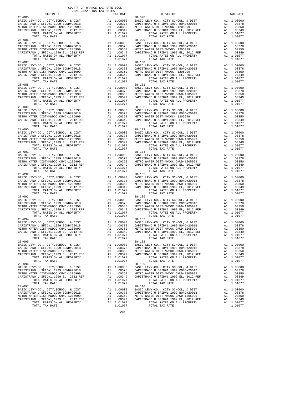| DISTRICT                                                             |                                                                                                           | TAX RATE                                                                         |            |
|----------------------------------------------------------------------|-----------------------------------------------------------------------------------------------------------|----------------------------------------------------------------------------------|------------|
| $28 - 085$                                                           |                                                                                                           |                                                                                  | 28-098     |
| BASIC LEVY-CO., CITY, SCHOOL, & DIST                                 | A1 1.00000 BASIC L<br>A1 .00378 CAPISTR<br>A1 .00350 METROW<br>A1 .00349 CAPISTR                          |                                                                                  |            |
| CAPISTRANO U SFID#1 1999 BOND#2001B                                  |                                                                                                           |                                                                                  |            |
| METRO WATER DIST-MWDOC CMWD-1205999                                  |                                                                                                           |                                                                                  |            |
| CAPISTRANO U SFID#1,1999 EL, 2012 REF                                |                                                                                                           | A1 .00350<br>A1 .00349<br>A1 1.01077                                             |            |
| TOTAL RATES ON ALL PROPERTY                                          |                                                                                                           |                                                                                  |            |
| TOTAL TAX RATE                                                       |                                                                                                           | 1.01077                                                                          |            |
| $28 - 086$                                                           | 28-099<br>A1 1.00000 BASIC L<br>A1 .00378 CAPISTR<br>A1 .00350 METROW<br>A1 .00349 CAPISTR<br>A1 1.01077  |                                                                                  | $28 - 099$ |
| BASIC LEVY-CO., CITY, SCHOOL, & DIST                                 |                                                                                                           |                                                                                  |            |
| CAPISTRANO U SFID#1 1999 BOND#2001B                                  |                                                                                                           |                                                                                  |            |
| METRO WATER DIST-MWDOC CMWD-1205999                                  |                                                                                                           |                                                                                  |            |
| CAPISTRANO U SFID#1,1999 EL, 2012 REF                                |                                                                                                           |                                                                                  |            |
| TOTAL RATES ON ALL PROPERTY                                          |                                                                                                           |                                                                                  |            |
| TOTAL TAX RATE                                                       |                                                                                                           | 1.01077                                                                          |            |
| $28 - 087$                                                           |                                                                                                           |                                                                                  | $28 - 100$ |
| BASIC LEVY-CO., CITY, SCHOOL, & DIST                                 |                                                                                                           | A1 1.00000 BASIC L<br>A1 .00378 CAPISTR<br>A1 .00350 METROW<br>A1 .00349 CAPISTR |            |
| CAPISTRANO U SFID#1 1999 BOND#2001B                                  |                                                                                                           |                                                                                  |            |
| METRO WATER DIST-MWDOC CMWD-1205999                                  |                                                                                                           |                                                                                  |            |
| CAPISTRANO U SFID#1,1999 EL, 2012 REF                                | $\mathbb{A}\bar{\mathbb{1}}$                                                                              |                                                                                  |            |
| TOTAL RATES ON ALL PROPERTY                                          |                                                                                                           | A1 1.01077                                                                       |            |
| TOTAL TAX RATE                                                       |                                                                                                           | 1.01077                                                                          |            |
| $28 - 088$                                                           |                                                                                                           |                                                                                  | $28 - 101$ |
| BASIC LEVY-CO., CITY, SCHOOL, & DIST                                 |                                                                                                           |                                                                                  |            |
| CAPISTRANO U SFID#1 1999 BOND#2001B                                  | A1 1.00000 BASIC L<br>A1 .00378 CAPISTR<br>A1 .00350 METROW<br>A1 .00349 CAPISTR<br>A1 101077             |                                                                                  |            |
|                                                                      |                                                                                                           |                                                                                  |            |
| METRO WATER DIST-MWDOC CMWD-1205999                                  |                                                                                                           |                                                                                  |            |
| CAPISTRANO U SFID#1,1999 EL, 2012 REF                                |                                                                                                           |                                                                                  |            |
| TOTAL RATES ON ALL PROPERTY                                          |                                                                                                           | A1 1.01077                                                                       |            |
| TOTAL TAX RATE                                                       |                                                                                                           | 1.01077                                                                          |            |
| $28 - 089$                                                           |                                                                                                           |                                                                                  | $28 - 102$ |
| BASIC LEVY-CO., CITY, SCHOOL, & DIST                                 |                                                                                                           |                                                                                  |            |
| CAPISTRANO U SFID#1 1999 BOND#2001B                                  |                                                                                                           |                                                                                  |            |
| METRO WATER DIST-MWDOC CMWD-1205999                                  | A1 1.00000 BASIC L<br>A1 .00378 CAPISTR<br>A1 .00350 METROW<br>A1 .00349 CAPISTR                          |                                                                                  |            |
| CAPISTRANO U SFID#1,1999 EL, 2012 REF                                |                                                                                                           |                                                                                  |            |
| TOTAL RATES ON ALL PROPERTY                                          |                                                                                                           | A1 .00349<br>A1 1.01077                                                          |            |
| TOTAL TAX RATE                                                       |                                                                                                           | 1.01077                                                                          |            |
| $28 - 090$                                                           |                                                                                                           |                                                                                  | $28 - 103$ |
| BASIC LEVY-CO., CITY, SCHOOL, & DIST                                 | A1 1.00000 BASIC L<br>A1 .00378 CAPISTR<br>A1 .00378 CAPISTR<br>A1 .00349 CAPISTR<br>TR A1 .00349 CAPISTR |                                                                                  |            |
| CAPISTRANO U SFID#1 1999 BOND#2001B                                  |                                                                                                           |                                                                                  |            |
| METRO WATER DIST-MWDOC CMWD-1205999                                  |                                                                                                           |                                                                                  |            |
|                                                                      |                                                                                                           |                                                                                  |            |
| CAPISTRANO U SFID#1,1999 EL, 2012 REF<br>TOTAL RATES ON ALL PROPERTY |                                                                                                           |                                                                                  |            |
| TOTAL TAX RATE                                                       |                                                                                                           | 1.01077                                                                          |            |
| $28 - 091$                                                           |                                                                                                           |                                                                                  | $28 - 104$ |
| BASIC LEVY-CO., CITY, SCHOOL, & DIST                                 | A1 1.00000 BASIC<br>A1 .00378 CAPISTR<br>A1 .00350 METROW<br>A1 .00349 CAPISTR                            |                                                                                  |            |
| CAPISTRANO U SFID#1 1999 BOND#2001B                                  |                                                                                                           |                                                                                  |            |
|                                                                      |                                                                                                           |                                                                                  |            |
| METRO WATER DIST-MWDOC CMWD-1205999                                  |                                                                                                           |                                                                                  |            |
| CAPISTRANO U SFID#1,1999 EL, 2012 REF                                |                                                                                                           |                                                                                  |            |
| TOTAL RATES ON ALL PROPERTY                                          |                                                                                                           | A1 1.01077                                                                       |            |
| TOTAL TAX RATE                                                       |                                                                                                           | 1.01077                                                                          |            |
| $28 - 092$                                                           |                                                                                                           |                                                                                  | $28 - 105$ |
| BASIC LEVY-CO., CITY, SCHOOL, & DIST                                 |                                                                                                           |                                                                                  |            |
| CAPISTRANO U SFID#1 1999 BOND#2001B                                  |                                                                                                           |                                                                                  |            |
| METRO WATER DIST-MWDOC CMWD-1205999                                  |                                                                                                           |                                                                                  |            |
| CAPISTRANO U SFID#1,1999 EL, 2012 REF                                | A1 1.00000 BASIC L<br>A1 .00378 CAPISTR<br>A1 .00350 METROW<br>A1 .00349 CAPISTR                          |                                                                                  |            |
| TOTAL RATES ON ALL PROPERTY                                          |                                                                                                           | A1 1.01077                                                                       |            |
| TOTAL TAX RATE                                                       |                                                                                                           | 1.01077                                                                          |            |
| $28 - 093$                                                           |                                                                                                           |                                                                                  | $28 - 106$ |
| BASIC LEVY-CO., CITY, SCHOOL, & DIST                                 |                                                                                                           | A1 1.00000 BASIC L<br>A1 .00378 CAPISTR<br>A1 .00350 METROW<br>A1 .00349 CAPISTR |            |
| CAPISTRANO U SFID#1 1999 BOND#2001B                                  |                                                                                                           |                                                                                  |            |
| METRO WATER DIST-MWDOC CMWD-1205999                                  | A1<br>A1 .00349<br>A1 1.01077<br>1 01077                                                                  |                                                                                  |            |
| CAPISTRANO U SFID#1,1999 EL, 2012 REF                                |                                                                                                           |                                                                                  |            |
| TOTAL RATES ON ALL PROPERTY                                          |                                                                                                           |                                                                                  |            |
| TOTAL TAX RATE                                                       |                                                                                                           |                                                                                  |            |
| $28 - 094$                                                           |                                                                                                           |                                                                                  | $28 - 107$ |
|                                                                      |                                                                                                           |                                                                                  |            |
|                                                                      |                                                                                                           |                                                                                  |            |
|                                                                      |                                                                                                           |                                                                                  |            |
|                                                                      |                                                                                                           |                                                                                  |            |
|                                                                      |                                                                                                           |                                                                                  |            |
|                                                                      |                                                                                                           |                                                                                  |            |
| TOTAL TAX RATE                                                       |                                                                                                           | 1.01077                                                                          |            |
| $28 - 095$                                                           |                                                                                                           |                                                                                  | $28 - 108$ |
| BASIC LEVY-CO., CITY, SCHOOL, & DIST                                 | A1                                                                                                        | 1.00000                                                                          | BASIC L    |
| CAPISTRANO U SFID#1 1999 BOND#2001B                                  | A1                                                                                                        | .00378                                                                           | CAPISTR    |
| METRO WATER DIST-MWDOC- 1205999                                      | A1                                                                                                        | .00350                                                                           | METRO W    |
| CAPISTRANO U SFID#1,1999 EL, 2012 REF                                | A1                                                                                                        | .00349                                                                           | CAPISTR    |
| TOTAL RATES ON ALL PROPERTY                                          |                                                                                                           | A1 1.01077                                                                       |            |
| TOTAL TAX RATE                                                       |                                                                                                           | 1,01077                                                                          |            |
| $28 - 096$                                                           |                                                                                                           |                                                                                  | $28 - 109$ |
| BASIC LEVY-CO., CITY, SCHOOL, & DIST                                 | A1                                                                                                        | 1.00000                                                                          | BASIC L    |
| CAPISTRANO U SFID#1 1999 BOND#2001B                                  | A1                                                                                                        | .00378                                                                           | CAPISTR    |
| METRO WATER DIST-MWDOC CMWD-1205999                                  | A1                                                                                                        | .00350                                                                           | METRO W    |
| CAPISTRANO U SFID#1,1999 EL, 2012 REF                                | A1                                                                                                        | .00349                                                                           | CAPISTR    |
| TOTAL RATES ON ALL PROPERTY                                          |                                                                                                           | A1 1.01077                                                                       |            |
| TOTAL TAX RATE                                                       |                                                                                                           | 1.01077                                                                          |            |
| $28 - 097$                                                           |                                                                                                           |                                                                                  | $28 - 110$ |
|                                                                      |                                                                                                           |                                                                                  |            |
| BASIC LEVY-CO., CITY, SCHOOL, & DIST                                 | A1                                                                                                        | 1.00000                                                                          | BASIC L    |
| CAPISTRANO U SFID#1 1999 BOND#2001B                                  | A1                                                                                                        | .00378                                                                           | CAPISTR    |
| METRO WATER DIST-MWDOC CMWD-1205999                                  | A1                                                                                                        | .00350                                                                           | METRO W    |

| DISTRICT                               | ZUZI-ZUZZ TRA TAX RATES | TAX RATE | DISTRICT                                                                                                                                                                                                                         | TAX RATE |
|----------------------------------------|-------------------------|----------|----------------------------------------------------------------------------------------------------------------------------------------------------------------------------------------------------------------------------------|----------|
| $28 - 085$                             |                         |          | $28 - 098$                                                                                                                                                                                                                       |          |
|                                        |                         |          |                                                                                                                                                                                                                                  |          |
|                                        |                         |          |                                                                                                                                                                                                                                  |          |
|                                        |                         |          |                                                                                                                                                                                                                                  |          |
|                                        |                         |          |                                                                                                                                                                                                                                  |          |
|                                        |                         |          |                                                                                                                                                                                                                                  |          |
|                                        |                         |          |                                                                                                                                                                                                                                  |          |
|                                        |                         |          |                                                                                                                                                                                                                                  |          |
|                                        |                         |          |                                                                                                                                                                                                                                  |          |
|                                        |                         |          |                                                                                                                                                                                                                                  |          |
|                                        |                         |          |                                                                                                                                                                                                                                  |          |
|                                        |                         |          |                                                                                                                                                                                                                                  |          |
|                                        |                         |          |                                                                                                                                                                                                                                  |          |
|                                        |                         |          |                                                                                                                                                                                                                                  |          |
|                                        |                         |          |                                                                                                                                                                                                                                  |          |
|                                        |                         |          |                                                                                                                                                                                                                                  |          |
| $28 - 088$                             |                         |          | $28 - 101$                                                                                                                                                                                                                       |          |
|                                        |                         |          |                                                                                                                                                                                                                                  |          |
|                                        |                         |          |                                                                                                                                                                                                                                  |          |
|                                        |                         |          |                                                                                                                                                                                                                                  |          |
|                                        |                         |          |                                                                                                                                                                                                                                  |          |
|                                        |                         |          |                                                                                                                                                                                                                                  |          |
|                                        |                         |          |                                                                                                                                                                                                                                  |          |
|                                        |                         |          |                                                                                                                                                                                                                                  |          |
|                                        |                         |          |                                                                                                                                                                                                                                  |          |
|                                        |                         |          |                                                                                                                                                                                                                                  |          |
|                                        |                         |          |                                                                                                                                                                                                                                  |          |
|                                        |                         |          |                                                                                                                                                                                                                                  |          |
|                                        |                         |          |                                                                                                                                                                                                                                  |          |
|                                        |                         |          |                                                                                                                                                                                                                                  |          |
|                                        |                         |          |                                                                                                                                                                                                                                  |          |
|                                        |                         |          |                                                                                                                                                                                                                                  |          |
|                                        |                         |          |                                                                                                                                                                                                                                  |          |
|                                        |                         |          |                                                                                                                                                                                                                                  |          |
|                                        |                         |          |                                                                                                                                                                                                                                  |          |
|                                        |                         |          |                                                                                                                                                                                                                                  |          |
|                                        |                         |          |                                                                                                                                                                                                                                  |          |
|                                        |                         |          |                                                                                                                                                                                                                                  |          |
| $28 - 092$                             |                         |          | $28 - 105$                                                                                                                                                                                                                       |          |
|                                        |                         |          |                                                                                                                                                                                                                                  |          |
|                                        |                         |          |                                                                                                                                                                                                                                  |          |
|                                        |                         |          |                                                                                                                                                                                                                                  |          |
|                                        |                         |          |                                                                                                                                                                                                                                  |          |
| $28 - 093$                             |                         |          | $28 - 106$                                                                                                                                                                                                                       |          |
|                                        |                         |          |                                                                                                                                                                                                                                  |          |
|                                        |                         |          |                                                                                                                                                                                                                                  |          |
|                                        |                         |          |                                                                                                                                                                                                                                  |          |
|                                        |                         |          |                                                                                                                                                                                                                                  |          |
|                                        |                         |          |                                                                                                                                                                                                                                  |          |
| $28 - 094$                             |                         |          | $28 - 107$                                                                                                                                                                                                                       |          |
|                                        |                         |          | 2009 2014 1.00000 2012 2012 2013 2014 1.00000 2012 2012 2013 2014 1.00000 2012 2013 2014 1.00000 2012 2013 201<br>20278 20278 20278 20278 20278 20278 20278 20278 20278 20278 20278 20278 20278 20278 20278 20278 20278 20278 20 |          |
|                                        |                         |          |                                                                                                                                                                                                                                  |          |
|                                        |                         |          |                                                                                                                                                                                                                                  |          |
| TOTAL RATES ON ALL PROPERTY A1 1.01077 |                         |          | TOTAL RATES ON ALL PROPERTY A1 1.01077                                                                                                                                                                                           |          |
| TOTAL TAX RATE                         |                         | 1.01077  | TOTAL TAX RATE                                                                                                                                                                                                                   | 1.01077  |
| $28 - 095$                             |                         |          | $28 - 108$                                                                                                                                                                                                                       |          |
|                                        |                         |          |                                                                                                                                                                                                                                  |          |
|                                        |                         |          |                                                                                                                                                                                                                                  |          |
|                                        |                         |          |                                                                                                                                                                                                                                  |          |
| TOTAL TAX RATE                         |                         | 1.01077  | TOTAL TAX RATE                                                                                                                                                                                                                   | 1.01077  |
| $28 - 096$                             |                         |          | $28 - 109$                                                                                                                                                                                                                       |          |
|                                        |                         |          |                                                                                                                                                                                                                                  |          |
|                                        |                         |          |                                                                                                                                                                                                                                  |          |
|                                        |                         |          |                                                                                                                                                                                                                                  |          |
|                                        |                         |          |                                                                                                                                                                                                                                  |          |
|                                        |                         |          |                                                                                                                                                                                                                                  |          |
| $28 - 097$                             |                         |          | $28 - 110$                                                                                                                                                                                                                       |          |
|                                        |                         |          |                                                                                                                                                                                                                                  |          |
|                                        |                         |          |                                                                                                                                                                                                                                  |          |
|                                        |                         |          |                                                                                                                                                                                                                                  |          |
|                                        |                         |          |                                                                                                                                                                                                                                  |          |
| TOTAL TAX RATE                         |                         | 1.01077  | TOTAL TAX RATE                                                                                                                                                                                                                   | 1.01077  |

-284-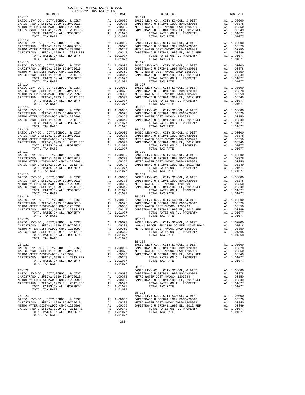| DISTRICT                                                                                                           |                                                                                           | TAX RATE                                                                                    |                    |
|--------------------------------------------------------------------------------------------------------------------|-------------------------------------------------------------------------------------------|---------------------------------------------------------------------------------------------|--------------------|
| 28-111<br>BASIC LEVY-CO., CITY, SCHOOL, & DIST                                                                     | 28-124<br>A1 .00000 BASIC L<br>A1 .00378 CAPISTR<br>A1 .00350 METROW<br>A1 .00349 CAPISTR |                                                                                             | $28 - 124$         |
| CAPISTRANO U SFID#1 1999 BOND#2001B                                                                                | 00350<br>100349 100349<br>11.01077<br>101077                                              |                                                                                             |                    |
| METRO WATER DIST-MWDOC CMWD-1205999<br>CAPISTRANO U SFID#1,1999 EL, 2012 REF                                       |                                                                                           |                                                                                             |                    |
| TOTAL RATES ON ALL PROPERTY                                                                                        |                                                                                           |                                                                                             |                    |
| TOTAL TAX RATE<br>$28 - 112$                                                                                       |                                                                                           |                                                                                             | $28 - 125$         |
|                                                                                                                    |                                                                                           |                                                                                             |                    |
|                                                                                                                    |                                                                                           |                                                                                             |                    |
|                                                                                                                    |                                                                                           |                                                                                             |                    |
|                                                                                                                    |                                                                                           |                                                                                             |                    |
| TOTAL TAX RATE<br>$28 - 113$                                                                                       |                                                                                           | 1.01077                                                                                     | 28-126             |
| BASIC LEVY-CO., CITY, SCHOOL, & DIST                                                                               |                                                                                           | 20-120<br>Al 1.00000 BASIC<br>Al 1.00378 CAPISTR<br>Al 1.00350 METROW<br>Al 1.00349 CAPISTR |                    |
| CAPISTRANO U SFID#1 1999 BOND#2001B<br>METRO WATER DIST-MWDOC CMWD-1205999                                         |                                                                                           |                                                                                             |                    |
| CAPISTRANO U SFID#1,1999 EL, 2012 REF<br>TOTAL RATES ON ALL PROPERTY                                               | $\overline{A1}$                                                                           |                                                                                             |                    |
| TOTAL TAX RATE                                                                                                     |                                                                                           | A1 1.01077<br>1.01077                                                                       |                    |
| $28 - 114$                                                                                                         |                                                                                           |                                                                                             | $28 - 127$         |
|                                                                                                                    |                                                                                           |                                                                                             |                    |
|                                                                                                                    |                                                                                           |                                                                                             |                    |
| TOTAL RATES ON ALL PROPERTY                                                                                        |                                                                                           | A1 1.01077                                                                                  |                    |
| TOTAL TAX RATE                                                                                                     |                                                                                           | 1.01077                                                                                     |                    |
| $28 - 115$<br>BASIC LEVY-CO., CITY, SCHOOL, & DIST                                                                 |                                                                                           |                                                                                             | $28 - 128$         |
| CAPISTRANO U SFID#1 1999 BOND#2001B                                                                                | Al .00332<br>Al .00349<br>Al 1.01077<br>1.01077                                           | A1 1.00000 BASIC<br>A1 .00378 CAPISTR<br>A1 .00350 METROW<br>A1 .00349 CAPISTR              |                    |
| METRO WATER DIST-MWDOC CMWD-1205999<br>CAPISTRANO U SFID#1,1999 EL, 2012 REF                                       |                                                                                           |                                                                                             |                    |
| TOTAL RATES ON ALL PROPERTY                                                                                        |                                                                                           |                                                                                             |                    |
| TOTAL TAX RATE<br>$28 - 116$                                                                                       |                                                                                           |                                                                                             | $28 - 129$         |
|                                                                                                                    |                                                                                           |                                                                                             |                    |
|                                                                                                                    |                                                                                           |                                                                                             |                    |
|                                                                                                                    |                                                                                           |                                                                                             |                    |
| TOTAL TAX RATE                                                                                                     |                                                                                           | 1.01077                                                                                     |                    |
| $28 - 117$                                                                                                         |                                                                                           |                                                                                             | $28 - 130$         |
| BASIC LEVY-CO., CITY, SCHOOL, & DIST<br>CAPISTRANO U SFID#1 1999 BOND#2001B                                        | 20-130<br>A1 1.00000 BASIC<br>A1 .00378 CAPISTR<br>A1 .00349 CAPISTR                      |                                                                                             |                    |
| METRO WATER DIST-MWDOC CMWD-1205999                                                                                |                                                                                           |                                                                                             |                    |
| CAPISTRANO U SFID#1,1999 EL, 2012 REF<br>TOTAL RATES ON ALL PROPERTY                                               |                                                                                           | A1 .00349<br>A1 1.01077                                                                     |                    |
| TOTAL TAX RATE                                                                                                     |                                                                                           | 1.01077                                                                                     |                    |
| $28 - 118$<br>BASIC LEVY-CO., CITY, SCHOOL, & DIST                                                                 |                                                                                           |                                                                                             | $28 - 131$         |
| SASIC EEVI-CO., CIII, SCHOOD, & DISI<br>CAPISTRANO U SFIDH1 1999 BOND#2001B<br>METRO WATER DIST-MWDOC CMWD-1205999 |                                                                                           |                                                                                             |                    |
| METRO WATER DIST-MWDOC CMWD-1205999<br>CAPISTRANO U SFID#1,1999 EL, 2012 REF                                       | A1 1.00000 BASIC L<br>A1 .00378 CAPISTR<br>A1 .00350 METROW<br>A1 .00349 CAPISTR          |                                                                                             |                    |
| TOTAL RATES ON ALL PROPERTY                                                                                        |                                                                                           | A1 1.01077                                                                                  |                    |
| TOTAL TAX RATE<br>$28 - 119$                                                                                       |                                                                                           | 1.01077                                                                                     | $28 - 132$         |
| BASIC LEVY-CO., CITY, SCHOOL, & DIST                                                                               |                                                                                           | A1 1.00000 BASIC L<br>A1 .00378 CAPISTR<br>A1 .00350 METROW<br>A1 .00349 CAPISTR            |                    |
| CAPISTRANO U SFID#1 1999 BOND#2001B<br>METRO WATER DIST-MWDOC CMWD-1205999                                         | 0035v<br>A1 .00349<br>A1 1.01077<br>הרוח ה                                                |                                                                                             |                    |
| CAPISTRANO U SFID#1,1999 EL, 2012 REF                                                                              |                                                                                           |                                                                                             |                    |
| TOTAL RATES ON ALL PROPERTY<br>TOTAL TAX RATE                                                                      |                                                                                           | 1.01077                                                                                     |                    |
| $28 - 120$                                                                                                         |                                                                                           |                                                                                             | $28 - 133$         |
|                                                                                                                    |                                                                                           |                                                                                             |                    |
|                                                                                                                    |                                                                                           |                                                                                             |                    |
|                                                                                                                    |                                                                                           |                                                                                             |                    |
| TOTAL TAX RATE                                                                                                     |                                                                                           | 1.01077                                                                                     |                    |
| $28 - 121$                                                                                                         |                                                                                           |                                                                                             | 28-134<br>BASIC L  |
| BASIC LEVY-CO., CITY, SCHOOL, & DIST                                                                               |                                                                                           |                                                                                             |                    |
| CAPISTRANO U SFID#1 1999 BOND#2001B<br>METRO WATER DIST-MWDOC- 1205999                                             |                                                                                           | -- 1.00000 CAPISTR<br>Al .00378 METROW<br>Al .00350 CAPISTP<br>Al 00011                     |                    |
| CAPISTRANO U SFID#1,1999 EL, 2012 REF                                                                              | A1                                                                                        | .00349                                                                                      |                    |
| TOTAL RATES ON ALL PROPERTY<br>TOTAL TAX RATE                                                                      |                                                                                           | A1 1.01077<br>1.01077                                                                       |                    |
|                                                                                                                    |                                                                                           |                                                                                             | $28 - 135$         |
| $28 - 122$<br>BASIC LEVY-CO., CITY, SCHOOL, & DIST                                                                 | A1                                                                                        | 1.00000                                                                                     | BASIC L<br>CAPISTR |
| CAPISTRANO U SFID#1 1999 BOND#2001B                                                                                |                                                                                           | A1 .00378                                                                                   | METRO W            |
| METRO WATER DIST-MWDOC CMWD-1205999<br>CAPISTRANO U SFID#1,1999 EL, 2012 REF                                       | A1<br>A1                                                                                  | .00350<br>.00349                                                                            | CAPISTR            |
| TOTAL RATES ON ALL PROPERTY                                                                                        |                                                                                           | A1 1.01077                                                                                  |                    |
| TOTAL TAX RATE                                                                                                     |                                                                                           | 1.01077                                                                                     | $28 - 136$         |
| $28 - 123$                                                                                                         |                                                                                           |                                                                                             | BASIC L            |
| BASIC LEVY-CO., CITY, SCHOOL, & DIST<br>CAPISTRANO U SFID#1 1999 BOND#2001B                                        |                                                                                           | A1 1.00000<br>A1.00378                                                                      | CAPISTR<br>METRO W |
| METRO WATER DIST-MWDOC CMWD-1205999<br>GARISTOPRANO II ORIBHI 1000 BIL 2012 BRB                                    | A1                                                                                        | .00350                                                                                      | CAPISTR            |
|                                                                                                                    | 2.1                                                                                       | 00240                                                                                       |                    |

| CAPISTRANO U SFID#1.1999 EL. 2012 REF | .00349     |
|---------------------------------------|------------|
| TOTAL RATES ON ALL PROPERTY           | A1 1.01077 |
| TOTAL TAX RATE                        | 1.01077    |

|            | TAX RATE | DISTRICT                                                                                                                                                                                                                                                                                                                                                                 | TAX RATE   |
|------------|----------|--------------------------------------------------------------------------------------------------------------------------------------------------------------------------------------------------------------------------------------------------------------------------------------------------------------------------------------------------------------------------|------------|
| $28 - 111$ |          | $28 - 124$                                                                                                                                                                                                                                                                                                                                                               |            |
|            |          |                                                                                                                                                                                                                                                                                                                                                                          |            |
|            |          |                                                                                                                                                                                                                                                                                                                                                                          |            |
|            |          |                                                                                                                                                                                                                                                                                                                                                                          |            |
|            |          |                                                                                                                                                                                                                                                                                                                                                                          |            |
|            |          |                                                                                                                                                                                                                                                                                                                                                                          |            |
|            |          |                                                                                                                                                                                                                                                                                                                                                                          |            |
|            |          |                                                                                                                                                                                                                                                                                                                                                                          |            |
| $28 - 113$ |          | $28 - 126$                                                                                                                                                                                                                                                                                                                                                               |            |
|            |          |                                                                                                                                                                                                                                                                                                                                                                          |            |
|            |          |                                                                                                                                                                                                                                                                                                                                                                          |            |
|            |          |                                                                                                                                                                                                                                                                                                                                                                          |            |
|            |          |                                                                                                                                                                                                                                                                                                                                                                          |            |
|            |          |                                                                                                                                                                                                                                                                                                                                                                          |            |
|            |          |                                                                                                                                                                                                                                                                                                                                                                          |            |
|            |          |                                                                                                                                                                                                                                                                                                                                                                          |            |
|            |          | 2011<br>2011 1.00000 BASIC LEVY-CO., CITY, SCHOOL, & DIST<br>CAPISTRANO U SFID#1 1999 BOND#2001B A1 .00378 CAPISTRANO U SFID#1 1999 BOND#2001B A1 .00378<br>METRO WATER DIST<br>CAPISTRANO U SFID#1,1999 BOND-120599 A1 .00350 A1 .003                                                                                                                                   |            |
| $28 - 115$ |          | $28 - 128$                                                                                                                                                                                                                                                                                                                                                               |            |
|            |          |                                                                                                                                                                                                                                                                                                                                                                          |            |
|            |          |                                                                                                                                                                                                                                                                                                                                                                          |            |
|            |          |                                                                                                                                                                                                                                                                                                                                                                          |            |
|            |          |                                                                                                                                                                                                                                                                                                                                                                          |            |
|            |          |                                                                                                                                                                                                                                                                                                                                                                          |            |
|            |          |                                                                                                                                                                                                                                                                                                                                                                          |            |
|            |          |                                                                                                                                                                                                                                                                                                                                                                          |            |
|            |          |                                                                                                                                                                                                                                                                                                                                                                          |            |
|            |          |                                                                                                                                                                                                                                                                                                                                                                          |            |
|            |          |                                                                                                                                                                                                                                                                                                                                                                          |            |
|            |          |                                                                                                                                                                                                                                                                                                                                                                          |            |
|            |          |                                                                                                                                                                                                                                                                                                                                                                          |            |
|            |          |                                                                                                                                                                                                                                                                                                                                                                          |            |
|            |          |                                                                                                                                                                                                                                                                                                                                                                          |            |
|            |          |                                                                                                                                                                                                                                                                                                                                                                          |            |
|            |          |                                                                                                                                                                                                                                                                                                                                                                          |            |
|            |          |                                                                                                                                                                                                                                                                                                                                                                          |            |
| $28 - 119$ |          | $28 - 132$                                                                                                                                                                                                                                                                                                                                                               |            |
|            |          |                                                                                                                                                                                                                                                                                                                                                                          |            |
|            |          |                                                                                                                                                                                                                                                                                                                                                                          |            |
|            |          |                                                                                                                                                                                                                                                                                                                                                                          |            |
|            |          |                                                                                                                                                                                                                                                                                                                                                                          |            |
|            |          | 28-120<br>BASIC LEVY-CO., CITY, SCHOOL, & DIST<br>CAPISTRANO U SFID#1 1999 BOND#2001B A1 1.00000 BASIC LEVY-CO., CITY, SCHOOL, & DIST A1 1.00000<br>METRO WATER DIST-MWDOC CMWD-1205999 A1 .00350 METRO WATER DIST-MWDOC CMWD-1205999 A                                                                                                                                  |            |
|            |          |                                                                                                                                                                                                                                                                                                                                                                          |            |
|            |          | TOTAL RATES ON ALL PROPERTY                                                                                                                                                                                                                                                                                                                                              | A1 1.01368 |
|            | 1.01077  | TOTAL TAX RATE                                                                                                                                                                                                                                                                                                                                                           | 1.01368    |
|            |          |                                                                                                                                                                                                                                                                                                                                                                          |            |
|            |          |                                                                                                                                                                                                                                                                                                                                                                          |            |
|            |          |                                                                                                                                                                                                                                                                                                                                                                          |            |
|            |          |                                                                                                                                                                                                                                                                                                                                                                          |            |
|            |          |                                                                                                                                                                                                                                                                                                                                                                          |            |
|            |          |                                                                                                                                                                                                                                                                                                                                                                          |            |
|            |          |                                                                                                                                                                                                                                                                                                                                                                          |            |
|            |          |                                                                                                                                                                                                                                                                                                                                                                          |            |
|            |          |                                                                                                                                                                                                                                                                                                                                                                          |            |
|            |          |                                                                                                                                                                                                                                                                                                                                                                          |            |
|            |          | $\begin{tabular}{lllllllllllllllllllll} & $\alpha_0-1.5$ & $20-1.5$ & $20-1.5$ & $20-1.5$ & $20-1.5$ \\ BASIC LEVY-CO. & CITY, SCHOOL, & & DIST & & & ABIST \\ CAPTSTRANO U SFID#1 1999 BOND#2001B & & & & .00378 & & A1 & .00000 & & APISTT-MWDOC-1205999 & & & & A1 & .00378 & \\ CAPTSTRANO U SFID#1 1999 BOND#2001B & & & & .00378 & & & .00378 & & & .00378 & & .0$ |            |
|            |          |                                                                                                                                                                                                                                                                                                                                                                          |            |
|            |          |                                                                                                                                                                                                                                                                                                                                                                          |            |
|            |          |                                                                                                                                                                                                                                                                                                                                                                          |            |
|            |          |                                                                                                                                                                                                                                                                                                                                                                          |            |
|            |          |                                                                                                                                                                                                                                                                                                                                                                          |            |

 $-285-$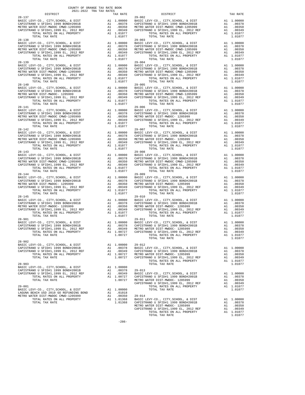| DISTRICT                                                                                                                                                                 |                                                                                                                        | TAX RATE                                                                                      |                    |
|--------------------------------------------------------------------------------------------------------------------------------------------------------------------------|------------------------------------------------------------------------------------------------------------------------|-----------------------------------------------------------------------------------------------|--------------------|
| $28 - 137$                                                                                                                                                               |                                                                                                                        |                                                                                               | $29 - 002$         |
| BASIC LEVY-CO., CITY, SCHOOL, & DIST                                                                                                                                     | A1 1.00000 BASIC<br>A1 .00378 CAPISTR<br>A1 .00350 METROW<br>A1 .00349 CAPISTR                                         |                                                                                               |                    |
| CAPISTRANO U SFID#1 1999 BOND#2001B<br>METRO WATER DIST-MWDOC CMWD-1205999                                                                                               |                                                                                                                        |                                                                                               |                    |
| CAPISTRANO U SFID#1,1999 EL, 2012 REF                                                                                                                                    |                                                                                                                        | A1 .00350<br>A1 .00349<br>A1 1.01077                                                          |                    |
| TOTAL RATES ON ALL PROPERTY                                                                                                                                              |                                                                                                                        |                                                                                               |                    |
| TOTAL TAX RATE                                                                                                                                                           |                                                                                                                        | 1.01077                                                                                       |                    |
| $28 - 138$                                                                                                                                                               |                                                                                                                        |                                                                                               | $29 - 003$         |
| BASIC LEVY-CO., CITY, SCHOOL, & DIST                                                                                                                                     | 29-003<br>A1 1.00000 BASIC L<br>A1 .00378 CAPISTR<br>A1 .00350 METROW<br>A1 .00349 CAPISTR<br>A1 1.01077               |                                                                                               |                    |
| CAPISTRANO U SFID#1 1999 BOND#2001B                                                                                                                                      |                                                                                                                        |                                                                                               |                    |
| METRO WATER DIST-MWDOC CMWD-1205999                                                                                                                                      |                                                                                                                        |                                                                                               |                    |
| CAPISTRANO U SFID#1,1999 EL, 2012 REF                                                                                                                                    |                                                                                                                        |                                                                                               |                    |
| TOTAL RATES ON ALL PROPERTY                                                                                                                                              |                                                                                                                        |                                                                                               |                    |
| TOTAL TAX RATE<br>$28 - 139$                                                                                                                                             |                                                                                                                        | 1.01077                                                                                       | $29 - 004$         |
| BASIC LEVY-CO., CITY, SCHOOL, & DIST                                                                                                                                     |                                                                                                                        |                                                                                               |                    |
| CAPISTRANO U SFID#1 1999 BOND#2001B                                                                                                                                      |                                                                                                                        | A1 1.00000 BASIC L<br>A1 .00378 CAPISTR<br>A1 .00350 METROW<br>A1 .00349 CAPISTR              |                    |
| METRO WATER DIST-MWDOC CMWD-1205999                                                                                                                                      |                                                                                                                        |                                                                                               |                    |
| CAPISTRANO U SFID#1,1999 EL, 2012 REF                                                                                                                                    | $\mathbb{A}\bar{\mathbb{1}}$                                                                                           |                                                                                               |                    |
| TOTAL RATES ON ALL PROPERTY                                                                                                                                              |                                                                                                                        | A1 1.01077                                                                                    |                    |
| TOTAL TAX RATE                                                                                                                                                           |                                                                                                                        | 1.01077                                                                                       |                    |
| $28 - 140$                                                                                                                                                               |                                                                                                                        |                                                                                               | $29 - 005$         |
| BASIC LEVY-CO., CITY, SCHOOL, & DIST                                                                                                                                     |                                                                                                                        |                                                                                               |                    |
| CAPISTRANO U SFID#1 1999 BOND#2001B                                                                                                                                      | A1 1.00000 BASIC L<br>A1 .00378 CAPISTR<br>A1 .00350 METRO W<br>A1 .00349 CAPISTR<br>A1 1.01077                        |                                                                                               |                    |
| METRO WATER DIST-MWDOC- 1205999<br>MEIRO WAIER 2101 MMEIR - 101<br>CAPISTRANO U SFID#1,1999 EL, 2012 REF                                                                 |                                                                                                                        |                                                                                               |                    |
| TOTAL RATES ON ALL PROPERTY                                                                                                                                              |                                                                                                                        |                                                                                               |                    |
| TOTAL TAX RATE                                                                                                                                                           |                                                                                                                        | 1.01077                                                                                       |                    |
| $28 - 141$                                                                                                                                                               |                                                                                                                        |                                                                                               | $29 - 006$         |
| BASIC LEVY-CO., CITY, SCHOOL, & DIST                                                                                                                                     |                                                                                                                        |                                                                                               |                    |
| CAPISTRANO U SFID#1 1999 BOND#2001B                                                                                                                                      |                                                                                                                        |                                                                                               |                    |
| METRO WATER DIST-MWDOC CMWD-1205999                                                                                                                                      | A1 1.00000 BASIC L<br>A1 .00378 CAPISTR<br>A1 .00350 METROW<br>A1 .00349 CAPISTR                                       |                                                                                               |                    |
| CAPISTRANO U SFID#1,1999 EL, 2012 REF                                                                                                                                    |                                                                                                                        | A1 .00349<br>A1 1.01077                                                                       |                    |
| TOTAL RATES ON ALL PROPERTY                                                                                                                                              |                                                                                                                        |                                                                                               |                    |
| TOTAL TAX RATE                                                                                                                                                           |                                                                                                                        | 1.01077                                                                                       |                    |
| $28 - 142$                                                                                                                                                               |                                                                                                                        |                                                                                               | $29 - 007$         |
| BASIC LEVY-CO., CITY, SCHOOL, & DIST<br>CAPISTRANO U SFID#1 1999 BOND#2001B                                                                                              |                                                                                                                        |                                                                                               |                    |
| METRO WATER DIST-MWDOC CMWD-1205999                                                                                                                                      |                                                                                                                        |                                                                                               |                    |
|                                                                                                                                                                          | A1 1.00000 BASIC L<br>A1 .00378 CAPISTR<br>A1 .00378 CAPISTR<br>A1 .00349 CAPISTR<br>F A1 .00349 CAPISTR<br>A1 1.01077 |                                                                                               |                    |
| CAPISTRANO U SFID#1,1999 EL, 2012 REF<br>TOTAL RATES ON ALL PROPERTY                                                                                                     |                                                                                                                        |                                                                                               |                    |
| TOTAL TAX RATE                                                                                                                                                           |                                                                                                                        | 1,01077                                                                                       |                    |
| $28 - 143$                                                                                                                                                               |                                                                                                                        |                                                                                               | $29 - 008$         |
| BASIC LEVY-CO., CITY, SCHOOL, & DIST                                                                                                                                     | A1 1.00000 BASIC L<br>A1 .00378 CAPISTR<br>A1 .00350 METROW<br>A1 .00349 CAPISTR                                       |                                                                                               |                    |
| CAPISTRANO U SFID#1 1999 BOND#2001B                                                                                                                                      |                                                                                                                        |                                                                                               |                    |
| METRO WATER DIST-MWDOC CMWD-1205999                                                                                                                                      |                                                                                                                        |                                                                                               |                    |
| CAPISTRANO U SFID#1,1999 EL, 2012 REF                                                                                                                                    |                                                                                                                        |                                                                                               |                    |
| TOTAL RATES ON ALL PROPERTY                                                                                                                                              |                                                                                                                        | A1 1.01077                                                                                    |                    |
| TOTAL TAX RATE<br>$28 - 144$                                                                                                                                             |                                                                                                                        | 1.01077                                                                                       | 29-009             |
| BASIC LEVY-CO., CITY, SCHOOL, & DIST                                                                                                                                     |                                                                                                                        |                                                                                               |                    |
| CAPISTRANO U SFID#1 1999 BOND#2001B                                                                                                                                      |                                                                                                                        |                                                                                               |                    |
| METRO WATER DIST-MWDOC- 1205999                                                                                                                                          |                                                                                                                        |                                                                                               |                    |
| CAPISTRANO U SFID#1,1999 EL, 2012 REF                                                                                                                                    |                                                                                                                        | A1 1.00000 BASIC L<br>A1 .00378 CAPISTR<br>A1 .00350 METROW<br>A1 .00349 CAPISTR<br>A1 .01349 |                    |
| TOTAL RATES ON ALL PROPERTY                                                                                                                                              |                                                                                                                        | A1 1.01077                                                                                    |                    |
| TOTAL TAX RATE                                                                                                                                                           |                                                                                                                        | 1.01077                                                                                       |                    |
| $28 - 145$                                                                                                                                                               |                                                                                                                        |                                                                                               | 29-010             |
| BASIC LEVY-CO., CITY, SCHOOL, & DIST<br>CAPISTRANO U SFID#1 1999 BOND#2001B<br>METRO WATER DIST-MWDOC- 1905000                                                           |                                                                                                                        |                                                                                               |                    |
|                                                                                                                                                                          |                                                                                                                        |                                                                                               |                    |
| METRO WATER DIST-MWDOC- 1205999<br>METRO WATER DIST-MWDOC- 1205999 AL .00349<br>CAPISTRANO U SFID#1,1999 EL, 2012 REF A1 .00349<br>---- Almes ON ALL PROPERTY A1 1.01077 | A1 1.00000 BASIC L<br>A1 .00378 CAPISTR<br>A1 .00350 METROW<br>A1 .00349 CAPISTR                                       |                                                                                               |                    |
|                                                                                                                                                                          |                                                                                                                        |                                                                                               |                    |
| TOTAL TAX RATE                                                                                                                                                           |                                                                                                                        | 1.01077                                                                                       |                    |
| $28 - 901$                                                                                                                                                               |                                                                                                                        |                                                                                               | $29 - 011$         |
| BASIC LEVY-CO., CITY, SCHOOL, & DIST                                                                                                                                     | A1 1.00000 BASIC L<br>A1 .00378 CAPISTR<br>A1 .00349 METRO W<br>A1 1.00727 CAPISTR<br>1.00727                          |                                                                                               | BASIC L            |
| CAPISTRANO U SFID#1 1999 BOND#2001B                                                                                                                                      |                                                                                                                        |                                                                                               |                    |
| CAPISIRANO O SFID#1,1999 EL, 2012 REF<br>CAPISTRANO U SFID#1,1999 EL, 2012 REF                                                                                           |                                                                                                                        |                                                                                               |                    |
| TOTAL RATES ON ALL PROPERTY                                                                                                                                              |                                                                                                                        |                                                                                               |                    |
| TOTAL TAX RATE                                                                                                                                                           |                                                                                                                        |                                                                                               |                    |
| $28 - 902$                                                                                                                                                               |                                                                                                                        |                                                                                               |                    |
| BASIC LEVY-CO., CITY, SCHOOL, & DIST                                                                                                                                     |                                                                                                                        | A1 1.00000                                                                                    | 29-012             |
| CAPISTRANO U SFID#1 1999 BOND#2001B                                                                                                                                      |                                                                                                                        | A1 .00378                                                                                     | BASIC L            |
| CAPISTRANO U SFID#1,1999 EL, 2012 REF                                                                                                                                    | A1                                                                                                                     | .00349                                                                                        | CAPISTR            |
| TOTAL RATES ON ALL PROPERTY                                                                                                                                              |                                                                                                                        | A1 1.00727                                                                                    | METRO W            |
| TOTAL TAX RATE                                                                                                                                                           |                                                                                                                        | 1.00727                                                                                       | CAPISTR            |
|                                                                                                                                                                          |                                                                                                                        |                                                                                               |                    |
| $28 - 903$                                                                                                                                                               |                                                                                                                        |                                                                                               |                    |
| BASIC LEVY-CO., CITY, SCHOOL, & DIST                                                                                                                                     | A1                                                                                                                     | 1.00000                                                                                       |                    |
| CAPISTRANO U SFID#1 1999 BOND#2001B                                                                                                                                      | A1                                                                                                                     | .00378                                                                                        | 29-013             |
| CAPISTRANO U SFID#1,1999 EL, 2012 REF<br>TOTAL RATES ON ALL PROPERTY                                                                                                     | A1                                                                                                                     | .00349<br>A1 1.00727                                                                          | BASIC L            |
| TOTAL TAX RATE                                                                                                                                                           |                                                                                                                        | 1.00727                                                                                       | CAPISTR<br>METRO W |
|                                                                                                                                                                          |                                                                                                                        |                                                                                               | CAPISTR            |
| $29 - 001$                                                                                                                                                               |                                                                                                                        |                                                                                               |                    |
| BASIC LEVY-CO., CITY, SCHOOL, & DIST                                                                                                                                     | A1                                                                                                                     | 1.00000                                                                                       |                    |
| LAGUNA BEACH USD 2010 GO REFUNDING BOND                                                                                                                                  | A1                                                                                                                     | .01018                                                                                        |                    |
| METRO WATER DIST-MWDOC CMWD-1205999                                                                                                                                      | A1                                                                                                                     | .00350                                                                                        | $29 - 014$         |
| TOTAL RATES ON ALL PROPERTY                                                                                                                                              |                                                                                                                        | A1 1.01368                                                                                    | BASIC L            |
| TOTAL TAX RATE                                                                                                                                                           |                                                                                                                        | 1.01368                                                                                       | CAPISTR            |

| COUNTY OF ORANGE TAX RATE BOOK                                                                                                                                                                                                                                                                                                                                                                                                                                                                                 |                                    |                |          |
|----------------------------------------------------------------------------------------------------------------------------------------------------------------------------------------------------------------------------------------------------------------------------------------------------------------------------------------------------------------------------------------------------------------------------------------------------------------------------------------------------------------|------------------------------------|----------------|----------|
|                                                                                                                                                                                                                                                                                                                                                                                                                                                                                                                | TAX RATE                           | DISTRICT       | TAX RATE |
| $28 - 137$                                                                                                                                                                                                                                                                                                                                                                                                                                                                                                     |                                    | $29 - 002$     |          |
|                                                                                                                                                                                                                                                                                                                                                                                                                                                                                                                |                                    |                |          |
|                                                                                                                                                                                                                                                                                                                                                                                                                                                                                                                |                                    |                |          |
|                                                                                                                                                                                                                                                                                                                                                                                                                                                                                                                |                                    |                |          |
|                                                                                                                                                                                                                                                                                                                                                                                                                                                                                                                |                                    |                |          |
|                                                                                                                                                                                                                                                                                                                                                                                                                                                                                                                |                                    |                |          |
|                                                                                                                                                                                                                                                                                                                                                                                                                                                                                                                |                                    |                |          |
|                                                                                                                                                                                                                                                                                                                                                                                                                                                                                                                |                                    |                |          |
|                                                                                                                                                                                                                                                                                                                                                                                                                                                                                                                |                                    |                |          |
|                                                                                                                                                                                                                                                                                                                                                                                                                                                                                                                |                                    |                |          |
| $28 - 139$                                                                                                                                                                                                                                                                                                                                                                                                                                                                                                     |                                    | $29 - 004$     |          |
|                                                                                                                                                                                                                                                                                                                                                                                                                                                                                                                |                                    |                |          |
|                                                                                                                                                                                                                                                                                                                                                                                                                                                                                                                |                                    |                |          |
|                                                                                                                                                                                                                                                                                                                                                                                                                                                                                                                |                                    |                |          |
|                                                                                                                                                                                                                                                                                                                                                                                                                                                                                                                |                                    |                |          |
|                                                                                                                                                                                                                                                                                                                                                                                                                                                                                                                |                                    |                |          |
|                                                                                                                                                                                                                                                                                                                                                                                                                                                                                                                |                                    |                |          |
|                                                                                                                                                                                                                                                                                                                                                                                                                                                                                                                |                                    |                |          |
|                                                                                                                                                                                                                                                                                                                                                                                                                                                                                                                |                                    |                |          |
|                                                                                                                                                                                                                                                                                                                                                                                                                                                                                                                |                                    |                |          |
| 29–140 29–111 1999 BOND#2001B A1 1.00000 BASIC LEVY-CO., CITY, SCHOOL, & DIST A1 1.00000 BASIC LEVY-CO., CITY, SCHOOL, & DIST A1 1.00000 ANSIC LEVY-CO., CITY, SCHOOL, & DIST A1 1.00000 CAPISTRANO U SFID#1 1999 BOND#2001B A                                                                                                                                                                                                                                                                                 |                                    |                |          |
| $28 - 141$                                                                                                                                                                                                                                                                                                                                                                                                                                                                                                     |                                    | $29 - 006$     |          |
|                                                                                                                                                                                                                                                                                                                                                                                                                                                                                                                |                                    |                |          |
|                                                                                                                                                                                                                                                                                                                                                                                                                                                                                                                |                                    |                |          |
|                                                                                                                                                                                                                                                                                                                                                                                                                                                                                                                |                                    |                |          |
|                                                                                                                                                                                                                                                                                                                                                                                                                                                                                                                |                                    |                |          |
|                                                                                                                                                                                                                                                                                                                                                                                                                                                                                                                |                                    |                |          |
|                                                                                                                                                                                                                                                                                                                                                                                                                                                                                                                |                                    |                |          |
|                                                                                                                                                                                                                                                                                                                                                                                                                                                                                                                |                                    |                |          |
|                                                                                                                                                                                                                                                                                                                                                                                                                                                                                                                |                                    |                |          |
|                                                                                                                                                                                                                                                                                                                                                                                                                                                                                                                |                                    |                |          |
|                                                                                                                                                                                                                                                                                                                                                                                                                                                                                                                |                                    |                |          |
|                                                                                                                                                                                                                                                                                                                                                                                                                                                                                                                |                                    |                |          |
|                                                                                                                                                                                                                                                                                                                                                                                                                                                                                                                |                                    |                |          |
|                                                                                                                                                                                                                                                                                                                                                                                                                                                                                                                |                                    |                |          |
|                                                                                                                                                                                                                                                                                                                                                                                                                                                                                                                |                                    |                |          |
|                                                                                                                                                                                                                                                                                                                                                                                                                                                                                                                |                                    |                |          |
|                                                                                                                                                                                                                                                                                                                                                                                                                                                                                                                |                                    |                |          |
|                                                                                                                                                                                                                                                                                                                                                                                                                                                                                                                |                                    |                |          |
|                                                                                                                                                                                                                                                                                                                                                                                                                                                                                                                |                                    |                |          |
|                                                                                                                                                                                                                                                                                                                                                                                                                                                                                                                |                                    |                |          |
|                                                                                                                                                                                                                                                                                                                                                                                                                                                                                                                |                                    |                |          |
| $28 - 145$                                                                                                                                                                                                                                                                                                                                                                                                                                                                                                     |                                    | $29 - 010$     |          |
|                                                                                                                                                                                                                                                                                                                                                                                                                                                                                                                |                                    |                |          |
|                                                                                                                                                                                                                                                                                                                                                                                                                                                                                                                |                                    |                |          |
|                                                                                                                                                                                                                                                                                                                                                                                                                                                                                                                |                                    |                |          |
|                                                                                                                                                                                                                                                                                                                                                                                                                                                                                                                |                                    |                |          |
|                                                                                                                                                                                                                                                                                                                                                                                                                                                                                                                |                                    |                |          |
| $\begin{array}{cccccccc} 28-901 & & & & & & 29-011 & & & & \\ \texttt{BASIC LEVY-CO.} & \texttt{CITY, SCHOOL} & \texttt{A} & \texttt{I.00000} & \texttt{BASIC LEVY-CO.} & \texttt{CITY, SCHOOL} & \texttt{A} & \texttt{DIST} & \texttt{A1} & \texttt{1.00000} \\ \texttt{CAPISTERANO U SFID#1 1999 BOND#2001B} & \texttt{A1} & \texttt{.00378} & \texttt{CAPISTERANO U SFID#1 1999 BOND#2001B}$                                                                                                                |                                    |                |          |
|                                                                                                                                                                                                                                                                                                                                                                                                                                                                                                                |                                    |                |          |
|                                                                                                                                                                                                                                                                                                                                                                                                                                                                                                                |                                    |                |          |
| TOTAL RATES ON ALL PROPERTY                                                                                                                                                                                                                                                                                                                                                                                                                                                                                    | $\overline{A1}$ 1.00727<br>1.00727 |                |          |
| TOTAL TAX RATE                                                                                                                                                                                                                                                                                                                                                                                                                                                                                                 | 1.00727                            | TOTAL TAX RATE | 1.01077  |
|                                                                                                                                                                                                                                                                                                                                                                                                                                                                                                                |                                    |                |          |
|                                                                                                                                                                                                                                                                                                                                                                                                                                                                                                                |                                    |                |          |
|                                                                                                                                                                                                                                                                                                                                                                                                                                                                                                                |                                    |                |          |
|                                                                                                                                                                                                                                                                                                                                                                                                                                                                                                                |                                    |                |          |
|                                                                                                                                                                                                                                                                                                                                                                                                                                                                                                                |                                    |                |          |
|                                                                                                                                                                                                                                                                                                                                                                                                                                                                                                                |                                    |                |          |
|                                                                                                                                                                                                                                                                                                                                                                                                                                                                                                                |                                    |                |          |
|                                                                                                                                                                                                                                                                                                                                                                                                                                                                                                                |                                    |                |          |
|                                                                                                                                                                                                                                                                                                                                                                                                                                                                                                                |                                    |                |          |
|                                                                                                                                                                                                                                                                                                                                                                                                                                                                                                                |                                    |                |          |
| $\begin{tabular}{lllllllllllllllllllll} \multicolumn{4}{c}{\begin{tabular}{l} \multicolumn{4}{c}{\begin{tabular}{l} \multicolumn{4}{c}{\begin{tabular}{l} \multicolumn{4}{c}{\begin{tabular}{l} \multicolumn{4}{c}{\begin{tabular}{l} \multicolumn{4}{c}{\begin{tabular}{l} \multicolumn{4}{c}{\begin{tabular}{l} \multicolumn{4}{c}{\begin{tabular}{l} \multicolumn{4}{c}{\begin{tabular}{l} \multicolumn{4}{c}{\begin{tabular}{l} \multicolumn{4}{c}{\begin{tabular}{l} \multicolumn{4}{c}{\begin{tabular}{$ |                                    |                |          |
|                                                                                                                                                                                                                                                                                                                                                                                                                                                                                                                |                                    |                |          |
|                                                                                                                                                                                                                                                                                                                                                                                                                                                                                                                |                                    |                |          |
|                                                                                                                                                                                                                                                                                                                                                                                                                                                                                                                |                                    |                |          |
|                                                                                                                                                                                                                                                                                                                                                                                                                                                                                                                |                                    |                |          |
|                                                                                                                                                                                                                                                                                                                                                                                                                                                                                                                |                                    |                |          |
|                                                                                                                                                                                                                                                                                                                                                                                                                                                                                                                |                                    |                |          |
|                                                                                                                                                                                                                                                                                                                                                                                                                                                                                                                |                                    |                |          |
| $\begin{tabular}{c c c c c} \multicolumn{4}{c c c} \multicolumn{4}{c c} \multicolumn{4}{c c} \multicolumn{4}{c c} \multicolumn{4}{c c} \multicolumn{4}{c c} \multicolumn{4}{c c} \multicolumn{4}{c c} \multicolumn{4}{c c} \multicolumn{4}{c c} \multicolumn{4}{c c} \multicolumn{4}{c c} \multicolumn{4}{c c} \multicolumn{4}{c c} \multicolumn{4}{c c} \multicolumn{4}{c c} \multicolumn{4}{c c} \multicolumn{4}{c c} \multicolumn$                                                                          |                                    |                |          |
|                                                                                                                                                                                                                                                                                                                                                                                                                                                                                                                |                                    |                |          |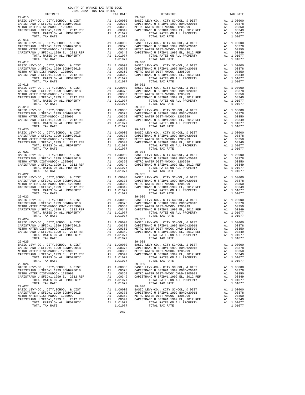| DISTRICT                                                                                                                                                                                                                      |                                                                                                       | TAX RATE                                                                         |                    |
|-------------------------------------------------------------------------------------------------------------------------------------------------------------------------------------------------------------------------------|-------------------------------------------------------------------------------------------------------|----------------------------------------------------------------------------------|--------------------|
| $29 - 015$                                                                                                                                                                                                                    |                                                                                                       |                                                                                  | $29 - 028$         |
|                                                                                                                                                                                                                               |                                                                                                       |                                                                                  |                    |
|                                                                                                                                                                                                                               |                                                                                                       |                                                                                  |                    |
|                                                                                                                                                                                                                               |                                                                                                       |                                                                                  |                    |
| 2021 - 2021 - 2021 - 2021 - 2021 - 2021 - 2021 - 2021 - 2021 - 2021 - 2021 - 2021 - 2021 - 2021 - 2021 - 2021 - 2021 - 2021 - 2021 - 2021 - 2021 - 2021 - 2021 - 2021 - 2021 - 2021 - 2021 - 2021 - 2021 - 2021 - 2021 - 2021 |                                                                                                       |                                                                                  |                    |
| TOTAL TAX RATE                                                                                                                                                                                                                |                                                                                                       | 1.01077                                                                          |                    |
| $29 - 016$                                                                                                                                                                                                                    |                                                                                                       |                                                                                  | $29 - 029$         |
|                                                                                                                                                                                                                               |                                                                                                       |                                                                                  |                    |
|                                                                                                                                                                                                                               |                                                                                                       |                                                                                  |                    |
|                                                                                                                                                                                                                               |                                                                                                       |                                                                                  |                    |
|                                                                                                                                                                                                                               |                                                                                                       |                                                                                  |                    |
| TOTAL TAX RATE                                                                                                                                                                                                                |                                                                                                       | 1.01077                                                                          |                    |
| $29 - 017$                                                                                                                                                                                                                    |                                                                                                       |                                                                                  | $29 - 030$         |
| BASIC LEVY-CO., CITY, SCHOOL, & DIST                                                                                                                                                                                          |                                                                                                       |                                                                                  |                    |
| CAPISTRANO U SFIDHI 1999 BOND#2001B<br>METRO WATED DFIDHI 1999 BOND#2001B                                                                                                                                                     |                                                                                                       | 21 1.00000 28ASIC<br>A1 .00378 CAPISTR<br>A1 .00350 METROW<br>A1 .00349 CAPISTR  |                    |
| METRO WATER DIST-MWDOC- 1205999                                                                                                                                                                                               |                                                                                                       |                                                                                  |                    |
| CAPISTRANO U SFID#1,1999 EL, 2012 REF                                                                                                                                                                                         |                                                                                                       |                                                                                  |                    |
| TOTAL RATES ON ALL PROPERTY                                                                                                                                                                                                   |                                                                                                       | A1 1.01077                                                                       |                    |
| TOTAL TAX RATE<br>$29 - 018$                                                                                                                                                                                                  |                                                                                                       | 1.01077                                                                          | $29 - 031$         |
|                                                                                                                                                                                                                               |                                                                                                       |                                                                                  |                    |
|                                                                                                                                                                                                                               |                                                                                                       |                                                                                  |                    |
|                                                                                                                                                                                                                               |                                                                                                       |                                                                                  |                    |
|                                                                                                                                                                                                                               |                                                                                                       |                                                                                  |                    |
|                                                                                                                                                                                                                               |                                                                                                       |                                                                                  |                    |
| TOTAL TAX RATE                                                                                                                                                                                                                |                                                                                                       | 1.01077                                                                          |                    |
| $29 - 019$                                                                                                                                                                                                                    |                                                                                                       |                                                                                  | $29 - 032$         |
|                                                                                                                                                                                                                               |                                                                                                       |                                                                                  |                    |
|                                                                                                                                                                                                                               |                                                                                                       |                                                                                  |                    |
|                                                                                                                                                                                                                               |                                                                                                       |                                                                                  |                    |
|                                                                                                                                                                                                                               |                                                                                                       |                                                                                  |                    |
| TOTAL TAX RATE                                                                                                                                                                                                                |                                                                                                       | 1.01077                                                                          |                    |
| $29 - 020$                                                                                                                                                                                                                    |                                                                                                       |                                                                                  | $29 - 033$         |
|                                                                                                                                                                                                                               |                                                                                                       |                                                                                  |                    |
|                                                                                                                                                                                                                               |                                                                                                       |                                                                                  |                    |
|                                                                                                                                                                                                                               |                                                                                                       |                                                                                  |                    |
|                                                                                                                                                                                                                               |                                                                                                       |                                                                                  |                    |
| TOTAL TAX RATE                                                                                                                                                                                                                |                                                                                                       | 1.01077                                                                          |                    |
| $29 - 021$                                                                                                                                                                                                                    |                                                                                                       |                                                                                  | $29 - 034$         |
|                                                                                                                                                                                                                               |                                                                                                       |                                                                                  |                    |
|                                                                                                                                                                                                                               |                                                                                                       |                                                                                  |                    |
| CAPISTRANO U SFID#1,1999 EL, 2012 REF                                                                                                                                                                                         |                                                                                                       |                                                                                  |                    |
| TOTAL RATES ON ALL PROPERTY                                                                                                                                                                                                   |                                                                                                       | A1 1.01077                                                                       |                    |
| TOTAL TAX RATE                                                                                                                                                                                                                |                                                                                                       | 1.01077                                                                          |                    |
| $29 - 022$<br>BASIC LEVY-CO., CITY, SCHOOL, & DIST                                                                                                                                                                            |                                                                                                       |                                                                                  | $29 - 035$         |
| BASIC LEVI-CO., CIII,SCHOOL, & DISI<br>CAPISTRANO U SFIDH1 1999 BONDH2001B<br>METRO WATER DIST-MWDOC CMWD-1205999                                                                                                             |                                                                                                       |                                                                                  |                    |
| METRO WATER DIST-MWDOC CMWD-1205999                                                                                                                                                                                           |                                                                                                       |                                                                                  |                    |
| CAPISTRANO U SFID#1,1999 EL, 2012 REF                                                                                                                                                                                         | A1 1.00000 BASIC L<br>A1 .00378 CAPISTR<br>A1 .00350 METROW<br>A1 .00349 CAPISTR<br>11 .00349 CAPISTR |                                                                                  |                    |
| TOTAL RATES ON ALL PROPERTY                                                                                                                                                                                                   |                                                                                                       | A1 1.01077                                                                       |                    |
| TOTAL TAX RATE                                                                                                                                                                                                                |                                                                                                       | 1.01077                                                                          |                    |
| $29 - 023$<br>BASIC LEVY-CO., CITY, SCHOOL, & DIST                                                                                                                                                                            |                                                                                                       |                                                                                  | $29 - 036$         |
| CAPISTRANO U SFID#1 1999 BOND#2001B<br>METRO WATER DIST-MWDOC CMWD-120599 A1 .00350<br>CAPISTRANO U SFID#1,1999 EL, 2012 REF A1 .00349<br>CAPISTRANO U SFID#1,1999 EL, 2012 REF A1 1.01077<br>A1 1.01077                      |                                                                                                       | A1 1.00000 BASIC L<br>A1 .00378 CAPISTR<br>A1 .00350 METROW<br>A1 .00349 CAPISTR |                    |
|                                                                                                                                                                                                                               |                                                                                                       |                                                                                  |                    |
|                                                                                                                                                                                                                               |                                                                                                       |                                                                                  |                    |
|                                                                                                                                                                                                                               |                                                                                                       |                                                                                  |                    |
| TOTAL TAX RATE                                                                                                                                                                                                                |                                                                                                       | 1.01077                                                                          |                    |
| $29 - 024$                                                                                                                                                                                                                    |                                                                                                       |                                                                                  | $29 - 037$         |
|                                                                                                                                                                                                                               |                                                                                                       |                                                                                  |                    |
|                                                                                                                                                                                                                               |                                                                                                       |                                                                                  |                    |
|                                                                                                                                                                                                                               |                                                                                                       |                                                                                  |                    |
|                                                                                                                                                                                                                               |                                                                                                       |                                                                                  |                    |
| TOTAL TAX RATE                                                                                                                                                                                                                |                                                                                                       | 1.01077                                                                          |                    |
| $29 - 025$                                                                                                                                                                                                                    |                                                                                                       |                                                                                  | $29 - 038$         |
| BASIC LEVY-CO., CITY, SCHOOL, & DIST<br>CAPISTRANO U SFID#1 1999 BOND#2001B                                                                                                                                                   | A1<br>A1                                                                                              | 1.00000<br>.00378                                                                | BASIC L<br>CAPISTR |
| METRO WATER DIST-MWDOC- 1205999                                                                                                                                                                                               | A1                                                                                                    | .00350                                                                           | METRO W            |
| CAPISTRANO U SFID#1,1999 EL, 2012 REF                                                                                                                                                                                         | A1                                                                                                    | .00349                                                                           | CAPISTR            |
| TOTAL RATES ON ALL PROPERTY                                                                                                                                                                                                   |                                                                                                       | A1 1.01077                                                                       |                    |
| TOTAL TAX RATE                                                                                                                                                                                                                |                                                                                                       | 1.01077                                                                          |                    |
| $29 - 026$                                                                                                                                                                                                                    |                                                                                                       |                                                                                  | $29 - 039$         |
| BASIC LEVY-CO., CITY, SCHOOL, & DIST                                                                                                                                                                                          | A1                                                                                                    | 1.00000                                                                          | BASIC L            |
| CAPISTRANO U SFID#1 1999 BOND#2001B                                                                                                                                                                                           | A1                                                                                                    | .00378<br>.00350                                                                 | CAPISTR            |
| METRO WATER DIST-MWDOC- 1205999<br>CAPISTRANO U SFID#1,1999 EL, 2012 REF                                                                                                                                                      | A1<br>A1                                                                                              | .00349                                                                           | METRO W<br>CAPISTR |
| TOTAL RATES ON ALL PROPERTY                                                                                                                                                                                                   |                                                                                                       | A1 1.01077                                                                       |                    |
| TOTAL TAX RATE                                                                                                                                                                                                                |                                                                                                       | 1.01077                                                                          |                    |
| $29 - 027$                                                                                                                                                                                                                    |                                                                                                       |                                                                                  | 29-040             |
| BASIC LEVY-CO., CITY, SCHOOL, & DIST                                                                                                                                                                                          | A1                                                                                                    | 1.00000<br>.00378                                                                | BASIC L            |
| CAPISTRANO U SFID#1 1999 BOND#2001B<br>METRO WATER DIST-MWDOC- 1205999                                                                                                                                                        | A1<br>A1                                                                                              | .00350                                                                           | CAPISTR<br>METRO W |
|                                                                                                                                                                                                                               |                                                                                                       |                                                                                  |                    |

|                                        | 2021-2022 TRA TAX RATES |          |                                                                                                                                                                                                                                                                                                                                                                                                     |            |
|----------------------------------------|-------------------------|----------|-----------------------------------------------------------------------------------------------------------------------------------------------------------------------------------------------------------------------------------------------------------------------------------------------------------------------------------------------------------------------------------------------------|------------|
| DISTRICT                               |                         | TAX RATE | DISTRICT                                                                                                                                                                                                                                                                                                                                                                                            | TAX RATE   |
| $29 - 015$                             |                         |          | $29 - 028$                                                                                                                                                                                                                                                                                                                                                                                          |            |
|                                        |                         |          |                                                                                                                                                                                                                                                                                                                                                                                                     |            |
|                                        |                         |          |                                                                                                                                                                                                                                                                                                                                                                                                     |            |
|                                        |                         |          |                                                                                                                                                                                                                                                                                                                                                                                                     |            |
|                                        |                         |          | 29-015<br>29 BASIC LEVY-CO., CITY, SCHOOL, & DIST<br>CAPISTRANO U SFID#1 1999 BOND#2001B<br>METRO WATER DIST<br>METRO WATER DIST<br>CAPISTRANO U SFID#1,1999 BOND#2001B<br>20012 REFRO WATER DISTRANO U SFID#1,1999 BOND#2001B<br>200210 RET                                                                                                                                                        |            |
| $29 - 016$                             |                         |          | $29 - 029$                                                                                                                                                                                                                                                                                                                                                                                          |            |
|                                        |                         |          |                                                                                                                                                                                                                                                                                                                                                                                                     |            |
|                                        |                         |          |                                                                                                                                                                                                                                                                                                                                                                                                     |            |
|                                        |                         |          |                                                                                                                                                                                                                                                                                                                                                                                                     |            |
|                                        |                         |          |                                                                                                                                                                                                                                                                                                                                                                                                     |            |
|                                        |                         |          |                                                                                                                                                                                                                                                                                                                                                                                                     |            |
|                                        |                         |          |                                                                                                                                                                                                                                                                                                                                                                                                     |            |
|                                        |                         |          |                                                                                                                                                                                                                                                                                                                                                                                                     |            |
|                                        |                         |          |                                                                                                                                                                                                                                                                                                                                                                                                     |            |
|                                        |                         |          |                                                                                                                                                                                                                                                                                                                                                                                                     |            |
|                                        |                         |          |                                                                                                                                                                                                                                                                                                                                                                                                     |            |
| $29 - 018$                             |                         |          | $29 - 031$                                                                                                                                                                                                                                                                                                                                                                                          |            |
|                                        |                         |          |                                                                                                                                                                                                                                                                                                                                                                                                     |            |
|                                        |                         |          |                                                                                                                                                                                                                                                                                                                                                                                                     |            |
|                                        |                         |          |                                                                                                                                                                                                                                                                                                                                                                                                     |            |
|                                        |                         |          |                                                                                                                                                                                                                                                                                                                                                                                                     |            |
|                                        |                         |          |                                                                                                                                                                                                                                                                                                                                                                                                     |            |
|                                        |                         |          |                                                                                                                                                                                                                                                                                                                                                                                                     |            |
|                                        |                         |          |                                                                                                                                                                                                                                                                                                                                                                                                     |            |
|                                        |                         |          |                                                                                                                                                                                                                                                                                                                                                                                                     |            |
|                                        |                         |          |                                                                                                                                                                                                                                                                                                                                                                                                     |            |
|                                        |                         |          |                                                                                                                                                                                                                                                                                                                                                                                                     |            |
|                                        |                         |          | $\begin{tabular}{l c c c c c c} \multicolumn{1}{c c c c} \multicolumn{1}{c c c} \multicolumn{1}{c c c} \multicolumn{1}{c c c} \multicolumn{1}{c c c} \multicolumn{1}{c c c} \multicolumn{1}{c c c} \multicolumn{1}{c c c} \multicolumn{1}{c c c} \multicolumn{1}{c c c} \multicolumn{1}{c c c} \multicolumn{1}{c c c} \multicolumn{1}{c c c} \multicolumn{1}{c c c} \multicolumn{1}{c c c} \multic$ |            |
|                                        |                         |          |                                                                                                                                                                                                                                                                                                                                                                                                     |            |
|                                        |                         |          |                                                                                                                                                                                                                                                                                                                                                                                                     |            |
|                                        |                         |          |                                                                                                                                                                                                                                                                                                                                                                                                     |            |
|                                        |                         |          |                                                                                                                                                                                                                                                                                                                                                                                                     |            |
|                                        |                         |          |                                                                                                                                                                                                                                                                                                                                                                                                     |            |
|                                        |                         |          |                                                                                                                                                                                                                                                                                                                                                                                                     |            |
|                                        |                         |          |                                                                                                                                                                                                                                                                                                                                                                                                     |            |
|                                        |                         |          |                                                                                                                                                                                                                                                                                                                                                                                                     |            |
|                                        |                         |          |                                                                                                                                                                                                                                                                                                                                                                                                     |            |
|                                        |                         |          |                                                                                                                                                                                                                                                                                                                                                                                                     |            |
|                                        |                         |          |                                                                                                                                                                                                                                                                                                                                                                                                     |            |
| $29 - 022$                             |                         |          | $29 - 035$                                                                                                                                                                                                                                                                                                                                                                                          |            |
|                                        |                         |          |                                                                                                                                                                                                                                                                                                                                                                                                     |            |
|                                        |                         |          |                                                                                                                                                                                                                                                                                                                                                                                                     |            |
|                                        |                         |          |                                                                                                                                                                                                                                                                                                                                                                                                     |            |
|                                        |                         |          |                                                                                                                                                                                                                                                                                                                                                                                                     |            |
|                                        |                         |          |                                                                                                                                                                                                                                                                                                                                                                                                     |            |
| $29 - 023$                             |                         |          | $29 - 036$                                                                                                                                                                                                                                                                                                                                                                                          |            |
|                                        |                         |          |                                                                                                                                                                                                                                                                                                                                                                                                     |            |
|                                        |                         |          |                                                                                                                                                                                                                                                                                                                                                                                                     |            |
|                                        |                         |          |                                                                                                                                                                                                                                                                                                                                                                                                     |            |
|                                        |                         |          |                                                                                                                                                                                                                                                                                                                                                                                                     |            |
|                                        |                         |          | $\begin{tabular}{l c c c c c c} \multicolumn{4}{c c c c} \multicolumn{4}{c c c} \multicolumn{4}{c c c} \multicolumn{4}{c c c} \multicolumn{4}{c c c} \multicolumn{4}{c c c} \multicolumn{4}{c c c} \multicolumn{4}{c c c} \multicolumn{4}{c c c} \multicolumn{4}{c c c} \multicolumn{4}{c c c} \multicolumn{4}{c c c} \multicolumn{4}{c c c} \multicolumn{4}{c c c} \multicolumn{4}{c c c} \multic$ |            |
| $29 - 024$                             |                         |          | $29 - 037$                                                                                                                                                                                                                                                                                                                                                                                          |            |
|                                        |                         |          |                                                                                                                                                                                                                                                                                                                                                                                                     |            |
|                                        |                         |          |                                                                                                                                                                                                                                                                                                                                                                                                     |            |
|                                        |                         |          | 29–024<br>BASIC LEVY-CO., CITY, SCHOOL, & DIST<br>CAPISTRANO U SFID#1 1999 BOND#2001B<br>METRO WATER DIST DERITY AND READ OO378 CAPISTRANO U SFID#1 1999 BOND#2001B<br>METRO WATER DIST -MWDCC - 1205999 A1 003780 METRO WATER DIST-MWDCC                                                                                                                                                           |            |
| TOTAL RATES ON ALL PROPERTY A1 1.01077 |                         |          | TOTAL RATES ON ALL PROPERTY                                                                                                                                                                                                                                                                                                                                                                         | A1 1.01077 |
| TOTAL TAX RATE<br>$29 - 025$           |                         | 1.01077  | TOTAL TAX RATE<br>$29 - 038$                                                                                                                                                                                                                                                                                                                                                                        | 1.01077    |
|                                        |                         |          |                                                                                                                                                                                                                                                                                                                                                                                                     |            |
|                                        |                         |          |                                                                                                                                                                                                                                                                                                                                                                                                     |            |
|                                        |                         |          |                                                                                                                                                                                                                                                                                                                                                                                                     |            |
|                                        |                         |          |                                                                                                                                                                                                                                                                                                                                                                                                     |            |
| TOTAL TAX RATE                         |                         | 1.01077  | TOTAL TAX RATE                                                                                                                                                                                                                                                                                                                                                                                      | 1.01077    |
| $29 - 026$                             |                         |          | $29 - 039$                                                                                                                                                                                                                                                                                                                                                                                          |            |
|                                        |                         |          |                                                                                                                                                                                                                                                                                                                                                                                                     |            |
|                                        |                         |          |                                                                                                                                                                                                                                                                                                                                                                                                     |            |
|                                        |                         |          |                                                                                                                                                                                                                                                                                                                                                                                                     |            |
|                                        |                         |          |                                                                                                                                                                                                                                                                                                                                                                                                     |            |
| TOTAL TAX RATE                         |                         | 1.01077  | TOTAL TAX RATE                                                                                                                                                                                                                                                                                                                                                                                      | 1.01077    |
| $29 - 027$                             |                         |          | $29 - 040$                                                                                                                                                                                                                                                                                                                                                                                          |            |
|                                        |                         |          |                                                                                                                                                                                                                                                                                                                                                                                                     |            |
|                                        |                         |          |                                                                                                                                                                                                                                                                                                                                                                                                     |            |
|                                        |                         |          |                                                                                                                                                                                                                                                                                                                                                                                                     |            |
|                                        |                         |          |                                                                                                                                                                                                                                                                                                                                                                                                     |            |
| TOTAL TAX RATE                         |                         | 1.01077  | TOTAL TAX RATE                                                                                                                                                                                                                                                                                                                                                                                      | 1.01077    |

-287-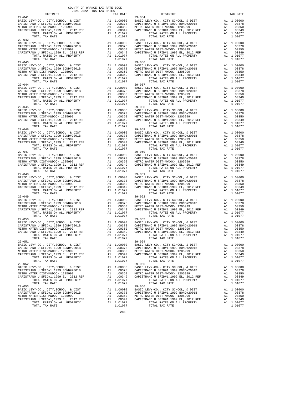| DISTRICT                                                                                                                                                                                                                                                                                                                                                                                                                                                                                                 |                       | TAX RATE                                                                                   |            |
|----------------------------------------------------------------------------------------------------------------------------------------------------------------------------------------------------------------------------------------------------------------------------------------------------------------------------------------------------------------------------------------------------------------------------------------------------------------------------------------------------------|-----------------------|--------------------------------------------------------------------------------------------|------------|
| $29 - 041$                                                                                                                                                                                                                                                                                                                                                                                                                                                                                               |                       |                                                                                            | $29 - 054$ |
|                                                                                                                                                                                                                                                                                                                                                                                                                                                                                                          |                       |                                                                                            |            |
|                                                                                                                                                                                                                                                                                                                                                                                                                                                                                                          |                       |                                                                                            |            |
|                                                                                                                                                                                                                                                                                                                                                                                                                                                                                                          |                       |                                                                                            |            |
|                                                                                                                                                                                                                                                                                                                                                                                                                                                                                                          |                       |                                                                                            |            |
| TOTAL TAX RATE                                                                                                                                                                                                                                                                                                                                                                                                                                                                                           |                       | 1.01077                                                                                    |            |
| $29 - 042$                                                                                                                                                                                                                                                                                                                                                                                                                                                                                               |                       |                                                                                            | $29 - 055$ |
|                                                                                                                                                                                                                                                                                                                                                                                                                                                                                                          |                       |                                                                                            |            |
|                                                                                                                                                                                                                                                                                                                                                                                                                                                                                                          |                       |                                                                                            |            |
|                                                                                                                                                                                                                                                                                                                                                                                                                                                                                                          |                       |                                                                                            |            |
|                                                                                                                                                                                                                                                                                                                                                                                                                                                                                                          |                       |                                                                                            |            |
|                                                                                                                                                                                                                                                                                                                                                                                                                                                                                                          |                       |                                                                                            |            |
| TOTAL TAX RATE                                                                                                                                                                                                                                                                                                                                                                                                                                                                                           |                       | 1.01077                                                                                    |            |
| $29 - 043$                                                                                                                                                                                                                                                                                                                                                                                                                                                                                               |                       |                                                                                            | $29 - 056$ |
| BASIC LEVY-CO., CITY, SCHOOL, & DIST                                                                                                                                                                                                                                                                                                                                                                                                                                                                     |                       | 29-50<br>A1 .00000 BASIC<br>A1 .00378 CAPISTR<br>A1 .00350 METROW<br>A1 .00349 CAPISTR     |            |
| CAPISTRANO U SFID#1 1999 BOND#2001B                                                                                                                                                                                                                                                                                                                                                                                                                                                                      |                       |                                                                                            |            |
| METRO WATER DIST-MWDOC- 1205999                                                                                                                                                                                                                                                                                                                                                                                                                                                                          | $\overline{A1}$       |                                                                                            |            |
| CAPISTRANO U SFID#1,1999 EL, 2012 REF<br>TOTAL RATES ON ALL PROPERTY                                                                                                                                                                                                                                                                                                                                                                                                                                     |                       | A1 1.01077                                                                                 |            |
| TOTAL TAX RATE                                                                                                                                                                                                                                                                                                                                                                                                                                                                                           |                       | 1,01077                                                                                    |            |
| $29 - 044$                                                                                                                                                                                                                                                                                                                                                                                                                                                                                               |                       |                                                                                            | $29 - 057$ |
|                                                                                                                                                                                                                                                                                                                                                                                                                                                                                                          |                       |                                                                                            |            |
|                                                                                                                                                                                                                                                                                                                                                                                                                                                                                                          |                       |                                                                                            |            |
|                                                                                                                                                                                                                                                                                                                                                                                                                                                                                                          |                       |                                                                                            |            |
|                                                                                                                                                                                                                                                                                                                                                                                                                                                                                                          |                       |                                                                                            |            |
|                                                                                                                                                                                                                                                                                                                                                                                                                                                                                                          |                       |                                                                                            |            |
| TOTAL TAX RATE                                                                                                                                                                                                                                                                                                                                                                                                                                                                                           |                       | 1.01077                                                                                    |            |
| $29 - 045$                                                                                                                                                                                                                                                                                                                                                                                                                                                                                               |                       |                                                                                            | $29 - 058$ |
| BASIC LEVY-CO., CITY, SCHOOL, & DIST                                                                                                                                                                                                                                                                                                                                                                                                                                                                     |                       | 29-058<br>A1 1.00000 BASIC L<br>A1 .00378 CAPISTR<br>A1 .00350 METROW<br>A1 .00349 CAPISTR |            |
| CAPISTRANO U SFID#1 1999 BOND#2001B                                                                                                                                                                                                                                                                                                                                                                                                                                                                      |                       |                                                                                            |            |
|                                                                                                                                                                                                                                                                                                                                                                                                                                                                                                          |                       |                                                                                            |            |
| METRO WATER DIST-MWDOC- 1205999<br>CAPISTRANO U SFIDHI,1999 EL, 2012 REF Al<br>Al TOTAL RATES ON ALL PROPERTY Al<br>TOTAL RATES ON ALL PROPERTY                                                                                                                                                                                                                                                                                                                                                          |                       |                                                                                            |            |
| TOTAL TAX RATE                                                                                                                                                                                                                                                                                                                                                                                                                                                                                           |                       | A1 1.01077<br>1.01077                                                                      |            |
| $29 - 046$                                                                                                                                                                                                                                                                                                                                                                                                                                                                                               |                       |                                                                                            | $29 - 059$ |
|                                                                                                                                                                                                                                                                                                                                                                                                                                                                                                          |                       |                                                                                            |            |
|                                                                                                                                                                                                                                                                                                                                                                                                                                                                                                          |                       |                                                                                            |            |
|                                                                                                                                                                                                                                                                                                                                                                                                                                                                                                          |                       |                                                                                            |            |
|                                                                                                                                                                                                                                                                                                                                                                                                                                                                                                          |                       |                                                                                            |            |
|                                                                                                                                                                                                                                                                                                                                                                                                                                                                                                          |                       |                                                                                            |            |
| TOTAL TAX RATE                                                                                                                                                                                                                                                                                                                                                                                                                                                                                           |                       | 1.01077                                                                                    |            |
| $29 - 047$                                                                                                                                                                                                                                                                                                                                                                                                                                                                                               |                       |                                                                                            | $29 - 060$ |
|                                                                                                                                                                                                                                                                                                                                                                                                                                                                                                          |                       |                                                                                            |            |
|                                                                                                                                                                                                                                                                                                                                                                                                                                                                                                          |                       |                                                                                            |            |
|                                                                                                                                                                                                                                                                                                                                                                                                                                                                                                          |                       |                                                                                            |            |
| CAPISTRANO U SFID#1,1999 EL, 2012 REF<br>TOTAL RATES ON ALL PROPERTY                                                                                                                                                                                                                                                                                                                                                                                                                                     | $\overrightarrow{A1}$ | A1 1.01077                                                                                 |            |
| TOTAL RATES ON ALL PROPERTY<br>TOTAL TAX RATE                                                                                                                                                                                                                                                                                                                                                                                                                                                            |                       | 1.01077                                                                                    |            |
| $29 - 048$                                                                                                                                                                                                                                                                                                                                                                                                                                                                                               |                       |                                                                                            | 29-061     |
|                                                                                                                                                                                                                                                                                                                                                                                                                                                                                                          |                       |                                                                                            |            |
|                                                                                                                                                                                                                                                                                                                                                                                                                                                                                                          |                       |                                                                                            |            |
|                                                                                                                                                                                                                                                                                                                                                                                                                                                                                                          |                       |                                                                                            |            |
|                                                                                                                                                                                                                                                                                                                                                                                                                                                                                                          |                       |                                                                                            |            |
| TOTAL RATES ON ALL PROPERTY                                                                                                                                                                                                                                                                                                                                                                                                                                                                              |                       | A1 1.01077                                                                                 |            |
| TOTAL TAX RATE                                                                                                                                                                                                                                                                                                                                                                                                                                                                                           |                       | 1.01077                                                                                    |            |
| $29 - 049$                                                                                                                                                                                                                                                                                                                                                                                                                                                                                               |                       |                                                                                            | 29-062     |
| BASIC LEVY-CO., CITY, SCHOOL, & DIST                                                                                                                                                                                                                                                                                                                                                                                                                                                                     |                       | A1 1.00000 BASIC L<br>A1 .00378 CAPISTR<br>A1 .00350 METROW<br>A1 .00349 CAPISTR           |            |
| CAPISTRANO U SFID#1 1999 BOND#2001B                                                                                                                                                                                                                                                                                                                                                                                                                                                                      |                       |                                                                                            |            |
|                                                                                                                                                                                                                                                                                                                                                                                                                                                                                                          |                       |                                                                                            |            |
| $\begin{tabular}{lllllllllll} $\textsc{min} & \textsc{min} & \textsc{min} & \textsc{min} \\ $\textsc{CaPISTRANO U SFID\#1,1999 \ EL, 2012 REF}$ & \textsc{Al} \\ $\textsc{TOPI\thinspace N. RATES ON ALL PROBERTY}$ & $\textsc{min} \\ $\textsc{min} & \textsc{min} & \textsc{min} \\ $\textsc{min} & \textsc{min} & \textsc{min} \\ $\textsc{min} & \textsc{min} & \textsc{min} \\ $\textsc{min} & \textsc{min} & \textsc{min} \\ $\textsc{min} & \textsc{min} & \textsc{min} \\ $\textsc{min} & \text$ |                       | A1 1.01077                                                                                 |            |
| TOTAL TAX RATE                                                                                                                                                                                                                                                                                                                                                                                                                                                                                           |                       | 1.01077                                                                                    |            |
| $29 - 050$                                                                                                                                                                                                                                                                                                                                                                                                                                                                                               |                       |                                                                                            | $29 - 063$ |
|                                                                                                                                                                                                                                                                                                                                                                                                                                                                                                          |                       |                                                                                            |            |
|                                                                                                                                                                                                                                                                                                                                                                                                                                                                                                          |                       |                                                                                            |            |
|                                                                                                                                                                                                                                                                                                                                                                                                                                                                                                          |                       |                                                                                            |            |
|                                                                                                                                                                                                                                                                                                                                                                                                                                                                                                          |                       |                                                                                            |            |
|                                                                                                                                                                                                                                                                                                                                                                                                                                                                                                          |                       |                                                                                            |            |
| TOTAL TAX RATE                                                                                                                                                                                                                                                                                                                                                                                                                                                                                           |                       | 1.01077                                                                                    |            |
| $29 - 051$                                                                                                                                                                                                                                                                                                                                                                                                                                                                                               |                       |                                                                                            | $29 - 064$ |
| BASIC LEVY-CO., CITY, SCHOOL, & DIST                                                                                                                                                                                                                                                                                                                                                                                                                                                                     | A1                    | 1.00000                                                                                    | BASIC L    |
| CAPISTRANO U SFID#1 1999 BOND#2001B                                                                                                                                                                                                                                                                                                                                                                                                                                                                      | A1                    | .00378                                                                                     | CAPISTR    |
| METRO WATER DIST-MWDOC- 1205999                                                                                                                                                                                                                                                                                                                                                                                                                                                                          | A1                    | .00350<br>.00349                                                                           | METRO W    |
| CAPISTRANO U SFID#1,1999 EL, 2012 REF                                                                                                                                                                                                                                                                                                                                                                                                                                                                    | A1                    |                                                                                            | CAPISTR    |
| TOTAL RATES ON ALL PROPERTY                                                                                                                                                                                                                                                                                                                                                                                                                                                                              |                       | A1 1.01077<br>1.01077                                                                      |            |
| TOTAL TAX RATE<br>$29 - 052$                                                                                                                                                                                                                                                                                                                                                                                                                                                                             |                       |                                                                                            | $29 - 065$ |
| BASIC LEVY-CO., CITY, SCHOOL, & DIST                                                                                                                                                                                                                                                                                                                                                                                                                                                                     | A1                    | 1.00000                                                                                    | BASIC L    |
| CAPISTRANO U SFID#1 1999 BOND#2001B                                                                                                                                                                                                                                                                                                                                                                                                                                                                      | A1                    | .00378                                                                                     | CAPISTR    |
| METRO WATER DIST-MWDOC- 1205999                                                                                                                                                                                                                                                                                                                                                                                                                                                                          | A1                    | .00350                                                                                     | METRO W    |
| CAPISTRANO U SFID#1,1999 EL, 2012 REF                                                                                                                                                                                                                                                                                                                                                                                                                                                                    | A1                    | .00349                                                                                     | CAPISTR    |
| TOTAL RATES ON ALL PROPERTY                                                                                                                                                                                                                                                                                                                                                                                                                                                                              |                       | A1 1.01077                                                                                 |            |
| TOTAL TAX RATE                                                                                                                                                                                                                                                                                                                                                                                                                                                                                           |                       | 1.01077                                                                                    |            |
| $29 - 053$                                                                                                                                                                                                                                                                                                                                                                                                                                                                                               |                       |                                                                                            | $29 - 066$ |
| BASIC LEVY-CO., CITY, SCHOOL, & DIST                                                                                                                                                                                                                                                                                                                                                                                                                                                                     | A1                    | 1.00000                                                                                    | BASIC L    |
| CAPISTRANO U SFID#1 1999 BOND#2001B                                                                                                                                                                                                                                                                                                                                                                                                                                                                      |                       | A1.00378                                                                                   | CAPISTR    |
| METRO WATER DIST-MWDOC- 1205999                                                                                                                                                                                                                                                                                                                                                                                                                                                                          | A1                    | .00350                                                                                     | METRO W    |

| TAX RATE<br>DISTRICT |         | DISTRICT                                                                                                                                                                                                                                                                                                                                                                                                                 | TAX RATE |
|----------------------|---------|--------------------------------------------------------------------------------------------------------------------------------------------------------------------------------------------------------------------------------------------------------------------------------------------------------------------------------------------------------------------------------------------------------------------------|----------|
|                      |         |                                                                                                                                                                                                                                                                                                                                                                                                                          |          |
|                      |         |                                                                                                                                                                                                                                                                                                                                                                                                                          |          |
|                      |         |                                                                                                                                                                                                                                                                                                                                                                                                                          |          |
|                      |         |                                                                                                                                                                                                                                                                                                                                                                                                                          |          |
|                      |         |                                                                                                                                                                                                                                                                                                                                                                                                                          |          |
|                      |         |                                                                                                                                                                                                                                                                                                                                                                                                                          |          |
|                      |         | $\begin{tabular}{l c c c c c} \multicolumn{1}{c}{29-042}& \multicolumn{1}{c}{29-042}& \multicolumn{1}{c}{29-042}& \multicolumn{1}{c}{29-042}& \multicolumn{1}{c}{29-042}& \multicolumn{1}{c}{29-042}& \multicolumn{1}{c}{29-042}& \multicolumn{1}{c}{29-042}& \multicolumn{1}{c}{29-042}& \multicolumn{1}{c}{29-042}& \multicolumn{1}{c}{29-042}& \multicolumn{1}{c}{29-042}& \multicolumn{1}{c}{2$                      |          |
|                      |         |                                                                                                                                                                                                                                                                                                                                                                                                                          |          |
|                      |         |                                                                                                                                                                                                                                                                                                                                                                                                                          |          |
|                      |         |                                                                                                                                                                                                                                                                                                                                                                                                                          |          |
|                      |         |                                                                                                                                                                                                                                                                                                                                                                                                                          |          |
| $29 - 043$           |         | $29 - 056$                                                                                                                                                                                                                                                                                                                                                                                                               |          |
|                      |         |                                                                                                                                                                                                                                                                                                                                                                                                                          |          |
|                      |         |                                                                                                                                                                                                                                                                                                                                                                                                                          |          |
|                      |         |                                                                                                                                                                                                                                                                                                                                                                                                                          |          |
|                      |         |                                                                                                                                                                                                                                                                                                                                                                                                                          |          |
|                      |         |                                                                                                                                                                                                                                                                                                                                                                                                                          |          |
|                      |         |                                                                                                                                                                                                                                                                                                                                                                                                                          |          |
|                      |         |                                                                                                                                                                                                                                                                                                                                                                                                                          |          |
|                      |         |                                                                                                                                                                                                                                                                                                                                                                                                                          |          |
|                      |         |                                                                                                                                                                                                                                                                                                                                                                                                                          |          |
|                      |         |                                                                                                                                                                                                                                                                                                                                                                                                                          |          |
|                      |         | 29-045<br>29 METRO WATER DEVI-CO., CITY, SCHOOL, & DIST CLEVY-CO., CITY, SCHOOL, & DIST CLEVY-CO., CITY, SCHOOL, & DIST<br>20018 METRO WATER DISTRANO U SFID#1 1999 BOND#2001B A1 .00378<br>20018 METRO WATER DISTRANO U SFID#1,1999                                                                                                                                                                                     |          |
| $29 - 045$           |         | $29 - 058$                                                                                                                                                                                                                                                                                                                                                                                                               |          |
|                      |         |                                                                                                                                                                                                                                                                                                                                                                                                                          |          |
|                      |         |                                                                                                                                                                                                                                                                                                                                                                                                                          |          |
|                      |         |                                                                                                                                                                                                                                                                                                                                                                                                                          |          |
|                      |         |                                                                                                                                                                                                                                                                                                                                                                                                                          |          |
|                      |         |                                                                                                                                                                                                                                                                                                                                                                                                                          |          |
|                      |         |                                                                                                                                                                                                                                                                                                                                                                                                                          |          |
|                      |         |                                                                                                                                                                                                                                                                                                                                                                                                                          |          |
|                      |         |                                                                                                                                                                                                                                                                                                                                                                                                                          |          |
|                      |         |                                                                                                                                                                                                                                                                                                                                                                                                                          |          |
|                      |         | $\begin{tabular}{l c c c c c c} \multicolumn{1}{c}{\textbf{29--046}} & \multicolumn{1}{c}{\textbf{29--047}} & \multicolumn{1}{c}{\textbf{29--048}} & \multicolumn{1}{c}{\textbf{29--048}} & \multicolumn{1}{c}{\textbf{29--048}} & \multicolumn{1}{c}{\textbf{29--048}} & \multicolumn{1}{c}{\textbf{29--048}} & \multicolumn{1}{c}{\textbf{29--048}} & \multicolumn{1}{c}{\textbf{29--048}} & \multicolumn{1}{c}{\text$ |          |
| $29 - 047$           |         | $29 - 060$                                                                                                                                                                                                                                                                                                                                                                                                               |          |
|                      |         |                                                                                                                                                                                                                                                                                                                                                                                                                          |          |
|                      |         |                                                                                                                                                                                                                                                                                                                                                                                                                          |          |
|                      |         |                                                                                                                                                                                                                                                                                                                                                                                                                          |          |
|                      |         |                                                                                                                                                                                                                                                                                                                                                                                                                          |          |
|                      |         |                                                                                                                                                                                                                                                                                                                                                                                                                          |          |
|                      |         |                                                                                                                                                                                                                                                                                                                                                                                                                          |          |
|                      |         |                                                                                                                                                                                                                                                                                                                                                                                                                          |          |
|                      |         |                                                                                                                                                                                                                                                                                                                                                                                                                          |          |
|                      |         |                                                                                                                                                                                                                                                                                                                                                                                                                          |          |
|                      |         |                                                                                                                                                                                                                                                                                                                                                                                                                          |          |
| $29 - 049$           |         | $29 - 062$                                                                                                                                                                                                                                                                                                                                                                                                               |          |
|                      |         |                                                                                                                                                                                                                                                                                                                                                                                                                          |          |
|                      |         |                                                                                                                                                                                                                                                                                                                                                                                                                          |          |
|                      |         |                                                                                                                                                                                                                                                                                                                                                                                                                          |          |
|                      |         |                                                                                                                                                                                                                                                                                                                                                                                                                          |          |
|                      |         | $\begin{tabular}{l c c c c c c c c} \multicolumn{1}{c c c c} \multicolumn{1}{c c c} \multicolumn{1}{c c c} \multicolumn{1}{c c c} \multicolumn{1}{c c c} \multicolumn{1}{c c c} \multicolumn{1}{c c c} \multicolumn{1}{c c c} \multicolumn{1}{c c c} \multicolumn{1}{c c c} \multicolumn{1}{c c c} \multicolumn{1}{c c c} \multicolumn{1}{c c c} \multicolumn{1}{c c c} \multicolumn{1}{c c c$                           |          |
|                      |         |                                                                                                                                                                                                                                                                                                                                                                                                                          |          |
|                      |         |                                                                                                                                                                                                                                                                                                                                                                                                                          |          |
|                      |         |                                                                                                                                                                                                                                                                                                                                                                                                                          |          |
|                      |         |                                                                                                                                                                                                                                                                                                                                                                                                                          |          |
|                      |         |                                                                                                                                                                                                                                                                                                                                                                                                                          |          |
| TOTAL TAX RATE       | 1.01077 | TOTAL TAX RATE                                                                                                                                                                                                                                                                                                                                                                                                           | 1.01077  |
| $29 - 051$           |         | 29-064                                                                                                                                                                                                                                                                                                                                                                                                                   |          |
|                      |         |                                                                                                                                                                                                                                                                                                                                                                                                                          |          |
|                      |         |                                                                                                                                                                                                                                                                                                                                                                                                                          |          |
|                      |         |                                                                                                                                                                                                                                                                                                                                                                                                                          |          |
| TOTAL TAX RATE       | 1.01077 | $\begin{tabular}{l c c c c c} \multicolumn{1}{c}{\textbf{B}-511}&\multicolumn{1}{c}{\textbf{B}-111}&\multicolumn{1}{c}{\textbf{B}-111}&\multicolumn{1}{c}{\textbf{B}-111}&\multicolumn{1}{c}{\textbf{B}-111}&\multicolumn{1}{c}{\textbf{B}-111}&\multicolumn{1}{c}{\textbf{B}-111}&\multicolumn{1}{c}{\textbf{B}-111}&\multicolumn{1}{c}{\textbf{B}-111}&\multicolumn{1}{c}{\textbf{B}-111}&\multicolumn{1}{c}{\textbf$  | 1.01077  |
| $29 - 052$           |         | TOTAL TAX RATE<br>$29 - 065$                                                                                                                                                                                                                                                                                                                                                                                             |          |
|                      |         |                                                                                                                                                                                                                                                                                                                                                                                                                          |          |
|                      |         |                                                                                                                                                                                                                                                                                                                                                                                                                          |          |
|                      |         |                                                                                                                                                                                                                                                                                                                                                                                                                          |          |
|                      |         |                                                                                                                                                                                                                                                                                                                                                                                                                          |          |
| TOTAL TAX RATE       | 1.01077 | TOTAL TAX RATE                                                                                                                                                                                                                                                                                                                                                                                                           | 1.01077  |
| $29 - 053$           |         | $29 - 066$                                                                                                                                                                                                                                                                                                                                                                                                               |          |
|                      |         |                                                                                                                                                                                                                                                                                                                                                                                                                          |          |
|                      |         |                                                                                                                                                                                                                                                                                                                                                                                                                          |          |
|                      |         |                                                                                                                                                                                                                                                                                                                                                                                                                          |          |
|                      |         |                                                                                                                                                                                                                                                                                                                                                                                                                          |          |
|                      |         |                                                                                                                                                                                                                                                                                                                                                                                                                          |          |

 $-288-$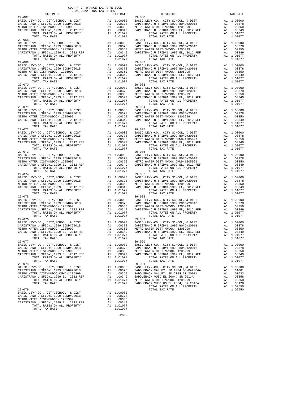| COUNTY OF ORANGE TAX RATE BOOK<br>2021-2022 TRA TAX RATES                                                                                         |                                                           |                                      |                                                                                                              |
|---------------------------------------------------------------------------------------------------------------------------------------------------|-----------------------------------------------------------|--------------------------------------|--------------------------------------------------------------------------------------------------------------|
| DISTRICT                                                                                                                                          |                                                           | TAX RATE                             |                                                                                                              |
|                                                                                                                                                   |                                                           |                                      | $29 - 080$                                                                                                   |
|                                                                                                                                                   |                                                           |                                      |                                                                                                              |
|                                                                                                                                                   |                                                           |                                      |                                                                                                              |
|                                                                                                                                                   |                                                           |                                      |                                                                                                              |
|                                                                                                                                                   |                                                           |                                      | A1 1.00000 23-000<br>A1 .00378 CAPISTR<br>A1 .00350 METROW<br>A1 .00349 CAPISTR<br>A1 1.01077                |
| TOTAL TAX RATE                                                                                                                                    |                                                           | 1.01077                              |                                                                                                              |
| $29 - 068$                                                                                                                                        |                                                           |                                      | 29-081                                                                                                       |
|                                                                                                                                                   |                                                           |                                      |                                                                                                              |
|                                                                                                                                                   |                                                           |                                      |                                                                                                              |
|                                                                                                                                                   |                                                           |                                      |                                                                                                              |
|                                                                                                                                                   |                                                           |                                      |                                                                                                              |
| TOTAL TAX RATE                                                                                                                                    |                                                           | 1.01077                              |                                                                                                              |
| $29 - 069$                                                                                                                                        |                                                           |                                      | 29-082                                                                                                       |
| BASIC LEVY-CO., CITY, SCHOOL, & DIST                                                                                                              |                                                           |                                      | A1 1.00000 BASIC L<br>A1 .00378 CAPISTR<br>A1 .00350 METROW<br>A1 .00349 CAPISTR<br>A1 1.01077               |
| CAPISTRANO U SFID#1 1999 BOND#2001B                                                                                                               |                                                           |                                      |                                                                                                              |
| METRO WATER DIST-MWDOC- 1205999                                                                                                                   |                                                           |                                      |                                                                                                              |
| CAPISTRANO U SFID#1,1999 EL, 2012 REF<br>TOTAL RATES ON ALL PROPERTY                                                                              |                                                           |                                      |                                                                                                              |
|                                                                                                                                                   |                                                           |                                      |                                                                                                              |
| TOTAL TAX RATE                                                                                                                                    | A1 .00350<br>A1 .00349<br>A1 .01077<br>1.01077<br>1.01077 |                                      |                                                                                                              |
| $29 - 070$                                                                                                                                        |                                                           |                                      | $29 - 083$                                                                                                   |
|                                                                                                                                                   |                                                           |                                      |                                                                                                              |
|                                                                                                                                                   |                                                           |                                      |                                                                                                              |
|                                                                                                                                                   |                                                           | A1 .00330<br>A1 .00349<br>A1 1.01077 |                                                                                                              |
| TOTAL RATES ON ALL PROPERTY                                                                                                                       |                                                           |                                      |                                                                                                              |
| TOTAL TAX RATE                                                                                                                                    |                                                           | 1.01077                              |                                                                                                              |
| $29 - 071$                                                                                                                                        |                                                           |                                      | 29-084                                                                                                       |
| BASIC LEVY-CO., CITY, SCHOOL, & DIST                                                                                                              |                                                           |                                      | 29-018<br>Al 1.00000 BASIC L<br>Al .00378 CAPISTR<br>Al .00350 METROW<br>Al .00349 CAPISTR<br>Al 1.01077     |
| CAPISTRANO U SFID#1 1999 BOND#2001B                                                                                                               |                                                           |                                      |                                                                                                              |
|                                                                                                                                                   |                                                           |                                      |                                                                                                              |
| METRO WATER DIST-MWDOC-1205999<br>CAPISTRANO U SFIDHI, 1999 EL, 2012 REF All<br>CAPISTRANO U SFIDHI, RATER ON ALL PROPERTY All                    |                                                           |                                      |                                                                                                              |
| TOTAL RATES ON ALL PROPERTY                                                                                                                       |                                                           | A1 1.01077                           |                                                                                                              |
| TOTAL TAX RATE                                                                                                                                    |                                                           | 1.01077                              |                                                                                                              |
| $29 - 072$                                                                                                                                        |                                                           |                                      | $29 - 085$                                                                                                   |
|                                                                                                                                                   |                                                           |                                      |                                                                                                              |
|                                                                                                                                                   |                                                           |                                      |                                                                                                              |
|                                                                                                                                                   |                                                           |                                      |                                                                                                              |
|                                                                                                                                                   |                                                           |                                      |                                                                                                              |
| TOTAL TAX RATE                                                                                                                                    |                                                           | 1.01077                              |                                                                                                              |
| $29 - 073$                                                                                                                                        |                                                           |                                      | 29-086                                                                                                       |
| BASIC LEVY-CO., CITY, SCHOOL, & DIST<br>CAPISTRANO U SFID#1 1999 BOND#2001B                                                                       |                                                           |                                      | 29-086<br>A1 .00000 BASIC L<br>A1 .00378 CAPISTR<br>A1 .00350 METROW<br>A1 .00349 CAPISTR                    |
| CAPISTRANO U SFID#1 1999 BOND#2001B                                                                                                               |                                                           |                                      |                                                                                                              |
| METRO WATER DIST-MWDOC- 1205999                                                                                                                   |                                                           |                                      |                                                                                                              |
| CAPISTRANO U SFID#1,1999 EL, 2012 REF<br>TOTAL RATES ON ALL PROPERTY<br>TOTAL RATES ON ALL PROPERTY                                               |                                                           |                                      |                                                                                                              |
| TOTAL TAX RATE                                                                                                                                    |                                                           |                                      |                                                                                                              |
| $29 - 074$                                                                                                                                        | A1 . v.<br>A1 .00349<br>A1 1.01077<br>1.01077             |                                      | 29-087                                                                                                       |
|                                                                                                                                                   |                                                           |                                      |                                                                                                              |
|                                                                                                                                                   |                                                           |                                      |                                                                                                              |
|                                                                                                                                                   |                                                           |                                      |                                                                                                              |
|                                                                                                                                                   |                                                           |                                      |                                                                                                              |
| TOTAL RATES ON ALL PROPERTY                                                                                                                       |                                                           | A1 1.01077                           |                                                                                                              |
| TOTAL TAX RATE<br>$29 - 075$                                                                                                                      |                                                           | 1.01077                              |                                                                                                              |
| BASIC LEVY-CO., CITY, SCHOOL, & DIST                                                                                                              |                                                           |                                      | $29 - 088$<br>A1 1.00000 23-000<br>A1 .00378 CAPISTR<br>A1 .00378 CAPISTR<br>A1 .00349 CAPISTR<br>A1 1.01077 |
| CAPISTRANO U SFID#1 1999 BOND#2001B                                                                                                               |                                                           |                                      |                                                                                                              |
|                                                                                                                                                   |                                                           |                                      |                                                                                                              |
| WEIRO WATER DIST-MWDOC- 1205999 A1 CAPISTRANO U SFID#1,1999 EL, 2012 REF A1 TOTAL RATES ON ALL PROPERTY                                           |                                                           |                                      |                                                                                                              |
|                                                                                                                                                   |                                                           | A1 1.01077                           |                                                                                                              |
| TOTAL TAX RATE                                                                                                                                    |                                                           | 1,01077                              |                                                                                                              |
| $29 - 076$                                                                                                                                        |                                                           |                                      | $29 - 089$                                                                                                   |
| BASIC LEVY-CO., CITY, SCHOOL, & DIST<br>CAPISTRANO U SFID#1 1999 BOND#2001B A1 .00378 CAPISTR<br>METRO WATER DIST-MWDOC-1205999 A1 .00350 METRO W |                                                           |                                      |                                                                                                              |
|                                                                                                                                                   |                                                           |                                      |                                                                                                              |
|                                                                                                                                                   |                                                           |                                      |                                                                                                              |
| CAPISTRANO U SFID#1,1999 EL, 2012 REF                                                                                                             |                                                           | A1 .00349                            | CAPISTR                                                                                                      |
| TOTAL RATES ON ALL PROPERTY<br>TOTAL TAX RATE                                                                                                     | A1                                                        | 1.01077<br>1.01077                   |                                                                                                              |
| $29 - 077$                                                                                                                                        |                                                           |                                      | $29 - 090$                                                                                                   |
| BASIC LEVY-CO., CITY, SCHOOL, & DIST                                                                                                              |                                                           | A1 1.00000                           | BASIC L                                                                                                      |
| CAPISTRANO U SFID#1 1999 BOND#2001B                                                                                                               |                                                           | A1.00378                             | CAPISTR                                                                                                      |
| METRO WATER DIST-MWDOC- 1205999                                                                                                                   | A1                                                        | .00350                               | METRO W                                                                                                      |
| CAPISTRANO U SFID#1,1999 EL, 2012 REF                                                                                                             | A1                                                        | .00349                               | CAPISTR                                                                                                      |
| TOTAL RATES ON ALL PROPERTY                                                                                                                       |                                                           | A1 1.01077                           |                                                                                                              |
| TOTAL TAX RATE                                                                                                                                    |                                                           | 1,01077                              |                                                                                                              |
| $29 - 078$                                                                                                                                        |                                                           |                                      | 29-091                                                                                                       |
| BASIC LEVY-CO., CITY, SCHOOL, & DIST                                                                                                              |                                                           | A1 1.00000                           | BASIC L                                                                                                      |
| CAPISTRANO U SFID#1 1999 BOND#2001B                                                                                                               |                                                           | A1.00378                             | SADDLEB                                                                                                      |
| METRO WATER DIST-MWDOC CMWD-1205999<br>CAPISTRANO U SFID#1,1999 EL, 2012 REF                                                                      | A1<br>A1                                                  | .00350<br>.00349                     | SADDLEB<br>SADDLEB                                                                                           |
| TOTAL RATES ON ALL PROPERTY                                                                                                                       |                                                           |                                      |                                                                                                              |
| TOTAL TAX RATE                                                                                                                                    |                                                           |                                      | A1 1.01077 METRO W<br>1.01077 SADDLEB                                                                        |
|                                                                                                                                                   |                                                           |                                      |                                                                                                              |
| $29 - 079$                                                                                                                                        |                                                           |                                      |                                                                                                              |
| BASIC LEVY-CO., CITY, SCHOOL, & DIST                                                                                                              |                                                           | A1 1.00000                           |                                                                                                              |
| CAPISTRANO U SFID#1 1999 BOND#2001B                                                                                                               |                                                           | A1 .00378                            |                                                                                                              |
| METRO WATER DIST-MWDOC- 1205999                                                                                                                   | A1                                                        | .00350                               |                                                                                                              |

METRO WATER DIST-MWDOC- 1205999 A1 .00350<br>
CAPISTRANO U SFID#1,1999 EL, 2012 REF A1 .00349<br>
TOTAL RATES ON ALL PROPERTY A1 1.01077<br>
TOTAL TAX RATE

 DISTRICT TAX RATE DISTRICT TAX RATE BASIC LEVY-CO., CITY,SCHOOL, & DIST A1 1.00000 BASIC LEVY-CO., CITY,SCHOOL, & DIST A1 1.00000 CAPISTRANO U SFID#1 1999 BOND#2001B A1 .00378 CAPISTRANO U SFID#1 1999 BOND#2001B A1 .00378 METRO WATER DIST-MWDOC- 1205999 A1 .00350 METRO WATER DIST-MWDOC- 1205999 A1 .00350 CAPISTRANO U SFID#1,1999 EL, 2012 REF A1 .00349 CAPISTRANO U SFID#1,1999 EL, 2012 REF A1 .00349 TOTAL RATES ON ALL PROPERTY A1 1.01077 TOTAL RATES ON ALL PROPERTY A1 1.01077 TOTAL TAX RATE 1.01077 TOTAL TAX RATE 1.01077 BASIC LEVY-CO., CITY,SCHOOL, & DIST A1 1.00000 BASIC LEVY-CO., CITY,SCHOOL, & DIST A1 1.00000 CAPISTRANO U SFID#1 1999 BOND#2001B A1 .00378 CAPISTRANO U SFID#1 1999 BOND#2001B A1 .00378 METRO WATER DIST-MWDOC- 1205999 A1 .00350 METRO WATER DIST-MWDOC- 1205999 A1 .00350<br>CAPISTRANO U SFID#1,1999 EL, 2012 REF A1 .00349 CAPISTRANO U SFID#1,1999 EL, 2012 REF A1 .00349<br>TOTAL RATES ON ALL PROPERTY A1 1.01077 TOT BASIC LEVY-CO., CITY,SCHOOL, & DIST A1 1.00000 BASIC LEVY-CO., CITY,SCHOOL, & DIST A1 1.00000 CAPISTRANO U SFID#1 1999 BOND#2001B A1 .00378 CAPISTRANO U SFID#1 1999 BOND#2001B A1 .00378 METRO WATER DIST-MWDOC- 1205999 A1 .00350 METRO WATER DIST-MWDOC- 1205999 A1 .00350 CAPISTRANO U SFID#1,1999 EL, 2012 REF A1 .00349 CAPISTRANO U SFID#1,1999 EL, 2012 REF A1 .00349 TOTAL RATES ON ALL PROPERTY A1 1.01077<br>1.01077 TOTAL RATES ON ALL PROPERTY A1 1.01077 TOTAL TAX RATE 1.0112 BASIC LEVY-CO., CITY,SCHOOL, & DIST A1 1.00000 BASIC LEVY-CO., CITY,SCHOOL, & DIST A1 1.00000 CAPISTRANO U SFID#1 1999 BOND#2001B A1 .00378 CAPISTRANO U SFID#1 1999 BOND#2001B A1 .00378 METRO WATER DIST-MWDOC- 1205999 A1 .00350 METRO WATER DIST-MWDOC- 1205999 A1 .00350<br>CAPISTRANO U SFID#1,1999 EL, 2012 REF A1 .00349 CAPISTRANO U SFID#1,1999 EL, 2012 REF A1 .00349<br>TOTAL RATES ON ALL PROPERTY A1 1.01077 TOT BASIC LEVY-CO., CITY,SCHOOL, & DIST A1 1.00000 BASIC LEVY-CO., CITY,SCHOOL, & DIST A1 1.00000 CAPISTRANO U SFID#1 1999 BOND#2001B A1 .00378 CAPISTRANO U SFID#1 1999 BOND#2001B A1 .00378 METRO WATER DIST-MWDOC- 1205999 A1 .00350 METRO WATER DIST-MWDOC- 1205999 A1 .00350 CAPISTRANO U SFID#1,1999 EL, 2012 REF A1 .00349 CAPISTRANO U SFID#1,1999 EL, 2012 REF A1 .00349 TOTAL RATES ON ALL PROPERTY A1 1.01077 TOTAL RATES ON ALL PROPERTY A1 1.01077 TOTAL TAX RATE 1.01077 TOTAL TAX RATE 1.01077 BASIC LEVY-CO., CITY,SCHOOL, & DIST A1 1.00000 BASIC LEVY-CO., CITY,SCHOOL, & DIST A1 1.00000 CAPISTRANO U SFID#1 1999 BOND#2001B A1 .00378 CAPISTRANO U SFID#1 1999 BOND#2001B A1 .00378 METRO WATER DIST-MWDOC- 1205999 A1 .00350 METRO WATER DIST-MWDOC CMWD-1205999 A1 .00350 CAPISTRANO U SFID#1,1999 EL, 2012 REF A1 .00349 CAPISTRANO U SFID#1,1999 EL, 2012 REF A1 .00349 TOTAL RATES ON ALL PROPERTY A1 1.01077 TOTAL RATES ON ALL PROPERTY A1 1.01077 TOTAL TAX RATE 1.01077 TOTAL TAX RATE 1.01077 BASIC LEVY-CO., CITY,SCHOOL, & DIST A1 1.00000 BASIC LEVY-CO., CITY,SCHOOL, & DIST A1 1.00000 CAPISTRANO U SFID#1 1999 BOND#2001B A1 .00378 CAPISTRANO U SFID#1 1999 BOND#2001B A1 .00378 METRO WATER DIST-MWDOC- 1205999 A1 .00350 METRO WATER DIST-MWDOC CMWD-1205999 A1 .00350 CAPISTRANO U SFID#1,1999 EL, 2012 REF A1 .00349 CAPISTRANO U SFID#1,1999 EL, 2012 REF A1 .00349 TOTAL RATES ON ALL PROPERTY A1 1.01077 TOTAL RATES ON ALL PROPERTY A1 1.01077 TOTAL TAX RATE 1.01077 TOTAL TAX RATE 1.01077 BASIC LEVY-CO., CITY,SCHOOL, & DIST A1 1.00000 BASIC LEVY-CO., CITY,SCHOOL, & DIST A1 1.00000 CAPISTRANO U SFID#1 1999 BOND#2001B A1 .00378 CAPISTRANO U SFID#1 1999 BOND#2001B A1 .00378 METRO WATER DIST-MWDOC- 1205999 A1 .00350 METRO WATER DIST-MWDOC- 1205999 A1 .00350 CAPISTRANO U SFID#1,1999 EL, 2012 REF A1 .00349 CAPISTRANO U SFID#1,1999 EL, 2012 REF A1 .00349 TOTAL RATES ON ALL PROPERTY A1 1.01077 TOTAL RATES ON ALL PROPERTY A1 1.01077 TOTAL TAX RATE 1.01077 TOTAL TAX RATE 1.01077 29-088<br>BASIC LEVY-CO., CITY,SCHOOL, & DIST Al 1.00000<br>A1 .00378 CAPISTRANO U SFID#1 1999 BOND#2001B A1 .00378<br>A1 .00350 METRO WATER DIST-MWDOC- 1205999 A1 .00350 CAPISTRANO U SFID#1 1999 BOND#2001B A1 .00378 CAPISTRANO U SFID#1 1999 BOND#2001B A1 .00378 METRO WATER DIST-MWDOC- 1205999 A1 .00350 METRO WATER DIST-MWDOC- 1205999 A1 .00350 CAPISTRANO U SFID#1,1999 EL, 2012 REF A1 .00349 CAPISTRANO U SFID#1,1999 EL, 2012 REF A1 .00349 TOTAL RATES ON ALL PROPERTY A1 1.01077 TOTAL RATES ON ALL PROPERTY A1 1.01077 TOTAL TAX RATE 1.01077 TOTAL TAX RATE 1.01077  $\begin{tabular}{lcccc} BASIC LEVY-CO., CITY, SCHOOL, &\&DIST & &\\\ CAPISTFRANO U SFID+1 1999 EOLPISTRANO &\&DIST & &\&A1 & 1.00000\\ METRO WATER DISTP+1 1999 EVDH2001B & &\&A1 & .00378 & CAPISTRANO U SFIDH1 1999 EOND+2001B & &\&A1 & .00378\\ DETRO WATER DIST-TMWDOC- 1205999 & &\&A1 & .00378 & CAPISTRANO U SFIDH1 1999 EL, 2012 REF & &\&A1 & .00$ A1 1.00000 BASIC LEVY-CO., CITY,SCHOOL, & DIST A1 1.00000<br>BAI .00378 CAPISTRANO U SFIDHI 1999 BONDH2001B A1 .00378 CAPISTANO U STAMPOC- 1205599 A1 .00300 A1 .00378 CAPISTRANO U SFID#1 1999 BOND#2001B A1 .00378 CAPISTRANO U SFID#1 1999 BOND#2001B A1 .00350 METRO WATER DIST-MWDOC- 1205999 A1 .00350 METRO WATER DIST-MWDOC- 1205999 A1 .00350 CAPISTRANO U SFID#1,1999 EL, 2012 REF A1 .00349 CAPISTRANO U SFID#1,1999 EL, 2012 REF A1 .00349 TOTAL RATES ON ALL PROPERTY A1 1.01077 TOTAL RATES ON ALL PROPERTY A1 1.01077 TOTAL TAX RATE 1.01077 TOTAL TAX RATE 1.01077 1.01077 A1 1.00000 BASIC LEVY-CO., CITY,SCHOOL, & DIST A1 1.00000<br>BAI .00378 SADDLEBACK VALLEY USD 2004 BOND#2004A A1 .00330 SADDLEBACK VALLEY USD 2004 BR 2007A A1 .00633 CAPISTRANO U SFID#1 1999 BOND#2001B A1 .00378 SADDLEBACK VALLEY USD 2004 BOND#2004A A1 .01081 METRO WATER DIST-MWDOC CMWD-1205999 A1 .00350 SADDLEBACK VALLEY USD 2004 SR 2007A A1 .00633 CAPISTRANO U SFID#1,1999 EL, 2012 REF A1 .00349 SADDLEBACK VUSD EL 2004, SR 2013A A1 .00358 TOTAL RATES ON ALL PROPERTY A1 1.01077 METRO WATER DIST-MWDOC- 1205999 A1 .00350 TOTAL TAX RATE 1.01077 SADDLEBACK VUSD GO EL 2004, SR 2016A A1 .00128 TOTAL RATES ON ALL PROPERTY A1 1.02550  $29-079$  1.02550 A1 1.00000<br>A1 .00378

-289-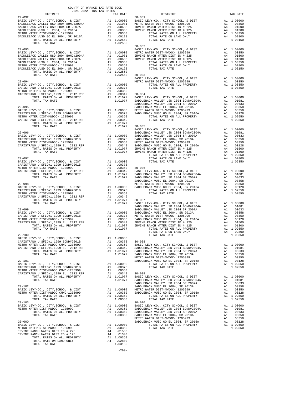| COUNTY OF ORANGE TAX RATE BOOK<br>2021-2022 TRA TAX RATES                                                                                                                                                                                                                                                                                                                                                                         |          |                                        |                       |
|-----------------------------------------------------------------------------------------------------------------------------------------------------------------------------------------------------------------------------------------------------------------------------------------------------------------------------------------------------------------------------------------------------------------------------------|----------|----------------------------------------|-----------------------|
| DISTRICT<br>$29 - 092$                                                                                                                                                                                                                                                                                                                                                                                                            |          | TAX RATE                               | $30 - 001$            |
|                                                                                                                                                                                                                                                                                                                                                                                                                                   |          |                                        |                       |
|                                                                                                                                                                                                                                                                                                                                                                                                                                   |          |                                        |                       |
|                                                                                                                                                                                                                                                                                                                                                                                                                                   |          |                                        |                       |
|                                                                                                                                                                                                                                                                                                                                                                                                                                   |          |                                        |                       |
|                                                                                                                                                                                                                                                                                                                                                                                                                                   |          |                                        |                       |
| TOTAL TAX RATE                                                                                                                                                                                                                                                                                                                                                                                                                    |          | 1.02550                                |                       |
| $29 - 093$                                                                                                                                                                                                                                                                                                                                                                                                                        |          |                                        | $30 - 002$<br>BASIC L |
|                                                                                                                                                                                                                                                                                                                                                                                                                                   |          |                                        |                       |
|                                                                                                                                                                                                                                                                                                                                                                                                                                   |          |                                        |                       |
|                                                                                                                                                                                                                                                                                                                                                                                                                                   |          |                                        |                       |
|                                                                                                                                                                                                                                                                                                                                                                                                                                   |          |                                        |                       |
|                                                                                                                                                                                                                                                                                                                                                                                                                                   |          |                                        |                       |
|                                                                                                                                                                                                                                                                                                                                                                                                                                   |          |                                        |                       |
|                                                                                                                                                                                                                                                                                                                                                                                                                                   |          |                                        | BASIC L               |
|                                                                                                                                                                                                                                                                                                                                                                                                                                   |          |                                        |                       |
|                                                                                                                                                                                                                                                                                                                                                                                                                                   |          |                                        |                       |
|                                                                                                                                                                                                                                                                                                                                                                                                                                   |          |                                        |                       |
|                                                                                                                                                                                                                                                                                                                                                                                                                                   |          |                                        |                       |
|                                                                                                                                                                                                                                                                                                                                                                                                                                   |          |                                        |                       |
|                                                                                                                                                                                                                                                                                                                                                                                                                                   |          |                                        | SADDLEB               |
| ${\small \begin{tabular}{l c c c c c} \multicolumn{3}{c}{\textbf{GADDEEB}} & \multicolumn{3}{c}{\textbf{GADDEED}} \\ \multicolumn{3}{c}{\textbf{BASIC LEVY-CO.}, & \textbf{CITY}, \textbf{SCHODL}, & \textbf{R DIST} & \textbf{A1} & 1.00000 & \textbf{METRO W} \\ \multicolumn{3}{c}{\textbf{CADETERANO U SFIDH1 1999 BONDH2001B}} & \multicolumn{3}{c}{\textbf{A1}} & .00378 & \textbf{SADDEB} \\ \multicolumn{3}{c}{\textbf{M$ |          |                                        |                       |
|                                                                                                                                                                                                                                                                                                                                                                                                                                   |          |                                        |                       |
|                                                                                                                                                                                                                                                                                                                                                                                                                                   |          |                                        |                       |
|                                                                                                                                                                                                                                                                                                                                                                                                                                   |          |                                        |                       |
|                                                                                                                                                                                                                                                                                                                                                                                                                                   |          | 1.01077 30-005                         | BASIC L               |
| $29 - 096$                                                                                                                                                                                                                                                                                                                                                                                                                        |          |                                        | SADDLEB               |
|                                                                                                                                                                                                                                                                                                                                                                                                                                   |          |                                        |                       |
|                                                                                                                                                                                                                                                                                                                                                                                                                                   |          |                                        |                       |
|                                                                                                                                                                                                                                                                                                                                                                                                                                   |          |                                        |                       |
|                                                                                                                                                                                                                                                                                                                                                                                                                                   |          |                                        |                       |
|                                                                                                                                                                                                                                                                                                                                                                                                                                   |          |                                        |                       |
| $29 - 097$                                                                                                                                                                                                                                                                                                                                                                                                                        |          |                                        |                       |
|                                                                                                                                                                                                                                                                                                                                                                                                                                   |          |                                        |                       |
|                                                                                                                                                                                                                                                                                                                                                                                                                                   |          |                                        |                       |
|                                                                                                                                                                                                                                                                                                                                                                                                                                   |          |                                        |                       |
|                                                                                                                                                                                                                                                                                                                                                                                                                                   |          |                                        |                       |
|                                                                                                                                                                                                                                                                                                                                                                                                                                   |          |                                        | SADDLEB               |
| $29 - 098$                                                                                                                                                                                                                                                                                                                                                                                                                        |          |                                        | METRO W               |
|                                                                                                                                                                                                                                                                                                                                                                                                                                   |          |                                        |                       |
|                                                                                                                                                                                                                                                                                                                                                                                                                                   |          |                                        |                       |
|                                                                                                                                                                                                                                                                                                                                                                                                                                   |          |                                        |                       |
|                                                                                                                                                                                                                                                                                                                                                                                                                                   |          |                                        |                       |
|                                                                                                                                                                                                                                                                                                                                                                                                                                   |          |                                        | SADDLEB               |
| $29 - 099$                                                                                                                                                                                                                                                                                                                                                                                                                        |          |                                        | SADDLEB               |
|                                                                                                                                                                                                                                                                                                                                                                                                                                   |          |                                        |                       |
|                                                                                                                                                                                                                                                                                                                                                                                                                                   |          |                                        |                       |
|                                                                                                                                                                                                                                                                                                                                                                                                                                   |          |                                        |                       |
|                                                                                                                                                                                                                                                                                                                                                                                                                                   |          |                                        |                       |
| $29 - 100$                                                                                                                                                                                                                                                                                                                                                                                                                        |          |                                        |                       |
| BASIC LEVY-CO., CITY, SCHOOL, & DIST                                                                                                                                                                                                                                                                                                                                                                                              |          | A1 1.00000                             |                       |
| CAPISTRANO U SFID#1 1999 BOND#2001B                                                                                                                                                                                                                                                                                                                                                                                               |          | A1 .00378 30-008                       |                       |
| METRO WATER DIST-MWDOC CMWD-1205999<br>CAPISTRANO U SFID#1,1999 EL, 2012 REF                                                                                                                                                                                                                                                                                                                                                      | A1<br>A1 | .00350<br>.00349                       | BASIC L<br>SADDLEB    |
| TOTAL RATES ON ALL PROPERTY                                                                                                                                                                                                                                                                                                                                                                                                       |          | A1 1.01077                             | SADDLEB               |
| TOTAL TAX RATE                                                                                                                                                                                                                                                                                                                                                                                                                    |          | 1.01077                                | SADDLEB<br>METRO W    |
| $29 - 101$                                                                                                                                                                                                                                                                                                                                                                                                                        |          |                                        | SADDLEB               |
| BASIC LEVY-CO., CITY, SCHOOL, & DIST                                                                                                                                                                                                                                                                                                                                                                                              |          | A1 1.00000                             |                       |
| CAPISTRANO U SFID#1 1999 BOND#2001B<br>METRO WATER DIST-MWDOC CMWD-1205999                                                                                                                                                                                                                                                                                                                                                        | A1       | A1 .00378<br>.00350                    |                       |
| CAPISTRANO U SFID#1,1999 EL, 2012 REF                                                                                                                                                                                                                                                                                                                                                                                             | A1       | .00349                                 | $30 - 009$            |
| TOTAL RATES ON ALL PROPERTY                                                                                                                                                                                                                                                                                                                                                                                                       |          | Al .00349 30-009<br>Al 1.01077 BASIC L |                       |
| TOTAL TAX RATE                                                                                                                                                                                                                                                                                                                                                                                                                    |          | 1.01077                                | SADDLEB<br>SADDLEB    |
| $29 - 102$                                                                                                                                                                                                                                                                                                                                                                                                                        |          |                                        | SADDLEB               |
| BASIC LEVY-CO., CITY, SCHOOL, & DIST                                                                                                                                                                                                                                                                                                                                                                                              |          | A1 1.00000 METROW<br>A1 .00350 SADDLEB |                       |
| METRO WATER DIST-MWDOC CMWD-1205999<br>TOTAL RATES ON ALL PROPERTY                                                                                                                                                                                                                                                                                                                                                                |          | A1 1.00350                             |                       |
| TOTAL TAX RATE                                                                                                                                                                                                                                                                                                                                                                                                                    |          | 1.00350                                |                       |
| $29 - 103$<br>BASIC LEVY-CO., CITY, SCHOOL, & DIST                                                                                                                                                                                                                                                                                                                                                                                |          | A1 1.00000                             | $30 - 010$<br>BASIC L |
| METRO WATER DIST-MWDOC- 1205999                                                                                                                                                                                                                                                                                                                                                                                                   | A1       | .00350                                 | SADDLEB               |
| TOTAL RATES ON ALL PROPERTY                                                                                                                                                                                                                                                                                                                                                                                                       |          | A1 1.00350                             | SADDLEB               |
| TOTAL TAX RATE                                                                                                                                                                                                                                                                                                                                                                                                                    |          | 1.00350                                | SADDLEB<br>METRO W    |
| $30 - 000$                                                                                                                                                                                                                                                                                                                                                                                                                        |          |                                        | SADDLEB               |
| BASIC LEVY-CO., CITY, SCHOOL, & DIST                                                                                                                                                                                                                                                                                                                                                                                              |          | A1 1.00000                             |                       |
| METRO WATER DIST-MWDOC- 1205999<br>IRVINE RANCH WATER DIST ID # 225                                                                                                                                                                                                                                                                                                                                                               | A4       | A1 .00350<br>.01500                    |                       |
| IRVINE RANCH WATER DIST ID # 125                                                                                                                                                                                                                                                                                                                                                                                                  | A4       | .01300                                 |                       |
| TOTAL RATES ON ALL PROPERTY                                                                                                                                                                                                                                                                                                                                                                                                       |          | A1 1.00350                             |                       |
| TOTAL RATE ON LAND ONLY<br>TOTAL TAX RATE                                                                                                                                                                                                                                                                                                                                                                                         |          | A4 .02800<br>1.03150                   |                       |

|  | $\begin{tabular}{l c c c c} \multicolumn{4}{c}{\textbf{1.00000}} & \multicolumn{4}{c}{\textbf{1.00000}} & \multicolumn{4}{c}{\textbf{1.00000}} & \multicolumn{4}{c}{\textbf{1.00000}} & \multicolumn{4}{c}{\textbf{1.00000}} & \multicolumn{4}{c}{\textbf{1.00000}} & \multicolumn{4}{c}{\textbf{1.00000}} & \multicolumn{4}{c}{\textbf{1.00000}} & \multicolumn{4}{c}{\textbf{1.00000}} & \multicolumn{4$ |  |
|--|------------------------------------------------------------------------------------------------------------------------------------------------------------------------------------------------------------------------------------------------------------------------------------------------------------------------------------------------------------------------------------------------------------|--|
|  |                                                                                                                                                                                                                                                                                                                                                                                                            |  |
|  |                                                                                                                                                                                                                                                                                                                                                                                                            |  |
|  |                                                                                                                                                                                                                                                                                                                                                                                                            |  |
|  |                                                                                                                                                                                                                                                                                                                                                                                                            |  |
|  |                                                                                                                                                                                                                                                                                                                                                                                                            |  |
|  |                                                                                                                                                                                                                                                                                                                                                                                                            |  |
|  |                                                                                                                                                                                                                                                                                                                                                                                                            |  |
|  |                                                                                                                                                                                                                                                                                                                                                                                                            |  |
|  |                                                                                                                                                                                                                                                                                                                                                                                                            |  |
|  |                                                                                                                                                                                                                                                                                                                                                                                                            |  |
|  |                                                                                                                                                                                                                                                                                                                                                                                                            |  |
|  |                                                                                                                                                                                                                                                                                                                                                                                                            |  |
|  |                                                                                                                                                                                                                                                                                                                                                                                                            |  |
|  |                                                                                                                                                                                                                                                                                                                                                                                                            |  |
|  |                                                                                                                                                                                                                                                                                                                                                                                                            |  |
|  |                                                                                                                                                                                                                                                                                                                                                                                                            |  |
|  |                                                                                                                                                                                                                                                                                                                                                                                                            |  |
|  |                                                                                                                                                                                                                                                                                                                                                                                                            |  |
|  |                                                                                                                                                                                                                                                                                                                                                                                                            |  |
|  |                                                                                                                                                                                                                                                                                                                                                                                                            |  |
|  |                                                                                                                                                                                                                                                                                                                                                                                                            |  |
|  |                                                                                                                                                                                                                                                                                                                                                                                                            |  |
|  |                                                                                                                                                                                                                                                                                                                                                                                                            |  |
|  |                                                                                                                                                                                                                                                                                                                                                                                                            |  |
|  |                                                                                                                                                                                                                                                                                                                                                                                                            |  |
|  |                                                                                                                                                                                                                                                                                                                                                                                                            |  |
|  |                                                                                                                                                                                                                                                                                                                                                                                                            |  |
|  |                                                                                                                                                                                                                                                                                                                                                                                                            |  |
|  |                                                                                                                                                                                                                                                                                                                                                                                                            |  |
|  |                                                                                                                                                                                                                                                                                                                                                                                                            |  |
|  |                                                                                                                                                                                                                                                                                                                                                                                                            |  |
|  |                                                                                                                                                                                                                                                                                                                                                                                                            |  |
|  |                                                                                                                                                                                                                                                                                                                                                                                                            |  |
|  |                                                                                                                                                                                                                                                                                                                                                                                                            |  |
|  |                                                                                                                                                                                                                                                                                                                                                                                                            |  |
|  |                                                                                                                                                                                                                                                                                                                                                                                                            |  |
|  |                                                                                                                                                                                                                                                                                                                                                                                                            |  |
|  |                                                                                                                                                                                                                                                                                                                                                                                                            |  |
|  |                                                                                                                                                                                                                                                                                                                                                                                                            |  |
|  |                                                                                                                                                                                                                                                                                                                                                                                                            |  |
|  |                                                                                                                                                                                                                                                                                                                                                                                                            |  |
|  |                                                                                                                                                                                                                                                                                                                                                                                                            |  |
|  |                                                                                                                                                                                                                                                                                                                                                                                                            |  |
|  |                                                                                                                                                                                                                                                                                                                                                                                                            |  |
|  |                                                                                                                                                                                                                                                                                                                                                                                                            |  |
|  |                                                                                                                                                                                                                                                                                                                                                                                                            |  |
|  |                                                                                                                                                                                                                                                                                                                                                                                                            |  |
|  |                                                                                                                                                                                                                                                                                                                                                                                                            |  |
|  |                                                                                                                                                                                                                                                                                                                                                                                                            |  |
|  |                                                                                                                                                                                                                                                                                                                                                                                                            |  |
|  |                                                                                                                                                                                                                                                                                                                                                                                                            |  |

-290-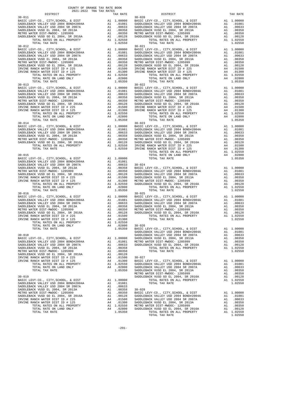| COUNTY OF ORANGE TAX RATE BOOK<br>2021-2022 TRA TAX RATES                                                                                                                                                                                                                                                                  |                      |                                                                  |                                                                   |
|----------------------------------------------------------------------------------------------------------------------------------------------------------------------------------------------------------------------------------------------------------------------------------------------------------------------------|----------------------|------------------------------------------------------------------|-------------------------------------------------------------------|
| DISTRICT<br>$30 - 011$                                                                                                                                                                                                                                                                                                     |                      | TAX RATE                                                         | $30 - 020$                                                        |
|                                                                                                                                                                                                                                                                                                                            |                      |                                                                  |                                                                   |
| $30 - 012$                                                                                                                                                                                                                                                                                                                 |                      |                                                                  | $30 - 021$                                                        |
| BASIC LEVY-CO., CITY, SCHOOL, & DIST<br>----------- VALLEY USD 2004 BOND#2004A<br>SADDLEBACK VALLEY USD 2004 SR 2007A<br>SADDLEBACK VUSD EL 2004, SR 2013a<br>METBO WATTER                                                                                                                                                 |                      |                                                                  |                                                                   |
| METRO WATER DIST-MWDOC- 1205999<br>METRO WATER DIST-MWDOC- 1205999<br>SADDLEBACK VUSD GO EL 2004, SR 2016A<br>TILLEBACK VINTER DISTORTED SR 2016A<br>IRVINE RANCH WATER DIST ID # 225<br>IRVINE RANCH WATER DIST ID # 125                                                                                                  |                      |                                                                  |                                                                   |
| $30 - 013$<br>BASIC LEVY-CO., CITY, SCHOOL, & DIST<br>SADDLEBACK VALLEY USD 2004 BOND#2004A<br>SADDLEBACK VALLEY USD 2004 SR 2007A<br>SADDLEBACK VUSD EL 2004, SR 2013A<br>METRO WATER DIST-MWDOC- 1205999<br>SADDLEBACK VUSD GO EL 2004, SR 2016A<br>IRVINE RANCH WATER DIST ID # 225<br>IRVINE RANCH WATER DIST ID # 125 |                      |                                                                  | $30 - 022$                                                        |
| TOTAL TAX RATE<br>$30 - 014$                                                                                                                                                                                                                                                                                               |                      | 1.05350                                                          | $30 - 023$                                                        |
| $30 - 015$                                                                                                                                                                                                                                                                                                                 |                      |                                                                  |                                                                   |
| TOTAL TAX RATE<br>$30 - 016$                                                                                                                                                                                                                                                                                               |                      | 1.05350                                                          | $30 - 025$                                                        |
|                                                                                                                                                                                                                                                                                                                            |                      |                                                                  |                                                                   |
| $30 - 018$<br>BASIC LEVY-CO., CITY, SCHOOL, & DIST<br>SADDLEBACK VALLEY USD 2004 BOND#2004A<br>SADDLEBACK VALLEY USD 2004 SR 2007A<br>SADDLEBACK VUSD EL 2004, SR 2013A<br>METRO WATER DIST-MWDOC- 1205999                                                                                                                 | A1<br>A1<br>A1       | A1 1.00000<br>A1 .01081<br>.00633<br>.00358<br>.00350            | SADDLEB<br>SADDLEB<br>SADDLEB<br>METRO W<br>SADDLEB               |
| SADDLEBACK VUSD GO EL 2004, SR 2016A<br>IRVINE RANCH WATER DIST ID # 225<br>IRVINE RANCH WATER DIST ID # 125<br>TOTAL RATES ON ALL PROPERTY<br>TOTAL RATE ON LAND ONLY<br>TOTAL TAX RATE                                                                                                                                   | A1<br>A4<br>A4       | .00128<br>.01500<br>.01300<br>A1 1.02550<br>A4 .02800<br>1.05350 | $30 - 027$<br>BASIC L<br>SADDLEB<br>SADDLEB<br>SADDLEB<br>METRO W |
| $30 - 019$<br>BASIC LEVY-CO., CITY, SCHOOL, & DIST<br>SADDLEBACK VALLEY USD 2004 BOND#2004A<br>SADDLEBACK VALLEY USD 2004 SR 2007A<br>SADDLEBACK VUSD EL 2004, SR 2013A                                                                                                                                                    |                      | A1 1.00000<br>A1.01081<br>A1 .00633<br>A1 .00358                 | SADDLEB<br>$30 - 028$                                             |
| METRO WATER DIST-MWDOC- 1205999<br>SADDLEBACK VUSD GO EL 2004, SR 2016A<br>IRVINE RANCH WATER DIST ID # 225<br>IRVINE RANCH WATER DIST ID # 125<br>TOTAL RATES ON ALL PROPERTY                                                                                                                                             | A1<br>A1<br>A4<br>A4 | .00350<br>.00128<br>.01500<br>.01300<br>A1 1.02550 METRO W       | BASIC L<br>SADDLEB<br>SADDLEB<br>SADDLEB                          |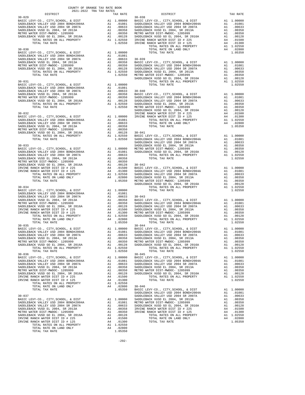| COUNTY OF ORANGE TAX RATE BOOK<br>2021-2022 TRA TAX RATES<br>$2021-2022 \quad \text{TRA TAX RATES}$ DISTRICT |  |  |
|--------------------------------------------------------------------------------------------------------------|--|--|
|                                                                                                              |  |  |
|                                                                                                              |  |  |
|                                                                                                              |  |  |
|                                                                                                              |  |  |
|                                                                                                              |  |  |
|                                                                                                              |  |  |
|                                                                                                              |  |  |
|                                                                                                              |  |  |
|                                                                                                              |  |  |
|                                                                                                              |  |  |
|                                                                                                              |  |  |
|                                                                                                              |  |  |
|                                                                                                              |  |  |
|                                                                                                              |  |  |
|                                                                                                              |  |  |
|                                                                                                              |  |  |
|                                                                                                              |  |  |
|                                                                                                              |  |  |
|                                                                                                              |  |  |
|                                                                                                              |  |  |
|                                                                                                              |  |  |
|                                                                                                              |  |  |
|                                                                                                              |  |  |
|                                                                                                              |  |  |
|                                                                                                              |  |  |
|                                                                                                              |  |  |
|                                                                                                              |  |  |
|                                                                                                              |  |  |
|                                                                                                              |  |  |
|                                                                                                              |  |  |
|                                                                                                              |  |  |
|                                                                                                              |  |  |
|                                                                                                              |  |  |
|                                                                                                              |  |  |
|                                                                                                              |  |  |
|                                                                                                              |  |  |
|                                                                                                              |  |  |
|                                                                                                              |  |  |
|                                                                                                              |  |  |
|                                                                                                              |  |  |
|                                                                                                              |  |  |
|                                                                                                              |  |  |
|                                                                                                              |  |  |
|                                                                                                              |  |  |
|                                                                                                              |  |  |
|                                                                                                              |  |  |
|                                                                                                              |  |  |
|                                                                                                              |  |  |
|                                                                                                              |  |  |
|                                                                                                              |  |  |
|                                                                                                              |  |  |
|                                                                                                              |  |  |
|                                                                                                              |  |  |
|                                                                                                              |  |  |
|                                                                                                              |  |  |
|                                                                                                              |  |  |
|                                                                                                              |  |  |
|                                                                                                              |  |  |
|                                                                                                              |  |  |
|                                                                                                              |  |  |
|                                                                                                              |  |  |
|                                                                                                              |  |  |
|                                                                                                              |  |  |
|                                                                                                              |  |  |
|                                                                                                              |  |  |
|                                                                                                              |  |  |
|                                                                                                              |  |  |
|                                                                                                              |  |  |
|                                                                                                              |  |  |
|                                                                                                              |  |  |
|                                                                                                              |  |  |
|                                                                                                              |  |  |
|                                                                                                              |  |  |
|                                                                                                              |  |  |

TOTAL RATE ON LAND ONLY **A4** .02800<br>
TOTAL TAX RATE 1 05350

TOTAL TAX RATE

-292-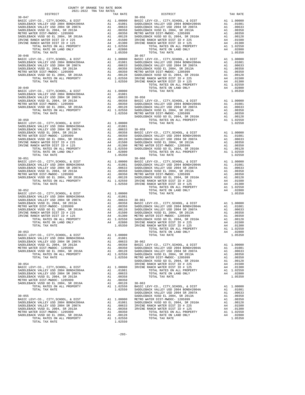| DISTRICT                                                                                                                                                                                                                                                                                             | TAX RATE | DISTRICT   | TAX RATE |
|------------------------------------------------------------------------------------------------------------------------------------------------------------------------------------------------------------------------------------------------------------------------------------------------------|----------|------------|----------|
| $30 - 047$                                                                                                                                                                                                                                                                                           |          | $30 - 056$ |          |
| $30 - 048$<br>$\begin{tabular}{ c c c c c c c c c c c c c} \hline & $0.00000 & $0.00000 & $0.00000 & $0.00000 & $0.00000 & $0.00000 & $0.00000 & $0.00000 & $0.00000 & $0.00000 & $0.00000 & $0.00000 & $0.00000 & $0.00000 & $0.00000 & $0.00000 & $0.00000 & $0.00000 & $0.00000 & $0.00000 & $0.$ |          | $30 - 057$ |          |
|                                                                                                                                                                                                                                                                                                      |          |            |          |
|                                                                                                                                                                                                                                                                                                      |          |            |          |
|                                                                                                                                                                                                                                                                                                      |          |            |          |
|                                                                                                                                                                                                                                                                                                      |          |            |          |
|                                                                                                                                                                                                                                                                                                      |          |            |          |
|                                                                                                                                                                                                                                                                                                      |          |            |          |
|                                                                                                                                                                                                                                                                                                      |          |            |          |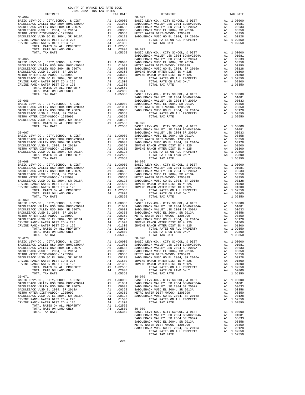|                                                                                                                                                           | COUNTY OF ORANGE TAX RATE BOOK<br>2021-2022 TRA TAX RATES                                                                |                                                             |
|-----------------------------------------------------------------------------------------------------------------------------------------------------------|--------------------------------------------------------------------------------------------------------------------------|-------------------------------------------------------------|
| DISTRICT<br>$30 - 064$                                                                                                                                    | TAX RATE                                                                                                                 | $30 - 072$                                                  |
|                                                                                                                                                           |                                                                                                                          |                                                             |
|                                                                                                                                                           |                                                                                                                          |                                                             |
|                                                                                                                                                           |                                                                                                                          |                                                             |
|                                                                                                                                                           |                                                                                                                          |                                                             |
|                                                                                                                                                           |                                                                                                                          |                                                             |
|                                                                                                                                                           |                                                                                                                          |                                                             |
|                                                                                                                                                           |                                                                                                                          | SADDLEB                                                     |
|                                                                                                                                                           |                                                                                                                          |                                                             |
|                                                                                                                                                           |                                                                                                                          |                                                             |
|                                                                                                                                                           |                                                                                                                          |                                                             |
|                                                                                                                                                           |                                                                                                                          |                                                             |
|                                                                                                                                                           |                                                                                                                          |                                                             |
|                                                                                                                                                           |                                                                                                                          |                                                             |
|                                                                                                                                                           |                                                                                                                          |                                                             |
|                                                                                                                                                           |                                                                                                                          | SADDLEB                                                     |
|                                                                                                                                                           |                                                                                                                          |                                                             |
|                                                                                                                                                           |                                                                                                                          |                                                             |
|                                                                                                                                                           |                                                                                                                          |                                                             |
|                                                                                                                                                           |                                                                                                                          |                                                             |
|                                                                                                                                                           |                                                                                                                          |                                                             |
| $30 - 067$                                                                                                                                                |                                                                                                                          | SADDLEB<br>SADDLEB                                          |
| BASIC LEVY-CO., CITY, SCHOOL, & DIST                                                                                                                      | A1 1.00000 SADDLEB<br>A1 .01081 METRO W<br>A1 .00633 SADDLEB<br>A1 .00358 IRVINE<br>A1 .00350 IRVINE<br>A1 .00350 IRVINE |                                                             |
| SADULEBATY-CO., CITI, SCROOL, & DIST<br>SADDLEBACK VALLEY USD 2004 BOND#2004A<br>SADDLEBACK VALLEY USD 2004 SR 2007A<br>SADDLEBACK VIISD EL 2004 SR 2013A |                                                                                                                          |                                                             |
| SADDLEBACK VUSD EL 2004, SR 2013A<br>METRO WATER DIST-MWDOC- 1205999                                                                                      |                                                                                                                          |                                                             |
| SADDLEBACK VUSD GO EL 2009999<br>SADDLEBACK VUSD GO EL 2004, SR 2016A<br>TOTAL RATES ON ALL PROPERTY                                                      | A1 .00128<br>A1 1.02550                                                                                                  |                                                             |
| TOTAL TAX RATE                                                                                                                                            | 1.02550                                                                                                                  |                                                             |
| $30 - 068$<br>BASIC LEVY-CO., CITY, SCHOOL, & DIST                                                                                                        |                                                                                                                          | $30 - 076$                                                  |
| SADDLEBACK VALLEY USD 2004 BOND#2004A<br>SADDLEBACK VALLEY USD 2004 SR 2007A                                                                              |                                                                                                                          |                                                             |
| SADDLEBACK VUSD EL 2004, SR 2013A                                                                                                                         |                                                                                                                          |                                                             |
| METRO WATER DIST-MWDOC- 1205999                                                                                                                           |                                                                                                                          |                                                             |
| SADDLEBACK VUSD GO EL 2004, SR 2016A<br>IRVINE RANCH WATER DIST ID # 225                                                                                  |                                                                                                                          |                                                             |
| IRVINE RANCH WATER DIST ID # 125                                                                                                                          |                                                                                                                          |                                                             |
|                                                                                                                                                           |                                                                                                                          |                                                             |
| TOTAL TAX RATE                                                                                                                                            | 1.05350                                                                                                                  | $30 - 077$                                                  |
|                                                                                                                                                           |                                                                                                                          |                                                             |
|                                                                                                                                                           |                                                                                                                          |                                                             |
|                                                                                                                                                           |                                                                                                                          |                                                             |
|                                                                                                                                                           |                                                                                                                          |                                                             |
|                                                                                                                                                           |                                                                                                                          |                                                             |
|                                                                                                                                                           |                                                                                                                          |                                                             |
| TOTAL TAX RATE                                                                                                                                            | 1.05350                                                                                                                  |                                                             |
| $30 - 070$                                                                                                                                                | A1                                                                                                                       | $30 - 078$                                                  |
| BASIC LEVY-CO., CITY, SCHOOL, & DIST<br>SADDLEBACK VALLEY USD 2004 BOND#2004A                                                                             | 1.00000<br>A1.01081                                                                                                      | BASIC L<br>SADDLEB                                          |
| SADDLEBACK VALLEY USD 2004 SR 2007A<br>SADDLEBACK VUSD EL 2004, SR 2013A                                                                                  | A1<br>.00633<br>A1<br>.00358                                                                                             | SADDLEB<br>SADDLEB                                          |
| METRO WATER DIST-MWDOC- 1205999                                                                                                                           | A1<br>.00350                                                                                                             | METRO W                                                     |
| SADDLEBACK VUSD GO EL 2004, SR 2016A<br>IRVINE RANCH WATER DIST ID # 225                                                                                  | A1<br>A4                                                                                                                 | .00128 SADDLEB<br>.01500 IRVINE<br>.01300 IRVINE<br>SADDLEB |
| IRVINE RANCH WATER DIST ID # 125                                                                                                                          | A4                                                                                                                       |                                                             |
| TOTAL RATES ON ALL PROPERTY<br>TOTAL RATE ON LAND ONLY                                                                                                    | A1 1.02550<br>A4 .02800                                                                                                  |                                                             |
| TOTAL TAX RATE                                                                                                                                            | 1.05350                                                                                                                  |                                                             |
| $30 - 071$<br>BASIC LEVY-CO., CITY, SCHOOL, & DIST                                                                                                        | A1 1.00000 BASIC<br>A1 .01081 SADDLEB<br>00633 SADDLEB<br>CADDLEB                                                        |                                                             |
| SADDLEBACK VALLEY USD 2004 BOND#2004A                                                                                                                     |                                                                                                                          |                                                             |
| SADDLEBACK VALLEY USD 2004 SR 2007A<br>SADDLEBACK VUSD EL 2004, SR 2013A                                                                                  | A1 .00358                                                                                                                | SADDLEB                                                     |
| METRO WATER DIST-MWDOC- 1205999                                                                                                                           | A1                                                                                                                       | .00350 METRO W                                              |
| SADDLEBACK VUSD GO EL 2004, SR 2016A<br>IRVINE RANCH WATER DIST ID # 225                                                                                  | .00128<br>A1<br>A4<br>.01500                                                                                             | SADDLEB                                                     |
| IRVINE RANCH WATER DIST ID # 125<br>TOTAL RATES ON ALL PROPERTY                                                                                           | A4<br>.01300<br>A1 1.02550                                                                                               |                                                             |
| TOTAL RATE ON LAND ONLY                                                                                                                                   | A4<br>.02800                                                                                                             | $30 - 080$                                                  |
| TOTAL TAX RATE                                                                                                                                            | 1.05350                                                                                                                  | BASIC L                                                     |

| COUNTY OF ORANGE TAX RATE BOOK<br>2021-2022 TRA TAX RATES                                                                                                                                                                                                                                                                                                                                                        |  |            |  |
|------------------------------------------------------------------------------------------------------------------------------------------------------------------------------------------------------------------------------------------------------------------------------------------------------------------------------------------------------------------------------------------------------------------|--|------------|--|
|                                                                                                                                                                                                                                                                                                                                                                                                                  |  |            |  |
|                                                                                                                                                                                                                                                                                                                                                                                                                  |  |            |  |
|                                                                                                                                                                                                                                                                                                                                                                                                                  |  |            |  |
|                                                                                                                                                                                                                                                                                                                                                                                                                  |  |            |  |
|                                                                                                                                                                                                                                                                                                                                                                                                                  |  |            |  |
|                                                                                                                                                                                                                                                                                                                                                                                                                  |  |            |  |
|                                                                                                                                                                                                                                                                                                                                                                                                                  |  |            |  |
|                                                                                                                                                                                                                                                                                                                                                                                                                  |  |            |  |
|                                                                                                                                                                                                                                                                                                                                                                                                                  |  |            |  |
|                                                                                                                                                                                                                                                                                                                                                                                                                  |  |            |  |
|                                                                                                                                                                                                                                                                                                                                                                                                                  |  |            |  |
|                                                                                                                                                                                                                                                                                                                                                                                                                  |  |            |  |
|                                                                                                                                                                                                                                                                                                                                                                                                                  |  |            |  |
|                                                                                                                                                                                                                                                                                                                                                                                                                  |  |            |  |
|                                                                                                                                                                                                                                                                                                                                                                                                                  |  |            |  |
|                                                                                                                                                                                                                                                                                                                                                                                                                  |  |            |  |
|                                                                                                                                                                                                                                                                                                                                                                                                                  |  |            |  |
|                                                                                                                                                                                                                                                                                                                                                                                                                  |  |            |  |
|                                                                                                                                                                                                                                                                                                                                                                                                                  |  |            |  |
|                                                                                                                                                                                                                                                                                                                                                                                                                  |  |            |  |
|                                                                                                                                                                                                                                                                                                                                                                                                                  |  |            |  |
|                                                                                                                                                                                                                                                                                                                                                                                                                  |  |            |  |
|                                                                                                                                                                                                                                                                                                                                                                                                                  |  |            |  |
|                                                                                                                                                                                                                                                                                                                                                                                                                  |  |            |  |
|                                                                                                                                                                                                                                                                                                                                                                                                                  |  |            |  |
|                                                                                                                                                                                                                                                                                                                                                                                                                  |  |            |  |
|                                                                                                                                                                                                                                                                                                                                                                                                                  |  |            |  |
|                                                                                                                                                                                                                                                                                                                                                                                                                  |  |            |  |
|                                                                                                                                                                                                                                                                                                                                                                                                                  |  |            |  |
|                                                                                                                                                                                                                                                                                                                                                                                                                  |  |            |  |
|                                                                                                                                                                                                                                                                                                                                                                                                                  |  |            |  |
|                                                                                                                                                                                                                                                                                                                                                                                                                  |  | $30 - 076$ |  |
|                                                                                                                                                                                                                                                                                                                                                                                                                  |  |            |  |
|                                                                                                                                                                                                                                                                                                                                                                                                                  |  |            |  |
|                                                                                                                                                                                                                                                                                                                                                                                                                  |  |            |  |
|                                                                                                                                                                                                                                                                                                                                                                                                                  |  |            |  |
|                                                                                                                                                                                                                                                                                                                                                                                                                  |  |            |  |
|                                                                                                                                                                                                                                                                                                                                                                                                                  |  |            |  |
|                                                                                                                                                                                                                                                                                                                                                                                                                  |  |            |  |
| $30 - 069$                                                                                                                                                                                                                                                                                                                                                                                                       |  | $30 - 077$ |  |
|                                                                                                                                                                                                                                                                                                                                                                                                                  |  |            |  |
|                                                                                                                                                                                                                                                                                                                                                                                                                  |  |            |  |
|                                                                                                                                                                                                                                                                                                                                                                                                                  |  |            |  |
|                                                                                                                                                                                                                                                                                                                                                                                                                  |  |            |  |
|                                                                                                                                                                                                                                                                                                                                                                                                                  |  |            |  |
|                                                                                                                                                                                                                                                                                                                                                                                                                  |  |            |  |
|                                                                                                                                                                                                                                                                                                                                                                                                                  |  |            |  |
|                                                                                                                                                                                                                                                                                                                                                                                                                  |  |            |  |
|                                                                                                                                                                                                                                                                                                                                                                                                                  |  |            |  |
|                                                                                                                                                                                                                                                                                                                                                                                                                  |  |            |  |
|                                                                                                                                                                                                                                                                                                                                                                                                                  |  |            |  |
|                                                                                                                                                                                                                                                                                                                                                                                                                  |  |            |  |
|                                                                                                                                                                                                                                                                                                                                                                                                                  |  |            |  |
| $\begin{tabular}{c c c c} \multicolumn{4}{c}{\textbf{1.02550}} & \multicolumn{4}{c}{\textbf{1.0250}} & \multicolumn{4}{c}{\textbf{1.0250}} & \multicolumn{4}{c}{\textbf{1.0250}} & \multicolumn{4}{c}{\textbf{1.0250}} & \multicolumn{4}{c}{\textbf{1.0250}} & \multicolumn{4}{c}{\textbf{1.0250}} & \multicolumn{4}{c}{\textbf{1.0250}} & \multicolumn{4}{c}{\textbf{1.0250}} & \multicolumn{4}{c}{\textbf{1.0$ |  |            |  |
|                                                                                                                                                                                                                                                                                                                                                                                                                  |  |            |  |
|                                                                                                                                                                                                                                                                                                                                                                                                                  |  |            |  |
|                                                                                                                                                                                                                                                                                                                                                                                                                  |  |            |  |
|                                                                                                                                                                                                                                                                                                                                                                                                                  |  |            |  |
|                                                                                                                                                                                                                                                                                                                                                                                                                  |  |            |  |
|                                                                                                                                                                                                                                                                                                                                                                                                                  |  |            |  |
|                                                                                                                                                                                                                                                                                                                                                                                                                  |  |            |  |
|                                                                                                                                                                                                                                                                                                                                                                                                                  |  |            |  |
|                                                                                                                                                                                                                                                                                                                                                                                                                  |  |            |  |
|                                                                                                                                                                                                                                                                                                                                                                                                                  |  |            |  |
|                                                                                                                                                                                                                                                                                                                                                                                                                  |  |            |  |
|                                                                                                                                                                                                                                                                                                                                                                                                                  |  |            |  |
|                                                                                                                                                                                                                                                                                                                                                                                                                  |  |            |  |
|                                                                                                                                                                                                                                                                                                                                                                                                                  |  |            |  |
|                                                                                                                                                                                                                                                                                                                                                                                                                  |  |            |  |
|                                                                                                                                                                                                                                                                                                                                                                                                                  |  |            |  |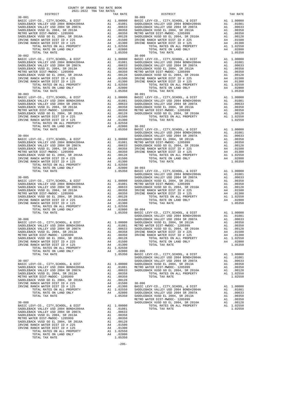| DISTRICT                                                                                                                                                                                                                                       | CEINN ANI IN ANDE-LAVA                                                                                                   | TAX RATE                                                                                            |                    |
|------------------------------------------------------------------------------------------------------------------------------------------------------------------------------------------------------------------------------------------------|--------------------------------------------------------------------------------------------------------------------------|-----------------------------------------------------------------------------------------------------|--------------------|
| $30 - 081$                                                                                                                                                                                                                                     |                                                                                                                          |                                                                                                     | $30 - 089$         |
|                                                                                                                                                                                                                                                |                                                                                                                          |                                                                                                     |                    |
|                                                                                                                                                                                                                                                |                                                                                                                          |                                                                                                     |                    |
|                                                                                                                                                                                                                                                |                                                                                                                          |                                                                                                     |                    |
|                                                                                                                                                                                                                                                |                                                                                                                          |                                                                                                     |                    |
|                                                                                                                                                                                                                                                |                                                                                                                          |                                                                                                     |                    |
|                                                                                                                                                                                                                                                |                                                                                                                          |                                                                                                     |                    |
|                                                                                                                                                                                                                                                |                                                                                                                          |                                                                                                     |                    |
|                                                                                                                                                                                                                                                |                                                                                                                          |                                                                                                     |                    |
| $30 - 082$                                                                                                                                                                                                                                     |                                                                                                                          |                                                                                                     | $30 - 090$         |
|                                                                                                                                                                                                                                                |                                                                                                                          |                                                                                                     |                    |
|                                                                                                                                                                                                                                                |                                                                                                                          |                                                                                                     |                    |
|                                                                                                                                                                                                                                                |                                                                                                                          |                                                                                                     |                    |
|                                                                                                                                                                                                                                                |                                                                                                                          |                                                                                                     |                    |
|                                                                                                                                                                                                                                                |                                                                                                                          |                                                                                                     |                    |
|                                                                                                                                                                                                                                                |                                                                                                                          |                                                                                                     |                    |
|                                                                                                                                                                                                                                                |                                                                                                                          |                                                                                                     |                    |
|                                                                                                                                                                                                                                                |                                                                                                                          |                                                                                                     |                    |
| TOTAL TAX RATE                                                                                                                                                                                                                                 |                                                                                                                          | 1.05350                                                                                             |                    |
| $30 - 083$<br>BASIC LEVY-CO., CITY, SCHOOL, & DIST                                                                                                                                                                                             |                                                                                                                          |                                                                                                     | 30-091             |
| BASIC LEVI-CO., CITY, COLLEGE BOND#2004A<br>SADDLEBACK VALLEY USD 2004 BOND#2004A                                                                                                                                                              |                                                                                                                          |                                                                                                     |                    |
| SADDLEBACK VALLEY USD 2004 SR 2007A                                                                                                                                                                                                            |                                                                                                                          |                                                                                                     |                    |
| SADDLEBACK VUSD EL 2004, SR 2013A                                                                                                                                                                                                              |                                                                                                                          |                                                                                                     |                    |
| METRO WATER DIST-MWDOC- 1205999                                                                                                                                                                                                                |                                                                                                                          |                                                                                                     |                    |
| SADDLEBACK VUSD GO EL 2004, SR 2016A<br>IRVINE RANCH WATER DIST ID # 225<br>IRVINE RANCH WATER DIST ID # 225                                                                                                                                   |                                                                                                                          |                                                                                                     |                    |
| IRVINE RANCH WATER DIST ID # 225<br>IRVINE RANCH WATER DIST ID # 125                                                                                                                                                                           |                                                                                                                          |                                                                                                     |                    |
|                                                                                                                                                                                                                                                |                                                                                                                          |                                                                                                     |                    |
|                                                                                                                                                                                                                                                |                                                                                                                          |                                                                                                     |                    |
|                                                                                                                                                                                                                                                |                                                                                                                          |                                                                                                     | SADDLEB            |
| $30 - 084$                                                                                                                                                                                                                                     |                                                                                                                          |                                                                                                     |                    |
| BASIC LEVY-CO., CITY, SCHOOL, & DIST                                                                                                                                                                                                           |                                                                                                                          |                                                                                                     |                    |
| SADDLEBACK VALLEY USD 2004 BOND#2004A<br>SADDLEBACK VALLEY USD 2004 SR 2007A                                                                                                                                                                   |                                                                                                                          |                                                                                                     |                    |
| SADDLEBACK VUSD EL 2004, SR 2013A                                                                                                                                                                                                              |                                                                                                                          |                                                                                                     |                    |
| METRO WATER DIST-MWDOC- 1205999                                                                                                                                                                                                                |                                                                                                                          |                                                                                                     |                    |
| SADDLEBACK VUSD GO EL 2004, SR 2016A<br>IRVINE RANCH WATER DIST ID # 225<br>IRVINE RANCH WATER DIST ID # 225                                                                                                                                   |                                                                                                                          |                                                                                                     |                    |
| IRVINE RANCH WATER DIST ID # 125                                                                                                                                                                                                               |                                                                                                                          |                                                                                                     |                    |
|                                                                                                                                                                                                                                                |                                                                                                                          |                                                                                                     |                    |
|                                                                                                                                                                                                                                                |                                                                                                                          |                                                                                                     |                    |
| SADDLEB<br>ACK VALLEY USD 2004 BOND#2004A<br>ACK VALLEY USD 2004 BOND#2004A<br>ACK VALLEY USD 2004 BOND#2004A<br>ACK VALLEY USD 2004 BOND#2004A<br>ACK VUSD EL 2004, SR 2013A<br>ACK VUSD EL 2004, SR 2013A<br>ACK VUSD EL 2004, SR 2013A<br>A |                                                                                                                          |                                                                                                     | SADDLEB            |
| $30 - 085$                                                                                                                                                                                                                                     |                                                                                                                          |                                                                                                     |                    |
| BASIC LEVY-CO., CITY, SCHOOL, & DIST                                                                                                                                                                                                           |                                                                                                                          |                                                                                                     |                    |
| SADDLEBACK VALLEY USD 2004 BOND#2004A                                                                                                                                                                                                          |                                                                                                                          |                                                                                                     |                    |
| SADDLEBACK VALLEY USD 2004 SR 2007A<br>SADDLEBACK VUSD EL 2004, SR 2013A                                                                                                                                                                       |                                                                                                                          |                                                                                                     |                    |
| METRO WATER DIST-MWDOC- 1205999                                                                                                                                                                                                                |                                                                                                                          |                                                                                                     |                    |
| SADDLEBACK VUSD GO EL 2003333<br>IRVINE RANCH WATER DIST ID # 275                                                                                                                                                                              |                                                                                                                          |                                                                                                     |                    |
| IRVINE RANCH WATER DIST ID # 225<br>IRVINE RANCH WATER DIST ID # 125                                                                                                                                                                           |                                                                                                                          |                                                                                                     |                    |
|                                                                                                                                                                                                                                                |                                                                                                                          |                                                                                                     |                    |
|                                                                                                                                                                                                                                                |                                                                                                                          |                                                                                                     |                    |
|                                                                                                                                                                                                                                                |                                                                                                                          |                                                                                                     |                    |
| $30 - 086$                                                                                                                                                                                                                                     |                                                                                                                          |                                                                                                     | SADDLEB            |
| BASIC LEVY-CO., CITY, SCHOOL, & DIST                                                                                                                                                                                                           | All 1,00000<br>All 1,00000 SADDLEB<br>All .01081 METRO N<br>All .00633 SADDLEB<br>All .00358 IRVINE<br>All .00358 IRVINE |                                                                                                     |                    |
| SADDLEBACK VALLEY USD 2004 BOND#2004A                                                                                                                                                                                                          |                                                                                                                          |                                                                                                     |                    |
| SADDLEBACK VALLEY USD 2004 SR 2007A<br>SADDLEBACK VUSD EL 2004, SR 2013A                                                                                                                                                                       |                                                                                                                          |                                                                                                     |                    |
| METRO WATER DIST-MWDOC- 1205999                                                                                                                                                                                                                | A1                                                                                                                       | .00350                                                                                              | IRVINE             |
| SADDLEBACK VUSD GO EL 2004, SR 2016A                                                                                                                                                                                                           | A1                                                                                                                       | .00128                                                                                              |                    |
| IRVINE RANCH WATER DIST ID # 225<br>IRVINE RANCH WATER DIST ID # 125                                                                                                                                                                           | A4                                                                                                                       | .01500<br>.01300                                                                                    |                    |
| TOTAL RATES ON ALL PROPERTY                                                                                                                                                                                                                    | A4                                                                                                                       | A1 1.02550                                                                                          |                    |
| TOTAL RATE ON LAND ONLY                                                                                                                                                                                                                        |                                                                                                                          | A1 1.04<br>A4 .02800 30-09<br>A4 .05350 BASIC L                                                     |                    |
| TOTAL TAX RATE                                                                                                                                                                                                                                 |                                                                                                                          |                                                                                                     |                    |
| $30 - 087$                                                                                                                                                                                                                                     |                                                                                                                          |                                                                                                     | SADDLEB<br>SADDLEB |
| BASIC LEVY-CO., CITY, SCHOOL, & DIST                                                                                                                                                                                                           |                                                                                                                          |                                                                                                     |                    |
| SADDLEBACK VALLEY USD 2004 BOND#2004A                                                                                                                                                                                                          |                                                                                                                          | A1 1.00000 SADDLEB<br>A1 .01081 METROW<br>A1 .00633 SADDLEB                                         |                    |
| SADDLEBACK VALLEY USD 2004 SR 2007A                                                                                                                                                                                                            |                                                                                                                          |                                                                                                     |                    |
| SADDLEBACK VUSD EL 2004, SR 2013A<br>METRO WATER DIST-MWDOC- 1205999                                                                                                                                                                           | A1                                                                                                                       | A1.00358<br>.00350                                                                                  |                    |
| SADDLEBACK VUSD GO EL 2004, SR 2016A                                                                                                                                                                                                           | A1                                                                                                                       | .00128                                                                                              |                    |
| IRVINE RANCH WATER DIST ID # 225                                                                                                                                                                                                               |                                                                                                                          | A4 .01500<br>A4 .01300                                                                              | $30 - 096$         |
| IRVINE RANCH WATER DIST ID # 125                                                                                                                                                                                                               |                                                                                                                          |                                                                                                     |                    |
| TOTAL RATES ON ALL PROPERTY<br>TOTAL RATE ON LAND ONLY                                                                                                                                                                                         |                                                                                                                          | A4 .01500 30-096<br>A4 .01300 BASIC L<br>A1 1.02550 SADDLEB<br>A4 .02800 SADDLEB<br>1.05350 SADDLEB |                    |
| TOTAL TAX RATE                                                                                                                                                                                                                                 |                                                                                                                          |                                                                                                     |                    |
|                                                                                                                                                                                                                                                |                                                                                                                          |                                                                                                     | METRO W            |
| $30 - 088$                                                                                                                                                                                                                                     |                                                                                                                          |                                                                                                     | SADDLEB            |
| BASIC LEVY-CO., CITY, SCHOOL, & DIST<br>SADDLEBACK VALLEY USD 2004 BOND#2004A                                                                                                                                                                  | A1                                                                                                                       | 1.00000<br>A1 .01081                                                                                |                    |
| SADDLEBACK VALLEY USD 2004 SR 2007A                                                                                                                                                                                                            | A1                                                                                                                       | .00633                                                                                              |                    |
| SADDLEBACK VUSD EL 2004, SR 2013A                                                                                                                                                                                                              |                                                                                                                          | A1.00358                                                                                            |                    |
| METRO WATER DIST-MWDOC- 1205999                                                                                                                                                                                                                |                                                                                                                          | A1.00350                                                                                            |                    |
| SADDLEBACK VUSD GO EL 2004, SR 2016A<br>IRVINE RANCH WATER DIST ID # 225                                                                                                                                                                       | A1<br>A4                                                                                                                 | .00128<br>.01500                                                                                    |                    |
| IRVINE RANCH WATER DIST ID # 125                                                                                                                                                                                                               | A4                                                                                                                       | .01300                                                                                              |                    |
| TOTAL RATES ON ALL PROPERTY                                                                                                                                                                                                                    |                                                                                                                          | A1 1.02550<br>A4 .02800                                                                             |                    |
| TOTAL RATE ON LAND ONLY<br>TOTAL TAX RATE                                                                                                                                                                                                      |                                                                                                                          | .02800                                                                                              |                    |
|                                                                                                                                                                                                                                                |                                                                                                                          | 1.05350                                                                                             |                    |

-295-

| TOTAL RATE ON ALL PROPERTY AT 1.02500 30–095<br>TOTAL RATE ON ALL PROPERTY AN 1.02500 30–095<br>TOTAL TAX RATE $1.05350$ BASIC LEVY-CO, CITY, SCHOOL, & DIST<br>30–087<br>AN 1.01081<br>SADDLEBACK VALLEY USD 2004 SRADLEBACK VALLEY US |  |
|-----------------------------------------------------------------------------------------------------------------------------------------------------------------------------------------------------------------------------------------|--|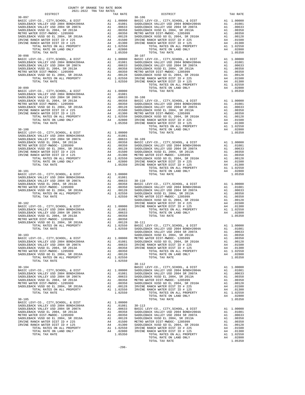| DISTRICT | 2021-2022 TRA TAX RATES | TAX RATE | DISTRICT   | TAX RATE |
|----------|-------------------------|----------|------------|----------|
|          |                         |          |            |          |
|          |                         |          |            |          |
|          |                         |          |            |          |
|          |                         |          |            |          |
|          |                         |          |            |          |
|          |                         |          |            |          |
|          |                         |          |            |          |
|          |                         |          |            |          |
|          |                         |          |            |          |
|          |                         |          |            |          |
|          |                         |          |            |          |
|          |                         |          |            |          |
|          |                         |          |            |          |
|          |                         |          |            |          |
|          |                         |          |            |          |
|          |                         |          |            |          |
|          |                         |          |            |          |
|          |                         |          |            |          |
|          |                         |          |            |          |
|          |                         |          |            |          |
|          |                         |          |            |          |
|          |                         |          |            |          |
|          |                         |          |            |          |
|          |                         |          |            |          |
|          |                         |          |            |          |
|          |                         |          |            |          |
|          |                         |          |            |          |
|          |                         |          |            |          |
|          |                         |          |            |          |
|          |                         |          |            |          |
|          |                         |          |            |          |
|          |                         |          |            |          |
|          |                         |          |            |          |
|          |                         |          |            |          |
|          |                         |          |            |          |
|          |                         |          |            |          |
|          |                         |          |            |          |
|          |                         |          |            |          |
|          |                         |          |            |          |
|          |                         |          |            |          |
|          |                         |          |            |          |
|          |                         |          |            |          |
|          |                         |          |            |          |
|          |                         |          |            |          |
|          |                         |          |            |          |
|          |                         |          |            |          |
|          |                         |          |            |          |
|          |                         |          |            |          |
|          |                         |          |            |          |
|          |                         |          |            |          |
|          |                         |          |            |          |
|          |                         |          |            |          |
|          |                         |          |            |          |
|          |                         |          |            |          |
|          |                         |          |            |          |
|          |                         |          |            |          |
|          |                         |          |            |          |
|          |                         |          |            |          |
|          |                         |          |            |          |
|          |                         |          | $30 - 112$ |          |
|          |                         |          |            |          |
|          |                         |          |            |          |
|          |                         |          |            |          |
|          |                         |          |            |          |
|          |                         |          |            |          |
|          |                         |          |            |          |
|          |                         |          |            |          |
|          |                         |          |            |          |
|          |                         |          |            |          |
|          |                         |          |            |          |
|          |                         |          |            |          |
|          |                         |          |            |          |
|          |                         |          |            |          |
|          |                         |          |            |          |
|          |                         |          |            |          |
|          |                         |          |            |          |
|          |                         |          |            |          |
|          |                         |          |            |          |
|          |                         |          |            |          |

COUNTY OF ORANGE TAX RATE BOOK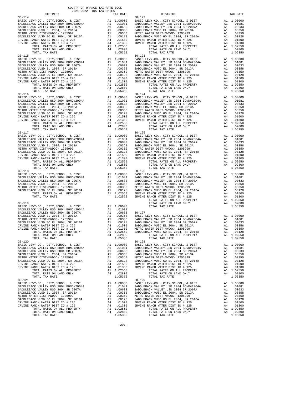| DISTRICT                                                                                                                                                                                                                                                                                                                                                                                                                                                                                           |                                                  | TAX RATE                                                                                                                                                                                                                |                                                                                                  |
|----------------------------------------------------------------------------------------------------------------------------------------------------------------------------------------------------------------------------------------------------------------------------------------------------------------------------------------------------------------------------------------------------------------------------------------------------------------------------------------------------|--------------------------------------------------|-------------------------------------------------------------------------------------------------------------------------------------------------------------------------------------------------------------------------|--------------------------------------------------------------------------------------------------|
| $30 - 114$<br>TOTAL TAX RATE                                                                                                                                                                                                                                                                                                                                                                                                                                                                       |                                                  | 1.05350                                                                                                                                                                                                                 | $30 - 122$                                                                                       |
| $30 - 115$<br>BASIC LEVY-CO., CITY, SCHOOL, & DIST<br>METRO WATER DIST-MWDOC- 1205999<br>METRO WALER PLD1 RWDCO ==: SR 2016A<br>SADDLEBACK VUSD GO EL 2004, SR 2016A<br>IRVINE RANCH WATER DIST ID # 225<br>IRVINE RANCH WATER DIST ID # 125                                                                                                                                                                                                                                                       |                                                  |                                                                                                                                                                                                                         | $30 - 123$                                                                                       |
| $30 - 116$<br>TOTAL TAX RATE                                                                                                                                                                                                                                                                                                                                                                                                                                                                       |                                                  | 1.05350                                                                                                                                                                                                                 | $30 - 124$                                                                                       |
| $30 - 117$<br>BASIC LEVY-CO., CITY, SCHOOL, & DIST<br>SADDLEBACK VALLEY USD 2004 BOND#2004A<br>SADDLEBACK VALLEY USD 2004 SR 2007A<br>SADDLEBACK VUSD EL 2004, SR 2013A<br>METRO WATER DIST-MWDOC- 1205999<br>SADDLEBACK VUSD GO EL 2004, SR 2016A<br>IRVINE RANCH WATER DIST ID # 225<br>IRVINE RANCH WATER DIST ID # 125<br>RANCH WATER DIST ID # $\angle$ 425<br>RANCH WATER DIST ID # 125<br>TOTAL RATES ON ALL PROPERTY A1 1.02550<br>TOTAL RATES ON ALL PROPERTY A4 .02800<br>TOTAL TAX RATE |                                                  | A1 1.00000 BASIC L<br>A1 .01081 SADDLEB<br>A1 .00633 SADDLEB<br>A1 .00358 SADDLEB<br>A1 .00358 SADDLEB<br>A1 .00350 METRO W<br>A1 .01208 SADDLEB<br>A4 .01500 IRVINE<br>A4 .01500 IRVINE<br>A4 .01300 IRVINE<br>1.05350 | $30 - 125$                                                                                       |
| $30 - 118$                                                                                                                                                                                                                                                                                                                                                                                                                                                                                         |                                                  |                                                                                                                                                                                                                         | $30 - 126$                                                                                       |
| $30 - 119$<br>BASIC LEVY-CO., CITY, SCHOOL, & DIST<br>SADDLEBACK VALLEY USD 2004 BOND#2004A                                                                                                                                                                                                                                                                                                                                                                                                        | A1 .01081<br>A1 .01081<br>A1 .00358<br>A1 .00358 | A1 1.00000                                                                                                                                                                                                              |                                                                                                  |
| $30 - 120$<br>BASIC LEVY-CO., CITY, SCHOOL, & DIST<br>SADDLEBACK VALLEY USD 2004 BOND#2004A<br>SADDLEBACK VALLEY USD 2004 SR 2007A<br>SADDLEBACK VUSD EL 2004, SR 2013A<br>METRO WATER DIST-MWDOC- 1205999<br>SADDLEBACK VUSD GO EL 2004, SR 2016A<br>IRVINE RANCH WATER DIST ID # 225<br>IRVINE RANCH WATER DIST ID # 125<br>TOTAL RATES ON ALL PROPERTY<br>TOTAL RATE ON LAND ONLY                                                                                                               | A1<br>A1<br>A1<br>A1<br>A4<br>A4                 | A1 1.00000<br>A1 .01081<br>.00633<br>.00358<br>.00350<br>.00128<br>.01500<br>.01300<br>A1 1.02550<br>A4 .02800                                                                                                          | $30 - 128$<br>BASIC L<br>SADDLEB<br>SADDLEB<br>SADDLEB<br>METRO W<br>SADDLEB<br>IRVINE<br>IRVINE |
| TOTAL TAX RATE<br>$30 - 121$<br>BASIC LEVY-CO., CITY, SCHOOL, & DIST<br>SADDLEBACK VALLEY USD 2004 BOND#2004A<br>SADDLEBACK VALLEY USD 2004 SR 2007A<br>SADDLEBACK VUSD EL 2004, SR 2013A<br>METRO WATER DIST-MWDOC- 1205999<br>SADDLEBACK VUSD GO EL 2004, SR 2016A<br>IRVINE RANCH WATER DIST ID # 225<br>IRVINE RANCH WATER DIST ID # 125<br>TOTAL RATES ON ALL PROPERTY<br>TOTAL RATE ON LAND ONLY<br>$m \wedge m \wedge r$<br>may namn.                                                       | A1<br>A1<br>A1<br>A1<br>A1<br>A4<br>A4<br>A4     | 1.05350<br>1.00000<br>.01081<br>.00633<br>.00358<br>A1 .00350<br>.00128<br>.01500<br>.01300<br>A1 1.02550<br>.02800<br><b>AFREA</b>                                                                                     | $30 - 129$<br>BASIC L<br>SADDLEB<br>SADDLEB<br>SADDLEB<br>METRO W<br>SADDLEB<br>IRVINE<br>IRVINE |

| COUNTY OF ORANGE TAX RATE BOOK<br>2021–2022 יום הפיד מספר |          |            |          |
|-----------------------------------------------------------|----------|------------|----------|
|                                                           | TAX RATE | DISTRICT   | TAX RATE |
|                                                           |          | $30 - 122$ |          |
|                                                           |          |            |          |
|                                                           |          |            |          |
|                                                           |          |            |          |
|                                                           |          |            |          |
|                                                           |          |            |          |
|                                                           |          |            |          |
|                                                           |          |            |          |
|                                                           |          |            |          |
|                                                           |          |            |          |
|                                                           |          |            |          |
|                                                           |          |            |          |
|                                                           |          |            |          |
|                                                           |          |            |          |
|                                                           |          |            |          |
|                                                           |          |            |          |
|                                                           |          |            |          |
|                                                           |          |            |          |
|                                                           |          |            |          |
|                                                           |          |            |          |
|                                                           |          |            |          |
|                                                           |          |            |          |
|                                                           |          |            |          |
|                                                           |          |            |          |
|                                                           |          |            |          |
|                                                           |          |            |          |
|                                                           |          |            |          |
|                                                           |          |            |          |
|                                                           |          |            |          |
|                                                           |          |            |          |
|                                                           |          |            |          |
|                                                           |          |            |          |
|                                                           |          |            |          |
|                                                           |          |            |          |
|                                                           |          |            |          |
|                                                           |          |            |          |
|                                                           |          |            |          |
|                                                           |          |            |          |
|                                                           |          |            |          |
|                                                           |          |            |          |
|                                                           |          |            |          |
|                                                           |          |            |          |
|                                                           |          |            |          |
|                                                           |          |            |          |
| $30 - 121$                                                |          | $30 - 129$ |          |
|                                                           |          |            |          |
|                                                           |          |            |          |
|                                                           |          |            |          |
|                                                           |          |            |          |
|                                                           |          |            |          |
|                                                           |          |            |          |
|                                                           |          |            |          |

-297-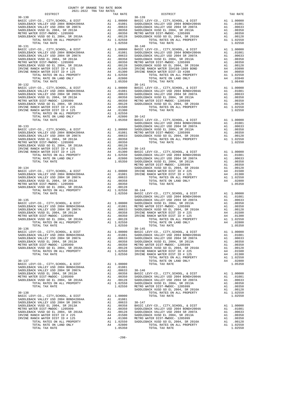| COUNTY OF ORANGE TAX RATE BOOK<br>2021-2022 TRA TAX RATES                                                                                                  |    |                                                                                                        |                                      |
|------------------------------------------------------------------------------------------------------------------------------------------------------------|----|--------------------------------------------------------------------------------------------------------|--------------------------------------|
| DISTRICT<br>$30 - 130$                                                                                                                                     |    | TAX RATE                                                                                               | $30 - 139$                           |
|                                                                                                                                                            |    |                                                                                                        |                                      |
|                                                                                                                                                            |    |                                                                                                        |                                      |
|                                                                                                                                                            |    |                                                                                                        |                                      |
|                                                                                                                                                            |    |                                                                                                        |                                      |
|                                                                                                                                                            |    |                                                                                                        |                                      |
|                                                                                                                                                            |    |                                                                                                        |                                      |
| TOTAL TAX RATE                                                                                                                                             |    | 1.02550                                                                                                |                                      |
| $30 - 131$                                                                                                                                                 |    |                                                                                                        | $30 - 140$                           |
|                                                                                                                                                            |    |                                                                                                        |                                      |
|                                                                                                                                                            |    |                                                                                                        |                                      |
|                                                                                                                                                            |    |                                                                                                        |                                      |
|                                                                                                                                                            |    |                                                                                                        |                                      |
|                                                                                                                                                            |    |                                                                                                        |                                      |
|                                                                                                                                                            |    |                                                                                                        |                                      |
|                                                                                                                                                            |    |                                                                                                        |                                      |
|                                                                                                                                                            |    |                                                                                                        |                                      |
| TOTAL TAX RATE                                                                                                                                             |    | 1.05350                                                                                                |                                      |
| $30 - 132$                                                                                                                                                 |    |                                                                                                        | $30 - 141$                           |
| BASIC LEVY-CO., CITY, SCHOOL, & DIST                                                                                                                       |    |                                                                                                        |                                      |
| SADDLEBACK VALLEY USD 2004 BOND#2004A<br>SADDLEBACK VALLEY USD 2004 BOND#2004A<br>SADDLEBACK VALLEY USD 2004 SR 2007A                                      |    |                                                                                                        |                                      |
| SADDLEBACK VUSD EL 2004, SR 2013A<br>METRO WATER DIST-MWDOC- 1205999                                                                                       |    |                                                                                                        |                                      |
|                                                                                                                                                            |    |                                                                                                        |                                      |
| MEIRO WAIER DISI-MWDOC- 1203999<br>SADDLEBACK VUSD GO EL 2004, SR 2016A<br>IRVINE RANCH WATER DIST ID # 225                                                |    |                                                                                                        |                                      |
| IRVINE RANCH WATER DIST ID # 125                                                                                                                           |    |                                                                                                        |                                      |
|                                                                                                                                                            |    |                                                                                                        |                                      |
|                                                                                                                                                            |    |                                                                                                        |                                      |
|                                                                                                                                                            |    |                                                                                                        |                                      |
| $30 - 133$                                                                                                                                                 |    |                                                                                                        | SADDLEB<br>SADDLEB                   |
| BASIC LEVY-CO., CITY, SCHOOL, & DIST                                                                                                                       |    |                                                                                                        |                                      |
| BASIC LEVY-CO., CITY, SCHOOL, & DIST<br>SADDLEBACK VALLEY USD 2004 BOND#2004A<br>SADDLEBACK VALLEY USD 2004 SR 2007A<br>ADDLEBACK VALLEY USD 2004 SR 2007A |    |                                                                                                        |                                      |
|                                                                                                                                                            |    |                                                                                                        |                                      |
| SADDLEBACK VUSD EL 2004, SR 2013A                                                                                                                          |    |                                                                                                        |                                      |
| METRO WATER DIST-MWDOC- 1205999<br>SADDLEBACK VUSI-PINDOC- 1203333<br>SADDLEBACK VUSD GO EL 2004, SR 2016A                                                 |    |                                                                                                        |                                      |
| IRVINE RANCH WATER DIST ID # 225                                                                                                                           |    |                                                                                                        |                                      |
| IRVINE RANCH WATER DIST ID # 125                                                                                                                           |    |                                                                                                        |                                      |
|                                                                                                                                                            |    |                                                                                                        |                                      |
|                                                                                                                                                            |    |                                                                                                        |                                      |
|                                                                                                                                                            |    |                                                                                                        | METRO W                              |
| $30 - 134$                                                                                                                                                 |    |                                                                                                        | SADDLEB                              |
|                                                                                                                                                            |    |                                                                                                        |                                      |
|                                                                                                                                                            |    |                                                                                                        |                                      |
|                                                                                                                                                            |    |                                                                                                        |                                      |
|                                                                                                                                                            |    |                                                                                                        |                                      |
|                                                                                                                                                            |    |                                                                                                        |                                      |
|                                                                                                                                                            |    |                                                                                                        |                                      |
|                                                                                                                                                            |    |                                                                                                        |                                      |
|                                                                                                                                                            |    |                                                                                                        | SADDLEB                              |
|                                                                                                                                                            |    |                                                                                                        |                                      |
|                                                                                                                                                            |    |                                                                                                        |                                      |
|                                                                                                                                                            |    |                                                                                                        |                                      |
|                                                                                                                                                            |    |                                                                                                        |                                      |
|                                                                                                                                                            |    |                                                                                                        |                                      |
|                                                                                                                                                            |    |                                                                                                        |                                      |
|                                                                                                                                                            |    |                                                                                                        |                                      |
|                                                                                                                                                            |    |                                                                                                        |                                      |
| SADDLEBACK VALLEY USD 2004 BOND#2004A                                                                                                                      |    | A1 1.00000 BASIC L<br>A1 .01081 SADDLEB<br>.01081                                                      |                                      |
| SADDLEBACK VALLEY USD 2004 SR 2007A                                                                                                                        |    | A1 .01081 SADDLEB<br>A1 .00633 SADDLEB<br>A1 .00358 SADDLEB<br>A1 .00350 METROW<br>A1 .00128 SADDLEB   |                                      |
| SADDLEBACK VUSD EL 2004, SR 2013A                                                                                                                          |    |                                                                                                        |                                      |
| METRO WATER DIST-MWDOC- 1205999                                                                                                                            |    |                                                                                                        |                                      |
| SADDLEBACK VUSD GO EL 2004, SR 2016A                                                                                                                       | A1 |                                                                                                        |                                      |
| TOTAL RATES ON ALL PROPERTY<br>TOTAL TAX RATE                                                                                                              |    | A1 1.02550<br>1.02550                                                                                  | IRVINE<br>IRVINE                     |
|                                                                                                                                                            |    |                                                                                                        |                                      |
| $30 - 137$                                                                                                                                                 |    |                                                                                                        |                                      |
| BASIC LEVY-CO., CITY, SCHOOL, & DIST                                                                                                                       |    | A1 1.00000                                                                                             |                                      |
| SADDLEBACK VALLEY USD 2004 BOND#2004A                                                                                                                      | A1 | A1 .01081                                                                                              |                                      |
| SADDLEBACK VALLEY USD 2004 SR 2007A<br>SADDLEBACK VUSD EL 2004, SR 2013A                                                                                   | A1 | .00633<br>.00358                                                                                       | $30 - 146$<br>BASIC L                |
| METRO WATER DIST-MWDOC- 1205999                                                                                                                            | A1 |                                                                                                        | $.00350$ SADDLEB<br>$.00128$ SADDLEB |
| SADDLEBACK VUSD GO EL 2004, SR 2016A                                                                                                                       | A1 | .00128                                                                                                 |                                      |
| TOTAL RATES ON ALL PROPERTY                                                                                                                                |    | A1 1.02550 SADDLEB                                                                                     |                                      |
| TOTAL TAX RATE                                                                                                                                             |    | 1.02550                                                                                                | METRO W                              |
| $30 - 138$                                                                                                                                                 |    |                                                                                                        | SADDLEB                              |
| BASIC LEVY-CO., CITY, SCHOOL, & DIST                                                                                                                       |    | A1 1.00000                                                                                             |                                      |
| SADDLEBACK VALLEY USD 2004 BOND#2004A                                                                                                                      |    | A1 .01081                                                                                              |                                      |
| SADDLEBACK VALLEY USD 2004 SR 2007A                                                                                                                        | A1 | .00633                                                                                                 | $30 - 147$                           |
| SADDLEBACK VUSD EL 2004, SR 2013A<br>METRO WATER DIST-MWDOC- 1205999                                                                                       | A1 | .00358                                                                                                 | BASIC L                              |
| SADDLEBACK VUSD GO EL 2004, SR 2016A                                                                                                                       |    |                                                                                                        |                                      |
| IRVINE RANCH WATER DIST ID # 225                                                                                                                           |    |                                                                                                        |                                      |
| IRVINE RANCH WATER DIST ID # 125                                                                                                                           |    | A1 .00350 SADDLEB<br>A1 .00128 SADDLEB<br>A4 .01300 SADDLEB<br>A4 .01300 METRO W<br>A1 1.02550 SADDLEB |                                      |
| TOTAL RATES ON ALL PROPERTY                                                                                                                                |    |                                                                                                        |                                      |
| TOTAL RATE ON LAND ONLY                                                                                                                                    |    | A4 .02800                                                                                              |                                      |

| DISTRICT | 2021-2022 TRA TAX RATES | TAX RATE | DISTRICT                                                                                                                                                                                                                                                                                                                                                                                                                    | TAX RATE |
|----------|-------------------------|----------|-----------------------------------------------------------------------------------------------------------------------------------------------------------------------------------------------------------------------------------------------------------------------------------------------------------------------------------------------------------------------------------------------------------------------------|----------|
|          |                         |          |                                                                                                                                                                                                                                                                                                                                                                                                                             |          |
|          |                         |          |                                                                                                                                                                                                                                                                                                                                                                                                                             |          |
|          |                         |          |                                                                                                                                                                                                                                                                                                                                                                                                                             |          |
|          |                         |          |                                                                                                                                                                                                                                                                                                                                                                                                                             |          |
|          |                         |          |                                                                                                                                                                                                                                                                                                                                                                                                                             |          |
|          |                         |          |                                                                                                                                                                                                                                                                                                                                                                                                                             |          |
|          |                         |          |                                                                                                                                                                                                                                                                                                                                                                                                                             |          |
|          |                         |          | 1797112 ANTS (1972) 2002 17972 11.00000 179712 11.00000 179712 2002 17972 2002 17972 2002 17972 2002 17972 2002 17972 2002 17972 2002 17972 2002 17972 2002 17972 2002 17972 2002 17972 2002 17972 2002 17972 2002 17972 2002                                                                                                                                                                                               |          |
|          |                         |          |                                                                                                                                                                                                                                                                                                                                                                                                                             |          |
|          |                         |          |                                                                                                                                                                                                                                                                                                                                                                                                                             |          |
|          |                         |          |                                                                                                                                                                                                                                                                                                                                                                                                                             |          |
|          |                         |          |                                                                                                                                                                                                                                                                                                                                                                                                                             |          |
|          |                         |          |                                                                                                                                                                                                                                                                                                                                                                                                                             |          |
|          |                         |          |                                                                                                                                                                                                                                                                                                                                                                                                                             |          |
|          |                         |          |                                                                                                                                                                                                                                                                                                                                                                                                                             |          |
|          |                         |          |                                                                                                                                                                                                                                                                                                                                                                                                                             |          |
|          |                         |          |                                                                                                                                                                                                                                                                                                                                                                                                                             |          |
|          |                         |          |                                                                                                                                                                                                                                                                                                                                                                                                                             |          |
|          |                         |          |                                                                                                                                                                                                                                                                                                                                                                                                                             |          |
|          |                         |          |                                                                                                                                                                                                                                                                                                                                                                                                                             |          |
|          |                         |          |                                                                                                                                                                                                                                                                                                                                                                                                                             |          |
|          |                         |          |                                                                                                                                                                                                                                                                                                                                                                                                                             |          |
|          |                         |          |                                                                                                                                                                                                                                                                                                                                                                                                                             |          |
|          |                         |          |                                                                                                                                                                                                                                                                                                                                                                                                                             |          |
|          |                         |          |                                                                                                                                                                                                                                                                                                                                                                                                                             |          |
|          |                         |          |                                                                                                                                                                                                                                                                                                                                                                                                                             |          |
|          |                         |          |                                                                                                                                                                                                                                                                                                                                                                                                                             |          |
|          |                         |          |                                                                                                                                                                                                                                                                                                                                                                                                                             |          |
|          |                         |          |                                                                                                                                                                                                                                                                                                                                                                                                                             |          |
|          |                         |          |                                                                                                                                                                                                                                                                                                                                                                                                                             |          |
|          |                         |          |                                                                                                                                                                                                                                                                                                                                                                                                                             |          |
|          |                         |          |                                                                                                                                                                                                                                                                                                                                                                                                                             |          |
|          |                         |          |                                                                                                                                                                                                                                                                                                                                                                                                                             |          |
|          |                         |          |                                                                                                                                                                                                                                                                                                                                                                                                                             |          |
|          |                         |          |                                                                                                                                                                                                                                                                                                                                                                                                                             |          |
|          |                         |          |                                                                                                                                                                                                                                                                                                                                                                                                                             |          |
|          |                         |          |                                                                                                                                                                                                                                                                                                                                                                                                                             |          |
|          |                         |          |                                                                                                                                                                                                                                                                                                                                                                                                                             |          |
|          |                         |          |                                                                                                                                                                                                                                                                                                                                                                                                                             |          |
|          |                         |          |                                                                                                                                                                                                                                                                                                                                                                                                                             |          |
|          |                         |          |                                                                                                                                                                                                                                                                                                                                                                                                                             |          |
|          |                         |          |                                                                                                                                                                                                                                                                                                                                                                                                                             |          |
|          |                         |          |                                                                                                                                                                                                                                                                                                                                                                                                                             |          |
|          |                         |          |                                                                                                                                                                                                                                                                                                                                                                                                                             |          |
|          |                         |          |                                                                                                                                                                                                                                                                                                                                                                                                                             |          |
|          |                         |          |                                                                                                                                                                                                                                                                                                                                                                                                                             |          |
|          |                         |          |                                                                                                                                                                                                                                                                                                                                                                                                                             |          |
|          |                         |          |                                                                                                                                                                                                                                                                                                                                                                                                                             |          |
|          |                         |          |                                                                                                                                                                                                                                                                                                                                                                                                                             |          |
|          |                         |          |                                                                                                                                                                                                                                                                                                                                                                                                                             |          |
|          |                         |          |                                                                                                                                                                                                                                                                                                                                                                                                                             |          |
|          |                         |          |                                                                                                                                                                                                                                                                                                                                                                                                                             |          |
|          |                         |          |                                                                                                                                                                                                                                                                                                                                                                                                                             |          |
|          |                         |          |                                                                                                                                                                                                                                                                                                                                                                                                                             |          |
|          |                         |          |                                                                                                                                                                                                                                                                                                                                                                                                                             |          |
|          |                         |          |                                                                                                                                                                                                                                                                                                                                                                                                                             |          |
|          |                         |          |                                                                                                                                                                                                                                                                                                                                                                                                                             |          |
|          |                         |          |                                                                                                                                                                                                                                                                                                                                                                                                                             |          |
|          |                         |          |                                                                                                                                                                                                                                                                                                                                                                                                                             |          |
|          |                         |          |                                                                                                                                                                                                                                                                                                                                                                                                                             |          |
|          |                         |          | $\begin{tabular}{c c c c} \multicolumn{4}{c}{\textbf{50-13}} & \multicolumn{4}{c}{\textbf{50-13}} & \multicolumn{4}{c}{\textbf{50-13}} & \multicolumn{4}{c}{\textbf{50-13}} & \multicolumn{4}{c}{\textbf{50-13}} & \multicolumn{4}{c}{\textbf{50-13}} & \multicolumn{4}{c}{\textbf{50-13}} & \multicolumn{4}{c}{\textbf{50-13}} & \multicolumn{4}{c}{\textbf{50-13}} & \multicolumn{4}{c}{\textbf{50-13}} & \multicolumn{4$ |          |
|          |                         |          |                                                                                                                                                                                                                                                                                                                                                                                                                             |          |
|          |                         |          |                                                                                                                                                                                                                                                                                                                                                                                                                             |          |
|          |                         |          |                                                                                                                                                                                                                                                                                                                                                                                                                             |          |
|          |                         |          |                                                                                                                                                                                                                                                                                                                                                                                                                             |          |
|          |                         |          |                                                                                                                                                                                                                                                                                                                                                                                                                             |          |
|          |                         |          |                                                                                                                                                                                                                                                                                                                                                                                                                             |          |
|          |                         |          |                                                                                                                                                                                                                                                                                                                                                                                                                             |          |
|          |                         |          |                                                                                                                                                                                                                                                                                                                                                                                                                             |          |
|          |                         |          |                                                                                                                                                                                                                                                                                                                                                                                                                             |          |
|          |                         |          |                                                                                                                                                                                                                                                                                                                                                                                                                             |          |
|          |                         |          |                                                                                                                                                                                                                                                                                                                                                                                                                             |          |
|          |                         |          |                                                                                                                                                                                                                                                                                                                                                                                                                             |          |
|          |                         |          |                                                                                                                                                                                                                                                                                                                                                                                                                             |          |
|          |                         |          |                                                                                                                                                                                                                                                                                                                                                                                                                             |          |
|          |                         |          |                                                                                                                                                                                                                                                                                                                                                                                                                             |          |
|          |                         |          |                                                                                                                                                                                                                                                                                                                                                                                                                             |          |
|          |                         |          |                                                                                                                                                                                                                                                                                                                                                                                                                             |          |
|          |                         |          |                                                                                                                                                                                                                                                                                                                                                                                                                             |          |
|          |                         |          |                                                                                                                                                                                                                                                                                                                                                                                                                             |          |
|          |                         |          |                                                                                                                                                                                                                                                                                                                                                                                                                             |          |
|          |                         |          |                                                                                                                                                                                                                                                                                                                                                                                                                             |          |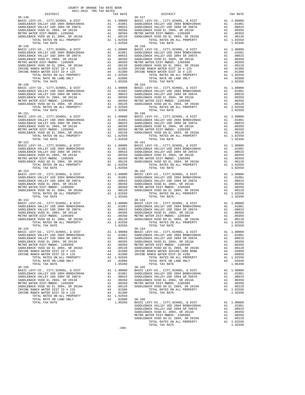| DISTRICT                                                             |    | TAX RATE                                                                                                                                                                                  |                    |
|----------------------------------------------------------------------|----|-------------------------------------------------------------------------------------------------------------------------------------------------------------------------------------------|--------------------|
| $30 - 148$                                                           |    |                                                                                                                                                                                           | $30 - 157$         |
| BASIC LEVY-CO., CITY, SCHOOL, & DIST                                 |    |                                                                                                                                                                                           |                    |
|                                                                      |    |                                                                                                                                                                                           |                    |
|                                                                      |    |                                                                                                                                                                                           |                    |
|                                                                      |    |                                                                                                                                                                                           |                    |
| SADDLEBACK VUSD EL 2004, SR 2013A<br>METRO WATER DIST-MWDOC- 1205999 |    |                                                                                                                                                                                           |                    |
|                                                                      |    | 30–157<br>A1 1.00000 BASIC L<br>A1 .01081 SADDLEB<br>A1 .00633 SADDLEB<br>A1 .00358 SADDLEB<br>A1 .00350 METRO W<br>A1 .00128 SADDLEB<br>A1 .00128 SADDLEB<br>A1 1.02550                  |                    |
| SADDLEBACK VUSD GO EL 2004, SR 2016A                                 |    |                                                                                                                                                                                           |                    |
| TOTAL RATES ON ALL PROPERTY                                          |    |                                                                                                                                                                                           |                    |
| TOTAL TAX RATE                                                       |    | 1.02550                                                                                                                                                                                   |                    |
| $30 - 149$                                                           |    |                                                                                                                                                                                           | $30 - 158$         |
| BASIC LEVY-CO., CITY, SCHOOL, & DIST                                 |    |                                                                                                                                                                                           |                    |
|                                                                      |    |                                                                                                                                                                                           |                    |
| SADDLEBACK VALLEY USD 2004 BOND#2004A                                |    |                                                                                                                                                                                           |                    |
| SADDLEBACK VALLEY USD 2004 SR 2007A                                  |    |                                                                                                                                                                                           |                    |
| SADDLEBACK VUSD EL 2004, SR 2013A                                    |    |                                                                                                                                                                                           |                    |
| METRO WATER DIST-MWDOC- 1205999                                      |    |                                                                                                                                                                                           |                    |
| SADDLEBACK VUSD GO EL 2004, SR 2016A                                 |    |                                                                                                                                                                                           |                    |
| IRVINE RANCH WATER DIST ID # 225                                     |    |                                                                                                                                                                                           |                    |
| IRVINE RANCH WATER DIST ID # 125                                     |    |                                                                                                                                                                                           |                    |
| TOTAL RATES ON ALL PROPERTY                                          |    |                                                                                                                                                                                           |                    |
| TOTAL RATE ON LAND ONLY                                              |    | A4 .02800                                                                                                                                                                                 |                    |
|                                                                      |    |                                                                                                                                                                                           |                    |
| TOTAL TAX RATE                                                       |    | 1.05350                                                                                                                                                                                   |                    |
| $30 - 150$                                                           |    |                                                                                                                                                                                           | $30 - 159$         |
|                                                                      |    |                                                                                                                                                                                           |                    |
|                                                                      |    |                                                                                                                                                                                           |                    |
|                                                                      |    |                                                                                                                                                                                           |                    |
|                                                                      |    |                                                                                                                                                                                           |                    |
|                                                                      |    |                                                                                                                                                                                           |                    |
|                                                                      |    |                                                                                                                                                                                           |                    |
|                                                                      |    |                                                                                                                                                                                           |                    |
|                                                                      |    |                                                                                                                                                                                           |                    |
|                                                                      |    |                                                                                                                                                                                           |                    |
| $30 - 151$                                                           |    |                                                                                                                                                                                           | $30 - 160$         |
|                                                                      |    |                                                                                                                                                                                           |                    |
|                                                                      |    |                                                                                                                                                                                           |                    |
|                                                                      |    |                                                                                                                                                                                           |                    |
|                                                                      |    |                                                                                                                                                                                           |                    |
|                                                                      |    |                                                                                                                                                                                           |                    |
|                                                                      |    |                                                                                                                                                                                           |                    |
|                                                                      |    |                                                                                                                                                                                           |                    |
|                                                                      |    |                                                                                                                                                                                           |                    |
| TOTAL TAX RATE                                                       |    | 1.02550                                                                                                                                                                                   |                    |
|                                                                      |    |                                                                                                                                                                                           |                    |
|                                                                      |    |                                                                                                                                                                                           |                    |
|                                                                      |    |                                                                                                                                                                                           |                    |
|                                                                      |    |                                                                                                                                                                                           |                    |
|                                                                      |    |                                                                                                                                                                                           |                    |
|                                                                      |    |                                                                                                                                                                                           |                    |
|                                                                      |    |                                                                                                                                                                                           |                    |
|                                                                      |    |                                                                                                                                                                                           |                    |
|                                                                      |    |                                                                                                                                                                                           |                    |
|                                                                      |    |                                                                                                                                                                                           |                    |
|                                                                      |    | 30–162<br>A1 1.00000 BASIC L<br>A1 .01081 SADDLEB<br>A1 .00633 SADDLEB<br>A1 .00358 SADDLEB<br>A1 .00350 METRO W<br>A1 .00128 SADDLEB<br>A1 .00128 SADDLEB<br>A1 .00128 SADDLEB<br>102550 |                    |
|                                                                      |    |                                                                                                                                                                                           |                    |
|                                                                      |    |                                                                                                                                                                                           |                    |
| SADDLEBACK VALLEY USD 2004 SR 2007A                                  |    |                                                                                                                                                                                           |                    |
|                                                                      |    |                                                                                                                                                                                           |                    |
| SADDLEBACK VUSD EL 2004, SR 2013A                                    |    |                                                                                                                                                                                           |                    |
| METRO WATER DIST-MWDOC- 1205999                                      |    |                                                                                                                                                                                           |                    |
| MEIRU WALER PLP (WED GO EL 2004, SR 2016A                            |    |                                                                                                                                                                                           |                    |
| TOTAL RATES ON ALL PROPERTY                                          |    |                                                                                                                                                                                           |                    |
| TOTAL TAX RATE                                                       |    | 1.02550                                                                                                                                                                                   |                    |
| $30 - 154$                                                           |    |                                                                                                                                                                                           | $30 - 163$         |
| BASIC LEVY-CO., CITY, SCHOOL, & DIST                                 |    |                                                                                                                                                                                           |                    |
| SADDLEBACK VALLEY USD 2004 BOND#2004A                                |    | Al 1.00000 50.01-163<br>Al .01081 SADDLEB<br>Al .00633 SADDLEB<br>Al .00633 SADDLEB<br>Al .00358 SADDLEB<br>Al .00350 METRO N<br>Al .00128 SADDLEB<br>Al .02550                           |                    |
|                                                                      |    |                                                                                                                                                                                           |                    |
|                                                                      |    |                                                                                                                                                                                           |                    |
| SADDLEBACK VUSD EL 2004, SR 2013A<br>METRO WATER DIST-MWDOC- 1205999 |    |                                                                                                                                                                                           |                    |
|                                                                      |    |                                                                                                                                                                                           |                    |
| SADDLEBACK VUSD GO EL 2004, SR 2016A                                 |    |                                                                                                                                                                                           |                    |
| TOTAL RATES ON ALL PROPERTY                                          |    |                                                                                                                                                                                           |                    |
| TOTAL TAX RATE                                                       |    | 1.02550                                                                                                                                                                                   |                    |
| $30 - 155$                                                           |    |                                                                                                                                                                                           | $30 - 164$         |
| BASIC LEVY-CO., CITY, SCHOOL, & DIST                                 |    | A1 1.00000 BASIC L<br>A1 .01081 SADDLEB                                                                                                                                                   |                    |
| SADDLEBACK VALLEY USD 2004 BOND#2004A                                |    |                                                                                                                                                                                           |                    |
|                                                                      | A1 |                                                                                                                                                                                           |                    |
| SADDLEBACK VALLEY USD 2004 SR 2007A                                  |    | .00633                                                                                                                                                                                    | SADDLEB<br>SADDLEB |
| SADDLEBACK VUSD EL 2004, SR 2013A                                    |    | A1 .00358                                                                                                                                                                                 |                    |
| METRO WATER DIST-MWDOC- 1205999                                      | A1 | .00350                                                                                                                                                                                    | METRO W            |
| SADDLEBACK VUSD GO EL 2004, SR 2016A                                 | A1 | .00128                                                                                                                                                                                    | SADDLEB            |
| IRVINE RANCH WATER DIST ID # 225                                     | A4 | .01500                                                                                                                                                                                    | IRVINE             |
| IRVINE RANCH WATER DIST ID # 125                                     | A4 | .01300                                                                                                                                                                                    | IRVINE             |
| TOTAL RATES ON ALL PROPERTY                                          |    | A1 1.02550                                                                                                                                                                                |                    |
| TOTAL RATE ON LAND ONLY                                              | A4 | .02800                                                                                                                                                                                    |                    |
|                                                                      |    |                                                                                                                                                                                           |                    |
| TOTAL TAX RATE                                                       |    | 1.05350                                                                                                                                                                                   |                    |
| $30 - 156$                                                           |    |                                                                                                                                                                                           | $30 - 165$         |
| BASIC LEVY-CO., CITY, SCHOOL, & DIST                                 |    | A1 1.00000                                                                                                                                                                                | BASIC L            |
| SADDLEBACK VALLEY USD 2004 BOND#2004A                                | A1 | .01081                                                                                                                                                                                    | SADDLEB            |
| SADDLEBACK VALLEY USD 2004 SR 2007A                                  | A1 | .00633                                                                                                                                                                                    | SADDLEB            |
| SADDLEBACK VUSD EL 2004, SR 2013A                                    | A1 | .00358                                                                                                                                                                                    | SADDLEB            |
| METRO WATER DIST-MWDOC- 1205999                                      |    |                                                                                                                                                                                           |                    |
| SADDLEBACK VUSD GO EL 2004, SR 2016A                                 | A1 | A1 .00350 METRO W<br>.00128                                                                                                                                                               | SADDLEB            |
| TRVINE RANCH WATER DIST ID # 225                                     |    | A4 .01500                                                                                                                                                                                 |                    |
|                                                                      |    |                                                                                                                                                                                           |                    |

| TAX RATE<br>DISTRICT |         | DISTRICT                                                                                                               | TAX RATE |
|----------------------|---------|------------------------------------------------------------------------------------------------------------------------|----------|
| $30 - 148$           |         | $30 - 157$                                                                                                             |          |
|                      |         |                                                                                                                        |          |
|                      |         |                                                                                                                        |          |
|                      |         |                                                                                                                        |          |
|                      |         |                                                                                                                        |          |
|                      |         |                                                                                                                        |          |
|                      |         |                                                                                                                        |          |
|                      |         |                                                                                                                        |          |
|                      |         |                                                                                                                        |          |
|                      |         |                                                                                                                        |          |
|                      |         |                                                                                                                        |          |
|                      |         |                                                                                                                        |          |
|                      |         |                                                                                                                        |          |
|                      |         |                                                                                                                        |          |
|                      |         |                                                                                                                        |          |
|                      |         |                                                                                                                        |          |
|                      |         |                                                                                                                        |          |
|                      |         |                                                                                                                        |          |
|                      |         |                                                                                                                        |          |
|                      |         |                                                                                                                        |          |
|                      |         |                                                                                                                        |          |
|                      |         |                                                                                                                        |          |
|                      |         |                                                                                                                        |          |
|                      |         |                                                                                                                        |          |
|                      |         |                                                                                                                        |          |
|                      |         |                                                                                                                        |          |
|                      |         |                                                                                                                        |          |
|                      |         |                                                                                                                        |          |
|                      |         |                                                                                                                        |          |
|                      |         |                                                                                                                        |          |
|                      |         |                                                                                                                        |          |
|                      |         |                                                                                                                        |          |
|                      |         |                                                                                                                        |          |
|                      |         |                                                                                                                        |          |
|                      |         |                                                                                                                        |          |
|                      |         |                                                                                                                        |          |
|                      |         |                                                                                                                        |          |
|                      |         |                                                                                                                        |          |
|                      |         |                                                                                                                        |          |
|                      |         |                                                                                                                        |          |
|                      |         |                                                                                                                        |          |
|                      |         |                                                                                                                        |          |
|                      |         |                                                                                                                        |          |
|                      |         |                                                                                                                        |          |
|                      |         |                                                                                                                        |          |
|                      |         |                                                                                                                        |          |
|                      |         |                                                                                                                        |          |
|                      |         |                                                                                                                        |          |
|                      |         |                                                                                                                        |          |
|                      |         |                                                                                                                        |          |
|                      |         |                                                                                                                        |          |
|                      |         |                                                                                                                        |          |
|                      |         |                                                                                                                        |          |
|                      |         |                                                                                                                        |          |
| $30 - 154$           |         | $30 - 163$                                                                                                             |          |
|                      |         |                                                                                                                        |          |
|                      |         |                                                                                                                        |          |
|                      |         |                                                                                                                        |          |
|                      |         |                                                                                                                        |          |
|                      |         |                                                                                                                        |          |
|                      |         |                                                                                                                        |          |
|                      |         |                                                                                                                        |          |
|                      |         |                                                                                                                        |          |
|                      |         |                                                                                                                        |          |
|                      |         |                                                                                                                        |          |
|                      |         |                                                                                                                        |          |
|                      |         |                                                                                                                        |          |
|                      |         |                                                                                                                        |          |
|                      |         |                                                                                                                        |          |
|                      |         |                                                                                                                        |          |
|                      |         |                                                                                                                        |          |
|                      |         |                                                                                                                        |          |
|                      |         |                                                                                                                        |          |
|                      |         | $\begin{tabular}{ccccc} .02800 & & TOTAL RATE & ON L \\ 1.05350 & & TOTAL TAX RATE \\ & 30-165 & & & \\ \end{tabular}$ |          |
|                      |         |                                                                                                                        |          |
|                      |         |                                                                                                                        |          |
|                      |         |                                                                                                                        |          |
|                      |         |                                                                                                                        |          |
|                      |         |                                                                                                                        |          |
|                      |         |                                                                                                                        |          |
|                      |         |                                                                                                                        |          |
|                      |         |                                                                                                                        |          |
|                      |         |                                                                                                                        |          |
|                      |         |                                                                                                                        |          |
|                      |         |                                                                                                                        |          |
|                      |         |                                                                                                                        |          |
|                      |         |                                                                                                                        |          |
|                      |         |                                                                                                                        |          |
|                      |         |                                                                                                                        |          |
|                      |         |                                                                                                                        |          |
|                      |         |                                                                                                                        |          |
|                      | $-299-$ | TOTAL TAX RATE                                                                                                         | 1.02550  |
|                      |         |                                                                                                                        |          |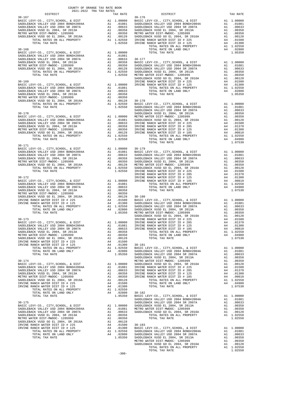| DISTRICT   | 2021-2022 TRA TAX RATES | TAX RATE | DISTRICT                                                                                                                                                                                                                                                                                                                                                                                                                 | TAX RATE |
|------------|-------------------------|----------|--------------------------------------------------------------------------------------------------------------------------------------------------------------------------------------------------------------------------------------------------------------------------------------------------------------------------------------------------------------------------------------------------------------------------|----------|
| $30 - 167$ |                         |          | $30 - 176$                                                                                                                                                                                                                                                                                                                                                                                                               |          |
|            |                         |          |                                                                                                                                                                                                                                                                                                                                                                                                                          |          |
|            |                         |          |                                                                                                                                                                                                                                                                                                                                                                                                                          |          |
|            |                         |          |                                                                                                                                                                                                                                                                                                                                                                                                                          |          |
|            |                         |          |                                                                                                                                                                                                                                                                                                                                                                                                                          |          |
|            |                         |          |                                                                                                                                                                                                                                                                                                                                                                                                                          |          |
|            |                         |          |                                                                                                                                                                                                                                                                                                                                                                                                                          |          |
|            |                         |          |                                                                                                                                                                                                                                                                                                                                                                                                                          |          |
|            |                         |          |                                                                                                                                                                                                                                                                                                                                                                                                                          |          |
|            |                         |          |                                                                                                                                                                                                                                                                                                                                                                                                                          |          |
|            |                         |          |                                                                                                                                                                                                                                                                                                                                                                                                                          |          |
|            |                         |          |                                                                                                                                                                                                                                                                                                                                                                                                                          |          |
|            |                         |          |                                                                                                                                                                                                                                                                                                                                                                                                                          |          |
|            |                         |          |                                                                                                                                                                                                                                                                                                                                                                                                                          |          |
|            |                         |          |                                                                                                                                                                                                                                                                                                                                                                                                                          |          |
|            |                         |          |                                                                                                                                                                                                                                                                                                                                                                                                                          |          |
|            |                         |          |                                                                                                                                                                                                                                                                                                                                                                                                                          |          |
|            |                         |          |                                                                                                                                                                                                                                                                                                                                                                                                                          |          |
|            |                         |          |                                                                                                                                                                                                                                                                                                                                                                                                                          |          |
|            |                         |          |                                                                                                                                                                                                                                                                                                                                                                                                                          |          |
|            |                         |          |                                                                                                                                                                                                                                                                                                                                                                                                                          |          |
|            |                         |          |                                                                                                                                                                                                                                                                                                                                                                                                                          |          |
|            |                         |          |                                                                                                                                                                                                                                                                                                                                                                                                                          |          |
|            |                         |          |                                                                                                                                                                                                                                                                                                                                                                                                                          |          |
|            |                         |          |                                                                                                                                                                                                                                                                                                                                                                                                                          |          |
|            |                         |          |                                                                                                                                                                                                                                                                                                                                                                                                                          |          |
|            |                         |          |                                                                                                                                                                                                                                                                                                                                                                                                                          |          |
|            |                         |          |                                                                                                                                                                                                                                                                                                                                                                                                                          |          |
|            |                         |          |                                                                                                                                                                                                                                                                                                                                                                                                                          |          |
|            |                         |          |                                                                                                                                                                                                                                                                                                                                                                                                                          |          |
|            |                         |          | $\begin{smallmatrix} \mathbf{1}_{31} & \mathbf{1}_{32} & \mathbf{1}_{33} & \mathbf{1}_{34} & \mathbf{1}_{35} & \mathbf{1}_{35} & \mathbf{1}_{35} & \mathbf{1}_{35} & \mathbf{1}_{35} & \mathbf{1}_{35} & \mathbf{1}_{35} & \mathbf{1}_{35} & \mathbf{1}_{35} & \mathbf{1}_{35} & \mathbf{1}_{35} & \mathbf{1}_{35} & \mathbf{1}_{35} & \mathbf{1}_{35} & \mathbf{1}_{35} & \mathbf{1}_{35} & \mathbf{1}_{35} & \mathbf{$ |          |
| $30 - 171$ |                         |          |                                                                                                                                                                                                                                                                                                                                                                                                                          |          |
|            |                         |          |                                                                                                                                                                                                                                                                                                                                                                                                                          |          |
|            |                         |          |                                                                                                                                                                                                                                                                                                                                                                                                                          |          |
|            |                         |          |                                                                                                                                                                                                                                                                                                                                                                                                                          |          |
|            |                         |          |                                                                                                                                                                                                                                                                                                                                                                                                                          |          |
|            |                         |          |                                                                                                                                                                                                                                                                                                                                                                                                                          |          |
|            |                         |          |                                                                                                                                                                                                                                                                                                                                                                                                                          |          |
|            |                         |          |                                                                                                                                                                                                                                                                                                                                                                                                                          |          |
|            |                         |          |                                                                                                                                                                                                                                                                                                                                                                                                                          |          |
|            |                         |          |                                                                                                                                                                                                                                                                                                                                                                                                                          |          |
|            |                         |          |                                                                                                                                                                                                                                                                                                                                                                                                                          |          |
|            |                         |          |                                                                                                                                                                                                                                                                                                                                                                                                                          |          |
|            |                         |          |                                                                                                                                                                                                                                                                                                                                                                                                                          |          |
|            |                         |          |                                                                                                                                                                                                                                                                                                                                                                                                                          |          |
|            |                         |          |                                                                                                                                                                                                                                                                                                                                                                                                                          |          |
|            |                         |          |                                                                                                                                                                                                                                                                                                                                                                                                                          |          |
|            |                         |          |                                                                                                                                                                                                                                                                                                                                                                                                                          |          |
|            |                         |          |                                                                                                                                                                                                                                                                                                                                                                                                                          |          |
|            |                         |          |                                                                                                                                                                                                                                                                                                                                                                                                                          |          |
|            |                         |          |                                                                                                                                                                                                                                                                                                                                                                                                                          |          |
|            |                         |          |                                                                                                                                                                                                                                                                                                                                                                                                                          |          |
|            |                         |          |                                                                                                                                                                                                                                                                                                                                                                                                                          |          |
|            |                         |          |                                                                                                                                                                                                                                                                                                                                                                                                                          |          |
|            |                         |          |                                                                                                                                                                                                                                                                                                                                                                                                                          |          |
|            |                         |          |                                                                                                                                                                                                                                                                                                                                                                                                                          |          |
|            |                         |          |                                                                                                                                                                                                                                                                                                                                                                                                                          |          |
|            |                         |          |                                                                                                                                                                                                                                                                                                                                                                                                                          |          |
|            |                         |          |                                                                                                                                                                                                                                                                                                                                                                                                                          |          |
|            |                         |          |                                                                                                                                                                                                                                                                                                                                                                                                                          |          |
|            |                         |          |                                                                                                                                                                                                                                                                                                                                                                                                                          |          |
|            |                         |          |                                                                                                                                                                                                                                                                                                                                                                                                                          |          |
|            |                         |          |                                                                                                                                                                                                                                                                                                                                                                                                                          |          |
|            |                         |          |                                                                                                                                                                                                                                                                                                                                                                                                                          |          |
|            |                         |          |                                                                                                                                                                                                                                                                                                                                                                                                                          |          |
|            |                         |          |                                                                                                                                                                                                                                                                                                                                                                                                                          |          |
|            |                         |          |                                                                                                                                                                                                                                                                                                                                                                                                                          |          |
|            |                         |          |                                                                                                                                                                                                                                                                                                                                                                                                                          |          |
|            |                         |          |                                                                                                                                                                                                                                                                                                                                                                                                                          |          |
|            |                         |          |                                                                                                                                                                                                                                                                                                                                                                                                                          |          |
|            |                         |          |                                                                                                                                                                                                                                                                                                                                                                                                                          |          |
|            |                         |          |                                                                                                                                                                                                                                                                                                                                                                                                                          |          |
|            |                         |          |                                                                                                                                                                                                                                                                                                                                                                                                                          |          |
|            |                         |          |                                                                                                                                                                                                                                                                                                                                                                                                                          |          |
|            |                         |          |                                                                                                                                                                                                                                                                                                                                                                                                                          |          |
|            |                         |          |                                                                                                                                                                                                                                                                                                                                                                                                                          |          |
|            |                         |          |                                                                                                                                                                                                                                                                                                                                                                                                                          |          |
|            |                         |          |                                                                                                                                                                                                                                                                                                                                                                                                                          |          |
|            |                         |          |                                                                                                                                                                                                                                                                                                                                                                                                                          |          |
|            |                         |          |                                                                                                                                                                                                                                                                                                                                                                                                                          |          |
|            |                         |          |                                                                                                                                                                                                                                                                                                                                                                                                                          |          |
|            |                         |          |                                                                                                                                                                                                                                                                                                                                                                                                                          |          |
|            |                         |          |                                                                                                                                                                                                                                                                                                                                                                                                                          |          |

COUNTY OF ORANGE TAX RATE BOOK

| $30 - 171$ |  |  |
|------------|--|--|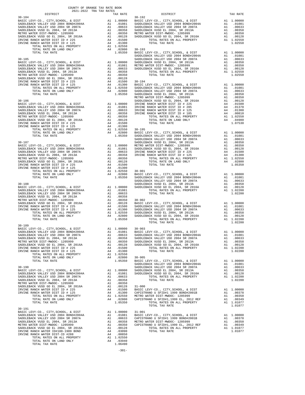| COUNTY OF ORANGE TAX RATE BOOK<br>2021-2022 TRA TAX RATES<br>$2021-2022 \quad \text{TRA} \quad \text{RATE B}$ DISTRICT 2021-2022   TRA TAX RATES |          |          |          |
|--------------------------------------------------------------------------------------------------------------------------------------------------|----------|----------|----------|
|                                                                                                                                                  | TAX RATE | DISTRICT | TAX RATE |
|                                                                                                                                                  |          |          |          |
|                                                                                                                                                  |          |          |          |
|                                                                                                                                                  |          |          |          |
|                                                                                                                                                  |          |          |          |
|                                                                                                                                                  |          |          |          |
|                                                                                                                                                  |          |          |          |
|                                                                                                                                                  |          |          |          |
|                                                                                                                                                  |          |          |          |
|                                                                                                                                                  |          |          |          |
|                                                                                                                                                  |          |          |          |
|                                                                                                                                                  |          |          |          |
|                                                                                                                                                  |          |          |          |
|                                                                                                                                                  |          |          |          |
|                                                                                                                                                  |          |          |          |
|                                                                                                                                                  |          |          |          |
|                                                                                                                                                  |          |          |          |
|                                                                                                                                                  |          |          |          |
|                                                                                                                                                  |          |          |          |
|                                                                                                                                                  |          |          |          |
|                                                                                                                                                  |          |          |          |
|                                                                                                                                                  |          |          |          |
|                                                                                                                                                  |          |          |          |
|                                                                                                                                                  |          |          |          |
|                                                                                                                                                  |          |          |          |
|                                                                                                                                                  |          |          |          |
|                                                                                                                                                  |          |          |          |
|                                                                                                                                                  |          |          |          |
|                                                                                                                                                  |          |          |          |
|                                                                                                                                                  |          |          |          |
|                                                                                                                                                  |          |          |          |
|                                                                                                                                                  |          |          |          |
|                                                                                                                                                  |          |          |          |
|                                                                                                                                                  |          |          |          |
|                                                                                                                                                  |          |          |          |
|                                                                                                                                                  |          |          |          |
|                                                                                                                                                  |          |          |          |
|                                                                                                                                                  |          |          |          |
|                                                                                                                                                  |          |          |          |
|                                                                                                                                                  |          |          |          |
|                                                                                                                                                  |          |          |          |
|                                                                                                                                                  |          |          |          |
|                                                                                                                                                  |          |          |          |
|                                                                                                                                                  |          |          |          |
|                                                                                                                                                  |          |          |          |
|                                                                                                                                                  |          |          |          |
|                                                                                                                                                  |          |          |          |
|                                                                                                                                                  |          |          |          |
|                                                                                                                                                  |          |          |          |
|                                                                                                                                                  |          |          |          |
|                                                                                                                                                  |          |          |          |
|                                                                                                                                                  |          |          |          |
| $30 - 189$<br>BASIC LEVY-CO., CITY, SCHOOL, & DIST A1 1.00000 30-903                                                                             |          |          |          |
|                                                                                                                                                  |          |          |          |
|                                                                                                                                                  |          |          |          |
|                                                                                                                                                  |          |          |          |
|                                                                                                                                                  |          |          |          |
|                                                                                                                                                  |          |          |          |
|                                                                                                                                                  |          |          |          |
|                                                                                                                                                  |          |          |          |
|                                                                                                                                                  |          |          |          |
|                                                                                                                                                  |          |          |          |
|                                                                                                                                                  |          |          |          |
|                                                                                                                                                  |          |          |          |
|                                                                                                                                                  |          |          |          |
|                                                                                                                                                  |          |          |          |
|                                                                                                                                                  |          |          |          |
|                                                                                                                                                  |          |          |          |
|                                                                                                                                                  |          |          |          |
|                                                                                                                                                  |          |          |          |
|                                                                                                                                                  |          |          |          |
|                                                                                                                                                  |          |          |          |
| $30 - 191$                                                                                                                                       |          |          |          |
|                                                                                                                                                  |          |          |          |
|                                                                                                                                                  |          |          |          |
|                                                                                                                                                  |          |          |          |
|                                                                                                                                                  |          |          |          |
|                                                                                                                                                  |          |          |          |
|                                                                                                                                                  |          |          |          |
|                                                                                                                                                  |          |          |          |
|                                                                                                                                                  |          |          |          |
|                                                                                                                                                  |          |          |          |
|                                                                                                                                                  |          |          |          |

-301-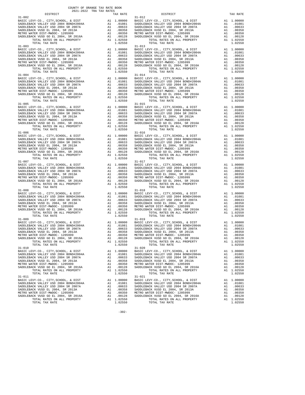| $\begin{tabular}{l c c c c c} \multicolumn{1}{c}{\textbf{1-002}} & \multicolumn{1}{c}{\textbf{DISTRIC}} & \multicolumn{1}{c}{\textbf{TAX RATE}} & \multicolumn{1}{c}{\textbf{DISTRIC}} & \multicolumn{1}{c}{\textbf{TAX RATE}} & \multicolumn{1}{c}{\textbf{DISTRIC}} & \multicolumn{1}{c}{\textbf{TAX RATE}} & \multicolumn{1}{c}{\textbf{RASIC LEVY-CO.}}, \text{ CITY, SCHOOL, & \& DISTT} & \multicolumn{1}{c}{\textbf{RASIC LEVY-CO.}}, \text{ CITY, S$ |           |                                                                                                            |                         |
|--------------------------------------------------------------------------------------------------------------------------------------------------------------------------------------------------------------------------------------------------------------------------------------------------------------------------------------------------------------------------------------------------------------------------------------------------------------|-----------|------------------------------------------------------------------------------------------------------------|-------------------------|
|                                                                                                                                                                                                                                                                                                                                                                                                                                                              |           |                                                                                                            |                         |
|                                                                                                                                                                                                                                                                                                                                                                                                                                                              |           |                                                                                                            |                         |
|                                                                                                                                                                                                                                                                                                                                                                                                                                                              |           |                                                                                                            |                         |
|                                                                                                                                                                                                                                                                                                                                                                                                                                                              |           |                                                                                                            |                         |
|                                                                                                                                                                                                                                                                                                                                                                                                                                                              |           |                                                                                                            |                         |
|                                                                                                                                                                                                                                                                                                                                                                                                                                                              |           |                                                                                                            |                         |
|                                                                                                                                                                                                                                                                                                                                                                                                                                                              |           |                                                                                                            |                         |
|                                                                                                                                                                                                                                                                                                                                                                                                                                                              |           |                                                                                                            |                         |
|                                                                                                                                                                                                                                                                                                                                                                                                                                                              |           |                                                                                                            |                         |
| $\begin{tabular}{c c c c} 31-003 & 31-013 & 31-013 & 31-013 & 31-013 & 31-013 & 31-013 & 31-013 & 31-013 & 31-013 & 31-013 & 31-013 & 31-013 & 31-013 & 31-013 & 31-013 & 31-013 & 31-013 & 31-013 & 31-013 & 31-013 & 31-013 & 31-013 & 31-013 & 31-013 & 31-01$                                                                                                                                                                                            |           |                                                                                                            |                         |
|                                                                                                                                                                                                                                                                                                                                                                                                                                                              |           |                                                                                                            |                         |
|                                                                                                                                                                                                                                                                                                                                                                                                                                                              |           |                                                                                                            |                         |
|                                                                                                                                                                                                                                                                                                                                                                                                                                                              |           |                                                                                                            |                         |
|                                                                                                                                                                                                                                                                                                                                                                                                                                                              |           |                                                                                                            |                         |
|                                                                                                                                                                                                                                                                                                                                                                                                                                                              |           |                                                                                                            |                         |
|                                                                                                                                                                                                                                                                                                                                                                                                                                                              |           |                                                                                                            |                         |
|                                                                                                                                                                                                                                                                                                                                                                                                                                                              |           |                                                                                                            |                         |
|                                                                                                                                                                                                                                                                                                                                                                                                                                                              |           |                                                                                                            |                         |
|                                                                                                                                                                                                                                                                                                                                                                                                                                                              |           |                                                                                                            |                         |
|                                                                                                                                                                                                                                                                                                                                                                                                                                                              |           |                                                                                                            |                         |
|                                                                                                                                                                                                                                                                                                                                                                                                                                                              |           |                                                                                                            |                         |
|                                                                                                                                                                                                                                                                                                                                                                                                                                                              |           |                                                                                                            |                         |
|                                                                                                                                                                                                                                                                                                                                                                                                                                                              |           |                                                                                                            |                         |
|                                                                                                                                                                                                                                                                                                                                                                                                                                                              |           |                                                                                                            |                         |
|                                                                                                                                                                                                                                                                                                                                                                                                                                                              |           |                                                                                                            |                         |
|                                                                                                                                                                                                                                                                                                                                                                                                                                                              |           |                                                                                                            |                         |
|                                                                                                                                                                                                                                                                                                                                                                                                                                                              |           |                                                                                                            |                         |
| $\begin{tabular}{c c c c} 31-004 & 31-014 & 31-014 & 31-014 & 31-014 \\ \hline \texttt{BANDLEBACK} \texttt{VALLEY} \texttt{USD} \texttt{ 2004} \texttt{ BNDLEBACK} \texttt{WALLEY} \texttt{USD} \texttt{ 2004} \texttt{ BNDLEBACK} \texttt{WALLEY} \texttt{USD} \texttt{ 2004} \texttt{ BNDLEBACK} \texttt{WALLEY} \texttt{USD} \texttt{ 2004} \texttt{ BNDLEBACK} \texttt{WALLEY}$                                                                          |           |                                                                                                            |                         |
|                                                                                                                                                                                                                                                                                                                                                                                                                                                              |           |                                                                                                            |                         |
|                                                                                                                                                                                                                                                                                                                                                                                                                                                              |           |                                                                                                            |                         |
|                                                                                                                                                                                                                                                                                                                                                                                                                                                              |           |                                                                                                            |                         |
|                                                                                                                                                                                                                                                                                                                                                                                                                                                              |           |                                                                                                            |                         |
|                                                                                                                                                                                                                                                                                                                                                                                                                                                              |           |                                                                                                            |                         |
|                                                                                                                                                                                                                                                                                                                                                                                                                                                              |           |                                                                                                            |                         |
|                                                                                                                                                                                                                                                                                                                                                                                                                                                              |           |                                                                                                            |                         |
|                                                                                                                                                                                                                                                                                                                                                                                                                                                              |           |                                                                                                            |                         |
|                                                                                                                                                                                                                                                                                                                                                                                                                                                              |           |                                                                                                            |                         |
|                                                                                                                                                                                                                                                                                                                                                                                                                                                              |           |                                                                                                            |                         |
|                                                                                                                                                                                                                                                                                                                                                                                                                                                              |           |                                                                                                            |                         |
|                                                                                                                                                                                                                                                                                                                                                                                                                                                              |           |                                                                                                            |                         |
|                                                                                                                                                                                                                                                                                                                                                                                                                                                              |           |                                                                                                            |                         |
|                                                                                                                                                                                                                                                                                                                                                                                                                                                              |           |                                                                                                            |                         |
|                                                                                                                                                                                                                                                                                                                                                                                                                                                              |           |                                                                                                            |                         |
|                                                                                                                                                                                                                                                                                                                                                                                                                                                              |           |                                                                                                            |                         |
|                                                                                                                                                                                                                                                                                                                                                                                                                                                              |           |                                                                                                            |                         |
|                                                                                                                                                                                                                                                                                                                                                                                                                                                              |           |                                                                                                            |                         |
| $\begin{tabular}{c c c c c} 31-007 & 31-017 \\ \hline BANDLEBACK\ VALLEY-CO, CITY, SCHOOL, & DIST & A1 1.00000 & BASIC\ LEVY-CO., CITY, SCHOOL, & DIST & A1 1.00000 \\ \hline SADDLEBACK\ VALLEY\ USD\ 2004\ BONDLEBACK\ VALLEY\ USD\ 2004\ SRDDEBACK\ VALLEY\ USD\ 2004\ SRDDEBACK\ VALLEY\ USD\ 2004\ SRDDEBACK\ VALLEY\ USD\ 2004\ SRADDLEBACK\ VUSD\ CD\ 2004\ SRADDLEBACK\$                                                                             |           |                                                                                                            |                         |
|                                                                                                                                                                                                                                                                                                                                                                                                                                                              |           |                                                                                                            |                         |
|                                                                                                                                                                                                                                                                                                                                                                                                                                                              |           |                                                                                                            |                         |
|                                                                                                                                                                                                                                                                                                                                                                                                                                                              |           |                                                                                                            |                         |
|                                                                                                                                                                                                                                                                                                                                                                                                                                                              |           |                                                                                                            |                         |
|                                                                                                                                                                                                                                                                                                                                                                                                                                                              |           |                                                                                                            |                         |
|                                                                                                                                                                                                                                                                                                                                                                                                                                                              |           |                                                                                                            |                         |
|                                                                                                                                                                                                                                                                                                                                                                                                                                                              |           |                                                                                                            |                         |
|                                                                                                                                                                                                                                                                                                                                                                                                                                                              |           |                                                                                                            |                         |
|                                                                                                                                                                                                                                                                                                                                                                                                                                                              |           |                                                                                                            |                         |
|                                                                                                                                                                                                                                                                                                                                                                                                                                                              |           |                                                                                                            |                         |
|                                                                                                                                                                                                                                                                                                                                                                                                                                                              |           |                                                                                                            |                         |
|                                                                                                                                                                                                                                                                                                                                                                                                                                                              |           |                                                                                                            |                         |
|                                                                                                                                                                                                                                                                                                                                                                                                                                                              |           |                                                                                                            |                         |
|                                                                                                                                                                                                                                                                                                                                                                                                                                                              |           |                                                                                                            |                         |
|                                                                                                                                                                                                                                                                                                                                                                                                                                                              |           |                                                                                                            |                         |
| $\begin{tabular}{c c c c} 31-008 \\ \texttt{BADLEBACK} \texttt{CEVY-CO} \,, \texttt{CITY}, \texttt{SCHOOL}, \texttt{& \texttt{DIST}} & \texttt{A1} & 1.00000 & \texttt{BASIDLEBACK} \texttt{VALLEY} \texttt{USD} & 2004 \texttt{BONDH} 2004 \texttt{A} & \texttt{A1} & 1.00000 \\ \texttt{SADDLEBACK} \texttt{VALLEY} \texttt{USD} & 2004 \texttt{SNDW} 2004 \texttt{BONDH} 2004 \texttt{A$                                                                  |           |                                                                                                            |                         |
|                                                                                                                                                                                                                                                                                                                                                                                                                                                              |           |                                                                                                            |                         |
|                                                                                                                                                                                                                                                                                                                                                                                                                                                              |           |                                                                                                            |                         |
|                                                                                                                                                                                                                                                                                                                                                                                                                                                              |           |                                                                                                            |                         |
|                                                                                                                                                                                                                                                                                                                                                                                                                                                              |           |                                                                                                            |                         |
|                                                                                                                                                                                                                                                                                                                                                                                                                                                              |           |                                                                                                            |                         |
|                                                                                                                                                                                                                                                                                                                                                                                                                                                              |           |                                                                                                            |                         |
|                                                                                                                                                                                                                                                                                                                                                                                                                                                              |           |                                                                                                            |                         |
|                                                                                                                                                                                                                                                                                                                                                                                                                                                              |           |                                                                                                            |                         |
| $31 - 010$                                                                                                                                                                                                                                                                                                                                                                                                                                                   |           | $31 - 020$                                                                                                 |                         |
|                                                                                                                                                                                                                                                                                                                                                                                                                                                              |           |                                                                                                            | A1 1.00000              |
|                                                                                                                                                                                                                                                                                                                                                                                                                                                              |           |                                                                                                            |                         |
| SADDLEBACK VALLEY USD 2004 SR 2007A                                                                                                                                                                                                                                                                                                                                                                                                                          |           |                                                                                                            | A1 .01081               |
|                                                                                                                                                                                                                                                                                                                                                                                                                                                              |           | A1 .00633 SADDLEBACK VALLEY USD 2004 SR 2007A                                                              | A1 .00633<br>A1 .00358  |
|                                                                                                                                                                                                                                                                                                                                                                                                                                                              |           |                                                                                                            | A1 .00350               |
|                                                                                                                                                                                                                                                                                                                                                                                                                                                              |           | CONDUCTED MARK WAS TRIMING TO A 2014, SR 2016A TOTAL RATES ON ALL PROPERTY TOTAL TAX RATES ON ALL PROPERTY |                         |
|                                                                                                                                                                                                                                                                                                                                                                                                                                                              |           |                                                                                                            | A1 .00128<br>A1 1.02550 |
|                                                                                                                                                                                                                                                                                                                                                                                                                                                              |           |                                                                                                            |                         |
| TOTAL TAX RATE                                                                                                                                                                                                                                                                                                                                                                                                                                               | 1.02550   |                                                                                                            | 1.02550                 |
| $31 - 011$                                                                                                                                                                                                                                                                                                                                                                                                                                                   |           | $31 - 021$                                                                                                 |                         |
|                                                                                                                                                                                                                                                                                                                                                                                                                                                              |           |                                                                                                            | A1 1.00000              |
|                                                                                                                                                                                                                                                                                                                                                                                                                                                              |           |                                                                                                            | A1 .01081               |
|                                                                                                                                                                                                                                                                                                                                                                                                                                                              |           |                                                                                                            | A1 .00633               |
|                                                                                                                                                                                                                                                                                                                                                                                                                                                              |           | A1 .00350 METRO WATER DIST-MWDOC- 1205999                                                                  | A1 .00358               |
| METRO WATER DIST-MWDOC- 1205999                                                                                                                                                                                                                                                                                                                                                                                                                              | A1 .00128 |                                                                                                            | A1 .00350               |
| SADDLEBACK VUSD GO EL 2004, SR 2016A                                                                                                                                                                                                                                                                                                                                                                                                                         |           | SADDLEBACK VUSD GO EL 2004, SR 2016A                                                                       | A1<br>.00128            |

COUNTY OF ORANGE TAX RATE BOOK 2021-2022 TRA TAX RATES

-302-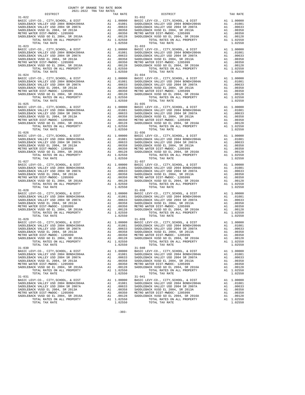|                | TAX RATE | DISTRICT                                                                                                                                                                                                                                                                                                                                                                                                           | TAX RATE               |
|----------------|----------|--------------------------------------------------------------------------------------------------------------------------------------------------------------------------------------------------------------------------------------------------------------------------------------------------------------------------------------------------------------------------------------------------------------------|------------------------|
| $31 - 022$     |          | $31 - 032$                                                                                                                                                                                                                                                                                                                                                                                                         |                        |
|                |          |                                                                                                                                                                                                                                                                                                                                                                                                                    |                        |
|                |          |                                                                                                                                                                                                                                                                                                                                                                                                                    |                        |
|                |          |                                                                                                                                                                                                                                                                                                                                                                                                                    |                        |
|                |          |                                                                                                                                                                                                                                                                                                                                                                                                                    |                        |
|                |          |                                                                                                                                                                                                                                                                                                                                                                                                                    |                        |
|                |          |                                                                                                                                                                                                                                                                                                                                                                                                                    |                        |
|                |          | $\begin{tabular}{c c c c} 31-022 & 31-032 \\ \texttt{BADLEBACK} \texttt{VALLEY} \texttt{CO}, \texttt{CITY}, \texttt{CHOOL}, \texttt{CITY}, \texttt{SCHOOL}, \texttt{EVY-CO}, \texttt{CITY}, \texttt{SCHOOL}, \texttt{EVIST} & \texttt{A1} \texttt{1.00000} \\ \texttt{SADDEBACK} \texttt{VALLEY} \texttt{USD} \texttt{2004} \texttt{BONDH2004A} & \texttt{A1} \texttt{0.1081} & \texttt{SADDEBACK} \texttt{VALLEY$ |                        |
|                |          |                                                                                                                                                                                                                                                                                                                                                                                                                    |                        |
|                |          |                                                                                                                                                                                                                                                                                                                                                                                                                    |                        |
|                |          |                                                                                                                                                                                                                                                                                                                                                                                                                    |                        |
|                |          |                                                                                                                                                                                                                                                                                                                                                                                                                    |                        |
|                |          |                                                                                                                                                                                                                                                                                                                                                                                                                    |                        |
|                |          |                                                                                                                                                                                                                                                                                                                                                                                                                    |                        |
|                |          |                                                                                                                                                                                                                                                                                                                                                                                                                    |                        |
|                |          |                                                                                                                                                                                                                                                                                                                                                                                                                    |                        |
|                |          |                                                                                                                                                                                                                                                                                                                                                                                                                    |                        |
|                |          |                                                                                                                                                                                                                                                                                                                                                                                                                    |                        |
|                |          |                                                                                                                                                                                                                                                                                                                                                                                                                    |                        |
|                |          |                                                                                                                                                                                                                                                                                                                                                                                                                    |                        |
|                |          |                                                                                                                                                                                                                                                                                                                                                                                                                    |                        |
|                |          |                                                                                                                                                                                                                                                                                                                                                                                                                    |                        |
|                |          |                                                                                                                                                                                                                                                                                                                                                                                                                    |                        |
|                |          |                                                                                                                                                                                                                                                                                                                                                                                                                    |                        |
|                |          |                                                                                                                                                                                                                                                                                                                                                                                                                    |                        |
|                |          |                                                                                                                                                                                                                                                                                                                                                                                                                    |                        |
|                |          |                                                                                                                                                                                                                                                                                                                                                                                                                    |                        |
|                |          |                                                                                                                                                                                                                                                                                                                                                                                                                    |                        |
|                |          |                                                                                                                                                                                                                                                                                                                                                                                                                    |                        |
|                |          |                                                                                                                                                                                                                                                                                                                                                                                                                    |                        |
|                |          | $\begin{tabular}{c c c c} \multicolumn{1}{c}{\textbf{31--025}} & \multicolumn{1}{c}{\textbf{102550}} & \multicolumn{1}{c}{\textbf{102550}} & \multicolumn{1}{c}{\textbf{102550}} & \multicolumn{1}{c}{\textbf{102550}} & \multicolumn{1}{c}{\textbf{102550}} & \multicolumn{1}{c}{\textbf{102550}} & \multicolumn{1}{c}{\textbf{102550}} & \multicolumn{1}{c}{\textbf{102550}} & \multicolumn{1}{c}{\textbf{1025$  |                        |
|                |          |                                                                                                                                                                                                                                                                                                                                                                                                                    |                        |
|                |          |                                                                                                                                                                                                                                                                                                                                                                                                                    |                        |
|                |          |                                                                                                                                                                                                                                                                                                                                                                                                                    |                        |
|                |          |                                                                                                                                                                                                                                                                                                                                                                                                                    |                        |
|                |          |                                                                                                                                                                                                                                                                                                                                                                                                                    |                        |
|                |          |                                                                                                                                                                                                                                                                                                                                                                                                                    |                        |
|                |          |                                                                                                                                                                                                                                                                                                                                                                                                                    |                        |
|                |          | $\begin{tabular}{l c c c c c} 31-026 & 31-02650 \\ \hline BASIC LEV-CO., CITY, SCHOOL, & DIST & A1 & 1.00000 & BASIC LEV-CO., CITY, SCHOOL, & DIST & A1 & 1.00000 \\ \hline SADDLEBACK VALLEY USD & 2004 BONDH& 2007A & A1 & .01081 & SADDLEBACK VALLEY USD & 2004 SNDLEBACK \\ \hline SADDLEBACK VALLEY USD & 2004 SRDLEBACK VALLEY USD & 2004 SRDLEBACK VALIEY USD & 2004 SRDLEBACK V$                           |                        |
| $31 - 027$     |          | $31 - 037$                                                                                                                                                                                                                                                                                                                                                                                                         |                        |
|                |          |                                                                                                                                                                                                                                                                                                                                                                                                                    |                        |
|                |          |                                                                                                                                                                                                                                                                                                                                                                                                                    |                        |
|                |          |                                                                                                                                                                                                                                                                                                                                                                                                                    |                        |
|                |          |                                                                                                                                                                                                                                                                                                                                                                                                                    |                        |
|                |          |                                                                                                                                                                                                                                                                                                                                                                                                                    |                        |
|                |          |                                                                                                                                                                                                                                                                                                                                                                                                                    |                        |
|                |          |                                                                                                                                                                                                                                                                                                                                                                                                                    |                        |
|                |          |                                                                                                                                                                                                                                                                                                                                                                                                                    |                        |
|                |          |                                                                                                                                                                                                                                                                                                                                                                                                                    |                        |
|                |          |                                                                                                                                                                                                                                                                                                                                                                                                                    |                        |
|                |          |                                                                                                                                                                                                                                                                                                                                                                                                                    |                        |
|                |          |                                                                                                                                                                                                                                                                                                                                                                                                                    |                        |
|                |          |                                                                                                                                                                                                                                                                                                                                                                                                                    |                        |
|                |          |                                                                                                                                                                                                                                                                                                                                                                                                                    |                        |
|                |          |                                                                                                                                                                                                                                                                                                                                                                                                                    |                        |
|                |          |                                                                                                                                                                                                                                                                                                                                                                                                                    |                        |
|                |          |                                                                                                                                                                                                                                                                                                                                                                                                                    |                        |
|                |          |                                                                                                                                                                                                                                                                                                                                                                                                                    |                        |
|                |          |                                                                                                                                                                                                                                                                                                                                                                                                                    |                        |
|                |          |                                                                                                                                                                                                                                                                                                                                                                                                                    |                        |
|                |          | ANDILEBACK VIELE I 2004 SR 2017A<br>METRO WATER DIST<br>– NOO EL 2004, SR 2013A<br>METRO WATER DIST-MWDOC- 1205999<br>AL .00350<br>                                                                                                                                                                                                                                                                                |                        |
| TOTAL TAX RATE | 1.02550  | TOTAL TAX RATE                                                                                                                                                                                                                                                                                                                                                                                                     | 1.02550                |
| $31 - 030$     |          | $31 - 040$                                                                                                                                                                                                                                                                                                                                                                                                         |                        |
|                |          |                                                                                                                                                                                                                                                                                                                                                                                                                    |                        |
|                |          |                                                                                                                                                                                                                                                                                                                                                                                                                    |                        |
|                |          |                                                                                                                                                                                                                                                                                                                                                                                                                    |                        |
|                |          |                                                                                                                                                                                                                                                                                                                                                                                                                    |                        |
|                |          |                                                                                                                                                                                                                                                                                                                                                                                                                    |                        |
|                |          |                                                                                                                                                                                                                                                                                                                                                                                                                    |                        |
| TOTAL TAX RATE | 1.02550  | TOTAL TAX RATE                                                                                                                                                                                                                                                                                                                                                                                                     | 1.02550                |
| $31 - 031$     |          | $31 - 041$<br>31-041<br>BASIC LEVY-CO., CITY, SCHOOL, & DIST<br>SADDLEBACK VALLEY USD 2004 BOND#2004A<br>ALLEY USD 2004 CD 2007A                                                                                                                                                                                                                                                                                   | A1 1.00000             |
|                |          |                                                                                                                                                                                                                                                                                                                                                                                                                    |                        |
|                |          | A1 .00633 SADDLEBACK VALLEY USD 2004 SR 2007A                                                                                                                                                                                                                                                                                                                                                                      | A1 .01081<br>A1 .00633 |
|                |          |                                                                                                                                                                                                                                                                                                                                                                                                                    | A1 .00358              |
|                |          |                                                                                                                                                                                                                                                                                                                                                                                                                    | A1 .00350              |
|                |          | SADDLEBACK VUSD GO EL 2004, SR 2016A                                                                                                                                                                                                                                                                                                                                                                               | A1 .00128              |
|                |          |                                                                                                                                                                                                                                                                                                                                                                                                                    |                        |

| $31 - 027$                                                                                                                                                                                             |                        | $31 - 037$                                                                             |                        |
|--------------------------------------------------------------------------------------------------------------------------------------------------------------------------------------------------------|------------------------|----------------------------------------------------------------------------------------|------------------------|
|                                                                                                                                                                                                        |                        |                                                                                        |                        |
|                                                                                                                                                                                                        |                        |                                                                                        |                        |
|                                                                                                                                                                                                        |                        |                                                                                        |                        |
|                                                                                                                                                                                                        |                        |                                                                                        |                        |
|                                                                                                                                                                                                        |                        |                                                                                        |                        |
|                                                                                                                                                                                                        |                        |                                                                                        |                        |
|                                                                                                                                                                                                        |                        |                                                                                        |                        |
|                                                                                                                                                                                                        |                        |                                                                                        |                        |
|                                                                                                                                                                                                        |                        |                                                                                        |                        |
|                                                                                                                                                                                                        |                        |                                                                                        |                        |
|                                                                                                                                                                                                        |                        |                                                                                        |                        |
|                                                                                                                                                                                                        |                        |                                                                                        |                        |
|                                                                                                                                                                                                        |                        |                                                                                        |                        |
|                                                                                                                                                                                                        |                        |                                                                                        |                        |
|                                                                                                                                                                                                        |                        |                                                                                        |                        |
|                                                                                                                                                                                                        |                        |                                                                                        |                        |
|                                                                                                                                                                                                        |                        |                                                                                        |                        |
|                                                                                                                                                                                                        |                        |                                                                                        |                        |
|                                                                                                                                                                                                        |                        |                                                                                        |                        |
|                                                                                                                                                                                                        |                        |                                                                                        |                        |
|                                                                                                                                                                                                        |                        |                                                                                        |                        |
| TOTAL RATES ON ALL PROPERTY                                                                                                                                                                            | A1 1.02550             | TOTAL RATES ON ALL PROPERTY                                                            | A1 1.02550             |
| TOTAL TAX RATE                                                                                                                                                                                         | 1.02550                | TOTAL TAX RATE                                                                         | 1.02550                |
| $31 - 030$                                                                                                                                                                                             |                        | $31 - 040$                                                                             |                        |
|                                                                                                                                                                                                        |                        |                                                                                        | A1 1.00000             |
|                                                                                                                                                                                                        |                        | SADDLEBACK VALLEY USD 2004 BOND#2004A                                                  | A1 .01081              |
|                                                                                                                                                                                                        |                        | SADDLEBACK VALLEY USD 2004 SR 2007A                                                    | A1 .00633              |
|                                                                                                                                                                                                        |                        | SADDLEBACK VUSD EL 2004, SR 2013A<br>METRO WATER DIST-MWDOC- 1205999                   | A1 .00358<br>A1 .00350 |
|                                                                                                                                                                                                        |                        |                                                                                        | A1 .00128              |
|                                                                                                                                                                                                        |                        | SADDLEBACK VUSD GO EL 2004, SR 2016A<br>TOTAL RATES ON ALL PROPERTY                    | A1 1,02550             |
| TOTAL TAX RATE                                                                                                                                                                                         | 1.02550                | TOTAL TAX RATE                                                                         | 1.02550                |
| $31 - 031$                                                                                                                                                                                             |                        | $31 - 041$                                                                             |                        |
|                                                                                                                                                                                                        |                        | JI-JI<br>BASIC LEVY-CO., CITY, SCHOOL, & DIST<br>SADDLEBACK VALLEY USD 2004 BOND#2004A | A1 1.00000             |
|                                                                                                                                                                                                        |                        |                                                                                        | A1 .01081              |
|                                                                                                                                                                                                        | A1 .00633<br>A1 .00358 | SADDLEBACK VALLEY USD 2004 SR 2007A                                                    | A1 .00633              |
| SADDLEBACK VUSD EL 2004, SR 2013A                                                                                                                                                                      | A1 .00350              | SADDLEBACK VUSD EL 2004, SR 2013A                                                      | A1 .00358              |
| METRO WATER DIST-MWDOC- 1205999                                                                                                                                                                        |                        | METRO WATER DIST-MWDOC- 1205999                                                        | A1 .00350<br>A1 .00128 |
| MEIRO WHERE DISPOSED AND THE RESERVE AND ARREST AND SADDLEBACK VUSD GO EL 2004, SR 2016A<br>SADDLEBACK VUSD GO EL 2004, SR 2016A<br>TOTAL RATES ON ALL PROPERTY A1 1.02550 TOTAL RATES ON ALL PROPERTY |                        |                                                                                        | A1 1.02550             |
| TOTAL TAX RATE                                                                                                                                                                                         | 1.02550                | TOTAL TAX RATE                                                                         | 1.02550                |
|                                                                                                                                                                                                        |                        |                                                                                        |                        |

 $-303-$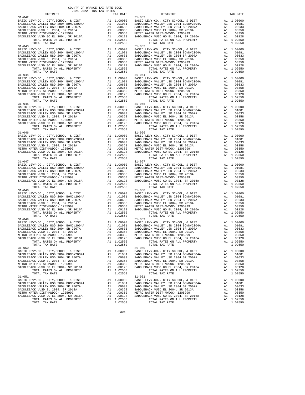| $\begin{tabular}{l c c c c c} \multicolumn{1}{c}{\textbf{11--042}} & \multicolumn{1}{c}{\textbf{12--042}} & \multicolumn{1}{c}{\textbf{13--042}} & \multicolumn{1}{c}{\textbf{14--052}} & \multicolumn{1}{c}{\textbf{15+052}} & \multicolumn{1}{c}{\textbf{16--052}} & \multicolumn{1}{c}{\textbf{17--052}} & \multicolumn{1}{c}{\textbf{18--052}} & \multicolumn{1}{c}{\textbf{18--052}} & \multicolumn{1}{c}{\textbf{$ |           |                                                                                                                                                                                                                                                                                                                                                                                                                   |                                                   |
|--------------------------------------------------------------------------------------------------------------------------------------------------------------------------------------------------------------------------------------------------------------------------------------------------------------------------------------------------------------------------------------------------------------------------|-----------|-------------------------------------------------------------------------------------------------------------------------------------------------------------------------------------------------------------------------------------------------------------------------------------------------------------------------------------------------------------------------------------------------------------------|---------------------------------------------------|
|                                                                                                                                                                                                                                                                                                                                                                                                                          |           |                                                                                                                                                                                                                                                                                                                                                                                                                   |                                                   |
|                                                                                                                                                                                                                                                                                                                                                                                                                          |           |                                                                                                                                                                                                                                                                                                                                                                                                                   |                                                   |
|                                                                                                                                                                                                                                                                                                                                                                                                                          |           |                                                                                                                                                                                                                                                                                                                                                                                                                   |                                                   |
|                                                                                                                                                                                                                                                                                                                                                                                                                          |           |                                                                                                                                                                                                                                                                                                                                                                                                                   |                                                   |
|                                                                                                                                                                                                                                                                                                                                                                                                                          |           |                                                                                                                                                                                                                                                                                                                                                                                                                   |                                                   |
|                                                                                                                                                                                                                                                                                                                                                                                                                          |           |                                                                                                                                                                                                                                                                                                                                                                                                                   |                                                   |
|                                                                                                                                                                                                                                                                                                                                                                                                                          |           |                                                                                                                                                                                                                                                                                                                                                                                                                   |                                                   |
|                                                                                                                                                                                                                                                                                                                                                                                                                          |           |                                                                                                                                                                                                                                                                                                                                                                                                                   |                                                   |
|                                                                                                                                                                                                                                                                                                                                                                                                                          |           |                                                                                                                                                                                                                                                                                                                                                                                                                   |                                                   |
| $\begin{tabular}{c c c c} 31-043 & 31-053 & 31-053 & 31-053 & 31-053 & 31-053 & 31-053 & 31-053 & 31-053 & 31-053 & 31-053 & 31-053 & 31-053 & 31-053 & 31-053 & 31-053 & 31-053 & 31-053 & 31-053 & 31-053 & 31-053 & 31-053 & 31-053 & 31-053 & 31-053 & 31-05$                                                                                                                                                        |           |                                                                                                                                                                                                                                                                                                                                                                                                                   |                                                   |
|                                                                                                                                                                                                                                                                                                                                                                                                                          |           |                                                                                                                                                                                                                                                                                                                                                                                                                   |                                                   |
|                                                                                                                                                                                                                                                                                                                                                                                                                          |           |                                                                                                                                                                                                                                                                                                                                                                                                                   |                                                   |
|                                                                                                                                                                                                                                                                                                                                                                                                                          |           |                                                                                                                                                                                                                                                                                                                                                                                                                   |                                                   |
|                                                                                                                                                                                                                                                                                                                                                                                                                          |           |                                                                                                                                                                                                                                                                                                                                                                                                                   |                                                   |
|                                                                                                                                                                                                                                                                                                                                                                                                                          |           |                                                                                                                                                                                                                                                                                                                                                                                                                   |                                                   |
|                                                                                                                                                                                                                                                                                                                                                                                                                          |           |                                                                                                                                                                                                                                                                                                                                                                                                                   |                                                   |
|                                                                                                                                                                                                                                                                                                                                                                                                                          |           |                                                                                                                                                                                                                                                                                                                                                                                                                   |                                                   |
|                                                                                                                                                                                                                                                                                                                                                                                                                          |           |                                                                                                                                                                                                                                                                                                                                                                                                                   |                                                   |
|                                                                                                                                                                                                                                                                                                                                                                                                                          |           |                                                                                                                                                                                                                                                                                                                                                                                                                   |                                                   |
|                                                                                                                                                                                                                                                                                                                                                                                                                          |           |                                                                                                                                                                                                                                                                                                                                                                                                                   |                                                   |
|                                                                                                                                                                                                                                                                                                                                                                                                                          |           |                                                                                                                                                                                                                                                                                                                                                                                                                   |                                                   |
|                                                                                                                                                                                                                                                                                                                                                                                                                          |           |                                                                                                                                                                                                                                                                                                                                                                                                                   |                                                   |
|                                                                                                                                                                                                                                                                                                                                                                                                                          |           |                                                                                                                                                                                                                                                                                                                                                                                                                   |                                                   |
|                                                                                                                                                                                                                                                                                                                                                                                                                          |           |                                                                                                                                                                                                                                                                                                                                                                                                                   |                                                   |
|                                                                                                                                                                                                                                                                                                                                                                                                                          |           |                                                                                                                                                                                                                                                                                                                                                                                                                   |                                                   |
|                                                                                                                                                                                                                                                                                                                                                                                                                          |           |                                                                                                                                                                                                                                                                                                                                                                                                                   |                                                   |
|                                                                                                                                                                                                                                                                                                                                                                                                                          |           |                                                                                                                                                                                                                                                                                                                                                                                                                   |                                                   |
|                                                                                                                                                                                                                                                                                                                                                                                                                          |           | $\begin{tabular}{c c c c} 31-044 & 31-054 & 31-054 & 31-054 & 31-054 & 31-054 & 31-054 & 31-054 & 31-054 & 31-054 & 31-054 & 31-054 & 31-054 & 31-054 & 31-054 & 31-054 & 31-054 & 31-054 & 31-054 & 31-054 & 31-054 & 31-054 & 31-054 & 31-054 & 31-054 & 31-05$                                                                                                                                                 |                                                   |
|                                                                                                                                                                                                                                                                                                                                                                                                                          |           |                                                                                                                                                                                                                                                                                                                                                                                                                   |                                                   |
|                                                                                                                                                                                                                                                                                                                                                                                                                          |           |                                                                                                                                                                                                                                                                                                                                                                                                                   |                                                   |
|                                                                                                                                                                                                                                                                                                                                                                                                                          |           |                                                                                                                                                                                                                                                                                                                                                                                                                   |                                                   |
|                                                                                                                                                                                                                                                                                                                                                                                                                          |           |                                                                                                                                                                                                                                                                                                                                                                                                                   |                                                   |
|                                                                                                                                                                                                                                                                                                                                                                                                                          |           |                                                                                                                                                                                                                                                                                                                                                                                                                   |                                                   |
|                                                                                                                                                                                                                                                                                                                                                                                                                          |           |                                                                                                                                                                                                                                                                                                                                                                                                                   |                                                   |
|                                                                                                                                                                                                                                                                                                                                                                                                                          |           |                                                                                                                                                                                                                                                                                                                                                                                                                   |                                                   |
|                                                                                                                                                                                                                                                                                                                                                                                                                          |           |                                                                                                                                                                                                                                                                                                                                                                                                                   |                                                   |
|                                                                                                                                                                                                                                                                                                                                                                                                                          |           |                                                                                                                                                                                                                                                                                                                                                                                                                   |                                                   |
|                                                                                                                                                                                                                                                                                                                                                                                                                          |           |                                                                                                                                                                                                                                                                                                                                                                                                                   |                                                   |
|                                                                                                                                                                                                                                                                                                                                                                                                                          |           |                                                                                                                                                                                                                                                                                                                                                                                                                   |                                                   |
|                                                                                                                                                                                                                                                                                                                                                                                                                          |           |                                                                                                                                                                                                                                                                                                                                                                                                                   |                                                   |
|                                                                                                                                                                                                                                                                                                                                                                                                                          |           |                                                                                                                                                                                                                                                                                                                                                                                                                   |                                                   |
|                                                                                                                                                                                                                                                                                                                                                                                                                          |           |                                                                                                                                                                                                                                                                                                                                                                                                                   |                                                   |
|                                                                                                                                                                                                                                                                                                                                                                                                                          |           |                                                                                                                                                                                                                                                                                                                                                                                                                   |                                                   |
|                                                                                                                                                                                                                                                                                                                                                                                                                          |           |                                                                                                                                                                                                                                                                                                                                                                                                                   |                                                   |
|                                                                                                                                                                                                                                                                                                                                                                                                                          |           |                                                                                                                                                                                                                                                                                                                                                                                                                   |                                                   |
|                                                                                                                                                                                                                                                                                                                                                                                                                          |           |                                                                                                                                                                                                                                                                                                                                                                                                                   |                                                   |
|                                                                                                                                                                                                                                                                                                                                                                                                                          |           | $\begin{tabular}{c c c c c} 31-047 & 31-057 \\ \texttt{BADLEBACK} \texttt{VALLEY} \texttt{USD} \texttt{2004} & \texttt{BNDLEBACK} \texttt{VALLEY} \texttt{USD} \texttt{2004} & \texttt{ADIDLEBACK} \texttt{VALLEY} \texttt{USD} \texttt{2004} & \texttt{ADIDLEBACK} \texttt{VALLEY} \texttt{USD} \texttt{2004} & \texttt{ADIDLEBACK} \texttt{VALLEY} \texttt{USD} \texttt{2004} & \texttt{ADIDLEBACK$             |                                                   |
|                                                                                                                                                                                                                                                                                                                                                                                                                          |           |                                                                                                                                                                                                                                                                                                                                                                                                                   |                                                   |
|                                                                                                                                                                                                                                                                                                                                                                                                                          |           |                                                                                                                                                                                                                                                                                                                                                                                                                   |                                                   |
|                                                                                                                                                                                                                                                                                                                                                                                                                          |           |                                                                                                                                                                                                                                                                                                                                                                                                                   |                                                   |
|                                                                                                                                                                                                                                                                                                                                                                                                                          |           |                                                                                                                                                                                                                                                                                                                                                                                                                   |                                                   |
|                                                                                                                                                                                                                                                                                                                                                                                                                          |           |                                                                                                                                                                                                                                                                                                                                                                                                                   |                                                   |
|                                                                                                                                                                                                                                                                                                                                                                                                                          |           |                                                                                                                                                                                                                                                                                                                                                                                                                   |                                                   |
|                                                                                                                                                                                                                                                                                                                                                                                                                          |           |                                                                                                                                                                                                                                                                                                                                                                                                                   |                                                   |
|                                                                                                                                                                                                                                                                                                                                                                                                                          |           |                                                                                                                                                                                                                                                                                                                                                                                                                   |                                                   |
|                                                                                                                                                                                                                                                                                                                                                                                                                          |           |                                                                                                                                                                                                                                                                                                                                                                                                                   |                                                   |
|                                                                                                                                                                                                                                                                                                                                                                                                                          |           |                                                                                                                                                                                                                                                                                                                                                                                                                   |                                                   |
|                                                                                                                                                                                                                                                                                                                                                                                                                          |           |                                                                                                                                                                                                                                                                                                                                                                                                                   |                                                   |
|                                                                                                                                                                                                                                                                                                                                                                                                                          |           |                                                                                                                                                                                                                                                                                                                                                                                                                   |                                                   |
|                                                                                                                                                                                                                                                                                                                                                                                                                          |           |                                                                                                                                                                                                                                                                                                                                                                                                                   |                                                   |
|                                                                                                                                                                                                                                                                                                                                                                                                                          |           |                                                                                                                                                                                                                                                                                                                                                                                                                   |                                                   |
|                                                                                                                                                                                                                                                                                                                                                                                                                          |           |                                                                                                                                                                                                                                                                                                                                                                                                                   |                                                   |
|                                                                                                                                                                                                                                                                                                                                                                                                                          |           |                                                                                                                                                                                                                                                                                                                                                                                                                   |                                                   |
|                                                                                                                                                                                                                                                                                                                                                                                                                          |           |                                                                                                                                                                                                                                                                                                                                                                                                                   |                                                   |
|                                                                                                                                                                                                                                                                                                                                                                                                                          |           | $\begin{tabular}{c c c c} 31-048 \\ \texttt{BADLEBACK} \texttt{VALLEY-CO} \texttt{, CITY}, \texttt{CHV-CO} \texttt{, CITY}, \texttt{SCHOOL}, \& \texttt{DIST} & \texttt{A1} & 1.00000 \\ \texttt{SADDEBACK} \texttt{VALLEY} \texttt{USD} \texttt{2004} \texttt{BONDH#2004A} & \texttt{A1} & .01081 \\ \texttt{SADDEBACK} \texttt{VALLEY} \texttt{USD} \texttt{2004} \texttt{BNDABLEBACK} \texttt{VALLEY} \texttt$ |                                                   |
|                                                                                                                                                                                                                                                                                                                                                                                                                          |           |                                                                                                                                                                                                                                                                                                                                                                                                                   |                                                   |
|                                                                                                                                                                                                                                                                                                                                                                                                                          |           |                                                                                                                                                                                                                                                                                                                                                                                                                   |                                                   |
|                                                                                                                                                                                                                                                                                                                                                                                                                          |           |                                                                                                                                                                                                                                                                                                                                                                                                                   |                                                   |
|                                                                                                                                                                                                                                                                                                                                                                                                                          |           |                                                                                                                                                                                                                                                                                                                                                                                                                   |                                                   |
|                                                                                                                                                                                                                                                                                                                                                                                                                          |           |                                                                                                                                                                                                                                                                                                                                                                                                                   |                                                   |
|                                                                                                                                                                                                                                                                                                                                                                                                                          |           |                                                                                                                                                                                                                                                                                                                                                                                                                   |                                                   |
|                                                                                                                                                                                                                                                                                                                                                                                                                          |           |                                                                                                                                                                                                                                                                                                                                                                                                                   |                                                   |
|                                                                                                                                                                                                                                                                                                                                                                                                                          |           |                                                                                                                                                                                                                                                                                                                                                                                                                   |                                                   |
|                                                                                                                                                                                                                                                                                                                                                                                                                          |           |                                                                                                                                                                                                                                                                                                                                                                                                                   |                                                   |
| $31 - 050$                                                                                                                                                                                                                                                                                                                                                                                                               |           | $31 - 060$                                                                                                                                                                                                                                                                                                                                                                                                        |                                                   |
|                                                                                                                                                                                                                                                                                                                                                                                                                          |           | BASIC LEVY-CO., CITY, SCHOOL, & DIST<br>BASIC LEVY-CO., CITY, SCHOOL, & DIST<br>All 1.00000 BASIC LEVY-CO., CITY, SCHOOL, & DIST                                                                                                                                                                                                                                                                                  | A1 1.00000                                        |
| SADDLEBACK VALLEY USD 2004 BOND#2004A                                                                                                                                                                                                                                                                                                                                                                                    |           | A1 .01081 SADDLEBACK VALLEY USD 2004 BOND#2004A                                                                                                                                                                                                                                                                                                                                                                   | A1 .01081                                         |
| SADDLEBACK VALLEY USD 2004 SR 2007A                                                                                                                                                                                                                                                                                                                                                                                      |           | A1 .00633 SADDLEBACK VALLEY USD 2004 SR 2007A                                                                                                                                                                                                                                                                                                                                                                     | A1 .00633                                         |
|                                                                                                                                                                                                                                                                                                                                                                                                                          |           |                                                                                                                                                                                                                                                                                                                                                                                                                   | A1 .00358                                         |
|                                                                                                                                                                                                                                                                                                                                                                                                                          |           |                                                                                                                                                                                                                                                                                                                                                                                                                   | A1 .00350                                         |
|                                                                                                                                                                                                                                                                                                                                                                                                                          |           | 3.1-mWDUC- 1205999<br>SADDLEBACK VUSD GO EL 2004, SR 2016A<br>TOTAL RATES ON ALL PROPERTY<br>TOTAL TAX RATE                                                                                                                                                                                                                                                                                                       |                                                   |
|                                                                                                                                                                                                                                                                                                                                                                                                                          |           |                                                                                                                                                                                                                                                                                                                                                                                                                   | A1 .00128<br>A1 1.02550                           |
| TOTAL TAX RATE                                                                                                                                                                                                                                                                                                                                                                                                           |           |                                                                                                                                                                                                                                                                                                                                                                                                                   | 1.02550                                           |
|                                                                                                                                                                                                                                                                                                                                                                                                                          |           |                                                                                                                                                                                                                                                                                                                                                                                                                   |                                                   |
|                                                                                                                                                                                                                                                                                                                                                                                                                          |           |                                                                                                                                                                                                                                                                                                                                                                                                                   |                                                   |
|                                                                                                                                                                                                                                                                                                                                                                                                                          |           |                                                                                                                                                                                                                                                                                                                                                                                                                   |                                                   |
|                                                                                                                                                                                                                                                                                                                                                                                                                          |           |                                                                                                                                                                                                                                                                                                                                                                                                                   |                                                   |
|                                                                                                                                                                                                                                                                                                                                                                                                                          |           |                                                                                                                                                                                                                                                                                                                                                                                                                   |                                                   |
|                                                                                                                                                                                                                                                                                                                                                                                                                          |           |                                                                                                                                                                                                                                                                                                                                                                                                                   |                                                   |
|                                                                                                                                                                                                                                                                                                                                                                                                                          |           |                                                                                                                                                                                                                                                                                                                                                                                                                   |                                                   |
|                                                                                                                                                                                                                                                                                                                                                                                                                          |           |                                                                                                                                                                                                                                                                                                                                                                                                                   |                                                   |
| $31 - 051$                                                                                                                                                                                                                                                                                                                                                                                                               | 1.02550   | $31 - 061$                                                                                                                                                                                                                                                                                                                                                                                                        | A1 1.00000<br>A1 .01081<br>A1 .00633<br>A1 .00358 |
| METRO WATER DIST-MWDOC- 1205999                                                                                                                                                                                                                                                                                                                                                                                          |           | A1 .00350 METRO WATER DIST-MWDOC- 1205999                                                                                                                                                                                                                                                                                                                                                                         | A1 .00350                                         |
| SADDLEBACK VUSD GO EL 2004, SR 2016A                                                                                                                                                                                                                                                                                                                                                                                     | A1 .00128 | SADDLEBACK VUSD GO EL 2004, SR 2016A                                                                                                                                                                                                                                                                                                                                                                              | A1<br>.00128                                      |
|                                                                                                                                                                                                                                                                                                                                                                                                                          |           |                                                                                                                                                                                                                                                                                                                                                                                                                   |                                                   |

| $\begin{tabular}{l c c c c c} 31-046 & 31-00000 & 31-00000 & 31-00000 & 31-00000 & 31-00000 & 31-00000 & 31-00000 & 31-00000 & 31-00000 & 31-00000 & 31-00000 & 31-00000 & 31-00000 & 31-00000 & 31-00000 & 31-00000 & 31-00000 & 31-00000 & 31-00000 & 31-$                                                                                                                                          |                                     |                                                                               |                       |
|-------------------------------------------------------------------------------------------------------------------------------------------------------------------------------------------------------------------------------------------------------------------------------------------------------------------------------------------------------------------------------------------------------|-------------------------------------|-------------------------------------------------------------------------------|-----------------------|
| $31 - 047$                                                                                                                                                                                                                                                                                                                                                                                            |                                     | $31 - 057$                                                                    |                       |
|                                                                                                                                                                                                                                                                                                                                                                                                       |                                     |                                                                               |                       |
|                                                                                                                                                                                                                                                                                                                                                                                                       |                                     |                                                                               |                       |
|                                                                                                                                                                                                                                                                                                                                                                                                       |                                     |                                                                               |                       |
|                                                                                                                                                                                                                                                                                                                                                                                                       |                                     |                                                                               |                       |
|                                                                                                                                                                                                                                                                                                                                                                                                       |                                     |                                                                               |                       |
|                                                                                                                                                                                                                                                                                                                                                                                                       |                                     |                                                                               |                       |
|                                                                                                                                                                                                                                                                                                                                                                                                       |                                     |                                                                               |                       |
| $\begin{tabular}{c c c c c} 31-047 & 31-057 \\ \texttt{BADLEBACK} \texttt{VALLEY} \texttt{USD} \texttt{2004} & \texttt{BNDLEBACK} \texttt{VALLEY} \texttt{USD} \texttt{2004} & \texttt{ADIDLEBACK} \texttt{VALLEY} \texttt{USD} \texttt{2004} & \texttt{ADIDLEBACK} \texttt{VALLEY} \texttt{USD} \texttt{2004} & \texttt{ADIDLEBACK} \texttt{VALLEY} \texttt{USD} \texttt{2004} & \texttt{ADIDLEBACK$ |                                     |                                                                               |                       |
|                                                                                                                                                                                                                                                                                                                                                                                                       |                                     |                                                                               |                       |
|                                                                                                                                                                                                                                                                                                                                                                                                       |                                     |                                                                               |                       |
|                                                                                                                                                                                                                                                                                                                                                                                                       |                                     |                                                                               |                       |
|                                                                                                                                                                                                                                                                                                                                                                                                       |                                     |                                                                               |                       |
|                                                                                                                                                                                                                                                                                                                                                                                                       |                                     |                                                                               |                       |
|                                                                                                                                                                                                                                                                                                                                                                                                       |                                     |                                                                               |                       |
|                                                                                                                                                                                                                                                                                                                                                                                                       |                                     |                                                                               |                       |
|                                                                                                                                                                                                                                                                                                                                                                                                       |                                     |                                                                               |                       |
|                                                                                                                                                                                                                                                                                                                                                                                                       |                                     |                                                                               |                       |
|                                                                                                                                                                                                                                                                                                                                                                                                       |                                     |                                                                               |                       |
|                                                                                                                                                                                                                                                                                                                                                                                                       |                                     |                                                                               |                       |
|                                                                                                                                                                                                                                                                                                                                                                                                       |                                     |                                                                               |                       |
|                                                                                                                                                                                                                                                                                                                                                                                                       |                                     |                                                                               |                       |
|                                                                                                                                                                                                                                                                                                                                                                                                       |                                     |                                                                               |                       |
|                                                                                                                                                                                                                                                                                                                                                                                                       |                                     |                                                                               |                       |
| TOTAL RATES ON ALL PROPERTY                                                                                                                                                                                                                                                                                                                                                                           | A1 1.02550                          | TOTAL RATES ON ALL PROPERTY                                                   | A1 1.02550            |
| TOTAL TAX RATE                                                                                                                                                                                                                                                                                                                                                                                        | 1.02550                             | TOTAL TAX RATE                                                                | 1.02550               |
| $31 - 050$                                                                                                                                                                                                                                                                                                                                                                                            |                                     | $31 - 060$                                                                    |                       |
|                                                                                                                                                                                                                                                                                                                                                                                                       |                                     | $31-060$<br>BASIC LEVY-CO., CITY, SCHOOL, & DIST $1.00000$                    |                       |
| BASIC LEVY-CO., CITY, SCHOOL, & DIST A1 1.00000<br>ABSIC LEVY-CO., CITY, SCHOOL, & DIST A1 1.00000                                                                                                                                                                                                                                                                                                    | A1 .01081                           | SADDLEBACK VALLEY USD 2004 BOND#2004A                                         | A1 .01081             |
| SADDLEBACK VALLEY USD 2004 BOND#2004A<br>SADDLEBACK VALLEY USD 2004 SR 2007A                                                                                                                                                                                                                                                                                                                          |                                     | SADDLEBACK VALLEY USD 2004 SR 2007A                                           | A1 .00633             |
|                                                                                                                                                                                                                                                                                                                                                                                                       |                                     | SADDLEBACK VUSD EL 2004. SR 2013A                                             | A1 .00358             |
|                                                                                                                                                                                                                                                                                                                                                                                                       |                                     | METRO WATER DIST-MWDOC- 1205999                                               | A1 .00350             |
|                                                                                                                                                                                                                                                                                                                                                                                                       |                                     |                                                                               | A1 .00128             |
|                                                                                                                                                                                                                                                                                                                                                                                                       |                                     | SADDLEBACK VUSD GO EL 2004, SR 2016A<br>TOTAL RATES ON ALL PROPERTY           | A1 1.02550            |
|                                                                                                                                                                                                                                                                                                                                                                                                       |                                     | TOTAL TAX RATE                                                                | 1.02550               |
| $31 - 051$                                                                                                                                                                                                                                                                                                                                                                                            |                                     | $31 - 061$                                                                    |                       |
|                                                                                                                                                                                                                                                                                                                                                                                                       |                                     |                                                                               | A1 1.00000            |
|                                                                                                                                                                                                                                                                                                                                                                                                       |                                     | BASIC LEVY-CO., CITY, SCHOOL, & DIST<br>SADDLEBACK VALLEY USD 2004 BOND#2004A | A1 .01081<br>.00633   |
| SADDLEBACK VUSD EL 2004, SR 2013A                                                                                                                                                                                                                                                                                                                                                                     |                                     | SADDLEBACK VALLEY USD 2004 SR 2007A<br>SADDLEBACK VUSD EL 2004, SR 2013A      | A1<br>A1 .00358       |
| METRO WATER DIST-MWDOC- 1205999                                                                                                                                                                                                                                                                                                                                                                       | A1 .00633<br>A1 .00358<br>A1 .00350 | METRO WATER DIST-MWDOC- 1205999                                               | A1 .00350             |
|                                                                                                                                                                                                                                                                                                                                                                                                       |                                     | SADDLEBACK VUSD GO EL 2004. SR 2016A                                          | A1 .00128             |
| ALLING MATLER LUID GO EL 2004, SR 2016A<br>SADDLEBACK VUSD GO EL 2004, SR 2016A<br>TOTAL RATES ON ALL PROPERTY A1 1.02550<br>TOTAL TAX RATE                                                                                                                                                                                                                                                           | 1.02550                             | TOTAL RATES ON ALL PROPERTY<br>TOTAL TAX RATE                                 | A1 1.02550<br>1.02550 |

-304-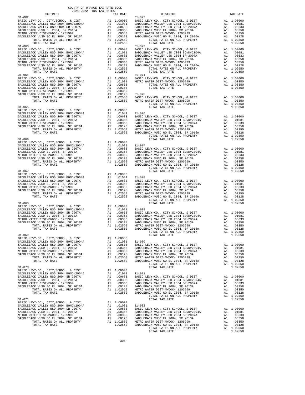|                                                                               | COUNTY OF ORANGE TAX RATE BOOK<br>2021-2022 TRA TAX RATES |            |                       |                                               |
|-------------------------------------------------------------------------------|-----------------------------------------------------------|------------|-----------------------|-----------------------------------------------|
| DISTRICT<br>$31 - 062$                                                        |                                                           |            | TAX RATE              | $31 - 072$                                    |
|                                                                               |                                                           |            |                       |                                               |
|                                                                               |                                                           |            |                       |                                               |
|                                                                               |                                                           |            |                       |                                               |
|                                                                               |                                                           |            |                       |                                               |
| $31 - 063$                                                                    |                                                           |            |                       | $31 - 073$                                    |
|                                                                               |                                                           |            |                       |                                               |
|                                                                               |                                                           |            |                       |                                               |
|                                                                               |                                                           |            |                       |                                               |
|                                                                               |                                                           |            |                       |                                               |
| TOTAL TAX RATE                                                                |                                                           |            | 1.02550               |                                               |
|                                                                               |                                                           |            |                       |                                               |
|                                                                               |                                                           |            |                       |                                               |
|                                                                               |                                                           |            |                       |                                               |
|                                                                               |                                                           |            |                       |                                               |
|                                                                               |                                                           |            |                       |                                               |
|                                                                               |                                                           |            |                       |                                               |
|                                                                               |                                                           |            |                       |                                               |
|                                                                               |                                                           |            |                       |                                               |
|                                                                               |                                                           |            |                       |                                               |
|                                                                               |                                                           |            |                       |                                               |
|                                                                               |                                                           |            |                       |                                               |
| $31 - 066$                                                                    |                                                           |            |                       |                                               |
|                                                                               |                                                           |            |                       |                                               |
|                                                                               |                                                           |            |                       |                                               |
|                                                                               |                                                           |            |                       |                                               |
|                                                                               |                                                           |            |                       |                                               |
|                                                                               |                                                           |            |                       |                                               |
| $31 - 067$                                                                    |                                                           |            |                       |                                               |
|                                                                               |                                                           |            |                       |                                               |
|                                                                               |                                                           |            |                       |                                               |
|                                                                               |                                                           |            |                       |                                               |
|                                                                               |                                                           |            |                       |                                               |
|                                                                               |                                                           |            |                       |                                               |
| $31 - 068$                                                                    |                                                           |            |                       |                                               |
|                                                                               |                                                           |            |                       |                                               |
|                                                                               |                                                           |            |                       |                                               |
|                                                                               |                                                           |            |                       |                                               |
|                                                                               |                                                           |            |                       |                                               |
|                                                                               |                                                           |            |                       |                                               |
|                                                                               |                                                           |            |                       |                                               |
| $31 - 069$<br>BASIC LEVY-CO., CITY, SCHOOL, & DIST                            |                                                           | A1 1.00000 |                       |                                               |
| SADDLEBACK VALLEY USD 2004 BOND#2004A<br>SADDLEBACK VALLEY USD 2004 SR 2007A  |                                                           | A1         | .00633                | A1 .01081 31-080<br>BASIC L                   |
| SADDLEBACK VUSD EL 2004, SR 2013A                                             |                                                           | A1         | .00358                | SADDLEB                                       |
| METRO WATER DIST-MWDOC- 1205999<br>SADDLEBACK VUSD GO EL 2004, SR 2016A       |                                                           | A1         | A1 .00350<br>.00128   | SADDLEB<br>SADDLEB                            |
| TOTAL RATES ON ALL PROPERTY<br>TOTAL TAX RATE                                 |                                                           |            | A1 1.02550<br>1.02550 | METRO W<br>SADDLEB                            |
| $31 - 070$                                                                    |                                                           |            |                       |                                               |
| BASIC LEVY-CO., CITY, SCHOOL, & DIST<br>SADDLEBACK VALLEY USD 2004 BOND#2004A |                                                           | A1         | 1.00000               |                                               |
| SADDLEBACK VALLEY USD 2004 SR 2007A                                           |                                                           | A1         | A1 .01081             | $31 - 081$<br>.01061 51-061<br>.00633 BASIC L |
| SADDLEBACK VUSD EL 2004, SR 2013A<br>METRO WATER DIST-MWDOC- 1205999          |                                                           | A1         | .00358                | SADDLEB                                       |
| SADDLEBACK VUSD GO EL 2004, SR 2016A                                          |                                                           | A1<br>A1   | .00350<br>.00128      | SADDLEB<br>SADDLEB                            |
| TOTAL RATES ON ALL PROPERTY<br>TOTAL TAX RATE                                 |                                                           |            | A1 1.02550<br>1.02550 | METRO W<br>SADDLEB                            |
| $31 - 071$                                                                    |                                                           |            |                       |                                               |
| BASIC LEVY-CO., CITY, SCHOOL, & DIST                                          |                                                           |            | A1 1.00000            |                                               |
| SADDLEBACK VALLEY USD 2004 BOND#2004A<br>SADDLEBACK VALLEY USD 2004 SR 2007A  |                                                           | A1<br>A1   | .01081<br>.00633      | $31 - 082$<br>BASIC L                         |
| SADDLEBACK VUSD EL 2004, SR 2013A<br>METRO WATER DIST-MWDOC- 1205999          |                                                           | A1<br>A1   | .00358<br>.00350      | SADDLEB<br>SADDLEB                            |
| SADDLEBACK VUSD GO EL 2004, SR 2016A                                          |                                                           | A1         | .00128                | SADDLEB                                       |
| TOTAL RATES ON ALL DROPERTY                                                   |                                                           |            |                       |                                               |

| 2021-2022 TRA TAX RATES |                                                                                                                                                                                                                                                                                                                                                                                                                                                                                                  |  |
|-------------------------|--------------------------------------------------------------------------------------------------------------------------------------------------------------------------------------------------------------------------------------------------------------------------------------------------------------------------------------------------------------------------------------------------------------------------------------------------------------------------------------------------|--|
|                         | $\begin{tabular}{l c c c c c} \multicolumn{4}{c}{\begin{tabular}{c} {\bf \color{red}{B31-062}} & {\bf \color{red}{DISTRICT} & {\bf \color{red}{2021-2022}} & {\bf \textcolor{red}{TRA} TAX RATE & {\bf \color{red}{DTRATE}} & {\bf \color{red}{DTRATE} & {\bf \color{red}{DTRCT}} & {\bf \color{red}{TX} RTATE & {\bf \color{red}{TX} RTATE} & {\bf \color{red}{TX} RTATE & {\bf \color{red}{TX} RTATE} & {\bf \color{red}{TX} RTATE & {\bf \color{red}{TX} RTATE & {\bf \color{red}{TX} RTATE}$ |  |
|                         |                                                                                                                                                                                                                                                                                                                                                                                                                                                                                                  |  |
|                         |                                                                                                                                                                                                                                                                                                                                                                                                                                                                                                  |  |
|                         |                                                                                                                                                                                                                                                                                                                                                                                                                                                                                                  |  |
|                         |                                                                                                                                                                                                                                                                                                                                                                                                                                                                                                  |  |
|                         |                                                                                                                                                                                                                                                                                                                                                                                                                                                                                                  |  |
|                         |                                                                                                                                                                                                                                                                                                                                                                                                                                                                                                  |  |
|                         |                                                                                                                                                                                                                                                                                                                                                                                                                                                                                                  |  |
|                         |                                                                                                                                                                                                                                                                                                                                                                                                                                                                                                  |  |
|                         |                                                                                                                                                                                                                                                                                                                                                                                                                                                                                                  |  |
|                         |                                                                                                                                                                                                                                                                                                                                                                                                                                                                                                  |  |
|                         |                                                                                                                                                                                                                                                                                                                                                                                                                                                                                                  |  |
|                         |                                                                                                                                                                                                                                                                                                                                                                                                                                                                                                  |  |
|                         |                                                                                                                                                                                                                                                                                                                                                                                                                                                                                                  |  |
|                         |                                                                                                                                                                                                                                                                                                                                                                                                                                                                                                  |  |
|                         |                                                                                                                                                                                                                                                                                                                                                                                                                                                                                                  |  |
|                         |                                                                                                                                                                                                                                                                                                                                                                                                                                                                                                  |  |
|                         |                                                                                                                                                                                                                                                                                                                                                                                                                                                                                                  |  |
|                         |                                                                                                                                                                                                                                                                                                                                                                                                                                                                                                  |  |
|                         |                                                                                                                                                                                                                                                                                                                                                                                                                                                                                                  |  |
|                         |                                                                                                                                                                                                                                                                                                                                                                                                                                                                                                  |  |
|                         |                                                                                                                                                                                                                                                                                                                                                                                                                                                                                                  |  |
|                         |                                                                                                                                                                                                                                                                                                                                                                                                                                                                                                  |  |
|                         |                                                                                                                                                                                                                                                                                                                                                                                                                                                                                                  |  |
|                         | $\begin{tabular}{c c c c c} 31-064 & 31-074 \\ \hline BASIC LEVY-CO., CITY, SCHOOL, & DIST RADLEBACK VALEY USD 2004 BOND#2004A & A1 0.0000 & BASTCEVY-CO., CITY, SCHOOL, & DIST RADLEBACK VALEY USD 2004 BOND#2004A & A1 0.01081 METRO WATER DIST-MWDOC- 1205999 & A1 0.00350 \\ \hline SADDEBACK VALEY USD 2004 SR 2013A & A1 0.0633 & TOTAL RATES ON ALL PROPERT$                                                                                                                              |  |
|                         |                                                                                                                                                                                                                                                                                                                                                                                                                                                                                                  |  |
|                         |                                                                                                                                                                                                                                                                                                                                                                                                                                                                                                  |  |
|                         |                                                                                                                                                                                                                                                                                                                                                                                                                                                                                                  |  |
|                         |                                                                                                                                                                                                                                                                                                                                                                                                                                                                                                  |  |
|                         |                                                                                                                                                                                                                                                                                                                                                                                                                                                                                                  |  |
|                         |                                                                                                                                                                                                                                                                                                                                                                                                                                                                                                  |  |
|                         |                                                                                                                                                                                                                                                                                                                                                                                                                                                                                                  |  |
|                         |                                                                                                                                                                                                                                                                                                                                                                                                                                                                                                  |  |
|                         | TOTAL TAX RATE                                                                                                                                                                                                                                                                                                                                                                                                                                                                                   |  |
|                         |                                                                                                                                                                                                                                                                                                                                                                                                                                                                                                  |  |
|                         |                                                                                                                                                                                                                                                                                                                                                                                                                                                                                                  |  |
|                         |                                                                                                                                                                                                                                                                                                                                                                                                                                                                                                  |  |
|                         |                                                                                                                                                                                                                                                                                                                                                                                                                                                                                                  |  |
|                         |                                                                                                                                                                                                                                                                                                                                                                                                                                                                                                  |  |
|                         |                                                                                                                                                                                                                                                                                                                                                                                                                                                                                                  |  |
|                         |                                                                                                                                                                                                                                                                                                                                                                                                                                                                                                  |  |
|                         |                                                                                                                                                                                                                                                                                                                                                                                                                                                                                                  |  |
|                         |                                                                                                                                                                                                                                                                                                                                                                                                                                                                                                  |  |
|                         |                                                                                                                                                                                                                                                                                                                                                                                                                                                                                                  |  |
|                         |                                                                                                                                                                                                                                                                                                                                                                                                                                                                                                  |  |
|                         |                                                                                                                                                                                                                                                                                                                                                                                                                                                                                                  |  |
|                         |                                                                                                                                                                                                                                                                                                                                                                                                                                                                                                  |  |
|                         |                                                                                                                                                                                                                                                                                                                                                                                                                                                                                                  |  |
|                         |                                                                                                                                                                                                                                                                                                                                                                                                                                                                                                  |  |
|                         |                                                                                                                                                                                                                                                                                                                                                                                                                                                                                                  |  |
|                         |                                                                                                                                                                                                                                                                                                                                                                                                                                                                                                  |  |
|                         |                                                                                                                                                                                                                                                                                                                                                                                                                                                                                                  |  |
|                         |                                                                                                                                                                                                                                                                                                                                                                                                                                                                                                  |  |
|                         |                                                                                                                                                                                                                                                                                                                                                                                                                                                                                                  |  |
|                         |                                                                                                                                                                                                                                                                                                                                                                                                                                                                                                  |  |
|                         |                                                                                                                                                                                                                                                                                                                                                                                                                                                                                                  |  |
|                         |                                                                                                                                                                                                                                                                                                                                                                                                                                                                                                  |  |
|                         |                                                                                                                                                                                                                                                                                                                                                                                                                                                                                                  |  |
|                         |                                                                                                                                                                                                                                                                                                                                                                                                                                                                                                  |  |
|                         |                                                                                                                                                                                                                                                                                                                                                                                                                                                                                                  |  |
|                         |                                                                                                                                                                                                                                                                                                                                                                                                                                                                                                  |  |
|                         |                                                                                                                                                                                                                                                                                                                                                                                                                                                                                                  |  |
|                         |                                                                                                                                                                                                                                                                                                                                                                                                                                                                                                  |  |
|                         |                                                                                                                                                                                                                                                                                                                                                                                                                                                                                                  |  |
|                         |                                                                                                                                                                                                                                                                                                                                                                                                                                                                                                  |  |
|                         |                                                                                                                                                                                                                                                                                                                                                                                                                                                                                                  |  |
|                         |                                                                                                                                                                                                                                                                                                                                                                                                                                                                                                  |  |
|                         |                                                                                                                                                                                                                                                                                                                                                                                                                                                                                                  |  |
|                         |                                                                                                                                                                                                                                                                                                                                                                                                                                                                                                  |  |
|                         |                                                                                                                                                                                                                                                                                                                                                                                                                                                                                                  |  |
|                         |                                                                                                                                                                                                                                                                                                                                                                                                                                                                                                  |  |
|                         |                                                                                                                                                                                                                                                                                                                                                                                                                                                                                                  |  |
|                         |                                                                                                                                                                                                                                                                                                                                                                                                                                                                                                  |  |
|                         |                                                                                                                                                                                                                                                                                                                                                                                                                                                                                                  |  |
|                         |                                                                                                                                                                                                                                                                                                                                                                                                                                                                                                  |  |
|                         | $\begin{tabular}{l c c c c c} \hline\texttt{TOTAL TAA RAA} & \texttt{ADFL} & \texttt{TOTAL TAA RAA} & \texttt{TOTAL TAA RAA} & \texttt{TOTAL TAA RAA} & \texttt{TOTAL TAA RAA} & \texttt{TOTAL TAA RAA} & \texttt{TOTAL TAA RAA} & \texttt{TOTAL TAA RAA} & \texttt{TOTAL TAA RAA} & \texttt{O1001} & \texttt{TOTAL TAA RAA} & \texttt{O1001} & \texttt{O1012} & \texttt{O1013} & \texttt{31-082} & \texttt{R$                                                                                   |  |
|                         |                                                                                                                                                                                                                                                                                                                                                                                                                                                                                                  |  |
|                         |                                                                                                                                                                                                                                                                                                                                                                                                                                                                                                  |  |
|                         |                                                                                                                                                                                                                                                                                                                                                                                                                                                                                                  |  |
|                         |                                                                                                                                                                                                                                                                                                                                                                                                                                                                                                  |  |
|                         |                                                                                                                                                                                                                                                                                                                                                                                                                                                                                                  |  |
|                         |                                                                                                                                                                                                                                                                                                                                                                                                                                                                                                  |  |
|                         |                                                                                                                                                                                                                                                                                                                                                                                                                                                                                                  |  |
|                         |                                                                                                                                                                                                                                                                                                                                                                                                                                                                                                  |  |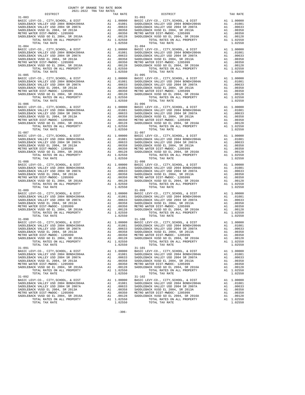| $\begin{tabular}{c c c c} 31-085 & 31-085 & 31-095 & 31-095 & 31-085 \\ \hline \texttt{BABC LEV-CO.}, \ \texttt{CITY}, \texttt{SCHOOL}, \ \&\ \texttt{DIST} & \texttt{A1} & 1.00000 & \texttt{BASE LEV-CO.}, \ \texttt{CITY}, \texttt{SCHOOL}, \ \&\ \texttt{DIST} & \texttt{A1} & 1.00000 \\ \texttt{SADDEBACK VALEY USD 2004 BONDF42004A} & \texttt{A1} & 0.0081 & \texttt{SADDE$                 |           |                                                                                                                         |                         |  |
|-----------------------------------------------------------------------------------------------------------------------------------------------------------------------------------------------------------------------------------------------------------------------------------------------------------------------------------------------------------------------------------------------------|-----------|-------------------------------------------------------------------------------------------------------------------------|-------------------------|--|
|                                                                                                                                                                                                                                                                                                                                                                                                     |           |                                                                                                                         |                         |  |
|                                                                                                                                                                                                                                                                                                                                                                                                     |           |                                                                                                                         |                         |  |
|                                                                                                                                                                                                                                                                                                                                                                                                     |           |                                                                                                                         |                         |  |
|                                                                                                                                                                                                                                                                                                                                                                                                     |           |                                                                                                                         |                         |  |
|                                                                                                                                                                                                                                                                                                                                                                                                     |           |                                                                                                                         |                         |  |
|                                                                                                                                                                                                                                                                                                                                                                                                     |           |                                                                                                                         |                         |  |
|                                                                                                                                                                                                                                                                                                                                                                                                     |           |                                                                                                                         |                         |  |
|                                                                                                                                                                                                                                                                                                                                                                                                     |           |                                                                                                                         |                         |  |
|                                                                                                                                                                                                                                                                                                                                                                                                     |           |                                                                                                                         |                         |  |
|                                                                                                                                                                                                                                                                                                                                                                                                     |           |                                                                                                                         |                         |  |
|                                                                                                                                                                                                                                                                                                                                                                                                     |           |                                                                                                                         |                         |  |
|                                                                                                                                                                                                                                                                                                                                                                                                     |           |                                                                                                                         |                         |  |
|                                                                                                                                                                                                                                                                                                                                                                                                     |           |                                                                                                                         |                         |  |
|                                                                                                                                                                                                                                                                                                                                                                                                     |           |                                                                                                                         |                         |  |
|                                                                                                                                                                                                                                                                                                                                                                                                     |           |                                                                                                                         |                         |  |
|                                                                                                                                                                                                                                                                                                                                                                                                     |           |                                                                                                                         |                         |  |
|                                                                                                                                                                                                                                                                                                                                                                                                     |           |                                                                                                                         |                         |  |
|                                                                                                                                                                                                                                                                                                                                                                                                     |           |                                                                                                                         |                         |  |
|                                                                                                                                                                                                                                                                                                                                                                                                     |           |                                                                                                                         |                         |  |
|                                                                                                                                                                                                                                                                                                                                                                                                     |           |                                                                                                                         |                         |  |
|                                                                                                                                                                                                                                                                                                                                                                                                     |           |                                                                                                                         |                         |  |
|                                                                                                                                                                                                                                                                                                                                                                                                     |           |                                                                                                                         |                         |  |
|                                                                                                                                                                                                                                                                                                                                                                                                     |           |                                                                                                                         |                         |  |
|                                                                                                                                                                                                                                                                                                                                                                                                     |           |                                                                                                                         |                         |  |
|                                                                                                                                                                                                                                                                                                                                                                                                     |           |                                                                                                                         |                         |  |
|                                                                                                                                                                                                                                                                                                                                                                                                     |           |                                                                                                                         |                         |  |
|                                                                                                                                                                                                                                                                                                                                                                                                     |           |                                                                                                                         |                         |  |
|                                                                                                                                                                                                                                                                                                                                                                                                     |           |                                                                                                                         |                         |  |
|                                                                                                                                                                                                                                                                                                                                                                                                     |           |                                                                                                                         |                         |  |
|                                                                                                                                                                                                                                                                                                                                                                                                     |           |                                                                                                                         |                         |  |
|                                                                                                                                                                                                                                                                                                                                                                                                     |           |                                                                                                                         |                         |  |
|                                                                                                                                                                                                                                                                                                                                                                                                     |           |                                                                                                                         |                         |  |
|                                                                                                                                                                                                                                                                                                                                                                                                     |           |                                                                                                                         |                         |  |
|                                                                                                                                                                                                                                                                                                                                                                                                     |           |                                                                                                                         |                         |  |
|                                                                                                                                                                                                                                                                                                                                                                                                     |           |                                                                                                                         |                         |  |
|                                                                                                                                                                                                                                                                                                                                                                                                     |           |                                                                                                                         |                         |  |
|                                                                                                                                                                                                                                                                                                                                                                                                     |           |                                                                                                                         |                         |  |
| $\begin{tabular}{c c c c} 31-089 & 31-099 \\ \texttt{BADLEBACK VALUEY-CO} &, \texttt{CITY}, \texttt{SCHOOL}, & \texttt{EVY-CO}, &, \texttt{CITY}, \texttt{SCHOOL}, & \texttt{E DIST} & \texttt{A1} & 1.00000 \\ \texttt{SADDEBACK VALUEY USD 2004 BONDH2004A} & \texttt{A1} & .01081 & \texttt{SADDEBACK VALUEY USD 2004 BONDH2004A} & \texttt{A1} & .01081 \\ \texttt{SADDEBACK VALUEY USD 2004 S$ |           |                                                                                                                         |                         |  |
|                                                                                                                                                                                                                                                                                                                                                                                                     |           |                                                                                                                         |                         |  |
|                                                                                                                                                                                                                                                                                                                                                                                                     |           |                                                                                                                         |                         |  |
|                                                                                                                                                                                                                                                                                                                                                                                                     |           |                                                                                                                         |                         |  |
|                                                                                                                                                                                                                                                                                                                                                                                                     |           |                                                                                                                         |                         |  |
|                                                                                                                                                                                                                                                                                                                                                                                                     |           |                                                                                                                         |                         |  |
|                                                                                                                                                                                                                                                                                                                                                                                                     |           |                                                                                                                         |                         |  |
|                                                                                                                                                                                                                                                                                                                                                                                                     |           |                                                                                                                         |                         |  |
|                                                                                                                                                                                                                                                                                                                                                                                                     |           |                                                                                                                         |                         |  |
|                                                                                                                                                                                                                                                                                                                                                                                                     |           |                                                                                                                         |                         |  |
|                                                                                                                                                                                                                                                                                                                                                                                                     |           |                                                                                                                         |                         |  |
| $31 - 091$                                                                                                                                                                                                                                                                                                                                                                                          |           | $31 - 101$                                                                                                              |                         |  |
| BASIC LEVY-CO., CITY, SCHOOL, & DIST<br>BASIC LEVY-CO., CITY, SCHOOL, & DIST<br>All 1.00000 BASIC LEVY-CO., CITY, SCHOOL, & DIST                                                                                                                                                                                                                                                                    |           |                                                                                                                         | A1 1.00000              |  |
| SADDLEBACK VALLEY USD 2004 BOND#2004A                                                                                                                                                                                                                                                                                                                                                               |           | A1 .01081 SADDLEBACK VALLEY USD 2004 BOND#2004A                                                                         | A1.01081                |  |
| SADDLEBACK VALLEY USD 2004 SR 2007A                                                                                                                                                                                                                                                                                                                                                                 |           | SADDLEBACK VALLEY USD 2004 SR 2007A                                                                                     | A1 .00633               |  |
|                                                                                                                                                                                                                                                                                                                                                                                                     |           |                                                                                                                         | A1 .00358               |  |
|                                                                                                                                                                                                                                                                                                                                                                                                     |           |                                                                                                                         | A1 .00350               |  |
|                                                                                                                                                                                                                                                                                                                                                                                                     |           | EING WALER PISI-MWDUC- 1205999<br>SADDLEBACK VUSD GO EL 2004, SR 2016A<br>TOTAL RATES ON ALL PROPERTY<br>TOTAL TAX RATE |                         |  |
|                                                                                                                                                                                                                                                                                                                                                                                                     |           |                                                                                                                         | A1 .00128<br>A1 1.02550 |  |
| TOTAL TAX RATE                                                                                                                                                                                                                                                                                                                                                                                      | 1.02550   |                                                                                                                         | 1.02550                 |  |
|                                                                                                                                                                                                                                                                                                                                                                                                     |           | $31 - 102$                                                                                                              |                         |  |
| $31 - 092$                                                                                                                                                                                                                                                                                                                                                                                          |           |                                                                                                                         |                         |  |
|                                                                                                                                                                                                                                                                                                                                                                                                     |           |                                                                                                                         | A1 1.00000              |  |
|                                                                                                                                                                                                                                                                                                                                                                                                     |           |                                                                                                                         | A1 .01081               |  |
|                                                                                                                                                                                                                                                                                                                                                                                                     |           |                                                                                                                         | A1 .00633               |  |
|                                                                                                                                                                                                                                                                                                                                                                                                     |           |                                                                                                                         | A1 .00358               |  |
| METRO WATER DIST-MWDOC- 1205999                                                                                                                                                                                                                                                                                                                                                                     |           | A1 .00350 METRO WATER DIST-MWDOC- 1205999                                                                               | A1 .00350               |  |
| SADDLEBACK VUSD GO EL 2004, SR 2016A                                                                                                                                                                                                                                                                                                                                                                | A1 .00128 | SADDLEBACK VUSD GO EL 2004, SR 2016A                                                                                    | A1<br>.00128            |  |
|                                                                                                                                                                                                                                                                                                                                                                                                     |           |                                                                                                                         |                         |  |

| $31 - 083$                                                                                                                                                                                                                                                        |         | $31 - 093$                                                                                                                                                                                                                                                     |         |
|-------------------------------------------------------------------------------------------------------------------------------------------------------------------------------------------------------------------------------------------------------------------|---------|----------------------------------------------------------------------------------------------------------------------------------------------------------------------------------------------------------------------------------------------------------------|---------|
|                                                                                                                                                                                                                                                                   |         |                                                                                                                                                                                                                                                                |         |
|                                                                                                                                                                                                                                                                   |         |                                                                                                                                                                                                                                                                |         |
|                                                                                                                                                                                                                                                                   |         |                                                                                                                                                                                                                                                                |         |
|                                                                                                                                                                                                                                                                   |         |                                                                                                                                                                                                                                                                |         |
|                                                                                                                                                                                                                                                                   |         |                                                                                                                                                                                                                                                                |         |
|                                                                                                                                                                                                                                                                   |         |                                                                                                                                                                                                                                                                |         |
|                                                                                                                                                                                                                                                                   |         |                                                                                                                                                                                                                                                                |         |
|                                                                                                                                                                                                                                                                   |         |                                                                                                                                                                                                                                                                |         |
|                                                                                                                                                                                                                                                                   |         |                                                                                                                                                                                                                                                                |         |
|                                                                                                                                                                                                                                                                   |         |                                                                                                                                                                                                                                                                |         |
|                                                                                                                                                                                                                                                                   |         |                                                                                                                                                                                                                                                                |         |
|                                                                                                                                                                                                                                                                   |         |                                                                                                                                                                                                                                                                |         |
|                                                                                                                                                                                                                                                                   |         |                                                                                                                                                                                                                                                                |         |
|                                                                                                                                                                                                                                                                   |         |                                                                                                                                                                                                                                                                |         |
|                                                                                                                                                                                                                                                                   |         |                                                                                                                                                                                                                                                                |         |
|                                                                                                                                                                                                                                                                   |         |                                                                                                                                                                                                                                                                |         |
|                                                                                                                                                                                                                                                                   |         |                                                                                                                                                                                                                                                                |         |
|                                                                                                                                                                                                                                                                   |         |                                                                                                                                                                                                                                                                |         |
| $\begin{tabular}{c c c c} 31-084 & 31-094 & 31-094 & 31-094 & 31-094 & 31-094 & 31-094 & 31-094 & 31-094 & 31-094 & 31-094 & 31-094 & 31-094 & 31-094 & 31-094 & 31-094 & 31-094 & 31-094 & 31-094 & 31-094 & 31-094 & 31-094 & 31-094 & 31-094 & 31-094 & 31-09$ |         |                                                                                                                                                                                                                                                                |         |
|                                                                                                                                                                                                                                                                   |         |                                                                                                                                                                                                                                                                |         |
|                                                                                                                                                                                                                                                                   |         |                                                                                                                                                                                                                                                                |         |
|                                                                                                                                                                                                                                                                   |         |                                                                                                                                                                                                                                                                |         |
|                                                                                                                                                                                                                                                                   |         |                                                                                                                                                                                                                                                                |         |
|                                                                                                                                                                                                                                                                   |         |                                                                                                                                                                                                                                                                |         |
|                                                                                                                                                                                                                                                                   |         |                                                                                                                                                                                                                                                                |         |
|                                                                                                                                                                                                                                                                   |         |                                                                                                                                                                                                                                                                |         |
|                                                                                                                                                                                                                                                                   |         |                                                                                                                                                                                                                                                                |         |
|                                                                                                                                                                                                                                                                   |         |                                                                                                                                                                                                                                                                |         |
|                                                                                                                                                                                                                                                                   |         |                                                                                                                                                                                                                                                                |         |
|                                                                                                                                                                                                                                                                   |         |                                                                                                                                                                                                                                                                |         |
|                                                                                                                                                                                                                                                                   |         |                                                                                                                                                                                                                                                                |         |
|                                                                                                                                                                                                                                                                   |         |                                                                                                                                                                                                                                                                |         |
|                                                                                                                                                                                                                                                                   |         |                                                                                                                                                                                                                                                                |         |
|                                                                                                                                                                                                                                                                   |         |                                                                                                                                                                                                                                                                |         |
|                                                                                                                                                                                                                                                                   |         |                                                                                                                                                                                                                                                                |         |
|                                                                                                                                                                                                                                                                   |         |                                                                                                                                                                                                                                                                |         |
|                                                                                                                                                                                                                                                                   |         |                                                                                                                                                                                                                                                                |         |
|                                                                                                                                                                                                                                                                   |         |                                                                                                                                                                                                                                                                |         |
|                                                                                                                                                                                                                                                                   |         |                                                                                                                                                                                                                                                                |         |
|                                                                                                                                                                                                                                                                   |         |                                                                                                                                                                                                                                                                |         |
|                                                                                                                                                                                                                                                                   |         |                                                                                                                                                                                                                                                                |         |
|                                                                                                                                                                                                                                                                   |         |                                                                                                                                                                                                                                                                |         |
|                                                                                                                                                                                                                                                                   |         |                                                                                                                                                                                                                                                                |         |
|                                                                                                                                                                                                                                                                   |         |                                                                                                                                                                                                                                                                |         |
|                                                                                                                                                                                                                                                                   |         |                                                                                                                                                                                                                                                                |         |
|                                                                                                                                                                                                                                                                   |         |                                                                                                                                                                                                                                                                |         |
|                                                                                                                                                                                                                                                                   |         |                                                                                                                                                                                                                                                                |         |
|                                                                                                                                                                                                                                                                   |         |                                                                                                                                                                                                                                                                |         |
|                                                                                                                                                                                                                                                                   |         |                                                                                                                                                                                                                                                                |         |
|                                                                                                                                                                                                                                                                   |         |                                                                                                                                                                                                                                                                |         |
|                                                                                                                                                                                                                                                                   |         |                                                                                                                                                                                                                                                                |         |
|                                                                                                                                                                                                                                                                   |         |                                                                                                                                                                                                                                                                |         |
|                                                                                                                                                                                                                                                                   |         |                                                                                                                                                                                                                                                                |         |
|                                                                                                                                                                                                                                                                   |         |                                                                                                                                                                                                                                                                |         |
|                                                                                                                                                                                                                                                                   |         |                                                                                                                                                                                                                                                                |         |
|                                                                                                                                                                                                                                                                   |         |                                                                                                                                                                                                                                                                |         |
|                                                                                                                                                                                                                                                                   |         |                                                                                                                                                                                                                                                                |         |
|                                                                                                                                                                                                                                                                   |         |                                                                                                                                                                                                                                                                |         |
|                                                                                                                                                                                                                                                                   |         |                                                                                                                                                                                                                                                                |         |
|                                                                                                                                                                                                                                                                   |         |                                                                                                                                                                                                                                                                |         |
|                                                                                                                                                                                                                                                                   |         |                                                                                                                                                                                                                                                                |         |
|                                                                                                                                                                                                                                                                   |         |                                                                                                                                                                                                                                                                |         |
|                                                                                                                                                                                                                                                                   |         |                                                                                                                                                                                                                                                                |         |
|                                                                                                                                                                                                                                                                   |         |                                                                                                                                                                                                                                                                |         |
|                                                                                                                                                                                                                                                                   |         |                                                                                                                                                                                                                                                                |         |
| $\begin{tabular}{c c c c} 31-0899 & 31-099 & 31-099 & 31-099 & 31-099 & 31-099 & 31-099 & 31-099 & 31-099 & 31-099 & 31-099 & 31-099 & 31-099 & 31-099 & 31-099 & 31-099 & 31-099 & 31-099 & 31-099 & 31-099 & 31-099 & 31-099 & 31-099 & 31-099 & 31-099 & 31-0$ |         |                                                                                                                                                                                                                                                                |         |
|                                                                                                                                                                                                                                                                   |         |                                                                                                                                                                                                                                                                |         |
|                                                                                                                                                                                                                                                                   |         |                                                                                                                                                                                                                                                                |         |
|                                                                                                                                                                                                                                                                   |         |                                                                                                                                                                                                                                                                |         |
|                                                                                                                                                                                                                                                                   |         |                                                                                                                                                                                                                                                                |         |
|                                                                                                                                                                                                                                                                   |         |                                                                                                                                                                                                                                                                |         |
|                                                                                                                                                                                                                                                                   |         |                                                                                                                                                                                                                                                                |         |
|                                                                                                                                                                                                                                                                   |         |                                                                                                                                                                                                                                                                |         |
|                                                                                                                                                                                                                                                                   |         |                                                                                                                                                                                                                                                                |         |
|                                                                                                                                                                                                                                                                   |         |                                                                                                                                                                                                                                                                |         |
|                                                                                                                                                                                                                                                                   |         |                                                                                                                                                                                                                                                                |         |
| TOTAL TAX RATE                                                                                                                                                                                                                                                    | 1.02550 | TOTAL TAX RATE                                                                                                                                                                                                                                                 | 1.02550 |
| $31 - 091$                                                                                                                                                                                                                                                        |         | $31 - 101$                                                                                                                                                                                                                                                     |         |
|                                                                                                                                                                                                                                                                   |         |                                                                                                                                                                                                                                                                |         |
|                                                                                                                                                                                                                                                                   |         |                                                                                                                                                                                                                                                                |         |
|                                                                                                                                                                                                                                                                   |         |                                                                                                                                                                                                                                                                |         |
|                                                                                                                                                                                                                                                                   |         |                                                                                                                                                                                                                                                                |         |
|                                                                                                                                                                                                                                                                   |         |                                                                                                                                                                                                                                                                |         |
|                                                                                                                                                                                                                                                                   |         |                                                                                                                                                                                                                                                                |         |
|                                                                                                                                                                                                                                                                   |         | $\begin{tabular}{c c c c c} 31-091 & 31-0101 & 31-0101 & 31-0101 & 31-0101 & 31-0101 & 31-0101 & 31-0101 & 31-0101 & 31-0101 & 31-0101 & 31-0101 & 31-0101 & 31-0101 & 31-0101 & 31-0101 & 31-0101 & 31-0101 & 31-0101 & 31-0101 & 31-0101 & 31-0101 & 31-010$ |         |
|                                                                                                                                                                                                                                                                   |         |                                                                                                                                                                                                                                                                |         |
| TOTAL TAX RATE                                                                                                                                                                                                                                                    | 1.02550 | TOTAL TAX RATE                                                                                                                                                                                                                                                 | 1.02550 |
| $31 - 092$                                                                                                                                                                                                                                                        |         | $31 - 102$                                                                                                                                                                                                                                                     |         |
|                                                                                                                                                                                                                                                                   |         |                                                                                                                                                                                                                                                                |         |
|                                                                                                                                                                                                                                                                   |         |                                                                                                                                                                                                                                                                |         |
|                                                                                                                                                                                                                                                                   |         |                                                                                                                                                                                                                                                                |         |
|                                                                                                                                                                                                                                                                   |         |                                                                                                                                                                                                                                                                |         |
|                                                                                                                                                                                                                                                                   |         |                                                                                                                                                                                                                                                                |         |
|                                                                                                                                                                                                                                                                   |         |                                                                                                                                                                                                                                                                |         |
|                                                                                                                                                                                                                                                                   |         |                                                                                                                                                                                                                                                                |         |
|                                                                                                                                                                                                                                                                   |         |                                                                                                                                                                                                                                                                |         |
| TOTAL TAX RATE                                                                                                                                                                                                                                                    | 1.02550 | TOTAL TAX RATE                                                                                                                                                                                                                                                 | 1.02550 |
|                                                                                                                                                                                                                                                                   |         |                                                                                                                                                                                                                                                                |         |

-306-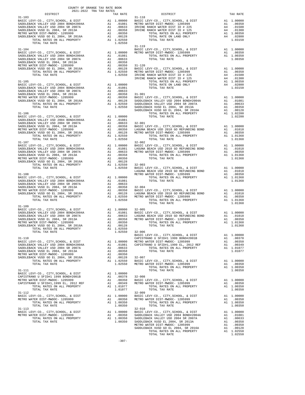| 2021-2022 TRA TAX RATES<br>DISTRICT |         |                                                                                                                                                                                                                                     | TAX RATE |
|-------------------------------------|---------|-------------------------------------------------------------------------------------------------------------------------------------------------------------------------------------------------------------------------------------|----------|
| $31 - 103$                          |         |                                                                                                                                                                                                                                     |          |
|                                     |         |                                                                                                                                                                                                                                     |          |
|                                     |         |                                                                                                                                                                                                                                     |          |
|                                     |         |                                                                                                                                                                                                                                     |          |
|                                     |         |                                                                                                                                                                                                                                     |          |
|                                     |         |                                                                                                                                                                                                                                     |          |
|                                     |         |                                                                                                                                                                                                                                     |          |
|                                     |         | $31 - 119$                                                                                                                                                                                                                          |          |
|                                     |         |                                                                                                                                                                                                                                     |          |
|                                     |         |                                                                                                                                                                                                                                     |          |
|                                     |         |                                                                                                                                                                                                                                     |          |
|                                     |         |                                                                                                                                                                                                                                     |          |
|                                     |         |                                                                                                                                                                                                                                     |          |
|                                     |         |                                                                                                                                                                                                                                     |          |
|                                     |         |                                                                                                                                                                                                                                     |          |
|                                     |         |                                                                                                                                                                                                                                     |          |
|                                     |         |                                                                                                                                                                                                                                     |          |
|                                     |         |                                                                                                                                                                                                                                     |          |
|                                     |         |                                                                                                                                                                                                                                     |          |
|                                     |         |                                                                                                                                                                                                                                     |          |
|                                     |         |                                                                                                                                                                                                                                     |          |
|                                     |         |                                                                                                                                                                                                                                     |          |
|                                     |         |                                                                                                                                                                                                                                     |          |
|                                     |         |                                                                                                                                                                                                                                     |          |
|                                     |         |                                                                                                                                                                                                                                     |          |
|                                     |         |                                                                                                                                                                                                                                     |          |
|                                     |         |                                                                                                                                                                                                                                     |          |
|                                     |         |                                                                                                                                                                                                                                     |          |
|                                     |         |                                                                                                                                                                                                                                     |          |
|                                     |         |                                                                                                                                                                                                                                     |          |
|                                     |         |                                                                                                                                                                                                                                     |          |
|                                     |         |                                                                                                                                                                                                                                     |          |
|                                     |         |                                                                                                                                                                                                                                     |          |
|                                     |         |                                                                                                                                                                                                                                     |          |
|                                     |         |                                                                                                                                                                                                                                     |          |
|                                     |         |                                                                                                                                                                                                                                     |          |
|                                     |         |                                                                                                                                                                                                                                     |          |
|                                     |         |                                                                                                                                                                                                                                     |          |
|                                     |         |                                                                                                                                                                                                                                     |          |
|                                     |         |                                                                                                                                                                                                                                     |          |
|                                     |         |                                                                                                                                                                                                                                     |          |
|                                     |         |                                                                                                                                                                                                                                     |          |
|                                     |         |                                                                                                                                                                                                                                     |          |
|                                     |         |                                                                                                                                                                                                                                     |          |
|                                     |         |                                                                                                                                                                                                                                     |          |
|                                     |         |                                                                                                                                                                                                                                     |          |
|                                     |         |                                                                                                                                                                                                                                     |          |
|                                     |         |                                                                                                                                                                                                                                     |          |
| $31 - 109$                          |         |                                                                                                                                                                                                                                     |          |
|                                     |         |                                                                                                                                                                                                                                     |          |
|                                     |         |                                                                                                                                                                                                                                     |          |
|                                     |         |                                                                                                                                                                                                                                     |          |
|                                     |         |                                                                                                                                                                                                                                     |          |
|                                     |         |                                                                                                                                                                                                                                     |          |
|                                     |         |                                                                                                                                                                                                                                     |          |
| TOTAL TAX RATE                      | 1.02550 | $32 - 006$                                                                                                                                                                                                                          |          |
|                                     |         |                                                                                                                                                                                                                                     |          |
|                                     |         |                                                                                                                                                                                                                                     |          |
|                                     |         |                                                                                                                                                                                                                                     |          |
|                                     |         |                                                                                                                                                                                                                                     |          |
|                                     |         |                                                                                                                                                                                                                                     |          |
|                                     |         |                                                                                                                                                                                                                                     |          |
|                                     |         |                                                                                                                                                                                                                                     |          |
|                                     |         |                                                                                                                                                                                                                                     |          |
|                                     |         |                                                                                                                                                                                                                                     |          |
|                                     |         |                                                                                                                                                                                                                                     |          |
|                                     |         |                                                                                                                                                                                                                                     |          |
|                                     |         |                                                                                                                                                                                                                                     |          |
|                                     |         |                                                                                                                                                                                                                                     |          |
|                                     |         |                                                                                                                                                                                                                                     |          |
|                                     |         |                                                                                                                                                                                                                                     |          |
|                                     |         | 1991–112<br>METRO WATER DIST METRO WAS TOTAL RATE DEVY-CO., CITY, SCHOOL, & DIST METRO WATER DIST<br>METRO WATER DISTRIP-MWDC- 1205999 METRO WATER DISTRIP-MWDC- 1205999 METRO WATER DISTRIP-MWDC- 1205999 MAI<br>1.00350 METRO TOT |          |
|                                     |         |                                                                                                                                                                                                                                     |          |
|                                     |         |                                                                                                                                                                                                                                     |          |
| $31 - 113$                          |         | $32 - 010$                                                                                                                                                                                                                          |          |
|                                     |         |                                                                                                                                                                                                                                     |          |
|                                     |         |                                                                                                                                                                                                                                     |          |
|                                     |         |                                                                                                                                                                                                                                     |          |
|                                     |         |                                                                                                                                                                                                                                     |          |
|                                     |         |                                                                                                                                                                                                                                     |          |
|                                     |         |                                                                                                                                                                                                                                     |          |

|            |  | $\begin{tabular}{l c c c c c} \multicolumn{1}{c}{\begin{tabular}{c} \multicolumn{1}{c}{DISTRICT}\\ \multicolumn{1}{c}{\begin{tabular}{c} \multicolumn{1}{c}{\begin{tabular}{c} \multicolumn{1}{c}{\begin{tabular}{c} \multicolumn{1}{c}{\begin{tabular}{c} \multicolumn{1}{c}{\begin{tabular}{c} \multicolumn{1}{c}{\begin{tabular}{c} \multicolumn{1}{c}{\begin{tabular}{c} \multicolumn{1}{c}{\begin{tabular}{c} \multicolumn{1}{c}{\begin{tabular}{c} \multicolumn{1}{c}{\begin{tabular}{c} \$                                                                                                                                                                                                                                                                                                                                                                                                                                  |  |
|------------|--|------------------------------------------------------------------------------------------------------------------------------------------------------------------------------------------------------------------------------------------------------------------------------------------------------------------------------------------------------------------------------------------------------------------------------------------------------------------------------------------------------------------------------------------------------------------------------------------------------------------------------------------------------------------------------------------------------------------------------------------------------------------------------------------------------------------------------------------------------------------------------------------------------------------------------------|--|
|            |  |                                                                                                                                                                                                                                                                                                                                                                                                                                                                                                                                                                                                                                                                                                                                                                                                                                                                                                                                    |  |
|            |  |                                                                                                                                                                                                                                                                                                                                                                                                                                                                                                                                                                                                                                                                                                                                                                                                                                                                                                                                    |  |
|            |  |                                                                                                                                                                                                                                                                                                                                                                                                                                                                                                                                                                                                                                                                                                                                                                                                                                                                                                                                    |  |
|            |  |                                                                                                                                                                                                                                                                                                                                                                                                                                                                                                                                                                                                                                                                                                                                                                                                                                                                                                                                    |  |
|            |  |                                                                                                                                                                                                                                                                                                                                                                                                                                                                                                                                                                                                                                                                                                                                                                                                                                                                                                                                    |  |
|            |  |                                                                                                                                                                                                                                                                                                                                                                                                                                                                                                                                                                                                                                                                                                                                                                                                                                                                                                                                    |  |
|            |  |                                                                                                                                                                                                                                                                                                                                                                                                                                                                                                                                                                                                                                                                                                                                                                                                                                                                                                                                    |  |
|            |  |                                                                                                                                                                                                                                                                                                                                                                                                                                                                                                                                                                                                                                                                                                                                                                                                                                                                                                                                    |  |
|            |  |                                                                                                                                                                                                                                                                                                                                                                                                                                                                                                                                                                                                                                                                                                                                                                                                                                                                                                                                    |  |
|            |  |                                                                                                                                                                                                                                                                                                                                                                                                                                                                                                                                                                                                                                                                                                                                                                                                                                                                                                                                    |  |
|            |  |                                                                                                                                                                                                                                                                                                                                                                                                                                                                                                                                                                                                                                                                                                                                                                                                                                                                                                                                    |  |
|            |  |                                                                                                                                                                                                                                                                                                                                                                                                                                                                                                                                                                                                                                                                                                                                                                                                                                                                                                                                    |  |
|            |  |                                                                                                                                                                                                                                                                                                                                                                                                                                                                                                                                                                                                                                                                                                                                                                                                                                                                                                                                    |  |
|            |  |                                                                                                                                                                                                                                                                                                                                                                                                                                                                                                                                                                                                                                                                                                                                                                                                                                                                                                                                    |  |
|            |  |                                                                                                                                                                                                                                                                                                                                                                                                                                                                                                                                                                                                                                                                                                                                                                                                                                                                                                                                    |  |
|            |  |                                                                                                                                                                                                                                                                                                                                                                                                                                                                                                                                                                                                                                                                                                                                                                                                                                                                                                                                    |  |
|            |  |                                                                                                                                                                                                                                                                                                                                                                                                                                                                                                                                                                                                                                                                                                                                                                                                                                                                                                                                    |  |
|            |  |                                                                                                                                                                                                                                                                                                                                                                                                                                                                                                                                                                                                                                                                                                                                                                                                                                                                                                                                    |  |
|            |  |                                                                                                                                                                                                                                                                                                                                                                                                                                                                                                                                                                                                                                                                                                                                                                                                                                                                                                                                    |  |
|            |  |                                                                                                                                                                                                                                                                                                                                                                                                                                                                                                                                                                                                                                                                                                                                                                                                                                                                                                                                    |  |
|            |  |                                                                                                                                                                                                                                                                                                                                                                                                                                                                                                                                                                                                                                                                                                                                                                                                                                                                                                                                    |  |
|            |  |                                                                                                                                                                                                                                                                                                                                                                                                                                                                                                                                                                                                                                                                                                                                                                                                                                                                                                                                    |  |
|            |  |                                                                                                                                                                                                                                                                                                                                                                                                                                                                                                                                                                                                                                                                                                                                                                                                                                                                                                                                    |  |
|            |  |                                                                                                                                                                                                                                                                                                                                                                                                                                                                                                                                                                                                                                                                                                                                                                                                                                                                                                                                    |  |
|            |  |                                                                                                                                                                                                                                                                                                                                                                                                                                                                                                                                                                                                                                                                                                                                                                                                                                                                                                                                    |  |
|            |  |                                                                                                                                                                                                                                                                                                                                                                                                                                                                                                                                                                                                                                                                                                                                                                                                                                                                                                                                    |  |
|            |  |                                                                                                                                                                                                                                                                                                                                                                                                                                                                                                                                                                                                                                                                                                                                                                                                                                                                                                                                    |  |
|            |  |                                                                                                                                                                                                                                                                                                                                                                                                                                                                                                                                                                                                                                                                                                                                                                                                                                                                                                                                    |  |
|            |  |                                                                                                                                                                                                                                                                                                                                                                                                                                                                                                                                                                                                                                                                                                                                                                                                                                                                                                                                    |  |
|            |  |                                                                                                                                                                                                                                                                                                                                                                                                                                                                                                                                                                                                                                                                                                                                                                                                                                                                                                                                    |  |
|            |  |                                                                                                                                                                                                                                                                                                                                                                                                                                                                                                                                                                                                                                                                                                                                                                                                                                                                                                                                    |  |
|            |  |                                                                                                                                                                                                                                                                                                                                                                                                                                                                                                                                                                                                                                                                                                                                                                                                                                                                                                                                    |  |
|            |  |                                                                                                                                                                                                                                                                                                                                                                                                                                                                                                                                                                                                                                                                                                                                                                                                                                                                                                                                    |  |
|            |  |                                                                                                                                                                                                                                                                                                                                                                                                                                                                                                                                                                                                                                                                                                                                                                                                                                                                                                                                    |  |
|            |  |                                                                                                                                                                                                                                                                                                                                                                                                                                                                                                                                                                                                                                                                                                                                                                                                                                                                                                                                    |  |
|            |  |                                                                                                                                                                                                                                                                                                                                                                                                                                                                                                                                                                                                                                                                                                                                                                                                                                                                                                                                    |  |
|            |  |                                                                                                                                                                                                                                                                                                                                                                                                                                                                                                                                                                                                                                                                                                                                                                                                                                                                                                                                    |  |
|            |  |                                                                                                                                                                                                                                                                                                                                                                                                                                                                                                                                                                                                                                                                                                                                                                                                                                                                                                                                    |  |
|            |  |                                                                                                                                                                                                                                                                                                                                                                                                                                                                                                                                                                                                                                                                                                                                                                                                                                                                                                                                    |  |
|            |  |                                                                                                                                                                                                                                                                                                                                                                                                                                                                                                                                                                                                                                                                                                                                                                                                                                                                                                                                    |  |
|            |  |                                                                                                                                                                                                                                                                                                                                                                                                                                                                                                                                                                                                                                                                                                                                                                                                                                                                                                                                    |  |
|            |  |                                                                                                                                                                                                                                                                                                                                                                                                                                                                                                                                                                                                                                                                                                                                                                                                                                                                                                                                    |  |
|            |  |                                                                                                                                                                                                                                                                                                                                                                                                                                                                                                                                                                                                                                                                                                                                                                                                                                                                                                                                    |  |
|            |  |                                                                                                                                                                                                                                                                                                                                                                                                                                                                                                                                                                                                                                                                                                                                                                                                                                                                                                                                    |  |
| $31 - 109$ |  |                                                                                                                                                                                                                                                                                                                                                                                                                                                                                                                                                                                                                                                                                                                                                                                                                                                                                                                                    |  |
|            |  |                                                                                                                                                                                                                                                                                                                                                                                                                                                                                                                                                                                                                                                                                                                                                                                                                                                                                                                                    |  |
|            |  |                                                                                                                                                                                                                                                                                                                                                                                                                                                                                                                                                                                                                                                                                                                                                                                                                                                                                                                                    |  |
|            |  |                                                                                                                                                                                                                                                                                                                                                                                                                                                                                                                                                                                                                                                                                                                                                                                                                                                                                                                                    |  |
|            |  |                                                                                                                                                                                                                                                                                                                                                                                                                                                                                                                                                                                                                                                                                                                                                                                                                                                                                                                                    |  |
|            |  |                                                                                                                                                                                                                                                                                                                                                                                                                                                                                                                                                                                                                                                                                                                                                                                                                                                                                                                                    |  |
|            |  |                                                                                                                                                                                                                                                                                                                                                                                                                                                                                                                                                                                                                                                                                                                                                                                                                                                                                                                                    |  |
|            |  | BASIC LEVY-CO., CITY, SCHOOL, & DIST                                                                                                                                                                                                                                                                                                                                                                                                                                                                                                                                                                                                                                                                                                                                                                                                                                                                                               |  |
|            |  |                                                                                                                                                                                                                                                                                                                                                                                                                                                                                                                                                                                                                                                                                                                                                                                                                                                                                                                                    |  |
|            |  |                                                                                                                                                                                                                                                                                                                                                                                                                                                                                                                                                                                                                                                                                                                                                                                                                                                                                                                                    |  |
|            |  |                                                                                                                                                                                                                                                                                                                                                                                                                                                                                                                                                                                                                                                                                                                                                                                                                                                                                                                                    |  |
|            |  |                                                                                                                                                                                                                                                                                                                                                                                                                                                                                                                                                                                                                                                                                                                                                                                                                                                                                                                                    |  |
|            |  |                                                                                                                                                                                                                                                                                                                                                                                                                                                                                                                                                                                                                                                                                                                                                                                                                                                                                                                                    |  |
|            |  |                                                                                                                                                                                                                                                                                                                                                                                                                                                                                                                                                                                                                                                                                                                                                                                                                                                                                                                                    |  |
|            |  |                                                                                                                                                                                                                                                                                                                                                                                                                                                                                                                                                                                                                                                                                                                                                                                                                                                                                                                                    |  |
|            |  |                                                                                                                                                                                                                                                                                                                                                                                                                                                                                                                                                                                                                                                                                                                                                                                                                                                                                                                                    |  |
|            |  |                                                                                                                                                                                                                                                                                                                                                                                                                                                                                                                                                                                                                                                                                                                                                                                                                                                                                                                                    |  |
|            |  |                                                                                                                                                                                                                                                                                                                                                                                                                                                                                                                                                                                                                                                                                                                                                                                                                                                                                                                                    |  |
|            |  |                                                                                                                                                                                                                                                                                                                                                                                                                                                                                                                                                                                                                                                                                                                                                                                                                                                                                                                                    |  |
|            |  |                                                                                                                                                                                                                                                                                                                                                                                                                                                                                                                                                                                                                                                                                                                                                                                                                                                                                                                                    |  |
|            |  |                                                                                                                                                                                                                                                                                                                                                                                                                                                                                                                                                                                                                                                                                                                                                                                                                                                                                                                                    |  |
|            |  | $\begin{tabular}{lllllllllllll} \multicolumn{4}{c }{\begin{tabular}{l} \multicolumn{4}{c}{\begin{tabular}{l} \multicolumn{4}{c}{\begin{tabular}{l} \multicolumn{4}{c}{\begin{tabular}{l} \multicolumn{4}{c}{\begin{tabular}{l} \multicolumn{4}{c}{\begin{tabular}{l} \multicolumn{4}{c}{\begin{tabular}{l} \multicolumn{4}{c}{\begin{tabular}{l} \multicolumn{4}{c}{\begin{tabular}{l} \multicolumn{4}{c}{\begin{tabular}{l} \multicolumn{4}{c}{\begin{tabular}{l} \multicolumn{4}{c}{\begin{tabular}{l} \$<br>$\begin{array}{cccccccc} 31-112 & & & & & & 32-009 \\ \texttt{BASIC LEVY-CO.} & CITY, SCHOOL, & & DIST & & & \texttt{AI} & 1.00000 & & \texttt{BASIC LEVY-CO.} & CITY, SCHOOL, & & DIST & & \texttt{AI} & 1.00000 \\ \texttt{METRO WATER DIST-MMDOC- 1205999} & & & & & & 1 & 0.00350 & & \texttt{METRO WATER DIST-MMDOC- 1205999} & & & \texttt{AI} & 0.0350 \\ \texttt{TOTAL RATES ON ALL RATES ON ALL PROBERTY}$ |  |
|            |  |                                                                                                                                                                                                                                                                                                                                                                                                                                                                                                                                                                                                                                                                                                                                                                                                                                                                                                                                    |  |
|            |  |                                                                                                                                                                                                                                                                                                                                                                                                                                                                                                                                                                                                                                                                                                                                                                                                                                                                                                                                    |  |
|            |  |                                                                                                                                                                                                                                                                                                                                                                                                                                                                                                                                                                                                                                                                                                                                                                                                                                                                                                                                    |  |
|            |  | $\begin{tabular}{cccccc} 31-113 & 100000 & 100000 & 100000 & 100000 & 100000 & 100000 & 100000 \\ \hline \texttt{D}QRL EWY-CO., CITY, SCHOOL, & DIST & A1 & 1.00000 & 100000 & 100000 & 100000 & 100000 \\ \texttt{METRO WATER DIST–MWDOC- 1205999} & & & & & & 1.00350 & 1.00350 & 1.00350 & 1.00350 & 1.0035$                                                                                                                                                                                                                                                                                                                                                                                                                                                                                                                                                                                                                    |  |
|            |  |                                                                                                                                                                                                                                                                                                                                                                                                                                                                                                                                                                                                                                                                                                                                                                                                                                                                                                                                    |  |
|            |  |                                                                                                                                                                                                                                                                                                                                                                                                                                                                                                                                                                                                                                                                                                                                                                                                                                                                                                                                    |  |
|            |  |                                                                                                                                                                                                                                                                                                                                                                                                                                                                                                                                                                                                                                                                                                                                                                                                                                                                                                                                    |  |
|            |  |                                                                                                                                                                                                                                                                                                                                                                                                                                                                                                                                                                                                                                                                                                                                                                                                                                                                                                                                    |  |
|            |  |                                                                                                                                                                                                                                                                                                                                                                                                                                                                                                                                                                                                                                                                                                                                                                                                                                                                                                                                    |  |
|            |  |                                                                                                                                                                                                                                                                                                                                                                                                                                                                                                                                                                                                                                                                                                                                                                                                                                                                                                                                    |  |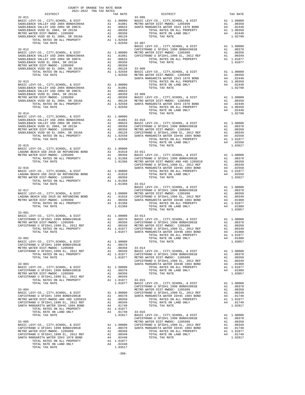| COUNTY OF ORANGE TAX RATE BOOK<br>2021-2022 TRA TAX RATES                                                                                                                                                                                                                       |  |                                          |          |
|---------------------------------------------------------------------------------------------------------------------------------------------------------------------------------------------------------------------------------------------------------------------------------|--|------------------------------------------|----------|
| DISTRICT                                                                                                                                                                                                                                                                        |  | TAX RATES<br>TAX RATE<br>33-006 DISTRICT | TAX RATE |
| $32 - 011$                                                                                                                                                                                                                                                                      |  |                                          |          |
|                                                                                                                                                                                                                                                                                 |  |                                          |          |
|                                                                                                                                                                                                                                                                                 |  |                                          |          |
|                                                                                                                                                                                                                                                                                 |  |                                          |          |
|                                                                                                                                                                                                                                                                                 |  |                                          |          |
|                                                                                                                                                                                                                                                                                 |  |                                          |          |
|                                                                                                                                                                                                                                                                                 |  |                                          |          |
|                                                                                                                                                                                                                                                                                 |  |                                          |          |
|                                                                                                                                                                                                                                                                                 |  |                                          |          |
|                                                                                                                                                                                                                                                                                 |  |                                          |          |
|                                                                                                                                                                                                                                                                                 |  |                                          |          |
|                                                                                                                                                                                                                                                                                 |  |                                          |          |
|                                                                                                                                                                                                                                                                                 |  |                                          |          |
|                                                                                                                                                                                                                                                                                 |  |                                          |          |
|                                                                                                                                                                                                                                                                                 |  |                                          |          |
|                                                                                                                                                                                                                                                                                 |  |                                          |          |
|                                                                                                                                                                                                                                                                                 |  |                                          |          |
|                                                                                                                                                                                                                                                                                 |  |                                          |          |
|                                                                                                                                                                                                                                                                                 |  |                                          |          |
|                                                                                                                                                                                                                                                                                 |  |                                          |          |
|                                                                                                                                                                                                                                                                                 |  |                                          |          |
|                                                                                                                                                                                                                                                                                 |  |                                          |          |
|                                                                                                                                                                                                                                                                                 |  |                                          |          |
|                                                                                                                                                                                                                                                                                 |  |                                          |          |
|                                                                                                                                                                                                                                                                                 |  |                                          |          |
|                                                                                                                                                                                                                                                                                 |  |                                          |          |
|                                                                                                                                                                                                                                                                                 |  |                                          |          |
|                                                                                                                                                                                                                                                                                 |  |                                          |          |
|                                                                                                                                                                                                                                                                                 |  |                                          |          |
|                                                                                                                                                                                                                                                                                 |  |                                          |          |
|                                                                                                                                                                                                                                                                                 |  |                                          |          |
|                                                                                                                                                                                                                                                                                 |  |                                          |          |
|                                                                                                                                                                                                                                                                                 |  |                                          |          |
|                                                                                                                                                                                                                                                                                 |  |                                          |          |
|                                                                                                                                                                                                                                                                                 |  |                                          |          |
|                                                                                                                                                                                                                                                                                 |  |                                          |          |
|                                                                                                                                                                                                                                                                                 |  |                                          |          |
|                                                                                                                                                                                                                                                                                 |  |                                          |          |
|                                                                                                                                                                                                                                                                                 |  |                                          |          |
|                                                                                                                                                                                                                                                                                 |  |                                          |          |
|                                                                                                                                                                                                                                                                                 |  |                                          |          |
|                                                                                                                                                                                                                                                                                 |  |                                          |          |
|                                                                                                                                                                                                                                                                                 |  |                                          |          |
| $33 - 001$                                                                                                                                                                                                                                                                      |  |                                          |          |
|                                                                                                                                                                                                                                                                                 |  |                                          |          |
|                                                                                                                                                                                                                                                                                 |  |                                          |          |
|                                                                                                                                                                                                                                                                                 |  |                                          |          |
| TOTAL TAX RATE                                                                                                                                                                                                                                                                  |  |                                          |          |
|                                                                                                                                                                                                                                                                                 |  |                                          |          |
|                                                                                                                                                                                                                                                                                 |  |                                          |          |
|                                                                                                                                                                                                                                                                                 |  |                                          |          |
|                                                                                                                                                                                                                                                                                 |  |                                          |          |
|                                                                                                                                                                                                                                                                                 |  |                                          |          |
|                                                                                                                                                                                                                                                                                 |  |                                          |          |
|                                                                                                                                                                                                                                                                                 |  |                                          |          |
|                                                                                                                                                                                                                                                                                 |  |                                          |          |
|                                                                                                                                                                                                                                                                                 |  |                                          |          |
|                                                                                                                                                                                                                                                                                 |  |                                          |          |
|                                                                                                                                                                                                                                                                                 |  |                                          |          |
|                                                                                                                                                                                                                                                                                 |  |                                          |          |
|                                                                                                                                                                                                                                                                                 |  |                                          |          |
|                                                                                                                                                                                                                                                                                 |  |                                          |          |
|                                                                                                                                                                                                                                                                                 |  |                                          |          |
|                                                                                                                                                                                                                                                                                 |  |                                          |          |
|                                                                                                                                                                                                                                                                                 |  |                                          |          |
|                                                                                                                                                                                                                                                                                 |  |                                          |          |
|                                                                                                                                                                                                                                                                                 |  |                                          |          |
|                                                                                                                                                                                                                                                                                 |  |                                          |          |
|                                                                                                                                                                                                                                                                                 |  |                                          |          |
|                                                                                                                                                                                                                                                                                 |  |                                          |          |
|                                                                                                                                                                                                                                                                                 |  |                                          |          |
| $\begin{tabular}{cccccc} 1071L & 171K & 171K & 171K & 171K & 171K & 171K & 171K & 171K & 171K & 171K & 171K & 171K & 171K & 171K & 171K & 171K & 171K & 171K & 171K & 171K & 171K & 171K & 171K & 171K & 171K & 171K & 171K & 171K & 171K & 171K & 171K & 171K & 171K & 171K &$ |  |                                          |          |
|                                                                                                                                                                                                                                                                                 |  |                                          |          |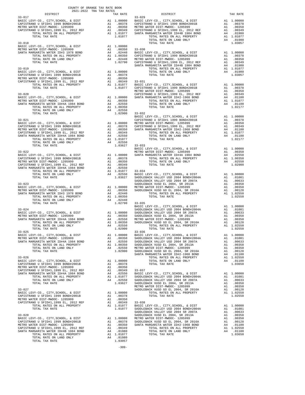| COUNTY OF ORANGE TAX RATE BOOK<br>2021-2022 TRA TAX RATES                                                                                                                                                                                                                                                                                                                                         |          |                                                                                                                                                                                                                                                                                                                                                                                                                                                  |          |
|---------------------------------------------------------------------------------------------------------------------------------------------------------------------------------------------------------------------------------------------------------------------------------------------------------------------------------------------------------------------------------------------------|----------|--------------------------------------------------------------------------------------------------------------------------------------------------------------------------------------------------------------------------------------------------------------------------------------------------------------------------------------------------------------------------------------------------------------------------------------------------|----------|
|                                                                                                                                                                                                                                                                                                                                                                                                   | TAX RATE | DISTRICT                                                                                                                                                                                                                                                                                                                                                                                                                                         | TAX RATE |
| $33 - 017$<br>$\begin{tabular}{c c c c c} \multicolumn{1}{c }{33-017} \multicolumn{1}{c }{33-017} \multicolumn{1}{c }{33-017} \multicolumn{1}{c }{33-017} \multicolumn{1}{c }{\begin{tabular}{c c c} $33-017$ & $3-029$ \\ \multicolumn{1}{c }{\begin{tabular}{c c }{\begin{tabular}{c} $3-029$ & $1$ & $1,00000$ & $8$ & $1587$ \\ \multicolumn{1}{c }{\begin{tabular}{c} $3-029$ & $1$ & $1,00$ |          | $33 - 029$                                                                                                                                                                                                                                                                                                                                                                                                                                       |          |
|                                                                                                                                                                                                                                                                                                                                                                                                   |          |                                                                                                                                                                                                                                                                                                                                                                                                                                                  |          |
|                                                                                                                                                                                                                                                                                                                                                                                                   |          |                                                                                                                                                                                                                                                                                                                                                                                                                                                  |          |
|                                                                                                                                                                                                                                                                                                                                                                                                   |          |                                                                                                                                                                                                                                                                                                                                                                                                                                                  |          |
|                                                                                                                                                                                                                                                                                                                                                                                                   |          |                                                                                                                                                                                                                                                                                                                                                                                                                                                  |          |
|                                                                                                                                                                                                                                                                                                                                                                                                   |          |                                                                                                                                                                                                                                                                                                                                                                                                                                                  |          |
|                                                                                                                                                                                                                                                                                                                                                                                                   |          |                                                                                                                                                                                                                                                                                                                                                                                                                                                  |          |
|                                                                                                                                                                                                                                                                                                                                                                                                   |          |                                                                                                                                                                                                                                                                                                                                                                                                                                                  |          |
|                                                                                                                                                                                                                                                                                                                                                                                                   |          |                                                                                                                                                                                                                                                                                                                                                                                                                                                  |          |
|                                                                                                                                                                                                                                                                                                                                                                                                   |          |                                                                                                                                                                                                                                                                                                                                                                                                                                                  |          |
|                                                                                                                                                                                                                                                                                                                                                                                                   |          |                                                                                                                                                                                                                                                                                                                                                                                                                                                  |          |
|                                                                                                                                                                                                                                                                                                                                                                                                   |          |                                                                                                                                                                                                                                                                                                                                                                                                                                                  |          |
|                                                                                                                                                                                                                                                                                                                                                                                                   |          |                                                                                                                                                                                                                                                                                                                                                                                                                                                  |          |
|                                                                                                                                                                                                                                                                                                                                                                                                   |          |                                                                                                                                                                                                                                                                                                                                                                                                                                                  |          |
|                                                                                                                                                                                                                                                                                                                                                                                                   |          |                                                                                                                                                                                                                                                                                                                                                                                                                                                  |          |
|                                                                                                                                                                                                                                                                                                                                                                                                   |          |                                                                                                                                                                                                                                                                                                                                                                                                                                                  |          |
|                                                                                                                                                                                                                                                                                                                                                                                                   |          |                                                                                                                                                                                                                                                                                                                                                                                                                                                  |          |
|                                                                                                                                                                                                                                                                                                                                                                                                   |          |                                                                                                                                                                                                                                                                                                                                                                                                                                                  |          |
|                                                                                                                                                                                                                                                                                                                                                                                                   |          |                                                                                                                                                                                                                                                                                                                                                                                                                                                  |          |
|                                                                                                                                                                                                                                                                                                                                                                                                   |          |                                                                                                                                                                                                                                                                                                                                                                                                                                                  |          |
|                                                                                                                                                                                                                                                                                                                                                                                                   |          |                                                                                                                                                                                                                                                                                                                                                                                                                                                  |          |
|                                                                                                                                                                                                                                                                                                                                                                                                   |          |                                                                                                                                                                                                                                                                                                                                                                                                                                                  |          |
|                                                                                                                                                                                                                                                                                                                                                                                                   |          |                                                                                                                                                                                                                                                                                                                                                                                                                                                  |          |
|                                                                                                                                                                                                                                                                                                                                                                                                   |          |                                                                                                                                                                                                                                                                                                                                                                                                                                                  |          |
|                                                                                                                                                                                                                                                                                                                                                                                                   |          |                                                                                                                                                                                                                                                                                                                                                                                                                                                  |          |
|                                                                                                                                                                                                                                                                                                                                                                                                   |          |                                                                                                                                                                                                                                                                                                                                                                                                                                                  |          |
|                                                                                                                                                                                                                                                                                                                                                                                                   |          |                                                                                                                                                                                                                                                                                                                                                                                                                                                  |          |
|                                                                                                                                                                                                                                                                                                                                                                                                   |          |                                                                                                                                                                                                                                                                                                                                                                                                                                                  |          |
|                                                                                                                                                                                                                                                                                                                                                                                                   |          |                                                                                                                                                                                                                                                                                                                                                                                                                                                  |          |
|                                                                                                                                                                                                                                                                                                                                                                                                   |          |                                                                                                                                                                                                                                                                                                                                                                                                                                                  |          |
|                                                                                                                                                                                                                                                                                                                                                                                                   |          |                                                                                                                                                                                                                                                                                                                                                                                                                                                  |          |
|                                                                                                                                                                                                                                                                                                                                                                                                   |          |                                                                                                                                                                                                                                                                                                                                                                                                                                                  |          |
|                                                                                                                                                                                                                                                                                                                                                                                                   |          |                                                                                                                                                                                                                                                                                                                                                                                                                                                  |          |
|                                                                                                                                                                                                                                                                                                                                                                                                   |          |                                                                                                                                                                                                                                                                                                                                                                                                                                                  |          |
|                                                                                                                                                                                                                                                                                                                                                                                                   |          |                                                                                                                                                                                                                                                                                                                                                                                                                                                  |          |
|                                                                                                                                                                                                                                                                                                                                                                                                   |          |                                                                                                                                                                                                                                                                                                                                                                                                                                                  |          |
|                                                                                                                                                                                                                                                                                                                                                                                                   |          |                                                                                                                                                                                                                                                                                                                                                                                                                                                  |          |
|                                                                                                                                                                                                                                                                                                                                                                                                   |          |                                                                                                                                                                                                                                                                                                                                                                                                                                                  |          |
|                                                                                                                                                                                                                                                                                                                                                                                                   |          |                                                                                                                                                                                                                                                                                                                                                                                                                                                  |          |
|                                                                                                                                                                                                                                                                                                                                                                                                   |          |                                                                                                                                                                                                                                                                                                                                                                                                                                                  |          |
|                                                                                                                                                                                                                                                                                                                                                                                                   |          |                                                                                                                                                                                                                                                                                                                                                                                                                                                  |          |
|                                                                                                                                                                                                                                                                                                                                                                                                   |          |                                                                                                                                                                                                                                                                                                                                                                                                                                                  |          |
|                                                                                                                                                                                                                                                                                                                                                                                                   |          |                                                                                                                                                                                                                                                                                                                                                                                                                                                  |          |
|                                                                                                                                                                                                                                                                                                                                                                                                   |          |                                                                                                                                                                                                                                                                                                                                                                                                                                                  |          |
|                                                                                                                                                                                                                                                                                                                                                                                                   |          |                                                                                                                                                                                                                                                                                                                                                                                                                                                  |          |
|                                                                                                                                                                                                                                                                                                                                                                                                   |          | $\begin{tabular}{l c c c c c} \hline \text{Total TAX RATE} & & & & & & & & & & & & \\ \hline \text{ADATE} & & & & & & & & & & & & \\ \hline \text{BASIC LEVY-CO.}, & & & & & & & & & & & \\ \hline \text{BASIC LEVY-CO.}, & & & & & & & & & & \\ \hline \text{BASIC LEVY-CO.}, & & & & & & & & & & \\ \hline \text{BASIC LEVY-CO.}, & & & & & & & & & & \\ \hline \text{METRO WATER DIST–MIMOC-1205999} & & & & & & & & & \\ \hline \text{METRO$ |          |
|                                                                                                                                                                                                                                                                                                                                                                                                   |          | $33 - 036$                                                                                                                                                                                                                                                                                                                                                                                                                                       |          |
|                                                                                                                                                                                                                                                                                                                                                                                                   |          |                                                                                                                                                                                                                                                                                                                                                                                                                                                  |          |
|                                                                                                                                                                                                                                                                                                                                                                                                   |          |                                                                                                                                                                                                                                                                                                                                                                                                                                                  |          |
|                                                                                                                                                                                                                                                                                                                                                                                                   |          |                                                                                                                                                                                                                                                                                                                                                                                                                                                  |          |
|                                                                                                                                                                                                                                                                                                                                                                                                   |          |                                                                                                                                                                                                                                                                                                                                                                                                                                                  |          |
|                                                                                                                                                                                                                                                                                                                                                                                                   |          |                                                                                                                                                                                                                                                                                                                                                                                                                                                  |          |
|                                                                                                                                                                                                                                                                                                                                                                                                   |          |                                                                                                                                                                                                                                                                                                                                                                                                                                                  |          |
|                                                                                                                                                                                                                                                                                                                                                                                                   |          |                                                                                                                                                                                                                                                                                                                                                                                                                                                  |          |
|                                                                                                                                                                                                                                                                                                                                                                                                   |          |                                                                                                                                                                                                                                                                                                                                                                                                                                                  |          |
|                                                                                                                                                                                                                                                                                                                                                                                                   |          |                                                                                                                                                                                                                                                                                                                                                                                                                                                  |          |
|                                                                                                                                                                                                                                                                                                                                                                                                   |          |                                                                                                                                                                                                                                                                                                                                                                                                                                                  |          |
|                                                                                                                                                                                                                                                                                                                                                                                                   |          |                                                                                                                                                                                                                                                                                                                                                                                                                                                  |          |
|                                                                                                                                                                                                                                                                                                                                                                                                   |          |                                                                                                                                                                                                                                                                                                                                                                                                                                                  |          |
|                                                                                                                                                                                                                                                                                                                                                                                                   |          |                                                                                                                                                                                                                                                                                                                                                                                                                                                  |          |
|                                                                                                                                                                                                                                                                                                                                                                                                   |          |                                                                                                                                                                                                                                                                                                                                                                                                                                                  |          |
|                                                                                                                                                                                                                                                                                                                                                                                                   |          |                                                                                                                                                                                                                                                                                                                                                                                                                                                  |          |
|                                                                                                                                                                                                                                                                                                                                                                                                   |          |                                                                                                                                                                                                                                                                                                                                                                                                                                                  |          |
|                                                                                                                                                                                                                                                                                                                                                                                                   |          |                                                                                                                                                                                                                                                                                                                                                                                                                                                  |          |
|                                                                                                                                                                                                                                                                                                                                                                                                   |          |                                                                                                                                                                                                                                                                                                                                                                                                                                                  |          |
|                                                                                                                                                                                                                                                                                                                                                                                                   |          |                                                                                                                                                                                                                                                                                                                                                                                                                                                  |          |
|                                                                                                                                                                                                                                                                                                                                                                                                   |          |                                                                                                                                                                                                                                                                                                                                                                                                                                                  |          |
|                                                                                                                                                                                                                                                                                                                                                                                                   |          |                                                                                                                                                                                                                                                                                                                                                                                                                                                  |          |
|                                                                                                                                                                                                                                                                                                                                                                                                   |          |                                                                                                                                                                                                                                                                                                                                                                                                                                                  |          |
|                                                                                                                                                                                                                                                                                                                                                                                                   |          |                                                                                                                                                                                                                                                                                                                                                                                                                                                  |          |
|                                                                                                                                                                                                                                                                                                                                                                                                   |          |                                                                                                                                                                                                                                                                                                                                                                                                                                                  |          |
|                                                                                                                                                                                                                                                                                                                                                                                                   |          |                                                                                                                                                                                                                                                                                                                                                                                                                                                  |          |

-309-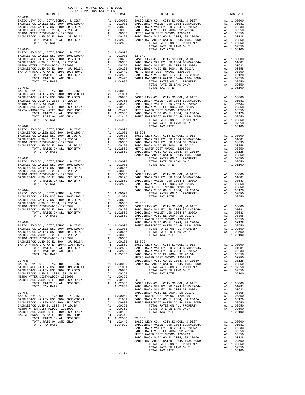| 2021-2022 TRA TAX RATES |  |
|-------------------------|--|
|                         |  |
|                         |  |
|                         |  |
|                         |  |
|                         |  |
|                         |  |
|                         |  |
|                         |  |
|                         |  |
|                         |  |
|                         |  |
|                         |  |
|                         |  |
|                         |  |
|                         |  |
|                         |  |
|                         |  |
|                         |  |
|                         |  |
|                         |  |
|                         |  |
|                         |  |
|                         |  |
|                         |  |
|                         |  |
|                         |  |
|                         |  |
|                         |  |
|                         |  |
|                         |  |
|                         |  |
|                         |  |
|                         |  |
|                         |  |
|                         |  |
|                         |  |
|                         |  |
|                         |  |
|                         |  |
|                         |  |
|                         |  |
|                         |  |
|                         |  |
|                         |  |
|                         |  |
|                         |  |
|                         |  |
|                         |  |
|                         |  |
|                         |  |
|                         |  |
|                         |  |
|                         |  |
|                         |  |
|                         |  |
|                         |  |
|                         |  |
|                         |  |
|                         |  |
|                         |  |
|                         |  |
|                         |  |
|                         |  |
|                         |  |
|                         |  |
|                         |  |
|                         |  |
|                         |  |
|                         |  |
|                         |  |
|                         |  |
|                         |  |
|                         |  |

COUNTY OF ORANGE TAX RATE BOOK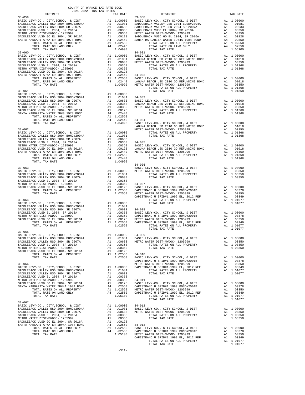| DISTRICT                                                                      | COUNTY OF ORANGE TAX RATE BOOK<br>2021-2022 TRA TAX RATES | TAX RATE                                                   |                       |
|-------------------------------------------------------------------------------|-----------------------------------------------------------|------------------------------------------------------------|-----------------------|
| $33 - 059$                                                                    |                                                           |                                                            | $33 - 068$            |
|                                                                               |                                                           |                                                            |                       |
|                                                                               |                                                           |                                                            |                       |
|                                                                               |                                                           |                                                            |                       |
|                                                                               |                                                           |                                                            |                       |
|                                                                               |                                                           |                                                            |                       |
|                                                                               |                                                           |                                                            |                       |
|                                                                               |                                                           |                                                            |                       |
| TOTAL TAX RATE                                                                |                                                           | 1.04990                                                    |                       |
| $33 - 060$                                                                    |                                                           |                                                            | $34 - 001$            |
|                                                                               |                                                           |                                                            |                       |
|                                                                               |                                                           |                                                            |                       |
|                                                                               |                                                           |                                                            |                       |
|                                                                               |                                                           |                                                            |                       |
|                                                                               |                                                           |                                                            |                       |
|                                                                               |                                                           |                                                            |                       |
|                                                                               |                                                           |                                                            |                       |
|                                                                               |                                                           |                                                            |                       |
|                                                                               |                                                           |                                                            |                       |
|                                                                               |                                                           |                                                            |                       |
|                                                                               |                                                           |                                                            |                       |
|                                                                               |                                                           |                                                            |                       |
|                                                                               |                                                           |                                                            |                       |
|                                                                               |                                                           |                                                            |                       |
|                                                                               |                                                           |                                                            |                       |
|                                                                               |                                                           |                                                            |                       |
|                                                                               |                                                           |                                                            |                       |
|                                                                               |                                                           |                                                            |                       |
|                                                                               |                                                           |                                                            |                       |
|                                                                               |                                                           |                                                            | LAGUNA                |
| $33 - 062$                                                                    |                                                           |                                                            | METRO W               |
|                                                                               |                                                           |                                                            |                       |
|                                                                               |                                                           |                                                            |                       |
|                                                                               |                                                           |                                                            |                       |
|                                                                               |                                                           |                                                            |                       |
|                                                                               |                                                           |                                                            |                       |
|                                                                               |                                                           |                                                            |                       |
|                                                                               |                                                           |                                                            |                       |
| TOTAL TAX RATE                                                                |                                                           | 1.04990                                                    |                       |
|                                                                               |                                                           |                                                            | $34 - 006$            |
| $33 - 063$                                                                    |                                                           |                                                            | BASIC L               |
|                                                                               |                                                           |                                                            |                       |
|                                                                               |                                                           |                                                            |                       |
|                                                                               |                                                           |                                                            |                       |
|                                                                               |                                                           |                                                            |                       |
|                                                                               |                                                           |                                                            |                       |
|                                                                               |                                                           |                                                            |                       |
|                                                                               |                                                           |                                                            | CAPISTR               |
| $33 - 064$                                                                    |                                                           |                                                            |                       |
|                                                                               |                                                           |                                                            |                       |
|                                                                               |                                                           |                                                            |                       |
|                                                                               |                                                           |                                                            |                       |
|                                                                               |                                                           |                                                            |                       |
|                                                                               |                                                           |                                                            |                       |
|                                                                               |                                                           |                                                            |                       |
|                                                                               |                                                           |                                                            |                       |
|                                                                               |                                                           |                                                            |                       |
| $33 - 065$                                                                    |                                                           |                                                            |                       |
| BASIC LEVY-CO., CITY, SCHOOL, & DIST<br>SADDLEBACK VALLEY USD 2004 BOND#2004A |                                                           | A1 1.00000 34-009<br>A1 .01081 BASIC L<br>A1 .00633 METROW |                       |
| SADDLEBACK VALLEY USD 2004 SR 2007A                                           |                                                           |                                                            |                       |
| SADDLEBACK VUSD EL 2004, SR 2013A                                             |                                                           | A1.00358                                                   |                       |
| METRO WATER DIST-MWDOC- 1205999                                               |                                                           | A1 .00350                                                  |                       |
| SADDLEBACK VUSD GO EL 2004, SR 2016A<br>TOTAL RATES ON ALL PROPERTY           | A1                                                        | .00128                                                     |                       |
| TOTAL TAX RATE                                                                |                                                           | A1 1.02550<br>1.02550                                      | $34 - 010$<br>BASIC L |
|                                                                               |                                                           |                                                            | CAPISTR               |
| $33 - 066$                                                                    |                                                           |                                                            | METRO W               |
| BASIC LEVY-CO., CITY, SCHOOL, & DIST                                          |                                                           |                                                            | CAPISTR               |
| SADDLEBACK VALLEY USD 2004 BOND#2004A                                         |                                                           | A1 $1.00000$<br>A1 01000                                   |                       |
| SADDLEBACK VALLEY USD 2004 SR 2007A<br>SADDLEBACK VUSD EL 2004, SR 2013A      |                                                           | A1.00633                                                   |                       |
| METRO WATER DIST-MWDOC- 1205999                                               |                                                           | A1 .00358<br>A1 .00350                                     |                       |
| SADDLEBACK VUSD GO EL 2004, SR 2016A                                          |                                                           |                                                            |                       |
| SANTA MARGARITA WATER ID#4A 1984 BOND                                         |                                                           |                                                            |                       |
| TOTAL RATES ON ALL PROPERTY                                                   |                                                           | A1 1.02550                                                 | METRO W               |
| TOTAL RATE ON LAND ONLY                                                       |                                                           | A4.02550                                                   | CAPISTR               |
| TOTAL TAX RATE                                                                |                                                           | 1.05100                                                    |                       |
| $33 - 067$                                                                    |                                                           |                                                            |                       |
| BASIC LEVY-CO., CITY, SCHOOL, & DIST                                          |                                                           | A1 1.00000 34-012<br>A1 .01081 BASIC L<br>A1 .00633 METROW |                       |
| SADDLEBACK VALLEY USD 2004 BOND#2004A                                         |                                                           |                                                            |                       |
| SADDLEBACK VALLEY USD 2004 SR 2007A                                           |                                                           |                                                            |                       |
| SADDLEBACK VUSD EL 2004, SR 2013A<br>METRO WATER DIST-MWDOC- 1205999          |                                                           | A1.00358<br>A1.00350                                       |                       |
| SADDLEBACK VUSD GO EL 2004, SR 2016A                                          | A1                                                        | .00128                                                     |                       |
| SANTA MARGARITA WATER ID#4A 1984 BOND                                         | A4                                                        | .02550                                                     |                       |
| TOTAL RATES ON ALL PROPERTY                                                   |                                                           | A1 1.02550                                                 | 34-013<br>BASIC L     |
| TOTAL RATE ON LAND ONLY                                                       | A4                                                        | $.02550$ CAPISTR                                           |                       |
| TOTAL TAX RATE                                                                |                                                           | 1.05100 METRO W                                            |                       |

| DISTRICT   | 2021-2022 TRA TAX RATES<br>TAX RATE | DISTRICT       | TAX RATE |
|------------|-------------------------------------|----------------|----------|
| $33 - 059$ |                                     | $33 - 068$     |          |
|            |                                     |                |          |
|            |                                     |                |          |
|            |                                     |                |          |
|            |                                     |                |          |
|            |                                     |                |          |
|            |                                     |                |          |
|            |                                     |                |          |
|            |                                     |                |          |
| $33 - 065$ |                                     |                |          |
|            |                                     |                |          |
|            |                                     | TOTAL TAX RATE | 1.01077  |
|            |                                     |                |          |
|            |                                     |                |          |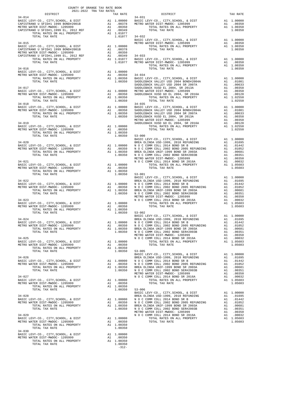|                |         | $\begin{tabular}{cccccc} \textbf{1.01077} & \textbf{1.01077} & 34-032 & 4-032 & 4-032 & 4-032 & 4-032 & 4-032 & 4-032 & 4-032 & 4-032 & 4-032 & 4-032 & 4-032 & 4-016 & 4-035 & 4-035 & 4-016 & 4-035 & 4-016 & 4-016 & 4-016 & 4-016 & 4-016 & 4-016 & 4-016 & 4-016 & 4-016 & 4$                                                                                                                                                                                                                                                                                                                                                                                                                                                                                                                         |  |
|----------------|---------|------------------------------------------------------------------------------------------------------------------------------------------------------------------------------------------------------------------------------------------------------------------------------------------------------------------------------------------------------------------------------------------------------------------------------------------------------------------------------------------------------------------------------------------------------------------------------------------------------------------------------------------------------------------------------------------------------------------------------------------------------------------------------------------------------------|--|
|                |         |                                                                                                                                                                                                                                                                                                                                                                                                                                                                                                                                                                                                                                                                                                                                                                                                            |  |
|                |         |                                                                                                                                                                                                                                                                                                                                                                                                                                                                                                                                                                                                                                                                                                                                                                                                            |  |
|                |         |                                                                                                                                                                                                                                                                                                                                                                                                                                                                                                                                                                                                                                                                                                                                                                                                            |  |
|                |         |                                                                                                                                                                                                                                                                                                                                                                                                                                                                                                                                                                                                                                                                                                                                                                                                            |  |
|                |         |                                                                                                                                                                                                                                                                                                                                                                                                                                                                                                                                                                                                                                                                                                                                                                                                            |  |
|                |         |                                                                                                                                                                                                                                                                                                                                                                                                                                                                                                                                                                                                                                                                                                                                                                                                            |  |
|                |         |                                                                                                                                                                                                                                                                                                                                                                                                                                                                                                                                                                                                                                                                                                                                                                                                            |  |
|                |         |                                                                                                                                                                                                                                                                                                                                                                                                                                                                                                                                                                                                                                                                                                                                                                                                            |  |
|                |         |                                                                                                                                                                                                                                                                                                                                                                                                                                                                                                                                                                                                                                                                                                                                                                                                            |  |
|                |         |                                                                                                                                                                                                                                                                                                                                                                                                                                                                                                                                                                                                                                                                                                                                                                                                            |  |
|                |         |                                                                                                                                                                                                                                                                                                                                                                                                                                                                                                                                                                                                                                                                                                                                                                                                            |  |
|                |         |                                                                                                                                                                                                                                                                                                                                                                                                                                                                                                                                                                                                                                                                                                                                                                                                            |  |
|                |         |                                                                                                                                                                                                                                                                                                                                                                                                                                                                                                                                                                                                                                                                                                                                                                                                            |  |
|                |         |                                                                                                                                                                                                                                                                                                                                                                                                                                                                                                                                                                                                                                                                                                                                                                                                            |  |
|                |         |                                                                                                                                                                                                                                                                                                                                                                                                                                                                                                                                                                                                                                                                                                                                                                                                            |  |
|                |         |                                                                                                                                                                                                                                                                                                                                                                                                                                                                                                                                                                                                                                                                                                                                                                                                            |  |
|                |         |                                                                                                                                                                                                                                                                                                                                                                                                                                                                                                                                                                                                                                                                                                                                                                                                            |  |
|                |         |                                                                                                                                                                                                                                                                                                                                                                                                                                                                                                                                                                                                                                                                                                                                                                                                            |  |
|                |         | $\begin{tabular}{lcccc} 1.00350 & 53-000 & 1.02550 \\ \text{BASTC LEVY-C0.}, CITY, SCHOOL, & DIST & BRBA OLINDA USD-1999, & 2010 RREUNDING & A1 & 1.00000 \\ \text{BASTC LEVY-C0.}, CITY, SCHOOL, & DIST & A1 & 1.00000 & NO C COMM COLL 2014 BOND SRB & DIST-IMDOC-1205999 & A1 & .00350 & NO C COMM COLL 2012 BOND 2005 BRB/UNDING & A1 & .01695 \\ \text{DTRL RATES ON ALL$                                                                                                                                                                                                                                                                                                                                                                                                                             |  |
|                |         |                                                                                                                                                                                                                                                                                                                                                                                                                                                                                                                                                                                                                                                                                                                                                                                                            |  |
|                |         |                                                                                                                                                                                                                                                                                                                                                                                                                                                                                                                                                                                                                                                                                                                                                                                                            |  |
|                |         |                                                                                                                                                                                                                                                                                                                                                                                                                                                                                                                                                                                                                                                                                                                                                                                                            |  |
|                |         |                                                                                                                                                                                                                                                                                                                                                                                                                                                                                                                                                                                                                                                                                                                                                                                                            |  |
|                |         |                                                                                                                                                                                                                                                                                                                                                                                                                                                                                                                                                                                                                                                                                                                                                                                                            |  |
|                |         |                                                                                                                                                                                                                                                                                                                                                                                                                                                                                                                                                                                                                                                                                                                                                                                                            |  |
|                |         |                                                                                                                                                                                                                                                                                                                                                                                                                                                                                                                                                                                                                                                                                                                                                                                                            |  |
|                |         |                                                                                                                                                                                                                                                                                                                                                                                                                                                                                                                                                                                                                                                                                                                                                                                                            |  |
|                |         |                                                                                                                                                                                                                                                                                                                                                                                                                                                                                                                                                                                                                                                                                                                                                                                                            |  |
|                |         |                                                                                                                                                                                                                                                                                                                                                                                                                                                                                                                                                                                                                                                                                                                                                                                                            |  |
|                |         |                                                                                                                                                                                                                                                                                                                                                                                                                                                                                                                                                                                                                                                                                                                                                                                                            |  |
|                |         |                                                                                                                                                                                                                                                                                                                                                                                                                                                                                                                                                                                                                                                                                                                                                                                                            |  |
|                |         |                                                                                                                                                                                                                                                                                                                                                                                                                                                                                                                                                                                                                                                                                                                                                                                                            |  |
|                |         |                                                                                                                                                                                                                                                                                                                                                                                                                                                                                                                                                                                                                                                                                                                                                                                                            |  |
|                |         |                                                                                                                                                                                                                                                                                                                                                                                                                                                                                                                                                                                                                                                                                                                                                                                                            |  |
|                |         |                                                                                                                                                                                                                                                                                                                                                                                                                                                                                                                                                                                                                                                                                                                                                                                                            |  |
|                |         |                                                                                                                                                                                                                                                                                                                                                                                                                                                                                                                                                                                                                                                                                                                                                                                                            |  |
|                |         |                                                                                                                                                                                                                                                                                                                                                                                                                                                                                                                                                                                                                                                                                                                                                                                                            |  |
|                |         |                                                                                                                                                                                                                                                                                                                                                                                                                                                                                                                                                                                                                                                                                                                                                                                                            |  |
|                |         |                                                                                                                                                                                                                                                                                                                                                                                                                                                                                                                                                                                                                                                                                                                                                                                                            |  |
|                |         |                                                                                                                                                                                                                                                                                                                                                                                                                                                                                                                                                                                                                                                                                                                                                                                                            |  |
|                |         |                                                                                                                                                                                                                                                                                                                                                                                                                                                                                                                                                                                                                                                                                                                                                                                                            |  |
|                |         |                                                                                                                                                                                                                                                                                                                                                                                                                                                                                                                                                                                                                                                                                                                                                                                                            |  |
|                |         | $\begin{tabular}{ccccc} $\mathsf{34$--025}$ & $\mathsf{34$--025}$ & $\mathsf{34$--025}$ & $\mathsf{100681}$ \\ $\mathsf{34$--025}$ & $\mathsf{M} \text{ of } \mathsf{COMM} \text{ COLL 2002 BOND SER}^{\text{C.} \text{ 2003B}}$ & $\mathsf{100681}$ \\ $\mathsf{100350}$ & $\mathsf{M} \text{ D} \text{ (COMM COLL 2014 BOND SER 2016A}$ & $\mathsf{100350}$ \\ $\mathsf{BASIC LEVY}\text{-}\mathsf{CO},\text$<br>$\begin{tabular}{cccc} 34-026 & 1.05603 & 53-005 & 1.05603 & 1.05603 & 1.05603 \\ \hline \texttt{BASE LEVY-CO.}, \texttt{CITY}, \texttt{SCHOOL}, \texttt{\&}\texttt{DIST} & \texttt{A1} & 1.00000 & \texttt{REW1-Q99}, \texttt{20100} & \texttt{RREF} & \texttt{A1} & 1.00000 \\ \texttt{RASEC LEVY-CO.}, \texttt{CITY}, \texttt{SCHOOL}, \texttt{\&}\texttt{DIST} & \texttt{A1} & 1.0$ |  |
|                |         |                                                                                                                                                                                                                                                                                                                                                                                                                                                                                                                                                                                                                                                                                                                                                                                                            |  |
|                |         |                                                                                                                                                                                                                                                                                                                                                                                                                                                                                                                                                                                                                                                                                                                                                                                                            |  |
|                |         |                                                                                                                                                                                                                                                                                                                                                                                                                                                                                                                                                                                                                                                                                                                                                                                                            |  |
|                |         |                                                                                                                                                                                                                                                                                                                                                                                                                                                                                                                                                                                                                                                                                                                                                                                                            |  |
|                |         |                                                                                                                                                                                                                                                                                                                                                                                                                                                                                                                                                                                                                                                                                                                                                                                                            |  |
|                |         |                                                                                                                                                                                                                                                                                                                                                                                                                                                                                                                                                                                                                                                                                                                                                                                                            |  |
|                |         |                                                                                                                                                                                                                                                                                                                                                                                                                                                                                                                                                                                                                                                                                                                                                                                                            |  |
|                |         |                                                                                                                                                                                                                                                                                                                                                                                                                                                                                                                                                                                                                                                                                                                                                                                                            |  |
|                |         |                                                                                                                                                                                                                                                                                                                                                                                                                                                                                                                                                                                                                                                                                                                                                                                                            |  |
|                |         |                                                                                                                                                                                                                                                                                                                                                                                                                                                                                                                                                                                                                                                                                                                                                                                                            |  |
|                |         |                                                                                                                                                                                                                                                                                                                                                                                                                                                                                                                                                                                                                                                                                                                                                                                                            |  |
|                |         |                                                                                                                                                                                                                                                                                                                                                                                                                                                                                                                                                                                                                                                                                                                                                                                                            |  |
|                |         |                                                                                                                                                                                                                                                                                                                                                                                                                                                                                                                                                                                                                                                                                                                                                                                                            |  |
|                |         |                                                                                                                                                                                                                                                                                                                                                                                                                                                                                                                                                                                                                                                                                                                                                                                                            |  |
|                |         | $\begin{tabular}{cccc} 34-028 & .00560 & .01797, SCHOOL, & 4-018 & .05603 \\ \hline \texttt{BASE LEVY-CO.}, \texttt{CITY}, \texttt{SCHOOL}, \texttt{ & DIST} & \texttt{RAL 1.00000} & .00000 \\ \texttt{RASEC LEVY-CO.}, \texttt{CITY}, \texttt{SCHOOL}, \texttt{ & DIST} & \texttt{A1 1.00000} & .00000 \\ \texttt{RATE DIST-MINOC-120599} & .0100000 & .000000 \\ \texttt{RATE DIST-MINOC$                                                                                                                                                                                                                                                                                                                                                                                                               |  |
|                |         |                                                                                                                                                                                                                                                                                                                                                                                                                                                                                                                                                                                                                                                                                                                                                                                                            |  |
|                |         |                                                                                                                                                                                                                                                                                                                                                                                                                                                                                                                                                                                                                                                                                                                                                                                                            |  |
|                |         |                                                                                                                                                                                                                                                                                                                                                                                                                                                                                                                                                                                                                                                                                                                                                                                                            |  |
|                |         |                                                                                                                                                                                                                                                                                                                                                                                                                                                                                                                                                                                                                                                                                                                                                                                                            |  |
|                |         |                                                                                                                                                                                                                                                                                                                                                                                                                                                                                                                                                                                                                                                                                                                                                                                                            |  |
| TOTAL TAX RATE | 1.00350 |                                                                                                                                                                                                                                                                                                                                                                                                                                                                                                                                                                                                                                                                                                                                                                                                            |  |
|                | $-312-$ |                                                                                                                                                                                                                                                                                                                                                                                                                                                                                                                                                                                                                                                                                                                                                                                                            |  |

COUNTY OF ORANGE TAX RATE BOOK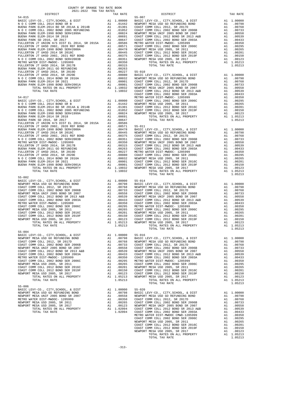| $\begin{tabular}{l c c c c} \texttt{BURNA} \texttt{ PARK} \texttt{SD 2016, SR 2017} & \texttt{A1} & .00647 & \texttt{COAST C} \\ \texttt{FULLERTON JT UNION H/S DIST EL 2014, SR 2015A} & .00586 & \texttt{METN ON} \\ \texttt{FULLERTON JT UNION H/S DIST EL 2012, Q200 REF BOND} & \texttt{A1} & .00571 & \texttt{COAST C} \\ \texttt{BUENAPARK ELEM-1998 BOND SER#2000A} & \texttt{A1} & .004$ |          |                       |                     |
|---------------------------------------------------------------------------------------------------------------------------------------------------------------------------------------------------------------------------------------------------------------------------------------------------------------------------------------------------------------------------------------------------|----------|-----------------------|---------------------|
|                                                                                                                                                                                                                                                                                                                                                                                                   |          |                       |                     |
|                                                                                                                                                                                                                                                                                                                                                                                                   |          |                       |                     |
|                                                                                                                                                                                                                                                                                                                                                                                                   |          |                       |                     |
|                                                                                                                                                                                                                                                                                                                                                                                                   |          |                       |                     |
|                                                                                                                                                                                                                                                                                                                                                                                                   |          |                       |                     |
|                                                                                                                                                                                                                                                                                                                                                                                                   |          |                       |                     |
|                                                                                                                                                                                                                                                                                                                                                                                                   |          |                       |                     |
|                                                                                                                                                                                                                                                                                                                                                                                                   |          |                       |                     |
|                                                                                                                                                                                                                                                                                                                                                                                                   |          |                       |                     |
|                                                                                                                                                                                                                                                                                                                                                                                                   |          |                       |                     |
|                                                                                                                                                                                                                                                                                                                                                                                                   |          |                       |                     |
|                                                                                                                                                                                                                                                                                                                                                                                                   |          |                       |                     |
|                                                                                                                                                                                                                                                                                                                                                                                                   |          |                       |                     |
|                                                                                                                                                                                                                                                                                                                                                                                                   |          |                       |                     |
|                                                                                                                                                                                                                                                                                                                                                                                                   |          |                       |                     |
|                                                                                                                                                                                                                                                                                                                                                                                                   |          |                       |                     |
|                                                                                                                                                                                                                                                                                                                                                                                                   |          |                       |                     |
|                                                                                                                                                                                                                                                                                                                                                                                                   |          |                       |                     |
|                                                                                                                                                                                                                                                                                                                                                                                                   |          |                       |                     |
|                                                                                                                                                                                                                                                                                                                                                                                                   |          |                       |                     |
|                                                                                                                                                                                                                                                                                                                                                                                                   |          |                       |                     |
|                                                                                                                                                                                                                                                                                                                                                                                                   |          |                       |                     |
|                                                                                                                                                                                                                                                                                                                                                                                                   |          |                       |                     |
|                                                                                                                                                                                                                                                                                                                                                                                                   |          |                       |                     |
|                                                                                                                                                                                                                                                                                                                                                                                                   |          |                       |                     |
|                                                                                                                                                                                                                                                                                                                                                                                                   |          |                       |                     |
|                                                                                                                                                                                                                                                                                                                                                                                                   |          |                       |                     |
|                                                                                                                                                                                                                                                                                                                                                                                                   |          |                       |                     |
|                                                                                                                                                                                                                                                                                                                                                                                                   |          |                       |                     |
|                                                                                                                                                                                                                                                                                                                                                                                                   |          |                       |                     |
|                                                                                                                                                                                                                                                                                                                                                                                                   |          |                       |                     |
|                                                                                                                                                                                                                                                                                                                                                                                                   |          |                       |                     |
|                                                                                                                                                                                                                                                                                                                                                                                                   |          |                       |                     |
| TOTAL TAX RATE                                                                                                                                                                                                                                                                                                                                                                                    |          | 1.10032               |                     |
|                                                                                                                                                                                                                                                                                                                                                                                                   |          |                       |                     |
| $55 - 002$                                                                                                                                                                                                                                                                                                                                                                                        |          |                       |                     |
|                                                                                                                                                                                                                                                                                                                                                                                                   |          |                       |                     |
|                                                                                                                                                                                                                                                                                                                                                                                                   |          |                       |                     |
|                                                                                                                                                                                                                                                                                                                                                                                                   |          |                       |                     |
|                                                                                                                                                                                                                                                                                                                                                                                                   |          |                       |                     |
|                                                                                                                                                                                                                                                                                                                                                                                                   |          |                       |                     |
|                                                                                                                                                                                                                                                                                                                                                                                                   |          |                       |                     |
|                                                                                                                                                                                                                                                                                                                                                                                                   |          |                       |                     |
|                                                                                                                                                                                                                                                                                                                                                                                                   |          |                       |                     |
|                                                                                                                                                                                                                                                                                                                                                                                                   |          |                       |                     |
|                                                                                                                                                                                                                                                                                                                                                                                                   |          |                       |                     |
|                                                                                                                                                                                                                                                                                                                                                                                                   |          |                       |                     |
|                                                                                                                                                                                                                                                                                                                                                                                                   |          |                       |                     |
| TOTAL TAX RATE                                                                                                                                                                                                                                                                                                                                                                                    |          | 1.05213               |                     |
| $55 - 004$                                                                                                                                                                                                                                                                                                                                                                                        |          |                       |                     |
|                                                                                                                                                                                                                                                                                                                                                                                                   |          |                       |                     |
|                                                                                                                                                                                                                                                                                                                                                                                                   |          |                       |                     |
|                                                                                                                                                                                                                                                                                                                                                                                                   |          |                       |                     |
|                                                                                                                                                                                                                                                                                                                                                                                                   |          |                       |                     |
|                                                                                                                                                                                                                                                                                                                                                                                                   |          |                       |                     |
|                                                                                                                                                                                                                                                                                                                                                                                                   |          |                       |                     |
|                                                                                                                                                                                                                                                                                                                                                                                                   |          |                       |                     |
| COAST COMM COLL 2002 BOND SER 2006C A1 .00295 METRO W                                                                                                                                                                                                                                                                                                                                             |          |                       |                     |
| NEWPORT MESA USD 2005, SR 2011                                                                                                                                                                                                                                                                                                                                                                    | A1       | .00265                | COAST C             |
| COAST COMM COLL 2012 BOND SER 2016C                                                                                                                                                                                                                                                                                                                                                               | A1       | .00201                | NEWPORT             |
| COAST COMM COLL 2012 BOND SER 2019F                                                                                                                                                                                                                                                                                                                                                               | A1       | .00150                | COAST C             |
| NEWPORT MESA USD 2005, SR 2017<br>TOTAL RATES ON ALL PROPERTY                                                                                                                                                                                                                                                                                                                                     | A1       | .00123<br>A1 1.05213  | COAST C<br>NEWPORT  |
| TOTAL TAX RATE                                                                                                                                                                                                                                                                                                                                                                                    |          | 1.05213               |                     |
|                                                                                                                                                                                                                                                                                                                                                                                                   |          |                       |                     |
| $55 - 006$                                                                                                                                                                                                                                                                                                                                                                                        |          |                       |                     |
| BASIC LEVY-CO., CITY, SCHOOL, & DIST                                                                                                                                                                                                                                                                                                                                                              | A1       | 1,00000               | $55 - 020$          |
| NEWPORT MESA USD GO REFUNDING BOND<br>NEWPORT MESA UNIF 2005 BOND SR 2007                                                                                                                                                                                                                                                                                                                         | A1<br>A1 | .00798<br>.00558      | BASIC L<br>NEWPORT  |
| METRO WATER DIST-MWDOC- 1205999                                                                                                                                                                                                                                                                                                                                                                   | A1       | .00350                | COAST C             |
| NEWPORT MESA USD 2005, SR 2011                                                                                                                                                                                                                                                                                                                                                                    | A1       | .00265                | COAST C             |
| NEWPORT MESA USD 2005, SR 2017                                                                                                                                                                                                                                                                                                                                                                    | A1       | .00123                | NEWPORT             |
| TOTAL RATES ON ALL PROPERTY<br><b>POPAI PAV DAPP</b>                                                                                                                                                                                                                                                                                                                                              |          | A1 1.02094<br>1 02094 | COAST C<br>00000000 |
|                                                                                                                                                                                                                                                                                                                                                                                                   |          |                       |                     |

| DISTRICT                                                                                                                                                                                                                                                                                                                                                                                             | TAX RATE | DISTRICT       | TAX RATE |
|------------------------------------------------------------------------------------------------------------------------------------------------------------------------------------------------------------------------------------------------------------------------------------------------------------------------------------------------------------------------------------------------------|----------|----------------|----------|
|                                                                                                                                                                                                                                                                                                                                                                                                      |          |                |          |
|                                                                                                                                                                                                                                                                                                                                                                                                      |          |                |          |
|                                                                                                                                                                                                                                                                                                                                                                                                      |          |                |          |
|                                                                                                                                                                                                                                                                                                                                                                                                      |          |                |          |
|                                                                                                                                                                                                                                                                                                                                                                                                      |          |                |          |
|                                                                                                                                                                                                                                                                                                                                                                                                      |          |                |          |
|                                                                                                                                                                                                                                                                                                                                                                                                      |          |                |          |
|                                                                                                                                                                                                                                                                                                                                                                                                      |          |                |          |
|                                                                                                                                                                                                                                                                                                                                                                                                      |          |                |          |
|                                                                                                                                                                                                                                                                                                                                                                                                      |          |                |          |
|                                                                                                                                                                                                                                                                                                                                                                                                      |          |                |          |
|                                                                                                                                                                                                                                                                                                                                                                                                      |          |                |          |
|                                                                                                                                                                                                                                                                                                                                                                                                      |          |                |          |
|                                                                                                                                                                                                                                                                                                                                                                                                      |          |                |          |
|                                                                                                                                                                                                                                                                                                                                                                                                      |          |                |          |
|                                                                                                                                                                                                                                                                                                                                                                                                      |          |                |          |
|                                                                                                                                                                                                                                                                                                                                                                                                      |          |                |          |
|                                                                                                                                                                                                                                                                                                                                                                                                      |          |                |          |
|                                                                                                                                                                                                                                                                                                                                                                                                      |          |                |          |
|                                                                                                                                                                                                                                                                                                                                                                                                      |          |                |          |
|                                                                                                                                                                                                                                                                                                                                                                                                      |          |                |          |
|                                                                                                                                                                                                                                                                                                                                                                                                      |          |                |          |
|                                                                                                                                                                                                                                                                                                                                                                                                      |          |                |          |
|                                                                                                                                                                                                                                                                                                                                                                                                      |          |                |          |
|                                                                                                                                                                                                                                                                                                                                                                                                      |          |                |          |
|                                                                                                                                                                                                                                                                                                                                                                                                      |          |                |          |
|                                                                                                                                                                                                                                                                                                                                                                                                      |          |                |          |
|                                                                                                                                                                                                                                                                                                                                                                                                      |          |                |          |
|                                                                                                                                                                                                                                                                                                                                                                                                      |          |                |          |
|                                                                                                                                                                                                                                                                                                                                                                                                      |          |                |          |
|                                                                                                                                                                                                                                                                                                                                                                                                      |          |                |          |
|                                                                                                                                                                                                                                                                                                                                                                                                      |          |                |          |
|                                                                                                                                                                                                                                                                                                                                                                                                      |          |                |          |
|                                                                                                                                                                                                                                                                                                                                                                                                      |          |                |          |
|                                                                                                                                                                                                                                                                                                                                                                                                      |          |                |          |
|                                                                                                                                                                                                                                                                                                                                                                                                      |          |                |          |
|                                                                                                                                                                                                                                                                                                                                                                                                      |          |                |          |
|                                                                                                                                                                                                                                                                                                                                                                                                      |          |                |          |
|                                                                                                                                                                                                                                                                                                                                                                                                      |          |                |          |
|                                                                                                                                                                                                                                                                                                                                                                                                      |          |                |          |
|                                                                                                                                                                                                                                                                                                                                                                                                      |          |                |          |
|                                                                                                                                                                                                                                                                                                                                                                                                      |          |                |          |
|                                                                                                                                                                                                                                                                                                                                                                                                      |          |                |          |
|                                                                                                                                                                                                                                                                                                                                                                                                      |          |                |          |
|                                                                                                                                                                                                                                                                                                                                                                                                      |          |                |          |
|                                                                                                                                                                                                                                                                                                                                                                                                      |          |                |          |
|                                                                                                                                                                                                                                                                                                                                                                                                      |          |                |          |
|                                                                                                                                                                                                                                                                                                                                                                                                      |          |                |          |
|                                                                                                                                                                                                                                                                                                                                                                                                      |          |                |          |
|                                                                                                                                                                                                                                                                                                                                                                                                      |          |                |          |
|                                                                                                                                                                                                                                                                                                                                                                                                      |          |                |          |
|                                                                                                                                                                                                                                                                                                                                                                                                      |          |                |          |
| $55 - 004$                                                                                                                                                                                                                                                                                                                                                                                           |          |                |          |
|                                                                                                                                                                                                                                                                                                                                                                                                      |          |                |          |
|                                                                                                                                                                                                                                                                                                                                                                                                      |          |                |          |
|                                                                                                                                                                                                                                                                                                                                                                                                      |          |                |          |
|                                                                                                                                                                                                                                                                                                                                                                                                      |          |                |          |
|                                                                                                                                                                                                                                                                                                                                                                                                      |          |                |          |
|                                                                                                                                                                                                                                                                                                                                                                                                      |          |                |          |
|                                                                                                                                                                                                                                                                                                                                                                                                      |          |                |          |
|                                                                                                                                                                                                                                                                                                                                                                                                      |          |                |          |
|                                                                                                                                                                                                                                                                                                                                                                                                      |          |                |          |
|                                                                                                                                                                                                                                                                                                                                                                                                      |          |                |          |
|                                                                                                                                                                                                                                                                                                                                                                                                      |          |                |          |
|                                                                                                                                                                                                                                                                                                                                                                                                      |          |                |          |
|                                                                                                                                                                                                                                                                                                                                                                                                      |          |                |          |
| $\begin{tabular}{l c c c c} \textbf{5-006} & \textbf{BASTC LEVY-O}, CITY, SCHOOL, & \textbf{E DIST} & \textbf{A1} & 1,00000 & \textbf{55-020} \\ \textbf{RENPORT MESA USD CO} & \textbf{REWDAT MESA USD CO} & \textbf{A1} & .00798 & \textbf{BASIC LEVY-O}, CITY, SCHOOL, & \textbf{E DIST} & \textbf{A1} & 1,00000 \\ \textbf{NENPORT MESA UNIF 2005 BOND SE R 2007 & \textbf{A1} & .00798 & \text$ |          |                |          |
|                                                                                                                                                                                                                                                                                                                                                                                                      |          |                |          |
|                                                                                                                                                                                                                                                                                                                                                                                                      |          |                |          |
|                                                                                                                                                                                                                                                                                                                                                                                                      |          |                |          |
|                                                                                                                                                                                                                                                                                                                                                                                                      |          |                |          |
|                                                                                                                                                                                                                                                                                                                                                                                                      |          |                |          |
|                                                                                                                                                                                                                                                                                                                                                                                                      |          |                |          |
|                                                                                                                                                                                                                                                                                                                                                                                                      |          |                |          |
|                                                                                                                                                                                                                                                                                                                                                                                                      |          |                |          |
|                                                                                                                                                                                                                                                                                                                                                                                                      |          |                |          |
|                                                                                                                                                                                                                                                                                                                                                                                                      |          |                |          |
|                                                                                                                                                                                                                                                                                                                                                                                                      |          |                |          |
|                                                                                                                                                                                                                                                                                                                                                                                                      |          |                |          |
|                                                                                                                                                                                                                                                                                                                                                                                                      |          | TOTAL TAX RATE | 1.05213  |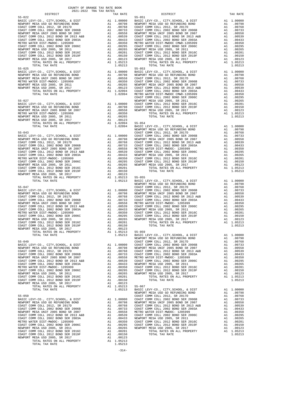| $\begin{tabular}{l c c c c} {\bf NEWPORT~MESA USD GO REENDING BOND} & {\bf A1} & .00798 & {\bf NEWPORT COAST COMM COLL 2012 , SER 2017D} & {\bf A1} & .00733 & {\bf COAST C} & {\bf COAST COMM COLL 2012 , BOND SER 2006B} & {\bf A1} & .00733 & {\bf COAST C} & {\bf COAST COMS T COM M COLL 2012 , BOND SER 20107 & {\bf A1} & .00558 & {\bf NEWPORT COST COMM COLL 2012 , BOND SER 2013 , A&B & {\bf A$<br>TOTAL TAX RATE |    | 1.05213                                                                                                                                                                                                                                              |                    |
|------------------------------------------------------------------------------------------------------------------------------------------------------------------------------------------------------------------------------------------------------------------------------------------------------------------------------------------------------------------------------------------------------------------------------|----|------------------------------------------------------------------------------------------------------------------------------------------------------------------------------------------------------------------------------------------------------|--------------------|
| $55 - 025$                                                                                                                                                                                                                                                                                                                                                                                                                   |    |                                                                                                                                                                                                                                                      | $55 - 053$         |
| BASIC LEVY-CO., CITY, SCHOOL, & DIST<br>NEWPORT MESA USD GO REFUNDING BOND                                                                                                                                                                                                                                                                                                                                                   |    |                                                                                                                                                                                                                                                      |                    |
| NEWPORT MESA UNIF 2005 BOND SR 2007                                                                                                                                                                                                                                                                                                                                                                                          |    |                                                                                                                                                                                                                                                      |                    |
| METRO WATER DIST-MWDOC- 1205999<br>NEWPORT MESA USD 2005, SR 2011                                                                                                                                                                                                                                                                                                                                                            |    |                                                                                                                                                                                                                                                      |                    |
| NEWPORT MESA USD 2005, SR 2017                                                                                                                                                                                                                                                                                                                                                                                               |    |                                                                                                                                                                                                                                                      |                    |
|                                                                                                                                                                                                                                                                                                                                                                                                                              |    |                                                                                                                                                                                                                                                      |                    |
| $55 - 027$                                                                                                                                                                                                                                                                                                                                                                                                                   |    |                                                                                                                                                                                                                                                      | NEWPORT            |
|                                                                                                                                                                                                                                                                                                                                                                                                                              |    |                                                                                                                                                                                                                                                      |                    |
|                                                                                                                                                                                                                                                                                                                                                                                                                              |    |                                                                                                                                                                                                                                                      |                    |
|                                                                                                                                                                                                                                                                                                                                                                                                                              |    |                                                                                                                                                                                                                                                      |                    |
|                                                                                                                                                                                                                                                                                                                                                                                                                              |    |                                                                                                                                                                                                                                                      |                    |
|                                                                                                                                                                                                                                                                                                                                                                                                                              |    |                                                                                                                                                                                                                                                      |                    |
|                                                                                                                                                                                                                                                                                                                                                                                                                              |    |                                                                                                                                                                                                                                                      | NEWPORT            |
|                                                                                                                                                                                                                                                                                                                                                                                                                              |    |                                                                                                                                                                                                                                                      |                    |
|                                                                                                                                                                                                                                                                                                                                                                                                                              |    |                                                                                                                                                                                                                                                      |                    |
|                                                                                                                                                                                                                                                                                                                                                                                                                              |    |                                                                                                                                                                                                                                                      |                    |
|                                                                                                                                                                                                                                                                                                                                                                                                                              |    |                                                                                                                                                                                                                                                      |                    |
|                                                                                                                                                                                                                                                                                                                                                                                                                              |    |                                                                                                                                                                                                                                                      |                    |
|                                                                                                                                                                                                                                                                                                                                                                                                                              |    |                                                                                                                                                                                                                                                      |                    |
|                                                                                                                                                                                                                                                                                                                                                                                                                              |    |                                                                                                                                                                                                                                                      |                    |
|                                                                                                                                                                                                                                                                                                                                                                                                                              |    |                                                                                                                                                                                                                                                      |                    |
|                                                                                                                                                                                                                                                                                                                                                                                                                              |    |                                                                                                                                                                                                                                                      |                    |
|                                                                                                                                                                                                                                                                                                                                                                                                                              |    |                                                                                                                                                                                                                                                      |                    |
| TOTAL TAX RATE                                                                                                                                                                                                                                                                                                                                                                                                               |    | 1.05213                                                                                                                                                                                                                                              | BASIC L<br>NEWPORT |
|                                                                                                                                                                                                                                                                                                                                                                                                                              |    |                                                                                                                                                                                                                                                      |                    |
|                                                                                                                                                                                                                                                                                                                                                                                                                              |    |                                                                                                                                                                                                                                                      |                    |
|                                                                                                                                                                                                                                                                                                                                                                                                                              |    |                                                                                                                                                                                                                                                      |                    |
|                                                                                                                                                                                                                                                                                                                                                                                                                              |    |                                                                                                                                                                                                                                                      |                    |
|                                                                                                                                                                                                                                                                                                                                                                                                                              |    |                                                                                                                                                                                                                                                      |                    |
|                                                                                                                                                                                                                                                                                                                                                                                                                              |    |                                                                                                                                                                                                                                                      |                    |
|                                                                                                                                                                                                                                                                                                                                                                                                                              |    |                                                                                                                                                                                                                                                      |                    |
|                                                                                                                                                                                                                                                                                                                                                                                                                              |    |                                                                                                                                                                                                                                                      |                    |
|                                                                                                                                                                                                                                                                                                                                                                                                                              |    |                                                                                                                                                                                                                                                      |                    |
|                                                                                                                                                                                                                                                                                                                                                                                                                              |    |                                                                                                                                                                                                                                                      |                    |
|                                                                                                                                                                                                                                                                                                                                                                                                                              |    |                                                                                                                                                                                                                                                      | NEWPORT            |
| $55\text{--}049$ $\hspace{1.5cm}$ COAST C $\hspace{1.5cm}$ BASIC LEVY–CO., CITY,<br>SCHOOL, & DIST $\hspace{1.5cm}$ Al $\hspace{1.5cm}$ 1.00000 $\hspace{1.5cm}$ COAST C                                                                                                                                                                                                                                                     |    |                                                                                                                                                                                                                                                      |                    |
| NEWPORT MESA USD GO REFUNDING BOND                                                                                                                                                                                                                                                                                                                                                                                           |    |                                                                                                                                                                                                                                                      |                    |
| COAST COMM COLL 2012, SR 2017D<br>COAST COMM COLL 2002 BOND SER 2006B                                                                                                                                                                                                                                                                                                                                                        |    |                                                                                                                                                                                                                                                      |                    |
| NEWPORT MESA UNIF 2005 BOND SR 2007                                                                                                                                                                                                                                                                                                                                                                                          |    | A1 1.00000 COAST C<br>A1 .00798 NEWFORT<br>A1 .00798 COAST C<br>A1 .00733 COAST C<br>A1 .00539 METRO N<br>A1 .00539 COAST C<br>A1 .00433 NEWFORT<br>A1 .0035 COAST C<br>A1 .00295 COAST C<br>A1 .00295 COAST C<br>A1 .00295 NEWFORT<br>A1 .00295 NEW |                    |
| COAST COMM COLL 2012 BOND SR 2013 A&B<br>COAST COMM COLL 2002 BOND SER 2003A                                                                                                                                                                                                                                                                                                                                                 |    |                                                                                                                                                                                                                                                      |                    |
| METRO WATER DIST-MWDOC- 1205999                                                                                                                                                                                                                                                                                                                                                                                              |    |                                                                                                                                                                                                                                                      |                    |
| COAST COMM COLL 2002 BOND SER 2006C                                                                                                                                                                                                                                                                                                                                                                                          |    |                                                                                                                                                                                                                                                      |                    |
| NEWPORT MESA USD 2005, SR 2011<br>COAST COMM COLL 2012 BOND SER 2016C                                                                                                                                                                                                                                                                                                                                                        | A1 | .00201                                                                                                                                                                                                                                               |                    |
| COAST COMM COLL 2012 BOND SER 2019F                                                                                                                                                                                                                                                                                                                                                                                          |    | A1 .00150                                                                                                                                                                                                                                            |                    |
| NEWPORT MESA USD 2005, SR 2017<br>TOTAL RATES ON ALL PROPERTY                                                                                                                                                                                                                                                                                                                                                                |    | A1 .00123<br>A1 1.05213                                                                                                                                                                                                                              | $55 - 067$         |
| TOTAL TAX RATE                                                                                                                                                                                                                                                                                                                                                                                                               |    | 1.05213                                                                                                                                                                                                                                              | BASIC L<br>NEWPORT |
|                                                                                                                                                                                                                                                                                                                                                                                                                              |    |                                                                                                                                                                                                                                                      |                    |
|                                                                                                                                                                                                                                                                                                                                                                                                                              |    |                                                                                                                                                                                                                                                      |                    |
|                                                                                                                                                                                                                                                                                                                                                                                                                              |    |                                                                                                                                                                                                                                                      |                    |
|                                                                                                                                                                                                                                                                                                                                                                                                                              |    |                                                                                                                                                                                                                                                      |                    |
|                                                                                                                                                                                                                                                                                                                                                                                                                              |    |                                                                                                                                                                                                                                                      |                    |
|                                                                                                                                                                                                                                                                                                                                                                                                                              |    |                                                                                                                                                                                                                                                      |                    |
|                                                                                                                                                                                                                                                                                                                                                                                                                              |    |                                                                                                                                                                                                                                                      |                    |
|                                                                                                                                                                                                                                                                                                                                                                                                                              |    |                                                                                                                                                                                                                                                      |                    |
|                                                                                                                                                                                                                                                                                                                                                                                                                              |    |                                                                                                                                                                                                                                                      |                    |
| TOTAL RATES ON ALL PROPERTY                                                                                                                                                                                                                                                                                                                                                                                                  |    | A1 1.05213                                                                                                                                                                                                                                           |                    |
| TOTAL TAX RATE                                                                                                                                                                                                                                                                                                                                                                                                               |    | 1.05213                                                                                                                                                                                                                                              |                    |

| COUNTY OF ORANGE TAX RATE BOOK<br>$2021-2022 \quad \text{TRA RATE B}$ DISTRICT 2021-2022 TRA TAX RATES |          |                                                                                                                                                                                                                                                                                                                                                                                                                                               |          |
|--------------------------------------------------------------------------------------------------------|----------|-----------------------------------------------------------------------------------------------------------------------------------------------------------------------------------------------------------------------------------------------------------------------------------------------------------------------------------------------------------------------------------------------------------------------------------------------|----------|
|                                                                                                        | TAX RATE | DISTRICT                                                                                                                                                                                                                                                                                                                                                                                                                                      | TAX RATE |
| $55 - 022$                                                                                             |          | $55 - 051$                                                                                                                                                                                                                                                                                                                                                                                                                                    |          |
|                                                                                                        |          |                                                                                                                                                                                                                                                                                                                                                                                                                                               |          |
|                                                                                                        |          |                                                                                                                                                                                                                                                                                                                                                                                                                                               |          |
|                                                                                                        |          |                                                                                                                                                                                                                                                                                                                                                                                                                                               |          |
|                                                                                                        |          |                                                                                                                                                                                                                                                                                                                                                                                                                                               |          |
|                                                                                                        |          |                                                                                                                                                                                                                                                                                                                                                                                                                                               |          |
|                                                                                                        |          |                                                                                                                                                                                                                                                                                                                                                                                                                                               |          |
|                                                                                                        |          |                                                                                                                                                                                                                                                                                                                                                                                                                                               |          |
|                                                                                                        |          |                                                                                                                                                                                                                                                                                                                                                                                                                                               |          |
|                                                                                                        |          |                                                                                                                                                                                                                                                                                                                                                                                                                                               |          |
|                                                                                                        |          |                                                                                                                                                                                                                                                                                                                                                                                                                                               |          |
|                                                                                                        |          |                                                                                                                                                                                                                                                                                                                                                                                                                                               |          |
|                                                                                                        |          |                                                                                                                                                                                                                                                                                                                                                                                                                                               |          |
|                                                                                                        |          |                                                                                                                                                                                                                                                                                                                                                                                                                                               |          |
|                                                                                                        |          |                                                                                                                                                                                                                                                                                                                                                                                                                                               |          |
|                                                                                                        |          |                                                                                                                                                                                                                                                                                                                                                                                                                                               |          |
|                                                                                                        |          |                                                                                                                                                                                                                                                                                                                                                                                                                                               |          |
|                                                                                                        |          |                                                                                                                                                                                                                                                                                                                                                                                                                                               |          |
|                                                                                                        |          |                                                                                                                                                                                                                                                                                                                                                                                                                                               |          |
|                                                                                                        |          |                                                                                                                                                                                                                                                                                                                                                                                                                                               |          |
|                                                                                                        |          |                                                                                                                                                                                                                                                                                                                                                                                                                                               |          |
|                                                                                                        |          |                                                                                                                                                                                                                                                                                                                                                                                                                                               |          |
|                                                                                                        |          |                                                                                                                                                                                                                                                                                                                                                                                                                                               |          |
|                                                                                                        |          |                                                                                                                                                                                                                                                                                                                                                                                                                                               |          |
|                                                                                                        |          |                                                                                                                                                                                                                                                                                                                                                                                                                                               |          |
|                                                                                                        |          |                                                                                                                                                                                                                                                                                                                                                                                                                                               |          |
|                                                                                                        |          |                                                                                                                                                                                                                                                                                                                                                                                                                                               |          |
|                                                                                                        |          |                                                                                                                                                                                                                                                                                                                                                                                                                                               |          |
|                                                                                                        |          |                                                                                                                                                                                                                                                                                                                                                                                                                                               |          |
|                                                                                                        |          |                                                                                                                                                                                                                                                                                                                                                                                                                                               |          |
|                                                                                                        |          |                                                                                                                                                                                                                                                                                                                                                                                                                                               |          |
|                                                                                                        |          |                                                                                                                                                                                                                                                                                                                                                                                                                                               |          |
|                                                                                                        |          |                                                                                                                                                                                                                                                                                                                                                                                                                                               |          |
|                                                                                                        |          |                                                                                                                                                                                                                                                                                                                                                                                                                                               |          |
|                                                                                                        |          |                                                                                                                                                                                                                                                                                                                                                                                                                                               |          |
|                                                                                                        |          |                                                                                                                                                                                                                                                                                                                                                                                                                                               |          |
|                                                                                                        |          |                                                                                                                                                                                                                                                                                                                                                                                                                                               |          |
|                                                                                                        |          |                                                                                                                                                                                                                                                                                                                                                                                                                                               |          |
|                                                                                                        |          |                                                                                                                                                                                                                                                                                                                                                                                                                                               |          |
|                                                                                                        |          |                                                                                                                                                                                                                                                                                                                                                                                                                                               |          |
|                                                                                                        |          |                                                                                                                                                                                                                                                                                                                                                                                                                                               |          |
|                                                                                                        |          |                                                                                                                                                                                                                                                                                                                                                                                                                                               |          |
|                                                                                                        |          |                                                                                                                                                                                                                                                                                                                                                                                                                                               |          |
|                                                                                                        |          |                                                                                                                                                                                                                                                                                                                                                                                                                                               |          |
|                                                                                                        |          |                                                                                                                                                                                                                                                                                                                                                                                                                                               |          |
|                                                                                                        |          |                                                                                                                                                                                                                                                                                                                                                                                                                                               |          |
|                                                                                                        |          |                                                                                                                                                                                                                                                                                                                                                                                                                                               |          |
|                                                                                                        |          |                                                                                                                                                                                                                                                                                                                                                                                                                                               |          |
|                                                                                                        |          |                                                                                                                                                                                                                                                                                                                                                                                                                                               |          |
|                                                                                                        |          |                                                                                                                                                                                                                                                                                                                                                                                                                                               |          |
|                                                                                                        |          |                                                                                                                                                                                                                                                                                                                                                                                                                                               |          |
|                                                                                                        |          |                                                                                                                                                                                                                                                                                                                                                                                                                                               |          |
|                                                                                                        |          |                                                                                                                                                                                                                                                                                                                                                                                                                                               |          |
|                                                                                                        |          |                                                                                                                                                                                                                                                                                                                                                                                                                                               |          |
|                                                                                                        |          |                                                                                                                                                                                                                                                                                                                                                                                                                                               |          |
|                                                                                                        |          |                                                                                                                                                                                                                                                                                                                                                                                                                                               |          |
|                                                                                                        |          |                                                                                                                                                                                                                                                                                                                                                                                                                                               |          |
|                                                                                                        |          |                                                                                                                                                                                                                                                                                                                                                                                                                                               |          |
|                                                                                                        |          |                                                                                                                                                                                                                                                                                                                                                                                                                                               |          |
|                                                                                                        |          |                                                                                                                                                                                                                                                                                                                                                                                                                                               |          |
|                                                                                                        |          |                                                                                                                                                                                                                                                                                                                                                                                                                                               |          |
|                                                                                                        |          |                                                                                                                                                                                                                                                                                                                                                                                                                                               |          |
|                                                                                                        |          |                                                                                                                                                                                                                                                                                                                                                                                                                                               |          |
|                                                                                                        |          | $\begin{tabular}{cccccccc} \textbf{K} & \textbf{COMST COM} & \textbf{COMST COM} & \textbf{M} & \textbf{M} & \textbf{M} & \textbf{M} & \textbf{M} & \textbf{M} & \textbf{M} & \textbf{M} & \textbf{M} & \textbf{M} & \textbf{M} & \textbf{M} & \textbf{M} & \textbf{M} & \textbf{M} & \textbf{M} & \textbf{M} & \textbf{M} & \textbf{M} & \textbf{M} & \textbf{M} & \textbf{M} & \textbf{M} & \textbf{M} & \textbf{M} & \textbf{M} & \textbf{$ |          |
|                                                                                                        |          |                                                                                                                                                                                                                                                                                                                                                                                                                                               |          |
|                                                                                                        |          |                                                                                                                                                                                                                                                                                                                                                                                                                                               |          |
|                                                                                                        |          |                                                                                                                                                                                                                                                                                                                                                                                                                                               |          |
|                                                                                                        |          |                                                                                                                                                                                                                                                                                                                                                                                                                                               |          |
|                                                                                                        |          |                                                                                                                                                                                                                                                                                                                                                                                                                                               |          |
|                                                                                                        |          |                                                                                                                                                                                                                                                                                                                                                                                                                                               |          |
|                                                                                                        |          |                                                                                                                                                                                                                                                                                                                                                                                                                                               |          |
|                                                                                                        |          |                                                                                                                                                                                                                                                                                                                                                                                                                                               |          |
|                                                                                                        |          |                                                                                                                                                                                                                                                                                                                                                                                                                                               |          |
|                                                                                                        |          |                                                                                                                                                                                                                                                                                                                                                                                                                                               |          |
|                                                                                                        |          |                                                                                                                                                                                                                                                                                                                                                                                                                                               |          |
|                                                                                                        |          |                                                                                                                                                                                                                                                                                                                                                                                                                                               |          |
|                                                                                                        |          |                                                                                                                                                                                                                                                                                                                                                                                                                                               |          |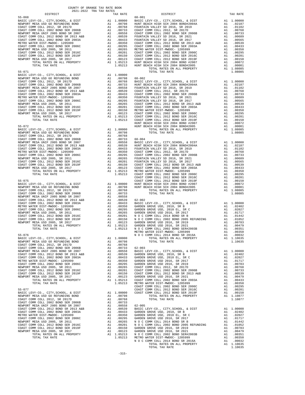| BASIC LEVY-CO., CITY, SCHOOL, & DIST<br>NEWPORT MESA USD GO REFUNDING BOND<br>COAST COMM COLL 2012, SR 2017D<br>21 00798 HUNT BE<br>COAST COMM COLL 2012, SR 2017D<br>21 00768                                                           |                                      |                 |
|------------------------------------------------------------------------------------------------------------------------------------------------------------------------------------------------------------------------------------------|--------------------------------------|-----------------|
|                                                                                                                                                                                                                                          |                                      |                 |
|                                                                                                                                                                                                                                          |                                      |                 |
|                                                                                                                                                                                                                                          |                                      |                 |
|                                                                                                                                                                                                                                          |                                      |                 |
|                                                                                                                                                                                                                                          |                                      |                 |
|                                                                                                                                                                                                                                          |                                      |                 |
|                                                                                                                                                                                                                                          | A1 .00350 GARDEN<br>A1 .00295 GARDEN |                 |
|                                                                                                                                                                                                                                          |                                      |                 |
|                                                                                                                                                                                                                                          | A1 .00265 GARDEN<br>A1 .00201 NOCC   |                 |
|                                                                                                                                                                                                                                          |                                      |                 |
| USER 2003<br>COAST COMM COLL 2002 BOND SER 2006C<br>COAST COMM COLL 2002 BOND SER 2006C<br>NEWPORT MESA USD 2005, SR 2011<br>COAST COMM COLL 2012 BOND SEP COLL COAST COMM COLL 2012 BOND SEP                                            |                                      |                 |
|                                                                                                                                                                                                                                          |                                      |                 |
|                                                                                                                                                                                                                                          |                                      |                 |
|                                                                                                                                                                                                                                          |                                      |                 |
|                                                                                                                                                                                                                                          |                                      | METRO W         |
| $55 - 076$                                                                                                                                                                                                                               |                                      | NOCC            |
|                                                                                                                                                                                                                                          |                                      |                 |
|                                                                                                                                                                                                                                          |                                      |                 |
|                                                                                                                                                                                                                                          |                                      |                 |
|                                                                                                                                                                                                                                          |                                      |                 |
|                                                                                                                                                                                                                                          |                                      |                 |
|                                                                                                                                                                                                                                          |                                      |                 |
| COAST COMM COLL 2012 BOND SR 2013 A&B<br>COAST COMM COLL 2002 BOND SER 2003A                                                                                                                                                             |                                      |                 |
|                                                                                                                                                                                                                                          | A1 .00433 GARDEN                     |                 |
| METRO WATER DIST-MWDOC- 1205999<br>METRO WATER DIST-MWDOC- 1205999<br>COAST COMM COLL 2002 BOND SER 2006C<br>NEWPORT MESA USD 2005, SR 2011                                                                                              | A1 .00350 GARDEN<br>A1 .00295 GARDEN |                 |
|                                                                                                                                                                                                                                          |                                      |                 |
|                                                                                                                                                                                                                                          |                                      |                 |
|                                                                                                                                                                                                                                          |                                      |                 |
|                                                                                                                                                                                                                                          |                                      |                 |
|                                                                                                                                                                                                                                          |                                      |                 |
| NEWPORT MESA USD 2005, SR 2011<br>COAST COMM COLL 2012 BOND SER 2016C<br>COAST COMM COLL 2012 BOND SER 2016C<br>COAST COMM COLL 2012 BOND SER 2016C<br>COAST COAST COAST COMM COLL 2012 BOND SER 2019F<br>NEWPORT MESA USD 2005, SR 2017 |                                      |                 |
| TOTAL TAX RATE                                                                                                                                                                                                                           |                                      | 1.05213 METRO W |
|                                                                                                                                                                                                                                          |                                      | COAST C         |
| $55 - 077$                                                                                                                                                                                                                               |                                      | COAST C         |
|                                                                                                                                                                                                                                          |                                      | COAST C         |
|                                                                                                                                                                                                                                          |                                      |                 |
|                                                                                                                                                                                                                                          |                                      |                 |
|                                                                                                                                                                                                                                          |                                      |                 |
|                                                                                                                                                                                                                                          |                                      | $62 - 005$      |
|                                                                                                                                                                                                                                          |                                      | <b>BASIC L</b>  |
|                                                                                                                                                                                                                                          | A1 .00433 GARDEN<br>A1 .00350 GARDEN |                 |
| METRO WATER DIST-MWDOC- 1205999                                                                                                                                                                                                          |                                      |                 |
| COAST COMM COLL 2002 BOND SER 2006C                                                                                                                                                                                                      | A1 .00295                            | GARDEN          |
| NEWPORT MESA USD 2005, SR 2011                                                                                                                                                                                                           | A1 .00265                            | NOCC            |
|                                                                                                                                                                                                                                          |                                      |                 |
|                                                                                                                                                                                                                                          |                                      |                 |
| COAST COMM COLL 2012 BOND SER 2016C A1 .00201 N O C COAST COMM COLL 2012 BOND SER 2016C A1 .00201 N O C COAST COMM COLL 2012 BOND SER 2016C A1 .00201 N O C COAST COMM COLL 2012 BOND SER 2019F A1 .00123 GARDEN NEWPORT TOTAL           |                                      |                 |
|                                                                                                                                                                                                                                          |                                      |                 |
| TOTAL TAX RATE                                                                                                                                                                                                                           | 1.05213                              | METRO W         |
|                                                                                                                                                                                                                                          |                                      |                 |

## TOTAL TAX RATE

|  | 60-001 |  |
|--|--------|--|
|  |        |  |
|  |        |  |
|  |        |  |
|  |        |  |
|  |        |  |
|  |        |  |
|  |        |  |
|  |        |  |
|  |        |  |
|  |        |  |
|  |        |  |
|  |        |  |
|  |        |  |
|  |        |  |
|  |        |  |
|  |        |  |
|  |        |  |
|  |        |  |
|  |        |  |
|  |        |  |
|  |        |  |
|  |        |  |
|  |        |  |
|  |        |  |
|  |        |  |
|  |        |  |
|  |        |  |
|  |        |  |
|  |        |  |
|  |        |  |
|  |        |  |
|  |        |  |
|  |        |  |
|  |        |  |
|  |        |  |
|  |        |  |
|  |        |  |
|  |        |  |
|  |        |  |
|  |        |  |
|  |        |  |
|  |        |  |
|  |        |  |
|  |        |  |
|  |        |  |
|  |        |  |
|  |        |  |
|  |        |  |
|  |        |  |
|  |        |  |
|  |        |  |
|  |        |  |
|  |        |  |
|  |        |  |
|  |        |  |
|  |        |  |
|  |        |  |
|  |        |  |
|  |        |  |
|  |        |  |
|  |        |  |
|  |        |  |
|  |        |  |
|  |        |  |
|  |        |  |
|  |        |  |
|  |        |  |
|  |        |  |
|  |        |  |
|  |        |  |
|  |        |  |
|  |        |  |
|  |        |  |
|  |        |  |
|  |        |  |
|  |        |  |
|  |        |  |
|  |        |  |
|  |        |  |
|  |        |  |
|  |        |  |
|  |        |  |
|  |        |  |
|  |        |  |
|  |        |  |
|  |        |  |
|  |        |  |
|  |        |  |
|  |        |  |
|  |        |  |
|  |        |  |
|  |        |  |
|  |        |  |
|  |        |  |
|  |        |  |
|  |        |  |
|  |        |  |
|  |        |  |
|  |        |  |
|  |        |  |
|  |        |  |
|  |        |  |
|  |        |  |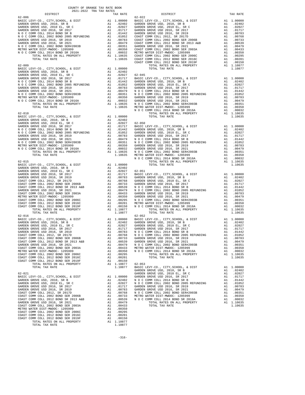|                                                                                                                                                                                                                                                                                                                                                                                                                                                                                                                                                                                           |                      |                                                                                                                                                                                                                                                                                                                                                                                                                             | COAST C                          |
|-------------------------------------------------------------------------------------------------------------------------------------------------------------------------------------------------------------------------------------------------------------------------------------------------------------------------------------------------------------------------------------------------------------------------------------------------------------------------------------------------------------------------------------------------------------------------------------------|----------------------|-----------------------------------------------------------------------------------------------------------------------------------------------------------------------------------------------------------------------------------------------------------------------------------------------------------------------------------------------------------------------------------------------------------------------------|----------------------------------|
|                                                                                                                                                                                                                                                                                                                                                                                                                                                                                                                                                                                           |                      |                                                                                                                                                                                                                                                                                                                                                                                                                             | NOCC                             |
| $62 - 010$                                                                                                                                                                                                                                                                                                                                                                                                                                                                                                                                                                                |                      |                                                                                                                                                                                                                                                                                                                                                                                                                             | NOCC                             |
| $62 - 015$<br>TOTAL TAX RATE                                                                                                                                                                                                                                                                                                                                                                                                                                                                                                                                                              |                      | 1.10877                                                                                                                                                                                                                                                                                                                                                                                                                     |                                  |
| METRO WATER DIST-MWDOC- 1205999<br>COAST COMM COLL 2002 BOND SER 2006C<br>COAST COMM COLL 2012 BOND SER 2016C<br>COAST COMM COLL 2012 BOND SER 2019F<br>TOTAL RATES ON ALL PROPERTY<br>TOTAL TAX RATE                                                                                                                                                                                                                                                                                                                                                                                     | A1<br>A1<br>A1<br>A1 | .00350<br>.00295<br>.00201<br>.00150<br>A1 1.10877<br>1.10877                                                                                                                                                                                                                                                                                                                                                               | N O C C<br>$62 - 053$<br>BASIC L |
| 62-021<br>BASIC LEVY-CO., CITY, SCHOOL, & DIST<br>GARDEN GROVE USD, 2010, SR B<br>GARDEN GROVE USD, 2010 EL, SR C<br>GARDEN GROVE USD 2016, SR 2017<br>GARDEN GROVE USD 2016, SR 2019<br>COAST COMM COLL 2012, SR 2017D<br>COAST COMM COLL 2002 BOND SER 2006B<br>COAST COMM COLL 2012 BOND SR 2013 A&B<br>GARDEN GROVE USD 2016, SR 2021<br>COAST COMM COLL 2002 BOND SER 2003A<br>METRO WATER DIST-MWDOC- 1205999<br>COAST COMM COLL 2002 BOND SER 2006C<br>COAST COMM COLL 2012 BOND SER 2016C<br>COAST COMM COLL 2012 BOND SER 2019F<br>TOTAL RATES ON ALL PROPERTY<br>TOTAL TAX RATE | A1                   | A1  1.00000  GARDEN<br>$\begin{tabular}{ll} $A1$ & $1$, $00000$ & GARDEN \\ $A1$ & $0.2402$ & $N$ & $0$ & $C$ \\ $A1$ & $0.2027$ & $N$ & $0$ & $C$ \\ $A1$ & $0.0783$ & GARDEN \\ $A1$ & $0.0768$ & $N$ & $C$ & $C$ \\ $A1$ & $0.0733$ & METRO W \\ $A1$ & $0.0733$ & $M$ & $C$ & $C$ \\ $A1$ & $0.0479$ & $N$ & $O$ & $C$ \\ $A1$ & $0.0443$ & $N$ & $0.0238$<br>A1 .00295<br>A1 .00201<br>.00150<br>A1 1.10877<br>1.10877 | GARDEN<br>GARDEN                 |
|                                                                                                                                                                                                                                                                                                                                                                                                                                                                                                                                                                                           |                      |                                                                                                                                                                                                                                                                                                                                                                                                                             |                                  |

| COUNTY OF ORANGE TAX RATE BOOK<br>2021-2022 TRA TAX RATES |          |          |          |
|-----------------------------------------------------------|----------|----------|----------|
| DISTRICT                                                  | TAX RATE | DISTRICT | TAX RATE |
|                                                           |          |          |          |
|                                                           |          |          |          |
|                                                           |          |          |          |
|                                                           |          |          |          |
|                                                           |          |          |          |
|                                                           |          |          |          |
|                                                           |          |          |          |
|                                                           |          |          |          |
|                                                           |          |          |          |
|                                                           |          |          |          |
|                                                           |          |          |          |
|                                                           |          |          |          |
|                                                           |          |          |          |
|                                                           |          |          |          |
|                                                           |          |          |          |
|                                                           |          |          |          |
|                                                           |          |          |          |
|                                                           |          |          |          |
|                                                           |          |          |          |
|                                                           |          |          |          |
|                                                           |          |          |          |
|                                                           |          |          |          |
|                                                           |          |          |          |
|                                                           |          |          |          |
|                                                           |          |          |          |
|                                                           |          |          |          |
|                                                           |          |          |          |
|                                                           |          |          |          |
|                                                           |          |          |          |
|                                                           |          |          |          |
|                                                           |          |          |          |
|                                                           |          |          |          |
|                                                           |          |          |          |
|                                                           |          |          |          |
|                                                           |          |          |          |
|                                                           |          |          |          |
|                                                           |          |          |          |
|                                                           |          |          |          |
|                                                           |          |          |          |
|                                                           |          |          |          |
|                                                           |          |          |          |
|                                                           |          |          |          |
|                                                           |          |          |          |
|                                                           |          |          |          |
|                                                           |          |          |          |
|                                                           |          |          |          |
|                                                           |          |          |          |
|                                                           |          |          |          |
|                                                           |          |          |          |
|                                                           |          |          |          |
|                                                           |          |          |          |
|                                                           |          |          |          |
|                                                           |          |          |          |
|                                                           |          |          |          |
|                                                           |          |          |          |
|                                                           |          |          |          |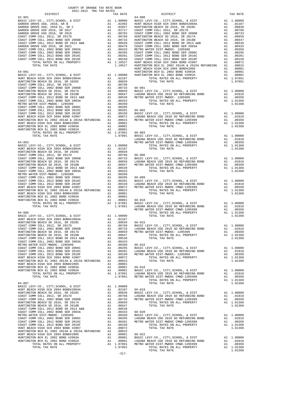| COUNTY OF ORANGE TAX RATE BOOK<br>$\begin{minipage}{0.5\textwidth} \begin{tabular}{@{}c@{}} \multicolumn{2}{c}{\textwidth} \end{tabular} \hline \multicolumn{2}{c}{\textwidth} \begin{tabular}{@{}c@{}} \multicolumn{2}{c}{\textwidth} \end{tabular} \hline \multicolumn{2}{c}{\textwidth} \begin{tabular}{@{}c@{}} \multicolumn{2}{c}{\textwidth} \end{tabular} \hline \multicolumn{2}{c}{\textwidth} \begin{tabular}{c}{\textwidth} \end{tabular} \hline \multicolumn{2}{c}{\textwidth} \end{tabular} \hline \multicolumn{2}{c}{\textwidth} \begin{tabular}{c}{\$ |          |                                                                                                                                                                                                                                                                                        |          |
|---------------------------------------------------------------------------------------------------------------------------------------------------------------------------------------------------------------------------------------------------------------------------------------------------------------------------------------------------------------------------------------------------------------------------------------------------------------------------------------------------------------------------------------------------------------------|----------|----------------------------------------------------------------------------------------------------------------------------------------------------------------------------------------------------------------------------------------------------------------------------------------|----------|
|                                                                                                                                                                                                                                                                                                                                                                                                                                                                                                                                                                     | TAX RATE | DISTRICT                                                                                                                                                                                                                                                                               | TAX RATE |
| $62 - 901$                                                                                                                                                                                                                                                                                                                                                                                                                                                                                                                                                          |          | $64 - 008$                                                                                                                                                                                                                                                                             |          |
|                                                                                                                                                                                                                                                                                                                                                                                                                                                                                                                                                                     |          |                                                                                                                                                                                                                                                                                        |          |
|                                                                                                                                                                                                                                                                                                                                                                                                                                                                                                                                                                     |          |                                                                                                                                                                                                                                                                                        |          |
|                                                                                                                                                                                                                                                                                                                                                                                                                                                                                                                                                                     |          |                                                                                                                                                                                                                                                                                        |          |
|                                                                                                                                                                                                                                                                                                                                                                                                                                                                                                                                                                     |          |                                                                                                                                                                                                                                                                                        |          |
|                                                                                                                                                                                                                                                                                                                                                                                                                                                                                                                                                                     |          |                                                                                                                                                                                                                                                                                        |          |
|                                                                                                                                                                                                                                                                                                                                                                                                                                                                                                                                                                     |          |                                                                                                                                                                                                                                                                                        |          |
|                                                                                                                                                                                                                                                                                                                                                                                                                                                                                                                                                                     |          | $\begin{tabular}{l cccc} $64-001$ & $11.0527$ & $11.0527$ & $11.0527$ & $11.0527$ & $11.0527$ & $11.0527$ & $11.0527$ & $11.0527$ & $11.0527$ & $11.0527$ & $11.0527$ & $11.0527$ & $11.0527$ & $11.0527$ & $11.0527$ & $11.0527$ & $11.0527$ & $11.0527$ & $11.0527$ & $11.0527$ & $$ |          |
|                                                                                                                                                                                                                                                                                                                                                                                                                                                                                                                                                                     |          |                                                                                                                                                                                                                                                                                        |          |
|                                                                                                                                                                                                                                                                                                                                                                                                                                                                                                                                                                     |          |                                                                                                                                                                                                                                                                                        |          |
|                                                                                                                                                                                                                                                                                                                                                                                                                                                                                                                                                                     |          |                                                                                                                                                                                                                                                                                        |          |
|                                                                                                                                                                                                                                                                                                                                                                                                                                                                                                                                                                     |          |                                                                                                                                                                                                                                                                                        |          |
|                                                                                                                                                                                                                                                                                                                                                                                                                                                                                                                                                                     |          |                                                                                                                                                                                                                                                                                        |          |
|                                                                                                                                                                                                                                                                                                                                                                                                                                                                                                                                                                     |          |                                                                                                                                                                                                                                                                                        |          |
|                                                                                                                                                                                                                                                                                                                                                                                                                                                                                                                                                                     |          |                                                                                                                                                                                                                                                                                        |          |
|                                                                                                                                                                                                                                                                                                                                                                                                                                                                                                                                                                     |          |                                                                                                                                                                                                                                                                                        |          |
|                                                                                                                                                                                                                                                                                                                                                                                                                                                                                                                                                                     |          |                                                                                                                                                                                                                                                                                        |          |
|                                                                                                                                                                                                                                                                                                                                                                                                                                                                                                                                                                     |          |                                                                                                                                                                                                                                                                                        |          |
|                                                                                                                                                                                                                                                                                                                                                                                                                                                                                                                                                                     |          |                                                                                                                                                                                                                                                                                        |          |
|                                                                                                                                                                                                                                                                                                                                                                                                                                                                                                                                                                     |          |                                                                                                                                                                                                                                                                                        |          |
|                                                                                                                                                                                                                                                                                                                                                                                                                                                                                                                                                                     |          |                                                                                                                                                                                                                                                                                        |          |
|                                                                                                                                                                                                                                                                                                                                                                                                                                                                                                                                                                     |          |                                                                                                                                                                                                                                                                                        |          |
|                                                                                                                                                                                                                                                                                                                                                                                                                                                                                                                                                                     |          |                                                                                                                                                                                                                                                                                        |          |
|                                                                                                                                                                                                                                                                                                                                                                                                                                                                                                                                                                     |          |                                                                                                                                                                                                                                                                                        |          |
|                                                                                                                                                                                                                                                                                                                                                                                                                                                                                                                                                                     |          |                                                                                                                                                                                                                                                                                        |          |
|                                                                                                                                                                                                                                                                                                                                                                                                                                                                                                                                                                     |          |                                                                                                                                                                                                                                                                                        |          |
|                                                                                                                                                                                                                                                                                                                                                                                                                                                                                                                                                                     |          |                                                                                                                                                                                                                                                                                        |          |
|                                                                                                                                                                                                                                                                                                                                                                                                                                                                                                                                                                     |          |                                                                                                                                                                                                                                                                                        |          |
|                                                                                                                                                                                                                                                                                                                                                                                                                                                                                                                                                                     |          |                                                                                                                                                                                                                                                                                        |          |
|                                                                                                                                                                                                                                                                                                                                                                                                                                                                                                                                                                     |          |                                                                                                                                                                                                                                                                                        |          |
|                                                                                                                                                                                                                                                                                                                                                                                                                                                                                                                                                                     |          |                                                                                                                                                                                                                                                                                        |          |
|                                                                                                                                                                                                                                                                                                                                                                                                                                                                                                                                                                     |          |                                                                                                                                                                                                                                                                                        |          |
|                                                                                                                                                                                                                                                                                                                                                                                                                                                                                                                                                                     |          | IURTINGTONG REL 2002 BORD 12003 (1200) 1000 12003 (1200) 1000 12000 12000 12000 12000 12000 12000 12000 12000 12000 12000 12000 12000 12000 12000 12000 12000 12000 12000 12000 12000 12000 12000 12000 12000 12000 12000 120                                                          |          |
|                                                                                                                                                                                                                                                                                                                                                                                                                                                                                                                                                                     |          |                                                                                                                                                                                                                                                                                        |          |
|                                                                                                                                                                                                                                                                                                                                                                                                                                                                                                                                                                     |          |                                                                                                                                                                                                                                                                                        |          |
|                                                                                                                                                                                                                                                                                                                                                                                                                                                                                                                                                                     |          |                                                                                                                                                                                                                                                                                        |          |
|                                                                                                                                                                                                                                                                                                                                                                                                                                                                                                                                                                     |          |                                                                                                                                                                                                                                                                                        |          |
|                                                                                                                                                                                                                                                                                                                                                                                                                                                                                                                                                                     |          |                                                                                                                                                                                                                                                                                        |          |
|                                                                                                                                                                                                                                                                                                                                                                                                                                                                                                                                                                     |          |                                                                                                                                                                                                                                                                                        |          |
|                                                                                                                                                                                                                                                                                                                                                                                                                                                                                                                                                                     |          |                                                                                                                                                                                                                                                                                        |          |
|                                                                                                                                                                                                                                                                                                                                                                                                                                                                                                                                                                     |          |                                                                                                                                                                                                                                                                                        |          |
|                                                                                                                                                                                                                                                                                                                                                                                                                                                                                                                                                                     |          |                                                                                                                                                                                                                                                                                        |          |
|                                                                                                                                                                                                                                                                                                                                                                                                                                                                                                                                                                     |          |                                                                                                                                                                                                                                                                                        |          |
|                                                                                                                                                                                                                                                                                                                                                                                                                                                                                                                                                                     |          |                                                                                                                                                                                                                                                                                        |          |
|                                                                                                                                                                                                                                                                                                                                                                                                                                                                                                                                                                     |          |                                                                                                                                                                                                                                                                                        |          |
|                                                                                                                                                                                                                                                                                                                                                                                                                                                                                                                                                                     |          |                                                                                                                                                                                                                                                                                        |          |
|                                                                                                                                                                                                                                                                                                                                                                                                                                                                                                                                                                     |          |                                                                                                                                                                                                                                                                                        |          |
|                                                                                                                                                                                                                                                                                                                                                                                                                                                                                                                                                                     |          |                                                                                                                                                                                                                                                                                        |          |
|                                                                                                                                                                                                                                                                                                                                                                                                                                                                                                                                                                     |          | TOTAL TAX RATE                                                                                                                                                                                                                                                                         |          |
|                                                                                                                                                                                                                                                                                                                                                                                                                                                                                                                                                                     |          |                                                                                                                                                                                                                                                                                        |          |
|                                                                                                                                                                                                                                                                                                                                                                                                                                                                                                                                                                     |          |                                                                                                                                                                                                                                                                                        |          |
|                                                                                                                                                                                                                                                                                                                                                                                                                                                                                                                                                                     |          |                                                                                                                                                                                                                                                                                        |          |
|                                                                                                                                                                                                                                                                                                                                                                                                                                                                                                                                                                     |          |                                                                                                                                                                                                                                                                                        |          |
|                                                                                                                                                                                                                                                                                                                                                                                                                                                                                                                                                                     |          |                                                                                                                                                                                                                                                                                        |          |
|                                                                                                                                                                                                                                                                                                                                                                                                                                                                                                                                                                     |          |                                                                                                                                                                                                                                                                                        |          |
|                                                                                                                                                                                                                                                                                                                                                                                                                                                                                                                                                                     |          |                                                                                                                                                                                                                                                                                        |          |
|                                                                                                                                                                                                                                                                                                                                                                                                                                                                                                                                                                     |          |                                                                                                                                                                                                                                                                                        |          |
|                                                                                                                                                                                                                                                                                                                                                                                                                                                                                                                                                                     |          |                                                                                                                                                                                                                                                                                        |          |
|                                                                                                                                                                                                                                                                                                                                                                                                                                                                                                                                                                     |          |                                                                                                                                                                                                                                                                                        |          |
|                                                                                                                                                                                                                                                                                                                                                                                                                                                                                                                                                                     |          |                                                                                                                                                                                                                                                                                        |          |
|                                                                                                                                                                                                                                                                                                                                                                                                                                                                                                                                                                     |          |                                                                                                                                                                                                                                                                                        |          |
|                                                                                                                                                                                                                                                                                                                                                                                                                                                                                                                                                                     |          |                                                                                                                                                                                                                                                                                        |          |
|                                                                                                                                                                                                                                                                                                                                                                                                                                                                                                                                                                     |          |                                                                                                                                                                                                                                                                                        |          |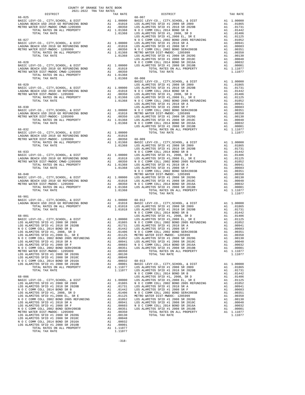| $2021-2022 \quad \text{TRA RATE B}$ DISTRICT $2021-2022 \quad \text{TRA TAX RATES}$ | TAX RATE | DISTRICT | TAX RATE |
|-------------------------------------------------------------------------------------|----------|----------|----------|
|                                                                                     |          |          |          |
|                                                                                     |          |          |          |
|                                                                                     |          |          |          |
|                                                                                     |          |          |          |
|                                                                                     |          |          |          |
|                                                                                     |          |          |          |
|                                                                                     |          |          |          |
|                                                                                     |          |          |          |
|                                                                                     |          |          |          |
|                                                                                     |          |          |          |
|                                                                                     |          |          |          |
|                                                                                     |          |          |          |
|                                                                                     |          |          |          |
|                                                                                     |          |          |          |
|                                                                                     |          |          |          |
|                                                                                     |          |          |          |
|                                                                                     |          |          |          |
|                                                                                     |          |          |          |
|                                                                                     |          |          |          |
|                                                                                     |          |          |          |
|                                                                                     |          |          |          |
|                                                                                     |          |          |          |
|                                                                                     |          |          |          |
|                                                                                     |          |          |          |
|                                                                                     |          |          |          |
|                                                                                     |          |          |          |
|                                                                                     |          |          |          |
|                                                                                     |          |          |          |
|                                                                                     |          |          |          |
|                                                                                     |          |          |          |
|                                                                                     |          |          |          |
|                                                                                     |          |          |          |
|                                                                                     |          |          |          |
|                                                                                     |          |          |          |
|                                                                                     |          |          |          |
|                                                                                     |          |          |          |
|                                                                                     |          |          |          |
|                                                                                     |          |          |          |
|                                                                                     |          |          |          |
|                                                                                     |          |          |          |
|                                                                                     |          |          |          |
|                                                                                     |          |          |          |
|                                                                                     |          |          |          |
|                                                                                     |          |          |          |
|                                                                                     |          |          |          |
|                                                                                     |          |          |          |
| 66-901                                                                              |          |          |          |
|                                                                                     |          |          |          |
|                                                                                     |          |          |          |
|                                                                                     |          |          |          |
|                                                                                     |          |          |          |
|                                                                                     |          |          |          |
|                                                                                     |          |          |          |
|                                                                                     |          |          |          |
|                                                                                     |          |          |          |
|                                                                                     |          |          |          |
|                                                                                     |          |          |          |
|                                                                                     |          |          |          |
|                                                                                     |          |          |          |
|                                                                                     |          |          |          |
|                                                                                     |          |          |          |
|                                                                                     |          |          |          |
|                                                                                     |          |          |          |
|                                                                                     |          |          |          |
|                                                                                     |          |          |          |
|                                                                                     |          |          |          |
|                                                                                     |          |          |          |
|                                                                                     |          |          |          |
|                                                                                     |          |          |          |
|                                                                                     |          |          |          |
|                                                                                     |          |          |          |
|                                                                                     |          |          |          |
|                                                                                     |          |          |          |
|                                                                                     |          |          |          |
|                                                                                     |          |          |          |
|                                                                                     |          |          |          |
|                                                                                     |          |          |          |
|                                                                                     |          |          |          |
|                                                                                     |          |          |          |
|                                                                                     |          |          |          |
|                                                                                     |          |          |          |
|                                                                                     |          |          |          |
|                                                                                     |          |          |          |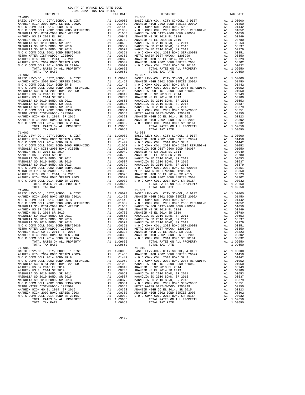| TAX RATE<br>DISTRICT                                                                                                                                                                                                                                            |  | DISTRICT   | TAX RATE |
|-----------------------------------------------------------------------------------------------------------------------------------------------------------------------------------------------------------------------------------------------------------------|--|------------|----------|
|                                                                                                                                                                                                                                                                 |  |            |          |
|                                                                                                                                                                                                                                                                 |  |            |          |
|                                                                                                                                                                                                                                                                 |  |            |          |
|                                                                                                                                                                                                                                                                 |  |            |          |
|                                                                                                                                                                                                                                                                 |  |            |          |
|                                                                                                                                                                                                                                                                 |  |            |          |
|                                                                                                                                                                                                                                                                 |  |            |          |
|                                                                                                                                                                                                                                                                 |  |            |          |
|                                                                                                                                                                                                                                                                 |  |            |          |
|                                                                                                                                                                                                                                                                 |  |            |          |
|                                                                                                                                                                                                                                                                 |  |            |          |
|                                                                                                                                                                                                                                                                 |  |            |          |
|                                                                                                                                                                                                                                                                 |  |            |          |
|                                                                                                                                                                                                                                                                 |  |            |          |
|                                                                                                                                                                                                                                                                 |  |            |          |
|                                                                                                                                                                                                                                                                 |  |            |          |
|                                                                                                                                                                                                                                                                 |  |            |          |
|                                                                                                                                                                                                                                                                 |  |            |          |
|                                                                                                                                                                                                                                                                 |  |            |          |
|                                                                                                                                                                                                                                                                 |  |            |          |
|                                                                                                                                                                                                                                                                 |  |            |          |
|                                                                                                                                                                                                                                                                 |  |            |          |
|                                                                                                                                                                                                                                                                 |  |            |          |
|                                                                                                                                                                                                                                                                 |  |            |          |
|                                                                                                                                                                                                                                                                 |  |            |          |
|                                                                                                                                                                                                                                                                 |  |            |          |
|                                                                                                                                                                                                                                                                 |  |            |          |
|                                                                                                                                                                                                                                                                 |  |            |          |
|                                                                                                                                                                                                                                                                 |  |            |          |
|                                                                                                                                                                                                                                                                 |  |            |          |
| $\begin{array}{cccccc} 7073.104765.067 & 811.09850 & 7073.104482 & 10.9950 & 7073.10448 & 10.9950 & 7073.10448 & 10.9950 & 7073.10448 & 10.9950 & 70.907 & 7073.10448 & 10.9950 & 71.007 & 7073.10448 & 10.9950 & 71.007 & 7073.10448 & 10.9950 & 71.007 & 707$ |  |            |          |
|                                                                                                                                                                                                                                                                 |  |            |          |
|                                                                                                                                                                                                                                                                 |  |            |          |
|                                                                                                                                                                                                                                                                 |  |            |          |
|                                                                                                                                                                                                                                                                 |  |            |          |
|                                                                                                                                                                                                                                                                 |  |            |          |
|                                                                                                                                                                                                                                                                 |  |            |          |
|                                                                                                                                                                                                                                                                 |  |            |          |
|                                                                                                                                                                                                                                                                 |  |            |          |
|                                                                                                                                                                                                                                                                 |  |            |          |
|                                                                                                                                                                                                                                                                 |  |            |          |
|                                                                                                                                                                                                                                                                 |  |            |          |
|                                                                                                                                                                                                                                                                 |  |            |          |
|                                                                                                                                                                                                                                                                 |  |            |          |
|                                                                                                                                                                                                                                                                 |  |            |          |
|                                                                                                                                                                                                                                                                 |  |            |          |
|                                                                                                                                                                                                                                                                 |  |            |          |
|                                                                                                                                                                                                                                                                 |  |            |          |
|                                                                                                                                                                                                                                                                 |  |            |          |
|                                                                                                                                                                                                                                                                 |  |            |          |
|                                                                                                                                                                                                                                                                 |  |            |          |
|                                                                                                                                                                                                                                                                 |  |            |          |
|                                                                                                                                                                                                                                                                 |  |            |          |
|                                                                                                                                                                                                                                                                 |  |            |          |
|                                                                                                                                                                                                                                                                 |  |            |          |
|                                                                                                                                                                                                                                                                 |  |            |          |
|                                                                                                                                                                                                                                                                 |  |            |          |
|                                                                                                                                                                                                                                                                 |  |            |          |
|                                                                                                                                                                                                                                                                 |  |            |          |
|                                                                                                                                                                                                                                                                 |  |            |          |
|                                                                                                                                                                                                                                                                 |  |            |          |
|                                                                                                                                                                                                                                                                 |  |            |          |
|                                                                                                                                                                                                                                                                 |  |            |          |
|                                                                                                                                                                                                                                                                 |  |            |          |
|                                                                                                                                                                                                                                                                 |  |            |          |
|                                                                                                                                                                                                                                                                 |  |            |          |
|                                                                                                                                                                                                                                                                 |  |            |          |
|                                                                                                                                                                                                                                                                 |  |            |          |
|                                                                                                                                                                                                                                                                 |  |            |          |
|                                                                                                                                                                                                                                                                 |  |            |          |
|                                                                                                                                                                                                                                                                 |  |            |          |
|                                                                                                                                                                                                                                                                 |  |            |          |
|                                                                                                                                                                                                                                                                 |  |            |          |
|                                                                                                                                                                                                                                                                 |  |            |          |
|                                                                                                                                                                                                                                                                 |  |            |          |
| $71 - 005$                                                                                                                                                                                                                                                      |  | $71 - 010$ |          |
|                                                                                                                                                                                                                                                                 |  |            |          |
|                                                                                                                                                                                                                                                                 |  |            |          |
|                                                                                                                                                                                                                                                                 |  |            |          |
|                                                                                                                                                                                                                                                                 |  |            |          |
|                                                                                                                                                                                                                                                                 |  |            |          |
|                                                                                                                                                                                                                                                                 |  |            |          |
|                                                                                                                                                                                                                                                                 |  |            |          |
|                                                                                                                                                                                                                                                                 |  |            |          |
|                                                                                                                                                                                                                                                                 |  |            |          |
|                                                                                                                                                                                                                                                                 |  |            |          |
|                                                                                                                                                                                                                                                                 |  |            |          |
|                                                                                                                                                                                                                                                                 |  |            |          |
|                                                                                                                                                                                                                                                                 |  |            |          |
|                                                                                                                                                                                                                                                                 |  |            |          |
|                                                                                                                                                                                                                                                                 |  |            |          |
|                                                                                                                                                                                                                                                                 |  |            |          |
|                                                                                                                                                                                                                                                                 |  |            |          |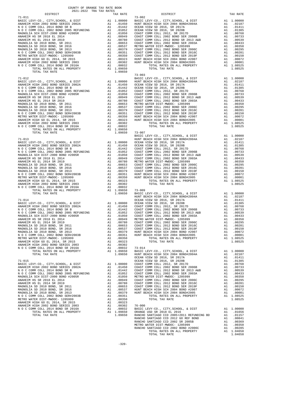| COUNTY OF ORANGE TAX RATE BOOK                                                                                                                                                                                                                                        |          |                                                                                                                                                                                                                                                                                                                                                              |          |
|-----------------------------------------------------------------------------------------------------------------------------------------------------------------------------------------------------------------------------------------------------------------------|----------|--------------------------------------------------------------------------------------------------------------------------------------------------------------------------------------------------------------------------------------------------------------------------------------------------------------------------------------------------------------|----------|
| 2021-2022 TRA TAX RATES<br>DISTRICT                                                                                                                                                                                                                                   | TAX RATE | DISTRICT                                                                                                                                                                                                                                                                                                                                                     | TAX RATE |
| $71 - 011$                                                                                                                                                                                                                                                            |          | $73 - 002$                                                                                                                                                                                                                                                                                                                                                   |          |
|                                                                                                                                                                                                                                                                       |          |                                                                                                                                                                                                                                                                                                                                                              |          |
|                                                                                                                                                                                                                                                                       |          |                                                                                                                                                                                                                                                                                                                                                              |          |
|                                                                                                                                                                                                                                                                       |          |                                                                                                                                                                                                                                                                                                                                                              |          |
|                                                                                                                                                                                                                                                                       |          |                                                                                                                                                                                                                                                                                                                                                              |          |
|                                                                                                                                                                                                                                                                       |          |                                                                                                                                                                                                                                                                                                                                                              |          |
|                                                                                                                                                                                                                                                                       |          |                                                                                                                                                                                                                                                                                                                                                              |          |
|                                                                                                                                                                                                                                                                       |          |                                                                                                                                                                                                                                                                                                                                                              |          |
|                                                                                                                                                                                                                                                                       |          |                                                                                                                                                                                                                                                                                                                                                              |          |
|                                                                                                                                                                                                                                                                       |          |                                                                                                                                                                                                                                                                                                                                                              |          |
|                                                                                                                                                                                                                                                                       |          |                                                                                                                                                                                                                                                                                                                                                              |          |
|                                                                                                                                                                                                                                                                       |          |                                                                                                                                                                                                                                                                                                                                                              |          |
|                                                                                                                                                                                                                                                                       |          |                                                                                                                                                                                                                                                                                                                                                              |          |
|                                                                                                                                                                                                                                                                       | 1.09650  | $\begin{tabular}{cccc} 71-012 & .00000 & .000000 \\ \text{RARIC LEVY-CO., CITY, SCHOOL, & DIST & A1 1.00000 & .HW10E12016, & DIST \\ \text{ARME LIM UCGI 2014 BODD SEREIS 2002A & A1 0.01500 & .HW1T BBCCH INGICIS 2014 BODD. \\ \text{NAUIC COM MOLL 2012 BODD 2005 BREVINDING & A1 0.01500 & .HW1T BBCCH INGICIS 2014 BODD. \\ \text{NAU C COMM COLL 2012$ |          |
|                                                                                                                                                                                                                                                                       |          |                                                                                                                                                                                                                                                                                                                                                              |          |
|                                                                                                                                                                                                                                                                       |          |                                                                                                                                                                                                                                                                                                                                                              |          |
|                                                                                                                                                                                                                                                                       |          |                                                                                                                                                                                                                                                                                                                                                              |          |
|                                                                                                                                                                                                                                                                       |          |                                                                                                                                                                                                                                                                                                                                                              |          |
|                                                                                                                                                                                                                                                                       |          |                                                                                                                                                                                                                                                                                                                                                              |          |
|                                                                                                                                                                                                                                                                       |          |                                                                                                                                                                                                                                                                                                                                                              |          |
|                                                                                                                                                                                                                                                                       |          |                                                                                                                                                                                                                                                                                                                                                              |          |
|                                                                                                                                                                                                                                                                       |          |                                                                                                                                                                                                                                                                                                                                                              |          |
|                                                                                                                                                                                                                                                                       |          |                                                                                                                                                                                                                                                                                                                                                              |          |
|                                                                                                                                                                                                                                                                       |          |                                                                                                                                                                                                                                                                                                                                                              |          |
|                                                                                                                                                                                                                                                                       |          |                                                                                                                                                                                                                                                                                                                                                              |          |
|                                                                                                                                                                                                                                                                       |          |                                                                                                                                                                                                                                                                                                                                                              |          |
|                                                                                                                                                                                                                                                                       |          |                                                                                                                                                                                                                                                                                                                                                              |          |
| $\begin{array}{cccccccc} 1.09550 & 73-007 & 1.09550 & 73-007 & 1.09550 & 73-007 & 1.09550 & 73-007 & 1.09550 & 73-007 & 1.09550 & 73-007 & 1.09550 & 73-007 & 1.09550 & 73-007 & 1.09550 & 73-007 & 1.09550 & 73-007 & 1.09550 & 73-007 & 1.09550 & 73-007 & 1.09550$ |          |                                                                                                                                                                                                                                                                                                                                                              |          |
|                                                                                                                                                                                                                                                                       |          |                                                                                                                                                                                                                                                                                                                                                              |          |
|                                                                                                                                                                                                                                                                       |          |                                                                                                                                                                                                                                                                                                                                                              |          |
|                                                                                                                                                                                                                                                                       |          |                                                                                                                                                                                                                                                                                                                                                              |          |
|                                                                                                                                                                                                                                                                       |          |                                                                                                                                                                                                                                                                                                                                                              |          |
|                                                                                                                                                                                                                                                                       |          |                                                                                                                                                                                                                                                                                                                                                              |          |
|                                                                                                                                                                                                                                                                       |          |                                                                                                                                                                                                                                                                                                                                                              |          |
|                                                                                                                                                                                                                                                                       |          |                                                                                                                                                                                                                                                                                                                                                              |          |
|                                                                                                                                                                                                                                                                       |          |                                                                                                                                                                                                                                                                                                                                                              |          |
|                                                                                                                                                                                                                                                                       |          |                                                                                                                                                                                                                                                                                                                                                              |          |
|                                                                                                                                                                                                                                                                       |          |                                                                                                                                                                                                                                                                                                                                                              |          |
|                                                                                                                                                                                                                                                                       |          |                                                                                                                                                                                                                                                                                                                                                              |          |
|                                                                                                                                                                                                                                                                       |          |                                                                                                                                                                                                                                                                                                                                                              |          |
|                                                                                                                                                                                                                                                                       |          |                                                                                                                                                                                                                                                                                                                                                              |          |
|                                                                                                                                                                                                                                                                       |          |                                                                                                                                                                                                                                                                                                                                                              |          |
|                                                                                                                                                                                                                                                                       |          |                                                                                                                                                                                                                                                                                                                                                              |          |
|                                                                                                                                                                                                                                                                       |          |                                                                                                                                                                                                                                                                                                                                                              |          |
|                                                                                                                                                                                                                                                                       |          |                                                                                                                                                                                                                                                                                                                                                              |          |
|                                                                                                                                                                                                                                                                       |          |                                                                                                                                                                                                                                                                                                                                                              |          |
|                                                                                                                                                                                                                                                                       |          |                                                                                                                                                                                                                                                                                                                                                              |          |
|                                                                                                                                                                                                                                                                       |          |                                                                                                                                                                                                                                                                                                                                                              |          |
|                                                                                                                                                                                                                                                                       |          |                                                                                                                                                                                                                                                                                                                                                              |          |
|                                                                                                                                                                                                                                                                       |          |                                                                                                                                                                                                                                                                                                                                                              |          |
|                                                                                                                                                                                                                                                                       |          |                                                                                                                                                                                                                                                                                                                                                              |          |
|                                                                                                                                                                                                                                                                       |          |                                                                                                                                                                                                                                                                                                                                                              |          |
|                                                                                                                                                                                                                                                                       |          |                                                                                                                                                                                                                                                                                                                                                              |          |
|                                                                                                                                                                                                                                                                       |          |                                                                                                                                                                                                                                                                                                                                                              |          |
|                                                                                                                                                                                                                                                                       |          |                                                                                                                                                                                                                                                                                                                                                              |          |
|                                                                                                                                                                                                                                                                       |          |                                                                                                                                                                                                                                                                                                                                                              |          |
|                                                                                                                                                                                                                                                                       |          |                                                                                                                                                                                                                                                                                                                                                              |          |
|                                                                                                                                                                                                                                                                       |          |                                                                                                                                                                                                                                                                                                                                                              |          |
|                                                                                                                                                                                                                                                                       |          |                                                                                                                                                                                                                                                                                                                                                              |          |
|                                                                                                                                                                                                                                                                       |          |                                                                                                                                                                                                                                                                                                                                                              |          |
|                                                                                                                                                                                                                                                                       |          |                                                                                                                                                                                                                                                                                                                                                              |          |
|                                                                                                                                                                                                                                                                       |          |                                                                                                                                                                                                                                                                                                                                                              |          |
|                                                                                                                                                                                                                                                                       |          |                                                                                                                                                                                                                                                                                                                                                              |          |
|                                                                                                                                                                                                                                                                       |          |                                                                                                                                                                                                                                                                                                                                                              |          |
|                                                                                                                                                                                                                                                                       |          |                                                                                                                                                                                                                                                                                                                                                              |          |
|                                                                                                                                                                                                                                                                       |          |                                                                                                                                                                                                                                                                                                                                                              |          |
|                                                                                                                                                                                                                                                                       |          |                                                                                                                                                                                                                                                                                                                                                              |          |
|                                                                                                                                                                                                                                                                       |          |                                                                                                                                                                                                                                                                                                                                                              |          |
|                                                                                                                                                                                                                                                                       |          |                                                                                                                                                                                                                                                                                                                                                              |          |
|                                                                                                                                                                                                                                                                       |          |                                                                                                                                                                                                                                                                                                                                                              |          |
|                                                                                                                                                                                                                                                                       |          |                                                                                                                                                                                                                                                                                                                                                              |          |
|                                                                                                                                                                                                                                                                       |          |                                                                                                                                                                                                                                                                                                                                                              |          |
|                                                                                                                                                                                                                                                                       |          | ARMEETIK EISE 2013 - 25 2013 - 2013 - 2014 - 2013 - 2014 - 2022 - 2022 - 2022 - 2023 - 2023 - 2023 - 2023 - 2023 - 2023 - 2023 - 2023 - 2023 - 2023 - 2023 - 2023 - 2023 - 2023 - 2023 - 2023 - 2023 - 2023 - 2023 - 2023 - 2                                                                                                                                |          |
|                                                                                                                                                                                                                                                                       |          |                                                                                                                                                                                                                                                                                                                                                              |          |
|                                                                                                                                                                                                                                                                       |          |                                                                                                                                                                                                                                                                                                                                                              |          |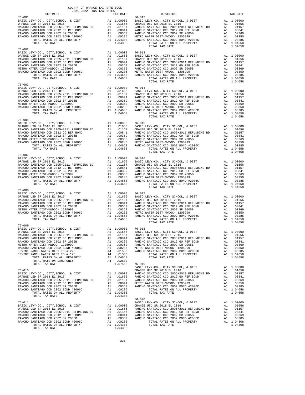| COUNTY OF ORANGE TAX RATE BOOK<br>2021-2022 TRA TAX RATES<br>$2021-2022 \quad \text{TRA TAX RATES}$ DISTRICT $$\tt 2021-2022$$ |          |                                                                                                                                                                                                                                                                                                                                                                                                                                                                                                  |          |
|--------------------------------------------------------------------------------------------------------------------------------|----------|--------------------------------------------------------------------------------------------------------------------------------------------------------------------------------------------------------------------------------------------------------------------------------------------------------------------------------------------------------------------------------------------------------------------------------------------------------------------------------------------------|----------|
|                                                                                                                                | TAX RATE | DISTRICT                                                                                                                                                                                                                                                                                                                                                                                                                                                                                         | TAX RATE |
| $76 - 002$                                                                                                                     |          | $\begin{tabular}{l c c c c c} & \multicolumn{1}{c}{DISTRICT} & \multicolumn{1}{c}{\begin{tabular}{c} \multicolumn{1}{c}{\begin{tabular}{c} \multicolumn{1}{c}{\begin{tabular}{c} \multicolumn{1}{c}{\begin{tabular}{c} \multicolumn{1}{c}{\begin{tabular}{c} \multicolumn{1}{c}{\begin{tabular}{c} \multicolumn{1}{c}{\begin{tabular}{c} \multicolumn{1}{c}{\begin{tabular}{c} \multicolumn{1}{c}{\begin{tabular}{c} \multicolumn{1}{c}{\begin{tabular}{c} \multicolumn{1}{c}{\begin{tabular}{c$ |          |
|                                                                                                                                |          |                                                                                                                                                                                                                                                                                                                                                                                                                                                                                                  |          |
| $76 - 003$                                                                                                                     |          | TOTAL TAX RATE                                                                                                                                                                                                                                                                                                                                                                                                                                                                                   |          |
|                                                                                                                                |          |                                                                                                                                                                                                                                                                                                                                                                                                                                                                                                  |          |
|                                                                                                                                |          |                                                                                                                                                                                                                                                                                                                                                                                                                                                                                                  |          |
|                                                                                                                                |          |                                                                                                                                                                                                                                                                                                                                                                                                                                                                                                  |          |
| $76 - 009$<br>BASIC LEVY-CO., CITY, SCHOOL, & DIST A1 1.00000 76-018                                                           |          |                                                                                                                                                                                                                                                                                                                                                                                                                                                                                                  |          |
|                                                                                                                                |          |                                                                                                                                                                                                                                                                                                                                                                                                                                                                                                  |          |
|                                                                                                                                |          | $76 - 020$                                                                                                                                                                                                                                                                                                                                                                                                                                                                                       |          |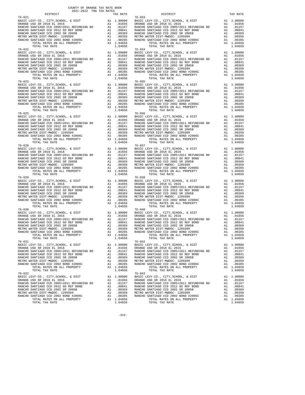| DISTRICT                                                                                                     | 2021-2022 TRA TAX RATES | TAX RATE | DISTRICT                                                                                                                                                                                                                                                                                                                                                                                       | TAX RATE              |
|--------------------------------------------------------------------------------------------------------------|-------------------------|----------|------------------------------------------------------------------------------------------------------------------------------------------------------------------------------------------------------------------------------------------------------------------------------------------------------------------------------------------------------------------------------------------------|-----------------------|
| $76 - 021$<br>$76 - 022$                                                                                     |                         |          | $76 - 033$<br>$76 - 034$                                                                                                                                                                                                                                                                                                                                                                       |                       |
|                                                                                                              |                         |          |                                                                                                                                                                                                                                                                                                                                                                                                |                       |
| $76 - 025$                                                                                                   |                         |          | $76 - 036$                                                                                                                                                                                                                                                                                                                                                                                     |                       |
|                                                                                                              |                         |          | $\begin{tabular}{l c c c c c} \hline 76-025 & 76-036 & 76-036 & 76-036 & 76-036 & 76-036 & 76-036 & 76-036 & 76-036 & 76-036 & 76-036 & 76-036 & 76-036 & 76-036 & 76-036 & 76-036 & 76-036 & 76-036 & 76-036 & 76-036 & 76-036 & 76-036 & 76-036 & 76-036 & 76-036$                                                                                                                           |                       |
|                                                                                                              |                         |          | $\begin{tabular}{l c c c c c} \hline 76-028 & 76-037 & 76-037 \\ \hline \texttt{BARICEO SANTIAGO CCD, CITY, SCHOOL, & DIST & A1 1.00000 & BASTC LEVY-CO., CITY, SCHOOL, & DIST & A1 1.00000 \\ \texttt{ORMCE USD SR 2018 EL 2016 & A1 01656 & 0.00000 & 0.00000 & 0.00000 & 0.00000 \\ \texttt{RANCE VSD SANTIAGO CCD 2005+2011 REFUNDING BD & A1 01157 &$                                     |                       |
|                                                                                                              |                         |          |                                                                                                                                                                                                                                                                                                                                                                                                |                       |
| $76 - 030$<br>TOTAL RATES ON ALL PROPERTY A1 1.04658<br>TOTAL TAX RATE PROPERTY A1 1.04658<br>TOTAL TAX RATE |                         | 1.04658  | $76 - 040$<br>$76 - 042$<br>TOTAL RATES ON ALL PROPERTY<br>TOTAL TAX RATE                                                                                                                                                                                                                                                                                                                      | A1 1.04658<br>1.04658 |
| 76-031                                                                                                       |                         |          | $\begin{tabular}{l c c c c c} \hline 76-031 & 76-042 \\ \hline \texttt{BASTE LEVY-CO., CITY, SCHOOL, & \& DIST & \& & 1.00000 \\ \texttt{ORANGE USD SR 2018 EL 2016 & \& & 1.01656 \\ \texttt{RANCE USD SR 2018 EL 2016 & \& & 1.01656 \\ \texttt{RANCE O SANTIAGO CCD 2005+2011 REFUNDING BD & \& & 1.0157 \\ \texttt{RANCEO SANTIAGO CCD 2005+2011 REFUNDING BD & \& & 1.0157$               |                       |
|                                                                                                              |                         |          | $\begin{tabular}{l c c c c c} \hline 76-032 & 76-043 \\ \hline \texttt{BASC LEVY-CO.}, \hspace{0.5cm} CITY, \texttt{SCHOO.}, \hspace{0.5cm} & \texttt{ADIST} & \texttt{A1} & 1.00000 & \texttt{BASIC LEVY-CO.}, \hspace{0.5cm} CITY, \texttt{SCHOO.}, \hspace{0.5cm} & \texttt{ADIST} & \texttt{A1} & 1.00000 \\ \hline \texttt{RANCEO SANTIAGO CCD 2005+2011 REFUNDING BD} & \texttt{A1} & .$ |                       |

-322-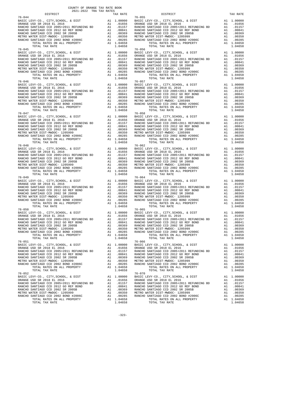| 2021-2022 TRA TAX RATES<br>DISTRICT                                                                              | TAX RATE | DISTRICT                                                                                                                                                                                                                                                                                                                                                                                                  | TAX RATE |
|------------------------------------------------------------------------------------------------------------------|----------|-----------------------------------------------------------------------------------------------------------------------------------------------------------------------------------------------------------------------------------------------------------------------------------------------------------------------------------------------------------------------------------------------------------|----------|
| $76 - 044$<br>$76 - 045$                                                                                         |          | $76 - 055$<br>$76 - 056$                                                                                                                                                                                                                                                                                                                                                                                  |          |
|                                                                                                                  |          |                                                                                                                                                                                                                                                                                                                                                                                                           |          |
| $76 - 047$                                                                                                       |          | $\begin{tabular}{l c c c c c} \hline 76-046 & 76-057 \\ \hline BASIC LEVY-C0., CITY, SCHOOL, & DIST & A1 & 1.00000 & BASIC LEVY-C0., CITY, SCHOOL, & DIST & A1 & 1.00000 \\ \hline \text{RANCE USD SR 2018 EL 2016 & \text{A1} & .01656 & \text{ORANGE UEVY-C0., CITY, SCHOOL, & DIST & A1 & .01656 \\ \text{RANCE USD SR 2018 EL 2016 & \text{A1} & .01656 & \text{ORANGE UED SR 2018 EL $<br>$76 - 058$ |          |
|                                                                                                                  |          | $\begin{tabular}{l c c c c c} \hline 76-047 & 76-08 \\ \hline \texttt{BASTC LEVY-CO.}, \hspace{0.5cm} CITY, \hspace{0.5cm} CITY, \hspace{0.5cm} CITY, \hspace{0.5cm} CITY, \hspace{0.5cm} CITY, \hspace{0.5cm} CITY, \hspace{0.5cm} CITY, \hspace{0.5cm} CITY, \hspace{0.5cm} CITY, \hspace{0.5cm} CITY, \hspace{0.5cm} CITY, \hspace{0.5cm} CITY, \hspace{0.5cm} CIT$                                    |          |
|                                                                                                                  |          |                                                                                                                                                                                                                                                                                                                                                                                                           |          |
|                                                                                                                  |          | $\begin{tabular}{l c c c c c} \hline 76-049 & 76-048 \\ \hline \texttt{BASIC LEVY-CO.}, & CITY, SCHOOL, & DIST \\ \hline \texttt{QRMCE} & SDSR 2018 EL 2016 & \texttt{A1} & 0.0000 & \texttt{BASIC LEVY-CO.}, & CITY, SCHOOL, & DIST \\ \hline \texttt{RANCHO SANTIAGO CCD 2005+2011 REFUNDING BD & \texttt{A1} & 0.01656 & \texttt{DRANCEU DSP 2018 EL 2016} & \texttt{A1} & 0.016$                      |          |
| $76 - 050$<br>TOTAL RATES ON ALL PROPERTY AI 1.04658<br>TOTAL PATES ON ALL PROPERTY AI 1.04658<br>TOTAL TAX RATE | 1.04658  | $76 - 065$<br>TOTAL RATES ON ALL PROPERTY A1 1.04658<br>TOTAL RATES ON ALL PROPERTY A1 1.04658<br>TOTAL TAX RATE<br>$76 - 066$                                                                                                                                                                                                                                                                            | 1.04658  |
| 76-051                                                                                                           |          | $\begin{tabular}{l c c c c c} \hline 76-051 & 76-056 \\ \hline \texttt{BASIC LEVY-CO.}, \hspace{0.5cm} CITY, \hspace{0.5cm} CITY, \hspace{0.5cm} CYY-CO. , \hspace{0.5cm} CITY, \hspace{0.5cm} CYY-CO. , \hspace{0.5cm} CITY, \hspace{0.5cm} CYY-CO. , \hspace{0.5cm} CITY, \hspace{0.5cm} CYY-CO. , \hspace{0.5cm} CITY, \hspace{0.5cm} SZ 018 & \hspace{0.5cm} \texttt{R}}$                             |          |
|                                                                                                                  |          |                                                                                                                                                                                                                                                                                                                                                                                                           |          |

-323-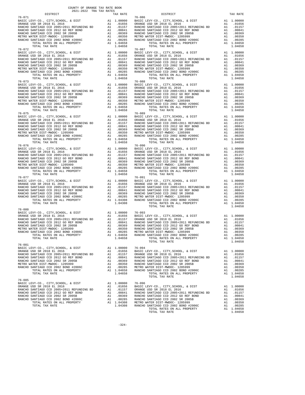| COUNTY OF ORANGE TAX RATE BOOK<br>2021-2022 TRA TAX RATES<br>$2021-2022 \quad \text{TRA} \quad \text{RATE B}$ DISTRICT 2021-2022   TRA TAX RATES |          |                                                                                                                                                                                                                                                                                                                                                                                                              |          |
|--------------------------------------------------------------------------------------------------------------------------------------------------|----------|--------------------------------------------------------------------------------------------------------------------------------------------------------------------------------------------------------------------------------------------------------------------------------------------------------------------------------------------------------------------------------------------------------------|----------|
|                                                                                                                                                  | TAX RATE | DISTRICT                                                                                                                                                                                                                                                                                                                                                                                                     | TAX RATE |
| $76 - 071$                                                                                                                                       |          | $76 - 086$<br>$\begin{tabular}{l c c c c c} \hline 76-071 & 76-086 \\ \hline \text{BASIC LEVY-CO., CITY, SCHOOL, & \& DIST & \& & \\\hline \text{ORMGE USD SR 2018 EL 2016 & \& & \text{no. 10556} \\ \text{RANCE USD SR 2018 EL 2016 & \& & \text{no. 10556} \\ \text{RANCE VSD SR 2018 EL 2016 & \& & \text{no. 10556} \\ \text{RANCE VSD SR 2012 GO SE RONCHO SANTIAGO CCD 2005+2011 REFUNDING BD & \$    |          |
|                                                                                                                                                  |          |                                                                                                                                                                                                                                                                                                                                                                                                              |          |
|                                                                                                                                                  |          |                                                                                                                                                                                                                                                                                                                                                                                                              |          |
|                                                                                                                                                  |          |                                                                                                                                                                                                                                                                                                                                                                                                              |          |
|                                                                                                                                                  |          |                                                                                                                                                                                                                                                                                                                                                                                                              |          |
|                                                                                                                                                  |          |                                                                                                                                                                                                                                                                                                                                                                                                              |          |
|                                                                                                                                                  |          |                                                                                                                                                                                                                                                                                                                                                                                                              |          |
|                                                                                                                                                  |          |                                                                                                                                                                                                                                                                                                                                                                                                              |          |
|                                                                                                                                                  |          |                                                                                                                                                                                                                                                                                                                                                                                                              |          |
|                                                                                                                                                  |          |                                                                                                                                                                                                                                                                                                                                                                                                              |          |
|                                                                                                                                                  |          | $\begin{tabular}{l ll} $76-0.72$ & $10.997$ & $10.90000$ & $10.90000$ & $10.90000$ & $10.90000$ & $10.90000$ & $10.90000$ \\ \hline \texttt{RARCHO SARTR GENTC. EVP'CO, CITY, SCHOOL, & $DIST$ & $11.00000$ & $10.90000$ & $10.90000$ \\ \hline \texttt{RARCHO SARTR GENTC. CVP, & $DIST$ & $11.00000$ & $10.9000$ & $10.9000$                                                                               |          |
|                                                                                                                                                  |          |                                                                                                                                                                                                                                                                                                                                                                                                              |          |
|                                                                                                                                                  |          |                                                                                                                                                                                                                                                                                                                                                                                                              |          |
|                                                                                                                                                  |          |                                                                                                                                                                                                                                                                                                                                                                                                              |          |
|                                                                                                                                                  |          |                                                                                                                                                                                                                                                                                                                                                                                                              |          |
|                                                                                                                                                  |          |                                                                                                                                                                                                                                                                                                                                                                                                              |          |
|                                                                                                                                                  |          | $76 - 089$                                                                                                                                                                                                                                                                                                                                                                                                   |          |
| $76 - 075$                                                                                                                                       |          |                                                                                                                                                                                                                                                                                                                                                                                                              |          |
|                                                                                                                                                  |          |                                                                                                                                                                                                                                                                                                                                                                                                              |          |
|                                                                                                                                                  |          |                                                                                                                                                                                                                                                                                                                                                                                                              |          |
|                                                                                                                                                  |          |                                                                                                                                                                                                                                                                                                                                                                                                              |          |
|                                                                                                                                                  |          |                                                                                                                                                                                                                                                                                                                                                                                                              |          |
|                                                                                                                                                  |          | $\begin{tabular}{l c c c c c} \hline 76-075 & 76-075 & 76-089 \\ \hline \text{BASIC EW--CO.}, & \text{CITY}, \text{SCHOOL}, & \& \text{DIST} & \text{Al} & 1.00000 & \text{BASIC LEVY--CO.}, & \text{CITY}, \text{SCHOOL}, & \& \text{DIST} & \text{Al} & 1.00000 \\ \text{ORANGE USD SR 2018 EL 2016 & \text{AL} & .01656 & \text{ORANGE USD SR 2018 EL 2016 & \text{Al} & .01656 \\ \text{RANCE O SANTIAG$ |          |
|                                                                                                                                                  |          |                                                                                                                                                                                                                                                                                                                                                                                                              |          |
|                                                                                                                                                  |          |                                                                                                                                                                                                                                                                                                                                                                                                              |          |
|                                                                                                                                                  |          |                                                                                                                                                                                                                                                                                                                                                                                                              |          |
|                                                                                                                                                  |          |                                                                                                                                                                                                                                                                                                                                                                                                              |          |
|                                                                                                                                                  |          |                                                                                                                                                                                                                                                                                                                                                                                                              |          |
|                                                                                                                                                  |          |                                                                                                                                                                                                                                                                                                                                                                                                              |          |
|                                                                                                                                                  |          |                                                                                                                                                                                                                                                                                                                                                                                                              |          |
|                                                                                                                                                  |          |                                                                                                                                                                                                                                                                                                                                                                                                              |          |
|                                                                                                                                                  |          |                                                                                                                                                                                                                                                                                                                                                                                                              |          |
|                                                                                                                                                  |          |                                                                                                                                                                                                                                                                                                                                                                                                              |          |
|                                                                                                                                                  |          |                                                                                                                                                                                                                                                                                                                                                                                                              |          |
|                                                                                                                                                  |          | $\begin{tabular}{l c c c c c} \hline $76-077$ & $76-091$ & $76-091$ & $76-091$ & $1$ & $1.00000$ & $100000$ & $100000$ & $100000$ & $100000$ & $100000$ & $100000$ & $100000$ & $100000$ & $100000$ & $100000$ & $100000$ & $100000$ & $100000$ & $100000$ & $100000$ & $100000$ & $1000$                                                                                                                    |          |
| $76 - 080$                                                                                                                                       |          |                                                                                                                                                                                                                                                                                                                                                                                                              |          |
|                                                                                                                                                  |          |                                                                                                                                                                                                                                                                                                                                                                                                              |          |
|                                                                                                                                                  |          |                                                                                                                                                                                                                                                                                                                                                                                                              |          |
|                                                                                                                                                  |          | 00350 METRO WATER DIST<br>MANGE USD SR 2018 EL 2016<br>NANGE USD SR 2018 EL 2016<br>RANCHO SANTIAGO CCD 2012 GO REF BOND A1 .00000 76-093<br>RANCHO SANTIAGO CCD 2012 GO REF BOND A1 .00000 A1 .00041<br>RANCHO SANTIAGO CCD 2012 GO REF                                                                                                                                                                     |          |
|                                                                                                                                                  |          |                                                                                                                                                                                                                                                                                                                                                                                                              |          |
|                                                                                                                                                  |          | 1.00285 METRO WATER DIST-MWDOC-1202899 MAIL PROPERTY AT 1.00350 METRO WATER DIST-MWDOC-120599 MAIL PROPERTY AT<br>TOTAL RATES ON ALL PROPERTY AT 1.00285 METRO WATER DIST-MWDOC-1205999 MAIL 0.00285<br>TOTAL RATES ON ALL PROPERTY                                                                                                                                                                          |          |
| $76 - 081$                                                                                                                                       |          | TOTAL TAX RATE                                                                                                                                                                                                                                                                                                                                                                                               | 1.04658  |
|                                                                                                                                                  |          |                                                                                                                                                                                                                                                                                                                                                                                                              |          |
|                                                                                                                                                  |          |                                                                                                                                                                                                                                                                                                                                                                                                              |          |
|                                                                                                                                                  |          |                                                                                                                                                                                                                                                                                                                                                                                                              |          |
|                                                                                                                                                  |          |                                                                                                                                                                                                                                                                                                                                                                                                              |          |
|                                                                                                                                                  |          |                                                                                                                                                                                                                                                                                                                                                                                                              |          |
|                                                                                                                                                  |          | TOTAL TAX RATE                                                                                                                                                                                                                                                                                                                                                                                               | 1.04658  |
|                                                                                                                                                  |          |                                                                                                                                                                                                                                                                                                                                                                                                              |          |
|                                                                                                                                                  |          |                                                                                                                                                                                                                                                                                                                                                                                                              |          |
|                                                                                                                                                  |          |                                                                                                                                                                                                                                                                                                                                                                                                              |          |
|                                                                                                                                                  |          |                                                                                                                                                                                                                                                                                                                                                                                                              |          |
|                                                                                                                                                  |          |                                                                                                                                                                                                                                                                                                                                                                                                              |          |
|                                                                                                                                                  |          |                                                                                                                                                                                                                                                                                                                                                                                                              |          |
|                                                                                                                                                  |          |                                                                                                                                                                                                                                                                                                                                                                                                              |          |
|                                                                                                                                                  |          |                                                                                                                                                                                                                                                                                                                                                                                                              |          |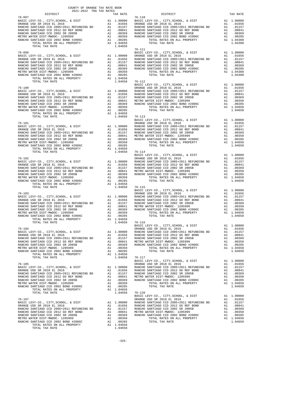|  | $\begin{tabular}{l c c c c c} \multicolumn{1}{c}{\textbf{76-105}} & \multicolumn{1}{c}{\textbf{76-107}} & \multicolumn{1}{c}{\textbf{8.81C EVY-C0.}}, & \textbf{CITY}, \textbf{SCHOOL}, & \textbf{DIST} & \textbf{R1 1.00000} \\ \hline \textbf{BASIC LEVY-C0.}, & \textbf{CITY}, \textbf{SCHOOL}, & \textbf{DIST} & \textbf{R1 1.00000} \\ \textbf{RANCE USD SR 2018 EL 2016} & \textbf{A1 1.000$ |  |
|--|----------------------------------------------------------------------------------------------------------------------------------------------------------------------------------------------------------------------------------------------------------------------------------------------------------------------------------------------------------------------------------------------------|--|
|  |                                                                                                                                                                                                                                                                                                                                                                                                    |  |
|  |                                                                                                                                                                                                                                                                                                                                                                                                    |  |
|  |                                                                                                                                                                                                                                                                                                                                                                                                    |  |
|  |                                                                                                                                                                                                                                                                                                                                                                                                    |  |
|  |                                                                                                                                                                                                                                                                                                                                                                                                    |  |
|  |                                                                                                                                                                                                                                                                                                                                                                                                    |  |
|  |                                                                                                                                                                                                                                                                                                                                                                                                    |  |
|  |                                                                                                                                                                                                                                                                                                                                                                                                    |  |
|  |                                                                                                                                                                                                                                                                                                                                                                                                    |  |
|  |                                                                                                                                                                                                                                                                                                                                                                                                    |  |
|  |                                                                                                                                                                                                                                                                                                                                                                                                    |  |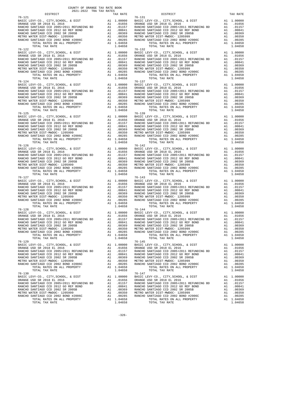| 2021-2022 TRA TAX RATES<br>DISTRICT                                                            | TAX RATE | DISTRICT                                                                                                                                                                                                                                                                                                                                                                                                    | TAX RATE |
|------------------------------------------------------------------------------------------------|----------|-------------------------------------------------------------------------------------------------------------------------------------------------------------------------------------------------------------------------------------------------------------------------------------------------------------------------------------------------------------------------------------------------------------|----------|
| $76 - 121$                                                                                     |          | $76 - 131$                                                                                                                                                                                                                                                                                                                                                                                                  |          |
|                                                                                                |          |                                                                                                                                                                                                                                                                                                                                                                                                             |          |
|                                                                                                |          |                                                                                                                                                                                                                                                                                                                                                                                                             |          |
|                                                                                                |          |                                                                                                                                                                                                                                                                                                                                                                                                             |          |
|                                                                                                |          |                                                                                                                                                                                                                                                                                                                                                                                                             |          |
| 76-122                                                                                         |          | $76 - 132$                                                                                                                                                                                                                                                                                                                                                                                                  |          |
|                                                                                                |          |                                                                                                                                                                                                                                                                                                                                                                                                             |          |
|                                                                                                |          |                                                                                                                                                                                                                                                                                                                                                                                                             |          |
|                                                                                                |          |                                                                                                                                                                                                                                                                                                                                                                                                             |          |
|                                                                                                |          |                                                                                                                                                                                                                                                                                                                                                                                                             |          |
|                                                                                                |          |                                                                                                                                                                                                                                                                                                                                                                                                             |          |
|                                                                                                |          |                                                                                                                                                                                                                                                                                                                                                                                                             |          |
|                                                                                                |          |                                                                                                                                                                                                                                                                                                                                                                                                             |          |
|                                                                                                |          |                                                                                                                                                                                                                                                                                                                                                                                                             |          |
|                                                                                                |          |                                                                                                                                                                                                                                                                                                                                                                                                             |          |
|                                                                                                |          |                                                                                                                                                                                                                                                                                                                                                                                                             |          |
|                                                                                                |          |                                                                                                                                                                                                                                                                                                                                                                                                             |          |
|                                                                                                |          |                                                                                                                                                                                                                                                                                                                                                                                                             |          |
| $76 - 125$                                                                                     |          | $\begin{tabular}{l c c c c c} \hline 76-124 & 76-137 \\ \hline BASIC LEVY-C0., CITY, SCHOOL, & DIST & A1 & 1.00000 & BASIC LEVY-C0., CITY, SCHOOL, & DIST & A1 & 1.00000 \\ \hline \text{RANCE USD SR 2018 EL 2016 & A1 & .01656 \\ \text{RANCE USD SR 2018 EL 2011 REFUNDING BD & A1 & .01656 \\ \text{RANCEO SANTIAGO CCD 2012 SCO P.2011 REFENDING BD & A1 & .01657 \\ \text{RANCEO SANTI$<br>$76 - 139$ |          |
|                                                                                                |          |                                                                                                                                                                                                                                                                                                                                                                                                             |          |
|                                                                                                |          |                                                                                                                                                                                                                                                                                                                                                                                                             |          |
|                                                                                                |          |                                                                                                                                                                                                                                                                                                                                                                                                             |          |
|                                                                                                |          |                                                                                                                                                                                                                                                                                                                                                                                                             |          |
|                                                                                                |          |                                                                                                                                                                                                                                                                                                                                                                                                             |          |
|                                                                                                |          |                                                                                                                                                                                                                                                                                                                                                                                                             |          |
|                                                                                                |          | $\begin{tabular}{l c c c c c} \hline 76-125 & 76-139 \\ \hline \texttt{BARIC} & \texttt{CEVY-CO.}, & \texttt{CITY}, \texttt{SCHOOL}, & \texttt{E DIST} & \texttt{A1} & 1.00000 \\ \hline \texttt{RANCE USD SR 2018 EL 2016} & \texttt{A1} & .01656 \\ \texttt{RANCE USD SR 2018 EL 2016} & \texttt{A1} & .01656 \\ \texttt{RANCE VSD SR 2018 EL 2016} & \texttt{A1} & .01656 \\ \texttt{RANCE$              |          |
|                                                                                                |          |                                                                                                                                                                                                                                                                                                                                                                                                             |          |
|                                                                                                |          |                                                                                                                                                                                                                                                                                                                                                                                                             |          |
|                                                                                                |          |                                                                                                                                                                                                                                                                                                                                                                                                             |          |
|                                                                                                |          |                                                                                                                                                                                                                                                                                                                                                                                                             |          |
|                                                                                                |          |                                                                                                                                                                                                                                                                                                                                                                                                             |          |
|                                                                                                |          |                                                                                                                                                                                                                                                                                                                                                                                                             |          |
|                                                                                                |          | $\begin{tabular}{l c c c c c} \hline 76-126 & 76-142 \\ \hline \texttt{BASTE LEVY-CO., CITY, SCHOOL, & \& DIST & \& & 1.00000 \\ \texttt{ORMGE USD SR 2018 EL 2016 & \& & 1.01656 \\ \texttt{RANCE USD SR 2018 EL 2016 & \& & 1.01656 \\ \texttt{RANCE O SANTIAGO CCD 2005+2011 REFUNDING BD & \& & 1.0157 \\ \texttt{RANCEO SANTIAGO CCD 2005+2011 REFUNDING BD & \& & 1.0157$                             |          |
|                                                                                                |          |                                                                                                                                                                                                                                                                                                                                                                                                             |          |
|                                                                                                |          |                                                                                                                                                                                                                                                                                                                                                                                                             |          |
|                                                                                                |          |                                                                                                                                                                                                                                                                                                                                                                                                             |          |
|                                                                                                |          |                                                                                                                                                                                                                                                                                                                                                                                                             |          |
|                                                                                                |          |                                                                                                                                                                                                                                                                                                                                                                                                             |          |
|                                                                                                |          | $\begin{tabular}{l c c c c c} \hline 76-127 & 76-143 & 76-143 & 76-144 & 1.00000 & 80.01658 \\ \hline \texttt{BASCE } UEV-CO, ~CITY, SCHOOL, ~&DIST & \texttt{A1} & 1.00000 & 80.01656 \\ \texttt{RANCE USD SR 2018 EL 2016} & \texttt{A1} & .01656 & 80.01654 & 0.01656 \\ \texttt{RANCE USD SR 2018 REU 2011 REFUNDING 2011 REFUNDING 2$                                                                  |          |
| $76 - 128$                                                                                     |          | $76 - 144$                                                                                                                                                                                                                                                                                                                                                                                                  |          |
|                                                                                                |          |                                                                                                                                                                                                                                                                                                                                                                                                             |          |
|                                                                                                |          |                                                                                                                                                                                                                                                                                                                                                                                                             |          |
|                                                                                                |          |                                                                                                                                                                                                                                                                                                                                                                                                             |          |
|                                                                                                |          |                                                                                                                                                                                                                                                                                                                                                                                                             |          |
|                                                                                                |          |                                                                                                                                                                                                                                                                                                                                                                                                             |          |
| TOTAL RATES ON ALL PROPERTY A1 1.04658<br>TOTAL TAX RATE PROPERTY A1 1.04658<br>TOTAL TAX RATE | 1.04658  | TOTAL RATES ON ALL PROPERTY A1 1.04658 PA 1.04658 (1.04658 PA 1.04668 PA 2.02458 PA 2.02458 PA 2.02458 PA 2.02458 PA 2.02458 PA 2.02458 PA 2.02458 PA 2.02458 PA 2.02458 PA 2.02458 PA 2.02458 PA 2.02458 PA 2.02458 PA 2.024<br>$76 - 145$<br>TOTAL TAX RATE                                                                                                                                               |          |
| 76-129                                                                                         |          |                                                                                                                                                                                                                                                                                                                                                                                                             |          |
|                                                                                                |          |                                                                                                                                                                                                                                                                                                                                                                                                             |          |
|                                                                                                |          |                                                                                                                                                                                                                                                                                                                                                                                                             |          |
|                                                                                                |          |                                                                                                                                                                                                                                                                                                                                                                                                             |          |
|                                                                                                |          |                                                                                                                                                                                                                                                                                                                                                                                                             |          |
|                                                                                                |          |                                                                                                                                                                                                                                                                                                                                                                                                             |          |
|                                                                                                |          | $\begin{tabular}{l c c c c c} \hline 76-129 & 76-145 \\ \hline \texttt{BARICE } \texttt{CEVY-CO} \,, \texttt{CITY}, \texttt{SCHOOL} \,, \texttt{ & 100000} & \texttt{BASTC LEVY-CO} \,, \texttt{CITY}, \texttt{SCHOOL} \,, \texttt{ & 100000} \\ \hline \texttt{RANCE } \texttt{USD} \texttt{ SR } 2018 \texttt{ EL } 2016 & \texttt{A1} & .01656 \\ \texttt{RANCE } \texttt{GANTIAGO} \texttt{ CCD } 20$   |          |
|                                                                                                |          |                                                                                                                                                                                                                                                                                                                                                                                                             |          |
|                                                                                                |          |                                                                                                                                                                                                                                                                                                                                                                                                             |          |
|                                                                                                |          |                                                                                                                                                                                                                                                                                                                                                                                                             |          |
|                                                                                                |          |                                                                                                                                                                                                                                                                                                                                                                                                             |          |
|                                                                                                |          |                                                                                                                                                                                                                                                                                                                                                                                                             |          |
|                                                                                                |          |                                                                                                                                                                                                                                                                                                                                                                                                             |          |
|                                                                                                |          |                                                                                                                                                                                                                                                                                                                                                                                                             |          |

-326-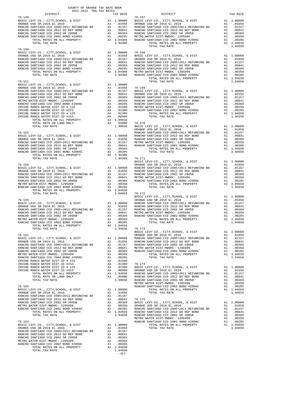| COUNTY OF ORANGE TAX RATE BOOK<br>$2021-2022 \quad \text{TRA} \quad \text{RATE B} \label{eq:2021-2022}$ DISTRICT |          |                |          |
|------------------------------------------------------------------------------------------------------------------|----------|----------------|----------|
|                                                                                                                  | TAX RATE | DISTRICT       | TAX RATE |
| $76 - 149$                                                                                                       |          | $76 - 167$     |          |
|                                                                                                                  |          |                |          |
|                                                                                                                  |          |                |          |
|                                                                                                                  |          |                |          |
|                                                                                                                  |          |                |          |
|                                                                                                                  |          |                |          |
|                                                                                                                  |          | TOTAL TAX RATE | 1.04658  |
|                                                                                                                  |          |                |          |
|                                                                                                                  |          |                |          |
|                                                                                                                  |          |                |          |
|                                                                                                                  |          |                |          |
|                                                                                                                  |          |                |          |
|                                                                                                                  |          |                |          |
|                                                                                                                  |          |                |          |
|                                                                                                                  |          |                |          |
|                                                                                                                  |          |                |          |
|                                                                                                                  |          |                |          |
|                                                                                                                  |          |                |          |
|                                                                                                                  |          |                |          |
|                                                                                                                  |          |                |          |
|                                                                                                                  |          |                |          |
|                                                                                                                  |          |                |          |
|                                                                                                                  |          |                |          |
|                                                                                                                  |          |                |          |
|                                                                                                                  |          |                |          |
|                                                                                                                  |          |                |          |
|                                                                                                                  |          |                |          |
|                                                                                                                  |          |                |          |
|                                                                                                                  |          |                |          |
|                                                                                                                  |          |                |          |
|                                                                                                                  |          |                |          |
|                                                                                                                  |          |                |          |
|                                                                                                                  |          |                |          |
|                                                                                                                  |          |                |          |
|                                                                                                                  |          |                |          |
|                                                                                                                  |          |                |          |
|                                                                                                                  |          |                |          |
|                                                                                                                  |          |                |          |
|                                                                                                                  |          |                |          |
|                                                                                                                  |          |                |          |
|                                                                                                                  |          |                |          |
|                                                                                                                  |          |                |          |
|                                                                                                                  |          |                |          |
|                                                                                                                  |          |                |          |
|                                                                                                                  |          |                |          |
|                                                                                                                  |          |                |          |
|                                                                                                                  |          |                |          |
|                                                                                                                  |          |                |          |
|                                                                                                                  |          |                |          |
|                                                                                                                  |          |                |          |
|                                                                                                                  |          |                |          |
|                                                                                                                  |          |                |          |
|                                                                                                                  |          |                |          |
|                                                                                                                  |          |                |          |
|                                                                                                                  |          |                |          |
|                                                                                                                  |          |                |          |
|                                                                                                                  |          |                |          |
|                                                                                                                  |          |                |          |
|                                                                                                                  |          |                |          |
|                                                                                                                  |          |                |          |
|                                                                                                                  |          |                |          |
|                                                                                                                  |          |                |          |
|                                                                                                                  |          |                |          |
|                                                                                                                  |          |                |          |
|                                                                                                                  |          |                |          |
|                                                                                                                  |          |                |          |
|                                                                                                                  |          |                |          |
|                                                                                                                  |          |                |          |
|                                                                                                                  |          |                |          |
|                                                                                                                  |          |                |          |
|                                                                                                                  |          |                |          |
|                                                                                                                  |          |                |          |
|                                                                                                                  |          |                |          |
|                                                                                                                  |          |                |          |
|                                                                                                                  |          |                |          |
|                                                                                                                  |          |                |          |
|                                                                                                                  | $-327-$  |                |          |
|                                                                                                                  |          |                |          |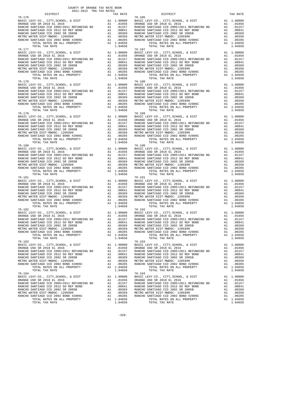| DISTRICT                                                                                                 | 2021-2022 TRA TAX RATES | TAX RATE | DISTRICT                                                                                                                                                                                                                                                                                                                                                                                                              | TAX RATE |
|----------------------------------------------------------------------------------------------------------|-------------------------|----------|-----------------------------------------------------------------------------------------------------------------------------------------------------------------------------------------------------------------------------------------------------------------------------------------------------------------------------------------------------------------------------------------------------------------------|----------|
| $76 - 176$                                                                                               |                         |          | $76 - 186$                                                                                                                                                                                                                                                                                                                                                                                                            |          |
| 76-177                                                                                                   |                         |          | $76 - 187$                                                                                                                                                                                                                                                                                                                                                                                                            |          |
| $76 - 179$                                                                                               |                         |          | $\begin{tabular}{l c c c c c} \hline 76-178 & 76-188 \\ \hline \texttt{BARICE } \texttt{UEVY-C0} \,, \texttt{CITY}, \texttt{SCHOOL}, \texttt{& \texttt{DIST}} & \texttt{A1} & 1.00000 & \texttt{BAISC LEVY-C0} \,, \texttt{CITY}, \texttt{SCHOOL}, \texttt{& \texttt{DIST}} & \texttt{A1} & 1.00000 \\ \texttt{RANCE } \texttt{USD SR 2018 EL 2016} & \texttt{A1} & .01656 & \texttt{ORANGE } \texttt{$<br>$76 - 189$ |          |
|                                                                                                          |                         |          | $\begin{tabular}{l c c c c c} \hline 76-179 & 76-189 \\ \hline \texttt{BARICE} & \texttt{CEVY-CO} &, \texttt{CITY}, \texttt{SCHOOL} & \texttt{A} & 1.00000 & \texttt{BAIC LEVY-CO} &, \texttt{CITY}, \texttt{SCHOOL} & \texttt{A} & 1.00000 \\ \texttt{DAANCE} & \texttt{SAD} & \texttt{SR} & 2018 & \texttt{EL} & 2016 & \texttt{A1} & .01656 \\ \texttt{RANCE} & \texttt{RANCE} & \texttt{SAD} &$                   |          |
|                                                                                                          |                         |          | $\begin{tabular}{l c c c c c} \hline 76-180 & 76-190 \\ \hline \texttt{BARICE} & \texttt{CEVY-CO.}, \texttt{CITY}, \texttt{SCHOOL}, & \texttt{EUST} & \texttt{A1} & 1.00000 \\ \hline \texttt{QRMCE} & \texttt{ISD} & \texttt{SR} & 2018 & \texttt{EL} & 2016 \\ \hline \texttt{RANCEO} & \texttt{SANTIAGO} & \texttt{CCD} & 2005+2011 & \texttt{REFUNDING} & \texttt{BD} & \texttt{A1} & .01656$                     |          |
|                                                                                                          |                         |          | $\begin{tabular}{l c c c c c} \hline 76-181 & 76-191 & 76-191 & 76-191 \\ \hline \hline \texttt{BASTC LEVY-C0.}, \texttt{CITY}, \texttt{SCHOOL}, & \texttt{E DIST} & \texttt{A1} & 1.00000 & \texttt{BASTC LEVY-C0.}, \texttt{CITY}, \texttt{SCHOOL}, & \texttt{E DIST} & \texttt{A1} & 1.00000 \\ \hline \texttt{RANCE USD SR 2018 EL 2016} & \texttt{A1} & .01656 & \texttt{ORANGE USD$                             |          |
| 76-182<br>TOTAL RATES ON ALL PROPERTY A1 1.04658<br>TOTAL TAX RATE PROPERTY A1 1.04658<br>TOTAL TAX RATE |                         | 1.04658  | $76 - 192$<br>TOTAL RATES ON ALL PROPERTY A1 1.04658<br>TOTAL RATES ON ALL PROPERTY A1 1.04658<br>$76 - 193$<br>TOTAL TAX RATE                                                                                                                                                                                                                                                                                        | 1.04658  |
| 76-183                                                                                                   |                         |          | $\begin{tabular}{l c c c c c} \hline 76-183 & 76-193 \\ \hline \texttt{BARICEO SANTIAGO CCD, CITY, SCHOOL, & DIST} & \texttt{A1} & 1.00000 & \texttt{BASC LEVY-CO.}, \texttt{CITY, SCHOOL, & & DIST} & \texttt{A1} & 1.00000 \\ \texttt{ORANGE USD SR 2018 EL 2016} & \texttt{A1} & .01656 & \texttt{ORANGE UED S R 2018 EL 2016} & \texttt{A1} & .01656 \\ \texttt{RANCE O SANTIAGO CCD 20$                          |          |
|                                                                                                          |                         |          | $\begin{tabular}{l c c c c c} \hline 76-184 & 76-194 \\ \hline \texttt{BARIC EVY-CO., CITY, SCHOOL, & DIST & A1 1.00000 & BASTC LEVY-CO., CITY, SCHOOL, & DIST & A1 1.00000 \\ \texttt{ORMCE USD SR 2018 EL 2016 & A1 0.01656 & BASTC LEVY-CO., CITY, SCHOOL, & DIST & A1 0.01656 \\ \texttt{RANCHO SANTIAGO CCD 2005+2011 REFUNDING BD & A1 0.0157 & RANCHO SANTIAGO CCD 200$                                        |          |

 $-328-$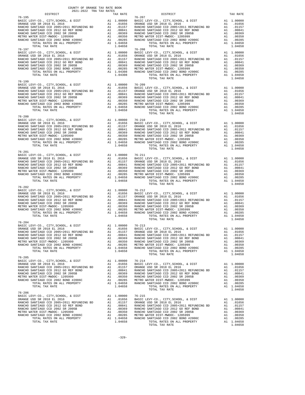| COUNTY OF ORANGE TAX RATE BOOK<br>2021-2022 TRA TAX RATES<br>$2021-2022 \quad \text{TRA} \quad \text{RATE B}$ DISTRICT $\hspace{2.5cm}$                                                                                                                                                                                                                                                            |          |                        |          |
|----------------------------------------------------------------------------------------------------------------------------------------------------------------------------------------------------------------------------------------------------------------------------------------------------------------------------------------------------------------------------------------------------|----------|------------------------|----------|
| $76 - 195$                                                                                                                                                                                                                                                                                                                                                                                         | TAX RATE | DISTRICT<br>$76 - 207$ | TAX RATE |
| $\begin{tabular}{l c c c c c} \hline 76-195 & 76-207 \\ \hline \text{BASTE LEVY-CO.}, & \text{CITY}, \text{SCHOOL}, & \& \text{DIST} & \text{A1} & 1.00000 \\ \text{ORANGE USD SR 2018 EL 2016 & \text{A1} & .01656 \\ \text{RANCHO SANTIAGO CCD 2005+2011 REFUNDING BD & \text{A1} & .01656 \\ \text{RANCHO SANTIAGO CCD 2005+2011 REFUNDING BD & \text{A1} & .0157 \\ \text{RANCHO SANTIAGO CCD$ |          |                        |          |
| $76 - 199$                                                                                                                                                                                                                                                                                                                                                                                         |          | TOTAL TAX RATE         | 1.04658  |
|                                                                                                                                                                                                                                                                                                                                                                                                    |          | TOTAL TAX RATE         | 1.04658  |
| $76 - 200$                                                                                                                                                                                                                                                                                                                                                                                         |          | TOTAL TAX RATE         | 1.04658  |
|                                                                                                                                                                                                                                                                                                                                                                                                    |          |                        |          |
| $76 - 202$                                                                                                                                                                                                                                                                                                                                                                                         |          |                        |          |
| $76 - 204$                                                                                                                                                                                                                                                                                                                                                                                         |          |                        |          |
|                                                                                                                                                                                                                                                                                                                                                                                                    |          |                        |          |
|                                                                                                                                                                                                                                                                                                                                                                                                    |          |                        |          |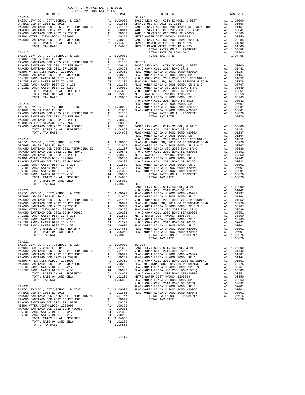| COUNTY OF ORANGE TAX RATE BOOK<br>2021-2022 TRA TAX RATES<br>$\begin{minipage}{.4\linewidth} \begin{tabular}{l} \multicolumn{2}{c}{\textbf{1.A. RATE}}\\ \multicolumn{2}{c}{\textbf{1.A. RATE}}\\ \multicolumn{2}{c}{\textbf{0.21-2022}} \end{tabular} \end{minipage} \begin{minipage}{.4\linewidth} \begin{tabular}{l} \multicolumn{2}{c}{\textbf{1.A. RATES}}\\ \multicolumn{2}{c}{\textbf{1.A. RATES}} \end{tabular} \end{minipage}$ | TAX RATE | DISTRICT<br>The state of the state of the state of the state of the state in the state of the state of the state of the state of the state in the state of the state of the state of the state of the state of the state of the state of | TAX RATE |
|-----------------------------------------------------------------------------------------------------------------------------------------------------------------------------------------------------------------------------------------------------------------------------------------------------------------------------------------------------------------------------------------------------------------------------------------|----------|------------------------------------------------------------------------------------------------------------------------------------------------------------------------------------------------------------------------------------------|----------|
|                                                                                                                                                                                                                                                                                                                                                                                                                                         |          | $76 - 223$                                                                                                                                                                                                                               |          |
|                                                                                                                                                                                                                                                                                                                                                                                                                                         |          |                                                                                                                                                                                                                                          |          |
|                                                                                                                                                                                                                                                                                                                                                                                                                                         |          |                                                                                                                                                                                                                                          |          |
|                                                                                                                                                                                                                                                                                                                                                                                                                                         |          |                                                                                                                                                                                                                                          |          |
|                                                                                                                                                                                                                                                                                                                                                                                                                                         |          |                                                                                                                                                                                                                                          |          |
|                                                                                                                                                                                                                                                                                                                                                                                                                                         |          |                                                                                                                                                                                                                                          |          |
|                                                                                                                                                                                                                                                                                                                                                                                                                                         |          |                                                                                                                                                                                                                                          |          |
|                                                                                                                                                                                                                                                                                                                                                                                                                                         |          |                                                                                                                                                                                                                                          |          |
|                                                                                                                                                                                                                                                                                                                                                                                                                                         |          |                                                                                                                                                                                                                                          |          |
|                                                                                                                                                                                                                                                                                                                                                                                                                                         |          |                                                                                                                                                                                                                                          |          |
|                                                                                                                                                                                                                                                                                                                                                                                                                                         |          |                                                                                                                                                                                                                                          |          |
|                                                                                                                                                                                                                                                                                                                                                                                                                                         |          |                                                                                                                                                                                                                                          |          |
|                                                                                                                                                                                                                                                                                                                                                                                                                                         |          |                                                                                                                                                                                                                                          |          |
|                                                                                                                                                                                                                                                                                                                                                                                                                                         |          |                                                                                                                                                                                                                                          |          |
|                                                                                                                                                                                                                                                                                                                                                                                                                                         |          |                                                                                                                                                                                                                                          |          |
|                                                                                                                                                                                                                                                                                                                                                                                                                                         |          |                                                                                                                                                                                                                                          |          |
|                                                                                                                                                                                                                                                                                                                                                                                                                                         |          |                                                                                                                                                                                                                                          |          |
|                                                                                                                                                                                                                                                                                                                                                                                                                                         |          |                                                                                                                                                                                                                                          |          |
|                                                                                                                                                                                                                                                                                                                                                                                                                                         |          |                                                                                                                                                                                                                                          |          |
|                                                                                                                                                                                                                                                                                                                                                                                                                                         |          |                                                                                                                                                                                                                                          |          |
|                                                                                                                                                                                                                                                                                                                                                                                                                                         |          |                                                                                                                                                                                                                                          |          |
|                                                                                                                                                                                                                                                                                                                                                                                                                                         |          |                                                                                                                                                                                                                                          |          |
|                                                                                                                                                                                                                                                                                                                                                                                                                                         |          |                                                                                                                                                                                                                                          |          |
|                                                                                                                                                                                                                                                                                                                                                                                                                                         |          |                                                                                                                                                                                                                                          |          |
|                                                                                                                                                                                                                                                                                                                                                                                                                                         |          |                                                                                                                                                                                                                                          |          |
|                                                                                                                                                                                                                                                                                                                                                                                                                                         |          |                                                                                                                                                                                                                                          |          |
|                                                                                                                                                                                                                                                                                                                                                                                                                                         |          |                                                                                                                                                                                                                                          |          |
|                                                                                                                                                                                                                                                                                                                                                                                                                                         |          |                                                                                                                                                                                                                                          |          |
|                                                                                                                                                                                                                                                                                                                                                                                                                                         |          |                                                                                                                                                                                                                                          |          |
|                                                                                                                                                                                                                                                                                                                                                                                                                                         |          |                                                                                                                                                                                                                                          |          |
|                                                                                                                                                                                                                                                                                                                                                                                                                                         |          |                                                                                                                                                                                                                                          |          |
|                                                                                                                                                                                                                                                                                                                                                                                                                                         |          |                                                                                                                                                                                                                                          |          |
|                                                                                                                                                                                                                                                                                                                                                                                                                                         |          |                                                                                                                                                                                                                                          |          |
|                                                                                                                                                                                                                                                                                                                                                                                                                                         |          |                                                                                                                                                                                                                                          |          |
|                                                                                                                                                                                                                                                                                                                                                                                                                                         |          |                                                                                                                                                                                                                                          |          |
|                                                                                                                                                                                                                                                                                                                                                                                                                                         |          |                                                                                                                                                                                                                                          |          |
|                                                                                                                                                                                                                                                                                                                                                                                                                                         |          |                                                                                                                                                                                                                                          |          |
|                                                                                                                                                                                                                                                                                                                                                                                                                                         |          |                                                                                                                                                                                                                                          |          |
|                                                                                                                                                                                                                                                                                                                                                                                                                                         |          |                                                                                                                                                                                                                                          |          |
|                                                                                                                                                                                                                                                                                                                                                                                                                                         |          |                                                                                                                                                                                                                                          |          |
|                                                                                                                                                                                                                                                                                                                                                                                                                                         |          |                                                                                                                                                                                                                                          |          |
|                                                                                                                                                                                                                                                                                                                                                                                                                                         |          |                                                                                                                                                                                                                                          |          |
|                                                                                                                                                                                                                                                                                                                                                                                                                                         |          |                                                                                                                                                                                                                                          |          |
|                                                                                                                                                                                                                                                                                                                                                                                                                                         |          |                                                                                                                                                                                                                                          |          |
|                                                                                                                                                                                                                                                                                                                                                                                                                                         |          |                                                                                                                                                                                                                                          |          |
|                                                                                                                                                                                                                                                                                                                                                                                                                                         |          |                                                                                                                                                                                                                                          |          |
|                                                                                                                                                                                                                                                                                                                                                                                                                                         |          |                                                                                                                                                                                                                                          |          |
|                                                                                                                                                                                                                                                                                                                                                                                                                                         |          |                                                                                                                                                                                                                                          |          |
|                                                                                                                                                                                                                                                                                                                                                                                                                                         |          |                                                                                                                                                                                                                                          |          |
|                                                                                                                                                                                                                                                                                                                                                                                                                                         |          |                                                                                                                                                                                                                                          |          |
|                                                                                                                                                                                                                                                                                                                                                                                                                                         |          |                                                                                                                                                                                                                                          |          |
|                                                                                                                                                                                                                                                                                                                                                                                                                                         |          |                                                                                                                                                                                                                                          |          |
|                                                                                                                                                                                                                                                                                                                                                                                                                                         |          |                                                                                                                                                                                                                                          |          |
|                                                                                                                                                                                                                                                                                                                                                                                                                                         |          |                                                                                                                                                                                                                                          |          |
|                                                                                                                                                                                                                                                                                                                                                                                                                                         |          |                                                                                                                                                                                                                                          |          |
|                                                                                                                                                                                                                                                                                                                                                                                                                                         |          |                                                                                                                                                                                                                                          |          |
|                                                                                                                                                                                                                                                                                                                                                                                                                                         |          |                                                                                                                                                                                                                                          |          |
| $76 - 221$                                                                                                                                                                                                                                                                                                                                                                                                                              |          |                                                                                                                                                                                                                                          |          |
|                                                                                                                                                                                                                                                                                                                                                                                                                                         |          |                                                                                                                                                                                                                                          |          |
|                                                                                                                                                                                                                                                                                                                                                                                                                                         |          |                                                                                                                                                                                                                                          |          |
|                                                                                                                                                                                                                                                                                                                                                                                                                                         |          |                                                                                                                                                                                                                                          |          |
|                                                                                                                                                                                                                                                                                                                                                                                                                                         |          |                                                                                                                                                                                                                                          |          |
|                                                                                                                                                                                                                                                                                                                                                                                                                                         |          |                                                                                                                                                                                                                                          |          |
|                                                                                                                                                                                                                                                                                                                                                                                                                                         |          |                                                                                                                                                                                                                                          |          |
|                                                                                                                                                                                                                                                                                                                                                                                                                                         |          |                                                                                                                                                                                                                                          |          |
|                                                                                                                                                                                                                                                                                                                                                                                                                                         |          |                                                                                                                                                                                                                                          |          |
|                                                                                                                                                                                                                                                                                                                                                                                                                                         |          |                                                                                                                                                                                                                                          |          |
|                                                                                                                                                                                                                                                                                                                                                                                                                                         |          |                                                                                                                                                                                                                                          |          |
|                                                                                                                                                                                                                                                                                                                                                                                                                                         |          |                                                                                                                                                                                                                                          |          |
|                                                                                                                                                                                                                                                                                                                                                                                                                                         |          |                                                                                                                                                                                                                                          |          |
|                                                                                                                                                                                                                                                                                                                                                                                                                                         |          |                                                                                                                                                                                                                                          |          |
|                                                                                                                                                                                                                                                                                                                                                                                                                                         |          |                                                                                                                                                                                                                                          |          |
|                                                                                                                                                                                                                                                                                                                                                                                                                                         |          |                                                                                                                                                                                                                                          |          |
|                                                                                                                                                                                                                                                                                                                                                                                                                                         |          |                                                                                                                                                                                                                                          |          |
|                                                                                                                                                                                                                                                                                                                                                                                                                                         |          |                                                                                                                                                                                                                                          |          |
|                                                                                                                                                                                                                                                                                                                                                                                                                                         |          |                                                                                                                                                                                                                                          |          |
|                                                                                                                                                                                                                                                                                                                                                                                                                                         |          |                                                                                                                                                                                                                                          |          |
|                                                                                                                                                                                                                                                                                                                                                                                                                                         |          |                                                                                                                                                                                                                                          |          |
|                                                                                                                                                                                                                                                                                                                                                                                                                                         |          |                                                                                                                                                                                                                                          |          |
|                                                                                                                                                                                                                                                                                                                                                                                                                                         |          |                                                                                                                                                                                                                                          |          |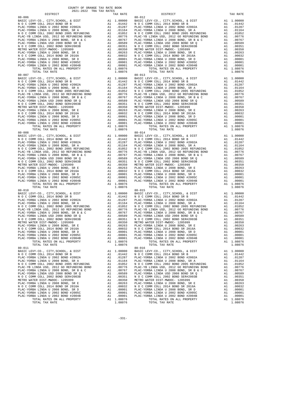| COUNTY OF ORANGE TAX RATE BOOK<br>$2021-2022 \quad \text{TRA TAX RATES}$ DISTRICT $\hspace{2.5cm}$ |          |                              |          |
|----------------------------------------------------------------------------------------------------|----------|------------------------------|----------|
|                                                                                                    | TAX RATE | DISTRICT                     | TAX RATE |
| $80 - 006$                                                                                         |          | $80 - 012$                   |          |
|                                                                                                    |          |                              |          |
|                                                                                                    |          |                              |          |
|                                                                                                    |          |                              |          |
|                                                                                                    |          |                              |          |
|                                                                                                    |          |                              |          |
|                                                                                                    |          |                              |          |
|                                                                                                    |          |                              |          |
|                                                                                                    |          |                              |          |
|                                                                                                    |          |                              |          |
|                                                                                                    |          |                              |          |
|                                                                                                    |          |                              |          |
|                                                                                                    |          |                              |          |
|                                                                                                    |          |                              |          |
|                                                                                                    |          |                              |          |
|                                                                                                    |          |                              |          |
|                                                                                                    |          |                              |          |
|                                                                                                    |          |                              |          |
|                                                                                                    |          |                              |          |
|                                                                                                    |          |                              |          |
|                                                                                                    |          |                              |          |
|                                                                                                    |          |                              |          |
|                                                                                                    |          |                              |          |
| $80 - 008$                                                                                         |          | $80 - 014$                   |          |
|                                                                                                    |          |                              |          |
|                                                                                                    |          |                              |          |
|                                                                                                    |          |                              |          |
|                                                                                                    |          |                              |          |
|                                                                                                    |          |                              |          |
|                                                                                                    |          |                              |          |
|                                                                                                    |          |                              |          |
|                                                                                                    |          |                              |          |
|                                                                                                    |          |                              |          |
|                                                                                                    |          |                              |          |
|                                                                                                    |          |                              |          |
|                                                                                                    |          |                              |          |
| $80 - 010$                                                                                         |          | $80 - 015$                   |          |
|                                                                                                    |          |                              |          |
|                                                                                                    |          |                              |          |
|                                                                                                    |          |                              |          |
|                                                                                                    |          |                              |          |
|                                                                                                    |          |                              |          |
|                                                                                                    |          |                              |          |
|                                                                                                    |          |                              |          |
|                                                                                                    |          |                              |          |
|                                                                                                    |          |                              |          |
|                                                                                                    |          |                              |          |
|                                                                                                    |          |                              |          |
| TOTAL TAX RATE<br>$80 - 011$                                                                       | 1.08076  | TOTAL TAX RATE<br>$80 - 016$ | 1.08076  |
|                                                                                                    |          |                              |          |
|                                                                                                    |          |                              |          |
|                                                                                                    |          |                              |          |
|                                                                                                    |          |                              |          |
|                                                                                                    |          |                              |          |
|                                                                                                    |          |                              |          |
|                                                                                                    |          |                              |          |
|                                                                                                    |          |                              |          |
|                                                                                                    |          |                              |          |
|                                                                                                    |          |                              |          |
|                                                                                                    |          |                              |          |
| TOTAL TAX RATE                                                                                     | 1.08076  | TOTAL TAX RATE               | 1.08076  |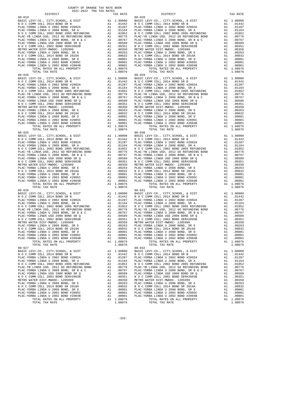| TAX RATE<br>DISTRICT |         | DISTRICT       | TAX RATE |
|----------------------|---------|----------------|----------|
|                      |         |                |          |
|                      |         |                |          |
|                      |         |                |          |
|                      |         |                |          |
|                      |         |                |          |
|                      |         |                |          |
|                      |         |                |          |
|                      |         |                |          |
|                      |         |                |          |
|                      |         |                |          |
|                      |         |                |          |
|                      |         |                |          |
|                      |         |                |          |
|                      |         |                |          |
|                      |         |                |          |
|                      |         |                |          |
|                      |         |                |          |
|                      |         |                |          |
|                      |         |                |          |
|                      |         |                |          |
|                      |         |                |          |
|                      |         |                |          |
|                      |         |                |          |
|                      |         |                |          |
|                      |         |                |          |
|                      |         |                |          |
|                      |         |                |          |
|                      |         |                |          |
|                      |         |                |          |
|                      |         |                |          |
|                      |         |                |          |
|                      |         |                |          |
|                      |         |                |          |
|                      |         |                |          |
|                      |         |                |          |
|                      |         |                |          |
|                      |         |                |          |
|                      |         |                |          |
|                      |         |                |          |
|                      |         |                |          |
|                      |         |                |          |
|                      |         |                |          |
|                      |         |                |          |
|                      |         |                |          |
|                      |         |                |          |
|                      |         |                |          |
|                      |         |                |          |
|                      |         |                |          |
|                      |         |                |          |
|                      |         |                |          |
|                      |         |                |          |
|                      |         |                |          |
|                      |         |                |          |
|                      |         |                |          |
|                      |         |                |          |
|                      |         |                |          |
|                      |         |                |          |
|                      |         |                |          |
|                      |         |                |          |
|                      |         |                |          |
|                      |         |                |          |
|                      |         |                |          |
|                      |         |                |          |
|                      |         |                |          |
|                      |         |                |          |
|                      |         |                |          |
|                      |         |                |          |
| $80 - 027$           |         | $80 - 032$     |          |
|                      |         |                |          |
|                      |         |                |          |
|                      |         |                |          |
|                      |         |                |          |
|                      |         |                |          |
|                      |         |                |          |
|                      |         |                |          |
|                      |         |                |          |
|                      |         |                |          |
|                      |         |                |          |
|                      |         |                |          |
|                      |         |                |          |
|                      |         |                |          |
|                      |         |                |          |
|                      |         |                |          |
| TOTAL TAX RATE       | 1.08076 | TOTAL TAX RATE | 1.08076  |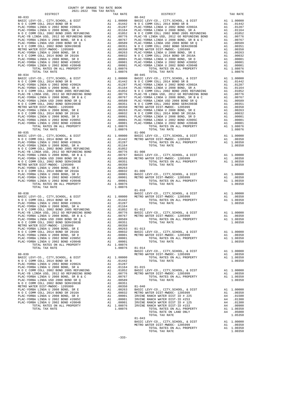| COUNTY OF ORANGE TAX RATE BOOK<br>2021-2022 TRA TAX RATES<br>$\begin{minipage}{0.5\textwidth} \begin{tabular}{@{}c@{}} \multicolumn{2}{c}{\textwidth} \end{tabular} \hline \multicolumn{2}{c}{\textwidth} \begin{tabular}{@{}c@{}} \multicolumn{2}{c}{\textwidth} \end{tabular} \hline \multicolumn{2}{c}{\textwidth} \begin{tabular}{@{}c@{}} \multicolumn{2}{c}{\textwidth} \end{tabular} \hline \multicolumn{2}{c}{\textwidth} \begin{tabular}{c}{\textwidth} \end{tabular} \hline \multicolumn{2}{c}{\textwidth} \end{tabular} \hline \multicolumn{2}{c}{\textwidth} \begin{tabular}{c}{\$ |          |                                                                                                                                                                            |          |
|------------------------------------------------------------------------------------------------------------------------------------------------------------------------------------------------------------------------------------------------------------------------------------------------------------------------------------------------------------------------------------------------------------------------------------------------------------------------------------------------------------------------------------------------------------------------------------------------|----------|----------------------------------------------------------------------------------------------------------------------------------------------------------------------------|----------|
|                                                                                                                                                                                                                                                                                                                                                                                                                                                                                                                                                                                                | TAX RATE | DISTRICT                                                                                                                                                                   | TAX RATE |
|                                                                                                                                                                                                                                                                                                                                                                                                                                                                                                                                                                                                |          |                                                                                                                                                                            |          |
|                                                                                                                                                                                                                                                                                                                                                                                                                                                                                                                                                                                                |          |                                                                                                                                                                            |          |
|                                                                                                                                                                                                                                                                                                                                                                                                                                                                                                                                                                                                |          |                                                                                                                                                                            |          |
|                                                                                                                                                                                                                                                                                                                                                                                                                                                                                                                                                                                                |          |                                                                                                                                                                            |          |
|                                                                                                                                                                                                                                                                                                                                                                                                                                                                                                                                                                                                |          |                                                                                                                                                                            |          |
|                                                                                                                                                                                                                                                                                                                                                                                                                                                                                                                                                                                                |          |                                                                                                                                                                            |          |
|                                                                                                                                                                                                                                                                                                                                                                                                                                                                                                                                                                                                |          |                                                                                                                                                                            |          |
|                                                                                                                                                                                                                                                                                                                                                                                                                                                                                                                                                                                                |          |                                                                                                                                                                            |          |
|                                                                                                                                                                                                                                                                                                                                                                                                                                                                                                                                                                                                |          |                                                                                                                                                                            |          |
|                                                                                                                                                                                                                                                                                                                                                                                                                                                                                                                                                                                                |          |                                                                                                                                                                            |          |
|                                                                                                                                                                                                                                                                                                                                                                                                                                                                                                                                                                                                |          |                                                                                                                                                                            |          |
|                                                                                                                                                                                                                                                                                                                                                                                                                                                                                                                                                                                                |          |                                                                                                                                                                            |          |
|                                                                                                                                                                                                                                                                                                                                                                                                                                                                                                                                                                                                |          |                                                                                                                                                                            |          |
|                                                                                                                                                                                                                                                                                                                                                                                                                                                                                                                                                                                                |          |                                                                                                                                                                            |          |
|                                                                                                                                                                                                                                                                                                                                                                                                                                                                                                                                                                                                |          |                                                                                                                                                                            |          |
|                                                                                                                                                                                                                                                                                                                                                                                                                                                                                                                                                                                                |          |                                                                                                                                                                            |          |
|                                                                                                                                                                                                                                                                                                                                                                                                                                                                                                                                                                                                |          |                                                                                                                                                                            |          |
|                                                                                                                                                                                                                                                                                                                                                                                                                                                                                                                                                                                                |          |                                                                                                                                                                            |          |
|                                                                                                                                                                                                                                                                                                                                                                                                                                                                                                                                                                                                |          |                                                                                                                                                                            |          |
|                                                                                                                                                                                                                                                                                                                                                                                                                                                                                                                                                                                                |          |                                                                                                                                                                            |          |
|                                                                                                                                                                                                                                                                                                                                                                                                                                                                                                                                                                                                |          |                                                                                                                                                                            |          |
|                                                                                                                                                                                                                                                                                                                                                                                                                                                                                                                                                                                                |          |                                                                                                                                                                            |          |
|                                                                                                                                                                                                                                                                                                                                                                                                                                                                                                                                                                                                |          |                                                                                                                                                                            |          |
| $80 - 035$                                                                                                                                                                                                                                                                                                                                                                                                                                                                                                                                                                                     |          | $81 - 006$                                                                                                                                                                 |          |
|                                                                                                                                                                                                                                                                                                                                                                                                                                                                                                                                                                                                |          |                                                                                                                                                                            |          |
|                                                                                                                                                                                                                                                                                                                                                                                                                                                                                                                                                                                                |          |                                                                                                                                                                            |          |
|                                                                                                                                                                                                                                                                                                                                                                                                                                                                                                                                                                                                |          |                                                                                                                                                                            |          |
|                                                                                                                                                                                                                                                                                                                                                                                                                                                                                                                                                                                                |          |                                                                                                                                                                            |          |
|                                                                                                                                                                                                                                                                                                                                                                                                                                                                                                                                                                                                |          |                                                                                                                                                                            |          |
|                                                                                                                                                                                                                                                                                                                                                                                                                                                                                                                                                                                                |          |                                                                                                                                                                            |          |
|                                                                                                                                                                                                                                                                                                                                                                                                                                                                                                                                                                                                |          |                                                                                                                                                                            |          |
|                                                                                                                                                                                                                                                                                                                                                                                                                                                                                                                                                                                                |          |                                                                                                                                                                            |          |
|                                                                                                                                                                                                                                                                                                                                                                                                                                                                                                                                                                                                |          |                                                                                                                                                                            |          |
|                                                                                                                                                                                                                                                                                                                                                                                                                                                                                                                                                                                                |          |                                                                                                                                                                            |          |
|                                                                                                                                                                                                                                                                                                                                                                                                                                                                                                                                                                                                |          |                                                                                                                                                                            |          |
|                                                                                                                                                                                                                                                                                                                                                                                                                                                                                                                                                                                                |          |                                                                                                                                                                            |          |
|                                                                                                                                                                                                                                                                                                                                                                                                                                                                                                                                                                                                |          |                                                                                                                                                                            |          |
|                                                                                                                                                                                                                                                                                                                                                                                                                                                                                                                                                                                                |          |                                                                                                                                                                            |          |
|                                                                                                                                                                                                                                                                                                                                                                                                                                                                                                                                                                                                |          |                                                                                                                                                                            |          |
|                                                                                                                                                                                                                                                                                                                                                                                                                                                                                                                                                                                                |          |                                                                                                                                                                            |          |
|                                                                                                                                                                                                                                                                                                                                                                                                                                                                                                                                                                                                |          |                                                                                                                                                                            |          |
|                                                                                                                                                                                                                                                                                                                                                                                                                                                                                                                                                                                                |          |                                                                                                                                                                            |          |
|                                                                                                                                                                                                                                                                                                                                                                                                                                                                                                                                                                                                |          |                                                                                                                                                                            |          |
|                                                                                                                                                                                                                                                                                                                                                                                                                                                                                                                                                                                                |          |                                                                                                                                                                            |          |
|                                                                                                                                                                                                                                                                                                                                                                                                                                                                                                                                                                                                |          |                                                                                                                                                                            |          |
|                                                                                                                                                                                                                                                                                                                                                                                                                                                                                                                                                                                                |          |                                                                                                                                                                            |          |
|                                                                                                                                                                                                                                                                                                                                                                                                                                                                                                                                                                                                |          |                                                                                                                                                                            |          |
|                                                                                                                                                                                                                                                                                                                                                                                                                                                                                                                                                                                                |          |                                                                                                                                                                            |          |
| $80 - 039$                                                                                                                                                                                                                                                                                                                                                                                                                                                                                                                                                                                     |          | 91-011<br>BASIC LEVY-CO., CITY, SCHOOL, & DIST and 1.00000<br>METRO WATER DIST-MWDOC-1205999 A1 .00350<br>TOTAL FATES ON ALL PROPERTY A1 1.00350<br>TOTAL TAX RATE 1.00350 |          |
|                                                                                                                                                                                                                                                                                                                                                                                                                                                                                                                                                                                                |          |                                                                                                                                                                            |          |
|                                                                                                                                                                                                                                                                                                                                                                                                                                                                                                                                                                                                |          |                                                                                                                                                                            |          |
|                                                                                                                                                                                                                                                                                                                                                                                                                                                                                                                                                                                                |          |                                                                                                                                                                            |          |
|                                                                                                                                                                                                                                                                                                                                                                                                                                                                                                                                                                                                |          |                                                                                                                                                                            |          |
|                                                                                                                                                                                                                                                                                                                                                                                                                                                                                                                                                                                                |          |                                                                                                                                                                            |          |
|                                                                                                                                                                                                                                                                                                                                                                                                                                                                                                                                                                                                |          |                                                                                                                                                                            |          |
|                                                                                                                                                                                                                                                                                                                                                                                                                                                                                                                                                                                                |          |                                                                                                                                                                            |          |
|                                                                                                                                                                                                                                                                                                                                                                                                                                                                                                                                                                                                |          |                                                                                                                                                                            |          |
|                                                                                                                                                                                                                                                                                                                                                                                                                                                                                                                                                                                                |          |                                                                                                                                                                            |          |
|                                                                                                                                                                                                                                                                                                                                                                                                                                                                                                                                                                                                |          |                                                                                                                                                                            |          |
|                                                                                                                                                                                                                                                                                                                                                                                                                                                                                                                                                                                                |          |                                                                                                                                                                            |          |

| DT2.LKTC.L                                                                                                                                                                                                                         | TAX RATE | DISTRICT                                                                                                                                                           | TAX RATE |
|------------------------------------------------------------------------------------------------------------------------------------------------------------------------------------------------------------------------------------|----------|--------------------------------------------------------------------------------------------------------------------------------------------------------------------|----------|
| $80 - 033$                                                                                                                                                                                                                         |          | $80 - 042$                                                                                                                                                         |          |
|                                                                                                                                                                                                                                    |          |                                                                                                                                                                    |          |
|                                                                                                                                                                                                                                    |          |                                                                                                                                                                    |          |
|                                                                                                                                                                                                                                    |          |                                                                                                                                                                    |          |
|                                                                                                                                                                                                                                    |          |                                                                                                                                                                    |          |
|                                                                                                                                                                                                                                    |          |                                                                                                                                                                    |          |
|                                                                                                                                                                                                                                    |          |                                                                                                                                                                    |          |
|                                                                                                                                                                                                                                    |          |                                                                                                                                                                    |          |
|                                                                                                                                                                                                                                    |          |                                                                                                                                                                    |          |
|                                                                                                                                                                                                                                    |          |                                                                                                                                                                    |          |
|                                                                                                                                                                                                                                    |          |                                                                                                                                                                    |          |
|                                                                                                                                                                                                                                    |          |                                                                                                                                                                    |          |
|                                                                                                                                                                                                                                    |          |                                                                                                                                                                    |          |
|                                                                                                                                                                                                                                    |          |                                                                                                                                                                    |          |
|                                                                                                                                                                                                                                    |          |                                                                                                                                                                    |          |
|                                                                                                                                                                                                                                    |          |                                                                                                                                                                    |          |
|                                                                                                                                                                                                                                    |          |                                                                                                                                                                    |          |
|                                                                                                                                                                                                                                    |          |                                                                                                                                                                    |          |
|                                                                                                                                                                                                                                    |          |                                                                                                                                                                    |          |
|                                                                                                                                                                                                                                    |          |                                                                                                                                                                    |          |
|                                                                                                                                                                                                                                    |          |                                                                                                                                                                    |          |
|                                                                                                                                                                                                                                    |          |                                                                                                                                                                    |          |
|                                                                                                                                                                                                                                    |          |                                                                                                                                                                    |          |
|                                                                                                                                                                                                                                    |          |                                                                                                                                                                    |          |
|                                                                                                                                                                                                                                    |          |                                                                                                                                                                    |          |
|                                                                                                                                                                                                                                    |          |                                                                                                                                                                    |          |
|                                                                                                                                                                                                                                    |          |                                                                                                                                                                    |          |
|                                                                                                                                                                                                                                    |          |                                                                                                                                                                    |          |
|                                                                                                                                                                                                                                    |          |                                                                                                                                                                    |          |
|                                                                                                                                                                                                                                    |          |                                                                                                                                                                    |          |
|                                                                                                                                                                                                                                    |          |                                                                                                                                                                    |          |
|                                                                                                                                                                                                                                    |          |                                                                                                                                                                    |          |
|                                                                                                                                                                                                                                    |          |                                                                                                                                                                    |          |
|                                                                                                                                                                                                                                    |          |                                                                                                                                                                    |          |
| $80 - 035$                                                                                                                                                                                                                         |          | $81 - 006$                                                                                                                                                         |          |
|                                                                                                                                                                                                                                    |          |                                                                                                                                                                    |          |
|                                                                                                                                                                                                                                    |          |                                                                                                                                                                    |          |
|                                                                                                                                                                                                                                    |          |                                                                                                                                                                    |          |
|                                                                                                                                                                                                                                    |          |                                                                                                                                                                    |          |
|                                                                                                                                                                                                                                    |          |                                                                                                                                                                    |          |
|                                                                                                                                                                                                                                    |          |                                                                                                                                                                    |          |
|                                                                                                                                                                                                                                    |          |                                                                                                                                                                    |          |
|                                                                                                                                                                                                                                    |          |                                                                                                                                                                    |          |
|                                                                                                                                                                                                                                    |          |                                                                                                                                                                    |          |
|                                                                                                                                                                                                                                    |          |                                                                                                                                                                    |          |
|                                                                                                                                                                                                                                    |          |                                                                                                                                                                    |          |
|                                                                                                                                                                                                                                    |          |                                                                                                                                                                    |          |
|                                                                                                                                                                                                                                    |          |                                                                                                                                                                    |          |
|                                                                                                                                                                                                                                    |          |                                                                                                                                                                    |          |
|                                                                                                                                                                                                                                    |          |                                                                                                                                                                    |          |
|                                                                                                                                                                                                                                    |          |                                                                                                                                                                    |          |
|                                                                                                                                                                                                                                    |          |                                                                                                                                                                    |          |
|                                                                                                                                                                                                                                    |          |                                                                                                                                                                    |          |
|                                                                                                                                                                                                                                    |          |                                                                                                                                                                    |          |
|                                                                                                                                                                                                                                    |          |                                                                                                                                                                    |          |
|                                                                                                                                                                                                                                    |          |                                                                                                                                                                    |          |
|                                                                                                                                                                                                                                    |          |                                                                                                                                                                    |          |
|                                                                                                                                                                                                                                    |          |                                                                                                                                                                    |          |
|                                                                                                                                                                                                                                    |          |                                                                                                                                                                    |          |
|                                                                                                                                                                                                                                    |          |                                                                                                                                                                    |          |
|                                                                                                                                                                                                                                    |          |                                                                                                                                                                    |          |
|                                                                                                                                                                                                                                    |          |                                                                                                                                                                    |          |
|                                                                                                                                                                                                                                    |          |                                                                                                                                                                    |          |
|                                                                                                                                                                                                                                    |          |                                                                                                                                                                    |          |
|                                                                                                                                                                                                                                    |          |                                                                                                                                                                    |          |
|                                                                                                                                                                                                                                    |          |                                                                                                                                                                    |          |
|                                                                                                                                                                                                                                    |          |                                                                                                                                                                    |          |
|                                                                                                                                                                                                                                    |          |                                                                                                                                                                    |          |
| PLAC - YORBA LINDA U 2002 BOND #2005C AT 1.00001 AT 1.00001 TOTAL RATES ON ALL PROPERTY AT 1.00350<br>PLAC - YORBA LINDA U 2002 BOND #2004B AT 1.00001 TOTAL TAX RATE (ALL PROPERTY AT 1.00350<br>PLAC - YORBA LINDA U 2002 BOND # |          |                                                                                                                                                                    |          |
|                                                                                                                                                                                                                                    |          |                                                                                                                                                                    |          |
|                                                                                                                                                                                                                                    |          |                                                                                                                                                                    |          |
|                                                                                                                                                                                                                                    |          |                                                                                                                                                                    |          |
|                                                                                                                                                                                                                                    |          |                                                                                                                                                                    |          |
|                                                                                                                                                                                                                                    |          |                                                                                                                                                                    |          |
|                                                                                                                                                                                                                                    |          |                                                                                                                                                                    |          |
|                                                                                                                                                                                                                                    |          |                                                                                                                                                                    |          |
|                                                                                                                                                                                                                                    |          |                                                                                                                                                                    |          |
|                                                                                                                                                                                                                                    |          |                                                                                                                                                                    |          |
|                                                                                                                                                                                                                                    |          |                                                                                                                                                                    |          |
|                                                                                                                                                                                                                                    |          |                                                                                                                                                                    |          |
|                                                                                                                                                                                                                                    |          |                                                                                                                                                                    |          |
|                                                                                                                                                                                                                                    |          |                                                                                                                                                                    |          |
|                                                                                                                                                                                                                                    |          |                                                                                                                                                                    |          |
|                                                                                                                                                                                                                                    |          |                                                                                                                                                                    |          |
|                                                                                                                                                                                                                                    |          |                                                                                                                                                                    |          |
|                                                                                                                                                                                                                                    |          |                                                                                                                                                                    |          |
|                                                                                                                                                                                                                                    |          |                                                                                                                                                                    |          |
|                                                                                                                                                                                                                                    |          |                                                                                                                                                                    |          |
|                                                                                                                                                                                                                                    |          |                                                                                                                                                                    |          |
|                                                                                                                                                                                                                                    |          | TOTAL TAX RATE                                                                                                                                                     | 1.05350  |
|                                                                                                                                                                                                                                    |          | $81 - 043$                                                                                                                                                         |          |
|                                                                                                                                                                                                                                    |          | %1-043<br>BASIC LEVY-CO., CITY, SCHOOL, & DIST A1 1.00000<br>METRO WATER DIST-MWDOC- 1205999 A1 .00350<br>TOTAL RATES ON ALL PROPERTY A1 1.00350<br>TOTAL TAX RATE |          |
|                                                                                                                                                                                                                                    |          |                                                                                                                                                                    |          |
|                                                                                                                                                                                                                                    |          |                                                                                                                                                                    |          |
|                                                                                                                                                                                                                                    |          | TOTAL TAX RATE                                                                                                                                                     | 1.00350  |
|                                                                                                                                                                                                                                    |          |                                                                                                                                                                    |          |
|                                                                                                                                                                                                                                    |          |                                                                                                                                                                    |          |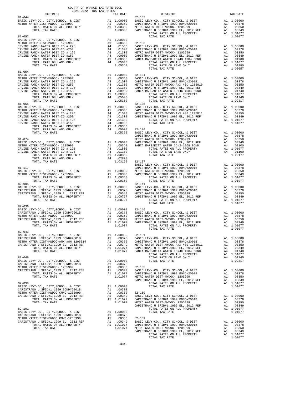| DISTRICT   | 2021-2022 TRA TAX RATES<br>TAX RATE | X RATE $82-102$                                                                                                                                                                                                                                                                                                                                                                                                                                                     | TAX RATE |
|------------|-------------------------------------|---------------------------------------------------------------------------------------------------------------------------------------------------------------------------------------------------------------------------------------------------------------------------------------------------------------------------------------------------------------------------------------------------------------------------------------------------------------------|----------|
| $81 - 044$ |                                     |                                                                                                                                                                                                                                                                                                                                                                                                                                                                     |          |
|            |                                     |                                                                                                                                                                                                                                                                                                                                                                                                                                                                     |          |
|            |                                     |                                                                                                                                                                                                                                                                                                                                                                                                                                                                     |          |
|            |                                     |                                                                                                                                                                                                                                                                                                                                                                                                                                                                     |          |
|            |                                     |                                                                                                                                                                                                                                                                                                                                                                                                                                                                     |          |
|            |                                     |                                                                                                                                                                                                                                                                                                                                                                                                                                                                     |          |
|            |                                     |                                                                                                                                                                                                                                                                                                                                                                                                                                                                     |          |
|            |                                     |                                                                                                                                                                                                                                                                                                                                                                                                                                                                     |          |
|            |                                     |                                                                                                                                                                                                                                                                                                                                                                                                                                                                     |          |
|            |                                     |                                                                                                                                                                                                                                                                                                                                                                                                                                                                     |          |
|            |                                     |                                                                                                                                                                                                                                                                                                                                                                                                                                                                     |          |
| $81 - 054$ |                                     |                                                                                                                                                                                                                                                                                                                                                                                                                                                                     |          |
|            |                                     |                                                                                                                                                                                                                                                                                                                                                                                                                                                                     |          |
|            |                                     |                                                                                                                                                                                                                                                                                                                                                                                                                                                                     |          |
|            |                                     |                                                                                                                                                                                                                                                                                                                                                                                                                                                                     |          |
|            |                                     |                                                                                                                                                                                                                                                                                                                                                                                                                                                                     |          |
|            |                                     |                                                                                                                                                                                                                                                                                                                                                                                                                                                                     |          |
|            |                                     |                                                                                                                                                                                                                                                                                                                                                                                                                                                                     |          |
|            |                                     |                                                                                                                                                                                                                                                                                                                                                                                                                                                                     |          |
|            |                                     |                                                                                                                                                                                                                                                                                                                                                                                                                                                                     |          |
|            |                                     |                                                                                                                                                                                                                                                                                                                                                                                                                                                                     |          |
|            |                                     |                                                                                                                                                                                                                                                                                                                                                                                                                                                                     |          |
|            |                                     |                                                                                                                                                                                                                                                                                                                                                                                                                                                                     |          |
|            |                                     |                                                                                                                                                                                                                                                                                                                                                                                                                                                                     |          |
|            |                                     |                                                                                                                                                                                                                                                                                                                                                                                                                                                                     |          |
|            |                                     |                                                                                                                                                                                                                                                                                                                                                                                                                                                                     |          |
|            |                                     |                                                                                                                                                                                                                                                                                                                                                                                                                                                                     |          |
|            |                                     |                                                                                                                                                                                                                                                                                                                                                                                                                                                                     |          |
|            |                                     |                                                                                                                                                                                                                                                                                                                                                                                                                                                                     |          |
|            |                                     |                                                                                                                                                                                                                                                                                                                                                                                                                                                                     |          |
|            |                                     |                                                                                                                                                                                                                                                                                                                                                                                                                                                                     |          |
|            |                                     |                                                                                                                                                                                                                                                                                                                                                                                                                                                                     |          |
|            |                                     |                                                                                                                                                                                                                                                                                                                                                                                                                                                                     |          |
|            |                                     |                                                                                                                                                                                                                                                                                                                                                                                                                                                                     |          |
|            |                                     |                                                                                                                                                                                                                                                                                                                                                                                                                                                                     |          |
|            |                                     |                                                                                                                                                                                                                                                                                                                                                                                                                                                                     |          |
|            |                                     |                                                                                                                                                                                                                                                                                                                                                                                                                                                                     |          |
|            |                                     |                                                                                                                                                                                                                                                                                                                                                                                                                                                                     |          |
|            |                                     |                                                                                                                                                                                                                                                                                                                                                                                                                                                                     |          |
|            |                                     |                                                                                                                                                                                                                                                                                                                                                                                                                                                                     |          |
|            |                                     |                                                                                                                                                                                                                                                                                                                                                                                                                                                                     |          |
| $82 - 036$ |                                     |                                                                                                                                                                                                                                                                                                                                                                                                                                                                     |          |
|            |                                     |                                                                                                                                                                                                                                                                                                                                                                                                                                                                     |          |
|            |                                     |                                                                                                                                                                                                                                                                                                                                                                                                                                                                     |          |
|            |                                     |                                                                                                                                                                                                                                                                                                                                                                                                                                                                     |          |
|            |                                     |                                                                                                                                                                                                                                                                                                                                                                                                                                                                     |          |
|            |                                     |                                                                                                                                                                                                                                                                                                                                                                                                                                                                     |          |
|            |                                     |                                                                                                                                                                                                                                                                                                                                                                                                                                                                     |          |
|            |                                     |                                                                                                                                                                                                                                                                                                                                                                                                                                                                     |          |
|            |                                     |                                                                                                                                                                                                                                                                                                                                                                                                                                                                     |          |
|            |                                     |                                                                                                                                                                                                                                                                                                                                                                                                                                                                     |          |
|            |                                     |                                                                                                                                                                                                                                                                                                                                                                                                                                                                     |          |
|            |                                     |                                                                                                                                                                                                                                                                                                                                                                                                                                                                     |          |
|            |                                     |                                                                                                                                                                                                                                                                                                                                                                                                                                                                     |          |
|            |                                     | $\begin{tabular}{c c c c c} \multicolumn{1}{c}{\textbf{1}} & \multicolumn{1}{c}{\textbf{1}} & \multicolumn{1}{c}{\textbf{1}} & \multicolumn{1}{c}{\textbf{1}} & \multicolumn{1}{c}{\textbf{1}} & \multicolumn{1}{c}{\textbf{1}} & \multicolumn{1}{c}{\textbf{1}} & \multicolumn{1}{c}{\textbf{1}} & \multicolumn{1}{c}{\textbf{1}} & \multicolumn{1}{c}{\textbf{1}} & \multicolumn{1}{c}{\textbf{1}} & \multicolumn{1}{c}{\textbf{1}} & \multicolumn{1}{c}{\textbf$ |          |
|            |                                     |                                                                                                                                                                                                                                                                                                                                                                                                                                                                     |          |
|            |                                     |                                                                                                                                                                                                                                                                                                                                                                                                                                                                     |          |
|            |                                     |                                                                                                                                                                                                                                                                                                                                                                                                                                                                     |          |
|            |                                     |                                                                                                                                                                                                                                                                                                                                                                                                                                                                     |          |
|            |                                     |                                                                                                                                                                                                                                                                                                                                                                                                                                                                     |          |
|            |                                     |                                                                                                                                                                                                                                                                                                                                                                                                                                                                     |          |
|            |                                     |                                                                                                                                                                                                                                                                                                                                                                                                                                                                     |          |
|            |                                     |                                                                                                                                                                                                                                                                                                                                                                                                                                                                     |          |
|            |                                     |                                                                                                                                                                                                                                                                                                                                                                                                                                                                     |          |
|            |                                     |                                                                                                                                                                                                                                                                                                                                                                                                                                                                     |          |
|            |                                     |                                                                                                                                                                                                                                                                                                                                                                                                                                                                     |          |
|            |                                     |                                                                                                                                                                                                                                                                                                                                                                                                                                                                     |          |
|            |                                     | $\begin{tabular}{c cccc} \multicolumn{4}{c}{\begin{tabular}{c}{\begin{tabular}{c} {\bf{0.15} \begin{tabular}{c} {\bf{0.25} \begin{tabular}{c} {\bf{0.35} \begin{tabular}{c} {\bf{0.45} \begin{tabular}{c} {\bf{0.45} \begin{tabular}{c} {\bf{0.45} \begin{tabular}{c} {\bf{0.45} \begin{tabular}{c} {\bf{0.45} \begin{tabular}{c} {\bf{0.45} \begin{tabular}{c} {\bf{0.45} \begin{tabular}{c} {\bf{0.45} \begin{tabular}{c} {\bf{0.45} \$                           |          |
|            |                                     |                                                                                                                                                                                                                                                                                                                                                                                                                                                                     |          |
|            |                                     |                                                                                                                                                                                                                                                                                                                                                                                                                                                                     |          |
|            |                                     |                                                                                                                                                                                                                                                                                                                                                                                                                                                                     |          |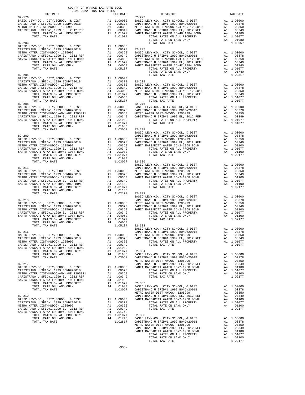| COUNTI OF ORNHOL THE RAID BOOK<br>2021-2022 TRA TAX RATES<br>DISTRICT |  |                                                                                                                                                                                                                                                                                                                                                                                                                                                                                                                                              | TAX RATE |
|-----------------------------------------------------------------------|--|----------------------------------------------------------------------------------------------------------------------------------------------------------------------------------------------------------------------------------------------------------------------------------------------------------------------------------------------------------------------------------------------------------------------------------------------------------------------------------------------------------------------------------------------|----------|
|                                                                       |  | TAX RATE $82-223$ DISTRICT<br>$\begin{tabular}{l c c c c c} \multicolumn{1}{c}{\textbf{0.349}} & \multicolumn{1}{c}{\textbf{0.349}} & \multicolumn{1}{c}{\textbf{0.349}} & \multicolumn{1}{c}{\textbf{0.349}} & \multicolumn{1}{c}{\textbf{0.349}} & \multicolumn{1}{c}{\textbf{0.349}} & \multicolumn{1}{c}{\textbf{0.349}} & \multicolumn{1}{c}{\textbf{0.349}} & \multicolumn{1}{c}{\textbf{0.349}} & \multicolumn{1}{c}{\textbf{0.349}} & \mult$                                                                                         |          |
|                                                                       |  |                                                                                                                                                                                                                                                                                                                                                                                                                                                                                                                                              |          |
|                                                                       |  |                                                                                                                                                                                                                                                                                                                                                                                                                                                                                                                                              |          |
|                                                                       |  |                                                                                                                                                                                                                                                                                                                                                                                                                                                                                                                                              |          |
|                                                                       |  |                                                                                                                                                                                                                                                                                                                                                                                                                                                                                                                                              |          |
|                                                                       |  |                                                                                                                                                                                                                                                                                                                                                                                                                                                                                                                                              |          |
|                                                                       |  | $\begin{tabular}{l c c c c c} \hline \textsc{Total} & \textsc{non}\xspace & \textsc{non}\xspace & \textsc{non}\xspace & \textsc{non}\xspace & \textsc{non}\xspace & \textsc{non}\xspace & \textsc{non}\xspace & \textsc{non}\xspace & \textsc{non}\xspace & \textsc{non}\xspace & \textsc{non}\xspace & \textsc{non}\xspace & \textsc{non}\xspace & \textsc{non}\xspace & \textsc{non}\xspace & \textsc{non}\xspace & \textsc{non}\xspace & \textsc{non}\xspace & \textsc{non}\xspace & \textsc{non}\xspace & \textsc{non}\xspace & \textsc$ |          |
|                                                                       |  |                                                                                                                                                                                                                                                                                                                                                                                                                                                                                                                                              |          |
|                                                                       |  |                                                                                                                                                                                                                                                                                                                                                                                                                                                                                                                                              |          |
|                                                                       |  |                                                                                                                                                                                                                                                                                                                                                                                                                                                                                                                                              |          |
|                                                                       |  |                                                                                                                                                                                                                                                                                                                                                                                                                                                                                                                                              |          |
|                                                                       |  |                                                                                                                                                                                                                                                                                                                                                                                                                                                                                                                                              |          |
|                                                                       |  |                                                                                                                                                                                                                                                                                                                                                                                                                                                                                                                                              |          |
|                                                                       |  |                                                                                                                                                                                                                                                                                                                                                                                                                                                                                                                                              |          |
|                                                                       |  |                                                                                                                                                                                                                                                                                                                                                                                                                                                                                                                                              |          |
|                                                                       |  |                                                                                                                                                                                                                                                                                                                                                                                                                                                                                                                                              |          |
|                                                                       |  |                                                                                                                                                                                                                                                                                                                                                                                                                                                                                                                                              |          |
|                                                                       |  |                                                                                                                                                                                                                                                                                                                                                                                                                                                                                                                                              |          |
|                                                                       |  |                                                                                                                                                                                                                                                                                                                                                                                                                                                                                                                                              |          |
|                                                                       |  |                                                                                                                                                                                                                                                                                                                                                                                                                                                                                                                                              |          |
|                                                                       |  |                                                                                                                                                                                                                                                                                                                                                                                                                                                                                                                                              |          |
|                                                                       |  |                                                                                                                                                                                                                                                                                                                                                                                                                                                                                                                                              |          |
|                                                                       |  |                                                                                                                                                                                                                                                                                                                                                                                                                                                                                                                                              |          |
|                                                                       |  |                                                                                                                                                                                                                                                                                                                                                                                                                                                                                                                                              |          |
|                                                                       |  |                                                                                                                                                                                                                                                                                                                                                                                                                                                                                                                                              |          |
|                                                                       |  |                                                                                                                                                                                                                                                                                                                                                                                                                                                                                                                                              |          |
|                                                                       |  |                                                                                                                                                                                                                                                                                                                                                                                                                                                                                                                                              |          |
|                                                                       |  |                                                                                                                                                                                                                                                                                                                                                                                                                                                                                                                                              |          |
|                                                                       |  |                                                                                                                                                                                                                                                                                                                                                                                                                                                                                                                                              |          |
|                                                                       |  |                                                                                                                                                                                                                                                                                                                                                                                                                                                                                                                                              |          |
|                                                                       |  |                                                                                                                                                                                                                                                                                                                                                                                                                                                                                                                                              |          |
|                                                                       |  |                                                                                                                                                                                                                                                                                                                                                                                                                                                                                                                                              |          |
|                                                                       |  |                                                                                                                                                                                                                                                                                                                                                                                                                                                                                                                                              |          |
|                                                                       |  |                                                                                                                                                                                                                                                                                                                                                                                                                                                                                                                                              |          |
|                                                                       |  |                                                                                                                                                                                                                                                                                                                                                                                                                                                                                                                                              |          |
|                                                                       |  |                                                                                                                                                                                                                                                                                                                                                                                                                                                                                                                                              |          |
|                                                                       |  |                                                                                                                                                                                                                                                                                                                                                                                                                                                                                                                                              |          |
|                                                                       |  |                                                                                                                                                                                                                                                                                                                                                                                                                                                                                                                                              |          |
|                                                                       |  |                                                                                                                                                                                                                                                                                                                                                                                                                                                                                                                                              |          |
|                                                                       |  |                                                                                                                                                                                                                                                                                                                                                                                                                                                                                                                                              |          |
|                                                                       |  |                                                                                                                                                                                                                                                                                                                                                                                                                                                                                                                                              |          |
|                                                                       |  |                                                                                                                                                                                                                                                                                                                                                                                                                                                                                                                                              |          |
|                                                                       |  |                                                                                                                                                                                                                                                                                                                                                                                                                                                                                                                                              |          |
|                                                                       |  |                                                                                                                                                                                                                                                                                                                                                                                                                                                                                                                                              |          |
|                                                                       |  |                                                                                                                                                                                                                                                                                                                                                                                                                                                                                                                                              |          |
|                                                                       |  |                                                                                                                                                                                                                                                                                                                                                                                                                                                                                                                                              |          |
|                                                                       |  | $\begin{tabular}{lllllllllllllllllllll} \multicolumn{4}{c}{\textbf{0.00000}} & \multicolumn{4}{c}{\textbf{0.0000}} & \multicolumn{4}{c}{\textbf{0.0000}} & \multicolumn{4}{c}{\textbf{0.0000}} & \multicolumn{4}{c}{\textbf{0.0000}} & \multicolumn{4}{c}{\textbf{0.0000}} & \multicolumn{4}{c}{\textbf{0.0000}} & \multicolumn{4}{c}{\textbf{0.0000}} & \multicolumn{4}{c}{\textbf{0.0000}} & \multicolumn{4}{c}{\textbf$                                                                                                                   |          |
|                                                                       |  |                                                                                                                                                                                                                                                                                                                                                                                                                                                                                                                                              |          |
|                                                                       |  |                                                                                                                                                                                                                                                                                                                                                                                                                                                                                                                                              |          |
|                                                                       |  |                                                                                                                                                                                                                                                                                                                                                                                                                                                                                                                                              |          |
|                                                                       |  |                                                                                                                                                                                                                                                                                                                                                                                                                                                                                                                                              |          |
|                                                                       |  |                                                                                                                                                                                                                                                                                                                                                                                                                                                                                                                                              |          |
|                                                                       |  |                                                                                                                                                                                                                                                                                                                                                                                                                                                                                                                                              |          |
|                                                                       |  |                                                                                                                                                                                                                                                                                                                                                                                                                                                                                                                                              |          |
|                                                                       |  |                                                                                                                                                                                                                                                                                                                                                                                                                                                                                                                                              |          |
|                                                                       |  |                                                                                                                                                                                                                                                                                                                                                                                                                                                                                                                                              |          |
|                                                                       |  |                                                                                                                                                                                                                                                                                                                                                                                                                                                                                                                                              |          |
|                                                                       |  |                                                                                                                                                                                                                                                                                                                                                                                                                                                                                                                                              |          |
|                                                                       |  |                                                                                                                                                                                                                                                                                                                                                                                                                                                                                                                                              |          |
|                                                                       |  |                                                                                                                                                                                                                                                                                                                                                                                                                                                                                                                                              |          |
|                                                                       |  |                                                                                                                                                                                                                                                                                                                                                                                                                                                                                                                                              |          |
|                                                                       |  |                                                                                                                                                                                                                                                                                                                                                                                                                                                                                                                                              |          |
|                                                                       |  |                                                                                                                                                                                                                                                                                                                                                                                                                                                                                                                                              |          |
|                                                                       |  |                                                                                                                                                                                                                                                                                                                                                                                                                                                                                                                                              |          |
|                                                                       |  |                                                                                                                                                                                                                                                                                                                                                                                                                                                                                                                                              |          |
|                                                                       |  |                                                                                                                                                                                                                                                                                                                                                                                                                                                                                                                                              |          |
|                                                                       |  |                                                                                                                                                                                                                                                                                                                                                                                                                                                                                                                                              |          |
|                                                                       |  |                                                                                                                                                                                                                                                                                                                                                                                                                                                                                                                                              |          |
|                                                                       |  |                                                                                                                                                                                                                                                                                                                                                                                                                                                                                                                                              |          |
|                                                                       |  |                                                                                                                                                                                                                                                                                                                                                                                                                                                                                                                                              |          |
|                                                                       |  |                                                                                                                                                                                                                                                                                                                                                                                                                                                                                                                                              |          |
|                                                                       |  |                                                                                                                                                                                                                                                                                                                                                                                                                                                                                                                                              |          |
|                                                                       |  |                                                                                                                                                                                                                                                                                                                                                                                                                                                                                                                                              |          |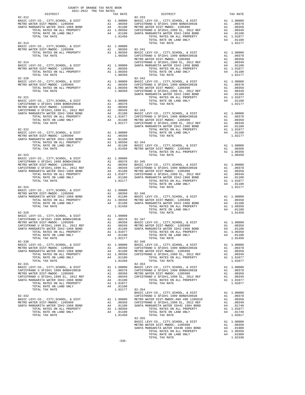| COUNTY OF ORANGE TAX RATE BOOK<br>2021-2022 TRA TAX RATES<br>DISTRICT                                                                                                                                                        | TAX RATE | DISTRICT   | TAX RATE |
|------------------------------------------------------------------------------------------------------------------------------------------------------------------------------------------------------------------------------|----------|------------|----------|
|                                                                                                                                                                                                                              |          | $82 - 333$ |          |
|                                                                                                                                                                                                                              |          |            |          |
|                                                                                                                                                                                                                              |          |            |          |
|                                                                                                                                                                                                                              |          |            |          |
|                                                                                                                                                                                                                              |          |            |          |
|                                                                                                                                                                                                                              |          |            |          |
|                                                                                                                                                                                                                              |          |            |          |
|                                                                                                                                                                                                                              |          |            |          |
|                                                                                                                                                                                                                              |          |            |          |
|                                                                                                                                                                                                                              |          |            |          |
|                                                                                                                                                                                                                              |          |            |          |
|                                                                                                                                                                                                                              |          |            |          |
|                                                                                                                                                                                                                              |          |            |          |
|                                                                                                                                                                                                                              |          |            |          |
|                                                                                                                                                                                                                              |          |            |          |
|                                                                                                                                                                                                                              |          |            |          |
|                                                                                                                                                                                                                              |          |            |          |
|                                                                                                                                                                                                                              |          |            |          |
|                                                                                                                                                                                                                              |          |            |          |
|                                                                                                                                                                                                                              |          |            |          |
|                                                                                                                                                                                                                              |          |            |          |
|                                                                                                                                                                                                                              |          |            |          |
|                                                                                                                                                                                                                              |          |            |          |
|                                                                                                                                                                                                                              |          |            |          |
|                                                                                                                                                                                                                              |          |            |          |
|                                                                                                                                                                                                                              |          |            |          |
|                                                                                                                                                                                                                              |          |            |          |
|                                                                                                                                                                                                                              |          |            |          |
|                                                                                                                                                                                                                              |          |            |          |
|                                                                                                                                                                                                                              |          |            |          |
|                                                                                                                                                                                                                              |          |            |          |
|                                                                                                                                                                                                                              |          |            |          |
|                                                                                                                                                                                                                              |          |            |          |
|                                                                                                                                                                                                                              |          |            |          |
|                                                                                                                                                                                                                              |          |            |          |
|                                                                                                                                                                                                                              |          |            |          |
|                                                                                                                                                                                                                              |          |            |          |
|                                                                                                                                                                                                                              |          |            |          |
|                                                                                                                                                                                                                              |          |            |          |
|                                                                                                                                                                                                                              |          |            |          |
|                                                                                                                                                                                                                              |          |            |          |
|                                                                                                                                                                                                                              |          |            |          |
|                                                                                                                                                                                                                              |          |            |          |
|                                                                                                                                                                                                                              |          |            |          |
|                                                                                                                                                                                                                              |          |            |          |
|                                                                                                                                                                                                                              |          |            |          |
|                                                                                                                                                                                                                              |          |            |          |
|                                                                                                                                                                                                                              |          |            |          |
|                                                                                                                                                                                                                              |          |            |          |
|                                                                                                                                                                                                                              |          |            |          |
|                                                                                                                                                                                                                              |          |            |          |
|                                                                                                                                                                                                                              |          |            |          |
|                                                                                                                                                                                                                              |          |            |          |
|                                                                                                                                                                                                                              |          |            |          |
|                                                                                                                                                                                                                              |          |            |          |
|                                                                                                                                                                                                                              |          |            |          |
|                                                                                                                                                                                                                              |          |            |          |
|                                                                                                                                                                                                                              |          |            |          |
|                                                                                                                                                                                                                              |          |            |          |
|                                                                                                                                                                                                                              |          |            |          |
|                                                                                                                                                                                                                              |          |            |          |
|                                                                                                                                                                                                                              |          |            |          |
|                                                                                                                                                                                                                              |          |            |          |
|                                                                                                                                                                                                                              |          |            |          |
|                                                                                                                                                                                                                              |          |            |          |
|                                                                                                                                                                                                                              |          |            |          |
|                                                                                                                                                                                                                              |          |            |          |
| 1071. RATE OR LAND ORIX AN 1.01100 SARTA MARGAEITA RATE SPEECING BORD 1981. TOTAL EXTERNATION IN THE SPEECING CONTRIBUTE AN 1.00300 1071. RATE OR ALL PROPERTY AT 1.00300 1081378. AND NOTE CAN ALL PROPERTY AN 1.00310 SART |          |            |          |
|                                                                                                                                                                                                                              |          |            |          |
|                                                                                                                                                                                                                              |          |            |          |
|                                                                                                                                                                                                                              |          |            |          |
|                                                                                                                                                                                                                              |          |            |          |
|                                                                                                                                                                                                                              |          |            |          |
|                                                                                                                                                                                                                              |          |            |          |
|                                                                                                                                                                                                                              |          |            |          |
|                                                                                                                                                                                                                              |          |            |          |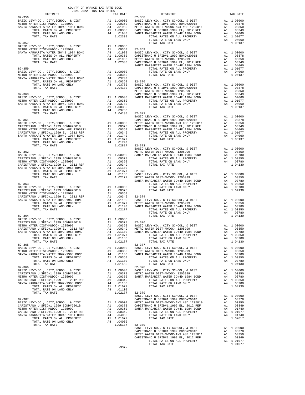| COUNTY OF ORANGE TAX RATE BOOK<br>2021-2022 TRA TAX RATES<br>$2021-2022 \quad \text{TRA TAX RATES}$ DISTRICT                                                                                                                                                                |          |          |          |
|-----------------------------------------------------------------------------------------------------------------------------------------------------------------------------------------------------------------------------------------------------------------------------|----------|----------|----------|
|                                                                                                                                                                                                                                                                             | TAX RATE | DISTRICT | TAX RATE |
|                                                                                                                                                                                                                                                                             |          |          |          |
|                                                                                                                                                                                                                                                                             |          |          |          |
|                                                                                                                                                                                                                                                                             |          |          |          |
|                                                                                                                                                                                                                                                                             |          |          |          |
|                                                                                                                                                                                                                                                                             |          |          |          |
|                                                                                                                                                                                                                                                                             |          |          |          |
|                                                                                                                                                                                                                                                                             |          |          |          |
|                                                                                                                                                                                                                                                                             |          |          |          |
|                                                                                                                                                                                                                                                                             |          |          |          |
|                                                                                                                                                                                                                                                                             |          |          |          |
|                                                                                                                                                                                                                                                                             |          |          |          |
|                                                                                                                                                                                                                                                                             |          |          |          |
|                                                                                                                                                                                                                                                                             |          |          |          |
|                                                                                                                                                                                                                                                                             |          |          |          |
|                                                                                                                                                                                                                                                                             |          |          |          |
|                                                                                                                                                                                                                                                                             |          |          |          |
|                                                                                                                                                                                                                                                                             |          |          |          |
|                                                                                                                                                                                                                                                                             |          |          |          |
|                                                                                                                                                                                                                                                                             |          |          |          |
|                                                                                                                                                                                                                                                                             |          |          |          |
|                                                                                                                                                                                                                                                                             |          |          |          |
|                                                                                                                                                                                                                                                                             |          |          |          |
|                                                                                                                                                                                                                                                                             |          |          |          |
|                                                                                                                                                                                                                                                                             |          |          |          |
|                                                                                                                                                                                                                                                                             |          |          |          |
|                                                                                                                                                                                                                                                                             |          |          |          |
|                                                                                                                                                                                                                                                                             |          |          |          |
|                                                                                                                                                                                                                                                                             |          |          |          |
|                                                                                                                                                                                                                                                                             |          |          |          |
|                                                                                                                                                                                                                                                                             |          |          |          |
|                                                                                                                                                                                                                                                                             |          |          |          |
|                                                                                                                                                                                                                                                                             |          |          |          |
|                                                                                                                                                                                                                                                                             |          |          |          |
|                                                                                                                                                                                                                                                                             |          |          |          |
|                                                                                                                                                                                                                                                                             |          |          |          |
|                                                                                                                                                                                                                                                                             |          |          |          |
|                                                                                                                                                                                                                                                                             |          |          |          |
|                                                                                                                                                                                                                                                                             |          |          |          |
|                                                                                                                                                                                                                                                                             |          |          |          |
|                                                                                                                                                                                                                                                                             |          |          |          |
|                                                                                                                                                                                                                                                                             |          |          |          |
|                                                                                                                                                                                                                                                                             |          |          |          |
|                                                                                                                                                                                                                                                                             |          |          |          |
|                                                                                                                                                                                                                                                                             |          |          |          |
|                                                                                                                                                                                                                                                                             |          |          |          |
|                                                                                                                                                                                                                                                                             |          |          |          |
|                                                                                                                                                                                                                                                                             |          |          |          |
|                                                                                                                                                                                                                                                                             |          |          |          |
|                                                                                                                                                                                                                                                                             |          |          |          |
|                                                                                                                                                                                                                                                                             |          |          |          |
|                                                                                                                                                                                                                                                                             |          |          |          |
|                                                                                                                                                                                                                                                                             |          |          |          |
|                                                                                                                                                                                                                                                                             |          |          |          |
|                                                                                                                                                                                                                                                                             |          |          |          |
|                                                                                                                                                                                                                                                                             |          |          |          |
|                                                                                                                                                                                                                                                                             |          |          |          |
|                                                                                                                                                                                                                                                                             |          |          |          |
|                                                                                                                                                                                                                                                                             |          |          |          |
|                                                                                                                                                                                                                                                                             |          |          |          |
|                                                                                                                                                                                                                                                                             |          |          |          |
|                                                                                                                                                                                                                                                                             |          |          |          |
|                                                                                                                                                                                                                                                                             |          |          |          |
|                                                                                                                                                                                                                                                                             |          |          |          |
|                                                                                                                                                                                                                                                                             |          |          |          |
|                                                                                                                                                                                                                                                                             |          |          |          |
|                                                                                                                                                                                                                                                                             |          |          |          |
|                                                                                                                                                                                                                                                                             |          |          |          |
|                                                                                                                                                                                                                                                                             |          |          |          |
|                                                                                                                                                                                                                                                                             |          |          |          |
|                                                                                                                                                                                                                                                                             |          |          |          |
|                                                                                                                                                                                                                                                                             |          |          |          |
|                                                                                                                                                                                                                                                                             |          |          |          |
|                                                                                                                                                                                                                                                                             |          |          |          |
|                                                                                                                                                                                                                                                                             |          |          |          |
|                                                                                                                                                                                                                                                                             |          |          |          |
| The appear of ALL PROPERTY AT 1.1917 1992<br>The appear of ALL PRODUCTS (1922) $\frac{1}{2}$ and $\frac{1}{2}$ and $\frac{1}{2}$ and $\frac{1}{2}$ and $\frac{1}{2}$ and $\frac{1}{2}$ and $\frac{1}{2}$ and $\frac{1}{2}$ and $\frac{1}{2}$ and $\frac{1}{2}$ and $\frac{$ |          |          |          |
|                                                                                                                                                                                                                                                                             |          |          |          |
|                                                                                                                                                                                                                                                                             |          |          |          |

-337-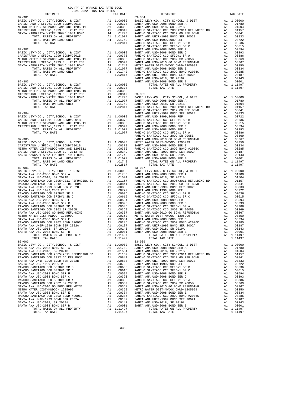| COUNTY OF ORANGE TAX RATE BOOK<br>2021-2022 TRA TAX RATES                                                                                                                                                                     |          |          |          |
|-------------------------------------------------------------------------------------------------------------------------------------------------------------------------------------------------------------------------------|----------|----------|----------|
| 12.331 - 12.332 - 14.332 - 14.362 - 14.362 - 14.462 - 14.474 - 14.474 - 14.474 - 14.474 - 14.474 - 14.474 - 14.474 - 14.474 - 14.474 - 14.474 - 14.474 - 14.474 - 14.474 - 14.474 - 14.474 - 14.474 - 14.474 - 14.474 - 14.47 | TAX RATE | DISTRICT | TAX RATE |
|                                                                                                                                                                                                                               |          |          |          |
|                                                                                                                                                                                                                               |          |          |          |
|                                                                                                                                                                                                                               |          |          |          |
|                                                                                                                                                                                                                               |          |          |          |
|                                                                                                                                                                                                                               |          |          |          |
|                                                                                                                                                                                                                               |          |          |          |
|                                                                                                                                                                                                                               |          |          |          |
|                                                                                                                                                                                                                               |          |          |          |
|                                                                                                                                                                                                                               |          |          |          |
|                                                                                                                                                                                                                               |          |          |          |
|                                                                                                                                                                                                                               |          |          |          |
|                                                                                                                                                                                                                               |          |          |          |
|                                                                                                                                                                                                                               |          |          |          |
|                                                                                                                                                                                                                               |          |          |          |
|                                                                                                                                                                                                                               |          |          |          |
|                                                                                                                                                                                                                               |          |          |          |
|                                                                                                                                                                                                                               |          |          |          |
|                                                                                                                                                                                                                               |          |          |          |
|                                                                                                                                                                                                                               |          |          |          |
|                                                                                                                                                                                                                               |          |          |          |
|                                                                                                                                                                                                                               |          |          |          |
|                                                                                                                                                                                                                               |          |          |          |
|                                                                                                                                                                                                                               |          |          |          |
|                                                                                                                                                                                                                               |          |          |          |
|                                                                                                                                                                                                                               |          |          |          |
|                                                                                                                                                                                                                               |          |          |          |
|                                                                                                                                                                                                                               |          |          |          |
|                                                                                                                                                                                                                               |          |          |          |
|                                                                                                                                                                                                                               |          |          |          |
|                                                                                                                                                                                                                               |          |          |          |
|                                                                                                                                                                                                                               |          |          |          |
|                                                                                                                                                                                                                               |          |          |          |
|                                                                                                                                                                                                                               |          |          |          |
|                                                                                                                                                                                                                               |          |          |          |
|                                                                                                                                                                                                                               |          |          |          |
|                                                                                                                                                                                                                               |          |          |          |
|                                                                                                                                                                                                                               |          |          |          |
|                                                                                                                                                                                                                               |          |          |          |
|                                                                                                                                                                                                                               |          |          |          |
|                                                                                                                                                                                                                               |          |          |          |
|                                                                                                                                                                                                                               |          |          |          |
|                                                                                                                                                                                                                               |          |          |          |
|                                                                                                                                                                                                                               |          |          |          |
|                                                                                                                                                                                                                               |          |          |          |
|                                                                                                                                                                                                                               |          |          |          |
|                                                                                                                                                                                                                               |          |          |          |
|                                                                                                                                                                                                                               |          |          |          |
|                                                                                                                                                                                                                               |          |          |          |
|                                                                                                                                                                                                                               |          |          |          |
|                                                                                                                                                                                                                               |          |          |          |
|                                                                                                                                                                                                                               |          |          |          |
|                                                                                                                                                                                                                               |          |          |          |
|                                                                                                                                                                                                                               |          |          |          |
|                                                                                                                                                                                                                               |          |          |          |
|                                                                                                                                                                                                                               |          |          |          |
|                                                                                                                                                                                                                               |          |          |          |
|                                                                                                                                                                                                                               |          |          |          |
|                                                                                                                                                                                                                               |          |          |          |
|                                                                                                                                                                                                                               |          |          |          |
|                                                                                                                                                                                                                               |          |          |          |
|                                                                                                                                                                                                                               |          |          |          |
|                                                                                                                                                                                                                               |          |          |          |
|                                                                                                                                                                                                                               |          |          |          |
|                                                                                                                                                                                                                               |          |          |          |
|                                                                                                                                                                                                                               |          |          |          |
|                                                                                                                                                                                                                               |          |          |          |
|                                                                                                                                                                                                                               |          |          |          |
|                                                                                                                                                                                                                               |          |          |          |
|                                                                                                                                                                                                                               |          |          |          |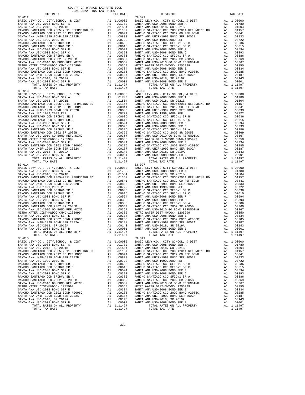| $83 - 012$                                                            |          |                                  | $83 - 021$                       |
|-----------------------------------------------------------------------|----------|----------------------------------|----------------------------------|
|                                                                       |          |                                  |                                  |
|                                                                       |          |                                  |                                  |
|                                                                       |          |                                  |                                  |
|                                                                       |          |                                  |                                  |
|                                                                       |          |                                  |                                  |
|                                                                       |          |                                  |                                  |
|                                                                       |          |                                  |                                  |
|                                                                       |          |                                  |                                  |
|                                                                       |          |                                  |                                  |
|                                                                       |          |                                  |                                  |
|                                                                       |          |                                  |                                  |
|                                                                       |          |                                  |                                  |
|                                                                       |          |                                  |                                  |
|                                                                       |          |                                  |                                  |
|                                                                       |          |                                  |                                  |
|                                                                       |          |                                  |                                  |
|                                                                       |          |                                  |                                  |
|                                                                       |          |                                  |                                  |
|                                                                       |          |                                  |                                  |
|                                                                       |          |                                  |                                  |
| TOTAL TAX RATE                                                        |          | 1.11497                          |                                  |
|                                                                       |          |                                  |                                  |
|                                                                       |          |                                  |                                  |
|                                                                       |          |                                  |                                  |
|                                                                       |          |                                  |                                  |
|                                                                       |          |                                  |                                  |
|                                                                       |          |                                  |                                  |
|                                                                       |          |                                  |                                  |
|                                                                       |          |                                  |                                  |
|                                                                       |          |                                  |                                  |
|                                                                       |          |                                  |                                  |
|                                                                       |          |                                  |                                  |
|                                                                       |          |                                  |                                  |
|                                                                       |          |                                  |                                  |
|                                                                       |          |                                  |                                  |
|                                                                       |          |                                  |                                  |
|                                                                       |          |                                  |                                  |
|                                                                       |          |                                  |                                  |
|                                                                       |          |                                  |                                  |
|                                                                       |          |                                  |                                  |
|                                                                       |          |                                  |                                  |
|                                                                       |          |                                  |                                  |
|                                                                       |          |                                  |                                  |
|                                                                       |          |                                  |                                  |
|                                                                       |          |                                  |                                  |
|                                                                       |          |                                  |                                  |
|                                                                       |          |                                  |                                  |
|                                                                       |          |                                  |                                  |
|                                                                       |          |                                  |                                  |
|                                                                       |          |                                  |                                  |
|                                                                       |          |                                  |                                  |
|                                                                       |          |                                  |                                  |
|                                                                       |          |                                  |                                  |
|                                                                       |          |                                  |                                  |
|                                                                       |          |                                  |                                  |
|                                                                       |          |                                  |                                  |
|                                                                       |          |                                  |                                  |
|                                                                       |          |                                  |                                  |
|                                                                       |          |                                  |                                  |
|                                                                       |          |                                  |                                  |
|                                                                       |          |                                  |                                  |
|                                                                       |          |                                  |                                  |
|                                                                       |          |                                  |                                  |
|                                                                       |          |                                  |                                  |
|                                                                       |          |                                  |                                  |
| TOTAL TAX RATE                                                        |          | 1.11497                          |                                  |
| $83 - 015$                                                            |          |                                  | $83 - 041$                       |
| BASIC LEVY-CO., CITY, SCHOOL, & DIST                                  | A1       | 1.00000                          | BASIC L                          |
| SANTA ANA USD-2008 BOND SER A                                         | A1       | .01780                           | SANTA A                          |
| SANTA ANA USD-2018, SR 2021B                                          | A1       | .01504                           | SANTA A                          |
| RANCHO SANTIAGO CCD 2005+2011 REFUNDING BD                            | A1       |                                  | .01157 RANCHO.<br>.00841 RANCHO. |
| RANCHO SANTIAGO CCD 2012 GO REF BOND                                  | A1       |                                  |                                  |
| SANTA ANA UNIF-1999 BOND SER 2002B                                    | A1       | .00833                           | SANTA A                          |
| SANTA ANA USD 1999, 2009 REF                                          | A1       | .00722                           | SANTA A                          |
| RANCHO SANTIAGO CCD SFID#1 SR B                                       | A1       | .00636                           | RANCHO                           |
| RANCHO SANTIAGO CCD SFID#1 SR C                                       | A1       | .00615                           | RANCHO                           |
| SANTA ANA USD-2008 BOND SER F                                         | A1       | .00594                           | SANTA A                          |
| SANTA ANA USD-2008 BOND SER C                                         | A1       | .00393                           | SANTA A                          |
| RANCHO SANTIAGO CCD SFID#1 SR A                                       |          | A1 .00386                        | RANCHO                           |
| RANCHO SANTIAGO CCD 2002 SR 2005B                                     |          | A1.00369                         | RANCHO                           |
| SANTA ANA USD-2010 GO BOND REFUNDING                                  | A1       | .00367                           | SANTA A                          |
| METRO WATER DIST-MWDOC- 1205999                                       | A1<br>A1 | .00350                           | METRO W                          |
| SANTA ANA USD-2008 BOND SER E<br>RANCHO SANTIAGO CCD 2002 BOND #2006C | A1       | .00334<br>.00285                 | SANTA A<br>RANCHO                |
| SANTA ANA UNIF-1999 BOND SER 2002A                                    | A1       | .00187                           | SANTA A                          |
| SANTA ANA USD-2018, SR 2019A                                          | A1       |                                  |                                  |
| SANTA ANA USD-2008 BOND SER B                                         | A1       | .00143 SANTA A<br>.00001 SANTA A |                                  |
| TOTAL RATES ON ALL PROPERTY                                           |          | A1 1.11497                       |                                  |
| TOTAL TAX RATE                                                        |          | 1.11497                          |                                  |
|                                                                       |          |                                  |                                  |

| COUNTY OF ORANGE TAX RATE BOOK<br>2021-2022 TRA TAX RATES                                                                                                                                                                                                                       |          |            |          |
|---------------------------------------------------------------------------------------------------------------------------------------------------------------------------------------------------------------------------------------------------------------------------------|----------|------------|----------|
| DISTRICT                                                                                                                                                                                                                                                                        | TAX RATE | DISTRICT   | TAX RATE |
| $83 - 012$                                                                                                                                                                                                                                                                      |          | $83 - 021$ |          |
|                                                                                                                                                                                                                                                                                 |          |            |          |
|                                                                                                                                                                                                                                                                                 |          |            |          |
|                                                                                                                                                                                                                                                                                 |          |            |          |
|                                                                                                                                                                                                                                                                                 |          |            |          |
|                                                                                                                                                                                                                                                                                 |          |            |          |
|                                                                                                                                                                                                                                                                                 |          |            |          |
|                                                                                                                                                                                                                                                                                 |          |            |          |
|                                                                                                                                                                                                                                                                                 |          |            |          |
|                                                                                                                                                                                                                                                                                 |          |            |          |
|                                                                                                                                                                                                                                                                                 |          |            |          |
|                                                                                                                                                                                                                                                                                 |          |            |          |
|                                                                                                                                                                                                                                                                                 |          |            |          |
|                                                                                                                                                                                                                                                                                 |          |            |          |
|                                                                                                                                                                                                                                                                                 |          |            |          |
|                                                                                                                                                                                                                                                                                 |          |            |          |
|                                                                                                                                                                                                                                                                                 |          |            |          |
|                                                                                                                                                                                                                                                                                 |          |            |          |
|                                                                                                                                                                                                                                                                                 |          |            |          |
|                                                                                                                                                                                                                                                                                 |          |            |          |
|                                                                                                                                                                                                                                                                                 |          |            |          |
|                                                                                                                                                                                                                                                                                 |          |            |          |
|                                                                                                                                                                                                                                                                                 |          |            |          |
|                                                                                                                                                                                                                                                                                 |          |            |          |
|                                                                                                                                                                                                                                                                                 |          |            |          |
|                                                                                                                                                                                                                                                                                 |          |            |          |
|                                                                                                                                                                                                                                                                                 |          |            |          |
|                                                                                                                                                                                                                                                                                 |          |            |          |
|                                                                                                                                                                                                                                                                                 |          |            |          |
|                                                                                                                                                                                                                                                                                 |          |            |          |
|                                                                                                                                                                                                                                                                                 |          |            |          |
|                                                                                                                                                                                                                                                                                 |          |            |          |
|                                                                                                                                                                                                                                                                                 |          |            |          |
|                                                                                                                                                                                                                                                                                 |          |            |          |
|                                                                                                                                                                                                                                                                                 |          |            |          |
| $\begin{array}{cccccccc} 83-013 & 10444 & 1448 & 8444 & 1448 & 8444 & 1448 & 8444 & 8444 & 8444 & 8444 & 8444 & 8444 & 8444 & 8444 & 8444 & 8444 & 8444 & 8444 & 8444 & 8444 & 8444 & 8444 & 8444 & 8444 & 8444 & 8444 & 8444 & 8444 & 8444 & 8444 & 8444 & 8444 & 8444 & 8444$ |          |            |          |
| $83 - 014$                                                                                                                                                                                                                                                                      |          | $83 - 027$ |          |
|                                                                                                                                                                                                                                                                                 |          |            |          |
|                                                                                                                                                                                                                                                                                 |          |            |          |
|                                                                                                                                                                                                                                                                                 |          |            |          |
|                                                                                                                                                                                                                                                                                 |          |            |          |
|                                                                                                                                                                                                                                                                                 |          |            |          |
|                                                                                                                                                                                                                                                                                 |          |            |          |
|                                                                                                                                                                                                                                                                                 |          |            |          |
|                                                                                                                                                                                                                                                                                 |          |            |          |
|                                                                                                                                                                                                                                                                                 |          |            |          |
|                                                                                                                                                                                                                                                                                 |          |            |          |
|                                                                                                                                                                                                                                                                                 |          |            |          |
|                                                                                                                                                                                                                                                                                 |          |            |          |
|                                                                                                                                                                                                                                                                                 |          |            |          |
|                                                                                                                                                                                                                                                                                 |          |            |          |
|                                                                                                                                                                                                                                                                                 |          |            |          |
|                                                                                                                                                                                                                                                                                 |          |            |          |
|                                                                                                                                                                                                                                                                                 |          |            |          |
|                                                                                                                                                                                                                                                                                 |          |            |          |
|                                                                                                                                                                                                                                                                                 |          |            |          |
|                                                                                                                                                                                                                                                                                 |          |            |          |
|                                                                                                                                                                                                                                                                                 |          |            |          |
|                                                                                                                                                                                                                                                                                 |          |            |          |
|                                                                                                                                                                                                                                                                                 |          |            |          |
|                                                                                                                                                                                                                                                                                 |          |            |          |
|                                                                                                                                                                                                                                                                                 |          |            |          |
|                                                                                                                                                                                                                                                                                 |          |            |          |
|                                                                                                                                                                                                                                                                                 |          |            |          |
|                                                                                                                                                                                                                                                                                 |          |            |          |
|                                                                                                                                                                                                                                                                                 |          |            |          |
|                                                                                                                                                                                                                                                                                 |          |            |          |
|                                                                                                                                                                                                                                                                                 |          |            |          |
|                                                                                                                                                                                                                                                                                 |          |            |          |
|                                                                                                                                                                                                                                                                                 |          |            |          |
|                                                                                                                                                                                                                                                                                 |          |            |          |
|                                                                                                                                                                                                                                                                                 |          |            |          |
|                                                                                                                                                                                                                                                                                 |          |            |          |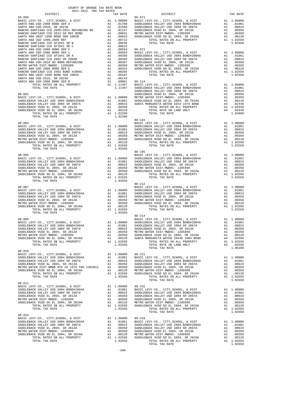| COUNTY OF ORANGE TAX RATE BOOK<br>2021-2022 TRA TAX RATES                                                                                                                                                                                                                                                                                                             |                                                                                                      |                 |          |
|-----------------------------------------------------------------------------------------------------------------------------------------------------------------------------------------------------------------------------------------------------------------------------------------------------------------------------------------------------------------------|------------------------------------------------------------------------------------------------------|-----------------|----------|
| DISTRICT<br>$83 - 058$                                                                                                                                                                                                                                                                                                                                                | $\begin{array}{cccc}\n & - & - & - & - \\  & & \text{TX RATE} & & \\  & & & 88-071 & \\ \end{array}$ | <b>DISTRICT</b> | TAX RATE |
|                                                                                                                                                                                                                                                                                                                                                                       |                                                                                                      |                 |          |
|                                                                                                                                                                                                                                                                                                                                                                       |                                                                                                      |                 |          |
|                                                                                                                                                                                                                                                                                                                                                                       |                                                                                                      |                 |          |
|                                                                                                                                                                                                                                                                                                                                                                       |                                                                                                      |                 |          |
|                                                                                                                                                                                                                                                                                                                                                                       |                                                                                                      |                 |          |
|                                                                                                                                                                                                                                                                                                                                                                       |                                                                                                      |                 |          |
|                                                                                                                                                                                                                                                                                                                                                                       |                                                                                                      |                 |          |
|                                                                                                                                                                                                                                                                                                                                                                       |                                                                                                      |                 |          |
| $\begin{tabular}{l c c c c c} \texttt{SADDEBACK} \texttt{VALEY} \texttt{USD} \texttt{ 2004} & \texttt{SADDEBACK} \texttt{VAL} \texttt{A} & \texttt{.00358} & \texttt{SADDEBACK} \texttt{VAL} \texttt{A} & \texttt{.00358} & \texttt{SADDEBACK} \texttt{VAL} \texttt{A} & \texttt{.00358} & \texttt{A1} \texttt{ .00358} & \texttt{SADDEBACK} \texttt{VADE} \texttt{E$ |                                                                                                      | $88 - 214$      |          |
| $88 - 010$                                                                                                                                                                                                                                                                                                                                                            |                                                                                                      |                 |          |
|                                                                                                                                                                                                                                                                                                                                                                       |                                                                                                      |                 |          |
|                                                                                                                                                                                                                                                                                                                                                                       |                                                                                                      |                 |          |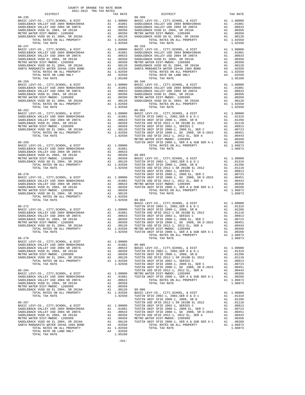| DISTRICT                                                                      | COUNTY OF ORANGE TAX RATE BOOK<br>2021-2022 TRA TAX RATES |                                                                                                                       |                  |
|-------------------------------------------------------------------------------|-----------------------------------------------------------|-----------------------------------------------------------------------------------------------------------------------|------------------|
| $88 - 235$                                                                    |                                                           | TAX RATE                                                                                                              | $88 - 309$       |
|                                                                               |                                                           |                                                                                                                       |                  |
|                                                                               |                                                           |                                                                                                                       |                  |
|                                                                               |                                                           |                                                                                                                       |                  |
|                                                                               |                                                           |                                                                                                                       |                  |
| $88 - 247$                                                                    |                                                           |                                                                                                                       | $88 - 328$       |
|                                                                               |                                                           |                                                                                                                       |                  |
|                                                                               |                                                           |                                                                                                                       |                  |
|                                                                               |                                                           |                                                                                                                       |                  |
|                                                                               |                                                           |                                                                                                                       |                  |
|                                                                               |                                                           |                                                                                                                       |                  |
| TOTAL TAX RATE                                                                |                                                           | 1.05100                                                                                                               |                  |
| $88 - 259$                                                                    |                                                           |                                                                                                                       | $88 - 346$       |
|                                                                               |                                                           |                                                                                                                       |                  |
|                                                                               |                                                           |                                                                                                                       |                  |
|                                                                               |                                                           |                                                                                                                       |                  |
|                                                                               |                                                           |                                                                                                                       |                  |
| TOTAL TAX RATE                                                                |                                                           | 1.02550                                                                                                               |                  |
|                                                                               |                                                           |                                                                                                                       |                  |
|                                                                               |                                                           |                                                                                                                       |                  |
|                                                                               |                                                           |                                                                                                                       |                  |
|                                                                               |                                                           |                                                                                                                       |                  |
|                                                                               |                                                           |                                                                                                                       |                  |
|                                                                               |                                                           |                                                                                                                       | METRO W          |
| $88 - 269$                                                                    |                                                           |                                                                                                                       | TUSTIN           |
|                                                                               |                                                           |                                                                                                                       |                  |
|                                                                               |                                                           | A1 .01081                                                                                                             |                  |
|                                                                               |                                                           |                                                                                                                       |                  |
|                                                                               |                                                           |                                                                                                                       |                  |
|                                                                               |                                                           |                                                                                                                       |                  |
|                                                                               |                                                           |                                                                                                                       |                  |
| $88 - 270$                                                                    |                                                           |                                                                                                                       | TUSTIN           |
|                                                                               |                                                           |                                                                                                                       |                  |
|                                                                               |                                                           |                                                                                                                       |                  |
|                                                                               |                                                           |                                                                                                                       |                  |
|                                                                               |                                                           |                                                                                                                       |                  |
| TOTAL TAX RATE                                                                |                                                           | 1.02550                                                                                                               | $89 - 004$       |
| $88 - 272$                                                                    |                                                           |                                                                                                                       | BASIC L          |
|                                                                               |                                                           |                                                                                                                       | TUSTIN           |
|                                                                               |                                                           |                                                                                                                       |                  |
|                                                                               |                                                           |                                                                                                                       |                  |
|                                                                               |                                                           |                                                                                                                       |                  |
|                                                                               |                                                           |                                                                                                                       |                  |
| TOTAL TAX RATE                                                                |                                                           | 1.02550 TUSTIN                                                                                                        |                  |
| $88 - 279$                                                                    |                                                           |                                                                                                                       |                  |
| BASIC LEVY-CO., CITY, SCHOOL, & DIST<br>SADDLEBACK VALLEY USD 2004 BOND#2004A |                                                           | A1 1.00000<br>A1 .01081 89-005                                                                                        |                  |
| SADDLEBACK VALLEY USD 2004 SR 2007A                                           |                                                           | A1 .00633                                                                                                             | BASIC L          |
| SADDLEBACK VUSD EL 2004, SR 2013A<br>METRO WATER DIST-MWDOC- 1205999          | A1                                                        | .00358<br>A1 .00350                                                                                                   | TUSTIN<br>TUSTIN |
| SADDLEBACK VUSD GO EL 2004, SR 2016A                                          |                                                           |                                                                                                                       |                  |
| TOTAL RATES ON ALL PROPERTY<br>TOTAL TAX RATE                                 |                                                           | A1 .00128 TUSTIN<br>A1 1.02550 TUSTIN<br>1.02550 TUSTIN                                                               |                  |
|                                                                               |                                                           |                                                                                                                       | TUSTIN           |
| $88 - 284$<br>BASIC LEVY-CO., CITY, SCHOOL, & DIST                            |                                                           |                                                                                                                       | TUSTIN           |
| SADDLEBACK VALLEY USD 2004 BOND#2004A                                         |                                                           | A1 1.00000 METROW<br>A1 .01081 TUSTIN                                                                                 |                  |
| SADDLEBACK VALLEY USD 2004 SR 2007A<br>SADDLEBACK VUSD EL 2004, SR 2013A      |                                                           | A1 .00633<br>A1 .00358                                                                                                |                  |
| METRO WATER DIST-MWDOC- 1205999                                               |                                                           | A1 .00350                                                                                                             |                  |
| SADDLEBACK VUSD GO EL 2004, SR 2016A<br>TOTAL RATES ON ALL PROPERTY           | A1                                                        | .00128 89-006<br>A1 1.02550                                                                                           | BASIC L          |
| TOTAL TAX RATE                                                                |                                                           | 1.02550                                                                                                               | TUSTIN           |
| 88-287                                                                        |                                                           |                                                                                                                       | TUSTIN<br>TUSTIN |
| BASIC LEVY-CO., CITY, SCHOOL, & DIST                                          |                                                           |                                                                                                                       |                  |
| SADDLEBACK VALLEY USD 2004 BOND#2004A<br>SADDLEBACK VALLEY USD 2004 SR 2007A  |                                                           | A1 1.00000 TUSTIN<br>A1 .01081 TUSTIN<br>A1 .00633 TUSTIN<br>A1 .00358 TUSTIN<br>A1 .00350 METROW<br>A1 .00128 TUSTIN |                  |
| SADDLEBACK VUSD EL 2004, SR 2013A                                             |                                                           |                                                                                                                       |                  |
| METRO WATER DIST-MWDOC- 1205999                                               |                                                           |                                                                                                                       |                  |
| SADDLEBACK VUSD GO EL 2004, SR 2016A<br>SANTA MARGARITA WATER ID#4A 1984 BOND | A1<br>A4                                                  | .02550                                                                                                                |                  |
| TOTAL RATES ON ALL PROPERTY                                                   |                                                           | $A1 \quad 1.02550$                                                                                                    |                  |
| TOTAL RATE ON LAND ONLY<br>TOTAL TAX RATE                                     | A4                                                        | .02550<br>1.05100                                                                                                     |                  |

|            |  | TOTAL RATES ON ALL PROPERTY A1 1.06873 |         |
|------------|--|----------------------------------------|---------|
| $88 - 279$ |  | TOTAL TAX RATE                         | 1.06873 |
|            |  |                                        |         |
|            |  |                                        |         |
|            |  |                                        |         |
|            |  |                                        |         |
|            |  |                                        |         |
|            |  |                                        |         |
|            |  |                                        |         |
|            |  |                                        |         |
|            |  |                                        |         |
|            |  |                                        |         |
|            |  |                                        |         |
|            |  |                                        |         |
|            |  |                                        |         |
|            |  |                                        |         |
|            |  |                                        |         |
|            |  |                                        |         |
|            |  |                                        |         |
|            |  |                                        |         |
|            |  |                                        |         |
|            |  |                                        |         |
|            |  |                                        |         |
|            |  |                                        |         |
|            |  |                                        |         |
|            |  |                                        |         |
|            |  |                                        |         |

-341-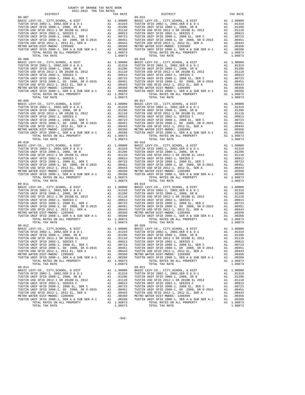| DISTRICT                                                                              |    | TAX RATE                                         |                  |
|---------------------------------------------------------------------------------------|----|--------------------------------------------------|------------------|
|                                                                                       |    |                                                  |                  |
|                                                                                       |    |                                                  |                  |
|                                                                                       |    |                                                  |                  |
|                                                                                       |    |                                                  |                  |
|                                                                                       |    |                                                  |                  |
|                                                                                       |    |                                                  |                  |
|                                                                                       |    |                                                  |                  |
|                                                                                       |    |                                                  |                  |
|                                                                                       |    |                                                  |                  |
|                                                                                       |    |                                                  |                  |
|                                                                                       |    |                                                  |                  |
|                                                                                       |    |                                                  |                  |
|                                                                                       |    |                                                  |                  |
| $89 - 008$                                                                            |    |                                                  | 89-016           |
|                                                                                       |    |                                                  |                  |
|                                                                                       |    |                                                  |                  |
|                                                                                       |    |                                                  |                  |
|                                                                                       |    |                                                  |                  |
|                                                                                       |    |                                                  |                  |
|                                                                                       |    |                                                  |                  |
|                                                                                       |    |                                                  |                  |
|                                                                                       |    |                                                  |                  |
|                                                                                       |    |                                                  |                  |
|                                                                                       |    |                                                  |                  |
|                                                                                       |    |                                                  |                  |
| TOTAL TAX RATE                                                                        |    | 1.06873                                          |                  |
| $89 - 009$                                                                            |    |                                                  | $89 - 017$       |
|                                                                                       |    |                                                  |                  |
|                                                                                       |    |                                                  |                  |
|                                                                                       |    |                                                  |                  |
|                                                                                       |    |                                                  |                  |
|                                                                                       |    |                                                  |                  |
|                                                                                       |    |                                                  |                  |
|                                                                                       |    |                                                  |                  |
|                                                                                       |    |                                                  |                  |
|                                                                                       |    |                                                  |                  |
|                                                                                       |    |                                                  |                  |
|                                                                                       |    |                                                  |                  |
|                                                                                       |    |                                                  |                  |
| TOTAL TAX RATE                                                                        |    | 1.06873                                          |                  |
|                                                                                       |    |                                                  |                  |
|                                                                                       |    |                                                  |                  |
|                                                                                       |    |                                                  |                  |
|                                                                                       |    |                                                  |                  |
|                                                                                       |    |                                                  |                  |
|                                                                                       |    |                                                  |                  |
|                                                                                       |    |                                                  |                  |
|                                                                                       |    |                                                  |                  |
|                                                                                       |    |                                                  |                  |
|                                                                                       |    |                                                  |                  |
|                                                                                       |    |                                                  |                  |
|                                                                                       |    |                                                  |                  |
|                                                                                       |    |                                                  |                  |
|                                                                                       |    |                                                  |                  |
|                                                                                       |    |                                                  |                  |
|                                                                                       |    |                                                  |                  |
|                                                                                       |    |                                                  |                  |
|                                                                                       |    |                                                  |                  |
|                                                                                       |    |                                                  |                  |
|                                                                                       |    |                                                  |                  |
|                                                                                       |    |                                                  |                  |
|                                                                                       |    |                                                  |                  |
|                                                                                       |    |                                                  |                  |
|                                                                                       |    |                                                  |                  |
|                                                                                       |    |                                                  |                  |
|                                                                                       |    |                                                  |                  |
|                                                                                       |    |                                                  |                  |
|                                                                                       |    |                                                  |                  |
|                                                                                       |    |                                                  |                  |
|                                                                                       |    |                                                  |                  |
| TUSTIN USD SFID 2012-1 SR 2018B EL 2012                                               | A1 | .01110                                           | TUSTIN           |
| TUSTIN UNIF SFID 2002-1, SERIES C                                                     |    |                                                  | TUSTIN           |
| TUSTIN UNIF SFID 2008-1, 2008 EL, SER C                                               |    | A1 .00913<br>A1 .00723<br>A1 .00451              | TUSTIN           |
| TUSTIN UNIF SFID 2008-1, GO 2008, SR D-2015                                           |    |                                                  | TUSTIN           |
| TUSTIN USD SFID 2012-1, 2012 EL, SER A                                                |    | A1 .00443                                        | TUSTIN           |
| METRO WATER DIST-MWDOC- 1205999                                                       |    | A1.00350                                         | METRO W          |
| TUSTIN UNIF SFID 2008-1, SER A & SUB SER A-1                                          | A1 | .00268                                           | TUSTIN           |
| TOTAL RATES ON ALL PROPERTY                                                           |    | A1 1.06873                                       |                  |
| TOTAL TAX RATE                                                                        |    | 1.06873                                          |                  |
| 89-014                                                                                |    |                                                  | $89 - 021$       |
| BASIC LEVY-CO., CITY, SCHOOL, & DIST                                                  |    | A1 1.00000                                       | BASIC L          |
| TUSTIN SFID 2002-1, 2002, SER D & D-1                                                 |    | A1 .01319                                        | TUSTIN           |
| TUSTIN UNIF SFID 2008-1, 2008, SR B                                                   |    | A1 .01296                                        | TUSTIN           |
| TUSTIN USD SFID 2012-1 SR 2018B EL 2012                                               |    | A1 .01110                                        | TUSTIN           |
| TUSTIN UNIF SFID 2002-1, SERIES C                                                     |    |                                                  | TUSTIN           |
| TUSTIN UNIF SFID 2008-1, 2008 EL, SER C                                               |    | A1 .00913<br>A1 .00723<br>A1 .00451<br>A1 .00443 | TUSTIN           |
|                                                                                       |    |                                                  |                  |
| TUSTIN UNIF SFID 2008-1, GO 2008, SR D-2015<br>TUSTIN USD SFID 2012-1, 2012 EL, SER A |    |                                                  | TUSTIN<br>TUSTIN |
| METRO WATER DIST-MWDOC- 1205999                                                       |    |                                                  | METRO W          |
|                                                                                       |    | A1 .00350                                        |                  |
| TUSTIN UNIF SFID 2008-1, SER A & SUB SER A-1                                          | A1 | .00268                                           | TUSTIN           |
| TOTAL RATES ON ALL PROPERTY                                                           |    | A1 1.06873                                       |                  |
| TOTAL TAX RATE                                                                        |    | 1.06873                                          |                  |

| COUNTY OF ORANGE TAX RATE BOOK<br>2021-2022 TRA TAX RATES |          |                                                                                                                                                                                                                                                                                                                                                                                                              |            |
|-----------------------------------------------------------|----------|--------------------------------------------------------------------------------------------------------------------------------------------------------------------------------------------------------------------------------------------------------------------------------------------------------------------------------------------------------------------------------------------------------------|------------|
| DISTRICT                                                  | TAX RATE | DISTRICT                                                                                                                                                                                                                                                                                                                                                                                                     | TAX RATE   |
|                                                           |          |                                                                                                                                                                                                                                                                                                                                                                                                              |            |
|                                                           |          |                                                                                                                                                                                                                                                                                                                                                                                                              |            |
|                                                           |          | $\begin{smallmatrix} \textbf{118} & \textbf{18} & \textbf{19} & \textbf{19} & \textbf{19} & \textbf{19} & \textbf{19} & \textbf{19} & \textbf{19} & \textbf{19} & \textbf{19} & \textbf{19} & \textbf{19} & \textbf{19} & \textbf{19} & \textbf{19} & \textbf{19} & \textbf{19} & \textbf{19} & \textbf{19} & \textbf{19} & \textbf{19} & \textbf{19} & \textbf{19} & \textbf{19} & \textbf{19} & \textbf{1$ |            |
|                                                           |          |                                                                                                                                                                                                                                                                                                                                                                                                              |            |
|                                                           |          |                                                                                                                                                                                                                                                                                                                                                                                                              |            |
| $89 - 014$                                                |          | BASIC LEVY-CO., CITY, SCHOOL, & DIST Al 1.00000 BASIC LEVY-CO., CITY, SCHOOL, & DIST<br>$89 - 021$                                                                                                                                                                                                                                                                                                           | A1 1.00000 |
|                                                           |          |                                                                                                                                                                                                                                                                                                                                                                                                              |            |

 $-342-$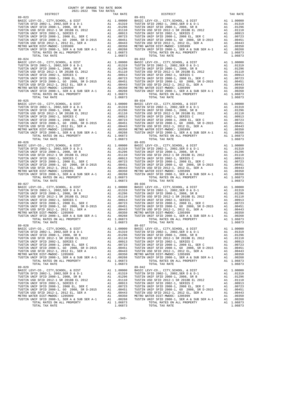| DISTRICT                                                                                                                                                         |    | TAX RATE               |            |
|------------------------------------------------------------------------------------------------------------------------------------------------------------------|----|------------------------|------------|
| $89 - 023$                                                                                                                                                       |    |                        | $89 - 031$ |
|                                                                                                                                                                  |    |                        |            |
|                                                                                                                                                                  |    |                        |            |
|                                                                                                                                                                  |    |                        |            |
|                                                                                                                                                                  |    |                        |            |
|                                                                                                                                                                  |    |                        |            |
|                                                                                                                                                                  |    |                        |            |
|                                                                                                                                                                  |    |                        |            |
|                                                                                                                                                                  |    |                        |            |
|                                                                                                                                                                  |    |                        |            |
|                                                                                                                                                                  |    |                        |            |
| TOTAL TAX RATE                                                                                                                                                   |    | 1.06873                |            |
| $89 - 024$                                                                                                                                                       |    |                        | $89 - 032$ |
|                                                                                                                                                                  |    |                        |            |
|                                                                                                                                                                  |    |                        |            |
|                                                                                                                                                                  |    |                        |            |
|                                                                                                                                                                  |    |                        |            |
|                                                                                                                                                                  |    |                        |            |
|                                                                                                                                                                  |    |                        |            |
|                                                                                                                                                                  |    |                        |            |
|                                                                                                                                                                  |    |                        |            |
|                                                                                                                                                                  |    |                        |            |
|                                                                                                                                                                  |    |                        |            |
|                                                                                                                                                                  |    |                        |            |
|                                                                                                                                                                  |    |                        |            |
|                                                                                                                                                                  |    |                        |            |
|                                                                                                                                                                  |    |                        |            |
|                                                                                                                                                                  |    |                        |            |
|                                                                                                                                                                  |    |                        |            |
|                                                                                                                                                                  |    |                        |            |
|                                                                                                                                                                  |    |                        |            |
|                                                                                                                                                                  |    |                        |            |
|                                                                                                                                                                  |    |                        |            |
|                                                                                                                                                                  |    |                        |            |
|                                                                                                                                                                  |    |                        |            |
|                                                                                                                                                                  |    |                        |            |
| $89 - 026$                                                                                                                                                       |    |                        | $89 - 035$ |
|                                                                                                                                                                  |    |                        |            |
|                                                                                                                                                                  |    |                        |            |
|                                                                                                                                                                  |    |                        |            |
|                                                                                                                                                                  |    |                        |            |
|                                                                                                                                                                  |    |                        |            |
|                                                                                                                                                                  |    |                        |            |
|                                                                                                                                                                  |    |                        |            |
|                                                                                                                                                                  |    |                        |            |
|                                                                                                                                                                  |    |                        |            |
|                                                                                                                                                                  |    |                        |            |
| TOTAL TAX RATE                                                                                                                                                   |    | 1.06873                |            |
| $89 - 027$                                                                                                                                                       |    |                        | 89-036     |
|                                                                                                                                                                  |    |                        |            |
|                                                                                                                                                                  |    |                        |            |
|                                                                                                                                                                  |    |                        |            |
|                                                                                                                                                                  |    |                        |            |
|                                                                                                                                                                  |    |                        |            |
|                                                                                                                                                                  |    |                        |            |
|                                                                                                                                                                  |    |                        |            |
|                                                                                                                                                                  |    |                        |            |
|                                                                                                                                                                  |    |                        |            |
|                                                                                                                                                                  |    |                        |            |
|                                                                                                                                                                  |    |                        |            |
| $89 - 028$                                                                                                                                                       |    |                        | 89-037     |
|                                                                                                                                                                  |    |                        |            |
|                                                                                                                                                                  |    |                        |            |
|                                                                                                                                                                  |    |                        |            |
|                                                                                                                                                                  |    |                        |            |
| TUSTIN UNIF SFID 2002-1, SERIES C                                                                                                                                |    | A1.00913               | TUSTIN     |
| TUSTIN UNIF SFID 2008-1, 2008 EL, SER C                                                                                                                          |    |                        | TUSTIN     |
|                                                                                                                                                                  |    |                        | TUSTIN     |
| TUSTIN UNIF SFID 2008-1, 2008 EL, SER C<br>TUSTIN UNIF SFID 2008-1, GO 2008, SR D-2015 A1 .00451<br>TUSTIN USD SFID 2012-1, 2012 EL, SER A<br>MURDA ULLEL, SER A |    |                        | TUSTIN     |
| METRO WATER DIST-MWDOC- 1205999                                                                                                                                  | A1 | .00350                 | METRO W    |
| TUSTIN UNIF SFID 2008-1, SER A & SUB SER A-1 $\overline{A}$ A1                                                                                                   |    | .00268                 | TUSTIN     |
| TOTAL RATES ON ALL PROPERTY<br>TOTAL TAX RATE                                                                                                                    |    | A1 1.06873<br>1.06873  |            |
| $89 - 029$                                                                                                                                                       |    |                        | 89-042     |
| BASIC LEVY-CO., CITY, SCHOOL, & DIST                                                                                                                             |    | A1 1.00000             | BASIC L    |
| TUSTIN SFID 2002-1, 2002, SER D & D-1                                                                                                                            |    | A1 .01319              | TUSTIN     |
| TUSTIN UNIF SFID 2008-1, 2008, SR B                                                                                                                              |    |                        | TUSTIN     |
| TUSTIN USD SFID 2012-1 SR 2018B EL 2012                                                                                                                          |    | A1 .01296<br>A1 .01110 | TUSTIN     |
| TUSTIN UNIF SFID 2002-1, SERIES C                                                                                                                                |    | A1 .00913              | TUSTIN     |
|                                                                                                                                                                  |    |                        | TUSTIN     |
|                                                                                                                                                                  |    |                        | TUSTIN     |
| TUSTIN USD SFID 2012-1, 2012 EL, SER A                                                                                                                           | A1 | .00443                 | TUSTIN     |
| METRO WATER DIST-MWDOC- 1205999                                                                                                                                  |    | A1 .00350              | METRO W    |
| TUSTIN UNIF SFID $2008-1$ , SER A & SUB SER A-1 A1                                                                                                               |    | .00268                 | TUSTIN     |
| TOTAL RATES ON ALL PROPERTY                                                                                                                                      |    | A1 1.06873             |            |
| TOTAL TAX RATE                                                                                                                                                   |    | 1.06873                |            |

| COUNTY OF ORANGE TAX RATE BOOK<br>2021-2022 TRA TAX RATES |          |                                                                                                                                                                                                                                                                                                                                                                                                                          |            |
|-----------------------------------------------------------|----------|--------------------------------------------------------------------------------------------------------------------------------------------------------------------------------------------------------------------------------------------------------------------------------------------------------------------------------------------------------------------------------------------------------------------------|------------|
| DISTRICT                                                  | TAX RATE | DISTRICT                                                                                                                                                                                                                                                                                                                                                                                                                 | TAX RATE   |
|                                                           |          |                                                                                                                                                                                                                                                                                                                                                                                                                          |            |
|                                                           |          | $\begin{smallmatrix} \mathbf{1}_{31} & \mathbf{1}_{32} & \mathbf{1}_{33} & \mathbf{1}_{34} & \mathbf{1}_{35} & \mathbf{1}_{36} & \mathbf{1}_{37} & \mathbf{1}_{38} & \mathbf{1}_{39} & \mathbf{1}_{30} & \mathbf{1}_{30} & \mathbf{1}_{30} & \mathbf{1}_{30} & \mathbf{1}_{30} & \mathbf{1}_{30} & \mathbf{1}_{30} & \mathbf{1}_{30} & \mathbf{1}_{30} & \mathbf{1}_{30} & \mathbf{1}_{30} & \mathbf{1}_{30} & \mathbf{$ |            |
|                                                           |          |                                                                                                                                                                                                                                                                                                                                                                                                                          |            |
|                                                           |          |                                                                                                                                                                                                                                                                                                                                                                                                                          |            |
|                                                           |          |                                                                                                                                                                                                                                                                                                                                                                                                                          |            |
| $89 - 029$                                                |          | BASIC LEVY-CO., CITY, SCHOOL, & DIST Al 1.00000 BASIC LEVY-CO., CITY, SCHOOL, & DIST<br>$89 - 042$                                                                                                                                                                                                                                                                                                                       | A1 1.00000 |
|                                                           |          |                                                                                                                                                                                                                                                                                                                                                                                                                          |            |

-343-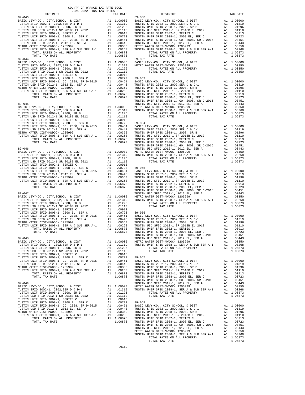| COUNTY OF ORANGE TAX RATE BOOK<br>2021-2022 TRA TAX RATES                                                                                                                                                                                      |                                        |        |
|------------------------------------------------------------------------------------------------------------------------------------------------------------------------------------------------------------------------------------------------|----------------------------------------|--------|
| DISTRICT                                                                                                                                                                                                                                       | TAX RATE                               |        |
|                                                                                                                                                                                                                                                |                                        |        |
|                                                                                                                                                                                                                                                |                                        |        |
|                                                                                                                                                                                                                                                |                                        |        |
|                                                                                                                                                                                                                                                |                                        |        |
|                                                                                                                                                                                                                                                |                                        |        |
|                                                                                                                                                                                                                                                |                                        |        |
|                                                                                                                                                                                                                                                |                                        |        |
|                                                                                                                                                                                                                                                |                                        |        |
|                                                                                                                                                                                                                                                |                                        |        |
|                                                                                                                                                                                                                                                |                                        |        |
|                                                                                                                                                                                                                                                |                                        |        |
|                                                                                                                                                                                                                                                |                                        |        |
|                                                                                                                                                                                                                                                |                                        |        |
|                                                                                                                                                                                                                                                |                                        |        |
|                                                                                                                                                                                                                                                |                                        |        |
|                                                                                                                                                                                                                                                |                                        |        |
|                                                                                                                                                                                                                                                |                                        |        |
|                                                                                                                                                                                                                                                |                                        |        |
|                                                                                                                                                                                                                                                |                                        |        |
|                                                                                                                                                                                                                                                |                                        |        |
|                                                                                                                                                                                                                                                |                                        | TUSTIN |
| $89 - 045$                                                                                                                                                                                                                                     |                                        | TUSTIN |
|                                                                                                                                                                                                                                                |                                        |        |
|                                                                                                                                                                                                                                                |                                        |        |
|                                                                                                                                                                                                                                                |                                        |        |
|                                                                                                                                                                                                                                                |                                        |        |
|                                                                                                                                                                                                                                                |                                        |        |
|                                                                                                                                                                                                                                                |                                        |        |
|                                                                                                                                                                                                                                                |                                        |        |
|                                                                                                                                                                                                                                                |                                        |        |
|                                                                                                                                                                                                                                                |                                        |        |
|                                                                                                                                                                                                                                                |                                        |        |
|                                                                                                                                                                                                                                                |                                        | TUSTIN |
| $89 - 046$                                                                                                                                                                                                                                     |                                        | TUSTIN |
|                                                                                                                                                                                                                                                |                                        |        |
|                                                                                                                                                                                                                                                |                                        |        |
|                                                                                                                                                                                                                                                |                                        |        |
|                                                                                                                                                                                                                                                |                                        |        |
|                                                                                                                                                                                                                                                |                                        |        |
|                                                                                                                                                                                                                                                |                                        |        |
|                                                                                                                                                                                                                                                |                                        |        |
|                                                                                                                                                                                                                                                |                                        |        |
|                                                                                                                                                                                                                                                |                                        |        |
|                                                                                                                                                                                                                                                |                                        |        |
|                                                                                                                                                                                                                                                |                                        | TUSTIN |
| $89 - 047$                                                                                                                                                                                                                                     |                                        | TUSTIN |
|                                                                                                                                                                                                                                                |                                        |        |
|                                                                                                                                                                                                                                                |                                        |        |
|                                                                                                                                                                                                                                                |                                        |        |
|                                                                                                                                                                                                                                                |                                        |        |
|                                                                                                                                                                                                                                                |                                        |        |
|                                                                                                                                                                                                                                                |                                        |        |
|                                                                                                                                                                                                                                                |                                        |        |
|                                                                                                                                                                                                                                                |                                        |        |
|                                                                                                                                                                                                                                                |                                        |        |
| TOTAL TAX RATE                                                                                                                                                                                                                                 | 1.06873                                | TUSTIN |
|                                                                                                                                                                                                                                                |                                        | TUSTIN |
| $89 - 048$                                                                                                                                                                                                                                     |                                        | TUSTIN |
|                                                                                                                                                                                                                                                | A1 1.00000                             |        |
|                                                                                                                                                                                                                                                |                                        |        |
|                                                                                                                                                                                                                                                |                                        |        |
|                                                                                                                                                                                                                                                |                                        |        |
|                                                                                                                                                                                                                                                |                                        |        |
|                                                                                                                                                                                                                                                |                                        |        |
|                                                                                                                                                                                                                                                |                                        |        |
|                                                                                                                                                                                                                                                |                                        |        |
|                                                                                                                                                                                                                                                |                                        |        |
|                                                                                                                                                                                                                                                |                                        |        |
|                                                                                                                                                                                                                                                |                                        | TUSTIN |
| $89 - 049$                                                                                                                                                                                                                                     |                                        | TUSTIN |
| BASIC LEVY-CO., CITY, SCHOOL, & DIST                                                                                                                                                                                                           | A1 1.00000 METRO W<br>A1 .01319 TUSTIN |        |
| TUSTIN SFID 2002-1, 2002, SER D & D-1                                                                                                                                                                                                          |                                        |        |
|                                                                                                                                                                                                                                                |                                        |        |
|                                                                                                                                                                                                                                                |                                        |        |
| TUSTIN SPID 2002–1, 2002, SER D $k = 1.11$ .01119 1002–11<br>TUSTIN UNIF SFID 2008–1, 2008, SE B<br>TUSTIN UNIF SFID 2002–1, SERIES C<br>TUSTIN USD SFID 2012–1 SR 2018B EL 2012<br>TUSTIN UNIF SFID 2002–1, SERIES C<br>TUSTIN UNIF SFID 2008 |                                        |        |
|                                                                                                                                                                                                                                                |                                        |        |
|                                                                                                                                                                                                                                                |                                        |        |
|                                                                                                                                                                                                                                                |                                        |        |
|                                                                                                                                                                                                                                                |                                        |        |
| TOTAL TAX RATE                                                                                                                                                                                                                                 | 1.06873 TUSTIN                         |        |
|                                                                                                                                                                                                                                                |                                        |        |

| 2021-2022 TRA TAX RATES<br>DISTRICT | TAX RATE | DISTRICT                                                                                                                                                                                                                                                              | TAX RATE |
|-------------------------------------|----------|-----------------------------------------------------------------------------------------------------------------------------------------------------------------------------------------------------------------------------------------------------------------------|----------|
|                                     |          |                                                                                                                                                                                                                                                                       |          |
|                                     |          |                                                                                                                                                                                                                                                                       |          |
|                                     |          |                                                                                                                                                                                                                                                                       |          |
|                                     |          |                                                                                                                                                                                                                                                                       |          |
|                                     |          |                                                                                                                                                                                                                                                                       |          |
|                                     |          |                                                                                                                                                                                                                                                                       |          |
|                                     |          |                                                                                                                                                                                                                                                                       |          |
|                                     |          |                                                                                                                                                                                                                                                                       |          |
|                                     |          |                                                                                                                                                                                                                                                                       |          |
|                                     |          |                                                                                                                                                                                                                                                                       |          |
|                                     |          |                                                                                                                                                                                                                                                                       |          |
|                                     |          |                                                                                                                                                                                                                                                                       |          |
|                                     |          |                                                                                                                                                                                                                                                                       |          |
|                                     |          |                                                                                                                                                                                                                                                                       |          |
|                                     |          |                                                                                                                                                                                                                                                                       |          |
|                                     |          |                                                                                                                                                                                                                                                                       |          |
|                                     |          |                                                                                                                                                                                                                                                                       |          |
|                                     |          |                                                                                                                                                                                                                                                                       |          |
|                                     |          |                                                                                                                                                                                                                                                                       |          |
|                                     |          |                                                                                                                                                                                                                                                                       |          |
|                                     |          |                                                                                                                                                                                                                                                                       |          |
|                                     |          |                                                                                                                                                                                                                                                                       |          |
|                                     |          |                                                                                                                                                                                                                                                                       |          |
|                                     |          |                                                                                                                                                                                                                                                                       |          |
|                                     |          |                                                                                                                                                                                                                                                                       |          |
|                                     |          |                                                                                                                                                                                                                                                                       |          |
|                                     |          |                                                                                                                                                                                                                                                                       |          |
|                                     |          |                                                                                                                                                                                                                                                                       |          |
|                                     |          |                                                                                                                                                                                                                                                                       |          |
|                                     |          |                                                                                                                                                                                                                                                                       |          |
|                                     |          |                                                                                                                                                                                                                                                                       |          |
|                                     |          |                                                                                                                                                                                                                                                                       |          |
|                                     |          |                                                                                                                                                                                                                                                                       |          |
|                                     |          |                                                                                                                                                                                                                                                                       |          |
|                                     |          |                                                                                                                                                                                                                                                                       |          |
|                                     |          |                                                                                                                                                                                                                                                                       |          |
|                                     |          |                                                                                                                                                                                                                                                                       |          |
|                                     |          |                                                                                                                                                                                                                                                                       |          |
|                                     |          |                                                                                                                                                                                                                                                                       |          |
|                                     |          |                                                                                                                                                                                                                                                                       |          |
|                                     |          |                                                                                                                                                                                                                                                                       |          |
|                                     |          |                                                                                                                                                                                                                                                                       |          |
|                                     |          |                                                                                                                                                                                                                                                                       |          |
|                                     |          |                                                                                                                                                                                                                                                                       |          |
|                                     |          |                                                                                                                                                                                                                                                                       |          |
|                                     |          |                                                                                                                                                                                                                                                                       |          |
|                                     |          | $\begin{bmatrix} 0.01 & 0.000 & 0.000 & 0.000 & 0.000 & 0.000 & 0.000 & 0.000 & 0.000 & 0.000 & 0.000 & 0.000 & 0.000 & 0.000 & 0.000 & 0.000 & 0.000 & 0.000 & 0.000 & 0.000 & 0.000 & 0.000 & 0.000 & 0.000 & 0.000 & 0.000 & 0.000 & 0.000 & 0.000 & 0.000 & 0.00$ |          |
|                                     |          |                                                                                                                                                                                                                                                                       |          |
|                                     |          |                                                                                                                                                                                                                                                                       |          |
|                                     |          |                                                                                                                                                                                                                                                                       |          |
|                                     |          |                                                                                                                                                                                                                                                                       |          |
|                                     |          |                                                                                                                                                                                                                                                                       |          |
|                                     |          |                                                                                                                                                                                                                                                                       |          |
|                                     |          |                                                                                                                                                                                                                                                                       |          |
|                                     |          |                                                                                                                                                                                                                                                                       |          |
|                                     |          |                                                                                                                                                                                                                                                                       |          |
|                                     |          |                                                                                                                                                                                                                                                                       |          |
|                                     |          |                                                                                                                                                                                                                                                                       |          |
|                                     |          |                                                                                                                                                                                                                                                                       |          |
|                                     |          |                                                                                                                                                                                                                                                                       |          |
|                                     |          |                                                                                                                                                                                                                                                                       |          |
|                                     |          |                                                                                                                                                                                                                                                                       |          |
|                                     |          |                                                                                                                                                                                                                                                                       |          |
|                                     |          |                                                                                                                                                                                                                                                                       |          |
|                                     |          |                                                                                                                                                                                                                                                                       |          |
|                                     |          |                                                                                                                                                                                                                                                                       |          |
|                                     |          |                                                                                                                                                                                                                                                                       |          |
|                                     |          |                                                                                                                                                                                                                                                                       |          |
|                                     |          |                                                                                                                                                                                                                                                                       |          |
|                                     |          |                                                                                                                                                                                                                                                                       |          |
|                                     |          |                                                                                                                                                                                                                                                                       |          |
|                                     |          |                                                                                                                                                                                                                                                                       |          |
|                                     |          |                                                                                                                                                                                                                                                                       |          |
|                                     |          |                                                                                                                                                                                                                                                                       |          |
|                                     |          |                                                                                                                                                                                                                                                                       |          |
|                                     |          |                                                                                                                                                                                                                                                                       |          |
|                                     |          |                                                                                                                                                                                                                                                                       |          |
|                                     |          |                                                                                                                                                                                                                                                                       |          |
|                                     |          |                                                                                                                                                                                                                                                                       | 1.06873  |
|                                     |          |                                                                                                                                                                                                                                                                       |          |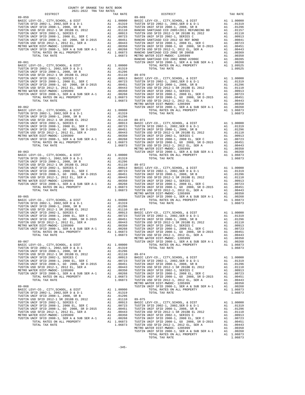| TAX RATE<br>DISTRICT |  | DISTRICT | TAX RATE |
|----------------------|--|----------|----------|
|                      |  |          |          |
|                      |  |          |          |
|                      |  |          |          |
|                      |  |          |          |
|                      |  |          |          |
|                      |  |          |          |
|                      |  |          |          |
|                      |  |          |          |
|                      |  |          |          |
|                      |  |          |          |
|                      |  |          |          |
|                      |  |          |          |
|                      |  |          |          |
|                      |  |          |          |
|                      |  |          |          |
|                      |  |          |          |
|                      |  |          |          |
|                      |  |          |          |
|                      |  |          |          |
|                      |  |          |          |
|                      |  |          |          |
|                      |  |          |          |
|                      |  |          |          |
|                      |  |          |          |
|                      |  |          |          |
|                      |  |          |          |
|                      |  |          |          |
|                      |  |          |          |
|                      |  |          |          |
|                      |  |          |          |
|                      |  |          |          |
|                      |  |          |          |
|                      |  |          |          |
|                      |  |          |          |
|                      |  |          |          |
|                      |  |          |          |
|                      |  |          |          |
|                      |  |          |          |
|                      |  |          |          |
|                      |  |          |          |
|                      |  |          |          |
|                      |  |          |          |
|                      |  |          |          |
|                      |  |          |          |
|                      |  |          |          |
|                      |  |          |          |
|                      |  |          |          |
|                      |  |          |          |
|                      |  |          |          |
|                      |  |          |          |
|                      |  |          |          |
|                      |  |          |          |
|                      |  |          |          |
|                      |  |          |          |
|                      |  |          |          |
|                      |  |          |          |
|                      |  |          |          |
|                      |  |          |          |
|                      |  |          |          |
|                      |  |          |          |
|                      |  |          |          |
|                      |  |          |          |
|                      |  |          |          |
|                      |  |          |          |
|                      |  |          |          |
|                      |  |          |          |
|                      |  |          |          |
|                      |  |          |          |
|                      |  |          |          |
|                      |  |          |          |
|                      |  |          |          |
|                      |  |          |          |
|                      |  |          |          |
|                      |  |          |          |
|                      |  |          |          |
|                      |  |          |          |
|                      |  |          |          |
|                      |  |          |          |
|                      |  |          |          |
|                      |  |          |          |
|                      |  |          |          |
|                      |  |          |          |
|                      |  |          |          |
|                      |  |          |          |
|                      |  |          |          |
|                      |  |          |          |
|                      |  |          |          |
|                      |  |          |          |
|                      |  |          |          |
|                      |  |          |          |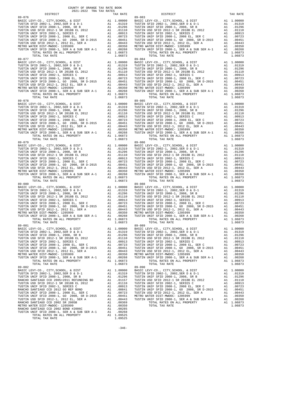| DISTRICT                                                                                                                                                                                    | TAX RATE              |                   |
|---------------------------------------------------------------------------------------------------------------------------------------------------------------------------------------------|-----------------------|-------------------|
| $89 - 076$                                                                                                                                                                                  |                       | $89 - 083$        |
|                                                                                                                                                                                             |                       |                   |
|                                                                                                                                                                                             |                       |                   |
|                                                                                                                                                                                             |                       |                   |
|                                                                                                                                                                                             |                       |                   |
|                                                                                                                                                                                             |                       |                   |
|                                                                                                                                                                                             |                       |                   |
|                                                                                                                                                                                             |                       |                   |
|                                                                                                                                                                                             |                       |                   |
|                                                                                                                                                                                             |                       |                   |
|                                                                                                                                                                                             | 1.06873               |                   |
| TOTAL TAX RATE                                                                                                                                                                              |                       |                   |
|                                                                                                                                                                                             |                       |                   |
|                                                                                                                                                                                             |                       |                   |
|                                                                                                                                                                                             |                       |                   |
|                                                                                                                                                                                             |                       |                   |
|                                                                                                                                                                                             |                       |                   |
|                                                                                                                                                                                             |                       |                   |
|                                                                                                                                                                                             |                       |                   |
|                                                                                                                                                                                             |                       |                   |
|                                                                                                                                                                                             |                       |                   |
|                                                                                                                                                                                             |                       |                   |
|                                                                                                                                                                                             |                       |                   |
|                                                                                                                                                                                             |                       |                   |
|                                                                                                                                                                                             |                       |                   |
|                                                                                                                                                                                             |                       |                   |
|                                                                                                                                                                                             |                       |                   |
|                                                                                                                                                                                             |                       |                   |
|                                                                                                                                                                                             |                       |                   |
|                                                                                                                                                                                             |                       |                   |
|                                                                                                                                                                                             |                       |                   |
|                                                                                                                                                                                             |                       |                   |
|                                                                                                                                                                                             |                       |                   |
|                                                                                                                                                                                             |                       |                   |
| $89 - 079$                                                                                                                                                                                  |                       | 89-086            |
|                                                                                                                                                                                             |                       |                   |
|                                                                                                                                                                                             |                       |                   |
|                                                                                                                                                                                             |                       |                   |
|                                                                                                                                                                                             |                       |                   |
|                                                                                                                                                                                             |                       |                   |
|                                                                                                                                                                                             |                       |                   |
|                                                                                                                                                                                             |                       |                   |
|                                                                                                                                                                                             |                       |                   |
|                                                                                                                                                                                             |                       |                   |
| TOTAL TAX RATE                                                                                                                                                                              | 1.06873               |                   |
| $89 - 080$                                                                                                                                                                                  |                       | 89-088            |
|                                                                                                                                                                                             |                       |                   |
|                                                                                                                                                                                             |                       |                   |
|                                                                                                                                                                                             |                       |                   |
|                                                                                                                                                                                             |                       |                   |
|                                                                                                                                                                                             |                       |                   |
|                                                                                                                                                                                             |                       |                   |
|                                                                                                                                                                                             |                       |                   |
|                                                                                                                                                                                             |                       |                   |
|                                                                                                                                                                                             |                       |                   |
|                                                                                                                                                                                             |                       |                   |
| TOTAL TAX RATE                                                                                                                                                                              | 1.06873               |                   |
| $89 - 081$                                                                                                                                                                                  |                       | 89-089            |
|                                                                                                                                                                                             |                       |                   |
|                                                                                                                                                                                             |                       |                   |
| TUSTIN USD SFID 2012-1 SR 2018B EL 2012                                                                                                                                                     | A1 .01110             | TUSTIN            |
| TUSTIN UNIF SFID 2002-1, SERIES C                                                                                                                                                           | A1.00913              | TUSTIN            |
| TUSTIN UNIF SFID 2008–1, SERUES C. SER C. 1997-1, 2008 EL, SER C. 1997-2008.<br>TUSTIN UNIF SFID 2008–1, 2008 EL, SER C. 11 190723<br>TUSTIN UNIF SFID 2008–1, GO. 2008, SR D-2015 A1 00451 |                       | TUSTIN            |
|                                                                                                                                                                                             |                       | TUSTIN            |
| TUSTIN USD SFID 2012-1, 2012 EL, SER A<br>METRO WATER DIST-MWDOC- 1205999                                                                                                                   | A1.00443<br>A1 .00350 | TUSTIN<br>METRO W |
| TUSTIN UNIF SFID 2008-1, SER A & SUB SER A-1 Al                                                                                                                                             | .00268                | TUSTIN            |
| TOTAL RATES ON ALL PROPERTY                                                                                                                                                                 | A1 1.06873            |                   |
| TOTAL TAX RATE                                                                                                                                                                              | 1.06873               |                   |
| $89 - 082$                                                                                                                                                                                  |                       | 89-090            |
| BASIC LEVY-CO., CITY, SCHOOL, & DIST                                                                                                                                                        | A1 1.00000            | BASIC L           |
|                                                                                                                                                                                             |                       |                   |
|                                                                                                                                                                                             |                       |                   |
|                                                                                                                                                                                             |                       |                   |
|                                                                                                                                                                                             |                       |                   |
|                                                                                                                                                                                             |                       |                   |
|                                                                                                                                                                                             |                       |                   |
|                                                                                                                                                                                             |                       |                   |
|                                                                                                                                                                                             |                       |                   |
|                                                                                                                                                                                             |                       |                   |
|                                                                                                                                                                                             | A1 .00285             |                   |
| TUSTIN UNIF SFID 2008-1, SER A & SUB SER A-1 $\overline{a}$ A1                                                                                                                              | .00268                |                   |
| TOTAL RATES ON ALL PROPERTY                                                                                                                                                                 | A1 1.09525            |                   |
| TOTAL TAX RATE                                                                                                                                                                              | 1.09525               |                   |

| COUNTY OF ORANGE TAX RATE BOOK<br>2021-2022 TRA TAX RATES |          |                                                                                                                                                                                                                                                                                                                                                                                                              |            |
|-----------------------------------------------------------|----------|--------------------------------------------------------------------------------------------------------------------------------------------------------------------------------------------------------------------------------------------------------------------------------------------------------------------------------------------------------------------------------------------------------------|------------|
| DISTRICT                                                  | TAX RATE | DISTRICT                                                                                                                                                                                                                                                                                                                                                                                                     | TAX RATE   |
|                                                           |          | $\begin{smallmatrix} \textbf{11} & \textbf{11} & \textbf{12} & \textbf{13} & \textbf{14} & \textbf{15} & \textbf{16} & \textbf{17} & \textbf{18} & \textbf{18} & \textbf{19} & \textbf{19} & \textbf{19} & \textbf{19} & \textbf{19} & \textbf{19} & \textbf{19} & \textbf{19} & \textbf{19} & \textbf{19} & \textbf{19} & \textbf{19} & \textbf{19} & \textbf{19} & \textbf{19} & \textbf{19} & \textbf{19$ |            |
|                                                           |          |                                                                                                                                                                                                                                                                                                                                                                                                              |            |
|                                                           |          |                                                                                                                                                                                                                                                                                                                                                                                                              |            |
|                                                           |          |                                                                                                                                                                                                                                                                                                                                                                                                              |            |
|                                                           |          |                                                                                                                                                                                                                                                                                                                                                                                                              |            |
|                                                           |          |                                                                                                                                                                                                                                                                                                                                                                                                              |            |
|                                                           |          |                                                                                                                                                                                                                                                                                                                                                                                                              |            |
|                                                           |          |                                                                                                                                                                                                                                                                                                                                                                                                              |            |
|                                                           |          |                                                                                                                                                                                                                                                                                                                                                                                                              |            |
|                                                           |          |                                                                                                                                                                                                                                                                                                                                                                                                              |            |
|                                                           |          |                                                                                                                                                                                                                                                                                                                                                                                                              |            |
|                                                           |          |                                                                                                                                                                                                                                                                                                                                                                                                              |            |
|                                                           |          |                                                                                                                                                                                                                                                                                                                                                                                                              |            |
|                                                           |          |                                                                                                                                                                                                                                                                                                                                                                                                              |            |
|                                                           |          |                                                                                                                                                                                                                                                                                                                                                                                                              |            |
|                                                           |          |                                                                                                                                                                                                                                                                                                                                                                                                              |            |
|                                                           |          |                                                                                                                                                                                                                                                                                                                                                                                                              |            |
|                                                           |          |                                                                                                                                                                                                                                                                                                                                                                                                              |            |
|                                                           |          |                                                                                                                                                                                                                                                                                                                                                                                                              |            |
|                                                           |          |                                                                                                                                                                                                                                                                                                                                                                                                              |            |
|                                                           |          |                                                                                                                                                                                                                                                                                                                                                                                                              |            |
|                                                           |          |                                                                                                                                                                                                                                                                                                                                                                                                              |            |
|                                                           |          |                                                                                                                                                                                                                                                                                                                                                                                                              |            |
|                                                           |          |                                                                                                                                                                                                                                                                                                                                                                                                              |            |
|                                                           |          |                                                                                                                                                                                                                                                                                                                                                                                                              |            |
|                                                           |          |                                                                                                                                                                                                                                                                                                                                                                                                              |            |
|                                                           |          |                                                                                                                                                                                                                                                                                                                                                                                                              |            |
|                                                           |          |                                                                                                                                                                                                                                                                                                                                                                                                              |            |
|                                                           |          |                                                                                                                                                                                                                                                                                                                                                                                                              |            |
|                                                           |          |                                                                                                                                                                                                                                                                                                                                                                                                              |            |
|                                                           |          |                                                                                                                                                                                                                                                                                                                                                                                                              |            |
|                                                           |          |                                                                                                                                                                                                                                                                                                                                                                                                              |            |
|                                                           |          |                                                                                                                                                                                                                                                                                                                                                                                                              |            |
|                                                           |          |                                                                                                                                                                                                                                                                                                                                                                                                              |            |
|                                                           |          |                                                                                                                                                                                                                                                                                                                                                                                                              |            |
|                                                           |          |                                                                                                                                                                                                                                                                                                                                                                                                              |            |
|                                                           |          |                                                                                                                                                                                                                                                                                                                                                                                                              |            |
|                                                           |          |                                                                                                                                                                                                                                                                                                                                                                                                              |            |
|                                                           |          |                                                                                                                                                                                                                                                                                                                                                                                                              |            |
|                                                           |          |                                                                                                                                                                                                                                                                                                                                                                                                              |            |
|                                                           |          |                                                                                                                                                                                                                                                                                                                                                                                                              |            |
|                                                           |          |                                                                                                                                                                                                                                                                                                                                                                                                              |            |
|                                                           |          |                                                                                                                                                                                                                                                                                                                                                                                                              |            |
|                                                           |          | BASIC LEVY-CO., CITY, SCHOOL, & DIST Al 1.00000 BASIC LEVY-CO., CITY, SCHOOL, & DIST                                                                                                                                                                                                                                                                                                                         | A1 1.00000 |
|                                                           |          |                                                                                                                                                                                                                                                                                                                                                                                                              |            |
|                                                           |          |                                                                                                                                                                                                                                                                                                                                                                                                              |            |
|                                                           |          |                                                                                                                                                                                                                                                                                                                                                                                                              |            |
|                                                           |          |                                                                                                                                                                                                                                                                                                                                                                                                              |            |
|                                                           |          |                                                                                                                                                                                                                                                                                                                                                                                                              |            |
|                                                           |          |                                                                                                                                                                                                                                                                                                                                                                                                              |            |
|                                                           |          |                                                                                                                                                                                                                                                                                                                                                                                                              |            |
|                                                           |          |                                                                                                                                                                                                                                                                                                                                                                                                              |            |
|                                                           |          |                                                                                                                                                                                                                                                                                                                                                                                                              |            |
|                                                           |          |                                                                                                                                                                                                                                                                                                                                                                                                              |            |
|                                                           |          |                                                                                                                                                                                                                                                                                                                                                                                                              |            |
|                                                           |          |                                                                                                                                                                                                                                                                                                                                                                                                              |            |
|                                                           |          |                                                                                                                                                                                                                                                                                                                                                                                                              |            |
|                                                           |          |                                                                                                                                                                                                                                                                                                                                                                                                              |            |
|                                                           |          |                                                                                                                                                                                                                                                                                                                                                                                                              |            |
|                                                           |          |                                                                                                                                                                                                                                                                                                                                                                                                              |            |
|                                                           |          |                                                                                                                                                                                                                                                                                                                                                                                                              |            |
|                                                           |          |                                                                                                                                                                                                                                                                                                                                                                                                              |            |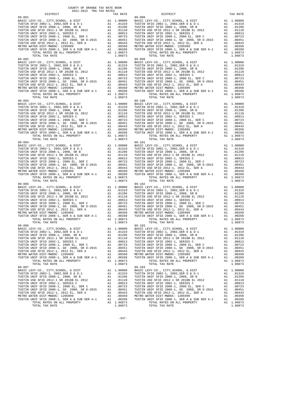| DISTRICT                                                                     |    | TAX RATE                                                   |                  |
|------------------------------------------------------------------------------|----|------------------------------------------------------------|------------------|
|                                                                              |    |                                                            |                  |
|                                                                              |    |                                                            |                  |
|                                                                              |    |                                                            |                  |
|                                                                              |    |                                                            |                  |
|                                                                              |    |                                                            |                  |
|                                                                              |    |                                                            |                  |
|                                                                              |    |                                                            |                  |
|                                                                              |    |                                                            |                  |
|                                                                              |    |                                                            |                  |
|                                                                              |    |                                                            |                  |
|                                                                              |    |                                                            |                  |
|                                                                              |    |                                                            |                  |
|                                                                              |    |                                                            |                  |
|                                                                              |    |                                                            |                  |
|                                                                              |    |                                                            |                  |
|                                                                              |    |                                                            |                  |
|                                                                              |    |                                                            |                  |
|                                                                              |    |                                                            |                  |
|                                                                              |    |                                                            |                  |
|                                                                              |    |                                                            |                  |
|                                                                              |    |                                                            |                  |
|                                                                              |    |                                                            |                  |
|                                                                              |    |                                                            |                  |
|                                                                              |    |                                                            |                  |
|                                                                              |    |                                                            |                  |
|                                                                              |    |                                                            |                  |
|                                                                              |    |                                                            |                  |
|                                                                              |    |                                                            |                  |
|                                                                              |    |                                                            |                  |
|                                                                              |    |                                                            |                  |
|                                                                              |    |                                                            |                  |
|                                                                              |    |                                                            |                  |
|                                                                              |    |                                                            |                  |
|                                                                              |    |                                                            |                  |
|                                                                              |    |                                                            |                  |
| $89 - 094$                                                                   |    |                                                            |                  |
|                                                                              |    |                                                            | 89-101           |
|                                                                              |    |                                                            |                  |
|                                                                              |    |                                                            |                  |
|                                                                              |    |                                                            |                  |
|                                                                              |    |                                                            |                  |
|                                                                              |    |                                                            |                  |
|                                                                              |    |                                                            |                  |
|                                                                              |    |                                                            |                  |
|                                                                              |    |                                                            |                  |
|                                                                              |    |                                                            |                  |
| TOTAL TAX RATE                                                               |    | 1.06873                                                    |                  |
| $89 - 095$                                                                   |    |                                                            | 89-102           |
|                                                                              |    |                                                            |                  |
|                                                                              |    |                                                            |                  |
|                                                                              |    |                                                            |                  |
|                                                                              |    |                                                            |                  |
|                                                                              |    |                                                            |                  |
|                                                                              |    |                                                            |                  |
|                                                                              |    |                                                            |                  |
|                                                                              |    |                                                            |                  |
|                                                                              |    |                                                            |                  |
|                                                                              |    |                                                            |                  |
| TOTAL TAX RATE                                                               |    | 1.06873                                                    |                  |
| $89 - 096$                                                                   |    |                                                            | $89 - 103$       |
|                                                                              |    |                                                            |                  |
|                                                                              |    |                                                            |                  |
|                                                                              |    |                                                            |                  |
| TUSTIN USD SFID 2012-1 SR 2018B EL 2012                                      | A1 | .01110                                                     | TUSTIN           |
| TUSTIN UNIF SFID 2002-1, SERIES C<br>TUSTIN UNIF SFID 2008-1, 2008 EL, SER C | A1 | .00913                                                     | TUSTIN           |
| TUSTIN UNIF SFID 2008-1, GO 2008, SR D-2015 A1 .00451                        |    | A1 .00723                                                  | TUSTIN<br>TUSTIN |
| TUSTIN USD SFID 2012-1, 2012 EL, SER A                                       | A1 | .00443                                                     | TUSTIN           |
| METRO WATER DIST-MWDOC- 1205999                                              | A1 | .00350                                                     | METRO W          |
| TUSTIN UNIF SFID 2008-1, SER A & SUB SER A-1 A1                              |    | .00268                                                     | TUSTIN           |
| TOTAL RATES ON ALL PROPERTY                                                  |    | A1 1.06873                                                 |                  |
| TOTAL TAX RATE                                                               |    | 1.06873                                                    |                  |
| $89 - 097$                                                                   |    |                                                            | $89 - 104$       |
| BASIC LEVY-CO., CITY, SCHOOL, & DIST                                         | A1 | 1.00000                                                    | BASIC L          |
| TUSTIN SFID 2002-1, 2002, SER D & D-1                                        |    | A1 .01319                                                  | TUSTIN           |
| TUSTIN UNIF SFID 2008-1, 2008, SR B                                          |    | .01296<br>A1 .01110<br>A1 .00913<br>A1 .00723<br>A1 .00451 | TUSTIN           |
| TUSTIN USD SFID 2012-1 SR 2018B EL 2012                                      |    |                                                            | TUSTIN           |
| TUSTIN UNIF SFID 2002-1, SERIES C<br>TUSTIN UNIF SFID 2008-1, 2008 EL, SER C |    |                                                            | TUSTIN<br>TUSTIN |
| TUSTIN UNIF SFID 2008-1, GO 2008, SR D-2015                                  |    |                                                            | TUSTIN           |
| TUSTIN USD SFID 2012-1, 2012 EL, SER A                                       |    | A1 .00443                                                  | TUSTIN           |
| METRO WATER DIST-MWDOC- 1205999                                              |    | A1.00350                                                   | METRO W          |
| TUSTIN UNIF SFID 2008-1, SER A & SUB SER A-1                                 | A1 | .00268                                                     | TUSTIN           |
| TOTAL RATES ON ALL PROPERTY                                                  |    | A1 1.06873                                                 |                  |
| TOTAL TAX RATE                                                               |    | 1.06873                                                    |                  |

| COUNTY OF ORANGE TAX RATE BOOK<br>2021-2022 TRA TAX RATES |          |                                                                                                                                                                                                                                                                                                                                                                                                                          |            |
|-----------------------------------------------------------|----------|--------------------------------------------------------------------------------------------------------------------------------------------------------------------------------------------------------------------------------------------------------------------------------------------------------------------------------------------------------------------------------------------------------------------------|------------|
| DISTRICT                                                  | TAX RATE | DISTRICT                                                                                                                                                                                                                                                                                                                                                                                                                 | TAX RATE   |
|                                                           |          |                                                                                                                                                                                                                                                                                                                                                                                                                          |            |
|                                                           |          | $\begin{smallmatrix} \mathbf{1}_{31} & \mathbf{1}_{32} & \mathbf{1}_{33} & \mathbf{1}_{34} & \mathbf{1}_{35} & \mathbf{1}_{36} & \mathbf{1}_{37} & \mathbf{1}_{38} & \mathbf{1}_{39} & \mathbf{1}_{30} & \mathbf{1}_{30} & \mathbf{1}_{30} & \mathbf{1}_{30} & \mathbf{1}_{30} & \mathbf{1}_{30} & \mathbf{1}_{30} & \mathbf{1}_{30} & \mathbf{1}_{30} & \mathbf{1}_{30} & \mathbf{1}_{30} & \mathbf{1}_{30} & \mathbf{$ |            |
|                                                           |          |                                                                                                                                                                                                                                                                                                                                                                                                                          |            |
|                                                           |          |                                                                                                                                                                                                                                                                                                                                                                                                                          |            |
|                                                           |          |                                                                                                                                                                                                                                                                                                                                                                                                                          |            |
| $89 - 097$                                                |          | BASIC LEVY-CO., CITY, SCHOOL, & DIST Al 1.00000 BASIC LEVY-CO., CITY, SCHOOL, & DIST<br>$89 - 104$                                                                                                                                                                                                                                                                                                                       | A1 1.00000 |
| TOTAL TAX RATE                                            | 1.06873  | TOTAL TAX RATE                                                                                                                                                                                                                                                                                                                                                                                                           | 1.06873    |

 $-347-$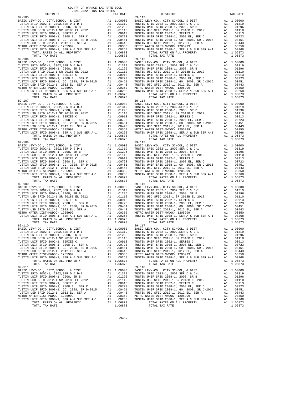| DISTRICT                                                               |    | TAX RATE                            |            |
|------------------------------------------------------------------------|----|-------------------------------------|------------|
| 89-105                                                                 |    |                                     | 89-112     |
|                                                                        |    |                                     |            |
|                                                                        |    |                                     |            |
|                                                                        |    |                                     |            |
|                                                                        |    |                                     |            |
|                                                                        |    |                                     |            |
|                                                                        |    |                                     |            |
|                                                                        |    |                                     |            |
|                                                                        |    |                                     |            |
|                                                                        |    |                                     |            |
|                                                                        |    |                                     |            |
|                                                                        |    |                                     |            |
|                                                                        |    |                                     |            |
| TOTAL TAX RATE                                                         |    | 1.06873                             |            |
| $89 - 106$                                                             |    |                                     | $89 - 113$ |
|                                                                        |    |                                     |            |
|                                                                        |    |                                     |            |
|                                                                        |    |                                     |            |
|                                                                        |    |                                     |            |
|                                                                        |    |                                     |            |
|                                                                        |    |                                     |            |
|                                                                        |    |                                     |            |
|                                                                        |    |                                     |            |
|                                                                        |    |                                     |            |
|                                                                        |    |                                     |            |
|                                                                        |    |                                     |            |
| TOTAL TAX RATE                                                         |    | 1.06873                             |            |
|                                                                        |    |                                     |            |
|                                                                        |    |                                     |            |
|                                                                        |    |                                     |            |
|                                                                        |    |                                     |            |
|                                                                        |    |                                     |            |
|                                                                        |    |                                     |            |
|                                                                        |    |                                     |            |
|                                                                        |    |                                     |            |
|                                                                        |    |                                     |            |
|                                                                        |    |                                     |            |
|                                                                        |    |                                     |            |
|                                                                        |    |                                     |            |
|                                                                        |    |                                     |            |
|                                                                        |    |                                     |            |
|                                                                        |    |                                     |            |
|                                                                        |    |                                     |            |
|                                                                        |    |                                     |            |
|                                                                        |    |                                     |            |
|                                                                        |    |                                     |            |
|                                                                        |    |                                     |            |
|                                                                        |    |                                     |            |
|                                                                        |    |                                     |            |
|                                                                        |    |                                     |            |
|                                                                        |    |                                     |            |
|                                                                        |    |                                     |            |
|                                                                        |    |                                     |            |
|                                                                        |    |                                     |            |
|                                                                        |    |                                     |            |
|                                                                        |    |                                     |            |
|                                                                        |    |                                     |            |
|                                                                        |    |                                     |            |
|                                                                        |    |                                     |            |
|                                                                        |    |                                     |            |
|                                                                        |    |                                     |            |
|                                                                        |    |                                     |            |
|                                                                        |    |                                     |            |
|                                                                        |    |                                     |            |
|                                                                        |    |                                     |            |
|                                                                        |    |                                     |            |
|                                                                        |    |                                     |            |
|                                                                        |    |                                     |            |
|                                                                        |    |                                     |            |
|                                                                        |    |                                     |            |
|                                                                        |    |                                     |            |
|                                                                        |    |                                     |            |
|                                                                        |    |                                     |            |
| TUSTIN USD SFID 2012-1 SR 2018B EL 2012                                | A1 | .01110                              | TUSTIN     |
| TUSTIN UNIF SFID 2002-1, SERIES C                                      | A1 | .00913                              | TUSTIN     |
| TUSTIN UNIF SFID 2008-1, 2008 EL, SER C                                | A1 | .00723                              | TUSTIN     |
| TUSTIN UNIF SFID 2008-1, GO 2008, SR D-2015                            | A1 | .00451                              | TUSTIN     |
|                                                                        |    |                                     | TUSTIN     |
| TUSTIN USD SFID 2012-1, 2012 EL, SER A METRO WATER DIST-MWDOC- 1205999 |    | A1 .00443                           |            |
|                                                                        |    | A1 .00350                           | METRO W    |
| TUSTIN UNIF SFID 2008-1, SER A & SUB SER A-1                           | A1 | .00268                              | TUSTIN     |
| TOTAL RATES ON ALL PROPERTY                                            |    | A1 1.06873                          |            |
| TOTAL TAX RATE                                                         |    | 1.06873                             |            |
| 89-111                                                                 |    |                                     | 89-118     |
| BASIC LEVY-CO., CITY, SCHOOL, & DIST                                   |    | A1 1.00000                          | BASIC L    |
| TUSTIN SFID 2002-1, 2002, SER D & D-1                                  | A1 | .01319                              | TUSTIN     |
| TUSTIN UNIF SFID 2008-1, 2008, SR B                                    | A1 | .01296                              | TUSTIN     |
| TUSTIN USD SFID 2012-1 SR 2018B EL 2012                                |    | A1 .01110                           | TUSTIN     |
| TUSTIN UNIF SFID 2002-1, SERIES C                                      |    | A1 .00913                           | TUSTIN     |
| TUSTIN UNIF SFID 2008-1, 2008 EL, SER C                                |    |                                     | TUSTIN     |
| TUSTIN UNIF SFID 2008-1, GO 2008, SR D-2015                            |    | A1 .00723<br>A1 .00451<br>A1 .00443 | TUSTIN     |
| TUSTIN USD SFID 2012-1, 2012 EL, SER A                                 |    |                                     | TUSTIN     |
| METRO WATER DIST-MWDOC- 1205999                                        |    |                                     |            |
|                                                                        |    | A1 .00350<br>A1 .00268              | METRO W    |
| TUSTIN UNIF SFID 2008-1, SER A & SUB SER A-1                           |    | .00268                              | TUSTIN     |
| TOTAL RATES ON ALL PROPERTY                                            |    | A1 1.06873                          |            |
| TOTAL TAX RATE                                                         |    | 1.06873                             |            |

| DISTRICT<br>TAX RATE                                                                                                                                                                                                                       |         | DISTRICT       | TAX RATE |
|--------------------------------------------------------------------------------------------------------------------------------------------------------------------------------------------------------------------------------------------|---------|----------------|----------|
|                                                                                                                                                                                                                                            |         |                |          |
|                                                                                                                                                                                                                                            |         |                |          |
|                                                                                                                                                                                                                                            |         |                |          |
|                                                                                                                                                                                                                                            |         |                |          |
|                                                                                                                                                                                                                                            |         |                |          |
|                                                                                                                                                                                                                                            |         |                |          |
|                                                                                                                                                                                                                                            |         |                |          |
|                                                                                                                                                                                                                                            |         |                |          |
|                                                                                                                                                                                                                                            |         |                |          |
|                                                                                                                                                                                                                                            |         |                |          |
|                                                                                                                                                                                                                                            |         |                |          |
|                                                                                                                                                                                                                                            |         |                |          |
|                                                                                                                                                                                                                                            |         |                |          |
|                                                                                                                                                                                                                                            |         |                |          |
|                                                                                                                                                                                                                                            |         |                |          |
|                                                                                                                                                                                                                                            |         |                |          |
|                                                                                                                                                                                                                                            |         |                |          |
|                                                                                                                                                                                                                                            |         |                |          |
|                                                                                                                                                                                                                                            |         |                |          |
|                                                                                                                                                                                                                                            |         |                |          |
|                                                                                                                                                                                                                                            |         |                |          |
|                                                                                                                                                                                                                                            |         |                |          |
|                                                                                                                                                                                                                                            |         |                |          |
|                                                                                                                                                                                                                                            |         |                |          |
|                                                                                                                                                                                                                                            |         |                |          |
|                                                                                                                                                                                                                                            |         |                |          |
|                                                                                                                                                                                                                                            |         |                |          |
|                                                                                                                                                                                                                                            |         |                |          |
|                                                                                                                                                                                                                                            |         |                |          |
|                                                                                                                                                                                                                                            |         |                |          |
|                                                                                                                                                                                                                                            |         |                |          |
|                                                                                                                                                                                                                                            |         |                |          |
|                                                                                                                                                                                                                                            |         |                |          |
|                                                                                                                                                                                                                                            |         |                |          |
|                                                                                                                                                                                                                                            |         |                |          |
|                                                                                                                                                                                                                                            |         |                |          |
|                                                                                                                                                                                                                                            |         |                |          |
|                                                                                                                                                                                                                                            |         |                |          |
|                                                                                                                                                                                                                                            |         |                |          |
|                                                                                                                                                                                                                                            |         |                |          |
|                                                                                                                                                                                                                                            |         |                |          |
|                                                                                                                                                                                                                                            |         |                |          |
|                                                                                                                                                                                                                                            |         |                |          |
|                                                                                                                                                                                                                                            |         |                |          |
|                                                                                                                                                                                                                                            |         |                |          |
|                                                                                                                                                                                                                                            |         |                |          |
|                                                                                                                                                                                                                                            |         |                |          |
|                                                                                                                                                                                                                                            |         |                |          |
|                                                                                                                                                                                                                                            |         |                |          |
|                                                                                                                                                                                                                                            |         |                |          |
|                                                                                                                                                                                                                                            |         |                |          |
|                                                                                                                                                                                                                                            |         |                |          |
|                                                                                                                                                                                                                                            |         |                |          |
|                                                                                                                                                                                                                                            |         |                |          |
|                                                                                                                                                                                                                                            |         |                |          |
|                                                                                                                                                                                                                                            |         |                |          |
|                                                                                                                                                                                                                                            |         |                |          |
|                                                                                                                                                                                                                                            |         |                |          |
|                                                                                                                                                                                                                                            |         |                |          |
|                                                                                                                                                                                                                                            |         |                |          |
| METRO WATER DIST-MWDOC-1205999<br>TUSTIN UNIF SFID 2008-1, SER A & SUB SER A-1<br>TUSTIN UNIF SFID 2008-1, SER A & SUB SER A-1<br>TUSTIN UNIF SFID 2008-1, SER A & SUB SER A-1<br>20068<br>TOTAL FROPERTY<br>TOTAL TAY BATES ON ALL PROPER |         |                |          |
| TOTAL TAX RATE                                                                                                                                                                                                                             | 1.06873 | TOTAL TAX RATE | 1.06873  |
| 89-111                                                                                                                                                                                                                                     |         | $89 - 118$     |          |
|                                                                                                                                                                                                                                            |         |                |          |
|                                                                                                                                                                                                                                            |         |                |          |
|                                                                                                                                                                                                                                            |         |                |          |
|                                                                                                                                                                                                                                            |         |                |          |
|                                                                                                                                                                                                                                            |         |                |          |
|                                                                                                                                                                                                                                            |         |                |          |
|                                                                                                                                                                                                                                            |         |                |          |
|                                                                                                                                                                                                                                            |         |                |          |
|                                                                                                                                                                                                                                            |         |                |          |
| TOTAL TAX RATE                                                                                                                                                                                                                             | 1.06873 | TOTAL TAX RATE | 1.06873  |
|                                                                                                                                                                                                                                            |         |                |          |

 $-348-$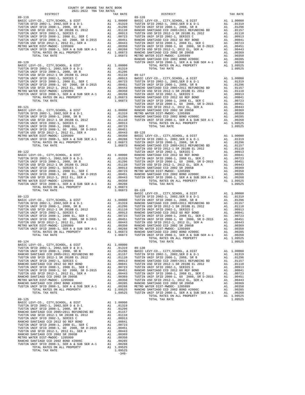| COUNTY OF ORANGE TAX RATE BOOK<br>2021-2022 TRA TAX RATES |                                    |                 |          |
|-----------------------------------------------------------|------------------------------------|-----------------|----------|
| DISTRICT                                                  | TAX RATE                           | <b>DISTRICT</b> | TAX RATE |
|                                                           |                                    |                 |          |
|                                                           |                                    |                 |          |
|                                                           |                                    |                 |          |
|                                                           |                                    |                 |          |
|                                                           |                                    |                 |          |
|                                                           |                                    |                 |          |
|                                                           |                                    |                 |          |
|                                                           |                                    |                 |          |
|                                                           |                                    |                 |          |
|                                                           |                                    |                 |          |
|                                                           |                                    |                 |          |
|                                                           |                                    |                 |          |
|                                                           |                                    |                 |          |
|                                                           |                                    |                 |          |
|                                                           |                                    |                 |          |
|                                                           |                                    |                 |          |
|                                                           |                                    |                 |          |
|                                                           |                                    |                 |          |
|                                                           |                                    |                 |          |
|                                                           |                                    |                 |          |
|                                                           |                                    |                 |          |
|                                                           |                                    |                 |          |
|                                                           |                                    |                 |          |
|                                                           |                                    |                 |          |
|                                                           |                                    |                 |          |
|                                                           |                                    |                 |          |
|                                                           |                                    |                 |          |
|                                                           |                                    |                 |          |
|                                                           |                                    |                 |          |
|                                                           |                                    |                 |          |
|                                                           |                                    |                 |          |
|                                                           |                                    |                 |          |
|                                                           |                                    |                 |          |
|                                                           |                                    |                 |          |
|                                                           |                                    |                 |          |
|                                                           |                                    |                 |          |
|                                                           |                                    |                 |          |
|                                                           |                                    |                 |          |
|                                                           |                                    |                 |          |
|                                                           |                                    |                 |          |
|                                                           |                                    |                 |          |
|                                                           |                                    |                 |          |
|                                                           |                                    |                 |          |
|                                                           |                                    |                 |          |
|                                                           |                                    |                 |          |
|                                                           |                                    |                 |          |
|                                                           |                                    |                 |          |
|                                                           |                                    |                 |          |
| TOTAL RATES ON ALL PROPERTY<br>TOTAL TAX RATE             | $ALM - 1$ $AL = 1.06873$ $1.06873$ |                 |          |
|                                                           |                                    |                 |          |
|                                                           |                                    |                 |          |
|                                                           |                                    |                 |          |
|                                                           |                                    |                 |          |
|                                                           |                                    |                 |          |
|                                                           |                                    |                 |          |
|                                                           |                                    |                 |          |
|                                                           |                                    |                 |          |
|                                                           |                                    |                 |          |
|                                                           |                                    |                 |          |
|                                                           |                                    |                 |          |
|                                                           |                                    |                 |          |
|                                                           |                                    |                 |          |
|                                                           |                                    |                 |          |
|                                                           |                                    |                 |          |
|                                                           |                                    |                 |          |
|                                                           |                                    |                 |          |
|                                                           |                                    |                 |          |
|                                                           |                                    |                 |          |
|                                                           |                                    |                 |          |
|                                                           |                                    |                 |          |
|                                                           |                                    |                 |          |
|                                                           |                                    |                 |          |
|                                                           |                                    |                 |          |
|                                                           |                                    |                 |          |
|                                                           |                                    |                 |          |
|                                                           | $-349-$                            |                 |          |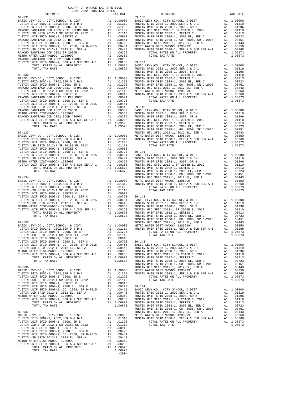DISTRICT TAX RATE DISTRICT TAX RATE 89-131 89-138 BASIC LEVY-CO., CITY, SCHOOL, & DIST<br>TUSTIN SFID 2002-1, 2002, SER D & DIST MODEL ALL 20000 BASIC LEVY-CO., CITY, SCHOOL, & DIST ALL 20000<br>TUSTIN UNIF SFID 2008-1, 2008, SR B ALL 201296 TUSTIN UNIF SFID 2008-1, 2008, SR B 10913, TUSTIN USD SFID 2012-1 SR 2018B EL 2012<br>TUSTIN UNIF SFID 2002-1, 2008 EL, 2008 EL, 2008 PUSTIN UNIF SFID 2002-1, 2008 EL, SER CALL 1, 200923<br>RANCHO SANTIAGO CCD 2012 GO REF BOND AL 100841 TUSTIN UNIF SFID 2008-1, GO TUSTIN UNIF SFID 2008-1, 2008 EL, SER CA1 .00723 TUSTIN USD SFID 2012-1, 2012 EL, SER AN 1 .00443<br>TUSTIN UNIF SFID 2008-1, GO 2008, SR D-2015 A1 .00451 METRO WATER DIST-MWDOC-1205999<br>TUSTIN USD SFID 2012-1, 2012 EL, SER AN METRO WATER DIST-MWDOC- 1205999 A1 .00350 TOTAL TAX RATE 1.06873 RANCHO SANTIAGO CCD 2002 BOND #2006C A1 .00285 TUSTIN UNIF SFID 2008-1, SER A & SUB SER A-1 A1 .00268 89-139 TOTAL RATES ON ALL PROPERTY  $1.09525\begin{tabular}{lcl} D10000&\multicolumn{1}{c}{\textbf{A1}}&\multicolumn{1}{c}{\textbf{A2}}&\multicolumn{1}{c}{\textbf{A3}}&\multicolumn{1}{c}{\textbf{A4}}&\multicolumn{1}{c}{\textbf{A5}}&\multicolumn{1}{c}{\textbf{A6}}&\multicolumn{1}{c}{\textbf{A7}}&\multicolumn{1}{c}{\textbf{A8}}&\multicolumn{1}{c}{\textbf{A9}}&\multicolumn{1}{c}{\textbf{A1}}&$  BASIC LEVY-CO., CITY,SCHOOL, & DIST A1 1.00000 TUSTIN UNIF SFID 2002-1, SERIES C A1 .00913 TUSTIN SFID 2002-1, 2002,SER D & D-1 A1 .01319 TUSTIN UNIF SFID 2008-1, 2008 EL, SER C A1 .00723 TUSTIN UNIF SFID 2008-1, 2008, SR B A1 .01296 TUSTIN UNIF SFID 2008-1, GO 2008, SR D-2015 A1 .00451 RANCHO SANTIAGO CCD 2005+2011 REFUNDING BD A1 .01157 TUSTIN USD SFID 2012-1, 2012 EL, SER A A1 .00443 TUSTIN USD SFID 2012-1 SR 2018B EL 2012 A1 .01110 METRO WATER DIST-MWDOC- 1205999 A1 .00350 TUSTIN UNIF SFID 2002-1, SERIES C A1 .00913 TUSTIN UNIF SFID 2008-1, SER A & SUB SER A-1 A1 .00268 RANCHO SANTIAGO CCD 2012 GO REF BOND A1 .00841 TOTAL RATES ON ALL PROPERTY A1 1.06873 TUSTIN UNIF SFID 2008-1, 2008 EL, SER C A1 .00723 TOTAL TAX RATE 1.06873 TUSTIN UNIF SFID 2008-1, GO 2008, SR D-2015 A1 .00451 TUSTIN USD SFID 2012-1, 2012 EL, SER A A1 .00443 89-140 RANCHO SANTIAGO CCD 2002 SR 2005B A1 .00369 BASIC LEVY-CO., CITY,SCHOOL, & DIST A1 1.00000 METRO WATER DIST-MWDOC- 1205999 A1 .00350 TUSTIN SFID 2002-1, 2002,SER D & D-1 A1 .01319 RANCHO SANTIAGO CCD 2002 BOND #2006C A1 .00285 TUSTIN UNIF SFID 2008-1, 2008, SR B A1 .01296 TUSTIN UNIF SFID 2008-1, SER A & SUB SER A-1 A1 .00268 TUSTIN USD SFID 2012-1 SR 2018B EL 2012 A1 .01110 TOTAL RATES ON ALL PROPERTY A1 1.09525 TUSTIN UNIF SFID 2002-1, SERIES C A1 .00913 TOTAL TAX RATE 1.09525 TUSTIN UNIF SFID 2008-1, 2008 EL, SER C A1 .00723 TUSTIN UNIF SFID 2008-1, GO 2008, SR D-2015 A1 .00451 89-133 TUSTIN USD SFID 2012-1, 2012 EL, SER A A1 .00443 BASIC LEVY-CO., CITY,SCHOOL, & DIST A1 1.00000 METRO WATER DIST-MWDOC- 1205999 A1 .00350 TUSTIN SFID 2002-1, 2002,SER D & D-1 A1 .01319 TUSTIN UNIF SFID 2008-1, SER A & SUB SER A-1 A1 .00268 TUSTIN UNIF SFID 2008-1, 2008, SR B A1 .01296 TOTAL RATES ON ALL PROPERTY A1 1.06873 TUSTIN USD SFID 2012-1 SR 2018B EL 2012 A1 .01110 TOTAL TAX RATE 1.06873 TUSTIN UNIF SFID 2002-1, SERIES C A1 .00913 TUSTIN UNIF SFID 2008-1, 2008 EL, SER C A1 .00723 89-141 TUSTIN UNIF SFID 2008-1, GO 2008, SR D-2015 A1 .00451 BASIC LEVY-CO., CITY,SCHOOL, & DIST A1 1.00000 TUSTIN USD SFID 2012-1, 2012 EL, SER A A1 .00443 TUSTIN SFID 2002-1, 2002,SER D & D-1 A1 .01319 METRO WATER DIST-MWDOC- 1205999 A1 .00350 TUSTIN UNIF SFID 2008-1, 2008, SR B A1 .01296 TUSTIN UNIF SFID 2008-1, SER A & SUB SER A-1 A1 .00268 TUSTIN USD SFID 2012-1 SR 2018B EL 2012 A1 .01110 TOTAL RATES ON ALL PROPERTY A1 1.06873 TUSTIN UNIF SFID 2002-1, SERIES C A1 .00913 TOTAL TAX RATE 1.06873 TUSTIN UNIF SFID 2008-1, 2008 EL, SER C A1 .00723 TUSTIN UNIF SFID 2008-1, GO 2008, SR D-2015 A1 .00451 89-134 TUSTIN USD SFID 2012-1, 2012 EL, SER A A1 .00443 100350 BASIC LEVY-CO., CITY, SCHOOL, & DIST<br>TUSTIN SFID 2002-1, 2002, SER D & DISTON TO A1 1.00000 METRO WATER DIST-MWDOC- 1205999 A1 .00268<br>TUSTIN UNIF SFID 2008-1, 2008, SR B A1 .01296 .01296 TOTAL RATES ON ALL PROPERTY TUSTIN USD SFID 2012-1 SR 2018B EL 2012 A1 .01110 TOTAL TAX RATE 1.06873 TUSTIN UNIF SFID 2002-1, SERIES C A1 .00913 TUSTIN UNIF SFID 2008-1, 2008 EL, SER C A1 .00723 89-142  $\begin{tabular}{lcccc} TUSTIN~UNIF & SFID & 2008-1, & GO & 2008, SR & D-2015 & & A1 & .00451 & BASIC LEVY-CO., CITY, SCHOOL, & & DIST & & A1 & 1.00000 \\ TUSTIN~USD SFID & 2012-1, & 2012 & EL, SER & A & & & 100443 & TUSTIN SFD & 2002-1, & 2008, DR & D-1 & & A1 & .01319 \\ METRO WATER DIST-T-MYDOC- 1205999 & & & A1 & .00350 & TUSTIN~UNIF SFID & 200$ 103114 UNIF SFID 2008-1, 2008 EL, SER C<br/>P 2015 TUSTIN UNIF SFID 2008-1, GO 2008, SR D-2015 Al .00461 TUSTIN USD SFID 2012-1, 2012 EL, SER A<br/>A $\,$  A1 .00461 METRO WATER DIST-MWDOC-1205999 A1 .00350 TUSTIN UNIF SFID 89–135 (1997) TUST MINUTED SER A LOAGE (1997) TUST AS THE 2012 TO MALL ASSETS AND DRIVER DIST MED STOLE AND STO<br>TUSTIN SFID 2002–1, 2002,SER D & D-1 (1999) A1 1.00000 METRO WATER DIST-MWDOC- 1205999 A1 .00350<br>TUSTIN UNIF S TUSTIN UNIF SFID 2002-1, SERIES C A1 .00913 TUSTIN UNIF SFID 2008-1, 2008 EL, SER C A1 .00723 89-143  $\begin{tabular}{c|c|c|c|c} TUSTIN UNIF SFID 2008-1, GO 2008, SR D-2015 & A1 & .00451 & BASIC LEVY-CO., CITY, SCHOOD., & DISTT IN STD 2012-1 & A1 & 1.00000 \\ TUSTIN USIED 2012-1, 2012EL, SER A & SUB SER A-1 & .00454 & TUSTIN SVIF SD 2002-1, 2008, SR B & A1 & .011919 \\ TUSTIN UNIF SFID 2008-1, SER A & SUB SER A-1 & A1 & .00268 & TUSTIN UNIF SFD 2012$  TUSTIN UNIF SFID 2002-1, SERIES C A1 .00913 TUSTIN UNIF SFID 2008-1, 2008 EL, SER C A1 .00723 89-144  $\begin{tabular}{c|c|c|c|c} TUSTIN UNIF SFID 2008-1, GO 2008, SR D-2015 & A1 & .00451 & BASIC LEVY-CO., CITY, SCHOOL, & DISTT & A1 & 1.00000 \\ TUSTIN USD STID 2012-1, 2012 EL, SER A & A1 & .00443 & TUSTIN STID 2002-1, 2002, SER D & A1 & .01319 \\ METRO WATER DSTITN UNIF SFID 2008-1, SER A & SUB SER A-1 & A1 & .00453 & TUSTIN UNIF SFD 2002-1, 2018 BEL$  TUSTIN UNIF SFID 2008-1, 2008, SR B A1 .01296 TOTAL RATES ON ALL PROPERTY A1 1.06873 TUSTIN USD SFID 2012-1 SR 2018B EL 2012 A1 .01110 TOTAL TAX RATE 1.06873 TUSTIN UNIF SFID 2002-1, SERIES C A1 .00913 TUSTIN UNIF SFID 2008-1, 2008 EL, SER C A1 .00723 TUSTIN UNIF SFID 2008-1, GO 2008, SR D-2015 A1 .00451 TUSTIN USD SFID 2012-1, 2012 EL, SER A A1 .00443 METRO WATER DIST-MWDOC- 1205999 A1 .00350 TUSTIN UNIF SFID 2008-1, SER A & SUB SER A-1 A1 .00268 TOTAL RATES ON ALL PROPERTY A1 1.06873 TOTAL TAX RATE 1.06873 -350-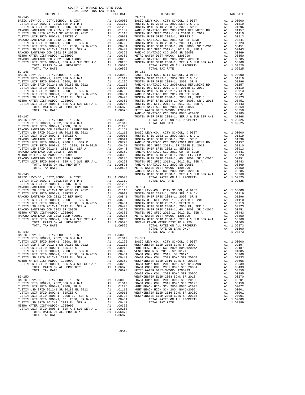| COUNTY OF ORANGE TAX RATE BOOK<br>2021-2022 TRA TAX RATES |          |                |          |
|-----------------------------------------------------------|----------|----------------|----------|
| DISTRICT                                                  | TAX RATE | DISTRICT       | TAX RATE |
|                                                           |          |                |          |
|                                                           |          |                |          |
|                                                           |          |                |          |
|                                                           |          |                |          |
|                                                           |          |                |          |
|                                                           |          |                |          |
|                                                           |          |                |          |
|                                                           |          |                |          |
|                                                           |          |                |          |
|                                                           |          |                |          |
|                                                           |          |                |          |
|                                                           |          |                |          |
|                                                           |          |                |          |
|                                                           |          |                |          |
|                                                           |          |                |          |
|                                                           |          |                |          |
|                                                           |          |                |          |
|                                                           |          |                |          |
|                                                           |          |                |          |
|                                                           |          |                |          |
|                                                           |          |                |          |
|                                                           |          |                |          |
|                                                           |          |                |          |
|                                                           |          |                |          |
|                                                           |          |                |          |
|                                                           |          |                |          |
|                                                           |          |                |          |
|                                                           |          |                |          |
|                                                           |          |                |          |
|                                                           |          |                |          |
|                                                           |          |                |          |
|                                                           |          |                |          |
|                                                           |          |                |          |
|                                                           |          |                |          |
|                                                           |          |                |          |
|                                                           |          |                |          |
|                                                           |          |                |          |
|                                                           |          |                |          |
|                                                           |          |                |          |
|                                                           |          |                |          |
|                                                           |          |                |          |
|                                                           |          |                |          |
|                                                           |          |                |          |
|                                                           |          |                |          |
|                                                           |          |                |          |
|                                                           |          |                |          |
|                                                           |          |                |          |
|                                                           |          |                |          |
|                                                           |          |                |          |
|                                                           |          |                |          |
|                                                           |          |                |          |
|                                                           |          |                |          |
| 89-149                                                    |          | TOTAL TAX RATE | 1.08373  |
|                                                           |          |                |          |
|                                                           |          |                |          |
|                                                           |          |                |          |
|                                                           |          |                |          |
|                                                           |          |                |          |
|                                                           |          |                |          |
|                                                           |          |                |          |
|                                                           |          |                |          |
|                                                           |          |                |          |
|                                                           |          |                |          |
|                                                           |          |                |          |
|                                                           |          |                |          |
|                                                           |          |                |          |
|                                                           |          |                |          |
|                                                           |          |                |          |
|                                                           |          |                |          |
|                                                           |          |                |          |
|                                                           |          |                |          |
|                                                           |          |                |          |
|                                                           |          |                |          |
|                                                           |          |                |          |

-351-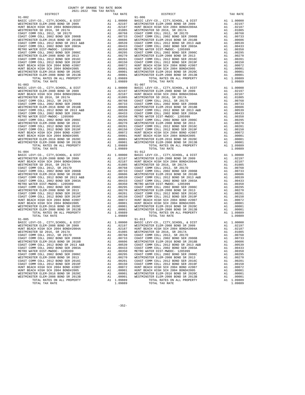| WESTMINSTER ELEM-2008 BOND SR 2009                                                                               |               |                         | $\begin{tabular}{cc} {\bf A1} & .02197 & {\bf WESTMIN} \\ {\bf A1} & .01085 & {\bf HINT BBE} \\ {\bf A1} & .01085 & {\bf WESTMIN} \\ {\bf A1} & .00768 & {\bf COAST C} \\ {\bf A1} & .00733 & {\bf COAST C} \\ {\bf A1} & .00606 & {\bf WESTMIN} \\ {\bf A1} & .00433 & {\bf COAST C} \\ {\bf A1} & .00350 & {\bf METND W} \\ {\bf A1} & .00295 & {\bf OAST T} \\ {\bf A1} & .00270 & {\bf WESTMIN} \\ {\bf A1} & .002$ |
|------------------------------------------------------------------------------------------------------------------|---------------|-------------------------|-------------------------------------------------------------------------------------------------------------------------------------------------------------------------------------------------------------------------------------------------------------------------------------------------------------------------------------------------------------------------------------------------------------------------|
| HUNT BEACH HIGH SCH 2004 BOND#2004A                                                                              |               |                         |                                                                                                                                                                                                                                                                                                                                                                                                                         |
| WESTMINSTER SD 2016, SR 2017A                                                                                    |               |                         |                                                                                                                                                                                                                                                                                                                                                                                                                         |
| COAST COMM COLL 2012, SR 2017D                                                                                   |               |                         |                                                                                                                                                                                                                                                                                                                                                                                                                         |
| COAST COMM COLL 2002 BOND SER 2006B                                                                              |               |                         |                                                                                                                                                                                                                                                                                                                                                                                                                         |
| WESTMINSTER ELEM-2016 BOND SR 2018B                                                                              |               |                         |                                                                                                                                                                                                                                                                                                                                                                                                                         |
| COAST COMM COLL 2012 BOND SR 2013 A&B                                                                            |               |                         |                                                                                                                                                                                                                                                                                                                                                                                                                         |
| COAST COMM COLL 2002 BOND SER 2003A                                                                              |               |                         |                                                                                                                                                                                                                                                                                                                                                                                                                         |
| METRO WATER DIST-MWDOC- 1205999                                                                                  |               |                         |                                                                                                                                                                                                                                                                                                                                                                                                                         |
| COAST COMM COLL 2002 BOND SER 2006C                                                                              |               |                         |                                                                                                                                                                                                                                                                                                                                                                                                                         |
| WESTMINSTER ELEM-2008 BOND SR 2013                                                                               |               |                         |                                                                                                                                                                                                                                                                                                                                                                                                                         |
| COAST COMM COLL 2012 BOND SER 2016C                                                                              |               |                         |                                                                                                                                                                                                                                                                                                                                                                                                                         |
| COAST COMM COLL 2012 BOND SER 2019F                                                                              |               |                         |                                                                                                                                                                                                                                                                                                                                                                                                                         |
|                                                                                                                  |               |                         |                                                                                                                                                                                                                                                                                                                                                                                                                         |
| HUNT BEACH HIGH SCH 2004 BOND #2007<br>HUNT BEACH HIGH SCH 2004 BOND#2005                                        |               |                         |                                                                                                                                                                                                                                                                                                                                                                                                                         |
| WESTMINSTER ELEM-2016 BOND SR 2020C                                                                              |               |                         |                                                                                                                                                                                                                                                                                                                                                                                                                         |
| WESTMINSTER ELEM-2008 BOND SR 2013B                                                                              | A1            | .00001                  | WESTMIN                                                                                                                                                                                                                                                                                                                                                                                                                 |
| TOTAL RATES ON ALL PROPERTY                                                                                      |               | A1 1.09889              |                                                                                                                                                                                                                                                                                                                                                                                                                         |
| TOTAL TAX RATE                                                                                                   |               | 1.09889                 |                                                                                                                                                                                                                                                                                                                                                                                                                         |
| $91 - 003$                                                                                                       |               |                         | $91 - 007$                                                                                                                                                                                                                                                                                                                                                                                                              |
| BASIC LEVY-CO., CITY, SCHOOL, & DIST                                                                             |               |                         |                                                                                                                                                                                                                                                                                                                                                                                                                         |
| WESTMINSTER ELEM-2008 BOND SR 2009                                                                               |               |                         |                                                                                                                                                                                                                                                                                                                                                                                                                         |
| HUNT BEACH HIGH SCH 2004 BOND#2004A                                                                              |               |                         |                                                                                                                                                                                                                                                                                                                                                                                                                         |
| WESTMINSTER SD 2016, SR 2017A                                                                                    |               |                         |                                                                                                                                                                                                                                                                                                                                                                                                                         |
| COAST COMM COLL 2012, SR 2017D                                                                                   |               |                         |                                                                                                                                                                                                                                                                                                                                                                                                                         |
| COAST COMM COLL 2002 BOND SER 2006B                                                                              |               |                         |                                                                                                                                                                                                                                                                                                                                                                                                                         |
| WESTMINSTER ELEM-2016 BOND SR 2018B                                                                              |               |                         |                                                                                                                                                                                                                                                                                                                                                                                                                         |
|                                                                                                                  |               |                         |                                                                                                                                                                                                                                                                                                                                                                                                                         |
| COAST COMM COLL 2012 BOND SR 2013 A&B<br>COAST COMM COLL 2002 BOND SER 2003A                                     |               |                         |                                                                                                                                                                                                                                                                                                                                                                                                                         |
| METRO WATER DIST-MWDOC- 1205999                                                                                  |               |                         |                                                                                                                                                                                                                                                                                                                                                                                                                         |
| COAST COMM COLL 2002 BOND SER 2006C                                                                              |               |                         |                                                                                                                                                                                                                                                                                                                                                                                                                         |
| WESTMINSTER ELEM-2008 BOND SR 2013                                                                               |               |                         |                                                                                                                                                                                                                                                                                                                                                                                                                         |
| COAST COMM COLL 2012 BOND SER 2016C                                                                              |               |                         |                                                                                                                                                                                                                                                                                                                                                                                                                         |
| COAST COMM COLL 2012 BOND SER 2019F                                                                              |               |                         |                                                                                                                                                                                                                                                                                                                                                                                                                         |
|                                                                                                                  |               |                         |                                                                                                                                                                                                                                                                                                                                                                                                                         |
| HUNT BEACH HIGH SCH 2004 BOND #2007<br>HUNT BEACH HIGH SCH 2004 BOND#2005                                        |               |                         | 91-007<br>A1 .00000 BASIC L<br>A1 .02197 WESTMIN<br>A1 .02187 WESTMIN<br>A1 .00189 WESTMIN<br>A1 .00753 COAST C<br>A1 .00763 COAST C<br>A1 .00539 COAST C<br>A1 .00539 COAST C<br>A1 .00539 COAST C<br>A1 .00295 COAST C<br>A1 .00295 COAST C<br>A1 .0                                                                                                                                                                  |
|                                                                                                                  |               |                         |                                                                                                                                                                                                                                                                                                                                                                                                                         |
| WESTMINSTER ELEM-2016 BOND SR 2020C<br>WESTMINSTER ELEM-2008 BOND SR 2013B                                       |               |                         | WESTMIN                                                                                                                                                                                                                                                                                                                                                                                                                 |
| TOTAL RATES ON ALL PROPERTY                                                                                      |               | A1 .00001<br>A1 1.09889 |                                                                                                                                                                                                                                                                                                                                                                                                                         |
| TOTAL TAX RATE                                                                                                   |               | 1.09889                 |                                                                                                                                                                                                                                                                                                                                                                                                                         |
| $91 - 004$                                                                                                       |               |                         | $91 - 012$                                                                                                                                                                                                                                                                                                                                                                                                              |
| BASIC LEVY-CO., CITY, SCHOOL, & DIST                                                                             |               | A1 1.00000              | BASIC L                                                                                                                                                                                                                                                                                                                                                                                                                 |
| WESTMINSTER ELEM-2008 BOND SR 2009                                                                               |               | A1 .02197<br>A1 .02187  | WESTMIN                                                                                                                                                                                                                                                                                                                                                                                                                 |
| HUNT BEACH HIGH SCH 2004 BOND#2004A                                                                              |               | .02187                  | HUNT BE<br>A1 .02187 HUNT BE<br>A1 .01085 WESTMIN<br>A1 .01085 WESTMIN<br>A1 .010763 COAST C<br>A1 .00763 COAST C<br>A1 .00606 WESTMIN<br>A1 .00606 WESTMIN<br>A1 .00350 COAST C<br>A1 .00290 WESTMIN<br>A1 .00201 COAST C<br>A1 .00201 COAST C<br>A1 .00201 CO                                                                                                                                                         |
| WESTMINSTER SD 2016, SR 2017A                                                                                    |               |                         |                                                                                                                                                                                                                                                                                                                                                                                                                         |
| COAST COMM COLL 2012, SR 2017D                                                                                   |               |                         |                                                                                                                                                                                                                                                                                                                                                                                                                         |
| COAST COMM COLL 2002 BOND SER 2006B                                                                              |               |                         |                                                                                                                                                                                                                                                                                                                                                                                                                         |
| WESTMINSTER ELEM-2016 BOND SR 2018B                                                                              |               |                         |                                                                                                                                                                                                                                                                                                                                                                                                                         |
| COAST COMM COLL 2012 BOND SR 2013 A&B                                                                            |               |                         |                                                                                                                                                                                                                                                                                                                                                                                                                         |
| COAST COMM COLL 2002 BOND SER 2003A                                                                              |               |                         |                                                                                                                                                                                                                                                                                                                                                                                                                         |
| METRO WATER DIST-MWDOC- 1205999                                                                                  |               |                         |                                                                                                                                                                                                                                                                                                                                                                                                                         |
| COAST COMM COLL 2002 BOND SER 2006C                                                                              |               |                         |                                                                                                                                                                                                                                                                                                                                                                                                                         |
|                                                                                                                  |               |                         |                                                                                                                                                                                                                                                                                                                                                                                                                         |
| WESTMINSTER ELEM-2008 BOND SR 2013<br>COAST COMM COLL 2012 BOND SER 2016C<br>COAST COMM COLL 2012 BOND SER 2019F |               |                         |                                                                                                                                                                                                                                                                                                                                                                                                                         |
|                                                                                                                  |               |                         |                                                                                                                                                                                                                                                                                                                                                                                                                         |
| HUNT BEACH HIGH SCH 2004 BOND #2007                                                                              |               |                         |                                                                                                                                                                                                                                                                                                                                                                                                                         |
| HUNT BEACH HIGH SCH 2004 BOND#2005                                                                               |               |                         |                                                                                                                                                                                                                                                                                                                                                                                                                         |
| WESTMINSTER ELEM-2016 BOND SR 2020C                                                                              |               |                         |                                                                                                                                                                                                                                                                                                                                                                                                                         |
| WESTMINSTER ELEM-2008 BOND SR 2013B                                                                              | $\mathtt{Al}$ | .00001                  | WESTMIN                                                                                                                                                                                                                                                                                                                                                                                                                 |
| TOTAL RATES ON ALL PROPERTY                                                                                      |               | A1 1.09889              |                                                                                                                                                                                                                                                                                                                                                                                                                         |
| TOTAL TAX RATE                                                                                                   |               | 1.09889                 |                                                                                                                                                                                                                                                                                                                                                                                                                         |
| $91 - 005$                                                                                                       |               |                         | $91 - 013$                                                                                                                                                                                                                                                                                                                                                                                                              |
| BASIC LEVY-CO., CITY, SCHOOL, & DIST                                                                             |               |                         |                                                                                                                                                                                                                                                                                                                                                                                                                         |
| WESTMINSTER ELEM-2008 BOND SR 2009                                                                               |               |                         |                                                                                                                                                                                                                                                                                                                                                                                                                         |
| HUNT BEACH HIGH SCH 2004 BOND#2004A                                                                              |               |                         |                                                                                                                                                                                                                                                                                                                                                                                                                         |
| WESTMINSTER SD 2016, SR 2017A                                                                                    |               |                         |                                                                                                                                                                                                                                                                                                                                                                                                                         |
|                                                                                                                  |               |                         |                                                                                                                                                                                                                                                                                                                                                                                                                         |
| COAST COMM COLL 2012, SR 2017D<br>COAST COMM COLL 2002 BOND SER 2006B                                            |               |                         |                                                                                                                                                                                                                                                                                                                                                                                                                         |
| WESTMINSTER ELEM-2016 BOND SR 2018B                                                                              |               |                         |                                                                                                                                                                                                                                                                                                                                                                                                                         |
| COAST COMM COLL 2012 BOND SR 2013 A&B                                                                            |               |                         | $\begin{tabular}{ll} \bf{A1} & 1.0000 & BASIC L \\ \bf{A1} & .02197 & \tt{WESTMIN} \\ \bf{A1} & .02187 & \tt{HUNT BES} \\ \bf{A1} & .01085 & \tt{WESTMIN} \\ \bf{A1} & .00768 & \tt{COAST C} \\ \bf{A1} & .00763 & \tt{COAST C} \\ \bf{A1} & .00509 & \tt{WESTMIN} \\ \bf{A1} & .00509 & \tt{WESTMIN} \\ \bf{A1} & .00539 & \tt{COAST C} \\ \bf{A2} & .00433 &$                                                         |
| COAST COMM COLL 2002 BOND SER 2003A                                                                              | A1            | .00433                  | COAST C                                                                                                                                                                                                                                                                                                                                                                                                                 |
| METRO WATER DIST-MWDOC- 1205999                                                                                  |               |                         |                                                                                                                                                                                                                                                                                                                                                                                                                         |
| COAST COMM COLL 2002 BOND SER 2006C                                                                              |               |                         |                                                                                                                                                                                                                                                                                                                                                                                                                         |
| WESTMINSTER ELEM-2008 BOND SR 2013                                                                               |               |                         |                                                                                                                                                                                                                                                                                                                                                                                                                         |
| COAST COMM COLL 2012 BOND SER 2016C                                                                              |               |                         |                                                                                                                                                                                                                                                                                                                                                                                                                         |
|                                                                                                                  |               |                         |                                                                                                                                                                                                                                                                                                                                                                                                                         |
| COAST COMM COLL 2012 BOND SER 2019F<br>HUNT BEACH HIGH SCH 2004 BOND #2007                                       |               |                         |                                                                                                                                                                                                                                                                                                                                                                                                                         |
| HUNT BEACH HIGH SCH 2004 BOND#2005                                                                               |               |                         | $\begin{tabular}{ll} \texttt{A1} & .00433 & COAST C \\ \texttt{A1} & .00350 & MERT O \\ \texttt{A2} & .00270 & WESTT C \\ \texttt{A1} & .00270 & WESTT \\ \texttt{A1} & .00201 & COAST C \\ \texttt{A2} & .00150 & COAST C \\ \texttt{A1} & .00072 & HUNT BE \\ \texttt{A2} & .00001 & HUNT BE \\ \end{tabular}$<br>A1 .00001 HUNT BE                                                                                   |
|                                                                                                                  |               |                         |                                                                                                                                                                                                                                                                                                                                                                                                                         |

| $91 - 002$                      |                                       |    |                       | $91 - 006$<br>$\begin{tabular}{ c c c c c c c c c c c c c c c} \hline 911.00000 & 91.00000 & 81.00000 & 81.000000 & 81.000000 & 81.000000 & 81.000000 & 81.000000 & 81.000000 & 81.000000 & 81.000000 & 81.000000 & 81.000000 & 81.000000 & 81.000000 & 81.000000 & 81.00$ |    |                       |
|---------------------------------|---------------------------------------|----|-----------------------|----------------------------------------------------------------------------------------------------------------------------------------------------------------------------------------------------------------------------------------------------------------------------|----|-----------------------|
|                                 |                                       |    |                       |                                                                                                                                                                                                                                                                            |    |                       |
|                                 |                                       |    |                       |                                                                                                                                                                                                                                                                            |    |                       |
|                                 |                                       |    |                       |                                                                                                                                                                                                                                                                            |    |                       |
|                                 |                                       |    |                       |                                                                                                                                                                                                                                                                            |    |                       |
|                                 |                                       |    |                       |                                                                                                                                                                                                                                                                            |    |                       |
|                                 |                                       |    |                       |                                                                                                                                                                                                                                                                            |    |                       |
|                                 |                                       |    |                       |                                                                                                                                                                                                                                                                            |    |                       |
|                                 |                                       |    |                       |                                                                                                                                                                                                                                                                            |    |                       |
|                                 |                                       |    |                       |                                                                                                                                                                                                                                                                            |    |                       |
|                                 |                                       |    |                       |                                                                                                                                                                                                                                                                            |    |                       |
|                                 |                                       |    |                       |                                                                                                                                                                                                                                                                            |    |                       |
|                                 |                                       |    |                       |                                                                                                                                                                                                                                                                            |    |                       |
|                                 |                                       |    |                       |                                                                                                                                                                                                                                                                            |    |                       |
|                                 |                                       |    |                       |                                                                                                                                                                                                                                                                            |    |                       |
|                                 |                                       |    |                       |                                                                                                                                                                                                                                                                            |    |                       |
|                                 |                                       |    |                       |                                                                                                                                                                                                                                                                            |    |                       |
|                                 |                                       |    |                       |                                                                                                                                                                                                                                                                            |    |                       |
|                                 |                                       |    |                       |                                                                                                                                                                                                                                                                            |    |                       |
|                                 |                                       |    |                       |                                                                                                                                                                                                                                                                            |    |                       |
|                                 |                                       |    |                       |                                                                                                                                                                                                                                                                            |    |                       |
|                                 |                                       |    |                       |                                                                                                                                                                                                                                                                            |    |                       |
|                                 |                                       |    |                       |                                                                                                                                                                                                                                                                            |    |                       |
|                                 |                                       |    |                       |                                                                                                                                                                                                                                                                            |    |                       |
|                                 |                                       |    |                       |                                                                                                                                                                                                                                                                            |    |                       |
|                                 |                                       |    |                       |                                                                                                                                                                                                                                                                            |    |                       |
|                                 |                                       |    |                       |                                                                                                                                                                                                                                                                            |    |                       |
|                                 |                                       |    |                       |                                                                                                                                                                                                                                                                            |    |                       |
|                                 |                                       |    |                       |                                                                                                                                                                                                                                                                            |    |                       |
|                                 |                                       |    |                       |                                                                                                                                                                                                                                                                            |    |                       |
|                                 |                                       |    |                       |                                                                                                                                                                                                                                                                            |    |                       |
|                                 |                                       |    |                       |                                                                                                                                                                                                                                                                            |    |                       |
|                                 |                                       |    |                       |                                                                                                                                                                                                                                                                            |    |                       |
|                                 |                                       |    |                       |                                                                                                                                                                                                                                                                            |    |                       |
|                                 |                                       |    |                       |                                                                                                                                                                                                                                                                            |    |                       |
|                                 |                                       |    |                       |                                                                                                                                                                                                                                                                            |    |                       |
|                                 |                                       |    |                       |                                                                                                                                                                                                                                                                            |    |                       |
|                                 |                                       |    |                       |                                                                                                                                                                                                                                                                            |    |                       |
|                                 |                                       |    |                       |                                                                                                                                                                                                                                                                            |    |                       |
|                                 |                                       |    |                       |                                                                                                                                                                                                                                                                            |    |                       |
|                                 |                                       |    |                       |                                                                                                                                                                                                                                                                            |    |                       |
|                                 |                                       |    |                       |                                                                                                                                                                                                                                                                            |    |                       |
|                                 |                                       |    |                       |                                                                                                                                                                                                                                                                            |    |                       |
| $91 - 004$                      |                                       |    |                       | $91 - 012$                                                                                                                                                                                                                                                                 |    |                       |
|                                 |                                       |    |                       |                                                                                                                                                                                                                                                                            |    |                       |
|                                 |                                       |    |                       |                                                                                                                                                                                                                                                                            |    |                       |
|                                 |                                       |    |                       |                                                                                                                                                                                                                                                                            |    |                       |
|                                 |                                       |    |                       |                                                                                                                                                                                                                                                                            |    |                       |
|                                 |                                       |    |                       |                                                                                                                                                                                                                                                                            |    |                       |
|                                 |                                       |    |                       |                                                                                                                                                                                                                                                                            |    |                       |
|                                 |                                       |    |                       |                                                                                                                                                                                                                                                                            |    |                       |
|                                 |                                       |    |                       |                                                                                                                                                                                                                                                                            |    |                       |
|                                 |                                       |    |                       |                                                                                                                                                                                                                                                                            |    |                       |
|                                 |                                       |    |                       |                                                                                                                                                                                                                                                                            |    |                       |
|                                 |                                       |    |                       |                                                                                                                                                                                                                                                                            |    |                       |
|                                 |                                       |    |                       |                                                                                                                                                                                                                                                                            |    |                       |
|                                 |                                       |    |                       |                                                                                                                                                                                                                                                                            |    |                       |
|                                 |                                       |    |                       |                                                                                                                                                                                                                                                                            |    |                       |
|                                 |                                       |    |                       |                                                                                                                                                                                                                                                                            |    |                       |
|                                 |                                       |    |                       |                                                                                                                                                                                                                                                                            |    |                       |
|                                 |                                       |    |                       |                                                                                                                                                                                                                                                                            |    |                       |
|                                 |                                       |    |                       |                                                                                                                                                                                                                                                                            |    |                       |
|                                 |                                       |    |                       |                                                                                                                                                                                                                                                                            |    |                       |
|                                 |                                       |    |                       |                                                                                                                                                                                                                                                                            |    |                       |
| $91 - 005$                      |                                       |    |                       | $91 - 013$                                                                                                                                                                                                                                                                 |    |                       |
|                                 |                                       |    |                       |                                                                                                                                                                                                                                                                            |    |                       |
|                                 |                                       |    |                       |                                                                                                                                                                                                                                                                            |    |                       |
|                                 |                                       |    |                       |                                                                                                                                                                                                                                                                            |    |                       |
|                                 |                                       |    |                       |                                                                                                                                                                                                                                                                            |    |                       |
|                                 |                                       |    |                       | OOAST COMM COLL 2002 BOND SER 2006B 41 .00733 COAST COMM COLL 2002 BOND SER 2006B 41 .00733                                                                                                                                                                                |    |                       |
|                                 | WESTMINSTER ELEM-2016 BOND SR 2018B   | A1 | .00606                | WESTMINSTER ELEM-2016 BOND SR 2018B                                                                                                                                                                                                                                        | A1 | .00606                |
|                                 | COAST COMM COLL 2012 BOND SR 2013 A&B | A1 | .00539                | COAST COMM COLL 2012 BOND SR 2013 A&B                                                                                                                                                                                                                                      |    | A1 .00539             |
|                                 | COAST COMM COLL 2002 BOND SER 2003A   |    | A1 .00433             | COAST COMM COLL 2002 BOND SER 2003A                                                                                                                                                                                                                                        |    | A1 .00433             |
| METRO WATER DIST-MWDOC- 1205999 |                                       |    |                       | METRO WATER DIST-MWDOC- 1205999                                                                                                                                                                                                                                            | A1 | .00350                |
|                                 | COAST COMM COLL 2002 BOND SER 2006C   |    |                       | COAST COMM COLL 2002 BOND SER 2006C                                                                                                                                                                                                                                        | A1 | .00295                |
|                                 | WESTMINSTER ELEM-2008 BOND SR 2013    |    |                       | WESTMINSTER ELEM-2008 BOND SR 2013                                                                                                                                                                                                                                         | A1 | .00270                |
|                                 | COAST COMM COLL 2012 BOND SER 2016C   |    |                       | COAST COMM COLL 2012 BOND SER 2016C                                                                                                                                                                                                                                        |    | A1 .00201             |
|                                 | COAST COMM COLL 2012 BOND SER 2019F   |    | A1 .00150             | COAST COMM COLL 2012 BOND SER 2019F                                                                                                                                                                                                                                        |    | A1 .00150             |
|                                 | HUNT BEACH HIGH SCH 2004 BOND #2007   |    | A1 .00072             | HUNT BEACH HIGH SCH 2004 BOND #2007                                                                                                                                                                                                                                        |    | A1 .00072             |
|                                 | HUNT BEACH HIGH SCH 2004 BOND#2005    |    | A1 .00001             | HUNT BEACH HIGH SCH 2004 BOND#2005                                                                                                                                                                                                                                         |    | A1 .00001             |
|                                 | WESTMINSTER ELEM-2016 BOND SR 2020C   | A1 | .00001                | WESTMINSTER ELEM-2016 BOND SR 2020C                                                                                                                                                                                                                                        | A1 | .00001                |
|                                 | WESTMINSTER ELEM-2008 BOND SR 2013B   |    | A1 .00001             | WESTMINSTER ELEM-2008 BOND SR 2013B                                                                                                                                                                                                                                        |    | A1 .00001             |
| TOTAL TAX RATE                  | TOTAL RATES ON ALL PROPERTY           |    | A1 1.09889<br>1.09889 | TOTAL RATES ON ALL PROPERTY<br>TOTAL TAX RATE                                                                                                                                                                                                                              |    | A1 1.09889<br>1.09889 |

-352-

COUNTY OF ORANGE TAX RATE BOOK<br>2021-2022 TRA TAX RATES DISTRICT DISTRICT TAX RATE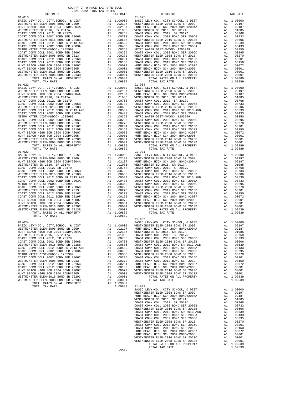| $91 - 018$                                                                 |                                                                                                                                                                                                                                                        |                       | $91 - 025$                 |
|----------------------------------------------------------------------------|--------------------------------------------------------------------------------------------------------------------------------------------------------------------------------------------------------------------------------------------------------|-----------------------|----------------------------|
| BASIC LEVY-CO., CITY, SCHOOL, & DIST                                       |                                                                                                                                                                                                                                                        |                       |                            |
| WESTMINSTER ELEM-2008 BOND SR 2009<br>HUNT BEACH HIGH SCH 2004 BOND#2004A  |                                                                                                                                                                                                                                                        |                       |                            |
| WESTMINSTER SD 2016, SR 2017A                                              |                                                                                                                                                                                                                                                        |                       |                            |
| COAST COMM COLL 2012, SR 2017D                                             |                                                                                                                                                                                                                                                        |                       |                            |
| COAST COMM COLL 2002 BOND SER 2006B                                        |                                                                                                                                                                                                                                                        |                       |                            |
| WESTMINSTER ELEM-2016 BOND SR 2018B                                        |                                                                                                                                                                                                                                                        |                       |                            |
| COAST COMM COLL 2012 BOND SR 2013 A&B                                      |                                                                                                                                                                                                                                                        |                       |                            |
| COAST COMM COLL 2002 BOND SER 2003A                                        |                                                                                                                                                                                                                                                        |                       |                            |
| METRO WATER DIST-MWDOC- 1205999<br>COAST COMM COLL 2002 BOND SER 2006C     |                                                                                                                                                                                                                                                        |                       |                            |
| WESTMINSTER ELEM-2008 BOND SR 2013                                         |                                                                                                                                                                                                                                                        |                       |                            |
| COAST COMM COLL 2012 BOND SER 2016C                                        |                                                                                                                                                                                                                                                        |                       |                            |
| COAST COMM COLL 2012 BOND SER 2019F                                        |                                                                                                                                                                                                                                                        |                       |                            |
| HUNT BEACH HIGH SCH 2004 BOND #2007                                        |                                                                                                                                                                                                                                                        |                       |                            |
| HUNT BEACH HIGH SCH 2004 BOND#2005                                         |                                                                                                                                                                                                                                                        |                       |                            |
| WESTMINSTER ELEM-2016 BOND SR 2020C<br>WESTMINSTER ELEM-2008 BOND SR 2013B |                                                                                                                                                                                                                                                        |                       |                            |
| TOTAL RATES ON ALL PROPERTY                                                |                                                                                                                                                                                                                                                        |                       |                            |
| TOTAL TAX RATE                                                             |                                                                                                                                                                                                                                                        | 1.09889               |                            |
| $91 - 022$                                                                 |                                                                                                                                                                                                                                                        |                       | $91 - 034$                 |
|                                                                            |                                                                                                                                                                                                                                                        |                       |                            |
|                                                                            |                                                                                                                                                                                                                                                        |                       |                            |
|                                                                            |                                                                                                                                                                                                                                                        |                       |                            |
|                                                                            |                                                                                                                                                                                                                                                        |                       |                            |
|                                                                            |                                                                                                                                                                                                                                                        |                       |                            |
|                                                                            |                                                                                                                                                                                                                                                        |                       |                            |
|                                                                            |                                                                                                                                                                                                                                                        |                       |                            |
|                                                                            |                                                                                                                                                                                                                                                        |                       |                            |
|                                                                            |                                                                                                                                                                                                                                                        |                       |                            |
|                                                                            |                                                                                                                                                                                                                                                        |                       |                            |
|                                                                            |                                                                                                                                                                                                                                                        |                       |                            |
|                                                                            |                                                                                                                                                                                                                                                        |                       |                            |
|                                                                            |                                                                                                                                                                                                                                                        |                       |                            |
|                                                                            |                                                                                                                                                                                                                                                        |                       |                            |
|                                                                            |                                                                                                                                                                                                                                                        |                       |                            |
|                                                                            |                                                                                                                                                                                                                                                        |                       |                            |
| TOTAL RATES ON ALL PROPERTY<br>TOTAL TAX RATE                              |                                                                                                                                                                                                                                                        | A1 1.09889<br>1.09889 |                            |
| $91 - 023$                                                                 | 91-901<br>20000 BASIC L<br>2010000 BASIC L<br>2010000 BASIC L<br>20107 HUNT BE<br>2010737 COAST CONSTRENT<br>2010000 MOST COAST C<br>20100000 MOST C<br>20100000 MOST C<br>20100000 MOST C<br>20100000 MUNT BE<br>20100000 MUNT BE<br>20100001 WESTMIN |                       | 91-901                     |
| BASIC LEVY-CO., CITY, SCHOOL, & DIST                                       |                                                                                                                                                                                                                                                        |                       |                            |
| WESTMINSTER ELEM-2008 BOND SR 2009                                         |                                                                                                                                                                                                                                                        |                       |                            |
| HUNT BEACH HIGH SCH 2004 BOND#2004A                                        |                                                                                                                                                                                                                                                        |                       |                            |
| WESTMINSTER SD 2016, SR 2017A                                              |                                                                                                                                                                                                                                                        |                       |                            |
| COAST COMM COLL 2012, SR 2017D<br>COAST COMM COLL 2002 BOND SER 2006B      |                                                                                                                                                                                                                                                        |                       |                            |
| WESTMINSTER ELEM-2016 BOND SR 2018B                                        |                                                                                                                                                                                                                                                        |                       |                            |
| COAST COMM COLL 2012 BOND SR 2013 A&B                                      |                                                                                                                                                                                                                                                        |                       |                            |
| COAST COMM COLL 2002 BOND SER 2003A                                        |                                                                                                                                                                                                                                                        |                       |                            |
| METRO WATER DIST-MWDOC- 1205999                                            |                                                                                                                                                                                                                                                        |                       |                            |
| COAST COMM COLL 2002 BOND SER 2006C                                        |                                                                                                                                                                                                                                                        |                       |                            |
| WESTMINSTER ELEM-2008 BOND SR 2013                                         |                                                                                                                                                                                                                                                        |                       |                            |
| COAST COMM COLL 2012 BOND SER 2016C<br>COAST COMM COLL 2012 BOND SER 2019F |                                                                                                                                                                                                                                                        |                       |                            |
| HUNT BEACH HIGH SCH 2004 BOND #2007                                        |                                                                                                                                                                                                                                                        |                       |                            |
| HUNT BEACH HIGH SCH 2004 BOND#2005                                         |                                                                                                                                                                                                                                                        |                       |                            |
| WESTMINSTER ELEM-2016 BOND SR 2020C                                        |                                                                                                                                                                                                                                                        |                       |                            |
| WESTMINSTER ELEM-2008 BOND SR 2013B                                        |                                                                                                                                                                                                                                                        |                       |                            |
| TOTAL RATES ON ALL PROPERTY                                                |                                                                                                                                                                                                                                                        |                       |                            |
| TOTAL TAX RATE                                                             |                                                                                                                                                                                                                                                        | 1.09889               | $91 - 902$                 |
| $91 - 024$                                                                 |                                                                                                                                                                                                                                                        |                       | BASIC L                    |
|                                                                            |                                                                                                                                                                                                                                                        |                       |                            |
|                                                                            |                                                                                                                                                                                                                                                        |                       |                            |
|                                                                            |                                                                                                                                                                                                                                                        |                       |                            |
|                                                                            |                                                                                                                                                                                                                                                        |                       |                            |
|                                                                            | A1                                                                                                                                                                                                                                                     |                       |                            |
| COAST COMM COLL 2002 BOND SER 2006B<br>WESTMINSTER ELEM-2016 BOND SR 2018B | A1<br>A1                                                                                                                                                                                                                                               | .00733<br>.00606      | WESTMIN<br>COAST C         |
| COAST COMM COLL 2012 BOND SR 2013 A&B                                      | A1                                                                                                                                                                                                                                                     | .00539                | COAST C                    |
| COAST COMM COLL 2002 BOND SER 2003A                                        | A1                                                                                                                                                                                                                                                     | .00433                | COAST C                    |
| METRO WATER DIST-MWDOC- 1205999                                            | A1                                                                                                                                                                                                                                                     | .00350                | WESTMIN                    |
| COAST COMM COLL 2002 BOND SER 2006C                                        | A1                                                                                                                                                                                                                                                     | .00295                | COAST C                    |
| WESTMINSTER ELEM-2008 BOND SR 2013                                         | A1                                                                                                                                                                                                                                                     | .00270                | COAST C                    |
| COAST COMM COLL 2012 BOND SER 2016C                                        | A1                                                                                                                                                                                                                                                     | .00201<br>.00150      | HUNT BE                    |
| COAST COMM COLL 2012 BOND SER 2019F<br>HUNT BEACH HIGH SCH 2004 BOND #2007 | A1<br>A1                                                                                                                                                                                                                                               | .00072                | HUNT BE<br>WESTMIN         |
| HUNT BEACH HIGH SCH 2004 BOND#2005                                         | A1                                                                                                                                                                                                                                                     | .00001                | WESTMIN                    |
| WESTMINSTER ELEM-2016 BOND SR 2020C                                        | A1                                                                                                                                                                                                                                                     | .00001                |                            |
| WESTMINSTER ELEM-2008 BOND SR 2013B                                        | A1                                                                                                                                                                                                                                                     | .00001                |                            |
| TOTAL RATES ON ALL PROPERTY                                                | A1                                                                                                                                                                                                                                                     | 1.09889               |                            |
| TOTAL TAX RATE                                                             |                                                                                                                                                                                                                                                        | 1.09889               | $91 - 903$                 |
|                                                                            |                                                                                                                                                                                                                                                        |                       | BASIC L<br><b>MP CTMTN</b> |

| COUNTY OF ORANGE TAX RATE BOOK<br>2021-2022 TRA TAX RATES<br>$2021-2022 \quad \text{TRA TAX RATES}$ DISTRICT $\hspace{2.5cm}$                                                                                                                                                          |          |            |          |
|----------------------------------------------------------------------------------------------------------------------------------------------------------------------------------------------------------------------------------------------------------------------------------------|----------|------------|----------|
|                                                                                                                                                                                                                                                                                        | TAX RATE | DISTRICT   | TAX RATE |
| $91 - 018$                                                                                                                                                                                                                                                                             |          | $91 - 025$ |          |
|                                                                                                                                                                                                                                                                                        |          |            |          |
|                                                                                                                                                                                                                                                                                        |          |            |          |
|                                                                                                                                                                                                                                                                                        |          |            |          |
|                                                                                                                                                                                                                                                                                        |          |            |          |
|                                                                                                                                                                                                                                                                                        |          |            |          |
|                                                                                                                                                                                                                                                                                        |          |            |          |
|                                                                                                                                                                                                                                                                                        |          |            |          |
|                                                                                                                                                                                                                                                                                        |          |            |          |
|                                                                                                                                                                                                                                                                                        |          |            |          |
|                                                                                                                                                                                                                                                                                        |          |            |          |
|                                                                                                                                                                                                                                                                                        |          |            |          |
|                                                                                                                                                                                                                                                                                        |          |            |          |
|                                                                                                                                                                                                                                                                                        |          |            |          |
|                                                                                                                                                                                                                                                                                        |          |            |          |
|                                                                                                                                                                                                                                                                                        |          |            |          |
|                                                                                                                                                                                                                                                                                        |          |            |          |
|                                                                                                                                                                                                                                                                                        |          |            |          |
|                                                                                                                                                                                                                                                                                        |          |            |          |
|                                                                                                                                                                                                                                                                                        |          |            |          |
|                                                                                                                                                                                                                                                                                        |          |            |          |
|                                                                                                                                                                                                                                                                                        |          |            |          |
|                                                                                                                                                                                                                                                                                        |          |            |          |
|                                                                                                                                                                                                                                                                                        |          |            |          |
|                                                                                                                                                                                                                                                                                        |          |            |          |
|                                                                                                                                                                                                                                                                                        |          |            |          |
|                                                                                                                                                                                                                                                                                        |          |            |          |
|                                                                                                                                                                                                                                                                                        |          |            |          |
|                                                                                                                                                                                                                                                                                        |          |            |          |
|                                                                                                                                                                                                                                                                                        |          |            |          |
|                                                                                                                                                                                                                                                                                        |          |            |          |
|                                                                                                                                                                                                                                                                                        |          |            |          |
| $91 - 023$                                                                                                                                                                                                                                                                             |          | $91 - 901$ |          |
|                                                                                                                                                                                                                                                                                        |          |            |          |
|                                                                                                                                                                                                                                                                                        |          |            |          |
|                                                                                                                                                                                                                                                                                        |          |            |          |
|                                                                                                                                                                                                                                                                                        |          |            |          |
|                                                                                                                                                                                                                                                                                        |          |            |          |
|                                                                                                                                                                                                                                                                                        |          |            |          |
|                                                                                                                                                                                                                                                                                        |          |            |          |
|                                                                                                                                                                                                                                                                                        |          |            |          |
|                                                                                                                                                                                                                                                                                        |          |            |          |
|                                                                                                                                                                                                                                                                                        |          |            |          |
|                                                                                                                                                                                                                                                                                        |          |            |          |
|                                                                                                                                                                                                                                                                                        |          |            |          |
|                                                                                                                                                                                                                                                                                        |          |            |          |
|                                                                                                                                                                                                                                                                                        |          |            |          |
|                                                                                                                                                                                                                                                                                        |          |            |          |
|                                                                                                                                                                                                                                                                                        |          |            |          |
|                                                                                                                                                                                                                                                                                        |          |            |          |
|                                                                                                                                                                                                                                                                                        |          |            |          |
|                                                                                                                                                                                                                                                                                        |          |            |          |
|                                                                                                                                                                                                                                                                                        |          |            |          |
|                                                                                                                                                                                                                                                                                        |          |            |          |
|                                                                                                                                                                                                                                                                                        |          |            |          |
|                                                                                                                                                                                                                                                                                        |          |            |          |
|                                                                                                                                                                                                                                                                                        |          |            |          |
|                                                                                                                                                                                                                                                                                        |          |            |          |
|                                                                                                                                                                                                                                                                                        |          |            |          |
|                                                                                                                                                                                                                                                                                        |          |            |          |
|                                                                                                                                                                                                                                                                                        |          |            |          |
|                                                                                                                                                                                                                                                                                        |          |            |          |
|                                                                                                                                                                                                                                                                                        |          |            |          |
|                                                                                                                                                                                                                                                                                        |          |            |          |
| $\begin{tabular}{cccccccc} $1-0.24$ & $1-0.9989$ & $1-90.2$ & $1-0.9899$ & $1-0.912$ & $1-0.9899$ & $1-0.922$ & $1-0.9829$ & $1-0.922$ & $1-0.9989$ & $1-0.922$ & $1-0.9989$ & $1-0.922$ & $1-0.9989$ & $1-0.9989$ & $1-0.9989$ & $1-0.9989$ & $1-0.9989$ & $1-0.9989$ & $1-0.9989$ &$ |          |            |          |
|                                                                                                                                                                                                                                                                                        |          |            |          |
|                                                                                                                                                                                                                                                                                        |          |            |          |
|                                                                                                                                                                                                                                                                                        |          |            |          |
|                                                                                                                                                                                                                                                                                        |          |            |          |
|                                                                                                                                                                                                                                                                                        |          |            |          |
|                                                                                                                                                                                                                                                                                        |          |            |          |
|                                                                                                                                                                                                                                                                                        |          |            |          |
|                                                                                                                                                                                                                                                                                        |          |            |          |
|                                                                                                                                                                                                                                                                                        |          |            |          |
|                                                                                                                                                                                                                                                                                        |          |            |          |
|                                                                                                                                                                                                                                                                                        |          |            |          |
|                                                                                                                                                                                                                                                                                        |          |            |          |
|                                                                                                                                                                                                                                                                                        |          |            |          |
|                                                                                                                                                                                                                                                                                        | $-353-$  |            |          |